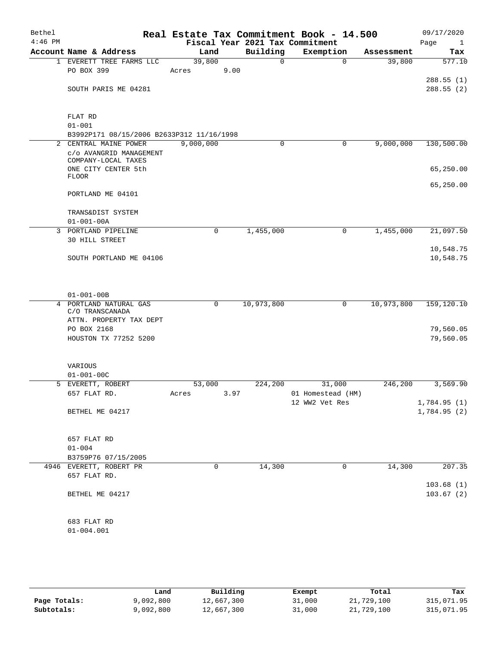| Bethel<br>$4:46$ PM |                                           |           |      |            | Real Estate Tax Commitment Book - 14.500<br>Fiscal Year 2021 Tax Commitment |              |            | 09/17/2020<br>Page<br>$\mathbf{1}$ |
|---------------------|-------------------------------------------|-----------|------|------------|-----------------------------------------------------------------------------|--------------|------------|------------------------------------|
|                     | Account Name & Address                    | Land      |      | Building   | Exemption                                                                   |              | Assessment | Tax                                |
| 1                   | EVERETT TREE FARMS LLC                    | 39,800    |      | 0          |                                                                             | $\Omega$     | 39,800     | 577.10                             |
|                     | PO BOX 399                                | Acres     | 9.00 |            |                                                                             |              |            |                                    |
|                     |                                           |           |      |            |                                                                             |              |            | 288.55(1)                          |
|                     | SOUTH PARIS ME 04281                      |           |      |            |                                                                             |              |            | 288.55(2)                          |
|                     |                                           |           |      |            |                                                                             |              |            |                                    |
|                     |                                           |           |      |            |                                                                             |              |            |                                    |
|                     | FLAT RD                                   |           |      |            |                                                                             |              |            |                                    |
|                     | $01 - 001$                                |           |      |            |                                                                             |              |            |                                    |
|                     | B3992P171 08/15/2006 B2633P312 11/16/1998 |           |      |            |                                                                             |              |            |                                    |
|                     | 2 CENTRAL MAINE POWER                     | 9,000,000 |      | 0          |                                                                             | 0            | 9,000,000  | 130, 500.00                        |
|                     | C/O AVANGRID MANAGEMENT                   |           |      |            |                                                                             |              |            |                                    |
|                     | COMPANY-LOCAL TAXES                       |           |      |            |                                                                             |              |            |                                    |
|                     | ONE CITY CENTER 5th<br><b>FLOOR</b>       |           |      |            |                                                                             |              |            | 65,250.00                          |
|                     |                                           |           |      |            |                                                                             |              |            | 65,250.00                          |
|                     | PORTLAND ME 04101                         |           |      |            |                                                                             |              |            |                                    |
|                     |                                           |           |      |            |                                                                             |              |            |                                    |
|                     | TRANS&DIST SYSTEM                         |           |      |            |                                                                             |              |            |                                    |
|                     | $01 - 001 - 00A$                          |           |      |            |                                                                             |              |            |                                    |
|                     | 3 PORTLAND PIPELINE                       |           | 0    | 1,455,000  |                                                                             | 0            | 1,455,000  | 21,097.50                          |
|                     | 30 HILL STREET                            |           |      |            |                                                                             |              |            |                                    |
|                     |                                           |           |      |            |                                                                             |              |            | 10,548.75                          |
|                     | SOUTH PORTLAND ME 04106                   |           |      |            |                                                                             |              |            | 10,548.75                          |
|                     |                                           |           |      |            |                                                                             |              |            |                                    |
|                     |                                           |           |      |            |                                                                             |              |            |                                    |
|                     |                                           |           |      |            |                                                                             |              |            |                                    |
|                     | $01 - 001 - 00B$                          |           |      |            |                                                                             |              |            |                                    |
|                     | 4 PORTLAND NATURAL GAS                    |           | 0    | 10,973,800 |                                                                             | 0            | 10,973,800 | 159, 120.10                        |
|                     | C/O TRANSCANADA                           |           |      |            |                                                                             |              |            |                                    |
|                     | ATTN. PROPERTY TAX DEPT                   |           |      |            |                                                                             |              |            |                                    |
|                     | PO BOX 2168                               |           |      |            |                                                                             |              |            | 79,560.05                          |
|                     | HOUSTON TX 77252 5200                     |           |      |            |                                                                             |              |            | 79,560.05                          |
|                     |                                           |           |      |            |                                                                             |              |            |                                    |
|                     | VARIOUS                                   |           |      |            |                                                                             |              |            |                                    |
|                     | $01 - 001 - 00C$                          |           |      |            |                                                                             |              |            |                                    |
|                     | 5 EVERETT, ROBERT                         | 53,000    |      | 224,200    | 31,000                                                                      |              | 246,200    | 3,569.90                           |
|                     | 657 FLAT RD.                              | Acres     | 3.97 |            | 01 Homestead (HM)                                                           |              |            |                                    |
|                     |                                           |           |      |            | 12 WW2 Vet Res                                                              |              |            | 1,784.95(1)                        |
|                     | BETHEL ME 04217                           |           |      |            |                                                                             |              |            | 1,784.95(2)                        |
|                     |                                           |           |      |            |                                                                             |              |            |                                    |
|                     |                                           |           |      |            |                                                                             |              |            |                                    |
|                     | 657 FLAT RD                               |           |      |            |                                                                             |              |            |                                    |
|                     | $01 - 004$                                |           |      |            |                                                                             |              |            |                                    |
|                     | B3759P76 07/15/2005                       |           |      |            |                                                                             |              |            |                                    |
|                     | 4946 EVERETT, ROBERT PR                   |           | 0    | 14,300     |                                                                             | $\mathsf{O}$ | 14,300     | 207.35                             |
|                     | 657 FLAT RD.                              |           |      |            |                                                                             |              |            |                                    |
|                     |                                           |           |      |            |                                                                             |              |            | 103.68(1)                          |
|                     | BETHEL ME 04217                           |           |      |            |                                                                             |              |            | 103.67(2)                          |
|                     |                                           |           |      |            |                                                                             |              |            |                                    |
|                     | 683 FLAT RD                               |           |      |            |                                                                             |              |            |                                    |
|                     | $01 - 004.001$                            |           |      |            |                                                                             |              |            |                                    |
|                     |                                           |           |      |            |                                                                             |              |            |                                    |

|              | Land      | Building   | Exempt | Total      | Tax        |
|--------------|-----------|------------|--------|------------|------------|
| Page Totals: | 9,092,800 | 12,667,300 | 31,000 | 21,729,100 | 315,071.95 |
| Subtotals:   | 9,092,800 | 12,667,300 | 31,000 | 21,729,100 | 315,071.95 |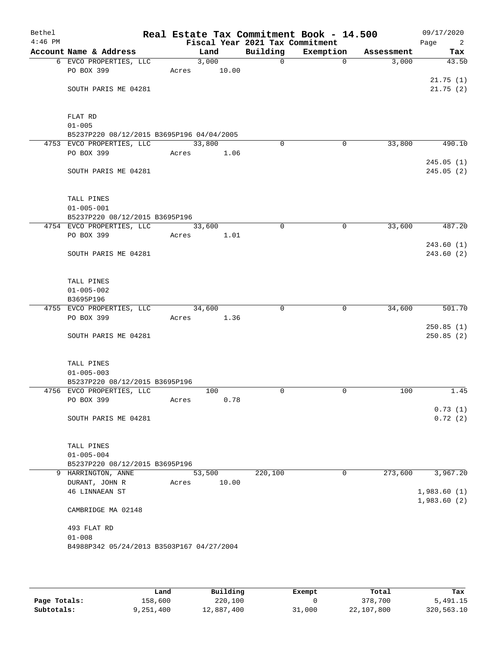| Bethel<br>$4:46$ PM |                                                      |       |        | Fiscal Year 2021 Tax Commitment | Real Estate Tax Commitment Book - 14.500 |            | 09/17/2020<br>Page<br>$\overline{\phantom{a}}^2$ |
|---------------------|------------------------------------------------------|-------|--------|---------------------------------|------------------------------------------|------------|--------------------------------------------------|
|                     | Account Name & Address                               |       | Land   | Building                        | Exemption                                | Assessment | Tax                                              |
|                     | 6 EVCO PROPERTIES, LLC                               |       | 3,000  | $\overline{0}$                  | $\Omega$                                 | 3,000      | 43.50                                            |
|                     | PO BOX 399                                           | Acres | 10.00  |                                 |                                          |            |                                                  |
|                     |                                                      |       |        |                                 |                                          |            | 21.75(1)                                         |
|                     | SOUTH PARIS ME 04281                                 |       |        |                                 |                                          |            | 21.75(2)                                         |
|                     |                                                      |       |        |                                 |                                          |            |                                                  |
|                     | FLAT RD                                              |       |        |                                 |                                          |            |                                                  |
|                     | $01 - 005$                                           |       |        |                                 |                                          |            |                                                  |
|                     | B5237P220 08/12/2015 B3695P196 04/04/2005            |       |        |                                 |                                          |            |                                                  |
|                     | 4753 EVCO PROPERTIES, LLC                            |       | 33,800 | $\Omega$                        | 0                                        | 33,800     | 490.10                                           |
|                     | PO BOX 399                                           | Acres | 1.06   |                                 |                                          |            |                                                  |
|                     |                                                      |       |        |                                 |                                          |            | 245.05(1)                                        |
|                     | SOUTH PARIS ME 04281                                 |       |        |                                 |                                          |            | 245.05 (2)                                       |
|                     |                                                      |       |        |                                 |                                          |            |                                                  |
|                     |                                                      |       |        |                                 |                                          |            |                                                  |
|                     | TALL PINES<br>$01 - 005 - 001$                       |       |        |                                 |                                          |            |                                                  |
|                     | B5237P220 08/12/2015 B3695P196                       |       |        |                                 |                                          |            |                                                  |
|                     | 4754 EVCO PROPERTIES, LLC                            |       | 33,600 | 0                               | $\mathbf 0$                              | 33,600     | 487.20                                           |
|                     | PO BOX 399                                           | Acres | 1.01   |                                 |                                          |            |                                                  |
|                     |                                                      |       |        |                                 |                                          |            | 243.60(1)                                        |
|                     | SOUTH PARIS ME 04281                                 |       |        |                                 |                                          |            | 243.60(2)                                        |
|                     |                                                      |       |        |                                 |                                          |            |                                                  |
|                     |                                                      |       |        |                                 |                                          |            |                                                  |
|                     | TALL PINES                                           |       |        |                                 |                                          |            |                                                  |
|                     | $01 - 005 - 002$<br>B3695P196                        |       |        |                                 |                                          |            |                                                  |
|                     | 4755 EVCO PROPERTIES, LLC                            |       | 34,600 | $\Omega$                        | $\mathbf 0$                              | 34,600     | 501.70                                           |
|                     | PO BOX 399                                           | Acres | 1.36   |                                 |                                          |            |                                                  |
|                     |                                                      |       |        |                                 |                                          |            | 250.85(1)                                        |
|                     | SOUTH PARIS ME 04281                                 |       |        |                                 |                                          |            | 250.85(2)                                        |
|                     |                                                      |       |        |                                 |                                          |            |                                                  |
|                     |                                                      |       |        |                                 |                                          |            |                                                  |
|                     | TALL PINES                                           |       |        |                                 |                                          |            |                                                  |
|                     | $01 - 005 - 003$<br>B5237P220 08/12/2015 B3695P196   |       |        |                                 |                                          |            |                                                  |
|                     | 4756 EVCO PROPERTIES, LLC                            |       | 100    | $\Omega$                        | $\mathbf 0$                              | 100        | 1.45                                             |
|                     | PO BOX 399                                           | Acres | 0.78   |                                 |                                          |            |                                                  |
|                     |                                                      |       |        |                                 |                                          |            | 0.73(1)                                          |
|                     | SOUTH PARIS ME 04281                                 |       |        |                                 |                                          |            | 0.72(2)                                          |
|                     |                                                      |       |        |                                 |                                          |            |                                                  |
|                     |                                                      |       |        |                                 |                                          |            |                                                  |
|                     | TALL PINES                                           |       |        |                                 |                                          |            |                                                  |
|                     | $01 - 005 - 004$                                     |       |        |                                 |                                          |            |                                                  |
|                     | B5237P220 08/12/2015 B3695P196<br>9 HARRINGTON, ANNE |       | 53,500 | 220,100                         | 0                                        | 273,600    | 3,967.20                                         |
|                     | DURANT, JOHN R                                       | Acres | 10.00  |                                 |                                          |            |                                                  |
|                     | <b>46 LINNAEAN ST</b>                                |       |        |                                 |                                          |            | 1,983.60(1)                                      |
|                     |                                                      |       |        |                                 |                                          |            | 1,983.60(2)                                      |
|                     | CAMBRIDGE MA 02148                                   |       |        |                                 |                                          |            |                                                  |
|                     |                                                      |       |        |                                 |                                          |            |                                                  |
|                     | 493 FLAT RD                                          |       |        |                                 |                                          |            |                                                  |
|                     | $01 - 008$                                           |       |        |                                 |                                          |            |                                                  |
|                     | B4988P342 05/24/2013 B3503P167 04/27/2004            |       |        |                                 |                                          |            |                                                  |
|                     |                                                      |       |        |                                 |                                          |            |                                                  |

|              | Land      | Building   | Exempt | Total      | Tax        |
|--------------|-----------|------------|--------|------------|------------|
| Page Totals: | 158,600   | 220,100    |        | 378,700    | 5,491.15   |
| Subtotals:   | 9,251,400 | 12,887,400 | 31,000 | 22,107,800 | 320,563.10 |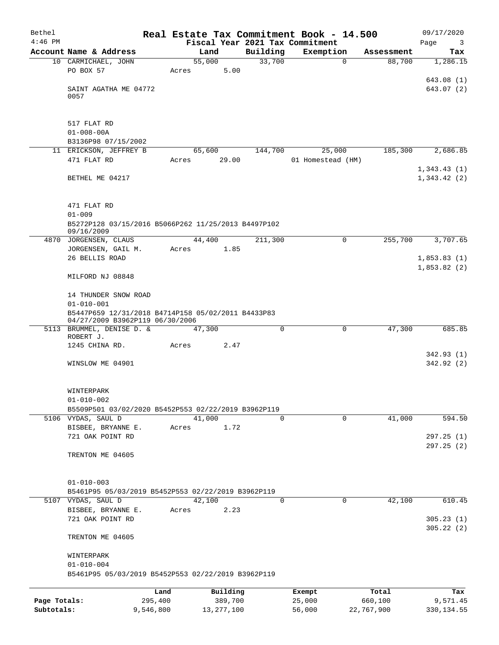| Bethel       |                                                                   |         |                |             | Real Estate Tax Commitment Book - 14.500 |            | 09/17/2020  |
|--------------|-------------------------------------------------------------------|---------|----------------|-------------|------------------------------------------|------------|-------------|
| $4:46$ PM    |                                                                   |         |                |             | Fiscal Year 2021 Tax Commitment          |            | Page<br>3   |
|              | Account Name & Address                                            |         | Land           | Building    | Exemption                                | Assessment | Tax         |
|              | 10 CARMICHAEL, JOHN<br>PO BOX 57                                  |         | 55,000<br>5.00 | 33,700      | $\Omega$                                 | 88,700     | 1,286.15    |
|              |                                                                   | Acres   |                |             |                                          |            | 643.08 (1)  |
|              | SAINT AGATHA ME 04772                                             |         |                |             |                                          |            | 643.07 (2)  |
|              | 0057                                                              |         |                |             |                                          |            |             |
|              |                                                                   |         |                |             |                                          |            |             |
|              |                                                                   |         |                |             |                                          |            |             |
|              | 517 FLAT RD                                                       |         |                |             |                                          |            |             |
|              | $01 - 008 - 00A$                                                  |         |                |             |                                          |            |             |
|              | B3136P98 07/15/2002                                               |         |                |             |                                          |            |             |
|              | 11 ERICKSON, JEFFREY B                                            |         | 65,600         | 144,700     | 25,000                                   | 185,300    | 2,686.85    |
|              | 471 FLAT RD                                                       | Acres   | 29.00          |             | 01 Homestead (HM)                        |            |             |
|              |                                                                   |         |                |             |                                          |            | 1,343.43(1) |
|              | BETHEL ME 04217                                                   |         |                |             |                                          |            | 1,343.42(2) |
|              |                                                                   |         |                |             |                                          |            |             |
|              |                                                                   |         |                |             |                                          |            |             |
|              | 471 FLAT RD                                                       |         |                |             |                                          |            |             |
|              | $01 - 009$<br>B5272P128 03/15/2016 B5066P262 11/25/2013 B4497P102 |         |                |             |                                          |            |             |
|              | 09/16/2009                                                        |         |                |             |                                          |            |             |
|              | 4870 JORGENSEN, CLAUS                                             |         | 44,400         | 211,300     | $\Omega$                                 | 255,700    | 3,707.65    |
|              | JORGENSEN, GAIL M.                                                | Acres   | 1.85           |             |                                          |            |             |
|              | 26 BELLIS ROAD                                                    |         |                |             |                                          |            | 1,853.83(1) |
|              |                                                                   |         |                |             |                                          |            | 1,853.82(2) |
|              | MILFORD NJ 08848                                                  |         |                |             |                                          |            |             |
|              |                                                                   |         |                |             |                                          |            |             |
|              | 14 THUNDER SNOW ROAD                                              |         |                |             |                                          |            |             |
|              | $01 - 010 - 001$                                                  |         |                |             |                                          |            |             |
|              | B5447P659 12/31/2018 B4714P158 05/02/2011 B4433P83                |         |                |             |                                          |            |             |
|              | 04/27/2009 B3962P119 06/30/2006<br>5113 BRUMMEL, DENISE D. &      |         | 47,300         | $\Omega$    | $\Omega$                                 | 47,300     | 685.85      |
|              | ROBERT J.                                                         |         |                |             |                                          |            |             |
|              | 1245 CHINA RD.                                                    | Acres   | 2.47           |             |                                          |            |             |
|              |                                                                   |         |                |             |                                          |            | 342.93(1)   |
|              | WINSLOW ME 04901                                                  |         |                |             |                                          |            | 342.92(2)   |
|              |                                                                   |         |                |             |                                          |            |             |
|              |                                                                   |         |                |             |                                          |            |             |
|              | WINTERPARK                                                        |         |                |             |                                          |            |             |
|              | $01 - 010 - 002$                                                  |         |                |             |                                          |            |             |
|              | B5509P501 03/02/2020 B5452P553 02/22/2019 B3962P119               |         |                | $\mathbf 0$ | $\mathbf 0$                              |            | 594.50      |
|              | 5106 VYDAS, SAUL D<br>BISBEE, BRYANNE E.                          | Acres   | 41,000         |             |                                          | 41,000     |             |
|              | 721 OAK POINT RD                                                  |         | 1.72           |             |                                          |            | 297.25(1)   |
|              |                                                                   |         |                |             |                                          |            | 297.25(2)   |
|              | TRENTON ME 04605                                                  |         |                |             |                                          |            |             |
|              |                                                                   |         |                |             |                                          |            |             |
|              |                                                                   |         |                |             |                                          |            |             |
|              | $01 - 010 - 003$                                                  |         |                |             |                                          |            |             |
|              | B5461P95 05/03/2019 B5452P553 02/22/2019 B3962P119                |         |                |             |                                          |            |             |
|              | 5107 VYDAS, SAUL D                                                |         | 42,100         | $\Omega$    | $\mathbf 0$                              | 42,100     | 610.45      |
|              | BISBEE, BRYANNE E.                                                | Acres   | 2.23           |             |                                          |            |             |
|              | 721 OAK POINT RD                                                  |         |                |             |                                          |            | 305.23(1)   |
|              |                                                                   |         |                |             |                                          |            | 305.22(2)   |
|              | TRENTON ME 04605                                                  |         |                |             |                                          |            |             |
|              |                                                                   |         |                |             |                                          |            |             |
|              | WINTERPARK                                                        |         |                |             |                                          |            |             |
|              | $01 - 010 - 004$                                                  |         |                |             |                                          |            |             |
|              | B5461P95 05/03/2019 B5452P553 02/22/2019 B3962P119                |         |                |             |                                          |            |             |
|              |                                                                   | Land    | Building       |             | Exempt                                   | Total      | Tax         |
| Page Totals: |                                                                   | 295,400 | 389,700        |             | 25,000                                   | 660,100    | 9,571.45    |
| Subtotals:   | 9,546,800                                                         |         | 13, 277, 100   |             | 56,000                                   | 22,767,900 | 330, 134.55 |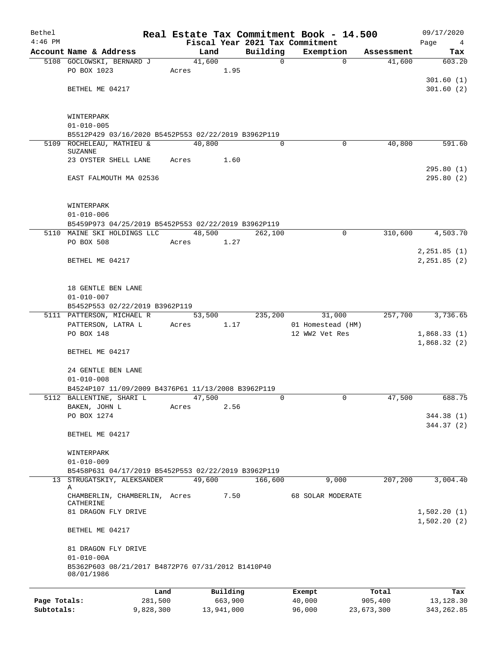| Bethel       |                                                                                     |       |          |             | Real Estate Tax Commitment Book - 14.500 |            | 09/17/2020                 |
|--------------|-------------------------------------------------------------------------------------|-------|----------|-------------|------------------------------------------|------------|----------------------------|
| $4:46$ PM    |                                                                                     |       |          |             | Fiscal Year 2021 Tax Commitment          |            | Page<br>4                  |
|              | Account Name & Address                                                              |       | Land     | Building    | Exemption                                | Assessment | Tax                        |
|              | 5108 GOCLOWSKI, BERNARD J                                                           |       | 41,600   | $\mathbf 0$ | $\mathbf 0$                              | 41,600     | 603.20                     |
|              | PO BOX 1023                                                                         | Acres | 1.95     |             |                                          |            | 301.60(1)                  |
|              | BETHEL ME 04217                                                                     |       |          |             |                                          |            | 301.60(2)                  |
|              |                                                                                     |       |          |             |                                          |            |                            |
|              | WINTERPARK                                                                          |       |          |             |                                          |            |                            |
|              | $01 - 010 - 005$                                                                    |       |          |             |                                          |            |                            |
|              | B5512P429 03/16/2020 B5452P553 02/22/2019 B3962P119                                 |       |          |             |                                          |            |                            |
|              | 5109 ROCHELEAU, MATHIEU &                                                           |       | 40,800   | $\Omega$    | 0                                        | 40,800     | 591.60                     |
|              | <b>SUZANNE</b>                                                                      |       |          |             |                                          |            |                            |
|              | 23 OYSTER SHELL LANE                                                                | Acres | 1.60     |             |                                          |            |                            |
|              | EAST FALMOUTH MA 02536                                                              |       |          |             |                                          |            | 295.80(1)<br>295.80(2)     |
|              |                                                                                     |       |          |             |                                          |            |                            |
|              | WINTERPARK                                                                          |       |          |             |                                          |            |                            |
|              | $01 - 010 - 006$<br>B5459P973 04/25/2019 B5452P553 02/22/2019 B3962P119             |       |          |             |                                          |            |                            |
|              | 5110 MAINE SKI HOLDINGS LLC                                                         |       | 48,500   | 262,100     | 0                                        | 310,600    | 4,503.70                   |
|              | PO BOX 508                                                                          | Acres | 1.27     |             |                                          |            |                            |
|              |                                                                                     |       |          |             |                                          |            | 2, 251.85 (1)              |
|              | BETHEL ME 04217                                                                     |       |          |             |                                          |            | 2, 251.85 (2)              |
|              |                                                                                     |       |          |             |                                          |            |                            |
|              | 18 GENTLE BEN LANE                                                                  |       |          |             |                                          |            |                            |
|              | $01 - 010 - 007$                                                                    |       |          |             |                                          |            |                            |
|              | B5452P553 02/22/2019 B3962P119                                                      |       |          |             |                                          |            |                            |
|              | 5111 PATTERSON, MICHAEL R                                                           |       | 53,500   | 235,200     | 31,000                                   | 257,700    | 3,736.65                   |
|              | PATTERSON, LATRA L                                                                  | Acres | 1.17     |             | 01 Homestead (HM)                        |            |                            |
|              | PO BOX 148                                                                          |       |          |             | 12 WW2 Vet Res                           |            | 1,868.33(1)                |
|              | BETHEL ME 04217                                                                     |       |          |             |                                          |            | 1,868.32(2)                |
|              | 24 GENTLE BEN LANE                                                                  |       |          |             |                                          |            |                            |
|              | $01 - 010 - 008$<br>B4524P107 11/09/2009 B4376P61 11/13/2008 B3962P119              |       |          |             |                                          |            |                            |
|              | 5112 BALLENTINE, SHARI L                                                            |       | 47,500   | 0           | $\mathbf{0}$                             | 47,500     | 688.75                     |
|              | BAKEN, JOHN L                                                                       | Acres | 2.56     |             |                                          |            |                            |
|              | PO BOX 1274                                                                         |       |          |             |                                          |            | 344.38(1)                  |
|              |                                                                                     |       |          |             |                                          |            | 344.37 (2)                 |
|              | BETHEL ME 04217                                                                     |       |          |             |                                          |            |                            |
|              | WINTERPARK                                                                          |       |          |             |                                          |            |                            |
|              | $01 - 010 - 009$                                                                    |       |          |             |                                          |            |                            |
|              | B5458P631 04/17/2019 B5452P553 02/22/2019 B3962P119                                 |       |          |             |                                          |            |                            |
|              | 13 STRUGATSKIY, ALEKSANDER<br>Α                                                     |       | 49,600   | 166,600     | 9,000                                    | 207,200    | 3,004.40                   |
|              | CHAMBERLIN, CHAMBERLIN, Acres<br>CATHERINE                                          |       | 7.50     |             | <b>68 SOLAR MODERATE</b>                 |            |                            |
|              | 81 DRAGON FLY DRIVE                                                                 |       |          |             |                                          |            | 1,502.20(1)<br>1,502.20(2) |
|              | BETHEL ME 04217                                                                     |       |          |             |                                          |            |                            |
|              | 81 DRAGON FLY DRIVE                                                                 |       |          |             |                                          |            |                            |
|              | $01 - 010 - 00A$<br>B5362P603 08/21/2017 B4872P76 07/31/2012 B1410P40<br>08/01/1986 |       |          |             |                                          |            |                            |
|              |                                                                                     |       |          |             |                                          |            |                            |
|              |                                                                                     | Land  | Building |             | Exempt                                   | Total      | Tax                        |
| Page Totals: | 281,500                                                                             |       | 663,900  |             | 40,000                                   | 905,400    | 13, 128.30                 |

**Subtotals:** 9,828,300 13,941,000 96,000 23,673,300 343,262.85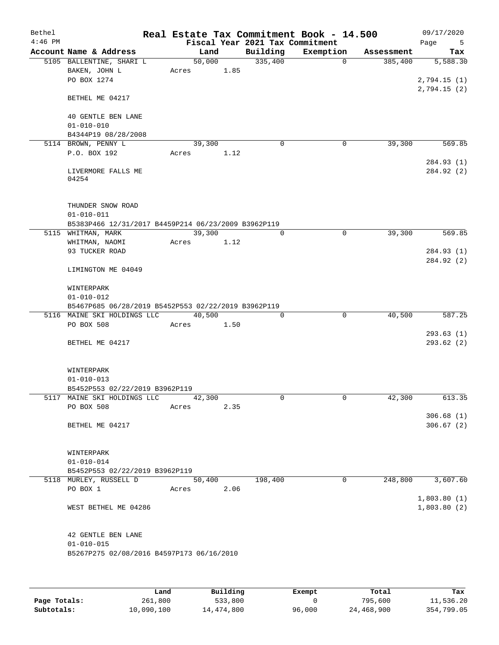|  | Account Name & Address<br>5105 BALLENTINE, SHARI L<br>BAKEN, JOHN L<br>PO BOX 1274           | Land<br>50,000<br>Acres |      | Fiscal Year 2021 Tax Commitment<br>Building<br>335,400 | Exemption<br>$\Omega$ | Assessment<br>385,400 | Page<br>5<br>Tax           |
|--|----------------------------------------------------------------------------------------------|-------------------------|------|--------------------------------------------------------|-----------------------|-----------------------|----------------------------|
|  |                                                                                              |                         |      |                                                        |                       |                       |                            |
|  |                                                                                              |                         | 1.85 |                                                        |                       |                       | 5,588.30                   |
|  |                                                                                              |                         |      |                                                        |                       |                       | 2,794.15(1)<br>2,794.15(2) |
|  | BETHEL ME 04217                                                                              |                         |      |                                                        |                       |                       |                            |
|  | 40 GENTLE BEN LANE<br>$01 - 010 - 010$                                                       |                         |      |                                                        |                       |                       |                            |
|  | B4344P19 08/28/2008                                                                          |                         |      |                                                        |                       |                       |                            |
|  | 5114 BROWN, PENNY L<br>P.O. BOX 192                                                          | 39,300<br>Acres         | 1.12 | 0                                                      | 0                     | 39,300                | 569.85                     |
|  | LIVERMORE FALLS ME<br>04254                                                                  |                         |      |                                                        |                       |                       | 284.93 (1)<br>284.92 (2)   |
|  | THUNDER SNOW ROAD<br>$01 - 010 - 011$<br>B5383P466 12/31/2017 B4459P214 06/23/2009 B3962P119 |                         |      |                                                        |                       |                       |                            |
|  | 5115 WHITMAN, MARK                                                                           | 39,300                  |      | $\mathbf 0$                                            | $\mathbf 0$           | 39,300                | 569.85                     |
|  | WHITMAN, NAOMI                                                                               | Acres                   | 1.12 |                                                        |                       |                       |                            |
|  | 93 TUCKER ROAD                                                                               |                         |      |                                                        |                       |                       | 284.93 (1)<br>284.92 (2)   |
|  | LIMINGTON ME 04049                                                                           |                         |      |                                                        |                       |                       |                            |
|  | WINTERPARK<br>$01 - 010 - 012$                                                               |                         |      |                                                        |                       |                       |                            |
|  | B5467P685 06/28/2019 B5452P553 02/22/2019 B3962P119                                          |                         |      |                                                        |                       |                       |                            |
|  | 5116 MAINE SKI HOLDINGS LLC                                                                  | 40,500                  |      | 0                                                      | 0                     | 40,500                | 587.25                     |
|  | PO BOX 508                                                                                   | Acres                   | 1.50 |                                                        |                       |                       |                            |
|  |                                                                                              |                         |      |                                                        |                       |                       | 293.63(1)                  |
|  | BETHEL ME 04217                                                                              |                         |      |                                                        |                       |                       | 293.62(2)                  |
|  | WINTERPARK                                                                                   |                         |      |                                                        |                       |                       |                            |
|  | $01 - 010 - 013$                                                                             |                         |      |                                                        |                       |                       |                            |
|  | B5452P553 02/22/2019 B3962P119                                                               |                         |      | 0                                                      | $\mathsf{O}$          |                       |                            |
|  | 5117 MAINE SKI HOLDINGS LLC<br>PO BOX 508                                                    | 42,300<br>Acres         | 2.35 |                                                        |                       | 42,300                | 613.35                     |
|  |                                                                                              |                         |      |                                                        |                       |                       | 306.68(1)                  |
|  | BETHEL ME 04217                                                                              |                         |      |                                                        |                       |                       | 306.67(2)                  |
|  | WINTERPARK                                                                                   |                         |      |                                                        |                       |                       |                            |
|  | $01 - 010 - 014$                                                                             |                         |      |                                                        |                       |                       |                            |
|  | B5452P553 02/22/2019 B3962P119                                                               |                         |      |                                                        |                       |                       | 3,607.60                   |
|  | 5118 MURLEY, RUSSELL D<br>PO BOX 1                                                           | 50,400<br>Acres         | 2.06 | 198,400                                                | $\mathbf 0$           | 248,800               |                            |
|  | WEST BETHEL ME 04286                                                                         |                         |      |                                                        |                       |                       | 1,803.80(1)<br>1,803.80(2) |
|  | 42 GENTLE BEN LANE                                                                           |                         |      |                                                        |                       |                       |                            |
|  | $01 - 010 - 015$<br>B5267P275 02/08/2016 B4597P173 06/16/2010                                |                         |      |                                                        |                       |                       |                            |
|  |                                                                                              |                         |      |                                                        |                       |                       |                            |

|              | Land       | Building   | Exempt | Total      | Tax        |
|--------------|------------|------------|--------|------------|------------|
| Page Totals: | 261,800    | 533,800    |        | 795,600    | 11,536.20  |
| Subtotals:   | 10,090,100 | 14,474,800 | 96,000 | 24,468,900 | 354,799.05 |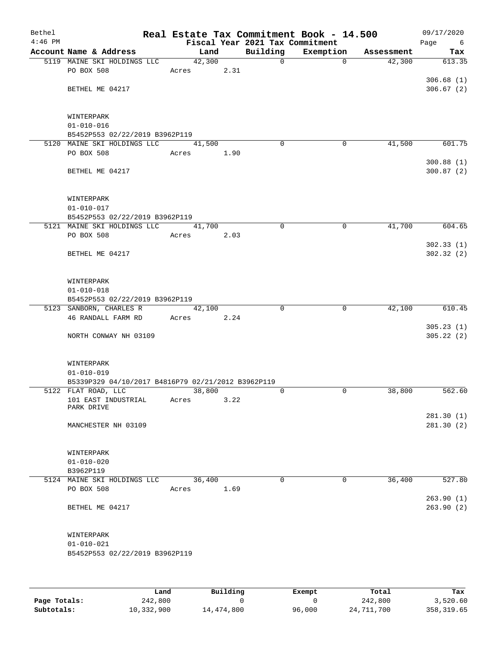| Bethel<br>$4:46$ PM |                                                                           |        |      | Fiscal Year 2021 Tax Commitment | Real Estate Tax Commitment Book - 14.500 |            | 09/17/2020<br>Page<br>6 |
|---------------------|---------------------------------------------------------------------------|--------|------|---------------------------------|------------------------------------------|------------|-------------------------|
|                     | Account Name & Address                                                    |        | Land | Building                        | Exemption                                | Assessment | Tax                     |
|                     | 5119 MAINE SKI HOLDINGS LLC                                               | 42,300 |      | $\mathsf{O}$                    | $\Omega$                                 | 42,300     | 613.35                  |
|                     | PO BOX 508                                                                | Acres  | 2.31 |                                 |                                          |            |                         |
|                     |                                                                           |        |      |                                 |                                          |            | 306.68(1)               |
|                     | BETHEL ME 04217                                                           |        |      |                                 |                                          |            | 306.67(2)               |
|                     | WINTERPARK                                                                |        |      |                                 |                                          |            |                         |
|                     | $01 - 010 - 016$                                                          |        |      |                                 |                                          |            |                         |
|                     | B5452P553 02/22/2019 B3962P119                                            |        |      |                                 |                                          |            |                         |
|                     | 5120 MAINE SKI HOLDINGS LLC                                               | 41,500 |      | $\Omega$                        | 0                                        | 41,500     | 601.75                  |
|                     | PO BOX 508                                                                | Acres  | 1.90 |                                 |                                          |            |                         |
|                     | BETHEL ME 04217                                                           |        |      |                                 |                                          |            | 300.88(1)<br>300.87 (2) |
|                     |                                                                           |        |      |                                 |                                          |            |                         |
|                     | WINTERPARK                                                                |        |      |                                 |                                          |            |                         |
|                     | $01 - 010 - 017$<br>B5452P553 02/22/2019 B3962P119                        |        |      |                                 |                                          |            |                         |
|                     | 5121 MAINE SKI HOLDINGS LLC                                               | 41,700 |      | $\mathbf 0$                     | $\mathbf 0$                              | 41,700     | 604.65                  |
|                     | PO BOX 508                                                                | Acres  | 2.03 |                                 |                                          |            |                         |
|                     |                                                                           |        |      |                                 |                                          |            | 302.33(1)               |
|                     | BETHEL ME 04217                                                           |        |      |                                 |                                          |            | 302.32(2)               |
|                     | WINTERPARK                                                                |        |      |                                 |                                          |            |                         |
|                     | $01 - 010 - 018$                                                          |        |      |                                 |                                          |            |                         |
|                     | B5452P553 02/22/2019 B3962P119                                            |        |      |                                 |                                          |            |                         |
|                     | 5123 SANBORN, CHARLES R                                                   | 42,100 |      | $\Omega$                        | 0                                        | 42,100     | 610.45                  |
|                     | 46 RANDALL FARM RD                                                        | Acres  | 2.24 |                                 |                                          |            |                         |
|                     |                                                                           |        |      |                                 |                                          |            | 305.23(1)<br>305.22(2)  |
|                     | NORTH CONWAY NH 03109                                                     |        |      |                                 |                                          |            |                         |
|                     | WINTERPARK                                                                |        |      |                                 |                                          |            |                         |
|                     | $01 - 010 - 019$                                                          |        |      |                                 |                                          |            |                         |
|                     | B5339P329 04/10/2017 B4816P79 02/21/2012 B3962P119<br>5122 FLAT ROAD, LLC | 38,800 |      | 0                               | 0                                        | 38,800     | 562.60                  |
|                     | 101 EAST INDUSTRIAL                                                       | Acres  | 3.22 |                                 |                                          |            |                         |
|                     | PARK DRIVE                                                                |        |      |                                 |                                          |            |                         |
|                     |                                                                           |        |      |                                 |                                          |            | 281.30(1)               |
|                     | MANCHESTER NH 03109                                                       |        |      |                                 |                                          |            | 281.30(2)               |
|                     | WINTERPARK                                                                |        |      |                                 |                                          |            |                         |
|                     | $01 - 010 - 020$                                                          |        |      |                                 |                                          |            |                         |
|                     | B3962P119                                                                 |        |      |                                 |                                          |            |                         |
|                     | 5124 MAINE SKI HOLDINGS LLC                                               | 36,400 |      | $\Omega$                        | $\mathbf 0$                              | 36,400     | 527.80                  |
|                     | PO BOX 508                                                                | Acres  | 1.69 |                                 |                                          |            | 263.90(1)               |
|                     | BETHEL ME 04217                                                           |        |      |                                 |                                          |            | 263.90(2)               |
|                     | WINTERPARK                                                                |        |      |                                 |                                          |            |                         |
|                     | $01 - 010 - 021$                                                          |        |      |                                 |                                          |            |                         |
|                     | B5452P553 02/22/2019 B3962P119                                            |        |      |                                 |                                          |            |                         |
|                     |                                                                           |        |      |                                 |                                          |            |                         |
|                     |                                                                           |        |      |                                 |                                          |            |                         |

|              | Land       | Building   | Exempt | Total      | Tax         |
|--------------|------------|------------|--------|------------|-------------|
| Page Totals: | 242,800    |            |        | 242,800    | 3,520.60    |
| Subtotals:   | 10,332,900 | 14,474,800 | 96,000 | 24,711,700 | 358, 319.65 |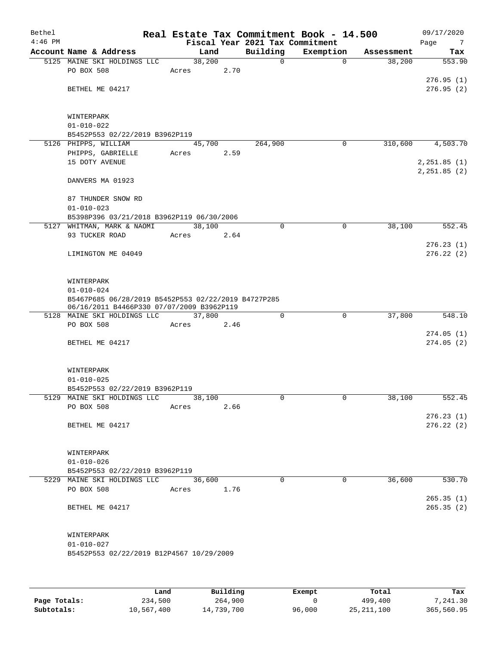| Bethel<br>$4:46$ PM |                                                                                                  |        |      | Fiscal Year 2021 Tax Commitment | Real Estate Tax Commitment Book - 14.500 |            | 09/17/2020<br>Page<br>$\overline{7}$ |
|---------------------|--------------------------------------------------------------------------------------------------|--------|------|---------------------------------|------------------------------------------|------------|--------------------------------------|
|                     | Account Name & Address                                                                           | Land   |      | Building                        | Exemption                                | Assessment | Tax                                  |
|                     | 5125 MAINE SKI HOLDINGS LLC                                                                      | 38,200 |      | $\mathbf 0$                     | $\mathbf 0$                              | 38,200     | 553.90                               |
|                     | PO BOX 508                                                                                       | Acres  | 2.70 |                                 |                                          |            |                                      |
|                     |                                                                                                  |        |      |                                 |                                          |            | 276.95(1)                            |
|                     | BETHEL ME 04217                                                                                  |        |      |                                 |                                          |            | 276.95(2)                            |
|                     | WINTERPARK                                                                                       |        |      |                                 |                                          |            |                                      |
|                     | $01 - 010 - 022$                                                                                 |        |      |                                 |                                          |            |                                      |
|                     | B5452P553 02/22/2019 B3962P119                                                                   |        |      |                                 |                                          |            |                                      |
|                     | 5126 PHIPPS, WILLIAM                                                                             | 45,700 |      | 264,900                         | $\mathbf 0$                              | 310,600    | 4,503.70                             |
|                     | PHIPPS, GABRIELLE                                                                                | Acres  | 2.59 |                                 |                                          |            |                                      |
|                     | 15 DOTY AVENUE                                                                                   |        |      |                                 |                                          |            | 2, 251.85 (1)                        |
|                     | DANVERS MA 01923                                                                                 |        |      |                                 |                                          |            | 2, 251.85 (2)                        |
|                     | 87 THUNDER SNOW RD                                                                               |        |      |                                 |                                          |            |                                      |
|                     | $01 - 010 - 023$                                                                                 |        |      |                                 |                                          |            |                                      |
|                     | B5398P396 03/21/2018 B3962P119 06/30/2006                                                        |        |      |                                 |                                          |            |                                      |
|                     | 5127 WHITMAN, MARK & NAOMI                                                                       | 38,100 |      | 0                               | 0                                        | 38,100     | 552.45                               |
|                     | 93 TUCKER ROAD                                                                                   | Acres  | 2.64 |                                 |                                          |            |                                      |
|                     |                                                                                                  |        |      |                                 |                                          |            | 276.23(1)                            |
|                     | LIMINGTON ME 04049                                                                               |        |      |                                 |                                          |            | 276.22(2)                            |
|                     | WINTERPARK                                                                                       |        |      |                                 |                                          |            |                                      |
|                     | $01 - 010 - 024$                                                                                 |        |      |                                 |                                          |            |                                      |
|                     | B5467P685 06/28/2019 B5452P553 02/22/2019 B4727P285<br>06/16/2011 B4466P330 07/07/2009 B3962P119 |        |      |                                 |                                          |            |                                      |
|                     | 5128 MAINE SKI HOLDINGS LLC                                                                      | 37,800 |      | 0                               | $\mathbf 0$                              | 37,800     | 548.10                               |
|                     | PO BOX 508                                                                                       | Acres  | 2.46 |                                 |                                          |            |                                      |
|                     |                                                                                                  |        |      |                                 |                                          |            | 274.05(1)                            |
|                     | BETHEL ME 04217                                                                                  |        |      |                                 |                                          |            | 274.05(2)                            |
|                     | WINTERPARK                                                                                       |        |      |                                 |                                          |            |                                      |
|                     | $01 - 010 - 025$                                                                                 |        |      |                                 |                                          |            |                                      |
|                     | B5452P553 02/22/2019 B3962P119                                                                   |        |      |                                 |                                          |            |                                      |
|                     | 5129 MAINE SKI HOLDINGS LLC                                                                      | 38,100 |      | 0                               | $\mathbf 0$                              | 38,100     | 552.45                               |
|                     | PO BOX 508                                                                                       | Acres  | 2.66 |                                 |                                          |            |                                      |
|                     | BETHEL ME 04217                                                                                  |        |      |                                 |                                          |            | 276.23(1)<br>276.22(2)               |
|                     |                                                                                                  |        |      |                                 |                                          |            |                                      |
|                     | WINTERPARK                                                                                       |        |      |                                 |                                          |            |                                      |
|                     | $01 - 010 - 026$                                                                                 |        |      |                                 |                                          |            |                                      |
|                     | B5452P553 02/22/2019 B3962P119                                                                   |        |      |                                 |                                          |            |                                      |
|                     | 5229 MAINE SKI HOLDINGS LLC 36,600<br>PO BOX 508                                                 | Acres  | 1.76 | $\Omega$                        | $\Omega$                                 | 36,600     | 530.70                               |
|                     |                                                                                                  |        |      |                                 |                                          |            | 265.35(1)                            |
|                     | BETHEL ME 04217                                                                                  |        |      |                                 |                                          |            | 265.35(2)                            |
|                     |                                                                                                  |        |      |                                 |                                          |            |                                      |
|                     | WINTERPARK<br>$01 - 010 - 027$                                                                   |        |      |                                 |                                          |            |                                      |
|                     | B5452P553 02/22/2019 B12P4567 10/29/2009                                                         |        |      |                                 |                                          |            |                                      |
|                     |                                                                                                  |        |      |                                 |                                          |            |                                      |
|                     |                                                                                                  |        |      |                                 |                                          |            |                                      |
|                     |                                                                                                  |        |      |                                 |                                          |            |                                      |

|              | Land       | Building   | Exempt | Total        | Tax        |
|--------------|------------|------------|--------|--------------|------------|
| Page Totals: | 234,500    | 264,900    |        | 499,400      | 7,241.30   |
| Subtotals:   | 10,567,400 | 14,739,700 | 96,000 | 25, 211, 100 | 365,560.95 |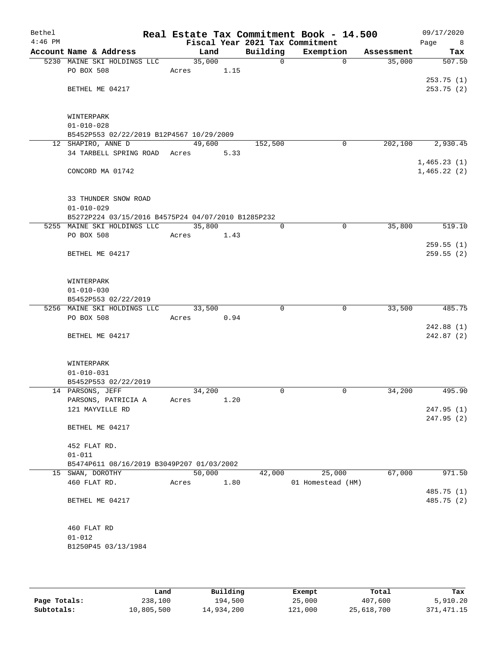| Bethel<br>$4:46$ PM |                                                                                   |        |      |              | Real Estate Tax Commitment Book - 14.500<br>Fiscal Year 2021 Tax Commitment |            | 09/17/2020<br>Page<br>8 |
|---------------------|-----------------------------------------------------------------------------------|--------|------|--------------|-----------------------------------------------------------------------------|------------|-------------------------|
|                     | Account Name & Address                                                            | Land   |      | Building     | Exemption                                                                   | Assessment | Tax                     |
|                     | 5230 MAINE SKI HOLDINGS LLC                                                       | 35,000 |      | $\mathsf{O}$ | $\Omega$                                                                    | 35,000     | 507.50                  |
|                     | PO BOX 508                                                                        | Acres  | 1.15 |              |                                                                             |            |                         |
|                     |                                                                                   |        |      |              |                                                                             |            | 253.75(1)               |
|                     | BETHEL ME 04217                                                                   |        |      |              |                                                                             |            | 253.75(2)               |
|                     |                                                                                   |        |      |              |                                                                             |            |                         |
|                     |                                                                                   |        |      |              |                                                                             |            |                         |
|                     | WINTERPARK                                                                        |        |      |              |                                                                             |            |                         |
|                     | $01 - 010 - 028$<br>B5452P553 02/22/2019 B12P4567 10/29/2009                      |        |      |              |                                                                             |            |                         |
|                     | 12 SHAPIRO, ANNE D                                                                | 49,600 |      | 152,500      | $\mathbf 0$                                                                 | 202,100    | 2,930.45                |
|                     | 34 TARBELL SPRING ROAD Acres                                                      |        | 5.33 |              |                                                                             |            |                         |
|                     |                                                                                   |        |      |              |                                                                             |            | 1,465.23(1)             |
|                     | CONCORD MA 01742                                                                  |        |      |              |                                                                             |            | 1,465.22(2)             |
|                     |                                                                                   |        |      |              |                                                                             |            |                         |
|                     |                                                                                   |        |      |              |                                                                             |            |                         |
|                     | 33 THUNDER SNOW ROAD                                                              |        |      |              |                                                                             |            |                         |
|                     | $01 - 010 - 029$                                                                  |        |      |              |                                                                             |            |                         |
|                     | B5272P224 03/15/2016 B4575P24 04/07/2010 B1285P232<br>5255 MAINE SKI HOLDINGS LLC | 35,800 |      | 0            | $\mathbf 0$                                                                 | 35,800     | 519.10                  |
|                     | PO BOX 508                                                                        | Acres  | 1.43 |              |                                                                             |            |                         |
|                     |                                                                                   |        |      |              |                                                                             |            | 259.55(1)               |
|                     | BETHEL ME 04217                                                                   |        |      |              |                                                                             |            | 259.55(2)               |
|                     |                                                                                   |        |      |              |                                                                             |            |                         |
|                     |                                                                                   |        |      |              |                                                                             |            |                         |
|                     | WINTERPARK                                                                        |        |      |              |                                                                             |            |                         |
|                     | $01 - 010 - 030$                                                                  |        |      |              |                                                                             |            |                         |
|                     | B5452P553 02/22/2019                                                              |        |      |              |                                                                             |            |                         |
|                     | 5256 MAINE SKI HOLDINGS LLC                                                       | 33,500 |      | 0            | 0                                                                           | 33,500     | 485.75                  |
|                     | PO BOX 508                                                                        | Acres  | 0.94 |              |                                                                             |            |                         |
|                     | BETHEL ME 04217                                                                   |        |      |              |                                                                             |            | 242.88(1)<br>242.87(2)  |
|                     |                                                                                   |        |      |              |                                                                             |            |                         |
|                     |                                                                                   |        |      |              |                                                                             |            |                         |
|                     | WINTERPARK                                                                        |        |      |              |                                                                             |            |                         |
|                     | $01 - 010 - 031$                                                                  |        |      |              |                                                                             |            |                         |
|                     | B5452P553 02/22/2019                                                              |        |      |              |                                                                             |            |                         |
|                     | 14 PARSONS, JEFF                                                                  | 34,200 |      | $\Omega$     | 0                                                                           | 34,200     | 495.90                  |
|                     | PARSONS, PATRICIA A                                                               | Acres  | 1.20 |              |                                                                             |            |                         |
|                     | 121 MAYVILLE RD                                                                   |        |      |              |                                                                             |            | 247.95(1)<br>247.95(2)  |
|                     | BETHEL ME 04217                                                                   |        |      |              |                                                                             |            |                         |
|                     |                                                                                   |        |      |              |                                                                             |            |                         |
|                     | 452 FLAT RD.                                                                      |        |      |              |                                                                             |            |                         |
|                     | $01 - 011$                                                                        |        |      |              |                                                                             |            |                         |
|                     | B5474P611 08/16/2019 B3049P207 01/03/2002                                         |        |      |              |                                                                             |            |                         |
|                     | 15 SWAN, DOROTHY                                                                  | 50,000 |      | 42,000       | 25,000                                                                      | 67,000     | 971.50                  |
|                     | 460 FLAT RD.                                                                      | Acres  | 1.80 |              | 01 Homestead (HM)                                                           |            |                         |
|                     |                                                                                   |        |      |              |                                                                             |            | 485.75 (1)              |
|                     | BETHEL ME 04217                                                                   |        |      |              |                                                                             |            | 485.75 (2)              |
|                     |                                                                                   |        |      |              |                                                                             |            |                         |
|                     | 460 FLAT RD                                                                       |        |      |              |                                                                             |            |                         |
|                     | $01 - 012$                                                                        |        |      |              |                                                                             |            |                         |
|                     | B1250P45 03/13/1984                                                               |        |      |              |                                                                             |            |                         |
|                     |                                                                                   |        |      |              |                                                                             |            |                         |
|                     |                                                                                   |        |      |              |                                                                             |            |                         |

|              | Land       | Building   | Exempt  | Total      | Tax          |
|--------------|------------|------------|---------|------------|--------------|
| Page Totals: | 238,100    | 194,500    | 25,000  | 407,600    | 5,910,20     |
| Subtotals:   | 10,805,500 | 14,934,200 | 121,000 | 25,618,700 | 371, 471, 15 |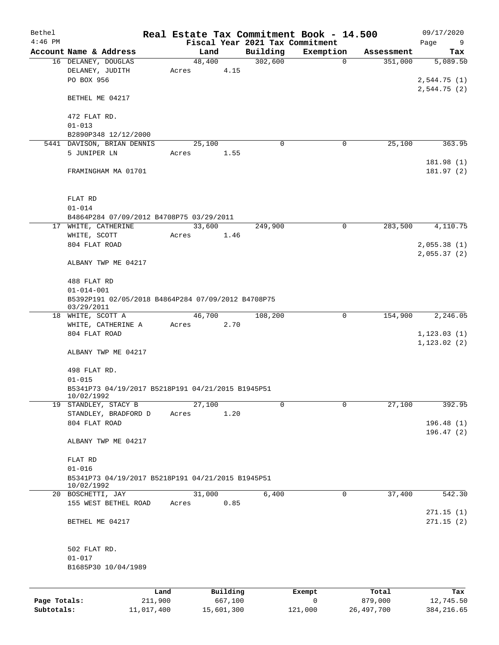| Bethel       |                                                                  |         |        |          |                                             | Real Estate Tax Commitment Book - 14.500 |            | 09/17/2020       |  |
|--------------|------------------------------------------------------------------|---------|--------|----------|---------------------------------------------|------------------------------------------|------------|------------------|--|
| $4:46$ PM    | Account Name & Address                                           |         | Land   |          | Fiscal Year 2021 Tax Commitment<br>Building | Exemption                                | Assessment | Page<br>9<br>Tax |  |
|              | 16 DELANEY, DOUGLAS                                              |         | 48,400 |          | 302,600                                     | $\mathbf 0$                              | 351,000    | 5,089.50         |  |
|              | DELANEY, JUDITH                                                  |         | Acres  | 4.15     |                                             |                                          |            |                  |  |
|              | PO BOX 956                                                       |         |        |          |                                             |                                          |            | 2,544.75(1)      |  |
|              |                                                                  |         |        |          |                                             |                                          |            | 2,544.75(2)      |  |
|              | BETHEL ME 04217                                                  |         |        |          |                                             |                                          |            |                  |  |
|              | 472 FLAT RD.                                                     |         |        |          |                                             |                                          |            |                  |  |
|              | $01 - 013$                                                       |         |        |          |                                             |                                          |            |                  |  |
|              | B2890P348 12/12/2000                                             |         |        |          |                                             |                                          |            |                  |  |
|              | 5441 DAVISON, BRIAN DENNIS                                       |         | 25,100 |          | 0                                           | 0                                        | 25,100     | 363.95           |  |
|              | 5 JUNIPER LN                                                     |         | Acres  | 1.55     |                                             |                                          |            |                  |  |
|              |                                                                  |         |        |          |                                             |                                          |            | 181.98 (1)       |  |
|              | FRAMINGHAM MA 01701                                              |         |        |          |                                             |                                          |            | 181.97(2)        |  |
|              | FLAT RD                                                          |         |        |          |                                             |                                          |            |                  |  |
|              | $01 - 014$                                                       |         |        |          |                                             |                                          |            |                  |  |
|              | B4864P284 07/09/2012 B4708P75 03/29/2011                         |         |        |          |                                             |                                          |            |                  |  |
|              | 17 WHITE, CATHERINE                                              |         | 33,600 |          | 249,900                                     | $\mathbf 0$                              | 283,500    | 4,110.75         |  |
|              | WHITE, SCOTT                                                     |         | Acres  | 1.46     |                                             |                                          |            |                  |  |
|              | 804 FLAT ROAD                                                    |         |        |          |                                             |                                          |            | 2,055.38(1)      |  |
|              |                                                                  |         |        |          |                                             |                                          |            | 2,055.37(2)      |  |
|              | ALBANY TWP ME 04217                                              |         |        |          |                                             |                                          |            |                  |  |
|              | 488 FLAT RD                                                      |         |        |          |                                             |                                          |            |                  |  |
|              | $01 - 014 - 001$                                                 |         |        |          |                                             |                                          |            |                  |  |
|              | B5392P191 02/05/2018 B4864P284 07/09/2012 B4708P75<br>03/29/2011 |         |        |          |                                             |                                          |            |                  |  |
|              | 18 WHITE, SCOTT A                                                |         | 46,700 |          | 108,200                                     | $\mathbf 0$                              | 154,900    | 2,246.05         |  |
|              | WHITE, CATHERINE A                                               |         | Acres  | 2.70     |                                             |                                          |            |                  |  |
|              | 804 FLAT ROAD                                                    |         |        |          |                                             |                                          |            | 1, 123.03(1)     |  |
|              | ALBANY TWP ME 04217                                              |         |        |          |                                             |                                          |            | 1, 123.02(2)     |  |
|              | 498 FLAT RD.                                                     |         |        |          |                                             |                                          |            |                  |  |
|              | $01 - 015$                                                       |         |        |          |                                             |                                          |            |                  |  |
|              | B5341P73 04/19/2017 B5218P191 04/21/2015 B1945P51<br>10/02/1992  |         |        |          |                                             |                                          |            |                  |  |
|              | 19 STANDLEY, STACY B                                             |         | 27,100 |          | 0                                           | 0                                        | 27,100     | 392.95           |  |
|              | STANDLEY, BRADFORD D                                             |         | Acres  | 1.20     |                                             |                                          |            |                  |  |
|              | 804 FLAT ROAD                                                    |         |        |          |                                             |                                          |            | 196.48(1)        |  |
|              | ALBANY TWP ME 04217                                              |         |        |          |                                             |                                          |            | 196.47(2)        |  |
|              | FLAT RD                                                          |         |        |          |                                             |                                          |            |                  |  |
|              | $01 - 016$                                                       |         |        |          |                                             |                                          |            |                  |  |
|              | B5341P73 04/19/2017 B5218P191 04/21/2015 B1945P51                |         |        |          |                                             |                                          |            |                  |  |
|              | 10/02/1992                                                       |         |        |          |                                             |                                          |            |                  |  |
|              | 20 BOSCHETTI, JAY                                                |         | 31,000 |          | 6,400                                       | 0                                        | 37,400     | 542.30           |  |
|              | 155 WEST BETHEL ROAD                                             |         | Acres  | 0.85     |                                             |                                          |            |                  |  |
|              |                                                                  |         |        |          |                                             |                                          |            | 271.15(1)        |  |
|              | BETHEL ME 04217                                                  |         |        |          |                                             |                                          |            | 271.15(2)        |  |
|              | 502 FLAT RD.                                                     |         |        |          |                                             |                                          |            |                  |  |
|              | $01 - 017$                                                       |         |        |          |                                             |                                          |            |                  |  |
|              | B1685P30 10/04/1989                                              |         |        |          |                                             |                                          |            |                  |  |
|              |                                                                  | Land    |        | Building |                                             | Exempt                                   | Total      | Tax              |  |
| Page Totals: |                                                                  | 211,900 |        | 667,100  |                                             | 0                                        | 879,000    | 12,745.50        |  |
|              |                                                                  |         |        |          |                                             |                                          |            |                  |  |

**Subtotals:** 11,017,400 15,601,300 121,000 26,497,700 384,216.65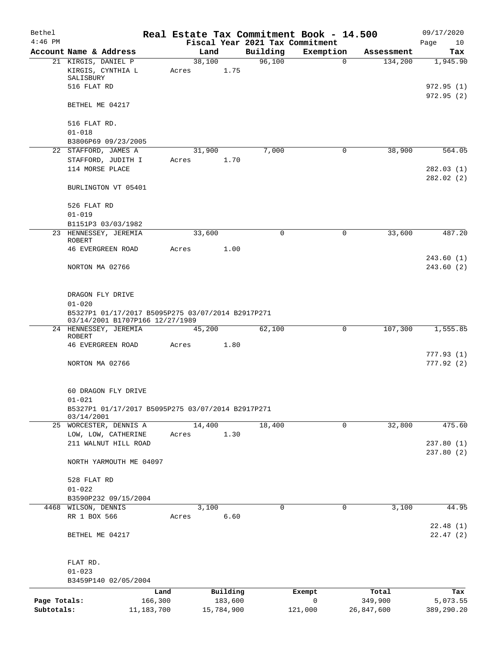| Bethel       |                                                                                      | Real Estate Tax Commitment Book - 14.500 |                                 |             |            | 09/17/2020             |
|--------------|--------------------------------------------------------------------------------------|------------------------------------------|---------------------------------|-------------|------------|------------------------|
| $4:46$ PM    |                                                                                      |                                          | Fiscal Year 2021 Tax Commitment |             |            | Page<br>10             |
|              | Account Name & Address                                                               | Land                                     | Building                        | Exemption   | Assessment | Tax                    |
|              | 21 KIRGIS, DANIEL P<br>KIRGIS, CYNTHIA L<br>SALISBURY                                | 38,100<br>1.75<br>Acres                  | 96,100                          | $\mathbf 0$ | 134,200    | 1,945.90               |
|              | 516 FLAT RD                                                                          |                                          |                                 |             |            | 972.95 (1)             |
|              | BETHEL ME 04217                                                                      |                                          |                                 |             |            | 972.95 (2)             |
|              | 516 FLAT RD.                                                                         |                                          |                                 |             |            |                        |
|              | $01 - 018$<br>B3806P69 09/23/2005                                                    |                                          |                                 |             |            |                        |
|              | 22 STAFFORD, JAMES A                                                                 | 31,900                                   | 7,000                           | $\mathbf 0$ | 38,900     | 564.05                 |
|              | STAFFORD, JUDITH I                                                                   | 1.70<br>Acres                            |                                 |             |            |                        |
|              | 114 MORSE PLACE                                                                      |                                          |                                 |             |            | 282.03(1)              |
|              | BURLINGTON VT 05401                                                                  |                                          |                                 |             |            | 282.02(2)              |
|              | 526 FLAT RD                                                                          |                                          |                                 |             |            |                        |
|              | $01 - 019$                                                                           |                                          |                                 |             |            |                        |
|              | B1151P3 03/03/1982                                                                   |                                          |                                 |             |            |                        |
|              | 23 HENNESSEY, JEREMIA<br><b>ROBERT</b>                                               | 33,600                                   | $\mathbf 0$                     | 0           | 33,600     | 487.20                 |
|              | <b>46 EVERGREEN ROAD</b>                                                             | 1.00<br>Acres                            |                                 |             |            | 243.60(1)              |
|              | NORTON MA 02766                                                                      |                                          |                                 |             |            | 243.60(2)              |
|              | DRAGON FLY DRIVE                                                                     |                                          |                                 |             |            |                        |
|              | $01 - 020$                                                                           |                                          |                                 |             |            |                        |
|              | B5327P1 01/17/2017 B5095P275 03/07/2014 B2917P271<br>03/14/2001 B1707P166 12/27/1989 |                                          |                                 |             |            |                        |
|              | 24 HENNESSEY, JEREMIA<br>ROBERT                                                      | 45,200                                   | 62,100                          | 0           | 107,300    | 1,555.85               |
|              | <b>46 EVERGREEN ROAD</b>                                                             | 1.80<br>Acres                            |                                 |             |            |                        |
|              | NORTON MA 02766                                                                      |                                          |                                 |             |            | 777.93(1)<br>777.92(2) |
|              | 60 DRAGON FLY DRIVE                                                                  |                                          |                                 |             |            |                        |
|              | $01 - 021$<br>B5327P1 01/17/2017 B5095P275 03/07/2014 B2917P271                      |                                          |                                 |             |            |                        |
|              | 03/14/2001                                                                           |                                          |                                 |             |            |                        |
|              | 25 WORCESTER, DENNIS A                                                               | 14,400                                   | 18,400                          | 0           | 32,800     | 475.60                 |
|              | LOW, LOW, CATHERINE<br>211 WALNUT HILL ROAD                                          | 1.30<br>Acres                            |                                 |             |            | 237.80(1)              |
|              | NORTH YARMOUTH ME 04097                                                              |                                          |                                 |             |            | 237.80(2)              |
|              | 528 FLAT RD                                                                          |                                          |                                 |             |            |                        |
|              | $01 - 022$                                                                           |                                          |                                 |             |            |                        |
|              | B3590P232 09/15/2004                                                                 |                                          |                                 |             |            |                        |
|              | 4468 WILSON, DENNIS<br>RR 1 BOX 566                                                  | 3,100<br>6.60<br>Acres                   | 0                               | $\mathbf 0$ | 3,100      | 44.95                  |
|              | BETHEL ME 04217                                                                      |                                          |                                 |             |            | 22.48(1)<br>22.47(2)   |
|              |                                                                                      |                                          |                                 |             |            |                        |
|              | FLAT RD.                                                                             |                                          |                                 |             |            |                        |
|              | $01 - 023$<br>B3459P140 02/05/2004                                                   |                                          |                                 |             |            |                        |
|              | Land                                                                                 | Building                                 |                                 | Exempt      | Total      | Tax                    |
| Page Totals: | 166,300                                                                              | 183,600                                  |                                 | 0           | 349,900    | 5,073.55               |
| Subtotals:   | 11, 183, 700                                                                         | 15,784,900                               |                                 | 121,000     | 26,847,600 | 389,290.20             |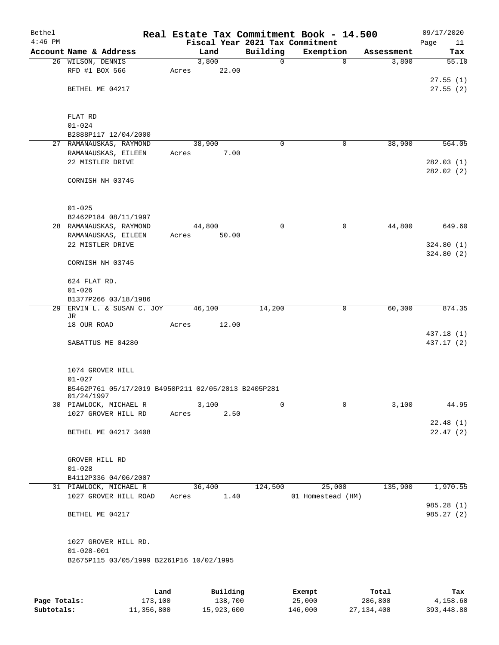| Bethel<br>$4:46$ PM |                                                                   |       |                 |             | Real Estate Tax Commitment Book - 14.500<br>Fiscal Year 2021 Tax Commitment |            | 09/17/2020<br>Page<br>11 |
|---------------------|-------------------------------------------------------------------|-------|-----------------|-------------|-----------------------------------------------------------------------------|------------|--------------------------|
|                     | Account Name & Address                                            |       | Land            | Building    | Exemption                                                                   | Assessment | Tax                      |
|                     | 26 WILSON, DENNIS                                                 |       | 3,800           | 0           | $\mathbf 0$                                                                 | 3,800      | 55.10                    |
|                     | RFD #1 BOX 566                                                    | Acres | 22.00           |             |                                                                             |            |                          |
|                     |                                                                   |       |                 |             |                                                                             |            | 27.55(1)                 |
|                     | BETHEL ME 04217                                                   |       |                 |             |                                                                             |            | 27.55(2)                 |
|                     | FLAT RD                                                           |       |                 |             |                                                                             |            |                          |
|                     | $01 - 024$                                                        |       |                 |             |                                                                             |            |                          |
|                     | B2888P117 12/04/2000                                              |       |                 |             |                                                                             |            |                          |
|                     | 27 RAMANAUSKAS, RAYMOND                                           |       | 38,900          | 0           | 0                                                                           | 38,900     | 564.05                   |
|                     | RAMANAUSKAS, EILEEN                                               | Acres | 7.00            |             |                                                                             |            |                          |
|                     | 22 MISTLER DRIVE                                                  |       |                 |             |                                                                             |            | 282.03(1)<br>282.02 (2)  |
|                     | CORNISH NH 03745                                                  |       |                 |             |                                                                             |            |                          |
|                     | $01 - 025$                                                        |       |                 |             |                                                                             |            |                          |
|                     | B2462P184 08/11/1997                                              |       |                 |             |                                                                             |            |                          |
|                     | 28 RAMANAUSKAS, RAYMOND                                           |       | 44,800          | $\mathbf 0$ | $\mathbf 0$                                                                 | 44,800     | 649.60                   |
|                     | RAMANAUSKAS, EILEEN                                               | Acres | 50.00           |             |                                                                             |            |                          |
|                     | 22 MISTLER DRIVE                                                  |       |                 |             |                                                                             |            | 324.80(1)                |
|                     | CORNISH NH 03745                                                  |       |                 |             |                                                                             |            | 324.80(2)                |
|                     | 624 FLAT RD.                                                      |       |                 |             |                                                                             |            |                          |
|                     | $01 - 026$                                                        |       |                 |             |                                                                             |            |                          |
|                     | B1377P266 03/18/1986                                              |       |                 |             |                                                                             |            |                          |
|                     | 29 ERVIN L. & SUSAN C. JOY                                        |       | 46,100          | 14,200      | 0                                                                           | 60,300     | 874.35                   |
|                     | JR                                                                |       |                 |             |                                                                             |            |                          |
|                     | 18 OUR ROAD                                                       | Acres | 12.00           |             |                                                                             |            |                          |
|                     | SABATTUS ME 04280                                                 |       |                 |             |                                                                             |            | 437.18 (1)<br>437.17 (2) |
|                     |                                                                   |       |                 |             |                                                                             |            |                          |
|                     | 1074 GROVER HILL                                                  |       |                 |             |                                                                             |            |                          |
|                     | $01 - 027$<br>B5462P761 05/17/2019 B4950P211 02/05/2013 B2405P281 |       |                 |             |                                                                             |            |                          |
|                     | 01/24/1997                                                        |       |                 |             |                                                                             |            |                          |
|                     | 30 PIAWLOCK, MICHAEL R<br>1027 GROVER HILL RD                     | Acres | 3,100<br>2.50   | 0           | 0                                                                           | 3,100      | 44.95                    |
|                     |                                                                   |       |                 |             |                                                                             |            | 22.48(1)                 |
|                     | BETHEL ME 04217 3408                                              |       |                 |             |                                                                             |            | 22.47(2)                 |
|                     |                                                                   |       |                 |             |                                                                             |            |                          |
|                     | GROVER HILL RD                                                    |       |                 |             |                                                                             |            |                          |
|                     | $01 - 028$                                                        |       |                 |             |                                                                             |            |                          |
|                     | B4112P336 04/06/2007                                              |       |                 |             |                                                                             |            |                          |
|                     | 31 PIAWLOCK, MICHAEL R                                            |       | 36,400          | 124,500     | 25,000                                                                      | 135,900    | 1,970.55                 |
|                     | 1027 GROVER HILL ROAD                                             | Acres | 1.40            |             | 01 Homestead (HM)                                                           |            |                          |
|                     |                                                                   |       |                 |             |                                                                             |            | 985.28 (1)               |
|                     | BETHEL ME 04217                                                   |       |                 |             |                                                                             |            | 985.27 (2)               |
|                     | 1027 GROVER HILL RD.                                              |       |                 |             |                                                                             |            |                          |
|                     | $01 - 028 - 001$                                                  |       |                 |             |                                                                             |            |                          |
|                     | B2675P115 03/05/1999 B2261P16 10/02/1995                          |       |                 |             |                                                                             |            |                          |
|                     |                                                                   |       |                 |             |                                                                             |            |                          |
|                     |                                                                   |       |                 |             |                                                                             |            |                          |
|                     |                                                                   |       | $D_{11}$ ilding |             | $P$ -- $\sim$ m $\sim$ +                                                    | $T - + -1$ | ш.,                      |

|              | Land       | Building   | Exempt  | Total      | Tax        |
|--------------|------------|------------|---------|------------|------------|
| Page Totals: | 173,100    | 138,700    | 25,000  | 286,800    | 4,158.60   |
| Subtotals:   | 11,356,800 | 15,923,600 | 146,000 | 27,134,400 | 393,448.80 |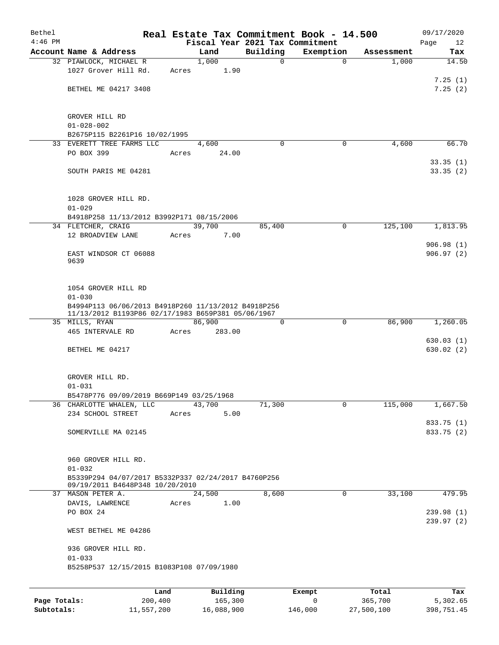| Bethel       |                                                                                        |       |                                 |             | Real Estate Tax Commitment Book - 14.500 |            | 09/17/2020 |
|--------------|----------------------------------------------------------------------------------------|-------|---------------------------------|-------------|------------------------------------------|------------|------------|
| $4:46$ PM    |                                                                                        |       | Fiscal Year 2021 Tax Commitment |             |                                          |            | Page<br>12 |
|              | Account Name & Address                                                                 |       | Land                            | Building    | Exemption                                | Assessment | Tax        |
|              | 32 PIAWLOCK, MICHAEL R                                                                 |       | 1,000                           | $\mathbf 0$ | $\mathbf 0$                              | 1,000      | 14.50      |
|              | 1027 Grover Hill Rd.                                                                   | Acres | 1.90                            |             |                                          |            |            |
|              |                                                                                        |       |                                 |             |                                          |            | 7.25(1)    |
|              | BETHEL ME 04217 3408                                                                   |       |                                 |             |                                          |            | 7.25(2)    |
|              | GROVER HILL RD                                                                         |       |                                 |             |                                          |            |            |
|              | $01 - 028 - 002$                                                                       |       |                                 |             |                                          |            |            |
|              | B2675P115 B2261P16 10/02/1995                                                          |       |                                 |             |                                          |            |            |
|              | 33 EVERETT TREE FARMS LLC                                                              |       | 4,600                           | $\Omega$    | 0                                        | 4,600      | 66.70      |
|              | PO BOX 399                                                                             | Acres | 24.00                           |             |                                          |            |            |
|              |                                                                                        |       |                                 |             |                                          |            | 33.35(1)   |
|              | SOUTH PARIS ME 04281                                                                   |       |                                 |             |                                          |            | 33.35(2)   |
|              | 1028 GROVER HILL RD.                                                                   |       |                                 |             |                                          |            |            |
|              | $01 - 029$                                                                             |       |                                 |             |                                          |            |            |
|              | B4918P258 11/13/2012 B3992P171 08/15/2006                                              |       |                                 |             |                                          |            |            |
|              | 34 FLETCHER, CRAIG                                                                     |       | 39,700                          | 85,400      | $\mathbf 0$                              | 125,100    | 1,813.95   |
|              | 12 BROADVIEW LANE                                                                      | Acres | 7.00                            |             |                                          |            |            |
|              |                                                                                        |       |                                 |             |                                          |            | 906.98(1)  |
|              | EAST WINDSOR CT 06088                                                                  |       |                                 |             |                                          |            | 906.97(2)  |
|              | 9639                                                                                   |       |                                 |             |                                          |            |            |
|              | 1054 GROVER HILL RD                                                                    |       |                                 |             |                                          |            |            |
|              | $01 - 030$                                                                             |       |                                 |             |                                          |            |            |
|              | B4994P113 06/06/2013 B4918P260 11/13/2012 B4918P256                                    |       |                                 |             |                                          |            |            |
|              | 11/13/2012 B1193P86 02/17/1983 B659P381 05/06/1967                                     |       |                                 |             |                                          |            |            |
|              | 35 MILLS, RYAN                                                                         |       | 86,900                          | 0           | $\mathbf 0$                              | 86,900     | 1,260.05   |
|              | 465 INTERVALE RD                                                                       | Acres | 283.00                          |             |                                          |            |            |
|              |                                                                                        |       |                                 |             |                                          |            | 630.03(1)  |
|              | BETHEL ME 04217                                                                        |       |                                 |             |                                          |            | 630.02(2)  |
|              | GROVER HILL RD.                                                                        |       |                                 |             |                                          |            |            |
|              | $01 - 031$                                                                             |       |                                 |             |                                          |            |            |
|              | B5478P776 09/09/2019 B669P149 03/25/1968                                               |       |                                 |             |                                          |            |            |
|              | 36 CHARLOTTE WHALEN, LLC                                                               |       | 43,700                          | 71,300      | 0                                        | 115,000    | 1,667.50   |
|              | 234 SCHOOL STREET                                                                      | Acres | 5.00                            |             |                                          |            |            |
|              |                                                                                        |       |                                 |             |                                          |            | 833.75 (1) |
|              | SOMERVILLE MA 02145                                                                    |       |                                 |             |                                          |            | 833.75 (2) |
|              | 960 GROVER HILL RD.                                                                    |       |                                 |             |                                          |            |            |
|              | $01 - 032$                                                                             |       |                                 |             |                                          |            |            |
|              | B5339P294 04/07/2017 B5332P337 02/24/2017 B4760P256<br>09/19/2011 B4648P348 10/20/2010 |       |                                 |             |                                          |            |            |
|              | 37 MASON PETER A.                                                                      |       | 24,500                          | 8,600       | 0                                        | 33,100     | 479.95     |
|              | DAVIS, LAWRENCE                                                                        | Acres | 1.00                            |             |                                          |            |            |
|              | PO BOX 24                                                                              |       |                                 |             |                                          |            | 239.98(1)  |
|              | WEST BETHEL ME 04286                                                                   |       |                                 |             |                                          |            | 239.97(2)  |
|              | 936 GROVER HILL RD.                                                                    |       |                                 |             |                                          |            |            |
|              | $01 - 033$                                                                             |       |                                 |             |                                          |            |            |
|              | B5258P537 12/15/2015 B1083P108 07/09/1980                                              |       |                                 |             |                                          |            |            |
|              |                                                                                        |       |                                 |             |                                          |            |            |
|              | Land                                                                                   |       | Building                        |             | Exempt                                   | Total      | Tax        |
| Page Totals: | 200,400                                                                                |       | 165,300                         |             | 0                                        | 365,700    | 5,302.65   |

**Subtotals:** 11,557,200 16,088,900 146,000 27,500,100 398,751.45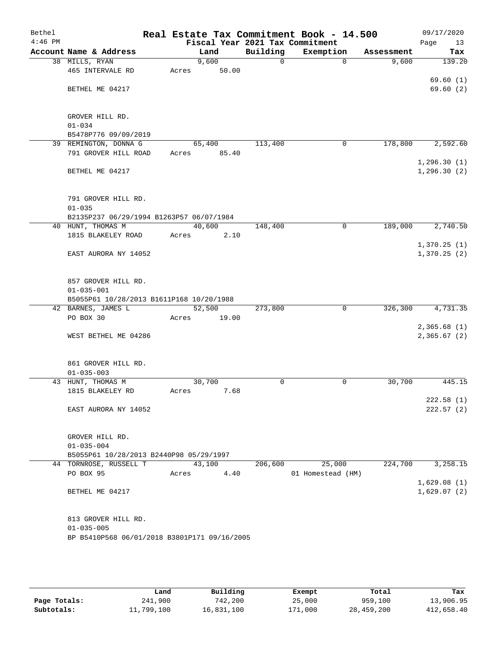| Bethel    |                                              |       |        |          | Real Estate Tax Commitment Book - 14.500     |            | 09/17/2020        |
|-----------|----------------------------------------------|-------|--------|----------|----------------------------------------------|------------|-------------------|
| $4:46$ PM | Account Name & Address                       |       | Land   | Building | Fiscal Year 2021 Tax Commitment<br>Exemption | Assessment | Page<br>13<br>Tax |
|           | 38 MILLS, RYAN                               |       | 9,600  | 0        | $\mathbf 0$                                  | 9,600      | 139.20            |
|           | 465 INTERVALE RD                             | Acres | 50.00  |          |                                              |            |                   |
|           |                                              |       |        |          |                                              |            | 69.60(1)          |
|           | BETHEL ME 04217                              |       |        |          |                                              |            | 69.60(2)          |
|           |                                              |       |        |          |                                              |            |                   |
|           |                                              |       |        |          |                                              |            |                   |
|           | GROVER HILL RD.                              |       |        |          |                                              |            |                   |
|           | $01 - 034$                                   |       |        |          |                                              |            |                   |
|           | B5478P776 09/09/2019                         |       |        |          |                                              |            |                   |
|           | 39 REMINGTON, DONNA G                        |       | 65,400 | 113,400  | 0                                            | 178,800    | 2,592.60          |
|           | 791 GROVER HILL ROAD                         | Acres | 85.40  |          |                                              |            |                   |
|           |                                              |       |        |          |                                              |            | 1, 296.30(1)      |
|           | BETHEL ME 04217                              |       |        |          |                                              |            | 1, 296.30(2)      |
|           | 791 GROVER HILL RD.                          |       |        |          |                                              |            |                   |
|           | $01 - 035$                                   |       |        |          |                                              |            |                   |
|           | B2135P237 06/29/1994 B1263P57 06/07/1984     |       |        |          |                                              |            |                   |
|           | 40 HUNT, THOMAS M                            |       | 40,600 | 148,400  | 0                                            | 189,000    | 2,740.50          |
|           | 1815 BLAKELEY ROAD                           | Acres | 2.10   |          |                                              |            |                   |
|           |                                              |       |        |          |                                              |            | 1,370.25(1)       |
|           | EAST AURORA NY 14052                         |       |        |          |                                              |            | 1,370.25(2)       |
|           | 857 GROVER HILL RD.                          |       |        |          |                                              |            |                   |
|           | $01 - 035 - 001$                             |       |        |          |                                              |            |                   |
|           | B5055P61 10/28/2013 B1611P168 10/20/1988     |       |        |          |                                              |            |                   |
|           | 42 BARNES, JAMES L                           |       | 52,500 | 273,800  | $\mathbf 0$                                  | 326,300    | 4,731.35          |
|           | PO BOX 30                                    | Acres | 19.00  |          |                                              |            |                   |
|           |                                              |       |        |          |                                              |            | 2,365.68(1)       |
|           | WEST BETHEL ME 04286                         |       |        |          |                                              |            | 2,365.67(2)       |
|           | 861 GROVER HILL RD.                          |       |        |          |                                              |            |                   |
|           | $01 - 035 - 003$                             |       |        |          |                                              |            |                   |
|           | 43 HUNT, THOMAS M                            |       | 30,700 | 0        | 0                                            | 30,700     | 445.15            |
|           | 1815 BLAKELEY RD                             | Acres | 7.68   |          |                                              |            |                   |
|           |                                              |       |        |          |                                              |            | 222.58(1)         |
|           | EAST AURORA NY 14052                         |       |        |          |                                              |            | 222.57(2)         |
|           | GROVER HILL RD.                              |       |        |          |                                              |            |                   |
|           | $01 - 035 - 004$                             |       |        |          |                                              |            |                   |
|           | B5055P61 10/28/2013 B2440P98 05/29/1997      |       |        |          |                                              |            |                   |
|           | 44 TORNROSE, RUSSELL T                       |       | 43,100 | 206,600  | 25,000                                       | 224,700    | 3,258.15          |
|           | PO BOX 95                                    | Acres | 4.40   |          | 01 Homestead (HM)                            |            |                   |
|           |                                              |       |        |          |                                              |            | 1,629.08(1)       |
|           | BETHEL ME 04217                              |       |        |          |                                              |            | 1,629.07(2)       |
|           |                                              |       |        |          |                                              |            |                   |
|           | 813 GROVER HILL RD.                          |       |        |          |                                              |            |                   |
|           | $01 - 035 - 005$                             |       |        |          |                                              |            |                   |
|           | BP B5410P568 06/01/2018 B3801P171 09/16/2005 |       |        |          |                                              |            |                   |
|           |                                              |       |        |          |                                              |            |                   |

|              | Land       | Building   | Exempt  | Total      | Tax        |
|--------------|------------|------------|---------|------------|------------|
| Page Totals: | 241,900    | 742,200    | 25,000  | 959,100    | 13,906.95  |
| Subtotals:   | 11,799,100 | 16,831,100 | 171,000 | 28,459,200 | 412,658.40 |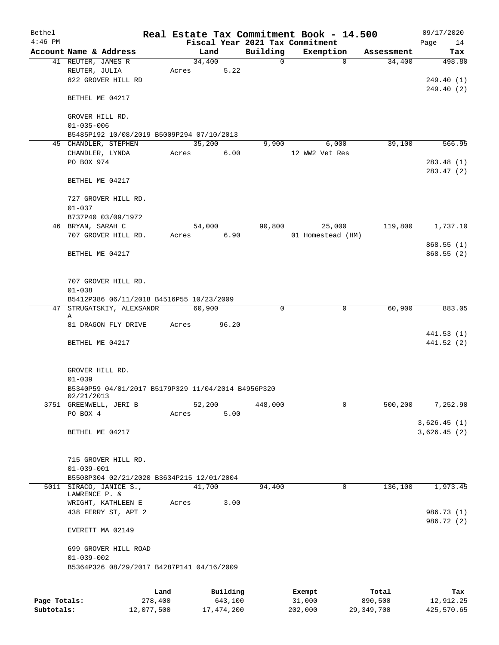| Bethel       |                                                    |       |        |          |          | Real Estate Tax Commitment Book - 14.500 |            | 09/17/2020  |  |
|--------------|----------------------------------------------------|-------|--------|----------|----------|------------------------------------------|------------|-------------|--|
| $4:46$ PM    |                                                    |       |        |          |          | Fiscal Year 2021 Tax Commitment          |            | Page<br>14  |  |
|              | Account Name & Address                             |       | Land   |          | Building | Exemption                                | Assessment | Tax         |  |
|              | 41 REUTER, JAMES R                                 |       | 34,400 |          | 0        | 0                                        | 34,400     | 498.80      |  |
|              | REUTER, JULIA                                      | Acres |        | 5.22     |          |                                          |            |             |  |
|              | 822 GROVER HILL RD                                 |       |        |          |          |                                          |            | 249.40(1)   |  |
|              |                                                    |       |        |          |          |                                          |            | 249.40(2)   |  |
|              | BETHEL ME 04217                                    |       |        |          |          |                                          |            |             |  |
|              |                                                    |       |        |          |          |                                          |            |             |  |
|              | GROVER HILL RD.                                    |       |        |          |          |                                          |            |             |  |
|              | $01 - 035 - 006$                                   |       |        |          |          |                                          |            |             |  |
|              | B5485P192 10/08/2019 B5009P294 07/10/2013          |       |        |          |          |                                          |            |             |  |
|              | 45 CHANDLER, STEPHEN                               |       | 35,200 |          | 9,900    | 6,000                                    | 39,100     | 566.95      |  |
|              | CHANDLER, LYNDA<br>PO BOX 974                      | Acres |        | 6.00     |          | 12 WW2 Vet Res                           |            |             |  |
|              |                                                    |       |        |          |          |                                          |            | 283.48 (1)  |  |
|              |                                                    |       |        |          |          |                                          |            | 283.47 (2)  |  |
|              | BETHEL ME 04217                                    |       |        |          |          |                                          |            |             |  |
|              |                                                    |       |        |          |          |                                          |            |             |  |
|              | 727 GROVER HILL RD.<br>$01 - 037$                  |       |        |          |          |                                          |            |             |  |
|              | B737P40 03/09/1972                                 |       |        |          |          |                                          |            |             |  |
|              | 46 BRYAN, SARAH C                                  |       | 54,000 |          | 90,800   | 25,000                                   | 119,800    | 1,737.10    |  |
|              | 707 GROVER HILL RD.                                | Acres |        | 6.90     |          | 01 Homestead (HM)                        |            |             |  |
|              |                                                    |       |        |          |          |                                          |            | 868.55(1)   |  |
|              | BETHEL ME 04217                                    |       |        |          |          |                                          |            | 868.55(2)   |  |
|              |                                                    |       |        |          |          |                                          |            |             |  |
|              |                                                    |       |        |          |          |                                          |            |             |  |
|              | 707 GROVER HILL RD.                                |       |        |          |          |                                          |            |             |  |
|              | $01 - 038$                                         |       |        |          |          |                                          |            |             |  |
|              | B5412P386 06/11/2018 B4516P55 10/23/2009           |       |        |          |          |                                          |            |             |  |
|              | 47 STRUGATSKIY, ALEXSANDR                          |       | 60,900 |          | $\Omega$ | 0                                        | 60,900     | 883.05      |  |
|              | Α                                                  |       |        |          |          |                                          |            |             |  |
|              | 81 DRAGON FLY DRIVE                                | Acres |        | 96.20    |          |                                          |            |             |  |
|              |                                                    |       |        |          |          |                                          |            | 441.53(1)   |  |
|              | BETHEL ME 04217                                    |       |        |          |          |                                          |            | 441.52 (2)  |  |
|              |                                                    |       |        |          |          |                                          |            |             |  |
|              |                                                    |       |        |          |          |                                          |            |             |  |
|              | GROVER HILL RD.                                    |       |        |          |          |                                          |            |             |  |
|              | $01 - 039$                                         |       |        |          |          |                                          |            |             |  |
|              | B5340P59 04/01/2017 B5179P329 11/04/2014 B4956P320 |       |        |          |          |                                          |            |             |  |
|              | 02/21/2013<br>3751 GREENWELL, JERI B               |       | 52,200 |          | 448,000  | $\mathbf 0$                              | 500,200    | 7,252.90    |  |
|              | PO BOX 4                                           | Acres |        | 5.00     |          |                                          |            |             |  |
|              |                                                    |       |        |          |          |                                          |            | 3,626.45(1) |  |
|              | BETHEL ME 04217                                    |       |        |          |          |                                          |            | 3,626.45(2) |  |
|              |                                                    |       |        |          |          |                                          |            |             |  |
|              |                                                    |       |        |          |          |                                          |            |             |  |
|              | 715 GROVER HILL RD.                                |       |        |          |          |                                          |            |             |  |
|              | $01 - 039 - 001$                                   |       |        |          |          |                                          |            |             |  |
|              | B5508P304 02/21/2020 B3634P215 12/01/2004          |       |        |          |          |                                          |            |             |  |
| 5011         | SIRACO, JANICE S.,                                 |       | 41,700 |          | 94,400   | $\mathbf 0$                              | 136,100    | 1,973.45    |  |
|              | LAWRENCE P. &                                      |       |        |          |          |                                          |            |             |  |
|              | WRIGHT, KATHLEEN E                                 | Acres |        | 3.00     |          |                                          |            |             |  |
|              | 438 FERRY ST, APT 2                                |       |        |          |          |                                          |            | 986.73 (1)  |  |
|              |                                                    |       |        |          |          |                                          |            | 986.72 (2)  |  |
|              | EVERETT MA 02149                                   |       |        |          |          |                                          |            |             |  |
|              |                                                    |       |        |          |          |                                          |            |             |  |
|              | 699 GROVER HILL ROAD                               |       |        |          |          |                                          |            |             |  |
|              | $01 - 039 - 002$                                   |       |        |          |          |                                          |            |             |  |
|              | B5364P326 08/29/2017 B4287P141 04/16/2009          |       |        |          |          |                                          |            |             |  |
|              |                                                    |       |        |          |          |                                          |            |             |  |
|              |                                                    | Land  |        | Building |          | Exempt                                   | Total      | Tax         |  |
| Page Totals: | 278,400                                            |       |        | 643,100  |          | 31,000                                   | 890,500    | 12,912.25   |  |
|              |                                                    |       |        |          |          |                                          |            |             |  |

**Subtotals:** 12,077,500 17,474,200 202,000 29,349,700 425,570.65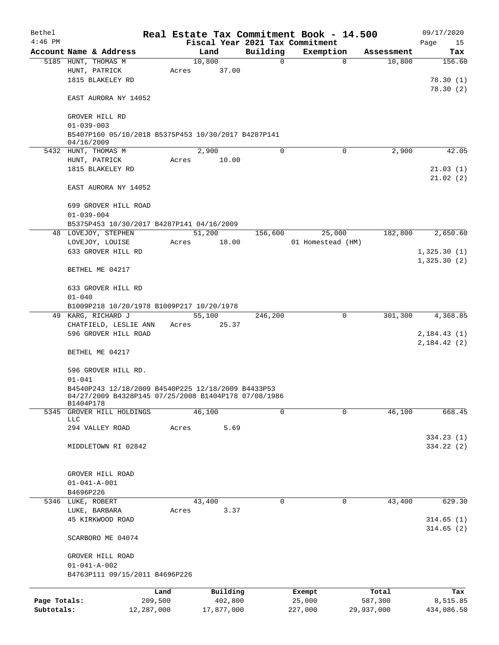| Bethel       |                                                                   |            |                                 |             | Real Estate Tax Commitment Book - 14.500 |            | 09/17/2020  |
|--------------|-------------------------------------------------------------------|------------|---------------------------------|-------------|------------------------------------------|------------|-------------|
| $4:46$ PM    |                                                                   |            | Fiscal Year 2021 Tax Commitment |             |                                          |            | Page<br>15  |
|              | Account Name & Address                                            |            | Land                            | Building    | Exemption                                | Assessment | Tax         |
|              | 5185 HUNT, THOMAS M                                               |            | 10,800                          | $\mathbf 0$ | $\mathbf 0$                              | 10,800     | 156.60      |
|              | HUNT, PATRICK                                                     | Acres      | 37.00                           |             |                                          |            |             |
|              | 1815 BLAKELEY RD                                                  |            |                                 |             |                                          |            | 78.30(1)    |
|              |                                                                   |            |                                 |             |                                          |            | 78.30(2)    |
|              | EAST AURORA NY 14052                                              |            |                                 |             |                                          |            |             |
|              |                                                                   |            |                                 |             |                                          |            |             |
|              | GROVER HILL RD                                                    |            |                                 |             |                                          |            |             |
|              | $01 - 039 - 003$                                                  |            |                                 |             |                                          |            |             |
|              | B5407P160 05/10/2018 B5375P453 10/30/2017 B4287P141<br>04/16/2009 |            |                                 |             |                                          |            |             |
|              | 5432 HUNT, THOMAS M                                               |            | 2,900                           | 0           | 0                                        | 2,900      | 42.05       |
|              | HUNT, PATRICK                                                     | Acres      | 10.00                           |             |                                          |            |             |
|              | 1815 BLAKELEY RD                                                  |            |                                 |             |                                          |            | 21.03(1)    |
|              |                                                                   |            |                                 |             |                                          |            | 21.02(2)    |
|              | EAST AURORA NY 14052                                              |            |                                 |             |                                          |            |             |
|              |                                                                   |            |                                 |             |                                          |            |             |
|              | 699 GROVER HILL ROAD                                              |            |                                 |             |                                          |            |             |
|              | $01 - 039 - 004$                                                  |            |                                 |             |                                          |            |             |
|              | B5375P453 10/30/2017 B4287P141 04/16/2009                         |            |                                 |             |                                          |            |             |
|              | 48 LOVEJOY, STEPHEN                                               |            | 51,200                          | 156,600     | 25,000                                   | 182,800    | 2,650.60    |
|              | LOVEJOY, LOUISE                                                   | Acres      | 18.00                           |             | 01 Homestead (HM)                        |            |             |
|              | 633 GROVER HILL RD                                                |            |                                 |             |                                          |            | 1,325.30(1) |
|              |                                                                   |            |                                 |             |                                          |            | 1,325.30(2) |
|              | BETHEL ME 04217                                                   |            |                                 |             |                                          |            |             |
|              |                                                                   |            |                                 |             |                                          |            |             |
|              | 633 GROVER HILL RD                                                |            |                                 |             |                                          |            |             |
|              | $01 - 040$                                                        |            |                                 |             |                                          |            |             |
|              | B1009P218 10/20/1978 B1009P217 10/20/1978                         |            |                                 |             |                                          |            |             |
|              | 49 KARG, RICHARD J                                                |            | 55,100                          | 246,200     | 0                                        | 301,300    | 4,368.85    |
|              | CHATFIELD, LESLIE ANN                                             | Acres      | 25.37                           |             |                                          |            |             |
|              | 596 GROVER HILL ROAD                                              |            |                                 |             |                                          |            | 2,184.43(1) |
|              |                                                                   |            |                                 |             |                                          |            | 2,184.42(2) |
|              | BETHEL ME 04217                                                   |            |                                 |             |                                          |            |             |
|              |                                                                   |            |                                 |             |                                          |            |             |
|              | 596 GROVER HILL RD.                                               |            |                                 |             |                                          |            |             |
|              | $01 - 041$                                                        |            |                                 |             |                                          |            |             |
|              | B4540P243 12/18/2009 B4540P225 12/18/2009 B4433P53                |            |                                 |             |                                          |            |             |
|              | 04/27/2009 B4328P145 07/25/2008 B1404P178 07/08/1986              |            |                                 |             |                                          |            |             |
|              | B1404P178                                                         |            |                                 | 0           | $\Omega$                                 |            |             |
| 5345         | GROVER HILL HOLDINGS<br>LLC                                       |            | 46,100                          |             |                                          | 46,100     | 668.45      |
|              | 294 VALLEY ROAD                                                   | Acres      | 5.69                            |             |                                          |            |             |
|              |                                                                   |            |                                 |             |                                          |            | 334.23(1)   |
|              | MIDDLETOWN RI 02842                                               |            |                                 |             |                                          |            | 334.22 (2)  |
|              |                                                                   |            |                                 |             |                                          |            |             |
|              |                                                                   |            |                                 |             |                                          |            |             |
|              | GROVER HILL ROAD                                                  |            |                                 |             |                                          |            |             |
|              | $01 - 041 - A - 001$                                              |            |                                 |             |                                          |            |             |
|              | B4696P226                                                         |            |                                 |             |                                          |            |             |
|              | 5346 LUKE, ROBERT                                                 |            | 43,400                          | 0           | 0                                        | 43,400     | 629.30      |
|              | LUKE, BARBARA                                                     | Acres      | 3.37                            |             |                                          |            |             |
|              | 45 KIRKWOOD ROAD                                                  |            |                                 |             |                                          |            | 314.65(1)   |
|              |                                                                   |            |                                 |             |                                          |            | 314.65(2)   |
|              | SCARBORO ME 04074                                                 |            |                                 |             |                                          |            |             |
|              |                                                                   |            |                                 |             |                                          |            |             |
|              | GROVER HILL ROAD                                                  |            |                                 |             |                                          |            |             |
|              | $01 - 041 - A - 002$                                              |            |                                 |             |                                          |            |             |
|              | B4763P111 09/15/2011 B4696P226                                    |            |                                 |             |                                          |            |             |
|              |                                                                   |            |                                 |             |                                          |            |             |
|              |                                                                   | Land       | Building                        |             | Exempt                                   | Total      | Tax         |
| Page Totals: |                                                                   | 209,500    | 402,800                         |             | 25,000                                   | 587,300    | 8,515.85    |
| Subtotals:   |                                                                   | 12,287,000 | 17,877,000                      |             | 227,000                                  | 29,937,000 | 434,086.50  |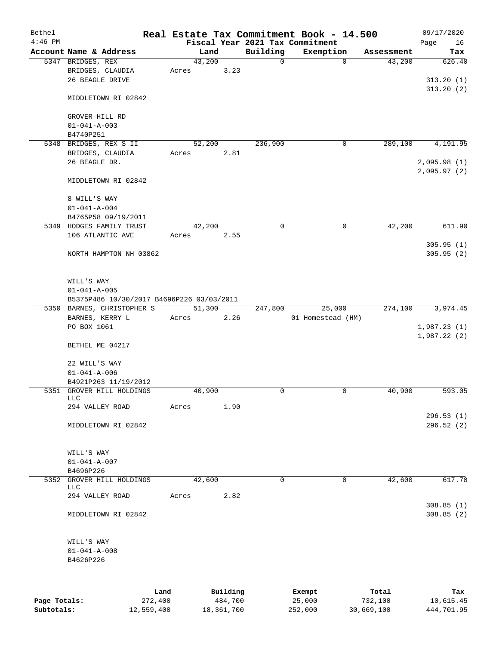| Bethel<br>$4:46$ PM |                                           |         |       |          |             | Real Estate Tax Commitment Book - 14.500     |            | 09/17/2020        |
|---------------------|-------------------------------------------|---------|-------|----------|-------------|----------------------------------------------|------------|-------------------|
|                     | Account Name & Address                    |         |       | Land     | Building    | Fiscal Year 2021 Tax Commitment<br>Exemption | Assessment | Page<br>16<br>Tax |
|                     | 5347 BRIDGES, REX                         |         |       | 43,200   | $\mathbf 0$ | $\mathbf 0$                                  | 43,200     | 626.40            |
|                     | BRIDGES, CLAUDIA                          |         | Acres | 3.23     |             |                                              |            |                   |
|                     | 26 BEAGLE DRIVE                           |         |       |          |             |                                              |            | 313.20(1)         |
|                     |                                           |         |       |          |             |                                              |            | 313.20(2)         |
|                     | MIDDLETOWN RI 02842                       |         |       |          |             |                                              |            |                   |
|                     | GROVER HILL RD                            |         |       |          |             |                                              |            |                   |
|                     | $01 - 041 - A - 003$                      |         |       |          |             |                                              |            |                   |
|                     | B4740P251                                 |         |       |          |             |                                              |            |                   |
|                     | 5348 BRIDGES, REX S II                    |         |       | 52,200   | 236,900     | 0                                            | 289,100    | 4,191.95          |
|                     | BRIDGES, CLAUDIA                          |         | Acres | 2.81     |             |                                              |            |                   |
|                     | 26 BEAGLE DR.                             |         |       |          |             |                                              |            | 2,095.98(1)       |
|                     |                                           |         |       |          |             |                                              |            | 2,095.97(2)       |
|                     | MIDDLETOWN RI 02842                       |         |       |          |             |                                              |            |                   |
|                     | 8 WILL'S WAY                              |         |       |          |             |                                              |            |                   |
|                     | $01 - 041 - A - 004$                      |         |       |          |             |                                              |            |                   |
|                     | B4765P58 09/19/2011                       |         |       |          |             |                                              |            |                   |
|                     | 5349 HODGES FAMILY TRUST                  |         |       | 42,200   | 0           | $\mathbf 0$                                  | 42,200     | 611.90            |
|                     | 106 ATLANTIC AVE                          |         | Acres | 2.55     |             |                                              |            |                   |
|                     |                                           |         |       |          |             |                                              |            | 305.95(1)         |
|                     | NORTH HAMPTON NH 03862                    |         |       |          |             |                                              |            | 305.95(2)         |
|                     |                                           |         |       |          |             |                                              |            |                   |
|                     | WILL'S WAY                                |         |       |          |             |                                              |            |                   |
|                     | $01 - 041 - A - 005$                      |         |       |          |             |                                              |            |                   |
|                     | B5375P486 10/30/2017 B4696P226 03/03/2011 |         |       |          |             |                                              |            |                   |
|                     | 5350 BARNES, CHRISTOPHER S                |         |       | 51,300   | 247,800     | 25,000                                       | 274,100    | 3,974.45          |
|                     | BARNES, KERRY L                           |         | Acres | 2.26     |             | 01 Homestead (HM)                            |            |                   |
|                     | PO BOX 1061                               |         |       |          |             |                                              |            | 1,987.23(1)       |
|                     | BETHEL ME 04217                           |         |       |          |             |                                              |            | 1,987.22(2)       |
|                     | 22 WILL'S WAY                             |         |       |          |             |                                              |            |                   |
|                     | $01 - 041 - A - 006$                      |         |       |          |             |                                              |            |                   |
|                     | B4921P263 11/19/2012                      |         |       |          |             |                                              |            |                   |
|                     | 5351 GROVER HILL HOLDINGS                 |         |       | 40,900   | 0           | 0                                            | 40,900     | 593.05            |
|                     | LLC                                       |         |       |          |             |                                              |            |                   |
|                     | 294 VALLEY ROAD                           |         | Acres | 1.90     |             |                                              |            |                   |
|                     |                                           |         |       |          |             |                                              |            | 296.53(1)         |
|                     | MIDDLETOWN RI 02842                       |         |       |          |             |                                              |            | 296.52(2)         |
|                     |                                           |         |       |          |             |                                              |            |                   |
|                     | WILL'S WAY                                |         |       |          |             |                                              |            |                   |
|                     | $01 - 041 - A - 007$                      |         |       |          |             |                                              |            |                   |
|                     | B4696P226                                 |         |       |          |             |                                              |            |                   |
| 5352                | GROVER HILL HOLDINGS                      |         |       | 42,600   | $\Omega$    | $\mathbf 0$                                  | 42,600     | 617.70            |
|                     | LLC<br>294 VALLEY ROAD                    |         | Acres | 2.82     |             |                                              |            |                   |
|                     |                                           |         |       |          |             |                                              |            | 308.85(1)         |
|                     | MIDDLETOWN RI 02842                       |         |       |          |             |                                              |            | 308.85(2)         |
|                     |                                           |         |       |          |             |                                              |            |                   |
|                     | WILL'S WAY                                |         |       |          |             |                                              |            |                   |
|                     | $01 - 041 - A - 008$<br>B4626P226         |         |       |          |             |                                              |            |                   |
|                     |                                           |         |       |          |             |                                              |            |                   |
|                     |                                           | Land    |       | Building |             | Exempt                                       | Total      | Tax               |
| Page Totals:        |                                           | 272,400 |       | 484,700  |             | 25,000                                       | 732,100    | 10,615.45         |
|                     |                                           |         |       |          |             |                                              |            |                   |

**Subtotals:** 12,559,400 18,361,700 252,000 30,669,100 444,701.95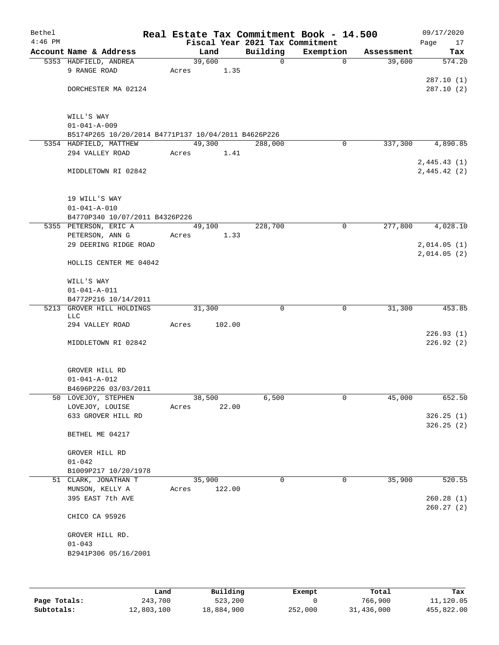| Bethel<br>$4:46$ PM |                                                                               |       |        |          | Real Estate Tax Commitment Book - 14.500<br>Fiscal Year 2021 Tax Commitment |            | 09/17/2020<br>Page<br>17 |
|---------------------|-------------------------------------------------------------------------------|-------|--------|----------|-----------------------------------------------------------------------------|------------|--------------------------|
|                     | Account Name & Address                                                        |       | Land   | Building | Exemption                                                                   | Assessment | Tax                      |
|                     | 5353 HADFIELD, ANDREA                                                         |       | 39,600 | 0        | $\mathbf 0$                                                                 | 39,600     | 574.20                   |
|                     | 9 RANGE ROAD                                                                  | Acres | 1.35   |          |                                                                             |            |                          |
|                     |                                                                               |       |        |          |                                                                             |            | 287.10(1)                |
|                     | DORCHESTER MA 02124                                                           |       |        |          |                                                                             |            | 287.10(2)                |
|                     |                                                                               |       |        |          |                                                                             |            |                          |
|                     |                                                                               |       |        |          |                                                                             |            |                          |
|                     | WILL'S WAY                                                                    |       |        |          |                                                                             |            |                          |
|                     | $01 - 041 - A - 009$                                                          |       |        |          |                                                                             |            |                          |
|                     | B5174P265 10/20/2014 B4771P137 10/04/2011 B4626P226<br>5354 HADFIELD, MATTHEW |       | 49,300 | 288,000  | 0                                                                           | 337,300    | 4,890.85                 |
|                     | 294 VALLEY ROAD                                                               | Acres | 1.41   |          |                                                                             |            |                          |
|                     |                                                                               |       |        |          |                                                                             |            | 2,445.43(1)              |
|                     | MIDDLETOWN RI 02842                                                           |       |        |          |                                                                             |            | 2,445.42(2)              |
|                     |                                                                               |       |        |          |                                                                             |            |                          |
|                     |                                                                               |       |        |          |                                                                             |            |                          |
|                     | 19 WILL'S WAY                                                                 |       |        |          |                                                                             |            |                          |
|                     | $01 - 041 - A - 010$                                                          |       |        |          |                                                                             |            |                          |
|                     | B4770P340 10/07/2011 B4326P226                                                |       |        |          |                                                                             |            |                          |
|                     | 5355 PETERSON, ERIC A                                                         |       | 49,100 | 228,700  | $\mathbf 0$                                                                 | 277,800    | 4,028.10                 |
|                     | PETERSON, ANN G                                                               | Acres | 1.33   |          |                                                                             |            |                          |
|                     | 29 DEERING RIDGE ROAD                                                         |       |        |          |                                                                             |            | 2,014.05(1)              |
|                     |                                                                               |       |        |          |                                                                             |            | 2,014.05(2)              |
|                     | HOLLIS CENTER ME 04042                                                        |       |        |          |                                                                             |            |                          |
|                     |                                                                               |       |        |          |                                                                             |            |                          |
|                     | WILL'S WAY                                                                    |       |        |          |                                                                             |            |                          |
|                     | $01 - 041 - A - 011$                                                          |       |        |          |                                                                             |            |                          |
|                     | B4772P216 10/14/2011<br>5213 GROVER HILL HOLDINGS                             |       | 31,300 | 0        | 0                                                                           | 31,300     | 453.85                   |
|                     | <b>LLC</b>                                                                    |       |        |          |                                                                             |            |                          |
|                     | 294 VALLEY ROAD                                                               | Acres | 102.00 |          |                                                                             |            |                          |
|                     |                                                                               |       |        |          |                                                                             |            | 226.93(1)                |
|                     | MIDDLETOWN RI 02842                                                           |       |        |          |                                                                             |            | 226.92(2)                |
|                     |                                                                               |       |        |          |                                                                             |            |                          |
|                     |                                                                               |       |        |          |                                                                             |            |                          |
|                     | GROVER HILL RD                                                                |       |        |          |                                                                             |            |                          |
|                     | $01 - 041 - A - 012$                                                          |       |        |          |                                                                             |            |                          |
|                     | B4696P226 03/03/2011                                                          |       |        |          |                                                                             |            |                          |
|                     | 50 LOVEJOY, STEPHEN                                                           |       | 38,500 | 6,500    | 0                                                                           | 45,000     | 652.50                   |
|                     | LOVEJOY, LOUISE<br>633 GROVER HILL RD                                         | Acres | 22.00  |          |                                                                             |            | 326.25(1)                |
|                     |                                                                               |       |        |          |                                                                             |            | 326.25(2)                |
|                     | BETHEL ME 04217                                                               |       |        |          |                                                                             |            |                          |
|                     |                                                                               |       |        |          |                                                                             |            |                          |
|                     | GROVER HILL RD                                                                |       |        |          |                                                                             |            |                          |
|                     | $01 - 042$                                                                    |       |        |          |                                                                             |            |                          |
|                     | B1009P217 10/20/1978                                                          |       |        |          |                                                                             |            |                          |
|                     | 51 CLARK, JONATHAN T                                                          |       | 35,900 | 0        | 0                                                                           | 35,900     | 520.55                   |
|                     | MUNSON, KELLY A                                                               | Acres | 122.00 |          |                                                                             |            |                          |
|                     | 395 EAST 7th AVE                                                              |       |        |          |                                                                             |            | 260.28(1)                |
|                     |                                                                               |       |        |          |                                                                             |            | 260.27(2)                |
|                     | CHICO CA 95926                                                                |       |        |          |                                                                             |            |                          |
|                     |                                                                               |       |        |          |                                                                             |            |                          |
|                     | GROVER HILL RD.                                                               |       |        |          |                                                                             |            |                          |
|                     | $01 - 043$                                                                    |       |        |          |                                                                             |            |                          |
|                     | B2941P306 05/16/2001                                                          |       |        |          |                                                                             |            |                          |
|                     |                                                                               |       |        |          |                                                                             |            |                          |
|                     |                                                                               |       |        |          |                                                                             |            |                          |
|                     |                                                                               |       |        |          |                                                                             |            |                          |

|              | Land       | Building   | Exempt  | Total      | Tax        |
|--------------|------------|------------|---------|------------|------------|
| Page Totals: | 243,700    | 523,200    |         | 766,900    | 11,120.05  |
| Subtotals:   | 12,803,100 | 18,884,900 | 252,000 | 31,436,000 | 455,822.00 |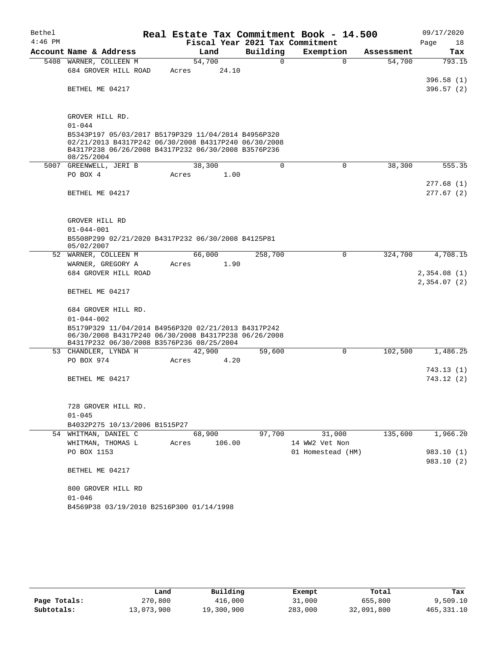| Bethel    |                                                                                                             |       |        |              |             | Real Estate Tax Commitment Book - 14.500 |             |            |      | 09/17/2020  |
|-----------|-------------------------------------------------------------------------------------------------------------|-------|--------|--------------|-------------|------------------------------------------|-------------|------------|------|-------------|
| $4:46$ PM |                                                                                                             |       |        |              |             | Fiscal Year 2021 Tax Commitment          |             |            | Page | 18          |
|           | Account Name & Address                                                                                      |       | Land   |              | Building    | Exemption                                |             | Assessment |      | Tax         |
|           | 5408 WARNER, COLLEEN M                                                                                      |       | 54,700 |              | $\mathbf 0$ |                                          | $\Omega$    | 54,700     |      | 793.15      |
|           | 684 GROVER HILL ROAD                                                                                        | Acres |        | 24.10        |             |                                          |             |            |      |             |
|           |                                                                                                             |       |        |              |             |                                          |             |            |      | 396.58(1)   |
|           | BETHEL ME 04217                                                                                             |       |        |              |             |                                          |             |            |      | 396.57(2)   |
|           |                                                                                                             |       |        |              |             |                                          |             |            |      |             |
|           | GROVER HILL RD.                                                                                             |       |        |              |             |                                          |             |            |      |             |
|           | $01 - 044$                                                                                                  |       |        |              |             |                                          |             |            |      |             |
|           | B5343P197 05/03/2017 B5179P329 11/04/2014 B4956P320                                                         |       |        |              |             |                                          |             |            |      |             |
|           | 02/21/2013 B4317P242 06/30/2008 B4317P240 06/30/2008<br>B4317P238 06/26/2008 B4317P232 06/30/2008 B3576P236 |       |        |              |             |                                          |             |            |      |             |
|           | 08/25/2004                                                                                                  |       |        |              |             |                                          |             |            |      |             |
|           | 5007 GREENWELL, JERI B                                                                                      |       | 38,300 |              | $\mathbf 0$ |                                          | 0           | 38,300     |      | 555.35      |
|           | PO BOX 4                                                                                                    | Acres |        | 1.00         |             |                                          |             |            |      |             |
|           |                                                                                                             |       |        |              |             |                                          |             |            |      | 277.68(1)   |
|           | BETHEL ME 04217                                                                                             |       |        |              |             |                                          |             |            |      | 277.67(2)   |
|           |                                                                                                             |       |        |              |             |                                          |             |            |      |             |
|           |                                                                                                             |       |        |              |             |                                          |             |            |      |             |
|           | GROVER HILL RD                                                                                              |       |        |              |             |                                          |             |            |      |             |
|           | $01 - 044 - 001$                                                                                            |       |        |              |             |                                          |             |            |      |             |
|           | B5508P299 02/21/2020 B4317P232 06/30/2008 B4125P81<br>05/02/2007                                            |       |        |              |             |                                          |             |            |      |             |
|           | 52 WARNER, COLLEEN M                                                                                        |       | 66,000 |              | 258,700     |                                          | $\mathbf 0$ | 324,700    |      | 4,708.15    |
|           | WARNER, GREGORY A                                                                                           | Acres |        | 1.90         |             |                                          |             |            |      |             |
|           | 684 GROVER HILL ROAD                                                                                        |       |        |              |             |                                          |             |            |      | 2,354.08(1) |
|           |                                                                                                             |       |        |              |             |                                          |             |            |      | 2,354.07(2) |
|           | BETHEL ME 04217                                                                                             |       |        |              |             |                                          |             |            |      |             |
|           | 684 GROVER HILL RD.                                                                                         |       |        |              |             |                                          |             |            |      |             |
|           | $01 - 044 - 002$                                                                                            |       |        |              |             |                                          |             |            |      |             |
|           | B5179P329 11/04/2014 B4956P320 02/21/2013 B4317P242                                                         |       |        |              |             |                                          |             |            |      |             |
|           | 06/30/2008 B4317P240 06/30/2008 B4317P238 06/26/2008                                                        |       |        |              |             |                                          |             |            |      |             |
|           | B4317P232 06/30/2008 B3576P236 08/25/2004                                                                   |       |        |              |             |                                          |             |            |      |             |
|           | 53 CHANDLER, LYNDA H                                                                                        |       | 42,900 |              | 59,600      |                                          | 0           | 102,500    |      | 1,486.25    |
|           | PO BOX 974                                                                                                  | Acres |        | 4.20         |             |                                          |             |            |      |             |
|           |                                                                                                             |       |        |              |             |                                          |             |            |      | 743.13 (1)  |
|           | BETHEL ME 04217                                                                                             |       |        |              |             |                                          |             |            |      | 743.12 (2)  |
|           |                                                                                                             |       |        |              |             |                                          |             |            |      |             |
|           | 728 GROVER HILL RD.                                                                                         |       |        |              |             |                                          |             |            |      |             |
|           | $01 - 045$                                                                                                  |       |        |              |             |                                          |             |            |      |             |
|           | B4032P275 10/13/2006 B1515P27                                                                               |       |        |              |             |                                          |             |            |      |             |
|           | 54 WHITMAN, DANIEL C                                                                                        |       | 68,900 |              | 97,700      | 31,000                                   |             | 135,600    |      | 1,966.20    |
|           | WHITMAN, THOMAS L                                                                                           |       |        | Acres 106.00 |             | 14 WW2 Vet Non                           |             |            |      |             |
|           | PO BOX 1153                                                                                                 |       |        |              |             | 01 Homestead (HM)                        |             |            |      | 983.10 (1)  |
|           |                                                                                                             |       |        |              |             |                                          |             |            |      | 983.10 (2)  |
|           | BETHEL ME 04217                                                                                             |       |        |              |             |                                          |             |            |      |             |
|           | 800 GROVER HILL RD                                                                                          |       |        |              |             |                                          |             |            |      |             |
|           | $01 - 046$                                                                                                  |       |        |              |             |                                          |             |            |      |             |
|           | B4569P38 03/19/2010 B2516P300 01/14/1998                                                                    |       |        |              |             |                                          |             |            |      |             |
|           |                                                                                                             |       |        |              |             |                                          |             |            |      |             |

|              | Land       | Building   | Exempt  | Total      | Tax         |
|--------------|------------|------------|---------|------------|-------------|
| Page Totals: | 270,800    | 416,000    | 31,000  | 655,800    | 9,509.10    |
| Subtotals:   | 13,073,900 | 19,300,900 | 283,000 | 32,091,800 | 465, 331.10 |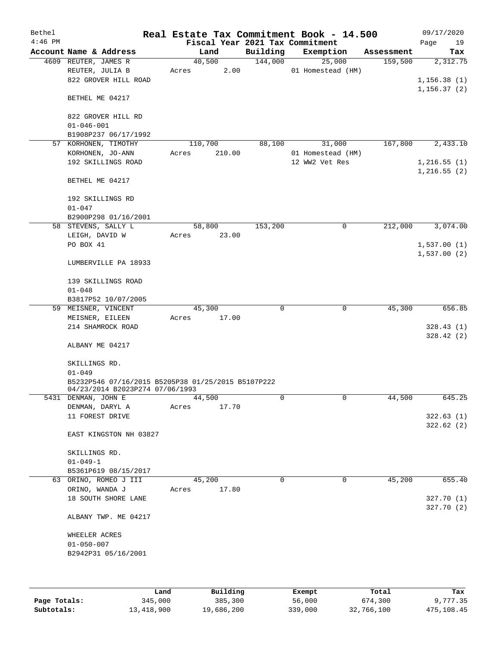| Bethel<br>$4:46$ PM |                                                    |                 |             | Real Estate Tax Commitment Book - 14.500<br>Fiscal Year 2021 Tax Commitment |            | 09/17/2020<br>Page<br>19 |
|---------------------|----------------------------------------------------|-----------------|-------------|-----------------------------------------------------------------------------|------------|--------------------------|
|                     | Account Name & Address                             | Land            | Building    | Exemption                                                                   | Assessment | Tax                      |
|                     | 4609 REUTER, JAMES R                               | 40,500          | 144,000     | 25,000                                                                      | 159,500    | 2,312.75                 |
|                     | REUTER, JULIA B                                    | 2.00<br>Acres   |             | 01 Homestead (HM)                                                           |            |                          |
|                     | 822 GROVER HILL ROAD                               |                 |             |                                                                             |            | 1, 156.38(1)             |
|                     |                                                    |                 |             |                                                                             |            | 1, 156.37(2)             |
|                     | BETHEL ME 04217                                    |                 |             |                                                                             |            |                          |
|                     | 822 GROVER HILL RD                                 |                 |             |                                                                             |            |                          |
|                     | $01 - 046 - 001$                                   |                 |             |                                                                             |            |                          |
|                     | B1908P237 06/17/1992                               |                 |             |                                                                             |            |                          |
|                     | 57 KORHONEN, TIMOTHY                               | 110,700         | 88,100      | 31,000                                                                      | 167,800    | 2,433.10                 |
|                     | KORHONEN, JO-ANN                                   | 210.00<br>Acres |             | 01 Homestead (HM)                                                           |            |                          |
|                     | 192 SKILLINGS ROAD                                 |                 |             | 12 WW2 Vet Res                                                              |            | 1,216.55(1)              |
|                     |                                                    |                 |             |                                                                             |            | 1,216.55(2)              |
|                     | BETHEL ME 04217                                    |                 |             |                                                                             |            |                          |
|                     | 192 SKILLINGS RD                                   |                 |             |                                                                             |            |                          |
|                     | $01 - 047$                                         |                 |             |                                                                             |            |                          |
|                     | B2900P298 01/16/2001                               |                 |             |                                                                             |            |                          |
|                     | 58 STEVENS, SALLY L                                | 58,800          | 153,200     | 0                                                                           | 212,000    | 3,074.00                 |
|                     | LEIGH, DAVID W                                     | 23.00<br>Acres  |             |                                                                             |            |                          |
|                     | PO BOX 41                                          |                 |             |                                                                             |            | 1,537.00(1)              |
|                     |                                                    |                 |             |                                                                             |            | 1,537.00(2)              |
|                     | LUMBERVILLE PA 18933                               |                 |             |                                                                             |            |                          |
|                     | 139 SKILLINGS ROAD                                 |                 |             |                                                                             |            |                          |
|                     | $01 - 048$                                         |                 |             |                                                                             |            |                          |
|                     | B3817P52 10/07/2005                                |                 |             |                                                                             |            |                          |
|                     | 59 MEISNER, VINCENT                                | 45,300          | $\mathbf 0$ | $\mathbf 0$                                                                 | 45,300     | 656.85                   |
|                     | MEISNER, EILEEN                                    | 17.00<br>Acres  |             |                                                                             |            |                          |
|                     | 214 SHAMROCK ROAD                                  |                 |             |                                                                             |            | 328.43(1)                |
|                     |                                                    |                 |             |                                                                             |            | 328.42(2)                |
|                     | ALBANY ME 04217                                    |                 |             |                                                                             |            |                          |
|                     | SKILLINGS RD.                                      |                 |             |                                                                             |            |                          |
|                     | $01 - 049$                                         |                 |             |                                                                             |            |                          |
|                     | B5232P546 07/16/2015 B5205P38 01/25/2015 B5107P222 |                 |             |                                                                             |            |                          |
|                     | 04/23/2014 B2023P274 07/06/1993                    |                 |             |                                                                             |            |                          |
|                     | 5431 DENMAN, JOHN E                                | 44,500          | 0           | 0                                                                           | 44,500     | 645.25                   |
|                     | DENMAN, DARYL A                                    | 17.70<br>Acres  |             |                                                                             |            |                          |
|                     | 11 FOREST DRIVE                                    |                 |             |                                                                             |            | 322.63(1)                |
|                     | EAST KINGSTON NH 03827                             |                 |             |                                                                             |            | 322.62(2)                |
|                     |                                                    |                 |             |                                                                             |            |                          |
|                     | SKILLINGS RD.                                      |                 |             |                                                                             |            |                          |
|                     | $01 - 049 - 1$                                     |                 |             |                                                                             |            |                          |
|                     | B5361P619 08/15/2017                               |                 |             |                                                                             |            |                          |
|                     | 63 ORINO, ROMEO J III                              | 45,200          | $\Omega$    | 0                                                                           | 45,200     | 655.40                   |
|                     | ORINO, WANDA J                                     | 17.80<br>Acres  |             |                                                                             |            |                          |
|                     | 18 SOUTH SHORE LANE                                |                 |             |                                                                             |            | 327.70 (1)               |
|                     | ALBANY TWP. ME 04217                               |                 |             |                                                                             |            | 327.70(2)                |
|                     |                                                    |                 |             |                                                                             |            |                          |
|                     | WHEELER ACRES                                      |                 |             |                                                                             |            |                          |
|                     | $01 - 050 - 007$                                   |                 |             |                                                                             |            |                          |
|                     | B2942P31 05/16/2001                                |                 |             |                                                                             |            |                          |
|                     |                                                    |                 |             |                                                                             |            |                          |
|                     |                                                    |                 |             |                                                                             |            |                          |
|                     |                                                    |                 |             |                                                                             |            |                          |

|              | Land       | Building   | Exempt  | Total      | Tax        |
|--------------|------------|------------|---------|------------|------------|
| Page Totals: | 345,000    | 385,300    | 56,000  | 674,300    | 9,777.35   |
| Subtotals:   | 13,418,900 | 19,686,200 | 339,000 | 32,766,100 | 475,108.45 |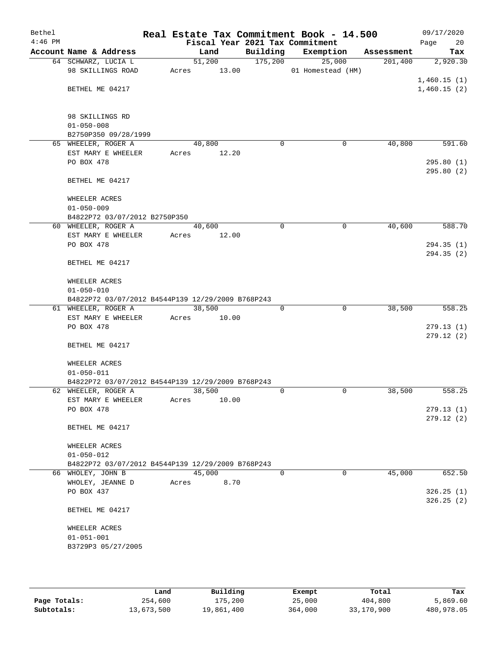| Bethel<br>$4:46$ PM |                                                                          |                 |       |             | Real Estate Tax Commitment Book - 14.500<br>Fiscal Year 2021 Tax Commitment |            | 09/17/2020<br>20<br>Page   |
|---------------------|--------------------------------------------------------------------------|-----------------|-------|-------------|-----------------------------------------------------------------------------|------------|----------------------------|
|                     | Account Name & Address                                                   | Land            |       | Building    | Exemption                                                                   | Assessment | Tax                        |
|                     | 64 SCHWARZ, LUCIA L<br>98 SKILLINGS ROAD                                 | 51,200<br>Acres | 13.00 | 175,200     | 25,000<br>01 Homestead (HM)                                                 | 201,400    | 2,920.30                   |
|                     | BETHEL ME 04217                                                          |                 |       |             |                                                                             |            | 1,460.15(1)<br>1,460.15(2) |
|                     | 98 SKILLINGS RD<br>$01 - 050 - 008$                                      |                 |       |             |                                                                             |            |                            |
|                     | B2750P350 09/28/1999<br>65 WHEELER, ROGER A                              | 40,800          |       | $\Omega$    | 0                                                                           | 40,800     | 591.60                     |
|                     | EST MARY E WHEELER<br>PO BOX 478                                         | Acres           | 12.20 |             |                                                                             |            | 295.80(1)<br>295.80(2)     |
|                     | BETHEL ME 04217                                                          |                 |       |             |                                                                             |            |                            |
|                     | WHEELER ACRES<br>$01 - 050 - 009$                                        |                 |       |             |                                                                             |            |                            |
|                     | B4822P72 03/07/2012 B2750P350                                            |                 |       |             |                                                                             |            |                            |
|                     | 60 WHEELER, ROGER A<br>EST MARY E WHEELER<br>PO BOX 478                  | 40,600<br>Acres | 12.00 | $\mathbf 0$ | $\mathbf 0$                                                                 | 40,600     | 588.70<br>294.35 (1)       |
|                     | BETHEL ME 04217                                                          |                 |       |             |                                                                             |            | 294.35(2)                  |
|                     | WHEELER ACRES<br>$01 - 050 - 010$                                        |                 |       |             |                                                                             |            |                            |
|                     | B4822P72 03/07/2012 B4544P139 12/29/2009 B768P243                        |                 |       |             |                                                                             |            |                            |
|                     | 61 WHEELER, ROGER A<br>EST MARY E WHEELER                                | 38,500<br>Acres | 10.00 | $\Omega$    | $\Omega$                                                                    | 38,500     | 558.25                     |
|                     | PO BOX 478<br>BETHEL ME 04217                                            |                 |       |             |                                                                             |            | 279.13(1)<br>279.12(2)     |
|                     | WHEELER ACRES                                                            |                 |       |             |                                                                             |            |                            |
|                     | $01 - 050 - 011$                                                         |                 |       |             |                                                                             |            |                            |
|                     | B4822P72 03/07/2012 B4544P139 12/29/2009 B768P243<br>62 WHEELER, ROGER A |                 |       | 0           | 0                                                                           | 38,500     | 558.25                     |
|                     | EST MARY E WHEELER                                                       | 38,500<br>Acres | 10.00 |             |                                                                             |            |                            |
|                     | PO BOX 478                                                               |                 |       |             |                                                                             |            | 279.13(1)<br>279.12(2)     |
|                     | BETHEL ME 04217                                                          |                 |       |             |                                                                             |            |                            |
|                     | WHEELER ACRES<br>$01 - 050 - 012$                                        |                 |       |             |                                                                             |            |                            |
|                     | B4822P72 03/07/2012 B4544P139 12/29/2009 B768P243                        |                 |       |             |                                                                             |            |                            |
|                     | 66 WHOLEY, JOHN B                                                        | 45,000          |       | 0           | $\mathbf 0$                                                                 | 45,000     | 652.50                     |
|                     | WHOLEY, JEANNE D                                                         | Acres           | 8.70  |             |                                                                             |            |                            |
|                     | PO BOX 437                                                               |                 |       |             |                                                                             |            | 326.25(1)<br>326.25(2)     |
|                     | BETHEL ME 04217                                                          |                 |       |             |                                                                             |            |                            |
|                     | WHEELER ACRES                                                            |                 |       |             |                                                                             |            |                            |
|                     | $01 - 051 - 001$                                                         |                 |       |             |                                                                             |            |                            |
|                     | B3729P3 05/27/2005                                                       |                 |       |             |                                                                             |            |                            |

|              | Land       | Building   | Exempt  | Total      | Tax        |
|--------------|------------|------------|---------|------------|------------|
| Page Totals: | 254,600    | 175,200    | 25,000  | 404,800    | 5,869.60   |
| Subtotals:   | 13,673,500 | 19,861,400 | 364,000 | 33,170,900 | 480,978.05 |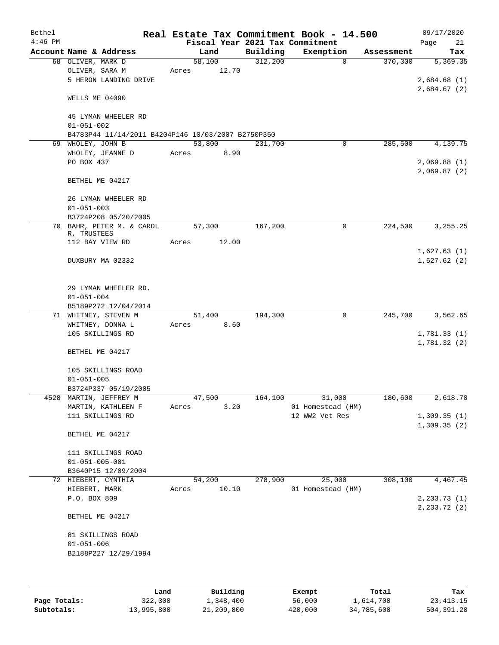| Bethel    |                                                                      |       |        |          | Real Estate Tax Commitment Book - 14.500 |            | 09/17/2020    |
|-----------|----------------------------------------------------------------------|-------|--------|----------|------------------------------------------|------------|---------------|
| $4:46$ PM |                                                                      |       |        |          | Fiscal Year 2021 Tax Commitment          |            | Page<br>21    |
|           | Account Name & Address                                               |       | Land   | Building | Exemption                                | Assessment | Tax           |
|           | 68 OLIVER, MARK D                                                    |       | 58,100 | 312,200  | $\Omega$                                 | 370,300    | 5,369.35      |
|           | OLIVER, SARA M                                                       | Acres | 12.70  |          |                                          |            |               |
|           | 5 HERON LANDING DRIVE                                                |       |        |          |                                          |            | 2,684.68(1)   |
|           | WELLS ME 04090                                                       |       |        |          |                                          |            | 2,684.67(2)   |
|           | 45 LYMAN WHEELER RD                                                  |       |        |          |                                          |            |               |
|           | $01 - 051 - 002$                                                     |       |        |          |                                          |            |               |
| 69        | B4783P44 11/14/2011 B4204P146 10/03/2007 B2750P350<br>WHOLEY, JOHN B |       | 53,800 | 231,700  | 0                                        | 285,500    | 4, 139.75     |
|           | WHOLEY, JEANNE D                                                     | Acres | 8.90   |          |                                          |            |               |
|           | PO BOX 437                                                           |       |        |          |                                          |            | 2,069.88(1)   |
|           |                                                                      |       |        |          |                                          |            | 2,069.87(2)   |
|           | BETHEL ME 04217                                                      |       |        |          |                                          |            |               |
|           | 26 LYMAN WHEELER RD                                                  |       |        |          |                                          |            |               |
|           | $01 - 051 - 003$                                                     |       |        |          |                                          |            |               |
|           | B3724P208 05/20/2005                                                 |       |        |          |                                          |            |               |
|           | 70 BAHR, PETER M. & CAROL<br>R, TRUSTEES                             |       | 57,300 | 167,200  | 0                                        | 224,500    | 3, 255.25     |
|           | 112 BAY VIEW RD                                                      | Acres | 12.00  |          |                                          |            |               |
|           |                                                                      |       |        |          |                                          |            | 1,627.63(1)   |
|           | DUXBURY MA 02332                                                     |       |        |          |                                          |            | 1,627.62(2)   |
|           | 29 LYMAN WHEELER RD.                                                 |       |        |          |                                          |            |               |
|           | $01 - 051 - 004$                                                     |       |        |          |                                          |            |               |
|           | B5189P272 12/04/2014                                                 |       |        |          |                                          |            |               |
|           | 71 WHITNEY, STEVEN M                                                 |       | 51,400 | 194,300  | 0                                        | 245,700    | 3,562.65      |
|           | WHITNEY, DONNA L                                                     | Acres | 8.60   |          |                                          |            |               |
|           | 105 SKILLINGS RD                                                     |       |        |          |                                          |            | 1,781.33(1)   |
|           | BETHEL ME 04217                                                      |       |        |          |                                          |            | 1,781.32 (2)  |
|           | 105 SKILLINGS ROAD                                                   |       |        |          |                                          |            |               |
|           | $01 - 051 - 005$                                                     |       |        |          |                                          |            |               |
|           | B3724P337 05/19/2005                                                 |       |        |          |                                          |            |               |
|           | 4528 MARTIN, JEFFREY M                                               |       | 47,500 | 164,100  | 31,000                                   | 180,600    | 2,618.70      |
|           | MARTIN, KATHLEEN F                                                   | Acres | 3.20   |          | 01 Homestead (HM)                        |            |               |
|           | 111 SKILLINGS RD                                                     |       |        |          | 12 WW2 Vet Res                           |            | 1,309.35(1)   |
|           | BETHEL ME 04217                                                      |       |        |          |                                          |            | 1,309.35(2)   |
|           | 111 SKILLINGS ROAD                                                   |       |        |          |                                          |            |               |
|           | $01 - 051 - 005 - 001$                                               |       |        |          |                                          |            |               |
|           | B3640P15 12/09/2004                                                  |       |        |          |                                          |            |               |
|           | 72 HIEBERT, CYNTHIA                                                  |       | 54,200 | 278,900  | 25,000                                   | 308,100    | 4,467.45      |
|           | HIEBERT, MARK                                                        | Acres | 10.10  |          | 01 Homestead (HM)                        |            |               |
|           | P.O. BOX 809                                                         |       |        |          |                                          |            | 2, 233.73(1)  |
|           | BETHEL ME 04217                                                      |       |        |          |                                          |            | 2, 233.72 (2) |
|           | 81 SKILLINGS ROAD                                                    |       |        |          |                                          |            |               |
|           | $01 - 051 - 006$                                                     |       |        |          |                                          |            |               |
|           | B2188P227 12/29/1994                                                 |       |        |          |                                          |            |               |
|           |                                                                      |       |        |          |                                          |            |               |
|           |                                                                      |       |        |          |                                          |            |               |
|           |                                                                      |       |        |          |                                          |            |               |

|              | Land       | Building   | Exempt  | Total      | Tax         |
|--------------|------------|------------|---------|------------|-------------|
| Page Totals: | 322,300    | 1,348,400  | 56,000  | 1,614,700  | 23, 413. 15 |
| Subtotals:   | 13,995,800 | 21,209,800 | 420,000 | 34,785,600 | 504,391.20  |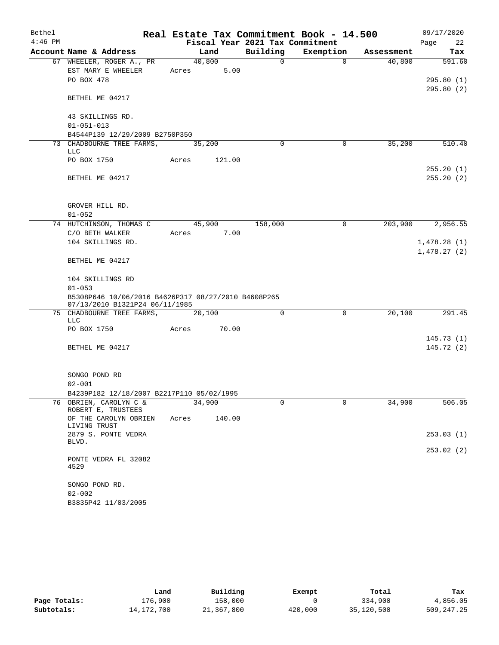| Bethel    |                                                                   | Real Estate Tax Commitment Book - 14.500 |                                 |             |            | 09/17/2020  |  |
|-----------|-------------------------------------------------------------------|------------------------------------------|---------------------------------|-------------|------------|-------------|--|
| $4:46$ PM |                                                                   |                                          | Fiscal Year 2021 Tax Commitment |             |            | Page 22     |  |
|           | Account Name & Address                                            | Land                                     | Building                        | Exemption   | Assessment | Tax         |  |
|           | 67 WHEELER, ROGER A., PR                                          | 40,800                                   | $\Omega$                        | $\Omega$    | 40,800     | 591.60      |  |
|           | EST MARY E WHEELER                                                | 5.00<br>Acres                            |                                 |             |            |             |  |
|           | PO BOX 478                                                        |                                          |                                 |             |            | 295.80(1)   |  |
|           | BETHEL ME 04217                                                   |                                          |                                 |             |            | 295.80(2)   |  |
|           | 43 SKILLINGS RD.                                                  |                                          |                                 |             |            |             |  |
|           | $01 - 051 - 013$                                                  |                                          |                                 |             |            |             |  |
|           | B4544P139 12/29/2009 B2750P350                                    |                                          |                                 |             |            |             |  |
|           | 73 CHADBOURNE TREE FARMS,                                         | 35,200                                   | 0                               | 0           | 35,200     | 510.40      |  |
|           | LLC                                                               |                                          |                                 |             |            |             |  |
|           | PO BOX 1750                                                       | Acres<br>121.00                          |                                 |             |            |             |  |
|           |                                                                   |                                          |                                 |             |            | 255.20(1)   |  |
|           | BETHEL ME 04217                                                   |                                          |                                 |             |            | 255.20(2)   |  |
|           | GROVER HILL RD.                                                   |                                          |                                 |             |            |             |  |
|           | $01 - 052$                                                        |                                          |                                 |             |            |             |  |
|           | 74 HUTCHINSON, THOMAS C                                           | 45,900                                   | 158,000                         | $\mathbf 0$ | 203,900    | 2,956.55    |  |
|           | C/O BETH WALKER                                                   | Acres 7.00                               |                                 |             |            |             |  |
|           | 104 SKILLINGS RD.                                                 |                                          |                                 |             |            | 1,478.28(1) |  |
|           | BETHEL ME 04217                                                   |                                          |                                 |             |            | 1,478.27(2) |  |
|           | 104 SKILLINGS RD                                                  |                                          |                                 |             |            |             |  |
|           | $01 - 053$<br>B5308P646 10/06/2016 B4626P317 08/27/2010 B4608P265 |                                          |                                 |             |            |             |  |
|           | 07/13/2010 B1321P24 06/11/1985                                    |                                          |                                 |             |            |             |  |
|           | 75 CHADBOURNE TREE FARMS, 20,100                                  |                                          | $\mathbf 0$                     | $\mathbf 0$ | 20,100     | 291.45      |  |
|           | LLC                                                               |                                          |                                 |             |            |             |  |
|           | PO BOX 1750                                                       | 70.00<br>Acres                           |                                 |             |            |             |  |
|           |                                                                   |                                          |                                 |             |            | 145.73(1)   |  |
|           | BETHEL ME 04217                                                   |                                          |                                 |             |            | 145.72(2)   |  |
|           |                                                                   |                                          |                                 |             |            |             |  |
|           | SONGO POND RD                                                     |                                          |                                 |             |            |             |  |
|           | $02 - 001$                                                        |                                          |                                 |             |            |             |  |
|           | B4239P182 12/18/2007 B2217P110 05/02/1995                         |                                          |                                 |             |            |             |  |
|           | 76 OBRIEN, CAROLYN C &<br>ROBERT E, TRUSTEES                      | 34,900                                   | $\Omega$                        | $\Omega$    | 34,900     | 506.05      |  |
|           | OF THE CAROLYN OBRIEN                                             | 140.00<br>Acres                          |                                 |             |            |             |  |
|           | LIVING TRUST                                                      |                                          |                                 |             |            |             |  |
|           | 2879 S. PONTE VEDRA<br>BLVD.                                      |                                          |                                 |             |            | 253.03 (1)  |  |
|           |                                                                   |                                          |                                 |             |            | 253.02 (2)  |  |
|           | PONTE VEDRA FL 32082<br>4529                                      |                                          |                                 |             |            |             |  |
|           | SONGO POND RD.                                                    |                                          |                                 |             |            |             |  |
|           | $02 - 002$                                                        |                                          |                                 |             |            |             |  |
|           | B3835P42 11/03/2005                                               |                                          |                                 |             |            |             |  |
|           |                                                                   |                                          |                                 |             |            |             |  |

|              | Land       | Building   | Exempt  | Total      | Tax        |
|--------------|------------|------------|---------|------------|------------|
| Page Totals: | 176,900    | 158,000    |         | 334,900    | 4,856.05   |
| Subtotals:   | 14,172,700 | 21,367,800 | 420,000 | 35,120,500 | 509,247.25 |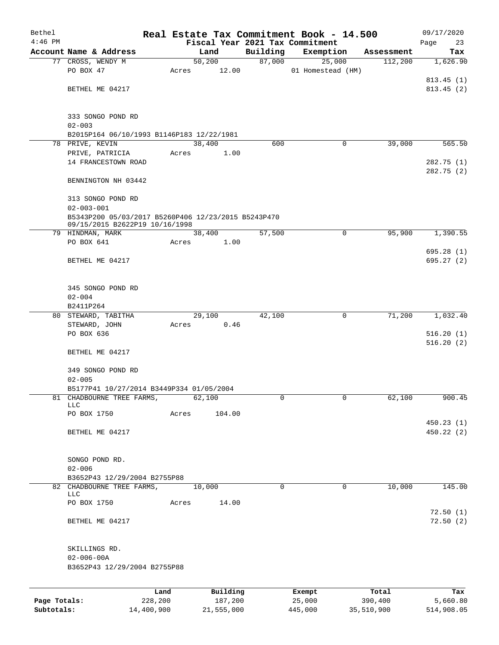| Bethel       |                                                                                       |       |          |             | Real Estate Tax Commitment Book - 14.500 |            | 09/17/2020               |
|--------------|---------------------------------------------------------------------------------------|-------|----------|-------------|------------------------------------------|------------|--------------------------|
| $4:46$ PM    |                                                                                       |       |          |             | Fiscal Year 2021 Tax Commitment          |            | Page<br>23               |
|              | Account Name & Address                                                                |       | Land     | Building    | Exemption                                | Assessment | Tax                      |
|              | 77 CROSS, WENDY M                                                                     |       | 50,200   | 87,000      | 25,000                                   | 112,200    | 1,626.90                 |
|              | PO BOX 47                                                                             | Acres | 12.00    |             | 01 Homestead (HM)                        |            |                          |
|              | BETHEL ME 04217                                                                       |       |          |             |                                          |            | 813.45(1)<br>813.45(2)   |
|              |                                                                                       |       |          |             |                                          |            |                          |
|              | 333 SONGO POND RD<br>$02 - 003$                                                       |       |          |             |                                          |            |                          |
|              | B2015P164 06/10/1993 B1146P183 12/22/1981                                             |       |          |             |                                          |            |                          |
|              | 78 PRIVE, KEVIN                                                                       |       | 38,400   | 600         | 0                                        | 39,000     | 565.50                   |
|              | PRIVE, PATRICIA                                                                       | Acres | 1.00     |             |                                          |            |                          |
|              | 14 FRANCESTOWN ROAD                                                                   |       |          |             |                                          |            | 282.75 (1)<br>282.75 (2) |
|              | BENNINGTON NH 03442                                                                   |       |          |             |                                          |            |                          |
|              | 313 SONGO POND RD                                                                     |       |          |             |                                          |            |                          |
|              | $02 - 003 - 001$                                                                      |       |          |             |                                          |            |                          |
|              | B5343P200 05/03/2017 B5260P406 12/23/2015 B5243P470<br>09/15/2015 B2622P19 10/16/1998 |       |          |             |                                          |            |                          |
|              | 79 HINDMAN, MARK                                                                      |       | 38,400   | 57,500      | 0                                        | 95,900     | 1,390.55                 |
|              | PO BOX 641                                                                            | Acres | 1.00     |             |                                          |            |                          |
|              |                                                                                       |       |          |             |                                          |            | 695.28(1)                |
|              | BETHEL ME 04217                                                                       |       |          |             |                                          |            | 695.27(2)                |
|              |                                                                                       |       |          |             |                                          |            |                          |
|              | 345 SONGO POND RD                                                                     |       |          |             |                                          |            |                          |
|              | $02 - 004$                                                                            |       |          |             |                                          |            |                          |
|              | B2411P264                                                                             |       |          |             |                                          |            |                          |
|              | 80 STEWARD, TABITHA                                                                   |       | 29,100   | 42,100      | 0                                        | 71,200     | 1,032.40                 |
|              | STEWARD, JOHN                                                                         | Acres | 0.46     |             |                                          |            |                          |
|              | PO BOX 636                                                                            |       |          |             |                                          |            | 516.20(1)<br>516.20(2)   |
|              | BETHEL ME 04217                                                                       |       |          |             |                                          |            |                          |
|              |                                                                                       |       |          |             |                                          |            |                          |
|              | 349 SONGO POND RD                                                                     |       |          |             |                                          |            |                          |
|              | $02 - 005$                                                                            |       |          |             |                                          |            |                          |
|              | B5177P41 10/27/2014 B3449P334 01/05/2004<br>81 CHADBOURNE TREE FARMS,                 |       | 62,100   | 0           | $\mathbf{0}$                             | 62,100     | 900.45                   |
|              | <b>LLC</b>                                                                            |       |          |             |                                          |            |                          |
|              | PO BOX 1750                                                                           | Acres | 104.00   |             |                                          |            |                          |
|              |                                                                                       |       |          |             |                                          |            | 450.23(1)                |
|              | BETHEL ME 04217                                                                       |       |          |             |                                          |            | 450.22 (2)               |
|              |                                                                                       |       |          |             |                                          |            |                          |
|              | SONGO POND RD.                                                                        |       |          |             |                                          |            |                          |
|              | $02 - 006$                                                                            |       |          |             |                                          |            |                          |
|              | B3652P43 12/29/2004 B2755P88                                                          |       |          |             |                                          |            |                          |
|              | 82 CHADBOURNE TREE FARMS,<br>LLC                                                      |       | 10,000   | $\mathbf 0$ | $\mathbf 0$                              | 10,000     | 145.00                   |
|              | PO BOX 1750                                                                           | Acres | 14.00    |             |                                          |            |                          |
|              |                                                                                       |       |          |             |                                          |            | 72.50(1)                 |
|              | BETHEL ME 04217                                                                       |       |          |             |                                          |            | 72.50(2)                 |
|              | SKILLINGS RD.                                                                         |       |          |             |                                          |            |                          |
|              | $02 - 006 - 00A$                                                                      |       |          |             |                                          |            |                          |
|              | B3652P43 12/29/2004 B2755P88                                                          |       |          |             |                                          |            |                          |
|              |                                                                                       |       |          |             |                                          |            |                          |
|              |                                                                                       | Land  | Building |             | Exempt                                   | Total      | Tax                      |
| Page Totals: | 228,200                                                                               |       | 187,200  |             | 25,000                                   | 390,400    | 5,660.80                 |

**Subtotals:** 14,400,900 21,555,000 445,000 35,510,900 514,908.05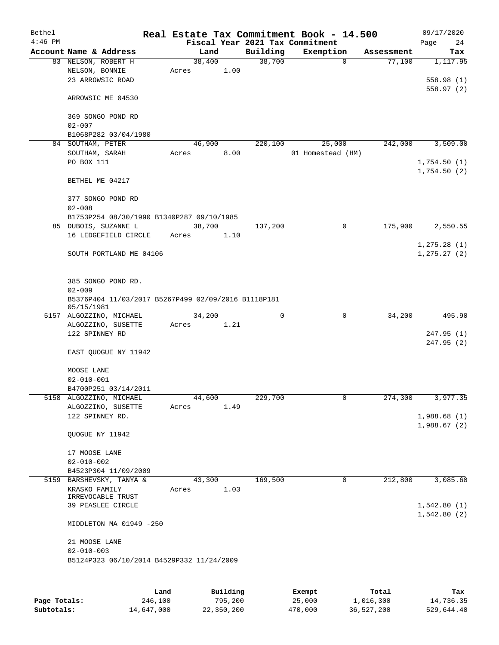| Bethel    |                                                     |       |        |      |          | Real Estate Tax Commitment Book - 14.500 |            | 09/17/2020   |
|-----------|-----------------------------------------------------|-------|--------|------|----------|------------------------------------------|------------|--------------|
| $4:46$ PM |                                                     |       |        |      |          | Fiscal Year 2021 Tax Commitment          |            | Page<br>24   |
|           | Account Name & Address                              |       | Land   |      | Building | Exemption                                | Assessment | Tax          |
|           | 83 NELSON, ROBERT H                                 |       | 38,400 |      | 38,700   | $\mathbf 0$                              | 77,100     | 1,117.95     |
|           | NELSON, BONNIE                                      | Acres |        | 1.00 |          |                                          |            |              |
|           | 23 ARROWSIC ROAD                                    |       |        |      |          |                                          |            | 558.98(1)    |
|           |                                                     |       |        |      |          |                                          |            | 558.97(2)    |
|           | ARROWSIC ME 04530                                   |       |        |      |          |                                          |            |              |
|           |                                                     |       |        |      |          |                                          |            |              |
|           | 369 SONGO POND RD                                   |       |        |      |          |                                          |            |              |
|           | $02 - 007$                                          |       |        |      |          |                                          |            |              |
|           |                                                     |       |        |      |          |                                          |            |              |
|           | B1068P282 03/04/1980                                |       |        |      |          |                                          |            |              |
|           | 84 SOUTHAM, PETER                                   |       | 46,900 |      | 220,100  | 25,000                                   | 242,000    | 3,509.00     |
|           | SOUTHAM, SARAH                                      | Acres |        | 8.00 |          | 01 Homestead (HM)                        |            |              |
|           | PO BOX 111                                          |       |        |      |          |                                          |            | 1,754.50(1)  |
|           |                                                     |       |        |      |          |                                          |            | 1,754.50(2)  |
|           | BETHEL ME 04217                                     |       |        |      |          |                                          |            |              |
|           |                                                     |       |        |      |          |                                          |            |              |
|           | 377 SONGO POND RD                                   |       |        |      |          |                                          |            |              |
|           | $02 - 008$                                          |       |        |      |          |                                          |            |              |
|           |                                                     |       |        |      |          |                                          |            |              |
|           | B1753P254 08/30/1990 B1340P287 09/10/1985           |       |        |      |          |                                          |            |              |
|           | 85 DUBOIS, SUZANNE L                                |       | 38,700 |      | 137,200  | 0                                        | 175,900    | 2,550.55     |
|           | 16 LEDGEFIELD CIRCLE                                | Acres |        | 1.10 |          |                                          |            |              |
|           |                                                     |       |        |      |          |                                          |            | 1, 275.28(1) |
|           | SOUTH PORTLAND ME 04106                             |       |        |      |          |                                          |            | 1, 275.27(2) |
|           |                                                     |       |        |      |          |                                          |            |              |
|           |                                                     |       |        |      |          |                                          |            |              |
|           | 385 SONGO POND RD.                                  |       |        |      |          |                                          |            |              |
|           | $02 - 009$                                          |       |        |      |          |                                          |            |              |
|           | B5376P404 11/03/2017 B5267P499 02/09/2016 B1118P181 |       |        |      |          |                                          |            |              |
|           | 05/15/1981                                          |       |        |      |          |                                          |            |              |
|           | 5157 ALGOZZINO, MICHAEL                             |       | 34,200 |      | 0        | 0                                        | 34,200     | 495.90       |
|           | ALGOZZINO, SUSETTE                                  | Acres |        | 1.21 |          |                                          |            |              |
|           | 122 SPINNEY RD                                      |       |        |      |          |                                          |            | 247.95(1)    |
|           |                                                     |       |        |      |          |                                          |            |              |
|           |                                                     |       |        |      |          |                                          |            | 247.95 (2)   |
|           | EAST QUOGUE NY 11942                                |       |        |      |          |                                          |            |              |
|           |                                                     |       |        |      |          |                                          |            |              |
|           | MOOSE LANE                                          |       |        |      |          |                                          |            |              |
|           | $02 - 010 - 001$                                    |       |        |      |          |                                          |            |              |
|           | B4700P251 03/14/2011                                |       |        |      |          |                                          |            |              |
|           | 5158 ALGOZZINO, MICHAEL                             |       | 44,600 |      | 229,700  | 0                                        | 274,300    | 3,977.35     |
|           | ALGOZZINO, SUSETTE                                  | Acres |        | 1.49 |          |                                          |            |              |
|           | 122 SPINNEY RD.                                     |       |        |      |          |                                          |            | 1,988.68(1)  |
|           |                                                     |       |        |      |          |                                          |            | 1,988.67(2)  |
|           | QUOGUE NY 11942                                     |       |        |      |          |                                          |            |              |
|           |                                                     |       |        |      |          |                                          |            |              |
|           |                                                     |       |        |      |          |                                          |            |              |
|           | 17 MOOSE LANE                                       |       |        |      |          |                                          |            |              |
|           | $02 - 010 - 002$                                    |       |        |      |          |                                          |            |              |
|           | B4523P304 11/09/2009                                |       |        |      |          |                                          |            |              |
|           | 5159 BARSHEVSKY, TANYA &                            |       | 43,300 |      | 169,500  | 0                                        | 212,800    | 3,085.60     |
|           | KRASKO FAMILY                                       | Acres |        | 1.03 |          |                                          |            |              |
|           | IRREVOCABLE TRUST                                   |       |        |      |          |                                          |            |              |
|           | 39 PEASLEE CIRCLE                                   |       |        |      |          |                                          |            | 1,542.80(1)  |
|           |                                                     |       |        |      |          |                                          |            | 1,542.80(2)  |
|           | MIDDLETON MA 01949 -250                             |       |        |      |          |                                          |            |              |
|           |                                                     |       |        |      |          |                                          |            |              |
|           | 21 MOOSE LANE                                       |       |        |      |          |                                          |            |              |
|           | $02 - 010 - 003$                                    |       |        |      |          |                                          |            |              |
|           |                                                     |       |        |      |          |                                          |            |              |
|           | B5124P323 06/10/2014 B4529P332 11/24/2009           |       |        |      |          |                                          |            |              |
|           |                                                     |       |        |      |          |                                          |            |              |
|           |                                                     |       |        |      |          |                                          |            |              |
|           |                                                     |       |        |      |          |                                          |            |              |

|              | Land       | Building   | Exempt  | Total      | Tax        |
|--------------|------------|------------|---------|------------|------------|
| Page Totals: | 246,100    | 795,200    | 25,000  | 1,016,300  | 14,736.35  |
| Subtotals:   | 14,647,000 | 22,350,200 | 470,000 | 36,527,200 | 529,644.40 |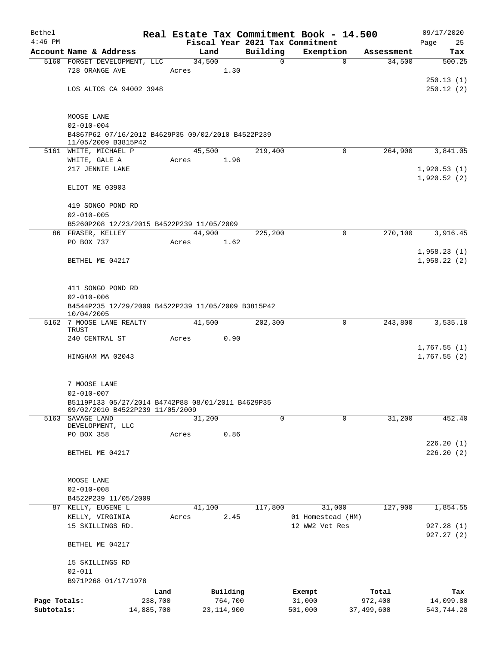| Bethel       |                                                                                      |                         |          | Real Estate Tax Commitment Book - 14.500 |                  | 09/17/2020                 |
|--------------|--------------------------------------------------------------------------------------|-------------------------|----------|------------------------------------------|------------------|----------------------------|
| $4:46$ PM    |                                                                                      |                         |          | Fiscal Year 2021 Tax Commitment          |                  | Page<br>25                 |
|              | Account Name & Address                                                               | Land                    | Building | Exemption                                | Assessment       | Tax                        |
|              | 5160 FORGET DEVELOPMENT, LLC<br>728 ORANGE AVE                                       | 34,500<br>1.30<br>Acres | 0        | $\mathbf 0$                              | 34,500           | 500.25                     |
|              | LOS ALTOS CA 94002 3948                                                              |                         |          |                                          |                  | 250.13(1)<br>250.12(2)     |
|              | MOOSE LANE<br>$02 - 010 - 004$                                                       |                         |          |                                          |                  |                            |
|              | B4867P62 07/16/2012 B4629P35 09/02/2010 B4522P239<br>11/05/2009 B3815P42             |                         |          |                                          |                  |                            |
|              | 5161 WHITE, MICHAEL P                                                                | 45,500                  | 219,400  | $\mathbf 0$                              | 264,900          | 3,841.05                   |
|              | WHITE, GALE A                                                                        | 1.96<br>Acres           |          |                                          |                  |                            |
|              | 217 JENNIE LANE                                                                      |                         |          |                                          |                  | 1,920.53(1)<br>1,920.52(2) |
|              | ELIOT ME 03903                                                                       |                         |          |                                          |                  |                            |
|              | 419 SONGO POND RD<br>$02 - 010 - 005$                                                |                         |          |                                          |                  |                            |
|              | B5260P208 12/23/2015 B4522P239 11/05/2009                                            |                         |          |                                          |                  |                            |
|              | 86 FRASER, KELLEY                                                                    | 44,900                  | 225,200  | $\mathbf 0$                              | 270,100          | 3,916.45                   |
|              | PO BOX 737                                                                           | 1.62<br>Acres           |          |                                          |                  |                            |
|              |                                                                                      |                         |          |                                          |                  | 1,958.23(1)                |
|              | BETHEL ME 04217                                                                      |                         |          |                                          |                  | 1,958.22(2)                |
|              | 411 SONGO POND RD<br>$02 - 010 - 006$                                                |                         |          |                                          |                  |                            |
|              | B4544P235 12/29/2009 B4522P239 11/05/2009 B3815P42<br>10/04/2005                     |                         |          |                                          |                  |                            |
|              | 5162 7 MOOSE LANE REALTY<br>TRUST                                                    | 41,500                  | 202,300  | 0                                        | 243,800          | 3,535.10                   |
|              | 240 CENTRAL ST                                                                       | 0.90<br>Acres           |          |                                          |                  |                            |
|              | HINGHAM MA 02043                                                                     |                         |          |                                          |                  | 1,767.55(1)<br>1,767.55(2) |
|              | 7 MOOSE LANE                                                                         |                         |          |                                          |                  |                            |
|              | $02 - 010 - 007$                                                                     |                         |          |                                          |                  |                            |
|              | B5119P133 05/27/2014 B4742P88 08/01/2011 B4629P35<br>09/02/2010 B4522P239 11/05/2009 |                         |          |                                          |                  |                            |
|              | 5163 SAVAGE LAND<br>DEVELOPMENT, LLC                                                 | 31,200                  | 0        | 0                                        | 31,200           | 452.40                     |
|              | PO BOX 358                                                                           | 0.86<br>Acres           |          |                                          |                  |                            |
|              | BETHEL ME 04217                                                                      |                         |          |                                          |                  | 226.20(1)<br>226.20(2)     |
|              | MOOSE LANE                                                                           |                         |          |                                          |                  |                            |
|              | $02 - 010 - 008$                                                                     |                         |          |                                          |                  |                            |
|              | B4522P239 11/05/2009                                                                 |                         |          |                                          |                  |                            |
|              | 87 KELLY, EUGENE L<br>KELLY, VIRGINIA                                                | 41,100<br>2.45<br>Acres | 117,800  | 31,000<br>01 Homestead (HM)              | 127,900          | 1,854.55                   |
|              | 15 SKILLINGS RD.                                                                     |                         |          | 12 WW2 Vet Res                           |                  | 927.28(1)<br>927.27(2)     |
|              | BETHEL ME 04217                                                                      |                         |          |                                          |                  |                            |
|              | 15 SKILLINGS RD                                                                      |                         |          |                                          |                  |                            |
|              | $02 - 011$                                                                           |                         |          |                                          |                  |                            |
|              | B971P268 01/17/1978                                                                  |                         |          |                                          |                  |                            |
| Page Totals: | Land<br>238,700                                                                      | Building<br>764,700     |          | Exempt<br>31,000                         | Total<br>972,400 | Tax<br>14,099.80           |
| Subtotals:   | 14,885,700                                                                           | 23, 114, 900            |          | 501,000                                  | 37,499,600       | 543,744.20                 |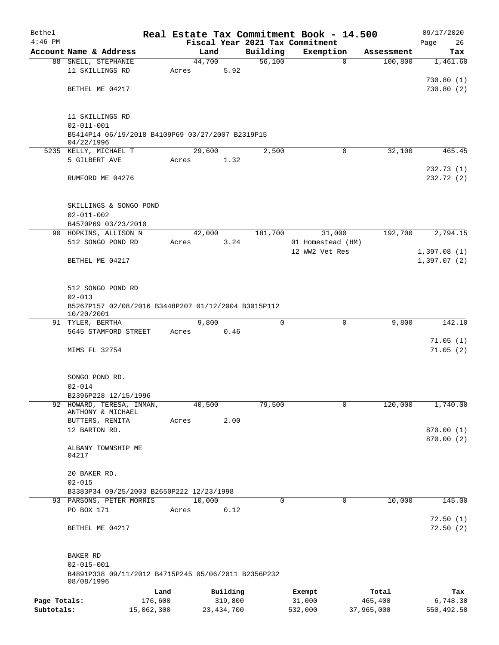| Bethel       |                                                     |       |        |              |          | Real Estate Tax Commitment Book - 14.500 |            | 09/17/2020           |
|--------------|-----------------------------------------------------|-------|--------|--------------|----------|------------------------------------------|------------|----------------------|
| $4:46$ PM    |                                                     |       |        |              |          | Fiscal Year 2021 Tax Commitment          |            | Page<br>26           |
|              | Account Name & Address                              |       | Land   |              | Building | Exemption                                | Assessment | Tax                  |
|              | 88 SNELL, STEPHANIE                                 |       | 44,700 |              | 56,100   | $\mathbf 0$                              | 100,800    | 1,461.60             |
|              | 11 SKILLINGS RD                                     | Acres |        | 5.92         |          |                                          |            |                      |
|              |                                                     |       |        |              |          |                                          |            | 730.80(1)            |
|              | BETHEL ME 04217                                     |       |        |              |          |                                          |            | 730.80(2)            |
|              |                                                     |       |        |              |          |                                          |            |                      |
|              | 11 SKILLINGS RD                                     |       |        |              |          |                                          |            |                      |
|              | $02 - 011 - 001$                                    |       |        |              |          |                                          |            |                      |
|              | B5414P14 06/19/2018 B4109P69 03/27/2007 B2319P15    |       |        |              |          |                                          |            |                      |
|              | 04/22/1996                                          |       |        |              |          |                                          |            |                      |
|              | 5235 KELLY, MICHAEL T                               |       | 29,600 |              | 2,500    | $\mathbf 0$                              | 32,100     | 465.45               |
|              | 5 GILBERT AVE                                       | Acres |        | 1.32         |          |                                          |            |                      |
|              |                                                     |       |        |              |          |                                          |            | 232.73(1)            |
|              | RUMFORD ME 04276                                    |       |        |              |          |                                          |            | 232.72 (2)           |
|              |                                                     |       |        |              |          |                                          |            |                      |
|              | SKILLINGS & SONGO POND                              |       |        |              |          |                                          |            |                      |
|              | $02 - 011 - 002$                                    |       |        |              |          |                                          |            |                      |
|              | B4570P69 03/23/2010                                 |       |        |              |          |                                          |            |                      |
|              | 90 HOPKINS, ALLISON N                               |       | 42,000 |              | 181,700  | 31,000                                   | 192,700    | 2,794.15             |
|              | 512 SONGO POND RD                                   | Acres |        | 3.24         |          | 01 Homestead (HM)                        |            |                      |
|              |                                                     |       |        |              |          | 12 WW2 Vet Res                           |            | 1,397.08(1)          |
|              | BETHEL ME 04217                                     |       |        |              |          |                                          |            | 1,397.07(2)          |
|              |                                                     |       |        |              |          |                                          |            |                      |
|              |                                                     |       |        |              |          |                                          |            |                      |
|              | 512 SONGO POND RD                                   |       |        |              |          |                                          |            |                      |
|              | $02 - 013$                                          |       |        |              |          |                                          |            |                      |
|              | B5267P157 02/08/2016 B3448P207 01/12/2004 B3015P112 |       |        |              |          |                                          |            |                      |
|              | 10/20/2001<br>91 TYLER, BERTHA                      |       | 9,800  |              | 0        | 0                                        | 9,800      | 142.10               |
|              | 5645 STAMFORD STREET                                | Acres |        | 0.46         |          |                                          |            |                      |
|              |                                                     |       |        |              |          |                                          |            | 71.05(1)             |
|              | MIMS FL 32754                                       |       |        |              |          |                                          |            | 71.05(2)             |
|              |                                                     |       |        |              |          |                                          |            |                      |
|              |                                                     |       |        |              |          |                                          |            |                      |
|              | SONGO POND RD.                                      |       |        |              |          |                                          |            |                      |
|              | $02 - 014$                                          |       |        |              |          |                                          |            |                      |
|              | B2396P228 12/15/1996                                |       |        |              |          |                                          |            |                      |
| 92           | HOWARD, TERESA, INMAN,                              |       | 40,500 |              | 79,500   | $\mathbf 0$                              | 120,000    | 1,740.00             |
|              | ANTHONY & MICHAEL<br>BUTTERS, RENITA                | Acres |        | 2.00         |          |                                          |            |                      |
|              | 12 BARTON RD.                                       |       |        |              |          |                                          |            | 870.00 (1)           |
|              |                                                     |       |        |              |          |                                          |            | 870.00 (2)           |
|              | ALBANY TOWNSHIP ME                                  |       |        |              |          |                                          |            |                      |
|              | 04217                                               |       |        |              |          |                                          |            |                      |
|              |                                                     |       |        |              |          |                                          |            |                      |
|              | 20 BAKER RD.                                        |       |        |              |          |                                          |            |                      |
|              | $02 - 015$                                          |       |        |              |          |                                          |            |                      |
|              | B3383P34 09/25/2003 B2650P222 12/23/1998            |       |        |              |          |                                          |            |                      |
|              | 93 PARSONS, PETER MORRIS                            |       | 10,000 |              | $\Omega$ | 0                                        | 10,000     | 145.00               |
|              | PO BOX 171                                          | Acres |        | 0.12         |          |                                          |            |                      |
|              | BETHEL ME 04217                                     |       |        |              |          |                                          |            | 72.50(1)<br>72.50(2) |
|              |                                                     |       |        |              |          |                                          |            |                      |
|              |                                                     |       |        |              |          |                                          |            |                      |
|              | BAKER RD                                            |       |        |              |          |                                          |            |                      |
|              | $02 - 015 - 001$                                    |       |        |              |          |                                          |            |                      |
|              | B4891P338 09/11/2012 B4715P245 05/06/2011 B2356P232 |       |        |              |          |                                          |            |                      |
|              | 08/08/1996                                          |       |        |              |          |                                          |            |                      |
|              |                                                     | Land  |        | Building     |          | Exempt                                   | Total      | Tax                  |
| Page Totals: | 176,600                                             |       |        | 319,800      |          | 31,000                                   | 465,400    | 6,748.30             |
| Subtotals:   | 15,062,300                                          |       |        | 23, 434, 700 |          | 532,000                                  | 37,965,000 | 550,492.50           |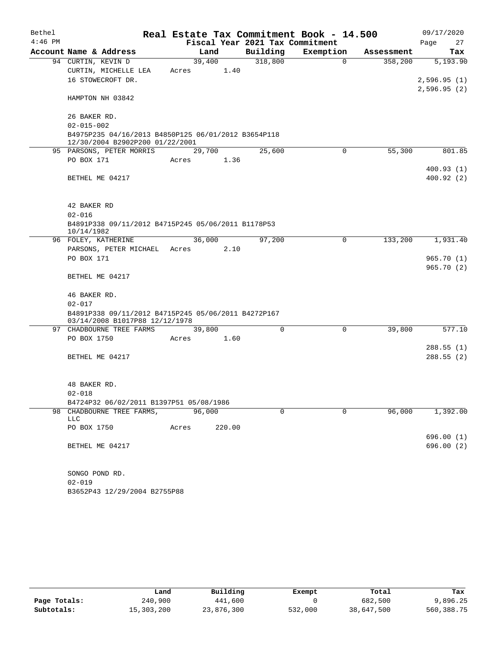| Bethel    |                                                                                        |        |        | Real Estate Tax Commitment Book - 14.500 |           |             |            | 09/17/2020  |            |
|-----------|----------------------------------------------------------------------------------------|--------|--------|------------------------------------------|-----------|-------------|------------|-------------|------------|
| $4:46$ PM |                                                                                        |        |        | Fiscal Year 2021 Tax Commitment          |           |             |            | Page        | 27         |
|           | Account Name & Address                                                                 | Land   |        | Building                                 | Exemption |             | Assessment |             | Tax        |
|           | 94 CURTIN, KEVIN D                                                                     | 39,400 |        | 318,800                                  |           | $\mathbf 0$ | 358,200    |             | 5,193.90   |
|           | CURTIN, MICHELLE LEA                                                                   | Acres  | 1.40   |                                          |           |             |            |             |            |
|           | 16 STOWECROFT DR.                                                                      |        |        |                                          |           |             |            | 2,596.95(1) |            |
|           | HAMPTON NH 03842                                                                       |        |        |                                          |           |             |            | 2,596.95(2) |            |
|           | 26 BAKER RD.                                                                           |        |        |                                          |           |             |            |             |            |
|           | $02 - 015 - 002$                                                                       |        |        |                                          |           |             |            |             |            |
|           | B4975P235 04/16/2013 B4850P125 06/01/2012 B3654P118<br>12/30/2004 B2902P200 01/22/2001 |        |        |                                          |           |             |            |             |            |
|           | 95 PARSONS, PETER MORRIS                                                               | 29,700 |        | 25,600                                   |           | 0           | 55,300     |             | 801.85     |
|           | PO BOX 171                                                                             | Acres  | 1.36   |                                          |           |             |            |             |            |
|           |                                                                                        |        |        |                                          |           |             |            |             | 400.93(1)  |
|           | BETHEL ME 04217                                                                        |        |        |                                          |           |             |            |             | 400.92(2)  |
|           | 42 BAKER RD                                                                            |        |        |                                          |           |             |            |             |            |
|           | $02 - 016$                                                                             |        |        |                                          |           |             |            |             |            |
|           | B4891P338 09/11/2012 B4715P245 05/06/2011 B1178P53<br>10/14/1982                       |        |        |                                          |           |             |            |             |            |
|           | 96 FOLEY, KATHERINE                                                                    | 36,000 |        | 97,200                                   |           | 0           | 133,200    |             | 1,931.40   |
|           | PARSONS, PETER MICHAEL                                                                 | Acres  | 2.10   |                                          |           |             |            |             |            |
|           | PO BOX 171                                                                             |        |        |                                          |           |             |            |             | 965.70(1)  |
|           | BETHEL ME 04217                                                                        |        |        |                                          |           |             |            |             | 965.70(2)  |
|           | 46 BAKER RD.                                                                           |        |        |                                          |           |             |            |             |            |
|           | $02 - 017$                                                                             |        |        |                                          |           |             |            |             |            |
|           | B4891P338 09/11/2012 B4715P245 05/06/2011 B4272P167<br>03/14/2008 B1017P88 12/12/1978  |        |        |                                          |           |             |            |             |            |
|           | 97 CHADBOURNE TREE FARMS                                                               | 39,800 |        | $\Omega$                                 |           | 0           | 39,800     |             | 577.10     |
|           | PO BOX 1750                                                                            | Acres  | 1.60   |                                          |           |             |            |             |            |
|           |                                                                                        |        |        |                                          |           |             |            |             | 288.55(1)  |
|           | BETHEL ME 04217                                                                        |        |        |                                          |           |             |            |             | 288.55 (2) |
|           |                                                                                        |        |        |                                          |           |             |            |             |            |
|           | 48 BAKER RD.                                                                           |        |        |                                          |           |             |            |             |            |
|           | $02 - 018$                                                                             |        |        |                                          |           |             |            |             |            |
|           | B4724P32 06/02/2011 B1397P51 05/08/1986                                                |        |        |                                          |           |             |            |             |            |
|           | 98 CHADBOURNE TREE FARMS,<br>LLC                                                       | 96,000 |        | 0                                        |           | 0           | 96,000     |             | 1,392.00   |
|           | PO BOX 1750                                                                            | Acres  | 220.00 |                                          |           |             |            |             |            |
|           |                                                                                        |        |        |                                          |           |             |            |             | 696.00(1)  |
|           | BETHEL ME 04217                                                                        |        |        |                                          |           |             |            |             | 696.00 (2) |
|           | SONGO POND RD.                                                                         |        |        |                                          |           |             |            |             |            |
|           | $02 - 019$                                                                             |        |        |                                          |           |             |            |             |            |

B3652P43 12/29/2004 B2755P88

|              | Land       | Building   | Exempt  | Total      | Tax        |
|--------------|------------|------------|---------|------------|------------|
| Page Totals: | 240,900    | 441,600    |         | 682,500    | 9,896.25   |
| Subtotals:   | 15,303,200 | 23,876,300 | 532,000 | 38,647,500 | 560,388.75 |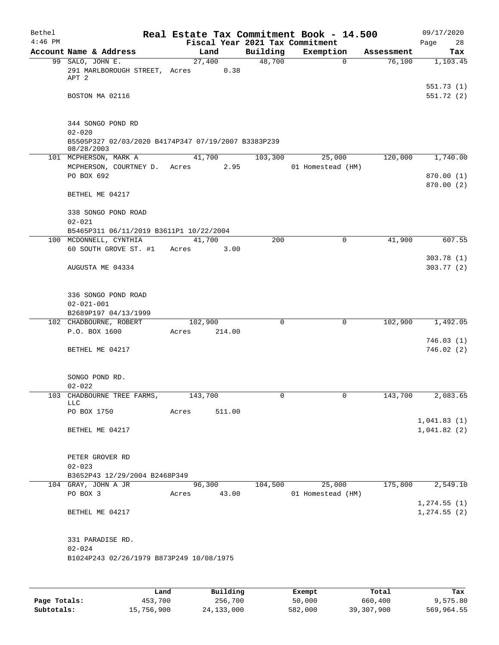| Bethel<br>$4:46$ PM |                                                                   | Fiscal Year 2021 Tax Commitment |          | Real Estate Tax Commitment Book - 14.500   |            | 09/17/2020<br>Page<br>28      |
|---------------------|-------------------------------------------------------------------|---------------------------------|----------|--------------------------------------------|------------|-------------------------------|
|                     | Account Name & Address                                            | Land                            | Building | Exemption                                  | Assessment | Tax                           |
|                     | 99 SALO, JOHN E.<br>291 MARLBOROUGH STREET, Acres 0.38            | 27,400                          | 48,700   | 0                                          | 76,100     | 1,103.45                      |
|                     | APT 2<br>BOSTON MA 02116                                          |                                 |          |                                            |            | 551.73(1)<br>551.72(2)        |
|                     | 344 SONGO POND RD<br>$02 - 020$                                   |                                 |          |                                            |            |                               |
|                     | B5505P327 02/03/2020 B4174P347 07/19/2007 B3383P239<br>08/28/2003 |                                 |          |                                            |            |                               |
|                     | 101 MCPHERSON, MARK A<br>MCPHERSON, COURTNEY D.                   | 41,700<br>Acres<br>2.95         | 103,300  | 25,000<br>01 Homestead (HM)                | 120,000    | 1,740.00                      |
|                     | PO BOX 692                                                        |                                 |          |                                            |            | 870.00 (1)<br>870.00 (2)      |
|                     | BETHEL ME 04217                                                   |                                 |          |                                            |            |                               |
|                     | 338 SONGO POND ROAD<br>$02 - 021$                                 |                                 |          |                                            |            |                               |
|                     | B5465P311 06/11/2019 B3611P1 10/22/2004                           |                                 |          |                                            |            |                               |
|                     | 100 MCDONNELL, CYNTHIA<br>60 SOUTH GROVE ST. #1                   | 41,700<br>3.00<br>Acres         | 200      | 0                                          | 41,900     | 607.55<br>303.78(1)           |
|                     | AUGUSTA ME 04334                                                  |                                 |          |                                            |            | 303.77(2)                     |
|                     | 336 SONGO POND ROAD<br>$02 - 021 - 001$                           |                                 |          |                                            |            |                               |
|                     | B2689P197 04/13/1999                                              | 102,900                         | 0        | 0                                          | 102,900    | 1,492.05                      |
|                     | 102 CHADBOURNE, ROBERT<br>P.O. BOX 1600                           | 214.00<br>Acres                 |          |                                            |            |                               |
|                     | BETHEL ME 04217                                                   |                                 |          |                                            |            | 746.03(1)<br>746.02(2)        |
|                     | SONGO POND RD.<br>$02 - 022$                                      |                                 |          |                                            |            |                               |
|                     | 103 CHADBOURNE TREE FARMS,<br>LLC                                 | 143,700                         | 0        | 0                                          | 143,700    | 2,083.65                      |
|                     | PO BOX 1750                                                       | Acres<br>511.00                 |          |                                            |            |                               |
|                     | BETHEL ME 04217                                                   |                                 |          |                                            |            | 1,041.83(1)<br>1,041.82(2)    |
|                     | PETER GROVER RD<br>$02 - 023$                                     |                                 |          |                                            |            |                               |
|                     | B3652P43 12/29/2004 B2468P349                                     |                                 |          |                                            |            |                               |
|                     | 104 GRAY, JOHN A JR<br>PO BOX 3                                   | Acres 43.00                     |          | 96,300 104,500 25,000<br>01 Homestead (HM) | 175,800    | $\overline{2,549.10}$         |
|                     | BETHEL ME 04217                                                   |                                 |          |                                            |            | 1, 274.55(1)<br>1, 274.55 (2) |
|                     | 331 PARADISE RD.<br>$02 - 024$                                    |                                 |          |                                            |            |                               |
|                     | B1024P243 02/26/1979 B873P249 10/08/1975                          |                                 |          |                                            |            |                               |
|                     |                                                                   |                                 |          |                                            |            |                               |

|              | Land       | Building   | Exempt  | Total      | Tax        |
|--------------|------------|------------|---------|------------|------------|
| Page Totals: | 453,700    | 256,700    | 50,000  | 660,400    | 9,575.80   |
| Subtotals:   | 15,756,900 | 24,133,000 | 582,000 | 39,307,900 | 569,964.55 |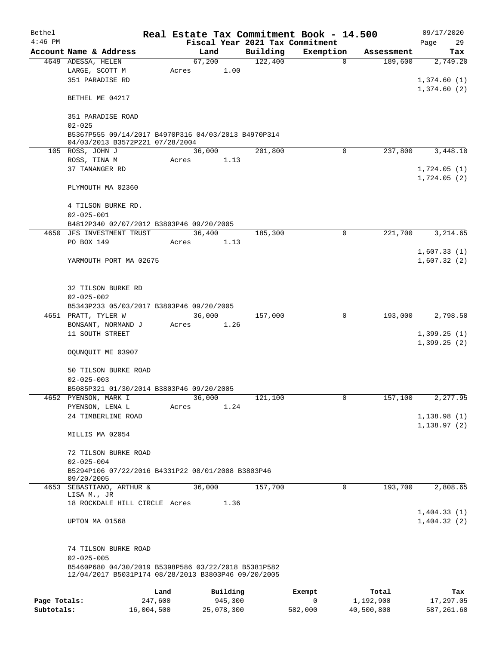| Bethel       |                                                                                                            |       |                |          | Real Estate Tax Commitment Book - 14.500 |            | 09/17/2020                             |  |  |
|--------------|------------------------------------------------------------------------------------------------------------|-------|----------------|----------|------------------------------------------|------------|----------------------------------------|--|--|
| $4:46$ PM    |                                                                                                            |       |                |          | Fiscal Year 2021 Tax Commitment          |            | Page<br>29                             |  |  |
|              | Account Name & Address                                                                                     |       | Land           | Building | Exemption                                | Assessment | Tax                                    |  |  |
|              | 4649 ADESSA, HELEN<br>LARGE, SCOTT M<br>351 PARADISE RD                                                    | Acres | 67,200<br>1.00 | 122,400  | $\mathbf 0$                              | 189,600    | 2,749.20<br>1,374.60(1)<br>1,374.60(2) |  |  |
|              | BETHEL ME 04217                                                                                            |       |                |          |                                          |            |                                        |  |  |
|              | 351 PARADISE ROAD<br>$02 - 025$                                                                            |       |                |          |                                          |            |                                        |  |  |
|              | B5367P555 09/14/2017 B4970P316 04/03/2013 B4970P314<br>04/03/2013 B3572P221 07/28/2004                     |       |                |          |                                          |            |                                        |  |  |
|              | 105 ROSS, JOHN J                                                                                           |       | 36,000         | 201,800  | $\mathbf 0$                              | 237,800    | 3,448.10                               |  |  |
|              | ROSS, TINA M                                                                                               | Acres | 1.13           |          |                                          |            |                                        |  |  |
|              | 37 TANANGER RD                                                                                             |       |                |          |                                          |            | 1,724.05(1)<br>1,724.05(2)             |  |  |
|              | PLYMOUTH MA 02360                                                                                          |       |                |          |                                          |            |                                        |  |  |
|              | 4 TILSON BURKE RD.<br>$02 - 025 - 001$                                                                     |       |                |          |                                          |            |                                        |  |  |
|              | B4812P340 02/07/2012 B3803P46 09/20/2005                                                                   |       |                |          |                                          |            |                                        |  |  |
| 4650         | JFS INVESTMENT TRUST                                                                                       |       | 36,400         | 185,300  | 0                                        | 221,700    | 3,214.65                               |  |  |
|              | PO BOX 149                                                                                                 | Acres | 1.13           |          |                                          |            |                                        |  |  |
|              |                                                                                                            |       |                |          |                                          |            | 1,607.33(1)                            |  |  |
|              | YARMOUTH PORT MA 02675                                                                                     |       |                |          |                                          |            | 1,607.32(2)                            |  |  |
|              | 32 TILSON BURKE RD<br>$02 - 025 - 002$                                                                     |       |                |          |                                          |            |                                        |  |  |
|              | B5343P233 05/03/2017 B3803P46 09/20/2005                                                                   |       |                |          |                                          |            |                                        |  |  |
|              | 4651 PRATT, TYLER W                                                                                        |       | 36,000         | 157,000  | 0                                        | 193,000    | 2,798.50                               |  |  |
|              | BONSANT, NORMAND J<br>11 SOUTH STREET                                                                      | Acres | 1.26           |          |                                          |            | 1,399.25(1)<br>1,399.25(2)             |  |  |
|              | OQUNQUIT ME 03907                                                                                          |       |                |          |                                          |            |                                        |  |  |
|              | 50 TILSON BURKE ROAD<br>$02 - 025 - 003$                                                                   |       |                |          |                                          |            |                                        |  |  |
|              | B5085P321 01/30/2014 B3803P46 09/20/2005                                                                   |       |                |          |                                          |            |                                        |  |  |
|              | 4652 PYENSON, MARK I                                                                                       |       | 36,000         | 121,100  | 0                                        | 157,100    | 2,277.95                               |  |  |
|              | PYENSON, LENA L                                                                                            | Acres | 1.24           |          |                                          |            |                                        |  |  |
|              | 24 TIMBERLINE ROAD                                                                                         |       |                |          |                                          |            | 1,138.98(1)<br>1, 138.97(2)            |  |  |
|              | MILLIS MA 02054                                                                                            |       |                |          |                                          |            |                                        |  |  |
|              | 72 TILSON BURKE ROAD<br>$02 - 025 - 004$                                                                   |       |                |          |                                          |            |                                        |  |  |
|              | B5294P106 07/22/2016 B4331P22 08/01/2008 B3803P46<br>09/20/2005                                            |       |                |          |                                          |            |                                        |  |  |
|              | 4653 SEBASTIANO, ARTHUR &                                                                                  |       | 36,000         | 157,700  | $\mathbf 0$                              | 193,700    | 2,808.65                               |  |  |
|              | LISA M., JR<br>18 ROCKDALE HILL CIRCLE Acres                                                               |       | 1.36           |          |                                          |            |                                        |  |  |
|              |                                                                                                            |       |                |          |                                          |            | 1,404.33(1)                            |  |  |
|              | UPTON MA 01568                                                                                             |       |                |          |                                          |            | 1,404.32(2)                            |  |  |
|              | 74 TILSON BURKE ROAD<br>$02 - 025 - 005$                                                                   |       |                |          |                                          |            |                                        |  |  |
|              | B5460P680 04/30/2019 B5398P586 03/22/2018 B5381P582<br>12/04/2017 B5031P174 08/28/2013 B3803P46 09/20/2005 |       |                |          |                                          |            |                                        |  |  |
|              |                                                                                                            | Land  | Building       |          | Exempt                                   | Total      | Tax                                    |  |  |
| Page Totals: | 247,600                                                                                                    |       | 945,300        |          | 0                                        | 1,192,900  | 17,297.05                              |  |  |
| Subtotals:   | 16,004,500                                                                                                 |       | 25,078,300     |          | 582,000                                  | 40,500,800 | 587,261.60                             |  |  |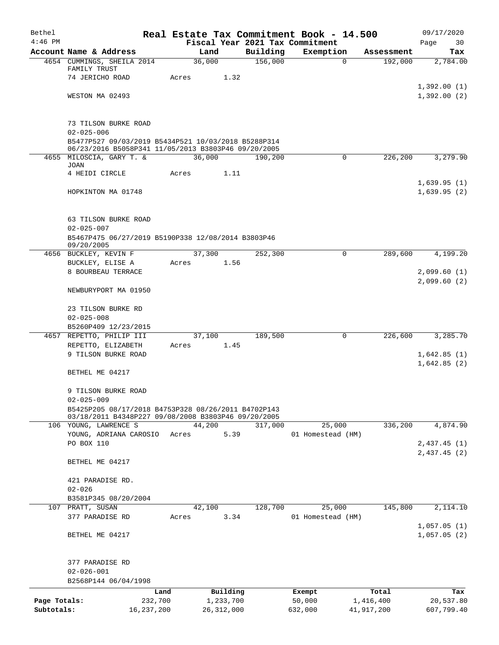| Bethel       |                                                                              |        |                       |          | Real Estate Tax Commitment Book - 14.500     |                    | 09/17/2020                 |
|--------------|------------------------------------------------------------------------------|--------|-----------------------|----------|----------------------------------------------|--------------------|----------------------------|
| $4:46$ PM    | Account Name & Address                                                       |        | Land                  | Building | Fiscal Year 2021 Tax Commitment<br>Exemption | Assessment         | Page<br>30<br>Tax          |
|              | 4654 CUMMINGS, SHEILA 2014                                                   | 36,000 |                       | 156,000  | 0                                            | 192,000            | 2,784.00                   |
|              | FAMILY TRUST                                                                 |        |                       |          |                                              |                    |                            |
|              | 74 JERICHO ROAD                                                              | Acres  | 1.32                  |          |                                              |                    |                            |
|              |                                                                              |        |                       |          |                                              |                    | 1,392.00(1)                |
|              | WESTON MA 02493                                                              |        |                       |          |                                              |                    | 1,392.00(2)                |
|              |                                                                              |        |                       |          |                                              |                    |                            |
|              | 73 TILSON BURKE ROAD<br>$02 - 025 - 006$                                     |        |                       |          |                                              |                    |                            |
|              | B5477P527 09/03/2019 B5434P521 10/03/2018 B5288P314                          |        |                       |          |                                              |                    |                            |
|              | 06/23/2016 B5058P341 11/05/2013 B3803P46 09/20/2005                          |        |                       |          |                                              |                    |                            |
|              | 4655 MILOSCIA, GARY T. &<br><b>JOAN</b>                                      | 36,000 |                       | 190,200  | 0                                            | 226,200            | 3,279.90                   |
|              | 4 HEIDI CIRCLE                                                               | Acres  | 1.11                  |          |                                              |                    |                            |
|              |                                                                              |        |                       |          |                                              |                    | 1,639.95(1)                |
|              | HOPKINTON MA 01748                                                           |        |                       |          |                                              |                    | 1,639.95(2)                |
|              | 63 TILSON BURKE ROAD                                                         |        |                       |          |                                              |                    |                            |
|              | $02 - 025 - 007$                                                             |        |                       |          |                                              |                    |                            |
|              | B5467P475 06/27/2019 B5190P338 12/08/2014 B3803P46<br>09/20/2005             |        |                       |          |                                              |                    |                            |
|              | 4656 BUCKLEY, KEVIN F                                                        | 37,300 |                       | 252,300  | 0                                            | 289,600            | 4,199.20                   |
|              | BUCKLEY, ELISE A                                                             | Acres  | 1.56                  |          |                                              |                    |                            |
|              | 8 BOURBEAU TERRACE                                                           |        |                       |          |                                              |                    | 2,099.60(1)                |
|              | NEWBURYPORT MA 01950                                                         |        |                       |          |                                              |                    | 2,099.60(2)                |
|              |                                                                              |        |                       |          |                                              |                    |                            |
|              | 23 TILSON BURKE RD                                                           |        |                       |          |                                              |                    |                            |
|              | $02 - 025 - 008$<br>B5260P409 12/23/2015                                     |        |                       |          |                                              |                    |                            |
|              | 4657 REPETTO, PHILIP III                                                     |        | 37,100                | 189,500  | 0                                            | 226,600            | 3,285.70                   |
|              | REPETTO, ELIZABETH                                                           | Acres  | 1.45                  |          |                                              |                    |                            |
|              | 9 TILSON BURKE ROAD                                                          |        |                       |          |                                              |                    | 1,642.85(1)                |
|              |                                                                              |        |                       |          |                                              |                    | 1,642.85(2)                |
|              | BETHEL ME 04217                                                              |        |                       |          |                                              |                    |                            |
|              | 9 TILSON BURKE ROAD                                                          |        |                       |          |                                              |                    |                            |
|              | $02 - 025 - 009$<br>B5425P205 08/17/2018 B4753P328 08/26/2011 B4702P143      |        |                       |          |                                              |                    |                            |
|              | 03/18/2011 B4348P227 09/08/2008 B3803P46 09/20/2005<br>106 YOUNG, LAWRENCE S | 44,200 |                       | 317,000  | 25,000                                       | 336,200            | 4,874.90                   |
|              | YOUNG, ADRIANA CAROSIO                                                       | Acres  | 5.39                  |          | 01 Homestead (HM)                            |                    |                            |
|              | PO BOX 110                                                                   |        |                       |          |                                              |                    | 2,437.45(1)                |
|              |                                                                              |        |                       |          |                                              |                    | 2,437.45(2)                |
|              | BETHEL ME 04217                                                              |        |                       |          |                                              |                    |                            |
|              | 421 PARADISE RD.                                                             |        |                       |          |                                              |                    |                            |
|              | $02 - 026$                                                                   |        |                       |          |                                              |                    |                            |
|              | B3581P345 08/20/2004                                                         |        |                       |          |                                              |                    |                            |
|              | 107 PRATT, SUSAN                                                             | 42,100 |                       | 128,700  | 25,000                                       | 145,800            | 2,114.10                   |
|              | 377 PARADISE RD                                                              | Acres  | 3.34                  |          | 01 Homestead (HM)                            |                    |                            |
|              | BETHEL ME 04217                                                              |        |                       |          |                                              |                    | 1,057.05(1)<br>1,057.05(2) |
|              |                                                                              |        |                       |          |                                              |                    |                            |
|              | 377 PARADISE RD                                                              |        |                       |          |                                              |                    |                            |
|              | $02 - 026 - 001$                                                             |        |                       |          |                                              |                    |                            |
|              | B2568P144 06/04/1998                                                         |        |                       |          |                                              |                    |                            |
| Page Totals: | Land<br>232,700                                                              |        | Building<br>1,233,700 |          | Exempt<br>50,000                             | Total<br>1,416,400 | Tax<br>20,537.80           |
| Subtotals:   | 16,237,200                                                                   |        | 26, 312, 000          |          | 632,000                                      | 41,917,200         | 607,799.40                 |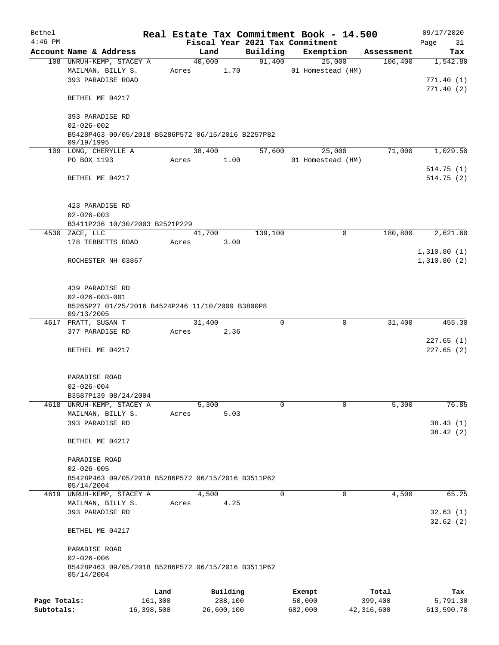| Bethel<br>$4:46$ PM |                                                                  |         |        |            | Fiscal Year 2021 Tax Commitment |         | Real Estate Tax Commitment Book - 14.500 |            | 09/17/2020<br>Page<br>31 |
|---------------------|------------------------------------------------------------------|---------|--------|------------|---------------------------------|---------|------------------------------------------|------------|--------------------------|
|                     | Account Name & Address                                           |         | Land   |            | Building                        |         | Exemption                                | Assessment | Tax                      |
|                     | 108 UNRUH-KEMP, STACEY A                                         |         | 40,000 |            | 91,400                          |         | 25,000                                   | 106,400    | 1,542.80                 |
|                     | MAILMAN, BILLY S.                                                | Acres   |        | 1.70       |                                 |         | 01 Homestead (HM)                        |            |                          |
|                     | 393 PARADISE ROAD                                                |         |        |            |                                 |         |                                          |            | 771.40(1)                |
|                     |                                                                  |         |        |            |                                 |         |                                          |            | 771.40(2)                |
|                     | BETHEL ME 04217                                                  |         |        |            |                                 |         |                                          |            |                          |
|                     |                                                                  |         |        |            |                                 |         |                                          |            |                          |
|                     | 393 PARADISE RD<br>$02 - 026 - 002$                              |         |        |            |                                 |         |                                          |            |                          |
|                     | B5428P463 09/05/2018 B5286P572 06/15/2016 B2257P82               |         |        |            |                                 |         |                                          |            |                          |
|                     | 09/19/1995                                                       |         |        |            |                                 |         |                                          |            |                          |
|                     | 109 LONG, CHERYLLE A                                             |         | 38,400 |            | 57,600                          |         | 25,000                                   | 71,000     | 1,029.50                 |
|                     | PO BOX 1193                                                      | Acres   |        | 1.00       |                                 |         | 01 Homestead (HM)                        |            |                          |
|                     |                                                                  |         |        |            |                                 |         |                                          |            | 514.75(1)                |
|                     | BETHEL ME 04217                                                  |         |        |            |                                 |         |                                          |            | 514.75(2)                |
|                     |                                                                  |         |        |            |                                 |         |                                          |            |                          |
|                     |                                                                  |         |        |            |                                 |         |                                          |            |                          |
|                     | 423 PARADISE RD                                                  |         |        |            |                                 |         |                                          |            |                          |
|                     | $02 - 026 - 003$                                                 |         |        |            |                                 |         |                                          |            |                          |
|                     | B3411P236 10/30/2003 B2521P229<br>4530 ZACE, LLC                 |         | 41,700 |            | 139,100                         |         | 0                                        | 180,800    | 2,621.60                 |
|                     | 178 TEBBETTS ROAD                                                | Acres   |        | 3.00       |                                 |         |                                          |            |                          |
|                     |                                                                  |         |        |            |                                 |         |                                          |            | 1,310.80(1)              |
|                     | ROCHESTER NH 03867                                               |         |        |            |                                 |         |                                          |            | 1,310.80(2)              |
|                     |                                                                  |         |        |            |                                 |         |                                          |            |                          |
|                     |                                                                  |         |        |            |                                 |         |                                          |            |                          |
|                     | 439 PARADISE RD                                                  |         |        |            |                                 |         |                                          |            |                          |
|                     | $02 - 026 - 003 - 001$                                           |         |        |            |                                 |         |                                          |            |                          |
|                     | B5265P27 01/25/2016 B4524P246 11/10/2009 B3800P8                 |         |        |            |                                 |         |                                          |            |                          |
|                     | 09/13/2005                                                       |         |        |            |                                 |         |                                          |            |                          |
|                     | 4617 PRATT, SUSAN T                                              |         | 31,400 |            | 0                               |         | 0                                        | 31,400     | 455.30                   |
|                     | 377 PARADISE RD                                                  | Acres   | 2.36   |            |                                 |         |                                          |            |                          |
|                     | BETHEL ME 04217                                                  |         |        |            |                                 |         |                                          |            | 227.65(1)<br>227.65(2)   |
|                     |                                                                  |         |        |            |                                 |         |                                          |            |                          |
|                     |                                                                  |         |        |            |                                 |         |                                          |            |                          |
|                     | PARADISE ROAD                                                    |         |        |            |                                 |         |                                          |            |                          |
|                     | $02 - 026 - 004$                                                 |         |        |            |                                 |         |                                          |            |                          |
|                     | B3587P139 08/24/2004                                             |         |        |            |                                 |         |                                          |            |                          |
|                     | 4618 UNRUH-KEMP, STACEY A                                        |         | 5,300  |            | 0                               |         | 0                                        | 5,300      | 76.85                    |
|                     | MAILMAN, BILLY S.                                                | Acres   |        | 5.03       |                                 |         |                                          |            |                          |
|                     | 393 PARADISE RD                                                  |         |        |            |                                 |         |                                          |            | 38.43(1)                 |
|                     |                                                                  |         |        |            |                                 |         |                                          |            | 38.42(2)                 |
|                     | BETHEL ME 04217                                                  |         |        |            |                                 |         |                                          |            |                          |
|                     |                                                                  |         |        |            |                                 |         |                                          |            |                          |
|                     | PARADISE ROAD                                                    |         |        |            |                                 |         |                                          |            |                          |
|                     | $02 - 026 - 005$                                                 |         |        |            |                                 |         |                                          |            |                          |
|                     | B5428P463 09/05/2018 B5286P572 06/15/2016 B3511P62<br>05/14/2004 |         |        |            |                                 |         |                                          |            |                          |
|                     | 4619 UNRUH-KEMP, STACEY A                                        |         | 4,500  |            | 0                               |         | 0                                        | 4,500      | 65.25                    |
|                     | MAILMAN, BILLY S.                                                | Acres   |        | 4.25       |                                 |         |                                          |            |                          |
|                     | 393 PARADISE RD                                                  |         |        |            |                                 |         |                                          |            | 32.63(1)                 |
|                     |                                                                  |         |        |            |                                 |         |                                          |            | 32.62(2)                 |
|                     | BETHEL ME 04217                                                  |         |        |            |                                 |         |                                          |            |                          |
|                     |                                                                  |         |        |            |                                 |         |                                          |            |                          |
|                     | PARADISE ROAD                                                    |         |        |            |                                 |         |                                          |            |                          |
|                     | $02 - 026 - 006$                                                 |         |        |            |                                 |         |                                          |            |                          |
|                     | B5428P463 09/05/2018 B5286P572 06/15/2016 B3511P62<br>05/14/2004 |         |        |            |                                 |         |                                          |            |                          |
|                     |                                                                  |         |        |            |                                 |         |                                          |            |                          |
|                     |                                                                  | Land    |        | Building   |                                 | Exempt  |                                          | Total      | Tax                      |
| Page Totals:        |                                                                  | 161,300 |        | 288,100    |                                 | 50,000  |                                          | 399,400    | 5,791.30                 |
| Subtotals:          | 16,398,500                                                       |         |        | 26,600,100 |                                 | 682,000 |                                          | 42,316,600 | 613,590.70               |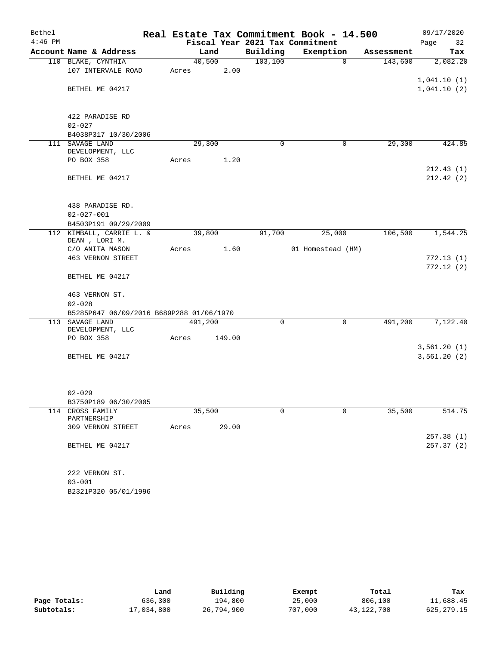| Bethel    |                                            |       |         |                                 | Real Estate Tax Commitment Book - 14.500 |            | 09/17/2020                 |
|-----------|--------------------------------------------|-------|---------|---------------------------------|------------------------------------------|------------|----------------------------|
| $4:46$ PM |                                            |       |         | Fiscal Year 2021 Tax Commitment |                                          |            | Page<br>32                 |
|           | Account Name & Address                     |       | Land    | Building                        | Exemption                                | Assessment | Tax                        |
|           | 110 BLAKE, CYNTHIA                         |       | 40,500  | 103, 100                        | $\mathbf 0$                              | 143,600    | 2,082.20                   |
|           | 107 INTERVALE ROAD                         | Acres | 2.00    |                                 |                                          |            |                            |
|           | BETHEL ME 04217                            |       |         |                                 |                                          |            | 1,041.10(1)<br>1,041.10(2) |
|           |                                            |       |         |                                 |                                          |            |                            |
|           | 422 PARADISE RD                            |       |         |                                 |                                          |            |                            |
|           | $02 - 027$                                 |       |         |                                 |                                          |            |                            |
|           | B4038P317 10/30/2006                       |       |         |                                 |                                          |            |                            |
|           | 111 SAVAGE LAND<br>DEVELOPMENT, LLC        |       | 29,300  | $\Omega$                        | 0                                        | 29,300     | 424.85                     |
|           | PO BOX 358                                 | Acres | 1.20    |                                 |                                          |            |                            |
|           |                                            |       |         |                                 |                                          |            | 212.43(1)                  |
|           | BETHEL ME 04217                            |       |         |                                 |                                          |            | 212.42(2)                  |
|           | 438 PARADISE RD.                           |       |         |                                 |                                          |            |                            |
|           | $02 - 027 - 001$                           |       |         |                                 |                                          |            |                            |
|           | B4503P191 09/29/2009                       |       |         |                                 |                                          |            |                            |
|           | 112 KIMBALL, CARRIE L. &<br>DEAN , LORI M. |       | 39,800  | 91,700                          | 25,000                                   | 106,500    | 1,544.25                   |
|           | C/O ANITA MASON                            | Acres | 1.60    |                                 | 01 Homestead (HM)                        |            |                            |
|           | <b>463 VERNON STREET</b>                   |       |         |                                 |                                          |            | 772.13(1)                  |
|           |                                            |       |         |                                 |                                          |            | 772.12(2)                  |
|           | BETHEL ME 04217                            |       |         |                                 |                                          |            |                            |
|           | 463 VERNON ST.                             |       |         |                                 |                                          |            |                            |
|           | $02 - 028$                                 |       |         |                                 |                                          |            |                            |
|           | B5285P647 06/09/2016 B689P288 01/06/1970   |       |         |                                 |                                          |            |                            |
|           | 113 SAVAGE LAND<br>DEVELOPMENT, LLC        |       | 491,200 | 0                               | $\mathbf 0$                              | 491,200    | 7,122.40                   |
|           | PO BOX 358                                 | Acres | 149.00  |                                 |                                          |            |                            |
|           |                                            |       |         |                                 |                                          |            | 3,561.20(1)                |
|           | BETHEL ME 04217                            |       |         |                                 |                                          |            | 3,561.20(2)                |
|           |                                            |       |         |                                 |                                          |            |                            |
|           | $02 - 029$                                 |       |         |                                 |                                          |            |                            |
|           | B3750P189 06/30/2005                       |       |         |                                 |                                          |            |                            |
| 114       | CROSS FAMILY                               |       | 35,500  | 0                               | 0                                        | 35,500     | 514.75                     |
|           | PARTNERSHIP                                |       |         |                                 |                                          |            |                            |
|           | 309 VERNON STREET                          | Acres | 29.00   |                                 |                                          |            |                            |
|           |                                            |       |         |                                 |                                          |            | 257.38(1)                  |
|           | BETHEL ME 04217                            |       |         |                                 |                                          |            | 257.37(2)                  |
|           | 222 VERNON ST.                             |       |         |                                 |                                          |            |                            |
|           | $03 - 001$                                 |       |         |                                 |                                          |            |                            |
|           | B2321P320 05/01/1996                       |       |         |                                 |                                          |            |                            |

|              | Land       | Building   | Exempt  | Total      | Tax          |
|--------------|------------|------------|---------|------------|--------------|
| Page Totals: | 636,300    | 194,800    | 25,000  | 806,100    | 11,688.45    |
| Subtotals:   | 17,034,800 | 26,794,900 | 707,000 | 43,122,700 | 625, 279. 15 |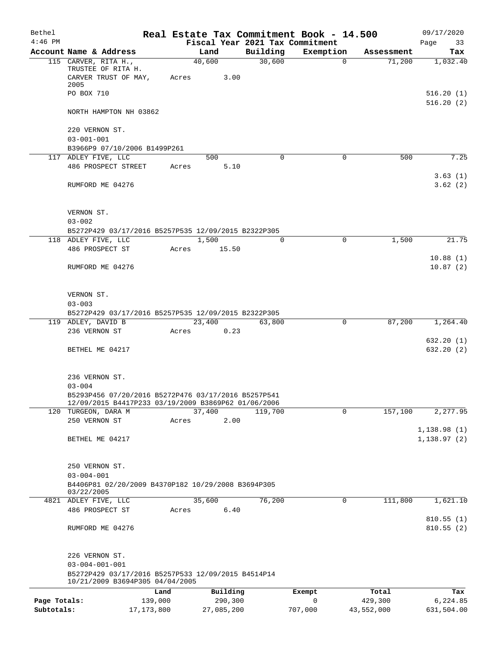| Bethel       |                                                                                                            |            |                |          | Real Estate Tax Commitment Book - 14.500 |            | 09/17/2020              |
|--------------|------------------------------------------------------------------------------------------------------------|------------|----------------|----------|------------------------------------------|------------|-------------------------|
| $4:46$ PM    |                                                                                                            |            |                |          | Fiscal Year 2021 Tax Commitment          |            | Page<br>33              |
|              | Account Name & Address                                                                                     |            | Land<br>40,600 | Building | Exemption<br>$\Omega$                    | Assessment | Tax                     |
|              | 115 CARVER, RITA H.,<br>TRUSTEE OF RITA H.<br>CARVER TRUST OF MAY,<br>2005                                 | Acres      | 3.00           | 30,600   |                                          | 71,200     | 1,032.40                |
|              | PO BOX 710                                                                                                 |            |                |          |                                          |            | 516.20(1)               |
|              | NORTH HAMPTON NH 03862                                                                                     |            |                |          |                                          |            | 516.20(2)               |
|              | 220 VERNON ST.<br>$03 - 001 - 001$                                                                         |            |                |          |                                          |            |                         |
|              | B3966P9 07/10/2006 B1499P261                                                                               |            |                |          |                                          |            |                         |
|              | 117 ADLEY FIVE, LLC                                                                                        |            | 500            | 0        | $\mathbf 0$                              | 500        | 7.25                    |
|              | 486 PROSPECT STREET                                                                                        | Acres      | 5.10           |          |                                          |            | 3.63(1)                 |
|              | RUMFORD ME 04276                                                                                           |            |                |          |                                          |            | 3.62(2)                 |
|              | VERNON ST.                                                                                                 |            |                |          |                                          |            |                         |
|              | $03 - 002$                                                                                                 |            |                |          |                                          |            |                         |
|              | B5272P429 03/17/2016 B5257P535 12/09/2015 B2322P305                                                        |            |                |          |                                          |            |                         |
|              | 118 ADLEY FIVE, LLC                                                                                        |            | 1,500          | $\Omega$ | $\Omega$                                 | 1,500      | 21.75                   |
|              | 486 PROSPECT ST                                                                                            | Acres      | 15.50          |          |                                          |            |                         |
|              | RUMFORD ME 04276                                                                                           |            |                |          |                                          |            | 10.88(1)<br>10.87(2)    |
|              | VERNON ST.                                                                                                 |            |                |          |                                          |            |                         |
|              | $03 - 003$                                                                                                 |            |                |          |                                          |            |                         |
|              | B5272P429 03/17/2016 B5257P535 12/09/2015 B2322P305                                                        |            |                |          |                                          |            |                         |
|              | 119 ADLEY, DAVID B                                                                                         |            | 23,400         | 63,800   | 0                                        | 87,200     | 1,264.40                |
|              | 236 VERNON ST                                                                                              | Acres      | 0.23           |          |                                          |            |                         |
|              | BETHEL ME 04217                                                                                            |            |                |          |                                          |            | 632.20(1)<br>632.20 (2) |
|              | 236 VERNON ST.                                                                                             |            |                |          |                                          |            |                         |
|              | $03 - 004$                                                                                                 |            |                |          |                                          |            |                         |
|              | B5293P456 07/20/2016 B5272P476 03/17/2016 B5257P541<br>12/09/2015 B4417P233 03/19/2009 B3869P62 01/06/2006 |            |                |          |                                          |            |                         |
|              | 120 TURGEON, DARA M                                                                                        |            | 37,400         | 119,700  | $\mathbf 0$                              | 157,100    | 2,277.95                |
|              | 250 VERNON ST                                                                                              | Acres      | 2.00           |          |                                          |            | 1,138.98(1)             |
|              | BETHEL ME 04217                                                                                            |            |                |          |                                          |            | 1,138.97(2)             |
|              | 250 VERNON ST.                                                                                             |            |                |          |                                          |            |                         |
|              | $03 - 004 - 001$<br>B4406P81 02/20/2009 B4370P182 10/29/2008 B3694P305<br>03/22/2005                       |            |                |          |                                          |            |                         |
|              | 4821 ADLEY FIVE, LLC                                                                                       |            | 35,600         | 76,200   | 0                                        | 111,800    | 1,621.10                |
|              | 486 PROSPECT ST                                                                                            | Acres      | 6.40           |          |                                          |            | 810.55(1)               |
|              | RUMFORD ME 04276                                                                                           |            |                |          |                                          |            | 810.55(2)               |
|              | 226 VERNON ST.<br>$03 - 004 - 001 - 001$                                                                   |            |                |          |                                          |            |                         |
|              | B5272P429 03/17/2016 B5257P533 12/09/2015 B4514P14<br>10/21/2009 B3694P305 04/04/2005                      |            |                |          |                                          |            |                         |
|              |                                                                                                            | Land       | Building       |          | Exempt                                   | Total      | Tax                     |
| Page Totals: |                                                                                                            | 139,000    | 290,300        |          | 0                                        | 429,300    | 6,224.85                |
| Subtotals:   |                                                                                                            | 17,173,800 | 27,085,200     |          | 707,000                                  | 43,552,000 | 631,504.00              |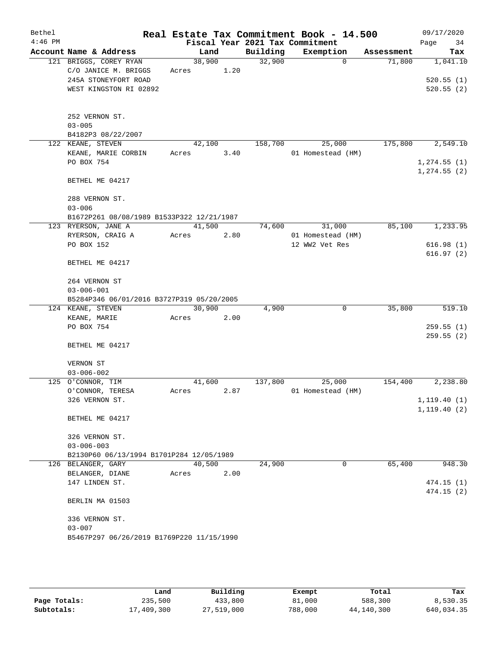| Bethel<br>$4:46$ PM |                                                                |        |      |          | Real Estate Tax Commitment Book - 14.500<br>Fiscal Year 2021 Tax Commitment |            | 09/17/2020<br>Page<br>34 |
|---------------------|----------------------------------------------------------------|--------|------|----------|-----------------------------------------------------------------------------|------------|--------------------------|
|                     | Account Name & Address                                         | Land   |      | Building | Exemption                                                                   | Assessment | Tax                      |
|                     | 121 BRIGGS, COREY RYAN                                         | 38,900 |      | 32,900   | $\Omega$                                                                    | 71,800     | 1,041.10                 |
|                     | C/O JANICE M. BRIGGS                                           | Acres  | 1.20 |          |                                                                             |            |                          |
|                     | 245A STONEYFORT ROAD                                           |        |      |          |                                                                             |            | 520.55(1)                |
|                     | WEST KINGSTON RI 02892                                         |        |      |          |                                                                             |            | 520.55(2)                |
|                     | 252 VERNON ST.                                                 |        |      |          |                                                                             |            |                          |
|                     | $03 - 005$                                                     |        |      |          |                                                                             |            |                          |
|                     | B4182P3 08/22/2007                                             |        |      |          |                                                                             |            |                          |
|                     | 122 KEANE, STEVEN                                              | 42,100 |      | 158,700  | 25,000                                                                      | 175,800    | 2,549.10                 |
|                     | KEANE, MARIE CORBIN                                            | Acres  | 3.40 |          | 01 Homestead (HM)                                                           |            |                          |
|                     | PO BOX 754                                                     |        |      |          |                                                                             |            | 1, 274.55(1)             |
|                     |                                                                |        |      |          |                                                                             |            | 1, 274.55(2)             |
|                     | BETHEL ME 04217                                                |        |      |          |                                                                             |            |                          |
|                     | 288 VERNON ST.                                                 |        |      |          |                                                                             |            |                          |
|                     | $03 - 006$                                                     |        |      |          |                                                                             |            |                          |
|                     | B1672P261 08/08/1989 B1533P322 12/21/1987                      |        |      |          |                                                                             |            |                          |
|                     | 123 RYERSON, JANE A                                            | 41,500 |      | 74,600   | 31,000                                                                      | 85,100     | 1,233.95                 |
|                     | RYERSON, CRAIG A                                               | Acres  | 2.80 |          | 01 Homestead (HM)                                                           |            |                          |
|                     | PO BOX 152                                                     |        |      |          | 12 WW2 Vet Res                                                              |            | 616.98(1)                |
|                     | BETHEL ME 04217                                                |        |      |          |                                                                             |            | 616.97(2)                |
|                     | 264 VERNON ST                                                  |        |      |          |                                                                             |            |                          |
|                     | $03 - 006 - 001$                                               |        |      |          |                                                                             |            |                          |
|                     | B5284P346 06/01/2016 B3727P319 05/20/2005                      |        |      |          |                                                                             |            |                          |
|                     | 124 KEANE, STEVEN                                              | 30,900 |      | 4,900    | 0                                                                           | 35,800     | 519.10                   |
|                     | KEANE, MARIE                                                   | Acres  | 2.00 |          |                                                                             |            |                          |
|                     | PO BOX 754                                                     |        |      |          |                                                                             |            | 259.55(1)                |
|                     |                                                                |        |      |          |                                                                             |            | 259.55(2)                |
|                     | BETHEL ME 04217                                                |        |      |          |                                                                             |            |                          |
|                     | VERNON ST                                                      |        |      |          |                                                                             |            |                          |
|                     | $03 - 006 - 002$                                               |        |      |          |                                                                             |            |                          |
|                     | 125 O'CONNOR, TIM                                              | 41,600 |      | 137,800  | 25,000                                                                      | 154,400    | 2,238.80                 |
|                     | O'CONNOR, TERESA                                               | Acres  | 2.87 |          | 01 Homestead (HM)                                                           |            |                          |
|                     | 326 VERNON ST.                                                 |        |      |          |                                                                             |            | 1, 119.40(1)             |
|                     | BETHEL ME 04217                                                |        |      |          |                                                                             |            | 1, 119.40(2)             |
|                     |                                                                |        |      |          |                                                                             |            |                          |
|                     | 326 VERNON ST.                                                 |        |      |          |                                                                             |            |                          |
|                     | $03 - 006 - 003$                                               |        |      |          |                                                                             |            |                          |
|                     | B2130P60 06/13/1994 B1701P284 12/05/1989<br>126 BELANGER, GARY | 40,500 |      | 24,900   | 0                                                                           | 65,400     | 948.30                   |
|                     | BELANGER, DIANE                                                | Acres  | 2.00 |          |                                                                             |            |                          |
|                     | 147 LINDEN ST.                                                 |        |      |          |                                                                             |            | 474.15(1)                |
|                     |                                                                |        |      |          |                                                                             |            | 474.15(2)                |
|                     | BERLIN MA 01503                                                |        |      |          |                                                                             |            |                          |
|                     | 336 VERNON ST.                                                 |        |      |          |                                                                             |            |                          |
|                     | $03 - 007$                                                     |        |      |          |                                                                             |            |                          |
|                     | B5467P297 06/26/2019 B1769P220 11/15/1990                      |        |      |          |                                                                             |            |                          |
|                     |                                                                |        |      |          |                                                                             |            |                          |

|              | Land       | Building   | Exempt  | Total      | Tax        |
|--------------|------------|------------|---------|------------|------------|
| Page Totals: | 235,500    | 433,800    | 81,000  | 588,300    | 8,530.35   |
| Subtotals:   | 17,409,300 | 27,519,000 | 788,000 | 44,140,300 | 640,034.35 |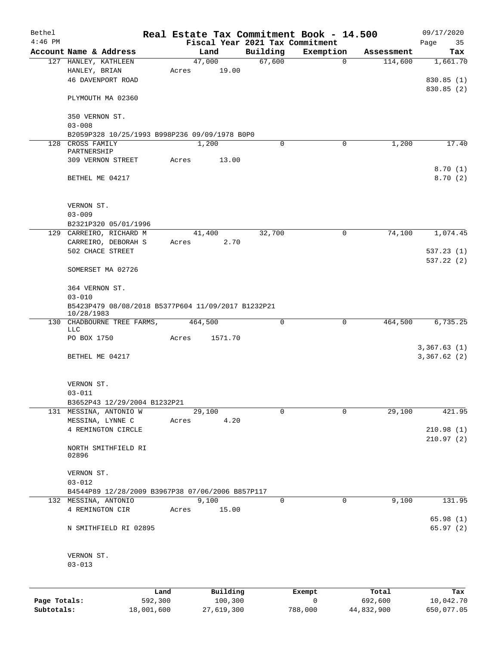| Bethel       |                                                                  |         |                 |                                 | Real Estate Tax Commitment Book - 14.500 |            | 09/17/2020           |
|--------------|------------------------------------------------------------------|---------|-----------------|---------------------------------|------------------------------------------|------------|----------------------|
| $4:46$ PM    |                                                                  |         |                 | Fiscal Year 2021 Tax Commitment |                                          |            | Page<br>35           |
|              | Account Name & Address                                           |         | Land            | Building<br>67,600              | Exemption<br>0                           | Assessment | Tax<br>1,661.70      |
|              | 127 HANLEY, KATHLEEN<br>HANLEY, BRIAN                            | Acres   | 47,000<br>19.00 |                                 |                                          | 114,600    |                      |
|              | <b>46 DAVENPORT ROAD</b>                                         |         |                 |                                 |                                          |            | 830.85 (1)           |
|              |                                                                  |         |                 |                                 |                                          |            | 830.85 (2)           |
|              | PLYMOUTH MA 02360                                                |         |                 |                                 |                                          |            |                      |
|              | 350 VERNON ST.                                                   |         |                 |                                 |                                          |            |                      |
|              | $03 - 008$                                                       |         |                 |                                 |                                          |            |                      |
|              | B2059P328 10/25/1993 B998P236 09/09/1978 B0P0                    |         |                 |                                 |                                          |            |                      |
| 128          | CROSS FAMILY                                                     |         | 1,200           | $\Omega$                        | $\Omega$                                 | 1,200      | 17.40                |
|              | PARTNERSHIP<br>309 VERNON STREET                                 | Acres   | 13.00           |                                 |                                          |            |                      |
|              |                                                                  |         |                 |                                 |                                          |            | 8.70(1)              |
|              | BETHEL ME 04217                                                  |         |                 |                                 |                                          |            | 8.70(2)              |
|              | VERNON ST.                                                       |         |                 |                                 |                                          |            |                      |
|              | $03 - 009$                                                       |         |                 |                                 |                                          |            |                      |
|              | B2321P320 05/01/1996                                             |         |                 |                                 |                                          |            |                      |
|              | 129 CARREIRO, RICHARD M                                          |         | 41,400          | 32,700                          | 0                                        | 74,100     | 1,074.45             |
|              | CARREIRO, DEBORAH S                                              | Acres   | 2.70            |                                 |                                          |            |                      |
|              | 502 CHACE STREET                                                 |         |                 |                                 |                                          |            | 537.23(1)            |
|              | SOMERSET MA 02726                                                |         |                 |                                 |                                          |            | 537.22(2)            |
|              |                                                                  |         |                 |                                 |                                          |            |                      |
|              | 364 VERNON ST.                                                   |         |                 |                                 |                                          |            |                      |
|              | $03 - 010$                                                       |         |                 |                                 |                                          |            |                      |
|              | B5423P479 08/08/2018 B5377P604 11/09/2017 B1232P21<br>10/28/1983 |         |                 |                                 |                                          |            |                      |
|              | 130 CHADBOURNE TREE FARMS,<br>LLC                                |         | 464,500         | 0                               | 0                                        | 464,500    | 6,735.25             |
|              | PO BOX 1750                                                      | Acres   | 1571.70         |                                 |                                          |            |                      |
|              |                                                                  |         |                 |                                 |                                          |            | 3,367.63(1)          |
|              | BETHEL ME 04217                                                  |         |                 |                                 |                                          |            | 3,367.62 (2)         |
|              |                                                                  |         |                 |                                 |                                          |            |                      |
|              | VERNON ST.                                                       |         |                 |                                 |                                          |            |                      |
|              | $03 - 011$                                                       |         |                 |                                 |                                          |            |                      |
|              | B3652P43 12/29/2004 B1232P21                                     |         |                 |                                 |                                          | 29,100     |                      |
|              | 131 MESSINA, ANTONIO W<br>MESSINA, LYNNE C                       | Acres   | 29,100<br>4.20  | $\Omega$                        | $\Omega$                                 |            | 421.95               |
|              | 4 REMINGTON CIRCLE                                               |         |                 |                                 |                                          |            | 210.98(1)            |
|              |                                                                  |         |                 |                                 |                                          |            | 210.97(2)            |
|              | NORTH SMITHFIELD RI                                              |         |                 |                                 |                                          |            |                      |
|              | 02896                                                            |         |                 |                                 |                                          |            |                      |
|              |                                                                  |         |                 |                                 |                                          |            |                      |
|              | VERNON ST.                                                       |         |                 |                                 |                                          |            |                      |
|              | $03 - 012$                                                       |         |                 |                                 |                                          |            |                      |
|              | B4544P89 12/28/2009 B3967P38 07/06/2006 B857P117                 |         |                 |                                 |                                          |            |                      |
|              | 132 MESSINA, ANTONIO                                             |         | 9,100           | $\mathbf 0$                     | 0                                        | 9,100      | 131.95               |
|              | 4 REMINGTON CIR                                                  | Acres   | 15.00           |                                 |                                          |            |                      |
|              | N SMITHFIELD RI 02895                                            |         |                 |                                 |                                          |            | 65.98(1)<br>65.97(2) |
|              |                                                                  |         |                 |                                 |                                          |            |                      |
|              | VERNON ST.<br>$03 - 013$                                         |         |                 |                                 |                                          |            |                      |
|              |                                                                  |         |                 |                                 |                                          |            |                      |
|              |                                                                  | Land    | Building        |                                 | Exempt                                   | Total      | Tax                  |
| Page Totals: |                                                                  | 592,300 | 100,300         |                                 | $\mathsf{O}$                             | 692,600    | 10,042.70            |

**Subtotals:** 18,001,600 27,619,300 788,000 44,832,900 650,077.05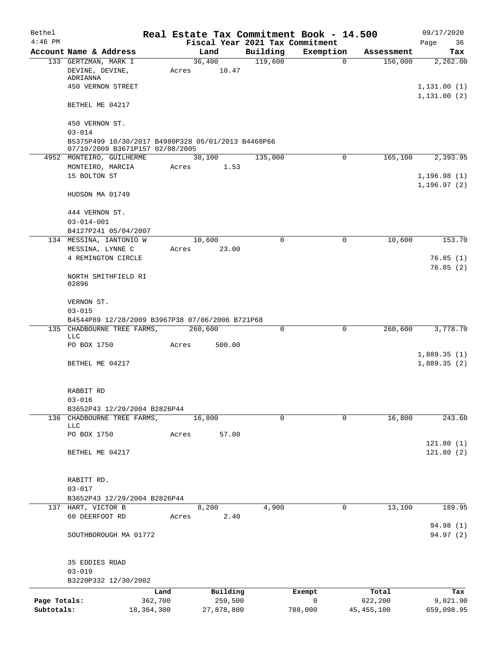| Bethel       |                                                                                       |              |       |                |                     | Real Estate Tax Commitment Book - 14.500 |                            | 09/17/2020                   |
|--------------|---------------------------------------------------------------------------------------|--------------|-------|----------------|---------------------|------------------------------------------|----------------------------|------------------------------|
| $4:46$ PM    |                                                                                       |              |       |                |                     | Fiscal Year 2021 Tax Commitment          |                            | Page<br>36                   |
|              | Account Name & Address<br>133 GERTZMAN, MARK I                                        |              |       | Land<br>36,400 | Building<br>119,600 | Exemption                                | Assessment<br>0<br>156,000 | Tax                          |
|              | DEVINE, DEVINE,<br>ADRIANNA                                                           |              | Acres | 10.47          |                     |                                          |                            | 2,262.00                     |
|              | 450 VERNON STREET                                                                     |              |       |                |                     |                                          |                            | 1,131.00(1)<br>1, 131.00(2)  |
|              | BETHEL ME 04217                                                                       |              |       |                |                     |                                          |                            |                              |
|              | 450 VERNON ST.<br>$03 - 014$                                                          |              |       |                |                     |                                          |                            |                              |
|              | B5375P499 10/30/2017 B4980P328 05/01/2013 B4468P66<br>07/10/2009 B3671P157 02/08/2005 |              |       |                |                     |                                          |                            |                              |
|              | 4952 MONTEIRO, GUILHERME                                                              |              |       | 30,100         | 135,000             |                                          | 0<br>165,100               | 2,393.95                     |
|              | MONTEIRO, MARCIA<br>15 BOLTON ST                                                      |              | Acres | 1.53           |                     |                                          |                            | 1, 196.98(1)<br>1, 196.97(2) |
|              | HUDSON MA 01749                                                                       |              |       |                |                     |                                          |                            |                              |
|              | 444 VERNON ST.                                                                        |              |       |                |                     |                                          |                            |                              |
|              | $03 - 014 - 001$                                                                      |              |       |                |                     |                                          |                            |                              |
|              | B4127P241 05/04/2007                                                                  |              |       |                |                     |                                          |                            |                              |
|              | 134 MESSINA, IANTONIO W                                                               |              |       | 10,600         | 0                   |                                          | 10,600<br>0                | 153.70                       |
|              | MESSINA, LYNNE C                                                                      |              | Acres | 23.00          |                     |                                          |                            |                              |
|              | 4 REMINGTON CIRCLE                                                                    |              |       |                |                     |                                          |                            | 76.85(1)                     |
|              | NORTH SMITHFIELD RI<br>02896                                                          |              |       |                |                     |                                          |                            | 76.85(2)                     |
|              | VERNON ST.<br>$03 - 015$                                                              |              |       |                |                     |                                          |                            |                              |
|              | B4544P89 12/28/2009 B3967P38 07/06/2006 B721P68                                       |              |       |                |                     |                                          |                            |                              |
|              | 135 CHADBOURNE TREE FARMS,                                                            |              |       | 260,600        | $\Omega$            |                                          | 260,600<br>0               | 3,778.70                     |
|              | <b>LLC</b><br>PO BOX 1750                                                             |              | Acres | 500.00         |                     |                                          |                            |                              |
|              | BETHEL ME 04217                                                                       |              |       |                |                     |                                          |                            | 1,889.35(1)<br>1,889.35(2)   |
|              | RABBIT RD                                                                             |              |       |                |                     |                                          |                            |                              |
|              | $03 - 016$                                                                            |              |       |                |                     |                                          |                            |                              |
|              | B3652P43 12/29/2004 B2826P44                                                          |              |       |                |                     |                                          |                            |                              |
|              | 136 CHADBOURNE TREE FARMS,<br>LLC                                                     |              |       | 16,800         | 0                   |                                          | 16,800<br>$\mathbf 0$      | 243.60                       |
|              | PO BOX 1750                                                                           |              | Acres | 57.00          |                     |                                          |                            | 121.80(1)                    |
|              | BETHEL ME 04217                                                                       |              |       |                |                     |                                          |                            | 121.80(2)                    |
|              | RABITT RD.                                                                            |              |       |                |                     |                                          |                            |                              |
|              | $03 - 017$                                                                            |              |       |                |                     |                                          |                            |                              |
|              | B3652P43 12/29/2004 B2826P44                                                          |              |       |                |                     |                                          |                            |                              |
|              | 137 HART, VICTOR B                                                                    |              |       | 8,200          | 4,900               |                                          | 13,100<br>0                | 189.95                       |
|              | 60 DEERFOOT RD                                                                        |              | Acres | 2.40           |                     |                                          |                            | 94.98 (1)                    |
|              | SOUTHBOROUGH MA 01772                                                                 |              |       |                |                     |                                          |                            | 94.97(2)                     |
|              | 35 EDDIES ROAD                                                                        |              |       |                |                     |                                          |                            |                              |
|              | $03 - 019$                                                                            |              |       |                |                     |                                          |                            |                              |
|              | B3220P332 12/30/2002                                                                  |              |       |                |                     |                                          |                            |                              |
|              |                                                                                       | Land         |       | Building       |                     | Exempt                                   | Total                      | Tax                          |
| Page Totals: |                                                                                       | 362,700      |       | 259,500        |                     | $\mathsf{O}$                             | 622,200                    | 9,021.90                     |
| Subtotals:   |                                                                                       | 18, 364, 300 |       | 27,878,800     |                     | 788,000                                  | 45, 455, 100               | 659,098.95                   |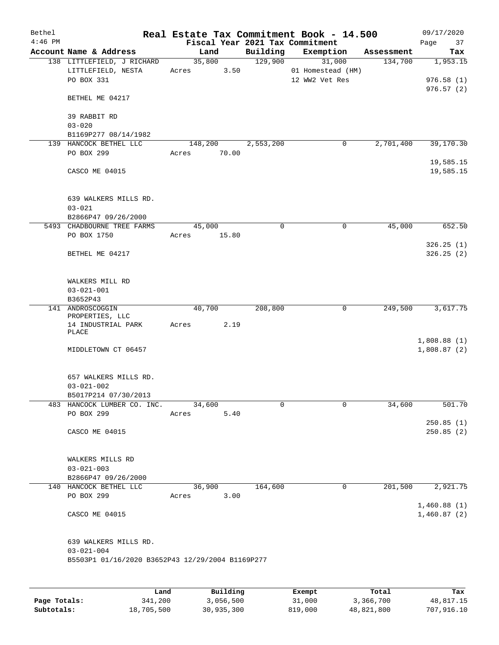| Bethel<br>$4:46$ PM |                                                  |             |         |                        | Real Estate Tax Commitment Book - 14.500<br>Fiscal Year 2021 Tax Commitment |            | 09/17/2020<br>Page<br>37 |
|---------------------|--------------------------------------------------|-------------|---------|------------------------|-----------------------------------------------------------------------------|------------|--------------------------|
|                     | Account Name & Address                           | Land        |         | Building               | Exemption                                                                   | Assessment | Tax                      |
|                     | 138 LITTLEFIELD, J RICHARD                       |             | 35,800  | 129,900                | 31,000                                                                      | 134,700    | 1,953.15                 |
|                     | LITTLEFIELD, NESTA                               | Acres       | 3.50    |                        | 01 Homestead (HM)                                                           |            |                          |
|                     | PO BOX 331                                       |             |         |                        | 12 WW2 Vet Res                                                              |            | 976.58(1)                |
|                     |                                                  |             |         |                        |                                                                             |            | 976.57(2)                |
|                     | BETHEL ME 04217                                  |             |         |                        |                                                                             |            |                          |
|                     |                                                  |             |         |                        |                                                                             |            |                          |
|                     | 39 RABBIT RD                                     |             |         |                        |                                                                             |            |                          |
|                     | $03 - 020$                                       |             |         |                        |                                                                             |            |                          |
|                     | B1169P277 08/14/1982<br>139 HANCOCK BETHEL LLC   |             | 148,200 |                        |                                                                             | 2,701,400  | 39,170.30                |
|                     | PO BOX 299                                       | Acres       | 70.00   | $\overline{2,553,200}$ | 0                                                                           |            |                          |
|                     |                                                  |             |         |                        |                                                                             |            | 19,585.15                |
|                     | CASCO ME 04015                                   |             |         |                        |                                                                             |            | 19,585.15                |
|                     |                                                  |             |         |                        |                                                                             |            |                          |
|                     |                                                  |             |         |                        |                                                                             |            |                          |
|                     | 639 WALKERS MILLS RD.                            |             |         |                        |                                                                             |            |                          |
|                     | $03 - 021$                                       |             |         |                        |                                                                             |            |                          |
|                     | B2866P47 09/26/2000                              |             |         |                        |                                                                             |            |                          |
|                     | 5493 CHADBOURNE TREE FARMS                       | 45,000      |         | 0                      | 0                                                                           | 45,000     | 652.50                   |
|                     | PO BOX 1750                                      | Acres 15.80 |         |                        |                                                                             |            |                          |
|                     |                                                  |             |         |                        |                                                                             |            | 326.25(1)                |
|                     | BETHEL ME 04217                                  |             |         |                        |                                                                             |            | 326.25(2)                |
|                     |                                                  |             |         |                        |                                                                             |            |                          |
|                     |                                                  |             |         |                        |                                                                             |            |                          |
|                     | WALKERS MILL RD                                  |             |         |                        |                                                                             |            |                          |
|                     | $03 - 021 - 001$                                 |             |         |                        |                                                                             |            |                          |
|                     | B3652P43                                         |             |         |                        |                                                                             |            |                          |
|                     | 141 ANDROSCOGGIN<br>PROPERTIES, LLC              | 40,700      |         | 208,800                | 0                                                                           | 249,500    | 3,617.75                 |
|                     | 14 INDUSTRIAL PARK                               | Acres       | 2.19    |                        |                                                                             |            |                          |
|                     | PLACE                                            |             |         |                        |                                                                             |            |                          |
|                     |                                                  |             |         |                        |                                                                             |            | 1,808.88(1)              |
|                     | MIDDLETOWN CT 06457                              |             |         |                        |                                                                             |            | 1,808.87(2)              |
|                     |                                                  |             |         |                        |                                                                             |            |                          |
|                     | 657 WALKERS MILLS RD.                            |             |         |                        |                                                                             |            |                          |
|                     | $03 - 021 - 002$                                 |             |         |                        |                                                                             |            |                          |
|                     | B5017P214 07/30/2013                             |             |         |                        |                                                                             |            |                          |
|                     | 483 HANCOCK LUMBER CO. INC.                      | 34,600      |         | 0                      | 0                                                                           | 34,600     | 501.70                   |
|                     | PO BOX 299                                       | Acres       | 5.40    |                        |                                                                             |            |                          |
|                     |                                                  |             |         |                        |                                                                             |            | 250.85(1)                |
|                     | CASCO ME 04015                                   |             |         |                        |                                                                             |            | 250.85(2)                |
|                     |                                                  |             |         |                        |                                                                             |            |                          |
|                     |                                                  |             |         |                        |                                                                             |            |                          |
|                     | WALKERS MILLS RD                                 |             |         |                        |                                                                             |            |                          |
|                     | $03 - 021 - 003$                                 |             |         |                        |                                                                             |            |                          |
|                     | B2866P47 09/26/2000                              |             |         |                        |                                                                             |            |                          |
|                     | 140 HANCOCK BETHEL LLC                           | 36,900      |         | 164,600                | $\mathbf 0$                                                                 | 201,500    | 2,921.75                 |
|                     | PO BOX 299                                       | Acres       | 3.00    |                        |                                                                             |            |                          |
|                     |                                                  |             |         |                        |                                                                             |            | 1,460.88(1)              |
|                     | CASCO ME 04015                                   |             |         |                        |                                                                             |            | 1,460.87(2)              |
|                     |                                                  |             |         |                        |                                                                             |            |                          |
|                     | 639 WALKERS MILLS RD.                            |             |         |                        |                                                                             |            |                          |
|                     | $03 - 021 - 004$                                 |             |         |                        |                                                                             |            |                          |
|                     | B5503P1 01/16/2020 B3652P43 12/29/2004 B1169P277 |             |         |                        |                                                                             |            |                          |
|                     |                                                  |             |         |                        |                                                                             |            |                          |
|                     |                                                  |             |         |                        |                                                                             |            |                          |
|                     |                                                  |             |         |                        |                                                                             |            |                          |

|              | Land       | Building   | Exempt  | Total      | Tax        |
|--------------|------------|------------|---------|------------|------------|
| Page Totals: | 341,200    | 3,056,500  | 31,000  | 3,366,700  | 48,817.15  |
| Subtotals:   | 18,705,500 | 30,935,300 | 819,000 | 48,821,800 | 707,916.10 |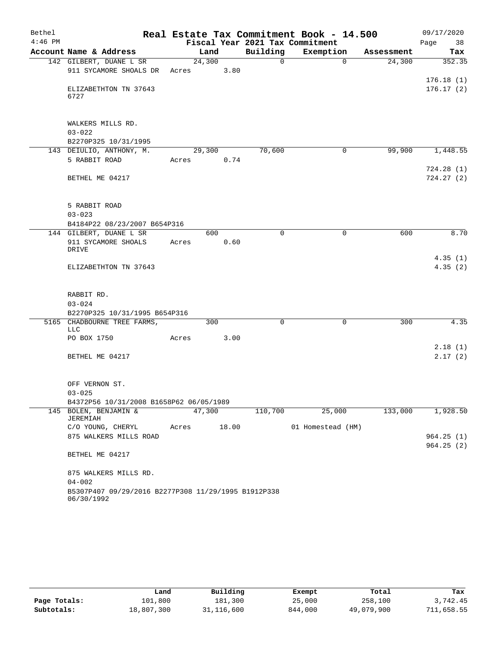| Bethel    |                                                                   |       |        |            |          | Real Estate Tax Commitment Book - 14.500 |                    | 09/17/2020             |
|-----------|-------------------------------------------------------------------|-------|--------|------------|----------|------------------------------------------|--------------------|------------------------|
| $4:46$ PM |                                                                   |       |        |            |          | Fiscal Year 2021 Tax Commitment          |                    | 38<br>Page             |
|           | Account Name & Address                                            |       | Land   |            | Building | Exemption                                | Assessment         | Tax                    |
|           | 142 GILBERT, DUANE L SR                                           |       | 24,300 |            | $\Omega$ |                                          | 24,300<br>$\Omega$ | 352.35                 |
|           | 911 SYCAMORE SHOALS DR                                            | Acres |        | 3.80       |          |                                          |                    |                        |
|           |                                                                   |       |        |            |          |                                          |                    | 176.18(1)              |
|           | ELIZABETHTON TN 37643<br>6727                                     |       |        |            |          |                                          |                    | 176.17(2)              |
|           |                                                                   |       |        |            |          |                                          |                    |                        |
|           | WALKERS MILLS RD.                                                 |       |        |            |          |                                          |                    |                        |
|           | $03 - 022$                                                        |       |        |            |          |                                          |                    |                        |
|           | B2270P325 10/31/1995                                              |       |        |            |          |                                          |                    |                        |
|           | 143 DEIULIO, ANTHONY, M.                                          |       | 29,300 |            | 70,600   |                                          | $\Omega$<br>99,900 | 1,448.55               |
|           | 5 RABBIT ROAD                                                     |       |        | Acres 0.74 |          |                                          |                    |                        |
|           |                                                                   |       |        |            |          |                                          |                    | 724.28(1)              |
|           | BETHEL ME 04217                                                   |       |        |            |          |                                          |                    | 724.27(2)              |
|           |                                                                   |       |        |            |          |                                          |                    |                        |
|           | 5 RABBIT ROAD                                                     |       |        |            |          |                                          |                    |                        |
|           | $03 - 023$                                                        |       |        |            |          |                                          |                    |                        |
|           | B4184P22 08/23/2007 B654P316                                      |       |        |            | $\Omega$ |                                          |                    |                        |
|           | 144 GILBERT, DUANE L SR                                           |       | 600    |            |          |                                          | 600<br>0           | 8.70                   |
|           | 911 SYCAMORE SHOALS<br>DRIVE                                      | Acres |        | 0.60       |          |                                          |                    |                        |
|           |                                                                   |       |        |            |          |                                          |                    | 4.35(1)                |
|           | ELIZABETHTON TN 37643                                             |       |        |            |          |                                          |                    | 4.35(2)                |
|           |                                                                   |       |        |            |          |                                          |                    |                        |
|           | RABBIT RD.                                                        |       |        |            |          |                                          |                    |                        |
|           | $03 - 024$                                                        |       |        |            |          |                                          |                    |                        |
|           | B2270P325 10/31/1995 B654P316                                     |       |        |            | 0        |                                          | $\mathbf 0$<br>300 | 4.35                   |
|           | 5165 CHADBOURNE TREE FARMS,<br>LLC                                |       | 300    |            |          |                                          |                    |                        |
|           | PO BOX 1750                                                       | Acres |        | 3.00       |          |                                          |                    |                        |
|           |                                                                   |       |        |            |          |                                          |                    | 2.18(1)                |
|           | BETHEL ME 04217                                                   |       |        |            |          |                                          |                    | 2.17(2)                |
|           |                                                                   |       |        |            |          |                                          |                    |                        |
|           | OFF VERNON ST.                                                    |       |        |            |          |                                          |                    |                        |
|           | $03 - 025$                                                        |       |        |            |          |                                          |                    |                        |
|           | B4372P56 10/31/2008 B1658P62 06/05/1989                           |       |        |            |          |                                          |                    |                        |
|           | 145 BOLEN, BENJAMIN &<br><b>JEREMIAH</b>                          |       | 47,300 |            | 110,700  | 25,000                                   | 133,000            | 1,928.50               |
|           | C/O YOUNG, CHERYL                                                 | Acres |        | 18.00      |          | 01 Homestead (HM)                        |                    |                        |
|           | 875 WALKERS MILLS ROAD                                            |       |        |            |          |                                          |                    | 964.25(1)<br>964.25(2) |
|           | BETHEL ME 04217                                                   |       |        |            |          |                                          |                    |                        |
|           | 875 WALKERS MILLS RD.                                             |       |        |            |          |                                          |                    |                        |
|           | $04 - 002$                                                        |       |        |            |          |                                          |                    |                        |
|           | B5307P407 09/29/2016 B2277P308 11/29/1995 B1912P338<br>06/30/1992 |       |        |            |          |                                          |                    |                        |

|              | Land       | Building   | Exempt  | Total      | Tax        |
|--------------|------------|------------|---------|------------|------------|
| Page Totals: | 101,800    | 181,300    | 25,000  | 258,100    | 3,742.45   |
| Subtotals:   | 18,807,300 | 31,116,600 | 844,000 | 49,079,900 | 711,658.55 |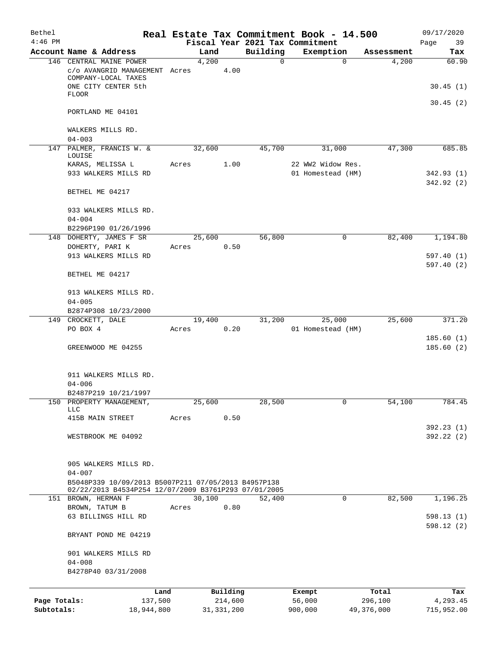| Bethel<br>$4:46$ PM        |                                                                                                             |        |                         |          | Real Estate Tax Commitment Book - 14.500<br>Fiscal Year 2021 Tax Commitment |          |                       | 09/17/2020<br>Page<br>39 |
|----------------------------|-------------------------------------------------------------------------------------------------------------|--------|-------------------------|----------|-----------------------------------------------------------------------------|----------|-----------------------|--------------------------|
|                            | Account Name & Address                                                                                      | Land   |                         | Building | Exemption                                                                   |          | Assessment            | Tax                      |
|                            | 146 CENTRAL MAINE POWER<br>c/o AVANGRID MANAGEMENT Acres<br>COMPANY-LOCAL TAXES                             | 4,200  | 4.00                    | 0        |                                                                             | $\Omega$ | 4,200                 | 60.90                    |
|                            | ONE CITY CENTER 5th<br><b>FLOOR</b>                                                                         |        |                         |          |                                                                             |          |                       | 30.45(1)                 |
|                            | PORTLAND ME 04101                                                                                           |        |                         |          |                                                                             |          |                       | 30.45(2)                 |
|                            | WALKERS MILLS RD.<br>$04 - 003$                                                                             |        |                         |          |                                                                             |          |                       |                          |
| 147                        | PALMER, FRANCIS W. &<br>LOUISE                                                                              | 32,600 |                         | 45,700   | 31,000                                                                      |          | 47,300                | 685.85                   |
|                            | KARAS, MELISSA L<br>933 WALKERS MILLS RD                                                                    | Acres  | 1.00                    |          | 22 WW2 Widow Res.<br>01 Homestead (HM)                                      |          |                       | 342.93 (1)<br>342.92 (2) |
|                            | BETHEL ME 04217                                                                                             |        |                         |          |                                                                             |          |                       |                          |
|                            | 933 WALKERS MILLS RD.<br>$04 - 004$                                                                         |        |                         |          |                                                                             |          |                       |                          |
|                            | B2296P190 01/26/1996<br>148 DOHERTY, JAMES F SR                                                             | 25,600 |                         | 56,800   |                                                                             | 0        | 82,400                | 1,194.80                 |
|                            | DOHERTY, PARI K                                                                                             | Acres  | 0.50                    |          |                                                                             |          |                       |                          |
|                            | 913 WALKERS MILLS RD                                                                                        |        |                         |          |                                                                             |          |                       | 597.40(1)<br>597.40(2)   |
|                            | BETHEL ME 04217                                                                                             |        |                         |          |                                                                             |          |                       |                          |
|                            | 913 WALKERS MILLS RD.<br>$04 - 005$                                                                         |        |                         |          |                                                                             |          |                       |                          |
|                            | B2874P308 10/23/2000                                                                                        |        |                         |          |                                                                             |          |                       |                          |
|                            | 149 CROCKETT, DALE                                                                                          | 19,400 |                         | 31,200   | 25,000                                                                      |          | 25,600                | 371.20                   |
|                            | PO BOX 4                                                                                                    | Acres  | 0.20                    |          | 01 Homestead (HM)                                                           |          |                       |                          |
|                            | GREENWOOD ME 04255                                                                                          |        |                         |          |                                                                             |          |                       | 185.60(1)<br>185.60(2)   |
|                            | 911 WALKERS MILLS RD.<br>$04 - 006$                                                                         |        |                         |          |                                                                             |          |                       |                          |
|                            | B2487P219 10/21/1997                                                                                        |        |                         |          |                                                                             |          |                       |                          |
|                            | 150 PROPERTY MANAGEMENT,<br><b>LLC</b>                                                                      | 25,600 |                         | 28,500   |                                                                             | 0        | 54,100                | 784.45                   |
|                            | 415B MAIN STREET                                                                                            | Acres  | 0.50                    |          |                                                                             |          |                       | 392.23(1)                |
|                            | WESTBROOK ME 04092                                                                                          |        |                         |          |                                                                             |          |                       | 392.22 (2)               |
|                            | 905 WALKERS MILLS RD.<br>$04 - 007$                                                                         |        |                         |          |                                                                             |          |                       |                          |
|                            | B5048P339 10/09/2013 B5007P211 07/05/2013 B4957P138<br>02/22/2013 B4534P254 12/07/2009 B3761P293 07/01/2005 |        |                         |          |                                                                             |          |                       |                          |
|                            | 151 BROWN, HERMAN F                                                                                         | 30,100 |                         | 52,400   |                                                                             | 0        | 82,500                | 1,196.25                 |
|                            | BROWN, TATUM B<br>63 BILLINGS HILL RD                                                                       | Acres  | 0.80                    |          |                                                                             |          |                       | 598.13 (1)               |
|                            | BRYANT POND ME 04219                                                                                        |        |                         |          |                                                                             |          |                       | 598.12 (2)               |
|                            | 901 WALKERS MILLS RD<br>$04 - 008$                                                                          |        |                         |          |                                                                             |          |                       |                          |
|                            | B4278P40 03/31/2008                                                                                         |        |                         |          |                                                                             |          |                       |                          |
|                            | Land                                                                                                        |        | Building                |          | Exempt                                                                      |          | Total                 | Tax                      |
| Page Totals:<br>Subtotals: | 137,500<br>18,944,800                                                                                       |        | 214,600<br>31, 331, 200 |          | 56,000<br>900,000                                                           |          | 296,100<br>49,376,000 | 4,293.45<br>715,952.00   |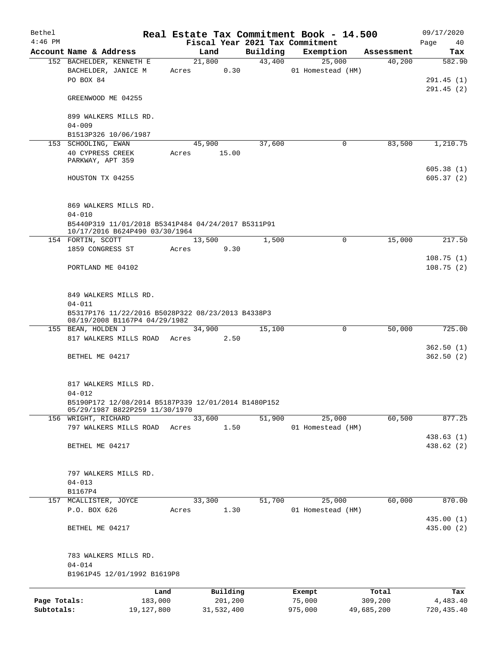| Bethel       |                                                                                                                           |       |            |          |          | Real Estate Tax Commitment Book - 14.500 |            | 09/17/2020             |
|--------------|---------------------------------------------------------------------------------------------------------------------------|-------|------------|----------|----------|------------------------------------------|------------|------------------------|
| $4:46$ PM    |                                                                                                                           |       |            |          |          | Fiscal Year 2021 Tax Commitment          |            | Page<br>40             |
|              | Account Name & Address                                                                                                    |       | Land       |          | Building | Exemption                                | Assessment | Tax                    |
|              | 152 BACHELDER, KENNETH E<br>BACHELDER, JANICE M<br>PO BOX 84                                                              | Acres | 21,800     | 0.30     | 43,400   | 25,000<br>01 Homestead (HM)              | 40,200     | 582.90<br>291.45(1)    |
|              | GREENWOOD ME 04255                                                                                                        |       |            |          |          |                                          |            | 291.45(2)              |
|              | 899 WALKERS MILLS RD.<br>$04 - 009$                                                                                       |       |            |          |          |                                          |            |                        |
|              | B1513P326 10/06/1987                                                                                                      |       |            |          |          |                                          |            |                        |
|              | 153 SCHOOLING, EWAN<br>40 CYPRESS CREEK<br>PARKWAY, APT 359                                                               | Acres | 45,900     | 15.00    | 37,600   | 0                                        | 83,500     | 1,210.75               |
|              | HOUSTON TX 04255                                                                                                          |       |            |          |          |                                          |            | 605.38(1)<br>605.37(2) |
|              | 869 WALKERS MILLS RD.<br>$04 - 010$                                                                                       |       |            |          |          |                                          |            |                        |
|              | B5440P319 11/01/2018 B5341P484 04/24/2017 B5311P91<br>10/17/2016 B624P490 03/30/1964                                      |       |            |          |          |                                          |            |                        |
|              | 154 FORTIN, SCOTT                                                                                                         |       | 13,500     |          | 1,500    | $\mathbf 0$                              | 15,000     | 217.50                 |
|              | 1859 CONGRESS ST                                                                                                          | Acres |            | 9.30     |          |                                          |            |                        |
|              | PORTLAND ME 04102                                                                                                         |       |            |          |          |                                          |            | 108.75(1)<br>108.75(2) |
|              | 849 WALKERS MILLS RD.<br>$04 - 011$<br>B5317P176 11/22/2016 B5028P322 08/23/2013 B4338P3<br>08/19/2008 B1167P4 04/29/1982 |       |            |          |          |                                          |            |                        |
|              | 155 BEAN, HOLDEN J                                                                                                        |       | 34,900     |          | 15,100   | 0                                        | 50,000     | 725.00                 |
|              | 817 WALKERS MILLS ROAD Acres                                                                                              |       |            | 2.50     |          |                                          |            |                        |
|              | BETHEL ME 04217                                                                                                           |       |            |          |          |                                          |            | 362.50(1)<br>362.50(2) |
|              | 817 WALKERS MILLS RD.<br>$04 - 012$                                                                                       |       |            |          |          |                                          |            |                        |
|              | B5190P172 12/08/2014 B5187P339 12/01/2014 B1480P152<br>05/29/1987 B822P259 11/30/1970                                     |       |            |          |          |                                          |            |                        |
|              | 156 WRIGHT, RICHARD<br>797 WALKERS MILLS ROAD                                                                             | Acres | 33,600     | 1.50     | 51,900   | 25,000<br>01 Homestead (HM)              | 60,500     | 877.25                 |
|              |                                                                                                                           |       |            |          |          |                                          |            | 438.63(1)              |
|              | BETHEL ME 04217                                                                                                           |       |            |          |          |                                          |            | 438.62 (2)             |
|              | 797 WALKERS MILLS RD.<br>$04 - 013$<br>B1167P4                                                                            |       |            |          |          |                                          |            |                        |
| 157          | MCALLISTER, JOYCE                                                                                                         |       | 33,300     |          | 51,700   | 25,000                                   | 60,000     | 870.00                 |
|              | P.O. BOX 626                                                                                                              | Acres |            | 1.30     |          | 01 Homestead (HM)                        |            | 435.00(1)              |
|              | BETHEL ME 04217                                                                                                           |       |            |          |          |                                          |            | 435.00 (2)             |
|              | 783 WALKERS MILLS RD.<br>$04 - 014$<br>B1961P45 12/01/1992 B1619P8                                                        |       |            |          |          |                                          |            |                        |
|              |                                                                                                                           | Land  |            | Building |          |                                          | Total      | Tax                    |
| Page Totals: | 183,000                                                                                                                   |       |            | 201,200  |          | Exempt<br>75,000                         | 309,200    | 4,483.40               |
| Subtotals:   | 19,127,800                                                                                                                |       | 31,532,400 |          |          | 975,000                                  | 49,685,200 | 720, 435.40            |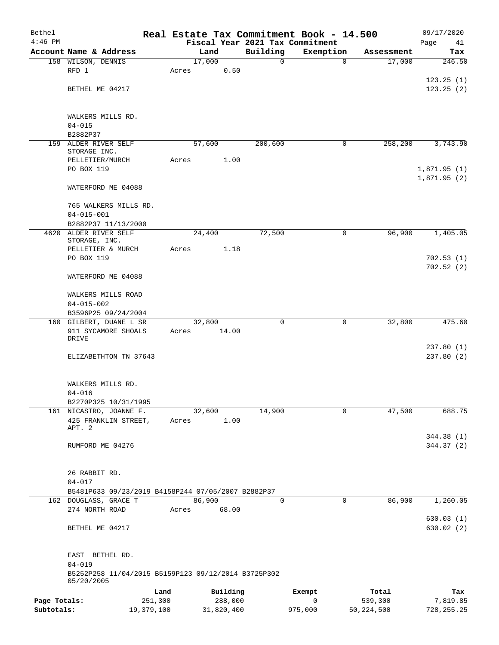| Bethel       |                                                                   |                 |            |                                 | Real Estate Tax Commitment Book - 14.500 |              | 09/17/2020             |
|--------------|-------------------------------------------------------------------|-----------------|------------|---------------------------------|------------------------------------------|--------------|------------------------|
| $4:46$ PM    |                                                                   |                 |            | Fiscal Year 2021 Tax Commitment |                                          |              | Page<br>41             |
|              | Account Name & Address                                            | Land            |            | Building                        | Exemption                                | Assessment   | Tax                    |
|              | 158 WILSON, DENNIS<br>RFD 1                                       | 17,000<br>Acres | 0.50       | 0                               | $\mathbf 0$                              | 17,000       | 246.50                 |
|              |                                                                   |                 |            |                                 |                                          |              | 123.25(1)              |
|              | BETHEL ME 04217                                                   |                 |            |                                 |                                          |              | 123.25(2)              |
|              |                                                                   |                 |            |                                 |                                          |              |                        |
|              | WALKERS MILLS RD.                                                 |                 |            |                                 |                                          |              |                        |
|              | $04 - 015$                                                        |                 |            |                                 |                                          |              |                        |
|              | B2882P37                                                          |                 |            |                                 |                                          |              |                        |
|              | 159 ALDER RIVER SELF                                              | 57,600          |            | 200,600                         | $\mathbf 0$                              | 258,200      | 3,743.90               |
|              | STORAGE INC.                                                      |                 |            |                                 |                                          |              |                        |
|              | PELLETIER/MURCH<br>PO BOX 119                                     | Acres           | 1.00       |                                 |                                          |              | 1,871.95(1)            |
|              |                                                                   |                 |            |                                 |                                          |              | 1,871.95(2)            |
|              | WATERFORD ME 04088                                                |                 |            |                                 |                                          |              |                        |
|              | 765 WALKERS MILLS RD.                                             |                 |            |                                 |                                          |              |                        |
|              | $04 - 015 - 001$                                                  |                 |            |                                 |                                          |              |                        |
|              | B2882P37 11/13/2000                                               |                 |            |                                 |                                          |              |                        |
|              | 4620 ALDER RIVER SELF                                             | 24,400          |            | 72,500                          | 0                                        | 96,900       | 1,405.05               |
|              | STORAGE, INC.                                                     |                 |            |                                 |                                          |              |                        |
|              | PELLETIER & MURCH                                                 | Acres           | 1.18       |                                 |                                          |              |                        |
|              | PO BOX 119                                                        |                 |            |                                 |                                          |              | 702.53(1)<br>702.52(2) |
|              | WATERFORD ME 04088                                                |                 |            |                                 |                                          |              |                        |
|              | WALKERS MILLS ROAD                                                |                 |            |                                 |                                          |              |                        |
|              | $04 - 015 - 002$                                                  |                 |            |                                 |                                          |              |                        |
|              | B3596P25 09/24/2004                                               |                 |            |                                 |                                          |              |                        |
|              | 160 GILBERT, DUANE L SR                                           | 32,800          |            | 0                               | 0                                        | 32,800       | 475.60                 |
|              | 911 SYCAMORE SHOALS<br>DRIVE                                      | Acres           | 14.00      |                                 |                                          |              |                        |
|              |                                                                   |                 |            |                                 |                                          |              | 237.80(1)              |
|              | ELIZABETHTON TN 37643                                             |                 |            |                                 |                                          |              | 237.80(2)              |
|              |                                                                   |                 |            |                                 |                                          |              |                        |
|              | WALKERS MILLS RD.                                                 |                 |            |                                 |                                          |              |                        |
|              | $04 - 016$<br>B2270P325 10/31/1995                                |                 |            |                                 |                                          |              |                        |
|              | 161 NICASTRO, JOANNE F.                                           | 32,600          |            | 14,900                          | 0                                        | 47,500       | 688.75                 |
|              | 425 FRANKLIN STREET,                                              | Acres           | 1.00       |                                 |                                          |              |                        |
|              | APT. 2                                                            |                 |            |                                 |                                          |              |                        |
|              |                                                                   |                 |            |                                 |                                          |              | 344.38 (1)             |
|              | RUMFORD ME 04276                                                  |                 |            |                                 |                                          |              | 344.37(2)              |
|              | 26 RABBIT RD.                                                     |                 |            |                                 |                                          |              |                        |
|              | $04 - 017$                                                        |                 |            |                                 |                                          |              |                        |
|              | B5481P633 09/23/2019 B4158P244 07/05/2007 B2882P37                |                 |            |                                 |                                          |              |                        |
|              | 162 DOUGLASS, GRACE T                                             | 86,900          |            | $\Omega$                        | 0                                        | 86,900       | 1,260.05               |
|              | 274 NORTH ROAD                                                    | Acres           | 68.00      |                                 |                                          |              |                        |
|              |                                                                   |                 |            |                                 |                                          |              | 630.03(1)              |
|              | BETHEL ME 04217                                                   |                 |            |                                 |                                          |              | 630.02 (2)             |
|              | EAST BETHEL RD.                                                   |                 |            |                                 |                                          |              |                        |
|              | $04 - 019$                                                        |                 |            |                                 |                                          |              |                        |
|              | B5252P258 11/04/2015 B5159P123 09/12/2014 B3725P302<br>05/20/2005 |                 |            |                                 |                                          |              |                        |
|              |                                                                   | Land            | Building   |                                 | Exempt                                   | Total        | Tax                    |
| Page Totals: | 251,300                                                           |                 | 288,000    |                                 | $\mathbf 0$                              | 539,300      | 7,819.85               |
| Subtotals:   | 19,379,100                                                        |                 | 31,820,400 |                                 | 975,000                                  | 50, 224, 500 | 728, 255.25            |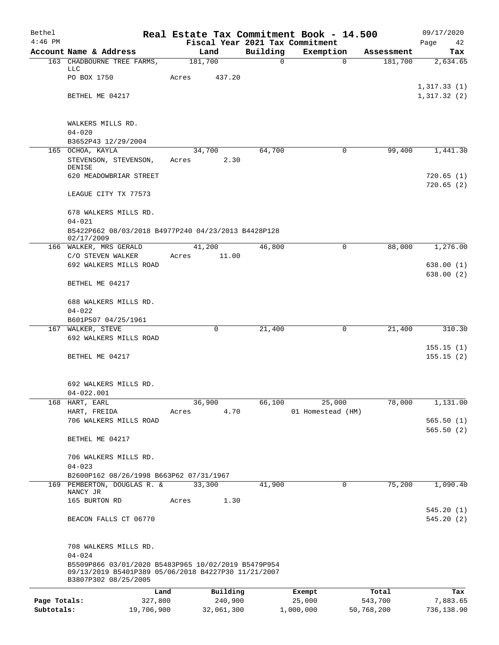| Bethel       |                                                     | Real Estate Tax Commitment Book - 14.500 |              |                   |                  | 09/17/2020             |  |  |  |  |  |
|--------------|-----------------------------------------------------|------------------------------------------|--------------|-------------------|------------------|------------------------|--|--|--|--|--|
| $4:46$ PM    |                                                     | Fiscal Year 2021 Tax Commitment          |              |                   |                  | Page<br>42             |  |  |  |  |  |
|              | Account Name & Address                              | Land                                     | Building     | Exemption         | Assessment       | Tax                    |  |  |  |  |  |
|              | 163 CHADBOURNE TREE FARMS,<br>LLC                   | 181,700                                  | $\mathsf{O}$ | $\mathbf 0$       | 181,700          | 2,634.65               |  |  |  |  |  |
|              | PO BOX 1750                                         | Acres<br>437.20                          |              |                   |                  |                        |  |  |  |  |  |
|              |                                                     |                                          |              |                   |                  | 1,317.33(1)            |  |  |  |  |  |
|              | BETHEL ME 04217                                     |                                          |              |                   |                  | 1,317.32(2)            |  |  |  |  |  |
|              |                                                     |                                          |              |                   |                  |                        |  |  |  |  |  |
|              | WALKERS MILLS RD.                                   |                                          |              |                   |                  |                        |  |  |  |  |  |
|              | $04 - 020$                                          |                                          |              |                   |                  |                        |  |  |  |  |  |
|              | B3652P43 12/29/2004                                 |                                          |              |                   |                  |                        |  |  |  |  |  |
|              | 165 OCHOA, KAYLA                                    | 34,700                                   | 64,700       | 0                 | 99,400           | 1,441.30               |  |  |  |  |  |
|              | STEVENSON, STEVENSON,<br>DENISE                     | 2.30<br>Acres                            |              |                   |                  |                        |  |  |  |  |  |
|              | 620 MEADOWBRIAR STREET                              |                                          |              |                   |                  | 720.65(1)              |  |  |  |  |  |
|              |                                                     |                                          |              |                   |                  | 720.65(2)              |  |  |  |  |  |
|              | LEAGUE CITY TX 77573                                |                                          |              |                   |                  |                        |  |  |  |  |  |
|              |                                                     |                                          |              |                   |                  |                        |  |  |  |  |  |
|              | 678 WALKERS MILLS RD.<br>$04 - 021$                 |                                          |              |                   |                  |                        |  |  |  |  |  |
|              | B5422P662 08/03/2018 B4977P240 04/23/2013 B4428P128 |                                          |              |                   |                  |                        |  |  |  |  |  |
|              | 02/17/2009                                          |                                          |              |                   |                  |                        |  |  |  |  |  |
|              | 166 WALKER, MRS GERALD                              | 41,200                                   | 46,800       | $\mathbf 0$       | 88,000           | 1,276.00               |  |  |  |  |  |
|              | C/O STEVEN WALKER<br>692 WALKERS MILLS ROAD         | 11.00<br>Acres                           |              |                   |                  | 638.00(1)              |  |  |  |  |  |
|              |                                                     |                                          |              |                   |                  | 638.00(2)              |  |  |  |  |  |
|              | BETHEL ME 04217                                     |                                          |              |                   |                  |                        |  |  |  |  |  |
|              | 688 WALKERS MILLS RD.                               |                                          |              |                   |                  |                        |  |  |  |  |  |
|              | $04 - 022$                                          |                                          |              |                   |                  |                        |  |  |  |  |  |
|              | B601P507 04/25/1961                                 |                                          |              |                   |                  |                        |  |  |  |  |  |
|              | 167 WALKER, STEVE                                   | $\Omega$                                 | 21,400       | $\mathbf 0$       | 21,400           | 310.30                 |  |  |  |  |  |
|              | 692 WALKERS MILLS ROAD                              |                                          |              |                   |                  |                        |  |  |  |  |  |
|              | BETHEL ME 04217                                     |                                          |              |                   |                  | 155.15(1)<br>155.15(2) |  |  |  |  |  |
|              |                                                     |                                          |              |                   |                  |                        |  |  |  |  |  |
|              |                                                     |                                          |              |                   |                  |                        |  |  |  |  |  |
|              | 692 WALKERS MILLS RD.                               |                                          |              |                   |                  |                        |  |  |  |  |  |
| 168          | 04-022.001<br>HART, EARL                            | 36,900                                   | 66,100       | 25,000            | 78,000           | 1,131.00               |  |  |  |  |  |
|              | HART, FREIDA                                        | 4.70<br>Acres                            |              | 01 Homestead (HM) |                  |                        |  |  |  |  |  |
|              | 706 WALKERS MILLS ROAD                              |                                          |              |                   |                  | 565.50(1)              |  |  |  |  |  |
|              |                                                     |                                          |              |                   |                  | 565.50(2)              |  |  |  |  |  |
|              | BETHEL ME 04217                                     |                                          |              |                   |                  |                        |  |  |  |  |  |
|              | 706 WALKERS MILLS RD.                               |                                          |              |                   |                  |                        |  |  |  |  |  |
|              | $04 - 023$                                          |                                          |              |                   |                  |                        |  |  |  |  |  |
|              | B2600P162 08/26/1998 B663P62 07/31/1967             |                                          |              |                   |                  |                        |  |  |  |  |  |
|              | 169 PEMBERTON, DOUGLAS R. &                         | 33,300                                   | 41,900       | 0                 | 75,200           | 1,090.40               |  |  |  |  |  |
|              | NANCY JR                                            |                                          |              |                   |                  |                        |  |  |  |  |  |
|              | 165 BURTON RD                                       | 1.30<br>Acres                            |              |                   |                  | 545.20(1)              |  |  |  |  |  |
|              | BEACON FALLS CT 06770                               |                                          |              |                   |                  | 545.20(2)              |  |  |  |  |  |
|              |                                                     |                                          |              |                   |                  |                        |  |  |  |  |  |
|              | 708 WALKERS MILLS RD.                               |                                          |              |                   |                  |                        |  |  |  |  |  |
|              | $04 - 024$                                          |                                          |              |                   |                  |                        |  |  |  |  |  |
|              | B5509P866 03/01/2020 B5483P965 10/02/2019 B5479P954 |                                          |              |                   |                  |                        |  |  |  |  |  |
|              | 09/13/2019 B5401P389 05/06/2018 B4227P30 11/21/2007 |                                          |              |                   |                  |                        |  |  |  |  |  |
|              | B3807P302 08/25/2005                                |                                          |              |                   |                  |                        |  |  |  |  |  |
| Page Totals: | Land<br>327,800                                     | Building<br>240,900                      |              | Exempt<br>25,000  | Total<br>543,700 | Tax<br>7,883.65        |  |  |  |  |  |
| Subtotals:   | 19,706,900                                          | 32,061,300                               |              | 1,000,000         | 50,768,200       | 736,138.90             |  |  |  |  |  |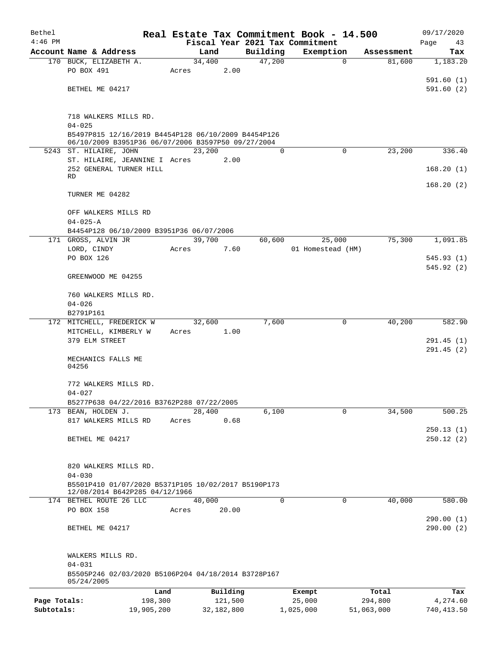| Bethel       |                                                           |       |        |            |          | Real Estate Tax Commitment Book - 14.500 |                |            | 09/17/2020              |
|--------------|-----------------------------------------------------------|-------|--------|------------|----------|------------------------------------------|----------------|------------|-------------------------|
| $4:46$ PM    |                                                           |       |        |            |          | Fiscal Year 2021 Tax Commitment          |                |            | Page<br>43              |
|              | Account Name & Address                                    |       | Land   |            | Building | Exemption                                |                | Assessment | Tax                     |
|              | 170 BUCK, ELIZABETH A.<br>PO BOX 491                      | Acres | 34,400 | 2.00       | 47,200   |                                          | $\overline{0}$ | 81,600     | 1,183.20                |
|              |                                                           |       |        |            |          |                                          |                |            | 591.60(1)               |
|              | BETHEL ME 04217                                           |       |        |            |          |                                          |                |            | 591.60(2)               |
|              |                                                           |       |        |            |          |                                          |                |            |                         |
|              |                                                           |       |        |            |          |                                          |                |            |                         |
|              | 718 WALKERS MILLS RD.<br>$04 - 025$                       |       |        |            |          |                                          |                |            |                         |
|              | B5497P815 12/16/2019 B4454P128 06/10/2009 B4454P126       |       |        |            |          |                                          |                |            |                         |
|              | 06/10/2009 B3951P36 06/07/2006 B3597P50 09/27/2004        |       |        |            |          |                                          |                |            |                         |
|              | 5243 ST. HILAIRE, JOHN                                    |       | 23,200 |            | 0        |                                          | 0              | 23,200     | 336.40                  |
|              | ST. HILAIRE, JEANNINE I Acres<br>252 GENERAL TURNER HILL  |       |        | 2.00       |          |                                          |                |            | 168.20(1)               |
|              | RD                                                        |       |        |            |          |                                          |                |            |                         |
|              |                                                           |       |        |            |          |                                          |                |            | 168.20(2)               |
|              | TURNER ME 04282                                           |       |        |            |          |                                          |                |            |                         |
|              |                                                           |       |        |            |          |                                          |                |            |                         |
|              | OFF WALKERS MILLS RD<br>$04 - 025 - A$                    |       |        |            |          |                                          |                |            |                         |
|              | B4454P128 06/10/2009 B3951P36 06/07/2006                  |       |        |            |          |                                          |                |            |                         |
|              | 171 GROSS, ALVIN JR                                       |       | 39,700 |            | 60,600   | 25,000                                   |                | 75,300     | 1,091.85                |
|              | LORD, CINDY                                               | Acres |        | 7.60       |          | 01 Homestead (HM)                        |                |            |                         |
|              | PO BOX 126                                                |       |        |            |          |                                          |                |            | 545.93(1)               |
|              |                                                           |       |        |            |          |                                          |                |            | 545.92(2)               |
|              | GREENWOOD ME 04255                                        |       |        |            |          |                                          |                |            |                         |
|              | 760 WALKERS MILLS RD.                                     |       |        |            |          |                                          |                |            |                         |
|              | $04 - 026$                                                |       |        |            |          |                                          |                |            |                         |
|              | B2791P161                                                 |       |        |            |          |                                          |                |            |                         |
|              | 172 MITCHELL, FREDERICK W                                 |       | 32,600 |            | 7,600    |                                          | 0              | 40,200     | 582.90                  |
|              | MITCHELL, KIMBERLY W                                      | Acres |        | 1.00       |          |                                          |                |            |                         |
|              | 379 ELM STREET                                            |       |        |            |          |                                          |                |            | 291.45 (1)<br>291.45(2) |
|              | MECHANICS FALLS ME                                        |       |        |            |          |                                          |                |            |                         |
|              | 04256                                                     |       |        |            |          |                                          |                |            |                         |
|              |                                                           |       |        |            |          |                                          |                |            |                         |
|              | 772 WALKERS MILLS RD.<br>$04 - 027$                       |       |        |            |          |                                          |                |            |                         |
|              | B5277P638 04/22/2016 B3762P288 07/22/2005                 |       |        |            |          |                                          |                |            |                         |
|              | 173 BEAN, HOLDEN J.                                       |       | 28,400 |            | 6,100    |                                          | $\mathbf 0$    | 34,500     | 500.25                  |
|              | 817 WALKERS MILLS RD                                      | Acres |        | 0.68       |          |                                          |                |            |                         |
|              |                                                           |       |        |            |          |                                          |                |            | 250.13(1)               |
|              | BETHEL ME 04217                                           |       |        |            |          |                                          |                |            | 250.12(2)               |
|              |                                                           |       |        |            |          |                                          |                |            |                         |
|              | 820 WALKERS MILLS RD.                                     |       |        |            |          |                                          |                |            |                         |
|              | $04 - 030$                                                |       |        |            |          |                                          |                |            |                         |
|              | B5501P410 01/07/2020 B5371P105 10/02/2017 B5190P173       |       |        |            |          |                                          |                |            |                         |
|              | 12/08/2014 B642P285 04/12/1966<br>174 BETHEL ROUTE 26 LLC |       | 40,000 |            | $\Omega$ |                                          | $\mathbf 0$    | 40,000     | 580.00                  |
|              | PO BOX 158                                                | Acres |        | 20.00      |          |                                          |                |            |                         |
|              |                                                           |       |        |            |          |                                          |                |            | 290.00(1)               |
|              | BETHEL ME 04217                                           |       |        |            |          |                                          |                |            | 290.00(2)               |
|              |                                                           |       |        |            |          |                                          |                |            |                         |
|              |                                                           |       |        |            |          |                                          |                |            |                         |
|              | WALKERS MILLS RD.<br>$04 - 031$                           |       |        |            |          |                                          |                |            |                         |
|              | B5505P246 02/03/2020 B5106P204 04/18/2014 B3728P167       |       |        |            |          |                                          |                |            |                         |
|              | 05/24/2005                                                |       |        |            |          |                                          |                |            |                         |
|              |                                                           | Land  |        | Building   |          | Exempt                                   |                | Total      | Tax                     |
| Page Totals: | 198,300                                                   |       |        | 121,500    |          | 25,000                                   |                | 294,800    | 4,274.60                |
| Subtotals:   | 19,905,200                                                |       |        | 32,182,800 |          | 1,025,000                                |                | 51,063,000 | 740, 413.50             |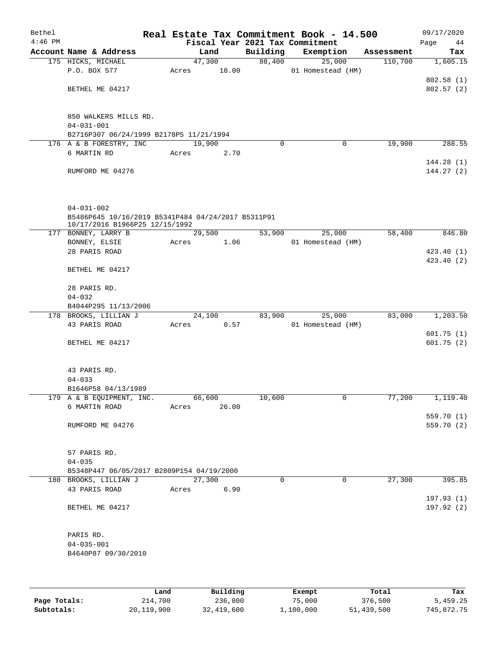| Bethel    |                                                    |       |       |          |       |          | Real Estate Tax Commitment Book - 14.500 |            | 09/17/2020 |
|-----------|----------------------------------------------------|-------|-------|----------|-------|----------|------------------------------------------|------------|------------|
| $4:46$ PM |                                                    |       |       |          |       |          | Fiscal Year 2021 Tax Commitment          |            | Page<br>44 |
|           | Account Name & Address                             |       |       | Land     |       | Building | Exemption                                | Assessment | Tax        |
|           | 175 HICKS, MICHAEL<br>P.O. BOX 577                 |       | Acres | 47,300   | 18.00 | 88,400   | 25,000<br>01 Homestead (HM)              | 110,700    | 1,605.15   |
|           |                                                    |       |       |          |       |          |                                          |            | 802.58(1)  |
|           | BETHEL ME 04217                                    |       |       |          |       |          |                                          |            | 802.57(2)  |
|           |                                                    |       |       |          |       |          |                                          |            |            |
|           | 850 WALKERS MILLS RD.                              |       |       |          |       |          |                                          |            |            |
|           | $04 - 031 - 001$                                   |       |       |          |       |          |                                          |            |            |
|           | B2716P307 06/24/1999 B2178P5 11/21/1994            |       |       |          |       |          |                                          |            |            |
|           | 176 A & B FORESTRY, INC                            |       |       | 19,900   |       | 0        | 0                                        | 19,900     | 288.55     |
|           | 6 MARTIN RD                                        |       | Acres |          | 2.70  |          |                                          |            |            |
|           |                                                    |       |       |          |       |          |                                          |            | 144.28(1)  |
|           | RUMFORD ME 04276                                   |       |       |          |       |          |                                          |            | 144.27 (2) |
|           | $04 - 031 - 002$                                   |       |       |          |       |          |                                          |            |            |
|           | B5486P645 10/16/2019 B5341P484 04/24/2017 B5311P91 |       |       |          |       |          |                                          |            |            |
|           | 10/17/2016 B1966P25 12/15/1992                     |       |       |          |       |          |                                          |            |            |
|           | 177 BONNEY, LARRY B                                |       |       | 29,500   |       | 53,900   | 25,000                                   | 58,400     | 846.80     |
|           | BONNEY, ELSIE                                      |       | Acres |          | 1.06  |          | 01 Homestead (HM)                        |            |            |
|           | 28 PARIS ROAD                                      |       |       |          |       |          |                                          |            | 423.40(1)  |
|           |                                                    |       |       |          |       |          |                                          |            | 423.40 (2) |
|           | BETHEL ME 04217                                    |       |       |          |       |          |                                          |            |            |
|           | 28 PARIS RD.                                       |       |       |          |       |          |                                          |            |            |
|           | $04 - 032$                                         |       |       |          |       |          |                                          |            |            |
|           | B4044P295 11/13/2006                               |       |       |          |       |          |                                          |            |            |
|           | 178 BROOKS, LILLIAN J                              |       |       | 24,100   |       | 83,900   | 25,000                                   | 83,000     | 1,203.50   |
|           | 43 PARIS ROAD                                      |       | Acres |          | 0.57  |          | 01 Homestead (HM)                        |            |            |
|           |                                                    |       |       |          |       |          |                                          |            | 601.75(1)  |
|           | BETHEL ME 04217                                    |       |       |          |       |          |                                          |            | 601.75(2)  |
|           | 43 PARIS RD.                                       |       |       |          |       |          |                                          |            |            |
|           | $04 - 033$                                         |       |       |          |       |          |                                          |            |            |
|           | B1646P58 04/13/1989                                |       |       |          |       |          |                                          |            |            |
|           | 179 A & B EQUIPMENT, INC.                          |       |       | 66,600   |       | 10,600   | $\overline{0}$                           | 77,200     | 1,119.40   |
|           | 6 MARTIN ROAD                                      |       | Acres |          | 26.00 |          |                                          |            |            |
|           |                                                    |       |       |          |       |          |                                          |            | 559.70 (1) |
|           | RUMFORD ME 04276                                   |       |       |          |       |          |                                          |            | 559.70 (2) |
|           | 57 PARIS RD.                                       |       |       |          |       |          |                                          |            |            |
|           | $04 - 035$                                         |       |       |          |       |          |                                          |            |            |
|           | B5348P447 06/05/2017 B2809P154 04/19/2000          |       |       |          |       |          |                                          |            |            |
|           | 180 BROOKS, LILLIAN J                              |       |       | 27,300   |       | $\Omega$ | $\overline{0}$                           | 27,300     | 395.85     |
|           | 43 PARIS ROAD                                      |       | Acres |          | 6.90  |          |                                          |            |            |
|           |                                                    |       |       |          |       |          |                                          |            | 197.93(1)  |
|           | BETHEL ME 04217                                    |       |       |          |       |          |                                          |            | 197.92(2)  |
|           | PARIS RD.                                          |       |       |          |       |          |                                          |            |            |
|           | $04 - 035 - 001$                                   |       |       |          |       |          |                                          |            |            |
|           | B4640P87 09/30/2010                                |       |       |          |       |          |                                          |            |            |
|           |                                                    |       |       |          |       |          |                                          |            |            |
|           |                                                    | Land. |       | Building |       |          | <b>Fromnt</b>                            | $T$ ctal   | Tav        |

|              | Land       | Building   | Exempt    | Total      | Tax        |
|--------------|------------|------------|-----------|------------|------------|
| Page Totals: | 214,700    | 236,800    | 75,000    | 376,500    | 5,459.25   |
| Subtotals:   | 20,119,900 | 32,419,600 | 1,100,000 | 51,439,500 | 745,872.75 |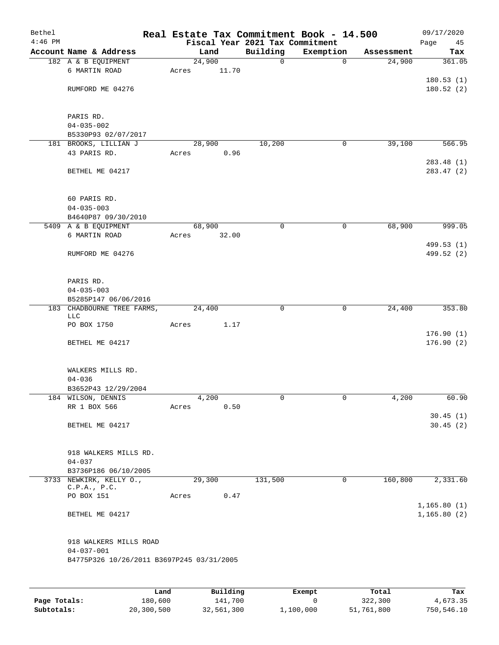| Bethel<br>$4:46$ PM |                                             |       |        | Fiscal Year 2021 Tax Commitment | Real Estate Tax Commitment Book - 14.500 |            | 09/17/2020<br>Page<br>45 |
|---------------------|---------------------------------------------|-------|--------|---------------------------------|------------------------------------------|------------|--------------------------|
|                     | Account Name & Address                      |       | Land   | Building                        | Exemption                                | Assessment | Tax                      |
|                     | 182 A & B EQUIPMENT                         |       | 24,900 | $\mathsf{O}$                    | $\mathbf 0$                              | 24,900     | 361.05                   |
|                     | 6 MARTIN ROAD                               | Acres | 11.70  |                                 |                                          |            |                          |
|                     |                                             |       |        |                                 |                                          |            | 180.53(1)                |
|                     | RUMFORD ME 04276                            |       |        |                                 |                                          |            | 180.52(2)                |
|                     |                                             |       |        |                                 |                                          |            |                          |
|                     |                                             |       |        |                                 |                                          |            |                          |
|                     | PARIS RD.<br>$04 - 035 - 002$               |       |        |                                 |                                          |            |                          |
|                     | B5330P93 02/07/2017                         |       |        |                                 |                                          |            |                          |
|                     | 181 BROOKS, LILLIAN J                       |       | 28,900 | 10,200                          | 0                                        | 39,100     | 566.95                   |
|                     | 43 PARIS RD.                                | Acres | 0.96   |                                 |                                          |            |                          |
|                     |                                             |       |        |                                 |                                          |            | 283.48 (1)               |
|                     | BETHEL ME 04217                             |       |        |                                 |                                          |            | 283.47 (2)               |
|                     |                                             |       |        |                                 |                                          |            |                          |
|                     |                                             |       |        |                                 |                                          |            |                          |
|                     | 60 PARIS RD.                                |       |        |                                 |                                          |            |                          |
|                     | $04 - 035 - 003$                            |       |        |                                 |                                          |            |                          |
|                     | B4640P87 09/30/2010<br>5409 A & B EQUIPMENT |       | 68,900 | $\mathbf 0$                     | $\mathbf 0$                              | 68,900     | 999.05                   |
|                     | 6 MARTIN ROAD                               | Acres | 32.00  |                                 |                                          |            |                          |
|                     |                                             |       |        |                                 |                                          |            | 499.53 (1)               |
|                     | RUMFORD ME 04276                            |       |        |                                 |                                          |            | 499.52 (2)               |
|                     |                                             |       |        |                                 |                                          |            |                          |
|                     |                                             |       |        |                                 |                                          |            |                          |
|                     | PARIS RD.                                   |       |        |                                 |                                          |            |                          |
|                     | $04 - 035 - 003$                            |       |        |                                 |                                          |            |                          |
|                     | B5285P147 06/06/2016                        |       |        |                                 |                                          |            |                          |
|                     | 183 CHADBOURNE TREE FARMS,<br>LLC           |       | 24,400 | $\mathbf 0$                     | $\mathbf 0$                              | 24,400     | 353.80                   |
|                     | PO BOX 1750                                 | Acres | 1.17   |                                 |                                          |            |                          |
|                     |                                             |       |        |                                 |                                          |            | 176.90(1)                |
|                     | BETHEL ME 04217                             |       |        |                                 |                                          |            | 176.90(2)                |
|                     |                                             |       |        |                                 |                                          |            |                          |
|                     |                                             |       |        |                                 |                                          |            |                          |
|                     | WALKERS MILLS RD.<br>$04 - 036$             |       |        |                                 |                                          |            |                          |
|                     | B3652P43 12/29/2004                         |       |        |                                 |                                          |            |                          |
|                     | 184 WILSON, DENNIS                          |       | 4,200  | 0                               | 0                                        | 4,200      | 60.90                    |
|                     | RR 1 BOX 566                                | Acres | 0.50   |                                 |                                          |            |                          |
|                     |                                             |       |        |                                 |                                          |            | 30.45(1)                 |
|                     | BETHEL ME 04217                             |       |        |                                 |                                          |            | 30.45(2)                 |
|                     |                                             |       |        |                                 |                                          |            |                          |
|                     |                                             |       |        |                                 |                                          |            |                          |
|                     | 918 WALKERS MILLS RD.<br>$04 - 037$         |       |        |                                 |                                          |            |                          |
|                     | B3736P186 06/10/2005                        |       |        |                                 |                                          |            |                          |
|                     | 3733 NEWKIRK, KELLY O.,                     |       | 29,300 | 131,500                         | 0                                        | 160,800    | 2,331.60                 |
|                     | C.P.A., P.C.                                |       |        |                                 |                                          |            |                          |
|                     | PO BOX 151                                  | Acres | 0.47   |                                 |                                          |            |                          |
|                     |                                             |       |        |                                 |                                          |            | 1,165.80(1)              |
|                     | BETHEL ME 04217                             |       |        |                                 |                                          |            | 1, 165.80(2)             |
|                     |                                             |       |        |                                 |                                          |            |                          |
|                     | 918 WALKERS MILLS ROAD                      |       |        |                                 |                                          |            |                          |
|                     | $04 - 037 - 001$                            |       |        |                                 |                                          |            |                          |
|                     | B4775P326 10/26/2011 B3697P245 03/31/2005   |       |        |                                 |                                          |            |                          |
|                     |                                             |       |        |                                 |                                          |            |                          |
|                     |                                             |       |        |                                 |                                          |            |                          |

|              | Land       | Building   | Exempt    | Total      | Tax        |
|--------------|------------|------------|-----------|------------|------------|
| Page Totals: | 180,600    | 141,700    |           | 322,300    | 4,673.35   |
| Subtotals:   | 20,300,500 | 32,561,300 | 1,100,000 | 51,761,800 | 750,546.10 |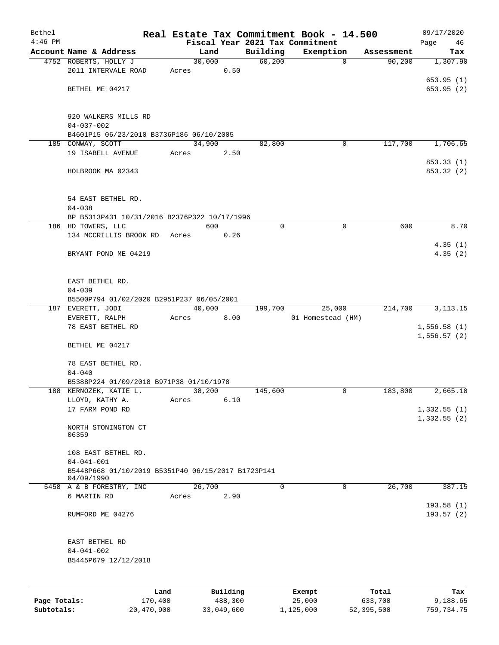| Bethel       |                                                                                      |            |       |                |                    | Real Estate Tax Commitment Book - 14.500 |            | 09/17/2020            |
|--------------|--------------------------------------------------------------------------------------|------------|-------|----------------|--------------------|------------------------------------------|------------|-----------------------|
| $4:46$ PM    |                                                                                      |            |       |                |                    | Fiscal Year 2021 Tax Commitment          |            | Page<br>46            |
|              | Account Name & Address<br>4752 ROBERTS, HOLLY J                                      |            |       | Land<br>30,000 | Building<br>60,200 | Exemption<br>$\mathbf 0$                 | Assessment | Tax                   |
|              | 2011 INTERVALE ROAD                                                                  |            | Acres | 0.50           |                    |                                          | 90,200     | 1,307.90<br>653.95(1) |
|              | BETHEL ME 04217                                                                      |            |       |                |                    |                                          |            | 653.95(2)             |
|              | 920 WALKERS MILLS RD<br>$04 - 037 - 002$                                             |            |       |                |                    |                                          |            |                       |
|              | B4601P15 06/23/2010 B3736P186 06/10/2005                                             |            |       |                |                    |                                          |            |                       |
|              | 185 CONWAY, SCOTT                                                                    |            |       | 34,900         | 82,800             | 0                                        | 117,700    | 1,706.65              |
|              | 19 ISABELL AVENUE                                                                    |            | Acres | 2.50           |                    |                                          |            | 853.33 (1)            |
|              | HOLBROOK MA 02343                                                                    |            |       |                |                    |                                          |            | 853.32 (2)            |
|              | 54 EAST BETHEL RD.<br>$04 - 038$                                                     |            |       |                |                    |                                          |            |                       |
|              | BP B5313P431 10/31/2016 B2376P322 10/17/1996                                         |            |       |                |                    |                                          |            |                       |
|              | 186 HD TOWERS, LLC                                                                   |            |       | 600            | 0                  | $\mathbf 0$                              | 600        | 8.70                  |
|              | 134 MCCRILLIS BROOK RD                                                               |            | Acres | 0.26           |                    |                                          |            | 4.35(1)               |
|              | BRYANT POND ME 04219                                                                 |            |       |                |                    |                                          |            | 4.35(2)               |
|              | EAST BETHEL RD.<br>$04 - 039$                                                        |            |       |                |                    |                                          |            |                       |
|              | B5500P794 01/02/2020 B2951P237 06/05/2001                                            |            |       |                |                    |                                          |            |                       |
|              | 187 EVERETT, JODI                                                                    |            |       | 40,000         | 199,700            | 25,000                                   | 214,700    | 3, 113. 15            |
|              | EVERETT, RALPH                                                                       |            | Acres | 8.00           |                    | 01 Homestead (HM)                        |            |                       |
|              | 78 EAST BETHEL RD                                                                    |            |       |                |                    |                                          |            | 1,556.58(1)           |
|              | BETHEL ME 04217                                                                      |            |       |                |                    |                                          |            | 1,556.57(2)           |
|              | 78 EAST BETHEL RD.                                                                   |            |       |                |                    |                                          |            |                       |
|              | $04 - 040$<br>B5388P224 01/09/2018 B971P38 01/10/1978                                |            |       |                |                    |                                          |            |                       |
|              | 188 KERNOZEK, KATIE L.                                                               |            |       | 38,200         | 145,600            | 0                                        | 183,800    | 2,665.10              |
|              | LLOYD, KATHY A.                                                                      |            | Acres | 6.10           |                    |                                          |            |                       |
|              | 17 FARM POND RD                                                                      |            |       |                |                    |                                          |            | 1,332.55(1)           |
|              |                                                                                      |            |       |                |                    |                                          |            | 1,332.55(2)           |
|              | NORTH STONINGTON CT<br>06359                                                         |            |       |                |                    |                                          |            |                       |
|              | 108 EAST BETHEL RD.                                                                  |            |       |                |                    |                                          |            |                       |
|              | $04 - 041 - 001$<br>B5448P668 01/10/2019 B5351P40 06/15/2017 B1723P141<br>04/09/1990 |            |       |                |                    |                                          |            |                       |
|              | 5458 A & B FORESTRY, INC                                                             |            |       | 26,700         | $\mathbf 0$        | $\mathbf 0$                              | 26,700     | 387.15                |
|              | 6 MARTIN RD                                                                          |            | Acres | 2.90           |                    |                                          |            | 193.58(1)             |
|              | RUMFORD ME 04276                                                                     |            |       |                |                    |                                          |            | 193.57(2)             |
|              | EAST BETHEL RD<br>$04 - 041 - 002$<br>B5445P679 12/12/2018                           |            |       |                |                    |                                          |            |                       |
|              |                                                                                      | Land       |       | Building       |                    | Exempt                                   | Total      | Tax                   |
| Page Totals: |                                                                                      | 170,400    |       | 488,300        |                    | 25,000                                   | 633,700    | 9,188.65              |
| Subtotals:   |                                                                                      | 20,470,900 |       | 33,049,600     |                    | 1,125,000                                | 52,395,500 | 759,734.75            |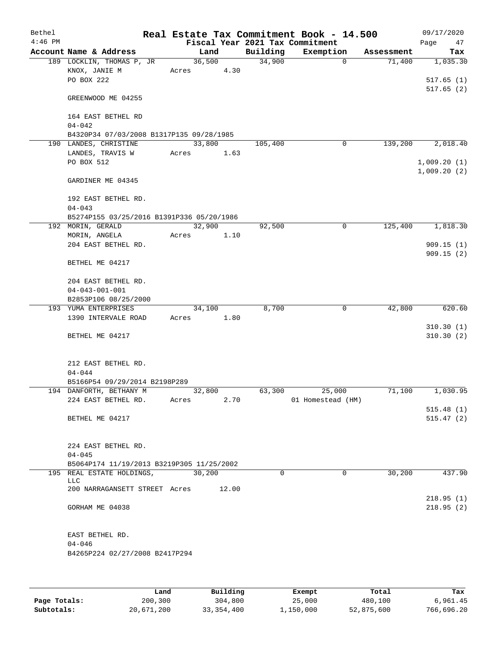| Bethel<br>$4:46$ PM |                                                                   |        |        |          | Real Estate Tax Commitment Book - 14.500<br>Fiscal Year 2021 Tax Commitment |            | 09/17/2020<br>Page<br>47 |
|---------------------|-------------------------------------------------------------------|--------|--------|----------|-----------------------------------------------------------------------------|------------|--------------------------|
|                     | Account Name & Address                                            |        | Land   | Building | Exemption                                                                   | Assessment | Tax                      |
|                     | 189 LOCKLIN, THOMAS P, JR                                         |        | 36,500 | 34,900   | $\overline{0}$                                                              | 71,400     | 1,035.30                 |
|                     | KNOX, JANIE M                                                     | Acres  | 4.30   |          |                                                                             |            |                          |
|                     | PO BOX 222                                                        |        |        |          |                                                                             |            | 517.65(1)                |
|                     |                                                                   |        |        |          |                                                                             |            | 517.65(2)                |
|                     | GREENWOOD ME 04255                                                |        |        |          |                                                                             |            |                          |
|                     |                                                                   |        |        |          |                                                                             |            |                          |
|                     | 164 EAST BETHEL RD                                                |        |        |          |                                                                             |            |                          |
|                     | $04 - 042$                                                        |        |        |          |                                                                             |            |                          |
|                     | B4320P34 07/03/2008 B1317P135 09/28/1985<br>190 LANDES, CHRISTINE | 33,800 |        |          |                                                                             |            |                          |
|                     | LANDES, TRAVIS W                                                  |        |        | 105,400  | 0                                                                           | 139,200    | 2,018.40                 |
|                     | PO BOX 512                                                        | Acres  | 1.63   |          |                                                                             |            | 1,009.20(1)              |
|                     |                                                                   |        |        |          |                                                                             |            | 1,009.20(2)              |
|                     | GARDINER ME 04345                                                 |        |        |          |                                                                             |            |                          |
|                     |                                                                   |        |        |          |                                                                             |            |                          |
|                     | 192 EAST BETHEL RD.                                               |        |        |          |                                                                             |            |                          |
|                     | $04 - 043$                                                        |        |        |          |                                                                             |            |                          |
|                     | B5274P155 03/25/2016 B1391P336 05/20/1986                         |        |        |          |                                                                             |            |                          |
|                     | 192 MORIN, GERALD                                                 |        | 32,900 | 92,500   | 0                                                                           | 125,400    | 1,818.30                 |
|                     | MORIN, ANGELA                                                     | Acres  | 1.10   |          |                                                                             |            |                          |
|                     | 204 EAST BETHEL RD.                                               |        |        |          |                                                                             |            | 909.15(1)                |
|                     |                                                                   |        |        |          |                                                                             |            | 909.15(2)                |
|                     | BETHEL ME 04217                                                   |        |        |          |                                                                             |            |                          |
|                     |                                                                   |        |        |          |                                                                             |            |                          |
|                     | 204 EAST BETHEL RD.                                               |        |        |          |                                                                             |            |                          |
|                     | $04 - 043 - 001 - 001$                                            |        |        |          |                                                                             |            |                          |
|                     | B2853P106 08/25/2000                                              |        |        |          |                                                                             |            |                          |
|                     | 193 YUMA ENTERPRISES                                              |        | 34,100 | 8,700    | $\mathbf 0$                                                                 | 42,800     | 620.60                   |
|                     | 1390 INTERVALE ROAD                                               | Acres  | 1.80   |          |                                                                             |            |                          |
|                     | BETHEL ME 04217                                                   |        |        |          |                                                                             |            | 310.30(1)<br>310.30(2)   |
|                     |                                                                   |        |        |          |                                                                             |            |                          |
|                     |                                                                   |        |        |          |                                                                             |            |                          |
|                     | 212 EAST BETHEL RD.                                               |        |        |          |                                                                             |            |                          |
|                     | $04 - 044$                                                        |        |        |          |                                                                             |            |                          |
|                     | B5166P54 09/29/2014 B2198P289                                     |        |        |          |                                                                             |            |                          |
|                     | 194 DANFORTH, BETHANY M                                           | 32,800 |        | 63,300   | 25,000                                                                      | 71,100     | 1,030.95                 |
|                     | 224 EAST BETHEL RD.                                               | Acres  | 2.70   |          | 01 Homestead (HM)                                                           |            |                          |
|                     |                                                                   |        |        |          |                                                                             |            | 515.48(1)                |
|                     | BETHEL ME 04217                                                   |        |        |          |                                                                             |            | 515.47(2)                |
|                     |                                                                   |        |        |          |                                                                             |            |                          |
|                     |                                                                   |        |        |          |                                                                             |            |                          |
|                     | 224 EAST BETHEL RD.                                               |        |        |          |                                                                             |            |                          |
|                     | $04 - 045$                                                        |        |        |          |                                                                             |            |                          |
|                     | B5064P174 11/19/2013 B3219P305 11/25/2002                         |        |        |          |                                                                             |            |                          |
|                     | 195 REAL ESTATE HOLDINGS,<br>LLC                                  | 30,200 |        | $\Omega$ | $\Omega$                                                                    | 30,200     | 437.90                   |
|                     | 200 NARRAGANSETT STREET Acres                                     |        | 12.00  |          |                                                                             |            |                          |
|                     |                                                                   |        |        |          |                                                                             |            | 218.95(1)                |
|                     | GORHAM ME 04038                                                   |        |        |          |                                                                             |            | 218.95(2)                |
|                     |                                                                   |        |        |          |                                                                             |            |                          |
|                     |                                                                   |        |        |          |                                                                             |            |                          |
|                     | EAST BETHEL RD.                                                   |        |        |          |                                                                             |            |                          |
|                     | $04 - 046$                                                        |        |        |          |                                                                             |            |                          |
|                     | B4265P224 02/27/2008 B2417P294                                    |        |        |          |                                                                             |            |                          |
|                     |                                                                   |        |        |          |                                                                             |            |                          |
|                     |                                                                   |        |        |          |                                                                             |            |                          |
|                     |                                                                   |        |        |          |                                                                             |            |                          |

|              | Land       | Building     | Exempt    | Total      | Tax        |
|--------------|------------|--------------|-----------|------------|------------|
| Page Totals: | 200,300    | 304,800      | 25,000    | 480,100    | 6,961.45   |
| Subtotals:   | 20,671,200 | 33, 354, 400 | 1,150,000 | 52,875,600 | 766,696.20 |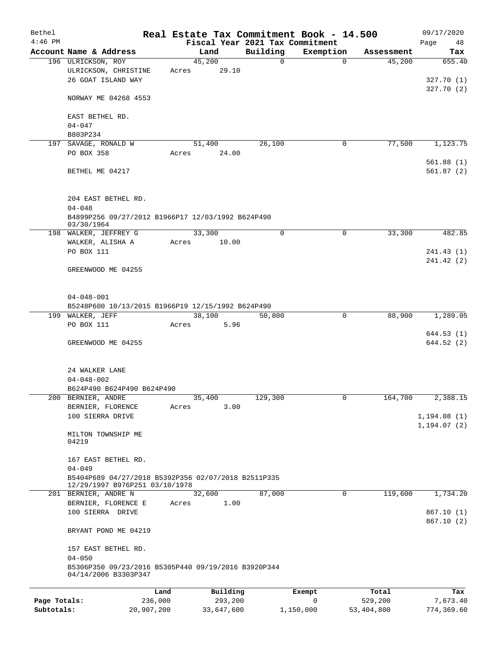| Bethel       |                                                                                       |         |                 |             | Real Estate Tax Commitment Book - 14.500 |            | 09/17/2020                   |
|--------------|---------------------------------------------------------------------------------------|---------|-----------------|-------------|------------------------------------------|------------|------------------------------|
| $4:46$ PM    |                                                                                       |         |                 |             | Fiscal Year 2021 Tax Commitment          |            | Page<br>48                   |
|              | Account Name & Address                                                                |         | Land            | Building    | Exemption                                | Assessment | Tax                          |
|              | 196 ULRICKSON, ROY<br>ULRICKSON, CHRISTINE<br>26 GOAT ISLAND WAY                      | Acres   | 45,200<br>29.10 | 0           | $\mathbf 0$                              | 45,200     | 655.40<br>327.70(1)          |
|              | NORWAY ME 04268 4553                                                                  |         |                 |             |                                          |            | 327.70(2)                    |
|              | EAST BETHEL RD.<br>$04 - 047$                                                         |         |                 |             |                                          |            |                              |
|              | B803P234                                                                              |         |                 |             |                                          |            |                              |
|              | 197 SAVAGE, RONALD W                                                                  |         | 51,400          | 26,100      | 0                                        | 77,500     | 1,123.75                     |
|              | PO BOX 358                                                                            | Acres   | 24.00           |             |                                          |            | 561.88(1)                    |
|              | BETHEL ME 04217                                                                       |         |                 |             |                                          |            | 561.87(2)                    |
|              | 204 EAST BETHEL RD.<br>$04 - 048$                                                     |         |                 |             |                                          |            |                              |
|              | B4899P256 09/27/2012 B1966P17 12/03/1992 B624P490<br>03/30/1964                       |         |                 |             |                                          |            |                              |
|              | 198 WALKER, JEFFREY G                                                                 |         | 33,300          | $\mathbf 0$ | 0                                        | 33,300     | 482.85                       |
|              | WALKER, ALISHA A                                                                      | Acres   | 10.00           |             |                                          |            |                              |
|              | PO BOX 111                                                                            |         |                 |             |                                          |            | 241.43 (1)                   |
|              | GREENWOOD ME 04255                                                                    |         |                 |             |                                          |            | 241.42(2)                    |
|              | $04 - 048 - 001$                                                                      |         |                 |             |                                          |            |                              |
|              | B5248P600 10/13/2015 B1966P19 12/15/1992 B624P490                                     |         |                 |             |                                          |            |                              |
|              | 199 WALKER, JEFF                                                                      |         | 38,100          | 50,800      | 0                                        | 88,900     | 1,289.05                     |
|              | PO BOX 111                                                                            | Acres   | 5.96            |             |                                          |            | 644.53(1)                    |
|              | GREENWOOD ME 04255                                                                    |         |                 |             |                                          |            | 644.52 (2)                   |
|              | 24 WALKER LANE                                                                        |         |                 |             |                                          |            |                              |
|              | $04 - 048 - 002$                                                                      |         |                 |             |                                          |            |                              |
|              | B624P490 B624P490 B624P490                                                            |         |                 |             |                                          |            |                              |
|              | 200 BERNIER, ANDRE                                                                    |         | 35,400          | 129,300     | 0                                        | 164,700    | 2,388.15                     |
|              | BERNIER, FLORENCE                                                                     | Acres   | 3.00            |             |                                          |            |                              |
|              | 100 SIERRA DRIVE                                                                      |         |                 |             |                                          |            | 1, 194.08(1)<br>1, 194.07(2) |
|              | MILTON TOWNSHIP ME<br>04219                                                           |         |                 |             |                                          |            |                              |
|              | 167 EAST BETHEL RD.<br>$04 - 049$                                                     |         |                 |             |                                          |            |                              |
|              | B5404P689 04/27/2018 B5392P356 02/07/2018 B2511P335<br>12/29/1997 B976P251 03/10/1978 |         |                 |             |                                          |            |                              |
|              | 201 BERNIER, ANDRE N<br>BERNIER, FLORENCE E                                           | Acres   | 32,600<br>1.00  | 87,000      | $\mathbf 0$                              | 119,600    | 1,734.20                     |
|              | 100 SIERRA DRIVE                                                                      |         |                 |             |                                          |            | 867.10(1)<br>867.10(2)       |
|              | BRYANT POND ME 04219                                                                  |         |                 |             |                                          |            |                              |
|              | 157 EAST BETHEL RD.<br>$04 - 050$                                                     |         |                 |             |                                          |            |                              |
|              | B5306P350 09/23/2016 B5305P440 09/19/2016 B3920P344<br>04/14/2006 B3303P347           |         |                 |             |                                          |            |                              |
|              |                                                                                       | Land    | Building        |             | Exempt                                   | Total      | Tax                          |
| Page Totals: |                                                                                       | 236,000 | 293,200         |             | 0                                        | 529,200    | 7,673.40                     |
| Subtotals:   | 20,907,200                                                                            |         | 33,647,600      |             | 1,150,000                                | 53,404,800 | 774,369.60                   |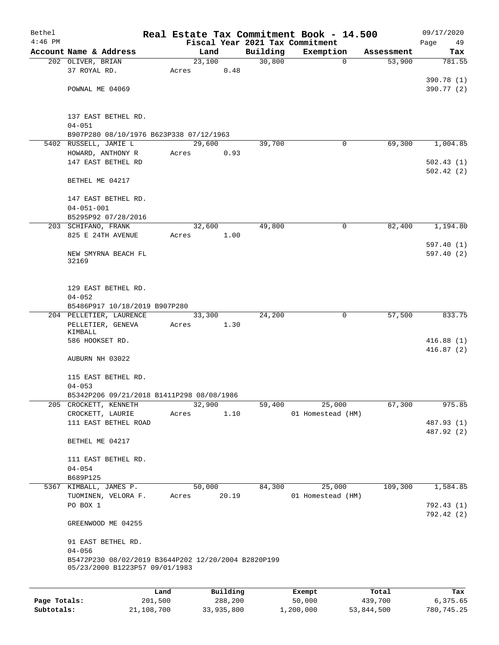| Bethel<br>$4:46$ PM |                                                                                       |         |        |          |          | Real Estate Tax Commitment Book - 14.500<br>Fiscal Year 2021 Tax Commitment |            | 09/17/2020<br>Page<br>49 |
|---------------------|---------------------------------------------------------------------------------------|---------|--------|----------|----------|-----------------------------------------------------------------------------|------------|--------------------------|
|                     | Account Name & Address                                                                |         | Land   |          | Building | Exemption                                                                   | Assessment | Tax                      |
|                     | 202 OLIVER, BRIAN                                                                     |         | 23,100 |          | 30,800   | $\mathbf 0$                                                                 | 53,900     | 781.55                   |
|                     | 37 ROYAL RD.                                                                          |         | Acres  | 0.48     |          |                                                                             |            |                          |
|                     |                                                                                       |         |        |          |          |                                                                             |            | 390.78 (1)               |
|                     | POWNAL ME 04069                                                                       |         |        |          |          |                                                                             |            | 390.77(2)                |
|                     |                                                                                       |         |        |          |          |                                                                             |            |                          |
|                     | 137 EAST BETHEL RD.                                                                   |         |        |          |          |                                                                             |            |                          |
|                     | $04 - 051$                                                                            |         |        |          |          |                                                                             |            |                          |
|                     | B907P280 08/10/1976 B623P338 07/12/1963                                               |         |        |          |          |                                                                             |            |                          |
|                     | 5402 RUSSELL, JAMIE L                                                                 |         | 29,600 |          | 39,700   | 0                                                                           | 69,300     | 1,004.85                 |
|                     | HOWARD, ANTHONY R                                                                     |         | Acres  | 0.93     |          |                                                                             |            |                          |
|                     | 147 EAST BETHEL RD                                                                    |         |        |          |          |                                                                             |            | 502.43(1)                |
|                     |                                                                                       |         |        |          |          |                                                                             |            | 502.42(2)                |
|                     | BETHEL ME 04217                                                                       |         |        |          |          |                                                                             |            |                          |
|                     | 147 EAST BETHEL RD.                                                                   |         |        |          |          |                                                                             |            |                          |
|                     | $04 - 051 - 001$                                                                      |         |        |          |          |                                                                             |            |                          |
|                     | B5295P92 07/28/2016                                                                   |         |        |          |          |                                                                             |            |                          |
|                     | 203 SCHIFANO, FRANK                                                                   |         | 32,600 |          | 49,800   | 0                                                                           | 82,400     | 1,194.80                 |
|                     | 825 E 24TH AVENUE                                                                     |         | Acres  | 1.00     |          |                                                                             |            |                          |
|                     |                                                                                       |         |        |          |          |                                                                             |            | 597.40(1)                |
|                     | NEW SMYRNA BEACH FL                                                                   |         |        |          |          |                                                                             |            | 597.40(2)                |
|                     | 32169                                                                                 |         |        |          |          |                                                                             |            |                          |
|                     |                                                                                       |         |        |          |          |                                                                             |            |                          |
|                     |                                                                                       |         |        |          |          |                                                                             |            |                          |
|                     | 129 EAST BETHEL RD.<br>$04 - 052$                                                     |         |        |          |          |                                                                             |            |                          |
|                     | B5486P917 10/18/2019 B907P280                                                         |         |        |          |          |                                                                             |            |                          |
|                     | 204 PELLETIER, LAURENCE                                                               |         | 33,300 |          | 24,200   | 0                                                                           | 57,500     | 833.75                   |
|                     | PELLETIER, GENEVA                                                                     |         | Acres  | 1.30     |          |                                                                             |            |                          |
|                     | KIMBALL                                                                               |         |        |          |          |                                                                             |            |                          |
|                     | 586 HOOKSET RD.                                                                       |         |        |          |          |                                                                             |            | 416.88(1)                |
|                     |                                                                                       |         |        |          |          |                                                                             |            | 416.87(2)                |
|                     | AUBURN NH 03022                                                                       |         |        |          |          |                                                                             |            |                          |
|                     | 115 EAST BETHEL RD.                                                                   |         |        |          |          |                                                                             |            |                          |
|                     | $04 - 053$                                                                            |         |        |          |          |                                                                             |            |                          |
|                     | B5342P206 09/21/2018 B1411P298 08/08/1986                                             |         |        |          |          |                                                                             |            |                          |
|                     | 205 CROCKETT, KENNETH                                                                 |         | 32,900 |          | 59,400   | 25,000                                                                      | 67,300     | 975.85                   |
|                     | CROCKETT, LAURIE                                                                      |         | Acres  | 1.10     |          | 01 Homestead (HM)                                                           |            |                          |
|                     | 111 EAST BETHEL ROAD                                                                  |         |        |          |          |                                                                             |            | 487.93 (1)               |
|                     |                                                                                       |         |        |          |          |                                                                             |            | 487.92 (2)               |
|                     | BETHEL ME 04217                                                                       |         |        |          |          |                                                                             |            |                          |
|                     |                                                                                       |         |        |          |          |                                                                             |            |                          |
|                     | 111 EAST BETHEL RD.<br>$04 - 054$                                                     |         |        |          |          |                                                                             |            |                          |
|                     | B689P125                                                                              |         |        |          |          |                                                                             |            |                          |
|                     | 5367 KIMBALL, JAMES P.                                                                |         | 50,000 |          | 84,300   | 25,000                                                                      | 109,300    | 1,584.85                 |
|                     | TUOMINEN, VELORA F.                                                                   |         | Acres  | 20.19    |          | 01 Homestead (HM)                                                           |            |                          |
|                     | PO BOX 1                                                                              |         |        |          |          |                                                                             |            | 792.43 (1)               |
|                     |                                                                                       |         |        |          |          |                                                                             |            | 792.42 (2)               |
|                     | GREENWOOD ME 04255                                                                    |         |        |          |          |                                                                             |            |                          |
|                     |                                                                                       |         |        |          |          |                                                                             |            |                          |
|                     | 91 EAST BETHEL RD.                                                                    |         |        |          |          |                                                                             |            |                          |
|                     | $04 - 056$                                                                            |         |        |          |          |                                                                             |            |                          |
|                     | B5472P230 08/02/2019 B3644P202 12/20/2004 B2820P199<br>05/23/2000 B1223P57 09/01/1983 |         |        |          |          |                                                                             |            |                          |
|                     |                                                                                       |         |        |          |          |                                                                             |            |                          |
|                     |                                                                                       |         |        |          |          |                                                                             |            |                          |
|                     |                                                                                       | Land    |        | Building |          | Exempt                                                                      | Total      | Tax                      |
| Page Totals:        |                                                                                       | 201,500 |        | 288,200  |          | 50,000                                                                      | 439,700    | 6,375.65                 |

**Subtotals:** 21,108,700 33,935,800 1,200,000 53,844,500 780,745.25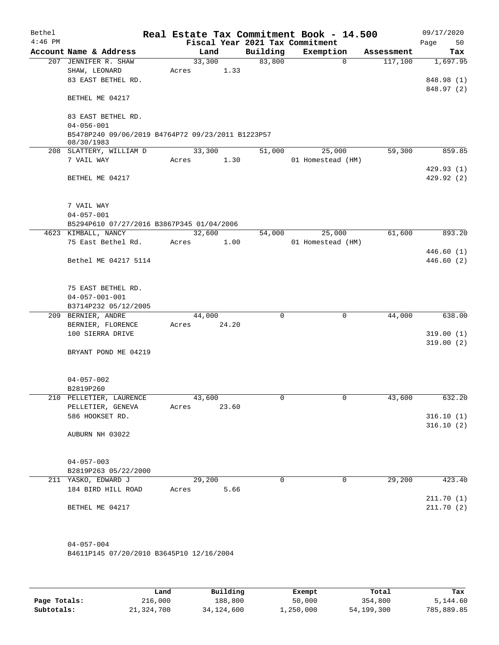| Bethel<br>$4:46$ PM |                                                   |        |       |             | Real Estate Tax Commitment Book - 14.500<br>Fiscal Year 2021 Tax Commitment |            | 09/17/2020<br>Page<br>50 |
|---------------------|---------------------------------------------------|--------|-------|-------------|-----------------------------------------------------------------------------|------------|--------------------------|
|                     | Account Name & Address                            |        | Land  | Building    | Exemption                                                                   | Assessment | Tax                      |
|                     | 207 JENNIFER R. SHAW                              | 33,300 |       | 83,800      | $\Omega$                                                                    | 117,100    | 1,697.95                 |
|                     | SHAW, LEONARD                                     | Acres  | 1.33  |             |                                                                             |            |                          |
|                     | 83 EAST BETHEL RD.                                |        |       |             |                                                                             |            | 848.98 (1)               |
|                     |                                                   |        |       |             |                                                                             |            | 848.97 (2)               |
|                     | BETHEL ME 04217                                   |        |       |             |                                                                             |            |                          |
|                     | 83 EAST BETHEL RD.                                |        |       |             |                                                                             |            |                          |
|                     | $04 - 056 - 001$                                  |        |       |             |                                                                             |            |                          |
|                     | B5478P240 09/06/2019 B4764P72 09/23/2011 B1223P57 |        |       |             |                                                                             |            |                          |
|                     | 08/30/1983                                        |        |       |             |                                                                             |            |                          |
|                     | 208 SLATTERY, WILLIAM D                           | 33,300 |       | 51,000      | 25,000                                                                      | 59,300     | 859.85                   |
|                     | 7 VAIL WAY                                        | Acres  | 1.30  |             | 01 Homestead (HM)                                                           |            |                          |
|                     |                                                   |        |       |             |                                                                             |            | 429.93 (1)               |
|                     | BETHEL ME 04217                                   |        |       |             |                                                                             |            | 429.92 (2)               |
|                     | 7 VAIL WAY                                        |        |       |             |                                                                             |            |                          |
|                     | $04 - 057 - 001$                                  |        |       |             |                                                                             |            |                          |
|                     | B5294P610 07/27/2016 B3867P345 01/04/2006         |        |       |             |                                                                             |            |                          |
|                     | 4623 KIMBALL, NANCY                               | 32,600 |       | 54,000      | 25,000                                                                      | 61,600     | 893.20                   |
|                     | 75 East Bethel Rd.                                | Acres  | 1.00  |             | 01 Homestead (HM)                                                           |            |                          |
|                     |                                                   |        |       |             |                                                                             |            | 446.60 (1)               |
|                     | Bethel ME 04217 5114                              |        |       |             |                                                                             |            | 446.60(2)                |
|                     |                                                   |        |       |             |                                                                             |            |                          |
|                     | 75 EAST BETHEL RD.                                |        |       |             |                                                                             |            |                          |
|                     | $04 - 057 - 001 - 001$                            |        |       |             |                                                                             |            |                          |
|                     | B3714P232 05/12/2005                              |        |       |             |                                                                             |            |                          |
|                     | 209 BERNIER, ANDRE                                | 44,000 |       | $\mathbf 0$ | $\mathbf 0$                                                                 | 44,000     | 638.00                   |
|                     | BERNIER, FLORENCE                                 | Acres  | 24.20 |             |                                                                             |            |                          |
|                     | 100 SIERRA DRIVE                                  |        |       |             |                                                                             |            | 319.00(1)                |
|                     |                                                   |        |       |             |                                                                             |            | 319.00(2)                |
|                     | BRYANT POND ME 04219                              |        |       |             |                                                                             |            |                          |
|                     |                                                   |        |       |             |                                                                             |            |                          |
|                     | $04 - 057 - 002$                                  |        |       |             |                                                                             |            |                          |
|                     | B2819P260                                         |        |       |             |                                                                             |            |                          |
|                     | 210 PELLETIER, LAURENCE                           | 43,600 |       | 0           | 0                                                                           | 43,600     | 632.20                   |
|                     | PELLETIER, GENEVA                                 | Acres  | 23.60 |             |                                                                             |            |                          |
|                     | 586 HOOKSET RD.                                   |        |       |             |                                                                             |            | 316.10(1)                |
|                     |                                                   |        |       |             |                                                                             |            | 316.10(2)                |
|                     | AUBURN NH 03022                                   |        |       |             |                                                                             |            |                          |
|                     | $04 - 057 - 003$                                  |        |       |             |                                                                             |            |                          |
|                     | B2819P263 05/22/2000                              |        |       |             |                                                                             |            |                          |
|                     | 211 YASKO, EDWARD J                               | 29,200 |       | 0           | 0                                                                           | 29,200     | 423.40                   |
|                     | 184 BIRD HILL ROAD                                | Acres  | 5.66  |             |                                                                             |            |                          |
|                     |                                                   |        |       |             |                                                                             |            | 211.70(1)                |
|                     | BETHEL ME 04217                                   |        |       |             |                                                                             |            | 211.70(2)                |
|                     |                                                   |        |       |             |                                                                             |            |                          |
|                     | $04 - 057 - 004$                                  |        |       |             |                                                                             |            |                          |
|                     | B4611P145 07/20/2010 B3645P10 12/16/2004          |        |       |             |                                                                             |            |                          |
|                     |                                                   |        |       |             |                                                                             |            |                          |
|                     |                                                   |        |       |             |                                                                             |            |                          |
|                     |                                                   |        |       |             |                                                                             |            |                          |

|              | Land       | Building     | Exempt    | Total      | Tax        |
|--------------|------------|--------------|-----------|------------|------------|
| Page Totals: | 216,000    | 188,800      | 50,000    | 354,800    | 5,144.60   |
| Subtotals:   | 21,324,700 | 34, 124, 600 | 1,250,000 | 54,199,300 | 785,889.85 |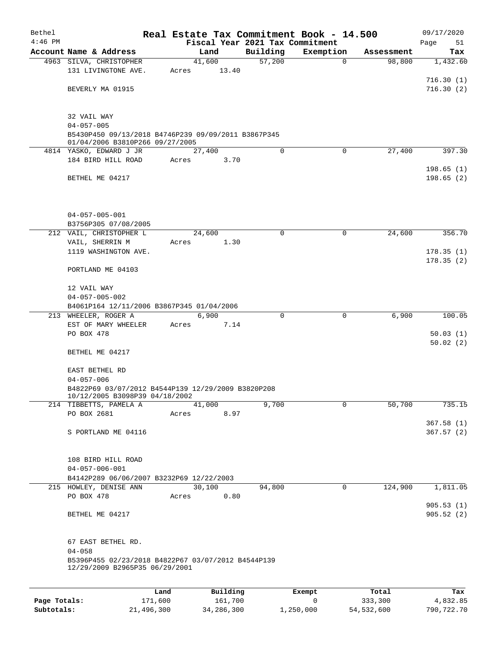| Bethel<br>$4:46$ PM |                                                                                        |       |               |             | Real Estate Tax Commitment Book - 14.500<br>Fiscal Year 2021 Tax Commitment |            | 09/17/2020<br>Page<br>51 |
|---------------------|----------------------------------------------------------------------------------------|-------|---------------|-------------|-----------------------------------------------------------------------------|------------|--------------------------|
|                     | Account Name & Address                                                                 |       | Land          | Building    | Exemption                                                                   | Assessment | Tax                      |
|                     | 4963 SILVA, CHRISTOPHER                                                                |       | 41,600        | 57,200      | $\mathbf 0$                                                                 | 98,800     | 1,432.60                 |
|                     | 131 LIVINGTONE AVE.                                                                    | Acres | 13.40         |             |                                                                             |            |                          |
|                     |                                                                                        |       |               |             |                                                                             |            | 716.30(1)                |
|                     | BEVERLY MA 01915                                                                       |       |               |             |                                                                             |            | 716.30(2)                |
|                     |                                                                                        |       |               |             |                                                                             |            |                          |
|                     |                                                                                        |       |               |             |                                                                             |            |                          |
|                     | 32 VAIL WAY                                                                            |       |               |             |                                                                             |            |                          |
|                     | $04 - 057 - 005$                                                                       |       |               |             |                                                                             |            |                          |
|                     | B5430P450 09/13/2018 B4746P239 09/09/2011 B3867P345<br>01/04/2006 B3810P266 09/27/2005 |       |               |             |                                                                             |            |                          |
|                     | 4814 YASKO, EDWARD J JR                                                                |       | 27,400        | $\mathbf 0$ | $\mathbf 0$                                                                 | 27,400     | 397.30                   |
|                     | 184 BIRD HILL ROAD                                                                     | Acres | 3.70          |             |                                                                             |            |                          |
|                     |                                                                                        |       |               |             |                                                                             |            | 198.65(1)                |
|                     | BETHEL ME 04217                                                                        |       |               |             |                                                                             |            | 198.65(2)                |
|                     |                                                                                        |       |               |             |                                                                             |            |                          |
|                     |                                                                                        |       |               |             |                                                                             |            |                          |
|                     |                                                                                        |       |               |             |                                                                             |            |                          |
|                     | $04 - 057 - 005 - 001$                                                                 |       |               |             |                                                                             |            |                          |
|                     | B3756P305 07/08/2005                                                                   |       |               |             |                                                                             |            |                          |
|                     | 212 VAIL, CHRISTOPHER L                                                                |       | 24,600        | $\mathbf 0$ | 0                                                                           | 24,600     | 356.70                   |
|                     | VAIL, SHERRIN M                                                                        | Acres | 1.30          |             |                                                                             |            |                          |
|                     | 1119 WASHINGTON AVE.                                                                   |       |               |             |                                                                             |            | 178.35(1)                |
|                     |                                                                                        |       |               |             |                                                                             |            | 178.35(2)                |
|                     | PORTLAND ME 04103                                                                      |       |               |             |                                                                             |            |                          |
|                     | 12 VAIL WAY                                                                            |       |               |             |                                                                             |            |                          |
|                     | $04 - 057 - 005 - 002$                                                                 |       |               |             |                                                                             |            |                          |
|                     | B4061P164 12/11/2006 B3867P345 01/04/2006                                              |       |               |             |                                                                             |            |                          |
|                     | 213 WHEELER, ROGER A                                                                   |       | 6,900         | $\Omega$    | $\mathbf 0$                                                                 | 6,900      | 100.05                   |
|                     | EST OF MARY WHEELER                                                                    | Acres | 7.14          |             |                                                                             |            |                          |
|                     | PO BOX 478                                                                             |       |               |             |                                                                             |            | 50.03(1)                 |
|                     |                                                                                        |       |               |             |                                                                             |            | 50.02(2)                 |
|                     | BETHEL ME 04217                                                                        |       |               |             |                                                                             |            |                          |
|                     |                                                                                        |       |               |             |                                                                             |            |                          |
|                     | EAST BETHEL RD                                                                         |       |               |             |                                                                             |            |                          |
|                     | $04 - 057 - 006$                                                                       |       |               |             |                                                                             |            |                          |
|                     | B4822P69 03/07/2012 B4544P139 12/29/2009 B3820P208                                     |       |               |             |                                                                             |            |                          |
|                     | 10/12/2005 B3098P39 04/18/2002<br>214 TIBBETTS, PAMELA A                               |       | 41,000        | 9,700       | $\mathbf 0$                                                                 | 50,700     | 735.15                   |
|                     | PO BOX 2681                                                                            | Acres | 8.97          |             |                                                                             |            |                          |
|                     |                                                                                        |       |               |             |                                                                             |            | 367.58(1)                |
|                     | S PORTLAND ME 04116                                                                    |       |               |             |                                                                             |            | 367.57(2)                |
|                     |                                                                                        |       |               |             |                                                                             |            |                          |
|                     |                                                                                        |       |               |             |                                                                             |            |                          |
|                     | 108 BIRD HILL ROAD                                                                     |       |               |             |                                                                             |            |                          |
|                     | $04 - 057 - 006 - 001$                                                                 |       |               |             |                                                                             |            |                          |
|                     | B4142P289 06/06/2007 B3232P69 12/22/2003                                               |       |               |             |                                                                             |            |                          |
|                     | 215 HOWLEY, DENISE ANN                                                                 |       | 30,100        | 94,800      | 0                                                                           | 124,900    | 1,811.05                 |
|                     | PO BOX 478                                                                             |       | 0.80<br>Acres |             |                                                                             |            |                          |
|                     |                                                                                        |       |               |             |                                                                             |            | 905.53(1)                |
|                     | BETHEL ME 04217                                                                        |       |               |             |                                                                             |            | 905.52(2)                |
|                     |                                                                                        |       |               |             |                                                                             |            |                          |
|                     | 67 EAST BETHEL RD.                                                                     |       |               |             |                                                                             |            |                          |
|                     | $04 - 058$                                                                             |       |               |             |                                                                             |            |                          |
|                     | B5396P455 02/23/2018 B4822P67 03/07/2012 B4544P139                                     |       |               |             |                                                                             |            |                          |
|                     | 12/29/2009 B2965P35 06/29/2001                                                         |       |               |             |                                                                             |            |                          |
|                     |                                                                                        |       |               |             |                                                                             |            |                          |
|                     |                                                                                        | Land  | Building      |             | Exempt                                                                      | Total      | Tax                      |
|                     |                                                                                        |       |               |             |                                                                             |            |                          |

|              | -------    | $-$        | -------   | ------     | ------     |
|--------------|------------|------------|-----------|------------|------------|
| Page Totals: | 171,600    | 161,700    |           | 333,300    | 4,832.85   |
| Subtotals:   | 21,496,300 | 34,286,300 | 1,250,000 | 54,532,600 | 790,722.70 |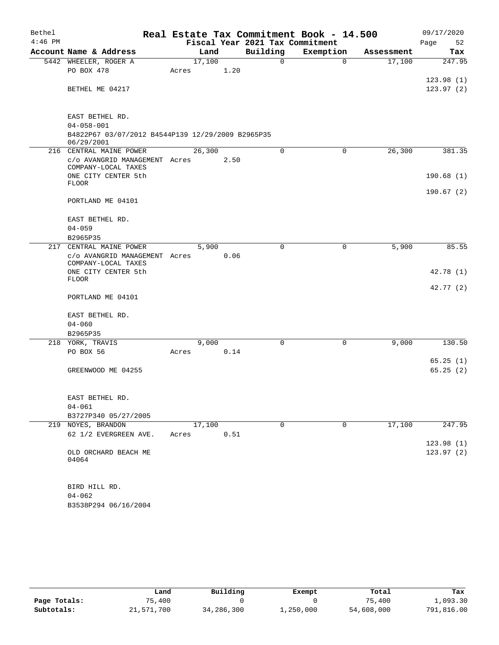| Bethel    |                                                                 |                |      |                                 | Real Estate Tax Commitment Book - 14.500 |                      | 09/17/2020    |
|-----------|-----------------------------------------------------------------|----------------|------|---------------------------------|------------------------------------------|----------------------|---------------|
| $4:46$ PM |                                                                 |                |      | Fiscal Year 2021 Tax Commitment |                                          |                      | Page<br>52    |
|           | Account Name & Address                                          | Land<br>17,100 |      | Building<br>$\mathbf 0$         | Exemption<br>$\mathbf 0$                 | Assessment<br>17,100 | Tax<br>247.95 |
|           | 5442 WHEELER, ROGER A<br>PO BOX 478                             | Acres          | 1.20 |                                 |                                          |                      |               |
|           |                                                                 |                |      |                                 |                                          |                      | 123.98(1)     |
|           | BETHEL ME 04217                                                 |                |      |                                 |                                          |                      | 123.97(2)     |
|           |                                                                 |                |      |                                 |                                          |                      |               |
|           | EAST BETHEL RD.                                                 |                |      |                                 |                                          |                      |               |
|           | $04 - 058 - 001$                                                |                |      |                                 |                                          |                      |               |
|           | B4822P67 03/07/2012 B4544P139 12/29/2009 B2965P35<br>06/29/2001 |                |      |                                 |                                          |                      |               |
|           | 216 CENTRAL MAINE POWER                                         | 26,300         |      | $\mathbf 0$                     | $\mathbf 0$                              | 26,300               | 381.35        |
|           | c/o AVANGRID MANAGEMENT Acres<br>COMPANY-LOCAL TAXES            |                | 2.50 |                                 |                                          |                      |               |
|           | ONE CITY CENTER 5th                                             |                |      |                                 |                                          |                      | 190.68(1)     |
|           | <b>FLOOR</b>                                                    |                |      |                                 |                                          |                      | 190.67(2)     |
|           | PORTLAND ME 04101                                               |                |      |                                 |                                          |                      |               |
|           | EAST BETHEL RD.                                                 |                |      |                                 |                                          |                      |               |
|           | $04 - 059$                                                      |                |      |                                 |                                          |                      |               |
|           | B2965P35                                                        |                |      |                                 |                                          |                      |               |
|           | 217 CENTRAL MAINE POWER                                         | 5,900          |      | 0                               | 0                                        | 5,900                | 85.55         |
|           | c/o AVANGRID MANAGEMENT Acres<br>COMPANY-LOCAL TAXES            |                | 0.06 |                                 |                                          |                      |               |
|           | ONE CITY CENTER 5th<br><b>FLOOR</b>                             |                |      |                                 |                                          |                      | 42.78 (1)     |
|           | PORTLAND ME 04101                                               |                |      |                                 |                                          |                      | 42.77 (2)     |
|           |                                                                 |                |      |                                 |                                          |                      |               |
|           | EAST BETHEL RD.                                                 |                |      |                                 |                                          |                      |               |
|           | $04 - 060$                                                      |                |      |                                 |                                          |                      |               |
|           | B2965P35                                                        |                |      |                                 |                                          |                      |               |
|           | 218 YORK, TRAVIS                                                | 9,000          |      | $\mathbf 0$                     | 0                                        | 9,000                | 130.50        |
|           | PO BOX 56                                                       | Acres          | 0.14 |                                 |                                          |                      | 65.25(1)      |
|           | GREENWOOD ME 04255                                              |                |      |                                 |                                          |                      | 65.25(2)      |
|           |                                                                 |                |      |                                 |                                          |                      |               |
|           | EAST BETHEL RD.                                                 |                |      |                                 |                                          |                      |               |
|           | $04 - 061$                                                      |                |      |                                 |                                          |                      |               |
|           | B3727P340 05/27/2005                                            |                |      |                                 |                                          |                      |               |
|           | 219 NOYES, BRANDON                                              | 17,100         |      | $\mathbf 0$                     | $\Omega$                                 | 17,100               | 247.95        |
|           | 62 1/2 EVERGREEN AVE.                                           | Acres          | 0.51 |                                 |                                          |                      |               |
|           |                                                                 |                |      |                                 |                                          |                      | 123.98(1)     |
|           | OLD ORCHARD BEACH ME<br>04064                                   |                |      |                                 |                                          |                      | 123.97(2)     |
|           | BIRD HILL RD.                                                   |                |      |                                 |                                          |                      |               |
|           | $04 - 062$                                                      |                |      |                                 |                                          |                      |               |
|           | B3538P294 06/16/2004                                            |                |      |                                 |                                          |                      |               |

|              | Land       | Building   | Exempt    | Total      | Tax        |
|--------------|------------|------------|-----------|------------|------------|
| Page Totals: | 75,400     |            |           | 75,400     | 1,093.30   |
| Subtotals:   | 21,571,700 | 34,286,300 | 1,250,000 | 54,608,000 | 791,816.00 |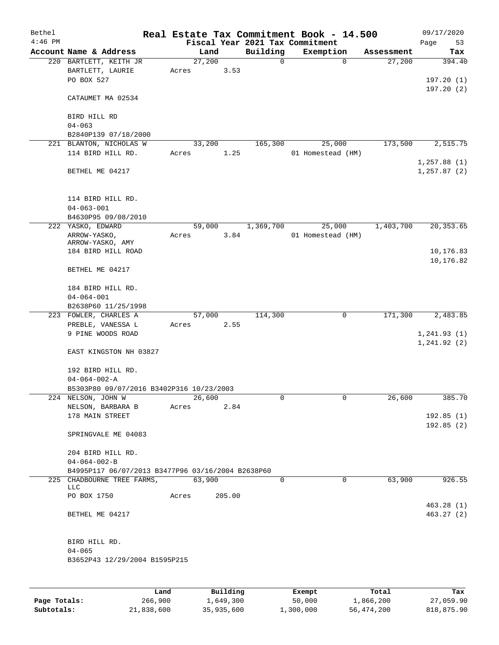| Bethel<br>$4:46$ PM |                                                          |       |        |        |           | Real Estate Tax Commitment Book - 14.500<br>Fiscal Year 2021 Tax Commitment |            | 09/17/2020<br>Page<br>53     |
|---------------------|----------------------------------------------------------|-------|--------|--------|-----------|-----------------------------------------------------------------------------|------------|------------------------------|
|                     | Account Name & Address                                   |       | Land   |        | Building  | Exemption                                                                   | Assessment | Tax                          |
|                     | 220 BARTLETT, KEITH JR<br>BARTLETT, LAURIE<br>PO BOX 527 | Acres | 27,200 | 3.53   | 0         | $\mathbf 0$                                                                 | 27,200     | 394.40<br>197.20(1)          |
|                     | CATAUMET MA 02534                                        |       |        |        |           |                                                                             |            | 197.20(2)                    |
|                     | BIRD HILL RD<br>$04 - 063$                               |       |        |        |           |                                                                             |            |                              |
|                     | B2840P139 07/18/2000                                     |       |        |        |           |                                                                             |            |                              |
|                     | 221 BLANTON, NICHOLAS W                                  |       | 33,200 |        | 165,300   | 25,000                                                                      | 173,500    | 2,515.75                     |
|                     | 114 BIRD HILL RD.                                        | Acres |        | 1.25   |           | 01 Homestead (HM)                                                           |            |                              |
|                     | BETHEL ME 04217                                          |       |        |        |           |                                                                             |            | 1, 257.88(1)<br>1, 257.87(2) |
|                     | 114 BIRD HILL RD.<br>$04 - 063 - 001$                    |       |        |        |           |                                                                             |            |                              |
|                     | B4630P95 09/08/2010                                      |       |        |        |           |                                                                             |            |                              |
|                     | 222 YASKO, EDWARD                                        |       | 59,000 |        | 1,369,700 | 25,000                                                                      | 1,403,700  | 20, 353.65                   |
|                     | ARROW-YASKO,<br>ARROW-YASKO, AMY                         | Acres |        | 3.84   |           | 01 Homestead (HM)                                                           |            |                              |
|                     | 184 BIRD HILL ROAD                                       |       |        |        |           |                                                                             |            | 10,176.83<br>10,176.82       |
|                     | BETHEL ME 04217                                          |       |        |        |           |                                                                             |            |                              |
|                     | 184 BIRD HILL RD.<br>$04 - 064 - 001$                    |       |        |        |           |                                                                             |            |                              |
|                     | B2638P60 11/25/1998                                      |       |        |        |           |                                                                             |            |                              |
|                     | 223 FOWLER, CHARLES A                                    |       | 57,000 |        | 114,300   | 0                                                                           | 171,300    | 2,483.85                     |
|                     | PREBLE, VANESSA L<br>9 PINE WOODS ROAD                   | Acres |        | 2.55   |           |                                                                             |            | 1, 241.93(1)                 |
|                     | EAST KINGSTON NH 03827                                   |       |        |        |           |                                                                             |            | 1, 241.92(2)                 |
|                     | 192 BIRD HILL RD.                                        |       |        |        |           |                                                                             |            |                              |
|                     | $04 - 064 - 002 - A$                                     |       |        |        |           |                                                                             |            |                              |
|                     | B5303P80 09/07/2016 B3402P316 10/23/2003                 |       |        |        |           |                                                                             |            |                              |
|                     | 224 NELSON, JOHN W<br>NELSON, BARBARA B                  | Acres | 26,600 | 2.84   | 0         | 0                                                                           | 26,600     | 385.70                       |
|                     | 178 MAIN STREET                                          |       |        |        |           |                                                                             |            | 192.85(1)                    |
|                     |                                                          |       |        |        |           |                                                                             |            | 192.85(2)                    |
|                     | SPRINGVALE ME 04083                                      |       |        |        |           |                                                                             |            |                              |
|                     | 204 BIRD HILL RD.                                        |       |        |        |           |                                                                             |            |                              |
|                     | $04 - 064 - 002 - B$                                     |       |        |        |           |                                                                             |            |                              |
|                     | B4995P117 06/07/2013 B3477P96 03/16/2004 B2638P60        |       |        |        |           |                                                                             |            |                              |
|                     | 225 CHADBOURNE TREE FARMS,<br><b>LLC</b>                 |       | 63,900 |        | $\Omega$  | $\Omega$                                                                    | 63,900     | 926.55                       |
|                     | PO BOX 1750                                              | Acres |        | 205.00 |           |                                                                             |            |                              |
|                     | BETHEL ME 04217                                          |       |        |        |           |                                                                             |            | 463.28(1)<br>463.27(2)       |
|                     | BIRD HILL RD.                                            |       |        |        |           |                                                                             |            |                              |
|                     | $04 - 065$                                               |       |        |        |           |                                                                             |            |                              |
|                     | B3652P43 12/29/2004 B1595P215                            |       |        |        |           |                                                                             |            |                              |
|                     |                                                          |       |        |        |           |                                                                             |            |                              |

|              | Land       | Building   | Exempt    | Total      | Tax        |
|--------------|------------|------------|-----------|------------|------------|
| Page Totals: | 266,900    | 1,649,300  | 50,000    | 1,866,200  | 27,059.90  |
| Subtotals:   | 21,838,600 | 35,935,600 | 1,300,000 | 56,474,200 | 818,875.90 |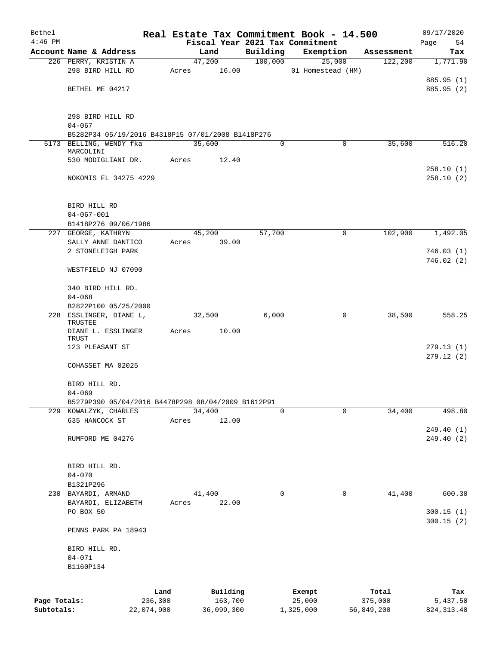| Bethel       |                                                    |       |                     |          | Real Estate Tax Commitment Book - 14.500     |                  | 09/17/2020               |
|--------------|----------------------------------------------------|-------|---------------------|----------|----------------------------------------------|------------------|--------------------------|
| $4:46$ PM    | Account Name & Address                             |       | Land                | Building | Fiscal Year 2021 Tax Commitment<br>Exemption | Assessment       | 54<br>Page               |
|              | 226 PERRY, KRISTIN A                               |       | 47,200              | 100,000  | 25,000                                       | 122,200          | Tax<br>1,771.90          |
|              | 298 BIRD HILL RD                                   | Acres | 16.00               |          | 01 Homestead (HM)                            |                  |                          |
|              |                                                    |       |                     |          |                                              |                  | 885.95 (1)               |
|              | BETHEL ME 04217                                    |       |                     |          |                                              |                  | 885.95 (2)               |
|              |                                                    |       |                     |          |                                              |                  |                          |
|              | 298 BIRD HILL RD                                   |       |                     |          |                                              |                  |                          |
|              | $04 - 067$                                         |       |                     |          |                                              |                  |                          |
|              | B5282P34 05/19/2016 B4318P15 07/01/2008 B1418P276  |       |                     |          |                                              |                  |                          |
| 5173         | BELLING, WENDY fka<br>MARCOLINI                    |       | 35,600              | $\Omega$ | 0                                            | 35,600           | 516.20                   |
|              | 530 MODIGLIANI DR.                                 | Acres | 12.40               |          |                                              |                  |                          |
|              |                                                    |       |                     |          |                                              |                  | 258.10(1)                |
|              | NOKOMIS FL 34275 4229                              |       |                     |          |                                              |                  | 258.10(2)                |
|              |                                                    |       |                     |          |                                              |                  |                          |
|              | BIRD HILL RD                                       |       |                     |          |                                              |                  |                          |
|              | $04 - 067 - 001$<br>B1418P276 09/06/1986           |       |                     |          |                                              |                  |                          |
| 227          | GEORGE, KATHRYN                                    |       | 45,200              | 57,700   | 0                                            | 102,900          | 1,492.05                 |
|              | SALLY ANNE DANTICO                                 | Acres | 39.00               |          |                                              |                  |                          |
|              | 2 STONELEIGH PARK                                  |       |                     |          |                                              |                  | 746.03(1)                |
|              |                                                    |       |                     |          |                                              |                  | 746.02(2)                |
|              | WESTFIELD NJ 07090                                 |       |                     |          |                                              |                  |                          |
|              | 340 BIRD HILL RD.                                  |       |                     |          |                                              |                  |                          |
|              | $04 - 068$                                         |       |                     |          |                                              |                  |                          |
|              | B2822P100 05/25/2000                               |       |                     |          |                                              |                  |                          |
|              | 228 ESSLINGER, DIANE L,<br>TRUSTEE                 |       | 32,500              | 6,000    | 0                                            | 38,500           | 558.25                   |
|              | DIANE L. ESSLINGER                                 | Acres | 10.00               |          |                                              |                  |                          |
|              | TRUST                                              |       |                     |          |                                              |                  |                          |
|              | 123 PLEASANT ST                                    |       |                     |          |                                              |                  | 279.13(1)<br>279.12(2)   |
|              | COHASSET MA 02025                                  |       |                     |          |                                              |                  |                          |
|              |                                                    |       |                     |          |                                              |                  |                          |
|              | BIRD HILL RD.<br>$04 - 069$                        |       |                     |          |                                              |                  |                          |
|              | B5279P390 05/04/2016 B4478P298 08/04/2009 B1612P91 |       |                     |          |                                              |                  |                          |
|              | 229 KOWALZYK, CHARLES                              |       | 34,400              | 0        | $\Omega$                                     | 34,400           | 498.80                   |
|              | 635 HANCOCK ST                                     | Acres | 12.00               |          |                                              |                  |                          |
|              | RUMFORD ME 04276                                   |       |                     |          |                                              |                  | 249.40 (1)<br>249.40 (2) |
|              |                                                    |       |                     |          |                                              |                  |                          |
|              |                                                    |       |                     |          |                                              |                  |                          |
|              | BIRD HILL RD.<br>$04 - 070$                        |       |                     |          |                                              |                  |                          |
|              | B1321P296                                          |       |                     |          |                                              |                  |                          |
|              | 230 BAYARDI, ARMAND                                |       | 41,400              | 0        | 0                                            | 41,400           | 600.30                   |
|              | BAYARDI, ELIZABETH                                 | Acres | 22.00               |          |                                              |                  |                          |
|              | PO BOX 50                                          |       |                     |          |                                              |                  | 300.15(1)                |
|              | PENNS PARK PA 18943                                |       |                     |          |                                              |                  | 300.15(2)                |
|              |                                                    |       |                     |          |                                              |                  |                          |
|              | BIRD HILL RD.                                      |       |                     |          |                                              |                  |                          |
|              | $04 - 071$                                         |       |                     |          |                                              |                  |                          |
|              | B1160P134                                          |       |                     |          |                                              |                  |                          |
|              |                                                    |       |                     |          |                                              |                  |                          |
| Page Totals: | Land<br>236,300                                    |       | Building<br>163,700 |          | Exempt<br>25,000                             | Total<br>375,000 | Tax<br>5,437.50          |
| Subtotals:   | 22,074,900                                         |       | 36,099,300          |          | 1,325,000                                    | 56,849,200       | 824, 313.40              |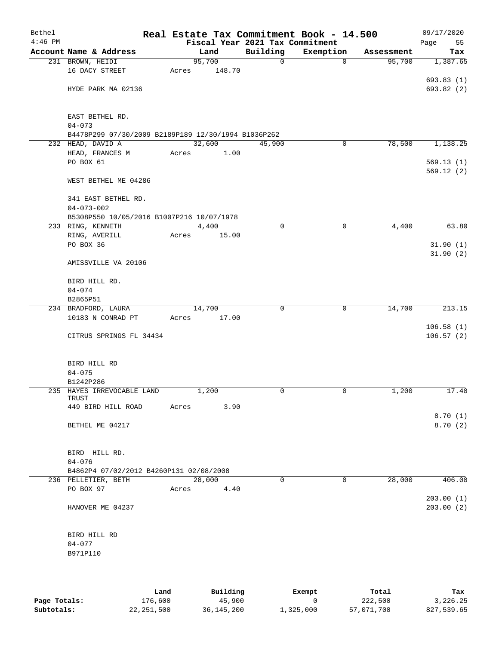| Bethel<br>$4:46$ PM |                                                     | Real Estate Tax Commitment Book - 14.500<br>Fiscal Year 2021 Tax Commitment |             |             |            | 09/17/2020<br>Page<br>55 |
|---------------------|-----------------------------------------------------|-----------------------------------------------------------------------------|-------------|-------------|------------|--------------------------|
|                     | Account Name & Address                              | Land                                                                        | Building    | Exemption   | Assessment | Tax                      |
|                     | 231 BROWN, HEIDI                                    | 95,700                                                                      | 0           | $\mathbf 0$ | 95,700     | 1,387.65                 |
|                     | 16 DACY STREET                                      | 148.70<br>Acres                                                             |             |             |            |                          |
|                     |                                                     |                                                                             |             |             |            | 693.83(1)                |
|                     | HYDE PARK MA 02136                                  |                                                                             |             |             |            | 693.82 (2)               |
|                     |                                                     |                                                                             |             |             |            |                          |
|                     |                                                     |                                                                             |             |             |            |                          |
|                     | EAST BETHEL RD.                                     |                                                                             |             |             |            |                          |
|                     | $04 - 073$                                          |                                                                             |             |             |            |                          |
|                     | B4478P299 07/30/2009 B2189P189 12/30/1994 B1036P262 |                                                                             |             |             |            |                          |
|                     | 232 HEAD, DAVID A                                   | 32,600                                                                      | 45,900      | 0           | 78,500     | 1,138.25                 |
|                     | HEAD, FRANCES M                                     | Acres<br>1.00                                                               |             |             |            |                          |
|                     | PO BOX 61                                           |                                                                             |             |             |            | 569.13(1)                |
|                     |                                                     |                                                                             |             |             |            | 569.12(2)                |
|                     | WEST BETHEL ME 04286                                |                                                                             |             |             |            |                          |
|                     |                                                     |                                                                             |             |             |            |                          |
|                     | 341 EAST BETHEL RD.                                 |                                                                             |             |             |            |                          |
|                     | $04 - 073 - 002$                                    |                                                                             |             |             |            |                          |
|                     | B5308P550 10/05/2016 B1007P216 10/07/1978           |                                                                             |             |             |            |                          |
|                     | 233 RING, KENNETH                                   | 4,400                                                                       | $\mathbf 0$ | $\mathbf 0$ | 4,400      | 63.80                    |
|                     | RING, AVERILL                                       | Acres<br>15.00                                                              |             |             |            |                          |
|                     | PO BOX 36                                           |                                                                             |             |             |            | 31.90(1)                 |
|                     |                                                     |                                                                             |             |             |            | 31.90(2)                 |
|                     | AMISSVILLE VA 20106                                 |                                                                             |             |             |            |                          |
|                     |                                                     |                                                                             |             |             |            |                          |
|                     | BIRD HILL RD.                                       |                                                                             |             |             |            |                          |
|                     | $04 - 074$                                          |                                                                             |             |             |            |                          |
|                     | B2865P51                                            |                                                                             |             |             |            |                          |
|                     | 234 BRADFORD, LAURA                                 | 14,700                                                                      | $\Omega$    | $\mathbf 0$ | 14,700     | 213.15                   |
|                     | 10183 N CONRAD PT                                   | 17.00<br>Acres                                                              |             |             |            |                          |
|                     |                                                     |                                                                             |             |             |            | 106.58(1)                |
|                     | CITRUS SPRINGS FL 34434                             |                                                                             |             |             |            | 106.57(2)                |
|                     |                                                     |                                                                             |             |             |            |                          |
|                     | BIRD HILL RD                                        |                                                                             |             |             |            |                          |
|                     | $04 - 075$                                          |                                                                             |             |             |            |                          |
|                     | B1242P286                                           |                                                                             |             |             |            |                          |
|                     | 235 HAYES IRREVOCABLE LAND                          | 1,200                                                                       | 0           | 0           | 1,200      | 17.40                    |
|                     | TRUST                                               |                                                                             |             |             |            |                          |
|                     | 449 BIRD HILL ROAD                                  | 3.90<br>Acres                                                               |             |             |            |                          |
|                     |                                                     |                                                                             |             |             |            | 8.70(1)                  |
|                     | BETHEL ME 04217                                     |                                                                             |             |             |            | 8.70(2)                  |
|                     |                                                     |                                                                             |             |             |            |                          |
|                     |                                                     |                                                                             |             |             |            |                          |
|                     | BIRD HILL RD.                                       |                                                                             |             |             |            |                          |
|                     | $04 - 076$                                          |                                                                             |             |             |            |                          |
|                     | B4862P4 07/02/2012 B4260P131 02/08/2008             |                                                                             |             |             |            |                          |
|                     | 236 PELLETIER, BETH                                 | 28,000                                                                      | $\mathbf 0$ | $\mathbf 0$ | 28,000     | 406.00                   |
|                     | PO BOX 97                                           | 4.40<br>Acres                                                               |             |             |            |                          |
|                     |                                                     |                                                                             |             |             |            | 203.00(1)                |
|                     | HANOVER ME 04237                                    |                                                                             |             |             |            | 203.00(2)                |
|                     |                                                     |                                                                             |             |             |            |                          |
|                     |                                                     |                                                                             |             |             |            |                          |
|                     | BIRD HILL RD                                        |                                                                             |             |             |            |                          |
|                     | $04 - 077$                                          |                                                                             |             |             |            |                          |
|                     | B971P110                                            |                                                                             |             |             |            |                          |
|                     |                                                     |                                                                             |             |             |            |                          |
|                     |                                                     |                                                                             |             |             |            |                          |
|                     |                                                     |                                                                             |             |             |            |                          |

|              | Land       | Building     | Exempt    | Total      | Tax        |
|--------------|------------|--------------|-----------|------------|------------|
| Page Totals: | 176,600    | 45,900       |           | 222,500    | 3, 226, 25 |
| Subtotals:   | 22,251,500 | 36, 145, 200 | 1,325,000 | 57,071,700 | 827,539.65 |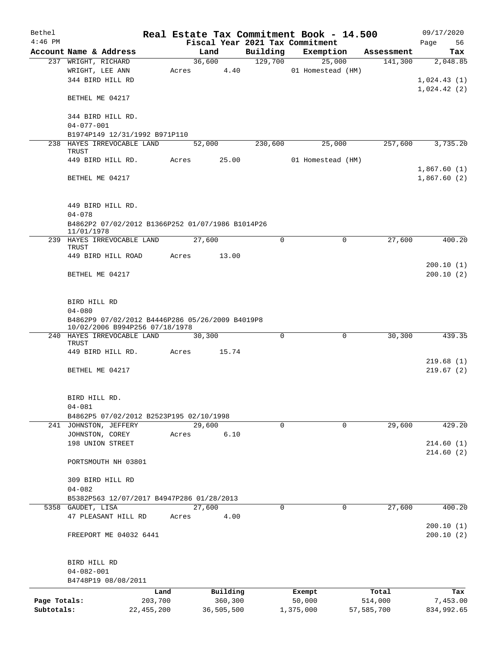| Bethel       |                                                                                   |              |       |            | Real Estate Tax Commitment Book - 14.500 |                   |          |            |             | 09/17/2020 |
|--------------|-----------------------------------------------------------------------------------|--------------|-------|------------|------------------------------------------|-------------------|----------|------------|-------------|------------|
| $4:46$ PM    |                                                                                   |              |       |            | Fiscal Year 2021 Tax Commitment          |                   |          |            | Page        | 56         |
|              | Account Name & Address                                                            |              |       | Land       | Building                                 | Exemption         |          | Assessment |             | Tax        |
|              | 237 WRIGHT, RICHARD                                                               |              |       | 36,600     | 129,700                                  |                   | 25,000   | 141,300    |             | 2,048.85   |
|              | WRIGHT, LEE ANN<br>344 BIRD HILL RD                                               |              | Acres | 4.40       |                                          | 01 Homestead (HM) |          |            | 1,024.43(1) |            |
|              |                                                                                   |              |       |            |                                          |                   |          |            | 1,024.42(2) |            |
|              | BETHEL ME 04217                                                                   |              |       |            |                                          |                   |          |            |             |            |
|              | 344 BIRD HILL RD.                                                                 |              |       |            |                                          |                   |          |            |             |            |
|              | $04 - 077 - 001$                                                                  |              |       |            |                                          |                   |          |            |             |            |
|              | B1974P149 12/31/1992 B971P110                                                     |              |       |            |                                          |                   |          |            |             |            |
|              | 238 HAYES IRREVOCABLE LAND                                                        |              |       | 52,000     | 230,600                                  |                   | 25,000   | 257,600    |             | 3,735.20   |
|              | TRUST                                                                             |              |       |            |                                          |                   |          |            |             |            |
|              | 449 BIRD HILL RD.                                                                 |              | Acres | 25.00      |                                          | 01 Homestead (HM) |          |            |             |            |
|              |                                                                                   |              |       |            |                                          |                   |          |            | 1,867.60(1) |            |
|              | BETHEL ME 04217                                                                   |              |       |            |                                          |                   |          |            | 1,867.60(2) |            |
|              | 449 BIRD HILL RD.                                                                 |              |       |            |                                          |                   |          |            |             |            |
|              | $04 - 078$                                                                        |              |       |            |                                          |                   |          |            |             |            |
|              | B4862P2 07/02/2012 B1366P252 01/07/1986 B1014P26<br>11/01/1978                    |              |       |            |                                          |                   |          |            |             |            |
|              | 239 HAYES IRREVOCABLE LAND<br>TRUST                                               |              |       | 27,600     | $\Omega$                                 |                   | 0        | 27,600     |             | 400.20     |
|              | 449 BIRD HILL ROAD                                                                |              | Acres | 13.00      |                                          |                   |          |            |             |            |
|              |                                                                                   |              |       |            |                                          |                   |          |            |             | 200.10(1)  |
|              | BETHEL ME 04217                                                                   |              |       |            |                                          |                   |          |            |             | 200.10(2)  |
|              | BIRD HILL RD                                                                      |              |       |            |                                          |                   |          |            |             |            |
|              | $04 - 080$                                                                        |              |       |            |                                          |                   |          |            |             |            |
|              | B4862P9 07/02/2012 B4446P286 05/26/2009 B4019P8<br>10/02/2006 B994P256 07/18/1978 |              |       |            |                                          |                   |          |            |             |            |
|              | 240 HAYES IRREVOCABLE LAND<br>TRUST                                               |              |       | 30,300     | $\Omega$                                 |                   | $\Omega$ | 30,300     |             | 439.35     |
|              | 449 BIRD HILL RD.                                                                 |              | Acres | 15.74      |                                          |                   |          |            |             |            |
|              |                                                                                   |              |       |            |                                          |                   |          |            |             | 219.68(1)  |
|              | BETHEL ME 04217                                                                   |              |       |            |                                          |                   |          |            |             | 219.67(2)  |
|              |                                                                                   |              |       |            |                                          |                   |          |            |             |            |
|              | BIRD HILL RD.<br>$04 - 081$                                                       |              |       |            |                                          |                   |          |            |             |            |
|              | B4862P5 07/02/2012 B2523P195 02/10/1998                                           |              |       |            |                                          |                   |          |            |             |            |
|              | 241 JOHNSTON, JEFFERY                                                             |              |       | 29,600     | 0                                        |                   | 0        | 29,600     |             | 429.20     |
|              | JOHNSTON, COREY                                                                   |              | Acres | 6.10       |                                          |                   |          |            |             |            |
|              | 198 UNION STREET                                                                  |              |       |            |                                          |                   |          |            |             | 214.60(1)  |
|              |                                                                                   |              |       |            |                                          |                   |          |            |             | 214.60(2)  |
|              | PORTSMOUTH NH 03801                                                               |              |       |            |                                          |                   |          |            |             |            |
|              | 309 BIRD HILL RD                                                                  |              |       |            |                                          |                   |          |            |             |            |
|              | $04 - 082$                                                                        |              |       |            |                                          |                   |          |            |             |            |
|              | B5382P563 12/07/2017 B4947P286 01/28/2013                                         |              |       |            |                                          |                   |          |            |             |            |
|              | 5358 GAUDET, LISA                                                                 |              |       | 27,600     | $\Omega$                                 |                   | $\Omega$ | 27,600     |             | 400.20     |
|              | 47 PLEASANT HILL RD                                                               |              | Acres | 4.00       |                                          |                   |          |            |             | 200.10(1)  |
|              | FREEPORT ME 04032 6441                                                            |              |       |            |                                          |                   |          |            |             | 200.10(2)  |
|              |                                                                                   |              |       |            |                                          |                   |          |            |             |            |
|              | BIRD HILL RD                                                                      |              |       |            |                                          |                   |          |            |             |            |
|              | $04 - 082 - 001$                                                                  |              |       |            |                                          |                   |          |            |             |            |
|              | B4748P19 08/08/2011                                                               |              |       |            |                                          |                   |          |            |             |            |
|              |                                                                                   | Land         |       | Building   |                                          | Exempt            |          | Total      |             | Tax        |
| Page Totals: |                                                                                   | 203,700      |       | 360,300    |                                          | 50,000            |          | 514,000    |             | 7,453.00   |
| Subtotals:   |                                                                                   | 22, 455, 200 |       | 36,505,500 |                                          | 1,375,000         |          | 57,585,700 |             | 834,992.65 |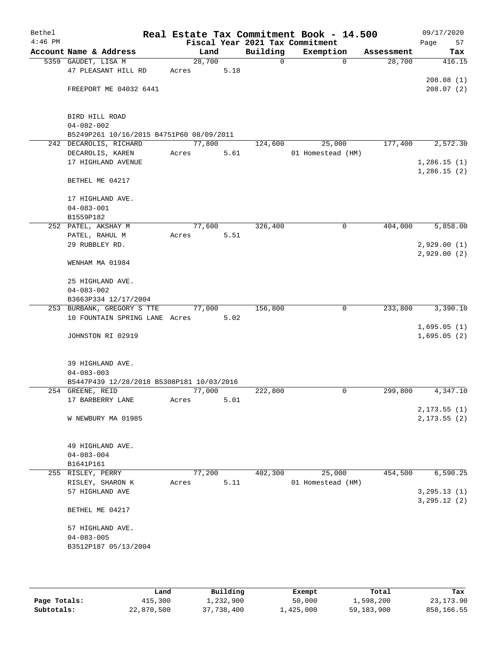| Bethel<br>$4:46$ PM |                                                              |        |      |          | Real Estate Tax Commitment Book - 14.500<br>Fiscal Year 2021 Tax Commitment |            | 09/17/2020<br>Page<br>57 |
|---------------------|--------------------------------------------------------------|--------|------|----------|-----------------------------------------------------------------------------|------------|--------------------------|
|                     | Account Name & Address                                       | Land   |      | Building | Exemption                                                                   | Assessment | Tax                      |
|                     | 5359 GAUDET, LISA M                                          | 28,700 |      | 0        | $\mathbf 0$                                                                 | 28,700     | 416.15                   |
|                     | 47 PLEASANT HILL RD                                          | Acres  | 5.18 |          |                                                                             |            |                          |
|                     |                                                              |        |      |          |                                                                             |            | 208.08(1)                |
|                     | FREEPORT ME 04032 6441                                       |        |      |          |                                                                             |            | 208.07(2)                |
|                     |                                                              |        |      |          |                                                                             |            |                          |
|                     |                                                              |        |      |          |                                                                             |            |                          |
|                     | BIRD HILL ROAD                                               |        |      |          |                                                                             |            |                          |
|                     | $04 - 082 - 002$<br>B5249P261 10/16/2015 B4751P60 08/09/2011 |        |      |          |                                                                             |            |                          |
|                     | 242 DECAROLIS, RICHARD                                       | 77,800 |      | 124,600  | 25,000                                                                      | 177,400    | 2,572.30                 |
|                     | DECAROLIS, KAREN                                             | Acres  | 5.61 |          | 01 Homestead (HM)                                                           |            |                          |
|                     | 17 HIGHLAND AVENUE                                           |        |      |          |                                                                             |            | 1,286.15(1)              |
|                     |                                                              |        |      |          |                                                                             |            | 1,286.15(2)              |
|                     | BETHEL ME 04217                                              |        |      |          |                                                                             |            |                          |
|                     |                                                              |        |      |          |                                                                             |            |                          |
|                     | 17 HIGHLAND AVE.                                             |        |      |          |                                                                             |            |                          |
|                     | $04 - 083 - 001$                                             |        |      |          |                                                                             |            |                          |
|                     | B1559P182                                                    |        |      |          |                                                                             |            |                          |
|                     | 252 PATEL, AKSHAY M                                          | 77,600 |      | 326,400  | 0                                                                           | 404,000    | 5,858.00                 |
|                     | PATEL, RAHUL M                                               | Acres  | 5.51 |          |                                                                             |            |                          |
|                     | 29 RUBBLEY RD.                                               |        |      |          |                                                                             |            | 2,929.00(1)              |
|                     |                                                              |        |      |          |                                                                             |            | 2,929.00(2)              |
|                     | WENHAM MA 01984                                              |        |      |          |                                                                             |            |                          |
|                     |                                                              |        |      |          |                                                                             |            |                          |
|                     | 25 HIGHLAND AVE.                                             |        |      |          |                                                                             |            |                          |
|                     | $04 - 083 - 002$<br>B3663P334 12/17/2004                     |        |      |          |                                                                             |            |                          |
|                     | 253 BURBANK, GREGORY S TTE                                   | 77,000 |      | 156,800  | 0                                                                           | 233,800    | 3,390.10                 |
|                     | 10 FOUNTAIN SPRING LANE Acres                                |        | 5.02 |          |                                                                             |            |                          |
|                     |                                                              |        |      |          |                                                                             |            | 1,695.05(1)              |
|                     | JOHNSTON RI 02919                                            |        |      |          |                                                                             |            | 1,695.05(2)              |
|                     |                                                              |        |      |          |                                                                             |            |                          |
|                     |                                                              |        |      |          |                                                                             |            |                          |
|                     | 39 HIGHLAND AVE.                                             |        |      |          |                                                                             |            |                          |
|                     | $04 - 083 - 003$                                             |        |      |          |                                                                             |            |                          |
|                     | B5447P439 12/28/2018 B5308P181 10/03/2016                    |        |      |          |                                                                             |            |                          |
|                     | 254 GREENE, REID                                             | 77,000 |      | 222,800  | 0                                                                           | 299,800    | 4,347.10                 |
|                     | 17 BARBERRY LANE                                             | Acres  | 5.01 |          |                                                                             |            |                          |
|                     |                                                              |        |      |          |                                                                             |            | 2, 173.55(1)             |
|                     | W NEWBURY MA 01985                                           |        |      |          |                                                                             |            | 2, 173.55(2)             |
|                     |                                                              |        |      |          |                                                                             |            |                          |
|                     | 49 HIGHLAND AVE.                                             |        |      |          |                                                                             |            |                          |
|                     | $04 - 083 - 004$                                             |        |      |          |                                                                             |            |                          |
|                     | B1641P161                                                    |        |      |          |                                                                             |            |                          |
|                     | 255 RISLEY, PERRY                                            | 77,200 |      | 402,300  | 25,000                                                                      | 454,500    | 6,590.25                 |
|                     | RISLEY, SHARON K                                             | Acres  | 5.11 |          | 01 Homestead (HM)                                                           |            |                          |
|                     | 57 HIGHLAND AVE                                              |        |      |          |                                                                             |            | 3, 295.13(1)             |
|                     |                                                              |        |      |          |                                                                             |            | 3, 295.12 (2)            |
|                     | BETHEL ME 04217                                              |        |      |          |                                                                             |            |                          |
|                     |                                                              |        |      |          |                                                                             |            |                          |
|                     | 57 HIGHLAND AVE.                                             |        |      |          |                                                                             |            |                          |
|                     | $04 - 083 - 005$                                             |        |      |          |                                                                             |            |                          |
|                     | B3512P187 05/13/2004                                         |        |      |          |                                                                             |            |                          |
|                     |                                                              |        |      |          |                                                                             |            |                          |
|                     |                                                              |        |      |          |                                                                             |            |                          |
|                     |                                                              |        |      |          |                                                                             |            |                          |

|              | Land       | Building   | Exempt    | Total      | Tax        |
|--------------|------------|------------|-----------|------------|------------|
| Page Totals: | 415,300    | 1,232,900  | 50,000    | 1,598,200  | 23,173.90  |
| Subtotals:   | 22,870,500 | 37,738,400 | 1,425,000 | 59,183,900 | 858,166.55 |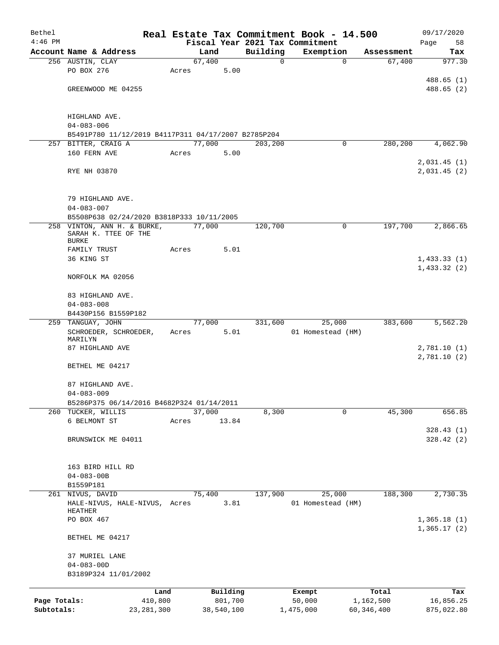| Bethel       |                                                     |       |                |             | Real Estate Tax Commitment Book - 14.500 |              | 09/17/2020                  |
|--------------|-----------------------------------------------------|-------|----------------|-------------|------------------------------------------|--------------|-----------------------------|
| $4:46$ PM    |                                                     |       |                |             | Fiscal Year 2021 Tax Commitment          |              | Page<br>58                  |
|              | Account Name & Address                              |       | Land           | Building    | Exemption                                | Assessment   | Tax                         |
|              | 256 AUSTIN, CLAY<br>PO BOX 276                      | Acres | 67,400<br>5.00 | $\mathbf 0$ | $\mathbf 0$                              | 67,400       | 977.30                      |
|              | GREENWOOD ME 04255                                  |       |                |             |                                          |              | 488.65 (1)<br>488.65(2)     |
|              | HIGHLAND AVE.                                       |       |                |             |                                          |              |                             |
|              | $04 - 083 - 006$                                    |       |                |             |                                          |              |                             |
|              | B5491P780 11/12/2019 B4117P311 04/17/2007 B2785P204 |       |                |             |                                          |              |                             |
|              | 257 BITTER, CRAIG A<br>160 FERN AVE                 |       | 77,000         | 203,200     | 0                                        | 280,200      | 4,062.90                    |
|              |                                                     | Acres | 5.00           |             |                                          |              | 2,031.45(1)                 |
|              | RYE NH 03870                                        |       |                |             |                                          |              | 2,031.45(2)                 |
|              | 79 HIGHLAND AVE.<br>$04 - 083 - 007$                |       |                |             |                                          |              |                             |
|              | B5508P638 02/24/2020 B3818P333 10/11/2005           |       |                |             |                                          |              |                             |
|              | 258 VINTON, ANN H. & BURKE,<br>SARAH K. TTEE OF THE |       | 77,000         | 120,700     | $\mathbf 0$                              | 197,700      | 2,866.65                    |
|              | <b>BURKE</b>                                        |       |                |             |                                          |              |                             |
|              | FAMILY TRUST                                        | Acres | 5.01           |             |                                          |              |                             |
|              | 36 KING ST                                          |       |                |             |                                          |              | 1,433.33(1)<br>1,433.32(2)  |
|              | NORFOLK MA 02056                                    |       |                |             |                                          |              |                             |
|              | 83 HIGHLAND AVE.                                    |       |                |             |                                          |              |                             |
|              | $04 - 083 - 008$                                    |       |                |             |                                          |              |                             |
|              | B4430P156 B1559P182                                 |       |                |             |                                          |              |                             |
|              | 259 TANGUAY, JOHN                                   |       | 77,000         | 331,600     | 25,000                                   | 383,600      | 5,562.20                    |
|              | SCHROEDER, SCHROEDER,                               | Acres | 5.01           |             | 01 Homestead (HM)                        |              |                             |
|              | MARILYN                                             |       |                |             |                                          |              |                             |
|              | 87 HIGHLAND AVE                                     |       |                |             |                                          |              | 2,781.10(1)<br>2,781.10 (2) |
|              | BETHEL ME 04217                                     |       |                |             |                                          |              |                             |
|              | 87 HIGHLAND AVE.<br>$04 - 083 - 009$                |       |                |             |                                          |              |                             |
|              | B5286P375 06/14/2016 B4682P324 01/14/2011           |       |                |             |                                          |              |                             |
|              | 260 TUCKER, WILLIS                                  |       | 37,000         | 8,300       | $\Omega$                                 | 45,300       | 656.85                      |
|              | 6 BELMONT ST                                        | Acres | 13.84          |             |                                          |              | 328.43(1)                   |
|              | BRUNSWICK ME 04011                                  |       |                |             |                                          |              | 328.42(2)                   |
|              | 163 BIRD HILL RD                                    |       |                |             |                                          |              |                             |
|              | $04 - 083 - 00B$                                    |       |                |             |                                          |              |                             |
|              | B1559P181                                           |       |                |             |                                          |              |                             |
|              | 261 NIVUS, DAVID                                    |       | 75,400         | 137,900     | 25,000                                   | 188,300      | 2,730.35                    |
|              | HALE-NIVUS, HALE-NIVUS, Acres                       |       | 3.81           |             | 01 Homestead (HM)                        |              |                             |
|              | HEATHER                                             |       |                |             |                                          |              |                             |
|              | PO BOX 467                                          |       |                |             |                                          |              | 1,365.18(1)<br>1,365.17(2)  |
|              | BETHEL ME 04217                                     |       |                |             |                                          |              |                             |
|              | 37 MURIEL LANE                                      |       |                |             |                                          |              |                             |
|              | $04 - 083 - 00D$<br>B3189P324 11/01/2002            |       |                |             |                                          |              |                             |
|              | Land                                                |       | Building       |             | Exempt                                   | Total        | Tax                         |
| Page Totals: | 410,800                                             |       | 801,700        |             | 50,000                                   | 1,162,500    | 16,856.25                   |
| Subtotals:   | 23, 281, 300                                        |       | 38,540,100     |             | 1,475,000                                | 60, 346, 400 | 875,022.80                  |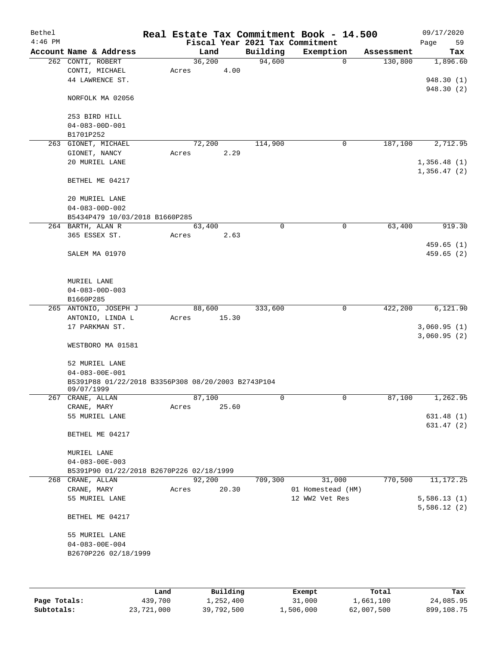| Bethel<br>$4:46$ PM |                                                    |        |       |             | Real Estate Tax Commitment Book - 14.500<br>Fiscal Year 2021 Tax Commitment |            | 09/17/2020<br>Page<br>59 |
|---------------------|----------------------------------------------------|--------|-------|-------------|-----------------------------------------------------------------------------|------------|--------------------------|
|                     | Account Name & Address                             |        | Land  | Building    | Exemption                                                                   | Assessment | Tax                      |
|                     | 262 CONTI, ROBERT                                  | 36,200 |       | 94,600      | $\mathbf 0$                                                                 | 130,800    | 1,896.60                 |
|                     | CONTI, MICHAEL                                     | Acres  | 4.00  |             |                                                                             |            |                          |
|                     | 44 LAWRENCE ST.                                    |        |       |             |                                                                             |            | 948.30(1)                |
|                     |                                                    |        |       |             |                                                                             |            | 948.30 (2)               |
|                     | NORFOLK MA 02056                                   |        |       |             |                                                                             |            |                          |
|                     | 253 BIRD HILL                                      |        |       |             |                                                                             |            |                          |
|                     | $04 - 083 - 00D - 001$                             |        |       |             |                                                                             |            |                          |
|                     | B1701P252                                          |        |       |             |                                                                             |            |                          |
|                     | 263 GIONET, MICHAEL                                | 72,200 |       | 114,900     | 0                                                                           | 187,100    | 2,712.95                 |
|                     | GIONET, NANCY                                      | Acres  | 2.29  |             |                                                                             |            |                          |
|                     | 20 MURIEL LANE                                     |        |       |             |                                                                             |            | 1,356.48(1)              |
|                     |                                                    |        |       |             |                                                                             |            | 1,356.47(2)              |
|                     | BETHEL ME 04217                                    |        |       |             |                                                                             |            |                          |
|                     | 20 MURIEL LANE                                     |        |       |             |                                                                             |            |                          |
|                     | $04 - 083 - 00D - 002$                             |        |       |             |                                                                             |            |                          |
|                     | B5434P479 10/03/2018 B1660P285                     |        |       |             |                                                                             |            |                          |
|                     | 264 BARTH, ALAN R                                  | 63,400 |       | $\mathbf 0$ | 0                                                                           | 63,400     | 919.30                   |
|                     | 365 ESSEX ST.                                      | Acres  | 2.63  |             |                                                                             |            |                          |
|                     |                                                    |        |       |             |                                                                             |            | 459.65(1)                |
|                     | SALEM MA 01970                                     |        |       |             |                                                                             |            | 459.65(2)                |
|                     |                                                    |        |       |             |                                                                             |            |                          |
|                     | MURIEL LANE                                        |        |       |             |                                                                             |            |                          |
|                     | $04 - 083 - 00D - 003$                             |        |       |             |                                                                             |            |                          |
|                     | B1660P285                                          |        |       |             |                                                                             |            |                          |
|                     | 265 ANTONIO, JOSEPH J                              | 88,600 |       | 333,600     | 0                                                                           | 422,200    | 6,121.90                 |
|                     | ANTONIO, LINDA L                                   | Acres  | 15.30 |             |                                                                             |            |                          |
|                     | 17 PARKMAN ST.                                     |        |       |             |                                                                             |            | 3,060.95(1)              |
|                     |                                                    |        |       |             |                                                                             |            | 3,060.95(2)              |
|                     | WESTBORO MA 01581                                  |        |       |             |                                                                             |            |                          |
|                     |                                                    |        |       |             |                                                                             |            |                          |
|                     | 52 MURIEL LANE                                     |        |       |             |                                                                             |            |                          |
|                     | $04 - 083 - 00E - 001$                             |        |       |             |                                                                             |            |                          |
|                     | B5391P88 01/22/2018 B3356P308 08/20/2003 B2743P104 |        |       |             |                                                                             |            |                          |
|                     | 09/07/1999                                         |        |       |             |                                                                             |            |                          |
|                     | 267 CRANE, ALLAN                                   | 87,100 |       | 0           | 0                                                                           | 87,100     | 1,262.95                 |
|                     | CRANE, MARY                                        | Acres  | 25.60 |             |                                                                             |            |                          |
|                     | 55 MURIEL LANE                                     |        |       |             |                                                                             |            | 631.48(1)<br>631.47 (2)  |
|                     | BETHEL ME 04217                                    |        |       |             |                                                                             |            |                          |
|                     |                                                    |        |       |             |                                                                             |            |                          |
|                     | MURIEL LANE                                        |        |       |             |                                                                             |            |                          |
|                     | $04 - 083 - 00E - 003$                             |        |       |             |                                                                             |            |                          |
|                     | B5391P90 01/22/2018 B2670P226 02/18/1999           |        |       |             |                                                                             |            |                          |
|                     | 268 CRANE, ALLAN                                   | 92,200 |       | 709,300     | 31,000                                                                      | 770,500    | 11, 172. 25              |
|                     | CRANE, MARY                                        | Acres  | 20.30 |             | 01 Homestead (HM)                                                           |            |                          |
|                     | 55 MURIEL LANE                                     |        |       |             | 12 WW2 Vet Res                                                              |            | 5,586.13(1)              |
|                     |                                                    |        |       |             |                                                                             |            | 5,586.12(2)              |
|                     | BETHEL ME 04217                                    |        |       |             |                                                                             |            |                          |
|                     | 55 MURIEL LANE                                     |        |       |             |                                                                             |            |                          |
|                     | $04 - 083 - 00E - 004$                             |        |       |             |                                                                             |            |                          |
|                     | B2670P226 02/18/1999                               |        |       |             |                                                                             |            |                          |
|                     |                                                    |        |       |             |                                                                             |            |                          |
|                     |                                                    |        |       |             |                                                                             |            |                          |
|                     |                                                    |        |       |             |                                                                             |            |                          |

|              | Land       | Building   | Exempt    | Total      | Tax        |
|--------------|------------|------------|-----------|------------|------------|
| Page Totals: | 439,700    | 1,252,400  | 31,000    | 1,661,100  | 24,085.95  |
| Subtotals:   | 23,721,000 | 39,792,500 | 1,506,000 | 62,007,500 | 899,108.75 |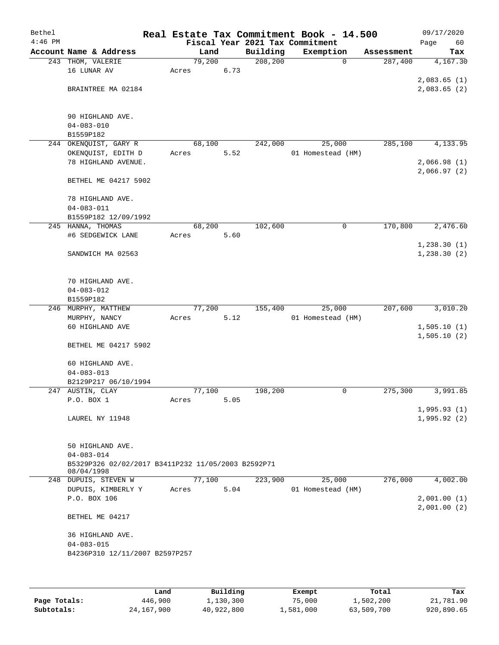| Bethel<br>$4:46$ PM |                                                    |        |      |          | Real Estate Tax Commitment Book - 14.500<br>Fiscal Year 2021 Tax Commitment |            | 09/17/2020<br>Page<br>60 |
|---------------------|----------------------------------------------------|--------|------|----------|-----------------------------------------------------------------------------|------------|--------------------------|
|                     | Account Name & Address                             | Land   |      | Building | Exemption                                                                   | Assessment | Tax                      |
|                     | 243 THOM, VALERIE                                  | 79,200 |      | 208, 200 | $\mathbf 0$                                                                 | 287,400    | 4,167.30                 |
|                     | 16 LUNAR AV                                        | Acres  | 6.73 |          |                                                                             |            |                          |
|                     |                                                    |        |      |          |                                                                             |            | 2,083.65(1)              |
|                     | BRAINTREE MA 02184                                 |        |      |          |                                                                             |            | 2,083.65(2)              |
|                     |                                                    |        |      |          |                                                                             |            |                          |
|                     |                                                    |        |      |          |                                                                             |            |                          |
|                     | 90 HIGHLAND AVE.                                   |        |      |          |                                                                             |            |                          |
|                     | $04 - 083 - 010$                                   |        |      |          |                                                                             |            |                          |
|                     | B1559P182                                          |        |      |          |                                                                             |            |                          |
|                     | 244 OKENQUIST, GARY R                              | 68,100 |      | 242,000  | 25,000                                                                      | 285,100    | 4,133.95                 |
|                     | OKENQUIST, EDITH D                                 | Acres  | 5.52 |          | 01 Homestead (HM)                                                           |            |                          |
|                     | 78 HIGHLAND AVENUE.                                |        |      |          |                                                                             |            | 2,066.98(1)              |
|                     |                                                    |        |      |          |                                                                             |            | 2,066.97(2)              |
|                     | BETHEL ME 04217 5902                               |        |      |          |                                                                             |            |                          |
|                     |                                                    |        |      |          |                                                                             |            |                          |
|                     | 78 HIGHLAND AVE.                                   |        |      |          |                                                                             |            |                          |
|                     | $04 - 083 - 011$                                   |        |      |          |                                                                             |            |                          |
|                     | B1559P182 12/09/1992                               |        |      |          |                                                                             |            |                          |
|                     | 245 HANNA, THOMAS                                  | 68,200 |      | 102,600  | 0                                                                           | 170,800    | 2,476.60                 |
|                     | #6 SEDGEWICK LANE                                  | Acres  | 5.60 |          |                                                                             |            |                          |
|                     |                                                    |        |      |          |                                                                             |            | 1,238.30(1)              |
|                     | SANDWICH MA 02563                                  |        |      |          |                                                                             |            | 1,238.30(2)              |
|                     |                                                    |        |      |          |                                                                             |            |                          |
|                     |                                                    |        |      |          |                                                                             |            |                          |
|                     | 70 HIGHLAND AVE.                                   |        |      |          |                                                                             |            |                          |
|                     | $04 - 083 - 012$                                   |        |      |          |                                                                             |            |                          |
|                     | B1559P182                                          |        |      |          |                                                                             |            |                          |
|                     | 246 MURPHY, MATTHEW                                | 77,200 |      | 155,400  | 25,000                                                                      | 207,600    | 3,010.20                 |
|                     | MURPHY, NANCY                                      | Acres  | 5.12 |          | 01 Homestead (HM)                                                           |            |                          |
|                     | 60 HIGHLAND AVE                                    |        |      |          |                                                                             |            | 1,505.10(1)              |
|                     |                                                    |        |      |          |                                                                             |            | 1,505.10(2)              |
|                     | BETHEL ME 04217 5902                               |        |      |          |                                                                             |            |                          |
|                     |                                                    |        |      |          |                                                                             |            |                          |
|                     | 60 HIGHLAND AVE.                                   |        |      |          |                                                                             |            |                          |
|                     | $04 - 083 - 013$                                   |        |      |          |                                                                             |            |                          |
|                     | B2129P217 06/10/1994                               |        |      |          |                                                                             |            |                          |
|                     | 247 AUSTIN, CLAY                                   | 77,100 |      | 198,200  | 0                                                                           | 275,300    | 3,991.85                 |
|                     | P.O. BOX 1                                         | Acres  | 5.05 |          |                                                                             |            |                          |
|                     |                                                    |        |      |          |                                                                             |            | 1,995.93(1)              |
|                     | LAUREL NY 11948                                    |        |      |          |                                                                             |            | 1,995.92(2)              |
|                     |                                                    |        |      |          |                                                                             |            |                          |
|                     |                                                    |        |      |          |                                                                             |            |                          |
|                     | 50 HIGHLAND AVE.                                   |        |      |          |                                                                             |            |                          |
|                     | $04 - 083 - 014$                                   |        |      |          |                                                                             |            |                          |
|                     | B5329P326 02/02/2017 B3411P232 11/05/2003 B2592P71 |        |      |          |                                                                             |            |                          |
|                     | 08/04/1998                                         |        |      |          |                                                                             |            |                          |
|                     | 248 DUPUIS, STEVEN W                               | 77,100 |      | 223,900  | 25,000                                                                      | 276,000    | 4,002.00                 |
|                     | DUPUIS, KIMBERLY Y                                 | Acres  | 5.04 |          | 01 Homestead (HM)                                                           |            |                          |
|                     | P.O. BOX 106                                       |        |      |          |                                                                             |            | 2,001.00(1)              |
|                     |                                                    |        |      |          |                                                                             |            | 2,001.00(2)              |
|                     | BETHEL ME 04217                                    |        |      |          |                                                                             |            |                          |
|                     |                                                    |        |      |          |                                                                             |            |                          |
|                     | 36 HIGHLAND AVE.                                   |        |      |          |                                                                             |            |                          |
|                     | $04 - 083 - 015$                                   |        |      |          |                                                                             |            |                          |
|                     | B4236P310 12/11/2007 B2597P257                     |        |      |          |                                                                             |            |                          |
|                     |                                                    |        |      |          |                                                                             |            |                          |
|                     |                                                    |        |      |          |                                                                             |            |                          |

|              | Land       | Building   | Exempt    | Total      | Tax        |
|--------------|------------|------------|-----------|------------|------------|
| Page Totals: | 446,900    | ⊥,130,300  | 75,000    | 1,502,200  | 21,781.90  |
| Subtotals:   | 24,167,900 | 40,922,800 | ⊥,581,000 | 63,509,700 | 920,890.65 |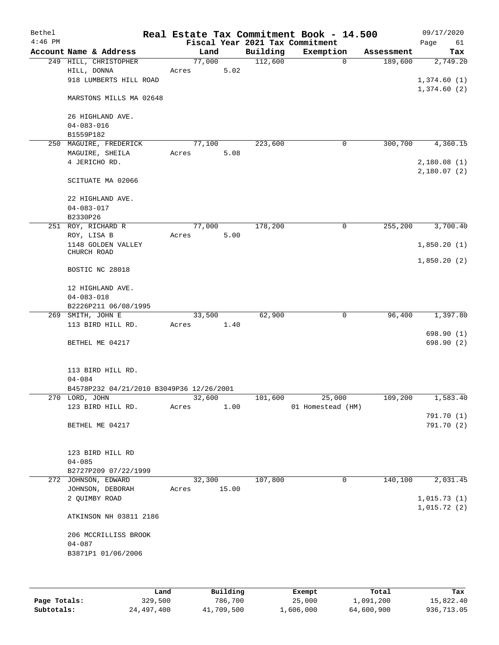| Bethel<br>$4:46$ PM |                                          |        |       |          | Real Estate Tax Commitment Book - 14.500<br>Fiscal Year 2021 Tax Commitment |            | 09/17/2020<br>Page<br>61 |
|---------------------|------------------------------------------|--------|-------|----------|-----------------------------------------------------------------------------|------------|--------------------------|
|                     | Account Name & Address                   | Land   |       | Building | Exemption                                                                   | Assessment | Tax                      |
|                     | 249 HILL, CHRISTOPHER                    | 77,000 |       | 112,600  | $\mathbf 0$                                                                 | 189,600    | 2,749.20                 |
|                     | HILL, DONNA                              | Acres  | 5.02  |          |                                                                             |            |                          |
|                     | 918 LUMBERTS HILL ROAD                   |        |       |          |                                                                             |            | 1,374.60(1)              |
|                     |                                          |        |       |          |                                                                             |            | 1,374.60(2)              |
|                     | MARSTONS MILLS MA 02648                  |        |       |          |                                                                             |            |                          |
|                     | 26 HIGHLAND AVE.                         |        |       |          |                                                                             |            |                          |
|                     | $04 - 083 - 016$                         |        |       |          |                                                                             |            |                          |
|                     | B1559P182                                |        |       |          |                                                                             |            |                          |
| 250                 | MAGUIRE, FREDERICK                       | 77,100 |       | 223,600  | 0                                                                           | 300,700    | 4,360.15                 |
|                     | MAGUIRE, SHEILA                          | Acres  | 5.08  |          |                                                                             |            |                          |
|                     | 4 JERICHO RD.                            |        |       |          |                                                                             |            | 2,180.08(1)              |
|                     |                                          |        |       |          |                                                                             |            | 2,180.07(2)              |
|                     | SCITUATE MA 02066                        |        |       |          |                                                                             |            |                          |
|                     | 22 HIGHLAND AVE.                         |        |       |          |                                                                             |            |                          |
|                     | $04 - 083 - 017$                         |        |       |          |                                                                             |            |                          |
|                     | B2330P26                                 |        |       |          |                                                                             |            |                          |
|                     | 251 ROY, RICHARD R                       | 77,000 |       | 178,200  | 0                                                                           | 255,200    | 3,700.40                 |
|                     | ROY, LISA B                              | Acres  | 5.00  |          |                                                                             |            |                          |
|                     | 1148 GOLDEN VALLEY                       |        |       |          |                                                                             |            | 1,850.20(1)              |
|                     | CHURCH ROAD                              |        |       |          |                                                                             |            |                          |
|                     | BOSTIC NC 28018                          |        |       |          |                                                                             |            | 1,850.20(2)              |
|                     |                                          |        |       |          |                                                                             |            |                          |
|                     | 12 HIGHLAND AVE.                         |        |       |          |                                                                             |            |                          |
|                     | $04 - 083 - 018$                         |        |       |          |                                                                             |            |                          |
|                     | B2226P211 06/08/1995                     |        |       |          |                                                                             |            |                          |
| 269                 | SMITH, JOHN E                            | 33,500 |       | 62,900   | 0                                                                           | 96,400     | 1,397.80                 |
|                     | 113 BIRD HILL RD.                        | Acres  | 1.40  |          |                                                                             |            |                          |
|                     |                                          |        |       |          |                                                                             |            | 698.90(1)                |
|                     | BETHEL ME 04217                          |        |       |          |                                                                             |            | 698.90 (2)               |
|                     | 113 BIRD HILL RD.                        |        |       |          |                                                                             |            |                          |
|                     | $04 - 084$                               |        |       |          |                                                                             |            |                          |
|                     | B4578P232 04/21/2010 B3049P36 12/26/2001 |        |       |          |                                                                             |            |                          |
|                     | 270 LORD, JOHN                           | 32,600 |       | 101,600  | 25,000                                                                      | 109,200    | 1,583.40                 |
|                     | 123 BIRD HILL RD.                        | Acres  | 1.00  |          | 01 Homestead (HM)                                                           |            |                          |
|                     |                                          |        |       |          |                                                                             |            | 791.70 (1)               |
|                     | BETHEL ME 04217                          |        |       |          |                                                                             |            | 791.70 (2)               |
|                     | 123 BIRD HILL RD                         |        |       |          |                                                                             |            |                          |
|                     | $04 - 085$                               |        |       |          |                                                                             |            |                          |
|                     | B2727P209 07/22/1999                     |        |       |          |                                                                             |            |                          |
|                     | 272 JOHNSON, EDWARD                      | 32,300 |       | 107,800  | 0                                                                           | 140,100    | 2,031.45                 |
|                     | JOHNSON, DEBORAH                         | Acres  | 15.00 |          |                                                                             |            |                          |
|                     | 2 QUIMBY ROAD                            |        |       |          |                                                                             |            | 1,015.73(1)              |
|                     |                                          |        |       |          |                                                                             |            | 1,015.72(2)              |
|                     | ATKINSON NH 03811 2186                   |        |       |          |                                                                             |            |                          |
|                     |                                          |        |       |          |                                                                             |            |                          |
|                     | 206 MCCRILLISS BROOK                     |        |       |          |                                                                             |            |                          |
|                     | $04 - 087$                               |        |       |          |                                                                             |            |                          |
|                     | B3871P1 01/06/2006                       |        |       |          |                                                                             |            |                          |
|                     |                                          |        |       |          |                                                                             |            |                          |
|                     |                                          |        |       |          |                                                                             |            |                          |
|                     |                                          |        |       |          |                                                                             |            |                          |

|              | Land       | Building   | Exempt    | Total      | Tax        |
|--------------|------------|------------|-----------|------------|------------|
| Page Totals: | 329,500    | 786,700    | 25,000    | 1,091,200  | 15,822.40  |
| Subtotals:   | 24,497,400 | 41,709,500 | 1,606,000 | 64,600,900 | 936,713.05 |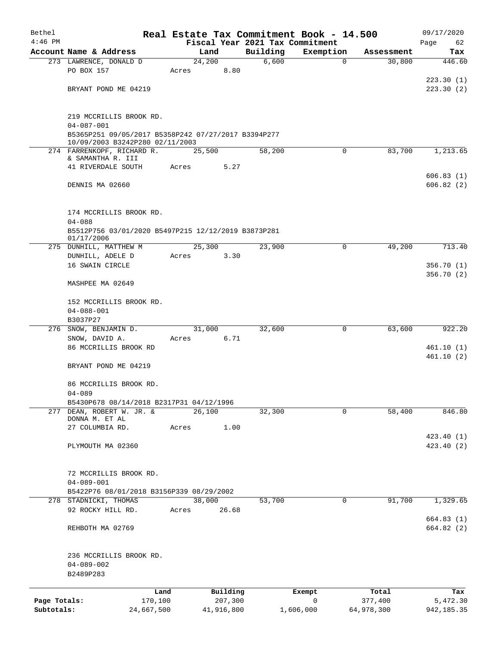| Bethel       |                                                                                        |                 |            |                                 | Real Estate Tax Commitment Book - 14.500 |            | 09/17/2020               |
|--------------|----------------------------------------------------------------------------------------|-----------------|------------|---------------------------------|------------------------------------------|------------|--------------------------|
| $4:46$ PM    |                                                                                        |                 |            | Fiscal Year 2021 Tax Commitment |                                          |            | Page<br>62               |
|              | Account Name & Address                                                                 | Land<br>24,200  |            | Building<br>6,600               | Exemption<br>$\mathbf 0$                 | Assessment | Tax<br>446.60            |
|              | 273 LAWRENCE, DONALD D<br>PO BOX 157                                                   | Acres           | 8.80       |                                 |                                          | 30,800     |                          |
|              | BRYANT POND ME 04219                                                                   |                 |            |                                 |                                          |            | 223.30(1)<br>223.30(2)   |
|              | 219 MCCRILLIS BROOK RD.<br>$04 - 087 - 001$                                            |                 |            |                                 |                                          |            |                          |
|              | B5365P251 09/05/2017 B5358P242 07/27/2017 B3394P277<br>10/09/2003 B3242P280 02/11/2003 |                 |            |                                 |                                          |            |                          |
|              | 274 FARRENKOPF, RICHARD R.<br>& SAMANTHA R. III                                        | 25,500          |            | 58,200                          | $\mathbf 0$                              | 83,700     | 1,213.65                 |
|              | 41 RIVERDALE SOUTH                                                                     | Acres           | 5.27       |                                 |                                          |            | 606.83(1)                |
|              | DENNIS MA 02660                                                                        |                 |            |                                 |                                          |            | 606.82(2)                |
|              | 174 MCCRILLIS BROOK RD.                                                                |                 |            |                                 |                                          |            |                          |
|              | $04 - 088$<br>B5512P756 03/01/2020 B5497P215 12/12/2019 B3873P281<br>01/17/2006        |                 |            |                                 |                                          |            |                          |
|              | 275 DUNHILL, MATTHEW M                                                                 | 25,300          |            | 23,900                          | 0                                        | 49,200     | 713.40                   |
|              | DUNHILL, ADELE D<br>16 SWAIN CIRCLE                                                    | Acres           | 3.30       |                                 |                                          |            | 356.70 (1)               |
|              | MASHPEE MA 02649                                                                       |                 |            |                                 |                                          |            | 356.70(2)                |
|              | 152 MCCRILLIS BROOK RD.<br>$04 - 088 - 001$                                            |                 |            |                                 |                                          |            |                          |
|              | B3037P27                                                                               |                 |            |                                 | $\mathbf 0$                              |            |                          |
|              | 276 SNOW, BENJAMIN D.<br>SNOW, DAVID A.                                                | 31,000<br>Acres | 6.71       | 32,600                          |                                          | 63,600     | 922.20                   |
|              | 86 MCCRILLIS BROOK RD                                                                  |                 |            |                                 |                                          |            | 461.10(1)<br>461.10(2)   |
|              | BRYANT POND ME 04219                                                                   |                 |            |                                 |                                          |            |                          |
|              | 86 MCCRILLIS BROOK RD.                                                                 |                 |            |                                 |                                          |            |                          |
|              | $04 - 089$<br>B5430P678 08/14/2018 B2317P31 04/12/1996                                 |                 |            |                                 |                                          |            |                          |
|              | 277 DEAN, ROBERT W. JR. &                                                              | 26,100          |            | 32,300                          | $\mathbf 0$                              | 58,400     | 846.80                   |
|              | DONNA M. ET AL<br>27 COLUMBIA RD.                                                      | Acres           | 1.00       |                                 |                                          |            |                          |
|              | PLYMOUTH MA 02360                                                                      |                 |            |                                 |                                          |            | 423.40 (1)<br>423.40 (2) |
|              |                                                                                        |                 |            |                                 |                                          |            |                          |
|              | 72 MCCRILLIS BROOK RD.<br>$04 - 089 - 001$                                             |                 |            |                                 |                                          |            |                          |
|              | B5422P76 08/01/2018 B3156P339 08/29/2002                                               |                 |            |                                 |                                          |            |                          |
|              | 278 STADNICKI, THOMAS                                                                  | 38,000          |            | 53,700                          | 0                                        | 91,700     | 1,329.65                 |
|              | 92 ROCKY HILL RD.                                                                      | Acres           | 26.68      |                                 |                                          |            | 664.83(1)                |
|              | REHBOTH MA 02769                                                                       |                 |            |                                 |                                          |            | 664.82 (2)               |
|              | 236 MCCRILLIS BROOK RD.<br>$04 - 089 - 002$<br>B2489P283                               |                 |            |                                 |                                          |            |                          |
|              | Land                                                                                   |                 | Building   |                                 | Exempt                                   | Total      | Tax                      |
| Page Totals: | 170,100                                                                                |                 | 207,300    |                                 | 0                                        | 377,400    | 5,472.30                 |
| Subtotals:   | 24,667,500                                                                             |                 | 41,916,800 |                                 | 1,606,000                                | 64,978,300 | 942, 185.35              |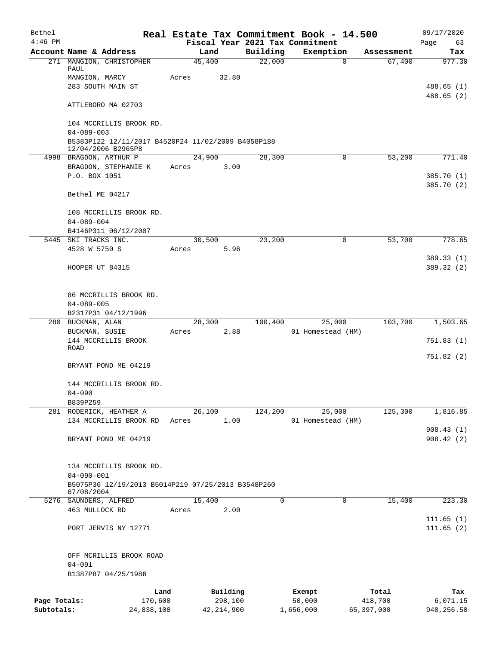| Bethel       |                                                                        | Real Estate Tax Commitment Book - 14.500 |          |                                 |            | 09/17/2020             |
|--------------|------------------------------------------------------------------------|------------------------------------------|----------|---------------------------------|------------|------------------------|
| $4:46$ PM    |                                                                        |                                          |          | Fiscal Year 2021 Tax Commitment |            | Page<br>63             |
|              | Account Name & Address                                                 | Land                                     | Building | Exemption                       | Assessment | Tax<br>977.30          |
|              | 271 MANGION, CHRISTOPHER<br>PAUL                                       | 45,400                                   | 22,000   | $\mathbf 0$                     | 67,400     |                        |
|              | MANGION, MARCY                                                         | 32.80<br>Acres                           |          |                                 |            |                        |
|              | 283 SOUTH MAIN ST                                                      |                                          |          |                                 |            | 488.65(1)              |
|              |                                                                        |                                          |          |                                 |            | 488.65 (2)             |
|              | ATTLEBORO MA 02703                                                     |                                          |          |                                 |            |                        |
|              | 104 MCCRILLIS BROOK RD.                                                |                                          |          |                                 |            |                        |
|              | $04 - 089 - 003$<br>B5383P122 12/11/2017 B4520P24 11/02/2009 B4058P188 |                                          |          |                                 |            |                        |
|              | 12/04/2006 B2965P8                                                     |                                          |          |                                 |            |                        |
|              | 4998 BRAGDON, ARTHUR P                                                 | 24,900                                   | 28,300   | 0                               | 53,200     | 771.40                 |
|              | BRAGDON, STEPHANIE K                                                   | Acres<br>3.00                            |          |                                 |            |                        |
|              | P.O. BOX 1051                                                          |                                          |          |                                 |            | 385.70 (1)             |
|              | Bethel ME 04217                                                        |                                          |          |                                 |            | 385.70 (2)             |
|              |                                                                        |                                          |          |                                 |            |                        |
|              | 108 MCCRILLIS BROOK RD.                                                |                                          |          |                                 |            |                        |
|              | $04 - 089 - 004$                                                       |                                          |          |                                 |            |                        |
|              | B4146P311 06/12/2007<br>5445 SKI TRACKS INC.                           | 30,500                                   | 23,200   | 0                               | 53,700     | 778.65                 |
|              | 4528 W 5750 S                                                          | 5.96<br>Acres                            |          |                                 |            |                        |
|              |                                                                        |                                          |          |                                 |            | 389.33(1)              |
|              | HOOPER UT 84315                                                        |                                          |          |                                 |            | 389.32 (2)             |
|              |                                                                        |                                          |          |                                 |            |                        |
|              | 86 MCCRILLIS BROOK RD.                                                 |                                          |          |                                 |            |                        |
|              | $04 - 089 - 005$<br>B2317P31 04/12/1996                                |                                          |          |                                 |            |                        |
|              | 280 BUCKMAN, ALAN                                                      | 28,300                                   | 100,400  | 25,000                          | 103,700    | 1,503.65               |
|              | BUCKMAN, SUSIE                                                         | 2.88<br>Acres                            |          | 01 Homestead (HM)               |            |                        |
|              | 144 MCCRILLIS BROOK                                                    |                                          |          |                                 |            | 751.83(1)              |
|              | ROAD                                                                   |                                          |          |                                 |            |                        |
|              | BRYANT POND ME 04219                                                   |                                          |          |                                 |            | 751.82(2)              |
|              |                                                                        |                                          |          |                                 |            |                        |
|              | 144 MCCRILLIS BROOK RD.                                                |                                          |          |                                 |            |                        |
|              | $04 - 090$                                                             |                                          |          |                                 |            |                        |
|              | B839P259                                                               |                                          |          |                                 |            |                        |
|              | 281 RODERICK, HEATHER A                                                | 26,100                                   | 124,200  | 25,000                          | 125,300    | 1,816.85               |
|              | 134 MCCRILLIS BROOK RD                                                 | 1.00<br>Acres                            |          | 01 Homestead (HM)               |            |                        |
|              | BRYANT POND ME 04219                                                   |                                          |          |                                 |            | 908.43(1)<br>908.42(2) |
|              |                                                                        |                                          |          |                                 |            |                        |
|              | 134 MCCRILLIS BROOK RD.                                                |                                          |          |                                 |            |                        |
|              | $04 - 090 - 001$                                                       |                                          |          |                                 |            |                        |
|              | B5075P36 12/19/2013 B5014P219 07/25/2013 B3548P260                     |                                          |          |                                 |            |                        |
|              | 07/08/2004<br>5276 SAUNDERS, ALFRED                                    | 15,400                                   | $\Omega$ | 0                               | 15,400     | 223.30                 |
|              | 463 MULLOCK RD                                                         | 2.00<br>Acres                            |          |                                 |            |                        |
|              |                                                                        |                                          |          |                                 |            | 111.65(1)              |
|              | PORT JERVIS NY 12771                                                   |                                          |          |                                 |            | 111.65(2)              |
|              | OFF MCRILLIS BROOK ROAD                                                |                                          |          |                                 |            |                        |
|              | $04 - 091$                                                             |                                          |          |                                 |            |                        |
|              | B1387P87 04/25/1986                                                    |                                          |          |                                 |            |                        |
|              | Land                                                                   | Building                                 |          | Exempt                          | Total      | Tax                    |
| Page Totals: | 170,600                                                                | 298,100                                  |          | 50,000                          | 418,700    | 6,071.15               |
| Subtotals:   | 24,838,100                                                             | 42, 214, 900                             |          | 1,656,000                       | 65,397,000 | 948,256.50             |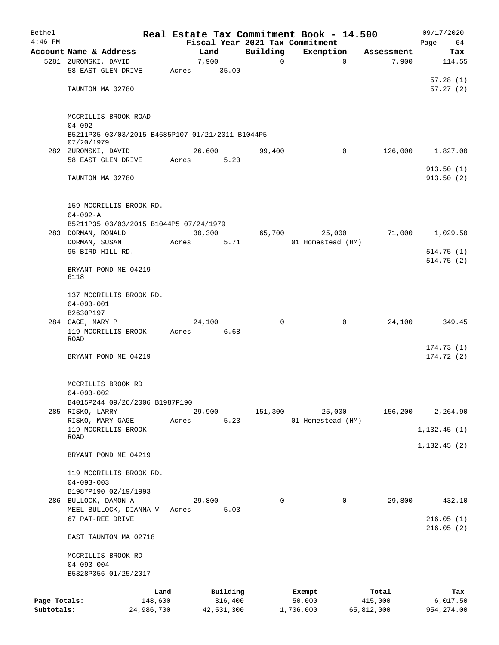| Bethel       |                                                                |                 |                     |             | Real Estate Tax Commitment Book - 14.500     |                  | 09/17/2020      |
|--------------|----------------------------------------------------------------|-----------------|---------------------|-------------|----------------------------------------------|------------------|-----------------|
| $4:46$ PM    | Account Name & Address                                         |                 | Land                | Building    | Fiscal Year 2021 Tax Commitment<br>Exemption | Assessment       | Page<br>64      |
|              | 5281 ZUROMSKI, DAVID                                           |                 | 7,900               | 0           | $\mathbf 0$                                  | 7,900            | Tax<br>114.55   |
|              | 58 EAST GLEN DRIVE                                             | Acres           | 35.00               |             |                                              |                  |                 |
|              |                                                                |                 |                     |             |                                              |                  | 57.28(1)        |
|              | TAUNTON MA 02780                                               |                 |                     |             |                                              |                  | 57.27(2)        |
|              |                                                                |                 |                     |             |                                              |                  |                 |
|              | MCCRILLIS BROOK ROAD                                           |                 |                     |             |                                              |                  |                 |
|              | $04 - 092$                                                     |                 |                     |             |                                              |                  |                 |
|              | B5211P35 03/03/2015 B4685P107 01/21/2011 B1044P5<br>07/20/1979 |                 |                     |             |                                              |                  |                 |
|              | 282 ZUROMSKI, DAVID                                            |                 | 26,600              | 99,400      | $\Omega$                                     | 126,000          | 1,827.00        |
|              | 58 EAST GLEN DRIVE                                             | Acres           | 5.20                |             |                                              |                  |                 |
|              |                                                                |                 |                     |             |                                              |                  | 913.50(1)       |
|              | TAUNTON MA 02780                                               |                 |                     |             |                                              |                  | 913.50(2)       |
|              |                                                                |                 |                     |             |                                              |                  |                 |
|              | 159 MCCRILLIS BROOK RD.                                        |                 |                     |             |                                              |                  |                 |
|              | $04 - 092 - A$                                                 |                 |                     |             |                                              |                  |                 |
|              | B5211P35 03/03/2015 B1044P5 07/24/1979                         |                 |                     |             |                                              |                  |                 |
|              | 283 DORMAN, RONALD                                             |                 | 30,300              | 65,700      | 25,000                                       | 71,000           | 1,029.50        |
|              | DORMAN, SUSAN<br>95 BIRD HILL RD.                              | Acres           | 5.71                |             | 01 Homestead (HM)                            |                  | 514.75(1)       |
|              |                                                                |                 |                     |             |                                              |                  | 514.75(2)       |
|              | BRYANT POND ME 04219                                           |                 |                     |             |                                              |                  |                 |
|              | 6118                                                           |                 |                     |             |                                              |                  |                 |
|              | 137 MCCRILLIS BROOK RD.                                        |                 |                     |             |                                              |                  |                 |
|              | $04 - 093 - 001$                                               |                 |                     |             |                                              |                  |                 |
|              | B2630P197                                                      |                 |                     |             |                                              |                  |                 |
|              | 284 GAGE, MARY P                                               |                 | 24,100              | $\mathbf 0$ | 0                                            | 24,100           | 349.45          |
|              | 119 MCCRILLIS BROOK<br><b>ROAD</b>                             | Acres           | 6.68                |             |                                              |                  |                 |
|              |                                                                |                 |                     |             |                                              |                  | 174.73(1)       |
|              | BRYANT POND ME 04219                                           |                 |                     |             |                                              |                  | 174.72(2)       |
|              | MCCRILLIS BROOK RD                                             |                 |                     |             |                                              |                  |                 |
|              | $04 - 093 - 002$                                               |                 |                     |             |                                              |                  |                 |
|              | B4015P244 09/26/2006 B1987P190                                 |                 |                     |             |                                              |                  |                 |
|              | 285 RISKO, LARRY                                               |                 | 29,900              | 151,300     | 25,000                                       | 156,200          | 2,264.90        |
|              | RISKO, MARY GAGE<br>119 MCCRILLIS BROOK                        | Acres           | 5.23                |             | 01 Homestead (HM)                            |                  | 1, 132.45(1)    |
|              | ROAD                                                           |                 |                     |             |                                              |                  |                 |
|              | BRYANT POND ME 04219                                           |                 |                     |             |                                              |                  | 1, 132.45(2)    |
|              |                                                                |                 |                     |             |                                              |                  |                 |
|              | 119 MCCRILLIS BROOK RD.                                        |                 |                     |             |                                              |                  |                 |
|              | $04 - 093 - 003$                                               |                 |                     |             |                                              |                  |                 |
|              | B1987P190 02/19/1993<br>286 BULLOCK, DAMON A                   |                 | 29,800              | 0           | 0                                            | 29,800           | 432.10          |
|              | MEEL-BULLOCK, DIANNA V                                         | Acres           | 5.03                |             |                                              |                  |                 |
|              | 67 PAT-REE DRIVE                                               |                 |                     |             |                                              |                  | 216.05(1)       |
|              | EAST TAUNTON MA 02718                                          |                 |                     |             |                                              |                  | 216.05(2)       |
|              |                                                                |                 |                     |             |                                              |                  |                 |
|              | MCCRILLIS BROOK RD<br>$04 - 093 - 004$                         |                 |                     |             |                                              |                  |                 |
|              | B5328P356 01/25/2017                                           |                 |                     |             |                                              |                  |                 |
|              |                                                                |                 |                     |             |                                              |                  |                 |
| Page Totals: |                                                                | Land<br>148,600 | Building<br>316,400 |             | Exempt<br>50,000                             | Total<br>415,000 | Tax<br>6,017.50 |
| Subtotals:   | 24,986,700                                                     |                 | 42,531,300          |             | 1,706,000                                    | 65,812,000       | 954, 274.00     |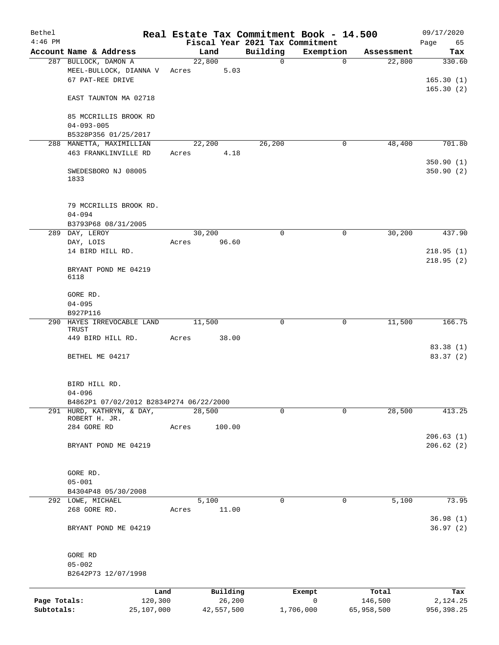| Bethel       |                                                                    |            |       |            |          |             | Real Estate Tax Commitment Book - 14.500 |            |            | 09/17/2020                       |
|--------------|--------------------------------------------------------------------|------------|-------|------------|----------|-------------|------------------------------------------|------------|------------|----------------------------------|
| $4:46$ PM    |                                                                    |            |       |            |          |             | Fiscal Year 2021 Tax Commitment          |            |            | Page<br>65                       |
|              | Account Name & Address                                             |            |       | Land       |          | Building    | Exemption                                |            | Assessment | Tax                              |
|              | 287 BULLOCK, DAMON A<br>MEEL-BULLOCK, DIANNA V<br>67 PAT-REE DRIVE |            | Acres | 22,800     | 5.03     | $\mathbf 0$ | $\mathbf 0$                              |            | 22,800     | 330.60<br>165.30(1)<br>165.30(2) |
|              | EAST TAUNTON MA 02718                                              |            |       |            |          |             |                                          |            |            |                                  |
|              | 85 MCCRILLIS BROOK RD<br>$04 - 093 - 005$                          |            |       |            |          |             |                                          |            |            |                                  |
|              | B5328P356 01/25/2017                                               |            |       |            |          |             |                                          |            |            |                                  |
|              | 288 MANETTA, MAXIMILLIAN                                           |            |       | 22,200     |          | 26,200      | 0                                        |            | 48,400     | 701.80                           |
|              | 463 FRANKLINVILLE RD                                               |            | Acres |            | 4.18     |             |                                          |            |            | 350.90(1)                        |
|              | SWEDESBORO NJ 08005<br>1833                                        |            |       |            |          |             |                                          |            |            | 350.90 (2)                       |
|              | 79 MCCRILLIS BROOK RD.<br>$04 - 094$                               |            |       |            |          |             |                                          |            |            |                                  |
|              | B3793P68 08/31/2005                                                |            |       |            |          |             |                                          |            |            |                                  |
|              | 289 DAY, LEROY                                                     |            |       | 30,200     |          | $\mathbf 0$ | $\mathbf 0$                              |            | 30,200     | 437.90                           |
|              | DAY, LOIS                                                          |            | Acres |            | 96.60    |             |                                          |            |            |                                  |
|              | 14 BIRD HILL RD.                                                   |            |       |            |          |             |                                          |            |            | 218.95(1)                        |
|              | BRYANT POND ME 04219<br>6118                                       |            |       |            |          |             |                                          |            |            | 218.95(2)                        |
|              | GORE RD.                                                           |            |       |            |          |             |                                          |            |            |                                  |
|              | $04 - 095$                                                         |            |       |            |          |             |                                          |            |            |                                  |
| 290          | B927P116<br>HAYES IRREVOCABLE LAND                                 |            |       | 11,500     |          | $\mathbf 0$ | $\mathbf 0$                              |            | 11,500     | 166.75                           |
|              | TRUST                                                              |            |       |            |          |             |                                          |            |            |                                  |
|              | 449 BIRD HILL RD.                                                  |            | Acres |            | 38.00    |             |                                          |            |            |                                  |
|              | BETHEL ME 04217                                                    |            |       |            |          |             |                                          |            |            | 83.38 (1)<br>83.37 (2)           |
|              | BIRD HILL RD.                                                      |            |       |            |          |             |                                          |            |            |                                  |
|              | $04 - 096$                                                         |            |       |            |          |             |                                          |            |            |                                  |
|              | B4862P1 07/02/2012 B2834P274 06/22/2000                            |            |       |            |          |             |                                          |            |            |                                  |
|              | 291 HURD, KATHRYN, & DAY,<br>ROBERT H. JR.                         |            |       | 28,500     |          | $\mathbf 0$ | $\Omega$                                 |            | 28,500     | 413.25                           |
|              | 284 GORE RD                                                        |            | Acres |            | 100.00   |             |                                          |            |            |                                  |
|              |                                                                    |            |       |            |          |             |                                          |            |            | 206.63(1)                        |
|              | BRYANT POND ME 04219                                               |            |       |            |          |             |                                          |            |            | 206.62(2)                        |
|              | GORE RD.                                                           |            |       |            |          |             |                                          |            |            |                                  |
|              | $05 - 001$                                                         |            |       |            |          |             |                                          |            |            |                                  |
|              | B4304P48 05/30/2008<br>292 LOWE, MICHAEL                           |            |       | 5,100      |          | 0           | 0                                        |            | 5,100      |                                  |
|              | 268 GORE RD.                                                       |            | Acres |            | 11.00    |             |                                          |            |            | 73.95                            |
|              |                                                                    |            |       |            |          |             |                                          |            |            | 36.98(1)                         |
|              | BRYANT POND ME 04219                                               |            |       |            |          |             |                                          |            |            | 36.97(2)                         |
|              | GORE RD                                                            |            |       |            |          |             |                                          |            |            |                                  |
|              | $05 - 002$                                                         |            |       |            |          |             |                                          |            |            |                                  |
|              | B2642P73 12/07/1998                                                |            |       |            |          |             |                                          |            |            |                                  |
|              |                                                                    | Land       |       |            | Building |             | Exempt                                   |            | Total      | Tax                              |
| Page Totals: |                                                                    | 120,300    |       |            | 26,200   |             | 0                                        | 146,500    |            | 2,124.25                         |
| Subtotals:   |                                                                    | 25,107,000 |       | 42,557,500 |          |             | 1,706,000                                | 65,958,500 |            | 956,398.25                       |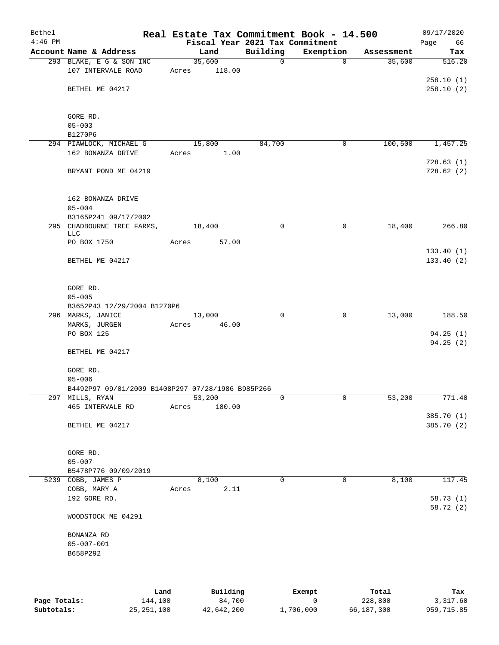| Bethel<br>$4:46$ PM |                                                   |       |                  |             | Real Estate Tax Commitment Book - 14.500<br>Fiscal Year 2021 Tax Commitment |            | 09/17/2020<br>Page<br>66 |
|---------------------|---------------------------------------------------|-------|------------------|-------------|-----------------------------------------------------------------------------|------------|--------------------------|
|                     | Account Name & Address                            |       | Land             | Building    | Exemption                                                                   | Assessment | Tax                      |
|                     | 293 BLAKE, E G & SON INC                          |       | 35,600           | $\mathbf 0$ | 0                                                                           | 35,600     | 516.20                   |
|                     | 107 INTERVALE ROAD                                | Acres | 118.00           |             |                                                                             |            |                          |
|                     |                                                   |       |                  |             |                                                                             |            | 258.10(1)                |
|                     | BETHEL ME 04217                                   |       |                  |             |                                                                             |            | 258.10(2)                |
|                     |                                                   |       |                  |             |                                                                             |            |                          |
|                     |                                                   |       |                  |             |                                                                             |            |                          |
|                     | GORE RD.<br>$05 - 003$                            |       |                  |             |                                                                             |            |                          |
|                     | B1270P6                                           |       |                  |             |                                                                             |            |                          |
|                     | 294 PIAWLOCK, MICHAEL G                           |       | 15,800           | 84,700      | 0                                                                           | 100,500    | 1,457.25                 |
|                     | 162 BONANZA DRIVE                                 | Acres | 1.00             |             |                                                                             |            |                          |
|                     |                                                   |       |                  |             |                                                                             |            | 728.63(1)                |
|                     | BRYANT POND ME 04219                              |       |                  |             |                                                                             |            | 728.62(2)                |
|                     |                                                   |       |                  |             |                                                                             |            |                          |
|                     |                                                   |       |                  |             |                                                                             |            |                          |
|                     | 162 BONANZA DRIVE<br>$05 - 004$                   |       |                  |             |                                                                             |            |                          |
|                     | B3165P241 09/17/2002                              |       |                  |             |                                                                             |            |                          |
|                     | 295 CHADBOURNE TREE FARMS,                        |       | 18,400           | 0           | 0                                                                           | 18,400     | 266.80                   |
|                     | <b>LLC</b>                                        |       |                  |             |                                                                             |            |                          |
|                     | PO BOX 1750                                       | Acres | 57.00            |             |                                                                             |            |                          |
|                     | BETHEL ME 04217                                   |       |                  |             |                                                                             |            | 133.40(1)<br>133.40(2)   |
|                     |                                                   |       |                  |             |                                                                             |            |                          |
|                     |                                                   |       |                  |             |                                                                             |            |                          |
|                     | GORE RD.                                          |       |                  |             |                                                                             |            |                          |
|                     | $05 - 005$                                        |       |                  |             |                                                                             |            |                          |
|                     | B3652P43 12/29/2004 B1270P6                       |       |                  |             |                                                                             |            |                          |
|                     | 296 MARKS, JANICE                                 |       | 13,000           | $\mathbf 0$ | 0                                                                           | 13,000     | 188.50                   |
|                     | MARKS, JURGEN<br>PO BOX 125                       | Acres | 46.00            |             |                                                                             |            | 94.25 (1)                |
|                     |                                                   |       |                  |             |                                                                             |            | 94.25(2)                 |
|                     | BETHEL ME 04217                                   |       |                  |             |                                                                             |            |                          |
|                     |                                                   |       |                  |             |                                                                             |            |                          |
|                     | GORE RD.                                          |       |                  |             |                                                                             |            |                          |
|                     | $05 - 006$                                        |       |                  |             |                                                                             |            |                          |
|                     | B4492P97 09/01/2009 B1408P297 07/28/1986 B985P266 |       |                  |             |                                                                             |            |                          |
|                     | 297 MILLS, RYAN<br>465 INTERVALE RD               | Acres | 53,200<br>180.00 | 0           | 0                                                                           | 53,200     | 771.40                   |
|                     |                                                   |       |                  |             |                                                                             |            | 385.70 (1)               |
|                     | BETHEL ME 04217                                   |       |                  |             |                                                                             |            | 385.70 (2)               |
|                     |                                                   |       |                  |             |                                                                             |            |                          |
|                     |                                                   |       |                  |             |                                                                             |            |                          |
|                     | GORE RD.                                          |       |                  |             |                                                                             |            |                          |
|                     | $05 - 007$<br>B5478P776 09/09/2019                |       |                  |             |                                                                             |            |                          |
|                     | 5239 COBB, JAMES P                                |       | 8,100            | $\Omega$    | $\Omega$                                                                    | 8,100      | 117.45                   |
|                     | COBB, MARY A                                      | Acres | 2.11             |             |                                                                             |            |                          |
|                     | 192 GORE RD.                                      |       |                  |             |                                                                             |            | 58.73 (1)                |
|                     |                                                   |       |                  |             |                                                                             |            | 58.72 (2)                |
|                     | WOODSTOCK ME 04291                                |       |                  |             |                                                                             |            |                          |
|                     |                                                   |       |                  |             |                                                                             |            |                          |
|                     | BONANZA RD<br>$05 - 007 - 001$                    |       |                  |             |                                                                             |            |                          |
|                     | B658P292                                          |       |                  |             |                                                                             |            |                          |
|                     |                                                   |       |                  |             |                                                                             |            |                          |
|                     |                                                   |       |                  |             |                                                                             |            |                          |
|                     |                                                   |       |                  |             |                                                                             |            |                          |
|                     | Land                                              |       | Building         |             | Exempt                                                                      | Total      | Tax                      |

|              | Land         | Building   | Exempt    | Total      | Tax        |
|--------------|--------------|------------|-----------|------------|------------|
| Page Totals: | 144,100      | 84,700     |           | 228,800    | 3,317.60   |
| Subtotals:   | 25, 251, 100 | 42,642,200 | 1,706,000 | 66,187,300 | 959,715.85 |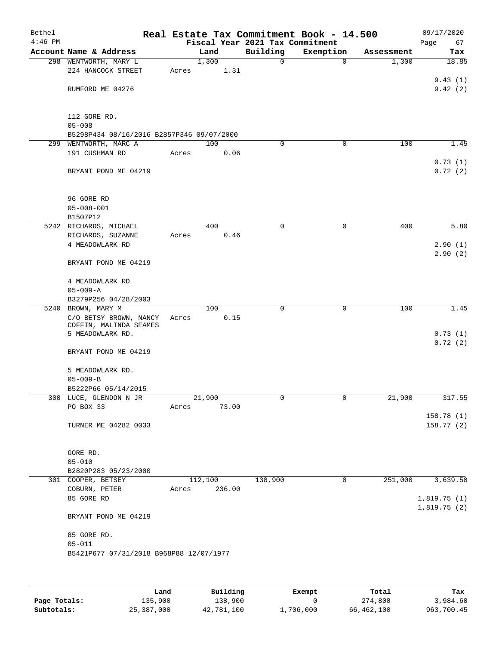| Bethel<br>$4:46$ PM |                                                  |       |         |        | Fiscal Year 2021 Tax Commitment | Real Estate Tax Commitment Book - 14.500 |            | 09/17/2020<br>Page<br>67 |
|---------------------|--------------------------------------------------|-------|---------|--------|---------------------------------|------------------------------------------|------------|--------------------------|
|                     | Account Name & Address                           |       | Land    |        | Building                        | Exemption                                | Assessment | Tax                      |
|                     | 298 WENTWORTH, MARY L                            |       | 1,300   |        | 0                               | $\mathbf 0$                              | 1,300      | 18.85                    |
|                     | 224 HANCOCK STREET                               | Acres |         | 1.31   |                                 |                                          |            |                          |
|                     |                                                  |       |         |        |                                 |                                          |            | 9.43(1)                  |
|                     | RUMFORD ME 04276                                 |       |         |        |                                 |                                          |            | 9.42(2)                  |
|                     |                                                  |       |         |        |                                 |                                          |            |                          |
|                     | 112 GORE RD.                                     |       |         |        |                                 |                                          |            |                          |
|                     | $05 - 008$                                       |       |         |        |                                 |                                          |            |                          |
|                     | B5298P434 08/16/2016 B2857P346 09/07/2000        |       |         |        |                                 |                                          |            |                          |
|                     | 299 WENTWORTH, MARC A                            |       | 100     |        | $\Omega$                        | 0                                        | 100        | 1.45                     |
|                     | 191 CUSHMAN RD                                   | Acres |         | 0.06   |                                 |                                          |            | 0.73(1)                  |
|                     | BRYANT POND ME 04219                             |       |         |        |                                 |                                          |            | 0.72(2)                  |
|                     |                                                  |       |         |        |                                 |                                          |            |                          |
|                     | 96 GORE RD<br>$05 - 008 - 001$                   |       |         |        |                                 |                                          |            |                          |
|                     | B1507P12                                         |       |         |        |                                 |                                          |            |                          |
|                     | 5242 RICHARDS, MICHAEL                           |       | 400     |        | 0                               | 0                                        | 400        | 5.80                     |
|                     | RICHARDS, SUZANNE                                | Acres |         | 0.46   |                                 |                                          |            |                          |
|                     | 4 MEADOWLARK RD                                  |       |         |        |                                 |                                          |            | 2.90(1)                  |
|                     | BRYANT POND ME 04219                             |       |         |        |                                 |                                          |            | 2.90(2)                  |
|                     | 4 MEADOWLARK RD                                  |       |         |        |                                 |                                          |            |                          |
|                     | $05 - 009 - A$                                   |       |         |        |                                 |                                          |            |                          |
|                     | B3279P256 04/28/2003                             |       |         |        |                                 |                                          |            |                          |
|                     | 5240 BROWN, MARY M                               |       | 100     |        | $\Omega$                        | $\mathbf 0$                              | 100        | 1.45                     |
|                     | C/O BETSY BROWN, NANCY<br>COFFIN, MALINDA SEAMES | Acres |         | 0.15   |                                 |                                          |            |                          |
|                     | 5 MEADOWLARK RD.                                 |       |         |        |                                 |                                          |            | 0.73(1)                  |
|                     | BRYANT POND ME 04219                             |       |         |        |                                 |                                          |            | 0.72(2)                  |
|                     | 5 MEADOWLARK RD.                                 |       |         |        |                                 |                                          |            |                          |
|                     | $05 - 009 - B$                                   |       |         |        |                                 |                                          |            |                          |
|                     | B5222P66 05/14/2015                              |       |         |        |                                 |                                          |            |                          |
|                     | 300 LUCE, GLENDON N JR<br>PO BOX 33              |       | 21,900  | 73.00  | 0                               | $\overline{0}$                           | 21,900     | 317.55                   |
|                     |                                                  | Acres |         |        |                                 |                                          |            | 158.78 (1)               |
|                     | TURNER ME 04282 0033                             |       |         |        |                                 |                                          |            | 158.77 (2)               |
|                     |                                                  |       |         |        |                                 |                                          |            |                          |
|                     | GORE RD.                                         |       |         |        |                                 |                                          |            |                          |
|                     | $05 - 010$                                       |       |         |        |                                 |                                          |            |                          |
|                     | B2820P283 05/23/2000                             |       |         |        |                                 |                                          |            |                          |
|                     | 301 COOPER, BETSEY                               |       | 112,100 | 236.00 | 138,900                         | 0                                        | 251,000    | 3,639.50                 |
|                     | COBURN, PETER<br>85 GORE RD                      | Acres |         |        |                                 |                                          |            | 1,819.75(1)              |
|                     |                                                  |       |         |        |                                 |                                          |            | 1,819.75(2)              |
|                     | BRYANT POND ME 04219                             |       |         |        |                                 |                                          |            |                          |
|                     | 85 GORE RD.                                      |       |         |        |                                 |                                          |            |                          |
|                     | $05 - 011$                                       |       |         |        |                                 |                                          |            |                          |
|                     | B5421P677 07/31/2018 B968P88 12/07/1977          |       |         |        |                                 |                                          |            |                          |
|                     |                                                  |       |         |        |                                 |                                          |            |                          |
|                     |                                                  |       |         |        |                                 |                                          |            |                          |
|                     |                                                  |       |         |        |                                 |                                          |            |                          |

|              | Land       | Building   | Exempt    | Total      | Tax        |
|--------------|------------|------------|-----------|------------|------------|
| Page Totals: | 135,900    | 138,900    |           | 274,800    | 3,984.60   |
| Subtotals:   | 25,387,000 | 42,781,100 | 1,706,000 | 66,462,100 | 963,700.45 |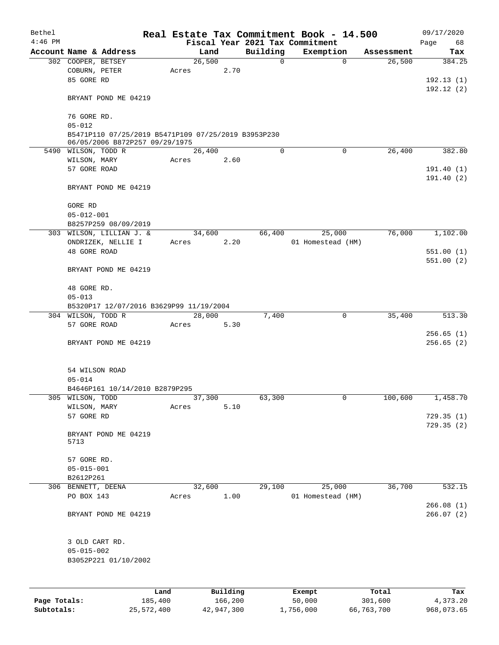| Bethel       |                                                                                       |        |                     |          | Real Estate Tax Commitment Book - 14.500 |                  | 09/17/2020             |
|--------------|---------------------------------------------------------------------------------------|--------|---------------------|----------|------------------------------------------|------------------|------------------------|
| $4:46$ PM    |                                                                                       |        |                     |          | Fiscal Year 2021 Tax Commitment          |                  | Page<br>68             |
|              | Account Name & Address                                                                | Land   |                     | Building | Exemption                                | Assessment       | Tax                    |
|              | 302 COOPER, BETSEY                                                                    | 26,500 |                     | 0        | $\mathbf 0$                              | 26,500           | 384.25                 |
|              | COBURN, PETER<br>85 GORE RD                                                           | Acres  | 2.70                |          |                                          |                  |                        |
|              |                                                                                       |        |                     |          |                                          |                  | 192.13(1)<br>192.12(2) |
|              | BRYANT POND ME 04219                                                                  |        |                     |          |                                          |                  |                        |
|              | 76 GORE RD.                                                                           |        |                     |          |                                          |                  |                        |
|              | $05 - 012$                                                                            |        |                     |          |                                          |                  |                        |
|              | B5471P110 07/25/2019 B5471P109 07/25/2019 B3953P230<br>06/05/2006 B872P257 09/29/1975 |        |                     |          |                                          |                  |                        |
|              | 5490 WILSON, TODD R                                                                   | 26,400 |                     | 0        | 0                                        | 26,400           | 382.80                 |
|              | WILSON, MARY                                                                          | Acres  | 2.60                |          |                                          |                  |                        |
|              | 57 GORE ROAD                                                                          |        |                     |          |                                          |                  | 191.40(1)              |
|              | BRYANT POND ME 04219                                                                  |        |                     |          |                                          |                  | 191.40 (2)             |
|              | GORE RD                                                                               |        |                     |          |                                          |                  |                        |
|              | $05 - 012 - 001$                                                                      |        |                     |          |                                          |                  |                        |
|              | B8257P259 08/09/2019                                                                  |        |                     |          |                                          |                  |                        |
|              | 303 WILSON, LILLIAN J. &                                                              | 34,600 |                     | 66,400   | 25,000                                   | 76,000           | 1,102.00               |
|              | ONDRIZEK, NELLIE I                                                                    | Acres  | 2.20                |          | 01 Homestead (HM)                        |                  |                        |
|              | 48 GORE ROAD                                                                          |        |                     |          |                                          |                  | 551.00(1)              |
|              | BRYANT POND ME 04219                                                                  |        |                     |          |                                          |                  | 551.00(2)              |
|              | 48 GORE RD.                                                                           |        |                     |          |                                          |                  |                        |
|              | $05 - 013$                                                                            |        |                     |          |                                          |                  |                        |
|              | B5320P17 12/07/2016 B3629P99 11/19/2004                                               |        |                     |          |                                          |                  |                        |
|              | 304 WILSON, TODD R                                                                    | 28,000 |                     | 7,400    | $\mathbf 0$                              | 35,400           | 513.30                 |
|              | 57 GORE ROAD                                                                          | Acres  | 5.30                |          |                                          |                  |                        |
|              |                                                                                       |        |                     |          |                                          |                  | 256.65(1)              |
|              | BRYANT POND ME 04219                                                                  |        |                     |          |                                          |                  | 256.65(2)              |
|              | 54 WILSON ROAD                                                                        |        |                     |          |                                          |                  |                        |
|              | $05 - 014$                                                                            |        |                     |          |                                          |                  |                        |
|              | B4646P161 10/14/2010 B2879P295                                                        |        |                     |          |                                          |                  |                        |
|              | 305 WILSON, TODD                                                                      | 37,300 |                     | 63,300   | 0                                        | 100,600          | 1,458.70               |
|              | WILSON, MARY                                                                          | Acres  | 5.10                |          |                                          |                  |                        |
|              | 57 GORE RD                                                                            |        |                     |          |                                          |                  | 729.35(1)              |
|              |                                                                                       |        |                     |          |                                          |                  | 729.35(2)              |
|              | BRYANT POND ME 04219<br>5713                                                          |        |                     |          |                                          |                  |                        |
|              | 57 GORE RD.                                                                           |        |                     |          |                                          |                  |                        |
|              | $05 - 015 - 001$                                                                      |        |                     |          |                                          |                  |                        |
|              | B2612P261                                                                             |        |                     |          |                                          |                  |                        |
|              | 306 BENNETT, DEENA                                                                    | 32,600 |                     | 29,100   | 25,000                                   | 36,700           | 532.15                 |
|              | PO BOX 143                                                                            | Acres  | 1.00                |          | 01 Homestead (HM)                        |                  | 266.08(1)              |
|              | BRYANT POND ME 04219                                                                  |        |                     |          |                                          |                  | 266.07(2)              |
|              | 3 OLD CART RD.                                                                        |        |                     |          |                                          |                  |                        |
|              | $05 - 015 - 002$                                                                      |        |                     |          |                                          |                  |                        |
|              | B3052P221 01/10/2002                                                                  |        |                     |          |                                          |                  |                        |
|              |                                                                                       |        |                     |          |                                          |                  |                        |
|              |                                                                                       |        |                     |          |                                          |                  |                        |
| Page Totals: | Land<br>185,400                                                                       |        | Building<br>166,200 |          | Exempt<br>50,000                         | Total<br>301,600 | Tax<br>4,373.20        |

**Subtotals:** 25,572,400 42,947,300 1,756,000 66,763,700 968,073.65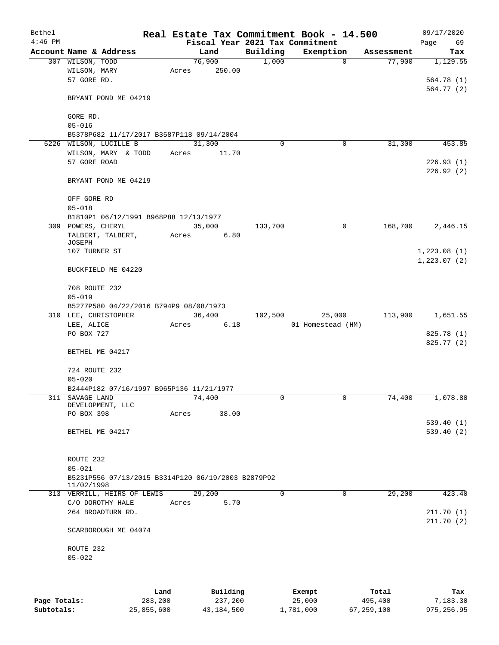| Bethel    |                                                    |       |        |             | Real Estate Tax Commitment Book - 14.500 |            | 09/17/2020   |
|-----------|----------------------------------------------------|-------|--------|-------------|------------------------------------------|------------|--------------|
| $4:46$ PM |                                                    |       |        |             | Fiscal Year 2021 Tax Commitment          |            | Page<br>69   |
|           | Account Name & Address                             |       | Land   | Building    | Exemption                                | Assessment | Tax          |
|           | 307 WILSON, TODD                                   |       | 76,900 | 1,000       | $\mathbf 0$                              | 77,900     | 1,129.55     |
|           | WILSON, MARY                                       | Acres | 250.00 |             |                                          |            |              |
|           | 57 GORE RD.                                        |       |        |             |                                          |            | 564.78 (1)   |
|           |                                                    |       |        |             |                                          |            | 564.77 (2)   |
|           | BRYANT POND ME 04219                               |       |        |             |                                          |            |              |
|           | GORE RD.                                           |       |        |             |                                          |            |              |
|           | $05 - 016$                                         |       |        |             |                                          |            |              |
|           | B5378P682 11/17/2017 B3587P118 09/14/2004          |       |        |             |                                          |            |              |
|           | 5226 WILSON, LUCILLE B                             |       | 31,300 | $\mathbf 0$ | 0                                        | 31,300     | 453.85       |
|           | WILSON, MARY & TODD                                | Acres | 11.70  |             |                                          |            |              |
|           | 57 GORE ROAD                                       |       |        |             |                                          |            | 226.93(1)    |
|           |                                                    |       |        |             |                                          |            | 226.92(2)    |
|           | BRYANT POND ME 04219                               |       |        |             |                                          |            |              |
|           |                                                    |       |        |             |                                          |            |              |
|           | OFF GORE RD                                        |       |        |             |                                          |            |              |
|           | $05 - 018$                                         |       |        |             |                                          |            |              |
|           | B1810P1 06/12/1991 B968P88 12/13/1977              |       |        |             |                                          |            |              |
|           | 309 POWERS, CHERYL                                 |       | 35,000 | 133,700     | 0                                        | 168,700    | 2,446.15     |
|           | TALBERT, TALBERT,                                  | Acres | 6.80   |             |                                          |            |              |
|           | JOSEPH                                             |       |        |             |                                          |            |              |
|           | 107 TURNER ST                                      |       |        |             |                                          |            | 1, 223.08(1) |
|           |                                                    |       |        |             |                                          |            | 1, 223.07(2) |
|           | BUCKFIELD ME 04220                                 |       |        |             |                                          |            |              |
|           |                                                    |       |        |             |                                          |            |              |
|           | 708 ROUTE 232                                      |       |        |             |                                          |            |              |
|           | $05 - 019$                                         |       |        |             |                                          |            |              |
|           | B5277P580 04/22/2016 B794P9 08/08/1973             |       |        |             |                                          |            |              |
|           | 310 LEE, CHRISTOPHER                               |       | 36,400 | 102,500     | 25,000                                   | 113,900    | 1,651.55     |
|           | LEE, ALICE                                         | Acres | 6.18   |             | 01 Homestead (HM)                        |            |              |
|           | PO BOX 727                                         |       |        |             |                                          |            | 825.78 (1)   |
|           |                                                    |       |        |             |                                          |            | 825.77 (2)   |
|           | BETHEL ME 04217                                    |       |        |             |                                          |            |              |
|           |                                                    |       |        |             |                                          |            |              |
|           | 724 ROUTE 232                                      |       |        |             |                                          |            |              |
|           | $05 - 020$                                         |       |        |             |                                          |            |              |
|           | B2444P182 07/16/1997 B965P136 11/21/1977           |       |        |             |                                          |            |              |
|           | 311 SAVAGE LAND<br>DEVELOPMENT, LLC                |       | 74,400 | 0           | $\mathbf{0}$                             | 74,400     | 1,078.80     |
|           | PO BOX 398                                         | Acres | 38.00  |             |                                          |            |              |
|           |                                                    |       |        |             |                                          |            | 539.40(1)    |
|           | BETHEL ME 04217                                    |       |        |             |                                          |            | 539.40(2)    |
|           |                                                    |       |        |             |                                          |            |              |
|           |                                                    |       |        |             |                                          |            |              |
|           | ROUTE 232                                          |       |        |             |                                          |            |              |
|           | $05 - 021$                                         |       |        |             |                                          |            |              |
|           | B5231P556 07/13/2015 B3314P120 06/19/2003 B2879P92 |       |        |             |                                          |            |              |
|           | 11/02/1998                                         |       |        |             |                                          |            |              |
|           | 313 VERRILL, HEIRS OF LEWIS                        |       | 29,200 | $\Omega$    | 0                                        | 29,200     | 423.40       |
|           | C/O DOROTHY HALE                                   | Acres | 5.70   |             |                                          |            |              |
|           | 264 BROADTURN RD.                                  |       |        |             |                                          |            | 211.70(1)    |
|           |                                                    |       |        |             |                                          |            | 211.70(2)    |
|           | SCARBOROUGH ME 04074                               |       |        |             |                                          |            |              |
|           |                                                    |       |        |             |                                          |            |              |
|           | ROUTE 232                                          |       |        |             |                                          |            |              |
|           | $05 - 022$                                         |       |        |             |                                          |            |              |
|           |                                                    |       |        |             |                                          |            |              |
|           |                                                    |       |        |             |                                          |            |              |
|           |                                                    |       |        |             |                                          |            |              |

|              | Land       | Building   | Exempt    | Total      | Tax        |
|--------------|------------|------------|-----------|------------|------------|
| Page Totals: | 283,200    | 237,200    | 25,000    | 495,400    | 7,183.30   |
| Subtotals:   | 25,855,600 | 43,184,500 | 1,781,000 | 67,259,100 | 975,256.95 |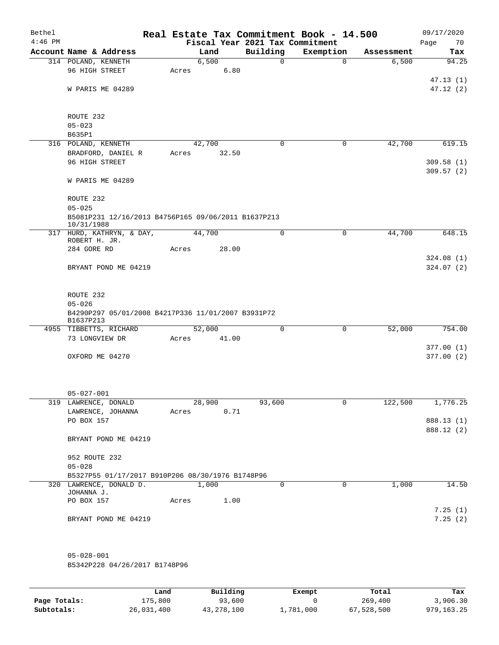| Bethel<br>$4:46$ PM |                              |                                                     |       |        |       | Real Estate Tax Commitment Book - 14.500<br>Fiscal Year 2021 Tax Commitment |           |             |            |      | 09/17/2020<br>70       |
|---------------------|------------------------------|-----------------------------------------------------|-------|--------|-------|-----------------------------------------------------------------------------|-----------|-------------|------------|------|------------------------|
|                     |                              | Account Name & Address                              |       | Land   |       | Building                                                                    | Exemption |             | Assessment | Page | Tax                    |
|                     | 314 POLAND, KENNETH          |                                                     |       | 6,500  |       | $\Omega$                                                                    |           | $\Omega$    | 6,500      |      | 94.25                  |
|                     | 96 HIGH STREET               |                                                     | Acres |        | 6.80  |                                                                             |           |             |            |      |                        |
|                     |                              |                                                     |       |        |       |                                                                             |           |             |            |      | 47.13(1)               |
|                     |                              | W PARIS ME 04289                                    |       |        |       |                                                                             |           |             |            |      | 47.12(2)               |
|                     |                              |                                                     |       |        |       |                                                                             |           |             |            |      |                        |
|                     |                              |                                                     |       |        |       |                                                                             |           |             |            |      |                        |
|                     | ROUTE 232                    |                                                     |       |        |       |                                                                             |           |             |            |      |                        |
|                     | $05 - 023$                   |                                                     |       |        |       |                                                                             |           |             |            |      |                        |
|                     | B635P1                       |                                                     |       |        |       |                                                                             |           |             |            |      |                        |
|                     | 316 POLAND, KENNETH          |                                                     |       | 42,700 |       | $\mathbf 0$                                                                 |           | $\mathbf 0$ | 42,700     |      | 619.15                 |
|                     |                              | BRADFORD, DANIEL R                                  | Acres |        | 32.50 |                                                                             |           |             |            |      |                        |
|                     | 96 HIGH STREET               |                                                     |       |        |       |                                                                             |           |             |            |      | 309.58(1)<br>309.57(2) |
|                     |                              | W PARIS ME 04289                                    |       |        |       |                                                                             |           |             |            |      |                        |
|                     |                              |                                                     |       |        |       |                                                                             |           |             |            |      |                        |
|                     | ROUTE 232                    |                                                     |       |        |       |                                                                             |           |             |            |      |                        |
|                     | $05 - 025$                   |                                                     |       |        |       |                                                                             |           |             |            |      |                        |
|                     |                              | B5081P231 12/16/2013 B4756P165 09/06/2011 B1637P213 |       |        |       |                                                                             |           |             |            |      |                        |
|                     | 10/31/1988                   |                                                     |       |        |       |                                                                             |           |             |            |      |                        |
|                     |                              | 317 HURD, KATHRYN, & DAY,                           |       | 44,700 |       | $\mathbf 0$                                                                 |           | $\mathbf 0$ | 44,700     |      | 648.15                 |
|                     | ROBERT H. JR.<br>284 GORE RD |                                                     |       |        | 28.00 |                                                                             |           |             |            |      |                        |
|                     |                              |                                                     | Acres |        |       |                                                                             |           |             |            |      | 324.08(1)              |
|                     |                              | BRYANT POND ME 04219                                |       |        |       |                                                                             |           |             |            |      | 324.07(2)              |
|                     |                              |                                                     |       |        |       |                                                                             |           |             |            |      |                        |
|                     |                              |                                                     |       |        |       |                                                                             |           |             |            |      |                        |
|                     | ROUTE 232                    |                                                     |       |        |       |                                                                             |           |             |            |      |                        |
|                     | $05 - 026$                   |                                                     |       |        |       |                                                                             |           |             |            |      |                        |
|                     |                              | B4290P297 05/01/2008 B4217P336 11/01/2007 B3931P72  |       |        |       |                                                                             |           |             |            |      |                        |
|                     | B1637P213                    |                                                     |       |        |       |                                                                             |           |             |            |      |                        |
|                     |                              | 4955 TIBBETTS, RICHARD                              |       | 52,000 |       | $\overline{0}$                                                              |           | 0           | 52,000     |      | 754.00                 |
|                     | 73 LONGVIEW DR               |                                                     | Acres |        | 41.00 |                                                                             |           |             |            |      |                        |
|                     |                              |                                                     |       |        |       |                                                                             |           |             |            |      | 377.00(1)<br>377.00(2) |
|                     | OXFORD ME 04270              |                                                     |       |        |       |                                                                             |           |             |            |      |                        |
|                     |                              |                                                     |       |        |       |                                                                             |           |             |            |      |                        |
|                     |                              |                                                     |       |        |       |                                                                             |           |             |            |      |                        |
|                     | $05 - 027 - 001$             |                                                     |       |        |       |                                                                             |           |             |            |      |                        |
|                     |                              | 319 LAWRENCE, DONALD                                |       | 28,900 |       | 93,600                                                                      |           | 0           | 122,500    |      | 1,776.25               |
|                     |                              | LAWRENCE, JOHANNA                                   | Acres |        | 0.71  |                                                                             |           |             |            |      |                        |
|                     | PO BOX 157                   |                                                     |       |        |       |                                                                             |           |             |            |      | 888.13 (1)             |
|                     |                              |                                                     |       |        |       |                                                                             |           |             |            |      | 888.12 (2)             |
|                     |                              | BRYANT POND ME 04219                                |       |        |       |                                                                             |           |             |            |      |                        |
|                     |                              |                                                     |       |        |       |                                                                             |           |             |            |      |                        |
|                     | 952 ROUTE 232                |                                                     |       |        |       |                                                                             |           |             |            |      |                        |
|                     | $05 - 028$                   |                                                     |       |        |       |                                                                             |           |             |            |      |                        |
|                     |                              | B5327P55 01/17/2017 B910P206 08/30/1976 B1748P96    |       |        |       |                                                                             |           |             |            |      |                        |
|                     | JOHANNA J.                   | 320 LAWRENCE, DONALD D.                             |       | 1,000  |       | 0                                                                           |           | 0           | 1,000      |      | 14.50                  |
|                     | PO BOX 157                   |                                                     | Acres |        | 1.00  |                                                                             |           |             |            |      |                        |
|                     |                              |                                                     |       |        |       |                                                                             |           |             |            |      | 7.25(1)                |
|                     |                              | BRYANT POND ME 04219                                |       |        |       |                                                                             |           |             |            |      | 7.25(2)                |
|                     |                              |                                                     |       |        |       |                                                                             |           |             |            |      |                        |
|                     |                              |                                                     |       |        |       |                                                                             |           |             |            |      |                        |
|                     |                              |                                                     |       |        |       |                                                                             |           |             |            |      |                        |
|                     | $05 - 028 - 001$             |                                                     |       |        |       |                                                                             |           |             |            |      |                        |

B5342P228 04/26/2017 B1748P96

|              | Land       | Building   | Exempt    | Total      | Tax        |
|--------------|------------|------------|-----------|------------|------------|
| Page Totals: | 175,800    | 93,600     |           | 269,400    | 3,906.30   |
| Subtotals:   | 26,031,400 | 43,278,100 | 1,781,000 | 67,528,500 | 979,163.25 |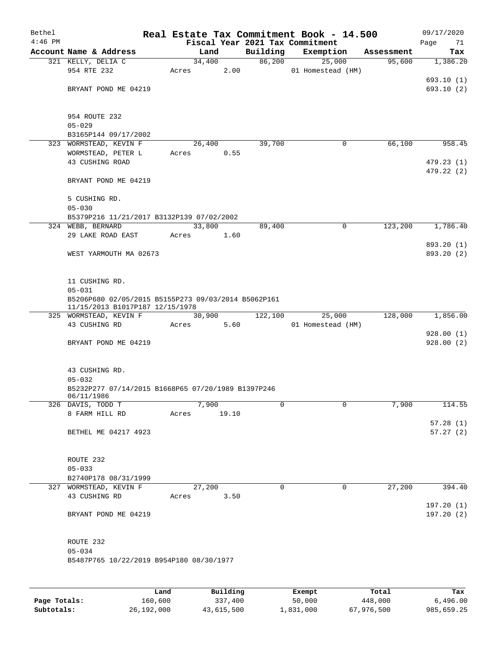| Bethel<br>$4:46$ PM |                                                                                        |       |                      |             | Real Estate Tax Commitment Book - 14.500<br>Fiscal Year 2021 Tax Commitment |            | 09/17/2020<br>Page<br>71 |
|---------------------|----------------------------------------------------------------------------------------|-------|----------------------|-------------|-----------------------------------------------------------------------------|------------|--------------------------|
|                     | Account Name & Address                                                                 |       | Land                 | Building    | Exemption                                                                   | Assessment | Tax                      |
|                     | 321 KELLY, DELIA C                                                                     |       | 34,400               | 86,200      | 25,000                                                                      | 95,600     | 1,386.20                 |
|                     | 954 RTE 232                                                                            | Acres | 2.00                 |             | 01 Homestead (HM)                                                           |            |                          |
|                     |                                                                                        |       |                      |             |                                                                             |            | 693.10(1)                |
|                     | BRYANT POND ME 04219                                                                   |       |                      |             |                                                                             |            | 693.10 (2)               |
|                     |                                                                                        |       |                      |             |                                                                             |            |                          |
|                     |                                                                                        |       |                      |             |                                                                             |            |                          |
|                     | 954 ROUTE 232                                                                          |       |                      |             |                                                                             |            |                          |
|                     | $05 - 029$                                                                             |       |                      |             |                                                                             |            |                          |
|                     | B3165P144 09/17/2002<br>323 WORMSTEAD, KEVIN F                                         |       | 26,400               | 39,700      | 0                                                                           | 66,100     | 958.45                   |
|                     | WORMSTEAD, PETER L                                                                     | Acres | 0.55                 |             |                                                                             |            |                          |
|                     | 43 CUSHING ROAD                                                                        |       |                      |             |                                                                             |            | 479.23(1)                |
|                     |                                                                                        |       |                      |             |                                                                             |            | 479.22 (2)               |
|                     | BRYANT POND ME 04219                                                                   |       |                      |             |                                                                             |            |                          |
|                     |                                                                                        |       |                      |             |                                                                             |            |                          |
|                     | 5 CUSHING RD.                                                                          |       |                      |             |                                                                             |            |                          |
|                     | $05 - 030$                                                                             |       |                      |             |                                                                             |            |                          |
|                     | B5379P216 11/21/2017 B3132P139 07/02/2002<br>324 WEBB, BERNARD                         |       | 33,800               | 89,400      | $\mathbf 0$                                                                 | 123,200    | 1,786.40                 |
|                     | 29 LAKE ROAD EAST                                                                      | Acres | 1.60                 |             |                                                                             |            |                          |
|                     |                                                                                        |       |                      |             |                                                                             |            | 893.20 (1)               |
|                     | WEST YARMOUTH MA 02673                                                                 |       |                      |             |                                                                             |            | 893.20 (2)               |
|                     |                                                                                        |       |                      |             |                                                                             |            |                          |
|                     |                                                                                        |       |                      |             |                                                                             |            |                          |
|                     | 11 CUSHING RD.                                                                         |       |                      |             |                                                                             |            |                          |
|                     | $05 - 031$                                                                             |       |                      |             |                                                                             |            |                          |
|                     | B5206P680 02/05/2015 B5155P273 09/03/2014 B5062P161<br>11/15/2013 B1017P187 12/15/1978 |       |                      |             |                                                                             |            |                          |
|                     | 325 WORMSTEAD, KEVIN F                                                                 |       | 30,900               | 122,100     | 25,000                                                                      | 128,000    | 1,856.00                 |
|                     | 43 CUSHING RD                                                                          | Acres | 5.60                 |             | 01 Homestead (HM)                                                           |            |                          |
|                     |                                                                                        |       |                      |             |                                                                             |            | 928.00(1)                |
|                     | BRYANT POND ME 04219                                                                   |       |                      |             |                                                                             |            | 928.00(2)                |
|                     |                                                                                        |       |                      |             |                                                                             |            |                          |
|                     | 43 CUSHING RD.                                                                         |       |                      |             |                                                                             |            |                          |
|                     | $05 - 032$                                                                             |       |                      |             |                                                                             |            |                          |
|                     | B5232P277 07/14/2015 B1668P65 07/20/1989 B1397P246                                     |       |                      |             |                                                                             |            |                          |
|                     | 06/11/1986                                                                             |       |                      |             |                                                                             |            |                          |
|                     | 326 DAVIS, TODD T<br>8 FARM HILL RD                                                    | Acres | 7,900<br>19.10       | 0           | 0                                                                           | 7,900      | 114.55                   |
|                     |                                                                                        |       |                      |             |                                                                             |            | 57.28(1)                 |
|                     | BETHEL ME 04217 4923                                                                   |       |                      |             |                                                                             |            | 57.27(2)                 |
|                     |                                                                                        |       |                      |             |                                                                             |            |                          |
|                     |                                                                                        |       |                      |             |                                                                             |            |                          |
|                     | ROUTE 232                                                                              |       |                      |             |                                                                             |            |                          |
|                     | $05 - 033$                                                                             |       |                      |             |                                                                             |            |                          |
|                     | B2740P178 08/31/1999                                                                   |       |                      | $\mathbf 0$ |                                                                             |            |                          |
|                     | 327 WORMSTEAD, KEVIN F<br>43 CUSHING RD                                                |       | 27,200<br>Acres 3.50 |             | 0                                                                           | 27,200     | 394.40                   |
|                     |                                                                                        |       |                      |             |                                                                             |            | 197.20(1)                |
|                     | BRYANT POND ME 04219                                                                   |       |                      |             |                                                                             |            | 197.20(2)                |
|                     |                                                                                        |       |                      |             |                                                                             |            |                          |
|                     |                                                                                        |       |                      |             |                                                                             |            |                          |
|                     | ROUTE 232                                                                              |       |                      |             |                                                                             |            |                          |
|                     | $05 - 034$                                                                             |       |                      |             |                                                                             |            |                          |
|                     | B5487P765 10/22/2019 B954P180 08/30/1977                                               |       |                      |             |                                                                             |            |                          |
|                     |                                                                                        |       |                      |             |                                                                             |            |                          |
|                     |                                                                                        |       |                      |             |                                                                             |            |                          |

|              | Land       | Building   | Exempt    | Total      | Tax        |
|--------------|------------|------------|-----------|------------|------------|
| Page Totals: | 160.600    | 337,400    | 50,000    | 448,000    | 6.496.00   |
| Subtotals:   | 26,192,000 | 43,615,500 | 1,831,000 | 67,976,500 | 985,659.25 |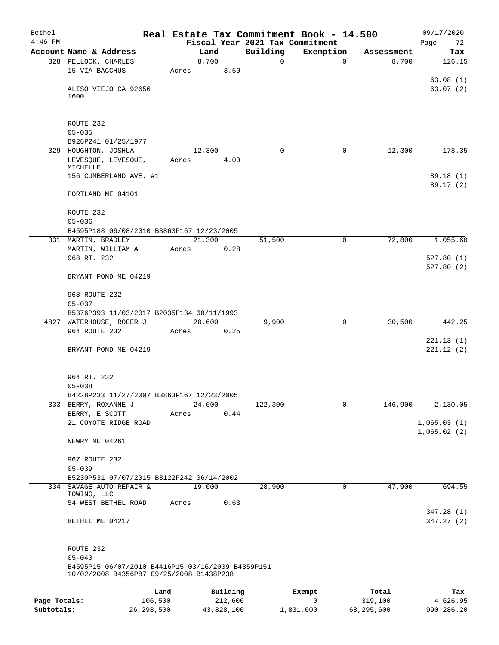| Bethel       |                                                                              |         |               |          | Real Estate Tax Commitment Book - 14.500 |                     | 09/17/2020                 |
|--------------|------------------------------------------------------------------------------|---------|---------------|----------|------------------------------------------|---------------------|----------------------------|
| $4:46$ PM    | Account Name & Address                                                       |         |               | Building | Fiscal Year 2021 Tax Commitment          |                     | Page<br>72                 |
|              | 328 PELLOCK, CHARLES                                                         |         | Land<br>8,700 | 0        | Exemption<br>$\mathbf 0$                 | Assessment<br>8,700 | Tax<br>126.15              |
|              | 15 VIA BACCHUS                                                               | Acres   | 3.50          |          |                                          |                     | 63.08(1)                   |
|              | ALISO VIEJO CA 92656<br>1600                                                 |         |               |          |                                          |                     | 63.07(2)                   |
|              | ROUTE 232<br>$05 - 035$                                                      |         |               |          |                                          |                     |                            |
|              | B926P241 01/25/1977                                                          |         |               |          |                                          |                     |                            |
|              | 329 HOUGHTON, JOSHUA                                                         |         | 12,300        | $\Omega$ | $\mathbf 0$                              | 12,300              | 178.35                     |
|              | LEVESQUE, LEVESQUE,<br>MICHELLE<br>156 CUMBERLAND AVE. #1                    | Acres   | 4.00          |          |                                          |                     | 89.18(1)                   |
|              | PORTLAND ME 04101                                                            |         |               |          |                                          |                     | 89.17(2)                   |
|              | ROUTE 232<br>$05 - 036$                                                      |         |               |          |                                          |                     |                            |
|              | B4595P188 06/08/2010 B3863P167 12/23/2005                                    |         |               |          |                                          |                     |                            |
|              | 331 MARTIN, BRADLEY                                                          |         | 21,300        | 51,500   | $\Omega$                                 | 72,800              | 1,055.60                   |
|              | MARTIN, WILLIAM A                                                            | Acres   | 0.28          |          |                                          |                     |                            |
|              | 968 RT. 232                                                                  |         |               |          |                                          |                     | 527.80(1)                  |
|              | BRYANT POND ME 04219                                                         |         |               |          |                                          |                     | 527.80(2)                  |
|              | 968 ROUTE 232<br>$05 - 037$                                                  |         |               |          |                                          |                     |                            |
|              | B5376P393 11/03/2017 B2035P134 08/11/1993                                    |         |               |          |                                          |                     |                            |
|              | 4827 WATERHOUSE, ROGER J                                                     |         | 20,600        | 9,900    | 0                                        | 30,500              | 442.25                     |
|              | 964 ROUTE 232                                                                | Acres   | 0.25          |          |                                          |                     |                            |
|              | BRYANT POND ME 04219                                                         |         |               |          |                                          |                     | 221.13(1)<br>221.12(2)     |
|              | 964 RT. 232<br>$05 - 038$                                                    |         |               |          |                                          |                     |                            |
|              | B4228P233 11/27/2007 B3863P167 12/23/2005                                    |         |               |          |                                          |                     |                            |
| 333          | BERRY, ROXANNE J                                                             |         | 24,600        | 122,300  | 0                                        | 146,900             | 2,130.05                   |
|              | BERRY, E SCOTT                                                               | Acres   | 0.44          |          |                                          |                     |                            |
|              | 21 COYOTE RIDGE ROAD                                                         |         |               |          |                                          |                     | 1,065.03(1)<br>1,065.02(2) |
|              | NEWRY ME 04261                                                               |         |               |          |                                          |                     |                            |
|              | 967 ROUTE 232<br>$05 - 039$                                                  |         |               |          |                                          |                     |                            |
|              | B5230P531 07/07/2015 B3122P242 06/14/2002                                    |         |               |          |                                          |                     |                            |
| 334          | SAVAGE AUTO REPAIR &                                                         |         | 19,000        | 28,900   | $\mathbf 0$                              | 47,900              | 694.55                     |
|              | TOWING, LLC                                                                  |         |               |          |                                          |                     |                            |
|              | 54 WEST BETHEL ROAD                                                          | Acres   | 0.63          |          |                                          |                     | 347.28(1)                  |
|              | BETHEL ME 04217                                                              |         |               |          |                                          |                     | 347.27(2)                  |
|              | ROUTE 232<br>$05 - 040$<br>B4595P15 06/07/2010 B4416P15 03/16/2009 B4359P151 |         |               |          |                                          |                     |                            |
|              | 10/02/2008 B4356P87 09/25/2008 B1438P238                                     |         |               |          |                                          |                     |                            |
|              |                                                                              | Land    | Building      |          | Exempt                                   | Total               | Tax                        |
| Page Totals: |                                                                              | 106,500 | 212,600       |          | 0                                        | 319,100             | 4,626.95                   |
| Subtotals:   | 26, 298, 500                                                                 |         | 43,828,100    |          | 1,831,000                                | 68,295,600          | 990,286.20                 |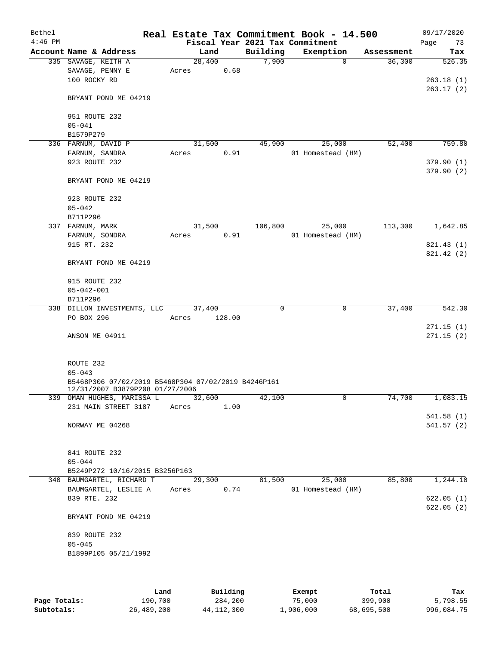| Bethel<br>$4:46$ PM |                                                                                        |        |        |             | Real Estate Tax Commitment Book - 14.500<br>Fiscal Year 2021 Tax Commitment |            | 09/17/2020<br>73<br>Page |
|---------------------|----------------------------------------------------------------------------------------|--------|--------|-------------|-----------------------------------------------------------------------------|------------|--------------------------|
|                     | Account Name & Address                                                                 |        | Land   | Building    | Exemption                                                                   | Assessment | Tax                      |
|                     | 335 SAVAGE, KEITH A                                                                    | 28,400 |        | 7,900       | $\Omega$                                                                    | 36,300     | 526.35                   |
|                     | SAVAGE, PENNY E                                                                        | Acres  | 0.68   |             |                                                                             |            |                          |
|                     | 100 ROCKY RD                                                                           |        |        |             |                                                                             |            | 263.18(1)                |
|                     | BRYANT POND ME 04219                                                                   |        |        |             |                                                                             |            | 263.17(2)                |
|                     | 951 ROUTE 232                                                                          |        |        |             |                                                                             |            |                          |
|                     | $05 - 041$                                                                             |        |        |             |                                                                             |            |                          |
|                     | B1579P279                                                                              |        |        |             |                                                                             |            |                          |
|                     | 336 FARNUM, DAVID P                                                                    | 31,500 |        | 45,900      | 25,000                                                                      | 52,400     | 759.80                   |
|                     | FARNUM, SANDRA                                                                         | Acres  | 0.91   |             | 01 Homestead (HM)                                                           |            |                          |
|                     | 923 ROUTE 232                                                                          |        |        |             |                                                                             |            | 379.90(1)                |
|                     | BRYANT POND ME 04219                                                                   |        |        |             |                                                                             |            | 379.90(2)                |
|                     | 923 ROUTE 232                                                                          |        |        |             |                                                                             |            |                          |
|                     | $05 - 042$                                                                             |        |        |             |                                                                             |            |                          |
|                     | B711P296                                                                               |        |        |             |                                                                             |            |                          |
|                     | 337 FARNUM, MARK                                                                       | 31,500 |        | 106,800     | 25,000                                                                      | 113,300    | 1,642.85                 |
|                     | FARNUM, SONDRA                                                                         | Acres  | 0.91   |             | 01 Homestead (HM)                                                           |            |                          |
|                     | 915 RT. 232                                                                            |        |        |             |                                                                             |            | 821.43 (1)               |
|                     |                                                                                        |        |        |             |                                                                             |            | 821.42 (2)               |
|                     | BRYANT POND ME 04219                                                                   |        |        |             |                                                                             |            |                          |
|                     | 915 ROUTE 232                                                                          |        |        |             |                                                                             |            |                          |
|                     | $05 - 042 - 001$                                                                       |        |        |             |                                                                             |            |                          |
|                     | B711P296                                                                               |        |        |             |                                                                             |            |                          |
|                     | 338 DILLON INVESTMENTS, LLC                                                            | 37,400 |        | $\mathbf 0$ | 0                                                                           | 37,400     | 542.30                   |
|                     | PO BOX 296                                                                             | Acres  | 128.00 |             |                                                                             |            |                          |
|                     |                                                                                        |        |        |             |                                                                             |            | 271.15(1)                |
|                     | ANSON ME 04911                                                                         |        |        |             |                                                                             |            | 271.15(2)                |
|                     |                                                                                        |        |        |             |                                                                             |            |                          |
|                     |                                                                                        |        |        |             |                                                                             |            |                          |
|                     | ROUTE 232                                                                              |        |        |             |                                                                             |            |                          |
|                     | $05 - 043$                                                                             |        |        |             |                                                                             |            |                          |
|                     | B5468P306 07/02/2019 B5468P304 07/02/2019 B4246P161<br>12/31/2007 B3879P208 01/27/2006 |        |        |             |                                                                             |            |                          |
|                     | 339 OMAN HUGHES, MARISSA L                                                             | 32,600 |        | 42,100      | $\mathsf{O}$                                                                | 74,700     | 1,083.15                 |
|                     | 231 MAIN STREET 3187                                                                   | Acres  | 1.00   |             |                                                                             |            |                          |
|                     |                                                                                        |        |        |             |                                                                             |            | 541.58(1)                |
|                     | NORWAY ME 04268                                                                        |        |        |             |                                                                             |            | 541.57(2)                |
|                     |                                                                                        |        |        |             |                                                                             |            |                          |
|                     |                                                                                        |        |        |             |                                                                             |            |                          |
|                     | 841 ROUTE 232                                                                          |        |        |             |                                                                             |            |                          |
|                     | $05 - 044$                                                                             |        |        |             |                                                                             |            |                          |
|                     | B5249P272 10/16/2015 B3256P163                                                         |        |        |             |                                                                             |            |                          |
|                     | 340 BAUMGARTEL, RICHARD T                                                              |        | 29,300 | 81,500      | 25,000                                                                      | 85,800     | 1,244.10                 |
|                     | BAUMGARTEL, LESLIE A                                                                   | Acres  | 0.74   |             | 01 Homestead (HM)                                                           |            |                          |
|                     | 839 RTE. 232                                                                           |        |        |             |                                                                             |            | 622.05(1)                |
|                     |                                                                                        |        |        |             |                                                                             |            | 622.05(2)                |
|                     | BRYANT POND ME 04219                                                                   |        |        |             |                                                                             |            |                          |
|                     |                                                                                        |        |        |             |                                                                             |            |                          |
|                     | 839 ROUTE 232                                                                          |        |        |             |                                                                             |            |                          |
|                     | $05 - 045$                                                                             |        |        |             |                                                                             |            |                          |
|                     | B1899P105 05/21/1992                                                                   |        |        |             |                                                                             |            |                          |
|                     |                                                                                        |        |        |             |                                                                             |            |                          |
|                     |                                                                                        |        |        |             |                                                                             |            |                          |

|              | Land       | Building   | Exempt    | Total      | Tax        |
|--------------|------------|------------|-----------|------------|------------|
| Page Totals: | 190,700    | 284,200    | 75,000    | 399,900    | 5,798.55   |
| Subtotals:   | 26,489,200 | 44,112,300 | ⊥,906,000 | 68,695,500 | 996,084.75 |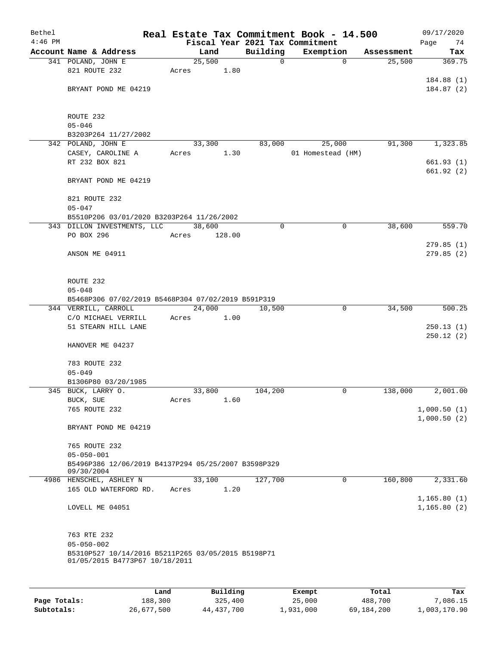| Bethel    |                                                                                      |       |        |                 | Real Estate Tax Commitment Book - 14.500 |                   |             |            | 09/17/2020                 |
|-----------|--------------------------------------------------------------------------------------|-------|--------|-----------------|------------------------------------------|-------------------|-------------|------------|----------------------------|
| $4:46$ PM |                                                                                      |       |        |                 | Fiscal Year 2021 Tax Commitment          |                   |             |            | Page<br>74                 |
|           | Account Name & Address                                                               |       | Land   |                 | Building                                 | Exemption         |             | Assessment | Tax                        |
|           | 341 POLAND, JOHN E                                                                   |       | 25,500 |                 | $\mathbf 0$                              |                   | $\mathbf 0$ | 25,500     | 369.75                     |
|           | 821 ROUTE 232                                                                        | Acres |        | 1.80            |                                          |                   |             |            |                            |
|           |                                                                                      |       |        |                 |                                          |                   |             |            | 184.88 (1)                 |
|           | BRYANT POND ME 04219                                                                 |       |        |                 |                                          |                   |             |            | 184.87(2)                  |
|           | ROUTE 232                                                                            |       |        |                 |                                          |                   |             |            |                            |
|           | $05 - 046$                                                                           |       |        |                 |                                          |                   |             |            |                            |
|           | B3203P264 11/27/2002                                                                 |       |        |                 |                                          |                   |             |            |                            |
|           | 342 POLAND, JOHN E                                                                   |       | 33,300 |                 | 83,000                                   |                   | 25,000      | 91,300     | 1,323.85                   |
|           | CASEY, CAROLINE A                                                                    | Acres |        | 1.30            |                                          | 01 Homestead (HM) |             |            |                            |
|           | RT 232 BOX 821                                                                       |       |        |                 |                                          |                   |             |            | 661.93(1)<br>661.92 (2)    |
|           | BRYANT POND ME 04219                                                                 |       |        |                 |                                          |                   |             |            |                            |
|           | 821 ROUTE 232                                                                        |       |        |                 |                                          |                   |             |            |                            |
|           | $05 - 047$                                                                           |       |        |                 |                                          |                   |             |            |                            |
|           | B5510P206 03/01/2020 B3203P264 11/26/2002                                            |       |        |                 |                                          |                   |             |            |                            |
|           | 343 DILLON INVESTMENTS, LLC                                                          |       | 38,600 |                 | 0                                        |                   | $\mathbf 0$ | 38,600     | 559.70                     |
|           | PO BOX 296                                                                           | Acres |        | 128.00          |                                          |                   |             |            |                            |
|           |                                                                                      |       |        |                 |                                          |                   |             |            | 279.85(1)                  |
|           | ANSON ME 04911                                                                       |       |        |                 |                                          |                   |             |            | 279.85(2)                  |
|           | ROUTE 232                                                                            |       |        |                 |                                          |                   |             |            |                            |
|           | $05 - 048$                                                                           |       |        |                 |                                          |                   |             |            |                            |
|           | B5468P306 07/02/2019 B5468P304 07/02/2019 B591P319                                   |       |        |                 |                                          |                   |             |            |                            |
|           | 344 VERRILL, CARROLL                                                                 |       | 24,000 |                 | 10,500                                   |                   | 0           | 34,500     | 500.25                     |
|           | C/O MICHAEL VERRILL                                                                  | Acres |        | 1.00            |                                          |                   |             |            |                            |
|           | 51 STEARN HILL LANE                                                                  |       |        |                 |                                          |                   |             |            | 250.13(1)<br>250.12(2)     |
|           | HANOVER ME 04237                                                                     |       |        |                 |                                          |                   |             |            |                            |
|           | 783 ROUTE 232                                                                        |       |        |                 |                                          |                   |             |            |                            |
|           | $05 - 049$                                                                           |       |        |                 |                                          |                   |             |            |                            |
|           | B1306P80 03/20/1985                                                                  |       |        |                 |                                          |                   |             |            |                            |
|           | 345 BUCK, LARRY O.                                                                   |       | 33,800 |                 | 104,200                                  |                   | 0           | 138,000    | 2,001.00                   |
|           | BUCK, SUE                                                                            | Acres |        | 1.60            |                                          |                   |             |            |                            |
|           | 765 ROUTE 232                                                                        |       |        |                 |                                          |                   |             |            | 1,000.50(1)<br>1,000.50(2) |
|           | BRYANT POND ME 04219                                                                 |       |        |                 |                                          |                   |             |            |                            |
|           | 765 ROUTE 232                                                                        |       |        |                 |                                          |                   |             |            |                            |
|           | $05 - 050 - 001$                                                                     |       |        |                 |                                          |                   |             |            |                            |
|           | B5496P386 12/06/2019 B4137P294 05/25/2007 B3598P329<br>09/30/2004                    |       |        |                 |                                          |                   |             |            |                            |
|           | 4986 HENSCHEL, ASHLEY N                                                              |       | 33,100 |                 | 127,700                                  |                   | 0           | 160,800    | 2,331.60                   |
|           | 165 OLD WATERFORD RD.                                                                | Acres |        | 1.20            |                                          |                   |             |            |                            |
|           | LOVELL ME 04051                                                                      |       |        |                 |                                          |                   |             |            | 1,165.80(1)<br>1,165.80(2) |
|           | 763 RTE 232                                                                          |       |        |                 |                                          |                   |             |            |                            |
|           | $05 - 050 - 002$                                                                     |       |        |                 |                                          |                   |             |            |                            |
|           | B5310P527 10/14/2016 B5211P265 03/05/2015 B5198P71<br>01/05/2015 B4773P67 10/18/2011 |       |        |                 |                                          |                   |             |            |                            |
|           |                                                                                      |       |        |                 |                                          |                   |             |            |                            |
|           | <b>Tand</b>                                                                          |       |        | $P_{11}$ ilding |                                          | $F$ vomnt         |             | $T$ otal   | mas                        |

|              | Land       | Building   | Exempt    | Total      | Tax          |
|--------------|------------|------------|-----------|------------|--------------|
| Page Totals: | 188,300    | 325,400    | 25,000    | 488,700    | 7,086.15     |
| Subtotals:   | 26,677,500 | 44,437,700 | 1,931,000 | 69,184,200 | 1,003,170.90 |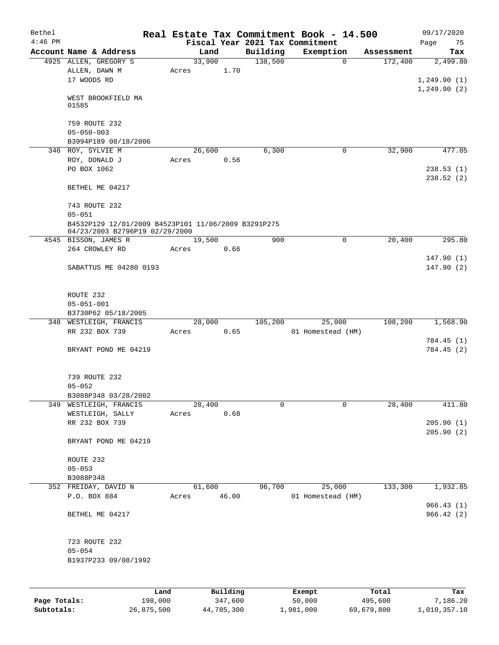| Bethel<br>$4:46$ PM |                                                                                       |       |             |          |          | Real Estate Tax Commitment Book - 14.500<br>Fiscal Year 2021 Tax Commitment |            | 09/17/2020<br>Page<br>75 |
|---------------------|---------------------------------------------------------------------------------------|-------|-------------|----------|----------|-----------------------------------------------------------------------------|------------|--------------------------|
|                     | Account Name & Address                                                                |       | Land        |          | Building | Exemption                                                                   | Assessment | Tax                      |
|                     | 4925 ALLEN, GREGORY S                                                                 |       | 33,900      |          | 138,500  | $\mathbf 0$                                                                 | 172,400    | 2,499.80                 |
|                     | ALLEN, DAWN M<br>17 WOODS RD                                                          | Acres |             | 1.70     |          |                                                                             |            | 1, 249.90(1)             |
|                     | WEST BROOKFIELD MA<br>01585                                                           |       |             |          |          |                                                                             |            | 1, 249.90(2)             |
|                     | 759 ROUTE 232<br>$05 - 050 - 003$                                                     |       |             |          |          |                                                                             |            |                          |
|                     | B3994P189 08/18/2006                                                                  |       |             |          |          |                                                                             |            |                          |
|                     | 346 ROY, SYLVIE M<br>ROY, DONALD J<br>PO BOX 1062                                     | Acres | 26,600      | 0.56     | 6,300    | $\mathbf 0$                                                                 | 32,900     | 477.05<br>238.53(1)      |
|                     | BETHEL ME 04217                                                                       |       |             |          |          |                                                                             |            | 238.52(2)                |
|                     | 743 ROUTE 232<br>$05 - 051$                                                           |       |             |          |          |                                                                             |            |                          |
|                     | B4532P129 12/01/2009 B4523P101 11/06/2009 B3291P275<br>04/23/2003 B2796P19 02/29/2000 |       |             |          |          |                                                                             |            |                          |
|                     | 4545 BISSON, JAMES R                                                                  |       | 19,500      |          | 900      | $\mathbf 0$                                                                 | 20,400     | 295.80                   |
|                     | 264 CROWLEY RD                                                                        | Acres |             | 0.66     |          |                                                                             |            |                          |
|                     | SABATTUS ME 04280 0193                                                                |       |             |          |          |                                                                             |            | 147.90(1)<br>147.90(2)   |
|                     | ROUTE 232<br>$05 - 051 - 001$                                                         |       |             |          |          |                                                                             |            |                          |
|                     | B3730P62 05/18/2005                                                                   |       |             |          |          |                                                                             |            |                          |
|                     | 348 WESTLEIGH, FRANCIS                                                                |       | 28,000      |          | 105,200  | 25,000                                                                      | 108,200    | 1,568.90                 |
|                     | RR 232 BOX 739                                                                        | Acres |             | 0.65     |          | 01 Homestead (HM)                                                           |            |                          |
|                     |                                                                                       |       |             |          |          |                                                                             |            | 784.45 (1)               |
|                     | BRYANT POND ME 04219                                                                  |       |             |          |          |                                                                             |            | 784.45 (2)               |
|                     | 739 ROUTE 232<br>$05 - 052$                                                           |       |             |          |          |                                                                             |            |                          |
|                     | B3088P348 03/28/2002                                                                  |       |             |          |          |                                                                             |            |                          |
|                     | 349 WESTLEIGH, FRANCIS                                                                |       | 28,400      |          | 0        | $\mathbf 0$                                                                 | 28,400     | 411.80                   |
|                     | WESTLEIGH, SALLY                                                                      | Acres |             | 0.68     |          |                                                                             |            |                          |
|                     | RR 232 BOX 739                                                                        |       |             |          |          |                                                                             |            | 205.90(1)<br>205.90(2)   |
|                     | BRYANT POND ME 04219                                                                  |       |             |          |          |                                                                             |            |                          |
|                     | ROUTE 232                                                                             |       |             |          |          |                                                                             |            |                          |
|                     | $05 - 053$                                                                            |       |             |          |          |                                                                             |            |                          |
|                     | B3088P348                                                                             |       |             |          |          |                                                                             |            |                          |
|                     | 352 FREIDAY, DAVID N                                                                  |       | 61,600      |          | 96,700   | 25,000                                                                      | 133,300    | 1,932.85                 |
|                     | P.O. BOX 884                                                                          |       | Acres 46.00 |          |          | 01 Homestead (HM)                                                           |            |                          |
|                     |                                                                                       |       |             |          |          |                                                                             |            | 966.43(1)                |
|                     | BETHEL ME 04217                                                                       |       |             |          |          |                                                                             |            | 966.42(2)                |
|                     | 723 ROUTE 232                                                                         |       |             |          |          |                                                                             |            |                          |
|                     | $05 - 054$                                                                            |       |             |          |          |                                                                             |            |                          |
|                     | B1937P233 09/08/1992                                                                  |       |             |          |          |                                                                             |            |                          |
|                     |                                                                                       | Land  |             | Building |          | Exempt                                                                      | Total      | Tax                      |

**Page Totals:** 198,000 347,600 50,000 495,600 7,186.20 **Subtotals:** 26,875,500 44,785,300 1,981,000 69,679,800 1,010,357.10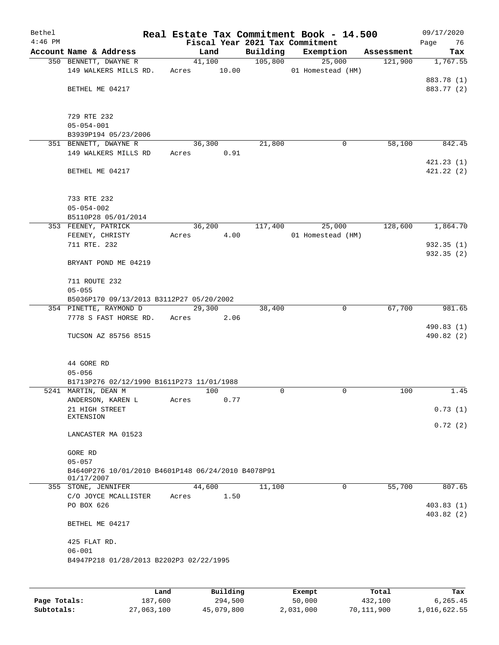| Bethel<br>$4:46$ PM |                                                                  | Real Estate Tax Commitment Book - 14.500<br>Fiscal Year 2021 Tax Commitment |          |                   |            | 09/17/2020<br>Page<br>76 |
|---------------------|------------------------------------------------------------------|-----------------------------------------------------------------------------|----------|-------------------|------------|--------------------------|
|                     | Account Name & Address                                           | Land                                                                        | Building | Exemption         | Assessment | Tax                      |
|                     | 350 BENNETT, DWAYNE R                                            | 41,100                                                                      | 105,800  | 25,000            | 121,900    | 1,767.55                 |
|                     | 149 WALKERS MILLS RD.                                            | 10.00<br>Acres                                                              |          | 01 Homestead (HM) |            |                          |
|                     |                                                                  |                                                                             |          |                   |            | 883.78 (1)               |
|                     | BETHEL ME 04217                                                  |                                                                             |          |                   |            | 883.77 (2)               |
|                     | 729 RTE 232                                                      |                                                                             |          |                   |            |                          |
|                     | $05 - 054 - 001$                                                 |                                                                             |          |                   |            |                          |
|                     | B3939P194 05/23/2006                                             |                                                                             |          |                   |            |                          |
|                     | 351 BENNETT, DWAYNE R                                            | 36,300                                                                      | 21,800   | 0                 | 58,100     | 842.45                   |
|                     | 149 WALKERS MILLS RD                                             | Acres<br>0.91                                                               |          |                   |            |                          |
|                     | BETHEL ME 04217                                                  |                                                                             |          |                   |            | 421.23(1)<br>421.22 (2)  |
|                     | 733 RTE 232<br>$05 - 054 - 002$                                  |                                                                             |          |                   |            |                          |
|                     | B5110P28 05/01/2014                                              |                                                                             |          |                   |            |                          |
|                     | 353 FEENEY, PATRICK                                              | 36,200                                                                      | 117,400  | 25,000            | 128,600    | 1,864.70                 |
|                     | FEENEY, CHRISTY                                                  | 4.00<br>Acres                                                               |          | 01 Homestead (HM) |            |                          |
|                     | 711 RTE. 232                                                     |                                                                             |          |                   |            | 932.35 (1)               |
|                     |                                                                  |                                                                             |          |                   |            | 932.35 (2)               |
|                     | BRYANT POND ME 04219                                             |                                                                             |          |                   |            |                          |
|                     | 711 ROUTE 232<br>$05 - 055$                                      |                                                                             |          |                   |            |                          |
|                     | B5036P170 09/13/2013 B3112P27 05/20/2002                         |                                                                             |          |                   |            |                          |
|                     | 354 PINETTE, RAYMOND D                                           | 29,300                                                                      | 38,400   | $\overline{0}$    | 67,700     | 981.65                   |
|                     | 7778 S FAST HORSE RD.                                            | Acres<br>2.06                                                               |          |                   |            |                          |
|                     |                                                                  |                                                                             |          |                   |            | 490.83 (1)               |
|                     | TUCSON AZ 85756 8515                                             |                                                                             |          |                   |            | 490.82 (2)               |
|                     | 44 GORE RD                                                       |                                                                             |          |                   |            |                          |
|                     | $05 - 056$                                                       |                                                                             |          |                   |            |                          |
|                     | B1713P276 02/12/1990 B1611P273 11/01/1988                        |                                                                             |          |                   |            |                          |
|                     | 5241 MARTIN, DEAN M                                              | 100                                                                         | $\Omega$ | 0                 | 100        | 1.45                     |
|                     | ANDERSON, KAREN L                                                | 0.77<br>Acres                                                               |          |                   |            |                          |
|                     | 21 HIGH STREET<br>EXTENSION                                      |                                                                             |          |                   |            | 0.73(1)                  |
|                     |                                                                  |                                                                             |          |                   |            | 0.72(2)                  |
|                     | LANCASTER MA 01523                                               |                                                                             |          |                   |            |                          |
|                     | GORE RD                                                          |                                                                             |          |                   |            |                          |
|                     | $05 - 057$                                                       |                                                                             |          |                   |            |                          |
|                     | B4640P276 10/01/2010 B4601P148 06/24/2010 B4078P91<br>01/17/2007 |                                                                             |          |                   |            |                          |
|                     | 355 STONE, JENNIFER                                              | 44,600                                                                      | 11,100   | 0                 | 55,700     | 807.65                   |
|                     | C/O JOYCE MCALLISTER                                             | 1.50<br>Acres                                                               |          |                   |            |                          |
|                     | PO BOX 626                                                       |                                                                             |          |                   |            | 403.83(1)<br>403.82(2)   |
|                     | BETHEL ME 04217                                                  |                                                                             |          |                   |            |                          |
|                     | 425 FLAT RD.<br>$06 - 001$                                       |                                                                             |          |                   |            |                          |
|                     | B4947P218 01/28/2013 B2202P3 02/22/1995                          |                                                                             |          |                   |            |                          |
|                     |                                                                  |                                                                             |          |                   |            |                          |
|                     |                                                                  |                                                                             |          |                   |            |                          |
|                     |                                                                  |                                                                             |          |                   |            |                          |

|              | Land       | Building   | Exempt    | Total      | Tax          |
|--------------|------------|------------|-----------|------------|--------------|
| Page Totals: | 187,600    | 294,500    | 50,000    | 432,100    | 6.265.45     |
| Subtotals:   | 27,063,100 | 45,079,800 | 2,031,000 | 70,111,900 | 1,016,622.55 |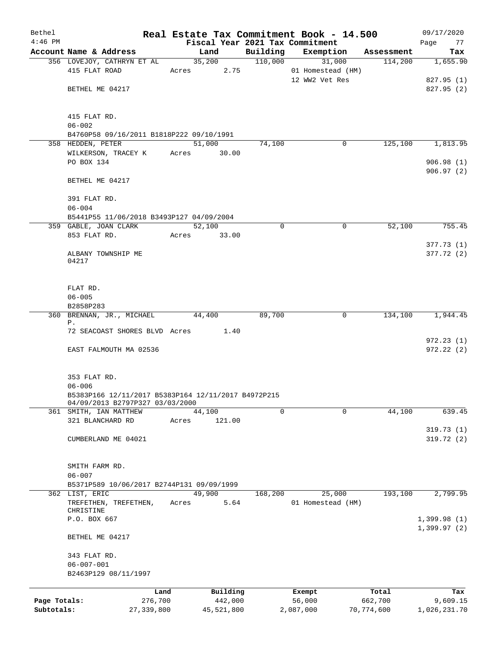| Bethel       |                                                     |         |                |                     | Real Estate Tax Commitment Book - 14.500 |                       | 09/17/2020                 |
|--------------|-----------------------------------------------------|---------|----------------|---------------------|------------------------------------------|-----------------------|----------------------------|
| $4:46$ PM    | Account Name & Address                              |         |                |                     | Fiscal Year 2021 Tax Commitment          |                       | 77<br>Page                 |
|              | 356 LOVEJOY, CATHRYN ET AL                          |         | Land<br>35,200 | Building<br>110,000 | Exemption<br>31,000                      | Assessment<br>114,200 | Tax<br>1,655.90            |
|              | 415 FLAT ROAD                                       |         | 2.75<br>Acres  |                     | 01 Homestead (HM)                        |                       |                            |
|              |                                                     |         |                |                     | 12 WW2 Vet Res                           |                       | 827.95 (1)                 |
|              | BETHEL ME 04217                                     |         |                |                     |                                          |                       | 827.95(2)                  |
|              |                                                     |         |                |                     |                                          |                       |                            |
|              | 415 FLAT RD.                                        |         |                |                     |                                          |                       |                            |
|              | $06 - 002$                                          |         |                |                     |                                          |                       |                            |
|              | B4760P58 09/16/2011 B1818P222 09/10/1991            |         |                |                     |                                          |                       |                            |
|              | 358 HEDDEN, PETER                                   |         | 51,000         | 74,100              | 0                                        | 125,100               | 1,813.95                   |
|              | WILKERSON, TRACEY K                                 |         | Acres 30.00    |                     |                                          |                       |                            |
|              | PO BOX 134                                          |         |                |                     |                                          |                       | 906.98(1)                  |
|              | BETHEL ME 04217                                     |         |                |                     |                                          |                       | 906.97(2)                  |
|              | 391 FLAT RD.                                        |         |                |                     |                                          |                       |                            |
|              | $06 - 004$                                          |         |                |                     |                                          |                       |                            |
|              | B5441P55 11/06/2018 B3493P127 04/09/2004            |         |                |                     |                                          |                       |                            |
|              | 359 GABLE, JOAN CLARK                               |         | 52,100         | 0                   | $\mathbf 0$                              | 52,100                | 755.45                     |
|              | 853 FLAT RD.                                        | Acres   | 33.00          |                     |                                          |                       |                            |
|              |                                                     |         |                |                     |                                          |                       | 377.73(1)                  |
|              | ALBANY TOWNSHIP ME                                  |         |                |                     |                                          |                       | 377.72 (2)                 |
|              | 04217                                               |         |                |                     |                                          |                       |                            |
|              | FLAT RD.                                            |         |                |                     |                                          |                       |                            |
|              | $06 - 005$                                          |         |                |                     |                                          |                       |                            |
|              | B2858P283                                           |         |                |                     |                                          |                       |                            |
|              | 360 BRENNAN, JR., MICHAEL                           |         | 44,400         | 89,700              | 0                                        | 134,100               | 1,944.45                   |
|              | Ρ.                                                  |         |                |                     |                                          |                       |                            |
|              | 72 SEACOAST SHORES BLVD Acres 1.40                  |         |                |                     |                                          |                       |                            |
|              |                                                     |         |                |                     |                                          |                       | 972.23(1)                  |
|              | EAST FALMOUTH MA 02536                              |         |                |                     |                                          |                       | 972.22(2)                  |
|              | 353 FLAT RD.                                        |         |                |                     |                                          |                       |                            |
|              | $06 - 006$                                          |         |                |                     |                                          |                       |                            |
|              | B5383P166 12/11/2017 B5383P164 12/11/2017 B4972P215 |         |                |                     |                                          |                       |                            |
|              | 04/09/2013 B2797P327 03/03/2000                     |         |                |                     |                                          |                       |                            |
|              | 361 SMITH, IAN MATTHEW                              |         | 44,100         | 0                   | 0                                        | 44,100                | 639.45                     |
|              | 321 BLANCHARD RD                                    | Acres   | 121.00         |                     |                                          |                       |                            |
|              |                                                     |         |                |                     |                                          |                       | 319.73(1)                  |
|              | CUMBERLAND ME 04021                                 |         |                |                     |                                          |                       | 319.72(2)                  |
|              |                                                     |         |                |                     |                                          |                       |                            |
|              | SMITH FARM RD.<br>$06 - 007$                        |         |                |                     |                                          |                       |                            |
|              | B5371P589 10/06/2017 B2744P131 09/09/1999           |         |                |                     |                                          |                       |                            |
|              | 362 LIST, ERIC                                      |         | 49,900         | 168,200             | 25,000                                   | 193,100               | 2,799.95                   |
|              | TREFETHEN, TREFETHEN,                               | Acres   | 5.64           |                     | 01 Homestead (HM)                        |                       |                            |
|              | CHRISTINE                                           |         |                |                     |                                          |                       |                            |
|              | P.O. BOX 667                                        |         |                |                     |                                          |                       | 1,399.98(1)<br>1,399.97(2) |
|              | BETHEL ME 04217                                     |         |                |                     |                                          |                       |                            |
|              | 343 FLAT RD.                                        |         |                |                     |                                          |                       |                            |
|              | $06 - 007 - 001$                                    |         |                |                     |                                          |                       |                            |
|              | B2463P129 08/11/1997                                |         |                |                     |                                          |                       |                            |
|              |                                                     | Land    | Building       |                     | Exempt                                   | Total                 | Tax                        |
| Page Totals: |                                                     | 276,700 | 442,000        |                     | 56,000                                   | 662,700               | 9,609.15                   |
| Subtotals:   | 27,339,800                                          |         | 45,521,800     |                     | 2,087,000                                | 70, 774, 600          | 1,026,231.70               |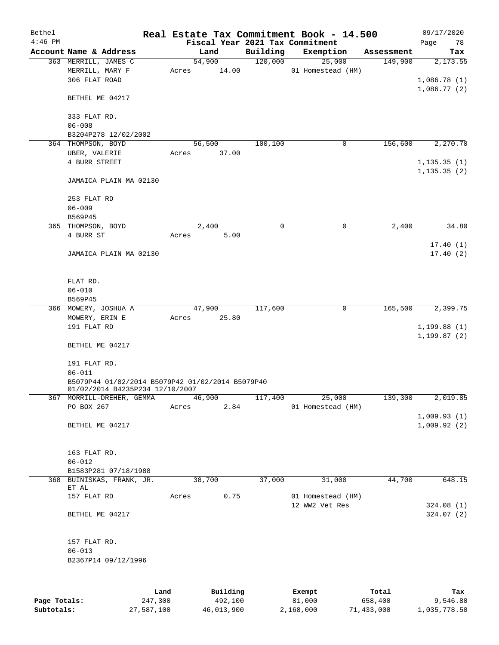| Bethel    |                                                  |       |        |          |          | Real Estate Tax Commitment Book - 14.500 |   |            | 09/17/2020           |
|-----------|--------------------------------------------------|-------|--------|----------|----------|------------------------------------------|---|------------|----------------------|
| $4:46$ PM |                                                  |       |        |          |          | Fiscal Year 2021 Tax Commitment          |   |            | 78<br>Page           |
|           | Account Name & Address                           |       | Land   |          | Building | Exemption                                |   | Assessment | Tax                  |
|           | 363 MERRILL, JAMES C                             |       | 54,900 |          | 120,000  | 25,000                                   |   | 149,900    | 2,173.55             |
|           | MERRILL, MARY F<br>306 FLAT ROAD                 | Acres |        | 14.00    |          | 01 Homestead (HM)                        |   |            | 1,086.78(1)          |
|           |                                                  |       |        |          |          |                                          |   |            | 1,086.77(2)          |
|           | BETHEL ME 04217                                  |       |        |          |          |                                          |   |            |                      |
|           | 333 FLAT RD.                                     |       |        |          |          |                                          |   |            |                      |
|           | $06 - 008$                                       |       |        |          |          |                                          |   |            |                      |
|           | B3204P278 12/02/2002                             |       |        |          |          |                                          |   |            |                      |
|           | 364 THOMPSON, BOYD                               |       | 56,500 |          | 100,100  |                                          | 0 | 156,600    | 2,270.70             |
|           | UBER, VALERIE                                    | Acres |        | 37.00    |          |                                          |   |            |                      |
|           | 4 BURR STREET                                    |       |        |          |          |                                          |   |            | 1, 135.35(1)         |
|           | JAMAICA PLAIN MA 02130                           |       |        |          |          |                                          |   |            | 1, 135.35(2)         |
|           |                                                  |       |        |          |          |                                          |   |            |                      |
|           | 253 FLAT RD                                      |       |        |          |          |                                          |   |            |                      |
|           | $06 - 009$                                       |       |        |          |          |                                          |   |            |                      |
|           | B569P45                                          |       |        |          |          |                                          |   |            |                      |
|           | 365 THOMPSON, BOYD                               |       | 2,400  |          | 0        |                                          | 0 | 2,400      | 34.80                |
|           | 4 BURR ST                                        | Acres |        | 5.00     |          |                                          |   |            |                      |
|           | JAMAICA PLAIN MA 02130                           |       |        |          |          |                                          |   |            | 17.40(1)<br>17.40(2) |
|           |                                                  |       |        |          |          |                                          |   |            |                      |
|           | FLAT RD.                                         |       |        |          |          |                                          |   |            |                      |
|           | $06 - 010$                                       |       |        |          |          |                                          |   |            |                      |
|           | B569P45                                          |       |        |          |          |                                          |   |            |                      |
|           | 366 MOWERY, JOSHUA A                             |       | 47,900 |          | 117,600  |                                          | 0 | 165,500    | 2,399.75             |
|           | MOWERY, ERIN E                                   | Acres |        | 25.80    |          |                                          |   |            |                      |
|           | 191 FLAT RD                                      |       |        |          |          |                                          |   |            | 1,199.88(1)          |
|           | BETHEL ME 04217                                  |       |        |          |          |                                          |   |            | 1, 199.87(2)         |
|           | 191 FLAT RD.                                     |       |        |          |          |                                          |   |            |                      |
|           | $06 - 011$                                       |       |        |          |          |                                          |   |            |                      |
|           | B5079P44 01/02/2014 B5079P42 01/02/2014 B5079P40 |       |        |          |          |                                          |   |            |                      |
|           | 01/02/2014 B4235P234 12/10/2007                  |       | 46,900 |          |          | 25,000                                   |   |            |                      |
|           | 367 MORRILL-DREHER, GEMMA<br>PO BOX 267          | Acres |        | 2.84     | 117,400  | 01 Homestead (HM)                        |   | 139,300    | 2,019.85             |
|           |                                                  |       |        |          |          |                                          |   |            | 1,009.93(1)          |
|           | BETHEL ME 04217                                  |       |        |          |          |                                          |   |            | 1,009.92(2)          |
|           | 163 FLAT RD.                                     |       |        |          |          |                                          |   |            |                      |
|           | $06 - 012$                                       |       |        |          |          |                                          |   |            |                      |
|           | B1583P281 07/18/1988                             |       |        |          |          |                                          |   |            |                      |
|           | 368 BUINISKAS, FRANK, JR.<br>ET AL               |       | 38,700 |          | 37,000   | 31,000                                   |   | 44,700     | 648.15               |
|           | 157 FLAT RD                                      | Acres |        | 0.75     |          | 01 Homestead (HM)                        |   |            |                      |
|           |                                                  |       |        |          |          | 12 WW2 Vet Res                           |   |            | 324.08(1)            |
|           | BETHEL ME 04217                                  |       |        |          |          |                                          |   |            | 324.07(2)            |
|           | 157 FLAT RD.                                     |       |        |          |          |                                          |   |            |                      |
|           | $06 - 013$                                       |       |        |          |          |                                          |   |            |                      |
|           | B2367P14 09/12/1996                              |       |        |          |          |                                          |   |            |                      |
|           |                                                  |       |        |          |          |                                          |   |            |                      |
|           | Land                                             |       |        | Building |          | Exempt                                   |   | Total      | Tax                  |

|              | Land       | Building   | Exempt    | Total      | Tax          |
|--------------|------------|------------|-----------|------------|--------------|
| Page Totals: | 247,300    | 492,100    | 81,000    | 658,400    | 9,546.80     |
| Subtotals:   | 27,587,100 | 46,013,900 | 2,168,000 | 71,433,000 | 1,035,778.50 |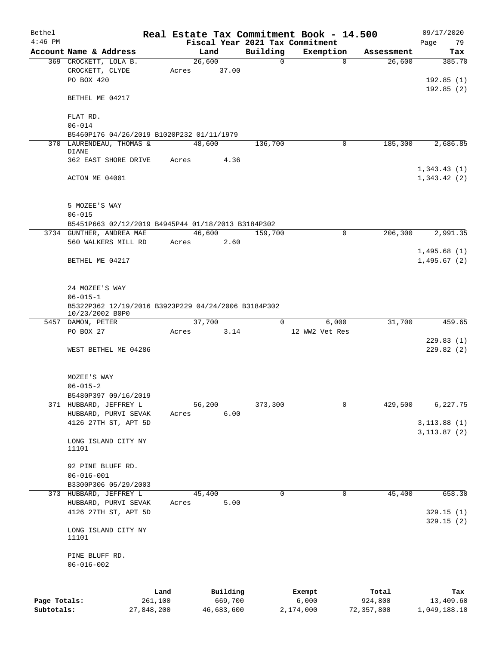| Bethel       |                                                     |            |       |            |                | Real Estate Tax Commitment Book - 14.500 |            | 09/17/2020             |  |  |  |  |
|--------------|-----------------------------------------------------|------------|-------|------------|----------------|------------------------------------------|------------|------------------------|--|--|--|--|
| $4:46$ PM    |                                                     |            |       |            |                | Fiscal Year 2021 Tax Commitment          |            | Page<br>79             |  |  |  |  |
|              | Account Name & Address                              |            |       | Land       | Building       | Exemption                                | Assessment | Tax                    |  |  |  |  |
|              | 369 CROCKETT, LOLA B.                               |            |       | 26,600     | $\mathsf{O}$   | $\mathbf 0$                              | 26,600     | 385.70                 |  |  |  |  |
|              | CROCKETT, CLYDE<br>PO BOX 420                       |            | Acres | 37.00      |                |                                          |            |                        |  |  |  |  |
|              |                                                     |            |       |            |                |                                          |            | 192.85(1)<br>192.85(2) |  |  |  |  |
|              | BETHEL ME 04217                                     |            |       |            |                |                                          |            |                        |  |  |  |  |
|              | FLAT RD.                                            |            |       |            |                |                                          |            |                        |  |  |  |  |
|              | $06 - 014$                                          |            |       |            |                |                                          |            |                        |  |  |  |  |
|              | B5460P176 04/26/2019 B1020P232 01/11/1979           |            |       |            |                |                                          |            |                        |  |  |  |  |
|              | 370 LAURENDEAU, THOMAS &                            |            |       | 48,600     | 136,700        | 0                                        | 185,300    | 2,686.85               |  |  |  |  |
|              | <b>DIANE</b>                                        |            |       |            |                |                                          |            |                        |  |  |  |  |
|              | 362 EAST SHORE DRIVE                                |            | Acres | 4.36       |                |                                          |            |                        |  |  |  |  |
|              |                                                     |            |       |            |                |                                          |            | 1,343.43(1)            |  |  |  |  |
|              | ACTON ME 04001                                      |            |       |            |                |                                          |            | 1,343.42(2)            |  |  |  |  |
|              |                                                     |            |       |            |                |                                          |            |                        |  |  |  |  |
|              |                                                     |            |       |            |                |                                          |            |                        |  |  |  |  |
|              | 5 MOZEE'S WAY                                       |            |       |            |                |                                          |            |                        |  |  |  |  |
|              | $06 - 015$                                          |            |       |            |                |                                          |            |                        |  |  |  |  |
|              | B5451P663 02/12/2019 B4945P44 01/18/2013 B3184P302  |            |       |            |                |                                          |            |                        |  |  |  |  |
|              | 3734 GUNTHER, ANDREA MAE                            |            |       | 46,600     | 159,700        | $\mathbf 0$                              | 206,300    | 2,991.35               |  |  |  |  |
|              | 560 WALKERS MILL RD                                 |            | Acres | 2.60       |                |                                          |            |                        |  |  |  |  |
|              |                                                     |            |       |            |                |                                          |            | 1,495.68(1)            |  |  |  |  |
|              | BETHEL ME 04217                                     |            |       |            |                |                                          |            | 1,495.67(2)            |  |  |  |  |
|              |                                                     |            |       |            |                |                                          |            |                        |  |  |  |  |
|              |                                                     |            |       |            |                |                                          |            |                        |  |  |  |  |
|              | 24 MOZEE'S WAY                                      |            |       |            |                |                                          |            |                        |  |  |  |  |
|              | $06 - 015 - 1$                                      |            |       |            |                |                                          |            |                        |  |  |  |  |
|              | B5322P362 12/19/2016 B3923P229 04/24/2006 B3184P302 |            |       |            |                |                                          |            |                        |  |  |  |  |
|              | 10/23/2002 B0P0                                     |            |       |            |                |                                          |            |                        |  |  |  |  |
|              | 5457 DAMON, PETER                                   |            |       | 37,700     | $\overline{0}$ | 6,000                                    | 31,700     | 459.65                 |  |  |  |  |
|              | PO BOX 27                                           |            | Acres | 3.14       |                | 12 WW2 Vet Res                           |            |                        |  |  |  |  |
|              |                                                     |            |       |            |                |                                          |            | 229.83(1)              |  |  |  |  |
|              | WEST BETHEL ME 04286                                |            |       |            |                |                                          |            | 229.82(2)              |  |  |  |  |
|              |                                                     |            |       |            |                |                                          |            |                        |  |  |  |  |
|              |                                                     |            |       |            |                |                                          |            |                        |  |  |  |  |
|              | MOZEE'S WAY<br>$06 - 015 - 2$                       |            |       |            |                |                                          |            |                        |  |  |  |  |
|              | B5480P397 09/16/2019                                |            |       |            |                |                                          |            |                        |  |  |  |  |
|              | 371 HUBBARD, JEFFREY L                              |            |       | 56,200     | 373,300        | 0                                        | 429,500    | 6,227.75               |  |  |  |  |
|              | HUBBARD, PURVI SEVAK                                |            | Acres | 6.00       |                |                                          |            |                        |  |  |  |  |
|              | 4126 27TH ST, APT 5D                                |            |       |            |                |                                          |            | 3, 113.88(1)           |  |  |  |  |
|              |                                                     |            |       |            |                |                                          |            | 3, 113.87 (2)          |  |  |  |  |
|              | LONG ISLAND CITY NY                                 |            |       |            |                |                                          |            |                        |  |  |  |  |
|              | 11101                                               |            |       |            |                |                                          |            |                        |  |  |  |  |
|              |                                                     |            |       |            |                |                                          |            |                        |  |  |  |  |
|              | 92 PINE BLUFF RD.                                   |            |       |            |                |                                          |            |                        |  |  |  |  |
|              | $06 - 016 - 001$                                    |            |       |            |                |                                          |            |                        |  |  |  |  |
|              | B3300P306 05/29/2003                                |            |       |            |                |                                          |            |                        |  |  |  |  |
|              | 373 HUBBARD, JEFFREY L                              |            |       | 45,400     | 0              | 0                                        | 45,400     | 658.30                 |  |  |  |  |
|              | HUBBARD, PURVI SEVAK                                |            | Acres | 5.00       |                |                                          |            |                        |  |  |  |  |
|              | 4126 27TH ST, APT 5D                                |            |       |            |                |                                          |            | 329.15(1)              |  |  |  |  |
|              |                                                     |            |       |            |                |                                          |            | 329.15(2)              |  |  |  |  |
|              | LONG ISLAND CITY NY                                 |            |       |            |                |                                          |            |                        |  |  |  |  |
|              | 11101                                               |            |       |            |                |                                          |            |                        |  |  |  |  |
|              |                                                     |            |       |            |                |                                          |            |                        |  |  |  |  |
|              | PINE BLUFF RD.                                      |            |       |            |                |                                          |            |                        |  |  |  |  |
|              | $06 - 016 - 002$                                    |            |       |            |                |                                          |            |                        |  |  |  |  |
|              |                                                     |            |       |            |                |                                          |            |                        |  |  |  |  |
|              |                                                     | Land       |       | Building   |                | Exempt                                   | Total      | Tax                    |  |  |  |  |
| Page Totals: |                                                     | 261,100    |       | 669,700    |                | 6,000                                    | 924,800    | 13,409.60              |  |  |  |  |
| Subtotals:   |                                                     | 27,848,200 |       | 46,683,600 |                | 2,174,000                                | 72,357,800 | 1,049,188.10           |  |  |  |  |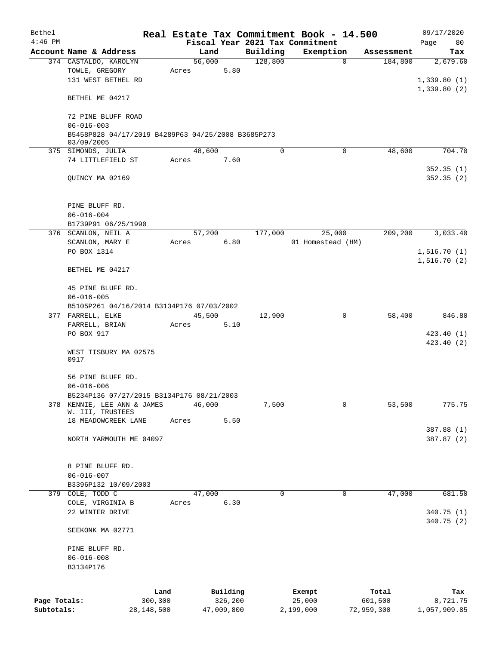| Bethel       |                                                    |              |       |            |          | Real Estate Tax Commitment Book - 14.500 |            | 09/17/2020             |
|--------------|----------------------------------------------------|--------------|-------|------------|----------|------------------------------------------|------------|------------------------|
| $4:46$ PM    |                                                    |              |       |            |          | Fiscal Year 2021 Tax Commitment          |            | Page<br>80             |
|              | Account Name & Address                             |              |       | Land       | Building | Exemption                                | Assessment | Tax                    |
|              | 374 CASTALDO, KAROLYN                              |              |       | 56,000     | 128,800  | $\mathbf 0$                              | 184,800    | 2,679.60               |
|              | TOWLE, GREGORY                                     |              | Acres | 5.80       |          |                                          |            |                        |
|              | 131 WEST BETHEL RD                                 |              |       |            |          |                                          |            | 1,339.80(1)            |
|              | BETHEL ME 04217                                    |              |       |            |          |                                          |            | 1,339.80(2)            |
|              | 72 PINE BLUFF ROAD                                 |              |       |            |          |                                          |            |                        |
|              | $06 - 016 - 003$                                   |              |       |            |          |                                          |            |                        |
|              | B5458P828 04/17/2019 B4289P63 04/25/2008 B3685P273 |              |       |            |          |                                          |            |                        |
|              | 03/09/2005                                         |              |       |            |          |                                          |            |                        |
|              | 375 SIMONDS, JULIA                                 |              |       | 48,600     | 0        | $\mathbf 0$                              | 48,600     | 704.70                 |
|              | 74 LITTLEFIELD ST                                  |              | Acres | 7.60       |          |                                          |            |                        |
|              | QUINCY MA 02169                                    |              |       |            |          |                                          |            | 352.35(1)<br>352.35(2) |
|              | PINE BLUFF RD.                                     |              |       |            |          |                                          |            |                        |
|              | $06 - 016 - 004$                                   |              |       |            |          |                                          |            |                        |
|              | B1739P91 06/25/1990                                |              |       |            |          |                                          |            |                        |
|              | 376 SCANLON, NEIL A                                |              |       | 57,200     | 177,000  | 25,000                                   | 209, 200   | 3,033.40               |
|              | SCANLON, MARY E                                    |              | Acres | 6.80       |          | 01 Homestead (HM)                        |            |                        |
|              | PO BOX 1314                                        |              |       |            |          |                                          |            | 1,516.70(1)            |
|              |                                                    |              |       |            |          |                                          |            | 1,516.70(2)            |
|              | BETHEL ME 04217                                    |              |       |            |          |                                          |            |                        |
|              | 45 PINE BLUFF RD.                                  |              |       |            |          |                                          |            |                        |
|              | $06 - 016 - 005$                                   |              |       |            |          |                                          |            |                        |
|              | B5105P261 04/16/2014 B3134P176 07/03/2002          |              |       |            |          |                                          |            |                        |
|              | 377 FARRELL, ELKE                                  |              |       | 45,500     | 12,900   | 0                                        | 58,400     | 846.80                 |
|              | FARRELL, BRIAN                                     |              | Acres | 5.10       |          |                                          |            |                        |
|              | PO BOX 917                                         |              |       |            |          |                                          |            | 423.40 (1)             |
|              |                                                    |              |       |            |          |                                          |            | 423.40(2)              |
|              | WEST TISBURY MA 02575                              |              |       |            |          |                                          |            |                        |
|              | 0917                                               |              |       |            |          |                                          |            |                        |
|              |                                                    |              |       |            |          |                                          |            |                        |
|              | 56 PINE BLUFF RD.                                  |              |       |            |          |                                          |            |                        |
|              | $06 - 016 - 006$                                   |              |       |            |          |                                          |            |                        |
|              | B5234P136 07/27/2015 B3134P176 08/21/2003          |              |       |            |          |                                          |            |                        |
| 378          | KENNIE, LEE ANN & JAMES                            |              |       | 46,000     | 7,500    | $\mathbf 0$                              | 53,500     | 775.75                 |
|              | W. III, TRUSTEES<br>18 MEADOWCREEK LANE            |              | Acres | 5.50       |          |                                          |            |                        |
|              |                                                    |              |       |            |          |                                          |            | 387.88 (1)             |
|              | NORTH YARMOUTH ME 04097                            |              |       |            |          |                                          |            | 387.87 (2)             |
|              |                                                    |              |       |            |          |                                          |            |                        |
|              |                                                    |              |       |            |          |                                          |            |                        |
|              | 8 PINE BLUFF RD.                                   |              |       |            |          |                                          |            |                        |
|              | $06 - 016 - 007$                                   |              |       |            |          |                                          |            |                        |
|              | B3396P132 10/09/2003                               |              |       |            |          |                                          |            |                        |
|              | 379 COLE, TODD C                                   |              |       | 47,000     | 0        | 0                                        | 47,000     | 681.50                 |
|              | COLE, VIRGINIA B                                   |              | Acres | 6.30       |          |                                          |            |                        |
|              | 22 WINTER DRIVE                                    |              |       |            |          |                                          |            | 340.75 (1)             |
|              |                                                    |              |       |            |          |                                          |            | 340.75 (2)             |
|              | SEEKONK MA 02771                                   |              |       |            |          |                                          |            |                        |
|              | PINE BLUFF RD.                                     |              |       |            |          |                                          |            |                        |
|              | $06 - 016 - 008$                                   |              |       |            |          |                                          |            |                        |
|              | B3134P176                                          |              |       |            |          |                                          |            |                        |
|              |                                                    |              |       |            |          |                                          |            |                        |
|              |                                                    | Land         |       | Building   |          |                                          | Total      | Tax                    |
| Page Totals: |                                                    | 300,300      |       | 326,200    |          | Exempt<br>25,000                         | 601,500    | 8,721.75               |
| Subtotals:   |                                                    | 28, 148, 500 |       | 47,009,800 |          | 2,199,000                                | 72,959,300 | 1,057,909.85           |
|              |                                                    |              |       |            |          |                                          |            |                        |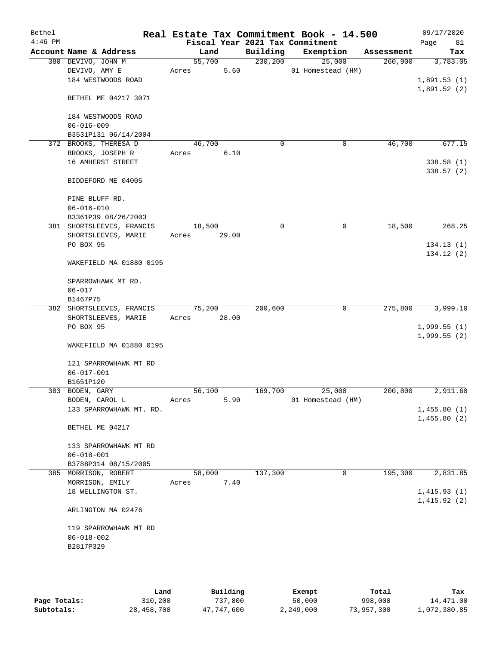| Bethel<br>$4:46$ PM |                                                                |                 |       |          | Real Estate Tax Commitment Book - 14.500<br>Fiscal Year 2021 Tax Commitment |            | 09/17/2020<br>Page<br>81   |
|---------------------|----------------------------------------------------------------|-----------------|-------|----------|-----------------------------------------------------------------------------|------------|----------------------------|
|                     | Account Name & Address                                         | Land            |       | Building | Exemption                                                                   | Assessment | Tax                        |
|                     | 380 DEVIVO, JOHN M<br>DEVIVO, AMY E<br>184 WESTWOODS ROAD      | 55,700<br>Acres | 5.60  | 230, 200 | 25,000<br>01 Homestead (HM)                                                 | 260,900    | 3,783.05<br>1,891.53(1)    |
|                     | BETHEL ME 04217 3071                                           |                 |       |          |                                                                             |            | 1,891.52(2)                |
|                     | 184 WESTWOODS ROAD<br>$06 - 016 - 009$<br>B3531P131 06/14/2004 |                 |       |          |                                                                             |            |                            |
|                     | 372 BROOKS, THERESA D                                          | 46,700          |       | $\Omega$ | 0                                                                           | 46,700     | 677.15                     |
|                     | BROOKS, JOSEPH R<br>16 AMHERST STREET                          | Acres           | 6.10  |          |                                                                             |            | 338.58(1)<br>338.57(2)     |
|                     | BIDDEFORD ME 04005                                             |                 |       |          |                                                                             |            |                            |
|                     | PINE BLUFF RD.<br>$06 - 016 - 010$                             |                 |       |          |                                                                             |            |                            |
|                     | B3361P39 08/26/2003                                            |                 |       |          |                                                                             |            |                            |
|                     | 381 SHORTSLEEVES, FRANCIS                                      | 18,500          |       | 0        | $\mathbf 0$                                                                 | 18,500     | 268.25                     |
|                     | SHORTSLEEVES, MARIE<br>PO BOX 95                               | Acres           | 29.00 |          |                                                                             |            | 134.13(1)<br>134.12(2)     |
|                     | WAKEFIELD MA 01880 0195                                        |                 |       |          |                                                                             |            |                            |
|                     | SPARROWHAWK MT RD.<br>$06 - 017$<br>B1467P75                   |                 |       |          |                                                                             |            |                            |
|                     | 382 SHORTSLEEVES, FRANCIS                                      | 75,200          |       | 200,600  | $\mathbf 0$                                                                 | 275,800    | 3,999.10                   |
|                     | SHORTSLEEVES, MARIE                                            | Acres           | 28.00 |          |                                                                             |            |                            |
|                     | PO BOX 95                                                      |                 |       |          |                                                                             |            | 1,999.55(1)                |
|                     | WAKEFIELD MA 01880 0195                                        |                 |       |          |                                                                             |            | 1,999.55(2)                |
|                     | 121 SPARROWHAWK MT RD<br>$06 - 017 - 001$                      |                 |       |          |                                                                             |            |                            |
|                     | B1651P120                                                      |                 |       |          |                                                                             |            |                            |
|                     | 383 BODEN, GARY<br>BODEN, CAROL L                              | 56,100<br>Acres | 5.90  | 169,700  | 25,000<br>01 Homestead (HM)                                                 | 200,800    | 2,911.60                   |
|                     | 133 SPARROWHAWK MT. RD.                                        |                 |       |          |                                                                             |            | 1,455.80(1)<br>1,455.80(2) |
|                     | BETHEL ME 04217                                                |                 |       |          |                                                                             |            |                            |
|                     | 133 SPARROWHAWK MT RD<br>$06 - 018 - 001$                      |                 |       |          |                                                                             |            |                            |
|                     | B3788P314 08/15/2005<br>385 MORRISON, ROBERT                   | 58,000          |       | 137,300  | $\mathbf 0$                                                                 | 195,300    | 2,831.85                   |
|                     | MORRISON, EMILY                                                | Acres           | 7.40  |          |                                                                             |            |                            |
|                     | 18 WELLINGTON ST.                                              |                 |       |          |                                                                             |            | 1,415.93(1)<br>1,415.92(2) |
|                     | ARLINGTON MA 02476                                             |                 |       |          |                                                                             |            |                            |
|                     | 119 SPARROWHAWK MT RD<br>$06 - 018 - 002$<br>B2817P329         |                 |       |          |                                                                             |            |                            |
|                     |                                                                |                 |       |          |                                                                             |            |                            |

|              | Land       | Building   | Exempt    | Total      | Tax          |
|--------------|------------|------------|-----------|------------|--------------|
| Page Totals: | 310,200    | 737,800    | 50,000    | 998,000    | 14,471.00    |
| Subtotals:   | 28,458,700 | 47,747,600 | 2,249,000 | 73,957,300 | 1,072,380.85 |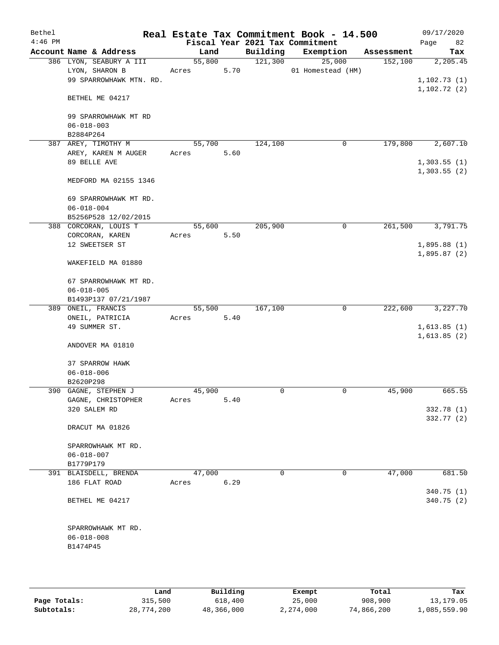| Bethel<br>$4:46$ PM |                         |        |      |             | Real Estate Tax Commitment Book - 14.500<br>Fiscal Year 2021 Tax Commitment |            | 09/17/2020<br>Page<br>82 |
|---------------------|-------------------------|--------|------|-------------|-----------------------------------------------------------------------------|------------|--------------------------|
|                     | Account Name & Address  | Land   |      | Building    | Exemption                                                                   | Assessment | Tax                      |
|                     | 386 LYON, SEABURY A III | 55,800 |      | 121,300     | 25,000                                                                      | 152,100    | 2,205.45                 |
|                     | LYON, SHARON B          | Acres  | 5.70 |             | 01 Homestead (HM)                                                           |            |                          |
|                     | 99 SPARROWHAWK MTN. RD. |        |      |             |                                                                             |            | 1, 102.73(1)             |
|                     | BETHEL ME 04217         |        |      |             |                                                                             |            | 1, 102.72(2)             |
|                     |                         |        |      |             |                                                                             |            |                          |
|                     | 99 SPARROWHAWK MT RD    |        |      |             |                                                                             |            |                          |
|                     | $06 - 018 - 003$        |        |      |             |                                                                             |            |                          |
|                     | B2884P264               |        |      |             |                                                                             |            |                          |
|                     | 387 AREY, TIMOTHY M     | 55,700 |      | 124,100     | 0                                                                           | 179,800    | 2,607.10                 |
|                     | AREY, KAREN M AUGER     | Acres  | 5.60 |             |                                                                             |            |                          |
|                     | 89 BELLE AVE            |        |      |             |                                                                             |            | 1,303.55(1)              |
|                     |                         |        |      |             |                                                                             |            | 1,303.55(2)              |
|                     | MEDFORD MA 02155 1346   |        |      |             |                                                                             |            |                          |
|                     | 69 SPARROWHAWK MT RD.   |        |      |             |                                                                             |            |                          |
|                     | $06 - 018 - 004$        |        |      |             |                                                                             |            |                          |
|                     | B5256P528 12/02/2015    |        |      |             |                                                                             |            |                          |
|                     | 388 CORCORAN, LOUIS T   | 55,600 |      | 205,900     | $\mathsf{O}$                                                                | 261,500    | 3,791.75                 |
|                     | CORCORAN, KAREN         | Acres  | 5.50 |             |                                                                             |            |                          |
|                     | 12 SWEETSER ST          |        |      |             |                                                                             |            | 1,895.88(1)              |
|                     |                         |        |      |             |                                                                             |            | 1,895.87(2)              |
|                     | WAKEFIELD MA 01880      |        |      |             |                                                                             |            |                          |
|                     | 67 SPARROWHAWK MT RD.   |        |      |             |                                                                             |            |                          |
|                     | $06 - 018 - 005$        |        |      |             |                                                                             |            |                          |
|                     | B1493P137 07/21/1987    |        |      |             |                                                                             |            |                          |
|                     | 389 ONEIL, FRANCIS      | 55,500 |      | 167,100     | 0                                                                           | 222,600    | 3,227.70                 |
|                     | ONEIL, PATRICIA         | Acres  | 5.40 |             |                                                                             |            |                          |
|                     | 49 SUMMER ST.           |        |      |             |                                                                             |            | 1,613.85(1)              |
|                     |                         |        |      |             |                                                                             |            | 1,613.85(2)              |
|                     | ANDOVER MA 01810        |        |      |             |                                                                             |            |                          |
|                     | 37 SPARROW HAWK         |        |      |             |                                                                             |            |                          |
|                     | $06 - 018 - 006$        |        |      |             |                                                                             |            |                          |
|                     | B2620P298               |        |      |             |                                                                             |            |                          |
|                     | 390 GAGNE, STEPHEN J    | 45,900 |      | 0           | 0                                                                           | 45,900     | 665.55                   |
|                     | GAGNE, CHRISTOPHER      | Acres  | 5.40 |             |                                                                             |            |                          |
|                     | 320 SALEM RD            |        |      |             |                                                                             |            | 332.78 (1)               |
|                     |                         |        |      |             |                                                                             |            | 332.77 (2)               |
|                     | DRACUT MA 01826         |        |      |             |                                                                             |            |                          |
|                     | SPARROWHAWK MT RD.      |        |      |             |                                                                             |            |                          |
|                     | $06 - 018 - 007$        |        |      |             |                                                                             |            |                          |
|                     | B1779P179               |        |      |             |                                                                             |            |                          |
|                     | 391 BLAISDELL, BRENDA   | 47,000 |      | $\mathbf 0$ | 0                                                                           | 47,000     | 681.50                   |
|                     | 186 FLAT ROAD           | Acres  | 6.29 |             |                                                                             |            |                          |
|                     |                         |        |      |             |                                                                             |            | 340.75(1)                |
|                     | BETHEL ME 04217         |        |      |             |                                                                             |            | 340.75(2)                |
|                     |                         |        |      |             |                                                                             |            |                          |
|                     | SPARROWHAWK MT RD.      |        |      |             |                                                                             |            |                          |
|                     | $06 - 018 - 008$        |        |      |             |                                                                             |            |                          |
|                     | B1474P45                |        |      |             |                                                                             |            |                          |
|                     |                         |        |      |             |                                                                             |            |                          |
|                     |                         |        |      |             |                                                                             |            |                          |

|              | Land       | Building   | Exempt    | Total      | Tax          |
|--------------|------------|------------|-----------|------------|--------------|
| Page Totals: | 315,500    | 618,400    | 25,000    | 908,900    | 13,179.05    |
| Subtotals:   | 28,774,200 | 48,366,000 | 2,274,000 | 74,866,200 | 1,085,559.90 |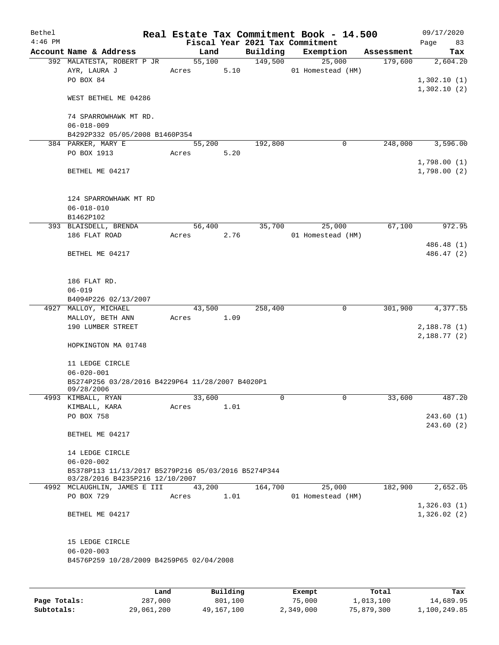| Bethel<br>$4:46$ PM |                                                                                        |       |       |        |          |          | Real Estate Tax Commitment Book - 14.500<br>Fiscal Year 2021 Tax Commitment |            | 09/17/2020<br>Page<br>83    |
|---------------------|----------------------------------------------------------------------------------------|-------|-------|--------|----------|----------|-----------------------------------------------------------------------------|------------|-----------------------------|
|                     | Account Name & Address                                                                 |       |       | Land   |          | Building | Exemption                                                                   | Assessment | Tax                         |
|                     | 392 MALATESTA, ROBERT P JR                                                             |       |       | 55,100 |          | 149,500  | 25,000                                                                      | 179,600    | 2,604.20                    |
|                     | AYR, LAURA J<br>PO BOX 84                                                              |       | Acres |        | 5.10     |          | 01 Homestead (HM)                                                           |            | 1,302.10(1)                 |
|                     | WEST BETHEL ME 04286                                                                   |       |       |        |          |          |                                                                             |            | 1,302.10(2)                 |
|                     | 74 SPARROWHAWK MT RD.<br>$06 - 018 - 009$                                              |       |       |        |          |          |                                                                             |            |                             |
|                     | B4292P332 05/05/2008 B1460P354                                                         |       |       |        |          |          |                                                                             |            |                             |
|                     | 384 PARKER, MARY E                                                                     |       |       | 55,200 |          | 192,800  | 0                                                                           | 248,000    | 3,596.00                    |
|                     | PO BOX 1913                                                                            |       | Acres |        | 5.20     |          |                                                                             |            |                             |
|                     | BETHEL ME 04217                                                                        |       |       |        |          |          |                                                                             |            | 1,798.00(1)<br>1,798.00(2)  |
|                     | 124 SPARROWHAWK MT RD<br>$06 - 018 - 010$                                              |       |       |        |          |          |                                                                             |            |                             |
|                     | B1462P102                                                                              |       |       |        |          |          |                                                                             |            |                             |
|                     | 393 BLAISDELL, BRENDA                                                                  |       |       | 56,400 |          | 35,700   | 25,000                                                                      | 67,100     | 972.95                      |
|                     | 186 FLAT ROAD                                                                          |       | Acres |        | 2.76     |          | 01 Homestead (HM)                                                           |            | 486.48 (1)                  |
|                     | BETHEL ME 04217                                                                        |       |       |        |          |          |                                                                             |            | 486.47 (2)                  |
|                     | 186 FLAT RD.<br>$06 - 019$                                                             |       |       |        |          |          |                                                                             |            |                             |
|                     | B4094P226 02/13/2007                                                                   |       |       |        |          |          |                                                                             |            |                             |
|                     | 4927 MALLOY, MICHAEL                                                                   |       |       | 43,500 |          | 258,400  | 0                                                                           | 301,900    | $\overline{4,}377.55$       |
|                     | MALLOY, BETH ANN                                                                       |       | Acres |        | 1.09     |          |                                                                             |            |                             |
|                     | 190 LUMBER STREET                                                                      |       |       |        |          |          |                                                                             |            | 2,188.78 (1)<br>2,188.77(2) |
|                     | HOPKINGTON MA 01748                                                                    |       |       |        |          |          |                                                                             |            |                             |
|                     | 11 LEDGE CIRCLE                                                                        |       |       |        |          |          |                                                                             |            |                             |
|                     | $06 - 020 - 001$                                                                       |       |       |        |          |          |                                                                             |            |                             |
|                     | B5274P256 03/28/2016 B4229P64 11/28/2007 B4020P1<br>09/28/2006                         |       |       |        |          |          |                                                                             |            |                             |
|                     | 4993 KIMBALL, RYAN                                                                     |       |       | 33,600 |          | 0        | $\mathbf 0$                                                                 | 33,600     | 487.20                      |
|                     | KIMBALL, KARA                                                                          |       | Acres |        | 1.01     |          |                                                                             |            |                             |
|                     | PO BOX 758                                                                             |       |       |        |          |          |                                                                             |            | 243.60(1)<br>243.60(2)      |
|                     | BETHEL ME 04217                                                                        |       |       |        |          |          |                                                                             |            |                             |
|                     | 14 LEDGE CIRCLE                                                                        |       |       |        |          |          |                                                                             |            |                             |
|                     | $06 - 020 - 002$                                                                       |       |       |        |          |          |                                                                             |            |                             |
|                     | B5378P113 11/13/2017 B5279P216 05/03/2016 B5274P344<br>03/28/2016 B4235P216 12/10/2007 |       |       |        |          |          |                                                                             |            |                             |
|                     | 4992 MCLAUGHLIN, JAMES E III                                                           |       |       | 43,200 |          | 164,700  | 25,000                                                                      | 182,900    | 2,652.05                    |
|                     | PO BOX 729                                                                             |       | Acres |        | 1.01     |          | 01 Homestead (HM)                                                           |            |                             |
|                     |                                                                                        |       |       |        |          |          |                                                                             |            | 1,326.03(1)                 |
|                     | BETHEL ME 04217                                                                        |       |       |        |          |          |                                                                             |            | 1,326.02(2)                 |
|                     | 15 LEDGE CIRCLE                                                                        |       |       |        |          |          |                                                                             |            |                             |
|                     | $06 - 020 - 003$                                                                       |       |       |        |          |          |                                                                             |            |                             |
|                     | B4576P259 10/28/2009 B4259P65 02/04/2008                                               |       |       |        |          |          |                                                                             |            |                             |
|                     |                                                                                        |       |       |        |          |          |                                                                             |            |                             |
|                     |                                                                                        | Land, |       |        | Building |          | <b>Exempt</b>                                                               | Total      | Tax                         |

|              | Land       | Building   | Exempt    | Total      | Tax          |
|--------------|------------|------------|-----------|------------|--------------|
| Page Totals: | 287,000    | 801,100    | 75,000    | 1,013,100  | 14,689.95    |
| Subtotals:   | 29,061,200 | 49,167,100 | 2,349,000 | 75,879,300 | 1,100,249.85 |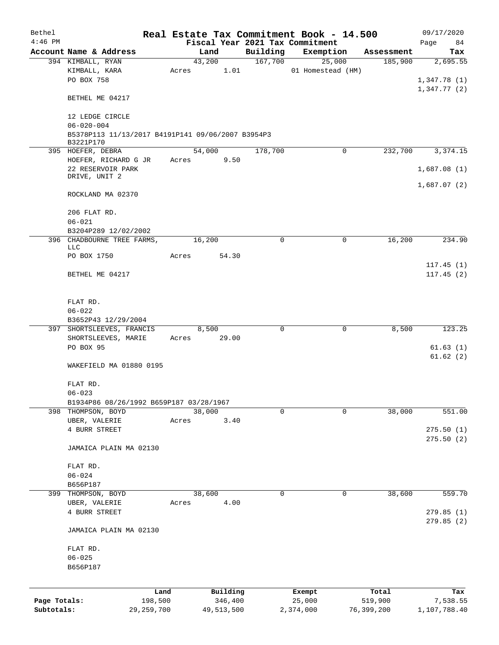| Bethel       |                                                   |        |            |             | Real Estate Tax Commitment Book - 14.500 |            | 09/17/2020   |
|--------------|---------------------------------------------------|--------|------------|-------------|------------------------------------------|------------|--------------|
| $4:46$ PM    |                                                   |        |            |             | Fiscal Year 2021 Tax Commitment          |            | Page<br>84   |
|              | Account Name & Address                            | Land   |            | Building    | Exemption                                | Assessment | Tax          |
|              | 394 KIMBALL, RYAN                                 | 43,200 |            | 167,700     | 25,000                                   | 185,900    | 2,695.55     |
|              | KIMBALL, KARA                                     | Acres  | 1.01       |             | 01 Homestead (HM)                        |            |              |
|              | PO BOX 758                                        |        |            |             |                                          |            | 1,347.78(1)  |
|              |                                                   |        |            |             |                                          |            | 1,347.77(2)  |
|              | BETHEL ME 04217                                   |        |            |             |                                          |            |              |
|              |                                                   |        |            |             |                                          |            |              |
|              | 12 LEDGE CIRCLE<br>$06 - 020 - 004$               |        |            |             |                                          |            |              |
|              | B5378P113 11/13/2017 B4191P141 09/06/2007 B3954P3 |        |            |             |                                          |            |              |
|              | B3221P170                                         |        |            |             |                                          |            |              |
|              | 395 HOEFER, DEBRA                                 | 54,000 |            | 178,700     | 0                                        | 232,700    | 3,374.15     |
|              | HOEFER, RICHARD G JR                              | Acres  | 9.50       |             |                                          |            |              |
|              | 22 RESERVOIR PARK                                 |        |            |             |                                          |            | 1,687.08(1)  |
|              | DRIVE, UNIT 2                                     |        |            |             |                                          |            |              |
|              |                                                   |        |            |             |                                          |            | 1,687.07(2)  |
|              | ROCKLAND MA 02370                                 |        |            |             |                                          |            |              |
|              |                                                   |        |            |             |                                          |            |              |
|              | 206 FLAT RD.                                      |        |            |             |                                          |            |              |
|              | $06 - 021$                                        |        |            |             |                                          |            |              |
|              | B3204P289 12/02/2002                              |        |            |             |                                          |            |              |
|              | 396 CHADBOURNE TREE FARMS,<br>LLC                 | 16,200 |            | $\Omega$    | $\mathbf 0$                              | 16,200     | 234.90       |
|              | PO BOX 1750                                       | Acres  | 54.30      |             |                                          |            |              |
|              |                                                   |        |            |             |                                          |            | 117.45(1)    |
|              | BETHEL ME 04217                                   |        |            |             |                                          |            | 117.45(2)    |
|              |                                                   |        |            |             |                                          |            |              |
|              |                                                   |        |            |             |                                          |            |              |
|              | FLAT RD.                                          |        |            |             |                                          |            |              |
|              | $06 - 022$                                        |        |            |             |                                          |            |              |
|              | B3652P43 12/29/2004                               |        |            |             |                                          |            |              |
|              | 397 SHORTSLEEVES, FRANCIS                         | 8,500  |            | $\Omega$    | 0                                        | 8,500      | 123.25       |
|              | SHORTSLEEVES, MARIE                               | Acres  | 29.00      |             |                                          |            |              |
|              | PO BOX 95                                         |        |            |             |                                          |            | 61.63(1)     |
|              |                                                   |        |            |             |                                          |            | 61.62(2)     |
|              | WAKEFIELD MA 01880 0195                           |        |            |             |                                          |            |              |
|              |                                                   |        |            |             |                                          |            |              |
|              | FLAT RD.                                          |        |            |             |                                          |            |              |
|              | $06 - 023$                                        |        |            |             |                                          |            |              |
|              | B1934P86 08/26/1992 B659P187 03/28/1967           |        |            |             |                                          |            |              |
|              | 398 THOMPSON, BOYD                                | 38,000 |            | $\mathbf 0$ | 0                                        | 38,000     | 551.00       |
|              | UBER, VALERIE                                     | Acres  | 3.40       |             |                                          |            |              |
|              | 4 BURR STREET                                     |        |            |             |                                          |            | 275.50(1)    |
|              |                                                   |        |            |             |                                          |            | 275.50(2)    |
|              | JAMAICA PLAIN MA 02130                            |        |            |             |                                          |            |              |
|              |                                                   |        |            |             |                                          |            |              |
|              | FLAT RD.                                          |        |            |             |                                          |            |              |
|              | $06 - 024$<br>B656P187                            |        |            |             |                                          |            |              |
|              | 399 THOMPSON, BOYD                                | 38,600 |            | 0           | 0                                        | 38,600     | 559.70       |
|              | UBER, VALERIE                                     | Acres  | 4.00       |             |                                          |            |              |
|              | 4 BURR STREET                                     |        |            |             |                                          |            | 279.85(1)    |
|              |                                                   |        |            |             |                                          |            | 279.85 (2)   |
|              | JAMAICA PLAIN MA 02130                            |        |            |             |                                          |            |              |
|              |                                                   |        |            |             |                                          |            |              |
|              | FLAT RD.                                          |        |            |             |                                          |            |              |
|              | $06 - 025$                                        |        |            |             |                                          |            |              |
|              | B656P187                                          |        |            |             |                                          |            |              |
|              |                                                   |        |            |             |                                          |            |              |
|              |                                                   |        |            |             |                                          |            |              |
|              | Land                                              |        | Building   |             | Exempt                                   | Total      | Tax          |
| Page Totals: | 198,500                                           |        | 346,400    |             | 25,000                                   | 519,900    | 7,538.55     |
| Subtotals:   | 29, 259, 700                                      |        | 49,513,500 |             | 2,374,000                                | 76,399,200 | 1,107,788.40 |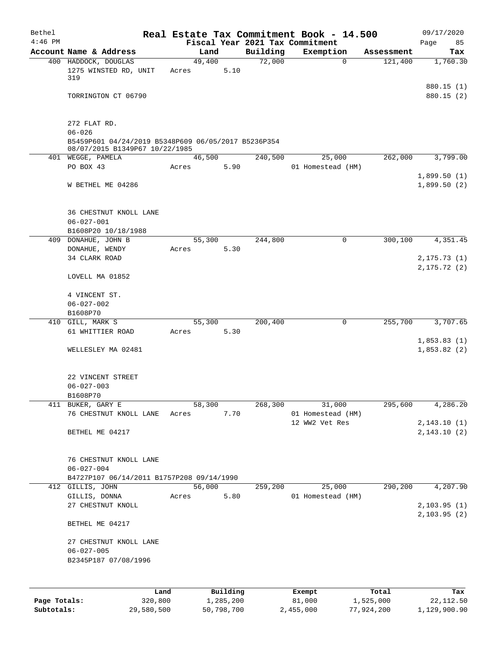| Bethel       |                                                                                                     |         |        |           |          | Real Estate Tax Commitment Book - 14.500 |            | 09/17/2020    |
|--------------|-----------------------------------------------------------------------------------------------------|---------|--------|-----------|----------|------------------------------------------|------------|---------------|
| $4:46$ PM    |                                                                                                     |         |        |           |          | Fiscal Year 2021 Tax Commitment          |            | Page<br>85    |
|              | Account Name & Address                                                                              |         | Land   |           | Building | Exemption                                | Assessment | Tax           |
|              | 400 HADDOCK, DOUGLAS<br>1275 WINSTED RD, UNIT<br>319                                                | Acres   | 49,400 | 5.10      | 72,000   | 0                                        | 121,400    | 1,760.30      |
|              |                                                                                                     |         |        |           |          |                                          |            | 880.15 (1)    |
|              | TORRINGTON CT 06790                                                                                 |         |        |           |          |                                          |            | 880.15(2)     |
|              | 272 FLAT RD.                                                                                        |         |        |           |          |                                          |            |               |
|              | $06 - 026$<br>B5459P601 04/24/2019 B5348P609 06/05/2017 B5236P354<br>08/07/2015 B1349P67 10/22/1985 |         |        |           |          |                                          |            |               |
|              | 401 WEGGE, PAMELA                                                                                   |         | 46,500 |           | 240,500  | 25,000                                   | 262,000    | 3,799.00      |
|              | PO BOX 43                                                                                           | Acres   |        | 5.90      |          | 01 Homestead (HM)                        |            |               |
|              |                                                                                                     |         |        |           |          |                                          |            | 1,899.50(1)   |
|              | W BETHEL ME 04286                                                                                   |         |        |           |          |                                          |            | 1,899.50(2)   |
|              | 36 CHESTNUT KNOLL LANE<br>$06 - 027 - 001$                                                          |         |        |           |          |                                          |            |               |
|              | B1608P20 10/18/1988                                                                                 |         |        |           |          |                                          |            |               |
|              | 409 DONAHUE, JOHN B                                                                                 |         | 55,300 |           | 244,800  | $\mathbf 0$                              | 300,100    | 4,351.45      |
|              | DONAHUE, WENDY                                                                                      | Acres   |        | 5.30      |          |                                          |            |               |
|              | 34 CLARK ROAD                                                                                       |         |        |           |          |                                          |            | 2, 175.73 (1) |
|              | LOVELL MA 01852                                                                                     |         |        |           |          |                                          |            | 2, 175.72(2)  |
|              | 4 VINCENT ST.                                                                                       |         |        |           |          |                                          |            |               |
|              | $06 - 027 - 002$                                                                                    |         |        |           |          |                                          |            |               |
|              | B1608P70                                                                                            |         |        |           |          |                                          |            |               |
|              | 410 GILL, MARK S                                                                                    |         | 55,300 |           | 200,400  | 0                                        | 255,700    | 3,707.65      |
|              | 61 WHITTIER ROAD                                                                                    | Acres   |        | 5.30      |          |                                          |            |               |
|              |                                                                                                     |         |        |           |          |                                          |            | 1,853.83(1)   |
|              | WELLESLEY MA 02481                                                                                  |         |        |           |          |                                          |            | 1,853.82(2)   |
|              | 22 VINCENT STREET                                                                                   |         |        |           |          |                                          |            |               |
|              | $06 - 027 - 003$                                                                                    |         |        |           |          |                                          |            |               |
|              | B1608P70                                                                                            |         |        |           |          |                                          |            |               |
|              | 411 BUKER, GARY E                                                                                   |         | 58,300 |           | 268,300  | 31,000                                   | 295,600    | 4,286.20      |
|              | 76 CHESTNUT KNOLL LANE                                                                              | Acres   |        | 7.70      |          | 01 Homestead (HM)                        |            |               |
|              |                                                                                                     |         |        |           |          | 12 WW2 Vet Res                           |            | 2, 143.10(1)  |
|              | BETHEL ME 04217                                                                                     |         |        |           |          |                                          |            | 2, 143.10 (2) |
|              | 76 CHESTNUT KNOLL LANE                                                                              |         |        |           |          |                                          |            |               |
|              | $06 - 027 - 004$                                                                                    |         |        |           |          |                                          |            |               |
|              | B4727P107 06/14/2011 B1757P208 09/14/1990                                                           |         |        |           |          |                                          |            |               |
|              | 412 GILLIS, JOHN                                                                                    |         | 56,000 |           | 259,200  | 25,000                                   | 290,200    | 4,207.90      |
|              | GILLIS, DONNA                                                                                       | Acres   |        | 5.80      |          | 01 Homestead (HM)                        |            |               |
|              | 27 CHESTNUT KNOLL                                                                                   |         |        |           |          |                                          |            | 2,103.95(1)   |
|              | BETHEL ME 04217                                                                                     |         |        |           |          |                                          |            | 2,103.95(2)   |
|              | 27 CHESTNUT KNOLL LANE                                                                              |         |        |           |          |                                          |            |               |
|              | $06 - 027 - 005$<br>B2345P187 07/08/1996                                                            |         |        |           |          |                                          |            |               |
|              |                                                                                                     |         |        |           |          |                                          |            |               |
|              |                                                                                                     |         |        |           |          |                                          |            |               |
|              |                                                                                                     | Land    |        | Building  |          | Exempt                                   | Total      | Tax           |
| Page Totals: |                                                                                                     | 320,800 |        | 1,285,200 |          | 81,000                                   | 1,525,000  | 22, 112.50    |

**Subtotals:** 29,580,500 50,798,700 2,455,000 77,924,200 1,129,900.90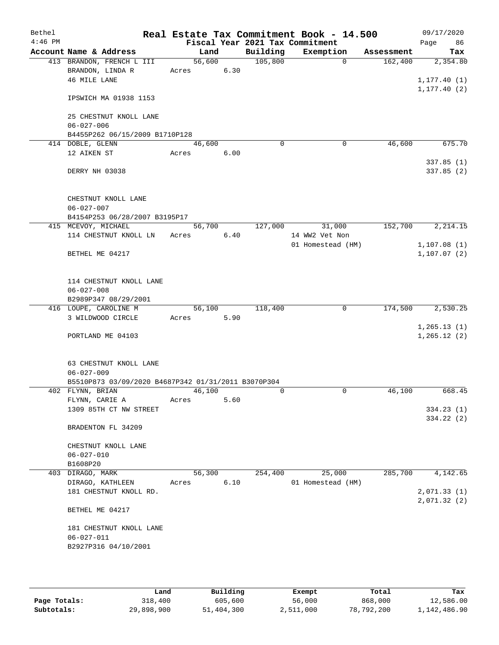| Bethel<br>$4:46$ PM |                                                     |        |      |          | Real Estate Tax Commitment Book - 14.500<br>Fiscal Year 2021 Tax Commitment |            | 09/17/2020<br>Page<br>86 |
|---------------------|-----------------------------------------------------|--------|------|----------|-----------------------------------------------------------------------------|------------|--------------------------|
|                     | Account Name & Address                              | Land   |      | Building | Exemption                                                                   | Assessment | Tax                      |
|                     | 413 BRANDON, FRENCH L III                           | 56,600 |      | 105,800  | $\Omega$                                                                    | 162,400    | 2,354.80                 |
|                     | BRANDON, LINDA R                                    | Acres  | 6.30 |          |                                                                             |            |                          |
|                     | 46 MILE LANE                                        |        |      |          |                                                                             |            | 1, 177.40(1)             |
|                     | IPSWICH MA 01938 1153                               |        |      |          |                                                                             |            | 1, 177.40(2)             |
|                     |                                                     |        |      |          |                                                                             |            |                          |
|                     | 25 CHESTNUT KNOLL LANE                              |        |      |          |                                                                             |            |                          |
|                     | $06 - 027 - 006$                                    |        |      |          |                                                                             |            |                          |
|                     | B4455P262 06/15/2009 B1710P128                      |        |      |          |                                                                             |            |                          |
|                     | 414 DOBLE, GLENN                                    | 46,600 |      | $\Omega$ | 0                                                                           | 46,600     | 675.70                   |
|                     | 12 AIKEN ST                                         | Acres  | 6.00 |          |                                                                             |            |                          |
|                     | DERRY NH 03038                                      |        |      |          |                                                                             |            | 337.85(1)<br>337.85(2)   |
|                     | CHESTNUT KNOLL LANE                                 |        |      |          |                                                                             |            |                          |
|                     | $06 - 027 - 007$                                    |        |      |          |                                                                             |            |                          |
|                     | B4154P253 06/28/2007 B3195P17                       |        |      |          |                                                                             |            |                          |
|                     | 415 MCEVOY, MICHAEL                                 | 56,700 |      | 127,000  | 31,000                                                                      | 152,700    | 2,214.15                 |
|                     | 114 CHESTNUT KNOLL LN                               | Acres  | 6.40 |          | 14 WW2 Vet Non                                                              |            |                          |
|                     |                                                     |        |      |          | 01 Homestead (HM)                                                           |            | 1, 107.08(1)             |
|                     | BETHEL ME 04217                                     |        |      |          |                                                                             |            | 1,107.07(2)              |
|                     | 114 CHESTNUT KNOLL LANE                             |        |      |          |                                                                             |            |                          |
|                     | $06 - 027 - 008$                                    |        |      |          |                                                                             |            |                          |
|                     | B2989P347 08/29/2001                                |        |      |          |                                                                             |            |                          |
|                     | 416 LOUPE, CAROLINE M                               | 56,100 |      | 118,400  | 0                                                                           | 174,500    | 2,530.25                 |
|                     | 3 WILDWOOD CIRCLE                                   | Acres  | 5.90 |          |                                                                             |            |                          |
|                     |                                                     |        |      |          |                                                                             |            | 1,265.13(1)              |
|                     | PORTLAND ME 04103                                   |        |      |          |                                                                             |            | 1, 265.12(2)             |
|                     | 63 CHESTNUT KNOLL LANE                              |        |      |          |                                                                             |            |                          |
|                     | $06 - 027 - 009$                                    |        |      |          |                                                                             |            |                          |
|                     | B5510P873 03/09/2020 B4687P342 01/31/2011 B3070P304 |        |      |          |                                                                             |            |                          |
|                     | 402 FLYNN, BRIAN                                    | 46,100 |      | 0        | 0                                                                           | 46,100     | 668.45                   |
|                     | FLYNN, CARIE A                                      | Acres  | 5.60 |          |                                                                             |            |                          |
|                     | 1309 85TH CT NW STREET                              |        |      |          |                                                                             |            | 334.23(1)                |
|                     | BRADENTON FL 34209                                  |        |      |          |                                                                             |            | 334.22 (2)               |
|                     | CHESTNUT KNOLL LANE                                 |        |      |          |                                                                             |            |                          |
|                     | $06 - 027 - 010$                                    |        |      |          |                                                                             |            |                          |
|                     | B1608P20                                            |        |      |          |                                                                             |            |                          |
|                     | 403 DIRAGO, MARK                                    | 56,300 |      | 254,400  | 25,000                                                                      | 285,700    | 4,142.65                 |
|                     | DIRAGO, KATHLEEN                                    | Acres  | 6.10 |          | 01 Homestead (HM)                                                           |            |                          |
|                     | 181 CHESTNUT KNOLL RD.                              |        |      |          |                                                                             |            | 2,071.33(1)              |
|                     | BETHEL ME 04217                                     |        |      |          |                                                                             |            | 2,071.32(2)              |
|                     |                                                     |        |      |          |                                                                             |            |                          |
|                     | 181 CHESTNUT KNOLL LANE<br>$06 - 027 - 011$         |        |      |          |                                                                             |            |                          |
|                     | B2927P316 04/10/2001                                |        |      |          |                                                                             |            |                          |
|                     |                                                     |        |      |          |                                                                             |            |                          |

|              | Land       | Building   | Exempt    | Total      | Tax          |
|--------------|------------|------------|-----------|------------|--------------|
| Page Totals: | 318,400    | 605,600    | 56,000    | 868,000    | 12,586.00    |
| Subtotals:   | 29,898,900 | 51,404,300 | 2,511,000 | 78,792,200 | 1,142,486.90 |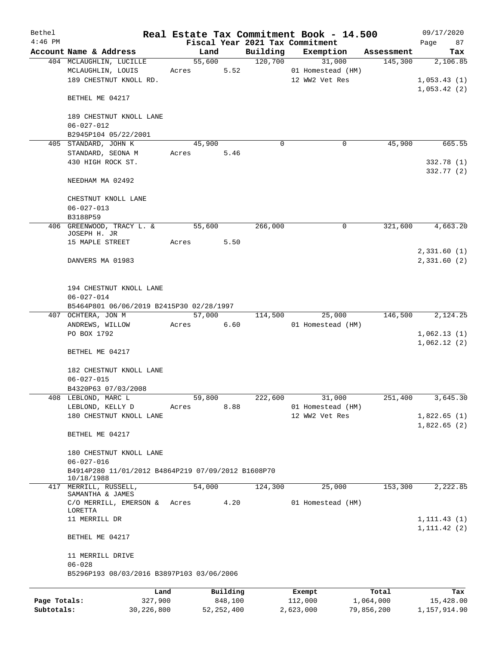| Bethel       |                                                                |        |                     |          | Real Estate Tax Commitment Book - 14.500 |                    | 09/17/2020       |
|--------------|----------------------------------------------------------------|--------|---------------------|----------|------------------------------------------|--------------------|------------------|
| $4:46$ PM    |                                                                |        |                     |          | Fiscal Year 2021 Tax Commitment          |                    | Page<br>87       |
|              | Account Name & Address                                         | Land   |                     | Building | Exemption                                | Assessment         | Tax              |
|              | 404 MCLAUGHLIN, LUCILLE                                        | 55,600 |                     | 120,700  | 31,000                                   | 145,300            | 2,106.85         |
|              | MCLAUGHLIN, LOUIS                                              | Acres  | 5.52                |          | 01 Homestead (HM)                        |                    |                  |
|              | 189 CHESTNUT KNOLL RD.                                         |        |                     |          | 12 WW2 Vet Res                           |                    | 1,053.43(1)      |
|              |                                                                |        |                     |          |                                          |                    | 1,053.42(2)      |
|              | BETHEL ME 04217                                                |        |                     |          |                                          |                    |                  |
|              |                                                                |        |                     |          |                                          |                    |                  |
|              | 189 CHESTNUT KNOLL LANE                                        |        |                     |          |                                          |                    |                  |
|              | $06 - 027 - 012$                                               |        |                     |          |                                          |                    |                  |
|              | B2945P104 05/22/2001                                           |        |                     |          |                                          |                    |                  |
|              | 405 STANDARD, JOHN K                                           | 45,900 |                     | 0        | 0                                        | 45,900             | 665.55           |
|              | STANDARD, SEONA M                                              | Acres  | 5.46                |          |                                          |                    |                  |
|              | 430 HIGH ROCK ST.                                              |        |                     |          |                                          |                    | 332.78 (1)       |
|              |                                                                |        |                     |          |                                          |                    | 332.77 (2)       |
|              | NEEDHAM MA 02492                                               |        |                     |          |                                          |                    |                  |
|              |                                                                |        |                     |          |                                          |                    |                  |
|              | CHESTNUT KNOLL LANE                                            |        |                     |          |                                          |                    |                  |
|              | $06 - 027 - 013$                                               |        |                     |          |                                          |                    |                  |
|              | B3188P59                                                       |        |                     |          |                                          |                    |                  |
|              | 406 GREENWOOD, TRACY L. &                                      | 55,600 |                     | 266,000  | 0                                        | 321,600            | 4,663.20         |
|              | JOSEPH H. JR                                                   |        |                     |          |                                          |                    |                  |
|              | 15 MAPLE STREET                                                | Acres  | 5.50                |          |                                          |                    |                  |
|              |                                                                |        |                     |          |                                          |                    | 2,331.60(1)      |
|              | DANVERS MA 01983                                               |        |                     |          |                                          |                    | 2,331.60(2)      |
|              |                                                                |        |                     |          |                                          |                    |                  |
|              |                                                                |        |                     |          |                                          |                    |                  |
|              | 194 CHESTNUT KNOLL LANE                                        |        |                     |          |                                          |                    |                  |
|              | $06 - 027 - 014$                                               |        |                     |          |                                          |                    |                  |
|              | B5464P801 06/06/2019 B2415P30 02/28/1997<br>407 OCHTERA, JON M |        |                     |          |                                          |                    | 2,124.25         |
|              |                                                                | 57,000 |                     | 114,500  | 25,000                                   | 146,500            |                  |
|              | ANDREWS, WILLOW                                                | Acres  | 6.60                |          | 01 Homestead (HM)                        |                    |                  |
|              | PO BOX 1792                                                    |        |                     |          |                                          |                    | 1,062.13(1)      |
|              |                                                                |        |                     |          |                                          |                    | 1,062.12(2)      |
|              | BETHEL ME 04217                                                |        |                     |          |                                          |                    |                  |
|              |                                                                |        |                     |          |                                          |                    |                  |
|              | 182 CHESTNUT KNOLL LANE<br>$06 - 027 - 015$                    |        |                     |          |                                          |                    |                  |
|              | B4320P63 07/03/2008                                            |        |                     |          |                                          |                    |                  |
|              | 408 LEBLOND, MARC L                                            | 59,800 |                     | 222,600  | 31,000                                   | 251,400            | 3,645.30         |
|              |                                                                |        | 8.88                |          | 01 Homestead (HM)                        |                    |                  |
|              | LEBLOND, KELLY D<br>180 CHESTNUT KNOLL LANE                    | Acres  |                     |          | 12 WW2 Vet Res                           |                    | 1,822.65(1)      |
|              |                                                                |        |                     |          |                                          |                    | 1,822.65(2)      |
|              | BETHEL ME 04217                                                |        |                     |          |                                          |                    |                  |
|              |                                                                |        |                     |          |                                          |                    |                  |
|              | 180 CHESTNUT KNOLL LANE                                        |        |                     |          |                                          |                    |                  |
|              | $06 - 027 - 016$                                               |        |                     |          |                                          |                    |                  |
|              | B4914P280 11/01/2012 B4864P219 07/09/2012 B1608P70             |        |                     |          |                                          |                    |                  |
|              | 10/18/1988                                                     |        |                     |          |                                          |                    |                  |
|              | 417 MERRILL, RUSSELL,                                          | 54,000 |                     | 124,300  | 25,000                                   | 153,300            | 2,222.85         |
|              | SAMANTHA & JAMES                                               |        |                     |          |                                          |                    |                  |
|              | C/O MERRILL, EMERSON &                                         | Acres  | 4.20                |          | 01 Homestead (HM)                        |                    |                  |
|              | LORETTA                                                        |        |                     |          |                                          |                    |                  |
|              | 11 MERRILL DR                                                  |        |                     |          |                                          |                    | 1, 111.43(1)     |
|              |                                                                |        |                     |          |                                          |                    | 1, 111.42(2)     |
|              | BETHEL ME 04217                                                |        |                     |          |                                          |                    |                  |
|              |                                                                |        |                     |          |                                          |                    |                  |
|              | 11 MERRILL DRIVE                                               |        |                     |          |                                          |                    |                  |
|              | $06 - 028$                                                     |        |                     |          |                                          |                    |                  |
|              | B5296P193 08/03/2016 B3897P103 03/06/2006                      |        |                     |          |                                          |                    |                  |
|              |                                                                |        |                     |          |                                          |                    |                  |
| Page Totals: | Land<br>327,900                                                |        | Building<br>848,100 |          | Exempt<br>112,000                        | Total<br>1,064,000 | Tax<br>15,428.00 |
|              |                                                                |        |                     |          |                                          |                    |                  |

**Subtotals:** 30,226,800 52,252,400 2,623,000 79,856,200 1,157,914.90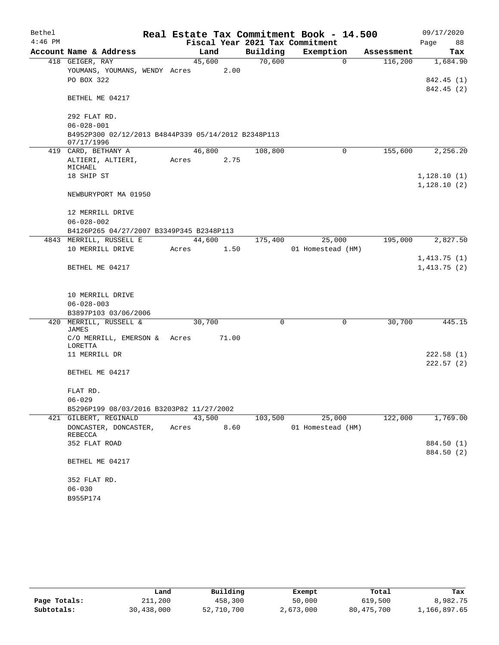| Bethel    |                                                                   |       |        |       |             | Real Estate Tax Commitment Book - 14.500 |          |            | 09/17/2020  |        |
|-----------|-------------------------------------------------------------------|-------|--------|-------|-------------|------------------------------------------|----------|------------|-------------|--------|
| $4:46$ PM |                                                                   |       |        |       |             | Fiscal Year 2021 Tax Commitment          |          |            | Page        | 88     |
|           | Account Name & Address                                            |       | Land   |       | Building    | Exemption                                |          | Assessment |             | Tax    |
|           | 418 GEIGER, RAY                                                   |       | 45,600 |       | 70,600      |                                          | $\Omega$ | 116,200    | 1,684.90    |        |
|           | YOUMANS, YOUMANS, WENDY Acres                                     |       |        | 2.00  |             |                                          |          |            |             |        |
|           | PO BOX 322                                                        |       |        |       |             |                                          |          |            | 842.45 (1)  |        |
|           |                                                                   |       |        |       |             |                                          |          |            | 842.45 (2)  |        |
|           | BETHEL ME 04217                                                   |       |        |       |             |                                          |          |            |             |        |
|           | 292 FLAT RD.                                                      |       |        |       |             |                                          |          |            |             |        |
|           | $06 - 028 - 001$                                                  |       |        |       |             |                                          |          |            |             |        |
|           | B4952P300 02/12/2013 B4844P339 05/14/2012 B2348P113<br>07/17/1996 |       |        |       |             |                                          |          |            |             |        |
|           | 419 CARD, BETHANY A                                               |       | 46,800 |       | 108,800     |                                          | $\Omega$ | 155,600    | 2,256.20    |        |
|           | ALTIERI, ALTIERI,<br>MICHAEL                                      | Acres |        | 2.75  |             |                                          |          |            |             |        |
|           | 18 SHIP ST                                                        |       |        |       |             |                                          |          |            | 1,128.10(1) |        |
|           |                                                                   |       |        |       |             |                                          |          |            | 1,128.10(2) |        |
|           | NEWBURYPORT MA 01950                                              |       |        |       |             |                                          |          |            |             |        |
|           | 12 MERRILL DRIVE                                                  |       |        |       |             |                                          |          |            |             |        |
|           | $06 - 028 - 002$                                                  |       |        |       |             |                                          |          |            |             |        |
|           | B4126P265 04/27/2007 B3349P345 B2348P113                          |       |        |       |             |                                          |          |            |             |        |
|           | 4843 MERRILL, RUSSELL E                                           |       | 44,600 |       | 175,400     | 25,000                                   |          | 195,000    | 2,827.50    |        |
|           | 10 MERRILL DRIVE                                                  | Acres |        | 1.50  |             | 01 Homestead (HM)                        |          |            |             |        |
|           |                                                                   |       |        |       |             |                                          |          |            | 1,413.75(1) |        |
|           | BETHEL ME 04217                                                   |       |        |       |             |                                          |          |            | 1,413.75(2) |        |
|           |                                                                   |       |        |       |             |                                          |          |            |             |        |
|           | 10 MERRILL DRIVE                                                  |       |        |       |             |                                          |          |            |             |        |
|           | $06 - 028 - 003$                                                  |       |        |       |             |                                          |          |            |             |        |
|           | B3897P103 03/06/2006                                              |       |        |       |             |                                          |          |            |             |        |
|           | 420 MERRILL, RUSSELL &<br>JAMES                                   |       | 30,700 |       | $\mathbf 0$ |                                          | 0        | 30,700     |             | 445.15 |
|           | C/O MERRILL, EMERSON &<br>LORETTA                                 | Acres |        | 71.00 |             |                                          |          |            |             |        |
|           | 11 MERRILL DR                                                     |       |        |       |             |                                          |          |            | 222.58(1)   |        |
|           |                                                                   |       |        |       |             |                                          |          |            | 222.57(2)   |        |
|           | BETHEL ME 04217                                                   |       |        |       |             |                                          |          |            |             |        |
|           | FLAT RD.                                                          |       |        |       |             |                                          |          |            |             |        |
|           | $06 - 029$                                                        |       |        |       |             |                                          |          |            |             |        |
|           | B5296P199 08/03/2016 B3203P82 11/27/2002                          |       |        |       |             |                                          |          |            |             |        |
| 421       | GILBERT, REGINALD                                                 |       | 43,500 |       | 103,500     | 25,000                                   |          | 122,000    | 1,769.00    |        |
|           | DONCASTER, DONCASTER,<br>REBECCA                                  | Acres |        | 8.60  |             | 01 Homestead (HM)                        |          |            |             |        |
|           | 352 FLAT ROAD                                                     |       |        |       |             |                                          |          |            | 884.50 (1)  |        |
|           |                                                                   |       |        |       |             |                                          |          |            | 884.50 (2)  |        |
|           | BETHEL ME 04217                                                   |       |        |       |             |                                          |          |            |             |        |
|           | 352 FLAT RD.                                                      |       |        |       |             |                                          |          |            |             |        |
|           | $06 - 030$                                                        |       |        |       |             |                                          |          |            |             |        |
|           | B955P174                                                          |       |        |       |             |                                          |          |            |             |        |

|              | Land       | Building   | Exempt    | Total        | Tax          |
|--------------|------------|------------|-----------|--------------|--------------|
| Page Totals: | 211,200    | 458,300    | 50,000    | 619,500      | 8,982.75     |
| Subtotals:   | 30,438,000 | 52,710,700 | 2,673,000 | 80, 475, 700 | 1,166,897.65 |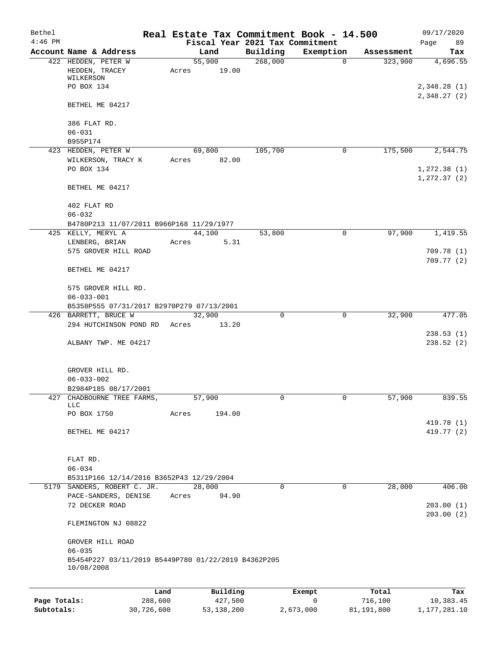| Bethel<br>$4:46$ PM |                                                                         |      |       |                 | Fiscal Year 2021 Tax Commitment | Real Estate Tax Commitment Book - 14.500 |            | 09/17/2020<br>Page<br>89 |
|---------------------|-------------------------------------------------------------------------|------|-------|-----------------|---------------------------------|------------------------------------------|------------|--------------------------|
|                     | Account Name & Address                                                  |      |       | Land            | Building                        | Exemption                                | Assessment | Tax                      |
|                     | 422 HEDDEN, PETER W<br>HEDDEN, TRACEY                                   |      | Acres | 55,900<br>19.00 | 268,000                         | $\mathbf 0$                              | 323,900    | 4,696.55                 |
|                     | WILKERSON<br>PO BOX 134                                                 |      |       |                 |                                 |                                          |            | 2,348.28(1)              |
|                     | BETHEL ME 04217                                                         |      |       |                 |                                 |                                          |            | 2,348.27(2)              |
|                     | 386 FLAT RD.                                                            |      |       |                 |                                 |                                          |            |                          |
|                     | $06 - 031$<br>B955P174                                                  |      |       |                 |                                 |                                          |            |                          |
|                     | 423 HEDDEN, PETER W                                                     |      |       | 69,800          | 105,700                         | 0                                        | 175,500    | 2,544.75                 |
|                     | WILKERSON, TRACY K<br>PO BOX 134                                        |      | Acres | 82.00           |                                 |                                          |            | 1,272.38(1)              |
|                     | BETHEL ME 04217                                                         |      |       |                 |                                 |                                          |            | 1, 272.37(2)             |
|                     | 402 FLAT RD<br>$06 - 032$                                               |      |       |                 |                                 |                                          |            |                          |
|                     | B4780P213 11/07/2011 B966P168 11/29/1977                                |      |       |                 |                                 |                                          |            |                          |
|                     | 425 KELLY, MERYL A                                                      |      |       | 44,100          | 53,800                          | 0                                        | 97,900     | 1,419.55                 |
|                     | LENBERG, BRIAN<br>575 GROVER HILL ROAD                                  |      | Acres | 5.31            |                                 |                                          |            | 709.78 (1)<br>709.77(2)  |
|                     | BETHEL ME 04217                                                         |      |       |                 |                                 |                                          |            |                          |
|                     | 575 GROVER HILL RD.<br>$06 - 033 - 001$                                 |      |       |                 |                                 |                                          |            |                          |
|                     | B5358P555 07/31/2017 B2970P279 07/13/2001                               |      |       |                 |                                 |                                          |            |                          |
|                     | 426 BARRETT, BRUCE W<br>294 HUTCHINSON POND RD                          |      | Acres | 32,900<br>13.20 | 0                               | $\mathbf 0$                              | 32,900     | 477.05                   |
|                     | ALBANY TWP. ME 04217                                                    |      |       |                 |                                 |                                          |            | 238.53(1)<br>238.52(2)   |
|                     | GROVER HILL RD.<br>$06 - 033 - 002$                                     |      |       |                 |                                 |                                          |            |                          |
|                     | B2984P185 08/17/2001                                                    |      |       |                 |                                 |                                          |            |                          |
| 427                 | CHADBOURNE TREE FARMS,<br>LLC                                           |      |       | 57,900          | 0                               | 0                                        | 57,900     | 839.55                   |
|                     | PO BOX 1750                                                             |      | Acres | 194.00          |                                 |                                          |            |                          |
|                     | BETHEL ME 04217                                                         |      |       |                 |                                 |                                          |            | 419.78 (1)<br>419.77 (2) |
|                     | FLAT RD.                                                                |      |       |                 |                                 |                                          |            |                          |
|                     | $06 - 034$                                                              |      |       |                 |                                 |                                          |            |                          |
|                     | B5311P166 12/14/2016 B3652P43 12/29/2004<br>5179 SANDERS, ROBERT C. JR. |      |       | 28,000          | 0                               | 0                                        | 28,000     | 406.00                   |
|                     | PACE-SANDERS, DENISE<br>72 DECKER ROAD                                  |      | Acres | 94.90           |                                 |                                          |            | 203.00(1)                |
|                     | FLEMINGTON NJ 08822                                                     |      |       |                 |                                 |                                          |            | 203.00(2)                |
|                     | GROVER HILL ROAD<br>$06 - 035$                                          |      |       |                 |                                 |                                          |            |                          |
|                     | B5454P227 03/11/2019 B5449P780 01/22/2019 B4362P205<br>10/08/2008       |      |       |                 |                                 |                                          |            |                          |
|                     |                                                                         | Land |       | Building        |                                 | Exempt                                   | Total      | Tax                      |
|                     |                                                                         |      |       |                 |                                 |                                          |            |                          |

|              | nana       | <b>DULLULLY</b> | <b>BACILDL</b> | TOLAT      | ⊥a∧          |
|--------------|------------|-----------------|----------------|------------|--------------|
| Page Totals: | 288,600    | 427,500         |                | 716,100    | 10,383.45    |
| Subtotals:   | 30,726,600 | 53,138,200      | 2,673,000      | 81,191,800 | 1,177,281.10 |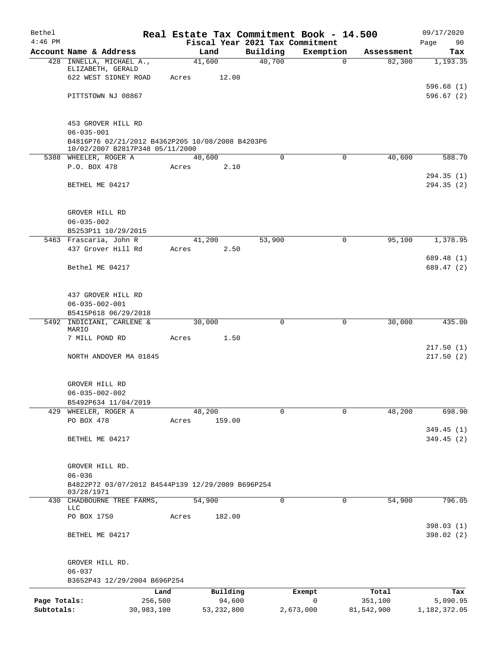| Bethel<br>$4:46$ PM |                                                                                     |       |        |              |             | Real Estate Tax Commitment Book - 14.500<br>Fiscal Year 2021 Tax Commitment |            | 09/17/2020<br>Page<br>90 |
|---------------------|-------------------------------------------------------------------------------------|-------|--------|--------------|-------------|-----------------------------------------------------------------------------|------------|--------------------------|
|                     | Account Name & Address                                                              |       | Land   |              | Building    | Exemption                                                                   | Assessment | Tax                      |
|                     | 428 INNELLA, MICHAEL A.,                                                            |       | 41,600 |              | 40,700      | $\mathbf 0$                                                                 | 82,300     | 1,193.35                 |
|                     | ELIZABETH, GERALD                                                                   |       |        |              |             |                                                                             |            |                          |
|                     | 622 WEST SIDNEY ROAD                                                                | Acres |        | 12.00        |             |                                                                             |            |                          |
|                     |                                                                                     |       |        |              |             |                                                                             |            | 596.68(1)                |
|                     | PITTSTOWN NJ 08867                                                                  |       |        |              |             |                                                                             |            | 596.67(2)                |
|                     | 453 GROVER HILL RD                                                                  |       |        |              |             |                                                                             |            |                          |
|                     | $06 - 035 - 001$                                                                    |       |        |              |             |                                                                             |            |                          |
|                     | B4816P76 02/21/2012 B4362P205 10/08/2008 B4203P6<br>10/02/2007 B2817P348 05/11/2000 |       |        |              |             |                                                                             |            |                          |
|                     | 5388 WHEELER, ROGER A                                                               |       | 40,600 |              | 0           | 0                                                                           | 40,600     | 588.70                   |
|                     | P.O. BOX 478                                                                        | Acres |        | 2.10         |             |                                                                             |            |                          |
|                     |                                                                                     |       |        |              |             |                                                                             |            | 294.35(1)                |
|                     | BETHEL ME 04217                                                                     |       |        |              |             |                                                                             |            | 294.35(2)                |
|                     | GROVER HILL RD                                                                      |       |        |              |             |                                                                             |            |                          |
|                     | $06 - 035 - 002$                                                                    |       |        |              |             |                                                                             |            |                          |
|                     | B5253P11 10/29/2015                                                                 |       |        |              |             |                                                                             |            |                          |
|                     | 5463 Frascaria, John R                                                              |       | 41,200 |              | 53,900      | 0                                                                           | 95,100     | 1,378.95                 |
|                     | 437 Grover Hill Rd                                                                  | Acres |        | 2.50         |             |                                                                             |            |                          |
|                     |                                                                                     |       |        |              |             |                                                                             |            | 689.48 (1)               |
|                     | Bethel ME 04217                                                                     |       |        |              |             |                                                                             |            | 689.47 (2)               |
|                     | 437 GROVER HILL RD                                                                  |       |        |              |             |                                                                             |            |                          |
|                     | $06 - 035 - 002 - 001$                                                              |       |        |              |             |                                                                             |            |                          |
|                     | B5415P618 06/29/2018                                                                |       |        |              |             |                                                                             |            |                          |
|                     | 5492 INDICIANI, CARLENE &                                                           |       | 30,000 |              | $\mathbf 0$ | 0                                                                           | 30,000     | 435.00                   |
|                     | MARIO                                                                               |       |        | 1.50         |             |                                                                             |            |                          |
|                     | 7 MILL POND RD                                                                      | Acres |        |              |             |                                                                             |            | 217.50(1)                |
|                     | NORTH ANDOVER MA 01845                                                              |       |        |              |             |                                                                             |            | 217.50(2)                |
|                     |                                                                                     |       |        |              |             |                                                                             |            |                          |
|                     | GROVER HILL RD                                                                      |       |        |              |             |                                                                             |            |                          |
|                     | $06 - 035 - 002 - 002$                                                              |       |        |              |             |                                                                             |            |                          |
|                     | B5492P634 11/04/2019                                                                |       |        |              |             |                                                                             |            |                          |
|                     | 429 WHEELER, ROGER A                                                                |       | 48,200 |              | $\Omega$    | 0                                                                           | 48,200     | 698.90                   |
|                     | PO BOX 478                                                                          | Acres |        | 159.00       |             |                                                                             |            |                          |
|                     | BETHEL ME 04217                                                                     |       |        |              |             |                                                                             |            | 349.45(1)<br>349.45(2)   |
|                     |                                                                                     |       |        |              |             |                                                                             |            |                          |
|                     | GROVER HILL RD.                                                                     |       |        |              |             |                                                                             |            |                          |
|                     | $06 - 036$                                                                          |       |        |              |             |                                                                             |            |                          |
|                     | B4822P72 03/07/2012 B4544P139 12/29/2009 B696P254<br>03/28/1971                     |       |        |              |             |                                                                             |            |                          |
|                     | 430 CHADBOURNE TREE FARMS,<br><b>LLC</b>                                            |       | 54,900 |              | $\mathbf 0$ | 0                                                                           | 54,900     | 796.05                   |
|                     | PO BOX 1750                                                                         | Acres |        | 182.00       |             |                                                                             |            |                          |
|                     |                                                                                     |       |        |              |             |                                                                             |            | 398.03(1)                |
|                     | BETHEL ME 04217                                                                     |       |        |              |             |                                                                             |            | 398.02 (2)               |
|                     |                                                                                     |       |        |              |             |                                                                             |            |                          |
|                     | GROVER HILL RD.<br>$06 - 037$                                                       |       |        |              |             |                                                                             |            |                          |
|                     | B3652P43 12/29/2004 B696P254                                                        |       |        |              |             |                                                                             |            |                          |
|                     |                                                                                     | Land  |        | Building     |             | Exempt                                                                      | Total      | Tax                      |
| Page Totals:        | 256,500                                                                             |       |        | 94,600       |             | $\mathsf{O}$                                                                | 351,100    | 5,090.95                 |
| Subtotals:          | 30,983,100                                                                          |       |        | 53, 232, 800 |             | 2,673,000                                                                   | 81,542,900 | 1,182,372.05             |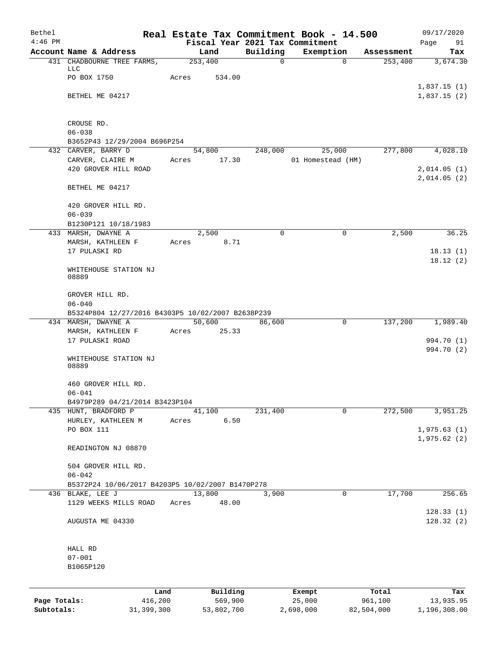| Bethel<br>$4:46$ PM |                                                                      |         |                |             | Real Estate Tax Commitment Book - 14.500<br>Fiscal Year 2021 Tax Commitment |            | 09/17/2020<br>Page<br>91   |
|---------------------|----------------------------------------------------------------------|---------|----------------|-------------|-----------------------------------------------------------------------------|------------|----------------------------|
|                     | Account Name & Address                                               |         | Land           | Building    | Exemption                                                                   | Assessment | Tax                        |
|                     | 431 CHADBOURNE TREE FARMS,                                           |         | 253,400        | $\mathbf 0$ | $\Omega$                                                                    | 253,400    | 3,674.30                   |
|                     | LLC                                                                  |         |                |             |                                                                             |            |                            |
|                     | PO BOX 1750                                                          | Acres   | 534.00         |             |                                                                             |            |                            |
|                     | BETHEL ME 04217                                                      |         |                |             |                                                                             |            | 1,837.15(1)<br>1,837.15(2) |
|                     |                                                                      |         |                |             |                                                                             |            |                            |
|                     |                                                                      |         |                |             |                                                                             |            |                            |
|                     | CROUSE RD.                                                           |         |                |             |                                                                             |            |                            |
|                     | $06 - 038$                                                           |         |                |             |                                                                             |            |                            |
|                     | B3652P43 12/29/2004 B696P254<br>432 CARVER, BARRY D                  |         | 54,800         | 248,000     | 25,000                                                                      | 277,800    | 4,028.10                   |
|                     | CARVER, CLAIRE M                                                     | Acres   | 17.30          |             | 01 Homestead (HM)                                                           |            |                            |
|                     | 420 GROVER HILL ROAD                                                 |         |                |             |                                                                             |            | 2,014.05(1)                |
|                     |                                                                      |         |                |             |                                                                             |            | 2,014.05(2)                |
|                     | BETHEL ME 04217                                                      |         |                |             |                                                                             |            |                            |
|                     |                                                                      |         |                |             |                                                                             |            |                            |
|                     | 420 GROVER HILL RD.                                                  |         |                |             |                                                                             |            |                            |
|                     | $06 - 039$                                                           |         |                |             |                                                                             |            |                            |
|                     | B1230P121 10/18/1983<br>433 MARSH, DWAYNE A                          |         | 2,500          | $\mathbf 0$ | 0                                                                           | 2,500      | 36.25                      |
|                     | MARSH, KATHLEEN F                                                    | Acres   | 8.71           |             |                                                                             |            |                            |
|                     | 17 PULASKI RD                                                        |         |                |             |                                                                             |            | 18.13(1)                   |
|                     |                                                                      |         |                |             |                                                                             |            | 18.12(2)                   |
|                     | WHITEHOUSE STATION NJ                                                |         |                |             |                                                                             |            |                            |
|                     | 08889                                                                |         |                |             |                                                                             |            |                            |
|                     | GROVER HILL RD.                                                      |         |                |             |                                                                             |            |                            |
|                     | $06 - 040$                                                           |         |                |             |                                                                             |            |                            |
|                     | B5324P804 12/27/2016 B4303P5 10/02/2007 B2638P239                    |         |                |             |                                                                             |            |                            |
|                     | 434 MARSH, DWAYNE A                                                  |         | 50,600         | 86,600      | $\mathsf{O}$                                                                | 137,200    | 1,989.40                   |
|                     | MARSH, KATHLEEN F                                                    | Acres   | 25.33          |             |                                                                             |            |                            |
|                     | 17 PULASKI ROAD                                                      |         |                |             |                                                                             |            | 994.70 (1)                 |
|                     | WHITEHOUSE STATION NJ                                                |         |                |             |                                                                             |            | 994.70 (2)                 |
|                     | 08889                                                                |         |                |             |                                                                             |            |                            |
|                     |                                                                      |         |                |             |                                                                             |            |                            |
|                     | 460 GROVER HILL RD.                                                  |         |                |             |                                                                             |            |                            |
|                     | $06 - 041$                                                           |         |                |             |                                                                             |            |                            |
|                     | B4979P289 04/21/2014 B3423P104                                       |         |                |             | 0                                                                           |            |                            |
|                     | 435 HUNT, BRADFORD P<br>HURLEY, KATHLEEN M                           | Acres   | 41,100<br>6.50 | 231,400     |                                                                             | 272,500    | 3,951.25                   |
|                     | PO BOX 111                                                           |         |                |             |                                                                             |            | 1,975.63(1)                |
|                     |                                                                      |         |                |             |                                                                             |            | 1,975.62(2)                |
|                     | READINGTON NJ 08870                                                  |         |                |             |                                                                             |            |                            |
|                     |                                                                      |         |                |             |                                                                             |            |                            |
|                     | 504 GROVER HILL RD.                                                  |         |                |             |                                                                             |            |                            |
|                     | $06 - 042$                                                           |         |                |             |                                                                             |            |                            |
|                     | B5372P24 10/06/2017 B4203P5 10/02/2007 B1470P278<br>436 BLAKE, LEE J |         | 13,800         | 3,900       | 0                                                                           | 17,700     | 256.65                     |
|                     | 1129 WEEKS MILLS ROAD                                                | Acres   | 48.00          |             |                                                                             |            |                            |
|                     |                                                                      |         |                |             |                                                                             |            | 128.33(1)                  |
|                     | AUGUSTA ME 04330                                                     |         |                |             |                                                                             |            | 128.32(2)                  |
|                     |                                                                      |         |                |             |                                                                             |            |                            |
|                     |                                                                      |         |                |             |                                                                             |            |                            |
|                     | HALL RD                                                              |         |                |             |                                                                             |            |                            |
|                     | $07 - 001$<br>B1065P120                                              |         |                |             |                                                                             |            |                            |
|                     |                                                                      |         |                |             |                                                                             |            |                            |
|                     |                                                                      |         |                |             |                                                                             |            |                            |
|                     |                                                                      | Land    | Building       |             | Exempt                                                                      | Total      | Tax                        |
| Page Totals:        |                                                                      | 416,200 | 569,900        |             | 25,000                                                                      | 961,100    | 13,935.95                  |

**Subtotals:** 31,399,300 53,802,700 2,698,000 82,504,000 1,196,308.00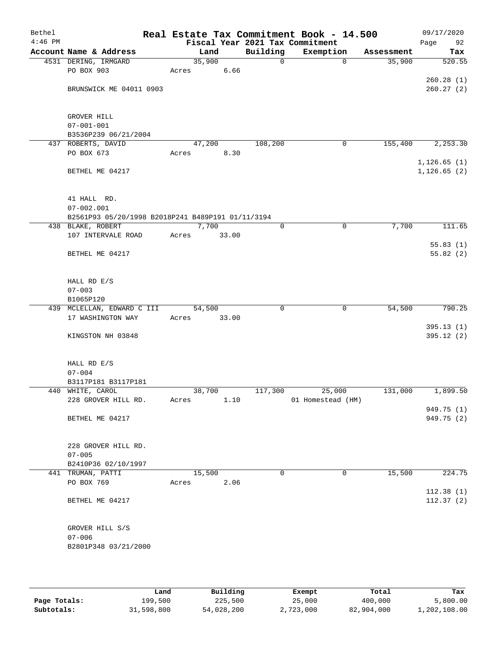| Bethel<br>$4:46$ PM |                                                   | Real Estate Tax Commitment Book - 14.500 | Fiscal Year 2021 Tax Commitment |                   |            | 09/17/2020<br>Page<br>92 |
|---------------------|---------------------------------------------------|------------------------------------------|---------------------------------|-------------------|------------|--------------------------|
|                     | Account Name & Address                            | Land                                     | Building                        | Exemption         | Assessment | Tax                      |
|                     | 4531 DERING, IRMGARD                              | 35,900                                   | $\mathbf 0$                     | $\Omega$          | 35,900     | 520.55                   |
|                     | PO BOX 903                                        | 6.66<br>Acres                            |                                 |                   |            |                          |
|                     |                                                   |                                          |                                 |                   |            | 260.28(1)                |
|                     | BRUNSWICK ME 04011 0903                           |                                          |                                 |                   |            | 260.27(2)                |
|                     |                                                   |                                          |                                 |                   |            |                          |
|                     |                                                   |                                          |                                 |                   |            |                          |
|                     | GROVER HILL                                       |                                          |                                 |                   |            |                          |
|                     | $07 - 001 - 001$                                  |                                          |                                 |                   |            |                          |
|                     | B3536P239 06/21/2004                              |                                          |                                 |                   |            |                          |
|                     | 437 ROBERTS, DAVID                                | 47,200                                   | 108,200                         | 0                 | 155,400    | 2,253.30                 |
|                     | PO BOX 673                                        | 8.30<br>Acres                            |                                 |                   |            |                          |
|                     |                                                   |                                          |                                 |                   |            | 1,126.65(1)              |
|                     | BETHEL ME 04217                                   |                                          |                                 |                   |            | 1, 126.65(2)             |
|                     |                                                   |                                          |                                 |                   |            |                          |
|                     |                                                   |                                          |                                 |                   |            |                          |
|                     | 41 HALL RD.                                       |                                          |                                 |                   |            |                          |
|                     | $07 - 002.001$                                    |                                          |                                 |                   |            |                          |
|                     | B2561P93 05/20/1998 B2018P241 B489P191 01/11/3194 |                                          |                                 |                   |            |                          |
|                     | 438 BLAKE, ROBERT                                 | 7,700                                    | 0                               | 0                 | 7,700      | 111.65                   |
|                     | 107 INTERVALE ROAD                                | Acres<br>33.00                           |                                 |                   |            |                          |
|                     | BETHEL ME 04217                                   |                                          |                                 |                   |            | 55.83(1)<br>55.82(2)     |
|                     |                                                   |                                          |                                 |                   |            |                          |
|                     |                                                   |                                          |                                 |                   |            |                          |
|                     | HALL RD E/S                                       |                                          |                                 |                   |            |                          |
|                     | $07 - 003$                                        |                                          |                                 |                   |            |                          |
|                     | B1065P120                                         |                                          |                                 |                   |            |                          |
|                     | 439 MCLELLAN, EDWARD C III                        | 54,500                                   | 0                               | 0                 | 54,500     | 790.25                   |
|                     | 17 WASHINGTON WAY                                 | 33.00<br>Acres                           |                                 |                   |            |                          |
|                     |                                                   |                                          |                                 |                   |            | 395.13(1)                |
|                     | KINGSTON NH 03848                                 |                                          |                                 |                   |            | 395.12(2)                |
|                     |                                                   |                                          |                                 |                   |            |                          |
|                     |                                                   |                                          |                                 |                   |            |                          |
|                     | HALL RD E/S                                       |                                          |                                 |                   |            |                          |
|                     | $07 - 004$                                        |                                          |                                 |                   |            |                          |
|                     | B3117P181 B3117P181                               |                                          |                                 |                   |            |                          |
|                     | 440 WHITE, CAROL                                  | 38,700                                   | 117,300                         | 25,000            | 131,000    | 1,899.50                 |
|                     | 228 GROVER HILL RD.                               | 1.10<br>Acres                            |                                 | 01 Homestead (HM) |            |                          |
|                     |                                                   |                                          |                                 |                   |            | 949.75 (1)               |
|                     | BETHEL ME 04217                                   |                                          |                                 |                   |            | 949.75 (2)               |
|                     |                                                   |                                          |                                 |                   |            |                          |
|                     |                                                   |                                          |                                 |                   |            |                          |
|                     | 228 GROVER HILL RD.<br>$07 - 005$                 |                                          |                                 |                   |            |                          |
|                     | B2410P36 02/10/1997                               |                                          |                                 |                   |            |                          |
|                     | 441 TRUMAN, PATTI                                 | 15,500                                   | $\mathbf 0$                     | 0                 | 15,500     | 224.75                   |
|                     | PO BOX 769                                        | 2.06<br>Acres                            |                                 |                   |            |                          |
|                     |                                                   |                                          |                                 |                   |            | 112.38(1)                |
|                     | BETHEL ME 04217                                   |                                          |                                 |                   |            | 112.37(2)                |
|                     |                                                   |                                          |                                 |                   |            |                          |
|                     |                                                   |                                          |                                 |                   |            |                          |
|                     | GROVER HILL S/S                                   |                                          |                                 |                   |            |                          |
|                     | $07 - 006$                                        |                                          |                                 |                   |            |                          |
|                     | B2801P348 03/21/2000                              |                                          |                                 |                   |            |                          |
|                     |                                                   |                                          |                                 |                   |            |                          |
|                     |                                                   |                                          |                                 |                   |            |                          |
|                     |                                                   |                                          |                                 |                   |            |                          |

|              | Land       | Building   | Exempt    | Total      | Tax          |
|--------------|------------|------------|-----------|------------|--------------|
| Page Totals: | 199,500    | 225,500    | 25,000    | 400,000    | 5,800.00     |
| Subtotals:   | 31,598,800 | 54,028,200 | 2,723,000 | 82,904,000 | 1,202,108.00 |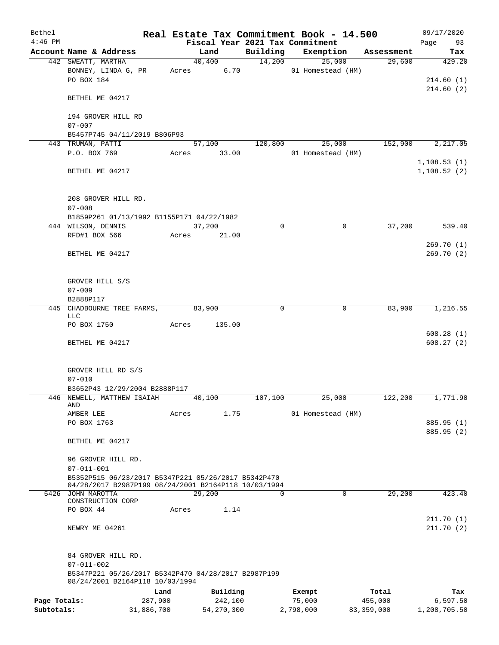| Bethel       |                                                                                                             |         |                |                    | Real Estate Tax Commitment Book - 14.500 |                      | 09/17/2020                 |
|--------------|-------------------------------------------------------------------------------------------------------------|---------|----------------|--------------------|------------------------------------------|----------------------|----------------------------|
| $4:46$ PM    |                                                                                                             |         |                |                    | Fiscal Year 2021 Tax Commitment          |                      | Page<br>93                 |
|              | Account Name & Address<br>442 SWEATT, MARTHA                                                                |         | Land<br>40,400 | Building<br>14,200 | Exemption<br>25,000                      | Assessment<br>29,600 | Tax<br>429.20              |
|              | BONNEY, LINDA G, PR                                                                                         |         | 6.70<br>Acres  |                    | 01 Homestead (HM)                        |                      |                            |
|              | PO BOX 184                                                                                                  |         |                |                    |                                          |                      | 214.60(1)                  |
|              |                                                                                                             |         |                |                    |                                          |                      | 214.60(2)                  |
|              | BETHEL ME 04217                                                                                             |         |                |                    |                                          |                      |                            |
|              | 194 GROVER HILL RD                                                                                          |         |                |                    |                                          |                      |                            |
|              | $07 - 007$                                                                                                  |         |                |                    |                                          |                      |                            |
|              | B5457P745 04/11/2019 B806P93                                                                                |         |                |                    |                                          |                      |                            |
|              | 443 TRUMAN, PATTI                                                                                           |         | 57,100         | 120,800            | 25,000                                   | 152,900              | 2,217.05                   |
|              | P.O. BOX 769                                                                                                | Acres   | 33.00          |                    | 01 Homestead (HM)                        |                      |                            |
|              | BETHEL ME 04217                                                                                             |         |                |                    |                                          |                      | 1,108.53(1)<br>1,108.52(2) |
|              | 208 GROVER HILL RD.                                                                                         |         |                |                    |                                          |                      |                            |
|              | $07 - 008$                                                                                                  |         |                |                    |                                          |                      |                            |
|              | B1859P261 01/13/1992 B1155P171 04/22/1982                                                                   |         |                |                    |                                          |                      |                            |
|              | 444 WILSON, DENNIS                                                                                          |         | 37,200         | 0                  | 0                                        | 37,200               | 539.40                     |
|              | RFD#1 BOX 566                                                                                               | Acres   | 21.00          |                    |                                          |                      |                            |
|              |                                                                                                             |         |                |                    |                                          |                      | 269.70(1)                  |
|              | BETHEL ME 04217                                                                                             |         |                |                    |                                          |                      | 269.70(2)                  |
|              | GROVER HILL S/S                                                                                             |         |                |                    |                                          |                      |                            |
|              | $07 - 009$                                                                                                  |         |                |                    |                                          |                      |                            |
|              | B2888P117                                                                                                   |         |                |                    |                                          |                      |                            |
|              | 445 CHADBOURNE TREE FARMS,<br>LLC                                                                           |         | 83,900         | 0                  | 0                                        | 83,900               | 1,216.55                   |
|              | PO BOX 1750                                                                                                 | Acres   | 135.00         |                    |                                          |                      |                            |
|              | BETHEL ME 04217                                                                                             |         |                |                    |                                          |                      | 608.28(1)<br>608.27(2)     |
|              |                                                                                                             |         |                |                    |                                          |                      |                            |
|              | GROVER HILL RD S/S<br>$07 - 010$                                                                            |         |                |                    |                                          |                      |                            |
|              | B3652P43 12/29/2004 B2888P117                                                                               |         |                |                    |                                          |                      |                            |
| 446          | NEWELL, MATTHEW ISAIAH                                                                                      |         | 40,100         | 107,100            | 25,000                                   | 122,200              | 1,771.90                   |
|              | AND                                                                                                         |         |                |                    |                                          |                      |                            |
|              | AMBER LEE                                                                                                   | Acres   | 1.75           |                    | 01 Homestead (HM)                        |                      |                            |
|              | PO BOX 1763                                                                                                 |         |                |                    |                                          |                      | 885.95 (1)<br>885.95 (2)   |
|              | BETHEL ME 04217                                                                                             |         |                |                    |                                          |                      |                            |
|              | 96 GROVER HILL RD.                                                                                          |         |                |                    |                                          |                      |                            |
|              | $07 - 011 - 001$                                                                                            |         |                |                    |                                          |                      |                            |
|              | B5352P515 06/23/2017 B5347P221 05/26/2017 B5342P470<br>04/28/2017 B2987P199 08/24/2001 B2164P118 10/03/1994 |         |                |                    |                                          |                      |                            |
|              | 5426 JOHN MAROTTA<br>CONSTRUCTION CORP                                                                      |         | 29,200         | 0                  | $\mathbf 0$                              | 29,200               | 423.40                     |
|              | PO BOX 44                                                                                                   | Acres   | 1.14           |                    |                                          |                      |                            |
|              |                                                                                                             |         |                |                    |                                          |                      | 211.70(1)                  |
|              | NEWRY ME 04261                                                                                              |         |                |                    |                                          |                      | 211.70(2)                  |
|              | 84 GROVER HILL RD.                                                                                          |         |                |                    |                                          |                      |                            |
|              | $07 - 011 - 002$<br>B5347P221 05/26/2017 B5342P470 04/28/2017 B2987P199<br>08/24/2001 B2164P118 10/03/1994  |         |                |                    |                                          |                      |                            |
|              |                                                                                                             | Land    | Building       |                    | Exempt                                   | Total                | Tax                        |
| Page Totals: |                                                                                                             | 287,900 | 242,100        |                    | 75,000                                   | 455,000              | 6,597.50                   |
| Subtotals:   | 31,886,700                                                                                                  |         | 54, 270, 300   |                    | 2,798,000                                | 83, 359, 000         | 1,208,705.50               |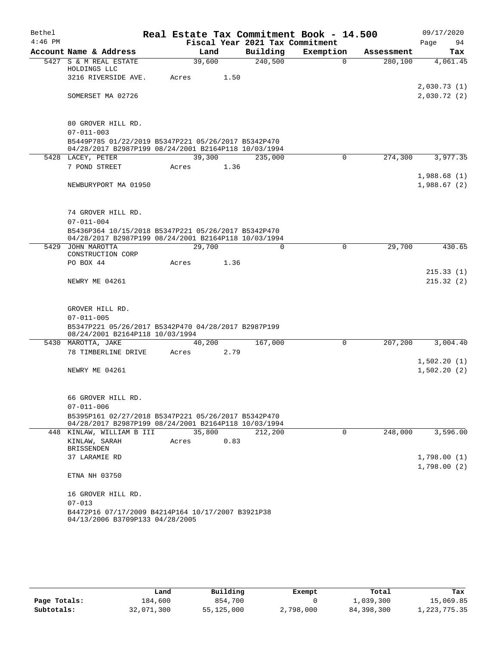| Bethel    |                                                                                                             |        |      |      | Real Estate Tax Commitment Book - 14.500 |           |             |            | 09/17/2020  |           |
|-----------|-------------------------------------------------------------------------------------------------------------|--------|------|------|------------------------------------------|-----------|-------------|------------|-------------|-----------|
| $4:46$ PM |                                                                                                             |        |      |      | Fiscal Year 2021 Tax Commitment          |           |             |            | Page        | 94        |
|           | Account Name & Address                                                                                      |        | Land |      | Building                                 | Exemption |             | Assessment |             | Tax       |
|           | 5427 S & M REAL ESTATE<br>HOLDINGS LLC                                                                      | 39,600 |      |      | 240,500                                  |           | $\Omega$    | 280,100    |             | 4,061.45  |
|           | 3216 RIVERSIDE AVE.                                                                                         | Acres  |      | 1.50 |                                          |           |             |            |             |           |
|           |                                                                                                             |        |      |      |                                          |           |             |            | 2,030.73(1) |           |
|           | SOMERSET MA 02726                                                                                           |        |      |      |                                          |           |             |            | 2,030.72(2) |           |
|           | 80 GROVER HILL RD.<br>$07 - 011 - 003$                                                                      |        |      |      |                                          |           |             |            |             |           |
|           | B5449P785 01/22/2019 B5347P221 05/26/2017 B5342P470<br>04/28/2017 B2987P199 08/24/2001 B2164P118 10/03/1994 |        |      |      |                                          |           |             |            |             |           |
|           | 5428 LACEY, PETER                                                                                           | 39,300 |      |      | 235,000                                  |           | $\mathbf 0$ | 274,300    |             | 3,977.35  |
|           | 7 POND STREET                                                                                               | Acres  |      | 1.36 |                                          |           |             |            |             |           |
|           |                                                                                                             |        |      |      |                                          |           |             |            | 1,988.68(1) |           |
|           | NEWBURYPORT MA 01950                                                                                        |        |      |      |                                          |           |             |            | 1,988.67(2) |           |
|           | 74 GROVER HILL RD.                                                                                          |        |      |      |                                          |           |             |            |             |           |
|           | $07 - 011 - 004$                                                                                            |        |      |      |                                          |           |             |            |             |           |
|           | B5436P364 10/15/2018 B5347P221 05/26/2017 B5342P470<br>04/28/2017 B2987P199 08/24/2001 B2164P118 10/03/1994 |        |      |      |                                          |           |             |            |             |           |
|           | 5429 JOHN MAROTTA<br>CONSTRUCTION CORP                                                                      | 29,700 |      |      | 0                                        |           | $\Omega$    | 29,700     |             | 430.65    |
|           | PO BOX 44                                                                                                   | Acres  |      | 1.36 |                                          |           |             |            |             |           |
|           |                                                                                                             |        |      |      |                                          |           |             |            |             | 215.33(1) |
|           | NEWRY ME 04261                                                                                              |        |      |      |                                          |           |             |            |             | 215.32(2) |
|           | GROVER HILL RD.                                                                                             |        |      |      |                                          |           |             |            |             |           |
|           | $07 - 011 - 005$                                                                                            |        |      |      |                                          |           |             |            |             |           |
|           | B5347P221 05/26/2017 B5342P470 04/28/2017 B2987P199<br>08/24/2001 B2164P118 10/03/1994                      |        |      |      |                                          |           |             |            |             |           |
|           | 5430 MAROTTA, JAKE                                                                                          | 40,200 |      |      | 167,000                                  |           | 0           | 207,200    |             | 3,004.40  |
|           | 78 TIMBERLINE DRIVE                                                                                         | Acres  |      | 2.79 |                                          |           |             |            |             |           |
|           |                                                                                                             |        |      |      |                                          |           |             |            | 1,502.20(1) |           |
|           | NEWRY ME 04261                                                                                              |        |      |      |                                          |           |             |            | 1,502.20(2) |           |
|           | 66 GROVER HILL RD.                                                                                          |        |      |      |                                          |           |             |            |             |           |
|           | $07 - 011 - 006$                                                                                            |        |      |      |                                          |           |             |            |             |           |
|           | B5395P161 02/27/2018 B5347P221 05/26/2017 B5342P470<br>04/28/2017 B2987P199 08/24/2001 B2164P118 10/03/1994 |        |      |      |                                          |           |             |            |             |           |
| 448       | KINLAW, WILLIAM B III                                                                                       | 35,800 |      |      | 212,200                                  |           | 0           | 248,000    |             | 3,596.00  |
|           | KINLAW, SARAH<br><b>BRISSENDEN</b>                                                                          | Acres  |      | 0.83 |                                          |           |             |            |             |           |
|           | 37 LARAMIE RD                                                                                               |        |      |      |                                          |           |             |            | 1,798.00(1) |           |
|           | ETNA NH 03750                                                                                               |        |      |      |                                          |           |             |            | 1,798.00(2) |           |
|           | 16 GROVER HILL RD.                                                                                          |        |      |      |                                          |           |             |            |             |           |
|           | $07 - 013$                                                                                                  |        |      |      |                                          |           |             |            |             |           |
|           | B4472P16 07/17/2009 B4214P164 10/17/2007 B3921P38<br>04/13/2006 B3709P133 04/28/2005                        |        |      |      |                                          |           |             |            |             |           |

|              | Land       | Building   | Exempt    | Total      | Tax          |
|--------------|------------|------------|-----------|------------|--------------|
| Page Totals: | 184,600    | 854,700    |           | 1,039,300  | 15,069.85    |
| Subtotals:   | 32,071,300 | 55,125,000 | 2,798,000 | 84,398,300 | 1,223,775.35 |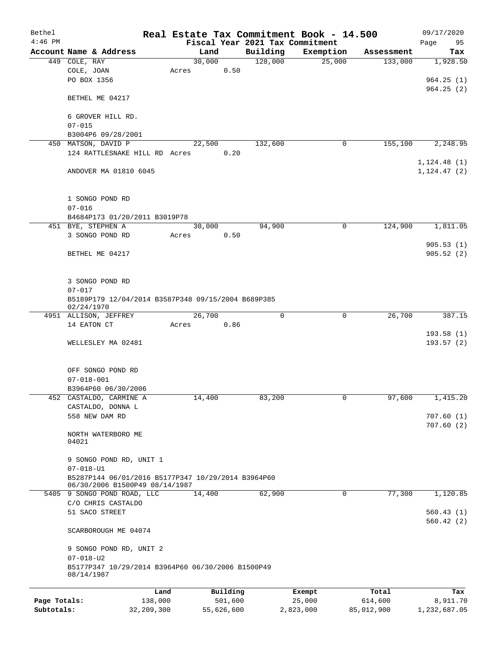| Bethel       |                                                                                      |       |                |                     | Real Estate Tax Commitment Book - 14.500 |                       | 09/17/2020      |
|--------------|--------------------------------------------------------------------------------------|-------|----------------|---------------------|------------------------------------------|-----------------------|-----------------|
| $4:46$ PM    | Account Name & Address                                                               |       |                |                     | Fiscal Year 2021 Tax Commitment          |                       | Page<br>95      |
|              | 449 COLE, RAY                                                                        |       | Land<br>30,000 | Building<br>128,000 | Exemption<br>25,000                      | Assessment<br>133,000 | Tax<br>1,928.50 |
|              | COLE, JOAN                                                                           | Acres | 0.50           |                     |                                          |                       |                 |
|              | PO BOX 1356                                                                          |       |                |                     |                                          |                       | 964.25(1)       |
|              |                                                                                      |       |                |                     |                                          |                       | 964.25(2)       |
|              | BETHEL ME 04217                                                                      |       |                |                     |                                          |                       |                 |
|              | 6 GROVER HILL RD.                                                                    |       |                |                     |                                          |                       |                 |
|              | $07 - 015$                                                                           |       |                |                     |                                          |                       |                 |
|              | B3004P6 09/28/2001                                                                   |       |                |                     |                                          |                       |                 |
|              | 450 MATSON, DAVID P                                                                  |       | 22,500         | 132,600             | 0                                        | 155,100               | 2,248.95        |
|              | 124 RATTLESNAKE HILL RD Acres                                                        |       | 0.20           |                     |                                          |                       |                 |
|              |                                                                                      |       |                |                     |                                          |                       | 1, 124.48(1)    |
|              | ANDOVER MA 01810 6045                                                                |       |                |                     |                                          |                       | 1, 124.47 (2)   |
|              | 1 SONGO POND RD                                                                      |       |                |                     |                                          |                       |                 |
|              | $07 - 016$                                                                           |       |                |                     |                                          |                       |                 |
|              | B4684P173 01/20/2011 B3019P78                                                        |       |                |                     |                                          |                       |                 |
|              | 451 BYE, STEPHEN A                                                                   |       | 30,000         | 94,900              | $\mathbf 0$                              | 124,900               | 1,811.05        |
|              | 3 SONGO POND RD                                                                      | Acres | 0.50           |                     |                                          |                       |                 |
|              |                                                                                      |       |                |                     |                                          |                       | 905.53(1)       |
|              | BETHEL ME 04217                                                                      |       |                |                     |                                          |                       | 905.52(2)       |
|              |                                                                                      |       |                |                     |                                          |                       |                 |
|              |                                                                                      |       |                |                     |                                          |                       |                 |
|              | 3 SONGO POND RD                                                                      |       |                |                     |                                          |                       |                 |
|              | $07 - 017$                                                                           |       |                |                     |                                          |                       |                 |
|              | B5189P179 12/04/2014 B3587P348 09/15/2004 B689P385<br>02/24/1970                     |       |                |                     |                                          |                       |                 |
|              | 4951 ALLISON, JEFFREY                                                                |       | 26,700         | $\mathbf 0$         | $\mathbf 0$                              | 26,700                | 387.15          |
|              | 14 EATON CT                                                                          | Acres | 0.86           |                     |                                          |                       |                 |
|              |                                                                                      |       |                |                     |                                          |                       | 193.58(1)       |
|              | WELLESLEY MA 02481                                                                   |       |                |                     |                                          |                       | 193.57(2)       |
|              |                                                                                      |       |                |                     |                                          |                       |                 |
|              |                                                                                      |       |                |                     |                                          |                       |                 |
|              | OFF SONGO POND RD                                                                    |       |                |                     |                                          |                       |                 |
|              | $07 - 018 - 001$                                                                     |       |                |                     |                                          |                       |                 |
|              | B3964P60 06/30/2006                                                                  |       |                |                     | $\overline{0}$                           |                       |                 |
|              | 452 CASTALDO, CARMINE A<br>CASTALDO, DONNA L                                         |       | 14,400         | 83,200              |                                          | 97,600                | 1,415.20        |
|              | 558 NEW DAM RD                                                                       |       |                |                     |                                          |                       | 707.60(1)       |
|              |                                                                                      |       |                |                     |                                          |                       | 707.60(2)       |
|              | NORTH WATERBORO ME                                                                   |       |                |                     |                                          |                       |                 |
|              | 04021                                                                                |       |                |                     |                                          |                       |                 |
|              |                                                                                      |       |                |                     |                                          |                       |                 |
|              | 9 SONGO POND RD, UNIT 1                                                              |       |                |                     |                                          |                       |                 |
|              | $07 - 018 - U1$                                                                      |       |                |                     |                                          |                       |                 |
|              | B5287P144 06/01/2016 B5177P347 10/29/2014 B3964P60<br>06/30/2006 B1500P49 08/14/1987 |       |                |                     |                                          |                       |                 |
|              | 5405 9 SONGO POND ROAD, LLC                                                          |       | 14,400         | 62,900              | 0                                        | 77,300                | 1,120.85        |
|              | C/O CHRIS CASTALDO                                                                   |       |                |                     |                                          |                       |                 |
|              | 51 SACO STREET                                                                       |       |                |                     |                                          |                       | 560.43(1)       |
|              |                                                                                      |       |                |                     |                                          |                       | 560.42(2)       |
|              | SCARBOROUGH ME 04074                                                                 |       |                |                     |                                          |                       |                 |
|              | 9 SONGO POND RD, UNIT 2                                                              |       |                |                     |                                          |                       |                 |
|              | $07 - 018 - U2$                                                                      |       |                |                     |                                          |                       |                 |
|              | B5177P347 10/29/2014 B3964P60 06/30/2006 B1500P49<br>08/14/1987                      |       |                |                     |                                          |                       |                 |
|              | Land                                                                                 |       | Building       |                     | Exempt                                   | Total                 | Tax             |
| Page Totals: | 138,000                                                                              |       | 501,600        |                     | 25,000                                   | 614,600               | 8,911.70        |

**Subtotals:** 32,209,300 55,626,600 2,823,000 85,012,900 1,232,687.05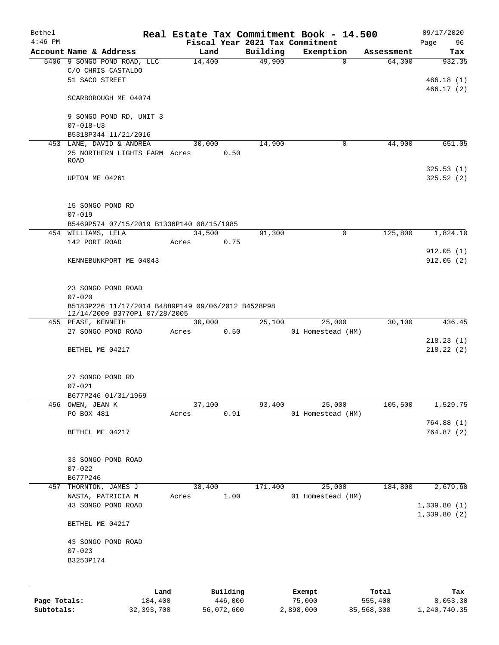| Bethel       |                                                                                        |               |          |          | Real Estate Tax Commitment Book - 14.500 |            | 09/17/2020             |
|--------------|----------------------------------------------------------------------------------------|---------------|----------|----------|------------------------------------------|------------|------------------------|
| $4:46$ PM    |                                                                                        |               |          |          | Fiscal Year 2021 Tax Commitment          |            | Page<br>96             |
|              | Account Name & Address                                                                 | Land          |          | Building | Exemption                                | Assessment | Tax                    |
|              | 5406 9 SONGO POND ROAD, LLC<br>C/O CHRIS CASTALDO<br>51 SACO STREET                    | 14,400        |          | 49,900   | $\mathbf 0$                              | 64,300     | 932.35<br>466.18(1)    |
|              | SCARBOROUGH ME 04074                                                                   |               |          |          |                                          |            | 466.17(2)              |
|              | 9 SONGO POND RD, UNIT 3<br>$07 - 018 - U3$                                             |               |          |          |                                          |            |                        |
|              | B5318P344 11/21/2016                                                                   |               |          |          |                                          |            |                        |
|              | 453 LANE, DAVID & ANDREA                                                               | 30,000        |          | 14,900   | 0                                        | 44,900     | 651.05                 |
|              | 25 NORTHERN LIGHTS FARM Acres<br><b>ROAD</b>                                           |               | 0.50     |          |                                          |            |                        |
|              | UPTON ME 04261                                                                         |               |          |          |                                          |            | 325.53(1)<br>325.52(2) |
|              | 15 SONGO POND RD<br>$07 - 019$                                                         |               |          |          |                                          |            |                        |
|              | B5469P574 07/15/2019 B1336P140 08/15/1985                                              |               |          |          |                                          |            |                        |
|              | 454 WILLIAMS, LELA                                                                     | 34,500        |          | 91,300   | 0                                        | 125,800    | 1,824.10               |
|              | 142 PORT ROAD                                                                          | Acres         | 0.75     |          |                                          |            |                        |
|              | KENNEBUNKPORT ME 04043                                                                 |               |          |          |                                          |            | 912.05(1)<br>912.05(2) |
|              | 23 SONGO POND ROAD<br>$07 - 020$<br>B5183P226 11/17/2014 B4889P149 09/06/2012 B4528P98 |               |          |          |                                          |            |                        |
|              | 12/14/2009 B3770P1 07/28/2005<br>455 PEASE, KENNETH                                    | 30,000        |          | 25,100   | 25,000                                   | 30,100     | 436.45                 |
|              | 27 SONGO POND ROAD                                                                     | 0.50<br>Acres |          |          | 01 Homestead (HM)                        |            |                        |
|              |                                                                                        |               |          |          |                                          |            | 218.23(1)              |
|              | BETHEL ME 04217                                                                        |               |          |          |                                          |            | 218.22(2)              |
|              | 27 SONGO POND RD                                                                       |               |          |          |                                          |            |                        |
|              | $07 - 021$                                                                             |               |          |          |                                          |            |                        |
|              | B677P246 01/31/1969                                                                    |               |          |          |                                          |            |                        |
|              | 456 OWEN, JEAN K                                                                       | 37,100        |          | 93,400   | 25,000<br>01 Homestead (HM)              | 105,500    | 1,529.75               |
|              | PO BOX 481                                                                             | Acres         | 0.91     |          |                                          |            | 764.88 (1)             |
|              | BETHEL ME 04217                                                                        |               |          |          |                                          |            | 764.87(2)              |
|              | 33 SONGO POND ROAD<br>$07 - 022$<br>B677P246                                           |               |          |          |                                          |            |                        |
| 457          | THORNTON, JAMES J                                                                      | 38,400        |          | 171,400  | 25,000                                   | 184,800    | 2,679.60               |
|              | NASTA, PATRICIA M<br>43 SONGO POND ROAD                                                | Acres         | 1.00     |          | 01 Homestead (HM)                        |            | 1,339.80(1)            |
|              |                                                                                        |               |          |          |                                          |            | 1,339.80(2)            |
|              | BETHEL ME 04217                                                                        |               |          |          |                                          |            |                        |
|              | 43 SONGO POND ROAD<br>$07 - 023$                                                       |               |          |          |                                          |            |                        |
|              | B3253P174                                                                              |               |          |          |                                          |            |                        |
|              |                                                                                        |               |          |          |                                          |            |                        |
|              |                                                                                        |               |          |          |                                          |            |                        |
|              | Land                                                                                   |               | Building |          | Exempt                                   | Total      | Tax                    |
| Page Totals: | 184,400                                                                                |               | 446,000  |          | 75,000                                   | 555,400    | 8,053.30               |

**Subtotals:** 32,393,700 56,072,600 2,898,000 85,568,300 1,240,740.35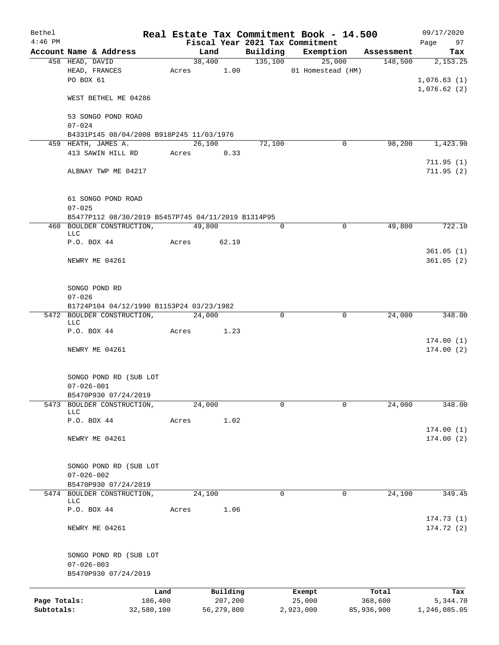| Bethel       |                                                                                        |                 |        |                     |             | Real Estate Tax Commitment Book - 14.500 |                  | 09/17/2020                 |
|--------------|----------------------------------------------------------------------------------------|-----------------|--------|---------------------|-------------|------------------------------------------|------------------|----------------------------|
| $4:46$ PM    |                                                                                        |                 |        |                     |             | Fiscal Year 2021 Tax Commitment          |                  | Page<br>97                 |
|              | Account Name & Address                                                                 |                 |        | Land                | Building    | Exemption                                | Assessment       | Tax                        |
|              | 458 HEAD, DAVID                                                                        |                 |        | 38,400              | 135,100     | 25,000                                   | 148,500          | 2,153.25                   |
|              | HEAD, FRANCES                                                                          |                 |        | Acres 1.00          |             | 01 Homestead (HM)                        |                  |                            |
|              | PO BOX 61                                                                              |                 |        |                     |             |                                          |                  | 1,076.63(1)<br>1,076.62(2) |
|              | WEST BETHEL ME 04286                                                                   |                 |        |                     |             |                                          |                  |                            |
|              | 53 SONGO POND ROAD<br>$07 - 024$                                                       |                 |        |                     |             |                                          |                  |                            |
|              | B4331P145 08/04/2008 B918P245 11/03/1976                                               |                 |        |                     |             |                                          |                  |                            |
|              | 459 HEATH, JAMES A.                                                                    |                 | 26,100 |                     | 72,100      | 0                                        | 98,200           | 1,423.90                   |
|              | 413 SAWIN HILL RD                                                                      |                 | Acres  | 0.33                |             |                                          |                  |                            |
|              |                                                                                        |                 |        |                     |             |                                          |                  | 711.95(1)                  |
|              | ALBNAY TWP ME 04217                                                                    |                 |        |                     |             |                                          |                  | 711.95(2)                  |
|              | 61 SONGO POND ROAD                                                                     |                 |        |                     |             |                                          |                  |                            |
|              | $07 - 025$                                                                             |                 |        |                     |             |                                          |                  |                            |
|              | B5477P112 08/30/2019 B5457P745 04/11/2019 B1314P95<br>460 BOULDER CONSTRUCTION, 49,800 |                 |        |                     | 0           | 0                                        | 49,800           | 722.10                     |
|              | LLC<br>P.O. BOX 44                                                                     |                 | Acres  | 62.19               |             |                                          |                  |                            |
|              |                                                                                        |                 |        |                     |             |                                          |                  | 361.05(1)                  |
|              | NEWRY ME 04261                                                                         |                 |        |                     |             |                                          |                  | 361.05(2)                  |
|              | SONGO POND RD                                                                          |                 |        |                     |             |                                          |                  |                            |
|              | $07 - 026$                                                                             |                 |        |                     |             |                                          |                  |                            |
|              | B1724P104 04/12/1990 B1153P24 03/23/1982                                               |                 |        |                     |             |                                          |                  |                            |
|              | 5472 BOULDER CONSTRUCTION,                                                             |                 | 24,000 |                     | 0           | 0                                        | 24,000           | 348.00                     |
|              | LLC                                                                                    |                 |        |                     |             |                                          |                  |                            |
|              | P.O. BOX 44                                                                            |                 |        | Acres 1.23          |             |                                          |                  |                            |
|              | NEWRY ME 04261                                                                         |                 |        |                     |             |                                          |                  | 174.00(1)<br>174.00(2)     |
|              |                                                                                        |                 |        |                     |             |                                          |                  |                            |
|              | SONGO POND RD (SUB LOT<br>$07 - 026 - 001$                                             |                 |        |                     |             |                                          |                  |                            |
|              | B5470P930 07/24/2019                                                                   |                 |        |                     |             |                                          |                  |                            |
| 5473         | BOULDER CONSTRUCTION,                                                                  |                 | 24,000 |                     | $\mathbf 0$ | 0                                        | 24,000           | 348.00                     |
|              | LLC                                                                                    |                 |        |                     |             |                                          |                  |                            |
|              | P.O. BOX 44                                                                            |                 | Acres  | 1.02                |             |                                          |                  |                            |
|              | NEWRY ME 04261                                                                         |                 |        |                     |             |                                          |                  | 174.00(1)<br>174.00(2)     |
|              | SONGO POND RD (SUB LOT                                                                 |                 |        |                     |             |                                          |                  |                            |
|              | $07 - 026 - 002$                                                                       |                 |        |                     |             |                                          |                  |                            |
|              | B5470P930 07/24/2019                                                                   |                 |        |                     |             |                                          |                  |                            |
|              | 5474 BOULDER CONSTRUCTION,                                                             |                 | 24,100 |                     | 0           | 0                                        | 24,100           | 349.45                     |
|              | <b>LLC</b>                                                                             |                 |        |                     |             |                                          |                  |                            |
|              | P.O. BOX 44                                                                            |                 | Acres  | 1.06                |             |                                          |                  |                            |
|              | NEWRY ME 04261                                                                         |                 |        |                     |             |                                          |                  | 174.73 (1)<br>174.72(2)    |
|              |                                                                                        |                 |        |                     |             |                                          |                  |                            |
|              | SONGO POND RD (SUB LOT<br>$07 - 026 - 003$                                             |                 |        |                     |             |                                          |                  |                            |
|              | B5470P930 07/24/2019                                                                   |                 |        |                     |             |                                          |                  |                            |
| Page Totals: |                                                                                        | Land<br>186,400 |        | Building<br>207,200 |             | Exempt<br>25,000                         | Total<br>368,600 | Tax<br>5,344.70            |
| Subtotals:   |                                                                                        | 32,580,100      |        | 56,279,800          |             | 2,923,000                                | 85,936,900       | 1,246,085.05               |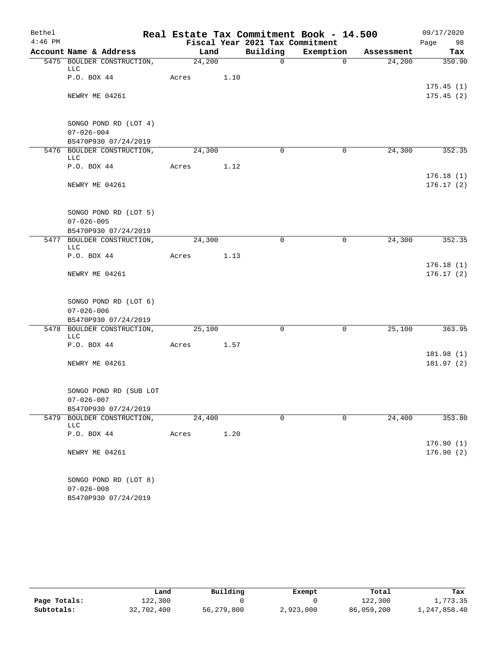| Bethel    |                                           |        |      |                                 | Real Estate Tax Commitment Book - 14.500 |            | 09/17/2020 |
|-----------|-------------------------------------------|--------|------|---------------------------------|------------------------------------------|------------|------------|
| $4:46$ PM |                                           |        |      | Fiscal Year 2021 Tax Commitment |                                          |            | Page<br>98 |
|           | Account Name & Address                    | Land   |      | Building                        | Exemption                                | Assessment | Tax        |
|           | 5475 BOULDER CONSTRUCTION,<br>LLC         | 24,200 |      | $\mathsf{O}$                    | $\overline{0}$                           | 24,200     | 350.90     |
|           | P.O. BOX 44                               | Acres  | 1.10 |                                 |                                          |            |            |
|           |                                           |        |      |                                 |                                          |            | 175.45(1)  |
|           | NEWRY ME 04261                            |        |      |                                 |                                          |            | 175.45(2)  |
|           |                                           |        |      |                                 |                                          |            |            |
|           |                                           |        |      |                                 |                                          |            |            |
|           | SONGO POND RD (LOT 4)<br>$07 - 026 - 004$ |        |      |                                 |                                          |            |            |
|           | B5470P930 07/24/2019                      |        |      |                                 |                                          |            |            |
|           | 5476 BOULDER CONSTRUCTION,                | 24,300 |      | $\Omega$                        | 0                                        | 24,300     | 352.35     |
|           | LLC                                       |        |      |                                 |                                          |            |            |
|           | P.O. BOX 44                               | Acres  | 1.12 |                                 |                                          |            |            |
|           |                                           |        |      |                                 |                                          |            | 176.18(1)  |
|           | NEWRY ME 04261                            |        |      |                                 |                                          |            | 176.17(2)  |
|           |                                           |        |      |                                 |                                          |            |            |
|           | SONGO POND RD (LOT 5)                     |        |      |                                 |                                          |            |            |
|           | $07 - 026 - 005$                          |        |      |                                 |                                          |            |            |
|           | B5470P930 07/24/2019                      |        |      |                                 |                                          |            |            |
|           | 5477 BOULDER CONSTRUCTION,                | 24,300 |      | $\mathbf 0$                     | $\mathbf 0$                              | 24,300     | 352.35     |
|           | <b>LLC</b><br>P.O. BOX 44                 | Acres  | 1.13 |                                 |                                          |            |            |
|           |                                           |        |      |                                 |                                          |            | 176.18(1)  |
|           | NEWRY ME 04261                            |        |      |                                 |                                          |            | 176.17(2)  |
|           |                                           |        |      |                                 |                                          |            |            |
|           |                                           |        |      |                                 |                                          |            |            |
|           | SONGO POND RD (LOT 6)                     |        |      |                                 |                                          |            |            |
|           | $07 - 026 - 006$<br>B5470P930 07/24/2019  |        |      |                                 |                                          |            |            |
|           | 5478 BOULDER CONSTRUCTION,                | 25,100 |      | $\mathbf 0$                     | 0                                        | 25,100     | 363.95     |
|           | <b>LLC</b>                                |        |      |                                 |                                          |            |            |
|           | P.O. BOX 44                               | Acres  | 1.57 |                                 |                                          |            |            |
|           |                                           |        |      |                                 |                                          |            | 181.98 (1) |
|           | NEWRY ME 04261                            |        |      |                                 |                                          |            | 181.97(2)  |
|           |                                           |        |      |                                 |                                          |            |            |
|           | SONGO POND RD (SUB LOT                    |        |      |                                 |                                          |            |            |
|           | $07 - 026 - 007$                          |        |      |                                 |                                          |            |            |
|           | B5470P930 07/24/2019                      |        |      |                                 |                                          |            |            |
| 5479      | BOULDER CONSTRUCTION,                     | 24,400 |      | $\mathbf 0$                     | $\mathbf 0$                              | 24,400     | 353.80     |
|           | LLC<br>P.O. BOX 44                        | Acres  | 1.20 |                                 |                                          |            |            |
|           |                                           |        |      |                                 |                                          |            | 176.90(1)  |
|           | NEWRY ME 04261                            |        |      |                                 |                                          |            | 176.90(2)  |
|           |                                           |        |      |                                 |                                          |            |            |
|           |                                           |        |      |                                 |                                          |            |            |
|           | SONGO POND RD (LOT 8)<br>$07 - 026 - 008$ |        |      |                                 |                                          |            |            |
|           | B5470P930 07/24/2019                      |        |      |                                 |                                          |            |            |
|           |                                           |        |      |                                 |                                          |            |            |

|              | úand       | Building   | Exempt    | Total      | Tax          |
|--------------|------------|------------|-----------|------------|--------------|
| Page Totals: | 122,300    |            |           | 122,300    | 1,773.35     |
| Subtotals:   | 32,702,400 | 56,279,800 | 2,923,000 | 86,059,200 | 1,247,858.40 |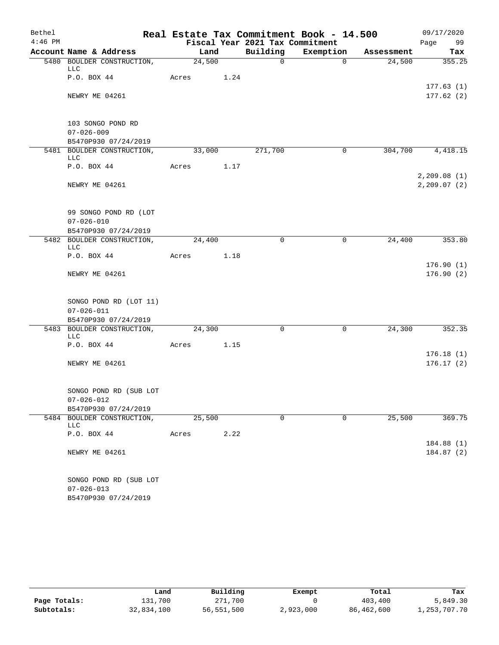| Bethel    |                           |                                                    |        |      |                                 | Real Estate Tax Commitment Book - 14.500 |            | 09/17/2020                  |
|-----------|---------------------------|----------------------------------------------------|--------|------|---------------------------------|------------------------------------------|------------|-----------------------------|
| $4:46$ PM |                           |                                                    |        |      | Fiscal Year 2021 Tax Commitment |                                          |            | Page<br>99                  |
|           |                           | Account Name & Address                             | Land   |      | Building                        | Exemption                                | Assessment | Tax                         |
|           | LLC                       | 5480 BOULDER CONSTRUCTION,                         | 24,500 |      | $\mathsf{O}$                    | $\overline{0}$                           | 24,500     | 355.25                      |
|           | P.O. BOX 44               |                                                    | Acres  | 1.24 |                                 |                                          |            | 177.63(1)                   |
|           | NEWRY ME 04261            |                                                    |        |      |                                 |                                          |            | 177.62(2)                   |
|           |                           | 103 SONGO POND RD                                  |        |      |                                 |                                          |            |                             |
|           | $07 - 026 - 009$          | B5470P930 07/24/2019                               |        |      |                                 |                                          |            |                             |
|           |                           | 5481 BOULDER CONSTRUCTION,                         | 33,000 |      | 271,700                         | 0                                        | 304,700    | 4,418.15                    |
|           | <b>LLC</b><br>P.O. BOX 44 |                                                    | Acres  | 1.17 |                                 |                                          |            |                             |
|           | NEWRY ME 04261            |                                                    |        |      |                                 |                                          |            | 2,209.08(1)<br>2, 209.07(2) |
|           |                           |                                                    |        |      |                                 |                                          |            |                             |
|           |                           | 99 SONGO POND RD (LOT                              |        |      |                                 |                                          |            |                             |
|           | $07 - 026 - 010$          | B5470P930 07/24/2019                               |        |      |                                 |                                          |            |                             |
|           | <b>LLC</b>                | 5482 BOULDER CONSTRUCTION,                         | 24,400 |      | $\mathbf 0$                     | $\mathbf 0$                              | 24,400     | 353.80                      |
|           | P.O. BOX 44               |                                                    | Acres  | 1.18 |                                 |                                          |            |                             |
|           | NEWRY ME 04261            |                                                    |        |      |                                 |                                          |            | 176.90(1)<br>176.90(2)      |
|           |                           | SONGO POND RD (LOT 11)                             |        |      |                                 |                                          |            |                             |
|           | $07 - 026 - 011$          |                                                    |        |      |                                 |                                          |            |                             |
|           |                           | B5470P930 07/24/2019<br>5483 BOULDER CONSTRUCTION, | 24,300 |      | $\mathbf 0$                     | 0                                        | 24,300     | 352.35                      |
|           | <b>LLC</b>                |                                                    |        |      |                                 |                                          |            |                             |
|           | P.O. BOX 44               |                                                    | Acres  | 1.15 |                                 |                                          |            | 176.18(1)                   |
|           | NEWRY ME 04261            |                                                    |        |      |                                 |                                          |            | 176.17(2)                   |
|           |                           | SONGO POND RD (SUB LOT                             |        |      |                                 |                                          |            |                             |
|           | $07 - 026 - 012$          |                                                    |        |      |                                 |                                          |            |                             |
|           |                           | B5470P930 07/24/2019<br>5484 BOULDER CONSTRUCTION, |        |      | $\mathbf 0$                     | $\mathbf 0$                              |            | 369.75                      |
|           | LLC                       |                                                    | 25,500 |      |                                 |                                          | 25,500     |                             |
|           | P.O. BOX 44               |                                                    | Acres  | 2.22 |                                 |                                          |            | 184.88 (1)                  |
|           | NEWRY ME 04261            |                                                    |        |      |                                 |                                          |            | 184.87(2)                   |
|           |                           | SONGO POND RD (SUB LOT                             |        |      |                                 |                                          |            |                             |
|           | $07 - 026 - 013$          | B5470P930 07/24/2019                               |        |      |                                 |                                          |            |                             |

|              | Land       | Building   | Exempt    | Total      | Tax          |
|--------------|------------|------------|-----------|------------|--------------|
| Page Totals: | 131,700    | 271,700    |           | 403,400    | 5,849.30     |
| Subtotals:   | 32,834,100 | 56,551,500 | 2,923,000 | 86,462,600 | 1,253,707.70 |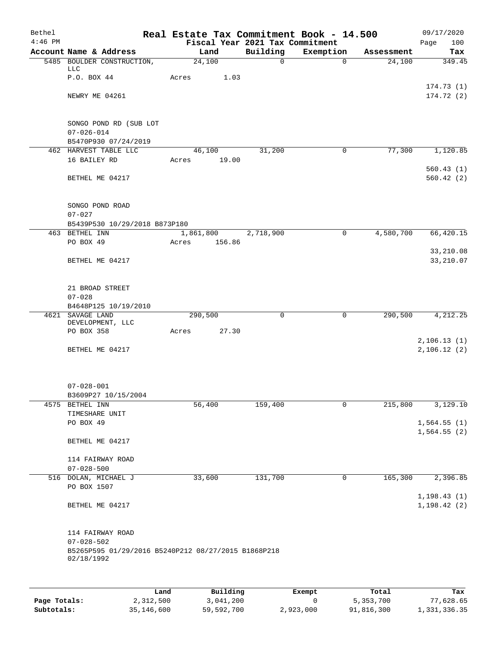| Bethel    |                  |                                                     |             |         |        |                                 | Real Estate Tax Commitment Book - 14.500 |            | 09/17/2020   |
|-----------|------------------|-----------------------------------------------------|-------------|---------|--------|---------------------------------|------------------------------------------|------------|--------------|
| $4:46$ PM |                  |                                                     |             |         |        | Fiscal Year 2021 Tax Commitment |                                          |            | Page<br>100  |
|           |                  | Account Name & Address                              |             | Land    |        | Building                        | Exemption                                | Assessment | Tax          |
|           | LLC              | 5485 BOULDER CONSTRUCTION,                          |             | 24,100  |        | $\Omega$                        | $\Omega$                                 | 24,100     | 349.45       |
|           | P.O. BOX 44      |                                                     | Acres       |         | 1.03   |                                 |                                          |            |              |
|           |                  |                                                     |             |         |        |                                 |                                          |            | 174.73(1)    |
|           | NEWRY ME 04261   |                                                     |             |         |        |                                 |                                          |            | 174.72(2)    |
|           |                  |                                                     |             |         |        |                                 |                                          |            |              |
|           |                  | SONGO POND RD (SUB LOT                              |             |         |        |                                 |                                          |            |              |
|           | $07 - 026 - 014$ |                                                     |             |         |        |                                 |                                          |            |              |
|           |                  | B5470P930 07/24/2019                                |             |         |        |                                 |                                          |            |              |
|           |                  | 462 HARVEST TABLE LLC                               |             | 46,100  |        | 31,200                          | 0                                        | 77,300     | 1,120.85     |
|           | 16 BAILEY RD     |                                                     | Acres 19.00 |         |        |                                 |                                          |            |              |
|           |                  |                                                     |             |         |        |                                 |                                          |            | 560.43(1)    |
|           | BETHEL ME 04217  |                                                     |             |         |        |                                 |                                          |            | 560.42(2)    |
|           |                  |                                                     |             |         |        |                                 |                                          |            |              |
|           | SONGO POND ROAD  |                                                     |             |         |        |                                 |                                          |            |              |
|           | $07 - 027$       |                                                     |             |         |        |                                 |                                          |            |              |
|           |                  | B5439P530 10/29/2018 B873P180                       |             |         |        |                                 |                                          |            |              |
|           | 463 BETHEL INN   |                                                     |             |         |        | 1,861,800 2,718,900             | $\mathbf 0$                              | 4,580,700  | 66,420.15    |
|           | PO BOX 49        |                                                     | Acres       |         | 156.86 |                                 |                                          |            |              |
|           |                  |                                                     |             |         |        |                                 |                                          |            | 33, 210.08   |
|           | BETHEL ME 04217  |                                                     |             |         |        |                                 |                                          |            | 33, 210.07   |
|           |                  |                                                     |             |         |        |                                 |                                          |            |              |
|           | 21 BROAD STREET  |                                                     |             |         |        |                                 |                                          |            |              |
|           | $07 - 028$       |                                                     |             |         |        |                                 |                                          |            |              |
|           |                  | B4648P125 10/19/2010                                |             |         |        |                                 |                                          |            |              |
|           | 4621 SAVAGE LAND |                                                     |             | 290,500 |        | 0                               | $\mathbf 0$                              | 290,500    | 4,212.25     |
|           | PO BOX 358       | DEVELOPMENT, LLC                                    | Acres       |         | 27.30  |                                 |                                          |            |              |
|           |                  |                                                     |             |         |        |                                 |                                          |            | 2, 106.13(1) |
|           | BETHEL ME 04217  |                                                     |             |         |        |                                 |                                          |            | 2,106.12(2)  |
|           |                  |                                                     |             |         |        |                                 |                                          |            |              |
|           |                  |                                                     |             |         |        |                                 |                                          |            |              |
|           |                  |                                                     |             |         |        |                                 |                                          |            |              |
|           | $07 - 028 - 001$ |                                                     |             |         |        |                                 |                                          |            |              |
|           | 4575 BETHEL INN  | B3609P27 10/15/2004                                 |             | 56,400  |        | 159,400                         | 0                                        | 215,800    | 3,129.10     |
|           | TIMESHARE UNIT   |                                                     |             |         |        |                                 |                                          |            |              |
|           | PO BOX 49        |                                                     |             |         |        |                                 |                                          |            | 1,564.55(1)  |
|           |                  |                                                     |             |         |        |                                 |                                          |            | 1,564.55(2)  |
|           | BETHEL ME 04217  |                                                     |             |         |        |                                 |                                          |            |              |
|           |                  |                                                     |             |         |        |                                 |                                          |            |              |
|           |                  | 114 FAIRWAY ROAD                                    |             |         |        |                                 |                                          |            |              |
|           | $07 - 028 - 500$ | 516 DOLAN, MICHAEL J                                |             | 33,600  |        | 131,700                         | $\mathbf 0$                              | 165,300    | 2,396.85     |
|           | PO BOX 1507      |                                                     |             |         |        |                                 |                                          |            |              |
|           |                  |                                                     |             |         |        |                                 |                                          |            | 1, 198.43(1) |
|           | BETHEL ME 04217  |                                                     |             |         |        |                                 |                                          |            | 1, 198.42(2) |
|           |                  |                                                     |             |         |        |                                 |                                          |            |              |
|           |                  |                                                     |             |         |        |                                 |                                          |            |              |
|           |                  | 114 FAIRWAY ROAD                                    |             |         |        |                                 |                                          |            |              |
|           | $07 - 028 - 502$ | B5265P595 01/29/2016 B5240P212 08/27/2015 B1868P218 |             |         |        |                                 |                                          |            |              |
|           | 02/18/1992       |                                                     |             |         |        |                                 |                                          |            |              |
|           |                  |                                                     |             |         |        |                                 |                                          |            |              |
|           |                  |                                                     |             |         |        |                                 |                                          |            |              |
|           |                  |                                                     |             |         |        |                                 |                                          |            |              |

|              | Land       | Building   | Exempt    | Total      | Tax          |
|--------------|------------|------------|-----------|------------|--------------|
| Page Totals: | 2,312,500  | 3,041,200  |           | 5,353,700  | 77,628.65    |
| Subtotals:   | 35,146,600 | 59,592,700 | 2,923,000 | 91,816,300 | 1,331,336.35 |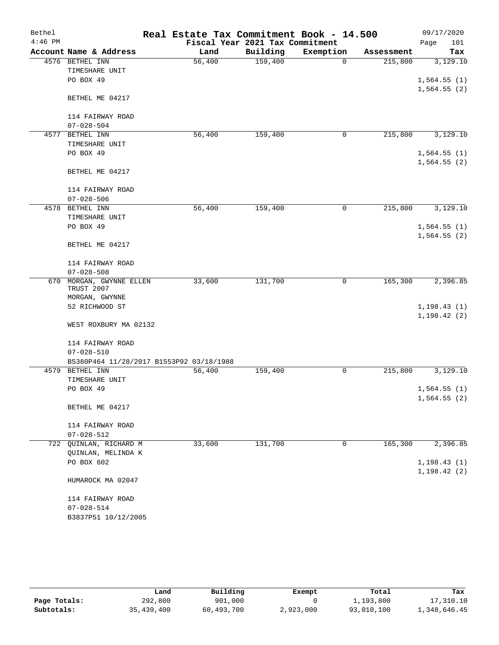| Bethel    |                                          |        |                                 | Real Estate Tax Commitment Book - 14.500 |            | 09/17/2020   |
|-----------|------------------------------------------|--------|---------------------------------|------------------------------------------|------------|--------------|
| $4:46$ PM |                                          |        | Fiscal Year 2021 Tax Commitment |                                          |            | Page<br>101  |
|           | Account Name & Address                   | Land   | Building                        | Exemption                                | Assessment | Tax          |
|           | 4576 BETHEL INN                          | 56,400 | 159,400                         | $\mathbf 0$                              | 215,800    | 3,129.10     |
|           | TIMESHARE UNIT                           |        |                                 |                                          |            |              |
|           | PO BOX 49                                |        |                                 |                                          |            | 1,564.55(1)  |
|           |                                          |        |                                 |                                          |            | 1,564.55(2)  |
|           | BETHEL ME 04217                          |        |                                 |                                          |            |              |
|           | 114 FAIRWAY ROAD                         |        |                                 |                                          |            |              |
|           | $07 - 028 - 504$                         |        |                                 |                                          |            |              |
| 4577      | BETHEL INN                               | 56,400 | 159,400                         | 0                                        | 215,800    | 3,129.10     |
|           | TIMESHARE UNIT                           |        |                                 |                                          |            |              |
|           | PO BOX 49                                |        |                                 |                                          |            | 1,564.55(1)  |
|           |                                          |        |                                 |                                          |            | 1,564.55(2)  |
|           | BETHEL ME 04217                          |        |                                 |                                          |            |              |
|           | 114 FAIRWAY ROAD                         |        |                                 |                                          |            |              |
|           | $07 - 028 - 506$                         |        |                                 |                                          |            |              |
|           | 4578 BETHEL INN                          | 56,400 | 159,400                         | 0                                        | 215,800    | 3,129.10     |
|           | TIMESHARE UNIT                           |        |                                 |                                          |            |              |
|           | PO BOX 49                                |        |                                 |                                          |            | 1,564.55(1)  |
|           |                                          |        |                                 |                                          |            | 1,564.55(2)  |
|           | BETHEL ME 04217                          |        |                                 |                                          |            |              |
|           | 114 FAIRWAY ROAD                         |        |                                 |                                          |            |              |
|           | $07 - 028 - 508$                         |        |                                 |                                          |            |              |
| 670       | MORGAN, GWYNNE ELLEN                     | 33,600 | 131,700                         | 0                                        | 165,300    | 2,396.85     |
|           | TRUST 2007                               |        |                                 |                                          |            |              |
|           | MORGAN, GWYNNE                           |        |                                 |                                          |            |              |
|           | 52 RICHWOOD ST                           |        |                                 |                                          |            | 1, 198.43(1) |
|           | WEST ROXBURY MA 02132                    |        |                                 |                                          |            | 1, 198.42(2) |
|           |                                          |        |                                 |                                          |            |              |
|           | 114 FAIRWAY ROAD                         |        |                                 |                                          |            |              |
|           | $07 - 028 - 510$                         |        |                                 |                                          |            |              |
|           | B5380P464 11/28/2017 B1553P92 03/18/1988 |        |                                 |                                          |            |              |
|           | 4579 BETHEL INN                          | 56,400 | 159,400                         | 0                                        | 215,800    | 3,129.10     |
|           | TIMESHARE UNIT                           |        |                                 |                                          |            |              |
|           | PO BOX 49                                |        |                                 |                                          |            | 1,564.55(1)  |
|           |                                          |        |                                 |                                          |            | 1,564.55(2)  |
|           | BETHEL ME 04217                          |        |                                 |                                          |            |              |
|           | 114 FAIRWAY ROAD                         |        |                                 |                                          |            |              |
|           | $07 - 028 - 512$                         |        |                                 |                                          |            |              |
|           | 722 QUINLAN, RICHARD M                   | 33,600 | 131,700                         | 0                                        | 165,300    | 2,396.85     |
|           | QUINLAN, MELINDA K                       |        |                                 |                                          |            |              |
|           | PO BOX 602                               |        |                                 |                                          |            | 1,198.43(1)  |
|           |                                          |        |                                 |                                          |            | 1, 198.42(2) |
|           | HUMAROCK MA 02047                        |        |                                 |                                          |            |              |
|           | 114 FAIRWAY ROAD                         |        |                                 |                                          |            |              |
|           | $07 - 028 - 514$                         |        |                                 |                                          |            |              |
|           | B3837P51 10/12/2005                      |        |                                 |                                          |            |              |

|              | Land       | Building   | Exempt    | Total      | Tax          |
|--------------|------------|------------|-----------|------------|--------------|
| Page Totals: | 292,800    | 901,000    |           | 1,193,800  | 17,310.10    |
| Subtotals:   | 35,439,400 | 60,493,700 | 2,923,000 | 93,010,100 | 1,348,646.45 |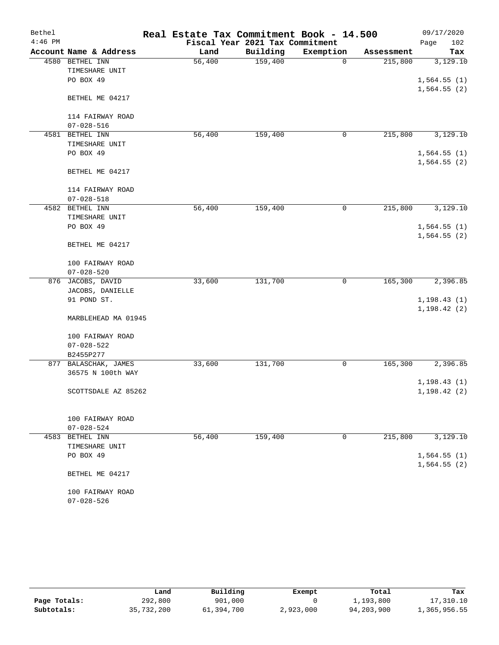| Bethel    |                        | Real Estate Tax Commitment Book - 14.500 |                                 |             |            | 09/17/2020   |
|-----------|------------------------|------------------------------------------|---------------------------------|-------------|------------|--------------|
| $4:46$ PM |                        |                                          | Fiscal Year 2021 Tax Commitment |             |            | 102<br>Page  |
|           | Account Name & Address | Land                                     | Building                        | Exemption   | Assessment | Tax          |
| 4580      | BETHEL INN             | 56,400                                   | 159,400                         | $\mathbf 0$ | 215,800    | 3,129.10     |
|           | TIMESHARE UNIT         |                                          |                                 |             |            |              |
|           | PO BOX 49              |                                          |                                 |             |            | 1,564.55(1)  |
|           | BETHEL ME 04217        |                                          |                                 |             |            | 1,564.55(2)  |
|           |                        |                                          |                                 |             |            |              |
|           | 114 FAIRWAY ROAD       |                                          |                                 |             |            |              |
|           | $07 - 028 - 516$       |                                          |                                 |             |            |              |
| 4581      | BETHEL INN             | 56,400                                   | 159,400                         | 0           | 215,800    | 3,129.10     |
|           | TIMESHARE UNIT         |                                          |                                 |             |            |              |
|           | PO BOX 49              |                                          |                                 |             |            | 1,564.55(1)  |
|           | BETHEL ME 04217        |                                          |                                 |             |            | 1,564.55(2)  |
|           |                        |                                          |                                 |             |            |              |
|           | 114 FAIRWAY ROAD       |                                          |                                 |             |            |              |
|           | $07 - 028 - 518$       |                                          |                                 |             |            |              |
| 4582      | BETHEL INN             | 56,400                                   | 159,400                         | 0           | 215,800    | 3,129.10     |
|           | TIMESHARE UNIT         |                                          |                                 |             |            |              |
|           | PO BOX 49              |                                          |                                 |             |            | 1,564.55(1)  |
|           | BETHEL ME 04217        |                                          |                                 |             |            | 1,564.55(2)  |
|           | 100 FAIRWAY ROAD       |                                          |                                 |             |            |              |
|           | $07 - 028 - 520$       |                                          |                                 |             |            |              |
| 876       | JACOBS, DAVID          | 33,600                                   | 131,700                         | 0           | 165,300    | 2,396.85     |
|           | JACOBS, DANIELLE       |                                          |                                 |             |            |              |
|           | 91 POND ST.            |                                          |                                 |             |            | 1, 198.43(1) |
|           |                        |                                          |                                 |             |            | 1, 198.42(2) |
|           | MARBLEHEAD MA 01945    |                                          |                                 |             |            |              |
|           | 100 FAIRWAY ROAD       |                                          |                                 |             |            |              |
|           | $07 - 028 - 522$       |                                          |                                 |             |            |              |
|           | B2455P277              |                                          |                                 |             |            |              |
|           | 877 BALASCHAK, JAMES   | 33,600                                   | 131,700                         | 0           | 165,300    | 2,396.85     |
|           | 36575 N 100th WAY      |                                          |                                 |             |            |              |
|           |                        |                                          |                                 |             |            | 1, 198.43(1) |
|           | SCOTTSDALE AZ 85262    |                                          |                                 |             |            | 1, 198.42(2) |
|           | 100 FAIRWAY ROAD       |                                          |                                 |             |            |              |
|           | $07 - 028 - 524$       |                                          |                                 |             |            |              |
|           | 4583 BETHEL INN        | 56,400                                   | 159,400                         | 0           | 215,800    | 3,129.10     |
|           | TIMESHARE UNIT         |                                          |                                 |             |            |              |
|           | PO BOX 49              |                                          |                                 |             |            | 1,564.55(1)  |
|           |                        |                                          |                                 |             |            | 1,564.55(2)  |
|           | BETHEL ME 04217        |                                          |                                 |             |            |              |
|           | 100 FAIRWAY ROAD       |                                          |                                 |             |            |              |
|           | $07 - 028 - 526$       |                                          |                                 |             |            |              |

|              | Land       | Building   | Exempt    | Total      | Tax          |
|--------------|------------|------------|-----------|------------|--------------|
| Page Totals: | 292,800    | 901,000    |           | 1,193,800  | 17,310.10    |
| Subtotals:   | 35,732,200 | 61,394,700 | 2,923,000 | 94,203,900 | 1,365,956.55 |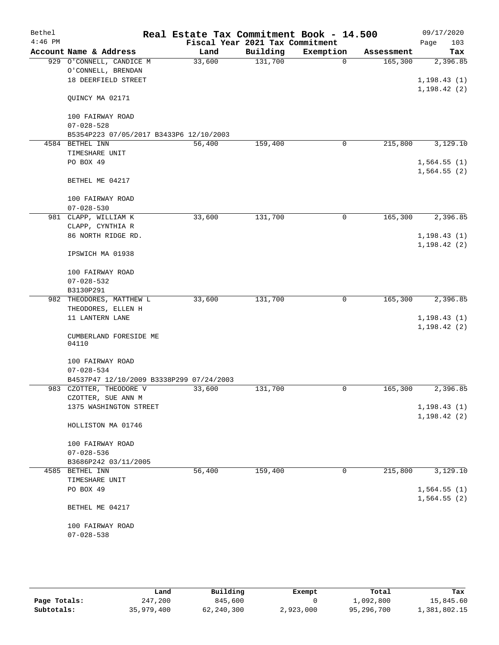| Bethel    |                                                | Real Estate Tax Commitment Book - 14.500 |                                 |             |            | 09/17/2020                   |
|-----------|------------------------------------------------|------------------------------------------|---------------------------------|-------------|------------|------------------------------|
| $4:46$ PM |                                                |                                          | Fiscal Year 2021 Tax Commitment |             |            | 103<br>Page                  |
|           | Account Name & Address                         | Land                                     | Building                        | Exemption   | Assessment | Tax                          |
|           | 929 O'CONNELL, CANDICE M<br>O'CONNELL, BRENDAN | 33,600                                   | 131,700                         | $\mathbf 0$ | 165,300    | 2,396.85                     |
|           | 18 DEERFIELD STREET                            |                                          |                                 |             |            | 1, 198.43(1)                 |
|           |                                                |                                          |                                 |             |            | 1, 198.42(2)                 |
|           | QUINCY MA 02171                                |                                          |                                 |             |            |                              |
|           | 100 FAIRWAY ROAD                               |                                          |                                 |             |            |                              |
|           | $07 - 028 - 528$                               |                                          |                                 |             |            |                              |
|           | B5354P223 07/05/2017 B3433P6 12/10/2003        |                                          |                                 |             |            |                              |
|           | 4584 BETHEL INN                                | 56,400                                   | 159,400                         | 0           | 215,800    | 3,129.10                     |
|           | TIMESHARE UNIT                                 |                                          |                                 |             |            |                              |
|           | PO BOX 49                                      |                                          |                                 |             |            | 1,564.55(1)                  |
|           | BETHEL ME 04217                                |                                          |                                 |             |            | 1,564.55(2)                  |
|           | 100 FAIRWAY ROAD                               |                                          |                                 |             |            |                              |
|           | $07 - 028 - 530$                               |                                          |                                 |             |            |                              |
|           | 981 CLAPP, WILLIAM K                           | 33,600                                   | 131,700                         | 0           | 165,300    | 2,396.85                     |
|           | CLAPP, CYNTHIA R                               |                                          |                                 |             |            |                              |
|           | 86 NORTH RIDGE RD.                             |                                          |                                 |             |            | 1, 198.43(1)                 |
|           | IPSWICH MA 01938                               |                                          |                                 |             |            | 1,198.42(2)                  |
|           | 100 FAIRWAY ROAD                               |                                          |                                 |             |            |                              |
|           | $07 - 028 - 532$                               |                                          |                                 |             |            |                              |
|           | B3130P291                                      |                                          |                                 |             |            |                              |
|           | 982 THEODORES, MATTHEW L                       | 33,600                                   | 131,700                         | 0           | 165,300    | 2,396.85                     |
|           | THEODORES, ELLEN H                             |                                          |                                 |             |            |                              |
|           | 11 LANTERN LANE                                |                                          |                                 |             |            | 1, 198.43(1)<br>1, 198.42(2) |
|           | CUMBERLAND FORESIDE ME<br>04110                |                                          |                                 |             |            |                              |
|           | 100 FAIRWAY ROAD                               |                                          |                                 |             |            |                              |
|           | $07 - 028 - 534$                               |                                          |                                 |             |            |                              |
|           | B4537P47 12/10/2009 B3338P299 07/24/2003       |                                          |                                 |             |            |                              |
|           | 983 CZOTTER, THEODORE V                        | 33,600                                   | 131,700                         | 0           | 165,300    | 2,396.85                     |
|           | CZOTTER, SUE ANN M<br>1375 WASHINGTON STREET   |                                          |                                 |             |            | 1, 198.43(1)                 |
|           |                                                |                                          |                                 |             |            | 1, 198.42(2)                 |
|           | HOLLISTON MA 01746                             |                                          |                                 |             |            |                              |
|           | 100 FAIRWAY ROAD                               |                                          |                                 |             |            |                              |
|           | $07 - 028 - 536$                               |                                          |                                 |             |            |                              |
|           | B3686P242 03/11/2005                           |                                          |                                 |             |            |                              |
|           | 4585 BETHEL INN                                | 56,400                                   | 159,400                         | 0           | 215,800    | 3,129.10                     |
|           | TIMESHARE UNIT                                 |                                          |                                 |             |            |                              |
|           | PO BOX 49                                      |                                          |                                 |             |            | 1,564.55(1)                  |
|           | BETHEL ME 04217                                |                                          |                                 |             |            | 1,564.55(2)                  |
|           | 100 FAIRWAY ROAD                               |                                          |                                 |             |            |                              |
|           | $07 - 028 - 538$                               |                                          |                                 |             |            |                              |
|           |                                                |                                          |                                 |             |            |                              |

|              | Land       | Building     | Exempt    | Total      | Tax          |
|--------------|------------|--------------|-----------|------------|--------------|
| Page Totals: | 247,200    | 845,600      |           | 1,092,800  | 15,845.60    |
| Subtotals:   | 35,979,400 | 62, 240, 300 | 2,923,000 | 95,296,700 | 1,381,802.15 |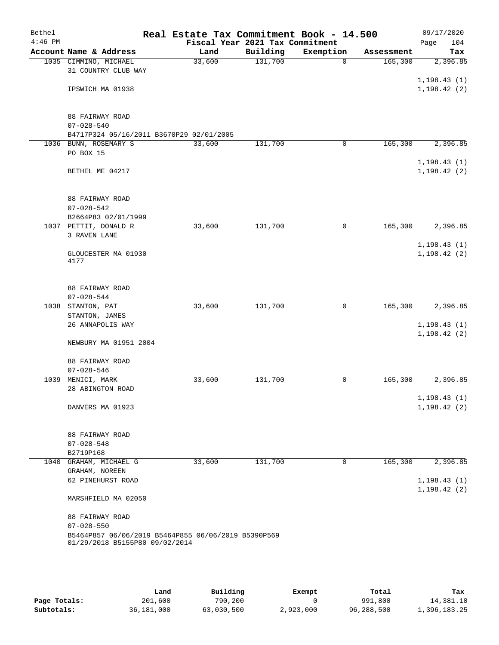| Bethel    |                                                                                       | Real Estate Tax Commitment Book - 14.500 |                                 |             |            | 09/17/2020   |
|-----------|---------------------------------------------------------------------------------------|------------------------------------------|---------------------------------|-------------|------------|--------------|
| $4:46$ PM |                                                                                       |                                          | Fiscal Year 2021 Tax Commitment |             |            | Page<br>104  |
|           | Account Name & Address                                                                | Land                                     | Building                        | Exemption   | Assessment | Tax          |
|           | 1035 CIMMINO, MICHAEL                                                                 | 33,600                                   | 131,700                         | 0           | 165,300    | 2,396.85     |
|           | 31 COUNTRY CLUB WAY                                                                   |                                          |                                 |             |            |              |
|           |                                                                                       |                                          |                                 |             |            | 1, 198.43(1) |
|           | IPSWICH MA 01938                                                                      |                                          |                                 |             |            | 1, 198.42(2) |
|           |                                                                                       |                                          |                                 |             |            |              |
|           |                                                                                       |                                          |                                 |             |            |              |
|           | 88 FAIRWAY ROAD<br>$07 - 028 - 540$                                                   |                                          |                                 |             |            |              |
|           | B4717P324 05/16/2011 B3670P29 02/01/2005                                              |                                          |                                 |             |            |              |
|           | 1036 BUNN, ROSEMARY S                                                                 | 33,600                                   | 131,700                         | 0           | 165,300    | 2,396.85     |
|           | PO BOX 15                                                                             |                                          |                                 |             |            |              |
|           |                                                                                       |                                          |                                 |             |            | 1, 198.43(1) |
|           | BETHEL ME 04217                                                                       |                                          |                                 |             |            | 1, 198.42(2) |
|           |                                                                                       |                                          |                                 |             |            |              |
|           |                                                                                       |                                          |                                 |             |            |              |
|           | 88 FAIRWAY ROAD                                                                       |                                          |                                 |             |            |              |
|           | $07 - 028 - 542$                                                                      |                                          |                                 |             |            |              |
|           | B2664P83 02/01/1999                                                                   |                                          |                                 |             |            |              |
|           | 1037 PETTIT, DONALD R                                                                 | 33,600                                   | 131,700                         | 0           | 165,300    | 2,396.85     |
|           | 3 RAVEN LANE                                                                          |                                          |                                 |             |            |              |
|           |                                                                                       |                                          |                                 |             |            | 1, 198.43(1) |
|           | GLOUCESTER MA 01930                                                                   |                                          |                                 |             |            | 1, 198.42(2) |
|           | 4177                                                                                  |                                          |                                 |             |            |              |
|           |                                                                                       |                                          |                                 |             |            |              |
|           |                                                                                       |                                          |                                 |             |            |              |
|           | 88 FAIRWAY ROAD                                                                       |                                          |                                 |             |            |              |
|           | $07 - 028 - 544$                                                                      |                                          |                                 |             |            |              |
|           | 1038 STANTON, PAT                                                                     | 33,600                                   | 131,700                         | $\mathbf 0$ | 165,300    | 2,396.85     |
|           | STANTON, JAMES                                                                        |                                          |                                 |             |            |              |
|           | 26 ANNAPOLIS WAY                                                                      |                                          |                                 |             |            | 1, 198.43(1) |
|           | NEWBURY MA 01951 2004                                                                 |                                          |                                 |             |            | 1, 198.42(2) |
|           |                                                                                       |                                          |                                 |             |            |              |
|           | 88 FAIRWAY ROAD                                                                       |                                          |                                 |             |            |              |
|           | $07 - 028 - 546$                                                                      |                                          |                                 |             |            |              |
|           | 1039 MENICI, MARK                                                                     | 33,600                                   | 131,700                         | 0           | 165,300    | 2,396.85     |
|           | 28 ABINGTON ROAD                                                                      |                                          |                                 |             |            |              |
|           |                                                                                       |                                          |                                 |             |            | 1, 198.43(1) |
|           | DANVERS MA 01923                                                                      |                                          |                                 |             |            | 1, 198.42(2) |
|           |                                                                                       |                                          |                                 |             |            |              |
|           |                                                                                       |                                          |                                 |             |            |              |
|           | 88 FAIRWAY ROAD                                                                       |                                          |                                 |             |            |              |
|           | $07 - 028 - 548$                                                                      |                                          |                                 |             |            |              |
|           | B2719P168                                                                             |                                          |                                 |             |            |              |
| 1040      | GRAHAM, MICHAEL G                                                                     | 33,600                                   | 131,700                         | 0           | 165,300    | 2,396.85     |
|           | GRAHAM, NOREEN                                                                        |                                          |                                 |             |            |              |
|           | 62 PINEHURST ROAD                                                                     |                                          |                                 |             |            | 1,198.43(1)  |
|           |                                                                                       |                                          |                                 |             |            | 1,198.42(2)  |
|           | MARSHFIELD MA 02050                                                                   |                                          |                                 |             |            |              |
|           |                                                                                       |                                          |                                 |             |            |              |
|           | 88 FAIRWAY ROAD                                                                       |                                          |                                 |             |            |              |
|           | $07 - 028 - 550$                                                                      |                                          |                                 |             |            |              |
|           | B5464P857 06/06/2019 B5464P855 06/06/2019 B5390P569<br>01/29/2018 B5155P80 09/02/2014 |                                          |                                 |             |            |              |
|           |                                                                                       |                                          |                                 |             |            |              |
|           |                                                                                       |                                          |                                 |             |            |              |

|              | Land       | Building   | Exempt    | Total      | Tax          |
|--------------|------------|------------|-----------|------------|--------------|
| Page Totals: | 201,600    | 790,200    |           | 991,800    | 14,381.10    |
| Subtotals:   | 36,181,000 | 63,030,500 | 2,923,000 | 96,288,500 | 1,396,183.25 |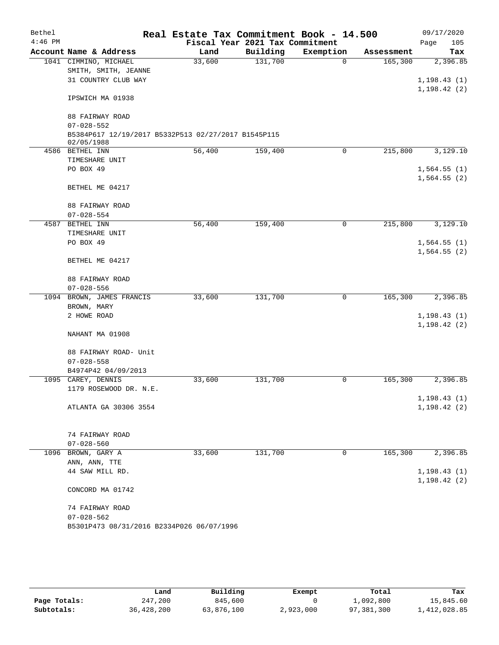| Bethel    |                                                                   |        |      | Real Estate Tax Commitment Book - 14.500 |           |            |      | 09/17/2020                   |
|-----------|-------------------------------------------------------------------|--------|------|------------------------------------------|-----------|------------|------|------------------------------|
| $4:46$ PM |                                                                   |        |      | Fiscal Year 2021 Tax Commitment          |           |            | Page | 105                          |
|           | Account Name & Address                                            |        | Land | Building                                 | Exemption | Assessment |      | Tax                          |
|           | 1041 CIMMINO, MICHAEL                                             | 33,600 |      | 131,700                                  | 0         | 165,300    |      | 2,396.85                     |
|           | SMITH, SMITH, JEANNE                                              |        |      |                                          |           |            |      |                              |
|           | 31 COUNTRY CLUB WAY                                               |        |      |                                          |           |            |      | 1,198.43(1)<br>1, 198.42(2)  |
|           | IPSWICH MA 01938                                                  |        |      |                                          |           |            |      |                              |
|           | 88 FAIRWAY ROAD                                                   |        |      |                                          |           |            |      |                              |
|           | $07 - 028 - 552$                                                  |        |      |                                          |           |            |      |                              |
|           | B5384P617 12/19/2017 B5332P513 02/27/2017 B1545P115<br>02/05/1988 |        |      |                                          |           |            |      |                              |
|           | 4586 BETHEL INN                                                   | 56,400 |      | 159,400                                  | 0         | 215,800    |      | 3,129.10                     |
|           | TIMESHARE UNIT                                                    |        |      |                                          |           |            |      |                              |
|           | PO BOX 49                                                         |        |      |                                          |           |            |      | 1,564.55(1)                  |
|           |                                                                   |        |      |                                          |           |            |      | 1,564.55(2)                  |
|           | BETHEL ME 04217                                                   |        |      |                                          |           |            |      |                              |
|           | 88 FAIRWAY ROAD                                                   |        |      |                                          |           |            |      |                              |
|           | $07 - 028 - 554$                                                  |        |      |                                          |           |            |      |                              |
|           | 4587 BETHEL INN                                                   | 56,400 |      | 159,400                                  | 0         | 215,800    |      | 3,129.10                     |
|           | TIMESHARE UNIT                                                    |        |      |                                          |           |            |      |                              |
|           | PO BOX 49                                                         |        |      |                                          |           |            |      | 1,564.55(1)                  |
|           | BETHEL ME 04217                                                   |        |      |                                          |           |            |      | 1,564.55(2)                  |
|           |                                                                   |        |      |                                          |           |            |      |                              |
|           | 88 FAIRWAY ROAD                                                   |        |      |                                          |           |            |      |                              |
|           | $07 - 028 - 556$                                                  |        |      |                                          |           |            |      |                              |
|           | 1094 BROWN, JAMES FRANCIS                                         | 33,600 |      | 131,700                                  | 0         | 165,300    |      | 2,396.85                     |
|           | BROWN, MARY                                                       |        |      |                                          |           |            |      |                              |
|           | 2 HOWE ROAD                                                       |        |      |                                          |           |            |      | 1, 198.43(1)                 |
|           | NAHANT MA 01908                                                   |        |      |                                          |           |            |      | 1, 198.42(2)                 |
|           |                                                                   |        |      |                                          |           |            |      |                              |
|           | 88 FAIRWAY ROAD- Unit                                             |        |      |                                          |           |            |      |                              |
|           | $07 - 028 - 558$                                                  |        |      |                                          |           |            |      |                              |
|           | B4974P42 04/09/2013                                               |        |      |                                          |           |            |      |                              |
|           | 1095 CAREY, DENNIS                                                | 33,600 |      | 131,700                                  | 0         | 165,300    |      | 2,396.85                     |
|           | 1179 ROSEWOOD DR. N.E.                                            |        |      |                                          |           |            |      |                              |
|           | ATLANTA GA 30306 3554                                             |        |      |                                          |           |            |      | 1, 198.43(1)<br>1, 198.42(2) |
|           |                                                                   |        |      |                                          |           |            |      |                              |
|           | 74 FAIRWAY ROAD                                                   |        |      |                                          |           |            |      |                              |
|           | $07 - 028 - 560$                                                  |        |      |                                          |           |            |      |                              |
|           | 1096 BROWN, GARY A                                                | 33,600 |      | 131,700                                  | 0         | 165,300    |      | 2,396.85                     |
|           | ANN, ANN, TTE                                                     |        |      |                                          |           |            |      |                              |
|           | 44 SAW MILL RD.                                                   |        |      |                                          |           |            |      | 1, 198.43(1)                 |
|           |                                                                   |        |      |                                          |           |            |      | 1, 198.42(2)                 |
|           | CONCORD MA 01742                                                  |        |      |                                          |           |            |      |                              |
|           | 74 FAIRWAY ROAD                                                   |        |      |                                          |           |            |      |                              |
|           | $07 - 028 - 562$                                                  |        |      |                                          |           |            |      |                              |
|           | B5301P473 08/31/2016 B2334P026 06/07/1996                         |        |      |                                          |           |            |      |                              |
|           |                                                                   |        |      |                                          |           |            |      |                              |

|              | Land       | Building   | Exempt    | Total      | Tax          |
|--------------|------------|------------|-----------|------------|--------------|
| Page Totals: | 247,200    | 845,600    |           | 1,092,800  | 15,845.60    |
| Subtotals:   | 36,428,200 | 63,876,100 | 2,923,000 | 97,381,300 | 1,412,028.85 |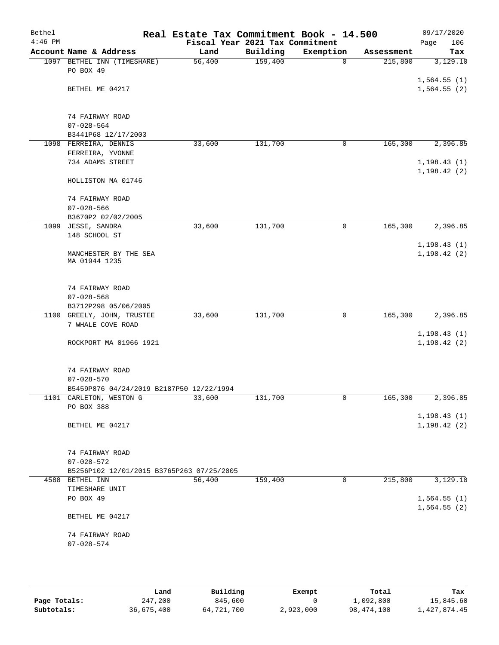| Bethel    |                                           | Real Estate Tax Commitment Book - 14.500 |          |             |            | 09/17/2020                   |
|-----------|-------------------------------------------|------------------------------------------|----------|-------------|------------|------------------------------|
| $4:46$ PM |                                           | Fiscal Year 2021 Tax Commitment          |          |             |            | 106<br>Page                  |
|           | Account Name & Address                    | Land                                     | Building | Exemption   | Assessment | Tax                          |
|           | 1097 BETHEL INN (TIMESHARE)<br>PO BOX 49  | 56,400                                   | 159,400  | $\mathbf 0$ | 215,800    | 3,129.10                     |
|           |                                           |                                          |          |             |            | 1,564.55(1)                  |
|           | BETHEL ME 04217                           |                                          |          |             |            | 1,564.55(2)                  |
|           | 74 FAIRWAY ROAD                           |                                          |          |             |            |                              |
|           | $07 - 028 - 564$                          |                                          |          |             |            |                              |
|           | B3441P68 12/17/2003                       |                                          |          |             |            |                              |
|           | 1098 FERREIRA, DENNIS                     | 33,600                                   | 131,700  | 0           | 165,300    | 2,396.85                     |
|           | FERREIRA, YVONNE                          |                                          |          |             |            |                              |
|           | 734 ADAMS STREET                          |                                          |          |             |            | 1, 198.43(1)<br>1, 198.42(2) |
|           | HOLLISTON MA 01746                        |                                          |          |             |            |                              |
|           | 74 FAIRWAY ROAD                           |                                          |          |             |            |                              |
|           | $07 - 028 - 566$                          |                                          |          |             |            |                              |
|           | B3670P2 02/02/2005                        |                                          |          |             |            |                              |
|           | 1099 JESSE, SANDRA<br>148 SCHOOL ST       | 33,600                                   | 131,700  | 0           | 165,300    | 2,396.85                     |
|           |                                           |                                          |          |             |            | 1, 198.43(1)                 |
|           | MANCHESTER BY THE SEA<br>MA 01944 1235    |                                          |          |             |            | 1,198.42(2)                  |
|           | 74 FAIRWAY ROAD                           |                                          |          |             |            |                              |
|           | $07 - 028 - 568$                          |                                          |          |             |            |                              |
|           | B3712P298 05/06/2005                      |                                          |          |             |            |                              |
|           | 1100 GREELY, JOHN, TRUSTEE                | 33,600                                   | 131,700  | 0           | 165,300    | 2,396.85                     |
|           | 7 WHALE COVE ROAD                         |                                          |          |             |            |                              |
|           |                                           |                                          |          |             |            | 1, 198.43(1)                 |
|           | ROCKPORT MA 01966 1921                    |                                          |          |             |            | 1, 198.42(2)                 |
|           | 74 FAIRWAY ROAD                           |                                          |          |             |            |                              |
|           | $07 - 028 - 570$                          |                                          |          |             |            |                              |
|           | B5459P876 04/24/2019 B2187P50 12/22/1994  |                                          |          |             |            |                              |
|           | 1101 CARLETON, WESTON G                   | 33,600                                   | 131,700  | 0           | 165,300    | 2,396.85                     |
|           | PO BOX 388                                |                                          |          |             |            | 1, 198.43(1)                 |
|           | BETHEL ME 04217                           |                                          |          |             |            | 1, 198.42(2)                 |
|           | 74 FAIRWAY ROAD                           |                                          |          |             |            |                              |
|           | $07 - 028 - 572$                          |                                          |          |             |            |                              |
|           | B5256P102 12/01/2015 B3765P263 07/25/2005 |                                          |          |             |            |                              |
|           | 4588 BETHEL INN                           | 56,400                                   | 159,400  | 0           | 215,800    | 3,129.10                     |
|           | TIMESHARE UNIT                            |                                          |          |             |            |                              |
|           | PO BOX 49                                 |                                          |          |             |            | 1,564.55(1)                  |
|           | BETHEL ME 04217                           |                                          |          |             |            | 1,564.55(2)                  |
|           |                                           |                                          |          |             |            |                              |
|           | 74 FAIRWAY ROAD                           |                                          |          |             |            |                              |
|           | $07 - 028 - 574$                          |                                          |          |             |            |                              |
|           |                                           |                                          |          |             |            |                              |

|              | Land       | Building   | Exempt    | Total      | Tax          |
|--------------|------------|------------|-----------|------------|--------------|
| Page Totals: | 247,200    | 845,600    |           | ⊥,092,800  | 15,845.60    |
| Subtotals:   | 36,675,400 | 64,721,700 | 2,923,000 | 98,474,100 | l,427,874.45 |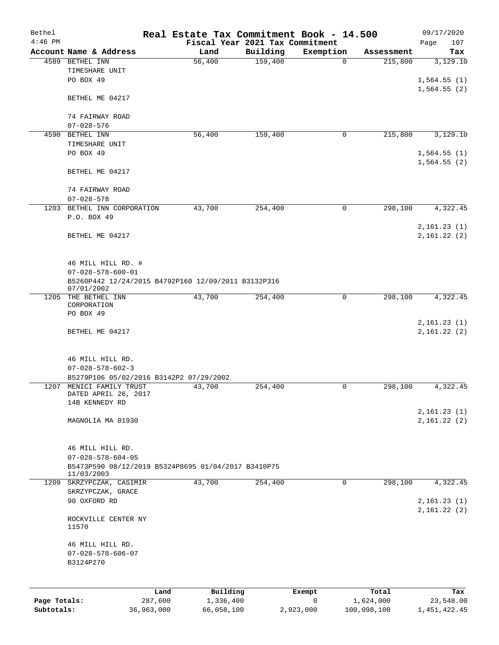| Bethel                     |                                                                   |                       | Real Estate Tax Commitment Book - 14.500 |                     |                          |                       | 09/17/2020                  |
|----------------------------|-------------------------------------------------------------------|-----------------------|------------------------------------------|---------------------|--------------------------|-----------------------|-----------------------------|
| $4:46$ PM                  |                                                                   |                       | Fiscal Year 2021 Tax Commitment          |                     |                          |                       | 107<br>Page                 |
|                            | Account Name & Address<br>4589 BETHEL INN                         |                       | Land<br>56,400                           | Building<br>159,400 | Exemption<br>$\mathbf 0$ | Assessment<br>215,800 | Tax<br>3,129.10             |
|                            | TIMESHARE UNIT                                                    |                       |                                          |                     |                          |                       |                             |
|                            | PO BOX 49                                                         |                       |                                          |                     |                          |                       | 1,564.55(1)                 |
|                            |                                                                   |                       |                                          |                     |                          |                       | 1,564.55(2)                 |
|                            | BETHEL ME 04217                                                   |                       |                                          |                     |                          |                       |                             |
|                            | 74 FAIRWAY ROAD                                                   |                       |                                          |                     |                          |                       |                             |
|                            | $07 - 028 - 576$                                                  |                       |                                          |                     |                          |                       |                             |
| 4590                       | BETHEL INN                                                        |                       | 56,400                                   | 159,400             | 0                        | 215,800               | 3,129.10                    |
|                            | TIMESHARE UNIT                                                    |                       |                                          |                     |                          |                       |                             |
|                            | PO BOX 49                                                         |                       |                                          |                     |                          |                       | 1,564.55(1)                 |
|                            | BETHEL ME 04217                                                   |                       |                                          |                     |                          |                       | 1,564.55(2)                 |
|                            | 74 FAIRWAY ROAD                                                   |                       |                                          |                     |                          |                       |                             |
|                            | $07 - 028 - 578$                                                  |                       |                                          |                     |                          |                       |                             |
|                            | 1203 BETHEL INN CORPORATION                                       |                       | 43,700                                   | 254,400             | 0                        | 298,100               | 4,322.45                    |
|                            | P.O. BOX 49                                                       |                       |                                          |                     |                          |                       |                             |
|                            |                                                                   |                       |                                          |                     |                          |                       | 2,161.23(1)                 |
|                            | BETHEL ME 04217                                                   |                       |                                          |                     |                          |                       | 2,161.22(2)                 |
|                            |                                                                   |                       |                                          |                     |                          |                       |                             |
|                            | 46 MILL HILL RD. #<br>$07 - 028 - 578 - 600 - 01$                 |                       |                                          |                     |                          |                       |                             |
|                            | B5260P442 12/24/2015 B4792P160 12/09/2011 B3132P316               |                       |                                          |                     |                          |                       |                             |
|                            | 07/01/2002<br>1205 THE BETHEL INN                                 |                       | 43,700                                   | 254,400             | 0                        | 298,100               | 4,322.45                    |
|                            | CORPORATION                                                       |                       |                                          |                     |                          |                       |                             |
|                            | PO BOX 49                                                         |                       |                                          |                     |                          |                       |                             |
|                            |                                                                   |                       |                                          |                     |                          |                       | 2,161.23(1)                 |
|                            | BETHEL ME 04217                                                   |                       |                                          |                     |                          |                       | 2,161.22(2)                 |
|                            | 46 MILL HILL RD.                                                  |                       |                                          |                     |                          |                       |                             |
|                            | $07 - 028 - 578 - 602 - 3$                                        |                       |                                          |                     |                          |                       |                             |
|                            | B5279P106 05/02/2016 B3142P2 07/29/2002                           |                       |                                          |                     |                          |                       |                             |
| 1207                       | MENICI FAMILY TRUST                                               |                       | 43,700                                   | 254,400             | 0                        | 298,100               | 4,322.45                    |
|                            | DATED APRIL 26, 2017                                              |                       |                                          |                     |                          |                       |                             |
|                            | 14B KENNEDY RD                                                    |                       |                                          |                     |                          |                       | 2,161.23(1)                 |
|                            | MAGNOLIA MA 01930                                                 |                       |                                          |                     |                          |                       | 2,161.22(2)                 |
|                            |                                                                   |                       |                                          |                     |                          |                       |                             |
|                            | 46 MILL HILL RD.                                                  |                       |                                          |                     |                          |                       |                             |
|                            | $07 - 028 - 578 - 604 - 05$                                       |                       |                                          |                     |                          |                       |                             |
|                            | B5473P590 08/12/2019 B5324P8695 01/04/2017 B3410P75<br>11/03/2003 |                       |                                          |                     |                          |                       |                             |
|                            | 1209 SKRZYPCZAK, CASIMIR                                          |                       | 43,700                                   | 254,400             | $\mathbf 0$              | 298,100               | 4,322.45                    |
|                            | SKRZYPCZAK, GRACE                                                 |                       |                                          |                     |                          |                       |                             |
|                            | 90 OXFORD RD                                                      |                       |                                          |                     |                          |                       | 2,161.23(1)<br>2,161.22(2)  |
|                            | ROCKVILLE CENTER NY<br>11570                                      |                       |                                          |                     |                          |                       |                             |
|                            | 46 MILL HILL RD.                                                  |                       |                                          |                     |                          |                       |                             |
|                            | $07 - 028 - 578 - 606 - 07$                                       |                       |                                          |                     |                          |                       |                             |
|                            | B3124P270                                                         |                       |                                          |                     |                          |                       |                             |
|                            |                                                                   |                       |                                          |                     |                          |                       |                             |
|                            |                                                                   | Land                  | Building                                 |                     | Exempt<br>$\mathsf{O}$   | Total<br>1,624,000    | Tax                         |
| Page Totals:<br>Subtotals: |                                                                   | 287,600<br>36,963,000 | 1,336,400<br>66,058,100                  |                     | 2,923,000                | 100,098,100           | 23,548.00<br>1, 451, 422.45 |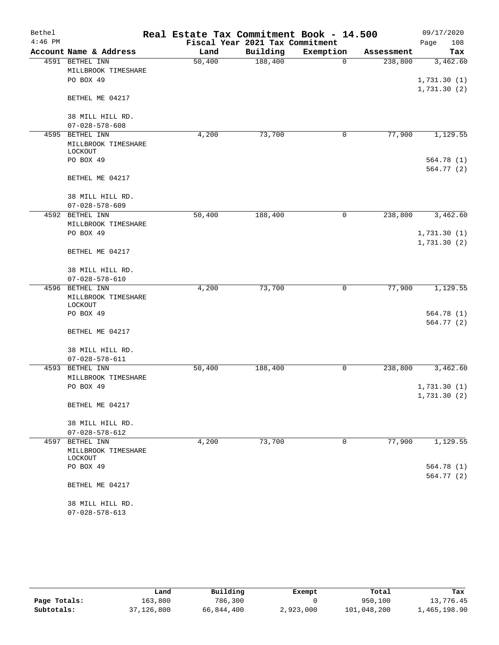| Bethel    |                                        | Real Estate Tax Commitment Book - 14.500 |                                 |             |            | 09/17/2020                 |
|-----------|----------------------------------------|------------------------------------------|---------------------------------|-------------|------------|----------------------------|
| $4:46$ PM |                                        |                                          | Fiscal Year 2021 Tax Commitment |             |            | Page<br>108                |
|           | Account Name & Address                 | Land                                     | Building                        | Exemption   | Assessment | Tax                        |
|           | 4591 BETHEL INN                        | 50,400                                   | 188,400                         | $\mathbf 0$ | 238,800    | 3,462.60                   |
|           | MILLBROOK TIMESHARE                    |                                          |                                 |             |            |                            |
|           | PO BOX 49                              |                                          |                                 |             |            | 1,731.30(1)<br>1,731.30(2) |
|           | BETHEL ME 04217                        |                                          |                                 |             |            |                            |
|           | 38 MILL HILL RD.                       |                                          |                                 |             |            |                            |
|           | $07 - 028 - 578 - 608$                 |                                          |                                 |             |            |                            |
| 4595      | BETHEL INN                             | 4,200                                    | 73,700                          | 0           | 77,900     | 1,129.55                   |
|           | MILLBROOK TIMESHARE<br>LOCKOUT         |                                          |                                 |             |            |                            |
|           | PO BOX 49                              |                                          |                                 |             |            | 564.78(1)                  |
|           |                                        |                                          |                                 |             |            | 564.77 (2)                 |
|           | BETHEL ME 04217                        |                                          |                                 |             |            |                            |
|           | 38 MILL HILL RD.                       |                                          |                                 |             |            |                            |
|           | $07 - 028 - 578 - 609$                 |                                          |                                 |             |            |                            |
|           | 4592 BETHEL INN                        | 50,400                                   | 188,400                         | 0           | 238,800    | 3,462.60                   |
|           | MILLBROOK TIMESHARE                    |                                          |                                 |             |            |                            |
|           | PO BOX 49                              |                                          |                                 |             |            | 1,731.30(1)                |
|           | BETHEL ME 04217                        |                                          |                                 |             |            | 1,731.30(2)                |
|           |                                        |                                          |                                 |             |            |                            |
|           | 38 MILL HILL RD.                       |                                          |                                 |             |            |                            |
|           | $07 - 028 - 578 - 610$                 |                                          |                                 |             |            |                            |
|           | 4596 BETHEL INN<br>MILLBROOK TIMESHARE | 4,200                                    | 73,700                          | 0           | 77,900     | 1,129.55                   |
|           | LOCKOUT                                |                                          |                                 |             |            |                            |
|           | PO BOX 49                              |                                          |                                 |             |            | 564.78 (1)                 |
|           |                                        |                                          |                                 |             |            | 564.77 (2)                 |
|           | BETHEL ME 04217                        |                                          |                                 |             |            |                            |
|           | 38 MILL HILL RD.                       |                                          |                                 |             |            |                            |
|           | $07 - 028 - 578 - 611$                 |                                          |                                 |             |            |                            |
| 4593      | BETHEL INN                             | 50,400                                   | 188,400                         | 0           | 238,800    | 3,462.60                   |
|           | MILLBROOK TIMESHARE                    |                                          |                                 |             |            |                            |
|           | PO BOX 49                              |                                          |                                 |             |            | 1,731.30(1)                |
|           |                                        |                                          |                                 |             |            | 1,731.30(2)                |
|           | BETHEL ME 04217                        |                                          |                                 |             |            |                            |
|           | 38 MILL HILL RD.                       |                                          |                                 |             |            |                            |
|           | $07 - 028 - 578 - 612$                 |                                          |                                 |             |            |                            |
|           | 4597 BETHEL INN                        | 4,200                                    | 73,700                          | 0           | 77,900     | 1,129.55                   |
|           | MILLBROOK TIMESHARE                    |                                          |                                 |             |            |                            |
|           | LOCKOUT                                |                                          |                                 |             |            |                            |
|           | PO BOX 49                              |                                          |                                 |             |            | 564.78 (1)                 |
|           | BETHEL ME 04217                        |                                          |                                 |             |            | 564.77 (2)                 |
|           |                                        |                                          |                                 |             |            |                            |
|           | 38 MILL HILL RD.                       |                                          |                                 |             |            |                            |
|           | $07 - 028 - 578 - 613$                 |                                          |                                 |             |            |                            |

|              | Land       | Building   | Exempt    | Total       | Tax          |
|--------------|------------|------------|-----------|-------------|--------------|
| Page Totals: | 163,800    | 786,300    |           | 950,100     | 13,776.45    |
| Subtotals:   | 37,126,800 | 66,844,400 | 2,923,000 | 101,048,200 | 1,465,198.90 |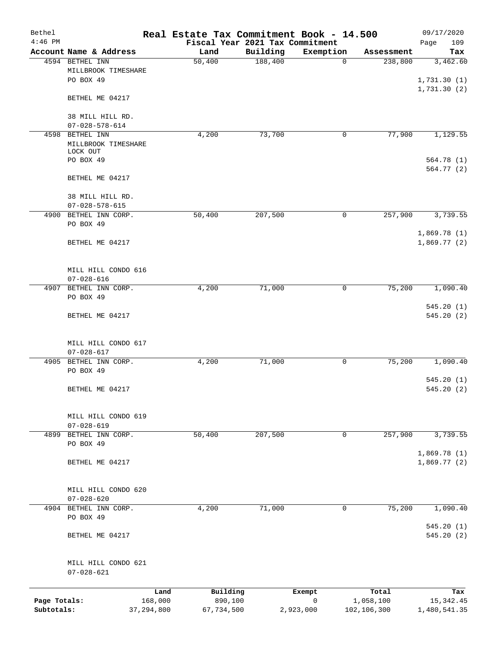| Bethel                     |                                            |                         | Real Estate Tax Commitment Book - 14.500 |          |                |                          | 09/17/2020                 |
|----------------------------|--------------------------------------------|-------------------------|------------------------------------------|----------|----------------|--------------------------|----------------------------|
| $4:46$ PM                  | Account Name & Address                     |                         | Fiscal Year 2021 Tax Commitment<br>Land  | Building | Exemption      | Assessment               | 109<br>Page<br>Tax         |
|                            | 4594 BETHEL INN                            |                         | 50,400                                   | 188,400  | $\mathbf 0$    | 238,800                  | 3,462.60                   |
|                            | MILLBROOK TIMESHARE<br>PO BOX 49           |                         |                                          |          |                |                          | 1,731.30(1)<br>1,731.30(2) |
|                            | BETHEL ME 04217                            |                         |                                          |          |                |                          |                            |
|                            | 38 MILL HILL RD.<br>$07 - 028 - 578 - 614$ |                         |                                          |          |                |                          |                            |
| 4598                       | BETHEL INN                                 |                         | 4,200                                    | 73,700   | 0              | 77,900                   | 1,129.55                   |
|                            | MILLBROOK TIMESHARE<br>LOCK OUT            |                         |                                          |          |                |                          |                            |
|                            | PO BOX 49                                  |                         |                                          |          |                |                          | 564.78 (1)                 |
|                            | BETHEL ME 04217                            |                         |                                          |          |                |                          | 564.77 (2)                 |
|                            | 38 MILL HILL RD.<br>$07 - 028 - 578 - 615$ |                         |                                          |          |                |                          |                            |
|                            | 4900 BETHEL INN CORP.                      |                         | 50,400                                   | 207,500  | 0              | 257,900                  | 3,739.55                   |
|                            | PO BOX 49                                  |                         |                                          |          |                |                          |                            |
|                            | BETHEL ME 04217                            |                         |                                          |          |                |                          | 1,869.78(1)<br>1,869.77(2) |
|                            | MILL HILL CONDO 616<br>$07 - 028 - 616$    |                         |                                          |          |                |                          |                            |
|                            | 4907 BETHEL INN CORP.                      |                         | 4,200                                    | 71,000   | 0              | 75,200                   | 1,090.40                   |
|                            | PO BOX 49                                  |                         |                                          |          |                |                          |                            |
|                            | BETHEL ME 04217                            |                         |                                          |          |                |                          | 545.20(1)<br>545.20(2)     |
|                            | MILL HILL CONDO 617<br>$07 - 028 - 617$    |                         |                                          |          |                |                          |                            |
|                            | 4905 BETHEL INN CORP.                      |                         | 4,200                                    | 71,000   | 0              | 75,200                   | 1,090.40                   |
|                            | PO BOX 49                                  |                         |                                          |          |                |                          | 545.20(1)                  |
|                            | BETHEL ME 04217                            |                         |                                          |          |                |                          | 545.20 (2)                 |
|                            | MILL HILL CONDO 619<br>$07 - 028 - 619$    |                         |                                          |          |                |                          |                            |
|                            | 4899 BETHEL INN CORP.                      |                         | 50,400                                   | 207,500  | 0              | 257,900                  | 3,739.55                   |
|                            | PO BOX 49                                  |                         |                                          |          |                |                          | 1,869.78(1)                |
|                            | BETHEL ME 04217                            |                         |                                          |          |                |                          | 1,869.77(2)                |
|                            | MILL HILL CONDO 620<br>$07 - 028 - 620$    |                         |                                          |          |                |                          |                            |
|                            | 4904 BETHEL INN CORP.                      |                         | 4,200                                    | 71,000   | 0              | 75,200                   | 1,090.40                   |
|                            | PO BOX 49                                  |                         |                                          |          |                |                          |                            |
|                            | BETHEL ME 04217                            |                         |                                          |          |                |                          | 545.20(1)<br>545.20 (2)    |
|                            | MILL HILL CONDO 621                        |                         |                                          |          |                |                          |                            |
|                            | $07 - 028 - 621$                           |                         |                                          |          |                |                          |                            |
|                            |                                            | Land                    | Building                                 |          | Exempt         | Total                    | Tax                        |
| Page Totals:<br>Subtotals: |                                            | 168,000<br>37, 294, 800 | 890,100<br>67,734,500                    |          | 0<br>2,923,000 | 1,058,100<br>102,106,300 | 15, 342.45<br>1,480,541.35 |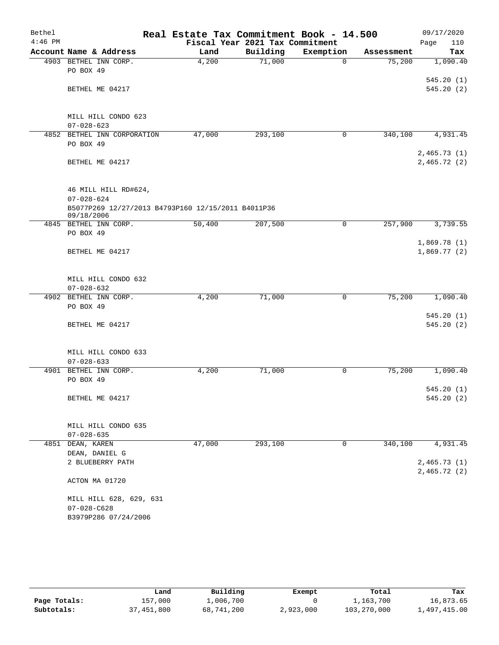| Bethel    |                                                    | Real Estate Tax Commitment Book - 14.500 |                                 |             |            | 09/17/2020   |
|-----------|----------------------------------------------------|------------------------------------------|---------------------------------|-------------|------------|--------------|
| $4:46$ PM |                                                    |                                          | Fiscal Year 2021 Tax Commitment |             |            | Page<br>110  |
|           | Account Name & Address                             | Land                                     | Building                        | Exemption   | Assessment | Tax          |
|           | 4903 BETHEL INN CORP.                              | 4,200                                    | 71,000                          | $\Omega$    | 75,200     | 1,090.40     |
|           | PO BOX 49                                          |                                          |                                 |             |            |              |
|           |                                                    |                                          |                                 |             |            | 545.20(1)    |
|           | BETHEL ME 04217                                    |                                          |                                 |             |            | 545.20(2)    |
|           |                                                    |                                          |                                 |             |            |              |
|           | MILL HILL CONDO 623                                |                                          |                                 |             |            |              |
|           | $07 - 028 - 623$                                   |                                          |                                 |             |            |              |
|           | 4852 BETHEL INN CORPORATION                        | 47,000                                   | 293,100                         | 0           | 340,100    | 4,931.45     |
|           | PO BOX 49                                          |                                          |                                 |             |            |              |
|           |                                                    |                                          |                                 |             |            | 2,465.73(1)  |
|           | BETHEL ME 04217                                    |                                          |                                 |             |            | 2,465.72 (2) |
|           |                                                    |                                          |                                 |             |            |              |
|           |                                                    |                                          |                                 |             |            |              |
|           | 46 MILL HILL RD#624,                               |                                          |                                 |             |            |              |
|           | $07 - 028 - 624$                                   |                                          |                                 |             |            |              |
|           | B5077P269 12/27/2013 B4793P160 12/15/2011 B4011P36 |                                          |                                 |             |            |              |
|           | 09/18/2006<br>4845 BETHEL INN CORP.                | 50,400                                   | 207,500                         | $\mathbf 0$ | 257,900    | 3,739.55     |
|           | PO BOX 49                                          |                                          |                                 |             |            |              |
|           |                                                    |                                          |                                 |             |            | 1,869.78(1)  |
|           | BETHEL ME 04217                                    |                                          |                                 |             |            | 1,869.77(2)  |
|           |                                                    |                                          |                                 |             |            |              |
|           |                                                    |                                          |                                 |             |            |              |
|           | MILL HILL CONDO 632                                |                                          |                                 |             |            |              |
|           | $07 - 028 - 632$                                   |                                          |                                 |             |            |              |
|           | 4902 BETHEL INN CORP.                              | 4,200                                    | 71,000                          | $\mathbf 0$ | 75,200     | 1,090.40     |
|           | PO BOX 49                                          |                                          |                                 |             |            |              |
|           |                                                    |                                          |                                 |             |            | 545.20(1)    |
|           | BETHEL ME 04217                                    |                                          |                                 |             |            | 545.20(2)    |
|           |                                                    |                                          |                                 |             |            |              |
|           |                                                    |                                          |                                 |             |            |              |
|           | MILL HILL CONDO 633<br>$07 - 028 - 633$            |                                          |                                 |             |            |              |
|           | 4901 BETHEL INN CORP.                              | 4,200                                    | 71,000                          | 0           | 75,200     | 1,090.40     |
|           | PO BOX 49                                          |                                          |                                 |             |            |              |
|           |                                                    |                                          |                                 |             |            | 545.20(1)    |
|           | BETHEL ME 04217                                    |                                          |                                 |             |            | 545.20(2)    |
|           |                                                    |                                          |                                 |             |            |              |
|           |                                                    |                                          |                                 |             |            |              |
|           | MILL HILL CONDO 635                                |                                          |                                 |             |            |              |
|           | $07 - 028 - 635$                                   |                                          |                                 |             |            |              |
|           | 4851 DEAN, KAREN                                   | 47,000                                   | 293,100                         | 0           | 340,100    | 4,931.45     |
|           | DEAN, DANIEL G                                     |                                          |                                 |             |            |              |
|           | 2 BLUEBERRY PATH                                   |                                          |                                 |             |            | 2,465.73(1)  |
|           |                                                    |                                          |                                 |             |            | 2,465.72(2)  |
|           | ACTON MA 01720                                     |                                          |                                 |             |            |              |
|           |                                                    |                                          |                                 |             |            |              |
|           | MILL HILL 628, 629, 631<br>$07 - 028 - C628$       |                                          |                                 |             |            |              |
|           | B3979P286 07/24/2006                               |                                          |                                 |             |            |              |
|           |                                                    |                                          |                                 |             |            |              |

|              | Land       | Building   | Exempt    | Total       | Tax          |
|--------------|------------|------------|-----------|-------------|--------------|
| Page Totals: | 157,000    | 1,006,700  |           | 1,163,700   | 16,873.65    |
| Subtotals:   | 37,451,800 | 68,741,200 | 2,923,000 | 103,270,000 | 1,497,415.00 |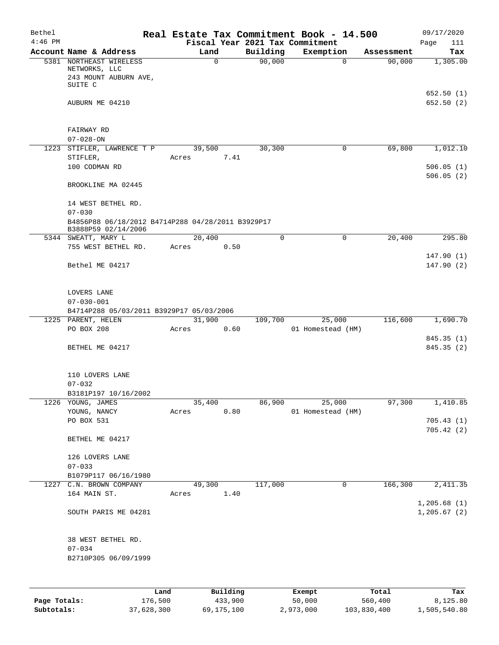| Bethel<br>$4:46$ PM |                                                                                       |       |                |             | Real Estate Tax Commitment Book - 14.500<br>Fiscal Year 2021 Tax Commitment |            | 09/17/2020<br>Page<br>111 |
|---------------------|---------------------------------------------------------------------------------------|-------|----------------|-------------|-----------------------------------------------------------------------------|------------|---------------------------|
|                     | Account Name & Address                                                                |       | Land           | Building    | Exemption                                                                   | Assessment | Tax                       |
|                     | 5381 NORTHEAST WIRELESS<br>NETWORKS, LLC<br>243 MOUNT AUBURN AVE,<br>SUITE C          |       | $\mathbf 0$    | 90,000      | 0                                                                           | 90,000     | 1,305.00                  |
|                     | AUBURN ME 04210                                                                       |       |                |             |                                                                             |            | 652.50(1)<br>652.50 (2)   |
|                     | FAIRWAY RD<br>$07 - 028 - ON$                                                         |       |                |             |                                                                             |            |                           |
|                     | 1223 STIFLER, LAWRENCE T P                                                            |       | 39,500         | 30,300      | 0                                                                           | 69,800     | 1,012.10                  |
|                     | STIFLER,<br>100 CODMAN RD                                                             | Acres | 7.41           |             |                                                                             |            | 506.05(1)<br>506.05(2)    |
|                     | BROOKLINE MA 02445                                                                    |       |                |             |                                                                             |            |                           |
|                     | 14 WEST BETHEL RD.<br>$07 - 030$<br>B4856P88 06/18/2012 B4714P288 04/28/2011 B3929P17 |       |                |             |                                                                             |            |                           |
|                     | B3888P59 02/14/2006<br>5344 SWEATT, MARY L                                            |       | 20,400         | $\mathbf 0$ | $\mathbf 0$                                                                 | 20,400     | 295.80                    |
|                     | 755 WEST BETHEL RD.                                                                   | Acres | 0.50           |             |                                                                             |            |                           |
|                     | Bethel ME 04217                                                                       |       |                |             |                                                                             |            | 147.90(1)<br>147.90(2)    |
|                     | LOVERS LANE<br>$07 - 030 - 001$<br>B4714P288 05/03/2011 B3929P17 05/03/2006           |       |                |             |                                                                             |            |                           |
|                     | 1225 PARENT, HELEN                                                                    |       | 31,900         | 109,700     | 25,000                                                                      | 116,600    | 1,690.70                  |
|                     | PO BOX 208                                                                            | Acres | 0.60           |             | 01 Homestead (HM)                                                           |            |                           |
|                     | BETHEL ME 04217                                                                       |       |                |             |                                                                             |            | 845.35 (1)<br>845.35 (2)  |
|                     | 110 LOVERS LANE<br>$07 - 032$                                                         |       |                |             |                                                                             |            |                           |
|                     | B3181P197 10/16/2002                                                                  |       |                |             |                                                                             |            |                           |
|                     | 1226 YOUNG, JAMES<br>YOUNG, NANCY                                                     | Acres | 35,400<br>0.80 | 86,900      | 25,000<br>01 Homestead (HM)                                                 | 97,300     | 1,410.85                  |
|                     | PO BOX 531                                                                            |       |                |             |                                                                             |            | 705.43(1)                 |
|                     | BETHEL ME 04217                                                                       |       |                |             |                                                                             |            | 705.42(2)                 |
|                     | 126 LOVERS LANE<br>$07 - 033$                                                         |       |                |             |                                                                             |            |                           |
|                     | B1079P117 06/16/1980                                                                  |       |                |             |                                                                             |            |                           |
|                     | 1227 C.N. BROWN COMPANY                                                               |       | 49,300         | 117,000     | 0                                                                           | 166,300    | 2,411.35                  |
|                     | 164 MAIN ST.                                                                          | Acres | 1.40           |             |                                                                             |            | 1,205.68(1)               |
|                     | SOUTH PARIS ME 04281                                                                  |       |                |             |                                                                             |            | 1, 205.67 (2)             |
|                     | 38 WEST BETHEL RD.<br>$07 - 034$                                                      |       |                |             |                                                                             |            |                           |
|                     | B2710P305 06/09/1999                                                                  |       |                |             |                                                                             |            |                           |
|                     |                                                                                       | Land  | Building       |             | Exempt                                                                      | Total      | Tax                       |

**Page Totals:** 176,500 433,900 50,000 560,400 8,125.80 **Subtotals:** 37,628,300 69,175,100 2,973,000 103,830,400 1,505,540.80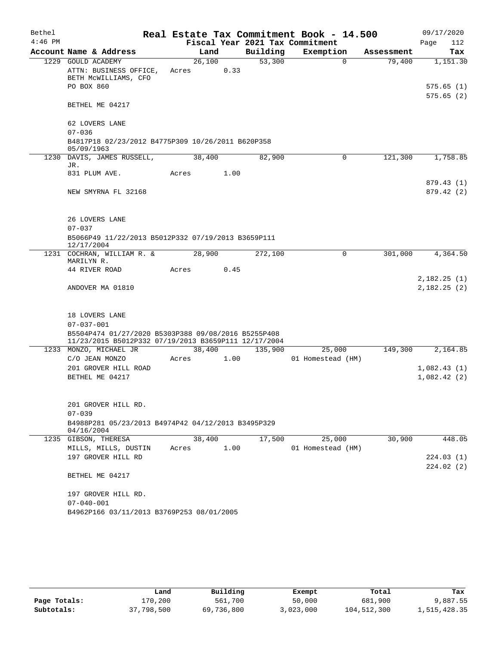| Bethel    |                                                      |       |        |      |          | Real Estate Tax Commitment Book - 14.500 |          |            |             | 09/17/2020               |
|-----------|------------------------------------------------------|-------|--------|------|----------|------------------------------------------|----------|------------|-------------|--------------------------|
| $4:46$ PM |                                                      |       |        |      |          | Fiscal Year 2021 Tax Commitment          |          |            | Page        | 112                      |
|           | Account Name & Address                               |       | Land   |      | Building | Exemption                                |          | Assessment |             | Tax                      |
| 1229      | <b>GOULD ACADEMY</b>                                 |       | 26,100 |      | 53,300   |                                          | $\Omega$ | 79,400     |             | 1,151.30                 |
|           | ATTN: BUSINESS OFFICE,                               | Acres |        | 0.33 |          |                                          |          |            |             |                          |
|           | BETH MCWILLIAMS, CFO<br>PO BOX 860                   |       |        |      |          |                                          |          |            |             | 575.65(1)                |
|           |                                                      |       |        |      |          |                                          |          |            |             | 575.65(2)                |
|           | BETHEL ME 04217                                      |       |        |      |          |                                          |          |            |             |                          |
|           | 62 LOVERS LANE                                       |       |        |      |          |                                          |          |            |             |                          |
|           | $07 - 036$                                           |       |        |      |          |                                          |          |            |             |                          |
|           | B4817P18 02/23/2012 B4775P309 10/26/2011 B620P358    |       |        |      |          |                                          |          |            |             |                          |
|           | 05/09/1963                                           |       |        |      |          |                                          |          |            |             |                          |
| 1230      | DAVIS, JAMES RUSSELL,                                |       | 38,400 |      | 82,900   |                                          | 0        | 121,300    |             | 1,758.85                 |
|           | JR.<br>831 PLUM AVE.                                 | Acres |        | 1.00 |          |                                          |          |            |             |                          |
|           |                                                      |       |        |      |          |                                          |          |            |             |                          |
|           | NEW SMYRNA FL 32168                                  |       |        |      |          |                                          |          |            |             | 879.43 (1)<br>879.42 (2) |
|           |                                                      |       |        |      |          |                                          |          |            |             |                          |
|           |                                                      |       |        |      |          |                                          |          |            |             |                          |
|           | 26 LOVERS LANE                                       |       |        |      |          |                                          |          |            |             |                          |
|           | $07 - 037$                                           |       |        |      |          |                                          |          |            |             |                          |
|           | B5066P49 11/22/2013 B5012P332 07/19/2013 B3659P111   |       |        |      |          |                                          |          |            |             |                          |
|           | 12/17/2004                                           |       |        |      |          |                                          |          |            |             |                          |
|           | 1231 COCHRAN, WILLIAM R. &                           |       | 28,900 |      | 272,100  |                                          | 0        | 301,000    |             | 4,364.50                 |
|           | MARILYN R.                                           |       |        |      |          |                                          |          |            |             |                          |
|           | 44 RIVER ROAD                                        | Acres |        | 0.45 |          |                                          |          |            |             |                          |
|           |                                                      |       |        |      |          |                                          |          |            |             | 2,182.25(1)              |
|           | ANDOVER MA 01810                                     |       |        |      |          |                                          |          |            |             | 2,182.25(2)              |
|           |                                                      |       |        |      |          |                                          |          |            |             |                          |
|           | 18 LOVERS LANE                                       |       |        |      |          |                                          |          |            |             |                          |
|           | $07 - 037 - 001$                                     |       |        |      |          |                                          |          |            |             |                          |
|           | B5504P474 01/27/2020 B5303P388 09/08/2016 B5255P408  |       |        |      |          |                                          |          |            |             |                          |
|           | 11/23/2015 B5012P332 07/19/2013 B3659P111 12/17/2004 |       |        |      |          |                                          |          |            |             |                          |
|           | 1233 MONZO, MICHAEL JR                               |       | 38,400 |      | 135,900  |                                          | 25,000   | 149,300    |             | 2,164.85                 |
|           | C/O JEAN MONZO                                       | Acres |        | 1.00 |          | 01 Homestead (HM)                        |          |            |             |                          |
|           | 201 GROVER HILL ROAD                                 |       |        |      |          |                                          |          |            | 1,082.43(1) |                          |
|           | BETHEL ME 04217                                      |       |        |      |          |                                          |          |            |             | 1,082.42(2)              |
|           |                                                      |       |        |      |          |                                          |          |            |             |                          |
|           |                                                      |       |        |      |          |                                          |          |            |             |                          |
|           | 201 GROVER HILL RD.                                  |       |        |      |          |                                          |          |            |             |                          |
|           | $07 - 039$                                           |       |        |      |          |                                          |          |            |             |                          |
|           | B4988P281 05/23/2013 B4974P42 04/12/2013 B3495P329   |       |        |      |          |                                          |          |            |             |                          |
|           | 04/16/2004                                           |       |        |      |          |                                          |          |            |             | 448.05                   |
|           | 1235 GIBSON, THERESA                                 | Acres | 38,400 | 1.00 | 17,500   | 01 Homestead (HM)                        | 25,000   | 30,900     |             |                          |
|           | MILLS, MILLS, DUSTIN<br>197 GROVER HILL RD           |       |        |      |          |                                          |          |            |             |                          |
|           |                                                      |       |        |      |          |                                          |          |            |             | 224.03(1)                |
|           | BETHEL ME 04217                                      |       |        |      |          |                                          |          |            |             | 224.02 (2)               |
|           |                                                      |       |        |      |          |                                          |          |            |             |                          |
|           | 197 GROVER HILL RD.                                  |       |        |      |          |                                          |          |            |             |                          |
|           | $07 - 040 - 001$                                     |       |        |      |          |                                          |          |            |             |                          |
|           | B4962P166 03/11/2013 B3769P253 08/01/2005            |       |        |      |          |                                          |          |            |             |                          |
|           |                                                      |       |        |      |          |                                          |          |            |             |                          |

|              | Land       | Building   | Exempt    | Total       | Tax          |
|--------------|------------|------------|-----------|-------------|--------------|
| Page Totals: | 170,200    | 561,700    | 50,000    | 681,900     | 9,887.55     |
| Subtotals:   | 37,798,500 | 69,736,800 | 3,023,000 | 104,512,300 | 1,515,428.35 |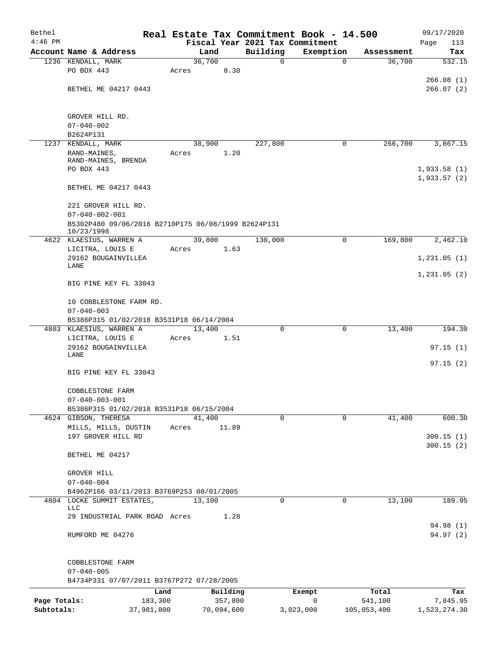| Bethel       |                                                                   |       |                |             | Real Estate Tax Commitment Book - 14.500 |             | 09/17/2020   |
|--------------|-------------------------------------------------------------------|-------|----------------|-------------|------------------------------------------|-------------|--------------|
| $4:46$ PM    |                                                                   |       |                |             | Fiscal Year 2021 Tax Commitment          |             | Page<br>113  |
|              | Account Name & Address                                            |       | Land           | Building    | Exemption                                | Assessment  | Tax          |
|              | 1236 KENDALL, MARK<br>PO BOX 443                                  | Acres | 36,700<br>8.30 | $\mathbf 0$ | $\mathbf 0$                              | 36,700      | 532.15       |
|              |                                                                   |       |                |             |                                          |             | 266.08(1)    |
|              | BETHEL ME 04217 0443                                              |       |                |             |                                          |             | 266.07(2)    |
|              |                                                                   |       |                |             |                                          |             |              |
|              | GROVER HILL RD.                                                   |       |                |             |                                          |             |              |
|              | $07 - 040 - 002$                                                  |       |                |             |                                          |             |              |
|              | B2624P131                                                         |       |                |             |                                          |             |              |
|              | 1237 KENDALL, MARK                                                |       | 38,900         | 227,800     | 0                                        | 266,700     | 3,867.15     |
|              | RAND-MAINES,<br>RAND-MAINES, BRENDA                               | Acres | 1.20           |             |                                          |             |              |
|              | PO BOX 443                                                        |       |                |             |                                          |             | 1,933.58(1)  |
|              |                                                                   |       |                |             |                                          |             | 1,933.57(2)  |
|              | BETHEL ME 04217 0443                                              |       |                |             |                                          |             |              |
|              | 221 GROVER HILL RD.                                               |       |                |             |                                          |             |              |
|              | $07 - 040 - 002 - 001$                                            |       |                |             |                                          |             |              |
|              | B5302P480 09/06/2016 B2710P175 06/08/1999 B2624P131<br>10/23/1998 |       |                |             |                                          |             |              |
|              | 4622 KLAESIUS, WARREN A                                           |       | 39,800         | 130,000     | 0                                        | 169,800     | 2,462.10     |
|              | LICITRA, LOUIS E                                                  | Acres | 1.63           |             |                                          |             |              |
|              | 29162 BOUGAINVILLEA                                               |       |                |             |                                          |             | 1,231.05(1)  |
|              | LANE                                                              |       |                |             |                                          |             | 1,231.05(2)  |
|              | BIG PINE KEY FL 33043                                             |       |                |             |                                          |             |              |
|              | 10 COBBLESTONE FARM RD.                                           |       |                |             |                                          |             |              |
|              | $07 - 040 - 003$                                                  |       |                |             |                                          |             |              |
|              | B5386P315 01/02/2018 B3531P18 06/14/2004                          |       |                |             |                                          |             |              |
|              | 4803 KLAESIUS, WARREN A                                           |       | 13,400         | $\Omega$    | 0                                        | 13,400      | 194.30       |
|              | LICITRA, LOUIS E<br>29162 BOUGAINVILLEA                           | Acres | 1.51           |             |                                          |             | 97.15(1)     |
|              | LANE                                                              |       |                |             |                                          |             |              |
|              |                                                                   |       |                |             |                                          |             | 97.15(2)     |
|              | BIG PINE KEY FL 33043                                             |       |                |             |                                          |             |              |
|              | COBBLESTONE FARM                                                  |       |                |             |                                          |             |              |
|              | $07 - 040 - 003 - 001$                                            |       |                |             |                                          |             |              |
|              | B5386P315 01/02/2018 B3531P18 06/15/2004                          |       |                |             |                                          |             |              |
|              | 4624 GIBSON, THERESA                                              |       | 41,400         | 0           | $\mathbf 0$                              | 41,400      | 600.30       |
|              | MILLS, MILLS, DUSTIN                                              | Acres | 11.89          |             |                                          |             |              |
|              | 197 GROVER HILL RD                                                |       |                |             |                                          |             | 300.15(1)    |
|              | BETHEL ME 04217                                                   |       |                |             |                                          |             | 300.15(2)    |
|              |                                                                   |       |                |             |                                          |             |              |
|              | GROVER HILL                                                       |       |                |             |                                          |             |              |
|              | $07 - 040 - 004$                                                  |       |                |             |                                          |             |              |
|              | B4962P166 03/11/2013 B3769P253 08/01/2005                         |       |                |             |                                          |             |              |
|              | 4804 LOCKE SUMMIT ESTATES,<br>LLC                                 |       | 13,100         | 0           | 0                                        | 13,100      | 189.95       |
|              | 29 INDUSTRIAL PARK ROAD Acres                                     |       | 1.28           |             |                                          |             |              |
|              |                                                                   |       |                |             |                                          |             | 94.98 (1)    |
|              | RUMFORD ME 04276                                                  |       |                |             |                                          |             | 94.97 (2)    |
|              | COBBLESTONE FARM                                                  |       |                |             |                                          |             |              |
|              | $07 - 040 - 005$                                                  |       |                |             |                                          |             |              |
|              | B4734P331 07/07/2011 B3767P272 07/28/2005                         |       |                |             |                                          |             |              |
|              | Land                                                              |       | Building       |             | Exempt                                   | Total       | Tax          |
| Page Totals: | 183,300                                                           |       | 357,800        |             | 0                                        | 541,100     | 7,845.95     |
| Subtotals:   | 37,981,800                                                        |       | 70,094,600     |             | 3,023,000                                | 105,053,400 | 1,523,274.30 |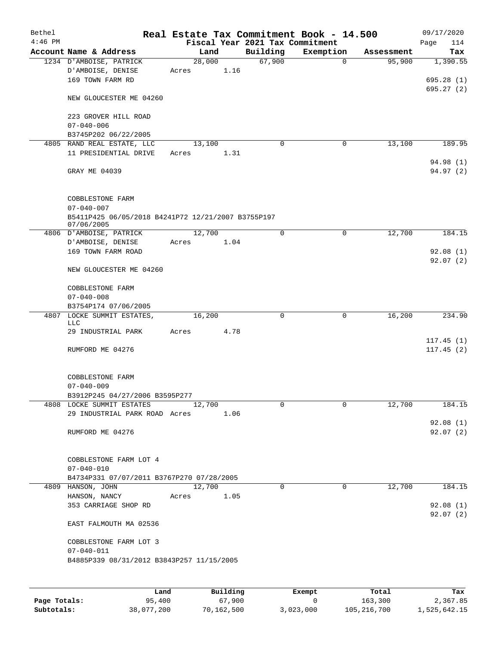| Bethel<br>$4:46$ PM |                                                                  |                 |      | Fiscal Year 2021 Tax Commitment | Real Estate Tax Commitment Book - 14.500 |            | 09/17/2020<br>Page<br>114 |
|---------------------|------------------------------------------------------------------|-----------------|------|---------------------------------|------------------------------------------|------------|---------------------------|
|                     | Account Name & Address                                           | Land            |      | Building                        | Exemption                                | Assessment | Tax                       |
|                     | 1234 D'AMBOISE, PATRICK<br>D'AMBOISE, DENISE<br>169 TOWN FARM RD | 28,000<br>Acres | 1.16 | 67,900                          | $\mathbf 0$                              | 95,900     | 1,390.55<br>695.28(1)     |
|                     | NEW GLOUCESTER ME 04260                                          |                 |      |                                 |                                          |            | 695.27(2)                 |
|                     | 223 GROVER HILL ROAD<br>$07 - 040 - 006$                         |                 |      |                                 |                                          |            |                           |
|                     | B3745P202 06/22/2005                                             |                 |      |                                 |                                          |            |                           |
|                     | 4805 RAND REAL ESTATE, LLC                                       | 13,100          |      | $\Omega$                        | $\mathbf 0$                              | 13,100     | 189.95                    |
|                     | 11 PRESIDENTIAL DRIVE<br>GRAY ME 04039                           | Acres           | 1.31 |                                 |                                          |            | 94.98 (1)<br>94.97 (2)    |
|                     | <b>COBBLESTONE FARM</b><br>$07 - 040 - 007$                      |                 |      |                                 |                                          |            |                           |
|                     | B5411P425 06/05/2018 B4241P72 12/21/2007 B3755P197<br>07/06/2005 |                 |      |                                 |                                          |            |                           |
|                     | 4806 D'AMBOISE, PATRICK                                          | 12,700          |      | $\mathbf 0$                     | $\mathbf 0$                              | 12,700     | 184.15                    |
|                     | D'AMBOISE, DENISE                                                | Acres           | 1.04 |                                 |                                          |            |                           |
|                     | 169 TOWN FARM ROAD                                               |                 |      |                                 |                                          |            | 92.08(1)                  |
|                     | NEW GLOUCESTER ME 04260                                          |                 |      |                                 |                                          |            | 92.07(2)                  |
|                     | COBBLESTONE FARM<br>$07 - 040 - 008$                             |                 |      |                                 |                                          |            |                           |
|                     | B3754P174 07/06/2005                                             |                 |      |                                 |                                          |            |                           |
|                     | 4807 LOCKE SUMMIT ESTATES,                                       | 16,200          |      | 0                               | 0                                        | 16,200     | 234.90                    |
|                     | LLC<br>29 INDUSTRIAL PARK                                        | Acres           | 4.78 |                                 |                                          |            |                           |
|                     |                                                                  |                 |      |                                 |                                          |            | 117.45(1)                 |
|                     | RUMFORD ME 04276                                                 |                 |      |                                 |                                          |            | 117.45(2)                 |
|                     | <b>COBBLESTONE FARM</b><br>$07 - 040 - 009$                      |                 |      |                                 |                                          |            |                           |
|                     | B3912P245 04/27/2006 B3595P277                                   |                 |      |                                 |                                          |            |                           |
|                     | 4808 LOCKE SUMMIT ESTATES                                        | 12,700          |      | $\mathbf 0$                     | $\mathbf 0$                              | 12,700     | 184.15                    |
|                     | 29 INDUSTRIAL PARK ROAD Acres                                    |                 | 1.06 |                                 |                                          |            | 92.08(1)                  |
|                     | RUMFORD ME 04276                                                 |                 |      |                                 |                                          |            | 92.07(2)                  |
|                     | COBBLESTONE FARM LOT 4                                           |                 |      |                                 |                                          |            |                           |
|                     | $07 - 040 - 010$                                                 |                 |      |                                 |                                          |            |                           |
|                     | B4734P331 07/07/2011 B3767P270 07/28/2005<br>4809 HANSON, JOHN   | 12,700          |      | 0                               | $\mathbf 0$                              | 12,700     | 184.15                    |
|                     | HANSON, NANCY                                                    | Acres           | 1.05 |                                 |                                          |            |                           |
|                     | 353 CARRIAGE SHOP RD                                             |                 |      |                                 |                                          |            | 92.08(1)<br>92.07(2)      |
|                     | EAST FALMOUTH MA 02536                                           |                 |      |                                 |                                          |            |                           |
|                     | COBBLESTONE FARM LOT 3                                           |                 |      |                                 |                                          |            |                           |
|                     | $07 - 040 - 011$<br>B4885P339 08/31/2012 B3843P257 11/15/2005    |                 |      |                                 |                                          |            |                           |
|                     |                                                                  |                 |      |                                 |                                          |            |                           |
|                     |                                                                  |                 |      |                                 |                                          |            |                           |

|              | Land       | Building   | Exempt    | Total       | Tax          |
|--------------|------------|------------|-----------|-------------|--------------|
| Page Totals: | 95,400     | 67,900     |           | 163,300     | 2,367.85     |
| Subtotals:   | 38,077,200 | 70,162,500 | 3,023,000 | 105,216,700 | 1,525,642.15 |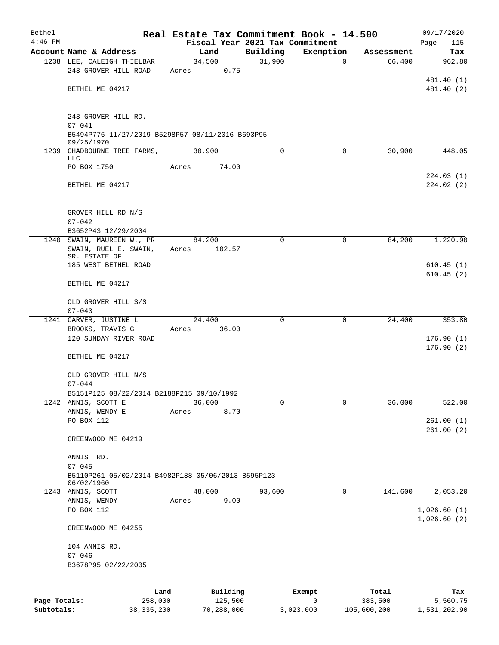| Fiscal Year 2021 Tax Commitment<br>Building<br>Account Name & Address<br>Exemption<br>Land<br>Assessment<br>Tax<br>34,500<br>31,900<br>66,400<br>1238 LEE, CALEIGH THIELBAR<br>$\mathbf 0$<br>243 GROVER HILL ROAD<br>0.75<br>Acres<br>BETHEL ME 04217<br>243 GROVER HILL RD.<br>$07 - 041$<br>B5494P776 11/27/2019 B5298P57 08/11/2016 B693P95<br>09/25/1970<br>$\Omega$<br>$\mathbf 0$<br>30,900<br>1239 CHADBOURNE TREE FARMS,<br>30,900<br>LLC<br>PO BOX 1750<br>74.00<br>Acres<br>BETHEL ME 04217<br>GROVER HILL RD N/S<br>$07 - 042$<br>B3652P43 12/29/2004<br>1240 SWAIN, MAUREEN W., PR<br>$\Omega$<br>$\Omega$<br>84,200<br>84,200<br>SWAIN, RUEL E. SWAIN,<br>102.57<br>Acres<br>SR. ESTATE OF<br>185 WEST BETHEL ROAD<br>BETHEL ME 04217<br>OLD GROVER HILL S/S<br>$07 - 043$<br>24,400<br>24,400<br>1241 CARVER, JUSTINE L<br>$\mathbf 0$<br>$\mathbf 0$<br>BROOKS, TRAVIS G<br>36.00<br>Acres<br>120 SUNDAY RIVER ROAD<br>BETHEL ME 04217<br>OLD GROVER HILL N/S<br>$07 - 044$<br>B5151P125 08/22/2014 B2188P215 09/10/1992<br>0<br>$\mathbf 0$<br>36,000<br>ANNIS, SCOTT E<br>36,000<br>1242<br>ANNIS, WENDY E<br>8.70<br>Acres<br>PO BOX 112<br>GREENWOOD ME 04219<br>ANNIS RD.<br>$07 - 045$<br>B5110P261 05/02/2014 B4982P188 05/06/2013 B595P123<br>06/02/1960<br>141,600<br>ANNIS, SCOTT<br>48,000<br>93,600<br>0<br>1243<br>9.00<br>ANNIS, WENDY<br>Acres<br>PO BOX 112<br>GREENWOOD ME 04255<br>104 ANNIS RD.<br>$07 - 046$<br>B3678P95 02/22/2005<br>Building<br>Total<br>Land<br>Exempt<br>125,500<br>Page Totals:<br>258,000<br>0<br>383,500 | Bethel    |  |  | Real Estate Tax Commitment Book - 14.500 | 09/17/2020  |
|----------------------------------------------------------------------------------------------------------------------------------------------------------------------------------------------------------------------------------------------------------------------------------------------------------------------------------------------------------------------------------------------------------------------------------------------------------------------------------------------------------------------------------------------------------------------------------------------------------------------------------------------------------------------------------------------------------------------------------------------------------------------------------------------------------------------------------------------------------------------------------------------------------------------------------------------------------------------------------------------------------------------------------------------------------------------------------------------------------------------------------------------------------------------------------------------------------------------------------------------------------------------------------------------------------------------------------------------------------------------------------------------------------------------------------------------------------------------------------------------------------------------------------------------------------------------|-----------|--|--|------------------------------------------|-------------|
| 962.80                                                                                                                                                                                                                                                                                                                                                                                                                                                                                                                                                                                                                                                                                                                                                                                                                                                                                                                                                                                                                                                                                                                                                                                                                                                                                                                                                                                                                                                                                                                                                               | $4:46$ PM |  |  |                                          | 115<br>Page |
| Tax                                                                                                                                                                                                                                                                                                                                                                                                                                                                                                                                                                                                                                                                                                                                                                                                                                                                                                                                                                                                                                                                                                                                                                                                                                                                                                                                                                                                                                                                                                                                                                  |           |  |  |                                          |             |
| 481.40 (1)<br>481.40 (2)<br>224.03(1)<br>224.02(2)<br>353.80<br>522.00<br>261.00(1)<br>2,053.20<br>1,026.60(1)<br>1,026.60(2)<br>5,560.75                                                                                                                                                                                                                                                                                                                                                                                                                                                                                                                                                                                                                                                                                                                                                                                                                                                                                                                                                                                                                                                                                                                                                                                                                                                                                                                                                                                                                            |           |  |  |                                          |             |
|                                                                                                                                                                                                                                                                                                                                                                                                                                                                                                                                                                                                                                                                                                                                                                                                                                                                                                                                                                                                                                                                                                                                                                                                                                                                                                                                                                                                                                                                                                                                                                      |           |  |  |                                          |             |
|                                                                                                                                                                                                                                                                                                                                                                                                                                                                                                                                                                                                                                                                                                                                                                                                                                                                                                                                                                                                                                                                                                                                                                                                                                                                                                                                                                                                                                                                                                                                                                      |           |  |  |                                          |             |
|                                                                                                                                                                                                                                                                                                                                                                                                                                                                                                                                                                                                                                                                                                                                                                                                                                                                                                                                                                                                                                                                                                                                                                                                                                                                                                                                                                                                                                                                                                                                                                      |           |  |  |                                          |             |
|                                                                                                                                                                                                                                                                                                                                                                                                                                                                                                                                                                                                                                                                                                                                                                                                                                                                                                                                                                                                                                                                                                                                                                                                                                                                                                                                                                                                                                                                                                                                                                      |           |  |  |                                          |             |
|                                                                                                                                                                                                                                                                                                                                                                                                                                                                                                                                                                                                                                                                                                                                                                                                                                                                                                                                                                                                                                                                                                                                                                                                                                                                                                                                                                                                                                                                                                                                                                      |           |  |  |                                          |             |
|                                                                                                                                                                                                                                                                                                                                                                                                                                                                                                                                                                                                                                                                                                                                                                                                                                                                                                                                                                                                                                                                                                                                                                                                                                                                                                                                                                                                                                                                                                                                                                      |           |  |  |                                          |             |
|                                                                                                                                                                                                                                                                                                                                                                                                                                                                                                                                                                                                                                                                                                                                                                                                                                                                                                                                                                                                                                                                                                                                                                                                                                                                                                                                                                                                                                                                                                                                                                      |           |  |  |                                          | 448.05      |
|                                                                                                                                                                                                                                                                                                                                                                                                                                                                                                                                                                                                                                                                                                                                                                                                                                                                                                                                                                                                                                                                                                                                                                                                                                                                                                                                                                                                                                                                                                                                                                      |           |  |  |                                          |             |
|                                                                                                                                                                                                                                                                                                                                                                                                                                                                                                                                                                                                                                                                                                                                                                                                                                                                                                                                                                                                                                                                                                                                                                                                                                                                                                                                                                                                                                                                                                                                                                      |           |  |  |                                          |             |
|                                                                                                                                                                                                                                                                                                                                                                                                                                                                                                                                                                                                                                                                                                                                                                                                                                                                                                                                                                                                                                                                                                                                                                                                                                                                                                                                                                                                                                                                                                                                                                      |           |  |  |                                          |             |
|                                                                                                                                                                                                                                                                                                                                                                                                                                                                                                                                                                                                                                                                                                                                                                                                                                                                                                                                                                                                                                                                                                                                                                                                                                                                                                                                                                                                                                                                                                                                                                      |           |  |  |                                          |             |
|                                                                                                                                                                                                                                                                                                                                                                                                                                                                                                                                                                                                                                                                                                                                                                                                                                                                                                                                                                                                                                                                                                                                                                                                                                                                                                                                                                                                                                                                                                                                                                      |           |  |  |                                          |             |
|                                                                                                                                                                                                                                                                                                                                                                                                                                                                                                                                                                                                                                                                                                                                                                                                                                                                                                                                                                                                                                                                                                                                                                                                                                                                                                                                                                                                                                                                                                                                                                      |           |  |  |                                          |             |
|                                                                                                                                                                                                                                                                                                                                                                                                                                                                                                                                                                                                                                                                                                                                                                                                                                                                                                                                                                                                                                                                                                                                                                                                                                                                                                                                                                                                                                                                                                                                                                      |           |  |  |                                          | 1,220.90    |
|                                                                                                                                                                                                                                                                                                                                                                                                                                                                                                                                                                                                                                                                                                                                                                                                                                                                                                                                                                                                                                                                                                                                                                                                                                                                                                                                                                                                                                                                                                                                                                      |           |  |  |                                          |             |
|                                                                                                                                                                                                                                                                                                                                                                                                                                                                                                                                                                                                                                                                                                                                                                                                                                                                                                                                                                                                                                                                                                                                                                                                                                                                                                                                                                                                                                                                                                                                                                      |           |  |  |                                          | 610.45(1)   |
|                                                                                                                                                                                                                                                                                                                                                                                                                                                                                                                                                                                                                                                                                                                                                                                                                                                                                                                                                                                                                                                                                                                                                                                                                                                                                                                                                                                                                                                                                                                                                                      |           |  |  |                                          | 610.45(2)   |
|                                                                                                                                                                                                                                                                                                                                                                                                                                                                                                                                                                                                                                                                                                                                                                                                                                                                                                                                                                                                                                                                                                                                                                                                                                                                                                                                                                                                                                                                                                                                                                      |           |  |  |                                          |             |
|                                                                                                                                                                                                                                                                                                                                                                                                                                                                                                                                                                                                                                                                                                                                                                                                                                                                                                                                                                                                                                                                                                                                                                                                                                                                                                                                                                                                                                                                                                                                                                      |           |  |  |                                          |             |
|                                                                                                                                                                                                                                                                                                                                                                                                                                                                                                                                                                                                                                                                                                                                                                                                                                                                                                                                                                                                                                                                                                                                                                                                                                                                                                                                                                                                                                                                                                                                                                      |           |  |  |                                          |             |
|                                                                                                                                                                                                                                                                                                                                                                                                                                                                                                                                                                                                                                                                                                                                                                                                                                                                                                                                                                                                                                                                                                                                                                                                                                                                                                                                                                                                                                                                                                                                                                      |           |  |  |                                          |             |
|                                                                                                                                                                                                                                                                                                                                                                                                                                                                                                                                                                                                                                                                                                                                                                                                                                                                                                                                                                                                                                                                                                                                                                                                                                                                                                                                                                                                                                                                                                                                                                      |           |  |  |                                          | 176.90(1)   |
|                                                                                                                                                                                                                                                                                                                                                                                                                                                                                                                                                                                                                                                                                                                                                                                                                                                                                                                                                                                                                                                                                                                                                                                                                                                                                                                                                                                                                                                                                                                                                                      |           |  |  |                                          | 176.90(2)   |
|                                                                                                                                                                                                                                                                                                                                                                                                                                                                                                                                                                                                                                                                                                                                                                                                                                                                                                                                                                                                                                                                                                                                                                                                                                                                                                                                                                                                                                                                                                                                                                      |           |  |  |                                          |             |
|                                                                                                                                                                                                                                                                                                                                                                                                                                                                                                                                                                                                                                                                                                                                                                                                                                                                                                                                                                                                                                                                                                                                                                                                                                                                                                                                                                                                                                                                                                                                                                      |           |  |  |                                          |             |
|                                                                                                                                                                                                                                                                                                                                                                                                                                                                                                                                                                                                                                                                                                                                                                                                                                                                                                                                                                                                                                                                                                                                                                                                                                                                                                                                                                                                                                                                                                                                                                      |           |  |  |                                          |             |
|                                                                                                                                                                                                                                                                                                                                                                                                                                                                                                                                                                                                                                                                                                                                                                                                                                                                                                                                                                                                                                                                                                                                                                                                                                                                                                                                                                                                                                                                                                                                                                      |           |  |  |                                          |             |
|                                                                                                                                                                                                                                                                                                                                                                                                                                                                                                                                                                                                                                                                                                                                                                                                                                                                                                                                                                                                                                                                                                                                                                                                                                                                                                                                                                                                                                                                                                                                                                      |           |  |  |                                          |             |
|                                                                                                                                                                                                                                                                                                                                                                                                                                                                                                                                                                                                                                                                                                                                                                                                                                                                                                                                                                                                                                                                                                                                                                                                                                                                                                                                                                                                                                                                                                                                                                      |           |  |  |                                          |             |
|                                                                                                                                                                                                                                                                                                                                                                                                                                                                                                                                                                                                                                                                                                                                                                                                                                                                                                                                                                                                                                                                                                                                                                                                                                                                                                                                                                                                                                                                                                                                                                      |           |  |  |                                          | 261.00(2)   |
|                                                                                                                                                                                                                                                                                                                                                                                                                                                                                                                                                                                                                                                                                                                                                                                                                                                                                                                                                                                                                                                                                                                                                                                                                                                                                                                                                                                                                                                                                                                                                                      |           |  |  |                                          |             |
|                                                                                                                                                                                                                                                                                                                                                                                                                                                                                                                                                                                                                                                                                                                                                                                                                                                                                                                                                                                                                                                                                                                                                                                                                                                                                                                                                                                                                                                                                                                                                                      |           |  |  |                                          |             |
|                                                                                                                                                                                                                                                                                                                                                                                                                                                                                                                                                                                                                                                                                                                                                                                                                                                                                                                                                                                                                                                                                                                                                                                                                                                                                                                                                                                                                                                                                                                                                                      |           |  |  |                                          |             |
|                                                                                                                                                                                                                                                                                                                                                                                                                                                                                                                                                                                                                                                                                                                                                                                                                                                                                                                                                                                                                                                                                                                                                                                                                                                                                                                                                                                                                                                                                                                                                                      |           |  |  |                                          |             |
|                                                                                                                                                                                                                                                                                                                                                                                                                                                                                                                                                                                                                                                                                                                                                                                                                                                                                                                                                                                                                                                                                                                                                                                                                                                                                                                                                                                                                                                                                                                                                                      |           |  |  |                                          |             |
|                                                                                                                                                                                                                                                                                                                                                                                                                                                                                                                                                                                                                                                                                                                                                                                                                                                                                                                                                                                                                                                                                                                                                                                                                                                                                                                                                                                                                                                                                                                                                                      |           |  |  |                                          |             |
|                                                                                                                                                                                                                                                                                                                                                                                                                                                                                                                                                                                                                                                                                                                                                                                                                                                                                                                                                                                                                                                                                                                                                                                                                                                                                                                                                                                                                                                                                                                                                                      |           |  |  |                                          |             |
|                                                                                                                                                                                                                                                                                                                                                                                                                                                                                                                                                                                                                                                                                                                                                                                                                                                                                                                                                                                                                                                                                                                                                                                                                                                                                                                                                                                                                                                                                                                                                                      |           |  |  |                                          |             |
|                                                                                                                                                                                                                                                                                                                                                                                                                                                                                                                                                                                                                                                                                                                                                                                                                                                                                                                                                                                                                                                                                                                                                                                                                                                                                                                                                                                                                                                                                                                                                                      |           |  |  |                                          |             |
|                                                                                                                                                                                                                                                                                                                                                                                                                                                                                                                                                                                                                                                                                                                                                                                                                                                                                                                                                                                                                                                                                                                                                                                                                                                                                                                                                                                                                                                                                                                                                                      |           |  |  |                                          |             |
|                                                                                                                                                                                                                                                                                                                                                                                                                                                                                                                                                                                                                                                                                                                                                                                                                                                                                                                                                                                                                                                                                                                                                                                                                                                                                                                                                                                                                                                                                                                                                                      |           |  |  |                                          |             |
|                                                                                                                                                                                                                                                                                                                                                                                                                                                                                                                                                                                                                                                                                                                                                                                                                                                                                                                                                                                                                                                                                                                                                                                                                                                                                                                                                                                                                                                                                                                                                                      |           |  |  |                                          |             |
|                                                                                                                                                                                                                                                                                                                                                                                                                                                                                                                                                                                                                                                                                                                                                                                                                                                                                                                                                                                                                                                                                                                                                                                                                                                                                                                                                                                                                                                                                                                                                                      |           |  |  |                                          |             |

**Subtotals:** 38,335,200 70,288,000 3,023,000 105,600,200 1,531,202.90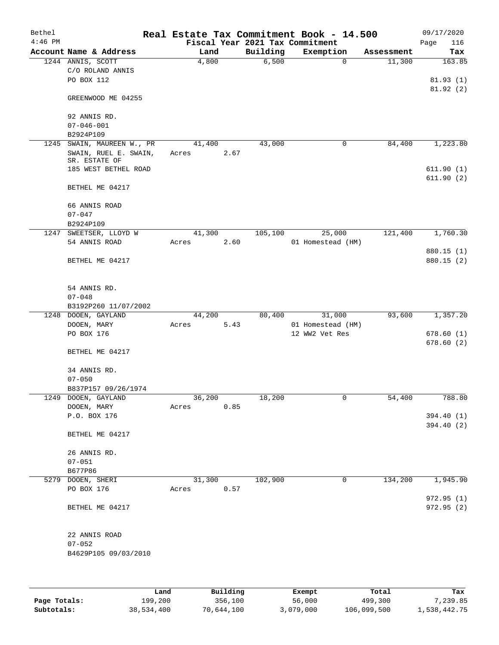| Bethel<br>$4:46$ PM |                                        |        |      |          | Real Estate Tax Commitment Book - 14.500<br>Fiscal Year 2021 Tax Commitment |            | 09/17/2020<br>Page<br>116 |
|---------------------|----------------------------------------|--------|------|----------|-----------------------------------------------------------------------------|------------|---------------------------|
|                     | Account Name & Address                 | Land   |      | Building | Exemption                                                                   | Assessment | Tax                       |
|                     | 1244 ANNIS, SCOTT<br>C/O ROLAND ANNIS  | 4,800  |      | 6,500    | $\mathbf 0$                                                                 | 11,300     | 163.85                    |
|                     | PO BOX 112                             |        |      |          |                                                                             |            | 81.93(1)<br>81.92(2)      |
|                     | GREENWOOD ME 04255                     |        |      |          |                                                                             |            |                           |
|                     | 92 ANNIS RD.<br>$07 - 046 - 001$       |        |      |          |                                                                             |            |                           |
|                     | B2924P109                              |        |      |          |                                                                             |            |                           |
| 1245                | SWAIN, MAUREEN W., PR                  | 41,400 |      | 43,000   | 0                                                                           | 84,400     | 1,223.80                  |
|                     | SWAIN, RUEL E. SWAIN,<br>SR. ESTATE OF | Acres  | 2.67 |          |                                                                             |            |                           |
|                     | 185 WEST BETHEL ROAD                   |        |      |          |                                                                             |            | 611.90(1)<br>611.90(2)    |
|                     | BETHEL ME 04217                        |        |      |          |                                                                             |            |                           |
|                     | 66 ANNIS ROAD<br>$07 - 047$            |        |      |          |                                                                             |            |                           |
|                     | B2924P109                              |        |      |          |                                                                             |            |                           |
| 1247                | SWEETSER, LLOYD W                      | 41,300 |      | 105,100  | 25,000                                                                      | 121,400    | 1,760.30                  |
|                     | 54 ANNIS ROAD                          | Acres  | 2.60 |          | 01 Homestead (HM)                                                           |            |                           |
|                     | BETHEL ME 04217                        |        |      |          |                                                                             |            | 880.15 (1)<br>880.15 (2)  |
|                     | 54 ANNIS RD.<br>$07 - 048$             |        |      |          |                                                                             |            |                           |
|                     | B3192P260 11/07/2002                   |        |      |          |                                                                             |            |                           |
|                     | 1248 DOOEN, GAYLAND                    | 44,200 |      | 80,400   | 31,000                                                                      | 93,600     | 1,357.20                  |
|                     | DOOEN, MARY                            | Acres  | 5.43 |          | 01 Homestead (HM)                                                           |            |                           |
|                     | PO BOX 176                             |        |      |          | 12 WW2 Vet Res                                                              |            | 678.60(1)                 |
|                     | BETHEL ME 04217                        |        |      |          |                                                                             |            | 678.60(2)                 |
|                     | 34 ANNIS RD.<br>$07 - 050$             |        |      |          |                                                                             |            |                           |
|                     | B837P157 09/26/1974                    |        |      |          |                                                                             |            |                           |
|                     | 1249 DOOEN, GAYLAND                    | 36,200 |      | 18,200   | 0                                                                           | 54,400     | 788.80                    |
|                     | DOOEN, MARY                            | Acres  | 0.85 |          |                                                                             |            |                           |
|                     | P.O. BOX 176                           |        |      |          |                                                                             |            | 394.40 (1)                |
|                     | BETHEL ME 04217                        |        |      |          |                                                                             |            | 394.40(2)                 |
|                     | 26 ANNIS RD.                           |        |      |          |                                                                             |            |                           |
|                     | $07 - 051$                             |        |      |          |                                                                             |            |                           |
|                     | B677P86                                |        |      |          |                                                                             |            |                           |
|                     | 5279 DOOEN, SHERI                      | 31,300 |      | 102,900  | 0                                                                           | 134,200    | 1,945.90                  |
|                     | PO BOX 176                             | Acres  | 0.57 |          |                                                                             |            |                           |
|                     | BETHEL ME 04217                        |        |      |          |                                                                             |            | 972.95 (1)<br>972.95(2)   |
|                     | 22 ANNIS ROAD<br>$07 - 052$            |        |      |          |                                                                             |            |                           |
|                     | B4629P105 09/03/2010                   |        |      |          |                                                                             |            |                           |
|                     |                                        |        |      |          |                                                                             |            |                           |

|              | Land       | Building   | Exempt    | Total       | Tax          |
|--------------|------------|------------|-----------|-------------|--------------|
| Page Totals: | 199,200    | 356,100    | 56,000    | 499,300     | 7,239.85     |
| Subtotals:   | 38,534,400 | 70,644,100 | 3,079,000 | 106,099,500 | 1,538,442.75 |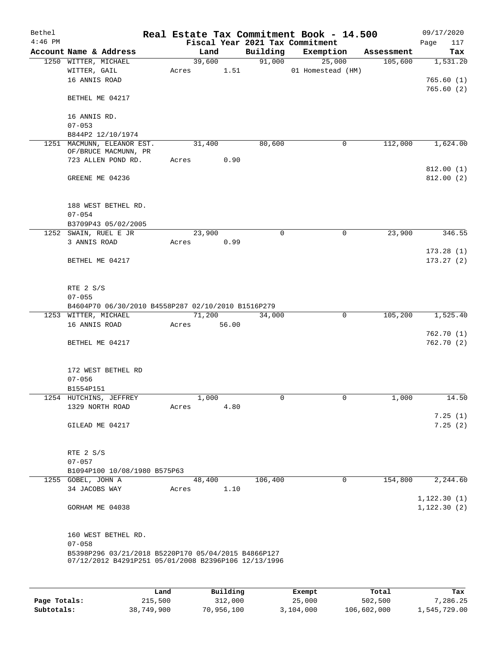| Bethel    |                                                                   |       |        |        |             | Real Estate Tax Commitment Book - 14.500 |            | 09/17/2020             |
|-----------|-------------------------------------------------------------------|-------|--------|--------|-------------|------------------------------------------|------------|------------------------|
| $4:46$ PM |                                                                   |       |        |        |             | Fiscal Year 2021 Tax Commitment          |            | 117<br>Page            |
|           | Account Name & Address                                            |       |        | Land   | Building    | Exemption                                | Assessment | Tax                    |
|           | 1250 WITTER, MICHAEL                                              |       | 39,600 |        | 91,000      | 25,000                                   | 105,600    | 1,531.20               |
|           | WITTER, GAIL                                                      | Acres |        | 1.51   |             | 01 Homestead (HM)                        |            |                        |
|           | 16 ANNIS ROAD                                                     |       |        |        |             |                                          |            | 765.60(1)              |
|           |                                                                   |       |        |        |             |                                          |            | 765.60(2)              |
|           | BETHEL ME 04217                                                   |       |        |        |             |                                          |            |                        |
|           |                                                                   |       |        |        |             |                                          |            |                        |
|           | 16 ANNIS RD.                                                      |       |        |        |             |                                          |            |                        |
|           | $07 - 053$<br>B844P2 12/10/1974                                   |       |        |        |             |                                          |            |                        |
|           | 1251 MACMUNN, ELEANOR EST.                                        |       | 31,400 |        | 80,600      | 0                                        | 112,000    | 1,624.00               |
|           | OF/BRUCE MACMUNN, PR                                              |       |        |        |             |                                          |            |                        |
|           | 723 ALLEN POND RD.                                                | Acres |        | 0.90   |             |                                          |            |                        |
|           |                                                                   |       |        |        |             |                                          |            | 812.00(1)              |
|           | GREENE ME 04236                                                   |       |        |        |             |                                          |            | 812.00(2)              |
|           |                                                                   |       |        |        |             |                                          |            |                        |
|           |                                                                   |       |        |        |             |                                          |            |                        |
|           | 188 WEST BETHEL RD.                                               |       |        |        |             |                                          |            |                        |
|           | $07 - 054$                                                        |       |        |        |             |                                          |            |                        |
|           | B3709P43 05/02/2005<br>1252 SWAIN, RUEL E JR                      |       | 23,900 |        | $\mathbf 0$ | 0                                        | 23,900     | 346.55                 |
|           | 3 ANNIS ROAD                                                      | Acres |        | 0.99   |             |                                          |            |                        |
|           |                                                                   |       |        |        |             |                                          |            | 173.28(1)              |
|           | BETHEL ME 04217                                                   |       |        |        |             |                                          |            | 173.27(2)              |
|           |                                                                   |       |        |        |             |                                          |            |                        |
|           |                                                                   |       |        |        |             |                                          |            |                        |
|           | RTE 2 S/S                                                         |       |        |        |             |                                          |            |                        |
|           | $07 - 055$                                                        |       |        |        |             |                                          |            |                        |
|           | B4604P70 06/30/2010 B4558P287 02/10/2010 B1516P279                |       |        |        |             |                                          |            |                        |
|           | 1253 WITTER, MICHAEL                                              |       |        | 71,200 | 34,000      | $\mathbf 0$                              | 105,200    | 1,525.40               |
|           | 16 ANNIS ROAD                                                     | Acres |        | 56.00  |             |                                          |            |                        |
|           | BETHEL ME 04217                                                   |       |        |        |             |                                          |            | 762.70(1)<br>762.70(2) |
|           |                                                                   |       |        |        |             |                                          |            |                        |
|           |                                                                   |       |        |        |             |                                          |            |                        |
|           | 172 WEST BETHEL RD                                                |       |        |        |             |                                          |            |                        |
|           | $07 - 056$                                                        |       |        |        |             |                                          |            |                        |
|           | B1554P151                                                         |       |        |        |             |                                          |            |                        |
|           | 1254 HUTCHINS, JEFFREY                                            |       |        | 1,000  | 0           | 0                                        | 1,000      | 14.50                  |
|           | 1329 NORTH ROAD                                                   | Acres |        | 4.80   |             |                                          |            |                        |
|           |                                                                   |       |        |        |             |                                          |            | 7.25(1)                |
|           | GILEAD ME 04217                                                   |       |        |        |             |                                          |            | 7.25(2)                |
|           |                                                                   |       |        |        |             |                                          |            |                        |
|           | RTE 2 S/S                                                         |       |        |        |             |                                          |            |                        |
|           | $07 - 057$                                                        |       |        |        |             |                                          |            |                        |
|           | B1094P100 10/08/1980 B575P63                                      |       |        |        |             |                                          |            |                        |
|           | 1255 GOBEL, JOHN A                                                |       | 48,400 |        | 106,400     | 0                                        | 154,800    | 2, 244.60              |
|           | 34 JACOBS WAY                                                     | Acres |        | 1.10   |             |                                          |            |                        |
|           |                                                                   |       |        |        |             |                                          |            | 1, 122.30(1)           |
|           | GORHAM ME 04038                                                   |       |        |        |             |                                          |            | 1, 122.30(2)           |
|           |                                                                   |       |        |        |             |                                          |            |                        |
|           |                                                                   |       |        |        |             |                                          |            |                        |
|           | 160 WEST BETHEL RD.                                               |       |        |        |             |                                          |            |                        |
|           | $07 - 058$<br>B5398P296 03/21/2018 B5220P170 05/04/2015 B4866P127 |       |        |        |             |                                          |            |                        |
|           | 07/12/2012 B4291P251 05/01/2008 B2396P106 12/13/1996              |       |        |        |             |                                          |            |                        |
|           |                                                                   |       |        |        |             |                                          |            |                        |
|           |                                                                   |       |        |        |             |                                          |            |                        |

|              | Land       | Building   | Exempt    | Total       | Tax          |
|--------------|------------|------------|-----------|-------------|--------------|
| Page Totals: | 215,500    | 312,000    | 25,000    | 502,500     | 7,286.25     |
| Subtotals:   | 38,749,900 | 70,956,100 | 3,104,000 | 106,602,000 | 1,545,729.00 |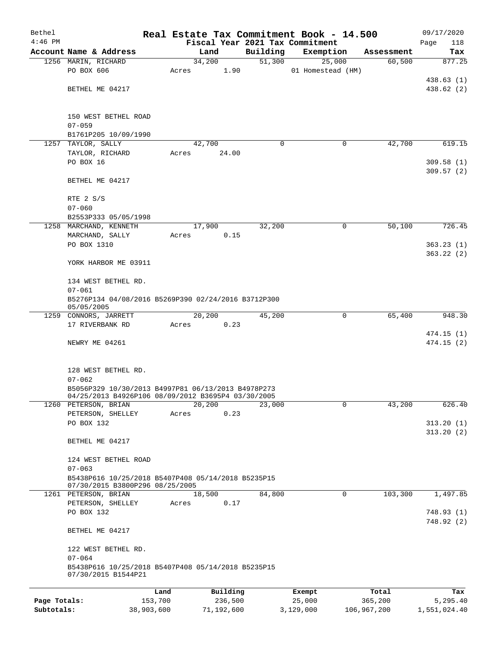| Bethel       |                                                                                                          |         |                                 |                    | Real Estate Tax Commitment Book - 14.500 |                      | 09/17/2020    |
|--------------|----------------------------------------------------------------------------------------------------------|---------|---------------------------------|--------------------|------------------------------------------|----------------------|---------------|
| $4:46$ PM    | Account Name & Address                                                                                   |         | Fiscal Year 2021 Tax Commitment |                    |                                          |                      | Page<br>118   |
|              |                                                                                                          |         | Land<br>34,200                  | Building<br>51,300 | Exemption<br>25,000                      | Assessment<br>60,500 | Tax<br>877.25 |
|              | 1256 MARIN, RICHARD<br>PO BOX 606                                                                        | Acres   | 1.90                            |                    | 01 Homestead (HM)                        |                      |               |
|              |                                                                                                          |         |                                 |                    |                                          |                      | 438.63(1)     |
|              | BETHEL ME 04217                                                                                          |         |                                 |                    |                                          |                      | 438.62 (2)    |
|              |                                                                                                          |         |                                 |                    |                                          |                      |               |
|              | 150 WEST BETHEL ROAD                                                                                     |         |                                 |                    |                                          |                      |               |
|              | $07 - 059$                                                                                               |         |                                 |                    |                                          |                      |               |
|              | B1761P205 10/09/1990                                                                                     |         |                                 | $\Omega$           |                                          |                      |               |
|              | 1257 TAYLOR, SALLY<br>TAYLOR, RICHARD                                                                    | Acres   | 42,700<br>24.00                 |                    | 0                                        | 42,700               | 619.15        |
|              | PO BOX 16                                                                                                |         |                                 |                    |                                          |                      | 309.58(1)     |
|              |                                                                                                          |         |                                 |                    |                                          |                      | 309.57(2)     |
|              | BETHEL ME 04217                                                                                          |         |                                 |                    |                                          |                      |               |
|              | RTE 2 S/S                                                                                                |         |                                 |                    |                                          |                      |               |
|              | $07 - 060$                                                                                               |         |                                 |                    |                                          |                      |               |
|              | B2553P333 05/05/1998                                                                                     |         |                                 |                    |                                          |                      |               |
|              | 1258 MARCHAND, KENNETH                                                                                   |         | 17,900                          | 32,200             | 0                                        | 50,100               | 726.45        |
|              | MARCHAND, SALLY                                                                                          | Acres   | 0.15                            |                    |                                          |                      |               |
|              | PO BOX 1310                                                                                              |         |                                 |                    |                                          |                      | 363.23(1)     |
|              |                                                                                                          |         |                                 |                    |                                          |                      | 363.22(2)     |
|              | YORK HARBOR ME 03911                                                                                     |         |                                 |                    |                                          |                      |               |
|              | 134 WEST BETHEL RD.                                                                                      |         |                                 |                    |                                          |                      |               |
|              | $07 - 061$                                                                                               |         |                                 |                    |                                          |                      |               |
|              | B5276P134 04/08/2016 B5269P390 02/24/2016 B3712P300<br>05/05/2005                                        |         |                                 |                    |                                          |                      |               |
|              | 1259 CONNORS, JARRETT                                                                                    |         | 20,200                          | 45,200             | 0                                        | 65,400               | 948.30        |
|              | 17 RIVERBANK RD                                                                                          | Acres   | 0.23                            |                    |                                          |                      |               |
|              |                                                                                                          |         |                                 |                    |                                          |                      | 474.15(1)     |
|              | NEWRY ME 04261                                                                                           |         |                                 |                    |                                          |                      | 474.15(2)     |
|              |                                                                                                          |         |                                 |                    |                                          |                      |               |
|              | 128 WEST BETHEL RD.                                                                                      |         |                                 |                    |                                          |                      |               |
|              | $07 - 062$                                                                                               |         |                                 |                    |                                          |                      |               |
|              | B5056P329 10/30/2013 B4997P81 06/13/2013 B4978P273<br>04/25/2013 B4926P106 08/09/2012 B3695P4 03/30/2005 |         |                                 |                    |                                          |                      |               |
|              | 1260 PETERSON, BRIAN                                                                                     |         | 20, 200                         | 23,000             | $\mathbf 0$                              | 43,200               | 626.40        |
|              | PETERSON, SHELLEY                                                                                        | Acres   | 0.23                            |                    |                                          |                      |               |
|              | PO BOX 132                                                                                               |         |                                 |                    |                                          |                      | 313.20(1)     |
|              |                                                                                                          |         |                                 |                    |                                          |                      | 313.20(2)     |
|              | BETHEL ME 04217                                                                                          |         |                                 |                    |                                          |                      |               |
|              | 124 WEST BETHEL ROAD                                                                                     |         |                                 |                    |                                          |                      |               |
|              | $07 - 063$                                                                                               |         |                                 |                    |                                          |                      |               |
|              | B5438P616 10/25/2018 B5407P408 05/14/2018 B5235P15                                                       |         |                                 |                    |                                          |                      |               |
|              | 07/30/2015 B3800P296 08/25/2005<br>1261 PETERSON, BRIAN                                                  |         | 18,500                          | 84,800             | 0                                        | 103,300              | 1,497.85      |
|              | PETERSON, SHELLEY                                                                                        | Acres   | 0.17                            |                    |                                          |                      |               |
|              | PO BOX 132                                                                                               |         |                                 |                    |                                          |                      | 748.93(1)     |
|              |                                                                                                          |         |                                 |                    |                                          |                      | 748.92(2)     |
|              | BETHEL ME 04217                                                                                          |         |                                 |                    |                                          |                      |               |
|              | 122 WEST BETHEL RD.                                                                                      |         |                                 |                    |                                          |                      |               |
|              | $07 - 064$                                                                                               |         |                                 |                    |                                          |                      |               |
|              | B5438P616 10/25/2018 B5407P408 05/14/2018 B5235P15<br>07/30/2015 B1544P21                                |         |                                 |                    |                                          |                      |               |
|              |                                                                                                          | Land    | Building                        |                    | Exempt                                   | Total                | Tax           |
| Page Totals: |                                                                                                          | 153,700 | 236,500                         |                    | 25,000                                   | 365,200              | 5,295.40      |

**Subtotals:** 38,903,600 71,192,600 3,129,000 106,967,200 1,551,024.40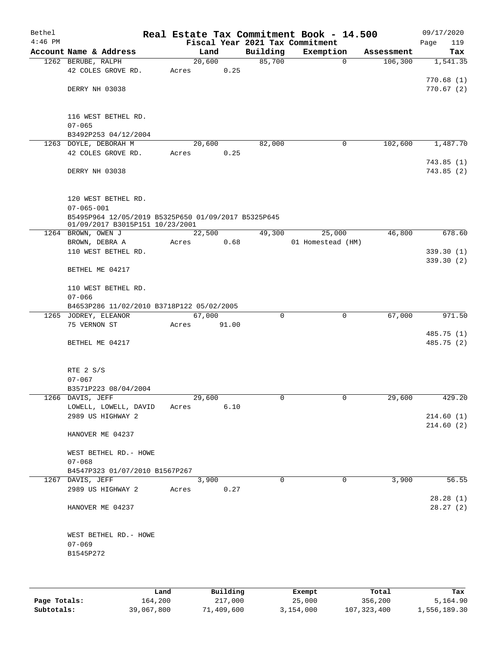| Bethel<br>$4:46$ PM |                                                     |        |       |             | Real Estate Tax Commitment Book - 14.500<br>Fiscal Year 2021 Tax Commitment |            | 09/17/2020<br>Page<br>119 |
|---------------------|-----------------------------------------------------|--------|-------|-------------|-----------------------------------------------------------------------------|------------|---------------------------|
|                     | Account Name & Address                              | Land   |       | Building    | Exemption                                                                   | Assessment | Tax                       |
|                     | 1262 BERUBE, RALPH                                  | 20,600 |       | 85,700      | $\mathbf 0$                                                                 | 106,300    | 1,541.35                  |
|                     | 42 COLES GROVE RD.                                  | Acres  | 0.25  |             |                                                                             |            |                           |
|                     |                                                     |        |       |             |                                                                             |            | 770.68(1)                 |
|                     | DERRY NH 03038                                      |        |       |             |                                                                             |            | 770.67(2)                 |
|                     |                                                     |        |       |             |                                                                             |            |                           |
|                     | 116 WEST BETHEL RD.                                 |        |       |             |                                                                             |            |                           |
|                     | $07 - 065$                                          |        |       |             |                                                                             |            |                           |
|                     | B3492P253 04/12/2004                                |        |       |             |                                                                             |            |                           |
|                     | 1263 DOYLE, DEBORAH M                               | 20,600 |       | 82,000      | 0                                                                           | 102,600    | 1,487.70                  |
|                     | 42 COLES GROVE RD.                                  | Acres  | 0.25  |             |                                                                             |            |                           |
|                     |                                                     |        |       |             |                                                                             |            | 743.85(1)                 |
|                     | DERRY NH 03038                                      |        |       |             |                                                                             |            | 743.85(2)                 |
|                     |                                                     |        |       |             |                                                                             |            |                           |
|                     |                                                     |        |       |             |                                                                             |            |                           |
|                     | 120 WEST BETHEL RD.<br>$07 - 065 - 001$             |        |       |             |                                                                             |            |                           |
|                     | B5495P964 12/05/2019 B5325P650 01/09/2017 B5325P645 |        |       |             |                                                                             |            |                           |
|                     | 01/09/2017 B3015P151 10/23/2001                     |        |       |             |                                                                             |            |                           |
|                     | 1264 BROWN, OWEN J                                  | 22,500 |       | 49,300      | 25,000                                                                      | 46,800     | 678.60                    |
|                     | BROWN, DEBRA A                                      | Acres  | 0.68  |             | 01 Homestead (HM)                                                           |            |                           |
|                     | 110 WEST BETHEL RD.                                 |        |       |             |                                                                             |            | 339.30(1)                 |
|                     |                                                     |        |       |             |                                                                             |            | 339.30(2)                 |
|                     | BETHEL ME 04217                                     |        |       |             |                                                                             |            |                           |
|                     | 110 WEST BETHEL RD.                                 |        |       |             |                                                                             |            |                           |
|                     | $07 - 066$                                          |        |       |             |                                                                             |            |                           |
|                     | B4653P286 11/02/2010 B3718P122 05/02/2005           |        |       |             |                                                                             |            |                           |
|                     | 1265 JODREY, ELEANOR                                | 67,000 |       | $\mathbf 0$ | $\mathbf 0$                                                                 | 67,000     | 971.50                    |
|                     | 75 VERNON ST                                        | Acres  | 91.00 |             |                                                                             |            |                           |
|                     |                                                     |        |       |             |                                                                             |            | 485.75 (1)                |
|                     | BETHEL ME 04217                                     |        |       |             |                                                                             |            | 485.75 (2)                |
|                     |                                                     |        |       |             |                                                                             |            |                           |
|                     | RTE 2 S/S                                           |        |       |             |                                                                             |            |                           |
|                     | $07 - 067$                                          |        |       |             |                                                                             |            |                           |
|                     | B3571P223 08/04/2004                                |        |       |             |                                                                             |            |                           |
|                     | 1266 DAVIS, JEFF                                    | 29,600 |       | 0           | 0                                                                           | 29,600     | 429.20                    |
|                     | LOWELL, LOWELL, DAVID                               | Acres  | 6.10  |             |                                                                             |            |                           |
|                     | 2989 US HIGHWAY 2                                   |        |       |             |                                                                             |            | 214.60(1)                 |
|                     |                                                     |        |       |             |                                                                             |            | 214.60(2)                 |
|                     | HANOVER ME 04237                                    |        |       |             |                                                                             |            |                           |
|                     | WEST BETHEL RD. - HOWE                              |        |       |             |                                                                             |            |                           |
|                     | $07 - 068$                                          |        |       |             |                                                                             |            |                           |
|                     | B4547P323 01/07/2010 B1567P267                      |        |       |             |                                                                             |            |                           |
|                     | 1267 DAVIS, JEFF                                    | 3,900  |       | $\Omega$    | 0                                                                           | 3,900      | 56.55                     |
|                     | 2989 US HIGHWAY 2                                   | Acres  | 0.27  |             |                                                                             |            |                           |
|                     |                                                     |        |       |             |                                                                             |            | 28.28(1)                  |
|                     | HANOVER ME 04237                                    |        |       |             |                                                                             |            | 28.27(2)                  |
|                     |                                                     |        |       |             |                                                                             |            |                           |
|                     |                                                     |        |       |             |                                                                             |            |                           |
|                     | WEST BETHEL RD. - HOWE<br>$07 - 069$                |        |       |             |                                                                             |            |                           |
|                     | B1545P272                                           |        |       |             |                                                                             |            |                           |
|                     |                                                     |        |       |             |                                                                             |            |                           |
|                     |                                                     |        |       |             |                                                                             |            |                           |
|                     |                                                     |        |       |             |                                                                             |            |                           |

|              | Land       | Building   | Exempt    | Total         | Tax          |
|--------------|------------|------------|-----------|---------------|--------------|
| Page Totals: | 164,200    | 217,000    | 25,000    | 356,200       | 5,164.90     |
| Subtotals:   | 39,067,800 | 71,409,600 | 3,154,000 | 107, 323, 400 | 1,556,189.30 |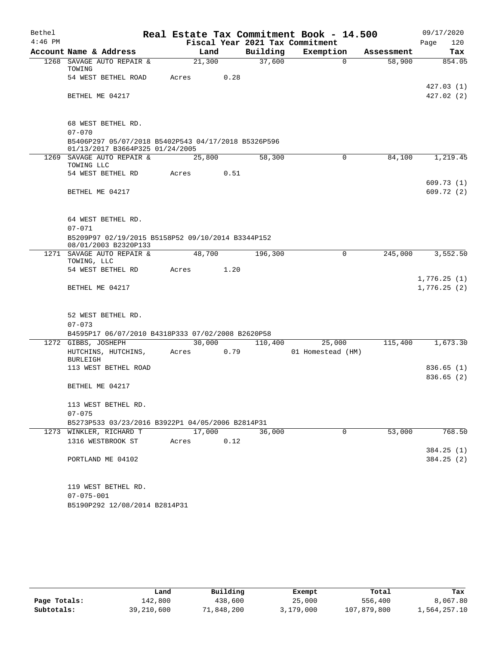| Bethel    |                                                                                        |        |      |          | Real Estate Tax Commitment Book - 14.500 |            | 09/17/2020                 |
|-----------|----------------------------------------------------------------------------------------|--------|------|----------|------------------------------------------|------------|----------------------------|
| $4:46$ PM |                                                                                        |        |      |          | Fiscal Year 2021 Tax Commitment          |            | 120<br>Page                |
|           | Account Name & Address                                                                 | Land   |      | Building | Exemption                                | Assessment | Tax                        |
|           | 1268 SAVAGE AUTO REPAIR &<br>TOWING                                                    | 21,300 |      | 37,600   | $\Omega$                                 | 58,900     | 854.05                     |
|           | 54 WEST BETHEL ROAD                                                                    | Acres  | 0.28 |          |                                          |            | 427.03 (1)                 |
|           | BETHEL ME 04217                                                                        |        |      |          |                                          |            | 427.02(2)                  |
|           | 68 WEST BETHEL RD.                                                                     |        |      |          |                                          |            |                            |
|           | $07 - 070$                                                                             |        |      |          |                                          |            |                            |
|           | B5406P297 05/07/2018 B5402P543 04/17/2018 B5326P596<br>01/13/2017 B3664P325 01/24/2005 |        |      |          |                                          |            |                            |
|           | 1269 SAVAGE AUTO REPAIR &<br>TOWING LLC                                                | 25,800 |      | 58,300   | 0                                        | 84,100     | 1,219.45                   |
|           | 54 WEST BETHEL RD                                                                      | Acres  | 0.51 |          |                                          |            |                            |
|           | BETHEL ME 04217                                                                        |        |      |          |                                          |            | 609.73 (1)<br>609.72 (2)   |
|           |                                                                                        |        |      |          |                                          |            |                            |
|           | 64 WEST BETHEL RD.                                                                     |        |      |          |                                          |            |                            |
|           | $07 - 071$                                                                             |        |      |          |                                          |            |                            |
|           | B5209P97 02/19/2015 B5158P52 09/10/2014 B3344P152<br>08/01/2003 B2320P133              |        |      |          |                                          |            |                            |
|           | 1271 SAVAGE AUTO REPAIR &<br>TOWING, LLC                                               | 48,700 |      | 196,300  | $\mathbf 0$                              | 245,000    | 3,552.50                   |
|           | 54 WEST BETHEL RD                                                                      | Acres  | 1.20 |          |                                          |            |                            |
|           | BETHEL ME 04217                                                                        |        |      |          |                                          |            | 1,776.25(1)<br>1,776.25(2) |
|           |                                                                                        |        |      |          |                                          |            |                            |
|           | 52 WEST BETHEL RD.<br>$07 - 073$                                                       |        |      |          |                                          |            |                            |
|           | B4595P17 06/07/2010 B4318P333 07/02/2008 B2620P58                                      |        |      |          |                                          |            |                            |
|           | 1272 GIBBS, JOSHEPH                                                                    | 30,000 |      | 110,400  | 25,000                                   | 115,400    | 1,673.30                   |
|           | HUTCHINS, HUTCHINS,<br><b>BURLEIGH</b>                                                 | Acres  | 0.79 |          | 01 Homestead (HM)                        |            |                            |
|           | 113 WEST BETHEL ROAD                                                                   |        |      |          |                                          |            | 836.65(1)                  |
|           | BETHEL ME 04217                                                                        |        |      |          |                                          |            | 836.65(2)                  |
|           |                                                                                        |        |      |          |                                          |            |                            |
|           | 113 WEST BETHEL RD.                                                                    |        |      |          |                                          |            |                            |
|           | $07 - 075$                                                                             |        |      |          |                                          |            |                            |
|           | B5273P533 03/23/2016 B3922P1 04/05/2006 B2814P31<br>1273 WINKLER, RICHARD T            | 17,000 |      | 36,000   | $\Omega$                                 | 53,000     | 768.50                     |
|           | 1316 WESTBROOK ST                                                                      | Acres  | 0.12 |          |                                          |            |                            |
|           |                                                                                        |        |      |          |                                          |            | 384.25(1)                  |
|           | PORTLAND ME 04102                                                                      |        |      |          |                                          |            | 384.25(2)                  |
|           |                                                                                        |        |      |          |                                          |            |                            |
|           | 119 WEST BETHEL RD.<br>$07 - 075 - 001$                                                |        |      |          |                                          |            |                            |

B5190P292 12/08/2014 B2814P31

|              | Land       | Building   | Exempt    | Total       | Tax          |
|--------------|------------|------------|-----------|-------------|--------------|
| Page Totals: | 142,800    | 438,600    | 25,000    | 556,400     | 8.067.80     |
| Subtotals:   | 39,210,600 | 71,848,200 | 3,179,000 | 107,879,800 | 1,564,257.10 |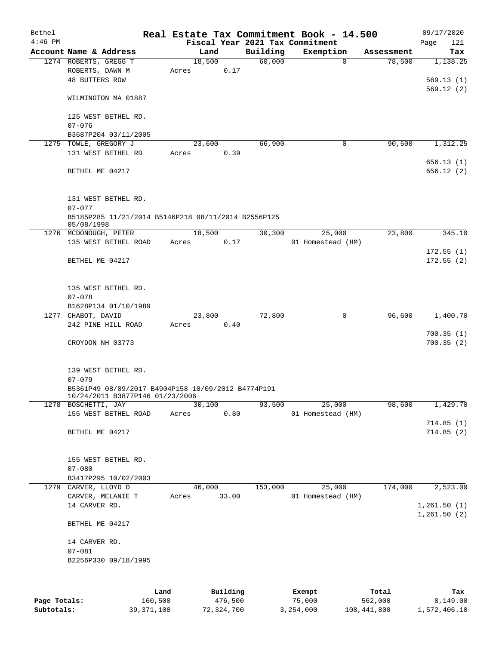| Bethel    |                                                     |       |                |          | Real Estate Tax Commitment Book - 14.500 |            | 09/17/2020  |
|-----------|-----------------------------------------------------|-------|----------------|----------|------------------------------------------|------------|-------------|
| $4:46$ PM |                                                     |       |                |          | Fiscal Year 2021 Tax Commitment          |            | Page<br>121 |
|           | Account Name & Address                              |       | Land           | Building | Exemption                                | Assessment | Tax         |
|           | 1274 ROBERTS, GREGG T                               |       | 18,500         | 60,000   | $\mathbf 0$                              | 78,500     | 1,138.25    |
|           | ROBERTS, DAWN M                                     | Acres | 0.17           |          |                                          |            |             |
|           | <b>48 BUTTERS ROW</b>                               |       |                |          |                                          |            | 569.13(1)   |
|           |                                                     |       |                |          |                                          |            | 569.12(2)   |
|           | WILMINGTON MA 01887                                 |       |                |          |                                          |            |             |
|           |                                                     |       |                |          |                                          |            |             |
|           | 125 WEST BETHEL RD.                                 |       |                |          |                                          |            |             |
|           | $07 - 076$                                          |       |                |          |                                          |            |             |
|           | B3687P204 03/11/2005                                |       |                |          |                                          |            |             |
| 1275      | TOWLE, GREGORY J                                    |       | 23,600         | 66,900   | 0                                        | 90,500     | 1,312.25    |
|           | 131 WEST BETHEL RD                                  | Acres | 0.39           |          |                                          |            |             |
|           |                                                     |       |                |          |                                          |            | 656.13 (1)  |
|           | BETHEL ME 04217                                     |       |                |          |                                          |            | 656.12(2)   |
|           |                                                     |       |                |          |                                          |            |             |
|           |                                                     |       |                |          |                                          |            |             |
|           | 131 WEST BETHEL RD.                                 |       |                |          |                                          |            |             |
|           | $07 - 077$                                          |       |                |          |                                          |            |             |
|           | B5185P285 11/21/2014 B5146P218 08/11/2014 B2556P125 |       |                |          |                                          |            |             |
|           | 05/08/1998<br>1276 MCDONOUGH, PETER                 |       | 18,500         | 30,300   | 25,000                                   | 23,800     | 345.10      |
|           | 135 WEST BETHEL ROAD                                | Acres | 0.17           |          | 01 Homestead (HM)                        |            |             |
|           |                                                     |       |                |          |                                          |            | 172.55(1)   |
|           | BETHEL ME 04217                                     |       |                |          |                                          |            | 172.55(2)   |
|           |                                                     |       |                |          |                                          |            |             |
|           |                                                     |       |                |          |                                          |            |             |
|           | 135 WEST BETHEL RD.                                 |       |                |          |                                          |            |             |
|           | $07 - 078$                                          |       |                |          |                                          |            |             |
|           | B1628P134 01/10/1989                                |       |                |          |                                          |            |             |
|           | 1277 CHABOT, DAVID                                  |       | 23,800         | 72,800   | 0                                        | 96,600     | 1,400.70    |
|           | 242 PINE HILL ROAD                                  | Acres | 0.40           |          |                                          |            |             |
|           |                                                     |       |                |          |                                          |            | 700.35(1)   |
|           | CROYDON NH 03773                                    |       |                |          |                                          |            | 700.35(2)   |
|           |                                                     |       |                |          |                                          |            |             |
|           |                                                     |       |                |          |                                          |            |             |
|           | 139 WEST BETHEL RD.                                 |       |                |          |                                          |            |             |
|           | $07 - 079$                                          |       |                |          |                                          |            |             |
|           | B5361P49 08/09/2017 B4904P158 10/09/2012 B4774P191  |       |                |          |                                          |            |             |
|           | 10/24/2011 B3877P146 01/23/2006                     |       |                |          |                                          |            |             |
|           | 1278 BOSCHETTI, JAY                                 |       | 30,100         | 93,500   | 25,000                                   | 98,600     | 1,429.70    |
|           | 155 WEST BETHEL ROAD                                | Acres | 0.80           |          | 01 Homestead (HM)                        |            |             |
|           |                                                     |       |                |          |                                          |            | 714.85(1)   |
|           | BETHEL ME 04217                                     |       |                |          |                                          |            | 714.85(2)   |
|           |                                                     |       |                |          |                                          |            |             |
|           |                                                     |       |                |          |                                          |            |             |
|           | 155 WEST BETHEL RD.                                 |       |                |          |                                          |            |             |
|           | $07 - 080$                                          |       |                |          |                                          |            |             |
|           | B3417P295 10/02/2003                                |       |                |          |                                          |            |             |
|           | 1279 CARVER, LLOYD D                                |       | 46,000         | 153,000  | 25,000                                   | 174,000    | 2,523.00    |
|           | CARVER, MELANIE T                                   |       | 33.00<br>Acres |          | 01 Homestead (HM)                        |            |             |
|           | 14 CARVER RD.                                       |       |                |          |                                          |            | 1,261.50(1) |
|           |                                                     |       |                |          |                                          |            | 1,261.50(2) |
|           | BETHEL ME 04217                                     |       |                |          |                                          |            |             |
|           |                                                     |       |                |          |                                          |            |             |
|           | 14 CARVER RD.                                       |       |                |          |                                          |            |             |
|           | $07 - 081$                                          |       |                |          |                                          |            |             |
|           | B2256P330 09/18/1995                                |       |                |          |                                          |            |             |
|           |                                                     |       |                |          |                                          |            |             |
|           |                                                     |       |                |          |                                          |            |             |
|           |                                                     | Land  | Building       |          | Exempt                                   | Total      | Tax         |

**Page Totals:** 160,500 476,500 75,000 562,000 8,149.00 **Subtotals:** 39,371,100 72,324,700 3,254,000 108,441,800 1,572,406.10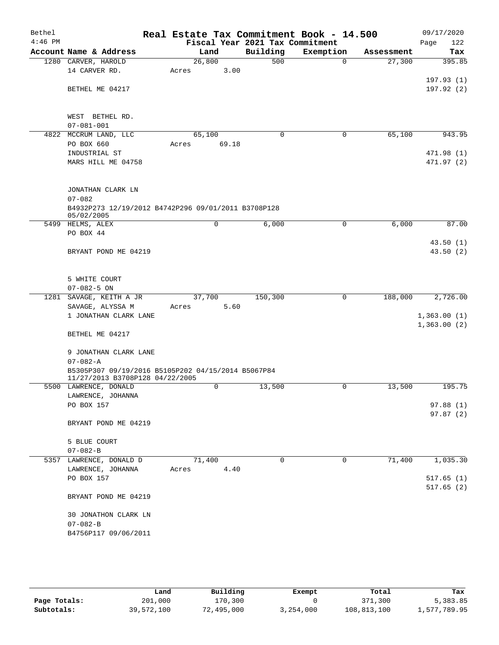| Bethel<br>$4:46$ PM |                                                     |        |             | Fiscal Year 2021 Tax Commitment | Real Estate Tax Commitment Book - 14.500 |            | 09/17/2020<br>Page<br>122 |
|---------------------|-----------------------------------------------------|--------|-------------|---------------------------------|------------------------------------------|------------|---------------------------|
|                     | Account Name & Address                              | Land   |             | Building                        | Exemption                                | Assessment | Tax                       |
|                     | 1280 CARVER, HAROLD                                 | 26,800 |             | 500                             | $\Omega$                                 | 27,300     | 395.85                    |
|                     | 14 CARVER RD.                                       | Acres  | 3.00        |                                 |                                          |            |                           |
|                     |                                                     |        |             |                                 |                                          |            | 197.93(1)                 |
|                     | BETHEL ME 04217                                     |        |             |                                 |                                          |            | 197.92 (2)                |
|                     |                                                     |        |             |                                 |                                          |            |                           |
|                     |                                                     |        |             |                                 |                                          |            |                           |
|                     | WEST BETHEL RD.                                     |        |             |                                 |                                          |            |                           |
|                     | $07 - 081 - 001$                                    |        |             |                                 |                                          |            |                           |
| 4822                | MCCRUM LAND, LLC<br>PO BOX 660                      | 65,100 |             | $\mathbf 0$                     | 0                                        | 65,100     | 943.95                    |
|                     | INDUSTRIAL ST                                       | Acres  | 69.18       |                                 |                                          |            |                           |
|                     |                                                     |        |             |                                 |                                          |            | 471.98 (1)                |
|                     | MARS HILL ME 04758                                  |        |             |                                 |                                          |            | 471.97 (2)                |
|                     |                                                     |        |             |                                 |                                          |            |                           |
|                     | JONATHAN CLARK LN                                   |        |             |                                 |                                          |            |                           |
|                     | $07 - 082$                                          |        |             |                                 |                                          |            |                           |
|                     | B4932P273 12/19/2012 B4742P296 09/01/2011 B3708P128 |        |             |                                 |                                          |            |                           |
|                     | 05/02/2005                                          |        |             |                                 |                                          |            |                           |
|                     | 5499 HELMS, ALEX                                    |        | $\mathbf 0$ | 6,000                           | 0                                        | 6,000      | 87.00                     |
|                     | PO BOX 44                                           |        |             |                                 |                                          |            |                           |
|                     |                                                     |        |             |                                 |                                          |            | 43.50(1)                  |
|                     | BRYANT POND ME 04219                                |        |             |                                 |                                          |            | 43.50(2)                  |
|                     |                                                     |        |             |                                 |                                          |            |                           |
|                     |                                                     |        |             |                                 |                                          |            |                           |
|                     | 5 WHITE COURT                                       |        |             |                                 |                                          |            |                           |
|                     | $07 - 082 - 5$ ON                                   |        |             |                                 |                                          |            |                           |
|                     | 1281 SAVAGE, KEITH A JR                             | 37,700 | 5.60        | 150,300                         | 0                                        | 188,000    | 2,726.00                  |
|                     | SAVAGE, ALYSSA M<br>1 JONATHAN CLARK LANE           | Acres  |             |                                 |                                          |            | 1,363.00(1)               |
|                     |                                                     |        |             |                                 |                                          |            | 1,363.00(2)               |
|                     | BETHEL ME 04217                                     |        |             |                                 |                                          |            |                           |
|                     |                                                     |        |             |                                 |                                          |            |                           |
|                     | 9 JONATHAN CLARK LANE                               |        |             |                                 |                                          |            |                           |
|                     | $07 - 082 - A$                                      |        |             |                                 |                                          |            |                           |
|                     | B5305P307 09/19/2016 B5105P202 04/15/2014 B5067P84  |        |             |                                 |                                          |            |                           |
|                     | 11/27/2013 B3708P128 04/22/2005                     |        |             |                                 |                                          |            |                           |
|                     | 5500 LAWRENCE, DONALD                               |        | 0           | 13,500                          | 0                                        | 13,500     | 195.75                    |
|                     | LAWRENCE, JOHANNA                                   |        |             |                                 |                                          |            |                           |
|                     | PO BOX 157                                          |        |             |                                 |                                          |            | 97.88(1)                  |
|                     |                                                     |        |             |                                 |                                          |            | 97.87(2)                  |
|                     | BRYANT POND ME 04219                                |        |             |                                 |                                          |            |                           |
|                     | 5 BLUE COURT                                        |        |             |                                 |                                          |            |                           |
|                     | $07 - 082 - B$                                      |        |             |                                 |                                          |            |                           |
|                     | 5357 LAWRENCE, DONALD D                             | 71,400 |             | $\Omega$                        | 0                                        | 71,400     | 1,035.30                  |
|                     | LAWRENCE, JOHANNA                                   | Acres  | 4.40        |                                 |                                          |            |                           |
|                     | PO BOX 157                                          |        |             |                                 |                                          |            | 517.65(1)                 |
|                     |                                                     |        |             |                                 |                                          |            | 517.65(2)                 |
|                     | BRYANT POND ME 04219                                |        |             |                                 |                                          |            |                           |
|                     |                                                     |        |             |                                 |                                          |            |                           |
|                     | 30 JONATHON CLARK LN                                |        |             |                                 |                                          |            |                           |
|                     | $07 - 082 - B$                                      |        |             |                                 |                                          |            |                           |
|                     | B4756P117 09/06/2011                                |        |             |                                 |                                          |            |                           |
|                     |                                                     |        |             |                                 |                                          |            |                           |
|                     |                                                     |        |             |                                 |                                          |            |                           |

|              | Land       | Building   | Exempt    | Total       | Tax          |
|--------------|------------|------------|-----------|-------------|--------------|
| Page Totals: | 201,000    | 170,300    |           | 371,300     | 5,383.85     |
| Subtotals:   | 39,572,100 | 72,495,000 | 3,254,000 | 108,813,100 | 1,577,789.95 |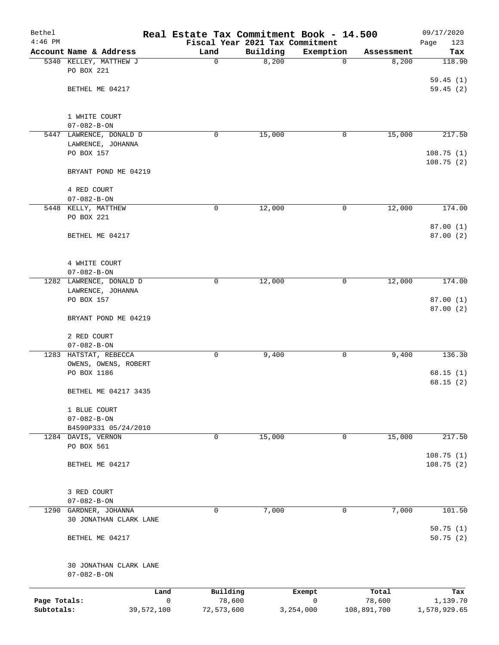| Bethel       |                         |                        | Real Estate Tax Commitment Book - 14.500    |             |                     | 09/17/2020             |
|--------------|-------------------------|------------------------|---------------------------------------------|-------------|---------------------|------------------------|
| $4:46$ PM    | Account Name & Address  | Land                   | Fiscal Year 2021 Tax Commitment<br>Building | Exemption   |                     | Page<br>123            |
|              | 5340 KELLEY, MATTHEW J  | $\mathbf 0$            | 8,200                                       | $\mathbf 0$ | Assessment<br>8,200 | Tax<br>118.90          |
|              | PO BOX 221              |                        |                                             |             |                     |                        |
|              | BETHEL ME 04217         |                        |                                             |             |                     | 59.45(1)<br>59.45(2)   |
|              |                         |                        |                                             |             |                     |                        |
|              | 1 WHITE COURT           |                        |                                             |             |                     |                        |
|              | $07 - 082 - B - ON$     |                        |                                             |             |                     |                        |
| 5447         | LAWRENCE, DONALD D      | 0                      | 15,000                                      | 0           | 15,000              | 217.50                 |
|              | LAWRENCE, JOHANNA       |                        |                                             |             |                     |                        |
|              | PO BOX 157              |                        |                                             |             |                     | 108.75(1)<br>108.75(2) |
|              | BRYANT POND ME 04219    |                        |                                             |             |                     |                        |
|              | 4 RED COURT             |                        |                                             |             |                     |                        |
|              | $07 - 082 - B - ON$     |                        |                                             |             |                     |                        |
|              | 5448 KELLY, MATTHEW     | 0                      | 12,000                                      | 0           | 12,000              | 174.00                 |
|              | PO BOX 221              |                        |                                             |             |                     | 87.00(1)               |
|              | BETHEL ME 04217         |                        |                                             |             |                     | 87.00(2)               |
|              |                         |                        |                                             |             |                     |                        |
|              | 4 WHITE COURT           |                        |                                             |             |                     |                        |
|              | $07 - 082 - B - ON$     |                        |                                             |             |                     |                        |
|              | 1282 LAWRENCE, DONALD D | 0                      | 12,000                                      | 0           | 12,000              | 174.00                 |
|              | LAWRENCE, JOHANNA       |                        |                                             |             |                     |                        |
|              | PO BOX 157              |                        |                                             |             |                     | 87.00(1)<br>87.00(2)   |
|              | BRYANT POND ME 04219    |                        |                                             |             |                     |                        |
|              | 2 RED COURT             |                        |                                             |             |                     |                        |
|              | $07 - 082 - B - ON$     |                        |                                             |             |                     |                        |
| 1283         | HATSTAT, REBECCA        | 0                      | 9,400                                       | 0           | 9,400               | 136.30                 |
|              | OWENS, OWENS, ROBERT    |                        |                                             |             |                     |                        |
|              | PO BOX 1186             |                        |                                             |             |                     | 68.15(1)               |
|              | BETHEL ME 04217 3435    |                        |                                             |             |                     | 68.15(2)               |
|              | 1 BLUE COURT            |                        |                                             |             |                     |                        |
|              | $07 - 082 - B - ON$     |                        |                                             |             |                     |                        |
|              | B4590P331 05/24/2010    |                        |                                             |             |                     |                        |
|              | 1284 DAVIS, VERNON      | $\mathbf 0$            | 15,000                                      | 0           | 15,000              | 217.50                 |
|              | PO BOX 561              |                        |                                             |             |                     |                        |
|              | BETHEL ME 04217         |                        |                                             |             |                     | 108.75(1)<br>108.75(2) |
|              |                         |                        |                                             |             |                     |                        |
|              | 3 RED COURT             |                        |                                             |             |                     |                        |
|              | $07 - 082 - B - ON$     |                        |                                             |             |                     |                        |
| 1290         | GARDNER, JOHANNA        | 0                      | 7,000                                       | 0           | 7,000               | 101.50                 |
|              | 30 JONATHAN CLARK LANE  |                        |                                             |             |                     | 50.75(1)               |
|              | BETHEL ME 04217         |                        |                                             |             |                     | 50.75(2)               |
|              | 30 JONATHAN CLARK LANE  |                        |                                             |             |                     |                        |
|              | $07 - 082 - B - ON$     |                        |                                             |             |                     |                        |
|              |                         | Building<br>Land       | Exempt                                      |             | Total               | Tax                    |
| Page Totals: |                         | $\mathsf{O}$<br>78,600 | $\mathbf 0$                                 |             | 78,600              | 1,139.70               |
| Subtotals:   | 39,572,100              | 72,573,600             | 3,254,000                                   |             | 108,891,700         | 1,578,929.65           |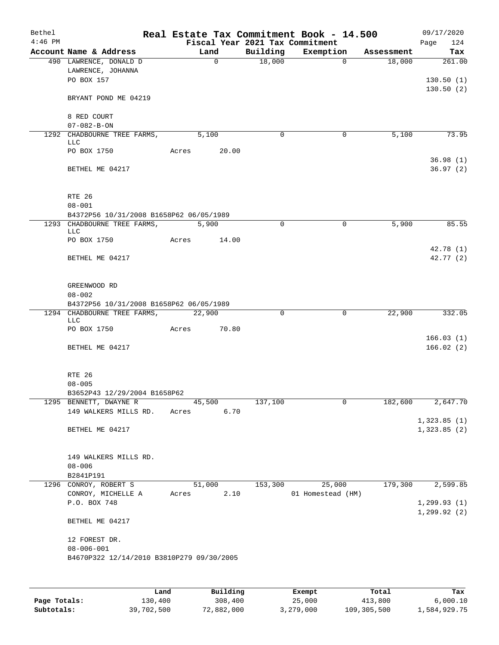| Bethel<br>$4:46$ PM |                                                                        |       |              |             | Real Estate Tax Commitment Book - 14.500<br>Fiscal Year 2021 Tax Commitment |            | 09/17/2020<br>124<br>Page |
|---------------------|------------------------------------------------------------------------|-------|--------------|-------------|-----------------------------------------------------------------------------|------------|---------------------------|
|                     | Account Name & Address                                                 |       | Land         | Building    | Exemption                                                                   | Assessment | Tax                       |
|                     | 490 LAWRENCE, DONALD D<br>LAWRENCE, JOHANNA<br>PO BOX 157              |       | $\mathsf{O}$ | 18,000      | $\Omega$                                                                    | 18,000     | 261.00<br>130.50(1)       |
|                     | BRYANT POND ME 04219                                                   |       |              |             |                                                                             |            | 130.50(2)                 |
|                     | 8 RED COURT<br>$07 - 082 - B - ON$                                     |       |              |             |                                                                             |            |                           |
|                     | 1292 CHADBOURNE TREE FARMS,<br><b>LLC</b>                              |       | 5,100        | 0           | 0                                                                           | 5,100      | 73.95                     |
|                     | PO BOX 1750                                                            | Acres | 20.00        |             |                                                                             |            | 36.98(1)                  |
|                     | BETHEL ME 04217                                                        |       |              |             |                                                                             |            | 36.97(2)                  |
|                     | RTE 26<br>$08 - 001$                                                   |       |              |             |                                                                             |            |                           |
|                     | B4372P56 10/31/2008 B1658P62 06/05/1989<br>1293 CHADBOURNE TREE FARMS, |       | 5,900        | $\mathbf 0$ | $\mathbf 0$                                                                 | 5,900      | 85.55                     |
|                     | LLC                                                                    |       |              |             |                                                                             |            |                           |
|                     | PO BOX 1750                                                            | Acres | 14.00        |             |                                                                             |            | 42.78(1)                  |
|                     | BETHEL ME 04217                                                        |       |              |             |                                                                             |            | 42.77 (2)                 |
|                     | GREENWOOD RD                                                           |       |              |             |                                                                             |            |                           |
|                     | $08 - 002$<br>B4372P56 10/31/2008 B1658P62 06/05/1989                  |       |              |             |                                                                             |            |                           |
|                     | 1294 CHADBOURNE TREE FARMS,<br>LLC                                     |       | 22,900       | 0           | $\mathbf{0}$                                                                | 22,900     | 332.05                    |
|                     | PO BOX 1750                                                            | Acres | 70.80        |             |                                                                             |            |                           |
|                     | BETHEL ME 04217                                                        |       |              |             |                                                                             |            | 166.03(1)<br>166.02(2)    |
|                     | RTE 26                                                                 |       |              |             |                                                                             |            |                           |
|                     | $08 - 005$<br>B3652P43 12/29/2004 B1658P62                             |       |              |             |                                                                             |            |                           |
|                     | 1295 BENNETT, DWAYNE R                                                 |       | 45,500       | 137,100     | 0                                                                           | 182,600    | 2,647.70                  |
|                     | 149 WALKERS MILLS RD.                                                  | Acres | 6.70         |             |                                                                             |            |                           |
|                     |                                                                        |       |              |             |                                                                             |            | 1,323.85(1)               |
|                     | BETHEL ME 04217                                                        |       |              |             |                                                                             |            | 1,323.85(2)               |
|                     | 149 WALKERS MILLS RD.<br>$08 - 006$                                    |       |              |             |                                                                             |            |                           |
|                     | B2841P191                                                              |       |              |             |                                                                             |            |                           |
|                     | 1296 CONROY, ROBERT S                                                  |       | 51,000       | 153,300     | 25,000                                                                      | 179,300    | 2,599.85                  |
|                     | CONROY, MICHELLE A<br>P.O. BOX 748                                     | Acres | 2.10         |             | 01 Homestead (HM)                                                           |            | 1, 299.93(1)              |
|                     | BETHEL ME 04217                                                        |       |              |             |                                                                             |            | 1, 299.92(2)              |
|                     | 12 FOREST DR.<br>$08 - 006 - 001$                                      |       |              |             |                                                                             |            |                           |
|                     | B4670P322 12/14/2010 B3810P279 09/30/2005                              |       |              |             |                                                                             |            |                           |
|                     |                                                                        |       |              |             |                                                                             |            |                           |
|                     |                                                                        | Land, | Building     |             | <b>Exempt</b>                                                               | Total      | Tax                       |

|              | Land       | Building   | Exempt    | Total       | Tax          |
|--------------|------------|------------|-----------|-------------|--------------|
| Page Totals: | 130,400    | 308,400    | 25,000    | 413,800     | 6,000.10     |
| Subtotals:   | 39,702,500 | 72,882,000 | 3,279,000 | 109,305,500 | 1,584,929.75 |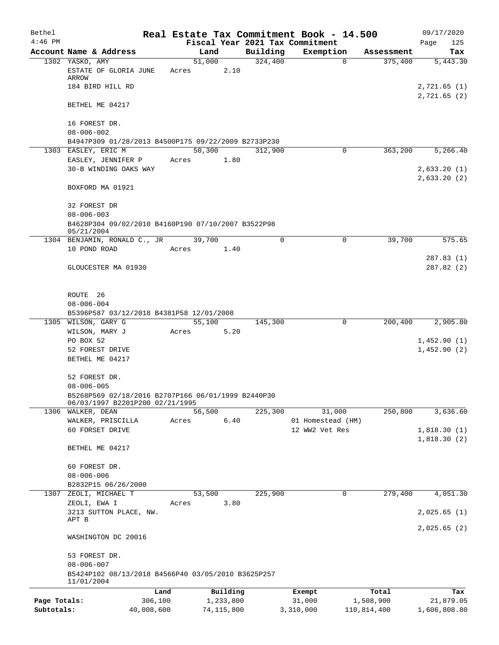| Bethel       |                                                                                       |            |                 |              |                     | Real Estate Tax Commitment Book - 14.500 |                                      | 09/17/2020                 |
|--------------|---------------------------------------------------------------------------------------|------------|-----------------|--------------|---------------------|------------------------------------------|--------------------------------------|----------------------------|
| $4:46$ PM    |                                                                                       |            |                 |              |                     | Fiscal Year 2021 Tax Commitment          |                                      | Page<br>125                |
|              | Account Name & Address<br>1302 YASKO, AMY                                             |            | 51,000          | Land         | Building<br>324,400 | Exemption                                | Assessment<br>$\mathbf 0$<br>375,400 | Tax<br>5,443.30            |
|              | ESTATE OF GLORIA JUNE<br>ARROW                                                        |            | Acres           | 2.10         |                     |                                          |                                      |                            |
|              | 184 BIRD HILL RD                                                                      |            |                 |              |                     |                                          |                                      | 2,721.65(1)                |
|              | BETHEL ME 04217                                                                       |            |                 |              |                     |                                          |                                      | 2,721.65(2)                |
|              | 16 FOREST DR.                                                                         |            |                 |              |                     |                                          |                                      |                            |
|              | $08 - 006 - 002$<br>B4947P309 01/28/2013 B4500P175 09/22/2009 B2733P230               |            |                 |              |                     |                                          |                                      |                            |
|              | 1303 EASLEY, ERIC M                                                                   |            | 50,300          |              | 312,900             |                                          | 0<br>363,200                         | 5,266.40                   |
|              | EASLEY, JENNIFER P                                                                    |            | Acres           | 1.80         |                     |                                          |                                      |                            |
|              | 30-B WINDING OAKS WAY                                                                 |            |                 |              |                     |                                          |                                      | 2,633.20(1)<br>2,633.20(2) |
|              | BOXFORD MA 01921                                                                      |            |                 |              |                     |                                          |                                      |                            |
|              | 32 FOREST DR                                                                          |            |                 |              |                     |                                          |                                      |                            |
|              | $08 - 006 - 003$                                                                      |            |                 |              |                     |                                          |                                      |                            |
|              | B4628P304 09/02/2010 B4160P190 07/10/2007 B3522P98<br>05/21/2004                      |            |                 |              |                     |                                          |                                      |                            |
|              | 1304 BENJAMIN, RONALD C., JR<br>10 POND ROAD                                          |            | 39,700<br>Acres | 1.40         | $\Omega$            |                                          | 0<br>39,700                          | 575.65                     |
|              |                                                                                       |            |                 |              |                     |                                          |                                      | 287.83(1)                  |
|              | GLOUCESTER MA 01930                                                                   |            |                 |              |                     |                                          |                                      | 287.82(2)                  |
|              | ROUTE 26                                                                              |            |                 |              |                     |                                          |                                      |                            |
|              | $08 - 006 - 004$                                                                      |            |                 |              |                     |                                          |                                      |                            |
|              | B5396P587 03/12/2018 B4381P58 12/01/2008                                              |            |                 |              |                     |                                          |                                      |                            |
|              | 1305 WILSON, GARY G                                                                   |            |                 | 55,100       | 145,300             |                                          | 200,400<br>0                         | 2,905.80                   |
|              | WILSON, MARY J<br>PO BOX 52                                                           |            | Acres           | 5.20         |                     |                                          |                                      | 1,452.90(1)                |
|              | 52 FOREST DRIVE                                                                       |            |                 |              |                     |                                          |                                      | 1,452.90(2)                |
|              | BETHEL ME 04217                                                                       |            |                 |              |                     |                                          |                                      |                            |
|              | 52 FOREST DR.                                                                         |            |                 |              |                     |                                          |                                      |                            |
|              | $08 - 006 - 005$                                                                      |            |                 |              |                     |                                          |                                      |                            |
|              | B5268P569 02/18/2016 B2707P166 06/01/1999 B2440P30<br>06/03/1997 B2201P200 02/21/1995 |            |                 |              |                     |                                          |                                      |                            |
|              | 1306 WALKER, DEAN                                                                     |            | 56,500          |              | 225,300             | 31,000                                   | 250,800                              | 3,636.60                   |
|              | WALKER, PRISCILLA                                                                     |            | Acres           | 6.40         |                     | 01 Homestead (HM)                        |                                      |                            |
|              | 60 FORSET DRIVE                                                                       |            |                 |              |                     | 12 WW2 Vet Res                           |                                      | 1,818.30(1)                |
|              | BETHEL ME 04217                                                                       |            |                 |              |                     |                                          |                                      | 1,818.30(2)                |
|              | 60 FOREST DR.                                                                         |            |                 |              |                     |                                          |                                      |                            |
|              | $08 - 006 - 006$                                                                      |            |                 |              |                     |                                          |                                      |                            |
|              | B2832P15 06/26/2000                                                                   |            |                 |              |                     |                                          |                                      |                            |
|              | 1307 ZEOLI, MICHAEL T                                                                 |            | 53,500          |              | 225,900             |                                          | 0<br>279,400                         | 4,051.30                   |
|              | ZEOLI, EWA I                                                                          |            | Acres           | 3.80         |                     |                                          |                                      |                            |
|              | 3213 SUTTON PLACE, NW.<br>APT B                                                       |            |                 |              |                     |                                          |                                      | 2,025.65(1)                |
|              | WASHINGTON DC 20016                                                                   |            |                 |              |                     |                                          |                                      | 2,025.65(2)                |
|              | 53 FOREST DR.                                                                         |            |                 |              |                     |                                          |                                      |                            |
|              | $08 - 006 - 007$<br>B5424P102 08/13/2018 B4566P40 03/05/2010 B3625P257                |            |                 |              |                     |                                          |                                      |                            |
|              | 11/01/2004                                                                            | Land       |                 | Building     |                     | Exempt                                   | Total                                | Tax                        |
| Page Totals: |                                                                                       | 306,100    |                 | 1,233,800    |                     | 31,000                                   | 1,508,900                            | 21,879.05                  |
| Subtotals:   |                                                                                       | 40,008,600 |                 | 74, 115, 800 |                     | 3,310,000                                | 110,814,400                          | 1,606,808.80               |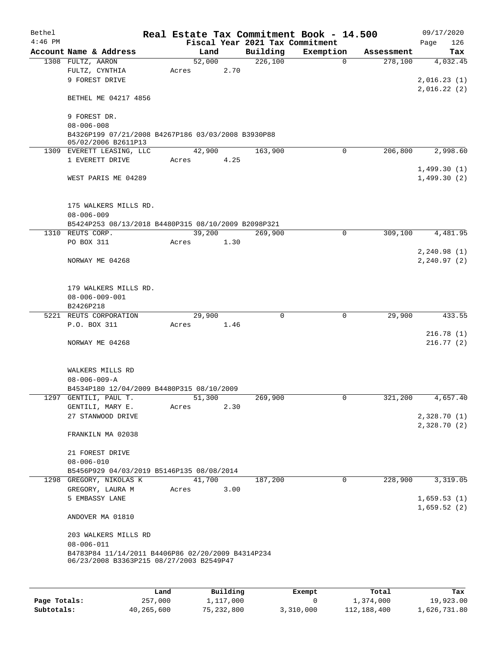| Bethel    |                                                                                               |       |        |      | Real Estate Tax Commitment Book - 14.500 |             |            |      | 09/17/2020   |
|-----------|-----------------------------------------------------------------------------------------------|-------|--------|------|------------------------------------------|-------------|------------|------|--------------|
| $4:46$ PM |                                                                                               |       |        |      | Fiscal Year 2021 Tax Commitment          |             |            | Page | 126          |
|           | Account Name & Address                                                                        |       | Land   |      | Building                                 | Exemption   | Assessment |      | Tax          |
|           | 1308 FULTZ, AARON                                                                             |       | 52,000 |      | 226,100                                  | $\Omega$    | 278,100    |      | 4,032.45     |
|           | FULTZ, CYNTHIA                                                                                | Acres |        | 2.70 |                                          |             |            |      |              |
|           | 9 FOREST DRIVE                                                                                |       |        |      |                                          |             |            |      | 2,016.23(1)  |
|           | BETHEL ME 04217 4856                                                                          |       |        |      |                                          |             |            |      | 2,016.22(2)  |
|           | 9 FOREST DR.                                                                                  |       |        |      |                                          |             |            |      |              |
|           | $08 - 006 - 008$                                                                              |       |        |      |                                          |             |            |      |              |
|           | B4326P199 07/21/2008 B4267P186 03/03/2008 B3930P88                                            |       |        |      |                                          |             |            |      |              |
|           | 05/02/2006 B2611P13                                                                           |       |        |      |                                          |             |            |      |              |
|           | 1309 EVERETT LEASING, LLC                                                                     |       | 42,900 |      | 163,900                                  | $\Omega$    | 206,800    |      | 2,998.60     |
|           | 1 EVERETT DRIVE                                                                               |       | Acres  | 4.25 |                                          |             |            |      |              |
|           |                                                                                               |       |        |      |                                          |             |            |      | 1,499.30(1)  |
|           | WEST PARIS ME 04289                                                                           |       |        |      |                                          |             |            |      | 1,499.30(2)  |
|           |                                                                                               |       |        |      |                                          |             |            |      |              |
|           |                                                                                               |       |        |      |                                          |             |            |      |              |
|           | 175 WALKERS MILLS RD.                                                                         |       |        |      |                                          |             |            |      |              |
|           | $08 - 006 - 009$                                                                              |       |        |      |                                          |             |            |      |              |
|           | B5424P253 08/13/2018 B4480P315 08/10/2009 B2098P321                                           |       |        |      |                                          |             |            |      |              |
|           | 1310 REUTS CORP.                                                                              |       | 39,200 |      | 269,900                                  | 0           | 309,100    |      | 4,481.95     |
|           | PO BOX 311                                                                                    | Acres |        | 1.30 |                                          |             |            |      |              |
|           |                                                                                               |       |        |      |                                          |             |            |      | 2,240.98(1)  |
|           | NORWAY ME 04268                                                                               |       |        |      |                                          |             |            |      | 2, 240.97(2) |
|           |                                                                                               |       |        |      |                                          |             |            |      |              |
|           |                                                                                               |       |        |      |                                          |             |            |      |              |
|           | 179 WALKERS MILLS RD.                                                                         |       |        |      |                                          |             |            |      |              |
|           | $08 - 006 - 009 - 001$                                                                        |       |        |      |                                          |             |            |      |              |
|           | B2426P218                                                                                     |       |        |      |                                          |             |            |      |              |
|           | 5221 REUTS CORPORATION                                                                        |       | 29,900 |      | $\mathbf 0$                              | $\mathbf 0$ | 29,900     |      | 433.55       |
|           | P.O. BOX 311                                                                                  | Acres |        | 1.46 |                                          |             |            |      |              |
|           |                                                                                               |       |        |      |                                          |             |            |      | 216.78(1)    |
|           | NORWAY ME 04268                                                                               |       |        |      |                                          |             |            |      | 216.77(2)    |
|           |                                                                                               |       |        |      |                                          |             |            |      |              |
|           | WALKERS MILLS RD                                                                              |       |        |      |                                          |             |            |      |              |
|           | $08 - 006 - 009 - A$                                                                          |       |        |      |                                          |             |            |      |              |
|           | B4534P180 12/04/2009 B4480P315 08/10/2009                                                     |       |        |      |                                          |             |            |      |              |
|           | 1297 GENTILI, PAUL T.                                                                         |       | 51,300 |      | 269,900                                  | 0           | 321,200    |      | 4,657.40     |
|           | GENTILI, MARY E.                                                                              | Acres |        | 2.30 |                                          |             |            |      |              |
|           | 27 STANWOOD DRIVE                                                                             |       |        |      |                                          |             |            |      | 2,328.70(1)  |
|           |                                                                                               |       |        |      |                                          |             |            |      | 2,328.70(2)  |
|           | FRANKILN MA 02038                                                                             |       |        |      |                                          |             |            |      |              |
|           |                                                                                               |       |        |      |                                          |             |            |      |              |
|           | 21 FOREST DRIVE                                                                               |       |        |      |                                          |             |            |      |              |
|           | $08 - 006 - 010$                                                                              |       |        |      |                                          |             |            |      |              |
|           | B5456P929 04/03/2019 B5146P135 08/08/2014                                                     |       |        |      |                                          |             |            |      |              |
|           | 1298 GREGORY, NIKOLAS K                                                                       |       | 41,700 |      | 187,200                                  | 0           | 228,900    |      | 3,319.05     |
|           | GREGORY, LAURA M                                                                              | Acres |        | 3.00 |                                          |             |            |      |              |
|           | 5 EMBASSY LANE                                                                                |       |        |      |                                          |             |            |      | 1,659.53(1)  |
|           |                                                                                               |       |        |      |                                          |             |            |      | 1,659.52(2)  |
|           | ANDOVER MA 01810                                                                              |       |        |      |                                          |             |            |      |              |
|           |                                                                                               |       |        |      |                                          |             |            |      |              |
|           | 203 WALKERS MILLS RD                                                                          |       |        |      |                                          |             |            |      |              |
|           | $08 - 006 - 011$                                                                              |       |        |      |                                          |             |            |      |              |
|           | B4783P84 11/14/2011 B4406P86 02/20/2009 B4314P234<br>06/23/2008 B3363P215 08/27/2003 B2549P47 |       |        |      |                                          |             |            |      |              |
|           |                                                                                               |       |        |      |                                          |             |            |      |              |
|           |                                                                                               |       |        |      |                                          |             |            |      |              |
|           |                                                                                               |       |        |      |                                          |             |            |      |              |

|              | Land       | Building   | Exempt    | Total       | Tax          |
|--------------|------------|------------|-----------|-------------|--------------|
| Page Totals: | 257,000    | 1,117,000  |           | 1,374,000   | 19,923.00    |
| Subtotals:   | 40,265,600 | 75,232,800 | 3,310,000 | 112,188,400 | 1,626,731.80 |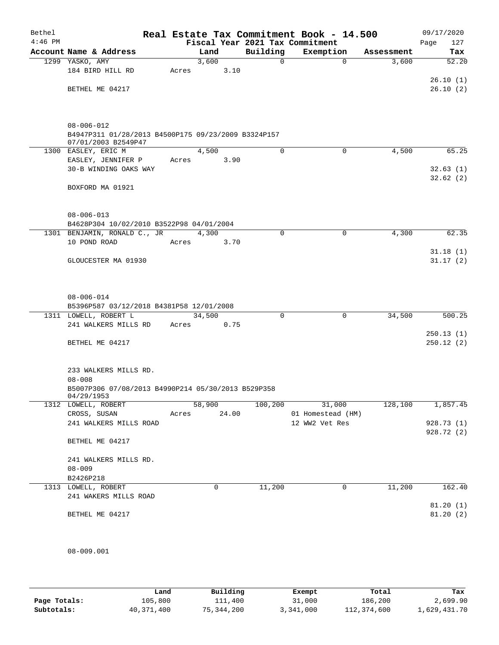| Bethel    |                                                                            |       |             |      |                | Real Estate Tax Commitment Book - 14.500 |            | 09/17/2020  |
|-----------|----------------------------------------------------------------------------|-------|-------------|------|----------------|------------------------------------------|------------|-------------|
| $4:46$ PM |                                                                            |       |             |      |                | Fiscal Year 2021 Tax Commitment          |            | 127<br>Page |
|           | Account Name & Address                                                     |       | Land        |      | Building       | Exemption                                | Assessment | Tax         |
|           | 1299 YASKO, AMY                                                            |       | 3,600       |      | 0              | $\mathbf 0$                              | 3,600      | 52.20       |
|           | 184 BIRD HILL RD                                                           | Acres |             | 3.10 |                |                                          |            |             |
|           |                                                                            |       |             |      |                |                                          |            | 26.10(1)    |
|           | BETHEL ME 04217                                                            |       |             |      |                |                                          |            | 26.10(2)    |
|           |                                                                            |       |             |      |                |                                          |            |             |
|           |                                                                            |       |             |      |                |                                          |            |             |
|           |                                                                            |       |             |      |                |                                          |            |             |
|           | $08 - 006 - 012$                                                           |       |             |      |                |                                          |            |             |
|           | B4947P311 01/28/2013 B4500P175 09/23/2009 B3324P157<br>07/01/2003 B2549P47 |       |             |      |                |                                          |            |             |
|           | 1300 EASLEY, ERIC M                                                        |       | 4,500       |      | 0              | $\Omega$                                 | 4,500      | 65.25       |
|           | EASLEY, JENNIFER P                                                         | Acres |             | 3.90 |                |                                          |            |             |
|           | 30-B WINDING OAKS WAY                                                      |       |             |      |                |                                          |            | 32.63(1)    |
|           |                                                                            |       |             |      |                |                                          |            | 32.62(2)    |
|           | BOXFORD MA 01921                                                           |       |             |      |                |                                          |            |             |
|           |                                                                            |       |             |      |                |                                          |            |             |
|           |                                                                            |       |             |      |                |                                          |            |             |
|           | $08 - 006 - 013$                                                           |       |             |      |                |                                          |            |             |
|           | B4628P304 10/02/2010 B3522P98 04/01/2004                                   |       |             |      |                |                                          |            |             |
|           | 1301 BENJAMIN, RONALD C., JR                                               |       | 4,300       |      | 0              | $\mathbf 0$                              | 4,300      | 62.35       |
|           | 10 POND ROAD                                                               | Acres |             | 3.70 |                |                                          |            |             |
|           |                                                                            |       |             |      |                |                                          |            | 31.18(1)    |
|           | GLOUCESTER MA 01930                                                        |       |             |      |                |                                          |            | 31.17(2)    |
|           |                                                                            |       |             |      |                |                                          |            |             |
|           |                                                                            |       |             |      |                |                                          |            |             |
|           |                                                                            |       |             |      |                |                                          |            |             |
|           | $08 - 006 - 014$                                                           |       |             |      |                |                                          |            |             |
|           | B5396P587 03/12/2018 B4381P58 12/01/2008                                   |       |             |      |                |                                          |            |             |
|           | 1311 LOWELL, ROBERT L                                                      |       | 34,500      |      | 0              | $\mathbf 0$                              | 34,500     | 500.25      |
|           | 241 WALKERS MILLS RD                                                       | Acres |             | 0.75 |                |                                          |            |             |
|           |                                                                            |       |             |      |                |                                          |            | 250.13(1)   |
|           | BETHEL ME 04217                                                            |       |             |      |                |                                          |            | 250.12(2)   |
|           |                                                                            |       |             |      |                |                                          |            |             |
|           |                                                                            |       |             |      |                |                                          |            |             |
|           | 233 WALKERS MILLS RD.                                                      |       |             |      |                |                                          |            |             |
|           | $08 - 008$                                                                 |       |             |      |                |                                          |            |             |
|           | B5007P306 07/08/2013 B4990P214 05/30/2013 B529P358<br>04/29/1953           |       |             |      |                |                                          |            |             |
|           | 1312 LOWELL, ROBERT                                                        |       |             |      | 58,900 100,200 | 31,000                                   | 128,100    | 1,857.45    |
|           | CROSS, SUSAN                                                               |       | Acres 24.00 |      |                | 01 Homestead (HM)                        |            |             |
|           | 241 WALKERS MILLS ROAD                                                     |       |             |      |                | 12 WW2 Vet Res                           |            | 928.73(1)   |
|           |                                                                            |       |             |      |                |                                          |            | 928.72(2)   |
|           | BETHEL ME 04217                                                            |       |             |      |                |                                          |            |             |
|           |                                                                            |       |             |      |                |                                          |            |             |
|           | 241 WALKERS MILLS RD.                                                      |       |             |      |                |                                          |            |             |
|           | $08 - 009$                                                                 |       |             |      |                |                                          |            |             |
|           | B2426P218                                                                  |       |             |      |                |                                          |            |             |
|           | 1313 LOWELL, ROBERT                                                        |       | 0           |      | 11,200         | 0                                        | 11,200     | 162.40      |
|           | 241 WAKERS MILLS ROAD                                                      |       |             |      |                |                                          |            |             |
|           |                                                                            |       |             |      |                |                                          |            | 81.20(1)    |
|           | BETHEL ME 04217                                                            |       |             |      |                |                                          |            | 81.20(2)    |
|           |                                                                            |       |             |      |                |                                          |            |             |
|           |                                                                            |       |             |      |                |                                          |            |             |
|           |                                                                            |       |             |      |                |                                          |            |             |
|           | $08 - 009.001$                                                             |       |             |      |                |                                          |            |             |
|           |                                                                            |       |             |      |                |                                          |            |             |

|              | Land       | Building   | Exempt    | Total       | Tax          |
|--------------|------------|------------|-----------|-------------|--------------|
| Page Totals: | 105,800    | 111,400    | 31,000    | 186,200     | 2,699.90     |
| Subtotals:   | 40,371,400 | 75,344,200 | 3,341,000 | 112,374,600 | 1,629,431.70 |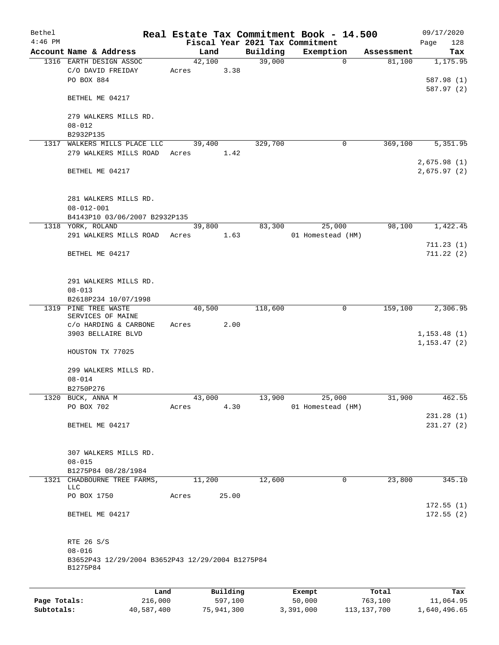| Bethel       |                                                              |       |                |          | Real Estate Tax Commitment Book - 14.500 |                      | 09/17/2020      |
|--------------|--------------------------------------------------------------|-------|----------------|----------|------------------------------------------|----------------------|-----------------|
| $4:46$ PM    | Account Name & Address                                       |       |                | Building | Fiscal Year 2021 Tax Commitment          |                      | 128<br>Page     |
|              | 1316 EARTH DESIGN ASSOC                                      |       | Land<br>42,100 | 39,000   | Exemption<br>$\Omega$                    | Assessment<br>81,100 | Tax<br>1,175.95 |
|              | C/O DAVID FREIDAY                                            | Acres | 3.38           |          |                                          |                      |                 |
|              | PO BOX 884                                                   |       |                |          |                                          |                      | 587.98 (1)      |
|              |                                                              |       |                |          |                                          |                      | 587.97 (2)      |
|              | BETHEL ME 04217                                              |       |                |          |                                          |                      |                 |
|              | 279 WALKERS MILLS RD.                                        |       |                |          |                                          |                      |                 |
|              | $08 - 012$                                                   |       |                |          |                                          |                      |                 |
|              | B2932P135                                                    |       |                |          |                                          |                      |                 |
| 1317         | WALKERS MILLS PLACE LLC                                      |       | 39,400         | 329,700  | 0                                        | 369,100              | 5,351.95        |
|              | 279 WALKERS MILLS ROAD                                       | Acres | 1.42           |          |                                          |                      |                 |
|              |                                                              |       |                |          |                                          |                      | 2,675.98(1)     |
|              | BETHEL ME 04217                                              |       |                |          |                                          |                      | 2,675.97(2)     |
|              | 281 WALKERS MILLS RD.<br>$08 - 012 - 001$                    |       |                |          |                                          |                      |                 |
|              | B4143P10 03/06/2007 B2932P135                                |       |                |          |                                          |                      |                 |
|              | 1318 YORK, ROLAND                                            |       | 39,800         | 83,300   | 25,000                                   | 98,100               | 1,422.45        |
|              | 291 WALKERS MILLS ROAD                                       | Acres | 1.63           |          | 01 Homestead (HM)                        |                      |                 |
|              |                                                              |       |                |          |                                          |                      | 711.23(1)       |
|              | BETHEL ME 04217                                              |       |                |          |                                          |                      | 711.22(2)       |
|              |                                                              |       |                |          |                                          |                      |                 |
|              | 291 WALKERS MILLS RD.                                        |       |                |          |                                          |                      |                 |
|              | $08 - 013$                                                   |       |                |          |                                          |                      |                 |
|              | B2618P234 10/07/1998                                         |       |                |          |                                          |                      |                 |
|              | 1319 PINE TREE WASTE                                         |       | 40,500         | 118,600  | 0                                        | 159,100              | 2,306.95        |
|              | SERVICES OF MAINE                                            |       |                |          |                                          |                      |                 |
|              | c/o HARDING & CARBONE                                        | Acres | 2.00           |          |                                          |                      |                 |
|              | 3903 BELLAIRE BLVD                                           |       |                |          |                                          |                      | 1, 153.48(1)    |
|              |                                                              |       |                |          |                                          |                      | 1, 153.47(2)    |
|              | HOUSTON TX 77025                                             |       |                |          |                                          |                      |                 |
|              | 299 WALKERS MILLS RD.                                        |       |                |          |                                          |                      |                 |
|              | $08 - 014$                                                   |       |                |          |                                          |                      |                 |
|              | B2750P276                                                    |       |                |          |                                          |                      |                 |
|              | 1320 BUCK, ANNA M                                            |       | 43,000         | 13,900   | 25,000                                   | 31,900               | 462.55          |
|              | PO BOX 702                                                   | Acres | 4.30           |          | 01 Homestead (HM)                        |                      |                 |
|              |                                                              |       |                |          |                                          |                      | 231.28(1)       |
|              | BETHEL ME 04217                                              |       |                |          |                                          |                      | 231.27(2)       |
|              |                                                              |       |                |          |                                          |                      |                 |
|              | 307 WALKERS MILLS RD.                                        |       |                |          |                                          |                      |                 |
|              | $08 - 015$                                                   |       |                |          |                                          |                      |                 |
|              | B1275P84 08/28/1984                                          |       |                |          |                                          |                      |                 |
|              | 1321 CHADBOURNE TREE FARMS,                                  |       | 11,200         | 12,600   | 0                                        | 23,800               | 345.10          |
|              | LLC                                                          |       |                |          |                                          |                      |                 |
|              | PO BOX 1750                                                  | Acres | 25.00          |          |                                          |                      | 172.55(1)       |
|              | BETHEL ME 04217                                              |       |                |          |                                          |                      | 172.55(2)       |
|              | RTE 26 S/S                                                   |       |                |          |                                          |                      |                 |
|              | $08 - 016$                                                   |       |                |          |                                          |                      |                 |
|              | B3652P43 12/29/2004 B3652P43 12/29/2004 B1275P84<br>B1275P84 |       |                |          |                                          |                      |                 |
|              |                                                              |       |                |          |                                          |                      |                 |
|              | Land                                                         |       | Building       |          | Exempt                                   | Total                | Tax             |
| Page Totals: | 216,000                                                      |       | 597,100        |          | 50,000                                   | 763,100              | 11,064.95       |

**Subtotals:** 40,587,400 75,941,300 3,391,000 113,137,700 1,640,496.65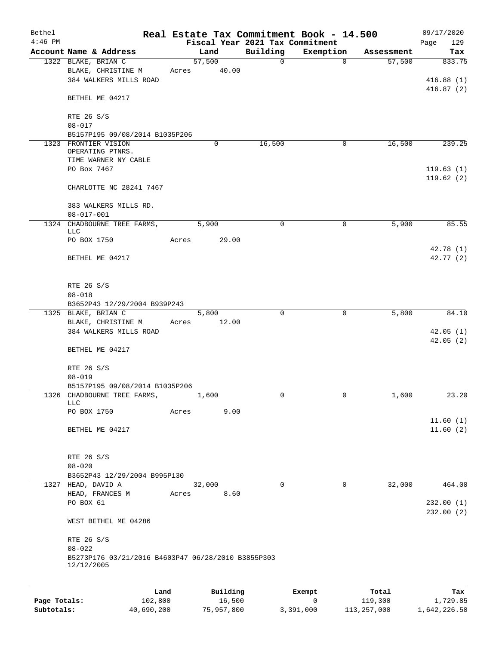| Bethel       |                                                    |       |          |             | Real Estate Tax Commitment Book - 14.500 |            | 09/17/2020  |
|--------------|----------------------------------------------------|-------|----------|-------------|------------------------------------------|------------|-------------|
| $4:46$ PM    |                                                    |       |          |             | Fiscal Year 2021 Tax Commitment          |            | 129<br>Page |
|              | Account Name & Address                             |       | Land     | Building    | Exemption                                | Assessment | Tax         |
|              | 1322 BLAKE, BRIAN C                                |       | 57,500   | $\mathbf 0$ | $\mathbf 0$                              | 57,500     | 833.75      |
|              | BLAKE, CHRISTINE M<br>384 WALKERS MILLS ROAD       | Acres | 40.00    |             |                                          |            | 416.88(1)   |
|              |                                                    |       |          |             |                                          |            | 416.87(2)   |
|              | BETHEL ME 04217                                    |       |          |             |                                          |            |             |
|              | RTE 26 S/S                                         |       |          |             |                                          |            |             |
|              | $08 - 017$                                         |       |          |             |                                          |            |             |
|              | B5157P195 09/08/2014 B1035P206                     |       |          |             |                                          |            |             |
|              | 1323 FRONTIER VISION                               |       | 0        | 16,500      | 0                                        | 16,500     | 239.25      |
|              | OPERATING PTNRS.<br>TIME WARNER NY CABLE           |       |          |             |                                          |            |             |
|              | PO Box 7467                                        |       |          |             |                                          |            | 119.63(1)   |
|              |                                                    |       |          |             |                                          |            | 119.62(2)   |
|              | CHARLOTTE NC 28241 7467                            |       |          |             |                                          |            |             |
|              | 383 WALKERS MILLS RD.                              |       |          |             |                                          |            |             |
|              | $08 - 017 - 001$                                   |       |          |             |                                          |            |             |
| 1324         | CHADBOURNE TREE FARMS,                             |       | 5,900    | $\mathbf 0$ | 0                                        | 5,900      | 85.55       |
|              | LLC                                                |       |          |             |                                          |            |             |
|              | PO BOX 1750                                        | Acres | 29.00    |             |                                          |            | 42.78 (1)   |
|              | BETHEL ME 04217                                    |       |          |             |                                          |            | 42.77(2)    |
|              |                                                    |       |          |             |                                          |            |             |
|              | RTE 26 S/S                                         |       |          |             |                                          |            |             |
|              | $08 - 018$                                         |       |          |             |                                          |            |             |
|              | B3652P43 12/29/2004 B939P243                       |       |          |             |                                          |            |             |
|              | 1325 BLAKE, BRIAN C                                |       | 5,800    | $\mathbf 0$ | $\mathbf 0$                              | 5,800      | 84.10       |
|              | BLAKE, CHRISTINE M                                 | Acres | 12.00    |             |                                          |            |             |
|              | 384 WALKERS MILLS ROAD                             |       |          |             |                                          |            | 42.05(1)    |
|              |                                                    |       |          |             |                                          |            | 42.05(2)    |
|              | BETHEL ME 04217                                    |       |          |             |                                          |            |             |
|              | RTE 26 S/S                                         |       |          |             |                                          |            |             |
|              | $08 - 019$                                         |       |          |             |                                          |            |             |
|              | B5157P195 09/08/2014 B1035P206                     |       |          |             |                                          |            |             |
|              | 1326 CHADBOURNE TREE FARMS,                        |       | 1,600    | 0           | 0                                        | 1,600      | 23.20       |
|              | LLC                                                |       |          |             |                                          |            |             |
|              | PO BOX 1750                                        | Acres | 9.00     |             |                                          |            | 11.60(1)    |
|              | BETHEL ME 04217                                    |       |          |             |                                          |            | 11.60(2)    |
|              |                                                    |       |          |             |                                          |            |             |
|              | RTE 26 S/S                                         |       |          |             |                                          |            |             |
|              | $08 - 020$                                         |       |          |             |                                          |            |             |
|              | B3652P43 12/29/2004 B995P130                       |       |          |             |                                          |            |             |
|              | 1327 HEAD, DAVID A                                 |       | 32,000   | $\mathbf 0$ | $\mathbf 0$                              | 32,000     | 464.00      |
|              | HEAD, FRANCES M                                    | Acres | 8.60     |             |                                          |            |             |
|              | PO BOX 61                                          |       |          |             |                                          |            | 232.00(1)   |
|              | WEST BETHEL ME 04286                               |       |          |             |                                          |            | 232.00 (2)  |
|              |                                                    |       |          |             |                                          |            |             |
|              | RTE 26 S/S<br>$08 - 022$                           |       |          |             |                                          |            |             |
|              | B5273P176 03/21/2016 B4603P47 06/28/2010 B3855P303 |       |          |             |                                          |            |             |
|              | 12/12/2005                                         |       |          |             |                                          |            |             |
|              |                                                    |       |          |             |                                          |            |             |
|              | Land                                               |       | Building |             | Exempt                                   | Total      | Tax         |
| Page Totals: | 102,800                                            |       | 16,500   |             | 0                                        | 119,300    | 1,729.85    |

**Subtotals:** 40,690,200 75,957,800 3,391,000 113,257,000 1,642,226.50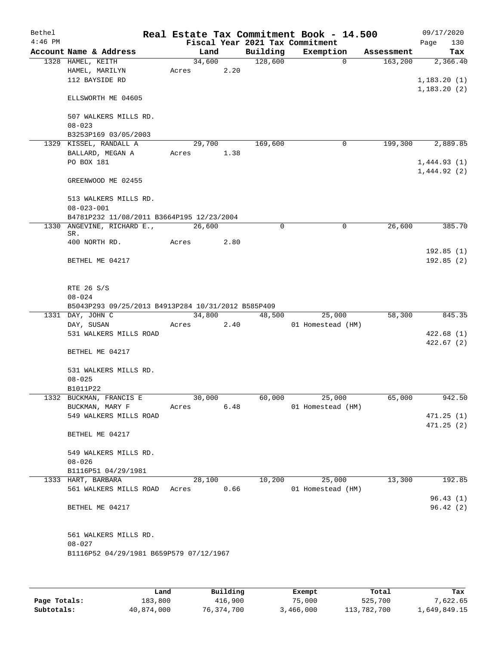| Bethel<br>$4:46$ PM |                                                    |        |      |          | Real Estate Tax Commitment Book - 14.500<br>Fiscal Year 2021 Tax Commitment |            | 09/17/2020<br>130<br>Page |
|---------------------|----------------------------------------------------|--------|------|----------|-----------------------------------------------------------------------------|------------|---------------------------|
|                     | Account Name & Address                             | Land   |      | Building | Exemption                                                                   | Assessment | Tax                       |
|                     | 1328 HAMEL, KEITH                                  | 34,600 |      | 128,600  | $\mathbf 0$                                                                 | 163,200    | 2,366.40                  |
|                     | HAMEL, MARILYN                                     | Acres  | 2.20 |          |                                                                             |            |                           |
|                     | 112 BAYSIDE RD                                     |        |      |          |                                                                             |            | 1,183.20(1)               |
|                     |                                                    |        |      |          |                                                                             |            | 1,183.20(2)               |
|                     | ELLSWORTH ME 04605                                 |        |      |          |                                                                             |            |                           |
|                     |                                                    |        |      |          |                                                                             |            |                           |
|                     | 507 WALKERS MILLS RD.                              |        |      |          |                                                                             |            |                           |
|                     | $08 - 023$                                         |        |      |          |                                                                             |            |                           |
|                     | B3253P169 03/05/2003                               |        |      |          |                                                                             |            |                           |
|                     | 1329 KISSEL, RANDALL A                             | 29,700 |      | 169,600  | 0                                                                           | 199,300    | 2,889.85                  |
|                     | BALLARD, MEGAN A                                   | Acres  | 1.38 |          |                                                                             |            |                           |
|                     | PO BOX 181                                         |        |      |          |                                                                             |            | 1,444.93(1)               |
|                     |                                                    |        |      |          |                                                                             |            | 1,444.92(2)               |
|                     | GREENWOOD ME 02455                                 |        |      |          |                                                                             |            |                           |
|                     |                                                    |        |      |          |                                                                             |            |                           |
|                     | 513 WALKERS MILLS RD.                              |        |      |          |                                                                             |            |                           |
|                     | $08 - 023 - 001$                                   |        |      |          |                                                                             |            |                           |
|                     | B4781P232 11/08/2011 B3664P195 12/23/2004          |        |      |          |                                                                             |            |                           |
|                     | 1330 ANGEVINE, RICHARD E.,                         | 26,600 |      | 0        | $\mathbf 0$                                                                 | 26,600     | 385.70                    |
|                     | SR.                                                |        |      |          |                                                                             |            |                           |
|                     | 400 NORTH RD.                                      | Acres  | 2.80 |          |                                                                             |            |                           |
|                     |                                                    |        |      |          |                                                                             |            | 192.85(1)                 |
|                     | BETHEL ME 04217                                    |        |      |          |                                                                             |            | 192.85(2)                 |
|                     |                                                    |        |      |          |                                                                             |            |                           |
|                     |                                                    |        |      |          |                                                                             |            |                           |
|                     | RTE 26 S/S                                         |        |      |          |                                                                             |            |                           |
|                     | $08 - 024$                                         |        |      |          |                                                                             |            |                           |
|                     | B5043P293 09/25/2013 B4913P284 10/31/2012 B585P409 |        |      |          |                                                                             |            |                           |
|                     | 1331 DAY, JOHN C                                   | 34,800 | 2.40 | 48,500   | 25,000<br>01 Homestead (HM)                                                 | 58,300     | 845.35                    |
|                     | DAY, SUSAN                                         | Acres  |      |          |                                                                             |            |                           |
|                     | 531 WALKERS MILLS ROAD                             |        |      |          |                                                                             |            | 422.68(1)<br>422.67(2)    |
|                     | BETHEL ME 04217                                    |        |      |          |                                                                             |            |                           |
|                     |                                                    |        |      |          |                                                                             |            |                           |
|                     | 531 WALKERS MILLS RD.                              |        |      |          |                                                                             |            |                           |
|                     | $08 - 025$                                         |        |      |          |                                                                             |            |                           |
|                     | B1011P22                                           |        |      |          |                                                                             |            |                           |
|                     | 1332 BUCKMAN, FRANCIS E                            | 30,000 |      | 60,000   | 25,000                                                                      | 65,000     | 942.50                    |
|                     | BUCKMAN, MARY F                                    | Acres  | 6.48 |          | 01 Homestead (HM)                                                           |            |                           |
|                     | 549 WALKERS MILLS ROAD                             |        |      |          |                                                                             |            | 471.25(1)                 |
|                     |                                                    |        |      |          |                                                                             |            | 471.25(2)                 |
|                     | BETHEL ME 04217                                    |        |      |          |                                                                             |            |                           |
|                     |                                                    |        |      |          |                                                                             |            |                           |
|                     | 549 WALKERS MILLS RD.                              |        |      |          |                                                                             |            |                           |
|                     | $08 - 026$                                         |        |      |          |                                                                             |            |                           |
|                     | B1116P51 04/29/1981                                |        |      |          |                                                                             |            |                           |
|                     | 1333 HART, BARBARA                                 | 28,100 |      | 10,200   | 25,000                                                                      | 13,300     | 192.85                    |
|                     | 561 WALKERS MILLS ROAD                             | Acres  | 0.66 |          | 01 Homestead (HM)                                                           |            |                           |
|                     |                                                    |        |      |          |                                                                             |            | 96.43(1)                  |
|                     | BETHEL ME 04217                                    |        |      |          |                                                                             |            | 96.42(2)                  |
|                     |                                                    |        |      |          |                                                                             |            |                           |
|                     |                                                    |        |      |          |                                                                             |            |                           |
|                     | 561 WALKERS MILLS RD.                              |        |      |          |                                                                             |            |                           |
|                     | $08 - 027$                                         |        |      |          |                                                                             |            |                           |
|                     | B1116P52 04/29/1981 B659P579 07/12/1967            |        |      |          |                                                                             |            |                           |
|                     |                                                    |        |      |          |                                                                             |            |                           |
|                     |                                                    |        |      |          |                                                                             |            |                           |
|                     |                                                    |        |      |          |                                                                             |            |                           |

|              | Land       | Building   | Exempt    | Total       | Tax          |
|--------------|------------|------------|-----------|-------------|--------------|
| Page Totals: | 183,800    | 416,900    | 75,000    | 525,700     | 7,622.65     |
| Subtotals:   | 40,874,000 | 76,374,700 | 3,466,000 | 113,782,700 | 1,649,849.15 |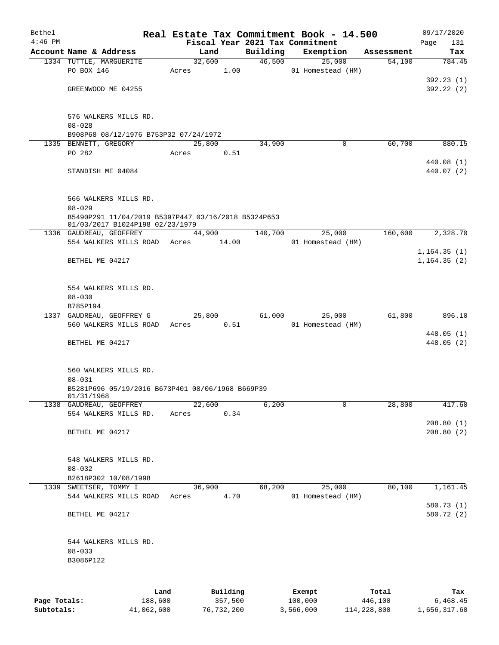| Bethel       |                                                                                        |                 |          |          | Real Estate Tax Commitment Book - 14.500 |            | 09/17/2020               |
|--------------|----------------------------------------------------------------------------------------|-----------------|----------|----------|------------------------------------------|------------|--------------------------|
| $4:46$ PM    |                                                                                        |                 |          |          | Fiscal Year 2021 Tax Commitment          |            | Page<br>131              |
|              | Account Name & Address                                                                 | Land            |          | Building | Exemption                                | Assessment | Tax                      |
|              | 1334 TUTTLE, MARGUERITE<br>PO BOX 146                                                  | 32,600<br>Acres | 1.00     | 46,500   | 25,000<br>01 Homestead (HM)              | 54,100     | 784.45                   |
|              |                                                                                        |                 |          |          |                                          |            | 392.23(1)                |
|              | GREENWOOD ME 04255                                                                     |                 |          |          |                                          |            | 392.22 (2)               |
|              |                                                                                        |                 |          |          |                                          |            |                          |
|              | 576 WALKERS MILLS RD.                                                                  |                 |          |          |                                          |            |                          |
|              | $08 - 028$                                                                             |                 |          |          |                                          |            |                          |
|              | B908P68 08/12/1976 B753P32 07/24/1972                                                  |                 |          |          |                                          |            |                          |
|              | 1335 BENNETT, GREGORY                                                                  | 25,800          |          | 34,900   | 0                                        | 60,700     | 880.15                   |
|              | PO 282                                                                                 | Acres           | 0.51     |          |                                          |            |                          |
|              | STANDISH ME 04084                                                                      |                 |          |          |                                          |            | 440.08 (1)<br>440.07 (2) |
|              | 566 WALKERS MILLS RD.                                                                  |                 |          |          |                                          |            |                          |
|              | $08 - 029$                                                                             |                 |          |          |                                          |            |                          |
|              | B5490P291 11/04/2019 B5397P447 03/16/2018 B5324P653<br>01/03/2017 B1024P198 02/23/1979 |                 |          |          |                                          |            |                          |
|              | 1336 GAUDREAU, GEOFFREY                                                                | 44,900          |          | 140,700  | 25,000                                   | 160,600    | 2,328.70                 |
|              | 554 WALKERS MILLS ROAD Acres                                                           |                 | 14.00    |          | 01 Homestead (HM)                        |            |                          |
|              |                                                                                        |                 |          |          |                                          |            | 1, 164.35(1)             |
|              | BETHEL ME 04217                                                                        |                 |          |          |                                          |            | 1, 164.35(2)             |
|              |                                                                                        |                 |          |          |                                          |            |                          |
|              | 554 WALKERS MILLS RD.<br>$08 - 030$                                                    |                 |          |          |                                          |            |                          |
|              | B785P194                                                                               |                 |          |          |                                          |            |                          |
|              | 1337 GAUDREAU, GEOFFREY G                                                              | 25,800          |          | 61,000   | 25,000                                   | 61,800     | 896.10                   |
|              | 560 WALKERS MILLS ROAD                                                                 | Acres           | 0.51     |          | 01 Homestead (HM)                        |            |                          |
|              |                                                                                        |                 |          |          |                                          |            | 448.05 (1)               |
|              | BETHEL ME 04217                                                                        |                 |          |          |                                          |            | 448.05(2)                |
|              | 560 WALKERS MILLS RD.                                                                  |                 |          |          |                                          |            |                          |
|              | $08 - 031$                                                                             |                 |          |          |                                          |            |                          |
|              | B5281P696 05/19/2016 B673P401 08/06/1968 B669P39<br>01/31/1968                         |                 |          |          |                                          |            |                          |
| 1338         | GAUDREAU, GEOFFREY                                                                     | 22,600          |          | 6,200    | 0                                        | 28,800     | 417.60                   |
|              | 554 WALKERS MILLS RD.                                                                  | Acres           | 0.34     |          |                                          |            |                          |
|              | BETHEL ME 04217                                                                        |                 |          |          |                                          |            | 208.80(1)<br>208.80(2)   |
|              |                                                                                        |                 |          |          |                                          |            |                          |
|              | 548 WALKERS MILLS RD.                                                                  |                 |          |          |                                          |            |                          |
|              | $08 - 032$                                                                             |                 |          |          |                                          |            |                          |
|              | B2618P302 10/08/1998                                                                   |                 |          |          |                                          |            |                          |
|              | 1339 SWEETSER, TOMMY I                                                                 | 36,900          |          | 68,200   | 25,000                                   | 80,100     | 1,161.45                 |
|              | 544 WALKERS MILLS ROAD                                                                 | Acres           | 4.70     |          | 01 Homestead (HM)                        |            | 580.73 (1)               |
|              | BETHEL ME 04217                                                                        |                 |          |          |                                          |            | 580.72 (2)               |
|              |                                                                                        |                 |          |          |                                          |            |                          |
|              | 544 WALKERS MILLS RD.                                                                  |                 |          |          |                                          |            |                          |
|              | $08 - 033$                                                                             |                 |          |          |                                          |            |                          |
|              | B3086P122                                                                              |                 |          |          |                                          |            |                          |
|              |                                                                                        |                 |          |          |                                          |            |                          |
|              |                                                                                        |                 |          |          |                                          |            |                          |
|              | Land                                                                                   |                 | Building |          | Exempt                                   | Total      | Tax                      |
| Page Totals: | 188,600                                                                                |                 | 357,500  |          | 100,000                                  | 446,100    | 6,468.45                 |

**Subtotals:** 41,062,600 76,732,200 3,566,000 114,228,800 1,656,317.60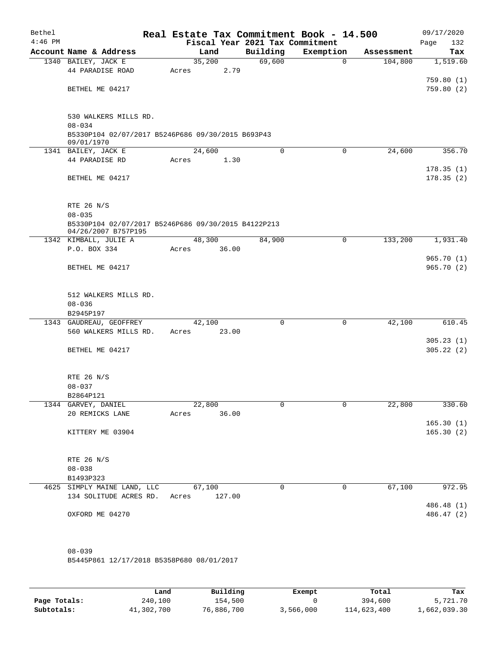| Bethel<br>$4:46$ PM |                                                                            |             |        | Fiscal Year 2021 Tax Commitment | Real Estate Tax Commitment Book - 14.500 |            | 09/17/2020<br>132<br>Page |
|---------------------|----------------------------------------------------------------------------|-------------|--------|---------------------------------|------------------------------------------|------------|---------------------------|
|                     | Account Name & Address                                                     |             | Land   | Building                        | Exemption                                | Assessment | Tax                       |
|                     | 1340 BAILEY, JACK E                                                        |             | 35,200 | 69,600                          | $\mathbf 0$                              | 104,800    | 1,519.60                  |
|                     | 44 PARADISE ROAD                                                           | Acres       | 2.79   |                                 |                                          |            |                           |
|                     |                                                                            |             |        |                                 |                                          |            | 759.80(1)                 |
|                     | BETHEL ME 04217                                                            |             |        |                                 |                                          |            | 759.80(2)                 |
|                     | 530 WALKERS MILLS RD.<br>$08 - 034$                                        |             |        |                                 |                                          |            |                           |
|                     | B5330P104 02/07/2017 B5246P686 09/30/2015 B693P43<br>09/01/1970            |             |        |                                 |                                          |            |                           |
|                     | 1341 BAILEY, JACK E                                                        |             | 24,600 | 0                               | $\mathbf 0$                              | 24,600     | 356.70                    |
|                     | 44 PARADISE RD                                                             | Acres       | 1.30   |                                 |                                          |            |                           |
|                     | BETHEL ME 04217                                                            |             |        |                                 |                                          |            | 178.35(1)<br>178.35(2)    |
|                     | RTE 26 N/S<br>$08 - 035$                                                   |             |        |                                 |                                          |            |                           |
|                     | B5330P104 02/07/2017 B5246P686 09/30/2015 B4122P213<br>04/26/2007 B757P195 |             |        |                                 |                                          |            |                           |
|                     | 1342 KIMBALL, JULIE A                                                      |             | 48,300 | 84,900                          | $\mathbf 0$                              | 133,200    | 1,931.40                  |
|                     | P.O. BOX 334                                                               | Acres       | 36.00  |                                 |                                          |            |                           |
|                     | BETHEL ME 04217                                                            |             |        |                                 |                                          |            | 965.70(1)<br>965.70(2)    |
|                     | 512 WALKERS MILLS RD.<br>$08 - 036$                                        |             |        |                                 |                                          |            |                           |
|                     | B2945P197<br>1343 GAUDREAU, GEOFFREY                                       |             | 42,100 | $\mathbf 0$                     | 0                                        | 42,100     | 610.45                    |
|                     | 560 WALKERS MILLS RD.                                                      | Acres       | 23.00  |                                 |                                          |            |                           |
|                     |                                                                            |             |        |                                 |                                          |            | 305.23(1)                 |
|                     | BETHEL ME 04217                                                            |             |        |                                 |                                          |            | 305.22(2)                 |
|                     | RTE 26 N/S                                                                 |             |        |                                 |                                          |            |                           |
|                     | $08 - 037$                                                                 |             |        |                                 |                                          |            |                           |
|                     | B2864P121<br>1344 GARVEY, DANIEL                                           |             | 22,800 | 0                               | $\mathbf 0$                              |            |                           |
|                     | 20 REMICKS LANE                                                            | Acres 36.00 |        |                                 |                                          | 22,800     | 330.60                    |
|                     |                                                                            |             |        |                                 |                                          |            | 165.30(1)                 |
|                     | KITTERY ME 03904                                                           |             |        |                                 |                                          |            | 165.30(2)                 |
|                     | RTE 26 N/S                                                                 |             |        |                                 |                                          |            |                           |
|                     | $08 - 038$                                                                 |             |        |                                 |                                          |            |                           |
|                     | B1493P323                                                                  |             |        |                                 |                                          |            |                           |
|                     | 4625 SIMPLY MAINE LAND, LLC 67,100<br>134 SOLITUDE ACRES RD. Acres 127.00  |             |        | $\mathbf 0$                     | 0                                        | 67,100     | 972.95                    |
|                     |                                                                            |             |        |                                 |                                          |            | 486.48 (1)                |
|                     | OXFORD ME 04270                                                            |             |        |                                 |                                          |            | 486.47 (2)                |
|                     |                                                                            |             |        |                                 |                                          |            |                           |
|                     | $08 - 039$                                                                 |             |        |                                 |                                          |            |                           |
|                     | B5445P861 12/17/2018 B5358P680 08/01/2017                                  |             |        |                                 |                                          |            |                           |

|              | Land       | Building   | Exempt    | Total       | Tax          |
|--------------|------------|------------|-----------|-------------|--------------|
| Page Totals: | 240,100    | 154,500    |           | 394,600     | 5,721.70     |
| Subtotals:   | 41,302,700 | 76,886,700 | 3,566,000 | 114,623,400 | 1,662,039.30 |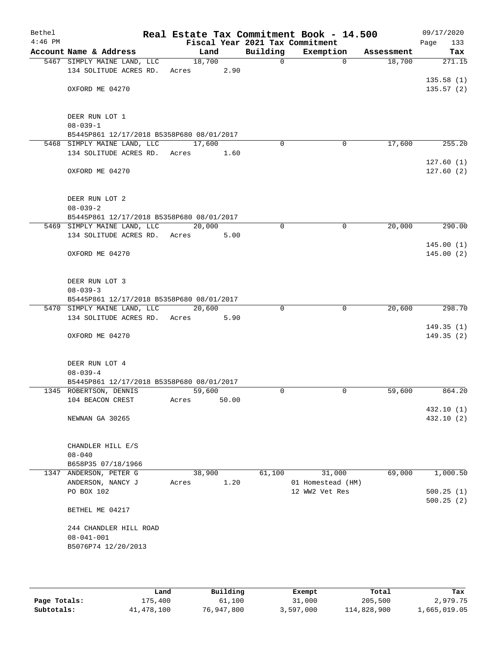| Bethel<br>$4:46$ PM |                                                             | Real Estate Tax Commitment Book - 14.500<br>Fiscal Year 2021 Tax Commitment |             |                                     |            | 09/17/2020<br>133<br>Page |
|---------------------|-------------------------------------------------------------|-----------------------------------------------------------------------------|-------------|-------------------------------------|------------|---------------------------|
|                     | Account Name & Address                                      | Land                                                                        | Building    | Exemption                           | Assessment | Tax                       |
|                     | 5467 SIMPLY MAINE LAND, LLC                                 | 18,700                                                                      | 0           | $\mathbf 0$                         | 18,700     | 271.15                    |
|                     | 134 SOLITUDE ACRES RD.                                      | 2.90<br>Acres                                                               |             |                                     |            |                           |
|                     |                                                             |                                                                             |             |                                     |            | 135.58(1)                 |
|                     | OXFORD ME 04270                                             |                                                                             |             |                                     |            | 135.57(2)                 |
|                     |                                                             |                                                                             |             |                                     |            |                           |
|                     |                                                             |                                                                             |             |                                     |            |                           |
|                     | DEER RUN LOT 1                                              |                                                                             |             |                                     |            |                           |
|                     | $08 - 039 - 1$<br>B5445P861 12/17/2018 B5358P680 08/01/2017 |                                                                             |             |                                     |            |                           |
|                     | 5468 SIMPLY MAINE LAND, LLC                                 | 17,600                                                                      | $\Omega$    | 0                                   | 17,600     | 255.20                    |
|                     | 134 SOLITUDE ACRES RD.                                      | Acres<br>1.60                                                               |             |                                     |            |                           |
|                     |                                                             |                                                                             |             |                                     |            | 127.60(1)                 |
|                     | OXFORD ME 04270                                             |                                                                             |             |                                     |            | 127.60(2)                 |
|                     |                                                             |                                                                             |             |                                     |            |                           |
|                     |                                                             |                                                                             |             |                                     |            |                           |
|                     | DEER RUN LOT 2                                              |                                                                             |             |                                     |            |                           |
|                     | $08 - 039 - 2$                                              |                                                                             |             |                                     |            |                           |
|                     | B5445P861 12/17/2018 B5358P680 08/01/2017                   |                                                                             |             |                                     |            |                           |
|                     | 5469 SIMPLY MAINE LAND, LLC                                 | 20,000                                                                      | $\mathbf 0$ | $\mathbf 0$                         | 20,000     | 290.00                    |
|                     | 134 SOLITUDE ACRES RD.                                      | Acres<br>5.00                                                               |             |                                     |            |                           |
|                     |                                                             |                                                                             |             |                                     |            | 145.00(1)                 |
|                     | OXFORD ME 04270                                             |                                                                             |             |                                     |            | 145.00(2)                 |
|                     |                                                             |                                                                             |             |                                     |            |                           |
|                     | DEER RUN LOT 3                                              |                                                                             |             |                                     |            |                           |
|                     | $08 - 039 - 3$                                              |                                                                             |             |                                     |            |                           |
|                     | B5445P861 12/17/2018 B5358P680 08/01/2017                   |                                                                             |             |                                     |            |                           |
|                     | 5470 SIMPLY MAINE LAND, LLC                                 | 20,600                                                                      | $\Omega$    | $\Omega$                            | 20,600     | 298.70                    |
|                     | 134 SOLITUDE ACRES RD.                                      | Acres<br>5.90                                                               |             |                                     |            |                           |
|                     |                                                             |                                                                             |             |                                     |            | 149.35(1)                 |
|                     | OXFORD ME 04270                                             |                                                                             |             |                                     |            | 149.35(2)                 |
|                     |                                                             |                                                                             |             |                                     |            |                           |
|                     |                                                             |                                                                             |             |                                     |            |                           |
|                     | DEER RUN LOT 4                                              |                                                                             |             |                                     |            |                           |
|                     | $08 - 039 - 4$<br>B5445P861 12/17/2018 B5358P680 08/01/2017 |                                                                             |             |                                     |            |                           |
|                     | 1345 ROBERTSON, DENNIS                                      | 59,600                                                                      | $\Omega$    | 0                                   | 59,600     | 864.20                    |
|                     | 104 BEACON CREST                                            | 50.00<br>Acres                                                              |             |                                     |            |                           |
|                     |                                                             |                                                                             |             |                                     |            | 432.10 (1)                |
|                     | NEWNAN GA 30265                                             |                                                                             |             |                                     |            | 432.10 (2)                |
|                     |                                                             |                                                                             |             |                                     |            |                           |
|                     |                                                             |                                                                             |             |                                     |            |                           |
|                     | CHANDLER HILL E/S                                           |                                                                             |             |                                     |            |                           |
|                     | $08 - 040$                                                  |                                                                             |             |                                     |            |                           |
|                     | B658P35 07/18/1966                                          |                                                                             |             |                                     |            |                           |
|                     | 1347 ANDERSON, PETER G                                      | 38,900                                                                      | 61,100      | 31,000                              | 69,000     | 1,000.50                  |
|                     | ANDERSON, NANCY J<br>PO BOX 102                             | 1.20<br>Acres                                                               |             | 01 Homestead (HM)<br>12 WW2 Vet Res |            | 500.25(1)                 |
|                     |                                                             |                                                                             |             |                                     |            | 500.25(2)                 |
|                     | BETHEL ME 04217                                             |                                                                             |             |                                     |            |                           |
|                     |                                                             |                                                                             |             |                                     |            |                           |
|                     | 244 CHANDLER HILL ROAD                                      |                                                                             |             |                                     |            |                           |
|                     | $08 - 041 - 001$                                            |                                                                             |             |                                     |            |                           |
|                     | B5076P74 12/20/2013                                         |                                                                             |             |                                     |            |                           |
|                     |                                                             |                                                                             |             |                                     |            |                           |
|                     |                                                             |                                                                             |             |                                     |            |                           |

|              | Land       | Building   | Exempt    | Total       | Tax          |
|--------------|------------|------------|-----------|-------------|--------------|
| Page Totals: | 175,400    | 61,100     | 31,000    | 205,500     | 2,979.75     |
| Subtotals:   | 41,478,100 | 76,947,800 | 3,597,000 | 114,828,900 | 1,665,019.05 |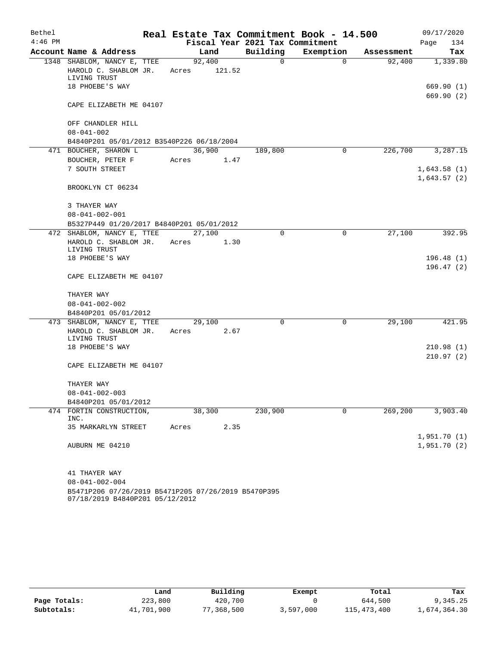| Bethel    |                                                                                                |       |                  |                                 | Real Estate Tax Commitment Book - 14.500 |            | 09/17/2020                 |
|-----------|------------------------------------------------------------------------------------------------|-------|------------------|---------------------------------|------------------------------------------|------------|----------------------------|
| $4:46$ PM |                                                                                                |       |                  | Fiscal Year 2021 Tax Commitment |                                          |            | Page<br>134                |
|           | Account Name & Address                                                                         |       | Land             | Building                        | Exemption                                | Assessment | Tax                        |
|           | 1348 SHABLOM, NANCY E, TTEE<br>HAROLD C. SHABLOM JR.<br>LIVING TRUST<br>18 PHOEBE'S WAY        | Acres | 92,400<br>121.52 | $\Omega$                        | $\Omega$                                 | 92,400     | 1,339.80<br>669.90(1)      |
|           | CAPE ELIZABETH ME 04107                                                                        |       |                  |                                 |                                          |            | 669.90(2)                  |
|           | OFF CHANDLER HILL<br>$08 - 041 - 002$                                                          |       |                  |                                 |                                          |            |                            |
|           | B4840P201 05/01/2012 B3540P226 06/18/2004                                                      |       |                  |                                 |                                          |            |                            |
|           | 471 BOUCHER, SHARON L                                                                          |       | 36,900           | 189,800                         | $\Omega$                                 | 226,700    | 3,287.15                   |
|           | BOUCHER, PETER F                                                                               | Acres | 1.47             |                                 |                                          |            |                            |
|           | 7 SOUTH STREET                                                                                 |       |                  |                                 |                                          |            | 1,643.58(1)                |
|           |                                                                                                |       |                  |                                 |                                          |            | 1,643.57(2)                |
|           | BROOKLYN CT 06234                                                                              |       |                  |                                 |                                          |            |                            |
|           | 3 THAYER WAY                                                                                   |       |                  |                                 |                                          |            |                            |
|           | $08 - 041 - 002 - 001$                                                                         |       |                  |                                 |                                          |            |                            |
|           | B5327P449 01/20/2017 B4840P201 05/01/2012                                                      |       |                  |                                 |                                          |            |                            |
|           | 472 SHABLOM, NANCY E, TTEE                                                                     |       | 27,100           | 0                               | $\mathbf 0$                              | 27,100     | 392.95                     |
|           | HAROLD C. SHABLOM JR.<br>LIVING TRUST                                                          | Acres | 1.30             |                                 |                                          |            |                            |
|           | 18 PHOEBE'S WAY                                                                                |       |                  |                                 |                                          |            | 196.48(1)                  |
|           |                                                                                                |       |                  |                                 |                                          |            | 196.47(2)                  |
|           | CAPE ELIZABETH ME 04107                                                                        |       |                  |                                 |                                          |            |                            |
|           | THAYER WAY                                                                                     |       |                  |                                 |                                          |            |                            |
|           | $08 - 041 - 002 - 002$                                                                         |       |                  |                                 |                                          |            |                            |
|           | B4840P201 05/01/2012                                                                           |       |                  |                                 |                                          |            |                            |
|           | 473 SHABLOM, NANCY E, TTEE                                                                     |       | 29,100           | $\Omega$                        | $\mathbf 0$                              | 29,100     | 421.95                     |
|           | HAROLD C. SHABLOM JR.<br>LIVING TRUST                                                          | Acres | 2.67             |                                 |                                          |            |                            |
|           | 18 PHOEBE'S WAY                                                                                |       |                  |                                 |                                          |            | 210.98(1)                  |
|           | CAPE ELIZABETH ME 04107                                                                        |       |                  |                                 |                                          |            | 210.97(2)                  |
|           | THAYER WAY                                                                                     |       |                  |                                 |                                          |            |                            |
|           | $08 - 041 - 002 - 003$                                                                         |       |                  |                                 |                                          |            |                            |
|           | B4840P201 05/01/2012                                                                           |       |                  |                                 |                                          |            |                            |
|           | 474 FORTIN CONSTRUCTION,<br>INC.                                                               |       | 38,300           | 230,900                         | 0                                        | 269,200    | 3,903.40                   |
|           | 35 MARKARLYN STREET                                                                            | Acres | 2.35             |                                 |                                          |            |                            |
|           | AUBURN ME 04210                                                                                |       |                  |                                 |                                          |            | 1,951.70(1)<br>1,951.70(2) |
|           | 41 THAYER WAY<br>$08 - 041 - 002 - 004$<br>B5471P206 07/26/2019 B5471P205 07/26/2019 B5470P395 |       |                  |                                 |                                          |            |                            |

07/18/2019 B4840P201 05/12/2012

|              | Land       | Building   | Exempt    | Total       | Tax          |
|--------------|------------|------------|-----------|-------------|--------------|
| Page Totals: | 223,800    | 420,700    |           | 644,500     | 9,345.25     |
| Subtotals:   | 41,701,900 | 77,368,500 | 3,597,000 | 115,473,400 | l,674,364.30 |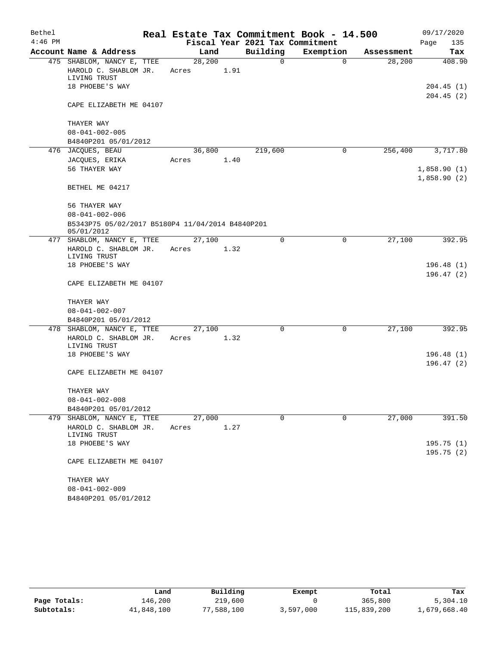| Bethel    |                                                                |         |      |                                 | Real Estate Tax Commitment Book - 14.500 |            | 09/17/2020                 |
|-----------|----------------------------------------------------------------|---------|------|---------------------------------|------------------------------------------|------------|----------------------------|
| $4:46$ PM |                                                                |         |      | Fiscal Year 2021 Tax Commitment |                                          |            | Page<br>135                |
|           | Account Name & Address                                         | Land    |      | Building                        | Exemption                                | Assessment | Tax                        |
|           | 475 SHABLOM, NANCY E, TTEE                                     | 28, 200 |      | 0                               | $\mathbf 0$                              | 28,200     | 408.90                     |
|           | HAROLD C. SHABLOM JR.                                          | Acres   | 1.91 |                                 |                                          |            |                            |
|           | LIVING TRUST<br>18 PHOEBE'S WAY                                |         |      |                                 |                                          |            | 204.45(1)                  |
|           |                                                                |         |      |                                 |                                          |            | 204.45(2)                  |
|           | CAPE ELIZABETH ME 04107                                        |         |      |                                 |                                          |            |                            |
|           | THAYER WAY                                                     |         |      |                                 |                                          |            |                            |
|           | $08 - 041 - 002 - 005$                                         |         |      |                                 |                                          |            |                            |
|           | B4840P201 05/01/2012                                           |         |      |                                 |                                          |            |                            |
|           | 476 JACQUES, BEAU                                              | 36,800  |      | 219,600                         | 0                                        | 256,400    | 3,717.80                   |
|           | JACQUES, ERIKA                                                 | Acres   | 1.40 |                                 |                                          |            |                            |
|           | 56 THAYER WAY                                                  |         |      |                                 |                                          |            | 1,858.90(1)<br>1,858.90(2) |
|           | BETHEL ME 04217                                                |         |      |                                 |                                          |            |                            |
|           | 56 THAYER WAY                                                  |         |      |                                 |                                          |            |                            |
|           | $08 - 041 - 002 - 006$                                         |         |      |                                 |                                          |            |                            |
|           | B5343P75 05/02/2017 B5180P4 11/04/2014 B4840P201<br>05/01/2012 |         |      |                                 |                                          |            |                            |
|           | 477 SHABLOM, NANCY E, TTEE                                     | 27,100  |      | $\Omega$                        | $\mathbf 0$                              | 27,100     | 392.95                     |
|           | HAROLD C. SHABLOM JR.<br>LIVING TRUST                          | Acres   | 1.32 |                                 |                                          |            |                            |
|           | 18 PHOEBE'S WAY                                                |         |      |                                 |                                          |            | 196.48(1)                  |
|           |                                                                |         |      |                                 |                                          |            | 196.47(2)                  |
|           | CAPE ELIZABETH ME 04107                                        |         |      |                                 |                                          |            |                            |
|           | THAYER WAY                                                     |         |      |                                 |                                          |            |                            |
|           | $08 - 041 - 002 - 007$                                         |         |      |                                 |                                          |            |                            |
|           | B4840P201 05/01/2012                                           |         |      |                                 |                                          |            |                            |
|           | 478 SHABLOM, NANCY E, TTEE                                     | 27,100  |      | 0                               | 0                                        | 27,100     | 392.95                     |
|           | HAROLD C. SHABLOM JR.                                          | Acres   | 1.32 |                                 |                                          |            |                            |
|           | LIVING TRUST                                                   |         |      |                                 |                                          |            |                            |
|           | 18 PHOEBE'S WAY                                                |         |      |                                 |                                          |            | 196.48(1)                  |
|           | CAPE ELIZABETH ME 04107                                        |         |      |                                 |                                          |            | 196.47(2)                  |
|           |                                                                |         |      |                                 |                                          |            |                            |
|           | THAYER WAY<br>$08 - 041 - 002 - 008$                           |         |      |                                 |                                          |            |                            |
|           | B4840P201 05/01/2012                                           |         |      |                                 |                                          |            |                            |
| 479       | SHABLOM, NANCY E, TTEE                                         | 27,000  |      | $\mathbf 0$                     | $\mathbf 0$                              | 27,000     | 391.50                     |
|           | HAROLD C. SHABLOM JR.<br>LIVING TRUST                          | Acres   | 1.27 |                                 |                                          |            |                            |
|           | 18 PHOEBE'S WAY                                                |         |      |                                 |                                          |            | 195.75(1)                  |
|           |                                                                |         |      |                                 |                                          |            | 195.75(2)                  |
|           | CAPE ELIZABETH ME 04107                                        |         |      |                                 |                                          |            |                            |
|           | THAYER WAY                                                     |         |      |                                 |                                          |            |                            |
|           | $08 - 041 - 002 - 009$                                         |         |      |                                 |                                          |            |                            |
|           | B4840P201 05/01/2012                                           |         |      |                                 |                                          |            |                            |

|              | Land       | Building   | Exempt    | Total       | Tax          |
|--------------|------------|------------|-----------|-------------|--------------|
| Page Totals: | 146,200    | 219,600    |           | 365,800     | 5,304.10     |
| Subtotals:   | 41,848,100 | 77,588,100 | 3,597,000 | 115,839,200 | 1,679,668.40 |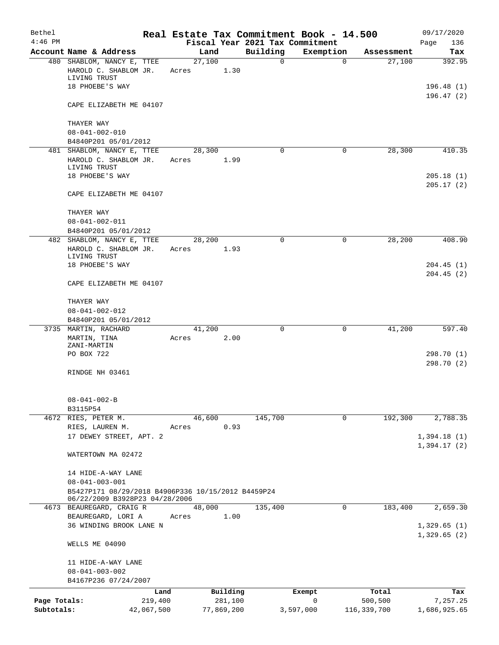| Bethel<br>$4:46$ PM |                                                            |            |                 |            | Fiscal Year 2021 Tax Commitment | Real Estate Tax Commitment Book - 14.500 |             | 09/17/2020<br>136<br>Page |
|---------------------|------------------------------------------------------------|------------|-----------------|------------|---------------------------------|------------------------------------------|-------------|---------------------------|
|                     | Account Name & Address                                     |            | Land            |            | Building                        | Exemption                                | Assessment  | Tax                       |
|                     | 480 SHABLOM, NANCY E, TTEE<br>HAROLD C. SHABLOM JR.        |            | 27,100<br>Acres | 1.30       | 0                               | $\mathbf 0$                              | 27,100      | 392.95                    |
|                     | LIVING TRUST<br>18 PHOEBE'S WAY                            |            |                 |            |                                 |                                          |             | 196.48(1)                 |
|                     | CAPE ELIZABETH ME 04107                                    |            |                 |            |                                 |                                          |             | 196.47(2)                 |
|                     | THAYER WAY                                                 |            |                 |            |                                 |                                          |             |                           |
|                     | $08 - 041 - 002 - 010$                                     |            |                 |            |                                 |                                          |             |                           |
|                     | B4840P201 05/01/2012                                       |            |                 |            |                                 |                                          |             |                           |
|                     | 481 SHABLOM, NANCY E, TTEE<br>HAROLD C. SHABLOM JR.        |            | 28,300<br>Acres | 1.99       | $\Omega$                        | $\mathbf 0$                              | 28,300      | 410.35                    |
|                     | LIVING TRUST                                               |            |                 |            |                                 |                                          |             |                           |
|                     | 18 PHOEBE'S WAY                                            |            |                 |            |                                 |                                          |             | 205.18(1)<br>205.17(2)    |
|                     | CAPE ELIZABETH ME 04107                                    |            |                 |            |                                 |                                          |             |                           |
|                     | THAYER WAY                                                 |            |                 |            |                                 |                                          |             |                           |
|                     | $08 - 041 - 002 - 011$<br>B4840P201 05/01/2012             |            |                 |            |                                 |                                          |             |                           |
|                     | 482 SHABLOM, NANCY E, TTEE                                 |            | 28,200          |            | $\Omega$                        | 0                                        | 28,200      | 408.90                    |
|                     | HAROLD C. SHABLOM JR.                                      |            | Acres           | 1.93       |                                 |                                          |             |                           |
|                     | LIVING TRUST                                               |            |                 |            |                                 |                                          |             |                           |
|                     | 18 PHOEBE'S WAY                                            |            |                 |            |                                 |                                          |             | 204.45(1)                 |
|                     | CAPE ELIZABETH ME 04107                                    |            |                 |            |                                 |                                          |             | 204.45(2)                 |
|                     |                                                            |            |                 |            |                                 |                                          |             |                           |
|                     | THAYER WAY                                                 |            |                 |            |                                 |                                          |             |                           |
|                     | $08 - 041 - 002 - 012$                                     |            |                 |            |                                 |                                          |             |                           |
|                     | B4840P201 05/01/2012                                       |            |                 |            |                                 |                                          |             |                           |
|                     | 3735 MARTIN, RACHARD                                       |            | 41,200          |            | $\Omega$                        | 0                                        | 41,200      | 597.40                    |
|                     | MARTIN, TINA                                               |            | Acres           | 2.00       |                                 |                                          |             |                           |
|                     | ZANI-MARTIN<br>PO BOX 722                                  |            |                 |            |                                 |                                          |             | 298.70 (1)                |
|                     |                                                            |            |                 |            |                                 |                                          |             | 298.70 (2)                |
|                     | RINDGE NH 03461                                            |            |                 |            |                                 |                                          |             |                           |
|                     |                                                            |            |                 |            |                                 |                                          |             |                           |
|                     | $08 - 041 - 002 - B$                                       |            |                 |            |                                 |                                          |             |                           |
|                     | B3115P54                                                   |            |                 |            |                                 |                                          |             |                           |
|                     | 4672 RIES, PETER M.                                        |            | 46,600          |            | 145,700                         | 0                                        | 192,300     | 2,788.35                  |
|                     | RIES, LAUREN M.                                            |            | Acres           | 0.93       |                                 |                                          |             |                           |
|                     | 17 DEWEY STREET, APT. 2                                    |            |                 |            |                                 |                                          |             | 1,394.18(1)               |
|                     | WATERTOWN MA 02472                                         |            |                 |            |                                 |                                          |             | 1,394.17(2)               |
|                     |                                                            |            |                 |            |                                 |                                          |             |                           |
|                     | 14 HIDE-A-WAY LANE                                         |            |                 |            |                                 |                                          |             |                           |
|                     | $08 - 041 - 003 - 001$                                     |            |                 |            |                                 |                                          |             |                           |
|                     | B5427P171 08/29/2018 B4906P336 10/15/2012 B4459P24         |            |                 |            |                                 |                                          |             |                           |
|                     | 06/22/2009 B3928P23 04/28/2006<br>4673 BEAUREGARD, CRAIG R |            | 48,000          |            | 135,400                         | 0                                        | 183,400     | 2,659.30                  |
|                     | BEAUREGARD, LORI A                                         |            | Acres           | 1.00       |                                 |                                          |             |                           |
|                     | 36 WINDING BROOK LANE N                                    |            |                 |            |                                 |                                          |             | 1,329.65(1)               |
|                     |                                                            |            |                 |            |                                 |                                          |             | 1,329.65(2)               |
|                     | WELLS ME 04090                                             |            |                 |            |                                 |                                          |             |                           |
|                     | 11 HIDE-A-WAY LANE                                         |            |                 |            |                                 |                                          |             |                           |
|                     | $08 - 041 - 003 - 002$                                     |            |                 |            |                                 |                                          |             |                           |
|                     | B4167P236 07/24/2007                                       |            |                 |            |                                 |                                          |             |                           |
|                     |                                                            | Land       |                 | Building   |                                 | Exempt                                   | Total       | Tax                       |
| Page Totals:        |                                                            | 219,400    |                 | 281,100    |                                 | $\mathbf 0$                              | 500,500     | 7,257.25                  |
| Subtotals:          |                                                            | 42,067,500 |                 | 77,869,200 |                                 | 3,597,000                                | 116,339,700 | 1,686,925.65              |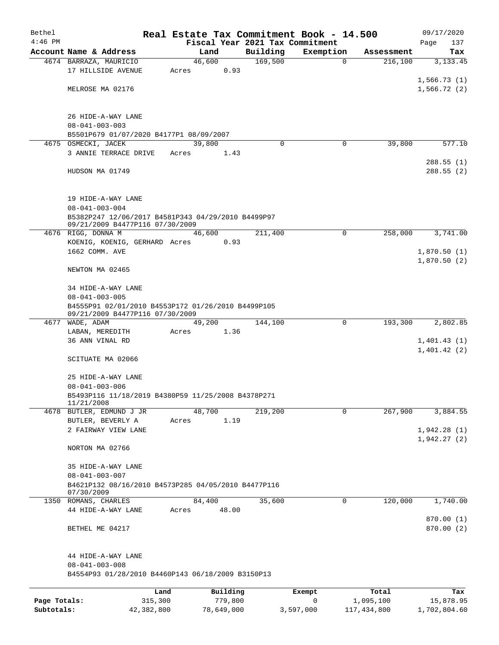| Bethel       |                                                     |            |       |            |         |          | Real Estate Tax Commitment Book - 14.500 |             |             |      | 09/17/2020               |
|--------------|-----------------------------------------------------|------------|-------|------------|---------|----------|------------------------------------------|-------------|-------------|------|--------------------------|
| $4:46$ PM    |                                                     |            |       |            |         |          | Fiscal Year 2021 Tax Commitment          |             |             | Page | 137                      |
|              | Account Name & Address                              |            |       | Land       |         | Building | Exemption                                |             | Assessment  |      | Tax                      |
|              | 4674 BARRAZA, MAURICIO<br>17 HILLSIDE AVENUE        |            | Acres | 46,600     | 0.93    | 169,500  |                                          | $\mathbf 0$ | 216,100     |      | 3, 133.45                |
|              |                                                     |            |       |            |         |          |                                          |             |             |      | 1,566.73(1)              |
|              | MELROSE MA 02176                                    |            |       |            |         |          |                                          |             |             |      | 1,566.72(2)              |
|              |                                                     |            |       |            |         |          |                                          |             |             |      |                          |
|              | 26 HIDE-A-WAY LANE                                  |            |       |            |         |          |                                          |             |             |      |                          |
|              | $08 - 041 - 003 - 003$                              |            |       |            |         |          |                                          |             |             |      |                          |
|              | B5501P679 01/07/2020 B4177P1 08/09/2007             |            |       |            |         |          |                                          |             |             |      |                          |
|              | 4675 OSMECKI, JACEK                                 |            |       | 39,800     |         | $\Omega$ |                                          | 0           | 39,800      |      | 577.10                   |
|              | 3 ANNIE TERRACE DRIVE                               |            | Acres |            | 1.43    |          |                                          |             |             |      |                          |
|              |                                                     |            |       |            |         |          |                                          |             |             |      | 288.55(1)                |
|              | HUDSON MA 01749                                     |            |       |            |         |          |                                          |             |             |      | 288.55(2)                |
|              |                                                     |            |       |            |         |          |                                          |             |             |      |                          |
|              | 19 HIDE-A-WAY LANE<br>$08 - 041 - 003 - 004$        |            |       |            |         |          |                                          |             |             |      |                          |
|              | B5382P247 12/06/2017 B4581P343 04/29/2010 B4499P97  |            |       |            |         |          |                                          |             |             |      |                          |
|              | 09/21/2009 B4477P116 07/30/2009                     |            |       |            |         |          |                                          |             |             |      |                          |
|              | 4676 RIGG, DONNA M                                  |            |       | 46,600     |         | 211,400  |                                          | 0           | 258,000     |      | 3,741.00                 |
|              | KOENIG, KOENIG, GERHARD Acres                       |            |       |            | 0.93    |          |                                          |             |             |      |                          |
|              | 1662 COMM. AVE                                      |            |       |            |         |          |                                          |             |             |      | 1,870.50(1)              |
|              | NEWTON MA 02465                                     |            |       |            |         |          |                                          |             |             |      | 1,870.50(2)              |
|              | 34 HIDE-A-WAY LANE                                  |            |       |            |         |          |                                          |             |             |      |                          |
|              | $08 - 041 - 003 - 005$                              |            |       |            |         |          |                                          |             |             |      |                          |
|              | B4555P91 02/01/2010 B4553P172 01/26/2010 B4499P105  |            |       |            |         |          |                                          |             |             |      |                          |
|              | 09/21/2009 B4477P116 07/30/2009                     |            |       |            |         |          |                                          |             |             |      |                          |
|              | 4677 WADE, ADAM                                     |            |       | 49,200     |         | 144,100  |                                          | 0           | 193,300     |      | 2,802.85                 |
|              | LABAN, MEREDITH                                     |            | Acres |            | 1.36    |          |                                          |             |             |      |                          |
|              | 36 ANN VINAL RD                                     |            |       |            |         |          |                                          |             |             |      | 1,401.43(1)              |
|              |                                                     |            |       |            |         |          |                                          |             |             |      | 1,401.42(2)              |
|              | SCITUATE MA 02066                                   |            |       |            |         |          |                                          |             |             |      |                          |
|              | 25 HIDE-A-WAY LANE                                  |            |       |            |         |          |                                          |             |             |      |                          |
|              | $08 - 041 - 003 - 006$                              |            |       |            |         |          |                                          |             |             |      |                          |
|              | B5493P116 11/18/2019 B4380P59 11/25/2008 B4378P271  |            |       |            |         |          |                                          |             |             |      |                          |
|              | 11/21/2008                                          |            |       |            |         |          |                                          |             |             |      |                          |
|              | 4678 BUTLER, EDMUND J JR                            |            |       | 48,700     |         | 219,200  |                                          | 0           | 267,900     |      | 3,884.55                 |
|              | BUTLER, BEVERLY A                                   |            | Acres |            | 1.19    |          |                                          |             |             |      |                          |
|              | 2 FAIRWAY VIEW LANE                                 |            |       |            |         |          |                                          |             |             |      | 1,942.28(1)              |
|              | NORTON MA 02766                                     |            |       |            |         |          |                                          |             |             |      | 1,942.27(2)              |
|              | 35 HIDE-A-WAY LANE                                  |            |       |            |         |          |                                          |             |             |      |                          |
|              | $08 - 041 - 003 - 007$                              |            |       |            |         |          |                                          |             |             |      |                          |
|              | B4621P132 08/16/2010 B4573P285 04/05/2010 B4477P116 |            |       |            |         |          |                                          |             |             |      |                          |
|              | 07/30/2009                                          |            |       |            |         |          |                                          |             |             |      |                          |
|              | 1350 ROMANS, CHARLES                                |            |       | 84,400     |         | 35,600   |                                          | 0           | 120,000     |      | 1,740.00                 |
|              | 44 HIDE-A-WAY LANE                                  |            | Acres |            | 48.00   |          |                                          |             |             |      |                          |
|              | BETHEL ME 04217                                     |            |       |            |         |          |                                          |             |             |      | 870.00 (1)<br>870.00 (2) |
|              |                                                     |            |       |            |         |          |                                          |             |             |      |                          |
|              | 44 HIDE-A-WAY LANE                                  |            |       |            |         |          |                                          |             |             |      |                          |
|              | $08 - 041 - 003 - 008$                              |            |       |            |         |          |                                          |             |             |      |                          |
|              | B4554P93 01/28/2010 B4460P143 06/18/2009 B3150P13   |            |       |            |         |          |                                          |             |             |      |                          |
|              |                                                     | Land       |       | Building   |         |          | Exempt                                   |             | Total       |      | Tax                      |
| Page Totals: |                                                     | 315,300    |       |            | 779,800 |          | 0                                        |             | 1,095,100   |      | 15,878.95                |
| Subtotals:   |                                                     | 42,382,800 |       | 78,649,000 |         |          | 3,597,000                                |             | 117,434,800 |      | 1,702,804.60             |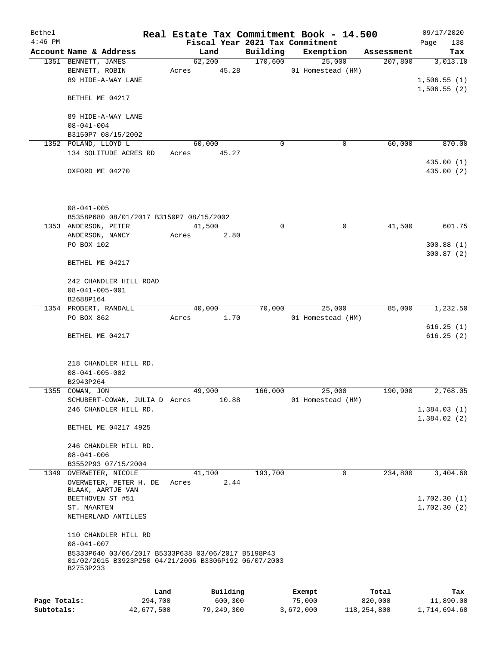| Bethel       |                                                                   |        |            |          | Real Estate Tax Commitment Book - 14.500 |               | 09/17/2020   |
|--------------|-------------------------------------------------------------------|--------|------------|----------|------------------------------------------|---------------|--------------|
| $4:46$ PM    |                                                                   |        |            |          | Fiscal Year 2021 Tax Commitment          |               | Page<br>138  |
|              | Account Name & Address                                            |        | Land       | Building | Exemption                                | Assessment    | Tax          |
|              | 1351 BENNETT, JAMES                                               | 62,200 |            | 170,600  | 25,000                                   | 207,800       | 3,013.10     |
|              | BENNETT, ROBIN                                                    | Acres  | 45.28      |          | 01 Homestead (HM)                        |               |              |
|              | 89 HIDE-A-WAY LANE                                                |        |            |          |                                          |               | 1,506.55(1)  |
|              |                                                                   |        |            |          |                                          |               | 1,506.55(2)  |
|              | BETHEL ME 04217                                                   |        |            |          |                                          |               |              |
|              |                                                                   |        |            |          |                                          |               |              |
|              | 89 HIDE-A-WAY LANE                                                |        |            |          |                                          |               |              |
|              | $08 - 041 - 004$                                                  |        |            |          |                                          |               |              |
|              | B3150P7 08/15/2002                                                |        |            |          |                                          |               |              |
|              | 1352 POLAND, LLOYD L                                              | 60,000 |            | $\Omega$ | 0                                        | 60,000        | 870.00       |
|              | 134 SOLITUDE ACRES RD                                             | Acres  | 45.27      |          |                                          |               |              |
|              |                                                                   |        |            |          |                                          |               | 435.00 (1)   |
|              | OXFORD ME 04270                                                   |        |            |          |                                          |               | 435.00 (2)   |
|              |                                                                   |        |            |          |                                          |               |              |
|              |                                                                   |        |            |          |                                          |               |              |
|              |                                                                   |        |            |          |                                          |               |              |
|              | $08 - 041 - 005$                                                  |        |            |          |                                          |               |              |
|              | B5358P680 08/01/2017 B3150P7 08/15/2002                           |        |            |          |                                          |               |              |
|              | 1353 ANDERSON, PETER                                              | 41,500 |            | 0        | 0                                        | 41,500        | 601.75       |
|              | ANDERSON, NANCY                                                   | Acres  | 2.80       |          |                                          |               |              |
|              | PO BOX 102                                                        |        |            |          |                                          |               | 300.88(1)    |
|              |                                                                   |        |            |          |                                          |               | 300.87(2)    |
|              | BETHEL ME 04217                                                   |        |            |          |                                          |               |              |
|              |                                                                   |        |            |          |                                          |               |              |
|              | 242 CHANDLER HILL ROAD                                            |        |            |          |                                          |               |              |
|              | $08 - 041 - 005 - 001$                                            |        |            |          |                                          |               |              |
|              | B2688P164                                                         |        |            |          |                                          |               |              |
|              | 1354 PROBERT, RANDALL                                             | 40,000 |            | 70,000   | 25,000                                   | 85,000        | 1,232.50     |
|              | PO BOX 862                                                        | Acres  | 1.70       |          | 01 Homestead (HM)                        |               |              |
|              |                                                                   |        |            |          |                                          |               | 616.25(1)    |
|              | BETHEL ME 04217                                                   |        |            |          |                                          |               | 616.25(2)    |
|              |                                                                   |        |            |          |                                          |               |              |
|              |                                                                   |        |            |          |                                          |               |              |
|              | 218 CHANDLER HILL RD.                                             |        |            |          |                                          |               |              |
|              | $08 - 041 - 005 - 002$                                            |        |            |          |                                          |               |              |
|              | B2943P264                                                         |        |            |          |                                          |               |              |
|              | 1355 COWAN, JON                                                   | 49,900 |            | 166,000  | 25,000                                   | 190,900       | 2,768.05     |
|              | SCHUBERT-COWAN, JULIA D Acres                                     |        | 10.88      |          | 01 Homestead (HM)                        |               |              |
|              | 246 CHANDLER HILL RD.                                             |        |            |          |                                          |               | 1,384.03(1)  |
|              |                                                                   |        |            |          |                                          |               | 1,384.02(2)  |
|              | BETHEL ME 04217 4925                                              |        |            |          |                                          |               |              |
|              |                                                                   |        |            |          |                                          |               |              |
|              | 246 CHANDLER HILL RD.                                             |        |            |          |                                          |               |              |
|              | $08 - 041 - 006$                                                  |        |            |          |                                          |               |              |
|              | B3552P93 07/15/2004                                               |        |            |          |                                          |               |              |
|              | 1349 OVERWETER, NICOLE                                            | 41,100 |            | 193,700  | 0                                        | 234,800       | 3,404.60     |
|              | OVERWETER, PETER H. DE                                            | Acres  | 2.44       |          |                                          |               |              |
|              | BLAAK, AARTJE VAN                                                 |        |            |          |                                          |               |              |
|              | BEETHOVEN ST #51                                                  |        |            |          |                                          |               | 1,702.30(1)  |
|              | ST. MAARTEN                                                       |        |            |          |                                          |               | 1,702.30(2)  |
|              | NETHERLAND ANTILLES                                               |        |            |          |                                          |               |              |
|              |                                                                   |        |            |          |                                          |               |              |
|              | 110 CHANDLER HILL RD                                              |        |            |          |                                          |               |              |
|              | $08 - 041 - 007$                                                  |        |            |          |                                          |               |              |
|              | B5333P640 03/06/2017 B5333P638 03/06/2017 B5198P43                |        |            |          |                                          |               |              |
|              | 01/02/2015 B3923P250 04/21/2006 B3306P192 06/07/2003<br>B2753P233 |        |            |          |                                          |               |              |
|              |                                                                   |        |            |          |                                          |               |              |
|              |                                                                   |        |            |          |                                          |               |              |
|              |                                                                   | Land   | Building   |          | Exempt                                   | Total         | Tax          |
| Page Totals: | 294,700                                                           |        | 600,300    |          | 75,000                                   | 820,000       | 11,890.00    |
| Subtotals:   | 42,677,500                                                        |        | 79,249,300 |          | 3,672,000                                | 118, 254, 800 | 1,714,694.60 |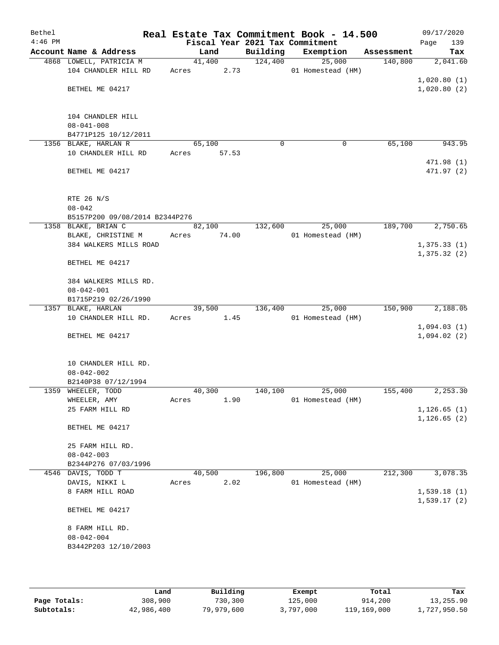| Bethel<br>$4:46$ PM |                                                 |                                         |          | Real Estate Tax Commitment Book - 14.500 |                       | 09/17/2020                  |
|---------------------|-------------------------------------------------|-----------------------------------------|----------|------------------------------------------|-----------------------|-----------------------------|
|                     | Account Name & Address                          | Fiscal Year 2021 Tax Commitment<br>Land | Building | Exemption                                |                       | Page<br>139                 |
|                     |                                                 | 41,400                                  | 124,400  | 25,000                                   | Assessment<br>140,800 | Tax<br>2,041.60             |
|                     | 4868 LOWELL, PATRICIA M<br>104 CHANDLER HILL RD | 2.73<br>Acres                           |          | 01 Homestead (HM)                        |                       |                             |
|                     |                                                 |                                         |          |                                          |                       | 1,020.80(1)                 |
|                     | BETHEL ME 04217                                 |                                         |          |                                          |                       | 1,020.80(2)                 |
|                     |                                                 |                                         |          |                                          |                       |                             |
|                     |                                                 |                                         |          |                                          |                       |                             |
|                     | 104 CHANDLER HILL                               |                                         |          |                                          |                       |                             |
|                     | $08 - 041 - 008$                                |                                         |          |                                          |                       |                             |
|                     | B4771P125 10/12/2011                            |                                         |          |                                          |                       |                             |
|                     | 1356 BLAKE, HARLAN R                            | 65,100                                  | $\Omega$ | 0                                        | 65,100                | 943.95                      |
|                     | 10 CHANDLER HILL RD                             | Acres<br>57.53                          |          |                                          |                       |                             |
|                     |                                                 |                                         |          |                                          |                       | 471.98 (1)                  |
|                     | BETHEL ME 04217                                 |                                         |          |                                          |                       | 471.97 (2)                  |
|                     |                                                 |                                         |          |                                          |                       |                             |
|                     |                                                 |                                         |          |                                          |                       |                             |
|                     | RTE 26 N/S                                      |                                         |          |                                          |                       |                             |
|                     | $08 - 042$                                      |                                         |          |                                          |                       |                             |
|                     | B5157P200 09/08/2014 B2344P276                  |                                         |          |                                          |                       |                             |
|                     | 1358 BLAKE, BRIAN C                             | 82,100                                  | 132,600  | 25,000                                   | 189,700               | 2,750.65                    |
|                     | BLAKE, CHRISTINE M<br>384 WALKERS MILLS ROAD    | 74.00<br>Acres                          |          | 01 Homestead (HM)                        |                       |                             |
|                     |                                                 |                                         |          |                                          |                       | 1,375.33(1)<br>1,375.32(2)  |
|                     | BETHEL ME 04217                                 |                                         |          |                                          |                       |                             |
|                     |                                                 |                                         |          |                                          |                       |                             |
|                     | 384 WALKERS MILLS RD.                           |                                         |          |                                          |                       |                             |
|                     | $08 - 042 - 001$                                |                                         |          |                                          |                       |                             |
|                     | B1715P219 02/26/1990                            |                                         |          |                                          |                       |                             |
|                     | 1357 BLAKE, HARLAN                              | 39,500                                  | 136,400  | 25,000                                   | 150,900               | 2,188.05                    |
|                     | 10 CHANDLER HILL RD.                            | Acres<br>1.45                           |          | 01 Homestead (HM)                        |                       |                             |
|                     |                                                 |                                         |          |                                          |                       | 1,094.03(1)                 |
|                     | BETHEL ME 04217                                 |                                         |          |                                          |                       | 1,094.02(2)                 |
|                     |                                                 |                                         |          |                                          |                       |                             |
|                     |                                                 |                                         |          |                                          |                       |                             |
|                     | 10 CHANDLER HILL RD.                            |                                         |          |                                          |                       |                             |
|                     | $08 - 042 - 002$                                |                                         |          |                                          |                       |                             |
|                     | B2140P38 07/12/1994                             |                                         |          |                                          |                       |                             |
|                     | 1359 WHEELER, TODD                              | 40,300                                  | 140,100  | 25,000                                   | 155,400               | 2,253.30                    |
|                     | WHEELER, AMY<br>25 FARM HILL RD                 | 1.90<br>Acres                           |          | 01 Homestead (HM)                        |                       |                             |
|                     |                                                 |                                         |          |                                          |                       | 1,126.65(1)<br>1, 126.65(2) |
|                     | BETHEL ME 04217                                 |                                         |          |                                          |                       |                             |
|                     |                                                 |                                         |          |                                          |                       |                             |
|                     | 25 FARM HILL RD.                                |                                         |          |                                          |                       |                             |
|                     | $08 - 042 - 003$                                |                                         |          |                                          |                       |                             |
|                     | B2344P276 07/03/1996                            |                                         |          |                                          |                       |                             |
|                     | 4546 DAVIS, TODD T                              | 40,500                                  | 196,800  | 25,000                                   | 212,300               | 3,078.35                    |
|                     | DAVIS, NIKKI L                                  | 2.02<br>Acres                           |          | 01 Homestead (HM)                        |                       |                             |
|                     | 8 FARM HILL ROAD                                |                                         |          |                                          |                       | 1,539.18(1)                 |
|                     |                                                 |                                         |          |                                          |                       | 1,539.17(2)                 |
|                     | BETHEL ME 04217                                 |                                         |          |                                          |                       |                             |
|                     |                                                 |                                         |          |                                          |                       |                             |
|                     | 8 FARM HILL RD.                                 |                                         |          |                                          |                       |                             |
|                     | $08 - 042 - 004$                                |                                         |          |                                          |                       |                             |
|                     | B3442P203 12/10/2003                            |                                         |          |                                          |                       |                             |
|                     |                                                 |                                         |          |                                          |                       |                             |
|                     |                                                 |                                         |          |                                          |                       |                             |

|              | Land       | Building   | Exempt    | Total       | Tax          |
|--------------|------------|------------|-----------|-------------|--------------|
| Page Totals: | 308,900    | 730,300    | 125,000   | 914,200     | 13,255.90    |
| Subtotals:   | 42,986,400 | 79,979,600 | 3,797,000 | 119,169,000 | 1,727,950.50 |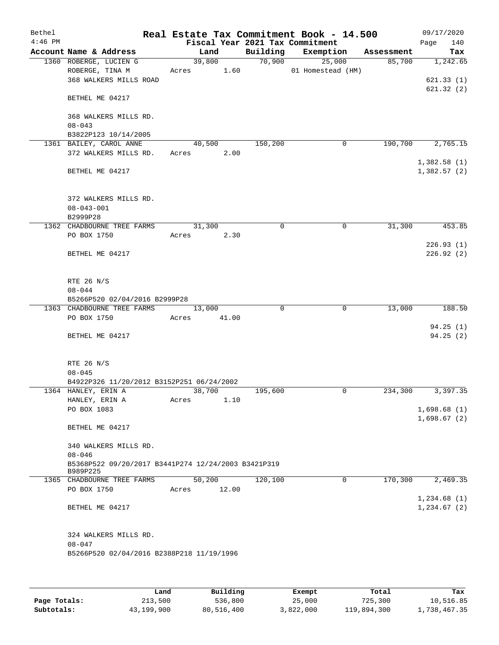| Bethel<br>$4:46$ PM |                                                                  | Real Estate Tax Commitment Book - 14.500<br>Fiscal Year 2021 Tax Commitment |          |                   |            | 09/17/2020<br>140<br>Page    |
|---------------------|------------------------------------------------------------------|-----------------------------------------------------------------------------|----------|-------------------|------------|------------------------------|
|                     | Account Name & Address                                           | Land                                                                        | Building | Exemption         | Assessment | Tax                          |
|                     | 1360 ROBERGE, LUCIEN G                                           | 39,800                                                                      | 70,900   | 25,000            | 85,700     | 1,242.65                     |
|                     | ROBERGE, TINA M                                                  | 1.60<br>Acres                                                               |          | 01 Homestead (HM) |            |                              |
|                     | 368 WALKERS MILLS ROAD                                           |                                                                             |          |                   |            | 621.33(1)                    |
|                     |                                                                  |                                                                             |          |                   |            | 621.32(2)                    |
|                     | BETHEL ME 04217                                                  |                                                                             |          |                   |            |                              |
|                     | 368 WALKERS MILLS RD.                                            |                                                                             |          |                   |            |                              |
|                     | $08 - 043$                                                       |                                                                             |          |                   |            |                              |
|                     | B3822P123 10/14/2005                                             |                                                                             |          |                   |            |                              |
|                     | 1361 BAILEY, CAROL ANNE                                          | 40,500                                                                      | 150,200  | 0                 | 190,700    | 2,765.15                     |
|                     | 372 WALKERS MILLS RD.                                            | 2.00<br>Acres                                                               |          |                   |            |                              |
|                     |                                                                  |                                                                             |          |                   |            | 1,382.58(1)                  |
|                     | BETHEL ME 04217                                                  |                                                                             |          |                   |            | 1,382.57(2)                  |
|                     |                                                                  |                                                                             |          |                   |            |                              |
|                     |                                                                  |                                                                             |          |                   |            |                              |
|                     | 372 WALKERS MILLS RD.                                            |                                                                             |          |                   |            |                              |
|                     | $08 - 043 - 001$                                                 |                                                                             |          |                   |            |                              |
|                     | B2999P28<br>1362 CHADBOURNE TREE FARMS                           | 31,300                                                                      | 0        | 0                 | 31,300     | 453.85                       |
|                     | PO BOX 1750                                                      | 2.30<br>Acres                                                               |          |                   |            |                              |
|                     |                                                                  |                                                                             |          |                   |            | 226.93(1)                    |
|                     | BETHEL ME 04217                                                  |                                                                             |          |                   |            | 226.92(2)                    |
|                     |                                                                  |                                                                             |          |                   |            |                              |
|                     |                                                                  |                                                                             |          |                   |            |                              |
|                     | RTE 26 N/S                                                       |                                                                             |          |                   |            |                              |
|                     | $08 - 044$                                                       |                                                                             |          |                   |            |                              |
|                     | B5266P520 02/04/2016 B2999P28                                    |                                                                             |          |                   |            |                              |
|                     | 1363 CHADBOURNE TREE FARMS                                       | 13,000                                                                      | 0        | 0                 | 13,000     | 188.50                       |
|                     | PO BOX 1750                                                      | Acres<br>41.00                                                              |          |                   |            |                              |
|                     |                                                                  |                                                                             |          |                   |            | 94.25(1)                     |
|                     | BETHEL ME 04217                                                  |                                                                             |          |                   |            | 94.25(2)                     |
|                     |                                                                  |                                                                             |          |                   |            |                              |
|                     |                                                                  |                                                                             |          |                   |            |                              |
|                     | RTE 26 N/S                                                       |                                                                             |          |                   |            |                              |
|                     | $08 - 045$                                                       |                                                                             |          |                   |            |                              |
|                     | B4922P326 11/20/2012 B3152P251 06/24/2002<br>1364 HANLEY, ERIN A | 38,700                                                                      | 195,600  | 0                 | 234,300    | 3,397.35                     |
|                     | HANLEY, ERIN A                                                   | 1.10<br>Acres                                                               |          |                   |            |                              |
|                     | PO BOX 1083                                                      |                                                                             |          |                   |            | 1,698.68(1)                  |
|                     |                                                                  |                                                                             |          |                   |            | 1,698.67(2)                  |
|                     | BETHEL ME 04217                                                  |                                                                             |          |                   |            |                              |
|                     |                                                                  |                                                                             |          |                   |            |                              |
|                     | 340 WALKERS MILLS RD.                                            |                                                                             |          |                   |            |                              |
|                     | $08 - 046$                                                       |                                                                             |          |                   |            |                              |
|                     | B5368P522 09/20/2017 B3441P274 12/24/2003 B3421P319              |                                                                             |          |                   |            |                              |
|                     | B989P225                                                         |                                                                             |          |                   |            |                              |
|                     | 1365 CHADBOURNE TREE FARMS                                       | 50,200                                                                      | 120,100  | 0                 | 170,300    | 2,469.35                     |
|                     | PO BOX 1750                                                      | 12.00<br>Acres                                                              |          |                   |            |                              |
|                     | BETHEL ME 04217                                                  |                                                                             |          |                   |            | 1,234.68(1)<br>1, 234.67 (2) |
|                     |                                                                  |                                                                             |          |                   |            |                              |
|                     |                                                                  |                                                                             |          |                   |            |                              |
|                     | 324 WALKERS MILLS RD.                                            |                                                                             |          |                   |            |                              |
|                     | $08 - 047$                                                       |                                                                             |          |                   |            |                              |
|                     | B5266P520 02/04/2016 B2388P218 11/19/1996                        |                                                                             |          |                   |            |                              |
|                     |                                                                  |                                                                             |          |                   |            |                              |
|                     |                                                                  |                                                                             |          |                   |            |                              |
|                     |                                                                  |                                                                             |          |                   |            |                              |

|              | Land       | Building   | Exempt    | Total       | Tax          |
|--------------|------------|------------|-----------|-------------|--------------|
| Page Totals: | 213,500    | 536,800    | 25,000    | 725,300     | 10,516.85    |
| Subtotals:   | 43,199,900 | 80,516,400 | 3,822,000 | 119,894,300 | 1,738,467.35 |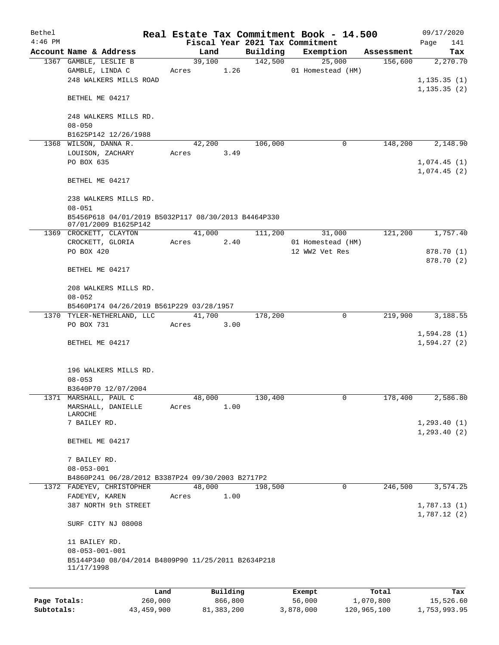| Bethel       |                                                                             |         |       |          |          | Real Estate Tax Commitment Book - 14.500 |            | 09/17/2020                 |
|--------------|-----------------------------------------------------------------------------|---------|-------|----------|----------|------------------------------------------|------------|----------------------------|
| $4:46$ PM    |                                                                             |         |       |          |          | Fiscal Year 2021 Tax Commitment          |            | Page<br>141                |
|              | Account Name & Address                                                      |         |       | Land     | Building | Exemption                                | Assessment | Tax                        |
|              | 1367 GAMBLE, LESLIE B                                                       |         |       | 39,100   | 142,500  | 25,000                                   | 156,600    | 2,270.70                   |
|              | GAMBLE, LINDA C<br>248 WALKERS MILLS ROAD                                   |         | Acres | 1.26     |          | 01 Homestead (HM)                        |            | 1, 135.35(1)               |
|              |                                                                             |         |       |          |          |                                          |            | 1, 135.35(2)               |
|              | BETHEL ME 04217                                                             |         |       |          |          |                                          |            |                            |
|              | 248 WALKERS MILLS RD.                                                       |         |       |          |          |                                          |            |                            |
|              | $08 - 050$                                                                  |         |       |          |          |                                          |            |                            |
|              | B1625P142 12/26/1988                                                        |         |       |          |          |                                          |            |                            |
|              | 1368 WILSON, DANNA R.                                                       |         |       | 42,200   | 106,000  | 0                                        | 148,200    | 2,148.90                   |
|              | LOUISON, ZACHARY                                                            |         | Acres | 3.49     |          |                                          |            |                            |
|              | PO BOX 635                                                                  |         |       |          |          |                                          |            | 1,074.45(1)<br>1,074.45(2) |
|              | BETHEL ME 04217                                                             |         |       |          |          |                                          |            |                            |
|              | 238 WALKERS MILLS RD.<br>$08 - 051$                                         |         |       |          |          |                                          |            |                            |
|              | B5456P618 04/01/2019 B5032P117 08/30/2013 B4464P330<br>07/01/2009 B1625P142 |         |       |          |          |                                          |            |                            |
|              | 1369 CROCKETT, CLAYTON                                                      |         |       | 41,000   | 111,200  | 31,000                                   | 121,200    | 1,757.40                   |
|              | CROCKETT, GLORIA                                                            |         | Acres | 2.40     |          | 01 Homestead (HM)                        |            |                            |
|              | PO BOX 420                                                                  |         |       |          |          | 12 WW2 Vet Res                           |            | 878.70 (1)                 |
|              | BETHEL ME 04217                                                             |         |       |          |          |                                          |            | 878.70 (2)                 |
|              | 208 WALKERS MILLS RD.                                                       |         |       |          |          |                                          |            |                            |
|              | $08 - 052$                                                                  |         |       |          |          |                                          |            |                            |
|              | B5460P174 04/26/2019 B561P229 03/28/1957                                    |         |       |          |          |                                          |            |                            |
|              | 1370 TYLER-NETHERLAND, LLC                                                  |         |       | 41,700   | 178,200  | $\mathbf 0$                              | 219,900    | 3,188.55                   |
|              | PO BOX 731                                                                  |         | Acres | 3.00     |          |                                          |            |                            |
|              |                                                                             |         |       |          |          |                                          |            | 1,594.28(1)                |
|              | BETHEL ME 04217                                                             |         |       |          |          |                                          |            | 1,594.27(2)                |
|              | 196 WALKERS MILLS RD.                                                       |         |       |          |          |                                          |            |                            |
|              | $08 - 053$                                                                  |         |       |          |          |                                          |            |                            |
|              | B3640P70 12/07/2004                                                         |         |       |          |          |                                          |            |                            |
|              | 1371 MARSHALL, PAUL C                                                       |         |       | 48,000   | 130,400  | 0                                        | 178,400    | 2,586.80                   |
|              | MARSHALL, DANIELLE                                                          |         | Acres | 1.00     |          |                                          |            |                            |
|              | LAROCHE<br>7 BAILEY RD.                                                     |         |       |          |          |                                          |            | 1, 293.40(1)               |
|              |                                                                             |         |       |          |          |                                          |            | 1, 293.40(2)               |
|              | BETHEL ME 04217                                                             |         |       |          |          |                                          |            |                            |
|              | 7 BAILEY RD.                                                                |         |       |          |          |                                          |            |                            |
|              | $08 - 053 - 001$                                                            |         |       |          |          |                                          |            |                            |
|              | B4860P241 06/28/2012 B3387P24 09/30/2003 B2717P2                            |         |       |          |          |                                          |            |                            |
|              | 1372 FADEYEV, CHRISTOPHER                                                   |         |       | 48,000   | 198,500  | $\mathbf 0$                              | 246,500    | 3,574.25                   |
|              | FADEYEV, KAREN                                                              |         | Acres | 1.00     |          |                                          |            |                            |
|              | 387 NORTH 9th STREET                                                        |         |       |          |          |                                          |            | 1,787.13(1)                |
|              | SURF CITY NJ 08008                                                          |         |       |          |          |                                          |            | 1,787.12(2)                |
|              | 11 BAILEY RD.                                                               |         |       |          |          |                                          |            |                            |
|              | $08 - 053 - 001 - 001$                                                      |         |       |          |          |                                          |            |                            |
|              | B5144P340 08/04/2014 B4809P90 11/25/2011 B2634P218<br>11/17/1998            |         |       |          |          |                                          |            |                            |
|              |                                                                             |         |       |          |          |                                          |            |                            |
|              |                                                                             | Land    |       | Building |          | Exempt                                   | Total      | Tax                        |
| Page Totals: |                                                                             | 260,000 |       | 866,800  |          | 56,000                                   | 1,070,800  | 15,526.60                  |

**Subtotals:** 43,459,900 81,383,200 3,878,000 120,965,100 1,753,993.95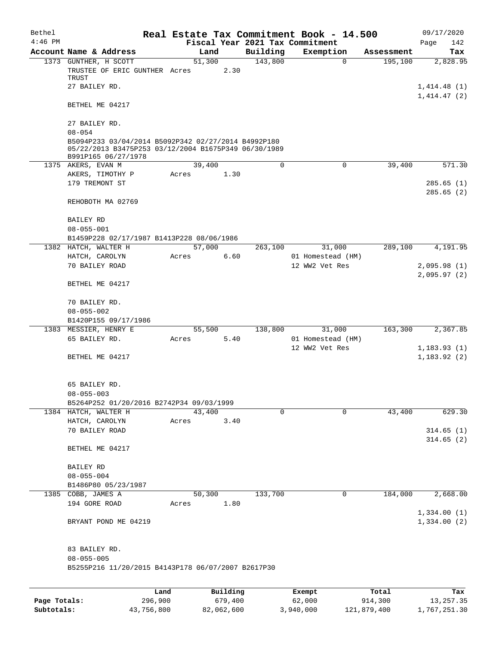| Bethel    |                                                                                                                                    |       |       |                |      |                                 | Real Estate Tax Commitment Book - 14.500 |                       | 09/17/2020                 |
|-----------|------------------------------------------------------------------------------------------------------------------------------------|-------|-------|----------------|------|---------------------------------|------------------------------------------|-----------------------|----------------------------|
| $4:46$ PM |                                                                                                                                    |       |       |                |      | Fiscal Year 2021 Tax Commitment |                                          |                       | 142<br>Page                |
|           | Account Name & Address                                                                                                             |       |       | Land<br>51,300 |      | Building<br>143,800             | Exemption<br>$\mathbf 0$                 | Assessment<br>195,100 | Tax<br>2,828.95            |
|           | 1373 GUNTHER, H SCOTT<br>TRUSTEE OF ERIC GUNTHER Acres                                                                             |       |       |                | 2.30 |                                 |                                          |                       |                            |
|           | TRUST                                                                                                                              |       |       |                |      |                                 |                                          |                       |                            |
|           | 27 BAILEY RD.                                                                                                                      |       |       |                |      |                                 |                                          |                       | 1,414.48(1)                |
|           | BETHEL ME 04217                                                                                                                    |       |       |                |      |                                 |                                          |                       | 1,414.47(2)                |
|           | 27 BAILEY RD.                                                                                                                      |       |       |                |      |                                 |                                          |                       |                            |
|           | $08 - 054$                                                                                                                         |       |       |                |      |                                 |                                          |                       |                            |
|           | B5094P233 03/04/2014 B5092P342 02/27/2014 B4992P180<br>05/22/2013 B3475P253 03/12/2004 B1675P349 06/30/1989<br>B991P165 06/27/1978 |       |       |                |      |                                 |                                          |                       |                            |
|           | 1375 AKERS, EVAN M                                                                                                                 |       |       | 39,400         |      | 0                               | $\mathbf 0$                              | 39,400                | 571.30                     |
|           | AKERS, TIMOTHY P                                                                                                                   |       | Acres |                | 1.30 |                                 |                                          |                       |                            |
|           | 179 TREMONT ST                                                                                                                     |       |       |                |      |                                 |                                          |                       | 285.65 (1)                 |
|           |                                                                                                                                    |       |       |                |      |                                 |                                          |                       | 285.65(2)                  |
|           | REHOBOTH MA 02769                                                                                                                  |       |       |                |      |                                 |                                          |                       |                            |
|           | BAILEY RD                                                                                                                          |       |       |                |      |                                 |                                          |                       |                            |
|           | $08 - 055 - 001$                                                                                                                   |       |       |                |      |                                 |                                          |                       |                            |
|           | B1459P228 02/17/1987 B1413P228 08/06/1986                                                                                          |       |       |                |      |                                 |                                          |                       |                            |
|           | 1382 HATCH, WALTER H                                                                                                               |       |       | 57,000         |      | 263,100                         | 31,000                                   | 289,100               | 4,191.95                   |
|           | HATCH, CAROLYN                                                                                                                     |       | Acres |                | 6.60 |                                 | 01 Homestead (HM)                        |                       |                            |
|           | 70 BAILEY ROAD                                                                                                                     |       |       |                |      |                                 | 12 WW2 Vet Res                           |                       | 2,095.98(1)<br>2,095.97(2) |
|           | BETHEL ME 04217                                                                                                                    |       |       |                |      |                                 |                                          |                       |                            |
|           | 70 BAILEY RD.                                                                                                                      |       |       |                |      |                                 |                                          |                       |                            |
|           | $08 - 055 - 002$                                                                                                                   |       |       |                |      |                                 |                                          |                       |                            |
|           | B1420P155 09/17/1986                                                                                                               |       |       |                |      |                                 |                                          |                       |                            |
|           | 1383 MESSIER, HENRY E                                                                                                              |       |       | 55,500         |      | 138,800                         | 31,000                                   | 163,300               | 2,367.85                   |
|           | 65 BAILEY RD.                                                                                                                      |       | Acres |                | 5.40 |                                 | 01 Homestead (HM)                        |                       |                            |
|           |                                                                                                                                    |       |       |                |      |                                 | 12 WW2 Vet Res                           |                       | 1,183.93(1)                |
|           | BETHEL ME 04217                                                                                                                    |       |       |                |      |                                 |                                          |                       | 1,183.92(2)                |
|           | 65 BAILEY RD.                                                                                                                      |       |       |                |      |                                 |                                          |                       |                            |
|           | $08 - 055 - 003$                                                                                                                   |       |       |                |      |                                 |                                          |                       |                            |
|           | B5264P252 01/20/2016 B2742P34 09/03/1999                                                                                           |       |       |                |      |                                 |                                          |                       |                            |
|           | 1384 HATCH, WALTER H                                                                                                               |       |       | 43,400         |      | $\Omega$                        | $\Omega$                                 | 43,400                | 629.30                     |
|           | HATCH, CAROLYN                                                                                                                     |       | Acres |                | 3.40 |                                 |                                          |                       |                            |
|           | 70 BAILEY ROAD                                                                                                                     |       |       |                |      |                                 |                                          |                       | 314.65(1)                  |
|           |                                                                                                                                    |       |       |                |      |                                 |                                          |                       | 314.65(2)                  |
|           | BETHEL ME 04217                                                                                                                    |       |       |                |      |                                 |                                          |                       |                            |
|           | BAILEY RD                                                                                                                          |       |       |                |      |                                 |                                          |                       |                            |
|           | $08 - 055 - 004$                                                                                                                   |       |       |                |      |                                 |                                          |                       |                            |
|           | B1486P80 05/23/1987                                                                                                                |       |       |                |      |                                 |                                          |                       |                            |
|           | 1385 COBB, JAMES A                                                                                                                 |       |       | 50,300         |      | 133,700                         | 0                                        | 184,000               | 2,668.00                   |
|           | 194 GORE ROAD                                                                                                                      |       | Acres |                | 1.80 |                                 |                                          |                       |                            |
|           |                                                                                                                                    |       |       |                |      |                                 |                                          |                       | 1,334.00(1)                |
|           | BRYANT POND ME 04219                                                                                                               |       |       |                |      |                                 |                                          |                       | 1,334.00(2)                |
|           | 83 BAILEY RD.                                                                                                                      |       |       |                |      |                                 |                                          |                       |                            |
|           | $08 - 055 - 005$                                                                                                                   |       |       |                |      |                                 |                                          |                       |                            |
|           | B5255P216 11/20/2015 B4143P178 06/07/2007 B2617P30                                                                                 |       |       |                |      |                                 |                                          |                       |                            |
|           |                                                                                                                                    |       |       |                |      |                                 |                                          |                       |                            |
|           |                                                                                                                                    | Land. |       | Building       |      |                                 | $F$ vemnt                                | $T$ ctal              | Tav                        |

|              | Land       | Building   | Exempt    | Total       | Tax          |
|--------------|------------|------------|-----------|-------------|--------------|
| Page Totals: | 296,900    | 679,400    | 62,000    | 914,300     | 13,257.35    |
| Subtotals:   | 43,756,800 | 82,062,600 | 3,940,000 | 121,879,400 | 1,767,251.30 |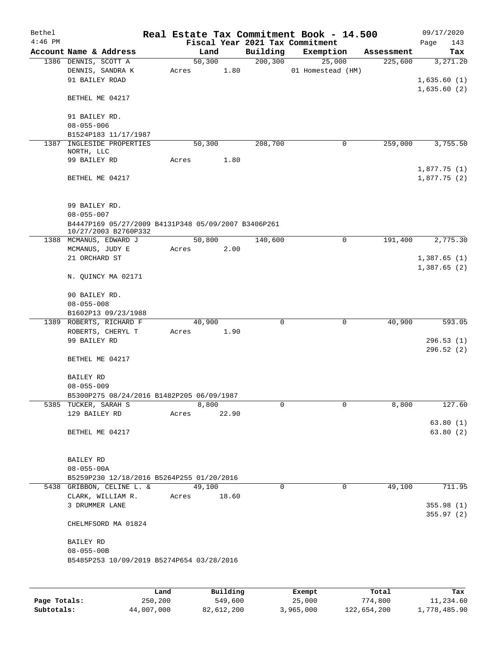| Bethel    |                                                                             |       |               |             | Real Estate Tax Commitment Book - 14.500 |            | 09/17/2020                 |
|-----------|-----------------------------------------------------------------------------|-------|---------------|-------------|------------------------------------------|------------|----------------------------|
| $4:46$ PM |                                                                             |       |               |             | Fiscal Year 2021 Tax Commitment          |            | Page<br>143                |
|           | Account Name & Address                                                      |       | Land          | Building    | Exemption                                | Assessment | Tax                        |
|           | 1386 DENNIS, SCOTT A                                                        |       | 50, 300       | 200, 300    | 25,000                                   | 225,600    | 3,271.20                   |
|           | DENNIS, SANDRA K                                                            | Acres | 1.80          |             | 01 Homestead (HM)                        |            |                            |
|           | 91 BAILEY ROAD                                                              |       |               |             |                                          |            | 1,635.60(1)                |
|           | BETHEL ME 04217                                                             |       |               |             |                                          |            | 1,635.60(2)                |
|           |                                                                             |       |               |             |                                          |            |                            |
|           | 91 BAILEY RD.                                                               |       |               |             |                                          |            |                            |
|           | $08 - 055 - 006$                                                            |       |               |             |                                          |            |                            |
|           | B1524P183 11/17/1987                                                        |       |               |             |                                          |            |                            |
|           | 1387 INGLESIDE PROPERTIES                                                   |       | 50,300        | 208,700     | 0                                        | 259,000    | 3,755.50                   |
|           | NORTH, LLC                                                                  |       |               |             |                                          |            |                            |
|           | 99 BAILEY RD                                                                | Acres | 1.80          |             |                                          |            |                            |
|           | BETHEL ME 04217                                                             |       |               |             |                                          |            | 1,877.75(1)<br>1,877.75(2) |
|           |                                                                             |       |               |             |                                          |            |                            |
|           |                                                                             |       |               |             |                                          |            |                            |
|           | 99 BAILEY RD.                                                               |       |               |             |                                          |            |                            |
|           | $08 - 055 - 007$                                                            |       |               |             |                                          |            |                            |
|           | B4447P169 05/27/2009 B4131P348 05/09/2007 B3406P261<br>10/27/2003 B2760P332 |       |               |             |                                          |            |                            |
|           | 1388 MCMANUS, EDWARD J                                                      |       | 50,800        | 140,600     | $\mathbf 0$                              | 191,400    | 2,775.30                   |
|           | MCMANUS, JUDY E                                                             |       | 2.00<br>Acres |             |                                          |            |                            |
|           | 21 ORCHARD ST                                                               |       |               |             |                                          |            | 1,387.65(1)                |
|           |                                                                             |       |               |             |                                          |            | 1,387.65(2)                |
|           | N. QUINCY MA 02171                                                          |       |               |             |                                          |            |                            |
|           | 90 BAILEY RD.                                                               |       |               |             |                                          |            |                            |
|           | $08 - 055 - 008$                                                            |       |               |             |                                          |            |                            |
|           | B1602P13 09/23/1988                                                         |       |               |             |                                          |            |                            |
|           | 1389 ROBERTS, RICHARD F                                                     |       | 40,900        | $\mathbf 0$ | $\mathbf 0$                              | 40,900     | 593.05                     |
|           | ROBERTS, CHERYL T                                                           |       | 1.90<br>Acres |             |                                          |            |                            |
|           | 99 BAILEY RD                                                                |       |               |             |                                          |            | 296.53(1)                  |
|           |                                                                             |       |               |             |                                          |            | 296.52(2)                  |
|           | BETHEL ME 04217                                                             |       |               |             |                                          |            |                            |
|           | BAILEY RD                                                                   |       |               |             |                                          |            |                            |
|           | $08 - 055 - 009$                                                            |       |               |             |                                          |            |                            |
|           | B5300P275 08/24/2016 B1482P205 06/09/1987                                   |       |               |             |                                          |            |                            |
|           | 5385 TUCKER, SARAH S                                                        |       | 8,800         | 0           | $\mathbf 0$                              | 8,800      | 127.60                     |
|           | 129 BAILEY RD                                                               | Acres | 22.90         |             |                                          |            |                            |
|           |                                                                             |       |               |             |                                          |            | 63.80(1)                   |
|           | BETHEL ME 04217                                                             |       |               |             |                                          |            | 63.80(2)                   |
|           |                                                                             |       |               |             |                                          |            |                            |
|           | <b>BAILEY RD</b>                                                            |       |               |             |                                          |            |                            |
|           | $08 - 055 - 00A$                                                            |       |               |             |                                          |            |                            |
|           | B5259P230 12/18/2016 B5264P255 01/20/2016                                   |       |               |             |                                          |            |                            |
|           | 5438 GRIBBON, CELINE L. &                                                   |       | 49,100        | 0           | $\mathbf 0$                              | 49,100     | 711.95                     |
|           | CLARK, WILLIAM R.                                                           | Acres | 18.60         |             |                                          |            |                            |
|           | 3 DRUMMER LANE                                                              |       |               |             |                                          |            | 355.98(1)                  |
|           |                                                                             |       |               |             |                                          |            | 355.97(2)                  |
|           | CHELMFSORD MA 01824                                                         |       |               |             |                                          |            |                            |
|           | BAILEY RD                                                                   |       |               |             |                                          |            |                            |
|           | $08 - 055 - 00B$                                                            |       |               |             |                                          |            |                            |
|           | B5485P253 10/09/2019 B5274P654 03/28/2016                                   |       |               |             |                                          |            |                            |
|           |                                                                             |       |               |             |                                          |            |                            |
|           |                                                                             |       |               |             |                                          |            |                            |
|           |                                                                             | Land  | Building      |             | Exempt                                   | Total      | Tax                        |

**Page Totals:** 250,200 549,600 25,000 774,800 11,234.60 **Subtotals:** 44,007,000 82,612,200 3,965,000 122,654,200 1,778,485.90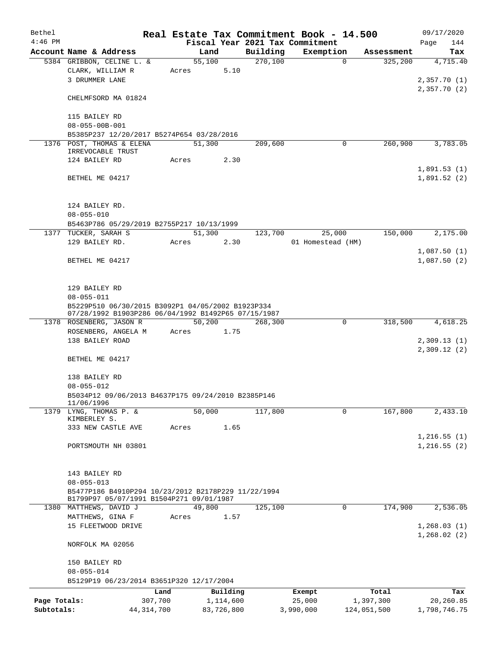| Bethel       |                                                                                |       |            |          | Real Estate Tax Commitment Book - 14.500 |             | 09/17/2020                  |
|--------------|--------------------------------------------------------------------------------|-------|------------|----------|------------------------------------------|-------------|-----------------------------|
| $4:46$ PM    |                                                                                |       |            |          | Fiscal Year 2021 Tax Commitment          |             | 144<br>Page                 |
|              | Account Name & Address                                                         |       | Land       | Building | Exemption                                | Assessment  | Tax                         |
|              | 5384 GRIBBON, CELINE L. &<br>CLARK, WILLIAM R                                  |       | 55,100     | 270,100  | $\mathbf 0$                              | 325,200     | 4,715.40                    |
|              | 3 DRUMMER LANE                                                                 | Acres | 5.10       |          |                                          |             | 2,357.70(1)                 |
|              |                                                                                |       |            |          |                                          |             | 2,357.70(2)                 |
|              | CHELMFSORD MA 01824                                                            |       |            |          |                                          |             |                             |
|              |                                                                                |       |            |          |                                          |             |                             |
|              | 115 BAILEY RD<br>$08 - 055 - 00B - 001$                                        |       |            |          |                                          |             |                             |
|              | B5385P237 12/20/2017 B5274P654 03/28/2016                                      |       |            |          |                                          |             |                             |
|              | 1376 POST, THOMAS & ELENA                                                      |       | 51,300     | 209,600  | 0                                        | 260,900     | 3,783.05                    |
|              | IRREVOCABLE TRUST                                                              |       |            |          |                                          |             |                             |
|              | 124 BAILEY RD                                                                  | Acres | 2.30       |          |                                          |             |                             |
|              |                                                                                |       |            |          |                                          |             | 1,891.53(1)                 |
|              | BETHEL ME 04217                                                                |       |            |          |                                          |             | 1,891.52(2)                 |
|              |                                                                                |       |            |          |                                          |             |                             |
|              |                                                                                |       |            |          |                                          |             |                             |
|              | 124 BAILEY RD.                                                                 |       |            |          |                                          |             |                             |
|              | $08 - 055 - 010$                                                               |       |            |          |                                          |             |                             |
|              | B5463P786 05/29/2019 B2755P217 10/13/1999                                      |       |            |          |                                          |             |                             |
| 1377         | TUCKER, SARAH S                                                                |       | 51,300     | 123,700  | 25,000                                   | 150,000     | 2,175.00                    |
|              | 129 BAILEY RD.                                                                 | Acres | 2.30       |          | 01 Homestead (HM)                        |             |                             |
|              |                                                                                |       |            |          |                                          |             | 1,087.50(1)                 |
|              | BETHEL ME 04217                                                                |       |            |          |                                          |             | 1,087.50(2)                 |
|              |                                                                                |       |            |          |                                          |             |                             |
|              |                                                                                |       |            |          |                                          |             |                             |
|              | 129 BAILEY RD                                                                  |       |            |          |                                          |             |                             |
|              | $08 - 055 - 011$                                                               |       |            |          |                                          |             |                             |
|              | B5229P510 06/30/2015 B3092P1 04/05/2002 B1923P334                              |       |            |          |                                          |             |                             |
|              | 07/28/1992 B1903P286 06/04/1992 B1492P65 07/15/1987<br>1378 ROSENBERG, JASON R |       | 50,200     | 268,300  | $\mathbf 0$                              | 318,500     | 4,618.25                    |
|              | ROSENBERG, ANGELA M                                                            | Acres | 1.75       |          |                                          |             |                             |
|              | 138 BAILEY ROAD                                                                |       |            |          |                                          |             | 2,309.13(1)                 |
|              |                                                                                |       |            |          |                                          |             | 2,309.12(2)                 |
|              | BETHEL ME 04217                                                                |       |            |          |                                          |             |                             |
|              |                                                                                |       |            |          |                                          |             |                             |
|              | 138 BAILEY RD                                                                  |       |            |          |                                          |             |                             |
|              | $08 - 055 - 012$                                                               |       |            |          |                                          |             |                             |
|              | B5034P12 09/06/2013 B4637P175 09/24/2010 B2385P146                             |       |            |          |                                          |             |                             |
|              | 11/06/1996                                                                     |       |            |          |                                          |             |                             |
|              | 1379 LYNG, THOMAS P. &                                                         |       | 50,000     | 117,800  | 0                                        | 167,800     | 2,433.10                    |
|              | KIMBERLEY S.                                                                   |       |            |          |                                          |             |                             |
|              | 333 NEW CASTLE AVE                                                             | Acres | 1.65       |          |                                          |             |                             |
|              |                                                                                |       |            |          |                                          |             | 1,216.55(1)<br>1, 216.55(2) |
|              | PORTSMOUTH NH 03801                                                            |       |            |          |                                          |             |                             |
|              |                                                                                |       |            |          |                                          |             |                             |
|              | 143 BAILEY RD                                                                  |       |            |          |                                          |             |                             |
|              | $08 - 055 - 013$                                                               |       |            |          |                                          |             |                             |
|              | B5477P186 B4910P294 10/23/2012 B2178P229 11/22/1994                            |       |            |          |                                          |             |                             |
|              | B1799P97 05/07/1991 B1504P271 09/01/1987                                       |       |            |          |                                          |             |                             |
|              | 1380 MATTHEWS, DAVID J                                                         |       | 49,800     | 125,100  | 0                                        | 174,900     | 2,536.05                    |
|              | MATTHEWS, GINA F                                                               | Acres | 1.57       |          |                                          |             |                             |
|              | 15 FLEETWOOD DRIVE                                                             |       |            |          |                                          |             | 1,268.03(1)                 |
|              |                                                                                |       |            |          |                                          |             | 1,268.02(2)                 |
|              | NORFOLK MA 02056                                                               |       |            |          |                                          |             |                             |
|              |                                                                                |       |            |          |                                          |             |                             |
|              | 150 BAILEY RD                                                                  |       |            |          |                                          |             |                             |
|              | $08 - 055 - 014$                                                               |       |            |          |                                          |             |                             |
|              | B5129P19 06/23/2014 B3651P320 12/17/2004                                       |       |            |          |                                          |             |                             |
|              |                                                                                | Land  | Building   |          | Exempt                                   | Total       | Tax                         |
| Page Totals: | 307,700                                                                        |       | 1,114,600  |          | 25,000                                   | 1,397,300   | 20,260.85                   |
| Subtotals:   | 44, 314, 700                                                                   |       | 83,726,800 |          | 3,990,000                                | 124,051,500 | 1,798,746.75                |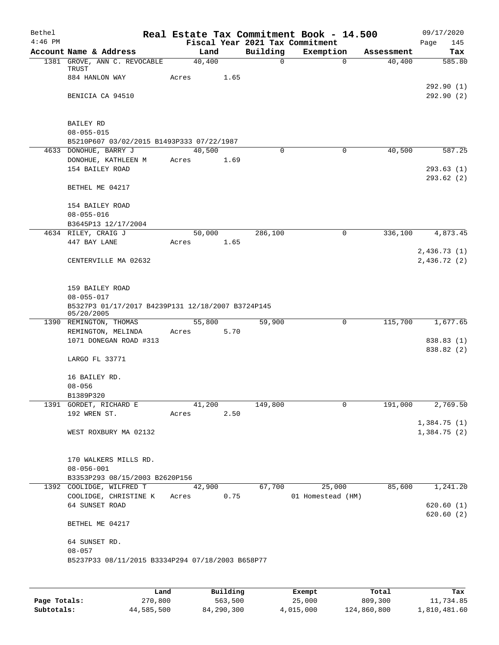| Bethel<br>$4:46$ PM |                                                                 |       |            |      |          | Real Estate Tax Commitment Book - 14.500<br>Fiscal Year 2021 Tax Commitment |            | 09/17/2020<br>Page<br>145  |
|---------------------|-----------------------------------------------------------------|-------|------------|------|----------|-----------------------------------------------------------------------------|------------|----------------------------|
|                     | Account Name & Address                                          |       | Land       |      | Building | Exemption                                                                   | Assessment | Tax                        |
|                     | 1381 GROVE, ANN C. REVOCABLE                                    |       | 40,400     |      | 0        | $\mathbf 0$                                                                 | 40,400     | 585.80                     |
|                     | TRUST                                                           |       |            |      |          |                                                                             |            |                            |
|                     | 884 HANLON WAY                                                  | Acres |            | 1.65 |          |                                                                             |            | 292.90 (1)                 |
|                     | BENICIA CA 94510                                                |       |            |      |          |                                                                             |            | 292.90 (2)                 |
|                     |                                                                 |       |            |      |          |                                                                             |            |                            |
|                     |                                                                 |       |            |      |          |                                                                             |            |                            |
|                     | BAILEY RD                                                       |       |            |      |          |                                                                             |            |                            |
|                     | $08 - 055 - 015$                                                |       |            |      |          |                                                                             |            |                            |
|                     | B5210P607 03/02/2015 B1493P333 07/22/1987                       |       |            |      |          |                                                                             |            |                            |
|                     | 4633 DONOHUE, BARRY J<br>DONOHUE, KATHLEEN M                    | Acres | 40,500     | 1.69 | 0        | 0                                                                           | 40,500     | 587.25                     |
|                     | 154 BAILEY ROAD                                                 |       |            |      |          |                                                                             |            | 293.63(1)                  |
|                     |                                                                 |       |            |      |          |                                                                             |            | 293.62 (2)                 |
|                     | BETHEL ME 04217                                                 |       |            |      |          |                                                                             |            |                            |
|                     |                                                                 |       |            |      |          |                                                                             |            |                            |
|                     | 154 BAILEY ROAD<br>$08 - 055 - 016$                             |       |            |      |          |                                                                             |            |                            |
|                     | B3645P13 12/17/2004                                             |       |            |      |          |                                                                             |            |                            |
|                     | 4634 RILEY, CRAIG J                                             |       | 50,000     |      | 286,100  | $\mathsf{O}$                                                                | 336,100    | 4,873.45                   |
|                     | 447 BAY LANE                                                    | Acres |            | 1.65 |          |                                                                             |            |                            |
|                     |                                                                 |       |            |      |          |                                                                             |            | 2,436.73(1)                |
|                     | CENTERVILLE MA 02632                                            |       |            |      |          |                                                                             |            | 2,436.72(2)                |
|                     |                                                                 |       |            |      |          |                                                                             |            |                            |
|                     | 159 BAILEY ROAD                                                 |       |            |      |          |                                                                             |            |                            |
|                     | $08 - 055 - 017$                                                |       |            |      |          |                                                                             |            |                            |
|                     | B5327P3 01/17/2017 B4239P131 12/18/2007 B3724P145<br>05/20/2005 |       |            |      |          |                                                                             |            |                            |
|                     | 1390 REMINGTON, THOMAS                                          |       | 55,800     |      | 59,900   | 0                                                                           | 115,700    | 1,677.65                   |
|                     | REMINGTON, MELINDA                                              | Acres |            | 5.70 |          |                                                                             |            |                            |
|                     | 1071 DONEGAN ROAD #313                                          |       |            |      |          |                                                                             |            | 838.83 (1)                 |
|                     | LARGO FL 33771                                                  |       |            |      |          |                                                                             |            | 838.82 (2)                 |
|                     |                                                                 |       |            |      |          |                                                                             |            |                            |
|                     | 16 BAILEY RD.                                                   |       |            |      |          |                                                                             |            |                            |
|                     | $08 - 056$                                                      |       |            |      |          |                                                                             |            |                            |
|                     | B1389P320                                                       |       |            |      |          |                                                                             |            |                            |
|                     | 1391 GORDET, RICHARD E                                          |       | 41,200     |      | 149,800  | 0                                                                           | 191,000    | 2,769.50                   |
|                     | 192 WREN ST.                                                    | Acres |            | 2.50 |          |                                                                             |            |                            |
|                     | WEST ROXBURY MA 02132                                           |       |            |      |          |                                                                             |            | 1,384.75(1)<br>1,384.75(2) |
|                     |                                                                 |       |            |      |          |                                                                             |            |                            |
|                     |                                                                 |       |            |      |          |                                                                             |            |                            |
|                     | 170 WALKERS MILLS RD.<br>$08 - 056 - 001$                       |       |            |      |          |                                                                             |            |                            |
|                     | B3353P293 08/15/2003 B2620P156                                  |       |            |      |          |                                                                             |            |                            |
|                     | 1392 COOLIDGE, WILFRED T                                        |       | 42,900     |      | 67,700   | 25,000                                                                      | 85,600     | 1,241.20                   |
|                     | COOLIDGE, CHRISTINE K                                           |       | Acres 0.75 |      |          | 01 Homestead (HM)                                                           |            |                            |
|                     | 64 SUNSET ROAD                                                  |       |            |      |          |                                                                             |            | 620.60(1)                  |
|                     |                                                                 |       |            |      |          |                                                                             |            | 620.60(2)                  |
|                     | BETHEL ME 04217                                                 |       |            |      |          |                                                                             |            |                            |
|                     | 64 SUNSET RD.                                                   |       |            |      |          |                                                                             |            |                            |
|                     | $08 - 057$                                                      |       |            |      |          |                                                                             |            |                            |
|                     | B5237P33 08/11/2015 B3334P294 07/18/2003 B658P77                |       |            |      |          |                                                                             |            |                            |
|                     |                                                                 |       |            |      |          |                                                                             |            |                            |
|                     |                                                                 |       |            |      |          |                                                                             |            |                            |

|              | Land       | Building   | Exempt    | Total       | Tax          |
|--------------|------------|------------|-----------|-------------|--------------|
| Page Totals: | 270,800    | 563,500    | 25,000    | 809,300     | 11,734.85    |
| Subtotals:   | 44,585,500 | 84,290,300 | 4,015,000 | 124,860,800 | 1,810,481.60 |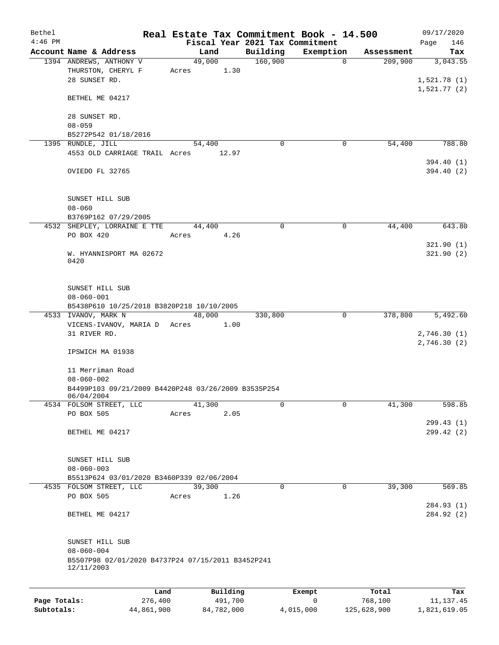| Bethel       |                                                                   |            |       |        |            |                                 | Real Estate Tax Commitment Book - 14.500 |             | 09/17/2020               |
|--------------|-------------------------------------------------------------------|------------|-------|--------|------------|---------------------------------|------------------------------------------|-------------|--------------------------|
| $4:46$ PM    |                                                                   |            |       |        |            | Fiscal Year 2021 Tax Commitment |                                          |             | Page<br>146              |
|              | Account Name & Address                                            |            |       | Land   |            | Building                        | Exemption                                | Assessment  | Tax                      |
|              | 1394 ANDREWS, ANTHONY V<br>THURSTON, CHERYL F<br>28 SUNSET RD.    |            | Acres | 49,000 | 1.30       | 160,900                         | $\mathbf 0$                              | 209,900     | 3,043.55<br>1,521.78(1)  |
|              | BETHEL ME 04217                                                   |            |       |        |            |                                 |                                          |             | 1,521.77(2)              |
|              | 28 SUNSET RD.<br>$08 - 059$                                       |            |       |        |            |                                 |                                          |             |                          |
|              | B5272P542 01/18/2016                                              |            |       |        |            |                                 |                                          |             |                          |
|              | 1395 RUNDLE, JILL                                                 |            |       | 54,400 |            | $\Omega$                        | $\mathbf 0$                              | 54,400      | 788.80                   |
|              | 4553 OLD CARRIAGE TRAIL Acres 12.97                               |            |       |        |            |                                 |                                          |             |                          |
|              | OVIEDO FL 32765                                                   |            |       |        |            |                                 |                                          |             | 394.40 (1)<br>394.40 (2) |
|              | SUNSET HILL SUB<br>$08 - 060$                                     |            |       |        |            |                                 |                                          |             |                          |
|              | B3769P162 07/29/2005                                              |            |       |        |            |                                 |                                          |             |                          |
|              | 4532 SHEPLEY, LORRAINE E TTE                                      |            |       | 44,400 |            | 0                               | $\mathbf 0$                              | 44,400      | 643.80                   |
|              | PO BOX 420                                                        |            | Acres |        | 4.26       |                                 |                                          |             |                          |
|              | W. HYANNISPORT MA 02672<br>0420                                   |            |       |        |            |                                 |                                          |             | 321.90(1)<br>321.90(2)   |
|              | SUNSET HILL SUB<br>$08 - 060 - 001$                               |            |       |        |            |                                 |                                          |             |                          |
|              | B5438P610 10/25/2018 B3820P218 10/10/2005<br>4533 IVANOV, MARK N  |            |       | 48,000 |            | 330,800                         | 0                                        | 378,800     | 5,492.60                 |
|              | VICENS-IVANOV, MARIA D Acres                                      |            |       |        | 1.00       |                                 |                                          |             |                          |
|              | 31 RIVER RD.                                                      |            |       |        |            |                                 |                                          |             | 2,746.30(1)              |
|              |                                                                   |            |       |        |            |                                 |                                          |             | 2,746.30(2)              |
|              | IPSWICH MA 01938                                                  |            |       |        |            |                                 |                                          |             |                          |
|              | 11 Merriman Road                                                  |            |       |        |            |                                 |                                          |             |                          |
|              | $08 - 060 - 002$                                                  |            |       |        |            |                                 |                                          |             |                          |
|              | B4499P103 09/21/2009 B4420P248 03/26/2009 B3535P254<br>06/04/2004 |            |       |        |            |                                 |                                          |             |                          |
|              | 4534 FOLSOM STREET, LLC                                           |            |       | 41,300 |            | 0                               | 0                                        | 41,300      | 598.85                   |
|              | PO BOX 505                                                        |            | Acres |        | 2.05       |                                 |                                          |             |                          |
|              | BETHEL ME 04217                                                   |            |       |        |            |                                 |                                          |             | 299.43 (1)<br>299.42 (2) |
|              |                                                                   |            |       |        |            |                                 |                                          |             |                          |
|              |                                                                   |            |       |        |            |                                 |                                          |             |                          |
|              | SUNSET HILL SUB<br>$08 - 060 - 003$                               |            |       |        |            |                                 |                                          |             |                          |
|              | B5513P624 03/01/2020 B3460P339 02/06/2004                         |            |       |        |            |                                 |                                          |             |                          |
|              | 4535 FOLSOM STREET, LLC                                           |            |       | 39,300 |            | $\mathbf 0$                     | $\mathbf 0$                              | 39,300      | 569.85                   |
|              | PO BOX 505                                                        |            | Acres |        | 1.26       |                                 |                                          |             |                          |
|              | BETHEL ME 04217                                                   |            |       |        |            |                                 |                                          |             | 284.93 (1)<br>284.92 (2) |
|              |                                                                   |            |       |        |            |                                 |                                          |             |                          |
|              | SUNSET HILL SUB<br>$08 - 060 - 004$                               |            |       |        |            |                                 |                                          |             |                          |
|              | B5507P98 02/01/2020 B4737P24 07/15/2011 B3452P241<br>12/11/2003   |            |       |        |            |                                 |                                          |             |                          |
|              |                                                                   | Land       |       |        | Building   |                                 | Exempt                                   | Total       | Tax                      |
| Page Totals: |                                                                   | 276,400    |       |        | 491,700    |                                 | $\mathbf 0$                              | 768,100     | 11, 137.45               |
| Subtotals:   |                                                                   | 44,861,900 |       |        | 84,782,000 |                                 | 4,015,000                                | 125,628,900 | 1,821,619.05             |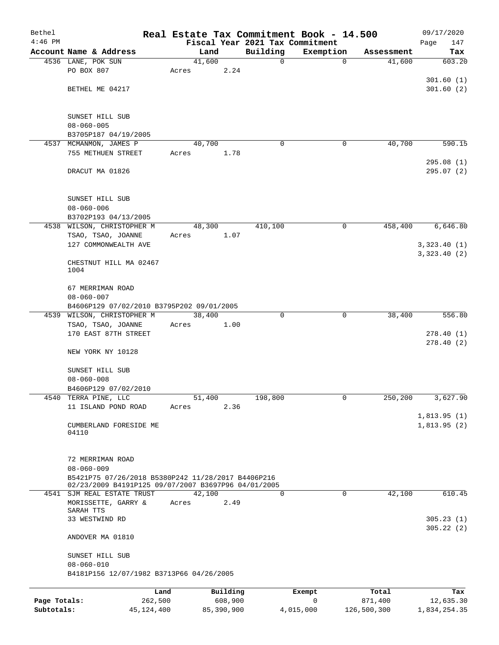| Bethel<br>$4:46$ PM |                                                     |        |            |                                             | Real Estate Tax Commitment Book - 14.500 |             | 09/17/2020              |
|---------------------|-----------------------------------------------------|--------|------------|---------------------------------------------|------------------------------------------|-------------|-------------------------|
|                     | Account Name & Address                              | Land   |            | Fiscal Year 2021 Tax Commitment<br>Building | Exemption                                | Assessment  | 147<br>Page<br>Tax      |
|                     | 4536 LANE, POK SUN                                  | 41,600 |            | 0                                           | $\mathbf 0$                              | 41,600      | 603.20                  |
|                     | PO BOX 807                                          | Acres  | 2.24       |                                             |                                          |             |                         |
|                     |                                                     |        |            |                                             |                                          |             | 301.60(1)               |
|                     | BETHEL ME 04217                                     |        |            |                                             |                                          |             | 301.60(2)               |
|                     |                                                     |        |            |                                             |                                          |             |                         |
|                     |                                                     |        |            |                                             |                                          |             |                         |
|                     | SUNSET HILL SUB<br>$08 - 060 - 005$                 |        |            |                                             |                                          |             |                         |
|                     | B3705P187 04/19/2005                                |        |            |                                             |                                          |             |                         |
|                     | 4537 MCMANMON, JAMES P                              | 40,700 |            | $\Omega$                                    | 0                                        | 40,700      | 590.15                  |
|                     | 755 METHUEN STREET                                  | Acres  | 1.78       |                                             |                                          |             |                         |
|                     |                                                     |        |            |                                             |                                          |             | 295.08(1)               |
|                     | DRACUT MA 01826                                     |        |            |                                             |                                          |             | 295.07(2)               |
|                     | SUNSET HILL SUB                                     |        |            |                                             |                                          |             |                         |
|                     | $08 - 060 - 006$                                    |        |            |                                             |                                          |             |                         |
|                     | B3702P193 04/13/2005                                |        |            |                                             |                                          |             |                         |
|                     | 4538 WILSON, CHRISTOPHER M                          | 48,300 |            | 410,100                                     | 0                                        | 458,400     | 6,646.80                |
|                     | TSAO, TSAO, JOANNE                                  | Acres  | 1.07       |                                             |                                          |             |                         |
|                     | 127 COMMONWEALTH AVE                                |        |            |                                             |                                          |             | 3,323.40(1)             |
|                     |                                                     |        |            |                                             |                                          |             | 3,323.40(2)             |
|                     | CHESTNUT HILL MA 02467<br>1004                      |        |            |                                             |                                          |             |                         |
|                     | 67 MERRIMAN ROAD                                    |        |            |                                             |                                          |             |                         |
|                     | $08 - 060 - 007$                                    |        |            |                                             |                                          |             |                         |
|                     | B4606P129 07/02/2010 B3795P202 09/01/2005           |        |            |                                             |                                          |             |                         |
|                     | 4539 WILSON, CHRISTOPHER M                          | 38,400 |            | 0                                           | 0                                        | 38,400      | 556.80                  |
|                     | TSAO, TSAO, JOANNE                                  | Acres  | 1.00       |                                             |                                          |             |                         |
|                     | 170 EAST 87TH STREET                                |        |            |                                             |                                          |             | 278.40(1)<br>278.40 (2) |
|                     | NEW YORK NY 10128                                   |        |            |                                             |                                          |             |                         |
|                     | SUNSET HILL SUB                                     |        |            |                                             |                                          |             |                         |
|                     | $08 - 060 - 008$                                    |        |            |                                             |                                          |             |                         |
|                     | B4606P129 07/02/2010                                |        |            |                                             |                                          |             |                         |
|                     | 4540 TERRA PINE, LLC                                | 51,400 |            | 198,800                                     | 0                                        | 250,200     | 3,627.90                |
|                     | 11 ISLAND POND ROAD                                 | Acres  | 2.36       |                                             |                                          |             | 1,813.95(1)             |
|                     | CUMBERLAND FORESIDE ME                              |        |            |                                             |                                          |             | 1,813.95(2)             |
|                     | 04110                                               |        |            |                                             |                                          |             |                         |
|                     | 72 MERRIMAN ROAD                                    |        |            |                                             |                                          |             |                         |
|                     | $08 - 060 - 009$                                    |        |            |                                             |                                          |             |                         |
|                     | B5421P75 07/26/2018 B5380P242 11/28/2017 B4406P216  |        |            |                                             |                                          |             |                         |
|                     | 02/23/2009 B4191P125 09/07/2007 B3697P96 04/01/2005 |        |            |                                             |                                          |             |                         |
|                     | 4541 SJM REAL ESTATE TRUST                          | 42,100 |            | $\Omega$                                    | $\Omega$                                 | 42,100      | 610.45                  |
|                     | MORISSETTE, GARRY &<br>SARAH TTS                    | Acres  | 2.49       |                                             |                                          |             |                         |
|                     | 33 WESTWIND RD                                      |        |            |                                             |                                          |             | 305.23(1)               |
|                     | ANDOVER MA 01810                                    |        |            |                                             |                                          |             | 305.22(2)               |
|                     | SUNSET HILL SUB                                     |        |            |                                             |                                          |             |                         |
|                     | $08 - 060 - 010$                                    |        |            |                                             |                                          |             |                         |
|                     | B4181P156 12/07/1982 B3713P66 04/26/2005            |        |            |                                             |                                          |             |                         |
|                     | Land                                                |        | Building   |                                             | Exempt                                   | Total       | Tax                     |
| Page Totals:        | 262,500                                             |        | 608,900    |                                             | 0                                        | 871,400     | 12,635.30               |
| Subtotals:          | 45, 124, 400                                        |        | 85,390,900 |                                             | 4,015,000                                | 126,500,300 | 1,834,254.35            |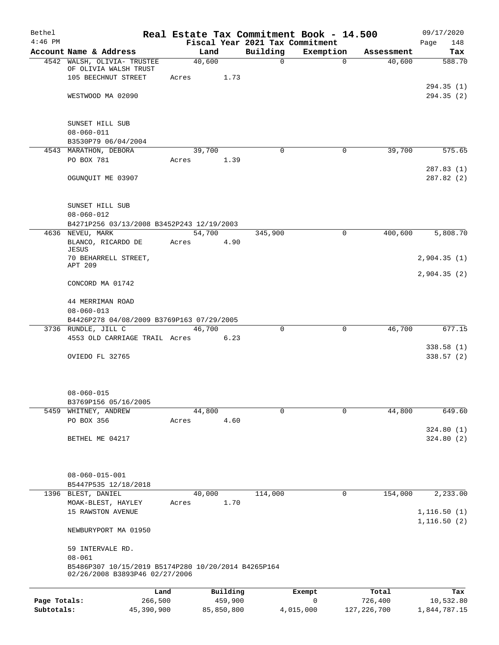| Bethel                     |                                                                                       |        |                       |                                             | Real Estate Tax Commitment Book - 14.500 |                          | 09/17/2020                |
|----------------------------|---------------------------------------------------------------------------------------|--------|-----------------------|---------------------------------------------|------------------------------------------|--------------------------|---------------------------|
| $4:46$ PM                  | Account Name & Address                                                                | Land   |                       | Fiscal Year 2021 Tax Commitment<br>Building | Exemption                                | Assessment               | 148<br>Page<br>Tax        |
|                            | 4542 WALSH, OLIVIA- TRUSTEE                                                           | 40,600 |                       | $\Omega$                                    | $\Omega$                                 | 40,600                   | 588.70                    |
|                            | OF OLIVIA WALSH TRUST                                                                 |        |                       |                                             |                                          |                          |                           |
|                            | 105 BEECHNUT STREET                                                                   | Acres  | 1.73                  |                                             |                                          |                          |                           |
|                            |                                                                                       |        |                       |                                             |                                          |                          | 294.35(1)                 |
|                            | WESTWOOD MA 02090                                                                     |        |                       |                                             |                                          |                          | 294.35 (2)                |
|                            |                                                                                       |        |                       |                                             |                                          |                          |                           |
|                            | SUNSET HILL SUB                                                                       |        |                       |                                             |                                          |                          |                           |
|                            | $08 - 060 - 011$                                                                      |        |                       |                                             |                                          |                          |                           |
|                            | B3530P79 06/04/2004                                                                   |        |                       |                                             |                                          |                          |                           |
|                            | 4543 MARATHON, DEBORA                                                                 | 39,700 |                       | $\Omega$                                    | $\Omega$                                 | 39,700                   | 575.65                    |
|                            | PO BOX 781                                                                            | Acres  | 1.39                  |                                             |                                          |                          | 287.83 (1)                |
|                            | OGUNQUIT ME 03907                                                                     |        |                       |                                             |                                          |                          | 287.82 (2)                |
|                            |                                                                                       |        |                       |                                             |                                          |                          |                           |
|                            |                                                                                       |        |                       |                                             |                                          |                          |                           |
|                            | SUNSET HILL SUB                                                                       |        |                       |                                             |                                          |                          |                           |
|                            | $08 - 060 - 012$                                                                      |        |                       |                                             |                                          |                          |                           |
|                            | B4271P256 03/13/2008 B3452P243 12/19/2003<br>4636 NEVEU, MARK                         | 54,700 |                       |                                             | 0                                        | 400,600                  | 5,808.70                  |
|                            | BLANCO, RICARDO DE                                                                    | Acres  | 4.90                  | 345,900                                     |                                          |                          |                           |
|                            | JESUS                                                                                 |        |                       |                                             |                                          |                          |                           |
|                            | 70 BEHARRELL STREET,                                                                  |        |                       |                                             |                                          |                          | 2,904.35(1)               |
|                            | APT 209                                                                               |        |                       |                                             |                                          |                          | 2,904.35(2)               |
|                            | CONCORD MA 01742                                                                      |        |                       |                                             |                                          |                          |                           |
|                            |                                                                                       |        |                       |                                             |                                          |                          |                           |
|                            | 44 MERRIMAN ROAD                                                                      |        |                       |                                             |                                          |                          |                           |
|                            | $08 - 060 - 013$                                                                      |        |                       |                                             |                                          |                          |                           |
|                            | B4426P278 04/08/2009 B3769P163 07/29/2005<br>3736 RUNDLE, JILL C                      | 46,700 |                       | $\Omega$                                    | 0                                        | 46,700                   | 677.15                    |
|                            | 4553 OLD CARRIAGE TRAIL Acres                                                         |        | 6.23                  |                                             |                                          |                          |                           |
|                            |                                                                                       |        |                       |                                             |                                          |                          | 338.58(1)                 |
|                            | OVIEDO FL 32765                                                                       |        |                       |                                             |                                          |                          | 338.57(2)                 |
|                            |                                                                                       |        |                       |                                             |                                          |                          |                           |
|                            |                                                                                       |        |                       |                                             |                                          |                          |                           |
|                            | $08 - 060 - 015$                                                                      |        |                       |                                             |                                          |                          |                           |
|                            | B3769P156 05/16/2005                                                                  |        |                       |                                             |                                          |                          |                           |
|                            | 5459 WHITNEY, ANDREW                                                                  | 44,800 |                       | $\Omega$                                    | 0                                        | 44,800                   | 649.60                    |
|                            | PO BOX 356                                                                            | Acres  | 4.60                  |                                             |                                          |                          |                           |
|                            |                                                                                       |        |                       |                                             |                                          |                          | 324.80(1)                 |
|                            | BETHEL ME 04217                                                                       |        |                       |                                             |                                          |                          | 324.80(2)                 |
|                            |                                                                                       |        |                       |                                             |                                          |                          |                           |
|                            |                                                                                       |        |                       |                                             |                                          |                          |                           |
|                            | $08 - 060 - 015 - 001$                                                                |        |                       |                                             |                                          |                          |                           |
|                            | B5447P535 12/18/2018                                                                  |        |                       |                                             |                                          |                          |                           |
|                            | 1396 BLEST, DANIEL                                                                    | 40,000 |                       | 114,000                                     | 0                                        | 154,000                  | 2,233.00                  |
|                            | MOAK-BLEST, HAYLEY<br>15 RAWSTON AVENUE                                               | Acres  | 1.70                  |                                             |                                          |                          | 1, 116.50(1)              |
|                            |                                                                                       |        |                       |                                             |                                          |                          | 1, 116.50(2)              |
|                            | NEWBURYPORT MA 01950                                                                  |        |                       |                                             |                                          |                          |                           |
|                            |                                                                                       |        |                       |                                             |                                          |                          |                           |
|                            | 59 INTERVALE RD.                                                                      |        |                       |                                             |                                          |                          |                           |
|                            | $08 - 061$                                                                            |        |                       |                                             |                                          |                          |                           |
|                            | B5486P307 10/15/2019 B5174P280 10/20/2014 B4265P164<br>02/26/2008 B3893P46 02/27/2006 |        |                       |                                             |                                          |                          |                           |
|                            |                                                                                       |        |                       |                                             |                                          |                          |                           |
|                            | Land                                                                                  |        | Building              |                                             | Exempt                                   | Total                    | Tax                       |
| Page Totals:<br>Subtotals: | 266,500<br>45,390,900                                                                 |        | 459,900<br>85,850,800 |                                             | $\mathsf{O}$<br>4,015,000                | 726,400<br>127, 226, 700 | 10,532.80<br>1,844,787.15 |
|                            |                                                                                       |        |                       |                                             |                                          |                          |                           |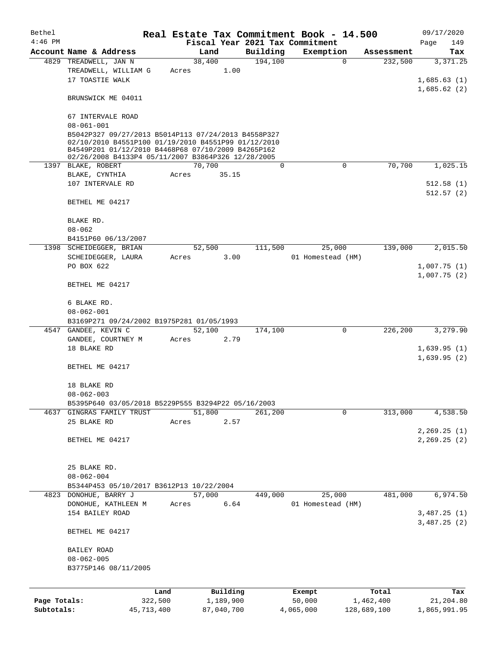| Bethel       |                                                                                                                                                                                                                        |         |                |             | Real Estate Tax Commitment Book - 14.500 |                       | 09/17/2020                     |
|--------------|------------------------------------------------------------------------------------------------------------------------------------------------------------------------------------------------------------------------|---------|----------------|-------------|------------------------------------------|-----------------------|--------------------------------|
| $4:46$ PM    |                                                                                                                                                                                                                        |         |                |             | Fiscal Year 2021 Tax Commitment          |                       | Page<br>149                    |
|              | Account Name & Address                                                                                                                                                                                                 |         | Land           | Building    | Exemption<br>$\mathbf 0$                 | Assessment<br>232,500 | Tax                            |
|              | 4829 TREADWELL, JAN N<br>TREADWELL, WILLIAM G<br>17 TOASTIE WALK                                                                                                                                                       | Acres   | 38,400<br>1.00 | 194,100     |                                          |                       | 3,371.25<br>1,685.63(1)        |
|              | BRUNSWICK ME 04011                                                                                                                                                                                                     |         |                |             |                                          |                       | 1,685.62(2)                    |
|              | 67 INTERVALE ROAD<br>$08 - 061 - 001$                                                                                                                                                                                  |         |                |             |                                          |                       |                                |
|              | B5042P327 09/27/2013 B5014P113 07/24/2013 B4558P327<br>02/10/2010 B4551P100 01/19/2010 B4551P99 01/12/2010<br>B4549P201 01/12/2010 B4468P68 07/10/2009 B4265P162<br>02/26/2008 B4133P4 05/11/2007 B3864P326 12/28/2005 |         |                |             |                                          |                       |                                |
|              | 1397 BLAKE, ROBERT                                                                                                                                                                                                     |         | 70,700         | $\mathbf 0$ | $\mathbf 0$                              | 70,700                | 1,025.15                       |
|              | BLAKE, CYNTHIA                                                                                                                                                                                                         | Acres   | 35.15          |             |                                          |                       |                                |
|              | 107 INTERVALE RD                                                                                                                                                                                                       |         |                |             |                                          |                       | 512.58(1)                      |
|              | BETHEL ME 04217                                                                                                                                                                                                        |         |                |             |                                          |                       | 512.57(2)                      |
|              | BLAKE RD.<br>$08 - 062$                                                                                                                                                                                                |         |                |             |                                          |                       |                                |
|              | B4151P60 06/13/2007                                                                                                                                                                                                    |         |                |             |                                          |                       |                                |
|              | 1398 SCHEIDEGGER, BRIAN<br>SCHEIDEGGER, LAURA                                                                                                                                                                          | Acres   | 52,500<br>3.00 | 111,500     | 25,000<br>01 Homestead (HM)              | 139,000               | 2,015.50                       |
|              | PO BOX 622                                                                                                                                                                                                             |         |                |             |                                          |                       | 1,007.75(1)                    |
|              | BETHEL ME 04217                                                                                                                                                                                                        |         |                |             |                                          |                       | 1,007.75(2)                    |
|              | 6 BLAKE RD.<br>$08 - 062 - 001$                                                                                                                                                                                        |         |                |             |                                          |                       |                                |
|              | B3169P271 09/24/2002 B1975P281 01/05/1993                                                                                                                                                                              |         |                |             |                                          |                       |                                |
| 4547         | GANDEE, KEVIN C                                                                                                                                                                                                        |         | 52,100         | 174,100     | $\mathbf 0$                              | 226,200               | 3,279.90                       |
|              | GANDEE, COURTNEY M                                                                                                                                                                                                     | Acres   | 2.79           |             |                                          |                       |                                |
|              | 18 BLAKE RD                                                                                                                                                                                                            |         |                |             |                                          |                       | 1,639.95(1)                    |
|              | BETHEL ME 04217                                                                                                                                                                                                        |         |                |             |                                          |                       | 1,639.95(2)                    |
|              | 18 BLAKE RD<br>$08 - 062 - 003$                                                                                                                                                                                        |         |                |             |                                          |                       |                                |
|              | B5395P640 03/05/2018 B5229P555 B3294P22 05/16/2003                                                                                                                                                                     |         |                |             |                                          |                       |                                |
|              | 4637 GINGRAS FAMILY TRUST                                                                                                                                                                                              |         | 51,800         | 261,200     | $\Omega$                                 | 313,000               | 4,538.50                       |
|              | 25 BLAKE RD                                                                                                                                                                                                            | Acres   | 2.57           |             |                                          |                       |                                |
|              | BETHEL ME 04217                                                                                                                                                                                                        |         |                |             |                                          |                       | 2, 269.25 (1)<br>2, 269.25 (2) |
|              | 25 BLAKE RD.<br>$08 - 062 - 004$                                                                                                                                                                                       |         |                |             |                                          |                       |                                |
|              | B5344P453 05/10/2017 B3612P13 10/22/2004                                                                                                                                                                               |         |                |             |                                          |                       |                                |
|              | 4823 DONOHUE, BARRY J                                                                                                                                                                                                  |         | 57,000         | 449,000     | 25,000                                   | 481,000               | 6,974.50                       |
|              | DONOHUE, KATHLEEN M<br>154 BAILEY ROAD                                                                                                                                                                                 | Acres   | 6.64           |             | 01 Homestead (HM)                        |                       | 3,487.25(1)                    |
|              | BETHEL ME 04217                                                                                                                                                                                                        |         |                |             |                                          |                       | 3,487.25(2)                    |
|              | BAILEY ROAD                                                                                                                                                                                                            |         |                |             |                                          |                       |                                |
|              | $08 - 062 - 005$                                                                                                                                                                                                       |         |                |             |                                          |                       |                                |
|              | B3775P146 08/11/2005                                                                                                                                                                                                   |         |                |             |                                          |                       |                                |
|              |                                                                                                                                                                                                                        |         |                |             |                                          |                       |                                |
|              |                                                                                                                                                                                                                        | Land    | Building       |             | Exempt                                   | Total                 | Tax                            |
| Page Totals: |                                                                                                                                                                                                                        | 322,500 | 1,189,900      |             | 50,000                                   | 1,462,400             | 21,204.80                      |
| Subtotals:   | 45,713,400                                                                                                                                                                                                             |         | 87,040,700     |             | 4,065,000                                | 128,689,100           | 1,865,991.95                   |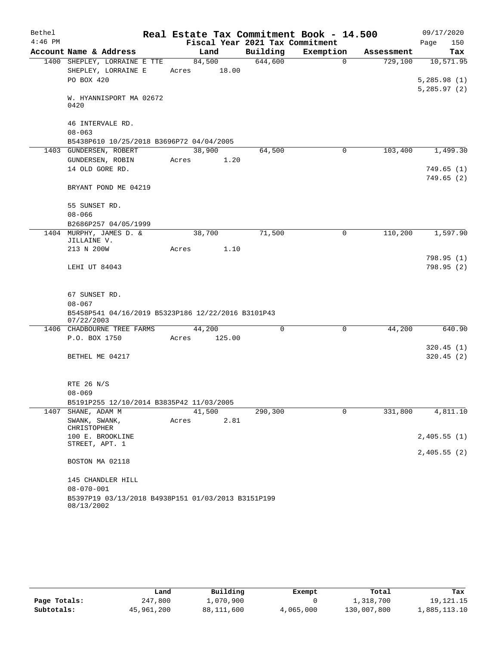| Bethel    |                                                                  |        |        | Real Estate Tax Commitment Book - 14.500 |             |            | 09/17/2020  |
|-----------|------------------------------------------------------------------|--------|--------|------------------------------------------|-------------|------------|-------------|
| $4:46$ PM |                                                                  |        |        | Fiscal Year 2021 Tax Commitment          |             |            | 150<br>Page |
|           | Account Name & Address                                           |        | Land   | Building                                 | Exemption   | Assessment | Tax         |
|           | 1400 SHEPLEY, LORRAINE E TTE                                     |        | 84,500 | 644,600                                  | $\Omega$    | 729,100    | 10,571.95   |
|           | SHEPLEY, LORRAINE E                                              | Acres  | 18.00  |                                          |             |            |             |
|           | PO BOX 420                                                       |        |        |                                          |             |            | 5,285.98(1) |
|           |                                                                  |        |        |                                          |             |            | 5,285.97(2) |
|           | W. HYANNISPORT MA 02672<br>0420                                  |        |        |                                          |             |            |             |
|           |                                                                  |        |        |                                          |             |            |             |
|           | 46 INTERVALE RD.                                                 |        |        |                                          |             |            |             |
|           | $08 - 063$                                                       |        |        |                                          |             |            |             |
|           | B5438P610 10/25/2018 B3696P72 04/04/2005                         |        |        |                                          |             |            |             |
|           | 1403 GUNDERSEN, ROBERT                                           | 38,900 |        | 64,500                                   | $\Omega$    | 103,400    | 1,499.30    |
|           | GUNDERSEN, ROBIN                                                 | Acres  | 1.20   |                                          |             |            |             |
|           | 14 OLD GORE RD.                                                  |        |        |                                          |             |            | 749.65(1)   |
|           |                                                                  |        |        |                                          |             |            | 749.65(2)   |
|           | BRYANT POND ME 04219                                             |        |        |                                          |             |            |             |
|           |                                                                  |        |        |                                          |             |            |             |
|           | 55 SUNSET RD.                                                    |        |        |                                          |             |            |             |
|           | $08 - 066$                                                       |        |        |                                          |             |            |             |
|           | B2686P257 04/05/1999                                             |        |        |                                          |             |            |             |
|           | 1404 MURPHY, JAMES D. &<br>JILLAINE V.                           |        | 38,700 | 71,500                                   | 0           | 110,200    | 1,597.90    |
|           | 213 N 200W                                                       | Acres  | 1.10   |                                          |             |            |             |
|           |                                                                  |        |        |                                          |             |            | 798.95 (1)  |
|           | LEHI UT 84043                                                    |        |        |                                          |             |            | 798.95 (2)  |
|           |                                                                  |        |        |                                          |             |            |             |
|           |                                                                  |        |        |                                          |             |            |             |
|           | 67 SUNSET RD.                                                    |        |        |                                          |             |            |             |
|           | $08 - 067$                                                       |        |        |                                          |             |            |             |
|           | B5458P541 04/16/2019 B5323P186 12/22/2016 B3101P43               |        |        |                                          |             |            |             |
|           | 07/22/2003<br>1406 CHADBOURNE TREE FARMS                         | 44,200 |        | $\Omega$                                 | $\mathbf 0$ | 44,200     | 640.90      |
|           | P.O. BOX 1750                                                    | Acres  | 125.00 |                                          |             |            |             |
|           |                                                                  |        |        |                                          |             |            | 320.45(1)   |
|           | BETHEL ME 04217                                                  |        |        |                                          |             |            | 320.45(2)   |
|           |                                                                  |        |        |                                          |             |            |             |
|           |                                                                  |        |        |                                          |             |            |             |
|           | RTE 26 N/S                                                       |        |        |                                          |             |            |             |
|           | $08 - 069$                                                       |        |        |                                          |             |            |             |
|           | B5191P255 12/10/2014 B3835P42 11/03/2005                         |        |        |                                          |             |            |             |
|           | 1407 SHANE, ADAM M                                               | 41,500 |        | 290,300                                  | 0           | 331,800    | 4,811.10    |
|           | SWANK, SWANK,<br>CHRISTOPHER                                     | Acres  | 2.81   |                                          |             |            |             |
|           | 100 E. BROOKLINE                                                 |        |        |                                          |             |            | 2,405.55(1) |
|           | STREET, APT. 1                                                   |        |        |                                          |             |            |             |
|           |                                                                  |        |        |                                          |             |            | 2,405.55(2) |
|           | BOSTON MA 02118                                                  |        |        |                                          |             |            |             |
|           |                                                                  |        |        |                                          |             |            |             |
|           | 145 CHANDLER HILL                                                |        |        |                                          |             |            |             |
|           | $08 - 070 - 001$                                                 |        |        |                                          |             |            |             |
|           | B5397P19 03/13/2018 B4938P151 01/03/2013 B3151P199<br>08/13/2002 |        |        |                                          |             |            |             |

|              | Land       | Building   | Exempt    | Total       | Tax          |
|--------------|------------|------------|-----------|-------------|--------------|
| Page Totals: | 247,800    | 1,070,900  |           | 1,318,700   | 19,121.15    |
| Subtotals:   | 45,961,200 | 88,111,600 | 4,065,000 | 130,007,800 | 1,885,113.10 |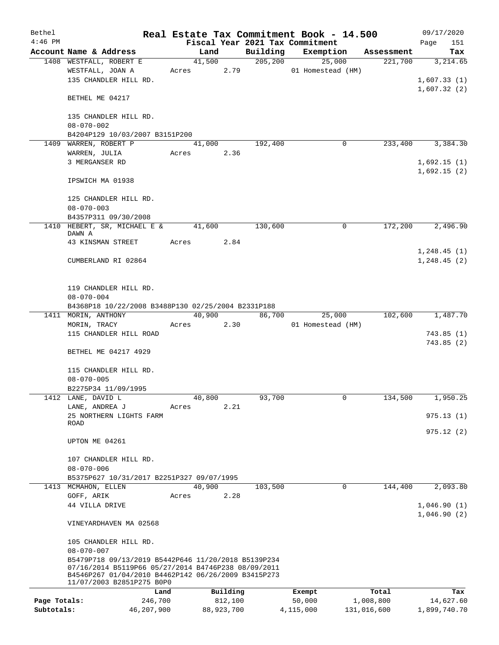| Bethel       |                                                                                                            |       |        |            |          | Real Estate Tax Commitment Book - 14.500 |             | 09/17/2020                 |
|--------------|------------------------------------------------------------------------------------------------------------|-------|--------|------------|----------|------------------------------------------|-------------|----------------------------|
| $4:46$ PM    |                                                                                                            |       |        |            |          | Fiscal Year 2021 Tax Commitment          |             | Page<br>151                |
|              | Account Name & Address                                                                                     |       | Land   |            | Building | Exemption                                | Assessment  | Tax                        |
|              | 1408 WESTFALL, ROBERT E                                                                                    |       | 41,500 |            | 205, 200 | 25,000                                   | 221,700     | 3,214.65                   |
|              | WESTFALL, JOAN A                                                                                           | Acres |        | 2.79       |          | 01 Homestead (HM)                        |             |                            |
|              | 135 CHANDLER HILL RD.                                                                                      |       |        |            |          |                                          |             | 1,607.33(1)                |
|              | BETHEL ME 04217                                                                                            |       |        |            |          |                                          |             | 1,607.32(2)                |
|              | 135 CHANDLER HILL RD.<br>$08 - 070 - 002$                                                                  |       |        |            |          |                                          |             |                            |
|              | B4204P129 10/03/2007 B3151P200                                                                             |       |        |            |          |                                          |             |                            |
| 1409         | WARREN, ROBERT P                                                                                           |       | 41,000 |            | 192,400  | 0                                        | 233,400     | 3,384.30                   |
|              | WARREN, JULIA                                                                                              | Acres |        | 2.36       |          |                                          |             |                            |
|              | 3 MERGANSER RD                                                                                             |       |        |            |          |                                          |             | 1,692.15(1)                |
|              |                                                                                                            |       |        |            |          |                                          |             | 1,692.15(2)                |
|              | IPSWICH MA 01938                                                                                           |       |        |            |          |                                          |             |                            |
|              | 125 CHANDLER HILL RD.                                                                                      |       |        |            |          |                                          |             |                            |
|              | $08 - 070 - 003$                                                                                           |       |        |            |          |                                          |             |                            |
|              | B4357P311 09/30/2008                                                                                       |       |        |            |          |                                          |             |                            |
| 1410         | HEBERT, SR, MICHAEL E &<br>DAWN A                                                                          |       | 41,600 |            | 130,600  | 0                                        | 172,200     | 2,496.90                   |
|              | 43 KINSMAN STREET                                                                                          | Acres |        | 2.84       |          |                                          |             |                            |
|              |                                                                                                            |       |        |            |          |                                          |             | 1,248.45(1)                |
|              | CUMBERLAND RI 02864                                                                                        |       |        |            |          |                                          |             | 1,248.45(2)                |
|              | 119 CHANDLER HILL RD.                                                                                      |       |        |            |          |                                          |             |                            |
|              | $08 - 070 - 004$                                                                                           |       |        |            |          |                                          |             |                            |
|              | B4368P18 10/22/2008 B3488P130 02/25/2004 B2331P188                                                         |       |        |            |          |                                          |             |                            |
|              | 1411 MORIN, ANTHONY                                                                                        |       | 40,900 |            | 86,700   | 25,000                                   | 102,600     | 1,487.70                   |
|              | MORIN, TRACY                                                                                               | Acres |        | 2.30       |          | 01 Homestead (HM)                        |             |                            |
|              | 115 CHANDLER HILL ROAD                                                                                     |       |        |            |          |                                          |             | 743.85(1)                  |
|              | BETHEL ME 04217 4929                                                                                       |       |        |            |          |                                          |             | 743.85 (2)                 |
|              | 115 CHANDLER HILL RD.                                                                                      |       |        |            |          |                                          |             |                            |
|              | $08 - 070 - 005$                                                                                           |       |        |            |          |                                          |             |                            |
|              | B2275P34 11/09/1995                                                                                        |       |        |            |          |                                          |             |                            |
|              | 1412 LANE, DAVID L                                                                                         |       | 40,800 |            | 93,700   | 0                                        | 134,500     | 1,950.25                   |
|              | LANE, ANDREA J                                                                                             | Acres |        | 2.21       |          |                                          |             |                            |
|              | 25 NORTHERN LIGHTS FARM                                                                                    |       |        |            |          |                                          |             | 975.13(1)                  |
|              | ROAD                                                                                                       |       |        |            |          |                                          |             | 975.12(2)                  |
|              | UPTON ME 04261                                                                                             |       |        |            |          |                                          |             |                            |
|              | 107 CHANDLER HILL RD.                                                                                      |       |        |            |          |                                          |             |                            |
|              | $08 - 070 - 006$                                                                                           |       |        |            |          |                                          |             |                            |
|              | B5375P627 10/31/2017 B2251P327 09/07/1995                                                                  |       |        |            |          |                                          |             |                            |
|              | 1413 MCMAHON, ELLEN                                                                                        |       | 40,900 |            | 103,500  | $\mathbf 0$                              | 144,400     | 2,093.80                   |
|              | GOFF, ARIK                                                                                                 | Acres |        | 2.28       |          |                                          |             |                            |
|              | 44 VILLA DRIVE                                                                                             |       |        |            |          |                                          |             | 1,046.90(1)<br>1,046.90(2) |
|              | VINEYARDHAVEN MA 02568                                                                                     |       |        |            |          |                                          |             |                            |
|              | 105 CHANDLER HILL RD.                                                                                      |       |        |            |          |                                          |             |                            |
|              | $08 - 070 - 007$                                                                                           |       |        |            |          |                                          |             |                            |
|              | B5479P718 09/13/2019 B5442P646 11/20/2018 B5139P234<br>07/16/2014 B5119P66 05/27/2014 B4746P238 08/09/2011 |       |        |            |          |                                          |             |                            |
|              | B4546P267 01/04/2010 B4462P142 06/26/2009 B3415P273                                                        |       |        |            |          |                                          |             |                            |
|              | 11/07/2003 B2851P275 B0P0                                                                                  |       |        |            |          |                                          |             |                            |
|              |                                                                                                            | Land  |        | Building   |          | Exempt                                   | Total       | Tax                        |
| Page Totals: | 246,700                                                                                                    |       |        | 812,100    |          | 50,000                                   | 1,008,800   | 14,627.60                  |
| Subtotals:   | 46,207,900                                                                                                 |       |        | 88,923,700 |          | 4,115,000                                | 131,016,600 | 1,899,740.70               |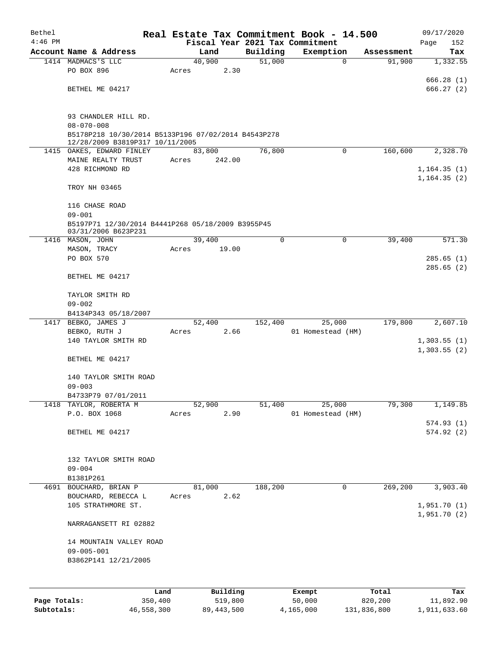| Bethel<br>$4:46$ PM |                                                                         |       |          |          | Real Estate Tax Commitment Book - 14.500<br>Fiscal Year 2021 Tax Commitment |            | 09/17/2020             |
|---------------------|-------------------------------------------------------------------------|-------|----------|----------|-----------------------------------------------------------------------------|------------|------------------------|
|                     | Account Name & Address                                                  |       | Land     | Building | Exemption                                                                   | Assessment | Page<br>152<br>Tax     |
|                     | 1414 MADMACS'S LLC                                                      |       | 40,900   | 51,000   | $\mathbf 0$                                                                 | 91,900     | 1,332.55               |
|                     | PO BOX 896                                                              | Acres | 2.30     |          |                                                                             |            |                        |
|                     |                                                                         |       |          |          |                                                                             |            | 666.28(1)              |
|                     | BETHEL ME 04217                                                         |       |          |          |                                                                             |            | 666.27(2)              |
|                     |                                                                         |       |          |          |                                                                             |            |                        |
|                     |                                                                         |       |          |          |                                                                             |            |                        |
|                     | 93 CHANDLER HILL RD.                                                    |       |          |          |                                                                             |            |                        |
|                     | $08 - 070 - 008$<br>B5178P218 10/30/2014 B5133P196 07/02/2014 B4543P278 |       |          |          |                                                                             |            |                        |
|                     | 12/28/2009 B3819P317 10/11/2005                                         |       |          |          |                                                                             |            |                        |
|                     | 1415 OAKES, EDWARD FINLEY                                               |       | 83,800   | 76,800   | $\mathbf 0$                                                                 | 160,600    | 2,328.70               |
|                     | MAINE REALTY TRUST                                                      | Acres | 242.00   |          |                                                                             |            |                        |
|                     | 428 RICHMOND RD                                                         |       |          |          |                                                                             |            | 1, 164.35(1)           |
|                     |                                                                         |       |          |          |                                                                             |            | 1,164.35(2)            |
|                     | TROY NH 03465                                                           |       |          |          |                                                                             |            |                        |
|                     | 116 CHASE ROAD                                                          |       |          |          |                                                                             |            |                        |
|                     | $09 - 001$                                                              |       |          |          |                                                                             |            |                        |
|                     | B5197P71 12/30/2014 B4441P268 05/18/2009 B3955P45                       |       |          |          |                                                                             |            |                        |
|                     | 03/31/2006 B623P231                                                     |       |          |          |                                                                             |            |                        |
|                     | 1416 MASON, JOHN                                                        |       | 39,400   | $\Omega$ | 0                                                                           | 39,400     | 571.30                 |
|                     | MASON, TRACY                                                            | Acres | 19.00    |          |                                                                             |            |                        |
|                     | PO BOX 570                                                              |       |          |          |                                                                             |            | 285.65(1)<br>285.65(2) |
|                     | BETHEL ME 04217                                                         |       |          |          |                                                                             |            |                        |
|                     |                                                                         |       |          |          |                                                                             |            |                        |
|                     | TAYLOR SMITH RD                                                         |       |          |          |                                                                             |            |                        |
|                     | $09 - 002$                                                              |       |          |          |                                                                             |            |                        |
|                     | B4134P343 05/18/2007                                                    |       |          |          |                                                                             |            |                        |
|                     | 1417 BEBKO, JAMES J                                                     |       | 52,400   | 152,400  | 25,000                                                                      | 179,800    | 2,607.10               |
|                     | BEBKO, RUTH J                                                           | Acres | 2.66     |          | 01 Homestead (HM)                                                           |            |                        |
|                     | 140 TAYLOR SMITH RD                                                     |       |          |          |                                                                             |            | 1,303.55(1)            |
|                     | BETHEL ME 04217                                                         |       |          |          |                                                                             |            | 1,303.55(2)            |
|                     |                                                                         |       |          |          |                                                                             |            |                        |
|                     | 140 TAYLOR SMITH ROAD                                                   |       |          |          |                                                                             |            |                        |
|                     | $09 - 003$                                                              |       |          |          |                                                                             |            |                        |
|                     | B4733P79 07/01/2011                                                     |       |          |          |                                                                             |            |                        |
|                     | 1418 TAYLOR, ROBERTA M                                                  |       | 52,900   | 51,400   | 25,000                                                                      | 79,300     | 1,149.85               |
|                     | P.O. BOX 1068                                                           | Acres | 2.90     |          | 01 Homestead (HM)                                                           |            |                        |
|                     |                                                                         |       |          |          |                                                                             |            | 574.93(1)              |
|                     | BETHEL ME 04217                                                         |       |          |          |                                                                             |            | 574.92(2)              |
|                     |                                                                         |       |          |          |                                                                             |            |                        |
|                     | 132 TAYLOR SMITH ROAD                                                   |       |          |          |                                                                             |            |                        |
|                     | $09 - 004$                                                              |       |          |          |                                                                             |            |                        |
|                     | B1381P261                                                               |       |          |          |                                                                             |            |                        |
|                     | 4691 BOUCHARD, BRIAN P                                                  |       | 81,000   | 188,200  | 0                                                                           | 269,200    | 3,903.40               |
|                     | BOUCHARD, REBECCA L                                                     | Acres | 2.62     |          |                                                                             |            |                        |
|                     | 105 STRATHMORE ST.                                                      |       |          |          |                                                                             |            | 1,951.70(1)            |
|                     | NARRAGANSETT RI 02882                                                   |       |          |          |                                                                             |            | 1,951.70(2)            |
|                     |                                                                         |       |          |          |                                                                             |            |                        |
|                     | 14 MOUNTAIN VALLEY ROAD                                                 |       |          |          |                                                                             |            |                        |
|                     | $09 - 005 - 001$                                                        |       |          |          |                                                                             |            |                        |
|                     | B3862P141 12/21/2005                                                    |       |          |          |                                                                             |            |                        |
|                     |                                                                         |       |          |          |                                                                             |            |                        |
|                     |                                                                         |       |          |          |                                                                             |            |                        |
|                     |                                                                         | Land  | Building |          | Exempt                                                                      | Total      | Tax                    |
| Page Totals:        | 350,400                                                                 |       | 519,800  |          | 50,000                                                                      | 820,200    | 11,892.90              |

**Subtotals:** 46,558,300 89,443,500 4,165,000 131,836,800 1,911,633.60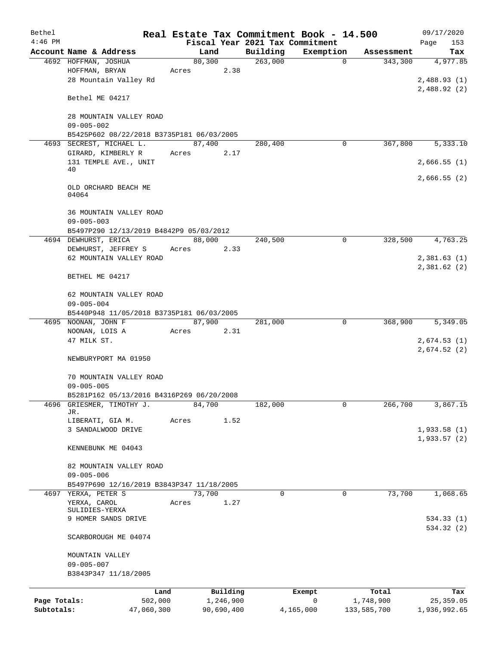| Bethel       |                                                                   | Real Estate Tax Commitment Book - 14.500 |                     |                          |                       | 09/17/2020        |
|--------------|-------------------------------------------------------------------|------------------------------------------|---------------------|--------------------------|-----------------------|-------------------|
| $4:46$ PM    |                                                                   | Fiscal Year 2021 Tax Commitment          |                     |                          |                       | Page<br>153       |
|              | Account Name & Address<br>4692 HOFFMAN, JOSHUA                    | Land<br>80,300                           | Building<br>263,000 | Exemption<br>$\mathbf 0$ | Assessment<br>343,300 | Tax<br>4,977.85   |
|              | HOFFMAN, BRYAN                                                    | 2.38<br>Acres                            |                     |                          |                       |                   |
|              | 28 Mountain Valley Rd                                             |                                          |                     |                          |                       | 2,488.93(1)       |
|              |                                                                   |                                          |                     |                          |                       | 2,488.92 (2)      |
|              | Bethel ME 04217                                                   |                                          |                     |                          |                       |                   |
|              | 28 MOUNTAIN VALLEY ROAD                                           |                                          |                     |                          |                       |                   |
|              | $09 - 005 - 002$                                                  |                                          |                     |                          |                       |                   |
|              | B5425P602 08/22/2018 B3735P181 06/03/2005                         |                                          |                     |                          |                       |                   |
|              | 4693 SECREST, MICHAEL L.                                          | 87,400                                   | 280,400             | 0                        | 367,800               | 5,333.10          |
|              | GIRARD, KIMBERLY R                                                | Acres<br>2.17                            |                     |                          |                       |                   |
|              | 131 TEMPLE AVE., UNIT<br>40                                       |                                          |                     |                          |                       | 2,666.55(1)       |
|              |                                                                   |                                          |                     |                          |                       | 2,666.55(2)       |
|              | OLD ORCHARD BEACH ME                                              |                                          |                     |                          |                       |                   |
|              | 04064                                                             |                                          |                     |                          |                       |                   |
|              | 36 MOUNTAIN VALLEY ROAD                                           |                                          |                     |                          |                       |                   |
|              | $09 - 005 - 003$                                                  |                                          |                     |                          |                       |                   |
|              | B5497P290 12/13/2019 B4842P9 05/03/2012                           |                                          |                     |                          |                       |                   |
|              | 4694 DEWHURST, ERICA                                              | 88,000                                   | 240,500             | $\Omega$                 | 328,500               | 4,763.25          |
|              | DEWHURST, JEFFREY S                                               | 2.33<br>Acres                            |                     |                          |                       |                   |
|              | 62 MOUNTAIN VALLEY ROAD                                           |                                          |                     |                          |                       | 2,381.63(1)       |
|              |                                                                   |                                          |                     |                          |                       | 2,381.62(2)       |
|              | BETHEL ME 04217                                                   |                                          |                     |                          |                       |                   |
|              | 62 MOUNTAIN VALLEY ROAD                                           |                                          |                     |                          |                       |                   |
|              | $09 - 005 - 004$                                                  |                                          |                     |                          |                       |                   |
|              | B5440P948 11/05/2018 B3735P181 06/03/2005                         |                                          |                     |                          |                       |                   |
|              | 4695 NOONAN, JOHN F                                               | 87,900                                   | 281,000             | 0                        | 368,900               | 5,349.05          |
|              | NOONAN, LOIS A                                                    | 2.31<br>Acres                            |                     |                          |                       |                   |
|              | 47 MILK ST.                                                       |                                          |                     |                          |                       | 2,674.53(1)       |
|              |                                                                   |                                          |                     |                          |                       | 2,674.52(2)       |
|              | NEWBURYPORT MA 01950                                              |                                          |                     |                          |                       |                   |
|              |                                                                   |                                          |                     |                          |                       |                   |
|              | 70 MOUNTAIN VALLEY ROAD                                           |                                          |                     |                          |                       |                   |
|              | $09 - 005 - 005$                                                  |                                          |                     |                          |                       |                   |
| 4696         | B5281P162 05/13/2016 B4316P269 06/20/2008<br>GRIESMER, TIMOTHY J. | 84,700                                   | 182,000             | 0                        | 266,700               | 3,867.15          |
|              | JR.                                                               |                                          |                     |                          |                       |                   |
|              | LIBERATI, GIA M.                                                  | 1.52<br>Acres                            |                     |                          |                       |                   |
|              | 3 SANDALWOOD DRIVE                                                |                                          |                     |                          |                       | 1,933.58(1)       |
|              |                                                                   |                                          |                     |                          |                       | 1,933.57(2)       |
|              | KENNEBUNK ME 04043                                                |                                          |                     |                          |                       |                   |
|              | 82 MOUNTAIN VALLEY ROAD                                           |                                          |                     |                          |                       |                   |
|              | $09 - 005 - 006$                                                  |                                          |                     |                          |                       |                   |
|              | B5497P690 12/16/2019 B3843P347 11/18/2005                         |                                          |                     |                          |                       |                   |
|              | 4697 YERXA, PETER S                                               | 73,700                                   | 0                   | 0                        | 73,700                | 1,068.65          |
|              | YERXA, CAROL                                                      | 1.27<br>Acres                            |                     |                          |                       |                   |
|              | SULIDIES-YERXA                                                    |                                          |                     |                          |                       |                   |
|              | 9 HOMER SANDS DRIVE                                               |                                          |                     |                          |                       | 534.33(1)         |
|              |                                                                   |                                          |                     |                          |                       | 534.32 (2)        |
|              | SCARBOROUGH ME 04074                                              |                                          |                     |                          |                       |                   |
|              | MOUNTAIN VALLEY                                                   |                                          |                     |                          |                       |                   |
|              | $09 - 005 - 007$                                                  |                                          |                     |                          |                       |                   |
|              | B3843P347 11/18/2005                                              |                                          |                     |                          |                       |                   |
|              |                                                                   | Building                                 |                     |                          |                       |                   |
| Page Totals: | Land<br>502,000                                                   | 1,246,900                                |                     | Exempt<br>0              | Total<br>1,748,900    | Tax<br>25, 359.05 |
| Subtotals:   | 47,060,300                                                        | 90,690,400                               |                     | 4,165,000                | 133,585,700           | 1,936,992.65      |
|              |                                                                   |                                          |                     |                          |                       |                   |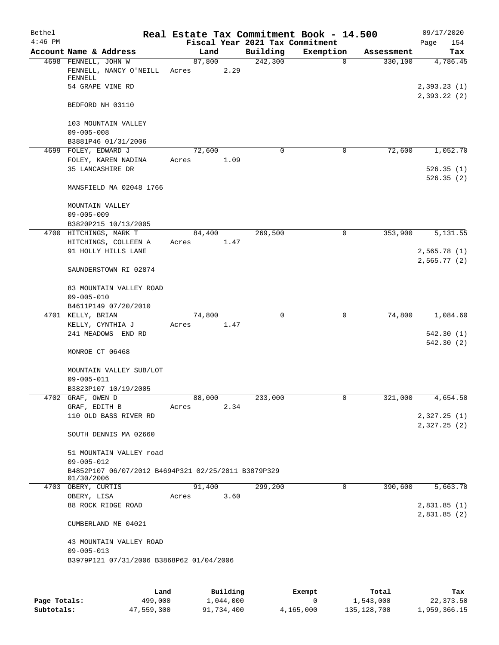| Bethel<br>$4:46$ PM |                                                                   |       |        |      | Fiscal Year 2021 Tax Commitment | Real Estate Tax Commitment Book - 14.500 |            | 09/17/2020<br>Page<br>154  |
|---------------------|-------------------------------------------------------------------|-------|--------|------|---------------------------------|------------------------------------------|------------|----------------------------|
|                     | Account Name & Address                                            |       | Land   |      | Building                        | Exemption                                | Assessment | Tax                        |
|                     | 4698 FENNELL, JOHN W<br>FENNELL, NANCY O'NEILL<br>FENNELL         | Acres | 87,800 | 2.29 | 242,300                         | $\mathbf 0$                              | 330,100    | 4,786.45                   |
|                     | 54 GRAPE VINE RD                                                  |       |        |      |                                 |                                          |            | 2,393.23(1)<br>2,393.22(2) |
|                     | BEDFORD NH 03110                                                  |       |        |      |                                 |                                          |            |                            |
|                     | 103 MOUNTAIN VALLEY<br>$09 - 005 - 008$                           |       |        |      |                                 |                                          |            |                            |
|                     | B3881P46 01/31/2006                                               |       |        |      |                                 |                                          |            |                            |
|                     | 4699 FOLEY, EDWARD J                                              |       | 72,600 |      | 0                               | $\mathbf 0$                              | 72,600     | 1,052.70                   |
|                     | FOLEY, KAREN NADINA                                               | Acres |        | 1.09 |                                 |                                          |            |                            |
|                     | 35 LANCASHIRE DR                                                  |       |        |      |                                 |                                          |            | 526.35(1)<br>526.35(2)     |
|                     | MANSFIELD MA 02048 1766                                           |       |        |      |                                 |                                          |            |                            |
|                     | MOUNTAIN VALLEY<br>$09 - 005 - 009$                               |       |        |      |                                 |                                          |            |                            |
|                     | B3820P215 10/13/2005                                              |       |        |      |                                 |                                          |            |                            |
|                     | 4700 HITCHINGS, MARK T                                            |       | 84,400 |      | 269,500                         | 0                                        | 353,900    | 5,131.55                   |
|                     | HITCHINGS, COLLEEN A                                              | Acres |        | 1.47 |                                 |                                          |            |                            |
|                     | 91 HOLLY HILLS LANE                                               |       |        |      |                                 |                                          |            | 2,565.78(1)                |
|                     |                                                                   |       |        |      |                                 |                                          |            | 2,565.77(2)                |
|                     | SAUNDERSTOWN RI 02874                                             |       |        |      |                                 |                                          |            |                            |
|                     | 83 MOUNTAIN VALLEY ROAD<br>$09 - 005 - 010$                       |       |        |      |                                 |                                          |            |                            |
|                     | B4611P149 07/20/2010                                              |       |        |      |                                 |                                          |            |                            |
|                     | 4701 KELLY, BRIAN                                                 |       | 74,800 |      | 0                               | 0                                        | 74,800     | 1,084.60                   |
|                     | KELLY, CYNTHIA J                                                  | Acres |        | 1.47 |                                 |                                          |            |                            |
|                     | 241 MEADOWS END RD                                                |       |        |      |                                 |                                          |            | 542.30(1)                  |
|                     |                                                                   |       |        |      |                                 |                                          |            | 542.30(2)                  |
|                     | MONROE CT 06468                                                   |       |        |      |                                 |                                          |            |                            |
|                     | MOUNTAIN VALLEY SUB/LOT<br>$09 - 005 - 011$                       |       |        |      |                                 |                                          |            |                            |
|                     | B3823P107 10/19/2005                                              |       |        |      |                                 |                                          |            |                            |
|                     | 4702 GRAF, OWEN D                                                 |       | 88,000 |      | 233,000                         | 0                                        | 321,000    | 4,654.50                   |
|                     | GRAF, EDITH B                                                     | Acres |        | 2.34 |                                 |                                          |            |                            |
|                     | 110 OLD BASS RIVER RD                                             |       |        |      |                                 |                                          |            | 2,327.25(1)                |
|                     |                                                                   |       |        |      |                                 |                                          |            | 2,327.25(2)                |
|                     | SOUTH DENNIS MA 02660                                             |       |        |      |                                 |                                          |            |                            |
|                     | 51 MOUNTAIN VALLEY road<br>$09 - 005 - 012$                       |       |        |      |                                 |                                          |            |                            |
|                     | B4852P107 06/07/2012 B4694P321 02/25/2011 B3879P329<br>01/30/2006 |       |        |      |                                 |                                          |            |                            |
|                     | 4703 OBERY, CURTIS                                                |       | 91,400 |      | 299,200                         | 0                                        | 390,600    | 5,663.70                   |
|                     | OBERY, LISA                                                       | Acres |        | 3.60 |                                 |                                          |            |                            |
|                     | 88 ROCK RIDGE ROAD                                                |       |        |      |                                 |                                          |            | 2,831.85(1)                |
|                     | CUMBERLAND ME 04021                                               |       |        |      |                                 |                                          |            | 2,831.85(2)                |
|                     | 43 MOUNTAIN VALLEY ROAD                                           |       |        |      |                                 |                                          |            |                            |
|                     | $09 - 005 - 013$                                                  |       |        |      |                                 |                                          |            |                            |
|                     | B3979P121 07/31/2006 B3868P62 01/04/2006                          |       |        |      |                                 |                                          |            |                            |
|                     |                                                                   |       |        |      |                                 |                                          |            |                            |

|              | Land       | Building   | Exempt    | Total         | Tax          |
|--------------|------------|------------|-----------|---------------|--------------|
| Page Totals: | 499,000    | 1,044,000  |           | 1,543,000     | 22,373.50    |
| Subtotals:   | 47,559,300 | 91,734,400 | 4,165,000 | 135, 128, 700 | 1,959,366.15 |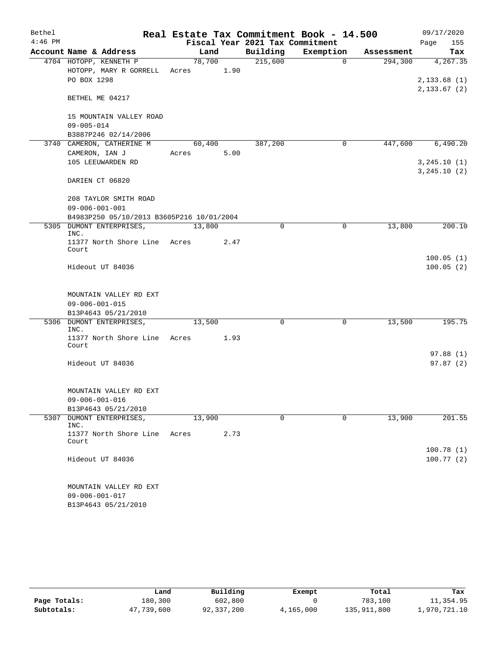| Bethel    |                                           |        |      |                                 | Real Estate Tax Commitment Book - 14.500 |            | 09/17/2020             |
|-----------|-------------------------------------------|--------|------|---------------------------------|------------------------------------------|------------|------------------------|
| $4:46$ PM |                                           |        |      | Fiscal Year 2021 Tax Commitment |                                          |            | Page<br>155            |
|           | Account Name & Address                    | Land   |      | Building                        | Exemption                                | Assessment | Tax                    |
|           | 4704 HOTOPP, KENNETH P                    | 78,700 |      | 215,600                         | $\mathbf 0$                              | 294,300    | 4,267.35               |
|           | HOTOPP, MARY R GORRELL                    | Acres  | 1.90 |                                 |                                          |            |                        |
|           | PO BOX 1298                               |        |      |                                 |                                          |            | 2, 133.68(1)           |
|           | BETHEL ME 04217                           |        |      |                                 |                                          |            | 2, 133.67 (2)          |
|           |                                           |        |      |                                 |                                          |            |                        |
|           | 15 MOUNTAIN VALLEY ROAD                   |        |      |                                 |                                          |            |                        |
|           | $09 - 005 - 014$                          |        |      |                                 |                                          |            |                        |
|           | B3887P246 02/14/2006                      |        |      |                                 |                                          |            |                        |
|           | 3740 CAMERON, CATHERINE M                 | 60,400 |      | 387,200                         | $\mathbf 0$                              | 447,600    | 6,490.20               |
|           | CAMERON, IAN J                            | Acres  | 5.00 |                                 |                                          |            |                        |
|           | 105 LEEUWARDEN RD                         |        |      |                                 |                                          |            | 3, 245.10 (1)          |
|           |                                           |        |      |                                 |                                          |            | 3, 245.10 (2)          |
|           | DARIEN CT 06820                           |        |      |                                 |                                          |            |                        |
|           | 208 TAYLOR SMITH ROAD                     |        |      |                                 |                                          |            |                        |
|           | $09 - 006 - 001 - 001$                    |        |      |                                 |                                          |            |                        |
|           | B4983P250 05/10/2013 B3605P216 10/01/2004 |        |      |                                 |                                          |            |                        |
|           | 5305 DUMONT ENTERPRISES,                  | 13,800 |      | 0                               | 0                                        | 13,800     | 200.10                 |
|           | INC.                                      |        |      |                                 |                                          |            |                        |
|           | 11377 North Shore Line Acres              |        | 2.47 |                                 |                                          |            |                        |
|           | Court                                     |        |      |                                 |                                          |            |                        |
|           | Hideout UT 84036                          |        |      |                                 |                                          |            | 100.05(1)<br>100.05(2) |
|           |                                           |        |      |                                 |                                          |            |                        |
|           |                                           |        |      |                                 |                                          |            |                        |
|           | MOUNTAIN VALLEY RD EXT                    |        |      |                                 |                                          |            |                        |
|           | $09 - 006 - 001 - 015$                    |        |      |                                 |                                          |            |                        |
|           | B13P4643 05/21/2010                       |        |      |                                 |                                          |            |                        |
|           | 5306 DUMONT ENTERPRISES,<br>INC.          | 13,500 |      | 0                               | 0                                        | 13,500     | 195.75                 |
|           | 11377 North Shore Line Acres              |        | 1.93 |                                 |                                          |            |                        |
|           | Court                                     |        |      |                                 |                                          |            |                        |
|           |                                           |        |      |                                 |                                          |            | 97.88 (1)              |
|           | Hideout UT 84036                          |        |      |                                 |                                          |            | 97.87 (2)              |
|           |                                           |        |      |                                 |                                          |            |                        |
|           |                                           |        |      |                                 |                                          |            |                        |
|           | MOUNTAIN VALLEY RD EXT                    |        |      |                                 |                                          |            |                        |
|           | $09 - 006 - 001 - 016$                    |        |      |                                 |                                          |            |                        |
|           | B13P4643 05/21/2010                       |        |      | 0                               | 0                                        | 13,900     |                        |
| 5307      | DUMONT ENTERPRISES,<br>INC.               | 13,900 |      |                                 |                                          |            | 201.55                 |
|           | 11377 North Shore Line                    | Acres  | 2.73 |                                 |                                          |            |                        |
|           | Court                                     |        |      |                                 |                                          |            |                        |
|           |                                           |        |      |                                 |                                          |            | 100.78(1)              |
|           | Hideout UT 84036                          |        |      |                                 |                                          |            | 100.77(2)              |
|           |                                           |        |      |                                 |                                          |            |                        |
|           | MOUNTAIN VALLEY RD EXT                    |        |      |                                 |                                          |            |                        |
|           | $09 - 006 - 001 - 017$                    |        |      |                                 |                                          |            |                        |
|           | B13P4643 05/21/2010                       |        |      |                                 |                                          |            |                        |

|              | Land       | Building   | Exempt    | Total       | Tax          |
|--------------|------------|------------|-----------|-------------|--------------|
| Page Totals: | 180,300    | 602,800    |           | 783,100     | 11,354.95    |
| Subtotals:   | 47,739,600 | 92,337,200 | 4,165,000 | 135,911,800 | 1,970,721.10 |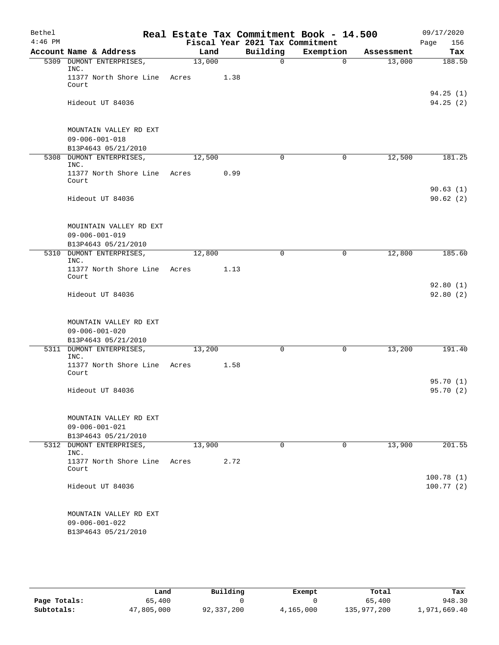| Bethel    |                                                                          |        |      | Real Estate Tax Commitment Book - 14.500 |             |            | 09/17/2020             |
|-----------|--------------------------------------------------------------------------|--------|------|------------------------------------------|-------------|------------|------------------------|
| $4:46$ PM |                                                                          |        |      | Fiscal Year 2021 Tax Commitment          |             |            | 156<br>Page            |
|           | Account Name & Address                                                   | Land   |      | Building                                 | Exemption   | Assessment | Tax                    |
|           | 5309 DUMONT ENTERPRISES,<br>INC.                                         | 13,000 |      | 0                                        | $\Omega$    | 13,000     | 188.50                 |
|           | 11377 North Shore Line<br>Court                                          | Acres  | 1.38 |                                          |             |            |                        |
|           | Hideout UT 84036                                                         |        |      |                                          |             |            | 94.25(1)<br>94.25(2)   |
|           | MOUNTAIN VALLEY RD EXT<br>$09 - 006 - 001 - 018$<br>B13P4643 05/21/2010  |        |      |                                          |             |            |                        |
|           | 5308 DUMONT ENTERPRISES,                                                 | 12,500 |      | $\mathbf 0$                              | 0           | 12,500     | 181.25                 |
|           | INC.<br>11377 North Shore Line<br>Court                                  | Acres  | 0.99 |                                          |             |            |                        |
|           | Hideout UT 84036                                                         |        |      |                                          |             |            | 90.63(1)<br>90.62(2)   |
|           | MOUINTAIN VALLEY RD EXT<br>$09 - 006 - 001 - 019$<br>B13P4643 05/21/2010 |        |      |                                          |             |            |                        |
|           | 5310 DUMONT ENTERPRISES,                                                 | 12,800 |      | 0                                        | $\mathbf 0$ | 12,800     | 185.60                 |
|           | INC.<br>11377 North Shore Line<br>Court                                  | Acres  | 1.13 |                                          |             |            |                        |
|           | Hideout UT 84036                                                         |        |      |                                          |             |            | 92.80(1)<br>92.80(2)   |
|           | MOUNTAIN VALLEY RD EXT<br>$09 - 006 - 001 - 020$<br>B13P4643 05/21/2010  |        |      |                                          |             |            |                        |
|           | 5311 DUMONT ENTERPRISES,                                                 | 13,200 |      | 0                                        | 0           | 13,200     | 191.40                 |
|           | INC.<br>11377 North Shore Line<br>Court                                  | Acres  | 1.58 |                                          |             |            |                        |
|           | Hideout UT 84036                                                         |        |      |                                          |             |            | 95.70(1)<br>95.70(2)   |
|           | MOUNTAIN VALLEY RD EXT<br>$09 - 006 - 001 - 021$<br>B13P4643 05/21/2010  |        |      |                                          |             |            |                        |
|           | 5312 DUMONT ENTERPRISES,                                                 | 13,900 |      | 0                                        | 0           | 13,900     | 201.55                 |
|           | INC.<br>11377 North Shore Line<br>Court                                  | Acres  | 2.72 |                                          |             |            |                        |
|           | Hideout UT 84036                                                         |        |      |                                          |             |            | 100.78(1)<br>100.77(2) |
|           | MOUNTAIN VALLEY RD EXT<br>$09 - 006 - 001 - 022$<br>B13P4643 05/21/2010  |        |      |                                          |             |            |                        |

|              | Land       | Building   | Exempt    | Total       | Tax          |
|--------------|------------|------------|-----------|-------------|--------------|
| Page Totals: | 65,400     |            |           | 65,400      | 948.30       |
| Subtotals:   | 47,805,000 | 92,337,200 | 4,165,000 | 135,977,200 | 1,971,669.40 |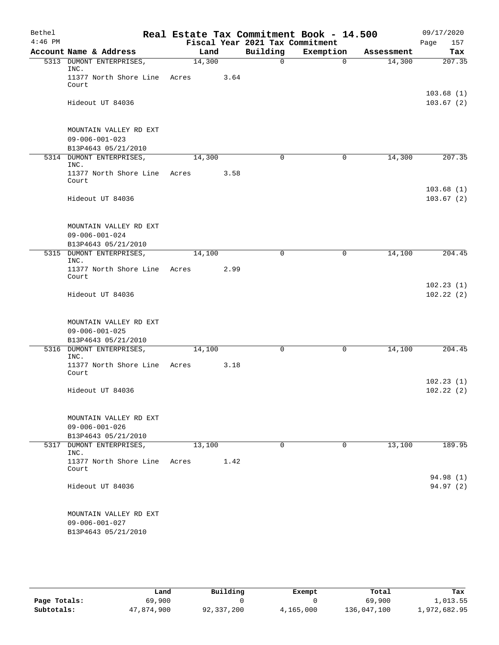| Bethel    |                                                  |        |      |                                             | Real Estate Tax Commitment Book - 14.500 |            | 09/17/2020         |
|-----------|--------------------------------------------------|--------|------|---------------------------------------------|------------------------------------------|------------|--------------------|
| $4:46$ PM | Account Name & Address                           | Land   |      | Fiscal Year 2021 Tax Commitment<br>Building | Exemption                                | Assessment | Page<br>157<br>Tax |
|           | 5313 DUMONT ENTERPRISES,                         | 14,300 |      | $\mathbf 0$                                 | $\Omega$                                 | 14,300     | 207.35             |
|           | INC.<br>11377 North Shore Line Acres             |        | 3.64 |                                             |                                          |            |                    |
|           | Court                                            |        |      |                                             |                                          |            | 103.68(1)          |
|           | Hideout UT 84036                                 |        |      |                                             |                                          |            | 103.67(2)          |
|           | MOUNTAIN VALLEY RD EXT                           |        |      |                                             |                                          |            |                    |
|           | $09 - 006 - 001 - 023$<br>B13P4643 05/21/2010    |        |      |                                             |                                          |            |                    |
|           | 5314 DUMONT ENTERPRISES,                         | 14,300 |      | $\mathbf 0$                                 | 0                                        | 14,300     | 207.35             |
|           | INC.<br>11377 North Shore Line                   | Acres  | 3.58 |                                             |                                          |            |                    |
|           | Court                                            |        |      |                                             |                                          |            | 103.68(1)          |
|           | Hideout UT 84036                                 |        |      |                                             |                                          |            | 103.67(2)          |
|           | MOUNTAIN VALLEY RD EXT                           |        |      |                                             |                                          |            |                    |
|           | $09 - 006 - 001 - 024$                           |        |      |                                             |                                          |            |                    |
|           | B13P4643 05/21/2010<br>5315 DUMONT ENTERPRISES,  | 14,100 |      | $\Omega$                                    | 0                                        | 14,100     | 204.45             |
|           | INC.                                             |        |      |                                             |                                          |            |                    |
|           | 11377 North Shore Line Acres<br>Court            |        | 2.99 |                                             |                                          |            | 102.23(1)          |
|           | Hideout UT 84036                                 |        |      |                                             |                                          |            | 102.22(2)          |
|           | MOUNTAIN VALLEY RD EXT                           |        |      |                                             |                                          |            |                    |
|           | $09 - 006 - 001 - 025$<br>B13P4643 05/21/2010    |        |      |                                             |                                          |            |                    |
|           | 5316 DUMONT ENTERPRISES,                         | 14,100 |      | 0                                           | 0                                        | 14,100     | 204.45             |
|           | INC.<br>11377 North Shore Line<br>Court          | Acres  | 3.18 |                                             |                                          |            |                    |
|           |                                                  |        |      |                                             |                                          |            | 102.23(1)          |
|           | Hideout UT 84036                                 |        |      |                                             |                                          |            | 102.22(2)          |
|           | MOUNTAIN VALLEY RD EXT                           |        |      |                                             |                                          |            |                    |
|           | $09 - 006 - 001 - 026$                           |        |      |                                             |                                          |            |                    |
|           | B13P4643 05/21/2010<br>5317 DUMONT ENTERPRISES,  | 13,100 |      | 0                                           | 0                                        | 13,100     | 189.95             |
|           | INC.                                             |        |      |                                             |                                          |            |                    |
|           | 11377 North Shore Line<br>Court                  | Acres  | 1.42 |                                             |                                          |            | 94.98 (1)          |
|           | Hideout UT 84036                                 |        |      |                                             |                                          |            | 94.97(2)           |
|           | MOUNTAIN VALLEY RD EXT<br>$09 - 006 - 001 - 027$ |        |      |                                             |                                          |            |                    |
|           | B13P4643 05/21/2010                              |        |      |                                             |                                          |            |                    |

|              | Land       | Building   | Exempt    | Total       | Tax          |
|--------------|------------|------------|-----------|-------------|--------------|
| Page Totals: | 69,900     |            |           | 69,900      | 1,013.55     |
| Subtotals:   | 47,874,900 | 92,337,200 | 4,165,000 | 136,047,100 | 1,972,682.95 |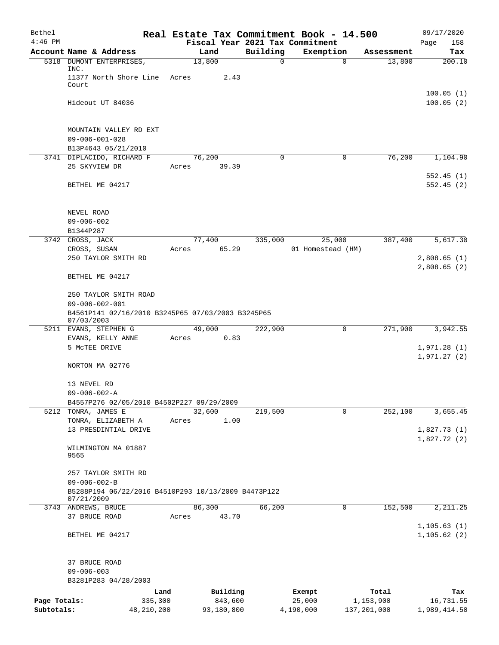| Bethel       |                                                                   |       |                |               | Real Estate Tax Commitment Book - 14.500 |               | 09/17/2020                 |
|--------------|-------------------------------------------------------------------|-------|----------------|---------------|------------------------------------------|---------------|----------------------------|
| $4:46$ PM    |                                                                   |       |                |               | Fiscal Year 2021 Tax Commitment          |               | Page<br>158                |
|              | Account Name & Address                                            |       | Land<br>13,800 | Building<br>0 | Exemption<br>$\mathbf 0$                 | Assessment    | Tax                        |
|              | 5318 DUMONT ENTERPRISES,<br>INC.                                  |       |                |               |                                          | 13,800        | 200.10                     |
|              | 11377 North Shore Line Acres<br>Court                             |       | 2.43           |               |                                          |               |                            |
|              |                                                                   |       |                |               |                                          |               | 100.05(1)                  |
|              | Hideout UT 84036                                                  |       |                |               |                                          |               | 100.05(2)                  |
|              | MOUNTAIN VALLEY RD EXT<br>$09 - 006 - 001 - 028$                  |       |                |               |                                          |               |                            |
|              | B13P4643 05/21/2010                                               |       |                |               |                                          |               |                            |
|              | 3741 DIPLACIDO, RICHARD F                                         |       | 76,200         | 0             | 0                                        | 76,200        | 1,104.90                   |
|              | 25 SKYVIEW DR                                                     | Acres | 39.39          |               |                                          |               | 552.45(1)                  |
|              | BETHEL ME 04217                                                   |       |                |               |                                          |               | 552.45(2)                  |
|              | NEVEL ROAD                                                        |       |                |               |                                          |               |                            |
|              | $09 - 006 - 002$                                                  |       |                |               |                                          |               |                            |
|              | B1344P287                                                         |       |                |               |                                          |               |                            |
|              | 3742 CROSS, JACK                                                  |       | 77,400         | 335,000       | 25,000                                   | 387,400       | 5,617.30                   |
|              | CROSS, SUSAN                                                      | Acres | 65.29          |               | 01 Homestead (HM)                        |               |                            |
|              | 250 TAYLOR SMITH RD                                               |       |                |               |                                          |               | 2,808.65(1)                |
|              | BETHEL ME 04217                                                   |       |                |               |                                          |               | 2,808.65(2)                |
|              | 250 TAYLOR SMITH ROAD                                             |       |                |               |                                          |               |                            |
|              | $09 - 006 - 002 - 001$                                            |       |                |               |                                          |               |                            |
|              | B4561P141 02/16/2010 B3245P65 07/03/2003 B3245P65<br>07/03/2003   |       |                |               |                                          |               |                            |
|              | 5211 EVANS, STEPHEN G                                             |       | 49,000         | 222,900       | 0                                        | 271,900       | 3,942.55                   |
|              | EVANS, KELLY ANNE                                                 | Acres | 0.83           |               |                                          |               |                            |
|              | 5 MCTEE DRIVE                                                     |       |                |               |                                          |               | 1,971.28(1)<br>1,971.27(2) |
|              | NORTON MA 02776                                                   |       |                |               |                                          |               |                            |
|              | 13 NEVEL RD                                                       |       |                |               |                                          |               |                            |
|              | $09 - 006 - 002 - A$                                              |       |                |               |                                          |               |                            |
|              | B4557P276 02/05/2010 B4502P227 09/29/2009<br>5212 TONRA, JAMES E  |       | 32,600         | 219,500       | 0                                        | 252,100       | 3,655.45                   |
|              | TONRA, ELIZABETH A                                                | Acres | 1.00           |               |                                          |               |                            |
|              | 13 PRESDINTIAL DRIVE                                              |       |                |               |                                          |               | 1,827.73(1)                |
|              |                                                                   |       |                |               |                                          |               | 1,827.72(2)                |
|              | WILMINGTON MA 01887                                               |       |                |               |                                          |               |                            |
|              | 9565                                                              |       |                |               |                                          |               |                            |
|              | 257 TAYLOR SMITH RD<br>$09 - 006 - 002 - B$                       |       |                |               |                                          |               |                            |
|              | B5288P194 06/22/2016 B4510P293 10/13/2009 B4473P122<br>07/21/2009 |       |                |               |                                          |               |                            |
|              | 3743 ANDREWS, BRUCE                                               |       | 86,300         | 66,200        | $\mathbf 0$                              | 152,500       | 2, 211.25                  |
|              | 37 BRUCE ROAD                                                     | Acres | 43.70          |               |                                          |               |                            |
|              |                                                                   |       |                |               |                                          |               | 1, 105.63(1)               |
|              | BETHEL ME 04217                                                   |       |                |               |                                          |               | 1, 105.62(2)               |
|              | 37 BRUCE ROAD                                                     |       |                |               |                                          |               |                            |
|              | $09 - 006 - 003$                                                  |       |                |               |                                          |               |                            |
|              | B3281P283 04/28/2003                                              |       |                |               |                                          |               |                            |
|              |                                                                   | Land  | Building       |               | Exempt                                   | Total         | Tax                        |
| Page Totals: | 335,300                                                           |       | 843,600        |               | 25,000                                   | 1,153,900     | 16,731.55                  |
| Subtotals:   | 48, 210, 200                                                      |       | 93,180,800     |               | 4,190,000                                | 137, 201, 000 | 1,989,414.50               |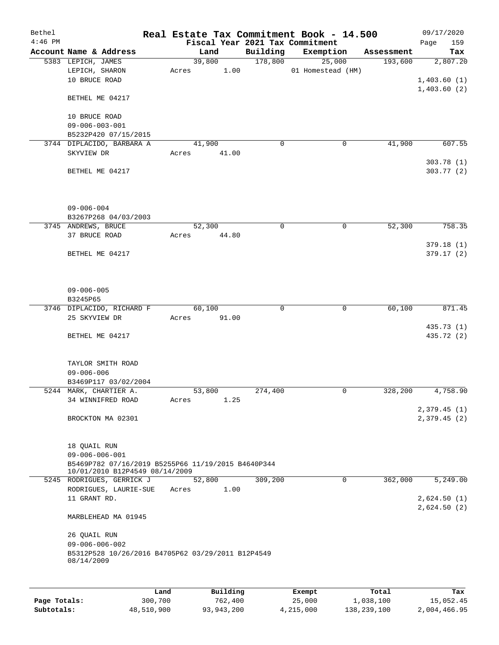| Bethel    |                                                                 |      |       |                |          |                     | Real Estate Tax Commitment Book - 14.500 |                        | 09/17/2020             |
|-----------|-----------------------------------------------------------------|------|-------|----------------|----------|---------------------|------------------------------------------|------------------------|------------------------|
| $4:46$ PM |                                                                 |      |       |                |          |                     | Fiscal Year 2021 Tax Commitment          |                        | Page<br>159            |
|           | Account Name & Address                                          |      |       | Land<br>39,800 |          | Building<br>178,800 | Exemption<br>25,000                      | Assessment<br>193,600  | Tax                    |
|           | 5383 LEPICH, JAMES<br>LEPICH, SHARON                            |      | Acres |                | 1.00     |                     | 01 Homestead (HM)                        |                        | 2,807.20               |
|           | 10 BRUCE ROAD                                                   |      |       |                |          |                     |                                          |                        | 1,403.60(1)            |
|           |                                                                 |      |       |                |          |                     |                                          |                        | 1,403.60(2)            |
|           | BETHEL ME 04217                                                 |      |       |                |          |                     |                                          |                        |                        |
|           |                                                                 |      |       |                |          |                     |                                          |                        |                        |
|           | 10 BRUCE ROAD                                                   |      |       |                |          |                     |                                          |                        |                        |
|           | $09 - 006 - 003 - 001$                                          |      |       |                |          |                     |                                          |                        |                        |
|           | B5232P420 07/15/2015                                            |      |       |                |          |                     |                                          |                        |                        |
|           | 3744 DIPLACIDO, BARBARA A                                       |      |       | 41,900         |          | $\Omega$            |                                          | 41,900<br>0            | 607.55                 |
|           | SKYVIEW DR                                                      |      | Acres |                | 41.00    |                     |                                          |                        |                        |
|           |                                                                 |      |       |                |          |                     |                                          |                        | 303.78(1)<br>303.77(2) |
|           | BETHEL ME 04217                                                 |      |       |                |          |                     |                                          |                        |                        |
|           |                                                                 |      |       |                |          |                     |                                          |                        |                        |
|           |                                                                 |      |       |                |          |                     |                                          |                        |                        |
|           | $09 - 006 - 004$                                                |      |       |                |          |                     |                                          |                        |                        |
|           | B3267P268 04/03/2003                                            |      |       |                |          |                     |                                          |                        |                        |
|           | 3745 ANDREWS, BRUCE                                             |      |       | 52,300         |          | 0                   |                                          | 0<br>52,300            | 758.35                 |
|           | 37 BRUCE ROAD                                                   |      | Acres |                | 44.80    |                     |                                          |                        |                        |
|           |                                                                 |      |       |                |          |                     |                                          |                        | 379.18(1)              |
|           | BETHEL ME 04217                                                 |      |       |                |          |                     |                                          |                        | 379.17(2)              |
|           |                                                                 |      |       |                |          |                     |                                          |                        |                        |
|           |                                                                 |      |       |                |          |                     |                                          |                        |                        |
|           | $09 - 006 - 005$                                                |      |       |                |          |                     |                                          |                        |                        |
|           | B3245P65                                                        |      |       |                |          |                     |                                          |                        |                        |
|           | 3746 DIPLACIDO, RICHARD F                                       |      |       | 60,100         |          | $\mathbf 0$         |                                          | 60,100<br>$\mathbf 0$  | 871.45                 |
|           | 25 SKYVIEW DR                                                   |      | Acres |                | 91.00    |                     |                                          |                        |                        |
|           |                                                                 |      |       |                |          |                     |                                          |                        | 435.73 (1)             |
|           | BETHEL ME 04217                                                 |      |       |                |          |                     |                                          |                        | 435.72 (2)             |
|           |                                                                 |      |       |                |          |                     |                                          |                        |                        |
|           |                                                                 |      |       |                |          |                     |                                          |                        |                        |
|           | TAYLOR SMITH ROAD                                               |      |       |                |          |                     |                                          |                        |                        |
|           | $09 - 006 - 006$                                                |      |       |                |          |                     |                                          |                        |                        |
|           | B3469P117 03/02/2004<br>5244 MARK, CHARTIER A.                  |      |       | 53,800         |          | 274,400             |                                          | 0<br>328,200           | 4,758.90               |
|           | 34 WINNIFRED ROAD                                               |      | Acres |                | 1.25     |                     |                                          |                        |                        |
|           |                                                                 |      |       |                |          |                     |                                          |                        | 2,379.45 (1)           |
|           | BROCKTON MA 02301                                               |      |       |                |          |                     |                                          |                        | 2,379.45(2)            |
|           |                                                                 |      |       |                |          |                     |                                          |                        |                        |
|           |                                                                 |      |       |                |          |                     |                                          |                        |                        |
|           | 18 QUAIL RUN                                                    |      |       |                |          |                     |                                          |                        |                        |
|           | $09 - 006 - 006 - 001$                                          |      |       |                |          |                     |                                          |                        |                        |
|           | B5469P782 07/16/2019 B5255P66 11/19/2015 B4640P344              |      |       |                |          |                     |                                          |                        |                        |
|           | 10/01/2010 B12P4549 08/14/2009<br>5245 RODRIGUES, GERRICK J     |      |       | 52,800         |          | 309,200             |                                          | $\mathbf 0$<br>362,000 | 5,249.00               |
|           | RODRIGUES, LAURIE-SUE                                           |      | Acres |                | 1.00     |                     |                                          |                        |                        |
|           | 11 GRANT RD.                                                    |      |       |                |          |                     |                                          |                        | 2,624.50(1)            |
|           |                                                                 |      |       |                |          |                     |                                          |                        | 2,624.50(2)            |
|           | MARBLEHEAD MA 01945                                             |      |       |                |          |                     |                                          |                        |                        |
|           |                                                                 |      |       |                |          |                     |                                          |                        |                        |
|           | 26 QUAIL RUN                                                    |      |       |                |          |                     |                                          |                        |                        |
|           | $09 - 006 - 006 - 002$                                          |      |       |                |          |                     |                                          |                        |                        |
|           | B5312P528 10/26/2016 B4705P62 03/29/2011 B12P4549<br>08/14/2009 |      |       |                |          |                     |                                          |                        |                        |
|           |                                                                 |      |       |                |          |                     |                                          |                        |                        |
|           |                                                                 |      |       |                |          |                     |                                          |                        |                        |
|           |                                                                 | Land |       |                | Building |                     | Exempt                                   | Total                  | Tax                    |

|              | Land       | Building   | Exempt    | Total       | Tax          |
|--------------|------------|------------|-----------|-------------|--------------|
| Page Totals: | 300,700    | 762,400    | 25,000    | 1,038,100   | 15,052.45    |
| Subtotals:   | 48,510,900 | 93,943,200 | 4,215,000 | 138,239,100 | 2,004,466.95 |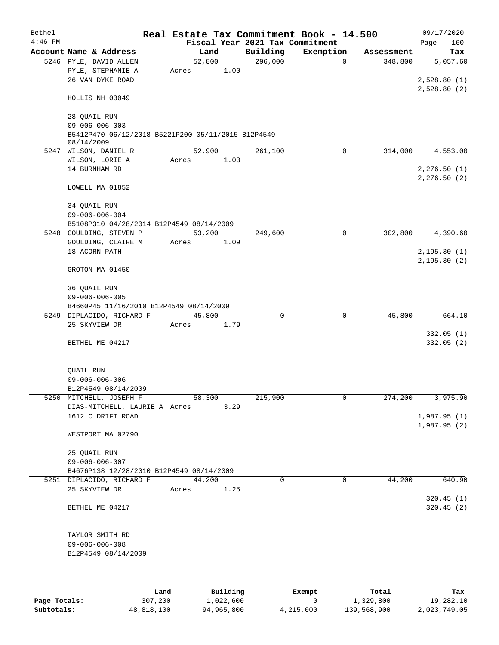| Bethel    |                                                                     |       |        |                 |                                 | Real Estate Tax Commitment Book - 14.500 |            | 09/17/2020                   |
|-----------|---------------------------------------------------------------------|-------|--------|-----------------|---------------------------------|------------------------------------------|------------|------------------------------|
| $4:46$ PM |                                                                     |       |        |                 | Fiscal Year 2021 Tax Commitment |                                          |            | 160<br>Page                  |
|           | Account Name & Address                                              |       | Land   |                 | Building                        | Exemption                                | Assessment | Tax                          |
|           | 5246 PYLE, DAVID ALLEN<br>PYLE, STEPHANIE A<br>26 VAN DYKE ROAD     | Acres | 52,800 | 1.00            | 296,000                         | 0                                        | 348,800    | 5,057.60<br>2,528.80(1)      |
|           | HOLLIS NH 03049                                                     |       |        |                 |                                 |                                          |            | 2,528.80(2)                  |
|           | 28 QUAIL RUN<br>$09 - 006 - 006 - 003$                              |       |        |                 |                                 |                                          |            |                              |
|           | B5412P470 06/12/2018 B5221P200 05/11/2015 B12P4549<br>08/14/2009    |       |        |                 |                                 |                                          |            |                              |
|           | 5247 WILSON, DANIEL R                                               |       | 52,900 |                 | 261,100                         | 0                                        | 314,000    | 4,553.00                     |
|           | WILSON, LORIE A                                                     | Acres |        | 1.03            |                                 |                                          |            |                              |
|           | 14 BURNHAM RD                                                       |       |        |                 |                                 |                                          |            | 2, 276.50(1)<br>2, 276.50(2) |
|           | LOWELL MA 01852                                                     |       |        |                 |                                 |                                          |            |                              |
|           | 34 QUAIL RUN                                                        |       |        |                 |                                 |                                          |            |                              |
|           | $09 - 006 - 006 - 004$                                              |       |        |                 |                                 |                                          |            |                              |
|           | B5108P310 04/28/2014 B12P4549 08/14/2009<br>5248 GOULDING, STEVEN P |       | 53,200 |                 |                                 | 0                                        | 302,800    | 4,390.60                     |
|           | GOULDING, CLAIRE M                                                  |       |        | 1.09            | 249,600                         |                                          |            |                              |
|           | 18 ACORN PATH                                                       | Acres |        |                 |                                 |                                          |            | 2, 195.30(1)                 |
|           |                                                                     |       |        |                 |                                 |                                          |            | 2, 195.30(2)                 |
|           | GROTON MA 01450                                                     |       |        |                 |                                 |                                          |            |                              |
|           | 36 QUAIL RUN<br>$09 - 006 - 006 - 005$                              |       |        |                 |                                 |                                          |            |                              |
|           | B4660P45 11/16/2010 B12P4549 08/14/2009                             |       |        |                 |                                 |                                          |            |                              |
|           | 5249 DIPLACIDO, RICHARD F                                           |       | 45,800 |                 | 0                               | $\mathbf 0$                              | 45,800     | 664.10                       |
|           | 25 SKYVIEW DR                                                       | Acres |        | 1.79            |                                 |                                          |            |                              |
|           | BETHEL ME 04217                                                     |       |        |                 |                                 |                                          |            | 332.05(1)<br>332.05(2)       |
|           | QUAIL RUN                                                           |       |        |                 |                                 |                                          |            |                              |
|           | $09 - 006 - 006 - 006$                                              |       |        |                 |                                 |                                          |            |                              |
|           | B12P4549 08/14/2009                                                 |       |        |                 |                                 |                                          |            |                              |
|           | 5250 MITCHELL, JOSEPH F                                             |       | 58,300 |                 | 215,900                         | 0                                        | 274,200    | 3,975.90                     |
|           | DIAS-MITCHELL, LAURIE A Acres                                       |       |        | 3.29            |                                 |                                          |            |                              |
|           | 1612 C DRIFT ROAD                                                   |       |        |                 |                                 |                                          |            | 1,987.95(1)                  |
|           |                                                                     |       |        |                 |                                 |                                          |            | 1,987.95(2)                  |
|           | WESTPORT MA 02790                                                   |       |        |                 |                                 |                                          |            |                              |
|           | 25 QUAIL RUN                                                        |       |        |                 |                                 |                                          |            |                              |
|           | $09 - 006 - 006 - 007$                                              |       |        |                 |                                 |                                          |            |                              |
|           | B4676P138 12/28/2010 B12P4549 08/14/2009                            |       |        |                 |                                 |                                          |            |                              |
|           | 5251 DIPLACIDO, RICHARD F                                           |       | 44,200 |                 | $\Omega$                        | $\mathbf 0$                              | 44,200     | 640.90                       |
|           | 25 SKYVIEW DR                                                       |       | Acres  | 1.25            |                                 |                                          |            | 320.45(1)                    |
|           | BETHEL ME 04217                                                     |       |        |                 |                                 |                                          |            | 320.45(2)                    |
|           | TAYLOR SMITH RD                                                     |       |        |                 |                                 |                                          |            |                              |
|           | $09 - 006 - 006 - 008$<br>B12P4549 08/14/2009                       |       |        |                 |                                 |                                          |            |                              |
|           |                                                                     |       |        |                 |                                 |                                          |            |                              |
|           |                                                                     |       |        | <b>Dec 2014</b> |                                 |                                          |            |                              |

|              | Land       | Building   | Exempt    | Total       | Tax          |
|--------------|------------|------------|-----------|-------------|--------------|
| Page Totals: | 307,200    | 1,022,600  |           | 1,329,800   | 19,282.10    |
| Subtotals:   | 48,818,100 | 94,965,800 | 4,215,000 | 139,568,900 | 2,023,749.05 |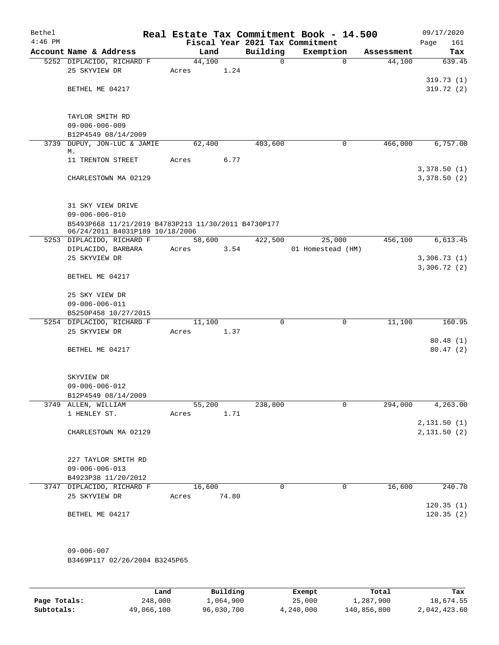| Bethel<br>$4:46$ PM |                                                                                        |        |       |          | Real Estate Tax Commitment Book - 14.500<br>Fiscal Year 2021 Tax Commitment |            | 09/17/2020<br>161<br>Page |
|---------------------|----------------------------------------------------------------------------------------|--------|-------|----------|-----------------------------------------------------------------------------|------------|---------------------------|
|                     | Account Name & Address                                                                 | Land   |       | Building | Exemption                                                                   | Assessment | Tax                       |
|                     | 5252 DIPLACIDO, RICHARD F                                                              | 44,100 |       | 0        | $\mathbf 0$                                                                 | 44,100     | 639.45                    |
|                     | 25 SKYVIEW DR                                                                          | Acres  | 1.24  |          |                                                                             |            |                           |
|                     |                                                                                        |        |       |          |                                                                             |            | 319.73(1)                 |
|                     | BETHEL ME 04217                                                                        |        |       |          |                                                                             |            | 319.72(2)                 |
|                     |                                                                                        |        |       |          |                                                                             |            |                           |
|                     |                                                                                        |        |       |          |                                                                             |            |                           |
|                     | TAYLOR SMITH RD                                                                        |        |       |          |                                                                             |            |                           |
|                     | $09 - 006 - 006 - 009$                                                                 |        |       |          |                                                                             |            |                           |
|                     | B12P4549 08/14/2009                                                                    |        |       |          |                                                                             |            |                           |
|                     | 3739 DUPUY, JON-LUC & JAMIE<br>М.                                                      | 62,400 |       | 403,600  | 0                                                                           | 466,000    | 6,757.00                  |
|                     | 11 TRENTON STREET                                                                      | Acres  | 6.77  |          |                                                                             |            |                           |
|                     |                                                                                        |        |       |          |                                                                             |            | 3,378.50(1)               |
|                     | CHARLESTOWN MA 02129                                                                   |        |       |          |                                                                             |            | 3,378.50(2)               |
|                     |                                                                                        |        |       |          |                                                                             |            |                           |
|                     |                                                                                        |        |       |          |                                                                             |            |                           |
|                     | 31 SKY VIEW DRIVE                                                                      |        |       |          |                                                                             |            |                           |
|                     | $09 - 006 - 006 - 010$                                                                 |        |       |          |                                                                             |            |                           |
|                     | B5493P668 11/21/2019 B4783P213 11/30/2011 B4730P177<br>06/24/2011 B4031P189 10/18/2006 |        |       |          |                                                                             |            |                           |
|                     | 5253 DIPLACIDO, RICHARD F                                                              | 58,600 |       | 422,500  | 25,000                                                                      | 456,100    | 6,613.45                  |
|                     | DIPLACIDO, BARBARA                                                                     | Acres  | 3.54  |          | 01 Homestead (HM)                                                           |            |                           |
|                     | 25 SKYVIEW DR                                                                          |        |       |          |                                                                             |            | 3,306.73(1)               |
|                     |                                                                                        |        |       |          |                                                                             |            | 3,306.72(2)               |
|                     | BETHEL ME 04217                                                                        |        |       |          |                                                                             |            |                           |
|                     | 25 SKY VIEW DR                                                                         |        |       |          |                                                                             |            |                           |
|                     | $09 - 006 - 006 - 011$                                                                 |        |       |          |                                                                             |            |                           |
|                     | B5250P458 10/27/2015                                                                   |        |       |          |                                                                             |            |                           |
|                     | 5254 DIPLACIDO, RICHARD F                                                              | 11,100 |       | 0        | $\mathbf 0$                                                                 | 11,100     | 160.95                    |
|                     | 25 SKYVIEW DR                                                                          | Acres  | 1.37  |          |                                                                             |            |                           |
|                     |                                                                                        |        |       |          |                                                                             |            | 80.48(1)                  |
|                     | BETHEL ME 04217                                                                        |        |       |          |                                                                             |            | 80.47(2)                  |
|                     |                                                                                        |        |       |          |                                                                             |            |                           |
|                     |                                                                                        |        |       |          |                                                                             |            |                           |
|                     | SKYVIEW DR<br>$09 - 006 - 006 - 012$                                                   |        |       |          |                                                                             |            |                           |
|                     | B12P4549 08/14/2009                                                                    |        |       |          |                                                                             |            |                           |
|                     | 3749 ALLEN, WILLIAM                                                                    | 55,200 |       | 238,800  | 0                                                                           | 294,000    | 4,263.00                  |
|                     | 1 HENLEY ST.                                                                           | Acres  | 1.71  |          |                                                                             |            |                           |
|                     |                                                                                        |        |       |          |                                                                             |            | 2,131.50(1)               |
|                     | CHARLESTOWN MA 02129                                                                   |        |       |          |                                                                             |            | 2,131.50(2)               |
|                     |                                                                                        |        |       |          |                                                                             |            |                           |
|                     |                                                                                        |        |       |          |                                                                             |            |                           |
|                     | 227 TAYLOR SMITH RD                                                                    |        |       |          |                                                                             |            |                           |
|                     | $09 - 006 - 006 - 013$                                                                 |        |       |          |                                                                             |            |                           |
|                     | B4923P38 11/20/2012<br>3747 DIPLACIDO, RICHARD F                                       | 16,600 |       | 0        | $\mathbf 0$                                                                 | 16,600     | 240.70                    |
|                     | 25 SKYVIEW DR                                                                          | Acres  | 74.80 |          |                                                                             |            |                           |
|                     |                                                                                        |        |       |          |                                                                             |            | 120.35(1)                 |
|                     | BETHEL ME 04217                                                                        |        |       |          |                                                                             |            | 120.35(2)                 |
|                     |                                                                                        |        |       |          |                                                                             |            |                           |
|                     |                                                                                        |        |       |          |                                                                             |            |                           |
|                     |                                                                                        |        |       |          |                                                                             |            |                           |
|                     | $09 - 006 - 007$                                                                       |        |       |          |                                                                             |            |                           |
|                     | B3469P117 02/26/2004 B3245P65                                                          |        |       |          |                                                                             |            |                           |
|                     |                                                                                        |        |       |          |                                                                             |            |                           |

|              | Land       | Building   | Exempt    | Total       | Tax          |
|--------------|------------|------------|-----------|-------------|--------------|
| Page Totals: | 248,000    | 1,064,900  | 25,000    | 1,287,900   | 18,674.55    |
| Subtotals:   | 49,066,100 | 96,030,700 | 4,240,000 | 140,856,800 | 2,042,423.60 |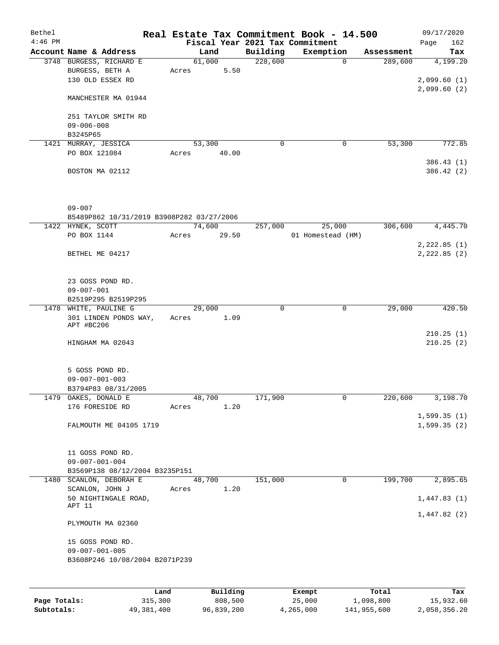| Bethel    |                                           |       |          |             | Real Estate Tax Commitment Book - 14.500 |            | 09/17/2020                 |
|-----------|-------------------------------------------|-------|----------|-------------|------------------------------------------|------------|----------------------------|
| $4:46$ PM |                                           |       |          |             | Fiscal Year 2021 Tax Commitment          |            | Page<br>162                |
|           | Account Name & Address                    |       | Land     | Building    | Exemption                                | Assessment | Tax                        |
|           | 3748 BURGESS, RICHARD E                   |       | 61,000   | 228,600     | $\Omega$                                 | 289,600    | 4,199.20                   |
|           | BURGESS, BETH A                           | Acres | 5.50     |             |                                          |            |                            |
|           | 130 OLD ESSEX RD                          |       |          |             |                                          |            | 2,099.60(1)<br>2,099.60(2) |
|           | MANCHESTER MA 01944                       |       |          |             |                                          |            |                            |
|           | 251 TAYLOR SMITH RD                       |       |          |             |                                          |            |                            |
|           | $09 - 006 - 008$                          |       |          |             |                                          |            |                            |
|           | B3245P65                                  |       |          |             |                                          |            |                            |
|           | 1421 MURRAY, JESSICA                      |       | 53,300   | $\mathbf 0$ | $\mathbf 0$                              | 53,300     | 772.85                     |
|           | PO BOX 121084                             | Acres | 40.00    |             |                                          |            |                            |
|           |                                           |       |          |             |                                          |            | 386.43 (1)                 |
|           | BOSTON MA 02112                           |       |          |             |                                          |            | 386.42 (2)                 |
|           |                                           |       |          |             |                                          |            |                            |
|           | $09 - 007$                                |       |          |             |                                          |            |                            |
|           | B5489P862 10/31/2019 B3908P282 03/27/2006 |       |          |             |                                          |            |                            |
|           | 1422 HYNEK, SCOTT                         |       | 74,600   | 257,000     | 25,000                                   | 306,600    | 4,445.70                   |
|           | PO BOX 1144                               | Acres | 29.50    |             | 01 Homestead (HM)                        |            |                            |
|           |                                           |       |          |             |                                          |            | 2,222.85(1)                |
|           | BETHEL ME 04217                           |       |          |             |                                          |            | 2, 222.85 (2)              |
|           | 23 GOSS POND RD.                          |       |          |             |                                          |            |                            |
|           | $09 - 007 - 001$                          |       |          |             |                                          |            |                            |
|           | B2519P295 B2519P295                       |       |          |             |                                          |            |                            |
|           | 1478 WHITE, PAULINE G                     |       | 29,000   | $\mathbf 0$ | $\mathbf 0$                              | 29,000     | 420.50                     |
|           | 301 LINDEN PONDS WAY,                     | Acres | 1.09     |             |                                          |            |                            |
|           | APT #BC206                                |       |          |             |                                          |            |                            |
|           |                                           |       |          |             |                                          |            | 210.25(1)                  |
|           | HINGHAM MA 02043                          |       |          |             |                                          |            | 210.25(2)                  |
|           | 5 GOSS POND RD.                           |       |          |             |                                          |            |                            |
|           | $09 - 007 - 001 - 003$                    |       |          |             |                                          |            |                            |
|           | B3794P83 08/31/2005                       |       |          |             |                                          |            |                            |
|           | 1479 OAKES, DONALD E                      |       | 48,700   | 171,900     | $\mathbf 0$                              | 220,600    | 3,198.70                   |
|           | 176 FORESIDE RD                           | Acres | 1.20     |             |                                          |            |                            |
|           |                                           |       |          |             |                                          |            | 1,599.35(1)                |
|           | FALMOUTH ME 04105 1719                    |       |          |             |                                          |            | 1,599.35(2)                |
|           |                                           |       |          |             |                                          |            |                            |
|           | 11 GOSS POND RD.                          |       |          |             |                                          |            |                            |
|           | $09 - 007 - 001 - 004$                    |       |          |             |                                          |            |                            |
|           | B3569P138 08/12/2004 B3235P151            |       |          |             |                                          |            |                            |
|           | 1480 SCANLON, DEBORAH E                   |       | 48,700   | 151,000     | 0                                        | 199,700    | 2,895.65                   |
|           | SCANLON, JOHN J                           | Acres | 1.20     |             |                                          |            |                            |
|           | 50 NIGHTINGALE ROAD,<br>APT 11            |       |          |             |                                          |            | 1,447.83(1)                |
|           | PLYMOUTH MA 02360                         |       |          |             |                                          |            | 1,447.82(2)                |
|           | 15 GOSS POND RD.                          |       |          |             |                                          |            |                            |
|           | $09 - 007 - 001 - 005$                    |       |          |             |                                          |            |                            |
|           | B3608P246 10/08/2004 B2071P239            |       |          |             |                                          |            |                            |
|           |                                           |       |          |             |                                          |            |                            |
|           | Land                                      |       | Building |             | <b>Exempt</b>                            | Total      | Tax                        |

|              | Land       | Building   | Exempt    | Total       | Tax          |
|--------------|------------|------------|-----------|-------------|--------------|
| Page Totals: | 315,300    | 808,500    | 25,000    | 1,098,800   | 15,932.60    |
| Subtotals:   | 49,381,400 | 96,839,200 | 4,265,000 | 141,955,600 | 2,058,356.20 |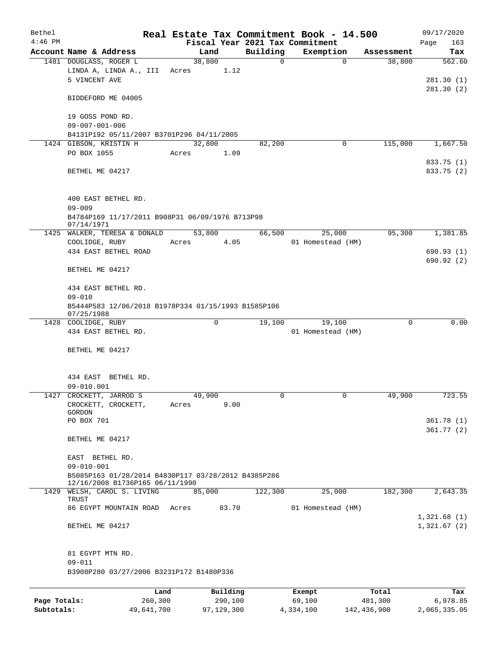| Bethel       |                                                                         |        |             |          | Real Estate Tax Commitment Book - 14.500 |             | 09/17/2020   |  |  |  |  |  |
|--------------|-------------------------------------------------------------------------|--------|-------------|----------|------------------------------------------|-------------|--------------|--|--|--|--|--|
| $4:46$ PM    |                                                                         |        |             |          | Fiscal Year 2021 Tax Commitment          |             | 163<br>Page  |  |  |  |  |  |
|              | Account Name & Address                                                  |        | Land        | Building | Exemption                                | Assessment  | Tax          |  |  |  |  |  |
|              | 1481 DOUGLASS, ROGER L                                                  | 38,800 |             | 0        | $\mathbf 0$                              | 38,800      | 562.60       |  |  |  |  |  |
|              | LINDA A, LINDA A., III<br>5 VINCENT AVE                                 | Acres  | 1.12        |          |                                          |             | 281.30(1)    |  |  |  |  |  |
|              |                                                                         |        |             |          |                                          |             | 281.30(2)    |  |  |  |  |  |
|              | BIDDEFORD ME 04005                                                      |        |             |          |                                          |             |              |  |  |  |  |  |
|              | 19 GOSS POND RD.<br>$09 - 007 - 001 - 006$                              |        |             |          |                                          |             |              |  |  |  |  |  |
|              | B4131P192 05/11/2007 B3701P296 04/11/2005                               |        |             |          |                                          |             |              |  |  |  |  |  |
|              | 1424 GIBSON, KRISTIN H                                                  | 32,800 |             | 82,200   | 0                                        | 115,000     | 1,667.50     |  |  |  |  |  |
|              | PO BOX 1055                                                             | Acres  | 1.09        |          |                                          |             |              |  |  |  |  |  |
|              |                                                                         |        |             |          |                                          |             | 833.75 (1)   |  |  |  |  |  |
|              | BETHEL ME 04217                                                         |        |             |          |                                          |             | 833.75 (2)   |  |  |  |  |  |
|              | 400 EAST BETHEL RD.                                                     |        |             |          |                                          |             |              |  |  |  |  |  |
|              | $09 - 009$                                                              |        |             |          |                                          |             |              |  |  |  |  |  |
|              | B4784P169 11/17/2011 B908P31 06/09/1976 B713P98                         |        |             |          |                                          |             |              |  |  |  |  |  |
|              | 07/14/1971<br>1425 WALKER, TERESA & DONALD                              | 53,800 |             | 66,500   | 25,000                                   | 95,300      | 1,381.85     |  |  |  |  |  |
|              | COOLIDGE, RUBY                                                          | Acres  | 4.05        |          | 01 Homestead (HM)                        |             |              |  |  |  |  |  |
|              | 434 EAST BETHEL ROAD                                                    |        |             |          |                                          |             | 690.93(1)    |  |  |  |  |  |
|              |                                                                         |        |             |          |                                          |             | 690.92 (2)   |  |  |  |  |  |
|              | BETHEL ME 04217                                                         |        |             |          |                                          |             |              |  |  |  |  |  |
|              | 434 EAST BETHEL RD.                                                     |        |             |          |                                          |             |              |  |  |  |  |  |
|              | $09 - 010$                                                              |        |             |          |                                          |             |              |  |  |  |  |  |
|              | B5444P583 12/06/2018 B1978P334 01/15/1993 B1585P106<br>07/25/1988       |        |             |          |                                          |             |              |  |  |  |  |  |
|              | 1428 COOLIDGE, RUBY                                                     |        | $\mathbf 0$ | 19,100   | 19,100                                   | $\Omega$    | 0.00         |  |  |  |  |  |
|              | 434 EAST BETHEL RD.                                                     |        |             |          | 01 Homestead (HM)                        |             |              |  |  |  |  |  |
|              | BETHEL ME 04217                                                         |        |             |          |                                          |             |              |  |  |  |  |  |
|              |                                                                         |        |             |          |                                          |             |              |  |  |  |  |  |
|              | 434 EAST BETHEL RD.                                                     |        |             |          |                                          |             |              |  |  |  |  |  |
|              | 09-010.001                                                              |        |             |          |                                          |             |              |  |  |  |  |  |
|              | 1427 CROCKETT, JARROD S                                                 | 49,900 |             |          | U                                        | 49,900      | 723.55       |  |  |  |  |  |
|              | CROCKETT, CROCKETT,                                                     | Acres  | 9.00        |          |                                          |             |              |  |  |  |  |  |
|              | GORDON<br>PO BOX 701                                                    |        |             |          |                                          |             | 361.78(1)    |  |  |  |  |  |
|              |                                                                         |        |             |          |                                          |             | 361.77(2)    |  |  |  |  |  |
|              | BETHEL ME 04217                                                         |        |             |          |                                          |             |              |  |  |  |  |  |
|              | EAST BETHEL RD.                                                         |        |             |          |                                          |             |              |  |  |  |  |  |
|              | $09 - 010 - 001$<br>B5085P163 01/28/2014 B4830P117 03/28/2012 B4385P286 |        |             |          |                                          |             |              |  |  |  |  |  |
|              | 12/16/2008 B1736P165 06/11/1990                                         |        |             |          |                                          |             |              |  |  |  |  |  |
| 1429         | WELSH, CAROL S. LIVING                                                  | 85,000 |             | 122,300  | 25,000                                   | 182,300     | 2,643.35     |  |  |  |  |  |
|              | TRUST                                                                   |        |             |          |                                          |             |              |  |  |  |  |  |
|              | 86 EGYPT MOUNTAIN ROAD                                                  | Acres  | 83.70       |          | 01 Homestead (HM)                        |             | 1,321.68(1)  |  |  |  |  |  |
|              | BETHEL ME 04217                                                         |        |             |          |                                          |             | 1,321.67(2)  |  |  |  |  |  |
|              | 81 EGYPT MTN RD.                                                        |        |             |          |                                          |             |              |  |  |  |  |  |
|              | $09 - 011$                                                              |        |             |          |                                          |             |              |  |  |  |  |  |
|              | B3908P280 03/27/2006 B3231P172 B1480P336                                |        |             |          |                                          |             |              |  |  |  |  |  |
|              | Land                                                                    |        | Building    |          | Exempt                                   | Total       | Tax          |  |  |  |  |  |
| Page Totals: | 260,300                                                                 |        | 290,100     |          | 69,100                                   | 481,300     | 6,978.85     |  |  |  |  |  |
| Subtotals:   | 49,641,700                                                              |        | 97,129,300  |          | 4,334,100                                | 142,436,900 | 2,065,335.05 |  |  |  |  |  |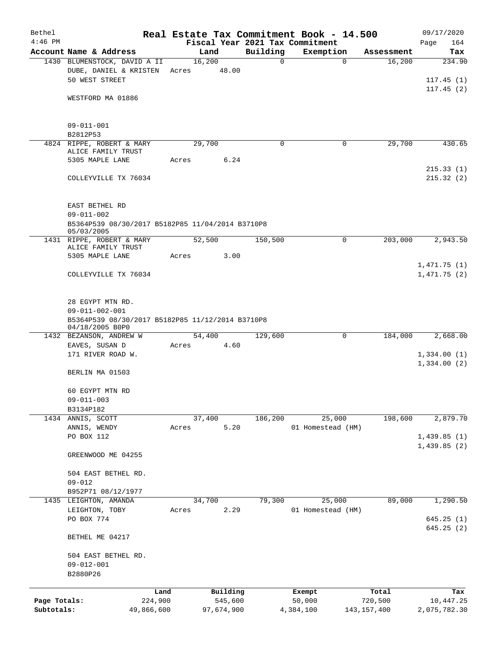| Bethel<br>$4:46$ PM        |                                                                                                |                       |       |            |          |             | Real Estate Tax Commitment Book - 14.500     |                          |         | 09/17/2020                 |
|----------------------------|------------------------------------------------------------------------------------------------|-----------------------|-------|------------|----------|-------------|----------------------------------------------|--------------------------|---------|----------------------------|
|                            | Account Name & Address                                                                         |                       |       | Land       |          | Building    | Fiscal Year 2021 Tax Commitment<br>Exemption | Assessment               |         | 164<br>Page<br>Tax         |
|                            | 1430 BLUMENSTOCK, DAVID A II                                                                   |                       |       | 16,200     |          | 0           |                                              | $\Omega$                 | 16,200  | 234.90                     |
|                            | DUBE, DANIEL & KRISTEN<br>50 WEST STREET                                                       |                       | Acres |            | 48.00    |             |                                              |                          |         | 117.45(1)                  |
|                            | WESTFORD MA 01886                                                                              |                       |       |            |          |             |                                              |                          |         | 117.45(2)                  |
|                            | $09 - 011 - 001$                                                                               |                       |       |            |          |             |                                              |                          |         |                            |
|                            | B2812P53                                                                                       |                       |       |            |          |             |                                              |                          |         |                            |
|                            | 4824 RIPPE, ROBERT & MARY<br>ALICE FAMILY TRUST                                                |                       |       | 29,700     |          | $\mathbf 0$ |                                              | 0                        | 29,700  | 430.65                     |
|                            | 5305 MAPLE LANE                                                                                |                       | Acres |            | 6.24     |             |                                              |                          |         | 215.33(1)                  |
|                            | COLLEYVILLE TX 76034                                                                           |                       |       |            |          |             |                                              |                          |         | 215.32(2)                  |
|                            | EAST BETHEL RD<br>$09 - 011 - 002$                                                             |                       |       |            |          |             |                                              |                          |         |                            |
|                            | B5364P539 08/30/2017 B5182P85 11/04/2014 B3710P8<br>05/03/2005                                 |                       |       |            |          |             |                                              |                          |         |                            |
|                            | 1431 RIPPE, ROBERT & MARY<br>ALICE FAMILY TRUST                                                |                       |       | 52,500     |          | 150,500     |                                              | 0                        | 203,000 | 2,943.50                   |
|                            | 5305 MAPLE LANE                                                                                |                       | Acres |            | 3.00     |             |                                              |                          |         |                            |
|                            | COLLEYVILLE TX 76034                                                                           |                       |       |            |          |             |                                              |                          |         | 1,471.75(1)<br>1,471.75(2) |
|                            | 28 EGYPT MTN RD.<br>$09 - 011 - 002 - 001$<br>B5364P539 08/30/2017 B5182P85 11/12/2014 B3710P8 |                       |       |            |          |             |                                              |                          |         |                            |
|                            | 04/18/2005 B0P0<br>1432 BEZANSON, ANDREW W                                                     |                       |       | 54,400     |          | 129,600     |                                              | $\Omega$                 | 184,000 | 2,668.00                   |
|                            | EAVES, SUSAN D                                                                                 |                       | Acres |            | 4.60     |             |                                              |                          |         |                            |
|                            | 171 RIVER ROAD W.                                                                              |                       |       |            |          |             |                                              |                          |         | 1,334.00(1)<br>1,334.00(2) |
|                            | BERLIN MA 01503                                                                                |                       |       |            |          |             |                                              |                          |         |                            |
|                            | 60 EGYPT MTN RD                                                                                |                       |       |            |          |             |                                              |                          |         |                            |
|                            | $09 - 011 - 003$<br>B3134P182                                                                  |                       |       |            |          |             |                                              |                          |         |                            |
|                            | 1434 ANNIS, SCOTT                                                                              |                       |       | 37,400     |          | 186,200     | 25,000                                       |                          | 198,600 | 2,879.70                   |
|                            | ANNIS, WENDY                                                                                   |                       | Acres |            | 5.20     |             | 01 Homestead (HM)                            |                          |         |                            |
|                            | PO BOX 112                                                                                     |                       |       |            |          |             |                                              |                          |         | 1,439.85(1)                |
|                            | GREENWOOD ME 04255                                                                             |                       |       |            |          |             |                                              |                          |         | 1,439.85(2)                |
|                            | 504 EAST BETHEL RD.<br>$09 - 012$                                                              |                       |       |            |          |             |                                              |                          |         |                            |
|                            | B952P71 08/12/1977                                                                             |                       |       |            |          |             |                                              |                          |         |                            |
| 1435                       | LEIGHTON, AMANDA                                                                               |                       |       | 34,700     |          | 79,300      | 25,000                                       |                          | 89,000  | 1,290.50                   |
|                            | LEIGHTON, TOBY<br>PO BOX 774                                                                   |                       | Acres |            | 2.29     |             | 01 Homestead (HM)                            |                          |         | 645.25(1)                  |
|                            | BETHEL ME 04217                                                                                |                       |       |            |          |             |                                              |                          |         | 645.25(2)                  |
|                            | 504 EAST BETHEL RD.<br>$09 - 012 - 001$                                                        |                       |       |            |          |             |                                              |                          |         |                            |
|                            | B2880P26                                                                                       |                       |       |            |          |             |                                              |                          |         |                            |
|                            |                                                                                                | Land                  |       |            | Building |             | Exempt                                       | Total                    |         | Tax                        |
| Page Totals:<br>Subtotals: |                                                                                                | 224,900<br>49,866,600 |       | 97,674,900 | 545,600  |             | 50,000<br>4,384,100                          | 720,500<br>143, 157, 400 |         | 10,447.25<br>2,075,782.30  |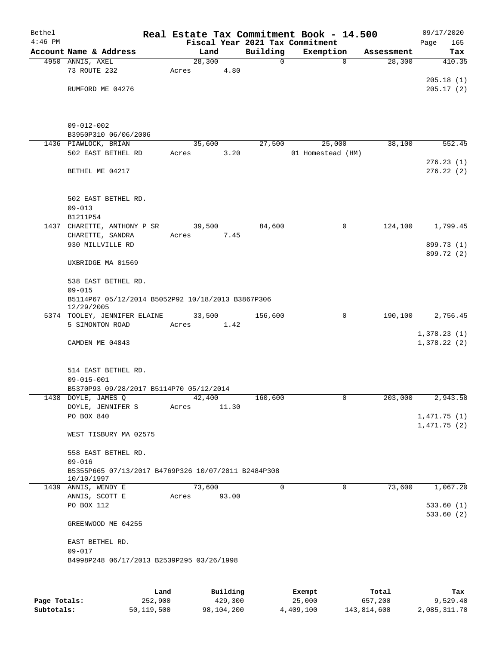| Bethel<br>$4:46$ PM |                                                                               |        |       |          | Real Estate Tax Commitment Book - 14.500<br>Fiscal Year 2021 Tax Commitment |            | 09/17/2020<br>165      |
|---------------------|-------------------------------------------------------------------------------|--------|-------|----------|-----------------------------------------------------------------------------|------------|------------------------|
|                     | Account Name & Address                                                        | Land   |       | Building | Exemption                                                                   | Assessment | Page<br>Tax            |
|                     | 4950 ANNIS, AXEL                                                              | 28,300 |       | 0        | $\mathbf 0$                                                                 | 28,300     | 410.35                 |
|                     | 73 ROUTE 232                                                                  | Acres  | 4.80  |          |                                                                             |            |                        |
|                     |                                                                               |        |       |          |                                                                             |            | 205.18(1)              |
|                     | RUMFORD ME 04276                                                              |        |       |          |                                                                             |            | 205.17(2)              |
|                     |                                                                               |        |       |          |                                                                             |            |                        |
|                     | $09 - 012 - 002$                                                              |        |       |          |                                                                             |            |                        |
|                     | B3950P310 06/06/2006                                                          |        |       |          |                                                                             |            |                        |
|                     | 1436 PIAWLOCK, BRIAN                                                          | 35,600 |       | 27,500   | 25,000                                                                      | 38,100     | 552.45                 |
|                     | 502 EAST BETHEL RD                                                            | Acres  | 3.20  |          | 01 Homestead (HM)                                                           |            |                        |
|                     |                                                                               |        |       |          |                                                                             |            | 276.23(1)              |
|                     | BETHEL ME 04217                                                               |        |       |          |                                                                             |            | 276.22(2)              |
|                     | 502 EAST BETHEL RD.                                                           |        |       |          |                                                                             |            |                        |
|                     | $09 - 013$                                                                    |        |       |          |                                                                             |            |                        |
|                     | B1211P54                                                                      |        |       |          |                                                                             |            |                        |
|                     | 1437 CHARETTE, ANTHONY P SR                                                   | 39,500 |       | 84,600   | 0                                                                           | 124,100    | 1,799.45               |
|                     | CHARETTE, SANDRA<br>930 MILLVILLE RD                                          | Acres  | 7.45  |          |                                                                             |            | 899.73 (1)             |
|                     |                                                                               |        |       |          |                                                                             |            | 899.72 (2)             |
|                     | UXBRIDGE MA 01569                                                             |        |       |          |                                                                             |            |                        |
|                     | 538 EAST BETHEL RD.                                                           |        |       |          |                                                                             |            |                        |
|                     | $09 - 015$<br>B5114P67 05/12/2014 B5052P92 10/18/2013 B3867P306<br>12/29/2005 |        |       |          |                                                                             |            |                        |
|                     | 5374 TOOLEY, JENNIFER ELAINE                                                  | 33,500 |       | 156,600  | $\mathbf 0$                                                                 | 190,100    | 2,756.45               |
|                     | 5 SIMONTON ROAD                                                               | Acres  | 1.42  |          |                                                                             |            |                        |
|                     |                                                                               |        |       |          |                                                                             |            | 1,378.23(1)            |
|                     | CAMDEN ME 04843                                                               |        |       |          |                                                                             |            | 1,378.22(2)            |
|                     | 514 EAST BETHEL RD.                                                           |        |       |          |                                                                             |            |                        |
|                     | $09 - 015 - 001$                                                              |        |       |          |                                                                             |            |                        |
|                     | B5370P93 09/28/2017 B5114P70 05/12/2014                                       |        |       |          |                                                                             |            |                        |
|                     | 1438 DOYLE, JAMES Q                                                           | 42,400 |       | 160,600  | $\overline{0}$                                                              | 203,000    | 2,943.50               |
|                     | DOYLE, JENNIFER S<br>PO BOX 840                                               | Acres  | 11.30 |          |                                                                             |            | 1,471.75(1)            |
|                     |                                                                               |        |       |          |                                                                             |            | 1,471.75(2)            |
|                     | WEST TISBURY MA 02575                                                         |        |       |          |                                                                             |            |                        |
|                     | 558 EAST BETHEL RD.<br>$09 - 016$                                             |        |       |          |                                                                             |            |                        |
|                     | B5355P665 07/13/2017 B4769P326 10/07/2011 B2484P308<br>10/10/1997             |        |       |          |                                                                             |            |                        |
|                     | 1439 ANNIS, WENDY E                                                           | 73,600 |       | 0        | 0                                                                           | 73,600     | 1,067.20               |
|                     | ANNIS, SCOTT E                                                                | Acres  | 93.00 |          |                                                                             |            |                        |
|                     | PO BOX 112                                                                    |        |       |          |                                                                             |            | 533.60(1)<br>533.60(2) |
|                     | GREENWOOD ME 04255                                                            |        |       |          |                                                                             |            |                        |
|                     | EAST BETHEL RD.<br>$09 - 017$                                                 |        |       |          |                                                                             |            |                        |
|                     | B4998P248 06/17/2013 B2539P295 03/26/1998                                     |        |       |          |                                                                             |            |                        |
|                     |                                                                               |        |       |          |                                                                             |            |                        |

|              | Land       | Building   | Exempt    | Total       | Tax          |
|--------------|------------|------------|-----------|-------------|--------------|
| Page Totals: | 252,900    | 429,300    | 25,000    | 657,200     | 9,529.40     |
| Subtotals:   | 50,119,500 | 98,104,200 | 4,409,100 | 143,814,600 | 2,085,311.70 |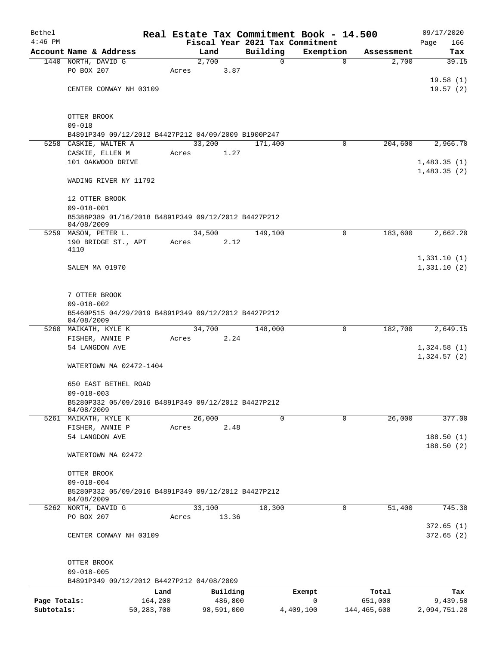| Bethel       |                                                                         |       |            |          | Real Estate Tax Commitment Book - 14.500 |             | 09/17/2020           |  |  |  |
|--------------|-------------------------------------------------------------------------|-------|------------|----------|------------------------------------------|-------------|----------------------|--|--|--|
| $4:46$ PM    |                                                                         |       |            |          | Fiscal Year 2021 Tax Commitment          |             | Page<br>166          |  |  |  |
|              | Account Name & Address                                                  |       | Land       | Building | Exemption                                | Assessment  | Tax                  |  |  |  |
|              | 1440 NORTH, DAVID G                                                     |       | 2,700      | 0        | 0                                        | 2,700       | 39.15                |  |  |  |
|              | PO BOX 207                                                              | Acres | 3.87       |          |                                          |             |                      |  |  |  |
|              | CENTER CONWAY NH 03109                                                  |       |            |          |                                          |             | 19.58(1)<br>19.57(2) |  |  |  |
|              |                                                                         |       |            |          |                                          |             |                      |  |  |  |
|              |                                                                         |       |            |          |                                          |             |                      |  |  |  |
|              | OTTER BROOK                                                             |       |            |          |                                          |             |                      |  |  |  |
|              | $09 - 018$                                                              |       |            |          |                                          |             |                      |  |  |  |
|              | B4891P349 09/12/2012 B4427P212 04/09/2009 B1900P247                     |       |            |          |                                          |             |                      |  |  |  |
| 5258         | CASKIE, WALTER A                                                        |       | 33,200     | 171,400  | 0                                        | 204,600     | 2,966.70             |  |  |  |
|              | CASKIE, ELLEN M                                                         | Acres | 1.27       |          |                                          |             |                      |  |  |  |
|              | 101 OAKWOOD DRIVE                                                       |       |            |          |                                          |             | 1,483.35(1)          |  |  |  |
|              | WADING RIVER NY 11792                                                   |       |            |          |                                          |             | 1,483.35(2)          |  |  |  |
|              |                                                                         |       |            |          |                                          |             |                      |  |  |  |
|              | 12 OTTER BROOK                                                          |       |            |          |                                          |             |                      |  |  |  |
|              | $09 - 018 - 001$                                                        |       |            |          |                                          |             |                      |  |  |  |
|              | B5388P389 01/16/2018 B4891P349 09/12/2012 B4427P212                     |       |            |          |                                          |             |                      |  |  |  |
|              | 04/08/2009                                                              |       |            |          |                                          |             |                      |  |  |  |
|              | 5259 MASON, PETER L.                                                    |       | 34,500     | 149,100  | 0                                        | 183,600     | 2,662.20             |  |  |  |
|              | 190 BRIDGE ST., APT<br>4110                                             | Acres | 2.12       |          |                                          |             |                      |  |  |  |
|              |                                                                         |       |            |          |                                          |             | 1,331.10(1)          |  |  |  |
|              | SALEM MA 01970                                                          |       |            |          |                                          |             | 1,331.10(2)          |  |  |  |
|              |                                                                         |       |            |          |                                          |             |                      |  |  |  |
|              |                                                                         |       |            |          |                                          |             |                      |  |  |  |
|              | 7 OTTER BROOK                                                           |       |            |          |                                          |             |                      |  |  |  |
|              | $09 - 018 - 002$<br>B5460P515 04/29/2019 B4891P349 09/12/2012 B4427P212 |       |            |          |                                          |             |                      |  |  |  |
|              | 04/08/2009                                                              |       |            |          |                                          |             |                      |  |  |  |
|              | 5260 MAIKATH, KYLE K                                                    |       | 34,700     | 148,000  | 0                                        | 182,700     | 2,649.15             |  |  |  |
|              | FISHER, ANNIE P                                                         | Acres | 2.24       |          |                                          |             |                      |  |  |  |
|              | 54 LANGDON AVE                                                          |       |            |          |                                          |             | 1,324.58(1)          |  |  |  |
|              |                                                                         |       |            |          |                                          |             | 1,324.57(2)          |  |  |  |
|              | WATERTOWN MA 02472-1404                                                 |       |            |          |                                          |             |                      |  |  |  |
|              | 650 EAST BETHEL ROAD                                                    |       |            |          |                                          |             |                      |  |  |  |
|              | $09 - 018 - 003$                                                        |       |            |          |                                          |             |                      |  |  |  |
|              | B5280P332 05/09/2016 B4891P349 09/12/2012 B4427P212                     |       |            |          |                                          |             |                      |  |  |  |
|              | 04/08/2009                                                              |       |            |          |                                          |             |                      |  |  |  |
|              | 5261 MAIKATH, KYLE K                                                    |       | 26,000     | 0        | $\mathsf{O}$                             | 26,000      | 377.00               |  |  |  |
|              | FISHER, ANNIE P<br>54 LANGDON AVE                                       | Acres | 2.48       |          |                                          |             | 188.50(1)            |  |  |  |
|              |                                                                         |       |            |          |                                          |             | 188.50(2)            |  |  |  |
|              | WATERTOWN MA 02472                                                      |       |            |          |                                          |             |                      |  |  |  |
|              |                                                                         |       |            |          |                                          |             |                      |  |  |  |
|              | OTTER BROOK                                                             |       |            |          |                                          |             |                      |  |  |  |
|              | $09 - 018 - 004$                                                        |       |            |          |                                          |             |                      |  |  |  |
|              | B5280P332 05/09/2016 B4891P349 09/12/2012 B4427P212<br>04/08/2009       |       |            |          |                                          |             |                      |  |  |  |
|              | 5262 NORTH, DAVID G                                                     |       | 33,100     | 18,300   | 0                                        | 51,400      | 745.30               |  |  |  |
|              | PO BOX 207                                                              | Acres | 13.36      |          |                                          |             |                      |  |  |  |
|              |                                                                         |       |            |          |                                          |             | 372.65(1)            |  |  |  |
|              | CENTER CONWAY NH 03109                                                  |       |            |          |                                          |             | 372.65(2)            |  |  |  |
|              |                                                                         |       |            |          |                                          |             |                      |  |  |  |
|              |                                                                         |       |            |          |                                          |             |                      |  |  |  |
|              | OTTER BROOK                                                             |       |            |          |                                          |             |                      |  |  |  |
|              | $09 - 018 - 005$<br>B4891P349 09/12/2012 B4427P212 04/08/2009           |       |            |          |                                          |             |                      |  |  |  |
|              | Land                                                                    |       | Building   |          | Exempt                                   | Total       | Tax                  |  |  |  |
| Page Totals: | 164,200                                                                 |       | 486,800    |          | 0                                        | 651,000     | 9,439.50             |  |  |  |
| Subtotals:   | 50, 283, 700                                                            |       | 98,591,000 |          | 4,409,100                                | 144,465,600 | 2,094,751.20         |  |  |  |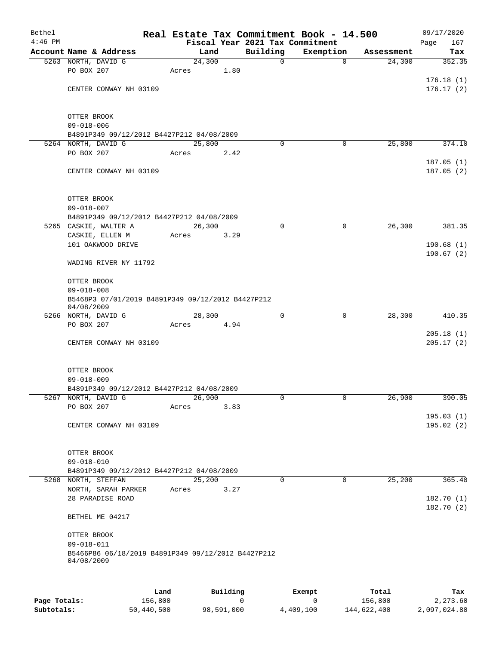| Bethel    |                                                                  |       |        |      |             | Real Estate Tax Commitment Book - 14.500 |            | 09/17/2020             |  |  |
|-----------|------------------------------------------------------------------|-------|--------|------|-------------|------------------------------------------|------------|------------------------|--|--|
| $4:46$ PM |                                                                  |       |        |      |             | Fiscal Year 2021 Tax Commitment          |            | 167<br>Page            |  |  |
|           | Account Name & Address                                           |       | Land   |      | Building    | Exemption                                | Assessment | Tax                    |  |  |
|           | 5263 NORTH, DAVID G                                              |       | 24,300 |      | 0           | $\mathbf 0$                              | 24,300     | 352.35                 |  |  |
|           | PO BOX 207                                                       | Acres |        | 1.80 |             |                                          |            |                        |  |  |
|           |                                                                  |       |        |      |             |                                          |            | 176.18(1)<br>176.17(2) |  |  |
|           | CENTER CONWAY NH 03109                                           |       |        |      |             |                                          |            |                        |  |  |
|           | OTTER BROOK                                                      |       |        |      |             |                                          |            |                        |  |  |
|           | $09 - 018 - 006$                                                 |       |        |      |             |                                          |            |                        |  |  |
|           | B4891P349 09/12/2012 B4427P212 04/08/2009                        |       |        |      |             |                                          |            |                        |  |  |
|           | 5264 NORTH, DAVID G                                              |       | 25,800 |      | 0           | 0                                        | 25,800     | 374.10                 |  |  |
|           | PO BOX 207                                                       | Acres |        | 2.42 |             |                                          |            |                        |  |  |
|           |                                                                  |       |        |      |             |                                          |            | 187.05(1)              |  |  |
|           | CENTER CONWAY NH 03109                                           |       |        |      |             |                                          |            | 187.05(2)              |  |  |
|           | OTTER BROOK                                                      |       |        |      |             |                                          |            |                        |  |  |
|           | $09 - 018 - 007$                                                 |       |        |      |             |                                          |            |                        |  |  |
|           | B4891P349 09/12/2012 B4427P212 04/08/2009                        |       |        |      |             |                                          |            |                        |  |  |
|           | 5265 CASKIE, WALTER A                                            |       | 26,300 |      | 0           | $\mathbf 0$                              | 26,300     | 381.35                 |  |  |
|           | CASKIE, ELLEN M                                                  | Acres |        | 3.29 |             |                                          |            |                        |  |  |
|           | 101 OAKWOOD DRIVE                                                |       |        |      |             |                                          |            | 190.68(1)              |  |  |
|           |                                                                  |       |        |      |             |                                          |            | 190.67(2)              |  |  |
|           | WADING RIVER NY 11792                                            |       |        |      |             |                                          |            |                        |  |  |
|           | OTTER BROOK                                                      |       |        |      |             |                                          |            |                        |  |  |
|           | $09 - 018 - 008$                                                 |       |        |      |             |                                          |            |                        |  |  |
|           | B5468P3 07/01/2019 B4891P349 09/12/2012 B4427P212<br>04/08/2009  |       |        |      |             |                                          |            |                        |  |  |
|           | 5266 NORTH, DAVID G                                              |       | 28,300 |      | $\mathbf 0$ | 0                                        | 28,300     | 410.35                 |  |  |
|           | PO BOX 207                                                       | Acres |        | 4.94 |             |                                          |            |                        |  |  |
|           |                                                                  |       |        |      |             |                                          |            | 205.18(1)              |  |  |
|           | CENTER CONWAY NH 03109                                           |       |        |      |             |                                          |            | 205.17(2)              |  |  |
|           |                                                                  |       |        |      |             |                                          |            |                        |  |  |
|           |                                                                  |       |        |      |             |                                          |            |                        |  |  |
|           | OTTER BROOK                                                      |       |        |      |             |                                          |            |                        |  |  |
|           | $09 - 018 - 009$                                                 |       |        |      |             |                                          |            |                        |  |  |
|           | B4891P349 09/12/2012 B4427P212 04/08/2009                        |       |        |      |             |                                          |            |                        |  |  |
|           | 5267 NORTH, DAVID G                                              |       | 26,900 |      | 0           | $\mathbf{0}$                             | 26,900     | 390.05                 |  |  |
|           | PO BOX 207                                                       | Acres |        | 3.83 |             |                                          |            |                        |  |  |
|           | CENTER CONWAY NH 03109                                           |       |        |      |             |                                          |            | 195.03(1)<br>195.02(2) |  |  |
|           |                                                                  |       |        |      |             |                                          |            |                        |  |  |
|           |                                                                  |       |        |      |             |                                          |            |                        |  |  |
|           | OTTER BROOK                                                      |       |        |      |             |                                          |            |                        |  |  |
|           | $09 - 018 - 010$                                                 |       |        |      |             |                                          |            |                        |  |  |
|           | B4891P349 09/12/2012 B4427P212 04/08/2009                        |       |        |      |             |                                          |            |                        |  |  |
|           | 5268 NORTH, STEFFAN                                              |       | 25,200 |      | $\Omega$    | $\mathbf 0$                              | 25,200     | 365.40                 |  |  |
|           | NORTH, SARAH PARKER                                              | Acres |        | 3.27 |             |                                          |            |                        |  |  |
|           | 28 PARADISE ROAD                                                 |       |        |      |             |                                          |            | 182.70 (1)             |  |  |
|           |                                                                  |       |        |      |             |                                          |            | 182.70(2)              |  |  |
|           | BETHEL ME 04217                                                  |       |        |      |             |                                          |            |                        |  |  |
|           | OTTER BROOK                                                      |       |        |      |             |                                          |            |                        |  |  |
|           | $09 - 018 - 011$                                                 |       |        |      |             |                                          |            |                        |  |  |
|           | B5466P86 06/18/2019 B4891P349 09/12/2012 B4427P212<br>04/08/2009 |       |        |      |             |                                          |            |                        |  |  |
|           |                                                                  |       |        |      |             |                                          |            |                        |  |  |
|           |                                                                  |       |        |      |             |                                          |            |                        |  |  |
|           |                                                                  |       |        |      |             |                                          |            |                        |  |  |

|              | Land       | Building   | Exempt    | Total       | Tax          |
|--------------|------------|------------|-----------|-------------|--------------|
| Page Totals: | 156,800    |            |           | 156.800     | 2,273.60     |
| Subtotals:   | 50,440,500 | 98,591,000 | 4,409,100 | 144,622,400 | 2,097,024.80 |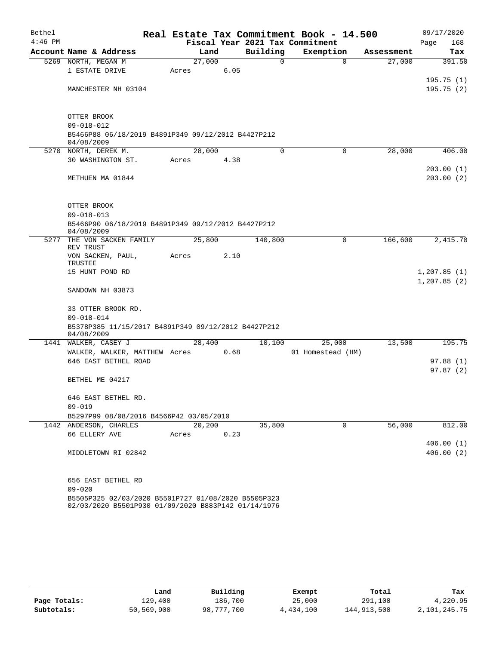| Bethel<br>$4:46$ PM |                                                                                                            |  |        |      |          | Real Estate Tax Commitment Book - 14.500<br>Fiscal Year 2021 Tax Commitment |             |            | 09/17/2020<br>Page<br>168   |  |  |
|---------------------|------------------------------------------------------------------------------------------------------------|--|--------|------|----------|-----------------------------------------------------------------------------|-------------|------------|-----------------------------|--|--|
|                     | Account Name & Address                                                                                     |  | Land   |      | Building | Exemption                                                                   |             | Assessment | Tax                         |  |  |
|                     | 5269 NORTH, MEGAN M                                                                                        |  | 27,000 |      |          | 0                                                                           | $\mathbf 0$ | 27,000     | 391.50                      |  |  |
|                     | 1 ESTATE DRIVE                                                                                             |  | Acres  | 6.05 |          |                                                                             |             |            |                             |  |  |
|                     |                                                                                                            |  |        |      |          |                                                                             |             |            | 195.75(1)                   |  |  |
|                     | MANCHESTER NH 03104                                                                                        |  |        |      |          |                                                                             |             |            | 195.75(2)                   |  |  |
|                     | OTTER BROOK                                                                                                |  |        |      |          |                                                                             |             |            |                             |  |  |
|                     | $09 - 018 - 012$                                                                                           |  |        |      |          |                                                                             |             |            |                             |  |  |
|                     | B5466P88 06/18/2019 B4891P349 09/12/2012 B4427P212<br>04/08/2009                                           |  |        |      |          |                                                                             |             |            |                             |  |  |
|                     | 5270 NORTH, DEREK M.                                                                                       |  | 28,000 |      |          | $\mathbf 0$                                                                 | $\mathbf 0$ | 28,000     | 406.00                      |  |  |
|                     | 30 WASHINGTON ST.                                                                                          |  | Acres  | 4.38 |          |                                                                             |             |            |                             |  |  |
|                     | METHUEN MA 01844                                                                                           |  |        |      |          |                                                                             |             |            | 203.00(1)<br>203.00(2)      |  |  |
|                     |                                                                                                            |  |        |      |          |                                                                             |             |            |                             |  |  |
|                     | OTTER BROOK<br>$09 - 018 - 013$                                                                            |  |        |      |          |                                                                             |             |            |                             |  |  |
|                     | B5466P90 06/18/2019 B4891P349 09/12/2012 B4427P212                                                         |  |        |      |          |                                                                             |             |            |                             |  |  |
|                     | 04/08/2009                                                                                                 |  |        |      |          |                                                                             |             |            |                             |  |  |
|                     | 5277 THE VON SACKEN FAMILY<br>REV TRUST                                                                    |  | 25,800 |      | 140,800  |                                                                             | $\Omega$    | 166,600    | 2,415.70                    |  |  |
|                     | VON SACKEN, PAUL,<br>TRUSTEE                                                                               |  | Acres  | 2.10 |          |                                                                             |             |            |                             |  |  |
|                     | 15 HUNT POND RD                                                                                            |  |        |      |          |                                                                             |             |            | 1,207.85(1)<br>1, 207.85(2) |  |  |
|                     | SANDOWN NH 03873                                                                                           |  |        |      |          |                                                                             |             |            |                             |  |  |
|                     | 33 OTTER BROOK RD.                                                                                         |  |        |      |          |                                                                             |             |            |                             |  |  |
|                     | $09 - 018 - 014$<br>B5378P385 11/15/2017 B4891P349 09/12/2012 B4427P212<br>04/08/2009                      |  |        |      |          |                                                                             |             |            |                             |  |  |
|                     | 1441 WALKER, CASEY J                                                                                       |  | 28,400 |      | 10,100   | 25,000                                                                      |             | 13,500     | 195.75                      |  |  |
|                     | WALKER, WALKER, MATTHEW Acres                                                                              |  |        | 0.68 |          | 01 Homestead (HM)                                                           |             |            |                             |  |  |
|                     | 646 EAST BETHEL ROAD                                                                                       |  |        |      |          |                                                                             |             |            | 97.88(1)                    |  |  |
|                     | BETHEL ME 04217                                                                                            |  |        |      |          |                                                                             |             |            | 97.87 (2)                   |  |  |
|                     |                                                                                                            |  |        |      |          |                                                                             |             |            |                             |  |  |
|                     | 646 EAST BETHEL RD.                                                                                        |  |        |      |          |                                                                             |             |            |                             |  |  |
|                     | $09 - 019$                                                                                                 |  |        |      |          |                                                                             |             |            |                             |  |  |
|                     | B5297P99 08/08/2016 B4566P42 03/05/2010                                                                    |  |        |      |          |                                                                             |             |            |                             |  |  |
|                     | 1442 ANDERSON, CHARLES                                                                                     |  | 20,200 |      | 35,800   |                                                                             | 0           | 56,000     | 812.00                      |  |  |
|                     | 66 ELLERY AVE                                                                                              |  | Acres  | 0.23 |          |                                                                             |             |            |                             |  |  |
|                     |                                                                                                            |  |        |      |          |                                                                             |             |            | 406.00(1)                   |  |  |
|                     | MIDDLETOWN RI 02842                                                                                        |  |        |      |          |                                                                             |             |            | 406.00(2)                   |  |  |
|                     | 656 EAST BETHEL RD                                                                                         |  |        |      |          |                                                                             |             |            |                             |  |  |
|                     | $09 - 020$                                                                                                 |  |        |      |          |                                                                             |             |            |                             |  |  |
|                     | B5505P325 02/03/2020 B5501P727 01/08/2020 B5505P323<br>02/03/2020 B5501P930 01/09/2020 B883P142 01/14/1976 |  |        |      |          |                                                                             |             |            |                             |  |  |

|              | Land       | Building   | Exempt    | Total       | Tax          |
|--------------|------------|------------|-----------|-------------|--------------|
| Page Totals: | 129,400    | 186.700    | 25,000    | 291,100     | 4,220.95     |
| Subtotals:   | 50,569,900 | 98,777,700 | 4,434,100 | 144,913,500 | 2,101,245.75 |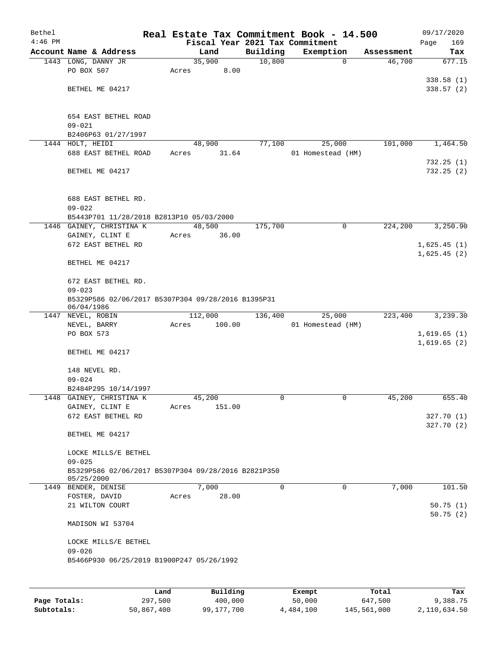| Bethel    |                                                     |       |         |          | Real Estate Tax Commitment Book - 14.500 |            | 09/17/2020  |
|-----------|-----------------------------------------------------|-------|---------|----------|------------------------------------------|------------|-------------|
| $4:46$ PM |                                                     |       |         |          | Fiscal Year 2021 Tax Commitment          |            | 169<br>Page |
|           | Account Name & Address                              |       | Land    | Building | Exemption                                | Assessment | Tax         |
|           | 1443 LONG, DANNY JR                                 |       | 35,900  | 10,800   | $\mathbf 0$                              | 46,700     | 677.15      |
|           | PO BOX 507                                          | Acres | 8.00    |          |                                          |            |             |
|           |                                                     |       |         |          |                                          |            | 338.58(1)   |
|           | BETHEL ME 04217                                     |       |         |          |                                          |            | 338.57(2)   |
|           |                                                     |       |         |          |                                          |            |             |
|           |                                                     |       |         |          |                                          |            |             |
|           | 654 EAST BETHEL ROAD                                |       |         |          |                                          |            |             |
|           | $09 - 021$                                          |       |         |          |                                          |            |             |
|           | B2406P63 01/27/1997                                 |       |         |          |                                          |            |             |
|           | 1444 HOLT, HEIDI                                    |       | 48,900  | 77,100   | 25,000                                   | 101,000    | 1,464.50    |
|           | 688 EAST BETHEL ROAD                                | Acres | 31.64   |          | 01 Homestead (HM)                        |            |             |
|           |                                                     |       |         |          |                                          |            | 732.25(1)   |
|           | BETHEL ME 04217                                     |       |         |          |                                          |            | 732.25(2)   |
|           |                                                     |       |         |          |                                          |            |             |
|           |                                                     |       |         |          |                                          |            |             |
|           | 688 EAST BETHEL RD.                                 |       |         |          |                                          |            |             |
|           | $09 - 022$                                          |       |         |          |                                          |            |             |
|           | B5443P701 11/28/2018 B2813P10 05/03/2000            |       |         |          |                                          |            |             |
|           | 1446 GAINEY, CHRISTINA K                            |       | 48,500  | 175,700  | 0                                        | 224,200    | 3,250.90    |
|           | GAINEY, CLINT E                                     | Acres | 36.00   |          |                                          |            |             |
|           | 672 EAST BETHEL RD                                  |       |         |          |                                          |            | 1,625.45(1) |
|           |                                                     |       |         |          |                                          |            | 1,625.45(2) |
|           | BETHEL ME 04217                                     |       |         |          |                                          |            |             |
|           |                                                     |       |         |          |                                          |            |             |
|           | 672 EAST BETHEL RD.                                 |       |         |          |                                          |            |             |
|           | $09 - 023$                                          |       |         |          |                                          |            |             |
|           | B5329P586 02/06/2017 B5307P304 09/28/2016 B1395P31  |       |         |          |                                          |            |             |
|           | 06/04/1986                                          |       |         |          |                                          |            |             |
|           | 1447 NEVEL, ROBIN                                   |       | 112,000 | 136,400  | 25,000                                   | 223,400    | 3,239.30    |
|           | NEVEL, BARRY                                        | Acres | 100.00  |          | 01 Homestead (HM)                        |            |             |
|           | PO BOX 573                                          |       |         |          |                                          |            | 1,619.65(1) |
|           |                                                     |       |         |          |                                          |            | 1,619.65(2) |
|           | BETHEL ME 04217                                     |       |         |          |                                          |            |             |
|           |                                                     |       |         |          |                                          |            |             |
|           | 148 NEVEL RD.                                       |       |         |          |                                          |            |             |
|           | $09 - 024$                                          |       |         |          |                                          |            |             |
|           | B2484P295 10/14/1997                                |       |         |          |                                          |            |             |
|           | 1448 GAINEY, CHRISTINA K                            |       | 45,200  | 0        | $\overline{0}$                           | 45,200     | 655.40      |
|           | GAINEY, CLINT E                                     | Acres | 151.00  |          |                                          |            |             |
|           | 672 EAST BETHEL RD                                  |       |         |          |                                          |            | 327.70(1)   |
|           |                                                     |       |         |          |                                          |            | 327.70(2)   |
|           | BETHEL ME 04217                                     |       |         |          |                                          |            |             |
|           |                                                     |       |         |          |                                          |            |             |
|           | LOCKE MILLS/E BETHEL                                |       |         |          |                                          |            |             |
|           | $09 - 025$                                          |       |         |          |                                          |            |             |
|           | B5329P586 02/06/2017 B5307P304 09/28/2016 B2821P350 |       |         |          |                                          |            |             |
|           | 05/25/2000                                          |       |         |          |                                          |            |             |
|           | 1449 BENDER, DENISE                                 |       | 7,000   | 0        | 0                                        | 7,000      | 101.50      |
|           | FOSTER, DAVID                                       | Acres | 28.00   |          |                                          |            |             |
|           | 21 WILTON COURT                                     |       |         |          |                                          |            | 50.75(1)    |
|           |                                                     |       |         |          |                                          |            | 50.75(2)    |
|           | MADISON WI 53704                                    |       |         |          |                                          |            |             |
|           |                                                     |       |         |          |                                          |            |             |
|           | LOCKE MILLS/E BETHEL                                |       |         |          |                                          |            |             |
|           | $09 - 026$                                          |       |         |          |                                          |            |             |
|           | B5466P930 06/25/2019 B1900P247 05/26/1992           |       |         |          |                                          |            |             |
|           |                                                     |       |         |          |                                          |            |             |
|           |                                                     |       |         |          |                                          |            |             |
|           |                                                     |       |         |          |                                          |            |             |

|              | Land       | Building   | Exempt    | Total       | Tax          |
|--------------|------------|------------|-----------|-------------|--------------|
| Page Totals: | 297,500    | 400,000    | 50,000    | 647,500     | 9,388.75     |
| Subtotals:   | 50,867,400 | 99,177,700 | 4,484,100 | 145,561,000 | 2,110,634.50 |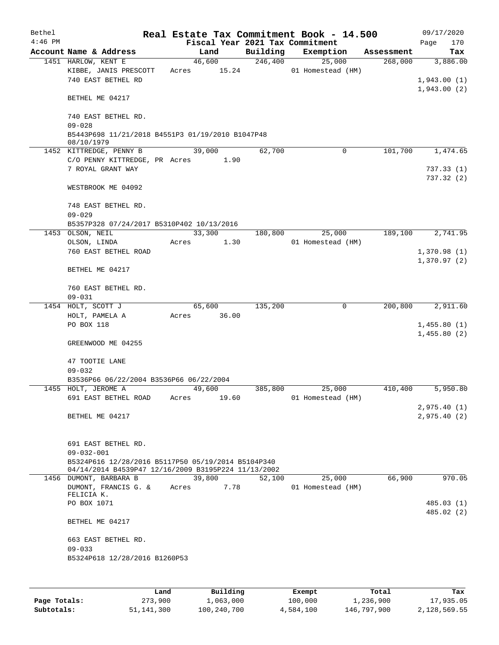| Bethel<br>$4:46$ PM |                                                                                                           |       |                 |          | Real Estate Tax Commitment Book - 14.500<br>Fiscal Year 2021 Tax Commitment |            | 09/17/2020<br>Page<br>170  |
|---------------------|-----------------------------------------------------------------------------------------------------------|-------|-----------------|----------|-----------------------------------------------------------------------------|------------|----------------------------|
|                     | Account Name & Address                                                                                    |       | Land            | Building | Exemption                                                                   | Assessment | Tax                        |
|                     | 1451 HARLOW, KENT E<br>KIBBE, JANIS PRESCOTT                                                              | Acres | 46,600<br>15.24 | 246, 400 | 25,000<br>01 Homestead (HM)                                                 | 268,000    | 3,886.00                   |
|                     | 740 EAST BETHEL RD                                                                                        |       |                 |          |                                                                             |            | 1,943.00(1)<br>1,943.00(2) |
|                     | BETHEL ME 04217                                                                                           |       |                 |          |                                                                             |            |                            |
|                     | 740 EAST BETHEL RD.<br>$09 - 028$                                                                         |       |                 |          |                                                                             |            |                            |
|                     | B5443P698 11/21/2018 B4551P3 01/19/2010 B1047P48<br>08/10/1979                                            |       |                 |          |                                                                             |            |                            |
|                     | 1452 KITTREDGE, PENNY B                                                                                   |       | 39,000          | 62,700   | 0                                                                           | 101,700    | 1,474.65                   |
|                     | C/O PENNY KITTREDGE, PR Acres                                                                             |       | 1.90            |          |                                                                             |            |                            |
|                     | 7 ROYAL GRANT WAY                                                                                         |       |                 |          |                                                                             |            | 737.33 (1)<br>737.32(2)    |
|                     | WESTBROOK ME 04092                                                                                        |       |                 |          |                                                                             |            |                            |
|                     | 748 EAST BETHEL RD.                                                                                       |       |                 |          |                                                                             |            |                            |
|                     | $09 - 029$<br>B5357P328 07/24/2017 B5310P402 10/13/2016                                                   |       |                 |          |                                                                             |            |                            |
|                     | 1453 OLSON, NEIL                                                                                          |       | 33,300          | 180,800  | 25,000                                                                      | 189,100    | 2,741.95                   |
|                     | OLSON, LINDA                                                                                              | Acres | 1.30            |          | 01 Homestead (HM)                                                           |            |                            |
|                     | 760 EAST BETHEL ROAD                                                                                      |       |                 |          |                                                                             |            | 1,370.98(1)                |
|                     |                                                                                                           |       |                 |          |                                                                             |            | 1,370.97(2)                |
|                     | BETHEL ME 04217                                                                                           |       |                 |          |                                                                             |            |                            |
|                     | 760 EAST BETHEL RD.                                                                                       |       |                 |          |                                                                             |            |                            |
|                     | $09 - 031$                                                                                                |       |                 |          |                                                                             |            |                            |
|                     | 1454 HOLT, SCOTT J                                                                                        |       | 65,600          | 135,200  | 0                                                                           | 200,800    | 2,911.60                   |
|                     | HOLT, PAMELA A<br>PO BOX 118                                                                              | Acres | 36.00           |          |                                                                             |            |                            |
|                     |                                                                                                           |       |                 |          |                                                                             |            | 1,455.80(1)<br>1,455.80(2) |
|                     | GREENWOOD ME 04255                                                                                        |       |                 |          |                                                                             |            |                            |
|                     | 47 TOOTIE LANE                                                                                            |       |                 |          |                                                                             |            |                            |
|                     | $09 - 032$                                                                                                |       |                 |          |                                                                             |            |                            |
|                     | B3536P66 06/22/2004 B3536P66 06/22/2004                                                                   |       |                 |          |                                                                             |            |                            |
|                     | 1455 HOLT, JEROME A                                                                                       |       | 49,600          | 385,800  | 25,000                                                                      | 410,400    | 5,950.80                   |
|                     | 691 EAST BETHEL ROAD                                                                                      | Acres | 19.60           |          | 01 Homestead (HM)                                                           |            |                            |
|                     | BETHEL ME 04217                                                                                           |       |                 |          |                                                                             |            | 2,975.40(1)<br>2,975.40(2) |
|                     | 691 EAST BETHEL RD.                                                                                       |       |                 |          |                                                                             |            |                            |
|                     | $09 - 032 - 001$                                                                                          |       |                 |          |                                                                             |            |                            |
|                     | B5324P616 12/28/2016 B5117P50 05/19/2014 B5104P340<br>04/14/2014 B4539P47 12/16/2009 B3195P224 11/13/2002 |       |                 |          |                                                                             |            |                            |
|                     | 1456 DUMONT, BARBARA B                                                                                    |       | 39,800          | 52,100   | 25,000                                                                      | 66,900     | 970.05                     |
|                     | DUMONT, FRANCIS G. &<br>FELICIA K.                                                                        | Acres | 7.78            |          | 01 Homestead (HM)                                                           |            |                            |
|                     | PO BOX 1071                                                                                               |       |                 |          |                                                                             |            | 485.03 (1)                 |
|                     |                                                                                                           |       |                 |          |                                                                             |            | 485.02 (2)                 |
|                     | BETHEL ME 04217                                                                                           |       |                 |          |                                                                             |            |                            |
|                     | 663 EAST BETHEL RD.                                                                                       |       |                 |          |                                                                             |            |                            |
|                     | $09 - 033$                                                                                                |       |                 |          |                                                                             |            |                            |
|                     | B5324P618 12/28/2016 B1260P53                                                                             |       |                 |          |                                                                             |            |                            |
|                     |                                                                                                           |       |                 |          |                                                                             |            |                            |
|                     |                                                                                                           |       |                 |          |                                                                             |            |                            |

|              | Land       | Building    | Exempt    | Total       | Tax          |
|--------------|------------|-------------|-----------|-------------|--------------|
| Page Totals: | 273,900    | 1,063,000   | 100,000   | 1,236,900   | 17,935.05    |
| Subtotals:   | 51,141,300 | 100,240,700 | 4,584,100 | 146,797,900 | 2,128,569.55 |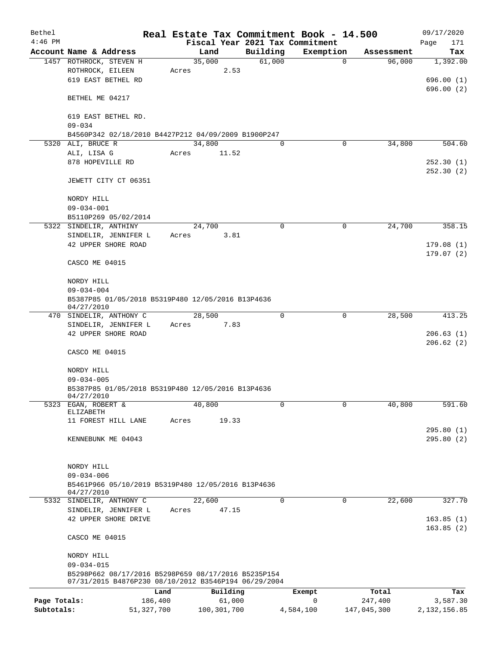| Bethel                     |                                                                  |       |                       |          | Real Estate Tax Commitment Book - 14.500 |                        | 09/17/2020                 |
|----------------------------|------------------------------------------------------------------|-------|-----------------------|----------|------------------------------------------|------------------------|----------------------------|
| $4:46$ PM                  |                                                                  |       |                       |          | Fiscal Year 2021 Tax Commitment          |                        | Page<br>171                |
|                            | Account Name & Address                                           |       | Land                  | Building | Exemption                                | Assessment             | Tax                        |
|                            | 1457 ROTHROCK, STEVEN H                                          |       | 35,000                | 61,000   | $\mathbf 0$                              | 96,000                 | 1,392.00                   |
|                            | ROTHROCK, EILEEN                                                 | Acres | 2.53                  |          |                                          |                        |                            |
|                            | 619 EAST BETHEL RD                                               |       |                       |          |                                          |                        | 696.00(1)                  |
|                            | BETHEL ME 04217                                                  |       |                       |          |                                          |                        | 696.00(2)                  |
|                            | 619 EAST BETHEL RD.                                              |       |                       |          |                                          |                        |                            |
|                            | $09 - 034$                                                       |       |                       |          |                                          |                        |                            |
|                            | B4560P342 02/18/2010 B4427P212 04/09/2009 B1900P247              |       |                       |          |                                          |                        |                            |
|                            | 5320 ALI, BRUCE R                                                |       | 34,800                | $\Omega$ | 0                                        | 34,800                 | 504.60                     |
|                            | ALI, LISA G                                                      | Acres | 11.52                 |          |                                          |                        |                            |
|                            | 878 HOPEVILLE RD                                                 |       |                       |          |                                          |                        | 252.30(1)                  |
|                            | JEWETT CITY CT 06351                                             |       |                       |          |                                          |                        | 252.30(2)                  |
|                            | NORDY HILL                                                       |       |                       |          |                                          |                        |                            |
|                            | $09 - 034 - 001$                                                 |       |                       |          |                                          |                        |                            |
|                            | B5110P269 05/02/2014                                             |       |                       |          |                                          |                        |                            |
|                            | 5322 SINDELIR, ANTHINY                                           |       | 24,700                | 0        | $\mathbf 0$                              | 24,700                 | 358.15                     |
|                            | SINDELIR, JENNIFER L                                             | Acres | 3.81                  |          |                                          |                        |                            |
|                            | 42 UPPER SHORE ROAD                                              |       |                       |          |                                          |                        | 179.08(1)                  |
|                            |                                                                  |       |                       |          |                                          |                        | 179.07(2)                  |
|                            | CASCO ME 04015                                                   |       |                       |          |                                          |                        |                            |
|                            | NORDY HILL                                                       |       |                       |          |                                          |                        |                            |
|                            | $09 - 034 - 004$                                                 |       |                       |          |                                          |                        |                            |
|                            | B5387P85 01/05/2018 B5319P480 12/05/2016 B13P4636<br>04/27/2010  |       |                       |          |                                          |                        |                            |
|                            | 470 SINDELIR, ANTHONY C                                          |       | 28,500                | 0        | $\mathbf 0$                              | 28,500                 | 413.25                     |
|                            | SINDELIR, JENNIFER L                                             | Acres | 7.83                  |          |                                          |                        |                            |
|                            | 42 UPPER SHORE ROAD                                              |       |                       |          |                                          |                        | 206.63(1)                  |
|                            | CASCO ME 04015                                                   |       |                       |          |                                          |                        | 206.62(2)                  |
|                            |                                                                  |       |                       |          |                                          |                        |                            |
|                            | NORDY HILL                                                       |       |                       |          |                                          |                        |                            |
|                            | $09 - 034 - 005$                                                 |       |                       |          |                                          |                        |                            |
|                            | B5387P85 01/05/2018 B5319P480 12/05/2016 B13P4636<br>04/27/2010  |       |                       |          |                                          |                        |                            |
| 5323                       | EGAN, ROBERT &                                                   |       | 40,800                | 0        | $\mathbf 0$                              | 40,800                 | 591.60                     |
|                            | ELIZABETH                                                        |       |                       |          |                                          |                        |                            |
|                            | 11 FOREST HILL LANE                                              | Acres | 19.33                 |          |                                          |                        | 295.80(1)                  |
|                            | KENNEBUNK ME 04043                                               |       |                       |          |                                          |                        | 295.80(2)                  |
|                            |                                                                  |       |                       |          |                                          |                        |                            |
|                            | NORDY HILL                                                       |       |                       |          |                                          |                        |                            |
|                            | $09 - 034 - 006$                                                 |       |                       |          |                                          |                        |                            |
|                            | B5461P966 05/10/2019 B5319P480 12/05/2016 B13P4636<br>04/27/2010 |       |                       |          |                                          |                        |                            |
|                            | 5332 SINDELIR, ANTHONY C                                         |       | 22,600                | $\Omega$ | 0                                        | 22,600                 | 327.70                     |
|                            | SINDELIR, JENNIFER L                                             | Acres | 47.15                 |          |                                          |                        |                            |
|                            | 42 UPPER SHORE DRIVE                                             |       |                       |          |                                          |                        | 163.85(1)                  |
|                            | CASCO ME 04015                                                   |       |                       |          |                                          |                        | 163.85(2)                  |
|                            |                                                                  |       |                       |          |                                          |                        |                            |
|                            | NORDY HILL<br>$09 - 034 - 015$                                   |       |                       |          |                                          |                        |                            |
|                            | B5298P662 08/17/2016 B5298P659 08/17/2016 B5235P154              |       |                       |          |                                          |                        |                            |
|                            | 07/31/2015 B4876P230 08/10/2012 B3546P194 06/29/2004             |       |                       |          |                                          |                        |                            |
|                            | Land                                                             |       | Building              |          | Exempt                                   | Total                  | Tax                        |
| Page Totals:<br>Subtotals: | 186,400<br>51, 327, 700                                          |       | 61,000<br>100,301,700 |          | $\mathbf 0$<br>4,584,100                 | 247,400<br>147,045,300 | 3,587.30<br>2, 132, 156.85 |
|                            |                                                                  |       |                       |          |                                          |                        |                            |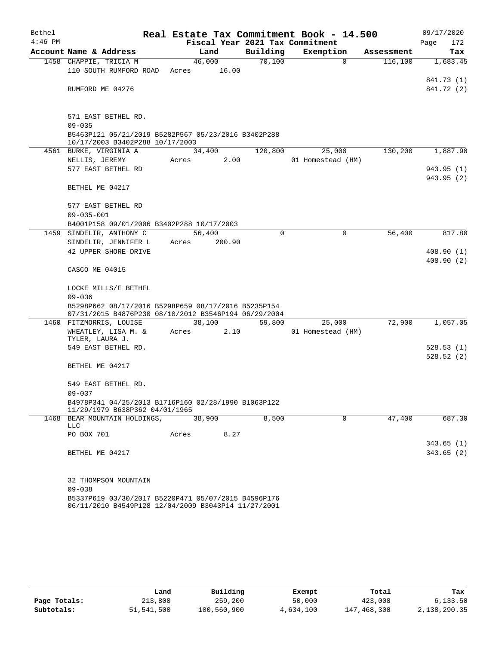| Bethel    |                                                                                                             | Real Estate Tax Commitment Book - 14.500 |             |                   |            | 09/17/2020  |
|-----------|-------------------------------------------------------------------------------------------------------------|------------------------------------------|-------------|-------------------|------------|-------------|
| $4:46$ PM |                                                                                                             | Fiscal Year 2021 Tax Commitment          |             |                   |            | Page<br>172 |
|           | Account Name & Address                                                                                      | Land                                     | Building    | Exemption         | Assessment | Tax         |
|           | 1458 CHAPPIE, TRICIA M                                                                                      | 46,000                                   | 70,100      | $\mathbf 0$       | 116,100    | 1,683.45    |
|           | 110 SOUTH RUMFORD ROAD                                                                                      | 16.00<br>Acres                           |             |                   |            | 841.73 (1)  |
|           | RUMFORD ME 04276                                                                                            |                                          |             |                   |            | 841.72 (2)  |
|           |                                                                                                             |                                          |             |                   |            |             |
|           |                                                                                                             |                                          |             |                   |            |             |
|           | 571 EAST BETHEL RD.                                                                                         |                                          |             |                   |            |             |
|           | $09 - 035$                                                                                                  |                                          |             |                   |            |             |
|           | B5463P121 05/21/2019 B5282P567 05/23/2016 B3402P288                                                         |                                          |             |                   |            |             |
|           | 10/17/2003 B3402P288 10/17/2003<br>4561 BURKE, VIRGINIA A                                                   | 34,400                                   | 120,800     | 25,000            | 130,200    | 1,887.90    |
|           | NELLIS, JEREMY                                                                                              | 2.00<br>Acres                            |             | 01 Homestead (HM) |            |             |
|           | 577 EAST BETHEL RD                                                                                          |                                          |             |                   |            | 943.95 (1)  |
|           |                                                                                                             |                                          |             |                   |            | 943.95 (2)  |
|           | BETHEL ME 04217                                                                                             |                                          |             |                   |            |             |
|           |                                                                                                             |                                          |             |                   |            |             |
|           | 577 EAST BETHEL RD                                                                                          |                                          |             |                   |            |             |
|           | $09 - 035 - 001$                                                                                            |                                          |             |                   |            |             |
|           | B4001P158 09/01/2006 B3402P288 10/17/2003                                                                   |                                          |             |                   |            |             |
| 1459      | SINDELIR, ANTHONY C<br>SINDELIR, JENNIFER L                                                                 | 56,400<br>200.90                         | $\mathbf 0$ | $\mathbf 0$       | 56,400     | 817.80      |
|           | 42 UPPER SHORE DRIVE                                                                                        | Acres                                    |             |                   |            | 408.90(1)   |
|           |                                                                                                             |                                          |             |                   |            | 408.90(2)   |
|           | CASCO ME 04015                                                                                              |                                          |             |                   |            |             |
|           |                                                                                                             |                                          |             |                   |            |             |
|           | LOCKE MILLS/E BETHEL                                                                                        |                                          |             |                   |            |             |
|           | $09 - 036$                                                                                                  |                                          |             |                   |            |             |
|           | B5298P662 08/17/2016 B5298P659 08/17/2016 B5235P154<br>07/31/2015 B4876P230 08/10/2012 B3546P194 06/29/2004 |                                          |             |                   |            |             |
|           | 1460 FITZMORRIS, LOUISE                                                                                     | 38,100                                   | 59,800      | 25,000            | 72,900     | 1,057.05    |
|           | WHEATLEY, LISA M. &                                                                                         | Acres<br>2.10                            |             | 01 Homestead (HM) |            |             |
|           | TYLER, LAURA J.                                                                                             |                                          |             |                   |            |             |
|           | 549 EAST BETHEL RD.                                                                                         |                                          |             |                   |            | 528.53(1)   |
|           |                                                                                                             |                                          |             |                   |            | 528.52(2)   |
|           | BETHEL ME 04217                                                                                             |                                          |             |                   |            |             |
|           | 549 EAST BETHEL RD.                                                                                         |                                          |             |                   |            |             |
|           | $09 - 037$                                                                                                  |                                          |             |                   |            |             |
|           | B4978P341 04/25/2013 B1716P160 02/28/1990 B1063P122                                                         |                                          |             |                   |            |             |
|           | 11/29/1979 B638P362 04/01/1965                                                                              |                                          |             |                   |            |             |
|           | 1468 BEAR MOUNTAIN HOLDINGS,<br><b>LLC</b>                                                                  | 38,900                                   | 8,500       | 0                 | 47,400     | 687.30      |
|           | PO BOX 701                                                                                                  | 8.27<br>Acres                            |             |                   |            |             |
|           |                                                                                                             |                                          |             |                   |            | 343.65(1)   |
|           | BETHEL ME 04217                                                                                             |                                          |             |                   |            | 343.65(2)   |
|           |                                                                                                             |                                          |             |                   |            |             |
|           |                                                                                                             |                                          |             |                   |            |             |
|           | 32 THOMPSON MOUNTAIN                                                                                        |                                          |             |                   |            |             |
|           | $09 - 038$<br>B5337P619 03/30/2017 B5220P471 05/07/2015 B4596P176                                           |                                          |             |                   |            |             |
|           | 06/11/2010 B4549P128 12/04/2009 B3043P14 11/27/2001                                                         |                                          |             |                   |            |             |

|              | Land       | Building    | Exempt    | Total       | Tax          |
|--------------|------------|-------------|-----------|-------------|--------------|
| Page Totals: | 213,800    | 259,200     | 50,000    | 423,000     | 6.133.50     |
| Subtotals:   | 51,541,500 | 100,560,900 | 4,634,100 | 147,468,300 | 2,138,290.35 |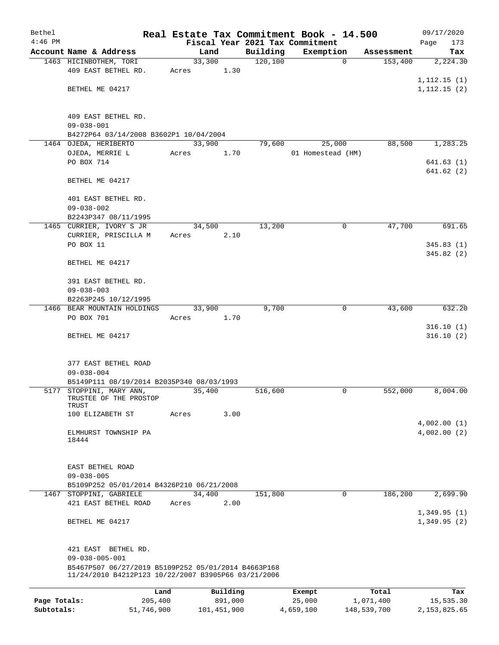| Bethel       |                                                     |                 |             |          | Real Estate Tax Commitment Book - 14.500 |             |             | 09/17/2020             |
|--------------|-----------------------------------------------------|-----------------|-------------|----------|------------------------------------------|-------------|-------------|------------------------|
| $4:46$ PM    |                                                     |                 |             |          | Fiscal Year 2021 Tax Commitment          |             |             | 173<br>Page            |
|              | Account Name & Address                              | Land            |             | Building | Exemption                                |             | Assessment  | Tax                    |
|              | 1463 HICINBOTHEM, TORI<br>409 EAST BETHEL RD.       | 33,300<br>Acres | 1.30        | 120, 100 |                                          | $\mathbf 0$ | 153,400     | 2,224.30               |
|              |                                                     |                 |             |          |                                          |             |             | 1, 112.15(1)           |
|              | BETHEL ME 04217                                     |                 |             |          |                                          |             |             | 1,112.15(2)            |
|              | 409 EAST BETHEL RD.                                 |                 |             |          |                                          |             |             |                        |
|              | $09 - 038 - 001$                                    |                 |             |          |                                          |             |             |                        |
|              | B4272P64 03/14/2008 B3602P1 10/04/2004              |                 |             |          |                                          |             |             |                        |
|              | 1464 OJEDA, HERIBERTO                               | 33,900          |             | 79,600   | 25,000                                   |             | 88,500      | 1,283.25               |
|              | OJEDA, MERRIE L<br>PO BOX 714                       | Acres           | 1.70        |          | 01 Homestead (HM)                        |             |             | 641.63(1)              |
|              |                                                     |                 |             |          |                                          |             |             | 641.62(2)              |
|              | BETHEL ME 04217                                     |                 |             |          |                                          |             |             |                        |
|              | 401 EAST BETHEL RD.                                 |                 |             |          |                                          |             |             |                        |
|              | $09 - 038 - 002$                                    |                 |             |          |                                          |             |             |                        |
|              | B2243P347 08/11/1995                                |                 |             |          |                                          |             |             |                        |
|              | 1465 CURRIER, IVORY S JR                            | 34,500          |             | 13,200   |                                          | 0           | 47,700      | 691.65                 |
|              | CURRIER, PRISCILLA M                                | Acres           | 2.10        |          |                                          |             |             |                        |
|              | PO BOX 11                                           |                 |             |          |                                          |             |             | 345.83(1)<br>345.82(2) |
|              | BETHEL ME 04217                                     |                 |             |          |                                          |             |             |                        |
|              | 391 EAST BETHEL RD.                                 |                 |             |          |                                          |             |             |                        |
|              | $09 - 038 - 003$                                    |                 |             |          |                                          |             |             |                        |
|              | B2263P245 10/12/1995                                |                 |             |          |                                          |             |             |                        |
|              | 1466 BEAR MOUNTAIN HOLDINGS                         | 33,900          |             | 9,700    |                                          | 0           | 43,600      | 632.20                 |
|              | PO BOX 701                                          | Acres           | 1.70        |          |                                          |             |             |                        |
|              |                                                     |                 |             |          |                                          |             |             | 316.10(1)              |
|              | BETHEL ME 04217                                     |                 |             |          |                                          |             |             | 316.10(2)              |
|              | 377 EAST BETHEL ROAD                                |                 |             |          |                                          |             |             |                        |
|              | $09 - 038 - 004$                                    |                 |             |          |                                          |             |             |                        |
|              | B5149P111 08/19/2014 B2035P340 08/03/1993           |                 |             |          |                                          |             |             |                        |
|              | 5177 STOPPINI, MARY ANN,<br>TRUSTEE OF THE PROSTOP  | 35,400          |             | 516,600  |                                          | 0           | 552,000     | 8,004.00               |
|              | TRUST<br>100 ELIZABETH ST                           | Acres           | 3.00        |          |                                          |             |             |                        |
|              |                                                     |                 |             |          |                                          |             |             | 4,002.00(1)            |
|              | ELMHURST TOWNSHIP PA<br>18444                       |                 |             |          |                                          |             |             | 4,002.00(2)            |
|              |                                                     |                 |             |          |                                          |             |             |                        |
|              | EAST BETHEL ROAD                                    |                 |             |          |                                          |             |             |                        |
|              | $09 - 038 - 005$                                    |                 |             |          |                                          |             |             |                        |
|              | B5109P252 05/01/2014 B4326P210 06/21/2008           |                 |             |          |                                          |             |             |                        |
|              | 1467 STOPPINI, GABRIELE                             | 34,400          |             | 151,800  |                                          | 0           | 186,200     | 2,699.90               |
|              | 421 EAST BETHEL ROAD                                | Acres           | 2.00        |          |                                          |             |             | 1,349.95(1)            |
|              | BETHEL ME 04217                                     |                 |             |          |                                          |             |             | 1,349.95(2)            |
|              |                                                     |                 |             |          |                                          |             |             |                        |
|              | 421 EAST BETHEL RD.<br>$09 - 038 - 005 - 001$       |                 |             |          |                                          |             |             |                        |
|              | B5467P507 06/27/2019 B5109P252 05/01/2014 B4663P168 |                 |             |          |                                          |             |             |                        |
|              | 11/24/2010 B4212P123 10/22/2007 B3905P66 03/21/2006 |                 |             |          |                                          |             |             |                        |
|              | Land                                                |                 | Building    |          | Exempt                                   |             | Total       | Tax                    |
| Page Totals: | 205,400                                             |                 | 891,000     |          | 25,000                                   |             | 1,071,400   | 15,535.30              |
| Subtotals:   | 51,746,900                                          |                 | 101,451,900 |          | 4,659,100                                |             | 148,539,700 | 2,153,825.65           |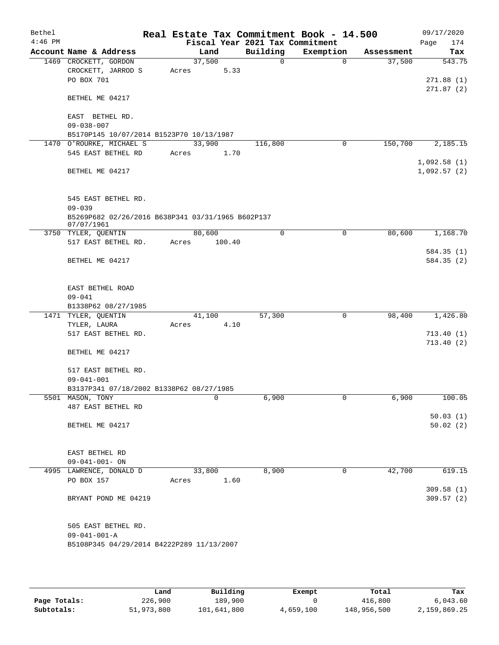| Bethel    |                                                                 |                 |        | Real Estate Tax Commitment Book - 14.500 |           |            | 09/17/2020  |
|-----------|-----------------------------------------------------------------|-----------------|--------|------------------------------------------|-----------|------------|-------------|
| $4:46$ PM |                                                                 |                 |        | Fiscal Year 2021 Tax Commitment          |           |            | 174<br>Page |
|           | Account Name & Address                                          | Land            |        | Building                                 | Exemption | Assessment | Tax         |
|           | 1469 CROCKETT, GORDON                                           | 37,500          |        | 0                                        | $\Omega$  | 37,500     | 543.75      |
|           | CROCKETT, JARROD S                                              | Acres           | 5.33   |                                          |           |            |             |
|           | PO BOX 701                                                      |                 |        |                                          |           |            | 271.88(1)   |
|           | BETHEL ME 04217                                                 |                 |        |                                          |           |            | 271.87(2)   |
|           |                                                                 |                 |        |                                          |           |            |             |
|           | EAST BETHEL RD.                                                 |                 |        |                                          |           |            |             |
|           | $09 - 038 - 007$                                                |                 |        |                                          |           |            |             |
|           | B5170P145 10/07/2014 B1523P70 10/13/1987                        |                 |        |                                          |           |            |             |
|           | 1470 O'ROURKE, MICHAEL S                                        | 33,900          |        | 116,800                                  | 0         | 150,700    | 2,185.15    |
|           | 545 EAST BETHEL RD                                              | Acres           | 1.70   |                                          |           |            |             |
|           |                                                                 |                 |        |                                          |           |            | 1,092.58(1) |
|           | BETHEL ME 04217                                                 |                 |        |                                          |           |            | 1,092.57(2) |
|           |                                                                 |                 |        |                                          |           |            |             |
|           |                                                                 |                 |        |                                          |           |            |             |
|           | 545 EAST BETHEL RD.                                             |                 |        |                                          |           |            |             |
|           | $09 - 039$                                                      |                 |        |                                          |           |            |             |
|           | B5269P682 02/26/2016 B638P341 03/31/1965 B602P137<br>07/07/1961 |                 |        |                                          |           |            |             |
|           | 3750 TYLER, QUENTIN                                             | 80,600          |        | $\mathbf 0$                              | 0         | 80,600     | 1,168.70    |
|           | 517 EAST BETHEL RD.                                             | Acres           | 100.40 |                                          |           |            |             |
|           |                                                                 |                 |        |                                          |           |            | 584.35(1)   |
|           | BETHEL ME 04217                                                 |                 |        |                                          |           |            | 584.35(2)   |
|           |                                                                 |                 |        |                                          |           |            |             |
|           |                                                                 |                 |        |                                          |           |            |             |
|           | EAST BETHEL ROAD                                                |                 |        |                                          |           |            |             |
|           | $09 - 041$                                                      |                 |        |                                          |           |            |             |
|           | B1338P62 08/27/1985                                             |                 |        |                                          |           |            |             |
|           | 1471 TYLER, QUENTIN                                             | 41,100          |        | 57,300                                   | 0         | 98,400     | 1,426.80    |
|           | TYLER, LAURA                                                    | Acres           | 4.10   |                                          |           |            |             |
|           | 517 EAST BETHEL RD.                                             |                 |        |                                          |           |            | 713.40(1)   |
|           |                                                                 |                 |        |                                          |           |            | 713.40(2)   |
|           | BETHEL ME 04217                                                 |                 |        |                                          |           |            |             |
|           | 517 EAST BETHEL RD.                                             |                 |        |                                          |           |            |             |
|           | $09 - 041 - 001$                                                |                 |        |                                          |           |            |             |
|           | B3137P341 07/18/2002 B1338P62 08/27/1985                        |                 |        |                                          |           |            |             |
|           | 5501 MASON, TONY                                                |                 | 0      | 6,900                                    | 0         | 6,900      | 100.05      |
|           | 487 EAST BETHEL RD                                              |                 |        |                                          |           |            |             |
|           |                                                                 |                 |        |                                          |           |            | 50.03(1)    |
|           | BETHEL ME 04217                                                 |                 |        |                                          |           |            | 50.02(2)    |
|           |                                                                 |                 |        |                                          |           |            |             |
|           |                                                                 |                 |        |                                          |           |            |             |
|           | EAST BETHEL RD                                                  |                 |        |                                          |           |            |             |
|           | $09 - 041 - 001 - ON$<br>4995 LAWRENCE, DONALD D                |                 |        | 8,900                                    | 0         | 42,700     | 619.15      |
|           | PO BOX 157                                                      | 33,800<br>Acres | 1.60   |                                          |           |            |             |
|           |                                                                 |                 |        |                                          |           |            | 309.58(1)   |
|           | BRYANT POND ME 04219                                            |                 |        |                                          |           |            | 309.57(2)   |
|           |                                                                 |                 |        |                                          |           |            |             |
|           |                                                                 |                 |        |                                          |           |            |             |
|           | 505 EAST BETHEL RD.                                             |                 |        |                                          |           |            |             |
|           | $09 - 041 - 001 - A$                                            |                 |        |                                          |           |            |             |
|           | B5108P345 04/29/2014 B4222P289 11/13/2007                       |                 |        |                                          |           |            |             |
|           |                                                                 |                 |        |                                          |           |            |             |

|              | Land       | Building    | Exempt    | Total       | Tax          |
|--------------|------------|-------------|-----------|-------------|--------------|
| Page Totals: | 226,900    | 189,900     |           | 416,800     | 6.043.60     |
| Subtotals:   | 51,973,800 | 101,641,800 | 4,659,100 | 148,956,500 | 2,159,869.25 |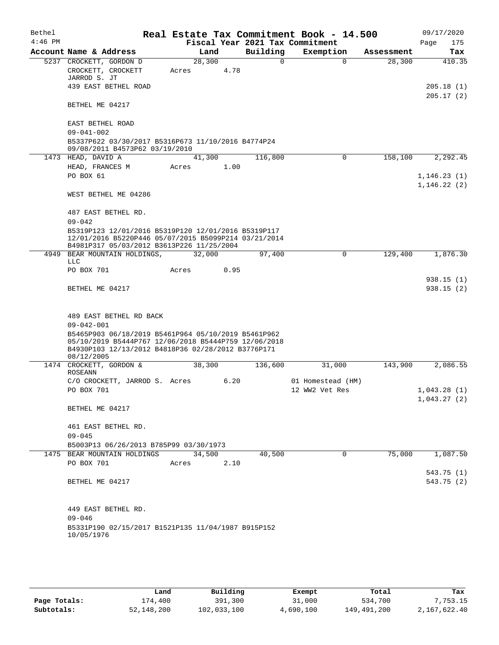| Bethel    |                                                                                                                                                          |                 |      |          | Real Estate Tax Commitment Book - 14.500 |            | 09/17/2020               |
|-----------|----------------------------------------------------------------------------------------------------------------------------------------------------------|-----------------|------|----------|------------------------------------------|------------|--------------------------|
| $4:46$ PM |                                                                                                                                                          |                 |      |          | Fiscal Year 2021 Tax Commitment          |            | Page<br>175              |
|           | Account Name & Address                                                                                                                                   | Land            |      | Building | Exemption                                | Assessment | Tax                      |
|           | 5237 CROCKETT, GORDON D<br>CROCKETT, CROCKETT<br>JARROD S. JT                                                                                            | 28,300<br>Acres | 4.78 | $\Omega$ | $\Omega$                                 | 28,300     | 410.35                   |
|           | 439 EAST BETHEL ROAD                                                                                                                                     |                 |      |          |                                          |            | 205.18 (1)<br>205.17(2)  |
|           | BETHEL ME 04217                                                                                                                                          |                 |      |          |                                          |            |                          |
|           | EAST BETHEL ROAD<br>$09 - 041 - 002$                                                                                                                     |                 |      |          |                                          |            |                          |
|           | B5337P622 03/30/2017 B5316P673 11/10/2016 B4774P24<br>09/08/2011 B4573P62 03/19/2010                                                                     |                 |      |          |                                          |            |                          |
|           | 1473 HEAD, DAVID A                                                                                                                                       | 41,300          |      | 116,800  | $\mathbf 0$                              | 158,100    | 2,292.45                 |
|           | HEAD, FRANCES M<br>PO BOX 61                                                                                                                             | Acres           | 1.00 |          |                                          |            | 1, 146.23(1)             |
|           | WEST BETHEL ME 04286                                                                                                                                     |                 |      |          |                                          |            | 1,146.22(2)              |
|           | 487 EAST BETHEL RD.                                                                                                                                      |                 |      |          |                                          |            |                          |
|           | $09 - 042$                                                                                                                                               |                 |      |          |                                          |            |                          |
|           | B5319P123 12/01/2016 B5319P120 12/01/2016 B5319P117<br>12/01/2016 B5220P446 05/07/2015 B5099P214 03/21/2014<br>B4981P317 05/03/2012 B3613P226 11/25/2004 |                 |      |          |                                          |            |                          |
|           | 4949 BEAR MOUNTAIN HOLDINGS,<br>LLC                                                                                                                      | 32,000          |      | 97,400   | $\mathbf 0$                              | 129,400    | 1,876.30                 |
|           | PO BOX 701                                                                                                                                               | Acres           | 0.95 |          |                                          |            |                          |
|           | BETHEL ME 04217                                                                                                                                          |                 |      |          |                                          |            | 938.15(1)<br>938.15(2)   |
|           |                                                                                                                                                          |                 |      |          |                                          |            |                          |
|           | 489 EAST BETHEL RD BACK<br>$09 - 042 - 001$                                                                                                              |                 |      |          |                                          |            |                          |
|           | B5465P903 06/18/2019 B5461P964 05/10/2019 B5461P962                                                                                                      |                 |      |          |                                          |            |                          |
|           | 05/10/2019 B5444P767 12/06/2018 B5444P759 12/06/2018<br>B4930P103 12/13/2012 B4818P36 02/28/2012 B3776P171<br>08/12/2005                                 |                 |      |          |                                          |            |                          |
|           | 1474 CROCKETT, GORDON &<br><b>ROSEANN</b>                                                                                                                | 38,300          |      | 136,600  | 31,000                                   | 143,900    | 2,086.55                 |
|           | C/O CROCKETT, JARROD S. Acres                                                                                                                            |                 | 6.20 |          | 01 Homestead (HM)                        |            |                          |
|           | PO BOX 701                                                                                                                                               |                 |      |          | 12 WW2 Vet Res                           |            | 1,043.28(1)              |
|           | BETHEL ME 04217                                                                                                                                          |                 |      |          |                                          |            | 1,043.27(2)              |
|           |                                                                                                                                                          |                 |      |          |                                          |            |                          |
|           | 461 EAST BETHEL RD.                                                                                                                                      |                 |      |          |                                          |            |                          |
|           | $09 - 045$                                                                                                                                               |                 |      |          |                                          |            |                          |
|           | B5003P13 06/26/2013 B785P99 03/30/1973<br>1475 BEAR MOUNTAIN HOLDINGS                                                                                    | 34,500          |      | 40,500   | 0                                        | 75,000     | 1,087.50                 |
|           | PO BOX 701                                                                                                                                               | Acres           | 2.10 |          |                                          |            |                          |
|           | BETHEL ME 04217                                                                                                                                          |                 |      |          |                                          |            | 543.75 (1)<br>543.75 (2) |
|           | 449 EAST BETHEL RD.                                                                                                                                      |                 |      |          |                                          |            |                          |
|           | $09 - 046$<br>B5331P190 02/15/2017 B1521P135 11/04/1987 B915P152<br>10/05/1976                                                                           |                 |      |          |                                          |            |                          |
|           |                                                                                                                                                          |                 |      |          |                                          |            |                          |

|              | Land       | Building    | Exempt    | Total       | Tax          |
|--------------|------------|-------------|-----------|-------------|--------------|
| Page Totals: | L74,400    | 391,300     | 31,000    | 534,700     | 7,753.15     |
| Subtotals:   | 52,148,200 | 102,033,100 | 4,690,100 | 149,491,200 | 2,167,622.40 |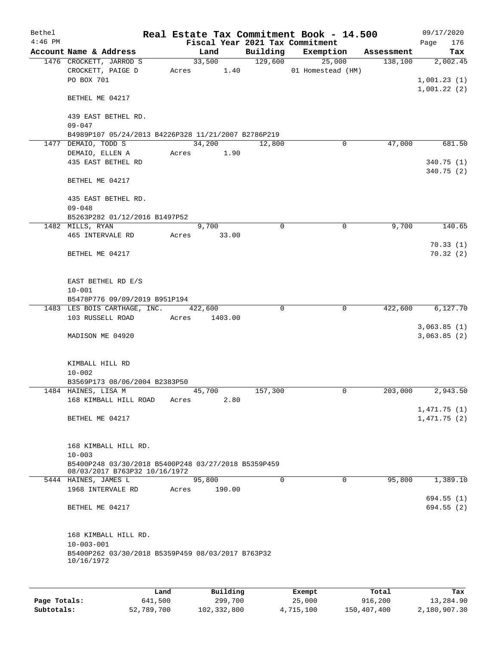| Bethel    |                                                                                      |       |                         |          | Real Estate Tax Commitment Book - 14.500 |            | 09/17/2020               |
|-----------|--------------------------------------------------------------------------------------|-------|-------------------------|----------|------------------------------------------|------------|--------------------------|
| $4:46$ PM |                                                                                      |       |                         |          | Fiscal Year 2021 Tax Commitment          |            | 176<br>Page              |
|           | Account Name & Address                                                               |       | Land                    | Building | Exemption                                | Assessment | Tax                      |
|           | 1476 CROCKETT, JARROD S<br>CROCKETT, PAIGE D<br>PO BOX 701                           |       | 33,500<br>1.40<br>Acres | 129,600  | 25,000<br>01 Homestead (HM)              | 138,100    | 2,002.45<br>1,001.23(1)  |
|           | BETHEL ME 04217                                                                      |       |                         |          |                                          |            | 1,001.22(2)              |
|           | 439 EAST BETHEL RD.<br>$09 - 047$                                                    |       |                         |          |                                          |            |                          |
|           | B4989P107 05/24/2013 B4226P328 11/21/2007 B2786P219                                  |       |                         |          |                                          |            |                          |
|           | 1477 DEMAIO, TODD S                                                                  |       | 34,200                  | 12,800   | 0                                        | 47,000     | 681.50                   |
|           | DEMAIO, ELLEN A                                                                      |       | Acres 1.90              |          |                                          |            |                          |
|           | 435 EAST BETHEL RD                                                                   |       |                         |          |                                          |            | 340.75 (1)<br>340.75 (2) |
|           | BETHEL ME 04217                                                                      |       |                         |          |                                          |            |                          |
|           | 435 EAST BETHEL RD.<br>$09 - 048$                                                    |       |                         |          |                                          |            |                          |
|           | B5263P282 01/12/2016 B1497P52                                                        |       |                         |          |                                          |            |                          |
|           | 1482 MILLS, RYAN                                                                     |       | 9,700                   | $\Omega$ | 0                                        | 9,700      | 140.65                   |
|           | 465 INTERVALE RD                                                                     | Acres | 33.00                   |          |                                          |            |                          |
|           | BETHEL ME 04217                                                                      |       |                         |          |                                          |            | 70.33(1)<br>70.32(2)     |
|           |                                                                                      |       |                         |          |                                          |            |                          |
|           | EAST BETHEL RD E/S                                                                   |       |                         |          |                                          |            |                          |
|           | $10 - 001$                                                                           |       |                         |          |                                          |            |                          |
|           | B5478P776 09/09/2019 B951P194                                                        |       |                         |          |                                          |            |                          |
|           | 1483 LES BOIS CARTHAGE, INC.                                                         |       | 422,600                 | $\Omega$ | 0                                        | 422,600    | 6,127.70                 |
|           | 103 RUSSELL ROAD                                                                     | Acres | 1403.00                 |          |                                          |            | 3,063.85(1)              |
|           | MADISON ME 04920                                                                     |       |                         |          |                                          |            | 3,063.85(2)              |
|           |                                                                                      |       |                         |          |                                          |            |                          |
|           | KIMBALL HILL RD                                                                      |       |                         |          |                                          |            |                          |
|           | $10 - 002$                                                                           |       |                         |          |                                          |            |                          |
|           | B3569P173 08/06/2004 B2383P50                                                        |       |                         |          |                                          |            |                          |
|           | 1484 HAINES, LISA M                                                                  |       | 45,700<br>2.80          | 157,300  | 0                                        | 203,000    | 2,943.50                 |
|           | 168 KIMBALL HILL ROAD                                                                | Acres |                         |          |                                          |            | 1,471.75(1)              |
|           | BETHEL ME 04217                                                                      |       |                         |          |                                          |            | 1,471.75(2)              |
|           |                                                                                      |       |                         |          |                                          |            |                          |
|           | 168 KIMBALL HILL RD.                                                                 |       |                         |          |                                          |            |                          |
|           | $10 - 003$                                                                           |       |                         |          |                                          |            |                          |
|           | B5400P248 03/30/2018 B5400P248 03/27/2018 B5359P459<br>08/03/2017 B763P32 10/16/1972 |       |                         |          |                                          |            |                          |
|           | 5444 HAINES, JAMES L                                                                 |       | 95,800                  | $\Omega$ | 0                                        | 95,800     | 1,389.10                 |
|           | 1968 INTERVALE RD                                                                    | Acres | 190.00                  |          |                                          |            |                          |
|           | BETHEL ME 04217                                                                      |       |                         |          |                                          |            | 694.55(1)<br>694.55 (2)  |
|           |                                                                                      |       |                         |          |                                          |            |                          |
|           | 168 KIMBALL HILL RD.                                                                 |       |                         |          |                                          |            |                          |
|           | $10 - 003 - 001$                                                                     |       |                         |          |                                          |            |                          |
|           | B5400P262 03/30/2018 B5359P459 08/03/2017 B763P32<br>10/16/1972                      |       |                         |          |                                          |            |                          |
|           |                                                                                      |       |                         |          |                                          |            |                          |
|           |                                                                                      | Land  | Building                |          | Exempt                                   | Total      | Tax                      |

|              | -------    |             | -------   | ------      | ------       |
|--------------|------------|-------------|-----------|-------------|--------------|
| Page Totals: | 641,500    | 299,700     | 25,000    | 916,200     | 13,284.90    |
| Subtotals:   | 52,789,700 | 102,332,800 | 4,715,100 | 150,407,400 | 2,180,907.30 |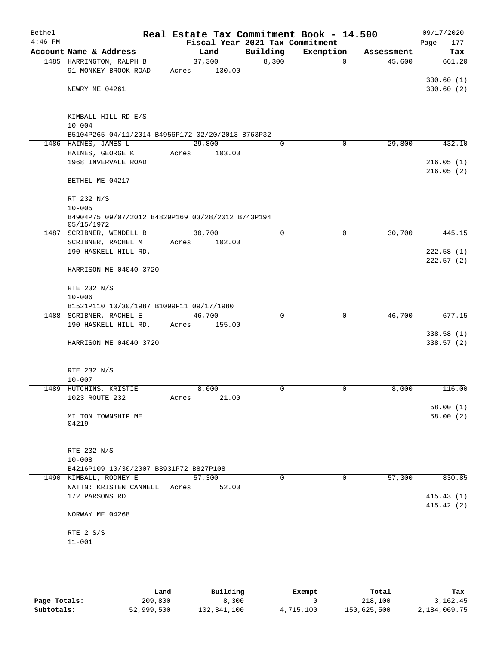| Bethel<br>$4:46$ PM |                                                                 |                 |        | Fiscal Year 2021 Tax Commitment | Real Estate Tax Commitment Book - 14.500 |            | 09/17/2020<br>Page<br>177 |
|---------------------|-----------------------------------------------------------------|-----------------|--------|---------------------------------|------------------------------------------|------------|---------------------------|
|                     | Account Name & Address                                          | Land            |        | Building                        | Exemption                                | Assessment | Tax                       |
|                     | 1485 HARRINGTON, RALPH B                                        | 37,300          |        | 8,300                           | $\mathbf 0$                              | 45,600     | 661.20                    |
|                     | 91 MONKEY BROOK ROAD                                            | Acres           | 130.00 |                                 |                                          |            |                           |
|                     |                                                                 |                 |        |                                 |                                          |            | 330.60(1)                 |
|                     | NEWRY ME 04261                                                  |                 |        |                                 |                                          |            | 330.60(2)                 |
|                     | KIMBALL HILL RD E/S                                             |                 |        |                                 |                                          |            |                           |
|                     | $10 - 004$                                                      |                 |        |                                 |                                          |            |                           |
|                     | B5104P265 04/11/2014 B4956P172 02/20/2013 B763P32               |                 |        |                                 |                                          |            |                           |
|                     | 1486 HAINES, JAMES L                                            | 29,800          |        | $\mathbf 0$                     | 0                                        | 29,800     | 432.10                    |
|                     | HAINES, GEORGE K                                                | Acres           | 103.00 |                                 |                                          |            |                           |
|                     | 1968 INVERVALE ROAD                                             |                 |        |                                 |                                          |            | 216.05(1)                 |
|                     |                                                                 |                 |        |                                 |                                          |            | 216.05(2)                 |
|                     | BETHEL ME 04217                                                 |                 |        |                                 |                                          |            |                           |
|                     | RT 232 N/S                                                      |                 |        |                                 |                                          |            |                           |
|                     | $10 - 005$                                                      |                 |        |                                 |                                          |            |                           |
|                     | B4904P75 09/07/2012 B4829P169 03/28/2012 B743P194<br>05/15/1972 |                 |        |                                 |                                          |            |                           |
|                     | 1487 SCRIBNER, WENDELL B                                        | 30,700          |        | $\mathbf 0$                     | $\mathbf 0$                              | 30,700     | 445.15                    |
|                     | SCRIBNER, RACHEL M                                              | Acres           | 102.00 |                                 |                                          |            |                           |
|                     | 190 HASKELL HILL RD.                                            |                 |        |                                 |                                          |            | 222.58(1)                 |
|                     | HARRISON ME 04040 3720                                          |                 |        |                                 |                                          |            | 222.57(2)                 |
|                     | RTE 232 N/S                                                     |                 |        |                                 |                                          |            |                           |
|                     | $10 - 006$                                                      |                 |        |                                 |                                          |            |                           |
|                     | B1521P110 10/30/1987 B1099P11 09/17/1980                        |                 |        |                                 |                                          |            |                           |
|                     | 1488 SCRIBNER, RACHEL E                                         | 46,700          |        | 0                               | 0                                        | 46,700     | 677.15                    |
|                     | 190 HASKELL HILL RD.                                            | Acres           | 155.00 |                                 |                                          |            |                           |
|                     |                                                                 |                 |        |                                 |                                          |            | 338.58(1)                 |
|                     | HARRISON ME 04040 3720                                          |                 |        |                                 |                                          |            | 338.57(2)                 |
|                     |                                                                 |                 |        |                                 |                                          |            |                           |
|                     | RTE 232 N/S                                                     |                 |        |                                 |                                          |            |                           |
|                     | $10 - 007$                                                      |                 |        |                                 |                                          |            |                           |
|                     | 1489 HUTCHINS, KRISTIE<br>1023 ROUTE 232                        | 8,000           |        | 0                               | 0                                        | 8,000      | 116.00                    |
|                     |                                                                 | Acres           | 21.00  |                                 |                                          |            |                           |
|                     | MILTON TOWNSHIP ME                                              |                 |        |                                 |                                          |            | 58.00(1)<br>58.00(2)      |
|                     | 04219                                                           |                 |        |                                 |                                          |            |                           |
|                     |                                                                 |                 |        |                                 |                                          |            |                           |
|                     | RTE 232 N/S                                                     |                 |        |                                 |                                          |            |                           |
|                     | $10 - 008$                                                      |                 |        |                                 |                                          |            |                           |
|                     | B4216P109 10/30/2007 B3931P72 B827P108                          |                 |        | $\Omega$                        | $\Omega$                                 | 57,300     | 830.85                    |
|                     | 1490 KIMBALL, RODNEY E<br>NATTN: KRISTEN CANNELL                | 57,300<br>Acres | 52.00  |                                 |                                          |            |                           |
|                     | 172 PARSONS RD                                                  |                 |        |                                 |                                          |            | 415.43(1)                 |
|                     |                                                                 |                 |        |                                 |                                          |            | 415.42(2)                 |
|                     | NORWAY ME 04268                                                 |                 |        |                                 |                                          |            |                           |
|                     |                                                                 |                 |        |                                 |                                          |            |                           |
|                     | RTE 2 S/S                                                       |                 |        |                                 |                                          |            |                           |
|                     | $11 - 001$                                                      |                 |        |                                 |                                          |            |                           |
|                     |                                                                 |                 |        |                                 |                                          |            |                           |

|              | Land       | Building    | Exempt    | Total       | Tax          |
|--------------|------------|-------------|-----------|-------------|--------------|
| Page Totals: | 209,800    | 8,300       |           | 218,100     | 3,162.45     |
| Subtotals:   | 52,999,500 | 102,341,100 | 4,715,100 | 150,625,500 | 2,184,069.75 |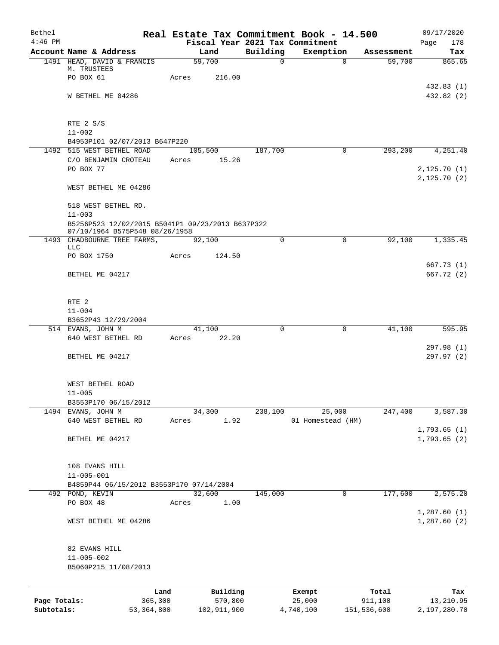| Bethel       |                                                                                    |              |                                         |             | Real Estate Tax Commitment Book - 14.500 |                       | 09/17/2020                 |
|--------------|------------------------------------------------------------------------------------|--------------|-----------------------------------------|-------------|------------------------------------------|-----------------------|----------------------------|
| $4:46$ PM    | Account Name & Address                                                             |              | Fiscal Year 2021 Tax Commitment<br>Land | Building    | Exemption                                | Assessment            | 178<br>Page<br>Tax         |
|              | 1491 HEAD, DAVID & FRANCIS                                                         |              | 59,700                                  | $\mathbf 0$ |                                          | 59,700<br>$\mathbf 0$ | 865.65                     |
|              | M. TRUSTEES                                                                        |              |                                         |             |                                          |                       |                            |
|              | PO BOX 61                                                                          | Acres        | 216.00                                  |             |                                          |                       |                            |
|              | W BETHEL ME 04286                                                                  |              |                                         |             |                                          |                       | 432.83 (1)<br>432.82 (2)   |
|              |                                                                                    |              |                                         |             |                                          |                       |                            |
|              | RTE 2 S/S                                                                          |              |                                         |             |                                          |                       |                            |
|              | $11 - 002$                                                                         |              |                                         |             |                                          |                       |                            |
|              | B4953P101 02/07/2013 B647P220                                                      |              |                                         |             |                                          |                       |                            |
|              | 1492 515 WEST BETHEL ROAD<br>C/O BENJAMIN CROTEAU                                  | Acres        | 105,500<br>15.26                        | 187,700     |                                          | 293,200<br>$\Omega$   | 4,251.40                   |
|              | PO BOX 77                                                                          |              |                                         |             |                                          |                       | 2, 125.70(1)               |
|              |                                                                                    |              |                                         |             |                                          |                       | 2,125.70(2)                |
|              | WEST BETHEL ME 04286                                                               |              |                                         |             |                                          |                       |                            |
|              | 518 WEST BETHEL RD.                                                                |              |                                         |             |                                          |                       |                            |
|              | $11 - 003$                                                                         |              |                                         |             |                                          |                       |                            |
|              | B5256P523 12/02/2015 B5041P1 09/23/2013 B637P322<br>07/10/1964 B575P548 08/26/1958 |              |                                         |             |                                          |                       |                            |
|              | 1493 CHADBOURNE TREE FARMS,<br>LLC                                                 |              | 92,100                                  | $\Omega$    |                                          | $\mathbf 0$<br>92,100 | 1,335.45                   |
|              | PO BOX 1750                                                                        | Acres        | 124.50                                  |             |                                          |                       |                            |
|              |                                                                                    |              |                                         |             |                                          |                       | 667.73(1)                  |
|              | BETHEL ME 04217                                                                    |              |                                         |             |                                          |                       | 667.72 (2)                 |
|              | RTE <sub>2</sub>                                                                   |              |                                         |             |                                          |                       |                            |
|              | $11 - 004$                                                                         |              |                                         |             |                                          |                       |                            |
|              | B3652P43 12/29/2004                                                                |              |                                         |             |                                          |                       |                            |
|              | 514 EVANS, JOHN M                                                                  |              | 41,100                                  | $\Omega$    |                                          | 41,100<br>$\mathbf 0$ | 595.95                     |
|              | 640 WEST BETHEL RD                                                                 | Acres        | 22.20                                   |             |                                          |                       |                            |
|              | BETHEL ME 04217                                                                    |              |                                         |             |                                          |                       | 297.98 (1)<br>297.97 (2)   |
|              |                                                                                    |              |                                         |             |                                          |                       |                            |
|              | WEST BETHEL ROAD                                                                   |              |                                         |             |                                          |                       |                            |
|              | $11 - 005$<br>B3553P170 06/15/2012                                                 |              |                                         |             |                                          |                       |                            |
|              | 1494 EVANS, JOHN M                                                                 |              | 34,300                                  | 238,100     | 25,000                                   | 247,400               | 3,587.30                   |
|              | 640 WEST BETHEL RD                                                                 | Acres        | 1.92                                    |             | 01 Homestead (HM)                        |                       |                            |
|              |                                                                                    |              |                                         |             |                                          |                       | 1,793.65(1)                |
|              | BETHEL ME 04217                                                                    |              |                                         |             |                                          |                       | 1,793.65(2)                |
|              | 108 EVANS HILL                                                                     |              |                                         |             |                                          |                       |                            |
|              | $11 - 005 - 001$                                                                   |              |                                         |             |                                          |                       |                            |
|              | B4859P44 06/15/2012 B3553P170 07/14/2004                                           |              |                                         |             |                                          |                       |                            |
|              | 492 POND, KEVIN                                                                    |              | 32,600                                  | 145,000     |                                          | 177,600<br>0          | 2,575.20                   |
|              | PO BOX 48                                                                          | Acres        | 1.00                                    |             |                                          |                       |                            |
|              | WEST BETHEL ME 04286                                                               |              |                                         |             |                                          |                       | 1,287.60(1)<br>1,287.60(2) |
|              |                                                                                    |              |                                         |             |                                          |                       |                            |
|              | 82 EVANS HILL                                                                      |              |                                         |             |                                          |                       |                            |
|              | $11 - 005 - 002$                                                                   |              |                                         |             |                                          |                       |                            |
|              | B5060P215 11/08/2013                                                               |              |                                         |             |                                          |                       |                            |
|              |                                                                                    | Land         | Building                                |             | Exempt                                   | Total                 | Tax                        |
| Page Totals: |                                                                                    | 365,300      | 570,800                                 |             | 25,000                                   | 911,100               | 13,210.95                  |
| Subtotals:   |                                                                                    | 53, 364, 800 | 102,911,900                             |             | 4,740,100                                | 151,536,600           | 2,197,280.70               |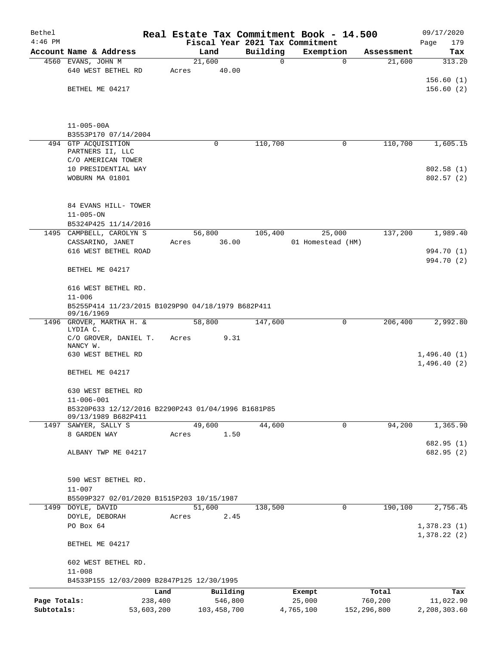| Bethel       |                                                                           |            |               |          | Real Estate Tax Commitment Book - 14.500 |                        | 09/17/2020                 |
|--------------|---------------------------------------------------------------------------|------------|---------------|----------|------------------------------------------|------------------------|----------------------------|
| $4:46$ PM    |                                                                           |            |               |          | Fiscal Year 2021 Tax Commitment          |                        | Page<br>179                |
|              | Account Name & Address                                                    |            | Land          | Building | Exemption                                | Assessment             | Tax                        |
|              | 4560 EVANS, JOHN M                                                        |            | 21,600        | 0        |                                          | $\mathbf 0$<br>21,600  | 313.20                     |
|              | 640 WEST BETHEL RD                                                        | Acres      | 40.00         |          |                                          |                        |                            |
|              | BETHEL ME 04217                                                           |            |               |          |                                          |                        | 156.60(1)<br>156.60(2)     |
|              |                                                                           |            |               |          |                                          |                        |                            |
|              |                                                                           |            |               |          |                                          |                        |                            |
|              | $11 - 005 - 00A$                                                          |            |               |          |                                          |                        |                            |
|              | B3553P170 07/14/2004                                                      |            |               |          |                                          |                        |                            |
|              | 494 GTP ACQUISITION                                                       |            | 0             | 110,700  | 0                                        | 110,700                | 1,605.15                   |
|              | PARTNERS II, LLC<br>C/O AMERICAN TOWER                                    |            |               |          |                                          |                        |                            |
|              | 10 PRESIDENTIAL WAY                                                       |            |               |          |                                          |                        | 802.58(1)                  |
|              | WOBURN MA 01801                                                           |            |               |          |                                          |                        | 802.57(2)                  |
|              |                                                                           |            |               |          |                                          |                        |                            |
|              | 84 EVANS HILL- TOWER                                                      |            |               |          |                                          |                        |                            |
|              | $11 - 005 - ON$                                                           |            |               |          |                                          |                        |                            |
|              | B5324P425 11/14/2016                                                      |            |               |          |                                          |                        |                            |
|              | 1495 CAMPBELL, CAROLYN S                                                  |            | 56,800        | 105,400  | 25,000                                   | 137,200                | 1,989.40                   |
|              | CASSARINO, JANET                                                          | Acres      | 36.00         |          | 01 Homestead (HM)                        |                        |                            |
|              | 616 WEST BETHEL ROAD                                                      |            |               |          |                                          |                        | 994.70 (1)                 |
|              | BETHEL ME 04217                                                           |            |               |          |                                          |                        | 994.70 (2)                 |
|              | 616 WEST BETHEL RD.                                                       |            |               |          |                                          |                        |                            |
|              | $11 - 006$                                                                |            |               |          |                                          |                        |                            |
|              | B5255P414 11/23/2015 B1029P90 04/18/1979 B682P411<br>09/16/1969           |            |               |          |                                          |                        |                            |
|              | 1496 GROVER, MARTHA H. &<br>LYDIA C.                                      |            | 58,800        | 147,600  | 0                                        | 206,400                | 2,992.80                   |
|              | C/O GROVER, DANIEL T.<br>NANCY W.                                         | Acres      | 9.31          |          |                                          |                        |                            |
|              | 630 WEST BETHEL RD                                                        |            |               |          |                                          |                        | 1,496.40(1)<br>1,496.40(2) |
|              | BETHEL ME 04217                                                           |            |               |          |                                          |                        |                            |
|              | 630 WEST BETHEL RD                                                        |            |               |          |                                          |                        |                            |
|              | $11 - 006 - 001$                                                          |            |               |          |                                          |                        |                            |
|              | B5320P633 12/12/2016 B2290P243 01/04/1996 B1681P85<br>09/13/1989 B682P411 |            |               |          |                                          |                        |                            |
|              | 1497 SAWYER, SALLY S                                                      |            | 49,600        | 44,600   |                                          | 94,200<br>0            | 1,365.90                   |
|              | 8 GARDEN WAY                                                              | Acres      | 1.50          |          |                                          |                        |                            |
|              |                                                                           |            |               |          |                                          |                        | 682.95 (1)                 |
|              | ALBANY TWP ME 04217                                                       |            |               |          |                                          |                        | 682.95 (2)                 |
|              | 590 WEST BETHEL RD.                                                       |            |               |          |                                          |                        |                            |
|              | $11 - 007$                                                                |            |               |          |                                          |                        |                            |
|              | B5509P327 02/01/2020 B1515P203 10/15/1987                                 |            |               |          |                                          |                        |                            |
|              | 1499 DOYLE, DAVID                                                         |            | 51,600        | 138,500  |                                          | $\mathbf 0$<br>190,100 | 2,756.45                   |
|              | DOYLE, DEBORAH                                                            | Acres      | 2.45          |          |                                          |                        |                            |
|              | PO Box 64                                                                 |            |               |          |                                          |                        | 1,378.23(1)                |
|              | BETHEL ME 04217                                                           |            |               |          |                                          |                        | 1,378.22(2)                |
|              | 602 WEST BETHEL RD.                                                       |            |               |          |                                          |                        |                            |
|              | $11 - 008$                                                                |            |               |          |                                          |                        |                            |
|              | B4533P155 12/03/2009 B2847P125 12/30/1995                                 |            |               |          |                                          |                        |                            |
|              |                                                                           | Land       | Building      |          | Exempt                                   | Total                  | Tax                        |
| Page Totals: |                                                                           | 238,400    | 546,800       |          | 25,000                                   | 760,200                | 11,022.90                  |
| Subtotals:   |                                                                           | 53,603,200 | 103, 458, 700 |          | 4,765,100                                | 152, 296, 800          | 2,208,303.60               |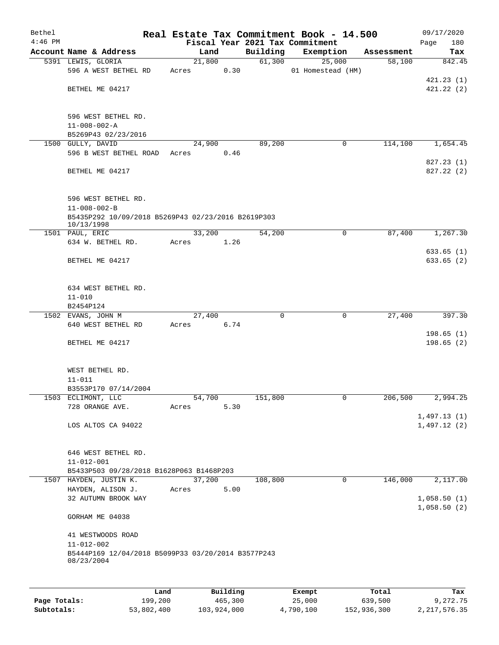| Bethel    |                                                                  |      |                |          |                    | Real Estate Tax Commitment Book - 14.500 |                      | 09/17/2020    |
|-----------|------------------------------------------------------------------|------|----------------|----------|--------------------|------------------------------------------|----------------------|---------------|
| $4:46$ PM |                                                                  |      |                |          |                    | Fiscal Year 2021 Tax Commitment          |                      | 180<br>Page   |
|           | Account Name & Address<br>5391 LEWIS, GLORIA                     |      | Land<br>21,800 |          | Building<br>61,300 | Exemption<br>25,000                      | Assessment<br>58,100 | Tax<br>842.45 |
|           | 596 A WEST BETHEL RD                                             |      | Acres          | 0.30     |                    | 01 Homestead (HM)                        |                      |               |
|           |                                                                  |      |                |          |                    |                                          |                      | 421.23(1)     |
|           | BETHEL ME 04217                                                  |      |                |          |                    |                                          |                      | 421.22(2)     |
|           |                                                                  |      |                |          |                    |                                          |                      |               |
|           | 596 WEST BETHEL RD.                                              |      |                |          |                    |                                          |                      |               |
|           | $11 - 008 - 002 - A$                                             |      |                |          |                    |                                          |                      |               |
|           | B5269P43 02/23/2016                                              |      |                |          |                    |                                          |                      |               |
|           | 1500 GULLY, DAVID                                                |      | 24,900         |          | 89,200             | 0                                        | 114,100              | 1,654.45      |
|           | 596 B WEST BETHEL ROAD                                           |      | Acres          | 0.46     |                    |                                          |                      |               |
|           |                                                                  |      |                |          |                    |                                          |                      | 827.23 (1)    |
|           | BETHEL ME 04217                                                  |      |                |          |                    |                                          |                      | 827.22 (2)    |
|           |                                                                  |      |                |          |                    |                                          |                      |               |
|           | 596 WEST BETHEL RD.                                              |      |                |          |                    |                                          |                      |               |
|           | $11 - 008 - 002 - B$                                             |      |                |          |                    |                                          |                      |               |
|           | B5435P292 10/09/2018 B5269P43 02/23/2016 B2619P303<br>10/13/1998 |      |                |          |                    |                                          |                      |               |
|           | 1501 PAUL, ERIC                                                  |      | 33,200         |          | 54,200             | $\mathbf 0$                              | 87,400               | 1,267.30      |
|           | 634 W. BETHEL RD.                                                |      | Acres          | 1.26     |                    |                                          |                      |               |
|           |                                                                  |      |                |          |                    |                                          |                      | 633.65(1)     |
|           | BETHEL ME 04217                                                  |      |                |          |                    |                                          |                      | 633.65(2)     |
|           |                                                                  |      |                |          |                    |                                          |                      |               |
|           | 634 WEST BETHEL RD.                                              |      |                |          |                    |                                          |                      |               |
|           | $11 - 010$                                                       |      |                |          |                    |                                          |                      |               |
|           | B2454P124                                                        |      |                |          |                    |                                          |                      |               |
|           | 1502 EVANS, JOHN M                                               |      | 27,400         |          | 0                  | 0                                        | 27,400               | 397.30        |
|           | 640 WEST BETHEL RD                                               |      | Acres          | 6.74     |                    |                                          |                      |               |
|           |                                                                  |      |                |          |                    |                                          |                      | 198.65(1)     |
|           | BETHEL ME 04217                                                  |      |                |          |                    |                                          |                      | 198.65(2)     |
|           |                                                                  |      |                |          |                    |                                          |                      |               |
|           | WEST BETHEL RD.                                                  |      |                |          |                    |                                          |                      |               |
|           | $11 - 011$                                                       |      |                |          |                    |                                          |                      |               |
|           | B3553P170 07/14/2004                                             |      |                |          |                    |                                          |                      |               |
|           | 1503 ECLIMONT, LLC                                               |      | 54,700         |          | 151,800            | 0                                        | 206,500              | 2,994.25      |
|           | 728 ORANGE AVE.                                                  |      | Acres          | 5.30     |                    |                                          |                      |               |
|           |                                                                  |      |                |          |                    |                                          |                      | 1,497.13(1)   |
|           | LOS ALTOS CA 94022                                               |      |                |          |                    |                                          |                      | 1,497.12(2)   |
|           |                                                                  |      |                |          |                    |                                          |                      |               |
|           | 646 WEST BETHEL RD.                                              |      |                |          |                    |                                          |                      |               |
|           | $11 - 012 - 001$                                                 |      |                |          |                    |                                          |                      |               |
|           | B5433P503 09/28/2018 B1628P063 B1468P203                         |      |                |          |                    |                                          |                      |               |
|           | 1507 HAYDEN, JUSTIN K.                                           |      | 37,200         |          | 108,800            | 0                                        | 146,000              | 2,117.00      |
|           | HAYDEN, ALISON J.                                                |      | Acres          | 5.00     |                    |                                          |                      |               |
|           | 32 AUTUMN BROOK WAY                                              |      |                |          |                    |                                          |                      | 1,058.50(1)   |
|           | GORHAM ME 04038                                                  |      |                |          |                    |                                          |                      | 1,058.50(2)   |
|           |                                                                  |      |                |          |                    |                                          |                      |               |
|           | 41 WESTWOODS ROAD                                                |      |                |          |                    |                                          |                      |               |
|           | $11 - 012 - 002$                                                 |      |                |          |                    |                                          |                      |               |
|           | B5444P169 12/04/2018 B5099P33 03/20/2014 B3577P243<br>08/23/2004 |      |                |          |                    |                                          |                      |               |
|           |                                                                  |      |                |          |                    |                                          |                      |               |
|           |                                                                  |      |                |          |                    |                                          |                      |               |
|           |                                                                  | Land |                | Building |                    | <b>Exempt</b>                            | Total                | Tax           |

|              | Land       | Building    | Exempt    | Total       | Tax          |
|--------------|------------|-------------|-----------|-------------|--------------|
| Page Totals: | 199,200    | 465,300     | 25,000    | 639,500     | 9,272.75     |
| Subtotals:   | 53,802,400 | 103,924,000 | 4,790,100 | 152,936,300 | 2,217,576.35 |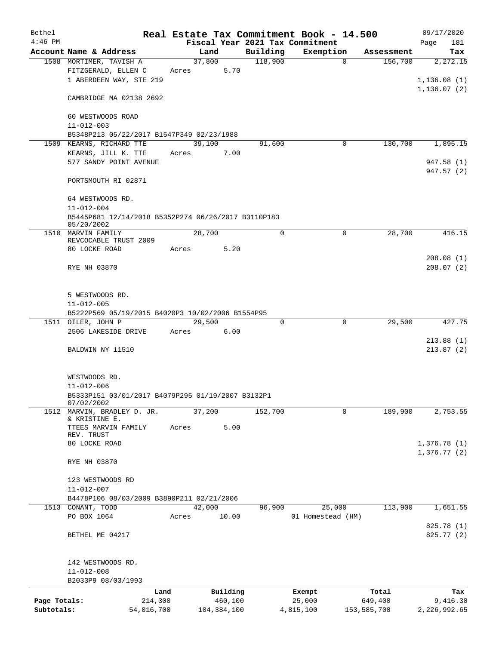| Bethel       |                                                                       |       |               |                                 | Real Estate Tax Commitment Book - 14.500 |             | 09/17/2020   |
|--------------|-----------------------------------------------------------------------|-------|---------------|---------------------------------|------------------------------------------|-------------|--------------|
| $4:46$ PM    |                                                                       |       |               | Fiscal Year 2021 Tax Commitment |                                          |             | 181<br>Page  |
|              | Account Name & Address                                                |       | Land          | Building                        | Exemption                                | Assessment  | Tax          |
|              | 1508 MORTIMER, TAVISH A                                               |       | 37,800        | 118,900                         | $\mathbf 0$                              | 156,700     | 2,272.15     |
|              | FITZGERALD, ELLEN C                                                   | Acres | 5.70          |                                 |                                          |             |              |
|              | 1 ABERDEEN WAY, STE 219                                               |       |               |                                 |                                          |             | 1, 136.08(1) |
|              |                                                                       |       |               |                                 |                                          |             | 1, 136.07(2) |
|              | CAMBRIDGE MA 02138 2692                                               |       |               |                                 |                                          |             |              |
|              | 60 WESTWOODS ROAD                                                     |       |               |                                 |                                          |             |              |
|              | $11 - 012 - 003$                                                      |       |               |                                 |                                          |             |              |
|              |                                                                       |       |               |                                 |                                          |             |              |
|              | B5348P213 05/22/2017 B1547P349 02/23/1988<br>1509 KEARNS, RICHARD TTE |       | 39,100        | 91,600                          | 0                                        | 130,700     | 1,895.15     |
|              | KEARNS, JILL K. TTE                                                   | Acres | 7.00          |                                 |                                          |             |              |
|              | 577 SANDY POINT AVENUE                                                |       |               |                                 |                                          |             | 947.58 (1)   |
|              |                                                                       |       |               |                                 |                                          |             | 947.57 (2)   |
|              | PORTSMOUTH RI 02871                                                   |       |               |                                 |                                          |             |              |
|              |                                                                       |       |               |                                 |                                          |             |              |
|              | 64 WESTWOODS RD.                                                      |       |               |                                 |                                          |             |              |
|              | $11 - 012 - 004$                                                      |       |               |                                 |                                          |             |              |
|              | B5445P681 12/14/2018 B5352P274 06/26/2017 B3110P183                   |       |               |                                 |                                          |             |              |
|              | 05/20/2002                                                            |       |               |                                 |                                          |             |              |
|              | 1510 MARVIN FAMILY                                                    |       | 28,700        | $\mathbf 0$                     | $\mathbf 0$                              | 28,700      | 416.15       |
|              | REVCOCABLE TRUST 2009                                                 |       |               |                                 |                                          |             |              |
|              | 80 LOCKE ROAD                                                         | Acres | 5.20          |                                 |                                          |             |              |
|              |                                                                       |       |               |                                 |                                          |             | 208.08(1)    |
|              | RYE NH 03870                                                          |       |               |                                 |                                          |             | 208.07(2)    |
|              |                                                                       |       |               |                                 |                                          |             |              |
|              |                                                                       |       |               |                                 |                                          |             |              |
|              | 5 WESTWOODS RD.                                                       |       |               |                                 |                                          |             |              |
|              | $11 - 012 - 005$                                                      |       |               |                                 |                                          |             |              |
|              | B5222P569 05/19/2015 B4020P3 10/02/2006 B1554P95                      |       |               |                                 |                                          |             |              |
|              | 1511 OILER, JOHN P                                                    |       | 29,500        | $\Omega$                        | $\mathbf 0$                              | 29,500      | 427.75       |
|              | 2506 LAKESIDE DRIVE                                                   | Acres | 6.00          |                                 |                                          |             | 213.88(1)    |
|              | BALDWIN NY 11510                                                      |       |               |                                 |                                          |             | 213.87(2)    |
|              |                                                                       |       |               |                                 |                                          |             |              |
|              |                                                                       |       |               |                                 |                                          |             |              |
|              | WESTWOODS RD.                                                         |       |               |                                 |                                          |             |              |
|              | $11 - 012 - 006$                                                      |       |               |                                 |                                          |             |              |
|              | B5333P151 03/01/2017 B4079P295 01/19/2007 B3132P1                     |       |               |                                 |                                          |             |              |
|              | 07/02/2002                                                            |       |               |                                 |                                          |             |              |
| 1512         | MARVIN, BRADLEY D. JR.                                                |       | 37,200        | 152,700                         | $\mathbf 0$                              | 189,900     | 2,753.55     |
|              | & KRISTINE E.                                                         |       |               |                                 |                                          |             |              |
|              | TTEES MARVIN FAMILY<br>REV. TRUST                                     | Acres | 5.00          |                                 |                                          |             |              |
|              | 80 LOCKE ROAD                                                         |       |               |                                 |                                          |             | 1,376.78(1)  |
|              |                                                                       |       |               |                                 |                                          |             | 1,376.77(2)  |
|              | RYE NH 03870                                                          |       |               |                                 |                                          |             |              |
|              |                                                                       |       |               |                                 |                                          |             |              |
|              | 123 WESTWOODS RD                                                      |       |               |                                 |                                          |             |              |
|              | $11 - 012 - 007$                                                      |       |               |                                 |                                          |             |              |
|              | B4478P106 08/03/2009 B3890P211 02/21/2006                             |       |               |                                 |                                          |             |              |
|              | 1513 CONANT, TODD                                                     |       | 42,000        | 96,900                          | 25,000                                   | 113,900     | 1,651.55     |
|              | PO BOX 1064                                                           | Acres | 10.00         |                                 | 01 Homestead (HM)                        |             |              |
|              |                                                                       |       |               |                                 |                                          |             | 825.78 (1)   |
|              | BETHEL ME 04217                                                       |       |               |                                 |                                          |             | 825.77 (2)   |
|              |                                                                       |       |               |                                 |                                          |             |              |
|              |                                                                       |       |               |                                 |                                          |             |              |
|              | 142 WESTWOODS RD.                                                     |       |               |                                 |                                          |             |              |
|              | $11 - 012 - 008$                                                      |       |               |                                 |                                          |             |              |
|              | B2033P9 08/03/1993                                                    |       |               |                                 |                                          |             |              |
|              | Land                                                                  |       | Building      |                                 | Exempt                                   | Total       | Tax          |
| Page Totals: | 214,300                                                               |       | 460,100       |                                 | 25,000                                   | 649,400     | 9,416.30     |
| Subtotals:   | 54,016,700                                                            |       | 104, 384, 100 |                                 | 4,815,100                                | 153,585,700 | 2,226,992.65 |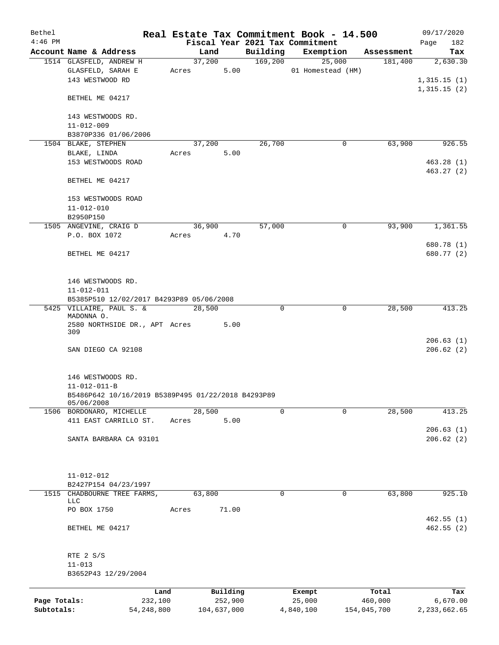| Bethel       |                                                                            |         |            |             |          | Real Estate Tax Commitment Book - 14.500 |             | 09/17/2020     |
|--------------|----------------------------------------------------------------------------|---------|------------|-------------|----------|------------------------------------------|-------------|----------------|
| $4:46$ PM    |                                                                            |         |            |             |          | Fiscal Year 2021 Tax Commitment          |             | 182<br>Page    |
|              | Account Name & Address                                                     |         | Land       |             |          | Building Exemption                       | Assessment  | Tax            |
|              | 1514 GLASFELD, ANDREW H                                                    |         | 37,200     |             | 169,200  | 25,000                                   | 181,400     | 2,630.30       |
|              | GLASFELD, SARAH E<br>143 WESTWOOD RD                                       |         | Acres      | 5.00        |          | 01 Homestead (HM)                        |             | 1,315.15(1)    |
|              |                                                                            |         |            |             |          |                                          |             | 1,315.15(2)    |
|              | BETHEL ME 04217                                                            |         |            |             |          |                                          |             |                |
|              |                                                                            |         |            |             |          |                                          |             |                |
|              | 143 WESTWOODS RD.                                                          |         |            |             |          |                                          |             |                |
|              | $11 - 012 - 009$                                                           |         |            |             |          |                                          |             |                |
|              | B3870P336 01/06/2006                                                       |         |            |             |          |                                          |             |                |
|              | 1504 BLAKE, STEPHEN                                                        |         | 37,200     |             | 26,700   | 0                                        | 63,900      | 926.55         |
|              | BLAKE, LINDA                                                               |         | Acres      | 5.00        |          |                                          |             |                |
|              | 153 WESTWOODS ROAD                                                         |         |            |             |          |                                          |             | 463.28(1)      |
|              |                                                                            |         |            |             |          |                                          |             | 463.27(2)      |
|              | BETHEL ME 04217                                                            |         |            |             |          |                                          |             |                |
|              | 153 WESTWOODS ROAD                                                         |         |            |             |          |                                          |             |                |
|              | $11 - 012 - 010$                                                           |         |            |             |          |                                          |             |                |
|              | B2950P150                                                                  |         |            |             |          |                                          |             |                |
|              | 1505 ANGEVINE, CRAIG D                                                     |         | 36,900     |             | 57,000   | 0                                        | 93,900      | 1,361.55       |
|              | P.O. BOX 1072                                                              |         | Acres 4.70 |             |          |                                          |             |                |
|              |                                                                            |         |            |             |          |                                          |             | 680.78 (1)     |
|              | BETHEL ME 04217                                                            |         |            |             |          |                                          |             | 680.77 (2)     |
|              |                                                                            |         |            |             |          |                                          |             |                |
|              |                                                                            |         |            |             |          |                                          |             |                |
|              | 146 WESTWOODS RD.                                                          |         |            |             |          |                                          |             |                |
|              | $11 - 012 - 011$                                                           |         |            |             |          |                                          |             |                |
|              | B5385P510 12/02/2017 B4293P89 05/06/2008                                   |         |            |             |          |                                          |             |                |
|              | 5425 VILLAIRE, PAUL S. &<br>MADONNA O.                                     |         | 28,500     |             | $\Omega$ | 0                                        | 28,500      | 413.25         |
|              | 2580 NORTHSIDE DR., APT Acres                                              |         |            | 5.00        |          |                                          |             |                |
|              | 309                                                                        |         |            |             |          |                                          |             |                |
|              |                                                                            |         |            |             |          |                                          |             | 206.63(1)      |
|              | SAN DIEGO CA 92108                                                         |         |            |             |          |                                          |             | 206.62(2)      |
|              |                                                                            |         |            |             |          |                                          |             |                |
|              |                                                                            |         |            |             |          |                                          |             |                |
|              | 146 WESTWOODS RD.                                                          |         |            |             |          |                                          |             |                |
|              | $11 - 012 - 011 - B$<br>B5486P642 10/16/2019 B5389P495 01/22/2018 B4293P89 |         |            |             |          |                                          |             |                |
|              | 05/06/2008                                                                 |         |            |             |          |                                          |             |                |
|              | 1506 BORDONARO, MICHELLE                                                   |         | 28,500     |             | $\Omega$ | $\Omega$                                 | 28,500      | 413.25         |
|              | 411 EAST CARRILLO ST.                                                      | Acres   |            | 5.00        |          |                                          |             |                |
|              |                                                                            |         |            |             |          |                                          |             | 206.63(1)      |
|              | SANTA BARBARA CA 93101                                                     |         |            |             |          |                                          |             | 206.62(2)      |
|              |                                                                            |         |            |             |          |                                          |             |                |
|              |                                                                            |         |            |             |          |                                          |             |                |
|              |                                                                            |         |            |             |          |                                          |             |                |
|              | $11 - 012 - 012$<br>B2427P154 04/23/1997                                   |         |            |             |          |                                          |             |                |
| 1515         | CHADBOURNE TREE FARMS,                                                     |         | 63,800     |             | 0        | 0                                        | 63,800      | 925.10         |
|              | <b>LLC</b>                                                                 |         |            |             |          |                                          |             |                |
|              | PO BOX 1750                                                                | Acres   |            | 71.00       |          |                                          |             |                |
|              |                                                                            |         |            |             |          |                                          |             | 462.55(1)      |
|              | BETHEL ME 04217                                                            |         |            |             |          |                                          |             | 462.55(2)      |
|              |                                                                            |         |            |             |          |                                          |             |                |
|              | RTE 2 S/S                                                                  |         |            |             |          |                                          |             |                |
|              | $11 - 013$                                                                 |         |            |             |          |                                          |             |                |
|              | B3652P43 12/29/2004                                                        |         |            |             |          |                                          |             |                |
|              |                                                                            |         |            |             |          |                                          |             |                |
|              |                                                                            | Land    |            | Building    |          | Exempt                                   | Total       | Tax            |
| Page Totals: |                                                                            | 232,100 |            | 252,900     |          | 25,000                                   | 460,000     | 6,670.00       |
| Subtotals:   | 54, 248, 800                                                               |         |            | 104,637,000 |          | 4,840,100                                | 154,045,700 | 2, 233, 662.65 |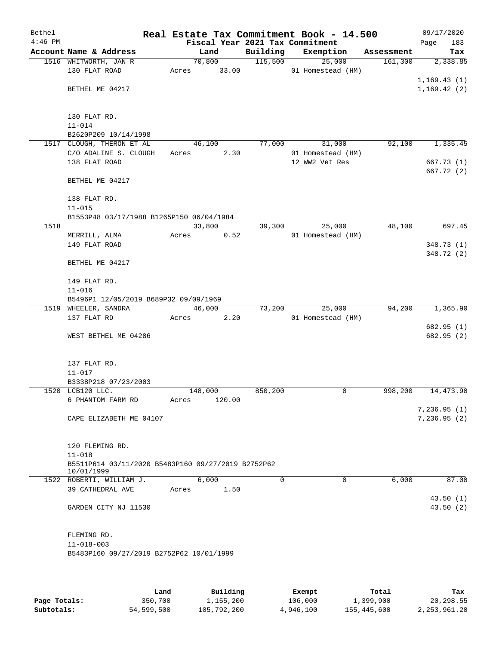| Bethel    |                                                    |       |                                 |          | Real Estate Tax Commitment Book - 14.500 |            | 09/17/2020   |            |
|-----------|----------------------------------------------------|-------|---------------------------------|----------|------------------------------------------|------------|--------------|------------|
| $4:46$ PM |                                                    |       | Fiscal Year 2021 Tax Commitment |          |                                          |            | Page         | 183        |
|           | Account Name & Address                             |       | Land                            | Building | Exemption                                | Assessment |              | Tax        |
|           | 1516 WHITWORTH, JAN R                              |       | 70,800                          | 115,500  | 25,000                                   | 161,300    |              | 2,338.85   |
|           | 130 FLAT ROAD                                      | Acres | 33.00                           |          | 01 Homestead (HM)                        |            |              |            |
|           |                                                    |       |                                 |          |                                          |            | 1, 169.43(1) |            |
|           | BETHEL ME 04217                                    |       |                                 |          |                                          |            | 1,169.42(2)  |            |
|           |                                                    |       |                                 |          |                                          |            |              |            |
|           |                                                    |       |                                 |          |                                          |            |              |            |
|           | 130 FLAT RD.                                       |       |                                 |          |                                          |            |              |            |
|           | $11 - 014$                                         |       |                                 |          |                                          |            |              |            |
|           | B2620P209 10/14/1998                               |       |                                 |          |                                          |            |              |            |
|           | 1517 CLOUGH, THERON ET AL<br>C/O ADALINE S. CLOUGH |       | 46,100<br>2.30                  | 77,000   | 31,000<br>01 Homestead (HM)              | 92,100     |              | 1,335.45   |
|           | 138 FLAT ROAD                                      | Acres |                                 |          | 12 WW2 Vet Res                           |            |              | 667.73(1)  |
|           |                                                    |       |                                 |          |                                          |            |              | 667.72 (2) |
|           | BETHEL ME 04217                                    |       |                                 |          |                                          |            |              |            |
|           |                                                    |       |                                 |          |                                          |            |              |            |
|           | 138 FLAT RD.                                       |       |                                 |          |                                          |            |              |            |
|           | $11 - 015$                                         |       |                                 |          |                                          |            |              |            |
|           | B1553P48 03/17/1988 B1265P150 06/04/1984           |       |                                 |          |                                          |            |              |            |
| 1518      |                                                    |       | 33,800                          | 39,300   | 25,000                                   | 48,100     |              | 697.45     |
|           | MERRILL, ALMA                                      | Acres | 0.52                            |          | 01 Homestead (HM)                        |            |              |            |
|           | 149 FLAT ROAD                                      |       |                                 |          |                                          |            |              | 348.73 (1) |
|           |                                                    |       |                                 |          |                                          |            |              | 348.72 (2) |
|           | BETHEL ME 04217                                    |       |                                 |          |                                          |            |              |            |
|           |                                                    |       |                                 |          |                                          |            |              |            |
|           | 149 FLAT RD.                                       |       |                                 |          |                                          |            |              |            |
|           | $11 - 016$                                         |       |                                 |          |                                          |            |              |            |
|           | B5496P1 12/05/2019 B689P32 09/09/1969              |       |                                 |          |                                          |            |              |            |
|           | 1519 WHEELER, SANDRA                               |       | 46,000                          | 73,200   | 25,000                                   | 94,200     |              | 1,365.90   |
|           | 137 FLAT RD                                        | Acres | 2.20                            |          | 01 Homestead (HM)                        |            |              |            |
|           |                                                    |       |                                 |          |                                          |            |              | 682.95 (1) |
|           | WEST BETHEL ME 04286                               |       |                                 |          |                                          |            |              | 682.95 (2) |
|           |                                                    |       |                                 |          |                                          |            |              |            |
|           |                                                    |       |                                 |          |                                          |            |              |            |
|           | 137 FLAT RD.                                       |       |                                 |          |                                          |            |              |            |
|           | $11 - 017$                                         |       |                                 |          |                                          |            |              |            |
|           | B3338P218 07/23/2003                               |       |                                 |          |                                          |            |              |            |
|           | 1520 LCB120 LLC.                                   |       | 148,000                         | 850,200  | 0                                        | 998,200    |              | 14,473.90  |
|           | 6 PHANTOM FARM RD                                  | Acres | 120.00                          |          |                                          |            | 7,236.95(1)  |            |
|           | CAPE ELIZABETH ME 04107                            |       |                                 |          |                                          |            | 7,236.95(2)  |            |
|           |                                                    |       |                                 |          |                                          |            |              |            |
|           |                                                    |       |                                 |          |                                          |            |              |            |
|           | 120 FLEMING RD.                                    |       |                                 |          |                                          |            |              |            |
|           | $11 - 018$                                         |       |                                 |          |                                          |            |              |            |
|           | B5511P614 03/11/2020 B5483P160 09/27/2019 B2752P62 |       |                                 |          |                                          |            |              |            |
|           | 10/01/1999                                         |       |                                 |          |                                          |            |              |            |
|           | 1522 ROBERTI, WILLIAM J.                           |       | 6,000                           | $\Omega$ | 0                                        | 6,000      |              | 87.00      |
|           | 39 CATHEDRAL AVE                                   | Acres | 1.50                            |          |                                          |            |              |            |
|           |                                                    |       |                                 |          |                                          |            |              | 43.50(1)   |
|           | GARDEN CITY NJ 11530                               |       |                                 |          |                                          |            |              | 43.50(2)   |
|           |                                                    |       |                                 |          |                                          |            |              |            |
|           |                                                    |       |                                 |          |                                          |            |              |            |
|           | FLEMING RD.                                        |       |                                 |          |                                          |            |              |            |
|           | $11 - 018 - 003$                                   |       |                                 |          |                                          |            |              |            |
|           | B5483P160 09/27/2019 B2752P62 10/01/1999           |       |                                 |          |                                          |            |              |            |
|           |                                                    |       |                                 |          |                                          |            |              |            |
|           |                                                    |       |                                 |          |                                          |            |              |            |
|           |                                                    |       |                                 |          |                                          |            |              |            |

|              | Land       | Building    | Exempt    | Total       | Tax          |
|--------------|------------|-------------|-----------|-------------|--------------|
| Page Totals: | 350,700    | 1,155,200   | 106,000   | 1,399,900   | 20,298.55    |
| Subtotals:   | 54,599,500 | 105,792,200 | 4,946,100 | 155,445,600 | 2,253,961.20 |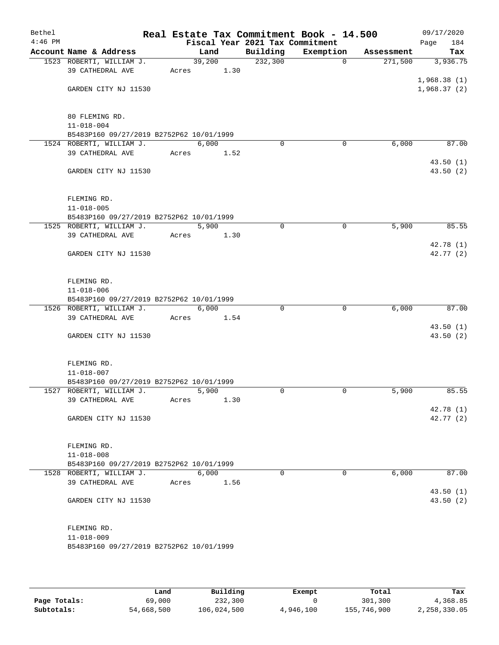| Bethel<br>$4:46$ PM |                                                                      |       |        |      | Fiscal Year 2021 Tax Commitment | Real Estate Tax Commitment Book - 14.500 |            | 09/17/2020<br>184<br>Page |
|---------------------|----------------------------------------------------------------------|-------|--------|------|---------------------------------|------------------------------------------|------------|---------------------------|
|                     | Account Name & Address                                               |       | Land   |      | Building                        | Exemption                                | Assessment | Tax                       |
|                     | 1523 ROBERTI, WILLIAM J.                                             |       | 39,200 |      | 232,300                         | $\mathbf 0$                              | 271,500    | 3,936.75                  |
|                     | 39 CATHEDRAL AVE                                                     | Acres |        | 1.30 |                                 |                                          |            |                           |
|                     |                                                                      |       |        |      |                                 |                                          |            | 1,968.38(1)               |
|                     | GARDEN CITY NJ 11530                                                 |       |        |      |                                 |                                          |            | 1,968.37(2)               |
|                     | 80 FLEMING RD.                                                       |       |        |      |                                 |                                          |            |                           |
|                     | $11 - 018 - 004$                                                     |       |        |      |                                 |                                          |            |                           |
|                     | B5483P160 09/27/2019 B2752P62 10/01/1999                             |       |        |      |                                 |                                          |            |                           |
|                     | 1524 ROBERTI, WILLIAM J.                                             |       | 6,000  |      | $\Omega$                        | 0                                        | 6,000      | 87.00                     |
|                     | 39 CATHEDRAL AVE                                                     | Acres |        | 1.52 |                                 |                                          |            | 43.50(1)                  |
|                     | GARDEN CITY NJ 11530                                                 |       |        |      |                                 |                                          |            | 43.50(2)                  |
|                     | FLEMING RD.                                                          |       |        |      |                                 |                                          |            |                           |
|                     | $11 - 018 - 005$                                                     |       |        |      |                                 |                                          |            |                           |
|                     | B5483P160 09/27/2019 B2752P62 10/01/1999                             |       |        |      |                                 |                                          |            |                           |
|                     | 1525 ROBERTI, WILLIAM J.                                             |       | 5,900  |      | $\mathbf 0$                     | $\mathbf 0$                              | 5,900      | 85.55                     |
|                     | 39 CATHEDRAL AVE                                                     | Acres |        | 1.30 |                                 |                                          |            | 42.78(1)                  |
|                     | GARDEN CITY NJ 11530                                                 |       |        |      |                                 |                                          |            | 42.77(2)                  |
|                     |                                                                      |       |        |      |                                 |                                          |            |                           |
|                     | FLEMING RD.<br>$11 - 018 - 006$                                      |       |        |      |                                 |                                          |            |                           |
|                     | B5483P160 09/27/2019 B2752P62 10/01/1999                             |       |        |      |                                 |                                          |            |                           |
|                     | 1526 ROBERTI, WILLIAM J.                                             |       | 6,000  |      | $\Omega$                        | $\Omega$                                 | 6,000      | 87.00                     |
|                     | 39 CATHEDRAL AVE                                                     | Acres |        | 1.54 |                                 |                                          |            |                           |
|                     |                                                                      |       |        |      |                                 |                                          |            | 43.50(1)                  |
|                     | GARDEN CITY NJ 11530                                                 |       |        |      |                                 |                                          |            | 43.50(2)                  |
|                     | FLEMING RD.                                                          |       |        |      |                                 |                                          |            |                           |
|                     | $11 - 018 - 007$                                                     |       |        |      |                                 |                                          |            |                           |
|                     | B5483P160 09/27/2019 B2752P62 10/01/1999<br>1527 ROBERTI, WILLIAM J. |       | 5,900  |      | $\Omega$                        | 0                                        | 5,900      | 85.55                     |
|                     | 39 CATHEDRAL AVE                                                     | Acres |        | 1.30 |                                 |                                          |            |                           |
|                     |                                                                      |       |        |      |                                 |                                          |            | 42.78 (1)                 |
|                     | GARDEN CITY NJ 11530                                                 |       |        |      |                                 |                                          |            | 42.77(2)                  |
|                     | FLEMING RD.                                                          |       |        |      |                                 |                                          |            |                           |
|                     | $11 - 018 - 008$                                                     |       |        |      |                                 |                                          |            |                           |
|                     | B5483P160 09/27/2019 B2752P62 10/01/1999                             |       |        |      |                                 |                                          |            |                           |
|                     | 1528 ROBERTI, WILLIAM J.<br>39 CATHEDRAL AVE                         | Acres | 6,000  | 1.56 | $\Omega$                        | $\Omega$                                 | 6,000      | 87.00                     |
|                     |                                                                      |       |        |      |                                 |                                          |            | 43.50(1)                  |
|                     | GARDEN CITY NJ 11530                                                 |       |        |      |                                 |                                          |            | 43.50(2)                  |
|                     |                                                                      |       |        |      |                                 |                                          |            |                           |
|                     | FLEMING RD.                                                          |       |        |      |                                 |                                          |            |                           |
|                     | $11 - 018 - 009$                                                     |       |        |      |                                 |                                          |            |                           |
|                     | B5483P160 09/27/2019 B2752P62 10/01/1999                             |       |        |      |                                 |                                          |            |                           |
|                     |                                                                      |       |        |      |                                 |                                          |            |                           |

|              | Land       | Building    | Exempt    | Total       | Tax          |
|--------------|------------|-------------|-----------|-------------|--------------|
| Page Totals: | 69,000     | 232,300     |           | 301,300     | 4,368.85     |
| Subtotals:   | 54,668,500 | 106,024,500 | 4,946,100 | 155,746,900 | 2,258,330.05 |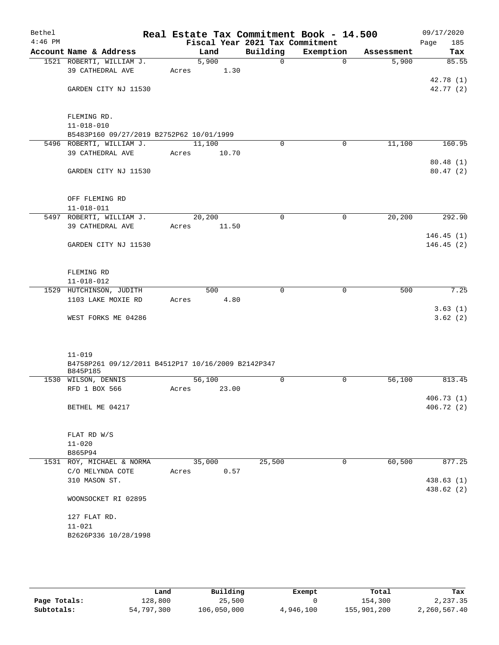| Bethel    |                                                              | Real Estate Tax Commitment Book - 14.500 |       |                                 |             |            | 09/17/2020              |
|-----------|--------------------------------------------------------------|------------------------------------------|-------|---------------------------------|-------------|------------|-------------------------|
| $4:46$ PM |                                                              |                                          |       | Fiscal Year 2021 Tax Commitment |             |            | Page<br>185             |
|           | Account Name & Address                                       | Land                                     |       | Building                        | Exemption   | Assessment | Tax                     |
|           | 1521 ROBERTI, WILLIAM J.<br>39 CATHEDRAL AVE                 | 5,900<br>Acres                           | 1.30  | $\Omega$                        | $\Omega$    | 5,900      | 85.55                   |
|           |                                                              |                                          |       |                                 |             |            | 42.78 (1)               |
|           | GARDEN CITY NJ 11530                                         |                                          |       |                                 |             |            | 42.77 (2)               |
|           |                                                              |                                          |       |                                 |             |            |                         |
|           |                                                              |                                          |       |                                 |             |            |                         |
|           | FLEMING RD.                                                  |                                          |       |                                 |             |            |                         |
|           | $11 - 018 - 010$<br>B5483P160 09/27/2019 B2752P62 10/01/1999 |                                          |       |                                 |             |            |                         |
|           | 5496 ROBERTI, WILLIAM J.                                     | 11,100                                   |       | $\mathbf 0$                     | 0           | 11,100     | 160.95                  |
|           | 39 CATHEDRAL AVE                                             | Acres                                    | 10.70 |                                 |             |            |                         |
|           |                                                              |                                          |       |                                 |             |            | 80.48(1)                |
|           | GARDEN CITY NJ 11530                                         |                                          |       |                                 |             |            | 80.47(2)                |
|           |                                                              |                                          |       |                                 |             |            |                         |
|           |                                                              |                                          |       |                                 |             |            |                         |
|           | OFF FLEMING RD<br>$11 - 018 - 011$                           |                                          |       |                                 |             |            |                         |
|           | 5497 ROBERTI, WILLIAM J.                                     | 20,200                                   |       | $\mathbf 0$                     | $\mathbf 0$ | 20,200     | 292.90                  |
|           | 39 CATHEDRAL AVE                                             | Acres                                    | 11.50 |                                 |             |            |                         |
|           |                                                              |                                          |       |                                 |             |            | 146.45(1)               |
|           | GARDEN CITY NJ 11530                                         |                                          |       |                                 |             |            | 146.45(2)               |
|           |                                                              |                                          |       |                                 |             |            |                         |
|           |                                                              |                                          |       |                                 |             |            |                         |
|           | FLEMING RD                                                   |                                          |       |                                 |             |            |                         |
|           | $11 - 018 - 012$<br>1529 HUTCHINSON, JUDITH                  | 500                                      |       | $\mathbf 0$                     | 0           | 500        | 7.25                    |
|           | 1103 LAKE MOXIE RD                                           | Acres                                    | 4.80  |                                 |             |            |                         |
|           |                                                              |                                          |       |                                 |             |            | 3.63(1)                 |
|           | WEST FORKS ME 04286                                          |                                          |       |                                 |             |            | 3.62(2)                 |
|           |                                                              |                                          |       |                                 |             |            |                         |
|           |                                                              |                                          |       |                                 |             |            |                         |
|           | $11 - 019$                                                   |                                          |       |                                 |             |            |                         |
|           | B4758P261 09/12/2011 B4512P17 10/16/2009 B2142P347           |                                          |       |                                 |             |            |                         |
|           | B845P185                                                     |                                          |       |                                 |             |            |                         |
|           | 1530 WILSON, DENNIS                                          | 56,100                                   |       | $\mathbf 0$                     | 0           | 56,100     | 813.45                  |
|           | RFD 1 BOX 566                                                | Acres 23.00                              |       |                                 |             |            |                         |
|           | BETHEL ME 04217                                              |                                          |       |                                 |             |            | 406.73(1)<br>406.72 (2) |
|           |                                                              |                                          |       |                                 |             |            |                         |
|           |                                                              |                                          |       |                                 |             |            |                         |
|           | FLAT RD W/S                                                  |                                          |       |                                 |             |            |                         |
|           | $11 - 020$                                                   |                                          |       |                                 |             |            |                         |
|           | B865P94                                                      |                                          |       |                                 |             |            |                         |
|           | 1531 ROY, MICHAEL & NORMA                                    | 35,000                                   |       | 25,500                          | $\mathbf 0$ | 60,500     | 877.25                  |
|           | C/O MELYNDA COTE<br>310 MASON ST.                            | Acres                                    | 0.57  |                                 |             |            | 438.63(1)               |
|           |                                                              |                                          |       |                                 |             |            | 438.62 (2)              |
|           | WOONSOCKET RI 02895                                          |                                          |       |                                 |             |            |                         |
|           |                                                              |                                          |       |                                 |             |            |                         |
|           | 127 FLAT RD.                                                 |                                          |       |                                 |             |            |                         |
|           | $11 - 021$                                                   |                                          |       |                                 |             |            |                         |
|           | B2626P336 10/28/1998                                         |                                          |       |                                 |             |            |                         |
|           |                                                              |                                          |       |                                 |             |            |                         |

|              | Land       | Building    | Exempt    | Total       | Tax          |
|--------------|------------|-------------|-----------|-------------|--------------|
| Page Totals: | 128,800    | 25,500      |           | 154,300     | 2,237.35     |
| Subtotals:   | 54,797,300 | 106,050,000 | 4,946,100 | 155,901,200 | 2,260,567.40 |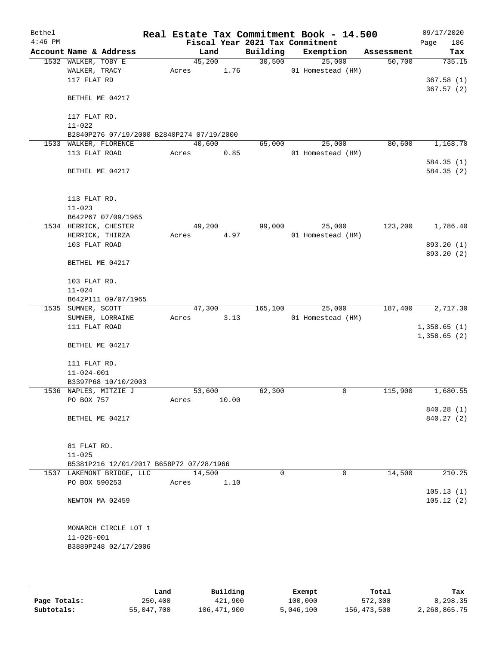| Bethel    |                     |                                           |        |        |                                 | Real Estate Tax Commitment Book - 14.500 |            | 09/17/2020             |
|-----------|---------------------|-------------------------------------------|--------|--------|---------------------------------|------------------------------------------|------------|------------------------|
| $4:46$ PM |                     |                                           |        |        | Fiscal Year 2021 Tax Commitment |                                          |            | 186<br>Page            |
|           |                     | Account Name & Address                    |        | Land   | Building                        | Exemption                                | Assessment | Tax                    |
|           | 1532 WALKER, TOBY E |                                           | 45,200 |        | 30,500                          | 25,000                                   | 50,700     | 735.15                 |
|           | WALKER, TRACY       |                                           | Acres  | 1.76   |                                 | 01 Homestead (HM)                        |            |                        |
|           | 117 FLAT RD         |                                           |        |        |                                 |                                          |            | 367.58(1)              |
|           | BETHEL ME 04217     |                                           |        |        |                                 |                                          |            | 367.57(2)              |
|           | 117 FLAT RD.        |                                           |        |        |                                 |                                          |            |                        |
|           | $11 - 022$          |                                           |        |        |                                 |                                          |            |                        |
|           |                     | B2840P276 07/19/2000 B2840P274 07/19/2000 |        |        |                                 |                                          |            |                        |
|           |                     | 1533 WALKER, FLORENCE                     | 40,600 |        | 65,000                          | 25,000                                   | 80,600     | 1,168.70               |
|           | 113 FLAT ROAD       |                                           | Acres  | 0.85   |                                 | 01 Homestead (HM)                        |            |                        |
|           | BETHEL ME 04217     |                                           |        |        |                                 |                                          |            | 584.35(1)<br>584.35(2) |
|           | 113 FLAT RD.        |                                           |        |        |                                 |                                          |            |                        |
|           | $11 - 023$          |                                           |        |        |                                 |                                          |            |                        |
|           |                     | B642P67 07/09/1965                        |        |        |                                 |                                          |            |                        |
|           |                     | 1534 HERRICK, CHESTER                     | 49,200 |        | 99,000                          | 25,000                                   | 123,200    | 1,786.40               |
|           | HERRICK, THIRZA     |                                           | Acres  | 4.97   |                                 | 01 Homestead (HM)                        |            |                        |
|           | 103 FLAT ROAD       |                                           |        |        |                                 |                                          |            | 893.20 (1)             |
|           | BETHEL ME 04217     |                                           |        |        |                                 |                                          |            | 893.20 (2)             |
|           | 103 FLAT RD.        |                                           |        |        |                                 |                                          |            |                        |
|           | $11 - 024$          |                                           |        |        |                                 |                                          |            |                        |
|           |                     | B642P111 09/07/1965                       |        |        |                                 |                                          |            |                        |
|           | 1535 SUMNER, SCOTT  |                                           |        | 47,300 | 165,100                         | 25,000                                   | 187,400    | 2,717.30               |
|           |                     | SUMNER, LORRAINE                          | Acres  | 3.13   |                                 | 01 Homestead (HM)                        |            |                        |
|           | 111 FLAT ROAD       |                                           |        |        |                                 |                                          |            | 1,358.65(1)            |
|           |                     |                                           |        |        |                                 |                                          |            | 1,358.65(2)            |
|           | BETHEL ME 04217     |                                           |        |        |                                 |                                          |            |                        |
|           | 111 FLAT RD.        |                                           |        |        |                                 |                                          |            |                        |
|           | $11 - 024 - 001$    |                                           |        |        |                                 |                                          |            |                        |
|           |                     | B3397P68 10/10/2003                       |        |        |                                 |                                          |            |                        |
|           |                     | 1536 NAPLES, MITZIE J                     | 53,600 |        | 62,300                          | 0                                        | 115,900    | 1,680.55               |
|           | PO BOX 757          |                                           | Acres  | 10.00  |                                 |                                          |            |                        |
|           |                     |                                           |        |        |                                 |                                          |            | 840.28 (1)             |
|           | BETHEL ME 04217     |                                           |        |        |                                 |                                          |            | 840.27 (2)             |
|           | 81 FLAT RD.         |                                           |        |        |                                 |                                          |            |                        |
|           | $11 - 025$          |                                           |        |        |                                 |                                          |            |                        |
|           |                     | B5381P216 12/01/2017 B658P72 07/28/1966   |        |        |                                 |                                          |            |                        |
|           |                     | 1537 LAKEMONT BRIDGE, LLC                 | 14,500 |        | $\Omega$                        | $\Omega$                                 | 14,500     | 210.25                 |
|           | PO BOX 590253       |                                           | Acres  | 1.10   |                                 |                                          |            |                        |
|           |                     |                                           |        |        |                                 |                                          |            | 105.13(1)              |
|           | NEWTON MA 02459     |                                           |        |        |                                 |                                          |            | 105.12(2)              |
|           |                     | MONARCH CIRCLE LOT 1                      |        |        |                                 |                                          |            |                        |
|           | $11 - 026 - 001$    |                                           |        |        |                                 |                                          |            |                        |
|           |                     |                                           |        |        |                                 |                                          |            |                        |
|           |                     | B3889P248 02/17/2006                      |        |        |                                 |                                          |            |                        |
|           |                     |                                           |        |        |                                 |                                          |            |                        |

|              | Land       | Building    | Exempt    | Total       | Tax          |
|--------------|------------|-------------|-----------|-------------|--------------|
| Page Totals: | 250,400    | 421,900     | 100,000   | 572,300     | 8,298.35     |
| Subtotals:   | 55,047,700 | 106,471,900 | 5,046,100 | 156,473,500 | 2,268,865.75 |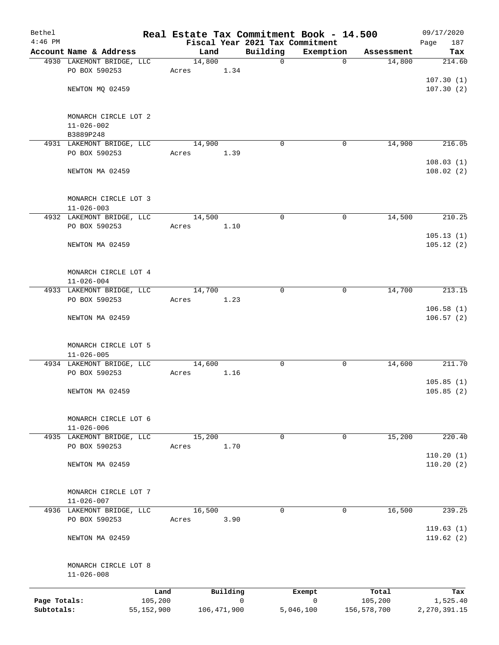| Bethel       |                                                     |            |                |             |                         | Real Estate Tax Commitment Book - 14.500 |                      | 09/17/2020             |
|--------------|-----------------------------------------------------|------------|----------------|-------------|-------------------------|------------------------------------------|----------------------|------------------------|
| $4:46$ PM    |                                                     |            |                |             |                         | Fiscal Year 2021 Tax Commitment          |                      | 187<br>Page            |
|              | Account Name & Address<br>4930 LAKEMONT BRIDGE, LLC |            | Land<br>14,800 |             | Building<br>$\mathbf 0$ | Exemption<br>$\mathbf 0$                 | Assessment<br>14,800 | Tax<br>214.60          |
|              | PO BOX 590253                                       |            | Acres          | 1.34        |                         |                                          |                      |                        |
|              |                                                     |            |                |             |                         |                                          |                      | 107.30(1)              |
|              | NEWTON MQ 02459                                     |            |                |             |                         |                                          |                      | 107.30(2)              |
|              |                                                     |            |                |             |                         |                                          |                      |                        |
|              |                                                     |            |                |             |                         |                                          |                      |                        |
|              | MONARCH CIRCLE LOT 2                                |            |                |             |                         |                                          |                      |                        |
|              | $11 - 026 - 002$<br>B3889P248                       |            |                |             |                         |                                          |                      |                        |
|              | 4931 LAKEMONT BRIDGE, LLC                           |            | 14,900         |             | $\Omega$                | $\mathbf 0$                              | 14,900               | 216.05                 |
|              | PO BOX 590253                                       |            | Acres          | 1.39        |                         |                                          |                      |                        |
|              |                                                     |            |                |             |                         |                                          |                      | 108.03(1)              |
|              | NEWTON MA 02459                                     |            |                |             |                         |                                          |                      | 108.02(2)              |
|              |                                                     |            |                |             |                         |                                          |                      |                        |
|              |                                                     |            |                |             |                         |                                          |                      |                        |
|              | MONARCH CIRCLE LOT 3                                |            |                |             |                         |                                          |                      |                        |
|              | $11 - 026 - 003$                                    |            |                |             |                         |                                          |                      |                        |
|              | 4932 LAKEMONT BRIDGE, LLC                           |            | 14,500         |             | 0                       | 0                                        | 14,500               | 210.25                 |
|              | PO BOX 590253                                       |            | Acres          | 1.10        |                         |                                          |                      |                        |
|              | NEWTON MA 02459                                     |            |                |             |                         |                                          |                      | 105.13(1)<br>105.12(2) |
|              |                                                     |            |                |             |                         |                                          |                      |                        |
|              |                                                     |            |                |             |                         |                                          |                      |                        |
|              | MONARCH CIRCLE LOT 4                                |            |                |             |                         |                                          |                      |                        |
|              | $11 - 026 - 004$                                    |            |                |             |                         |                                          |                      |                        |
|              | 4933 LAKEMONT BRIDGE, LLC                           |            | 14,700         |             | $\mathbf 0$             | $\mathbf 0$                              | 14,700               | 213.15                 |
|              | PO BOX 590253                                       |            | Acres          | 1.23        |                         |                                          |                      |                        |
|              |                                                     |            |                |             |                         |                                          |                      | 106.58(1)              |
|              | NEWTON MA 02459                                     |            |                |             |                         |                                          |                      | 106.57(2)              |
|              |                                                     |            |                |             |                         |                                          |                      |                        |
|              | MONARCH CIRCLE LOT 5                                |            |                |             |                         |                                          |                      |                        |
|              | $11 - 026 - 005$                                    |            |                |             |                         |                                          |                      |                        |
|              | 4934 LAKEMONT BRIDGE, LLC                           |            | 14,600         |             | 0                       | 0                                        | 14,600               | 211.70                 |
|              | PO BOX 590253                                       |            | Acres          | 1.16        |                         |                                          |                      |                        |
|              |                                                     |            |                |             |                         |                                          |                      | 105.85(1)              |
|              | NEWTON MA 02459                                     |            |                |             |                         |                                          |                      | 105.85(2)              |
|              |                                                     |            |                |             |                         |                                          |                      |                        |
|              |                                                     |            |                |             |                         |                                          |                      |                        |
|              | MONARCH CIRCLE LOT 6                                |            |                |             |                         |                                          |                      |                        |
|              | $11 - 026 - 006$                                    |            |                |             |                         |                                          |                      |                        |
|              | 4935 LAKEMONT BRIDGE, LLC                           |            | 15,200         |             | 0                       | 0                                        | 15,200               | 220.40                 |
|              | PO BOX 590253                                       |            | Acres          | 1.70        |                         |                                          |                      |                        |
|              | NEWTON MA 02459                                     |            |                |             |                         |                                          |                      | 110.20(1)<br>110.20(2) |
|              |                                                     |            |                |             |                         |                                          |                      |                        |
|              |                                                     |            |                |             |                         |                                          |                      |                        |
|              | MONARCH CIRCLE LOT 7                                |            |                |             |                         |                                          |                      |                        |
|              | $11 - 026 - 007$                                    |            |                |             |                         |                                          |                      |                        |
|              | 4936 LAKEMONT BRIDGE, LLC                           |            | 16,500         |             | 0                       | $\mathbf 0$                              | 16,500               | 239.25                 |
|              | PO BOX 590253                                       |            | Acres          | 3.90        |                         |                                          |                      |                        |
|              |                                                     |            |                |             |                         |                                          |                      | 119.63(1)              |
|              | NEWTON MA 02459                                     |            |                |             |                         |                                          |                      | 119.62 (2)             |
|              |                                                     |            |                |             |                         |                                          |                      |                        |
|              | MONARCH CIRCLE LOT 8                                |            |                |             |                         |                                          |                      |                        |
|              | $11 - 026 - 008$                                    |            |                |             |                         |                                          |                      |                        |
|              |                                                     | Land       |                | Building    |                         |                                          | Total                |                        |
| Page Totals: |                                                     | 105,200    |                |             | 0                       | Exempt<br>0                              | 105,200              | Tax<br>1,525.40        |
| Subtotals:   |                                                     | 55,152,900 |                | 106,471,900 |                         | 5,046,100                                | 156,578,700          | 2, 270, 391.15         |
|              |                                                     |            |                |             |                         |                                          |                      |                        |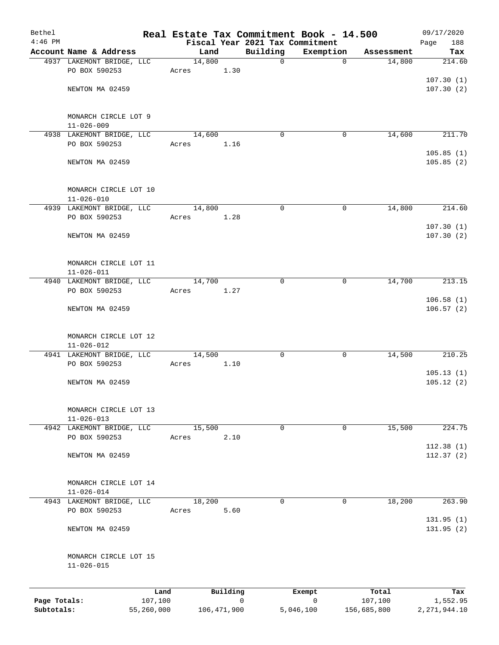| Bethel                     |                                           |                       |        |             |             | Real Estate Tax Commitment Book - 14.500     |                        | 09/17/2020                 |
|----------------------------|-------------------------------------------|-----------------------|--------|-------------|-------------|----------------------------------------------|------------------------|----------------------------|
| $4:46$ PM                  | Account Name & Address                    |                       | Land   |             | Building    | Fiscal Year 2021 Tax Commitment<br>Exemption | Assessment             | 188<br>Page<br>Tax         |
|                            | 4937 LAKEMONT BRIDGE, LLC                 |                       | 14,800 |             | $\mathbf 0$ | $\mathbf 0$                                  | 14,800                 | 214.60                     |
|                            | PO BOX 590253                             |                       | Acres  | 1.30        |             |                                              |                        |                            |
|                            |                                           |                       |        |             |             |                                              |                        | 107.30(1)                  |
|                            | NEWTON MA 02459                           |                       |        |             |             |                                              |                        | 107.30(2)                  |
|                            | MONARCH CIRCLE LOT 9<br>$11 - 026 - 009$  |                       |        |             |             |                                              |                        |                            |
|                            | 4938 LAKEMONT BRIDGE, LLC                 |                       | 14,600 |             | 0           | 0                                            | 14,600                 | 211.70                     |
|                            | PO BOX 590253                             |                       | Acres  | 1.16        |             |                                              |                        | 105.85(1)                  |
|                            | NEWTON MA 02459                           |                       |        |             |             |                                              |                        | 105.85(2)                  |
|                            | MONARCH CIRCLE LOT 10<br>$11 - 026 - 010$ |                       |        |             |             |                                              |                        |                            |
|                            | 4939 LAKEMONT BRIDGE, LLC                 |                       | 14,800 |             | $\mathbf 0$ | 0                                            | 14,800                 | 214.60                     |
|                            | PO BOX 590253                             |                       | Acres  | 1.28        |             |                                              |                        |                            |
|                            | NEWTON MA 02459                           |                       |        |             |             |                                              |                        | 107.30(1)<br>107.30(2)     |
|                            |                                           |                       |        |             |             |                                              |                        |                            |
|                            | MONARCH CIRCLE LOT 11<br>$11 - 026 - 011$ |                       |        |             |             |                                              |                        |                            |
|                            | 4940 LAKEMONT BRIDGE, LLC                 |                       | 14,700 |             | $\mathbf 0$ | $\mathbf 0$                                  | 14,700                 | 213.15                     |
|                            | PO BOX 590253                             |                       | Acres  | 1.27        |             |                                              |                        |                            |
|                            | NEWTON MA 02459                           |                       |        |             |             |                                              |                        | 106.58(1)<br>106.57(2)     |
|                            | MONARCH CIRCLE LOT 12<br>$11 - 026 - 012$ |                       |        |             |             |                                              |                        |                            |
|                            | 4941 LAKEMONT BRIDGE, LLC                 |                       | 14,500 |             | $\mathbf 0$ | 0                                            | 14,500                 | 210.25                     |
|                            | PO BOX 590253                             |                       | Acres  | 1.10        |             |                                              |                        | 105.13(1)                  |
|                            | NEWTON MA 02459                           |                       |        |             |             |                                              |                        | 105.12(2)                  |
|                            | MONARCH CIRCLE LOT 13<br>$11 - 026 - 013$ |                       |        |             |             |                                              |                        |                            |
|                            | 4942 LAKEMONT BRIDGE, LLC                 |                       | 15,500 |             | $\mathbf 0$ | 0                                            | 15,500                 | 224.75                     |
|                            | PO BOX 590253                             |                       | Acres  | 2.10        |             |                                              |                        |                            |
|                            | NEWTON MA 02459                           |                       |        |             |             |                                              |                        | 112.38(1)<br>112.37(2)     |
|                            | MONARCH CIRCLE LOT 14<br>$11 - 026 - 014$ |                       |        |             |             |                                              |                        |                            |
|                            | 4943 LAKEMONT BRIDGE, LLC                 |                       | 18,200 |             | 0           | 0                                            | 18,200                 | 263.90                     |
|                            | PO BOX 590253                             |                       | Acres  | 5.60        |             |                                              |                        |                            |
|                            | NEWTON MA 02459                           |                       |        |             |             |                                              |                        | 131.95(1)<br>131.95(2)     |
|                            | MONARCH CIRCLE LOT 15<br>$11 - 026 - 015$ |                       |        |             |             |                                              |                        |                            |
|                            |                                           | Land                  |        | Building    |             | Exempt                                       | Total                  | Tax                        |
| Page Totals:<br>Subtotals: |                                           | 107,100<br>55,260,000 |        | 106,471,900 | 0           | $\mathbf 0$<br>5,046,100                     | 107,100<br>156,685,800 | 1,552.95<br>2, 271, 944.10 |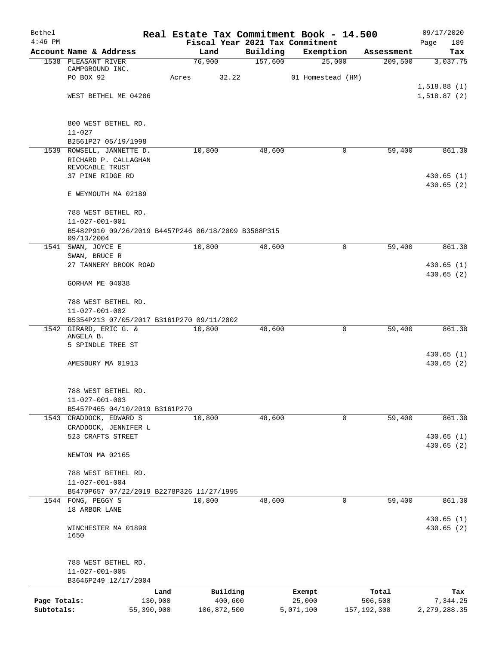| Bethel       |                                                                     | Real Estate Tax Commitment Book - 14.500 |          |                   |               | 09/17/2020             |
|--------------|---------------------------------------------------------------------|------------------------------------------|----------|-------------------|---------------|------------------------|
| $4:46$ PM    |                                                                     | Fiscal Year 2021 Tax Commitment          |          |                   |               | Page<br>189            |
|              | Account Name & Address                                              | Land<br>76,900                           | Building | Exemption         | Assessment    | Tax                    |
|              | 1538 PLEASANT RIVER<br>CAMPGROUND INC.                              |                                          | 157,600  | 25,000            | 209,500       | 3,037.75               |
|              | PO BOX 92                                                           | 32.22<br>Acres                           |          | 01 Homestead (HM) |               |                        |
|              |                                                                     |                                          |          |                   |               | 1,518.88(1)            |
|              | WEST BETHEL ME 04286                                                |                                          |          |                   |               | 1,518.87(2)            |
|              |                                                                     |                                          |          |                   |               |                        |
|              | 800 WEST BETHEL RD.<br>$11 - 027$                                   |                                          |          |                   |               |                        |
|              | B2561P27 05/19/1998                                                 |                                          |          |                   |               |                        |
|              | 1539 ROWSELL, JANNETTE D.                                           | 10,800                                   | 48,600   | $\mathbf 0$       | 59,400        | 861.30                 |
|              | RICHARD P. CALLAGHAN                                                |                                          |          |                   |               |                        |
|              | REVOCABLE TRUST                                                     |                                          |          |                   |               |                        |
|              | 37 PINE RIDGE RD                                                    |                                          |          |                   |               | 430.65(1)<br>430.65(2) |
|              | E WEYMOUTH MA 02189                                                 |                                          |          |                   |               |                        |
|              | 788 WEST BETHEL RD.                                                 |                                          |          |                   |               |                        |
|              | $11 - 027 - 001 - 001$                                              |                                          |          |                   |               |                        |
|              | B5482P910 09/26/2019 B4457P246 06/18/2009 B3588P315                 |                                          |          |                   |               |                        |
|              | 09/13/2004<br>1541 SWAN, JOYCE E                                    | 10,800                                   | 48,600   | 0                 | 59,400        | 861.30                 |
|              | SWAN, BRUCE R                                                       |                                          |          |                   |               |                        |
|              | 27 TANNERY BROOK ROAD                                               |                                          |          |                   |               | 430.65(1)              |
|              | GORHAM ME 04038                                                     |                                          |          |                   |               | 430.65(2)              |
|              |                                                                     |                                          |          |                   |               |                        |
|              | 788 WEST BETHEL RD.                                                 |                                          |          |                   |               |                        |
|              | $11 - 027 - 001 - 002$<br>B5354P213 07/05/2017 B3161P270 09/11/2002 |                                          |          |                   |               |                        |
|              | 1542 GIRARD, ERIC G. &                                              | 10,800                                   | 48,600   | 0                 | 59,400        | 861.30                 |
|              | ANGELA B.                                                           |                                          |          |                   |               |                        |
|              | 5 SPINDLE TREE ST                                                   |                                          |          |                   |               |                        |
|              |                                                                     |                                          |          |                   |               | 430.65(1)              |
|              | AMESBURY MA 01913                                                   |                                          |          |                   |               | 430.65(2)              |
|              | 788 WEST BETHEL RD.                                                 |                                          |          |                   |               |                        |
|              | $11 - 027 - 001 - 003$                                              |                                          |          |                   |               |                        |
|              | B5457P465 04/10/2019 B3161P270                                      |                                          |          |                   |               |                        |
|              | 1543 CRADDOCK, EDWARD S                                             | 10,800                                   | 48,600   | $\mathbf 0$       | 59,400        | 861.30                 |
|              | CRADDOCK, JENNIFER L<br>523 CRAFTS STREET                           |                                          |          |                   |               | 430.65(1)              |
|              |                                                                     |                                          |          |                   |               | 430.65(2)              |
|              | NEWTON MA 02165                                                     |                                          |          |                   |               |                        |
|              | 788 WEST BETHEL RD.                                                 |                                          |          |                   |               |                        |
|              | $11 - 027 - 001 - 004$                                              |                                          |          |                   |               |                        |
|              | B5470P657 07/22/2019 B2278P326 11/27/1995                           |                                          |          |                   |               |                        |
|              | 1544 FONG, PEGGY S                                                  | 10,800                                   | 48,600   | 0                 | 59,400        | 861.30                 |
|              | 18 ARBOR LANE                                                       |                                          |          |                   |               |                        |
|              |                                                                     |                                          |          |                   |               | 430.65(1)              |
|              | WINCHESTER MA 01890<br>1650                                         |                                          |          |                   |               | 430.65 (2)             |
|              |                                                                     |                                          |          |                   |               |                        |
|              | 788 WEST BETHEL RD.<br>$11 - 027 - 001 - 005$                       |                                          |          |                   |               |                        |
|              | B3646P249 12/17/2004                                                |                                          |          |                   |               |                        |
|              | Land                                                                | Building                                 |          | Exempt            | Total         | Tax                    |
| Page Totals: | 130,900                                                             | 400,600                                  |          | 25,000            | 506,500       | 7,344.25               |
| Subtotals:   | 55,390,900                                                          | 106,872,500                              |          | 5,071,100         | 157, 192, 300 | 2, 279, 288.35         |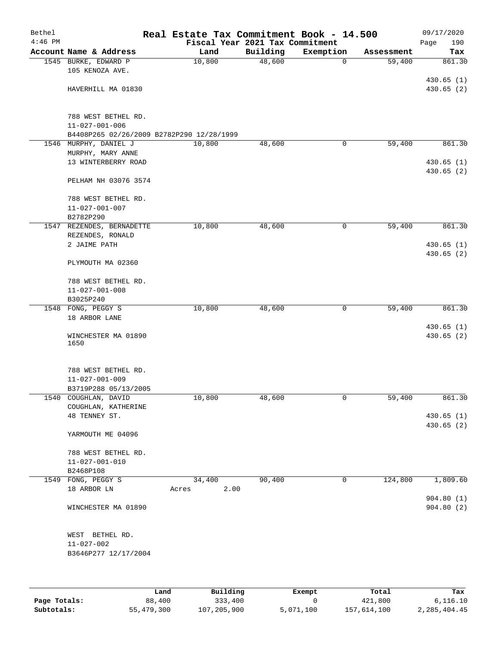| Bethel<br>$4:46$ PM |                                               | Real Estate Tax Commitment Book - 14.500 | Fiscal Year 2021 Tax Commitment |             |            | 09/17/2020<br>Page<br>190 |
|---------------------|-----------------------------------------------|------------------------------------------|---------------------------------|-------------|------------|---------------------------|
|                     | Account Name & Address                        | Land                                     | Building                        | Exemption   | Assessment | Tax                       |
|                     | 1545 BURKE, EDWARD P<br>105 KENOZA AVE.       | 10,800                                   | 48,600                          | $\mathbf 0$ | 59,400     | 861.30                    |
|                     | HAVERHILL MA 01830                            |                                          |                                 |             |            | 430.65(1)<br>430.65(2)    |
|                     | 788 WEST BETHEL RD.<br>$11 - 027 - 001 - 006$ |                                          |                                 |             |            |                           |
|                     | B4408P265 02/26/2009 B2782P290 12/28/1999     |                                          |                                 |             |            |                           |
| 1546                | MURPHY, DANIEL J                              | 10,800                                   | 48,600                          | $\mathbf 0$ | 59,400     | 861.30                    |
|                     | MURPHY, MARY ANNE                             |                                          |                                 |             |            |                           |
|                     | 13 WINTERBERRY ROAD                           |                                          |                                 |             |            | 430.65(1)                 |
|                     | PELHAM NH 03076 3574                          |                                          |                                 |             |            | 430.65 (2)                |
|                     | 788 WEST BETHEL RD.                           |                                          |                                 |             |            |                           |
|                     | $11 - 027 - 001 - 007$                        |                                          |                                 |             |            |                           |
|                     | B2782P290                                     |                                          |                                 |             |            |                           |
|                     | 1547 REZENDES, BERNADETTE<br>REZENDES, RONALD | 10,800                                   | 48,600                          | 0           | 59,400     | 861.30                    |
|                     | 2 JAIME PATH                                  |                                          |                                 |             |            | 430.65(1)                 |
|                     | PLYMOUTH MA 02360                             |                                          |                                 |             |            | 430.65(2)                 |
|                     | 788 WEST BETHEL RD.                           |                                          |                                 |             |            |                           |
|                     | $11 - 027 - 001 - 008$                        |                                          |                                 |             |            |                           |
|                     | B3025P240<br>1548 FONG, PEGGY S               | 10,800                                   | 48,600                          | 0           | 59,400     | 861.30                    |
|                     | 18 ARBOR LANE                                 |                                          |                                 |             |            |                           |
|                     |                                               |                                          |                                 |             |            | 430.65(1)                 |
|                     | WINCHESTER MA 01890<br>1650                   |                                          |                                 |             |            | 430.65(2)                 |
|                     | 788 WEST BETHEL RD.<br>$11 - 027 - 001 - 009$ |                                          |                                 |             |            |                           |
|                     | B3719P288 05/13/2005                          |                                          |                                 |             |            |                           |
|                     | 1540 COUGHLAN, DAVID<br>COUGHLAN, KATHERINE   | 10,800                                   | 48,600                          | 0           | 59,400     | 861.30                    |
|                     | 48 TENNEY ST.                                 |                                          |                                 |             |            | 430.65(1)                 |
|                     | YARMOUTH ME 04096                             |                                          |                                 |             |            | 430.65 (2)                |
|                     | 788 WEST BETHEL RD.<br>$11 - 027 - 001 - 010$ |                                          |                                 |             |            |                           |
|                     | B2468P108                                     |                                          |                                 |             |            |                           |
|                     | 1549 FONG, PEGGY S                            | 34,400                                   | 90,400                          | $\mathbf 0$ | 124,800    | 1,809.60                  |
|                     | 18 ARBOR LN                                   | 2.00<br>Acres                            |                                 |             |            |                           |
|                     | WINCHESTER MA 01890                           |                                          |                                 |             |            | 904.80(1)<br>904.80(2)    |
|                     | WEST BETHEL RD.                               |                                          |                                 |             |            |                           |
|                     | $11 - 027 - 002$                              |                                          |                                 |             |            |                           |
|                     | B3646P277 12/17/2004                          |                                          |                                 |             |            |                           |
|                     |                                               |                                          |                                 |             |            |                           |
|                     |                                               |                                          |                                 |             |            |                           |

|              | Land       | Building    | Exempt    | Total       | Tax          |
|--------------|------------|-------------|-----------|-------------|--------------|
| Page Totals: | 88,400     | 333,400     |           | 421,800     | 6.116.10     |
| Subtotals:   | 55,479,300 | 107,205,900 | 5,071,100 | 157,614,100 | 2,285,404.45 |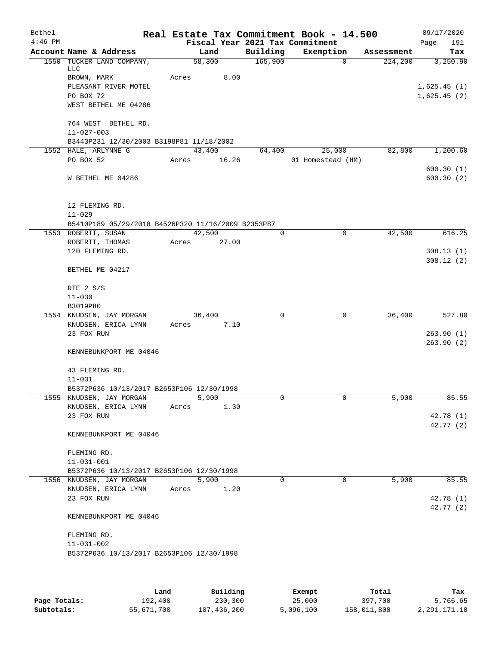| Bethel    |                                                                                    |       |        |       |             | Real Estate Tax Commitment Book - 14.500 |              |            |      | 09/17/2020                             |
|-----------|------------------------------------------------------------------------------------|-------|--------|-------|-------------|------------------------------------------|--------------|------------|------|----------------------------------------|
| $4:46$ PM |                                                                                    |       |        |       |             | Fiscal Year 2021 Tax Commitment          |              |            | Page | 191                                    |
|           | Account Name & Address                                                             |       | Land   |       | Building    | Exemption                                |              | Assessment |      | Tax                                    |
| 1550      | TUCKER LAND COMPANY,<br>LLC<br>BROWN, MARK<br>PLEASANT RIVER MOTEL<br>PO BOX 72    | Acres | 58,300 | 8.00  | 165,900     |                                          | $\mathbf 0$  | 224,200    |      | 3,250.90<br>1,625.45(1)<br>1,625.45(2) |
|           | WEST BETHEL ME 04286<br>764 WEST BETHEL RD.<br>$11 - 027 - 003$                    |       |        |       |             |                                          |              |            |      |                                        |
|           | B3443P231 12/30/2003 B3198P81 11/18/2002                                           |       |        |       |             |                                          |              |            |      |                                        |
|           | 1552 HALE, ARLYNNE G                                                               |       | 43,400 |       | 64,400      | 25,000                                   |              | 82,800     |      | 1,200.60                               |
|           | PO BOX 52                                                                          | Acres |        | 16.26 |             | 01 Homestead (HM)                        |              |            |      |                                        |
|           | W BETHEL ME 04286                                                                  |       |        |       |             |                                          |              |            |      | 600.30(1)<br>600.30(2)                 |
|           | 12 FLEMING RD.<br>$11 - 029$<br>B5410P189 05/29/2018 B4526P320 11/16/2009 B2353P87 |       |        |       |             |                                          |              |            |      |                                        |
|           | 1553 ROBERTI, SUSAN                                                                |       | 42,500 |       | $\mathbf 0$ |                                          | $\mathbf 0$  | 42,500     |      | 616.25                                 |
|           | ROBERTI, THOMAS                                                                    | Acres |        | 27.00 |             |                                          |              |            |      |                                        |
|           | 120 FLEMING RD.                                                                    |       |        |       |             |                                          |              |            |      | 308.13(1)                              |
|           | BETHEL ME 04217                                                                    |       |        |       |             |                                          |              |            |      | 308.12(2)                              |
|           | RTE 2 S/S                                                                          |       |        |       |             |                                          |              |            |      |                                        |
|           | $11 - 030$                                                                         |       |        |       |             |                                          |              |            |      |                                        |
|           | B3019P80                                                                           |       |        |       |             |                                          |              |            |      |                                        |
|           | 1554 KNUDSEN, JAY MORGAN                                                           |       | 36,400 |       | 0           |                                          | 0            | 36,400     |      | 527.80                                 |
|           | KNUDSEN, ERICA LYNN                                                                | Acres |        | 7.10  |             |                                          |              |            |      |                                        |
|           | 23 FOX RUN                                                                         |       |        |       |             |                                          |              |            |      | 263.90(1)                              |
|           | KENNEBUNKPORT ME 04046                                                             |       |        |       |             |                                          |              |            |      | 263.90(2)                              |
|           | 43 FLEMING RD.<br>$11 - 031$                                                       |       |        |       |             |                                          |              |            |      |                                        |
|           | B5372P636 10/13/2017 B2653P106 12/30/1998<br>1555 KNUDSEN, JAY MORGAN              |       | 5,900  |       | 0           |                                          | $\mathsf{O}$ | 5,900      |      | 85.55                                  |
|           | KNUDSEN, ERICA LYNN                                                                | Acres |        | 1.30  |             |                                          |              |            |      |                                        |
|           | 23 FOX RUN                                                                         |       |        |       |             |                                          |              |            |      | 42.78 (1)                              |
|           | KENNEBUNKPORT ME 04046                                                             |       |        |       |             |                                          |              |            |      | 42.77 (2)                              |
|           | FLEMING RD.                                                                        |       |        |       |             |                                          |              |            |      |                                        |
|           | $11 - 031 - 001$                                                                   |       |        |       |             |                                          |              |            |      |                                        |
|           | B5372P636 10/13/2017 B2653P106 12/30/1998                                          |       |        |       |             |                                          |              |            |      |                                        |
|           | 1556 KNUDSEN, JAY MORGAN                                                           |       | 5,900  |       | $\Omega$    |                                          | $\Omega$     | 5,900      |      | 85.55                                  |
|           | KNUDSEN, ERICA LYNN                                                                | Acres |        | 1.20  |             |                                          |              |            |      |                                        |
|           | 23 FOX RUN                                                                         |       |        |       |             |                                          |              |            |      | 42.78 (1)                              |
|           | KENNEBUNKPORT ME 04046                                                             |       |        |       |             |                                          |              |            |      | 42.77 (2)                              |
|           | FLEMING RD.                                                                        |       |        |       |             |                                          |              |            |      |                                        |
|           | $11 - 031 - 002$                                                                   |       |        |       |             |                                          |              |            |      |                                        |
|           | B5372P636 10/13/2017 B2653P106 12/30/1998                                          |       |        |       |             |                                          |              |            |      |                                        |
|           |                                                                                    |       |        |       |             |                                          |              |            |      |                                        |
|           |                                                                                    |       |        |       |             |                                          |              |            |      |                                        |
|           |                                                                                    |       |        |       |             |                                          |              |            |      |                                        |

|              | Land       | Building    | Exempt    | Total       | Tax          |
|--------------|------------|-------------|-----------|-------------|--------------|
| Page Totals: | 192,400    | 230,300     | 25,000    | 397,700     | 5,766.65     |
| Subtotals:   | 55,671,700 | 107,436,200 | 5,096,100 | 158,011,800 | 2,291,171.10 |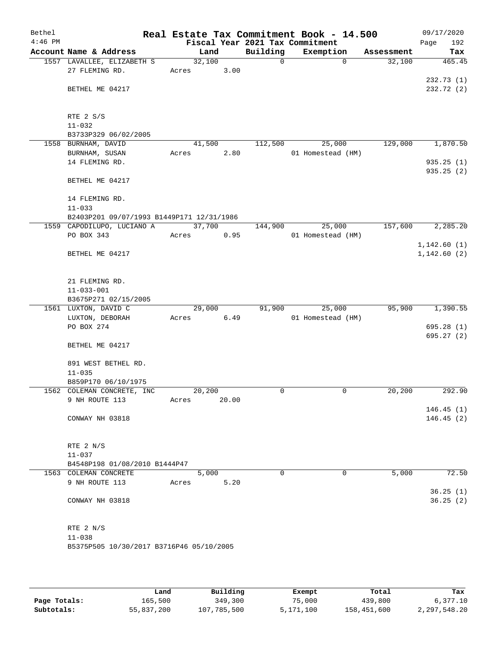| Bethel    |                                              |        |        | Real Estate Tax Commitment Book - 14.500 |                   |          |            | 09/17/2020  |
|-----------|----------------------------------------------|--------|--------|------------------------------------------|-------------------|----------|------------|-------------|
| $4:46$ PM |                                              |        |        | Fiscal Year 2021 Tax Commitment          |                   |          |            | Page<br>192 |
|           | Account Name & Address                       |        | Land   | Building                                 | Exemption         |          | Assessment | Tax         |
|           | 1557 LAVALLEE, ELIZABETH S<br>27 FLEMING RD. | 32,100 |        | $\mathbf 0$                              |                   | $\Omega$ | 32,100     | 465.45      |
|           |                                              | Acres  | 3.00   |                                          |                   |          |            | 232.73(1)   |
|           | BETHEL ME 04217                              |        |        |                                          |                   |          |            | 232.72 (2)  |
|           |                                              |        |        |                                          |                   |          |            |             |
|           |                                              |        |        |                                          |                   |          |            |             |
|           | RTE 2 S/S                                    |        |        |                                          |                   |          |            |             |
|           | $11 - 032$                                   |        |        |                                          |                   |          |            |             |
|           | B3733P329 06/02/2005<br>1558 BURNHAM, DAVID  | 41,500 |        | 112,500                                  |                   | 25,000   | 129,000    | 1,870.50    |
|           | BURNHAM, SUSAN                               | Acres  | 2.80   |                                          | 01 Homestead (HM) |          |            |             |
|           | 14 FLEMING RD.                               |        |        |                                          |                   |          |            | 935.25(1)   |
|           |                                              |        |        |                                          |                   |          |            | 935.25(2)   |
|           | BETHEL ME 04217                              |        |        |                                          |                   |          |            |             |
|           | 14 FLEMING RD.                               |        |        |                                          |                   |          |            |             |
|           | $11 - 033$                                   |        |        |                                          |                   |          |            |             |
|           | B2403P201 09/07/1993 B1449P171 12/31/1986    |        |        |                                          |                   |          |            |             |
|           | 1559 CAPODILUPO, LUCIANO A                   |        | 37,700 | 144,900                                  |                   | 25,000   | 157,600    | 2,285.20    |
|           | PO BOX 343                                   | Acres  | 0.95   |                                          | 01 Homestead (HM) |          |            |             |
|           |                                              |        |        |                                          |                   |          |            | 1,142.60(1) |
|           | BETHEL ME 04217                              |        |        |                                          |                   |          |            | 1,142.60(2) |
|           | 21 FLEMING RD.                               |        |        |                                          |                   |          |            |             |
|           | $11 - 033 - 001$                             |        |        |                                          |                   |          |            |             |
|           | B3675P271 02/15/2005                         |        |        |                                          |                   |          |            |             |
|           | 1561 LUXTON, DAVID C                         | 29,000 |        | 91,900                                   |                   | 25,000   | 95,900     | 1,390.55    |
|           | LUXTON, DEBORAH                              | Acres  | 6.49   |                                          | 01 Homestead (HM) |          |            |             |
|           | PO BOX 274                                   |        |        |                                          |                   |          |            | 695.28(1)   |
|           |                                              |        |        |                                          |                   |          |            | 695.27(2)   |
|           | BETHEL ME 04217                              |        |        |                                          |                   |          |            |             |
|           | 891 WEST BETHEL RD.                          |        |        |                                          |                   |          |            |             |
|           | $11 - 035$                                   |        |        |                                          |                   |          |            |             |
|           | B859P170 06/10/1975                          | 20,200 |        | 0                                        |                   |          | 20,200     | 292.90      |
|           | 1562 COLEMAN CONCRETE, INC<br>9 NH ROUTE 113 | Acres  | 20.00  |                                          |                   | 0        |            |             |
|           |                                              |        |        |                                          |                   |          |            | 146.45(1)   |
|           | CONWAY NH 03818                              |        |        |                                          |                   |          |            | 146.45(2)   |
|           |                                              |        |        |                                          |                   |          |            |             |
|           | RTE 2 N/S                                    |        |        |                                          |                   |          |            |             |
|           | $11 - 037$                                   |        |        |                                          |                   |          |            |             |
|           | B4548P198 01/08/2010 B1444P47                |        |        |                                          |                   |          |            |             |
|           | 1563 COLEMAN CONCRETE                        |        | 5,000  | $\Omega$                                 |                   | 0        | 5,000      | 72.50       |
|           | 9 NH ROUTE 113                               | Acres  | 5.20   |                                          |                   |          |            |             |
|           |                                              |        |        |                                          |                   |          |            | 36.25(1)    |
|           | CONWAY NH 03818                              |        |        |                                          |                   |          |            | 36.25(2)    |
|           | RTE 2 N/S                                    |        |        |                                          |                   |          |            |             |
|           | $11 - 038$                                   |        |        |                                          |                   |          |            |             |
|           | B5375P505 10/30/2017 B3716P46 05/10/2005     |        |        |                                          |                   |          |            |             |
|           |                                              |        |        |                                          |                   |          |            |             |
|           |                                              |        |        |                                          |                   |          |            |             |

|              | Land       | Building    | Exempt    | Total       | Tax          |
|--------------|------------|-------------|-----------|-------------|--------------|
| Page Totals: | 165,500    | 349,300     | 75,000    | 439,800     | 6,377.10     |
| Subtotals:   | 55,837,200 | 107,785,500 | 5,171,100 | 158,451,600 | 2,297,548.20 |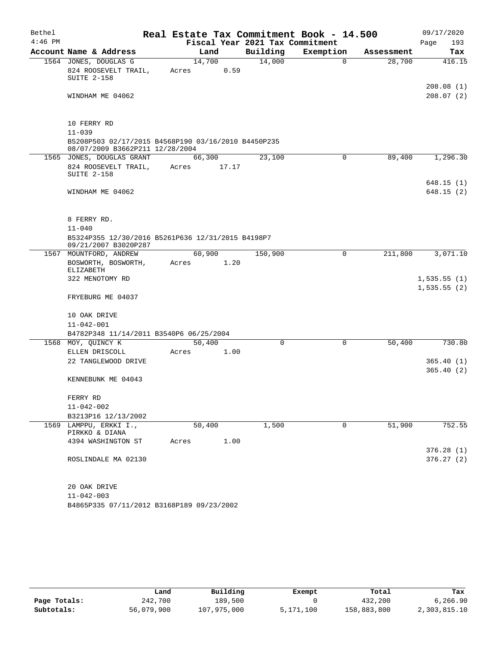| Bethel    |                                                                                        | Real Estate Tax Commitment Book - 14.500 |          |             |            | 09/17/2020               |
|-----------|----------------------------------------------------------------------------------------|------------------------------------------|----------|-------------|------------|--------------------------|
| $4:46$ PM |                                                                                        | Fiscal Year 2021 Tax Commitment          |          |             |            | Page<br>193              |
|           | Account Name & Address                                                                 | Land                                     | Building | Exemption   | Assessment | Tax                      |
|           | 1564 JONES, DOUGLAS G                                                                  | 14,700                                   | 14,000   | $\mathbf 0$ | 28,700     | 416.15                   |
|           | 824 ROOSEVELT TRAIL,                                                                   | 0.59<br>Acres                            |          |             |            |                          |
|           | SUITE 2-158                                                                            |                                          |          |             |            | 208.08(1)                |
|           | WINDHAM ME 04062                                                                       |                                          |          |             |            | 208.07(2)                |
|           |                                                                                        |                                          |          |             |            |                          |
|           | 10 FERRY RD                                                                            |                                          |          |             |            |                          |
|           | $11 - 039$                                                                             |                                          |          |             |            |                          |
|           | B5208P503 02/17/2015 B4568P190 03/16/2010 B4450P235<br>08/07/2009 B3662P211 12/28/2004 |                                          |          |             |            |                          |
|           | 1565 JONES, DOUGLAS GRANT                                                              | 66,300                                   | 23,100   | 0           | 89,400     | 1,296.30                 |
|           | 824 ROOSEVELT TRAIL,                                                                   | 17.17<br>Acres                           |          |             |            |                          |
|           | SUITE 2-158                                                                            |                                          |          |             |            |                          |
|           | WINDHAM ME 04062                                                                       |                                          |          |             |            | 648.15 (1)<br>648.15 (2) |
|           |                                                                                        |                                          |          |             |            |                          |
|           | 8 FERRY RD.                                                                            |                                          |          |             |            |                          |
|           | $11 - 040$                                                                             |                                          |          |             |            |                          |
|           | B5324P355 12/30/2016 B5261P636 12/31/2015 B4198P7<br>09/21/2007 B3020P287              |                                          |          |             |            |                          |
|           | 1567 MOUNTFORD, ANDREW                                                                 | 60,900                                   | 150,900  | 0           | 211,800    | 3,071.10                 |
|           | BOSWORTH, BOSWORTH,<br>ELIZABETH                                                       | Acres<br>1.20                            |          |             |            |                          |
|           | 322 MENOTOMY RD                                                                        |                                          |          |             |            | 1,535.55(1)              |
|           |                                                                                        |                                          |          |             |            | 1,535.55(2)              |
|           | FRYEBURG ME 04037                                                                      |                                          |          |             |            |                          |
|           | 10 OAK DRIVE                                                                           |                                          |          |             |            |                          |
|           | $11 - 042 - 001$                                                                       |                                          |          |             |            |                          |
|           | B4782P348 11/14/2011 B3540P6 06/25/2004                                                |                                          |          |             |            |                          |
|           | 1568 MOY, QUINCY K                                                                     | 50,400                                   | 0        | 0           | 50,400     | 730.80                   |
|           | ELLEN DRISCOLL                                                                         | Acres<br>1.00                            |          |             |            |                          |
|           | 22 TANGLEWOOD DRIVE                                                                    |                                          |          |             |            | 365.40(1)                |
|           | KENNEBUNK ME 04043                                                                     |                                          |          |             |            | 365.40(2)                |
|           | FERRY RD                                                                               |                                          |          |             |            |                          |
|           | $11 - 042 - 002$                                                                       |                                          |          |             |            |                          |
|           | B3213P16 12/13/2002                                                                    |                                          |          |             |            |                          |
|           | 1569 LAMPPU, ERKKI I.,<br>PIRKKO & DIANA                                               | 50,400                                   | 1,500    | 0           | 51,900     | 752.55                   |
|           | 4394 WASHINGTON ST                                                                     | 1.00<br>Acres                            |          |             |            |                          |
|           |                                                                                        |                                          |          |             |            | 376.28(1)                |
|           | ROSLINDALE MA 02130                                                                    |                                          |          |             |            | 376.27(2)                |
|           |                                                                                        |                                          |          |             |            |                          |
|           | 20 OAK DRIVE                                                                           |                                          |          |             |            |                          |
|           | $11 - 042 - 003$                                                                       |                                          |          |             |            |                          |

B4865P335 07/11/2012 B3168P189 09/23/2002

|              | Land       | Building    | Exempt    | Total       | Tax          |
|--------------|------------|-------------|-----------|-------------|--------------|
| Page Totals: | 242,700    | 189,500     |           | 432,200     | 6,266.90     |
| Subtotals:   | 56,079,900 | 107,975,000 | 5,171,100 | 158,883,800 | 2,303,815.10 |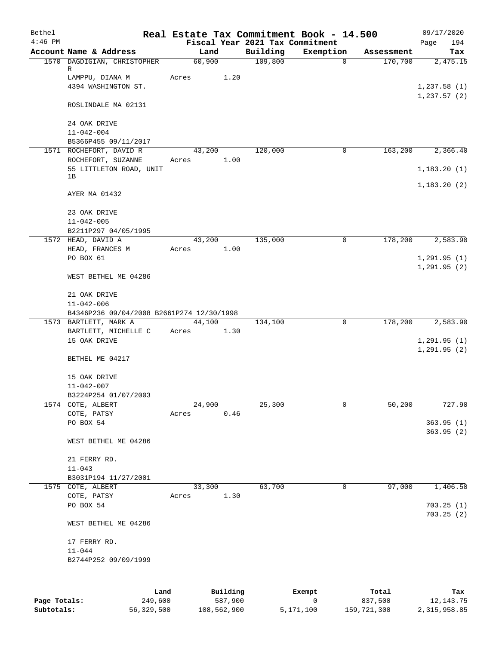| Bethel    |                                                               |       |                |          |                     | Real Estate Tax Commitment Book - 14.500 |                       | 09/17/2020                  |
|-----------|---------------------------------------------------------------|-------|----------------|----------|---------------------|------------------------------------------|-----------------------|-----------------------------|
| $4:46$ PM |                                                               |       |                |          |                     | Fiscal Year 2021 Tax Commitment          |                       | 194<br>Page                 |
|           | Account Name & Address<br>1570 DAGDIGIAN, CHRISTOPHER         |       | Land<br>60,900 |          | Building<br>109,800 | Exemption<br>$\mathbf 0$                 | Assessment<br>170,700 | Tax<br>2,475.15             |
|           | R                                                             |       |                |          |                     |                                          |                       |                             |
|           | LAMPPU, DIANA M                                               | Acres |                | 1.20     |                     |                                          |                       |                             |
|           | 4394 WASHINGTON ST.                                           |       |                |          |                     |                                          |                       | 1,237.58(1)                 |
|           | ROSLINDALE MA 02131                                           |       |                |          |                     |                                          |                       | 1,237.57(2)                 |
|           | 24 OAK DRIVE                                                  |       |                |          |                     |                                          |                       |                             |
|           | $11 - 042 - 004$                                              |       |                |          |                     |                                          |                       |                             |
|           | B5366P455 09/11/2017                                          |       |                |          |                     |                                          |                       |                             |
|           | 1571 ROCHEFORT, DAVID R                                       |       | 43,200         |          | 120,000             | $\mathbf 0$                              | 163,200               | 2,366.40                    |
|           | ROCHEFORT, SUZANNE<br>55 LITTLETON ROAD, UNIT                 | Acres |                | 1.00     |                     |                                          |                       | 1,183.20(1)                 |
|           | 1B                                                            |       |                |          |                     |                                          |                       |                             |
|           | AYER MA 01432                                                 |       |                |          |                     |                                          |                       | 1,183.20(2)                 |
|           | 23 OAK DRIVE                                                  |       |                |          |                     |                                          |                       |                             |
|           | $11 - 042 - 005$                                              |       |                |          |                     |                                          |                       |                             |
|           | B2211P297 04/05/1995                                          |       |                |          |                     |                                          |                       |                             |
|           | 1572 HEAD, DAVID A                                            |       | 43,200         |          | 135,000             | 0                                        | 178,200               | 2,583.90                    |
|           | HEAD, FRANCES M<br>PO BOX 61                                  | Acres |                | 1.00     |                     |                                          |                       |                             |
|           |                                                               |       |                |          |                     |                                          |                       | 1,291.95(1)<br>1, 291.95(2) |
|           | WEST BETHEL ME 04286                                          |       |                |          |                     |                                          |                       |                             |
|           | 21 OAK DRIVE                                                  |       |                |          |                     |                                          |                       |                             |
|           | $11 - 042 - 006$<br>B4346P236 09/04/2008 B2661P274 12/30/1998 |       |                |          |                     |                                          |                       |                             |
|           | 1573 BARTLETT, MARK A                                         |       | 44,100         |          | 134,100             | $\mathbf 0$                              | 178,200               | 2,583.90                    |
|           | BARTLETT, MICHELLE C                                          | Acres |                | 1.30     |                     |                                          |                       |                             |
|           | 15 OAK DRIVE                                                  |       |                |          |                     |                                          |                       | 1,291.95(1)                 |
|           | BETHEL ME 04217                                               |       |                |          |                     |                                          |                       | 1, 291.95(2)                |
|           | 15 OAK DRIVE                                                  |       |                |          |                     |                                          |                       |                             |
|           | $11 - 042 - 007$                                              |       |                |          |                     |                                          |                       |                             |
|           | B3224P254 01/07/2003                                          |       |                |          |                     |                                          |                       |                             |
|           | 1574 COTE, ALBERT                                             |       | 24,900         |          | 25,300              | 0                                        | 50,200                | 727.90                      |
|           | COTE, PATSY                                                   | Acres |                | 0.46     |                     |                                          |                       |                             |
|           | PO BOX 54                                                     |       |                |          |                     |                                          |                       | 363.95(1)<br>363.95(2)      |
|           | WEST BETHEL ME 04286                                          |       |                |          |                     |                                          |                       |                             |
|           | 21 FERRY RD.                                                  |       |                |          |                     |                                          |                       |                             |
|           | $11 - 043$                                                    |       |                |          |                     |                                          |                       |                             |
|           | B3031P194 11/27/2001                                          |       |                |          |                     |                                          |                       |                             |
|           | 1575 COTE, ALBERT                                             |       | 33,300         |          | 63,700              | 0                                        | 97,000                | 1,406.50                    |
|           | COTE, PATSY                                                   | Acres |                | 1.30     |                     |                                          |                       |                             |
|           | PO BOX 54                                                     |       |                |          |                     |                                          |                       | 703.25(1)<br>703.25(2)      |
|           | WEST BETHEL ME 04286                                          |       |                |          |                     |                                          |                       |                             |
|           | 17 FERRY RD.                                                  |       |                |          |                     |                                          |                       |                             |
|           | $11 - 044$                                                    |       |                |          |                     |                                          |                       |                             |
|           | B2744P252 09/09/1999                                          |       |                |          |                     |                                          |                       |                             |
|           |                                                               |       |                |          |                     |                                          |                       |                             |
|           |                                                               |       |                |          |                     |                                          |                       |                             |
|           |                                                               | Land  |                | Building |                     | Exempt                                   | Total                 | Tax                         |

|              | ∟and       | Building    | Exempt    | Total       | тах          |
|--------------|------------|-------------|-----------|-------------|--------------|
| Page Totals: | 249,600    | 587,900     |           | 837,500     | 12,143.75    |
| Subtotals:   | 56,329,500 | 108,562,900 | 5,171,100 | 159,721,300 | 2,315,958.85 |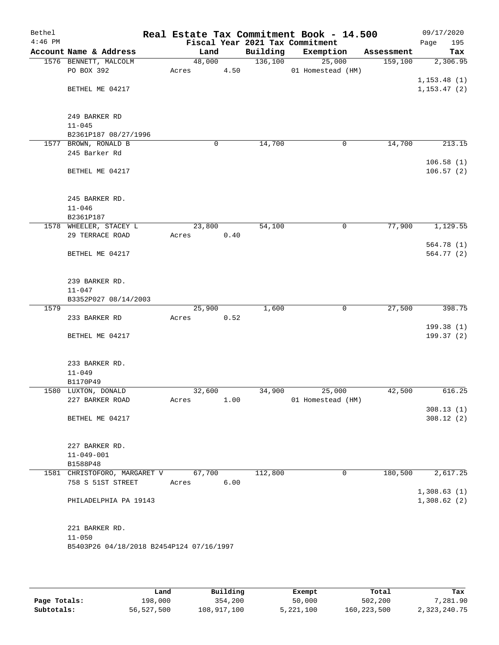| Bethel<br>$4:46$ PM |                                          |        |      |          | Real Estate Tax Commitment Book - 14.500<br>Fiscal Year 2021 Tax Commitment |            | 09/17/2020<br>195<br>Page |
|---------------------|------------------------------------------|--------|------|----------|-----------------------------------------------------------------------------|------------|---------------------------|
|                     | Account Name & Address                   | Land   |      | Building | Exemption                                                                   | Assessment | Tax                       |
|                     | 1576 BENNETT, MALCOLM                    | 48,000 |      | 136,100  | 25,000                                                                      | 159,100    | 2,306.95                  |
|                     | PO BOX 392                               | Acres  | 4.50 |          | 01 Homestead (HM)                                                           |            |                           |
|                     |                                          |        |      |          |                                                                             |            | 1, 153.48(1)              |
|                     | BETHEL ME 04217                          |        |      |          |                                                                             |            | 1, 153.47(2)              |
|                     |                                          |        |      |          |                                                                             |            |                           |
|                     |                                          |        |      |          |                                                                             |            |                           |
|                     | 249 BARKER RD                            |        |      |          |                                                                             |            |                           |
|                     | $11 - 045$                               |        |      |          |                                                                             |            |                           |
|                     | B2361P187 08/27/1996                     |        |      |          |                                                                             |            |                           |
|                     | 1577 BROWN, RONALD B                     | 0      |      | 14,700   | 0                                                                           | 14,700     | 213.15                    |
|                     | 245 Barker Rd                            |        |      |          |                                                                             |            |                           |
|                     |                                          |        |      |          |                                                                             |            | 106.58(1)                 |
|                     | BETHEL ME 04217                          |        |      |          |                                                                             |            | 106.57(2)                 |
|                     |                                          |        |      |          |                                                                             |            |                           |
|                     |                                          |        |      |          |                                                                             |            |                           |
|                     | 245 BARKER RD.                           |        |      |          |                                                                             |            |                           |
|                     | $11 - 046$<br>B2361P187                  |        |      |          |                                                                             |            |                           |
|                     | 1578 WHEELER, STACEY L                   | 23,800 |      | 54,100   | 0                                                                           | 77,900     | 1,129.55                  |
|                     | 29 TERRACE ROAD                          | Acres  | 0.40 |          |                                                                             |            |                           |
|                     |                                          |        |      |          |                                                                             |            | 564.78 (1)                |
|                     | BETHEL ME 04217                          |        |      |          |                                                                             |            | 564.77 (2)                |
|                     |                                          |        |      |          |                                                                             |            |                           |
|                     |                                          |        |      |          |                                                                             |            |                           |
|                     | 239 BARKER RD.                           |        |      |          |                                                                             |            |                           |
|                     | $11 - 047$                               |        |      |          |                                                                             |            |                           |
|                     | B3352P027 08/14/2003                     |        |      |          |                                                                             |            |                           |
| 1579                |                                          | 25,900 |      | 1,600    | $\mathbf 0$                                                                 | 27,500     | 398.75                    |
|                     | 233 BARKER RD                            | Acres  | 0.52 |          |                                                                             |            |                           |
|                     |                                          |        |      |          |                                                                             |            | 199.38(1)                 |
|                     | BETHEL ME 04217                          |        |      |          |                                                                             |            | 199.37(2)                 |
|                     |                                          |        |      |          |                                                                             |            |                           |
|                     |                                          |        |      |          |                                                                             |            |                           |
|                     | 233 BARKER RD.                           |        |      |          |                                                                             |            |                           |
|                     | $11 - 049$                               |        |      |          |                                                                             |            |                           |
|                     | B1170P49                                 |        |      |          |                                                                             |            |                           |
|                     | 1580 LUXTON, DONALD                      | 32,600 |      | 34,900   | 25,000                                                                      | 42,500     | 616.25                    |
|                     | 227 BARKER ROAD                          | Acres  | 1.00 |          | 01 Homestead (HM)                                                           |            |                           |
|                     | BETHEL ME 04217                          |        |      |          |                                                                             |            | 308.13(1)<br>308.12(2)    |
|                     |                                          |        |      |          |                                                                             |            |                           |
|                     |                                          |        |      |          |                                                                             |            |                           |
|                     | 227 BARKER RD.                           |        |      |          |                                                                             |            |                           |
|                     | $11 - 049 - 001$                         |        |      |          |                                                                             |            |                           |
|                     | B1588P48                                 |        |      |          |                                                                             |            |                           |
|                     | 1581 CHRISTOFORO, MARGARET V             | 67,700 |      | 112,800  | 0                                                                           | 180,500    | 2,617.25                  |
|                     | 758 S 51ST STREET                        | Acres  | 6.00 |          |                                                                             |            |                           |
|                     |                                          |        |      |          |                                                                             |            | 1,308.63(1)               |
|                     | PHILADELPHIA PA 19143                    |        |      |          |                                                                             |            | 1,308.62(2)               |
|                     |                                          |        |      |          |                                                                             |            |                           |
|                     |                                          |        |      |          |                                                                             |            |                           |
|                     | 221 BARKER RD.                           |        |      |          |                                                                             |            |                           |
|                     | $11 - 050$                               |        |      |          |                                                                             |            |                           |
|                     | B5403P26 04/18/2018 B2454P124 07/16/1997 |        |      |          |                                                                             |            |                           |
|                     |                                          |        |      |          |                                                                             |            |                           |
|                     |                                          |        |      |          |                                                                             |            |                           |

|              | Land       | Building    | Exempt    | Total       | Tax          |
|--------------|------------|-------------|-----------|-------------|--------------|
| Page Totals: | 198,000    | 354,200     | 50,000    | 502,200     | 7,281.90     |
| Subtotals:   | 56,527,500 | 108,917,100 | 5,221,100 | 160,223,500 | 2,323,240.75 |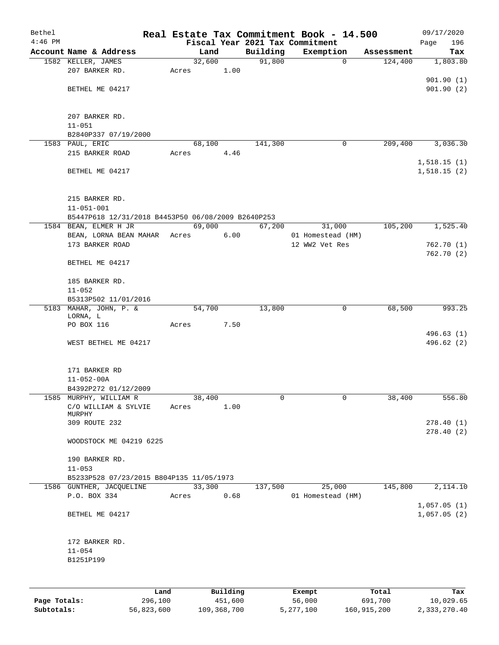| Bethel       |                                                                             |         |        |          |                                 | Real Estate Tax Commitment Book - 14.500 |            | 09/17/2020  |
|--------------|-----------------------------------------------------------------------------|---------|--------|----------|---------------------------------|------------------------------------------|------------|-------------|
| $4:46$ PM    |                                                                             |         |        |          | Fiscal Year 2021 Tax Commitment |                                          |            | 196<br>Page |
|              | Account Name & Address                                                      |         | Land   |          | Building                        | Exemption                                | Assessment | Tax         |
|              | 1582 KELLER, JAMES                                                          |         | 32,600 |          | 91,800                          | $\mathbf 0$                              | 124,400    | 1,803.80    |
|              | 207 BARKER RD.                                                              | Acres   |        | 1.00     |                                 |                                          |            |             |
|              |                                                                             |         |        |          |                                 |                                          |            | 901.90(1)   |
|              | BETHEL ME 04217                                                             |         |        |          |                                 |                                          |            | 901.90(2)   |
|              |                                                                             |         |        |          |                                 |                                          |            |             |
|              | 207 BARKER RD.                                                              |         |        |          |                                 |                                          |            |             |
|              | $11 - 051$                                                                  |         |        |          |                                 |                                          |            |             |
|              | B2840P337 07/19/2000                                                        |         |        |          |                                 |                                          |            |             |
|              | 1583 PAUL, ERIC                                                             |         | 68,100 |          | 141,300                         | $\mathbf 0$                              | 209,400    | 3,036.30    |
|              | 215 BARKER ROAD                                                             | Acres   |        | 4.46     |                                 |                                          |            |             |
|              |                                                                             |         |        |          |                                 |                                          |            | 1,518.15(1) |
|              | BETHEL ME 04217                                                             |         |        |          |                                 |                                          |            | 1,518.15(2) |
|              |                                                                             |         |        |          |                                 |                                          |            |             |
|              |                                                                             |         |        |          |                                 |                                          |            |             |
|              | 215 BARKER RD.                                                              |         |        |          |                                 |                                          |            |             |
|              | $11 - 051 - 001$                                                            |         |        |          |                                 |                                          |            |             |
|              | B5447P618 12/31/2018 B4453P50 06/08/2009 B2640P253<br>1584 BEAN, ELMER H JR |         | 69,000 |          | 67,200                          | 31,000                                   | 105,200    | 1,525.40    |
|              | BEAN, LORNA BEAN MAHAR                                                      | Acres   |        | 6.00     |                                 | 01 Homestead (HM)                        |            |             |
|              | 173 BARKER ROAD                                                             |         |        |          |                                 | 12 WW2 Vet Res                           |            | 762.70(1)   |
|              |                                                                             |         |        |          |                                 |                                          |            | 762.70(2)   |
|              | BETHEL ME 04217                                                             |         |        |          |                                 |                                          |            |             |
|              |                                                                             |         |        |          |                                 |                                          |            |             |
|              | 185 BARKER RD.                                                              |         |        |          |                                 |                                          |            |             |
|              | $11 - 052$                                                                  |         |        |          |                                 |                                          |            |             |
|              | B5313P502 11/01/2016                                                        |         |        |          |                                 |                                          |            |             |
|              | 5183 MAHAR, JOHN, P. &                                                      |         | 54,700 |          | 13,800                          | 0                                        | 68,500     | 993.25      |
|              | LORNA, L<br>PO BOX 116                                                      | Acres   |        | 7.50     |                                 |                                          |            |             |
|              |                                                                             |         |        |          |                                 |                                          |            | 496.63(1)   |
|              | WEST BETHEL ME 04217                                                        |         |        |          |                                 |                                          |            | 496.62(2)   |
|              |                                                                             |         |        |          |                                 |                                          |            |             |
|              |                                                                             |         |        |          |                                 |                                          |            |             |
|              | 171 BARKER RD                                                               |         |        |          |                                 |                                          |            |             |
|              | $11 - 052 - 00A$                                                            |         |        |          |                                 |                                          |            |             |
|              | B4392P272 01/12/2009                                                        |         |        |          |                                 |                                          |            |             |
| 1585         | MURPHY, WILLIAM R                                                           |         | 38,400 |          | 0                               | 0                                        | 38,400     | 556.80      |
|              | C/O WILLIAM & SYLVIE<br>MURPHY                                              | Acres   |        | 1.00     |                                 |                                          |            |             |
|              | 309 ROUTE 232                                                               |         |        |          |                                 |                                          |            | 278.40(1)   |
|              |                                                                             |         |        |          |                                 |                                          |            | 278.40(2)   |
|              | WOODSTOCK ME 04219 6225                                                     |         |        |          |                                 |                                          |            |             |
|              |                                                                             |         |        |          |                                 |                                          |            |             |
|              | 190 BARKER RD.                                                              |         |        |          |                                 |                                          |            |             |
|              | $11 - 053$                                                                  |         |        |          |                                 |                                          |            |             |
|              | B5233P528 07/23/2015 B804P135 11/05/1973                                    |         |        |          |                                 |                                          |            |             |
|              | 1586 GUNTHER, JACQUELINE                                                    |         | 33,300 |          | 137,500                         | 25,000                                   | 145,800    | 2,114.10    |
|              | P.O. BOX 334                                                                | Acres   |        | 0.68     |                                 | 01 Homestead (HM)                        |            |             |
|              |                                                                             |         |        |          |                                 |                                          |            | 1,057.05(1) |
|              | BETHEL ME 04217                                                             |         |        |          |                                 |                                          |            | 1,057.05(2) |
|              |                                                                             |         |        |          |                                 |                                          |            |             |
|              | 172 BARKER RD.                                                              |         |        |          |                                 |                                          |            |             |
|              | $11 - 054$                                                                  |         |        |          |                                 |                                          |            |             |
|              | B1251P199                                                                   |         |        |          |                                 |                                          |            |             |
|              |                                                                             |         |        |          |                                 |                                          |            |             |
|              |                                                                             |         |        |          |                                 |                                          |            |             |
|              |                                                                             | Land    |        | Building |                                 | Exempt                                   | Total      | Tax         |
| Page Totals: |                                                                             | 296,100 |        | 451,600  |                                 | 56,000                                   | 691,700    | 10,029.65   |

**Subtotals:** 56,823,600 109,368,700 5,277,100 160,915,200 2,333,270.40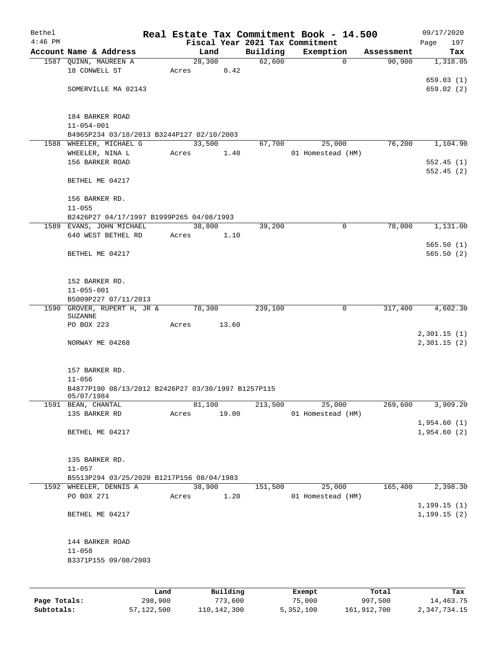| Bethel    |                                                                  |       |        |       |          | Real Estate Tax Commitment Book - 14.500 |             |            |              | 09/17/2020             |
|-----------|------------------------------------------------------------------|-------|--------|-------|----------|------------------------------------------|-------------|------------|--------------|------------------------|
| $4:46$ PM |                                                                  |       |        |       |          | Fiscal Year 2021 Tax Commitment          |             |            | Page         | 197                    |
|           | Account Name & Address                                           |       | Land   |       | Building | Exemption                                |             | Assessment |              | Tax                    |
|           | 1587 QUINN, MAUREEN A                                            |       | 28,300 |       | 62,600   |                                          | $\mathbf 0$ | 90,900     |              | 1,318.05               |
|           | 18 CONWELL ST                                                    | Acres |        | 0.42  |          |                                          |             |            |              |                        |
|           | SOMERVILLE MA 02143                                              |       |        |       |          |                                          |             |            |              | 659.03(1)<br>659.02(2) |
|           |                                                                  |       |        |       |          |                                          |             |            |              |                        |
|           | 184 BARKER ROAD                                                  |       |        |       |          |                                          |             |            |              |                        |
|           | $11 - 054 - 001$                                                 |       |        |       |          |                                          |             |            |              |                        |
|           | B4965P234 03/18/2013 B3244P127 02/10/2003                        |       |        |       |          |                                          |             |            |              |                        |
|           | 1588 WHEELER, MICHAEL G                                          |       | 33,500 |       | 67,700   | 25,000                                   |             | 76,200     |              | 1,104.90               |
|           | WHEELER, NINA L<br>156 BARKER ROAD                               | Acres |        | 1.40  |          | 01 Homestead (HM)                        |             |            |              | 552.45(1)              |
|           |                                                                  |       |        |       |          |                                          |             |            |              | 552.45(2)              |
|           | BETHEL ME 04217                                                  |       |        |       |          |                                          |             |            |              |                        |
|           | 156 BARKER RD.                                                   |       |        |       |          |                                          |             |            |              |                        |
|           | $11 - 055$                                                       |       |        |       |          |                                          |             |            |              |                        |
|           | B2426P27 04/17/1997 B1999P265 04/08/1993                         |       |        |       |          |                                          |             |            |              |                        |
|           | 1589 EVANS, JOHN MICHAEL                                         |       | 38,800 |       | 39,200   |                                          | $\mathbf 0$ | 78,000     |              | 1,131.00               |
|           | 640 WEST BETHEL RD                                               | Acres |        | 1.10  |          |                                          |             |            |              |                        |
|           | BETHEL ME 04217                                                  |       |        |       |          |                                          |             |            |              | 565.50(1)<br>565.50(2) |
|           |                                                                  |       |        |       |          |                                          |             |            |              |                        |
|           |                                                                  |       |        |       |          |                                          |             |            |              |                        |
|           | 152 BARKER RD.                                                   |       |        |       |          |                                          |             |            |              |                        |
|           | $11 - 055 - 001$<br>B5009P227 07/11/2013                         |       |        |       |          |                                          |             |            |              |                        |
|           | 1590 GROVER, RUPERT H, JR &                                      |       | 78,300 |       | 239,100  |                                          | 0           | 317,400    |              | 4,602.30               |
|           | SUZANNE                                                          |       |        |       |          |                                          |             |            |              |                        |
|           | PO BOX 223                                                       | Acres |        | 13.60 |          |                                          |             |            |              |                        |
|           |                                                                  |       |        |       |          |                                          |             |            | 2,301.15(1)  |                        |
|           | NORWAY ME 04268                                                  |       |        |       |          |                                          |             |            | 2,301.15(2)  |                        |
|           | 157 BARKER RD.                                                   |       |        |       |          |                                          |             |            |              |                        |
|           | $11 - 056$                                                       |       |        |       |          |                                          |             |            |              |                        |
|           | B4877P190 08/13/2012 B2426P27 03/30/1997 B1257P115<br>05/07/1984 |       |        |       |          |                                          |             |            |              |                        |
|           | 1591 BEAN, CHANTAL                                               |       | 81,100 |       | 213,500  | 25,000                                   |             | 269,600    |              | 3,909.20               |
|           | 135 BARKER RD                                                    | Acres |        | 19.00 |          | 01 Homestead (HM)                        |             |            |              |                        |
|           |                                                                  |       |        |       |          |                                          |             |            | 1,954.60(1)  |                        |
|           | BETHEL ME 04217                                                  |       |        |       |          |                                          |             |            | 1,954.60(2)  |                        |
|           |                                                                  |       |        |       |          |                                          |             |            |              |                        |
|           | 135 BARKER RD.<br>$11 - 057$                                     |       |        |       |          |                                          |             |            |              |                        |
|           | B5513P294 03/25/2020 B1217P156 08/04/1983                        |       |        |       |          |                                          |             |            |              |                        |
|           | 1592 WHEELER, DENNIS A                                           |       | 38,900 |       | 151,500  | 25,000                                   |             | 165,400    |              | 2,398.30               |
|           | PO BOX 271                                                       |       | Acres  | 1.20  |          | 01 Homestead (HM)                        |             |            |              |                        |
|           |                                                                  |       |        |       |          |                                          |             |            | 1, 199.15(1) |                        |
|           | BETHEL ME 04217                                                  |       |        |       |          |                                          |             |            | 1,199.15(2)  |                        |
|           |                                                                  |       |        |       |          |                                          |             |            |              |                        |
|           | 144 BARKER ROAD<br>$11 - 058$                                    |       |        |       |          |                                          |             |            |              |                        |
|           | B3371P155 09/08/2003                                             |       |        |       |          |                                          |             |            |              |                        |
|           |                                                                  |       |        |       |          |                                          |             |            |              |                        |
|           |                                                                  |       |        |       |          |                                          |             |            |              |                        |
|           |                                                                  |       |        |       |          |                                          |             |            |              |                        |

|              | Land       | Building    | Exempt    | Total       | Tax          |
|--------------|------------|-------------|-----------|-------------|--------------|
| Page Totals: | 298,900    | 773,600     | 75,000    | 997,500     | 14,463.75    |
| Subtotals:   | 57,122,500 | 110,142,300 | 5,352,100 | 161,912,700 | 2,347,734.15 |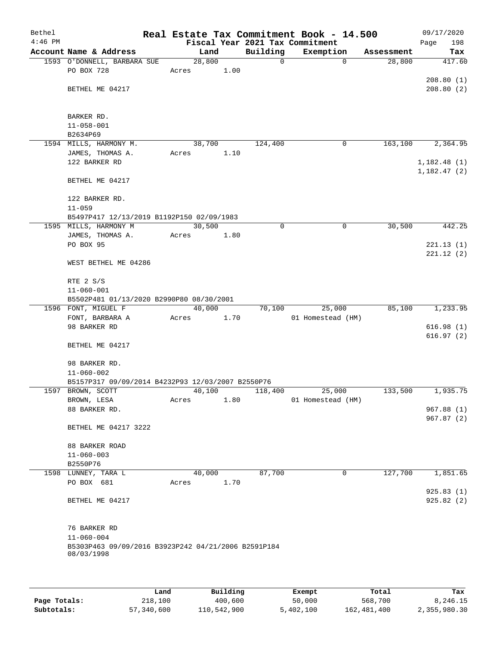| Bethel<br>$4:46$ PM |                                                     |                     |      |             | Real Estate Tax Commitment Book - 14.500<br>Fiscal Year 2021 Tax Commitment |            | 09/17/2020<br>198<br>Page |
|---------------------|-----------------------------------------------------|---------------------|------|-------------|-----------------------------------------------------------------------------|------------|---------------------------|
|                     | Account Name & Address                              | Land                |      | Building    | Exemption                                                                   | Assessment | Tax                       |
|                     | 1593 O'DONNELL, BARBARA SUE                         | 28,800              |      | $\mathbf 0$ | $\mathbf 0$                                                                 | 28,800     | 417.60                    |
|                     | PO BOX 728                                          | Acres               | 1.00 |             |                                                                             |            |                           |
|                     |                                                     |                     |      |             |                                                                             |            | 208.80(1)                 |
|                     | BETHEL ME 04217                                     |                     |      |             |                                                                             |            | 208.80(2)                 |
|                     |                                                     |                     |      |             |                                                                             |            |                           |
|                     | BARKER RD.                                          |                     |      |             |                                                                             |            |                           |
|                     | $11 - 058 - 001$                                    |                     |      |             |                                                                             |            |                           |
|                     | B2634P69                                            |                     |      |             |                                                                             |            |                           |
|                     | 1594 MILLS, HARMONY M.                              | 38,700              |      | 124,400     | 0                                                                           | 163,100    | 2,364.95                  |
|                     | JAMES, THOMAS A.                                    | Acres               | 1.10 |             |                                                                             |            |                           |
|                     | 122 BARKER RD                                       |                     |      |             |                                                                             |            | 1,182.48(1)               |
|                     | BETHEL ME 04217                                     |                     |      |             |                                                                             |            | 1,182.47(2)               |
|                     |                                                     |                     |      |             |                                                                             |            |                           |
|                     | 122 BARKER RD.                                      |                     |      |             |                                                                             |            |                           |
|                     | $11 - 059$                                          |                     |      |             |                                                                             |            |                           |
|                     | B5497P417 12/13/2019 B1192P150 02/09/1983           |                     |      |             |                                                                             |            |                           |
|                     | 1595 MILLS, HARMONY M                               | 30,500              |      | 0           | $\mathbf 0$                                                                 | 30,500     | 442.25                    |
|                     | JAMES, THOMAS A.<br>PO BOX 95                       | Acres               | 1.80 |             |                                                                             |            | 221.13(1)                 |
|                     |                                                     |                     |      |             |                                                                             |            | 221.12(2)                 |
|                     | WEST BETHEL ME 04286                                |                     |      |             |                                                                             |            |                           |
|                     | RTE 2 S/S                                           |                     |      |             |                                                                             |            |                           |
|                     | $11 - 060 - 001$                                    |                     |      |             |                                                                             |            |                           |
|                     | B5502P481 01/13/2020 B2990P80 08/30/2001            |                     |      |             |                                                                             |            |                           |
|                     | 1596 FONT, MIGUEL F                                 | $\overline{40,000}$ |      | 70,100      | 25,000                                                                      | 85,100     | 1,233.95                  |
|                     | FONT, BARBARA A<br>98 BARKER RD                     | Acres               | 1.70 |             | 01 Homestead (HM)                                                           |            | 616.98(1)                 |
|                     |                                                     |                     |      |             |                                                                             |            | 616.97(2)                 |
|                     | BETHEL ME 04217                                     |                     |      |             |                                                                             |            |                           |
|                     | 98 BARKER RD.                                       |                     |      |             |                                                                             |            |                           |
|                     | $11 - 060 - 002$                                    |                     |      |             |                                                                             |            |                           |
|                     | B5157P317 09/09/2014 B4232P93 12/03/2007 B2550P76   |                     |      |             |                                                                             |            |                           |
|                     | 1597 BROWN, SCOTT                                   | 40,100              |      | 118,400     | 25,000                                                                      | 133,500    | 1,935.75                  |
|                     | BROWN, LESA                                         | Acres               | 1.80 |             | 01 Homestead (HM)                                                           |            |                           |
|                     | 88 BARKER RD.                                       |                     |      |             |                                                                             |            | 967.88(1)<br>967.87(2)    |
|                     | BETHEL ME 04217 3222                                |                     |      |             |                                                                             |            |                           |
|                     | 88 BARKER ROAD                                      |                     |      |             |                                                                             |            |                           |
|                     | $11 - 060 - 003$                                    |                     |      |             |                                                                             |            |                           |
|                     | B2550P76                                            |                     |      |             |                                                                             |            |                           |
|                     | 1598 LUNNEY, TARA L<br>PO BOX 681                   | 40,000              |      | 87,700      | 0                                                                           | 127,700    | 1,851.65                  |
|                     |                                                     | Acres               | 1.70 |             |                                                                             |            | 925.83(1)                 |
|                     | BETHEL ME 04217                                     |                     |      |             |                                                                             |            | 925.82(2)                 |
|                     |                                                     |                     |      |             |                                                                             |            |                           |
|                     | 76 BARKER RD<br>$11 - 060 - 004$                    |                     |      |             |                                                                             |            |                           |
|                     | B5303P463 09/09/2016 B3923P242 04/21/2006 B2591P184 |                     |      |             |                                                                             |            |                           |
|                     | 08/03/1998                                          |                     |      |             |                                                                             |            |                           |
|                     |                                                     |                     |      |             |                                                                             |            |                           |
|                     |                                                     |                     |      |             |                                                                             |            |                           |
|                     |                                                     |                     |      |             |                                                                             |            |                           |

|              | Land       | Building    | Exempt    | Total       | Tax          |
|--------------|------------|-------------|-----------|-------------|--------------|
| Page Totals: | 218,100    | 400,600     | 50,000    | 568,700     | 8,246.15     |
| Subtotals:   | 57,340,600 | 110,542,900 | 5,402,100 | 162,481,400 | 2,355,980.30 |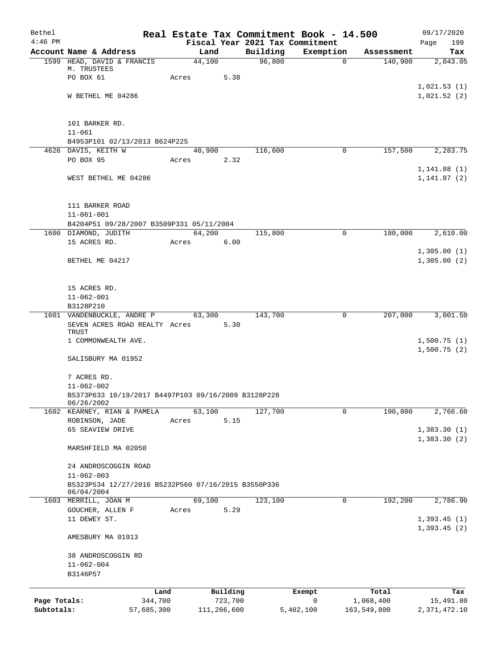| Bethel       |                                                                         |            |       |                |          | Real Estate Tax Commitment Book - 14.500     |   |             | 09/17/2020                 |
|--------------|-------------------------------------------------------------------------|------------|-------|----------------|----------|----------------------------------------------|---|-------------|----------------------------|
| $4:46$ PM    | Account Name & Address                                                  |            |       | Land           | Building | Fiscal Year 2021 Tax Commitment<br>Exemption |   | Assessment  | 199<br>Page<br>Tax         |
|              | 1599 HEAD, DAVID & FRANCIS                                              |            |       | 44,100         | 96,800   |                                              | 0 | 140,900     | 2,043.05                   |
|              | M. TRUSTEES                                                             |            |       |                |          |                                              |   |             |                            |
|              | PO BOX 61                                                               |            | Acres | 5.38           |          |                                              |   |             |                            |
|              | W BETHEL ME 04286                                                       |            |       |                |          |                                              |   |             | 1,021.53(1)<br>1,021.52(2) |
|              |                                                                         |            |       |                |          |                                              |   |             |                            |
|              | 101 BARKER RD.                                                          |            |       |                |          |                                              |   |             |                            |
|              | $11 - 061$                                                              |            |       |                |          |                                              |   |             |                            |
|              | B4953P101 02/13/2013 B624P225                                           |            |       |                |          |                                              |   |             |                            |
|              | 4626 DAVIS, KEITH W<br>PO BOX 95                                        |            | Acres | 40,900<br>2.32 | 116,600  |                                              | 0 | 157,500     | 2,283.75                   |
|              |                                                                         |            |       |                |          |                                              |   |             | 1,141.88(1)                |
|              | WEST BETHEL ME 04286                                                    |            |       |                |          |                                              |   |             | 1,141.87 (2)               |
|              | 111 BARKER ROAD                                                         |            |       |                |          |                                              |   |             |                            |
|              | $11 - 061 - 001$                                                        |            |       |                |          |                                              |   |             |                            |
|              | B4204P51 09/28/2007 B3509P331 05/11/2004                                |            |       |                |          |                                              |   |             |                            |
|              | 1600 DIAMOND, JUDITH                                                    |            |       | 64,200         | 115,800  |                                              | 0 | 180,000     | 2,610.00                   |
|              | 15 ACRES RD.                                                            |            | Acres | 6.00           |          |                                              |   |             |                            |
|              | BETHEL ME 04217                                                         |            |       |                |          |                                              |   |             | 1,305.00(1)<br>1,305.00(2) |
|              |                                                                         |            |       |                |          |                                              |   |             |                            |
|              | 15 ACRES RD.                                                            |            |       |                |          |                                              |   |             |                            |
|              | $11 - 062 - 001$                                                        |            |       |                |          |                                              |   |             |                            |
|              | B3128P210                                                               |            |       |                |          |                                              |   |             |                            |
|              | 1601 VANDENBUCKLE, ANDRE P<br>SEVEN ACRES ROAD REALTY Acres<br>TRUST    |            |       | 63,300<br>5.30 | 143,700  |                                              | 0 | 207,000     | 3,001.50                   |
|              | 1 COMMONWEALTH AVE.                                                     |            |       |                |          |                                              |   |             | 1,500.75(1)<br>1,500.75(2) |
|              | SALISBURY MA 01952                                                      |            |       |                |          |                                              |   |             |                            |
|              | 7 ACRES RD.                                                             |            |       |                |          |                                              |   |             |                            |
|              | $11 - 062 - 002$                                                        |            |       |                |          |                                              |   |             |                            |
|              | B5373P633 10/19/2017 B4497P103 09/16/2009 B3128P228<br>06/26/2002       |            |       |                |          |                                              |   |             |                            |
|              | 1602 KEARNEY, RIAN & PAMELA                                             |            |       | 63,100         | 127,700  |                                              | 0 | 190,800     | 2,766.60                   |
|              | ROBINSON, JADE                                                          |            | Acres | 5.15           |          |                                              |   |             |                            |
|              | 65 SEAVIEW DRIVE                                                        |            |       |                |          |                                              |   |             | 1,383.30(1)                |
|              | MARSHFIELD MA 02050                                                     |            |       |                |          |                                              |   |             | 1,383.30(2)                |
|              | 24 ANDROSCOGGIN ROAD                                                    |            |       |                |          |                                              |   |             |                            |
|              | $11 - 062 - 003$<br>B5323P534 12/27/2016 B5232P560 07/16/2015 B3550P336 |            |       |                |          |                                              |   |             |                            |
|              | 06/04/2004                                                              |            |       |                |          |                                              |   | 192,200     |                            |
|              | 1603 MERRILL, JOAN M<br>GOUCHER, ALLEN F                                |            | Acres | 69,100<br>5.29 | 123,100  |                                              | 0 |             | 2,786.90                   |
|              | 11 DEWEY ST.                                                            |            |       |                |          |                                              |   |             | 1,393.45(1)<br>1,393.45(2) |
|              | AMESBURY MA 01913                                                       |            |       |                |          |                                              |   |             |                            |
|              | 38 ANDROSCOGGIN RD<br>$11 - 062 - 004$                                  |            |       |                |          |                                              |   |             |                            |
|              | B3146P57                                                                |            |       |                |          |                                              |   |             |                            |
|              |                                                                         | Land       |       | Building       |          | Exempt                                       |   | Total       | Tax                        |
| Page Totals: |                                                                         | 344,700    |       | 723,700        |          | 0                                            |   | 1,068,400   | 15,491.80                  |
| Subtotals:   |                                                                         | 57,685,300 |       | 111,266,600    |          | 5,402,100                                    |   | 163,549,800 | 2,371,472.10               |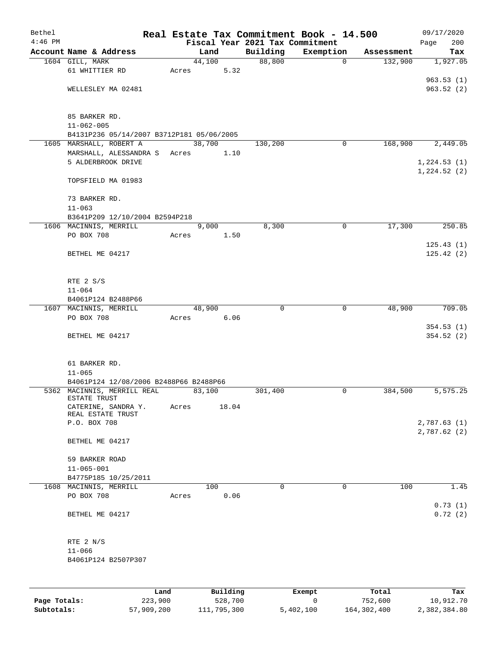| Bethel    |                                              |       |        |          |          | Real Estate Tax Commitment Book - 14.500 |            | 09/17/2020  |
|-----------|----------------------------------------------|-------|--------|----------|----------|------------------------------------------|------------|-------------|
| $4:46$ PM |                                              |       |        |          |          | Fiscal Year 2021 Tax Commitment          |            | 200<br>Page |
|           | Account Name & Address                       |       |        | Land     | Building | Exemption                                | Assessment | Tax         |
|           | 1604 GILL, MARK                              |       | 44,100 |          | 88,800   | $\mathbf 0$                              | 132,900    | 1,927.05    |
|           | 61 WHITTIER RD                               | Acres |        | 5.32     |          |                                          |            | 963.53(1)   |
|           | WELLESLEY MA 02481                           |       |        |          |          |                                          |            | 963.52(2)   |
|           |                                              |       |        |          |          |                                          |            |             |
|           | 85 BARKER RD.                                |       |        |          |          |                                          |            |             |
|           | $11 - 062 - 005$                             |       |        |          |          |                                          |            |             |
|           | B4131P236 05/14/2007 B3712P181 05/06/2005    |       |        |          |          |                                          |            |             |
|           | 1605 MARSHALL, ROBERT A                      |       | 38,700 |          | 130,200  | 0                                        | 168,900    | 2,449.05    |
|           | MARSHALL, ALESSANDRA S                       | Acres |        | 1.10     |          |                                          |            |             |
|           | 5 ALDERBROOK DRIVE                           |       |        |          |          |                                          |            | 1,224.53(1) |
|           | TOPSFIELD MA 01983                           |       |        |          |          |                                          |            | 1,224.52(2) |
|           | 73 BARKER RD.                                |       |        |          |          |                                          |            |             |
|           | $11 - 063$                                   |       |        |          |          |                                          |            |             |
|           | B3641P209 12/10/2004 B2594P218               |       |        |          |          |                                          |            |             |
|           | 1606 MACINNIS, MERRILL                       |       |        | 9,000    | 8,300    | 0                                        | 17,300     | 250.85      |
|           | PO BOX 708                                   | Acres |        | 1.50     |          |                                          |            |             |
|           |                                              |       |        |          |          |                                          |            | 125.43(1)   |
|           | BETHEL ME 04217                              |       |        |          |          |                                          |            | 125.42(2)   |
|           |                                              |       |        |          |          |                                          |            |             |
|           | RTE 2 S/S                                    |       |        |          |          |                                          |            |             |
|           | $11 - 064$                                   |       |        |          |          |                                          |            |             |
|           | B4061P124 B2488P66<br>1607 MACINNIS, MERRILL |       | 48,900 |          | $\Omega$ | $\mathbf 0$                              | 48,900     | 709.05      |
|           | PO BOX 708                                   | Acres |        | 6.06     |          |                                          |            |             |
|           |                                              |       |        |          |          |                                          |            | 354.53(1)   |
|           | BETHEL ME 04217                              |       |        |          |          |                                          |            | 354.52(2)   |
|           |                                              |       |        |          |          |                                          |            |             |
|           | 61 BARKER RD.                                |       |        |          |          |                                          |            |             |
|           | $11 - 065$                                   |       |        |          |          |                                          |            |             |
|           | B4061P124 12/08/2006 B2488P66 B2488P66       |       |        |          |          |                                          |            |             |
|           | 5362 MACINNIS, MERRILL REAL<br>ESTATE TRUST  |       | 83,100 |          | 301,400  | 0                                        | 384,500    | 5,575.25    |
|           | CATERINE, SANDRA Y.<br>REAL ESTATE TRUST     | Acres |        | 18.04    |          |                                          |            |             |
|           | P.O. BOX 708                                 |       |        |          |          |                                          |            | 2,787.63(1) |
|           |                                              |       |        |          |          |                                          |            | 2,787.62(2) |
|           | BETHEL ME 04217                              |       |        |          |          |                                          |            |             |
|           | 59 BARKER ROAD                               |       |        |          |          |                                          |            |             |
|           | $11 - 065 - 001$                             |       |        |          |          |                                          |            |             |
|           | B4775P185 10/25/2011                         |       |        |          |          |                                          |            |             |
|           | 1608 MACINNIS, MERRILL                       |       |        | 100      | 0        | $\mathbf 0$                              | 100        | 1.45        |
|           | PO BOX 708                                   | Acres |        | 0.06     |          |                                          |            |             |
|           |                                              |       |        |          |          |                                          |            | 0.73(1)     |
|           | BETHEL ME 04217                              |       |        |          |          |                                          |            | 0.72(2)     |
|           | RTE $2 N/S$                                  |       |        |          |          |                                          |            |             |
|           | $11 - 066$                                   |       |        |          |          |                                          |            |             |
|           | B4061P124 B2507P307                          |       |        |          |          |                                          |            |             |
|           |                                              |       |        |          |          |                                          |            |             |
|           |                                              | Land  |        | Building |          | Exempt                                   | Total      | Tax         |

|              | Land       | Building    | Exempt    | Total       | Tax          |
|--------------|------------|-------------|-----------|-------------|--------------|
| Page Totals: | 223,900    | 528,700     |           | 752,600     | 10,912.70    |
| Subtotals:   | 57,909,200 | 111,795,300 | 5,402,100 | 164,302,400 | 2,382,384.80 |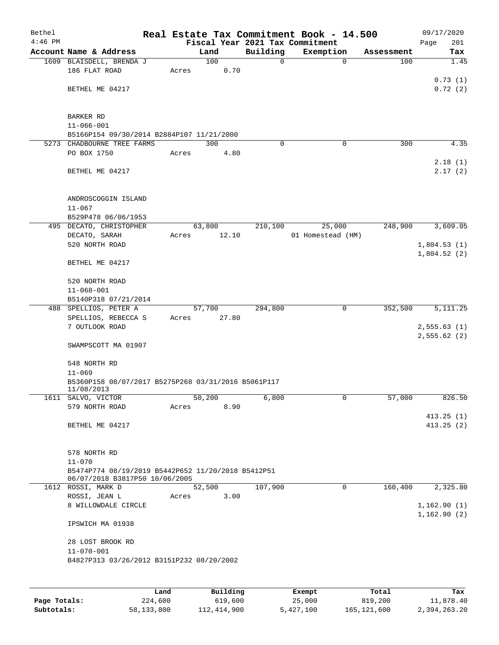| Bethel<br>$4:46$ PM |                                                                   |             |                                       |          | Real Estate Tax Commitment Book - 14.500<br>Fiscal Year 2021 Tax Commitment |            | 09/17/2020<br>201<br>Page |
|---------------------|-------------------------------------------------------------------|-------------|---------------------------------------|----------|-----------------------------------------------------------------------------|------------|---------------------------|
|                     | Account Name & Address                                            |             | Land                                  | Building | Exemption                                                                   | Assessment | Tax                       |
|                     | 1609 BLAISDELL, BRENDA J                                          |             | 100                                   | 0        | $\mathbf 0$                                                                 | 100        | 1.45                      |
|                     | 186 FLAT ROAD                                                     | Acres       | 0.70                                  |          |                                                                             |            |                           |
|                     |                                                                   |             |                                       |          |                                                                             |            | 0.73(1)                   |
|                     | BETHEL ME 04217                                                   |             |                                       |          |                                                                             |            | 0.72(2)                   |
|                     |                                                                   |             |                                       |          |                                                                             |            |                           |
|                     |                                                                   |             |                                       |          |                                                                             |            |                           |
|                     | <b>BARKER RD</b>                                                  |             |                                       |          |                                                                             |            |                           |
|                     | $11 - 066 - 001$                                                  |             |                                       |          |                                                                             |            |                           |
|                     | B5166P154 09/30/2014 B2884P107 11/21/2000                         |             |                                       |          |                                                                             |            |                           |
|                     | 5273 CHADBOURNE TREE FARMS<br>PO BOX 1750                         |             | 300<br>4.80                           | $\Omega$ | 0                                                                           | 300        | 4.35                      |
|                     |                                                                   | Acres       |                                       |          |                                                                             |            | 2.18(1)                   |
|                     | BETHEL ME 04217                                                   |             |                                       |          |                                                                             |            | 2.17(2)                   |
|                     |                                                                   |             |                                       |          |                                                                             |            |                           |
|                     |                                                                   |             |                                       |          |                                                                             |            |                           |
|                     | ANDROSCOGGIN ISLAND                                               |             |                                       |          |                                                                             |            |                           |
|                     | $11 - 067$                                                        |             |                                       |          |                                                                             |            |                           |
|                     | B529P478 06/06/1953                                               |             |                                       |          |                                                                             |            |                           |
|                     | 495 DECATO, CHRISTOPHER                                           |             | 63,800                                | 210,100  | 25,000                                                                      | 248,900    | 3,609.05                  |
|                     | DECATO, SARAH                                                     | Acres       | 12.10                                 |          | 01 Homestead (HM)                                                           |            |                           |
|                     | 520 NORTH ROAD                                                    |             |                                       |          |                                                                             |            | 1,804.53(1)               |
|                     |                                                                   |             |                                       |          |                                                                             |            | 1,804.52(2)               |
|                     | BETHEL ME 04217                                                   |             |                                       |          |                                                                             |            |                           |
|                     | 520 NORTH ROAD                                                    |             |                                       |          |                                                                             |            |                           |
|                     | $11 - 068 - 001$                                                  |             |                                       |          |                                                                             |            |                           |
|                     | B5140P318 07/21/2014                                              |             |                                       |          |                                                                             |            |                           |
|                     | 488 SPELLIOS, PETER A                                             |             | 57,700                                | 294,800  | 0                                                                           | 352,500    | 5, 111.25                 |
|                     | SPELLIOS, REBECCA S                                               | Acres       | 27.80                                 |          |                                                                             |            |                           |
|                     | 7 OUTLOOK ROAD                                                    |             |                                       |          |                                                                             |            | 2,555.63(1)               |
|                     |                                                                   |             |                                       |          |                                                                             |            | 2,555.62(2)               |
|                     | SWAMPSCOTT MA 01907                                               |             |                                       |          |                                                                             |            |                           |
|                     |                                                                   |             |                                       |          |                                                                             |            |                           |
|                     | 548 NORTH RD                                                      |             |                                       |          |                                                                             |            |                           |
|                     | $11 - 069$                                                        |             |                                       |          |                                                                             |            |                           |
|                     | B5360P158 08/07/2017 B5275P268 03/31/2016 B5061P117<br>11/08/2013 |             |                                       |          |                                                                             |            |                           |
|                     | 1611 SALVO, VICTOR                                                |             | 50,200                                | 6,800    | 0                                                                           | 57,000     | 826.50                    |
|                     | 579 NORTH ROAD                                                    | Acres       | 8.90                                  |          |                                                                             |            |                           |
|                     |                                                                   |             |                                       |          |                                                                             |            | 413.25(1)                 |
|                     | BETHEL ME 04217                                                   |             |                                       |          |                                                                             |            | 413.25(2)                 |
|                     |                                                                   |             |                                       |          |                                                                             |            |                           |
|                     |                                                                   |             |                                       |          |                                                                             |            |                           |
|                     | 578 NORTH RD                                                      |             |                                       |          |                                                                             |            |                           |
|                     | $11 - 070$                                                        |             |                                       |          |                                                                             |            |                           |
|                     | B5474P774 08/19/2019 B5442P652 11/20/2018 B5412P51                |             |                                       |          |                                                                             |            |                           |
|                     | 06/07/2018 B3817P50 10/06/2005<br>1612 ROSSI, MARK D              |             | 52,500                                | 107,900  | 0                                                                           | 160,400    | 2,325.80                  |
|                     | ROSSI, JEAN L                                                     | Acres       | 3.00                                  |          |                                                                             |            |                           |
|                     | 8 WILLOWDALE CIRCLE                                               |             |                                       |          |                                                                             |            | 1,162.90(1)               |
|                     |                                                                   |             |                                       |          |                                                                             |            | 1,162.90(2)               |
|                     | IPSWICH MA 01938                                                  |             |                                       |          |                                                                             |            |                           |
|                     |                                                                   |             |                                       |          |                                                                             |            |                           |
|                     | 28 LOST BROOK RD                                                  |             |                                       |          |                                                                             |            |                           |
|                     | $11 - 070 - 001$                                                  |             |                                       |          |                                                                             |            |                           |
|                     | B4827P313 03/26/2012 B3151P232 08/20/2002                         |             |                                       |          |                                                                             |            |                           |
|                     |                                                                   |             |                                       |          |                                                                             |            |                           |
|                     |                                                                   |             |                                       |          |                                                                             |            |                           |
|                     |                                                                   | <b>Tond</b> | $P_{\text{rel}}$ 14 $\text{im}\sigma$ |          | $F$ vomnt                                                                   | $T - 1$    | Tou                       |

|              | Land       | Building    | Exempt    | Total       | Tax          |
|--------------|------------|-------------|-----------|-------------|--------------|
| Page Totals: | 224,600    | 619,600     | 25,000    | 819,200     | 11,878.40    |
| Subtotals:   | 58,133,800 | 112,414,900 | 5,427,100 | 165,121,600 | 2,394,263.20 |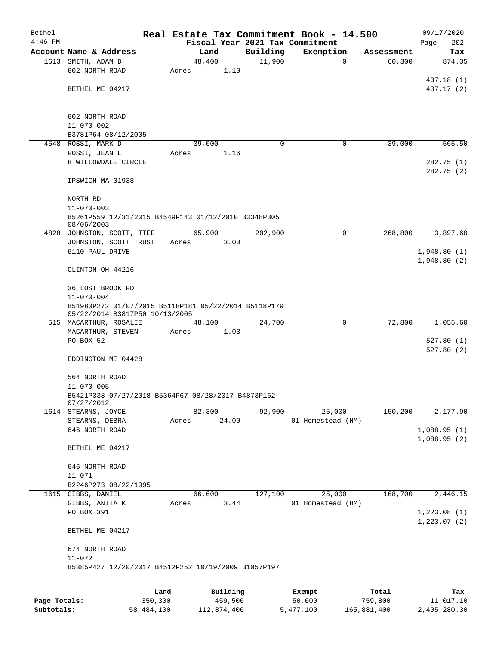| Bethel       |                                                      |         |        |          |          | Real Estate Tax Commitment Book - 14.500 |            | 09/17/2020                 |
|--------------|------------------------------------------------------|---------|--------|----------|----------|------------------------------------------|------------|----------------------------|
| $4:46$ PM    |                                                      |         |        |          |          | Fiscal Year 2021 Tax Commitment          |            | 202<br>Page                |
|              | Account Name & Address                               |         |        | Land     | Building | Exemption                                | Assessment | Tax                        |
|              | 1613 SMITH, ADAM D                                   |         | 48,400 |          | 11,900   | $\mathbf 0$                              | 60, 300    | 874.35                     |
|              | 602 NORTH ROAD                                       |         | Acres  | 1.10     |          |                                          |            | 437.18 (1)                 |
|              | BETHEL ME 04217                                      |         |        |          |          |                                          |            | 437.17 (2)                 |
|              |                                                      |         |        |          |          |                                          |            |                            |
|              |                                                      |         |        |          |          |                                          |            |                            |
|              | 602 NORTH ROAD                                       |         |        |          |          |                                          |            |                            |
|              | $11 - 070 - 002$                                     |         |        |          |          |                                          |            |                            |
|              | B3781P64 08/12/2005<br>4548 ROSSI, MARK D            |         | 39,000 |          | 0        | 0                                        | 39,000     | 565.50                     |
|              | ROSSI, JEAN L                                        |         | Acres  | 1.16     |          |                                          |            |                            |
|              | 8 WILLOWDALE CIRCLE                                  |         |        |          |          |                                          |            | 282.75(1)                  |
|              |                                                      |         |        |          |          |                                          |            | 282.75(2)                  |
|              | IPSWICH MA 01938                                     |         |        |          |          |                                          |            |                            |
|              | NORTH RD                                             |         |        |          |          |                                          |            |                            |
|              | $11 - 070 - 003$                                     |         |        |          |          |                                          |            |                            |
|              | B5261P559 12/31/2015 B4549P143 01/12/2010 B3348P305  |         |        |          |          |                                          |            |                            |
|              | 08/06/2003                                           |         |        |          |          |                                          |            |                            |
|              | 4828 JOHNSTON, SCOTT, TTEE                           |         | 65,900 |          | 202,900  | 0                                        | 268,800    | 3,897.60                   |
|              | JOHNSTON, SCOTT TRUST                                |         | Acres  | 3.00     |          |                                          |            |                            |
|              | 6110 PAUL DRIVE                                      |         |        |          |          |                                          |            | 1,948.80(1)<br>1,948.80(2) |
|              | CLINTON OH 44216                                     |         |        |          |          |                                          |            |                            |
|              |                                                      |         |        |          |          |                                          |            |                            |
|              | 36 LOST BROOK RD<br>$11 - 070 - 004$                 |         |        |          |          |                                          |            |                            |
|              | B51980P272 01/07/2015 B5118P181 05/22/2014 B5118P179 |         |        |          |          |                                          |            |                            |
|              | 05/22/2014 B3817P50 10/13/2005                       |         |        |          |          |                                          |            |                            |
|              | 515 MACARTHUR, ROSALIE                               |         | 48,100 |          | 24,700   | 0                                        | 72,800     | 1,055.60                   |
|              | MACARTHUR, STEVEN                                    |         | Acres  | 1.03     |          |                                          |            |                            |
|              | PO BOX 52                                            |         |        |          |          |                                          |            | 527.80(1)                  |
|              |                                                      |         |        |          |          |                                          |            | 527.80(2)                  |
|              | EDDINGTON ME 04428                                   |         |        |          |          |                                          |            |                            |
|              | 564 NORTH ROAD                                       |         |        |          |          |                                          |            |                            |
|              | $11 - 070 - 005$                                     |         |        |          |          |                                          |            |                            |
|              | B5421P338 07/27/2018 B5364P67 08/28/2017 B4873P162   |         |        |          |          |                                          |            |                            |
|              | 07/27/2012                                           |         | 82,300 |          |          |                                          | 150,200    |                            |
|              | 1614 STEARNS, JOYCE<br>STEARNS, DEBRA                |         | Acres  | 24.00    | 92,900   | 25,000<br>01 Homestead (HM)              |            | 2,177.90                   |
|              | 646 NORTH ROAD                                       |         |        |          |          |                                          |            | 1,088.95(1)                |
|              |                                                      |         |        |          |          |                                          |            | 1,088.95(2)                |
|              | BETHEL ME 04217                                      |         |        |          |          |                                          |            |                            |
|              | 646 NORTH ROAD                                       |         |        |          |          |                                          |            |                            |
|              | $11 - 071$                                           |         |        |          |          |                                          |            |                            |
|              | B2246P273 08/22/1995                                 |         |        |          |          |                                          |            |                            |
|              | 1615 GIBBS, DANIEL                                   |         | 66,600 |          | 127,100  | 25,000                                   | 168,700    | 2,446.15                   |
|              | GIBBS, ANITA K                                       |         | Acres  | 3.44     |          | 01 Homestead (HM)                        |            |                            |
|              | PO BOX 391                                           |         |        |          |          |                                          |            | 1,223.08(1)                |
|              |                                                      |         |        |          |          |                                          |            | 1,223.07(2)                |
|              | BETHEL ME 04217                                      |         |        |          |          |                                          |            |                            |
|              | 674 NORTH ROAD                                       |         |        |          |          |                                          |            |                            |
|              | $11 - 072$                                           |         |        |          |          |                                          |            |                            |
|              | B5385P427 12/20/2017 B4512P252 10/19/2009 B1057P197  |         |        |          |          |                                          |            |                            |
|              |                                                      |         |        |          |          |                                          |            |                            |
|              |                                                      | Land    |        | Building |          | Exempt                                   | Total      | Tax                        |
| Page Totals: |                                                      | 350,300 |        | 459,500  |          | 50,000                                   | 759,800    | 11,017.10                  |

**Subtotals:** 58,484,100 112,874,400 5,477,100 165,881,400 2,405,280.30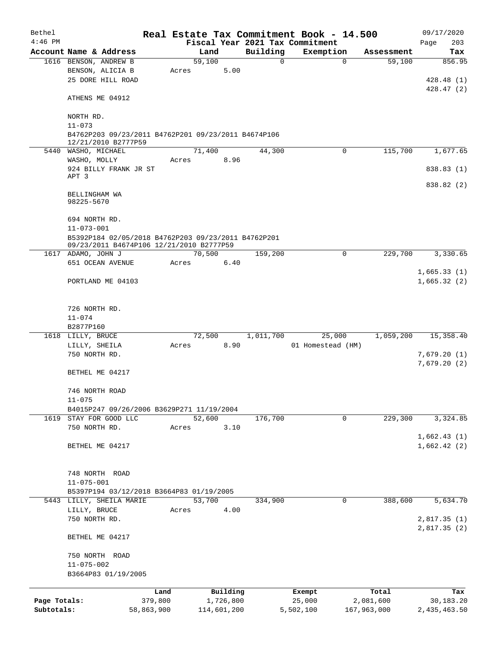| Bethel       |                                                                |       |             |           | Real Estate Tax Commitment Book - 14.500 |             | 09/17/2020   |
|--------------|----------------------------------------------------------------|-------|-------------|-----------|------------------------------------------|-------------|--------------|
| $4:46$ PM    |                                                                |       |             |           | Fiscal Year 2021 Tax Commitment          |             | Page<br>203  |
|              | Account Name & Address                                         |       | Land        | Building  | Exemption                                | Assessment  | Tax          |
|              | 1616 BENSON, ANDREW B                                          |       | 59,100      | 0         | $\mathbf 0$                              | 59,100      | 856.95       |
|              | BENSON, ALICIA B                                               | Acres | 5.00        |           |                                          |             | 428.48 (1)   |
|              | 25 DORE HILL ROAD                                              |       |             |           |                                          |             | 428.47(2)    |
|              | ATHENS ME 04912                                                |       |             |           |                                          |             |              |
|              | NORTH RD.                                                      |       |             |           |                                          |             |              |
|              | $11 - 073$                                                     |       |             |           |                                          |             |              |
|              | B4762P203 09/23/2011 B4762P201 09/23/2011 B4674P106            |       |             |           |                                          |             |              |
|              | 12/21/2010 B2777P59                                            |       |             |           |                                          |             |              |
|              | 5440 WASHO, MICHAEL                                            |       | 71,400      | 44,300    | 0                                        | 115,700     | 1,677.65     |
|              | WASHO, MOLLY<br>924 BILLY FRANK JR ST                          | Acres | 8.96        |           |                                          |             | 838.83 (1)   |
|              | APT 3                                                          |       |             |           |                                          |             |              |
|              |                                                                |       |             |           |                                          |             | 838.82 (2)   |
|              | BELLINGHAM WA<br>98225-5670                                    |       |             |           |                                          |             |              |
|              | 694 NORTH RD.                                                  |       |             |           |                                          |             |              |
|              | $11 - 073 - 001$                                               |       |             |           |                                          |             |              |
|              | B5392P184 02/05/2018 B4762P203 09/23/2011 B4762P201            |       |             |           |                                          |             |              |
|              | 09/23/2011 B4674P106 12/21/2010 B2777P59                       |       |             |           |                                          |             |              |
|              | 1617 ADAMO, JOHN J                                             |       | 70,500      | 159,200   | 0                                        | 229,700     | 3,330.65     |
|              | 651 OCEAN AVENUE                                               | Acres | 6.40        |           |                                          |             |              |
|              |                                                                |       |             |           |                                          |             | 1,665.33(1)  |
|              | PORTLAND ME 04103                                              |       |             |           |                                          |             | 1,665.32(2)  |
|              | 726 NORTH RD.                                                  |       |             |           |                                          |             |              |
|              | $11 - 074$                                                     |       |             |           |                                          |             |              |
|              | B2877P160                                                      |       |             |           |                                          |             |              |
|              | 1618 LILLY, BRUCE                                              |       | 72,500      | 1,011,700 | 25,000                                   | 1,059,200   | 15,358.40    |
|              | LILLY, SHEILA                                                  | Acres | 8.90        |           | 01 Homestead (HM)                        |             |              |
|              | 750 NORTH RD.                                                  |       |             |           |                                          |             | 7,679.20(1)  |
|              |                                                                |       |             |           |                                          |             | 7,679.20(2)  |
|              | BETHEL ME 04217                                                |       |             |           |                                          |             |              |
|              |                                                                |       |             |           |                                          |             |              |
|              | 746 NORTH ROAD                                                 |       |             |           |                                          |             |              |
|              | $11 - 075$                                                     |       |             |           |                                          |             |              |
| 1619         | B4015P247 09/26/2006 B3629P271 11/19/2004<br>STAY FOR GOOD LLC |       | 52,600      | 176,700   | 0                                        | 229,300     | 3,324.85     |
|              | 750 NORTH RD.                                                  | Acres | 3.10        |           |                                          |             |              |
|              |                                                                |       |             |           |                                          |             | 1,662.43(1)  |
|              | BETHEL ME 04217                                                |       |             |           |                                          |             | 1,662.42(2)  |
|              |                                                                |       |             |           |                                          |             |              |
|              |                                                                |       |             |           |                                          |             |              |
|              | 748 NORTH ROAD                                                 |       |             |           |                                          |             |              |
|              | $11 - 075 - 001$                                               |       |             |           |                                          |             |              |
|              | B5397P194 03/12/2018 B3664P83 01/19/2005                       |       | 53,700      |           |                                          |             |              |
| 5443         | LILLY, SHEILA MARIE<br>LILLY, BRUCE                            | Acres | 4.00        | 334,900   | 0                                        | 388,600     | 5,634.70     |
|              | 750 NORTH RD.                                                  |       |             |           |                                          |             | 2,817.35(1)  |
|              |                                                                |       |             |           |                                          |             | 2,817.35 (2) |
|              | BETHEL ME 04217                                                |       |             |           |                                          |             |              |
|              | 750 NORTH ROAD                                                 |       |             |           |                                          |             |              |
|              | $11 - 075 - 002$                                               |       |             |           |                                          |             |              |
|              | B3664P83 01/19/2005                                            |       |             |           |                                          |             |              |
|              |                                                                | Land  | Building    |           | Exempt                                   | Total       | Tax          |
| Page Totals: | 379,800                                                        |       | 1,726,800   |           | 25,000                                   | 2,081,600   | 30,183.20    |
| Subtotals:   | 58,863,900                                                     |       | 114,601,200 |           | 5,502,100                                | 167,963,000 | 2,435,463.50 |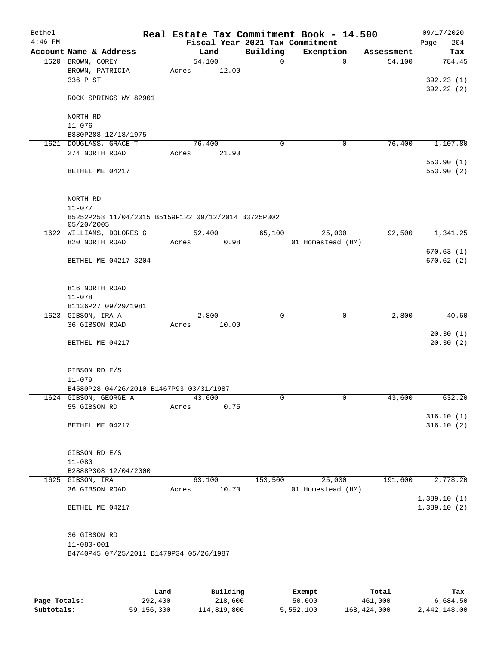| Bethel    |                                                     |       |        |          | Real Estate Tax Commitment Book - 14.500 |            | 09/17/2020  |
|-----------|-----------------------------------------------------|-------|--------|----------|------------------------------------------|------------|-------------|
| $4:46$ PM |                                                     |       |        |          | Fiscal Year 2021 Tax Commitment          |            | 204<br>Page |
|           | Account Name & Address                              |       | Land   | Building | Exemption                                | Assessment | Tax         |
|           | 1620 BROWN, COREY                                   |       | 54,100 | 0        | $\Omega$                                 | 54,100     | 784.45      |
|           | BROWN, PATRICIA                                     | Acres | 12.00  |          |                                          |            |             |
|           | 336 P ST                                            |       |        |          |                                          |            | 392.23(1)   |
|           |                                                     |       |        |          |                                          |            | 392.22(2)   |
|           | ROCK SPRINGS WY 82901                               |       |        |          |                                          |            |             |
|           |                                                     |       |        |          |                                          |            |             |
|           | NORTH RD                                            |       |        |          |                                          |            |             |
|           | $11 - 076$                                          |       |        |          |                                          |            |             |
|           | B880P288 12/18/1975                                 |       |        |          |                                          |            |             |
|           | 1621 DOUGLASS, GRACE T                              |       | 76,400 | 0        | 0                                        | 76,400     | 1,107.80    |
|           | 274 NORTH ROAD                                      | Acres | 21.90  |          |                                          |            |             |
|           |                                                     |       |        |          |                                          |            | 553.90(1)   |
|           | BETHEL ME 04217                                     |       |        |          |                                          |            | 553.90 (2)  |
|           |                                                     |       |        |          |                                          |            |             |
|           |                                                     |       |        |          |                                          |            |             |
|           | NORTH RD                                            |       |        |          |                                          |            |             |
|           | $11 - 077$                                          |       |        |          |                                          |            |             |
|           | B5252P258 11/04/2015 B5159P122 09/12/2014 B3725P302 |       |        |          |                                          |            |             |
|           | 05/20/2005                                          |       |        |          |                                          |            |             |
|           | 1622 WILLIAMS, DOLORES G                            |       | 52,400 | 65,100   | 25,000                                   | 92,500     | 1,341.25    |
|           | 820 NORTH ROAD                                      | Acres | 0.98   |          | 01 Homestead (HM)                        |            |             |
|           |                                                     |       |        |          |                                          |            | 670.63(1)   |
|           | BETHEL ME 04217 3204                                |       |        |          |                                          |            | 670.62(2)   |
|           |                                                     |       |        |          |                                          |            |             |
|           |                                                     |       |        |          |                                          |            |             |
|           | 816 NORTH ROAD                                      |       |        |          |                                          |            |             |
|           | $11 - 078$                                          |       |        |          |                                          |            |             |
|           | B1136P27 09/29/1981                                 |       |        |          |                                          |            |             |
|           | 1623 GIBSON, IRA A                                  |       | 2,800  | 0        | $\mathbf 0$                              | 2,800      | 40.60       |
|           | 36 GIBSON ROAD                                      | Acres | 10.00  |          |                                          |            |             |
|           |                                                     |       |        |          |                                          |            | 20.30(1)    |
|           | BETHEL ME 04217                                     |       |        |          |                                          |            | 20.30(2)    |
|           |                                                     |       |        |          |                                          |            |             |
|           |                                                     |       |        |          |                                          |            |             |
|           | GIBSON RD E/S                                       |       |        |          |                                          |            |             |
|           | $11 - 079$                                          |       |        |          |                                          |            |             |
|           | B4580P28 04/26/2010 B1467P93 03/31/1987             |       |        |          |                                          |            |             |
|           | 1624 GIBSON, GEORGE A                               |       | 43,600 | 0        | 0                                        | 43,600     | 632.20      |
|           | 55 GIBSON RD                                        | Acres | 0.75   |          |                                          |            |             |
|           |                                                     |       |        |          |                                          |            | 316.10(1)   |
|           | BETHEL ME 04217                                     |       |        |          |                                          |            | 316.10(2)   |
|           |                                                     |       |        |          |                                          |            |             |
|           |                                                     |       |        |          |                                          |            |             |
|           | GIBSON RD E/S                                       |       |        |          |                                          |            |             |
|           | $11 - 080$                                          |       |        |          |                                          |            |             |
|           | B2888P308 12/04/2000                                |       |        |          |                                          |            |             |
|           | 1625 GIBSON, IRA                                    |       | 63,100 | 153,500  | 25,000                                   | 191,600    | 2,778.20    |
|           | 36 GIBSON ROAD                                      | Acres | 10.70  |          | 01 Homestead (HM)                        |            |             |
|           |                                                     |       |        |          |                                          |            | 1,389.10(1) |
|           | BETHEL ME 04217                                     |       |        |          |                                          |            | 1,389.10(2) |
|           |                                                     |       |        |          |                                          |            |             |
|           |                                                     |       |        |          |                                          |            |             |
|           | 36 GIBSON RD                                        |       |        |          |                                          |            |             |
|           | $11 - 080 - 001$                                    |       |        |          |                                          |            |             |
|           | B4740P45 07/25/2011 B1479P34 05/26/1987             |       |        |          |                                          |            |             |
|           |                                                     |       |        |          |                                          |            |             |
|           |                                                     |       |        |          |                                          |            |             |
|           |                                                     |       |        |          |                                          |            |             |

|              | Land       | Building    | Exempt    | Total       | Tax          |
|--------------|------------|-------------|-----------|-------------|--------------|
| Page Totals: | 292,400    | 218,600     | 50,000    | 461,000     | 6,684.50     |
| Subtotals:   | 59,156,300 | 114,819,800 | 5,552,100 | 168,424,000 | 2,442,148.00 |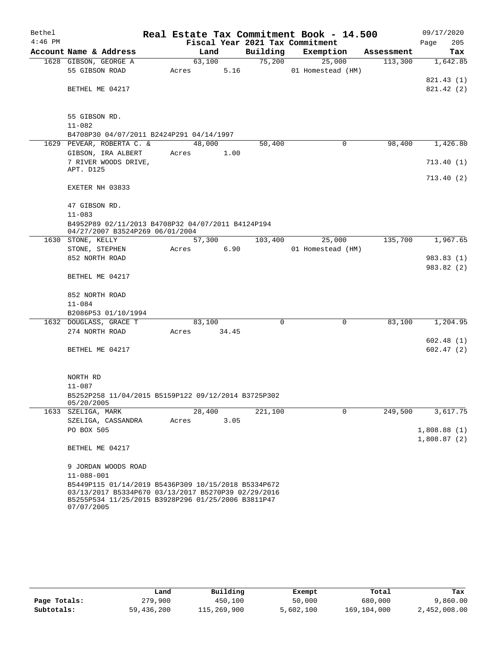| Bethel    |                                                                                                                         | Real Estate Tax Commitment Book - 14.500 |        |                                 |                   |            | 09/17/2020  |
|-----------|-------------------------------------------------------------------------------------------------------------------------|------------------------------------------|--------|---------------------------------|-------------------|------------|-------------|
| $4:46$ PM |                                                                                                                         |                                          |        | Fiscal Year 2021 Tax Commitment |                   |            | 205<br>Page |
|           | Account Name & Address                                                                                                  | Land                                     |        | Building                        | Exemption         | Assessment | Tax         |
|           | 1628 GIBSON, GEORGE A                                                                                                   |                                          | 63,100 | 75,200                          | 25,000            | 113,300    | 1,642.85    |
|           | 55 GIBSON ROAD                                                                                                          | Acres                                    | 5.16   |                                 | 01 Homestead (HM) |            |             |
|           |                                                                                                                         |                                          |        |                                 |                   |            | 821.43 (1)  |
|           | BETHEL ME 04217                                                                                                         |                                          |        |                                 |                   |            | 821.42 (2)  |
|           |                                                                                                                         |                                          |        |                                 |                   |            |             |
|           | 55 GIBSON RD.                                                                                                           |                                          |        |                                 |                   |            |             |
|           | $11 - 082$                                                                                                              |                                          |        |                                 |                   |            |             |
|           | B4708P30 04/07/2011 B2424P291 04/14/1997                                                                                |                                          |        |                                 |                   |            |             |
|           | 1629 PEVEAR, ROBERTA C. &                                                                                               | 48,000                                   |        | 50,400                          | $\mathbf 0$       | 98,400     | 1,426.80    |
|           | GIBSON, IRA ALBERT                                                                                                      | Acres                                    | 1.00   |                                 |                   |            |             |
|           | 7 RIVER WOODS DRIVE,                                                                                                    |                                          |        |                                 |                   |            | 713.40(1)   |
|           | APT. D125                                                                                                               |                                          |        |                                 |                   |            | 713.40(2)   |
|           | EXETER NH 03833                                                                                                         |                                          |        |                                 |                   |            |             |
|           | 47 GIBSON RD.                                                                                                           |                                          |        |                                 |                   |            |             |
|           | $11 - 083$                                                                                                              |                                          |        |                                 |                   |            |             |
|           | B4952P89 02/11/2013 B4708P32 04/07/2011 B4124P194<br>04/27/2007 B3524P269 06/01/2004                                    |                                          |        |                                 |                   |            |             |
|           | 1630 STONE, KELLY                                                                                                       | 57,300                                   |        | 103,400                         | 25,000            | 135,700    | 1,967.65    |
|           | STONE, STEPHEN                                                                                                          | Acres 6.90                               |        |                                 | 01 Homestead (HM) |            |             |
|           | 852 NORTH ROAD                                                                                                          |                                          |        |                                 |                   |            | 983.83 (1)  |
|           |                                                                                                                         |                                          |        |                                 |                   |            | 983.82 (2)  |
|           | BETHEL ME 04217                                                                                                         |                                          |        |                                 |                   |            |             |
|           | 852 NORTH ROAD                                                                                                          |                                          |        |                                 |                   |            |             |
|           | $11 - 084$                                                                                                              |                                          |        |                                 |                   |            |             |
|           | B2086P53 01/10/1994                                                                                                     |                                          |        |                                 |                   |            |             |
|           | 1632 DOUGLASS, GRACE T                                                                                                  | 83,100                                   |        | 0                               | 0                 | 83,100     | 1,204.95    |
|           | 274 NORTH ROAD                                                                                                          | Acres 34.45                              |        |                                 |                   |            |             |
|           |                                                                                                                         |                                          |        |                                 |                   |            | 602.48(1)   |
|           | BETHEL ME 04217                                                                                                         |                                          |        |                                 |                   |            | 602.47(2)   |
|           |                                                                                                                         |                                          |        |                                 |                   |            |             |
|           | NORTH RD                                                                                                                |                                          |        |                                 |                   |            |             |
|           | $11 - 087$                                                                                                              |                                          |        |                                 |                   |            |             |
|           | B5252P258 11/04/2015 B5159P122 09/12/2014 B3725P302                                                                     |                                          |        |                                 |                   |            |             |
|           | 05/20/2005<br>1633 SZELIGA, MARK                                                                                        | 28,400                                   |        | 221,100                         | 0                 | 249,500    | 3,617.75    |
|           | SZELIGA, CASSANDRA                                                                                                      | Acres                                    | 3.05   |                                 |                   |            |             |
|           | PO BOX 505                                                                                                              |                                          |        |                                 |                   |            | 1,808.88(1) |
|           |                                                                                                                         |                                          |        |                                 |                   |            | 1,808.87(2) |
|           | BETHEL ME 04217                                                                                                         |                                          |        |                                 |                   |            |             |
|           | 9 JORDAN WOODS ROAD                                                                                                     |                                          |        |                                 |                   |            |             |
|           | $11 - 088 - 001$                                                                                                        |                                          |        |                                 |                   |            |             |
|           | B5449P115 01/14/2019 B5436P309 10/15/2018 B5334P672                                                                     |                                          |        |                                 |                   |            |             |
|           | 03/13/2017 B5334P670 03/13/2017 B5270P39 02/29/2016<br>B5255P534 11/25/2015 B3928P296 01/25/2006 B3811P47<br>07/07/2005 |                                          |        |                                 |                   |            |             |

|              | Land       | Building    | Exempt    | Total       | Tax          |
|--------------|------------|-------------|-----------|-------------|--------------|
| Page Totals: | 279,900    | 450,100     | 50,000    | 680,000     | 9,860.00     |
| Subtotals:   | 59,436,200 | 115,269,900 | 5,602,100 | 169,104,000 | 2,452,008.00 |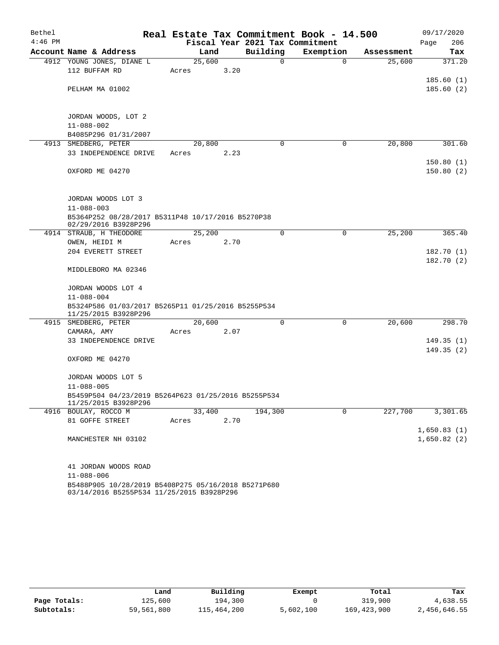| Bethel    |                                                                                                  | Real Estate Tax Commitment Book - 14.500 |      |                                 |             |            | 09/17/2020             |
|-----------|--------------------------------------------------------------------------------------------------|------------------------------------------|------|---------------------------------|-------------|------------|------------------------|
| $4:46$ PM |                                                                                                  |                                          |      | Fiscal Year 2021 Tax Commitment |             |            | Page<br>206            |
|           | Account Name & Address                                                                           | Land                                     |      | Building                        | Exemption   | Assessment | Tax                    |
|           | 4912 YOUNG JONES, DIANE L                                                                        | 25,600                                   |      | 0                               | $\mathbf 0$ | 25,600     | 371.20                 |
|           | 112 BUFFAM RD                                                                                    | Acres                                    | 3.20 |                                 |             |            |                        |
|           | PELHAM MA 01002                                                                                  |                                          |      |                                 |             |            | 185.60(1)<br>185.60(2) |
|           |                                                                                                  |                                          |      |                                 |             |            |                        |
|           |                                                                                                  |                                          |      |                                 |             |            |                        |
|           | JORDAN WOODS, LOT 2                                                                              |                                          |      |                                 |             |            |                        |
|           | $11 - 088 - 002$<br>B4085P296 01/31/2007                                                         |                                          |      |                                 |             |            |                        |
|           | 4913 SMEDBERG, PETER                                                                             | 20,800                                   |      | $\Omega$                        | 0           | 20,800     | 301.60                 |
|           | 33 INDEPENDENCE DRIVE                                                                            | Acres                                    | 2.23 |                                 |             |            |                        |
|           |                                                                                                  |                                          |      |                                 |             |            | 150.80(1)              |
|           | OXFORD ME 04270                                                                                  |                                          |      |                                 |             |            | 150.80(2)              |
|           |                                                                                                  |                                          |      |                                 |             |            |                        |
|           | JORDAN WOODS LOT 3                                                                               |                                          |      |                                 |             |            |                        |
|           | $11 - 088 - 003$                                                                                 |                                          |      |                                 |             |            |                        |
|           | B5364P252 08/28/2017 B5311P48 10/17/2016 B5270P38                                                |                                          |      |                                 |             |            |                        |
|           | 02/29/2016 B3928P296                                                                             |                                          |      |                                 |             |            |                        |
|           | 4914 STRAUB, H THEODORE                                                                          | 25,200                                   |      | $\mathbf 0$                     | $\mathbf 0$ | 25,200     | 365.40                 |
|           | OWEN, HEIDI M                                                                                    | Acres                                    | 2.70 |                                 |             |            |                        |
|           | 204 EVERETT STREET                                                                               |                                          |      |                                 |             |            | 182.70 (1)             |
|           | MIDDLEBORO MA 02346                                                                              |                                          |      |                                 |             |            | 182.70 (2)             |
|           | JORDAN WOODS LOT 4                                                                               |                                          |      |                                 |             |            |                        |
|           | $11 - 088 - 004$                                                                                 |                                          |      |                                 |             |            |                        |
|           | B5324P586 01/03/2017 B5265P11 01/25/2016 B5255P534                                               |                                          |      |                                 |             |            |                        |
|           | 11/25/2015 B3928P296                                                                             |                                          |      |                                 |             |            |                        |
|           | 4915 SMEDBERG, PETER                                                                             | 20,600                                   |      | 0                               | $\mathbf 0$ | 20,600     | 298.70                 |
|           | CAMARA, AMY                                                                                      | Acres                                    | 2.07 |                                 |             |            |                        |
|           | 33 INDEPENDENCE DRIVE                                                                            |                                          |      |                                 |             |            | 149.35(1)<br>149.35(2) |
|           | OXFORD ME 04270                                                                                  |                                          |      |                                 |             |            |                        |
|           | JORDAN WOODS LOT 5                                                                               |                                          |      |                                 |             |            |                        |
|           | $11 - 088 - 005$                                                                                 |                                          |      |                                 |             |            |                        |
|           | B5459P504 04/23/2019 B5264P623 01/25/2016 B5255P534<br>11/25/2015 B3928P296                      |                                          |      |                                 |             |            |                        |
|           | 4916 BOULAY, ROCCO M                                                                             | 33,400                                   |      | 194,300                         | 0           | 227,700    | 3,301.65               |
|           | 81 GOFFE STREET                                                                                  | Acres                                    | 2.70 |                                 |             |            |                        |
|           |                                                                                                  |                                          |      |                                 |             |            | 1,650.83(1)            |
|           | MANCHESTER NH 03102                                                                              |                                          |      |                                 |             |            | 1,650.82(2)            |
|           | 41 JORDAN WOODS ROAD                                                                             |                                          |      |                                 |             |            |                        |
|           | $11 - 088 - 006$                                                                                 |                                          |      |                                 |             |            |                        |
|           | B5488P905 10/28/2019 B5408P275 05/16/2018 B5271P680<br>03/14/2016 B5255P534 11/25/2015 B3928P296 |                                          |      |                                 |             |            |                        |

|              | Land       | Building    | Exempt    | Total         | Tax          |
|--------------|------------|-------------|-----------|---------------|--------------|
| Page Totals: | 125,600    | 194,300     |           | 319,900       | 4,638.55     |
| Subtotals:   | 59,561,800 | 115,464,200 | 5,602,100 | 169, 423, 900 | 2,456,646.55 |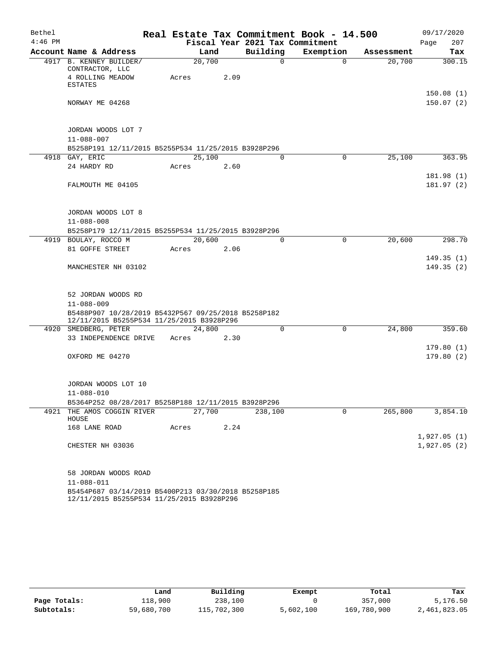| Bethel    |                                                                                                  |        |      |                                 | Real Estate Tax Commitment Book - 14.500 |            | 09/17/2020                 |
|-----------|--------------------------------------------------------------------------------------------------|--------|------|---------------------------------|------------------------------------------|------------|----------------------------|
| $4:46$ PM |                                                                                                  |        |      | Fiscal Year 2021 Tax Commitment |                                          |            | 207<br>Page                |
|           | Account Name & Address                                                                           | Land   |      | Building                        | Exemption                                | Assessment | Tax                        |
|           | 4917 B. KENNEY BUILDER/<br>CONTRACTOR, LLC                                                       | 20,700 |      | $\Omega$                        | $\Omega$                                 | 20,700     | 300.15                     |
|           | 4 ROLLING MEADOW<br><b>ESTATES</b>                                                               | Acres  | 2.09 |                                 |                                          |            |                            |
|           | NORWAY ME 04268                                                                                  |        |      |                                 |                                          |            | 150.08(1)<br>150.07(2)     |
|           | JORDAN WOODS LOT 7                                                                               |        |      |                                 |                                          |            |                            |
|           | $11 - 088 - 007$                                                                                 |        |      |                                 |                                          |            |                            |
|           | B5258P191 12/11/2015 B5255P534 11/25/2015 B3928P296                                              |        |      |                                 |                                          |            |                            |
|           | 4918 GAY, ERIC                                                                                   | 25,100 |      | $\Omega$                        | $\mathbf 0$                              | 25,100     | 363.95                     |
|           | 24 HARDY RD                                                                                      | Acres  | 2.60 |                                 |                                          |            |                            |
|           |                                                                                                  |        |      |                                 |                                          |            | 181.98 (1)                 |
|           | FALMOUTH ME 04105                                                                                |        |      |                                 |                                          |            | 181.97 (2)                 |
|           | JORDAN WOODS LOT 8                                                                               |        |      |                                 |                                          |            |                            |
|           | $11 - 088 - 008$                                                                                 |        |      |                                 |                                          |            |                            |
|           | B5258P179 12/11/2015 B5255P534 11/25/2015 B3928P296                                              |        |      |                                 |                                          |            |                            |
|           | 4919 BOULAY, ROCCO M                                                                             | 20,600 |      | $\Omega$                        | 0                                        | 20,600     | 298.70                     |
|           | 81 GOFFE STREET                                                                                  | Acres  | 2.06 |                                 |                                          |            |                            |
|           |                                                                                                  |        |      |                                 |                                          |            | 149.35(1)                  |
|           | MANCHESTER NH 03102                                                                              |        |      |                                 |                                          |            | 149.35(2)                  |
|           | 52 JORDAN WOODS RD                                                                               |        |      |                                 |                                          |            |                            |
|           | $11 - 088 - 009$                                                                                 |        |      |                                 |                                          |            |                            |
|           | B5488P907 10/28/2019 B5432P567 09/25/2018 B5258P182<br>12/11/2015 B5255P534 11/25/2015 B3928P296 |        |      |                                 |                                          |            |                            |
|           | 4920 SMEDBERG, PETER                                                                             | 24,800 |      | $\mathbf 0$                     | $\mathbf 0$                              | 24,800     | 359.60                     |
|           | 33 INDEPENDENCE DRIVE                                                                            | Acres  | 2.30 |                                 |                                          |            |                            |
|           | OXFORD ME 04270                                                                                  |        |      |                                 |                                          |            | 179.80(1)<br>179.80(2)     |
|           |                                                                                                  |        |      |                                 |                                          |            |                            |
|           | JORDAN WOODS LOT 10                                                                              |        |      |                                 |                                          |            |                            |
|           | $11 - 088 - 010$                                                                                 |        |      |                                 |                                          |            |                            |
|           | B5364P252 08/28/2017 B5258P188 12/11/2015 B3928P296                                              |        |      |                                 |                                          |            |                            |
|           | 4921 THE AMOS COGGIN RIVER<br>HOUSE                                                              | 27,700 |      | 238,100                         | $\Omega$                                 | 265,800    | 3,854.10                   |
|           | 168 LANE ROAD                                                                                    | Acres  | 2.24 |                                 |                                          |            |                            |
|           | CHESTER NH 03036                                                                                 |        |      |                                 |                                          |            | 1,927.05(1)<br>1,927.05(2) |
|           | 58 JORDAN WOODS ROAD                                                                             |        |      |                                 |                                          |            |                            |
|           | $11 - 088 - 011$                                                                                 |        |      |                                 |                                          |            |                            |
|           | B5454P687 03/14/2019 B5400P213 03/30/2018 B5258P185                                              |        |      |                                 |                                          |            |                            |

|              | Land       | Building    | Exempt    | Total       | Tax          |
|--------------|------------|-------------|-----------|-------------|--------------|
| Page Totals: | 118,900    | 238,100     |           | 357,000     | 5,176.50     |
| Subtotals:   | 59,680,700 | 115,702,300 | 5,602,100 | 169,780,900 | 2,461,823.05 |

12/11/2015 B5255P534 11/25/2015 B3928P296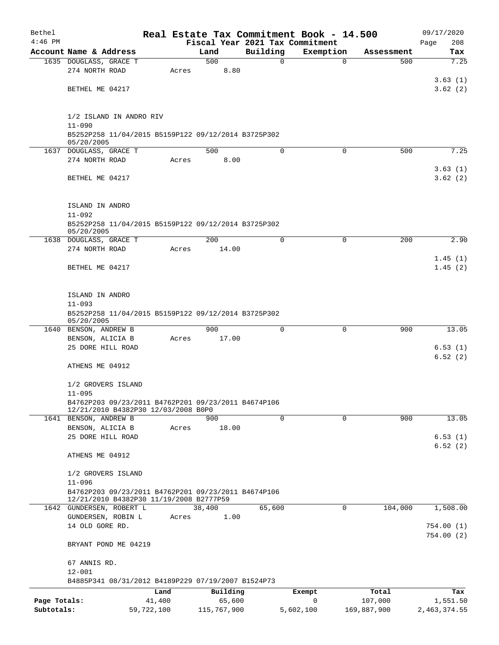| Bethel       |                                                                     |            |             |               | Real Estate Tax Commitment Book - 14.500     |                   | 09/17/2020         |
|--------------|---------------------------------------------------------------------|------------|-------------|---------------|----------------------------------------------|-------------------|--------------------|
| $4:46$ PM    |                                                                     |            |             |               | Fiscal Year 2021 Tax Commitment<br>Exemption |                   | 208<br>Page<br>Tax |
|              | Account Name & Address<br>1635 DOUGLASS, GRACE T                    |            | Land<br>500 | Building<br>0 | $\mathbf 0$                                  | Assessment<br>500 | 7.25               |
|              | 274 NORTH ROAD                                                      | Acres      | 8.80        |               |                                              |                   |                    |
|              |                                                                     |            |             |               |                                              |                   | 3.63(1)            |
|              | BETHEL ME 04217                                                     |            |             |               |                                              |                   | 3.62(2)            |
|              |                                                                     |            |             |               |                                              |                   |                    |
|              |                                                                     |            |             |               |                                              |                   |                    |
|              | 1/2 ISLAND IN ANDRO RIV<br>$11 - 090$                               |            |             |               |                                              |                   |                    |
|              | B5252P258 11/04/2015 B5159P122 09/12/2014 B3725P302                 |            |             |               |                                              |                   |                    |
|              | 05/20/2005                                                          |            |             |               |                                              |                   |                    |
|              | 1637 DOUGLASS, GRACE T                                              |            | 500         | $\Omega$      | 0                                            | 500               | 7.25               |
|              | 274 NORTH ROAD                                                      | Acres      | 8.00        |               |                                              |                   | 3.63(1)            |
|              | BETHEL ME 04217                                                     |            |             |               |                                              |                   | 3.62(2)            |
|              |                                                                     |            |             |               |                                              |                   |                    |
|              |                                                                     |            |             |               |                                              |                   |                    |
|              | ISLAND IN ANDRO                                                     |            |             |               |                                              |                   |                    |
|              | $11 - 092$                                                          |            |             |               |                                              |                   |                    |
|              | B5252P258 11/04/2015 B5159P122 09/12/2014 B3725P302<br>05/20/2005   |            |             |               |                                              |                   |                    |
|              | 1638 DOUGLASS, GRACE T                                              |            | 200         | $\Omega$      | 0                                            | 200               | 2.90               |
|              | 274 NORTH ROAD                                                      | Acres      | 14.00       |               |                                              |                   |                    |
|              | BETHEL ME 04217                                                     |            |             |               |                                              |                   | 1.45(1)<br>1.45(2) |
|              |                                                                     |            |             |               |                                              |                   |                    |
|              |                                                                     |            |             |               |                                              |                   |                    |
|              | ISLAND IN ANDRO                                                     |            |             |               |                                              |                   |                    |
|              | $11 - 093$                                                          |            |             |               |                                              |                   |                    |
|              | B5252P258 11/04/2015 B5159P122 09/12/2014 B3725P302<br>05/20/2005   |            |             |               |                                              |                   |                    |
|              | 1640 BENSON, ANDREW B                                               |            | 900         | $\Omega$      | 0                                            | 900               | 13.05              |
|              | BENSON, ALICIA B                                                    | Acres      | 17.00       |               |                                              |                   |                    |
|              | 25 DORE HILL ROAD                                                   |            |             |               |                                              |                   | 6.53(1)            |
|              |                                                                     |            |             |               |                                              |                   | 6.52(2)            |
|              | ATHENS ME 04912                                                     |            |             |               |                                              |                   |                    |
|              | 1/2 GROVERS ISLAND                                                  |            |             |               |                                              |                   |                    |
|              | $11 - 095$                                                          |            |             |               |                                              |                   |                    |
|              | B4762P203 09/23/2011 B4762P201 09/23/2011 B4674P106                 |            |             |               |                                              |                   |                    |
|              | 12/21/2010 B4382P30 12/03/2008 B0P0<br>1641 BENSON, ANDREW B        |            | 900         | 0             | $\mathbf 0$                                  | 900               | 13.05              |
|              | BENSON, ALICIA B                                                    | Acres      | 18.00       |               |                                              |                   |                    |
|              | 25 DORE HILL ROAD                                                   |            |             |               |                                              |                   | 6.53(1)            |
|              |                                                                     |            |             |               |                                              |                   | 6.52(2)            |
|              | ATHENS ME 04912                                                     |            |             |               |                                              |                   |                    |
|              | 1/2 GROVERS ISLAND                                                  |            |             |               |                                              |                   |                    |
|              | $11 - 096$                                                          |            |             |               |                                              |                   |                    |
|              | B4762P203 09/23/2011 B4762P201 09/23/2011 B4674P106                 |            |             |               |                                              |                   |                    |
|              | 12/21/2010 B4382P30 11/19/2008 B2777P59<br>1642 GUNDERSEN, ROBERT L |            | 38,400      | 65,600        | 0                                            | 104,000           | 1,508.00           |
|              | GUNDERSEN, ROBIN L                                                  | Acres      | 1.00        |               |                                              |                   |                    |
|              | 14 OLD GORE RD.                                                     |            |             |               |                                              |                   | 754.00(1)          |
|              |                                                                     |            |             |               |                                              |                   | 754.00(2)          |
|              | BRYANT POND ME 04219                                                |            |             |               |                                              |                   |                    |
|              | 67 ANNIS RD.                                                        |            |             |               |                                              |                   |                    |
|              | $12 - 001$                                                          |            |             |               |                                              |                   |                    |
|              | B4885P341 08/31/2012 B4189P229 07/19/2007 B1524P73                  |            |             |               |                                              |                   |                    |
|              |                                                                     | Land       | Building    |               | Exempt                                       | Total             | Tax                |
| Page Totals: |                                                                     | 41,400     | 65,600      |               | $\mathbf 0$                                  | 107,000           | 1,551.50           |
| Subtotals:   |                                                                     | 59,722,100 | 115,767,900 |               | 5,602,100                                    | 169,887,900       | 2, 463, 374.55     |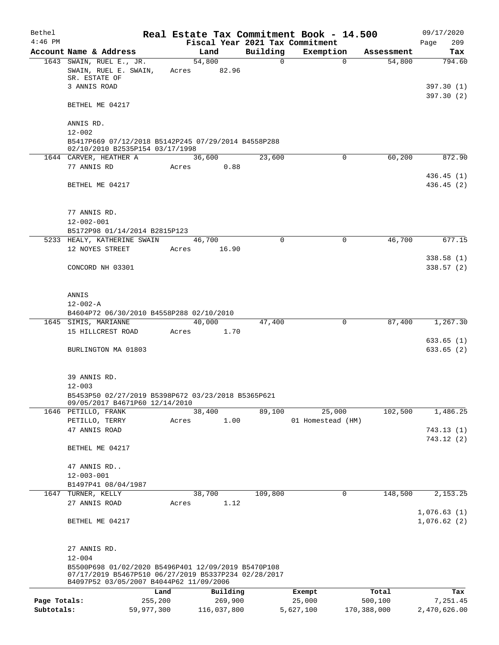| Bethel       |                                                                                                             |                 |       |                     |          | Real Estate Tax Commitment Book - 14.500 |                    | 09/17/2020              |
|--------------|-------------------------------------------------------------------------------------------------------------|-----------------|-------|---------------------|----------|------------------------------------------|--------------------|-------------------------|
| $4:46$ PM    |                                                                                                             |                 |       |                     |          | Fiscal Year 2021 Tax Commitment          |                    | 209<br>Page             |
|              | Account Name & Address                                                                                      |                 |       | Land                | Building | Exemption                                | Assessment         | Tax                     |
|              | 1643 SWAIN, RUEL E., JR.<br>SWAIN, RUEL E. SWAIN,<br>SR. ESTATE OF                                          |                 | Acres | 54,800<br>82.96     | 0        |                                          | $\Omega$<br>54,800 | 794.60                  |
|              | 3 ANNIS ROAD                                                                                                |                 |       |                     |          |                                          |                    | 397.30(1)               |
|              | BETHEL ME 04217                                                                                             |                 |       |                     |          |                                          |                    | 397.30(2)               |
|              | ANNIS RD.                                                                                                   |                 |       |                     |          |                                          |                    |                         |
|              | $12 - 002$<br>B5417P669 07/12/2018 B5142P245 07/29/2014 B4558P288<br>02/10/2010 B2535P154 03/17/1998        |                 |       |                     |          |                                          |                    |                         |
|              | 1644 CARVER, HEATHER A                                                                                      |                 |       | 36,600              | 23,600   |                                          | 60,200<br>0        | 872.90                  |
|              | 77 ANNIS RD                                                                                                 |                 | Acres | 0.88                |          |                                          |                    |                         |
|              | BETHEL ME 04217                                                                                             |                 |       |                     |          |                                          |                    | 436.45(1)<br>436.45(2)  |
|              | 77 ANNIS RD.                                                                                                |                 |       |                     |          |                                          |                    |                         |
|              | $12 - 002 - 001$                                                                                            |                 |       |                     |          |                                          |                    |                         |
|              | B5172P98 01/14/2014 B2815P123                                                                               |                 |       |                     |          |                                          |                    |                         |
|              | 5233 HEALY, KATHERINE SWAIN                                                                                 |                 |       | 46,700              | $\Omega$ |                                          | 46,700<br>0        | 677.15                  |
|              | 12 NOYES STREET                                                                                             |                 | Acres | 16.90               |          |                                          |                    |                         |
|              |                                                                                                             |                 |       |                     |          |                                          |                    | 338.58(1)               |
|              | CONCORD NH 03301                                                                                            |                 |       |                     |          |                                          |                    | 338.57(2)               |
|              | ANNIS                                                                                                       |                 |       |                     |          |                                          |                    |                         |
|              | $12 - 002 - A$                                                                                              |                 |       |                     |          |                                          |                    |                         |
|              | B4604P72 06/30/2010 B4558P288 02/10/2010                                                                    |                 |       |                     |          |                                          |                    |                         |
|              | 1645 SIMIS, MARIANNE                                                                                        |                 |       | 40,000              | 47,400   |                                          | 0<br>87,400        | 1,267.30                |
|              | 15 HILLCREST ROAD                                                                                           |                 | Acres | 1.70                |          |                                          |                    | 633.65(1)               |
|              | BURLINGTON MA 01803                                                                                         |                 |       |                     |          |                                          |                    | 633.65(2)               |
|              |                                                                                                             |                 |       |                     |          |                                          |                    |                         |
|              | 39 ANNIS RD.<br>$12 - 003$                                                                                  |                 |       |                     |          |                                          |                    |                         |
|              | B5453P50 02/27/2019 B5398P672 03/23/2018 B5365P621<br>09/05/2017 B4671P60 12/14/2010                        |                 |       |                     |          |                                          |                    |                         |
|              | 1646 PETILLO, FRANK                                                                                         |                 |       | 38,400              | 89,100   | 25,000                                   | 102,500            | 1,486.25                |
|              | PETILLO, TERRY                                                                                              |                 | Acres | 1.00                |          | 01 Homestead (HM)                        |                    |                         |
|              | 47 ANNIS ROAD                                                                                               |                 |       |                     |          |                                          |                    | 743.13(1)<br>743.12 (2) |
|              | BETHEL ME 04217                                                                                             |                 |       |                     |          |                                          |                    |                         |
|              | 47 ANNIS RD                                                                                                 |                 |       |                     |          |                                          |                    |                         |
|              | $12 - 003 - 001$                                                                                            |                 |       |                     |          |                                          |                    |                         |
|              | B1497P41 08/04/1987                                                                                         |                 |       |                     |          |                                          |                    |                         |
|              | 1647 TURNER, KELLY                                                                                          |                 |       | 38,700              | 109,800  |                                          | 148,500<br>0       | 2,153.25                |
|              | 27 ANNIS ROAD                                                                                               |                 | Acres | 1.12                |          |                                          |                    | 1,076.63(1)             |
|              | BETHEL ME 04217                                                                                             |                 |       |                     |          |                                          |                    | 1,076.62(2)             |
|              | 27 ANNIS RD.                                                                                                |                 |       |                     |          |                                          |                    |                         |
|              | $12 - 004$                                                                                                  |                 |       |                     |          |                                          |                    |                         |
|              | B5500P698 01/02/2020 B5496P401 12/09/2019 B5470P108<br>07/17/2019 B5467P510 06/27/2019 B5337P234 02/28/2017 |                 |       |                     |          |                                          |                    |                         |
|              | B4097P52 03/05/2007 B4044P62 11/09/2006                                                                     |                 |       |                     |          |                                          |                    |                         |
| Page Totals: |                                                                                                             | Land<br>255,200 |       | Building<br>269,900 |          | Exempt<br>25,000                         | Total<br>500,100   | Tax<br>7,251.45         |
| Subtotals:   |                                                                                                             | 59,977,300      |       | 116,037,800         |          | 5,627,100                                | 170,388,000        | 2,470,626.00            |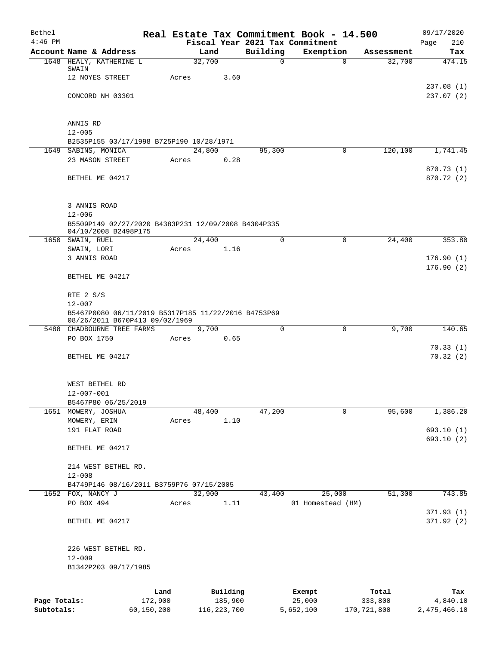| Bethel       |                                                                 |         |       |        |          |             | Real Estate Tax Commitment Book - 14.500     |            | 09/17/2020             |
|--------------|-----------------------------------------------------------------|---------|-------|--------|----------|-------------|----------------------------------------------|------------|------------------------|
| $4:46$ PM    | Account Name & Address                                          |         |       | Land   |          | Building    | Fiscal Year 2021 Tax Commitment<br>Exemption | Assessment | 210<br>Page<br>Tax     |
|              | 1648 HEALY, KATHERINE L                                         |         |       | 32,700 |          | $\mathbf 0$ | $\mathbf 0$                                  | 32,700     | 474.15                 |
|              | SWAIN                                                           |         |       |        |          |             |                                              |            |                        |
|              | 12 NOYES STREET                                                 |         | Acres |        | 3.60     |             |                                              |            |                        |
|              | CONCORD NH 03301                                                |         |       |        |          |             |                                              |            | 237.08(1)<br>237.07(2) |
|              |                                                                 |         |       |        |          |             |                                              |            |                        |
|              |                                                                 |         |       |        |          |             |                                              |            |                        |
|              | ANNIS RD                                                        |         |       |        |          |             |                                              |            |                        |
|              | $12 - 005$                                                      |         |       |        |          |             |                                              |            |                        |
|              | B2535P155 03/17/1998 B725P190 10/28/1971<br>1649 SABINS, MONICA |         |       | 24,800 |          | 95,300      | 0                                            | 120,100    | 1,741.45               |
|              | 23 MASON STREET                                                 |         | Acres |        | 0.28     |             |                                              |            |                        |
|              |                                                                 |         |       |        |          |             |                                              |            | 870.73 (1)             |
|              | BETHEL ME 04217                                                 |         |       |        |          |             |                                              |            | 870.72 (2)             |
|              |                                                                 |         |       |        |          |             |                                              |            |                        |
|              | 3 ANNIS ROAD                                                    |         |       |        |          |             |                                              |            |                        |
|              | $12 - 006$                                                      |         |       |        |          |             |                                              |            |                        |
|              | B5509P149 02/27/2020 B4383P231 12/09/2008 B4304P335             |         |       |        |          |             |                                              |            |                        |
|              | 04/10/2008 B2498P175                                            |         |       |        |          |             |                                              |            |                        |
|              | 1650 SWAIN, RUEL<br>SWAIN, LORI                                 |         | Acres | 24,400 | 1.16     | 0           | 0                                            | 24,400     | 353.80                 |
|              | 3 ANNIS ROAD                                                    |         |       |        |          |             |                                              |            | 176.90(1)              |
|              |                                                                 |         |       |        |          |             |                                              |            | 176.90(2)              |
|              | BETHEL ME 04217                                                 |         |       |        |          |             |                                              |            |                        |
|              |                                                                 |         |       |        |          |             |                                              |            |                        |
|              | RTE 2 S/S<br>$12 - 007$                                         |         |       |        |          |             |                                              |            |                        |
|              | B5467P0080 06/11/2019 B5317P185 11/22/2016 B4753P69             |         |       |        |          |             |                                              |            |                        |
|              | 08/26/2011 B670P413 09/02/1969                                  |         |       |        |          |             |                                              |            |                        |
|              | 5488 CHADBOURNE TREE FARMS                                      |         |       | 9,700  |          | $\Omega$    | 0                                            | 9,700      | 140.65                 |
|              | PO BOX 1750                                                     |         | Acres |        | 0.65     |             |                                              |            | 70.33(1)               |
|              | BETHEL ME 04217                                                 |         |       |        |          |             |                                              |            | 70.32(2)               |
|              |                                                                 |         |       |        |          |             |                                              |            |                        |
|              |                                                                 |         |       |        |          |             |                                              |            |                        |
|              | WEST BETHEL RD<br>$12 - 007 - 001$                              |         |       |        |          |             |                                              |            |                        |
|              | B5467P80 06/25/2019                                             |         |       |        |          |             |                                              |            |                        |
|              | 1651 MOWERY, JOSHUA                                             |         |       | 48,400 |          | 47,200      | 0                                            | 95,600     | 1,386.20               |
|              | MOWERY, ERIN                                                    |         | Acres |        | 1.10     |             |                                              |            |                        |
|              | 191 FLAT ROAD                                                   |         |       |        |          |             |                                              |            | 693.10 (1)             |
|              | BETHEL ME 04217                                                 |         |       |        |          |             |                                              |            | 693.10 (2)             |
|              |                                                                 |         |       |        |          |             |                                              |            |                        |
|              | 214 WEST BETHEL RD.                                             |         |       |        |          |             |                                              |            |                        |
|              | $12 - 008$                                                      |         |       |        |          |             |                                              |            |                        |
|              | B4749P146 08/16/2011 B3759P76 07/15/2005                        |         |       |        |          |             |                                              |            |                        |
|              | 1652 FOX, NANCY J                                               |         |       | 32,900 |          | 43,400      | 25,000                                       | 51,300     | 743.85                 |
|              | PO BOX 494                                                      |         | Acres |        | 1.11     |             | 01 Homestead (HM)                            |            | 371.93 (1)             |
|              | BETHEL ME 04217                                                 |         |       |        |          |             |                                              |            | 371.92(2)              |
|              |                                                                 |         |       |        |          |             |                                              |            |                        |
|              |                                                                 |         |       |        |          |             |                                              |            |                        |
|              | 226 WEST BETHEL RD.<br>$12 - 009$                               |         |       |        |          |             |                                              |            |                        |
|              | B1342P203 09/17/1985                                            |         |       |        |          |             |                                              |            |                        |
|              |                                                                 |         |       |        |          |             |                                              |            |                        |
|              |                                                                 | Land    |       |        | Building |             | Exempt                                       | Total      | Tax                    |
| Page Totals: |                                                                 | 172,900 |       |        | 185,900  |             | 25,000                                       | 333,800    | 4,840.10               |

**Subtotals:** 60,150,200 116,223,700 5,652,100 170,721,800 2,475,466.10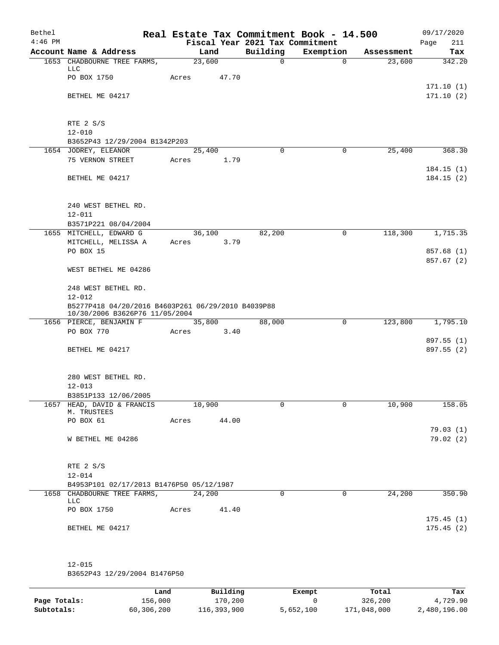| Bethel<br>$4:46$ PM |                                                                                      |            |        | Fiscal Year 2021 Tax Commitment | Real Estate Tax Commitment Book - 14.500 |            | 09/17/2020<br>211      |  |  |  |
|---------------------|--------------------------------------------------------------------------------------|------------|--------|---------------------------------|------------------------------------------|------------|------------------------|--|--|--|
|                     | Account Name & Address                                                               |            | Land   | Building                        | Exemption                                | Assessment | Page<br>Tax            |  |  |  |
|                     | 1653 CHADBOURNE TREE FARMS,                                                          | 23,600     |        | 0                               | $\Omega$                                 | 23,600     | 342.20                 |  |  |  |
|                     | LLC                                                                                  |            |        |                                 |                                          |            |                        |  |  |  |
|                     | PO BOX 1750                                                                          | Acres      | 47.70  |                                 |                                          |            | 171.10(1)              |  |  |  |
|                     | BETHEL ME 04217                                                                      |            |        |                                 |                                          |            | 171.10(2)              |  |  |  |
|                     |                                                                                      |            |        |                                 |                                          |            |                        |  |  |  |
|                     |                                                                                      |            |        |                                 |                                          |            |                        |  |  |  |
|                     | RTE 2 S/S                                                                            |            |        |                                 |                                          |            |                        |  |  |  |
|                     | $12 - 010$<br>B3652P43 12/29/2004 B1342P203                                          |            |        |                                 |                                          |            |                        |  |  |  |
|                     | 1654 JODREY, ELEANOR                                                                 | 25,400     |        | $\Omega$                        | $\Omega$                                 | 25,400     | 368.30                 |  |  |  |
|                     | 75 VERNON STREET                                                                     | Acres 1.79 |        |                                 |                                          |            |                        |  |  |  |
|                     |                                                                                      |            |        |                                 |                                          |            | 184.15(1)              |  |  |  |
|                     | BETHEL ME 04217                                                                      |            |        |                                 |                                          |            | 184.15(2)              |  |  |  |
|                     |                                                                                      |            |        |                                 |                                          |            |                        |  |  |  |
|                     | 240 WEST BETHEL RD.                                                                  |            |        |                                 |                                          |            |                        |  |  |  |
|                     | $12 - 011$                                                                           |            |        |                                 |                                          |            |                        |  |  |  |
|                     | B3571P221 08/04/2004                                                                 |            |        |                                 |                                          |            |                        |  |  |  |
|                     | 1655 MITCHELL, EDWARD G                                                              |            | 36,100 | 82,200                          | 0                                        | 118,300    | 1,715.35               |  |  |  |
|                     | MITCHELL, MELISSA A                                                                  | Acres 3.79 |        |                                 |                                          |            |                        |  |  |  |
|                     | PO BOX 15                                                                            |            |        |                                 |                                          |            | 857.68 (1)             |  |  |  |
|                     | WEST BETHEL ME 04286                                                                 |            |        |                                 |                                          |            | 857.67 (2)             |  |  |  |
|                     |                                                                                      |            |        |                                 |                                          |            |                        |  |  |  |
|                     | 248 WEST BETHEL RD.                                                                  |            |        |                                 |                                          |            |                        |  |  |  |
|                     | $12 - 012$                                                                           |            |        |                                 |                                          |            |                        |  |  |  |
|                     | B5277P418 04/20/2016 B4603P261 06/29/2010 B4039P88<br>10/30/2006 B3626P76 11/05/2004 |            |        |                                 |                                          |            |                        |  |  |  |
|                     | 1656 PIERCE, BENJAMIN F                                                              | 35,800     |        | 88,000                          | 0                                        |            | 123,800 1,795.10       |  |  |  |
|                     | PO BOX 770                                                                           | Acres      | 3.40   |                                 |                                          |            |                        |  |  |  |
|                     |                                                                                      |            |        |                                 |                                          |            | 897.55 (1)             |  |  |  |
|                     | BETHEL ME 04217                                                                      |            |        |                                 |                                          |            | 897.55 (2)             |  |  |  |
|                     |                                                                                      |            |        |                                 |                                          |            |                        |  |  |  |
|                     | 280 WEST BETHEL RD.                                                                  |            |        |                                 |                                          |            |                        |  |  |  |
|                     | $12 - 013$                                                                           |            |        |                                 |                                          |            |                        |  |  |  |
|                     | B3851P133 12/06/2005                                                                 |            |        |                                 |                                          |            |                        |  |  |  |
|                     | 1657 HEAD, DAVID & FRANCIS                                                           | 10,900     |        | 0                               | $\mathbf 0$                              | 10,900     | 158.05                 |  |  |  |
|                     | M. TRUSTEES<br>PO BOX 61                                                             | Acres      | 44.00  |                                 |                                          |            |                        |  |  |  |
|                     |                                                                                      |            |        |                                 |                                          |            | 79.03(1)               |  |  |  |
|                     | W BETHEL ME 04286                                                                    |            |        |                                 |                                          |            | 79.02(2)               |  |  |  |
|                     |                                                                                      |            |        |                                 |                                          |            |                        |  |  |  |
|                     |                                                                                      |            |        |                                 |                                          |            |                        |  |  |  |
|                     | RTE 2 S/S<br>$12 - 014$                                                              |            |        |                                 |                                          |            |                        |  |  |  |
|                     | B4953P101 02/17/2013 B1476P50 05/12/1987                                             |            |        |                                 |                                          |            |                        |  |  |  |
|                     | 1658 CHADBOURNE TREE FARMS,                                                          | 24,200     |        | $\mathbf 0$                     | $\mathbf 0$                              | 24,200     | 350.90                 |  |  |  |
|                     | LLC                                                                                  |            |        |                                 |                                          |            |                        |  |  |  |
|                     | PO BOX 1750                                                                          | Acres      | 41.40  |                                 |                                          |            |                        |  |  |  |
|                     | BETHEL ME 04217                                                                      |            |        |                                 |                                          |            | 175.45(1)<br>175.45(2) |  |  |  |
|                     |                                                                                      |            |        |                                 |                                          |            |                        |  |  |  |
|                     |                                                                                      |            |        |                                 |                                          |            |                        |  |  |  |
|                     |                                                                                      |            |        |                                 |                                          |            |                        |  |  |  |
|                     | $12 - 015$                                                                           |            |        |                                 |                                          |            |                        |  |  |  |

B3652P43 12/29/2004 B1476P50

|              | Land       | Building    | Exempt    | Total       | Tax          |
|--------------|------------|-------------|-----------|-------------|--------------|
| Page Totals: | 156,000    | 170,200     |           | 326,200     | 4,729.90     |
| Subtotals:   | 60,306,200 | 116,393,900 | 5,652,100 | 171,048,000 | 2,480,196.00 |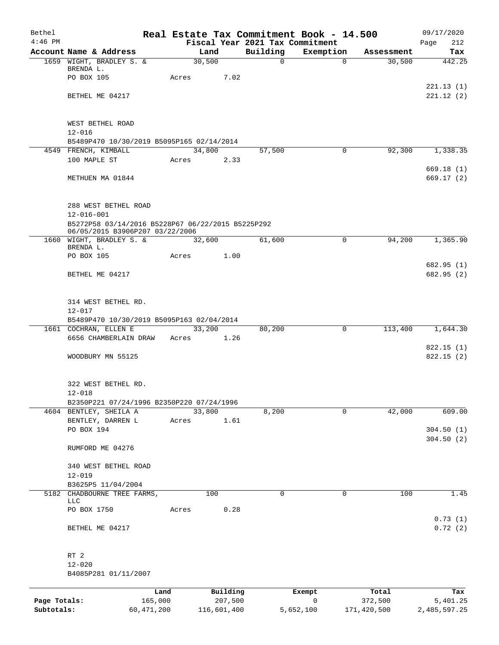| Bethel       |                                                                                      |         |        |          |              | Real Estate Tax Commitment Book - 14.500 |                      | 09/17/2020             |
|--------------|--------------------------------------------------------------------------------------|---------|--------|----------|--------------|------------------------------------------|----------------------|------------------------|
| $4:46$ PM    | Account Name & Address                                                               |         | Land   |          | Building     | Fiscal Year 2021 Tax Commitment          |                      | Page<br>212            |
|              | 1659 WIGHT, BRADLEY S. &                                                             |         | 30,500 |          | $\mathsf{O}$ | Exemption<br>$\mathbf 0$                 | Assessment<br>30,500 | Tax<br>442.25          |
|              | BRENDA L.                                                                            |         |        |          |              |                                          |                      |                        |
|              | PO BOX 105                                                                           | Acres   |        | 7.02     |              |                                          |                      |                        |
|              | BETHEL ME 04217                                                                      |         |        |          |              |                                          |                      | 221.13(1)<br>221.12(2) |
|              |                                                                                      |         |        |          |              |                                          |                      |                        |
|              |                                                                                      |         |        |          |              |                                          |                      |                        |
|              | WEST BETHEL ROAD                                                                     |         |        |          |              |                                          |                      |                        |
|              | $12 - 016$<br>B5489P470 10/30/2019 B5095P165 02/14/2014                              |         |        |          |              |                                          |                      |                        |
|              | 4549 FRENCH, KIMBALL                                                                 |         | 34,800 |          | 57,500       | 0                                        | 92,300               | 1,338.35               |
|              | 100 MAPLE ST                                                                         | Acres   |        | 2.33     |              |                                          |                      |                        |
|              |                                                                                      |         |        |          |              |                                          |                      | 669.18(1)              |
|              | METHUEN MA 01844                                                                     |         |        |          |              |                                          |                      | 669.17(2)              |
|              |                                                                                      |         |        |          |              |                                          |                      |                        |
|              | 288 WEST BETHEL ROAD                                                                 |         |        |          |              |                                          |                      |                        |
|              | $12 - 016 - 001$                                                                     |         |        |          |              |                                          |                      |                        |
|              | B5272P58 03/14/2016 B5228P67 06/22/2015 B5225P292<br>06/05/2015 B3906P207 03/22/2006 |         |        |          |              |                                          |                      |                        |
|              | 1660 WIGHT, BRADLEY S. &                                                             |         | 32,600 |          | 61,600       | $\mathbf 0$                              | 94,200               | 1,365.90               |
|              | BRENDA L.                                                                            |         |        |          |              |                                          |                      |                        |
|              | PO BOX 105                                                                           | Acres   |        | 1.00     |              |                                          |                      | 682.95 (1)             |
|              | BETHEL ME 04217                                                                      |         |        |          |              |                                          |                      | 682.95 (2)             |
|              |                                                                                      |         |        |          |              |                                          |                      |                        |
|              |                                                                                      |         |        |          |              |                                          |                      |                        |
|              | 314 WEST BETHEL RD.<br>$12 - 017$                                                    |         |        |          |              |                                          |                      |                        |
|              | B5489P470 10/30/2019 B5095P163 02/04/2014                                            |         |        |          |              |                                          |                      |                        |
|              | 1661 COCHRAN, ELLEN E                                                                |         | 33,200 |          | 80,200       | 0                                        | 113,400              | 1,644.30               |
|              | 6656 CHAMBERLAIN DRAW                                                                |         | Acres  | 1.26     |              |                                          |                      |                        |
|              |                                                                                      |         |        |          |              |                                          |                      | 822.15(1)              |
|              | WOODBURY MN 55125                                                                    |         |        |          |              |                                          |                      | 822.15 (2)             |
|              |                                                                                      |         |        |          |              |                                          |                      |                        |
|              | 322 WEST BETHEL RD.                                                                  |         |        |          |              |                                          |                      |                        |
|              | $12 - 018$                                                                           |         |        |          |              |                                          |                      |                        |
|              | B2350P221 07/24/1996 B2350P220 07/24/1996<br>4604 BENTLEY, SHEILA A                  |         | 33,800 |          | 8,200        | $\Omega$                                 | 42,000               | 609.00                 |
|              | BENTLEY, DARREN L                                                                    | Acres   |        | 1.61     |              |                                          |                      |                        |
|              | PO BOX 194                                                                           |         |        |          |              |                                          |                      | 304.50(1)              |
|              |                                                                                      |         |        |          |              |                                          |                      | 304.50(2)              |
|              | RUMFORD ME 04276                                                                     |         |        |          |              |                                          |                      |                        |
|              | 340 WEST BETHEL ROAD                                                                 |         |        |          |              |                                          |                      |                        |
|              | $12 - 019$                                                                           |         |        |          |              |                                          |                      |                        |
|              | B3625P5 11/04/2004                                                                   |         |        |          |              |                                          |                      |                        |
|              | 5182 CHADBOURNE TREE FARMS,<br><b>LLC</b>                                            |         | 100    |          | $\mathbf 0$  | $\mathbf 0$                              | 100                  | 1.45                   |
|              | PO BOX 1750                                                                          | Acres   |        | 0.28     |              |                                          |                      |                        |
|              |                                                                                      |         |        |          |              |                                          |                      | 0.73(1)                |
|              | BETHEL ME 04217                                                                      |         |        |          |              |                                          |                      | 0.72(2)                |
|              |                                                                                      |         |        |          |              |                                          |                      |                        |
|              | RT <sub>2</sub>                                                                      |         |        |          |              |                                          |                      |                        |
|              | $12 - 020$                                                                           |         |        |          |              |                                          |                      |                        |
|              | B4085P281 01/11/2007                                                                 |         |        |          |              |                                          |                      |                        |
|              |                                                                                      | Land    |        | Building |              | Exempt                                   | Total                | Tax                    |
| Page Totals: |                                                                                      | 165,000 |        | 207,500  |              | 0                                        | 372,500              | 5,401.25               |

**Subtotals:** 60,471,200 116,601,400 5,652,100 171,420,500 2,485,597.25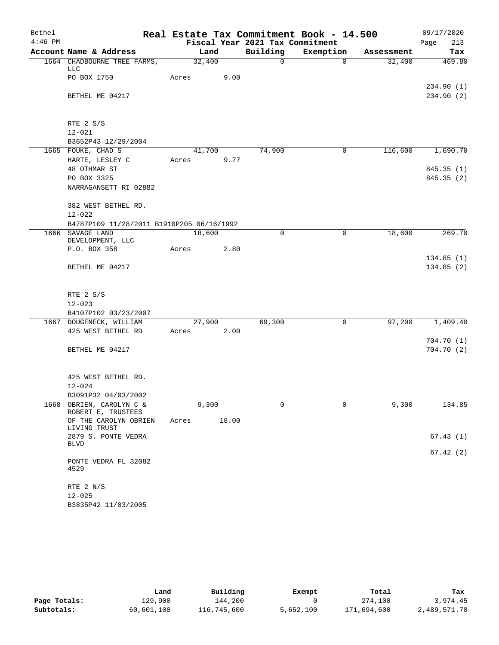| Bethel    |                                                 |            |        |                                 | Real Estate Tax Commitment Book - 14.500 |            | 09/17/2020  |
|-----------|-------------------------------------------------|------------|--------|---------------------------------|------------------------------------------|------------|-------------|
| $4:46$ PM |                                                 |            |        | Fiscal Year 2021 Tax Commitment |                                          |            | 213<br>Page |
|           | Account Name & Address                          | Land       |        | Building                        | Exemption                                | Assessment | Tax         |
|           | 1664 CHADBOURNE TREE FARMS,<br>LLC              | 32,400     |        | $\mathsf{O}$                    | $\Omega$                                 | 32,400     | 469.80      |
|           | PO BOX 1750                                     | Acres      | 9.00   |                                 |                                          |            |             |
|           |                                                 |            |        |                                 |                                          |            | 234.90(1)   |
|           | BETHEL ME 04217                                 |            |        |                                 |                                          |            | 234.90 (2)  |
|           | RTE 2 S/S                                       |            |        |                                 |                                          |            |             |
|           | $12 - 021$                                      |            |        |                                 |                                          |            |             |
|           | B3652P43 12/29/2004                             |            |        |                                 |                                          |            |             |
|           | 1665 FOUKE, CHAD S                              |            | 41,700 | 74,900                          | $\mathbf 0$                              | 116,600    | 1,690.70    |
|           | HARTE, LESLEY C                                 | Acres 9.77 |        |                                 |                                          |            |             |
|           | 48 OTHMAR ST                                    |            |        |                                 |                                          |            | 845.35 (1)  |
|           | PO BOX 3325                                     |            |        |                                 |                                          |            | 845.35(2)   |
|           | NARRAGANSETT RI 02882                           |            |        |                                 |                                          |            |             |
|           | 382 WEST BETHEL RD.                             |            |        |                                 |                                          |            |             |
|           | $12 - 022$                                      |            |        |                                 |                                          |            |             |
|           | B4787P109 11/28/2011 B1910P205 06/16/1992       |            |        |                                 |                                          |            |             |
|           | 1666 SAVAGE LAND<br>DEVELOPMENT, LLC            | 18,600     |        | 0                               | 0                                        | 18,600     | 269.70      |
|           | P.O. BOX 358                                    | Acres      | 2.80   |                                 |                                          |            |             |
|           |                                                 |            |        |                                 |                                          |            | 134.85(1)   |
|           | BETHEL ME 04217                                 |            |        |                                 |                                          |            | 134.85(2)   |
|           |                                                 |            |        |                                 |                                          |            |             |
|           | RTE 2 S/S                                       |            |        |                                 |                                          |            |             |
|           | $12 - 023$                                      |            |        |                                 |                                          |            |             |
|           | B4107P102 03/23/2007<br>1667 DOUGENECK, WILLIAM |            | 27,900 | 69,300                          | 0                                        | 97,200     | 1,409.40    |
|           | 425 WEST BETHEL RD                              | Acres      | 2.00   |                                 |                                          |            |             |
|           |                                                 |            |        |                                 |                                          |            | 704.70(1)   |
|           | BETHEL ME 04217                                 |            |        |                                 |                                          |            | 704.70(2)   |
|           |                                                 |            |        |                                 |                                          |            |             |
|           | 425 WEST BETHEL RD.                             |            |        |                                 |                                          |            |             |
|           | $12 - 024$                                      |            |        |                                 |                                          |            |             |
|           | B3091P32 04/03/2002                             |            |        |                                 |                                          |            |             |
|           | 1668 OBRIEN, CAROLYN C &<br>ROBERT E, TRUSTEES  | 9,300      |        | 0                               | 0                                        | 9,300      | 134.85      |
|           | OF THE CAROLYN OBRIEN<br>LIVING TRUST           | Acres      | 18.00  |                                 |                                          |            |             |
|           | 2879 S. PONTE VEDRA                             |            |        |                                 |                                          |            | 67.43(1)    |
|           | <b>BLVD</b>                                     |            |        |                                 |                                          |            | 67.42(2)    |
|           | PONTE VEDRA FL 32082<br>4529                    |            |        |                                 |                                          |            |             |
|           | RTE 2 N/S                                       |            |        |                                 |                                          |            |             |
|           | $12 - 025$                                      |            |        |                                 |                                          |            |             |
|           | B3835P42 11/03/2005                             |            |        |                                 |                                          |            |             |

|              | Land       | Building    | Exempt    | Total       | Tax          |
|--------------|------------|-------------|-----------|-------------|--------------|
| Page Totals: | 129,900    | 144,200     |           | 274,100     | 3,974.45     |
| Subtotals:   | 60,601,100 | 116,745,600 | 5,652,100 | 171,694,600 | 2,489,571.70 |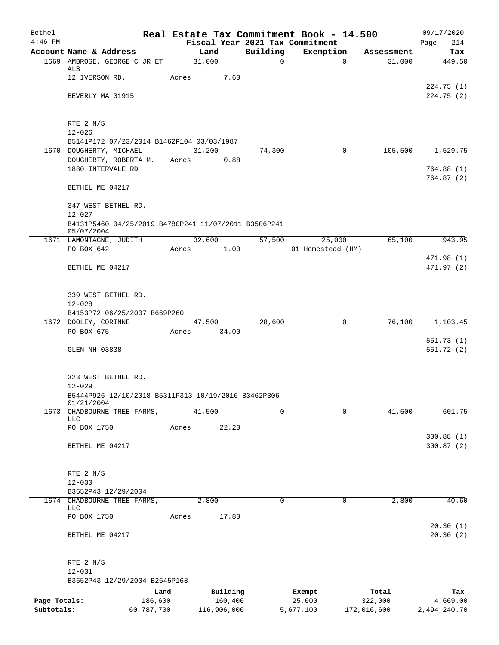| Bethel                     |                                                                    |            |               |              | Real Estate Tax Commitment Book - 14.500 |                      | 09/17/2020             |  |  |
|----------------------------|--------------------------------------------------------------------|------------|---------------|--------------|------------------------------------------|----------------------|------------------------|--|--|
| $4:46$ PM                  | Account Name & Address                                             |            | Land          | Building     | Fiscal Year 2021 Tax Commitment          |                      | Page<br>214            |  |  |
|                            | 1669 AMBROSE, GEORGE C JR ET                                       |            | 31,000        | $\mathsf{O}$ | Exemption<br>$\mathbf 0$                 | Assessment<br>31,000 | Tax<br>449.50          |  |  |
|                            | ALS                                                                |            |               |              |                                          |                      |                        |  |  |
|                            | 12 IVERSON RD.                                                     | Acres      | 7.60          |              |                                          |                      |                        |  |  |
|                            | BEVERLY MA 01915                                                   |            |               |              |                                          |                      | 224.75(1)<br>224.75(2) |  |  |
|                            |                                                                    |            |               |              |                                          |                      |                        |  |  |
|                            | RTE 2 N/S                                                          |            |               |              |                                          |                      |                        |  |  |
|                            | $12 - 026$                                                         |            |               |              |                                          |                      |                        |  |  |
|                            | B5141P172 07/23/2014 B1462P104 03/03/1987                          |            |               |              |                                          |                      |                        |  |  |
|                            | 1670 DOUGHERTY, MICHAEL                                            |            | 31,200        | 74,300       | $\Omega$                                 | 105,500              | 1,529.75               |  |  |
|                            | DOUGHERTY, ROBERTA M.<br>1880 INTERVALE RD                         |            | 0.88<br>Acres |              |                                          |                      | 764.88(1)              |  |  |
|                            |                                                                    |            |               |              |                                          |                      | 764.87(2)              |  |  |
|                            | BETHEL ME 04217                                                    |            |               |              |                                          |                      |                        |  |  |
|                            | 347 WEST BETHEL RD.                                                |            |               |              |                                          |                      |                        |  |  |
|                            | $12 - 027$                                                         |            |               |              |                                          |                      |                        |  |  |
|                            | B4131P5460 04/25/2019 B4780P241 11/07/2011 B3506P241<br>05/07/2004 |            |               |              |                                          |                      |                        |  |  |
|                            | 1671 LAMONTAGNE, JUDITH                                            |            | 32,600        | 57,500       | 25,000                                   | 65,100               | 943.95                 |  |  |
|                            | PO BOX 642                                                         | Acres      | 1.00          |              | 01 Homestead (HM)                        |                      |                        |  |  |
|                            |                                                                    |            |               |              |                                          |                      | 471.98 (1)             |  |  |
|                            | BETHEL ME 04217                                                    |            |               |              |                                          |                      | 471.97 (2)             |  |  |
|                            | 339 WEST BETHEL RD.                                                |            |               |              |                                          |                      |                        |  |  |
|                            | $12 - 028$                                                         |            |               |              |                                          |                      |                        |  |  |
|                            | B4153P72 06/25/2007 B669P260                                       |            |               |              |                                          |                      |                        |  |  |
|                            | 1672 DOOLEY, CORINNE                                               |            | 47,500        | 28,600       | $\mathbf 0$                              | 76,100               | 1,103.45               |  |  |
|                            | PO BOX 675                                                         | Acres      | 34.00         |              |                                          |                      | 551.73(1)              |  |  |
|                            | GLEN NH 03838                                                      |            |               |              |                                          |                      | 551.72(2)              |  |  |
|                            |                                                                    |            |               |              |                                          |                      |                        |  |  |
|                            | 323 WEST BETHEL RD.                                                |            |               |              |                                          |                      |                        |  |  |
|                            | $12 - 029$                                                         |            |               |              |                                          |                      |                        |  |  |
|                            | B5444P926 12/10/2018 B5311P313 10/19/2016 B3462P306<br>01/21/2004  |            |               |              |                                          |                      |                        |  |  |
| 1673                       | CHADBOURNE TREE FARMS,                                             |            | 41,500        | $\Omega$     | 0                                        | 41,500               | 601.75                 |  |  |
|                            | LLC<br>PO BOX 1750                                                 |            | 22.20         |              |                                          |                      |                        |  |  |
|                            |                                                                    | Acres      |               |              |                                          |                      | 300.88(1)              |  |  |
|                            | BETHEL ME 04217                                                    |            |               |              |                                          |                      | 300.87(2)              |  |  |
|                            |                                                                    |            |               |              |                                          |                      |                        |  |  |
|                            |                                                                    |            |               |              |                                          |                      |                        |  |  |
|                            | RTE 2 N/S<br>$12 - 030$                                            |            |               |              |                                          |                      |                        |  |  |
|                            | B3652P43 12/29/2004                                                |            |               |              |                                          |                      |                        |  |  |
|                            | 1674 CHADBOURNE TREE FARMS,                                        |            | 2,800         | 0            | 0                                        | 2,800                | 40.60                  |  |  |
|                            | <b>LLC</b>                                                         |            |               |              |                                          |                      |                        |  |  |
|                            | PO BOX 1750                                                        | Acres      | 17.80         |              |                                          |                      | 20.30(1)               |  |  |
|                            | BETHEL ME 04217                                                    |            |               |              |                                          |                      | 20.30(2)               |  |  |
|                            |                                                                    |            |               |              |                                          |                      |                        |  |  |
|                            | RTE 2 N/S                                                          |            |               |              |                                          |                      |                        |  |  |
|                            | $12 - 031$                                                         |            |               |              |                                          |                      |                        |  |  |
|                            | B3652P43 12/29/2004 B2645P168                                      |            |               |              |                                          |                      |                        |  |  |
|                            |                                                                    | Land       | Building      |              | Exempt                                   | Total                | Tax                    |  |  |
| Page Totals:<br>Subtotals: |                                                                    | 186,600    | 160,400       |              | 25,000                                   | 322,000              | 4,669.00               |  |  |
|                            |                                                                    | 60,787,700 | 116,906,000   |              | 5,677,100                                | 172,016,600          | 2,494,240.70           |  |  |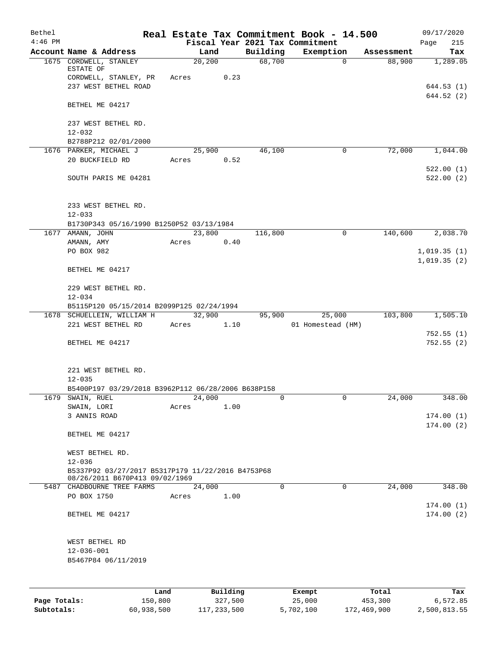| Bethel       |                                                                                     |        |          |             | Real Estate Tax Commitment Book - 14.500 |            | 09/17/2020               |  |
|--------------|-------------------------------------------------------------------------------------|--------|----------|-------------|------------------------------------------|------------|--------------------------|--|
| $4:46$ PM    |                                                                                     |        |          |             | Fiscal Year 2021 Tax Commitment          |            | Page<br>215              |  |
|              | Account Name & Address                                                              | Land   |          | Building    | Exemption                                | Assessment | Tax                      |  |
|              | 1675 CORDWELL, STANLEY<br>ESTATE OF                                                 | 20,200 |          | 68,700      | $\mathbf 0$                              | 88,900     | 1,289.05                 |  |
|              | CORDWELL, STANLEY, PR                                                               | Acres  | 0.23     |             |                                          |            |                          |  |
|              | 237 WEST BETHEL ROAD                                                                |        |          |             |                                          |            | 644.53 (1)<br>644.52 (2) |  |
|              | BETHEL ME 04217                                                                     |        |          |             |                                          |            |                          |  |
|              | 237 WEST BETHEL RD.                                                                 |        |          |             |                                          |            |                          |  |
|              | $12 - 032$<br>B2788P212 02/01/2000                                                  |        |          |             |                                          |            |                          |  |
|              | 1676 PARKER, MICHAEL J                                                              | 25,900 |          | 46,100      | $\mathbf 0$                              | 72,000     | 1,044.00                 |  |
|              | 20 BUCKFIELD RD                                                                     | Acres  | 0.52     |             |                                          |            |                          |  |
|              | SOUTH PARIS ME 04281                                                                |        |          |             |                                          |            | 522.00(1)<br>522.00(2)   |  |
|              |                                                                                     |        |          |             |                                          |            |                          |  |
|              | 233 WEST BETHEL RD.                                                                 |        |          |             |                                          |            |                          |  |
|              | $12 - 033$                                                                          |        |          |             |                                          |            |                          |  |
|              | B1730P343 05/16/1990 B1250P52 03/13/1984                                            | 23,800 |          | 116,800     | 0                                        | 140,600    | 2,038.70                 |  |
|              | 1677 AMANN, JOHN<br>AMANN, AMY                                                      | Acres  | 0.40     |             |                                          |            |                          |  |
|              | PO BOX 982                                                                          |        |          |             |                                          |            | 1,019.35(1)              |  |
|              |                                                                                     |        |          |             |                                          |            | 1,019.35(2)              |  |
|              | BETHEL ME 04217                                                                     |        |          |             |                                          |            |                          |  |
|              | 229 WEST BETHEL RD.                                                                 |        |          |             |                                          |            |                          |  |
|              | $12 - 034$                                                                          |        |          |             |                                          |            |                          |  |
|              | B5115P120 05/15/2014 B2099P125 02/24/1994<br>1678 SCHUELLEIN, WILLIAM H             | 32,900 |          | 95,900      | 25,000                                   | 103,800    | 1,505.10                 |  |
|              | 221 WEST BETHEL RD                                                                  | Acres  | 1.10     |             | 01 Homestead (HM)                        |            |                          |  |
|              |                                                                                     |        |          |             |                                          |            | 752.55(1)                |  |
|              | BETHEL ME 04217                                                                     |        |          |             |                                          |            | 752.55(2)                |  |
|              |                                                                                     |        |          |             |                                          |            |                          |  |
|              | 221 WEST BETHEL RD.                                                                 |        |          |             |                                          |            |                          |  |
|              | $12 - 035$<br>B5400P197 03/29/2018 B3962P112 06/28/2006 B638P158                    |        |          |             |                                          |            |                          |  |
| 1679         | SWAIN, RUEL                                                                         | 24,000 |          | 0           | 0                                        | 24,000     | 348.00                   |  |
|              | SWAIN, LORI                                                                         | Acres  | 1.00     |             |                                          |            |                          |  |
|              | 3 ANNIS ROAD                                                                        |        |          |             |                                          |            | 174.00(1)                |  |
|              |                                                                                     |        |          |             |                                          |            | 174.00(2)                |  |
|              | BETHEL ME 04217                                                                     |        |          |             |                                          |            |                          |  |
|              | WEST BETHEL RD.                                                                     |        |          |             |                                          |            |                          |  |
|              | $12 - 036$                                                                          |        |          |             |                                          |            |                          |  |
|              | B5337P92 03/27/2017 B5317P179 11/22/2016 B4753P68<br>08/26/2011 B670P413 09/02/1969 |        |          |             |                                          |            |                          |  |
|              | 5487 CHADBOURNE TREE FARMS                                                          | 24,000 |          | $\mathbf 0$ | $\mathsf{O}$                             | 24,000     | 348.00                   |  |
|              | PO BOX 1750                                                                         | Acres  | 1.00     |             |                                          |            |                          |  |
|              | BETHEL ME 04217                                                                     |        |          |             |                                          |            | 174.00(1)<br>174.00(2)   |  |
|              |                                                                                     |        |          |             |                                          |            |                          |  |
|              | WEST BETHEL RD                                                                      |        |          |             |                                          |            |                          |  |
|              | $12 - 036 - 001$                                                                    |        |          |             |                                          |            |                          |  |
|              | B5467P84 06/11/2019                                                                 |        |          |             |                                          |            |                          |  |
|              |                                                                                     |        |          |             |                                          |            |                          |  |
|              | Land                                                                                |        | Building |             |                                          | Total      | Tax                      |  |
| Page Totals: | 150,800                                                                             |        | 327,500  |             | Exempt<br>25,000                         | 453,300    | 6,572.85                 |  |

**Subtotals:** 60,938,500 117,233,500 5,702,100 172,469,900 2,500,813.55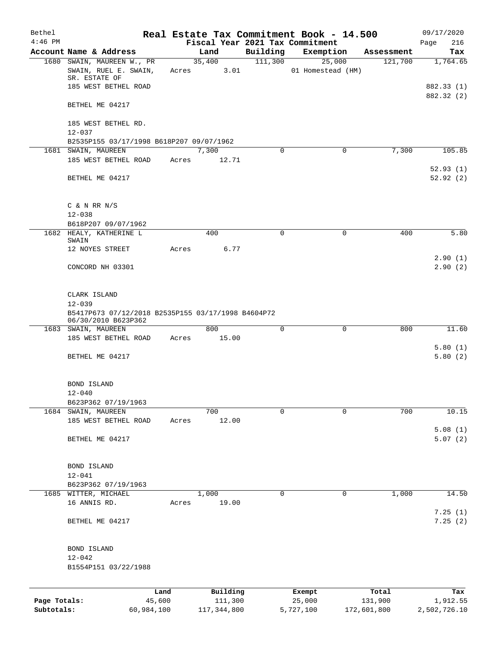| Bethel       |                                                                      |       |                         |             | Real Estate Tax Commitment Book - 14.500 |                  | 09/17/2020         |
|--------------|----------------------------------------------------------------------|-------|-------------------------|-------------|------------------------------------------|------------------|--------------------|
| $4:46$ PM    |                                                                      |       |                         |             | Fiscal Year 2021 Tax Commitment          |                  | 216<br>Page        |
|              | Account Name & Address                                               |       | Land                    | Building    | Exemption                                | Assessment       | Tax                |
|              | 1680 SWAIN, MAUREEN W., PR<br>SWAIN, RUEL E. SWAIN,<br>SR. ESTATE OF |       | 35,400<br>3.01<br>Acres | 111,300     | 25,000<br>01 Homestead (HM)              | 121,700          | 1,764.65           |
|              | 185 WEST BETHEL ROAD                                                 |       |                         |             |                                          |                  | 882.33 (1)         |
|              | BETHEL ME 04217                                                      |       |                         |             |                                          |                  | 882.32 (2)         |
|              | 185 WEST BETHEL RD.                                                  |       |                         |             |                                          |                  |                    |
|              | $12 - 037$<br>B2535P155 03/17/1998 B618P207 09/07/1962               |       |                         |             |                                          |                  |                    |
|              | 1681 SWAIN, MAUREEN                                                  |       | 7,300                   | 0           | 0                                        | 7,300            | 105.85             |
|              | 185 WEST BETHEL ROAD                                                 | Acres | 12.71                   |             |                                          |                  | 52.93(1)           |
|              | BETHEL ME 04217                                                      |       |                         |             |                                          |                  | 52.92(2)           |
|              | $C$ & N RR N/S                                                       |       |                         |             |                                          |                  |                    |
|              | $12 - 038$<br>B618P207 09/07/1962                                    |       |                         |             |                                          |                  |                    |
|              | 1682 HEALY, KATHERINE L<br>SWAIN                                     |       | 400                     | $\mathbf 0$ | $\mathbf 0$                              | 400              | 5.80               |
|              | 12 NOYES STREET                                                      | Acres | 6.77                    |             |                                          |                  |                    |
|              | CONCORD NH 03301                                                     |       |                         |             |                                          |                  | 2.90(1)<br>2.90(2) |
|              | CLARK ISLAND<br>$12 - 039$                                           |       |                         |             |                                          |                  |                    |
|              | B5417P673 07/12/2018 B2535P155 03/17/1998 B4604P72                   |       |                         |             |                                          |                  |                    |
|              | 06/30/2010 B623P362<br>1683 SWAIN, MAUREEN                           |       | 800                     | $\Omega$    | $\mathbf 0$                              | 800              | 11.60              |
|              | 185 WEST BETHEL ROAD                                                 | Acres | 15.00                   |             |                                          |                  |                    |
|              | BETHEL ME 04217                                                      |       |                         |             |                                          |                  | 5.80(1)<br>5.80(2) |
|              | BOND ISLAND                                                          |       |                         |             |                                          |                  |                    |
|              | $12 - 040$                                                           |       |                         |             |                                          |                  |                    |
|              | B623P362 07/19/1963<br>1684 SWAIN, MAUREEN                           |       | 700                     | $\Omega$    | $\Omega$                                 | 700              | 10.15              |
|              | 185 WEST BETHEL ROAD                                                 | Acres | 12.00                   |             |                                          |                  |                    |
|              | BETHEL ME 04217                                                      |       |                         |             |                                          |                  | 5.08(1)<br>5.07(2) |
|              | BOND ISLAND                                                          |       |                         |             |                                          |                  |                    |
|              | $12 - 041$                                                           |       |                         |             |                                          |                  |                    |
|              | B623P362 07/19/1963<br>1685 WITTER, MICHAEL                          |       | 1,000                   | 0           | 0                                        | 1,000            | 14.50              |
|              | 16 ANNIS RD.                                                         | Acres | 19.00                   |             |                                          |                  |                    |
|              | BETHEL ME 04217                                                      |       |                         |             |                                          |                  | 7.25(1)<br>7.25(2) |
|              | BOND ISLAND                                                          |       |                         |             |                                          |                  |                    |
|              | $12 - 042$<br>B1554P151 03/22/1988                                   |       |                         |             |                                          |                  |                    |
|              |                                                                      |       |                         |             |                                          |                  |                    |
| Page Totals: | 45,600                                                               | Land  | Building<br>111,300     |             | Exempt<br>25,000                         | Total<br>131,900 | Tax<br>1,912.55    |

**Subtotals:** 60,984,100 117,344,800 5,727,100 172,601,800 2,502,726.10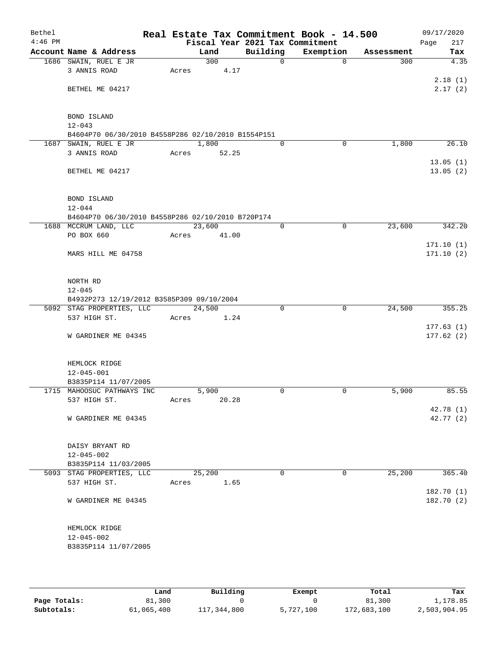| Bethel<br>$4:46$ PM |                                                                                                                                                                                                                       |       |        |       | Real Estate Tax Commitment Book - 14.500<br>Fiscal Year 2021 Tax Commitment |             |            | 09/17/2020<br>217<br>Page |
|---------------------|-----------------------------------------------------------------------------------------------------------------------------------------------------------------------------------------------------------------------|-------|--------|-------|-----------------------------------------------------------------------------|-------------|------------|---------------------------|
|                     | Account Name & Address                                                                                                                                                                                                |       | Land   |       | Building                                                                    | Exemption   | Assessment | Tax                       |
|                     | 1686 SWAIN, RUEL E JR                                                                                                                                                                                                 |       | 300    |       | $\mathsf{O}$                                                                | $\mathbf 0$ | 300        | 4.35                      |
|                     | 3 ANNIS ROAD                                                                                                                                                                                                          | Acres |        | 4.17  |                                                                             |             |            |                           |
|                     |                                                                                                                                                                                                                       |       |        |       |                                                                             |             |            | 2.18(1)                   |
|                     | BETHEL ME 04217                                                                                                                                                                                                       |       |        |       |                                                                             |             |            | 2.17(2)                   |
|                     |                                                                                                                                                                                                                       |       |        |       |                                                                             |             |            |                           |
|                     |                                                                                                                                                                                                                       |       |        |       |                                                                             |             |            |                           |
|                     | BOND ISLAND<br>$12 - 043$                                                                                                                                                                                             |       |        |       |                                                                             |             |            |                           |
|                     | B4604P70 06/30/2010 B4558P286 02/10/2010 B1554P151                                                                                                                                                                    |       |        |       |                                                                             |             |            |                           |
|                     | 1687 SWAIN, RUEL E JR                                                                                                                                                                                                 |       | 1,800  |       | $\Omega$                                                                    | 0           | 1,800      | 26.10                     |
|                     | 3 ANNIS ROAD                                                                                                                                                                                                          | Acres |        | 52.25 |                                                                             |             |            |                           |
|                     |                                                                                                                                                                                                                       |       |        |       |                                                                             |             |            | 13.05(1)                  |
|                     | BETHEL ME 04217                                                                                                                                                                                                       |       |        |       |                                                                             |             |            | 13.05(2)                  |
|                     |                                                                                                                                                                                                                       |       |        |       |                                                                             |             |            |                           |
|                     |                                                                                                                                                                                                                       |       |        |       |                                                                             |             |            |                           |
|                     |                                                                                                                                                                                                                       |       |        |       |                                                                             |             |            |                           |
|                     | BOND ISLAND<br>$12 - 044$<br>B4604P70 06/30/2010 B4558P286 02/10/2010 B720P174<br>23,600<br>0<br>23,600<br>1688 MCCRUM LAND, LLC<br>0<br>PO BOX 660<br>41.00<br>Acres<br>MARS HILL ME 04758<br>NORTH RD<br>$12 - 045$ |       |        |       |                                                                             |             |            |                           |
|                     |                                                                                                                                                                                                                       |       |        |       |                                                                             |             |            | 342.20                    |
|                     |                                                                                                                                                                                                                       |       |        |       |                                                                             |             |            |                           |
|                     |                                                                                                                                                                                                                       |       |        |       |                                                                             |             |            | 171.10(1)                 |
|                     |                                                                                                                                                                                                                       |       |        |       |                                                                             |             |            | 171.10(2)                 |
|                     |                                                                                                                                                                                                                       |       |        |       |                                                                             |             |            |                           |
|                     |                                                                                                                                                                                                                       |       |        |       |                                                                             |             |            |                           |
|                     |                                                                                                                                                                                                                       |       |        |       |                                                                             |             |            |                           |
|                     | B4932P273 12/19/2012 B3585P309 09/10/2004                                                                                                                                                                             |       |        |       |                                                                             |             |            |                           |
|                     | 5092 STAG PROPERTIES, LLC                                                                                                                                                                                             |       | 24,500 |       | $\Omega$                                                                    | $\mathbf 0$ | 24,500     | 355.25                    |
|                     | 537 HIGH ST.                                                                                                                                                                                                          | Acres |        | 1.24  |                                                                             |             |            |                           |
|                     |                                                                                                                                                                                                                       |       |        |       |                                                                             |             |            | 177.63(1)                 |
|                     | W GARDINER ME 04345                                                                                                                                                                                                   |       |        |       |                                                                             |             |            | 177.62(2)                 |
|                     |                                                                                                                                                                                                                       |       |        |       |                                                                             |             |            |                           |
|                     |                                                                                                                                                                                                                       |       |        |       |                                                                             |             |            |                           |
|                     | HEMLOCK RIDGE                                                                                                                                                                                                         |       |        |       |                                                                             |             |            |                           |
|                     | $12 - 045 - 001$<br>B3835P114 11/07/2005                                                                                                                                                                              |       |        |       |                                                                             |             |            |                           |
|                     | 1715 MAHOOSUC PATHWAYS INC                                                                                                                                                                                            |       | 5,900  |       | 0                                                                           | $\mathbf 0$ | 5,900      | 85.55                     |
|                     | 537 HIGH ST.                                                                                                                                                                                                          | Acres |        | 20.28 |                                                                             |             |            |                           |
|                     |                                                                                                                                                                                                                       |       |        |       |                                                                             |             |            | 42.78 (1)                 |
|                     | W GARDINER ME 04345                                                                                                                                                                                                   |       |        |       |                                                                             |             |            | 42.77 (2)                 |
|                     |                                                                                                                                                                                                                       |       |        |       |                                                                             |             |            |                           |
|                     |                                                                                                                                                                                                                       |       |        |       |                                                                             |             |            |                           |
|                     | DAISY BRYANT RD<br>$12 - 045 - 002$                                                                                                                                                                                   |       |        |       |                                                                             |             |            |                           |
|                     | B3835P114 11/03/2005                                                                                                                                                                                                  |       |        |       |                                                                             |             |            |                           |
|                     | 5093 STAG PROPERTIES, LLC                                                                                                                                                                                             |       | 25,200 |       | 0                                                                           | 0           | 25,200     | 365.40                    |
|                     | 537 HIGH ST.                                                                                                                                                                                                          | Acres |        | 1.65  |                                                                             |             |            |                           |
|                     |                                                                                                                                                                                                                       |       |        |       |                                                                             |             |            | 182.70(1)                 |
|                     | W GARDINER ME 04345                                                                                                                                                                                                   |       |        |       |                                                                             |             |            | 182.70(2)                 |
|                     |                                                                                                                                                                                                                       |       |        |       |                                                                             |             |            |                           |
|                     |                                                                                                                                                                                                                       |       |        |       |                                                                             |             |            |                           |
|                     | HEMLOCK RIDGE                                                                                                                                                                                                         |       |        |       |                                                                             |             |            |                           |
|                     | $12 - 045 - 002$<br>B3835P114 11/07/2005                                                                                                                                                                              |       |        |       |                                                                             |             |            |                           |
|                     |                                                                                                                                                                                                                       |       |        |       |                                                                             |             |            |                           |
|                     |                                                                                                                                                                                                                       |       |        |       |                                                                             |             |            |                           |

|              | Land       | Building    | Exempt    | Total       | Tax          |
|--------------|------------|-------------|-----------|-------------|--------------|
| Page Totals: | 81,300     |             |           | 81,300      | 1,178.85     |
| Subtotals:   | 61,065,400 | 117,344,800 | 5,727,100 | 172,683,100 | 2,503,904.95 |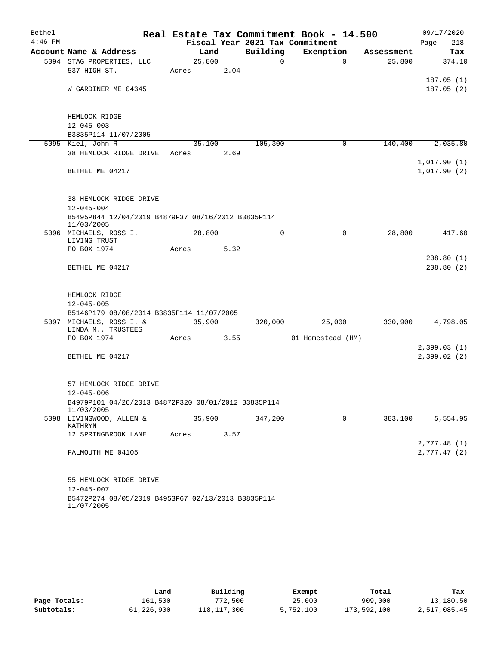| Bethel    |                                                                                       |       |        |             | Real Estate Tax Commitment Book - 14.500 |            | 09/17/2020             |  |  |
|-----------|---------------------------------------------------------------------------------------|-------|--------|-------------|------------------------------------------|------------|------------------------|--|--|
| $4:46$ PM |                                                                                       |       |        |             | Fiscal Year 2021 Tax Commitment          |            | 218<br>Page            |  |  |
|           | Account Name & Address                                                                |       | Land   | Building    | Exemption                                | Assessment | Tax                    |  |  |
|           | 5094 STAG PROPERTIES, LLC                                                             |       | 25,800 | 0           | $\mathbf 0$                              | 25,800     | 374.10                 |  |  |
|           | 537 HIGH ST.                                                                          | Acres | 2.04   |             |                                          |            |                        |  |  |
|           | W GARDINER ME 04345                                                                   |       |        |             |                                          |            | 187.05(1)<br>187.05(2) |  |  |
|           |                                                                                       |       |        |             |                                          |            |                        |  |  |
|           | HEMLOCK RIDGE                                                                         |       |        |             |                                          |            |                        |  |  |
|           | $12 - 045 - 003$                                                                      |       |        |             |                                          |            |                        |  |  |
|           | B3835P114 11/07/2005                                                                  |       |        |             |                                          |            |                        |  |  |
| 5095      | Kiel, John R                                                                          |       | 35,100 | 105,300     | 0                                        | 140,400    | 2,035.80               |  |  |
|           | 38 HEMLOCK RIDGE DRIVE                                                                | Acres | 2.69   |             |                                          |            |                        |  |  |
|           |                                                                                       |       |        |             |                                          |            | 1,017.90(1)            |  |  |
|           | BETHEL ME 04217                                                                       |       |        |             |                                          |            | 1,017.90(2)            |  |  |
|           |                                                                                       |       |        |             |                                          |            |                        |  |  |
|           | <b>38 HEMLOCK RIDGE DRIVE</b>                                                         |       |        |             |                                          |            |                        |  |  |
|           | $12 - 045 - 004$                                                                      |       |        |             |                                          |            |                        |  |  |
|           | B5495P844 12/04/2019 B4879P37 08/16/2012 B3835P114<br>11/03/2005                      |       |        |             |                                          |            |                        |  |  |
|           | 5096 MICHAELS, ROSS I.                                                                |       | 28,800 | $\mathbf 0$ | 0                                        | 28,800     | 417.60                 |  |  |
|           | LIVING TRUST<br>PO BOX 1974                                                           | Acres | 5.32   |             |                                          |            |                        |  |  |
|           |                                                                                       |       |        |             |                                          |            | 208.80(1)              |  |  |
|           | BETHEL ME 04217                                                                       |       |        |             |                                          |            | 208.80(2)              |  |  |
|           |                                                                                       |       |        |             |                                          |            |                        |  |  |
|           | HEMLOCK RIDGE                                                                         |       |        |             |                                          |            |                        |  |  |
|           | $12 - 045 - 005$                                                                      |       |        |             |                                          |            |                        |  |  |
|           | B5146P179 08/08/2014 B3835P114 11/07/2005                                             |       |        |             |                                          |            |                        |  |  |
|           | 5097 MICHAELS, ROSS I. &                                                              |       | 35,900 | 320,000     | 25,000                                   | 330,900    | 4,798.05               |  |  |
|           | LINDA M., TRUSTEES                                                                    |       |        |             |                                          |            |                        |  |  |
|           | PO BOX 1974                                                                           | Acres | 3.55   |             | 01 Homestead (HM)                        |            |                        |  |  |
|           |                                                                                       |       |        |             |                                          |            | 2,399.03(1)            |  |  |
|           | BETHEL ME 04217                                                                       |       |        |             |                                          |            | 2,399.02(2)            |  |  |
|           | 57 HEMLOCK RIDGE DRIVE                                                                |       |        |             |                                          |            |                        |  |  |
|           |                                                                                       |       |        |             |                                          |            |                        |  |  |
|           | $12 - 045 - 006$<br>B4979P101 04/26/2013 B4872P320 08/01/2012 B3835P114<br>11/03/2005 |       |        |             |                                          |            |                        |  |  |
|           | 5098 LIVINGWOOD, ALLEN &<br>KATHRYN                                                   |       | 35,900 | 347,200     | $\mathbf 0$                              | 383,100    | 5,554.95               |  |  |
|           | 12 SPRINGBROOK LANE                                                                   | Acres | 3.57   |             |                                          |            |                        |  |  |
|           |                                                                                       |       |        |             |                                          |            | 2,777.48(1)            |  |  |
|           | FALMOUTH ME 04105                                                                     |       |        |             |                                          |            | 2,777.47(2)            |  |  |
|           |                                                                                       |       |        |             |                                          |            |                        |  |  |
|           | 55 HEMLOCK RIDGE DRIVE                                                                |       |        |             |                                          |            |                        |  |  |
|           | $12 - 045 - 007$                                                                      |       |        |             |                                          |            |                        |  |  |
|           | B5472P274 08/05/2019 B4953P67 02/13/2013 B3835P114<br>11/07/2005                      |       |        |             |                                          |            |                        |  |  |

|              | Land       | Building    | Exempt    | Total       | Tax          |
|--------------|------------|-------------|-----------|-------------|--------------|
| Page Totals: | 161,500    | 772,500     | 25,000    | 909,000     | 13,180.50    |
| Subtotals:   | 61,226,900 | 118,117,300 | 5,752,100 | 173,592,100 | 2,517,085.45 |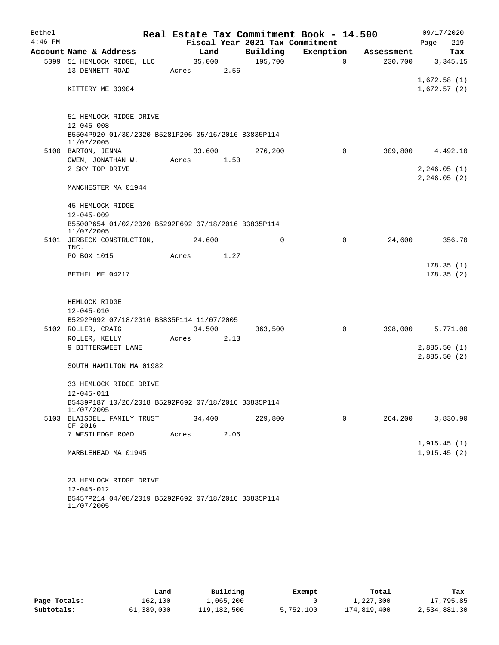| Bethel    |                                                                   |        |        |                                 | Real Estate Tax Commitment Book - 14.500 |            | 09/17/2020                 |
|-----------|-------------------------------------------------------------------|--------|--------|---------------------------------|------------------------------------------|------------|----------------------------|
| $4:46$ PM |                                                                   |        |        | Fiscal Year 2021 Tax Commitment |                                          |            | 219<br>Page                |
|           | Account Name & Address                                            | Land   |        | Building                        | Exemption                                | Assessment | Tax                        |
|           | 5099 51 HEMLOCK RIDGE, LLC                                        |        | 35,000 | 195,700                         | $\Omega$                                 | 230,700    | 3,345.15                   |
|           | 13 DENNETT ROAD                                                   | Acres  | 2.56   |                                 |                                          |            |                            |
|           | KITTERY ME 03904                                                  |        |        |                                 |                                          |            | 1,672.58(1)<br>1,672.57(2) |
|           |                                                                   |        |        |                                 |                                          |            |                            |
|           |                                                                   |        |        |                                 |                                          |            |                            |
|           | 51 HEMLOCK RIDGE DRIVE                                            |        |        |                                 |                                          |            |                            |
|           | $12 - 045 - 008$                                                  |        |        |                                 |                                          |            |                            |
|           | B5504P920 01/30/2020 B5281P206 05/16/2016 B3835P114<br>11/07/2005 |        |        |                                 |                                          |            |                            |
|           | 5100 BARTON, JENNA                                                | 33,600 |        | 276,200                         | $\Omega$                                 | 309,800    | 4,492.10                   |
|           | OWEN, JONATHAN W.                                                 | Acres  | 1.50   |                                 |                                          |            |                            |
|           | 2 SKY TOP DRIVE                                                   |        |        |                                 |                                          |            | 2, 246.05(1)               |
|           |                                                                   |        |        |                                 |                                          |            | 2, 246.05(2)               |
|           | MANCHESTER MA 01944                                               |        |        |                                 |                                          |            |                            |
|           |                                                                   |        |        |                                 |                                          |            |                            |
|           | 45 HEMLOCK RIDGE<br>$12 - 045 - 009$                              |        |        |                                 |                                          |            |                            |
|           | B5500P654 01/02/2020 B5292P692 07/18/2016 B3835P114               |        |        |                                 |                                          |            |                            |
|           | 11/07/2005                                                        |        |        |                                 |                                          |            |                            |
|           | 5101 JERBECK CONSTRUCTION,<br>INC.                                | 24,600 |        | 0                               | 0                                        | 24,600     | 356.70                     |
|           | PO BOX 1015                                                       | Acres  | 1.27   |                                 |                                          |            |                            |
|           |                                                                   |        |        |                                 |                                          |            | 178.35(1)                  |
|           | BETHEL ME 04217                                                   |        |        |                                 |                                          |            | 178.35(2)                  |
|           |                                                                   |        |        |                                 |                                          |            |                            |
|           |                                                                   |        |        |                                 |                                          |            |                            |
|           | HEMLOCK RIDGE<br>$12 - 045 - 010$                                 |        |        |                                 |                                          |            |                            |
|           | B5292P692 07/18/2016 B3835P114 11/07/2005                         |        |        |                                 |                                          |            |                            |
|           | 5102 ROLLER, CRAIG                                                | 34,500 |        | 363,500                         | 0                                        | 398,000    | 5,771.00                   |
|           | ROLLER, KELLY                                                     | Acres  | 2.13   |                                 |                                          |            |                            |
|           | 9 BITTERSWEET LANE                                                |        |        |                                 |                                          |            | 2,885.50(1)                |
|           |                                                                   |        |        |                                 |                                          |            | 2,885.50(2)                |
|           | SOUTH HAMILTON MA 01982                                           |        |        |                                 |                                          |            |                            |
|           | 33 HEMLOCK RIDGE DRIVE                                            |        |        |                                 |                                          |            |                            |
|           | $12 - 045 - 011$                                                  |        |        |                                 |                                          |            |                            |
|           | B5439P187 10/26/2018 B5292P692 07/18/2016 B3835P114<br>11/07/2005 |        |        |                                 |                                          |            |                            |
|           | 5103 BLAISDELL FAMILY TRUST                                       | 34,400 |        | 229,800                         | 0                                        | 264,200    | 3,830.90                   |
|           | OF 2016<br>7 WESTLEDGE ROAD                                       | Acres  | 2.06   |                                 |                                          |            |                            |
|           |                                                                   |        |        |                                 |                                          |            | 1,915.45(1)                |
|           | MARBLEHEAD MA 01945                                               |        |        |                                 |                                          |            | 1,915.45(2)                |
|           |                                                                   |        |        |                                 |                                          |            |                            |
|           | 23 HEMLOCK RIDGE DRIVE                                            |        |        |                                 |                                          |            |                            |
|           | $12 - 045 - 012$                                                  |        |        |                                 |                                          |            |                            |
|           | B5457P214 04/08/2019 B5292P692 07/18/2016 B3835P114               |        |        |                                 |                                          |            |                            |
|           | 11/07/2005                                                        |        |        |                                 |                                          |            |                            |

|              | Land       | Building    | Exempt    | Total       | Tax          |
|--------------|------------|-------------|-----------|-------------|--------------|
| Page Totals: | 162,100    | 1,065,200   |           | 1,227,300   | 17,795.85    |
| Subtotals:   | 61,389,000 | 119,182,500 | 5,752,100 | 174,819,400 | 2,534,881.30 |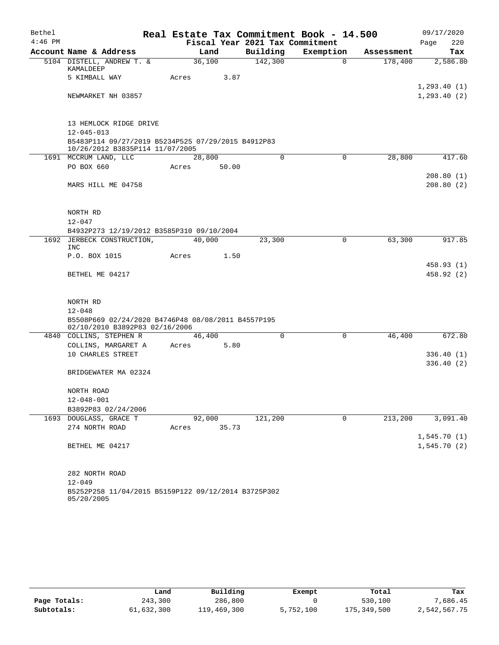| Bethel    |                                                                                       | Real Estate Tax Commitment Book - 14.500 |          |                       |                       | 09/17/2020   |  |  |
|-----------|---------------------------------------------------------------------------------------|------------------------------------------|----------|-----------------------|-----------------------|--------------|--|--|
| $4:46$ PM | Account Name & Address                                                                | Fiscal Year 2021 Tax Commitment<br>Land  | Building |                       |                       | 220<br>Page  |  |  |
|           |                                                                                       | 36,100                                   | 142,300  | Exemption<br>$\Omega$ | Assessment<br>178,400 | Tax          |  |  |
|           | 5104 DISTELL, ANDREW T. &<br>KAMALDEEP                                                |                                          |          |                       |                       | 2,586.80     |  |  |
|           | 5 KIMBALL WAY                                                                         | Acres<br>3.87                            |          |                       |                       |              |  |  |
|           |                                                                                       |                                          |          |                       |                       | 1, 293.40(1) |  |  |
|           | NEWMARKET NH 03857                                                                    |                                          |          |                       |                       | 1, 293.40(2) |  |  |
|           |                                                                                       |                                          |          |                       |                       |              |  |  |
|           |                                                                                       |                                          |          |                       |                       |              |  |  |
|           | 13 HEMLOCK RIDGE DRIVE                                                                |                                          |          |                       |                       |              |  |  |
|           | $12 - 045 - 013$                                                                      |                                          |          |                       |                       |              |  |  |
|           | B5483P114 09/27/2019 B5234P525 07/29/2015 B4912P83<br>10/26/2012 B3835P114 11/07/2005 |                                          |          |                       |                       |              |  |  |
|           | 1691 MCCRUM LAND, LLC                                                                 | 28,800                                   | 0        | 0                     | 28,800                | 417.60       |  |  |
|           | PO BOX 660                                                                            | 50.00<br>Acres                           |          |                       |                       |              |  |  |
|           |                                                                                       |                                          |          |                       |                       | 208.80(1)    |  |  |
|           | MARS HILL ME 04758                                                                    |                                          |          |                       |                       | 208.80(2)    |  |  |
|           |                                                                                       |                                          |          |                       |                       |              |  |  |
|           |                                                                                       |                                          |          |                       |                       |              |  |  |
|           | NORTH RD<br>$12 - 047$                                                                |                                          |          |                       |                       |              |  |  |
|           | B4932P273 12/19/2012 B3585P310 09/10/2004                                             |                                          |          |                       |                       |              |  |  |
|           | 1692 JERBECK CONSTRUCTION,                                                            | 40,000                                   | 23,300   | $\mathbf 0$           | 63,300                | 917.85       |  |  |
|           | <b>INC</b>                                                                            |                                          |          |                       |                       |              |  |  |
|           | P.O. BOX 1015                                                                         | 1.50<br>Acres                            |          |                       |                       |              |  |  |
|           |                                                                                       |                                          |          |                       |                       | 458.93(1)    |  |  |
|           | BETHEL ME 04217                                                                       |                                          |          |                       |                       | 458.92 (2)   |  |  |
|           |                                                                                       |                                          |          |                       |                       |              |  |  |
|           | NORTH RD                                                                              |                                          |          |                       |                       |              |  |  |
|           | $12 - 048$                                                                            |                                          |          |                       |                       |              |  |  |
|           | B5508P669 02/24/2020 B4746P48 08/08/2011 B4557P195                                    |                                          |          |                       |                       |              |  |  |
|           | 02/10/2010 B3892P83 02/16/2006                                                        |                                          |          |                       |                       |              |  |  |
|           | 4840 COLLINS, STEPHEN R                                                               | 46,400                                   | $\Omega$ | 0                     | 46,400                | 672.80       |  |  |
|           | COLLINS, MARGARET A                                                                   | 5.80<br>Acres                            |          |                       |                       |              |  |  |
|           | 10 CHARLES STREET                                                                     |                                          |          |                       |                       | 336.40(1)    |  |  |
|           |                                                                                       |                                          |          |                       |                       | 336.40(2)    |  |  |
|           | BRIDGEWATER MA 02324                                                                  |                                          |          |                       |                       |              |  |  |
|           | NORTH ROAD                                                                            |                                          |          |                       |                       |              |  |  |
|           | $12 - 048 - 001$                                                                      |                                          |          |                       |                       |              |  |  |
|           | B3892P83 02/24/2006                                                                   |                                          |          |                       |                       |              |  |  |
|           | 1693 DOUGLASS, GRACE T                                                                | 92,000                                   | 121,200  | $\mathbf 0$           | 213,200               | 3,091.40     |  |  |
|           | 274 NORTH ROAD                                                                        | 35.73<br>Acres                           |          |                       |                       |              |  |  |
|           |                                                                                       |                                          |          |                       |                       | 1,545.70(1)  |  |  |
|           | BETHEL ME 04217                                                                       |                                          |          |                       |                       | 1,545.70(2)  |  |  |
|           |                                                                                       |                                          |          |                       |                       |              |  |  |
|           |                                                                                       |                                          |          |                       |                       |              |  |  |
|           | 282 NORTH ROAD<br>$12 - 049$                                                          |                                          |          |                       |                       |              |  |  |
|           | B5252P258 11/04/2015 B5159P122 09/12/2014 B3725P302                                   |                                          |          |                       |                       |              |  |  |
|           |                                                                                       |                                          |          |                       |                       |              |  |  |

| 55555555   |
|------------|
| 05/20/2005 |

|              | Land       | Building    | Exempt    | Total       | Tax          |
|--------------|------------|-------------|-----------|-------------|--------------|
| Page Totals: | 243,300    | 286,800     |           | 530,100     | 7,686.45     |
| Subtotals:   | 61,632,300 | 119,469,300 | 5,752,100 | 175,349,500 | 2,542,567.75 |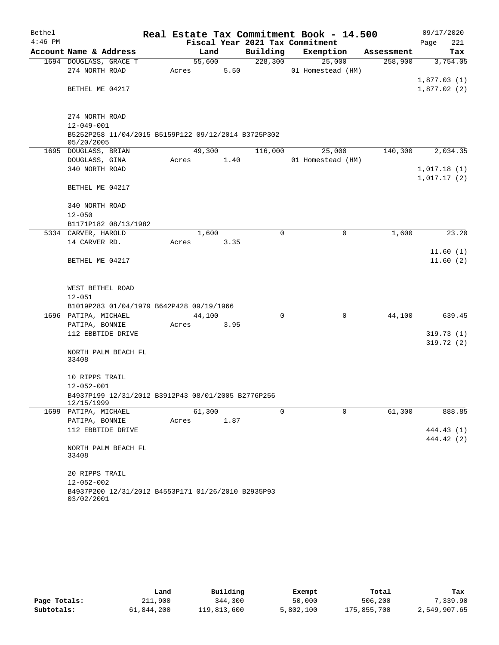| Bethel    |                                                     |       |        |      |                                 | Real Estate Tax Commitment Book - 14.500 |            | 09/17/2020                 |
|-----------|-----------------------------------------------------|-------|--------|------|---------------------------------|------------------------------------------|------------|----------------------------|
| $4:46$ PM |                                                     |       |        |      | Fiscal Year 2021 Tax Commitment |                                          |            | Page<br>221                |
|           | Account Name & Address                              |       | Land   |      | Building                        | Exemption                                | Assessment | Tax                        |
|           | 1694 DOUGLASS, GRACE T                              |       | 55,600 |      | 228,300                         | 25,000                                   | 258,900    | 3,754.05                   |
|           | 274 NORTH ROAD                                      | Acres |        | 5.50 |                                 | 01 Homestead (HM)                        |            |                            |
|           |                                                     |       |        |      |                                 |                                          |            | 1,877.03(1)                |
|           | BETHEL ME 04217                                     |       |        |      |                                 |                                          |            | 1,877.02(2)                |
|           |                                                     |       |        |      |                                 |                                          |            |                            |
|           | 274 NORTH ROAD                                      |       |        |      |                                 |                                          |            |                            |
|           | $12 - 049 - 001$                                    |       |        |      |                                 |                                          |            |                            |
|           | B5252P258 11/04/2015 B5159P122 09/12/2014 B3725P302 |       |        |      |                                 |                                          |            |                            |
|           | 05/20/2005                                          |       |        |      |                                 |                                          |            |                            |
|           | 1695 DOUGLASS, BRIAN                                |       | 49,300 |      | 116,000                         | 25,000                                   | 140,300    | 2,034.35                   |
|           | DOUGLASS, GINA                                      | Acres |        | 1.40 |                                 | 01 Homestead (HM)                        |            |                            |
|           | 340 NORTH ROAD                                      |       |        |      |                                 |                                          |            | 1,017.18(1)<br>1,017.17(2) |
|           | BETHEL ME 04217                                     |       |        |      |                                 |                                          |            |                            |
|           |                                                     |       |        |      |                                 |                                          |            |                            |
|           | 340 NORTH ROAD                                      |       |        |      |                                 |                                          |            |                            |
|           | $12 - 050$                                          |       |        |      |                                 |                                          |            |                            |
|           | B1171P182 08/13/1982                                |       |        |      |                                 |                                          |            |                            |
|           | 5334 CARVER, HAROLD                                 |       | 1,600  |      | $\mathbf 0$                     | $\mathbf 0$                              | 1,600      | 23.20                      |
|           | 14 CARVER RD.                                       | Acres |        | 3.35 |                                 |                                          |            |                            |
|           |                                                     |       |        |      |                                 |                                          |            | 11.60(1)                   |
|           | BETHEL ME 04217                                     |       |        |      |                                 |                                          |            | 11.60(2)                   |
|           |                                                     |       |        |      |                                 |                                          |            |                            |
|           | WEST BETHEL ROAD                                    |       |        |      |                                 |                                          |            |                            |
|           | $12 - 051$                                          |       |        |      |                                 |                                          |            |                            |
|           | B1019P283 01/04/1979 B642P428 09/19/1966            |       |        |      |                                 |                                          |            |                            |
|           | 1696 PATIPA, MICHAEL                                |       | 44,100 |      | $\mathbf 0$                     | $\mathbf 0$                              | 44,100     | 639.45                     |
|           | PATIPA, BONNIE                                      | Acres |        | 3.95 |                                 |                                          |            |                            |
|           | 112 EBBTIDE DRIVE                                   |       |        |      |                                 |                                          |            | 319.73(1)                  |
|           |                                                     |       |        |      |                                 |                                          |            | 319.72(2)                  |
|           | NORTH PALM BEACH FL                                 |       |        |      |                                 |                                          |            |                            |
|           | 33408                                               |       |        |      |                                 |                                          |            |                            |
|           | 10 RIPPS TRAIL                                      |       |        |      |                                 |                                          |            |                            |
|           | $12 - 052 - 001$                                    |       |        |      |                                 |                                          |            |                            |
|           | B4937P199 12/31/2012 B3912P43 08/01/2005 B2776P256  |       |        |      |                                 |                                          |            |                            |
|           | 12/15/1999                                          |       |        |      |                                 |                                          |            |                            |
|           | 1699 PATIPA, MICHAEL                                |       | 61,300 |      | $\Omega$                        | 0                                        | 61,300     | 888.85                     |
|           | PATIPA, BONNIE                                      | Acres |        | 1.87 |                                 |                                          |            |                            |
|           | 112 EBBTIDE DRIVE                                   |       |        |      |                                 |                                          |            | 444.43 (1)                 |
|           | NORTH PALM BEACH FL                                 |       |        |      |                                 |                                          |            | 444.42 (2)                 |
|           | 33408                                               |       |        |      |                                 |                                          |            |                            |
|           | 20 RIPPS TRAIL                                      |       |        |      |                                 |                                          |            |                            |
|           | $12 - 052 - 002$                                    |       |        |      |                                 |                                          |            |                            |
|           | B4937P200 12/31/2012 B4553P171 01/26/2010 B2935P93  |       |        |      |                                 |                                          |            |                            |
|           | 03/02/2001                                          |       |        |      |                                 |                                          |            |                            |

|              | Land       | Building    | Exempt    | Total       | Tax          |
|--------------|------------|-------------|-----------|-------------|--------------|
| Page Totals: | 211,900    | 344,300     | 50,000    | 506,200     | 7,339.90     |
| Subtotals:   | 61,844,200 | 119,813,600 | 5,802,100 | 175,855,700 | 2,549,907.65 |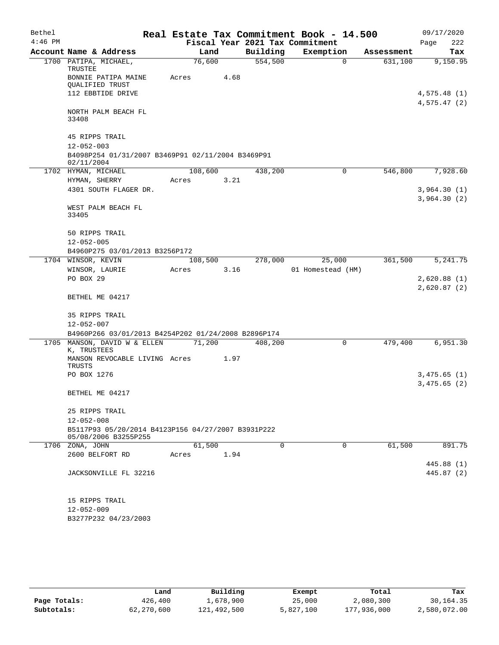| Bethel    |                                                                            |       |                 |          | Real Estate Tax Commitment Book - 14.500 |            | 09/17/2020                 |
|-----------|----------------------------------------------------------------------------|-------|-----------------|----------|------------------------------------------|------------|----------------------------|
| $4:46$ PM |                                                                            |       |                 |          | Fiscal Year 2021 Tax Commitment          |            | Page<br>222                |
|           | Account Name & Address                                                     |       | Land            | Building | Exemption                                | Assessment | Tax                        |
|           | 1700 PATIPA, MICHAEL,<br>TRUSTEE                                           |       | 76,600          | 554,500  | $\Omega$                                 | 631,100    | 9,150.95                   |
|           | BONNIE PATIPA MAINE<br>QUALIFIED TRUST                                     | Acres | 4.68            |          |                                          |            |                            |
|           | 112 EBBTIDE DRIVE                                                          |       |                 |          |                                          |            | 4,575.48(1)<br>4,575.47(2) |
|           | NORTH PALM BEACH FL<br>33408                                               |       |                 |          |                                          |            |                            |
|           | 45 RIPPS TRAIL<br>$12 - 052 - 003$                                         |       |                 |          |                                          |            |                            |
|           | B4098P254 01/31/2007 B3469P91 02/11/2004 B3469P91<br>02/11/2004            |       |                 |          |                                          |            |                            |
|           | 1702 HYMAN, MICHAEL                                                        |       | 108,600         | 438,200  | 0                                        | 546,800    | 7,928.60                   |
|           | HYMAN, SHERRY                                                              | Acres | 3.21            |          |                                          |            |                            |
|           | 4301 SOUTH FLAGER DR.                                                      |       |                 |          |                                          |            | 3,964.30(1)                |
|           |                                                                            |       |                 |          |                                          |            | 3,964.30(2)                |
|           | WEST PALM BEACH FL<br>33405                                                |       |                 |          |                                          |            |                            |
|           | 50 RIPPS TRAIL                                                             |       |                 |          |                                          |            |                            |
|           | $12 - 052 - 005$                                                           |       |                 |          |                                          |            |                            |
|           | B4960P275 03/01/2013 B3256P172<br>1704 WINSOR, KEVIN                       |       |                 |          | 25,000                                   | 361,500    | 5, 241.75                  |
|           | WINSOR, LAURIE                                                             | Acres | 108,500<br>3.16 | 278,000  | 01 Homestead (HM)                        |            |                            |
|           | PO BOX 29                                                                  |       |                 |          |                                          |            | 2,620.88(1)                |
|           |                                                                            |       |                 |          |                                          |            | 2,620.87(2)                |
|           | BETHEL ME 04217                                                            |       |                 |          |                                          |            |                            |
|           | 35 RIPPS TRAIL                                                             |       |                 |          |                                          |            |                            |
|           | $12 - 052 - 007$                                                           |       |                 |          |                                          |            |                            |
|           | B4960P266 03/01/2013 B4254P202 01/24/2008 B2896P174                        |       |                 |          |                                          |            |                            |
|           | 1705 MANSON, DAVID W & ELLEN<br>K, TRUSTEES                                |       | 71,200          | 408,200  | $\mathbf 0$                              | 479,400    | 6,951.30                   |
|           | MANSON REVOCABLE LIVING Acres<br>TRUSTS                                    |       | 1.97            |          |                                          |            |                            |
|           | PO BOX 1276                                                                |       |                 |          |                                          |            | 3,475.65(1)<br>3,475.65(2) |
|           | BETHEL ME 04217                                                            |       |                 |          |                                          |            |                            |
|           | 25 RIPPS TRAIL                                                             |       |                 |          |                                          |            |                            |
|           | $12 - 052 - 008$                                                           |       |                 |          |                                          |            |                            |
|           | B5117P93 05/20/2014 B4123P156 04/27/2007 B3931P222<br>05/08/2006 B3255P255 |       |                 |          |                                          |            |                            |
|           | 1706 ZONA, JOHN                                                            |       | 61,500          | $\Omega$ | 0                                        | 61,500     | 891.75                     |
|           | 2600 BELFORT RD                                                            | Acres | 1.94            |          |                                          |            |                            |
|           | <b>JACKSONVILLE FL 32216</b>                                               |       |                 |          |                                          |            | 445.88 (1)<br>445.87 (2)   |
|           |                                                                            |       |                 |          |                                          |            |                            |
|           | 15 RIPPS TRAIL                                                             |       |                 |          |                                          |            |                            |
|           | $12 - 052 - 009$                                                           |       |                 |          |                                          |            |                            |
|           | B3277P232 04/23/2003                                                       |       |                 |          |                                          |            |                            |

|              | Land       | Building    | Exempt    | Total       | Tax          |
|--------------|------------|-------------|-----------|-------------|--------------|
| Page Totals: | 426,400    | 1,678,900   | 25,000    | 2,080,300   | 30,164.35    |
| Subtotals:   | 62,270,600 | 121,492,500 | 5,827,100 | 177,936,000 | 2,580,072.00 |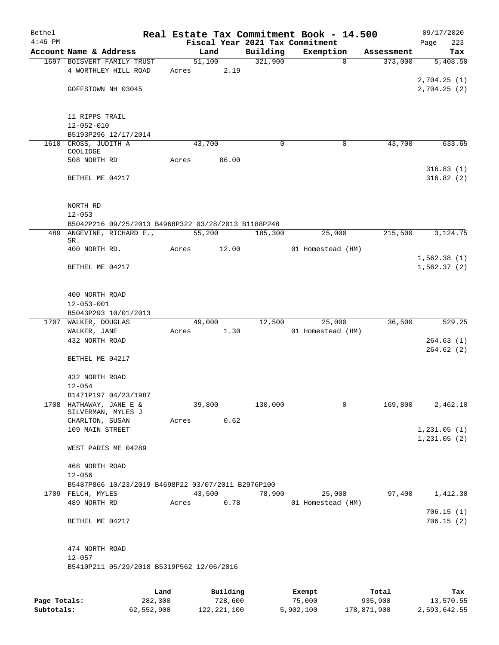| Bethel    |                                                     |       |          |          | Real Estate Tax Commitment Book - 14.500 |            | 09/17/2020   |
|-----------|-----------------------------------------------------|-------|----------|----------|------------------------------------------|------------|--------------|
| $4:46$ PM |                                                     |       |          |          | Fiscal Year 2021 Tax Commitment          |            | 223<br>Page  |
|           | Account Name & Address                              |       | Land     | Building | Exemption                                | Assessment | Tax          |
|           | 1697 BOISVERT FAMILY TRUST                          |       | 51,100   | 321,900  | $\mathbf 0$                              | 373,000    | 5,408.50     |
|           | 4 WORTHLEY HILL ROAD                                | Acres | 2.19     |          |                                          |            |              |
|           |                                                     |       |          |          |                                          |            | 2,704.25(1)  |
|           | GOFFSTOWN NH 03045                                  |       |          |          |                                          |            | 2,704.25(2)  |
|           |                                                     |       |          |          |                                          |            |              |
|           |                                                     |       |          |          |                                          |            |              |
|           | 11 RIPPS TRAIL                                      |       |          |          |                                          |            |              |
|           | $12 - 052 - 010$                                    |       |          |          |                                          |            |              |
|           | B5193P296 12/17/2014                                |       |          |          |                                          |            |              |
|           | 1610 CROSS, JUDITH A                                |       | 43,700   | 0        | 0                                        | 43,700     | 633.65       |
|           | COOLIDGE<br>508 NORTH RD                            | Acres | 86.00    |          |                                          |            |              |
|           |                                                     |       |          |          |                                          |            | 316.83(1)    |
|           | BETHEL ME 04217                                     |       |          |          |                                          |            | 316.82(2)    |
|           |                                                     |       |          |          |                                          |            |              |
|           |                                                     |       |          |          |                                          |            |              |
|           | NORTH RD                                            |       |          |          |                                          |            |              |
|           | $12 - 053$                                          |       |          |          |                                          |            |              |
|           | B5042P216 09/25/2013 B4968P322 03/28/2013 B1188P248 |       |          |          |                                          |            |              |
| 489       |                                                     |       |          |          | 25,000                                   | 215,500    | 3,124.75     |
|           | ANGEVINE, RICHARD E.,<br>SR.                        |       | 55,200   | 185,300  |                                          |            |              |
|           | 400 NORTH RD.                                       | Acres | 12.00    |          | 01 Homestead (HM)                        |            |              |
|           |                                                     |       |          |          |                                          |            | 1,562.38(1)  |
|           | BETHEL ME 04217                                     |       |          |          |                                          |            | 1,562.37(2)  |
|           |                                                     |       |          |          |                                          |            |              |
|           |                                                     |       |          |          |                                          |            |              |
|           | 400 NORTH ROAD                                      |       |          |          |                                          |            |              |
|           | $12 - 053 - 001$                                    |       |          |          |                                          |            |              |
|           | B5043P293 10/01/2013                                |       |          |          |                                          |            |              |
|           | 1707 WALKER, DOUGLAS                                |       | 49,000   | 12,500   | 25,000                                   | 36,500     | 529.25       |
|           | WALKER, JANE                                        | Acres | 1.30     |          | 01 Homestead (HM)                        |            |              |
|           | 432 NORTH ROAD                                      |       |          |          |                                          |            | 264.63(1)    |
|           |                                                     |       |          |          |                                          |            | 264.62(2)    |
|           | BETHEL ME 04217                                     |       |          |          |                                          |            |              |
|           |                                                     |       |          |          |                                          |            |              |
|           | 432 NORTH ROAD                                      |       |          |          |                                          |            |              |
|           | $12 - 054$                                          |       |          |          |                                          |            |              |
|           | B1471P197 04/23/1987                                |       |          |          |                                          |            |              |
| 1708      | HATHAWAY, JANE E &                                  |       | 39,800   | 130,000  | 0                                        | 169,800    | 2,462.10     |
|           | SILVERMAN, MYLES J                                  |       |          |          |                                          |            |              |
|           | CHARLTON, SUSAN                                     | Acres | 0.62     |          |                                          |            |              |
|           | 109 MAIN STREET                                     |       |          |          |                                          |            | 1,231.05(1)  |
|           |                                                     |       |          |          |                                          |            | 1, 231.05(2) |
|           | WEST PARIS ME 04289                                 |       |          |          |                                          |            |              |
|           |                                                     |       |          |          |                                          |            |              |
|           | 468 NORTH ROAD                                      |       |          |          |                                          |            |              |
|           | $12 - 056$                                          |       |          |          |                                          |            |              |
|           | B5487P866 10/23/2019 B4698P22 03/07/2011 B2976P100  |       |          |          |                                          |            |              |
|           | 1709 FELCH, MYLES                                   |       | 43,500   | 78,900   | 25,000                                   | 97,400     | 1,412.30     |
|           | 489 NORTH RD                                        | Acres | 0.78     |          | 01 Homestead (HM)                        |            |              |
|           |                                                     |       |          |          |                                          |            | 706.15(1)    |
|           | BETHEL ME 04217                                     |       |          |          |                                          |            | 706.15(2)    |
|           |                                                     |       |          |          |                                          |            |              |
|           |                                                     |       |          |          |                                          |            |              |
|           | 474 NORTH ROAD                                      |       |          |          |                                          |            |              |
|           | $12 - 057$                                          |       |          |          |                                          |            |              |
|           | B5410P211 05/29/2018 B5319P562 12/06/2016           |       |          |          |                                          |            |              |
|           |                                                     |       |          |          |                                          |            |              |
|           |                                                     |       |          |          |                                          |            |              |
|           |                                                     | Land  | Building |          | Exempt                                   | Total      | Tax          |

|              | -----      | --------    | -------   | -----       | .            |
|--------------|------------|-------------|-----------|-------------|--------------|
| Page Totals: | 282,300    | 728,600     | 75,000    | 935,900     | 13,570.55    |
| Subtotals:   | 62,552,900 | 122,221,100 | 5,902,100 | 178,871,900 | 2,593,642.55 |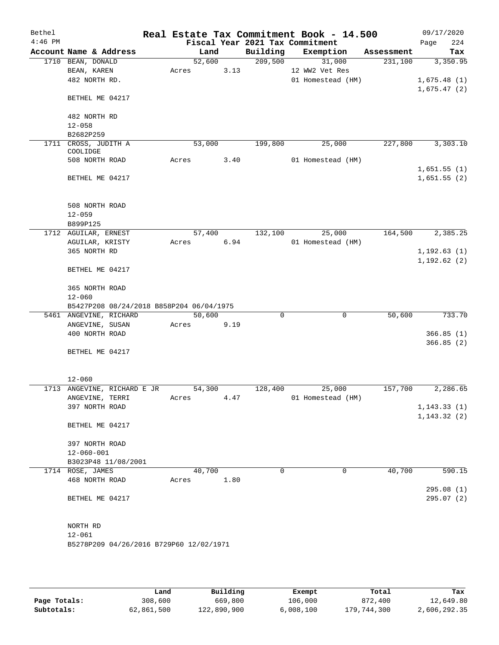| Bethel    |                   |                                          |       |        |      |                                 | Real Estate Tax Commitment Book - 14.500 |            | 09/17/2020   |
|-----------|-------------------|------------------------------------------|-------|--------|------|---------------------------------|------------------------------------------|------------|--------------|
| $4:46$ PM |                   |                                          |       |        |      | Fiscal Year 2021 Tax Commitment |                                          |            | Page<br>224  |
|           |                   | Account Name & Address                   |       | Land   |      | Building                        | Exemption                                | Assessment | Tax          |
|           | 1710 BEAN, DONALD |                                          |       | 52,600 |      | 209,500                         | 31,000                                   | 231,100    | 3,350.95     |
|           | BEAN, KAREN       |                                          | Acres |        | 3.13 |                                 | 12 WW2 Vet Res                           |            |              |
|           | 482 NORTH RD.     |                                          |       |        |      |                                 | 01 Homestead (HM)                        |            | 1,675.48(1)  |
|           |                   |                                          |       |        |      |                                 |                                          |            | 1,675.47(2)  |
|           |                   | BETHEL ME 04217                          |       |        |      |                                 |                                          |            |              |
|           |                   |                                          |       |        |      |                                 |                                          |            |              |
|           | 482 NORTH RD      |                                          |       |        |      |                                 |                                          |            |              |
|           | $12 - 058$        |                                          |       |        |      |                                 |                                          |            |              |
|           | B2682P259         |                                          |       |        |      |                                 |                                          |            |              |
| 1711      |                   | CROSS, JUDITH A                          |       | 53,000 |      | 199,800                         | 25,000                                   | 227,800    | 3,303.10     |
|           | COOLIDGE          | 508 NORTH ROAD                           |       |        | 3.40 |                                 | 01 Homestead (HM)                        |            |              |
|           |                   |                                          | Acres |        |      |                                 |                                          |            |              |
|           |                   |                                          |       |        |      |                                 |                                          |            | 1,651.55(1)  |
|           |                   | BETHEL ME 04217                          |       |        |      |                                 |                                          |            | 1,651.55(2)  |
|           |                   |                                          |       |        |      |                                 |                                          |            |              |
|           |                   | 508 NORTH ROAD                           |       |        |      |                                 |                                          |            |              |
|           |                   |                                          |       |        |      |                                 |                                          |            |              |
|           | $12 - 059$        |                                          |       |        |      |                                 |                                          |            |              |
|           | B899P125          |                                          |       |        |      |                                 |                                          |            |              |
|           |                   | 1712 AGUILAR, ERNEST                     |       | 57,400 |      | 132,100                         | 25,000                                   | 164,500    | 2,385.25     |
|           |                   | AGUILAR, KRISTY                          | Acres |        | 6.94 |                                 | 01 Homestead (HM)                        |            |              |
|           | 365 NORTH RD      |                                          |       |        |      |                                 |                                          |            | 1, 192.63(1) |
|           |                   |                                          |       |        |      |                                 |                                          |            | 1, 192.62(2) |
|           |                   | BETHEL ME 04217                          |       |        |      |                                 |                                          |            |              |
|           |                   |                                          |       |        |      |                                 |                                          |            |              |
|           |                   | 365 NORTH ROAD                           |       |        |      |                                 |                                          |            |              |
|           | $12 - 060$        |                                          |       |        |      |                                 |                                          |            |              |
|           |                   | B5427P208 08/24/2018 B858P204 06/04/1975 |       |        |      | $\Omega$                        | $\mathbf 0$                              | 50,600     | 733.70       |
|           |                   | 5461 ANGEVINE, RICHARD                   |       | 50,600 |      |                                 |                                          |            |              |
|           |                   | ANGEVINE, SUSAN                          | Acres |        | 9.19 |                                 |                                          |            |              |
|           |                   | 400 NORTH ROAD                           |       |        |      |                                 |                                          |            | 366.85(1)    |
|           |                   |                                          |       |        |      |                                 |                                          |            | 366.85(2)    |
|           |                   | BETHEL ME 04217                          |       |        |      |                                 |                                          |            |              |
|           |                   |                                          |       |        |      |                                 |                                          |            |              |
|           |                   |                                          |       |        |      |                                 |                                          |            |              |
|           | $12 - 060$        |                                          |       |        |      |                                 |                                          |            |              |
|           |                   | 1713 ANGEVINE, RICHARD E JR              |       | 54,300 |      | 128,400                         | 25,000                                   | 157,700    | 2,286.65     |
|           |                   | ANGEVINE, TERRI                          | Acres |        | 4.47 |                                 | 01 Homestead (HM)                        |            |              |
|           |                   | 397 NORTH ROAD                           |       |        |      |                                 |                                          |            | 1, 143.33(1) |
|           |                   |                                          |       |        |      |                                 |                                          |            | 1, 143.32(2) |
|           |                   | BETHEL ME 04217                          |       |        |      |                                 |                                          |            |              |
|           |                   |                                          |       |        |      |                                 |                                          |            |              |
|           |                   | 397 NORTH ROAD                           |       |        |      |                                 |                                          |            |              |
|           | $12 - 060 - 001$  |                                          |       |        |      |                                 |                                          |            |              |
|           |                   | B3023P48 11/08/2001                      |       |        |      |                                 |                                          |            |              |
|           | 1714 ROSE, JAMES  |                                          |       | 40,700 |      | 0                               | 0                                        | 40,700     | 590.15       |
|           |                   | 468 NORTH ROAD                           | Acres |        | 1.80 |                                 |                                          |            |              |
|           |                   |                                          |       |        |      |                                 |                                          |            | 295.08(1)    |
|           |                   | BETHEL ME 04217                          |       |        |      |                                 |                                          |            | 295.07(2)    |
|           |                   |                                          |       |        |      |                                 |                                          |            |              |
|           |                   |                                          |       |        |      |                                 |                                          |            |              |
|           | NORTH RD          |                                          |       |        |      |                                 |                                          |            |              |
|           | $12 - 061$        |                                          |       |        |      |                                 |                                          |            |              |
|           |                   | B5278P209 04/26/2016 B729P60 12/02/1971  |       |        |      |                                 |                                          |            |              |
|           |                   |                                          |       |        |      |                                 |                                          |            |              |

|              | Land       | Building    | Exempt    | Total       | Tax          |
|--------------|------------|-------------|-----------|-------------|--------------|
| Page Totals: | 308,600    | 669,800     | 106,000   | 872,400     | 12,649.80    |
| Subtotals:   | 62,861,500 | 122,890,900 | 6,008,100 | 179,744,300 | 2,606,292.35 |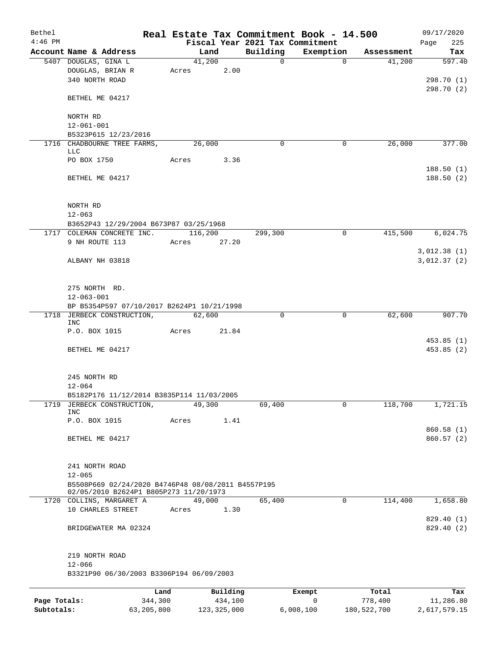| Bethel       |                                                                    |            |       |                |             | Real Estate Tax Commitment Book - 14.500 |                        | 09/17/2020    |
|--------------|--------------------------------------------------------------------|------------|-------|----------------|-------------|------------------------------------------|------------------------|---------------|
| $4:46$ PM    |                                                                    |            |       |                |             | Fiscal Year 2021 Tax Commitment          |                        | 225<br>Page   |
|              | Account Name & Address<br>5407 DOUGLAS, GINA L                     |            |       | Land<br>41,200 | Building    | Exemption                                | Assessment<br>$\Omega$ | Tax<br>597.40 |
|              | DOUGLAS, BRIAN R                                                   |            | Acres | 2.00           | $\mathbf 0$ |                                          | 41,200                 |               |
|              | 340 NORTH ROAD                                                     |            |       |                |             |                                          |                        | 298.70 (1)    |
|              |                                                                    |            |       |                |             |                                          |                        | 298.70 (2)    |
|              | BETHEL ME 04217                                                    |            |       |                |             |                                          |                        |               |
|              |                                                                    |            |       |                |             |                                          |                        |               |
|              | NORTH RD                                                           |            |       |                |             |                                          |                        |               |
|              | $12 - 061 - 001$                                                   |            |       |                |             |                                          |                        |               |
|              | B5323P615 12/23/2016                                               |            |       |                |             |                                          |                        |               |
|              | 1716 CHADBOURNE TREE FARMS,<br><b>LLC</b>                          |            |       | 26,000         | 0           | 0                                        | 26,000                 | 377.00        |
|              | PO BOX 1750                                                        |            | Acres | 3.36           |             |                                          |                        |               |
|              |                                                                    |            |       |                |             |                                          |                        | 188.50(1)     |
|              | BETHEL ME 04217                                                    |            |       |                |             |                                          |                        | 188.50(2)     |
|              |                                                                    |            |       |                |             |                                          |                        |               |
|              |                                                                    |            |       |                |             |                                          |                        |               |
|              | NORTH RD<br>$12 - 063$                                             |            |       |                |             |                                          |                        |               |
|              | B3652P43 12/29/2004 B673P87 03/25/1968                             |            |       |                |             |                                          |                        |               |
|              | 1717 COLEMAN CONCRETE INC.                                         |            |       | 116,200        | 299,300     | $\mathbf 0$                              | 415,500                | 6,024.75      |
|              | 9 NH ROUTE 113                                                     |            | Acres | 27.20          |             |                                          |                        |               |
|              |                                                                    |            |       |                |             |                                          |                        | 3,012.38(1)   |
|              | ALBANY NH 03818                                                    |            |       |                |             |                                          |                        | 3,012.37(2)   |
|              |                                                                    |            |       |                |             |                                          |                        |               |
|              |                                                                    |            |       |                |             |                                          |                        |               |
|              | 275 NORTH RD.                                                      |            |       |                |             |                                          |                        |               |
|              | $12 - 063 - 001$<br>BP B5354P597 07/10/2017 B2624P1 10/21/1998     |            |       |                |             |                                          |                        |               |
|              |                                                                    |            |       |                |             |                                          |                        |               |
|              | 1718 JERBECK CONSTRUCTION,<br><b>INC</b>                           |            |       | 62,600         | 0           | 0                                        | 62,600                 | 907.70        |
|              | P.O. BOX 1015                                                      |            | Acres | 21.84          |             |                                          |                        |               |
|              |                                                                    |            |       |                |             |                                          |                        | 453.85(1)     |
|              | BETHEL ME 04217                                                    |            |       |                |             |                                          |                        | 453.85 (2)    |
|              |                                                                    |            |       |                |             |                                          |                        |               |
|              |                                                                    |            |       |                |             |                                          |                        |               |
|              | 245 NORTH RD                                                       |            |       |                |             |                                          |                        |               |
|              | $12 - 064$                                                         |            |       |                |             |                                          |                        |               |
|              | B5182P176 11/12/2014 B3835P114 11/03/2005<br>JERBECK CONSTRUCTION, |            |       | 49,300         | 69,400      | 0                                        | 118,700                | 1,721.15      |
| 1719         | <b>INC</b>                                                         |            |       |                |             |                                          |                        |               |
|              | P.O. BOX 1015                                                      |            | Acres | 1.41           |             |                                          |                        |               |
|              |                                                                    |            |       |                |             |                                          |                        | 860.58 (1)    |
|              | BETHEL ME 04217                                                    |            |       |                |             |                                          |                        | 860.57 (2)    |
|              |                                                                    |            |       |                |             |                                          |                        |               |
|              | 241 NORTH ROAD                                                     |            |       |                |             |                                          |                        |               |
|              | $12 - 065$                                                         |            |       |                |             |                                          |                        |               |
|              | B5508P669 02/24/2020 B4746P48 08/08/2011 B4557P195                 |            |       |                |             |                                          |                        |               |
|              | 02/05/2010 B2624P1 B805P273 11/20/1973                             |            |       |                |             |                                          |                        |               |
|              | 1720 COLLINS, MARGARET A                                           |            |       | 49,000         | 65,400      | 0                                        | 114,400                | 1,658.80      |
|              | 10 CHARLES STREET                                                  |            | Acres | 1.30           |             |                                          |                        |               |
|              |                                                                    |            |       |                |             |                                          |                        | 829.40 (1)    |
|              | BRIDGEWATER MA 02324                                               |            |       |                |             |                                          |                        | 829.40 (2)    |
|              |                                                                    |            |       |                |             |                                          |                        |               |
|              | 219 NORTH ROAD                                                     |            |       |                |             |                                          |                        |               |
|              | $12 - 066$                                                         |            |       |                |             |                                          |                        |               |
|              | B3321P90 06/30/2003 B3306P194 06/09/2003                           |            |       |                |             |                                          |                        |               |
|              |                                                                    | Land       |       | Building       |             | Exempt                                   | Total                  | Tax           |
| Page Totals: |                                                                    | 344,300    |       | 434,100        |             | $\mathbf 0$                              | 778,400                | 11,286.80     |
| Subtotals:   |                                                                    | 63,205,800 |       | 123, 325, 000  |             | 6,008,100                                | 180, 522, 700          | 2,617,579.15  |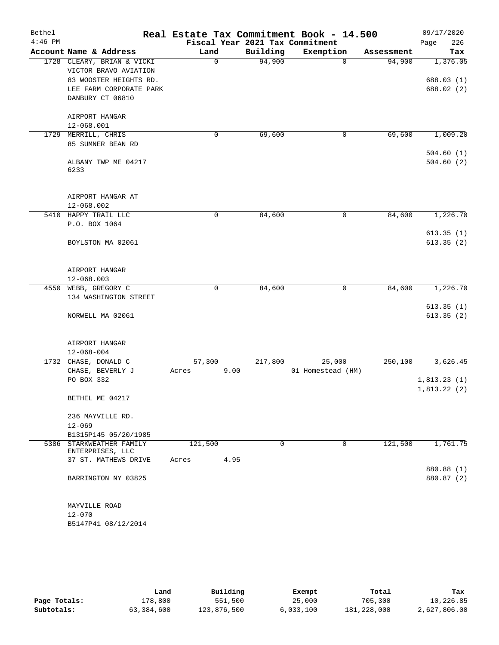| Bethel    |                             | Real Estate Tax Commitment Book - 14.500 |          |                   |            | 09/17/2020             |
|-----------|-----------------------------|------------------------------------------|----------|-------------------|------------|------------------------|
| $4:46$ PM |                             | Fiscal Year 2021 Tax Commitment          |          |                   |            | Page<br>226            |
|           | Account Name & Address      | Land                                     | Building | Exemption         | Assessment | Tax                    |
|           | 1728 CLEARY, BRIAN & VICKI  | $\mathbf 0$                              | 94,900   | $\Omega$          | 94,900     | 1,376.05               |
|           | VICTOR BRAVO AVIATION       |                                          |          |                   |            |                        |
|           | 83 WOOSTER HEIGHTS RD.      |                                          |          |                   |            | 688.03(1)              |
|           | LEE FARM CORPORATE PARK     |                                          |          |                   |            | 688.02 (2)             |
|           | DANBURY CT 06810            |                                          |          |                   |            |                        |
|           | AIRPORT HANGAR              |                                          |          |                   |            |                        |
|           | 12-068.001                  |                                          |          |                   |            |                        |
|           | 1729 MERRILL, CHRIS         | $\mathbf 0$                              | 69,600   | 0                 | 69,600     | 1,009.20               |
|           | 85 SUMNER BEAN RD           |                                          |          |                   |            |                        |
|           |                             |                                          |          |                   |            | 504.60(1)<br>504.60(2) |
|           | ALBANY TWP ME 04217<br>6233 |                                          |          |                   |            |                        |
|           | AIRPORT HANGAR AT           |                                          |          |                   |            |                        |
|           | 12-068.002                  |                                          |          |                   |            |                        |
|           | 5410 HAPPY TRAIL LLC        | 0                                        | 84,600   | 0                 | 84,600     | 1,226.70               |
|           | P.O. BOX 1064               |                                          |          |                   |            |                        |
|           |                             |                                          |          |                   |            | 613.35(1)              |
|           | BOYLSTON MA 02061           |                                          |          |                   |            | 613.35(2)              |
|           | AIRPORT HANGAR              |                                          |          |                   |            |                        |
|           | 12-068.003                  |                                          |          |                   |            |                        |
|           | 4550 WEBB, GREGORY C        | $\mathbf 0$                              | 84,600   | 0                 | 84,600     | 1,226.70               |
|           | 134 WASHINGTON STREET       |                                          |          |                   |            |                        |
|           |                             |                                          |          |                   |            | 613.35(1)              |
|           | NORWELL MA 02061            |                                          |          |                   |            | 613.35(2)              |
|           | AIRPORT HANGAR              |                                          |          |                   |            |                        |
|           | $12 - 068 - 004$            |                                          |          |                   |            |                        |
|           | 1732 CHASE, DONALD C        | 57,300                                   | 217,800  | 25,000            | 250,100    | 3,626.45               |
|           | CHASE, BEVERLY J            | 9.00<br>Acres                            |          | 01 Homestead (HM) |            |                        |
|           | PO BOX 332                  |                                          |          |                   |            | 1,813.23(1)            |
|           | BETHEL ME 04217             |                                          |          |                   |            | 1,813.22(2)            |
|           | 236 MAYVILLE RD.            |                                          |          |                   |            |                        |
|           | $12 - 069$                  |                                          |          |                   |            |                        |
|           | B1315P145 05/20/1985        |                                          |          |                   |            |                        |
|           | 5386 STARKWEATHER FAMILY    | 121,500                                  | $\Omega$ | $\Omega$          | 121,500    | 1,761.75               |
|           | ENTERPRISES, LLC            |                                          |          |                   |            |                        |
|           | 37 ST. MATHEWS DRIVE        | 4.95<br>Acres                            |          |                   |            | 880.88 (1)             |
|           | BARRINGTON NY 03825         |                                          |          |                   |            | 880.87 (2)             |
|           | MAYVILLE ROAD               |                                          |          |                   |            |                        |
|           | $12 - 070$                  |                                          |          |                   |            |                        |
|           | B5147P41 08/12/2014         |                                          |          |                   |            |                        |
|           |                             |                                          |          |                   |            |                        |

|              | Land       | Building    | Exempt    | Total       | Tax          |
|--------------|------------|-------------|-----------|-------------|--------------|
| Page Totals: | 178,800    | 551,500     | 25,000    | 705,300     | 10,226.85    |
| Subtotals:   | 63,384,600 | 123,876,500 | 6,033,100 | 181,228,000 | 2,627,806.00 |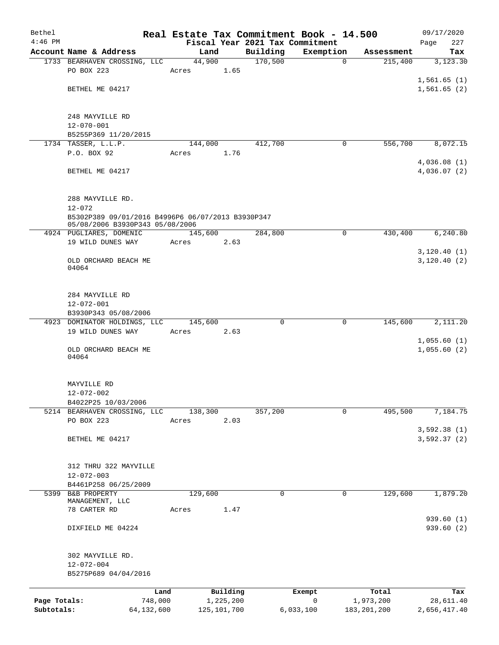| Bethel       |                                                                 |                  |      |                                 | Real Estate Tax Commitment Book - 14.500 |                       | 09/17/2020       |
|--------------|-----------------------------------------------------------------|------------------|------|---------------------------------|------------------------------------------|-----------------------|------------------|
| $4:46$ PM    |                                                                 |                  |      | Fiscal Year 2021 Tax Commitment |                                          |                       | 227<br>Page      |
|              | Account Name & Address<br>1733 BEARHAVEN CROSSING, LLC          | Land<br>44,900   |      | Building<br>170,500             | Exemption<br>$\mathbf 0$                 | Assessment<br>215,400 | Tax<br>3, 123.30 |
|              | PO BOX 223                                                      | Acres            | 1.65 |                                 |                                          |                       |                  |
|              |                                                                 |                  |      |                                 |                                          |                       | 1,561.65(1)      |
|              | BETHEL ME 04217                                                 |                  |      |                                 |                                          |                       | 1,561.65(2)      |
|              |                                                                 |                  |      |                                 |                                          |                       |                  |
|              |                                                                 |                  |      |                                 |                                          |                       |                  |
|              | 248 MAYVILLE RD                                                 |                  |      |                                 |                                          |                       |                  |
|              | $12 - 070 - 001$<br>B5255P369 11/20/2015                        |                  |      |                                 |                                          |                       |                  |
|              | 1734 TASSER, L.L.P.                                             | 144,000          |      | 412,700                         | 0                                        | 556,700               | 8,072.15         |
|              | P.O. BOX 92                                                     | Acres            | 1.76 |                                 |                                          |                       |                  |
|              |                                                                 |                  |      |                                 |                                          |                       | 4,036.08(1)      |
|              | BETHEL ME 04217                                                 |                  |      |                                 |                                          |                       | 4,036.07 (2)     |
|              |                                                                 |                  |      |                                 |                                          |                       |                  |
|              |                                                                 |                  |      |                                 |                                          |                       |                  |
|              | 288 MAYVILLE RD.                                                |                  |      |                                 |                                          |                       |                  |
|              | $12 - 072$<br>B5302P389 09/01/2016 B4996P6 06/07/2013 B3930P347 |                  |      |                                 |                                          |                       |                  |
|              | 05/08/2006 B3930P343 05/08/2006                                 |                  |      |                                 |                                          |                       |                  |
|              | 4924 PUGLIARES, DOMENIC                                         | 145,600          |      | 284,800                         | 0                                        | 430,400               | 6, 240.80        |
|              | 19 WILD DUNES WAY                                               | Acres            | 2.63 |                                 |                                          |                       |                  |
|              |                                                                 |                  |      |                                 |                                          |                       | 3,120.40(1)      |
|              | OLD ORCHARD BEACH ME<br>04064                                   |                  |      |                                 |                                          |                       | 3,120.40(2)      |
|              |                                                                 |                  |      |                                 |                                          |                       |                  |
|              |                                                                 |                  |      |                                 |                                          |                       |                  |
|              | 284 MAYVILLE RD                                                 |                  |      |                                 |                                          |                       |                  |
|              | 12-072-001                                                      |                  |      |                                 |                                          |                       |                  |
|              | B3930P343 05/08/2006                                            |                  |      | $\mathbf 0$                     |                                          |                       |                  |
|              | 4923 DOMINATOR HOLDINGS, LLC<br>19 WILD DUNES WAY               | 145,600<br>Acres | 2.63 |                                 | 0                                        | 145,600               | 2,111.20         |
|              |                                                                 |                  |      |                                 |                                          |                       | 1,055.60(1)      |
|              | OLD ORCHARD BEACH ME                                            |                  |      |                                 |                                          |                       | 1,055.60(2)      |
|              | 04064                                                           |                  |      |                                 |                                          |                       |                  |
|              |                                                                 |                  |      |                                 |                                          |                       |                  |
|              | MAYVILLE RD                                                     |                  |      |                                 |                                          |                       |                  |
|              | $12 - 072 - 002$                                                |                  |      |                                 |                                          |                       |                  |
|              | B4022P25 10/03/2006                                             |                  |      |                                 |                                          |                       |                  |
|              | 5214 BEARHAVEN CROSSING, LLC                                    | 138,300          |      | 357,200                         | 0                                        | 495,500               | 7,184.75         |
|              | PO BOX 223                                                      | Acres            | 2.03 |                                 |                                          |                       |                  |
|              |                                                                 |                  |      |                                 |                                          |                       | 3,592.38 (1)     |
|              | BETHEL ME 04217                                                 |                  |      |                                 |                                          |                       | 3,592.37(2)      |
|              |                                                                 |                  |      |                                 |                                          |                       |                  |
|              | 312 THRU 322 MAYVILLE                                           |                  |      |                                 |                                          |                       |                  |
|              | $12 - 072 - 003$                                                |                  |      |                                 |                                          |                       |                  |
|              | B4461P258 06/25/2009                                            |                  |      |                                 |                                          |                       |                  |
|              | 5399 B&B PROPERTY<br>MANAGEMENT, LLC                            | 129,600          |      | 0                               | 0                                        | 129,600               | 1,879.20         |
|              | 78 CARTER RD                                                    | Acres            | 1.47 |                                 |                                          |                       |                  |
|              |                                                                 |                  |      |                                 |                                          |                       | 939.60(1)        |
|              | DIXFIELD ME 04224                                               |                  |      |                                 |                                          |                       | 939.60(2)        |
|              |                                                                 |                  |      |                                 |                                          |                       |                  |
|              |                                                                 |                  |      |                                 |                                          |                       |                  |
|              | 302 MAYVILLE RD.                                                |                  |      |                                 |                                          |                       |                  |
|              | $12 - 072 - 004$<br>B5275P689 04/04/2016                        |                  |      |                                 |                                          |                       |                  |
|              |                                                                 |                  |      |                                 |                                          |                       |                  |
|              | Land                                                            | Building         |      |                                 | Exempt                                   | Total                 | Tax              |
| Page Totals: | 748,000                                                         | 1,225,200        |      |                                 | 0                                        | 1,973,200             | 28,611.40        |
| Subtotals:   | 64,132,600                                                      | 125, 101, 700    |      |                                 | 6,033,100                                | 183, 201, 200         | 2,656,417.40     |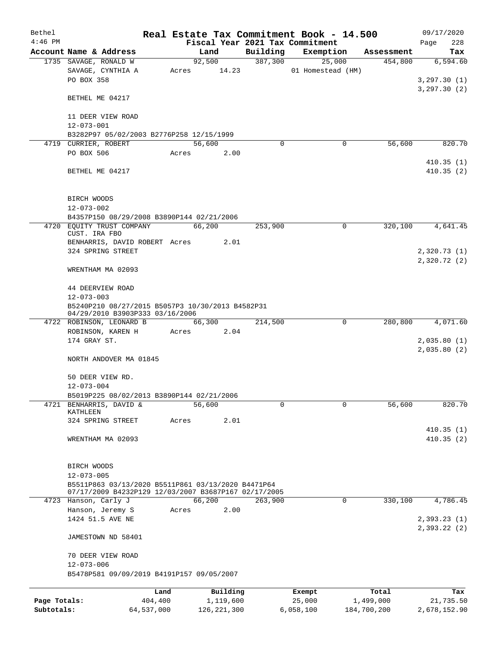| Bethel       |                                                                                                            |       |               |          |          | Real Estate Tax Commitment Book - 14.500 |             | 09/17/2020                 |  |  |
|--------------|------------------------------------------------------------------------------------------------------------|-------|---------------|----------|----------|------------------------------------------|-------------|----------------------------|--|--|
| $4:46$ PM    |                                                                                                            |       |               |          |          | Fiscal Year 2021 Tax Commitment          |             | Page<br>228                |  |  |
|              | Account Name & Address                                                                                     |       | Land          |          | Building | Exemption                                | Assessment  | Tax                        |  |  |
|              | 1735 SAVAGE, RONALD W                                                                                      |       | 92,500        |          | 387,300  | 25,000                                   | 454,800     | 6,594.60                   |  |  |
|              | SAVAGE, CYNTHIA A<br>PO BOX 358                                                                            | Acres | 14.23         |          |          | 01 Homestead (HM)                        |             | 3,297.30(1)                |  |  |
|              | BETHEL ME 04217                                                                                            |       |               |          |          |                                          |             | 3,297.30(2)                |  |  |
|              | 11 DEER VIEW ROAD                                                                                          |       |               |          |          |                                          |             |                            |  |  |
|              | $12 - 073 - 001$                                                                                           |       |               |          |          |                                          |             |                            |  |  |
|              | B3282P97 05/02/2003 B2776P258 12/15/1999                                                                   |       |               |          |          |                                          |             |                            |  |  |
|              | 4719 CURRIER, ROBERT                                                                                       |       | 56,600        |          | $\Omega$ | 0                                        | 56,600      | 820.70                     |  |  |
|              | PO BOX 506                                                                                                 | Acres |               | 2.00     |          |                                          |             |                            |  |  |
|              | BETHEL ME 04217                                                                                            |       |               |          |          |                                          |             | 410.35(1)<br>410.35(2)     |  |  |
|              | BIRCH WOODS                                                                                                |       |               |          |          |                                          |             |                            |  |  |
|              | $12 - 073 - 002$                                                                                           |       |               |          |          |                                          |             |                            |  |  |
|              | B4357P150 08/29/2008 B3890P144 02/21/2006                                                                  |       |               |          |          |                                          |             |                            |  |  |
|              | 4720 EQUITY TRUST COMPANY<br>CUST. IRA FBO                                                                 |       | 66,200        |          | 253,900  | $\mathbf 0$                              | 320,100     | 4,641.45                   |  |  |
|              | BENHARRIS, DAVID ROBERT Acres                                                                              |       |               | 2.01     |          |                                          |             |                            |  |  |
|              | 324 SPRING STREET                                                                                          |       |               |          |          |                                          |             | 2,320.73(1)                |  |  |
|              | WRENTHAM MA 02093                                                                                          |       |               |          |          |                                          |             | 2,320.72(2)                |  |  |
|              | 44 DEERVIEW ROAD<br>$12 - 073 - 003$                                                                       |       |               |          |          |                                          |             |                            |  |  |
|              | B5240P210 08/27/2015 B5057P3 10/30/2013 B4582P31                                                           |       |               |          |          |                                          |             |                            |  |  |
|              | 04/29/2010 B3903P333 03/16/2006                                                                            |       |               |          |          |                                          |             |                            |  |  |
|              | 4722 ROBINSON, LEONARD B                                                                                   |       | 66,300        |          | 214,500  | $\mathbf 0$                              | 280,800     | 4,071.60                   |  |  |
|              | ROBINSON, KAREN H                                                                                          |       | Acres         | 2.04     |          |                                          |             |                            |  |  |
|              | 174 GRAY ST.                                                                                               |       |               |          |          |                                          |             | 2,035.80(1)<br>2,035.80(2) |  |  |
|              | NORTH ANDOVER MA 01845                                                                                     |       |               |          |          |                                          |             |                            |  |  |
|              | 50 DEER VIEW RD.<br>$12 - 073 - 004$                                                                       |       |               |          |          |                                          |             |                            |  |  |
|              | B5019P225 08/02/2013 B3890P144 02/21/2006                                                                  |       |               |          |          |                                          |             |                            |  |  |
| 4721         | BENHARRIS, DAVID &<br>KATHLEEN                                                                             |       | 56,600        |          | 0        | $\Omega$                                 | 56,600      | 820.70                     |  |  |
|              | 324 SPRING STREET                                                                                          | Acres |               | 2.01     |          |                                          |             |                            |  |  |
|              |                                                                                                            |       |               |          |          |                                          |             | 410.35(1)                  |  |  |
|              | WRENTHAM MA 02093                                                                                          |       |               |          |          |                                          |             | 410.35(2)                  |  |  |
|              | BIRCH WOODS                                                                                                |       |               |          |          |                                          |             |                            |  |  |
|              | $12 - 073 - 005$                                                                                           |       |               |          |          |                                          |             |                            |  |  |
|              | B5511P863 03/13/2020 B5511P861 03/13/2020 B4471P64<br>07/17/2009 B4232P129 12/03/2007 B3687P167 02/17/2005 |       |               |          |          |                                          |             |                            |  |  |
|              | 4723 Hanson, Carly J                                                                                       |       | 66,200        |          | 263,900  | 0                                        | 330,100     | 4,786.45                   |  |  |
|              | Hanson, Jeremy S                                                                                           | Acres |               | 2.00     |          |                                          |             |                            |  |  |
|              | 1424 51.5 AVE NE                                                                                           |       |               |          |          |                                          |             | 2,393.23(1)                |  |  |
|              | JAMESTOWN ND 58401                                                                                         |       |               |          |          |                                          |             | 2,393.22(2)                |  |  |
|              | 70 DEER VIEW ROAD<br>$12 - 073 - 006$                                                                      |       |               |          |          |                                          |             |                            |  |  |
|              | B5478P581 09/09/2019 B4191P157 09/05/2007                                                                  |       |               |          |          |                                          |             |                            |  |  |
|              |                                                                                                            | Land  |               | Building |          | Exempt                                   | Total       | Tax                        |  |  |
| Page Totals: | 404,400                                                                                                    |       | 1,119,600     |          |          | 25,000                                   | 1,499,000   | 21,735.50                  |  |  |
| Subtotals:   | 64,537,000                                                                                                 |       | 126, 221, 300 |          |          | 6,058,100                                | 184,700,200 | 2,678,152.90               |  |  |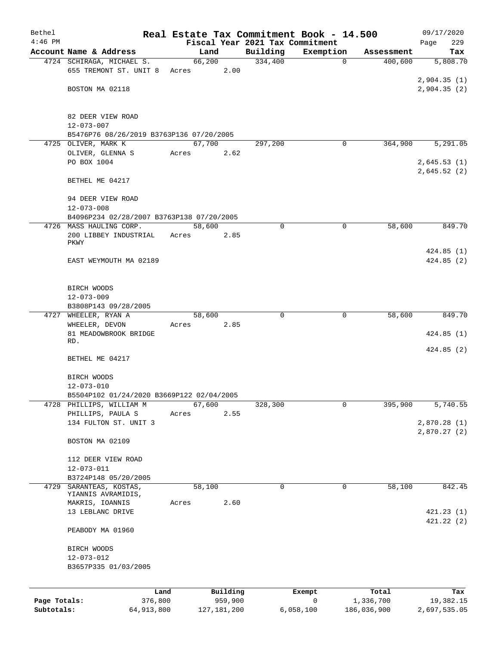| Bethel       |                                                                       |                |               |                                 | Real Estate Tax Commitment Book - 14.500 |                       | 09/17/2020      |
|--------------|-----------------------------------------------------------------------|----------------|---------------|---------------------------------|------------------------------------------|-----------------------|-----------------|
| $4:46$ PM    | Account Name & Address                                                |                |               | Fiscal Year 2021 Tax Commitment |                                          |                       | 229<br>Page     |
|              | 4724 SCHIRAGA, MICHAEL S.                                             | Land<br>66,200 |               | Building<br>334,400             | Exemption<br>$\mathbf 0$                 | Assessment<br>400,600 | Tax<br>5,808.70 |
|              | 655 TREMONT ST. UNIT 8                                                | Acres          | 2.00          |                                 |                                          |                       |                 |
|              |                                                                       |                |               |                                 |                                          |                       | 2,904.35(1)     |
|              | BOSTON MA 02118                                                       |                |               |                                 |                                          |                       | 2,904.35(2)     |
|              | 82 DEER VIEW ROAD                                                     |                |               |                                 |                                          |                       |                 |
|              | $12 - 073 - 007$                                                      |                |               |                                 |                                          |                       |                 |
|              | B5476P76 08/26/2019 B3763P136 07/20/2005                              |                |               |                                 |                                          |                       |                 |
|              | 4725 OLIVER, MARK K                                                   | 67,700         |               | 297,200                         | 0                                        | 364,900               | 5,291.05        |
|              | OLIVER, GLENNA S                                                      | Acres          | 2.62          |                                 |                                          |                       |                 |
|              | PO BOX 1004                                                           |                |               |                                 |                                          |                       | 2,645.53(1)     |
|              | BETHEL ME 04217                                                       |                |               |                                 |                                          |                       | 2,645.52(2)     |
|              | 94 DEER VIEW ROAD                                                     |                |               |                                 |                                          |                       |                 |
|              | $12 - 073 - 008$                                                      |                |               |                                 |                                          |                       |                 |
|              | B4096P234 02/28/2007 B3763P138 07/20/2005                             |                |               |                                 |                                          |                       |                 |
|              | 4726 MASS HAULING CORP.                                               | 58,600         |               | 0                               | $\mathbf 0$                              | 58,600                | 849.70          |
|              | 200 LIBBEY INDUSTRIAL<br>PKWY                                         | Acres          | 2.85          |                                 |                                          |                       |                 |
|              |                                                                       |                |               |                                 |                                          |                       | 424.85(1)       |
|              | EAST WEYMOUTH MA 02189                                                |                |               |                                 |                                          |                       | 424.85(2)       |
|              | BIRCH WOODS                                                           |                |               |                                 |                                          |                       |                 |
|              | $12 - 073 - 009$                                                      |                |               |                                 |                                          |                       |                 |
|              | B3808P143 09/28/2005                                                  |                |               |                                 |                                          |                       |                 |
|              | 4727 WHEELER, RYAN A                                                  | 58,600         |               | 0                               | 0                                        | 58,600                | 849.70          |
|              | WHEELER, DEVON                                                        | Acres          | 2.85          |                                 |                                          |                       |                 |
|              | 81 MEADOWBROOK BRIDGE<br>RD.                                          |                |               |                                 |                                          |                       | 424.85(1)       |
|              | BETHEL ME 04217                                                       |                |               |                                 |                                          |                       | 424.85(2)       |
|              |                                                                       |                |               |                                 |                                          |                       |                 |
|              | BIRCH WOODS                                                           |                |               |                                 |                                          |                       |                 |
|              | $12 - 073 - 010$                                                      |                |               |                                 |                                          |                       |                 |
|              | B5504P102 01/24/2020 B3669P122 02/04/2005<br>4728 PHILLIPS, WILLIAM M | 67,600         |               | 328,300                         | $\mathbf 0$                              | 395,900               | 5,740.55        |
|              | PHILLIPS, PAULA S                                                     | Acres          | 2.55          |                                 |                                          |                       |                 |
|              | 134 FULTON ST. UNIT 3                                                 |                |               |                                 |                                          |                       | 2,870.28(1)     |
|              | BOSTON MA 02109                                                       |                |               |                                 |                                          |                       | 2,870.27(2)     |
|              |                                                                       |                |               |                                 |                                          |                       |                 |
|              | 112 DEER VIEW ROAD<br>$12 - 073 - 011$                                |                |               |                                 |                                          |                       |                 |
|              | B3724P148 05/20/2005                                                  |                |               |                                 |                                          |                       |                 |
| 4729         | SARANTEAS, KOSTAS,                                                    | 58,100         |               | 0                               | $\mathbf 0$                              | 58,100                | 842.45          |
|              | YIANNIS AVRAMIDIS,<br>MAKRIS, IOANNIS                                 | Acres          | 2.60          |                                 |                                          |                       |                 |
|              | 13 LEBLANC DRIVE                                                      |                |               |                                 |                                          |                       | 421.23(1)       |
|              |                                                                       |                |               |                                 |                                          |                       | 421.22(2)       |
|              | PEABODY MA 01960                                                      |                |               |                                 |                                          |                       |                 |
|              | BIRCH WOODS                                                           |                |               |                                 |                                          |                       |                 |
|              | 12-073-012                                                            |                |               |                                 |                                          |                       |                 |
|              | B3657P335 01/03/2005                                                  |                |               |                                 |                                          |                       |                 |
|              | Land                                                                  |                | Building      |                                 | Exempt                                   | Total                 | Tax             |
| Page Totals: | 376,800                                                               |                | 959,900       |                                 | 0                                        | 1,336,700             | 19,382.15       |
| Subtotals:   | 64, 913, 800                                                          |                | 127, 181, 200 |                                 | 6,058,100                                | 186,036,900           | 2,697,535.05    |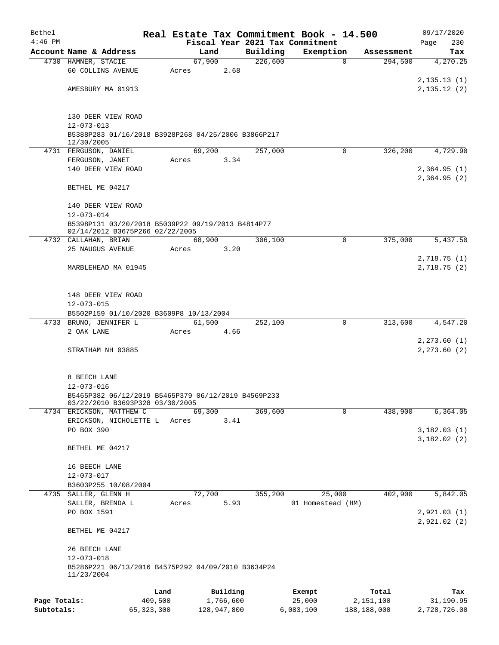| Bethel       |                                                                        |         |           |          | Real Estate Tax Commitment Book - 14.500 |            | 09/17/2020                  |
|--------------|------------------------------------------------------------------------|---------|-----------|----------|------------------------------------------|------------|-----------------------------|
| $4:46$ PM    |                                                                        |         |           |          | Fiscal Year 2021 Tax Commitment          |            | 230<br>Page                 |
|              | Account Name & Address                                                 |         | Land      | Building | Exemption                                | Assessment | Tax                         |
|              | 4730 HAMNER, STACIE                                                    |         | 67,900    | 226,600  | $\mathbf 0$                              | 294,500    | 4,270.25                    |
|              | <b>60 COLLINS AVENUE</b>                                               | Acres   | 2.68      |          |                                          |            |                             |
|              | AMESBURY MA 01913                                                      |         |           |          |                                          |            | 2,135.13(1)<br>2, 135.12(2) |
|              |                                                                        |         |           |          |                                          |            |                             |
|              |                                                                        |         |           |          |                                          |            |                             |
|              | 130 DEER VIEW ROAD                                                     |         |           |          |                                          |            |                             |
|              | $12 - 073 - 013$                                                       |         |           |          |                                          |            |                             |
|              | B5388P283 01/16/2018 B3928P268 04/25/2006 B3866P217                    |         |           |          |                                          |            |                             |
|              | 12/30/2005<br>4731 FERGUSON, DANIEL                                    |         | 69,200    | 257,000  | $\Omega$                                 | 326,200    | 4,729.90                    |
|              | FERGUSON, JANET                                                        | Acres   | 3.34      |          |                                          |            |                             |
|              | 140 DEER VIEW ROAD                                                     |         |           |          |                                          |            | 2,364.95(1)                 |
|              |                                                                        |         |           |          |                                          |            | 2,364.95(2)                 |
|              | BETHEL ME 04217                                                        |         |           |          |                                          |            |                             |
|              |                                                                        |         |           |          |                                          |            |                             |
|              | 140 DEER VIEW ROAD                                                     |         |           |          |                                          |            |                             |
|              | $12 - 073 - 014$                                                       |         |           |          |                                          |            |                             |
|              | B5398P131 03/20/2018 B5039P22 09/19/2013 B4814P77                      |         |           |          |                                          |            |                             |
|              | 02/14/2012 B3675P266 02/22/2005<br>4732 CALLAHAN, BRIAN                |         | 68,900    | 306,100  | $\Omega$                                 | 375,000    | 5,437.50                    |
|              | 25 NAUGUS AVENUE                                                       | Acres   | 3.20      |          |                                          |            |                             |
|              |                                                                        |         |           |          |                                          |            | 2,718.75(1)                 |
|              | MARBLEHEAD MA 01945                                                    |         |           |          |                                          |            | 2,718.75(2)                 |
|              |                                                                        |         |           |          |                                          |            |                             |
|              |                                                                        |         |           |          |                                          |            |                             |
|              | 148 DEER VIEW ROAD                                                     |         |           |          |                                          |            |                             |
|              | $12 - 073 - 015$                                                       |         |           |          |                                          |            |                             |
|              | B5502P159 01/10/2020 B3609P8 10/13/2004                                |         |           |          |                                          |            |                             |
|              | 4733 BRUNO, JENNIFER L                                                 |         | 61,500    | 252,100  | 0                                        | 313,600    | 4,547.20                    |
|              | 2 OAK LANE                                                             | Acres   | 4.66      |          |                                          |            | 2, 273.60(1)                |
|              | STRATHAM NH 03885                                                      |         |           |          |                                          |            | 2,273.60 (2)                |
|              |                                                                        |         |           |          |                                          |            |                             |
|              |                                                                        |         |           |          |                                          |            |                             |
|              | 8 BEECH LANE                                                           |         |           |          |                                          |            |                             |
|              | $12 - 073 - 016$                                                       |         |           |          |                                          |            |                             |
|              | B5465P382 06/12/2019 B5465P379 06/12/2019 B4569P233                    |         |           |          |                                          |            |                             |
|              | 03/22/2010 B3693P328 03/30/2005<br>4734 ERICKSON, MATTHEW C            |         | 69,300    | 369,600  | $\mathbf 0$                              | 438,900    | 6, 364.05                   |
|              | ERICKSON, NICHOLETTE L Acres                                           |         | 3.41      |          |                                          |            |                             |
|              | PO BOX 390                                                             |         |           |          |                                          |            | 3,182.03(1)                 |
|              |                                                                        |         |           |          |                                          |            | 3,182.02(2)                 |
|              | BETHEL ME 04217                                                        |         |           |          |                                          |            |                             |
|              |                                                                        |         |           |          |                                          |            |                             |
|              | 16 BEECH LANE                                                          |         |           |          |                                          |            |                             |
|              | 12-073-017                                                             |         |           |          |                                          |            |                             |
|              | B3603P255 10/08/2004                                                   |         |           |          |                                          |            |                             |
|              | 4735 SALLER, GLENN H                                                   |         | 72,700    | 355,200  | 25,000                                   | 402,900    | 5,842.05                    |
|              | SALLER, BRENDA L                                                       | Acres   | 5.93      |          | 01 Homestead (HM)                        |            |                             |
|              | PO BOX 1591                                                            |         |           |          |                                          |            | 2,921.03(1)<br>2,921.02(2)  |
|              | BETHEL ME 04217                                                        |         |           |          |                                          |            |                             |
|              |                                                                        |         |           |          |                                          |            |                             |
|              | 26 BEECH LANE                                                          |         |           |          |                                          |            |                             |
|              | $12 - 073 - 018$<br>B5286P221 06/13/2016 B4575P292 04/09/2010 B3634P24 |         |           |          |                                          |            |                             |
|              | 11/23/2004                                                             |         |           |          |                                          |            |                             |
|              |                                                                        |         |           |          |                                          |            |                             |
|              |                                                                        | Land    | Building  |          | Exempt                                   | Total      | Tax                         |
| Page Totals: |                                                                        | 409,500 | 1,766,600 |          | 25,000                                   | 2,151,100  | 31,190.95                   |

**Subtotals:** 65,323,300 128,947,800 6,083,100 188,188,000 2,728,726.00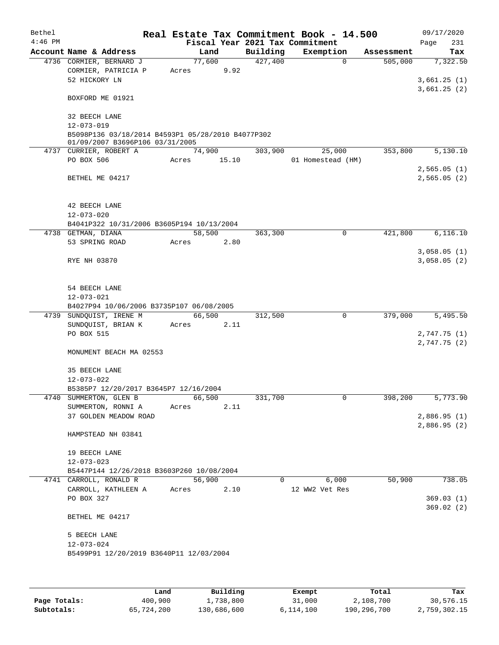| Bethel    |                        |                                                                                      |        |                |                     | Real Estate Tax Commitment Book - 14.500 |                       | 09/17/2020      |
|-----------|------------------------|--------------------------------------------------------------------------------------|--------|----------------|---------------------|------------------------------------------|-----------------------|-----------------|
| $4:46$ PM | Account Name & Address |                                                                                      |        | Land           |                     | Fiscal Year 2021 Tax Commitment          |                       | Page<br>231     |
|           |                        | 4736 CORMIER, BERNARD J                                                              |        | 77,600         | Building<br>427,400 | Exemption<br>$\Omega$                    | Assessment<br>505,000 | Tax<br>7,322.50 |
|           |                        | CORMIER, PATRICIA P                                                                  | Acres  | 9.92           |                     |                                          |                       |                 |
|           | 52 HICKORY LN          |                                                                                      |        |                |                     |                                          |                       | 3,661.25(1)     |
|           |                        |                                                                                      |        |                |                     |                                          |                       | 3,661.25(2)     |
|           | BOXFORD ME 01921       |                                                                                      |        |                |                     |                                          |                       |                 |
|           |                        |                                                                                      |        |                |                     |                                          |                       |                 |
|           | 32 BEECH LANE          |                                                                                      |        |                |                     |                                          |                       |                 |
|           | $12 - 073 - 019$       |                                                                                      |        |                |                     |                                          |                       |                 |
|           |                        | B5098P136 03/18/2014 B4593P1 05/28/2010 B4077P302<br>01/09/2007 B3696P106 03/31/2005 |        |                |                     |                                          |                       |                 |
|           | 4737 CURRIER, ROBERT A |                                                                                      |        | 74,900         | 303,900             | 25,000                                   | 353,800               | 5,130.10        |
|           | PO BOX 506             |                                                                                      | Acres  | 15.10          |                     | 01 Homestead (HM)                        |                       |                 |
|           |                        |                                                                                      |        |                |                     |                                          |                       | 2,565.05(1)     |
|           | BETHEL ME 04217        |                                                                                      |        |                |                     |                                          |                       | 2,565.05(2)     |
|           |                        |                                                                                      |        |                |                     |                                          |                       |                 |
|           |                        |                                                                                      |        |                |                     |                                          |                       |                 |
|           | 42 BEECH LANE          |                                                                                      |        |                |                     |                                          |                       |                 |
|           | $12 - 073 - 020$       |                                                                                      |        |                |                     |                                          |                       |                 |
|           | 4738 GETMAN, DIANA     | B4041P322 10/31/2006 B3605P194 10/13/2004                                            |        |                |                     |                                          |                       | 6, 116.10       |
|           | 53 SPRING ROAD         |                                                                                      | Acres  | 58,500<br>2.80 | 363,300             | 0                                        | 421,800               |                 |
|           |                        |                                                                                      |        |                |                     |                                          |                       | 3,058.05(1)     |
|           | RYE NH 03870           |                                                                                      |        |                |                     |                                          |                       | 3,058.05(2)     |
|           |                        |                                                                                      |        |                |                     |                                          |                       |                 |
|           |                        |                                                                                      |        |                |                     |                                          |                       |                 |
|           | 54 BEECH LANE          |                                                                                      |        |                |                     |                                          |                       |                 |
|           | $12 - 073 - 021$       |                                                                                      |        |                |                     |                                          |                       |                 |
|           |                        | B4027P94 10/06/2006 B3735P107 06/08/2005                                             |        |                |                     |                                          |                       |                 |
|           |                        | 4739 SUNDQUIST, IRENE M                                                              | 66,500 | 2.11           | 312,500             | 0                                        | 379,000               | 5,495.50        |
|           | PO BOX 515             | SUNDQUIST, BRIAN K                                                                   | Acres  |                |                     |                                          |                       | 2,747.75(1)     |
|           |                        |                                                                                      |        |                |                     |                                          |                       | 2,747.75 (2)    |
|           |                        | MONUMENT BEACH MA 02553                                                              |        |                |                     |                                          |                       |                 |
|           |                        |                                                                                      |        |                |                     |                                          |                       |                 |
|           | 35 BEECH LANE          |                                                                                      |        |                |                     |                                          |                       |                 |
|           | 12-073-022             |                                                                                      |        |                |                     |                                          |                       |                 |
|           |                        | B5385P7 12/20/2017 B3645P7 12/16/2004                                                |        |                |                     |                                          |                       |                 |
|           | 4740 SUMMERTON, GLEN B |                                                                                      | 66,500 |                | 331,700             | 0                                        | 398,200               | 5,773.90        |
|           |                        | SUMMERTON, RONNI A<br>37 GOLDEN MEADOW ROAD                                          | Acres  | 2.11           |                     |                                          |                       | 2,886.95(1)     |
|           |                        |                                                                                      |        |                |                     |                                          |                       | 2,886.95(2)     |
|           |                        | HAMPSTEAD NH 03841                                                                   |        |                |                     |                                          |                       |                 |
|           |                        |                                                                                      |        |                |                     |                                          |                       |                 |
|           | 19 BEECH LANE          |                                                                                      |        |                |                     |                                          |                       |                 |
|           | $12 - 073 - 023$       |                                                                                      |        |                |                     |                                          |                       |                 |
|           |                        | B5447P144 12/26/2018 B3603P260 10/08/2004                                            |        |                |                     |                                          |                       |                 |
|           | 4741 CARROLL, RONALD R |                                                                                      | 56,900 |                | $\Omega$            | 6,000                                    | 50,900                | 738.05          |
|           |                        | CARROLL, KATHLEEN A                                                                  | Acres  | 2.10           |                     | 12 WW2 Vet Res                           |                       |                 |
|           | PO BOX 327             |                                                                                      |        |                |                     |                                          |                       | 369.03(1)       |
|           | BETHEL ME 04217        |                                                                                      |        |                |                     |                                          |                       | 369.02(2)       |
|           |                        |                                                                                      |        |                |                     |                                          |                       |                 |
|           | 5 BEECH LANE           |                                                                                      |        |                |                     |                                          |                       |                 |
|           | $12 - 073 - 024$       |                                                                                      |        |                |                     |                                          |                       |                 |
|           |                        | B5499P91 12/20/2019 B3640P11 12/03/2004                                              |        |                |                     |                                          |                       |                 |
|           |                        |                                                                                      |        |                |                     |                                          |                       |                 |
|           |                        |                                                                                      |        |                |                     |                                          |                       |                 |

|              | Land       | Building    | Exempt    | Total       | Tax          |
|--------------|------------|-------------|-----------|-------------|--------------|
| Page Totals: | 400,900    | 1,738,800   | 31,000    | 2,108,700   | 30,576.15    |
| Subtotals:   | 65,724,200 | 130,686,600 | 6.114.100 | 190,296,700 | 2,759,302.15 |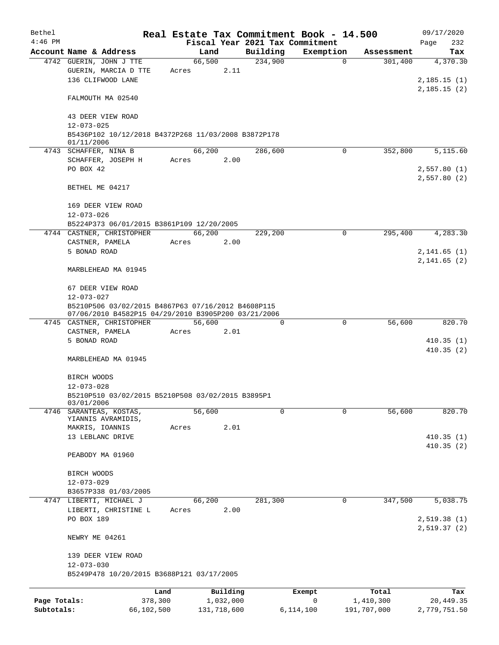| Bethel       |                                                                                                           |            |       |                |          | Real Estate Tax Commitment Book - 14.500 |             |             | 09/17/2020                 |
|--------------|-----------------------------------------------------------------------------------------------------------|------------|-------|----------------|----------|------------------------------------------|-------------|-------------|----------------------------|
| $4:46$ PM    |                                                                                                           |            |       |                |          | Fiscal Year 2021 Tax Commitment          |             |             | Page<br>232                |
|              | Account Name & Address                                                                                    |            |       | Land           | Building | Exemption                                |             | Assessment  | Tax                        |
|              | 4742 GUERIN, JOHN J TTE<br>GUERIN, MARCIA D TTE                                                           |            | Acres | 66,500<br>2.11 | 234,900  |                                          | $\Omega$    | 301,400     | 4,370.30                   |
|              | 136 CLIFWOOD LANE                                                                                         |            |       |                |          |                                          |             |             | 2,185.15(1)                |
|              | FALMOUTH MA 02540                                                                                         |            |       |                |          |                                          |             |             | 2,185.15(2)                |
|              | 43 DEER VIEW ROAD                                                                                         |            |       |                |          |                                          |             |             |                            |
|              | $12 - 073 - 025$<br>B5436P102 10/12/2018 B4372P268 11/03/2008 B3872P178                                   |            |       |                |          |                                          |             |             |                            |
|              | 01/11/2006                                                                                                |            |       |                |          |                                          |             |             |                            |
|              | 4743 SCHAFFER, NINA B                                                                                     |            |       | 66,200         | 286,600  |                                          | 0           | 352,800     | 5,115.60                   |
|              | SCHAFFER, JOSEPH H                                                                                        |            | Acres | 2.00           |          |                                          |             |             |                            |
|              | PO BOX 42                                                                                                 |            |       |                |          |                                          |             |             | 2,557.80(1)<br>2,557.80(2) |
|              | BETHEL ME 04217                                                                                           |            |       |                |          |                                          |             |             |                            |
|              | 169 DEER VIEW ROAD                                                                                        |            |       |                |          |                                          |             |             |                            |
|              | $12 - 073 - 026$                                                                                          |            |       |                |          |                                          |             |             |                            |
|              | B5224P373 06/01/2015 B3861P109 12/20/2005                                                                 |            |       |                |          |                                          |             |             |                            |
|              | 4744 CASTNER, CHRISTOPHER                                                                                 |            |       | 66,200         | 229,200  |                                          | $\mathbf 0$ | 295,400     | 4,283.30                   |
|              | CASTNER, PAMELA                                                                                           |            | Acres | 2.00           |          |                                          |             |             |                            |
|              | 5 BONAD ROAD                                                                                              |            |       |                |          |                                          |             |             | 2,141.65(1)                |
|              | MARBLEHEAD MA 01945                                                                                       |            |       |                |          |                                          |             |             | 2,141.65(2)                |
|              | 67 DEER VIEW ROAD                                                                                         |            |       |                |          |                                          |             |             |                            |
|              | $12 - 073 - 027$                                                                                          |            |       |                |          |                                          |             |             |                            |
|              | B5210P506 03/02/2015 B4867P63 07/16/2012 B4608P115<br>07/06/2010 B4582P15 04/29/2010 B3905P200 03/21/2006 |            |       |                |          |                                          |             |             |                            |
|              | 4745 CASTNER, CHRISTOPHER                                                                                 |            |       | 56,600         | 0        |                                          | $\mathbf 0$ | 56,600      | 820.70                     |
|              | CASTNER, PAMELA                                                                                           |            | Acres | 2.01           |          |                                          |             |             |                            |
|              | 5 BONAD ROAD                                                                                              |            |       |                |          |                                          |             |             | 410.35(1)                  |
|              |                                                                                                           |            |       |                |          |                                          |             |             | 410.35(2)                  |
|              | MARBLEHEAD MA 01945                                                                                       |            |       |                |          |                                          |             |             |                            |
|              | BIRCH WOODS                                                                                               |            |       |                |          |                                          |             |             |                            |
|              | $12 - 073 - 028$                                                                                          |            |       |                |          |                                          |             |             |                            |
|              | B5210P510 03/02/2015 B5210P508 03/02/2015 B3895P1                                                         |            |       |                |          |                                          |             |             |                            |
|              | 03/01/2006<br>4746 SARANTEAS, KOSTAS,                                                                     |            |       | 56,600         | $\Omega$ |                                          | 0           | 56,600      | 820.70                     |
|              | YIANNIS AVRAMIDIS,                                                                                        |            |       |                |          |                                          |             |             |                            |
|              | MAKRIS, IOANNIS                                                                                           |            | Acres | 2.01           |          |                                          |             |             |                            |
|              | 13 LEBLANC DRIVE                                                                                          |            |       |                |          |                                          |             |             | 410.35(1)                  |
|              |                                                                                                           |            |       |                |          |                                          |             |             | 410.35(2)                  |
|              | PEABODY MA 01960                                                                                          |            |       |                |          |                                          |             |             |                            |
|              | BIRCH WOODS                                                                                               |            |       |                |          |                                          |             |             |                            |
|              | $12 - 073 - 029$                                                                                          |            |       |                |          |                                          |             |             |                            |
|              | B3657P338 01/03/2005                                                                                      |            |       |                |          |                                          |             |             |                            |
|              | 4747 LIBERTI, MICHAEL J                                                                                   |            |       | 66,200         | 281,300  |                                          | 0           | 347,500     | 5,038.75                   |
|              | LIBERTI, CHRISTINE L                                                                                      |            | Acres | 2.00           |          |                                          |             |             |                            |
|              | PO BOX 189                                                                                                |            |       |                |          |                                          |             |             | 2,519.38 (1)               |
|              | NEWRY ME 04261                                                                                            |            |       |                |          |                                          |             |             | 2,519.37(2)                |
|              | 139 DEER VIEW ROAD                                                                                        |            |       |                |          |                                          |             |             |                            |
|              | $12 - 073 - 030$                                                                                          |            |       |                |          |                                          |             |             |                            |
|              | B5249P478 10/20/2015 B3688P121 03/17/2005                                                                 |            |       |                |          |                                          |             |             |                            |
|              |                                                                                                           | Land       |       | Building       |          | Exempt                                   |             | Total       | Tax                        |
| Page Totals: |                                                                                                           | 378,300    |       | 1,032,000      |          | 0                                        |             | 1,410,300   | 20,449.35                  |
| Subtotals:   |                                                                                                           | 66,102,500 |       | 131,718,600    |          | 6,114,100                                |             | 191,707,000 | 2,779,751.50               |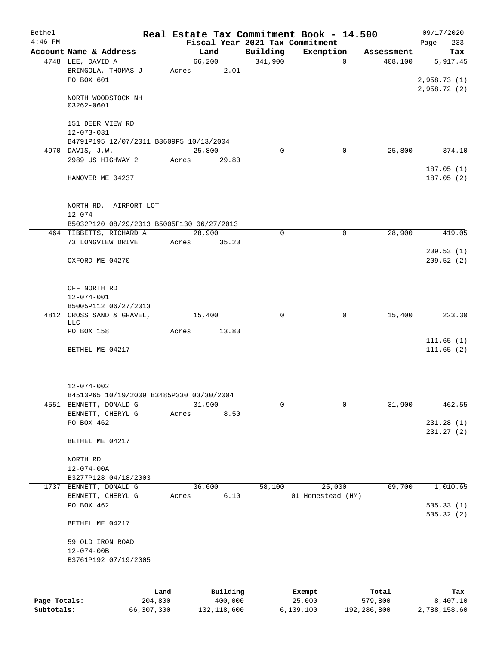| Bethel<br>$4:46$ PM |                                                              |                       |                     | Fiscal Year 2021 Tax Commitment | Real Estate Tax Commitment Book - 14.500 |                  | 09/17/2020<br>233<br>Page |
|---------------------|--------------------------------------------------------------|-----------------------|---------------------|---------------------------------|------------------------------------------|------------------|---------------------------|
|                     | Account Name & Address                                       | Land                  |                     | Building                        | Exemption                                | Assessment       | Tax                       |
|                     | 4748 LEE, DAVID A<br>BRINGOLA, THOMAS J<br>PO BOX 601        | 66,200<br>Acres       | 2.01                | 341,900                         | $\Omega$                                 | 408,100          | 5,917.45<br>2,958.73 (1)  |
|                     | NORTH WOODSTOCK NH<br>03262-0601                             |                       |                     |                                 |                                          |                  | 2,958.72(2)               |
|                     | 151 DEER VIEW RD<br>$12 - 073 - 031$                         |                       |                     |                                 |                                          |                  |                           |
|                     | B4791P195 12/07/2011 B3609P5 10/13/2004<br>4970 DAVIS, J.W.  | 25,800                |                     | $\Omega$                        | $\Omega$                                 | 25,800           | 374.10                    |
|                     | 2989 US HIGHWAY 2                                            | Acres 29.80           |                     |                                 |                                          |                  | 187.05(1)                 |
|                     | HANOVER ME 04237                                             |                       |                     |                                 |                                          |                  | 187.05(2)                 |
|                     | NORTH RD. - AIRPORT LOT<br>$12 - 074$                        |                       |                     |                                 |                                          |                  |                           |
|                     | B5032P120 08/29/2013 B5005P130 06/27/2013                    |                       |                     |                                 |                                          |                  |                           |
|                     | 464 TIBBETTS, RICHARD A<br>73 LONGVIEW DRIVE                 | 28,900<br>Acres 35.20 |                     | $\Omega$                        | $\mathbf 0$                              | 28,900           | 419.05                    |
|                     | OXFORD ME 04270                                              |                       |                     |                                 |                                          |                  | 209.53(1)<br>209.52(2)    |
|                     | OFF NORTH RD<br>$12 - 074 - 001$                             |                       |                     |                                 |                                          |                  |                           |
|                     | B5005P112 06/27/2013                                         |                       |                     |                                 |                                          |                  |                           |
|                     | 4812 CROSS SAND & GRAVEL,<br>LLC<br>PO BOX 158               | 15,400<br>13.83       |                     | 0                               | $\mathbf 0$                              | 15,400           | 223.30                    |
|                     |                                                              | Acres                 |                     |                                 |                                          |                  | 111.65(1)                 |
|                     | BETHEL ME 04217                                              |                       |                     |                                 |                                          |                  | 111.65(2)                 |
|                     | 12-074-002<br>B4513P65 10/19/2009 B3485P330 03/30/2004       |                       |                     |                                 |                                          |                  |                           |
|                     | 4551 BENNETT, DONALD G                                       | 31,900                |                     | 0                               | 0                                        | 31,900           | 462.55                    |
|                     | BENNETT, CHERYL G<br>PO BOX 462                              | Acres                 | 8.50                |                                 |                                          |                  | 231.28(1)                 |
|                     | BETHEL ME 04217                                              |                       |                     |                                 |                                          |                  | 231.27(2)                 |
|                     | NORTH RD<br>$12 - 074 - 00A$                                 |                       |                     |                                 |                                          |                  |                           |
|                     | B3277P128 04/18/2003                                         |                       |                     |                                 |                                          |                  |                           |
|                     | 1737 BENNETT, DONALD G<br>BENNETT, CHERYL G                  | 36,600<br>Acres       | 6.10                | 58,100                          | 25,000<br>01 Homestead (HM)              | 69,700           | 1,010.65                  |
|                     | PO BOX 462                                                   |                       |                     |                                 |                                          |                  | 505.33(1)<br>505.32(2)    |
|                     | BETHEL ME 04217                                              |                       |                     |                                 |                                          |                  |                           |
|                     | 59 OLD IRON ROAD<br>$12 - 074 - 00B$<br>B3761P192 07/19/2005 |                       |                     |                                 |                                          |                  |                           |
|                     |                                                              |                       |                     |                                 |                                          |                  |                           |
| Page Totals:        | Land<br>204,800                                              |                       | Building<br>400,000 |                                 | Exempt<br>25,000                         | Total<br>579,800 | Tax<br>8,407.10           |

**Subtotals:** 66,307,300 132,118,600 6,139,100 192,286,800 2,788,158.60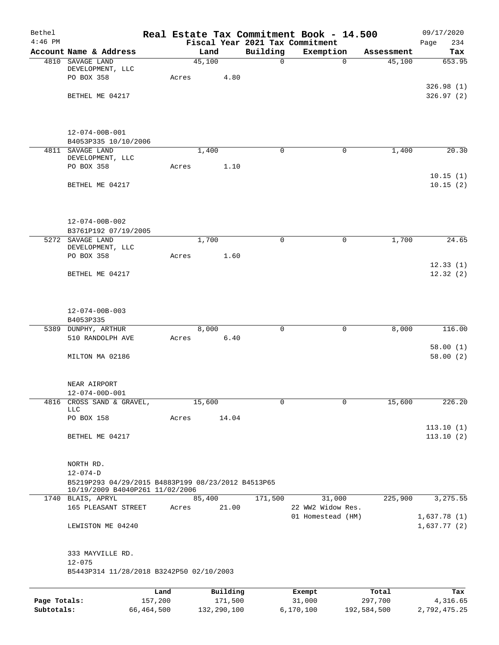| Bethel       |                                                                                       |         |        |          |             | Real Estate Tax Commitment Book - 14.500     |            | 09/17/2020             |
|--------------|---------------------------------------------------------------------------------------|---------|--------|----------|-------------|----------------------------------------------|------------|------------------------|
| $4:46$ PM    | Account Name & Address                                                                |         |        | Land     | Building    | Fiscal Year 2021 Tax Commitment<br>Exemption | Assessment | 234<br>Page<br>Tax     |
|              | 4810 SAVAGE LAND                                                                      |         | 45,100 |          | $\mathbf 0$ | $\mathbf 0$                                  | 45,100     | 653.95                 |
|              | DEVELOPMENT, LLC                                                                      |         |        |          |             |                                              |            |                        |
|              | PO BOX 358                                                                            |         | Acres  | 4.80     |             |                                              |            |                        |
|              | BETHEL ME 04217                                                                       |         |        |          |             |                                              |            | 326.98(1)<br>326.97(2) |
|              |                                                                                       |         |        |          |             |                                              |            |                        |
|              |                                                                                       |         |        |          |             |                                              |            |                        |
|              |                                                                                       |         |        |          |             |                                              |            |                        |
|              | $12 - 074 - 00B - 001$<br>B4053P335 10/10/2006                                        |         |        |          |             |                                              |            |                        |
|              | 4811 SAVAGE LAND                                                                      |         |        | 1,400    | $\mathbf 0$ | $\mathbf 0$                                  | 1,400      | 20.30                  |
|              | DEVELOPMENT, LLC                                                                      |         |        |          |             |                                              |            |                        |
|              | PO BOX 358                                                                            |         | Acres  | 1.10     |             |                                              |            |                        |
|              | BETHEL ME 04217                                                                       |         |        |          |             |                                              |            | 10.15(1)<br>10.15(2)   |
|              |                                                                                       |         |        |          |             |                                              |            |                        |
|              |                                                                                       |         |        |          |             |                                              |            |                        |
|              |                                                                                       |         |        |          |             |                                              |            |                        |
|              | $12 - 074 - 00B - 002$                                                                |         |        |          |             |                                              |            |                        |
|              | B3761P192 07/19/2005<br>5272 SAVAGE LAND                                              |         |        | 1,700    | $\Omega$    | $\mathbf 0$                                  | 1,700      | 24.65                  |
|              | DEVELOPMENT, LLC                                                                      |         |        |          |             |                                              |            |                        |
|              | PO BOX 358                                                                            |         | Acres  | 1.60     |             |                                              |            |                        |
|              |                                                                                       |         |        |          |             |                                              |            | 12.33(1)               |
|              | BETHEL ME 04217                                                                       |         |        |          |             |                                              |            | 12.32(2)               |
|              |                                                                                       |         |        |          |             |                                              |            |                        |
|              |                                                                                       |         |        |          |             |                                              |            |                        |
|              | $12 - 074 - 00B - 003$                                                                |         |        |          |             |                                              |            |                        |
|              | B4053P335                                                                             |         |        |          |             |                                              |            |                        |
|              | 5389 DUNPHY, ARTHUR                                                                   |         |        | 8,000    | $\mathbf 0$ | $\mathbf 0$                                  | 8,000      | 116.00                 |
|              | 510 RANDOLPH AVE                                                                      |         | Acres  | 6.40     |             |                                              |            | 58.00(1)               |
|              | MILTON MA 02186                                                                       |         |        |          |             |                                              |            | 58.00(2)               |
|              |                                                                                       |         |        |          |             |                                              |            |                        |
|              |                                                                                       |         |        |          |             |                                              |            |                        |
|              | NEAR AIRPORT<br>$12 - 074 - 00D - 001$                                                |         |        |          |             |                                              |            |                        |
|              | 4816 CROSS SAND & GRAVEL,                                                             |         | 15,600 |          | $\mathbf 0$ | 0                                            | 15,600     | 226.20                 |
|              | <b>LLC</b>                                                                            |         |        |          |             |                                              |            |                        |
|              | PO BOX 158                                                                            |         | Acres  | 14.04    |             |                                              |            |                        |
|              | BETHEL ME 04217                                                                       |         |        |          |             |                                              |            | 113.10(1)<br>113.10(2) |
|              |                                                                                       |         |        |          |             |                                              |            |                        |
|              |                                                                                       |         |        |          |             |                                              |            |                        |
|              | NORTH RD.                                                                             |         |        |          |             |                                              |            |                        |
|              | $12 - 074 - D$                                                                        |         |        |          |             |                                              |            |                        |
|              | B5219P293 04/29/2015 B4883P199 08/23/2012 B4513P65<br>10/19/2009 B4040P261 11/02/2006 |         |        |          |             |                                              |            |                        |
|              | 1740 BLAIS, APRYL                                                                     |         | 85,400 |          | 171,500     | 31,000                                       | 225,900    | 3,275.55               |
|              | 165 PLEASANT STREET                                                                   |         | Acres  | 21.00    |             | 22 WW2 Widow Res.                            |            |                        |
|              |                                                                                       |         |        |          |             | 01 Homestead (HM)                            |            | 1,637.78(1)            |
|              | LEWISTON ME 04240                                                                     |         |        |          |             |                                              |            | 1,637.77(2)            |
|              |                                                                                       |         |        |          |             |                                              |            |                        |
|              | 333 MAYVILLE RD.                                                                      |         |        |          |             |                                              |            |                        |
|              | $12 - 075$                                                                            |         |        |          |             |                                              |            |                        |
|              | B5443P314 11/28/2018 B3242P50 02/10/2003                                              |         |        |          |             |                                              |            |                        |
|              |                                                                                       | Land    |        | Building |             | Exempt                                       | Total      | Tax                    |
| Page Totals: |                                                                                       | 157,200 |        | 171,500  |             | 31,000                                       | 297,700    | 4,316.65               |
|              |                                                                                       |         |        |          |             |                                              |            |                        |

**Subtotals:** 66,464,500 132,290,100 6,170,100 192,584,500 2,792,475.25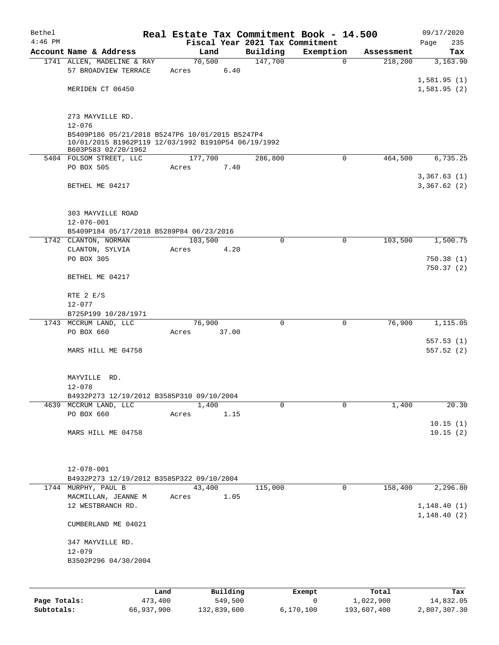| Bethel       |                                                                            |         |          |             | Real Estate Tax Commitment Book - 14.500     |            | 09/17/2020         |
|--------------|----------------------------------------------------------------------------|---------|----------|-------------|----------------------------------------------|------------|--------------------|
| $4:46$ PM    | Account Name & Address                                                     |         | Land     | Building    | Fiscal Year 2021 Tax Commitment<br>Exemption | Assessment | 235<br>Page<br>Tax |
|              | 1741 ALLEN, MADELINE & RAY                                                 |         | 70,500   | 147,700     | $\mathbf 0$                                  | 218,200    | 3,163.90           |
|              | 57 BROADVIEW TERRACE                                                       | Acres   | 6.40     |             |                                              |            |                    |
|              |                                                                            |         |          |             |                                              |            | 1,581.95(1)        |
|              | MERIDEN CT 06450                                                           |         |          |             |                                              |            | 1,581.95(2)        |
|              |                                                                            |         |          |             |                                              |            |                    |
|              | 273 MAYVILLE RD.                                                           |         |          |             |                                              |            |                    |
|              | $12 - 076$                                                                 |         |          |             |                                              |            |                    |
|              | B5409P186 05/21/2018 B5247P6 10/01/2015 B5247P4                            |         |          |             |                                              |            |                    |
|              | 10/01/2015 B1962P119 12/03/1992 B1910P54 06/19/1992<br>B603P583 02/20/1962 |         |          |             |                                              |            |                    |
|              | 5404 FOLSOM STREET, LLC                                                    | 177,700 |          | 286,800     | $\mathbf 0$                                  | 464,500    | 6,735.25           |
|              | PO BOX 505                                                                 | Acres   | 7.40     |             |                                              |            |                    |
|              |                                                                            |         |          |             |                                              |            | 3,367.63(1)        |
|              | BETHEL ME 04217                                                            |         |          |             |                                              |            | 3,367.62(2)        |
|              |                                                                            |         |          |             |                                              |            |                    |
|              | 303 MAYVILLE ROAD                                                          |         |          |             |                                              |            |                    |
|              | $12 - 076 - 001$                                                           |         |          |             |                                              |            |                    |
|              | B5409P184 05/17/2018 B5289P84 06/23/2016                                   |         |          |             |                                              |            |                    |
|              | 1742 CLANTON, NORMAN                                                       | 103,500 |          | $\Omega$    | 0                                            | 103,500    | 1,500.75           |
|              | CLANTON, SYLVIA<br>PO BOX 305                                              | Acres   | 4.20     |             |                                              |            | 750.38(1)          |
|              |                                                                            |         |          |             |                                              |            | 750.37(2)          |
|              | BETHEL ME 04217                                                            |         |          |             |                                              |            |                    |
|              |                                                                            |         |          |             |                                              |            |                    |
|              | RTE 2 E/S                                                                  |         |          |             |                                              |            |                    |
|              | $12 - 077$                                                                 |         |          |             |                                              |            |                    |
|              | B725P199 10/28/1971<br>1743 MCCRUM LAND, LLC                               |         | 76,900   | $\mathbf 0$ | 0                                            | 76,900     | 1,115.05           |
|              | PO BOX 660                                                                 | Acres   | 37.00    |             |                                              |            |                    |
|              |                                                                            |         |          |             |                                              |            | 557.53(1)          |
|              | MARS HILL ME 04758                                                         |         |          |             |                                              |            | 557.52(2)          |
|              |                                                                            |         |          |             |                                              |            |                    |
|              | MAYVILLE RD.                                                               |         |          |             |                                              |            |                    |
|              | $12 - 078$                                                                 |         |          |             |                                              |            |                    |
|              | B4932P273 12/19/2012 B3585P310 09/10/2004                                  |         |          |             |                                              |            |                    |
|              | 4639 MCCRUM LAND, LLC                                                      |         | 1,400    | $\mathbf 0$ | $\Omega$                                     | 1,400      | 20.30              |
|              | PO BOX 660                                                                 | Acres   | 1.15     |             |                                              |            | 10.15(1)           |
|              | MARS HILL ME 04758                                                         |         |          |             |                                              |            | 10.15(2)           |
|              |                                                                            |         |          |             |                                              |            |                    |
|              |                                                                            |         |          |             |                                              |            |                    |
|              |                                                                            |         |          |             |                                              |            |                    |
|              | $12 - 078 - 001$<br>B4932P273 12/19/2012 B3585P322 09/10/2004              |         |          |             |                                              |            |                    |
|              | 1744 MURPHY, PAUL B                                                        |         | 43,400   | 115,000     | 0                                            | 158,400    | 2,296.80           |
|              | MACMILLAN, JEANNE M                                                        | Acres   | 1.05     |             |                                              |            |                    |
|              | 12 WESTBRANCH RD.                                                          |         |          |             |                                              |            | 1, 148.40(1)       |
|              |                                                                            |         |          |             |                                              |            | 1,148.40(2)        |
|              | CUMBERLAND ME 04021                                                        |         |          |             |                                              |            |                    |
|              | 347 MAYVILLE RD.                                                           |         |          |             |                                              |            |                    |
|              | $12 - 079$                                                                 |         |          |             |                                              |            |                    |
|              | B3502P296 04/30/2004                                                       |         |          |             |                                              |            |                    |
|              |                                                                            |         |          |             |                                              |            |                    |
|              |                                                                            |         |          |             |                                              |            |                    |
|              |                                                                            | Land    | Building |             | Exempt                                       | Total      | Tax                |
| Page Totals: | 473,400                                                                    |         | 549,500  |             | 0                                            | 1,022,900  | 14,832.05          |

**Subtotals:** 66,937,900 132,839,600 6,170,100 193,607,400 2,807,307.30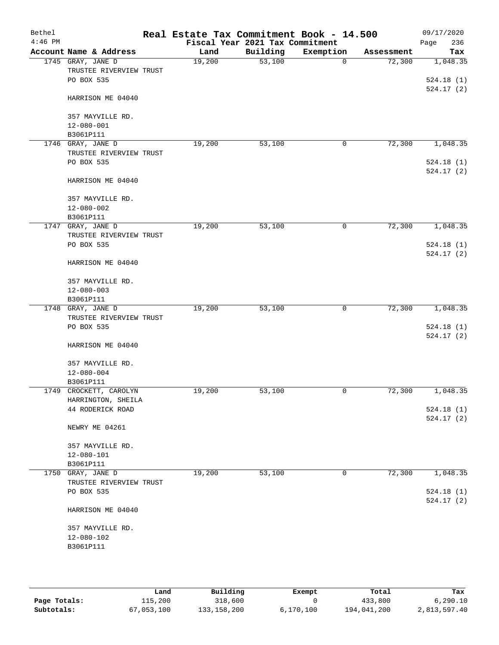| Bethel<br>$4:46$ PM |                                              | Real Estate Tax Commitment Book - 14.500 | Fiscal Year 2021 Tax Commitment |              |            | 09/17/2020<br>236<br>Page |
|---------------------|----------------------------------------------|------------------------------------------|---------------------------------|--------------|------------|---------------------------|
|                     | Account Name & Address                       | Land                                     | Building                        | Exemption    | Assessment | Tax                       |
|                     | 1745 GRAY, JANE D<br>TRUSTEE RIVERVIEW TRUST | 19,200                                   | $\overline{53,100}$             | $\mathbf 0$  | 72,300     | 1,048.35                  |
|                     | PO BOX 535                                   |                                          |                                 |              |            | 524.18(1)<br>524.17(2)    |
|                     | HARRISON ME 04040                            |                                          |                                 |              |            |                           |
|                     | 357 MAYVILLE RD.<br>$12 - 080 - 001$         |                                          |                                 |              |            |                           |
|                     | B3061P111                                    |                                          |                                 |              |            |                           |
|                     | 1746 GRAY, JANE D                            | 19,200                                   | 53,100                          | 0            | 72,300     | 1,048.35                  |
|                     | TRUSTEE RIVERVIEW TRUST<br>PO BOX 535        |                                          |                                 |              |            | 524.18(1)                 |
|                     | HARRISON ME 04040                            |                                          |                                 |              |            | 524.17(2)                 |
|                     | 357 MAYVILLE RD.<br>12-080-002               |                                          |                                 |              |            |                           |
|                     | B3061P111                                    |                                          |                                 |              |            |                           |
|                     | 1747 GRAY, JANE D                            | 19,200                                   | 53,100                          | 0            | 72,300     | 1,048.35                  |
|                     | TRUSTEE RIVERVIEW TRUST                      |                                          |                                 |              |            |                           |
|                     | PO BOX 535                                   |                                          |                                 |              |            | 524.18(1)<br>524.17(2)    |
|                     | HARRISON ME 04040                            |                                          |                                 |              |            |                           |
|                     | 357 MAYVILLE RD.                             |                                          |                                 |              |            |                           |
|                     | $12 - 080 - 003$                             |                                          |                                 |              |            |                           |
|                     | B3061P111                                    |                                          |                                 |              |            |                           |
|                     | 1748 GRAY, JANE D                            | 19,200                                   | 53,100                          | $\mathsf{O}$ | 72,300     | 1,048.35                  |
|                     | TRUSTEE RIVERVIEW TRUST                      |                                          |                                 |              |            |                           |
|                     | PO BOX 535                                   |                                          |                                 |              |            | 524.18(1)                 |
|                     | HARRISON ME 04040                            |                                          |                                 |              |            | 524.17(2)                 |
|                     | 357 MAYVILLE RD.                             |                                          |                                 |              |            |                           |
|                     | $12 - 080 - 004$                             |                                          |                                 |              |            |                           |
|                     | B3061P111<br>1749 CROCKETT, CAROLYN          | 19,200                                   | 53,100                          | 0            | 72,300     | 1,048.35                  |
|                     | HARRINGTON, SHEILA                           |                                          |                                 |              |            |                           |
|                     | 44 RODERICK ROAD                             |                                          |                                 |              |            | 524.18(1)                 |
|                     |                                              |                                          |                                 |              |            | 524.17(2)                 |
|                     | NEWRY ME 04261                               |                                          |                                 |              |            |                           |
|                     | 357 MAYVILLE RD.                             |                                          |                                 |              |            |                           |
|                     | 12-080-101                                   |                                          |                                 |              |            |                           |
|                     | B3061P111                                    |                                          |                                 |              |            |                           |
|                     | 1750 GRAY, JANE D                            | 19,200                                   | 53,100                          | 0            | 72,300     | 1,048.35                  |
|                     | TRUSTEE RIVERVIEW TRUST                      |                                          |                                 |              |            |                           |
|                     | PO BOX 535                                   |                                          |                                 |              |            | 524.18(1)<br>524.17(2)    |
|                     | HARRISON ME 04040                            |                                          |                                 |              |            |                           |
|                     | 357 MAYVILLE RD.                             |                                          |                                 |              |            |                           |
|                     | $12 - 080 - 102$                             |                                          |                                 |              |            |                           |
|                     | B3061P111                                    |                                          |                                 |              |            |                           |
|                     |                                              |                                          |                                 |              |            |                           |
|                     |                                              |                                          |                                 |              |            |                           |

|              | Land       | Building      | Exempt    | Total       | Tax          |
|--------------|------------|---------------|-----------|-------------|--------------|
| Page Totals: | 115,200    | 318,600       |           | 433,800     | 6.290.10     |
| Subtotals:   | 67,053,100 | 133, 158, 200 | 6,170,100 | 194,041,200 | 2,813,597.40 |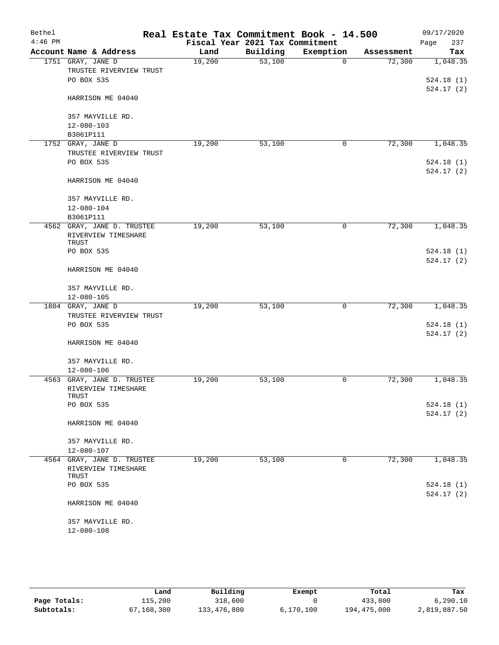| Bethel<br>$4:46$ PM |                            | Real Estate Tax Commitment Book - 14.500 | Fiscal Year 2021 Tax Commitment |           |             | 09/17/2020<br>237<br>Page |
|---------------------|----------------------------|------------------------------------------|---------------------------------|-----------|-------------|---------------------------|
|                     | Account Name & Address     | Land                                     | Building                        | Exemption | Assessment  | Tax                       |
|                     | 1751 GRAY, JANE D          | 19,200                                   | 53,100                          |           | $\mathbf 0$ | 72,300<br>1,048.35        |
|                     | TRUSTEE RIVERVIEW TRUST    |                                          |                                 |           |             |                           |
|                     | PO BOX 535                 |                                          |                                 |           |             | 524.18(1)                 |
|                     |                            |                                          |                                 |           |             | 524.17(2)                 |
|                     | HARRISON ME 04040          |                                          |                                 |           |             |                           |
|                     | 357 MAYVILLE RD.           |                                          |                                 |           |             |                           |
|                     | $12 - 080 - 103$           |                                          |                                 |           |             |                           |
|                     | B3061P111                  |                                          |                                 |           |             |                           |
|                     | 1752 GRAY, JANE D          | 19,200                                   | 53,100                          |           | 0           | 72,300<br>1,048.35        |
|                     | TRUSTEE RIVERVIEW TRUST    |                                          |                                 |           |             |                           |
|                     | PO BOX 535                 |                                          |                                 |           |             | 524.18(1)                 |
|                     |                            |                                          |                                 |           |             | 524.17(2)                 |
|                     | HARRISON ME 04040          |                                          |                                 |           |             |                           |
|                     | 357 MAYVILLE RD.           |                                          |                                 |           |             |                           |
|                     | $12 - 080 - 104$           |                                          |                                 |           |             |                           |
|                     | B3061P111                  |                                          |                                 |           |             |                           |
|                     | 4562 GRAY, JANE D. TRUSTEE | 19,200                                   | 53,100                          |           | 0           | 72,300<br>1,048.35        |
|                     | RIVERVIEW TIMESHARE        |                                          |                                 |           |             |                           |
|                     | TRUST                      |                                          |                                 |           |             |                           |
|                     | PO BOX 535                 |                                          |                                 |           |             | 524.18(1)<br>524.17(2)    |
|                     | HARRISON ME 04040          |                                          |                                 |           |             |                           |
|                     | 357 MAYVILLE RD.           |                                          |                                 |           |             |                           |
|                     | $12 - 080 - 105$           |                                          |                                 |           |             |                           |
|                     | 1804 GRAY, JANE D          | 19,200                                   | 53,100                          |           | $\mathbf 0$ | 72,300<br>1,048.35        |
|                     | TRUSTEE RIVERVIEW TRUST    |                                          |                                 |           |             |                           |
|                     | PO BOX 535                 |                                          |                                 |           |             | 524.18(1)                 |
|                     |                            |                                          |                                 |           |             | 524.17(2)                 |
|                     | HARRISON ME 04040          |                                          |                                 |           |             |                           |
|                     | 357 MAYVILLE RD.           |                                          |                                 |           |             |                           |
|                     | $12 - 080 - 106$           |                                          |                                 |           |             |                           |
|                     | 4563 GRAY, JANE D. TRUSTEE | 19,200                                   | 53,100                          |           | 0           | 72,300<br>1,048.35        |
|                     | RIVERVIEW TIMESHARE        |                                          |                                 |           |             |                           |
|                     | TRUST.                     |                                          |                                 |           |             |                           |
|                     | PO BOX 535                 |                                          |                                 |           |             | 524.18(1)                 |
|                     |                            |                                          |                                 |           |             | 524.17(2)                 |
|                     | HARRISON ME 04040          |                                          |                                 |           |             |                           |
|                     | 357 MAYVILLE RD.           |                                          |                                 |           |             |                           |
|                     | $12 - 080 - 107$           |                                          |                                 |           |             |                           |
|                     | 4564 GRAY, JANE D. TRUSTEE | 19,200                                   | 53,100                          |           | 0           | 72,300<br>1,048.35        |
|                     | RIVERVIEW TIMESHARE        |                                          |                                 |           |             |                           |
|                     | TRUST                      |                                          |                                 |           |             |                           |
|                     | PO BOX 535                 |                                          |                                 |           |             | 524.18(1)                 |
|                     | HARRISON ME 04040          |                                          |                                 |           |             | 524.17(2)                 |
|                     |                            |                                          |                                 |           |             |                           |
|                     | 357 MAYVILLE RD.           |                                          |                                 |           |             |                           |
|                     | $12 - 080 - 108$           |                                          |                                 |           |             |                           |
|                     |                            |                                          |                                 |           |             |                           |

|              | Land       | Building    | Exempt    | Total       | Tax          |
|--------------|------------|-------------|-----------|-------------|--------------|
| Page Totals: | 115,200    | 318,600     |           | 433,800     | 6, 290, 10   |
| Subtotals:   | 67,168,300 | 133,476,800 | 6.170.100 | 194,475,000 | 2,819,887.50 |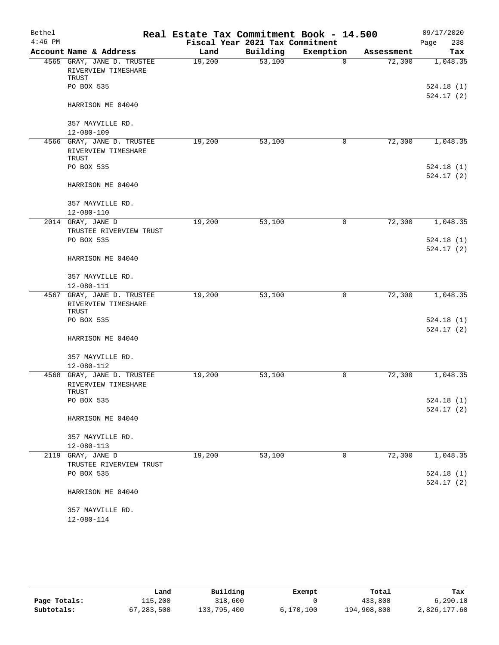| Bethel    |                              | Real Estate Tax Commitment Book - 14.500 |                                 |           |            | 09/17/2020  |
|-----------|------------------------------|------------------------------------------|---------------------------------|-----------|------------|-------------|
| $4:46$ PM |                              |                                          | Fiscal Year 2021 Tax Commitment |           |            | 238<br>Page |
|           | Account Name & Address       | Land                                     | Building                        | Exemption | Assessment | Tax         |
|           | 4565 GRAY, JANE D. TRUSTEE   | 19,200                                   | $\overline{53,100}$             | $\Omega$  | 72,300     | 1,048.35    |
|           | RIVERVIEW TIMESHARE          |                                          |                                 |           |            |             |
|           | TRUST<br>PO BOX 535          |                                          |                                 |           |            | 524.18(1)   |
|           |                              |                                          |                                 |           |            | 524.17(2)   |
|           | HARRISON ME 04040            |                                          |                                 |           |            |             |
|           |                              |                                          |                                 |           |            |             |
|           | 357 MAYVILLE RD.             |                                          |                                 |           |            |             |
|           | $12 - 080 - 109$             |                                          |                                 |           |            |             |
|           | 4566 GRAY, JANE D. TRUSTEE   | 19,200                                   | 53,100                          | 0         | 72,300     | 1,048.35    |
|           | RIVERVIEW TIMESHARE<br>TRUST |                                          |                                 |           |            |             |
|           | PO BOX 535                   |                                          |                                 |           |            | 524.18(1)   |
|           |                              |                                          |                                 |           |            | 524.17(2)   |
|           | HARRISON ME 04040            |                                          |                                 |           |            |             |
|           |                              |                                          |                                 |           |            |             |
|           | 357 MAYVILLE RD.             |                                          |                                 |           |            |             |
|           | $12 - 080 - 110$             |                                          |                                 |           |            |             |
|           | 2014 GRAY, JANE D            | 19,200                                   | 53,100                          | 0         | 72,300     | 1,048.35    |
|           | TRUSTEE RIVERVIEW TRUST      |                                          |                                 |           |            |             |
|           | PO BOX 535                   |                                          |                                 |           |            | 524.18(1)   |
|           |                              |                                          |                                 |           |            | 524.17(2)   |
|           | HARRISON ME 04040            |                                          |                                 |           |            |             |
|           | 357 MAYVILLE RD.             |                                          |                                 |           |            |             |
|           | $12 - 080 - 111$             |                                          |                                 |           |            |             |
|           | 4567 GRAY, JANE D. TRUSTEE   | 19,200                                   | 53,100                          | 0         | 72,300     | 1,048.35    |
|           | RIVERVIEW TIMESHARE          |                                          |                                 |           |            |             |
|           | TRUST                        |                                          |                                 |           |            |             |
|           | PO BOX 535                   |                                          |                                 |           |            | 524.18(1)   |
|           |                              |                                          |                                 |           |            | 524.17(2)   |
|           | HARRISON ME 04040            |                                          |                                 |           |            |             |
|           | 357 MAYVILLE RD.             |                                          |                                 |           |            |             |
|           | $12 - 080 - 112$             |                                          |                                 |           |            |             |
|           | 4568 GRAY, JANE D. TRUSTEE   | 19,200                                   | 53,100                          | 0         | 72,300     | 1,048.35    |
|           | RIVERVIEW TIMESHARE          |                                          |                                 |           |            |             |
|           | TRUST                        |                                          |                                 |           |            |             |
|           | PO BOX 535                   |                                          |                                 |           |            | 524.18(1)   |
|           |                              |                                          |                                 |           |            | 524.17(2)   |
|           | HARRISON ME 04040            |                                          |                                 |           |            |             |
|           | 357 MAYVILLE RD.             |                                          |                                 |           |            |             |
|           | 12-080-113                   |                                          |                                 |           |            |             |
|           | 2119 GRAY, JANE D            | 19,200                                   | 53,100                          | 0         | 72,300     | 1,048.35    |
|           | TRUSTEE RIVERVIEW TRUST      |                                          |                                 |           |            |             |
|           | PO BOX 535                   |                                          |                                 |           |            | 524.18(1)   |
|           |                              |                                          |                                 |           |            | 524.17(2)   |
|           | HARRISON ME 04040            |                                          |                                 |           |            |             |
|           |                              |                                          |                                 |           |            |             |
|           | 357 MAYVILLE RD.             |                                          |                                 |           |            |             |
|           | 12-080-114                   |                                          |                                 |           |            |             |

|              | Land         | Building    | Exempt    | Total       | Tax          |
|--------------|--------------|-------------|-----------|-------------|--------------|
| Page Totals: | 115,200      | 318,600     |           | 433,800     | 6.290.10     |
| Subtotals:   | 67, 283, 500 | 133,795,400 | 6,170,100 | 194,908,800 | 2,826,177.60 |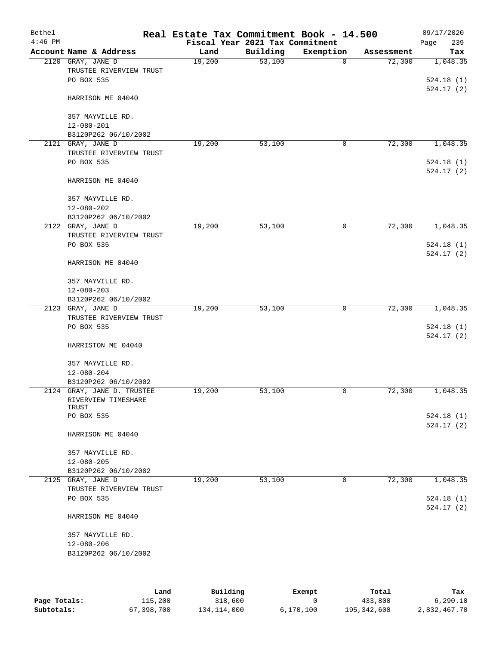| Bethel<br>$4:46$ PM |                                                            | Real Estate Tax Commitment Book - 14.500 | Fiscal Year 2021 Tax Commitment |             |            | 09/17/2020<br>239<br>Page |
|---------------------|------------------------------------------------------------|------------------------------------------|---------------------------------|-------------|------------|---------------------------|
|                     | Account Name & Address                                     | Land                                     | Building                        | Exemption   | Assessment | Tax                       |
|                     | 2120 GRAY, JANE D<br>TRUSTEE RIVERVIEW TRUST<br>PO BOX 535 | 19,200                                   | 53,100                          | $\mathbf 0$ | 72,300     | 1,048.35<br>524.18(1)     |
|                     | HARRISON ME 04040                                          |                                          |                                 |             |            | 524.17(2)                 |
|                     | 357 MAYVILLE RD.<br>$12 - 080 - 201$                       |                                          |                                 |             |            |                           |
|                     | B3120P262 06/10/2002                                       |                                          |                                 |             |            |                           |
|                     | 2121 GRAY, JANE D                                          | 19,200                                   | 53,100                          | 0           | 72,300     | 1,048.35                  |
|                     | TRUSTEE RIVERVIEW TRUST<br>PO BOX 535                      |                                          |                                 |             |            | 524.18(1)<br>524.17(2)    |
|                     | HARRISON ME 04040                                          |                                          |                                 |             |            |                           |
|                     | 357 MAYVILLE RD.<br>$12 - 080 - 202$                       |                                          |                                 |             |            |                           |
|                     | B3120P262 06/10/2002                                       |                                          |                                 |             |            |                           |
|                     | 2122 GRAY, JANE D<br>TRUSTEE RIVERVIEW TRUST               | 19,200                                   | 53,100                          | 0           | 72,300     | 1,048.35                  |
|                     | PO BOX 535                                                 |                                          |                                 |             |            | 524.18(1)<br>524.17(2)    |
|                     | HARRISON ME 04040                                          |                                          |                                 |             |            |                           |
|                     | 357 MAYVILLE RD.<br>$12 - 080 - 203$                       |                                          |                                 |             |            |                           |
|                     | B3120P262 06/10/2002                                       |                                          |                                 |             |            |                           |
|                     | 2123 GRAY, JANE D<br>TRUSTEE RIVERVIEW TRUST               | 19,200                                   | 53,100                          | 0           | 72,300     | 1,048.35                  |
|                     | PO BOX 535                                                 |                                          |                                 |             |            | 524.18(1)<br>524.17(2)    |
|                     | HARRISTON ME 04040                                         |                                          |                                 |             |            |                           |
|                     | 357 MAYVILLE RD.                                           |                                          |                                 |             |            |                           |
|                     | $12 - 080 - 204$                                           |                                          |                                 |             |            |                           |
|                     | B3120P262 06/10/2002                                       |                                          |                                 |             |            |                           |
|                     | 2124 GRAY, JANE D. TRUSTEE<br>RIVERVIEW TIMESHARE<br>TRUST | 19,200                                   | 53,100                          | 0           | 72,300     | 1,048.35                  |
|                     | PO BOX 535                                                 |                                          |                                 |             |            | 524.18(1)<br>524.17(2)    |
|                     | HARRISON ME 04040                                          |                                          |                                 |             |            |                           |
|                     | 357 MAYVILLE RD.<br>$12 - 080 - 205$                       |                                          |                                 |             |            |                           |
|                     | B3120P262 06/10/2002                                       |                                          |                                 |             |            |                           |
|                     | 2125 GRAY, JANE D                                          | 19,200                                   | 53,100                          | 0           | 72,300     | 1,048.35                  |
|                     | TRUSTEE RIVERVIEW TRUST<br>PO BOX 535                      |                                          |                                 |             |            | 524.18(1)                 |
|                     | HARRISON ME 04040                                          |                                          |                                 |             |            | 524.17(2)                 |
|                     | 357 MAYVILLE RD.<br>12-080-206                             |                                          |                                 |             |            |                           |
|                     | B3120P262 06/10/2002                                       |                                          |                                 |             |            |                           |
|                     |                                                            |                                          |                                 |             |            |                           |

|              | Land       | Building    | Exempt    | Total       | Tax          |
|--------------|------------|-------------|-----------|-------------|--------------|
| Page Totals: | 115,200    | 318,600     |           | 433,800     | 6, 290.10    |
| Subtotals:   | 67,398,700 | 134,114,000 | 6,170,100 | 195,342,600 | 2,832,467.70 |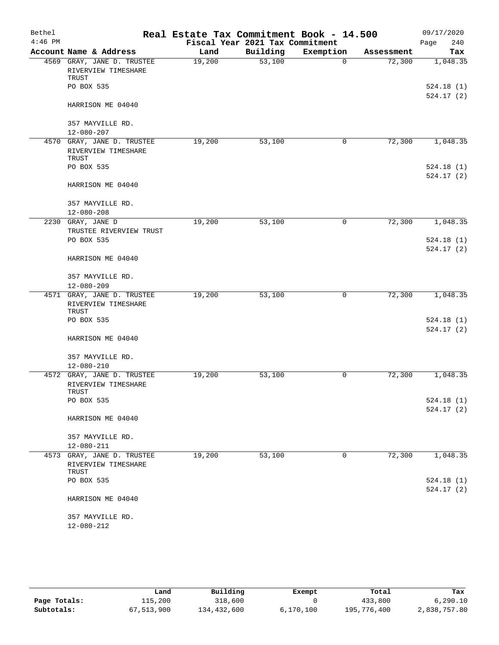| Bethel    |                                                            | Real Estate Tax Commitment Book - 14.500 |                                             |             |            | 09/17/2020             |
|-----------|------------------------------------------------------------|------------------------------------------|---------------------------------------------|-------------|------------|------------------------|
| $4:46$ PM | Account Name & Address                                     | Land                                     | Fiscal Year 2021 Tax Commitment<br>Building | Exemption   | Assessment | Page<br>240<br>Tax     |
|           | 4569 GRAY, JANE D. TRUSTEE                                 | 19,200                                   | 53,100                                      | $\Omega$    | 72,300     | 1,048.35               |
|           | RIVERVIEW TIMESHARE<br>TRUST                               |                                          |                                             |             |            |                        |
|           | PO BOX 535                                                 |                                          |                                             |             |            | 524.18(1)<br>524.17(2) |
|           | HARRISON ME 04040                                          |                                          |                                             |             |            |                        |
|           | 357 MAYVILLE RD.<br>$12 - 080 - 207$                       |                                          |                                             |             |            |                        |
|           | 4570 GRAY, JANE D. TRUSTEE                                 | 19,200                                   | 53,100                                      | $\mathbf 0$ | 72,300     | 1,048.35               |
|           | RIVERVIEW TIMESHARE<br>TRUST                               |                                          |                                             |             |            |                        |
|           | PO BOX 535                                                 |                                          |                                             |             |            | 524.18(1)<br>524.17(2) |
|           | HARRISON ME 04040                                          |                                          |                                             |             |            |                        |
|           | 357 MAYVILLE RD.<br>$12 - 080 - 208$                       |                                          |                                             |             |            |                        |
|           | 2230 GRAY, JANE D                                          | 19,200                                   | 53,100                                      | $\mathbf 0$ | 72,300     | 1,048.35               |
|           | TRUSTEE RIVERVIEW TRUST<br>PO BOX 535                      |                                          |                                             |             |            | 524.18(1)<br>524.17(2) |
|           | HARRISON ME 04040                                          |                                          |                                             |             |            |                        |
|           | 357 MAYVILLE RD.                                           |                                          |                                             |             |            |                        |
|           | $12 - 080 - 209$                                           |                                          |                                             |             |            |                        |
|           | 4571 GRAY, JANE D. TRUSTEE<br>RIVERVIEW TIMESHARE          | 19,200                                   | 53,100                                      | 0           | 72,300     | 1,048.35               |
|           | TRUST<br>PO BOX 535                                        |                                          |                                             |             |            | 524.18(1)              |
|           | HARRISON ME 04040                                          |                                          |                                             |             |            | 524.17(2)              |
|           |                                                            |                                          |                                             |             |            |                        |
|           | 357 MAYVILLE RD.                                           |                                          |                                             |             |            |                        |
|           | 12-080-210                                                 |                                          |                                             |             |            |                        |
|           | 4572 GRAY, JANE D. TRUSTEE<br>RIVERVIEW TIMESHARE<br>TRUST | 19,200                                   | 53,100                                      | 0           | 72,300     | 1,048.35               |
|           | PO BOX 535                                                 |                                          |                                             |             |            | 524.18 (1)             |
|           | HARRISON ME 04040                                          |                                          |                                             |             |            | 524.17(2)              |
|           | 357 MAYVILLE RD.                                           |                                          |                                             |             |            |                        |
|           | 12-080-211                                                 |                                          |                                             |             |            |                        |
|           | 4573 GRAY, JANE D. TRUSTEE<br>RIVERVIEW TIMESHARE          | 19,200                                   | 53,100                                      | 0           | 72,300     | 1,048.35               |
|           | TRUST<br>PO BOX 535                                        |                                          |                                             |             |            | 524.18(1)              |
|           | HARRISON ME 04040                                          |                                          |                                             |             |            | 524.17(2)              |
|           | 357 MAYVILLE RD.                                           |                                          |                                             |             |            |                        |
|           | 12-080-212                                                 |                                          |                                             |             |            |                        |
|           |                                                            |                                          |                                             |             |            |                        |

|              | Land       | Building    | Exempt      | Total       | Tax          |
|--------------|------------|-------------|-------------|-------------|--------------|
| Page Totals: | 115,200    | 318,600     |             | 433,800     | 6.290.10     |
| Subtotals:   | 67,513,900 | 134,432,600 | 6, 170, 100 | 195,776,400 | 2,838,757.80 |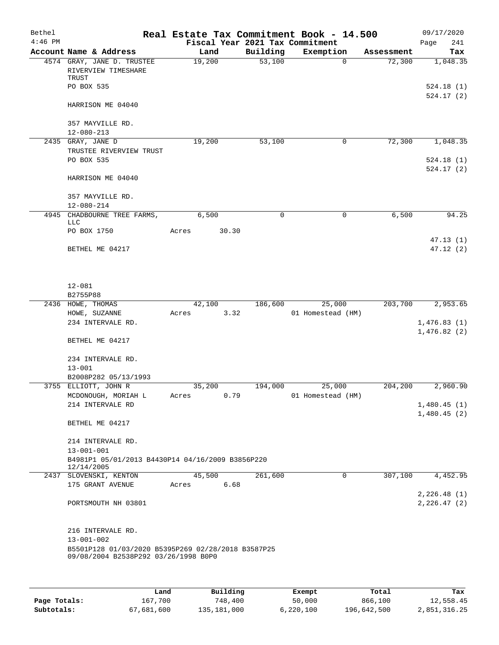| Bethel<br>$4:46$ PM |                                                                                            |       |        |       |          | Real Estate Tax Commitment Book - 14.500<br>Fiscal Year 2021 Tax Commitment |            | 09/17/2020<br>241<br>Page |
|---------------------|--------------------------------------------------------------------------------------------|-------|--------|-------|----------|-----------------------------------------------------------------------------|------------|---------------------------|
|                     | Account Name & Address                                                                     |       | Land   |       | Building | Exemption                                                                   | Assessment | Tax                       |
|                     | 4574 GRAY, JANE D. TRUSTEE<br>RIVERVIEW TIMESHARE<br>TRUST                                 |       | 19,200 |       | 53,100   | $\Omega$                                                                    | 72,300     | 1,048.35                  |
|                     | PO BOX 535                                                                                 |       |        |       |          |                                                                             |            | 524.18(1)<br>524.17(2)    |
|                     | HARRISON ME 04040                                                                          |       |        |       |          |                                                                             |            |                           |
|                     | 357 MAYVILLE RD.                                                                           |       |        |       |          |                                                                             |            |                           |
|                     | $12 - 080 - 213$<br>2435 GRAY, JANE D                                                      |       | 19,200 |       |          |                                                                             | 72,300     | 1,048.35                  |
|                     |                                                                                            |       |        |       | 53,100   | 0                                                                           |            |                           |
|                     | TRUSTEE RIVERVIEW TRUST                                                                    |       |        |       |          |                                                                             |            |                           |
|                     | PO BOX 535                                                                                 |       |        |       |          |                                                                             |            | 524.18(1)<br>524.17(2)    |
|                     | HARRISON ME 04040                                                                          |       |        |       |          |                                                                             |            |                           |
|                     | 357 MAYVILLE RD.                                                                           |       |        |       |          |                                                                             |            |                           |
|                     | 12-080-214                                                                                 |       |        |       |          |                                                                             |            |                           |
|                     | 4945 CHADBOURNE TREE FARMS,<br>LLC                                                         |       | 6,500  |       | 0        | 0                                                                           | 6,500      | 94.25                     |
|                     | PO BOX 1750                                                                                | Acres |        | 30.30 |          |                                                                             |            |                           |
|                     | BETHEL ME 04217                                                                            |       |        |       |          |                                                                             |            | 47.13(1)<br>47.12(2)      |
|                     | $12 - 081$                                                                                 |       |        |       |          |                                                                             |            |                           |
|                     | B2755P88                                                                                   |       |        |       |          |                                                                             |            |                           |
|                     | 2436 HOWE, THOMAS                                                                          |       | 42,100 |       | 186,600  | 25,000                                                                      | 203,700    | 2,953.65                  |
|                     | HOWE, SUZANNE                                                                              | Acres |        | 3.32  |          | 01 Homestead (HM)                                                           |            |                           |
|                     | 234 INTERVALE RD.                                                                          |       |        |       |          |                                                                             |            | 1,476.83(1)               |
|                     | BETHEL ME 04217                                                                            |       |        |       |          |                                                                             |            | 1,476.82(2)               |
|                     | 234 INTERVALE RD.<br>$13 - 001$                                                            |       |        |       |          |                                                                             |            |                           |
|                     | B2008P282 05/13/1993                                                                       |       |        |       |          |                                                                             |            |                           |
|                     | 3755 ELLIOTT, JOHN R                                                                       |       | 35,200 |       | 194,000  | 25,000                                                                      | 204,200    | 2,960.90                  |
|                     | MCDONOUGH, MORIAH L                                                                        |       |        | 0.79  |          | 01 Homestead (HM)                                                           |            |                           |
|                     | 214 INTERVALE RD                                                                           | Acres |        |       |          |                                                                             |            | 1,480.45(1)               |
|                     |                                                                                            |       |        |       |          |                                                                             |            | 1,480.45(2)               |
|                     | BETHEL ME 04217                                                                            |       |        |       |          |                                                                             |            |                           |
|                     | 214 INTERVALE RD.                                                                          |       |        |       |          |                                                                             |            |                           |
|                     | $13 - 001 - 001$                                                                           |       |        |       |          |                                                                             |            |                           |
|                     | B4981P1 05/01/2013 B4430P14 04/16/2009 B3856P220                                           |       |        |       |          |                                                                             |            |                           |
|                     | 12/14/2005<br>2437 SLOVENSKI, KENTON                                                       |       | 45,500 |       | 261,600  | $\mathbf 0$                                                                 | 307,100    | 4,452.95                  |
|                     | 175 GRANT AVENUE                                                                           | Acres |        | 6.68  |          |                                                                             |            |                           |
|                     |                                                                                            |       |        |       |          |                                                                             |            | 2,226.48(1)               |
|                     | PORTSMOUTH NH 03801                                                                        |       |        |       |          |                                                                             |            | 2, 226.47 (2)             |
|                     | 216 INTERVALE RD.                                                                          |       |        |       |          |                                                                             |            |                           |
|                     | $13 - 001 - 002$                                                                           |       |        |       |          |                                                                             |            |                           |
|                     | B5501P128 01/03/2020 B5395P269 02/28/2018 B3587P25<br>09/08/2004 B2538P292 03/26/1998 B0P0 |       |        |       |          |                                                                             |            |                           |
|                     |                                                                                            |       |        |       |          |                                                                             |            |                           |
|                     |                                                                                            |       |        |       |          |                                                                             |            |                           |

|              | Land       | Building    | Exempt    | Total       | Tax          |
|--------------|------------|-------------|-----------|-------------|--------------|
| Page Totals: | 167,700    | 748.400     | 50,000    | 866,100     | 12,558.45    |
| Subtotals:   | 67,681,600 | 135,181,000 | 6,220,100 | 196,642,500 | 2,851,316.25 |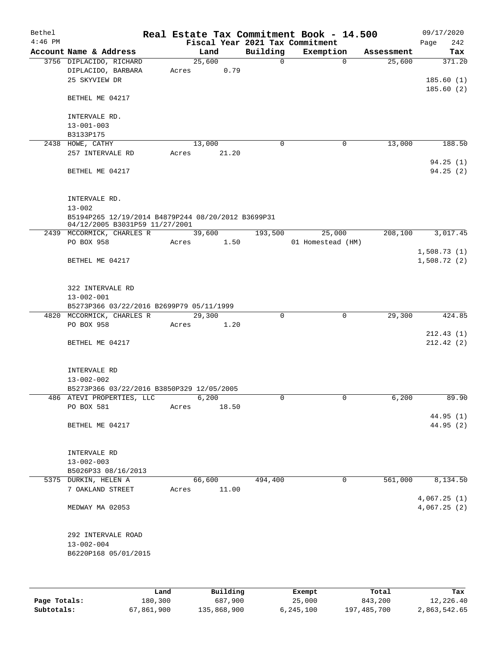| Bethel<br>$4:46$ PM |                                                                                      |       |        |             | Real Estate Tax Commitment Book - 14.500<br>Fiscal Year 2021 Tax Commitment |            | 09/17/2020<br>242<br>Page  |
|---------------------|--------------------------------------------------------------------------------------|-------|--------|-------------|-----------------------------------------------------------------------------|------------|----------------------------|
|                     | Account Name & Address                                                               |       | Land   | Building    | Exemption                                                                   | Assessment | Tax                        |
|                     | 3756 DIPLACIDO, RICHARD                                                              |       | 25,600 | 0           | $\Omega$                                                                    | 25,600     | 371.20                     |
|                     | DIPLACIDO, BARBARA                                                                   | Acres | 0.79   |             |                                                                             |            |                            |
|                     | 25 SKYVIEW DR                                                                        |       |        |             |                                                                             |            | 185.60(1)                  |
|                     | BETHEL ME 04217                                                                      |       |        |             |                                                                             |            | 185.60(2)                  |
|                     | INTERVALE RD.                                                                        |       |        |             |                                                                             |            |                            |
|                     | $13 - 001 - 003$                                                                     |       |        |             |                                                                             |            |                            |
|                     | B3133P175                                                                            |       |        |             |                                                                             |            |                            |
|                     | 2438 HOWE, CATHY                                                                     |       | 13,000 | $\mathbf 0$ | 0                                                                           | 13,000     | 188.50                     |
|                     | 257 INTERVALE RD                                                                     | Acres | 21.20  |             |                                                                             |            |                            |
|                     | BETHEL ME 04217                                                                      |       |        |             |                                                                             |            | 94.25(1)<br>94.25 (2)      |
|                     | INTERVALE RD.<br>$13 - 002$                                                          |       |        |             |                                                                             |            |                            |
|                     | B5194P265 12/19/2014 B4879P244 08/20/2012 B3699P31<br>04/12/2005 B3031P59 11/27/2001 |       |        |             |                                                                             |            |                            |
|                     | 2439 MCCORMICK, CHARLES R                                                            |       | 39,600 | 193,500     | 25,000                                                                      | 208,100    | 3,017.45                   |
|                     | PO BOX 958                                                                           | Acres | 1.50   |             | 01 Homestead (HM)                                                           |            |                            |
|                     | BETHEL ME 04217                                                                      |       |        |             |                                                                             |            | 1,508.73(1)<br>1,508.72(2) |
|                     | 322 INTERVALE RD<br>$13 - 002 - 001$                                                 |       |        |             |                                                                             |            |                            |
|                     | B5273P366 03/22/2016 B2699P79 05/11/1999                                             |       |        |             |                                                                             |            |                            |
|                     | 4820 MCCORMICK, CHARLES R                                                            |       | 29,300 | 0           | $\mathbf 0$                                                                 | 29,300     | 424.85                     |
|                     | PO BOX 958                                                                           | Acres | 1.20   |             |                                                                             |            |                            |
|                     | BETHEL ME 04217                                                                      |       |        |             |                                                                             |            | 212.43(1)<br>212.42(2)     |
|                     |                                                                                      |       |        |             |                                                                             |            |                            |
|                     | INTERVALE RD                                                                         |       |        |             |                                                                             |            |                            |
|                     | $13 - 002 - 002$<br>B5273P366 03/22/2016 B3850P329 12/05/2005                        |       |        |             |                                                                             |            |                            |
|                     | 486 ATEVI PROPERTIES, LLC                                                            |       | 6,200  | 0           | 0                                                                           | 6,200      | 89.90                      |
|                     | PO BOX 581                                                                           | Acres | 18.50  |             |                                                                             |            |                            |
|                     |                                                                                      |       |        |             |                                                                             |            | 44.95(1)                   |
|                     | BETHEL ME 04217                                                                      |       |        |             |                                                                             |            | 44.95 (2)                  |
|                     | INTERVALE RD                                                                         |       |        |             |                                                                             |            |                            |
|                     | $13 - 002 - 003$                                                                     |       |        |             |                                                                             |            |                            |
|                     | B5026P33 08/16/2013                                                                  |       |        |             |                                                                             |            |                            |
|                     | 5375 DURKIN, HELEN A                                                                 |       | 66,600 | 494,400     | 0                                                                           | 561,000    | 8,134.50                   |
|                     | 7 OAKLAND STREET                                                                     | Acres | 11.00  |             |                                                                             |            | 4,067.25(1)                |
|                     | MEDWAY MA 02053                                                                      |       |        |             |                                                                             |            | 4,067.25(2)                |
|                     | 292 INTERVALE ROAD                                                                   |       |        |             |                                                                             |            |                            |
|                     | $13 - 002 - 004$                                                                     |       |        |             |                                                                             |            |                            |
|                     | B6220P168 05/01/2015                                                                 |       |        |             |                                                                             |            |                            |
|                     |                                                                                      |       |        |             |                                                                             |            |                            |
|                     |                                                                                      |       |        |             |                                                                             |            |                            |
|                     |                                                                                      |       |        |             |                                                                             |            |                            |

|              | Land       | Building    | Exempt    | Total       | Tax          |
|--------------|------------|-------------|-----------|-------------|--------------|
| Page Totals: | 180,300    | 687,900     | 25,000    | 843,200     | 12,226.40    |
| Subtotals:   | 67,861,900 | 135,868,900 | 6,245,100 | 197,485,700 | 2,863,542.65 |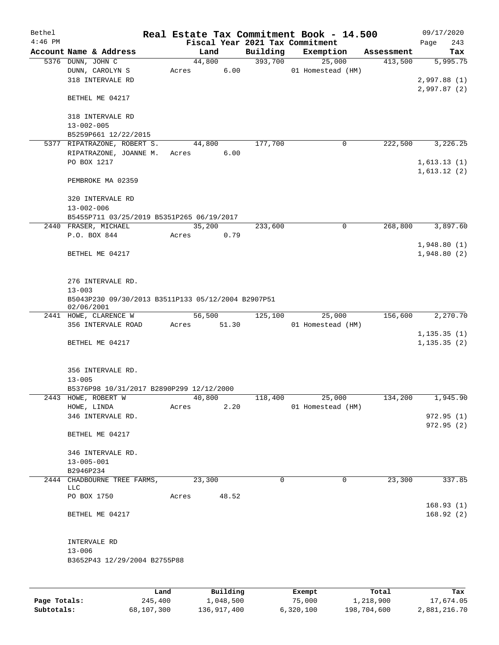| Bethel    |                                                    |       |        |          |          | Real Estate Tax Commitment Book - 14.500 |            | 09/17/2020                 |
|-----------|----------------------------------------------------|-------|--------|----------|----------|------------------------------------------|------------|----------------------------|
| $4:46$ PM |                                                    |       |        |          |          | Fiscal Year 2021 Tax Commitment          |            | Page<br>243                |
|           | Account Name & Address                             |       | Land   |          | Building | Exemption                                | Assessment | Tax                        |
|           | 5376 DUNN, JOHN C                                  |       | 44,800 |          | 393,700  | 25,000                                   | 413,500    | 5,995.75                   |
|           | DUNN, CAROLYN S                                    | Acres |        | 6.00     |          | 01 Homestead (HM)                        |            |                            |
|           | 318 INTERVALE RD                                   |       |        |          |          |                                          |            | 2,997.88(1)                |
|           | BETHEL ME 04217                                    |       |        |          |          |                                          |            | 2,997.87(2)                |
|           |                                                    |       |        |          |          |                                          |            |                            |
|           | 318 INTERVALE RD                                   |       |        |          |          |                                          |            |                            |
|           | $13 - 002 - 005$                                   |       |        |          |          |                                          |            |                            |
|           | B5259P661 12/22/2015                               |       |        |          |          |                                          |            |                            |
|           | 5377 RIPATRAZONE, ROBERT S.                        |       | 44,800 |          | 177,700  | 0                                        | 222,500    | 3,226.25                   |
|           | RIPATRAZONE, JOANNE M.                             | Acres |        | 6.00     |          |                                          |            |                            |
|           | PO BOX 1217                                        |       |        |          |          |                                          |            | 1,613.13(1)                |
|           |                                                    |       |        |          |          |                                          |            | 1,613.12(2)                |
|           | PEMBROKE MA 02359                                  |       |        |          |          |                                          |            |                            |
|           |                                                    |       |        |          |          |                                          |            |                            |
|           | 320 INTERVALE RD                                   |       |        |          |          |                                          |            |                            |
|           | $13 - 002 - 006$                                   |       |        |          |          |                                          |            |                            |
|           | B5455P711 03/25/2019 B5351P265 06/19/2017          |       |        |          |          |                                          |            |                            |
|           | 2440 FRASER, MICHAEL                               |       | 35,200 |          | 233,600  | 0                                        | 268,800    | 3,897.60                   |
|           | P.O. BOX 844                                       | Acres |        | 0.79     |          |                                          |            |                            |
|           | BETHEL ME 04217                                    |       |        |          |          |                                          |            | 1,948.80(1)<br>1,948.80(2) |
|           |                                                    |       |        |          |          |                                          |            |                            |
|           |                                                    |       |        |          |          |                                          |            |                            |
|           | 276 INTERVALE RD.                                  |       |        |          |          |                                          |            |                            |
|           | $13 - 003$                                         |       |        |          |          |                                          |            |                            |
|           | B5043P230 09/30/2013 B3511P133 05/12/2004 B2907P51 |       |        |          |          |                                          |            |                            |
|           | 02/06/2001                                         |       |        |          |          |                                          |            |                            |
|           | 2441 HOWE, CLARENCE W                              |       | 56,500 |          | 125,100  | 25,000                                   | 156,600    | 2,270.70                   |
|           | 356 INTERVALE ROAD                                 | Acres |        | 51.30    |          | 01 Homestead (HM)                        |            |                            |
|           |                                                    |       |        |          |          |                                          |            | 1, 135.35(1)               |
|           | BETHEL ME 04217                                    |       |        |          |          |                                          |            | 1, 135.35(2)               |
|           |                                                    |       |        |          |          |                                          |            |                            |
|           | 356 INTERVALE RD.                                  |       |        |          |          |                                          |            |                            |
|           | $13 - 005$                                         |       |        |          |          |                                          |            |                            |
|           | B5376P98 10/31/2017 B2890P299 12/12/2000           |       |        |          |          |                                          |            |                            |
|           | 2443 HOWE, ROBERT W                                |       | 40,800 |          | 118,400  | 25,000                                   | 134,200    | 1,945.90                   |
|           | HOWE, LINDA                                        | Acres |        | 2.20     |          | 01 Homestead (HM)                        |            |                            |
|           | 346 INTERVALE RD.                                  |       |        |          |          |                                          |            | 972.95(1)                  |
|           |                                                    |       |        |          |          |                                          |            | 972.95(2)                  |
|           | BETHEL ME 04217                                    |       |        |          |          |                                          |            |                            |
|           |                                                    |       |        |          |          |                                          |            |                            |
|           | 346 INTERVALE RD.                                  |       |        |          |          |                                          |            |                            |
|           | $13 - 005 - 001$                                   |       |        |          |          |                                          |            |                            |
|           | B2946P234                                          |       |        |          |          |                                          |            |                            |
|           | 2444 CHADBOURNE TREE FARMS,<br>LLC                 |       | 23,300 |          | $\Omega$ | 0                                        | 23,300     | 337.85                     |
|           | PO BOX 1750                                        | Acres |        | 48.52    |          |                                          |            |                            |
|           |                                                    |       |        |          |          |                                          |            | 168.93(1)                  |
|           | BETHEL ME 04217                                    |       |        |          |          |                                          |            | 168.92(2)                  |
|           |                                                    |       |        |          |          |                                          |            |                            |
|           |                                                    |       |        |          |          |                                          |            |                            |
|           | INTERVALE RD                                       |       |        |          |          |                                          |            |                            |
|           | $13 - 006$                                         |       |        |          |          |                                          |            |                            |
|           | B3652P43 12/29/2004 B2755P88                       |       |        |          |          |                                          |            |                            |
|           |                                                    |       |        |          |          |                                          |            |                            |
|           |                                                    |       |        |          |          |                                          |            |                            |
|           |                                                    | Land  |        | Building |          | Exempt                                   | Total      | Tax                        |

**Page Totals:** 245,400 1,048,500 75,000 1,218,900 17,674.05 **Subtotals:** 68,107,300 136,917,400 6,320,100 198,704,600 2,881,216.70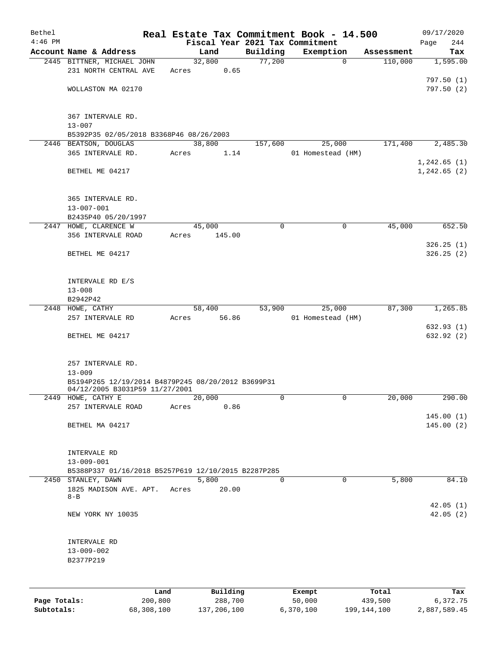| Bethel    |                                                                                      |       |        |          |                                 |        | Real Estate Tax Commitment Book - 14.500 |            | 09/17/2020           |
|-----------|--------------------------------------------------------------------------------------|-------|--------|----------|---------------------------------|--------|------------------------------------------|------------|----------------------|
| $4:46$ PM |                                                                                      |       |        |          | Fiscal Year 2021 Tax Commitment |        |                                          |            | 244<br>Page          |
|           | Account Name & Address                                                               |       | Land   |          | Building                        |        | Exemption                                | Assessment | Tax                  |
|           | 2445 BITTNER, MICHAEL JOHN                                                           |       | 32,800 |          | 77,200                          |        | $\mathbf 0$                              | 110,000    | 1,595.00             |
|           | 231 NORTH CENTRAL AVE                                                                | Acres |        | 0.65     |                                 |        |                                          |            |                      |
|           |                                                                                      |       |        |          |                                 |        |                                          |            | 797.50(1)            |
|           | WOLLASTON MA 02170                                                                   |       |        |          |                                 |        |                                          |            | 797.50(2)            |
|           | 367 INTERVALE RD.                                                                    |       |        |          |                                 |        |                                          |            |                      |
|           | $13 - 007$                                                                           |       |        |          |                                 |        |                                          |            |                      |
|           | B5392P35 02/05/2018 B3368P46 08/26/2003                                              |       |        |          |                                 |        |                                          |            |                      |
|           | 2446 BEATSON, DOUGLAS                                                                |       | 38,800 |          | 157,600                         |        | 25,000                                   | 171,400    | 2,485.30             |
|           | 365 INTERVALE RD.                                                                    | Acres |        | 1.14     |                                 |        | 01 Homestead (HM)                        |            |                      |
|           |                                                                                      |       |        |          |                                 |        |                                          |            | 1, 242.65(1)         |
|           | BETHEL ME 04217                                                                      |       |        |          |                                 |        |                                          |            | 1, 242.65 (2)        |
|           | 365 INTERVALE RD.<br>$13 - 007 - 001$                                                |       |        |          |                                 |        |                                          |            |                      |
|           | B2435P40 05/20/1997                                                                  |       |        |          |                                 |        |                                          |            |                      |
|           | 2447 HOWE, CLARENCE W                                                                |       | 45,000 |          | 0                               |        | 0                                        | 45,000     | 652.50               |
|           | 356 INTERVALE ROAD                                                                   | Acres |        | 145.00   |                                 |        |                                          |            |                      |
|           |                                                                                      |       |        |          |                                 |        |                                          |            | 326.25(1)            |
|           | BETHEL ME 04217                                                                      |       |        |          |                                 |        |                                          |            | 326.25(2)            |
|           |                                                                                      |       |        |          |                                 |        |                                          |            |                      |
|           | INTERVALE RD E/S                                                                     |       |        |          |                                 |        |                                          |            |                      |
|           | $13 - 008$<br>B2942P42                                                               |       |        |          |                                 |        |                                          |            |                      |
|           | 2448 HOWE, CATHY                                                                     |       | 58,400 |          | 53,900                          |        | 25,000                                   | 87,300     | 1,265.85             |
|           | 257 INTERVALE RD                                                                     | Acres |        | 56.86    |                                 |        | 01 Homestead (HM)                        |            |                      |
|           |                                                                                      |       |        |          |                                 |        |                                          |            | 632.93 (1)           |
|           | BETHEL ME 04217                                                                      |       |        |          |                                 |        |                                          |            | 632.92(2)            |
|           |                                                                                      |       |        |          |                                 |        |                                          |            |                      |
|           | 257 INTERVALE RD.                                                                    |       |        |          |                                 |        |                                          |            |                      |
|           | $13 - 009$                                                                           |       |        |          |                                 |        |                                          |            |                      |
|           | B5194P265 12/19/2014 B4879P245 08/20/2012 B3699P31<br>04/12/2005 B3031P59 11/27/2001 |       |        |          |                                 |        |                                          |            |                      |
|           | 2449 HOWE, CATHY E                                                                   |       | 20,000 |          | 0                               |        | $\overline{0}$                           | 20,000     | 290.00               |
|           | 257 INTERVALE ROAD                                                                   | Acres |        | 0.86     |                                 |        |                                          |            |                      |
|           |                                                                                      |       |        |          |                                 |        |                                          |            | 145.00(1)            |
|           | BETHEL MA 04217                                                                      |       |        |          |                                 |        |                                          |            | 145.00(2)            |
|           |                                                                                      |       |        |          |                                 |        |                                          |            |                      |
|           | INTERVALE RD                                                                         |       |        |          |                                 |        |                                          |            |                      |
|           | $13 - 009 - 001$<br>B5388P337 01/16/2018 B5257P619 12/10/2015 B2287P285              |       |        |          |                                 |        |                                          |            |                      |
|           | 2450 STANLEY, DAWN                                                                   |       | 5,800  |          | $\Omega$                        |        | $\Omega$                                 | 5,800      | 84.10                |
|           | 1825 MADISON AVE. APT.                                                               | Acres |        | 20.00    |                                 |        |                                          |            |                      |
|           | $8 - B$                                                                              |       |        |          |                                 |        |                                          |            |                      |
|           | NEW YORK NY 10035                                                                    |       |        |          |                                 |        |                                          |            | 42.05(1)<br>42.05(2) |
|           |                                                                                      |       |        |          |                                 |        |                                          |            |                      |
|           | INTERVALE RD                                                                         |       |        |          |                                 |        |                                          |            |                      |
|           | $13 - 009 - 002$                                                                     |       |        |          |                                 |        |                                          |            |                      |
|           | B2377P219                                                                            |       |        |          |                                 |        |                                          |            |                      |
|           |                                                                                      |       |        |          |                                 |        |                                          |            |                      |
|           | Land                                                                                 |       |        | Building |                                 | Exempt |                                          | Total      | Tax                  |

|              | Land       | Building    | Exempt    | Total       | тах          |
|--------------|------------|-------------|-----------|-------------|--------------|
| Page Totals: | 200,800    | 288,700     | 50,000    | 439,500     | 6,372.75     |
| Subtotals:   | 68,308,100 | 137,206,100 | 6,370,100 | 199,144,100 | 2,887,589.45 |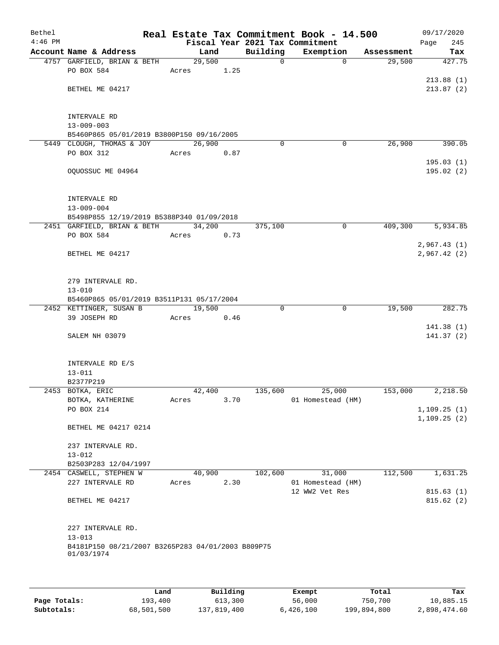| Bethel<br>$4:46$ PM |                                                   |       |        |              | Real Estate Tax Commitment Book - 14.500<br>Fiscal Year 2021 Tax Commitment |            | 09/17/2020<br>Page<br>245 |
|---------------------|---------------------------------------------------|-------|--------|--------------|-----------------------------------------------------------------------------|------------|---------------------------|
|                     | Account Name & Address                            |       | Land   | Building     | Exemption                                                                   | Assessment | Tax                       |
|                     | 4757 GARFIELD, BRIAN & BETH                       |       | 29,500 | $\mathsf{O}$ | $\Omega$                                                                    | 29,500     | 427.75                    |
|                     | PO BOX 584                                        | Acres | 1.25   |              |                                                                             |            |                           |
|                     |                                                   |       |        |              |                                                                             |            | 213.88(1)                 |
|                     | BETHEL ME 04217                                   |       |        |              |                                                                             |            | 213.87(2)                 |
|                     |                                                   |       |        |              |                                                                             |            |                           |
|                     |                                                   |       |        |              |                                                                             |            |                           |
|                     | INTERVALE RD                                      |       |        |              |                                                                             |            |                           |
|                     | $13 - 009 - 003$                                  |       |        |              |                                                                             |            |                           |
|                     | B5460P865 05/01/2019 B3800P150 09/16/2005         |       |        |              |                                                                             |            |                           |
|                     | 5449 CLOUGH, THOMAS & JOY                         |       | 26,900 | $\Omega$     | $\mathbf 0$                                                                 | 26,900     | 390.05                    |
|                     | PO BOX 312                                        | Acres | 0.87   |              |                                                                             |            |                           |
|                     | OQUOSSUC ME 04964                                 |       |        |              |                                                                             |            | 195.03(1)<br>195.02(2)    |
|                     |                                                   |       |        |              |                                                                             |            |                           |
|                     |                                                   |       |        |              |                                                                             |            |                           |
|                     | INTERVALE RD                                      |       |        |              |                                                                             |            |                           |
|                     | $13 - 009 - 004$                                  |       |        |              |                                                                             |            |                           |
|                     | B5498P855 12/19/2019 B5388P340 01/09/2018         |       |        |              |                                                                             |            |                           |
|                     | 2451 GARFIELD, BRIAN & BETH                       |       | 34,200 | 375,100      | $\mathbf 0$                                                                 | 409,300    | 5,934.85                  |
|                     | PO BOX 584                                        | Acres | 0.73   |              |                                                                             |            |                           |
|                     |                                                   |       |        |              |                                                                             |            | 2,967.43(1)               |
|                     | BETHEL ME 04217                                   |       |        |              |                                                                             |            | 2,967.42(2)               |
|                     |                                                   |       |        |              |                                                                             |            |                           |
|                     |                                                   |       |        |              |                                                                             |            |                           |
|                     | 279 INTERVALE RD.                                 |       |        |              |                                                                             |            |                           |
|                     | $13 - 010$                                        |       |        |              |                                                                             |            |                           |
|                     | B5460P865 05/01/2019 B3511P131 05/17/2004         |       | 19,500 | $\mathbf 0$  | $\mathbf 0$                                                                 | 19,500     | 282.75                    |
|                     | 2452 KETTINGER, SUSAN B<br>39 JOSEPH RD           | Acres | 0.46   |              |                                                                             |            |                           |
|                     |                                                   |       |        |              |                                                                             |            | 141.38(1)                 |
|                     | SALEM NH 03079                                    |       |        |              |                                                                             |            | 141.37(2)                 |
|                     |                                                   |       |        |              |                                                                             |            |                           |
|                     |                                                   |       |        |              |                                                                             |            |                           |
|                     | INTERVALE RD E/S                                  |       |        |              |                                                                             |            |                           |
|                     | $13 - 011$                                        |       |        |              |                                                                             |            |                           |
|                     | B2377P219                                         |       |        |              |                                                                             |            |                           |
|                     | 2453 BOTKA, ERIC                                  |       | 42,400 | 135,600      | 25,000                                                                      | 153,000    | 2,218.50                  |
|                     | BOTKA, KATHERINE                                  | Acres | 3.70   |              | 01 Homestead (HM)                                                           |            |                           |
|                     | PO BOX 214                                        |       |        |              |                                                                             |            | 1,109.25(1)               |
|                     |                                                   |       |        |              |                                                                             |            | 1, 109.25(2)              |
|                     | BETHEL ME 04217 0214                              |       |        |              |                                                                             |            |                           |
|                     | 237 INTERVALE RD.                                 |       |        |              |                                                                             |            |                           |
|                     | $13 - 012$                                        |       |        |              |                                                                             |            |                           |
|                     | B2503P283 12/04/1997                              |       |        |              |                                                                             |            |                           |
|                     | 2454 CASWELL, STEPHEN W                           |       | 40,900 | 102,600      | 31,000                                                                      | 112,500    | 1,631.25                  |
|                     | 227 INTERVALE RD                                  | Acres | 2.30   |              | 01 Homestead (HM)                                                           |            |                           |
|                     |                                                   |       |        |              | 12 WW2 Vet Res                                                              |            | 815.63(1)                 |
|                     | BETHEL ME 04217                                   |       |        |              |                                                                             |            | 815.62(2)                 |
|                     |                                                   |       |        |              |                                                                             |            |                           |
|                     |                                                   |       |        |              |                                                                             |            |                           |
|                     | 227 INTERVALE RD.                                 |       |        |              |                                                                             |            |                           |
|                     | $13 - 013$                                        |       |        |              |                                                                             |            |                           |
|                     | B4181P150 08/21/2007 B3265P283 04/01/2003 B809P75 |       |        |              |                                                                             |            |                           |
|                     | 01/03/1974                                        |       |        |              |                                                                             |            |                           |
|                     |                                                   |       |        |              |                                                                             |            |                           |
|                     |                                                   |       |        |              |                                                                             |            |                           |

|              | Land       | Building    | Exempt    | Total       | Tax          |
|--------------|------------|-------------|-----------|-------------|--------------|
| Page Totals: | 193,400    | 613,300     | 56,000    | 750,700     | 10,885.15    |
| Subtotals:   | 68,501,500 | 137,819,400 | 6,426,100 | 199,894,800 | 2,898,474.60 |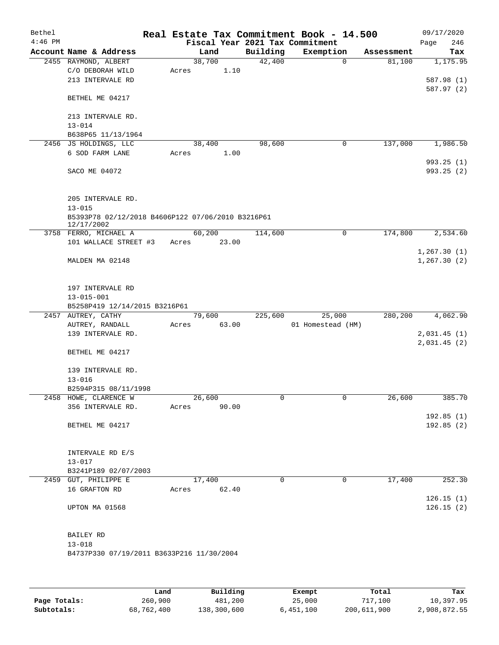| Bethel<br>$4:46$ PM |                                                   |       |        |                     | Real Estate Tax Commitment Book - 14.500<br>Fiscal Year 2021 Tax Commitment |            | 09/17/2020<br>246<br>Page |
|---------------------|---------------------------------------------------|-------|--------|---------------------|-----------------------------------------------------------------------------|------------|---------------------------|
|                     | Account Name & Address                            |       | Land   | Building            | Exemption                                                                   | Assessment | Tax                       |
|                     | 2455 RAYMOND, ALBERT                              |       | 38,700 | $\overline{42,400}$ | $\Omega$                                                                    | 81,100     | 1,175.95                  |
|                     | C/O DEBORAH WILD                                  |       | 1.10   |                     |                                                                             |            |                           |
|                     |                                                   | Acres |        |                     |                                                                             |            |                           |
|                     | 213 INTERVALE RD                                  |       |        |                     |                                                                             |            | 587.98 (1)                |
|                     | BETHEL ME 04217                                   |       |        |                     |                                                                             |            | 587.97 (2)                |
|                     | 213 INTERVALE RD.                                 |       |        |                     |                                                                             |            |                           |
|                     | $13 - 014$                                        |       |        |                     |                                                                             |            |                           |
|                     | B638P65 11/13/1964                                |       |        |                     |                                                                             |            |                           |
|                     | 2456 JS HOLDINGS, LLC                             |       | 38,400 | 98,600              | 0                                                                           | 137,000    | 1,986.50                  |
|                     | 6 SOD FARM LANE                                   | Acres | 1.00   |                     |                                                                             |            |                           |
|                     |                                                   |       |        |                     |                                                                             |            | 993.25(1)                 |
|                     | SACO ME 04072                                     |       |        |                     |                                                                             |            | 993.25 (2)                |
|                     | 205 INTERVALE RD.                                 |       |        |                     |                                                                             |            |                           |
|                     | $13 - 015$                                        |       |        |                     |                                                                             |            |                           |
|                     | B5393P78 02/12/2018 B4606P122 07/06/2010 B3216P61 |       |        |                     |                                                                             |            |                           |
|                     | 12/17/2002                                        |       |        |                     |                                                                             |            |                           |
|                     | 3758 FERRO, MICHAEL A                             |       | 60,200 | 114,600             | 0                                                                           | 174,800    | 2,534.60                  |
|                     | 101 WALLACE STREET #3                             | Acres | 23.00  |                     |                                                                             |            |                           |
|                     |                                                   |       |        |                     |                                                                             |            | 1, 267.30(1)              |
|                     | MALDEN MA 02148                                   |       |        |                     |                                                                             |            | 1, 267.30(2)              |
|                     |                                                   |       |        |                     |                                                                             |            |                           |
|                     | 197 INTERVALE RD                                  |       |        |                     |                                                                             |            |                           |
|                     | $13 - 015 - 001$                                  |       |        |                     |                                                                             |            |                           |
|                     | B5258P419 12/14/2015 B3216P61                     |       |        |                     |                                                                             |            |                           |
|                     | 2457 AUTREY, CATHY                                |       | 79,600 | 225,600             | 25,000                                                                      | 280,200    | 4,062.90                  |
|                     | AUTREY, RANDALL                                   | Acres | 63.00  |                     | 01 Homestead (HM)                                                           |            |                           |
|                     | 139 INTERVALE RD.                                 |       |        |                     |                                                                             |            | 2,031.45(1)               |
|                     |                                                   |       |        |                     |                                                                             |            | 2,031.45(2)               |
|                     | BETHEL ME 04217                                   |       |        |                     |                                                                             |            |                           |
|                     | 139 INTERVALE RD.                                 |       |        |                     |                                                                             |            |                           |
|                     | $13 - 016$                                        |       |        |                     |                                                                             |            |                           |
|                     |                                                   |       |        |                     |                                                                             |            |                           |
|                     | B2594P315 08/11/1998                              |       | 26,600 |                     | 0                                                                           | 26,600     | 385.70                    |
|                     | 2458 HOWE, CLARENCE W                             |       |        | 0                   |                                                                             |            |                           |
|                     | 356 INTERVALE RD.                                 | Acres | 90.00  |                     |                                                                             |            |                           |
|                     |                                                   |       |        |                     |                                                                             |            | 192.85(1)                 |
|                     | BETHEL ME 04217                                   |       |        |                     |                                                                             |            | 192.85(2)                 |
|                     | INTERVALE RD E/S                                  |       |        |                     |                                                                             |            |                           |
|                     | $13 - 017$                                        |       |        |                     |                                                                             |            |                           |
|                     | B3241P189 02/07/2003                              |       |        |                     |                                                                             |            |                           |
|                     | 2459 GUT, PHILIPPE E                              |       | 17,400 | $\Omega$            | 0                                                                           | 17,400     | 252.30                    |
|                     |                                                   |       |        |                     |                                                                             |            |                           |
|                     | 16 GRAFTON RD                                     | Acres | 62.40  |                     |                                                                             |            |                           |
|                     |                                                   |       |        |                     |                                                                             |            | 126.15(1)                 |
|                     | UPTON MA 01568                                    |       |        |                     |                                                                             |            | 126.15(2)                 |
|                     | BAILEY RD                                         |       |        |                     |                                                                             |            |                           |
|                     | $13 - 018$                                        |       |        |                     |                                                                             |            |                           |
|                     | B4737P330 07/19/2011 B3633P216 11/30/2004         |       |        |                     |                                                                             |            |                           |
|                     |                                                   |       |        |                     |                                                                             |            |                           |
|                     |                                                   |       |        |                     |                                                                             |            |                           |
|                     |                                                   |       |        |                     |                                                                             |            |                           |
|                     |                                                   |       |        |                     |                                                                             |            |                           |

|              | Land       | Building    | Exempt    | Total       | Tax          |
|--------------|------------|-------------|-----------|-------------|--------------|
| Page Totals: | 260,900    | 481,200     | 25,000    | 717,100     | 10,397.95    |
| Subtotals:   | 68,762,400 | 138,300,600 | 6,451,100 | 200,611,900 | 2,908,872.55 |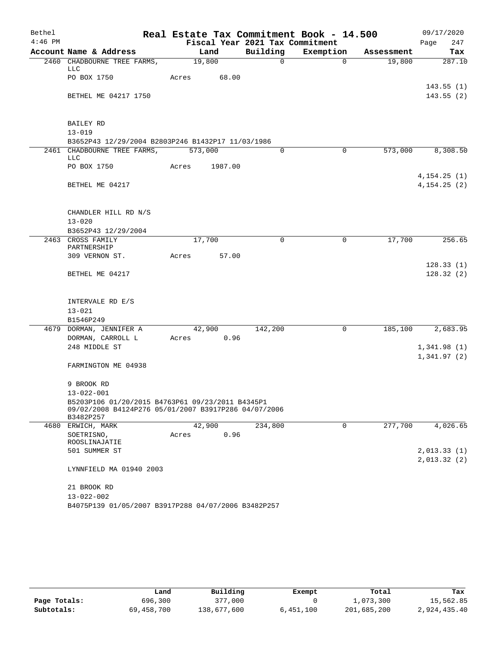| Bethel    |                                                                                                          |         |         |                                 | Real Estate Tax Commitment Book - 14.500 |            | 09/17/2020             |
|-----------|----------------------------------------------------------------------------------------------------------|---------|---------|---------------------------------|------------------------------------------|------------|------------------------|
| $4:46$ PM |                                                                                                          |         |         | Fiscal Year 2021 Tax Commitment |                                          |            | 247<br>Page            |
|           | Account Name & Address                                                                                   |         | Land    | Building                        | Exemption                                | Assessment | Tax                    |
|           | 2460 CHADBOURNE TREE FARMS,<br>LLC                                                                       | 19,800  |         | $\Omega$                        | $\Omega$                                 | 19,800     | 287.10                 |
|           | PO BOX 1750                                                                                              | Acres   | 68.00   |                                 |                                          |            | 143.55(1)              |
|           | BETHEL ME 04217 1750                                                                                     |         |         |                                 |                                          |            | 143.55(2)              |
|           | <b>BAILEY RD</b>                                                                                         |         |         |                                 |                                          |            |                        |
|           | $13 - 019$                                                                                               |         |         |                                 |                                          |            |                        |
|           | B3652P43 12/29/2004 B2803P246 B1432P17 11/03/1986                                                        |         |         |                                 |                                          |            |                        |
|           | 2461 CHADBOURNE TREE FARMS,<br>LLC                                                                       | 573,000 |         | $\Omega$                        | $\Omega$                                 | 573,000    | 8,308.50               |
|           | PO BOX 1750                                                                                              | Acres   | 1987.00 |                                 |                                          |            | 4, 154.25(1)           |
|           | BETHEL ME 04217                                                                                          |         |         |                                 |                                          |            | 4, 154.25(2)           |
|           | CHANDLER HILL RD N/S<br>$13 - 020$                                                                       |         |         |                                 |                                          |            |                        |
|           | B3652P43 12/29/2004                                                                                      |         |         |                                 |                                          |            |                        |
|           | 2463 CROSS FAMILY<br>PARTNERSHIP                                                                         | 17,700  |         | 0                               | 0                                        | 17,700     | 256.65                 |
|           | 309 VERNON ST.                                                                                           | Acres   | 57.00   |                                 |                                          |            |                        |
|           | BETHEL ME 04217                                                                                          |         |         |                                 |                                          |            | 128.33(1)<br>128.32(2) |
|           |                                                                                                          |         |         |                                 |                                          |            |                        |
|           | INTERVALE RD E/S<br>$13 - 021$                                                                           |         |         |                                 |                                          |            |                        |
|           | B1546P249                                                                                                |         |         |                                 |                                          |            |                        |
|           | 4679 DORMAN, JENNIFER A                                                                                  | 42,900  |         | 142,200                         | $\mathbf 0$                              | 185,100    | 2,683.95               |
|           | DORMAN, CARROLL L                                                                                        | Acres   | 0.96    |                                 |                                          |            |                        |
|           | 248 MIDDLE ST                                                                                            |         |         |                                 |                                          |            | 1,341.98(1)            |
|           |                                                                                                          |         |         |                                 |                                          |            | 1,341.97(2)            |
|           | FARMINGTON ME 04938                                                                                      |         |         |                                 |                                          |            |                        |
|           | 9 BROOK RD                                                                                               |         |         |                                 |                                          |            |                        |
|           | $13 - 022 - 001$                                                                                         |         |         |                                 |                                          |            |                        |
|           | B5203P106 01/20/2015 B4763P61 09/23/2011 B4345P1<br>09/02/2008 B4124P276 05/01/2007 B3917P286 04/07/2006 |         |         |                                 |                                          |            |                        |
|           | B3482P257<br>4680 ERWICH, MARK                                                                           | 42,900  |         | 234,800                         | 0                                        | 277,700    | 4,026.65               |
|           | SOETRISNO,<br>ROOSLINAJATIE                                                                              | Acres   | 0.96    |                                 |                                          |            |                        |
|           | 501 SUMMER ST                                                                                            |         |         |                                 |                                          |            | 2,013.33(1)            |
|           | LYNNFIELD MA 01940 2003                                                                                  |         |         |                                 |                                          |            | 2,013.32(2)            |
|           |                                                                                                          |         |         |                                 |                                          |            |                        |
|           | 21 BROOK RD<br>$13 - 022 - 002$                                                                          |         |         |                                 |                                          |            |                        |
|           | B4075P139 01/05/2007 B3917P288 04/07/2006 B3482P257                                                      |         |         |                                 |                                          |            |                        |

|              | Land       | Building    | Exempt    | Total       | Tax          |
|--------------|------------|-------------|-----------|-------------|--------------|
| Page Totals: | 696,300    | 377,000     |           | 1,073,300   | 15,562.85    |
| Subtotals:   | 69,458,700 | 138,677,600 | 6,451,100 | 201,685,200 | 2,924,435.40 |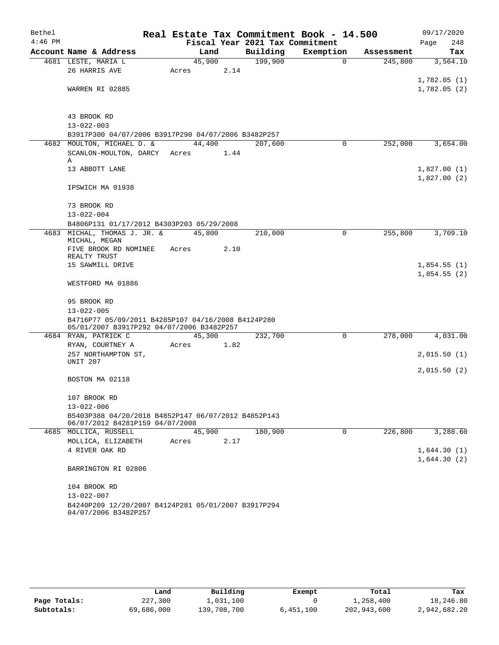| Bethel<br>$4:46$ PM |                                                                                                 |        |      | Fiscal Year 2021 Tax Commitment | Real Estate Tax Commitment Book - 14.500 |            | 09/17/2020<br>248<br>Page |
|---------------------|-------------------------------------------------------------------------------------------------|--------|------|---------------------------------|------------------------------------------|------------|---------------------------|
|                     | Account Name & Address                                                                          | Land   |      | Building                        | Exemption                                | Assessment | Tax                       |
|                     | 4681 LESTE, MARIA L                                                                             | 45,900 |      | 199,900                         | $\Omega$                                 | 245,800    | 3,564.10                  |
|                     | 26 HARRIS AVE                                                                                   | Acres  | 2.14 |                                 |                                          |            |                           |
|                     |                                                                                                 |        |      |                                 |                                          |            | 1,782.05(1)               |
|                     | WARREN RI 02885                                                                                 |        |      |                                 |                                          |            | 1,782.05(2)               |
|                     |                                                                                                 |        |      |                                 |                                          |            |                           |
|                     | 43 BROOK RD                                                                                     |        |      |                                 |                                          |            |                           |
|                     | $13 - 022 - 003$                                                                                |        |      |                                 |                                          |            |                           |
|                     | B3917P300 04/07/2006 B3917P290 04/07/2006 B3482P257                                             |        |      |                                 |                                          |            |                           |
|                     | 4682 MOULTON, MICHAEL D. &                                                                      | 44,400 |      | 207,600                         | 0                                        | 252,000    | 3,654.00                  |
|                     | SCANLON-MOULTON, DARCY Acres                                                                    |        | 1.44 |                                 |                                          |            |                           |
|                     | Α                                                                                               |        |      |                                 |                                          |            |                           |
|                     | 13 ABBOTT LANE                                                                                  |        |      |                                 |                                          |            | 1,827.00(1)               |
|                     |                                                                                                 |        |      |                                 |                                          |            | 1,827.00(2)               |
|                     | IPSWICH MA 01938                                                                                |        |      |                                 |                                          |            |                           |
|                     | 73 BROOK RD                                                                                     |        |      |                                 |                                          |            |                           |
|                     | $13 - 022 - 004$                                                                                |        |      |                                 |                                          |            |                           |
|                     | B4806P131 01/17/2012 B4303P203 05/29/2008                                                       |        |      |                                 |                                          |            |                           |
|                     | 4683 MICHAL, THOMAS J. JR. &                                                                    | 45,800 |      | 210,000                         | 0                                        | 255,800    | 3,709.10                  |
|                     | MICHAL, MEGAN                                                                                   |        |      |                                 |                                          |            |                           |
|                     | FIVE BROOK RD NOMINEE                                                                           | Acres  | 2.10 |                                 |                                          |            |                           |
|                     | REALTY TRUST<br>15 SAWMILL DRIVE                                                                |        |      |                                 |                                          |            | 1,854.55(1)               |
|                     |                                                                                                 |        |      |                                 |                                          |            | 1,854.55(2)               |
|                     | WESTFORD MA 01886                                                                               |        |      |                                 |                                          |            |                           |
|                     | 95 BROOK RD                                                                                     |        |      |                                 |                                          |            |                           |
|                     | $13 - 022 - 005$                                                                                |        |      |                                 |                                          |            |                           |
|                     | B4716P77 05/09/2011 B4285P107 04/16/2008 B4124P280<br>05/01/2007 B3917P292 04/07/2006 B3482P257 |        |      |                                 |                                          |            |                           |
|                     | 4684 RYAN, PATRICK C                                                                            | 45,300 |      | 232,700                         | 0                                        | 278,000    | 4,031.00                  |
|                     | RYAN, COURTNEY A                                                                                | Acres  | 1.82 |                                 |                                          |            |                           |
|                     | 257 NORTHAMPTON ST,                                                                             |        |      |                                 |                                          |            | 2,015.50(1)               |
|                     | UNIT 207                                                                                        |        |      |                                 |                                          |            |                           |
|                     |                                                                                                 |        |      |                                 |                                          |            | 2,015.50(2)               |
|                     | BOSTON MA 02118                                                                                 |        |      |                                 |                                          |            |                           |
|                     |                                                                                                 |        |      |                                 |                                          |            |                           |
|                     | 107 BROOK RD                                                                                    |        |      |                                 |                                          |            |                           |
|                     | $13 - 022 - 006$<br>B5403P388 04/20/2018 B4852P147 06/07/2012 B4852P143                         |        |      |                                 |                                          |            |                           |
|                     | 06/07/2012 B4281P159 04/07/2008                                                                 |        |      |                                 |                                          |            |                           |
|                     | 4685 MOLLICA, RUSSELL                                                                           | 45,900 |      | 180,900                         | 0                                        | 226,800    | 3,288.60                  |
|                     | MOLLICA, ELIZABETH                                                                              | Acres  | 2.17 |                                 |                                          |            |                           |
|                     | 4 RIVER OAK RD                                                                                  |        |      |                                 |                                          |            | 1,644.30(1)               |
|                     |                                                                                                 |        |      |                                 |                                          |            | 1,644.30(2)               |
|                     | BARRINGTON RI 02806                                                                             |        |      |                                 |                                          |            |                           |
|                     | 104 BROOK RD                                                                                    |        |      |                                 |                                          |            |                           |
|                     | $13 - 022 - 007$                                                                                |        |      |                                 |                                          |            |                           |
|                     | B4240P209 12/20/2007 B4124P281 05/01/2007 B3917P294                                             |        |      |                                 |                                          |            |                           |
|                     | 04/07/2006 B3482P257                                                                            |        |      |                                 |                                          |            |                           |

|              | Land       | Building    | Exempt    | Total       | Tax          |
|--------------|------------|-------------|-----------|-------------|--------------|
| Page Totals: | 227,300    | 1,031,100   |           | 1,258,400   | 18,246.80    |
| Subtotals:   | 69,686,000 | 139,708,700 | 6,451,100 | 202,943,600 | 2,942,682.20 |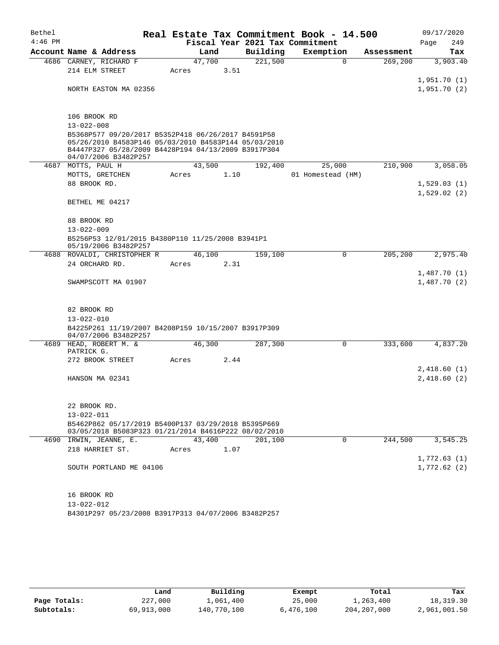| Bethel    |                                                                                                             |       |       |        |      |          | Real Estate Tax Commitment Book - 14.500 |          |            | 09/17/2020   |
|-----------|-------------------------------------------------------------------------------------------------------------|-------|-------|--------|------|----------|------------------------------------------|----------|------------|--------------|
| $4:46$ PM |                                                                                                             |       |       |        |      |          | Fiscal Year 2021 Tax Commitment          |          |            | 249<br>Page  |
|           | Account Name & Address                                                                                      |       |       | Land   |      | Building | Exemption                                |          | Assessment | Tax          |
|           | 4686 CARNEY, RICHARD F                                                                                      |       |       | 47,700 |      | 221,500  |                                          | $\Omega$ | 269, 200   | 3,903.40     |
|           | 214 ELM STREET                                                                                              | Acres |       |        | 3.51 |          |                                          |          |            |              |
|           |                                                                                                             |       |       |        |      |          |                                          |          |            | 1,951.70(1)  |
|           | NORTH EASTON MA 02356                                                                                       |       |       |        |      |          |                                          |          |            | 1,951.70(2)  |
|           |                                                                                                             |       |       |        |      |          |                                          |          |            |              |
|           | 106 BROOK RD                                                                                                |       |       |        |      |          |                                          |          |            |              |
|           | $13 - 022 - 008$                                                                                            |       |       |        |      |          |                                          |          |            |              |
|           | B5368P577 09/20/2017 B5352P418 06/26/2017 B4591P58                                                          |       |       |        |      |          |                                          |          |            |              |
|           | 05/26/2010 B4583P146 05/03/2010 B4583P144 05/03/2010<br>B4447P327 05/28/2009 B4428P194 04/13/2009 B3917P304 |       |       |        |      |          |                                          |          |            |              |
|           | 04/07/2006 B3482P257                                                                                        |       |       |        |      |          |                                          |          |            |              |
|           | 4687 MOTTS, PAUL H                                                                                          |       |       | 43,500 |      | 192,400  | 25,000                                   |          | 210,900    | 3,058.05     |
|           | MOTTS, GRETCHEN                                                                                             | Acres |       |        | 1.10 |          | 01 Homestead (HM)                        |          |            |              |
|           | 88 BROOK RD.                                                                                                |       |       |        |      |          |                                          |          |            | 1,529.03(1)  |
|           |                                                                                                             |       |       |        |      |          |                                          |          |            | 1,529.02(2)  |
|           | BETHEL ME 04217                                                                                             |       |       |        |      |          |                                          |          |            |              |
|           |                                                                                                             |       |       |        |      |          |                                          |          |            |              |
|           | 88 BROOK RD                                                                                                 |       |       |        |      |          |                                          |          |            |              |
|           | $13 - 022 - 009$                                                                                            |       |       |        |      |          |                                          |          |            |              |
|           | B5256P53 12/01/2015 B4380P110 11/25/2008 B3941P1<br>05/19/2006 B3482P257                                    |       |       |        |      |          |                                          |          |            |              |
|           | 4688 ROVALDI, CHRISTOPHER R                                                                                 |       |       | 46,100 |      | 159,100  |                                          | 0        | 205,200    | 2,975.40     |
|           | 24 ORCHARD RD.                                                                                              | Acres |       |        | 2.31 |          |                                          |          |            |              |
|           |                                                                                                             |       |       |        |      |          |                                          |          |            | 1,487.70(1)  |
|           | SWAMPSCOTT MA 01907                                                                                         |       |       |        |      |          |                                          |          |            | 1,487.70 (2) |
|           |                                                                                                             |       |       |        |      |          |                                          |          |            |              |
|           |                                                                                                             |       |       |        |      |          |                                          |          |            |              |
|           | 82 BROOK RD                                                                                                 |       |       |        |      |          |                                          |          |            |              |
|           | $13 - 022 - 010$                                                                                            |       |       |        |      |          |                                          |          |            |              |
|           | B4225P261 11/19/2007 B4208P159 10/15/2007 B3917P309<br>04/07/2006 B3482P257                                 |       |       |        |      |          |                                          |          |            |              |
|           | 4689 HEAD, ROBERT M. &                                                                                      |       |       | 46,300 |      | 287,300  |                                          | 0        | 333,600    | 4,837.20     |
|           | PATRICK G.                                                                                                  |       |       |        |      |          |                                          |          |            |              |
|           | 272 BROOK STREET                                                                                            | Acres |       |        | 2.44 |          |                                          |          |            |              |
|           | HANSON MA 02341                                                                                             |       |       |        |      |          |                                          |          |            | 2,418.60(1)  |
|           |                                                                                                             |       |       |        |      |          |                                          |          |            | 2,418.60(2)  |
|           |                                                                                                             |       |       |        |      |          |                                          |          |            |              |
|           | 22 BROOK RD.                                                                                                |       |       |        |      |          |                                          |          |            |              |
|           | $13 - 022 - 011$                                                                                            |       |       |        |      |          |                                          |          |            |              |
|           | B5462P862 05/17/2019 B5400P137 03/29/2018 B5395P669                                                         |       |       |        |      |          |                                          |          |            |              |
|           | 03/05/2018 B5083P323 01/21/2014 B4616P222 08/02/2010                                                        |       |       |        |      |          |                                          |          |            |              |
|           | 4690 IRWIN, JEANNE, E.                                                                                      |       |       | 43,400 |      | 201,100  |                                          | $\Omega$ | 244,500    | 3,545.25     |
|           | 218 HARRIET ST.                                                                                             |       | Acres |        | 1.07 |          |                                          |          |            |              |
|           |                                                                                                             |       |       |        |      |          |                                          |          |            | 1,772.63(1)  |
|           | SOUTH PORTLAND ME 04106                                                                                     |       |       |        |      |          |                                          |          |            | 1,772.62(2)  |
|           |                                                                                                             |       |       |        |      |          |                                          |          |            |              |
|           |                                                                                                             |       |       |        |      |          |                                          |          |            |              |
|           | 16 BROOK RD                                                                                                 |       |       |        |      |          |                                          |          |            |              |
|           | $13 - 022 - 012$                                                                                            |       |       |        |      |          |                                          |          |            |              |

B4301P297 05/23/2008 B3917P313 04/07/2006 B3482P257

|              | Land       | Building    | Exempt    | Total         | Tax          |
|--------------|------------|-------------|-----------|---------------|--------------|
| Page Totals: | 227,000    | 1,061,400   | 25,000    | 1,263,400     | 18,319.30    |
| Subtotals:   | 69,913,000 | 140,770,100 | 6,476,100 | 204, 207, 000 | 2,961,001.50 |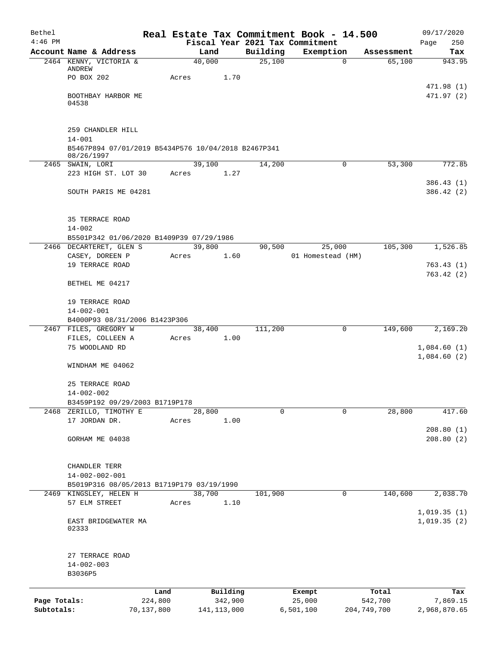| Bethel       |                                                                                                      |            |                 |               |          | Real Estate Tax Commitment Book - 14.500     |   |             | 09/17/2020                 |
|--------------|------------------------------------------------------------------------------------------------------|------------|-----------------|---------------|----------|----------------------------------------------|---|-------------|----------------------------|
| $4:46$ PM    | Account Name & Address                                                                               |            | Land            |               | Building | Fiscal Year 2021 Tax Commitment<br>Exemption |   | Assessment  | 250<br>Page<br>Tax         |
|              | 2464 KENNY, VICTORIA &                                                                               |            | 40,000          |               | 25,100   |                                              | 0 | 65,100      | 943.95                     |
|              | ANDREW                                                                                               |            |                 |               |          |                                              |   |             |                            |
|              | PO BOX 202                                                                                           |            | Acres           | 1.70          |          |                                              |   |             |                            |
|              | BOOTHBAY HARBOR ME<br>04538                                                                          |            |                 |               |          |                                              |   |             | 471.98 (1)<br>471.97 (2)   |
|              | 259 CHANDLER HILL<br>$14 - 001$<br>B5467P894 07/01/2019 B5434P576 10/04/2018 B2467P341<br>08/26/1997 |            |                 |               |          |                                              |   |             |                            |
|              | 2465 SWAIN, LORI                                                                                     |            | 39,100          |               | 14,200   |                                              | 0 | 53,300      | 772.85                     |
|              | 223 HIGH ST. LOT 30                                                                                  |            | Acres           | 1.27          |          |                                              |   |             |                            |
|              | SOUTH PARIS ME 04281                                                                                 |            |                 |               |          |                                              |   |             | 386.43(1)<br>386.42 (2)    |
|              | 35 TERRACE ROAD<br>$14 - 002$                                                                        |            |                 |               |          |                                              |   |             |                            |
|              | B5501P342 01/06/2020 B1409P39 07/29/1986<br>2466 DECARTERET, GLEN S                                  |            | 39,800          |               | 90,500   | 25,000                                       |   | 105,300     | 1,526.85                   |
|              | CASEY, DOREEN P                                                                                      |            | Acres           | 1.60          |          | 01 Homestead (HM)                            |   |             |                            |
|              | 19 TERRACE ROAD                                                                                      |            |                 |               |          |                                              |   |             | 763.43(1)                  |
|              | BETHEL ME 04217                                                                                      |            |                 |               |          |                                              |   |             | 763.42(2)                  |
|              | 19 TERRACE ROAD<br>$14 - 002 - 001$                                                                  |            |                 |               |          |                                              |   |             |                            |
|              | B4000P93 08/31/2006 B1423P306<br>2467 FILES, GREGORY W                                               |            |                 |               | 111,200  |                                              | 0 | 149,600     |                            |
|              | FILES, COLLEEN A                                                                                     |            | 38,400<br>Acres | 1.00          |          |                                              |   |             | 2,169.20                   |
|              | 75 WOODLAND RD                                                                                       |            |                 |               |          |                                              |   |             | 1,084.60(1)                |
|              | WINDHAM ME 04062                                                                                     |            |                 |               |          |                                              |   |             | 1,084.60(2)                |
|              | 25 TERRACE ROAD<br>$14 - 002 - 002$                                                                  |            |                 |               |          |                                              |   |             |                            |
|              | B3459P192 09/29/2003 B1719P178                                                                       |            |                 |               |          |                                              |   |             |                            |
|              | 2468 ZERILLO, TIMOTHY E                                                                              |            | 28,800          |               | 0        |                                              | 0 | 28,800      | 417.60                     |
|              | 17 JORDAN DR.                                                                                        |            | Acres           | 1.00          |          |                                              |   |             |                            |
|              | GORHAM ME 04038                                                                                      |            |                 |               |          |                                              |   |             | 208.80(1)<br>208.80(2)     |
|              | CHANDLER TERR<br>$14 - 002 - 002 - 001$<br>B5019P316 08/05/2013 B1719P179 03/19/1990                 |            |                 |               |          |                                              |   |             |                            |
|              | 2469 KINGSLEY, HELEN H                                                                               |            | 38,700          |               | 101,900  |                                              | 0 | 140,600     | 2,038.70                   |
|              | 57 ELM STREET                                                                                        |            | Acres           | 1.10          |          |                                              |   |             |                            |
|              | EAST BRIDGEWATER MA<br>02333                                                                         |            |                 |               |          |                                              |   |             | 1,019.35(1)<br>1,019.35(2) |
|              | 27 TERRACE ROAD<br>$14 - 002 - 003$<br>B3036P5                                                       |            |                 |               |          |                                              |   |             |                            |
|              |                                                                                                      | Land       |                 | Building      |          | Exempt                                       |   | Total       | Tax                        |
| Page Totals: |                                                                                                      | 224,800    |                 | 342,900       |          | 25,000                                       |   | 542,700     | 7,869.15                   |
| Subtotals:   |                                                                                                      | 70,137,800 |                 | 141, 113, 000 |          | 6,501,100                                    |   | 204,749,700 | 2,968,870.65               |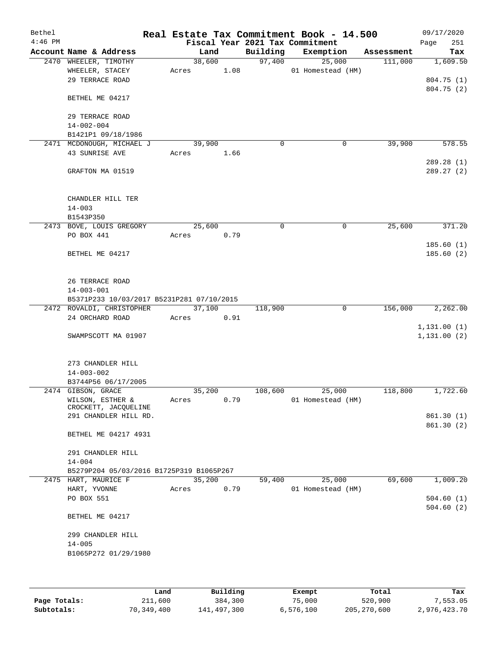| Bethel<br>$4:46$ PM |                                                        |                 |      |             | Real Estate Tax Commitment Book - 14.500<br>Fiscal Year 2021 Tax Commitment |            | 09/17/2020<br>251<br>Page |
|---------------------|--------------------------------------------------------|-----------------|------|-------------|-----------------------------------------------------------------------------|------------|---------------------------|
|                     | Account Name & Address                                 | Land            |      | Building    | Exemption                                                                   | Assessment | Tax                       |
|                     | 2470 WHEELER, TIMOTHY                                  | 38,600          |      | 97,400      | 25,000                                                                      | 111,000    | 1,609.50                  |
|                     | WHEELER, STACEY                                        | Acres           | 1.08 |             | 01 Homestead (HM)                                                           |            |                           |
|                     | 29 TERRACE ROAD                                        |                 |      |             |                                                                             |            | 804.75 (1)                |
|                     |                                                        |                 |      |             |                                                                             |            | 804.75(2)                 |
|                     | BETHEL ME 04217                                        |                 |      |             |                                                                             |            |                           |
|                     |                                                        |                 |      |             |                                                                             |            |                           |
|                     | 29 TERRACE ROAD                                        |                 |      |             |                                                                             |            |                           |
|                     | $14 - 002 - 004$                                       |                 |      |             |                                                                             |            |                           |
|                     | B1421P1 09/18/1986                                     |                 |      | $\mathbf 0$ | 0                                                                           | 39,900     | 578.55                    |
|                     | 2471 MCDONOUGH, MICHAEL J<br>43 SUNRISE AVE            | 39,900<br>Acres | 1.66 |             |                                                                             |            |                           |
|                     |                                                        |                 |      |             |                                                                             |            | 289.28(1)                 |
|                     | GRAFTON MA 01519                                       |                 |      |             |                                                                             |            | 289.27(2)                 |
|                     |                                                        |                 |      |             |                                                                             |            |                           |
|                     |                                                        |                 |      |             |                                                                             |            |                           |
|                     | CHANDLER HILL TER                                      |                 |      |             |                                                                             |            |                           |
|                     | $14 - 003$                                             |                 |      |             |                                                                             |            |                           |
|                     | B1543P350                                              |                 |      |             |                                                                             |            |                           |
|                     | 2473 BOVE, LOUIS GREGORY                               | 25,600          |      | 0           | 0                                                                           | 25,600     | 371.20                    |
|                     | PO BOX 441                                             | Acres           | 0.79 |             |                                                                             |            |                           |
|                     |                                                        |                 |      |             |                                                                             |            | 185.60(1)                 |
|                     | BETHEL ME 04217                                        |                 |      |             |                                                                             |            | 185.60(2)                 |
|                     |                                                        |                 |      |             |                                                                             |            |                           |
|                     | 26 TERRACE ROAD                                        |                 |      |             |                                                                             |            |                           |
|                     | $14 - 003 - 001$                                       |                 |      |             |                                                                             |            |                           |
|                     | B5371P233 10/03/2017 B5231P281 07/10/2015              |                 |      |             |                                                                             |            |                           |
|                     | 2472 ROVALDI, CHRISTOPHER                              | 37,100          |      | 118,900     | $\mathbf 0$                                                                 | 156,000    | 2,262.00                  |
|                     | 24 ORCHARD ROAD                                        | Acres           | 0.91 |             |                                                                             |            |                           |
|                     |                                                        |                 |      |             |                                                                             |            | 1, 131.00(1)              |
|                     | SWAMPSCOTT MA 01907                                    |                 |      |             |                                                                             |            | 1, 131.00(2)              |
|                     |                                                        |                 |      |             |                                                                             |            |                           |
|                     |                                                        |                 |      |             |                                                                             |            |                           |
|                     | 273 CHANDLER HILL                                      |                 |      |             |                                                                             |            |                           |
|                     | $14 - 003 - 002$<br>B3744P56 06/17/2005                |                 |      |             |                                                                             |            |                           |
|                     | 2474 GIBSON, GRACE                                     | 35,200          |      | 108,600     | 25,000                                                                      | 118,800    | 1,722.60                  |
|                     | WILSON, ESTHER &                                       | Acres           | 0.79 |             | 01 Homestead (HM)                                                           |            |                           |
|                     | CROCKETT, JACQUELINE                                   |                 |      |             |                                                                             |            |                           |
|                     | 291 CHANDLER HILL RD.                                  |                 |      |             |                                                                             |            | 861.30(1)                 |
|                     |                                                        |                 |      |             |                                                                             |            | 861.30(2)                 |
|                     | BETHEL ME 04217 4931                                   |                 |      |             |                                                                             |            |                           |
|                     |                                                        |                 |      |             |                                                                             |            |                           |
|                     | 291 CHANDLER HILL                                      |                 |      |             |                                                                             |            |                           |
|                     | $14 - 004$<br>B5279P204 05/03/2016 B1725P319 B1065P267 |                 |      |             |                                                                             |            |                           |
|                     | 2475 HART, MAURICE F                                   | 35,200          |      | 59,400      | 25,000                                                                      | 69,600     | 1,009.20                  |
|                     | HART, YVONNE                                           | Acres           | 0.79 |             | 01 Homestead (HM)                                                           |            |                           |
|                     | PO BOX 551                                             |                 |      |             |                                                                             |            | 504.60(1)                 |
|                     |                                                        |                 |      |             |                                                                             |            | 504.60(2)                 |
|                     | BETHEL ME 04217                                        |                 |      |             |                                                                             |            |                           |
|                     |                                                        |                 |      |             |                                                                             |            |                           |
|                     | 299 CHANDLER HILL                                      |                 |      |             |                                                                             |            |                           |
|                     | $14 - 005$                                             |                 |      |             |                                                                             |            |                           |
|                     | B1065P272 01/29/1980                                   |                 |      |             |                                                                             |            |                           |
|                     |                                                        |                 |      |             |                                                                             |            |                           |
|                     |                                                        |                 |      |             |                                                                             |            |                           |

|              | Land       | Building    | Exempt    | Total       | Tax          |
|--------------|------------|-------------|-----------|-------------|--------------|
| Page Totals: | 211,600    | 384,300     | 75,000    | 520,900     | 7,553.05     |
| Subtotals:   | 70,349,400 | 141,497,300 | 6,576,100 | 205,270,600 | 2,976,423.70 |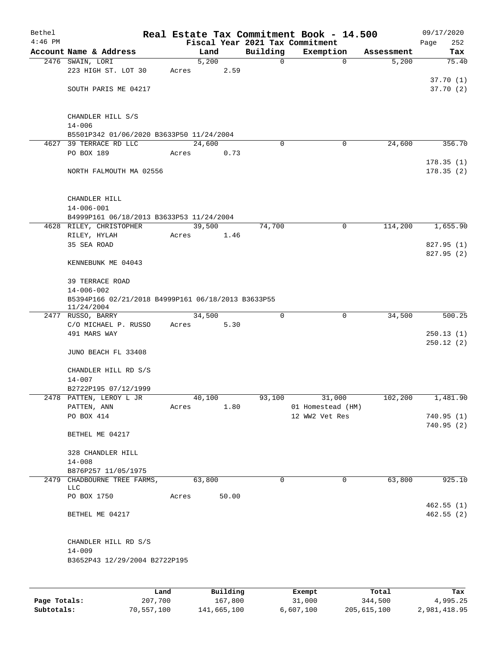| Bethel    |                                                                  |       |        |          |          | Real Estate Tax Commitment Book - 14.500 |            | 09/17/2020             |  |  |
|-----------|------------------------------------------------------------------|-------|--------|----------|----------|------------------------------------------|------------|------------------------|--|--|
| $4:46$ PM |                                                                  |       |        |          |          | Fiscal Year 2021 Tax Commitment          |            | 252<br>Page            |  |  |
|           | Account Name & Address                                           |       | Land   |          | Building | Exemption                                | Assessment | Tax                    |  |  |
|           | 2476 SWAIN, LORI                                                 |       | 5,200  |          | 0        | $\mathbf 0$                              | 5,200      | 75.40                  |  |  |
|           | 223 HIGH ST. LOT 30                                              | Acres |        | 2.59     |          |                                          |            | 37.70(1)               |  |  |
|           | SOUTH PARIS ME 04217                                             |       |        |          |          |                                          |            | 37.70(2)               |  |  |
|           |                                                                  |       |        |          |          |                                          |            |                        |  |  |
|           | CHANDLER HILL S/S                                                |       |        |          |          |                                          |            |                        |  |  |
|           | $14 - 006$                                                       |       |        |          |          |                                          |            |                        |  |  |
|           | B5501P342 01/06/2020 B3633P50 11/24/2004                         |       |        |          |          |                                          |            |                        |  |  |
|           | 4627 39 TERRACE RD LLC                                           |       | 24,600 |          | $\Omega$ | 0                                        | 24,600     | 356.70                 |  |  |
|           | PO BOX 189                                                       | Acres |        | 0.73     |          |                                          |            |                        |  |  |
|           |                                                                  |       |        |          |          |                                          |            | 178.35(1)              |  |  |
|           | NORTH FALMOUTH MA 02556                                          |       |        |          |          |                                          |            | 178.35(2)              |  |  |
|           | CHANDLER HILL                                                    |       |        |          |          |                                          |            |                        |  |  |
|           | $14 - 006 - 001$                                                 |       |        |          |          |                                          |            |                        |  |  |
|           | B4999P161 06/18/2013 B3633P53 11/24/2004                         |       |        |          |          |                                          |            |                        |  |  |
|           | 4628 RILEY, CHRISTOPHER                                          |       | 39,500 |          | 74,700   | 0                                        | 114,200    | 1,655.90               |  |  |
|           | RILEY, HYLAH                                                     | Acres |        | 1.46     |          |                                          |            |                        |  |  |
|           | 35 SEA ROAD                                                      |       |        |          |          |                                          |            | 827.95 (1)             |  |  |
|           | KENNEBUNK ME 04043                                               |       |        |          |          |                                          |            | 827.95 (2)             |  |  |
|           | <b>39 TERRACE ROAD</b>                                           |       |        |          |          |                                          |            |                        |  |  |
|           | $14 - 006 - 002$                                                 |       |        |          |          |                                          |            |                        |  |  |
|           | B5394P166 02/21/2018 B4999P161 06/18/2013 B3633P55<br>11/24/2004 |       |        |          |          |                                          |            |                        |  |  |
|           | 2477 RUSSO, BARRY                                                |       | 34,500 |          | 0        | $\mathbf 0$                              | 34,500     | 500.25                 |  |  |
|           | C/O MICHAEL P. RUSSO                                             | Acres |        | 5.30     |          |                                          |            |                        |  |  |
|           | 491 MARS WAY                                                     |       |        |          |          |                                          |            | 250.13(1)              |  |  |
|           |                                                                  |       |        |          |          |                                          |            | 250.12(2)              |  |  |
|           | JUNO BEACH FL 33408                                              |       |        |          |          |                                          |            |                        |  |  |
|           | CHANDLER HILL RD S/S                                             |       |        |          |          |                                          |            |                        |  |  |
|           | $14 - 007$                                                       |       |        |          |          |                                          |            |                        |  |  |
|           | B2722P195 07/12/1999                                             |       |        |          |          |                                          |            |                        |  |  |
|           | 2478 PATTEN, LEROY L JR                                          |       | 40,100 |          | 93,100   | 31,000                                   | 102,200    | 1,481.90               |  |  |
|           | PATTEN, ANN                                                      | Acres |        | 1.80     |          | 01 Homestead (HM)                        |            |                        |  |  |
|           | PO BOX 414                                                       |       |        |          |          | 12 WW2 Vet Res                           |            | 740.95(1)<br>740.95(2) |  |  |
|           | BETHEL ME 04217                                                  |       |        |          |          |                                          |            |                        |  |  |
|           | 328 CHANDLER HILL                                                |       |        |          |          |                                          |            |                        |  |  |
|           | $14 - 008$                                                       |       |        |          |          |                                          |            |                        |  |  |
|           | B876P257 11/05/1975                                              |       |        |          |          |                                          |            |                        |  |  |
|           | 2479 CHADBOURNE TREE FARMS,                                      |       | 63,800 |          | 0        | 0                                        | 63,800     | 925.10                 |  |  |
|           | <b>LLC</b><br>PO BOX 1750                                        | Acres |        | 50.00    |          |                                          |            |                        |  |  |
|           |                                                                  |       |        |          |          |                                          |            | 462.55(1)              |  |  |
|           | BETHEL ME 04217                                                  |       |        |          |          |                                          |            | 462.55(2)              |  |  |
|           | CHANDLER HILL RD S/S                                             |       |        |          |          |                                          |            |                        |  |  |
|           | $14 - 009$                                                       |       |        |          |          |                                          |            |                        |  |  |
|           | B3652P43 12/29/2004 B2722P195                                    |       |        |          |          |                                          |            |                        |  |  |
|           |                                                                  |       |        |          |          |                                          |            |                        |  |  |
|           |                                                                  | Land  |        | Building |          | Exempt                                   | Total      | Tax                    |  |  |

|              | Land       | Building    | Exempt    | Total       | Tax          |
|--------------|------------|-------------|-----------|-------------|--------------|
| Page Totals: | 207,700    | 167,800     | 31,000    | 344,500     | 4,995.25     |
| Subtotals:   | 70,557,100 | 141,665,100 | 6,607,100 | 205,615,100 | 2,981,418.95 |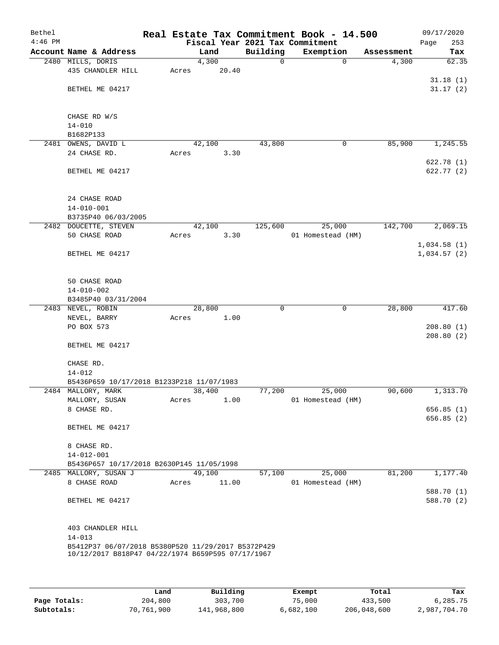| Bethel<br>$4:46$ PM |                                                    |       |        |             | Real Estate Tax Commitment Book - 14.500<br>Fiscal Year 2021 Tax Commitment |            | 09/17/2020<br>Page<br>253 |
|---------------------|----------------------------------------------------|-------|--------|-------------|-----------------------------------------------------------------------------|------------|---------------------------|
|                     | Account Name & Address                             |       | Land   | Building    | Exemption                                                                   | Assessment | Tax                       |
|                     | 2480 MILLS, DORIS                                  |       | 4,300  | $\mathbf 0$ | $\Omega$                                                                    | 4,300      | 62.35                     |
|                     | 435 CHANDLER HILL                                  | Acres | 20.40  |             |                                                                             |            |                           |
|                     |                                                    |       |        |             |                                                                             |            | 31.18(1)                  |
|                     | BETHEL ME 04217                                    |       |        |             |                                                                             |            | 31.17(2)                  |
|                     |                                                    |       |        |             |                                                                             |            |                           |
|                     |                                                    |       |        |             |                                                                             |            |                           |
|                     | CHASE RD W/S                                       |       |        |             |                                                                             |            |                           |
|                     | $14 - 010$                                         |       |        |             |                                                                             |            |                           |
|                     | B1682P133                                          |       |        |             |                                                                             |            |                           |
|                     | 2481 OWENS, DAVID L                                |       | 42,100 | 43,800      | 0                                                                           | 85,900     | 1,245.55                  |
|                     | 24 CHASE RD.                                       | Acres | 3.30   |             |                                                                             |            |                           |
|                     |                                                    |       |        |             |                                                                             |            | 622.78(1)                 |
|                     | BETHEL ME 04217                                    |       |        |             |                                                                             |            | 622.77(2)                 |
|                     |                                                    |       |        |             |                                                                             |            |                           |
|                     |                                                    |       |        |             |                                                                             |            |                           |
|                     | 24 CHASE ROAD                                      |       |        |             |                                                                             |            |                           |
|                     | $14 - 010 - 001$                                   |       |        |             |                                                                             |            |                           |
|                     | B3735P40 06/03/2005                                |       |        |             |                                                                             |            |                           |
|                     |                                                    |       |        |             |                                                                             |            |                           |
|                     | 2482 DOUCETTE, STEVEN                              |       | 42,100 | 125,600     | 25,000                                                                      | 142,700    | 2,069.15                  |
|                     | 50 CHASE ROAD                                      | Acres | 3.30   |             | 01 Homestead (HM)                                                           |            |                           |
|                     |                                                    |       |        |             |                                                                             |            | 1,034.58(1)               |
|                     | BETHEL ME 04217                                    |       |        |             |                                                                             |            | 1,034.57(2)               |
|                     |                                                    |       |        |             |                                                                             |            |                           |
|                     |                                                    |       |        |             |                                                                             |            |                           |
|                     | 50 CHASE ROAD                                      |       |        |             |                                                                             |            |                           |
|                     | $14 - 010 - 002$                                   |       |        |             |                                                                             |            |                           |
|                     | B3485P40 03/31/2004                                |       |        |             |                                                                             |            |                           |
|                     | 2483 NEVEL, ROBIN                                  |       | 28,800 | 0           | 0                                                                           | 28,800     | 417.60                    |
|                     | NEVEL, BARRY                                       | Acres | 1.00   |             |                                                                             |            |                           |
|                     | PO BOX 573                                         |       |        |             |                                                                             |            | 208.80(1)                 |
|                     |                                                    |       |        |             |                                                                             |            | 208.80(2)                 |
|                     | BETHEL ME 04217                                    |       |        |             |                                                                             |            |                           |
|                     |                                                    |       |        |             |                                                                             |            |                           |
|                     | CHASE RD.                                          |       |        |             |                                                                             |            |                           |
|                     | $14 - 012$                                         |       |        |             |                                                                             |            |                           |
|                     | B5436P659 10/17/2018 B1233P218 11/07/1983          |       |        |             |                                                                             |            |                           |
|                     | 2484 MALLORY, MARK                                 |       | 38,400 | 77,200      | 25,000                                                                      | 90,600     | 1,313.70                  |
|                     | MALLORY, SUSAN                                     | Acres | 1.00   |             | 01 Homestead (HM)                                                           |            |                           |
|                     | 8 CHASE RD.                                        |       |        |             |                                                                             |            | 656.85(1)                 |
|                     |                                                    |       |        |             |                                                                             |            | 656.85(2)                 |
|                     | BETHEL ME 04217                                    |       |        |             |                                                                             |            |                           |
|                     |                                                    |       |        |             |                                                                             |            |                           |
|                     | 8 CHASE RD.                                        |       |        |             |                                                                             |            |                           |
|                     | $14 - 012 - 001$                                   |       |        |             |                                                                             |            |                           |
|                     | B5436P657 10/17/2018 B2630P145 11/05/1998          |       |        |             |                                                                             |            |                           |
|                     | 2485 MALLORY, SUSAN J                              |       | 49,100 | 57,100      | 25,000                                                                      | 81,200     | 1,177.40                  |
|                     | 8 CHASE ROAD                                       | Acres | 11.00  |             | 01 Homestead (HM)                                                           |            |                           |
|                     |                                                    |       |        |             |                                                                             |            | 588.70 (1)                |
|                     | BETHEL ME 04217                                    |       |        |             |                                                                             |            | 588.70 (2)                |
|                     |                                                    |       |        |             |                                                                             |            |                           |
|                     |                                                    |       |        |             |                                                                             |            |                           |
|                     | 403 CHANDLER HILL                                  |       |        |             |                                                                             |            |                           |
|                     | $14 - 013$                                         |       |        |             |                                                                             |            |                           |
|                     | B5412P37 06/07/2018 B5380P520 11/29/2017 B5372P429 |       |        |             |                                                                             |            |                           |
|                     | 10/12/2017 B818P47 04/22/1974 B659P595 07/17/1967  |       |        |             |                                                                             |            |                           |
|                     |                                                    |       |        |             |                                                                             |            |                           |
|                     |                                                    |       |        |             |                                                                             |            |                           |

|              | Land       | Building    | Exempt    | Total       | Tax          |
|--------------|------------|-------------|-----------|-------------|--------------|
| Page Totals: | 204,800    | 303,700     | 75,000    | 433,500     | 6,285.75     |
| Subtotals:   | 70,761,900 | 141,968,800 | 6,682,100 | 206,048,600 | 2,987,704.70 |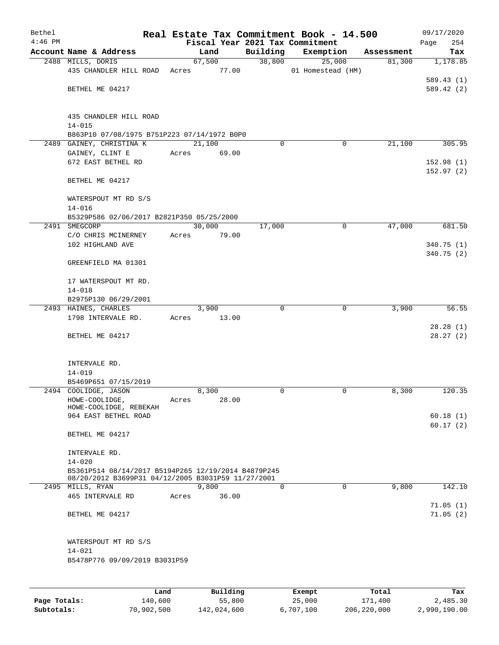| Bethel<br>$4:46$ PM |                                                     |       |        |                |             | Real Estate Tax Commitment Book - 14.500<br>Fiscal Year 2021 Tax Commitment |            | 09/17/2020<br>254<br>Page |
|---------------------|-----------------------------------------------------|-------|--------|----------------|-------------|-----------------------------------------------------------------------------|------------|---------------------------|
|                     | Account Name & Address                              |       |        | Land           | Building    | Exemption                                                                   | Assessment | Tax                       |
|                     | 2488 MILLS, DORIS                                   |       | 67,500 |                | 38,800      | 25,000                                                                      | 81,300     | 1,178.85                  |
|                     | 435 CHANDLER HILL ROAD                              | Acres |        | 77.00          |             | 01 Homestead (HM)                                                           |            |                           |
|                     |                                                     |       |        |                |             |                                                                             |            | 589.43(1)                 |
|                     | BETHEL ME 04217                                     |       |        |                |             |                                                                             |            | 589.42 (2)                |
|                     |                                                     |       |        |                |             |                                                                             |            |                           |
|                     | 435 CHANDLER HILL ROAD                              |       |        |                |             |                                                                             |            |                           |
|                     | $14 - 015$                                          |       |        |                |             |                                                                             |            |                           |
|                     | B863P10 07/08/1975 B751P223 07/14/1972 B0P0         |       |        |                |             |                                                                             |            |                           |
|                     | 2489 GAINEY, CHRISTINA K                            |       | 21,100 |                | $\Omega$    | 0                                                                           | 21,100     | 305.95                    |
|                     | GAINEY, CLINT E                                     | Acres |        | 69.00          |             |                                                                             |            |                           |
|                     | 672 EAST BETHEL RD                                  |       |        |                |             |                                                                             |            | 152.98(1)<br>152.97(2)    |
|                     | BETHEL ME 04217                                     |       |        |                |             |                                                                             |            |                           |
|                     |                                                     |       |        |                |             |                                                                             |            |                           |
|                     | WATERSPOUT MT RD S/S                                |       |        |                |             |                                                                             |            |                           |
|                     | $14 - 016$                                          |       |        |                |             |                                                                             |            |                           |
|                     | B5329P586 02/06/2017 B2821P350 05/25/2000           |       |        |                |             |                                                                             |            |                           |
|                     | 2491 SMEGCORP                                       |       | 30,000 |                | 17,000      | $\mathsf{O}$                                                                | 47,000     | 681.50                    |
|                     | C/O CHRIS MCINERNEY<br>102 HIGHLAND AVE             | Acres |        | 79.00          |             |                                                                             |            | 340.75 (1)                |
|                     |                                                     |       |        |                |             |                                                                             |            | 340.75 (2)                |
|                     | GREENFIELD MA 01301                                 |       |        |                |             |                                                                             |            |                           |
|                     |                                                     |       |        |                |             |                                                                             |            |                           |
|                     | 17 WATERSPOUT MT RD.                                |       |        |                |             |                                                                             |            |                           |
|                     | $14 - 018$                                          |       |        |                |             |                                                                             |            |                           |
|                     | B2975P130 06/29/2001<br>2493 HAINES, CHARLES        |       |        | 3,900          | 0           | $\mathbf 0$                                                                 | 3,900      | 56.55                     |
|                     | 1798 INTERVALE RD.                                  | Acres |        | 13.00          |             |                                                                             |            |                           |
|                     |                                                     |       |        |                |             |                                                                             |            | 28.28(1)                  |
|                     | BETHEL ME 04217                                     |       |        |                |             |                                                                             |            | 28.27(2)                  |
|                     |                                                     |       |        |                |             |                                                                             |            |                           |
|                     |                                                     |       |        |                |             |                                                                             |            |                           |
|                     | INTERVALE RD.                                       |       |        |                |             |                                                                             |            |                           |
|                     | $14 - 019$<br>B5469P651 07/15/2019                  |       |        |                |             |                                                                             |            |                           |
|                     | 2494 COOLIDGE, JASON                                |       |        | 8,300          | 0           | 0                                                                           | 8,300      | 120.35                    |
|                     | HOWE-COOLIDGE,                                      | Acres |        | 28.00          |             |                                                                             |            |                           |
|                     | HOWE-COOLIDGE, REBEKAH                              |       |        |                |             |                                                                             |            |                           |
|                     | 964 EAST BETHEL ROAD                                |       |        |                |             |                                                                             |            | 60.18(1)                  |
|                     |                                                     |       |        |                |             |                                                                             |            | 60.17(2)                  |
|                     | BETHEL ME 04217                                     |       |        |                |             |                                                                             |            |                           |
|                     | INTERVALE RD.                                       |       |        |                |             |                                                                             |            |                           |
|                     | $14 - 020$                                          |       |        |                |             |                                                                             |            |                           |
|                     | B5361P514 08/14/2017 B5194P265 12/19/2014 B4879P245 |       |        |                |             |                                                                             |            |                           |
|                     | 08/20/2012 B3699P31 04/12/2005 B3031P59 11/27/2001  |       |        |                |             |                                                                             |            |                           |
|                     | 2495 MILLS, RYAN<br>465 INTERVALE RD                |       |        | 9,800<br>36.00 | $\mathbf 0$ | $\mathbf 0$                                                                 | 9,800      | 142.10                    |
|                     |                                                     | Acres |        |                |             |                                                                             |            | 71.05(1)                  |
|                     | BETHEL ME 04217                                     |       |        |                |             |                                                                             |            | 71.05(2)                  |
|                     |                                                     |       |        |                |             |                                                                             |            |                           |
|                     |                                                     |       |        |                |             |                                                                             |            |                           |
|                     | WATERSPOUT MT RD S/S                                |       |        |                |             |                                                                             |            |                           |
|                     | $14 - 021$                                          |       |        |                |             |                                                                             |            |                           |
|                     | B5478P776 09/09/2019 B3031P59                       |       |        |                |             |                                                                             |            |                           |
|                     |                                                     |       |        |                |             |                                                                             |            |                           |
|                     |                                                     |       |        |                |             |                                                                             |            |                           |

|              | Land       | Building    | Exempt    | Total       | Tax          |
|--------------|------------|-------------|-----------|-------------|--------------|
| Page Totals: | 140,600    | 55,800      | 25,000    | 171,400     | 2,485.30     |
| Subtotals:   | 70,902,500 | 142,024,600 | 6,707,100 | 206,220,000 | 2,990,190.00 |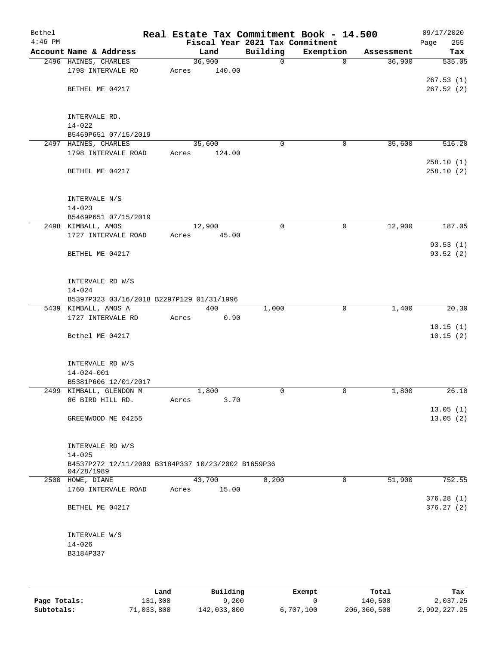| Bethel<br>$4:46$ PM |                                                                  | Real Estate Tax Commitment Book - 14.500<br>Fiscal Year 2021 Tax Commitment |              |                |            | 09/17/2020<br>Page<br>255 |
|---------------------|------------------------------------------------------------------|-----------------------------------------------------------------------------|--------------|----------------|------------|---------------------------|
|                     | Account Name & Address                                           | Land                                                                        | Building     | Exemption      | Assessment | Tax                       |
|                     | 2496 HAINES, CHARLES                                             | 36,900                                                                      | $\mathsf{O}$ | $\Omega$       | 36,900     | 535.05                    |
|                     | 1798 INTERVALE RD                                                | 140.00<br>Acres                                                             |              |                |            |                           |
|                     |                                                                  |                                                                             |              |                |            | 267.53(1)                 |
|                     | BETHEL ME 04217                                                  |                                                                             |              |                |            | 267.52(2)                 |
|                     |                                                                  |                                                                             |              |                |            |                           |
|                     |                                                                  |                                                                             |              |                |            |                           |
|                     | INTERVALE RD.                                                    |                                                                             |              |                |            |                           |
|                     | $14 - 022$                                                       |                                                                             |              |                |            |                           |
|                     | B5469P651 07/15/2019                                             |                                                                             |              |                |            |                           |
|                     | 2497 HAINES, CHARLES                                             | 35,600                                                                      | 0            | 0              | 35,600     | 516.20                    |
|                     | 1798 INTERVALE ROAD                                              | Acres<br>124.00                                                             |              |                |            |                           |
|                     |                                                                  |                                                                             |              |                |            | 258.10(1)                 |
|                     | BETHEL ME 04217                                                  |                                                                             |              |                |            | 258.10(2)                 |
|                     |                                                                  |                                                                             |              |                |            |                           |
|                     |                                                                  |                                                                             |              |                |            |                           |
|                     | INTERVALE N/S                                                    |                                                                             |              |                |            |                           |
|                     | $14 - 023$                                                       |                                                                             |              |                |            |                           |
|                     | B5469P651 07/15/2019                                             |                                                                             |              |                |            |                           |
|                     | 2498 KIMBALL, AMOS                                               | 12,900                                                                      | $\mathbf 0$  | $\mathbf 0$    | 12,900     | 187.05                    |
|                     | 1727 INTERVALE ROAD                                              | 45.00<br>Acres                                                              |              |                |            |                           |
|                     |                                                                  |                                                                             |              |                |            | 93.53(1)                  |
|                     | BETHEL ME 04217                                                  |                                                                             |              |                |            | 93.52(2)                  |
|                     |                                                                  |                                                                             |              |                |            |                           |
|                     |                                                                  |                                                                             |              |                |            |                           |
|                     | INTERVALE RD W/S                                                 |                                                                             |              |                |            |                           |
|                     | $14 - 024$                                                       |                                                                             |              |                |            |                           |
|                     | B5397P323 03/16/2018 B2297P129 01/31/1996                        |                                                                             |              |                |            |                           |
|                     | 5439 KIMBALL, AMOS A                                             | 400                                                                         | 1,000        | $\overline{0}$ | 1,400      | 20.30                     |
|                     | 1727 INTERVALE RD                                                | 0.90<br>Acres                                                               |              |                |            |                           |
|                     |                                                                  |                                                                             |              |                |            | 10.15(1)                  |
|                     | Bethel ME 04217                                                  |                                                                             |              |                |            | 10.15(2)                  |
|                     |                                                                  |                                                                             |              |                |            |                           |
|                     |                                                                  |                                                                             |              |                |            |                           |
|                     | INTERVALE RD W/S                                                 |                                                                             |              |                |            |                           |
|                     | $14 - 024 - 001$                                                 |                                                                             |              |                |            |                           |
|                     | B5381P606 12/01/2017                                             |                                                                             |              |                |            |                           |
|                     | 2499 KIMBALL, GLENDON M                                          | 1,800                                                                       | 0            | 0              | 1,800      | 26.10                     |
|                     | 86 BIRD HILL RD.                                                 | 3.70<br>Acres                                                               |              |                |            |                           |
|                     |                                                                  |                                                                             |              |                |            | 13.05(1)                  |
|                     | GREENWOOD ME 04255                                               |                                                                             |              |                |            | 13.05(2)                  |
|                     |                                                                  |                                                                             |              |                |            |                           |
|                     |                                                                  |                                                                             |              |                |            |                           |
|                     | INTERVALE RD W/S                                                 |                                                                             |              |                |            |                           |
|                     | $14 - 025$<br>B4537P272 12/11/2009 B3184P337 10/23/2002 B1659P36 |                                                                             |              |                |            |                           |
|                     | 04/28/1989                                                       |                                                                             |              |                |            |                           |
|                     | 2500 HOWE, DIANE                                                 | 43,700                                                                      | 8,200        | 0              | 51,900     | 752.55                    |
|                     | 1760 INTERVALE ROAD                                              | 15.00<br>Acres                                                              |              |                |            |                           |
|                     |                                                                  |                                                                             |              |                |            | 376.28(1)                 |
|                     | BETHEL ME 04217                                                  |                                                                             |              |                |            | 376.27(2)                 |
|                     |                                                                  |                                                                             |              |                |            |                           |
|                     |                                                                  |                                                                             |              |                |            |                           |
|                     | INTERVALE W/S                                                    |                                                                             |              |                |            |                           |
|                     | $14 - 026$                                                       |                                                                             |              |                |            |                           |
|                     | B3184P337                                                        |                                                                             |              |                |            |                           |
|                     |                                                                  |                                                                             |              |                |            |                           |
|                     |                                                                  |                                                                             |              |                |            |                           |
|                     |                                                                  |                                                                             |              |                |            |                           |

|              | Land       | Building    | Exempt    | Total       | Tax          |
|--------------|------------|-------------|-----------|-------------|--------------|
| Page Totals: | 131,300    | 9,200       |           | 140,500     | 2,037.25     |
| Subtotals:   | 71,033,800 | 142,033,800 | 6,707,100 | 206,360,500 | 2,992,227.25 |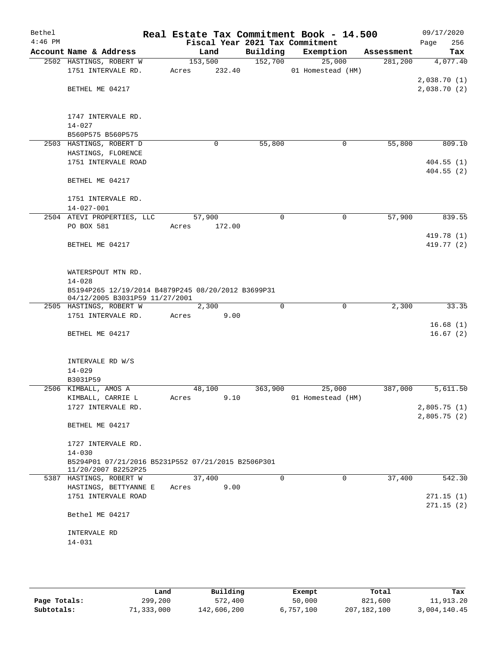| Bethel    |                                                                           |                 |             | Real Estate Tax Commitment Book - 14.500 |            | 09/17/2020                 |  |  |
|-----------|---------------------------------------------------------------------------|-----------------|-------------|------------------------------------------|------------|----------------------------|--|--|
| $4:46$ PM |                                                                           |                 |             | Fiscal Year 2021 Tax Commitment          |            | 256<br>Page                |  |  |
|           | Account Name & Address                                                    | Land            | Building    | Exemption                                | Assessment | Tax                        |  |  |
|           | 2502 HASTINGS, ROBERT W                                                   | 153,500         | 152,700     | 25,000                                   | 281,200    | 4,077.40                   |  |  |
|           | 1751 INTERVALE RD.                                                        | 232.40<br>Acres |             | 01 Homestead (HM)                        |            |                            |  |  |
|           |                                                                           |                 |             |                                          |            | 2,038.70(1)                |  |  |
|           | BETHEL ME 04217                                                           |                 |             |                                          |            | 2,038.70(2)                |  |  |
|           |                                                                           |                 |             |                                          |            |                            |  |  |
|           | 1747 INTERVALE RD.                                                        |                 |             |                                          |            |                            |  |  |
|           | $14 - 027$                                                                |                 |             |                                          |            |                            |  |  |
|           | B560P575 B560P575                                                         |                 |             |                                          |            |                            |  |  |
|           | 2503 HASTINGS, ROBERT D                                                   | 0               | 55,800      | 0                                        | 55,800     | 809.10                     |  |  |
|           | HASTINGS, FLORENCE                                                        |                 |             |                                          |            |                            |  |  |
|           | 1751 INTERVALE ROAD                                                       |                 |             |                                          |            | 404.55(1)                  |  |  |
|           |                                                                           |                 |             |                                          |            | 404.55(2)                  |  |  |
|           | BETHEL ME 04217                                                           |                 |             |                                          |            |                            |  |  |
|           | 1751 INTERVALE RD.                                                        |                 |             |                                          |            |                            |  |  |
|           | $14 - 027 - 001$                                                          |                 |             |                                          |            |                            |  |  |
|           | 2504 ATEVI PROPERTIES, LLC                                                | 57,900          | $\mathbf 0$ | $\mathbf 0$                              | 57,900     | 839.55                     |  |  |
|           | PO BOX 581                                                                | 172.00<br>Acres |             |                                          |            |                            |  |  |
|           |                                                                           |                 |             |                                          |            | 419.78 (1)                 |  |  |
|           | BETHEL ME 04217                                                           |                 |             |                                          |            | 419.77 (2)                 |  |  |
|           |                                                                           |                 |             |                                          |            |                            |  |  |
|           | WATERSPOUT MTN RD.                                                        |                 |             |                                          |            |                            |  |  |
|           | $14 - 028$                                                                |                 |             |                                          |            |                            |  |  |
|           | B5194P265 12/19/2014 B4879P245 08/20/2012 B3699P31                        |                 |             |                                          |            |                            |  |  |
|           | 04/12/2005 B3031P59 11/27/2001                                            |                 | $\Omega$    | $\mathbf 0$                              |            | 33.35                      |  |  |
|           | 2505 HASTINGS, ROBERT W<br>1751 INTERVALE RD.                             | 2,300<br>9.00   |             |                                          | 2,300      |                            |  |  |
|           |                                                                           | Acres           |             |                                          |            | 16.68(1)                   |  |  |
|           | BETHEL ME 04217                                                           |                 |             |                                          |            | 16.67(2)                   |  |  |
|           |                                                                           |                 |             |                                          |            |                            |  |  |
|           | INTERVALE RD W/S                                                          |                 |             |                                          |            |                            |  |  |
|           | $14 - 029$                                                                |                 |             |                                          |            |                            |  |  |
|           | B3031P59                                                                  |                 |             |                                          |            |                            |  |  |
|           | 2506 KIMBALL, AMOS A                                                      | 48,100          | 363,900     | 25,000                                   | 387,000    | 5,611.50                   |  |  |
|           |                                                                           |                 |             |                                          |            |                            |  |  |
|           | KIMBALL, CARRIE L<br>1727 INTERVALE RD.                                   | 9.10<br>Acres   |             | 01 Homestead (HM)                        |            |                            |  |  |
|           |                                                                           |                 |             |                                          |            | 2,805.75(1)<br>2,805.75(2) |  |  |
|           | BETHEL ME 04217                                                           |                 |             |                                          |            |                            |  |  |
|           |                                                                           |                 |             |                                          |            |                            |  |  |
|           | 1727 INTERVALE RD.                                                        |                 |             |                                          |            |                            |  |  |
|           | $14 - 030$                                                                |                 |             |                                          |            |                            |  |  |
|           | B5294P01 07/21/2016 B5231P552 07/21/2015 B2506P301<br>11/20/2007 B2252P25 |                 |             |                                          |            |                            |  |  |
|           | 5387 HASTINGS, ROBERT W                                                   | 37,400          | $\Omega$    | $\Omega$                                 | 37,400     | 542.30                     |  |  |
|           | HASTINGS, BETTYANNE E                                                     | 9.00<br>Acres   |             |                                          |            |                            |  |  |
|           | 1751 INTERVALE ROAD                                                       |                 |             |                                          |            | 271.15(1)                  |  |  |
|           |                                                                           |                 |             |                                          |            | 271.15(2)                  |  |  |
|           | Bethel ME 04217                                                           |                 |             |                                          |            |                            |  |  |
|           | INTERVALE RD                                                              |                 |             |                                          |            |                            |  |  |
|           | $14 - 031$                                                                |                 |             |                                          |            |                            |  |  |
|           |                                                                           |                 |             |                                          |            |                            |  |  |
|           |                                                                           |                 |             |                                          |            |                            |  |  |

|              | Land       | Building    | Exempt    | Total       | Tax          |
|--------------|------------|-------------|-----------|-------------|--------------|
| Page Totals: | 299,200    | 572,400     | 50,000    | 821,600     | 11,913.20    |
| Subtotals:   | 71,333,000 | 142,606,200 | 6,757,100 | 207,182,100 | 3,004,140.45 |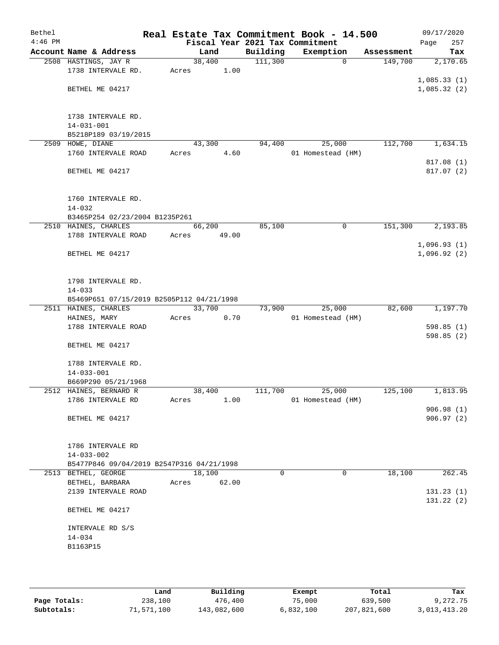| Bethel    |                                           |        |        |          | Real Estate Tax Commitment Book - 14.500 |            | 09/17/2020  |
|-----------|-------------------------------------------|--------|--------|----------|------------------------------------------|------------|-------------|
| $4:46$ PM |                                           |        |        |          | Fiscal Year 2021 Tax Commitment          |            | 257<br>Page |
|           | Account Name & Address                    |        | Land   | Building | Exemption                                | Assessment | Tax         |
|           | 2508 HASTINGS, JAY R                      |        | 38,400 | 111,300  | $\mathbf 0$                              | 149,700    | 2,170.65    |
|           | 1738 INTERVALE RD.                        | Acres  | 1.00   |          |                                          |            |             |
|           |                                           |        |        |          |                                          |            | 1,085.33(1) |
|           | BETHEL ME 04217                           |        |        |          |                                          |            | 1,085.32(2) |
|           |                                           |        |        |          |                                          |            |             |
|           |                                           |        |        |          |                                          |            |             |
|           |                                           |        |        |          |                                          |            |             |
|           | 1738 INTERVALE RD.                        |        |        |          |                                          |            |             |
|           | $14 - 031 - 001$                          |        |        |          |                                          |            |             |
|           | B5218P189 03/19/2015                      |        |        |          |                                          |            |             |
|           | 2509 HOWE, DIANE                          |        | 43,300 | 94,400   | 25,000                                   | 112,700    | 1,634.15    |
|           | 1760 INTERVALE ROAD                       | Acres  | 4.60   |          | 01 Homestead (HM)                        |            |             |
|           |                                           |        |        |          |                                          |            | 817.08 (1)  |
|           | BETHEL ME 04217                           |        |        |          |                                          |            | 817.07 (2)  |
|           |                                           |        |        |          |                                          |            |             |
|           |                                           |        |        |          |                                          |            |             |
|           | 1760 INTERVALE RD.                        |        |        |          |                                          |            |             |
|           | $14 - 032$                                |        |        |          |                                          |            |             |
|           | B3465P254 02/23/2004 B1235P261            |        |        |          |                                          |            |             |
|           | 2510 HAINES, CHARLES                      |        | 66,200 | 85,100   | $\mathsf{O}$                             | 151,300    | 2,193.85    |
|           | 1788 INTERVALE ROAD                       | Acres  | 49.00  |          |                                          |            |             |
|           |                                           |        |        |          |                                          |            | 1,096.93(1) |
|           | BETHEL ME 04217                           |        |        |          |                                          |            |             |
|           |                                           |        |        |          |                                          |            | 1,096.92(2) |
|           |                                           |        |        |          |                                          |            |             |
|           |                                           |        |        |          |                                          |            |             |
|           | 1798 INTERVALE RD.                        |        |        |          |                                          |            |             |
|           | $14 - 033$                                |        |        |          |                                          |            |             |
|           | B5469P651 07/15/2019 B2505P112 04/21/1998 |        |        |          |                                          |            |             |
|           | 2511 HAINES, CHARLES                      | 33,700 |        | 73,900   | 25,000                                   | 82,600     | 1,197.70    |
|           | HAINES, MARY                              | Acres  | 0.70   |          | 01 Homestead (HM)                        |            |             |
|           | 1788 INTERVALE ROAD                       |        |        |          |                                          |            | 598.85(1)   |
|           |                                           |        |        |          |                                          |            | 598.85(2)   |
|           | BETHEL ME 04217                           |        |        |          |                                          |            |             |
|           |                                           |        |        |          |                                          |            |             |
|           | 1788 INTERVALE RD.                        |        |        |          |                                          |            |             |
|           | $14 - 033 - 001$                          |        |        |          |                                          |            |             |
|           | B669P290 05/21/1968                       |        |        |          |                                          |            |             |
|           | 2512 HAINES, BERNARD R                    |        | 38,400 | 111,700  | 25,000                                   | 125,100    | 1,813.95    |
|           | 1786 INTERVALE RD                         | Acres  | 1.00   |          | 01 Homestead (HM)                        |            |             |
|           |                                           |        |        |          |                                          |            | 906.98(1)   |
|           |                                           |        |        |          |                                          |            |             |
|           | BETHEL ME 04217                           |        |        |          |                                          |            | 906.97(2)   |
|           |                                           |        |        |          |                                          |            |             |
|           |                                           |        |        |          |                                          |            |             |
|           | 1786 INTERVALE RD                         |        |        |          |                                          |            |             |
|           | $14 - 033 - 002$                          |        |        |          |                                          |            |             |
|           | B5477P846 09/04/2019 B2547P316 04/21/1998 |        |        |          |                                          |            |             |
|           | 2513 BETHEL, GEORGE                       | 18,100 |        | $\Omega$ | $\Omega$                                 | 18,100     | 262.45      |
|           | BETHEL, BARBARA                           | Acres  | 62.00  |          |                                          |            |             |
|           | 2139 INTERVALE ROAD                       |        |        |          |                                          |            | 131.23(1)   |
|           |                                           |        |        |          |                                          |            | 131.22(2)   |
|           | BETHEL ME 04217                           |        |        |          |                                          |            |             |
|           |                                           |        |        |          |                                          |            |             |
|           | INTERVALE RD S/S                          |        |        |          |                                          |            |             |
|           | $14 - 034$                                |        |        |          |                                          |            |             |
|           | B1163P15                                  |        |        |          |                                          |            |             |
|           |                                           |        |        |          |                                          |            |             |
|           |                                           |        |        |          |                                          |            |             |
|           |                                           |        |        |          |                                          |            |             |

|              | Land       | Building    | Exempt    | Total       | Tax          |
|--------------|------------|-------------|-----------|-------------|--------------|
| Page Totals: | 238,100    | 476,400     | 75,000    | 639,500     | 9,272.75     |
| Subtotals:   | 71,571,100 | 143,082,600 | 6,832,100 | 207,821,600 | 3,013,413.20 |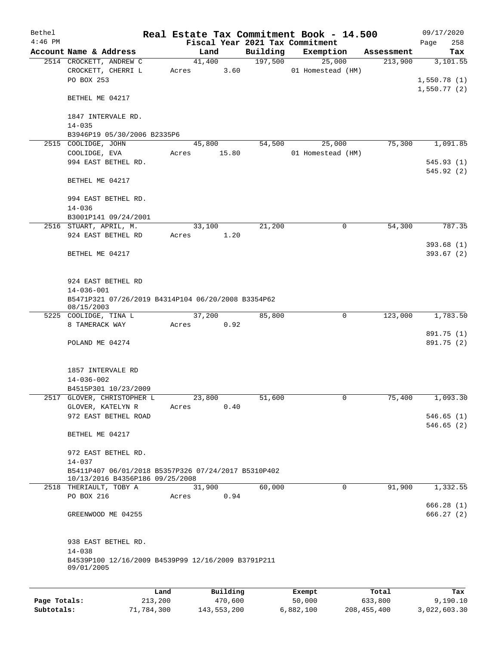| Bethel       |                                                                                        |       |                |          | Real Estate Tax Commitment Book - 14.500 |            | 09/17/2020  |  |
|--------------|----------------------------------------------------------------------------------------|-------|----------------|----------|------------------------------------------|------------|-------------|--|
| $4:46$ PM    |                                                                                        |       |                |          | Fiscal Year 2021 Tax Commitment          |            | Page<br>258 |  |
|              | Account Name & Address                                                                 |       | Land           | Building | Exemption                                | Assessment | Tax         |  |
|              | 2514 CROCKETT, ANDREW C                                                                |       | 41,400         | 197,500  | 25,000                                   | 213,900    | 3,101.55    |  |
|              | CROCKETT, CHERRI L                                                                     | Acres | 3.60           |          | 01 Homestead (HM)                        |            |             |  |
|              | PO BOX 253                                                                             |       |                |          |                                          |            | 1,550.78(1) |  |
|              |                                                                                        |       |                |          |                                          |            | 1,550.77(2) |  |
|              | BETHEL ME 04217                                                                        |       |                |          |                                          |            |             |  |
|              |                                                                                        |       |                |          |                                          |            |             |  |
|              | 1847 INTERVALE RD.                                                                     |       |                |          |                                          |            |             |  |
|              | $14 - 035$<br>B3946P19 05/30/2006 B2335P6                                              |       |                |          |                                          |            |             |  |
|              | 2515 COOLIDGE, JOHN                                                                    |       | 45,800         | 54,500   | 25,000                                   | 75,300     | 1,091.85    |  |
|              | COOLIDGE, EVA                                                                          | Acres | 15.80          |          | 01 Homestead (HM)                        |            |             |  |
|              | 994 EAST BETHEL RD.                                                                    |       |                |          |                                          |            | 545.93 (1)  |  |
|              |                                                                                        |       |                |          |                                          |            | 545.92(2)   |  |
|              | BETHEL ME 04217                                                                        |       |                |          |                                          |            |             |  |
|              |                                                                                        |       |                |          |                                          |            |             |  |
|              | 994 EAST BETHEL RD.                                                                    |       |                |          |                                          |            |             |  |
|              | $14 - 036$                                                                             |       |                |          |                                          |            |             |  |
|              | B3001P141 09/24/2001                                                                   |       |                |          |                                          |            |             |  |
|              | 2516 STUART, APRIL, M.                                                                 |       | 33,100         | 21,200   | 0                                        | 54,300     | 787.35      |  |
|              | 924 EAST BETHEL RD                                                                     | Acres | 1.20           |          |                                          |            |             |  |
|              |                                                                                        |       |                |          |                                          |            | 393.68(1)   |  |
|              | BETHEL ME 04217                                                                        |       |                |          |                                          |            | 393.67(2)   |  |
|              |                                                                                        |       |                |          |                                          |            |             |  |
|              |                                                                                        |       |                |          |                                          |            |             |  |
|              | 924 EAST BETHEL RD                                                                     |       |                |          |                                          |            |             |  |
|              | $14 - 036 - 001$                                                                       |       |                |          |                                          |            |             |  |
|              | B5471P321 07/26/2019 B4314P104 06/20/2008 B3354P62                                     |       |                |          |                                          |            |             |  |
|              | 08/15/2003                                                                             |       |                |          | $\mathbf 0$                              |            |             |  |
|              | 5225 COOLIDGE, TINA L<br>8 TAMERACK WAY                                                | Acres | 37,200<br>0.92 | 85,800   |                                          | 123,000    | 1,783.50    |  |
|              |                                                                                        |       |                |          |                                          |            | 891.75 (1)  |  |
|              | POLAND ME 04274                                                                        |       |                |          |                                          |            | 891.75 (2)  |  |
|              |                                                                                        |       |                |          |                                          |            |             |  |
|              |                                                                                        |       |                |          |                                          |            |             |  |
|              | 1857 INTERVALE RD                                                                      |       |                |          |                                          |            |             |  |
|              | 14-036-002                                                                             |       |                |          |                                          |            |             |  |
|              | B4515P301 10/23/2009                                                                   |       |                |          |                                          |            |             |  |
|              | 2517 GLOVER, CHRISTOPHER L                                                             |       | 23,800         | 51,600   | 0                                        | 75,400     | 1,093.30    |  |
|              | GLOVER, KATELYN R                                                                      | Acres | 0.40           |          |                                          |            |             |  |
|              | 972 EAST BETHEL ROAD                                                                   |       |                |          |                                          |            | 546.65(1)   |  |
|              |                                                                                        |       |                |          |                                          |            | 546.65(2)   |  |
|              | BETHEL ME 04217                                                                        |       |                |          |                                          |            |             |  |
|              |                                                                                        |       |                |          |                                          |            |             |  |
|              | 972 EAST BETHEL RD.                                                                    |       |                |          |                                          |            |             |  |
|              | $14 - 037$                                                                             |       |                |          |                                          |            |             |  |
|              | B5411P407 06/01/2018 B5357P326 07/24/2017 B5310P402<br>10/13/2016 B4356P186 09/25/2008 |       |                |          |                                          |            |             |  |
|              | 2518 THERIAULT, TOBY A                                                                 |       | 31,900         | 60,000   | $\mathbf 0$                              | 91,900     | 1,332.55    |  |
|              | PO BOX 216                                                                             | Acres | 0.94           |          |                                          |            |             |  |
|              |                                                                                        |       |                |          |                                          |            | 666.28(1)   |  |
|              | GREENWOOD ME 04255                                                                     |       |                |          |                                          |            | 666.27(2)   |  |
|              |                                                                                        |       |                |          |                                          |            |             |  |
|              |                                                                                        |       |                |          |                                          |            |             |  |
|              | 938 EAST BETHEL RD.                                                                    |       |                |          |                                          |            |             |  |
|              | $14 - 038$                                                                             |       |                |          |                                          |            |             |  |
|              | B4539P100 12/16/2009 B4539P99 12/16/2009 B3791P211                                     |       |                |          |                                          |            |             |  |
|              | 09/01/2005                                                                             |       |                |          |                                          |            |             |  |
|              |                                                                                        |       |                |          |                                          |            |             |  |
|              |                                                                                        | Land  | Building       |          | Exempt                                   | Total      | Tax         |  |
| Page Totals: | 213,200                                                                                |       | 470,600        |          | 50,000                                   | 633,800    | 9,190.10    |  |

**Subtotals:** 71,784,300 143,553,200 6,882,100 208,455,400 3,022,603.30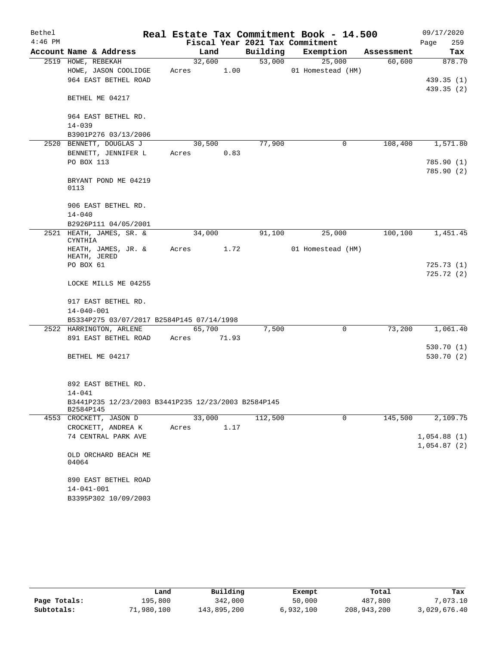| Bethel    |                                                                  |                                 |          | Real Estate Tax Commitment Book - 14.500 |            | 09/17/2020  |
|-----------|------------------------------------------------------------------|---------------------------------|----------|------------------------------------------|------------|-------------|
| $4:46$ PM |                                                                  | Fiscal Year 2021 Tax Commitment |          |                                          |            | 259<br>Page |
|           | Account Name & Address                                           | Land                            | Building | Exemption                                | Assessment | Tax         |
|           | 2519 HOWE, REBEKAH                                               | 32,600                          | 53,000   | 25,000                                   | 60,600     | 878.70      |
|           | HOWE, JASON COOLIDGE                                             | 1.00<br>Acres                   |          | 01 Homestead (HM)                        |            |             |
|           | 964 EAST BETHEL ROAD                                             |                                 |          |                                          |            | 439.35 (1)  |
|           | BETHEL ME 04217                                                  |                                 |          |                                          |            | 439.35(2)   |
|           | 964 EAST BETHEL RD.                                              |                                 |          |                                          |            |             |
|           | $14 - 039$<br>B3901P276 03/13/2006                               |                                 |          |                                          |            |             |
|           | 2520 BENNETT, DOUGLAS J                                          | 30,500                          | 77,900   | 0                                        | 108,400    | 1,571.80    |
|           | BENNETT, JENNIFER L                                              | 0.83<br>Acres                   |          |                                          |            |             |
|           | PO BOX 113                                                       |                                 |          |                                          |            | 785.90(1)   |
|           |                                                                  |                                 |          |                                          |            | 785.90 (2)  |
|           | BRYANT POND ME 04219<br>0113                                     |                                 |          |                                          |            |             |
|           | 906 EAST BETHEL RD.                                              |                                 |          |                                          |            |             |
|           | $14 - 040$                                                       |                                 |          |                                          |            |             |
|           | B2926P111 04/05/2001                                             |                                 |          |                                          |            |             |
|           | 2521 HEATH, JAMES, SR. &<br>CYNTHIA                              | 34,000                          | 91,100   | 25,000                                   | 100, 100   | 1,451.45    |
|           | HEATH, JAMES, JR. &<br>HEATH, JERED                              | 1.72<br>Acres                   |          | 01 Homestead (HM)                        |            |             |
|           | PO BOX 61                                                        |                                 |          |                                          |            | 725.73(1)   |
|           |                                                                  |                                 |          |                                          |            | 725.72 (2)  |
|           | LOCKE MILLS ME 04255                                             |                                 |          |                                          |            |             |
|           | 917 EAST BETHEL RD.                                              |                                 |          |                                          |            |             |
|           | $14 - 040 - 001$                                                 |                                 |          |                                          |            |             |
|           | B5334P275 03/07/2017 B2584P145 07/14/1998                        |                                 |          |                                          |            |             |
|           | 2522 HARRINGTON, ARLENE                                          | 65,700                          | 7,500    | 0                                        | 73,200     | 1,061.40    |
|           | 891 EAST BETHEL ROAD                                             | Acres<br>71.93                  |          |                                          |            |             |
|           |                                                                  |                                 |          |                                          |            | 530.70(1)   |
|           | BETHEL ME 04217                                                  |                                 |          |                                          |            | 530.70 (2)  |
|           | 892 EAST BETHEL RD.                                              |                                 |          |                                          |            |             |
|           | $14 - 041$                                                       |                                 |          |                                          |            |             |
|           | B3441P235 12/23/2003 B3441P235 12/23/2003 B2584P145<br>B2584P145 |                                 |          |                                          |            |             |
|           | 4553 CROCKETT, JASON D                                           | 33,000                          | 112,500  | 0                                        | 145,500    | 2,109.75    |
|           | CROCKETT, ANDREA K                                               | 1.17<br>Acres                   |          |                                          |            |             |
|           | 74 CENTRAL PARK AVE                                              |                                 |          |                                          |            | 1,054.88(1) |
|           |                                                                  |                                 |          |                                          |            | 1,054.87(2) |
|           | OLD ORCHARD BEACH ME<br>04064                                    |                                 |          |                                          |            |             |
|           | 890 EAST BETHEL ROAD                                             |                                 |          |                                          |            |             |
|           | $14 - 041 - 001$                                                 |                                 |          |                                          |            |             |
|           | B3395P302 10/09/2003                                             |                                 |          |                                          |            |             |

|              | Land       | Building    | Exempt    | Total       | Tax          |
|--------------|------------|-------------|-----------|-------------|--------------|
| Page Totals: | 195,800    | 342,000     | 50,000    | 487,800     | 7,073.10     |
| Subtotals:   | 71,980,100 | 143,895,200 | 6,932,100 | 208,943,200 | 3,029,676.40 |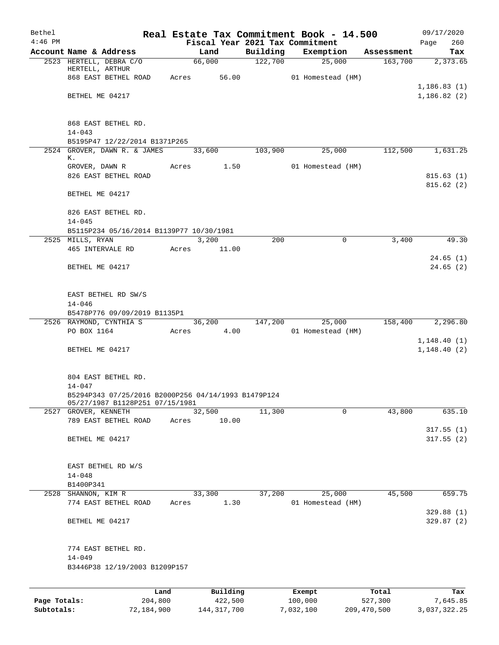| Bethel       |                                                     |       |                          |          | Real Estate Tax Commitment Book - 14.500 |            | 09/17/2020              |
|--------------|-----------------------------------------------------|-------|--------------------------|----------|------------------------------------------|------------|-------------------------|
| $4:46$ PM    |                                                     |       |                          |          | Fiscal Year 2021 Tax Commitment          |            | 260<br>Page             |
|              | Account Name & Address<br>2523 HERTELL, DEBRA C/O   |       | Land<br>$66,000$ 122,700 | Building | Exemption<br>25,000                      | Assessment | Tax<br>163,700 2,373.65 |
|              | HERTELL, ARTHUR                                     |       |                          |          |                                          |            |                         |
|              | 868 EAST BETHEL ROAD                                |       | Acres 56.00              |          | 01 Homestead (HM)                        |            |                         |
|              |                                                     |       |                          |          |                                          |            | 1, 186.83(1)            |
|              | BETHEL ME 04217                                     |       |                          |          |                                          |            | 1,186.82(2)             |
|              | 868 EAST BETHEL RD.                                 |       |                          |          |                                          |            |                         |
|              | $14 - 043$                                          |       |                          |          |                                          |            |                         |
|              | B5195P47 12/22/2014 B1371P265                       |       |                          |          |                                          |            |                         |
|              | 2524 GROVER, DAWN R. & JAMES<br>К.                  |       | 33,600 103,900           |          | 25,000                                   | 112,500    | 1,631.25                |
|              | GROVER, DAWN R                                      |       | Acres 1.50               |          | 01 Homestead (HM)                        |            |                         |
|              | 826 EAST BETHEL ROAD                                |       |                          |          |                                          |            | 815.63(1)               |
|              |                                                     |       |                          |          |                                          |            | 815.62(2)               |
|              | BETHEL ME 04217                                     |       |                          |          |                                          |            |                         |
|              | 826 EAST BETHEL RD.                                 |       |                          |          |                                          |            |                         |
|              | $14 - 045$                                          |       |                          |          |                                          |            |                         |
|              | B5115P234 05/16/2014 B1139P77 10/30/1981            |       |                          |          |                                          |            |                         |
|              | 2525 MILLS, RYAN                                    |       | 3,200                    | 200      | 0                                        | 3,400      | 49.30                   |
|              | 465 INTERVALE RD                                    |       | Acres 11.00              |          |                                          |            | 24.65(1)                |
|              | BETHEL ME 04217                                     |       |                          |          |                                          |            | 24.65(2)                |
|              |                                                     |       |                          |          |                                          |            |                         |
|              | EAST BETHEL RD SW/S                                 |       |                          |          |                                          |            |                         |
|              | $14 - 046$                                          |       |                          |          |                                          |            |                         |
|              | B5478P776 09/09/2019 B1135P1                        |       |                          |          |                                          |            |                         |
|              | 2526 RAYMOND, CYNTHIA S                             |       | 36,200 147,200           |          | 25,000                                   | 158,400    | 2,296.80                |
|              | PO BOX 1164                                         |       | Acres 4.00               |          | 01 Homestead (HM)                        |            | 1, 148.40(1)            |
|              | BETHEL ME 04217                                     |       |                          |          |                                          |            | 1, 148.40(2)            |
|              |                                                     |       |                          |          |                                          |            |                         |
|              | 804 EAST BETHEL RD.                                 |       |                          |          |                                          |            |                         |
|              | $14 - 047$                                          |       |                          |          |                                          |            |                         |
|              | B5294P343 07/25/2016 B2000P256 04/14/1993 B1479P124 |       |                          |          |                                          |            |                         |
|              | 05/27/1987 B1128P251 07/15/1981                     |       |                          |          |                                          |            |                         |
|              | 2527 GROVER, KENNETH<br>789 EAST BETHEL ROAD        | Acres | 32,500<br>10.00          | 11,300   | $\Omega$                                 | 43,800     | 635.10                  |
|              |                                                     |       |                          |          |                                          |            | 317.55(1)               |
|              | BETHEL ME 04217                                     |       |                          |          |                                          |            | 317.55(2)               |
|              |                                                     |       |                          |          |                                          |            |                         |
|              | EAST BETHEL RD W/S                                  |       |                          |          |                                          |            |                         |
|              | $14 - 048$                                          |       |                          |          |                                          |            |                         |
|              | B1400P341                                           |       |                          |          |                                          |            |                         |
|              | 2528 SHANNON, KIM R                                 |       | 33,300                   | 37,200   | 25,000                                   | 45,500     | 659.75                  |
|              | 774 EAST BETHEL ROAD                                | Acres | 1.30                     |          | 01 Homestead (HM)                        |            |                         |
|              | BETHEL ME 04217                                     |       |                          |          |                                          |            | 329.88(1)<br>329.87 (2) |
|              |                                                     |       |                          |          |                                          |            |                         |
|              | 774 EAST BETHEL RD.                                 |       |                          |          |                                          |            |                         |
|              | $14 - 049$                                          |       |                          |          |                                          |            |                         |
|              | B3446P38 12/19/2003 B1209P157                       |       |                          |          |                                          |            |                         |
|              | Land                                                |       | Building                 |          | Exempt                                   | Total      | Tax                     |
| Page Totals: | 204,800                                             |       | 422,500                  |          | 100,000                                  | 527,300    | 7,645.85                |

**Subtotals:** 72,184,900 144,317,700 7,032,100 209,470,500 3,037,322.25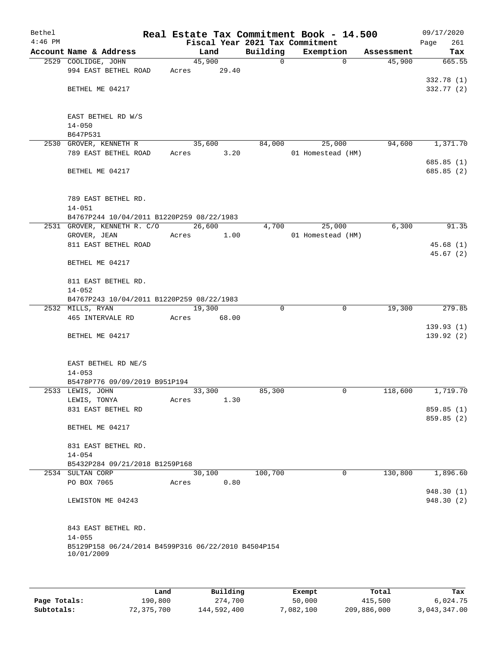| Bethel<br>$4:46$ PM |                                                     | Fiscal Year 2021 Tax Commitment |              | Real Estate Tax Commitment Book - 14.500 |            | 09/17/2020<br>261 |
|---------------------|-----------------------------------------------------|---------------------------------|--------------|------------------------------------------|------------|-------------------|
|                     | Account Name & Address                              | Land                            | Building     | Exemption                                | Assessment | Page<br>Tax       |
|                     | 2529 COOLIDGE, JOHN                                 | 45,900                          | $\mathsf{O}$ | $\Omega$                                 | 45,900     | 665.55            |
|                     | 994 EAST BETHEL ROAD                                | 29.40<br>Acres                  |              |                                          |            |                   |
|                     |                                                     |                                 |              |                                          |            | 332.78 (1)        |
|                     | BETHEL ME 04217                                     |                                 |              |                                          |            | 332.77 (2)        |
|                     |                                                     |                                 |              |                                          |            |                   |
|                     |                                                     |                                 |              |                                          |            |                   |
|                     | EAST BETHEL RD W/S                                  |                                 |              |                                          |            |                   |
|                     | $14 - 050$                                          |                                 |              |                                          |            |                   |
|                     | B647P531                                            |                                 |              |                                          |            |                   |
|                     | 2530 GROVER, KENNETH R<br>789 EAST BETHEL ROAD      | 35,600<br>3.20<br>Acres         | 84,000       | 25,000<br>01 Homestead (HM)              | 94,600     | 1,371.70          |
|                     |                                                     |                                 |              |                                          |            | 685.85(1)         |
|                     | BETHEL ME 04217                                     |                                 |              |                                          |            | 685.85 (2)        |
|                     |                                                     |                                 |              |                                          |            |                   |
|                     |                                                     |                                 |              |                                          |            |                   |
|                     | 789 EAST BETHEL RD.                                 |                                 |              |                                          |            |                   |
|                     | $14 - 051$                                          |                                 |              |                                          |            |                   |
|                     | B4767P244 10/04/2011 B1220P259 08/22/1983           |                                 |              |                                          |            |                   |
|                     | 2531 GROVER, KENNETH R. C/O                         | 26,600                          | 4,700        | 25,000                                   | 6,300      | 91.35             |
|                     | GROVER, JEAN                                        | Acres<br>1.00                   |              | 01 Homestead (HM)                        |            |                   |
|                     | 811 EAST BETHEL ROAD                                |                                 |              |                                          |            | 45.68(1)          |
|                     | BETHEL ME 04217                                     |                                 |              |                                          |            | 45.67(2)          |
|                     |                                                     |                                 |              |                                          |            |                   |
|                     | 811 EAST BETHEL RD.                                 |                                 |              |                                          |            |                   |
|                     | $14 - 052$                                          |                                 |              |                                          |            |                   |
|                     | B4767P243 10/04/2011 B1220P259 08/22/1983           |                                 |              |                                          |            |                   |
|                     | 2532 MILLS, RYAN                                    | 19,300                          | $\Omega$     | 0                                        | 19,300     | 279.85            |
|                     | 465 INTERVALE RD                                    | 68.00<br>Acres                  |              |                                          |            |                   |
|                     |                                                     |                                 |              |                                          |            | 139.93(1)         |
|                     | BETHEL ME 04217                                     |                                 |              |                                          |            | 139.92(2)         |
|                     |                                                     |                                 |              |                                          |            |                   |
|                     | EAST BETHEL RD NE/S                                 |                                 |              |                                          |            |                   |
|                     | $14 - 053$                                          |                                 |              |                                          |            |                   |
|                     | B5478P776 09/09/2019 B951P194                       |                                 |              |                                          |            |                   |
|                     | 2533 LEWIS, JOHN                                    | 33,300                          | 85,300       | 0                                        | 118,600    | 1,719.70          |
|                     | LEWIS, TONYA                                        | 1.30<br>Acres                   |              |                                          |            |                   |
|                     | 831 EAST BETHEL RD                                  |                                 |              |                                          |            | 859.85(1)         |
|                     |                                                     |                                 |              |                                          |            | 859.85 (2)        |
|                     | BETHEL ME 04217                                     |                                 |              |                                          |            |                   |
|                     | 831 EAST BETHEL RD.                                 |                                 |              |                                          |            |                   |
|                     | $14 - 054$                                          |                                 |              |                                          |            |                   |
|                     | B5432P284 09/21/2018 B1259P168                      |                                 |              |                                          |            |                   |
|                     | 2534 SULTAN CORP                                    | 30,100                          | 100,700      | 0                                        | 130,800    | 1,896.60          |
|                     | PO BOX 7065                                         | 0.80<br>Acres                   |              |                                          |            |                   |
|                     |                                                     |                                 |              |                                          |            | 948.30 (1)        |
|                     | LEWISTON ME 04243                                   |                                 |              |                                          |            | 948.30 (2)        |
|                     |                                                     |                                 |              |                                          |            |                   |
|                     |                                                     |                                 |              |                                          |            |                   |
|                     | 843 EAST BETHEL RD.<br>$14 - 055$                   |                                 |              |                                          |            |                   |
|                     | B5129P158 06/24/2014 B4599P316 06/22/2010 B4504P154 |                                 |              |                                          |            |                   |
|                     | 10/01/2009                                          |                                 |              |                                          |            |                   |
|                     |                                                     |                                 |              |                                          |            |                   |
|                     |                                                     |                                 |              |                                          |            |                   |
|                     |                                                     |                                 |              |                                          |            |                   |

|              | Land       | Building    | Exempt    | Total       | Tax          |
|--------------|------------|-------------|-----------|-------------|--------------|
| Page Totals: | 190,800    | 274,700     | 50,000    | 415,500     | 6,024.75     |
| Subtotals:   | 72,375,700 | 144,592,400 | 7,082,100 | 209,886,000 | 3,043,347.00 |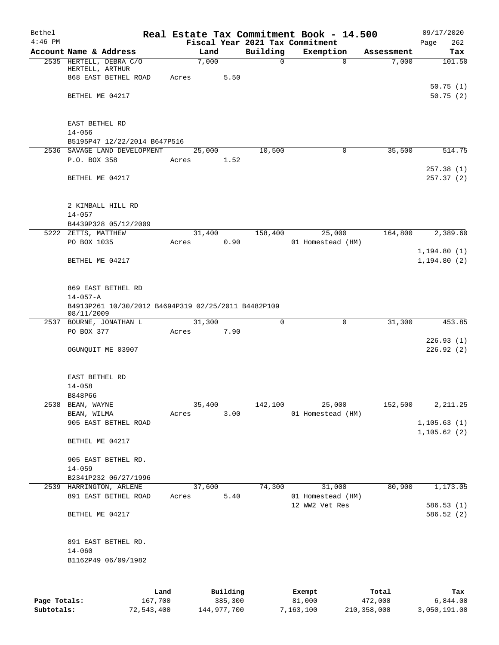| Bethel    |                                                     |       |        |          |          | Real Estate Tax Commitment Book - 14.500 |            | 09/17/2020                   |
|-----------|-----------------------------------------------------|-------|--------|----------|----------|------------------------------------------|------------|------------------------------|
| $4:46$ PM |                                                     |       |        |          |          | Fiscal Year 2021 Tax Commitment          |            | 262<br>Page                  |
|           | Account Name & Address                              |       | Land   |          | Building | Exemption                                | Assessment | Tax                          |
|           | 2535 HERTELL, DEBRA C/O                             |       | 7,000  |          | $\Omega$ | $\Omega$                                 | 7,000      | 101.50                       |
|           | HERTELL, ARTHUR                                     |       |        |          |          |                                          |            |                              |
|           | 868 EAST BETHEL ROAD                                | Acres |        | 5.50     |          |                                          |            | 50.75(1)                     |
|           | BETHEL ME 04217                                     |       |        |          |          |                                          |            | 50.75(2)                     |
|           |                                                     |       |        |          |          |                                          |            |                              |
|           |                                                     |       |        |          |          |                                          |            |                              |
|           | EAST BETHEL RD                                      |       |        |          |          |                                          |            |                              |
|           | $14 - 056$                                          |       |        |          |          |                                          |            |                              |
|           | B5195P47 12/22/2014 B647P516                        |       |        |          |          |                                          |            |                              |
|           | 2536 SAVAGE LAND DEVELOPMENT                        |       |        | 25,000   | 10,500   | 0                                        | 35,500     | 514.75                       |
|           | P.O. BOX 358                                        | Acres |        | 1.52     |          |                                          |            |                              |
|           |                                                     |       |        |          |          |                                          |            | 257.38(1)                    |
|           | BETHEL ME 04217                                     |       |        |          |          |                                          |            | 257.37(2)                    |
|           |                                                     |       |        |          |          |                                          |            |                              |
|           |                                                     |       |        |          |          |                                          |            |                              |
|           | 2 KIMBALL HILL RD                                   |       |        |          |          |                                          |            |                              |
|           | $14 - 057$                                          |       |        |          |          |                                          |            |                              |
|           | B4439P328 05/12/2009                                |       |        |          |          |                                          |            |                              |
|           | 5222 ZETTS, MATTHEW                                 |       |        | 31,400   | 158,400  | 25,000                                   | 164,800    | 2,389.60                     |
|           | PO BOX 1035                                         | Acres |        | 0.90     |          | 01 Homestead (HM)                        |            |                              |
|           |                                                     |       |        |          |          |                                          |            | 1, 194.80(1)<br>1, 194.80(2) |
|           | BETHEL ME 04217                                     |       |        |          |          |                                          |            |                              |
|           |                                                     |       |        |          |          |                                          |            |                              |
|           | 869 EAST BETHEL RD                                  |       |        |          |          |                                          |            |                              |
|           | $14 - 057 - A$                                      |       |        |          |          |                                          |            |                              |
|           | B4913P261 10/30/2012 B4694P319 02/25/2011 B4482P109 |       |        |          |          |                                          |            |                              |
|           | 08/11/2009                                          |       |        |          |          |                                          |            |                              |
|           | 2537 BOURNE, JONATHAN L                             |       | 31,300 |          | 0        | $\mathbf 0$                              | 31,300     | 453.85                       |
|           | PO BOX 377                                          | Acres |        | 7.90     |          |                                          |            |                              |
|           |                                                     |       |        |          |          |                                          |            | 226.93(1)                    |
|           | OGUNQUIT ME 03907                                   |       |        |          |          |                                          |            | 226.92(2)                    |
|           |                                                     |       |        |          |          |                                          |            |                              |
|           |                                                     |       |        |          |          |                                          |            |                              |
|           | EAST BETHEL RD                                      |       |        |          |          |                                          |            |                              |
|           | $14 - 058$<br>B848P66                               |       |        |          |          |                                          |            |                              |
|           | 2538 BEAN, WAYNE                                    |       | 35,400 |          | 142,100  | 25,000                                   | 152,500    | 2, 211.25                    |
|           | BEAN, WILMA                                         | Acres |        | 3.00     |          | 01 Homestead (HM)                        |            |                              |
|           | 905 EAST BETHEL ROAD                                |       |        |          |          |                                          |            | 1, 105.63(1)                 |
|           |                                                     |       |        |          |          |                                          |            | 1, 105.62(2)                 |
|           | BETHEL ME 04217                                     |       |        |          |          |                                          |            |                              |
|           |                                                     |       |        |          |          |                                          |            |                              |
|           | 905 EAST BETHEL RD.                                 |       |        |          |          |                                          |            |                              |
|           | $14 - 059$                                          |       |        |          |          |                                          |            |                              |
|           | B2341P232 06/27/1996                                |       |        |          |          |                                          |            |                              |
|           | 2539 HARRINGTON, ARLENE                             |       | 37,600 |          | 74,300   | 31,000                                   | 80,900     | 1,173.05                     |
|           | 891 EAST BETHEL ROAD                                | Acres |        | 5.40     |          | 01 Homestead (HM)                        |            |                              |
|           |                                                     |       |        |          |          | 12 WW2 Vet Res                           |            | 586.53(1)                    |
|           | BETHEL ME 04217                                     |       |        |          |          |                                          |            | 586.52 (2)                   |
|           |                                                     |       |        |          |          |                                          |            |                              |
|           |                                                     |       |        |          |          |                                          |            |                              |
|           | 891 EAST BETHEL RD.                                 |       |        |          |          |                                          |            |                              |
|           | $14 - 060$                                          |       |        |          |          |                                          |            |                              |
|           | B1162P49 06/09/1982                                 |       |        |          |          |                                          |            |                              |
|           |                                                     |       |        |          |          |                                          |            |                              |
|           |                                                     |       |        |          |          |                                          |            |                              |
|           |                                                     | Land  |        | Building |          | Exempt                                   | Total      | Tax                          |

|              | -------    |             | -------   | ------      | -------      |
|--------------|------------|-------------|-----------|-------------|--------------|
| Page Totals: | 167,700    | 385,300     | 81,000    | 472,000     | 6,844.00     |
| Subtotals:   | 72,543,400 | 144,977,700 | 7,163,100 | 210,358,000 | 3,050,191.00 |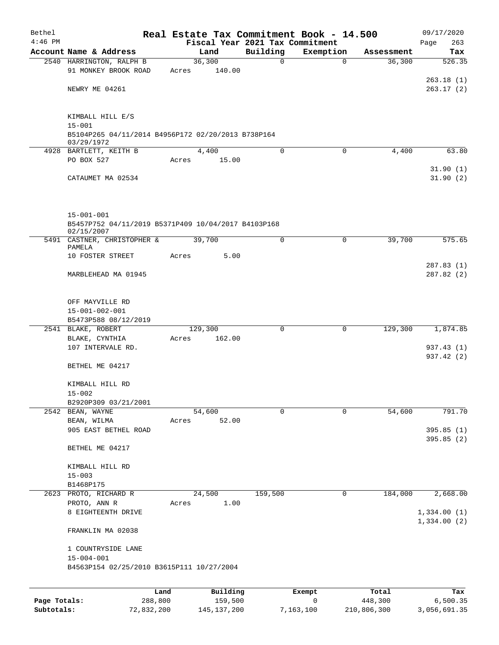| Bethel       |                                                                  |       |                     |             | Real Estate Tax Commitment Book - 14.500 |                  | 09/17/2020               |
|--------------|------------------------------------------------------------------|-------|---------------------|-------------|------------------------------------------|------------------|--------------------------|
| $4:46$ PM    |                                                                  |       |                     |             | Fiscal Year 2021 Tax Commitment          |                  | 263<br>Page              |
|              | Account Name & Address                                           |       | Land                | Building    | Exemption                                | Assessment       | Tax                      |
|              | 2540 HARRINGTON, RALPH B                                         |       | 36,300              | $\mathbf 0$ | 0                                        | 36,300           | 526.35                   |
|              | 91 MONKEY BROOK ROAD                                             | Acres | 140.00              |             |                                          |                  |                          |
|              |                                                                  |       |                     |             |                                          |                  | 263.18(1)                |
|              | NEWRY ME 04261                                                   |       |                     |             |                                          |                  | 263.17(2)                |
|              |                                                                  |       |                     |             |                                          |                  |                          |
|              | KIMBALL HILL E/S                                                 |       |                     |             |                                          |                  |                          |
|              | $15 - 001$                                                       |       |                     |             |                                          |                  |                          |
|              | B5104P265 04/11/2014 B4956P172 02/20/2013 B738P164<br>03/29/1972 |       |                     |             |                                          |                  |                          |
|              | 4928 BARTLETT, KEITH B                                           |       | 4,400               | $\mathbf 0$ | $\mathbf 0$                              | 4,400            | 63.80                    |
|              | PO BOX 527                                                       | Acres | 15.00               |             |                                          |                  |                          |
|              |                                                                  |       |                     |             |                                          |                  | 31.90(1)                 |
|              | CATAUMET MA 02534                                                |       |                     |             |                                          |                  | 31.90(2)                 |
|              |                                                                  |       |                     |             |                                          |                  |                          |
|              | $15 - 001 - 001$                                                 |       |                     |             |                                          |                  |                          |
|              | B5457P752 04/11/2019 B5371P409 10/04/2017 B4103P168              |       |                     |             |                                          |                  |                          |
|              | 02/15/2007                                                       |       |                     |             |                                          |                  |                          |
|              | 5491 CASTNER, CHRISTOPHER &                                      |       | 39,700              | $\Omega$    | $\Omega$                                 | 39,700           | 575.65                   |
|              | PAMELA                                                           |       |                     |             |                                          |                  |                          |
|              | 10 FOSTER STREET                                                 | Acres | 5.00                |             |                                          |                  | 287.83(1)                |
|              | MARBLEHEAD MA 01945                                              |       |                     |             |                                          |                  | 287.82(2)                |
|              |                                                                  |       |                     |             |                                          |                  |                          |
|              | OFF MAYVILLE RD                                                  |       |                     |             |                                          |                  |                          |
|              | $15 - 001 - 002 - 001$                                           |       |                     |             |                                          |                  |                          |
|              | B5473P588 08/12/2019                                             |       |                     |             |                                          |                  |                          |
|              | 2541 BLAKE, ROBERT                                               |       | 129,300             | $\Omega$    | $\mathbf 0$                              | 129,300          | 1,874.85                 |
|              | BLAKE, CYNTHIA                                                   | Acres | 162.00              |             |                                          |                  |                          |
|              | 107 INTERVALE RD.                                                |       |                     |             |                                          |                  | 937.43 (1)<br>937.42 (2) |
|              | BETHEL ME 04217                                                  |       |                     |             |                                          |                  |                          |
|              |                                                                  |       |                     |             |                                          |                  |                          |
|              | KIMBALL HILL RD                                                  |       |                     |             |                                          |                  |                          |
|              | $15 - 002$                                                       |       |                     |             |                                          |                  |                          |
|              | B2920P309 03/21/2001                                             |       |                     |             |                                          |                  |                          |
|              | 2542 BEAN, WAYNE                                                 |       | 54,600              | $\mathbf 0$ | 0                                        | 54,600           | 791.70                   |
|              | BEAN, WILMA                                                      | Acres | 52.00               |             |                                          |                  |                          |
|              | 905 EAST BETHEL ROAD                                             |       |                     |             |                                          |                  | 395.85(1)<br>395.85(2)   |
|              | BETHEL ME 04217                                                  |       |                     |             |                                          |                  |                          |
|              | KIMBALL HILL RD                                                  |       |                     |             |                                          |                  |                          |
|              | $15 - 003$                                                       |       |                     |             |                                          |                  |                          |
|              | B1468P175                                                        |       |                     |             |                                          |                  |                          |
|              | 2623 PROTO, RICHARD R                                            |       | 24,500              | 159,500     | 0                                        | 184,000          | 2,668.00                 |
|              | PROTO, ANN R                                                     | Acres | 1.00                |             |                                          |                  |                          |
|              | 8 EIGHTEENTH DRIVE                                               |       |                     |             |                                          |                  | 1,334.00(1)              |
|              |                                                                  |       |                     |             |                                          |                  | 1,334.00(2)              |
|              | FRANKLIN MA 02038                                                |       |                     |             |                                          |                  |                          |
|              | 1 COUNTRYSIDE LANE                                               |       |                     |             |                                          |                  |                          |
|              | $15 - 004 - 001$                                                 |       |                     |             |                                          |                  |                          |
|              | B4563P154 02/25/2010 B3615P111 10/27/2004                        |       |                     |             |                                          |                  |                          |
|              |                                                                  |       |                     |             |                                          |                  |                          |
| Page Totals: | 288,800                                                          | Land  | Building<br>159,500 |             | Exempt<br>0                              | Total<br>448,300 | Tax<br>6,500.35          |
|              |                                                                  |       |                     |             |                                          |                  |                          |

**Subtotals:** 72,832,200 145,137,200 7,163,100 210,806,300 3,056,691.35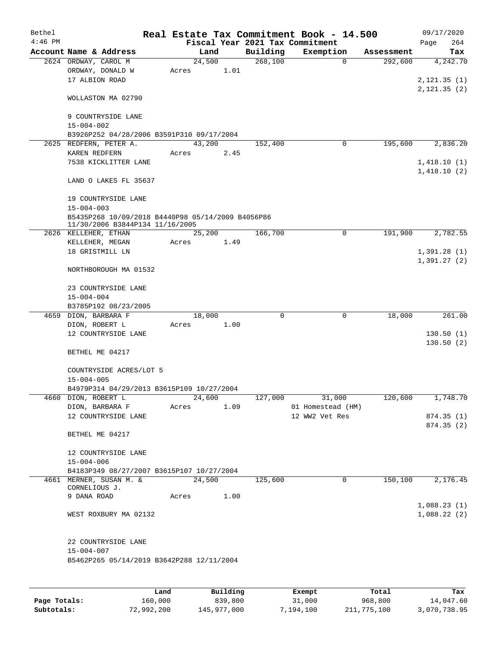| Bethel    |                                                                                      |       |        |      |             | Real Estate Tax Commitment Book - 14.500 |            | 09/17/2020   |
|-----------|--------------------------------------------------------------------------------------|-------|--------|------|-------------|------------------------------------------|------------|--------------|
| $4:46$ PM |                                                                                      |       |        |      |             | Fiscal Year 2021 Tax Commitment          |            | Page<br>264  |
|           | Account Name & Address                                                               |       | Land   |      | Building    | Exemption                                | Assessment | Tax          |
|           | 2624 ORDWAY, CAROL M                                                                 |       | 24,500 |      | 268, 100    | $\Omega$                                 | 292,600    | 4,242.70     |
|           | ORDWAY, DONALD W                                                                     | Acres |        | 1.01 |             |                                          |            |              |
|           | 17 ALBION ROAD                                                                       |       |        |      |             |                                          |            | 2, 121.35(1) |
|           |                                                                                      |       |        |      |             |                                          |            | 2, 121.35(2) |
|           | WOLLASTON MA 02790                                                                   |       |        |      |             |                                          |            |              |
|           |                                                                                      |       |        |      |             |                                          |            |              |
|           | 9 COUNTRYSIDE LANE                                                                   |       |        |      |             |                                          |            |              |
|           | $15 - 004 - 002$                                                                     |       |        |      |             |                                          |            |              |
|           | B3926P252 04/28/2006 B3591P310 09/17/2004                                            |       |        |      |             |                                          |            |              |
|           | 2625 REDFERN, PETER A.                                                               |       | 43,200 |      | 152,400     | 0                                        | 195,600    | 2,836.20     |
|           | KAREN REDFERN                                                                        | Acres |        | 2.45 |             |                                          |            |              |
|           | 7538 KICKLITTER LANE                                                                 |       |        |      |             |                                          |            | 1,418.10(1)  |
|           |                                                                                      |       |        |      |             |                                          |            | 1,418.10(2)  |
|           | LAND O LAKES FL 35637                                                                |       |        |      |             |                                          |            |              |
|           | 19 COUNTRYSIDE LANE                                                                  |       |        |      |             |                                          |            |              |
|           | $15 - 004 - 003$                                                                     |       |        |      |             |                                          |            |              |
|           |                                                                                      |       |        |      |             |                                          |            |              |
|           | B5435P268 10/09/2018 B4440P98 05/14/2009 B4056P86<br>11/30/2006 B3844P134 11/16/2005 |       |        |      |             |                                          |            |              |
|           | 2626 KELLEHER, ETHAN                                                                 |       | 25,200 |      | 166,700     | 0                                        | 191,900    | 2,782.55     |
|           | KELLEHER, MEGAN                                                                      | Acres |        | 1.49 |             |                                          |            |              |
|           | 18 GRISTMILL LN                                                                      |       |        |      |             |                                          |            | 1,391.28(1)  |
|           |                                                                                      |       |        |      |             |                                          |            | 1,391.27(2)  |
|           | NORTHBOROUGH MA 01532                                                                |       |        |      |             |                                          |            |              |
|           |                                                                                      |       |        |      |             |                                          |            |              |
|           | 23 COUNTRYSIDE LANE                                                                  |       |        |      |             |                                          |            |              |
|           | $15 - 004 - 004$                                                                     |       |        |      |             |                                          |            |              |
|           | B3785P192 08/23/2005                                                                 |       |        |      |             |                                          |            |              |
|           | 4659 DION, BARBARA F                                                                 |       | 18,000 |      | $\mathbf 0$ | $\mathbf 0$                              | 18,000     | 261.00       |
|           | DION, ROBERT L                                                                       | Acres |        | 1.00 |             |                                          |            |              |
|           | 12 COUNTRYSIDE LANE                                                                  |       |        |      |             |                                          |            | 130.50(1)    |
|           |                                                                                      |       |        |      |             |                                          |            | 130.50(2)    |
|           | BETHEL ME 04217                                                                      |       |        |      |             |                                          |            |              |
|           |                                                                                      |       |        |      |             |                                          |            |              |
|           | COUNTRYSIDE ACRES/LOT 5                                                              |       |        |      |             |                                          |            |              |
|           | $15 - 004 - 005$                                                                     |       |        |      |             |                                          |            |              |
|           | B4979P314 04/29/2013 B3615P109 10/27/2004<br>4660 DION, ROBERT L                     |       | 24,600 |      | 127,000     | 31,000                                   | 120,600    | 1,748.70     |
|           | DION, BARBARA F                                                                      | Acres |        | 1.09 |             | 01 Homestead (HM)                        |            |              |
|           | 12 COUNTRYSIDE LANE                                                                  |       |        |      |             | 12 WW2 Vet Res                           |            | 874.35 (1)   |
|           |                                                                                      |       |        |      |             |                                          |            | 874.35(2)    |
|           | BETHEL ME 04217                                                                      |       |        |      |             |                                          |            |              |
|           |                                                                                      |       |        |      |             |                                          |            |              |
|           | 12 COUNTRYSIDE LANE                                                                  |       |        |      |             |                                          |            |              |
|           | $15 - 004 - 006$                                                                     |       |        |      |             |                                          |            |              |
|           | B4183P349 08/27/2007 B3615P107 10/27/2004                                            |       |        |      |             |                                          |            |              |
| 4661      | MERNER, SUSAN M. &                                                                   |       | 24,500 |      | 125,600     | 0                                        | 150,100    | 2,176.45     |
|           | CORNELIOUS J.                                                                        |       |        |      |             |                                          |            |              |
|           | 9 DANA ROAD                                                                          | Acres |        | 1.00 |             |                                          |            |              |
|           |                                                                                      |       |        |      |             |                                          |            | 1,088.23(1)  |
|           | WEST ROXBURY MA 02132                                                                |       |        |      |             |                                          |            | 1,088.22(2)  |
|           |                                                                                      |       |        |      |             |                                          |            |              |
|           |                                                                                      |       |        |      |             |                                          |            |              |
|           | 22 COUNTRYSIDE LANE                                                                  |       |        |      |             |                                          |            |              |
|           | $15 - 004 - 007$                                                                     |       |        |      |             |                                          |            |              |
|           | B5462P265 05/14/2019 B3642P288 12/11/2004                                            |       |        |      |             |                                          |            |              |
|           |                                                                                      |       |        |      |             |                                          |            |              |
|           |                                                                                      |       |        |      |             |                                          |            |              |

|              | Land       | Building    | Exempt    | Total       | Tax          |
|--------------|------------|-------------|-----------|-------------|--------------|
| Page Totals: | 160,000    | 839,800     | 31,000    | 968,800     | 14,047.60    |
| Subtotals:   | 72,992,200 | 145,977,000 | 7,194,100 | 211,775,100 | 3,070,738.95 |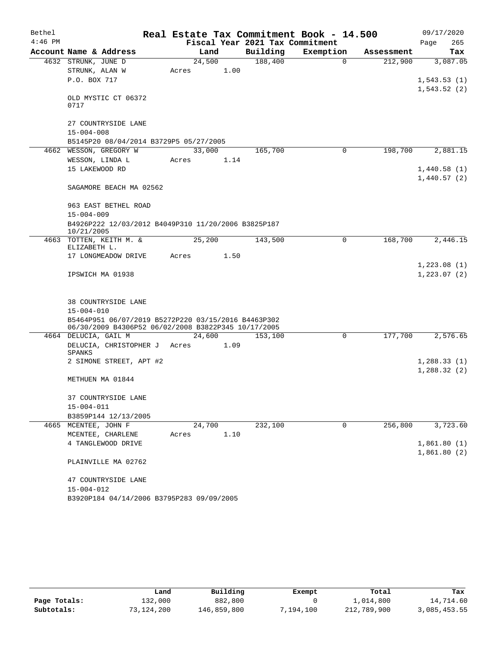| Fiscal Year 2021 Tax Commitment<br>Page<br>265<br>Building<br>Account Name & Address<br>Exemption<br>Land<br>Assessment<br>Tax<br>188,400<br>4632 STRUNK, JUNE D<br>24,500<br>$\Omega$<br>212,900<br>3,087.05<br>1.00<br>STRUNK, ALAN W<br>Acres<br>P.O. BOX 717<br>1,543.53(1)<br>1,543.52(2)<br>OLD MYSTIC CT 06372<br>0717<br>27 COUNTRYSIDE LANE<br>$15 - 004 - 008$<br>B5145P20 08/04/2014 B3729P5 05/27/2005<br>4662 WESSON, GREGORY W<br>33,000<br>165,700<br>0<br>198,700<br>2,881.15<br>WESSON, LINDA L<br>1.14<br>Acres<br>15 LAKEWOOD RD<br>1,440.58(1)<br>1,440.57(2)<br>SAGAMORE BEACH MA 02562<br>963 EAST BETHEL ROAD<br>$15 - 004 - 009$<br>B4926P222 12/03/2012 B4049P310 11/20/2006 B3825P187<br>10/21/2005<br>25,200<br>168,700<br>4663 TOTTEN, KEITH M. &<br>143,500<br>0<br>2,446.15<br>ELIZABETH L.<br>17 LONGMEADOW DRIVE<br>1.50<br>Acres<br>1,223.08(1)<br>1,223.07(2)<br>IPSWICH MA 01938<br>38 COUNTRYSIDE LANE<br>$15 - 004 - 010$<br>B5464P951 06/07/2019 B5272P220 03/15/2016 B4463P302<br>06/30/2009 B4306P52 06/02/2008 B3822P345 10/17/2005<br>$\mathbf 0$<br>177,700<br>2,576.65<br>4664 DELUCIA, GAIL M<br>24,600<br>153,100<br>DELUCIA, CHRISTOPHER J Acres<br>1.09<br><b>SPANKS</b><br>2 SIMONE STREET, APT #2<br>1, 288.33(1)<br>1,288.32(2)<br>METHUEN MA 01844<br>37 COUNTRYSIDE LANE<br>$15 - 004 - 011$<br>B3859P144 12/13/2005<br>256,800<br>3,723.60<br>4665 MCENTEE, JOHN F<br>24,700<br>232,100<br>0<br>1.10<br>MCENTEE, CHARLENE<br>Acres<br>1,861.80(1)<br>4 TANGLEWOOD DRIVE<br>1,861.80(2)<br>PLAINVILLE MA 02762<br>47 COUNTRYSIDE LANE<br>$15 - 004 - 012$<br>B3920P184 04/14/2006 B3795P283 09/09/2005 | Bethel    |  |  | Real Estate Tax Commitment Book - 14.500 | 09/17/2020 |
|-------------------------------------------------------------------------------------------------------------------------------------------------------------------------------------------------------------------------------------------------------------------------------------------------------------------------------------------------------------------------------------------------------------------------------------------------------------------------------------------------------------------------------------------------------------------------------------------------------------------------------------------------------------------------------------------------------------------------------------------------------------------------------------------------------------------------------------------------------------------------------------------------------------------------------------------------------------------------------------------------------------------------------------------------------------------------------------------------------------------------------------------------------------------------------------------------------------------------------------------------------------------------------------------------------------------------------------------------------------------------------------------------------------------------------------------------------------------------------------------------------------------------------------------------------------------------------------------------------------------------------------------------------------|-----------|--|--|------------------------------------------|------------|
|                                                                                                                                                                                                                                                                                                                                                                                                                                                                                                                                                                                                                                                                                                                                                                                                                                                                                                                                                                                                                                                                                                                                                                                                                                                                                                                                                                                                                                                                                                                                                                                                                                                             | $4:46$ PM |  |  |                                          |            |
|                                                                                                                                                                                                                                                                                                                                                                                                                                                                                                                                                                                                                                                                                                                                                                                                                                                                                                                                                                                                                                                                                                                                                                                                                                                                                                                                                                                                                                                                                                                                                                                                                                                             |           |  |  |                                          |            |
|                                                                                                                                                                                                                                                                                                                                                                                                                                                                                                                                                                                                                                                                                                                                                                                                                                                                                                                                                                                                                                                                                                                                                                                                                                                                                                                                                                                                                                                                                                                                                                                                                                                             |           |  |  |                                          |            |
|                                                                                                                                                                                                                                                                                                                                                                                                                                                                                                                                                                                                                                                                                                                                                                                                                                                                                                                                                                                                                                                                                                                                                                                                                                                                                                                                                                                                                                                                                                                                                                                                                                                             |           |  |  |                                          |            |
|                                                                                                                                                                                                                                                                                                                                                                                                                                                                                                                                                                                                                                                                                                                                                                                                                                                                                                                                                                                                                                                                                                                                                                                                                                                                                                                                                                                                                                                                                                                                                                                                                                                             |           |  |  |                                          |            |
|                                                                                                                                                                                                                                                                                                                                                                                                                                                                                                                                                                                                                                                                                                                                                                                                                                                                                                                                                                                                                                                                                                                                                                                                                                                                                                                                                                                                                                                                                                                                                                                                                                                             |           |  |  |                                          |            |
|                                                                                                                                                                                                                                                                                                                                                                                                                                                                                                                                                                                                                                                                                                                                                                                                                                                                                                                                                                                                                                                                                                                                                                                                                                                                                                                                                                                                                                                                                                                                                                                                                                                             |           |  |  |                                          |            |
|                                                                                                                                                                                                                                                                                                                                                                                                                                                                                                                                                                                                                                                                                                                                                                                                                                                                                                                                                                                                                                                                                                                                                                                                                                                                                                                                                                                                                                                                                                                                                                                                                                                             |           |  |  |                                          |            |
|                                                                                                                                                                                                                                                                                                                                                                                                                                                                                                                                                                                                                                                                                                                                                                                                                                                                                                                                                                                                                                                                                                                                                                                                                                                                                                                                                                                                                                                                                                                                                                                                                                                             |           |  |  |                                          |            |
|                                                                                                                                                                                                                                                                                                                                                                                                                                                                                                                                                                                                                                                                                                                                                                                                                                                                                                                                                                                                                                                                                                                                                                                                                                                                                                                                                                                                                                                                                                                                                                                                                                                             |           |  |  |                                          |            |
|                                                                                                                                                                                                                                                                                                                                                                                                                                                                                                                                                                                                                                                                                                                                                                                                                                                                                                                                                                                                                                                                                                                                                                                                                                                                                                                                                                                                                                                                                                                                                                                                                                                             |           |  |  |                                          |            |
|                                                                                                                                                                                                                                                                                                                                                                                                                                                                                                                                                                                                                                                                                                                                                                                                                                                                                                                                                                                                                                                                                                                                                                                                                                                                                                                                                                                                                                                                                                                                                                                                                                                             |           |  |  |                                          |            |
|                                                                                                                                                                                                                                                                                                                                                                                                                                                                                                                                                                                                                                                                                                                                                                                                                                                                                                                                                                                                                                                                                                                                                                                                                                                                                                                                                                                                                                                                                                                                                                                                                                                             |           |  |  |                                          |            |
|                                                                                                                                                                                                                                                                                                                                                                                                                                                                                                                                                                                                                                                                                                                                                                                                                                                                                                                                                                                                                                                                                                                                                                                                                                                                                                                                                                                                                                                                                                                                                                                                                                                             |           |  |  |                                          |            |
|                                                                                                                                                                                                                                                                                                                                                                                                                                                                                                                                                                                                                                                                                                                                                                                                                                                                                                                                                                                                                                                                                                                                                                                                                                                                                                                                                                                                                                                                                                                                                                                                                                                             |           |  |  |                                          |            |
|                                                                                                                                                                                                                                                                                                                                                                                                                                                                                                                                                                                                                                                                                                                                                                                                                                                                                                                                                                                                                                                                                                                                                                                                                                                                                                                                                                                                                                                                                                                                                                                                                                                             |           |  |  |                                          |            |
|                                                                                                                                                                                                                                                                                                                                                                                                                                                                                                                                                                                                                                                                                                                                                                                                                                                                                                                                                                                                                                                                                                                                                                                                                                                                                                                                                                                                                                                                                                                                                                                                                                                             |           |  |  |                                          |            |
|                                                                                                                                                                                                                                                                                                                                                                                                                                                                                                                                                                                                                                                                                                                                                                                                                                                                                                                                                                                                                                                                                                                                                                                                                                                                                                                                                                                                                                                                                                                                                                                                                                                             |           |  |  |                                          |            |
|                                                                                                                                                                                                                                                                                                                                                                                                                                                                                                                                                                                                                                                                                                                                                                                                                                                                                                                                                                                                                                                                                                                                                                                                                                                                                                                                                                                                                                                                                                                                                                                                                                                             |           |  |  |                                          |            |
|                                                                                                                                                                                                                                                                                                                                                                                                                                                                                                                                                                                                                                                                                                                                                                                                                                                                                                                                                                                                                                                                                                                                                                                                                                                                                                                                                                                                                                                                                                                                                                                                                                                             |           |  |  |                                          |            |
|                                                                                                                                                                                                                                                                                                                                                                                                                                                                                                                                                                                                                                                                                                                                                                                                                                                                                                                                                                                                                                                                                                                                                                                                                                                                                                                                                                                                                                                                                                                                                                                                                                                             |           |  |  |                                          |            |
|                                                                                                                                                                                                                                                                                                                                                                                                                                                                                                                                                                                                                                                                                                                                                                                                                                                                                                                                                                                                                                                                                                                                                                                                                                                                                                                                                                                                                                                                                                                                                                                                                                                             |           |  |  |                                          |            |
|                                                                                                                                                                                                                                                                                                                                                                                                                                                                                                                                                                                                                                                                                                                                                                                                                                                                                                                                                                                                                                                                                                                                                                                                                                                                                                                                                                                                                                                                                                                                                                                                                                                             |           |  |  |                                          |            |
|                                                                                                                                                                                                                                                                                                                                                                                                                                                                                                                                                                                                                                                                                                                                                                                                                                                                                                                                                                                                                                                                                                                                                                                                                                                                                                                                                                                                                                                                                                                                                                                                                                                             |           |  |  |                                          |            |
|                                                                                                                                                                                                                                                                                                                                                                                                                                                                                                                                                                                                                                                                                                                                                                                                                                                                                                                                                                                                                                                                                                                                                                                                                                                                                                                                                                                                                                                                                                                                                                                                                                                             |           |  |  |                                          |            |
|                                                                                                                                                                                                                                                                                                                                                                                                                                                                                                                                                                                                                                                                                                                                                                                                                                                                                                                                                                                                                                                                                                                                                                                                                                                                                                                                                                                                                                                                                                                                                                                                                                                             |           |  |  |                                          |            |
|                                                                                                                                                                                                                                                                                                                                                                                                                                                                                                                                                                                                                                                                                                                                                                                                                                                                                                                                                                                                                                                                                                                                                                                                                                                                                                                                                                                                                                                                                                                                                                                                                                                             |           |  |  |                                          |            |
|                                                                                                                                                                                                                                                                                                                                                                                                                                                                                                                                                                                                                                                                                                                                                                                                                                                                                                                                                                                                                                                                                                                                                                                                                                                                                                                                                                                                                                                                                                                                                                                                                                                             |           |  |  |                                          |            |
|                                                                                                                                                                                                                                                                                                                                                                                                                                                                                                                                                                                                                                                                                                                                                                                                                                                                                                                                                                                                                                                                                                                                                                                                                                                                                                                                                                                                                                                                                                                                                                                                                                                             |           |  |  |                                          |            |
|                                                                                                                                                                                                                                                                                                                                                                                                                                                                                                                                                                                                                                                                                                                                                                                                                                                                                                                                                                                                                                                                                                                                                                                                                                                                                                                                                                                                                                                                                                                                                                                                                                                             |           |  |  |                                          |            |
|                                                                                                                                                                                                                                                                                                                                                                                                                                                                                                                                                                                                                                                                                                                                                                                                                                                                                                                                                                                                                                                                                                                                                                                                                                                                                                                                                                                                                                                                                                                                                                                                                                                             |           |  |  |                                          |            |
|                                                                                                                                                                                                                                                                                                                                                                                                                                                                                                                                                                                                                                                                                                                                                                                                                                                                                                                                                                                                                                                                                                                                                                                                                                                                                                                                                                                                                                                                                                                                                                                                                                                             |           |  |  |                                          |            |
|                                                                                                                                                                                                                                                                                                                                                                                                                                                                                                                                                                                                                                                                                                                                                                                                                                                                                                                                                                                                                                                                                                                                                                                                                                                                                                                                                                                                                                                                                                                                                                                                                                                             |           |  |  |                                          |            |
|                                                                                                                                                                                                                                                                                                                                                                                                                                                                                                                                                                                                                                                                                                                                                                                                                                                                                                                                                                                                                                                                                                                                                                                                                                                                                                                                                                                                                                                                                                                                                                                                                                                             |           |  |  |                                          |            |
|                                                                                                                                                                                                                                                                                                                                                                                                                                                                                                                                                                                                                                                                                                                                                                                                                                                                                                                                                                                                                                                                                                                                                                                                                                                                                                                                                                                                                                                                                                                                                                                                                                                             |           |  |  |                                          |            |
|                                                                                                                                                                                                                                                                                                                                                                                                                                                                                                                                                                                                                                                                                                                                                                                                                                                                                                                                                                                                                                                                                                                                                                                                                                                                                                                                                                                                                                                                                                                                                                                                                                                             |           |  |  |                                          |            |
|                                                                                                                                                                                                                                                                                                                                                                                                                                                                                                                                                                                                                                                                                                                                                                                                                                                                                                                                                                                                                                                                                                                                                                                                                                                                                                                                                                                                                                                                                                                                                                                                                                                             |           |  |  |                                          |            |

|              | Land       | Building    | Exempt   | Total       | Tax          |
|--------------|------------|-------------|----------|-------------|--------------|
| Page Totals: | 132,000    | 882,800     |          | 1,014,800   | 14,714.60    |
| Subtotals:   | 73,124,200 | 146,859,800 | ,194,100 | 212,789,900 | 3,085,453.55 |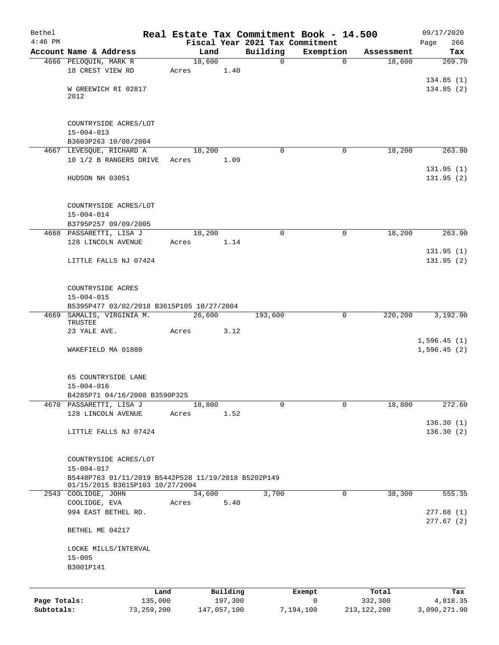| Bethel       |                                                                         |        |             |                                 | Real Estate Tax Commitment Book - 14.500 |               | 09/17/2020   |
|--------------|-------------------------------------------------------------------------|--------|-------------|---------------------------------|------------------------------------------|---------------|--------------|
| $4:46$ PM    |                                                                         |        |             | Fiscal Year 2021 Tax Commitment |                                          |               | 266<br>Page  |
|              | Account Name & Address                                                  | Land   |             | Building                        | Exemption                                | Assessment    | Tax          |
|              | 4666 PELOQUIN, MARK R                                                   | 18,600 |             | 0                               | $\mathbf 0$                              | 18,600        | 269.70       |
|              | 18 CREST VIEW RD                                                        | Acres  | 1.40        |                                 |                                          |               | 134.85(1)    |
|              | W GREEWICH RI 02817                                                     |        |             |                                 |                                          |               | 134.85(2)    |
|              | 2012                                                                    |        |             |                                 |                                          |               |              |
|              |                                                                         |        |             |                                 |                                          |               |              |
|              |                                                                         |        |             |                                 |                                          |               |              |
|              | COUNTRYSIDE ACRES/LOT                                                   |        |             |                                 |                                          |               |              |
|              | $15 - 004 - 013$<br>B3603P263 10/08/2004                                |        |             |                                 |                                          |               |              |
|              | 4667 LEVESQUE, RICHARD A                                                | 18,200 |             | 0                               | $\mathbf 0$                              | 18,200        | 263.90       |
|              | 10 1/2 B RANGERS DRIVE                                                  | Acres  | 1.09        |                                 |                                          |               |              |
|              |                                                                         |        |             |                                 |                                          |               | 131.95(1)    |
|              | HUDSON NH 03051                                                         |        |             |                                 |                                          |               | 131.95(2)    |
|              |                                                                         |        |             |                                 |                                          |               |              |
|              |                                                                         |        |             |                                 |                                          |               |              |
|              | COUNTRYSIDE ACRES/LOT                                                   |        |             |                                 |                                          |               |              |
|              | $15 - 004 - 014$<br>B3795P257 09/09/2005                                |        |             |                                 |                                          |               |              |
|              | 4668 PASSARETTI, LISA J                                                 | 18,200 |             | $\mathbf 0$                     | $\mathsf{O}$                             | 18,200        | 263.90       |
|              | 128 LINCOLN AVENUE                                                      | Acres  | 1.14        |                                 |                                          |               |              |
|              |                                                                         |        |             |                                 |                                          |               | 131.95(1)    |
|              | LITTLE FALLS NJ 07424                                                   |        |             |                                 |                                          |               | 131.95(2)    |
|              |                                                                         |        |             |                                 |                                          |               |              |
|              |                                                                         |        |             |                                 |                                          |               |              |
|              | COUNTRYSIDE ACRES                                                       |        |             |                                 |                                          |               |              |
|              | $15 - 004 - 015$                                                        |        |             |                                 |                                          |               |              |
|              | B5395P477 03/02/2018 B3615P105 10/27/2004                               |        |             |                                 |                                          |               |              |
| 4669         | SAMALIS, VIRGINIA M.<br>TRUSTEE                                         | 26,600 |             | 193,600                         | 0                                        | 220,200       | 3,192.90     |
|              | 23 YALE AVE.                                                            | Acres  | 3.12        |                                 |                                          |               |              |
|              |                                                                         |        |             |                                 |                                          |               | 1,596.45(1)  |
|              | WAKEFIELD MA 01880                                                      |        |             |                                 |                                          |               | 1,596.45(2)  |
|              |                                                                         |        |             |                                 |                                          |               |              |
|              |                                                                         |        |             |                                 |                                          |               |              |
|              | 65 COUNTRYSIDE LANE<br>$15 - 004 - 016$                                 |        |             |                                 |                                          |               |              |
|              | B4285P71 04/16/2008 B3590P325                                           |        |             |                                 |                                          |               |              |
| 4670         | PASSARETTI, LISA J                                                      | 18,800 |             | 0                               | 0                                        | 18,800        | 272.60       |
|              | 128 LINCOLN AVENUE                                                      | Acres  | 1.52        |                                 |                                          |               |              |
|              |                                                                         |        |             |                                 |                                          |               | 136.30(1)    |
|              | LITTLE FALLS NJ 07424                                                   |        |             |                                 |                                          |               | 136.30(2)    |
|              |                                                                         |        |             |                                 |                                          |               |              |
|              |                                                                         |        |             |                                 |                                          |               |              |
|              | COUNTRYSIDE ACRES/LOT                                                   |        |             |                                 |                                          |               |              |
|              | $15 - 004 - 017$<br>B5448P763 01/11/2019 B5442P528 11/19/2018 B5202P149 |        |             |                                 |                                          |               |              |
|              | 01/15/2015 B3615P103 10/27/2004                                         |        |             |                                 |                                          |               |              |
|              | 2543 COOLIDGE, JOHN                                                     | 34,600 |             | 3,700                           | 0                                        | 38,300        | 555.35       |
|              | COOLIDGE, EVA                                                           | Acres  | 5.40        |                                 |                                          |               |              |
|              | 994 EAST BETHEL RD.                                                     |        |             |                                 |                                          |               | 277.68(1)    |
|              |                                                                         |        |             |                                 |                                          |               | 277.67(2)    |
|              | BETHEL ME 04217                                                         |        |             |                                 |                                          |               |              |
|              | LOCKE MILLS/INTERVAL                                                    |        |             |                                 |                                          |               |              |
|              | $15 - 005$                                                              |        |             |                                 |                                          |               |              |
|              | B3001P141                                                               |        |             |                                 |                                          |               |              |
|              |                                                                         |        |             |                                 |                                          |               |              |
|              | Land                                                                    |        | Building    |                                 | Exempt                                   | Total         | Tax          |
| Page Totals: | 135,000                                                                 |        | 197,300     |                                 | 0                                        | 332,300       | 4,818.35     |
| Subtotals:   | 73, 259, 200                                                            |        | 147,057,100 |                                 | 7,194,100                                | 213, 122, 200 | 3,090,271.90 |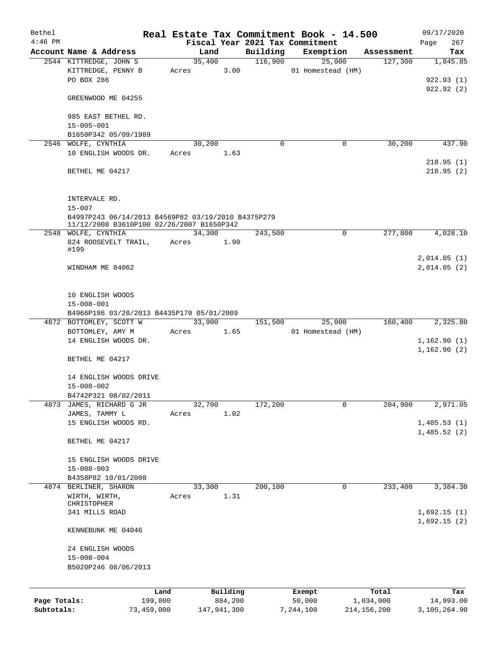| Bethel                     |                                                    |                       |            |        |                        |          | Real Estate Tax Commitment Book - 14.500 |                            | 09/17/2020                |
|----------------------------|----------------------------------------------------|-----------------------|------------|--------|------------------------|----------|------------------------------------------|----------------------------|---------------------------|
| $4:46$ PM                  |                                                    |                       |            |        |                        |          | Fiscal Year 2021 Tax Commitment          |                            | 267<br>Page               |
|                            | Account Name & Address                             |                       |            | Land   |                        | Building | Exemption                                | Assessment                 | Tax                       |
|                            | 2544 KITTREDGE, JOHN S                             |                       | Acres      |        | 35,400<br>3.00         | 116,900  | 25,000                                   |                            | 127,300<br>1,845.85       |
|                            | KITTREDGE, PENNY B<br>PO BOX 286                   |                       |            |        |                        |          | 01 Homestead (HM)                        |                            | 922.93(1)                 |
|                            |                                                    |                       |            |        |                        |          |                                          |                            | 922.92(2)                 |
|                            | GREENWOOD ME 04255                                 |                       |            |        |                        |          |                                          |                            |                           |
|                            | 985 EAST BETHEL RD.                                |                       |            |        |                        |          |                                          |                            |                           |
|                            | $15 - 005 - 001$                                   |                       |            |        |                        |          |                                          |                            |                           |
|                            | B1650P342 05/09/1989                               |                       |            |        |                        |          |                                          |                            |                           |
|                            | 2546 WOLFE, CYNTHIA                                |                       |            | 30,200 |                        | $\Omega$ |                                          | 0                          | 30,200<br>437.90          |
|                            | 10 ENGLISH WOODS DR.                               |                       | Acres      |        | 1.63                   |          |                                          |                            |                           |
|                            |                                                    |                       |            |        |                        |          |                                          |                            | 218.95(1)                 |
|                            | BETHEL ME 04217                                    |                       |            |        |                        |          |                                          |                            | 218.95(2)                 |
|                            |                                                    |                       |            |        |                        |          |                                          |                            |                           |
|                            | INTERVALE RD.                                      |                       |            |        |                        |          |                                          |                            |                           |
|                            | $15 - 007$                                         |                       |            |        |                        |          |                                          |                            |                           |
|                            | B4997P243 06/14/2013 B4569P82 03/19/2010 B4375P279 |                       |            |        |                        |          |                                          |                            |                           |
|                            | 11/12/2008 B3610P100 02/26/2007 B1650P342          |                       |            |        |                        |          |                                          |                            |                           |
|                            | 2548 WOLFE, CYNTHIA                                |                       |            | 34,300 |                        | 243,500  |                                          | 0                          | 277,800<br>4,028.10       |
|                            | 824 ROOSEVELT TRAIL,                               |                       | Acres 1.90 |        |                        |          |                                          |                            |                           |
|                            | #199                                               |                       |            |        |                        |          |                                          |                            | 2,014.05(1)               |
|                            | WINDHAM ME 04062                                   |                       |            |        |                        |          |                                          |                            | 2,014.05(2)               |
|                            |                                                    |                       |            |        |                        |          |                                          |                            |                           |
|                            |                                                    |                       |            |        |                        |          |                                          |                            |                           |
|                            | 10 ENGLISH WOODS                                   |                       |            |        |                        |          |                                          |                            |                           |
|                            | $15 - 008 - 001$                                   |                       |            |        |                        |          |                                          |                            |                           |
|                            | B4966P186 03/20/2013 B4435P170 05/01/2009          |                       |            |        |                        |          |                                          |                            |                           |
|                            | 4872 BOTTOMLEY, SCOTT W                            |                       |            | 33,900 |                        | 151,500  | 25,000                                   |                            | 160,400<br>2,325.80       |
|                            | BOTTOMLEY, AMY M                                   |                       | Acres 1.65 |        |                        |          | 01 Homestead (HM)                        |                            |                           |
|                            | 14 ENGLISH WOODS DR.                               |                       |            |        |                        |          |                                          |                            | 1,162.90(1)               |
|                            |                                                    |                       |            |        |                        |          |                                          |                            | 1, 162.90(2)              |
|                            | BETHEL ME 04217                                    |                       |            |        |                        |          |                                          |                            |                           |
|                            | 14 ENGLISH WOODS DRIVE                             |                       |            |        |                        |          |                                          |                            |                           |
|                            | $15 - 008 - 002$                                   |                       |            |        |                        |          |                                          |                            |                           |
|                            | B4742P321 08/02/2011                               |                       |            |        |                        |          |                                          |                            |                           |
| 4873                       | JAMES, RICHARD G JR                                |                       |            | 32,700 |                        | 172,200  |                                          | 0                          | 204,900<br>2,971.05       |
|                            | JAMES, TAMMY L                                     |                       | Acres      |        | 1.02                   |          |                                          |                            |                           |
|                            | 15 ENGLISH WOODS RD.                               |                       |            |        |                        |          |                                          |                            | 1,485.53(1)               |
|                            |                                                    |                       |            |        |                        |          |                                          |                            | 1,485.52(2)               |
|                            | BETHEL ME 04217                                    |                       |            |        |                        |          |                                          |                            |                           |
|                            |                                                    |                       |            |        |                        |          |                                          |                            |                           |
|                            | 15 ENGLISH WOODS DRIVE<br>$15 - 008 - 003$         |                       |            |        |                        |          |                                          |                            |                           |
|                            | B4358P82 10/01/2008                                |                       |            |        |                        |          |                                          |                            |                           |
|                            | 4874 BERLINER, SHARON                              |                       |            | 33,300 |                        | 200, 100 |                                          | 0                          | 233,400<br>3,384.30       |
|                            | WIRTH, WIRTH,                                      |                       | Acres      |        | 1.31                   |          |                                          |                            |                           |
|                            | CHRISTOPHER                                        |                       |            |        |                        |          |                                          |                            |                           |
|                            | 341 MILLS ROAD                                     |                       |            |        |                        |          |                                          |                            | 1,692.15(1)               |
|                            |                                                    |                       |            |        |                        |          |                                          |                            | 1,692.15(2)               |
|                            | KENNEBUNK ME 04046                                 |                       |            |        |                        |          |                                          |                            |                           |
|                            | 24 ENGLISH WOODS                                   |                       |            |        |                        |          |                                          |                            |                           |
|                            | $15 - 008 - 004$                                   |                       |            |        |                        |          |                                          |                            |                           |
|                            | B5020P246 08/06/2013                               |                       |            |        |                        |          |                                          |                            |                           |
|                            |                                                    |                       |            |        |                        |          |                                          |                            |                           |
|                            |                                                    |                       |            |        |                        |          |                                          |                            |                           |
|                            |                                                    | Land                  |            |        | Building               |          | Exempt                                   | Total                      | Tax                       |
| Page Totals:<br>Subtotals: |                                                    | 199,800<br>73,459,000 |            |        | 884,200<br>147,941,300 |          | 50,000<br>7,244,100                      | 1,034,000<br>214, 156, 200 | 14,993.00<br>3,105,264.90 |
|                            |                                                    |                       |            |        |                        |          |                                          |                            |                           |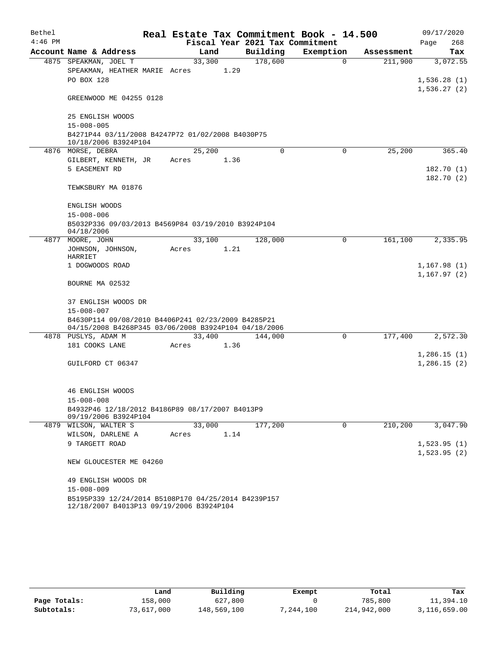| Bethel<br>$4:46$ PM |                                                                                                            |       |        | Fiscal Year 2021 Tax Commitment | Real Estate Tax Commitment Book - 14.500 |            | 09/17/2020<br>268<br>Page |
|---------------------|------------------------------------------------------------------------------------------------------------|-------|--------|---------------------------------|------------------------------------------|------------|---------------------------|
|                     | Account Name & Address                                                                                     |       | Land   | Building                        | Exemption                                | Assessment | Tax                       |
|                     | 4875 SPEAKMAN, JOEL T                                                                                      |       | 33,300 | 178,600                         | $\Omega$                                 | 211,900    | 3,072.55                  |
|                     | SPEAKMAN, HEATHER MARIE Acres                                                                              |       | 1.29   |                                 |                                          |            |                           |
|                     | PO BOX 128                                                                                                 |       |        |                                 |                                          |            | 1,536.28(1)               |
|                     | GREENWOOD ME 04255 0128                                                                                    |       |        |                                 |                                          |            | 1,536.27(2)               |
|                     | 25 ENGLISH WOODS                                                                                           |       |        |                                 |                                          |            |                           |
|                     | $15 - 008 - 005$                                                                                           |       |        |                                 |                                          |            |                           |
|                     | B4271P44 03/11/2008 B4247P72 01/02/2008 B4030P75<br>10/18/2006 B3924P104                                   |       |        |                                 |                                          |            |                           |
|                     | 4876 MORSE, DEBRA                                                                                          |       | 25,200 | $\Omega$                        | $\Omega$                                 | 25,200     | 365.40                    |
|                     | GILBERT, KENNETH, JR                                                                                       | Acres | 1.36   |                                 |                                          |            |                           |
|                     | 5 EASEMENT RD                                                                                              |       |        |                                 |                                          |            | 182.70 (1)                |
|                     |                                                                                                            |       |        |                                 |                                          |            | 182.70(2)                 |
|                     | TEWKSBURY MA 01876                                                                                         |       |        |                                 |                                          |            |                           |
|                     | ENGLISH WOODS                                                                                              |       |        |                                 |                                          |            |                           |
|                     | $15 - 008 - 006$                                                                                           |       |        |                                 |                                          |            |                           |
|                     | B5032P336 09/03/2013 B4569P84 03/19/2010 B3924P104                                                         |       |        |                                 |                                          |            |                           |
|                     | 04/18/2006                                                                                                 |       |        |                                 |                                          |            |                           |
|                     | 4877 MOORE, JOHN                                                                                           |       | 33,100 | 128,000                         | 0                                        | 161,100    | 2,335.95                  |
|                     | JOHNSON, JOHNSON,<br><b>HARRIET</b>                                                                        | Acres | 1.21   |                                 |                                          |            |                           |
|                     | 1 DOGWOODS ROAD                                                                                            |       |        |                                 |                                          |            | 1,167.98(1)               |
|                     |                                                                                                            |       |        |                                 |                                          |            | 1,167.97(2)               |
|                     | BOURNE MA 02532                                                                                            |       |        |                                 |                                          |            |                           |
|                     | 37 ENGLISH WOODS DR                                                                                        |       |        |                                 |                                          |            |                           |
|                     | $15 - 008 - 007$                                                                                           |       |        |                                 |                                          |            |                           |
|                     | B4630P114 09/08/2010 B4406P241 02/23/2009 B4285P21<br>04/15/2008 B4268P345 03/06/2008 B3924P104 04/18/2006 |       |        |                                 |                                          |            |                           |
|                     | 4878 PUSLYS, ADAM M                                                                                        |       | 33,400 | 144,000                         | $\Omega$                                 | 177,400    | 2,572.30                  |
|                     | 181 COOKS LANE                                                                                             | Acres | 1.36   |                                 |                                          |            |                           |
|                     |                                                                                                            |       |        |                                 |                                          |            | 1,286.15(1)               |
|                     | GUILFORD CT 06347                                                                                          |       |        |                                 |                                          |            | 1,286.15(2)               |
|                     | 46 ENGLISH WOODS                                                                                           |       |        |                                 |                                          |            |                           |
|                     | $15 - 008 - 008$                                                                                           |       |        |                                 |                                          |            |                           |
|                     | B4932P46 12/18/2012 B4186P89 08/17/2007 B4013P9<br>09/19/2006 B3924P104                                    |       |        |                                 |                                          |            |                           |
|                     | 4879 WILSON, WALTER S                                                                                      |       | 33,000 | 177,200                         | 0                                        | 210,200    | 3,047.90                  |
|                     | WILSON, DARLENE A                                                                                          | Acres | 1.14   |                                 |                                          |            |                           |
|                     | 9 TARGETT ROAD                                                                                             |       |        |                                 |                                          |            | 1,523.95(1)               |
|                     | NEW GLOUCESTER ME 04260                                                                                    |       |        |                                 |                                          |            | 1,523.95(2)               |
|                     |                                                                                                            |       |        |                                 |                                          |            |                           |
|                     | 49 ENGLISH WOODS DR<br>$15 - 008 - 009$                                                                    |       |        |                                 |                                          |            |                           |
|                     | B5195P339 12/24/2014 B5108P170 04/25/2014 B4239P157                                                        |       |        |                                 |                                          |            |                           |
|                     | 12/18/2007 B4013P13 09/19/2006 B3924P104                                                                   |       |        |                                 |                                          |            |                           |

|              | Land       | Building    | Exempt     | Total       | Tax          |
|--------------|------------|-------------|------------|-------------|--------------|
| Page Totals: | 158,000    | 627,800     |            | 785,800     | 11,394.10    |
| Subtotals:   | 73,617,000 | 148,569,100 | 7,244,100" | 214,942,000 | 3,116,659.00 |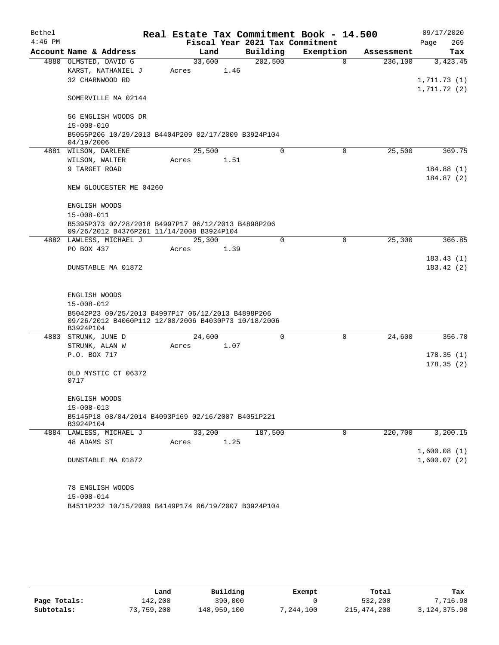| Bethel<br>$4:46$ PM |                                                                                                 |        |      | Fiscal Year 2021 Tax Commitment | Real Estate Tax Commitment Book - 14.500 |            | 09/17/2020<br>269<br>Page |
|---------------------|-------------------------------------------------------------------------------------------------|--------|------|---------------------------------|------------------------------------------|------------|---------------------------|
|                     | Account Name & Address                                                                          | Land   |      | Building                        | Exemption                                | Assessment | Tax                       |
|                     | 4880 OLMSTED, DAVID G                                                                           | 33,600 |      | 202,500                         | $\Omega$                                 | 236,100    | 3,423.45                  |
|                     | KARST, NATHANIEL J                                                                              | Acres  | 1.46 |                                 |                                          |            |                           |
|                     | 32 CHARNWOOD RD                                                                                 |        |      |                                 |                                          |            | 1,711.73(1)               |
|                     |                                                                                                 |        |      |                                 |                                          |            | 1,711.72(2)               |
|                     | SOMERVILLE MA 02144                                                                             |        |      |                                 |                                          |            |                           |
|                     | 56 ENGLISH WOODS DR                                                                             |        |      |                                 |                                          |            |                           |
|                     | $15 - 008 - 010$                                                                                |        |      |                                 |                                          |            |                           |
|                     | B5055P206 10/29/2013 B4404P209 02/17/2009 B3924P104<br>04/19/2006                               |        |      |                                 |                                          |            |                           |
|                     | 4881 WILSON, DARLENE                                                                            | 25,500 |      | $\Omega$                        | $\Omega$                                 | 25,500     | 369.75                    |
|                     | WILSON, WALTER                                                                                  | Acres  | 1.51 |                                 |                                          |            |                           |
|                     | 9 TARGET ROAD                                                                                   |        |      |                                 |                                          |            | 184.88(1)                 |
|                     |                                                                                                 |        |      |                                 |                                          |            | 184.87(2)                 |
|                     | NEW GLOUCESTER ME 04260                                                                         |        |      |                                 |                                          |            |                           |
|                     | ENGLISH WOODS                                                                                   |        |      |                                 |                                          |            |                           |
|                     | $15 - 008 - 011$                                                                                |        |      |                                 |                                          |            |                           |
|                     | B5395P373 02/28/2018 B4997P17 06/12/2013 B4898P206<br>09/26/2012 B4376P261 11/14/2008 B3924P104 |        |      |                                 |                                          |            |                           |
|                     | 4882 LAWLESS, MICHAEL J                                                                         | 25,300 |      | $\Omega$                        | $\Omega$                                 | 25,300     | 366.85                    |
|                     | PO BOX 437                                                                                      | Acres  | 1.39 |                                 |                                          |            |                           |
|                     |                                                                                                 |        |      |                                 |                                          |            | 183.43(1)                 |
|                     | DUNSTABLE MA 01872                                                                              |        |      |                                 |                                          |            | 183.42(2)                 |
|                     |                                                                                                 |        |      |                                 |                                          |            |                           |
|                     | ENGLISH WOODS                                                                                   |        |      |                                 |                                          |            |                           |
|                     | $15 - 008 - 012$                                                                                |        |      |                                 |                                          |            |                           |
|                     | B5042P23 09/25/2013 B4997P17 06/12/2013 B4898P206                                               |        |      |                                 |                                          |            |                           |
|                     | 09/26/2012 B4060P112 12/08/2006 B4030P73 10/18/2006                                             |        |      |                                 |                                          |            |                           |
|                     | B3924P104                                                                                       |        |      |                                 |                                          |            |                           |
|                     | 4883 STRUNK, JUNE D                                                                             | 24,600 |      | $\Omega$                        | $\Omega$                                 | 24,600     | 356.70                    |
|                     | STRUNK, ALAN W                                                                                  | Acres  | 1.07 |                                 |                                          |            |                           |
|                     | P.O. BOX 717                                                                                    |        |      |                                 |                                          |            | 178.35(1)                 |
|                     |                                                                                                 |        |      |                                 |                                          |            | 178.35(2)                 |
|                     | OLD MYSTIC CT 06372<br>0717                                                                     |        |      |                                 |                                          |            |                           |
|                     |                                                                                                 |        |      |                                 |                                          |            |                           |
|                     | ENGLISH WOODS                                                                                   |        |      |                                 |                                          |            |                           |
|                     | $15 - 008 - 013$                                                                                |        |      |                                 |                                          |            |                           |
|                     | B5145P18 08/04/2014 B4093P169 02/16/2007 B4051P221<br>B3924P104                                 |        |      |                                 |                                          |            |                           |
|                     | 4884 LAWLESS, MICHAEL J                                                                         | 33,200 |      | 187,500                         | 0                                        | 220,700    | 3,200.15                  |
|                     | 48 ADAMS ST                                                                                     | Acres  | 1.25 |                                 |                                          |            |                           |
|                     |                                                                                                 |        |      |                                 |                                          |            | 1,600.08(1)               |
|                     | DUNSTABLE MA 01872                                                                              |        |      |                                 |                                          |            | 1,600.07(2)               |
|                     | 78 ENGLISH WOODS                                                                                |        |      |                                 |                                          |            |                           |
|                     | $15 - 008 - 014$                                                                                |        |      |                                 |                                          |            |                           |
|                     | B4511P232 10/15/2009 B4149P174 06/19/2007 B3924P104                                             |        |      |                                 |                                          |            |                           |

|              | Land       | Building    | Exempt    | Total       | Tax          |
|--------------|------------|-------------|-----------|-------------|--------------|
| Page Totals: | 142,200    | 390,000     |           | 532,200     | 7,716.90     |
| Subtotals:   | 73,759,200 | 148,959,100 | 7,244,100 | 215,474,200 | 3,124,375.90 |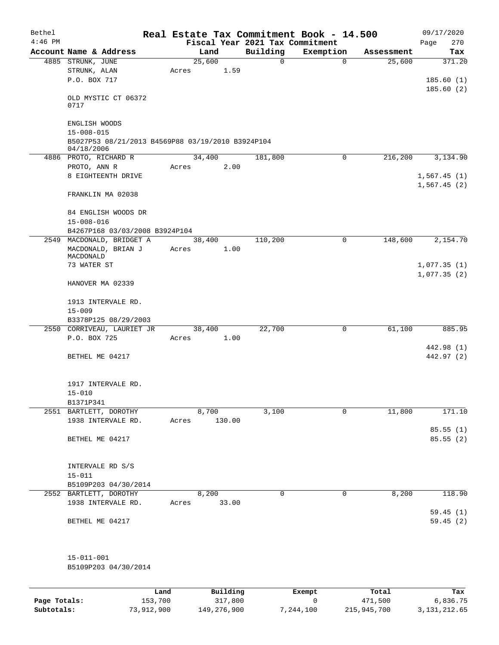| Bethel<br>$4:46$ PM |                                                                 |                 |        | Fiscal Year 2021 Tax Commitment | Real Estate Tax Commitment Book - 14.500 |            | 09/17/2020<br>270<br>Page  |
|---------------------|-----------------------------------------------------------------|-----------------|--------|---------------------------------|------------------------------------------|------------|----------------------------|
|                     | Account Name & Address                                          | Land            |        | Building                        | Exemption                                | Assessment | Tax                        |
|                     | 4885 STRUNK, JUNE<br>STRUNK, ALAN<br>P.O. BOX 717               | 25,600<br>Acres | 1.59   | $\mathbf 0$                     | $\Omega$                                 | 25,600     | 371.20<br>185.60(1)        |
|                     | OLD MYSTIC CT 06372<br>0717                                     |                 |        |                                 |                                          |            | 185.60(2)                  |
|                     | ENGLISH WOODS<br>$15 - 008 - 015$                               |                 |        |                                 |                                          |            |                            |
|                     | B5027P53 08/21/2013 B4569P88 03/19/2010 B3924P104<br>04/18/2006 |                 |        |                                 |                                          |            |                            |
|                     | 4886 PROTO, RICHARD R                                           | 34,400          |        | 181,800                         | 0                                        | 216,200    | 3,134.90                   |
|                     | PROTO, ANN R                                                    | Acres           | 2.00   |                                 |                                          |            |                            |
|                     | 8 EIGHTEENTH DRIVE                                              |                 |        |                                 |                                          |            | 1,567.45(1)<br>1,567.45(2) |
|                     | FRANKLIN MA 02038                                               |                 |        |                                 |                                          |            |                            |
|                     | 84 ENGLISH WOODS DR<br>$15 - 008 - 016$                         |                 |        |                                 |                                          |            |                            |
|                     | B4267P168 03/03/2008 B3924P104                                  |                 |        |                                 |                                          |            |                            |
|                     | 2549 MACDONALD, BRIDGET A                                       | 38,400          |        | 110,200                         | $\mathbf 0$                              | 148,600    | 2,154.70                   |
|                     | MACDONALD, BRIAN J                                              | Acres           | 1.00   |                                 |                                          |            |                            |
|                     | MACDONALD<br>73 WATER ST                                        |                 |        |                                 |                                          |            | 1,077.35(1)                |
|                     |                                                                 |                 |        |                                 |                                          |            | 1,077.35(2)                |
|                     | HANOVER MA 02339                                                |                 |        |                                 |                                          |            |                            |
|                     | 1913 INTERVALE RD.                                              |                 |        |                                 |                                          |            |                            |
|                     | $15 - 009$                                                      |                 |        |                                 |                                          |            |                            |
|                     | B3378P125 08/29/2003                                            |                 |        |                                 |                                          |            |                            |
|                     | 2550 CORRIVEAU, LAURIET JR<br>P.O. BOX 725                      | 38,400<br>Acres | 1.00   | 22,700                          | 0                                        | 61,100     | 885.95                     |
|                     |                                                                 |                 |        |                                 |                                          |            | 442.98 (1)                 |
|                     | BETHEL ME 04217                                                 |                 |        |                                 |                                          |            | 442.97 (2)                 |
|                     |                                                                 |                 |        |                                 |                                          |            |                            |
|                     | 1917 INTERVALE RD.                                              |                 |        |                                 |                                          |            |                            |
|                     | $15 - 010$<br>B1371P341                                         |                 |        |                                 |                                          |            |                            |
|                     | 2551 BARTLETT, DOROTHY                                          | 8,700           |        | 3,100                           | $\Omega$                                 | 11,800     | 171.10                     |
|                     | 1938 INTERVALE RD.                                              | Acres           | 130.00 |                                 |                                          |            |                            |
|                     |                                                                 |                 |        |                                 |                                          |            | 85.55(1)                   |
|                     | BETHEL ME 04217                                                 |                 |        |                                 |                                          |            | 85.55 (2)                  |
|                     | INTERVALE RD S/S                                                |                 |        |                                 |                                          |            |                            |
|                     | $15 - 011$                                                      |                 |        |                                 |                                          |            |                            |
|                     | B5109P203 04/30/2014                                            |                 |        |                                 |                                          |            |                            |
|                     | 2552 BARTLETT, DOROTHY<br>1938 INTERVALE RD.                    | 8,200<br>Acres  | 33.00  | 0                               | 0                                        | 8,200      | 118.90                     |
|                     |                                                                 |                 |        |                                 |                                          |            | 59.45(1)                   |
|                     | BETHEL ME 04217                                                 |                 |        |                                 |                                          |            | 59.45(2)                   |
|                     | $15 - 011 - 001$                                                |                 |        |                                 |                                          |            |                            |
|                     | B5109P203 04/30/2014                                            |                 |        |                                 |                                          |            |                            |
|                     |                                                                 |                 |        |                                 |                                          |            |                            |

|              | Land       | Building    | Exempt    | Total       | Tax          |
|--------------|------------|-------------|-----------|-------------|--------------|
| Page Totals: | 153,700    | 317,800     |           | 471,500     | 6,836.75     |
| Subtotals:   | 73,912,900 | 149,276,900 | 7,244,100 | 215,945,700 | 3,131,212.65 |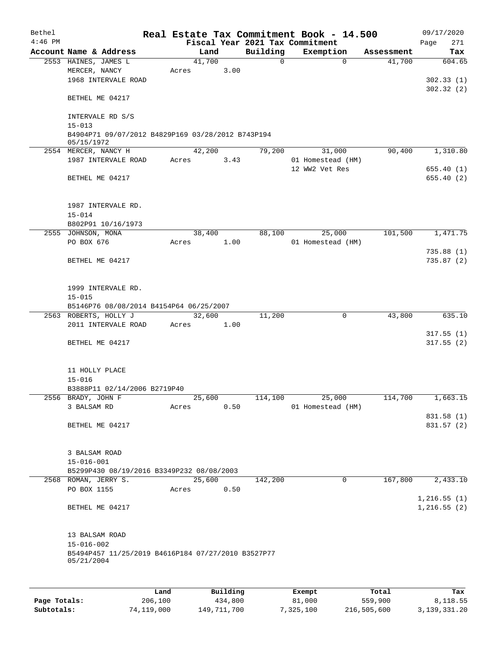| Bethel<br>$4:46$ PM |                                                                 |       |          |          | Real Estate Tax Commitment Book - 14.500<br>Fiscal Year 2021 Tax Commitment |            | 09/17/2020<br>271<br>Page |
|---------------------|-----------------------------------------------------------------|-------|----------|----------|-----------------------------------------------------------------------------|------------|---------------------------|
|                     | Account Name & Address                                          |       | Land     | Building | Exemption                                                                   | Assessment | Tax                       |
|                     | 2553 HAINES, JAMES L                                            |       | 41,700   | 0        | $\Omega$                                                                    | 41,700     | 604.65                    |
|                     | MERCER, NANCY                                                   | Acres | 3.00     |          |                                                                             |            |                           |
|                     | 1968 INTERVALE ROAD                                             |       |          |          |                                                                             |            | 302.33(1)                 |
|                     |                                                                 |       |          |          |                                                                             |            | 302.32 (2)                |
|                     | BETHEL ME 04217                                                 |       |          |          |                                                                             |            |                           |
|                     |                                                                 |       |          |          |                                                                             |            |                           |
|                     | INTERVALE RD S/S                                                |       |          |          |                                                                             |            |                           |
|                     | $15 - 013$                                                      |       |          |          |                                                                             |            |                           |
|                     | B4904P71 09/07/2012 B4829P169 03/28/2012 B743P194<br>05/15/1972 |       |          |          |                                                                             |            |                           |
|                     | 2554 MERCER, NANCY H                                            |       | 42,200   | 79,200   | 31,000                                                                      | 90,400     | 1,310.80                  |
|                     | 1987 INTERVALE ROAD                                             | Acres | 3.43     |          | 01 Homestead (HM)                                                           |            |                           |
|                     |                                                                 |       |          |          | 12 WW2 Vet Res                                                              |            | 655.40(1)                 |
|                     | BETHEL ME 04217                                                 |       |          |          |                                                                             |            | 655.40(2)                 |
|                     |                                                                 |       |          |          |                                                                             |            |                           |
|                     |                                                                 |       |          |          |                                                                             |            |                           |
|                     | 1987 INTERVALE RD.                                              |       |          |          |                                                                             |            |                           |
|                     | $15 - 014$                                                      |       |          |          |                                                                             |            |                           |
|                     | B802P91 10/16/1973                                              |       |          |          |                                                                             |            |                           |
|                     | 2555 JOHNSON, MONA                                              |       | 38,400   | 88,100   | 25,000                                                                      | 101,500    | 1,471.75                  |
|                     | PO BOX 676                                                      | Acres | 1.00     |          | 01 Homestead (HM)                                                           |            |                           |
|                     |                                                                 |       |          |          |                                                                             |            | 735.88 (1)<br>735.87(2)   |
|                     | BETHEL ME 04217                                                 |       |          |          |                                                                             |            |                           |
|                     |                                                                 |       |          |          |                                                                             |            |                           |
|                     | 1999 INTERVALE RD.                                              |       |          |          |                                                                             |            |                           |
|                     | $15 - 015$                                                      |       |          |          |                                                                             |            |                           |
|                     | B5146P76 08/08/2014 B4154P64 06/25/2007                         |       |          |          |                                                                             |            |                           |
|                     | 2563 ROBERTS, HOLLY J                                           |       | 32,600   | 11,200   | 0                                                                           | 43,800     | 635.10                    |
|                     | 2011 INTERVALE ROAD                                             | Acres | 1.00     |          |                                                                             |            |                           |
|                     |                                                                 |       |          |          |                                                                             |            | 317.55(1)                 |
|                     | BETHEL ME 04217                                                 |       |          |          |                                                                             |            | 317.55(2)                 |
|                     |                                                                 |       |          |          |                                                                             |            |                           |
|                     | 11 HOLLY PLACE                                                  |       |          |          |                                                                             |            |                           |
|                     | $15 - 016$                                                      |       |          |          |                                                                             |            |                           |
|                     | B3888P11 02/14/2006 B2719P40                                    |       |          |          |                                                                             |            |                           |
|                     | 2556 BRADY, JOHN F                                              |       | 25,600   | 114,100  | 25,000                                                                      | 114,700    | 1,663.15                  |
|                     | 3 BALSAM RD                                                     | Acres | 0.50     |          | 01 Homestead (HM)                                                           |            |                           |
|                     |                                                                 |       |          |          |                                                                             |            | 831.58 (1)                |
|                     | BETHEL ME 04217                                                 |       |          |          |                                                                             |            | 831.57 (2)                |
|                     |                                                                 |       |          |          |                                                                             |            |                           |
|                     |                                                                 |       |          |          |                                                                             |            |                           |
|                     | 3 BALSAM ROAD                                                   |       |          |          |                                                                             |            |                           |
|                     | $15 - 016 - 001$                                                |       |          |          |                                                                             |            |                           |
|                     | B5299P430 08/19/2016 B3349P232 08/08/2003                       |       | 25,600   |          | 0                                                                           | 167,800    | 2,433.10                  |
|                     | 2568 ROMAN, JERRY S.<br>PO BOX 1155                             | Acres | 0.50     | 142,200  |                                                                             |            |                           |
|                     |                                                                 |       |          |          |                                                                             |            | 1,216.55(1)               |
|                     | BETHEL ME 04217                                                 |       |          |          |                                                                             |            | 1,216.55(2)               |
|                     |                                                                 |       |          |          |                                                                             |            |                           |
|                     |                                                                 |       |          |          |                                                                             |            |                           |
|                     | 13 BALSAM ROAD                                                  |       |          |          |                                                                             |            |                           |
|                     | $15 - 016 - 002$                                                |       |          |          |                                                                             |            |                           |
|                     | B5494P457 11/25/2019 B4616P184 07/27/2010 B3527P77              |       |          |          |                                                                             |            |                           |
|                     | 05/21/2004                                                      |       |          |          |                                                                             |            |                           |
|                     |                                                                 |       |          |          |                                                                             |            |                           |
|                     |                                                                 |       |          |          |                                                                             |            |                           |
|                     |                                                                 | Land  | Building |          | Exempt                                                                      | Total      | Tax                       |

**Page Totals:** 206,100 434,800 81,000 559,900 8,118.55 **Subtotals:** 74,119,000 149,711,700 7,325,100 216,505,600 3,139,331.20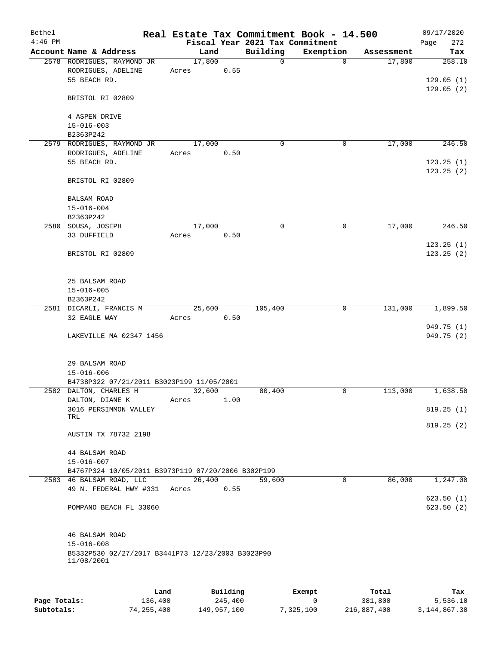| Bethel<br>$4:46$ PM |                                                                  |                 |      | Fiscal Year 2021 Tax Commitment | Real Estate Tax Commitment Book - 14.500 |            | 09/17/2020<br>272<br>Page |
|---------------------|------------------------------------------------------------------|-----------------|------|---------------------------------|------------------------------------------|------------|---------------------------|
|                     | Account Name & Address                                           | Land            |      | Building                        | Exemption                                | Assessment | Tax                       |
|                     | 2578 RODRIGUES, RAYMOND JR<br>RODRIGUES, ADELINE<br>55 BEACH RD. | 17,800<br>Acres | 0.55 | $\mathsf{O}$                    | $\mathbf 0$                              | 17,800     | 258.10<br>129.05(1)       |
|                     | BRISTOL RI 02809                                                 |                 |      |                                 |                                          |            | 129.05(2)                 |
|                     | 4 ASPEN DRIVE<br>$15 - 016 - 003$                                |                 |      |                                 |                                          |            |                           |
|                     | B2363P242                                                        |                 |      |                                 |                                          |            |                           |
|                     | 2579 RODRIGUES, RAYMOND JR                                       | 17,000          |      | 0                               | 0                                        | 17,000     | 246.50                    |
|                     | RODRIGUES, ADELINE                                               | Acres           | 0.50 |                                 |                                          |            |                           |
|                     | 55 BEACH RD.                                                     |                 |      |                                 |                                          |            | 123.25(1)                 |
|                     | BRISTOL RI 02809                                                 |                 |      |                                 |                                          |            | 123.25(2)                 |
|                     | <b>BALSAM ROAD</b>                                               |                 |      |                                 |                                          |            |                           |
|                     | $15 - 016 - 004$                                                 |                 |      |                                 |                                          |            |                           |
|                     | B2363P242                                                        |                 |      |                                 |                                          |            |                           |
|                     | 2580 SOUSA, JOSEPH                                               | 17,000          |      | 0                               | $\mathsf{O}$                             | 17,000     | 246.50                    |
|                     | 33 DUFFIELD                                                      | Acres           | 0.50 |                                 |                                          |            |                           |
|                     | BRISTOL RI 02809                                                 |                 |      |                                 |                                          |            | 123.25(1)<br>123.25(2)    |
|                     | 25 BALSAM ROAD                                                   |                 |      |                                 |                                          |            |                           |
|                     | $15 - 016 - 005$<br>B2363P242                                    |                 |      |                                 |                                          |            |                           |
|                     | 2581 DICARLI, FRANCIS M                                          | 25,600          |      | 105,400                         | $\mathbf 0$                              | 131,000    | 1,899.50                  |
|                     | 32 EAGLE WAY                                                     | Acres           | 0.50 |                                 |                                          |            |                           |
|                     | LAKEVILLE MA 02347 1456                                          |                 |      |                                 |                                          |            | 949.75 (1)<br>949.75 (2)  |
|                     | 29 BALSAM ROAD                                                   |                 |      |                                 |                                          |            |                           |
|                     | $15 - 016 - 006$<br>B4738P322 07/21/2011 B3023P199 11/05/2001    |                 |      |                                 |                                          |            |                           |
|                     | 2582 DALTON, CHARLES H                                           | 32,600          |      | 80,400                          | 0                                        | 113,000    | 1,638.50                  |
|                     | DALTON, DIANE K                                                  | Acres           | 1.00 |                                 |                                          |            |                           |
|                     | 3016 PERSIMMON VALLEY                                            |                 |      |                                 |                                          |            | 819.25(1)                 |
|                     | TRL                                                              |                 |      |                                 |                                          |            | 819.25(2)                 |
|                     | AUSTIN TX 78732 2198                                             |                 |      |                                 |                                          |            |                           |
|                     | 44 BALSAM ROAD<br>$15 - 016 - 007$                               |                 |      |                                 |                                          |            |                           |
|                     | B4767P324 10/05/2011 B3973P119 07/20/2006 B302P199               | 26,400          |      |                                 | $\mathbf 0$                              | 86,000     | 1,247.00                  |
|                     | 2583 46 BALSAM ROAD, LLC<br>49 N. FEDERAL HWY #331 Acres         |                 | 0.55 | 59,600                          |                                          |            | 623.50(1)                 |
|                     | POMPANO BEACH FL 33060                                           |                 |      |                                 |                                          |            | 623.50(2)                 |
|                     | 46 BALSAM ROAD<br>$15 - 016 - 008$                               |                 |      |                                 |                                          |            |                           |
|                     | B5332P530 02/27/2017 B3441P73 12/23/2003 B3023P90<br>11/08/2001  |                 |      |                                 |                                          |            |                           |
|                     |                                                                  |                 |      |                                 |                                          |            |                           |

|              | Land       | Building    | Exempt    | Total       | Tax          |
|--------------|------------|-------------|-----------|-------------|--------------|
| Page Totals: | 136,400    | 245,400     |           | 381,800     | 5,536.10     |
| Subtotals:   | 74,255,400 | 149,957,100 | 7,325,100 | 216,887,400 | 3,144,867.30 |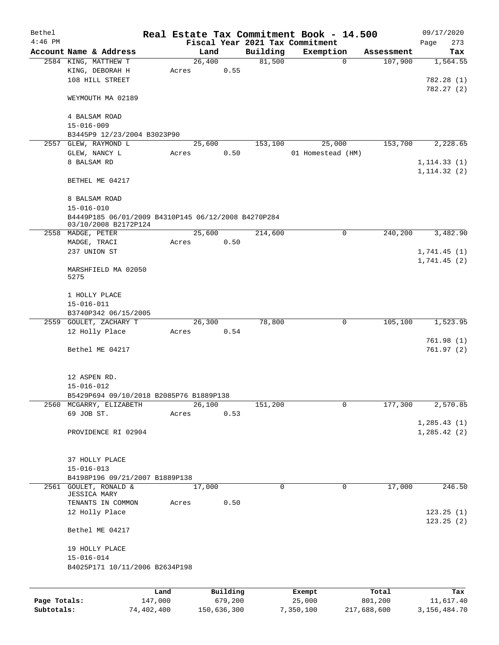| Bethel       |                                                     |         |       |        |          |             | Real Estate Tax Commitment Book - 14.500 |              |            | 09/17/2020   |
|--------------|-----------------------------------------------------|---------|-------|--------|----------|-------------|------------------------------------------|--------------|------------|--------------|
| $4:46$ PM    |                                                     |         |       |        |          |             | Fiscal Year 2021 Tax Commitment          |              |            | Page<br>273  |
|              | Account Name & Address                              |         |       | Land   |          | Building    | Exemption                                |              | Assessment | Tax          |
|              | 2584 KING, MATTHEW T                                |         |       | 26,400 |          | 81,500      |                                          | $\mathbf 0$  | 107,900    | 1,564.55     |
|              | KING, DEBORAH H                                     |         | Acres |        | 0.55     |             |                                          |              |            |              |
|              | 108 HILL STREET                                     |         |       |        |          |             |                                          |              |            | 782.28(1)    |
|              |                                                     |         |       |        |          |             |                                          |              |            | 782.27(2)    |
|              | WEYMOUTH MA 02189                                   |         |       |        |          |             |                                          |              |            |              |
|              |                                                     |         |       |        |          |             |                                          |              |            |              |
|              | 4 BALSAM ROAD<br>$15 - 016 - 009$                   |         |       |        |          |             |                                          |              |            |              |
|              | B3445P9 12/23/2004 B3023P90                         |         |       |        |          |             |                                          |              |            |              |
|              | 2557 GLEW, RAYMOND L                                |         |       | 25,600 |          | 153,100     | 25,000                                   |              | 153,700    | 2,228.65     |
|              | GLEW, NANCY L                                       |         | Acres |        | 0.50     |             | 01 Homestead (HM)                        |              |            |              |
|              | 8 BALSAM RD                                         |         |       |        |          |             |                                          |              |            | 1, 114.33(1) |
|              |                                                     |         |       |        |          |             |                                          |              |            | 1, 114.32(2) |
|              | BETHEL ME 04217                                     |         |       |        |          |             |                                          |              |            |              |
|              |                                                     |         |       |        |          |             |                                          |              |            |              |
|              | 8 BALSAM ROAD                                       |         |       |        |          |             |                                          |              |            |              |
|              | $15 - 016 - 010$                                    |         |       |        |          |             |                                          |              |            |              |
|              | B4449P185 06/01/2009 B4310P145 06/12/2008 B4270P284 |         |       |        |          |             |                                          |              |            |              |
|              | 03/10/2008 B2172P124                                |         |       |        |          |             |                                          |              |            |              |
|              | 2558 MADGE, PETER                                   |         |       | 25,600 |          | 214,600     |                                          | 0            | 240,200    | 3,482.90     |
|              | MADGE, TRACI                                        |         | Acres |        | 0.50     |             |                                          |              |            |              |
|              | 237 UNION ST                                        |         |       |        |          |             |                                          |              |            | 1,741.45(1)  |
|              |                                                     |         |       |        |          |             |                                          |              |            | 1,741.45(2)  |
|              | MARSHFIELD MA 02050                                 |         |       |        |          |             |                                          |              |            |              |
|              | 5275                                                |         |       |        |          |             |                                          |              |            |              |
|              |                                                     |         |       |        |          |             |                                          |              |            |              |
|              | 1 HOLLY PLACE                                       |         |       |        |          |             |                                          |              |            |              |
|              | $15 - 016 - 011$                                    |         |       |        |          |             |                                          |              |            |              |
|              | B3740P342 06/15/2005                                |         |       |        |          |             |                                          |              |            |              |
|              | 2559 GOULET, ZACHARY T                              |         |       | 26,300 |          | 78,800      |                                          | $\mathsf{O}$ | 105,100    | 1,523.95     |
|              | 12 Holly Place                                      |         | Acres |        | 0.54     |             |                                          |              |            |              |
|              |                                                     |         |       |        |          |             |                                          |              |            | 761.98(1)    |
|              | Bethel ME 04217                                     |         |       |        |          |             |                                          |              |            | 761.97(2)    |
|              |                                                     |         |       |        |          |             |                                          |              |            |              |
|              |                                                     |         |       |        |          |             |                                          |              |            |              |
|              | 12 ASPEN RD.                                        |         |       |        |          |             |                                          |              |            |              |
|              | $15 - 016 - 012$                                    |         |       |        |          |             |                                          |              |            |              |
|              | B5429P694 09/10/2018 B2085P76 B1889P138             |         |       | 26,100 |          | 151,200     |                                          | $\mathbf 0$  | 177,300    | 2,570.85     |
|              | 2560 MCGARRY, ELIZABETH<br>69 JOB ST.               |         | Acres |        | 0.53     |             |                                          |              |            |              |
|              |                                                     |         |       |        |          |             |                                          |              |            | 1, 285.43(1) |
|              | PROVIDENCE RI 02904                                 |         |       |        |          |             |                                          |              |            | 1, 285.42(2) |
|              |                                                     |         |       |        |          |             |                                          |              |            |              |
|              |                                                     |         |       |        |          |             |                                          |              |            |              |
|              | 37 HOLLY PLACE                                      |         |       |        |          |             |                                          |              |            |              |
|              | $15 - 016 - 013$                                    |         |       |        |          |             |                                          |              |            |              |
|              | B4198P196 09/21/2007 B1889P138                      |         |       |        |          |             |                                          |              |            |              |
| 2561         | GOULET, RONALD &                                    |         |       | 17,000 |          | $\mathbf 0$ |                                          | $\mathbf 0$  | 17,000     | 246.50       |
|              | JESSICA MARY                                        |         |       |        |          |             |                                          |              |            |              |
|              | TENANTS IN COMMON                                   |         | Acres |        | 0.50     |             |                                          |              |            |              |
|              | 12 Holly Place                                      |         |       |        |          |             |                                          |              |            | 123.25(1)    |
|              |                                                     |         |       |        |          |             |                                          |              |            | 123.25(2)    |
|              | Bethel ME 04217                                     |         |       |        |          |             |                                          |              |            |              |
|              |                                                     |         |       |        |          |             |                                          |              |            |              |
|              | 19 HOLLY PLACE                                      |         |       |        |          |             |                                          |              |            |              |
|              | $15 - 016 - 014$                                    |         |       |        |          |             |                                          |              |            |              |
|              | B4025P171 10/11/2006 B2634P198                      |         |       |        |          |             |                                          |              |            |              |
|              |                                                     |         |       |        |          |             |                                          |              |            |              |
|              |                                                     |         |       |        |          |             |                                          |              |            |              |
|              |                                                     | Land    |       |        | Building |             | Exempt                                   |              | Total      | Tax          |
| Page Totals: |                                                     | 147,000 |       |        | 679,200  |             | 25,000                                   |              | 801,200    | 11,617.40    |

**Subtotals:** 74,402,400 150,636,300 7,350,100 217,688,600 3,156,484.70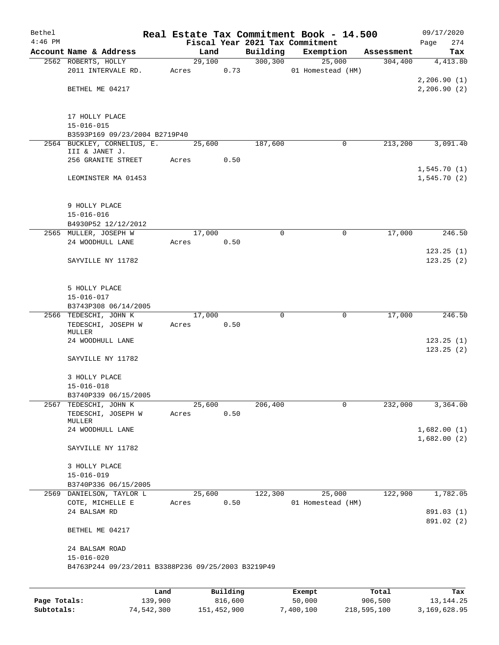| Bethel       |                                                       |                 |          |             | Real Estate Tax Commitment Book - 14.500 |            | 09/17/2020  |
|--------------|-------------------------------------------------------|-----------------|----------|-------------|------------------------------------------|------------|-------------|
| $4:46$ PM    |                                                       |                 |          |             | Fiscal Year 2021 Tax Commitment          |            | 274<br>Page |
|              | Account Name & Address                                | Land            |          | Building    | Exemption                                | Assessment | Tax         |
|              | 2562 ROBERTS, HOLLY                                   | 29,100          |          | 300, 300    | 25,000                                   | 304,400    | 4,413.80    |
|              | 2011 INTERVALE RD.                                    | Acres           | 0.73     |             | 01 Homestead (HM)                        |            |             |
|              |                                                       |                 |          |             |                                          |            | 2,206.90(1) |
|              | BETHEL ME 04217                                       |                 |          |             |                                          |            | 2,206.90(2) |
|              | 17 HOLLY PLACE                                        |                 |          |             |                                          |            |             |
|              | $15 - 016 - 015$                                      |                 |          |             |                                          |            |             |
|              | B3593P169 09/23/2004 B2719P40                         |                 |          |             |                                          |            |             |
|              | 2564 BUCKLEY, CORNELIUS, E.                           | 25,600          |          | 187,600     | 0                                        | 213,200    | 3,091.40    |
|              | III & JANET J.                                        |                 |          |             |                                          |            |             |
|              | 256 GRANITE STREET                                    | Acres           | 0.50     |             |                                          |            | 1,545.70(1) |
|              | LEOMINSTER MA 01453                                   |                 |          |             |                                          |            | 1,545.70(2) |
|              | 9 HOLLY PLACE                                         |                 |          |             |                                          |            |             |
|              | $15 - 016 - 016$                                      |                 |          |             |                                          |            |             |
|              | B4930P52 12/12/2012                                   |                 |          |             |                                          |            |             |
|              | 2565 MULLER, JOSEPH W                                 | 17,000          |          | $\mathbf 0$ | 0                                        | 17,000     | 246.50      |
|              | 24 WOODHULL LANE                                      | Acres           | 0.50     |             |                                          |            |             |
|              |                                                       |                 |          |             |                                          |            | 123.25(1)   |
|              | SAYVILLE NY 11782                                     |                 |          |             |                                          |            | 123.25(2)   |
|              |                                                       |                 |          |             |                                          |            |             |
|              | 5 HOLLY PLACE                                         |                 |          |             |                                          |            |             |
|              | $15 - 016 - 017$                                      |                 |          |             |                                          |            |             |
|              | B3743P308 06/14/2005                                  |                 |          |             |                                          |            |             |
|              | 2566 TEDESCHI, JOHN K<br>TEDESCHI, JOSEPH W<br>MULLER | 17,000<br>Acres | 0.50     | 0           | 0                                        | 17,000     | 246.50      |
|              | 24 WOODHULL LANE                                      |                 |          |             |                                          |            | 123.25(1)   |
|              |                                                       |                 |          |             |                                          |            | 123.25(2)   |
|              | SAYVILLE NY 11782                                     |                 |          |             |                                          |            |             |
|              | 3 HOLLY PLACE                                         |                 |          |             |                                          |            |             |
|              | $15 - 016 - 018$                                      |                 |          |             |                                          |            |             |
|              | B3740P339 06/15/2005                                  |                 |          |             |                                          |            |             |
| 2567         | TEDESCHI, JOHN K                                      | 25,600          |          | 206,400     | 0                                        | 232,000    | 3,364.00    |
|              | TEDESCHI, JOSEPH W<br>MULLER                          | Acres           | 0.50     |             |                                          |            |             |
|              | 24 WOODHULL LANE                                      |                 |          |             |                                          |            | 1,682.00(1) |
|              | SAYVILLE NY 11782                                     |                 |          |             |                                          |            | 1,682.00(2) |
|              |                                                       |                 |          |             |                                          |            |             |
|              | 3 HOLLY PLACE                                         |                 |          |             |                                          |            |             |
|              | $15 - 016 - 019$                                      |                 |          |             |                                          |            |             |
|              | B3740P336 06/15/2005                                  |                 |          |             |                                          |            |             |
|              | 2569 DANIELSON, TAYLOR L                              | 25,600          |          | 122,300     | 25,000                                   | 122,900    | 1,782.05    |
|              | COTE, MICHELLE E                                      | Acres           | 0.50     |             | 01 Homestead (HM)                        |            |             |
|              | 24 BALSAM RD                                          |                 |          |             |                                          |            | 891.03 (1)  |
|              | BETHEL ME 04217                                       |                 |          |             |                                          |            | 891.02 (2)  |
|              | 24 BALSAM ROAD                                        |                 |          |             |                                          |            |             |
|              | $15 - 016 - 020$                                      |                 |          |             |                                          |            |             |
|              | B4763P244 09/23/2011 B3388P236 09/25/2003 B3219P49    |                 |          |             |                                          |            |             |
|              | Land                                                  |                 | Building |             |                                          | Total      | Tax         |
| Page Totals: | 139,900                                               |                 | 816,600  |             | Exempt<br>50,000                         | 906,500    | 13, 144. 25 |

**Subtotals:** 74,542,300 151,452,900 7,400,100 218,595,100 3,169,628.95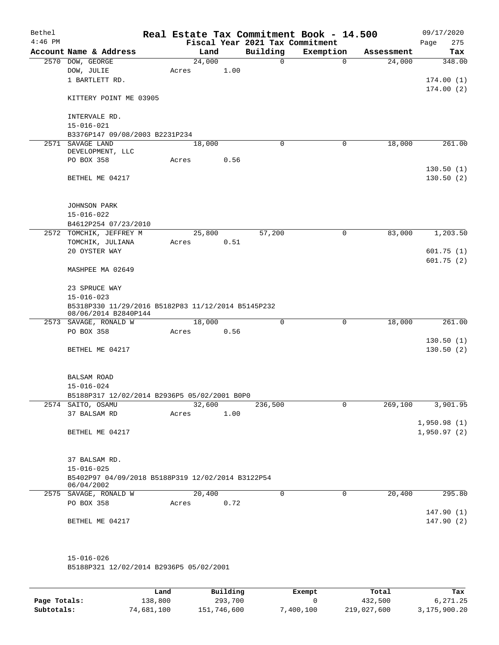| Bethel<br>$4:46$ PM |                                                                            |        |      |          |          | Real Estate Tax Commitment Book - 14.500<br>Fiscal Year 2021 Tax Commitment |            | 09/17/2020<br>275<br>Page |
|---------------------|----------------------------------------------------------------------------|--------|------|----------|----------|-----------------------------------------------------------------------------|------------|---------------------------|
|                     | Account Name & Address                                                     | Land   |      | Building |          | Exemption                                                                   | Assessment | Tax                       |
|                     | 2570 DOW, GEORGE                                                           | 24,000 |      |          | 0        | $\mathbf 0$                                                                 | 24,000     | 348.00                    |
|                     | DOW, JULIE                                                                 | Acres  | 1.00 |          |          |                                                                             |            |                           |
|                     | 1 BARTLETT RD.                                                             |        |      |          |          |                                                                             |            | 174.00(1)                 |
|                     | KITTERY POINT ME 03905                                                     |        |      |          |          |                                                                             |            | 174.00(2)                 |
|                     | INTERVALE RD.                                                              |        |      |          |          |                                                                             |            |                           |
|                     | $15 - 016 - 021$                                                           |        |      |          |          |                                                                             |            |                           |
|                     | B3376P147 09/08/2003 B2231P234                                             |        |      |          |          |                                                                             |            |                           |
|                     | 2571 SAVAGE LAND                                                           | 18,000 |      |          | $\Omega$ | 0                                                                           | 18,000     | 261.00                    |
|                     | DEVELOPMENT, LLC                                                           |        |      |          |          |                                                                             |            |                           |
|                     | PO BOX 358                                                                 | Acres  | 0.56 |          |          |                                                                             |            |                           |
|                     | BETHEL ME 04217                                                            |        |      |          |          |                                                                             |            | 130.50(1)<br>130.50(2)    |
|                     | JOHNSON PARK                                                               |        |      |          |          |                                                                             |            |                           |
|                     | $15 - 016 - 022$                                                           |        |      |          |          |                                                                             |            |                           |
|                     | B4612P254 07/23/2010                                                       |        |      |          |          |                                                                             |            |                           |
|                     | 2572 TOMCHIK, JEFFREY M                                                    | 25,800 |      | 57,200   |          | $\mathbf 0$                                                                 | 83,000     | 1,203.50                  |
|                     | TOMCHIK, JULIANA                                                           | Acres  | 0.51 |          |          |                                                                             |            |                           |
|                     | 20 OYSTER WAY                                                              |        |      |          |          |                                                                             |            | 601.75(1)                 |
|                     |                                                                            |        |      |          |          |                                                                             |            | 601.75(2)                 |
|                     | MASHPEE MA 02649                                                           |        |      |          |          |                                                                             |            |                           |
|                     | 23 SPRUCE WAY                                                              |        |      |          |          |                                                                             |            |                           |
|                     | $15 - 016 - 023$                                                           |        |      |          |          |                                                                             |            |                           |
|                     | B5318P330 11/29/2016 B5182P83 11/12/2014 B5145P232<br>08/06/2014 B2840P144 |        |      |          |          |                                                                             |            |                           |
|                     | 2573 SAVAGE, RONALD W                                                      | 18,000 |      |          | 0        | $\mathbf 0$                                                                 | 18,000     | 261.00                    |
|                     | PO BOX 358                                                                 | Acres  | 0.56 |          |          |                                                                             |            |                           |
|                     |                                                                            |        |      |          |          |                                                                             |            | 130.50(1)                 |
|                     | BETHEL ME 04217                                                            |        |      |          |          |                                                                             |            | 130.50(2)                 |
|                     | BALSAM ROAD                                                                |        |      |          |          |                                                                             |            |                           |
|                     | $15 - 016 - 024$                                                           |        |      |          |          |                                                                             |            |                           |
|                     | B5188P317 12/02/2014 B2936P5 05/02/2001 B0P0                               |        |      |          |          |                                                                             |            |                           |
|                     | 2574 SAITO, OSAMU                                                          | 32,600 |      | 236,500  |          | 0                                                                           | 269,100    | 3,901.95                  |
|                     | 37 BALSAM RD                                                               | Acres  | 1.00 |          |          |                                                                             |            |                           |
|                     |                                                                            |        |      |          |          |                                                                             |            | 1,950.98(1)               |
|                     | BETHEL ME 04217                                                            |        |      |          |          |                                                                             |            | 1,950.97(2)               |
|                     | 37 BALSAM RD.                                                              |        |      |          |          |                                                                             |            |                           |
|                     | $15 - 016 - 025$                                                           |        |      |          |          |                                                                             |            |                           |
|                     | B5402P97 04/09/2018 B5188P319 12/02/2014 B3122P54<br>06/04/2002            |        |      |          |          |                                                                             |            |                           |
|                     | 2575 SAVAGE, RONALD W                                                      | 20,400 |      |          | 0        | 0                                                                           | 20,400     | 295.80                    |
|                     | PO BOX 358                                                                 | Acres  | 0.72 |          |          |                                                                             |            |                           |
|                     |                                                                            |        |      |          |          |                                                                             |            | 147.90(1)                 |
|                     | BETHEL ME 04217                                                            |        |      |          |          |                                                                             |            | 147.90(2)                 |
|                     |                                                                            |        |      |          |          |                                                                             |            |                           |
|                     |                                                                            |        |      |          |          |                                                                             |            |                           |
|                     | $15 - 016 - 026$                                                           |        |      |          |          |                                                                             |            |                           |

B5188P321 12/02/2014 B2936P5 05/02/2001

|              | Land       | Building    | Exempt    | Total       | Tax          |
|--------------|------------|-------------|-----------|-------------|--------------|
| Page Totals: | 138,800    | 293,700     |           | 432,500     | 6,271.25     |
| Subtotals:   | 74,681,100 | 151,746,600 | 7,400,100 | 219,027,600 | 3,175,900.20 |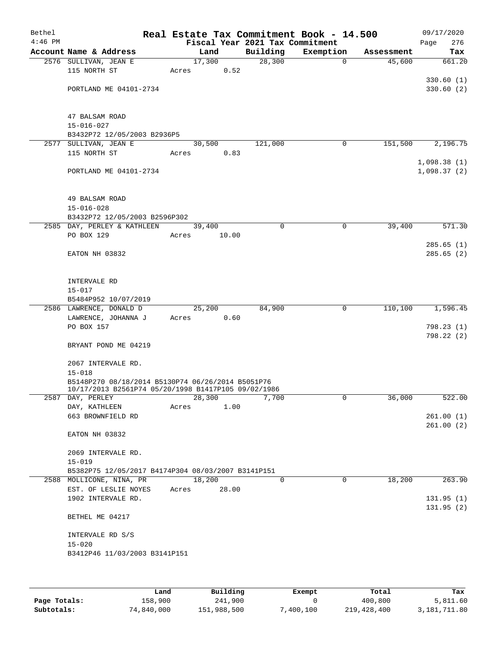| Bethel<br>$4:46$ PM |                                                     |                |       | Fiscal Year 2021 Tax Commitment | Real Estate Tax Commitment Book - 14.500 |                      | 09/17/2020    |
|---------------------|-----------------------------------------------------|----------------|-------|---------------------------------|------------------------------------------|----------------------|---------------|
|                     | Account Name & Address                              |                |       |                                 |                                          |                      | 276<br>Page   |
|                     | 2576 SULLIVAN, JEAN E                               | Land<br>17,300 |       | Building<br>28,300              | Exemption<br>0                           | Assessment<br>45,600 | Tax<br>661.20 |
|                     | 115 NORTH ST                                        | Acres          | 0.52  |                                 |                                          |                      |               |
|                     |                                                     |                |       |                                 |                                          |                      | 330.60(1)     |
|                     | PORTLAND ME 04101-2734                              |                |       |                                 |                                          |                      | 330.60(2)     |
|                     |                                                     |                |       |                                 |                                          |                      |               |
|                     |                                                     |                |       |                                 |                                          |                      |               |
|                     | 47 BALSAM ROAD                                      |                |       |                                 |                                          |                      |               |
|                     | $15 - 016 - 027$                                    |                |       |                                 |                                          |                      |               |
|                     | B3432P72 12/05/2003 B2936P5                         |                |       |                                 |                                          |                      |               |
|                     | 2577 SULLIVAN, JEAN E                               | 30,500         |       | 121,000                         | 0                                        | 151,500              | 2,196.75      |
|                     | 115 NORTH ST                                        | Acres          | 0.83  |                                 |                                          |                      |               |
|                     |                                                     |                |       |                                 |                                          |                      | 1,098.38(1)   |
|                     | PORTLAND ME 04101-2734                              |                |       |                                 |                                          |                      | 1,098.37(2)   |
|                     |                                                     |                |       |                                 |                                          |                      |               |
|                     |                                                     |                |       |                                 |                                          |                      |               |
|                     | 49 BALSAM ROAD<br>$15 - 016 - 028$                  |                |       |                                 |                                          |                      |               |
|                     | B3432P72 12/05/2003 B2596P302                       |                |       |                                 |                                          |                      |               |
|                     | 2585 DAY, PERLEY & KATHLEEN                         | 39,400         |       | $\mathbf 0$                     | 0                                        | 39,400               | 571.30        |
|                     | PO BOX 129                                          | Acres          | 10.00 |                                 |                                          |                      |               |
|                     |                                                     |                |       |                                 |                                          |                      | 285.65(1)     |
|                     | EATON NH 03832                                      |                |       |                                 |                                          |                      | 285.65(2)     |
|                     |                                                     |                |       |                                 |                                          |                      |               |
|                     |                                                     |                |       |                                 |                                          |                      |               |
|                     | INTERVALE RD                                        |                |       |                                 |                                          |                      |               |
|                     | $15 - 017$                                          |                |       |                                 |                                          |                      |               |
|                     | B5484P952 10/07/2019                                |                |       |                                 |                                          |                      |               |
|                     | 2586 LAWRENCE, DONALD D                             | 25,200         |       | 84,900                          | $\mathbf 0$                              | 110,100              | 1,596.45      |
|                     | LAWRENCE, JOHANNA J                                 | Acres          | 0.60  |                                 |                                          |                      |               |
|                     | PO BOX 157                                          |                |       |                                 |                                          |                      | 798.23(1)     |
|                     | BRYANT POND ME 04219                                |                |       |                                 |                                          |                      | 798.22(2)     |
|                     |                                                     |                |       |                                 |                                          |                      |               |
|                     | 2067 INTERVALE RD.                                  |                |       |                                 |                                          |                      |               |
|                     | $15 - 018$                                          |                |       |                                 |                                          |                      |               |
|                     | B5148P270 08/18/2014 B5130P74 06/26/2014 B5051P76   |                |       |                                 |                                          |                      |               |
|                     | 10/17/2013 B2561P74 05/20/1998 B1417P105 09/02/1986 |                |       |                                 |                                          |                      |               |
|                     | 2587 DAY, PERLEY                                    | 28,300         |       | 7,700                           | 0                                        | 36,000               | 522.00        |
|                     | DAY, KATHLEEN                                       | Acres          | 1.00  |                                 |                                          |                      |               |
|                     | 663 BROWNFIELD RD                                   |                |       |                                 |                                          |                      | 261.00(1)     |
|                     |                                                     |                |       |                                 |                                          |                      | 261.00(2)     |
|                     | EATON NH 03832                                      |                |       |                                 |                                          |                      |               |
|                     | 2069 INTERVALE RD.                                  |                |       |                                 |                                          |                      |               |
|                     | $15 - 019$                                          |                |       |                                 |                                          |                      |               |
|                     | B5382P75 12/05/2017 B4174P304 08/03/2007 B3141P151  |                |       |                                 |                                          |                      |               |
|                     | 2588 MOLLICONE, NINA, PR                            | 18,200         |       | $\Omega$                        | $\Omega$                                 | 18,200               | 263.90        |
|                     | EST. OF LESLIE NOYES                                | Acres          | 28.00 |                                 |                                          |                      |               |
|                     | 1902 INTERVALE RD.                                  |                |       |                                 |                                          |                      | 131.95(1)     |
|                     |                                                     |                |       |                                 |                                          |                      | 131.95(2)     |
|                     | BETHEL ME 04217                                     |                |       |                                 |                                          |                      |               |
|                     |                                                     |                |       |                                 |                                          |                      |               |
|                     | INTERVALE RD S/S                                    |                |       |                                 |                                          |                      |               |
|                     | $15 - 020$                                          |                |       |                                 |                                          |                      |               |
|                     | B3412P46 11/03/2003 B3141P151                       |                |       |                                 |                                          |                      |               |
|                     |                                                     |                |       |                                 |                                          |                      |               |

|              | Land       | Building    | Exempt      | Total       | Tax          |
|--------------|------------|-------------|-------------|-------------|--------------|
| Page Totals: | 158,900    | 241,900     |             | 400,800     | 5,811.60     |
| Subtotals:   | 74,840,000 | 151,988,500 | ', 400, 100 | 219,428,400 | 3,181,711.80 |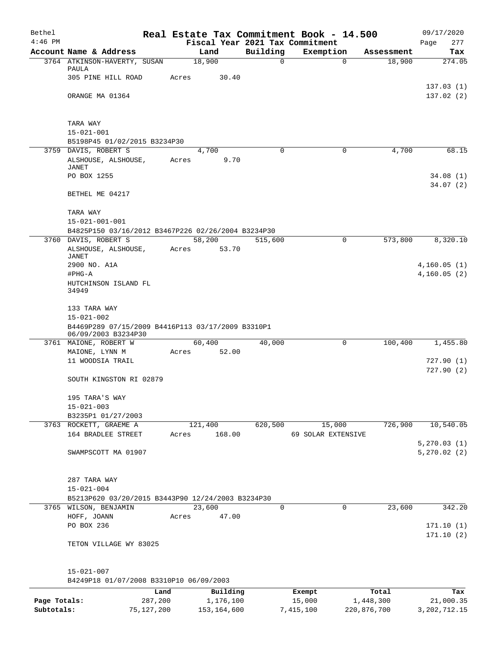| Bethel       |                                                    | Real Estate Tax Commitment Book - 14.500 |               |                          |             | 09/17/2020             |
|--------------|----------------------------------------------------|------------------------------------------|---------------|--------------------------|-------------|------------------------|
| $4:46$ PM    |                                                    | Fiscal Year 2021 Tax Commitment          |               |                          |             | 277<br>Page            |
|              | Account Name & Address                             | Land<br>18,900                           | Building<br>0 | Exemption<br>$\mathbf 0$ | Assessment  | Tax<br>274.05          |
|              | 3764 ATKINSON-HAVERTY, SUSAN<br>PAULA              |                                          |               |                          | 18,900      |                        |
|              | 305 PINE HILL ROAD                                 | Acres<br>30.40                           |               |                          |             |                        |
|              |                                                    |                                          |               |                          |             | 137.03(1)              |
|              | ORANGE MA 01364                                    |                                          |               |                          |             | 137.02(2)              |
|              |                                                    |                                          |               |                          |             |                        |
|              |                                                    |                                          |               |                          |             |                        |
|              | TARA WAY<br>$15 - 021 - 001$                       |                                          |               |                          |             |                        |
|              | B5198P45 01/02/2015 B3234P30                       |                                          |               |                          |             |                        |
|              | 3759 DAVIS, ROBERT S                               | 4,700                                    | 0             | $\mathbf 0$              | 4,700       | 68.15                  |
|              | ALSHOUSE, ALSHOUSE,                                | 9.70<br>Acres                            |               |                          |             |                        |
|              | JANET                                              |                                          |               |                          |             |                        |
|              | PO BOX 1255                                        |                                          |               |                          |             | 34.08(1)               |
|              |                                                    |                                          |               |                          |             | 34.07(2)               |
|              | BETHEL ME 04217                                    |                                          |               |                          |             |                        |
|              | TARA WAY                                           |                                          |               |                          |             |                        |
|              | $15 - 021 - 001 - 001$                             |                                          |               |                          |             |                        |
|              | B4825P150 03/16/2012 B3467P226 02/26/2004 B3234P30 |                                          |               |                          |             |                        |
|              | 3760 DAVIS, ROBERT S                               | 58,200                                   | 515,600       | 0                        | 573,800     | 8,320.10               |
|              | ALSHOUSE, ALSHOUSE,                                | 53.70<br>Acres                           |               |                          |             |                        |
|              | <b>JANET</b>                                       |                                          |               |                          |             |                        |
|              | 2900 NO. A1A                                       |                                          |               |                          |             | 4,160.05(1)            |
|              | #PHG-A                                             |                                          |               |                          |             | 4,160.05(2)            |
|              | HUTCHINSON ISLAND FL<br>34949                      |                                          |               |                          |             |                        |
|              |                                                    |                                          |               |                          |             |                        |
|              | 133 TARA WAY                                       |                                          |               |                          |             |                        |
|              | $15 - 021 - 002$                                   |                                          |               |                          |             |                        |
|              | B4469P289 07/15/2009 B4416P113 03/17/2009 B3310P1  |                                          |               |                          |             |                        |
|              | 06/09/2003 B3234P30                                |                                          |               |                          |             |                        |
|              | 3761 MAIONE, ROBERT W                              | 60,400                                   | 40,000        | 0                        | 100,400     | 1,455.80               |
|              | MAIONE, LYNN M                                     | 52.00<br>Acres                           |               |                          |             |                        |
|              | 11 WOODSIA TRAIL                                   |                                          |               |                          |             | 727.90(1)<br>727.90(2) |
|              | SOUTH KINGSTON RI 02879                            |                                          |               |                          |             |                        |
|              |                                                    |                                          |               |                          |             |                        |
|              | 195 TARA'S WAY                                     |                                          |               |                          |             |                        |
|              | $15 - 021 - 003$                                   |                                          |               |                          |             |                        |
|              | B3235P1 01/27/2003                                 |                                          |               |                          |             |                        |
|              | 3763 ROCKETT, GRAEME A                             | 121,400                                  | 620,500       | 15,000                   | 726,900     | 10,540.05              |
|              | 164 BRADLEE STREET                                 | 168.00<br>Acres                          |               | 69 SOLAR EXTENSIVE       |             |                        |
|              |                                                    |                                          |               |                          |             | 5,270.03(1)            |
|              | SWAMPSCOTT MA 01907                                |                                          |               |                          |             | 5,270.02(2)            |
|              |                                                    |                                          |               |                          |             |                        |
|              |                                                    |                                          |               |                          |             |                        |
|              | 287 TARA WAY<br>$15 - 021 - 004$                   |                                          |               |                          |             |                        |
|              | B5213P620 03/20/2015 B3443P90 12/24/2003 B3234P30  |                                          |               |                          |             |                        |
|              | 3765 WILSON, BENJAMIN                              | 23,600                                   | $\mathbf 0$   | $\mathbf 0$              | 23,600      | 342.20                 |
|              | HOFF, JOANN                                        | 47.00<br>Acres                           |               |                          |             |                        |
|              | PO BOX 236                                         |                                          |               |                          |             | 171.10(1)              |
|              |                                                    |                                          |               |                          |             | 171.10(2)              |
|              | TETON VILLAGE WY 83025                             |                                          |               |                          |             |                        |
|              |                                                    |                                          |               |                          |             |                        |
|              |                                                    |                                          |               |                          |             |                        |
|              | $15 - 021 - 007$                                   |                                          |               |                          |             |                        |
|              | B4249P18 01/07/2008 B3310P10 06/09/2003            |                                          |               |                          |             |                        |
|              | Land                                               | Building                                 |               | Exempt                   | Total       | Tax                    |
| Page Totals: | 287,200                                            | 1,176,100                                |               | 15,000                   | 1,448,300   | 21,000.35              |
| Subtotals:   | 75, 127, 200                                       | 153, 164, 600                            |               | 7,415,100                | 220,876,700 | 3, 202, 712.15         |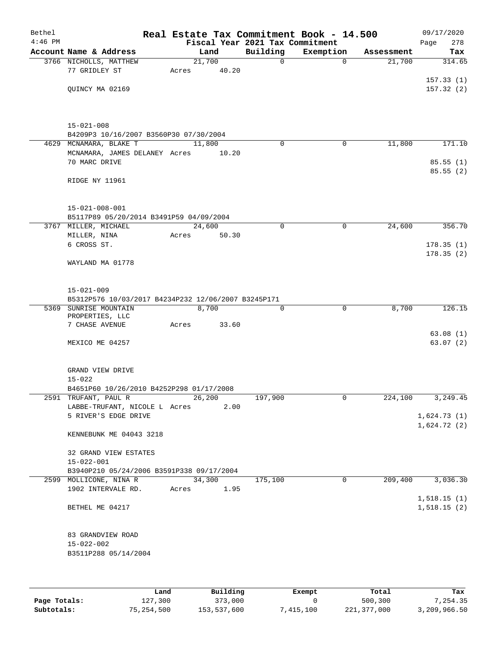| Bethel<br>$4:46$ PM |                                                                 | Real Estate Tax Commitment Book - 14.500<br>Fiscal Year 2021 Tax Commitment |          |                |            | 09/17/2020<br>278<br>Page |
|---------------------|-----------------------------------------------------------------|-----------------------------------------------------------------------------|----------|----------------|------------|---------------------------|
|                     | Account Name & Address                                          | Land                                                                        | Building | Exemption      | Assessment | Tax                       |
|                     | 3766 NICHOLLS, MATTHEW                                          | 21,700                                                                      | 0        | $\mathbf 0$    | 21,700     | 314.65                    |
|                     | 77 GRIDLEY ST                                                   | 40.20<br>Acres                                                              |          |                |            |                           |
|                     |                                                                 |                                                                             |          |                |            | 157.33(1)                 |
|                     | QUINCY MA 02169                                                 |                                                                             |          |                |            | 157.32(2)                 |
|                     |                                                                 |                                                                             |          |                |            |                           |
|                     |                                                                 |                                                                             |          |                |            |                           |
|                     | $15 - 021 - 008$                                                |                                                                             |          |                |            |                           |
|                     | B4209P3 10/16/2007 B3560P30 07/30/2004                          |                                                                             |          |                |            |                           |
|                     | 4629 MCNAMARA, BLAKE T                                          | 11,800                                                                      | $\Omega$ | $\mathbf 0$    | 11,800     | 171.10                    |
|                     | MCNAMARA, JAMES DELANEY Acres<br>70 MARC DRIVE                  | 10.20                                                                       |          |                |            | 85.55(1)                  |
|                     |                                                                 |                                                                             |          |                |            | 85.55 (2)                 |
|                     | RIDGE NY 11961                                                  |                                                                             |          |                |            |                           |
|                     |                                                                 |                                                                             |          |                |            |                           |
|                     |                                                                 |                                                                             |          |                |            |                           |
|                     | $15 - 021 - 008 - 001$                                          |                                                                             |          |                |            |                           |
|                     | B5117P89 05/20/2014 B3491P59 04/09/2004<br>3767 MILLER, MICHAEL | 24,600                                                                      | 0        | $\mathbf 0$    | 24,600     | 356.70                    |
| MILLER, NINA        |                                                                 | Acres<br>50.30                                                              |          |                |            |                           |
|                     | 6 CROSS ST.                                                     |                                                                             |          |                |            | 178.35(1)                 |
|                     |                                                                 |                                                                             |          |                |            | 178.35(2)                 |
|                     | WAYLAND MA 01778                                                |                                                                             |          |                |            |                           |
|                     |                                                                 |                                                                             |          |                |            |                           |
|                     | $15 - 021 - 009$                                                |                                                                             |          |                |            |                           |
|                     | B5312P576 10/03/2017 B4234P232 12/06/2007 B3245P171             |                                                                             |          |                |            |                           |
|                     | 5369 SUNRISE MOUNTAIN                                           | 8,700                                                                       | $\Omega$ | $\Omega$       | 8,700      | 126.15                    |
|                     | PROPERTIES, LLC                                                 |                                                                             |          |                |            |                           |
|                     | 7 CHASE AVENUE                                                  | 33.60<br>Acres                                                              |          |                |            | 63.08(1)                  |
|                     | MEXICO ME 04257                                                 |                                                                             |          |                |            | 63.07(2)                  |
|                     |                                                                 |                                                                             |          |                |            |                           |
|                     |                                                                 |                                                                             |          |                |            |                           |
|                     | GRAND VIEW DRIVE                                                |                                                                             |          |                |            |                           |
|                     | $15 - 022$<br>B4651P60 10/26/2010 B4252P298 01/17/2008          |                                                                             |          |                |            |                           |
|                     | 2591 TRUFANT, PAUL R                                            | 26,200                                                                      | 197,900  | $\overline{0}$ | 224,100    | 3,249.45                  |
|                     | LABBE-TRUFANT, NICOLE L Acres                                   | 2.00                                                                        |          |                |            |                           |
|                     | 5 RIVER'S EDGE DRIVE                                            |                                                                             |          |                |            | 1,624.73(1)               |
|                     |                                                                 |                                                                             |          |                |            | 1,624.72(2)               |
|                     | KENNEBUNK ME 04043 3218                                         |                                                                             |          |                |            |                           |
|                     | 32 GRAND VIEW ESTATES                                           |                                                                             |          |                |            |                           |
|                     | $15 - 022 - 001$                                                |                                                                             |          |                |            |                           |
|                     | B3940P210 05/24/2006 B3591P338 09/17/2004                       |                                                                             |          |                |            |                           |
|                     | 2599 MOLLICONE, NINA R                                          | 34,300                                                                      | 175,100  | $\mathbf 0$    | 209,400    | 3,036.30                  |
|                     | 1902 INTERVALE RD.                                              | Acres<br>1.95                                                               |          |                |            | 1,518.15(1)               |
|                     | BETHEL ME 04217                                                 |                                                                             |          |                |            | 1,518.15(2)               |
|                     |                                                                 |                                                                             |          |                |            |                           |
|                     |                                                                 |                                                                             |          |                |            |                           |
|                     | 83 GRANDVIEW ROAD                                               |                                                                             |          |                |            |                           |
|                     | $15 - 022 - 002$                                                |                                                                             |          |                |            |                           |
|                     | B3511P288 05/14/2004                                            |                                                                             |          |                |            |                           |
|                     |                                                                 |                                                                             |          |                |            |                           |
|                     |                                                                 |                                                                             |          |                |            |                           |

|              | Land       | Building    | Exempt    | Total       | Tax          |
|--------------|------------|-------------|-----------|-------------|--------------|
| Page Totals: | 127,300    | 373,000     |           | 500,300     | 7.254.35     |
| Subtotals:   | 75,254,500 | 153,537,600 | 7,415,100 | 221,377,000 | 3,209,966.50 |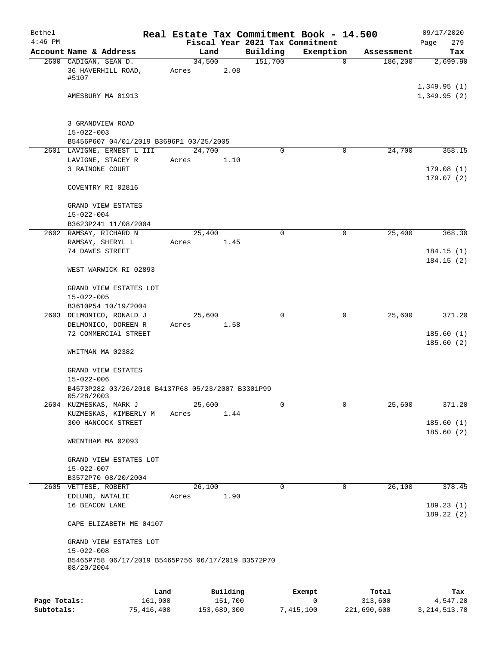| Bethel<br>$4:46$ PM |                                                                                      |                 |          | Fiscal Year 2021 Tax Commitment | Real Estate Tax Commitment Book - 14.500 |            | 09/17/2020<br>279<br>Page  |
|---------------------|--------------------------------------------------------------------------------------|-----------------|----------|---------------------------------|------------------------------------------|------------|----------------------------|
|                     | Account Name & Address                                                               | Land            |          | Building                        | Exemption                                | Assessment | Tax                        |
|                     | 2600 CADIGAN, SEAN D.                                                                | 34,500          |          | 151,700                         | $\Omega$                                 | 186,200    | 2,699.90                   |
|                     | 36 HAVERHILL ROAD,<br>#5107                                                          | Acres           | 2.08     |                                 |                                          |            |                            |
|                     | AMESBURY MA 01913                                                                    |                 |          |                                 |                                          |            | 1,349.95(1)<br>1,349.95(2) |
|                     | 3 GRANDVIEW ROAD                                                                     |                 |          |                                 |                                          |            |                            |
|                     | $15 - 022 - 003$                                                                     |                 |          |                                 |                                          |            |                            |
|                     | B5456P607 04/01/2019 B3696P1 03/25/2005                                              |                 |          |                                 |                                          |            |                            |
|                     | 2601 LAVIGNE, ERNEST L III<br>LAVIGNE, STACEY R                                      | 24,700<br>Acres | 1.10     | $\Omega$                        | $\mathbf 0$                              | 24,700     | 358.15                     |
|                     | 3 RAINONE COURT                                                                      |                 |          |                                 |                                          |            | 179.08(1)                  |
|                     |                                                                                      |                 |          |                                 |                                          |            | 179.07(2)                  |
|                     | COVENTRY RI 02816                                                                    |                 |          |                                 |                                          |            |                            |
|                     | GRAND VIEW ESTATES                                                                   |                 |          |                                 |                                          |            |                            |
|                     | $15 - 022 - 004$                                                                     |                 |          |                                 |                                          |            |                            |
|                     | B3623P241 11/08/2004                                                                 |                 |          |                                 |                                          |            |                            |
|                     | 2602 RAMSAY, RICHARD N<br>RAMSAY, SHERYL L                                           | 25,400<br>Acres | 1.45     | $\mathbf 0$                     | $\mathbf 0$                              | 25,400     | 368.30                     |
|                     | 74 DAWES STREET                                                                      |                 |          |                                 |                                          |            | 184.15(1)                  |
|                     | WEST WARWICK RI 02893                                                                |                 |          |                                 |                                          |            | 184.15(2)                  |
|                     | GRAND VIEW ESTATES LOT                                                               |                 |          |                                 |                                          |            |                            |
|                     | $15 - 022 - 005$                                                                     |                 |          |                                 |                                          |            |                            |
|                     | B3610P54 10/19/2004                                                                  |                 |          |                                 |                                          |            |                            |
|                     | 2603 DELMONICO, RONALD J                                                             | 25,600          |          | $\Omega$                        | $\mathbf 0$                              | 25,600     | 371.20                     |
|                     | DELMONICO, DOREEN R<br>72 COMMERCIAl STREET                                          | Acres           | 1.58     |                                 |                                          |            | 185.60(1)                  |
|                     |                                                                                      |                 |          |                                 |                                          |            | 185.60(2)                  |
|                     | WHITMAN MA 02382                                                                     |                 |          |                                 |                                          |            |                            |
|                     | <b>GRAND VIEW ESTATES</b><br>$15 - 022 - 006$                                        |                 |          |                                 |                                          |            |                            |
|                     | B4573P282 03/26/2010 B4137P68 05/23/2007 B3301P99<br>05/28/2003                      |                 |          |                                 |                                          |            |                            |
|                     | 2604 KUZMESKAS, MARK J                                                               | 25,600          |          | 0                               | $\mathbf 0$                              | 25,600     | 371.20                     |
|                     | KUZMESKAS, KIMBERLY M<br>300 HANCOCK STREET                                          | Acres           | 1.44     |                                 |                                          |            | 185.60(1)                  |
|                     |                                                                                      |                 |          |                                 |                                          |            | 185.60(2)                  |
|                     | WRENTHAM MA 02093                                                                    |                 |          |                                 |                                          |            |                            |
|                     | GRAND VIEW ESTATES LOT                                                               |                 |          |                                 |                                          |            |                            |
|                     | $15 - 022 - 007$                                                                     |                 |          |                                 |                                          |            |                            |
|                     | B3572P70 08/20/2004                                                                  |                 |          |                                 |                                          |            |                            |
|                     | 2605 VETTESE, ROBERT<br>EDLUND, NATALIE                                              | 26,100<br>Acres | 1.90     | $\mathbf 0$                     | $\mathbf 0$                              | 26,100     | 378.45                     |
|                     | 16 BEACON LANE                                                                       |                 |          |                                 |                                          |            | 189.23(1)                  |
|                     |                                                                                      |                 |          |                                 |                                          |            | 189.22(2)                  |
|                     | CAPE ELIZABETH ME 04107                                                              |                 |          |                                 |                                          |            |                            |
|                     | GRAND VIEW ESTATES LOT                                                               |                 |          |                                 |                                          |            |                            |
|                     | $15 - 022 - 008$<br>B5465P758 06/17/2019 B5465P756 06/17/2019 B3572P70<br>08/20/2004 |                 |          |                                 |                                          |            |                            |
|                     |                                                                                      |                 |          |                                 |                                          |            |                            |
|                     | Land                                                                                 |                 | Building |                                 | Exempt                                   | Total      | Tax                        |
| Page Totals:        | 161,900                                                                              |                 | 151,700  |                                 | 0                                        | 313,600    | 4,547.20                   |

**Subtotals:** 75,416,400 153,689,300 7,415,100 221,690,600 3,214,513.70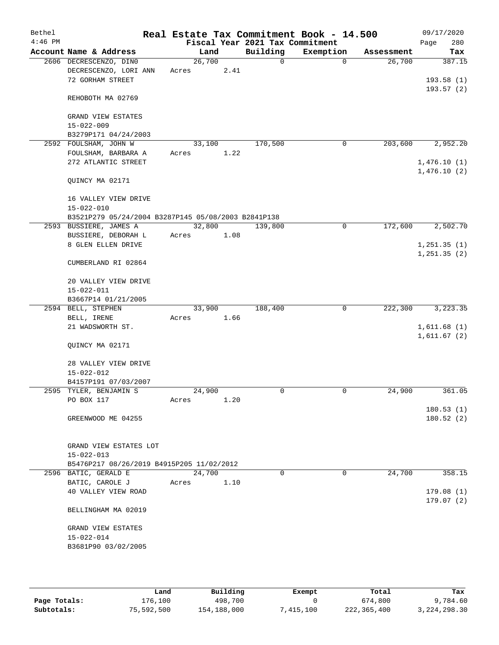| Bethel    |                                                     |        |      |                                             | Real Estate Tax Commitment Book - 14.500 |                      | 09/17/2020                 |
|-----------|-----------------------------------------------------|--------|------|---------------------------------------------|------------------------------------------|----------------------|----------------------------|
| $4:46$ PM | Account Name & Address                              |        |      | Fiscal Year 2021 Tax Commitment<br>Building |                                          |                      | 280<br>Page                |
|           | 2606 DECRESCENZO, DINO                              | 26,700 | Land | 0                                           | Exemption<br>$\Omega$                    | Assessment<br>26,700 | Tax<br>387.15              |
|           | DECRESCENZO, LORI ANN                               | Acres  | 2.41 |                                             |                                          |                      |                            |
|           | 72 GORHAM STREET                                    |        |      |                                             |                                          |                      | 193.58(1)                  |
|           |                                                     |        |      |                                             |                                          |                      | 193.57(2)                  |
|           | REHOBOTH MA 02769                                   |        |      |                                             |                                          |                      |                            |
|           |                                                     |        |      |                                             |                                          |                      |                            |
|           | <b>GRAND VIEW ESTATES</b>                           |        |      |                                             |                                          |                      |                            |
|           | $15 - 022 - 009$<br>B3279P171 04/24/2003            |        |      |                                             |                                          |                      |                            |
|           | 2592 FOULSHAM, JOHN W                               | 33,100 |      | 170,500                                     | 0                                        | 203,600              | 2,952.20                   |
|           | FOULSHAM, BARBARA A                                 | Acres  | 1.22 |                                             |                                          |                      |                            |
|           | 272 ATLANTIC STREET                                 |        |      |                                             |                                          |                      | 1,476.10(1)                |
|           |                                                     |        |      |                                             |                                          |                      | 1,476.10(2)                |
|           | QUINCY MA 02171                                     |        |      |                                             |                                          |                      |                            |
|           | 16 VALLEY VIEW DRIVE                                |        |      |                                             |                                          |                      |                            |
|           | $15 - 022 - 010$                                    |        |      |                                             |                                          |                      |                            |
|           | B3521P279 05/24/2004 B3287P145 05/08/2003 B2841P138 |        |      |                                             |                                          |                      |                            |
|           | 2593 BUSSIERE, JAMES A                              | 32,800 |      | 139,800                                     | 0                                        | 172,600              | 2,502.70                   |
|           | BUSSIERE, DEBORAH L                                 | Acres  | 1.08 |                                             |                                          |                      |                            |
|           | 8 GLEN ELLEN DRIVE                                  |        |      |                                             |                                          |                      | 1,251.35(1)                |
|           | CUMBERLAND RI 02864                                 |        |      |                                             |                                          |                      | 1, 251.35(2)               |
|           |                                                     |        |      |                                             |                                          |                      |                            |
|           | 20 VALLEY VIEW DRIVE                                |        |      |                                             |                                          |                      |                            |
|           | 15-022-011                                          |        |      |                                             |                                          |                      |                            |
|           | B3667P14 01/21/2005                                 |        |      |                                             |                                          |                      |                            |
|           | 2594 BELL, STEPHEN                                  | 33,900 |      | 188,400                                     | 0                                        | 222,300              | 3,223.35                   |
|           | BELL, IRENE                                         | Acres  | 1.66 |                                             |                                          |                      |                            |
|           | 21 WADSWORTH ST.                                    |        |      |                                             |                                          |                      | 1,611.68(1)<br>1,611.67(2) |
|           | QUINCY MA 02171                                     |        |      |                                             |                                          |                      |                            |
|           | 28 VALLEY VIEW DRIVE                                |        |      |                                             |                                          |                      |                            |
|           | $15 - 022 - 012$                                    |        |      |                                             |                                          |                      |                            |
|           | B4157P191 07/03/2007                                |        |      |                                             |                                          |                      |                            |
|           | 2595 TYLER, BENJAMIN S                              | 24,900 |      | 0                                           | 0                                        | 24,900               | 361.05                     |
|           | PO BOX 117                                          | Acres  | 1.20 |                                             |                                          |                      |                            |
|           |                                                     |        |      |                                             |                                          |                      | 180.53(1)                  |
|           | GREENWOOD ME 04255                                  |        |      |                                             |                                          |                      | 180.52(2)                  |
|           | GRAND VIEW ESTATES LOT                              |        |      |                                             |                                          |                      |                            |
|           | $15 - 022 - 013$                                    |        |      |                                             |                                          |                      |                            |
|           | B5476P217 08/26/2019 B4915P205 11/02/2012           |        |      |                                             |                                          |                      |                            |
|           | 2596 BATIC, GERALD E                                | 24,700 |      | $\Omega$                                    | $\Omega$                                 | 24,700               | 358.15                     |
|           | BATIC, CAROLE J                                     | Acres  | 1.10 |                                             |                                          |                      |                            |
|           | 40 VALLEY VIEW ROAD                                 |        |      |                                             |                                          |                      | 179.08(1)                  |
|           |                                                     |        |      |                                             |                                          |                      | 179.07(2)                  |
|           | BELLINGHAM MA 02019                                 |        |      |                                             |                                          |                      |                            |
|           | GRAND VIEW ESTATES                                  |        |      |                                             |                                          |                      |                            |
|           | $15 - 022 - 014$                                    |        |      |                                             |                                          |                      |                            |
|           | B3681P90 03/02/2005                                 |        |      |                                             |                                          |                      |                            |
|           |                                                     |        |      |                                             |                                          |                      |                            |
|           |                                                     |        |      |                                             |                                          |                      |                            |

|              | Land       | Building    | Exempt    | Total       | Tax            |
|--------------|------------|-------------|-----------|-------------|----------------|
| Page Totals: | L76,100    | 498,700     |           | 674,800     | 9,784.60       |
| Subtotals:   | 75,592,500 | 154,188,000 | 7,415,100 | 222,365,400 | 3, 224, 298.30 |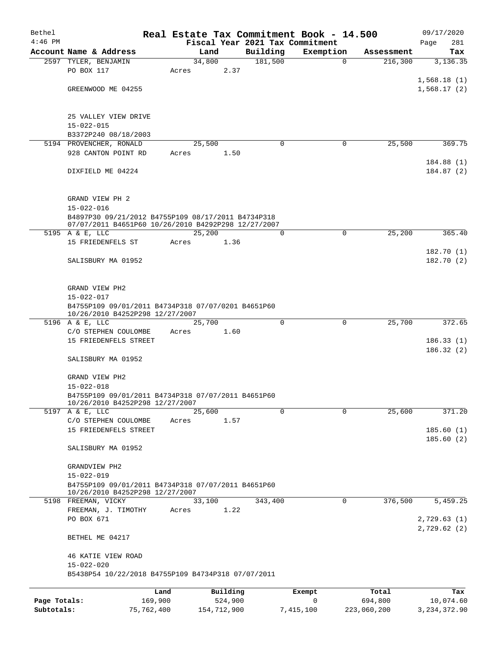| Bethel       |                                                                                                           |            |             |          |          | Real Estate Tax Commitment Book - 14.500 |             |             | 09/17/2020     |
|--------------|-----------------------------------------------------------------------------------------------------------|------------|-------------|----------|----------|------------------------------------------|-------------|-------------|----------------|
| $4:46$ PM    |                                                                                                           |            |             |          |          | Fiscal Year 2021 Tax Commitment          |             |             | Page<br>281    |
|              | Account Name & Address                                                                                    |            | Land        |          | Building | Exemption                                |             | Assessment  | Tax            |
|              | 2597 TYLER, BENJAMIN                                                                                      |            | 34,800      |          | 181,500  |                                          | $\mathbf 0$ | 216,300     | 3,136.35       |
|              | PO BOX 117                                                                                                | Acres      |             | 2.37     |          |                                          |             |             |                |
|              |                                                                                                           |            |             |          |          |                                          |             |             | 1,568.18(1)    |
|              | GREENWOOD ME 04255                                                                                        |            |             |          |          |                                          |             |             | 1,568.17(2)    |
|              |                                                                                                           |            |             |          |          |                                          |             |             |                |
|              | 25 VALLEY VIEW DRIVE<br>$15 - 022 - 015$                                                                  |            |             |          |          |                                          |             |             |                |
|              | B3372P240 08/18/2003                                                                                      |            |             |          |          |                                          |             |             |                |
|              | 5194 PROVENCHER, RONALD                                                                                   |            | 25,500      |          | $\Omega$ |                                          | 0           | 25,500      | 369.75         |
|              | 928 CANTON POINT RD                                                                                       | Acres      |             | 1.50     |          |                                          |             |             |                |
|              |                                                                                                           |            |             |          |          |                                          |             |             | 184.88(1)      |
|              | DIXFIELD ME 04224                                                                                         |            |             |          |          |                                          |             |             | 184.87 (2)     |
|              | GRAND VIEW PH 2                                                                                           |            |             |          |          |                                          |             |             |                |
|              | $15 - 022 - 016$                                                                                          |            |             |          |          |                                          |             |             |                |
|              | B4897P30 09/21/2012 B4755P109 08/17/2011 B4734P318<br>07/07/2011 B4651P60 10/26/2010 B4292P298 12/27/2007 |            |             |          |          |                                          |             |             |                |
|              | 5195 A & E, LLC                                                                                           |            | 25,200      |          | $\Omega$ |                                          | $\mathbf 0$ | 25,200      | 365.40         |
|              | 15 FRIEDENFELS ST                                                                                         | Acres      |             | 1.36     |          |                                          |             |             |                |
|              |                                                                                                           |            |             |          |          |                                          |             |             | 182.70(1)      |
|              | SALISBURY MA 01952                                                                                        |            |             |          |          |                                          |             |             | 182.70 (2)     |
|              |                                                                                                           |            |             |          |          |                                          |             |             |                |
|              | GRAND VIEW PH2                                                                                            |            |             |          |          |                                          |             |             |                |
|              | $15 - 022 - 017$                                                                                          |            |             |          |          |                                          |             |             |                |
|              | B4755P109 09/01/2011 B4734P318 07/07/0201 B4651P60<br>10/26/2010 B4252P298 12/27/2007                     |            |             |          |          |                                          |             |             |                |
|              | 5196 A & E, LLC                                                                                           |            | 25,700      |          | 0        |                                          | $\mathbf 0$ | 25,700      | 372.65         |
|              | C/O STEPHEN COULOMBE                                                                                      | Acres      |             | 1.60     |          |                                          |             |             |                |
|              | 15 FRIEDENFELS STREET                                                                                     |            |             |          |          |                                          |             |             | 186.33(1)      |
|              |                                                                                                           |            |             |          |          |                                          |             |             | 186.32(2)      |
|              | SALISBURY MA 01952                                                                                        |            |             |          |          |                                          |             |             |                |
|              | GRAND VIEW PH2                                                                                            |            |             |          |          |                                          |             |             |                |
|              | $15 - 022 - 018$                                                                                          |            |             |          |          |                                          |             |             |                |
|              | B4755P109 09/01/2011 B4734P318 07/07/2011 B4651P60                                                        |            |             |          |          |                                          |             |             |                |
|              | 10/26/2010 B4252P298 12/27/2007                                                                           |            |             |          |          |                                          |             |             |                |
|              | 5197 A & E, LLC                                                                                           |            | 25,600      |          | 0        |                                          | 0           | 25,600      | 371.20         |
|              | C/O STEPHEN COULOMBE                                                                                      | Acres      |             | 1.57     |          |                                          |             |             |                |
|              | 15 FRIEDENFELS STREET                                                                                     |            |             |          |          |                                          |             |             | 185.60(1)      |
|              | SALISBURY MA 01952                                                                                        |            |             |          |          |                                          |             |             | 185.60(2)      |
|              |                                                                                                           |            |             |          |          |                                          |             |             |                |
|              | GRANDVIEW PH2                                                                                             |            |             |          |          |                                          |             |             |                |
|              | $15 - 022 - 019$                                                                                          |            |             |          |          |                                          |             |             |                |
|              | B4755P109 09/01/2011 B4734P318 07/07/2011 B4651P60<br>10/26/2010 B4252P298 12/27/2007                     |            |             |          |          |                                          |             |             |                |
|              | 5198 FREEMAN, VICKY                                                                                       |            | 33,100      |          | 343,400  |                                          | 0           | 376,500     | 5,459.25       |
|              | FREEMAN, J. TIMOTHY                                                                                       | Acres      |             | 1.22     |          |                                          |             |             |                |
|              | PO BOX 671                                                                                                |            |             |          |          |                                          |             |             | 2,729.63(1)    |
|              | BETHEL ME 04217                                                                                           |            |             |          |          |                                          |             |             | 2,729.62(2)    |
|              | 46 KATIE VIEW ROAD                                                                                        |            |             |          |          |                                          |             |             |                |
|              | $15 - 022 - 020$                                                                                          |            |             |          |          |                                          |             |             |                |
|              | B5438P54 10/22/2018 B4755P109 B4734P318 07/07/2011                                                        |            |             |          |          |                                          |             |             |                |
|              |                                                                                                           | Land       |             | Building |          | Exempt                                   |             | Total       | Tax            |
| Page Totals: |                                                                                                           | 169,900    |             | 524,900  |          | 0                                        |             | 694,800     | 10,074.60      |
| Subtotals:   |                                                                                                           | 75,762,400 | 154,712,900 |          |          | 7,415,100                                |             | 223,060,200 | 3, 234, 372.90 |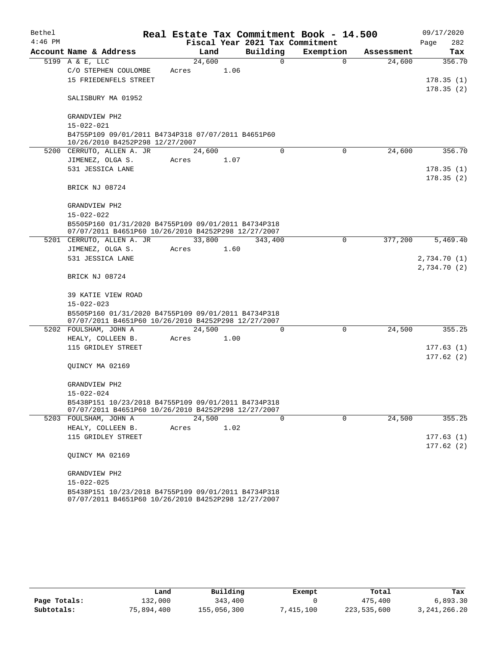| Bethel    |                                                                                                            |                |      |                                 | Real Estate Tax Commitment Book - 14.500 |                      | 09/17/2020    |
|-----------|------------------------------------------------------------------------------------------------------------|----------------|------|---------------------------------|------------------------------------------|----------------------|---------------|
| $4:46$ PM |                                                                                                            |                |      | Fiscal Year 2021 Tax Commitment |                                          |                      | 282<br>Page   |
|           | Account Name & Address<br>5199 A & E, LLC                                                                  | Land<br>24,600 |      | Building<br>0                   | Exemption<br>$\Omega$                    | Assessment<br>24,600 | Tax<br>356.70 |
|           | C/O STEPHEN COULOMBE                                                                                       | Acres          | 1.06 |                                 |                                          |                      |               |
|           | 15 FRIEDENFELS STREET                                                                                      |                |      |                                 |                                          |                      | 178.35(1)     |
|           |                                                                                                            |                |      |                                 |                                          |                      | 178.35(2)     |
|           | SALISBURY MA 01952                                                                                         |                |      |                                 |                                          |                      |               |
|           | GRANDVIEW PH2                                                                                              |                |      |                                 |                                          |                      |               |
|           | $15 - 022 - 021$                                                                                           |                |      |                                 |                                          |                      |               |
|           | B4755P109 09/01/2011 B4734P318 07/07/2011 B4651P60<br>10/26/2010 B4252P298 12/27/2007                      |                |      |                                 |                                          |                      |               |
|           | 5200 CERRUTO, ALLEN A. JR                                                                                  | 24,600         |      | $\Omega$                        | $\Omega$                                 | 24,600               | 356.70        |
|           | JIMENEZ, OLGA S.                                                                                           | Acres          | 1.07 |                                 |                                          |                      |               |
|           | 531 JESSICA LANE                                                                                           |                |      |                                 |                                          |                      | 178.35(1)     |
|           |                                                                                                            |                |      |                                 |                                          |                      | 178.35(2)     |
|           | BRICK NJ 08724                                                                                             |                |      |                                 |                                          |                      |               |
|           | GRANDVIEW PH2                                                                                              |                |      |                                 |                                          |                      |               |
|           | $15 - 022 - 022$                                                                                           |                |      |                                 |                                          |                      |               |
|           | B5505P160 01/31/2020 B4755P109 09/01/2011 B4734P318                                                        |                |      |                                 |                                          |                      |               |
|           | 07/07/2011 B4651P60 10/26/2010 B4252P298 12/27/2007                                                        |                |      |                                 |                                          |                      |               |
|           | 5201 CERRUTO, ALLEN A. JR                                                                                  | 33,800         |      | 343,400                         | $\Omega$                                 | 377,200              | 5,469.40      |
|           | JIMENEZ, OLGA S.                                                                                           | Acres          | 1.60 |                                 |                                          |                      |               |
|           | 531 JESSICA LANE                                                                                           |                |      |                                 |                                          |                      | 2,734.70 (1)  |
|           | BRICK NJ 08724                                                                                             |                |      |                                 |                                          |                      | 2,734.70(2)   |
|           | 39 KATIE VIEW ROAD                                                                                         |                |      |                                 |                                          |                      |               |
|           | $15 - 022 - 023$                                                                                           |                |      |                                 |                                          |                      |               |
|           | B5505P160 01/31/2020 B4755P109 09/01/2011 B4734P318                                                        |                |      |                                 |                                          |                      |               |
|           | 07/07/2011 B4651P60 10/26/2010 B4252P298 12/27/2007                                                        |                |      |                                 |                                          |                      |               |
|           | 5202 FOULSHAM, JOHN A                                                                                      | 24,500         |      | $\Omega$                        | $\mathbf 0$                              | 24,500               | 355.25        |
|           | HEALY, COLLEEN B.                                                                                          | Acres          | 1.00 |                                 |                                          |                      |               |
|           | 115 GRIDLEY STREET                                                                                         |                |      |                                 |                                          |                      | 177.63(1)     |
|           |                                                                                                            |                |      |                                 |                                          |                      | 177.62(2)     |
|           | OUINCY MA 02169                                                                                            |                |      |                                 |                                          |                      |               |
|           |                                                                                                            |                |      |                                 |                                          |                      |               |
|           | GRANDVIEW PH2                                                                                              |                |      |                                 |                                          |                      |               |
|           | $15 - 022 - 024$                                                                                           |                |      |                                 |                                          |                      |               |
|           | B5438P151 10/23/2018 B4755P109 09/01/2011 B4734P318<br>07/07/2011 B4651P60 10/26/2010 B4252P298 12/27/2007 |                |      |                                 |                                          |                      |               |
|           | 5203 FOULSHAM, JOHN A                                                                                      | 24,500         |      | $\Omega$                        | $\mathbf 0$                              | 24,500               | 355.25        |
|           | HEALY, COLLEEN B.                                                                                          | Acres          | 1.02 |                                 |                                          |                      |               |
|           | 115 GRIDLEY STREET                                                                                         |                |      |                                 |                                          |                      | 177.63(1)     |
|           |                                                                                                            |                |      |                                 |                                          |                      | 177.62(2)     |
|           | QUINCY MA 02169                                                                                            |                |      |                                 |                                          |                      |               |
|           | GRANDVIEW PH2                                                                                              |                |      |                                 |                                          |                      |               |
|           | $15 - 022 - 025$                                                                                           |                |      |                                 |                                          |                      |               |
|           | B5438P151 10/23/2018 B4755P109 09/01/2011 B4734P318<br>07/07/2011 B4651P60 10/26/2010 B4252P298 12/27/2007 |                |      |                                 |                                          |                      |               |

|              | Land       | Building    | Exempt   | Total       | Tax             |
|--------------|------------|-------------|----------|-------------|-----------------|
| Page Totals: | 132,000    | 343,400     |          | 475,400     | 6,893.30        |
| Subtotals:   | 75,894,400 | 155,056,300 | .415.100 | 223,535,600 | 3, 241, 266. 20 |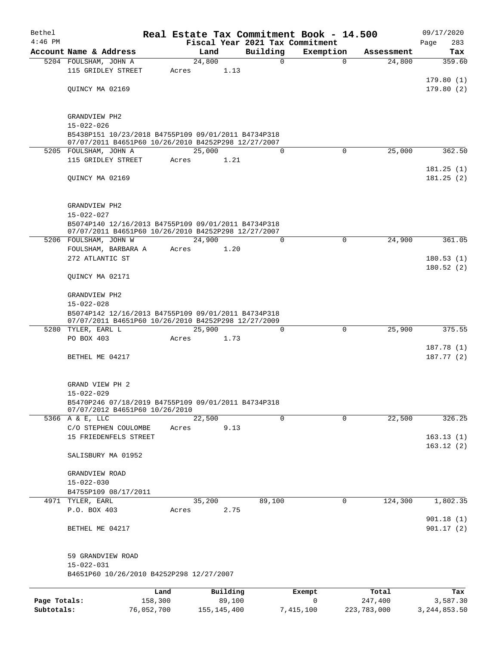| Bethel       |                                                                                       |            |       |               |          |             | Real Estate Tax Commitment Book - 14.500 |             |             | 09/17/2020              |
|--------------|---------------------------------------------------------------------------------------|------------|-------|---------------|----------|-------------|------------------------------------------|-------------|-------------|-------------------------|
| $4:46$ PM    |                                                                                       |            |       |               |          |             | Fiscal Year 2021 Tax Commitment          |             |             | 283<br>Page             |
|              | Account Name & Address                                                                |            |       | Land          |          | Building    | Exemption                                |             | Assessment  | Tax                     |
|              | 5204 FOULSHAM, JOHN A<br>115 GRIDLEY STREET                                           |            | Acres | 24,800        | 1.13     | $\mathbf 0$ |                                          | $\Omega$    | 24,800      | 359.60                  |
|              |                                                                                       |            |       |               |          |             |                                          |             |             | 179.80(1)               |
|              | OUINCY MA 02169                                                                       |            |       |               |          |             |                                          |             |             | 179.80(2)               |
|              |                                                                                       |            |       |               |          |             |                                          |             |             |                         |
|              |                                                                                       |            |       |               |          |             |                                          |             |             |                         |
|              | GRANDVIEW PH2                                                                         |            |       |               |          |             |                                          |             |             |                         |
|              | $15 - 022 - 026$<br>B5438P151 10/23/2018 B4755P109 09/01/2011 B4734P318               |            |       |               |          |             |                                          |             |             |                         |
|              | 07/07/2011 B4651P60 10/26/2010 B4252P298 12/27/2007                                   |            |       |               |          |             |                                          |             |             |                         |
|              | 5205 FOULSHAM, JOHN A                                                                 |            |       | 25,000        |          | 0           |                                          | $\Omega$    | 25,000      | 362.50                  |
|              | 115 GRIDLEY STREET                                                                    |            | Acres |               | 1.21     |             |                                          |             |             |                         |
|              | QUINCY MA 02169                                                                       |            |       |               |          |             |                                          |             |             | 181.25(1)<br>181.25(2)  |
|              |                                                                                       |            |       |               |          |             |                                          |             |             |                         |
|              |                                                                                       |            |       |               |          |             |                                          |             |             |                         |
|              | GRANDVIEW PH2                                                                         |            |       |               |          |             |                                          |             |             |                         |
|              | $15 - 022 - 027$                                                                      |            |       |               |          |             |                                          |             |             |                         |
|              | B5074P140 12/16/2013 B4755P109 09/01/2011 B4734P318                                   |            |       |               |          |             |                                          |             |             |                         |
|              | 07/07/2011 B4651P60 10/26/2010 B4252P298 12/27/2007<br>5206 FOULSHAM, JOHN W          |            |       | 24,900        |          | $\Omega$    |                                          | $\Omega$    | 24,900      | 361.05                  |
|              | FOULSHAM, BARBARA A                                                                   |            | Acres |               | 1.20     |             |                                          |             |             |                         |
|              | 272 ATLANTIC ST                                                                       |            |       |               |          |             |                                          |             |             | 180.53(1)               |
|              |                                                                                       |            |       |               |          |             |                                          |             |             | 180.52(2)               |
|              | QUINCY MA 02171                                                                       |            |       |               |          |             |                                          |             |             |                         |
|              |                                                                                       |            |       |               |          |             |                                          |             |             |                         |
|              | GRANDVIEW PH2<br>$15 - 022 - 028$                                                     |            |       |               |          |             |                                          |             |             |                         |
|              | B5074P142 12/16/2013 B4755P109 09/01/2011 B4734P318                                   |            |       |               |          |             |                                          |             |             |                         |
|              | 07/07/2011 B4651P60 10/26/2010 B4252P298 12/27/2009                                   |            |       |               |          |             |                                          |             |             |                         |
|              | 5280 TYLER, EARL L                                                                    |            |       | 25,900        |          | $\Omega$    |                                          | $\Omega$    | 25,900      | 375.55                  |
|              | PO BOX 403                                                                            |            | Acres |               | 1.73     |             |                                          |             |             |                         |
|              | BETHEL ME 04217                                                                       |            |       |               |          |             |                                          |             |             | 187.78 (1)<br>187.77(2) |
|              |                                                                                       |            |       |               |          |             |                                          |             |             |                         |
|              |                                                                                       |            |       |               |          |             |                                          |             |             |                         |
|              | GRAND VIEW PH 2                                                                       |            |       |               |          |             |                                          |             |             |                         |
|              | $15 - 022 - 029$                                                                      |            |       |               |          |             |                                          |             |             |                         |
|              | B5470P246 07/18/2019 B4755P109 09/01/2011 B4734P318<br>07/07/2012 B4651P60 10/26/2010 |            |       |               |          |             |                                          |             |             |                         |
|              | 5366 A & E, LLC                                                                       |            |       | 22,500        |          | $\mathbf 0$ |                                          | $\mathbf 0$ | 22,500      | 326.25                  |
|              | C/O STEPHEN COULOMBE                                                                  |            | Acres |               | 9.13     |             |                                          |             |             |                         |
|              | 15 FRIEDENFELS STREET                                                                 |            |       |               |          |             |                                          |             |             | 163.13(1)               |
|              | SALISBURY MA 01952                                                                    |            |       |               |          |             |                                          |             |             | 163.12(2)               |
|              |                                                                                       |            |       |               |          |             |                                          |             |             |                         |
|              | GRANDVIEW ROAD                                                                        |            |       |               |          |             |                                          |             |             |                         |
|              | $15 - 022 - 030$                                                                      |            |       |               |          |             |                                          |             |             |                         |
|              | B4755P109 08/17/2011                                                                  |            |       |               |          |             |                                          |             |             |                         |
|              | 4971 TYLER, EARL                                                                      |            |       | 35,200        |          | 89,100      |                                          | $\mathbf 0$ | 124,300     | 1,802.35                |
|              | P.O. BOX 403                                                                          |            | Acres |               | 2.75     |             |                                          |             |             | 901.18(1)               |
|              | BETHEL ME 04217                                                                       |            |       |               |          |             |                                          |             |             | 901.17(2)               |
|              |                                                                                       |            |       |               |          |             |                                          |             |             |                         |
|              |                                                                                       |            |       |               |          |             |                                          |             |             |                         |
|              | 59 GRANDVIEW ROAD                                                                     |            |       |               |          |             |                                          |             |             |                         |
|              | $15 - 022 - 031$                                                                      |            |       |               |          |             |                                          |             |             |                         |
|              | B4651P60 10/26/2010 B4252P298 12/27/2007                                              |            |       |               |          |             |                                          |             |             |                         |
|              |                                                                                       | Land       |       |               | Building |             | Exempt                                   |             | Total       | Tax                     |
| Page Totals: |                                                                                       | 158,300    |       |               | 89,100   |             | 0                                        |             | 247,400     | 3,587.30                |
| Subtotals:   |                                                                                       | 76,052,700 |       | 155, 145, 400 |          |             | 7,415,100                                |             | 223,783,000 | 3, 244, 853.50          |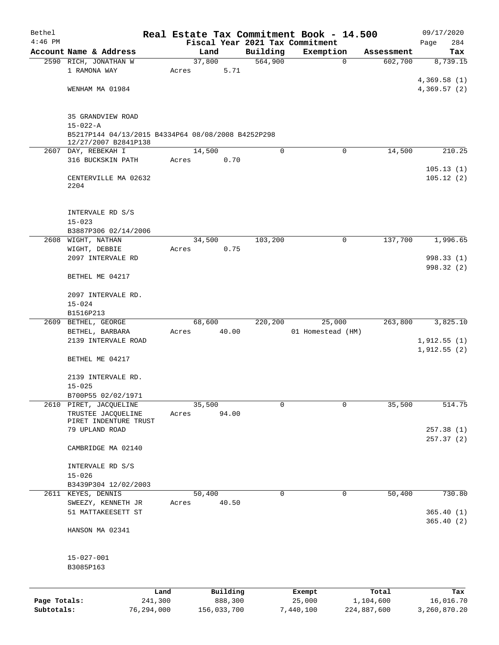| Bethel                     |                                                                            | Real Estate Tax Commitment Book - 14.500 |                     |                                 |                       | 09/17/2020                 |
|----------------------------|----------------------------------------------------------------------------|------------------------------------------|---------------------|---------------------------------|-----------------------|----------------------------|
| $4:46$ PM                  | Account Name & Address                                                     |                                          |                     | Fiscal Year 2021 Tax Commitment |                       | 284<br>Page                |
|                            | 2590 RICH, JONATHAN W                                                      | Land<br>37,800                           | Building<br>564,900 | Exemption<br>$\mathbf 0$        | Assessment<br>602,700 | Tax<br>8,739.15            |
|                            | 1 RAMONA WAY                                                               | 5.71<br>Acres                            |                     |                                 |                       |                            |
|                            |                                                                            |                                          |                     |                                 |                       | 4,369.58(1)                |
|                            | WENHAM MA 01984                                                            |                                          |                     |                                 |                       | 4,369.57(2)                |
|                            | 35 GRANDVIEW ROAD<br>$15 - 022 - A$                                        |                                          |                     |                                 |                       |                            |
|                            | B5217P144 04/13/2015 B4334P64 08/08/2008 B4252P298<br>12/27/2007 B2841P138 |                                          |                     |                                 |                       |                            |
|                            | 2607 DAY, REBEKAH I                                                        | 14,500                                   | $\Omega$            | $\mathbf 0$                     | 14,500                | 210.25                     |
|                            | 316 BUCKSKIN PATH                                                          | 0.70<br>Acres                            |                     |                                 |                       |                            |
|                            | CENTERVILLE MA 02632<br>2204                                               |                                          |                     |                                 |                       | 105.13(1)<br>105.12(2)     |
|                            | INTERVALE RD S/S<br>$15 - 023$                                             |                                          |                     |                                 |                       |                            |
|                            | B3887P306 02/14/2006                                                       |                                          |                     |                                 |                       |                            |
|                            | 2608 WIGHT, NATHAN                                                         | 34,500                                   | 103,200             | 0                               | 137,700               | 1,996.65                   |
|                            | WIGHT, DEBBIE<br>2097 INTERVALE RD                                         | 0.75<br>Acres                            |                     |                                 |                       | 998.33 (1)                 |
|                            | BETHEL ME 04217                                                            |                                          |                     |                                 |                       | 998.32 (2)                 |
|                            | 2097 INTERVALE RD.                                                         |                                          |                     |                                 |                       |                            |
|                            | $15 - 024$                                                                 |                                          |                     |                                 |                       |                            |
|                            | B1516P213                                                                  |                                          |                     |                                 |                       |                            |
|                            | 2609 BETHEL, GEORGE                                                        | 68,600                                   | 220,200             | 25,000                          | 263,800               | 3,825.10                   |
|                            | BETHEL, BARBARA<br>2139 INTERVALE ROAD                                     | 40.00<br>Acres                           |                     | 01 Homestead (HM)               |                       | 1,912.55(1)<br>1,912.55(2) |
|                            | BETHEL ME 04217                                                            |                                          |                     |                                 |                       |                            |
|                            | 2139 INTERVALE RD.<br>$15 - 025$                                           |                                          |                     |                                 |                       |                            |
|                            | B700P55 02/02/1971                                                         |                                          |                     |                                 |                       |                            |
| 2610                       | PIRET, JACQUELINE                                                          | 35,500                                   | 0                   | $\mathbf 0$                     | 35,500                | 514.75                     |
|                            | TRUSTEE JACQUELINE                                                         | 94.00<br>Acres                           |                     |                                 |                       |                            |
|                            | PIRET INDENTURE TRUST<br>79 UPLAND ROAD                                    |                                          |                     |                                 |                       | 257.38 (1)                 |
|                            |                                                                            |                                          |                     |                                 |                       | 257.37(2)                  |
|                            | CAMBRIDGE MA 02140                                                         |                                          |                     |                                 |                       |                            |
|                            | INTERVALE RD S/S                                                           |                                          |                     |                                 |                       |                            |
|                            | $15 - 026$                                                                 |                                          |                     |                                 |                       |                            |
|                            | B3439P304 12/02/2003<br>2611 KEYES, DENNIS                                 | 50,400                                   | 0                   | 0                               | 50,400                | 730.80                     |
|                            | SWEEZY, KENNETH JR                                                         | 40.50<br>Acres                           |                     |                                 |                       |                            |
|                            | 51 MATTAKEESETT ST                                                         |                                          |                     |                                 |                       | 365.40(1)                  |
|                            | HANSON MA 02341                                                            |                                          |                     |                                 |                       | 365.40(2)                  |
|                            | $15 - 027 - 001$<br>B3085P163                                              |                                          |                     |                                 |                       |                            |
|                            |                                                                            | Building<br>Land                         |                     | Exempt                          | Total                 | Tax                        |
| Page Totals:<br>Subtotals: | 241,300                                                                    | 888,300                                  |                     | 25,000                          | 1,104,600             | 16,016.70                  |
|                            | 76,294,000                                                                 | 156,033,700                              |                     | 7,440,100                       | 224,887,600           | 3,260,870.20               |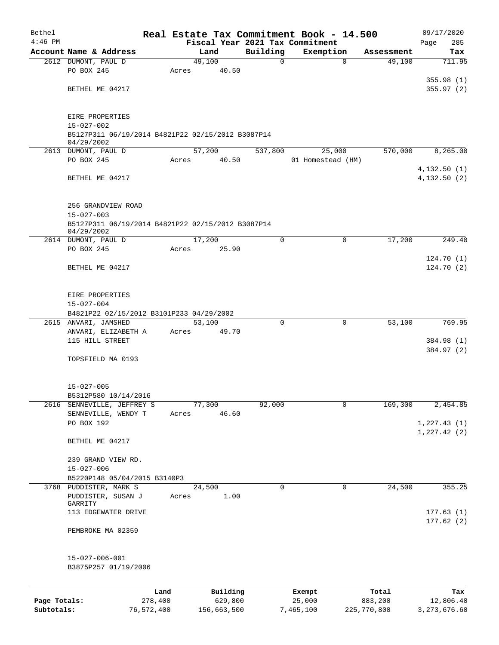| Bethel       |                                                                 |                 |       |                     | Real Estate Tax Commitment Book - 14.500 |                  |                   |                  | 09/17/2020                  |
|--------------|-----------------------------------------------------------------|-----------------|-------|---------------------|------------------------------------------|------------------|-------------------|------------------|-----------------------------|
| $4:46$ PM    |                                                                 |                 |       |                     | Fiscal Year 2021 Tax Commitment          |                  |                   |                  | 285<br>Page                 |
|              | Account Name & Address                                          |                 |       | Land                | Building                                 |                  | Exemption         | Assessment       | Tax                         |
|              | 2612 DUMONT, PAUL D<br>PO BOX 245                               |                 |       | 49,100<br>40.50     | $\mathbf 0$                              |                  | $\mathbf 0$       | 49,100           | 711.95                      |
|              |                                                                 |                 | Acres |                     |                                          |                  |                   |                  | 355.98(1)                   |
|              | BETHEL ME 04217                                                 |                 |       |                     |                                          |                  |                   |                  | 355.97(2)                   |
|              |                                                                 |                 |       |                     |                                          |                  |                   |                  |                             |
|              |                                                                 |                 |       |                     |                                          |                  |                   |                  |                             |
|              | EIRE PROPERTIES                                                 |                 |       |                     |                                          |                  |                   |                  |                             |
|              | $15 - 027 - 002$                                                |                 |       |                     |                                          |                  |                   |                  |                             |
|              | B5127P311 06/19/2014 B4821P22 02/15/2012 B3087P14<br>04/29/2002 |                 |       |                     |                                          |                  |                   |                  |                             |
|              | 2613 DUMONT, PAUL D                                             |                 |       | 57,200              | 537,800                                  |                  | 25,000            | 570,000          | 8,265.00                    |
|              | PO BOX 245                                                      |                 | Acres | 40.50               |                                          |                  | 01 Homestead (HM) |                  |                             |
|              |                                                                 |                 |       |                     |                                          |                  |                   |                  | 4,132.50(1)                 |
|              | BETHEL ME 04217                                                 |                 |       |                     |                                          |                  |                   |                  | 4, 132.50(2)                |
|              |                                                                 |                 |       |                     |                                          |                  |                   |                  |                             |
|              |                                                                 |                 |       |                     |                                          |                  |                   |                  |                             |
|              | 256 GRANDVIEW ROAD<br>$15 - 027 - 003$                          |                 |       |                     |                                          |                  |                   |                  |                             |
|              | B5127P311 06/19/2014 B4821P22 02/15/2012 B3087P14               |                 |       |                     |                                          |                  |                   |                  |                             |
|              | 04/29/2002                                                      |                 |       |                     |                                          |                  |                   |                  |                             |
|              | 2614 DUMONT, PAUL D                                             |                 |       | 17,200              | $\Omega$                                 |                  | $\mathbf 0$       | 17,200           | 249.40                      |
|              | PO BOX 245                                                      |                 | Acres | 25.90               |                                          |                  |                   |                  |                             |
|              |                                                                 |                 |       |                     |                                          |                  |                   |                  | 124.70(1)                   |
|              | BETHEL ME 04217                                                 |                 |       |                     |                                          |                  |                   |                  | 124.70(2)                   |
|              |                                                                 |                 |       |                     |                                          |                  |                   |                  |                             |
|              | EIRE PROPERTIES                                                 |                 |       |                     |                                          |                  |                   |                  |                             |
|              | $15 - 027 - 004$                                                |                 |       |                     |                                          |                  |                   |                  |                             |
|              | B4821P22 02/15/2012 B3101P233 04/29/2002                        |                 |       |                     |                                          |                  |                   |                  |                             |
|              | 2615 ANVARI, JAMSHED                                            |                 |       | 53,100              | $\Omega$                                 |                  | $\mathbf 0$       | 53,100           | 769.95                      |
|              | ANVARI, ELIZABETH A                                             |                 | Acres | 49.70               |                                          |                  |                   |                  |                             |
|              | 115 HILL STREET                                                 |                 |       |                     |                                          |                  |                   |                  | 384.98 (1)<br>384.97 (2)    |
|              | TOPSFIELD MA 0193                                               |                 |       |                     |                                          |                  |                   |                  |                             |
|              |                                                                 |                 |       |                     |                                          |                  |                   |                  |                             |
|              |                                                                 |                 |       |                     |                                          |                  |                   |                  |                             |
|              | $15 - 027 - 005$                                                |                 |       |                     |                                          |                  |                   |                  |                             |
|              | B5312P580 10/14/2016                                            |                 |       |                     |                                          |                  |                   |                  |                             |
|              | 2616 SENNEVILLE, JEFFREY S                                      |                 |       | 77,300              | 92,000                                   |                  | 0                 | 169,300          | 2,454.85                    |
|              | SENNEVILLE, WENDY T<br>PO BOX 192                               |                 | Acres | 46.60               |                                          |                  |                   |                  |                             |
|              |                                                                 |                 |       |                     |                                          |                  |                   |                  | 1, 227.43(1)<br>1,227.42(2) |
|              | BETHEL ME 04217                                                 |                 |       |                     |                                          |                  |                   |                  |                             |
|              |                                                                 |                 |       |                     |                                          |                  |                   |                  |                             |
|              | 239 GRAND VIEW RD.                                              |                 |       |                     |                                          |                  |                   |                  |                             |
|              | $15 - 027 - 006$                                                |                 |       |                     |                                          |                  |                   |                  |                             |
|              | B5220P148 05/04/2015 B3140P3                                    |                 |       |                     |                                          |                  |                   |                  |                             |
|              | 3768 PUDDISTER, MARK S                                          |                 |       | 24,500              | $\mathbf 0$                              |                  | $\mathbf 0$       | 24,500           | 355.25                      |
|              | PUDDISTER, SUSAN J<br>GARRITY                                   |                 | Acres | 1.00                |                                          |                  |                   |                  |                             |
|              | 113 EDGEWATER DRIVE                                             |                 |       |                     |                                          |                  |                   |                  | 177.63(1)                   |
|              |                                                                 |                 |       |                     |                                          |                  |                   |                  | 177.62(2)                   |
|              | PEMBROKE MA 02359                                               |                 |       |                     |                                          |                  |                   |                  |                             |
|              |                                                                 |                 |       |                     |                                          |                  |                   |                  |                             |
|              | $15 - 027 - 006 - 001$                                          |                 |       |                     |                                          |                  |                   |                  |                             |
|              | B3875P257 01/19/2006                                            |                 |       |                     |                                          |                  |                   |                  |                             |
|              |                                                                 |                 |       |                     |                                          |                  |                   |                  |                             |
|              |                                                                 |                 |       |                     |                                          |                  |                   |                  |                             |
| Page Totals: |                                                                 | Land<br>278,400 |       | Building<br>629,800 |                                          | Exempt<br>25,000 |                   | Total<br>883,200 | Tax<br>12,806.40            |
|              |                                                                 |                 |       |                     |                                          |                  |                   |                  |                             |

**Subtotals:** 76,572,400 156,663,500 7,465,100 225,770,800 3,273,676.60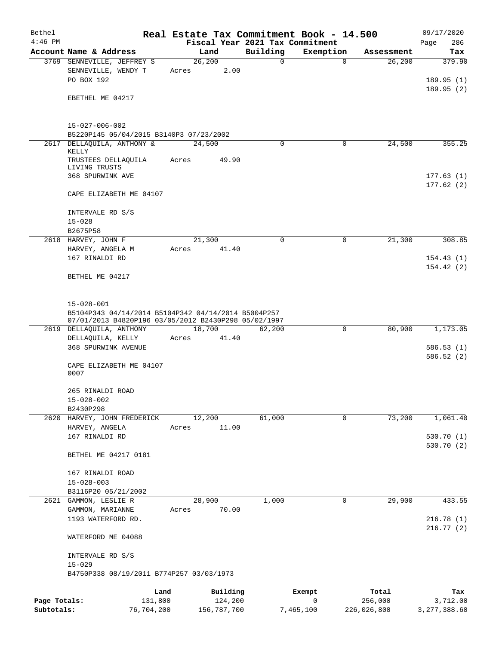| Bethel       |                                                                                                                                                             | Real Estate Tax Commitment Book - 14.500 |                                 |             |             | 09/17/2020              |
|--------------|-------------------------------------------------------------------------------------------------------------------------------------------------------------|------------------------------------------|---------------------------------|-------------|-------------|-------------------------|
| $4:46$ PM    |                                                                                                                                                             |                                          | Fiscal Year 2021 Tax Commitment |             |             | 286<br>Page             |
|              | Account Name & Address                                                                                                                                      | Land                                     | Building                        | Exemption   | Assessment  | Tax                     |
|              | 3769 SENNEVILLE, JEFFREY S<br>SENNEVILLE, WENDY T<br>PO BOX 192                                                                                             | 26, 200<br>2.00<br>Acres                 | 0                               | $\mathbf 0$ | 26,200      | 379.90<br>189.95(1)     |
|              | EBETHEL ME 04217                                                                                                                                            |                                          |                                 |             |             | 189.95(2)               |
|              | $15 - 027 - 006 - 002$                                                                                                                                      |                                          |                                 |             |             |                         |
|              | B5220P145 05/04/2015 B3140P3 07/23/2002                                                                                                                     |                                          | $\Omega$                        |             |             | 355.25                  |
|              | 2617 DELLAQUILA, ANTHONY &<br>KELLY<br>TRUSTEES DELLAQUILA                                                                                                  | 24,500<br>49.90<br>Acres                 |                                 | 0           | 24,500      |                         |
|              | LIVING TRUSTS<br>368 SPURWINK AVE                                                                                                                           |                                          |                                 |             |             | 177.63(1)<br>177.62(2)  |
|              | CAPE ELIZABETH ME 04107                                                                                                                                     |                                          |                                 |             |             |                         |
|              | INTERVALE RD S/S<br>$15 - 028$<br>B2675P58                                                                                                                  |                                          |                                 |             |             |                         |
|              | 2618 HARVEY, JOHN F                                                                                                                                         | 21,300                                   | $\Omega$                        | 0           | 21,300      | 308.85                  |
|              | HARVEY, ANGELA M<br>167 RINALDI RD                                                                                                                          | 41.40<br>Acres                           |                                 |             |             | 154.43(1)               |
|              | BETHEL ME 04217                                                                                                                                             |                                          |                                 |             |             | 154.42(2)               |
|              | $15 - 028 - 001$<br>B5104P343 04/14/2014 B5104P342 04/14/2014 B5004P257<br>07/01/2013 B4820P196 03/05/2012 B2430P298 05/02/1997<br>2619 DELLAQUILA, ANTHONY | 18,700                                   | 62,200                          | 0           | 80,900      | 1,173.05                |
|              | DELLAQUILA, KELLY<br>368 SPURWINK AVENUE<br>CAPE ELIZABETH ME 04107                                                                                         | 41.40<br>Acres                           |                                 |             |             | 586.53(1)<br>586.52(2)  |
|              | 0007<br>265 RINALDI ROAD                                                                                                                                    |                                          |                                 |             |             |                         |
|              | $15 - 028 - 002$<br>B2430P298                                                                                                                               |                                          |                                 |             |             |                         |
|              | 2620 HARVEY, JOHN FREDERICK                                                                                                                                 | 12,200                                   | 61,000                          | 0           | 73,200      | 1,061.40                |
|              | HARVEY, ANGELA                                                                                                                                              | 11.00<br>Acres                           |                                 |             |             |                         |
|              | 167 RINALDI RD                                                                                                                                              |                                          |                                 |             |             | 530.70 (1)<br>530.70(2) |
|              | BETHEL ME 04217 0181                                                                                                                                        |                                          |                                 |             |             |                         |
|              | 167 RINALDI ROAD<br>$15 - 028 - 003$                                                                                                                        |                                          |                                 |             |             |                         |
|              | B3116P20 05/21/2002                                                                                                                                         |                                          |                                 |             |             |                         |
| 2621         | GAMMON, LESLIE R<br>GAMMON, MARIANNE                                                                                                                        | 28,900<br>70.00<br>Acres                 | 1,000                           | 0           | 29,900      | 433.55                  |
|              | 1193 WATERFORD RD.<br>WATERFORD ME 04088                                                                                                                    |                                          |                                 |             |             | 216.78(1)<br>216.77(2)  |
|              | INTERVALE RD S/S                                                                                                                                            |                                          |                                 |             |             |                         |
|              | $15 - 029$<br>B4750P338 08/19/2011 B774P257 03/03/1973                                                                                                      |                                          |                                 |             |             |                         |
|              | Land                                                                                                                                                        | Building                                 |                                 | Exempt      | Total       | Tax                     |
| Page Totals: | 131,800                                                                                                                                                     | 124,200                                  |                                 | 0           | 256,000     | 3,712.00                |
| Subtotals:   | 76,704,200                                                                                                                                                  | 156,787,700                              |                                 | 7,465,100   | 226,026,800 | 3, 277, 388.60          |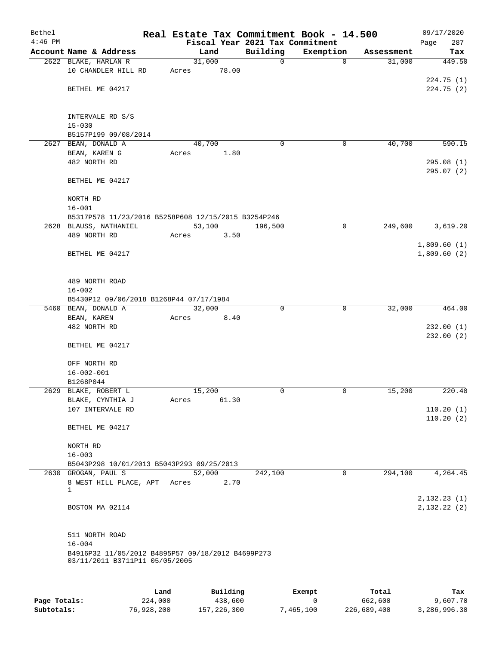| Bethel<br>$4:46$ PM |                                                     |       |        |             | Real Estate Tax Commitment Book - 14.500<br>Fiscal Year 2021 Tax Commitment |            | 09/17/2020<br>287<br>Page  |
|---------------------|-----------------------------------------------------|-------|--------|-------------|-----------------------------------------------------------------------------|------------|----------------------------|
|                     | Account Name & Address                              |       | Land   | Building    | Exemption                                                                   | Assessment | Tax                        |
|                     | 2622 BLAKE, HARLAN R                                |       | 31,000 | $\mathbf 0$ | $\mathbf 0$                                                                 | 31,000     | 449.50                     |
|                     | 10 CHANDLER HILL RD                                 | Acres | 78.00  |             |                                                                             |            |                            |
|                     |                                                     |       |        |             |                                                                             |            | 224.75(1)                  |
|                     | BETHEL ME 04217                                     |       |        |             |                                                                             |            | 224.75(2)                  |
|                     |                                                     |       |        |             |                                                                             |            |                            |
|                     |                                                     |       |        |             |                                                                             |            |                            |
|                     | INTERVALE RD S/S                                    |       |        |             |                                                                             |            |                            |
|                     | $15 - 030$                                          |       |        |             |                                                                             |            |                            |
|                     | B5157P199 09/08/2014<br>2627 BEAN, DONALD A         |       | 40,700 | $\Omega$    | 0                                                                           | 40,700     | 590.15                     |
|                     | BEAN, KAREN G                                       | Acres | 1.80   |             |                                                                             |            |                            |
|                     | 482 NORTH RD                                        |       |        |             |                                                                             |            | 295.08(1)                  |
|                     |                                                     |       |        |             |                                                                             |            | 295.07(2)                  |
|                     | BETHEL ME 04217                                     |       |        |             |                                                                             |            |                            |
|                     |                                                     |       |        |             |                                                                             |            |                            |
|                     | NORTH RD                                            |       |        |             |                                                                             |            |                            |
|                     | $16 - 001$                                          |       |        |             |                                                                             |            |                            |
|                     | B5317P578 11/23/2016 B5258P608 12/15/2015 B3254P246 |       |        |             |                                                                             |            |                            |
|                     | 2628 BLAUSS, NATHANIEL                              |       | 53,100 | 196,500     | $\mathbf 0$                                                                 | 249,600    | 3,619.20                   |
|                     | 489 NORTH RD                                        | Acres | 3.50   |             |                                                                             |            |                            |
|                     | BETHEL ME 04217                                     |       |        |             |                                                                             |            | 1,809.60(1)<br>1,809.60(2) |
|                     |                                                     |       |        |             |                                                                             |            |                            |
|                     |                                                     |       |        |             |                                                                             |            |                            |
|                     | 489 NORTH ROAD                                      |       |        |             |                                                                             |            |                            |
|                     | $16 - 002$                                          |       |        |             |                                                                             |            |                            |
|                     | B5430P12 09/06/2018 B1268P44 07/17/1984             |       |        |             |                                                                             |            |                            |
|                     | 5460 BEAN, DONALD A                                 |       | 32,000 | $\Omega$    | $\mathbf 0$                                                                 | 32,000     | 464.00                     |
|                     | BEAN, KAREN                                         | Acres | 8.40   |             |                                                                             |            |                            |
|                     | 482 NORTH RD                                        |       |        |             |                                                                             |            | 232.00(1)                  |
|                     |                                                     |       |        |             |                                                                             |            | 232.00(2)                  |
|                     | BETHEL ME 04217                                     |       |        |             |                                                                             |            |                            |
|                     | OFF NORTH RD                                        |       |        |             |                                                                             |            |                            |
|                     | $16 - 002 - 001$                                    |       |        |             |                                                                             |            |                            |
|                     | B1268P044                                           |       |        |             |                                                                             |            |                            |
|                     | 2629 BLAKE, ROBERT L                                |       | 15,200 | 0           | 0                                                                           | 15,200     | 220.40                     |
|                     | BLAKE, CYNTHIA J                                    | Acres | 61.30  |             |                                                                             |            |                            |
|                     | 107 INTERVALE RD                                    |       |        |             |                                                                             |            | 110.20(1)                  |
|                     |                                                     |       |        |             |                                                                             |            | 110.20(2)                  |
|                     | BETHEL ME 04217                                     |       |        |             |                                                                             |            |                            |
|                     | NORTH RD                                            |       |        |             |                                                                             |            |                            |
|                     | $16 - 003$                                          |       |        |             |                                                                             |            |                            |
|                     | B5043P298 10/01/2013 B5043P293 09/25/2013           |       |        |             |                                                                             |            |                            |
|                     | 2630 GROGAN, PAUL S                                 |       | 52,000 | 242,100     | $\mathbf 0$                                                                 | 294,100    | 4,264.45                   |
|                     | 8 WEST HILL PLACE, APT                              | Acres | 2.70   |             |                                                                             |            |                            |
|                     | 1                                                   |       |        |             |                                                                             |            |                            |
|                     |                                                     |       |        |             |                                                                             |            | 2, 132. 23 (1)             |
|                     | BOSTON MA 02114                                     |       |        |             |                                                                             |            | 2,132.22(2)                |
|                     |                                                     |       |        |             |                                                                             |            |                            |
|                     | 511 NORTH ROAD                                      |       |        |             |                                                                             |            |                            |
|                     | $16 - 004$                                          |       |        |             |                                                                             |            |                            |
|                     | B4916P32 11/05/2012 B4895P57 09/18/2012 B4699P273   |       |        |             |                                                                             |            |                            |
|                     | 03/11/2011 B3711P11 05/05/2005                      |       |        |             |                                                                             |            |                            |
|                     |                                                     |       |        |             |                                                                             |            |                            |
|                     |                                                     |       |        |             |                                                                             |            |                            |

|              | Land       | Building    | Exempt    | Total       | Tax          |
|--------------|------------|-------------|-----------|-------------|--------------|
| Page Totals: | 224,000    | 438,600     |           | 662,600     | 9,607.70     |
| Subtotals:   | 76,928,200 | 157,226,300 | 7,465,100 | 226,689,400 | 3,286,996.30 |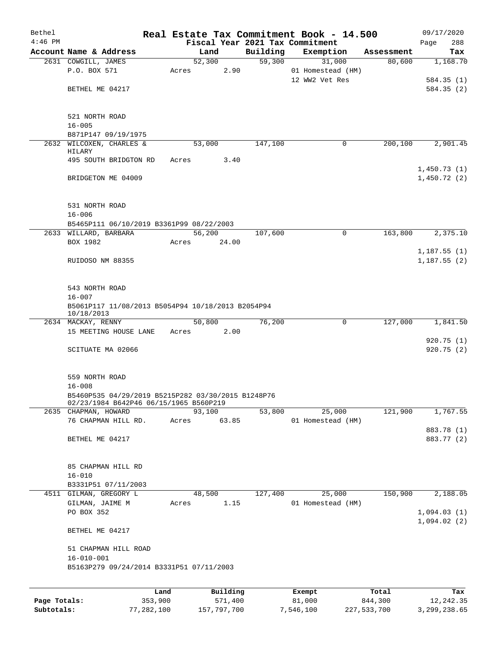| Bethel       |                                                                 |         |        |          |          | Real Estate Tax Commitment Book - 14.500 |            | 09/17/2020                 |
|--------------|-----------------------------------------------------------------|---------|--------|----------|----------|------------------------------------------|------------|----------------------------|
| $4:46$ PM    |                                                                 |         |        |          |          | Fiscal Year 2021 Tax Commitment          |            | 288<br>Page                |
|              | Account Name & Address                                          |         | Land   |          | Building | Exemption                                | Assessment | Tax                        |
|              | 2631 COWGILL, JAMES                                             |         | 52,300 |          |          | 59,300<br>31,000                         | 80,600     | 1,168.70                   |
|              | P.O. BOX 571                                                    | Acres   |        | 2.90     |          | 01 Homestead (HM)<br>12 WW2 Vet Res      |            |                            |
|              | BETHEL ME 04217                                                 |         |        |          |          |                                          |            | 584.35 (1)<br>584.35 (2)   |
|              |                                                                 |         |        |          |          |                                          |            |                            |
|              | 521 NORTH ROAD                                                  |         |        |          |          |                                          |            |                            |
|              | $16 - 005$                                                      |         |        |          |          |                                          |            |                            |
|              | B871P147 09/19/1975                                             |         |        |          |          |                                          |            |                            |
|              | 2632 WILCOXEN, CHARLES &                                        |         | 53,000 |          | 147,100  | 0                                        | 200,100    | 2,901.45                   |
|              | HILARY                                                          |         |        |          |          |                                          |            |                            |
|              | 495 SOUTH BRIDGTON RD                                           | Acres   |        | 3.40     |          |                                          |            | 1,450.73(1)                |
|              | BRIDGETON ME 04009                                              |         |        |          |          |                                          |            | 1,450.72(2)                |
|              |                                                                 |         |        |          |          |                                          |            |                            |
|              | 531 NORTH ROAD                                                  |         |        |          |          |                                          |            |                            |
|              | $16 - 006$                                                      |         |        |          |          |                                          |            |                            |
|              | B5465P111 06/10/2019 B3361P99 08/22/2003                        |         |        |          |          |                                          |            |                            |
|              | 2633 WILLARD, BARBARA                                           |         | 56,200 |          | 107,600  | $\mathbf 0$                              | 163,800    | 2,375.10                   |
|              | BOX 1982                                                        | Acres   |        | 24.00    |          |                                          |            |                            |
|              | RUIDOSO NM 88355                                                |         |        |          |          |                                          |            | 1,187.55(1)<br>1,187.55(2) |
|              |                                                                 |         |        |          |          |                                          |            |                            |
|              |                                                                 |         |        |          |          |                                          |            |                            |
|              | 543 NORTH ROAD                                                  |         |        |          |          |                                          |            |                            |
|              | $16 - 007$                                                      |         |        |          |          |                                          |            |                            |
|              | B5061P117 11/08/2013 B5054P94 10/18/2013 B2054P94<br>10/18/2013 |         |        |          |          |                                          |            |                            |
|              | 2634 MACKAY, RENNY                                              |         | 50,800 |          | 76,200   | $\mathbf 0$                              | 127,000    | 1,841.50                   |
|              | 15 MEETING HOUSE LANE                                           |         | Acres  | 2.00     |          |                                          |            |                            |
|              |                                                                 |         |        |          |          |                                          |            | 920.75(1)                  |
|              | SCITUATE MA 02066                                               |         |        |          |          |                                          |            | 920.75(2)                  |
|              | 559 NORTH ROAD                                                  |         |        |          |          |                                          |            |                            |
|              | $16 - 008$                                                      |         |        |          |          |                                          |            |                            |
|              | B5460P535 04/29/2019 B5215P282 03/30/2015 B1248P76              |         |        |          |          |                                          |            |                            |
|              | 02/23/1984 B642P46 06/15/1965 B560P219                          |         |        |          |          |                                          |            |                            |
|              | 2635 CHAPMAN, HOWARD                                            |         | 93,100 |          | 53,800   | 25,000                                   | 121,900    | 1,767.55                   |
|              | 76 CHAPMAN HILL RD.                                             | Acres   |        | 63.85    |          | 01 Homestead (HM)                        |            |                            |
|              |                                                                 |         |        |          |          |                                          |            | 883.78 (1)                 |
|              | BETHEL ME 04217                                                 |         |        |          |          |                                          |            | 883.77 (2)                 |
|              |                                                                 |         |        |          |          |                                          |            |                            |
|              | 85 CHAPMAN HILL RD                                              |         |        |          |          |                                          |            |                            |
|              | $16 - 010$                                                      |         |        |          |          |                                          |            |                            |
|              | B3331P51 07/11/2003                                             |         |        |          |          |                                          |            |                            |
|              | 4511 GILMAN, GREGORY L                                          |         | 48,500 |          | 127,400  | 25,000                                   | 150,900    | 2,188.05                   |
|              | GILMAN, JAIME M                                                 | Acres   |        | 1.15     |          | 01 Homestead (HM)                        |            |                            |
|              | PO BOX 352                                                      |         |        |          |          |                                          |            | 1,094.03(1)                |
|              | BETHEL ME 04217                                                 |         |        |          |          |                                          |            | 1,094.02(2)                |
|              | 51 CHAPMAN HILL ROAD                                            |         |        |          |          |                                          |            |                            |
|              | $16 - 010 - 001$                                                |         |        |          |          |                                          |            |                            |
|              | B5163P279 09/24/2014 B3331P51 07/11/2003                        |         |        |          |          |                                          |            |                            |
|              |                                                                 |         |        |          |          |                                          |            |                            |
|              |                                                                 | Land    |        | Building |          | Exempt                                   | Total      | Tax                        |
| Page Totals: |                                                                 | 353,900 |        | 571,400  |          | 81,000                                   | 844,300    | 12, 242.35                 |

**Subtotals:** 77,282,100 157,797,700 7,546,100 227,533,700 3,299,238.65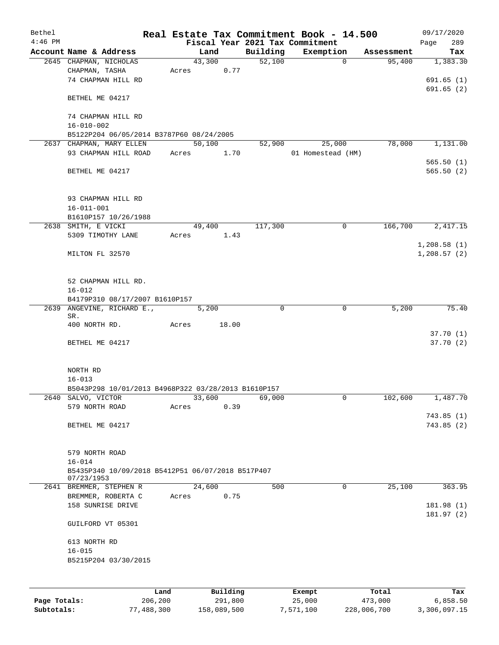| Bethel    |                                                                               |       |        |          |          | Real Estate Tax Commitment Book - 14.500 |             |            | 09/17/2020                 |
|-----------|-------------------------------------------------------------------------------|-------|--------|----------|----------|------------------------------------------|-------------|------------|----------------------------|
| $4:46$ PM |                                                                               |       |        |          |          | Fiscal Year 2021 Tax Commitment          |             |            | Page<br>289                |
|           | Account Name & Address                                                        |       | Land   |          | Building | Exemption                                |             | Assessment | Tax                        |
|           | 2645 CHAPMAN, NICHOLAS<br>CHAPMAN, TASHA                                      | Acres | 43,300 | 0.77     | 52,100   |                                          | $\mathbf 0$ | 95,400     | 1,383.30                   |
|           | 74 CHAPMAN HILL RD                                                            |       |        |          |          |                                          |             |            | 691.65(1)                  |
|           |                                                                               |       |        |          |          |                                          |             |            | 691.65(2)                  |
|           | BETHEL ME 04217                                                               |       |        |          |          |                                          |             |            |                            |
|           | 74 CHAPMAN HILL RD<br>$16 - 010 - 002$                                        |       |        |          |          |                                          |             |            |                            |
|           | B5122P204 06/05/2014 B3787P60 08/24/2005                                      |       |        |          |          |                                          |             |            |                            |
|           | 2637 CHAPMAN, MARY ELLEN                                                      |       | 50,100 |          | 52,900   | 25,000                                   |             | 78,000     | 1,131.00                   |
|           | 93 CHAPMAN HILL ROAD                                                          | Acres |        | 1.70     |          | 01 Homestead (HM)                        |             |            |                            |
|           | BETHEL ME 04217                                                               |       |        |          |          |                                          |             |            | 565.50(1)<br>565.50(2)     |
|           | 93 CHAPMAN HILL RD<br>$16 - 011 - 001$                                        |       |        |          |          |                                          |             |            |                            |
|           | B1610P157 10/26/1988                                                          |       |        |          |          |                                          |             |            |                            |
|           | 2638 SMITH, E VICKI                                                           |       | 49,400 |          | 117,300  |                                          | 0           | 166,700    | 2,417.15                   |
|           | 5309 TIMOTHY LANE                                                             | Acres |        | 1.43     |          |                                          |             |            |                            |
|           | MILTON FL 32570                                                               |       |        |          |          |                                          |             |            | 1,208.58(1)<br>1,208.57(2) |
|           |                                                                               |       |        |          |          |                                          |             |            |                            |
|           | 52 CHAPMAN HILL RD.                                                           |       |        |          |          |                                          |             |            |                            |
|           | $16 - 012$                                                                    |       |        |          |          |                                          |             |            |                            |
|           | B4179P310 08/17/2007 B1610P157                                                |       |        |          |          |                                          |             |            |                            |
|           | 2639 ANGEVINE, RICHARD E.,<br>SR.                                             |       | 5,200  |          | 0        |                                          | 0           | 5,200      | 75.40                      |
|           | 400 NORTH RD.                                                                 | Acres |        | 18.00    |          |                                          |             |            |                            |
|           |                                                                               |       |        |          |          |                                          |             |            | 37.70(1)                   |
|           | BETHEL ME 04217                                                               |       |        |          |          |                                          |             |            | 37.70(2)                   |
|           | NORTH RD                                                                      |       |        |          |          |                                          |             |            |                            |
|           | $16 - 013$                                                                    |       |        |          |          |                                          |             |            |                            |
|           | B5043P298 10/01/2013 B4968P322 03/28/2013 B1610P157                           |       |        |          |          |                                          |             |            |                            |
|           | 2640 SALVO, VICTOR                                                            |       | 33,600 |          | 69,000   |                                          | 0           | 102,600    | 1,487.70                   |
|           | 579 NORTH ROAD                                                                | Acres |        | 0.39     |          |                                          |             |            |                            |
|           | BETHEL ME 04217                                                               |       |        |          |          |                                          |             |            | 743.85(1)<br>743.85(2)     |
|           |                                                                               |       |        |          |          |                                          |             |            |                            |
|           | 579 NORTH ROAD                                                                |       |        |          |          |                                          |             |            |                            |
|           | $16 - 014$<br>B5435P340 10/09/2018 B5412P51 06/07/2018 B517P407<br>07/23/1953 |       |        |          |          |                                          |             |            |                            |
|           | 2641 BREMMER, STEPHEN R                                                       |       | 24,600 |          | 500      |                                          | 0           | 25,100     | 363.95                     |
|           | BREMMER, ROBERTA C                                                            | Acres |        | 0.75     |          |                                          |             |            |                            |
|           | 158 SUNRISE DRIVE                                                             |       |        |          |          |                                          |             |            | 181.98 (1)                 |
|           | GUILFORD VT 05301                                                             |       |        |          |          |                                          |             |            | 181.97(2)                  |
|           | 613 NORTH RD                                                                  |       |        |          |          |                                          |             |            |                            |
|           | $16 - 015$                                                                    |       |        |          |          |                                          |             |            |                            |
|           | B5215P204 03/30/2015                                                          |       |        |          |          |                                          |             |            |                            |
|           |                                                                               |       |        |          |          |                                          |             |            |                            |
|           |                                                                               | Land  |        | Building |          | Exempt                                   |             | Total      | Tax                        |

**Page Totals:** 206,200 291,800 25,000 473,000 6,858.50 **Subtotals:** 77,488,300 158,089,500 7,571,100 228,006,700 3,306,097.15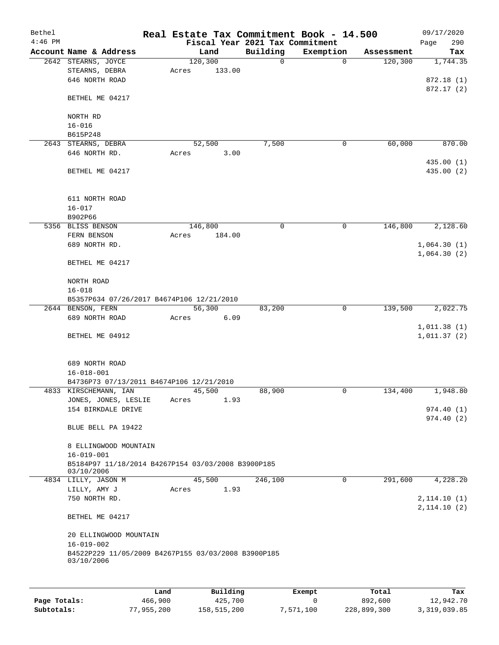| Bethel<br>$4:46$ PM |                                                                         |       |       |          |          | Fiscal Year 2021 Tax Commitment | Real Estate Tax Commitment Book - 14.500 |            | 09/17/2020<br>290<br>Page |
|---------------------|-------------------------------------------------------------------------|-------|-------|----------|----------|---------------------------------|------------------------------------------|------------|---------------------------|
|                     | Account Name & Address                                                  |       |       | Land     |          | Building                        | Exemption                                | Assessment | Tax                       |
|                     | 2642 STEARNS, JOYCE                                                     |       |       | 120, 300 |          | $\mathbf 0$                     | 0                                        | 120, 300   | 1,744.35                  |
|                     | STEARNS, DEBRA<br>646 NORTH ROAD                                        |       | Acres |          | 133.00   |                                 |                                          |            | 872.18(1)                 |
|                     | BETHEL ME 04217                                                         |       |       |          |          |                                 |                                          |            | 872.17(2)                 |
|                     | NORTH RD                                                                |       |       |          |          |                                 |                                          |            |                           |
|                     | $16 - 016$                                                              |       |       |          |          |                                 |                                          |            |                           |
|                     | B615P248<br>2643 STEARNS, DEBRA                                         |       |       | 52,500   |          | 7,500                           | 0                                        | 60,000     | 870.00                    |
|                     | 646 NORTH RD.                                                           |       | Acres |          | 3.00     |                                 |                                          |            |                           |
|                     |                                                                         |       |       |          |          |                                 |                                          |            | 435.00 (1)                |
|                     | BETHEL ME 04217                                                         |       |       |          |          |                                 |                                          |            | 435.00 (2)                |
|                     | 611 NORTH ROAD                                                          |       |       |          |          |                                 |                                          |            |                           |
|                     | $16 - 017$                                                              |       |       |          |          |                                 |                                          |            |                           |
|                     | B902P66                                                                 |       |       |          |          |                                 |                                          |            |                           |
| 5356                | BLISS BENSON                                                            |       |       | 146,800  |          | 0                               | 0                                        | 146,800    | 2,128.60                  |
|                     | FERN BENSON                                                             |       | Acres |          | 184.00   |                                 |                                          |            |                           |
|                     | 689 NORTH RD.                                                           |       |       |          |          |                                 |                                          |            | 1,064.30(1)               |
|                     | BETHEL ME 04217                                                         |       |       |          |          |                                 |                                          |            | 1,064.30(2)               |
|                     | NORTH ROAD                                                              |       |       |          |          |                                 |                                          |            |                           |
|                     | $16 - 018$<br>B5357P634 07/26/2017 B4674P106 12/21/2010                 |       |       |          |          |                                 |                                          |            |                           |
|                     | 2644 BENSON, FERN                                                       |       |       | 56,300   |          | 83,200                          | 0                                        | 139,500    | 2,022.75                  |
|                     | 689 NORTH ROAD                                                          |       | Acres |          | 6.09     |                                 |                                          |            |                           |
|                     |                                                                         |       |       |          |          |                                 |                                          |            | 1,011.38(1)               |
|                     | BETHEL ME 04912                                                         |       |       |          |          |                                 |                                          |            | 1,011.37(2)               |
|                     | 689 NORTH ROAD                                                          |       |       |          |          |                                 |                                          |            |                           |
|                     | $16 - 018 - 001$                                                        |       |       |          |          |                                 |                                          |            |                           |
|                     | B4736P73 07/13/2011 B4674P106 12/21/2010                                |       |       |          |          |                                 |                                          |            |                           |
|                     | 4833 KIRSCHEMANN, IAN                                                   |       |       | 45,500   |          | 88,900                          | 0                                        | 134,400    | 1,948.80                  |
|                     | JONES, JONES, LESLIE                                                    |       | Acres |          | 1.93     |                                 |                                          |            |                           |
|                     | 154 BIRKDALE DRIVE                                                      |       |       |          |          |                                 |                                          |            | 974.40 (1)<br>974.40(2)   |
|                     | BLUE BELL PA 19422                                                      |       |       |          |          |                                 |                                          |            |                           |
|                     | 8 ELLINGWOOD MOUNTAIN                                                   |       |       |          |          |                                 |                                          |            |                           |
|                     | $16 - 019 - 001$                                                        |       |       |          |          |                                 |                                          |            |                           |
|                     | B5184P97 11/18/2014 B4267P154 03/03/2008 B3900P185<br>03/10/2006        |       |       |          |          |                                 |                                          |            |                           |
|                     | 4834 LILLY, JASON M                                                     |       |       | 45,500   |          | 246,100                         | 0                                        | 291,600    | 4,228.20                  |
|                     | LILLY, AMY J                                                            |       | Acres |          | 1.93     |                                 |                                          |            |                           |
|                     | 750 NORTH RD.                                                           |       |       |          |          |                                 |                                          |            | 2, 114.10 (1)             |
|                     | BETHEL ME 04217                                                         |       |       |          |          |                                 |                                          |            | 2,114.10(2)               |
|                     | 20 ELLINGWOOD MOUNTAIN                                                  |       |       |          |          |                                 |                                          |            |                           |
|                     | $16 - 019 - 002$<br>B4522P229 11/05/2009 B4267P155 03/03/2008 B3900P185 |       |       |          |          |                                 |                                          |            |                           |
|                     | 03/10/2006                                                              |       |       |          |          |                                 |                                          |            |                           |
|                     |                                                                         |       |       |          |          |                                 |                                          |            |                           |
|                     |                                                                         | Land, |       |          | Building |                                 | <b>Ryomnt</b>                            | $T0+a1$    | Tay                       |

|              | Land       | Building    | Exempt    | Total       | Tax          |
|--------------|------------|-------------|-----------|-------------|--------------|
| Page Totals: | 466,900    | 425,700     |           | 892,600     | 12,942.70    |
| Subtotals:   | 77,955,200 | 158,515,200 | 7,571,100 | 228,899,300 | 3,319,039.85 |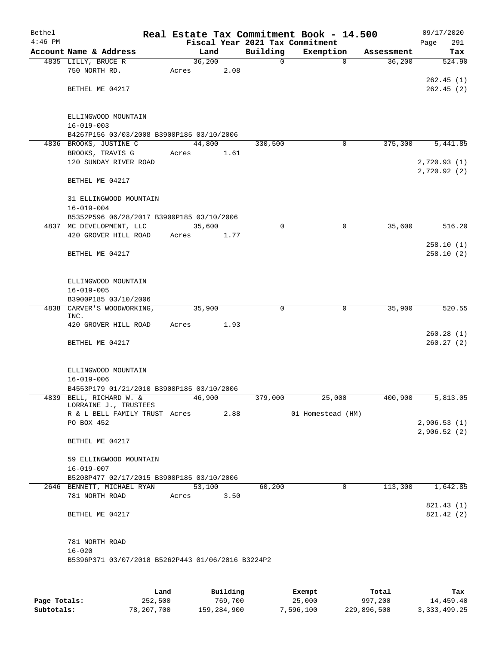| Bethel    |                                                    |       |        |      |          | Real Estate Tax Commitment Book - 14.500 |            | 09/17/2020   |
|-----------|----------------------------------------------------|-------|--------|------|----------|------------------------------------------|------------|--------------|
| $4:46$ PM |                                                    |       |        |      |          | Fiscal Year 2021 Tax Commitment          |            | 291<br>Page  |
|           | Account Name & Address                             |       | Land   |      | Building | Exemption                                | Assessment | Tax          |
|           | 4835 LILLY, BRUCE R                                |       | 36,200 |      | 0        | $\mathbf 0$                              | 36,200     | 524.90       |
|           | 750 NORTH RD.                                      | Acres |        | 2.08 |          |                                          |            | 262.45(1)    |
|           | BETHEL ME 04217                                    |       |        |      |          |                                          |            | 262.45(2)    |
|           |                                                    |       |        |      |          |                                          |            |              |
|           |                                                    |       |        |      |          |                                          |            |              |
|           | ELLINGWOOD MOUNTAIN                                |       |        |      |          |                                          |            |              |
|           | $16 - 019 - 003$                                   |       |        |      |          |                                          |            |              |
|           | B4267P156 03/03/2008 B3900P185 03/10/2006          |       |        |      |          |                                          |            |              |
|           | 4836 BROOKS, JUSTINE C                             |       | 44,800 |      | 330,500  | 0                                        | 375,300    | 5,441.85     |
|           | BROOKS, TRAVIS G                                   | Acres |        | 1.61 |          |                                          |            |              |
|           | 120 SUNDAY RIVER ROAD                              |       |        |      |          |                                          |            | 2,720.93(1)  |
|           |                                                    |       |        |      |          |                                          |            | 2,720.92 (2) |
|           | BETHEL ME 04217                                    |       |        |      |          |                                          |            |              |
|           | 31 ELLINGWOOD MOUNTAIN                             |       |        |      |          |                                          |            |              |
|           | $16 - 019 - 004$                                   |       |        |      |          |                                          |            |              |
|           | B5352P596 06/28/2017 B3900P185 03/10/2006          |       |        |      |          |                                          |            |              |
|           | 4837 MC DEVELOPMENT, LLC                           |       | 35,600 |      | 0        | $\mathbf 0$                              | 35,600     | 516.20       |
|           | 420 GROVER HILL ROAD                               | Acres |        | 1.77 |          |                                          |            |              |
|           |                                                    |       |        |      |          |                                          |            | 258.10(1)    |
|           | BETHEL ME 04217                                    |       |        |      |          |                                          |            | 258.10(2)    |
|           |                                                    |       |        |      |          |                                          |            |              |
|           |                                                    |       |        |      |          |                                          |            |              |
|           | ELLINGWOOD MOUNTAIN                                |       |        |      |          |                                          |            |              |
|           | $16 - 019 - 005$                                   |       |        |      |          |                                          |            |              |
|           | B3900P185 03/10/2006<br>4838 CARVER'S WOODWORKING, |       | 35,900 |      | $\Omega$ | $\mathbf 0$                              | 35,900     | 520.55       |
|           | INC.                                               |       |        |      |          |                                          |            |              |
|           | 420 GROVER HILL ROAD                               | Acres |        | 1.93 |          |                                          |            |              |
|           |                                                    |       |        |      |          |                                          |            | 260.28(1)    |
|           | BETHEL ME 04217                                    |       |        |      |          |                                          |            | 260.27(2)    |
|           |                                                    |       |        |      |          |                                          |            |              |
|           |                                                    |       |        |      |          |                                          |            |              |
|           | ELLINGWOOD MOUNTAIN<br>$16 - 019 - 006$            |       |        |      |          |                                          |            |              |
|           | B4553P179 01/21/2010 B3900P185 03/10/2006          |       |        |      |          |                                          |            |              |
|           | 4839 BELL, RICHARD W. &                            |       | 46,900 |      | 379,000  | 25,000                                   | 400,900    | 5,813.05     |
|           | LORRAINE J., TRUSTEES                              |       |        |      |          |                                          |            |              |
|           | R & L BELL FAMILY TRUST Acres                      |       | 2.88   |      |          | 01 Homestead (HM)                        |            |              |
|           | PO BOX 452                                         |       |        |      |          |                                          |            | 2,906.53(1)  |
|           |                                                    |       |        |      |          |                                          |            | 2,906.52(2)  |
|           | BETHEL ME 04217                                    |       |        |      |          |                                          |            |              |
|           |                                                    |       |        |      |          |                                          |            |              |
|           | 59 ELLINGWOOD MOUNTAIN<br>$16 - 019 - 007$         |       |        |      |          |                                          |            |              |
|           | B5208P477 02/17/2015 B3900P185 03/10/2006          |       |        |      |          |                                          |            |              |
|           | 2646 BENNETT, MICHAEL RYAN                         |       | 53,100 |      | 60,200   | 0                                        | 113,300    | 1,642.85     |
|           | 781 NORTH ROAD                                     | Acres |        | 3.50 |          |                                          |            |              |
|           |                                                    |       |        |      |          |                                          |            | 821.43 (1)   |
|           | BETHEL ME 04217                                    |       |        |      |          |                                          |            | 821.42 (2)   |
|           |                                                    |       |        |      |          |                                          |            |              |
|           |                                                    |       |        |      |          |                                          |            |              |
|           | 781 NORTH ROAD                                     |       |        |      |          |                                          |            |              |
|           | $16 - 020$                                         |       |        |      |          |                                          |            |              |
|           | B5396P371 03/07/2018 B5262P443 01/06/2016 B3224P2  |       |        |      |          |                                          |            |              |
|           |                                                    |       |        |      |          |                                          |            |              |
|           |                                                    |       |        |      |          |                                          |            |              |

|              | Land       | Building    | Exempt    | Total       | Tax            |
|--------------|------------|-------------|-----------|-------------|----------------|
| Page Totals: | 252,500    | 769,700     | 25,000    | 997,200     | 14,459.40      |
| Subtotals:   | 78,207,700 | 159,284,900 | 7,596,100 | 229,896,500 | 3, 333, 499.25 |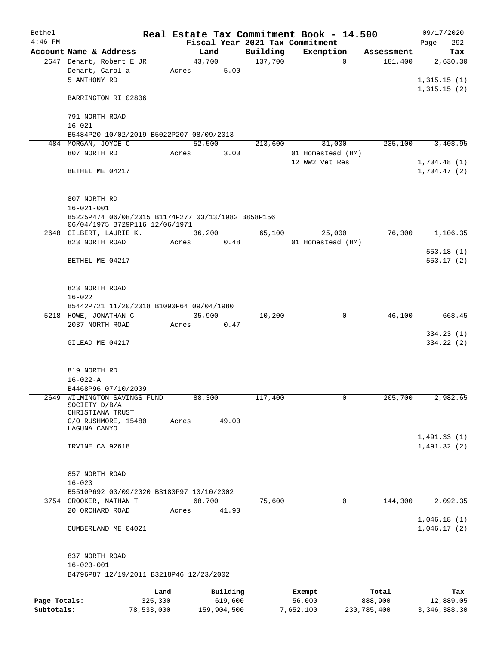| Bethel       |                                                                                        |       | Real Estate Tax Commitment Book - 14.500 |          |                |                   |             | 09/17/2020                 |
|--------------|----------------------------------------------------------------------------------------|-------|------------------------------------------|----------|----------------|-------------------|-------------|----------------------------|
| $4:46$ PM    |                                                                                        |       | Fiscal Year 2021 Tax Commitment          |          |                |                   |             | Page<br>292                |
|              | Account Name & Address                                                                 |       | Land                                     | Building |                | Exemption         | Assessment  | Tax                        |
|              | 2647 Dehart, Robert E JR<br>Dehart, Carol a<br>5 ANTHONY RD                            | Acres | 43,700<br>5.00                           | 137,700  |                | $\Omega$          | 181,400     | 2,630.30<br>1,315.15(1)    |
|              | BARRINGTON RI 02806                                                                    |       |                                          |          |                |                   |             | 1,315.15(2)                |
|              | 791 NORTH ROAD<br>$16 - 021$                                                           |       |                                          |          |                |                   |             |                            |
|              | B5484P20 10/02/2019 B5022P207 08/09/2013                                               |       |                                          |          |                |                   |             |                            |
|              | 484 MORGAN, JOYCE C                                                                    |       | 52,500                                   | 213,600  |                | 31,000            | 235,100     | 3,408.95                   |
|              | 807 NORTH RD                                                                           | Acres | 3.00                                     |          |                | 01 Homestead (HM) |             |                            |
|              | BETHEL ME 04217                                                                        |       |                                          |          | 12 WW2 Vet Res |                   |             | 1,704.48(1)<br>1,704.47(2) |
|              | 807 NORTH RD<br>$16 - 021 - 001$<br>B5225P474 06/08/2015 B1174P277 03/13/1982 B858P156 |       |                                          |          |                |                   |             |                            |
|              | 06/04/1975 B729P116 12/06/1971                                                         |       |                                          |          |                |                   |             |                            |
|              | 2648 GILBERT, LAURIE K.                                                                |       | 36,200                                   | 65,100   |                | 25,000            | 76,300      | 1,106.35                   |
|              | 823 NORTH ROAD                                                                         | Acres | 0.48                                     |          |                | 01 Homestead (HM) |             |                            |
|              |                                                                                        |       |                                          |          |                |                   |             | 553.18(1)                  |
|              | BETHEL ME 04217                                                                        |       |                                          |          |                |                   |             | 553.17(2)                  |
|              | 823 NORTH ROAD<br>$16 - 022$                                                           |       |                                          |          |                |                   |             |                            |
|              | B5442P721 11/20/2018 B1090P64 09/04/1980                                               |       |                                          |          |                |                   |             |                            |
|              | 5218 HOWE, JONATHAN C                                                                  |       | 35,900                                   | 10,200   |                | 0                 | 46,100      | 668.45                     |
|              | 2037 NORTH ROAD                                                                        | Acres | 0.47                                     |          |                |                   |             |                            |
|              | GILEAD ME 04217                                                                        |       |                                          |          |                |                   |             | 334.23(1)<br>334.22 (2)    |
|              | 819 NORTH RD<br>$16 - 022 - A$                                                         |       |                                          |          |                |                   |             |                            |
|              | B4468P96 07/10/2009                                                                    |       |                                          |          |                |                   |             |                            |
| 2649         | WILMINGTON SAVINGS FUND<br>SOCIETY D/B/A                                               |       | 88,300                                   | 117,400  |                | 0                 | 205,700     | 2,982.65                   |
|              | CHRISTIANA TRUST                                                                       |       |                                          |          |                |                   |             |                            |
|              | C/O RUSHMORE, 15480<br>LAGUNA CANYO                                                    | Acres | 49.00                                    |          |                |                   |             |                            |
|              |                                                                                        |       |                                          |          |                |                   |             | 1,491.33(1)                |
|              | IRVINE CA 92618                                                                        |       |                                          |          |                |                   |             | 1,491.32(2)                |
|              | 857 NORTH ROAD                                                                         |       |                                          |          |                |                   |             |                            |
|              | $16 - 023$                                                                             |       |                                          |          |                |                   |             |                            |
|              | B5510P692 03/09/2020 B3180P97 10/10/2002                                               |       |                                          |          |                |                   |             |                            |
|              | 3754 CROOKER, NATHAN T                                                                 |       | 68,700                                   | 75,600   |                | 0                 | 144,300     | 2,092.35                   |
|              | 20 ORCHARD ROAD                                                                        | Acres | 41.90                                    |          |                |                   |             |                            |
|              | CUMBERLAND ME 04021                                                                    |       |                                          |          |                |                   |             | 1,046.18(1)<br>1,046.17(2) |
|              | 837 NORTH ROAD<br>$16 - 023 - 001$                                                     |       |                                          |          |                |                   |             |                            |
|              | B4796P87 12/19/2011 B3218P46 12/23/2002                                                |       |                                          |          |                |                   |             |                            |
|              |                                                                                        | Land  | Building                                 |          | Exempt         |                   | Total       | Tax                        |
| Page Totals: | 325,300                                                                                |       | 619,600                                  |          | 56,000         |                   | 888,900     | 12,889.05                  |
| Subtotals:   | 78,533,000                                                                             |       | 159,904,500                              |          | 7,652,100      |                   | 230,785,400 | 3, 346, 388.30             |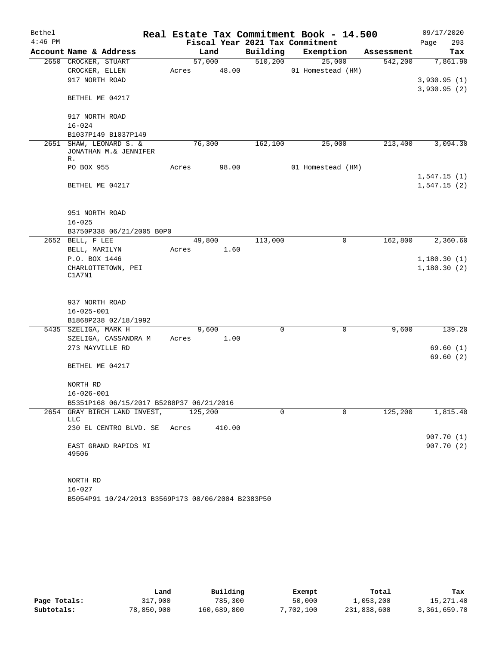| Bethel    |                                           |       |         |        |                                 | Real Estate Tax Commitment Book - 14.500 |            | 09/17/2020  |
|-----------|-------------------------------------------|-------|---------|--------|---------------------------------|------------------------------------------|------------|-------------|
| $4:46$ PM |                                           |       |         |        | Fiscal Year 2021 Tax Commitment |                                          |            | 293<br>Page |
|           | Account Name & Address                    |       | Land    |        | Building                        | Exemption                                | Assessment | Tax         |
|           | 2650 CROCKER, STUART                      |       | 57,000  |        | 510,200                         | 25,000                                   | 542,200    | 7,861.90    |
|           | CROCKER, ELLEN                            | Acres |         | 48.00  |                                 | 01 Homestead (HM)                        |            |             |
|           | 917 NORTH ROAD                            |       |         |        |                                 |                                          |            | 3,930.95(1) |
|           | BETHEL ME 04217                           |       |         |        |                                 |                                          |            | 3,930.95(2) |
|           | 917 NORTH ROAD                            |       |         |        |                                 |                                          |            |             |
|           | $16 - 024$                                |       |         |        |                                 |                                          |            |             |
| 2651      | B1037P149 B1037P149<br>SHAW, LEONARD S. & |       | 76,300  |        | 162,100                         | 25,000                                   | 213,400    | 3,094.30    |
|           | JONATHAN M.& JENNIFER<br>$R$ .            |       |         |        |                                 |                                          |            |             |
|           | PO BOX 955                                | Acres |         | 98.00  |                                 | 01 Homestead (HM)                        |            |             |
|           |                                           |       |         |        |                                 |                                          |            | 1,547.15(1) |
|           | BETHEL ME 04217                           |       |         |        |                                 |                                          |            | 1,547.15(2) |
|           | 951 NORTH ROAD                            |       |         |        |                                 |                                          |            |             |
|           | $16 - 025$                                |       |         |        |                                 |                                          |            |             |
|           | B3750P338 06/21/2005 B0P0                 |       |         |        |                                 |                                          |            |             |
|           | 2652 BELL, F LEE                          |       | 49,800  |        | 113,000                         | 0                                        | 162,800    | 2,360.60    |
|           | BELL, MARILYN                             | Acres |         | 1.60   |                                 |                                          |            |             |
|           | P.O. BOX 1446                             |       |         |        |                                 |                                          |            | 1,180.30(1) |
|           | CHARLOTTETOWN, PEI<br>C1A7N1              |       |         |        |                                 |                                          |            | 1,180.30(2) |
|           | 937 NORTH ROAD                            |       |         |        |                                 |                                          |            |             |
|           | $16 - 025 - 001$                          |       |         |        |                                 |                                          |            |             |
|           | B1868P238 02/18/1992                      |       |         |        |                                 |                                          |            |             |
|           | 5435 SZELIGA, MARK H                      |       | 9,600   |        | $\mathbf 0$                     | 0                                        | 9,600      | 139.20      |
|           | SZELIGA, CASSANDRA M                      | Acres |         | 1.00   |                                 |                                          |            |             |
|           | 273 MAYVILLE RD                           |       |         |        |                                 |                                          |            | 69.60(1)    |
|           |                                           |       |         |        |                                 |                                          |            | 69.60(2)    |
|           | BETHEL ME 04217                           |       |         |        |                                 |                                          |            |             |
|           | NORTH RD                                  |       |         |        |                                 |                                          |            |             |
|           | $16 - 026 - 001$                          |       |         |        |                                 |                                          |            |             |
|           | B5351P168 06/15/2017 B5288P37 06/21/2016  |       |         |        |                                 |                                          |            |             |
|           | 2654 GRAY BIRCH LAND INVEST,<br>LLC       |       | 125,200 |        | 0                               | 0                                        | 125,200    | 1,815.40    |
|           | 230 EL CENTRO BLVD. SE Acres              |       |         | 410.00 |                                 |                                          |            |             |
|           |                                           |       |         |        |                                 |                                          |            | 907.70(1)   |
|           | EAST GRAND RAPIDS MI<br>49506             |       |         |        |                                 |                                          |            | 907.70 (2)  |
|           | NORTH RD                                  |       |         |        |                                 |                                          |            |             |
|           | $16 - 027$                                |       |         |        |                                 |                                          |            |             |

B5054P91 10/24/2013 B3569P173 08/06/2004 B2383P50

|              | Land       | Building    | Exempt    | Total       | Tax          |
|--------------|------------|-------------|-----------|-------------|--------------|
| Page Totals: | 317,900    | 785,300     | 50,000    | 1,053,200   | 15,271.40    |
| Subtotals:   | 78,850,900 | 160,689,800 | 7,702,100 | 231,838,600 | 3,361,659.70 |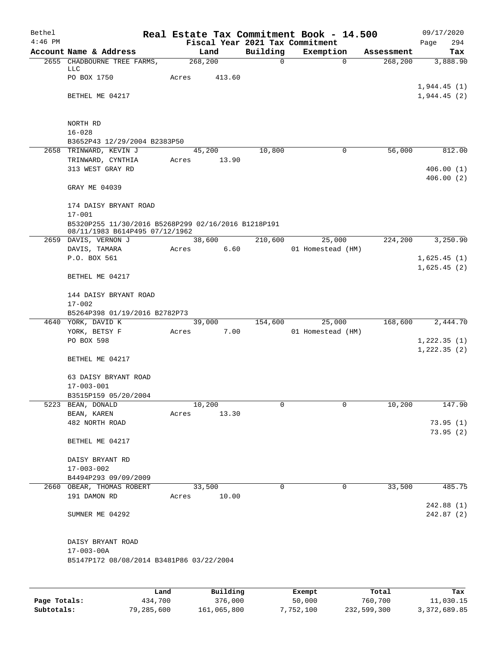| Bethel    |                                                        |                  |                         | Real Estate Tax Commitment Book - 14.500 |                       | 09/17/2020                  |
|-----------|--------------------------------------------------------|------------------|-------------------------|------------------------------------------|-----------------------|-----------------------------|
| $4:46$ PM |                                                        |                  |                         | Fiscal Year 2021 Tax Commitment          |                       | Page<br>294                 |
|           | Account Name & Address<br>2655 CHADBOURNE TREE FARMS,  | Land<br>268, 200 | Building<br>$\mathbf 0$ | Exemption<br>$\Omega$                    | Assessment<br>268,200 | Tax<br>3,888.90             |
|           | LLC                                                    |                  |                         |                                          |                       |                             |
|           | PO BOX 1750                                            | Acres<br>413.60  |                         |                                          |                       |                             |
|           |                                                        |                  |                         |                                          |                       | 1,944.45(1)                 |
|           | BETHEL ME 04217                                        |                  |                         |                                          |                       | 1,944.45(2)                 |
|           |                                                        |                  |                         |                                          |                       |                             |
|           | NORTH RD                                               |                  |                         |                                          |                       |                             |
|           | $16 - 028$                                             |                  |                         |                                          |                       |                             |
|           | B3652P43 12/29/2004 B2383P50                           |                  |                         |                                          |                       |                             |
|           | 2658 TRINWARD, KEVIN J                                 | 45,200           | 10,800                  | 0                                        | 56,000                | 812.00                      |
|           | TRINWARD, CYNTHIA                                      | 13.90<br>Acres   |                         |                                          |                       |                             |
|           | 313 WEST GRAY RD                                       |                  |                         |                                          |                       | 406.00(1)<br>406.00(2)      |
|           | GRAY ME 04039                                          |                  |                         |                                          |                       |                             |
|           | 174 DAISY BRYANT ROAD                                  |                  |                         |                                          |                       |                             |
|           | $17 - 001$                                             |                  |                         |                                          |                       |                             |
|           | B5320P255 11/30/2016 B5268P299 02/16/2016 B1218P191    |                  |                         |                                          |                       |                             |
|           | 08/11/1983 B614P495 07/12/1962<br>2659 DAVIS, VERNON J | 38,600           | 210,600                 | 25,000                                   | 224,200               | 3,250.90                    |
|           | DAVIS, TAMARA                                          | 6.60<br>Acres    |                         | 01 Homestead (HM)                        |                       |                             |
|           | P.O. BOX 561                                           |                  |                         |                                          |                       | 1,625.45(1)                 |
|           |                                                        |                  |                         |                                          |                       | 1,625.45(2)                 |
|           | BETHEL ME 04217                                        |                  |                         |                                          |                       |                             |
|           | 144 DAISY BRYANT ROAD                                  |                  |                         |                                          |                       |                             |
|           | $17 - 002$                                             |                  |                         |                                          |                       |                             |
|           | B5264P398 01/19/2016 B2782P73                          |                  |                         |                                          |                       |                             |
|           | 4640 YORK, DAVID K                                     | 39,000           |                         | 154,600<br>25,000                        | 168,600               | 2,444.70                    |
|           | YORK, BETSY F<br>PO BOX 598                            | 7.00<br>Acres    |                         | 01 Homestead (HM)                        |                       |                             |
|           |                                                        |                  |                         |                                          |                       | 1,222.35(1)<br>1, 222.35(2) |
|           | BETHEL ME 04217                                        |                  |                         |                                          |                       |                             |
|           | 63 DAISY BRYANT ROAD                                   |                  |                         |                                          |                       |                             |
|           | $17 - 003 - 001$                                       |                  |                         |                                          |                       |                             |
|           | B3515P159 05/20/2004                                   |                  |                         |                                          |                       |                             |
|           | 5223 BEAN, DONALD                                      | 10,200           | 0                       | 0                                        | 10,200                | 147.90                      |
|           | BEAN, KAREN                                            | 13.30<br>Acres   |                         |                                          |                       |                             |
|           | 482 NORTH ROAD                                         |                  |                         |                                          |                       | 73.95(1)                    |
|           | BETHEL ME 04217                                        |                  |                         |                                          |                       | 73.95(2)                    |
|           |                                                        |                  |                         |                                          |                       |                             |
|           | DAISY BRYANT RD                                        |                  |                         |                                          |                       |                             |
|           | $17 - 003 - 002$                                       |                  |                         |                                          |                       |                             |
|           | B4494P293 09/09/2009                                   |                  |                         |                                          |                       |                             |
|           | 2660 OBEAR, THOMAS ROBERT                              | 33,500           | $\mathbf 0$             | 0                                        | 33,500                | 485.75                      |
|           | 191 DAMON RD                                           | 10.00<br>Acres   |                         |                                          |                       |                             |
|           |                                                        |                  |                         |                                          |                       | 242.88(1)                   |
|           | SUMNER ME 04292                                        |                  |                         |                                          |                       | 242.87(2)                   |
|           | DAISY BRYANT ROAD                                      |                  |                         |                                          |                       |                             |
|           | $17 - 003 - 00A$                                       |                  |                         |                                          |                       |                             |
|           | B5147P172 08/08/2014 B3481P86 03/22/2004               |                  |                         |                                          |                       |                             |
|           |                                                        |                  |                         |                                          |                       |                             |
|           |                                                        |                  |                         |                                          |                       |                             |

|              | Land       | Building    | Exempt    | Total       | Tax          |
|--------------|------------|-------------|-----------|-------------|--------------|
| Page Totals: | 434,700    | 376,000     | 50,000    | 760,700     | 11,030.15    |
| Subtotals:   | 79,285,600 | 161,065,800 | 7,752,100 | 232,599,300 | 3,372,689.85 |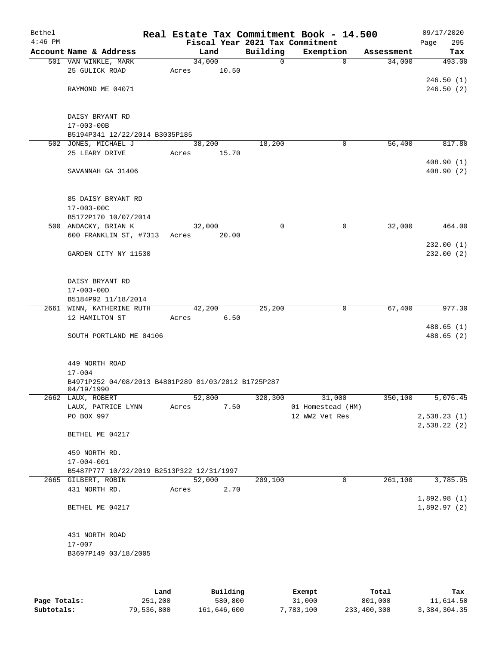| Bethel<br>$4:46$ PM |                                                                   | Real Estate Tax Commitment Book - 14.500<br>Fiscal Year 2021 Tax Commitment |          |                   |            | 09/17/2020<br>295<br>Page |
|---------------------|-------------------------------------------------------------------|-----------------------------------------------------------------------------|----------|-------------------|------------|---------------------------|
|                     | Account Name & Address                                            | Land                                                                        | Building | Exemption         | Assessment | Tax                       |
|                     | 501 VAN WINKLE, MARK                                              | 34,000                                                                      | 0        | $\mathbf 0$       | 34,000     | 493.00                    |
|                     | 25 GULICK ROAD                                                    | 10.50<br>Acres                                                              |          |                   |            |                           |
|                     |                                                                   |                                                                             |          |                   |            | 246.50(1)                 |
|                     | RAYMOND ME 04071                                                  |                                                                             |          |                   |            | 246.50(2)                 |
|                     |                                                                   |                                                                             |          |                   |            |                           |
|                     |                                                                   |                                                                             |          |                   |            |                           |
|                     | DAISY BRYANT RD                                                   |                                                                             |          |                   |            |                           |
|                     | $17 - 003 - 00B$                                                  |                                                                             |          |                   |            |                           |
|                     | B5194P341 12/22/2014 B3035P185                                    |                                                                             |          |                   |            |                           |
|                     | 502 JONES, MICHAEL J                                              | 38,200                                                                      | 18,200   | 0                 | 56,400     | 817.80                    |
|                     | 25 LEARY DRIVE                                                    | 15.70<br>Acres                                                              |          |                   |            |                           |
|                     |                                                                   |                                                                             |          |                   |            | 408.90(1)                 |
|                     | SAVANNAH GA 31406                                                 |                                                                             |          |                   |            | 408.90(2)                 |
|                     |                                                                   |                                                                             |          |                   |            |                           |
|                     |                                                                   |                                                                             |          |                   |            |                           |
|                     | 85 DAISY BRYANT RD<br>$17 - 003 - 00C$                            |                                                                             |          |                   |            |                           |
|                     | B5172P170 10/07/2014                                              |                                                                             |          |                   |            |                           |
|                     | 500 ANDACKY, BRIAN K                                              | 32,000                                                                      | 0        | 0                 | 32,000     | 464.00                    |
|                     | 600 FRANKLIN ST, #7313                                            | 20.00<br>Acres                                                              |          |                   |            |                           |
|                     |                                                                   |                                                                             |          |                   |            | 232.00(1)                 |
|                     | GARDEN CITY NY 11530                                              |                                                                             |          |                   |            | 232.00(2)                 |
|                     |                                                                   |                                                                             |          |                   |            |                           |
|                     |                                                                   |                                                                             |          |                   |            |                           |
|                     | DAISY BRYANT RD                                                   |                                                                             |          |                   |            |                           |
|                     | $17 - 003 - 00D$                                                  |                                                                             |          |                   |            |                           |
|                     | B5184P92 11/18/2014                                               |                                                                             |          |                   |            |                           |
|                     | 2661 WINN, KATHERINE RUTH                                         | 42,200                                                                      | 25,200   | 0                 | 67,400     | 977.30                    |
|                     | 12 HAMILTON ST                                                    | 6.50<br>Acres                                                               |          |                   |            |                           |
|                     |                                                                   |                                                                             |          |                   |            | 488.65(1)                 |
|                     | SOUTH PORTLAND ME 04106                                           |                                                                             |          |                   |            | 488.65(2)                 |
|                     |                                                                   |                                                                             |          |                   |            |                           |
|                     |                                                                   |                                                                             |          |                   |            |                           |
|                     | 449 NORTH ROAD                                                    |                                                                             |          |                   |            |                           |
|                     | $17 - 004$                                                        |                                                                             |          |                   |            |                           |
|                     | B4971P252 04/08/2013 B4801P289 01/03/2012 B1725P287<br>04/19/1990 |                                                                             |          |                   |            |                           |
|                     | 2662 LAUX, ROBERT                                                 | 52,800                                                                      | 328,300  | 31,000            | 350,100    | 5,076.45                  |
|                     | LAUX, PATRICE LYNN                                                | 7.50<br>Acres                                                               |          | 01 Homestead (HM) |            |                           |
|                     | PO BOX 997                                                        |                                                                             |          | 12 WW2 Vet Res    |            | 2,538.23(1)               |
|                     |                                                                   |                                                                             |          |                   |            | 2,538.22(2)               |
|                     | BETHEL ME 04217                                                   |                                                                             |          |                   |            |                           |
|                     |                                                                   |                                                                             |          |                   |            |                           |
|                     | 459 NORTH RD.                                                     |                                                                             |          |                   |            |                           |
|                     | $17 - 004 - 001$                                                  |                                                                             |          |                   |            |                           |
|                     | B5487P777 10/22/2019 B2513P322 12/31/1997                         |                                                                             |          |                   |            |                           |
|                     | 2665 GILBERT, ROBIN                                               | 52,000                                                                      | 209,100  | 0                 | 261,100    | 3,785.95                  |
|                     | 431 NORTH RD.                                                     | 2.70<br>Acres                                                               |          |                   |            |                           |
|                     |                                                                   |                                                                             |          |                   |            | 1,892.98 (1)              |
|                     | BETHEL ME 04217                                                   |                                                                             |          |                   |            | 1,892.97(2)               |
|                     |                                                                   |                                                                             |          |                   |            |                           |
|                     |                                                                   |                                                                             |          |                   |            |                           |
|                     | 431 NORTH ROAD                                                    |                                                                             |          |                   |            |                           |
|                     | $17 - 007$                                                        |                                                                             |          |                   |            |                           |
|                     | B3697P149 03/18/2005                                              |                                                                             |          |                   |            |                           |
|                     |                                                                   |                                                                             |          |                   |            |                           |
|                     |                                                                   |                                                                             |          |                   |            |                           |

|              | Land       | Building    | Exempt    | Total       | Tax          |
|--------------|------------|-------------|-----------|-------------|--------------|
| Page Totals: | 251,200    | 580,800     | 31,000    | 801,000     | 11,614.50    |
| Subtotals:   | 79,536,800 | 161,646,600 | 7,783,100 | 233,400,300 | 3,384,304.35 |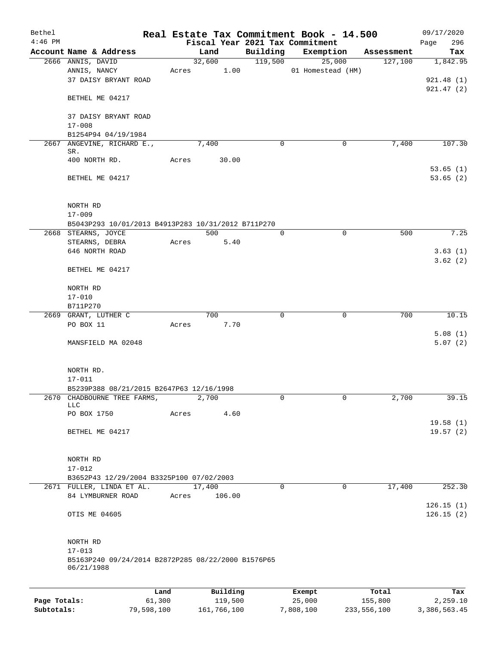| Bethel       |                                                    |        |                |          |                     | Real Estate Tax Commitment Book - 14.500 |                       | 09/17/2020      |
|--------------|----------------------------------------------------|--------|----------------|----------|---------------------|------------------------------------------|-----------------------|-----------------|
| $4:46$ PM    |                                                    |        |                |          |                     | Fiscal Year 2021 Tax Commitment          |                       | 296<br>Page     |
|              | Account Name & Address<br>2666 ANNIS, DAVID        |        | Land<br>32,600 |          | Building<br>119,500 | Exemption<br>25,000                      | Assessment<br>127,100 | Tax<br>1,842.95 |
|              | ANNIS, NANCY                                       | Acres  |                | 1.00     |                     | 01 Homestead (HM)                        |                       |                 |
|              | 37 DAISY BRYANT ROAD                               |        |                |          |                     |                                          |                       | 921.48(1)       |
|              |                                                    |        |                |          |                     |                                          |                       | 921.47(2)       |
|              | BETHEL ME 04217                                    |        |                |          |                     |                                          |                       |                 |
|              |                                                    |        |                |          |                     |                                          |                       |                 |
|              | 37 DAISY BRYANT ROAD<br>$17 - 008$                 |        |                |          |                     |                                          |                       |                 |
|              | B1254P94 04/19/1984                                |        |                |          |                     |                                          |                       |                 |
|              | 2667 ANGEVINE, RICHARD E.,                         |        | 7,400          |          | 0                   | 0                                        | 7,400                 | 107.30          |
|              | SR.                                                |        |                |          |                     |                                          |                       |                 |
|              | 400 NORTH RD.                                      | Acres  |                | 30.00    |                     |                                          |                       | 53.65(1)        |
|              | BETHEL ME 04217                                    |        |                |          |                     |                                          |                       | 53.65(2)        |
|              |                                                    |        |                |          |                     |                                          |                       |                 |
|              |                                                    |        |                |          |                     |                                          |                       |                 |
|              | NORTH RD                                           |        |                |          |                     |                                          |                       |                 |
|              | $17 - 009$                                         |        |                |          |                     |                                          |                       |                 |
|              | B5043P293 10/01/2013 B4913P283 10/31/2012 B711P270 |        |                | 500      | $\mathbf 0$         | $\mathbf 0$                              | 500                   | 7.25            |
|              | 2668 STEARNS, JOYCE<br>STEARNS, DEBRA              | Acres  |                | 5.40     |                     |                                          |                       |                 |
|              | 646 NORTH ROAD                                     |        |                |          |                     |                                          |                       | 3.63(1)         |
|              |                                                    |        |                |          |                     |                                          |                       | 3.62(2)         |
|              | BETHEL ME 04217                                    |        |                |          |                     |                                          |                       |                 |
|              |                                                    |        |                |          |                     |                                          |                       |                 |
|              | NORTH RD                                           |        |                |          |                     |                                          |                       |                 |
|              | $17 - 010$<br>B711P270                             |        |                |          |                     |                                          |                       |                 |
|              | 2669 GRANT, LUTHER C                               |        |                | 700      | 0                   | 0                                        | 700                   | 10.15           |
|              | PO BOX 11                                          | Acres  |                | 7.70     |                     |                                          |                       |                 |
|              |                                                    |        |                |          |                     |                                          |                       | 5.08(1)         |
|              | MANSFIELD MA 02048                                 |        |                |          |                     |                                          |                       | 5.07(2)         |
|              |                                                    |        |                |          |                     |                                          |                       |                 |
|              | NORTH RD.                                          |        |                |          |                     |                                          |                       |                 |
|              | $17 - 011$                                         |        |                |          |                     |                                          |                       |                 |
|              | B5239P388 08/21/2015 B2647P63 12/16/1998           |        |                |          |                     |                                          |                       |                 |
| 2670         | CHADBOURNE TREE FARMS,<br>LLC                      |        | 2,700          |          | 0                   | 0                                        | 2,700                 | 39.15           |
|              | PO BOX 1750                                        | Acres  |                | 4.60     |                     |                                          |                       |                 |
|              |                                                    |        |                |          |                     |                                          |                       | 19.58(1)        |
|              | BETHEL ME 04217                                    |        |                |          |                     |                                          |                       | 19.57(2)        |
|              |                                                    |        |                |          |                     |                                          |                       |                 |
|              | NORTH RD                                           |        |                |          |                     |                                          |                       |                 |
|              | $17 - 012$                                         |        |                |          |                     |                                          |                       |                 |
|              | B3652P43 12/29/2004 B3325P100 07/02/2003           |        |                |          |                     |                                          |                       |                 |
|              | 2671 FULLER, LINDA ET AL.                          |        | 17,400         |          | $\mathbf 0$         | 0                                        | 17,400                | 252.30          |
|              | 84 LYMBURNER ROAD                                  | Acres  |                | 106.00   |                     |                                          |                       |                 |
|              |                                                    |        |                |          |                     |                                          |                       | 126.15(1)       |
|              | OTIS ME 04605                                      |        |                |          |                     |                                          |                       | 126.15(2)       |
|              |                                                    |        |                |          |                     |                                          |                       |                 |
|              | NORTH RD                                           |        |                |          |                     |                                          |                       |                 |
|              | $17 - 013$                                         |        |                |          |                     |                                          |                       |                 |
|              | B5163P240 09/24/2014 B2872P285 08/22/2000 B1576P65 |        |                |          |                     |                                          |                       |                 |
|              | 06/21/1988                                         |        |                |          |                     |                                          |                       |                 |
|              |                                                    |        |                |          |                     |                                          |                       |                 |
|              |                                                    | Land   |                | Building |                     | Exempt                                   | Total                 | Tax             |
| Page Totals: |                                                    | 61,300 |                | 119,500  |                     | 25,000                                   | 155,800               | 2,259.10        |

**Subtotals:** 79,598,100 161,766,100 7,808,100 233,556,100 3,386,563.45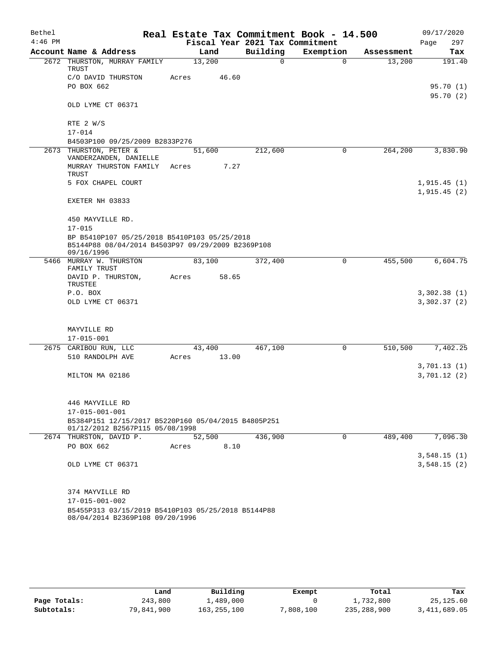| Bethel    |                                                                                                                 |        |       |                                 | Real Estate Tax Commitment Book - 14.500 |            | 09/17/2020            |
|-----------|-----------------------------------------------------------------------------------------------------------------|--------|-------|---------------------------------|------------------------------------------|------------|-----------------------|
| $4:46$ PM |                                                                                                                 |        |       | Fiscal Year 2021 Tax Commitment |                                          |            | 297<br>Page           |
|           | Account Name & Address                                                                                          |        | Land  | Building                        | Exemption                                | Assessment | Tax                   |
|           | 2672 THURSTON, MURRAY FAMILY<br>TRUST                                                                           | 13,200 |       | 0                               | $\Omega$                                 | 13,200     | 191.40                |
|           | C/O DAVID THURSTON                                                                                              | Acres  | 46.60 |                                 |                                          |            |                       |
|           | PO BOX 662                                                                                                      |        |       |                                 |                                          |            | 95.70 (1)<br>95.70(2) |
|           | OLD LYME CT 06371                                                                                               |        |       |                                 |                                          |            |                       |
|           | RTE 2 W/S                                                                                                       |        |       |                                 |                                          |            |                       |
|           | $17 - 014$                                                                                                      |        |       |                                 |                                          |            |                       |
|           | B4503P100 09/25/2009 B2833P276                                                                                  |        |       |                                 |                                          |            |                       |
|           | 2673 THURSTON, PETER &<br>VANDERZANDEN, DANIELLE                                                                | 51,600 |       | 212,600                         | $\Omega$                                 | 264,200    | 3,830.90              |
|           | MURRAY THURSTON FAMILY<br>TRUST                                                                                 | Acres  | 7.27  |                                 |                                          |            |                       |
|           | 5 FOX CHAPEL COURT                                                                                              |        |       |                                 |                                          |            | 1,915.45(1)           |
|           |                                                                                                                 |        |       |                                 |                                          |            | 1,915.45(2)           |
|           | EXETER NH 03833                                                                                                 |        |       |                                 |                                          |            |                       |
|           | 450 MAYVILLE RD.                                                                                                |        |       |                                 |                                          |            |                       |
|           | $17 - 015$                                                                                                      |        |       |                                 |                                          |            |                       |
|           | BP B5410P107 05/25/2018 B5410P103 05/25/2018<br>B5144P88 08/04/2014 B4503P97 09/29/2009 B2369P108<br>09/16/1996 |        |       |                                 |                                          |            |                       |
|           | 5466 MURRAY W. THURSTON                                                                                         | 83,100 |       | 372,400                         | 0                                        | 455,500    | 6,604.75              |
|           | FAMILY TRUST<br>DAVID P. THURSTON,<br>TRUSTEE                                                                   | Acres  | 58.65 |                                 |                                          |            |                       |
|           | P.O. BOX                                                                                                        |        |       |                                 |                                          |            | 3,302.38(1)           |
|           | OLD LYME CT 06371                                                                                               |        |       |                                 |                                          |            | 3,302.37(2)           |
|           |                                                                                                                 |        |       |                                 |                                          |            |                       |
|           | MAYVILLE RD                                                                                                     |        |       |                                 |                                          |            |                       |
|           | $17 - 015 - 001$                                                                                                |        |       |                                 |                                          |            |                       |
|           | 2675 CARIBOU RUN, LLC                                                                                           | 43,400 |       | 467,100                         | 0                                        | 510,500    | 7,402.25              |
|           | 510 RANDOLPH AVE                                                                                                | Acres  | 13.00 |                                 |                                          |            | 3,701.13(1)           |
|           | MILTON MA 02186                                                                                                 |        |       |                                 |                                          |            | 3,701.12(2)           |
|           |                                                                                                                 |        |       |                                 |                                          |            |                       |
|           | 446 MAYVILLE RD                                                                                                 |        |       |                                 |                                          |            |                       |
|           | $17 - 015 - 001 - 001$                                                                                          |        |       |                                 |                                          |            |                       |
|           | B5384P151 12/15/2017 B5220P160 05/04/2015 B4805P251<br>01/12/2012 B2567P115 05/08/1998                          |        |       |                                 |                                          |            |                       |
|           | 2674 THURSTON, DAVID P.                                                                                         | 52,500 |       | 436,900                         | 0                                        | 489,400    | 7,096.30              |
|           | PO BOX 662                                                                                                      | Acres  | 8.10  |                                 |                                          |            |                       |
|           |                                                                                                                 |        |       |                                 |                                          |            | 3,548.15(1)           |
|           | OLD LYME CT 06371                                                                                               |        |       |                                 |                                          |            | 3,548.15(2)           |
|           | 374 MAYVILLE RD                                                                                                 |        |       |                                 |                                          |            |                       |
|           | 17-015-001-002                                                                                                  |        |       |                                 |                                          |            |                       |
|           | B5455P313 03/15/2019 B5410P103 05/25/2018 B5144P88<br>08/04/2014 B2369P108 09/20/1996                           |        |       |                                 |                                          |            |                       |

|              | Land       | Building    | Exempt   | Total       | Tax            |
|--------------|------------|-------------|----------|-------------|----------------|
| Page Totals: | 243,800    | 1,489,000   |          | 1,732,800   | 25, 125, 60    |
| Subtotals:   | 79,841,900 | 163,255,100 | ,808,100 | 235,288,900 | 3, 411, 689.05 |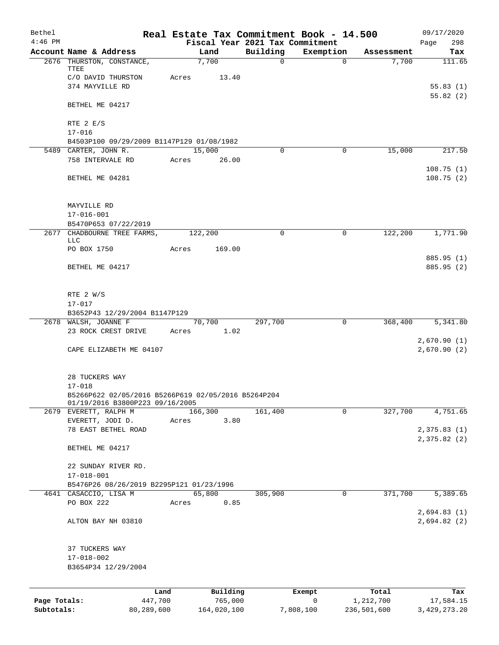| Bethel       |                                             |            | Real Estate Tax Commitment Book - 14.500            |             |           |   |             | 09/17/2020             |
|--------------|---------------------------------------------|------------|-----------------------------------------------------|-------------|-----------|---|-------------|------------------------|
| $4:46$ PM    | Account Name & Address                      |            | Fiscal Year 2021 Tax Commitment<br>Land             | Building    | Exemption |   | Assessment  | 298<br>Page<br>Tax     |
|              | 2676 THURSTON, CONSTANCE,                   |            | 7,700                                               | $\mathbf 0$ |           | 0 | 7,700       | 111.65                 |
|              | TTEE<br>C/O DAVID THURSTON                  |            | 13.40<br>Acres                                      |             |           |   |             |                        |
|              | 374 MAYVILLE RD                             |            |                                                     |             |           |   |             | 55.83(1)               |
|              | BETHEL ME 04217                             |            |                                                     |             |           |   |             | 55.82(2)               |
|              |                                             |            |                                                     |             |           |   |             |                        |
|              | RTE 2 E/S<br>$17 - 016$                     |            |                                                     |             |           |   |             |                        |
|              |                                             |            | B4503P100 09/29/2009 B1147P129 01/08/1982           |             |           |   |             |                        |
|              | 5489 CARTER, JOHN R.                        |            | 15,000                                              | 0           |           | 0 | 15,000      | 217.50                 |
|              | 758 INTERVALE RD                            |            | 26.00<br>Acres                                      |             |           |   |             |                        |
|              | BETHEL ME 04281                             |            |                                                     |             |           |   |             | 108.75(1)<br>108.75(2) |
|              |                                             |            |                                                     |             |           |   |             |                        |
|              | MAYVILLE RD                                 |            |                                                     |             |           |   |             |                        |
|              | $17 - 016 - 001$<br>B5470P653 07/22/2019    |            |                                                     |             |           |   |             |                        |
|              | 2677 CHADBOURNE TREE FARMS,                 |            | 122,200                                             | 0           |           | 0 | 122,200     | 1,771.90               |
|              | <b>LLC</b>                                  |            |                                                     |             |           |   |             |                        |
|              | PO BOX 1750                                 |            | 169.00<br>Acres                                     |             |           |   |             | 885.95 (1)             |
|              | BETHEL ME 04217                             |            |                                                     |             |           |   |             | 885.95 (2)             |
|              | RTE 2 W/S                                   |            |                                                     |             |           |   |             |                        |
|              | $17 - 017$                                  |            |                                                     |             |           |   |             |                        |
|              | B3652P43 12/29/2004 B1147P129               |            |                                                     |             |           |   |             |                        |
|              | 2678 WALSH, JOANNE F<br>23 ROCK CREST DRIVE |            | 70,700<br>1.02                                      | 297,700     |           | 0 | 368,400     | 5,341.80               |
|              |                                             |            | Acres                                               |             |           |   |             | 2,670.90(1)            |
|              | CAPE ELIZABETH ME 04107                     |            |                                                     |             |           |   |             | 2,670.90(2)            |
|              | 28 TUCKERS WAY                              |            |                                                     |             |           |   |             |                        |
|              | $17 - 018$                                  |            |                                                     |             |           |   |             |                        |
|              | 01/19/2016 B3800P223 09/16/2005             |            | B5266P622 02/05/2016 B5266P619 02/05/2016 B5264P204 |             |           |   |             |                        |
|              | 2679 EVERETT, RALPH M                       |            | 166,300                                             | 161,400     |           | 0 | 327,700     | 4,751.65               |
|              | EVERETT, JODI D.                            |            | 3.80<br>Acres                                       |             |           |   |             |                        |
|              | 78 EAST BETHEL ROAD                         |            |                                                     |             |           |   |             | 2,375.83 (1)           |
|              | BETHEL ME 04217                             |            |                                                     |             |           |   |             | 2,375.82 (2)           |
|              | 22 SUNDAY RIVER RD.                         |            |                                                     |             |           |   |             |                        |
|              | $17 - 018 - 001$                            |            |                                                     |             |           |   |             |                        |
|              |                                             |            | B5476P26 08/26/2019 B2295P121 01/23/1996            |             |           |   |             |                        |
|              | 4641 CASACCIO, LISA M<br>PO BOX 222         |            | 65,800<br>Acres<br>0.85                             | 305,900     |           | 0 | 371,700     | 5,389.65               |
|              |                                             |            |                                                     |             |           |   |             | 2,694.83(1)            |
|              | ALTON BAY NH 03810                          |            |                                                     |             |           |   |             | 2,694.82(2)            |
|              | 37 TUCKERS WAY                              |            |                                                     |             |           |   |             |                        |
|              | $17 - 018 - 002$                            |            |                                                     |             |           |   |             |                        |
|              | B3654P34 12/29/2004                         |            |                                                     |             |           |   |             |                        |
|              |                                             | Land       | Building                                            |             | Exempt    |   | Total       | Tax                    |
| Page Totals: |                                             | 447,700    | 765,000                                             |             | 0         |   | 1,212,700   | 17,584.15              |
| Subtotals:   |                                             | 80,289,600 | 164,020,100                                         |             | 7,808,100 |   | 236,501,600 | 3,429,273.20           |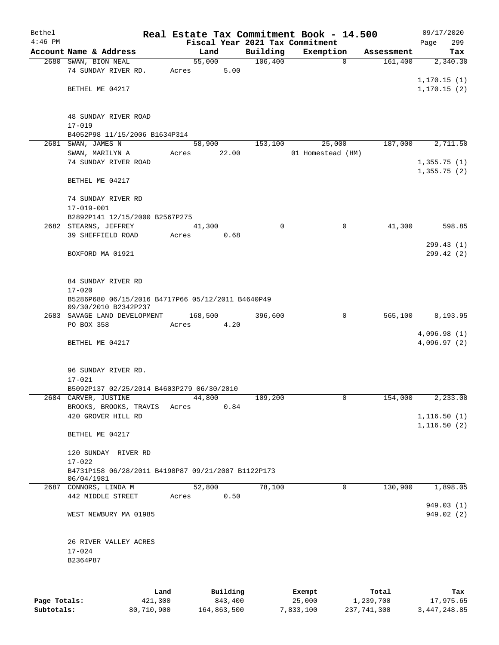| Bethel       |                                                                  |       |                |             | Real Estate Tax Commitment Book - 14.500 |            | 09/17/2020                   |  |  |
|--------------|------------------------------------------------------------------|-------|----------------|-------------|------------------------------------------|------------|------------------------------|--|--|
| $4:46$ PM    |                                                                  |       |                |             | Fiscal Year 2021 Tax Commitment          |            | 299<br>Page                  |  |  |
|              | Account Name & Address                                           |       | Land           | Building    | Exemption                                | Assessment | Tax                          |  |  |
|              | 2680 SWAN, BION NEAL<br>74 SUNDAY RIVER RD.                      | Acres | 55,000<br>5.00 | 106,400     | $\mathbf 0$                              | 161,400    | 2,340.30                     |  |  |
|              |                                                                  |       |                |             |                                          |            | 1, 170.15(1)                 |  |  |
|              | BETHEL ME 04217                                                  |       |                |             |                                          |            | 1, 170.15(2)                 |  |  |
|              |                                                                  |       |                |             |                                          |            |                              |  |  |
|              | 48 SUNDAY RIVER ROAD                                             |       |                |             |                                          |            |                              |  |  |
|              | $17 - 019$                                                       |       |                |             |                                          |            |                              |  |  |
|              | B4052P98 11/15/2006 B1634P314                                    |       |                |             |                                          |            |                              |  |  |
|              | 2681 SWAN, JAMES N                                               |       | 58,900         | 153,100     | 25,000                                   | 187,000    | 2,711.50                     |  |  |
|              | SWAN, MARILYN A                                                  | Acres | 22.00          |             | 01 Homestead (HM)                        |            |                              |  |  |
|              | 74 SUNDAY RIVER ROAD                                             |       |                |             |                                          |            | 1,355.75(1)                  |  |  |
|              | BETHEL ME 04217                                                  |       |                |             |                                          |            | 1,355.75(2)                  |  |  |
|              | 74 SUNDAY RIVER RD                                               |       |                |             |                                          |            |                              |  |  |
|              | $17 - 019 - 001$                                                 |       |                |             |                                          |            |                              |  |  |
|              | B2892P141 12/15/2000 B2567P275                                   |       |                |             |                                          |            |                              |  |  |
|              | 2682 STEARNS, JEFFREY                                            |       | 41,300         | $\mathbf 0$ | $\mathbf 0$                              | 41,300     | 598.85                       |  |  |
|              | 39 SHEFFIELD ROAD                                                | Acres | 0.68           |             |                                          |            |                              |  |  |
|              |                                                                  |       |                |             |                                          |            | 299.43(1)                    |  |  |
|              | BOXFORD MA 01921                                                 |       |                |             |                                          |            | 299.42(2)                    |  |  |
|              |                                                                  |       |                |             |                                          |            |                              |  |  |
|              | 84 SUNDAY RIVER RD                                               |       |                |             |                                          |            |                              |  |  |
|              | $17 - 020$                                                       |       |                |             |                                          |            |                              |  |  |
|              | B5286P680 06/15/2016 B4717P66 05/12/2011 B4640P49                |       |                |             |                                          |            |                              |  |  |
|              | 09/30/2010 B2342P237                                             |       |                |             |                                          |            |                              |  |  |
|              | 2683 SAVAGE LAND DEVELOPMENT                                     |       | 168,500        | 396,600     | $\mathbf 0$                              | 565,100    | 8,193.95                     |  |  |
|              | PO BOX 358                                                       | Acres | 4.20           |             |                                          |            |                              |  |  |
|              |                                                                  |       |                |             |                                          |            | 4,096.98(1)                  |  |  |
|              | BETHEL ME 04217                                                  |       |                |             |                                          |            | 4,096.97(2)                  |  |  |
|              |                                                                  |       |                |             |                                          |            |                              |  |  |
|              | 96 SUNDAY RIVER RD.                                              |       |                |             |                                          |            |                              |  |  |
|              | $17 - 021$                                                       |       |                |             |                                          |            |                              |  |  |
|              | B5092P137 02/25/2014 B4603P279 06/30/2010                        |       |                |             |                                          |            |                              |  |  |
|              | 2684 CARVER, JUSTINE                                             |       | 44,800         | 109,200     | 0                                        | 154,000    | 2,233.00                     |  |  |
|              | BROOKS, BROOKS, TRAVIS                                           | Acres | 0.84           |             |                                          |            |                              |  |  |
|              | 420 GROVER HILL RD                                               |       |                |             |                                          |            | 1, 116.50(1)<br>1, 116.50(2) |  |  |
|              | BETHEL ME 04217                                                  |       |                |             |                                          |            |                              |  |  |
|              | 120 SUNDAY RIVER RD                                              |       |                |             |                                          |            |                              |  |  |
|              | $17 - 022$                                                       |       |                |             |                                          |            |                              |  |  |
|              | B4731P158 06/28/2011 B4198P87 09/21/2007 B1122P173<br>06/04/1981 |       |                |             |                                          |            |                              |  |  |
|              | 2687 CONNORS, LINDA M                                            |       | 52,800         | 78,100      | $\mathbf 0$                              | 130,900    | 1,898.05                     |  |  |
|              | 442 MIDDLE STREET                                                | Acres | 0.50           |             |                                          |            |                              |  |  |
|              |                                                                  |       |                |             |                                          |            | 949.03 (1)                   |  |  |
|              | WEST NEWBURY MA 01985                                            |       |                |             |                                          |            | 949.02(2)                    |  |  |
|              |                                                                  |       |                |             |                                          |            |                              |  |  |
|              | 26 RIVER VALLEY ACRES                                            |       |                |             |                                          |            |                              |  |  |
|              | $17 - 024$                                                       |       |                |             |                                          |            |                              |  |  |
|              | B2364P87                                                         |       |                |             |                                          |            |                              |  |  |
|              |                                                                  |       |                |             |                                          |            |                              |  |  |
|              | Land                                                             |       | Building       |             | Exempt                                   | Total      | Tax                          |  |  |
| Page Totals: | 421,300                                                          |       | 843,400        |             | 25,000                                   | 1,239,700  | 17,975.65                    |  |  |

**Subtotals:** 80,710,900 164,863,500 7,833,100 237,741,300 3,447,248.85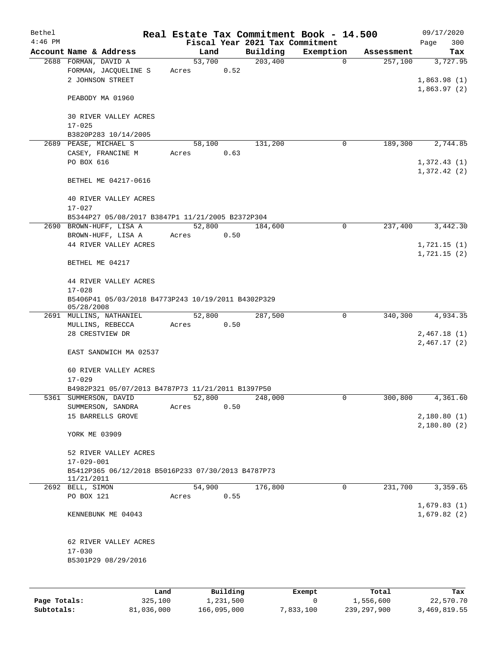| Bethel    |                                                                             |       |                |                     | Real Estate Tax Commitment Book - 14.500 |                       | 09/17/2020                 |
|-----------|-----------------------------------------------------------------------------|-------|----------------|---------------------|------------------------------------------|-----------------------|----------------------------|
| $4:46$ PM |                                                                             |       |                |                     | Fiscal Year 2021 Tax Commitment          |                       | Page<br>300                |
|           | Account Name & Address<br>2688 FORMAN, DAVID A                              |       | Land<br>53,700 | Building<br>203,400 | Exemption<br>0                           | Assessment<br>257,100 | Tax<br>3,727.95            |
|           | FORMAN, JACQUELINE S<br>2 JOHNSON STREET                                    | Acres | 0.52           |                     |                                          |                       | 1,863.98(1)                |
|           | PEABODY MA 01960                                                            |       |                |                     |                                          |                       | 1,863.97(2)                |
|           | 30 RIVER VALLEY ACRES<br>$17 - 025$                                         |       |                |                     |                                          |                       |                            |
|           | B3820P283 10/14/2005                                                        |       |                |                     |                                          |                       |                            |
|           | 2689 PEASE, MICHAEL S                                                       |       | 58,100         | 131,200             | 0                                        | 189,300               | 2,744.85                   |
|           | CASEY, FRANCINE M                                                           | Acres | 0.63           |                     |                                          |                       |                            |
|           | PO BOX 616                                                                  |       |                |                     |                                          |                       | 1,372.43(1)                |
|           | BETHEL ME 04217-0616                                                        |       |                |                     |                                          |                       | 1,372.42(2)                |
|           | 40 RIVER VALLEY ACRES                                                       |       |                |                     |                                          |                       |                            |
|           | $17 - 027$                                                                  |       |                |                     |                                          |                       |                            |
|           | B5344P27 05/08/2017 B3847P1 11/21/2005 B2372P304<br>2690 BROWN-HUFF, LISA A |       | 52,800         | 184,600             | 0                                        | 237,400               | 3,442.30                   |
|           | BROWN-HUFF, LISA A                                                          | Acres | 0.50           |                     |                                          |                       |                            |
|           | 44 RIVER VALLEY ACRES                                                       |       |                |                     |                                          |                       | 1,721.15(1)                |
|           | BETHEL ME 04217                                                             |       |                |                     |                                          |                       | 1,721.15(2)                |
|           |                                                                             |       |                |                     |                                          |                       |                            |
|           | 44 RIVER VALLEY ACRES<br>$17 - 028$                                         |       |                |                     |                                          |                       |                            |
|           | B5406P41 05/03/2018 B4773P243 10/19/2011 B4302P329<br>05/28/2008            |       |                |                     |                                          |                       |                            |
|           | 2691 MULLINS, NATHANIEL                                                     |       | 52,800         | 287,500             | 0                                        | 340,300               | 4,934.35                   |
|           | MULLINS, REBECCA                                                            | Acres | 0.50           |                     |                                          |                       |                            |
|           | 28 CRESTVIEW DR                                                             |       |                |                     |                                          |                       | 2,467.18(1)                |
|           | EAST SANDWICH MA 02537                                                      |       |                |                     |                                          |                       | 2,467.17(2)                |
|           | 60 RIVER VALLEY ACRES                                                       |       |                |                     |                                          |                       |                            |
|           | $17 - 029$                                                                  |       |                |                     |                                          |                       |                            |
|           | B4982P321 05/07/2013 B4787P73 11/21/2011 B1397P50                           |       |                |                     |                                          |                       |                            |
|           | 5361 SUMMERSON, DAVID                                                       |       | 52,800         | 248,000             | 0                                        | 300,800               | 4,361.60                   |
|           | SUMMERSON, SANDRA                                                           | Acres | 0.50           |                     |                                          |                       |                            |
|           | 15 BARRELLS GROVE                                                           |       |                |                     |                                          |                       | 2,180.80(1)<br>2,180.80(2) |
|           | YORK ME 03909                                                               |       |                |                     |                                          |                       |                            |
|           | 52 RIVER VALLEY ACRES                                                       |       |                |                     |                                          |                       |                            |
|           | $17 - 029 - 001$                                                            |       |                |                     |                                          |                       |                            |
|           | B5412P365 06/12/2018 B5016P233 07/30/2013 B4787P73<br>11/21/2011            |       |                |                     |                                          |                       |                            |
|           | 2692 BELL, SIMON                                                            |       | 54,900         | 176,800             | 0                                        | 231,700               | 3,359.65                   |
|           | PO BOX 121                                                                  | Acres | 0.55           |                     |                                          |                       |                            |
|           | KENNEBUNK ME 04043                                                          |       |                |                     |                                          |                       | 1,679.83(1)<br>1,679.82(2) |
|           | 62 RIVER VALLEY ACRES                                                       |       |                |                     |                                          |                       |                            |
|           | $17 - 030$<br>B5301P29 08/29/2016                                           |       |                |                     |                                          |                       |                            |
|           |                                                                             |       |                |                     |                                          |                       |                            |
|           | Land                                                                        |       | Building       |                     | Exempt                                   | Total                 | Tax                        |
|           |                                                                             |       |                |                     |                                          |                       |                            |

**Page Totals:** 325,100 1,231,500 0 1,556,600 22,570.70 **Subtotals:** 81,036,000 166,095,000 7,833,100 239,297,900 3,469,819.55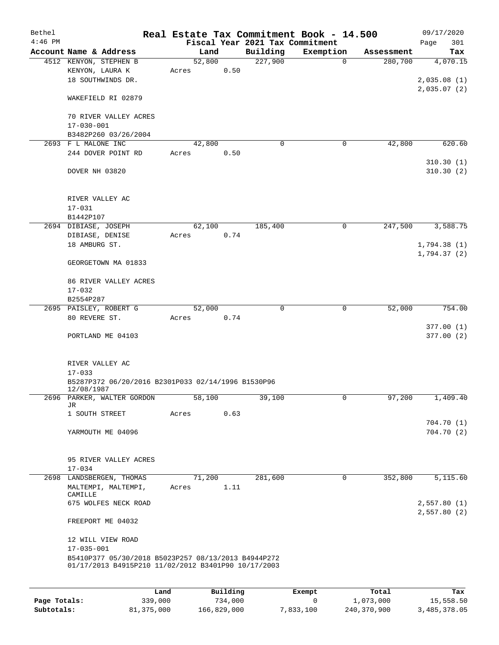| Bethel<br>$4:46$ PM |                                                                                                            |        |      |                                             | Real Estate Tax Commitment Book - 14.500 |            | 09/17/2020                 |
|---------------------|------------------------------------------------------------------------------------------------------------|--------|------|---------------------------------------------|------------------------------------------|------------|----------------------------|
|                     | Account Name & Address                                                                                     | Land   |      | Fiscal Year 2021 Tax Commitment<br>Building | Exemption                                | Assessment | Page<br>301<br>Tax         |
|                     | 4512 KENYON, STEPHEN B                                                                                     | 52,800 |      | 227,900                                     | $\mathbf 0$                              | 280,700    | 4,070.15                   |
|                     | KENYON, LAURA K<br>18 SOUTHWINDS DR.                                                                       | Acres  | 0.50 |                                             |                                          |            | 2,035.08(1)                |
|                     | WAKEFIELD RI 02879                                                                                         |        |      |                                             |                                          |            | 2,035.07(2)                |
|                     | 70 RIVER VALLEY ACRES<br>$17 - 030 - 001$                                                                  |        |      |                                             |                                          |            |                            |
|                     | B3482P260 03/26/2004                                                                                       |        |      |                                             |                                          |            |                            |
|                     | 2693 F L MALONE INC                                                                                        | 42,800 |      | 0                                           | 0                                        | 42,800     | 620.60                     |
|                     | 244 DOVER POINT RD                                                                                         | Acres  | 0.50 |                                             |                                          |            |                            |
|                     | DOVER NH 03820                                                                                             |        |      |                                             |                                          |            | 310.30(1)<br>310.30(2)     |
|                     | RIVER VALLEY AC<br>$17 - 031$                                                                              |        |      |                                             |                                          |            |                            |
|                     | B1442P107                                                                                                  |        |      |                                             |                                          |            |                            |
|                     | 2694 DIBIASE, JOSEPH                                                                                       | 62,100 |      | 185,400                                     | 0                                        | 247,500    | 3,588.75                   |
|                     | DIBIASE, DENISE                                                                                            | Acres  | 0.74 |                                             |                                          |            |                            |
|                     | 18 AMBURG ST.                                                                                              |        |      |                                             |                                          |            | 1,794.38(1)<br>1,794.37(2) |
|                     | GEORGETOWN MA 01833                                                                                        |        |      |                                             |                                          |            |                            |
|                     | 86 RIVER VALLEY ACRES                                                                                      |        |      |                                             |                                          |            |                            |
|                     | $17 - 032$<br>B2554P287                                                                                    |        |      |                                             |                                          |            |                            |
|                     | 2695 PAISLEY, ROBERT G                                                                                     | 52,000 |      | 0                                           | $\mathsf{O}$                             | 52,000     | 754.00                     |
|                     | 80 REVERE ST.                                                                                              | Acres  | 0.74 |                                             |                                          |            |                            |
|                     |                                                                                                            |        |      |                                             |                                          |            | 377.00(1)                  |
|                     | PORTLAND ME 04103                                                                                          |        |      |                                             |                                          |            | 377.00(2)                  |
|                     | RIVER VALLEY AC<br>$17 - 033$                                                                              |        |      |                                             |                                          |            |                            |
|                     | B5287P372 06/20/2016 B2301P033 02/14/1996 B1530P96<br>12/08/1987                                           |        |      |                                             |                                          |            |                            |
|                     | 2696 PARKER, WALTER GORDON                                                                                 | 58,100 |      | 39,100                                      | 0                                        | 97,200     | 1,409.40                   |
|                     | JR<br>1 SOUTH STREET                                                                                       | Acres  | 0.63 |                                             |                                          |            |                            |
|                     |                                                                                                            |        |      |                                             |                                          |            | 704.70 (1)                 |
|                     | YARMOUTH ME 04096                                                                                          |        |      |                                             |                                          |            | 704.70(2)                  |
|                     | 95 RIVER VALLEY ACRES<br>$17 - 034$                                                                        |        |      |                                             |                                          |            |                            |
|                     | 2698 LANDSBERGEN, THOMAS                                                                                   | 71,200 |      | 281,600                                     | $\mathbf 0$                              | 352,800    | 5,115.60                   |
|                     | MALTEMPI, MALTEMPI,<br>CAMILLE                                                                             | Acres  | 1.11 |                                             |                                          |            |                            |
|                     | 675 WOLFES NECK ROAD                                                                                       |        |      |                                             |                                          |            | 2,557.80(1)                |
|                     | FREEPORT ME 04032                                                                                          |        |      |                                             |                                          |            | 2,557.80(2)                |
|                     | 12 WILL VIEW ROAD                                                                                          |        |      |                                             |                                          |            |                            |
|                     | $17 - 035 - 001$                                                                                           |        |      |                                             |                                          |            |                            |
|                     | B5410P377 05/30/2018 B5023P257 08/13/2013 B4944P272<br>01/17/2013 B4915P210 11/02/2012 B3401P90 10/17/2003 |        |      |                                             |                                          |            |                            |
|                     |                                                                                                            |        |      |                                             |                                          |            |                            |
|                     |                                                                                                            |        |      |                                             |                                          |            |                            |

|              | Land       | Building    | Exempt    | Total       | Tax          |
|--------------|------------|-------------|-----------|-------------|--------------|
| Page Totals: | 339,000    | 734,000     |           | 1,073,000   | 15,558.50    |
| Subtotals:   | 81,375,000 | 166,829,000 | 7,833,100 | 240,370,900 | 3,485,378.05 |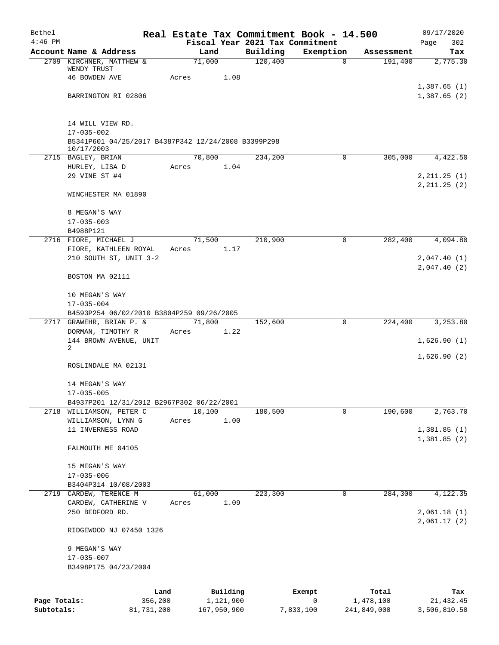| Bethel       |                                                                                       | Real Estate Tax Commitment Book - 14.500 |          |             |             | 09/17/2020                     |
|--------------|---------------------------------------------------------------------------------------|------------------------------------------|----------|-------------|-------------|--------------------------------|
| $4:46$ PM    | Account Name & Address                                                                | Fiscal Year 2021 Tax Commitment<br>Land  | Building | Exemption   | Assessment  | 302<br>Page<br>Tax             |
|              | 2709 KIRCHNER, MATTHEW &                                                              | 71,000                                   | 120,400  | $\mathbf 0$ | 191,400     | 2,775.30                       |
|              | WENDY TRUST                                                                           |                                          |          |             |             |                                |
|              | <b>46 BOWDEN AVE</b>                                                                  | 1.08<br>Acres                            |          |             |             | 1,387.65(1)                    |
|              | BARRINGTON RI 02806                                                                   |                                          |          |             |             | 1,387.65(2)                    |
|              | 14 WILL VIEW RD.                                                                      |                                          |          |             |             |                                |
|              | $17 - 035 - 002$<br>B5341P601 04/25/2017 B4387P342 12/24/2008 B3399P298<br>10/17/2003 |                                          |          |             |             |                                |
|              | 2715 BAGLEY, BRIAN                                                                    | 70,800                                   | 234,200  | 0           | 305,000     | 4,422.50                       |
|              | HURLEY, LISA D<br>29 VINE ST #4                                                       | Acres<br>1.04                            |          |             |             | 2, 211.25 (1)<br>2, 211.25 (2) |
|              | WINCHESTER MA 01890                                                                   |                                          |          |             |             |                                |
|              | 8 MEGAN'S WAY                                                                         |                                          |          |             |             |                                |
|              | $17 - 035 - 003$                                                                      |                                          |          |             |             |                                |
|              | B4988P121<br>2716 FIORE, MICHAEL J                                                    | 71,500                                   | 210,900  | 0           | 282,400     | 4,094.80                       |
|              | FIORE, KATHLEEN ROYAL                                                                 | 1.17<br>Acres                            |          |             |             |                                |
|              | 210 SOUTH ST, UNIT 3-2                                                                |                                          |          |             |             | 2,047.40(1)                    |
|              | BOSTON MA 02111                                                                       |                                          |          |             |             | 2,047.40(2)                    |
|              | 10 MEGAN'S WAY                                                                        |                                          |          |             |             |                                |
|              | $17 - 035 - 004$                                                                      |                                          |          |             |             |                                |
|              | B4593P254 06/02/2010 B3804P259 09/26/2005<br>2717 GRAWEHR, BRIAN P. &                 | 71,800                                   | 152,600  | 0           | 224,400     | 3,253.80                       |
|              | DORMAN, TIMOTHY R                                                                     | 1.22<br>Acres                            |          |             |             |                                |
|              | 144 BROWN AVENUE, UNIT<br>2                                                           |                                          |          |             |             | 1,626.90(1)                    |
|              | ROSLINDALE MA 02131                                                                   |                                          |          |             |             | 1,626.90(2)                    |
|              |                                                                                       |                                          |          |             |             |                                |
|              | 14 MEGAN'S WAY                                                                        |                                          |          |             |             |                                |
|              | $17 - 035 - 005$<br>B4937P201 12/31/2012 B2967P302 06/22/2001                         |                                          |          |             |             |                                |
|              | 2718 WILLIAMSON, PETER C                                                              | 10,100                                   | 180,500  | 0           | 190,600     | 2,763.70                       |
|              | WILLIAMSON, LYNN G                                                                    | 1.00<br>Acres                            |          |             |             |                                |
|              | 11 INVERNESS ROAD                                                                     |                                          |          |             |             | 1,381.85(1)<br>1,381.85(2)     |
|              | FALMOUTH ME 04105                                                                     |                                          |          |             |             |                                |
|              | 15 MEGAN'S WAY                                                                        |                                          |          |             |             |                                |
|              | $17 - 035 - 006$                                                                      |                                          |          |             |             |                                |
|              | B3404P314 10/08/2003<br>2719 CARDEW, TERENCE M                                        | 61,000                                   | 223,300  | 0           | 284,300     | 4,122.35                       |
|              | CARDEW, CATHERINE V                                                                   | 1.09<br>Acres                            |          |             |             |                                |
|              | 250 BEDFORD RD.                                                                       |                                          |          |             |             | 2,061.18(1)                    |
|              | RIDGEWOOD NJ 07450 1326                                                               |                                          |          |             |             | 2,061.17(2)                    |
|              | 9 MEGAN'S WAY                                                                         |                                          |          |             |             |                                |
|              | $17 - 035 - 007$                                                                      |                                          |          |             |             |                                |
|              | B3498P175 04/23/2004                                                                  |                                          |          |             |             |                                |
|              | Land                                                                                  | Building                                 |          | Exempt      | Total       | Tax                            |
| Page Totals: | 356,200                                                                               | 1,121,900                                |          | $\mathbf 0$ | 1,478,100   | 21, 432.45                     |
| Subtotals:   | 81,731,200                                                                            | 167,950,900                              |          | 7,833,100   | 241,849,000 | 3,506,810.50                   |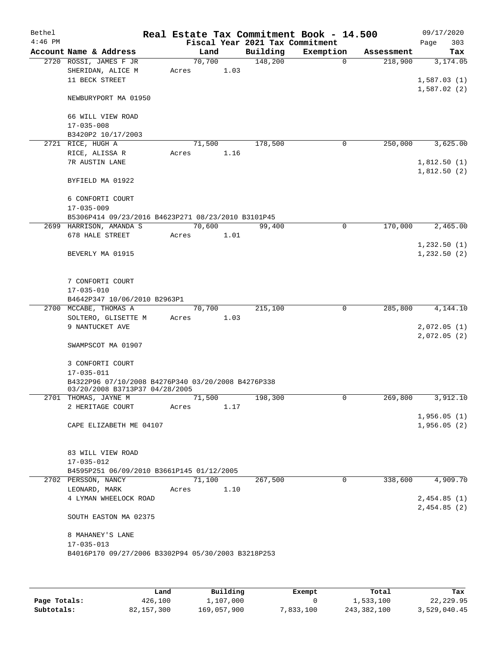| Bethel<br>$4:46$ PM |                                                    |       |        |      | Fiscal Year 2021 Tax Commitment | Real Estate Tax Commitment Book - 14.500 |            | 09/17/2020<br>Page<br>303   |
|---------------------|----------------------------------------------------|-------|--------|------|---------------------------------|------------------------------------------|------------|-----------------------------|
|                     | Account Name & Address                             |       | Land   |      | Building                        | Exemption                                | Assessment | Tax                         |
|                     | 2720 ROSSI, JAMES F JR                             |       | 70,700 |      | 148,200                         | $\Omega$                                 | 218,900    | 3,174.05                    |
|                     | SHERIDAN, ALICE M                                  | Acres |        | 1.03 |                                 |                                          |            |                             |
|                     | 11 BECK STREET                                     |       |        |      |                                 |                                          |            | 1,587.03(1)                 |
|                     |                                                    |       |        |      |                                 |                                          |            | 1,587.02(2)                 |
|                     | NEWBURYPORT MA 01950                               |       |        |      |                                 |                                          |            |                             |
|                     |                                                    |       |        |      |                                 |                                          |            |                             |
|                     | 66 WILL VIEW ROAD                                  |       |        |      |                                 |                                          |            |                             |
|                     | $17 - 035 - 008$                                   |       |        |      |                                 |                                          |            |                             |
|                     | B3420P2 10/17/2003<br>2721 RICE, HUGH A            |       | 71,500 |      | 178,500                         | 0                                        | 250,000    | 3,625.00                    |
|                     | RICE, ALISSA R                                     | Acres |        | 1.16 |                                 |                                          |            |                             |
|                     | 7R AUSTIN LANE                                     |       |        |      |                                 |                                          |            | 1,812.50(1)                 |
|                     |                                                    |       |        |      |                                 |                                          |            | 1,812.50(2)                 |
|                     | BYFIELD MA 01922                                   |       |        |      |                                 |                                          |            |                             |
|                     |                                                    |       |        |      |                                 |                                          |            |                             |
|                     | 6 CONFORTI COURT                                   |       |        |      |                                 |                                          |            |                             |
|                     | $17 - 035 - 009$                                   |       |        |      |                                 |                                          |            |                             |
|                     | B5306P414 09/23/2016 B4623P271 08/23/2010 B3101P45 |       |        |      |                                 |                                          |            |                             |
|                     | 2699 HARRISON, AMANDA S                            |       | 70,600 |      | 99,400                          | 0                                        | 170,000    | 2,465.00                    |
|                     | 678 HALE STREET                                    | Acres |        | 1.01 |                                 |                                          |            |                             |
|                     | BEVERLY MA 01915                                   |       |        |      |                                 |                                          |            | 1,232.50(1)<br>1, 232.50(2) |
|                     |                                                    |       |        |      |                                 |                                          |            |                             |
|                     |                                                    |       |        |      |                                 |                                          |            |                             |
|                     | 7 CONFORTI COURT                                   |       |        |      |                                 |                                          |            |                             |
|                     | $17 - 035 - 010$                                   |       |        |      |                                 |                                          |            |                             |
|                     | B4642P347 10/06/2010 B2963P1                       |       |        |      |                                 |                                          |            |                             |
|                     | 2700 MCCABE, THOMAS A                              |       | 70,700 |      | 215,100                         | $\mathbf 0$                              | 285,800    | 4,144.10                    |
|                     | SOLTERO, GLISETTE M                                | Acres |        | 1.03 |                                 |                                          |            |                             |
|                     | 9 NANTUCKET AVE                                    |       |        |      |                                 |                                          |            | 2,072.05(1)                 |
|                     |                                                    |       |        |      |                                 |                                          |            | 2,072.05(2)                 |
|                     | SWAMPSCOT MA 01907                                 |       |        |      |                                 |                                          |            |                             |
|                     | 3 CONFORTI COURT                                   |       |        |      |                                 |                                          |            |                             |
|                     | $17 - 035 - 011$                                   |       |        |      |                                 |                                          |            |                             |
|                     | B4322P96 07/10/2008 B4276P340 03/20/2008 B4276P338 |       |        |      |                                 |                                          |            |                             |
|                     | 03/20/2008 B3713P37 04/28/2005                     |       |        |      |                                 |                                          |            |                             |
|                     | 2701 THOMAS, JAYNE M                               |       | 71,500 |      | 198,300                         | 0                                        | 269,800    | 3,912.10                    |
|                     | 2 HERITAGE COURT                                   | Acres |        | 1.17 |                                 |                                          |            |                             |
|                     | CAPE ELIZABETH ME 04107                            |       |        |      |                                 |                                          |            | 1,956.05(1)<br>1,956.05(2)  |
|                     |                                                    |       |        |      |                                 |                                          |            |                             |
|                     |                                                    |       |        |      |                                 |                                          |            |                             |
|                     | 83 WILL VIEW ROAD                                  |       |        |      |                                 |                                          |            |                             |
|                     | $17 - 035 - 012$                                   |       |        |      |                                 |                                          |            |                             |
|                     | B4595P251 06/09/2010 B3661P145 01/12/2005          |       |        |      |                                 |                                          |            |                             |
|                     | 2702 PERSSON, NANCY                                |       | 71,100 |      | 267,500                         | 0                                        | 338,600    | 4,909.70                    |
|                     | LEONARD, MARK                                      | Acres |        | 1.10 |                                 |                                          |            |                             |
|                     | 4 LYMAN WHEELOCK ROAD                              |       |        |      |                                 |                                          |            | 2,454.85(1)<br>2,454.85(2)  |
|                     | SOUTH EASTON MA 02375                              |       |        |      |                                 |                                          |            |                             |
|                     |                                                    |       |        |      |                                 |                                          |            |                             |
|                     | 8 MAHANEY'S LANE                                   |       |        |      |                                 |                                          |            |                             |
|                     | $17 - 035 - 013$                                   |       |        |      |                                 |                                          |            |                             |
|                     | B4016P170 09/27/2006 B3302P94 05/30/2003 B3218P253 |       |        |      |                                 |                                          |            |                             |
|                     |                                                    |       |        |      |                                 |                                          |            |                             |
|                     |                                                    |       |        |      |                                 |                                          |            |                             |

|              | Land       | Building    | Exempt    | Total       | Tax          |
|--------------|------------|-------------|-----------|-------------|--------------|
| Page Totals: | 426,100    | 1,107,000   |           | 1,533,100   | 22,229.95    |
| Subtotals:   | 82,157,300 | 169,057,900 | 7,833,100 | 243,382,100 | 3,529,040.45 |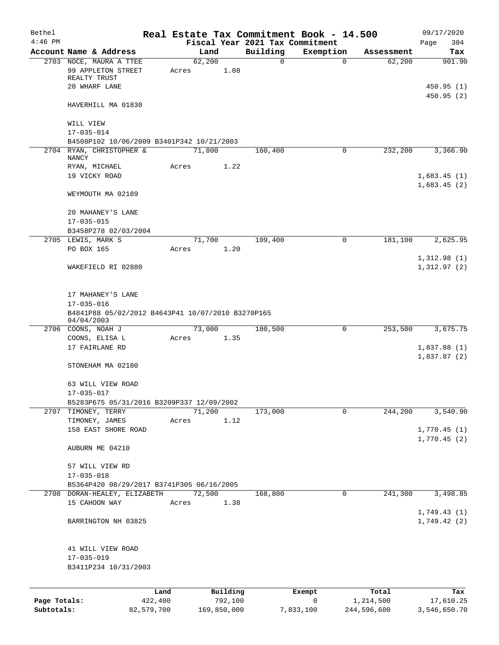| Bethel<br>$4:46$ PM |                                                                 |                 |          | Fiscal Year 2021 Tax Commitment | Real Estate Tax Commitment Book - 14.500 |            | 09/17/2020<br>304<br>Page  |
|---------------------|-----------------------------------------------------------------|-----------------|----------|---------------------------------|------------------------------------------|------------|----------------------------|
|                     | Account Name & Address                                          | Land            |          | Building                        | Exemption                                | Assessment | Tax                        |
|                     | 2703 NOCE, MAURA A TTEE<br>99 APPLETON STREET<br>REALTY TRUST   | 62,200<br>Acres | 1.08     | $\mathbf 0$                     | $\mathbf 0$                              | 62,200     | 901.90                     |
|                     | 20 WHARF LANE                                                   |                 |          |                                 |                                          |            | 450.95(1)                  |
|                     | HAVERHILL MA 01830                                              |                 |          |                                 |                                          |            | 450.95(2)                  |
|                     | WILL VIEW                                                       |                 |          |                                 |                                          |            |                            |
|                     | 17-035-014<br>B4508P102 10/06/2009 B3401P342 10/21/2003         |                 |          |                                 |                                          |            |                            |
|                     | 2704 RYAN, CHRISTOPHER &                                        | 71,800          |          | 160,400                         | 0                                        | 232,200    | 3,366.90                   |
|                     | NANCY                                                           |                 |          |                                 |                                          |            |                            |
|                     | RYAN, MICHAEL<br>19 VICKY ROAD                                  | Acres           | 1.22     |                                 |                                          |            | 1,683.45(1)                |
|                     |                                                                 |                 |          |                                 |                                          |            | 1,683.45(2)                |
|                     | WEYMOUTH MA 02189                                               |                 |          |                                 |                                          |            |                            |
|                     | 20 MAHANEY'S LANE                                               |                 |          |                                 |                                          |            |                            |
|                     | $17 - 035 - 015$<br>B3458P278 02/03/2004                        |                 |          |                                 |                                          |            |                            |
|                     | 2705 LEWIS, MARK S                                              | 71,700          |          | 109,400                         | 0                                        | 181,100    | 2,625.95                   |
|                     | PO BOX 165                                                      | Acres           | 1.20     |                                 |                                          |            |                            |
|                     | WAKEFIELD RI 02880                                              |                 |          |                                 |                                          |            | 1,312.98(1)<br>1,312.97(2) |
|                     | 17 MAHANEY'S LANE<br>$17 - 035 - 016$                           |                 |          |                                 |                                          |            |                            |
|                     | B4841P88 05/02/2012 B4643P41 10/07/2010 B3270P165<br>04/04/2003 |                 |          |                                 |                                          |            |                            |
|                     | 2706 COONS, NOAH J                                              | 73,000          |          | 180,500                         | 0                                        | 253,500    | 3,675.75                   |
|                     | COONS, ELISA L                                                  | Acres           | 1.35     |                                 |                                          |            |                            |
|                     | 17 FAIRLANE RD                                                  |                 |          |                                 |                                          |            | 1,837.88(1)                |
|                     | STONEHAM MA 02180                                               |                 |          |                                 |                                          |            | 1,837.87(2)                |
|                     | 63 WILL VIEW ROAD<br>$17 - 035 - 017$                           |                 |          |                                 |                                          |            |                            |
|                     | B5283P675 05/31/2016 B3209P337 12/09/2002                       |                 |          |                                 |                                          |            |                            |
|                     | 2707 TIMONEY, TERRY                                             | 71,200          |          | 173,000                         | 0                                        | 244,200    | 3,540.90                   |
|                     | TIMONEY, JAMES                                                  | Acres           | 1.12     |                                 |                                          |            |                            |
|                     | 158 EAST SHORE ROAD                                             |                 |          |                                 |                                          |            | 1,770.45(1)<br>1,770.45(2) |
|                     | AUBURN ME 04210                                                 |                 |          |                                 |                                          |            |                            |
|                     | 57 WILL VIEW RD<br>$17 - 035 - 018$                             |                 |          |                                 |                                          |            |                            |
|                     | B5364P420 08/29/2017 B3741P305 06/16/2005                       |                 |          |                                 |                                          |            |                            |
|                     | 2708 DORAN-HEALEY, ELIZABETH                                    | 72,500          |          | 168,800                         | $\mathbf 0$                              | 241,300    | 3,498.85                   |
|                     | 15 CAHOON WAY                                                   | Acres           | 1.38     |                                 |                                          |            | 1,749.43(1)                |
|                     | BARRINGTON NH 03825                                             |                 |          |                                 |                                          |            | 1,749.42(2)                |
|                     | 41 WILL VIEW ROAD<br>$17 - 035 - 019$                           |                 |          |                                 |                                          |            |                            |
|                     | B3411P234 10/31/2003                                            |                 |          |                                 |                                          |            |                            |
|                     |                                                                 | Land            | Building |                                 | Exempt                                   | Total      | Tax                        |
| Page Totals:        | 422,400                                                         |                 | 792,100  |                                 | 0                                        | 1,214,500  | 17,610.25                  |

**Subtotals:** 82,579,700 169,850,000 7,833,100 244,596,600 3,546,650.70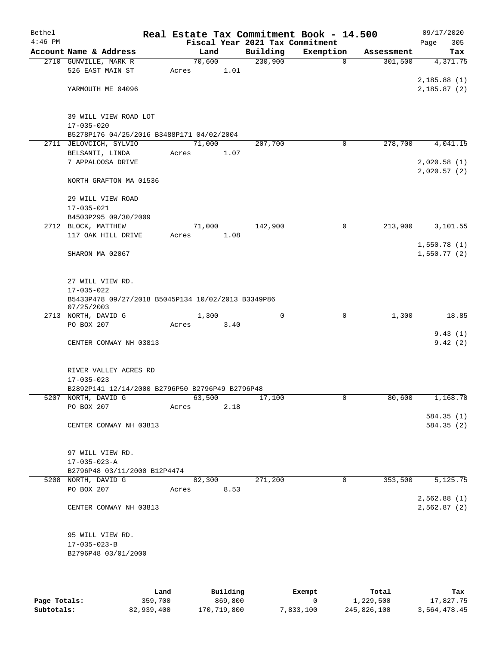| Bethel<br>$4:46$ PM |                                                                     |       |            | Fiscal Year 2021 Tax Commitment | Real Estate Tax Commitment Book - 14.500 |            | 09/17/2020<br>305<br>Page |
|---------------------|---------------------------------------------------------------------|-------|------------|---------------------------------|------------------------------------------|------------|---------------------------|
|                     | Account Name & Address                                              |       | Land       | Building                        | Exemption                                | Assessment | Tax                       |
|                     | 2710 GUNVILLE, MARK R                                               |       | 70,600     | 230,900                         | $\mathbf 0$                              | 301,500    | 4,371.75                  |
|                     | 526 EAST MAIN ST                                                    | Acres | 1.01       |                                 |                                          |            |                           |
|                     |                                                                     |       |            |                                 |                                          |            | 2,185.88(1)               |
|                     | YARMOUTH ME 04096                                                   |       |            |                                 |                                          |            | 2,185.87(2)               |
|                     |                                                                     |       |            |                                 |                                          |            |                           |
|                     |                                                                     |       |            |                                 |                                          |            |                           |
|                     | 39 WILL VIEW ROAD LOT                                               |       |            |                                 |                                          |            |                           |
|                     | $17 - 035 - 020$                                                    |       |            |                                 |                                          |            |                           |
|                     | B5278P176 04/25/2016 B3488P171 04/02/2004<br>2711 JELOVCICH, SYLVIO |       | 71,000     | 207,700                         | 0                                        | 278,700    | 4,041.15                  |
|                     | BELSANTI, LINDA                                                     | Acres | 1.07       |                                 |                                          |            |                           |
|                     | 7 APPALOOSA DRIVE                                                   |       |            |                                 |                                          |            | 2,020.58(1)               |
|                     |                                                                     |       |            |                                 |                                          |            | 2,020.57(2)               |
|                     | NORTH GRAFTON MA 01536                                              |       |            |                                 |                                          |            |                           |
|                     |                                                                     |       |            |                                 |                                          |            |                           |
|                     | 29 WILL VIEW ROAD                                                   |       |            |                                 |                                          |            |                           |
|                     | $17 - 035 - 021$                                                    |       |            |                                 |                                          |            |                           |
|                     | B4503P295 09/30/2009                                                |       |            |                                 |                                          |            |                           |
|                     | 2712 BLOCK, MATTHEW                                                 |       | 71,000     | 142,900                         | 0                                        | 213,900    | 3,101.55                  |
|                     | 117 OAK HILL DRIVE                                                  | Acres | 1.08       |                                 |                                          |            |                           |
|                     |                                                                     |       |            |                                 |                                          |            | 1,550.78(1)               |
|                     | SHARON MA 02067                                                     |       |            |                                 |                                          |            | 1,550.77(2)               |
|                     |                                                                     |       |            |                                 |                                          |            |                           |
|                     | 27 WILL VIEW RD.                                                    |       |            |                                 |                                          |            |                           |
|                     | $17 - 035 - 022$                                                    |       |            |                                 |                                          |            |                           |
|                     | B5433P478 09/27/2018 B5045P134 10/02/2013 B3349P86                  |       |            |                                 |                                          |            |                           |
|                     | 07/25/2003                                                          |       |            |                                 |                                          |            |                           |
|                     | 2713 NORTH, DAVID G                                                 |       | 1,300      | 0                               | 0                                        | 1,300      | 18.85                     |
|                     | PO BOX 207                                                          | Acres | 3.40       |                                 |                                          |            |                           |
|                     |                                                                     |       |            |                                 |                                          |            | 9.43(1)                   |
|                     | CENTER CONWAY NH 03813                                              |       |            |                                 |                                          |            | 9.42(2)                   |
|                     |                                                                     |       |            |                                 |                                          |            |                           |
|                     | RIVER VALLEY ACRES RD                                               |       |            |                                 |                                          |            |                           |
|                     | $17 - 035 - 023$                                                    |       |            |                                 |                                          |            |                           |
|                     | B2892P141 12/14/2000 B2796P50 B2796P49 B2796P48                     |       |            |                                 |                                          |            |                           |
|                     | 5207 NORTH, DAVID G                                                 |       | 63,500     | 17,100                          | $\overline{0}$                           | 80,600     | 1,168.70                  |
|                     | PO BOX 207                                                          | Acres | 2.18       |                                 |                                          |            |                           |
|                     |                                                                     |       |            |                                 |                                          |            | 584.35(1)                 |
|                     | CENTER CONWAY NH 03813                                              |       |            |                                 |                                          |            | 584.35 (2)                |
|                     |                                                                     |       |            |                                 |                                          |            |                           |
|                     | 97 WILL VIEW RD.                                                    |       |            |                                 |                                          |            |                           |
|                     | $17 - 035 - 023 - A$                                                |       |            |                                 |                                          |            |                           |
|                     | B2796P48 03/11/2000 B12P4474                                        |       |            |                                 |                                          |            |                           |
|                     | 5208 NORTH, DAVID G                                                 |       | 82,300     | 271,200                         | $\mathbf 0$                              | 353,500    | 5,125.75                  |
|                     | PO BOX 207                                                          |       | Acres 8.53 |                                 |                                          |            |                           |
|                     |                                                                     |       |            |                                 |                                          |            | 2,562.88(1)               |
|                     | CENTER CONWAY NH 03813                                              |       |            |                                 |                                          |            | 2,562.87(2)               |
|                     |                                                                     |       |            |                                 |                                          |            |                           |
|                     |                                                                     |       |            |                                 |                                          |            |                           |
|                     | 95 WILL VIEW RD.                                                    |       |            |                                 |                                          |            |                           |
|                     | $17 - 035 - 023 - B$                                                |       |            |                                 |                                          |            |                           |
|                     | B2796P48 03/01/2000                                                 |       |            |                                 |                                          |            |                           |
|                     |                                                                     |       |            |                                 |                                          |            |                           |
|                     |                                                                     |       |            |                                 |                                          |            |                           |

|              | Land       | Building    | Exempt    | Total       | Tax          |
|--------------|------------|-------------|-----------|-------------|--------------|
| Page Totals: | 359,700    | 869,800     |           | 1,229,500   | 17,827.75    |
| Subtotals:   | 82,939,400 | 170,719,800 | 7,833,100 | 245,826,100 | 3,564,478.45 |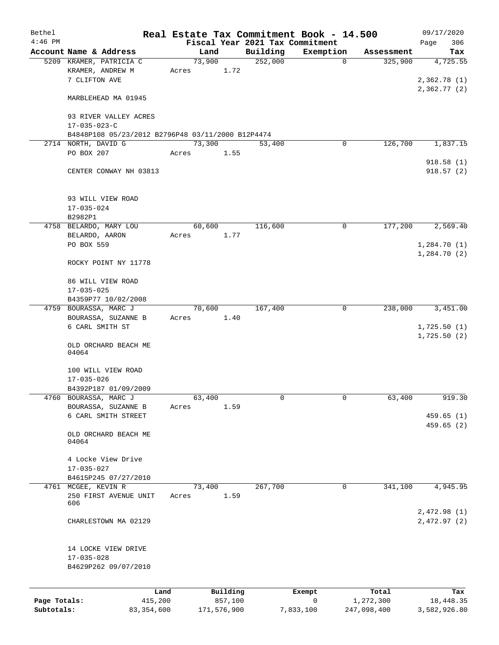| Bethel       |                                                                     | Real Estate Tax Commitment Book - 14.500 |                                 |             |                          | 09/17/2020                 |
|--------------|---------------------------------------------------------------------|------------------------------------------|---------------------------------|-------------|--------------------------|----------------------------|
| $4:46$ PM    |                                                                     |                                          | Fiscal Year 2021 Tax Commitment |             |                          | 306<br>Page                |
|              | Account Name & Address                                              | Land                                     | Building                        | Exemption   | Assessment               | Tax                        |
|              | 5209 KRAMER, PATRICIA C<br>KRAMER, ANDREW M<br>7 CLIFTON AVE        | 73,900<br>1.72<br>Acres                  | 252,000                         | $\mathbf 0$ | 325,900                  | 4,725.55<br>2,362.78 (1)   |
|              | MARBLEHEAD MA 01945                                                 |                                          |                                 |             |                          | 2,362.77(2)                |
|              | 93 RIVER VALLEY ACRES<br>$17 - 035 - 023 - C$                       |                                          |                                 |             |                          |                            |
|              | B4848P108 05/23/2012 B2796P48 03/11/2000 B12P4474                   |                                          |                                 |             |                          |                            |
|              | 2714 NORTH, DAVID G                                                 | 73,300                                   | 53,400                          | 0           | 126,700                  | 1,837.15                   |
|              | PO BOX 207                                                          | Acres<br>1.55                            |                                 |             |                          |                            |
|              | CENTER CONWAY NH 03813                                              |                                          |                                 |             |                          | 918.58(1)<br>918.57(2)     |
|              | 93 WILL VIEW ROAD<br>$17 - 035 - 024$                               |                                          |                                 |             |                          |                            |
|              | B2982P1                                                             |                                          |                                 |             |                          |                            |
|              | 4758 BELARDO, MARY LOU                                              | 60,600                                   | 116,600                         | 0           | 177,200                  | 2,569.40                   |
|              | BELARDO, AARON                                                      | 1.77<br>Acres                            |                                 |             |                          |                            |
|              | PO BOX 559                                                          |                                          |                                 |             |                          | 1,284.70(1)                |
|              | ROCKY POINT NY 11778                                                |                                          |                                 |             |                          | 1,284.70(2)                |
|              | 86 WILL VIEW ROAD                                                   |                                          |                                 |             |                          |                            |
|              | $17 - 035 - 025$                                                    |                                          |                                 |             |                          |                            |
|              | B4359P77 10/02/2008                                                 |                                          |                                 |             |                          |                            |
|              | 4759 BOURASSA, MARC J                                               | 70,600                                   | 167,400                         | 0           | 238,000                  | 3,451.00                   |
|              | BOURASSA, SUZANNE B<br>6 CARL SMITH ST                              | 1.40<br>Acres                            |                                 |             |                          | 1,725.50(1)                |
|              | OLD ORCHARD BEACH ME<br>04064                                       |                                          |                                 |             |                          | 1,725.50(2)                |
|              | 100 WILL VIEW ROAD<br>$17 - 035 - 026$                              |                                          |                                 |             |                          |                            |
|              | B4392P187 01/09/2009                                                |                                          |                                 |             |                          |                            |
|              | 4760 BOURASSA, MARC J<br>BOURASSA, SUZANNE B<br>6 CARL SMITH STREET | 63,400<br>1.59<br>Acres                  | 0                               | 0           | 63,400                   | 919.30<br>459.65(1)        |
|              | OLD ORCHARD BEACH ME<br>04064                                       |                                          |                                 |             |                          | 459.65 (2)                 |
|              | 4 Locke View Drive                                                  |                                          |                                 |             |                          |                            |
|              | 17-035-027<br>B4615P245 07/27/2010                                  |                                          |                                 |             |                          |                            |
|              | 4761 MCGEE, KEVIN R                                                 | 73,400                                   | 267,700                         | $\mathbf 0$ | 341,100                  | 4,945.95                   |
|              | 250 FIRST AVENUE UNIT<br>606                                        | 1.59<br>Acres                            |                                 |             |                          |                            |
|              | CHARLESTOWN MA 02129                                                |                                          |                                 |             |                          | 2,472.98(1)<br>2,472.97(2) |
|              | 14 LOCKE VIEW DRIVE<br>$17 - 035 - 028$                             |                                          |                                 |             |                          |                            |
|              | B4629P262 09/07/2010                                                |                                          |                                 |             |                          |                            |
| Page Totals: | Land                                                                | Building                                 |                                 | Exempt<br>0 | Total                    | Tax                        |
| Subtotals:   | 415,200<br>83, 354, 600                                             | 857,100<br>171,576,900                   |                                 | 7,833,100   | 1,272,300<br>247,098,400 | 18,448.35<br>3,582,926.80  |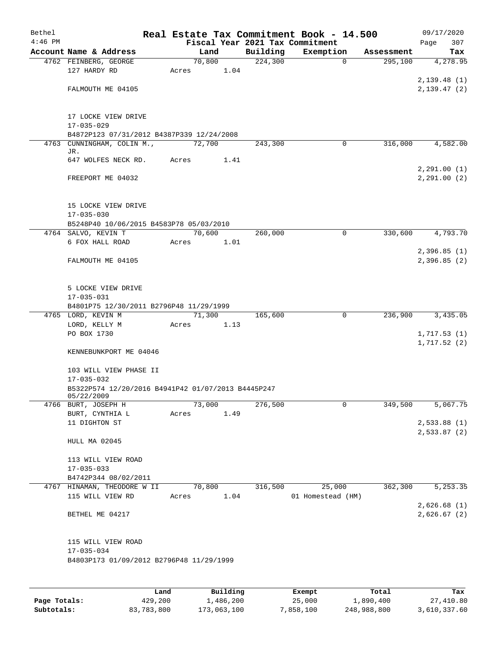| Bethel<br>$4:46$ PM |                                                                  |        |            |          | Real Estate Tax Commitment Book - 14.500<br>Fiscal Year 2021 Tax Commitment |            | 09/17/2020<br>307<br>Page |
|---------------------|------------------------------------------------------------------|--------|------------|----------|-----------------------------------------------------------------------------|------------|---------------------------|
|                     | Account Name & Address                                           |        | Land       | Building | Exemption                                                                   | Assessment | Tax                       |
|                     | 4762 FEINBERG, GEORGE                                            |        | 70,800     | 224,300  | 0                                                                           | 295,100    | 4,278.95                  |
|                     | 127 HARDY RD                                                     | Acres  | 1.04       |          |                                                                             |            |                           |
|                     |                                                                  |        |            |          |                                                                             |            | 2, 139.48(1)              |
|                     | FALMOUTH ME 04105                                                |        |            |          |                                                                             |            | 2,139.47(2)               |
|                     |                                                                  |        |            |          |                                                                             |            |                           |
|                     |                                                                  |        |            |          |                                                                             |            |                           |
|                     | 17 LOCKE VIEW DRIVE                                              |        |            |          |                                                                             |            |                           |
|                     | $17 - 035 - 029$<br>B4872P123 07/31/2012 B4387P339 12/24/2008    |        |            |          |                                                                             |            |                           |
|                     | 4763 CUNNINGHAM, COLIN M.,                                       | 72,700 |            | 243,300  | $\mathbf 0$                                                                 | 316,000    | 4,582.00                  |
|                     | JR.                                                              |        |            |          |                                                                             |            |                           |
|                     | 647 WOLFES NECK RD.                                              | Acres  | 1.41       |          |                                                                             |            |                           |
|                     |                                                                  |        |            |          |                                                                             |            | 2, 291.00(1)              |
|                     | FREEPORT ME 04032                                                |        |            |          |                                                                             |            | 2, 291.00(2)              |
|                     |                                                                  |        |            |          |                                                                             |            |                           |
|                     |                                                                  |        |            |          |                                                                             |            |                           |
|                     | 15 LOCKE VIEW DRIVE                                              |        |            |          |                                                                             |            |                           |
|                     | $17 - 035 - 030$<br>B5248P40 10/06/2015 B4583P78 05/03/2010      |        |            |          |                                                                             |            |                           |
|                     | 4764 SALVO, KEVIN T                                              | 70,600 |            | 260,000  | $\mathbf 0$                                                                 | 330,600    | 4,793.70                  |
|                     | 6 FOX HALL ROAD                                                  | Acres  | 1.01       |          |                                                                             |            |                           |
|                     |                                                                  |        |            |          |                                                                             |            | 2,396.85(1)               |
|                     | FALMOUTH ME 04105                                                |        |            |          |                                                                             |            | 2,396.85(2)               |
|                     |                                                                  |        |            |          |                                                                             |            |                           |
|                     |                                                                  |        |            |          |                                                                             |            |                           |
|                     | 5 LOCKE VIEW DRIVE                                               |        |            |          |                                                                             |            |                           |
|                     | $17 - 035 - 031$                                                 |        |            |          |                                                                             |            |                           |
|                     | B4801P75 12/30/2011 B2796P48 11/29/1999<br>4765 LORD, KEVIN M    | 71,300 |            | 165,600  | 0                                                                           | 236,900    | 3,435.05                  |
|                     | LORD, KELLY M                                                    | Acres  | 1.13       |          |                                                                             |            |                           |
|                     | PO BOX 1730                                                      |        |            |          |                                                                             |            | 1,717.53(1)               |
|                     |                                                                  |        |            |          |                                                                             |            | 1,717.52(2)               |
|                     | KENNEBUNKPORT ME 04046                                           |        |            |          |                                                                             |            |                           |
|                     |                                                                  |        |            |          |                                                                             |            |                           |
|                     | 103 WILL VIEW PHASE II                                           |        |            |          |                                                                             |            |                           |
|                     | 17-035-032                                                       |        |            |          |                                                                             |            |                           |
|                     | B5322P574 12/20/2016 B4941P42 01/07/2013 B4445P247<br>05/22/2009 |        |            |          |                                                                             |            |                           |
|                     | 4766 BURT, JOSEPH H                                              | 73,000 |            | 276,500  | 0                                                                           | 349,500    | 5,067.75                  |
|                     | BURT, CYNTHIA L                                                  | Acres  | 1.49       |          |                                                                             |            |                           |
|                     | 11 DIGHTON ST                                                    |        |            |          |                                                                             |            | 2,533.88(1)               |
|                     |                                                                  |        |            |          |                                                                             |            | 2,533.87(2)               |
|                     | HULL MA 02045                                                    |        |            |          |                                                                             |            |                           |
|                     |                                                                  |        |            |          |                                                                             |            |                           |
|                     | 113 WILL VIEW ROAD                                               |        |            |          |                                                                             |            |                           |
|                     | $17 - 035 - 033$<br>B4742P344 08/02/2011                         |        |            |          |                                                                             |            |                           |
|                     | 4767 HINAMAN, THEODORE W II                                      | 70,800 |            | 316,500  | 25,000                                                                      | 362,300    | 5,253.35                  |
|                     | 115 WILL VIEW RD                                                 |        | Acres 1.04 |          | 01 Homestead (HM)                                                           |            |                           |
|                     |                                                                  |        |            |          |                                                                             |            | 2,626.68(1)               |
|                     | BETHEL ME 04217                                                  |        |            |          |                                                                             |            | 2,626.67(2)               |
|                     |                                                                  |        |            |          |                                                                             |            |                           |
|                     |                                                                  |        |            |          |                                                                             |            |                           |
|                     | 115 WILL VIEW ROAD                                               |        |            |          |                                                                             |            |                           |
|                     | $17 - 035 - 034$                                                 |        |            |          |                                                                             |            |                           |
|                     | B4803P173 01/09/2012 B2796P48 11/29/1999                         |        |            |          |                                                                             |            |                           |
|                     |                                                                  |        |            |          |                                                                             |            |                           |
|                     |                                                                  |        |            |          |                                                                             |            |                           |

|              | Land       | Building    | Exempt    | Total       | Tax          |
|--------------|------------|-------------|-----------|-------------|--------------|
| Page Totals: | 429,200    | 1,486,200   | 25,000    | 1,890,400   | 27,410.80    |
| Subtotals:   | 83,783,800 | 173,063,100 | 7,858,100 | 248,988,800 | 3,610,337.60 |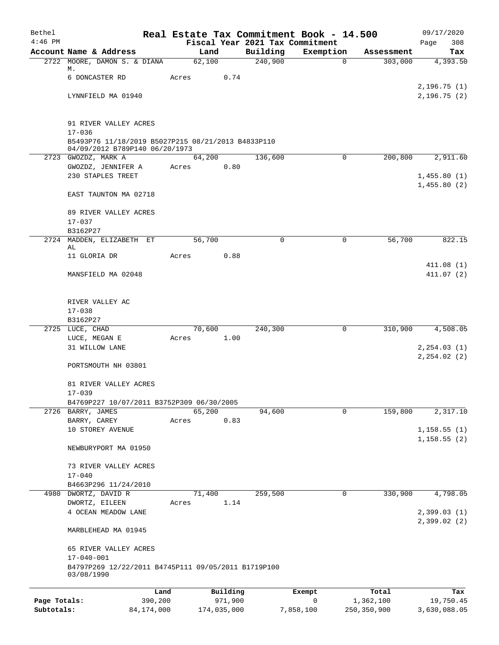| Bethel       |                                                                                      |                |                     |                     | Real Estate Tax Commitment Book - 14.500 |                       | 09/17/2020                   |
|--------------|--------------------------------------------------------------------------------------|----------------|---------------------|---------------------|------------------------------------------|-----------------------|------------------------------|
| $4:46$ PM    |                                                                                      |                |                     |                     | Fiscal Year 2021 Tax Commitment          |                       | 308<br>Page                  |
|              | Account Name & Address<br>2722 MOORE, DAMON S. & DIANA                               | Land<br>62,100 |                     | Building<br>240,900 | Exemption<br>$\mathbf 0$                 | Assessment<br>303,000 | Tax<br>4,393.50              |
|              | М.                                                                                   |                |                     |                     |                                          |                       |                              |
|              | 6 DONCASTER RD                                                                       | Acres          | 0.74                |                     |                                          |                       |                              |
|              |                                                                                      |                |                     |                     |                                          |                       | 2,196.75(1)                  |
|              | LYNNFIELD MA 01940                                                                   |                |                     |                     |                                          |                       | 2,196.75(2)                  |
|              | 91 RIVER VALLEY ACRES                                                                |                |                     |                     |                                          |                       |                              |
|              | $17 - 036$                                                                           |                |                     |                     |                                          |                       |                              |
|              | B5493P76 11/18/2019 B5027P215 08/21/2013 B4833P110<br>04/09/2012 B789P140 06/20/1973 |                |                     |                     |                                          |                       |                              |
|              | 2723 GWOZDZ, MARK A                                                                  | 64,200         |                     | 136,600             | 0                                        | 200,800               | 2,911.60                     |
|              | GWOZDZ, JENNIFER A                                                                   | Acres          | 0.80                |                     |                                          |                       |                              |
|              | 230 STAPLES TREET                                                                    |                |                     |                     |                                          |                       | 1,455.80(1)                  |
|              | EAST TAUNTON MA 02718                                                                |                |                     |                     |                                          |                       | 1,455.80(2)                  |
|              | 89 RIVER VALLEY ACRES                                                                |                |                     |                     |                                          |                       |                              |
|              | $17 - 037$                                                                           |                |                     |                     |                                          |                       |                              |
|              | B3162P27                                                                             |                |                     |                     |                                          |                       |                              |
|              | 2724 MADDEN, ELIZABETH ET                                                            | 56,700         |                     | $\Omega$            | $\Omega$                                 | 56,700                | 822.15                       |
|              | AL<br>11 GLORIA DR                                                                   | Acres          | 0.88                |                     |                                          |                       |                              |
|              |                                                                                      |                |                     |                     |                                          |                       | 411.08(1)                    |
|              | MANSFIELD MA 02048                                                                   |                |                     |                     |                                          |                       | 411.07(2)                    |
|              | RIVER VALLEY AC                                                                      |                |                     |                     |                                          |                       |                              |
|              | $17 - 038$                                                                           |                |                     |                     |                                          |                       |                              |
|              | B3162P27                                                                             |                |                     |                     |                                          |                       |                              |
|              | 2725 LUCE, CHAD                                                                      | 70,600         |                     | 240,300             | 0                                        | 310,900               | 4,508.05                     |
|              | LUCE, MEGAN E<br>31 WILLOW LANE                                                      | Acres          | 1.00                |                     |                                          |                       |                              |
|              |                                                                                      |                |                     |                     |                                          |                       | 2, 254.03(1)<br>2, 254.02(2) |
|              | PORTSMOUTH NH 03801                                                                  |                |                     |                     |                                          |                       |                              |
|              | 81 RIVER VALLEY ACRES                                                                |                |                     |                     |                                          |                       |                              |
|              | $17 - 039$                                                                           |                |                     |                     |                                          |                       |                              |
|              | B4769P227 10/07/2011 B3752P309 06/30/2005<br>2726 BARRY, JAMES                       | 65,200         |                     | 94,600              | 0                                        | 159,800               | 2,317.10                     |
|              | BARRY, CAREY                                                                         | Acres          | 0.83                |                     |                                          |                       |                              |
|              | 10 STOREY AVENUE                                                                     |                |                     |                     |                                          |                       | 1,158.55(1)                  |
|              |                                                                                      |                |                     |                     |                                          |                       | 1,158.55(2)                  |
|              | NEWBURYPORT MA 01950                                                                 |                |                     |                     |                                          |                       |                              |
|              | 73 RIVER VALLEY ACRES                                                                |                |                     |                     |                                          |                       |                              |
|              | $17 - 040$                                                                           |                |                     |                     |                                          |                       |                              |
|              | B4663P296 11/24/2010                                                                 |                |                     |                     |                                          |                       |                              |
|              | 4980 DWORTZ, DAVID R                                                                 | 71,400         |                     | 259,500             | 0                                        | 330,900               | 4,798.05                     |
|              | DWORTZ, EILEEN<br>4 OCEAN MEADOW LANE                                                | Acres          | 1.14                |                     |                                          |                       | 2,399.03(1)                  |
|              |                                                                                      |                |                     |                     |                                          |                       | 2,399.02(2)                  |
|              | MARBLEHEAD MA 01945                                                                  |                |                     |                     |                                          |                       |                              |
|              | 65 RIVER VALLEY ACRES<br>$17 - 040 - 001$                                            |                |                     |                     |                                          |                       |                              |
|              | B4797P269 12/22/2011 B4745P111 09/05/2011 B1719P100<br>03/08/1990                    |                |                     |                     |                                          |                       |                              |
|              |                                                                                      |                |                     |                     |                                          |                       |                              |
| Page Totals: | Land<br>390,200                                                                      |                | Building<br>971,900 |                     | Exempt<br>0                              | Total<br>1,362,100    | Tax<br>19,750.45             |

**Subtotals:** 84,174,000 174,035,000 7,858,100 250,350,900 3,630,088.05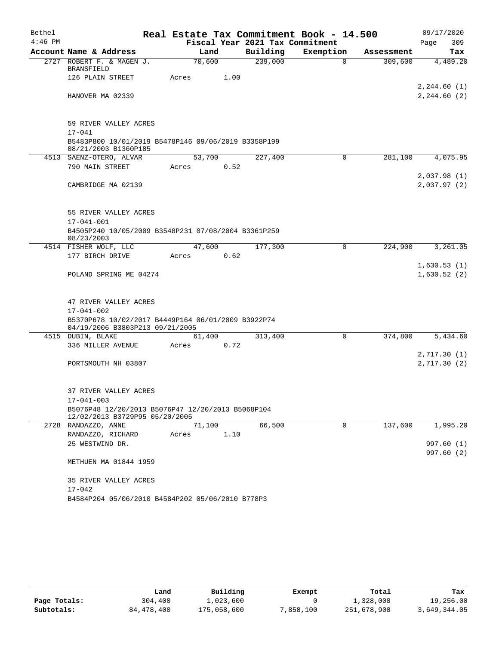| Bethel    |                                                                                                         |        |      |                                 | Real Estate Tax Commitment Book - 14.500 |            | 09/17/2020                   |
|-----------|---------------------------------------------------------------------------------------------------------|--------|------|---------------------------------|------------------------------------------|------------|------------------------------|
| $4:46$ PM |                                                                                                         |        |      | Fiscal Year 2021 Tax Commitment |                                          |            | Page<br>309                  |
|           | Account Name & Address                                                                                  | Land   |      | Building                        | Exemption                                | Assessment | Tax                          |
|           | 2727 ROBERT F. & MAGEN J.<br><b>BRANSFIELD</b>                                                          | 70,600 |      | 239,000                         | $\Omega$                                 | 309,600    | 4,489.20                     |
|           | 126 PLAIN STREET                                                                                        | Acres  | 1.00 |                                 |                                          |            |                              |
|           | HANOVER MA 02339                                                                                        |        |      |                                 |                                          |            | 2, 244.60(1)<br>2, 244.60(2) |
|           | 59 RIVER VALLEY ACRES<br>$17 - 041$                                                                     |        |      |                                 |                                          |            |                              |
|           | B5483P800 10/01/2019 B5478P146 09/06/2019 B3358P199<br>08/21/2003 B1360P185                             |        |      |                                 |                                          |            |                              |
|           | 4513 SAENZ-OTERO, ALVAR                                                                                 | 53,700 |      | 227,400                         | 0                                        | 281,100    | 4,075.95                     |
|           | 790 MAIN STREET                                                                                         | Acres  | 0.52 |                                 |                                          |            |                              |
|           | CAMBRIDGE MA 02139                                                                                      |        |      |                                 |                                          |            | 2,037.98(1)<br>2,037.97(2)   |
|           | 55 RIVER VALLEY ACRES<br>$17 - 041 - 001$<br>B4505P240 10/05/2009 B3548P231 07/08/2004 B3361P259        |        |      |                                 |                                          |            |                              |
|           | 08/23/2003<br>4514 FISHER WOLF, LLC                                                                     | 47,600 |      | 177,300                         | $\Omega$                                 | 224,900    | 3,261.05                     |
|           | 177 BIRCH DRIVE                                                                                         | Acres  | 0.62 |                                 |                                          |            |                              |
|           |                                                                                                         |        |      |                                 |                                          |            | 1,630.53(1)                  |
|           | POLAND SPRING ME 04274                                                                                  |        |      |                                 |                                          |            | 1,630.52(2)                  |
|           | 47 RIVER VALLEY ACRES                                                                                   |        |      |                                 |                                          |            |                              |
|           | $17 - 041 - 002$                                                                                        |        |      |                                 |                                          |            |                              |
|           | B5370P678 10/02/2017 B4449P164 06/01/2009 B3922P74<br>04/19/2006 B3803P213 09/21/2005                   |        |      |                                 |                                          |            |                              |
|           | 4515 DUBIN, BLAKE                                                                                       | 61,400 |      | 313,400                         | 0                                        | 374,800    | 5,434.60                     |
|           | 336 MILLER AVENUE                                                                                       | Acres  | 0.72 |                                 |                                          |            |                              |
|           | PORTSMOUTH NH 03807                                                                                     |        |      |                                 |                                          |            | 2,717.30 (1)<br>2,717.30(2)  |
|           | 37 RIVER VALLEY ACRES                                                                                   |        |      |                                 |                                          |            |                              |
|           | $17 - 041 - 003$<br>B5076P48 12/20/2013 B5076P47 12/20/2013 B5068P104<br>12/02/2013 B3729P95 05/20/2005 |        |      |                                 |                                          |            |                              |
|           | 2728 RANDAZZO, ANNE                                                                                     | 71,100 |      | 66,500                          | 0                                        | 137,600    | 1,995.20                     |
|           | RANDAZZO, RICHARD                                                                                       | Acres  | 1.10 |                                 |                                          |            |                              |
|           | 25 WESTWIND DR.                                                                                         |        |      |                                 |                                          |            | 997.60 (1)                   |
|           | METHUEN MA 01844 1959                                                                                   |        |      |                                 |                                          |            | 997.60 (2)                   |
|           | 35 RIVER VALLEY ACRES                                                                                   |        |      |                                 |                                          |            |                              |
|           | $17 - 042$                                                                                              |        |      |                                 |                                          |            |                              |
|           | B4584P204 05/06/2010 B4584P202 05/06/2010 B778P3                                                        |        |      |                                 |                                          |            |                              |

|              | Land       | Building    | Exempt    | Total       | Tax          |
|--------------|------------|-------------|-----------|-------------|--------------|
| Page Totals: | 304,400    | 1,023,600   |           | 1,328,000   | 19,256.00    |
| Subtotals:   | 84,478,400 | 175,058,600 | 7,858,100 | 251,678,900 | 3,649,344.05 |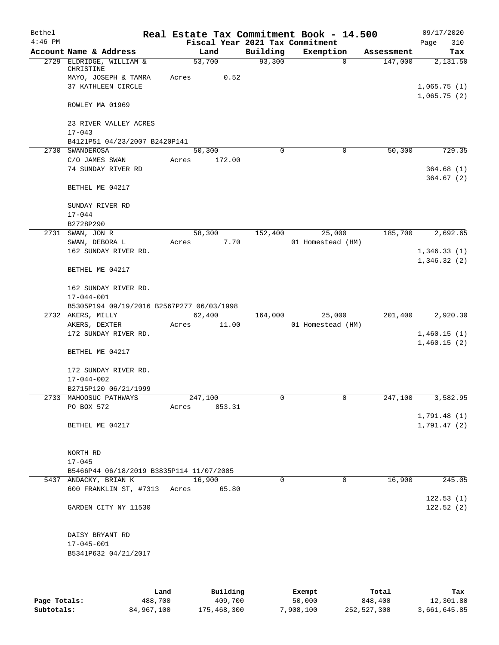| Bethel    |                                           |       |         |          | Real Estate Tax Commitment Book - 14.500 |            | 09/17/2020                 |
|-----------|-------------------------------------------|-------|---------|----------|------------------------------------------|------------|----------------------------|
| $4:46$ PM |                                           |       |         |          | Fiscal Year 2021 Tax Commitment          |            | Page<br>310                |
|           | Account Name & Address                    |       | Land    | Building | Exemption                                | Assessment | Tax                        |
| 2729      | ELDRIDGE, WILLIAM &<br>CHRISTINE          |       | 53,700  | 93,300   | $\mathbf 0$                              | 147,000    | 2,131.50                   |
|           | MAYO, JOSEPH & TAMRA                      | Acres | 0.52    |          |                                          |            |                            |
|           | 37 KATHLEEN CIRCLE                        |       |         |          |                                          |            | 1,065.75(1)<br>1,065.75(2) |
|           | ROWLEY MA 01969                           |       |         |          |                                          |            |                            |
|           | 23 RIVER VALLEY ACRES<br>$17 - 043$       |       |         |          |                                          |            |                            |
|           | B4121P51 04/23/2007 B2420P141             |       |         |          |                                          |            |                            |
|           |                                           |       |         |          |                                          |            |                            |
|           | 2730 SWANDEROSA                           |       | 50,300  | $\Omega$ | 0                                        | 50,300     | 729.35                     |
|           | C/O JAMES SWAN                            | Acres | 172.00  |          |                                          |            |                            |
|           | 74 SUNDAY RIVER RD                        |       |         |          |                                          |            | 364.68(1)                  |
|           | BETHEL ME 04217                           |       |         |          |                                          |            | 364.67(2)                  |
|           | SUNDAY RIVER RD                           |       |         |          |                                          |            |                            |
|           | $17 - 044$                                |       |         |          |                                          |            |                            |
|           | B2728P290                                 |       |         |          |                                          |            |                            |
|           | 2731 SWAN, JON R                          |       | 58,300  | 152,400  | 25,000                                   | 185,700    | 2,692.65                   |
|           | SWAN, DEBORA L                            | Acres | 7.70    |          | 01 Homestead (HM)                        |            |                            |
|           | 162 SUNDAY RIVER RD.                      |       |         |          |                                          |            | 1,346.33(1)                |
|           |                                           |       |         |          |                                          |            | 1,346.32(2)                |
|           | BETHEL ME 04217                           |       |         |          |                                          |            |                            |
|           | 162 SUNDAY RIVER RD.<br>$17 - 044 - 001$  |       |         |          |                                          |            |                            |
|           | B5305P194 09/19/2016 B2567P277 06/03/1998 |       |         |          |                                          |            |                            |
|           | 2732 AKERS, MILLY                         |       | 62,400  | 164,000  | 25,000                                   | 201,400    | 2,920.30                   |
|           | AKERS, DEXTER                             | Acres | 11.00   |          | 01 Homestead (HM)                        |            |                            |
|           | 172 SUNDAY RIVER RD.                      |       |         |          |                                          |            | 1,460.15(1)                |
|           |                                           |       |         |          |                                          |            |                            |
|           | BETHEL ME 04217                           |       |         |          |                                          |            | 1,460.15(2)                |
|           | 172 SUNDAY RIVER RD.                      |       |         |          |                                          |            |                            |
|           | $17 - 044 - 002$                          |       |         |          |                                          |            |                            |
|           | B2715P120 06/21/1999                      |       |         |          |                                          |            |                            |
|           | 2733 MAHOOSUC PATHWAYS                    |       | 247,100 | 0        | 0                                        | 247,100    | 3,582.95                   |
|           | PO BOX 572                                | Acres | 853.31  |          |                                          |            |                            |
|           |                                           |       |         |          |                                          |            | 1,791.48(1)                |
|           | BETHEL ME 04217                           |       |         |          |                                          |            | 1,791.47(2)                |
|           |                                           |       |         |          |                                          |            |                            |
|           |                                           |       |         |          |                                          |            |                            |
|           | NORTH RD                                  |       |         |          |                                          |            |                            |
|           | $17 - 045$                                |       |         |          |                                          |            |                            |
|           | B5466P44 06/18/2019 B3835P114 11/07/2005  |       |         |          |                                          |            |                            |
|           | 5437 ANDACKY, BRIAN K                     |       | 16,900  | $\Omega$ | $\Omega$                                 | 16,900     | 245.05                     |
|           | 600 FRANKLIN ST, #7313 Acres              |       | 65.80   |          |                                          |            |                            |
|           |                                           |       |         |          |                                          |            | 122.53(1)                  |
|           | GARDEN CITY NY 11530                      |       |         |          |                                          |            | 122.52(2)                  |
|           | DAISY BRYANT RD                           |       |         |          |                                          |            |                            |
|           | $17 - 045 - 001$                          |       |         |          |                                          |            |                            |
|           | B5341P632 04/21/2017                      |       |         |          |                                          |            |                            |
|           |                                           |       |         |          |                                          |            |                            |
|           |                                           |       |         |          |                                          |            |                            |
|           |                                           |       |         |          |                                          |            |                            |
|           |                                           |       |         |          |                                          |            |                            |

|              | Land       | Building    | Exempt    | Total       | Tax          |
|--------------|------------|-------------|-----------|-------------|--------------|
| Page Totals: | 488,700    | 409,700     | 50,000    | 848,400     | 12,301.80    |
| Subtotals:   | 84,967,100 | 175,468,300 | 7,908,100 | 252,527,300 | 3,661,645.85 |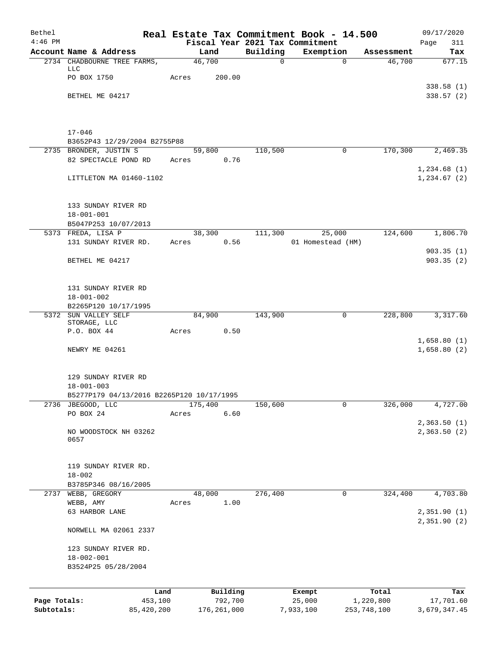| Bethel<br>$4:46$ PM        |                                                                 |       |                          |             | Real Estate Tax Commitment Book - 14.500<br>Fiscal Year 2021 Tax Commitment |                          | 09/17/2020<br>Page<br>311    |
|----------------------------|-----------------------------------------------------------------|-------|--------------------------|-------------|-----------------------------------------------------------------------------|--------------------------|------------------------------|
|                            | Account Name & Address                                          |       | Land                     | Building    | Exemption                                                                   | Assessment               | Tax                          |
|                            | 2734 CHADBOURNE TREE FARMS,                                     |       | 46,700                   | $\mathbf 0$ | $\mathbf 0$                                                                 | 46,700                   | 677.15                       |
|                            | LLC<br>PO BOX 1750                                              | Acres | 200.00                   |             |                                                                             |                          |                              |
|                            | BETHEL ME 04217                                                 |       |                          |             |                                                                             |                          | 338.58(1)<br>338.57(2)       |
|                            |                                                                 |       |                          |             |                                                                             |                          |                              |
|                            | $17 - 046$                                                      |       |                          |             |                                                                             |                          |                              |
|                            | B3652P43 12/29/2004 B2755P88<br>2735 BRONDER, JUSTIN S          |       | 59,800                   | 110,500     | 0                                                                           | 170,300                  | 2,469.35                     |
|                            | 82 SPECTACLE POND RD                                            | Acres | 0.76                     |             |                                                                             |                          |                              |
|                            | LITTLETON MA 01460-1102                                         |       |                          |             |                                                                             |                          | 1,234.68(1)<br>1, 234.67 (2) |
|                            | 133 SUNDAY RIVER RD                                             |       |                          |             |                                                                             |                          |                              |
|                            | $18 - 001 - 001$<br>B5047P253 10/07/2013                        |       |                          |             |                                                                             |                          |                              |
|                            | 5373 FREDA, LISA P                                              |       | 38,300                   | 111,300     | 25,000                                                                      | 124,600                  | 1,806.70                     |
|                            | 131 SUNDAY RIVER RD.                                            | Acres | 0.56                     |             | 01 Homestead (HM)                                                           |                          |                              |
|                            | BETHEL ME 04217                                                 |       |                          |             |                                                                             |                          | 903.35(1)<br>903.35(2)       |
|                            |                                                                 |       |                          |             |                                                                             |                          |                              |
|                            | 131 SUNDAY RIVER RD                                             |       |                          |             |                                                                             |                          |                              |
|                            | $18 - 001 - 002$                                                |       |                          |             |                                                                             |                          |                              |
|                            | B2265P120 10/17/1995                                            |       |                          |             |                                                                             |                          |                              |
|                            | 5372 SUN VALLEY SELF<br>STORAGE, LLC                            |       | 84,900                   | 143,900     | 0                                                                           | 228,800                  | 3,317.60                     |
|                            | P.O. BOX 44                                                     | Acres | 0.50                     |             |                                                                             |                          |                              |
|                            |                                                                 |       |                          |             |                                                                             |                          | 1,658.80(1)                  |
|                            | NEWRY ME 04261                                                  |       |                          |             |                                                                             |                          | 1,658.80(2)                  |
|                            | 129 SUNDAY RIVER RD<br>$18 - 001 - 003$                         |       |                          |             |                                                                             |                          |                              |
|                            | B5277P179 04/13/2016 B2265P120 10/17/1995                       |       |                          |             |                                                                             |                          |                              |
| 2736                       | JBEGOOD, LLC                                                    |       | 175,400                  | 150,600     | 0                                                                           | 326,000                  | 4,727.00                     |
|                            | PO BOX 24                                                       | Acres | 6.60                     |             |                                                                             |                          |                              |
|                            | NO WOODSTOCK NH 03262<br>0657                                   |       |                          |             |                                                                             |                          | 2,363.50 (1)<br>2,363.50 (2) |
|                            | 119 SUNDAY RIVER RD.                                            |       |                          |             |                                                                             |                          |                              |
|                            | $18 - 002$                                                      |       |                          |             |                                                                             |                          |                              |
|                            | B3785P346 08/16/2005<br>2737 WEBB, GREGORY                      |       | 48,000                   | 276,400     | 0                                                                           | 324,400                  | 4,703.80                     |
|                            | WEBB, AMY                                                       | Acres | 1.00                     |             |                                                                             |                          |                              |
|                            | 63 HARBOR LANE                                                  |       |                          |             |                                                                             |                          | 2,351.90 (1)                 |
|                            | NORWELL MA 02061 2337                                           |       |                          |             |                                                                             |                          | 2,351.90 (2)                 |
|                            | 123 SUNDAY RIVER RD.<br>$18 - 002 - 001$<br>B3524P25 05/28/2004 |       |                          |             |                                                                             |                          |                              |
|                            | Land                                                            |       | Building                 |             | Exempt                                                                      | Total                    | Tax                          |
| Page Totals:<br>Subtotals: | 453,100<br>85,420,200                                           |       | 792,700<br>176, 261, 000 |             | 25,000<br>7,933,100                                                         | 1,220,800<br>253,748,100 | 17,701.60<br>3,679,347.45    |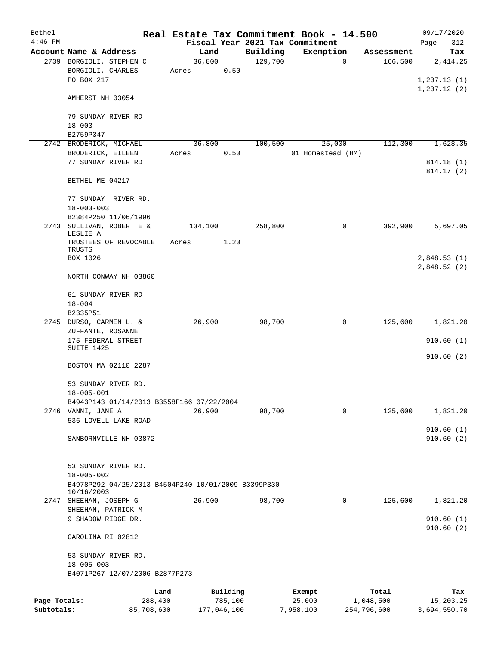| Bethel<br>$4:46$ PM |                                                                                       |       |             |          |          | Real Estate Tax Commitment Book - 14.500<br>Fiscal Year 2021 Tax Commitment |             |             | 09/17/2020<br>312<br>Page |
|---------------------|---------------------------------------------------------------------------------------|-------|-------------|----------|----------|-----------------------------------------------------------------------------|-------------|-------------|---------------------------|
|                     | Account Name & Address                                                                |       | Land        |          | Building | Exemption                                                                   |             | Assessment  | Tax                       |
|                     | 2739 BORGIOLI, STEPHEN C                                                              |       | 36,800      |          | 129,700  |                                                                             | $\mathbf 0$ | 166,500     | 2,414.25                  |
|                     | BORGIOLI, CHARLES<br>PO BOX 217                                                       | Acres |             | 0.50     |          |                                                                             |             |             | 1,207.13(1)               |
|                     | AMHERST NH 03054                                                                      |       |             |          |          |                                                                             |             |             | 1,207.12(2)               |
|                     | 79 SUNDAY RIVER RD                                                                    |       |             |          |          |                                                                             |             |             |                           |
|                     | $18 - 003$                                                                            |       |             |          |          |                                                                             |             |             |                           |
|                     | B2759P347                                                                             |       |             |          |          |                                                                             |             |             |                           |
|                     | 2742 BRODERICK, MICHAEL                                                               |       | 36,800      |          | 100,500  | 25,000                                                                      |             | 112,300     | 1,628.35                  |
|                     | BRODERICK, EILEEN<br>77 SUNDAY RIVER RD                                               | Acres |             | 0.50     |          | 01 Homestead (HM)                                                           |             |             | 814.18(1)                 |
|                     |                                                                                       |       |             |          |          |                                                                             |             |             | 814.17(2)                 |
|                     | BETHEL ME 04217                                                                       |       |             |          |          |                                                                             |             |             |                           |
|                     | 77 SUNDAY RIVER RD.<br>$18 - 003 - 003$                                               |       |             |          |          |                                                                             |             |             |                           |
|                     | B2384P250 11/06/1996                                                                  |       |             |          |          |                                                                             |             |             |                           |
|                     | 2743 SULLIVAN, ROBERT E &<br>LESLIE A                                                 |       | 134,100     |          | 258,800  |                                                                             | 0           | 392,900     | 5,697.05                  |
|                     | TRUSTEES OF REVOCABLE<br>TRUSTS                                                       | Acres |             | 1.20     |          |                                                                             |             |             |                           |
|                     | BOX 1026                                                                              |       |             |          |          |                                                                             |             |             | 2,848.53 (1)              |
|                     | NORTH CONWAY NH 03860                                                                 |       |             |          |          |                                                                             |             |             | 2,848.52(2)               |
|                     | 61 SUNDAY RIVER RD<br>$18 - 004$                                                      |       |             |          |          |                                                                             |             |             |                           |
|                     | B2335P51                                                                              |       |             |          |          |                                                                             |             |             |                           |
|                     | 2745 DURSO, CARMEN L. &<br>ZUFFANTE, ROSANNE                                          |       | 26,900      |          | 98,700   |                                                                             | 0           | 125,600     | 1,821.20                  |
|                     | 175 FEDERAL STREET                                                                    |       |             |          |          |                                                                             |             |             | 910.60(1)                 |
|                     | SUITE 1425<br>BOSTON MA 02110 2287                                                    |       |             |          |          |                                                                             |             |             | 910.60(2)                 |
|                     | 53 SUNDAY RIVER RD.                                                                   |       |             |          |          |                                                                             |             |             |                           |
|                     | $18 - 005 - 001$                                                                      |       |             |          |          |                                                                             |             |             |                           |
|                     | B4943P143 01/14/2013 B3558P166 07/22/2004                                             |       |             |          |          |                                                                             |             |             |                           |
|                     | 2746 VANNI, JANE A                                                                    |       | 26,900      |          | 98,700   |                                                                             | 0           | 125,600     | 1,821.20                  |
|                     | 536 LOVELL LAKE ROAD                                                                  |       |             |          |          |                                                                             |             |             | 910.60(1)                 |
|                     | SANBORNVILLE NH 03872                                                                 |       |             |          |          |                                                                             |             |             | 910.60(2)                 |
|                     | 53 SUNDAY RIVER RD.                                                                   |       |             |          |          |                                                                             |             |             |                           |
|                     | $18 - 005 - 002$<br>B4978P292 04/25/2013 B4504P240 10/01/2009 B3399P330<br>10/16/2003 |       |             |          |          |                                                                             |             |             |                           |
|                     | 2747 SHEEHAN, JOSEPH G                                                                |       | 26,900      |          | 98,700   |                                                                             | $\mathbf 0$ | 125,600     | 1,821.20                  |
|                     | SHEEHAN, PATRICK M                                                                    |       |             |          |          |                                                                             |             |             |                           |
|                     | 9 SHADOW RIDGE DR.                                                                    |       |             |          |          |                                                                             |             |             | 910.60(1)<br>910.60(2)    |
|                     | CAROLINA RI 02812                                                                     |       |             |          |          |                                                                             |             |             |                           |
|                     | 53 SUNDAY RIVER RD.<br>$18 - 005 - 003$                                               |       |             |          |          |                                                                             |             |             |                           |
|                     | B4071P267 12/07/2006 B2877P273                                                        |       |             |          |          |                                                                             |             |             |                           |
|                     |                                                                                       | Land  |             | Building |          | Exempt                                                                      |             | Total       | Tax                       |
| Page Totals:        | 288,400                                                                               |       |             | 785,100  |          | 25,000                                                                      |             | 1,048,500   | 15,203.25                 |
| Subtotals:          | 85,708,600                                                                            |       | 177,046,100 |          |          | 7,958,100                                                                   |             | 254,796,600 | 3,694,550.70              |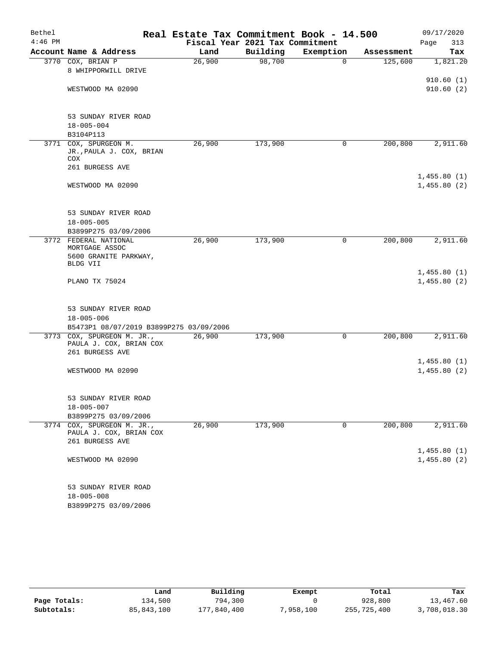| Bethel    |                                                                          | Real Estate Tax Commitment Book - 14.500 |          |           |                       | 09/17/2020  |
|-----------|--------------------------------------------------------------------------|------------------------------------------|----------|-----------|-----------------------|-------------|
| $4:46$ PM | Account Name & Address                                                   | Fiscal Year 2021 Tax Commitment<br>Land  | Building | Exemption |                       | Page<br>313 |
|           |                                                                          |                                          | 98,700   | $\Omega$  | Assessment<br>125,600 | Tax         |
|           | 3770 COX, BRIAN P<br>8 WHIPPORWILL DRIVE                                 | 26,900                                   |          |           |                       | 1,821.20    |
|           |                                                                          |                                          |          |           |                       | 910.60(1)   |
|           | WESTWOOD MA 02090                                                        |                                          |          |           |                       | 910.60(2)   |
|           |                                                                          |                                          |          |           |                       |             |
|           | 53 SUNDAY RIVER ROAD                                                     |                                          |          |           |                       |             |
|           | $18 - 005 - 004$                                                         |                                          |          |           |                       |             |
|           | B3104P113                                                                |                                          |          |           |                       |             |
| 3771      | COX, SPURGEON M.                                                         | 26,900                                   | 173,900  | 0         | 200,800               | 2,911.60    |
|           | JR., PAULA J. COX, BRIAN<br>COX                                          |                                          |          |           |                       |             |
|           | 261 BURGESS AVE                                                          |                                          |          |           |                       | 1,455.80(1) |
|           | WESTWOOD MA 02090                                                        |                                          |          |           |                       | 1,455.80(2) |
|           | 53 SUNDAY RIVER ROAD                                                     |                                          |          |           |                       |             |
|           | $18 - 005 - 005$                                                         |                                          |          |           |                       |             |
|           | B3899P275 03/09/2006                                                     |                                          |          |           |                       |             |
|           | 3772 FEDERAL NATIONAL<br>MORTGAGE ASSOC                                  | 26,900                                   | 173,900  | 0         | 200,800               | 2,911.60    |
|           | 5600 GRANITE PARKWAY,                                                    |                                          |          |           |                       |             |
|           | BLDG VII                                                                 |                                          |          |           |                       | 1,455.80(1) |
|           | PLANO TX 75024                                                           |                                          |          |           |                       | 1,455.80(2) |
|           | 53 SUNDAY RIVER ROAD                                                     |                                          |          |           |                       |             |
|           | $18 - 005 - 006$                                                         |                                          |          |           |                       |             |
|           | B5473P1 08/07/2019 B3899P275 03/09/2006                                  |                                          |          |           |                       |             |
|           | 3773 COX, SPURGEON M. JR.,<br>PAULA J. COX, BRIAN COX<br>261 BURGESS AVE | 26,900                                   | 173,900  | 0         | 200,800               | 2,911.60    |
|           |                                                                          |                                          |          |           |                       | 1,455.80(1) |
|           | WESTWOOD MA 02090                                                        |                                          |          |           |                       | 1,455.80(2) |
|           | 53 SUNDAY RIVER ROAD                                                     |                                          |          |           |                       |             |
|           | $18 - 005 - 007$                                                         |                                          |          |           |                       |             |
|           | B3899P275 03/09/2006                                                     |                                          |          |           |                       |             |
|           | 3774 COX, SPURGEON M. JR.,<br>PAULA J. COX, BRIAN COX<br>261 BURGESS AVE | 26,900                                   | 173,900  | 0         | 200,800               | 2,911.60    |
|           |                                                                          |                                          |          |           |                       | 1,455.80(1) |
|           | WESTWOOD MA 02090                                                        |                                          |          |           |                       | 1,455.80(2) |
|           | 53 SUNDAY RIVER ROAD                                                     |                                          |          |           |                       |             |
|           | $18 - 005 - 008$                                                         |                                          |          |           |                       |             |
|           | B3899P275 03/09/2006                                                     |                                          |          |           |                       |             |

|              | Land       | Building    | Exempt    | Total       | Tax          |
|--------------|------------|-------------|-----------|-------------|--------------|
| Page Totals: | 134,500    | 794,300     |           | 928,800     | 13,467.60    |
| Subtotals:   | 85,843,100 | 177,840,400 | 7,958,100 | 255,725,400 | 3,708,018.30 |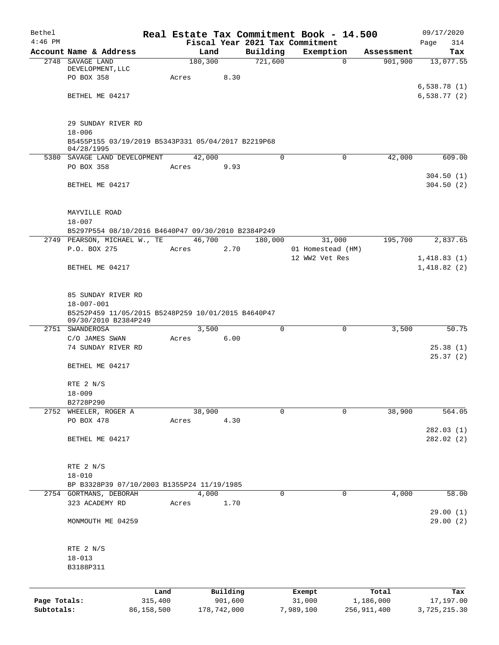| Bethel       |                                                                  |         |          |             |                                 |           | Real Estate Tax Commitment Book - 14.500 |            | 09/17/2020             |
|--------------|------------------------------------------------------------------|---------|----------|-------------|---------------------------------|-----------|------------------------------------------|------------|------------------------|
| $4:46$ PM    |                                                                  |         |          |             | Fiscal Year 2021 Tax Commitment |           |                                          |            | 314<br>Page            |
|              | Account Name & Address                                           |         | Land     |             | Building                        |           | Exemption                                | Assessment | Tax                    |
|              | 2748 SAVAGE LAND<br>DEVELOPMENT, LLC                             |         | 180, 300 |             | 721,600                         |           | $\mathbf 0$                              | 901,900    | 13,077.55              |
|              | PO BOX 358                                                       | Acres   |          | 8.30        |                                 |           |                                          |            |                        |
|              |                                                                  |         |          |             |                                 |           |                                          |            | 6,538.78(1)            |
|              | BETHEL ME 04217                                                  |         |          |             |                                 |           |                                          |            | 6,538.77(2)            |
|              |                                                                  |         |          |             |                                 |           |                                          |            |                        |
|              |                                                                  |         |          |             |                                 |           |                                          |            |                        |
|              | 29 SUNDAY RIVER RD                                               |         |          |             |                                 |           |                                          |            |                        |
|              | $18 - 006$<br>B5455P155 03/19/2019 B5343P331 05/04/2017 B2219P68 |         |          |             |                                 |           |                                          |            |                        |
|              | 04/28/1995                                                       |         |          |             |                                 |           |                                          |            |                        |
|              | 5380 SAVAGE LAND DEVELOPMENT                                     |         | 42,000   |             | 0                               |           | 0                                        | 42,000     | 609.00                 |
|              | PO BOX 358                                                       | Acres   |          | 9.93        |                                 |           |                                          |            |                        |
|              |                                                                  |         |          |             |                                 |           |                                          |            | 304.50(1)              |
|              | BETHEL ME 04217                                                  |         |          |             |                                 |           |                                          |            | 304.50(2)              |
|              |                                                                  |         |          |             |                                 |           |                                          |            |                        |
|              | MAYVILLE ROAD                                                    |         |          |             |                                 |           |                                          |            |                        |
|              | $18 - 007$                                                       |         |          |             |                                 |           |                                          |            |                        |
|              | B5297P554 08/10/2016 B4640P47 09/30/2010 B2384P249               |         |          |             |                                 |           |                                          |            |                        |
|              | 2749 PEARSON, MICHAEL W., TE                                     |         | 46,700   |             | 180,000                         |           | 31,000                                   | 195,700    | 2,837.65               |
|              | P.O. BOX 275                                                     | Acres   |          | 2.70        |                                 |           | 01 Homestead (HM)                        |            |                        |
|              |                                                                  |         |          |             |                                 |           | 12 WW2 Vet Res                           |            | 1,418.83(1)            |
|              | BETHEL ME 04217                                                  |         |          |             |                                 |           |                                          |            | 1,418.82(2)            |
|              |                                                                  |         |          |             |                                 |           |                                          |            |                        |
|              | 85 SUNDAY RIVER RD                                               |         |          |             |                                 |           |                                          |            |                        |
|              | $18 - 007 - 001$                                                 |         |          |             |                                 |           |                                          |            |                        |
|              | B5252P459 11/05/2015 B5248P259 10/01/2015 B4640P47               |         |          |             |                                 |           |                                          |            |                        |
|              | 09/30/2010 B2384P249                                             |         |          |             |                                 |           |                                          |            |                        |
|              | 2751 SWANDEROSA                                                  |         | 3,500    |             | $\Omega$                        |           | $\mathbf 0$                              | 3,500      | 50.75                  |
|              | C/O JAMES SWAN                                                   | Acres   |          | 6.00        |                                 |           |                                          |            |                        |
|              | 74 SUNDAY RIVER RD                                               |         |          |             |                                 |           |                                          |            | 25.38(1)<br>25.37(2)   |
|              | BETHEL ME 04217                                                  |         |          |             |                                 |           |                                          |            |                        |
|              |                                                                  |         |          |             |                                 |           |                                          |            |                        |
|              | RTE 2 N/S                                                        |         |          |             |                                 |           |                                          |            |                        |
|              | $18 - 009$                                                       |         |          |             |                                 |           |                                          |            |                        |
|              | B2728P290                                                        |         |          |             |                                 |           |                                          |            |                        |
|              | 2752 WHEELER, ROGER A                                            |         | 38,900   |             | $\Omega$                        |           | $\mathbf 0$                              | 38,900     | 564.05                 |
|              | PO BOX 478                                                       | Acres   |          | 4.30        |                                 |           |                                          |            |                        |
|              | BETHEL ME 04217                                                  |         |          |             |                                 |           |                                          |            | 282.03(1)<br>282.02(2) |
|              |                                                                  |         |          |             |                                 |           |                                          |            |                        |
|              |                                                                  |         |          |             |                                 |           |                                          |            |                        |
|              | RTE 2 N/S                                                        |         |          |             |                                 |           |                                          |            |                        |
|              | $18 - 010$                                                       |         |          |             |                                 |           |                                          |            |                        |
|              | BP B3328P39 07/10/2003 B1355P24 11/19/1985                       |         |          |             |                                 |           |                                          |            |                        |
|              | 2754 GORTMANS, DEBORAH                                           |         | 4,000    |             | 0                               |           | 0                                        | 4,000      | 58.00                  |
|              | 323 ACADEMY RD                                                   | Acres   |          | 1.70        |                                 |           |                                          |            |                        |
|              | MONMOUTH ME 04259                                                |         |          |             |                                 |           |                                          |            | 29.00(1)<br>29.00(2)   |
|              |                                                                  |         |          |             |                                 |           |                                          |            |                        |
|              |                                                                  |         |          |             |                                 |           |                                          |            |                        |
|              | RTE 2 N/S                                                        |         |          |             |                                 |           |                                          |            |                        |
|              | $18 - 013$                                                       |         |          |             |                                 |           |                                          |            |                        |
|              | B3188P311                                                        |         |          |             |                                 |           |                                          |            |                        |
|              |                                                                  |         |          |             |                                 |           |                                          |            |                        |
|              |                                                                  | Land    |          | Building    |                                 | Exempt    |                                          | Total      | Tax                    |
| Page Totals: |                                                                  | 315,400 |          | 901,600     |                                 | 31,000    |                                          | 1,186,000  | 17,197.00              |
| Subtotals:   | 86,158,500                                                       |         |          | 178,742,000 |                                 | 7,989,100 | 256, 911, 400                            |            | 3,725,215.30           |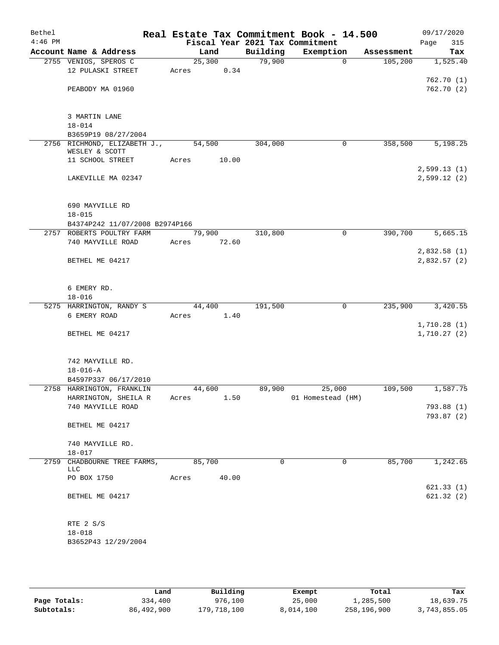| Bethel<br>$4:46$ PM |                                                |        |       |          | Real Estate Tax Commitment Book - 14.500<br>Fiscal Year 2021 Tax Commitment |            | 09/17/2020<br>315<br>Page |
|---------------------|------------------------------------------------|--------|-------|----------|-----------------------------------------------------------------------------|------------|---------------------------|
|                     | Account Name & Address                         |        | Land  | Building | Exemption                                                                   | Assessment | Tax                       |
|                     | 2755 VENIOS, SPEROS C                          | 25,300 |       | 79,900   | $\Omega$                                                                    | 105, 200   | 1,525.40                  |
|                     | 12 PULASKI STREET                              | Acres  | 0.34  |          |                                                                             |            |                           |
|                     |                                                |        |       |          |                                                                             |            | 762.70(1)                 |
|                     | PEABODY MA 01960                               |        |       |          |                                                                             |            | 762.70(2)                 |
|                     |                                                |        |       |          |                                                                             |            |                           |
|                     |                                                |        |       |          |                                                                             |            |                           |
|                     | 3 MARTIN LANE                                  |        |       |          |                                                                             |            |                           |
|                     | $18 - 014$                                     |        |       |          |                                                                             |            |                           |
|                     | B3659P19 08/27/2004                            |        |       |          |                                                                             | 358,500    |                           |
|                     | 2756 RICHMOND, ELIZABETH J.,<br>WESLEY & SCOTT | 54,500 |       | 304,000  | 0                                                                           |            | 5,198.25                  |
|                     | 11 SCHOOL STREET                               | Acres  | 10.00 |          |                                                                             |            |                           |
|                     |                                                |        |       |          |                                                                             |            | 2,599.13(1)               |
|                     | LAKEVILLE MA 02347                             |        |       |          |                                                                             |            | 2,599.12(2)               |
|                     |                                                |        |       |          |                                                                             |            |                           |
|                     |                                                |        |       |          |                                                                             |            |                           |
|                     | 690 MAYVILLE RD                                |        |       |          |                                                                             |            |                           |
|                     | $18 - 015$                                     |        |       |          |                                                                             |            |                           |
|                     | B4374P242 11/07/2008 B2974P166                 |        |       |          |                                                                             |            |                           |
|                     | 2757 ROBERTS POULTRY FARM                      | 79,900 |       | 310,800  | $\mathsf{O}$                                                                | 390,700    | 5,665.15                  |
|                     | 740 MAYVILLE ROAD                              | Acres  | 72.60 |          |                                                                             |            |                           |
|                     |                                                |        |       |          |                                                                             |            | 2,832.58(1)               |
|                     | BETHEL ME 04217                                |        |       |          |                                                                             |            | 2,832.57 (2)              |
|                     |                                                |        |       |          |                                                                             |            |                           |
|                     | 6 EMERY RD.                                    |        |       |          |                                                                             |            |                           |
|                     | $18 - 016$                                     |        |       |          |                                                                             |            |                           |
|                     | 5275 HARRINGTON, RANDY S                       | 44,400 |       | 191,500  | 0                                                                           | 235,900    | 3,420.55                  |
|                     | 6 EMERY ROAD                                   | Acres  | 1.40  |          |                                                                             |            |                           |
|                     |                                                |        |       |          |                                                                             |            | 1,710.28(1)               |
|                     | BETHEL ME 04217                                |        |       |          |                                                                             |            | 1,710.27(2)               |
|                     |                                                |        |       |          |                                                                             |            |                           |
|                     |                                                |        |       |          |                                                                             |            |                           |
|                     | 742 MAYVILLE RD.                               |        |       |          |                                                                             |            |                           |
|                     | $18 - 016 - A$                                 |        |       |          |                                                                             |            |                           |
|                     | B4597P337 06/17/2010                           |        |       |          |                                                                             |            |                           |
|                     | 2758 HARRINGTON, FRANKLIN                      | 44,600 |       | 89,900   | 25,000                                                                      | 109,500    | 1,587.75                  |
|                     | HARRINGTON, SHEILA R                           | Acres  | 1.50  |          | 01 Homestead (HM)                                                           |            | 793.88 (1)                |
|                     | 740 MAYVILLE ROAD                              |        |       |          |                                                                             |            | 793.87 (2)                |
|                     | BETHEL ME 04217                                |        |       |          |                                                                             |            |                           |
|                     |                                                |        |       |          |                                                                             |            |                           |
|                     | 740 MAYVILLE RD.                               |        |       |          |                                                                             |            |                           |
|                     | $18 - 017$                                     |        |       |          |                                                                             |            |                           |
| 2759                | CHADBOURNE TREE FARMS,                         | 85,700 |       | 0        | 0                                                                           | 85,700     | 1,242.65                  |
|                     | LLC                                            |        |       |          |                                                                             |            |                           |
|                     | PO BOX 1750                                    | Acres  | 40.00 |          |                                                                             |            |                           |
|                     |                                                |        |       |          |                                                                             |            | 621.33(1)                 |
|                     | BETHEL ME 04217                                |        |       |          |                                                                             |            | 621.32 (2)                |
|                     |                                                |        |       |          |                                                                             |            |                           |
|                     | RTE 2 S/S                                      |        |       |          |                                                                             |            |                           |
|                     | $18 - 018$                                     |        |       |          |                                                                             |            |                           |
|                     | B3652P43 12/29/2004                            |        |       |          |                                                                             |            |                           |
|                     |                                                |        |       |          |                                                                             |            |                           |
|                     |                                                |        |       |          |                                                                             |            |                           |

|              | Land       | Building    | Exempt    | Total       | Tax          |
|--------------|------------|-------------|-----------|-------------|--------------|
| Page Totals: | 334,400    | 976,100     | 25,000    | 1,285,500   | 18,639.75    |
| Subtotals:   | 86,492,900 | 179,718,100 | 8,014,100 | 258,196,900 | 3,743,855.05 |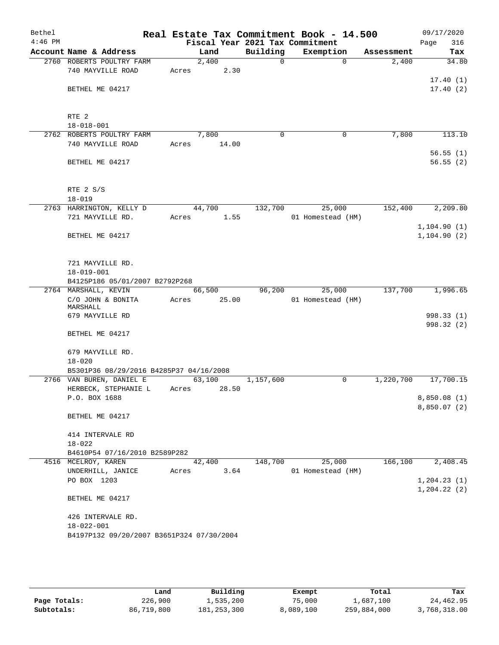| Bethel<br>$4:46$ PM |                                               | Real Estate Tax Commitment Book - 14.500<br>Fiscal Year 2021 Tax Commitment |              |                   |            | 09/17/2020<br>Page<br>316 |
|---------------------|-----------------------------------------------|-----------------------------------------------------------------------------|--------------|-------------------|------------|---------------------------|
|                     | Account Name & Address                        | Land                                                                        | Building     | Exemption         | Assessment | Tax                       |
|                     | 2760 ROBERTS POULTRY FARM                     | 2,400                                                                       | $\mathsf{O}$ | $\Omega$          | 2,400      | 34.80                     |
|                     | 740 MAYVILLE ROAD                             | 2.30<br>Acres                                                               |              |                   |            |                           |
|                     |                                               |                                                                             |              |                   |            | 17.40(1)                  |
|                     | BETHEL ME 04217                               |                                                                             |              |                   |            | 17.40(2)                  |
|                     |                                               |                                                                             |              |                   |            |                           |
|                     |                                               |                                                                             |              |                   |            |                           |
|                     | RTE <sub>2</sub>                              |                                                                             |              |                   |            |                           |
|                     | $18 - 018 - 001$<br>2762 ROBERTS POULTRY FARM | 7,800                                                                       | $\mathbf 0$  | 0                 | 7,800      | 113.10                    |
|                     | 740 MAYVILLE ROAD                             | 14.00<br>Acres                                                              |              |                   |            |                           |
|                     |                                               |                                                                             |              |                   |            | 56.55(1)                  |
|                     | BETHEL ME 04217                               |                                                                             |              |                   |            | 56.55(2)                  |
|                     |                                               |                                                                             |              |                   |            |                           |
|                     |                                               |                                                                             |              |                   |            |                           |
|                     | RTE 2 S/S                                     |                                                                             |              |                   |            |                           |
|                     | $18 - 019$                                    |                                                                             |              |                   |            |                           |
|                     | 2763 HARRINGTON, KELLY D                      | 44,700                                                                      | 132,700      | 25,000            | 152,400    | 2,209.80                  |
|                     | 721 MAYVILLE RD.                              | 1.55<br>Acres                                                               |              | 01 Homestead (HM) |            |                           |
|                     | BETHEL ME 04217                               |                                                                             |              |                   |            | 1, 104.90(1)              |
|                     |                                               |                                                                             |              |                   |            | 1, 104.90(2)              |
|                     |                                               |                                                                             |              |                   |            |                           |
|                     | 721 MAYVILLE RD.                              |                                                                             |              |                   |            |                           |
|                     | $18 - 019 - 001$                              |                                                                             |              |                   |            |                           |
|                     | B4125P186 05/01/2007 B2792P268                |                                                                             |              |                   |            |                           |
|                     | 2764 MARSHALL, KEVIN                          | 66,500                                                                      | 96,200       | 25,000            | 137,700    | 1,996.65                  |
|                     | C/O JOHN & BONITA                             | Acres<br>25.00                                                              |              | 01 Homestead (HM) |            |                           |
|                     | MARSHALL<br>679 MAYVILLE RD                   |                                                                             |              |                   |            | 998.33(1)                 |
|                     |                                               |                                                                             |              |                   |            | 998.32 (2)                |
|                     | BETHEL ME 04217                               |                                                                             |              |                   |            |                           |
|                     |                                               |                                                                             |              |                   |            |                           |
|                     | 679 MAYVILLE RD.                              |                                                                             |              |                   |            |                           |
|                     | $18 - 020$                                    |                                                                             |              |                   |            |                           |
|                     | B5301P36 08/29/2016 B4285P37 04/16/2008       |                                                                             |              |                   |            |                           |
|                     | 2766 VAN BUREN, DANIEL E                      | 63,100                                                                      | 1,157,600    | $\mathbf 0$       | 1,220,700  | 17,700.15                 |
|                     | HERBECK, STEPHANIE L<br>P.O. BOX 1688         | 28.50<br>Acres                                                              |              |                   |            | 8,850.08 (1)              |
|                     |                                               |                                                                             |              |                   |            | 8,850.07(2)               |
|                     | BETHEL ME 04217                               |                                                                             |              |                   |            |                           |
|                     |                                               |                                                                             |              |                   |            |                           |
|                     | 414 INTERVALE RD                              |                                                                             |              |                   |            |                           |
|                     | $18 - 022$                                    |                                                                             |              |                   |            |                           |
|                     | B4610P54 07/16/2010 B2589P282                 |                                                                             |              |                   |            |                           |
|                     | 4516 MCELROY, KAREN                           | 42,400                                                                      | 148,700      | 25,000            | 166,100    | 2,408.45                  |
|                     | UNDERHILL, JANICE<br>PO BOX 1203              | 3.64<br>Acres                                                               |              | 01 Homestead (HM) |            | 1, 204.23(1)              |
|                     |                                               |                                                                             |              |                   |            | 1, 204.22(2)              |
|                     | BETHEL ME 04217                               |                                                                             |              |                   |            |                           |
|                     |                                               |                                                                             |              |                   |            |                           |
|                     | 426 INTERVALE RD.                             |                                                                             |              |                   |            |                           |
|                     | $18 - 022 - 001$                              |                                                                             |              |                   |            |                           |
|                     | B4197P132 09/20/2007 B3651P324 07/30/2004     |                                                                             |              |                   |            |                           |
|                     |                                               |                                                                             |              |                   |            |                           |
|                     |                                               |                                                                             |              |                   |            |                           |

|              | Land       | Building      | Exempt    | Total       | Tax          |
|--------------|------------|---------------|-----------|-------------|--------------|
| Page Totals: | 226,900    | 1,535,200     | 75,000    | 1,687,100   | 24,462.95    |
| Subtotals:   | 86,719,800 | 181, 253, 300 | 8,089,100 | 259,884,000 | 3,768,318.00 |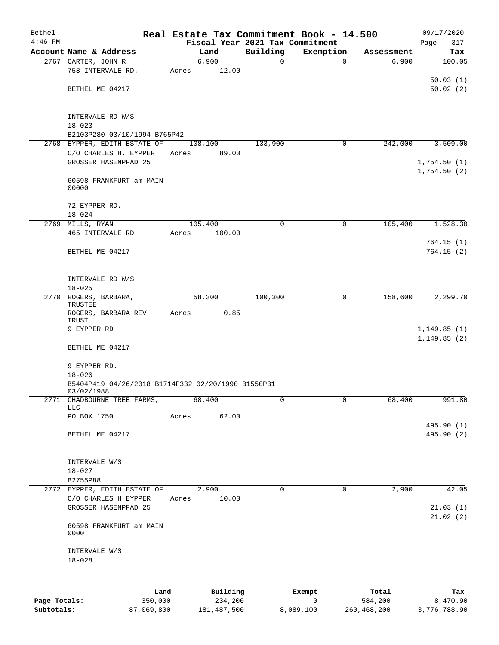| Bethel                     |                                                                  |                       |       |                          |                         | Real Estate Tax Commitment Book - 14.500 |                        | 09/17/2020                  |
|----------------------------|------------------------------------------------------------------|-----------------------|-------|--------------------------|-------------------------|------------------------------------------|------------------------|-----------------------------|
| $4:46$ PM                  |                                                                  |                       |       |                          |                         | Fiscal Year 2021 Tax Commitment          |                        | 317<br>Page                 |
|                            | Account Name & Address                                           |                       |       | Land<br>6,900            | Building<br>$\mathbf 0$ | Exemption<br>$\mathbf 0$                 | Assessment<br>6,900    | Tax<br>100.05               |
|                            | 2767 CARTER, JOHN R<br>758 INTERVALE RD.                         |                       | Acres | 12.00                    |                         |                                          |                        | 50.03(1)                    |
|                            | BETHEL ME 04217                                                  |                       |       |                          |                         |                                          |                        | 50.02(2)                    |
|                            | INTERVALE RD W/S<br>$18 - 023$                                   |                       |       |                          |                         |                                          |                        |                             |
|                            | B2103P280 03/10/1994 B765P42                                     |                       |       |                          |                         |                                          |                        |                             |
|                            | 2768 EYPPER, EDITH ESTATE OF                                     |                       |       | 108,100                  | 133,900                 | 0                                        | 242,000                | 3,509.00                    |
|                            | C/O CHARLES H. EYPPER<br>GROSSER HASENPFAD 25                    |                       | Acres | 89.00                    |                         |                                          |                        | 1,754.50(1)<br>1,754.50(2)  |
|                            | 60598 FRANKFURT am MAIN<br>00000                                 |                       |       |                          |                         |                                          |                        |                             |
|                            | 72 EYPPER RD.<br>$18 - 024$                                      |                       |       |                          |                         |                                          |                        |                             |
|                            | 2769 MILLS, RYAN                                                 |                       |       | 105,400                  | $\mathbf 0$             | $\mathbf 0$                              | 105,400                | 1,528.30                    |
|                            | 465 INTERVALE RD                                                 |                       | Acres | 100.00                   |                         |                                          |                        |                             |
|                            | BETHEL ME 04217                                                  |                       |       |                          |                         |                                          |                        | 764.15(1)<br>764.15(2)      |
|                            | INTERVALE RD W/S<br>$18 - 025$                                   |                       |       |                          |                         |                                          |                        |                             |
| 2770                       | ROGERS, BARBARA,                                                 |                       |       | 58,300                   | 100,300                 | $\mathbf 0$                              | 158,600                | 2,299.70                    |
|                            | TRUSTEE<br>ROGERS, BARBARA REV<br>TRUST                          |                       | Acres | 0.85                     |                         |                                          |                        |                             |
|                            | 9 EYPPER RD                                                      |                       |       |                          |                         |                                          |                        | 1,149.85(1)<br>1, 149.85(2) |
|                            | BETHEL ME 04217                                                  |                       |       |                          |                         |                                          |                        |                             |
|                            | 9 EYPPER RD.<br>$18 - 026$                                       |                       |       |                          |                         |                                          |                        |                             |
|                            | B5404P419 04/26/2018 B1714P332 02/20/1990 B1550P31<br>03/02/1988 |                       |       |                          |                         |                                          |                        |                             |
|                            | 2771 CHADBOURNE TREE FARMS,<br>LLC                               |                       |       | 68,400                   | 0                       | 0                                        | 68,400                 | 991.80                      |
|                            | PO BOX 1750                                                      |                       | Acres | 62.00                    |                         |                                          |                        |                             |
|                            |                                                                  |                       |       |                          |                         |                                          |                        | 495.90 (1)                  |
|                            | BETHEL ME 04217                                                  |                       |       |                          |                         |                                          |                        | 495.90 (2)                  |
|                            | INTERVALE W/S<br>$18 - 027$                                      |                       |       |                          |                         |                                          |                        |                             |
|                            | B2755P88                                                         |                       |       |                          |                         |                                          |                        |                             |
|                            | 2772 EYPPER, EDITH ESTATE OF                                     |                       |       | 2,900                    | $\Omega$                | $\mathbf 0$                              | 2,900                  | 42.05                       |
|                            | C/O CHARLES H EYPPER                                             |                       | Acres | 10.00                    |                         |                                          |                        |                             |
|                            | GROSSER HASENPFAD 25                                             |                       |       |                          |                         |                                          |                        | 21.03(1)<br>21.02(2)        |
|                            | 60598 FRANKFURT am MAIN<br>0000                                  |                       |       |                          |                         |                                          |                        |                             |
|                            | INTERVALE W/S<br>$18 - 028$                                      |                       |       |                          |                         |                                          |                        |                             |
|                            |                                                                  | Land                  |       | Building                 |                         | Exempt                                   | Total                  | Tax                         |
| Page Totals:<br>Subtotals: |                                                                  | 350,000<br>87,069,800 |       | 234,200<br>181, 487, 500 |                         | 0<br>8,089,100                           | 584,200<br>260,468,200 | 8,470.90<br>3,776,788.90    |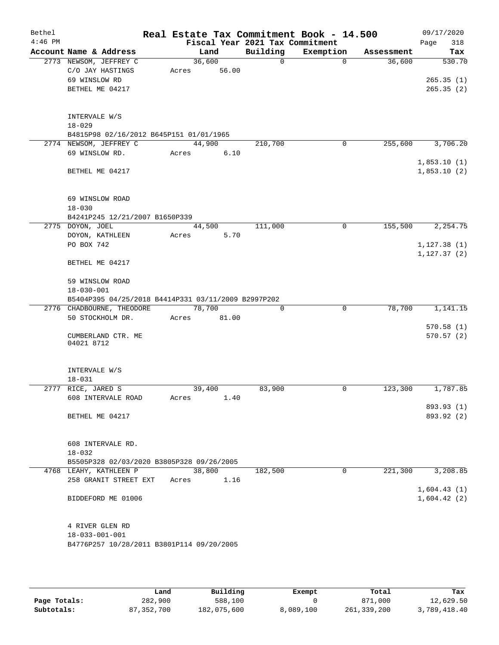| Bethel    |                                                                     |                 |       |                         | Real Estate Tax Commitment Book - 14.500 |                                  | 09/17/2020             |
|-----------|---------------------------------------------------------------------|-----------------|-------|-------------------------|------------------------------------------|----------------------------------|------------------------|
| $4:46$ PM |                                                                     |                 |       |                         | Fiscal Year 2021 Tax Commitment          |                                  | 318<br>Page            |
|           | Account Name & Address<br>2773 NEWSOM, JEFFREY C                    | 36,600          | Land  | Building<br>$\mathbf 0$ | Exemption                                | Assessment<br>36,600<br>$\Omega$ | Tax<br>530.70          |
|           | C/O JAY HASTINGS                                                    | Acres           | 56.00 |                         |                                          |                                  |                        |
|           | 69 WINSLOW RD                                                       |                 |       |                         |                                          |                                  | 265.35(1)              |
|           | BETHEL ME 04217                                                     |                 |       |                         |                                          |                                  | 265.35(2)              |
|           |                                                                     |                 |       |                         |                                          |                                  |                        |
|           |                                                                     |                 |       |                         |                                          |                                  |                        |
|           | INTERVALE W/S                                                       |                 |       |                         |                                          |                                  |                        |
|           | $18 - 029$                                                          |                 |       |                         |                                          |                                  |                        |
|           | B4815P98 02/16/2012 B645P151 01/01/1965<br>2774 NEWSOM, JEFFREY C   | 44,900          |       | 210,700                 |                                          | 255,600<br>0                     | 3,706.20               |
|           | 69 WINSLOW RD.                                                      | Acres           | 6.10  |                         |                                          |                                  |                        |
|           |                                                                     |                 |       |                         |                                          |                                  | 1,853.10(1)            |
|           | BETHEL ME 04217                                                     |                 |       |                         |                                          |                                  | 1,853.10(2)            |
|           |                                                                     |                 |       |                         |                                          |                                  |                        |
|           |                                                                     |                 |       |                         |                                          |                                  |                        |
|           | 69 WINSLOW ROAD                                                     |                 |       |                         |                                          |                                  |                        |
|           | $18 - 030$                                                          |                 |       |                         |                                          |                                  |                        |
|           | B4241P245 12/21/2007 B1650P339                                      |                 |       |                         |                                          |                                  |                        |
|           | 2775 DOYON, JOEL                                                    | 44,500          |       | 111,000                 |                                          | 155,500<br>0                     | 2,254.75               |
|           | DOYON, KATHLEEN<br>PO BOX 742                                       | Acres           | 5.70  |                         |                                          |                                  | 1, 127.38(1)           |
|           |                                                                     |                 |       |                         |                                          |                                  | 1, 127.37(2)           |
|           | BETHEL ME 04217                                                     |                 |       |                         |                                          |                                  |                        |
|           |                                                                     |                 |       |                         |                                          |                                  |                        |
|           | 59 WINSLOW ROAD                                                     |                 |       |                         |                                          |                                  |                        |
|           | $18 - 030 - 001$                                                    |                 |       |                         |                                          |                                  |                        |
|           | B5404P395 04/25/2018 B4414P331 03/11/2009 B2997P202                 |                 |       |                         |                                          |                                  |                        |
|           | 2776 CHADBOURNE, THEODORE                                           | 78,700          |       | 0                       |                                          | $\mathbf 0$<br>78,700            | 1,141.15               |
|           | 50 STOCKHOLM DR.                                                    | Acres           | 81.00 |                         |                                          |                                  |                        |
|           | CUMBERLAND CTR. ME                                                  |                 |       |                         |                                          |                                  | 570.58(1)<br>570.57(2) |
|           | 04021 8712                                                          |                 |       |                         |                                          |                                  |                        |
|           |                                                                     |                 |       |                         |                                          |                                  |                        |
|           |                                                                     |                 |       |                         |                                          |                                  |                        |
|           | INTERVALE W/S                                                       |                 |       |                         |                                          |                                  |                        |
|           | $18 - 031$<br>2777 RICE, JARED S                                    | 39,400          |       | 83,900                  |                                          | 123,300<br>0                     | 1,787.85               |
|           | 608 INTERVALE ROAD                                                  | Acres           | 1.40  |                         |                                          |                                  |                        |
|           |                                                                     |                 |       |                         |                                          |                                  | 893.93 (1)             |
|           | BETHEL ME 04217                                                     |                 |       |                         |                                          |                                  | 893.92 (2)             |
|           |                                                                     |                 |       |                         |                                          |                                  |                        |
|           |                                                                     |                 |       |                         |                                          |                                  |                        |
|           | 608 INTERVALE RD.                                                   |                 |       |                         |                                          |                                  |                        |
|           | $18 - 032$                                                          |                 |       |                         |                                          |                                  |                        |
|           | B5505P328 02/03/2020 B3805P328 09/26/2005<br>4768 LEAHY, KATHLEEN P |                 |       |                         |                                          | 221,300<br>$\Omega$              |                        |
|           | 258 GRANIT STREET EXT                                               | 38,800<br>Acres | 1.16  | 182,500                 |                                          |                                  | 3,208.85               |
|           |                                                                     |                 |       |                         |                                          |                                  | 1,604.43(1)            |
|           | BIDDEFORD ME 01006                                                  |                 |       |                         |                                          |                                  | 1,604.42(2)            |
|           |                                                                     |                 |       |                         |                                          |                                  |                        |
|           |                                                                     |                 |       |                         |                                          |                                  |                        |
|           | 4 RIVER GLEN RD                                                     |                 |       |                         |                                          |                                  |                        |
|           | $18 - 033 - 001 - 001$                                              |                 |       |                         |                                          |                                  |                        |
|           | B4776P257 10/28/2011 B3801P114 09/20/2005                           |                 |       |                         |                                          |                                  |                        |

|              | Land         | Building    | Exempt    | Total       | Tax          |
|--------------|--------------|-------------|-----------|-------------|--------------|
| Page Totals: | 282,900      | 588,100     |           | 871,000     | 12,629.50    |
| Subtotals:   | 87, 352, 700 | 182,075,600 | 8,089,100 | 261,339,200 | 3,789,418.40 |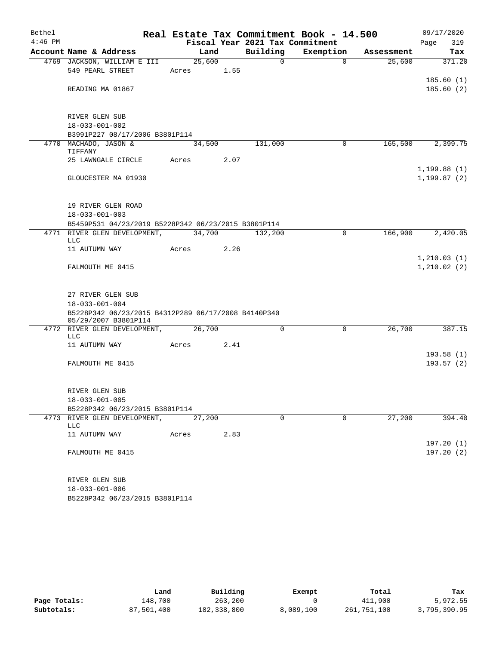| Bethel    |                                                                             |            |      |                                 | Real Estate Tax Commitment Book - 14.500 |            | 09/17/2020             |
|-----------|-----------------------------------------------------------------------------|------------|------|---------------------------------|------------------------------------------|------------|------------------------|
| $4:46$ PM |                                                                             |            |      | Fiscal Year 2021 Tax Commitment |                                          |            | Page<br>319            |
|           | Account Name & Address                                                      |            | Land | Building                        | Exemption                                | Assessment | Tax                    |
|           | 4769 JACKSON, WILLIAM E III                                                 | 25,600     |      | $\Omega$                        | $\Omega$                                 | 25,600     | 371.20                 |
|           | 549 PEARL STREET                                                            | Acres      | 1.55 |                                 |                                          |            |                        |
|           | READING MA 01867                                                            |            |      |                                 |                                          |            | 185.60(1)<br>185.60(2) |
|           |                                                                             |            |      |                                 |                                          |            |                        |
|           | RIVER GLEN SUB                                                              |            |      |                                 |                                          |            |                        |
|           | $18 - 033 - 001 - 002$                                                      |            |      |                                 |                                          |            |                        |
|           | B3991P227 08/17/2006 B3801P114                                              |            |      |                                 |                                          |            |                        |
|           | 4770 MACHADO, JASON &                                                       | 34,500     |      | 131,000                         | $\mathbf 0$                              | 165,500    | 2,399.75               |
|           | TIFFANY                                                                     |            |      |                                 |                                          |            |                        |
|           | 25 LAWNGALE CIRCLE                                                          | Acres      | 2.07 |                                 |                                          |            |                        |
|           |                                                                             |            |      |                                 |                                          |            | 1, 199.88(1)           |
|           | GLOUCESTER MA 01930                                                         |            |      |                                 |                                          |            | 1, 199.87(2)           |
|           | 19 RIVER GLEN ROAD                                                          |            |      |                                 |                                          |            |                        |
|           | $18 - 033 - 001 - 003$                                                      |            |      |                                 |                                          |            |                        |
|           | B5459P531 04/23/2019 B5228P342 06/23/2015 B3801P114                         |            |      |                                 |                                          |            |                        |
|           | 4771 RIVER GLEN DEVELOPMENT, 34,700<br>LLC                                  |            |      | 132,200                         | $\mathbf 0$                              | 166,900    | 2,420.05               |
|           | 11 AUTUMN WAY                                                               | Acres 2.26 |      |                                 |                                          |            |                        |
|           |                                                                             |            |      |                                 |                                          |            | 1, 210.03(1)           |
|           | FALMOUTH ME 0415                                                            |            |      |                                 |                                          |            | 1,210.02(2)            |
|           |                                                                             |            |      |                                 |                                          |            |                        |
|           | 27 RIVER GLEN SUB                                                           |            |      |                                 |                                          |            |                        |
|           | $18 - 033 - 001 - 004$                                                      |            |      |                                 |                                          |            |                        |
|           | B5228P342 06/23/2015 B4312P289 06/17/2008 B4140P340<br>05/29/2007 B3801P114 |            |      |                                 |                                          |            |                        |
|           | 4772 RIVER GLEN DEVELOPMENT,                                                | 26,700     |      | $\Omega$                        | $\mathbf 0$                              | 26,700     | 387.15                 |
|           | LLC                                                                         |            |      |                                 |                                          |            |                        |
|           | 11 AUTUMN WAY                                                               | Acres      | 2.41 |                                 |                                          |            | 193.58(1)              |
|           | FALMOUTH ME 0415                                                            |            |      |                                 |                                          |            | 193.57(2)              |
|           |                                                                             |            |      |                                 |                                          |            |                        |
|           | RIVER GLEN SUB                                                              |            |      |                                 |                                          |            |                        |
|           | $18 - 033 - 001 - 005$                                                      |            |      |                                 |                                          |            |                        |
|           | B5228P342 06/23/2015 B3801P114                                              |            |      |                                 |                                          |            |                        |
|           | 4773 RIVER GLEN DEVELOPMENT,                                                | 27,200     |      | $\mathbf 0$                     | $\Omega$                                 | 27,200     | 394.40                 |
|           | LLC                                                                         |            |      |                                 |                                          |            |                        |
|           | 11 AUTUMN WAY                                                               | Acres      | 2.83 |                                 |                                          |            |                        |
|           |                                                                             |            |      |                                 |                                          |            | 197.20(1)              |
|           | FALMOUTH ME 0415                                                            |            |      |                                 |                                          |            | 197.20(2)              |
|           | RIVER GLEN SUB                                                              |            |      |                                 |                                          |            |                        |
|           | $18 - 033 - 001 - 006$                                                      |            |      |                                 |                                          |            |                        |
|           | B5228P342 06/23/2015 B3801P114                                              |            |      |                                 |                                          |            |                        |

|              | Land       | Building    | Exempt    | Total       | Tax          |
|--------------|------------|-------------|-----------|-------------|--------------|
| Page Totals: | 148,700    | 263,200     |           | 411,900     | 5,972.55     |
| Subtotals:   | 87,501,400 | 182,338,800 | 8,089,100 | 261,751,100 | 3,795,390.95 |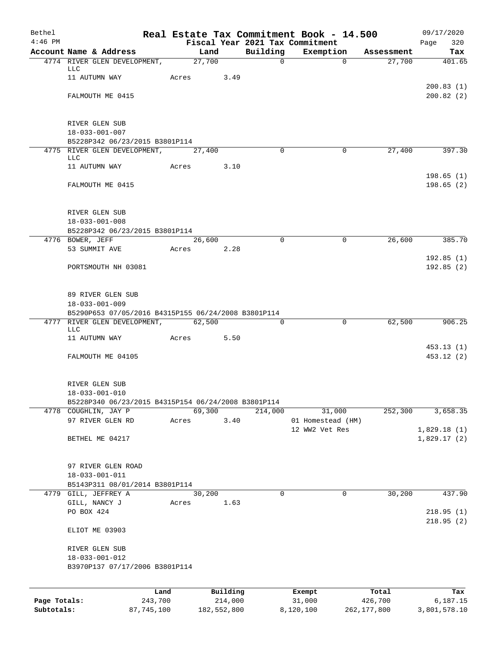| Bethel       |                                                                                     |       |        |                     |              | Real Estate Tax Commitment Book - 14.500 |                      | 09/17/2020             |
|--------------|-------------------------------------------------------------------------------------|-------|--------|---------------------|--------------|------------------------------------------|----------------------|------------------------|
| $4:46$ PM    | Account Name & Address                                                              |       | Land   |                     | Building     | Fiscal Year 2021 Tax Commitment          |                      | Page<br>320            |
|              | 4774 RIVER GLEN DEVELOPMENT,                                                        |       | 27,700 |                     | $\mathsf{O}$ | Exemption<br>$\mathbf 0$                 | Assessment<br>27,700 | Tax<br>401.65          |
|              | LLC                                                                                 |       |        |                     |              |                                          |                      |                        |
|              | 11 AUTUMN WAY                                                                       | Acres |        | 3.49                |              |                                          |                      |                        |
|              | FALMOUTH ME 0415                                                                    |       |        |                     |              |                                          |                      | 200.83(1)<br>200.82(2) |
|              |                                                                                     |       |        |                     |              |                                          |                      |                        |
|              |                                                                                     |       |        |                     |              |                                          |                      |                        |
|              | RIVER GLEN SUB<br>$18 - 033 - 001 - 007$                                            |       |        |                     |              |                                          |                      |                        |
|              | B5228P342 06/23/2015 B3801P114                                                      |       |        |                     |              |                                          |                      |                        |
|              | 4775 RIVER GLEN DEVELOPMENT,                                                        |       | 27,400 |                     | $\Omega$     | $\Omega$                                 | 27,400               | 397.30                 |
|              | LLC                                                                                 |       |        |                     |              |                                          |                      |                        |
|              | 11 AUTUMN WAY                                                                       | Acres |        | 3.10                |              |                                          |                      |                        |
|              | FALMOUTH ME 0415                                                                    |       |        |                     |              |                                          |                      | 198.65(1)<br>198.65(2) |
|              |                                                                                     |       |        |                     |              |                                          |                      |                        |
|              |                                                                                     |       |        |                     |              |                                          |                      |                        |
|              | RIVER GLEN SUB<br>$18 - 033 - 001 - 008$                                            |       |        |                     |              |                                          |                      |                        |
|              | B5228P342 06/23/2015 B3801P114                                                      |       |        |                     |              |                                          |                      |                        |
|              | 4776 BOWER, JEFF                                                                    |       | 26,600 |                     | $\Omega$     | 0                                        | 26,600               | 385.70                 |
|              | 53 SUMMIT AVE                                                                       | Acres |        | 2.28                |              |                                          |                      |                        |
|              |                                                                                     |       |        |                     |              |                                          |                      | 192.85(1)              |
|              | PORTSMOUTH NH 03081                                                                 |       |        |                     |              |                                          |                      | 192.85(2)              |
|              |                                                                                     |       |        |                     |              |                                          |                      |                        |
|              | 89 RIVER GLEN SUB                                                                   |       |        |                     |              |                                          |                      |                        |
|              | $18 - 033 - 001 - 009$                                                              |       |        |                     |              |                                          |                      |                        |
|              | B5290P653 07/05/2016 B4315P155 06/24/2008 B3801P114<br>4777 RIVER GLEN DEVELOPMENT, |       | 62,500 |                     | $\Omega$     | $\mathbf 0$                              | 62,500               | 906.25                 |
|              | LLC                                                                                 |       |        |                     |              |                                          |                      |                        |
|              | 11 AUTUMN WAY                                                                       | Acres |        | 5.50                |              |                                          |                      |                        |
|              |                                                                                     |       |        |                     |              |                                          |                      | 453.13 (1)             |
|              | FALMOUTH ME 04105                                                                   |       |        |                     |              |                                          |                      | 453.12(2)              |
|              |                                                                                     |       |        |                     |              |                                          |                      |                        |
|              | RIVER GLEN SUB                                                                      |       |        |                     |              |                                          |                      |                        |
|              | $18 - 033 - 001 - 010$                                                              |       |        |                     |              |                                          |                      |                        |
|              | B5228P340 06/23/2015 B4315P154 06/24/2008 B3801P114<br>4778 COUGHLIN, JAY P         |       | 69,300 |                     | 214,000      | 31,000                                   | 252,300              | 3,658.35               |
|              | 97 RIVER GLEN RD                                                                    | Acres |        | 3.40                |              | 01 Homestead (HM)                        |                      |                        |
|              |                                                                                     |       |        |                     |              | 12 WW2 Vet Res                           |                      | 1,829.18(1)            |
|              | BETHEL ME 04217                                                                     |       |        |                     |              |                                          |                      | 1,829.17(2)            |
|              |                                                                                     |       |        |                     |              |                                          |                      |                        |
|              | 97 RIVER GLEN ROAD                                                                  |       |        |                     |              |                                          |                      |                        |
|              | $18 - 033 - 001 - 011$                                                              |       |        |                     |              |                                          |                      |                        |
|              | B5143P311 08/01/2014 B3801P114<br>4779 GILL, JEFFREY A                              |       | 30,200 |                     | 0            | 0                                        | 30,200               | 437.90                 |
|              | GILL, NANCY J                                                                       | Acres |        | 1.63                |              |                                          |                      |                        |
|              | PO BOX 424                                                                          |       |        |                     |              |                                          |                      | 218.95(1)              |
|              |                                                                                     |       |        |                     |              |                                          |                      | 218.95(2)              |
|              | ELIOT ME 03903                                                                      |       |        |                     |              |                                          |                      |                        |
|              | RIVER GLEN SUB                                                                      |       |        |                     |              |                                          |                      |                        |
|              | $18 - 033 - 001 - 012$                                                              |       |        |                     |              |                                          |                      |                        |
|              | B3970P137 07/17/2006 B3801P114                                                      |       |        |                     |              |                                          |                      |                        |
|              |                                                                                     |       |        |                     |              |                                          |                      |                        |
| Page Totals: | Land<br>243,700                                                                     |       |        | Building<br>214,000 |              | Exempt<br>31,000                         | Total<br>426,700     | Tax<br>6,187.15        |
| Subtotals:   | 87,745,100                                                                          |       |        | 182,552,800         |              | 8,120,100                                | 262,177,800          | 3,801,578.10           |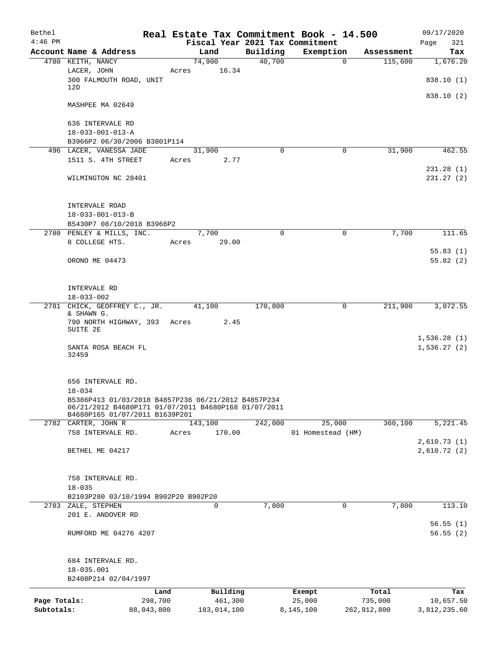| Bethel       |                                                                                                             |       |                |             | Real Estate Tax Commitment Book - 14.500 |               | 09/17/2020                 |  |  |
|--------------|-------------------------------------------------------------------------------------------------------------|-------|----------------|-------------|------------------------------------------|---------------|----------------------------|--|--|
| $4:46$ PM    |                                                                                                             |       |                |             | Fiscal Year 2021 Tax Commitment          |               | Page<br>321                |  |  |
|              | Account Name & Address                                                                                      |       | Land           | Building    | Exemption                                | Assessment    | Tax                        |  |  |
|              | 4780 KEITH, NANCY                                                                                           |       | 74,900         | 40,700      | $\mathbf 0$                              | 115,600       | 1,676.20                   |  |  |
|              | LACER, JOHN<br>300 FALMOUTH ROAD, UNIT<br>12D                                                               | Acres | 16.34          |             |                                          |               | 838.10 (1)                 |  |  |
|              |                                                                                                             |       |                |             |                                          |               | 838.10 (2)                 |  |  |
|              | MASHPEE MA 02649                                                                                            |       |                |             |                                          |               |                            |  |  |
|              | 636 INTERVALE RD                                                                                            |       |                |             |                                          |               |                            |  |  |
|              | $18 - 033 - 001 - 013 - A$                                                                                  |       |                |             |                                          |               |                            |  |  |
|              | B3966P2 06/30/2006 B3801P114                                                                                |       |                |             |                                          |               |                            |  |  |
|              | 496 LACER, VANESSA JADE<br>1511 S. 4TH STREET                                                               | Acres | 31,900<br>2.77 | $\Omega$    | 0                                        | 31,900        | 462.55                     |  |  |
|              |                                                                                                             |       |                |             |                                          |               | 231.28(1)                  |  |  |
|              | WILMINGTON NC 28401                                                                                         |       |                |             |                                          |               | 231.27(2)                  |  |  |
|              | INTERVALE ROAD                                                                                              |       |                |             |                                          |               |                            |  |  |
|              | $18 - 033 - 001 - 013 - B$                                                                                  |       |                |             |                                          |               |                            |  |  |
|              | B5430P7 08/10/2018 B3966P2                                                                                  |       |                |             |                                          |               |                            |  |  |
|              | 2780 PENLEY & MILLS, INC.                                                                                   |       | 7,700          | $\mathbf 0$ | $\mathbf 0$                              | 7,700         | 111.65                     |  |  |
|              | 8 COLLEGE HTS.                                                                                              | Acres | 29.00          |             |                                          |               |                            |  |  |
|              |                                                                                                             |       |                |             |                                          |               | 55.83(1)                   |  |  |
|              | ORONO ME 04473                                                                                              |       |                |             |                                          |               | 55.82(2)                   |  |  |
|              | INTERVALE RD                                                                                                |       |                |             |                                          |               |                            |  |  |
|              | $18 - 033 - 002$                                                                                            |       |                |             |                                          |               |                            |  |  |
|              | 2781 CHICK, GEOFFREY C., JR.<br>& SHAWN G.<br>790 NORTH HIGHWAY, 393 Acres<br>SUITE 2E                      |       | 41,100<br>2.45 | 170,800     | 0                                        | 211,900       | 3,072.55                   |  |  |
|              |                                                                                                             |       |                |             |                                          |               | 1,536.28(1)                |  |  |
|              | SANTA ROSA BEACH FL<br>32459                                                                                |       |                |             |                                          |               | 1,536.27(2)                |  |  |
|              | 656 INTERVALE RD.                                                                                           |       |                |             |                                          |               |                            |  |  |
|              | $18 - 034$                                                                                                  |       |                |             |                                          |               |                            |  |  |
|              | B5386P413 01/03/2018 B4857P236 06/21/2012 B4857P234<br>06/21/2012 B4680P171 01/07/2011 B4680P168 01/07/2011 |       |                |             |                                          |               |                            |  |  |
|              | B4680P165 01/07/2011 B1639P201<br>2782 CARTER, JOHN R                                                       |       | 143,100        | 242,000     | 25,000                                   | 360,100       | 5,221.45                   |  |  |
|              | 758 INTERVALE RD.                                                                                           | Acres | 170.00         |             | 01 Homestead (HM)                        |               |                            |  |  |
|              | BETHEL ME 04217                                                                                             |       |                |             |                                          |               | 2,610.73(1)<br>2,610.72(2) |  |  |
|              |                                                                                                             |       |                |             |                                          |               |                            |  |  |
|              | 758 INTERVALE RD.                                                                                           |       |                |             |                                          |               |                            |  |  |
|              | $18 - 035$                                                                                                  |       |                |             |                                          |               |                            |  |  |
|              | B2103P280 03/10/1994 B902P20 B902P20                                                                        |       |                |             |                                          |               |                            |  |  |
|              | 2783 ZALE, STEPHEN                                                                                          |       | 0              | 7,800       | 0                                        | 7,800         | 113.10                     |  |  |
|              | 201 E. ANDOVER RD                                                                                           |       |                |             |                                          |               |                            |  |  |
|              | RUMFORD ME 04276 4207                                                                                       |       |                |             |                                          |               | 56.55(1)<br>56.55(2)       |  |  |
|              | 684 INTERVALE RD.                                                                                           |       |                |             |                                          |               |                            |  |  |
|              | 18-035.001                                                                                                  |       |                |             |                                          |               |                            |  |  |
|              | B2408P214 02/04/1997                                                                                        |       |                |             |                                          |               |                            |  |  |
|              |                                                                                                             | Land  | Building       |             | Exempt                                   | Total         | Tax                        |  |  |
| Page Totals: | 298,700                                                                                                     |       | 461,300        |             | 25,000                                   | 735,000       | 10,657.50                  |  |  |
| Subtotals:   | 88,043,800                                                                                                  |       | 183,014,100    |             | 8,145,100                                | 262, 912, 800 | 3,812,235.60               |  |  |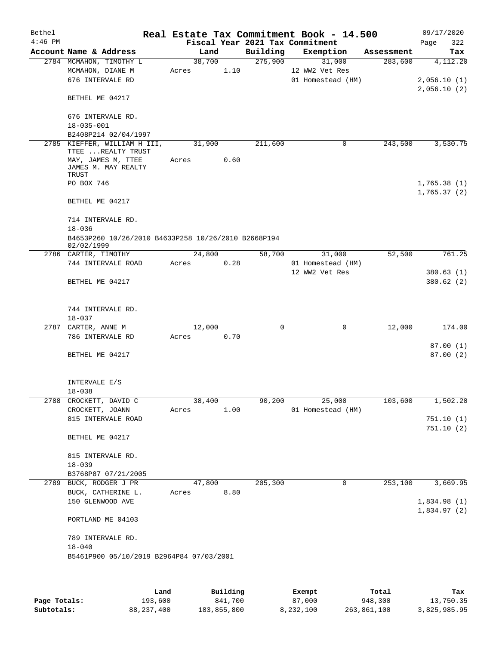| Bethel    |                      |                                                     |        |      |          | Real Estate Tax Commitment Book - 14.500 |            | 09/17/2020  |
|-----------|----------------------|-----------------------------------------------------|--------|------|----------|------------------------------------------|------------|-------------|
| $4:46$ PM |                      |                                                     |        |      |          | Fiscal Year 2021 Tax Commitment          |            | Page<br>322 |
|           |                      | Account Name & Address                              | Land   |      | Building | Exemption                                | Assessment | Tax         |
|           |                      | 2784 MCMAHON, TIMOTHY L                             | 38,700 |      | 275,900  | 31,000                                   | 283,600    | 4,112.20    |
|           |                      | MCMAHON, DIANE M                                    | Acres  | 1.10 |          | 12 WW2 Vet Res                           |            |             |
|           |                      | 676 INTERVALE RD                                    |        |      |          | 01 Homestead (HM)                        |            | 2,056.10(1) |
|           |                      | BETHEL ME 04217                                     |        |      |          |                                          |            | 2,056.10(2) |
|           |                      | 676 INTERVALE RD.                                   |        |      |          |                                          |            |             |
|           | $18 - 035 - 001$     | B2408P214 02/04/1997                                |        |      |          |                                          |            |             |
|           |                      | 2785 KIEFFER, WILLIAM H III,                        | 31,900 |      | 211,600  | 0                                        | 243,500    | 3,530.75    |
|           |                      | TTEE  REALTY TRUST                                  |        |      |          |                                          |            |             |
|           |                      | MAY, JAMES M, TTEE<br>JAMES M. MAY REALTY           | Acres  | 0.60 |          |                                          |            |             |
|           | TRUST<br>PO BOX 746  |                                                     |        |      |          |                                          |            | 1,765.38(1) |
|           |                      |                                                     |        |      |          |                                          |            | 1,765.37(2) |
|           |                      | BETHEL ME 04217                                     |        |      |          |                                          |            |             |
|           |                      | 714 INTERVALE RD.                                   |        |      |          |                                          |            |             |
|           | $18 - 036$           |                                                     |        |      |          |                                          |            |             |
|           | 02/02/1999           | B4653P260 10/26/2010 B4633P258 10/26/2010 B2668P194 |        |      |          |                                          |            |             |
|           | 2786 CARTER, TIMOTHY |                                                     | 24,800 |      | 58,700   | 31,000                                   | 52,500     | 761.25      |
|           |                      | 744 INTERVALE ROAD                                  | Acres  | 0.28 |          | 01 Homestead (HM)                        |            |             |
|           |                      |                                                     |        |      |          | 12 WW2 Vet Res                           |            | 380.63(1)   |
|           |                      | BETHEL ME 04217                                     |        |      |          |                                          |            | 380.62(2)   |
|           |                      | 744 INTERVALE RD.                                   |        |      |          |                                          |            |             |
|           | $18 - 037$           |                                                     |        |      |          |                                          |            |             |
|           | 2787 CARTER, ANNE M  |                                                     | 12,000 |      | 0        | 0                                        | 12,000     | 174.00      |
|           |                      | 786 INTERVALE RD                                    | Acres  | 0.70 |          |                                          |            |             |
|           |                      |                                                     |        |      |          |                                          |            | 87.00(1)    |
|           | BETHEL ME 04217      |                                                     |        |      |          |                                          |            | 87.00(2)    |
|           | INTERVALE E/S        |                                                     |        |      |          |                                          |            |             |
|           | $18 - 038$           |                                                     |        |      |          |                                          |            |             |
|           |                      | 2788 CROCKETT, DAVID C                              | 38,400 |      | 90,200   | 25,000                                   | 103,600    | 1,502.20    |
|           |                      | CROCKETT, JOANN                                     | Acres  | 1.00 |          | 01 Homestead (HM)                        |            |             |
|           |                      | 815 INTERVALE ROAD                                  |        |      |          |                                          |            | 751.10(1)   |
|           |                      |                                                     |        |      |          |                                          |            | 751.10(2)   |
|           |                      | BETHEL ME 04217                                     |        |      |          |                                          |            |             |
|           |                      | 815 INTERVALE RD.                                   |        |      |          |                                          |            |             |
|           | $18 - 039$           |                                                     |        |      |          |                                          |            |             |
|           |                      | B3768P87 07/21/2005                                 |        |      |          |                                          |            |             |
|           |                      | 2789 BUCK, RODGER J PR                              | 47,800 |      | 205,300  | 0                                        | 253,100    | 3,669.95    |
|           |                      | BUCK, CATHERINE L.                                  | Acres  | 8.80 |          |                                          |            |             |
|           |                      | 150 GLENWOOD AVE                                    |        |      |          |                                          |            | 1,834.98(1) |
|           |                      |                                                     |        |      |          |                                          |            | 1,834.97(2) |
|           |                      | PORTLAND ME 04103                                   |        |      |          |                                          |            |             |
|           |                      | 789 INTERVALE RD.                                   |        |      |          |                                          |            |             |
|           | $18 - 040$           |                                                     |        |      |          |                                          |            |             |
|           |                      | B5461P900 05/10/2019 B2964P84 07/03/2001            |        |      |          |                                          |            |             |
|           |                      |                                                     |        |      |          |                                          |            |             |
|           |                      |                                                     |        |      |          |                                          |            |             |
|           |                      |                                                     |        |      |          |                                          |            |             |

|              | Land       | Building    | Exempt    | Total       | Tax          |
|--------------|------------|-------------|-----------|-------------|--------------|
| Page Totals: | 193,600    | 841,700     | 87,000    | 948,300     | 13,750.35    |
| Subtotals:   | 88,237,400 | 183,855,800 | 8,232,100 | 263,861,100 | 3,825,985.95 |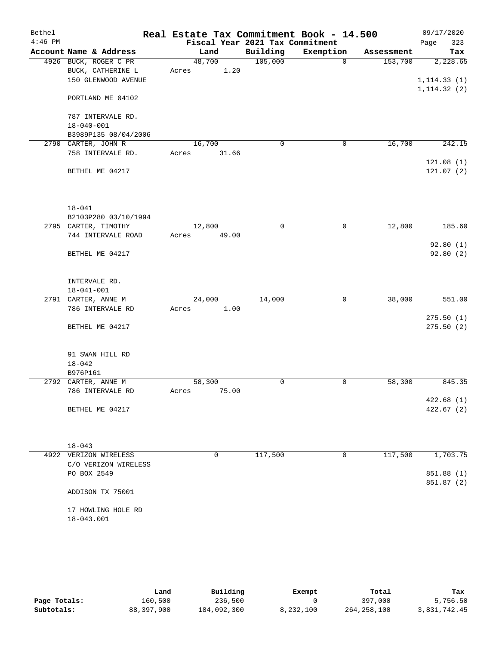| Bethel    |                                               | Real Estate Tax Commitment Book - 14.500 |             |              |            | 09/17/2020               |
|-----------|-----------------------------------------------|------------------------------------------|-------------|--------------|------------|--------------------------|
| $4:46$ PM |                                               | Fiscal Year 2021 Tax Commitment          |             |              |            | 323<br>Page              |
|           | Account Name & Address                        | Land                                     | Building    | Exemption    | Assessment | Tax                      |
|           | 4926 BUCK, ROGER C PR                         | 48,700                                   | 105,000     | $\mathbf 0$  | 153,700    | 2,228.65                 |
|           | BUCK, CATHERINE L                             | 1.20<br>Acres                            |             |              |            |                          |
|           | 150 GLENWOOD AVENUE                           |                                          |             |              |            | 1, 114.33(1)             |
|           |                                               |                                          |             |              |            | 1, 114.32(2)             |
|           | PORTLAND ME 04102                             |                                          |             |              |            |                          |
|           |                                               |                                          |             |              |            |                          |
|           | 787 INTERVALE RD.                             |                                          |             |              |            |                          |
|           | $18 - 040 - 001$                              |                                          |             |              |            |                          |
|           | B3989P135 08/04/2006                          |                                          |             |              |            |                          |
|           | 2790 CARTER, JOHN R                           | 16,700                                   | $\mathbf 0$ | 0            | 16,700     | 242.15                   |
|           | 758 INTERVALE RD.                             | 31.66<br>Acres                           |             |              |            |                          |
|           |                                               |                                          |             |              |            | 121.08(1)                |
|           | BETHEL ME 04217                               |                                          |             |              |            | 121.07(2)                |
|           |                                               |                                          |             |              |            |                          |
|           |                                               |                                          |             |              |            |                          |
|           |                                               |                                          |             |              |            |                          |
|           | $18 - 041$                                    |                                          |             |              |            |                          |
|           | B2103P280 03/10/1994<br>2795 CARTER, TIMOTHY  | 12,800                                   | $\mathbf 0$ | $\mathbf 0$  | 12,800     | 185.60                   |
|           | 744 INTERVALE ROAD                            | 49.00<br>Acres                           |             |              |            |                          |
|           |                                               |                                          |             |              |            | 92.80(1)                 |
|           | BETHEL ME 04217                               |                                          |             |              |            | 92.80(2)                 |
|           |                                               |                                          |             |              |            |                          |
|           |                                               |                                          |             |              |            |                          |
|           | INTERVALE RD.                                 |                                          |             |              |            |                          |
|           | $18 - 041 - 001$                              |                                          |             |              |            |                          |
|           | 2791 CARTER, ANNE M                           | 24,000                                   | 14,000      | $\mathsf{O}$ | 38,000     | 551.00                   |
|           | 786 INTERVALE RD                              | 1.00<br>Acres                            |             |              |            |                          |
|           |                                               |                                          |             |              |            | 275.50(1)                |
|           | BETHEL ME 04217                               |                                          |             |              |            | 275.50(2)                |
|           |                                               |                                          |             |              |            |                          |
|           |                                               |                                          |             |              |            |                          |
|           | 91 SWAN HILL RD                               |                                          |             |              |            |                          |
|           | $18 - 042$                                    |                                          |             |              |            |                          |
|           | B976P161                                      |                                          |             |              |            |                          |
|           | 2792 CARTER, ANNE M                           | 58,300                                   | 0           | 0            | 58,300     | 845.35                   |
|           | 786 INTERVALE RD                              | Acres 75.00                              |             |              |            |                          |
|           |                                               |                                          |             |              |            | 422.68(1)                |
|           | BETHEL ME 04217                               |                                          |             |              |            | 422.67 (2)               |
|           |                                               |                                          |             |              |            |                          |
|           |                                               |                                          |             |              |            |                          |
|           |                                               |                                          |             |              |            |                          |
|           | $18 - 043$                                    |                                          |             |              |            |                          |
|           | 4922 VERIZON WIRELESS<br>C/O VERIZON WIRELESS | 0                                        | 117,500     | 0            | 117,500    | 1,703.75                 |
|           |                                               |                                          |             |              |            |                          |
|           | PO BOX 2549                                   |                                          |             |              |            | 851.88 (1)<br>851.87 (2) |
|           | ADDISON TX 75001                              |                                          |             |              |            |                          |
|           |                                               |                                          |             |              |            |                          |
|           | 17 HOWLING HOLE RD                            |                                          |             |              |            |                          |
|           | 18-043.001                                    |                                          |             |              |            |                          |
|           |                                               |                                          |             |              |            |                          |

|              | Land       | Building    | Exempt    | Total         | Tax          |
|--------------|------------|-------------|-----------|---------------|--------------|
| Page Totals: | 160,500    | 236,500     |           | 397,000       | 5,756.50     |
| Subtotals:   | 88,397,900 | 184,092,300 | 8,232,100 | 264, 258, 100 | 3,831,742.45 |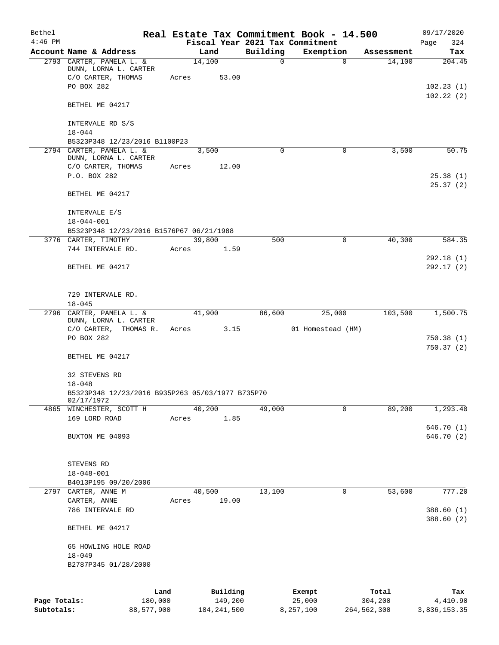| Bethel       |                                                                |       |                |                         | Real Estate Tax Commitment Book - 14.500 |                      | 09/17/2020              |  |
|--------------|----------------------------------------------------------------|-------|----------------|-------------------------|------------------------------------------|----------------------|-------------------------|--|
| $4:46$ PM    |                                                                |       |                |                         | Fiscal Year 2021 Tax Commitment          |                      | 324<br>Page             |  |
|              | Account Name & Address<br>2793 CARTER, PAMELA L. &             |       | Land<br>14,100 | Building<br>$\mathbf 0$ | Exemption<br>0                           | Assessment<br>14,100 | Tax<br>204.45           |  |
|              | DUNN, LORNA L. CARTER<br>C/O CARTER, THOMAS                    | Acres | 53.00          |                         |                                          |                      |                         |  |
|              | PO BOX 282                                                     |       |                |                         |                                          |                      | 102.23(1)               |  |
|              |                                                                |       |                |                         |                                          |                      | 102.22(2)               |  |
|              | BETHEL ME 04217                                                |       |                |                         |                                          |                      |                         |  |
|              | INTERVALE RD S/S                                               |       |                |                         |                                          |                      |                         |  |
|              | $18 - 044$<br>B5323P348 12/23/2016 B1100P23                    |       |                |                         |                                          |                      |                         |  |
|              | 2794 CARTER, PAMELA L. &                                       |       | 3,500          | $\Omega$                | 0                                        | 3,500                | 50.75                   |  |
|              | DUNN, LORNA L. CARTER                                          |       |                |                         |                                          |                      |                         |  |
|              | C/O CARTER, THOMAS                                             | Acres | 12.00          |                         |                                          |                      |                         |  |
|              | P.O. BOX 282                                                   |       |                |                         |                                          |                      | 25.38(1)                |  |
|              | BETHEL ME 04217                                                |       |                |                         |                                          |                      | 25.37(2)                |  |
|              | INTERVALE E/S                                                  |       |                |                         |                                          |                      |                         |  |
|              | $18 - 044 - 001$                                               |       |                |                         |                                          |                      |                         |  |
|              | B5323P348 12/23/2016 B1576P67 06/21/1988                       |       |                |                         |                                          |                      |                         |  |
|              | 3776 CARTER, TIMOTHY                                           |       | 39,800         | 500                     | $\mathbf 0$                              | 40,300               | 584.35                  |  |
|              | 744 INTERVALE RD.                                              | Acres | 1.59           |                         |                                          |                      | 292.18(1)               |  |
|              | BETHEL ME 04217                                                |       |                |                         |                                          |                      | 292.17(2)               |  |
|              | 729 INTERVALE RD.                                              |       |                |                         |                                          |                      |                         |  |
|              | $18 - 045$                                                     |       |                |                         |                                          |                      |                         |  |
|              | 2796 CARTER, PAMELA L. &                                       |       | 41,900         | 86,600                  | 25,000                                   | 103,500              | 1,500.75                |  |
|              | DUNN, LORNA L. CARTER                                          |       |                |                         |                                          |                      |                         |  |
|              | C/O CARTER, THOMAS R.<br>PO BOX 282                            |       | 3.15<br>Acres  |                         | 01 Homestead (HM)                        |                      |                         |  |
|              |                                                                |       |                |                         |                                          |                      | 750.38 (1)<br>750.37(2) |  |
|              | BETHEL ME 04217                                                |       |                |                         |                                          |                      |                         |  |
|              | 32 STEVENS RD                                                  |       |                |                         |                                          |                      |                         |  |
|              | $18 - 048$<br>B5323P348 12/23/2016 B935P263 05/03/1977 B735P70 |       |                |                         |                                          |                      |                         |  |
|              | 02/17/1972                                                     |       |                |                         |                                          |                      |                         |  |
|              | 4865 WINCHESTER, SCOTT H                                       |       | 40,200         | 49,000                  | $\Omega$                                 | 89,200               | 1,293.40                |  |
|              | 169 LORD ROAD                                                  | Acres | 1.85           |                         |                                          |                      | 646.70 (1)              |  |
|              | BUXTON ME 04093                                                |       |                |                         |                                          |                      | 646.70 (2)              |  |
|              |                                                                |       |                |                         |                                          |                      |                         |  |
|              | STEVENS RD<br>$18 - 048 - 001$                                 |       |                |                         |                                          |                      |                         |  |
|              | B4013P195 09/20/2006                                           |       |                |                         |                                          |                      |                         |  |
| 2797         | CARTER, ANNE M                                                 |       | 40,500         | 13,100                  | 0                                        | 53,600               | 777.20                  |  |
|              | CARTER, ANNE                                                   | Acres | 19.00          |                         |                                          |                      |                         |  |
|              | 786 INTERVALE RD                                               |       |                |                         |                                          |                      | 388.60(1)               |  |
|              | BETHEL ME 04217                                                |       |                |                         |                                          |                      | 388.60 (2)              |  |
|              |                                                                |       |                |                         |                                          |                      |                         |  |
|              | 65 HOWLING HOLE ROAD<br>$18 - 049$                             |       |                |                         |                                          |                      |                         |  |
|              | B2787P345 01/28/2000                                           |       |                |                         |                                          |                      |                         |  |
|              |                                                                | Land  | Building       |                         | Exempt                                   | Total                | Tax                     |  |
| Page Totals: | 180,000                                                        |       | 149,200        |                         | 25,000                                   | 304,200              | 4,410.90                |  |
| Subtotals:   | 88,577,900                                                     |       | 184, 241, 500  |                         | 8,257,100                                | 264,562,300          | 3,836,153.35            |  |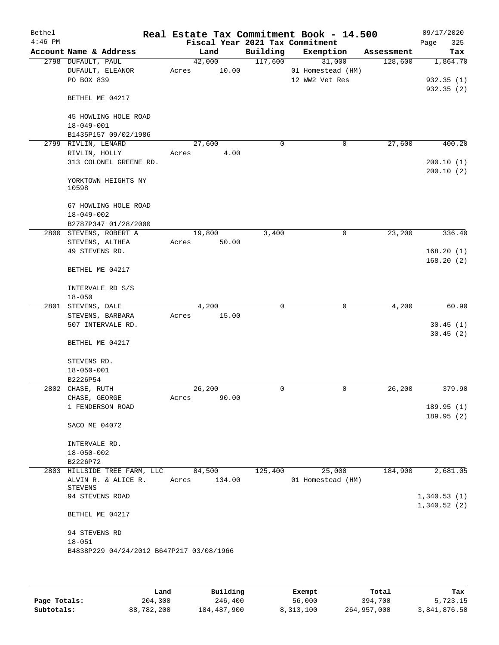| Bethel<br>$4:46$ PM |                                          | Real Estate Tax Commitment Book - 14.500<br>Fiscal Year 2021 Tax Commitment |             |                   |            | 09/17/2020<br>Page<br>325  |
|---------------------|------------------------------------------|-----------------------------------------------------------------------------|-------------|-------------------|------------|----------------------------|
|                     | Account Name & Address                   | Land                                                                        | Building    | Exemption         | Assessment | Tax                        |
|                     | 2798 DUFAULT, PAUL                       | 42,000                                                                      | 117,600     | 31,000            | 128,600    | 1,864.70                   |
|                     | DUFAULT, ELEANOR                         | 10.00<br>Acres                                                              |             | 01 Homestead (HM) |            |                            |
|                     | PO BOX 839                               |                                                                             |             | 12 WW2 Vet Res    |            | 932.35(1)                  |
|                     | BETHEL ME 04217                          |                                                                             |             |                   |            | 932.35(2)                  |
|                     | 45 HOWLING HOLE ROAD                     |                                                                             |             |                   |            |                            |
|                     | $18 - 049 - 001$                         |                                                                             |             |                   |            |                            |
|                     | B1435P157 09/02/1986                     |                                                                             |             |                   |            |                            |
| 2799                | RIVLIN, LENARD                           | 27,600                                                                      | $\mathbf 0$ | 0                 | 27,600     | 400.20                     |
|                     | RIVLIN, HOLLY                            | 4.00<br>Acres                                                               |             |                   |            |                            |
|                     | 313 COLONEL GREENE RD.                   |                                                                             |             |                   |            | 200.10(1)                  |
|                     | YORKTOWN HEIGHTS NY<br>10598             |                                                                             |             |                   |            | 200.10(2)                  |
|                     | 67 HOWLING HOLE ROAD                     |                                                                             |             |                   |            |                            |
|                     | $18 - 049 - 002$                         |                                                                             |             |                   |            |                            |
|                     | B2787P347 01/28/2000                     |                                                                             |             |                   |            |                            |
|                     | 2800 STEVENS, ROBERT A                   | 19,800                                                                      | 3,400       | $\mathsf{O}$      | 23,200     | 336.40                     |
|                     | STEVENS, ALTHEA                          | 50.00<br>Acres                                                              |             |                   |            |                            |
|                     | 49 STEVENS RD.                           |                                                                             |             |                   |            | 168.20(1)                  |
|                     | BETHEL ME 04217                          |                                                                             |             |                   |            | 168.20(2)                  |
|                     | INTERVALE RD S/S                         |                                                                             |             |                   |            |                            |
|                     | $18 - 050$                               |                                                                             |             |                   |            |                            |
|                     | 2801 STEVENS, DALE                       | 4,200                                                                       | 0           | $\mathbf 0$       | 4,200      | 60.90                      |
|                     | STEVENS, BARBARA                         | 15.00<br>Acres                                                              |             |                   |            |                            |
|                     | 507 INTERVALE RD.                        |                                                                             |             |                   |            | 30.45(1)                   |
|                     | BETHEL ME 04217                          |                                                                             |             |                   |            | 30.45(2)                   |
|                     | STEVENS RD.                              |                                                                             |             |                   |            |                            |
|                     | $18 - 050 - 001$                         |                                                                             |             |                   |            |                            |
|                     | B2226P54                                 |                                                                             |             |                   |            |                            |
|                     | 2802 CHASE, RUTH                         | 26,200                                                                      | $\mathbf 0$ | 0                 | 26,200     | 379.90                     |
|                     | CHASE, GEORGE                            | 90.00<br>Acres                                                              |             |                   |            |                            |
|                     | 1 FENDERSON ROAD                         |                                                                             |             |                   |            | 189.95(1)                  |
|                     | SACO ME 04072                            |                                                                             |             |                   |            | 189.95(2)                  |
|                     | INTERVALE RD.                            |                                                                             |             |                   |            |                            |
|                     | $18 - 050 - 002$                         |                                                                             |             |                   |            |                            |
|                     | B2226P72                                 |                                                                             |             |                   |            |                            |
|                     | 2803 HILLSIDE TREE FARM, LLC             | 84,500                                                                      | 125,400     | 25,000            | 184,900    | 2,681.05                   |
|                     | ALVIN R. & ALICE R.                      | 134.00<br>Acres                                                             |             | 01 Homestead (HM) |            |                            |
|                     | <b>STEVENS</b><br>94 STEVENS ROAD        |                                                                             |             |                   |            |                            |
|                     |                                          |                                                                             |             |                   |            | 1,340.53(1)<br>1,340.52(2) |
|                     | BETHEL ME 04217                          |                                                                             |             |                   |            |                            |
|                     | 94 STEVENS RD                            |                                                                             |             |                   |            |                            |
|                     | $18 - 051$                               |                                                                             |             |                   |            |                            |
|                     | B4838P229 04/24/2012 B647P217 03/08/1966 |                                                                             |             |                   |            |                            |
|                     |                                          |                                                                             |             |                   |            |                            |

|              | Land       | Building    | Exempt    | Total       | Tax          |
|--------------|------------|-------------|-----------|-------------|--------------|
| Page Totals: | 204,300    | 246,400     | 56,000    | 394,700     | 5,723.15     |
| Subtotals:   | 88,782,200 | 184,487,900 | 8,313,100 | 264,957,000 | 3,841,876.50 |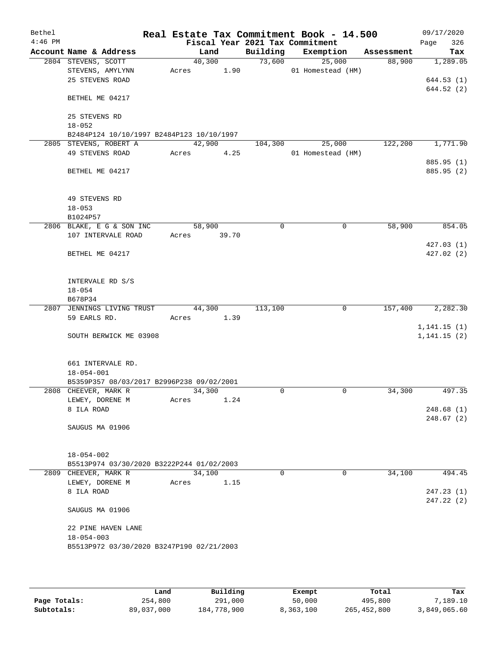| Bethel    |                                           |        |       |             | Real Estate Tax Commitment Book - 14.500 |            | 09/17/2020               |
|-----------|-------------------------------------------|--------|-------|-------------|------------------------------------------|------------|--------------------------|
| $4:46$ PM |                                           |        |       |             | Fiscal Year 2021 Tax Commitment          |            | 326<br>Page              |
|           | Account Name & Address                    |        | Land  | Building    | Exemption                                | Assessment | Tax                      |
|           | 2804 STEVENS, SCOTT                       | 40,300 |       | 73,600      | 25,000                                   | 88,900     | 1,289.05                 |
|           | STEVENS, AMYLYNN<br>25 STEVENS ROAD       | Acres  | 1.90  |             | 01 Homestead (HM)                        |            |                          |
|           |                                           |        |       |             |                                          |            | 644.53 (1)<br>644.52 (2) |
|           | BETHEL ME 04217                           |        |       |             |                                          |            |                          |
|           | 25 STEVENS RD                             |        |       |             |                                          |            |                          |
|           | $18 - 052$                                |        |       |             |                                          |            |                          |
|           | B2484P124 10/10/1997 B2484P123 10/10/1997 |        |       |             |                                          |            |                          |
|           | 2805 STEVENS, ROBERT A<br>49 STEVENS ROAD | 42,900 |       | 104,300     | 25,000                                   | 122,200    | 1,771.90                 |
|           |                                           | Acres  | 4.25  |             | 01 Homestead (HM)                        |            | 885.95 (1)               |
|           | BETHEL ME 04217                           |        |       |             |                                          |            | 885.95 (2)               |
|           | 49 STEVENS RD                             |        |       |             |                                          |            |                          |
|           | $18 - 053$                                |        |       |             |                                          |            |                          |
|           | B1024P57                                  |        |       |             |                                          |            |                          |
|           | 2806 BLAKE, E G & SON INC                 | 58,900 |       | $\mathbf 0$ | 0                                        | 58,900     | 854.05                   |
|           | 107 INTERVALE ROAD                        | Acres  | 39.70 |             |                                          |            |                          |
|           |                                           |        |       |             |                                          |            | 427.03(1)                |
|           | BETHEL ME 04217                           |        |       |             |                                          |            | 427.02(2)                |
|           | INTERVALE RD S/S                          |        |       |             |                                          |            |                          |
|           | $18 - 054$                                |        |       |             |                                          |            |                          |
|           | B678P34                                   |        |       |             |                                          |            |                          |
|           | 2807 JENNINGS LIVING TRUST                | 44,300 |       | 113,100     | $\mathsf{O}$                             | 157,400    | 2,282.30                 |
|           | 59 EARLS RD.                              | Acres  | 1.39  |             |                                          |            |                          |
|           |                                           |        |       |             |                                          |            | 1, 141.15(1)             |
|           | SOUTH BERWICK ME 03908                    |        |       |             |                                          |            | 1, 141.15(2)             |
|           | 661 INTERVALE RD.                         |        |       |             |                                          |            |                          |
|           | $18 - 054 - 001$                          |        |       |             |                                          |            |                          |
|           | B5359P357 08/03/2017 B2996P238 09/02/2001 |        |       |             |                                          |            |                          |
|           | 2808 CHEEVER, MARK R                      | 34,300 |       | 0           | 0                                        | 34,300     | 497.35                   |
|           | LEWEY, DORENE M                           | Acres  | 1.24  |             |                                          |            |                          |
|           | 8 ILA ROAD                                |        |       |             |                                          |            | 248.68(1)                |
|           |                                           |        |       |             |                                          |            | 248.67(2)                |
|           | SAUGUS MA 01906                           |        |       |             |                                          |            |                          |
|           | $18 - 054 - 002$                          |        |       |             |                                          |            |                          |
|           | B5513P974 03/30/2020 B3222P244 01/02/2003 |        |       |             |                                          |            |                          |
|           | 2809 CHEEVER, MARK R                      | 34,100 |       | $\Omega$    | $\Omega$                                 | 34,100     | 494.45                   |
|           | LEWEY, DORENE M                           | Acres  | 1.15  |             |                                          |            |                          |
|           | 8 ILA ROAD                                |        |       |             |                                          |            | 247.23(1)                |
|           | SAUGUS MA 01906                           |        |       |             |                                          |            | 247.22 (2)               |
|           |                                           |        |       |             |                                          |            |                          |
|           | 22 PINE HAVEN LANE                        |        |       |             |                                          |            |                          |
|           | $18 - 054 - 003$                          |        |       |             |                                          |            |                          |
|           | B5513P972 03/30/2020 B3247P190 02/21/2003 |        |       |             |                                          |            |                          |
|           |                                           |        |       |             |                                          |            |                          |
|           |                                           |        |       |             |                                          |            |                          |

|              | Land       | Building    | Exempt    | Total       | Tax          |
|--------------|------------|-------------|-----------|-------------|--------------|
| Page Totals: | 254,800    | 291,000     | 50,000    | 495,800     | 7,189.10     |
| Subtotals:   | 89,037,000 | 184,778,900 | 8,363,100 | 265,452,800 | 3,849,065.60 |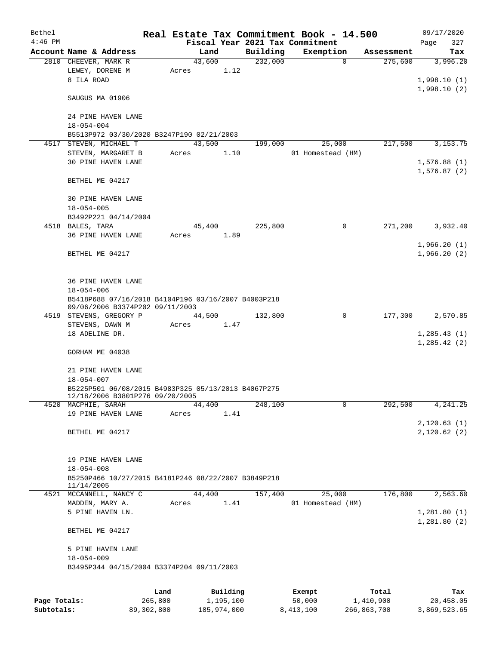| Bethel       |                                                                                        |                 |        |                       |          | Real Estate Tax Commitment Book - 14.500 |                    | 09/17/2020                 |
|--------------|----------------------------------------------------------------------------------------|-----------------|--------|-----------------------|----------|------------------------------------------|--------------------|----------------------------|
| $4:46$ PM    |                                                                                        |                 |        |                       |          | Fiscal Year 2021 Tax Commitment          |                    | Page<br>327                |
|              | Account Name & Address                                                                 |                 | Land   |                       | Building | Exemption                                | Assessment         | Tax                        |
|              | 2810 CHEEVER, MARK R<br>LEWEY, DORENE M<br>8 ILA ROAD                                  | Acres           | 43,600 | 1.12                  | 232,000  | $\mathbf 0$                              | 275,600            | 3,996.20<br>1,998.10(1)    |
|              | SAUGUS MA 01906                                                                        |                 |        |                       |          |                                          |                    | 1,998.10(2)                |
|              | 24 PINE HAVEN LANE<br>$18 - 054 - 004$                                                 |                 |        |                       |          |                                          |                    |                            |
|              | B5513P972 03/30/2020 B3247P190 02/21/2003                                              |                 |        |                       |          |                                          |                    |                            |
|              | 4517 STEVEN, MICHAEL T                                                                 |                 | 43,500 |                       | 199,000  | 25,000                                   | 217,500            | 3, 153. 75                 |
|              | STEVEN, MARGARET B                                                                     | Acres           |        | 1.10                  |          | 01 Homestead (HM)                        |                    |                            |
|              | <b>30 PINE HAVEN LANE</b>                                                              |                 |        |                       |          |                                          |                    | 1,576.88(1)                |
|              | BETHEL ME 04217                                                                        |                 |        |                       |          |                                          |                    | 1,576.87(2)                |
|              | <b>30 PINE HAVEN LANE</b><br>$18 - 054 - 005$                                          |                 |        |                       |          |                                          |                    |                            |
|              | B3492P221 04/14/2004                                                                   |                 |        |                       |          |                                          |                    |                            |
|              | 4518 BALES, TARA                                                                       |                 | 45,400 |                       | 225,800  | 0                                        | 271,200            | 3,932.40                   |
|              | 36 PINE HAVEN LANE                                                                     | Acres           |        | 1.89                  |          |                                          |                    |                            |
|              |                                                                                        |                 |        |                       |          |                                          |                    | 1,966.20(1)                |
|              | BETHEL ME 04217                                                                        |                 |        |                       |          |                                          |                    | 1,966.20(2)                |
|              | <b>36 PINE HAVEN LANE</b><br>$18 - 054 - 006$                                          |                 |        |                       |          |                                          |                    |                            |
|              | B5418P688 07/16/2018 B4104P196 03/16/2007 B4003P218<br>09/06/2006 B3374P202 09/11/2003 |                 |        |                       |          |                                          |                    |                            |
|              | 4519 STEVENS, GREGORY P                                                                |                 | 44,500 |                       | 132,800  | 0                                        | 177,300            | 2,570.85                   |
|              | STEVENS, DAWN M                                                                        | Acres           |        | 1.47                  |          |                                          |                    |                            |
|              | 18 ADELINE DR.                                                                         |                 |        |                       |          |                                          |                    | 1,285.43(1)                |
|              | GORHAM ME 04038                                                                        |                 |        |                       |          |                                          |                    | 1, 285.42(2)               |
|              | 21 PINE HAVEN LANE                                                                     |                 |        |                       |          |                                          |                    |                            |
|              | $18 - 054 - 007$                                                                       |                 |        |                       |          |                                          |                    |                            |
|              | B5225P501 06/08/2015 B4983P325 05/13/2013 B4067P275<br>12/18/2006 B3801P276 09/20/2005 |                 |        |                       |          |                                          |                    |                            |
|              | 4520 MACPHIE, SARAH                                                                    |                 | 44,400 |                       | 248,100  | 0                                        | 292,500            | 4,241.25                   |
|              | 19 PINE HAVEN LANE                                                                     | Acres           |        | 1.41                  |          |                                          |                    |                            |
|              | BETHEL ME 04217                                                                        |                 |        |                       |          |                                          |                    | 2,120.63(1)<br>2,120.62(2) |
|              | 19 PINE HAVEN LANE                                                                     |                 |        |                       |          |                                          |                    |                            |
|              | $18 - 054 - 008$<br>B5250P466 10/27/2015 B4181P246 08/22/2007 B3849P218<br>11/14/2005  |                 |        |                       |          |                                          |                    |                            |
|              | 4521 MCCANNELL, NANCY C                                                                |                 | 44,400 |                       | 157,400  | 25,000                                   | 176,800            | 2,563.60                   |
|              | MADDEN, MARY A.                                                                        | Acres           |        | 1.41                  |          | 01 Homestead (HM)                        |                    |                            |
|              | 5 PINE HAVEN LN.                                                                       |                 |        |                       |          |                                          |                    | 1,281.80(1)<br>1,281.80(2) |
|              | BETHEL ME 04217                                                                        |                 |        |                       |          |                                          |                    |                            |
|              | 5 PINE HAVEN LANE<br>$18 - 054 - 009$                                                  |                 |        |                       |          |                                          |                    |                            |
|              | B3495P344 04/15/2004 B3374P204 09/11/2003                                              |                 |        |                       |          |                                          |                    |                            |
|              |                                                                                        |                 |        |                       |          |                                          |                    |                            |
| Page Totals: |                                                                                        | Land<br>265,800 |        | Building<br>1,195,100 |          | Exempt<br>50,000                         | Total<br>1,410,900 | Tax<br>20,458.05           |

**Subtotals:** 89,302,800 185,974,000 8,413,100 266,863,700 3,869,523.65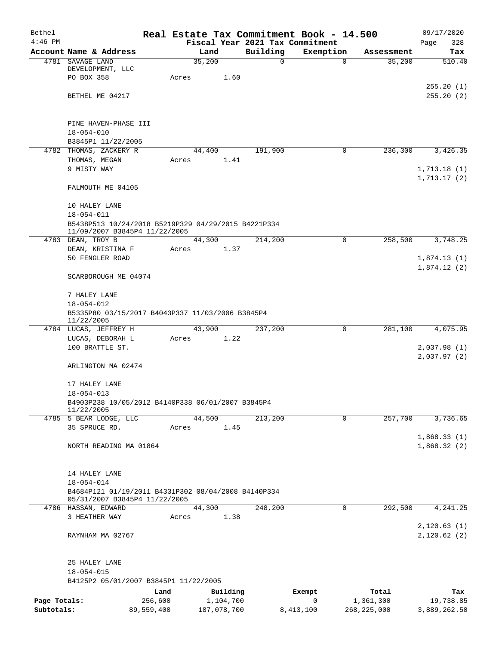| Bethel       |                                                                                      |            |             |                      | Real Estate Tax Commitment Book - 14.500 |                      | 09/17/2020                 |
|--------------|--------------------------------------------------------------------------------------|------------|-------------|----------------------|------------------------------------------|----------------------|----------------------------|
| $4:46$ PM    | Account Name & Address                                                               |            | Land        |                      | Fiscal Year 2021 Tax Commitment          |                      | 328<br>Page                |
|              | 4781 SAVAGE LAND                                                                     |            | 35,200      | Building<br>0        | Exemption<br>$\Omega$                    | Assessment<br>35,200 | Tax<br>510.40              |
|              | DEVELOPMENT, LLC                                                                     |            |             |                      |                                          |                      |                            |
|              | PO BOX 358                                                                           | Acres      | 1.60        |                      |                                          |                      |                            |
|              |                                                                                      |            |             |                      |                                          |                      | 255.20 (1)                 |
|              | BETHEL ME 04217                                                                      |            |             |                      |                                          |                      | 255.20(2)                  |
|              |                                                                                      |            |             |                      |                                          |                      |                            |
|              | PINE HAVEN-PHASE III<br>$18 - 054 - 010$                                             |            |             |                      |                                          |                      |                            |
|              | B3845P1 11/22/2005                                                                   |            |             |                      |                                          |                      |                            |
|              | 4782 THOMAS, ZACKERY R                                                               |            | 44,400      | 191,900              | $\mathbf 0$                              | 236,300              | 3,426.35                   |
|              | THOMAS, MEGAN                                                                        | Acres      | 1.41        |                      |                                          |                      |                            |
|              | 9 MISTY WAY                                                                          |            |             |                      |                                          |                      | 1,713.18(1)<br>1,713.17(2) |
|              | FALMOUTH ME 04105                                                                    |            |             |                      |                                          |                      |                            |
|              | 10 HALEY LANE                                                                        |            |             |                      |                                          |                      |                            |
|              | $18 - 054 - 011$                                                                     |            |             |                      |                                          |                      |                            |
|              | B5438P513 10/24/2018 B5219P329 04/29/2015 B4221P334<br>11/09/2007 B3845P4 11/22/2005 |            |             |                      |                                          |                      |                            |
|              | 4783 DEAN, TROY B                                                                    |            | 44,300      | 214,200              | 0                                        | 258,500              | 3,748.25                   |
|              | DEAN, KRISTINA F                                                                     | Acres      | 1.37        |                      |                                          |                      |                            |
|              | 50 FENGLER ROAD                                                                      |            |             |                      |                                          |                      | 1,874.13(1)<br>1,874.12(2) |
|              | SCARBOROUGH ME 04074                                                                 |            |             |                      |                                          |                      |                            |
|              | 7 HALEY LANE                                                                         |            |             |                      |                                          |                      |                            |
|              | 18-054-012<br>B5335P80 03/15/2017 B4043P337 11/03/2006 B3845P4                       |            |             |                      |                                          |                      |                            |
|              | 11/22/2005                                                                           |            |             |                      |                                          |                      |                            |
|              | 4784 LUCAS, JEFFREY H                                                                |            | 43,900      | 237,200              | 0                                        | 281,100              | 4,075.95                   |
|              | LUCAS, DEBORAH L<br>100 BRATTLE ST.                                                  | Acres      | 1.22        |                      |                                          |                      |                            |
|              |                                                                                      |            |             |                      |                                          |                      | 2,037.98(1)<br>2,037.97(2) |
|              | ARLINGTON MA 02474                                                                   |            |             |                      |                                          |                      |                            |
|              | 17 HALEY LANE                                                                        |            |             |                      |                                          |                      |                            |
|              | $18 - 054 - 013$                                                                     |            |             |                      |                                          |                      |                            |
|              | B4903P238 10/05/2012 B4140P338 06/01/2007 B3845P4<br>11/22/2005                      |            |             |                      |                                          |                      |                            |
|              | 4785 5 BEAR LODGE, LLC                                                               |            | 44,500      | $\overline{213,200}$ | 0                                        | 257,700              | 3,736.65                   |
|              | 35 SPRUCE RD.                                                                        | Acres      | 1.45        |                      |                                          |                      |                            |
|              |                                                                                      |            |             |                      |                                          |                      | 1,868.33(1)                |
|              | NORTH READING MA 01864                                                               |            |             |                      |                                          |                      | 1,868.32(2)                |
|              |                                                                                      |            |             |                      |                                          |                      |                            |
|              | 14 HALEY LANE                                                                        |            |             |                      |                                          |                      |                            |
|              | $18 - 054 - 014$                                                                     |            |             |                      |                                          |                      |                            |
|              | B4684P121 01/19/2011 B4331P302 08/04/2008 B4140P334<br>05/31/2007 B3845P4 11/22/2005 |            |             |                      |                                          |                      |                            |
|              | 4786 HASSAN, EDWARD                                                                  |            | 44,300      | 248,200              | $\mathbf 0$                              | 292,500              | 4, 241.25                  |
|              | 3 HEATHER WAY                                                                        | Acres      | 1.38        |                      |                                          |                      |                            |
|              |                                                                                      |            |             |                      |                                          |                      | 2,120.63(1)                |
|              | RAYNHAM MA 02767                                                                     |            |             |                      |                                          |                      | 2,120.62(2)                |
|              | 25 HALEY LANE                                                                        |            |             |                      |                                          |                      |                            |
|              | $18 - 054 - 015$                                                                     |            |             |                      |                                          |                      |                            |
|              | B4125P2 05/01/2007 B3845P1 11/22/2005                                                |            |             |                      |                                          |                      |                            |
|              |                                                                                      | Land       | Building    |                      | Exempt                                   | Total                | Tax                        |
| Page Totals: |                                                                                      | 256,600    | 1,104,700   |                      | 0                                        | 1,361,300            | 19,738.85                  |
| Subtotals:   |                                                                                      | 89,559,400 | 187,078,700 |                      | 8,413,100                                | 268, 225, 000        | 3,889,262.50               |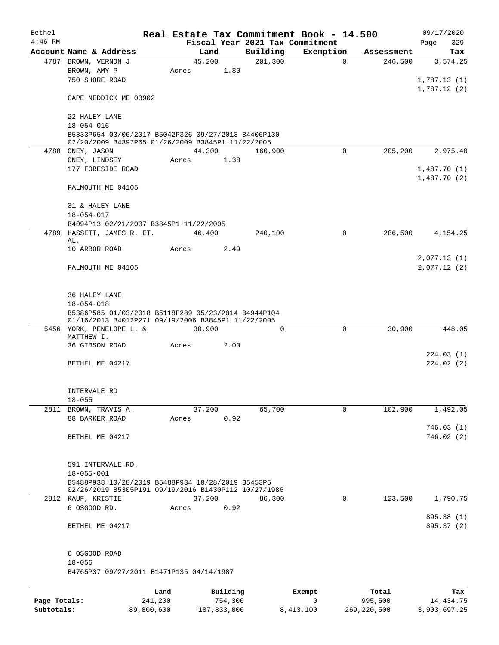| Bethel       |                                                                                                           |                 |                     |      |          | Real Estate Tax Commitment Book - 14.500 |             |                  | 09/17/2020                 |
|--------------|-----------------------------------------------------------------------------------------------------------|-----------------|---------------------|------|----------|------------------------------------------|-------------|------------------|----------------------------|
| $4:46$ PM    |                                                                                                           |                 |                     |      |          | Fiscal Year 2021 Tax Commitment          |             |                  | 329<br>Page                |
|              | Account Name & Address                                                                                    |                 | Land                |      | Building | Exemption                                |             | Assessment       | Tax                        |
|              | 4787 BROWN, VERNON J                                                                                      |                 | 45,200              |      | 201, 300 |                                          | $\Omega$    | 246,500          | 3,574.25                   |
|              | BROWN, AMY P                                                                                              | Acres           |                     | 1.80 |          |                                          |             |                  |                            |
|              | 750 SHORE ROAD                                                                                            |                 |                     |      |          |                                          |             |                  | 1,787.13(1)                |
|              | CAPE NEDDICK ME 03902                                                                                     |                 |                     |      |          |                                          |             |                  | 1,787.12(2)                |
|              |                                                                                                           |                 |                     |      |          |                                          |             |                  |                            |
|              | 22 HALEY LANE                                                                                             |                 |                     |      |          |                                          |             |                  |                            |
|              | $18 - 054 - 016$                                                                                          |                 |                     |      |          |                                          |             |                  |                            |
|              | B5333P654 03/06/2017 B5042P326 09/27/2013 B4406P130                                                       |                 |                     |      |          |                                          |             |                  |                            |
|              | 02/20/2009 B4397P65 01/26/2009 B3845P1 11/22/2005<br>4788 ONEY, JASON                                     |                 | 44,300              |      | 160,900  |                                          | $\Omega$    | 205,200          | 2,975.40                   |
|              | ONEY, LINDSEY                                                                                             | Acres           |                     | 1.38 |          |                                          |             |                  |                            |
|              | 177 FORESIDE ROAD                                                                                         |                 |                     |      |          |                                          |             |                  | 1,487.70(1)                |
|              |                                                                                                           |                 |                     |      |          |                                          |             |                  | 1,487.70(2)                |
|              | FALMOUTH ME 04105                                                                                         |                 |                     |      |          |                                          |             |                  |                            |
|              |                                                                                                           |                 |                     |      |          |                                          |             |                  |                            |
|              | 31 & HALEY LANE                                                                                           |                 |                     |      |          |                                          |             |                  |                            |
|              | $18 - 054 - 017$                                                                                          |                 |                     |      |          |                                          |             |                  |                            |
|              | B4094P13 02/21/2007 B3845P1 11/22/2005                                                                    |                 |                     |      |          |                                          |             |                  |                            |
|              | 4789 HASSETT, JAMES R. ET.                                                                                |                 | 46,400              |      | 240,100  |                                          | $\mathbf 0$ | 286,500          | 4, 154. 25                 |
|              | AL.                                                                                                       |                 |                     |      |          |                                          |             |                  |                            |
|              | 10 ARBOR ROAD                                                                                             | Acres           |                     | 2.49 |          |                                          |             |                  |                            |
|              |                                                                                                           |                 |                     |      |          |                                          |             |                  | 2,077.13(1)<br>2,077.12(2) |
|              | FALMOUTH ME 04105                                                                                         |                 |                     |      |          |                                          |             |                  |                            |
|              |                                                                                                           |                 |                     |      |          |                                          |             |                  |                            |
|              | 36 HALEY LANE                                                                                             |                 |                     |      |          |                                          |             |                  |                            |
|              | $18 - 054 - 018$                                                                                          |                 |                     |      |          |                                          |             |                  |                            |
|              | B5386P585 01/03/2018 B5118P289 05/23/2014 B4944P104                                                       |                 |                     |      |          |                                          |             |                  |                            |
|              | 01/16/2013 B4012P271 09/19/2006 B3845P1 11/22/2005                                                        |                 |                     |      |          |                                          |             |                  |                            |
|              | 5456 YORK, PENELOPE L. &                                                                                  |                 | 30,900              |      | $\Omega$ |                                          | $\mathbf 0$ | 30,900           | 448.05                     |
|              | MATTHEW I.                                                                                                |                 |                     |      |          |                                          |             |                  |                            |
|              | 36 GIBSON ROAD                                                                                            | Acres           |                     | 2.00 |          |                                          |             |                  |                            |
|              | BETHEL ME 04217                                                                                           |                 |                     |      |          |                                          |             |                  | 224.03(1)<br>224.02(2)     |
|              |                                                                                                           |                 |                     |      |          |                                          |             |                  |                            |
|              |                                                                                                           |                 |                     |      |          |                                          |             |                  |                            |
|              | INTERVALE RD                                                                                              |                 |                     |      |          |                                          |             |                  |                            |
|              | $18 - 055$                                                                                                |                 |                     |      |          |                                          |             |                  |                            |
| 2811         | BROWN, TRAVIS A.                                                                                          |                 | 37,200              |      | 65,700   |                                          | $\mathbf 0$ | 102,900          | 1,492.05                   |
|              | 88 BARKER ROAD                                                                                            | Acres           |                     | 0.92 |          |                                          |             |                  |                            |
|              |                                                                                                           |                 |                     |      |          |                                          |             |                  | 746.03(1)                  |
|              | BETHEL ME 04217                                                                                           |                 |                     |      |          |                                          |             |                  | 746.02(2)                  |
|              |                                                                                                           |                 |                     |      |          |                                          |             |                  |                            |
|              |                                                                                                           |                 |                     |      |          |                                          |             |                  |                            |
|              | 591 INTERVALE RD.                                                                                         |                 |                     |      |          |                                          |             |                  |                            |
|              | $18 - 055 - 001$                                                                                          |                 |                     |      |          |                                          |             |                  |                            |
|              | B5488P938 10/28/2019 B5488P934 10/28/2019 B5453P5<br>02/26/2019 B5305P191 09/19/2016 B1430P112 10/27/1986 |                 |                     |      |          |                                          |             |                  |                            |
|              | 2812 KAUF, KRISTIE                                                                                        |                 | 37,200              |      | 86,300   |                                          | $\Omega$    | 123,500          | 1,790.75                   |
|              | 6 OSGOOD RD.                                                                                              | Acres           |                     | 0.92 |          |                                          |             |                  |                            |
|              |                                                                                                           |                 |                     |      |          |                                          |             |                  | 895.38 (1)                 |
|              | BETHEL ME 04217                                                                                           |                 |                     |      |          |                                          |             |                  | 895.37 (2)                 |
|              |                                                                                                           |                 |                     |      |          |                                          |             |                  |                            |
|              |                                                                                                           |                 |                     |      |          |                                          |             |                  |                            |
|              | 6 OSGOOD ROAD                                                                                             |                 |                     |      |          |                                          |             |                  |                            |
|              | $18 - 056$                                                                                                |                 |                     |      |          |                                          |             |                  |                            |
|              | B4765P37 09/27/2011 B1471P135 04/14/1987                                                                  |                 |                     |      |          |                                          |             |                  |                            |
|              |                                                                                                           |                 |                     |      |          |                                          |             |                  |                            |
| Page Totals: |                                                                                                           | Land<br>241,200 | Building<br>754,300 |      |          | Exempt<br>0                              |             | Total<br>995,500 | Tax<br>14,434.75           |
|              |                                                                                                           |                 |                     |      |          |                                          |             |                  |                            |

**Subtotals:** 89,800,600 187,833,000 8,413,100 269,220,500 3,903,697.25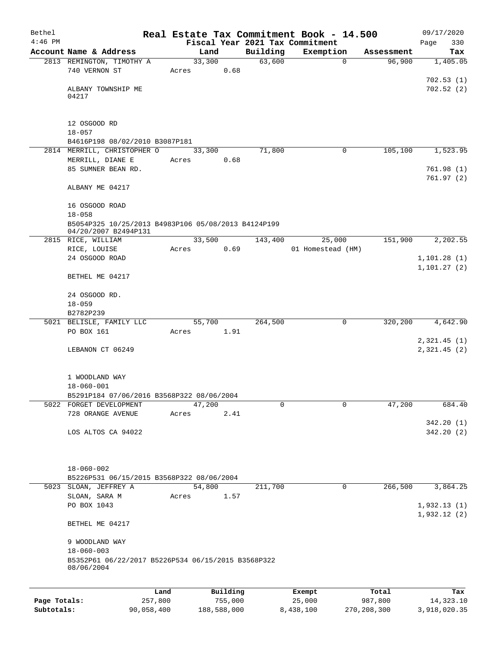| Bethel                     |                                                                                      |                       |                 |                        |          | Real Estate Tax Commitment Book - 14.500     |                                  | 09/17/2020                  |
|----------------------------|--------------------------------------------------------------------------------------|-----------------------|-----------------|------------------------|----------|----------------------------------------------|----------------------------------|-----------------------------|
| $4:46$ PM                  | Account Name & Address                                                               |                       | Land            |                        | Building | Fiscal Year 2021 Tax Commitment<br>Exemption |                                  | 330<br>Page                 |
|                            | 2813 REMINGTON, TIMOTHY A                                                            |                       | 33,300          |                        | 63,600   |                                              | Assessment<br>96,900<br>$\Omega$ | Tax<br>1,405.05             |
|                            | 740 VERNON ST                                                                        |                       | Acres           | 0.68                   |          |                                              |                                  | 702.53(1)                   |
|                            | ALBANY TOWNSHIP ME<br>04217                                                          |                       |                 |                        |          |                                              |                                  | 702.52(2)                   |
|                            | 12 OSGOOD RD<br>$18 - 057$                                                           |                       |                 |                        |          |                                              |                                  |                             |
|                            | B4616P198 08/02/2010 B3087P181                                                       |                       |                 |                        |          |                                              |                                  |                             |
|                            | 2814 MERRILL, CHRISTOPHER O                                                          |                       | 33,300          |                        | 71,800   |                                              | $\mathbf 0$<br>105,100           | 1,523.95                    |
|                            | MERRILL, DIANE E<br>85 SUMNER BEAN RD.                                               |                       | Acres           | 0.68                   |          |                                              |                                  | 761.98 (1)                  |
|                            |                                                                                      |                       |                 |                        |          |                                              |                                  | 761.97 (2)                  |
|                            | ALBANY ME 04217                                                                      |                       |                 |                        |          |                                              |                                  |                             |
|                            | 16 OSGOOD ROAD<br>$18 - 058$                                                         |                       |                 |                        |          |                                              |                                  |                             |
|                            | B5054P325 10/25/2013 B4983P106 05/08/2013 B4124P199<br>04/20/2007 B2494P131          |                       |                 |                        |          |                                              |                                  |                             |
|                            | 2815 RICE, WILLIAM                                                                   |                       | 33,500          |                        | 143,400  | 25,000                                       | 151,900                          | 2,202.55                    |
|                            | RICE, LOUISE                                                                         |                       | Acres           | 0.69                   |          | 01 Homestead (HM)                            |                                  |                             |
|                            | 24 OSGOOD ROAD                                                                       |                       |                 |                        |          |                                              |                                  | 1,101.28(1)<br>1, 101.27(2) |
|                            | BETHEL ME 04217                                                                      |                       |                 |                        |          |                                              |                                  |                             |
|                            | 24 OSGOOD RD.                                                                        |                       |                 |                        |          |                                              |                                  |                             |
|                            | $18 - 059$<br>B2782P239                                                              |                       |                 |                        |          |                                              |                                  |                             |
|                            | 5021 BELISLE, FAMILY LLC<br>PO BOX 161                                               |                       | 55,700<br>Acres | 1.91                   | 264,500  |                                              | 320,200<br>0                     | 4,642.90                    |
|                            | LEBANON CT 06249                                                                     |                       |                 |                        |          |                                              |                                  | 2,321.45(1)<br>2,321.45(2)  |
|                            |                                                                                      |                       |                 |                        |          |                                              |                                  |                             |
|                            | 1 WOODLAND WAY                                                                       |                       |                 |                        |          |                                              |                                  |                             |
|                            | $18 - 060 - 001$                                                                     |                       |                 |                        |          |                                              |                                  |                             |
|                            | B5291P184 07/06/2016 B3568P322 08/06/2004                                            |                       |                 |                        |          |                                              |                                  |                             |
| 5022                       | FORGET DEVELOPMENT<br>728 ORANGE AVENUE                                              |                       | 47,200<br>Acres | 2.41                   | 0        |                                              | $\mathbf 0$<br>47,200            | 684.40                      |
|                            |                                                                                      |                       |                 |                        |          |                                              |                                  | 342.20(1)                   |
|                            | LOS ALTOS CA 94022                                                                   |                       |                 |                        |          |                                              |                                  | 342.20(2)                   |
|                            |                                                                                      |                       |                 |                        |          |                                              |                                  |                             |
|                            | $18 - 060 - 002$                                                                     |                       |                 |                        |          |                                              |                                  |                             |
|                            | B5226P531 06/15/2015 B3568P322 08/06/2004                                            |                       |                 |                        |          |                                              |                                  |                             |
|                            | 5023 SLOAN, JEFFREY A                                                                |                       | 54,800          |                        | 211,700  |                                              | 0<br>266,500                     | 3,864.25                    |
|                            | SLOAN, SARA M<br>PO BOX 1043                                                         |                       | Acres           | 1.57                   |          |                                              |                                  | 1,932.13(1)                 |
|                            | BETHEL ME 04217                                                                      |                       |                 |                        |          |                                              |                                  | 1,932.12(2)                 |
|                            | 9 WOODLAND WAY                                                                       |                       |                 |                        |          |                                              |                                  |                             |
|                            | $18 - 060 - 003$<br>B5352P61 06/22/2017 B5226P534 06/15/2015 B3568P322<br>08/06/2004 |                       |                 |                        |          |                                              |                                  |                             |
|                            |                                                                                      |                       |                 |                        |          |                                              |                                  |                             |
|                            |                                                                                      | Land                  |                 | Building               |          | Exempt                                       | Total                            | Tax                         |
| Page Totals:<br>Subtotals: |                                                                                      | 257,800<br>90,058,400 |                 | 755,000<br>188,588,000 |          | 25,000<br>8,438,100                          | 987,800<br>270, 208, 300         | 14,323.10<br>3,918,020.35   |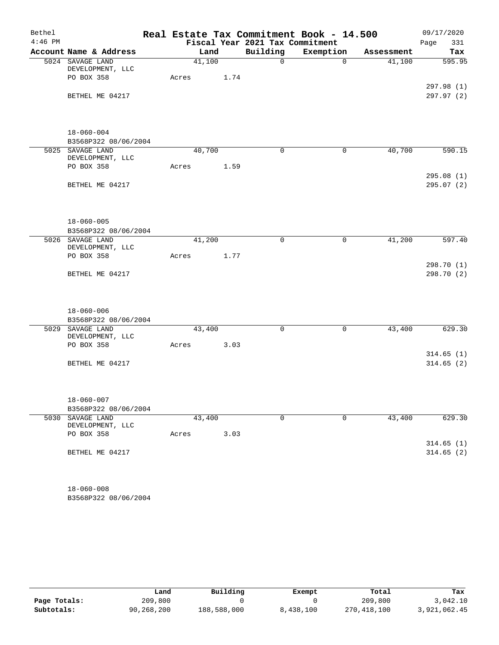| Bethel    |                                      |        |      |                                 | Real Estate Tax Commitment Book - 14.500 |            | 09/17/2020             |
|-----------|--------------------------------------|--------|------|---------------------------------|------------------------------------------|------------|------------------------|
| $4:46$ PM |                                      |        |      | Fiscal Year 2021 Tax Commitment |                                          |            | Page<br>331            |
|           | Account Name & Address               | Land   |      | Building                        | Exemption                                | Assessment | Tax                    |
|           | 5024 SAVAGE LAND                     | 41,100 |      | $\mathbf 0$                     | $\Omega$                                 | 41,100     | 595.95                 |
|           | DEVELOPMENT, LLC                     |        |      |                                 |                                          |            |                        |
|           | PO BOX 358                           | Acres  | 1.74 |                                 |                                          |            |                        |
|           |                                      |        |      |                                 |                                          |            | 297.98(1)              |
|           | BETHEL ME 04217                      |        |      |                                 |                                          |            | 297.97 (2)             |
|           | $18 - 060 - 004$                     |        |      |                                 |                                          |            |                        |
|           | B3568P322 08/06/2004                 |        |      |                                 |                                          |            |                        |
|           | 5025 SAVAGE LAND                     | 40,700 |      | $\mathbf 0$                     | $\mathbf 0$                              | 40,700     | 590.15                 |
|           | DEVELOPMENT, LLC                     |        |      |                                 |                                          |            |                        |
|           | PO BOX 358                           | Acres  | 1.59 |                                 |                                          |            |                        |
|           |                                      |        |      |                                 |                                          |            | 295.08(1)              |
|           | BETHEL ME 04217                      |        |      |                                 |                                          |            | 295.07 (2)             |
|           |                                      |        |      |                                 |                                          |            |                        |
|           |                                      |        |      |                                 |                                          |            |                        |
|           | $18 - 060 - 005$                     |        |      |                                 |                                          |            |                        |
|           | B3568P322 08/06/2004                 |        |      |                                 |                                          |            |                        |
|           | 5026 SAVAGE LAND<br>DEVELOPMENT, LLC | 41,200 |      | $\mathbf 0$                     | 0                                        | 41,200     | 597.40                 |
|           | PO BOX 358                           | Acres  | 1.77 |                                 |                                          |            |                        |
|           |                                      |        |      |                                 |                                          |            | 298.70 (1)             |
|           | BETHEL ME 04217                      |        |      |                                 |                                          |            | 298.70 (2)             |
|           |                                      |        |      |                                 |                                          |            |                        |
|           | $18 - 060 - 006$                     |        |      |                                 |                                          |            |                        |
|           | B3568P322 08/06/2004                 |        |      |                                 |                                          |            |                        |
|           | 5029 SAVAGE LAND<br>DEVELOPMENT, LLC | 43,400 |      | $\mathbf 0$                     | $\mathsf{O}$                             | 43,400     | 629.30                 |
|           | PO BOX 358                           | Acres  | 3.03 |                                 |                                          |            |                        |
|           |                                      |        |      |                                 |                                          |            | 314.65(1)              |
|           | BETHEL ME 04217                      |        |      |                                 |                                          |            | 314.65(2)              |
|           | $18 - 060 - 007$                     |        |      |                                 |                                          |            |                        |
|           | B3568P322 08/06/2004                 |        |      |                                 |                                          |            |                        |
|           | 5030 SAVAGE LAND                     | 43,400 |      | $\mathbf 0$                     | $\mathbf 0$                              | 43,400     | 629.30                 |
|           | DEVELOPMENT, LLC                     |        |      |                                 |                                          |            |                        |
|           | PO BOX 358                           | Acres  | 3.03 |                                 |                                          |            |                        |
|           | BETHEL ME 04217                      |        |      |                                 |                                          |            | 314.65(1)<br>314.65(2) |
|           |                                      |        |      |                                 |                                          |            |                        |
|           | $18 - 060 - 008$                     |        |      |                                 |                                          |            |                        |
|           |                                      |        |      |                                 |                                          |            |                        |

B3568P322 08/06/2004

|              | Land       | Building    | Exempt    | Total       | Tax          |
|--------------|------------|-------------|-----------|-------------|--------------|
| Page Totals: | 209,800    |             |           | 209,800     | 3,042.10     |
| Subtotals:   | 90,268,200 | 188,588,000 | 8,438,100 | 270,418,100 | 3,921,062.45 |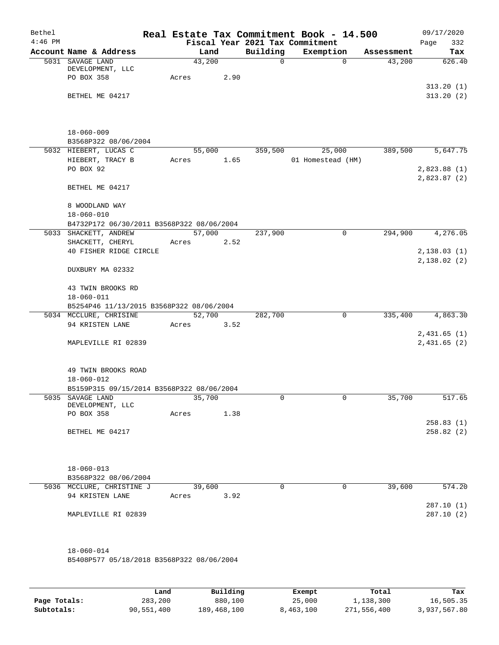| Bethel<br>$4:46$ PM |                                                   |       |        |      |               | Real Estate Tax Commitment Book - 14.500<br>Fiscal Year 2021 Tax Commitment |                      | 09/17/2020    |
|---------------------|---------------------------------------------------|-------|--------|------|---------------|-----------------------------------------------------------------------------|----------------------|---------------|
|                     | Account Name & Address                            |       | Land   |      |               |                                                                             |                      | 332<br>Page   |
|                     | 5031 SAVAGE LAND                                  |       | 43,200 |      | Building<br>0 | Exemption<br>0                                                              | Assessment<br>43,200 | Tax<br>626.40 |
|                     | DEVELOPMENT, LLC                                  |       |        |      |               |                                                                             |                      |               |
|                     | PO BOX 358                                        | Acres |        | 2.90 |               |                                                                             |                      |               |
|                     |                                                   |       |        |      |               |                                                                             |                      | 313.20(1)     |
|                     | BETHEL ME 04217                                   |       |        |      |               |                                                                             |                      | 313.20(2)     |
|                     |                                                   |       |        |      |               |                                                                             |                      |               |
|                     |                                                   |       |        |      |               |                                                                             |                      |               |
|                     |                                                   |       |        |      |               |                                                                             |                      |               |
|                     | $18 - 060 - 009$                                  |       |        |      |               |                                                                             |                      |               |
|                     | B3568P322 08/06/2004                              |       |        |      |               |                                                                             |                      |               |
|                     | 5032 HIEBERT, LUCAS C                             |       | 55,000 |      | 359,500       | 25,000                                                                      | 389,500              | 5,647.75      |
|                     | HIEBERT, TRACY B                                  | Acres |        | 1.65 |               | 01 Homestead (HM)                                                           |                      |               |
|                     | PO BOX 92                                         |       |        |      |               |                                                                             |                      | 2,823.88 (1)  |
|                     |                                                   |       |        |      |               |                                                                             |                      | 2,823.87(2)   |
|                     | BETHEL ME 04217                                   |       |        |      |               |                                                                             |                      |               |
|                     |                                                   |       |        |      |               |                                                                             |                      |               |
|                     | 8 WOODLAND WAY                                    |       |        |      |               |                                                                             |                      |               |
|                     | $18 - 060 - 010$                                  |       |        |      |               |                                                                             |                      |               |
|                     | B4732P172 06/30/2011 B3568P322 08/06/2004         |       |        |      |               |                                                                             |                      |               |
|                     | 5033 SHACKETT, ANDREW                             |       | 57,000 |      | 237,900       | $\mathbf 0$                                                                 | 294,900              | 4,276.05      |
|                     | SHACKETT, CHERYL                                  | Acres |        | 2.52 |               |                                                                             |                      |               |
|                     | 40 FISHER RIDGE CIRCLE                            |       |        |      |               |                                                                             |                      | 2,138.03(1)   |
|                     |                                                   |       |        |      |               |                                                                             |                      | 2,138.02(2)   |
|                     | DUXBURY MA 02332                                  |       |        |      |               |                                                                             |                      |               |
|                     |                                                   |       |        |      |               |                                                                             |                      |               |
|                     | 43 TWIN BROOKS RD<br>$18 - 060 - 011$             |       |        |      |               |                                                                             |                      |               |
|                     | B5254P46 11/13/2015 B3568P322 08/06/2004          |       |        |      |               |                                                                             |                      |               |
|                     | 5034 MCCLURE, CHRISINE                            |       | 52,700 |      | 282,700       | 0                                                                           | 335,400              | 4,863.30      |
|                     | 94 KRISTEN LANE                                   | Acres |        | 3.52 |               |                                                                             |                      |               |
|                     |                                                   |       |        |      |               |                                                                             |                      | 2,431.65(1)   |
|                     | MAPLEVILLE RI 02839                               |       |        |      |               |                                                                             |                      | 2,431.65(2)   |
|                     |                                                   |       |        |      |               |                                                                             |                      |               |
|                     |                                                   |       |        |      |               |                                                                             |                      |               |
|                     | 49 TWIN BROOKS ROAD                               |       |        |      |               |                                                                             |                      |               |
|                     | $18 - 060 - 012$                                  |       |        |      |               |                                                                             |                      |               |
|                     | B5159P315 09/15/2014 B3568P322 08/06/2004         |       |        |      |               |                                                                             |                      |               |
|                     | 5035 SAVAGE LAND                                  |       | 35,700 |      | 0             | 0                                                                           | 35,700               | 517.65        |
|                     | DEVELOPMENT, LLC                                  |       |        |      |               |                                                                             |                      |               |
|                     | PO BOX 358                                        | Acres |        | 1.38 |               |                                                                             |                      |               |
|                     |                                                   |       |        |      |               |                                                                             |                      | 258.83 (1)    |
|                     | BETHEL ME 04217                                   |       |        |      |               |                                                                             |                      | 258.82(2)     |
|                     |                                                   |       |        |      |               |                                                                             |                      |               |
|                     |                                                   |       |        |      |               |                                                                             |                      |               |
|                     |                                                   |       |        |      |               |                                                                             |                      |               |
|                     | $18 - 060 - 013$                                  |       |        |      |               |                                                                             |                      |               |
|                     | B3568P322 08/06/2004<br>5036 MCCLURE, CHRISTINE J |       |        |      | $\mathbf 0$   | $\mathbf 0$                                                                 |                      | 574.20        |
|                     | 94 KRISTEN LANE                                   |       | 39,600 |      |               |                                                                             | 39,600               |               |
|                     |                                                   | Acres |        | 3.92 |               |                                                                             |                      | 287.10(1)     |
|                     | MAPLEVILLE RI 02839                               |       |        |      |               |                                                                             |                      | 287.10(2)     |
|                     |                                                   |       |        |      |               |                                                                             |                      |               |
|                     |                                                   |       |        |      |               |                                                                             |                      |               |
|                     |                                                   |       |        |      |               |                                                                             |                      |               |
|                     | 18-060-014                                        |       |        |      |               |                                                                             |                      |               |
|                     | B5408P577 05/18/2018 B3568P322 08/06/2004         |       |        |      |               |                                                                             |                      |               |
|                     |                                                   |       |        |      |               |                                                                             |                      |               |
|                     |                                                   |       |        |      |               |                                                                             |                      |               |

|              | Land       | Building    | Exempt    | Total       | Tax          |
|--------------|------------|-------------|-----------|-------------|--------------|
| Page Totals: | 283,200    | 880,100     | 25,000    | 1,138,300   | 16,505.35    |
| Subtotals:   | 90,551,400 | 189,468,100 | 8,463,100 | 271,556,400 | 3,937,567.80 |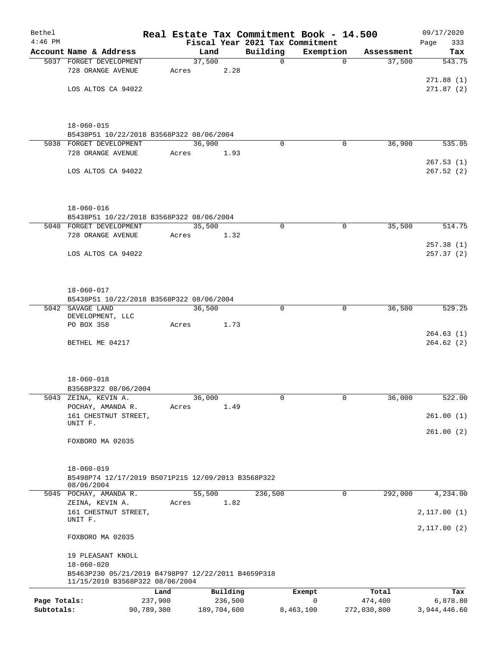| Bethel                     |                                                                                       |         |                        |          | Real Estate Tax Commitment Book - 14.500 |                        | 09/17/2020               |  |  |  |  |
|----------------------------|---------------------------------------------------------------------------------------|---------|------------------------|----------|------------------------------------------|------------------------|--------------------------|--|--|--|--|
| $4:46$ PM                  |                                                                                       |         |                        |          | Fiscal Year 2021 Tax Commitment          |                        | 333<br>Page              |  |  |  |  |
|                            | Account Name & Address                                                                |         | Land                   | Building | Exemption                                | Assessment             | Tax                      |  |  |  |  |
|                            | 5037 FORGET DEVELOPMENT<br>728 ORANGE AVENUE                                          | Acres   | 37,500<br>2.28         | 0        | $\mathbf 0$                              | 37,500                 | 543.75                   |  |  |  |  |
|                            |                                                                                       |         |                        |          |                                          |                        | 271.88(1)                |  |  |  |  |
|                            | LOS ALTOS CA 94022                                                                    |         |                        |          |                                          |                        | 271.87(2)                |  |  |  |  |
|                            |                                                                                       |         |                        |          |                                          |                        |                          |  |  |  |  |
|                            | $18 - 060 - 015$                                                                      |         |                        |          |                                          |                        |                          |  |  |  |  |
|                            | B5438P51 10/22/2018 B3568P322 08/06/2004                                              |         |                        |          |                                          |                        |                          |  |  |  |  |
|                            | 5038 FORGET DEVELOPMENT<br>728 ORANGE AVENUE                                          | Acres   | 36,900<br>1.93         | $\Omega$ | 0                                        | 36,900                 | 535.05                   |  |  |  |  |
|                            |                                                                                       |         |                        |          |                                          |                        | 267.53(1)                |  |  |  |  |
|                            | LOS ALTOS CA 94022                                                                    |         |                        |          |                                          |                        | 267.52(2)                |  |  |  |  |
|                            | $18 - 060 - 016$                                                                      |         |                        |          |                                          |                        |                          |  |  |  |  |
|                            | B5438P51 10/22/2018 B3568P322 08/06/2004                                              |         |                        |          |                                          |                        |                          |  |  |  |  |
|                            | 5040 FORGET DEVELOPMENT                                                               |         | 35,500                 | 0        | $\mathbf 0$                              | 35,500                 | 514.75                   |  |  |  |  |
|                            | 728 ORANGE AVENUE                                                                     | Acres   | 1.32                   |          |                                          |                        |                          |  |  |  |  |
|                            | LOS ALTOS CA 94022                                                                    |         |                        |          |                                          |                        | 257.38(1)<br>257.37(2)   |  |  |  |  |
|                            |                                                                                       |         |                        |          |                                          |                        |                          |  |  |  |  |
|                            | $18 - 060 - 017$                                                                      |         |                        |          |                                          |                        |                          |  |  |  |  |
|                            | B5438P51 10/22/2018 B3568P322 08/06/2004                                              |         |                        |          |                                          |                        |                          |  |  |  |  |
|                            | 5042 SAVAGE LAND                                                                      |         | 36,500                 | $\Omega$ | $\mathbf 0$                              | 36,500                 | 529.25                   |  |  |  |  |
|                            | DEVELOPMENT, LLC<br>PO BOX 358                                                        | Acres   | 1.73                   |          |                                          |                        |                          |  |  |  |  |
|                            |                                                                                       |         |                        |          |                                          |                        | 264.63(1)                |  |  |  |  |
|                            | BETHEL ME 04217                                                                       |         |                        |          |                                          |                        | 264.62(2)                |  |  |  |  |
|                            |                                                                                       |         |                        |          |                                          |                        |                          |  |  |  |  |
|                            | $18 - 060 - 018$<br>B3568P322 08/06/2004                                              |         |                        |          |                                          |                        |                          |  |  |  |  |
|                            | 5043 ZEINA, KEVIN A.                                                                  |         | 36,000                 | 0        | $\mathbf{0}$                             | 36,000                 | 522.00                   |  |  |  |  |
|                            | POCHAY, AMANDA R.                                                                     | Acres   | 1.49                   |          |                                          |                        |                          |  |  |  |  |
|                            | 161 CHESTNUT STREET,                                                                  |         |                        |          |                                          |                        | 261.00(1)                |  |  |  |  |
|                            | UNIT F.                                                                               |         |                        |          |                                          |                        |                          |  |  |  |  |
|                            | FOXBORO MA 02035                                                                      |         |                        |          |                                          |                        | 261.00(2)                |  |  |  |  |
|                            | $18 - 060 - 019$                                                                      |         |                        |          |                                          |                        |                          |  |  |  |  |
|                            | B5498P74 12/17/2019 B5071P215 12/09/2013 B3568P322                                    |         |                        |          |                                          |                        |                          |  |  |  |  |
|                            | 08/06/2004<br>5045 POCHAY, AMANDA R.                                                  |         | 55,500                 | 236,500  | 0                                        | 292,000                | 4,234.00                 |  |  |  |  |
|                            | ZEINA, KEVIN A.                                                                       | Acres   | 1.82                   |          |                                          |                        |                          |  |  |  |  |
|                            | 161 CHESTNUT STREET,<br>UNIT F.                                                       |         |                        |          |                                          |                        | 2,117.00(1)              |  |  |  |  |
|                            | FOXBORO MA 02035                                                                      |         |                        |          |                                          |                        | 2,117.00(2)              |  |  |  |  |
|                            | 19 PLEASANT KNOLL<br>$18 - 060 - 020$                                                 |         |                        |          |                                          |                        |                          |  |  |  |  |
|                            | B5463P230 05/21/2019 B4798P97 12/22/2011 B4659P318<br>11/15/2010 B3568P322 08/06/2004 |         |                        |          |                                          |                        |                          |  |  |  |  |
|                            |                                                                                       | Land    | Building               |          | Exempt                                   | Total                  | Tax                      |  |  |  |  |
| Page Totals:<br>Subtotals: | 90,789,300                                                                            | 237,900 | 236,500<br>189,704,600 |          | $\mathbf 0$<br>8,463,100                 | 474,400<br>272,030,800 | 6,878.80<br>3,944,446.60 |  |  |  |  |
|                            |                                                                                       |         |                        |          |                                          |                        |                          |  |  |  |  |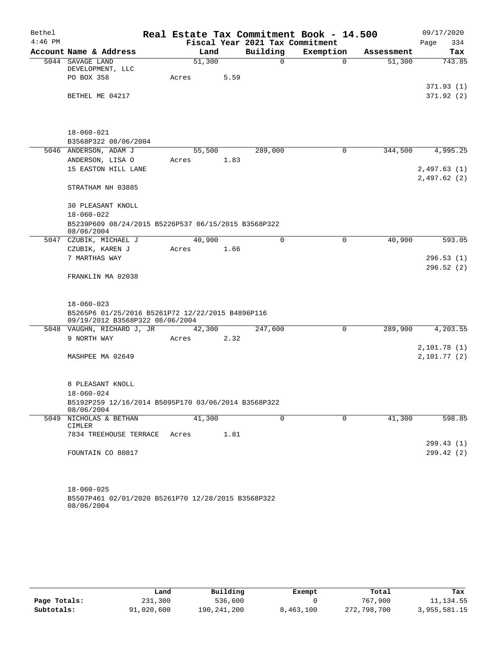| Bethel    |                                                                                     |        |      |                                 | Real Estate Tax Commitment Book - 14.500 |            | 09/17/2020  |
|-----------|-------------------------------------------------------------------------------------|--------|------|---------------------------------|------------------------------------------|------------|-------------|
| $4:46$ PM |                                                                                     |        |      | Fiscal Year 2021 Tax Commitment |                                          |            | 334<br>Page |
|           | Account Name & Address                                                              | Land   |      | Building                        | Exemption                                | Assessment | Tax         |
|           | 5044 SAVAGE LAND                                                                    | 51,300 |      | 0                               | $\Omega$                                 | 51,300     | 743.85      |
|           | DEVELOPMENT, LLC<br>PO BOX 358                                                      | Acres  | 5.59 |                                 |                                          |            |             |
|           |                                                                                     |        |      |                                 |                                          |            | 371.93(1)   |
|           | BETHEL ME 04217                                                                     |        |      |                                 |                                          |            | 371.92 (2)  |
|           |                                                                                     |        |      |                                 |                                          |            |             |
|           | $18 - 060 - 021$                                                                    |        |      |                                 |                                          |            |             |
|           | B3568P322 08/06/2004                                                                |        |      |                                 |                                          |            |             |
|           | 5046 ANDERSON, ADAM J                                                               | 55,500 |      | 289,000                         | 0                                        | 344,500    | 4,995.25    |
|           | ANDERSON, LISA O                                                                    | Acres  | 1.83 |                                 |                                          |            |             |
|           | 15 EASTON HILL LANE                                                                 |        |      |                                 |                                          |            | 2,497.63(1) |
|           |                                                                                     |        |      |                                 |                                          |            | 2,497.62(2) |
|           | STRATHAM NH 03885                                                                   |        |      |                                 |                                          |            |             |
|           | <b>30 PLEASANT KNOLL</b>                                                            |        |      |                                 |                                          |            |             |
|           | $18 - 060 - 022$                                                                    |        |      |                                 |                                          |            |             |
|           | B5239P609 08/24/2015 B5226P537 06/15/2015 B3568P322<br>08/06/2004                   |        |      |                                 |                                          |            |             |
|           | 5047 CZUBIK, MICHAEL J                                                              | 40,900 |      | $\mathbf 0$                     | 0                                        | 40,900     | 593.05      |
|           | CZUBIK, KAREN J                                                                     | Acres  | 1.66 |                                 |                                          |            |             |
|           | 7 MARTHAS WAY                                                                       |        |      |                                 |                                          |            | 296.53(1)   |
|           | FRANKLIN MA 02038                                                                   |        |      |                                 |                                          |            | 296.52(2)   |
|           |                                                                                     |        |      |                                 |                                          |            |             |
|           | $18 - 060 - 023$                                                                    |        |      |                                 |                                          |            |             |
|           | B5265P6 01/25/2016 B5261P72 12/22/2015 B4896P116<br>09/19/2012 B3568P322 08/06/2004 |        |      |                                 |                                          |            |             |
|           | 5048 VAUGHN, RICHARD J, JR                                                          | 42,300 |      | 247,600                         | $\mathbf 0$                              | 289,900    | 4,203.55    |
|           | 9 NORTH WAY                                                                         | Acres  | 2.32 |                                 |                                          |            |             |
|           |                                                                                     |        |      |                                 |                                          |            | 2,101.78(1) |
|           | MASHPEE MA 02649                                                                    |        |      |                                 |                                          |            | 2,101.77(2) |
|           | 8 PLEASANT KNOLL                                                                    |        |      |                                 |                                          |            |             |
|           | $18 - 060 - 024$                                                                    |        |      |                                 |                                          |            |             |
|           | B5192P259 12/16/2014 B5095P170 03/06/2014 B3568P322<br>08/06/2004                   |        |      |                                 |                                          |            |             |
|           | 5049 NICHOLAS & BETHAN<br><b>CIMLER</b>                                             | 41,300 |      | $\mathbf 0$                     | $\mathbf 0$                              | 41,300     | 598.85      |
|           | 7834 TREEHOUSE TERRACE                                                              | Acres  | 1.81 |                                 |                                          |            |             |
|           |                                                                                     |        |      |                                 |                                          |            | 299.43 (1)  |
|           | FOUNTAIN CO 80817                                                                   |        |      |                                 |                                          |            | 299.42 (2)  |
|           |                                                                                     |        |      |                                 |                                          |            |             |
|           |                                                                                     |        |      |                                 |                                          |            |             |
|           | $18 - 060 - 025$                                                                    |        |      |                                 |                                          |            |             |

B5507P461 02/01/2020 B5261P70 12/28/2015 B3568P322 08/06/2004

|              | Land       | Building    | Exempt    | Total       | Tax          |
|--------------|------------|-------------|-----------|-------------|--------------|
| Page Totals: | 231,300    | 536,600     |           | 767,900     | 11, 134.55   |
| Subtotals:   | 91,020,600 | 190,241,200 | 8,463,100 | 272,798,700 | 3,955,581.15 |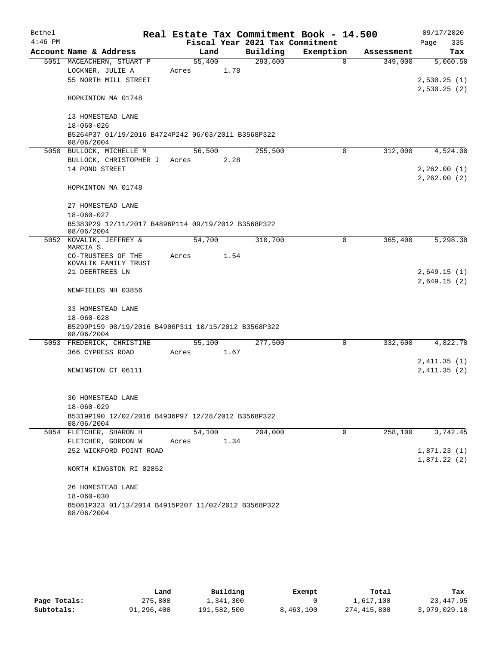| Bethel    |                                                                        |        |      | Real Estate Tax Commitment Book - 14.500 |             |            | 09/17/2020  |
|-----------|------------------------------------------------------------------------|--------|------|------------------------------------------|-------------|------------|-------------|
| $4:46$ PM |                                                                        |        |      | Fiscal Year 2021 Tax Commitment          |             |            | Page<br>335 |
|           | Account Name & Address                                                 |        | Land | Building                                 | Exemption   | Assessment | Tax         |
|           | 5051 MACEACHERN, STUART P                                              | 55,400 |      | 293,600                                  | $\mathbf 0$ | 349,000    | 5,060.50    |
|           | LOCKNER, JULIE A                                                       | Acres  | 1.78 |                                          |             |            |             |
|           | 55 NORTH MILL STREET                                                   |        |      |                                          |             |            | 2,530.25(1) |
|           |                                                                        |        |      |                                          |             |            | 2,530.25(2) |
|           | HOPKINTON MA 01748                                                     |        |      |                                          |             |            |             |
|           | 13 HOMESTEAD LANE                                                      |        |      |                                          |             |            |             |
|           | $18 - 060 - 026$                                                       |        |      |                                          |             |            |             |
|           | B5264P37 01/19/2016 B4724P242 06/03/2011 B3568P322<br>08/06/2004       |        |      |                                          |             |            |             |
|           | 5050 BULLOCK, MICHELLE M                                               | 56,500 |      | 255,500                                  | $\Omega$    | 312,000    | 4,524.00    |
|           | BULLOCK, CHRISTOPHER J                                                 | Acres  | 2.28 |                                          |             |            |             |
|           | 14 POND STREET                                                         |        |      |                                          |             |            | 2,262.00(1) |
|           |                                                                        |        |      |                                          |             |            | 2,262.00(2) |
|           | HOPKINTON MA 01748                                                     |        |      |                                          |             |            |             |
|           | 27 HOMESTEAD LANE                                                      |        |      |                                          |             |            |             |
|           | $18 - 060 - 027$                                                       |        |      |                                          |             |            |             |
|           | B5383P29 12/11/2017 B4896P114 09/19/2012 B3568P322<br>08/06/2004       |        |      |                                          |             |            |             |
|           | 5052 KOVALIK, JEFFREY &                                                | 54,700 |      | 310,700                                  | 0           | 365,400    | 5,298.30    |
|           | MARCIA S.                                                              |        |      |                                          |             |            |             |
|           | CO-TRUSTEES OF THE<br>KOVALIK FAMILY TRUST                             | Acres  | 1.54 |                                          |             |            |             |
|           | 21 DEERTREES LN                                                        |        |      |                                          |             |            | 2,649.15(1) |
|           |                                                                        |        |      |                                          |             |            | 2,649.15(2) |
|           | NEWFIELDS NH 03856                                                     |        |      |                                          |             |            |             |
|           | 33 HOMESTEAD LANE                                                      |        |      |                                          |             |            |             |
|           | $18 - 060 - 028$                                                       |        |      |                                          |             |            |             |
|           | B5299P159 08/19/2016 B4906P311 10/15/2012 B3568P322                    |        |      |                                          |             |            |             |
|           | 08/06/2004                                                             |        |      |                                          |             |            |             |
|           | 5053 FREDERICK, CHRISTINE                                              | 55,100 |      | 277,500                                  | 0           | 332,600    | 4,822.70    |
|           | 366 CYPRESS ROAD                                                       | Acres  | 1.67 |                                          |             |            |             |
|           |                                                                        |        |      |                                          |             |            | 2,411.35(1) |
|           | NEWINGTON CT 06111                                                     |        |      |                                          |             |            | 2,411.35(2) |
|           |                                                                        |        |      |                                          |             |            |             |
|           | 30 HOMESTEAD LANE                                                      |        |      |                                          |             |            |             |
|           | $18 - 060 - 029$<br>B5319P190 12/02/2016 B4936P97 12/28/2012 B3568P322 |        |      |                                          |             |            |             |
|           | 08/06/2004                                                             |        |      |                                          |             |            |             |
|           | 5054 FLETCHER, SHARON H                                                | 54,100 |      | 204,000                                  | 0           | 258,100    | 3,742.45    |
|           | FLETCHER, GORDON W                                                     | Acres  | 1.34 |                                          |             |            |             |
|           | 252 WICKFORD POINT ROAD                                                |        |      |                                          |             |            | 1,871.23(1) |
|           |                                                                        |        |      |                                          |             |            | 1,871.22(2) |
|           | NORTH KINGSTON RI 02852                                                |        |      |                                          |             |            |             |
|           | 26 HOMESTEAD LANE                                                      |        |      |                                          |             |            |             |
|           | $18 - 060 - 030$                                                       |        |      |                                          |             |            |             |
|           | B5081P323 01/13/2014 B4915P207 11/02/2012 B3568P322                    |        |      |                                          |             |            |             |
|           | 08/06/2004                                                             |        |      |                                          |             |            |             |

|              | Land       | Building    | Exempt    | Total       | Tax          |
|--------------|------------|-------------|-----------|-------------|--------------|
| Page Totals: | 275,800    | 1,341,300   |           | 1,617,100   | 23,447.95    |
| Subtotals:   | 91,296,400 | 191,582,500 | 8,463,100 | 274,415,800 | 3,979,029.10 |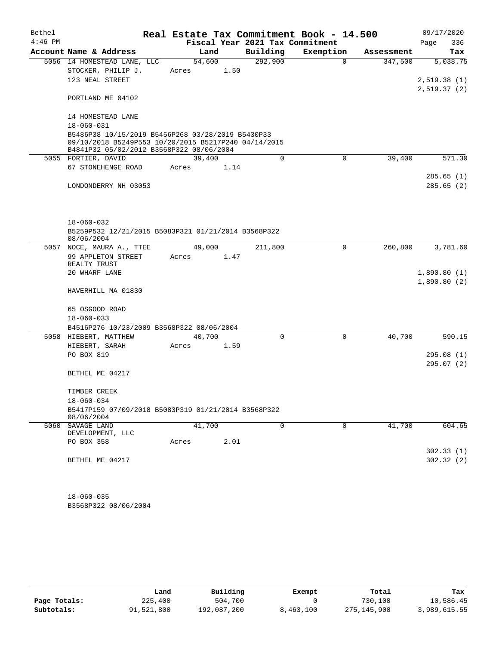| Bethel    |                                                                                                           |            |      |                                 | Real Estate Tax Commitment Book - 14.500 |            | 09/17/2020  |
|-----------|-----------------------------------------------------------------------------------------------------------|------------|------|---------------------------------|------------------------------------------|------------|-------------|
| $4:46$ PM |                                                                                                           |            |      | Fiscal Year 2021 Tax Commitment |                                          |            | 336<br>Page |
|           | Account Name & Address                                                                                    | Land       |      | Building                        | Exemption                                | Assessment | Tax         |
|           | 5056 14 HOMESTEAD LANE, LLC                                                                               | 54,600     |      | 292,900                         | $\Omega$                                 | 347,500    | 5,038.75    |
|           | STOCKER, PHILIP J.                                                                                        | Acres      | 1.50 |                                 |                                          |            |             |
|           | 123 NEAL STREET                                                                                           |            |      |                                 |                                          |            | 2,519.38(1) |
|           |                                                                                                           |            |      |                                 |                                          |            | 2,519.37(2) |
|           | PORTLAND ME 04102                                                                                         |            |      |                                 |                                          |            |             |
|           |                                                                                                           |            |      |                                 |                                          |            |             |
|           | 14 HOMESTEAD LANE                                                                                         |            |      |                                 |                                          |            |             |
|           | $18 - 060 - 031$                                                                                          |            |      |                                 |                                          |            |             |
|           | B5486P38 10/15/2019 B5456P268 03/28/2019 B5430P33<br>09/10/2018 B5249P553 10/20/2015 B5217P240 04/14/2015 |            |      |                                 |                                          |            |             |
|           | B4841P32 05/02/2012 B3568P322 08/06/2004                                                                  |            |      |                                 |                                          |            |             |
|           | 5055 FORTIER, DAVID                                                                                       | 39,400     |      | 0                               | $\mathbf 0$                              | 39,400     | 571.30      |
|           | 67 STONEHENGE ROAD                                                                                        | Acres      | 1.14 |                                 |                                          |            |             |
|           |                                                                                                           |            |      |                                 |                                          |            | 285.65(1)   |
|           | LONDONDERRY NH 03053                                                                                      |            |      |                                 |                                          |            | 285.65(2)   |
|           |                                                                                                           |            |      |                                 |                                          |            |             |
|           |                                                                                                           |            |      |                                 |                                          |            |             |
|           |                                                                                                           |            |      |                                 |                                          |            |             |
|           | $18 - 060 - 032$                                                                                          |            |      |                                 |                                          |            |             |
|           | B5259P532 12/21/2015 B5083P321 01/21/2014 B3568P322                                                       |            |      |                                 |                                          |            |             |
|           | 08/06/2004                                                                                                |            |      |                                 |                                          |            |             |
|           | 5057 NOCE, MAURA A., TTEE                                                                                 | 49,000     |      | 211,800                         | $\Omega$                                 | 260,800    | 3,781.60    |
|           | 99 APPLETON STREET<br>REALTY TRUST                                                                        | Acres 1.47 |      |                                 |                                          |            |             |
|           | 20 WHARF LANE                                                                                             |            |      |                                 |                                          |            | 1,890.80(1) |
|           |                                                                                                           |            |      |                                 |                                          |            | 1,890.80(2) |
|           | HAVERHILL MA 01830                                                                                        |            |      |                                 |                                          |            |             |
|           |                                                                                                           |            |      |                                 |                                          |            |             |
|           | 65 OSGOOD ROAD                                                                                            |            |      |                                 |                                          |            |             |
|           | $18 - 060 - 033$                                                                                          |            |      |                                 |                                          |            |             |
|           | B4516P276 10/23/2009 B3568P322 08/06/2004                                                                 |            |      |                                 |                                          |            |             |
|           | 5058 HIEBERT, MATTHEW                                                                                     | 40,700     |      | $\Omega$                        | 0                                        | 40,700     | 590.15      |
|           | HIEBERT, SARAH                                                                                            | Acres      | 1.59 |                                 |                                          |            |             |
|           | PO BOX 819                                                                                                |            |      |                                 |                                          |            | 295.08(1)   |
|           |                                                                                                           |            |      |                                 |                                          |            | 295.07(2)   |
|           | BETHEL ME 04217                                                                                           |            |      |                                 |                                          |            |             |
|           |                                                                                                           |            |      |                                 |                                          |            |             |
|           | TIMBER CREEK                                                                                              |            |      |                                 |                                          |            |             |
|           | $18 - 060 - 034$                                                                                          |            |      |                                 |                                          |            |             |
|           | B5417P159 07/09/2018 B5083P319 01/21/2014 B3568P322<br>08/06/2004                                         |            |      |                                 |                                          |            |             |
| 5060      | SAVAGE LAND                                                                                               | 41,700     |      | 0                               | 0                                        | 41,700     | 604.65      |
|           | DEVELOPMENT, LLC                                                                                          |            |      |                                 |                                          |            |             |
|           | PO BOX 358                                                                                                | Acres      | 2.01 |                                 |                                          |            |             |
|           |                                                                                                           |            |      |                                 |                                          |            | 302.33(1)   |
|           | BETHEL ME 04217                                                                                           |            |      |                                 |                                          |            | 302.32(2)   |
|           |                                                                                                           |            |      |                                 |                                          |            |             |
|           |                                                                                                           |            |      |                                 |                                          |            |             |
|           |                                                                                                           |            |      |                                 |                                          |            |             |
|           | $18 - 060 - 035$                                                                                          |            |      |                                 |                                          |            |             |

B3568P322 08/06/2004

|              | Land       | Building    | Exempt    | Total       | Tax          |
|--------------|------------|-------------|-----------|-------------|--------------|
| Page Totals: | 225,400    | 504,700     |           | 730,100     | 10,586.45    |
| Subtotals:   | 91,521,800 | 192,087,200 | 8,463,100 | 275,145,900 | 3,989,615.55 |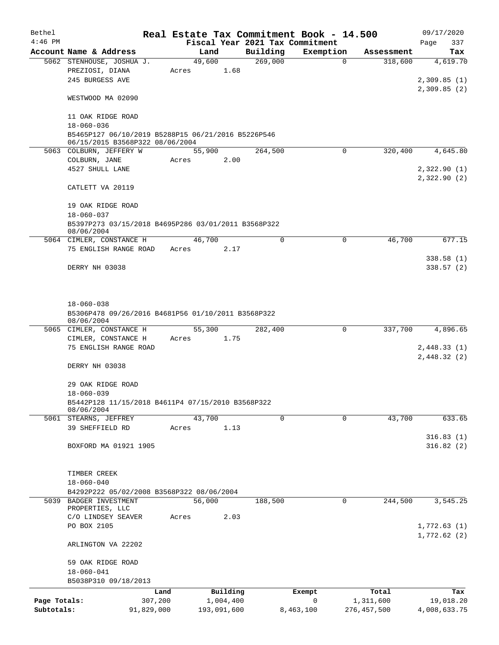| Bethel       |                                                                                       |            |             |           |          | Real Estate Tax Commitment Book - 14.500 |               | 09/17/2020                 |
|--------------|---------------------------------------------------------------------------------------|------------|-------------|-----------|----------|------------------------------------------|---------------|----------------------------|
| $4:46$ PM    |                                                                                       |            |             |           |          | Fiscal Year 2021 Tax Commitment          |               | Page<br>337                |
|              | Account Name & Address                                                                |            | Land        |           | Building | Exemption                                | Assessment    | Tax                        |
|              | 5062 STENHOUSE, JOSHUA J.                                                             |            | 49,600      |           | 269,000  | $\Omega$                                 | 318,600       | 4,619.70                   |
|              | PREZIOSI, DIANA<br>245 BURGESS AVE                                                    | Acres      |             | 1.68      |          |                                          |               | 2,309.85(1)                |
|              |                                                                                       |            |             |           |          |                                          |               | 2,309.85(2)                |
|              | WESTWOOD MA 02090                                                                     |            |             |           |          |                                          |               |                            |
|              | 11 OAK RIDGE ROAD                                                                     |            |             |           |          |                                          |               |                            |
|              | $18 - 060 - 036$                                                                      |            |             |           |          |                                          |               |                            |
|              | B5465P127 06/10/2019 B5288P15 06/21/2016 B5226P546<br>06/15/2015 B3568P322 08/06/2004 |            |             |           |          |                                          |               |                            |
|              | 5063 COLBURN, JEFFERY W                                                               |            | 55,900      |           | 264,500  | $\Omega$                                 | 320,400       | 4,645.80                   |
|              | COLBURN, JANE                                                                         | Acres      |             | 2.00      |          |                                          |               |                            |
|              | 4527 SHULL LANE                                                                       |            |             |           |          |                                          |               | 2,322.90(1)                |
|              |                                                                                       |            |             |           |          |                                          |               | 2,322.90(2)                |
|              | CATLETT VA 20119                                                                      |            |             |           |          |                                          |               |                            |
|              | 19 OAK RIDGE ROAD                                                                     |            |             |           |          |                                          |               |                            |
|              | $18 - 060 - 037$                                                                      |            |             |           |          |                                          |               |                            |
|              | B5397P273 03/15/2018 B4695P286 03/01/2011 B3568P322<br>08/06/2004                     |            |             |           |          |                                          |               |                            |
|              | 5064 CIMLER, CONSTANCE H                                                              |            | 46,700      |           | $\Omega$ | 0                                        | 46,700        | 677.15                     |
|              | 75 ENGLISH RANGE ROAD                                                                 | Acres      |             | 2.17      |          |                                          |               |                            |
|              |                                                                                       |            |             |           |          |                                          |               | 338.58(1)                  |
|              | DERRY NH 03038                                                                        |            |             |           |          |                                          |               | 338.57(2)                  |
|              |                                                                                       |            |             |           |          |                                          |               |                            |
|              |                                                                                       |            |             |           |          |                                          |               |                            |
|              | $18 - 060 - 038$                                                                      |            |             |           |          |                                          |               |                            |
|              | B5306P478 09/26/2016 B4681P56 01/10/2011 B3568P322                                    |            |             |           |          |                                          |               |                            |
|              | 08/06/2004                                                                            |            |             |           |          |                                          |               |                            |
|              | 5065 CIMLER, CONSTANCE H                                                              |            | 55,300      |           | 282,400  | $\mathbf 0$                              | 337,700       | 4,896.65                   |
|              | CIMLER, CONSTANCE H                                                                   | Acres      |             | 1.75      |          |                                          |               |                            |
|              | 75 ENGLISH RANGE ROAD                                                                 |            |             |           |          |                                          |               | 2,448.33(1)                |
|              |                                                                                       |            |             |           |          |                                          |               | 2,448.32(2)                |
|              | DERRY NH 03038                                                                        |            |             |           |          |                                          |               |                            |
|              | 29 OAK RIDGE ROAD                                                                     |            |             |           |          |                                          |               |                            |
|              | $18 - 060 - 039$                                                                      |            |             |           |          |                                          |               |                            |
|              | B5442P128 11/15/2018 B4611P4 07/15/2010 B3568P322                                     |            |             |           |          |                                          |               |                            |
|              | 08/06/2004                                                                            |            |             |           |          |                                          |               |                            |
|              | 5061 STEARNS, JEFFREY                                                                 |            | 43,700      |           | 0        | $\Omega$                                 | 43,700        | 633.65                     |
|              | 39 SHEFFIELD RD                                                                       | Acres      |             | 1.13      |          |                                          |               |                            |
|              | BOXFORD MA 01921 1905                                                                 |            |             |           |          |                                          |               | 316.83(1)<br>316.82(2)     |
|              |                                                                                       |            |             |           |          |                                          |               |                            |
|              |                                                                                       |            |             |           |          |                                          |               |                            |
|              | TIMBER CREEK                                                                          |            |             |           |          |                                          |               |                            |
|              | $18 - 060 - 040$                                                                      |            |             |           |          |                                          |               |                            |
|              | B4292P222 05/02/2008 B3568P322 08/06/2004                                             |            |             |           |          |                                          |               |                            |
| 5039         | BADGER INVESTMENT                                                                     |            | 56,000      |           | 188,500  | 0                                        | 244,500       | 3,545.25                   |
|              | PROPERTIES, LLC                                                                       |            |             |           |          |                                          |               |                            |
|              | C/O LINDSEY SEAVER                                                                    | Acres      |             | 2.03      |          |                                          |               |                            |
|              | PO BOX 2105                                                                           |            |             |           |          |                                          |               | 1,772.63(1)<br>1,772.62(2) |
|              | ARLINGTON VA 22202                                                                    |            |             |           |          |                                          |               |                            |
|              |                                                                                       |            |             |           |          |                                          |               |                            |
|              | 59 OAK RIDGE ROAD                                                                     |            |             |           |          |                                          |               |                            |
|              | $18 - 060 - 041$                                                                      |            |             |           |          |                                          |               |                            |
|              | B5038P310 09/18/2013                                                                  |            |             |           |          |                                          |               |                            |
|              |                                                                                       | Land       |             | Building  |          | Exempt                                   | Total         | Tax                        |
| Page Totals: |                                                                                       | 307,200    |             | 1,004,400 |          | 0                                        | 1,311,600     | 19,018.20                  |
| Subtotals:   |                                                                                       | 91,829,000 | 193,091,600 |           |          | 8,463,100                                | 276, 457, 500 | 4,008,633.75               |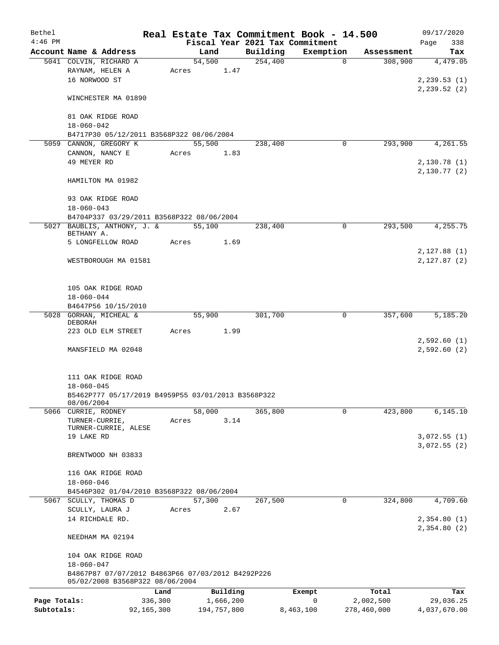| Bethel                     |                                                                                      |                         |       |                          |          | Real Estate Tax Commitment Book - 14.500 |             |                          | 09/17/2020                  |
|----------------------------|--------------------------------------------------------------------------------------|-------------------------|-------|--------------------------|----------|------------------------------------------|-------------|--------------------------|-----------------------------|
| $4:46$ PM                  |                                                                                      |                         |       |                          |          | Fiscal Year 2021 Tax Commitment          |             |                          | 338<br>Page                 |
|                            | Account Name & Address                                                               |                         |       | Land                     | Building | Exemption                                |             | Assessment               | Tax                         |
|                            | 5041 COLVIN, RICHARD A<br>RAYNAM, HELEN A<br>16 NORWOOD ST                           |                         | Acres | 54,500<br>1.47           | 254,400  |                                          | $\mathbf 0$ | 308,900                  | 4,479.05<br>2, 239.53(1)    |
|                            | WINCHESTER MA 01890                                                                  |                         |       |                          |          |                                          |             |                          | 2,239.52 (2)                |
|                            | 81 OAK RIDGE ROAD<br>$18 - 060 - 042$                                                |                         |       |                          |          |                                          |             |                          |                             |
|                            | B4717P30 05/12/2011 B3568P322 08/06/2004                                             |                         |       |                          |          |                                          |             |                          |                             |
|                            | 5059 CANNON, GREGORY K                                                               |                         |       | 55,500                   | 238,400  |                                          | 0           | 293,900                  | 4,261.55                    |
|                            | CANNON, NANCY E                                                                      |                         | Acres | 1.83                     |          |                                          |             |                          |                             |
|                            | 49 MEYER RD                                                                          |                         |       |                          |          |                                          |             |                          | 2,130.78(1)                 |
|                            | HAMILTON MA 01982                                                                    |                         |       |                          |          |                                          |             |                          | 2,130.77(2)                 |
|                            | 93 OAK RIDGE ROAD<br>$18 - 060 - 043$                                                |                         |       |                          |          |                                          |             |                          |                             |
|                            | B4704P337 03/29/2011 B3568P322 08/06/2004                                            |                         |       |                          |          |                                          |             |                          |                             |
|                            | 5027 BAUBLIS, ANTHONY, J. &                                                          |                         |       | 55,100                   | 238,400  |                                          | 0           | 293,500                  | 4,255.75                    |
|                            | BETHANY A.                                                                           |                         |       |                          |          |                                          |             |                          |                             |
|                            | 5 LONGFELLOW ROAD                                                                    |                         | Acres | 1.69                     |          |                                          |             |                          |                             |
|                            | WESTBOROUGH MA 01581                                                                 |                         |       |                          |          |                                          |             |                          | 2,127.88 (1)<br>2,127.87(2) |
|                            |                                                                                      |                         |       |                          |          |                                          |             |                          |                             |
|                            | 105 OAK RIDGE ROAD                                                                   |                         |       |                          |          |                                          |             |                          |                             |
|                            | $18 - 060 - 044$                                                                     |                         |       |                          |          |                                          |             |                          |                             |
|                            | B4647P56 10/15/2010                                                                  |                         |       |                          |          |                                          |             |                          |                             |
| 5028                       | GORHAN, MICHEAL &                                                                    |                         |       | 55,900                   | 301,700  |                                          | 0           | 357,600                  | 5,185.20                    |
|                            | DEBORAH<br>223 OLD ELM STREET                                                        |                         | Acres | 1.99                     |          |                                          |             |                          |                             |
|                            |                                                                                      |                         |       |                          |          |                                          |             |                          | 2,592.60(1)                 |
|                            | MANSFIELD MA 02048                                                                   |                         |       |                          |          |                                          |             |                          | 2,592.60(2)                 |
|                            |                                                                                      |                         |       |                          |          |                                          |             |                          |                             |
|                            | 111 OAK RIDGE ROAD                                                                   |                         |       |                          |          |                                          |             |                          |                             |
|                            | $18 - 060 - 045$<br>B5462P777 05/17/2019 B4959P55 03/01/2013 B3568P322<br>08/06/2004 |                         |       |                          |          |                                          |             |                          |                             |
|                            | 5066 CURRIE, RODNEY                                                                  |                         |       | 58,000                   | 365,800  |                                          | 0           | 423,800                  | 6,145.10                    |
|                            | TURNER-CURRIE,                                                                       |                         | Acres | 3.14                     |          |                                          |             |                          |                             |
|                            | TURNER-CURRIE, ALESE<br>19 LAKE RD                                                   |                         |       |                          |          |                                          |             |                          | 3,072.55(1)                 |
|                            |                                                                                      |                         |       |                          |          |                                          |             |                          | 3,072.55(2)                 |
|                            | BRENTWOOD NH 03833                                                                   |                         |       |                          |          |                                          |             |                          |                             |
|                            | 116 OAK RIDGE ROAD                                                                   |                         |       |                          |          |                                          |             |                          |                             |
|                            | $18 - 060 - 046$                                                                     |                         |       |                          |          |                                          |             |                          |                             |
|                            | B4546P302 01/04/2010 B3568P322 08/06/2004                                            |                         |       |                          |          |                                          |             |                          |                             |
|                            | 5067 SCULLY, THOMAS D                                                                |                         |       | 57,300                   | 267,500  |                                          | 0           | 324,800                  | 4,709.60                    |
|                            | SCULLY, LAURA J                                                                      |                         | Acres | 2.67                     |          |                                          |             |                          |                             |
|                            | 14 RICHDALE RD.                                                                      |                         |       |                          |          |                                          |             |                          | 2,354.80(1)<br>2,354.80(2)  |
|                            | NEEDHAM MA 02194                                                                     |                         |       |                          |          |                                          |             |                          |                             |
|                            | 104 OAK RIDGE ROAD                                                                   |                         |       |                          |          |                                          |             |                          |                             |
|                            | $18 - 060 - 047$                                                                     |                         |       |                          |          |                                          |             |                          |                             |
|                            | B4867P87 07/07/2012 B4863P66 07/03/2012 B4292P226<br>05/02/2008 B3568P322 08/06/2004 |                         |       |                          |          |                                          |             |                          |                             |
|                            |                                                                                      | Land                    |       | Building                 |          | Exempt                                   |             | Total                    | Tax                         |
| Page Totals:<br>Subtotals: |                                                                                      | 336,300<br>92, 165, 300 |       | 1,666,200<br>194,757,800 |          | 0<br>8,463,100                           |             | 2,002,500<br>278,460,000 | 29,036.25<br>4,037,670.00   |
|                            |                                                                                      |                         |       |                          |          |                                          |             |                          |                             |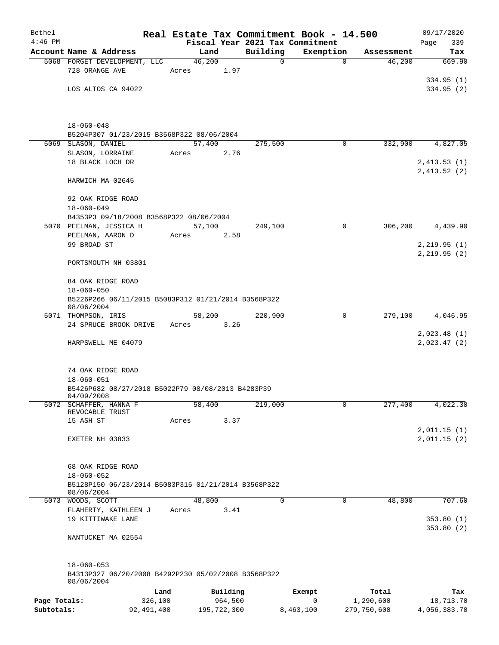| Bethel       |                                                                   | Real Estate Tax Commitment Book - 14.500 |                                 |             |             | 09/17/2020                 |  |  |  |  |
|--------------|-------------------------------------------------------------------|------------------------------------------|---------------------------------|-------------|-------------|----------------------------|--|--|--|--|
| $4:46$ PM    |                                                                   |                                          | Fiscal Year 2021 Tax Commitment |             |             | Page<br>339                |  |  |  |  |
|              | Account Name & Address                                            | Land                                     | Building                        | Exemption   | Assessment  | Tax                        |  |  |  |  |
|              | 5068 FORGET DEVELOPMENT, LLC                                      | 46,200                                   | 0                               | $\mathbf 0$ | 46,200      | 669.90                     |  |  |  |  |
|              | 728 ORANGE AVE                                                    | 1.97<br>Acres                            |                                 |             |             | 334.95(1)                  |  |  |  |  |
|              | LOS ALTOS CA 94022                                                |                                          |                                 |             |             | 334.95(2)                  |  |  |  |  |
|              |                                                                   |                                          |                                 |             |             |                            |  |  |  |  |
|              | $18 - 060 - 048$                                                  |                                          |                                 |             |             |                            |  |  |  |  |
|              | B5204P307 01/23/2015 B3568P322 08/06/2004                         |                                          |                                 |             |             |                            |  |  |  |  |
|              | 5069 SLASON, DANIEL                                               | 57,400                                   | 275,500                         | 0           | 332,900     | 4,827.05                   |  |  |  |  |
|              | SLASON, LORRAINE                                                  | 2.76<br>Acres                            |                                 |             |             |                            |  |  |  |  |
|              | 18 BLACK LOCH DR                                                  |                                          |                                 |             |             | 2,413.53(1)                |  |  |  |  |
|              |                                                                   |                                          |                                 |             |             | 2,413.52(2)                |  |  |  |  |
|              | HARWICH MA 02645                                                  |                                          |                                 |             |             |                            |  |  |  |  |
|              | 92 OAK RIDGE ROAD<br>$18 - 060 - 049$                             |                                          |                                 |             |             |                            |  |  |  |  |
|              | B4353P3 09/18/2008 B3568P322 08/06/2004                           |                                          |                                 |             |             |                            |  |  |  |  |
|              | 5070 PEELMAN, JESSICA H                                           | 57,100                                   | 249,100                         | 0           | 306,200     | 4,439.90                   |  |  |  |  |
|              | PEELMAN, AARON D                                                  | 2.58<br>Acres                            |                                 |             |             |                            |  |  |  |  |
|              | 99 BROAD ST                                                       |                                          |                                 |             |             | 2, 219.95(1)               |  |  |  |  |
|              |                                                                   |                                          |                                 |             |             | 2, 219.95(2)               |  |  |  |  |
|              | PORTSMOUTH NH 03801                                               |                                          |                                 |             |             |                            |  |  |  |  |
|              | 84 OAK RIDGE ROAD                                                 |                                          |                                 |             |             |                            |  |  |  |  |
|              | $18 - 060 - 050$                                                  |                                          |                                 |             |             |                            |  |  |  |  |
|              | B5226P266 06/11/2015 B5083P312 01/21/2014 B3568P322<br>08/06/2004 |                                          |                                 |             |             |                            |  |  |  |  |
|              | 5071 THOMPSON, IRIS                                               | 58,200                                   | 220,900                         | 0           | 279,100     | 4,046.95                   |  |  |  |  |
|              | 24 SPRUCE BROOK DRIVE                                             | 3.26<br>Acres                            |                                 |             |             |                            |  |  |  |  |
|              | HARPSWELL ME 04079                                                |                                          |                                 |             |             | 2,023.48(1)<br>2,023.47(2) |  |  |  |  |
|              |                                                                   |                                          |                                 |             |             |                            |  |  |  |  |
|              | 74 OAK RIDGE ROAD                                                 |                                          |                                 |             |             |                            |  |  |  |  |
|              | $18 - 060 - 051$                                                  |                                          |                                 |             |             |                            |  |  |  |  |
|              | B5426P682 08/27/2018 B5022P79 08/08/2013 B4283P39<br>04/09/2008   |                                          |                                 |             |             |                            |  |  |  |  |
| 5072         | SCHAFFER, HANNA F                                                 | 58,400                                   | 219,000                         | $\mathbf 0$ | 277,400     | 4,022.30                   |  |  |  |  |
|              | REVOCABLE TRUST                                                   |                                          |                                 |             |             |                            |  |  |  |  |
|              | 15 ASH ST                                                         | 3.37<br>Acres                            |                                 |             |             |                            |  |  |  |  |
|              | EXETER NH 03833                                                   |                                          |                                 |             |             | 2,011.15(1)<br>2,011.15(2) |  |  |  |  |
|              |                                                                   |                                          |                                 |             |             |                            |  |  |  |  |
|              | 68 OAK RIDGE ROAD                                                 |                                          |                                 |             |             |                            |  |  |  |  |
|              | $18 - 060 - 052$                                                  |                                          |                                 |             |             |                            |  |  |  |  |
|              | B5128P150 06/23/2014 B5083P315 01/21/2014 B3568P322               |                                          |                                 |             |             |                            |  |  |  |  |
|              | 08/06/2004                                                        |                                          |                                 |             |             |                            |  |  |  |  |
| 5073         | WOODS, SCOTT                                                      | 48,800                                   | 0                               | 0           | 48,800      | 707.60                     |  |  |  |  |
|              | FLAHERTY, KATHLEEN J                                              | 3.41<br>Acres                            |                                 |             |             |                            |  |  |  |  |
|              | 19 KITTIWAKE LANE                                                 |                                          |                                 |             |             | 353.80(1)<br>353.80(2)     |  |  |  |  |
|              | NANTUCKET MA 02554                                                |                                          |                                 |             |             |                            |  |  |  |  |
|              | $18 - 060 - 053$                                                  |                                          |                                 |             |             |                            |  |  |  |  |
|              | B4313P327 06/20/2008 B4292P230 05/02/2008 B3568P322<br>08/06/2004 |                                          |                                 |             |             |                            |  |  |  |  |
|              | Land                                                              | Building                                 |                                 | Exempt      | Total       | Tax                        |  |  |  |  |
| Page Totals: | 326,100                                                           | 964,500                                  |                                 | 0           | 1,290,600   | 18,713.70                  |  |  |  |  |
| Subtotals:   | 92,491,400                                                        | 195,722,300                              |                                 | 8,463,100   | 279,750,600 | 4,056,383.70               |  |  |  |  |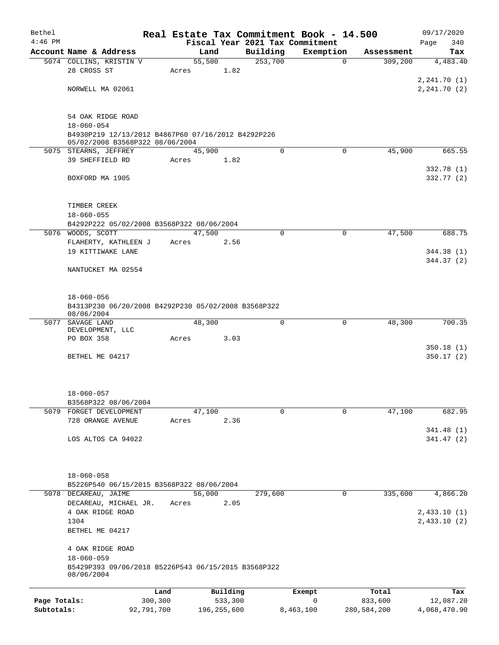| Bethel       |                                                                                       |                |               |                     | Real Estate Tax Commitment Book - 14.500 |                       | 09/17/2020      |
|--------------|---------------------------------------------------------------------------------------|----------------|---------------|---------------------|------------------------------------------|-----------------------|-----------------|
| $4:46$ PM    |                                                                                       |                |               |                     | Fiscal Year 2021 Tax Commitment          |                       | 340<br>Page     |
|              | Account Name & Address<br>5074 COLLINS, KRISTIN V                                     | Land<br>55,500 |               | Building<br>253,700 | Exemption<br>$\Omega$                    | Assessment<br>309,200 | Tax<br>4,483.40 |
|              | 28 CROSS ST                                                                           | Acres          | 1.82          |                     |                                          |                       |                 |
|              |                                                                                       |                |               |                     |                                          |                       | 2,241.70(1)     |
|              | NORWELL MA 02061                                                                      |                |               |                     |                                          |                       | 2, 241.70(2)    |
|              |                                                                                       |                |               |                     |                                          |                       |                 |
|              |                                                                                       |                |               |                     |                                          |                       |                 |
|              | 54 OAK RIDGE ROAD                                                                     |                |               |                     |                                          |                       |                 |
|              | $18 - 060 - 054$                                                                      |                |               |                     |                                          |                       |                 |
|              | B4930P219 12/13/2012 B4867P60 07/16/2012 B4292P226<br>05/02/2008 B3568P322 08/06/2004 |                |               |                     |                                          |                       |                 |
|              | 5075 STEARNS, JEFFREY                                                                 | 45,900         |               | $\Omega$            | $\Omega$                                 | 45,900                | 665.55          |
|              | 39 SHEFFIELD RD                                                                       | Acres          | 1.82          |                     |                                          |                       |                 |
|              |                                                                                       |                |               |                     |                                          |                       | 332.78 (1)      |
|              | BOXFORD MA 1905                                                                       |                |               |                     |                                          |                       | 332.77 (2)      |
|              |                                                                                       |                |               |                     |                                          |                       |                 |
|              | TIMBER CREEK                                                                          |                |               |                     |                                          |                       |                 |
|              | $18 - 060 - 055$                                                                      |                |               |                     |                                          |                       |                 |
|              | B4292P222 05/02/2008 B3568P322 08/06/2004                                             |                |               |                     |                                          |                       |                 |
|              | 5076 WOODS, SCOTT                                                                     | 47,500         |               | $\Omega$            | $\mathbf 0$                              | 47,500                | 688.75          |
|              | FLAHERTY, KATHLEEN J                                                                  | Acres          | 2.56          |                     |                                          |                       |                 |
|              | 19 KITTIWAKE LANE                                                                     |                |               |                     |                                          |                       | 344.38 (1)      |
|              |                                                                                       |                |               |                     |                                          |                       | 344.37 (2)      |
|              | NANTUCKET MA 02554                                                                    |                |               |                     |                                          |                       |                 |
|              |                                                                                       |                |               |                     |                                          |                       |                 |
|              | $18 - 060 - 056$                                                                      |                |               |                     |                                          |                       |                 |
|              | B4313P230 06/20/2008 B4292P230 05/02/2008 B3568P322                                   |                |               |                     |                                          |                       |                 |
|              | 08/06/2004                                                                            |                |               |                     |                                          |                       |                 |
|              | 5077 SAVAGE LAND<br>DEVELOPMENT, LLC                                                  | 48,300         |               | $\mathbf 0$         | $\mathbf 0$                              | 48,300                | 700.35          |
|              | PO BOX 358                                                                            | Acres          | 3.03          |                     |                                          |                       |                 |
|              |                                                                                       |                |               |                     |                                          |                       | 350.18(1)       |
|              | BETHEL ME 04217                                                                       |                |               |                     |                                          |                       | 350.17(2)       |
|              |                                                                                       |                |               |                     |                                          |                       |                 |
|              |                                                                                       |                |               |                     |                                          |                       |                 |
|              | $18 - 060 - 057$                                                                      |                |               |                     |                                          |                       |                 |
|              | B3568P322 08/06/2004                                                                  |                |               |                     |                                          |                       |                 |
|              | 5079 FORGET DEVELOPMENT                                                               | 47,100         |               | $\Omega$            | 0                                        | 47,100                | 682.95          |
|              | 728 ORANGE AVENUE                                                                     | Acres          | 2.36          |                     |                                          |                       |                 |
|              |                                                                                       |                |               |                     |                                          |                       | 341.48(1)       |
|              | LOS ALTOS CA 94022                                                                    |                |               |                     |                                          |                       | 341.47(2)       |
|              |                                                                                       |                |               |                     |                                          |                       |                 |
|              |                                                                                       |                |               |                     |                                          |                       |                 |
|              | $18 - 060 - 058$                                                                      |                |               |                     |                                          |                       |                 |
|              | B5226P540 06/15/2015 B3568P322 08/06/2004                                             |                |               |                     |                                          |                       |                 |
|              | 5078 DECAREAU, JAIME                                                                  | 56,000         |               | 279,600             | 0                                        | 335,600               | 4,866.20        |
|              | DECAREAU, MICHAEL JR.                                                                 | Acres          | 2.05          |                     |                                          |                       |                 |
|              | 4 OAK RIDGE ROAD                                                                      |                |               |                     |                                          |                       | 2,433.10(1)     |
|              | 1304                                                                                  |                |               |                     |                                          |                       | 2,433.10(2)     |
|              | BETHEL ME 04217                                                                       |                |               |                     |                                          |                       |                 |
|              | 4 OAK RIDGE ROAD                                                                      |                |               |                     |                                          |                       |                 |
|              | $18 - 060 - 059$                                                                      |                |               |                     |                                          |                       |                 |
|              | B5429P393 09/06/2018 B5226P543 06/15/2015 B3568P322                                   |                |               |                     |                                          |                       |                 |
|              | 08/06/2004                                                                            |                |               |                     |                                          |                       |                 |
|              | Land                                                                                  |                | Building      |                     | Exempt                                   | Total                 | Tax             |
| Page Totals: | 300,300                                                                               |                | 533,300       |                     | 0                                        | 833,600               | 12,087.20       |
| Subtotals:   | 92,791,700                                                                            |                | 196, 255, 600 |                     | 8,463,100                                | 280,584,200           | 4,068,470.90    |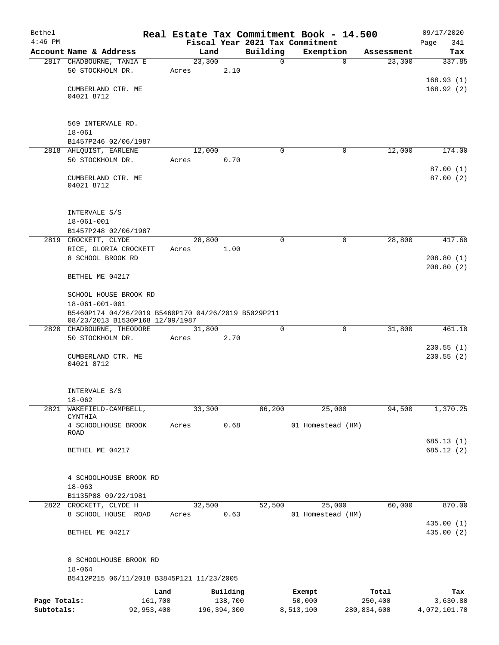| Bethel       |                                                                                        |                 |               |             | Real Estate Tax Commitment Book - 14.500 |               | 09/17/2020             |
|--------------|----------------------------------------------------------------------------------------|-----------------|---------------|-------------|------------------------------------------|---------------|------------------------|
| $4:46$ PM    |                                                                                        |                 |               |             | Fiscal Year 2021 Tax Commitment          |               | Page<br>341            |
|              | Account Name & Address                                                                 | Land            |               | Building    | Exemption                                | Assessment    | Tax                    |
|              | 2817 CHADBOURNE, TANIA E<br>50 STOCKHOLM DR.                                           | 23,300<br>Acres | 2.10          | 0           | 0                                        | 23,300        | 337.85                 |
|              | CUMBERLAND CTR. ME<br>04021 8712                                                       |                 |               |             |                                          |               | 168.93(1)<br>168.92(2) |
|              | 569 INTERVALE RD.<br>$18 - 061$                                                        |                 |               |             |                                          |               |                        |
|              | B1457P246 02/06/1987                                                                   |                 |               |             |                                          |               |                        |
|              | 2818 AHLQUIST, EARLENE<br>50 STOCKHOLM DR.                                             | 12,000<br>Acres | 0.70          | $\Omega$    | 0                                        | 12,000        | 174.00                 |
|              |                                                                                        |                 |               |             |                                          |               | 87.00(1)               |
|              | CUMBERLAND CTR. ME<br>04021 8712                                                       |                 |               |             |                                          |               | 87.00(2)               |
|              | INTERVALE S/S                                                                          |                 |               |             |                                          |               |                        |
|              | $18 - 061 - 001$                                                                       |                 |               |             |                                          |               |                        |
|              | B1457P248 02/06/1987<br>2819 CROCKETT, CLYDE                                           | 28,800          |               | $\Omega$    | $\Omega$                                 | 28,800        | 417.60                 |
|              | RICE, GLORIA CROCKETT                                                                  | Acres           | 1.00          |             |                                          |               |                        |
|              | 8 SCHOOL BROOK RD                                                                      |                 |               |             |                                          |               | 208.80(1)<br>208.80(2) |
|              | BETHEL ME 04217                                                                        |                 |               |             |                                          |               |                        |
|              | SCHOOL HOUSE BROOK RD                                                                  |                 |               |             |                                          |               |                        |
|              | $18 - 061 - 001 - 001$                                                                 |                 |               |             |                                          |               |                        |
|              | B5460P174 04/26/2019 B5460P170 04/26/2019 B5029P211<br>08/23/2013 B1530P168 12/09/1987 |                 |               |             |                                          |               |                        |
|              | 2820 CHADBOURNE, THEODORE<br>50 STOCKHOLM DR.                                          | 31,800<br>Acres | 2.70          | $\mathbf 0$ | 0                                        | 31,800        | 461.10                 |
|              |                                                                                        |                 |               |             |                                          |               | 230.55(1)              |
|              | CUMBERLAND CTR. ME<br>04021 8712                                                       |                 |               |             |                                          |               | 230.55(2)              |
|              | INTERVALE S/S<br>$18 - 062$                                                            |                 |               |             |                                          |               |                        |
| 2821         | WAKEFIELD-CAMPBELL,<br>CYNTHIA                                                         | 33,300          |               | 86,200      | 25,000                                   | 94,500        | 1,370.25               |
|              | 4 SCHOOLHOUSE BROOK                                                                    | Acres           | 0.68          |             | 01 Homestead (HM)                        |               |                        |
|              | ROAD                                                                                   |                 |               |             |                                          |               | 685.13 (1)             |
|              | BETHEL ME 04217                                                                        |                 |               |             |                                          |               | 685.12 (2)             |
|              | 4 SCHOOLHOUSE BROOK RD                                                                 |                 |               |             |                                          |               |                        |
|              | $18 - 063$                                                                             |                 |               |             |                                          |               |                        |
|              | B1135P88 09/22/1981                                                                    |                 |               |             |                                          |               |                        |
|              | 2822 CROCKETT, CLYDE H                                                                 | 32,500          |               | 52,500      | 25,000                                   | 60,000        | 870.00                 |
|              | 8 SCHOOL HOUSE ROAD                                                                    | Acres           | 0.63          |             | 01 Homestead (HM)                        |               |                        |
|              |                                                                                        |                 |               |             |                                          |               | 435.00 (1)             |
|              | BETHEL ME 04217                                                                        |                 |               |             |                                          |               | 435.00 (2)             |
|              | 8 SCHOOLHOUSE BROOK RD<br>$18 - 064$                                                   |                 |               |             |                                          |               |                        |
|              | B5412P215 06/11/2018 B3845P121 11/23/2005                                              |                 |               |             |                                          |               |                        |
|              | Land                                                                                   |                 | Building      |             | Exempt                                   | Total         | Tax                    |
| Page Totals: | 161,700                                                                                |                 | 138,700       |             | 50,000                                   | 250,400       | 3,630.80               |
| Subtotals:   | 92, 953, 400                                                                           |                 | 196, 394, 300 |             | 8,513,100                                | 280, 834, 600 | 4,072,101.70           |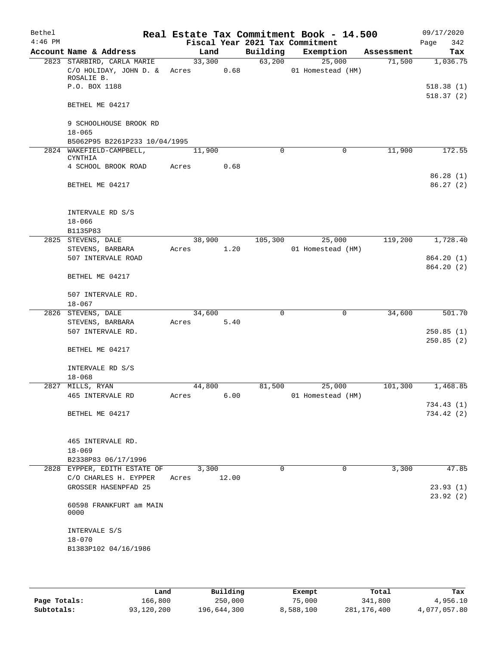| Bethel    |                                     |             |      |             | Real Estate Tax Commitment Book - 14.500 |            | 09/17/2020  |
|-----------|-------------------------------------|-------------|------|-------------|------------------------------------------|------------|-------------|
| $4:46$ PM |                                     |             |      |             | Fiscal Year 2021 Tax Commitment          |            | 342<br>Page |
|           | Account Name & Address              | Land        |      | Building    | Exemption                                | Assessment | Tax         |
|           | 2823 STARBIRD, CARLA MARIE          | 33,300      |      | 63,200      | 25,000                                   | 71,500     | 1,036.75    |
|           | C/O HOLIDAY, JOHN D. &              | Acres       | 0.68 |             | 01 Homestead (HM)                        |            |             |
|           | ROSALIE B.                          |             |      |             |                                          |            |             |
|           | P.O. BOX 1188                       |             |      |             |                                          |            | 518.38(1)   |
|           | BETHEL ME 04217                     |             |      |             |                                          |            | 518.37(2)   |
|           | 9 SCHOOLHOUSE BROOK RD              |             |      |             |                                          |            |             |
|           | $18 - 065$                          |             |      |             |                                          |            |             |
|           | B5062P95 B2261P233 10/04/1995       |             |      |             |                                          |            |             |
|           | 2824 WAKEFIELD-CAMPBELL,<br>CYNTHIA | 11,900      |      | $\Omega$    | $\Omega$                                 | 11,900     | 172.55      |
|           | 4 SCHOOL BROOK ROAD                 | Acres       | 0.68 |             |                                          |            |             |
|           |                                     |             |      |             |                                          |            | 86.28(1)    |
|           | BETHEL ME 04217                     |             |      |             |                                          |            | 86.27(2)    |
|           | INTERVALE RD S/S                    |             |      |             |                                          |            |             |
|           | $18 - 066$                          |             |      |             |                                          |            |             |
|           | B1135P83                            |             |      |             |                                          |            |             |
|           | 2825 STEVENS, DALE                  | 38,900      |      | 105,300     | 25,000                                   | 119,200    | 1,728.40    |
|           | STEVENS, BARBARA                    | Acres       | 1.20 |             | 01 Homestead (HM)                        |            |             |
|           | 507 INTERVALE ROAD                  |             |      |             |                                          |            | 864.20 (1)  |
|           |                                     |             |      |             |                                          |            | 864.20 (2)  |
|           | BETHEL ME 04217                     |             |      |             |                                          |            |             |
|           |                                     |             |      |             |                                          |            |             |
|           | 507 INTERVALE RD.<br>$18 - 067$     |             |      |             |                                          |            |             |
|           | 2826 STEVENS, DALE                  | 34,600      |      | $\mathbf 0$ | $\mathbf 0$                              | 34,600     | 501.70      |
|           | STEVENS, BARBARA                    | Acres       | 5.40 |             |                                          |            |             |
|           | 507 INTERVALE RD.                   |             |      |             |                                          |            | 250.85(1)   |
|           |                                     |             |      |             |                                          |            | 250.85(2)   |
|           | BETHEL ME 04217                     |             |      |             |                                          |            |             |
|           |                                     |             |      |             |                                          |            |             |
|           | INTERVALE RD S/S                    |             |      |             |                                          |            |             |
|           | $18 - 068$                          |             |      |             |                                          |            |             |
|           | 2827 MILLS, RYAN                    | 44,800      |      | 81,500      | 25,000                                   | 101,300    | 1,468.85    |
|           | 465 INTERVALE RD                    | Acres       | 6.00 |             | 01 Homestead (HM)                        |            |             |
|           |                                     |             |      |             |                                          |            | 734.43 (1)  |
|           | BETHEL ME 04217                     |             |      |             |                                          |            | 734.42 (2)  |
|           |                                     |             |      |             |                                          |            |             |
|           | 465 INTERVALE RD.                   |             |      |             |                                          |            |             |
|           | $18 - 069$                          |             |      |             |                                          |            |             |
|           | B2338P83 06/17/1996                 |             |      |             |                                          |            |             |
|           | 2828 EYPPER, EDITH ESTATE OF        | 3,300       |      | $\Omega$    | $\Omega$                                 | 3,300      | 47.85       |
|           | C/O CHARLES H. EYPPER               | Acres 12.00 |      |             |                                          |            |             |
|           | GROSSER HASENPFAD 25                |             |      |             |                                          |            | 23.93(1)    |
|           |                                     |             |      |             |                                          |            | 23.92(2)    |
|           | 60598 FRANKFURT am MAIN<br>0000     |             |      |             |                                          |            |             |
|           | INTERVALE S/S                       |             |      |             |                                          |            |             |
|           | $18 - 070$                          |             |      |             |                                          |            |             |
|           | B1383P102 04/16/1986                |             |      |             |                                          |            |             |
|           |                                     |             |      |             |                                          |            |             |
|           |                                     |             |      |             |                                          |            |             |
|           |                                     |             |      |             |                                          |            |             |

|              | Land       | Building    | Exempt    | Total       | Tax          |
|--------------|------------|-------------|-----------|-------------|--------------|
| Page Totals: | 166,800    | 250,000     | 75,000    | 341,800     | 4,956.10     |
| Subtotals:   | 93,120,200 | 196,644,300 | 8,588,100 | 281,176,400 | 4,077,057.80 |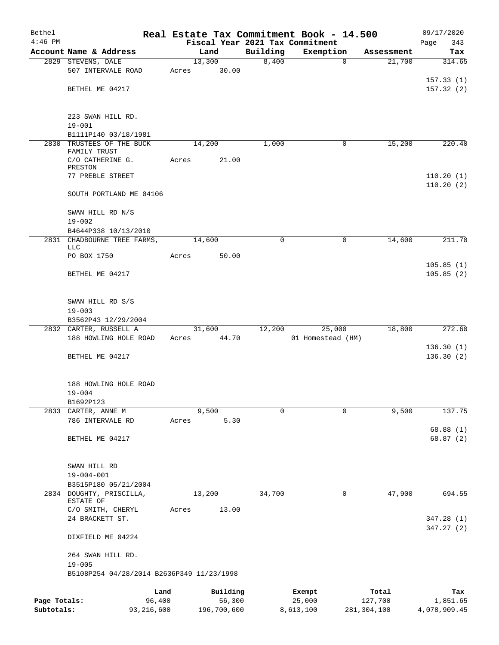| Bethel                     |                                                               |       |                       |                   | Real Estate Tax Commitment Book - 14.500 |                          | 09/17/2020               |
|----------------------------|---------------------------------------------------------------|-------|-----------------------|-------------------|------------------------------------------|--------------------------|--------------------------|
| $4:46$ PM                  |                                                               |       |                       |                   | Fiscal Year 2021 Tax Commitment          |                          | 343<br>Page              |
|                            | Account Name & Address                                        |       | Land<br>13,300        | Building<br>8,400 | Exemption<br>$\mathbf 0$                 | Assessment<br>21,700     | Tax<br>314.65            |
|                            | 2829 STEVENS, DALE<br>507 INTERVALE ROAD                      | Acres | 30.00                 |                   |                                          |                          | 157.33(1)                |
|                            | BETHEL ME 04217                                               |       |                       |                   |                                          |                          | 157.32(2)                |
|                            | 223 SWAN HILL RD.<br>$19 - 001$                               |       |                       |                   |                                          |                          |                          |
|                            | B1111P140 03/18/1981                                          |       |                       |                   |                                          |                          |                          |
| 2830                       | TRUSTEES OF THE BUCK<br>FAMILY TRUST                          |       | 14,200                | 1,000             | 0                                        | 15,200                   | 220.40                   |
|                            | C/O CATHERINE G.<br>PRESTON                                   | Acres | 21.00                 |                   |                                          |                          |                          |
|                            | 77 PREBLE STREET                                              |       |                       |                   |                                          |                          | 110.20(1)<br>110.20(2)   |
|                            | SOUTH PORTLAND ME 04106                                       |       |                       |                   |                                          |                          |                          |
|                            | SWAN HILL RD N/S                                              |       |                       |                   |                                          |                          |                          |
|                            | $19 - 002$<br>B4644P338 10/13/2010                            |       |                       |                   |                                          |                          |                          |
|                            | 2831 CHADBOURNE TREE FARMS,<br>LLC                            |       | 14,600                | $\Omega$          | 0                                        | 14,600                   | 211.70                   |
|                            | PO BOX 1750                                                   | Acres | 50.00                 |                   |                                          |                          | 105.85(1)                |
|                            | BETHEL ME 04217                                               |       |                       |                   |                                          |                          | 105.85(2)                |
|                            | SWAN HILL RD S/S<br>$19 - 003$                                |       |                       |                   |                                          |                          |                          |
|                            | B3562P43 12/29/2004                                           |       |                       |                   |                                          |                          |                          |
|                            | 2832 CARTER, RUSSELL A<br>188 HOWLING HOLE ROAD               | Acres | 31,600<br>44.70       | 12,200            | 25,000<br>01 Homestead (HM)              | 18,800                   | 272.60                   |
|                            |                                                               |       |                       |                   |                                          |                          | 136.30(1)                |
|                            | BETHEL ME 04217                                               |       |                       |                   |                                          |                          | 136.30(2)                |
|                            | 188 HOWLING HOLE ROAD<br>$19 - 004$                           |       |                       |                   |                                          |                          |                          |
|                            | B1692P123                                                     |       |                       |                   |                                          |                          |                          |
|                            | 2833 CARTER, ANNE M                                           |       | 9,500                 | $\Omega$          | $\Omega$                                 | 9,500                    | 137.75                   |
|                            | 786 INTERVALE RD                                              | Acres | 5.30                  |                   |                                          |                          | 68.88(1)                 |
|                            | BETHEL ME 04217                                               |       |                       |                   |                                          |                          | 68.87(2)                 |
|                            | SWAN HILL RD                                                  |       |                       |                   |                                          |                          |                          |
|                            | $19 - 004 - 001$                                              |       |                       |                   |                                          |                          |                          |
|                            | B3515P180 05/21/2004<br>2834 DOUGHTY, PRISCILLA,<br>ESTATE OF |       | 13,200                | 34,700            | 0                                        | 47,900                   | 694.55                   |
|                            | C/O SMITH, CHERYL                                             | Acres | 13.00                 |                   |                                          |                          |                          |
|                            | 24 BRACKETT ST.                                               |       |                       |                   |                                          |                          | 347.28 (1)<br>347.27(2)  |
|                            | DIXFIELD ME 04224                                             |       |                       |                   |                                          |                          |                          |
|                            | 264 SWAN HILL RD.<br>$19 - 005$                               |       |                       |                   |                                          |                          |                          |
|                            | B5108P254 04/28/2014 B2636P349 11/23/1998                     |       |                       |                   |                                          |                          |                          |
|                            | Land                                                          |       | Building              |                   | Exempt                                   | Total                    | Tax                      |
| Page Totals:<br>Subtotals: | 96,400<br>93,216,600                                          |       | 56,300<br>196,700,600 |                   | 25,000<br>8,613,100                      | 127,700<br>281, 304, 100 | 1,851.65<br>4,078,909.45 |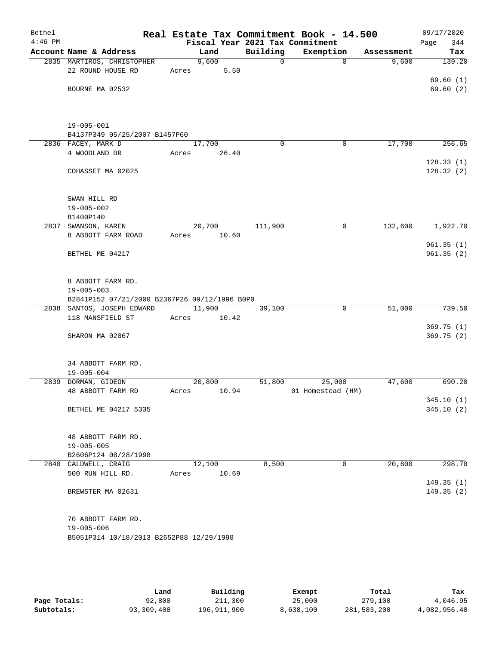| Bethel    |                                               |       |        |             | Real Estate Tax Commitment Book - 14.500 |            | 09/17/2020  |
|-----------|-----------------------------------------------|-------|--------|-------------|------------------------------------------|------------|-------------|
| $4:46$ PM |                                               |       |        |             | Fiscal Year 2021 Tax Commitment          |            | 344<br>Page |
|           | Account Name & Address                        |       | Land   | Building    | Exemption                                | Assessment | Tax         |
|           | 2835 MARTIROS, CHRISTOPHER                    |       | 9,600  | $\mathbf 0$ | $\Omega$                                 | 9,600      | 139.20      |
|           | 22 ROUND HOUSE RD                             | Acres | 5.50   |             |                                          |            |             |
|           |                                               |       |        |             |                                          |            | 69.60(1)    |
|           | BOURNE MA 02532                               |       |        |             |                                          |            | 69.60(2)    |
|           |                                               |       |        |             |                                          |            |             |
|           |                                               |       |        |             |                                          |            |             |
|           | $19 - 005 - 001$                              |       |        |             |                                          |            |             |
|           | B4137P349 05/25/2007 B1457P60                 |       |        |             |                                          |            |             |
|           | 2836 FACEY, MARK D                            |       | 17,700 | 0           | 0                                        | 17,700     | 256.65      |
|           | 4 WOODLAND DR                                 | Acres | 26.40  |             |                                          |            |             |
|           |                                               |       |        |             |                                          |            | 128.33(1)   |
|           | COHASSET MA 02025                             |       |        |             |                                          |            | 128.32(2)   |
|           |                                               |       |        |             |                                          |            |             |
|           |                                               |       |        |             |                                          |            |             |
|           | SWAN HILL RD                                  |       |        |             |                                          |            |             |
|           | $19 - 005 - 002$                              |       |        |             |                                          |            |             |
|           | B1400P140                                     |       |        |             |                                          |            |             |
|           | 2837 SWANSON, KAREN                           |       | 20,700 | 111,900     | 0                                        | 132,600    | 1,922.70    |
|           | 8 ABBOTT FARM ROAD                            | Acres | 10.60  |             |                                          |            | 961.35(1)   |
|           | BETHEL ME 04217                               |       |        |             |                                          |            | 961.35(2)   |
|           |                                               |       |        |             |                                          |            |             |
|           |                                               |       |        |             |                                          |            |             |
|           | 8 ABBOTT FARM RD.                             |       |        |             |                                          |            |             |
|           | $19 - 005 - 003$                              |       |        |             |                                          |            |             |
|           | B2841P152 07/21/2000 B2367P26 09/12/1996 B0P0 |       |        |             |                                          |            |             |
|           | 2838 SANTOS, JOSEPH EDWARD                    |       | 11,900 | 39,100      | 0                                        | 51,000     | 739.50      |
|           | 118 MANSFIELD ST                              | Acres | 10.42  |             |                                          |            |             |
|           |                                               |       |        |             |                                          |            | 369.75(1)   |
|           | SHARON MA 02067                               |       |        |             |                                          |            | 369.75 (2)  |
|           |                                               |       |        |             |                                          |            |             |
|           | 34 ABBOTT FARM RD.                            |       |        |             |                                          |            |             |
|           | $19 - 005 - 004$                              |       |        |             |                                          |            |             |
|           | 2839 DORMAN, GIDEON                           |       | 20,800 | 51,800      | 25,000                                   | 47,600     | 690.20      |
|           | 48 ABBOTT FARM RD                             | Acres | 10.94  |             | 01 Homestead (HM)                        |            |             |
|           |                                               |       |        |             |                                          |            | 345.10(1)   |
|           | BETHEL ME 04217 5335                          |       |        |             |                                          |            | 345.10(2)   |
|           |                                               |       |        |             |                                          |            |             |
|           |                                               |       |        |             |                                          |            |             |
|           | 48 ABBOTT FARM RD.                            |       |        |             |                                          |            |             |
|           | $19 - 005 - 005$                              |       |        |             |                                          |            |             |
|           | B2606P124 08/28/1998                          |       |        |             |                                          |            |             |
|           | 2840 CALDWELL, CRAIG                          |       | 12,100 | 8,500       | 0                                        | 20,600     | 298.70      |
|           | 500 RUN HILL RD.                              | Acres | 10.69  |             |                                          |            | 149.35(1)   |
|           | BREWSTER MA 02631                             |       |        |             |                                          |            | 149.35 (2)  |
|           |                                               |       |        |             |                                          |            |             |
|           |                                               |       |        |             |                                          |            |             |
|           | 70 ABBOTT FARM RD.                            |       |        |             |                                          |            |             |
|           | $19 - 005 - 006$                              |       |        |             |                                          |            |             |
|           | B5051P314 10/18/2013 B2652P88 12/29/1998      |       |        |             |                                          |            |             |
|           |                                               |       |        |             |                                          |            |             |
|           |                                               |       |        |             |                                          |            |             |
|           |                                               |       |        |             |                                          |            |             |

|              | Land       | Building    | Exempt    | Total       | Tax          |
|--------------|------------|-------------|-----------|-------------|--------------|
| Page Totals: | 92,800     | 211,300     | 25,000    | 279,100     | 4,046.95     |
| Subtotals:   | 93,309,400 | 196,911,900 | 8,638,100 | 281,583,200 | 4,082,956.40 |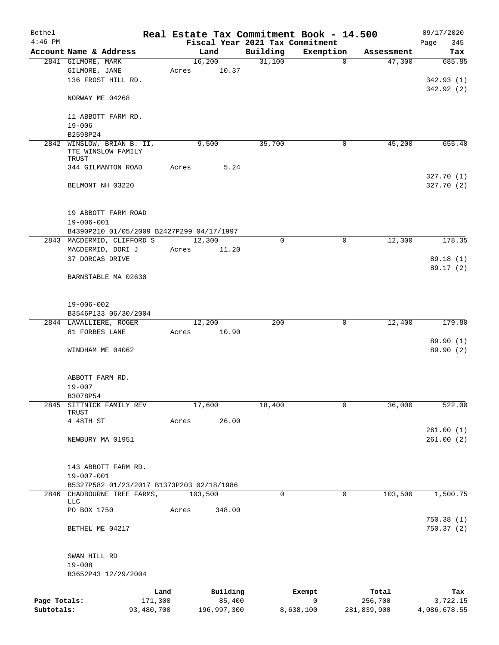| Bethel                     |                                                           |       |                       |                                 | Real Estate Tax Commitment Book - 14.500 |                        | 09/17/2020               |
|----------------------------|-----------------------------------------------------------|-------|-----------------------|---------------------------------|------------------------------------------|------------------------|--------------------------|
| $4:46$ PM                  |                                                           |       |                       | Fiscal Year 2021 Tax Commitment |                                          |                        | 345<br>Page              |
|                            | Account Name & Address                                    |       | Land                  | Building                        | Exemption                                | Assessment             | Tax                      |
|                            | 2841 GILMORE, MARK<br>GILMORE, JANE<br>136 FROST HILL RD. | Acres | 16,200<br>10.37       | 31,100                          | $\mathbf 0$                              | 47,300                 | 685.85<br>342.93(1)      |
|                            | NORWAY ME 04268                                           |       |                       |                                 |                                          |                        | 342.92(2)                |
|                            | 11 ABBOTT FARM RD.<br>$19 - 006$                          |       |                       |                                 |                                          |                        |                          |
|                            | B2598P24                                                  |       |                       |                                 |                                          |                        |                          |
| 2842                       | WINSLOW, BRIAN B. II,<br>TTE WINSLOW FAMILY<br>TRUST      |       | 9,500                 | 35,700                          | $\mathbf 0$                              | 45,200                 | 655.40                   |
|                            | 344 GILMANTON ROAD                                        | Acres | 5.24                  |                                 |                                          |                        | 327.70(1)                |
|                            | BELMONT NH 03220                                          |       |                       |                                 |                                          |                        | 327.70(2)                |
|                            | 19 ABBOTT FARM ROAD<br>$19 - 006 - 001$                   |       |                       |                                 |                                          |                        |                          |
|                            | B4390P210 01/05/2009 B2427P299 04/17/1997                 |       |                       |                                 |                                          |                        |                          |
|                            | 2843 MACDERMID, CLIFFORD S                                |       | 12,300                | 0                               | $\mathbf 0$                              | 12,300                 | 178.35                   |
|                            | MACDERMID, DORI J                                         | Acres | 11.20                 |                                 |                                          |                        |                          |
|                            | 37 DORCAS DRIVE                                           |       |                       |                                 |                                          |                        | 89.18(1)                 |
|                            | BARNSTABLE MA 02630                                       |       |                       |                                 |                                          |                        | 89.17(2)                 |
|                            |                                                           |       |                       |                                 |                                          |                        |                          |
|                            | $19 - 006 - 002$                                          |       |                       |                                 |                                          |                        |                          |
|                            | B3546P133 06/30/2004                                      |       |                       |                                 |                                          |                        |                          |
|                            | 2844 LAVALLIERE, ROGER<br>81 FORBES LANE                  | Acres | 12,200<br>10.90       | 200                             | 0                                        | 12,400                 | 179.80                   |
|                            |                                                           |       |                       |                                 |                                          |                        | 89.90 (1)                |
|                            | WINDHAM ME 04062                                          |       |                       |                                 |                                          |                        | 89.90 (2)                |
|                            | ABBOTT FARM RD.                                           |       |                       |                                 |                                          |                        |                          |
|                            | $19 - 007$                                                |       |                       |                                 |                                          |                        |                          |
|                            | B3078P54                                                  |       |                       |                                 |                                          |                        |                          |
| 2845                       | SITTNICK FAMILY REV<br>TRUST<br>4 48TH ST                 | Acres | 17,600<br>26.00       | 18,400                          | 0                                        | 36,000                 | 522.00                   |
|                            | NEWBURY MA 01951                                          |       |                       |                                 |                                          |                        | 261.00(1)<br>261.00(2)   |
|                            |                                                           |       |                       |                                 |                                          |                        |                          |
|                            | 143 ABBOTT FARM RD.                                       |       |                       |                                 |                                          |                        |                          |
|                            | 19-007-001                                                |       |                       |                                 |                                          |                        |                          |
|                            | B5327P582 01/23/2017 B1373P203 02/18/1986                 |       |                       |                                 |                                          |                        |                          |
|                            | 2846 CHADBOURNE TREE FARMS,<br>LLC<br>PO BOX 1750         | Acres | 103,500<br>348.00     | 0                               | 0                                        | 103,500                | 1,500.75                 |
|                            |                                                           |       |                       |                                 |                                          |                        | 750.38(1)                |
|                            | BETHEL ME 04217                                           |       |                       |                                 |                                          |                        | 750.37(2)                |
|                            | SWAN HILL RD                                              |       |                       |                                 |                                          |                        |                          |
|                            | $19 - 008$<br>B3652P43 12/29/2004                         |       |                       |                                 |                                          |                        |                          |
|                            | Land                                                      |       | Building              |                                 | Exempt                                   | Total                  | Tax                      |
| Page Totals:<br>Subtotals: | 171,300<br>93,480,700                                     |       | 85,400<br>196,997,300 |                                 | $\mathbf 0$<br>8,638,100                 | 256,700<br>281,839,900 | 3,722.15<br>4,086,678.55 |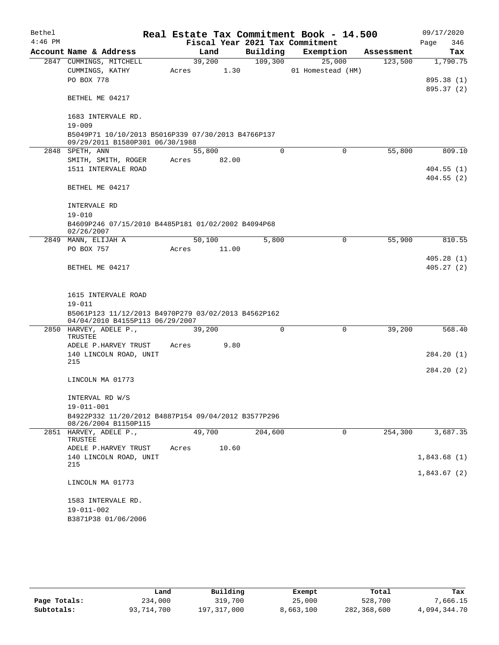| Bethel    |                                                                                       |        |       |          | Real Estate Tax Commitment Book - 14.500 |            | 09/17/2020               |
|-----------|---------------------------------------------------------------------------------------|--------|-------|----------|------------------------------------------|------------|--------------------------|
| $4:46$ PM |                                                                                       |        |       |          | Fiscal Year 2021 Tax Commitment          |            | 346<br>Page              |
|           | Account Name & Address                                                                |        | Land  | Building | Exemption                                | Assessment | Tax                      |
|           | 2847 CUMMINGS, MITCHELL                                                               | 39,200 |       | 109,300  | 25,000                                   | 123,500    | 1,790.75                 |
|           | CUMMINGS, KATHY                                                                       | Acres  | 1.30  |          | 01 Homestead (HM)                        |            |                          |
|           | PO BOX 778                                                                            |        |       |          |                                          |            | 895.38 (1)<br>895.37 (2) |
|           | BETHEL ME 04217                                                                       |        |       |          |                                          |            |                          |
|           | 1683 INTERVALE RD.                                                                    |        |       |          |                                          |            |                          |
|           | $19 - 009$                                                                            |        |       |          |                                          |            |                          |
|           | B5049P71 10/10/2013 B5016P339 07/30/2013 B4766P137<br>09/29/2011 B1580P301 06/30/1988 |        |       |          |                                          |            |                          |
|           | 2848 SPETH, ANN                                                                       | 55,800 |       | $\Omega$ | $\Omega$                                 | 55,800     | 809.10                   |
|           | SMITH, SMITH, ROGER                                                                   | Acres  | 82.00 |          |                                          |            |                          |
|           | 1511 INTERVALE ROAD                                                                   |        |       |          |                                          |            | 404.55(1)                |
|           | BETHEL ME 04217                                                                       |        |       |          |                                          |            | 404.55(2)                |
|           | INTERVALE RD                                                                          |        |       |          |                                          |            |                          |
|           | $19 - 010$                                                                            |        |       |          |                                          |            |                          |
|           | B4609P246 07/15/2010 B4485P181 01/02/2002 B4094P68<br>02/26/2007                      |        |       |          |                                          |            |                          |
|           | 2849 MANN, ELIJAH A                                                                   | 50,100 |       | 5,800    | 0                                        | 55,900     | 810.55                   |
|           | PO BOX 757                                                                            | Acres  | 11.00 |          |                                          |            |                          |
|           | BETHEL ME 04217                                                                       |        |       |          |                                          |            | 405.28(1)<br>405.27(2)   |
|           |                                                                                       |        |       |          |                                          |            |                          |
|           |                                                                                       |        |       |          |                                          |            |                          |
|           | 1615 INTERVALE ROAD<br>$19 - 011$                                                     |        |       |          |                                          |            |                          |
|           | B5061P123 11/12/2013 B4970P279 03/02/2013 B4562P162                                   |        |       |          |                                          |            |                          |
|           | 04/04/2010 B4155P113 06/29/2007                                                       |        |       |          |                                          |            |                          |
|           | 2850 HARVEY, ADELE P.,<br>TRUSTEE                                                     | 39,200 |       | $\Omega$ | $\mathbf 0$                              | 39,200     | 568.40                   |
|           | ADELE P.HARVEY TRUST                                                                  | Acres  | 9.80  |          |                                          |            |                          |
|           | 140 LINCOLN ROAD, UNIT                                                                |        |       |          |                                          |            | 284.20 (1)               |
|           | 215                                                                                   |        |       |          |                                          |            |                          |
|           | LINCOLN MA 01773                                                                      |        |       |          |                                          |            | 284.20 (2)               |
|           |                                                                                       |        |       |          |                                          |            |                          |
|           | INTERVAL RD W/S                                                                       |        |       |          |                                          |            |                          |
|           | $19 - 011 - 001$                                                                      |        |       |          |                                          |            |                          |
|           | B4922P332 11/20/2012 B4887P154 09/04/2012 B3577P296<br>08/26/2004 B1150P115           |        |       |          |                                          |            |                          |
|           | 2851 HARVEY, ADELE P.,                                                                | 49,700 |       | 204,600  | 0                                        | 254,300    | 3,687.35                 |
|           | TRUSTEE<br>ADELE P.HARVEY TRUST                                                       | Acres  | 10.60 |          |                                          |            |                          |
|           | 140 LINCOLN ROAD, UNIT                                                                |        |       |          |                                          |            | 1,843.68(1)              |
|           | 215                                                                                   |        |       |          |                                          |            |                          |
|           |                                                                                       |        |       |          |                                          |            | 1,843.67(2)              |
|           | LINCOLN MA 01773                                                                      |        |       |          |                                          |            |                          |
|           | 1583 INTERVALE RD.                                                                    |        |       |          |                                          |            |                          |
|           | 19-011-002                                                                            |        |       |          |                                          |            |                          |
|           | B3871P38 01/06/2006                                                                   |        |       |          |                                          |            |                          |

|              | Land       | Building    | Exempt    | Total       | Tax          |
|--------------|------------|-------------|-----------|-------------|--------------|
| Page Totals: | 234,000    | 319,700     | 25,000    | 528,700     | 7,666.15     |
| Subtotals:   | 93,714,700 | 197,317,000 | 8,663,100 | 282,368,600 | 4,094,344.70 |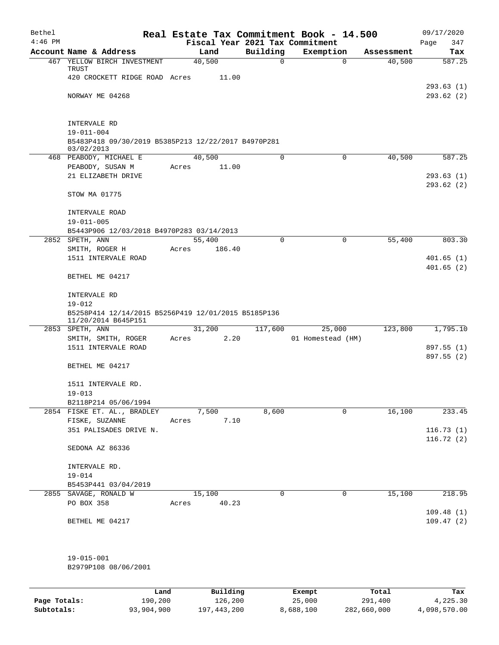| Bethel    |                                                                            |                 |                                     |             | Real Estate Tax Commitment Book - 14.500 |            | 09/17/2020  |
|-----------|----------------------------------------------------------------------------|-----------------|-------------------------------------|-------------|------------------------------------------|------------|-------------|
| $4:46$ PM |                                                                            |                 |                                     |             | Fiscal Year 2021 Tax Commitment          |            | 347<br>Page |
|           | Account Name & Address                                                     | Land            |                                     | Building    | Exemption                                | Assessment | Tax         |
|           | 467 YELLOW BIRCH INVESTMENT                                                | 40,500          |                                     | $\mathbf 0$ | $\mathbf 0$                              | 40,500     | 587.25      |
|           | TRUST<br>420 CROCKETT RIDGE ROAD Acres                                     |                 | 11.00                               |             |                                          |            |             |
|           |                                                                            |                 |                                     |             |                                          |            | 293.63(1)   |
|           | NORWAY ME 04268                                                            |                 |                                     |             |                                          |            | 293.62(2)   |
|           |                                                                            |                 |                                     |             |                                          |            |             |
|           |                                                                            |                 |                                     |             |                                          |            |             |
|           | INTERVALE RD                                                               |                 |                                     |             |                                          |            |             |
|           | $19 - 011 - 004$                                                           |                 |                                     |             |                                          |            |             |
|           | B5483P418 09/30/2019 B5385P213 12/22/2017 B4970P281                        |                 |                                     |             |                                          |            |             |
|           | 03/02/2013                                                                 |                 |                                     | $\mathbf 0$ | $\mathbf 0$                              | 40,500     | 587.25      |
|           | 468 PEABODY, MICHAEL E<br>PEABODY, SUSAN M                                 | 40,500<br>Acres | 11.00                               |             |                                          |            |             |
|           | 21 ELIZABETH DRIVE                                                         |                 |                                     |             |                                          |            | 293.63(1)   |
|           |                                                                            |                 |                                     |             |                                          |            | 293.62(2)   |
|           | STOW MA 01775                                                              |                 |                                     |             |                                          |            |             |
|           |                                                                            |                 |                                     |             |                                          |            |             |
|           | INTERVALE ROAD                                                             |                 |                                     |             |                                          |            |             |
|           | $19 - 011 - 005$                                                           |                 |                                     |             |                                          |            |             |
|           | B5443P906 12/03/2018 B4970P283 03/14/2013                                  |                 |                                     |             |                                          |            |             |
|           | 2852 SPETH, ANN                                                            | 55,400          |                                     | $\Omega$    | 0                                        | 55,400     | 803.30      |
|           | SMITH, ROGER H                                                             | Acres           | 186.40                              |             |                                          |            |             |
|           | 1511 INTERVALE ROAD                                                        |                 |                                     |             |                                          |            | 401.65(1)   |
|           |                                                                            |                 |                                     |             |                                          |            | 401.65(2)   |
|           | BETHEL ME 04217                                                            |                 |                                     |             |                                          |            |             |
|           |                                                                            |                 |                                     |             |                                          |            |             |
|           | INTERVALE RD                                                               |                 |                                     |             |                                          |            |             |
|           | $19 - 012$                                                                 |                 |                                     |             |                                          |            |             |
|           | B5258P414 12/14/2015 B5256P419 12/01/2015 B5185P136<br>11/20/2014 B645P151 |                 |                                     |             |                                          |            |             |
|           | 2853 SPETH, ANN                                                            | 31,200          |                                     | 117,600     | 25,000                                   | 123,800    | 1,795.10    |
|           | SMITH, SMITH, ROGER                                                        | Acres           | 2.20                                |             | 01 Homestead (HM)                        |            |             |
|           | 1511 INTERVALE ROAD                                                        |                 |                                     |             |                                          |            | 897.55 (1)  |
|           |                                                                            |                 |                                     |             |                                          |            | 897.55 (2)  |
|           | BETHEL ME 04217                                                            |                 |                                     |             |                                          |            |             |
|           |                                                                            |                 |                                     |             |                                          |            |             |
|           | 1511 INTERVALE RD.                                                         |                 |                                     |             |                                          |            |             |
|           | $19 - 013$                                                                 |                 |                                     |             |                                          |            |             |
|           | B2118P214 05/06/1994                                                       |                 |                                     | 8,600       | 0                                        | 16,100     |             |
|           | 2854 FISKE ET. AL., BRADLEY<br>FISKE, SUZANNE                              | 7,500<br>Acres  | 7.10                                |             |                                          |            | 233.45      |
|           | 351 PALISADES DRIVE N.                                                     |                 |                                     |             |                                          |            | 116.73(1)   |
|           |                                                                            |                 |                                     |             |                                          |            | 116.72(2)   |
|           | SEDONA AZ 86336                                                            |                 |                                     |             |                                          |            |             |
|           |                                                                            |                 |                                     |             |                                          |            |             |
|           | INTERVALE RD.                                                              |                 |                                     |             |                                          |            |             |
|           | $19 - 014$                                                                 |                 |                                     |             |                                          |            |             |
|           | B5453P441 03/04/2019                                                       |                 |                                     |             |                                          |            |             |
|           | 2855 SAVAGE, RONALD W                                                      | 15,100          |                                     | 0           | 0                                        | 15,100     | 218.95      |
|           | PO BOX 358                                                                 | Acres           | 40.23                               |             |                                          |            |             |
|           |                                                                            |                 |                                     |             |                                          |            | 109.48(1)   |
|           | BETHEL ME 04217                                                            |                 |                                     |             |                                          |            | 109.47(2)   |
|           |                                                                            |                 |                                     |             |                                          |            |             |
|           |                                                                            |                 |                                     |             |                                          |            |             |
|           |                                                                            |                 |                                     |             |                                          |            |             |
|           | 19-015-001                                                                 |                 |                                     |             |                                          |            |             |
|           | B2979P108 08/06/2001                                                       |                 |                                     |             |                                          |            |             |
|           |                                                                            |                 |                                     |             |                                          |            |             |
|           |                                                                            |                 | $D_{\text{rel}}$ is a set of $\sim$ |             | $P$ -- $\sim$ m $\sim$ +                 | $T - 1$    | π.          |

|              | Land       | Building    | Exempt    | Total       | Tax          |
|--------------|------------|-------------|-----------|-------------|--------------|
| Page Totals: | 190,200    | 126,200     | 25,000    | 291,400     | 4,225.30     |
| Subtotals:   | 93,904,900 | 197,443,200 | 8,688,100 | 282,660,000 | 4,098,570.00 |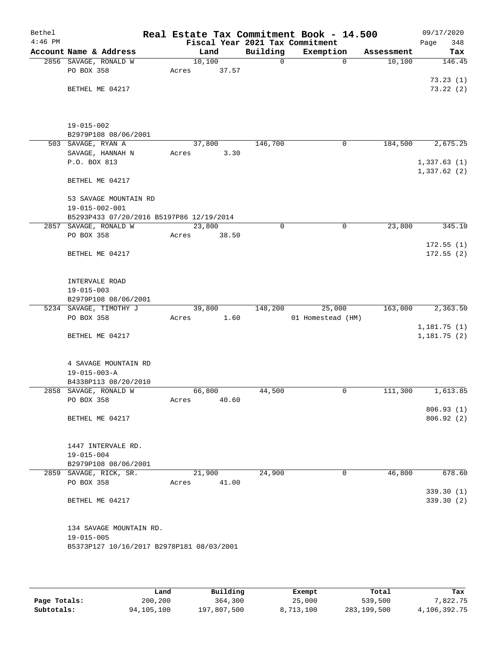| Bethel    |                                                            |                 |       |             | Real Estate Tax Commitment Book - 14.500 |            | 09/17/2020  |
|-----------|------------------------------------------------------------|-----------------|-------|-------------|------------------------------------------|------------|-------------|
| $4:46$ PM |                                                            |                 |       |             | Fiscal Year 2021 Tax Commitment          |            | 348<br>Page |
|           | Account Name & Address                                     |                 | Land  | Building    | Exemption                                | Assessment | Tax         |
|           | 2856 SAVAGE, RONALD W                                      | 10,100          |       | $\mathbf 0$ | $\mathbf 0$                              | 10,100     | 146.45      |
|           | PO BOX 358                                                 | Acres           | 37.57 |             |                                          |            |             |
|           |                                                            |                 |       |             |                                          |            | 73.23(1)    |
|           | BETHEL ME 04217                                            |                 |       |             |                                          |            | 73.22(2)    |
|           |                                                            |                 |       |             |                                          |            |             |
|           | 19-015-002                                                 |                 |       |             |                                          |            |             |
|           | B2979P108 08/06/2001                                       |                 |       |             |                                          |            |             |
|           | 503 SAVAGE, RYAN A<br>SAVAGE, HANNAH N                     | 37,800<br>Acres | 3.30  | 146,700     | 0                                        | 184,500    | 2,675.25    |
|           | P.O. BOX 813                                               |                 |       |             |                                          |            | 1,337.63(1) |
|           |                                                            |                 |       |             |                                          |            | 1,337.62(2) |
|           | BETHEL ME 04217                                            |                 |       |             |                                          |            |             |
|           | 53 SAVAGE MOUNTAIN RD                                      |                 |       |             |                                          |            |             |
|           | 19-015-002-001<br>B5293P433 07/20/2016 B5197P86 12/19/2014 |                 |       |             |                                          |            |             |
|           | 2857 SAVAGE, RONALD W                                      | 23,800          |       | 0           | 0                                        | 23,800     | 345.10      |
|           | PO BOX 358                                                 | Acres           | 38.50 |             |                                          |            |             |
|           |                                                            |                 |       |             |                                          |            | 172.55(1)   |
|           | BETHEL ME 04217                                            |                 |       |             |                                          |            | 172.55(2)   |
|           |                                                            |                 |       |             |                                          |            |             |
|           | INTERVALE ROAD                                             |                 |       |             |                                          |            |             |
|           | $19 - 015 - 003$                                           |                 |       |             |                                          |            |             |
|           | B2979P108 08/06/2001                                       |                 |       |             |                                          |            |             |
|           | 5234 SAVAGE, TIMOTHY J                                     | 39,800          |       | 148,200     | 25,000                                   | 163,000    | 2,363.50    |
|           | PO BOX 358                                                 | Acres           | 1.60  |             | 01 Homestead (HM)                        |            |             |
|           |                                                            |                 |       |             |                                          |            | 1,181.75(1) |
|           | BETHEL ME 04217                                            |                 |       |             |                                          |            | 1,181.75(2) |
|           | 4 SAVAGE MOUNTAIN RD                                       |                 |       |             |                                          |            |             |
|           | $19 - 015 - 003 - A$                                       |                 |       |             |                                          |            |             |
|           | B4338P113 08/20/2010                                       |                 |       |             |                                          |            |             |
|           | 2858 SAVAGE, RONALD W                                      | 66,800          |       | 44,500      | 0                                        | 111,300    | 1,613.85    |
|           | PO BOX 358                                                 | Acres           | 40.60 |             |                                          |            |             |
|           |                                                            |                 |       |             |                                          |            | 806.93(1)   |
|           | BETHEL ME 04217                                            |                 |       |             |                                          |            | 806.92 (2)  |
|           | 1447 INTERVALE RD.                                         |                 |       |             |                                          |            |             |
|           | $19 - 015 - 004$                                           |                 |       |             |                                          |            |             |
|           | B2979P108 08/06/2001                                       |                 |       |             |                                          |            |             |
|           | 2859 SAVAGE, RICK, SR.                                     | 21,900          |       | 24,900      | 0                                        | 46,800     | 678.60      |
|           | PO BOX 358                                                 | Acres           | 41.00 |             |                                          |            | 339.30(1)   |
|           | BETHEL ME 04217                                            |                 |       |             |                                          |            | 339.30 (2)  |
|           |                                                            |                 |       |             |                                          |            |             |
|           | 134 SAVAGE MOUNTAIN RD.                                    |                 |       |             |                                          |            |             |
|           | $19 - 015 - 005$                                           |                 |       |             |                                          |            |             |
|           | B5373P127 10/16/2017 B2978P181 08/03/2001                  |                 |       |             |                                          |            |             |
|           |                                                            |                 |       |             |                                          |            |             |

|              | Land       | Building    | Exempt    | Total       | Tax          |
|--------------|------------|-------------|-----------|-------------|--------------|
| Page Totals: | 200,200    | 364,300     | 25,000    | 539,500     | 7.822.75     |
| Subtotals:   | 94,105,100 | 197,807,500 | 8,713,100 | 283,199,500 | 4,106,392.75 |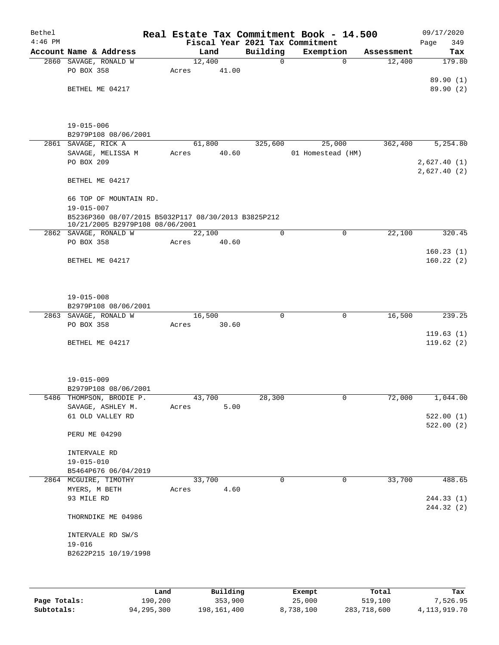| Bethel    |                                                     |       |                 |             | Real Estate Tax Commitment Book - 14.500 |            | 09/17/2020  |
|-----------|-----------------------------------------------------|-------|-----------------|-------------|------------------------------------------|------------|-------------|
| $4:46$ PM |                                                     |       |                 |             | Fiscal Year 2021 Tax Commitment          |            | 349<br>Page |
|           | Account Name & Address                              |       | Land            | Building    | Exemption                                | Assessment | Tax         |
|           | 2860 SAVAGE, RONALD W                               |       | 12,400          | $\Omega$    | $\Omega$                                 | 12,400     | 179.80      |
|           | PO BOX 358                                          | Acres | 41.00           |             |                                          |            |             |
|           |                                                     |       |                 |             |                                          |            | 89.90 (1)   |
|           | BETHEL ME 04217                                     |       |                 |             |                                          |            | 89.90 (2)   |
|           |                                                     |       |                 |             |                                          |            |             |
|           |                                                     |       |                 |             |                                          |            |             |
|           |                                                     |       |                 |             |                                          |            |             |
|           | $19 - 015 - 006$                                    |       |                 |             |                                          |            |             |
|           | B2979P108 08/06/2001                                |       |                 |             |                                          |            |             |
|           | 2861 SAVAGE, RICK A                                 |       | 61,800          | 325,600     | 25,000                                   | 362,400    | 5,254.80    |
|           | SAVAGE, MELISSA M                                   | Acres | 40.60           |             | 01 Homestead (HM)                        |            |             |
|           | PO BOX 209                                          |       |                 |             |                                          |            | 2,627.40(1) |
|           |                                                     |       |                 |             |                                          |            | 2,627.40(2) |
|           | BETHEL ME 04217                                     |       |                 |             |                                          |            |             |
|           |                                                     |       |                 |             |                                          |            |             |
|           | 66 TOP OF MOUNTAIN RD.                              |       |                 |             |                                          |            |             |
|           | 19-015-007                                          |       |                 |             |                                          |            |             |
|           | B5236P360 08/07/2015 B5032P117 08/30/2013 B3825P212 |       |                 |             |                                          |            |             |
|           | 10/21/2005 B2979P108 08/06/2001                     |       |                 |             |                                          |            |             |
|           | 2862 SAVAGE, RONALD W                               |       | 22,100          | $\mathbf 0$ | $\mathbf 0$                              | 22,100     | 320.45      |
|           | PO BOX 358                                          | Acres | 40.60           |             |                                          |            |             |
|           |                                                     |       |                 |             |                                          |            | 160.23(1)   |
|           | BETHEL ME 04217                                     |       |                 |             |                                          |            | 160.22(2)   |
|           |                                                     |       |                 |             |                                          |            |             |
|           |                                                     |       |                 |             |                                          |            |             |
|           |                                                     |       |                 |             |                                          |            |             |
|           | $19 - 015 - 008$                                    |       |                 |             |                                          |            |             |
|           | B2979P108 08/06/2001                                |       |                 | $\mathbf 0$ | $\mathbf 0$                              |            |             |
|           | 2863 SAVAGE, RONALD W<br>PO BOX 358                 |       | 16,500<br>30.60 |             |                                          | 16,500     | 239.25      |
|           |                                                     | Acres |                 |             |                                          |            | 119.63(1)   |
|           | BETHEL ME 04217                                     |       |                 |             |                                          |            | 119.62(2)   |
|           |                                                     |       |                 |             |                                          |            |             |
|           |                                                     |       |                 |             |                                          |            |             |
|           |                                                     |       |                 |             |                                          |            |             |
|           | $19 - 015 - 009$                                    |       |                 |             |                                          |            |             |
|           | B2979P108 08/06/2001                                |       |                 |             |                                          |            |             |
|           | 5486 THOMPSON, BRODIE P.                            |       | 43,700          | 28,300      | 0                                        | 72,000     | 1,044.00    |
|           | SAVAGE, ASHLEY M.                                   | Acres | 5.00            |             |                                          |            |             |
|           | 61 OLD VALLEY RD                                    |       |                 |             |                                          |            | 522.00(1)   |
|           |                                                     |       |                 |             |                                          |            | 522.00(2)   |
|           | <b>PERU ME 04290</b>                                |       |                 |             |                                          |            |             |
|           |                                                     |       |                 |             |                                          |            |             |
|           | INTERVALE RD                                        |       |                 |             |                                          |            |             |
|           | $19 - 015 - 010$                                    |       |                 |             |                                          |            |             |
|           | B5464P676 06/04/2019                                |       |                 |             |                                          |            |             |
|           | 2864 MCGUIRE, TIMOTHY                               |       | 33,700          | $\Omega$    | 0                                        | 33,700     | 488.65      |
|           | MYERS, M BETH                                       | Acres | 4.60            |             |                                          |            |             |
|           | 93 MILE RD                                          |       |                 |             |                                          |            | 244.33 (1)  |
|           |                                                     |       |                 |             |                                          |            | 244.32 (2)  |
|           | THORNDIKE ME 04986                                  |       |                 |             |                                          |            |             |
|           |                                                     |       |                 |             |                                          |            |             |
|           | INTERVALE RD SW/S                                   |       |                 |             |                                          |            |             |
|           | $19 - 016$                                          |       |                 |             |                                          |            |             |
|           | B2622P215 10/19/1998                                |       |                 |             |                                          |            |             |
|           |                                                     |       |                 |             |                                          |            |             |
|           |                                                     |       |                 |             |                                          |            |             |
|           |                                                     |       |                 |             |                                          |            |             |

|              | Land       | Building    | Exempt    | Total       | Tax          |
|--------------|------------|-------------|-----------|-------------|--------------|
| Page Totals: | 190,200    | 353,900     | 25,000    | 519,100     | 7.526.95     |
| Subtotals:   | 94,295,300 | 198,161,400 | 8,738,100 | 283,718,600 | 4,113,919.70 |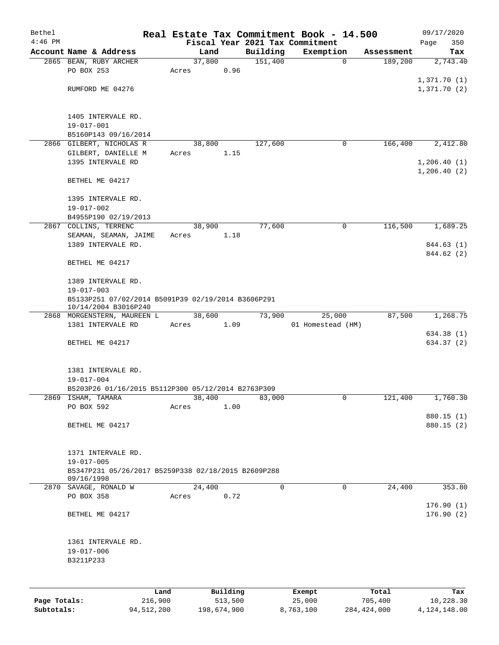| Bethel       |                                                                        |       |                     |             | Real Estate Tax Commitment Book - 14.500 |                  | 09/17/2020       |
|--------------|------------------------------------------------------------------------|-------|---------------------|-------------|------------------------------------------|------------------|------------------|
| $4:46$ PM    |                                                                        |       |                     |             | Fiscal Year 2021 Tax Commitment          |                  | 350<br>Page      |
|              | Account Name & Address                                                 |       | Land                | Building    | Exemption                                | Assessment       | Tax              |
|              | 2865 BEAN, RUBY ARCHER<br>PO BOX 253                                   | Acres | 37,800<br>0.96      | 151,400     | $\mathbf 0$                              | 189,200          | 2,743.40         |
|              |                                                                        |       |                     |             |                                          |                  | 1,371.70(1)      |
|              | RUMFORD ME 04276                                                       |       |                     |             |                                          |                  | 1,371.70(2)      |
|              |                                                                        |       |                     |             |                                          |                  |                  |
|              |                                                                        |       |                     |             |                                          |                  |                  |
|              | 1405 INTERVALE RD.                                                     |       |                     |             |                                          |                  |                  |
|              | 19-017-001<br>B5160P143 09/16/2014                                     |       |                     |             |                                          |                  |                  |
|              | 2866 GILBERT, NICHOLAS R                                               |       | 38,800              | 127,600     | 0                                        | 166,400          | 2,412.80         |
|              | GILBERT, DANIELLE M                                                    | Acres | 1.15                |             |                                          |                  |                  |
|              | 1395 INTERVALE RD                                                      |       |                     |             |                                          |                  | 1,206.40(1)      |
|              |                                                                        |       |                     |             |                                          |                  | 1, 206.40(2)     |
|              | BETHEL ME 04217                                                        |       |                     |             |                                          |                  |                  |
|              |                                                                        |       |                     |             |                                          |                  |                  |
|              | 1395 INTERVALE RD.                                                     |       |                     |             |                                          |                  |                  |
|              | $19 - 017 - 002$<br>B4955P190 02/19/2013                               |       |                     |             |                                          |                  |                  |
|              | 2867 COLLINS, TERRENC                                                  |       | 38,900              | 77,600      | $\mathsf{O}$                             | 116,500          | 1,689.25         |
|              | SEAMAN, SEAMAN, JAIME                                                  | Acres | 1.18                |             |                                          |                  |                  |
|              | 1389 INTERVALE RD.                                                     |       |                     |             |                                          |                  | 844.63 (1)       |
|              |                                                                        |       |                     |             |                                          |                  | 844.62 (2)       |
|              | BETHEL ME 04217                                                        |       |                     |             |                                          |                  |                  |
|              |                                                                        |       |                     |             |                                          |                  |                  |
|              | 1389 INTERVALE RD.                                                     |       |                     |             |                                          |                  |                  |
|              | $19 - 017 - 003$<br>B5133P251 07/02/2014 B5091P39 02/19/2014 B3606P291 |       |                     |             |                                          |                  |                  |
|              | 10/14/2004 B3016P240                                                   |       |                     |             |                                          |                  |                  |
|              | 2868 MORGENSTERN, MAUREEN L                                            |       | 38,600              | 73,900      | 25,000                                   | 87,500           | 1,268.75         |
|              | 1381 INTERVALE RD                                                      | Acres | 1.09                |             | 01 Homestead (HM)                        |                  |                  |
|              |                                                                        |       |                     |             |                                          |                  | 634.38 (1)       |
|              | BETHEL ME 04217                                                        |       |                     |             |                                          |                  | 634.37 (2)       |
|              |                                                                        |       |                     |             |                                          |                  |                  |
|              | 1381 INTERVALE RD.                                                     |       |                     |             |                                          |                  |                  |
|              | $19 - 017 - 004$                                                       |       |                     |             |                                          |                  |                  |
|              | B5203P26 01/16/2015 B5112P300 05/12/2014 B2763P309                     |       |                     |             |                                          |                  |                  |
|              | 2869 ISHAM, TAMARA                                                     |       | 38,400              | 83,000      | 0                                        | 121,400          | 1,760.30         |
|              | PO BOX 592                                                             | Acres | 1.00                |             |                                          |                  |                  |
|              |                                                                        |       |                     |             |                                          |                  | 880.15 (1)       |
|              | BETHEL ME 04217                                                        |       |                     |             |                                          |                  | 880.15 (2)       |
|              |                                                                        |       |                     |             |                                          |                  |                  |
|              | 1371 INTERVALE RD.                                                     |       |                     |             |                                          |                  |                  |
|              | $19 - 017 - 005$                                                       |       |                     |             |                                          |                  |                  |
|              | B5347P231 05/26/2017 B5259P338 02/18/2015 B2609P288                    |       |                     |             |                                          |                  |                  |
|              | 09/16/1998                                                             |       |                     |             |                                          |                  |                  |
|              | 2870 SAVAGE, RONALD W                                                  |       | 24,400              | $\mathbf 0$ | $\mathbf 0$                              | 24,400           | 353.80           |
|              | PO BOX 358                                                             | Acres | 0.72                |             |                                          |                  |                  |
|              |                                                                        |       |                     |             |                                          |                  | 176.90(1)        |
|              | BETHEL ME 04217                                                        |       |                     |             |                                          |                  | 176.90(2)        |
|              |                                                                        |       |                     |             |                                          |                  |                  |
|              | 1361 INTERVALE RD.                                                     |       |                     |             |                                          |                  |                  |
|              | $19 - 017 - 006$                                                       |       |                     |             |                                          |                  |                  |
|              | B3211P233                                                              |       |                     |             |                                          |                  |                  |
|              |                                                                        |       |                     |             |                                          |                  |                  |
|              |                                                                        |       |                     |             |                                          |                  |                  |
| Page Totals: | Land<br>216,900                                                        |       | Building<br>513,500 |             | Exempt<br>25,000                         | Total<br>705,400 | Tax<br>10,228.30 |
|              |                                                                        |       |                     |             |                                          |                  |                  |

**Subtotals:** 94,512,200 198,674,900 8,763,100 284,424,000 4,124,148.00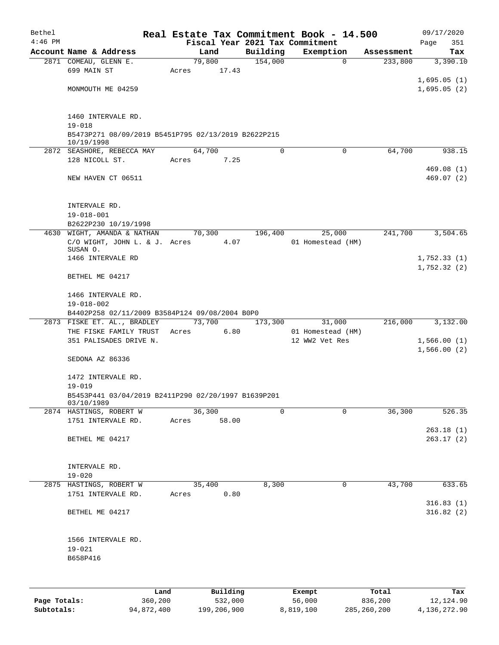| Bethel       |                                                     | Real Estate Tax Commitment Book - 14.500 |          |                   |            | 09/17/2020                 |
|--------------|-----------------------------------------------------|------------------------------------------|----------|-------------------|------------|----------------------------|
| $4:46$ PM    |                                                     | Fiscal Year 2021 Tax Commitment          |          |                   |            | Page<br>351                |
|              | Account Name & Address                              | Land                                     | Building | Exemption         | Assessment | Tax                        |
|              | 2871 COMEAU, GLENN E.                               | 79,800                                   | 154,000  | $\Omega$          | 233,800    | 3,390.10                   |
|              | 699 MAIN ST                                         | 17.43<br>Acres                           |          |                   |            |                            |
|              | MONMOUTH ME 04259                                   |                                          |          |                   |            | 1,695.05(1)<br>1,695.05(2) |
|              |                                                     |                                          |          |                   |            |                            |
|              |                                                     |                                          |          |                   |            |                            |
|              | 1460 INTERVALE RD.                                  |                                          |          |                   |            |                            |
|              | $19 - 018$                                          |                                          |          |                   |            |                            |
|              | B5473P271 08/09/2019 B5451P795 02/13/2019 B2622P215 |                                          |          |                   |            |                            |
|              | 10/19/1998                                          |                                          |          |                   |            |                            |
|              | 2872 SEASHORE, REBECCA MAY                          | 64,700                                   | 0        | $\Omega$          | 64,700     | 938.15                     |
|              | 128 NICOLL ST.                                      | 7.25<br>Acres                            |          |                   |            |                            |
|              | NEW HAVEN CT 06511                                  |                                          |          |                   |            | 469.08(1)<br>469.07(2)     |
|              |                                                     |                                          |          |                   |            |                            |
|              |                                                     |                                          |          |                   |            |                            |
|              | INTERVALE RD.                                       |                                          |          |                   |            |                            |
|              | $19 - 018 - 001$                                    |                                          |          |                   |            |                            |
|              | B2622P230 10/19/1998                                |                                          |          |                   |            |                            |
|              | 4630 WIGHT, AMANDA & NATHAN                         | 70,300                                   | 196,400  | 25,000            | 241,700    | 3,504.65                   |
|              | C/O WIGHT, JOHN L. & J. Acres                       | 4.07                                     |          | 01 Homestead (HM) |            |                            |
|              | SUSAN O.                                            |                                          |          |                   |            |                            |
|              | 1466 INTERVALE RD                                   |                                          |          |                   |            | 1,752.33(1)<br>1,752.32(2) |
|              | BETHEL ME 04217                                     |                                          |          |                   |            |                            |
|              |                                                     |                                          |          |                   |            |                            |
|              | 1466 INTERVALE RD.                                  |                                          |          |                   |            |                            |
|              | $19 - 018 - 002$                                    |                                          |          |                   |            |                            |
|              | B4402P258 02/11/2009 B3584P124 09/08/2004 B0P0      |                                          |          |                   |            |                            |
|              | 2873 FISKE ET. AL., BRADLEY                         | 73,700                                   | 173,300  | 31,000            | 216,000    | 3,132.00                   |
|              | THE FISKE FAMILY TRUST                              | 6.80<br>Acres                            |          | 01 Homestead (HM) |            |                            |
|              | 351 PALISADES DRIVE N.                              |                                          |          | 12 WW2 Vet Res    |            | 1,566.00(1)                |
|              |                                                     |                                          |          |                   |            | 1,566.00(2)                |
|              | SEDONA AZ 86336                                     |                                          |          |                   |            |                            |
|              | 1472 INTERVALE RD.                                  |                                          |          |                   |            |                            |
|              | $19 - 019$                                          |                                          |          |                   |            |                            |
|              | B5453P441 03/04/2019 B2411P290 02/20/1997 B1639P201 |                                          |          |                   |            |                            |
|              | 03/10/1989                                          |                                          |          |                   |            |                            |
|              | 2874 HASTINGS, ROBERT W                             | 36,300                                   | $\Omega$ | $\Omega$          | 36,300     | 526.35                     |
|              | 1751 INTERVALE RD.                                  | 58.00<br>Acres                           |          |                   |            |                            |
|              |                                                     |                                          |          |                   |            | 263.18(1)                  |
|              | BETHEL ME 04217                                     |                                          |          |                   |            | 263.17(2)                  |
|              |                                                     |                                          |          |                   |            |                            |
|              | INTERVALE RD.                                       |                                          |          |                   |            |                            |
|              | $19 - 020$                                          |                                          |          |                   |            |                            |
|              | 2875 HASTINGS, ROBERT W                             | 35,400                                   | 8,300    | 0                 | 43,700     | 633.65                     |
|              | 1751 INTERVALE RD.                                  | 0.80<br>Acres                            |          |                   |            |                            |
|              |                                                     |                                          |          |                   |            | 316.83(1)                  |
|              | BETHEL ME 04217                                     |                                          |          |                   |            | 316.82(2)                  |
|              |                                                     |                                          |          |                   |            |                            |
|              |                                                     |                                          |          |                   |            |                            |
|              | 1566 INTERVALE RD.                                  |                                          |          |                   |            |                            |
|              | $19 - 021$                                          |                                          |          |                   |            |                            |
|              | B658P416                                            |                                          |          |                   |            |                            |
|              |                                                     |                                          |          |                   |            |                            |
|              |                                                     |                                          |          |                   |            |                            |
|              | Land                                                | Building                                 |          | Exempt            | Total      | Tax                        |
| Page Totals: | 360,200                                             | 532,000                                  |          | 56,000            | 836,200    | 12,124.90                  |

**Subtotals:** 94,872,400 199,206,900 8,819,100 285,260,200 4,136,272.90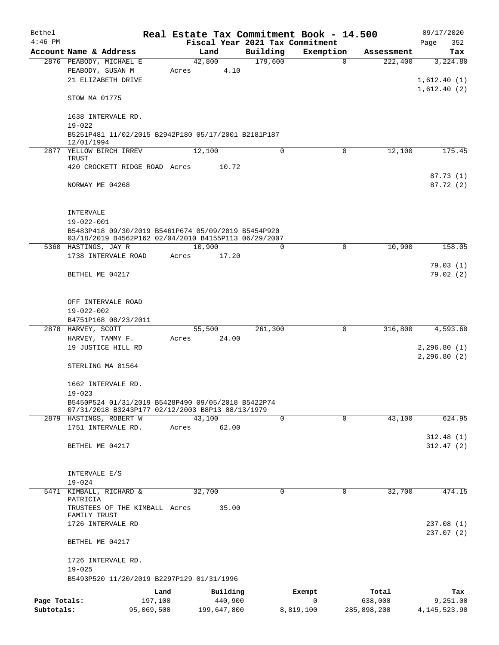| Bethel       |                                                                             |                 |        |                     |             | Real Estate Tax Commitment Book - 14.500 |                  | 09/17/2020             |
|--------------|-----------------------------------------------------------------------------|-----------------|--------|---------------------|-------------|------------------------------------------|------------------|------------------------|
| $4:46$ PM    |                                                                             |                 |        |                     |             | Fiscal Year 2021 Tax Commitment          |                  | Page<br>352            |
|              | Account Name & Address                                                      |                 |        | Land                | Building    | Exemption                                | Assessment       | Tax                    |
|              | 2876 PEABODY, MICHAEL E                                                     |                 | 42,800 |                     | 179,600     | $\Omega$                                 | 222,400          | 3,224.80               |
|              | PEABODY, SUSAN M                                                            |                 | Acres  | 4.10                |             |                                          |                  |                        |
|              | 21 ELIZABETH DRIVE                                                          |                 |        |                     |             |                                          |                  | 1,612.40(1)            |
|              | STOW MA 01775                                                               |                 |        |                     |             |                                          |                  | 1,612.40(2)            |
|              | 1638 INTERVALE RD.<br>$19 - 022$                                            |                 |        |                     |             |                                          |                  |                        |
|              | B5251P481 11/02/2015 B2942P180 05/17/2001 B2181P187<br>12/01/1994           |                 |        |                     |             |                                          |                  |                        |
|              | 2877 YELLOW BIRCH IRREV                                                     |                 | 12,100 |                     | $\Omega$    | $\Omega$                                 | 12,100           | 175.45                 |
|              | TRUST                                                                       |                 |        |                     |             |                                          |                  |                        |
|              | 420 CROCKETT RIDGE ROAD Acres                                               |                 |        | 10.72               |             |                                          |                  |                        |
|              |                                                                             |                 |        |                     |             |                                          |                  | 87.73(1)               |
|              | NORWAY ME 04268                                                             |                 |        |                     |             |                                          |                  | 87.72(2)               |
|              | INTERVALE                                                                   |                 |        |                     |             |                                          |                  |                        |
|              | 19-022-001                                                                  |                 |        |                     |             |                                          |                  |                        |
|              | B5483P418 09/30/2019 B5461P674 05/09/2019 B5454P920                         |                 |        |                     |             |                                          |                  |                        |
|              | 03/18/2019 B4562P162 02/04/2010 B4155P113 06/29/2007                        |                 |        |                     |             |                                          |                  |                        |
|              | 5360 HASTINGS, JAY R                                                        |                 | 10,900 |                     | 0           | $\mathbf 0$                              | 10,900           | 158.05                 |
|              | 1738 INTERVALE ROAD                                                         |                 | Acres  | 17.20               |             |                                          |                  |                        |
|              |                                                                             |                 |        |                     |             |                                          |                  | 79.03(1)               |
|              | BETHEL ME 04217                                                             |                 |        |                     |             |                                          |                  | 79.02(2)               |
|              |                                                                             |                 |        |                     |             |                                          |                  |                        |
|              | OFF INTERVALE ROAD                                                          |                 |        |                     |             |                                          |                  |                        |
|              | $19 - 022 - 002$                                                            |                 |        |                     |             |                                          |                  |                        |
|              | B4751P168 08/23/2011                                                        |                 |        |                     |             |                                          |                  |                        |
|              | 2878 HARVEY, SCOTT                                                          |                 | 55,500 |                     | 261,300     | $\mathbf 0$                              | 316,800          | 4,593.60               |
|              | HARVEY, TAMMY F.                                                            |                 | Acres  | 24.00               |             |                                          |                  |                        |
|              | 19 JUSTICE HILL RD                                                          |                 |        |                     |             |                                          |                  | 2, 296.80(1)           |
|              |                                                                             |                 |        |                     |             |                                          |                  | 2, 296.80 (2)          |
|              | STERLING MA 01564                                                           |                 |        |                     |             |                                          |                  |                        |
|              | 1662 INTERVALE RD.                                                          |                 |        |                     |             |                                          |                  |                        |
|              | $19 - 023$                                                                  |                 |        |                     |             |                                          |                  |                        |
|              | B5450P524 01/31/2019 B5428P490 09/05/2018 B5422P74                          |                 |        |                     |             |                                          |                  |                        |
|              | 07/31/2018 B3243P177 02/12/2003 B8P13 08/13/1979<br>2879 HASTINGS, ROBERT W |                 | 43,100 |                     | $\mathbf 0$ | $\Omega$                                 | 43,100           | 624.95                 |
|              | 1751 INTERVALE RD.                                                          |                 | Acres  | 62.00               |             |                                          |                  |                        |
|              |                                                                             |                 |        |                     |             |                                          |                  | 312.48(1)              |
|              | BETHEL ME 04217                                                             |                 |        |                     |             |                                          |                  | 312.47(2)              |
|              |                                                                             |                 |        |                     |             |                                          |                  |                        |
|              |                                                                             |                 |        |                     |             |                                          |                  |                        |
|              | INTERVALE E/S                                                               |                 |        |                     |             |                                          |                  |                        |
|              | $19 - 024$                                                                  |                 |        |                     |             |                                          |                  |                        |
|              | 5471 KIMBALL, RICHARD &                                                     |                 | 32,700 |                     | $\mathbf 0$ | $\mathbf 0$                              | 32,700           | 474.15                 |
|              | PATRICIA                                                                    |                 |        |                     |             |                                          |                  |                        |
|              | TRUSTEES OF THE KIMBALL Acres                                               |                 |        | 35.00               |             |                                          |                  |                        |
|              | FAMILY TRUST                                                                |                 |        |                     |             |                                          |                  |                        |
|              | 1726 INTERVALE RD                                                           |                 |        |                     |             |                                          |                  | 237.08(1)<br>237.07(2) |
|              | BETHEL ME 04217                                                             |                 |        |                     |             |                                          |                  |                        |
|              |                                                                             |                 |        |                     |             |                                          |                  |                        |
|              | 1726 INTERVALE RD.                                                          |                 |        |                     |             |                                          |                  |                        |
|              | $19 - 025$                                                                  |                 |        |                     |             |                                          |                  |                        |
|              | B5493P520 11/20/2019 B2297P129 01/31/1996                                   |                 |        |                     |             |                                          |                  |                        |
| Page Totals: |                                                                             | Land<br>197,100 |        | Building<br>440,900 |             | Exempt<br>$\mathbf 0$                    | Total<br>638,000 | Tax<br>9,251.00        |
| Subtotals:   |                                                                             | 95,069,500      |        | 199,647,800         |             | 8,819,100                                | 285,898,200      | 4, 145, 523.90         |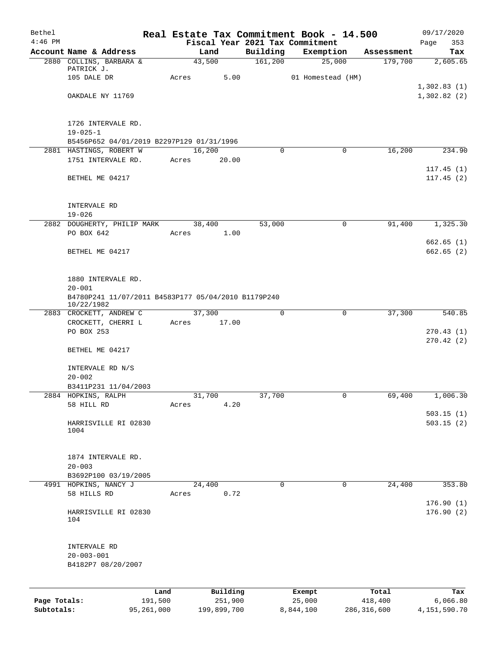| Bethel       |                                           |                 | Real Estate Tax Commitment Book - 14.500            |             |                                              |                  | 09/17/2020             |
|--------------|-------------------------------------------|-----------------|-----------------------------------------------------|-------------|----------------------------------------------|------------------|------------------------|
| $4:46$ PM    | Account Name & Address                    |                 | Land                                                | Building    | Fiscal Year 2021 Tax Commitment<br>Exemption | Assessment       | 353<br>Page<br>Tax     |
|              | 2880 COLLINS, BARBARA &                   |                 | 43,500                                              | 161,200     | 25,000                                       | 179,700          | 2,605.65               |
|              | PATRICK J.                                |                 |                                                     |             |                                              |                  |                        |
|              | 105 DALE DR                               |                 | 5.00<br>Acres                                       |             | 01 Homestead (HM)                            |                  | 1,302.83(1)            |
|              | OAKDALE NY 11769                          |                 |                                                     |             |                                              |                  | 1,302.82(2)            |
|              |                                           |                 |                                                     |             |                                              |                  |                        |
|              | 1726 INTERVALE RD.                        |                 |                                                     |             |                                              |                  |                        |
|              | $19 - 025 - 1$                            |                 | B5456P652 04/01/2019 B2297P129 01/31/1996           |             |                                              |                  |                        |
|              | 2881 HASTINGS, ROBERT W                   |                 | 16,200                                              | 0           | $\Omega$                                     | 16,200           | 234.90                 |
|              | 1751 INTERVALE RD.                        |                 | 20.00<br>Acres                                      |             |                                              |                  |                        |
|              | BETHEL ME 04217                           |                 |                                                     |             |                                              |                  | 117.45(1)<br>117.45(2) |
|              |                                           |                 |                                                     |             |                                              |                  |                        |
|              | INTERVALE RD                              |                 |                                                     |             |                                              |                  |                        |
|              | $19 - 026$                                |                 |                                                     |             |                                              |                  |                        |
|              | 2882 DOUGHERTY, PHILIP MARK<br>PO BOX 642 |                 | 38,400<br>1.00<br>Acres                             | 53,000      | 0                                            | 91,400           | 1,325.30               |
|              |                                           |                 |                                                     |             |                                              |                  | 662.65(1)              |
|              | BETHEL ME 04217                           |                 |                                                     |             |                                              |                  | 662.65(2)              |
|              |                                           |                 |                                                     |             |                                              |                  |                        |
|              | 1880 INTERVALE RD.<br>$20 - 001$          |                 |                                                     |             |                                              |                  |                        |
|              | 10/22/1982                                |                 | B4780P241 11/07/2011 B4583P177 05/04/2010 B1179P240 |             |                                              |                  |                        |
|              | 2883 CROCKETT, ANDREW C                   |                 | 37,300                                              | $\mathbf 0$ | $\mathbf 0$                                  | 37,300           | 540.85                 |
|              | CROCKETT, CHERRI L<br>PO BOX 253          |                 | Acres 17.00                                         |             |                                              |                  | 270.43(1)              |
|              | BETHEL ME 04217                           |                 |                                                     |             |                                              |                  | 270.42(2)              |
|              | INTERVALE RD N/S                          |                 |                                                     |             |                                              |                  |                        |
|              | $20 - 002$                                |                 |                                                     |             |                                              |                  |                        |
|              | B3411P231 11/04/2003                      |                 |                                                     |             |                                              |                  |                        |
|              | 2884 HOPKINS, RALPH                       |                 | 31,700                                              | 37,700      | 0                                            | 69,400           | 1,006.30               |
|              | 58 HILL RD                                |                 | 4.20<br>Acres                                       |             |                                              |                  | 503.15(1)              |
|              | HARRISVILLE RI 02830<br>1004              |                 |                                                     |             |                                              |                  | 503.15(2)              |
|              |                                           |                 |                                                     |             |                                              |                  |                        |
|              | 1874 INTERVALE RD.                        |                 |                                                     |             |                                              |                  |                        |
|              | $20 - 003$                                |                 |                                                     |             |                                              |                  |                        |
|              | B3692P100 03/19/2005                      |                 |                                                     |             |                                              |                  |                        |
|              | 4991 HOPKINS, NANCY J<br>58 HILLS RD      |                 | 24,400<br>0.72<br>Acres                             | 0           | 0                                            | 24,400           | 353.80                 |
|              |                                           |                 |                                                     |             |                                              |                  | 176.90(1)              |
|              | HARRISVILLE RI 02830<br>104               |                 |                                                     |             |                                              |                  | 176.90(2)              |
|              |                                           |                 |                                                     |             |                                              |                  |                        |
|              | INTERVALE RD                              |                 |                                                     |             |                                              |                  |                        |
|              | $20 - 003 - 001$<br>B4182P7 08/20/2007    |                 |                                                     |             |                                              |                  |                        |
|              |                                           |                 |                                                     |             |                                              |                  |                        |
| Page Totals: |                                           | Land<br>191,500 | Building<br>251,900                                 |             | Exempt<br>25,000                             | Total<br>418,400 | Tax<br>6,066.80        |
| Subtotals:   |                                           | 95, 261, 000    | 199,899,700                                         |             | 8,844,100                                    | 286, 316, 600    | 4, 151, 590. 70        |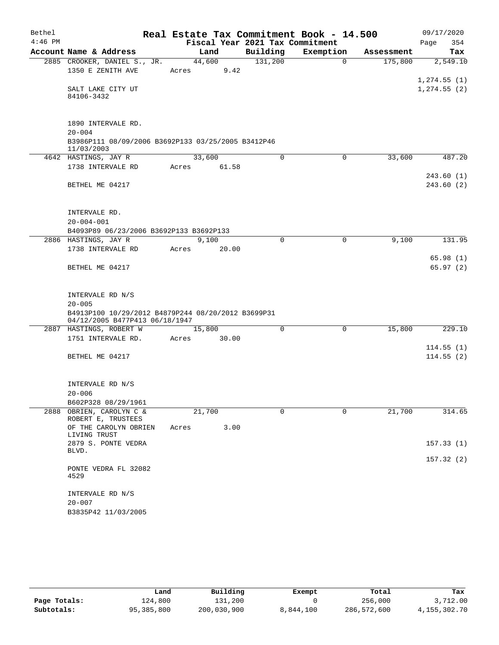| Bethel    |                                                                  |       |             |                                 | Real Estate Tax Commitment Book - 14.500 |            | 09/17/2020   |
|-----------|------------------------------------------------------------------|-------|-------------|---------------------------------|------------------------------------------|------------|--------------|
| $4:46$ PM |                                                                  |       |             | Fiscal Year 2021 Tax Commitment |                                          |            | 354<br>Page  |
|           | Account Name & Address                                           |       | Land        | Building                        | Exemption                                | Assessment | Tax          |
|           | 2885 CROOKER, DANIEL S., JR.                                     |       | 44,600      | 131,200                         | $\Omega$                                 | 175,800    | 2,549.10     |
|           | 1350 E ZENITH AVE                                                | Acres | 9.42        |                                 |                                          |            |              |
|           |                                                                  |       |             |                                 |                                          |            | 1,274.55(1)  |
|           | SALT LAKE CITY UT<br>84106-3432                                  |       |             |                                 |                                          |            | 1, 274.55(2) |
|           |                                                                  |       |             |                                 |                                          |            |              |
|           |                                                                  |       |             |                                 |                                          |            |              |
|           | 1890 INTERVALE RD.                                               |       |             |                                 |                                          |            |              |
|           | $20 - 004$                                                       |       |             |                                 |                                          |            |              |
|           | B3986P111 08/09/2006 B3692P133 03/25/2005 B3412P46<br>11/03/2003 |       |             |                                 |                                          |            |              |
|           | 4642 HASTINGS, JAY R                                             |       | 33,600      | $\Omega$                        | $\mathbf 0$                              | 33,600     | 487.20       |
|           | 1738 INTERVALE RD                                                |       | Acres 61.58 |                                 |                                          |            |              |
|           |                                                                  |       |             |                                 |                                          |            | 243.60(1)    |
|           | BETHEL ME 04217                                                  |       |             |                                 |                                          |            | 243.60(2)    |
|           |                                                                  |       |             |                                 |                                          |            |              |
|           |                                                                  |       |             |                                 |                                          |            |              |
|           | INTERVALE RD.                                                    |       |             |                                 |                                          |            |              |
|           | $20 - 004 - 001$                                                 |       |             |                                 |                                          |            |              |
|           | B4093P89 06/23/2006 B3692P133 B3692P133<br>2886 HASTINGS, JAY R  |       | 9.100       | $\Omega$                        | $\Omega$                                 | 9,100      | 131.95       |
|           | 1738 INTERVALE RD                                                | Acres | 20.00       |                                 |                                          |            |              |
|           |                                                                  |       |             |                                 |                                          |            | 65.98(1)     |
|           | BETHEL ME 04217                                                  |       |             |                                 |                                          |            | 65.97(2)     |
|           |                                                                  |       |             |                                 |                                          |            |              |
|           |                                                                  |       |             |                                 |                                          |            |              |
|           | INTERVALE RD N/S                                                 |       |             |                                 |                                          |            |              |
|           | $20 - 005$                                                       |       |             |                                 |                                          |            |              |
|           | B4913P100 10/29/2012 B4879P244 08/20/2012 B3699P31               |       |             |                                 |                                          |            |              |
|           | 04/12/2005 B477P413 06/18/1947<br>2887 HASTINGS, ROBERT W        |       | 15,800      | $\overline{0}$                  | $\mathbf 0$                              | 15,800     | 229.10       |
|           | 1751 INTERVALE RD.                                               | Acres | 30.00       |                                 |                                          |            |              |
|           |                                                                  |       |             |                                 |                                          |            | 114.55(1)    |
|           | BETHEL ME 04217                                                  |       |             |                                 |                                          |            | 114.55(2)    |
|           |                                                                  |       |             |                                 |                                          |            |              |
|           |                                                                  |       |             |                                 |                                          |            |              |
|           | INTERVALE RD N/S                                                 |       |             |                                 |                                          |            |              |
|           | $20 - 006$                                                       |       |             |                                 |                                          |            |              |
|           | B602P328 08/29/1961                                              |       |             |                                 |                                          |            |              |
|           | 2888 OBRIEN, CAROLYN C &<br>ROBERT E, TRUSTEES                   |       | 21,700      | 0                               | 0                                        | 21,700     | 314.65       |
|           | OF THE CAROLYN OBRIEN                                            | Acres | 3.00        |                                 |                                          |            |              |
|           | LIVING TRUST                                                     |       |             |                                 |                                          |            |              |
|           | 2879 S. PONTE VEDRA                                              |       |             |                                 |                                          |            | 157.33(1)    |
|           | BLVD.                                                            |       |             |                                 |                                          |            |              |
|           | PONTE VEDRA FL 32082                                             |       |             |                                 |                                          |            | 157.32(2)    |
|           | 4529                                                             |       |             |                                 |                                          |            |              |
|           |                                                                  |       |             |                                 |                                          |            |              |
|           | INTERVALE RD N/S                                                 |       |             |                                 |                                          |            |              |
|           | $20 - 007$                                                       |       |             |                                 |                                          |            |              |
|           | B3835P42 11/03/2005                                              |       |             |                                 |                                          |            |              |

|              | Land       | Building    | Exempt    | Total       | Tax          |
|--------------|------------|-------------|-----------|-------------|--------------|
| Page Totals: | 124,800    | 131,200     |           | 256,000     | 3,712.00     |
| Subtotals:   | 95,385,800 | 200,030,900 | 8,844,100 | 286,572,600 | 4,155,302.70 |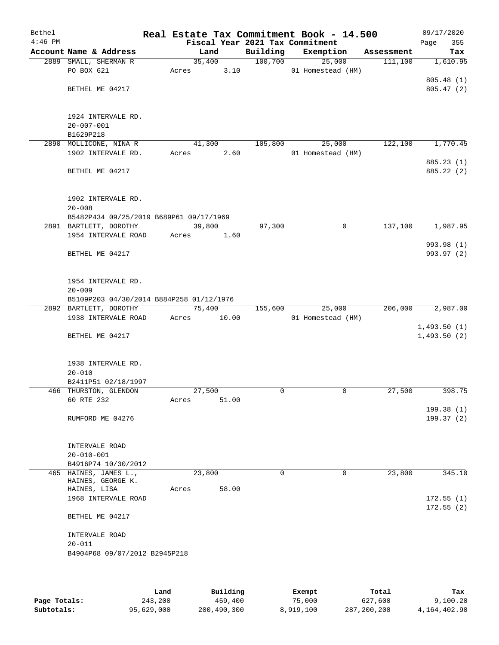| Bethel<br>$4:46$ PM |                                                        |                 |        |          | Real Estate Tax Commitment Book - 14.500<br>Fiscal Year 2021 Tax Commitment |            | 09/17/2020<br>355<br>Page |
|---------------------|--------------------------------------------------------|-----------------|--------|----------|-----------------------------------------------------------------------------|------------|---------------------------|
|                     | Account Name & Address                                 |                 | Land   | Building | Exemption                                                                   | Assessment | Tax                       |
|                     | 2889 SMALL, SHERMAN R                                  |                 | 35,400 | 100,700  | 25,000                                                                      | 111,100    | 1,610.95                  |
|                     | PO BOX 621                                             | Acres           | 3.10   |          | 01 Homestead (HM)                                                           |            |                           |
|                     |                                                        |                 |        |          |                                                                             |            | 805.48(1)                 |
|                     | BETHEL ME 04217                                        |                 |        |          |                                                                             |            | 805.47(2)                 |
|                     |                                                        |                 |        |          |                                                                             |            |                           |
|                     | 1924 INTERVALE RD.                                     |                 |        |          |                                                                             |            |                           |
|                     | $20 - 007 - 001$                                       |                 |        |          |                                                                             |            |                           |
|                     | B1629P218                                              |                 |        |          |                                                                             |            |                           |
|                     | 2890 MOLLICONE, NINA R<br>1902 INTERVALE RD.           | 41,300<br>Acres | 2.60   | 105,800  | 25,000<br>01 Homestead (HM)                                                 | 122,100    | 1,770.45                  |
|                     |                                                        |                 |        |          |                                                                             |            | 885.23 (1)                |
|                     | BETHEL ME 04217                                        |                 |        |          |                                                                             |            | 885.22 (2)                |
|                     |                                                        |                 |        |          |                                                                             |            |                           |
|                     | 1902 INTERVALE RD.                                     |                 |        |          |                                                                             |            |                           |
|                     | $20 - 008$<br>B5482P434 09/25/2019 B689P61 09/17/1969  |                 |        |          |                                                                             |            |                           |
|                     | 2891 BARTLETT, DOROTHY                                 |                 | 39,800 | 97,300   | 0                                                                           | 137,100    | 1,987.95                  |
|                     | 1954 INTERVALE ROAD                                    | Acres           | 1.60   |          |                                                                             |            |                           |
|                     |                                                        |                 |        |          |                                                                             |            | 993.98 (1)                |
|                     | BETHEL ME 04217                                        |                 |        |          |                                                                             |            | 993.97 (2)                |
|                     |                                                        |                 |        |          |                                                                             |            |                           |
|                     | 1954 INTERVALE RD.                                     |                 |        |          |                                                                             |            |                           |
|                     | $20 - 009$<br>B5109P203 04/30/2014 B884P258 01/12/1976 |                 |        |          |                                                                             |            |                           |
|                     | 2892 BARTLETT, DOROTHY                                 | 75,400          |        | 155,600  | 25,000                                                                      | 206,000    | 2,987.00                  |
|                     | 1938 INTERVALE ROAD                                    | Acres           | 10.00  |          | 01 Homestead (HM)                                                           |            |                           |
|                     |                                                        |                 |        |          |                                                                             |            | 1,493.50(1)               |
|                     | BETHEL ME 04217                                        |                 |        |          |                                                                             |            | 1,493.50(2)               |
|                     |                                                        |                 |        |          |                                                                             |            |                           |
|                     | 1938 INTERVALE RD.                                     |                 |        |          |                                                                             |            |                           |
|                     | $20 - 010$<br>B2411P51 02/18/1997                      |                 |        |          |                                                                             |            |                           |
|                     | 466 THURSTON, GLENDON                                  | 27,500          |        | 0        | 0                                                                           | 27,500     | 398.75                    |
|                     | 60 RTE 232                                             | Acres           | 51.00  |          |                                                                             |            |                           |
|                     |                                                        |                 |        |          |                                                                             |            | 199.38(1)                 |
|                     | RUMFORD ME 04276                                       |                 |        |          |                                                                             |            | 199.37(2)                 |
|                     |                                                        |                 |        |          |                                                                             |            |                           |
|                     | INTERVALE ROAD                                         |                 |        |          |                                                                             |            |                           |
|                     | $20 - 010 - 001$<br>B4916P74 10/30/2012                |                 |        |          |                                                                             |            |                           |
|                     | 465 HAINES, JAMES L.,                                  | 23,800          |        | $\Omega$ | 0                                                                           | 23,800     | 345.10                    |
|                     | HAINES, GEORGE K.<br>HAINES, LISA                      | Acres           | 58.00  |          |                                                                             |            |                           |
|                     | 1968 INTERVALE ROAD                                    |                 |        |          |                                                                             |            | 172.55(1)                 |
|                     | BETHEL ME 04217                                        |                 |        |          |                                                                             |            | 172.55(2)                 |
|                     | INTERVALE ROAD                                         |                 |        |          |                                                                             |            |                           |
|                     | $20 - 011$                                             |                 |        |          |                                                                             |            |                           |
|                     | B4904P68 09/07/2012 B2945P218                          |                 |        |          |                                                                             |            |                           |
|                     |                                                        |                 |        |          |                                                                             |            |                           |
|                     |                                                        |                 |        |          |                                                                             |            |                           |

|              | Land       | Building    | Exempt    | Total       | Tax          |
|--------------|------------|-------------|-----------|-------------|--------------|
| Page Totals: | 243,200    | 459,400     | 75,000    | 627,600     | 9,100.20     |
| Subtotals:   | 95,629,000 | 200,490,300 | 8,919,100 | 287,200,200 | 4,164,402.90 |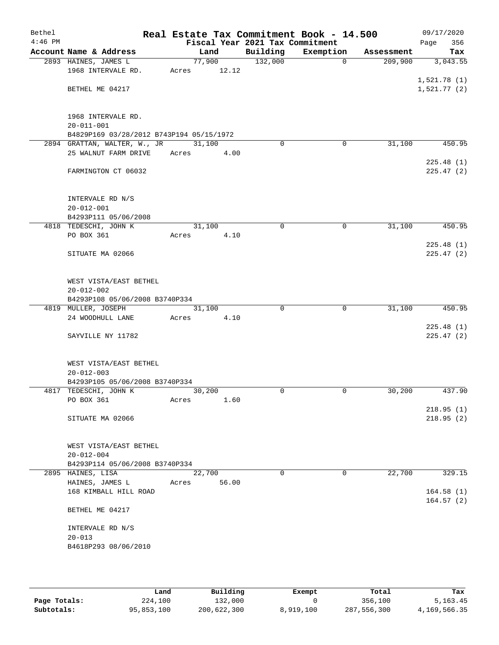| Bethel    |                                            |        |        |                                 | Real Estate Tax Commitment Book - 14.500 |            | 09/17/2020             |
|-----------|--------------------------------------------|--------|--------|---------------------------------|------------------------------------------|------------|------------------------|
| $4:46$ PM |                                            |        |        | Fiscal Year 2021 Tax Commitment |                                          |            | 356<br>Page            |
|           | Account Name & Address                     |        | Land   | Building                        | Exemption                                | Assessment | Tax                    |
|           | 2893 HAINES, JAMES L                       |        | 77,900 | 132,000                         | $\mathbf{0}$                             | 209,900    | 3,043.55               |
|           | 1968 INTERVALE RD.                         | Acres  | 12.12  |                                 |                                          |            |                        |
|           |                                            |        |        |                                 |                                          |            | 1,521.78(1)            |
|           | BETHEL ME 04217                            |        |        |                                 |                                          |            | 1,521.77(2)            |
|           |                                            |        |        |                                 |                                          |            |                        |
|           | 1968 INTERVALE RD.                         |        |        |                                 |                                          |            |                        |
|           | $20 - 011 - 001$                           |        |        |                                 |                                          |            |                        |
|           | B4829P169 03/28/2012 B743P194 05/15/1972   |        |        |                                 |                                          |            |                        |
|           | 2894 GRATTAN, WALTER, W., JR               | 31,100 |        | $\Omega$                        | 0                                        | 31,100     | 450.95                 |
|           | 25 WALNUT FARM DRIVE                       | Acres  | 4.00   |                                 |                                          |            |                        |
|           |                                            |        |        |                                 |                                          |            | 225.48(1)              |
|           | FARMINGTON CT 06032                        |        |        |                                 |                                          |            | 225.47(2)              |
|           |                                            |        |        |                                 |                                          |            |                        |
|           |                                            |        |        |                                 |                                          |            |                        |
|           | INTERVALE RD N/S                           |        |        |                                 |                                          |            |                        |
|           | $20 - 012 - 001$                           |        |        |                                 |                                          |            |                        |
|           | B4293P111 05/06/2008                       |        |        |                                 |                                          |            |                        |
|           | 4818 TEDESCHI, JOHN K                      | 31,100 |        | 0                               | 0                                        | 31,100     | 450.95                 |
|           | PO BOX 361                                 | Acres  | 4.10   |                                 |                                          |            |                        |
|           |                                            |        |        |                                 |                                          |            | 225.48(1)              |
|           | SITUATE MA 02066                           |        |        |                                 |                                          |            | 225.47(2)              |
|           |                                            |        |        |                                 |                                          |            |                        |
|           |                                            |        |        |                                 |                                          |            |                        |
|           | WEST VISTA/EAST BETHEL<br>$20 - 012 - 002$ |        |        |                                 |                                          |            |                        |
|           | B4293P108 05/06/2008 B3740P334             |        |        |                                 |                                          |            |                        |
|           | 4819 MULLER, JOSEPH                        | 31,100 |        | $\Omega$                        | $\mathbf 0$                              | 31,100     | 450.95                 |
|           | 24 WOODHULL LANE                           | Acres  | 4.10   |                                 |                                          |            |                        |
|           |                                            |        |        |                                 |                                          |            | 225.48(1)              |
|           | SAYVILLE NY 11782                          |        |        |                                 |                                          |            | 225.47(2)              |
|           |                                            |        |        |                                 |                                          |            |                        |
|           |                                            |        |        |                                 |                                          |            |                        |
|           | WEST VISTA/EAST BETHEL                     |        |        |                                 |                                          |            |                        |
|           | $20 - 012 - 003$                           |        |        |                                 |                                          |            |                        |
|           | B4293P105 05/06/2008 B3740P334             |        |        |                                 |                                          |            |                        |
|           | 4817 TEDESCHI, JOHN K                      | 30,200 |        | $\Omega$                        | $\mathbf 0$                              | 30,200     | 437.90                 |
|           | PO BOX 361                                 | Acres  | 1.60   |                                 |                                          |            |                        |
|           | SITUATE MA 02066                           |        |        |                                 |                                          |            | 218.95(1)<br>218.95(2) |
|           |                                            |        |        |                                 |                                          |            |                        |
|           |                                            |        |        |                                 |                                          |            |                        |
|           | WEST VISTA/EAST BETHEL                     |        |        |                                 |                                          |            |                        |
|           | $20 - 012 - 004$                           |        |        |                                 |                                          |            |                        |
|           | B4293P114 05/06/2008 B3740P334             |        |        |                                 |                                          |            |                        |
|           | 2895 HAINES, LISA                          | 22,700 |        | $\Omega$                        | $\Omega$                                 | 22,700     | 329.15                 |
|           | HAINES, JAMES L                            | Acres  | 56.00  |                                 |                                          |            |                        |
|           | 168 KIMBALL HILL ROAD                      |        |        |                                 |                                          |            | 164.58(1)              |
|           |                                            |        |        |                                 |                                          |            | 164.57(2)              |
|           | BETHEL ME 04217                            |        |        |                                 |                                          |            |                        |
|           |                                            |        |        |                                 |                                          |            |                        |
|           | INTERVALE RD N/S                           |        |        |                                 |                                          |            |                        |
|           | $20 - 013$                                 |        |        |                                 |                                          |            |                        |
|           | B4618P293 08/06/2010                       |        |        |                                 |                                          |            |                        |
|           |                                            |        |        |                                 |                                          |            |                        |
|           |                                            |        |        |                                 |                                          |            |                        |

|              | Land       | Building    | Exempt    | Total       | Tax          |
|--------------|------------|-------------|-----------|-------------|--------------|
| Page Totals: | 224,100    | 132,000     |           | 356,100     | 5, 163, 45   |
| Subtotals:   | 95,853,100 | 200,622,300 | 8,919,100 | 287,556,300 | 4,169,566.35 |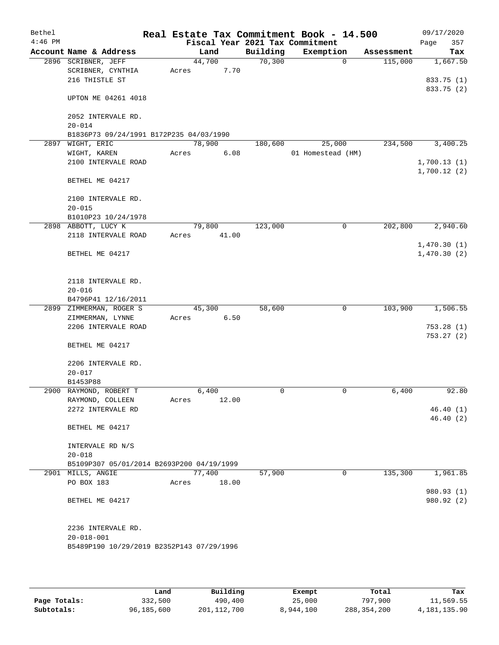| Bethel    |                                                             |        |       |          | Real Estate Tax Commitment Book - 14.500 |            | 09/17/2020  |
|-----------|-------------------------------------------------------------|--------|-------|----------|------------------------------------------|------------|-------------|
| $4:46$ PM |                                                             |        |       |          | Fiscal Year 2021 Tax Commitment          |            | 357<br>Page |
|           | Account Name & Address                                      |        | Land  | Building | Exemption                                | Assessment | Tax         |
|           | 2896 SCRIBNER, JEFF                                         | 44,700 |       | 70,300   | $\mathbf 0$                              | 115,000    | 1,667.50    |
|           | SCRIBNER, CYNTHIA<br>216 THISTLE ST                         | Acres  | 7.70  |          |                                          |            | 833.75 (1)  |
|           |                                                             |        |       |          |                                          |            | 833.75 (2)  |
|           | UPTON ME 04261 4018                                         |        |       |          |                                          |            |             |
|           | 2052 INTERVALE RD.                                          |        |       |          |                                          |            |             |
|           | $20 - 014$                                                  |        |       |          |                                          |            |             |
|           | B1836P73 09/24/1991 B172P235 04/03/1990<br>2897 WIGHT, ERIC | 78,900 |       | 180,600  | 25,000                                   | 234,500    | 3,400.25    |
|           | WIGHT, KAREN                                                | Acres  | 6.08  |          | 01 Homestead (HM)                        |            |             |
|           | 2100 INTERVALE ROAD                                         |        |       |          |                                          |            | 1,700.13(1) |
|           |                                                             |        |       |          |                                          |            | 1,700.12(2) |
|           | BETHEL ME 04217                                             |        |       |          |                                          |            |             |
|           | 2100 INTERVALE RD.                                          |        |       |          |                                          |            |             |
|           | $20 - 015$                                                  |        |       |          |                                          |            |             |
|           | B1010P23 10/24/1978                                         |        |       |          |                                          |            |             |
|           | 2898 ABBOTT, LUCY K                                         | 79,800 |       | 123,000  | $\mathbf 0$                              | 202,800    | 2,940.60    |
|           | 2118 INTERVALE ROAD                                         | Acres  | 41.00 |          |                                          |            |             |
|           |                                                             |        |       |          |                                          |            | 1,470.30(1) |
|           | BETHEL ME 04217                                             |        |       |          |                                          |            | 1,470.30(2) |
|           |                                                             |        |       |          |                                          |            |             |
|           | 2118 INTERVALE RD.<br>$20 - 016$                            |        |       |          |                                          |            |             |
|           | B4796P41 12/16/2011                                         |        |       |          |                                          |            |             |
|           | 2899 ZIMMERMAN, ROGER S                                     | 45,300 |       | 58,600   | 0                                        | 103,900    | 1,506.55    |
|           | ZIMMERMAN, LYNNE                                            | Acres  | 6.50  |          |                                          |            |             |
|           | 2206 INTERVALE ROAD                                         |        |       |          |                                          |            | 753.28(1)   |
|           |                                                             |        |       |          |                                          |            | 753.27(2)   |
|           | BETHEL ME 04217                                             |        |       |          |                                          |            |             |
|           | 2206 INTERVALE RD.                                          |        |       |          |                                          |            |             |
|           | $20 - 017$                                                  |        |       |          |                                          |            |             |
|           | B1453P88                                                    |        |       |          |                                          |            |             |
|           | 2900 RAYMOND, ROBERT T                                      |        | 6,400 | 0        | 0                                        | 6,400      | 92.80       |
|           | RAYMOND, COLLEEN                                            | Acres  | 12.00 |          |                                          |            |             |
|           | 2272 INTERVALE RD                                           |        |       |          |                                          |            | 46.40(1)    |
|           | BETHEL ME 04217                                             |        |       |          |                                          |            | 46.40(2)    |
|           | INTERVALE RD N/S                                            |        |       |          |                                          |            |             |
|           | $20 - 018$                                                  |        |       |          |                                          |            |             |
|           | B5109P307 05/01/2014 B2693P200 04/19/1999                   |        |       |          |                                          |            |             |
|           | 2901 MILLS, ANGIE                                           | 77,400 |       | 57,900   | 0                                        | 135,300    | 1,961.85    |
|           | PO BOX 183                                                  | Acres  | 18.00 |          |                                          |            |             |
|           |                                                             |        |       |          |                                          |            | 980.93 (1)  |
|           | BETHEL ME 04217                                             |        |       |          |                                          |            | 980.92 (2)  |
|           | 2236 INTERVALE RD.                                          |        |       |          |                                          |            |             |
|           | $20 - 018 - 001$                                            |        |       |          |                                          |            |             |
|           | B5489P190 10/29/2019 B2352P143 07/29/1996                   |        |       |          |                                          |            |             |
|           |                                                             |        |       |          |                                          |            |             |

|              | Land       | Building    | Exempt    | Total         | Tax          |
|--------------|------------|-------------|-----------|---------------|--------------|
| Page Totals: | 332,500    | 490,400     | 25,000    | 797,900       | 11,569.55    |
| Subtotals:   | 96,185,600 | 201,112,700 | 8,944,100 | 288, 354, 200 | 4,181,135.90 |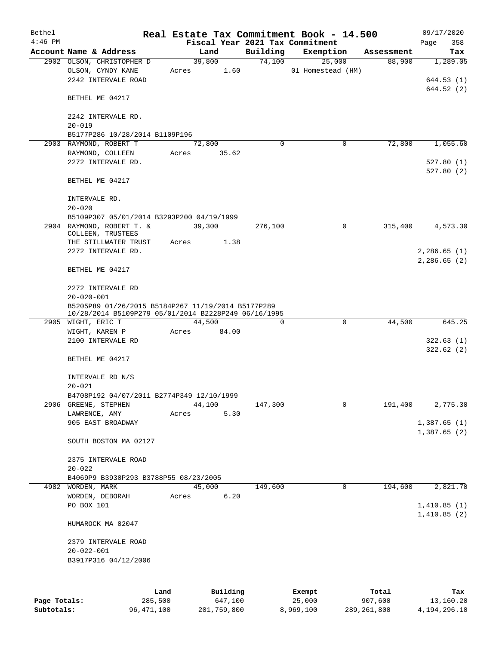| Bethel       |                                                                                                            |       |             |          | Real Estate Tax Commitment Book - 14.500 |            | 09/17/2020  |
|--------------|------------------------------------------------------------------------------------------------------------|-------|-------------|----------|------------------------------------------|------------|-------------|
| $4:46$ PM    |                                                                                                            |       |             |          | Fiscal Year 2021 Tax Commitment          |            | Page<br>358 |
|              | Account Name & Address                                                                                     |       | Land        | Building | Exemption                                | Assessment | Tax         |
|              | 2902 OLSON, CHRISTOPHER D                                                                                  |       | 39,800      |          | 74,100<br>25,000                         | 88,900     | 1,289.05    |
|              | OLSON, CYNDY KANE                                                                                          |       | Acres 1.60  |          | 01 Homestead (HM)                        |            |             |
|              | 2242 INTERVALE ROAD                                                                                        |       |             |          |                                          |            | 644.53(1)   |
|              | BETHEL ME 04217                                                                                            |       |             |          |                                          |            | 644.52(2)   |
|              | 2242 INTERVALE RD.                                                                                         |       |             |          |                                          |            |             |
|              | $20 - 019$                                                                                                 |       |             |          |                                          |            |             |
|              |                                                                                                            |       |             |          |                                          |            |             |
|              | B5177P286 10/28/2014 B1109P196                                                                             |       |             | $\Omega$ | 0                                        | 72,800     | 1,055.60    |
|              | 2903 RAYMOND, ROBERT T                                                                                     |       | 72,800      |          |                                          |            |             |
|              | RAYMOND, COLLEEN                                                                                           | Acres | 35.62       |          |                                          |            |             |
|              | 2272 INTERVALE RD.                                                                                         |       |             |          |                                          |            | 527.80(1)   |
|              | BETHEL ME 04217                                                                                            |       |             |          |                                          |            | 527.80(2)   |
|              | INTERVALE RD.                                                                                              |       |             |          |                                          |            |             |
|              | $20 - 020$                                                                                                 |       |             |          |                                          |            |             |
|              | B5109P307 05/01/2014 B3293P200 04/19/1999                                                                  |       |             |          |                                          |            |             |
|              | 2904 RAYMOND, ROBERT T. &                                                                                  |       | 39,300      | 276,100  | $\mathbf 0$                              | 315,400    | 4,573.30    |
|              | COLLEEN, TRUSTEES                                                                                          |       |             |          |                                          |            |             |
|              | THE STILLWATER TRUST                                                                                       | Acres | 1.38        |          |                                          |            |             |
|              | 2272 INTERVALE RD.                                                                                         |       |             |          |                                          |            | 2,286.65(1) |
|              |                                                                                                            |       |             |          |                                          |            | 2,286.65(2) |
|              | BETHEL ME 04217                                                                                            |       |             |          |                                          |            |             |
|              | 2272 INTERVALE RD                                                                                          |       |             |          |                                          |            |             |
|              | $20 - 020 - 001$                                                                                           |       |             |          |                                          |            |             |
|              | B5205P89 01/26/2015 B5184P267 11/19/2014 B5177P289<br>10/28/2014 B5109P279 05/01/2014 B2228P249 06/16/1995 |       |             |          |                                          |            |             |
|              | 2905 WIGHT, ERIC T                                                                                         |       | 44,500      | $\Omega$ | $\mathbf 0$                              | 44,500     | 645.25      |
|              | WIGHT, KAREN P                                                                                             |       | Acres 84.00 |          |                                          |            |             |
|              | 2100 INTERVALE RD                                                                                          |       |             |          |                                          |            | 322.63(1)   |
|              |                                                                                                            |       |             |          |                                          |            | 322.62(2)   |
|              | BETHEL ME 04217                                                                                            |       |             |          |                                          |            |             |
|              | INTERVALE RD N/S                                                                                           |       |             |          |                                          |            |             |
|              | $20 - 021$                                                                                                 |       |             |          |                                          |            |             |
|              | B4708P192 04/07/2011 B2774P349 12/10/1999                                                                  |       |             |          |                                          |            |             |
|              | 2906 GREENE, STEPHEN                                                                                       |       | 44,100      | 147,300  | $\mathbf 0$                              | 191,400    | 2,775.30    |
|              | $\mathtt{LAWRENCE}\text{, AMY}$                                                                            | Acres | 5.30        |          |                                          |            |             |
|              | 905 EAST BROADWAY                                                                                          |       |             |          |                                          |            | 1,387.65(1) |
|              | SOUTH BOSTON MA 02127                                                                                      |       |             |          |                                          |            | 1,387.65(2) |
|              |                                                                                                            |       |             |          |                                          |            |             |
|              | 2375 INTERVALE ROAD                                                                                        |       |             |          |                                          |            |             |
|              | $20 - 022$                                                                                                 |       |             |          |                                          |            |             |
|              | B4069P9 B3930P293 B3788P55 08/23/2005                                                                      |       |             |          |                                          |            |             |
|              | 4982 WORDEN, MARK                                                                                          |       | 45,000      | 149,600  | $\mathbf 0$                              | 194,600    | 2,821.70    |
|              | WORDEN, DEBORAH                                                                                            | Acres | 6.20        |          |                                          |            |             |
|              | PO BOX 101                                                                                                 |       |             |          |                                          |            | 1,410.85(1) |
|              |                                                                                                            |       |             |          |                                          |            | 1,410.85(2) |
|              | HUMAROCK MA 02047                                                                                          |       |             |          |                                          |            |             |
|              | 2379 INTERVALE ROAD                                                                                        |       |             |          |                                          |            |             |
|              | $20 - 022 - 001$                                                                                           |       |             |          |                                          |            |             |
|              | B3917P316 04/12/2006                                                                                       |       |             |          |                                          |            |             |
|              |                                                                                                            |       |             |          |                                          |            |             |
|              | Land                                                                                                       |       | Building    |          | Exempt                                   | Total      | Tax         |
| Page Totals: | 285,500                                                                                                    |       | 647,100     |          | 25,000                                   | 907,600    | 13,160.20   |

**Subtotals:** 96,471,100 201,759,800 8,969,100 289,261,800 4,194,296.10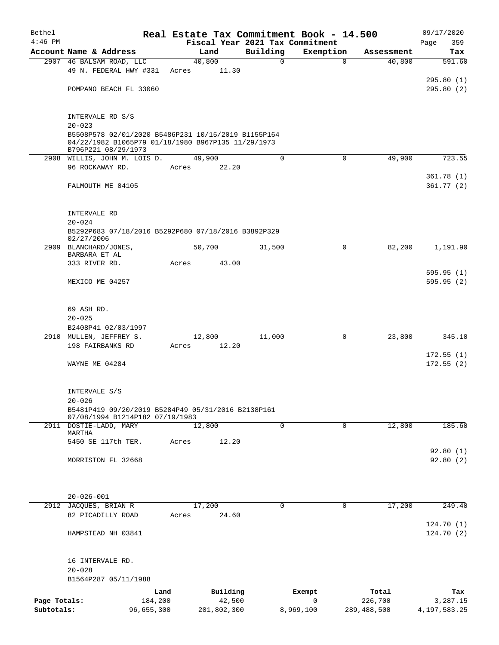| Bethel<br>$4:46$ PM |                                                                                                                                  |                 |                    | Fiscal Year 2021 Tax Commitment | Real Estate Tax Commitment Book - 14.500 |                  | 09/17/2020<br>359<br>Page |
|---------------------|----------------------------------------------------------------------------------------------------------------------------------|-----------------|--------------------|---------------------------------|------------------------------------------|------------------|---------------------------|
|                     | Account Name & Address                                                                                                           | Land            |                    | Building                        | Exemption                                | Assessment       | Tax                       |
|                     | 2907 46 BALSAM ROAD, LLC                                                                                                         | 40,800          |                    | $\Omega$                        | $\Omega$                                 | 40,800           | 591.60                    |
|                     | 49 N. FEDERAL HWY #331                                                                                                           | Acres           | 11.30              |                                 |                                          |                  |                           |
|                     | POMPANO BEACH FL 33060                                                                                                           |                 |                    |                                 |                                          |                  | 295.80(1)<br>295.80(2)    |
|                     | INTERVALE RD S/S<br>$20 - 023$                                                                                                   |                 |                    |                                 |                                          |                  |                           |
|                     | B5508P578 02/01/2020 B5486P231 10/15/2019 B1155P164<br>04/22/1982 B1065P79 01/18/1980 B967P135 11/29/1973<br>B796P221 08/29/1973 |                 |                    |                                 |                                          |                  |                           |
|                     | 2908 WILLIS, JOHN M. LOIS D.                                                                                                     | 49,900          |                    | 0                               | $\mathbf 0$                              | 49,900           | 723.55                    |
|                     | 96 ROCKAWAY RD.                                                                                                                  | Acres           | 22.20              |                                 |                                          |                  | 361.78(1)                 |
|                     | FALMOUTH ME 04105                                                                                                                |                 |                    |                                 |                                          |                  | 361.77(2)                 |
|                     | INTERVALE RD                                                                                                                     |                 |                    |                                 |                                          |                  |                           |
|                     | $20 - 024$                                                                                                                       |                 |                    |                                 |                                          |                  |                           |
|                     | B5292P683 07/18/2016 B5292P680 07/18/2016 B3892P329<br>02/27/2006                                                                |                 |                    |                                 |                                          |                  |                           |
|                     | 2909 BLANCHARD/JONES,                                                                                                            | 50,700          |                    | 31,500                          | $\mathbf 0$                              | 82,200           | 1,191.90                  |
|                     | BARBARA ET AL<br>333 RIVER RD.                                                                                                   | Acres           | 43.00              |                                 |                                          |                  |                           |
|                     | MEXICO ME 04257                                                                                                                  |                 |                    |                                 |                                          |                  | 595.95(1)<br>595.95(2)    |
|                     |                                                                                                                                  |                 |                    |                                 |                                          |                  |                           |
|                     | 69 ASH RD.                                                                                                                       |                 |                    |                                 |                                          |                  |                           |
|                     | $20 - 025$                                                                                                                       |                 |                    |                                 |                                          |                  |                           |
|                     | B2408P41 02/03/1997                                                                                                              |                 |                    |                                 |                                          |                  |                           |
|                     | 2910 MULLEN, JEFFREY S.<br>198 FAIRBANKS RD                                                                                      | 12,800<br>Acres | 12.20              | 11,000                          | $\mathbf 0$                              | 23,800           | 345.10                    |
|                     |                                                                                                                                  |                 |                    |                                 |                                          |                  | 172.55(1)                 |
|                     | WAYNE ME 04284                                                                                                                   |                 |                    |                                 |                                          |                  | 172.55(2)                 |
|                     | INTERVALE S/S                                                                                                                    |                 |                    |                                 |                                          |                  |                           |
|                     | $20 - 026$<br>B5481P419 09/20/2019 B5284P49 05/31/2016 B2138P161                                                                 |                 |                    |                                 |                                          |                  |                           |
|                     | 07/08/1994 B1214P182 07/19/1983<br>2911 DOSTIE-LADD, MARY                                                                        | 12,800          |                    | 0                               | 0                                        | 12,800           | 185.60                    |
|                     | MARTHA                                                                                                                           |                 |                    |                                 |                                          |                  |                           |
|                     | 5450 SE 117th TER.                                                                                                               | Acres           | 12.20              |                                 |                                          |                  | 92.80(1)                  |
|                     | MORRISTON FL 32668                                                                                                               |                 |                    |                                 |                                          |                  | 92.80(2)                  |
|                     |                                                                                                                                  |                 |                    |                                 |                                          |                  |                           |
|                     | $20 - 026 - 001$<br>2912 JACQUES, BRIAN R                                                                                        | 17,200          |                    | $\mathbf 0$                     | $\mathbf 0$                              | 17,200           | 249.40                    |
|                     | 82 PICADILLY ROAD                                                                                                                | Acres           | 24.60              |                                 |                                          |                  |                           |
|                     | HAMPSTEAD NH 03841                                                                                                               |                 |                    |                                 |                                          |                  | 124.70(1)<br>124.70(2)    |
|                     |                                                                                                                                  |                 |                    |                                 |                                          |                  |                           |
|                     | 16 INTERVALE RD.                                                                                                                 |                 |                    |                                 |                                          |                  |                           |
|                     | $20 - 028$<br>B1564P287 05/11/1988                                                                                               |                 |                    |                                 |                                          |                  |                           |
|                     |                                                                                                                                  |                 |                    |                                 |                                          |                  |                           |
| Page Totals:        | Land<br>184,200                                                                                                                  |                 | Building<br>42,500 |                                 | Exempt<br>0                              | Total<br>226,700 | Tax<br>3,287.15           |
| Subtotals:          | 96,655,300                                                                                                                       |                 | 201,802,300        |                                 | 8,969,100                                | 289,488,500      | 4, 197, 583. 25           |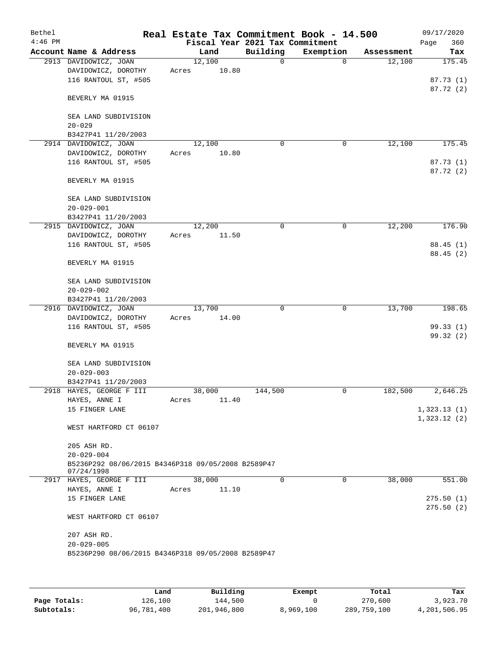| Bethel<br>$4:46$ PM |                                                    |       |        | Fiscal Year 2021 Tax Commitment | Real Estate Tax Commitment Book - 14.500 |            | 09/17/2020<br>Page<br>360 |
|---------------------|----------------------------------------------------|-------|--------|---------------------------------|------------------------------------------|------------|---------------------------|
|                     | Account Name & Address                             |       | Land   | Building                        | Exemption                                | Assessment | Tax                       |
|                     | 2913 DAVIDOWICZ, JOAN                              |       | 12,100 | 0                               | $\mathbf 0$                              | 12,100     | 175.45                    |
|                     | DAVIDOWICZ, DOROTHY                                | Acres | 10.80  |                                 |                                          |            |                           |
|                     | 116 RANTOUL ST, #505                               |       |        |                                 |                                          |            | 87.73(1)                  |
|                     |                                                    |       |        |                                 |                                          |            | 87.72 (2)                 |
|                     | BEVERLY MA 01915                                   |       |        |                                 |                                          |            |                           |
|                     | SEA LAND SUBDIVISION                               |       |        |                                 |                                          |            |                           |
|                     | $20 - 029$                                         |       |        |                                 |                                          |            |                           |
|                     | B3427P41 11/20/2003                                |       |        |                                 |                                          |            |                           |
|                     | 2914 DAVIDOWICZ, JOAN                              |       | 12,100 | 0                               | 0                                        | 12,100     | 175.45                    |
|                     | DAVIDOWICZ, DOROTHY                                | Acres | 10.80  |                                 |                                          |            |                           |
|                     | 116 RANTOUL ST, #505                               |       |        |                                 |                                          |            | 87.73(1)                  |
|                     |                                                    |       |        |                                 |                                          |            | 87.72 (2)                 |
|                     | BEVERLY MA 01915                                   |       |        |                                 |                                          |            |                           |
|                     | SEA LAND SUBDIVISION                               |       |        |                                 |                                          |            |                           |
|                     | $20 - 029 - 001$                                   |       |        |                                 |                                          |            |                           |
|                     | B3427P41 11/20/2003                                |       |        |                                 |                                          |            |                           |
|                     | 2915 DAVIDOWICZ, JOAN                              |       | 12,200 | 0                               | 0                                        | 12,200     | 176.90                    |
|                     | DAVIDOWICZ, DOROTHY                                | Acres | 11.50  |                                 |                                          |            |                           |
|                     | 116 RANTOUL ST, #505                               |       |        |                                 |                                          |            | 88.45(1)                  |
|                     |                                                    |       |        |                                 |                                          |            | 88.45 (2)                 |
|                     | BEVERLY MA 01915                                   |       |        |                                 |                                          |            |                           |
|                     | SEA LAND SUBDIVISION                               |       |        |                                 |                                          |            |                           |
|                     | $20 - 029 - 002$                                   |       |        |                                 |                                          |            |                           |
|                     | B3427P41 11/20/2003                                |       |        |                                 |                                          |            |                           |
|                     | 2916 DAVIDOWICZ, JOAN                              |       | 13,700 | 0                               | $\mathsf{O}$                             | 13,700     | 198.65                    |
|                     | DAVIDOWICZ, DOROTHY                                | Acres | 14.00  |                                 |                                          |            |                           |
|                     | 116 RANTOUL ST, #505                               |       |        |                                 |                                          |            | 99.33(1)                  |
|                     |                                                    |       |        |                                 |                                          |            | 99.32 (2)                 |
|                     | BEVERLY MA 01915                                   |       |        |                                 |                                          |            |                           |
|                     | SEA LAND SUBDIVISION                               |       |        |                                 |                                          |            |                           |
|                     | $20 - 029 - 003$                                   |       |        |                                 |                                          |            |                           |
|                     | B3427P41 11/20/2003                                |       |        |                                 |                                          |            |                           |
|                     | 2918 HAYES, GEORGE F III                           |       | 38,000 | 144,500                         | 0                                        | 182,500    | 2,646.25                  |
|                     | HAYES, ANNE I                                      | Acres | 11.40  |                                 |                                          |            |                           |
|                     | 15 FINGER LANE                                     |       |        |                                 |                                          |            | 1,323.13(1)               |
|                     |                                                    |       |        |                                 |                                          |            | 1,323.12(2)               |
|                     | WEST HARTFORD CT 06107                             |       |        |                                 |                                          |            |                           |
|                     | 205 ASH RD.                                        |       |        |                                 |                                          |            |                           |
|                     | $20 - 029 - 004$                                   |       |        |                                 |                                          |            |                           |
|                     | B5236P292 08/06/2015 B4346P318 09/05/2008 B2589P47 |       |        |                                 |                                          |            |                           |
|                     | 07/24/1998                                         |       |        |                                 |                                          |            |                           |
|                     | 2917 HAYES, GEORGE F III                           |       | 38,000 | 0                               | 0                                        | 38,000     | 551.00                    |
|                     | HAYES, ANNE I                                      | Acres | 11.10  |                                 |                                          |            |                           |
|                     | 15 FINGER LANE                                     |       |        |                                 |                                          |            | 275.50(1)                 |
|                     |                                                    |       |        |                                 |                                          |            | 275.50(2)                 |
|                     | WEST HARTFORD CT 06107                             |       |        |                                 |                                          |            |                           |
|                     | 207 ASH RD.                                        |       |        |                                 |                                          |            |                           |
|                     | $20 - 029 - 005$                                   |       |        |                                 |                                          |            |                           |
|                     | B5236P290 08/06/2015 B4346P318 09/05/2008 B2589P47 |       |        |                                 |                                          |            |                           |
|                     |                                                    |       |        |                                 |                                          |            |                           |
|                     |                                                    |       |        |                                 |                                          |            |                           |
|                     |                                                    |       |        |                                 |                                          |            |                           |

|              | Land       | Building    | Exempt    | Total       | Tax          |
|--------------|------------|-------------|-----------|-------------|--------------|
| Page Totals: | 126,100    | 144,500     |           | 270,600     | 3,923.70     |
| Subtotals:   | 96,781,400 | 201,946,800 | 8,969,100 | 289,759,100 | 4,201,506.95 |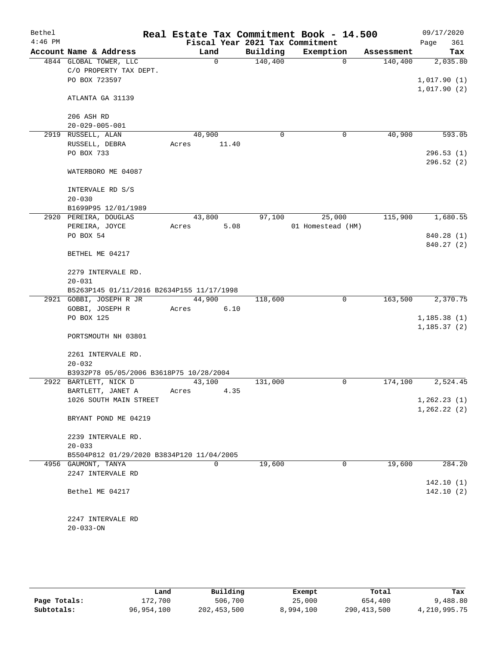| Bethel    |                                                       |       |                |          | Real Estate Tax Commitment Book - 14.500 |             |            | 09/17/2020             |
|-----------|-------------------------------------------------------|-------|----------------|----------|------------------------------------------|-------------|------------|------------------------|
| $4:46$ PM |                                                       |       |                |          | Fiscal Year 2021 Tax Commitment          |             |            | 361<br>Page            |
|           | Account Name & Address                                |       | Land           | Building | Exemption                                |             | Assessment | Tax                    |
|           | 4844 GLOBAL TOWER, LLC                                |       | $\mathbf 0$    | 140,400  |                                          | $\mathbf 0$ | 140,400    | 2,035.80               |
|           | C/O PROPERTY TAX DEPT.                                |       |                |          |                                          |             |            |                        |
|           | PO BOX 723597                                         |       |                |          |                                          |             |            | 1,017.90(1)            |
|           | ATLANTA GA 31139                                      |       |                |          |                                          |             |            | 1,017.90(2)            |
|           |                                                       |       |                |          |                                          |             |            |                        |
|           | 206 ASH RD                                            |       |                |          |                                          |             |            |                        |
|           | $20 - 029 - 005 - 001$<br>2919 RUSSELL, ALAN          |       | 40,900         | 0        |                                          | 0           | 40,900     | 593.05                 |
|           | RUSSELL, DEBRA                                        | Acres | 11.40          |          |                                          |             |            |                        |
|           | PO BOX 733                                            |       |                |          |                                          |             |            | 296.53(1)              |
|           |                                                       |       |                |          |                                          |             |            | 296.52(2)              |
|           | WATERBORO ME 04087                                    |       |                |          |                                          |             |            |                        |
|           | INTERVALE RD S/S                                      |       |                |          |                                          |             |            |                        |
|           | $20 - 030$                                            |       |                |          |                                          |             |            |                        |
|           | B1699P95 12/01/1989                                   |       |                |          |                                          |             |            |                        |
|           | 2920 PEREIRA, DOUGLAS                                 |       | 43,800         | 97,100   | 25,000                                   |             | 115,900    | 1,680.55               |
|           | PEREIRA, JOYCE                                        | Acres | 5.08           |          | 01 Homestead (HM)                        |             |            |                        |
|           | PO BOX 54                                             |       |                |          |                                          |             |            | 840.28 (1)             |
|           | BETHEL ME 04217                                       |       |                |          |                                          |             |            | 840.27 (2)             |
|           | 2279 INTERVALE RD.                                    |       |                |          |                                          |             |            |                        |
|           | $20 - 031$                                            |       |                |          |                                          |             |            |                        |
|           | B5263P145 01/11/2016 B2634P155 11/17/1998             |       |                |          |                                          |             |            |                        |
|           | 2921 GOBBI, JOSEPH R JR                               |       | 44,900         | 118,600  |                                          | 0           | 163,500    | 2,370.75               |
|           | GOBBI, JOSEPH R                                       | Acres | 6.10           |          |                                          |             |            |                        |
|           | PO BOX 125                                            |       |                |          |                                          |             |            | 1, 185.38(1)           |
|           | PORTSMOUTH NH 03801                                   |       |                |          |                                          |             |            | 1, 185.37(2)           |
|           |                                                       |       |                |          |                                          |             |            |                        |
|           | 2261 INTERVALE RD.                                    |       |                |          |                                          |             |            |                        |
|           | $20 - 032$<br>B3932P78 05/05/2006 B3618P75 10/28/2004 |       |                |          |                                          |             |            |                        |
|           | 2922 BARTLETT, NICK D                                 |       | 43,100         | 131,000  |                                          | 0           | 174,100    | 2,524.45               |
|           | BARTLETT, JANET A                                     | Acres | 4.35           |          |                                          |             |            |                        |
|           | 1026 SOUTH MAIN STREET                                |       |                |          |                                          |             |            | 1, 262.23(1)           |
|           |                                                       |       |                |          |                                          |             |            | 1, 262.22(2)           |
|           | BRYANT POND ME 04219                                  |       |                |          |                                          |             |            |                        |
|           | 2239 INTERVALE RD.                                    |       |                |          |                                          |             |            |                        |
|           | $20 - 033$                                            |       |                |          |                                          |             |            |                        |
|           | B5504P812 01/29/2020 B3834P120 11/04/2005             |       |                |          |                                          |             |            |                        |
|           | 4956 GAUMONT, TANYA                                   |       | $\overline{0}$ | 19,600   |                                          | $\mathbf 0$ | 19,600     | 284.20                 |
|           | 2247 INTERVALE RD                                     |       |                |          |                                          |             |            |                        |
|           | Bethel ME 04217                                       |       |                |          |                                          |             |            | 142.10(1)<br>142.10(2) |
|           |                                                       |       |                |          |                                          |             |            |                        |
|           | 2247 INTERVALE RD                                     |       |                |          |                                          |             |            |                        |
|           | $20 - 033 - ON$                                       |       |                |          |                                          |             |            |                        |
|           |                                                       |       |                |          |                                          |             |            |                        |

|              | Land       | Building      | Exempt    | Total         | Tax          |
|--------------|------------|---------------|-----------|---------------|--------------|
| Page Totals: | 172,700    | 506,700       | 25,000    | 654,400       | 9,488.80     |
| Subtotals:   | 96,954,100 | 202, 453, 500 | 8,994,100 | 290, 413, 500 | 4,210,995.75 |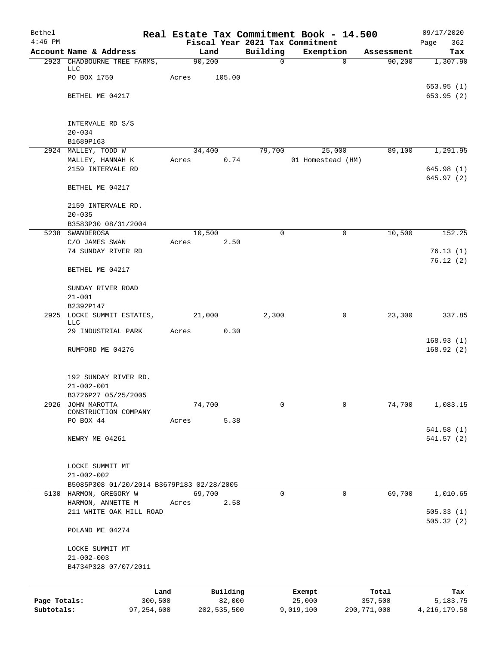| Bethel       |                                                       |       |                |                         | Real Estate Tax Commitment Book - 14.500 |                      | 09/17/2020      |
|--------------|-------------------------------------------------------|-------|----------------|-------------------------|------------------------------------------|----------------------|-----------------|
| $4:46$ PM    |                                                       |       |                |                         | Fiscal Year 2021 Tax Commitment          |                      | 362<br>Page     |
|              | Account Name & Address<br>2923 CHADBOURNE TREE FARMS, |       | Land<br>90,200 | Building<br>$\mathbf 0$ | Exemption<br>$\Omega$                    | Assessment<br>90,200 | Tax<br>1,307.90 |
|              | LLC                                                   |       |                |                         |                                          |                      |                 |
|              | PO BOX 1750                                           | Acres | 105.00         |                         |                                          |                      |                 |
|              |                                                       |       |                |                         |                                          |                      | 653.95(1)       |
|              | BETHEL ME 04217                                       |       |                |                         |                                          |                      | 653.95(2)       |
|              |                                                       |       |                |                         |                                          |                      |                 |
|              |                                                       |       |                |                         |                                          |                      |                 |
|              | INTERVALE RD S/S<br>$20 - 034$                        |       |                |                         |                                          |                      |                 |
|              | B1689P163                                             |       |                |                         |                                          |                      |                 |
|              | 2924 MALLEY, TODD W                                   |       | 34,400         | 79,700                  | 25,000                                   | 89,100               | 1,291.95        |
|              | MALLEY, HANNAH K                                      | Acres | 0.74           |                         | 01 Homestead (HM)                        |                      |                 |
|              | 2159 INTERVALE RD                                     |       |                |                         |                                          |                      | 645.98(1)       |
|              |                                                       |       |                |                         |                                          |                      | 645.97(2)       |
|              | BETHEL ME 04217                                       |       |                |                         |                                          |                      |                 |
|              |                                                       |       |                |                         |                                          |                      |                 |
|              | 2159 INTERVALE RD.<br>$20 - 035$                      |       |                |                         |                                          |                      |                 |
|              | B3583P30 08/31/2004                                   |       |                |                         |                                          |                      |                 |
|              | 5238 SWANDEROSA                                       |       | 10,500         | $\mathbf 0$             | $\mathbf 0$                              | 10,500               | 152.25          |
|              | C/O JAMES SWAN                                        | Acres | 2.50           |                         |                                          |                      |                 |
|              | 74 SUNDAY RIVER RD                                    |       |                |                         |                                          |                      | 76.13(1)        |
|              |                                                       |       |                |                         |                                          |                      | 76.12(2)        |
|              | BETHEL ME 04217                                       |       |                |                         |                                          |                      |                 |
|              |                                                       |       |                |                         |                                          |                      |                 |
|              | SUNDAY RIVER ROAD                                     |       |                |                         |                                          |                      |                 |
|              | $21 - 001$                                            |       |                |                         |                                          |                      |                 |
| 2925         | B2392P147<br>LOCKE SUMMIT ESTATES,                    |       | 21,000         | 2,300                   | $\mathbf 0$                              | 23,300               | 337.85          |
|              | LLC                                                   |       |                |                         |                                          |                      |                 |
|              | 29 INDUSTRIAL PARK                                    | Acres | 0.30           |                         |                                          |                      |                 |
|              |                                                       |       |                |                         |                                          |                      | 168.93(1)       |
|              | RUMFORD ME 04276                                      |       |                |                         |                                          |                      | 168.92(2)       |
|              |                                                       |       |                |                         |                                          |                      |                 |
|              | 192 SUNDAY RIVER RD.                                  |       |                |                         |                                          |                      |                 |
|              | $21 - 002 - 001$                                      |       |                |                         |                                          |                      |                 |
|              | B3726P27 05/25/2005                                   |       |                |                         |                                          |                      |                 |
| 2926         | JOHN MAROTTA                                          |       | 74,700         | 0                       | $\mathbf 0$                              | 74,700               | 1,083.15        |
|              | CONSTRUCTION COMPANY                                  |       |                |                         |                                          |                      |                 |
|              | PO BOX 44                                             | Acres | 5.38           |                         |                                          |                      |                 |
|              |                                                       |       |                |                         |                                          |                      | 541.58(1)       |
|              | NEWRY ME 04261                                        |       |                |                         |                                          |                      | 541.57(2)       |
|              |                                                       |       |                |                         |                                          |                      |                 |
|              | LOCKE SUMMIT MT                                       |       |                |                         |                                          |                      |                 |
|              | $21 - 002 - 002$                                      |       |                |                         |                                          |                      |                 |
|              | B5085P308 01/20/2014 B3679P183 02/28/2005             |       |                |                         |                                          |                      |                 |
|              | 5130 HARMON, GREGORY W                                |       | 69,700         | 0                       | 0                                        | 69,700               | 1,010.65        |
|              | HARMON, ANNETTE M                                     | Acres | 2.58           |                         |                                          |                      |                 |
|              | 211 WHITE OAK HILL ROAD                               |       |                |                         |                                          |                      | 505.33(1)       |
|              |                                                       |       |                |                         |                                          |                      | 505.32(2)       |
|              | POLAND ME 04274                                       |       |                |                         |                                          |                      |                 |
|              | LOCKE SUMMIT MT                                       |       |                |                         |                                          |                      |                 |
|              | $21 - 002 - 003$                                      |       |                |                         |                                          |                      |                 |
|              | B4734P328 07/07/2011                                  |       |                |                         |                                          |                      |                 |
|              |                                                       |       |                |                         |                                          |                      |                 |
|              | Land                                                  |       | Building       |                         | Exempt                                   | Total                | Tax             |
| Page Totals: | 300,500                                               |       | 82,000         |                         | 25,000                                   | 357,500              | 5,183.75        |
| Subtotals:   | 97, 254, 600                                          |       | 202,535,500    |                         | 9,019,100                                | 290, 771, 000        | 4, 216, 179.50  |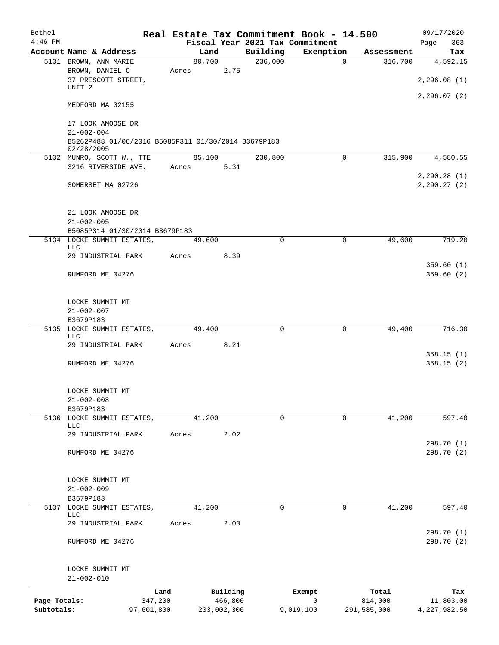| Bethel       |                                                                         |         |        |             |                                 | Real Estate Tax Commitment Book - 14.500 |             | 09/17/2020             |
|--------------|-------------------------------------------------------------------------|---------|--------|-------------|---------------------------------|------------------------------------------|-------------|------------------------|
| $4:46$ PM    |                                                                         |         |        |             | Fiscal Year 2021 Tax Commitment |                                          |             | 363<br>Page            |
|              | Account Name & Address                                                  |         | Land   |             | Building                        | Exemption                                | Assessment  | Tax                    |
|              | 5131 BROWN, ANN MARIE                                                   |         | 80,700 |             | 236,000                         | $\overline{0}$                           | 316,700     | 4,592.15               |
|              | BROWN, DANIEL C<br>37 PRESCOTT STREET,                                  | Acres   |        | 2.75        |                                 |                                          |             | 2, 296.08(1)           |
|              | UNIT 2                                                                  |         |        |             |                                 |                                          |             |                        |
|              |                                                                         |         |        |             |                                 |                                          |             | 2, 296.07(2)           |
|              | MEDFORD MA 02155                                                        |         |        |             |                                 |                                          |             |                        |
|              | 17 LOOK AMOOSE DR                                                       |         |        |             |                                 |                                          |             |                        |
|              | $21 - 002 - 004$<br>B5262P488 01/06/2016 B5085P311 01/30/2014 B3679P183 |         |        |             |                                 |                                          |             |                        |
|              | 02/28/2005                                                              |         |        |             |                                 |                                          |             |                        |
|              | 5132 MUNRO, SCOTT W., TTE                                               |         | 85,100 |             | 230,800                         | 0                                        | 315,900     | 4,580.55               |
|              | 3216 RIVERSIDE AVE.                                                     | Acres   |        | 5.31        |                                 |                                          |             | 2, 290.28(1)           |
|              | SOMERSET MA 02726                                                       |         |        |             |                                 |                                          |             | 2, 290.27(2)           |
|              |                                                                         |         |        |             |                                 |                                          |             |                        |
|              | 21 LOOK AMOOSE DR                                                       |         |        |             |                                 |                                          |             |                        |
|              | $21 - 002 - 005$                                                        |         |        |             |                                 |                                          |             |                        |
|              | B5085P314 01/30/2014 B3679P183                                          |         |        |             |                                 |                                          |             |                        |
|              | 5134 LOCKE SUMMIT ESTATES,<br><b>LLC</b>                                |         | 49,600 |             | $\Omega$                        | $\mathbf 0$                              | 49,600      | 719.20                 |
|              | 29 INDUSTRIAL PARK                                                      | Acres   |        | 8.39        |                                 |                                          |             |                        |
|              | RUMFORD ME 04276                                                        |         |        |             |                                 |                                          |             | 359.60(1)<br>359.60(2) |
|              |                                                                         |         |        |             |                                 |                                          |             |                        |
|              | LOCKE SUMMIT MT                                                         |         |        |             |                                 |                                          |             |                        |
|              | $21 - 002 - 007$                                                        |         |        |             |                                 |                                          |             |                        |
|              | B3679P183                                                               |         |        |             |                                 |                                          |             |                        |
|              | 5135 LOCKE SUMMIT ESTATES,                                              |         | 49,400 |             | 0                               | 0                                        | 49,400      | 716.30                 |
|              | LLC<br>29 INDUSTRIAL PARK                                               | Acres   |        | 8.21        |                                 |                                          |             |                        |
|              |                                                                         |         |        |             |                                 |                                          |             | 358.15(1)              |
|              | RUMFORD ME 04276                                                        |         |        |             |                                 |                                          |             | 358.15(2)              |
|              | LOCKE SUMMIT MT                                                         |         |        |             |                                 |                                          |             |                        |
|              | $21 - 002 - 008$                                                        |         |        |             |                                 |                                          |             |                        |
|              | B3679P183                                                               |         |        |             |                                 |                                          |             |                        |
| 5136         | LOCKE SUMMIT ESTATES,                                                   |         | 41,200 |             | $\mathbf 0$                     | $\mathbf 0$                              | 41,200      | 597.40                 |
|              | LLC                                                                     |         |        |             |                                 |                                          |             |                        |
|              | 29 INDUSTRIAL PARK                                                      | Acres   |        | 2.02        |                                 |                                          |             | 298.70 (1)             |
|              | RUMFORD ME 04276                                                        |         |        |             |                                 |                                          |             | 298.70 (2)             |
|              |                                                                         |         |        |             |                                 |                                          |             |                        |
|              | LOCKE SUMMIT MT                                                         |         |        |             |                                 |                                          |             |                        |
|              | $21 - 002 - 009$                                                        |         |        |             |                                 |                                          |             |                        |
|              | B3679P183                                                               |         |        |             |                                 |                                          |             |                        |
|              | 5137 LOCKE SUMMIT ESTATES,<br>LLC                                       |         | 41,200 |             | 0                               | 0                                        | 41,200      | 597.40                 |
|              | 29 INDUSTRIAL PARK                                                      | Acres   |        | 2.00        |                                 |                                          |             |                        |
|              |                                                                         |         |        |             |                                 |                                          |             | 298.70 (1)             |
|              | RUMFORD ME 04276                                                        |         |        |             |                                 |                                          |             | 298.70 (2)             |
|              | LOCKE SUMMIT MT                                                         |         |        |             |                                 |                                          |             |                        |
|              | $21 - 002 - 010$                                                        |         |        |             |                                 |                                          |             |                        |
|              |                                                                         | Land    |        | Building    |                                 | Exempt                                   | Total       | Tax                    |
| Page Totals: |                                                                         | 347,200 |        | 466,800     |                                 | 0                                        | 814,000     | 11,803.00              |
| Subtotals:   | 97,601,800                                                              |         |        | 203,002,300 |                                 | 9,019,100                                | 291,585,000 | 4,227,982.50           |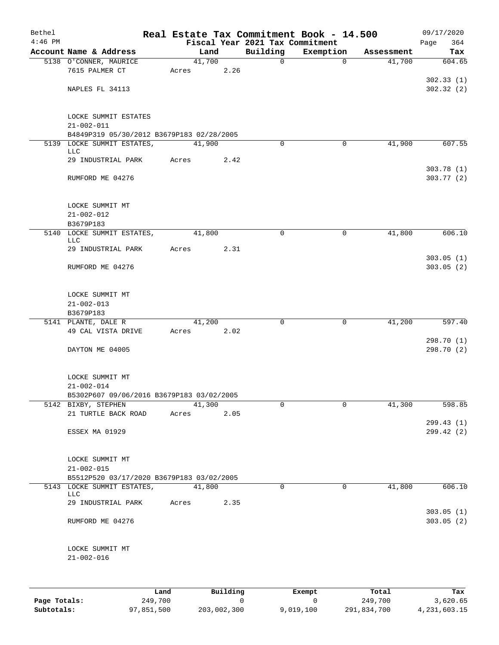| Bethel<br>$4:46$ PM |                                           |       |                         | Fiscal Year 2021 Tax Commitment | Real Estate Tax Commitment Book - 14.500 |            | 09/17/2020<br>364<br>Page |
|---------------------|-------------------------------------------|-------|-------------------------|---------------------------------|------------------------------------------|------------|---------------------------|
|                     | Account Name & Address                    |       | Land                    | Building                        | Exemption                                | Assessment | Tax                       |
|                     | 5138 O'CONNER, MAURICE                    |       | 41,700                  | $\mathsf{O}$                    | $\Omega$                                 | 41,700     | 604.65                    |
|                     | 7615 PALMER CT                            | Acres | 2.26                    |                                 |                                          |            |                           |
|                     |                                           |       |                         |                                 |                                          |            | 302.33(1)                 |
|                     | NAPLES FL 34113                           |       |                         |                                 |                                          |            | 302.32 (2)                |
|                     | LOCKE SUMMIT ESTATES<br>$21 - 002 - 011$  |       |                         |                                 |                                          |            |                           |
|                     | B4849P319 05/30/2012 B3679P183 02/28/2005 |       |                         |                                 |                                          |            |                           |
|                     | 5139 LOCKE SUMMIT ESTATES,<br>LLC         |       | 41,900                  | $\Omega$                        | 0                                        | 41,900     | 607.55                    |
|                     | 29 INDUSTRIAL PARK                        | Acres | 2.42                    |                                 |                                          |            |                           |
|                     | RUMFORD ME 04276                          |       |                         |                                 |                                          |            | 303.78(1)<br>303.77(2)    |
|                     | LOCKE SUMMIT MT                           |       |                         |                                 |                                          |            |                           |
|                     | $21 - 002 - 012$                          |       |                         |                                 |                                          |            |                           |
|                     | B3679P183                                 |       |                         |                                 |                                          |            |                           |
|                     | 5140 LOCKE SUMMIT ESTATES,<br><b>LLC</b>  |       | 41,800                  | $\mathbf 0$                     | $\mathbf 0$                              | 41,800     | 606.10                    |
|                     | 29 INDUSTRIAL PARK                        | Acres | 2.31                    |                                 |                                          |            | 303.05(1)                 |
|                     | RUMFORD ME 04276                          |       |                         |                                 |                                          |            | 303.05(2)                 |
|                     | LOCKE SUMMIT MT<br>$21 - 002 - 013$       |       |                         |                                 |                                          |            |                           |
|                     | B3679P183                                 |       |                         |                                 |                                          |            |                           |
|                     | 5141 PLANTE, DALE R<br>49 CAL VISTA DRIVE |       | 41,200<br>2.02<br>Acres | $\mathbf 0$                     | $\mathbf 0$                              | 41,200     | 597.40                    |
|                     |                                           |       |                         |                                 |                                          |            | 298.70 (1)                |
|                     | DAYTON ME 04005                           |       |                         |                                 |                                          |            | 298.70 (2)                |
|                     | LOCKE SUMMIT MT<br>$21 - 002 - 014$       |       |                         |                                 |                                          |            |                           |
|                     | B5302P607 09/06/2016 B3679P183 03/02/2005 |       |                         |                                 |                                          |            |                           |
|                     | 5142 BIXBY, STEPHEN                       |       | 41,300                  | 0                               | $\Omega$                                 | 41,300     | 598.85                    |
|                     | 21 TURTLE BACK ROAD                       | Acres | 2.05                    |                                 |                                          |            |                           |
|                     | ESSEX MA 01929                            |       |                         |                                 |                                          |            | 299.43(1)<br>299.42 (2)   |
|                     | LOCKE SUMMIT MT                           |       |                         |                                 |                                          |            |                           |
|                     | $21 - 002 - 015$                          |       |                         |                                 |                                          |            |                           |
|                     | B5512P520 03/17/2020 B3679P183 03/02/2005 |       |                         |                                 |                                          |            |                           |
|                     | 5143 LOCKE SUMMIT ESTATES,<br>LLC         |       | 41,800                  | 0                               | 0                                        | 41,800     | 606.10                    |
|                     | 29 INDUSTRIAL PARK                        | Acres | 2.35                    |                                 |                                          |            | 303.05(1)                 |
|                     | RUMFORD ME 04276                          |       |                         |                                 |                                          |            | 303.05(2)                 |
|                     | LOCKE SUMMIT MT                           |       |                         |                                 |                                          |            |                           |
|                     | $21 - 002 - 016$                          |       |                         |                                 |                                          |            |                           |
|                     |                                           |       |                         |                                 |                                          |            |                           |
|                     |                                           | Land  | Building                |                                 | Exempt                                   | Total      | Tax                       |

| Page Totals: | 249,700    |             |           | 249,700     | 3,620.65     |
|--------------|------------|-------------|-----------|-------------|--------------|
| Subtotals:   | 97,851,500 | 203,002,300 | 9,019,100 | 291,834,700 | 4,231,603.15 |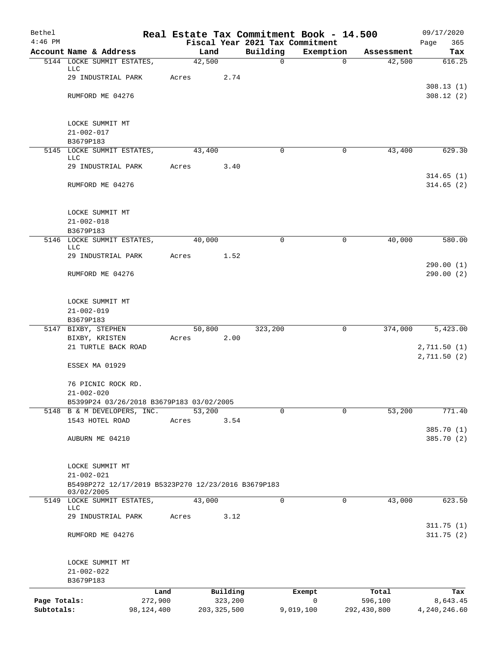| Bethel       |                                                                   |       |                |               |                         | Real Estate Tax Commitment Book - 14.500 |                      | 09/17/2020             |
|--------------|-------------------------------------------------------------------|-------|----------------|---------------|-------------------------|------------------------------------------|----------------------|------------------------|
| $4:46$ PM    |                                                                   |       |                |               |                         | Fiscal Year 2021 Tax Commitment          |                      | Page<br>365            |
|              | Account Name & Address<br>5144 LOCKE SUMMIT ESTATES,              |       | Land<br>42,500 |               | Building<br>$\mathbf 0$ | Exemption<br>$\mathbf 0$                 | Assessment<br>42,500 | Tax<br>616.25          |
|              | LLC                                                               |       |                |               |                         |                                          |                      |                        |
|              | 29 INDUSTRIAL PARK                                                | Acres |                | 2.74          |                         |                                          |                      |                        |
|              |                                                                   |       |                |               |                         |                                          |                      | 308.13(1)<br>308.12(2) |
|              | RUMFORD ME 04276                                                  |       |                |               |                         |                                          |                      |                        |
|              | LOCKE SUMMIT MT                                                   |       |                |               |                         |                                          |                      |                        |
|              | $21 - 002 - 017$                                                  |       |                |               |                         |                                          |                      |                        |
|              | B3679P183                                                         |       |                |               |                         |                                          |                      |                        |
|              | 5145 LOCKE SUMMIT ESTATES,<br>LLC                                 |       | 43,400         |               | $\mathbf 0$             | 0                                        | 43,400               | 629.30                 |
|              | 29 INDUSTRIAL PARK                                                | Acres |                | 3.40          |                         |                                          |                      |                        |
|              |                                                                   |       |                |               |                         |                                          |                      | 314.65(1)              |
|              | RUMFORD ME 04276                                                  |       |                |               |                         |                                          |                      | 314.65(2)              |
|              | LOCKE SUMMIT MT                                                   |       |                |               |                         |                                          |                      |                        |
|              | $21 - 002 - 018$                                                  |       |                |               |                         |                                          |                      |                        |
|              | B3679P183                                                         |       |                |               |                         |                                          |                      |                        |
|              | 5146 LOCKE SUMMIT ESTATES,<br>LLC                                 |       | 40,000         |               | $\Omega$                | $\Omega$                                 | 40,000               | 580.00                 |
|              | 29 INDUSTRIAL PARK                                                | Acres |                | 1.52          |                         |                                          |                      |                        |
|              | RUMFORD ME 04276                                                  |       |                |               |                         |                                          |                      | 290.00(1)<br>290.00(2) |
|              |                                                                   |       |                |               |                         |                                          |                      |                        |
|              | LOCKE SUMMIT MT                                                   |       |                |               |                         |                                          |                      |                        |
|              | $21 - 002 - 019$                                                  |       |                |               |                         |                                          |                      |                        |
|              | B3679P183                                                         |       |                |               |                         |                                          |                      |                        |
|              | 5147 BIXBY, STEPHEN                                               |       | 50,800         |               | 323,200                 | 0                                        | 374,000              | 5,423.00               |
|              | BIXBY, KRISTEN<br>21 TURTLE BACK ROAD                             | Acres |                | 2.00          |                         |                                          |                      | 2,711.50(1)            |
|              |                                                                   |       |                |               |                         |                                          |                      | 2, 711.50 (2)          |
|              | ESSEX MA 01929                                                    |       |                |               |                         |                                          |                      |                        |
|              | 76 PICNIC ROCK RD.                                                |       |                |               |                         |                                          |                      |                        |
|              | $21 - 002 - 020$                                                  |       |                |               |                         |                                          |                      |                        |
|              | B5399P24 03/26/2018 B3679P183 03/02/2005                          |       |                |               |                         |                                          |                      |                        |
|              | 5148 B & M DEVELOPERS, INC.<br>1543 HOTEL ROAD                    | Acres | 53,200         | 3.54          | $\Omega$                | $\Omega$                                 | 53,200               | 771.40                 |
|              |                                                                   |       |                |               |                         |                                          |                      | 385.70 (1)             |
|              | AUBURN ME 04210                                                   |       |                |               |                         |                                          |                      | 385.70 (2)             |
|              |                                                                   |       |                |               |                         |                                          |                      |                        |
|              | LOCKE SUMMIT MT<br>$21 - 002 - 021$                               |       |                |               |                         |                                          |                      |                        |
|              | B5498P272 12/17/2019 B5323P270 12/23/2016 B3679P183<br>03/02/2005 |       |                |               |                         |                                          |                      |                        |
|              | 5149 LOCKE SUMMIT ESTATES,                                        |       | 43,000         |               | 0                       | 0                                        | 43,000               | 623.50                 |
|              | LLC<br>29 INDUSTRIAL PARK                                         | Acres |                | 3.12          |                         |                                          |                      |                        |
|              |                                                                   |       |                |               |                         |                                          |                      | 311.75(1)              |
|              | RUMFORD ME 04276                                                  |       |                |               |                         |                                          |                      | 311.75(2)              |
|              | LOCKE SUMMIT MT                                                   |       |                |               |                         |                                          |                      |                        |
|              | $21 - 002 - 022$                                                  |       |                |               |                         |                                          |                      |                        |
|              | B3679P183                                                         |       |                |               |                         |                                          |                      |                        |
|              | Land                                                              |       |                | Building      |                         | Exempt                                   | Total                | Tax                    |
| Page Totals: | 272,900                                                           |       |                | 323,200       |                         | $\mathbf 0$                              | 596,100              | 8,643.45               |
| Subtotals:   | 98,124,400                                                        |       |                | 203, 325, 500 |                         | 9,019,100                                | 292,430,800          | 4,240,246.60           |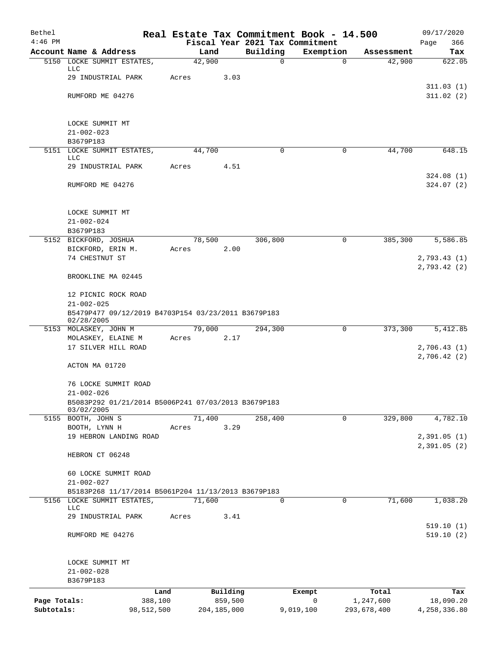| Bethel                     |                                                                         |       |                |          |                                 | Real Estate Tax Commitment Book - 14.500 |                      | 09/17/2020             |
|----------------------------|-------------------------------------------------------------------------|-------|----------------|----------|---------------------------------|------------------------------------------|----------------------|------------------------|
| $4:46$ PM                  |                                                                         |       |                |          | Fiscal Year 2021 Tax Commitment |                                          |                      | 366<br>Page            |
|                            | Account Name & Address<br>5150 LOCKE SUMMIT ESTATES,                    |       | Land<br>42,900 |          | Building<br>0                   | Exemption<br>$\mathbf 0$                 | Assessment<br>42,900 | Tax<br>622.05          |
|                            | LLC                                                                     |       |                |          |                                 |                                          |                      |                        |
|                            | 29 INDUSTRIAL PARK                                                      | Acres |                | 3.03     |                                 |                                          |                      |                        |
|                            |                                                                         |       |                |          |                                 |                                          |                      | 311.03(1)              |
|                            | RUMFORD ME 04276                                                        |       |                |          |                                 |                                          |                      | 311.02(2)              |
|                            | LOCKE SUMMIT MT                                                         |       |                |          |                                 |                                          |                      |                        |
|                            | $21 - 002 - 023$                                                        |       |                |          |                                 |                                          |                      |                        |
|                            | B3679P183                                                               |       |                |          |                                 |                                          |                      |                        |
|                            | 5151 LOCKE SUMMIT ESTATES,<br>LLC                                       |       | 44,700         |          | 0                               | 0                                        | 44,700               | 648.15                 |
|                            | 29 INDUSTRIAL PARK                                                      | Acres |                | 4.51     |                                 |                                          |                      |                        |
|                            |                                                                         |       |                |          |                                 |                                          |                      | 324.08(1)              |
|                            | RUMFORD ME 04276                                                        |       |                |          |                                 |                                          |                      | 324.07(2)              |
|                            | LOCKE SUMMIT MT                                                         |       |                |          |                                 |                                          |                      |                        |
|                            | $21 - 002 - 024$                                                        |       |                |          |                                 |                                          |                      |                        |
|                            | B3679P183                                                               |       |                |          |                                 |                                          |                      |                        |
|                            | 5152 BICKFORD, JOSHUA                                                   |       | 78,500         |          | 306,800                         | $\Omega$                                 | 385,300              | 5,586.85               |
|                            | BICKFORD, ERIN M.<br>74 CHESTNUT ST                                     | Acres |                | 2.00     |                                 |                                          |                      | 2,793.43(1)            |
|                            |                                                                         |       |                |          |                                 |                                          |                      | 2,793.42(2)            |
|                            | BROOKLINE MA 02445                                                      |       |                |          |                                 |                                          |                      |                        |
|                            | 12 PICNIC ROCK ROAD                                                     |       |                |          |                                 |                                          |                      |                        |
|                            | $21 - 002 - 025$                                                        |       |                |          |                                 |                                          |                      |                        |
|                            | B5479P477 09/12/2019 B4703P154 03/23/2011 B3679P183<br>02/28/2005       |       |                |          |                                 |                                          |                      |                        |
|                            | 5153 MOLASKEY, JOHN M                                                   |       | 79,000         |          | 294,300                         | 0                                        | 373,300              | 5,412.85               |
|                            | MOLASKEY, ELAINE M                                                      | Acres |                | 2.17     |                                 |                                          |                      |                        |
|                            | 17 SILVER HILL ROAD                                                     |       |                |          |                                 |                                          |                      | 2,706.43(1)            |
|                            |                                                                         |       |                |          |                                 |                                          |                      | 2,706.42(2)            |
|                            | ACTON MA 01720                                                          |       |                |          |                                 |                                          |                      |                        |
|                            | 76 LOCKE SUMMIT ROAD                                                    |       |                |          |                                 |                                          |                      |                        |
|                            | $21 - 002 - 026$                                                        |       |                |          |                                 |                                          |                      |                        |
|                            | B5083P292 01/21/2014 B5006P241 07/03/2013 B3679P183<br>03/02/2005       |       |                |          |                                 |                                          |                      |                        |
|                            | 5155 BOOTH, JOHN S                                                      |       | 71,400         |          | 258,400                         | $\mathbf 0$                              | 329,800              | 4,782.10               |
|                            | BOOTH, LYNN H                                                           | Acres |                | 3.29     |                                 |                                          |                      |                        |
|                            | 19 HEBRON LANDING ROAD                                                  |       |                |          |                                 |                                          |                      | 2,391.05 (1)           |
|                            | HEBRON CT 06248                                                         |       |                |          |                                 |                                          |                      | 2,391.05(2)            |
|                            |                                                                         |       |                |          |                                 |                                          |                      |                        |
|                            | 60 LOCKE SUMMIT ROAD                                                    |       |                |          |                                 |                                          |                      |                        |
|                            | $21 - 002 - 027$<br>B5183P268 11/17/2014 B5061P204 11/13/2013 B3679P183 |       |                |          |                                 |                                          |                      |                        |
|                            | 5156 LOCKE SUMMIT ESTATES,                                              |       | 71,600         |          | $\Omega$                        | 0                                        | 71,600               | 1,038.20               |
|                            | LLC                                                                     |       |                |          |                                 |                                          |                      |                        |
|                            | 29 INDUSTRIAL PARK                                                      | Acres |                | 3.41     |                                 |                                          |                      |                        |
|                            | RUMFORD ME 04276                                                        |       |                |          |                                 |                                          |                      | 519.10(1)<br>519.10(2) |
|                            |                                                                         |       |                |          |                                 |                                          |                      |                        |
|                            | LOCKE SUMMIT MT                                                         |       |                |          |                                 |                                          |                      |                        |
|                            | $21 - 002 - 028$                                                        |       |                |          |                                 |                                          |                      |                        |
|                            | B3679P183                                                               |       |                |          |                                 |                                          |                      |                        |
|                            | Land                                                                    |       |                | Building |                                 | Exempt                                   | Total                | Tax                    |
| Page Totals:<br>Subtotals: | 388,100                                                                 |       |                | 859,500  |                                 | $\mathbf 0$                              | 1,247,600            | 18,090.20              |
|                            | 98,512,500                                                              |       | 204, 185, 000  |          |                                 | 9,019,100                                | 293,678,400          | 4,258,336.80           |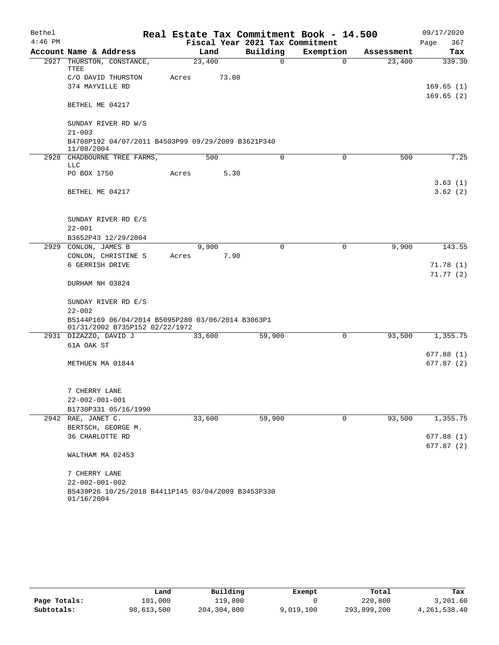| Bethel    |                                                                                     |       |        |       | Real Estate Tax Commitment Book - 14.500 |           |             |            |      | 09/17/2020              |
|-----------|-------------------------------------------------------------------------------------|-------|--------|-------|------------------------------------------|-----------|-------------|------------|------|-------------------------|
| $4:46$ PM |                                                                                     |       |        |       | Fiscal Year 2021 Tax Commitment          |           |             |            | Page | 367                     |
|           | Account Name & Address                                                              |       | Land   |       | Building                                 | Exemption |             | Assessment |      | Tax                     |
|           | 2927 THURSTON, CONSTANCE,<br>TTEE                                                   |       | 23,400 |       | 0                                        |           | $\Omega$    | 23,400     |      | 339.30                  |
|           | C/O DAVID THURSTON                                                                  | Acres |        | 73.00 |                                          |           |             |            |      |                         |
|           | 374 MAYVILLE RD                                                                     |       |        |       |                                          |           |             |            |      | 169.65(1)               |
|           |                                                                                     |       |        |       |                                          |           |             |            |      | 169.65(2)               |
|           | BETHEL ME 04217                                                                     |       |        |       |                                          |           |             |            |      |                         |
|           | SUNDAY RIVER RD W/S                                                                 |       |        |       |                                          |           |             |            |      |                         |
|           | $21 - 003$                                                                          |       |        |       |                                          |           |             |            |      |                         |
|           | B4708P192 04/07/2011 B4503P99 09/29/2009 B3621P340<br>11/08/2004                    |       |        |       |                                          |           |             |            |      |                         |
| 2928      | CHADBOURNE TREE FARMS,<br>LLC                                                       |       | 500    |       | 0                                        |           | 0           | 500        |      | 7.25                    |
|           | PO BOX 1750                                                                         | Acres |        | 5.30  |                                          |           |             |            |      |                         |
|           |                                                                                     |       |        |       |                                          |           |             |            |      | 3.63(1)                 |
|           | BETHEL ME 04217                                                                     |       |        |       |                                          |           |             |            |      | 3.62(2)                 |
|           |                                                                                     |       |        |       |                                          |           |             |            |      |                         |
|           | SUNDAY RIVER RD E/S                                                                 |       |        |       |                                          |           |             |            |      |                         |
|           | $22 - 001$                                                                          |       |        |       |                                          |           |             |            |      |                         |
|           | B3652P43 12/29/2004                                                                 |       |        |       |                                          |           |             |            |      |                         |
|           | 2929 CONLON, JAMES B                                                                |       | 9,900  |       | 0                                        |           | 0           | 9,900      |      | 143.55                  |
|           | CONLON, CHRISTINE S                                                                 | Acres |        | 7.90  |                                          |           |             |            |      |                         |
|           | 6 GERRISH DRIVE                                                                     |       |        |       |                                          |           |             |            |      | 71.78(1)<br>71.77(2)    |
|           | DURHAM NH 03824                                                                     |       |        |       |                                          |           |             |            |      |                         |
|           | SUNDAY RIVER RD E/S                                                                 |       |        |       |                                          |           |             |            |      |                         |
|           | $22 - 002$                                                                          |       |        |       |                                          |           |             |            |      |                         |
|           | B5144P169 06/04/2014 B5095P280 03/06/2014 B3063P1<br>01/31/2002 B735P152 02/22/1972 |       |        |       |                                          |           |             |            |      |                         |
|           | 2931 DIZAZZO, DAVID J                                                               |       | 33,600 |       | 59,900                                   |           | 0           | 93,500     |      | 1,355.75                |
|           | 61A OAK ST                                                                          |       |        |       |                                          |           |             |            |      |                         |
|           |                                                                                     |       |        |       |                                          |           |             |            |      | 677.88(1)               |
|           | METHUEN MA 01844                                                                    |       |        |       |                                          |           |             |            |      | 677.87(2)               |
|           |                                                                                     |       |        |       |                                          |           |             |            |      |                         |
|           | 7 CHERRY LANE                                                                       |       |        |       |                                          |           |             |            |      |                         |
|           | 22-002-001-001                                                                      |       |        |       |                                          |           |             |            |      |                         |
|           | B1730P331 05/16/1990                                                                |       |        |       |                                          |           |             |            |      |                         |
|           | 2942 RAE, JANET C.                                                                  |       | 33,600 |       | 59,900                                   |           | $\mathbf 0$ | 93,500     |      | 1,355.75                |
|           | BERTSCH, GEORGE M.                                                                  |       |        |       |                                          |           |             |            |      |                         |
|           | 36 CHARLOTTE RD                                                                     |       |        |       |                                          |           |             |            |      | 677.88(1)<br>677.87 (2) |
|           | WALTHAM MA 02453                                                                    |       |        |       |                                          |           |             |            |      |                         |
|           | 7 CHERRY LANE                                                                       |       |        |       |                                          |           |             |            |      |                         |
|           | $22 - 002 - 001 - 002$                                                              |       |        |       |                                          |           |             |            |      |                         |
|           | B5439P26 10/25/2018 B4411P145 03/04/2009 B3453P330<br>01/16/2004                    |       |        |       |                                          |           |             |            |      |                         |

|              | Land       | Building      | Exempt    | Total       | Tax            |
|--------------|------------|---------------|-----------|-------------|----------------|
| Page Totals: | 101,000    | 119,800       |           | 220,800     | 3,201.60       |
| Subtotals:   | 98,613,500 | 204, 304, 800 | 9,019,100 | 293,899,200 | 4, 261, 538.40 |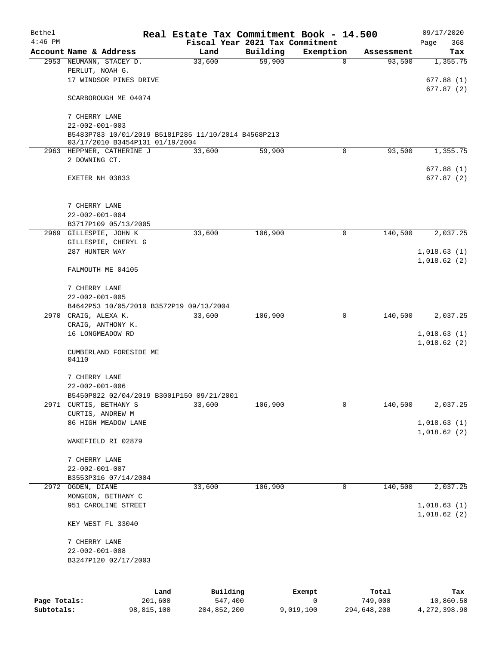| Bethel<br>$4:46$ PM |                                                                                        | Real Estate Tax Commitment Book - 14.500 |                                             |             |            | 09/17/2020                 |
|---------------------|----------------------------------------------------------------------------------------|------------------------------------------|---------------------------------------------|-------------|------------|----------------------------|
|                     | Account Name & Address                                                                 | Land                                     | Fiscal Year 2021 Tax Commitment<br>Building | Exemption   | Assessment | 368<br>Page<br>Tax         |
|                     | 2953 NEUMANN, STACEY D.                                                                | 33,600                                   | 59,900                                      | $\mathbf 0$ | 93,500     | 1,355.75                   |
|                     | PERLUT, NOAH G.                                                                        |                                          |                                             |             |            |                            |
|                     | 17 WINDSOR PINES DRIVE                                                                 |                                          |                                             |             |            | 677.88(1)                  |
|                     | SCARBOROUGH ME 04074                                                                   |                                          |                                             |             |            | 677.87(2)                  |
|                     | 7 CHERRY LANE                                                                          |                                          |                                             |             |            |                            |
|                     | $22 - 002 - 001 - 003$                                                                 |                                          |                                             |             |            |                            |
|                     | B5483P783 10/01/2019 B5181P285 11/10/2014 B4568P213<br>03/17/2010 B3454P131 01/19/2004 |                                          |                                             |             |            |                            |
|                     | 2963 HEPPNER, CATHERINE J                                                              | 33,600                                   | 59,900                                      | 0           | 93,500     | 1,355.75                   |
|                     | 2 DOWNING CT.                                                                          |                                          |                                             |             |            |                            |
|                     | EXETER NH 03833                                                                        |                                          |                                             |             |            | 677.88(1)<br>677.87(2)     |
|                     |                                                                                        |                                          |                                             |             |            |                            |
|                     | 7 CHERRY LANE                                                                          |                                          |                                             |             |            |                            |
|                     | $22 - 002 - 001 - 004$                                                                 |                                          |                                             |             |            |                            |
|                     | B3717P109 05/13/2005                                                                   |                                          |                                             |             |            |                            |
| 2969                | GILLESPIE, JOHN K                                                                      | 33,600                                   | 106,900                                     | $\mathbf 0$ | 140,500    | 2,037.25                   |
|                     | GILLESPIE, CHERYL G                                                                    |                                          |                                             |             |            |                            |
|                     | 287 HUNTER WAY                                                                         |                                          |                                             |             |            | 1,018.63(1)<br>1,018.62(2) |
|                     | FALMOUTH ME 04105                                                                      |                                          |                                             |             |            |                            |
|                     | 7 CHERRY LANE                                                                          |                                          |                                             |             |            |                            |
|                     | $22 - 002 - 001 - 005$                                                                 |                                          |                                             |             |            |                            |
|                     | B4642P53 10/05/2010 B3572P19 09/13/2004                                                |                                          |                                             |             |            |                            |
|                     | 2970 CRAIG, ALEXA K.                                                                   | 33,600                                   | 106,900                                     | 0           | 140,500    | 2,037.25                   |
|                     | CRAIG, ANTHONY K.<br>16 LONGMEADOW RD                                                  |                                          |                                             |             |            | 1,018.63(1)                |
|                     |                                                                                        |                                          |                                             |             |            | 1,018.62(2)                |
|                     | CUMBERLAND FORESIDE ME<br>04110                                                        |                                          |                                             |             |            |                            |
|                     | 7 CHERRY LANE                                                                          |                                          |                                             |             |            |                            |
|                     | $22 - 002 - 001 - 006$                                                                 |                                          |                                             |             |            |                            |
| 2971                | B5450P822 02/04/2019 B3001P150 09/21/2001<br>CURTIS, BETHANY S                         | 33,600                                   | 106,900                                     | 0           | 140,500    | 2,037.25                   |
|                     | CURTIS, ANDREW M                                                                       |                                          |                                             |             |            |                            |
|                     | 86 HIGH MEADOW LANE                                                                    |                                          |                                             |             |            | 1,018.63(1)                |
|                     | WAKEFIELD RI 02879                                                                     |                                          |                                             |             |            | 1,018.62(2)                |
|                     | 7 CHERRY LANE                                                                          |                                          |                                             |             |            |                            |
|                     | $22 - 002 - 001 - 007$                                                                 |                                          |                                             |             |            |                            |
|                     | B3553P316 07/14/2004                                                                   |                                          |                                             |             |            |                            |
|                     | 2972 OGDEN, DIANE                                                                      | 33,600                                   | 106,900                                     | 0           | 140,500    | 2,037.25                   |
|                     | MONGEON, BETHANY C                                                                     |                                          |                                             |             |            |                            |
|                     | 951 CAROLINE STREET                                                                    |                                          |                                             |             |            | 1,018.63(1)                |
|                     |                                                                                        |                                          |                                             |             |            | 1,018.62(2)                |
|                     | KEY WEST FL 33040                                                                      |                                          |                                             |             |            |                            |
|                     | 7 CHERRY LANE                                                                          |                                          |                                             |             |            |                            |
|                     | $22 - 002 - 001 - 008$                                                                 |                                          |                                             |             |            |                            |
|                     | B3247P120 02/17/2003                                                                   |                                          |                                             |             |            |                            |
|                     |                                                                                        |                                          |                                             |             |            |                            |
|                     | Land                                                                                   | Building                                 |                                             | Exempt      | Total      | Tax                        |
| Page Totals:        | 201,600                                                                                | 547,400                                  |                                             | 0           | 749,000    | 10,860.50                  |

**Subtotals:** 98,815,100 204,852,200 9,019,100 294,648,200 4,272,398.90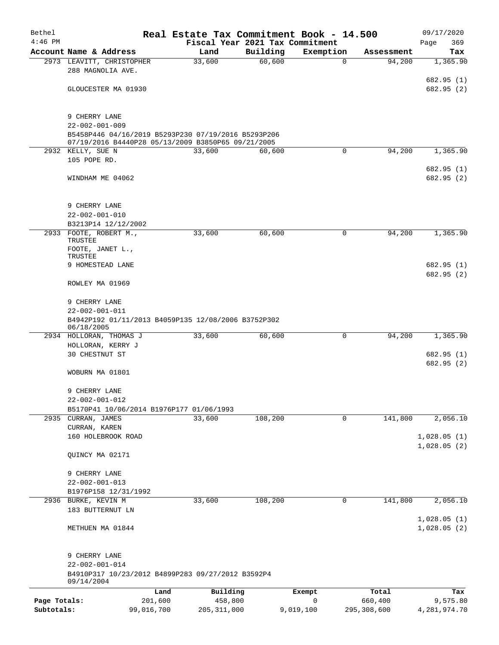| Bethel       |                                                                                                           |            | Real Estate Tax Commitment Book - 14.500 |                                 |             |             | 09/17/2020               |
|--------------|-----------------------------------------------------------------------------------------------------------|------------|------------------------------------------|---------------------------------|-------------|-------------|--------------------------|
| $4:46$ PM    |                                                                                                           |            |                                          | Fiscal Year 2021 Tax Commitment |             |             | 369<br>Page              |
|              | Account Name & Address                                                                                    |            | Land                                     | Building                        | Exemption   | Assessment  | Tax                      |
|              | 2973 LEAVITT, CHRISTOPHER<br>288 MAGNOLIA AVE.                                                            |            | 33,600                                   | 60,600                          | $\Omega$    | 94,200      | 1,365.90                 |
|              | GLOUCESTER MA 01930                                                                                       |            |                                          |                                 |             |             | 682.95 (1)<br>682.95 (2) |
|              | 9 CHERRY LANE                                                                                             |            |                                          |                                 |             |             |                          |
|              | $22 - 002 - 001 - 009$                                                                                    |            |                                          |                                 |             |             |                          |
|              | B5458P446 04/16/2019 B5293P230 07/19/2016 B5293P206<br>07/19/2016 B4440P28 05/13/2009 B3850P65 09/21/2005 |            |                                          |                                 |             |             |                          |
|              | 2932 KELLY, SUE N                                                                                         |            | 33,600                                   | 60,600                          | $\mathbf 0$ | 94,200      | 1,365.90                 |
|              | 105 POPE RD.                                                                                              |            |                                          |                                 |             |             |                          |
|              | WINDHAM ME 04062                                                                                          |            |                                          |                                 |             |             | 682.95 (1)<br>682.95 (2) |
|              | 9 CHERRY LANE                                                                                             |            |                                          |                                 |             |             |                          |
|              | $22 - 002 - 001 - 010$                                                                                    |            |                                          |                                 |             |             |                          |
|              | B3213P14 12/12/2002<br>2933 FOOTE, ROBERT M.,                                                             |            | 33,600                                   | 60,600                          | 0           | 94,200      | 1,365.90                 |
|              | TRUSTEE<br>FOOTE, JANET L.,                                                                               |            |                                          |                                 |             |             |                          |
|              | TRUSTEE<br>9 HOMESTEAD LANE                                                                               |            |                                          |                                 |             |             | 682.95 (1)               |
|              | ROWLEY MA 01969                                                                                           |            |                                          |                                 |             |             | 682.95 (2)               |
|              |                                                                                                           |            |                                          |                                 |             |             |                          |
|              | 9 CHERRY LANE<br>$22 - 002 - 001 - 011$                                                                   |            |                                          |                                 |             |             |                          |
|              | B4942P192 01/11/2013 B4059P135 12/08/2006 B3752P302                                                       |            |                                          |                                 |             |             |                          |
|              | 06/18/2005<br>2934 HOLLORAN, THOMAS J                                                                     |            | 33,600                                   | 60,600                          | 0           | 94,200      | 1,365.90                 |
|              | HOLLORAN, KERRY J                                                                                         |            |                                          |                                 |             |             |                          |
|              | 30 CHESTNUT ST                                                                                            |            |                                          |                                 |             |             | 682.95 (1)               |
|              | WOBURN MA 01801                                                                                           |            |                                          |                                 |             |             | 682.95 (2)               |
|              | 9 CHERRY LANE                                                                                             |            |                                          |                                 |             |             |                          |
|              | $22 - 002 - 001 - 012$<br>B5170P41 10/06/2014 B1976P177 01/06/1993                                        |            |                                          |                                 |             |             |                          |
|              | 2935 CURRAN, JAMES                                                                                        |            | 33,600                                   | 108,200                         | $\mathbf 0$ | 141,800     | 2,056.10                 |
|              | CURRAN, KAREN                                                                                             |            |                                          |                                 |             |             |                          |
|              | 160 HOLEBROOK ROAD                                                                                        |            |                                          |                                 |             |             | 1,028.05(1)              |
|              | QUINCY MA 02171                                                                                           |            |                                          |                                 |             |             | 1,028.05(2)              |
|              | 9 CHERRY LANE                                                                                             |            |                                          |                                 |             |             |                          |
|              | $22 - 002 - 001 - 013$                                                                                    |            |                                          |                                 |             |             |                          |
|              | B1976P158 12/31/1992                                                                                      |            |                                          |                                 |             |             |                          |
|              | 2936 BURKE, KEVIN M                                                                                       |            | 33,600                                   | 108,200                         | 0           | 141,800     | 2,056.10                 |
|              | 183 BUTTERNUT LN                                                                                          |            |                                          |                                 |             |             | 1,028.05(1)              |
|              | METHUEN MA 01844                                                                                          |            |                                          |                                 |             |             | 1,028.05(2)              |
|              | 9 CHERRY LANE<br>$22 - 002 - 001 - 014$                                                                   |            |                                          |                                 |             |             |                          |
|              | B4910P317 10/23/2012 B4899P283 09/27/2012 B3592P4<br>09/14/2004                                           |            |                                          |                                 |             |             |                          |
|              |                                                                                                           | Land       | Building                                 |                                 | Exempt      | Total       | Tax                      |
| Page Totals: |                                                                                                           | 201,600    | 458,800                                  |                                 | 0           | 660,400     | 9,575.80                 |
| Subtotals:   |                                                                                                           | 99,016,700 | 205, 311, 000                            |                                 | 9,019,100   | 295,308,600 | 4,281,974.70             |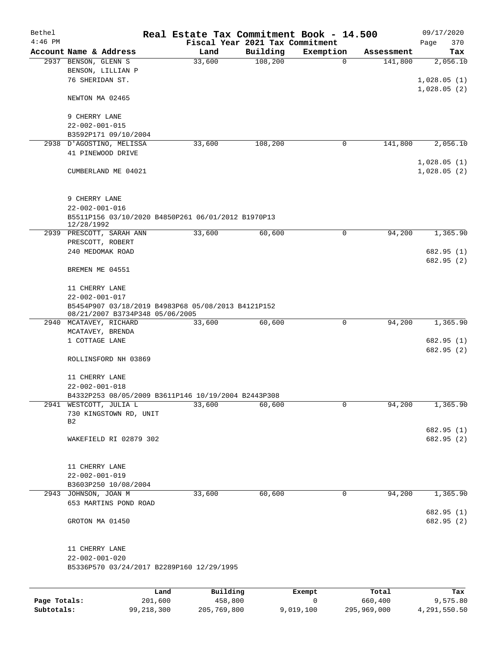| Bethel       |                                                     | Real Estate Tax Commitment Book - 14.500 |                                 |                          |                       | 09/17/2020      |
|--------------|-----------------------------------------------------|------------------------------------------|---------------------------------|--------------------------|-----------------------|-----------------|
| $4:46$ PM    |                                                     |                                          | Fiscal Year 2021 Tax Commitment |                          |                       | 370<br>Page     |
|              | Account Name & Address<br>2937 BENSON, GLENN S      | Land<br>33,600                           | Building<br>108,200             | Exemption<br>$\mathbf 0$ | Assessment<br>141,800 | Tax<br>2,056.10 |
|              | BENSON, LILLIAN P                                   |                                          |                                 |                          |                       |                 |
|              | 76 SHERIDAN ST.                                     |                                          |                                 |                          |                       | 1,028.05(1)     |
|              |                                                     |                                          |                                 |                          |                       | 1,028.05(2)     |
|              | NEWTON MA 02465                                     |                                          |                                 |                          |                       |                 |
|              | 9 CHERRY LANE                                       |                                          |                                 |                          |                       |                 |
|              | $22 - 002 - 001 - 015$                              |                                          |                                 |                          |                       |                 |
|              | B3592P171 09/10/2004                                |                                          |                                 |                          |                       |                 |
|              | 2938 D'AGOSTINO, MELISSA                            | 33,600                                   | 108,200                         | 0                        | 141,800               | 2,056.10        |
|              | 41 PINEWOOD DRIVE                                   |                                          |                                 |                          |                       |                 |
|              |                                                     |                                          |                                 |                          |                       | 1,028.05(1)     |
|              | CUMBERLAND ME 04021                                 |                                          |                                 |                          |                       | 1,028.05(2)     |
|              | 9 CHERRY LANE                                       |                                          |                                 |                          |                       |                 |
|              | $22 - 002 - 001 - 016$                              |                                          |                                 |                          |                       |                 |
|              | B5511P156 03/10/2020 B4850P261 06/01/2012 B1970P13  |                                          |                                 |                          |                       |                 |
|              | 12/28/1992                                          |                                          |                                 |                          |                       |                 |
|              | 2939 PRESCOTT, SARAH ANN                            | 33,600                                   | 60,600                          | 0                        | 94,200                | 1,365.90        |
|              | PRESCOTT, ROBERT                                    |                                          |                                 |                          |                       |                 |
|              | 240 MEDOMAK ROAD                                    |                                          |                                 |                          |                       | 682.95 (1)      |
|              | BREMEN ME 04551                                     |                                          |                                 |                          |                       | 682.95 (2)      |
|              | 11 CHERRY LANE                                      |                                          |                                 |                          |                       |                 |
|              | $22 - 002 - 001 - 017$                              |                                          |                                 |                          |                       |                 |
|              | B5454P907 03/18/2019 B4983P68 05/08/2013 B4121P152  |                                          |                                 |                          |                       |                 |
|              | 08/21/2007 B3734P348 05/06/2005                     |                                          |                                 |                          |                       |                 |
|              | 2940 MCATAVEY, RICHARD                              | 33,600                                   | 60,600                          | 0                        | 94,200                | 1,365.90        |
|              | MCATAVEY, BRENDA                                    |                                          |                                 |                          |                       |                 |
|              | 1 COTTAGE LANE                                      |                                          |                                 |                          |                       | 682.95 (1)      |
|              |                                                     |                                          |                                 |                          |                       | 682.95 (2)      |
|              | ROLLINSFORD NH 03869                                |                                          |                                 |                          |                       |                 |
|              | 11 CHERRY LANE                                      |                                          |                                 |                          |                       |                 |
|              | $22 - 002 - 001 - 018$                              |                                          |                                 |                          |                       |                 |
|              | B4332P253 08/05/2009 B3611P146 10/19/2004 B2443P308 |                                          |                                 |                          |                       |                 |
|              | 2941 WESTCOTT, JULIA L                              | 33,600                                   | 60,600                          | 0                        | 94,200                | 1,365.90        |
|              | 730 KINGSTOWN RD, UNIT                              |                                          |                                 |                          |                       |                 |
|              | В2                                                  |                                          |                                 |                          |                       |                 |
|              |                                                     |                                          |                                 |                          |                       | 682.95 (1)      |
|              | WAKEFIELD RI 02879 302                              |                                          |                                 |                          |                       | 682.95 (2)      |
|              |                                                     |                                          |                                 |                          |                       |                 |
|              |                                                     |                                          |                                 |                          |                       |                 |
|              | 11 CHERRY LANE                                      |                                          |                                 |                          |                       |                 |
|              | $22 - 002 - 001 - 019$                              |                                          |                                 |                          |                       |                 |
|              | B3603P250 10/08/2004                                |                                          |                                 |                          |                       |                 |
|              | 2943 JOHNSON, JOAN M                                | 33,600                                   | 60,600                          | 0                        | 94,200                | 1,365.90        |
|              | 653 MARTINS POND ROAD                               |                                          |                                 |                          |                       |                 |
|              |                                                     |                                          |                                 |                          |                       | 682.95 (1)      |
|              | GROTON MA 01450                                     |                                          |                                 |                          |                       | 682.95 (2)      |
|              | 11 CHERRY LANE                                      |                                          |                                 |                          |                       |                 |
|              | $22 - 002 - 001 - 020$                              |                                          |                                 |                          |                       |                 |
|              | B5336P570 03/24/2017 B2289P160 12/29/1995           |                                          |                                 |                          |                       |                 |
|              |                                                     |                                          |                                 |                          |                       |                 |
|              |                                                     |                                          |                                 |                          |                       |                 |
| Page Totals: | Land<br>201,600                                     | Building<br>458,800                      |                                 | Exempt<br>0              | Total<br>660,400      | Tax<br>9,575.80 |
|              |                                                     |                                          |                                 |                          |                       |                 |

**Subtotals:** 99,218,300 205,769,800 9,019,100 295,969,000 4,291,550.50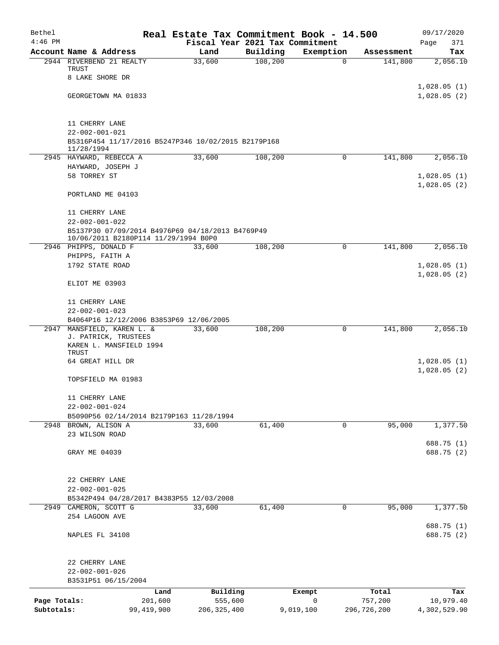| Bethel       |                                                     | Real Estate Tax Commitment Book - 14.500 |                                 |                |                       | 09/17/2020                 |
|--------------|-----------------------------------------------------|------------------------------------------|---------------------------------|----------------|-----------------------|----------------------------|
| $4:46$ PM    |                                                     |                                          | Fiscal Year 2021 Tax Commitment |                |                       | Page<br>371                |
|              | Account Name & Address<br>2944 RIVERBEND 21 REALTY  | Land<br>33,600                           | Building<br>108,200             | Exemption<br>0 | Assessment<br>141,800 | Tax<br>2,056.10            |
|              | TRUST                                               |                                          |                                 |                |                       |                            |
|              | 8 LAKE SHORE DR                                     |                                          |                                 |                |                       |                            |
|              |                                                     |                                          |                                 |                |                       | 1,028.05(1)                |
|              | GEORGETOWN MA 01833                                 |                                          |                                 |                |                       | 1,028.05(2)                |
|              |                                                     |                                          |                                 |                |                       |                            |
|              |                                                     |                                          |                                 |                |                       |                            |
|              | 11 CHERRY LANE<br>$22 - 002 - 001 - 021$            |                                          |                                 |                |                       |                            |
|              | B5316P454 11/17/2016 B5247P346 10/02/2015 B2179P168 |                                          |                                 |                |                       |                            |
|              | 11/28/1994                                          |                                          |                                 |                |                       |                            |
|              | 2945 HAYWARD, REBECCA A                             | 33,600                                   | 108,200                         | 0              | 141,800               | 2,056.10                   |
|              | HAYWARD, JOSEPH J                                   |                                          |                                 |                |                       |                            |
|              | 58 TORREY ST                                        |                                          |                                 |                |                       | 1,028.05(1)                |
|              |                                                     |                                          |                                 |                |                       | 1,028.05(2)                |
|              | PORTLAND ME 04103                                   |                                          |                                 |                |                       |                            |
|              |                                                     |                                          |                                 |                |                       |                            |
|              | 11 CHERRY LANE<br>$22 - 002 - 001 - 022$            |                                          |                                 |                |                       |                            |
|              | B5137P30 07/09/2014 B4976P69 04/18/2013 B4769P49    |                                          |                                 |                |                       |                            |
|              | 10/06/2011 B2180P114 11/29/1994 B0P0                |                                          |                                 |                |                       |                            |
|              | 2946 PHIPPS, DONALD F                               | 33,600                                   | 108,200                         | 0              | 141,800               | 2,056.10                   |
|              | PHIPPS, FAITH A                                     |                                          |                                 |                |                       |                            |
|              | 1792 STATE ROAD                                     |                                          |                                 |                |                       | 1,028.05(1)                |
|              |                                                     |                                          |                                 |                |                       | 1,028.05(2)                |
|              | ELIOT ME 03903                                      |                                          |                                 |                |                       |                            |
|              |                                                     |                                          |                                 |                |                       |                            |
|              | 11 CHERRY LANE<br>$22 - 002 - 001 - 023$            |                                          |                                 |                |                       |                            |
|              | B4064P16 12/12/2006 B3853P69 12/06/2005             |                                          |                                 |                |                       |                            |
| 2947         | MANSFIELD, KAREN L. &                               | 33,600                                   | 108,200                         | 0              | 141,800               | 2,056.10                   |
|              | J. PATRICK, TRUSTEES                                |                                          |                                 |                |                       |                            |
|              | KAREN L. MANSFIELD 1994                             |                                          |                                 |                |                       |                            |
|              | TRUST<br>64 GREAT HILL DR                           |                                          |                                 |                |                       |                            |
|              |                                                     |                                          |                                 |                |                       | 1,028.05(1)<br>1,028.05(2) |
|              | TOPSFIELD MA 01983                                  |                                          |                                 |                |                       |                            |
|              |                                                     |                                          |                                 |                |                       |                            |
|              | 11 CHERRY LANE                                      |                                          |                                 |                |                       |                            |
|              | $22 - 002 - 001 - 024$                              |                                          |                                 |                |                       |                            |
|              | B5090P56 02/14/2014 B2179P163 11/28/1994            |                                          |                                 |                |                       |                            |
|              | 2948 BROWN, ALISON A                                | 33,600                                   | 61,400                          | 0              | 95,000                | 1,377.50                   |
|              | 23 WILSON ROAD                                      |                                          |                                 |                |                       |                            |
|              |                                                     |                                          |                                 |                |                       | 688.75 (1)                 |
|              | GRAY ME 04039                                       |                                          |                                 |                |                       | 688.75 (2)                 |
|              |                                                     |                                          |                                 |                |                       |                            |
|              |                                                     |                                          |                                 |                |                       |                            |
|              | 22 CHERRY LANE<br>$22 - 002 - 001 - 025$            |                                          |                                 |                |                       |                            |
|              | B5342P494 04/28/2017 B4383P55 12/03/2008            |                                          |                                 |                |                       |                            |
|              | 2949 CAMERON, SCOTT G                               | 33,600                                   | 61,400                          | 0              | 95,000                | 1,377.50                   |
|              | 254 LAGOON AVE                                      |                                          |                                 |                |                       |                            |
|              |                                                     |                                          |                                 |                |                       | 688.75 (1)                 |
|              | NAPLES FL 34108                                     |                                          |                                 |                |                       | 688.75 (2)                 |
|              |                                                     |                                          |                                 |                |                       |                            |
|              |                                                     |                                          |                                 |                |                       |                            |
|              | 22 CHERRY LANE                                      |                                          |                                 |                |                       |                            |
|              | $22 - 002 - 001 - 026$                              |                                          |                                 |                |                       |                            |
|              | B3531P51 06/15/2004                                 |                                          |                                 |                |                       |                            |
|              | Land                                                | Building                                 |                                 | Exempt         | Total                 | Tax                        |
| Page Totals: | 201,600                                             | 555,600                                  |                                 | 0              | 757,200               | 10,979.40                  |
| Subtotals:   | 99, 419, 900                                        | 206, 325, 400                            |                                 | 9,019,100      | 296,726,200           | 4,302,529.90               |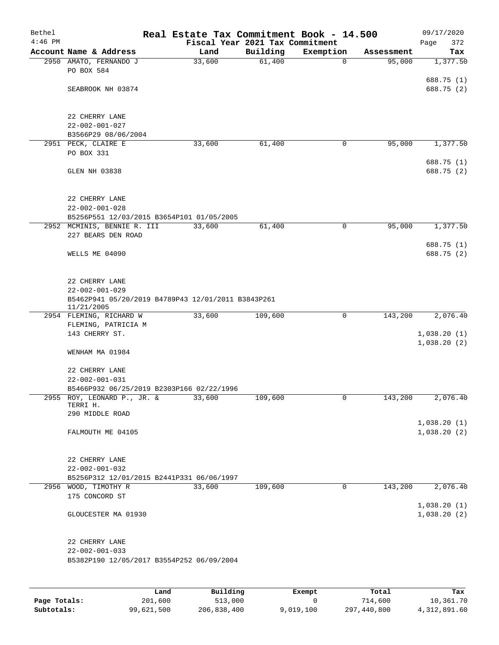| Bethel<br>$4:46$ PM |                                                                                                |        | Fiscal Year 2021 Tax Commitment | Real Estate Tax Commitment Book - 14.500 | 09/17/2020<br>372<br>Page          |
|---------------------|------------------------------------------------------------------------------------------------|--------|---------------------------------|------------------------------------------|------------------------------------|
|                     | Account Name & Address                                                                         | Land   | Building                        | Exemption                                | Assessment<br>Tax                  |
|                     | 2950 AMATO, FERNANDO J<br>PO BOX 584                                                           | 33,600 | 61,400                          | $\mathbf 0$                              | 1,377.50<br>95,000                 |
|                     | SEABROOK NH 03874                                                                              |        |                                 |                                          | 688.75 (1)<br>688.75 (2)           |
|                     | 22 CHERRY LANE<br>$22 - 002 - 001 - 027$<br>B3566P29 08/06/2004                                |        |                                 |                                          |                                    |
|                     | 2951 PECK, CLAIRE E                                                                            | 33,600 | 61,400                          | 0                                        | 95,000<br>1,377.50                 |
|                     | PO BOX 331                                                                                     |        |                                 |                                          |                                    |
|                     | GLEN NH 03838                                                                                  |        |                                 |                                          | 688.75 (1)<br>688.75 (2)           |
|                     | 22 CHERRY LANE<br>$22 - 002 - 001 - 028$                                                       |        |                                 |                                          |                                    |
|                     | B5256P551 12/03/2015 B3654P101 01/05/2005<br>2952 MCMINIS, BENNIE R. III                       | 33,600 | 61,400                          | $\mathbf 0$                              | 95,000<br>1,377.50                 |
|                     | 227 BEARS DEN ROAD                                                                             |        |                                 |                                          |                                    |
|                     | WELLS ME 04090                                                                                 |        |                                 |                                          | 688.75 (1)<br>688.75 (2)           |
|                     | 22 CHERRY LANE<br>$22 - 002 - 001 - 029$<br>B5462P941 05/20/2019 B4789P43 12/01/2011 B3843P261 |        |                                 |                                          |                                    |
|                     | 11/21/2005                                                                                     |        |                                 |                                          |                                    |
|                     | 2954 FLEMING, RICHARD W<br>FLEMING, PATRICIA M<br>143 CHERRY ST.                               | 33,600 | 109,600                         | 0                                        | 2,076.40<br>143,200<br>1,038.20(1) |
|                     | WENHAM MA 01984                                                                                |        |                                 |                                          | 1,038.20(2)                        |
|                     | 22 CHERRY LANE<br>$22 - 002 - 001 - 031$                                                       |        |                                 |                                          |                                    |
|                     | B5466P932 06/25/2019 B2303P166 02/22/1996                                                      |        |                                 |                                          |                                    |
|                     | 2955 ROY, LEONARD P., JR. &<br>TERRI H.<br>290 MIDDLE ROAD                                     | 33,600 | 109,600                         | 0                                        | 143,200<br>2,076.40                |
|                     |                                                                                                |        |                                 |                                          | 1,038.20(1)                        |
|                     | FALMOUTH ME 04105                                                                              |        |                                 |                                          | 1,038.20(2)                        |
|                     | 22 CHERRY LANE<br>$22 - 002 - 001 - 032$                                                       |        |                                 |                                          |                                    |
|                     | B5256P312 12/01/2015 B2441P331 06/06/1997                                                      |        |                                 |                                          |                                    |
|                     | 2956 WOOD, TIMOTHY R                                                                           | 33,600 | 109,600                         | $\mathbf 0$                              | 143,200<br>2,076.40                |
|                     | 175 CONCORD ST                                                                                 |        |                                 |                                          | 1,038.20(1)                        |
|                     | GLOUCESTER MA 01930                                                                            |        |                                 |                                          | 1,038.20(2)                        |
|                     | 22 CHERRY LANE                                                                                 |        |                                 |                                          |                                    |
|                     | $22 - 002 - 001 - 033$<br>B5382P190 12/05/2017 B3554P252 06/09/2004                            |        |                                 |                                          |                                    |
|                     |                                                                                                |        |                                 |                                          |                                    |
|                     |                                                                                                |        |                                 |                                          |                                    |

|              | Land       | Building    | Exempt    | Total       | Tax          |
|--------------|------------|-------------|-----------|-------------|--------------|
| Page Totals: | 201,600    | 513,000     |           | 714,600     | 10,361.70    |
| Subtotals:   | 99,621,500 | 206,838,400 | 9,019,100 | 297,440,800 | 4,312,891.60 |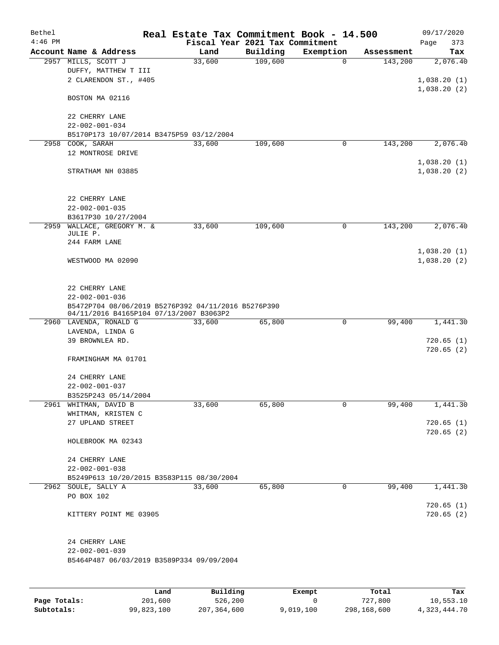| Bethel<br>$4:46$ PM |                                                                                                                          | Real Estate Tax Commitment Book - 14.500 | Fiscal Year 2021 Tax Commitment |             |            | 09/17/2020<br>Page<br>373  |
|---------------------|--------------------------------------------------------------------------------------------------------------------------|------------------------------------------|---------------------------------|-------------|------------|----------------------------|
|                     | Account Name & Address                                                                                                   | Land                                     | Building                        | Exemption   | Assessment | Tax                        |
|                     | 2957 MILLS, SCOTT J<br>DUFFY, MATTHEW T III<br>2 CLARENDON ST., #405                                                     | 33,600                                   | 109,600                         | $\mathbf 0$ | 143,200    | 2,076.40<br>1,038.20(1)    |
|                     | BOSTON MA 02116                                                                                                          |                                          |                                 |             |            | 1,038.20(2)                |
|                     | 22 CHERRY LANE<br>$22 - 002 - 001 - 034$                                                                                 |                                          |                                 |             |            |                            |
|                     | B5170P173 10/07/2014 B3475P59 03/12/2004                                                                                 |                                          |                                 |             |            |                            |
| 2958                | COOK, SARAH                                                                                                              | 33,600                                   | 109,600                         | 0           | 143,200    | 2,076.40                   |
|                     | 12 MONTROSE DRIVE                                                                                                        |                                          |                                 |             |            | 1,038.20(1)                |
|                     | STRATHAM NH 03885                                                                                                        |                                          |                                 |             |            | 1,038.20(2)                |
|                     | 22 CHERRY LANE<br>$22 - 002 - 001 - 035$                                                                                 |                                          |                                 |             |            |                            |
|                     | B3617P30 10/27/2004                                                                                                      |                                          |                                 |             |            |                            |
| 2959                | WALLACE, GREGORY M. &<br>JULIE P.                                                                                        | 33,600                                   | 109,600                         | 0           | 143,200    | 2,076.40                   |
|                     | 244 FARM LANE                                                                                                            |                                          |                                 |             |            |                            |
|                     | WESTWOOD MA 02090                                                                                                        |                                          |                                 |             |            | 1,038.20(1)<br>1,038.20(2) |
|                     | 22 CHERRY LANE                                                                                                           |                                          |                                 |             |            |                            |
|                     | $22 - 002 - 001 - 036$<br>B5472P704 08/06/2019 B5276P392 04/11/2016 B5276P390<br>04/11/2016 B4165P104 07/13/2007 B3063P2 |                                          |                                 |             |            |                            |
|                     | 2960 LAVENDA, RONALD G                                                                                                   | 33,600                                   | 65,800                          | 0           | 99,400     | 1,441.30                   |
|                     | LAVENDA, LINDA G                                                                                                         |                                          |                                 |             |            |                            |
|                     | 39 BROWNLEA RD.                                                                                                          |                                          |                                 |             |            | 720.65(1)                  |
|                     | FRAMINGHAM MA 01701                                                                                                      |                                          |                                 |             |            | 720.65(2)                  |
|                     | 24 CHERRY LANE                                                                                                           |                                          |                                 |             |            |                            |
|                     | $22 - 002 - 001 - 037$                                                                                                   |                                          |                                 |             |            |                            |
|                     | B3525P243 05/14/2004                                                                                                     |                                          |                                 |             |            |                            |
|                     | 2961 WHITMAN, DAVID B                                                                                                    | 33,600                                   | 65,800                          | 0           | 99,400     | 1,441.30                   |
|                     | WHITMAN, KRISTEN C                                                                                                       |                                          |                                 |             |            |                            |
|                     | 27 UPLAND STREET                                                                                                         |                                          |                                 |             |            | 720.65(1)                  |
|                     | HOLEBROOK MA 02343                                                                                                       |                                          |                                 |             |            | 720.65(2)                  |
|                     | 24 CHERRY LANE                                                                                                           |                                          |                                 |             |            |                            |
|                     | $22 - 002 - 001 - 038$                                                                                                   |                                          |                                 |             |            |                            |
|                     | B5249P613 10/20/2015 B3583P115 08/30/2004                                                                                |                                          |                                 |             |            |                            |
|                     | 2962 SOULE, SALLY A                                                                                                      | 33,600                                   | 65,800                          | 0           | 99,400     | 1,441.30                   |
|                     | PO BOX 102                                                                                                               |                                          |                                 |             |            |                            |
|                     | KITTERY POINT ME 03905                                                                                                   |                                          |                                 |             |            | 720.65(1)<br>720.65 (2)    |
|                     | 24 CHERRY LANE                                                                                                           |                                          |                                 |             |            |                            |
|                     | $22 - 002 - 001 - 039$<br>B5464P487 06/03/2019 B3589P334 09/09/2004                                                      |                                          |                                 |             |            |                            |
|                     |                                                                                                                          |                                          |                                 |             |            |                            |
|                     |                                                                                                                          |                                          |                                 |             |            |                            |

|              | Land       | Building    | Exempt    | Total       | Tax          |
|--------------|------------|-------------|-----------|-------------|--------------|
| Page Totals: | 201,600    | 526,200     |           | 727,800     | 10,553.10    |
| Subtotals:   | 99,823,100 | 207,364,600 | 9,019,100 | 298,168,600 | 4,323,444.70 |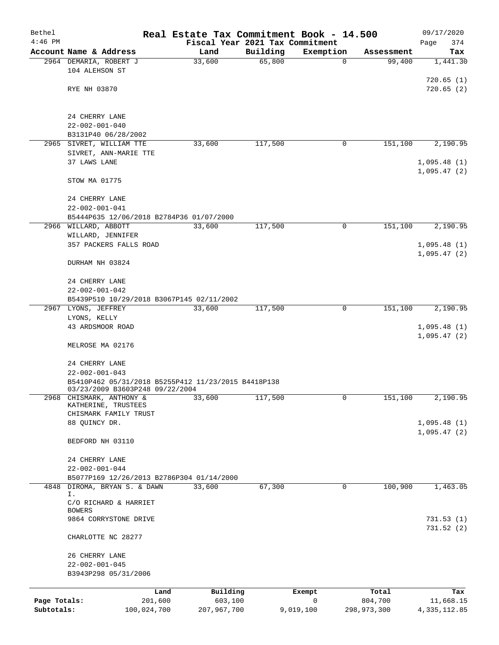| Bethel<br>$4:46$ PM |                                                                                        | Real Estate Tax Commitment Book - 14.500<br>Fiscal Year 2021 Tax Commitment |           |             |                  | 09/17/2020                 |
|---------------------|----------------------------------------------------------------------------------------|-----------------------------------------------------------------------------|-----------|-------------|------------------|----------------------------|
|                     | Account Name & Address                                                                 | Land                                                                        | Building  | Exemption   | Assessment       | Page<br>374<br>Tax         |
|                     | 2964 DEMARIA, ROBERT J                                                                 | 33,600                                                                      | 65,800    | 0           | 99,400           | 1,441.30                   |
|                     | 104 ALEHSON ST                                                                         |                                                                             |           |             |                  |                            |
|                     |                                                                                        |                                                                             |           |             |                  | 720.65(1)                  |
|                     | RYE NH 03870                                                                           |                                                                             |           |             |                  | 720.65(2)                  |
|                     |                                                                                        |                                                                             |           |             |                  |                            |
|                     | 24 CHERRY LANE                                                                         |                                                                             |           |             |                  |                            |
|                     | $22 - 002 - 001 - 040$                                                                 |                                                                             |           |             |                  |                            |
|                     | B3131P40 06/28/2002                                                                    |                                                                             |           |             |                  |                            |
|                     | 2965 SIVRET, WILLIAM TTE                                                               | 33,600                                                                      | 117,500   | $\mathbf 0$ | 151,100          | 2,190.95                   |
|                     | SIVRET, ANN-MARIE TTE<br>37 LAWS LANE                                                  |                                                                             |           |             |                  |                            |
|                     |                                                                                        |                                                                             |           |             |                  | 1,095.48(1)<br>1,095.47(2) |
|                     | STOW MA 01775                                                                          |                                                                             |           |             |                  |                            |
|                     | 24 CHERRY LANE                                                                         |                                                                             |           |             |                  |                            |
|                     | $22 - 002 - 001 - 041$                                                                 |                                                                             |           |             |                  |                            |
|                     | B5444P635 12/06/2018 B2784P36 01/07/2000                                               |                                                                             |           |             |                  |                            |
|                     | 2966 WILLARD, ABBOTT                                                                   | 33,600                                                                      | 117,500   | 0           | 151,100          | 2,190.95                   |
|                     | WILLARD, JENNIFER                                                                      |                                                                             |           |             |                  |                            |
|                     | 357 PACKERS FALLS ROAD                                                                 |                                                                             |           |             |                  | 1,095.48(1)                |
|                     |                                                                                        |                                                                             |           |             |                  | 1,095.47(2)                |
|                     | DURHAM NH 03824                                                                        |                                                                             |           |             |                  |                            |
|                     | 24 CHERRY LANE                                                                         |                                                                             |           |             |                  |                            |
|                     | $22 - 002 - 001 - 042$                                                                 |                                                                             |           |             |                  |                            |
|                     | B5439P510 10/29/2018 B3067P145 02/11/2002                                              |                                                                             |           |             |                  |                            |
|                     | 2967 LYONS, JEFFREY                                                                    | 33,600                                                                      | 117,500   | 0           | 151,100          | 2,190.95                   |
|                     | LYONS, KELLY                                                                           |                                                                             |           |             |                  |                            |
|                     | 43 ARDSMOOR ROAD                                                                       |                                                                             |           |             |                  | 1,095.48(1)                |
|                     | MELROSE MA 02176                                                                       |                                                                             |           |             |                  | 1,095.47(2)                |
|                     |                                                                                        |                                                                             |           |             |                  |                            |
|                     | 24 CHERRY LANE                                                                         |                                                                             |           |             |                  |                            |
|                     | $22 - 002 - 001 - 043$                                                                 |                                                                             |           |             |                  |                            |
|                     | B5410P462 05/31/2018 B5255P412 11/23/2015 B4418P138<br>03/23/2009 B3603P248 09/22/2004 |                                                                             |           |             |                  |                            |
|                     | 2968 CHISMARK, ANTHONY &                                                               | 33,600                                                                      | 117,500   | 0           | 151,100          | 2,190.95                   |
|                     | KATHERINE, TRUSTEES<br>CHISMARK FAMILY TRUST                                           |                                                                             |           |             |                  |                            |
|                     | 88 QUINCY DR.                                                                          |                                                                             |           |             |                  | 1,095.48(1)                |
|                     |                                                                                        |                                                                             |           |             |                  | 1,095.47(2)                |
|                     | BEDFORD NH 03110                                                                       |                                                                             |           |             |                  |                            |
|                     | 24 CHERRY LANE                                                                         |                                                                             |           |             |                  |                            |
|                     | $22 - 002 - 001 - 044$                                                                 |                                                                             |           |             |                  |                            |
|                     | B5077P169 12/26/2013 B2786P304 01/14/2000                                              |                                                                             |           |             |                  |                            |
|                     | 4848 DIROMA, BRYAN S. & DAWN<br>Ι.                                                     | 33,600                                                                      | 67,300    | 0           | 100,900          | 1,463.05                   |
|                     | C/O RICHARD & HARRIET                                                                  |                                                                             |           |             |                  |                            |
|                     | <b>BOWERS</b>                                                                          |                                                                             |           |             |                  |                            |
|                     | 9864 CORRYSTONE DRIVE                                                                  |                                                                             |           |             |                  | 731.53 (1)                 |
|                     | CHARLOTTE NC 28277                                                                     |                                                                             |           |             |                  | 731.52(2)                  |
|                     | 26 CHERRY LANE                                                                         |                                                                             |           |             |                  |                            |
|                     | $22 - 002 - 001 - 045$                                                                 |                                                                             |           |             |                  |                            |
|                     | B3943P298 05/31/2006                                                                   |                                                                             |           |             |                  |                            |
|                     |                                                                                        |                                                                             |           |             |                  |                            |
| Page Totals:        | Land<br>201,600                                                                        | Building<br>603,100                                                         |           | Exempt<br>0 | Total<br>804,700 | Tax                        |
| Subtotals:          | 100,024,700                                                                            | 207,967,700                                                                 | 9,019,100 |             | 298,973,300      | 11,668.15<br>4,335,112.85  |
|                     |                                                                                        |                                                                             |           |             |                  |                            |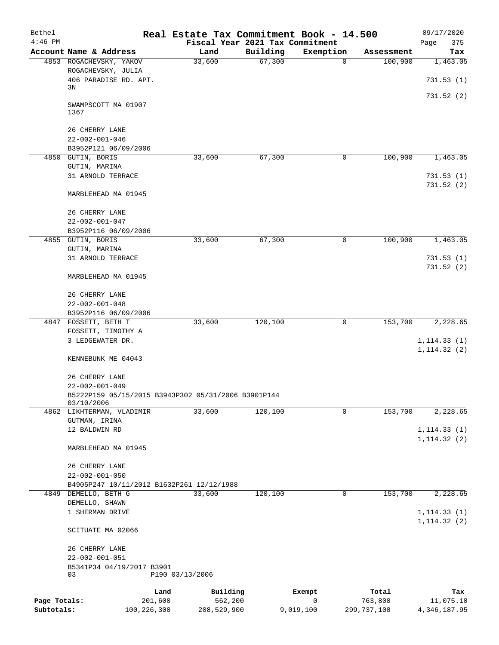| Bethel<br>$4:46$ PM |                                                                   | Real Estate Tax Commitment Book - 14.500 |                                             |             |             | 09/17/2020                   |
|---------------------|-------------------------------------------------------------------|------------------------------------------|---------------------------------------------|-------------|-------------|------------------------------|
|                     | Account Name & Address                                            | Land                                     | Fiscal Year 2021 Tax Commitment<br>Building | Exemption   | Assessment  | Page<br>375<br>Tax           |
|                     | 4853 ROGACHEVSKY, YAKOV                                           | 33,600                                   | 67,300                                      | $\mathbf 0$ | 100,900     | 1,463.05                     |
|                     | ROGACHEVSKY, JULIA<br>406 PARADISE RD. APT.                       |                                          |                                             |             |             | 731.53(1)                    |
|                     | 3N                                                                |                                          |                                             |             |             |                              |
|                     | SWAMPSCOTT MA 01907<br>1367                                       |                                          |                                             |             |             | 731.52 (2)                   |
|                     | 26 CHERRY LANE<br>$22 - 002 - 001 - 046$                          |                                          |                                             |             |             |                              |
|                     | B3952P121 06/09/2006                                              |                                          |                                             |             |             |                              |
|                     | 4850 GUTIN, BORIS                                                 | 33,600                                   | 67,300                                      | 0           | 100,900     | 1,463.05                     |
|                     | GUTIN, MARINA                                                     |                                          |                                             |             |             |                              |
|                     | 31 ARNOLD TERRACE                                                 |                                          |                                             |             |             | 731.53(1)                    |
|                     | MARBLEHEAD MA 01945                                               |                                          |                                             |             |             | 731.52(2)                    |
|                     | 26 CHERRY LANE                                                    |                                          |                                             |             |             |                              |
|                     | $22 - 002 - 001 - 047$                                            |                                          |                                             |             |             |                              |
|                     | B3952P116 06/09/2006                                              |                                          |                                             |             |             |                              |
|                     | 4855 GUTIN, BORIS                                                 | 33,600                                   | 67,300                                      | 0           | 100,900     | 1,463.05                     |
|                     | GUTIN, MARINA                                                     |                                          |                                             |             |             |                              |
|                     | 31 ARNOLD TERRACE                                                 |                                          |                                             |             |             | 731.53(1)<br>731.52(2)       |
|                     | MARBLEHEAD MA 01945                                               |                                          |                                             |             |             |                              |
|                     | 26 CHERRY LANE                                                    |                                          |                                             |             |             |                              |
|                     | $22 - 002 - 001 - 048$                                            |                                          |                                             |             |             |                              |
|                     | B3952P116 06/09/2006                                              |                                          |                                             |             |             |                              |
|                     | 4847 FOSSETT, BETH T                                              | 33,600                                   | 120,100                                     | 0           | 153,700     | 2,228.65                     |
|                     | FOSSETT, TIMOTHY A<br>3 LEDGEWATER DR.                            |                                          |                                             |             |             | 1, 114.33(1)                 |
|                     |                                                                   |                                          |                                             |             |             | 1, 114.32(2)                 |
|                     | KENNEBUNK ME 04043                                                |                                          |                                             |             |             |                              |
|                     | 26 CHERRY LANE<br>$22 - 002 - 001 - 049$                          |                                          |                                             |             |             |                              |
|                     | B5222P159 05/15/2015 B3943P302 05/31/2006 B3901P144<br>03/10/2006 |                                          |                                             |             |             |                              |
|                     | 4862 LIKHTERMAN, VLADIMIR                                         | 33,600                                   | 120,100                                     | 0           | 153,700     | 2,228.65                     |
|                     | GUTMAN, IRINA                                                     |                                          |                                             |             |             |                              |
|                     | 12 BALDWIN RD                                                     |                                          |                                             |             |             | 1, 114.33(1)<br>1, 114.32(2) |
|                     | MARBLEHEAD MA 01945                                               |                                          |                                             |             |             |                              |
|                     | 26 CHERRY LANE                                                    |                                          |                                             |             |             |                              |
|                     | $22 - 002 - 001 - 050$                                            |                                          |                                             |             |             |                              |
|                     | B4905P247 10/11/2012 B1632P261 12/12/1988                         |                                          |                                             |             |             |                              |
|                     | 4849 DEMELLO, BETH G                                              | 33,600                                   | 120,100                                     | 0           | 153,700     | 2,228.65                     |
|                     | DEMELLO, SHAWN                                                    |                                          |                                             |             |             |                              |
|                     | 1 SHERMAN DRIVE                                                   |                                          |                                             |             |             | 1, 114.33(1)<br>1, 114.32(2) |
|                     | SCITUATE MA 02066                                                 |                                          |                                             |             |             |                              |
|                     | 26 CHERRY LANE                                                    |                                          |                                             |             |             |                              |
|                     | $22 - 002 - 001 - 051$                                            |                                          |                                             |             |             |                              |
|                     | B5341P34 04/19/2017 B3901<br>03                                   | P190 03/13/2006                          |                                             |             |             |                              |
|                     | Land                                                              | Building                                 | Exempt                                      |             | Total       | Tax                          |
| Page Totals:        | 201,600                                                           | 562,200                                  | 0                                           |             | 763,800     | 11,075.10                    |
| Subtotals:          | 100,226,300                                                       | 208,529,900                              | 9,019,100                                   |             | 299,737,100 | 4, 346, 187.95               |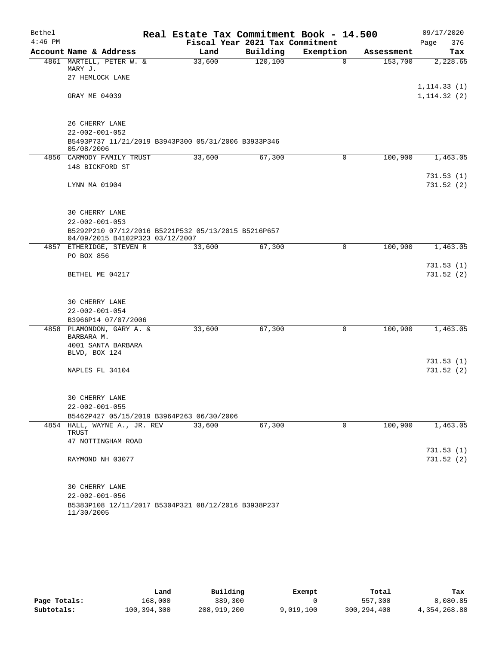| Bethel    |                                                                   |  | Real Estate Tax Commitment Book - 14.500 |                                 |                       |                       | 09/17/2020      |  |  |
|-----------|-------------------------------------------------------------------|--|------------------------------------------|---------------------------------|-----------------------|-----------------------|-----------------|--|--|
| $4:46$ PM |                                                                   |  |                                          | Fiscal Year 2021 Tax Commitment |                       |                       | 376<br>Page     |  |  |
|           | Account Name & Address<br>4861 MARTELL, PETER W. &                |  | Land<br>33,600                           | Building<br>120, 100            | Exemption<br>$\Omega$ | Assessment<br>153,700 | Tax<br>2,228.65 |  |  |
|           | MARY J.                                                           |  |                                          |                                 |                       |                       |                 |  |  |
|           | 27 HEMLOCK LANE                                                   |  |                                          |                                 |                       |                       |                 |  |  |
|           |                                                                   |  |                                          |                                 |                       |                       | 1, 114.33(1)    |  |  |
|           | GRAY ME 04039                                                     |  |                                          |                                 |                       |                       | 1, 114.32(2)    |  |  |
|           |                                                                   |  |                                          |                                 |                       |                       |                 |  |  |
|           |                                                                   |  |                                          |                                 |                       |                       |                 |  |  |
|           | 26 CHERRY LANE<br>$22 - 002 - 001 - 052$                          |  |                                          |                                 |                       |                       |                 |  |  |
|           | B5493P737 11/21/2019 B3943P300 05/31/2006 B3933P346               |  |                                          |                                 |                       |                       |                 |  |  |
|           | 05/08/2006                                                        |  |                                          |                                 |                       |                       |                 |  |  |
|           | 4856 CARMODY FAMILY TRUST                                         |  | 33,600                                   | 67,300                          | 0                     | 100,900               | 1,463.05        |  |  |
|           | 148 BICKFORD ST                                                   |  |                                          |                                 |                       |                       |                 |  |  |
|           |                                                                   |  |                                          |                                 |                       |                       | 731.53(1)       |  |  |
|           | LYNN MA 01904                                                     |  |                                          |                                 |                       |                       | 731.52(2)       |  |  |
|           |                                                                   |  |                                          |                                 |                       |                       |                 |  |  |
|           | 30 CHERRY LANE                                                    |  |                                          |                                 |                       |                       |                 |  |  |
|           | $22 - 002 - 001 - 053$                                            |  |                                          |                                 |                       |                       |                 |  |  |
|           | B5292P210 07/12/2016 B5221P532 05/13/2015 B5216P657               |  |                                          |                                 |                       |                       |                 |  |  |
|           | 04/09/2015 B4102P323 03/12/2007                                   |  |                                          |                                 |                       |                       |                 |  |  |
|           | 4857 ETHERIDGE, STEVEN R<br>PO BOX 856                            |  | 33,600                                   | 67,300                          | $\mathbf 0$           | 100,900               | 1,463.05        |  |  |
|           |                                                                   |  |                                          |                                 |                       |                       | 731.53(1)       |  |  |
|           | BETHEL ME 04217                                                   |  |                                          |                                 |                       |                       | 731.52(2)       |  |  |
|           |                                                                   |  |                                          |                                 |                       |                       |                 |  |  |
|           |                                                                   |  |                                          |                                 |                       |                       |                 |  |  |
|           | 30 CHERRY LANE                                                    |  |                                          |                                 |                       |                       |                 |  |  |
|           | $22 - 002 - 001 - 054$                                            |  |                                          |                                 |                       |                       |                 |  |  |
|           | B3966P14 07/07/2006                                               |  |                                          |                                 | $\mathbf 0$           |                       |                 |  |  |
|           | 4858 PLAMONDON, GARY A. &<br>BARBARA M.                           |  | 33,600                                   | 67,300                          |                       | 100,900               | 1,463.05        |  |  |
|           | 4001 SANTA BARBARA                                                |  |                                          |                                 |                       |                       |                 |  |  |
|           | BLVD, BOX 124                                                     |  |                                          |                                 |                       |                       |                 |  |  |
|           |                                                                   |  |                                          |                                 |                       |                       | 731.53(1)       |  |  |
|           | NAPLES FL 34104                                                   |  |                                          |                                 |                       |                       | 731.52(2)       |  |  |
|           |                                                                   |  |                                          |                                 |                       |                       |                 |  |  |
|           | 30 CHERRY LANE                                                    |  |                                          |                                 |                       |                       |                 |  |  |
|           | $22 - 002 - 001 - 055$                                            |  |                                          |                                 |                       |                       |                 |  |  |
|           | B5462P427 05/15/2019 B3964P263 06/30/2006                         |  |                                          |                                 |                       |                       |                 |  |  |
|           | 4854 HALL, WAYNE A., JR. REV                                      |  | 33,600                                   | 67,300                          | 0                     | 100,900               | 1,463.05        |  |  |
|           | TRUST<br>47 NOTTINGHAM ROAD                                       |  |                                          |                                 |                       |                       |                 |  |  |
|           |                                                                   |  |                                          |                                 |                       |                       | 731.53(1)       |  |  |
|           | RAYMOND NH 03077                                                  |  |                                          |                                 |                       |                       | 731.52(2)       |  |  |
|           |                                                                   |  |                                          |                                 |                       |                       |                 |  |  |
|           |                                                                   |  |                                          |                                 |                       |                       |                 |  |  |
|           | 30 CHERRY LANE                                                    |  |                                          |                                 |                       |                       |                 |  |  |
|           | $22 - 002 - 001 - 056$                                            |  |                                          |                                 |                       |                       |                 |  |  |
|           | B5383P108 12/11/2017 B5304P321 08/12/2016 B3938P237<br>11/30/2005 |  |                                          |                                 |                       |                       |                 |  |  |

|              | Land        | Building    | Exempt    | Total       | Tax          |  |
|--------------|-------------|-------------|-----------|-------------|--------------|--|
| Page Totals: | 168,000     | 389,300     |           | 557,300     | 8,080.85     |  |
| Subtotals:   | 100,394,300 | 208,919,200 | 9,019,100 | 300,294,400 | 4,354,268.80 |  |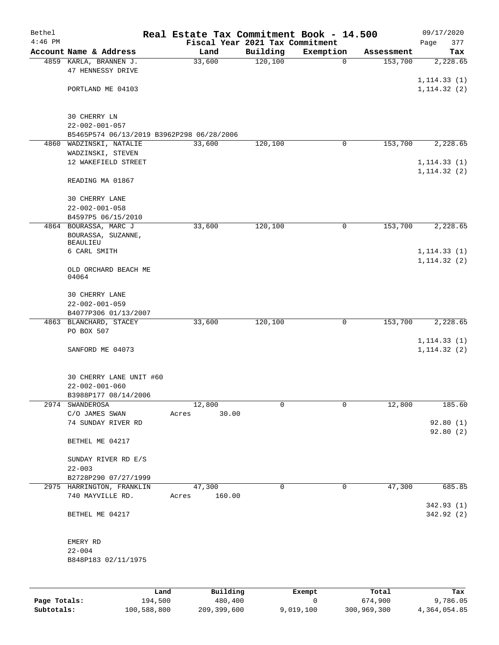| Bethel<br>$4:46$ PM |                                                   |       | Fiscal Year 2021 Tax Commitment |             | Real Estate Tax Commitment Book - 14.500 |            | 09/17/2020<br>Page<br>377    |
|---------------------|---------------------------------------------------|-------|---------------------------------|-------------|------------------------------------------|------------|------------------------------|
|                     | Account Name & Address                            |       | Land                            | Building    | Exemption                                | Assessment | Tax                          |
|                     | 4859 KARLA, BRANNEN J.<br>47 HENNESSY DRIVE       |       | 33,600                          | 120,100     | $\mathbf 0$                              | 153,700    | 2,228.65                     |
|                     | PORTLAND ME 04103                                 |       |                                 |             |                                          |            | 1, 114.33(1)<br>1, 114.32(2) |
|                     | 30 CHERRY LN<br>$22 - 002 - 001 - 057$            |       |                                 |             |                                          |            |                              |
|                     | B5465P574 06/13/2019 B3962P298 06/28/2006         |       |                                 |             |                                          |            |                              |
|                     | 4860 WADZINSKI, NATALIE                           |       | 33,600                          | 120,100     | 0                                        | 153,700    | 2,228.65                     |
|                     | WADZINSKI, STEVEN                                 |       |                                 |             |                                          |            |                              |
|                     | 12 WAKEFIELD STREET                               |       |                                 |             |                                          |            | 1, 114.33(1)                 |
|                     | READING MA 01867                                  |       |                                 |             |                                          |            | 1, 114.32(2)                 |
|                     | 30 CHERRY LANE<br>$22 - 002 - 001 - 058$          |       |                                 |             |                                          |            |                              |
|                     | B4597P5 06/15/2010                                |       |                                 |             |                                          |            |                              |
|                     | 4864 BOURASSA, MARC J                             |       | 33,600                          | 120,100     | 0                                        | 153,700    | 2,228.65                     |
|                     | BOURASSA, SUZANNE,                                |       |                                 |             |                                          |            |                              |
|                     | <b>BEAULIEU</b><br>6 CARL SMITH                   |       |                                 |             |                                          |            | 1, 114.33(1)                 |
|                     |                                                   |       |                                 |             |                                          |            | 1, 114.32(2)                 |
|                     | OLD ORCHARD BEACH ME<br>04064                     |       |                                 |             |                                          |            |                              |
|                     | 30 CHERRY LANE<br>$22 - 002 - 001 - 059$          |       |                                 |             |                                          |            |                              |
|                     | B4077P306 01/13/2007                              |       |                                 |             |                                          |            |                              |
|                     | 4863 BLANCHARD, STACEY<br>PO BOX 507              |       | 33,600                          | 120,100     | 0                                        | 153,700    | 2,228.65                     |
|                     | SANFORD ME 04073                                  |       |                                 |             |                                          |            | 1, 114.33(1)<br>1, 114.32(2) |
|                     | 30 CHERRY LANE UNIT #60<br>$22 - 002 - 001 - 060$ |       |                                 |             |                                          |            |                              |
|                     | B3988P177 08/14/2006                              |       |                                 |             |                                          |            |                              |
|                     | 2974 SWANDEROSA<br>C/O JAMES SWAN                 | Acres | 12,800<br>30.00                 | 0           | $\mathbf 0$                              | 12,800     | 185.60                       |
|                     | 74 SUNDAY RIVER RD                                |       |                                 |             |                                          |            | 92.80(1)                     |
|                     | BETHEL ME 04217                                   |       |                                 |             |                                          |            | 92.80(2)                     |
|                     |                                                   |       |                                 |             |                                          |            |                              |
|                     | SUNDAY RIVER RD E/S<br>$22 - 003$                 |       |                                 |             |                                          |            |                              |
|                     | B2728P290 07/27/1999                              |       |                                 |             |                                          |            |                              |
|                     | 2975 HARRINGTON, FRANKLIN                         |       | 47,300                          | $\mathbf 0$ | $\mathbf 0$                              | 47,300     | 685.85                       |
|                     | 740 MAYVILLE RD.                                  | Acres | 160.00                          |             |                                          |            |                              |
|                     | BETHEL ME 04217                                   |       |                                 |             |                                          |            | 342.93(1)<br>342.92 (2)      |
|                     |                                                   |       |                                 |             |                                          |            |                              |
|                     | EMERY RD                                          |       |                                 |             |                                          |            |                              |
|                     | $22 - 004$                                        |       |                                 |             |                                          |            |                              |
|                     | B848P183 02/11/1975                               |       |                                 |             |                                          |            |                              |
|                     |                                                   |       |                                 |             |                                          |            |                              |
|                     |                                                   | Land  | Building                        |             | Exempt                                   | Total      | Tax                          |

**Page Totals:** 194,500 480,400 0 674,900 9,786.05 **Subtotals:** 100,588,800 209,399,600 9,019,100 300,969,300 4,364,054.85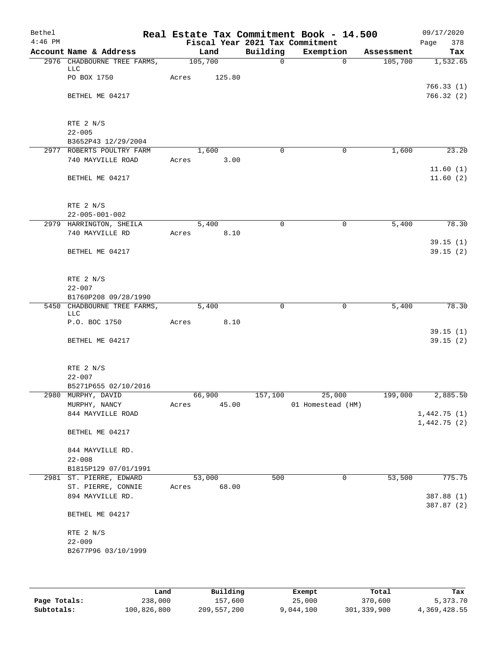| Bethel<br>$4:46$ PM |                                                |                     |                     |              | Real Estate Tax Commitment Book - 14.500<br>Fiscal Year 2021 Tax Commitment |            | 09/17/2020<br>Page<br>378 |
|---------------------|------------------------------------------------|---------------------|---------------------|--------------|-----------------------------------------------------------------------------|------------|---------------------------|
|                     | Account Name & Address                         |                     | Land                | Building     | Exemption                                                                   | Assessment | Tax                       |
|                     | 2976 CHADBOURNE TREE FARMS,                    | $\frac{105,700}{ }$ |                     | $\mathsf{O}$ | $\overline{0}$                                                              | 105,700    | 1,532.65                  |
|                     | LLC                                            |                     |                     |              |                                                                             |            |                           |
|                     | PO BOX 1750                                    | Acres               | 125.80              |              |                                                                             |            | 766.33(1)                 |
|                     | BETHEL ME 04217                                |                     |                     |              |                                                                             |            | 766.32(2)                 |
|                     |                                                |                     |                     |              |                                                                             |            |                           |
|                     |                                                |                     |                     |              |                                                                             |            |                           |
|                     | RTE 2 N/S                                      |                     |                     |              |                                                                             |            |                           |
|                     | $22 - 005$                                     |                     |                     |              |                                                                             |            |                           |
|                     | B3652P43 12/29/2004                            |                     |                     |              |                                                                             |            |                           |
|                     | 2977 ROBERTS POULTRY FARM<br>740 MAYVILLE ROAD | Acres               | 1,600<br>3.00       | $\Omega$     | 0                                                                           | 1,600      | 23.20                     |
|                     |                                                |                     |                     |              |                                                                             |            | 11.60(1)                  |
|                     | BETHEL ME 04217                                |                     |                     |              |                                                                             |            | 11.60(2)                  |
|                     |                                                |                     |                     |              |                                                                             |            |                           |
|                     |                                                |                     |                     |              |                                                                             |            |                           |
|                     | RTE 2 N/S                                      |                     |                     |              |                                                                             |            |                           |
|                     | $22 - 005 - 001 - 002$                         |                     |                     |              |                                                                             |            |                           |
|                     | 2979 HARRINGTON, SHEILA<br>740 MAYVILLE RD     |                     | 5,400<br>Acres 8.10 | $\mathbf 0$  | $\mathbf 0$                                                                 | 5,400      | 78.30                     |
|                     |                                                |                     |                     |              |                                                                             |            | 39.15(1)                  |
|                     | BETHEL ME 04217                                |                     |                     |              |                                                                             |            | 39.15(2)                  |
|                     |                                                |                     |                     |              |                                                                             |            |                           |
|                     |                                                |                     |                     |              |                                                                             |            |                           |
|                     | RTE 2 N/S                                      |                     |                     |              |                                                                             |            |                           |
|                     | $22 - 007$                                     |                     |                     |              |                                                                             |            |                           |
|                     | B1760P208 09/28/1990                           |                     |                     |              |                                                                             |            |                           |
|                     | 5450 CHADBOURNE TREE FARMS,<br>LLC             | 5,400               |                     | $\Omega$     | 0                                                                           | 5,400      | 78.30                     |
|                     | P.O. BOC 1750                                  | Acres               | 8.10                |              |                                                                             |            |                           |
|                     |                                                |                     |                     |              |                                                                             |            | 39.15(1)                  |
|                     | BETHEL ME 04217                                |                     |                     |              |                                                                             |            | 39.15(2)                  |
|                     |                                                |                     |                     |              |                                                                             |            |                           |
|                     | RTE 2 N/S                                      |                     |                     |              |                                                                             |            |                           |
|                     | $22 - 007$                                     |                     |                     |              |                                                                             |            |                           |
|                     | B5271P655 02/10/2016                           |                     |                     |              |                                                                             |            |                           |
|                     | 2980 MURPHY, DAVID                             |                     | 66,900              |              | 157,100 25,000                                                              | 199,000    | 2,885.50                  |
|                     | MURPHY, NANCY                                  | Acres               | 45.00               |              | 01 Homestead (HM)                                                           |            |                           |
|                     | 844 MAYVILLE ROAD                              |                     |                     |              |                                                                             |            | 1,442.75(1)               |
|                     |                                                |                     |                     |              |                                                                             |            | 1,442.75(2)               |
|                     | BETHEL ME 04217                                |                     |                     |              |                                                                             |            |                           |
|                     | 844 MAYVILLE RD.                               |                     |                     |              |                                                                             |            |                           |
|                     | $22 - 008$                                     |                     |                     |              |                                                                             |            |                           |
|                     | B1815P129 07/01/1991                           |                     |                     |              |                                                                             |            |                           |
|                     | 2981 ST. PIERRE, EDWARD                        |                     | 53,000              | 500          | 0                                                                           | 53,500     | 775.75                    |
|                     | ST. PIERRE, CONNIE                             |                     | Acres 68.00         |              |                                                                             |            |                           |
|                     | 894 MAYVILLE RD.                               |                     |                     |              |                                                                             |            | 387.88 (1)                |
|                     |                                                |                     |                     |              |                                                                             |            | 387.87 (2)                |
|                     | BETHEL ME 04217                                |                     |                     |              |                                                                             |            |                           |
|                     | RTE 2 N/S                                      |                     |                     |              |                                                                             |            |                           |
|                     | $22 - 009$                                     |                     |                     |              |                                                                             |            |                           |
|                     | B2677P96 03/10/1999                            |                     |                     |              |                                                                             |            |                           |
|                     |                                                |                     |                     |              |                                                                             |            |                           |
|                     |                                                |                     |                     |              |                                                                             |            |                           |

|              | Land        | Building    | Exempt    | Total       | Tax          |
|--------------|-------------|-------------|-----------|-------------|--------------|
| Page Totals: | 238,000     | 157,600     | 25,000    | 370,600     | 5,373.70     |
| Subtotals:   | 100,826,800 | 209,557,200 | 9,044,100 | 301,339,900 | 4,369,428.55 |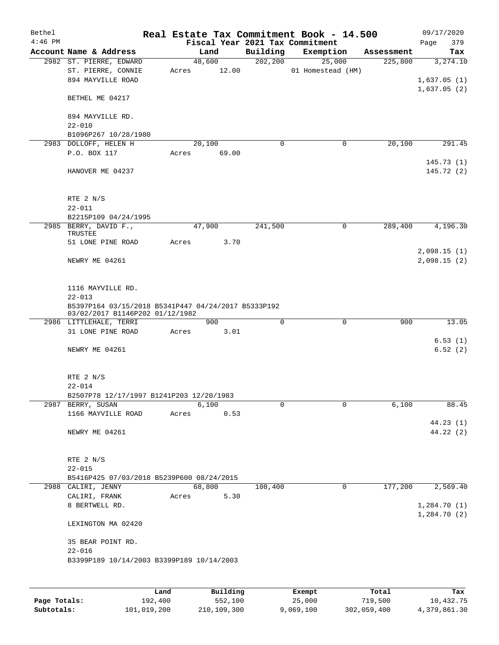| Bethel<br>$4:46$ PM |                                                                 |       |             |             | Real Estate Tax Commitment Book - 14.500<br>Fiscal Year 2021 Tax Commitment |            | 09/17/2020<br>379<br>Page |
|---------------------|-----------------------------------------------------------------|-------|-------------|-------------|-----------------------------------------------------------------------------|------------|---------------------------|
|                     | Account Name & Address                                          |       | Land        | Building    | Exemption                                                                   | Assessment | Tax                       |
|                     | 2982 ST. PIERRE, EDWARD                                         |       | 48,600      | 202, 200    | 25,000                                                                      | 225,800    | 3,274.10                  |
|                     | ST. PIERRE, CONNIE                                              | Acres | 12.00       |             | 01 Homestead (HM)                                                           |            |                           |
|                     | 894 MAYVILLE ROAD                                               |       |             |             |                                                                             |            | 1,637.05(1)               |
|                     | BETHEL ME 04217                                                 |       |             |             |                                                                             |            | 1,637.05(2)               |
|                     | 894 MAYVILLE RD.                                                |       |             |             |                                                                             |            |                           |
|                     | $22 - 010$                                                      |       |             |             |                                                                             |            |                           |
|                     | B1096P267 10/28/1980                                            |       |             |             |                                                                             |            |                           |
|                     | 2983 DOLLOFF, HELEN H                                           |       | 20,100      | $\mathbf 0$ | 0                                                                           | 20,100     | 291.45                    |
|                     | P.O. BOX 117                                                    |       | Acres 69.00 |             |                                                                             |            |                           |
|                     |                                                                 |       |             |             |                                                                             |            | 145.73(1)                 |
|                     | HANOVER ME 04237                                                |       |             |             |                                                                             |            | 145.72 (2)                |
|                     | RTE 2 N/S                                                       |       |             |             |                                                                             |            |                           |
|                     | $22 - 011$                                                      |       |             |             |                                                                             |            |                           |
|                     | B2215P109 04/24/1995                                            |       |             |             |                                                                             |            |                           |
|                     | 2985 BERRY, DAVID F.,<br>TRUSTEE                                |       | 47,900      | 241,500     | 0                                                                           | 289,400    | 4,196.30                  |
|                     | 51 LONE PINE ROAD                                               | Acres | 3.70        |             |                                                                             |            |                           |
|                     |                                                                 |       |             |             |                                                                             |            | 2,098.15(1)               |
|                     | NEWRY ME 04261                                                  |       |             |             |                                                                             |            | 2,098.15(2)               |
|                     | 1116 MAYVILLE RD.                                               |       |             |             |                                                                             |            |                           |
|                     | $22 - 013$                                                      |       |             |             |                                                                             |            |                           |
|                     | B5397P164 03/15/2018 B5341P447 04/24/2017 B5333P192             |       |             |             |                                                                             |            |                           |
|                     | 03/02/2017 B1146P202 01/12/1982                                 |       | 900         | $\mathbf 0$ | $\mathbf 0$                                                                 | 900        | 13.05                     |
|                     | 2986 LITTLEHALE, TERRI<br>31 LONE PINE ROAD                     | Acres | 3.01        |             |                                                                             |            |                           |
|                     |                                                                 |       |             |             |                                                                             |            | 6.53(1)                   |
|                     | NEWRY ME 04261                                                  |       |             |             |                                                                             |            | 6.52(2)                   |
|                     |                                                                 |       |             |             |                                                                             |            |                           |
|                     | RTE 2 N/S                                                       |       |             |             |                                                                             |            |                           |
|                     | $22 - 014$                                                      |       |             |             |                                                                             |            |                           |
|                     | B2507P78 12/17/1997 B1241P203 12/20/1983<br>2987 BERRY, SUSAN   |       | 6,100       | 0           | $\Omega$                                                                    | 6,100      | 88.45                     |
|                     | 1166 MAYVILLE ROAD                                              | Acres | 0.53        |             |                                                                             |            |                           |
|                     |                                                                 |       |             |             |                                                                             |            | 44.23(1)                  |
|                     | NEWRY ME 04261                                                  |       |             |             |                                                                             |            | 44.22 (2)                 |
|                     |                                                                 |       |             |             |                                                                             |            |                           |
|                     |                                                                 |       |             |             |                                                                             |            |                           |
|                     | RTE 2 N/S                                                       |       |             |             |                                                                             |            |                           |
|                     | $22 - 015$                                                      |       |             |             |                                                                             |            |                           |
|                     | B5416P425 07/03/2018 B5239P600 08/24/2015<br>2988 CALIRI, JENNY |       | 68,800      | 108,400     | $\mathbf 0$                                                                 | 177,200    | 2,569.40                  |
|                     | CALIRI, FRANK                                                   | Acres | 5.30        |             |                                                                             |            |                           |
|                     | 8 BERTWELL RD.                                                  |       |             |             |                                                                             |            | 1,284.70(1)               |
|                     |                                                                 |       |             |             |                                                                             |            | 1,284.70(2)               |
|                     | LEXINGTON MA 02420                                              |       |             |             |                                                                             |            |                           |
|                     | 35 BEAR POINT RD.                                               |       |             |             |                                                                             |            |                           |
|                     | $22 - 016$                                                      |       |             |             |                                                                             |            |                           |
|                     | B3399P189 10/14/2003 B3399P189 10/14/2003                       |       |             |             |                                                                             |            |                           |
|                     |                                                                 |       |             |             |                                                                             |            |                           |
|                     |                                                                 |       |             |             |                                                                             |            |                           |

|              | Land        | Building    | Exempt    | Total       | Tax          |
|--------------|-------------|-------------|-----------|-------------|--------------|
| Page Totals: | 192,400     | 552,100     | 25,000    | 719,500     | 10,432.75    |
| Subtotals:   | 101,019,200 | 210,109,300 | 9,069,100 | 302,059,400 | 4,379,861.30 |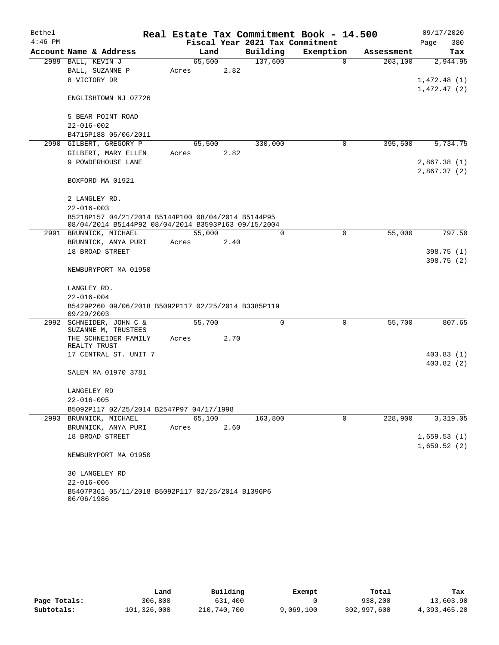| Bethel    |                                                                                                           |       |        |      |                                 | Real Estate Tax Commitment Book - 14.500 |            | 09/17/2020                 |
|-----------|-----------------------------------------------------------------------------------------------------------|-------|--------|------|---------------------------------|------------------------------------------|------------|----------------------------|
| $4:46$ PM |                                                                                                           |       |        |      | Fiscal Year 2021 Tax Commitment |                                          |            | Page<br>380                |
|           | Account Name & Address                                                                                    |       | Land   |      | Building                        | Exemption                                | Assessment | Tax                        |
|           | 2989 BALL, KEVIN J                                                                                        |       | 65,500 |      | 137,600                         | $\mathbf 0$                              | 203,100    | 2,944.95                   |
|           | BALL, SUZANNE P                                                                                           | Acres |        | 2.82 |                                 |                                          |            |                            |
|           | 8 VICTORY DR                                                                                              |       |        |      |                                 |                                          |            | 1,472.48(1)<br>1,472.47(2) |
|           | ENGLISHTOWN NJ 07726                                                                                      |       |        |      |                                 |                                          |            |                            |
|           | 5 BEAR POINT ROAD                                                                                         |       |        |      |                                 |                                          |            |                            |
|           | $22 - 016 - 002$                                                                                          |       |        |      |                                 |                                          |            |                            |
|           | B4715P188 05/06/2011                                                                                      |       |        |      |                                 |                                          |            |                            |
|           | 2990 GILBERT, GREGORY P                                                                                   |       | 65,500 |      | 330,000                         | 0                                        | 395,500    | 5,734.75                   |
|           | GILBERT, MARY ELLEN                                                                                       | Acres |        | 2.82 |                                 |                                          |            |                            |
|           | 9 POWDERHOUSE LANE                                                                                        |       |        |      |                                 |                                          |            | 2,867.38(1)                |
|           | BOXFORD MA 01921                                                                                          |       |        |      |                                 |                                          |            | 2,867.37(2)                |
|           | 2 LANGLEY RD.                                                                                             |       |        |      |                                 |                                          |            |                            |
|           | $22 - 016 - 003$                                                                                          |       |        |      |                                 |                                          |            |                            |
|           | B5218P157 04/21/2014 B5144P100 08/04/2014 B5144P95<br>08/04/2014 B5144P92 08/04/2014 B3593P163 09/15/2004 |       |        |      |                                 |                                          |            |                            |
|           | 2991 BRUNNICK, MICHAEL                                                                                    |       | 55,000 |      | 0                               | $\mathbf 0$                              | 55,000     | 797.50                     |
|           | BRUNNICK, ANYA PURI                                                                                       | Acres |        | 2.40 |                                 |                                          |            |                            |
|           | 18 BROAD STREET                                                                                           |       |        |      |                                 |                                          |            | 398.75 (1)                 |
|           | NEWBURYPORT MA 01950                                                                                      |       |        |      |                                 |                                          |            | 398.75 (2)                 |
|           | LANGLEY RD.                                                                                               |       |        |      |                                 |                                          |            |                            |
|           | $22 - 016 - 004$                                                                                          |       |        |      |                                 |                                          |            |                            |
|           | B5429P260 09/06/2018 B5092P117 02/25/2014 B3385P119                                                       |       |        |      |                                 |                                          |            |                            |
|           | 09/29/2003                                                                                                |       |        |      |                                 |                                          |            |                            |
|           | 2992 SCHNEIDER, JOHN C &                                                                                  |       | 55,700 |      | 0                               | 0                                        | 55,700     | 807.65                     |
|           | SUZANNE M, TRUSTEES<br>THE SCHNEIDER FAMILY                                                               | Acres |        | 2.70 |                                 |                                          |            |                            |
|           | REALTY TRUST                                                                                              |       |        |      |                                 |                                          |            |                            |
|           | 17 CENTRAL ST. UNIT 7                                                                                     |       |        |      |                                 |                                          |            | 403.83(1)                  |
|           |                                                                                                           |       |        |      |                                 |                                          |            | 403.82(2)                  |
|           | SALEM MA 01970 3781                                                                                       |       |        |      |                                 |                                          |            |                            |
|           | LANGELEY RD                                                                                               |       |        |      |                                 |                                          |            |                            |
|           | 22-016-005                                                                                                |       |        |      |                                 |                                          |            |                            |
|           | B5092P117 02/25/2014 B2547P97 04/17/1998                                                                  |       |        |      |                                 |                                          |            |                            |
|           | 2993 BRUNNICK, MICHAEL                                                                                    |       | 65,100 |      | 163,800                         | 0                                        | 228,900    | 3,319.05                   |
|           | BRUNNICK, ANYA PURI                                                                                       | Acres |        | 2.60 |                                 |                                          |            |                            |
|           | 18 BROAD STREET                                                                                           |       |        |      |                                 |                                          |            | 1,659.53(1)                |
|           | NEWBURYPORT MA 01950                                                                                      |       |        |      |                                 |                                          |            | 1,659.52(2)                |
|           | 30 LANGELEY RD                                                                                            |       |        |      |                                 |                                          |            |                            |
|           | $22 - 016 - 006$                                                                                          |       |        |      |                                 |                                          |            |                            |
|           | B5407P361 05/11/2018 B5092P117 02/25/2014 B1396P6                                                         |       |        |      |                                 |                                          |            |                            |
|           | 06/06/1986                                                                                                |       |        |      |                                 |                                          |            |                            |

|              | Land        | Building    | Exempt    | Total       | Tax          |
|--------------|-------------|-------------|-----------|-------------|--------------|
| Page Totals: | 306,800     | 631,400     |           | 938,200     | 13,603.90    |
| Subtotals:   | 101,326,000 | 210,740,700 | 9,069,100 | 302,997,600 | 4,393,465.20 |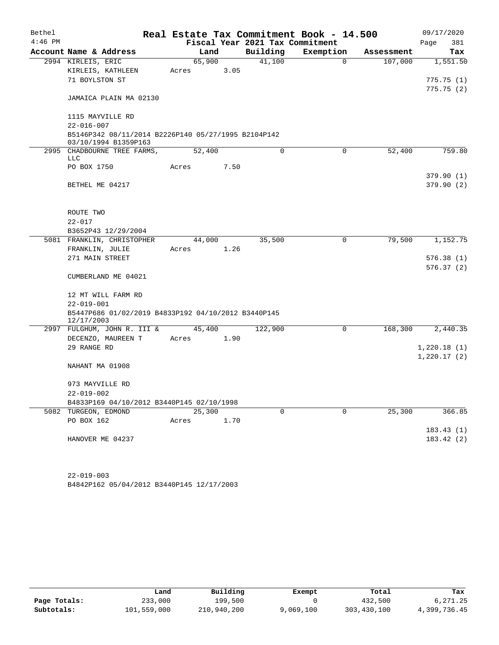| Bethel    |                                                                             |            |        |      | Real Estate Tax Commitment Book - 14.500 |           |             |            | 09/17/2020  |
|-----------|-----------------------------------------------------------------------------|------------|--------|------|------------------------------------------|-----------|-------------|------------|-------------|
| $4:46$ PM |                                                                             |            |        |      | Fiscal Year 2021 Tax Commitment          |           |             |            | 381<br>Page |
|           | Account Name & Address                                                      |            | Land   |      | Building                                 | Exemption |             | Assessment | Tax         |
|           | 2994 KIRLEIS, ERIC                                                          |            | 65,900 |      | 41,100                                   |           | $\Omega$    | 107,000    | 1,551.50    |
|           | KIRLEIS, KATHLEEN                                                           | Acres      |        | 3.05 |                                          |           |             |            |             |
|           | 71 BOYLSTON ST                                                              |            |        |      |                                          |           |             |            | 775.75(1)   |
|           | JAMAICA PLAIN MA 02130                                                      |            |        |      |                                          |           |             |            | 775.75(2)   |
|           | 1115 MAYVILLE RD                                                            |            |        |      |                                          |           |             |            |             |
|           | $22 - 016 - 007$                                                            |            |        |      |                                          |           |             |            |             |
|           | B5146P342 08/11/2014 B2226P140 05/27/1995 B2104P142<br>03/10/1994 B1359P163 |            |        |      |                                          |           |             |            |             |
|           | 2995 CHADBOURNE TREE FARMS,<br>LLC                                          |            | 52,400 |      | $\Omega$                                 |           | $\Omega$    | 52,400     | 759.80      |
|           | PO BOX 1750                                                                 | Acres      |        | 7.50 |                                          |           |             |            |             |
|           |                                                                             |            |        |      |                                          |           |             |            | 379.90(1)   |
|           | BETHEL ME 04217                                                             |            |        |      |                                          |           |             |            | 379.90(2)   |
|           | ROUTE TWO                                                                   |            |        |      |                                          |           |             |            |             |
|           | $22 - 017$                                                                  |            |        |      |                                          |           |             |            |             |
|           |                                                                             |            |        |      |                                          |           |             |            |             |
|           | B3652P43 12/29/2004                                                         |            | 44,000 |      |                                          |           | 0           | 79,500     | 1,152.75    |
|           | 5081 FRANKLIN, CHRISTOPHER<br>FRANKLIN, JULIE                               |            |        | 1.26 | 35,500                                   |           |             |            |             |
|           | 271 MAIN STREET                                                             | Acres      |        |      |                                          |           |             |            |             |
|           |                                                                             |            |        |      |                                          |           |             |            | 576.38(1)   |
|           | CUMBERLAND ME 04021                                                         |            |        |      |                                          |           |             |            | 576.37(2)   |
|           | 12 MT WILL FARM RD                                                          |            |        |      |                                          |           |             |            |             |
|           | $22 - 019 - 001$                                                            |            |        |      |                                          |           |             |            |             |
|           | B5447P686 01/02/2019 B4833P192 04/10/2012 B3440P145<br>12/17/2003           |            |        |      |                                          |           |             |            |             |
|           | 2997 FULGHUM, JOHN R. III &                                                 |            | 45,400 |      | 122,900                                  |           | $\mathbf 0$ | 168,300    | 2,440.35    |
|           | DECENZO, MAUREEN T                                                          | Acres 1.90 |        |      |                                          |           |             |            |             |
|           | 29 RANGE RD                                                                 |            |        |      |                                          |           |             |            | 1,220.18(1) |
|           |                                                                             |            |        |      |                                          |           |             |            | 1,220.17(2) |
|           | NAHANT MA 01908                                                             |            |        |      |                                          |           |             |            |             |
|           | 973 MAYVILLE RD                                                             |            |        |      |                                          |           |             |            |             |
|           | 22-019-002                                                                  |            |        |      |                                          |           |             |            |             |
|           | B4833P169 04/10/2012 B3440P145 02/10/1998                                   |            |        |      |                                          |           |             |            |             |
|           | 5082 TURGEON, EDMOND                                                        |            | 25,300 |      | 0                                        |           | $\Omega$    | 25,300     | 366.85      |
|           | PO BOX 162                                                                  | Acres      |        | 1.70 |                                          |           |             |            |             |
|           |                                                                             |            |        |      |                                          |           |             |            | 183.43 (1)  |
|           | HANOVER ME 04237                                                            |            |        |      |                                          |           |             |            | 183.42 (2)  |
|           |                                                                             |            |        |      |                                          |           |             |            |             |
|           |                                                                             |            |        |      |                                          |           |             |            |             |

B4842P162 05/04/2012 B3440P145 12/17/2003 22-019-003

|              | Land        | Building    | Exempt    | Total       | Tax          |
|--------------|-------------|-------------|-----------|-------------|--------------|
| Page Totals: | 233,000     | 199,500     |           | 432,500     | 6.271.25     |
| Subtotals:   | 101,559,000 | 210,940,200 | 9,069,100 | 303,430,100 | 4,399,736.45 |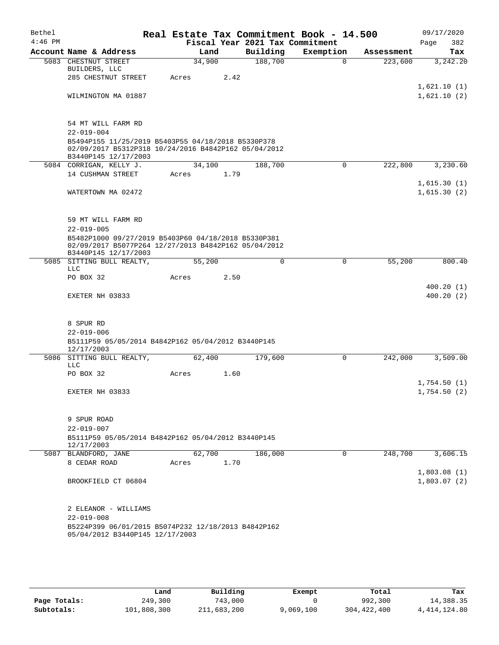| Bethel    |                                                                                                                                    |        |      |                                 | Real Estate Tax Commitment Book - 14.500 |                      | 09/17/2020                 |
|-----------|------------------------------------------------------------------------------------------------------------------------------------|--------|------|---------------------------------|------------------------------------------|----------------------|----------------------------|
| $4:46$ PM |                                                                                                                                    |        |      | Fiscal Year 2021 Tax Commitment |                                          |                      | 382<br>Page                |
|           | Account Name & Address                                                                                                             |        | Land | Building                        | Exemption                                | Assessment           | Tax                        |
|           | 5083 CHESTNUT STREET<br>BUILDERS, LLC                                                                                              | 34,900 |      | 188,700                         | $\Omega$                                 | $\overline{223,600}$ | 3,242.20                   |
|           | 285 CHESTNUT STREET                                                                                                                | Acres  | 2.42 |                                 |                                          |                      |                            |
|           |                                                                                                                                    |        |      |                                 |                                          |                      | 1,621.10(1)                |
|           | WILMINGTON MA 01887                                                                                                                |        |      |                                 |                                          |                      | 1,621.10(2)                |
|           | 54 MT WILL FARM RD                                                                                                                 |        |      |                                 |                                          |                      |                            |
|           | $22 - 019 - 004$                                                                                                                   |        |      |                                 |                                          |                      |                            |
|           | B5494P155 11/25/2019 B5403P55 04/18/2018 B5330P378<br>02/09/2017 B5312P318 10/24/2016 B4842P162 05/04/2012<br>B3440P145 12/17/2003 |        |      |                                 |                                          |                      |                            |
|           | 5084 CORRIGAN, KELLY J.                                                                                                            | 34,100 |      | 188,700                         | 0                                        | 222,800              | 3,230.60                   |
|           | 14 CUSHMAN STREET                                                                                                                  | Acres  | 1.79 |                                 |                                          |                      |                            |
|           |                                                                                                                                    |        |      |                                 |                                          |                      | 1,615.30(1)                |
|           | WATERTOWN MA 02472                                                                                                                 |        |      |                                 |                                          |                      | 1,615.30(2)                |
|           |                                                                                                                                    |        |      |                                 |                                          |                      |                            |
|           | 59 MT WILL FARM RD<br>$22 - 019 - 005$                                                                                             |        |      |                                 |                                          |                      |                            |
|           | B5482P1000 09/27/2019 B5403P60 04/18/2018 B5330P381                                                                                |        |      |                                 |                                          |                      |                            |
|           | 02/09/2017 B5077P264 12/27/2013 B4842P162 05/04/2012<br>B3440P145 12/17/2003                                                       |        |      |                                 |                                          |                      |                            |
|           | 5085 SITTING BULL REALTY,                                                                                                          | 55,200 |      | $\mathbf 0$                     | $\mathbf 0$                              | 55,200               | 800.40                     |
|           | <b>LLC</b>                                                                                                                         |        |      |                                 |                                          |                      |                            |
|           | PO BOX 32                                                                                                                          | Acres  | 2.50 |                                 |                                          |                      |                            |
|           | EXETER NH 03833                                                                                                                    |        |      |                                 |                                          |                      | 400.20(1)<br>400.20(2)     |
|           |                                                                                                                                    |        |      |                                 |                                          |                      |                            |
|           | 8 SPUR RD                                                                                                                          |        |      |                                 |                                          |                      |                            |
|           | $22 - 019 - 006$                                                                                                                   |        |      |                                 |                                          |                      |                            |
|           | B5111P59 05/05/2014 B4842P162 05/04/2012 B3440P145<br>12/17/2003                                                                   |        |      |                                 |                                          |                      |                            |
|           | 5086 SITTING BULL REALTY,<br>LLC                                                                                                   | 62,400 |      | 179,600                         | 0                                        | 242,000              | 3,509.00                   |
|           | PO BOX 32                                                                                                                          | Acres  | 1.60 |                                 |                                          |                      |                            |
|           |                                                                                                                                    |        |      |                                 |                                          |                      | 1,754.50(1)                |
|           | EXETER NH 03833                                                                                                                    |        |      |                                 |                                          |                      | 1,754.50(2)                |
|           | 9 SPUR ROAD                                                                                                                        |        |      |                                 |                                          |                      |                            |
|           | $22 - 019 - 007$                                                                                                                   |        |      |                                 |                                          |                      |                            |
|           | B5111P59 05/05/2014 B4842P162 05/04/2012 B3440P145<br>12/17/2003                                                                   |        |      |                                 |                                          |                      |                            |
|           | 5087 BLANDFORD, JANE                                                                                                               | 62,700 |      | 186,000                         | 0                                        | 248,700              | 3,606.15                   |
|           | 8 CEDAR ROAD                                                                                                                       | Acres  | 1.70 |                                 |                                          |                      |                            |
|           | BROOKFIELD CT 06804                                                                                                                |        |      |                                 |                                          |                      | 1,803.08(1)<br>1,803.07(2) |
|           |                                                                                                                                    |        |      |                                 |                                          |                      |                            |
|           | 2 ELEANOR - WILLIAMS                                                                                                               |        |      |                                 |                                          |                      |                            |
|           | $22 - 019 - 008$                                                                                                                   |        |      |                                 |                                          |                      |                            |
|           | B5224P399 06/01/2015 B5074P232 12/18/2013 B4842P162<br>05/04/2012 B3440P145 12/17/2003                                             |        |      |                                 |                                          |                      |                            |
|           |                                                                                                                                    |        |      |                                 |                                          |                      |                            |

|              | Land        | Building    | Exempt    | Total       | Tax             |
|--------------|-------------|-------------|-----------|-------------|-----------------|
| Page Totals: | 249,300     | 743,000     |           | 992,300     | 14,388.35       |
| Subtotals:   | 101,808,300 | 211,683,200 | 9,069,100 | 304,422,400 | 4, 414, 124, 80 |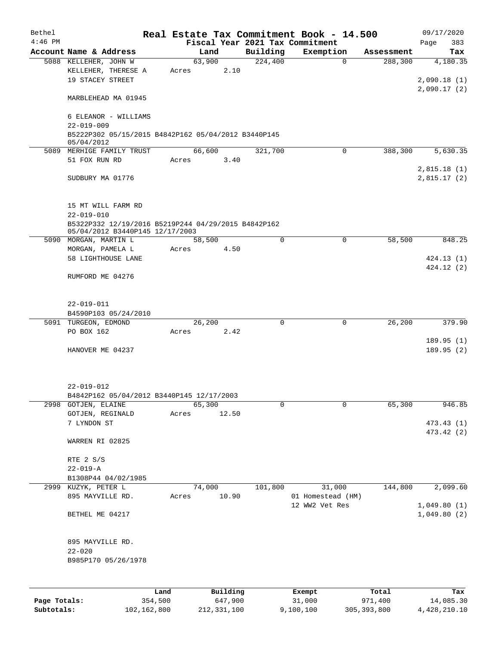| Bethel<br>$4:46$ PM |                                                                   |                 |       |        |                     |             | Real Estate Tax Commitment Book - 14.500<br>Fiscal Year 2021 Tax Commitment |             |                  | 09/17/2020<br>383<br>Page  |     |
|---------------------|-------------------------------------------------------------------|-----------------|-------|--------|---------------------|-------------|-----------------------------------------------------------------------------|-------------|------------------|----------------------------|-----|
|                     | Account Name & Address                                            |                 |       | Land   |                     | Building    | Exemption                                                                   |             | Assessment       | Tax                        |     |
|                     | 5088 KELLEHER, JOHN W                                             |                 |       | 63,900 |                     | 224,400     |                                                                             | $\Omega$    | 288,300          | 4,180.35                   |     |
|                     | KELLEHER, THERESE A                                               |                 | Acres |        | 2.10                |             |                                                                             |             |                  |                            |     |
|                     | 19 STACEY STREET                                                  |                 |       |        |                     |             |                                                                             |             |                  | 2,090.18(1)                |     |
|                     | MARBLEHEAD MA 01945                                               |                 |       |        |                     |             |                                                                             |             |                  | 2,090.17(2)                |     |
|                     | 6 ELEANOR - WILLIAMS                                              |                 |       |        |                     |             |                                                                             |             |                  |                            |     |
|                     | $22 - 019 - 009$                                                  |                 |       |        |                     |             |                                                                             |             |                  |                            |     |
|                     | B5222P302 05/15/2015 B4842P162 05/04/2012 B3440P145<br>05/04/2012 |                 |       |        |                     |             |                                                                             |             |                  |                            |     |
|                     | 5089 MERHIGE FAMILY TRUST                                         |                 |       | 66,600 |                     | 321,700     |                                                                             | 0           | 388,300          | 5,630.35                   |     |
|                     | 51 FOX RUN RD                                                     |                 | Acres |        | 3.40                |             |                                                                             |             |                  |                            |     |
|                     | SUDBURY MA 01776                                                  |                 |       |        |                     |             |                                                                             |             |                  | 2,815.18(1)<br>2,815.17(2) |     |
|                     | 15 MT WILL FARM RD                                                |                 |       |        |                     |             |                                                                             |             |                  |                            |     |
|                     | $22 - 019 - 010$                                                  |                 |       |        |                     |             |                                                                             |             |                  |                            |     |
|                     | B5322P332 12/19/2016 B5219P244 04/29/2015 B4842P162               |                 |       |        |                     |             |                                                                             |             |                  |                            |     |
|                     | 05/04/2012 B3440P145 12/17/2003                                   |                 |       |        |                     |             |                                                                             |             |                  |                            |     |
|                     | 5090 MORGAN, MARTIN L                                             |                 |       | 58,500 |                     | $\Omega$    |                                                                             | $\Omega$    | 58,500           | 848.25                     |     |
|                     | MORGAN, PAMELA L                                                  |                 | Acres |        | 4.50                |             |                                                                             |             |                  |                            |     |
|                     | 58 LIGHTHOUSE LANE                                                |                 |       |        |                     |             |                                                                             |             |                  | 424.13(1)<br>424.12(2)     |     |
|                     | RUMFORD ME 04276                                                  |                 |       |        |                     |             |                                                                             |             |                  |                            |     |
|                     |                                                                   |                 |       |        |                     |             |                                                                             |             |                  |                            |     |
|                     | $22 - 019 - 011$                                                  |                 |       |        |                     |             |                                                                             |             |                  |                            |     |
|                     | B4590P103 05/24/2010                                              |                 |       |        |                     |             |                                                                             |             |                  |                            |     |
|                     | 5091 TURGEON, EDMOND                                              |                 |       | 26,200 |                     | $\mathbf 0$ |                                                                             | $\mathbf 0$ | 26,200           | 379.90                     |     |
|                     | PO BOX 162                                                        |                 | Acres |        | 2.42                |             |                                                                             |             |                  |                            |     |
|                     | HANOVER ME 04237                                                  |                 |       |        |                     |             |                                                                             |             |                  | 189.95(1)<br>189.95(2)     |     |
|                     |                                                                   |                 |       |        |                     |             |                                                                             |             |                  |                            |     |
|                     | 22-019-012                                                        |                 |       |        |                     |             |                                                                             |             |                  |                            |     |
|                     | B4842P162 05/04/2012 B3440P145 12/17/2003                         |                 |       |        |                     |             |                                                                             |             |                  |                            |     |
|                     | 2998 GOTJEN, ELAINE                                               |                 |       | 65,300 |                     | 0           |                                                                             | $\mathbf 0$ | 65,300           | 946.85                     |     |
|                     | GOTJEN, REGINALD                                                  |                 | Acres |        | 12.50               |             |                                                                             |             |                  |                            |     |
|                     | 7 LYNDON ST                                                       |                 |       |        |                     |             |                                                                             |             |                  | 473.43 (1)                 |     |
|                     | WARREN RI 02825                                                   |                 |       |        |                     |             |                                                                             |             |                  | 473.42 (2)                 |     |
|                     | RTE 2 S/S                                                         |                 |       |        |                     |             |                                                                             |             |                  |                            |     |
|                     | $22 - 019 - A$                                                    |                 |       |        |                     |             |                                                                             |             |                  |                            |     |
|                     | B1308P44 04/02/1985                                               |                 |       |        |                     |             |                                                                             |             |                  |                            |     |
|                     | 2999 KUZYK, PETER L                                               |                 |       | 74,000 |                     | 101,800     | 31,000                                                                      |             | 144,800          | 2,099.60                   |     |
|                     | 895 MAYVILLE RD.                                                  |                 | Acres |        | 10.90               |             | 01 Homestead (HM)                                                           |             |                  |                            |     |
|                     |                                                                   |                 |       |        |                     |             | 12 WW2 Vet Res                                                              |             |                  | 1,049.80(1)                |     |
|                     | BETHEL ME 04217                                                   |                 |       |        |                     |             |                                                                             |             |                  | 1,049.80(2)                |     |
|                     | 895 MAYVILLE RD.                                                  |                 |       |        |                     |             |                                                                             |             |                  |                            |     |
|                     | $22 - 020$                                                        |                 |       |        |                     |             |                                                                             |             |                  |                            |     |
|                     | B985P170 05/26/1978                                               |                 |       |        |                     |             |                                                                             |             |                  |                            |     |
|                     |                                                                   |                 |       |        |                     |             |                                                                             |             |                  |                            |     |
|                     |                                                                   |                 |       |        |                     |             |                                                                             |             |                  |                            |     |
| Page Totals:        |                                                                   | Land<br>354,500 |       |        | Building<br>647,900 |             | Exempt<br>31,000                                                            |             | Total<br>971,400 | 14,085.30                  | Tax |
|                     |                                                                   |                 |       |        |                     |             |                                                                             |             |                  |                            |     |

**Subtotals:** 102,162,800 212,331,100 9,100,100 305,393,800 4,428,210.10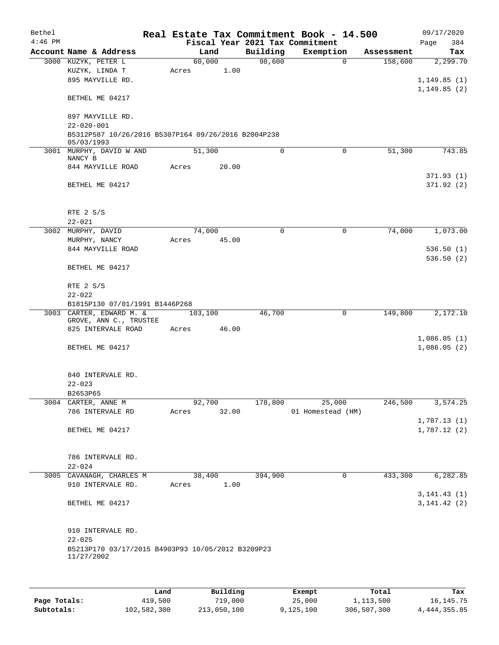| Bethel    |                                                                   |       |                      |             | Real Estate Tax Commitment Book - 14.500 |            | 09/17/2020                   |
|-----------|-------------------------------------------------------------------|-------|----------------------|-------------|------------------------------------------|------------|------------------------------|
| $4:46$ PM |                                                                   |       |                      |             | Fiscal Year 2021 Tax Commitment          |            | 384<br>Page                  |
|           | Account Name & Address                                            |       | Land                 | Building    | Exemption                                | Assessment | Tax                          |
|           | 3000 KUZYK, PETER L<br>KUZYK, LINDA T<br>895 MAYVILLE RD.         | Acres | 60,000<br>1.00       | 98,600      | $\Omega$                                 | 158,600    | 2,299.70<br>1,149.85(1)      |
|           | BETHEL ME 04217                                                   |       |                      |             |                                          |            | 1, 149.85(2)                 |
|           | 897 MAYVILLE RD.<br>$22 - 020 - 001$                              |       |                      |             |                                          |            |                              |
|           | B5312P587 10/26/2016 B5307P164 09/26/2016 B2004P238<br>05/03/1993 |       |                      |             |                                          |            |                              |
|           | 3001 MURPHY, DAVID W AND<br>NANCY B                               |       | 51,300               | $\mathbf 0$ | 0                                        | 51,300     | 743.85                       |
|           | 844 MAYVILLE ROAD                                                 | Acres | 20.00                |             |                                          |            |                              |
|           | BETHEL ME 04217                                                   |       |                      |             |                                          |            | 371.93(1)<br>371.92(2)       |
|           | RTE 2 S/S                                                         |       |                      |             |                                          |            |                              |
|           | $22 - 021$<br>3002 MURPHY, DAVID                                  |       | 74,000               | 0           | 0                                        | 74,000     | 1,073.00                     |
|           | MURPHY, NANCY                                                     | Acres | 45.00                |             |                                          |            |                              |
|           | 844 MAYVILLE ROAD                                                 |       |                      |             |                                          |            | 536.50(1)                    |
|           | BETHEL ME 04217                                                   |       |                      |             |                                          |            | 536.50(2)                    |
|           | RTE 2 S/S<br>$22 - 022$                                           |       |                      |             |                                          |            |                              |
|           | B1815P130 07/01/1991 B1446P268                                    |       |                      |             |                                          |            |                              |
|           | 3003 CARTER, EDWARD M. &                                          |       | 103,100              | 46,700      | 0                                        | 149,800    | 2,172.10                     |
|           | GROVE, ANN C., TRUSTEE                                            |       |                      |             |                                          |            |                              |
|           | 825 INTERVALE ROAD                                                | Acres | 46.00                |             |                                          |            | 1,086.05(1)                  |
|           | BETHEL ME 04217                                                   |       |                      |             |                                          |            | 1,086.05(2)                  |
|           | 840 INTERVALE RD.<br>$22 - 023$                                   |       |                      |             |                                          |            |                              |
|           | B2653P65                                                          |       |                      |             |                                          |            |                              |
|           | 3004 CARTER, ANNE M                                               |       | 92,700               | 178,800     | 25,000                                   | 246,500    | 3,574.25                     |
|           | 786 INTERVALE RD                                                  |       | Acres 32.00          |             | 01 Homestead (HM)                        |            | 1,787.13(1)                  |
|           | BETHEL ME 04217                                                   |       |                      |             |                                          |            | 1,787.12(2)                  |
|           | 786 INTERVALE RD.                                                 |       |                      |             |                                          |            |                              |
|           | $22 - 024$                                                        |       |                      |             |                                          |            |                              |
|           | 3005 CAVANAGH, CHARLES M<br>910 INTERVALE RD.                     |       | 38,400<br>Acres 1.00 | 394,900     | 0                                        | 433,300    | 6,282.85                     |
|           | BETHEL ME 04217                                                   |       |                      |             |                                          |            | 3, 141.43(1)<br>3, 141.42(2) |
|           | 910 INTERVALE RD.<br>$22 - 025$                                   |       |                      |             |                                          |            |                              |
|           | B5213P170 03/17/2015 B4903P93 10/05/2012 B3209P23<br>11/27/2002   |       |                      |             |                                          |            |                              |
|           |                                                                   |       |                      |             |                                          |            |                              |

|              | Land        | Building    | Exempt    | Total       | Tax            |
|--------------|-------------|-------------|-----------|-------------|----------------|
| Page Totals: | 419,500     | 719,000     | 25,000    | 1,113,500   | 16,145.75      |
| Subtotals:   | 102,582,300 | 213,050,100 | 9,125,100 | 306,507,300 | 4, 444, 355.85 |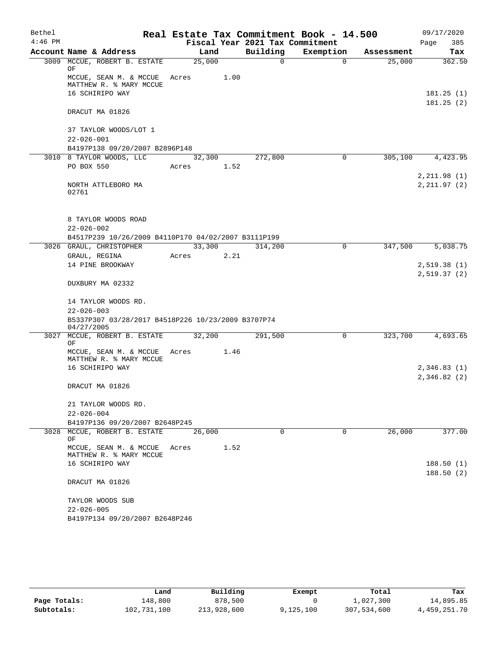| Bethel    |                                                                            |        |      |                                 | Real Estate Tax Commitment Book - 14.500 |            | 09/17/2020   |
|-----------|----------------------------------------------------------------------------|--------|------|---------------------------------|------------------------------------------|------------|--------------|
| $4:46$ PM |                                                                            |        |      | Fiscal Year 2021 Tax Commitment |                                          |            | Page<br>385  |
|           | Account Name & Address                                                     | Land   |      | Building                        | Exemption                                | Assessment | Tax          |
|           | 3009 MCCUE, ROBERT B. ESTATE                                               | 25,000 |      | $\Omega$                        | $\Omega$                                 | 25,000     | 362.50       |
|           | ΟF<br>MCCUE, SEAN M. & MCCUE<br>MATTHEW R. % MARY MCCUE<br>16 SCHIRIPO WAY | Acres  | 1.00 |                                 |                                          |            | 181.25(1)    |
|           | DRACUT MA 01826                                                            |        |      |                                 |                                          |            | 181.25(2)    |
|           | 37 TAYLOR WOODS/LOT 1<br>$22 - 026 - 001$                                  |        |      |                                 |                                          |            |              |
|           | B4197P138 09/20/2007 B2896P148                                             |        |      |                                 |                                          |            |              |
|           | 3010 8 TAYLOR WOODS, LLC                                                   | 32,300 |      | 272,800                         | 0                                        | 305,100    | 4,423.95     |
|           | PO BOX 550                                                                 | Acres  | 1.52 |                                 |                                          |            | 2, 211.98(1) |
|           | NORTH ATTLEBORO MA<br>02761                                                |        |      |                                 |                                          |            | 2, 211.97(2) |
|           | 8 TAYLOR WOODS ROAD<br>$22 - 026 - 002$                                    |        |      |                                 |                                          |            |              |
|           | B4517P239 10/26/2009 B4110P170 04/02/2007 B3111P199                        |        |      |                                 |                                          |            |              |
|           | 3026 GRAUL, CHRISTOPHER                                                    | 33,300 |      | 314,200                         | 0                                        | 347,500    | 5,038.75     |
|           | GRAUL, REGINA<br>14 PINE BROOKWAY                                          | Acres  | 2.21 |                                 |                                          |            | 2,519.38(1)  |
|           |                                                                            |        |      |                                 |                                          |            | 2,519.37(2)  |
|           | DUXBURY MA 02332                                                           |        |      |                                 |                                          |            |              |
|           | 14 TAYLOR WOODS RD.<br>$22 - 026 - 003$                                    |        |      |                                 |                                          |            |              |
|           | B5337P307 03/28/2017 B4518P226 10/23/2009 B3707P74<br>04/27/2005           |        |      |                                 |                                          |            |              |
|           | 3027 MCCUE, ROBERT B. ESTATE<br>ΟF                                         | 32,200 |      | 291,500                         | 0                                        | 323,700    | 4,693.65     |
|           | MCCUE, SEAN M. & MCCUE<br>MATTHEW R. % MARY MCCUE                          | Acres  | 1.46 |                                 |                                          |            |              |
|           | 16 SCHIRIPO WAY                                                            |        |      |                                 |                                          |            | 2,346.83(1)  |
|           | DRACUT MA 01826                                                            |        |      |                                 |                                          |            | 2,346.82(2)  |
|           |                                                                            |        |      |                                 |                                          |            |              |
|           | 21 TAYLOR WOODS RD.<br>$22 - 026 - 004$                                    |        |      |                                 |                                          |            |              |
|           | B4197P136 09/20/2007 B2648P245                                             |        |      |                                 |                                          |            |              |
|           | 3028 MCCUE, ROBERT B. ESTATE                                               | 26,000 |      | $\Omega$                        | $\Omega$                                 | 26,000     | 377.00       |
|           | OF                                                                         |        |      |                                 |                                          |            |              |
|           | MCCUE, SEAN M. & MCCUE<br>MATTHEW R. % MARY MCCUE                          | Acres  | 1.52 |                                 |                                          |            |              |
|           | 16 SCHIRIPO WAY                                                            |        |      |                                 |                                          |            | 188.50(1)    |
|           |                                                                            |        |      |                                 |                                          |            | 188.50(2)    |
|           | DRACUT MA 01826                                                            |        |      |                                 |                                          |            |              |
|           | TAYLOR WOODS SUB                                                           |        |      |                                 |                                          |            |              |
|           | $22 - 026 - 005$                                                           |        |      |                                 |                                          |            |              |
|           | B4197P134 09/20/2007 B2648P246                                             |        |      |                                 |                                          |            |              |

|              | Land        | Building    | Exempt    | Total       | Tax          |
|--------------|-------------|-------------|-----------|-------------|--------------|
| Page Totals: | 148,800     | 878,500     |           | 1,027,300   | 14,895.85    |
| Subtotals:   | 102,731,100 | 213,928,600 | 9,125,100 | 307,534,600 | 4,459,251.70 |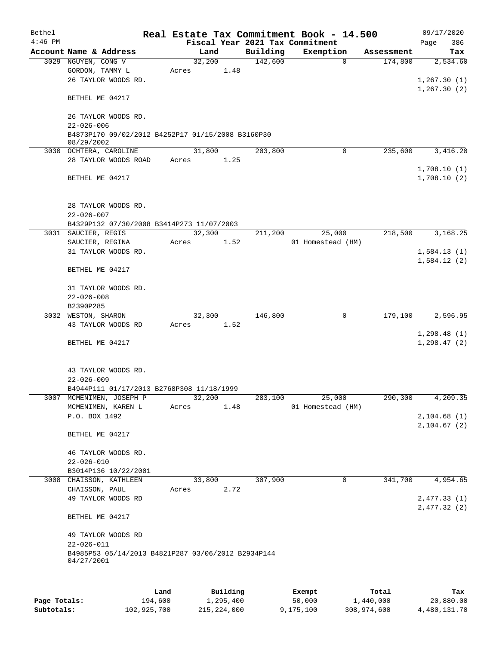| Bethel       |                                                                  |       |           |          | Real Estate Tax Commitment Book - 14.500 |            | 09/17/2020                 |
|--------------|------------------------------------------------------------------|-------|-----------|----------|------------------------------------------|------------|----------------------------|
| $4:46$ PM    |                                                                  |       |           |          | Fiscal Year 2021 Tax Commitment          |            | Page<br>386                |
|              | Account Name & Address                                           |       | Land      | Building | Exemption                                | Assessment | Tax                        |
|              | 3029 NGUYEN, CONG V                                              |       | 32,200    | 142,600  | $\Omega$                                 | 174,800    | 2,534.60                   |
|              | GORDON, TAMMY L<br>26 TAYLOR WOODS RD.                           | Acres | 1.48      |          |                                          |            | 1, 267.30(1)               |
|              |                                                                  |       |           |          |                                          |            | 1,267.30(2)                |
|              | BETHEL ME 04217                                                  |       |           |          |                                          |            |                            |
|              | 26 TAYLOR WOODS RD.                                              |       |           |          |                                          |            |                            |
|              | $22 - 026 - 006$                                                 |       |           |          |                                          |            |                            |
|              | B4873P170 09/02/2012 B4252P17 01/15/2008 B3160P30<br>08/29/2002  |       |           |          |                                          |            |                            |
|              | 3030 OCHTERA, CAROLINE                                           |       | 31,800    | 203,800  | $\Omega$                                 | 235,600    | 3,416.20                   |
|              | 28 TAYLOR WOODS ROAD                                             | Acres | 1.25      |          |                                          |            |                            |
|              | BETHEL ME 04217                                                  |       |           |          |                                          |            | 1,708.10(1)<br>1,708.10(2) |
|              |                                                                  |       |           |          |                                          |            |                            |
|              | 28 TAYLOR WOODS RD.                                              |       |           |          |                                          |            |                            |
|              | $22 - 026 - 007$                                                 |       |           |          |                                          |            |                            |
|              | B4329P132 07/30/2008 B3414P273 11/07/2003                        |       |           |          |                                          |            |                            |
|              | 3031 SAUCIER, REGIS                                              |       | 32,300    | 211,200  | 25,000                                   | 218,500    | 3,168.25                   |
|              | SAUCIER, REGINA                                                  | Acres | 1.52      |          | 01 Homestead (HM)                        |            |                            |
|              | 31 TAYLOR WOODS RD.                                              |       |           |          |                                          |            | 1,584.13(1)                |
|              | BETHEL ME 04217                                                  |       |           |          |                                          |            | 1,584.12(2)                |
|              | 31 TAYLOR WOODS RD.                                              |       |           |          |                                          |            |                            |
|              | $22 - 026 - 008$                                                 |       |           |          |                                          |            |                            |
|              | B2390P285                                                        |       |           |          |                                          |            |                            |
|              | 3032 WESTON, SHARON                                              |       | 32,300    | 146,800  | 0                                        | 179,100    | 2,596.95                   |
|              | 43 TAYLOR WOODS RD                                               | Acres | 1.52      |          |                                          |            |                            |
|              |                                                                  |       |           |          |                                          |            | 1,298.48(1)                |
|              | BETHEL ME 04217                                                  |       |           |          |                                          |            | 1, 298.47(2)               |
|              | 43 TAYLOR WOODS RD.                                              |       |           |          |                                          |            |                            |
|              | $22 - 026 - 009$                                                 |       |           |          |                                          |            |                            |
|              | B4944P111 01/17/2013 B2768P308 11/18/1999                        |       |           |          |                                          |            |                            |
|              | 3007 MCMENIMEN, JOSEPH P                                         |       | 32,200    | 283,100  | 25,000                                   | 290, 300   | 4,209.35                   |
|              | MCMENIMEN, KAREN L                                               | Acres | 1.48      |          | 01 Homestead (HM)                        |            |                            |
|              | P.O. BOX 1492                                                    |       |           |          |                                          |            | 2, 104.68(1)               |
|              | BETHEL ME 04217                                                  |       |           |          |                                          |            | 2, 104.67(2)               |
|              |                                                                  |       |           |          |                                          |            |                            |
|              | 46 TAYLOR WOODS RD.                                              |       |           |          |                                          |            |                            |
|              | $22 - 026 - 010$                                                 |       |           |          |                                          |            |                            |
| 3008         | B3014P136 10/22/2001<br>CHAISSON, KATHLEEN                       |       | 33,800    | 307,900  | 0                                        | 341,700    | 4,954.65                   |
|              | CHAISSON, PAUL                                                   | Acres | 2.72      |          |                                          |            |                            |
|              | 49 TAYLOR WOODS RD                                               |       |           |          |                                          |            | 2,477.33(1)                |
|              |                                                                  |       |           |          |                                          |            | 2,477.32 (2)               |
|              | BETHEL ME 04217                                                  |       |           |          |                                          |            |                            |
|              | 49 TAYLOR WOODS RD<br>$22 - 026 - 011$                           |       |           |          |                                          |            |                            |
|              | B4985P53 05/14/2013 B4821P287 03/06/2012 B2934P144<br>04/27/2001 |       |           |          |                                          |            |                            |
|              |                                                                  |       |           |          |                                          |            |                            |
|              |                                                                  | Land  | Building  |          | Exempt                                   | Total      | Tax                        |
| Page Totals: | 194,600                                                          |       | 1,295,400 |          | 50,000                                   | 1,440,000  | 20,880.00                  |

**Subtotals:** 102,925,700 215,224,000 9,175,100 308,974,600 4,480,131.70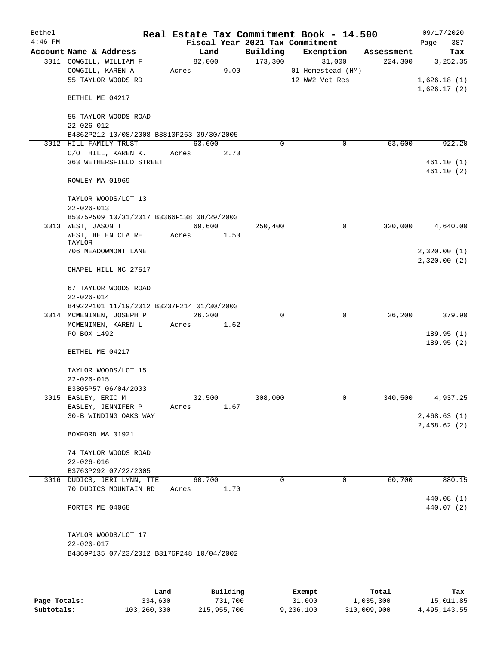| Bethel    |                                             |       |                |          | Real Estate Tax Commitment Book - 14.500 |            | 09/17/2020  |
|-----------|---------------------------------------------|-------|----------------|----------|------------------------------------------|------------|-------------|
| $4:46$ PM |                                             |       |                |          | Fiscal Year 2021 Tax Commitment          |            | Page<br>387 |
|           | Account Name & Address                      |       | Land           | Building | Exemption                                | Assessment | Tax         |
|           | 3011 COWGILL, WILLIAM F<br>COWGILL, KAREN A | Acres | 82,000<br>9.00 | 173,300  | 31,000<br>01 Homestead (HM)              | 224,300    | 3,252.35    |
|           | 55 TAYLOR WOODS RD                          |       |                |          | 12 WW2 Vet Res                           |            | 1,626.18(1) |
|           |                                             |       |                |          |                                          |            | 1,626.17(2) |
|           | BETHEL ME 04217                             |       |                |          |                                          |            |             |
|           | 55 TAYLOR WOODS ROAD<br>$22 - 026 - 012$    |       |                |          |                                          |            |             |
|           | B4362P212 10/08/2008 B3810P263 09/30/2005   |       |                |          |                                          |            |             |
|           | 3012 HILL FAMILY TRUST                      |       | 63,600         | 0        | $\mathbf 0$                              | 63,600     | 922.20      |
|           | C/O HILL, KAREN K.                          | Acres | 2.70           |          |                                          |            |             |
|           | 363 WETHERSFIELD STREET                     |       |                |          |                                          |            | 461.10(1)   |
|           |                                             |       |                |          |                                          |            | 461.10(2)   |
|           | ROWLEY MA 01969                             |       |                |          |                                          |            |             |
|           | TAYLOR WOODS/LOT 13                         |       |                |          |                                          |            |             |
|           | $22 - 026 - 013$                            |       |                |          |                                          |            |             |
|           | B5375P509 10/31/2017 B3366P138 08/29/2003   |       |                |          |                                          |            |             |
| 3013      | WEST, JASON T                               |       | 69,600         | 250,400  | 0                                        | 320,000    | 4,640.00    |
|           | WEST, HELEN CLAIRE                          | Acres | 1.50           |          |                                          |            |             |
|           | TAYLOR                                      |       |                |          |                                          |            |             |
|           | 706 MEADOWMONT LANE                         |       |                |          |                                          |            | 2,320.00(1) |
|           |                                             |       |                |          |                                          |            | 2,320.00(2) |
|           | CHAPEL HILL NC 27517                        |       |                |          |                                          |            |             |
|           | 67 TAYLOR WOODS ROAD                        |       |                |          |                                          |            |             |
|           | $22 - 026 - 014$                            |       |                |          |                                          |            |             |
|           | B4922P101 11/19/2012 B3237P214 01/30/2003   |       |                |          |                                          |            |             |
|           | 3014 MCMENIMEN, JOSEPH P                    |       | 26,200         | 0        | 0                                        | 26,200     | 379.90      |
|           | MCMENIMEN, KAREN L                          | Acres | 1.62           |          |                                          |            |             |
|           | PO BOX 1492                                 |       |                |          |                                          |            | 189.95(1)   |
|           |                                             |       |                |          |                                          |            | 189.95(2)   |
|           | BETHEL ME 04217                             |       |                |          |                                          |            |             |
|           | TAYLOR WOODS/LOT 15                         |       |                |          |                                          |            |             |
|           | $22 - 026 - 015$                            |       |                |          |                                          |            |             |
|           | B3305P57 06/04/2003                         |       |                |          |                                          |            |             |
|           | 3015 EASLEY, ERIC M                         |       | 32,500         | 308,000  | $\mathbf 0$                              | 340,500    | 4,937.25    |
|           | EASLEY, JENNIFER P                          | Acres | 1.67           |          |                                          |            |             |
|           | 30-B WINDING OAKS WAY                       |       |                |          |                                          |            | 2,468.63(1) |
|           |                                             |       |                |          |                                          |            | 2,468.62(2) |
|           | BOXFORD MA 01921                            |       |                |          |                                          |            |             |
|           | 74 TAYLOR WOODS ROAD                        |       |                |          |                                          |            |             |
|           | $22 - 026 - 016$                            |       |                |          |                                          |            |             |
|           | B3763P292 07/22/2005                        |       |                |          |                                          |            |             |
|           | 3016 DUDICS, JERI LYNN, TTE                 |       | 60,700         | $\Omega$ | 0                                        | 60,700     | 880.15      |
|           | 70 DUDICS MOUNTAIN RD                       | Acres | 1.70           |          |                                          |            |             |
|           |                                             |       |                |          |                                          |            | 440.08 (1)  |
|           | PORTER ME 04068                             |       |                |          |                                          |            | 440.07 (2)  |
|           | TAYLOR WOODS/LOT 17                         |       |                |          |                                          |            |             |
|           | $22 - 026 - 017$                            |       |                |          |                                          |            |             |
|           | B4869P135 07/23/2012 B3176P248 10/04/2002   |       |                |          |                                          |            |             |
|           |                                             |       |                |          |                                          |            |             |
|           |                                             |       |                |          |                                          |            |             |
|           |                                             |       |                |          |                                          |            |             |

|              | Land        | Building    | Exempt    | Total       | Tax          |
|--------------|-------------|-------------|-----------|-------------|--------------|
| Page Totals: | 334,600     | 731,700     | 31,000    | 1,035,300   | 15,011.85    |
| Subtotals:   | 103,260,300 | 215,955,700 | 9,206,100 | 310,009,900 | 4,495,143.55 |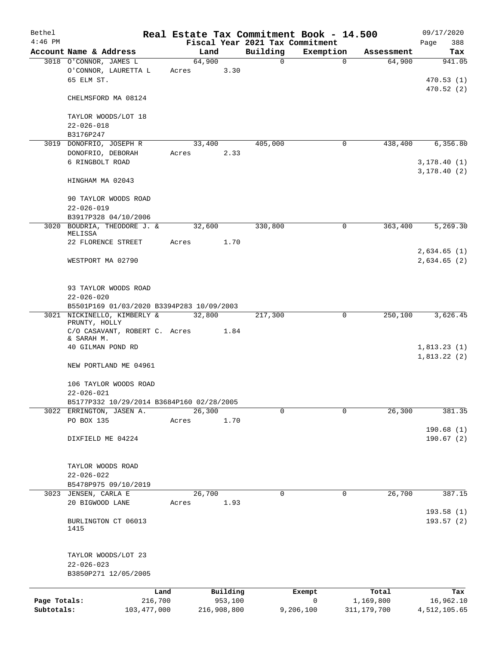| Bethel       |                                                                               |       |                     |                                 | Real Estate Tax Commitment Book - 14.500 |                      | 09/17/2020                  |
|--------------|-------------------------------------------------------------------------------|-------|---------------------|---------------------------------|------------------------------------------|----------------------|-----------------------------|
| $4:46$ PM    |                                                                               |       |                     | Fiscal Year 2021 Tax Commitment |                                          |                      | 388<br>Page                 |
|              | Account Name & Address<br>3018 O'CONNOR, JAMES L                              |       | Land<br>64,900      | Building<br>$\mathbf 0$         | Exemption<br>$\mathbf 0$                 | Assessment<br>64,900 | Tax<br>941.05               |
|              | O'CONNOR, LAURETTA L<br>65 ELM ST.                                            | Acres | 3.30                |                                 |                                          |                      | 470.53(1)                   |
|              | CHELMSFORD MA 08124                                                           |       |                     |                                 |                                          |                      | 470.52(2)                   |
|              | TAYLOR WOODS/LOT 18<br>$22 - 026 - 018$                                       |       |                     |                                 |                                          |                      |                             |
|              | B3176P247                                                                     |       |                     |                                 |                                          |                      |                             |
|              | 3019 DONOFRIO, JOSEPH R                                                       |       | 33,400              | 405,000                         | 0                                        | 438,400              | 6,356.80                    |
|              | DONOFRIO, DEBORAH<br>6 RINGBOLT ROAD                                          | Acres | 2.33                |                                 |                                          |                      | 3,178.40(1)<br>3,178.40(2)  |
|              | HINGHAM MA 02043                                                              |       |                     |                                 |                                          |                      |                             |
|              | 90 TAYLOR WOODS ROAD<br>$22 - 026 - 019$                                      |       |                     |                                 |                                          |                      |                             |
|              | B3917P328 04/10/2006                                                          |       |                     |                                 |                                          |                      |                             |
|              | 3020 BOUDRIA, THEODORE J. &<br>MELISSA                                        |       | 32,600              | 330,800                         | 0                                        | 363,400              | 5,269.30                    |
|              | 22 FLORENCE STREET                                                            | Acres | 1.70                |                                 |                                          |                      |                             |
|              | WESTPORT MA 02790                                                             |       |                     |                                 |                                          |                      | 2,634.65 (1)<br>2,634.65(2) |
|              | 93 TAYLOR WOODS ROAD<br>$22 - 026 - 020$                                      |       |                     |                                 |                                          |                      |                             |
|              | B5501P169 01/03/2020 B3394P283 10/09/2003                                     |       |                     |                                 | 0                                        |                      | 3,626.45                    |
|              | 3021 NICKINELLO, KIMBERLY &<br>PRUNTY, HOLLY<br>C/O CASAVANT, ROBERT C. Acres |       | 32,800<br>1.84      | 217,300                         |                                          | 250,100              |                             |
|              | & SARAH M.<br>40 GILMAN POND RD                                               |       |                     |                                 |                                          |                      | 1,813.23(1)                 |
|              | NEW PORTLAND ME 04961                                                         |       |                     |                                 |                                          |                      | 1,813.22(2)                 |
|              | 106 TAYLOR WOODS ROAD<br>$22 - 026 - 021$                                     |       |                     |                                 |                                          |                      |                             |
|              | B5177P332 10/29/2014 B3684P160 02/28/2005                                     |       |                     |                                 |                                          |                      |                             |
|              | 3022 ERRINGTON, JASEN A.                                                      |       | 26,300              | 0                               | $\mathbf 0$                              | 26,300               | 381.35                      |
|              | PO BOX 135                                                                    | Acres | 1.70                |                                 |                                          |                      | 190.68(1)                   |
|              | DIXFIELD ME 04224                                                             |       |                     |                                 |                                          |                      | 190.67(2)                   |
|              | TAYLOR WOODS ROAD<br>$22 - 026 - 022$                                         |       |                     |                                 |                                          |                      |                             |
|              | B5478P975 09/10/2019                                                          |       |                     |                                 |                                          |                      |                             |
|              | 3023 JENSEN, CARLA E                                                          |       | 26,700              | 0                               | 0                                        | 26,700               | 387.15                      |
|              | 20 BIGWOOD LANE                                                               | Acres | 1.93                |                                 |                                          |                      | 193.58(1)                   |
|              | BURLINGTON CT 06013<br>1415                                                   |       |                     |                                 |                                          |                      | 193.57(2)                   |
|              | TAYLOR WOODS/LOT 23<br>$22 - 026 - 023$                                       |       |                     |                                 |                                          |                      |                             |
|              | B3850P271 12/05/2005                                                          |       |                     |                                 |                                          |                      |                             |
| Page Totals: | Land<br>216,700                                                               |       | Building<br>953,100 |                                 | Exempt<br>0                              | Total<br>1,169,800   | Tax<br>16,962.10            |
| Subtotals:   | 103, 477, 000                                                                 |       | 216,908,800         |                                 | 9,206,100                                | 311, 179, 700        | 4,512,105.65                |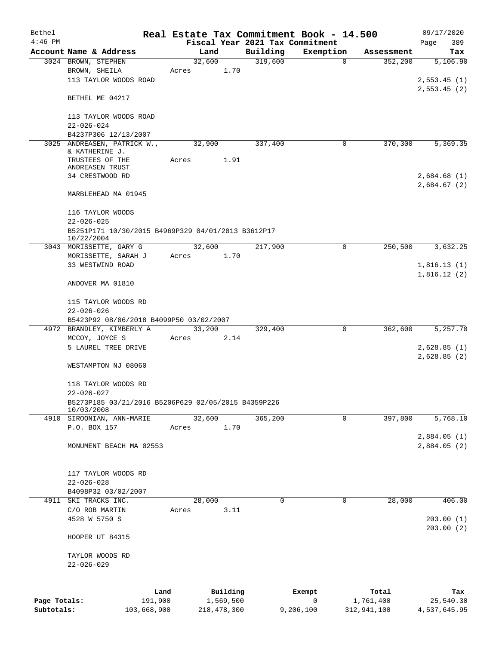| Bethel       |                                                     |                 |       |        |                       |                                 | Real Estate Tax Commitment Book - 14.500 |             |                    | 09/17/2020                |
|--------------|-----------------------------------------------------|-----------------|-------|--------|-----------------------|---------------------------------|------------------------------------------|-------------|--------------------|---------------------------|
| $4:46$ PM    |                                                     |                 |       |        |                       | Fiscal Year 2021 Tax Commitment |                                          |             |                    | 389<br>Page               |
|              | Account Name & Address                              |                 |       | Land   |                       | Building                        | Exemption                                |             | Assessment         | Tax                       |
|              | 3024 BROWN, STEPHEN                                 |                 |       | 32,600 | 1.70                  | 319,600                         |                                          | $\mathbf 0$ | 352,200            | 5,106.90                  |
|              | BROWN, SHEILA<br>113 TAYLOR WOODS ROAD              |                 | Acres |        |                       |                                 |                                          |             |                    | 2,553.45(1)               |
|              |                                                     |                 |       |        |                       |                                 |                                          |             |                    | 2,553.45(2)               |
|              | BETHEL ME 04217                                     |                 |       |        |                       |                                 |                                          |             |                    |                           |
|              | 113 TAYLOR WOODS ROAD                               |                 |       |        |                       |                                 |                                          |             |                    |                           |
|              | $22 - 026 - 024$                                    |                 |       |        |                       |                                 |                                          |             |                    |                           |
|              | B4237P306 12/13/2007                                |                 |       |        |                       |                                 |                                          |             |                    |                           |
| 3025         | ANDREASEN, PATRICK W.,                              |                 |       | 32,900 |                       | 337,400                         |                                          | 0           | 370,300            | 5,369.35                  |
|              | & KATHERINE J.                                      |                 |       |        |                       |                                 |                                          |             |                    |                           |
|              | TRUSTEES OF THE                                     |                 | Acres |        | 1.91                  |                                 |                                          |             |                    |                           |
|              | ANDREASEN TRUST                                     |                 |       |        |                       |                                 |                                          |             |                    |                           |
|              | 34 CRESTWOOD RD                                     |                 |       |        |                       |                                 |                                          |             |                    | 2,684.68 (1)              |
|              | MARBLEHEAD MA 01945                                 |                 |       |        |                       |                                 |                                          |             |                    | 2,684.67(2)               |
|              | 116 TAYLOR WOODS                                    |                 |       |        |                       |                                 |                                          |             |                    |                           |
|              | $22 - 026 - 025$                                    |                 |       |        |                       |                                 |                                          |             |                    |                           |
|              | B5251P171 10/30/2015 B4969P329 04/01/2013 B3612P17  |                 |       |        |                       |                                 |                                          |             |                    |                           |
|              | 10/22/2004                                          |                 |       |        |                       |                                 |                                          |             |                    |                           |
|              | 3043 MORISSETTE, GARY G                             |                 |       | 32,600 |                       | 217,900                         |                                          | 0           | 250,500            | 3,632.25                  |
|              | MORISSETTE, SARAH J                                 |                 | Acres |        | 1.70                  |                                 |                                          |             |                    |                           |
|              | 33 WESTWIND ROAD                                    |                 |       |        |                       |                                 |                                          |             |                    | 1,816.13(1)               |
|              | ANDOVER MA 01810                                    |                 |       |        |                       |                                 |                                          |             |                    | 1,816.12(2)               |
|              |                                                     |                 |       |        |                       |                                 |                                          |             |                    |                           |
|              | 115 TAYLOR WOODS RD                                 |                 |       |        |                       |                                 |                                          |             |                    |                           |
|              | $22 - 026 - 026$                                    |                 |       |        |                       |                                 |                                          |             |                    |                           |
|              | B5423P92 08/06/2018 B4099P50 03/02/2007             |                 |       |        |                       |                                 |                                          |             |                    |                           |
|              | 4972 BRANDLEY, KIMBERLY A<br>MCCOY, JOYCE S         |                 |       | 33,200 |                       | 329,400                         |                                          | 0           | 362,600            | 5,257.70                  |
|              | 5 LAUREL TREE DRIVE                                 |                 | Acres |        | 2.14                  |                                 |                                          |             |                    | 2,628.85(1)               |
|              |                                                     |                 |       |        |                       |                                 |                                          |             |                    | 2,628.85(2)               |
|              | WESTAMPTON NJ 08060                                 |                 |       |        |                       |                                 |                                          |             |                    |                           |
|              | 118 TAYLOR WOODS RD                                 |                 |       |        |                       |                                 |                                          |             |                    |                           |
|              | $22 - 026 - 027$                                    |                 |       |        |                       |                                 |                                          |             |                    |                           |
|              | B5273P185 03/21/2016 B5206P629 02/05/2015 B4359P226 |                 |       |        |                       |                                 |                                          |             |                    |                           |
|              | 10/03/2008                                          |                 |       |        |                       |                                 |                                          |             |                    |                           |
|              | 4910 SIROONIAN, ANN-MARIE                           |                 |       | 32,600 |                       | 365,200                         |                                          | $\mathbf 0$ | 397,800            | 5,768.10                  |
|              | P.O. BOX 157                                        |                 | Acres |        | 1.70                  |                                 |                                          |             |                    |                           |
|              |                                                     |                 |       |        |                       |                                 |                                          |             |                    | 2,884.05(1)               |
|              | MONUMENT BEACH MA 02553                             |                 |       |        |                       |                                 |                                          |             |                    | 2,884.05(2)               |
|              |                                                     |                 |       |        |                       |                                 |                                          |             |                    |                           |
|              | 117 TAYLOR WOODS RD                                 |                 |       |        |                       |                                 |                                          |             |                    |                           |
|              | $22 - 026 - 028$                                    |                 |       |        |                       |                                 |                                          |             |                    |                           |
|              | B4098P32 03/02/2007                                 |                 |       |        |                       |                                 |                                          |             |                    |                           |
|              | 4911 SKI TRACKS INC.                                |                 |       | 28,000 |                       | $\Omega$                        |                                          | 0           | 28,000             | 406.00                    |
|              | C/O ROB MARTIN                                      |                 | Acres |        | 3.11                  |                                 |                                          |             |                    |                           |
|              | 4528 W 5750 S                                       |                 |       |        |                       |                                 |                                          |             |                    | 203.00(1)                 |
|              |                                                     |                 |       |        |                       |                                 |                                          |             |                    | 203.00(2)                 |
|              | HOOPER UT 84315                                     |                 |       |        |                       |                                 |                                          |             |                    |                           |
|              | TAYLOR WOODS RD                                     |                 |       |        |                       |                                 |                                          |             |                    |                           |
|              | $22 - 026 - 029$                                    |                 |       |        |                       |                                 |                                          |             |                    |                           |
|              |                                                     |                 |       |        |                       |                                 |                                          |             |                    |                           |
| Page Totals: |                                                     | Land<br>191,900 |       |        | Building<br>1,569,500 |                                 | Exempt<br>0                              |             | Total<br>1,761,400 | Tax                       |
| Subtotals:   |                                                     | 103,668,900     |       |        | 218,478,300           |                                 | 9,206,100                                |             | 312,941,100        | 25,540.30<br>4,537,645.95 |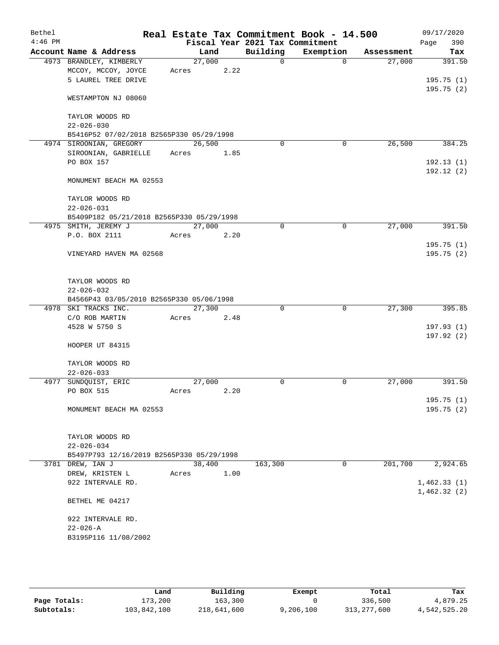| Bethel    |                                           |        |      |                                 | Real Estate Tax Commitment Book - 14.500 |            | 09/17/2020             |
|-----------|-------------------------------------------|--------|------|---------------------------------|------------------------------------------|------------|------------------------|
| $4:46$ PM |                                           |        |      | Fiscal Year 2021 Tax Commitment |                                          |            | 390<br>Page            |
|           | Account Name & Address                    |        | Land | Building                        | Exemption                                | Assessment | Tax                    |
|           | 4973 BRANDLEY, KIMBERLY                   | 27,000 |      | $\Omega$                        | $\Omega$                                 | 27,000     | 391.50                 |
|           | MCCOY, MCCOY, JOYCE                       | Acres  | 2.22 |                                 |                                          |            |                        |
|           | 5 LAUREL TREE DRIVE                       |        |      |                                 |                                          |            | 195.75(1)              |
|           | WESTAMPTON NJ 08060                       |        |      |                                 |                                          |            | 195.75(2)              |
|           | TAYLOR WOODS RD                           |        |      |                                 |                                          |            |                        |
|           | $22 - 026 - 030$                          |        |      |                                 |                                          |            |                        |
|           | B5416P52 07/02/2018 B2565P330 05/29/1998  |        |      |                                 |                                          |            |                        |
|           | 4974 SIROONIAN, GREGORY                   | 26,500 |      | $\mathbf 0$                     | 0                                        | 26,500     | 384.25                 |
|           | SIROONIAN, GABRIELLE                      | Acres  | 1.85 |                                 |                                          |            |                        |
|           | PO BOX 157                                |        |      |                                 |                                          |            | 192.13(1)<br>192.12(2) |
|           | MONUMENT BEACH MA 02553                   |        |      |                                 |                                          |            |                        |
|           | TAYLOR WOODS RD                           |        |      |                                 |                                          |            |                        |
|           | $22 - 026 - 031$                          |        |      |                                 |                                          |            |                        |
|           | B5409P182 05/21/2018 B2565P330 05/29/1998 |        |      |                                 |                                          |            |                        |
|           | 4975 SMITH, JEREMY J<br>P.O. BOX 2111     | 27,000 |      | $\Omega$                        | 0                                        | 27,000     | 391.50                 |
|           |                                           | Acres  | 2.20 |                                 |                                          |            | 195.75 (1)             |
|           | VINEYARD HAVEN MA 02568                   |        |      |                                 |                                          |            | 195.75(2)              |
|           |                                           |        |      |                                 |                                          |            |                        |
|           | TAYLOR WOODS RD                           |        |      |                                 |                                          |            |                        |
|           | $22 - 026 - 032$                          |        |      |                                 |                                          |            |                        |
|           | B4566P43 03/05/2010 B2565P330 05/06/1998  |        |      |                                 |                                          |            |                        |
|           | 4978 SKI TRACKS INC.                      | 27,300 |      | $\Omega$                        | $\mathbf 0$                              | 27,300     | 395.85                 |
|           | C/O ROB MARTIN<br>4528 W 5750 S           | Acres  | 2.48 |                                 |                                          |            |                        |
|           |                                           |        |      |                                 |                                          |            | 197.93(1)<br>197.92(2) |
|           | HOOPER UT 84315                           |        |      |                                 |                                          |            |                        |
|           | TAYLOR WOODS RD                           |        |      |                                 |                                          |            |                        |
|           | $22 - 026 - 033$                          |        |      |                                 |                                          |            |                        |
|           | 4977 SUNDQUIST, ERIC                      | 27,000 |      | 0                               | 0                                        | 27,000     | 391.50                 |
|           | PO BOX 515                                | Acres  | 2.20 |                                 |                                          |            |                        |
|           |                                           |        |      |                                 |                                          |            | 195.75 (1)             |
|           | MONUMENT BEACH MA 02553                   |        |      |                                 |                                          |            | 195.75(2)              |
|           | TAYLOR WOODS RD                           |        |      |                                 |                                          |            |                        |
|           | $22 - 026 - 034$                          |        |      |                                 |                                          |            |                        |
|           | B5497P793 12/16/2019 B2565P330 05/29/1998 |        |      |                                 |                                          |            |                        |
|           | 3781 DREW, IAN J                          | 38,400 |      | 163,300                         | 0                                        | 201,700    | 2,924.65               |
|           | DREW, KRISTEN L                           | Acres  | 1.00 |                                 |                                          |            |                        |
|           | 922 INTERVALE RD.                         |        |      |                                 |                                          |            | 1,462.33(1)            |
|           |                                           |        |      |                                 |                                          |            | 1,462.32(2)            |
|           | BETHEL ME 04217                           |        |      |                                 |                                          |            |                        |
|           | 922 INTERVALE RD.                         |        |      |                                 |                                          |            |                        |
|           | $22 - 026 - A$                            |        |      |                                 |                                          |            |                        |
|           | B3195P116 11/08/2002                      |        |      |                                 |                                          |            |                        |
|           |                                           |        |      |                                 |                                          |            |                        |

|              | Land        | Building    | Exempt    | Total         | Tax          |
|--------------|-------------|-------------|-----------|---------------|--------------|
| Page Totals: | .73,200     | 163,300     |           | 336,500       | 4,879.25     |
| Subtotals:   | 103,842,100 | 218,641,600 | 9,206,100 | 313, 277, 600 | 4,542,525.20 |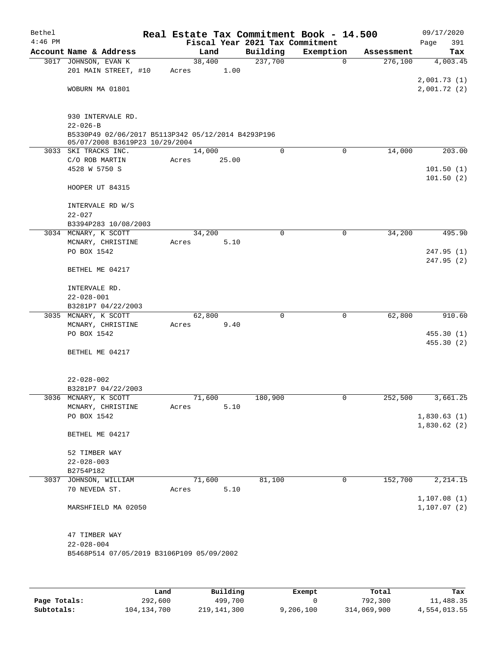| Bethel    |                                                        |        |       |                                 | Real Estate Tax Commitment Book - 14.500 |            | 09/17/2020                 |
|-----------|--------------------------------------------------------|--------|-------|---------------------------------|------------------------------------------|------------|----------------------------|
| $4:46$ PM |                                                        |        |       | Fiscal Year 2021 Tax Commitment |                                          |            | 391<br>Page                |
|           | Account Name & Address                                 | Land   |       | Building                        | Exemption                                | Assessment | Tax                        |
|           | 3017 JOHNSON, EVAN K                                   | 38,400 |       | 237,700                         | $\mathbf 0$                              | 276,100    | 4,003.45                   |
|           | 201 MAIN STREET, #10                                   | Acres  | 1.00  |                                 |                                          |            |                            |
|           | WOBURN MA 01801                                        |        |       |                                 |                                          |            | 2,001.73(1)<br>2,001.72(2) |
|           |                                                        |        |       |                                 |                                          |            |                            |
|           |                                                        |        |       |                                 |                                          |            |                            |
|           | 930 INTERVALE RD.                                      |        |       |                                 |                                          |            |                            |
|           | $22 - 026 - B$                                         |        |       |                                 |                                          |            |                            |
|           | B5330P49 02/06/2017 B5113P342 05/12/2014 B4293P196     |        |       |                                 |                                          |            |                            |
|           | 05/07/2008 B3619P23 10/29/2004<br>3033 SKI TRACKS INC. | 14,000 |       | 0                               | $\mathbf 0$                              | 14,000     | 203.00                     |
|           | C/O ROB MARTIN                                         | Acres  | 25.00 |                                 |                                          |            |                            |
|           | 4528 W 5750 S                                          |        |       |                                 |                                          |            | 101.50(1)                  |
|           |                                                        |        |       |                                 |                                          |            | 101.50(2)                  |
|           | HOOPER UT 84315                                        |        |       |                                 |                                          |            |                            |
|           |                                                        |        |       |                                 |                                          |            |                            |
|           | INTERVALE RD W/S                                       |        |       |                                 |                                          |            |                            |
|           | $22 - 027$                                             |        |       |                                 |                                          |            |                            |
|           | B3394P283 10/08/2003                                   |        |       |                                 |                                          |            |                            |
|           | 3034 MCNARY, K SCOTT                                   | 34,200 |       | $\mathbf 0$                     | 0                                        | 34,200     | 495.90                     |
|           | MCNARY, CHRISTINE                                      | Acres  | 5.10  |                                 |                                          |            |                            |
|           | PO BOX 1542                                            |        |       |                                 |                                          |            | 247.95(1)                  |
|           |                                                        |        |       |                                 |                                          |            | 247.95 (2)                 |
|           | BETHEL ME 04217                                        |        |       |                                 |                                          |            |                            |
|           |                                                        |        |       |                                 |                                          |            |                            |
|           | INTERVALE RD.                                          |        |       |                                 |                                          |            |                            |
|           | $22 - 028 - 001$                                       |        |       |                                 |                                          |            |                            |
|           | B3281P7 04/22/2003                                     |        |       |                                 |                                          |            |                            |
|           | 3035 MCNARY, K SCOTT                                   | 62,800 |       | 0                               | 0                                        | 62,800     | 910.60                     |
|           | MCNARY, CHRISTINE                                      | Acres  | 9.40  |                                 |                                          |            |                            |
|           | PO BOX 1542                                            |        |       |                                 |                                          |            | 455.30(1)                  |
|           |                                                        |        |       |                                 |                                          |            | 455.30(2)                  |
|           | BETHEL ME 04217                                        |        |       |                                 |                                          |            |                            |
|           |                                                        |        |       |                                 |                                          |            |                            |
|           | $22 - 028 - 002$                                       |        |       |                                 |                                          |            |                            |
|           | B3281P7 04/22/2003                                     |        |       |                                 |                                          |            |                            |
|           | 3036 MCNARY, K SCOTT                                   | 71,600 |       | 180,900                         | 0                                        | 252,500    | 3,661.25                   |
|           | MCNARY, CHRISTINE                                      | Acres  | 5.10  |                                 |                                          |            |                            |
|           | PO BOX 1542                                            |        |       |                                 |                                          |            | 1,830.63(1)                |
|           |                                                        |        |       |                                 |                                          |            | 1,830.62(2)                |
|           | BETHEL ME 04217                                        |        |       |                                 |                                          |            |                            |
|           |                                                        |        |       |                                 |                                          |            |                            |
|           | 52 TIMBER WAY                                          |        |       |                                 |                                          |            |                            |
|           | $22 - 028 - 003$                                       |        |       |                                 |                                          |            |                            |
|           | B2754P182                                              |        |       |                                 |                                          |            |                            |
|           | 3037 JOHNSON, WILLIAM                                  | 71,600 |       | 81,100                          | $\mathbf 0$                              | 152,700    | 2,214.15                   |
|           | 70 NEVEDA ST.                                          | Acres  | 5.10  |                                 |                                          |            |                            |
|           |                                                        |        |       |                                 |                                          |            | 1,107.08(1)                |
|           | MARSHFIELD MA 02050                                    |        |       |                                 |                                          |            | 1, 107.07 (2)              |
|           |                                                        |        |       |                                 |                                          |            |                            |
|           | 47 TIMBER WAY                                          |        |       |                                 |                                          |            |                            |
|           | $22 - 028 - 004$                                       |        |       |                                 |                                          |            |                            |
|           | B5468P514 07/05/2019 B3106P109 05/09/2002              |        |       |                                 |                                          |            |                            |
|           |                                                        |        |       |                                 |                                          |            |                            |
|           |                                                        |        |       |                                 |                                          |            |                            |
|           |                                                        |        |       |                                 |                                          |            |                            |

|              | Land        | Building    | Exempt    | Total       | Tax          |
|--------------|-------------|-------------|-----------|-------------|--------------|
| Page Totals: | 292,600     | 499,700     |           | 792,300     | 11,488.35    |
| Subtotals:   | 104,134,700 | 219,141,300 | 9,206,100 | 314,069,900 | 4,554,013.55 |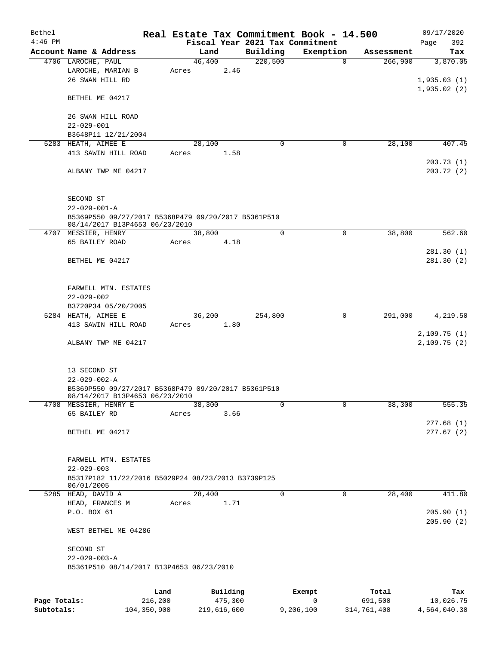| Bethel       |                                                                                             |         |                |                     | Real Estate Tax Commitment Book - 14.500 |                       | 09/17/2020             |
|--------------|---------------------------------------------------------------------------------------------|---------|----------------|---------------------|------------------------------------------|-----------------------|------------------------|
| $4:46$ PM    |                                                                                             |         |                |                     | Fiscal Year 2021 Tax Commitment          |                       | 392<br>Page            |
|              | Account Name & Address                                                                      |         | Land<br>46,400 | Building<br>220,500 | Exemption<br>$\Omega$                    | Assessment<br>266,900 | Tax<br>3,870.05        |
|              | 4706 LAROCHE, PAUL<br>LAROCHE, MARIAN B<br>26 SWAN HILL RD                                  | Acres   | 2.46           |                     |                                          |                       | 1,935.03(1)            |
|              | BETHEL ME 04217                                                                             |         |                |                     |                                          |                       | 1,935.02(2)            |
|              | 26 SWAN HILL ROAD<br>$22 - 029 - 001$                                                       |         |                |                     |                                          |                       |                        |
|              | B3648P11 12/21/2004                                                                         |         |                |                     |                                          |                       |                        |
|              | 5283 HEATH, AIMEE E                                                                         |         | 28,100         | 0                   | 0                                        | 28,100                | 407.45                 |
|              | 413 SAWIN HILL ROAD                                                                         | Acres   | 1.58           |                     |                                          |                       | 203.73(1)              |
|              | ALBANY TWP ME 04217                                                                         |         |                |                     |                                          |                       | 203.72 (2)             |
|              | SECOND ST<br>$22 - 029 - 001 - A$                                                           |         |                |                     |                                          |                       |                        |
|              | B5369P550 09/27/2017 B5368P479 09/20/2017 B5361P510<br>08/14/2017 B13P4653 06/23/2010       |         |                |                     |                                          |                       |                        |
|              | 4707 MESSIER, HENRY                                                                         |         | 38,800         | $\mathbf 0$         | $\mathbf 0$                              | 38,800                | 562.60                 |
|              | 65 BAILEY ROAD                                                                              | Acres   | 4.18           |                     |                                          |                       |                        |
|              | BETHEL ME 04217                                                                             |         |                |                     |                                          |                       | 281.30(1)<br>281.30(2) |
|              | FARWELL MTN. ESTATES<br>$22 - 029 - 002$                                                    |         |                |                     |                                          |                       |                        |
|              | B3720P34 05/20/2005                                                                         |         |                |                     |                                          |                       |                        |
|              | 5284 HEATH, AIMEE E<br>413 SAWIN HILL ROAD                                                  |         | 36,200<br>1.80 | 254,800             | $\mathbf 0$                              | 291,000               | 4,219.50               |
|              |                                                                                             | Acres   |                |                     |                                          |                       | 2,109.75(1)            |
|              | ALBANY TWP ME 04217                                                                         |         |                |                     |                                          |                       | 2,109.75(2)            |
|              | 13 SECOND ST<br>$22 - 029 - 002 - A$<br>B5369P550 09/27/2017 B5368P479 09/20/2017 B5361P510 |         |                |                     |                                          |                       |                        |
|              | 08/14/2017 B13P4653 06/23/2010                                                              |         |                |                     |                                          |                       |                        |
|              | 4708 MESSIER, HENRY E                                                                       |         | 38,300         | $\Omega$            | 0                                        | 38,300                | 555.35                 |
|              | 65 BAILEY RD                                                                                | Acres   | 3.66           |                     |                                          |                       | 277.68(1)              |
|              | BETHEL ME 04217                                                                             |         |                |                     |                                          |                       | 277.67(2)              |
|              | FARWELL MTN. ESTATES<br>$22 - 029 - 003$                                                    |         |                |                     |                                          |                       |                        |
|              | B5317P182 11/22/2016 B5029P24 08/23/2013 B3739P125<br>06/01/2005                            |         |                |                     |                                          |                       |                        |
|              | 5285 HEAD, DAVID A                                                                          |         | 28,400         | 0                   | 0                                        | 28,400                | 411.80                 |
|              | HEAD, FRANCES M<br>P.O. BOX 61                                                              | Acres   | 1.71           |                     |                                          |                       | 205.90(1)              |
|              | WEST BETHEL ME 04286                                                                        |         |                |                     |                                          |                       | 205.90(2)              |
|              | SECOND ST<br>$22 - 029 - 003 - A$<br>B5361P510 08/14/2017 B13P4653 06/23/2010               |         |                |                     |                                          |                       |                        |
|              |                                                                                             |         |                |                     |                                          |                       |                        |
|              |                                                                                             | Land    | Building       |                     | Exempt                                   | Total                 | Tax                    |
| Page Totals: |                                                                                             | 216,200 | 475,300        |                     | 0                                        | 691,500               | 10,026.75              |

**Subtotals:** 104,350,900 219,616,600 9,206,100 314,761,400 4,564,040.30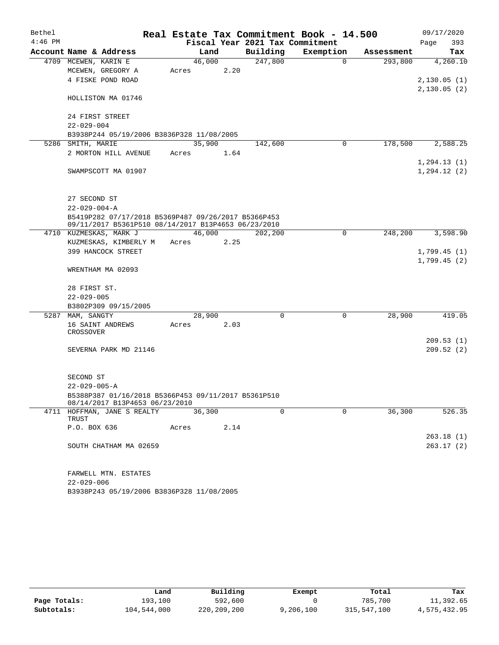| Bethel    |                                                                                                            |            |        |                                 | Real Estate Tax Commitment Book - 14.500 |            | 09/17/2020   |
|-----------|------------------------------------------------------------------------------------------------------------|------------|--------|---------------------------------|------------------------------------------|------------|--------------|
| $4:46$ PM |                                                                                                            |            |        | Fiscal Year 2021 Tax Commitment |                                          |            | 393<br>Page  |
|           | Account Name & Address                                                                                     | Land       |        | Building                        | Exemption                                | Assessment | Tax          |
|           | 4709 MCEWEN, KARIN E                                                                                       | 46,000     |        | 247,800                         | $\Omega$                                 | 293,800    | 4,260.10     |
|           | MCEWEN, GREGORY A                                                                                          | Acres      | 2.20   |                                 |                                          |            |              |
|           | 4 FISKE POND ROAD                                                                                          |            |        |                                 |                                          |            | 2,130.05(1)  |
|           | HOLLISTON MA 01746                                                                                         |            |        |                                 |                                          |            | 2,130.05(2)  |
|           | 24 FIRST STREET                                                                                            |            |        |                                 |                                          |            |              |
|           | $22 - 029 - 004$                                                                                           |            |        |                                 |                                          |            |              |
|           | B3938P244 05/19/2006 B3836P328 11/08/2005                                                                  | 35,900     |        |                                 | $\mathbf 0$                              | 178,500    | 2,588.25     |
|           | 5286 SMITH, MARIE<br>2 MORTON HILL AVENUE                                                                  | Acres 1.64 |        | 142,600                         |                                          |            |              |
|           |                                                                                                            |            |        |                                 |                                          |            | 1, 294.13(1) |
|           | SWAMPSCOTT MA 01907                                                                                        |            |        |                                 |                                          |            | 1, 294.12(2) |
|           | 27 SECOND ST                                                                                               |            |        |                                 |                                          |            |              |
|           | $22 - 029 - 004 - A$                                                                                       |            |        |                                 |                                          |            |              |
|           | B5419P282 07/17/2018 B5369P487 09/26/2017 B5366P453<br>09/11/2017 B5361P510 08/14/2017 B13P4653 06/23/2010 |            |        |                                 |                                          |            |              |
|           | 4710 KUZMESKAS, MARK J                                                                                     |            | 46,000 | 202,200                         | 0                                        | 248,200    | 3,598.90     |
|           | KUZMESKAS, KIMBERLY M                                                                                      | Acres      | 2.25   |                                 |                                          |            |              |
|           | 399 HANCOCK STREET                                                                                         |            |        |                                 |                                          |            | 1,799.45(1)  |
|           | WRENTHAM MA 02093                                                                                          |            |        |                                 |                                          |            | 1,799.45(2)  |
|           | 28 FIRST ST.                                                                                               |            |        |                                 |                                          |            |              |
|           | $22 - 029 - 005$<br>B3802P309 09/15/2005                                                                   |            |        |                                 |                                          |            |              |
|           | 5287 MAM, SANGTY                                                                                           | 28,900     |        | $\Omega$                        | $\mathbf 0$                              | 28,900     | 419.05       |
|           | 16 SAINT ANDREWS                                                                                           | Acres      | 2.03   |                                 |                                          |            |              |
|           | CROSSOVER                                                                                                  |            |        |                                 |                                          |            |              |
|           |                                                                                                            |            |        |                                 |                                          |            | 209.53(1)    |
|           | SEVERNA PARK MD 21146                                                                                      |            |        |                                 |                                          |            | 209.52(2)    |
|           | SECOND ST                                                                                                  |            |        |                                 |                                          |            |              |
|           | $22 - 029 - 005 - A$                                                                                       |            |        |                                 |                                          |            |              |
|           | B5388P387 01/16/2018 B5366P453 09/11/2017 B5361P510<br>08/14/2017 B13P4653 06/23/2010                      |            |        |                                 |                                          |            |              |
|           | 4711 HOFFMAN, JANE S REALTY                                                                                | 36,300     |        | $\Omega$                        | $\Omega$                                 | 36,300     | 526.35       |
|           | TRUST                                                                                                      |            |        |                                 |                                          |            |              |
|           | P.O. BOX 636                                                                                               | Acres      | 2.14   |                                 |                                          |            |              |
|           |                                                                                                            |            |        |                                 |                                          |            | 263.18(1)    |
|           | SOUTH CHATHAM MA 02659                                                                                     |            |        |                                 |                                          |            | 263.17(2)    |
|           | FARWELL MTN. ESTATES                                                                                       |            |        |                                 |                                          |            |              |
|           | $22 - 029 - 006$                                                                                           |            |        |                                 |                                          |            |              |
|           | B3938P243 05/19/2006 B3836P328 11/08/2005                                                                  |            |        |                                 |                                          |            |              |

|              | Land        | Building    | Exempt    | Total       | Tax          |
|--------------|-------------|-------------|-----------|-------------|--------------|
| Page Totals: | 193,100     | 592,600     |           | 785,700     | 11,392.65    |
| Subtotals:   | 104,544,000 | 220,209,200 | 9,206,100 | 315,547,100 | 4,575,432.95 |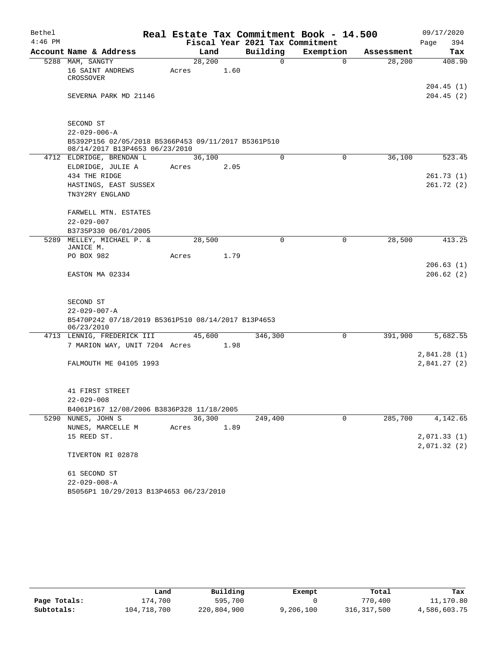| Bethel    |                                                                                       |                 |                 | Real Estate Tax Commitment Book - 14.500 |            | 09/17/2020                 |
|-----------|---------------------------------------------------------------------------------------|-----------------|-----------------|------------------------------------------|------------|----------------------------|
| $4:46$ PM |                                                                                       |                 |                 | Fiscal Year 2021 Tax Commitment          |            | Page<br>394                |
|           | Account Name & Address                                                                | Land            | Building        | Exemption                                | Assessment | Tax                        |
|           | 5288 MAM, SANGTY<br>16 SAINT ANDREWS<br>CROSSOVER                                     | 28,200<br>Acres | 1.60            | $\mathsf{O}$<br>0                        | 28,200     | 408.90                     |
|           | SEVERNA PARK MD 21146                                                                 |                 |                 |                                          |            | 204.45(1)<br>204.45(2)     |
|           | SECOND ST<br>$22 - 029 - 006 - A$                                                     |                 |                 |                                          |            |                            |
|           | B5392P156 02/05/2018 B5366P453 09/11/2017 B5361P510<br>08/14/2017 B13P4653 06/23/2010 |                 |                 |                                          |            |                            |
|           | 4712 ELDRIDGE, BRENDAN L                                                              | 36,100          |                 | 0<br>0                                   | 36,100     | 523.45                     |
|           | ELDRIDGE, JULIE A                                                                     | Acres           | 2.05            |                                          |            |                            |
|           | 434 THE RIDGE                                                                         |                 |                 |                                          |            | 261.73(1)                  |
|           | HASTINGS, EAST SUSSEX                                                                 |                 |                 |                                          |            | 261.72(2)                  |
|           | TN3Y2RY ENGLAND                                                                       |                 |                 |                                          |            |                            |
|           | FARWELL MTN. ESTATES                                                                  |                 |                 |                                          |            |                            |
|           | $22 - 029 - 007$                                                                      |                 |                 |                                          |            |                            |
|           | B3735P330 06/01/2005                                                                  |                 |                 |                                          |            |                            |
|           | 5289 MELLEY, MICHAEL P. &<br>JANICE M.                                                | 28,500          |                 | 0<br>0                                   | 28,500     | 413.25                     |
|           | PO BOX 982                                                                            | Acres           | 1.79            |                                          |            |                            |
|           |                                                                                       |                 |                 |                                          |            | 206.63(1)                  |
|           | EASTON MA 02334                                                                       |                 |                 |                                          |            | 206.62(2)                  |
|           | SECOND ST                                                                             |                 |                 |                                          |            |                            |
|           | $22 - 029 - 007 - A$                                                                  |                 |                 |                                          |            |                            |
|           | B5470P242 07/18/2019 B5361P510 08/14/2017 B13P4653<br>06/23/2010                      |                 |                 |                                          |            |                            |
|           | 4713 LENNIG, FREDERICK III                                                            | 45,600          | 346,300         | $\mathbf 0$                              | 391,900    | 5,682.55                   |
|           | 7 MARION WAY, UNIT 7204 Acres                                                         |                 | 1.98            |                                          |            |                            |
|           | FALMOUTH ME 04105 1993                                                                |                 |                 |                                          |            | 2,841.28(1)<br>2,841.27(2) |
|           |                                                                                       |                 |                 |                                          |            |                            |
|           | 41 FIRST STREET                                                                       |                 |                 |                                          |            |                            |
|           | $22 - 029 - 008$                                                                      |                 |                 |                                          |            |                            |
|           | B4061P167 12/08/2006 B3836P328 11/18/2005                                             |                 |                 |                                          |            |                            |
|           | 5290 NUNES, JOHN S<br>NUNES, MARCELLE M                                               | 36,300<br>Acres | 249,400<br>1.89 | 0                                        | 285,700    | 4,142.65                   |
|           | 15 REED ST.                                                                           |                 |                 |                                          |            | 2,071.33(1)                |
|           |                                                                                       |                 |                 |                                          |            | 2,071.32 (2)               |
|           | TIVERTON RI 02878                                                                     |                 |                 |                                          |            |                            |
|           | 61 SECOND ST                                                                          |                 |                 |                                          |            |                            |
|           | $22 - 029 - 008 - A$                                                                  |                 |                 |                                          |            |                            |
|           | B5056P1 10/29/2013 B13P4653 06/23/2010                                                |                 |                 |                                          |            |                            |

|              | Land        | Building    | Exempt    | Total         | Tax          |
|--------------|-------------|-------------|-----------|---------------|--------------|
| Page Totals: | 174,700     | 595,700     |           | 770,400       | 11,170.80    |
| Subtotals:   | 104,718,700 | 220,804,900 | 9,206,100 | 316, 317, 500 | 4,586,603.75 |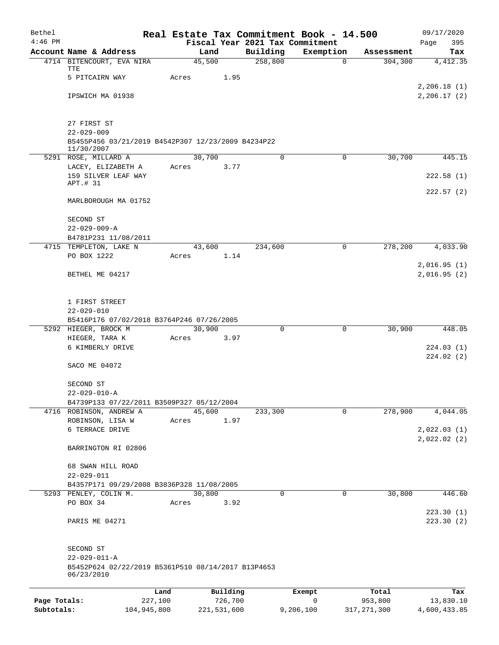| $4:46$ PM                  | Account Name & Address<br>4714 BITENCOURT, EVA NIRA<br>TTE<br>5 PITCAIRN WAY |       | Land<br>45,500 |          | Building<br>258,800 | Fiscal Year 2021 Tax Commitment<br>Exemption<br>$\mathbf 0$ | Assessment               | 395<br>Page<br>Tax         |
|----------------------------|------------------------------------------------------------------------------|-------|----------------|----------|---------------------|-------------------------------------------------------------|--------------------------|----------------------------|
|                            |                                                                              |       |                |          |                     |                                                             |                          |                            |
|                            |                                                                              |       |                |          |                     |                                                             | 304,300                  | 4, 412.35                  |
|                            |                                                                              | Acres |                | 1.95     |                     |                                                             |                          |                            |
|                            | IPSWICH MA 01938                                                             |       |                |          |                     |                                                             |                          | 2,206.18(1)<br>2,206.17(2) |
|                            |                                                                              |       |                |          |                     |                                                             |                          |                            |
|                            | 27 FIRST ST<br>$22 - 029 - 009$                                              |       |                |          |                     |                                                             |                          |                            |
|                            | B5455P456 03/21/2019 B4542P307 12/23/2009 B4234P22<br>11/30/2007             |       |                |          |                     |                                                             |                          |                            |
|                            | 5291 ROSE, MILLARD A                                                         |       | 30,700         |          | $\mathbf 0$         | $\mathbf 0$                                                 | 30,700                   | 445.15                     |
|                            | LACEY, ELIZABETH A<br>159 SILVER LEAF WAY                                    | Acres |                | 3.77     |                     |                                                             |                          | 222.58(1)                  |
|                            | APT.# 31                                                                     |       |                |          |                     |                                                             |                          | 222.57(2)                  |
|                            | MARLBOROUGH MA 01752                                                         |       |                |          |                     |                                                             |                          |                            |
|                            | SECOND ST<br>$22 - 029 - 009 - A$                                            |       |                |          |                     |                                                             |                          |                            |
|                            | B4781P231 11/08/2011                                                         |       |                |          |                     |                                                             |                          |                            |
|                            | 4715 TEMPLETON, LAKE N                                                       |       | 43,600         |          | 234,600             | 0                                                           | 278,200                  | 4,033.90                   |
|                            | PO BOX 1222                                                                  | Acres |                | 1.14     |                     |                                                             |                          |                            |
|                            | BETHEL ME 04217                                                              |       |                |          |                     |                                                             |                          | 2,016.95(1)<br>2,016.95(2) |
|                            |                                                                              |       |                |          |                     |                                                             |                          |                            |
|                            | 1 FIRST STREET<br>$22 - 029 - 010$                                           |       |                |          |                     |                                                             |                          |                            |
|                            | B5416P176 07/02/2018 B3764P246 07/26/2005                                    |       |                |          |                     |                                                             |                          |                            |
|                            | 5292 HIEGER, BROCK M                                                         |       | 30,900         |          | $\Omega$            | 0                                                           | 30,900                   | 448.05                     |
|                            | HIEGER, TARA K                                                               | Acres |                | 3.97     |                     |                                                             |                          |                            |
|                            | 6 KIMBERLY DRIVE                                                             |       |                |          |                     |                                                             |                          | 224.03(1)<br>224.02(2)     |
|                            | SACO ME 04072                                                                |       |                |          |                     |                                                             |                          |                            |
|                            | SECOND ST                                                                    |       |                |          |                     |                                                             |                          |                            |
|                            | $22 - 029 - 010 - A$<br>B4739P133 07/22/2011 B3509P327 05/12/2004            |       |                |          |                     |                                                             |                          |                            |
|                            | 4716 ROBINSON, ANDREW A                                                      |       | 45,600         |          | 233,300             | 0                                                           | 278,900                  | 4,044.05                   |
|                            | ROBINSON, LISA W                                                             | Acres |                | 1.97     |                     |                                                             |                          |                            |
|                            | 6 TERRACE DRIVE                                                              |       |                |          |                     |                                                             |                          | 2,022.03(1)                |
|                            | BARRINGTON RI 02806                                                          |       |                |          |                     |                                                             |                          | 2,022.02(2)                |
|                            | 68 SWAN HILL ROAD                                                            |       |                |          |                     |                                                             |                          |                            |
|                            | $22 - 029 - 011$                                                             |       |                |          |                     |                                                             |                          |                            |
|                            | B4357P171 09/29/2008 B3836P328 11/08/2005<br>5293 PENLEY, COLIN M.           |       | 30,800         |          | $\Omega$            | 0                                                           | 30,800                   | 446.60                     |
|                            | PO BOX 34                                                                    | Acres |                | 3.92     |                     |                                                             |                          | 223.30(1)                  |
|                            | PARIS ME 04271                                                               |       |                |          |                     |                                                             |                          | 223.30(2)                  |
|                            | SECOND ST                                                                    |       |                |          |                     |                                                             |                          |                            |
|                            | $22 - 029 - 011 - A$                                                         |       |                |          |                     |                                                             |                          |                            |
|                            | B5452P624 02/22/2019 B5361P510 08/14/2017 B13P4653<br>06/23/2010             |       |                |          |                     |                                                             |                          |                            |
|                            |                                                                              | Land  |                | Building |                     | Exempt                                                      | Total                    | Tax                        |
| Page Totals:<br>Subtotals: | 227,100<br>104,945,800                                                       |       | 221,531,600    | 726,700  |                     | 0<br>9,206,100                                              | 953,800<br>317, 271, 300 | 13,830.10<br>4,600,433.85  |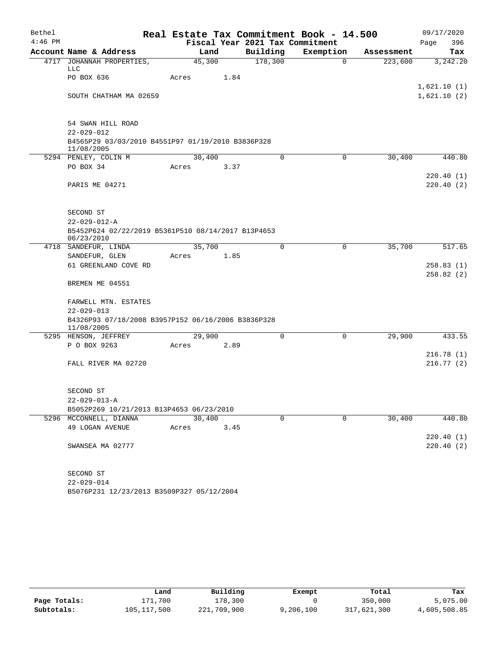| Bethel    |                                                                  |        |      |                                 | Real Estate Tax Commitment Book - 14.500 |            | 09/17/2020             |
|-----------|------------------------------------------------------------------|--------|------|---------------------------------|------------------------------------------|------------|------------------------|
| $4:46$ PM |                                                                  |        |      | Fiscal Year 2021 Tax Commitment |                                          |            | 396<br>Page            |
|           | Account Name & Address                                           | Land   |      | Building                        | Exemption                                | Assessment | Tax                    |
|           | 4717 JOHANNAH PROPERTIES,<br>LLC                                 | 45,300 |      | 178,300                         | $\Omega$                                 | 223,600    | 3,242.20               |
|           | PO BOX 636                                                       | Acres  | 1.84 |                                 |                                          |            | 1,621.10(1)            |
|           | SOUTH CHATHAM MA 02659                                           |        |      |                                 |                                          |            | 1,621.10(2)            |
|           | 54 SWAN HILL ROAD                                                |        |      |                                 |                                          |            |                        |
|           | $22 - 029 - 012$                                                 |        |      |                                 |                                          |            |                        |
|           | B4565P29 03/03/2010 B4551P97 01/19/2010 B3836P328<br>11/08/2005  |        |      |                                 |                                          |            |                        |
|           | 5294 PENLEY, COLIN M                                             | 30,400 |      | $\Omega$                        | $\mathbf 0$                              | 30,400     | 440.80                 |
|           | PO BOX 34                                                        | Acres  | 3.37 |                                 |                                          |            |                        |
|           | PARIS ME 04271                                                   |        |      |                                 |                                          |            | 220.40(1)<br>220.40(2) |
|           | SECOND ST                                                        |        |      |                                 |                                          |            |                        |
|           | $22 - 029 - 012 - A$                                             |        |      |                                 |                                          |            |                        |
|           | B5452P624 02/22/2019 B5361P510 08/14/2017 B13P4653<br>06/23/2010 |        |      |                                 |                                          |            |                        |
|           | 4718 SANDEFUR, LINDA                                             | 35,700 |      | $\Omega$                        | $\Omega$                                 | 35,700     | 517.65                 |
|           | SANDEFUR, GLEN                                                   | Acres  | 1.85 |                                 |                                          |            |                        |
|           | 61 GREENLAND COVE RD                                             |        |      |                                 |                                          |            | 258.83(1)              |
|           | BREMEN ME 04551                                                  |        |      |                                 |                                          |            | 258.82(2)              |
|           | FARWELL MTN. ESTATES                                             |        |      |                                 |                                          |            |                        |
|           | $22 - 029 - 013$                                                 |        |      |                                 |                                          |            |                        |
|           | B4326P93 07/18/2008 B3957P152 06/16/2006 B3836P328<br>11/08/2005 |        |      |                                 |                                          |            |                        |
|           | 5295 HENSON, JEFFREY                                             | 29,900 |      | $\Omega$                        | $\Omega$                                 | 29,900     | 433.55                 |
|           | P O BOX 9263                                                     | Acres  | 2.89 |                                 |                                          |            |                        |
|           |                                                                  |        |      |                                 |                                          |            | 216.78(1)              |
|           | FALL RIVER MA 02720                                              |        |      |                                 |                                          |            | 216.77(2)              |
|           | SECOND ST                                                        |        |      |                                 |                                          |            |                        |
|           | $22 - 029 - 013 - A$                                             |        |      |                                 |                                          |            |                        |
|           | B5052P269 10/21/2013 B13P4653 06/23/2010                         |        |      |                                 |                                          |            |                        |
|           | 5296 MCCONNELL, DIANNA                                           | 30,400 |      | 0                               | 0                                        | 30,400     | 440.80                 |
|           | 49 LOGAN AVENUE                                                  | Acres  | 3.45 |                                 |                                          |            |                        |
|           |                                                                  |        |      |                                 |                                          |            | 220.40(1)              |
|           | SWANSEA MA 02777                                                 |        |      |                                 |                                          |            | 220.40(2)              |
|           | SECOND ST                                                        |        |      |                                 |                                          |            |                        |
|           | 22-029-014                                                       |        |      |                                 |                                          |            |                        |
|           | B5076P231 12/23/2013 B3509P327 05/12/2004                        |        |      |                                 |                                          |            |                        |

| B5076P231 12/23/2013 B3509P327 05/12/2004 |  |  |  |  |
|-------------------------------------------|--|--|--|--|
|-------------------------------------------|--|--|--|--|

|              | Land        | Building    | Exempt    | Total       | Tax          |
|--------------|-------------|-------------|-----------|-------------|--------------|
| Page Totals: | 171,700     | 178,300     |           | 350,000     | 5,075.00     |
| Subtotals:   | 105,117,500 | 221,709,900 | 9,206,100 | 317,621,300 | 4,605,508.85 |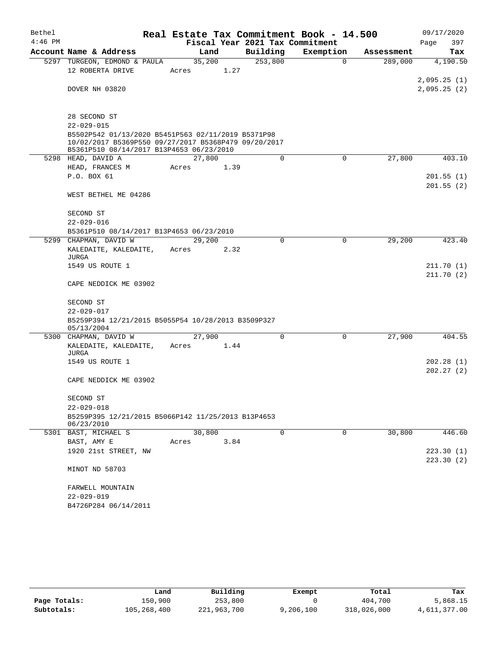| Bethel    |                                                                  |       |        |             | Real Estate Tax Commitment Book - 14.500 |            | 09/17/2020                 |
|-----------|------------------------------------------------------------------|-------|--------|-------------|------------------------------------------|------------|----------------------------|
| $4:46$ PM |                                                                  |       |        |             | Fiscal Year 2021 Tax Commitment          |            | Page<br>397                |
|           | Account Name & Address                                           |       | Land   | Building    | Exemption                                | Assessment | Tax                        |
|           | 5297 TURGEON, EDMOND & PAULA                                     |       | 35,200 | 253,800     | $\Omega$                                 | 289,000    | 4,190.50                   |
|           | 12 ROBERTA DRIVE                                                 | Acres | 1.27   |             |                                          |            |                            |
|           | DOVER NH 03820                                                   |       |        |             |                                          |            | 2,095.25(1)<br>2,095.25(2) |
|           |                                                                  |       |        |             |                                          |            |                            |
|           | 28 SECOND ST                                                     |       |        |             |                                          |            |                            |
|           | $22 - 029 - 015$                                                 |       |        |             |                                          |            |                            |
|           | B5502P542 01/13/2020 B5451P563 02/11/2019 B5371P98               |       |        |             |                                          |            |                            |
|           | 10/02/2017 B5369P550 09/27/2017 B5368P479 09/20/2017             |       |        |             |                                          |            |                            |
|           | B5361P510 08/14/2017 B13P4653 06/23/2010<br>5298 HEAD, DAVID A   |       | 27,800 | $\mathbf 0$ | 0                                        | 27,800     | 403.10                     |
|           | HEAD, FRANCES M                                                  | Acres | 1.39   |             |                                          |            |                            |
|           | P.O. BOX 61                                                      |       |        |             |                                          |            | 201.55(1)                  |
|           |                                                                  |       |        |             |                                          |            | 201.55(2)                  |
|           | WEST BETHEL ME 04286                                             |       |        |             |                                          |            |                            |
|           | SECOND ST                                                        |       |        |             |                                          |            |                            |
|           | $22 - 029 - 016$                                                 |       |        |             |                                          |            |                            |
|           | B5361P510 08/14/2017 B13P4653 06/23/2010                         |       |        |             |                                          |            |                            |
|           | 5299 CHAPMAN, DAVID W                                            |       | 29,200 | $\Omega$    | 0                                        | 29,200     | 423.40                     |
|           | KALEDAITE, KALEDAITE,<br>JURGA                                   | Acres | 2.32   |             |                                          |            |                            |
|           | 1549 US ROUTE 1                                                  |       |        |             |                                          |            | 211.70(1)                  |
|           |                                                                  |       |        |             |                                          |            | 211.70(2)                  |
|           | CAPE NEDDICK ME 03902                                            |       |        |             |                                          |            |                            |
|           | SECOND ST                                                        |       |        |             |                                          |            |                            |
|           | $22 - 029 - 017$                                                 |       |        |             |                                          |            |                            |
|           | B5259P394 12/21/2015 B5055P54 10/28/2013 B3509P327<br>05/13/2004 |       |        |             |                                          |            |                            |
|           | 5300 CHAPMAN, DAVID W                                            |       | 27,900 | $\Omega$    | $\Omega$                                 | 27,900     | 404.55                     |
|           | KALEDAITE, KALEDAITE,                                            | Acres | 1.44   |             |                                          |            |                            |
|           | <b>JURGA</b><br>1549 US ROUTE 1                                  |       |        |             |                                          |            | 202.28(1)                  |
|           |                                                                  |       |        |             |                                          |            | 202.27(2)                  |
|           | CAPE NEDDICK ME 03902                                            |       |        |             |                                          |            |                            |
|           | SECOND ST                                                        |       |        |             |                                          |            |                            |
|           | $22 - 029 - 018$                                                 |       |        |             |                                          |            |                            |
|           | B5259P395 12/21/2015 B5066P142 11/25/2013 B13P4653<br>06/23/2010 |       |        |             |                                          |            |                            |
|           | 5301 BAST, MICHAEL S                                             |       | 30,800 | 0           | 0                                        | 30,800     | 446.60                     |
|           | BAST, AMY E                                                      | Acres | 3.84   |             |                                          |            |                            |
|           | 1920 21st STREET, NW                                             |       |        |             |                                          |            | 223.30(1)                  |
|           |                                                                  |       |        |             |                                          |            | 223.30(2)                  |
|           | MINOT ND 58703                                                   |       |        |             |                                          |            |                            |
|           | FARWELL MOUNTAIN                                                 |       |        |             |                                          |            |                            |
|           | $22 - 029 - 019$                                                 |       |        |             |                                          |            |                            |
|           | B4726P284 06/14/2011                                             |       |        |             |                                          |            |                            |

|              | Land        | Building    | Exempt    | Total       | Tax          |
|--------------|-------------|-------------|-----------|-------------|--------------|
| Page Totals: | 150,900     | 253,800     |           | 404,700     | 5,868.15     |
| Subtotals:   | 105,268,400 | 221,963,700 | 9,206,100 | 318,026,000 | 4,611,377.00 |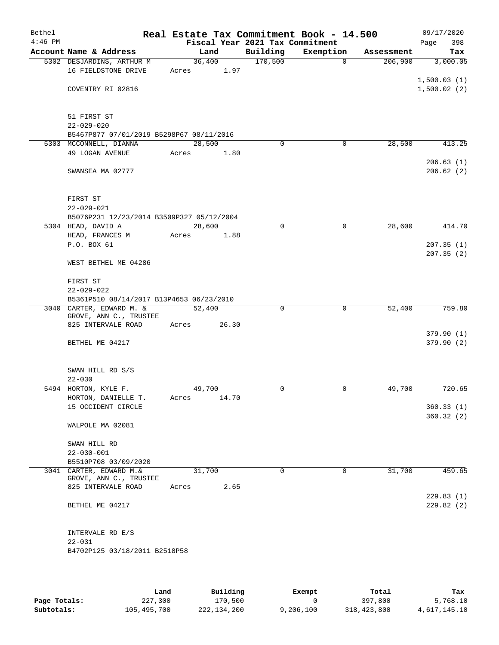| Bethel    |                                                    |        |       |                                 | Real Estate Tax Commitment Book - 14.500 |            | 09/17/2020  |
|-----------|----------------------------------------------------|--------|-------|---------------------------------|------------------------------------------|------------|-------------|
| $4:46$ PM |                                                    |        |       | Fiscal Year 2021 Tax Commitment |                                          |            | 398<br>Page |
|           | Account Name & Address                             | Land   |       | Building                        | Exemption                                | Assessment | Tax         |
|           | 5302 DESJARDINS, ARTHUR M                          | 36,400 |       | 170,500                         | $\mathbf 0$                              | 206,900    | 3,000.05    |
|           | 16 FIELDSTONE DRIVE                                | Acres  | 1.97  |                                 |                                          |            |             |
|           |                                                    |        |       |                                 |                                          |            | 1,500.03(1) |
|           | COVENTRY RI 02816                                  |        |       |                                 |                                          |            | 1,500.02(2) |
|           |                                                    |        |       |                                 |                                          |            |             |
|           | 51 FIRST ST                                        |        |       |                                 |                                          |            |             |
|           | $22 - 029 - 020$                                   |        |       |                                 |                                          |            |             |
|           | B5467P877 07/01/2019 B5298P67 08/11/2016           |        |       |                                 |                                          |            |             |
|           | 5303 MCCONNELL, DIANNA                             | 28,500 |       | 0                               | 0                                        | 28,500     | 413.25      |
|           | 49 LOGAN AVENUE                                    | Acres  | 1.80  |                                 |                                          |            | 206.63(1)   |
|           | SWANSEA MA 02777                                   |        |       |                                 |                                          |            | 206.62(2)   |
|           |                                                    |        |       |                                 |                                          |            |             |
|           | FIRST ST<br>$22 - 029 - 021$                       |        |       |                                 |                                          |            |             |
|           | B5076P231 12/23/2014 B3509P327 05/12/2004          |        |       |                                 |                                          |            |             |
|           | 5304 HEAD, DAVID A                                 | 28,600 |       | 0                               | $\mathbf 0$                              | 28,600     | 414.70      |
|           | HEAD, FRANCES M                                    | Acres  | 1.88  |                                 |                                          |            |             |
|           | P.O. BOX 61                                        |        |       |                                 |                                          |            | 207.35(1)   |
|           |                                                    |        |       |                                 |                                          |            | 207.35(2)   |
|           | WEST BETHEL ME 04286                               |        |       |                                 |                                          |            |             |
|           | FIRST ST                                           |        |       |                                 |                                          |            |             |
|           | $22 - 029 - 022$                                   |        |       |                                 |                                          |            |             |
|           | B5361P510 08/14/2017 B13P4653 06/23/2010           |        |       |                                 |                                          |            |             |
|           | 3040 CARTER, EDWARD M. &<br>GROVE, ANN C., TRUSTEE | 52,400 |       | 0                               | $\mathbf 0$                              | 52,400     | 759.80      |
|           | 825 INTERVALE ROAD                                 | Acres  | 26.30 |                                 |                                          |            |             |
|           |                                                    |        |       |                                 |                                          |            | 379.90(1)   |
|           | BETHEL ME 04217                                    |        |       |                                 |                                          |            | 379.90(2)   |
|           | SWAN HILL RD S/S                                   |        |       |                                 |                                          |            |             |
|           | $22 - 030$                                         |        |       |                                 |                                          |            |             |
|           | 5494 HORTON, KYLE F.                               | 49,700 |       | 0                               | 0                                        | 49,700     | 720.65      |
|           | HORTON, DANIELLE T.                                | Acres  | 14.70 |                                 |                                          |            |             |
|           | 15 OCCIDENT CIRCLE                                 |        |       |                                 |                                          |            | 360.33(1)   |
|           |                                                    |        |       |                                 |                                          |            | 360.32(2)   |
|           | WALPOLE MA 02081                                   |        |       |                                 |                                          |            |             |
|           | SWAN HILL RD                                       |        |       |                                 |                                          |            |             |
|           | $22 - 030 - 001$                                   |        |       |                                 |                                          |            |             |
|           | B5510P708 03/09/2020                               |        |       |                                 |                                          |            |             |
|           | 3041 CARTER, EDWARD M. &                           | 31,700 |       | $\Omega$                        | 0                                        | 31,700     | 459.65      |
|           | GROVE, ANN C., TRUSTEE<br>825 INTERVALE ROAD       | Acres  | 2.65  |                                 |                                          |            |             |
|           |                                                    |        |       |                                 |                                          |            | 229.83(1)   |
|           | BETHEL ME 04217                                    |        |       |                                 |                                          |            | 229.82(2)   |
|           |                                                    |        |       |                                 |                                          |            |             |
|           | INTERVALE RD E/S                                   |        |       |                                 |                                          |            |             |
|           | 22-031                                             |        |       |                                 |                                          |            |             |
|           | B4702P125 03/18/2011 B2518P58                      |        |       |                                 |                                          |            |             |
|           |                                                    |        |       |                                 |                                          |            |             |

|              | Land        | Building    | Exempt    | Total       | Tax          |
|--------------|-------------|-------------|-----------|-------------|--------------|
| Page Totals: | 227,300     | 170,500     |           | 397,800     | 5,768.10     |
| Subtotals:   | 105,495,700 | 222,134,200 | 9,206,100 | 318,423,800 | 4,617,145.10 |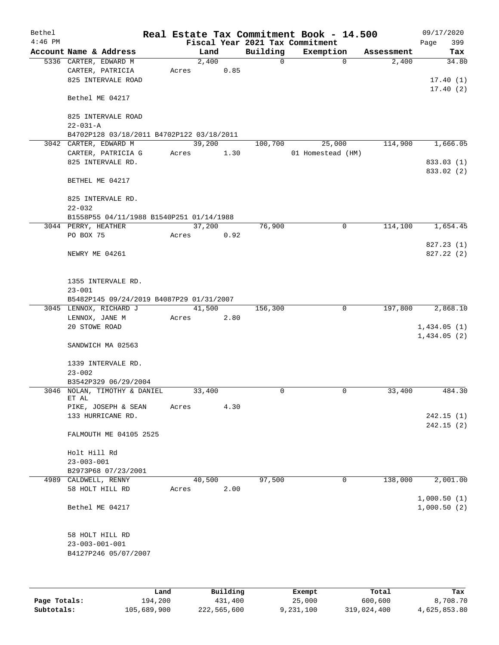| Bethel    |                                                        |       |               |                               |               | Real Estate Tax Commitment Book - 14.500 |                     | 09/17/2020   |
|-----------|--------------------------------------------------------|-------|---------------|-------------------------------|---------------|------------------------------------------|---------------------|--------------|
| $4:46$ PM |                                                        |       |               |                               |               | Fiscal Year 2021 Tax Commitment          |                     | Page<br>399  |
|           | Account Name & Address<br>5336 CARTER, EDWARD M        |       | Land<br>2,400 |                               | Building<br>0 | Exemption<br>$\mathbf 0$                 | Assessment<br>2,400 | Tax<br>34.80 |
|           | CARTER, PATRICIA                                       | Acres |               | 0.85                          |               |                                          |                     |              |
|           | 825 INTERVALE ROAD                                     |       |               |                               |               |                                          |                     | 17.40(1)     |
|           |                                                        |       |               |                               |               |                                          |                     | 17.40(2)     |
|           | Bethel ME 04217                                        |       |               |                               |               |                                          |                     |              |
|           | 825 INTERVALE ROAD<br>$22 - 031 - A$                   |       |               |                               |               |                                          |                     |              |
|           | B4702P128 03/18/2011 B4702P122 03/18/2011              |       |               |                               |               |                                          |                     |              |
|           | 3042 CARTER, EDWARD M                                  |       | 39,200        |                               | 100,700       | 25,000                                   | 114,900             | 1,666.05     |
|           | CARTER, PATRICIA G                                     | Acres |               | 1.30                          |               | 01 Homestead (HM)                        |                     |              |
|           | 825 INTERVALE RD.                                      |       |               |                               |               |                                          |                     | 833.03 (1)   |
|           |                                                        |       |               |                               |               |                                          |                     | 833.02 (2)   |
|           | BETHEL ME 04217                                        |       |               |                               |               |                                          |                     |              |
|           | 825 INTERVALE RD.                                      |       |               |                               |               |                                          |                     |              |
|           | $22 - 032$                                             |       |               |                               |               |                                          |                     |              |
|           | B1558P55 04/11/1988 B1540P251 01/14/1988               |       |               |                               |               |                                          |                     |              |
|           | 3044 PERRY, HEATHER                                    |       | 37,200        |                               | 76,900        | $\mathbf 0$                              | 114,100             | 1,654.45     |
|           | PO BOX 75                                              | Acres |               | 0.92                          |               |                                          |                     |              |
|           |                                                        |       |               |                               |               |                                          |                     | 827.23 (1)   |
|           | NEWRY ME 04261                                         |       |               |                               |               |                                          |                     | 827.22 (2)   |
|           |                                                        |       |               |                               |               |                                          |                     |              |
|           |                                                        |       |               |                               |               |                                          |                     |              |
|           | 1355 INTERVALE RD.                                     |       |               |                               |               |                                          |                     |              |
|           | $23 - 001$<br>B5482P145 09/24/2019 B4087P29 01/31/2007 |       |               |                               |               |                                          |                     |              |
|           | 3045 LENNOX, RICHARD J                                 |       | 41,500        |                               | 156,300       | $\mathbf 0$                              | 197,800             | 2,868.10     |
|           | LENNOX, JANE M                                         | Acres |               | 2.80                          |               |                                          |                     |              |
|           | 20 STOWE ROAD                                          |       |               |                               |               |                                          |                     | 1,434.05(1)  |
|           |                                                        |       |               |                               |               |                                          |                     | 1,434.05(2)  |
|           | SANDWICH MA 02563                                      |       |               |                               |               |                                          |                     |              |
|           | 1339 INTERVALE RD.                                     |       |               |                               |               |                                          |                     |              |
|           | $23 - 002$                                             |       |               |                               |               |                                          |                     |              |
|           | B3542P329 06/29/2004                                   |       |               |                               |               |                                          |                     |              |
|           | 3046 NOLAN, TIMOTHY & DANIEL                           |       | 33,400        |                               | 0             | 0                                        | 33,400              | 484.30       |
|           | ET AL                                                  |       |               |                               |               |                                          |                     |              |
|           | PIKE, JOSEPH & SEAN                                    | Acres |               | 4.30                          |               |                                          |                     |              |
|           | 133 HURRICANE RD.                                      |       |               |                               |               |                                          |                     | 242.15(1)    |
|           |                                                        |       |               |                               |               |                                          |                     | 242.15(2)    |
|           | FALMOUTH ME 04105 2525                                 |       |               |                               |               |                                          |                     |              |
|           | Holt Hill Rd                                           |       |               |                               |               |                                          |                     |              |
|           | $23 - 003 - 001$                                       |       |               |                               |               |                                          |                     |              |
|           | B2973P68 07/23/2001                                    |       |               |                               |               |                                          |                     |              |
|           | 4989 CALDWELL, RENNY                                   |       | 40,500        |                               | 97,500        | 0                                        | 138,000             | 2,001.00     |
|           | 58 HOLT HILL RD                                        | Acres |               | 2.00                          |               |                                          |                     |              |
|           |                                                        |       |               |                               |               |                                          |                     | 1,000.50(1)  |
|           | Bethel ME 04217                                        |       |               |                               |               |                                          |                     | 1,000.50(2)  |
|           |                                                        |       |               |                               |               |                                          |                     |              |
|           | 58 HOLT HILL RD                                        |       |               |                               |               |                                          |                     |              |
|           | $23 - 003 - 001 - 001$                                 |       |               |                               |               |                                          |                     |              |
|           | B4127P246 05/07/2007                                   |       |               |                               |               |                                          |                     |              |
|           |                                                        |       |               |                               |               |                                          |                     |              |
|           |                                                        |       |               |                               |               |                                          |                     |              |
|           | <b>TAMA</b>                                            |       |               | $P_{11}$ in $I$ in $A$ in $A$ |               | $P$ <sub>i</sub> $\sim$ mm $+$           | $T - 1$             | m.,          |

|              | Land        | Building    | Exempt    | Total       | Tax          |
|--------------|-------------|-------------|-----------|-------------|--------------|
| Page Totals: | 194,200     | 431,400     | 25,000    | 600,600     | 8,708.70     |
| Subtotals:   | 105,689,900 | 222,565,600 | 9,231,100 | 319,024,400 | 4,625,853.80 |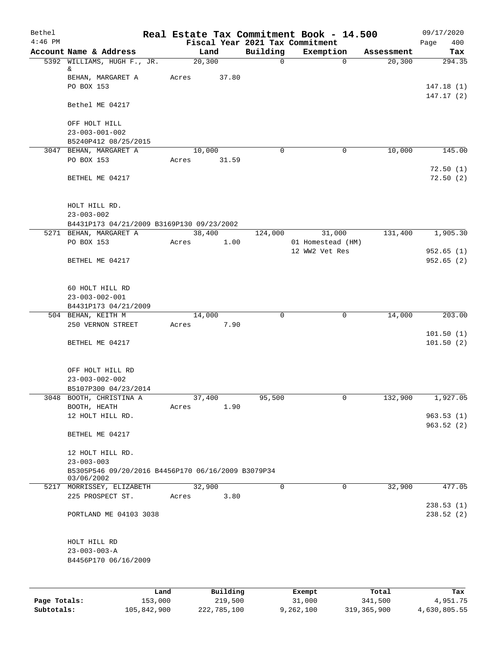| Bethel<br>$4:46$ PM |                                                                        | Real Estate Tax Commitment Book - 14.500 |             |                   |                  | 09/17/2020             |
|---------------------|------------------------------------------------------------------------|------------------------------------------|-------------|-------------------|------------------|------------------------|
|                     | Account Name & Address                                                 | Fiscal Year 2021 Tax Commitment<br>Land  | Building    | Exemption         | Assessment       | 400<br>Page<br>Tax     |
|                     | 5392 WILLIAMS, HUGH F., JR.                                            | 20, 300                                  | 0           | $\mathbf 0$       | 20, 300          | 294.35                 |
|                     | &<br>BEHAN, MARGARET A                                                 | 37.80<br>Acres                           |             |                   |                  |                        |
|                     | PO BOX 153                                                             |                                          |             |                   |                  | 147.18(1)<br>147.17(2) |
|                     | Bethel ME 04217                                                        |                                          |             |                   |                  |                        |
|                     | OFF HOLT HILL                                                          |                                          |             |                   |                  |                        |
|                     | $23 - 003 - 001 - 002$<br>B5240P412 08/25/2015                         |                                          |             |                   |                  |                        |
|                     | 3047 BEHAN, MARGARET A                                                 | 10,000                                   | 0           | 0                 | 10,000           | 145.00                 |
|                     | PO BOX 153                                                             | 31.59<br>Acres                           |             |                   |                  | 72.50(1)               |
|                     | BETHEL ME 04217                                                        |                                          |             |                   |                  | 72.50(2)               |
|                     | HOLT HILL RD.                                                          |                                          |             |                   |                  |                        |
|                     | $23 - 003 - 002$<br>B4431P173 04/21/2009 B3169P130 09/23/2002          |                                          |             |                   |                  |                        |
|                     | 5271 BEHAN, MARGARET A                                                 | 38,400                                   | 124,000     | 31,000            | 131,400          | 1,905.30               |
|                     | PO BOX 153                                                             | 1.00<br>Acres                            |             | 01 Homestead (HM) |                  |                        |
|                     | BETHEL ME 04217                                                        |                                          |             | 12 WW2 Vet Res    |                  | 952.65(1)<br>952.65(2) |
|                     |                                                                        |                                          |             |                   |                  |                        |
|                     | 60 HOLT HILL RD<br>$23 - 003 - 002 - 001$                              |                                          |             |                   |                  |                        |
|                     | B4431P173 04/21/2009                                                   |                                          |             |                   |                  |                        |
|                     | 504 BEHAN, KEITH M<br>250 VERNON STREET                                | 14,000<br>7.90<br>Acres                  | 0           | 0                 | 14,000           | 203.00                 |
|                     |                                                                        |                                          |             |                   |                  | 101.50(1)              |
|                     | BETHEL ME 04217                                                        |                                          |             |                   |                  | 101.50(2)              |
|                     | OFF HOLT HILL RD                                                       |                                          |             |                   |                  |                        |
|                     | $23 - 003 - 002 - 002$                                                 |                                          |             |                   |                  |                        |
|                     | B5107P300 04/23/2014                                                   |                                          |             |                   |                  |                        |
| 3048                | BOOTH, CHRISTINA A<br>BOOTH, HEATH                                     | 37,400<br>1.90<br>Acres                  | 95,500      | 0                 | 132,900          | 1,927.05               |
|                     | 12 HOLT HILL RD.                                                       |                                          |             |                   |                  | 963.53(1)              |
|                     | BETHEL ME 04217                                                        |                                          |             |                   |                  | 963.52(2)              |
|                     | 12 HOLT HILL RD.                                                       |                                          |             |                   |                  |                        |
|                     | $23 - 003 - 003$<br>B5305P546 09/20/2016 B4456P170 06/16/2009 B3079P34 |                                          |             |                   |                  |                        |
|                     | 03/06/2002                                                             |                                          |             |                   |                  |                        |
|                     | 5217 MORRISSEY, ELIZABETH                                              | 32,900                                   | $\mathbf 0$ | $\mathbf 0$       | 32,900           | 477.05                 |
|                     | 225 PROSPECT ST.                                                       | 3.80<br>Acres                            |             |                   |                  | 238.53(1)              |
|                     | PORTLAND ME 04103 3038                                                 |                                          |             |                   |                  | 238.52(2)              |
|                     | HOLT HILL RD                                                           |                                          |             |                   |                  |                        |
|                     | $23 - 003 - 003 - A$                                                   |                                          |             |                   |                  |                        |
|                     | B4456P170 06/16/2009                                                   |                                          |             |                   |                  |                        |
|                     |                                                                        |                                          |             |                   |                  |                        |
| Page Totals:        | Land<br>153,000                                                        | Building<br>219,500                      |             | Exempt<br>31,000  | Total<br>341,500 | Tax<br>4,951.75        |

**Subtotals:** 105,842,900 222,785,100 9,262,100 319,365,900 4,630,805.55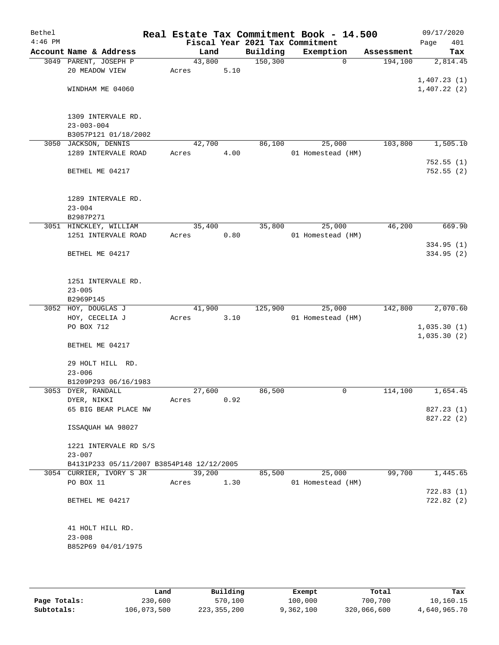| Bethel    |                                           |       |        |      |                                 | Real Estate Tax Commitment Book - 14.500 |            | 09/17/2020  |
|-----------|-------------------------------------------|-------|--------|------|---------------------------------|------------------------------------------|------------|-------------|
| $4:46$ PM |                                           |       |        |      | Fiscal Year 2021 Tax Commitment |                                          |            | 401<br>Page |
|           | Account Name & Address                    |       | Land   |      | Building                        | Exemption                                | Assessment | Tax         |
|           | 3049 PARENT, JOSEPH P                     |       | 43,800 |      | 150, 300                        | $\mathbf 0$                              | 194,100    | 2,814.45    |
|           | 20 MEADOW VIEW                            | Acres |        | 5.10 |                                 |                                          |            |             |
|           |                                           |       |        |      |                                 |                                          |            | 1,407.23(1) |
|           | WINDHAM ME 04060                          |       |        |      |                                 |                                          |            | 1,407.22(2) |
|           |                                           |       |        |      |                                 |                                          |            |             |
|           |                                           |       |        |      |                                 |                                          |            |             |
|           | 1309 INTERVALE RD.                        |       |        |      |                                 |                                          |            |             |
|           | $23 - 003 - 004$                          |       |        |      |                                 |                                          |            |             |
|           | B3057P121 01/18/2002                      |       |        |      |                                 |                                          |            |             |
|           | 3050 JACKSON, DENNIS                      |       | 42,700 |      | 86,100                          | 25,000                                   | 103,800    | 1,505.10    |
|           | 1289 INTERVALE ROAD                       | Acres |        | 4.00 |                                 | 01 Homestead (HM)                        |            |             |
|           |                                           |       |        |      |                                 |                                          |            | 752.55(1)   |
|           | BETHEL ME 04217                           |       |        |      |                                 |                                          |            | 752.55(2)   |
|           |                                           |       |        |      |                                 |                                          |            |             |
|           |                                           |       |        |      |                                 |                                          |            |             |
|           | 1289 INTERVALE RD.                        |       |        |      |                                 |                                          |            |             |
|           | $23 - 004$                                |       |        |      |                                 |                                          |            |             |
|           | B2987P271                                 |       |        |      |                                 |                                          |            |             |
|           | 3051 HINCKLEY, WILLIAM                    |       | 35,400 |      | 35,800                          | 25,000                                   | 46,200     | 669.90      |
|           | 1251 INTERVALE ROAD                       | Acres |        | 0.80 |                                 | 01 Homestead (HM)                        |            |             |
|           |                                           |       |        |      |                                 |                                          |            | 334.95(1)   |
|           | BETHEL ME 04217                           |       |        |      |                                 |                                          |            | 334.95 (2)  |
|           |                                           |       |        |      |                                 |                                          |            |             |
|           |                                           |       |        |      |                                 |                                          |            |             |
|           | 1251 INTERVALE RD.                        |       |        |      |                                 |                                          |            |             |
|           | $23 - 005$                                |       |        |      |                                 |                                          |            |             |
|           | B2969P145                                 |       |        |      |                                 |                                          |            |             |
|           | 3052 HOY, DOUGLAS J                       |       | 41,900 |      | 125,900                         | 25,000                                   | 142,800    | 2,070.60    |
|           | HOY, CECELIA J                            | Acres |        | 3.10 |                                 | 01 Homestead (HM)                        |            |             |
|           | PO BOX 712                                |       |        |      |                                 |                                          |            | 1,035.30(1) |
|           |                                           |       |        |      |                                 |                                          |            | 1,035.30(2) |
|           | BETHEL ME 04217                           |       |        |      |                                 |                                          |            |             |
|           |                                           |       |        |      |                                 |                                          |            |             |
|           | 29 HOLT HILL RD.                          |       |        |      |                                 |                                          |            |             |
|           | $23 - 006$                                |       |        |      |                                 |                                          |            |             |
|           | B1209P293 06/16/1983                      |       |        |      |                                 |                                          |            |             |
|           | 3053 DYER, RANDALL                        |       | 27,600 |      | 86,500                          | 0                                        | 114,100    | 1,654.45    |
|           | DYER, NIKKI                               | Acres |        | 0.92 |                                 |                                          |            |             |
|           | 65 BIG BEAR PLACE NW                      |       |        |      |                                 |                                          |            | 827.23(1)   |
|           |                                           |       |        |      |                                 |                                          |            | 827.22(2)   |
|           | ISSAQUAH WA 98027                         |       |        |      |                                 |                                          |            |             |
|           |                                           |       |        |      |                                 |                                          |            |             |
|           | 1221 INTERVALE RD S/S                     |       |        |      |                                 |                                          |            |             |
|           | $23 - 007$                                |       |        |      |                                 |                                          |            |             |
|           | B4131P233 05/11/2007 B3854P148 12/12/2005 |       |        |      |                                 |                                          |            |             |
|           | 3054 CURRIER, IVORY S JR                  |       | 39,200 |      | 85,500                          | 25,000                                   | 99,700     | 1,445.65    |
|           | PO BOX 11                                 | Acres |        | 1.30 |                                 | 01 Homestead (HM)                        |            |             |
|           |                                           |       |        |      |                                 |                                          |            | 722.83(1)   |
|           | BETHEL ME 04217                           |       |        |      |                                 |                                          |            | 722.82(2)   |
|           |                                           |       |        |      |                                 |                                          |            |             |
|           |                                           |       |        |      |                                 |                                          |            |             |
|           | 41 HOLT HILL RD.                          |       |        |      |                                 |                                          |            |             |
|           | $23 - 008$                                |       |        |      |                                 |                                          |            |             |
|           | B852P69 04/01/1975                        |       |        |      |                                 |                                          |            |             |
|           |                                           |       |        |      |                                 |                                          |            |             |
|           |                                           |       |        |      |                                 |                                          |            |             |

|              | Land        | Building    | Exempt    | Total       | Tax          |
|--------------|-------------|-------------|-----------|-------------|--------------|
| Page Totals: | 230,600     | 570,100     | 100,000   | 700,700     | 10,160.15    |
| Subtotals:   | 106,073,500 | 223,355,200 | 9,362,100 | 320,066,600 | 4,640,965.70 |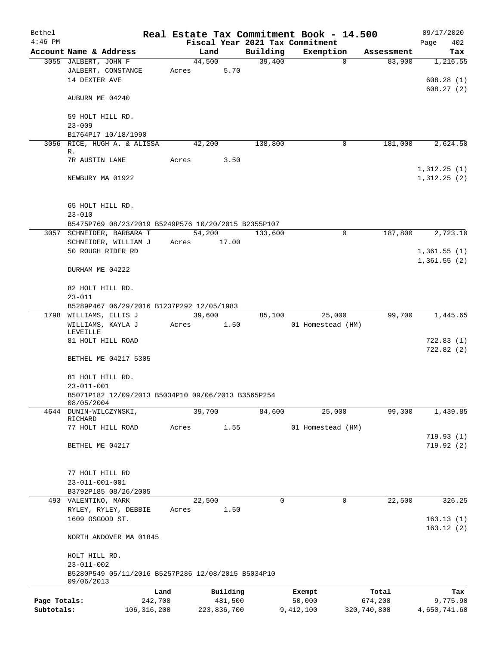| Bethel       |                                                                  |               |        |             |          | Real Estate Tax Commitment Book - 14.500 |                        | 09/17/2020                 |
|--------------|------------------------------------------------------------------|---------------|--------|-------------|----------|------------------------------------------|------------------------|----------------------------|
| $4:46$ PM    |                                                                  |               |        |             |          | Fiscal Year 2021 Tax Commitment          |                        | Page<br>402                |
|              | Account Name & Address                                           |               |        | Land        | Building | Exemption                                | Assessment             | Tax                        |
|              | 3055 JALBERT, JOHN F<br>JALBERT, CONSTANCE<br>14 DEXTER AVE      | Acres         | 44,500 | 5.70        | 39,400   |                                          | $\mathbf 0$<br>83,900  | 1,216.55<br>608.28(1)      |
|              | AUBURN ME 04240                                                  |               |        |             |          |                                          |                        | 608.27(2)                  |
|              | 59 HOLT HILL RD.<br>$23 - 009$                                   |               |        |             |          |                                          |                        |                            |
|              | B1764P17 10/18/1990                                              |               |        |             |          |                                          |                        |                            |
|              | 3056 RICE, HUGH A. & ALISSA<br>R.                                |               | 42,200 |             | 138,800  |                                          | 181,000<br>0           | 2,624.50                   |
|              | 7R AUSTIN LANE                                                   | Acres         |        | 3.50        |          |                                          |                        |                            |
|              | NEWBURY MA 01922                                                 |               |        |             |          |                                          |                        | 1,312.25(1)<br>1,312.25(2) |
|              | 65 HOLT HILL RD.<br>$23 - 010$                                   |               |        |             |          |                                          |                        |                            |
|              | B5475P769 08/23/2019 B5249P576 10/20/2015 B2355P107              |               |        |             |          |                                          |                        |                            |
|              | 3057 SCHNEIDER, BARBARA T                                        |               | 54,200 |             | 133,600  |                                          | 187,800<br>$\mathbf 0$ | 2,723.10                   |
|              | SCHNEIDER, WILLIAM J                                             | Acres         |        | 17.00       |          |                                          |                        |                            |
|              | 50 ROUGH RIDER RD                                                |               |        |             |          |                                          |                        | 1,361.55(1)                |
|              | DURHAM ME 04222                                                  |               |        |             |          |                                          |                        | 1,361.55(2)                |
|              | 82 HOLT HILL RD.<br>$23 - 011$                                   |               |        |             |          |                                          |                        |                            |
|              | B5289P467 06/29/2016 B1237P292 12/05/1983                        |               |        |             |          |                                          |                        |                            |
|              | 1798 WILLIAMS, ELLIS J                                           |               | 39,600 |             | 85,100   | 25,000                                   | 99,700                 | 1,445.65                   |
|              | WILLIAMS, KAYLA J<br>LEVEILLE<br>81 HOLT HILL ROAD               | Acres         |        | 1.50        |          | 01 Homestead (HM)                        |                        | 722.83(1)                  |
|              |                                                                  |               |        |             |          |                                          |                        | 722.82(2)                  |
|              | BETHEL ME 04217 5305                                             |               |        |             |          |                                          |                        |                            |
|              | 81 HOLT HILL RD.<br>23-011-001                                   |               |        |             |          |                                          |                        |                            |
|              | B5071P182 12/09/2013 B5034P10 09/06/2013 B3565P254<br>08/05/2004 |               |        |             |          |                                          |                        |                            |
| 4644         | DUNIN-WILCZYNSKI,                                                |               | 39,700 |             | 84,600   | 25,000                                   | 99,300                 | 1,439.85                   |
|              | RICHARD                                                          |               |        |             |          |                                          |                        |                            |
|              | 77 HOLT HILL ROAD                                                | Acres         |        | 1.55        |          | 01 Homestead (HM)                        |                        | 719.93(1)                  |
|              | BETHEL ME 04217                                                  |               |        |             |          |                                          |                        | 719.92(2)                  |
|              |                                                                  |               |        |             |          |                                          |                        |                            |
|              | 77 HOLT HILL RD<br>$23 - 011 - 001 - 001$                        |               |        |             |          |                                          |                        |                            |
|              | B3792P185 08/26/2005                                             |               |        |             |          |                                          |                        |                            |
|              | 493 VALENTINO, MARK                                              |               | 22,500 |             | 0        |                                          | 22,500<br>0            | 326.25                     |
|              | RYLEY, RYLEY, DEBBIE                                             | Acres         |        | 1.50        |          |                                          |                        |                            |
|              | 1609 OSGOOD ST.                                                  |               |        |             |          |                                          |                        | 163.13(1)<br>163.12(2)     |
|              | NORTH ANDOVER MA 01845                                           |               |        |             |          |                                          |                        |                            |
|              | HOLT HILL RD.<br>$23 - 011 - 002$                                |               |        |             |          |                                          |                        |                            |
|              | B5280P549 05/11/2016 B5257P286 12/08/2015 B5034P10<br>09/06/2013 |               |        |             |          |                                          |                        |                            |
|              |                                                                  | Land          |        | Building    |          | Exempt                                   | Total                  | Tax                        |
| Page Totals: |                                                                  | 242,700       |        | 481,500     |          | 50,000                                   | 674,200                | 9,775.90                   |
| Subtotals:   |                                                                  | 106, 316, 200 |        | 223,836,700 |          | 9,412,100                                | 320,740,800            | 4,650,741.60               |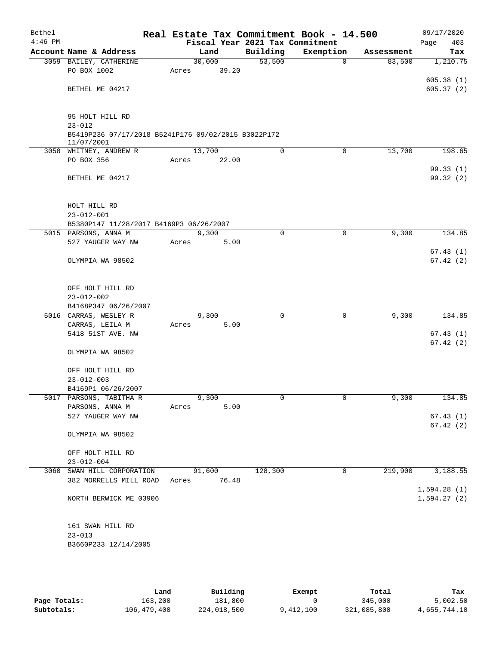| Bethel<br>$4:46$ PM |                                                                   |       |        | Fiscal Year 2021 Tax Commitment | Real Estate Tax Commitment Book - 14.500 |            | 09/17/2020<br>Page<br>403 |
|---------------------|-------------------------------------------------------------------|-------|--------|---------------------------------|------------------------------------------|------------|---------------------------|
|                     | Account Name & Address                                            |       | Land   | Building                        | Exemption                                | Assessment | Tax                       |
|                     | 3059 BAILEY, CATHERINE                                            |       | 30,000 | 53,500                          | $\mathbf 0$                              | 83,500     | 1,210.75                  |
|                     | PO BOX 1002                                                       | Acres | 39.20  |                                 |                                          |            |                           |
|                     |                                                                   |       |        |                                 |                                          |            | 605.38(1)                 |
|                     | BETHEL ME 04217                                                   |       |        |                                 |                                          |            | 605.37(2)                 |
|                     |                                                                   |       |        |                                 |                                          |            |                           |
|                     |                                                                   |       |        |                                 |                                          |            |                           |
|                     | 95 HOLT HILL RD                                                   |       |        |                                 |                                          |            |                           |
|                     | $23 - 012$                                                        |       |        |                                 |                                          |            |                           |
|                     | B5419P236 07/17/2018 B5241P176 09/02/2015 B3022P172<br>11/07/2001 |       |        |                                 |                                          |            |                           |
|                     | 3058 WHITNEY, ANDREW R                                            |       | 13,700 | $\mathbf 0$                     | $\mathbf 0$                              | 13,700     | 198.65                    |
|                     | PO BOX 356                                                        | Acres | 22.00  |                                 |                                          |            |                           |
|                     |                                                                   |       |        |                                 |                                          |            | 99.33(1)                  |
|                     | BETHEL ME 04217                                                   |       |        |                                 |                                          |            | 99.32(2)                  |
|                     |                                                                   |       |        |                                 |                                          |            |                           |
|                     |                                                                   |       |        |                                 |                                          |            |                           |
|                     | HOLT HILL RD                                                      |       |        |                                 |                                          |            |                           |
|                     | $23 - 012 - 001$                                                  |       |        |                                 |                                          |            |                           |
|                     | B5380P147 11/28/2017 B4169P3 06/26/2007                           |       |        |                                 |                                          |            |                           |
|                     | 5015 PARSONS, ANNA M                                              |       | 9,300  | $\mathbf 0$                     | $\mathsf{O}$                             | 9,300      | 134.85                    |
|                     | 527 YAUGER WAY NW                                                 | Acres | 5.00   |                                 |                                          |            |                           |
|                     |                                                                   |       |        |                                 |                                          |            | 67.43(1)                  |
|                     | OLYMPIA WA 98502                                                  |       |        |                                 |                                          |            | 67.42(2)                  |
|                     |                                                                   |       |        |                                 |                                          |            |                           |
|                     |                                                                   |       |        |                                 |                                          |            |                           |
|                     | OFF HOLT HILL RD                                                  |       |        |                                 |                                          |            |                           |
|                     | $23 - 012 - 002$                                                  |       |        |                                 |                                          |            |                           |
|                     | B4168P347 06/26/2007                                              |       |        |                                 |                                          |            |                           |
|                     | 5016 CARRAS, WESLEY R                                             |       | 9,300  | $\mathbf 0$                     | $\mathbf 0$                              | 9,300      | 134.85                    |
|                     | CARRAS, LEILA M                                                   | Acres | 5.00   |                                 |                                          |            |                           |
|                     | 5418 51ST AVE. NW                                                 |       |        |                                 |                                          |            | 67.43(1)                  |
|                     |                                                                   |       |        |                                 |                                          |            | 67.42(2)                  |
|                     | OLYMPIA WA 98502                                                  |       |        |                                 |                                          |            |                           |
|                     |                                                                   |       |        |                                 |                                          |            |                           |
|                     | OFF HOLT HILL RD<br>$23 - 012 - 003$                              |       |        |                                 |                                          |            |                           |
|                     | B4169P1 06/26/2007                                                |       |        |                                 |                                          |            |                           |
|                     | 5017 PARSONS, TABITHA R                                           |       | 9,300  | 0                               | $\overline{0}$                           | 9,300      | 134.85                    |
|                     | PARSONS, ANNA M                                                   | Acres | 5.00   |                                 |                                          |            |                           |
|                     | 527 YAUGER WAY NW                                                 |       |        |                                 |                                          |            | 67.43(1)                  |
|                     |                                                                   |       |        |                                 |                                          |            | 67.42(2)                  |
|                     | OLYMPIA WA 98502                                                  |       |        |                                 |                                          |            |                           |
|                     |                                                                   |       |        |                                 |                                          |            |                           |
|                     | OFF HOLT HILL RD                                                  |       |        |                                 |                                          |            |                           |
|                     | $23 - 012 - 004$                                                  |       |        |                                 |                                          |            |                           |
|                     | 3060 SWAN HILL CORPORATION                                        |       | 91,600 | 128,300                         | 0                                        | 219,900    | 3,188.55                  |
|                     | 382 MORRELLS MILL ROAD                                            | Acres | 76.48  |                                 |                                          |            |                           |
|                     |                                                                   |       |        |                                 |                                          |            | 1,594.28(1)               |
|                     | NORTH BERWICK ME 03906                                            |       |        |                                 |                                          |            | 1,594.27(2)               |
|                     |                                                                   |       |        |                                 |                                          |            |                           |
|                     |                                                                   |       |        |                                 |                                          |            |                           |
|                     | 161 SWAN HILL RD                                                  |       |        |                                 |                                          |            |                           |
|                     | $23 - 013$                                                        |       |        |                                 |                                          |            |                           |
|                     | B3660P233 12/14/2005                                              |       |        |                                 |                                          |            |                           |
|                     |                                                                   |       |        |                                 |                                          |            |                           |

|              | Land        | Building    | Exempt    | Total       | Tax          |
|--------------|-------------|-------------|-----------|-------------|--------------|
| Page Totals: | 163,200     | 181,800     |           | 345,000     | 5,002.50     |
| Subtotals:   | 106,479,400 | 224,018,500 | 9,412,100 | 321,085,800 | 4,655,744.10 |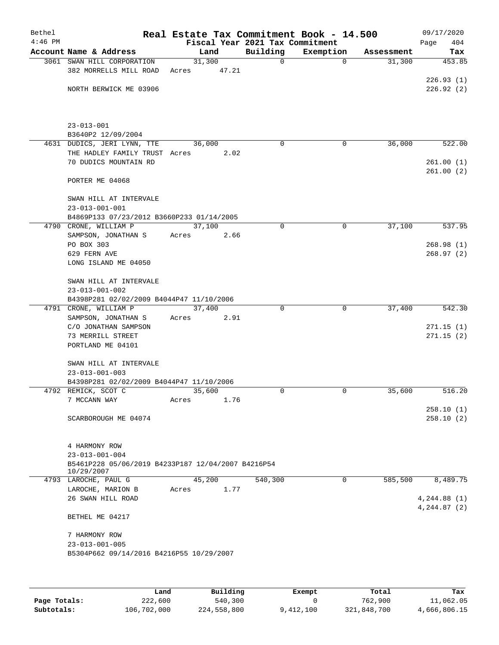| Bethel<br>$4:46$ PM |                                                                    | Real Estate Tax Commitment Book - 14.500<br>Fiscal Year 2021 Tax Commitment |          |             |            | 09/17/2020<br>404<br>Page    |
|---------------------|--------------------------------------------------------------------|-----------------------------------------------------------------------------|----------|-------------|------------|------------------------------|
|                     | Account Name & Address                                             | Land                                                                        | Building | Exemption   | Assessment | Tax                          |
|                     | 3061 SWAN HILL CORPORATION<br>382 MORRELLS MILL ROAD               | 31,300<br>47.21<br>Acres                                                    | 0        | $\mathbf 0$ | 31,300     | 453.85                       |
|                     | NORTH BERWICK ME 03906                                             |                                                                             |          |             |            | 226.93(1)<br>226.92(2)       |
|                     | $23 - 013 - 001$<br>B3640P2 12/09/2004                             |                                                                             |          |             |            |                              |
|                     | 4631 DUDICS, JERI LYNN, TTE                                        | 36,000                                                                      | $\Omega$ | 0           | 36,000     | 522.00                       |
|                     | THE HADLEY FAMILY TRUST Acres                                      | 2.02                                                                        |          |             |            |                              |
|                     | 70 DUDICS MOUNTAIN RD                                              |                                                                             |          |             |            | 261.00(1)                    |
|                     | PORTER ME 04068                                                    |                                                                             |          |             |            | 261.00(2)                    |
|                     | SWAN HILL AT INTERVALE<br>$23 - 013 - 001 - 001$                   |                                                                             |          |             |            |                              |
|                     | B4869P133 07/23/2012 B3660P233 01/14/2005                          | 37,100                                                                      | 0        | $\mathbf 0$ | 37,100     | 537.95                       |
|                     | 4790 CRONE, WILLIAM P<br>SAMPSON, JONATHAN S                       | Acres<br>2.66                                                               |          |             |            |                              |
|                     | PO BOX 303                                                         |                                                                             |          |             |            | 268.98(1)                    |
|                     | 629 FERN AVE                                                       |                                                                             |          |             |            | 268.97(2)                    |
|                     | LONG ISLAND ME 04050                                               |                                                                             |          |             |            |                              |
|                     | SWAN HILL AT INTERVALE                                             |                                                                             |          |             |            |                              |
|                     | $23 - 013 - 001 - 002$<br>B4398P281 02/02/2009 B4044P47 11/10/2006 |                                                                             |          |             |            |                              |
|                     | 4791 CRONE, WILLIAM P                                              | 37,400                                                                      | $\Omega$ | $\Omega$    | 37,400     | 542.30                       |
|                     | SAMPSON, JONATHAN S                                                | 2.91<br>Acres                                                               |          |             |            |                              |
|                     | C/O JONATHAN SAMPSON                                               |                                                                             |          |             |            | 271.15(1)                    |
|                     | 73 MERRILL STREET<br>PORTLAND ME 04101                             |                                                                             |          |             |            | 271.15(2)                    |
|                     |                                                                    |                                                                             |          |             |            |                              |
|                     | SWAN HILL AT INTERVALE                                             |                                                                             |          |             |            |                              |
|                     | $23 - 013 - 001 - 003$                                             |                                                                             |          |             |            |                              |
|                     | B4398P281 02/02/2009 B4044P47 11/10/2006<br>4792 REMICK, SCOT C    |                                                                             | 0        | $\mathbf 0$ | 35,600     | 516.20                       |
|                     | 7 MCCANN WAY                                                       | 35,600<br>1.76<br>Acres                                                     |          |             |            |                              |
|                     |                                                                    |                                                                             |          |             |            | 258.10(1)                    |
|                     | SCARBOROUGH ME 04074                                               |                                                                             |          |             |            | 258.10(2)                    |
|                     | 4 HARMONY ROW                                                      |                                                                             |          |             |            |                              |
|                     | $23 - 013 - 001 - 004$                                             |                                                                             |          |             |            |                              |
|                     | B5461P228 05/06/2019 B4233P187 12/04/2007 B4216P54<br>10/29/2007   |                                                                             |          |             |            |                              |
|                     | 4793 LAROCHE, PAUL G                                               | 45,200                                                                      | 540,300  | 0           | 585,500    | 8,489.75                     |
|                     | LAROCHE, MARION B<br>26 SWAN HILL ROAD                             | 1.77<br>Acres                                                               |          |             |            |                              |
|                     |                                                                    |                                                                             |          |             |            | 4,244.88(1)<br>4, 244.87 (2) |
|                     | BETHEL ME 04217                                                    |                                                                             |          |             |            |                              |
|                     | 7 HARMONY ROW                                                      |                                                                             |          |             |            |                              |
|                     | $23 - 013 - 001 - 005$                                             |                                                                             |          |             |            |                              |
|                     | B5304P662 09/14/2016 B4216P55 10/29/2007                           |                                                                             |          |             |            |                              |
|                     |                                                                    |                                                                             |          |             |            |                              |
|                     |                                                                    |                                                                             |          |             |            |                              |

|              | Land        | Building    | Exempt    | Total       | Tax          |
|--------------|-------------|-------------|-----------|-------------|--------------|
| Page Totals: | 222,600     | 540,300     |           | 762,900     | 11,062.05    |
| Subtotals:   | 106,702,000 | 224,558,800 | 9,412,100 | 321,848,700 | 4,666,806.15 |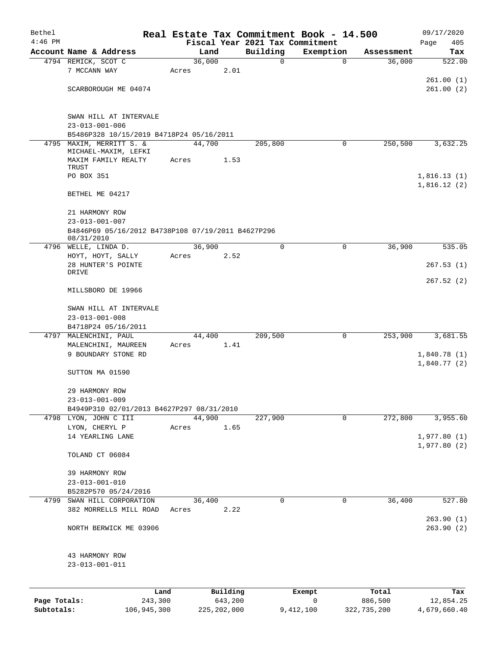| Bethel       |                                                                  |        |          |          | Real Estate Tax Commitment Book - 14.500 |            | 09/17/2020                 |
|--------------|------------------------------------------------------------------|--------|----------|----------|------------------------------------------|------------|----------------------------|
| $4:46$ PM    |                                                                  |        |          |          | Fiscal Year 2021 Tax Commitment          |            | Page<br>405                |
|              | Account Name & Address                                           | Land   |          | Building | Exemption                                | Assessment | Tax                        |
|              | 4794 REMICK, SCOT C                                              | 36,000 |          | 0        | $\mathbf 0$                              | 36,000     | 522.00                     |
|              | 7 MCCANN WAY                                                     | Acres  | 2.01     |          |                                          |            |                            |
|              | SCARBOROUGH ME 04074                                             |        |          |          |                                          |            | 261.00(1)<br>261.00(2)     |
|              |                                                                  |        |          |          |                                          |            |                            |
|              | SWAN HILL AT INTERVALE                                           |        |          |          |                                          |            |                            |
|              | $23 - 013 - 001 - 006$                                           |        |          |          |                                          |            |                            |
|              | B5486P328 10/15/2019 B4718P24 05/16/2011                         |        |          |          |                                          |            |                            |
|              | 4795 MAXIM, MERRITT S. &                                         | 44,700 |          | 205,800  | 0                                        | 250,500    | 3,632.25                   |
|              | MICHAEL-MAXIM, LEFKI                                             |        |          |          |                                          |            |                            |
|              | MAXIM FAMILY REALTY<br>TRUST                                     | Acres  | 1.53     |          |                                          |            |                            |
|              | PO BOX 351                                                       |        |          |          |                                          |            | 1,816.13(1)                |
|              |                                                                  |        |          |          |                                          |            | 1,816.12(2)                |
|              | BETHEL ME 04217                                                  |        |          |          |                                          |            |                            |
|              | 21 HARMONY ROW                                                   |        |          |          |                                          |            |                            |
|              | $23 - 013 - 001 - 007$                                           |        |          |          |                                          |            |                            |
|              | B4846P69 05/16/2012 B4738P108 07/19/2011 B4627P296<br>08/31/2010 |        |          |          |                                          |            |                            |
|              | 4796 WELLE, LINDA D.                                             | 36,900 |          | 0        | 0                                        | 36,900     | 535.05                     |
|              | HOYT, HOYT, SALLY                                                | Acres  | 2.52     |          |                                          |            |                            |
|              | 28 HUNTER'S POINTE                                               |        |          |          |                                          |            | 267.53(1)                  |
|              | DRIVE                                                            |        |          |          |                                          |            |                            |
|              | MILLSBORO DE 19966                                               |        |          |          |                                          |            | 267.52(2)                  |
|              |                                                                  |        |          |          |                                          |            |                            |
|              | SWAN HILL AT INTERVALE                                           |        |          |          |                                          |            |                            |
|              | $23 - 013 - 001 - 008$                                           |        |          |          |                                          |            |                            |
|              | B4718P24 05/16/2011                                              |        |          |          |                                          |            |                            |
|              | 4797 MALENCHINI, PAUL                                            | 44,400 |          | 209,500  | 0                                        | 253,900    | 3,681.55                   |
|              | MALENCHINI, MAUREEN<br>9 BOUNDARY STONE RD                       | Acres  | 1.41     |          |                                          |            |                            |
|              |                                                                  |        |          |          |                                          |            | 1,840.78(1)<br>1,840.77(2) |
|              | SUTTON MA 01590                                                  |        |          |          |                                          |            |                            |
|              |                                                                  |        |          |          |                                          |            |                            |
|              | 29 HARMONY ROW                                                   |        |          |          |                                          |            |                            |
|              | $23 - 013 - 001 - 009$                                           |        |          |          |                                          |            |                            |
|              | B4949P310 02/01/2013 B4627P297 08/31/2010                        |        |          |          |                                          |            |                            |
|              | 4798 LYON, JOHN C III                                            | 44,900 |          | 227,900  | $\mathbf 0$                              | 272,800    | 3,955.60                   |
|              | LYON, CHERYL P                                                   | Acres  | 1.65     |          |                                          |            |                            |
|              | 14 YEARLING LANE                                                 |        |          |          |                                          |            | 1,977.80(1)                |
|              |                                                                  |        |          |          |                                          |            | 1,977.80(2)                |
|              | TOLAND CT 06084                                                  |        |          |          |                                          |            |                            |
|              | 39 HARMONY ROW                                                   |        |          |          |                                          |            |                            |
|              | $23 - 013 - 001 - 010$                                           |        |          |          |                                          |            |                            |
|              | B5282P570 05/24/2016                                             |        |          |          |                                          |            |                            |
|              | 4799 SWAN HILL CORPORATION                                       | 36,400 |          | $\Omega$ | 0                                        | 36,400     | 527.80                     |
|              | 382 MORRELLS MILL ROAD                                           | Acres  | 2.22     |          |                                          |            |                            |
|              |                                                                  |        |          |          |                                          |            | 263.90(1)                  |
|              | NORTH BERWICK ME 03906                                           |        |          |          |                                          |            | 263.90(2)                  |
|              | 43 HARMONY ROW                                                   |        |          |          |                                          |            |                            |
|              | 23-013-001-011                                                   |        |          |          |                                          |            |                            |
|              |                                                                  |        |          |          |                                          |            |                            |
|              | Land                                                             |        | Building |          | Exempt                                   | Total      | Tax                        |
| Page Totals: | 243,300                                                          |        | 643,200  |          | 0                                        | 886,500    | 12,854.25                  |

**Subtotals:** 106,945,300 225,202,000 9,412,100 322,735,200 4,679,660.40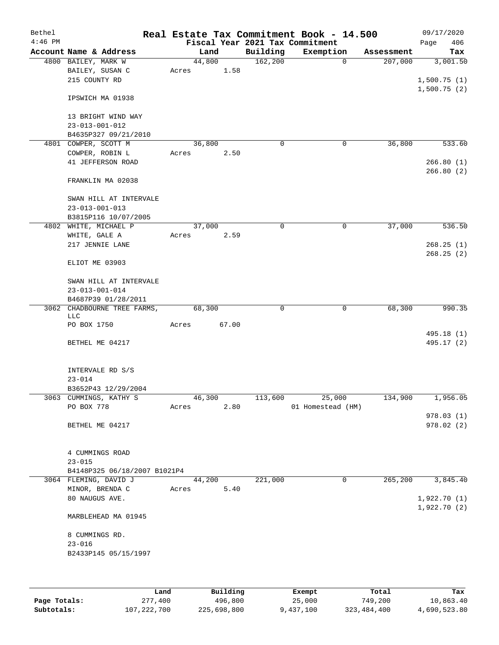| Bethel<br>$4:46$ PM |                                                                         | Real Estate Tax Commitment Book - 14.500<br>Fiscal Year 2021 Tax Commitment |          |                             |            | 09/17/2020<br>406<br>Page  |
|---------------------|-------------------------------------------------------------------------|-----------------------------------------------------------------------------|----------|-----------------------------|------------|----------------------------|
|                     | Account Name & Address                                                  | Land                                                                        | Building | Exemption                   | Assessment | Tax                        |
|                     | 4800 BAILEY, MARK W<br>BAILEY, SUSAN C<br>215 COUNTY RD                 | 44,800<br>1.58<br>Acres                                                     | 162,200  | 0                           | 207,000    | 3,001.50<br>1,500.75(1)    |
|                     | IPSWICH MA 01938                                                        |                                                                             |          |                             |            | 1,500.75(2)                |
|                     | 13 BRIGHT WIND WAY<br>$23 - 013 - 001 - 012$                            |                                                                             |          |                             |            |                            |
|                     | B4635P327 09/21/2010<br>4801 COWPER, SCOTT M                            | 36,800                                                                      | 0        | 0                           | 36,800     | 533.60                     |
|                     | COWPER, ROBIN L                                                         | 2.50<br>Acres                                                               |          |                             |            |                            |
|                     | 41 JEFFERSON ROAD                                                       |                                                                             |          |                             |            | 266.80(1)<br>266.80(2)     |
|                     | FRANKLIN MA 02038                                                       |                                                                             |          |                             |            |                            |
|                     | SWAN HILL AT INTERVALE<br>$23 - 013 - 001 - 013$                        |                                                                             |          |                             |            |                            |
|                     | B3815P116 10/07/2005<br>4802 WHITE, MICHAEL P                           | 37,000                                                                      | 0        | 0                           | 37,000     | 536.50                     |
|                     | WHITE, GALE A                                                           | 2.59<br>Acres                                                               |          |                             |            |                            |
|                     | 217 JENNIE LANE                                                         |                                                                             |          |                             |            | 268.25(1)<br>268.25(2)     |
|                     | ELIOT ME 03903                                                          |                                                                             |          |                             |            |                            |
|                     | SWAN HILL AT INTERVALE<br>$23 - 013 - 001 - 014$<br>B4687P39 01/28/2011 |                                                                             |          |                             |            |                            |
|                     | 3062 CHADBOURNE TREE FARMS,<br>LLC                                      | 68,300                                                                      | 0        | 0                           | 68,300     | 990.35                     |
|                     | PO BOX 1750                                                             | 67.00<br>Acres                                                              |          |                             |            |                            |
|                     | BETHEL ME 04217                                                         |                                                                             |          |                             |            | 495.18 (1)<br>495.17 (2)   |
|                     | INTERVALE RD S/S<br>$23 - 014$                                          |                                                                             |          |                             |            |                            |
|                     | B3652P43 12/29/2004                                                     |                                                                             |          |                             |            |                            |
|                     | 3063 CUMMINGS, KATHY S<br>PO BOX 778                                    | 46,300<br>Acres<br>2.80                                                     | 113,600  | 25,000<br>01 Homestead (HM) | 134,900    | 1,956.05                   |
|                     |                                                                         |                                                                             |          |                             |            | 978.03(1)                  |
|                     | BETHEL ME 04217                                                         |                                                                             |          |                             |            | 978.02(2)                  |
|                     | 4 CUMMINGS ROAD                                                         |                                                                             |          |                             |            |                            |
|                     | $23 - 015$                                                              |                                                                             |          |                             |            |                            |
|                     | B4148P325 06/18/2007 B1021P4                                            |                                                                             |          |                             |            |                            |
|                     | 3064 FLEMING, DAVID J<br>MINOR, BRENDA C                                | 44,200<br>5.40<br>Acres                                                     | 221,000  | 0                           | 265,200    | 3,845.40                   |
|                     | 80 NAUGUS AVE.                                                          |                                                                             |          |                             |            | 1,922.70(1)<br>1,922.70(2) |
|                     | MARBLEHEAD MA 01945                                                     |                                                                             |          |                             |            |                            |
|                     | 8 CUMMINGS RD.                                                          |                                                                             |          |                             |            |                            |
|                     | $23 - 016$<br>B2433P145 05/15/1997                                      |                                                                             |          |                             |            |                            |
|                     |                                                                         |                                                                             |          |                             |            |                            |

|              | Land        | Building    | Exempt    | Total       | Tax          |
|--------------|-------------|-------------|-----------|-------------|--------------|
| Page Totals: | 277,400     | 496,800     | 25,000    | 749,200     | 10,863.40    |
| Subtotals:   | 107,222,700 | 225,698,800 | 9,437,100 | 323,484,400 | 4,690,523.80 |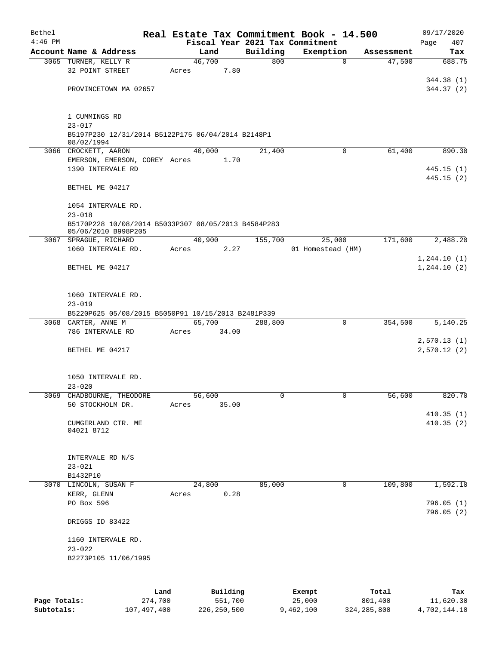| Bethel       |                                                     |       |          |          | Real Estate Tax Commitment Book - 14.500 |             |            | 09/17/2020    |
|--------------|-----------------------------------------------------|-------|----------|----------|------------------------------------------|-------------|------------|---------------|
| $4:46$ PM    |                                                     |       |          |          | Fiscal Year 2021 Tax Commitment          |             |            | 407<br>Page   |
|              | Account Name & Address                              |       | Land     | Building | Exemption                                |             | Assessment | Tax           |
|              | 3065 TURNER, KELLY R                                |       | 46,700   | 800      |                                          | $\mathbf 0$ | 47,500     | 688.75        |
|              | 32 POINT STREET                                     | Acres | 7.80     |          |                                          |             |            |               |
|              |                                                     |       |          |          |                                          |             |            | 344.38(1)     |
|              | PROVINCETOWN MA 02657                               |       |          |          |                                          |             |            | 344.37(2)     |
|              | 1 CUMMINGS RD                                       |       |          |          |                                          |             |            |               |
|              | $23 - 017$                                          |       |          |          |                                          |             |            |               |
|              | B5197P230 12/31/2014 B5122P175 06/04/2014 B2148P1   |       |          |          |                                          |             |            |               |
|              | 08/02/1994                                          |       |          |          |                                          |             |            |               |
|              | 3066 CROCKETT, AARON                                |       | 40,000   | 21,400   |                                          | $\mathbf 0$ | 61,400     | 890.30        |
|              | EMERSON, EMERSON, COREY Acres                       |       | 1.70     |          |                                          |             |            |               |
|              | 1390 INTERVALE RD                                   |       |          |          |                                          |             |            | 445.15(1)     |
|              | BETHEL ME 04217                                     |       |          |          |                                          |             |            | 445.15(2)     |
|              |                                                     |       |          |          |                                          |             |            |               |
|              | 1054 INTERVALE RD.                                  |       |          |          |                                          |             |            |               |
|              | $23 - 018$                                          |       |          |          |                                          |             |            |               |
|              | B5170P228 10/08/2014 B5033P307 08/05/2013 B4584P283 |       |          |          |                                          |             |            |               |
|              | 05/06/2010 B998P205                                 |       | 40,900   |          |                                          |             |            |               |
|              | 3067 SPRAGUE, RICHARD<br>1060 INTERVALE RD.         | Acres | 2.27     | 155,700  | 25,000<br>01 Homestead (HM)              |             | 171,600    | 2,488.20      |
|              |                                                     |       |          |          |                                          |             |            | 1,244.10(1)   |
|              | BETHEL ME 04217                                     |       |          |          |                                          |             |            | 1, 244.10 (2) |
|              |                                                     |       |          |          |                                          |             |            |               |
|              |                                                     |       |          |          |                                          |             |            |               |
|              | 1060 INTERVALE RD.<br>$23 - 019$                    |       |          |          |                                          |             |            |               |
|              | B5220P625 05/08/2015 B5050P91 10/15/2013 B2481P339  |       |          |          |                                          |             |            |               |
|              | 3068 CARTER, ANNE M                                 |       | 65,700   | 288,800  |                                          | $\mathbf 0$ | 354,500    | 5,140.25      |
|              | 786 INTERVALE RD                                    | Acres | 34.00    |          |                                          |             |            |               |
|              |                                                     |       |          |          |                                          |             |            | 2,570.13(1)   |
|              | BETHEL ME 04217                                     |       |          |          |                                          |             |            | 2,570.12(2)   |
|              |                                                     |       |          |          |                                          |             |            |               |
|              |                                                     |       |          |          |                                          |             |            |               |
|              | 1050 INTERVALE RD.<br>$23 - 020$                    |       |          |          |                                          |             |            |               |
|              | 3069 CHADBOURNE, THEODORE                           |       | 56,600   | 0        |                                          | 0           | 56,600     | 820.70        |
|              | 50 STOCKHOLM DR.                                    | Acres | 35.00    |          |                                          |             |            |               |
|              |                                                     |       |          |          |                                          |             |            | 410.35(1)     |
|              | CUMGERLAND CTR. ME                                  |       |          |          |                                          |             |            | 410.35(2)     |
|              | 04021 8712                                          |       |          |          |                                          |             |            |               |
|              |                                                     |       |          |          |                                          |             |            |               |
|              | INTERVALE RD N/S                                    |       |          |          |                                          |             |            |               |
|              | $23 - 021$                                          |       |          |          |                                          |             |            |               |
|              | B1432P10                                            |       |          |          |                                          |             |            |               |
|              | 3070 LINCOLN, SUSAN F                               |       | 24,800   | 85,000   |                                          | 0           | 109,800    | 1,592.10      |
|              | KERR, GLENN                                         | Acres | 0.28     |          |                                          |             |            |               |
|              | PO Box 596                                          |       |          |          |                                          |             |            | 796.05 (1)    |
|              | DRIGGS ID 83422                                     |       |          |          |                                          |             |            | 796.05 (2)    |
|              |                                                     |       |          |          |                                          |             |            |               |
|              | 1160 INTERVALE RD.                                  |       |          |          |                                          |             |            |               |
|              | $23 - 022$                                          |       |          |          |                                          |             |            |               |
|              | B2273P105 11/06/1995                                |       |          |          |                                          |             |            |               |
|              |                                                     |       |          |          |                                          |             |            |               |
|              |                                                     |       |          |          |                                          |             |            |               |
|              |                                                     | Land  | Building |          | Exempt                                   |             | Total      | Tax           |
| Page Totals: | 274,700                                             |       | 551,700  |          | 25,000                                   |             | 801,400    | 11,620.30     |

**Subtotals:** 107,497,400 226,250,500 9,462,100 324,285,800 4,702,144.10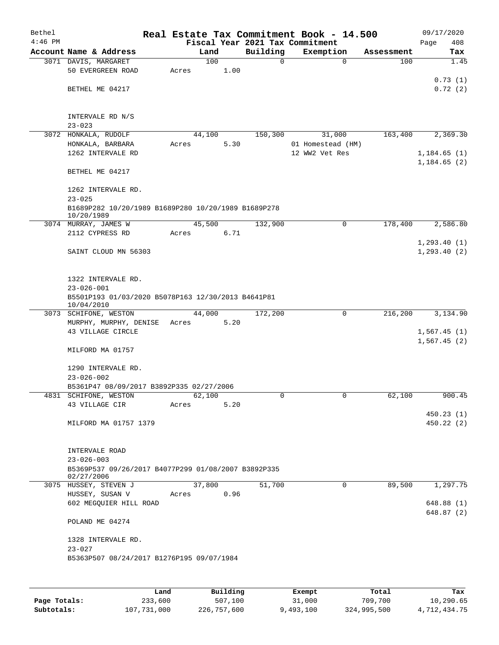| Bethel    |                                                                        |       |        |      |          | Real Estate Tax Commitment Book - 14.500 |            | 09/17/2020               |  |  |  |
|-----------|------------------------------------------------------------------------|-------|--------|------|----------|------------------------------------------|------------|--------------------------|--|--|--|
| $4:46$ PM |                                                                        |       |        |      |          | Fiscal Year 2021 Tax Commitment          |            | 408<br>Page              |  |  |  |
|           | Account Name & Address                                                 |       | Land   |      | Building | Exemption                                | Assessment | Tax                      |  |  |  |
|           | 3071 DAVIS, MARGARET                                                   |       | 100    |      | 0        | $\mathbf 0$                              | 100        | 1.45                     |  |  |  |
|           | 50 EVERGREEN ROAD                                                      | Acres |        | 1.00 |          |                                          |            |                          |  |  |  |
|           |                                                                        |       |        |      |          |                                          |            | 0.73(1)                  |  |  |  |
|           | BETHEL ME 04217                                                        |       |        |      |          |                                          |            | 0.72(2)                  |  |  |  |
|           |                                                                        |       |        |      |          |                                          |            |                          |  |  |  |
|           | INTERVALE RD N/S                                                       |       |        |      |          |                                          |            |                          |  |  |  |
|           | $23 - 023$                                                             |       |        |      |          |                                          |            |                          |  |  |  |
|           | 3072 HONKALA, RUDOLF                                                   |       | 44,100 |      | 150,300  | 31,000                                   | 163,400    | 2,369.30                 |  |  |  |
|           | HONKALA, BARBARA                                                       | Acres |        | 5.30 |          | 01 Homestead (HM)                        |            |                          |  |  |  |
|           | 1262 INTERVALE RD                                                      |       |        |      |          | 12 WW2 Vet Res                           |            | 1,184.65(1)              |  |  |  |
|           |                                                                        |       |        |      |          |                                          |            | 1,184.65(2)              |  |  |  |
|           | BETHEL ME 04217                                                        |       |        |      |          |                                          |            |                          |  |  |  |
|           | 1262 INTERVALE RD.                                                     |       |        |      |          |                                          |            |                          |  |  |  |
|           | $23 - 025$                                                             |       |        |      |          |                                          |            |                          |  |  |  |
|           | B1689P282 10/20/1989 B1689P280 10/20/1989 B1689P278                    |       |        |      |          |                                          |            |                          |  |  |  |
|           | 10/20/1989                                                             |       |        |      |          |                                          |            |                          |  |  |  |
|           | 3074 MURRAY, JAMES W                                                   |       | 45,500 |      | 132,900  | 0                                        | 178,400    | 2,586.80                 |  |  |  |
|           | 2112 CYPRESS RD                                                        | Acres |        | 6.71 |          |                                          |            |                          |  |  |  |
|           |                                                                        |       |        |      |          |                                          |            | 1, 293.40(1)             |  |  |  |
|           | SAINT CLOUD MN 56303                                                   |       |        |      |          |                                          |            | 1, 293.40(2)             |  |  |  |
|           |                                                                        |       |        |      |          |                                          |            |                          |  |  |  |
|           |                                                                        |       |        |      |          |                                          |            |                          |  |  |  |
|           | 1322 INTERVALE RD.                                                     |       |        |      |          |                                          |            |                          |  |  |  |
|           | $23 - 026 - 001$<br>B5501P193 01/03/2020 B5078P163 12/30/2013 B4641P81 |       |        |      |          |                                          |            |                          |  |  |  |
|           | 10/04/2010                                                             |       |        |      |          |                                          |            |                          |  |  |  |
|           | 3073 SCHIFONE, WESTON                                                  |       | 44,000 |      | 172,200  | 0                                        | 216,200    | 3,134.90                 |  |  |  |
|           | MURPHY, MURPHY, DENISE                                                 |       | Acres  | 5.20 |          |                                          |            |                          |  |  |  |
|           | 43 VILLAGE CIRCLE                                                      |       |        |      |          |                                          |            | 1,567.45(1)              |  |  |  |
|           |                                                                        |       |        |      |          |                                          |            | 1,567.45(2)              |  |  |  |
|           | MILFORD MA 01757                                                       |       |        |      |          |                                          |            |                          |  |  |  |
|           |                                                                        |       |        |      |          |                                          |            |                          |  |  |  |
|           | 1290 INTERVALE RD.                                                     |       |        |      |          |                                          |            |                          |  |  |  |
|           | $23 - 026 - 002$                                                       |       |        |      |          |                                          |            |                          |  |  |  |
|           | B5361P47 08/09/2017 B3892P335 02/27/2006                               |       | 62,100 |      |          |                                          |            |                          |  |  |  |
|           | 4831 SCHIFONE, WESTON<br>43 VILLAGE CIR                                |       |        | 5.20 | 0        |                                          | 62,100     | 900.45                   |  |  |  |
|           |                                                                        | Acres |        |      |          |                                          |            | 450.23(1)                |  |  |  |
|           | MILFORD MA 01757 1379                                                  |       |        |      |          |                                          |            | 450.22(2)                |  |  |  |
|           |                                                                        |       |        |      |          |                                          |            |                          |  |  |  |
|           |                                                                        |       |        |      |          |                                          |            |                          |  |  |  |
|           | INTERVALE ROAD                                                         |       |        |      |          |                                          |            |                          |  |  |  |
|           | $23 - 026 - 003$                                                       |       |        |      |          |                                          |            |                          |  |  |  |
|           | B5369P537 09/26/2017 B4077P299 01/08/2007 B3892P335                    |       |        |      |          |                                          |            |                          |  |  |  |
|           | 02/27/2006                                                             |       |        |      |          |                                          |            |                          |  |  |  |
|           | 3075 HUSSEY, STEVEN J                                                  |       | 37,800 |      | 51,700   | 0                                        | 89,500     | 1,297.75                 |  |  |  |
|           | HUSSEY, SUSAN V                                                        | Acres |        | 0.96 |          |                                          |            |                          |  |  |  |
|           | 602 MEGQUIER HILL ROAD                                                 |       |        |      |          |                                          |            | 648.88 (1)<br>648.87 (2) |  |  |  |
|           | POLAND ME 04274                                                        |       |        |      |          |                                          |            |                          |  |  |  |
|           |                                                                        |       |        |      |          |                                          |            |                          |  |  |  |
|           | 1328 INTERVALE RD.                                                     |       |        |      |          |                                          |            |                          |  |  |  |
|           | $23 - 027$                                                             |       |        |      |          |                                          |            |                          |  |  |  |
|           | B5363P507 08/24/2017 B1276P195 09/07/1984                              |       |        |      |          |                                          |            |                          |  |  |  |
|           |                                                                        |       |        |      |          |                                          |            |                          |  |  |  |
|           |                                                                        |       |        |      |          |                                          |            |                          |  |  |  |
|           |                                                                        |       |        |      |          |                                          |            |                          |  |  |  |

|              | Land        | Building    | Exempt    | Total       | Tax          |
|--------------|-------------|-------------|-----------|-------------|--------------|
| Page Totals: | 233,600     | 507,100     | 31,000    | 709,700     | 10,290.65    |
| Subtotals:   | 107,731,000 | 226,757,600 | 9,493,100 | 324,995,500 | 4,712,434.75 |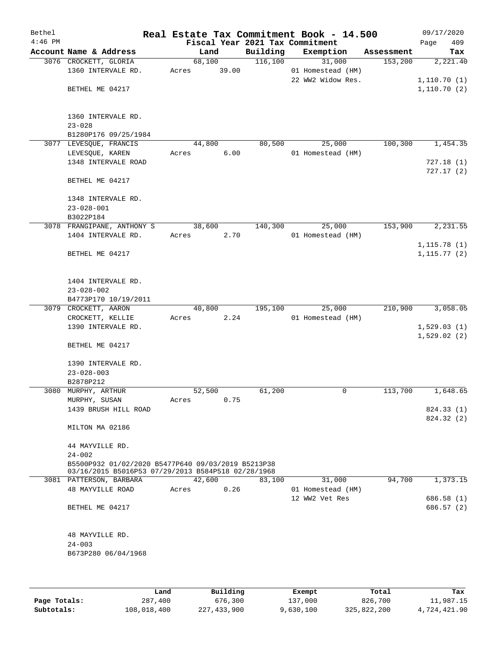| Bethel<br>$4:46$ PM |                                                    |       |        | Fiscal Year 2021 Tax Commitment | Real Estate Tax Commitment Book - 14.500 |            | 09/17/2020<br>409<br>Page |
|---------------------|----------------------------------------------------|-------|--------|---------------------------------|------------------------------------------|------------|---------------------------|
|                     | Account Name & Address                             |       | Land   | Building                        | Exemption                                | Assessment | Tax                       |
|                     | 3076 CROCKETT, GLORIA                              |       | 68,100 | 116,100                         | 31,000                                   | 153,200    | 2,221.40                  |
|                     | 1360 INTERVALE RD.                                 | Acres | 39.00  |                                 | 01 Homestead (HM)                        |            |                           |
|                     |                                                    |       |        |                                 | 22 WW2 Widow Res.                        |            | 1,110.70(1)               |
|                     | BETHEL ME 04217                                    |       |        |                                 |                                          |            | 1,110.70(2)               |
|                     |                                                    |       |        |                                 |                                          |            |                           |
|                     |                                                    |       |        |                                 |                                          |            |                           |
|                     | 1360 INTERVALE RD.                                 |       |        |                                 |                                          |            |                           |
|                     | $23 - 028$                                         |       |        |                                 |                                          |            |                           |
|                     | B1280P176 09/25/1984                               |       |        |                                 |                                          |            |                           |
|                     | 3077 LEVESQUE, FRANCIS                             |       | 44,800 | 80,500                          | 25,000                                   | 100,300    | 1,454.35                  |
|                     | LEVESQUE, KAREN                                    | Acres | 6.00   |                                 | 01 Homestead (HM)                        |            |                           |
|                     | 1348 INTERVALE ROAD                                |       |        |                                 |                                          |            | 727.18(1)                 |
|                     |                                                    |       |        |                                 |                                          |            | 727.17(2)                 |
|                     | BETHEL ME 04217                                    |       |        |                                 |                                          |            |                           |
|                     | 1348 INTERVALE RD.                                 |       |        |                                 |                                          |            |                           |
|                     | $23 - 028 - 001$                                   |       |        |                                 |                                          |            |                           |
|                     | B3022P184                                          |       |        |                                 |                                          |            |                           |
|                     | 3078 FRANGIPANE, ANTHONY S                         |       | 38,600 | 140,300                         | 25,000                                   | 153,900    | 2,231.55                  |
|                     | 1404 INTERVALE RD.                                 | Acres | 2.70   |                                 | 01 Homestead (HM)                        |            |                           |
|                     |                                                    |       |        |                                 |                                          |            | 1, 115.78(1)              |
|                     | BETHEL ME 04217                                    |       |        |                                 |                                          |            | 1, 115.77(2)              |
|                     |                                                    |       |        |                                 |                                          |            |                           |
|                     |                                                    |       |        |                                 |                                          |            |                           |
|                     | 1404 INTERVALE RD.                                 |       |        |                                 |                                          |            |                           |
|                     | $23 - 028 - 002$                                   |       |        |                                 |                                          |            |                           |
|                     | B4773P170 10/19/2011                               |       |        |                                 |                                          |            |                           |
|                     | 3079 CROCKETT, AARON                               |       | 40,800 | 195,100                         | 25,000                                   | 210,900    | 3,058.05                  |
|                     | CROCKETT, KELLIE                                   | Acres | 2.24   |                                 | 01 Homestead (HM)                        |            |                           |
|                     | 1390 INTERVALE RD.                                 |       |        |                                 |                                          |            | 1,529.03(1)               |
|                     |                                                    |       |        |                                 |                                          |            | 1,529.02(2)               |
|                     | BETHEL ME 04217                                    |       |        |                                 |                                          |            |                           |
|                     | 1390 INTERVALE RD.                                 |       |        |                                 |                                          |            |                           |
|                     | $23 - 028 - 003$                                   |       |        |                                 |                                          |            |                           |
|                     | B2878P212                                          |       |        |                                 |                                          |            |                           |
|                     | 3080 MURPHY, ARTHUR                                |       | 52,500 | 61,200                          | 0                                        | 113,700    | 1,648.65                  |
|                     | MURPHY, SUSAN                                      | Acres | 0.75   |                                 |                                          |            |                           |
|                     | 1439 BRUSH HILL ROAD                               |       |        |                                 |                                          |            | 824.33 (1)                |
|                     |                                                    |       |        |                                 |                                          |            | 824.32 (2)                |
|                     | MILTON MA 02186                                    |       |        |                                 |                                          |            |                           |
|                     |                                                    |       |        |                                 |                                          |            |                           |
|                     | 44 MAYVILLE RD.                                    |       |        |                                 |                                          |            |                           |
|                     | $24 - 002$                                         |       |        |                                 |                                          |            |                           |
|                     | B5500P932 01/02/2020 B5477P640 09/03/2019 B5213P38 |       |        |                                 |                                          |            |                           |
|                     | 03/16/2015 B5016P53 07/29/2013 B584P518 02/28/1968 |       |        |                                 |                                          |            |                           |
|                     | 3081 PATTERSON, BARBARA                            |       | 42,600 | 83,100                          | 31,000                                   | 94,700     | 1,373.15                  |
|                     | 48 MAYVILLE ROAD                                   | Acres | 0.26   |                                 | 01 Homestead (HM)                        |            |                           |
|                     |                                                    |       |        |                                 | 12 WW2 Vet Res                           |            | 686.58(1)                 |
|                     | BETHEL ME 04217                                    |       |        |                                 |                                          |            | 686.57 (2)                |
|                     |                                                    |       |        |                                 |                                          |            |                           |
|                     |                                                    |       |        |                                 |                                          |            |                           |
|                     | 48 MAYVILLE RD.                                    |       |        |                                 |                                          |            |                           |
|                     | $24 - 003$                                         |       |        |                                 |                                          |            |                           |
|                     | B673P280 06/04/1968                                |       |        |                                 |                                          |            |                           |
|                     |                                                    |       |        |                                 |                                          |            |                           |
|                     |                                                    |       |        |                                 |                                          |            |                           |

|              | Land        | Building    | Exempt    | Total       | Tax          |
|--------------|-------------|-------------|-----------|-------------|--------------|
| Page Totals: | 287,400     | 676,300     | 137,000   | 826,700     | 11,987.15    |
| Subtotals:   | 108,018,400 | 227,433,900 | 9,630,100 | 325,822,200 | 4,724,421.90 |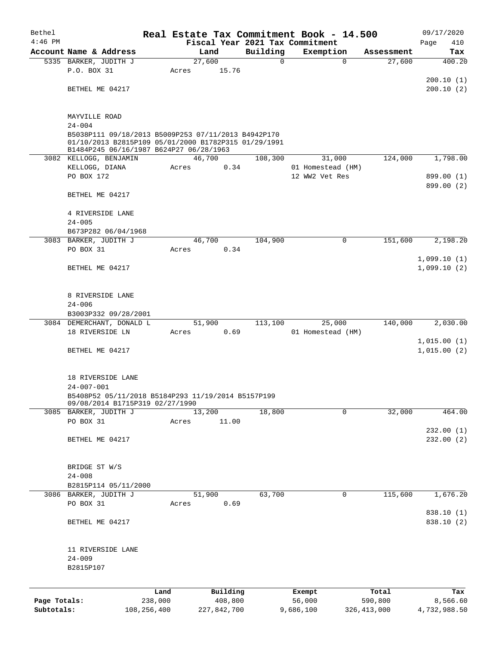| Bethel<br>$4:46$ PM |                                                                                                                                                        |                 |                 |                     |             | Real Estate Tax Commitment Book - 14.500<br>Fiscal Year 2021 Tax Commitment |                  | 09/17/2020<br>410<br>Page |
|---------------------|--------------------------------------------------------------------------------------------------------------------------------------------------------|-----------------|-----------------|---------------------|-------------|-----------------------------------------------------------------------------|------------------|---------------------------|
|                     | Account Name & Address                                                                                                                                 |                 | Land            |                     | Building    | Exemption                                                                   | Assessment       | Tax                       |
|                     | 5335 BARKER, JUDITH J                                                                                                                                  |                 | 27,600          |                     | $\mathbf 0$ | $\mathbf 0$                                                                 | 27,600           | 400.20                    |
|                     | P.O. BOX 31                                                                                                                                            |                 | Acres           | 15.76               |             |                                                                             |                  |                           |
|                     |                                                                                                                                                        |                 |                 |                     |             |                                                                             |                  | 200.10(1)                 |
|                     | BETHEL ME 04217                                                                                                                                        |                 |                 |                     |             |                                                                             |                  | 200.10(2)                 |
|                     | MAYVILLE ROAD                                                                                                                                          |                 |                 |                     |             |                                                                             |                  |                           |
|                     | $24 - 004$                                                                                                                                             |                 |                 |                     |             |                                                                             |                  |                           |
|                     | B5038P111 09/18/2013 B5009P253 07/11/2013 B4942P170<br>01/10/2013 B2815P109 05/01/2000 B1782P315 01/29/1991<br>B1484P245 06/16/1987 B624P27 06/28/1963 |                 |                 |                     |             |                                                                             |                  |                           |
|                     | 3082 KELLOGG, BENJAMIN                                                                                                                                 |                 | 46,700          |                     | 108,300     | 31,000                                                                      | 124,000          | 1,798.00                  |
|                     | KELLOGG, DIANA                                                                                                                                         |                 | Acres           | 0.34                |             | 01 Homestead (HM)                                                           |                  |                           |
|                     | PO BOX 172                                                                                                                                             |                 |                 |                     |             | 12 WW2 Vet Res                                                              |                  | 899.00 (1)                |
|                     | BETHEL ME 04217                                                                                                                                        |                 |                 |                     |             |                                                                             |                  | 899.00 (2)                |
|                     | 4 RIVERSIDE LANE                                                                                                                                       |                 |                 |                     |             |                                                                             |                  |                           |
|                     | $24 - 005$                                                                                                                                             |                 |                 |                     |             |                                                                             |                  |                           |
|                     | B673P282 06/04/1968<br>3083 BARKER, JUDITH J                                                                                                           |                 | 46,700          |                     | 104,900     | $\Omega$                                                                    | 151,600          | 2,198.20                  |
|                     | PO BOX 31                                                                                                                                              |                 | Acres           | 0.34                |             |                                                                             |                  |                           |
|                     |                                                                                                                                                        |                 |                 |                     |             |                                                                             |                  | 1,099.10(1)               |
|                     | BETHEL ME 04217                                                                                                                                        |                 |                 |                     |             |                                                                             |                  | 1,099.10(2)               |
|                     | 8 RIVERSIDE LANE                                                                                                                                       |                 |                 |                     |             |                                                                             |                  |                           |
|                     | $24 - 006$                                                                                                                                             |                 |                 |                     |             |                                                                             |                  |                           |
|                     | B3003P332 09/28/2001                                                                                                                                   |                 |                 |                     |             |                                                                             |                  |                           |
|                     | 3084 DEMERCHANT, DONALD L                                                                                                                              |                 | 51,900          |                     | 113,100     | 25,000                                                                      | 140,000          | 2,030.00                  |
|                     | 18 RIVERSIDE LN                                                                                                                                        |                 | Acres           | 0.69                |             | 01 Homestead (HM)                                                           |                  | 1,015.00(1)               |
|                     | BETHEL ME 04217                                                                                                                                        |                 |                 |                     |             |                                                                             |                  | 1,015.00(2)               |
|                     |                                                                                                                                                        |                 |                 |                     |             |                                                                             |                  |                           |
|                     | 18 RIVERSIDE LANE                                                                                                                                      |                 |                 |                     |             |                                                                             |                  |                           |
|                     | $24 - 007 - 001$                                                                                                                                       |                 |                 |                     |             |                                                                             |                  |                           |
|                     | B5408P52 05/11/2018 B5184P293 11/19/2014 B5157P199                                                                                                     |                 |                 |                     |             |                                                                             |                  |                           |
|                     | 09/08/2014 B1715P319 02/27/1990                                                                                                                        |                 |                 |                     |             |                                                                             |                  |                           |
|                     | 3085 BARKER, JUDITH J<br>PO BOX 31                                                                                                                     |                 | 13,200<br>Acres | 11.00               | 18,800      | 0                                                                           | 32,000           | 464.00                    |
|                     |                                                                                                                                                        |                 |                 |                     |             |                                                                             |                  | 232.00(1)                 |
|                     | BETHEL ME 04217                                                                                                                                        |                 |                 |                     |             |                                                                             |                  | 232.00(2)                 |
|                     |                                                                                                                                                        |                 |                 |                     |             |                                                                             |                  |                           |
|                     | BRIDGE ST W/S                                                                                                                                          |                 |                 |                     |             |                                                                             |                  |                           |
|                     | $24 - 008$<br>B2815P114 05/11/2000                                                                                                                     |                 |                 |                     |             |                                                                             |                  |                           |
|                     | 3086 BARKER, JUDITH J                                                                                                                                  |                 | 51,900          |                     | 63,700      | $\mathbf 0$                                                                 | 115,600          | 1,676.20                  |
|                     | PO BOX 31                                                                                                                                              |                 | Acres           | 0.69                |             |                                                                             |                  |                           |
|                     | BETHEL ME 04217                                                                                                                                        |                 |                 |                     |             |                                                                             |                  | 838.10 (1)<br>838.10 (2)  |
|                     |                                                                                                                                                        |                 |                 |                     |             |                                                                             |                  |                           |
|                     | 11 RIVERSIDE LANE<br>$24 - 009$                                                                                                                        |                 |                 |                     |             |                                                                             |                  |                           |
|                     | B2815P107                                                                                                                                              |                 |                 |                     |             |                                                                             |                  |                           |
|                     |                                                                                                                                                        |                 |                 |                     |             |                                                                             |                  |                           |
| Page Totals:        |                                                                                                                                                        | Land<br>238,000 |                 | Building<br>408,800 |             | Exempt<br>56,000                                                            | Total<br>590,800 | Tax<br>8,566.60           |
| Subtotals:          | 108, 256, 400                                                                                                                                          |                 | 227,842,700     |                     |             | 9,686,100                                                                   | 326, 413, 000    | 4,732,988.50              |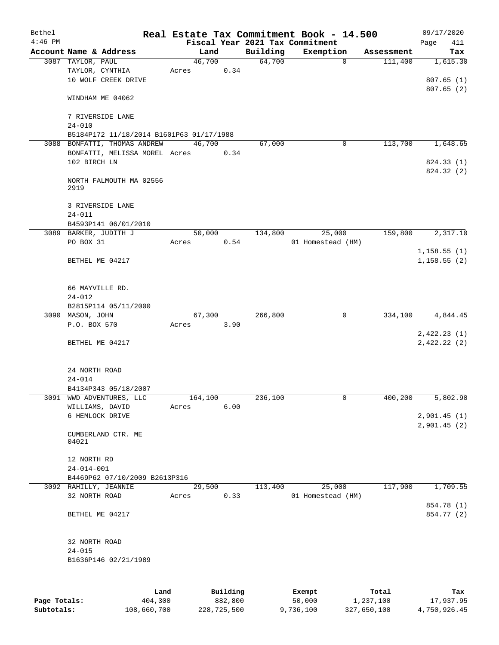| Bethel<br>$4:46$ PM |                                          |      |         |          |          | Real Estate Tax Commitment Book - 14.500<br>Fiscal Year 2021 Tax Commitment |            | 09/17/2020<br>Page<br>411  |
|---------------------|------------------------------------------|------|---------|----------|----------|-----------------------------------------------------------------------------|------------|----------------------------|
|                     | Account Name & Address                   |      | Land    |          | Building | Exemption                                                                   | Assessment | Tax                        |
|                     | 3087 TAYLOR, PAUL                        |      | 46,700  |          | 64,700   | $\mathbf 0$                                                                 | 111,400    | 1,615.30                   |
|                     | TAYLOR, CYNTHIA                          |      | Acres   | 0.34     |          |                                                                             |            |                            |
|                     | 10 WOLF CREEK DRIVE                      |      |         |          |          |                                                                             |            | 807.65(1)                  |
|                     |                                          |      |         |          |          |                                                                             |            | 807.65(2)                  |
|                     | WINDHAM ME 04062                         |      |         |          |          |                                                                             |            |                            |
|                     | 7 RIVERSIDE LANE<br>$24 - 010$           |      |         |          |          |                                                                             |            |                            |
|                     | B5184P172 11/18/2014 B1601P63 01/17/1988 |      |         |          |          |                                                                             |            |                            |
|                     | 3088 BONFATTI, THOMAS ANDREW             |      | 46,700  |          | 67,000   | 0                                                                           | 113,700    | 1,648.65                   |
|                     | BONFATTI, MELISSA MOREL Acres            |      |         | 0.34     |          |                                                                             |            |                            |
|                     | 102 BIRCH LN                             |      |         |          |          |                                                                             |            | 824.33 (1)                 |
|                     |                                          |      |         |          |          |                                                                             |            | 824.32 (2)                 |
|                     | NORTH FALMOUTH MA 02556<br>2919          |      |         |          |          |                                                                             |            |                            |
|                     | 3 RIVERSIDE LANE                         |      |         |          |          |                                                                             |            |                            |
|                     | $24 - 011$                               |      |         |          |          |                                                                             |            |                            |
|                     | B4593P141 06/01/2010                     |      |         |          |          |                                                                             |            |                            |
|                     | 3089 BARKER, JUDITH J                    |      | 50,000  |          | 134,800  | 25,000                                                                      | 159,800    | 2,317.10                   |
|                     | PO BOX 31                                |      | Acres   | 0.54     |          | 01 Homestead (HM)                                                           |            |                            |
|                     |                                          |      |         |          |          |                                                                             |            | 1,158.55(1)                |
|                     | BETHEL ME 04217                          |      |         |          |          |                                                                             |            | 1, 158.55(2)               |
|                     |                                          |      |         |          |          |                                                                             |            |                            |
|                     | 66 MAYVILLE RD.                          |      |         |          |          |                                                                             |            |                            |
|                     | $24 - 012$                               |      |         |          |          |                                                                             |            |                            |
|                     | B2815P114 05/11/2000                     |      |         |          |          |                                                                             |            |                            |
|                     | 3090 MASON, JOHN                         |      | 67,300  |          | 266,800  | 0                                                                           | 334,100    | 4,844.45                   |
|                     | P.O. BOX 570                             |      | Acres   | 3.90     |          |                                                                             |            |                            |
|                     | BETHEL ME 04217                          |      |         |          |          |                                                                             |            | 2,422.23(1)<br>2,422.22(2) |
|                     |                                          |      |         |          |          |                                                                             |            |                            |
|                     | 24 NORTH ROAD                            |      |         |          |          |                                                                             |            |                            |
|                     | $24 - 014$                               |      |         |          |          |                                                                             |            |                            |
|                     | B4134P343 05/18/2007                     |      |         |          |          |                                                                             |            |                            |
|                     | 3091 WWD ADVENTURES, LLC                 |      | 164,100 |          | 236,100  | 0                                                                           | 400,200    | 5,802.90                   |
|                     | WILLIAMS, DAVID                          |      | Acres   | 6.00     |          |                                                                             |            |                            |
|                     | 6 HEMLOCK DRIVE                          |      |         |          |          |                                                                             |            | 2,901.45(1)                |
|                     |                                          |      |         |          |          |                                                                             |            | 2,901.45(2)                |
|                     | CUMBERLAND CTR. ME                       |      |         |          |          |                                                                             |            |                            |
|                     | 04021                                    |      |         |          |          |                                                                             |            |                            |
|                     |                                          |      |         |          |          |                                                                             |            |                            |
|                     | 12 NORTH RD                              |      |         |          |          |                                                                             |            |                            |
|                     | $24 - 014 - 001$                         |      |         |          |          |                                                                             |            |                            |
|                     | B4469P62 07/10/2009 B2613P316            |      |         |          |          |                                                                             |            |                            |
|                     | 3092 RAHILLY, JEANNIE                    |      | 29,500  |          | 113,400  | 25,000                                                                      | 117,900    | 1,709.55                   |
|                     | 32 NORTH ROAD                            |      | Acres   | 0.33     |          | 01 Homestead (HM)                                                           |            |                            |
|                     |                                          |      |         |          |          |                                                                             |            | 854.78 (1)                 |
|                     | BETHEL ME 04217                          |      |         |          |          |                                                                             |            | 854.77 (2)                 |
|                     |                                          |      |         |          |          |                                                                             |            |                            |
|                     | 32 NORTH ROAD<br>$24 - 015$              |      |         |          |          |                                                                             |            |                            |
|                     |                                          |      |         |          |          |                                                                             |            |                            |
|                     | B1636P146 02/21/1989                     |      |         |          |          |                                                                             |            |                            |
|                     |                                          |      |         |          |          |                                                                             |            |                            |
|                     |                                          | Land |         | Building |          | Exempt                                                                      | Total      | Tax                        |

**Page Totals:** 404,300 882,800 50,000 1,237,100 17,937.95 **Subtotals:** 108,660,700 228,725,500 9,736,100 327,650,100 4,750,926.45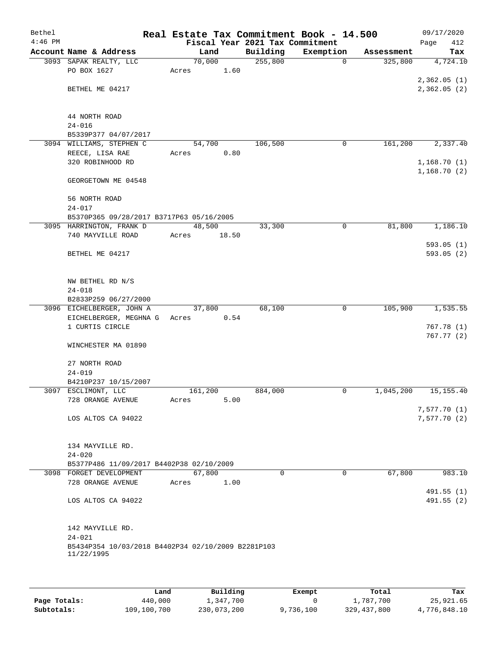| Bethel<br>$4:46$ PM |                                                    |                 |       | Fiscal Year 2021 Tax Commitment | Real Estate Tax Commitment Book - 14.500 |            | 09/17/2020<br>Page<br>412 |
|---------------------|----------------------------------------------------|-----------------|-------|---------------------------------|------------------------------------------|------------|---------------------------|
|                     | Account Name & Address                             | Land            |       | Building                        | Exemption                                | Assessment | Tax                       |
|                     | 3093 SAPAK REALTY, LLC                             | 70,000          |       | 255,800                         | $\mathbf 0$                              | 325,800    | 4,724.10                  |
|                     | PO BOX 1627                                        | Acres           | 1.60  |                                 |                                          |            |                           |
|                     |                                                    |                 |       |                                 |                                          |            | 2,362.05(1)               |
|                     | BETHEL ME 04217                                    |                 |       |                                 |                                          |            | 2,362.05(2)               |
|                     |                                                    |                 |       |                                 |                                          |            |                           |
|                     |                                                    |                 |       |                                 |                                          |            |                           |
|                     | 44 NORTH ROAD                                      |                 |       |                                 |                                          |            |                           |
|                     | $24 - 016$<br>B5339P377 04/07/2017                 |                 |       |                                 |                                          |            |                           |
|                     | 3094 WILLIAMS, STEPHEN C                           | 54,700          |       | 106,500                         | 0                                        | 161,200    | 2,337.40                  |
|                     | REECE, LISA RAE                                    | Acres           | 0.80  |                                 |                                          |            |                           |
|                     | 320 ROBINHOOD RD                                   |                 |       |                                 |                                          |            | 1,168.70(1)               |
|                     |                                                    |                 |       |                                 |                                          |            | 1,168.70(2)               |
|                     | GEORGETOWN ME 04548                                |                 |       |                                 |                                          |            |                           |
|                     |                                                    |                 |       |                                 |                                          |            |                           |
|                     | 56 NORTH ROAD                                      |                 |       |                                 |                                          |            |                           |
|                     | $24 - 017$                                         |                 |       |                                 |                                          |            |                           |
|                     | B5370P365 09/28/2017 B3717P63 05/16/2005           |                 |       |                                 |                                          |            |                           |
|                     | 3095 HARRINGTON, FRANK D<br>740 MAYVILLE ROAD      | 48,500<br>Acres | 18.50 | 33,300                          | $\mathbf 0$                              | 81,800     | 1,186.10                  |
|                     |                                                    |                 |       |                                 |                                          |            | 593.05(1)                 |
|                     | BETHEL ME 04217                                    |                 |       |                                 |                                          |            | 593.05(2)                 |
|                     |                                                    |                 |       |                                 |                                          |            |                           |
|                     |                                                    |                 |       |                                 |                                          |            |                           |
|                     | NW BETHEL RD N/S                                   |                 |       |                                 |                                          |            |                           |
|                     | $24 - 018$                                         |                 |       |                                 |                                          |            |                           |
|                     | B2833P259 06/27/2000                               |                 |       |                                 |                                          |            |                           |
|                     | 3096 EICHELBERGER, JOHN A                          | 37,800          |       | 68,100                          | 0                                        | 105,900    | 1,535.55                  |
|                     | EICHELBERGER, MEGHNA G                             | Acres           | 0.54  |                                 |                                          |            |                           |
|                     | 1 CURTIS CIRCLE                                    |                 |       |                                 |                                          |            | 767.78(1)<br>767.77(2)    |
|                     | WINCHESTER MA 01890                                |                 |       |                                 |                                          |            |                           |
|                     |                                                    |                 |       |                                 |                                          |            |                           |
|                     | 27 NORTH ROAD                                      |                 |       |                                 |                                          |            |                           |
|                     | $24 - 019$                                         |                 |       |                                 |                                          |            |                           |
|                     | B4210P237 10/15/2007                               |                 |       |                                 |                                          |            |                           |
|                     | 3097 ESCLIMONT, LLC                                | 161,200         |       | 884,000                         | 0                                        | 1,045,200  | 15, 155. 40               |
|                     | 728 ORANGE AVENUE                                  | Acres           | 5.00  |                                 |                                          |            |                           |
|                     |                                                    |                 |       |                                 |                                          |            | 7,577.70 (1)              |
|                     | LOS ALTOS CA 94022                                 |                 |       |                                 |                                          |            | 7,577.70(2)               |
|                     |                                                    |                 |       |                                 |                                          |            |                           |
|                     | 134 MAYVILLE RD.                                   |                 |       |                                 |                                          |            |                           |
|                     | $24 - 020$                                         |                 |       |                                 |                                          |            |                           |
|                     | B5377P486 11/09/2017 B4402P38 02/10/2009           |                 |       |                                 |                                          |            |                           |
|                     | 3098 FORGET DEVELOPMENT                            | 67,800          |       | $\Omega$                        | $\Omega$                                 | 67,800     | 983.10                    |
|                     | 728 ORANGE AVENUE                                  | Acres           | 1.00  |                                 |                                          |            |                           |
|                     |                                                    |                 |       |                                 |                                          |            | 491.55 (1)                |
|                     | LOS ALTOS CA 94022                                 |                 |       |                                 |                                          |            | 491.55 (2)                |
|                     |                                                    |                 |       |                                 |                                          |            |                           |
|                     | 142 MAYVILLE RD.                                   |                 |       |                                 |                                          |            |                           |
|                     | $24 - 021$                                         |                 |       |                                 |                                          |            |                           |
|                     | B5434P354 10/03/2018 B4402P34 02/10/2009 B2281P103 |                 |       |                                 |                                          |            |                           |
|                     | 11/22/1995                                         |                 |       |                                 |                                          |            |                           |
|                     |                                                    |                 |       |                                 |                                          |            |                           |
|                     |                                                    |                 |       |                                 |                                          |            |                           |

|              | Land        | Building    | Exempt    | Total       | Tax          |
|--------------|-------------|-------------|-----------|-------------|--------------|
| Page Totals: | 440,000     | 1,347,700   |           | 1,787,700   | 25,921.65    |
| Subtotals:   | 109,100,700 | 230,073,200 | 9,736,100 | 329,437,800 | 4,776,848.10 |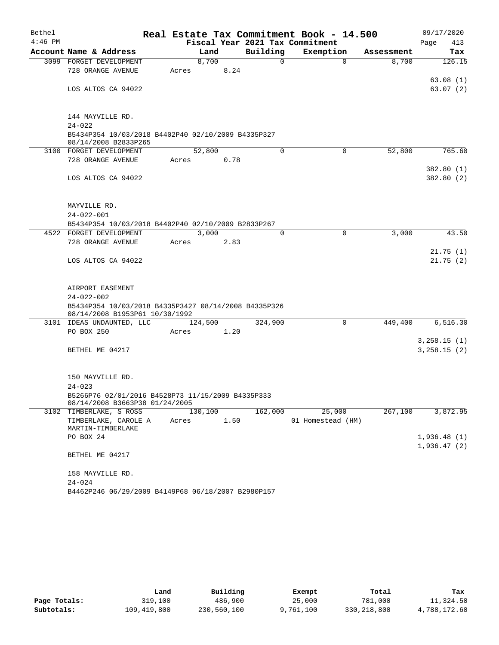| Bethel    |                                                                                        |       |         |      |          | Real Estate Tax Commitment Book - 14.500 |                      | 09/17/2020    |
|-----------|----------------------------------------------------------------------------------------|-------|---------|------|----------|------------------------------------------|----------------------|---------------|
| $4:46$ PM |                                                                                        |       |         |      |          | Fiscal Year 2021 Tax Commitment          |                      | 413<br>Page   |
|           | Account Name & Address                                                                 |       | Land    |      | Building | Exemption                                | Assessment           | Tax           |
|           | 3099 FORGET DEVELOPMENT                                                                |       | 8,700   |      | 0        |                                          | 8,700<br>$\Omega$    | 126.15        |
|           | 728 ORANGE AVENUE                                                                      | Acres |         | 8.24 |          |                                          |                      |               |
|           |                                                                                        |       |         |      |          |                                          |                      | 63.08(1)      |
|           | LOS ALTOS CA 94022                                                                     |       |         |      |          |                                          |                      | 63.07(2)      |
|           |                                                                                        |       |         |      |          |                                          |                      |               |
|           | 144 MAYVILLE RD.                                                                       |       |         |      |          |                                          |                      |               |
|           | $24 - 022$                                                                             |       |         |      |          |                                          |                      |               |
|           | B5434P354 10/03/2018 B4402P40 02/10/2009 B4335P327                                     |       |         |      |          |                                          |                      |               |
|           | 08/14/2008 B2833P265                                                                   |       |         |      |          |                                          |                      |               |
|           | 3100 FORGET DEVELOPMENT                                                                |       | 52,800  |      | $\Omega$ |                                          | $\Omega$<br>52,800   | 765.60        |
|           | 728 ORANGE AVENUE                                                                      | Acres |         | 0.78 |          |                                          |                      |               |
|           |                                                                                        |       |         |      |          |                                          |                      | 382.80 (1)    |
|           | LOS ALTOS CA 94022                                                                     |       |         |      |          |                                          |                      | 382.80 (2)    |
|           |                                                                                        |       |         |      |          |                                          |                      |               |
|           |                                                                                        |       |         |      |          |                                          |                      |               |
|           | MAYVILLE RD.                                                                           |       |         |      |          |                                          |                      |               |
|           | $24 - 022 - 001$<br>B5434P354 10/03/2018 B4402P40 02/10/2009 B2833P267                 |       |         |      |          |                                          |                      |               |
|           | 4522 FORGET DEVELOPMENT                                                                |       | 3,000   |      | $\Omega$ |                                          | $\mathbf 0$<br>3,000 | 43.50         |
|           | 728 ORANGE AVENUE                                                                      | Acres |         | 2.83 |          |                                          |                      |               |
|           |                                                                                        |       |         |      |          |                                          |                      | 21.75(1)      |
|           | LOS ALTOS CA 94022                                                                     |       |         |      |          |                                          |                      | 21.75(2)      |
|           |                                                                                        |       |         |      |          |                                          |                      |               |
|           |                                                                                        |       |         |      |          |                                          |                      |               |
|           | AIRPORT EASEMENT                                                                       |       |         |      |          |                                          |                      |               |
|           | $24 - 022 - 002$                                                                       |       |         |      |          |                                          |                      |               |
|           | B5434P354 10/03/2018 B4335P3427 08/14/2008 B4335P326<br>08/14/2008 B1953P61 10/30/1992 |       |         |      |          |                                          |                      |               |
|           | 3101 IDEAS UNDAUNTED, LLC                                                              |       | 124,500 |      | 324,900  |                                          | 0<br>449,400         | 6, 516.30     |
|           | PO BOX 250                                                                             | Acres |         | 1.20 |          |                                          |                      |               |
|           |                                                                                        |       |         |      |          |                                          |                      | 3,258.15(1)   |
|           | BETHEL ME 04217                                                                        |       |         |      |          |                                          |                      | 3, 258.15 (2) |
|           |                                                                                        |       |         |      |          |                                          |                      |               |
|           |                                                                                        |       |         |      |          |                                          |                      |               |
|           | 150 MAYVILLE RD.                                                                       |       |         |      |          |                                          |                      |               |
|           | $24 - 023$                                                                             |       |         |      |          |                                          |                      |               |
|           | B5266P76 02/01/2016 B4528P73 11/15/2009 B4335P333<br>08/14/2008 B3663P38 01/24/2005    |       |         |      |          |                                          |                      |               |
|           | 3102 TIMBERLAKE, S ROSS                                                                |       | 130,100 |      | 162,000  | 25,000                                   | 267,100              | 3,872.95      |
|           | TIMBERLAKE, CAROLE A                                                                   | Acres |         | 1.50 |          | 01 Homestead (HM)                        |                      |               |
|           | MARTIN-TIMBERLAKE                                                                      |       |         |      |          |                                          |                      |               |
|           | PO BOX 24                                                                              |       |         |      |          |                                          |                      | 1,936.48(1)   |
|           |                                                                                        |       |         |      |          |                                          |                      | 1,936.47(2)   |
|           | BETHEL ME 04217                                                                        |       |         |      |          |                                          |                      |               |
|           |                                                                                        |       |         |      |          |                                          |                      |               |
|           | 158 MAYVILLE RD.<br>$24 - 024$                                                         |       |         |      |          |                                          |                      |               |
|           | B4462P246 06/29/2009 B4149P68 06/18/2007 B2980P157                                     |       |         |      |          |                                          |                      |               |
|           |                                                                                        |       |         |      |          |                                          |                      |               |

|              | Land        | Building    | Exempt    | Total         | Tax          |
|--------------|-------------|-------------|-----------|---------------|--------------|
| Page Totals: | 319,100     | 486,900     | 25,000    | 781,000       | 11,324.50    |
| Subtotals:   | 109,419,800 | 230,560,100 | 9,761,100 | 330, 218, 800 | 4,788,172.60 |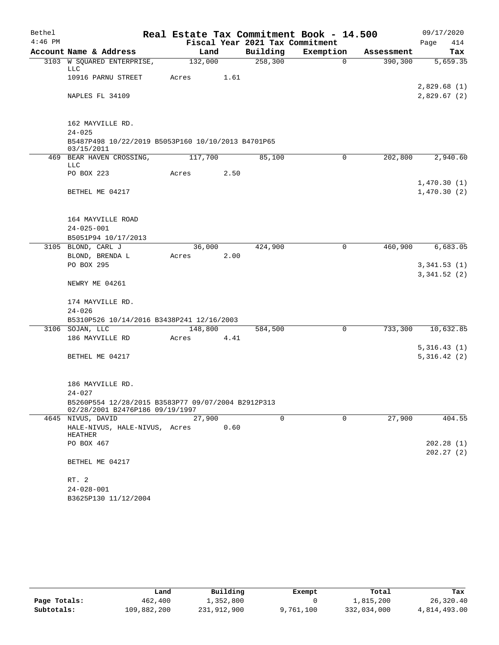| Bethel    |                                                                                       |         |      |                                             | Real Estate Tax Commitment Book - 14.500 |            | 09/17/2020  |
|-----------|---------------------------------------------------------------------------------------|---------|------|---------------------------------------------|------------------------------------------|------------|-------------|
| $4:46$ PM | Account Name & Address                                                                |         |      | Fiscal Year 2021 Tax Commitment<br>Building |                                          |            | 414<br>Page |
|           |                                                                                       | Land    |      |                                             | Exemption                                | Assessment | Tax         |
|           | 3103 W SQUARED ENTERPRISE,<br>LLC                                                     | 132,000 |      | 258,300                                     | $\Omega$                                 | 390,300    | 5,659.35    |
|           | 10916 PARNU STREET                                                                    | Acres   | 1.61 |                                             |                                          |            |             |
|           |                                                                                       |         |      |                                             |                                          |            | 2,829.68(1) |
|           | NAPLES FL 34109                                                                       |         |      |                                             |                                          |            | 2,829.67(2) |
|           | 162 MAYVILLE RD.                                                                      |         |      |                                             |                                          |            |             |
|           | $24 - 025$                                                                            |         |      |                                             |                                          |            |             |
|           | B5487P498 10/22/2019 B5053P160 10/10/2013 B4701P65                                    |         |      |                                             |                                          |            |             |
|           | 03/15/2011                                                                            |         |      |                                             |                                          |            |             |
|           | 469 BEAR HAVEN CROSSING,<br>LLC                                                       | 117,700 |      | 85,100                                      | 0                                        | 202,800    | 2,940.60    |
|           | PO BOX 223                                                                            | Acres   | 2.50 |                                             |                                          |            |             |
|           |                                                                                       |         |      |                                             |                                          |            | 1,470.30(1) |
|           | BETHEL ME 04217                                                                       |         |      |                                             |                                          |            | 1,470.30(2) |
|           | 164 MAYVILLE ROAD                                                                     |         |      |                                             |                                          |            |             |
|           | $24 - 025 - 001$                                                                      |         |      |                                             |                                          |            |             |
|           | B5051P94 10/17/2013                                                                   |         |      |                                             |                                          |            |             |
|           | 3105 BLOND, CARL J                                                                    | 36,000  |      | 424,900                                     | $\mathbf 0$                              | 460,900    | 6,683.05    |
|           | BLOND, BRENDA L                                                                       | Acres   | 2.00 |                                             |                                          |            |             |
|           | PO BOX 295                                                                            |         |      |                                             |                                          |            | 3,341.53(1) |
|           | NEWRY ME 04261                                                                        |         |      |                                             |                                          |            | 3,341.52(2) |
|           | 174 MAYVILLE RD.                                                                      |         |      |                                             |                                          |            |             |
|           | $24 - 026$                                                                            |         |      |                                             |                                          |            |             |
|           | B5310P526 10/14/2016 B3438P241 12/16/2003                                             |         |      |                                             |                                          |            |             |
|           | 3106 SOJAN, LLC                                                                       | 148,800 |      | 584,500                                     | $\mathbf 0$                              | 733,300    | 10,632.85   |
|           | 186 MAYVILLE RD                                                                       | Acres   | 4.41 |                                             |                                          |            |             |
|           |                                                                                       |         |      |                                             |                                          |            | 5,316.43(1) |
|           | BETHEL ME 04217                                                                       |         |      |                                             |                                          |            | 5,316.42(2) |
|           | 186 MAYVILLE RD.                                                                      |         |      |                                             |                                          |            |             |
|           | $24 - 027$                                                                            |         |      |                                             |                                          |            |             |
|           | B5260P554 12/28/2015 B3583P77 09/07/2004 B2912P313<br>02/28/2001 B2476P186 09/19/1997 |         |      |                                             |                                          |            |             |
|           | 4645 NIVUS, DAVID                                                                     | 27,900  |      | $\Omega$                                    | $\Omega$                                 | 27,900     | 404.55      |
|           | HALE-NIVUS, HALE-NIVUS, Acres<br>HEATHER                                              |         | 0.60 |                                             |                                          |            |             |
|           | PO BOX 467                                                                            |         |      |                                             |                                          |            | 202.28(1)   |
|           | BETHEL ME 04217                                                                       |         |      |                                             |                                          |            | 202.27(2)   |
|           | RT. 2                                                                                 |         |      |                                             |                                          |            |             |
|           | $24 - 028 - 001$                                                                      |         |      |                                             |                                          |            |             |
|           | B3625P130 11/12/2004                                                                  |         |      |                                             |                                          |            |             |

|              | Land        | Building    | Exempt    | Total       | Tax          |
|--------------|-------------|-------------|-----------|-------------|--------------|
| Page Totals: | 462,400     | 1,352,800   |           | 1,815,200   | 26,320.40    |
| Subtotals:   | 109,882,200 | 231,912,900 | 9,761,100 | 332,034,000 | 4,814,493.00 |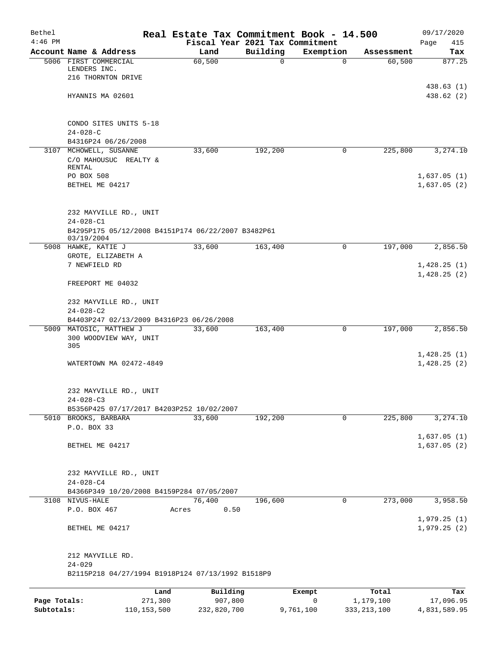| Bethel       |                                                    | Real Estate Tax Commitment Book - 14.500 |                                 |             |               | 09/17/2020                 |
|--------------|----------------------------------------------------|------------------------------------------|---------------------------------|-------------|---------------|----------------------------|
| $4:46$ PM    |                                                    |                                          | Fiscal Year 2021 Tax Commitment |             |               | Page<br>415                |
|              | Account Name & Address                             | Land<br>60,500                           | Building                        | Exemption   | Assessment    | Tax<br>877.25              |
|              | 5006 FIRST COMMERCIAL<br>LENDERS INC.              |                                          | 0                               | $\mathbf 0$ | 60,500        |                            |
|              | 216 THORNTON DRIVE                                 |                                          |                                 |             |               |                            |
|              |                                                    |                                          |                                 |             |               | 438.63(1)                  |
|              | HYANNIS MA 02601                                   |                                          |                                 |             |               | 438.62 (2)                 |
|              |                                                    |                                          |                                 |             |               |                            |
|              |                                                    |                                          |                                 |             |               |                            |
|              | CONDO SITES UNITS 5-18                             |                                          |                                 |             |               |                            |
|              | $24 - 028 - C$                                     |                                          |                                 |             |               |                            |
|              | B4316P24 06/26/2008<br>3107 MCHOWELL, SUSANNE      | 33,600                                   | 192,200                         | $\mathbf 0$ | 225,800       | 3,274.10                   |
|              | C/O MAHOUSUC REALTY &                              |                                          |                                 |             |               |                            |
|              | RENTAL                                             |                                          |                                 |             |               |                            |
|              | PO BOX 508                                         |                                          |                                 |             |               | 1,637.05(1)                |
|              | BETHEL ME 04217                                    |                                          |                                 |             |               | 1,637.05(2)                |
|              |                                                    |                                          |                                 |             |               |                            |
|              |                                                    |                                          |                                 |             |               |                            |
|              | 232 MAYVILLE RD., UNIT<br>$24 - 028 - C1$          |                                          |                                 |             |               |                            |
|              | B4295P175 05/12/2008 B4151P174 06/22/2007 B3482P61 |                                          |                                 |             |               |                            |
|              | 03/19/2004                                         |                                          |                                 |             |               |                            |
|              | 5008 HAWKE, KATIE J                                | 33,600                                   | 163,400                         | 0           | 197,000       | 2,856.50                   |
|              | GROTE, ELIZABETH A                                 |                                          |                                 |             |               |                            |
|              | 7 NEWFIELD RD                                      |                                          |                                 |             |               | 1,428.25(1)                |
|              | FREEPORT ME 04032                                  |                                          |                                 |             |               | 1,428.25(2)                |
|              |                                                    |                                          |                                 |             |               |                            |
|              | 232 MAYVILLE RD., UNIT                             |                                          |                                 |             |               |                            |
|              | $24 - 028 - C2$                                    |                                          |                                 |             |               |                            |
|              | B4403P247 02/13/2009 B4316P23 06/26/2008           |                                          |                                 |             |               |                            |
|              | 5009 MATOSIC, MATTHEW J                            | 33,600                                   | 163,400                         | 0           | 197,000       | 2,856.50                   |
|              | 300 WOODVIEW WAY, UNIT                             |                                          |                                 |             |               |                            |
|              | 305                                                |                                          |                                 |             |               | 1,428.25(1)                |
|              | WATERTOWN MA 02472-4849                            |                                          |                                 |             |               | 1,428.25(2)                |
|              |                                                    |                                          |                                 |             |               |                            |
|              |                                                    |                                          |                                 |             |               |                            |
|              | 232 MAYVILLE RD., UNIT                             |                                          |                                 |             |               |                            |
|              | $24 - 028 - C3$                                    |                                          |                                 |             |               |                            |
|              | B5356P425 07/17/2017 B4203P252 10/02/2007          |                                          |                                 |             |               |                            |
|              | 5010 BROOKS, BARBARA                               | 33,600                                   | 192,200                         | $\mathbf 0$ | 225,800       | 3,274.10                   |
|              | P.O. BOX 33                                        |                                          |                                 |             |               |                            |
|              | BETHEL ME 04217                                    |                                          |                                 |             |               | 1,637.05(1)<br>1,637.05(2) |
|              |                                                    |                                          |                                 |             |               |                            |
|              |                                                    |                                          |                                 |             |               |                            |
|              | 232 MAYVILLE RD., UNIT                             |                                          |                                 |             |               |                            |
|              | $24 - 028 - C4$                                    |                                          |                                 |             |               |                            |
|              | B4366P349 10/20/2008 B4159P284 07/05/2007          |                                          |                                 |             |               |                            |
|              | 3108 NIVUS-HALE                                    | 76,400                                   | 196,600                         | $\mathbf 0$ | 273,000       | 3,958.50                   |
|              | P.O. BOX 467                                       | 0.50<br>Acres                            |                                 |             |               |                            |
|              |                                                    |                                          |                                 |             |               | 1,979.25(1)                |
|              | BETHEL ME 04217                                    |                                          |                                 |             |               | 1,979.25(2)                |
|              |                                                    |                                          |                                 |             |               |                            |
|              | 212 MAYVILLE RD.                                   |                                          |                                 |             |               |                            |
|              | $24 - 029$                                         |                                          |                                 |             |               |                            |
|              | B2115P218 04/27/1994 B1918P124 07/13/1992 B1518P9  |                                          |                                 |             |               |                            |
|              |                                                    | Building<br>Land                         |                                 | Exempt      | Total         | Tax                        |
| Page Totals: | 271,300                                            | 907,800                                  |                                 | 0           | 1,179,100     | 17,096.95                  |
| Subtotals:   | 110, 153, 500                                      | 232,820,700                              |                                 | 9,761,100   | 333, 213, 100 | 4,831,589.95               |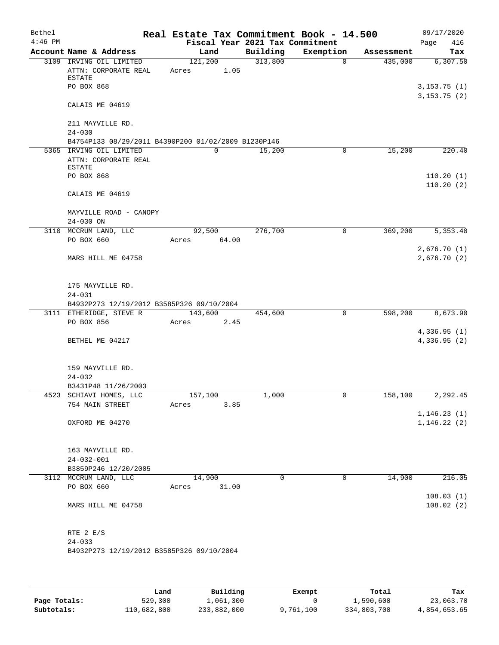| Bethel    |                                                     |         |             | Real Estate Tax Commitment Book - 14.500 |             |            | 09/17/2020   |
|-----------|-----------------------------------------------------|---------|-------------|------------------------------------------|-------------|------------|--------------|
| $4:46$ PM |                                                     |         |             | Fiscal Year 2021 Tax Commitment          |             |            | 416<br>Page  |
|           | Account Name & Address                              |         | Land        | Building                                 | Exemption   | Assessment | Tax          |
|           | 3109 IRVING OIL LIMITED                             |         | 121,200     | 313,800                                  | $\Omega$    | 435,000    | 6,307.50     |
|           | ATTN: CORPORATE REAL                                | Acres   | 1.05        |                                          |             |            |              |
|           | ESTATE<br>PO BOX 868                                |         |             |                                          |             |            | 3, 153.75(1) |
|           |                                                     |         |             |                                          |             |            | 3, 153.75(2) |
|           | CALAIS ME 04619                                     |         |             |                                          |             |            |              |
|           | 211 MAYVILLE RD.                                    |         |             |                                          |             |            |              |
|           | $24 - 030$                                          |         |             |                                          |             |            |              |
|           | B4754P133 08/29/2011 B4390P200 01/02/2009 B1230P146 |         |             |                                          |             |            |              |
|           | 5365 IRVING OIL LIMITED                             |         | $\mathbf 0$ | 15,200                                   | 0           | 15,200     | 220.40       |
|           | ATTN: CORPORATE REAL                                |         |             |                                          |             |            |              |
|           | ESTATE                                              |         |             |                                          |             |            |              |
|           | PO BOX 868                                          |         |             |                                          |             |            | 110.20(1)    |
|           | CALAIS ME 04619                                     |         |             |                                          |             |            | 110.20(2)    |
|           | MAYVILLE ROAD - CANOPY                              |         |             |                                          |             |            |              |
|           | $24 - 030$ ON                                       |         |             |                                          |             |            |              |
|           | 3110 MCCRUM LAND, LLC                               |         | 92,500      | 276,700                                  | $\mathbf 0$ | 369,200    | 5,353.40     |
|           | PO BOX 660                                          | Acres   | 64.00       |                                          |             |            |              |
|           |                                                     |         |             |                                          |             |            | 2,676.70(1)  |
|           | MARS HILL ME 04758                                  |         |             |                                          |             |            | 2,676.70(2)  |
|           |                                                     |         |             |                                          |             |            |              |
|           | 175 MAYVILLE RD.                                    |         |             |                                          |             |            |              |
|           | $24 - 031$                                          |         |             |                                          |             |            |              |
|           | B4932P273 12/19/2012 B3585P326 09/10/2004           |         |             |                                          |             |            |              |
|           | 3111 ETHERIDGE, STEVE R                             |         | 143,600     | 454,600                                  | $\mathbf 0$ | 598,200    | 8,673.90     |
|           | PO BOX 856                                          | Acres   | 2.45        |                                          |             |            |              |
|           |                                                     |         |             |                                          |             |            | 4,336.95(1)  |
|           | BETHEL ME 04217                                     |         |             |                                          |             |            | 4,336.95(2)  |
|           | 159 MAYVILLE RD.                                    |         |             |                                          |             |            |              |
|           | $24 - 032$                                          |         |             |                                          |             |            |              |
|           | B3431P48 11/26/2003                                 |         |             |                                          |             |            |              |
|           | 4523 SCHIAVI HOMES, LLC                             | 157,100 |             | 1,000                                    | $\cup$      | 158, 100   | 2,292.45     |
|           | 754 MAIN STREET                                     | Acres   | 3.85        |                                          |             |            |              |
|           |                                                     |         |             |                                          |             |            | 1, 146.23(1) |
|           | OXFORD ME 04270                                     |         |             |                                          |             |            | 1, 146.22(2) |
|           |                                                     |         |             |                                          |             |            |              |
|           | 163 MAYVILLE RD.                                    |         |             |                                          |             |            |              |
|           | $24 - 032 - 001$                                    |         |             |                                          |             |            |              |
|           | B3859P246 12/20/2005                                |         |             |                                          |             |            |              |
|           | 3112 MCCRUM LAND, LLC                               |         | 14,900      | $\Omega$                                 | $\Omega$    | 14,900     | 216.05       |
|           | PO BOX 660                                          | Acres   | 31.00       |                                          |             |            |              |
|           |                                                     |         |             |                                          |             |            | 108.03(1)    |
|           | MARS HILL ME 04758                                  |         |             |                                          |             |            | 108.02(2)    |
|           |                                                     |         |             |                                          |             |            |              |
|           | RTE 2 E/S                                           |         |             |                                          |             |            |              |
|           | $24 - 033$                                          |         |             |                                          |             |            |              |
|           | B4932P273 12/19/2012 B3585P326 09/10/2004           |         |             |                                          |             |            |              |
|           |                                                     |         |             |                                          |             |            |              |
|           |                                                     |         |             |                                          |             |            |              |

|              | Land        | Building    | Exempt    | Total       | Tax          |
|--------------|-------------|-------------|-----------|-------------|--------------|
| Page Totals: | 529,300     | 1,061,300   |           | 1,590,600   | 23,063.70    |
| Subtotals:   | 110,682,800 | 233,882,000 | 9,761,100 | 334,803,700 | 4,854,653.65 |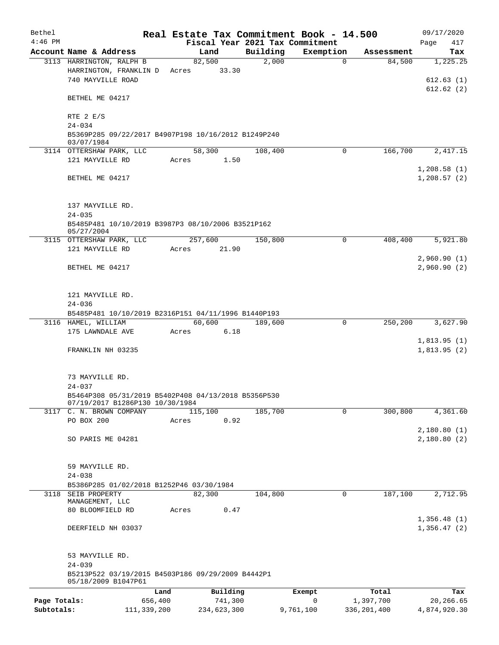| Bethel       |                                                                            | Real Estate Tax Commitment Book - 14.500 |          |                |               | 09/17/2020   |  |  |  |  |
|--------------|----------------------------------------------------------------------------|------------------------------------------|----------|----------------|---------------|--------------|--|--|--|--|
| $4:46$ PM    |                                                                            | Fiscal Year 2021 Tax Commitment          |          |                |               | 417<br>Page  |  |  |  |  |
|              | Account Name & Address                                                     | Land                                     | Building | Exemption      | Assessment    | Tax          |  |  |  |  |
|              | 3113 HARRINGTON, RALPH B                                                   | 82,500<br>Acres 33.30                    | 2,000    | $\overline{0}$ | 84,500        | 1,225.25     |  |  |  |  |
|              | HARRINGTON, FRANKLIN D<br>740 MAYVILLE ROAD                                |                                          |          |                |               | 612.63(1)    |  |  |  |  |
|              |                                                                            |                                          |          |                |               | 612.62(2)    |  |  |  |  |
|              | BETHEL ME 04217                                                            |                                          |          |                |               |              |  |  |  |  |
|              | RTE 2 E/S                                                                  |                                          |          |                |               |              |  |  |  |  |
|              | $24 - 034$                                                                 |                                          |          |                |               |              |  |  |  |  |
|              | B5369P285 09/22/2017 B4907P198 10/16/2012 B1249P240                        |                                          |          |                |               |              |  |  |  |  |
|              | 03/07/1984                                                                 |                                          |          |                |               |              |  |  |  |  |
|              | 3114 OTTERSHAW PARK, LLC                                                   | 58,300                                   | 108,400  | $\Omega$       | 166,700       | 2,417.15     |  |  |  |  |
|              | 121 MAYVILLE RD                                                            | 1.50<br>Acres                            |          |                |               |              |  |  |  |  |
|              |                                                                            |                                          |          |                |               | 1,208.58(1)  |  |  |  |  |
|              | BETHEL ME 04217                                                            |                                          |          |                |               | 1,208.57(2)  |  |  |  |  |
|              |                                                                            |                                          |          |                |               |              |  |  |  |  |
|              | 137 MAYVILLE RD.                                                           |                                          |          |                |               |              |  |  |  |  |
|              | $24 - 035$                                                                 |                                          |          |                |               |              |  |  |  |  |
|              | B5485P481 10/10/2019 B3987P3 08/10/2006 B3521P162                          |                                          |          |                |               |              |  |  |  |  |
|              | 05/27/2004                                                                 |                                          |          |                |               |              |  |  |  |  |
|              | 3115 OTTERSHAW PARK, LLC                                                   | 257,600                                  | 150,800  | 0              | 408,400       | 5,921.80     |  |  |  |  |
|              | 121 MAYVILLE RD                                                            | Acres 21.90                              |          |                |               |              |  |  |  |  |
|              |                                                                            |                                          |          |                |               | 2,960.90(1)  |  |  |  |  |
|              | BETHEL ME 04217                                                            |                                          |          |                |               | 2,960.90(2)  |  |  |  |  |
|              |                                                                            |                                          |          |                |               |              |  |  |  |  |
|              |                                                                            |                                          |          |                |               |              |  |  |  |  |
|              | 121 MAYVILLE RD.                                                           |                                          |          |                |               |              |  |  |  |  |
|              | $24 - 036$                                                                 |                                          |          |                |               |              |  |  |  |  |
|              | B5485P481 10/10/2019 B2316P151 04/11/1996 B1440P193<br>3116 HAMEL, WILLIAM | 60,600                                   | 189,600  | $\mathbf 0$    | 250,200       | 3,627.90     |  |  |  |  |
|              | 175 LAWNDALE AVE                                                           | 6.18<br>Acres                            |          |                |               |              |  |  |  |  |
|              |                                                                            |                                          |          |                |               | 1,813.95(1)  |  |  |  |  |
|              | FRANKLIN NH 03235                                                          |                                          |          |                |               | 1,813.95(2)  |  |  |  |  |
|              |                                                                            |                                          |          |                |               |              |  |  |  |  |
|              |                                                                            |                                          |          |                |               |              |  |  |  |  |
|              | 73 MAYVILLE RD.                                                            |                                          |          |                |               |              |  |  |  |  |
|              | $24 - 037$                                                                 |                                          |          |                |               |              |  |  |  |  |
|              | B5464P308 05/31/2019 B5402P408 04/13/2018 B5356P530                        |                                          |          |                |               |              |  |  |  |  |
|              | 07/19/2017 B1286P130 10/30/1984<br>3117 C. N. BROWN COMPANY                | 115,100                                  | 185,700  | $\Omega$       | 300,800       | 4,361.60     |  |  |  |  |
|              | PO BOX 200                                                                 | 0.92<br>Acres                            |          |                |               |              |  |  |  |  |
|              |                                                                            |                                          |          |                |               | 2,180.80(1)  |  |  |  |  |
|              | SO PARIS ME 04281                                                          |                                          |          |                |               | 2,180.80(2)  |  |  |  |  |
|              |                                                                            |                                          |          |                |               |              |  |  |  |  |
|              |                                                                            |                                          |          |                |               |              |  |  |  |  |
|              | 59 MAYVILLE RD.                                                            |                                          |          |                |               |              |  |  |  |  |
|              | $24 - 038$                                                                 |                                          |          |                |               |              |  |  |  |  |
|              | B5386P285 01/02/2018 B1252P46 03/30/1984                                   |                                          |          |                |               |              |  |  |  |  |
|              | 3118 SEIB PROPERTY                                                         | 82,300                                   | 104,800  | 0              | 187,100       | 2,712.95     |  |  |  |  |
|              | MANAGEMENT, LLC                                                            | Acres                                    |          |                |               |              |  |  |  |  |
|              | 80 BLOOMFIELD RD                                                           | 0.47                                     |          |                |               | 1,356.48(1)  |  |  |  |  |
|              | DEERFIELD NH 03037                                                         |                                          |          |                |               | 1,356.47(2)  |  |  |  |  |
|              |                                                                            |                                          |          |                |               |              |  |  |  |  |
|              |                                                                            |                                          |          |                |               |              |  |  |  |  |
|              | 53 MAYVILLE RD.                                                            |                                          |          |                |               |              |  |  |  |  |
|              | $24 - 039$                                                                 |                                          |          |                |               |              |  |  |  |  |
|              | B5213P522 03/19/2015 B4503P186 09/29/2009 B4442P1                          |                                          |          |                |               |              |  |  |  |  |
|              | 05/18/2009 B1047P61                                                        |                                          |          |                |               |              |  |  |  |  |
|              | Land                                                                       | Building                                 |          | Exempt         | Total         | Tax          |  |  |  |  |
| Page Totals: | 656,400                                                                    | 741,300                                  |          | $\mathsf{O}$   | 1,397,700     | 20,266.65    |  |  |  |  |
| Subtotals:   | 111, 339, 200                                                              | 234,623,300                              |          | 9,761,100      | 336, 201, 400 | 4,874,920.30 |  |  |  |  |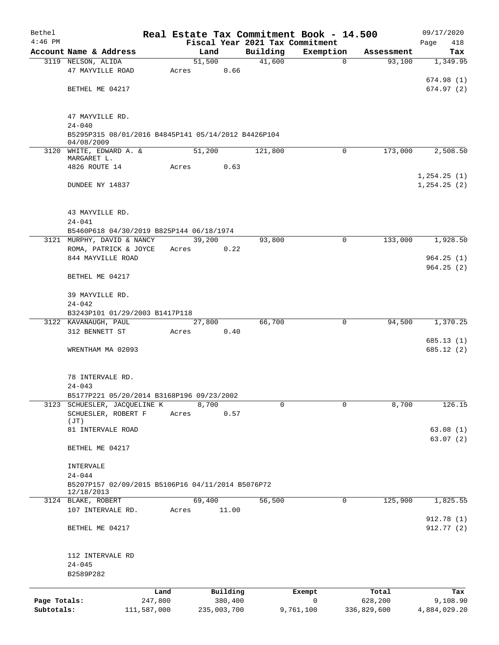| Bethel       |                                                                   |       |                |                                 | Real Estate Tax Commitment Book - 14.500 |             | 09/17/2020             |
|--------------|-------------------------------------------------------------------|-------|----------------|---------------------------------|------------------------------------------|-------------|------------------------|
| $4:46$ PM    |                                                                   |       |                | Fiscal Year 2021 Tax Commitment |                                          |             | Page<br>418            |
|              | Account Name & Address                                            |       | Land           | Building                        | Exemption                                | Assessment  | Tax                    |
|              | 3119 NELSON, ALIDA                                                |       | 51,500<br>0.66 | 41,600                          | $\Omega$                                 | 93,100      | 1,349.95               |
|              | 47 MAYVILLE ROAD                                                  | Acres |                |                                 |                                          |             | 674.98(1)              |
|              | BETHEL ME 04217                                                   |       |                |                                 |                                          |             | 674.97(2)              |
|              |                                                                   |       |                |                                 |                                          |             |                        |
|              | 47 MAYVILLE RD.                                                   |       |                |                                 |                                          |             |                        |
|              | $24 - 040$                                                        |       |                |                                 |                                          |             |                        |
|              | B5295P315 08/01/2016 B4845P141 05/14/2012 B4426P104<br>04/08/2009 |       |                |                                 |                                          |             |                        |
|              | 3120 WHITE, EDWARD A. &                                           |       | 51,200         | 121,800                         | $\Omega$                                 | 173,000     | 2,508.50               |
|              | MARGARET L.                                                       |       |                |                                 |                                          |             |                        |
|              | 4826 ROUTE 14                                                     | Acres | 0.63           |                                 |                                          |             |                        |
|              |                                                                   |       |                |                                 |                                          |             | 1, 254.25(1)           |
|              | DUNDEE NY 14837                                                   |       |                |                                 |                                          |             | 1, 254.25 (2)          |
|              | 43 MAYVILLE RD.                                                   |       |                |                                 |                                          |             |                        |
|              | $24 - 041$                                                        |       |                |                                 |                                          |             |                        |
|              | B5460P618 04/30/2019 B825P144 06/18/1974                          |       |                |                                 |                                          |             |                        |
|              | 3121 MURPHY, DAVID & NANCY                                        |       | 39,200         | 93,800                          | $\mathbf 0$                              | 133,000     | 1,928.50               |
|              | ROMA, PATRICK & JOYCE                                             | Acres | 0.22           |                                 |                                          |             |                        |
|              | 844 MAYVILLE ROAD                                                 |       |                |                                 |                                          |             | 964.25(1)              |
|              |                                                                   |       |                |                                 |                                          |             | 964.25(2)              |
|              | BETHEL ME 04217                                                   |       |                |                                 |                                          |             |                        |
|              | 39 MAYVILLE RD.                                                   |       |                |                                 |                                          |             |                        |
|              | $24 - 042$                                                        |       |                |                                 |                                          |             |                        |
|              | B3243P101 01/29/2003 B1417P118                                    |       |                |                                 |                                          |             |                        |
|              | 3122 KAVANAUGH, PAUL                                              |       | 27,800         | 66,700                          | 0                                        | 94,500      | 1,370.25               |
|              | 312 BENNETT ST                                                    | Acres | 0.40           |                                 |                                          |             |                        |
|              | WRENTHAM MA 02093                                                 |       |                |                                 |                                          |             | 685.13(1)<br>685.12(2) |
|              |                                                                   |       |                |                                 |                                          |             |                        |
|              | 78 INTERVALE RD.                                                  |       |                |                                 |                                          |             |                        |
|              | $24 - 043$                                                        |       |                |                                 |                                          |             |                        |
|              | B5177P221 05/20/2014 B3168P196 09/23/2002                         |       |                |                                 |                                          |             |                        |
| 3123         | SCHUESLER, JACQUELINE K                                           |       | 8,700          | 0                               | $\mathbf 0$                              | 8,700       | 126.15                 |
|              | SCHUESLER, ROBERT F                                               | Acres | 0.57           |                                 |                                          |             |                        |
|              | (JT)                                                              |       |                |                                 |                                          |             |                        |
|              | 81 INTERVALE ROAD                                                 |       |                |                                 |                                          |             | 63.08(1)               |
|              | BETHEL ME 04217                                                   |       |                |                                 |                                          |             | 63.07(2)               |
|              | INTERVALE                                                         |       |                |                                 |                                          |             |                        |
|              | $24 - 044$                                                        |       |                |                                 |                                          |             |                        |
|              | B5207P157 02/09/2015 B5106P16 04/11/2014 B5076P72                 |       |                |                                 |                                          |             |                        |
|              | 12/18/2013                                                        |       |                |                                 |                                          |             |                        |
|              | 3124 BLAKE, ROBERT                                                |       | 69,400         | 56,500                          | 0                                        | 125,900     | 1,825.55               |
|              | 107 INTERVALE RD.                                                 | Acres | 11.00          |                                 |                                          |             |                        |
|              |                                                                   |       |                |                                 |                                          |             | 912.78 (1)             |
|              | BETHEL ME 04217                                                   |       |                |                                 |                                          |             | 912.77 (2)             |
|              | 112 INTERVALE RD                                                  |       |                |                                 |                                          |             |                        |
|              | $24 - 045$                                                        |       |                |                                 |                                          |             |                        |
|              | B2589P282                                                         |       |                |                                 |                                          |             |                        |
|              |                                                                   |       |                |                                 |                                          |             |                        |
|              |                                                                   | Land  | Building       |                                 | Exempt                                   | Total       | Tax                    |
| Page Totals: | 247,800                                                           |       | 380,400        |                                 | 0                                        | 628,200     | 9,108.90               |
| Subtotals:   | 111,587,000                                                       |       | 235,003,700    |                                 | 9,761,100                                | 336,829,600 | 4,884,029.20           |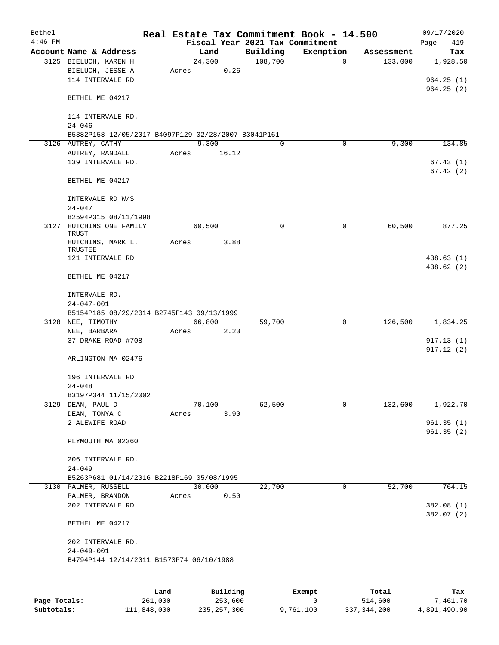| Bethel<br>$4:46$ PM |                                                     |       |        |       | Real Estate Tax Commitment Book - 14.500<br>Fiscal Year 2021 Tax Commitment |              |            | 09/17/2020<br>Page<br>419 |
|---------------------|-----------------------------------------------------|-------|--------|-------|-----------------------------------------------------------------------------|--------------|------------|---------------------------|
|                     | Account Name & Address                              |       | Land   |       | Building                                                                    | Exemption    | Assessment | Tax                       |
|                     | 3125 BIELUCH, KAREN H                               |       | 24,300 |       | 108,700                                                                     | $\mathbf 0$  | 133,000    | 1,928.50                  |
|                     | BIELUCH, JESSE A                                    | Acres |        | 0.26  |                                                                             |              |            |                           |
|                     | 114 INTERVALE RD                                    |       |        |       |                                                                             |              |            | 964.25(1)                 |
|                     |                                                     |       |        |       |                                                                             |              |            | 964.25(2)                 |
|                     | BETHEL ME 04217                                     |       |        |       |                                                                             |              |            |                           |
|                     | 114 INTERVALE RD.                                   |       |        |       |                                                                             |              |            |                           |
|                     | $24 - 046$                                          |       |        |       |                                                                             |              |            |                           |
|                     | B5382P158 12/05/2017 B4097P129 02/28/2007 B3041P161 |       |        |       |                                                                             |              |            |                           |
|                     | 3126 AUTREY, CATHY                                  |       | 9,300  |       | $\Omega$                                                                    | 0            | 9,300      | 134.85                    |
|                     | ${\tt AUTREV}$ , ${\tt RANDALL}$                    | Acres |        | 16.12 |                                                                             |              |            |                           |
|                     | 139 INTERVALE RD.                                   |       |        |       |                                                                             |              |            | 67.43(1)                  |
|                     |                                                     |       |        |       |                                                                             |              |            | 67.42(2)                  |
|                     | BETHEL ME 04217                                     |       |        |       |                                                                             |              |            |                           |
|                     |                                                     |       |        |       |                                                                             |              |            |                           |
|                     | INTERVALE RD W/S                                    |       |        |       |                                                                             |              |            |                           |
|                     | $24 - 047$                                          |       |        |       |                                                                             |              |            |                           |
|                     | B2594P315 08/11/1998<br>3127 HUTCHINS ONE FAMILY    |       | 60,500 |       | $\mathbf 0$                                                                 | 0            | 60,500     | 877.25                    |
|                     | TRUST                                               |       |        |       |                                                                             |              |            |                           |
|                     | HUTCHINS, MARK L.<br>TRUSTEE                        | Acres |        | 3.88  |                                                                             |              |            |                           |
|                     | 121 INTERVALE RD                                    |       |        |       |                                                                             |              |            | 438.63(1)                 |
|                     |                                                     |       |        |       |                                                                             |              |            | 438.62 (2)                |
|                     | BETHEL ME 04217                                     |       |        |       |                                                                             |              |            |                           |
|                     | INTERVALE RD.                                       |       |        |       |                                                                             |              |            |                           |
|                     | $24 - 047 - 001$                                    |       |        |       |                                                                             |              |            |                           |
|                     | B5154P185 08/29/2014 B2745P143 09/13/1999           |       |        |       |                                                                             |              |            |                           |
|                     | 3128 NEE, TIMOTHY                                   |       | 66,800 |       | 59,700                                                                      | 0            | 126,500    | 1,834.25                  |
|                     | NEE, BARBARA                                        | Acres |        | 2.23  |                                                                             |              |            |                           |
|                     | 37 DRAKE ROAD #708                                  |       |        |       |                                                                             |              |            | 917.13(1)                 |
|                     |                                                     |       |        |       |                                                                             |              |            | 917.12(2)                 |
|                     | ARLINGTON MA 02476                                  |       |        |       |                                                                             |              |            |                           |
|                     | 196 INTERVALE RD                                    |       |        |       |                                                                             |              |            |                           |
|                     | $24 - 048$                                          |       |        |       |                                                                             |              |            |                           |
|                     | B3197P344 11/15/2002                                |       |        |       |                                                                             |              |            |                           |
|                     | 3129 DEAN, PAUL D                                   |       | 70,100 |       | 62,500                                                                      | 0            | 132,600    | 1,922.70                  |
|                     | DEAN, TONYA C                                       | Acres |        | 3.90  |                                                                             |              |            |                           |
|                     | 2 ALEWIFE ROAD                                      |       |        |       |                                                                             |              |            | 961.35(1)                 |
|                     |                                                     |       |        |       |                                                                             |              |            | 961.35(2)                 |
|                     | PLYMOUTH MA 02360                                   |       |        |       |                                                                             |              |            |                           |
|                     |                                                     |       |        |       |                                                                             |              |            |                           |
|                     | 206 INTERVALE RD.                                   |       |        |       |                                                                             |              |            |                           |
|                     | $24 - 049$                                          |       |        |       |                                                                             |              |            |                           |
|                     | B5263P681 01/14/2016 B2218P169 05/08/1995           |       |        |       |                                                                             |              |            |                           |
|                     | 3130 PALMER, RUSSELL                                |       | 30,000 |       | 22,700                                                                      | $\mathsf{O}$ | 52,700     | 764.15                    |
|                     | PALMER, BRANDON                                     |       | Acres  | 0.50  |                                                                             |              |            |                           |
|                     | 202 INTERVALE RD                                    |       |        |       |                                                                             |              |            | 382.08 (1)                |
|                     |                                                     |       |        |       |                                                                             |              |            | 382.07 (2)                |
|                     | BETHEL ME 04217                                     |       |        |       |                                                                             |              |            |                           |
|                     | 202 INTERVALE RD.                                   |       |        |       |                                                                             |              |            |                           |
|                     |                                                     |       |        |       |                                                                             |              |            |                           |
|                     | $24 - 049 - 001$                                    |       |        |       |                                                                             |              |            |                           |
|                     | B4794P144 12/14/2011 B1573P74 06/10/1988            |       |        |       |                                                                             |              |            |                           |
|                     |                                                     |       |        |       |                                                                             |              |            |                           |
|                     |                                                     |       |        |       |                                                                             |              |            |                           |

|              | Land        | Building    | Exempt    | Total       | Tax          |
|--------------|-------------|-------------|-----------|-------------|--------------|
| Page Totals: | 261,000     | 253,600     |           | 514,600     | 7,461.70     |
| Subtotals:   | 111,848,000 | 235,257,300 | 9,761,100 | 337,344,200 | 4,891,490.90 |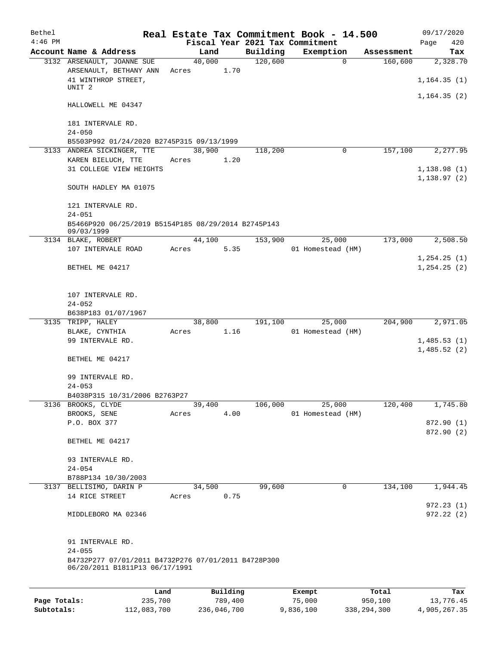| Bethel<br>$4:46$ PM |                                                                                       |       |          |          | Real Estate Tax Commitment Book - 14.500     |            | 09/17/2020                 |
|---------------------|---------------------------------------------------------------------------------------|-------|----------|----------|----------------------------------------------|------------|----------------------------|
|                     | Account Name & Address                                                                |       | Land     | Building | Fiscal Year 2021 Tax Commitment<br>Exemption | Assessment | Page<br>420<br>Tax         |
|                     | 3132 ARSENAULT, JOANNE SUE                                                            |       | 40,000   | 120,600  | $\Omega$                                     | 160,600    | 2,328.70                   |
|                     | ARSENAULT, BETHANY ANN                                                                |       | Acres    | 1.70     |                                              |            |                            |
|                     | 41 WINTHROP STREET,                                                                   |       |          |          |                                              |            | 1, 164.35(1)               |
|                     | UNIT <sub>2</sub>                                                                     |       |          |          |                                              |            | 1, 164.35(2)               |
|                     | HALLOWELL ME 04347                                                                    |       |          |          |                                              |            |                            |
|                     | 181 INTERVALE RD.                                                                     |       |          |          |                                              |            |                            |
|                     | $24 - 050$<br>B5503P992 01/24/2020 B2745P315 09/13/1999                               |       |          |          |                                              |            |                            |
|                     | 3133 ANDREA SICKINGER, TTE                                                            |       | 38,900   | 118,200  | 0                                            | 157,100    | 2,277.95                   |
|                     | KAREN BIELUCH, TTE                                                                    | Acres |          | 1.20     |                                              |            |                            |
|                     | 31 COLLEGE VIEW HEIGHTS                                                               |       |          |          |                                              |            | 1,138.98(1)                |
|                     |                                                                                       |       |          |          |                                              |            | 1, 138.97(2)               |
|                     | SOUTH HADLEY MA 01075                                                                 |       |          |          |                                              |            |                            |
|                     | 121 INTERVALE RD.                                                                     |       |          |          |                                              |            |                            |
|                     | $24 - 051$                                                                            |       |          |          |                                              |            |                            |
|                     | B5466P920 06/25/2019 B5154P185 08/29/2014 B2745P143                                   |       |          |          |                                              |            |                            |
|                     | 09/03/1999<br>3134 BLAKE, ROBERT                                                      |       | 44,100   | 153,900  | 25,000                                       | 173,000    | 2,508.50                   |
|                     | 107 INTERVALE ROAD                                                                    | Acres |          | 5.35     | 01 Homestead (HM)                            |            |                            |
|                     |                                                                                       |       |          |          |                                              |            | 1, 254.25(1)               |
|                     | BETHEL ME 04217                                                                       |       |          |          |                                              |            | 1, 254.25(2)               |
|                     |                                                                                       |       |          |          |                                              |            |                            |
|                     | 107 INTERVALE RD.                                                                     |       |          |          |                                              |            |                            |
|                     | $24 - 052$                                                                            |       |          |          |                                              |            |                            |
|                     | B638P183 01/07/1967                                                                   |       |          |          |                                              |            |                            |
|                     | 3135 TRIPP, HALEY                                                                     |       | 38,800   | 191,100  | 25,000                                       | 204,900    | 2,971.05                   |
|                     | BLAKE, CYNTHIA                                                                        | Acres |          | 1.16     | 01 Homestead (HM)                            |            |                            |
|                     | 99 INTERVALE RD.                                                                      |       |          |          |                                              |            | 1,485.53(1)<br>1,485.52(2) |
|                     | BETHEL ME 04217                                                                       |       |          |          |                                              |            |                            |
|                     |                                                                                       |       |          |          |                                              |            |                            |
|                     | 99 INTERVALE RD.                                                                      |       |          |          |                                              |            |                            |
|                     | $24 - 053$                                                                            |       |          |          |                                              |            |                            |
|                     | B4038P315 10/31/2006 B2763P27<br>3136 BROOKS, CLYDE                                   |       | 39,400   | 106,000  | 25,000                                       | 120,400    | 1,745.80                   |
|                     | BROOKS, SENE                                                                          | Acres |          | 4.00     | 01 Homestead (HM)                            |            |                            |
|                     | P.O. BOX 377                                                                          |       |          |          |                                              |            | 872.90 (1)                 |
|                     |                                                                                       |       |          |          |                                              |            | 872.90 (2)                 |
|                     | BETHEL ME 04217                                                                       |       |          |          |                                              |            |                            |
|                     | 93 INTERVALE RD.                                                                      |       |          |          |                                              |            |                            |
|                     | $24 - 054$                                                                            |       |          |          |                                              |            |                            |
|                     | B788P134 10/30/2003                                                                   |       |          |          |                                              |            |                            |
|                     | 3137 BELLISIMO, DARIN P                                                               |       | 34,500   | 99,600   | $\mathbf 0$                                  | 134,100    | 1,944.45                   |
|                     | 14 RICE STREET                                                                        | Acres |          | 0.75     |                                              |            |                            |
|                     | MIDDLEBORO MA 02346                                                                   |       |          |          |                                              |            | 972.23(1)<br>972.22(2)     |
|                     |                                                                                       |       |          |          |                                              |            |                            |
|                     |                                                                                       |       |          |          |                                              |            |                            |
|                     | 91 INTERVALE RD.                                                                      |       |          |          |                                              |            |                            |
|                     | $24 - 055$                                                                            |       |          |          |                                              |            |                            |
|                     | B4732P277 07/01/2011 B4732P276 07/01/2011 B4728P300<br>06/20/2011 B1811P13 06/17/1991 |       |          |          |                                              |            |                            |
|                     |                                                                                       |       |          |          |                                              |            |                            |
|                     |                                                                                       | Land  | Building |          | Exempt                                       | Total      | Tax                        |

|              | -------     |             | -------   | ------      | ------       |
|--------------|-------------|-------------|-----------|-------------|--------------|
| Page Totals: | 235,700     | 789.400     | 75,000    | 950,100     | 13,776.45    |
| Subtotals:   | 112,083,700 | 236,046,700 | 9,836,100 | 338,294,300 | 4,905,267.35 |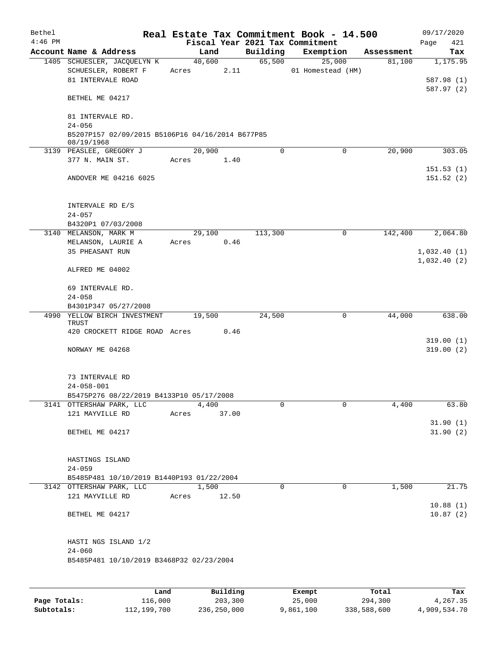| Bethel    |                                                                |       |        |                      |          | Real Estate Tax Commitment Book - 14.500 |         | 09/17/2020           |
|-----------|----------------------------------------------------------------|-------|--------|----------------------|----------|------------------------------------------|---------|----------------------|
| $4:46$ PM |                                                                |       |        |                      |          | Fiscal Year 2021 Tax Commitment          |         | 421<br>Page          |
|           | Account Name & Address                                         |       |        | Land                 |          | Building Exemption Assessment            |         | Tax                  |
|           | 1405 SCHUESLER, JACQUELYN K<br>SCHUESLER, ROBERT F             |       |        | 40,600<br>Acres 2.11 | 65,500   | 25,000<br>01 Homestead (HM)              | 81,100  | 1,175.95             |
|           | 81 INTERVALE ROAD                                              |       |        |                      |          |                                          |         | 587.98 (1)           |
|           |                                                                |       |        |                      |          |                                          |         | 587.97 (2)           |
|           | BETHEL ME 04217                                                |       |        |                      |          |                                          |         |                      |
|           | 81 INTERVALE RD.                                               |       |        |                      |          |                                          |         |                      |
|           | $24 - 056$                                                     |       |        |                      |          |                                          |         |                      |
|           | B5207P157 02/09/2015 B5106P16 04/16/2014 B677P85<br>08/19/1968 |       |        |                      |          |                                          |         |                      |
|           | 3139 PEASLEE, GREGORY J                                        |       | 20,900 |                      | $\Omega$ | $\mathbf 0$                              | 20,900  | 303.05               |
|           | 377 N. MAIN ST.                                                |       |        | Acres 1.40           |          |                                          |         |                      |
|           |                                                                |       |        |                      |          |                                          |         | 151.53(1)            |
|           | ANDOVER ME 04216 6025                                          |       |        |                      |          |                                          |         | 151.52(2)            |
|           | INTERVALE RD E/S                                               |       |        |                      |          |                                          |         |                      |
|           | $24 - 057$                                                     |       |        |                      |          |                                          |         |                      |
|           | B4320P1 07/03/2008                                             |       |        |                      |          |                                          |         |                      |
|           | 3140 MELANSON, MARK M                                          |       |        | 29,100               | 113,300  | $\overline{0}$                           | 142,400 | 2,064.80             |
|           | MELANSON, LAURIE A                                             |       |        | Acres 0.46           |          |                                          |         |                      |
|           | <b>35 PHEASANT RUN</b>                                         |       |        |                      |          |                                          |         | 1,032.40(1)          |
|           | ALFRED ME 04002                                                |       |        |                      |          |                                          |         | 1,032.40(2)          |
|           |                                                                |       |        |                      |          |                                          |         |                      |
|           | 69 INTERVALE RD.                                               |       |        |                      |          |                                          |         |                      |
|           | $24 - 058$                                                     |       |        |                      |          |                                          |         |                      |
|           | B4301P347 05/27/2008<br>4990 YELLOW BIRCH INVESTMENT           |       | 19,500 |                      | 24,500   | $\mathbf 0$                              | 44,000  | 638.00               |
|           | TRUST                                                          |       |        |                      |          |                                          |         |                      |
|           | 420 CROCKETT RIDGE ROAD Acres                                  |       |        | 0.46                 |          |                                          |         |                      |
|           |                                                                |       |        |                      |          |                                          |         | 319.00(1)            |
|           | NORWAY ME 04268                                                |       |        |                      |          |                                          |         | 319.00(2)            |
|           | 73 INTERVALE RD                                                |       |        |                      |          |                                          |         |                      |
|           | $24 - 058 - 001$                                               |       |        |                      |          |                                          |         |                      |
|           | B5475P276 08/22/2019 B4133P10 05/17/2008                       |       |        |                      |          |                                          |         |                      |
|           | 3141 OTTERSHAW PARK, LLC                                       |       |        | 4,400                | 0        | $\Omega$                                 | 4,400   | 63.80                |
|           | 121 MAYVILLE RD                                                | Acres |        | 37.00                |          |                                          |         |                      |
|           |                                                                |       |        |                      |          |                                          |         | 31.90(1)             |
|           | BETHEL ME 04217                                                |       |        |                      |          |                                          |         | 31.90(2)             |
|           | HASTINGS ISLAND                                                |       |        |                      |          |                                          |         |                      |
|           | $24 - 059$                                                     |       |        |                      |          |                                          |         |                      |
|           | B5485P481 10/10/2019 B1440P193 01/22/2004                      |       |        |                      |          |                                          |         |                      |
|           | 3142 OTTERSHAW PARK, LLC                                       |       |        | 1,500                | 0        | 0                                        | 1,500   | 21.75                |
|           | 121 MAYVILLE RD                                                |       |        | Acres 12.50          |          |                                          |         |                      |
|           | BETHEL ME 04217                                                |       |        |                      |          |                                          |         | 10.88(1)<br>10.87(2) |
|           |                                                                |       |        |                      |          |                                          |         |                      |
|           | HASTI NGS ISLAND 1/2                                           |       |        |                      |          |                                          |         |                      |
|           | $24 - 060$                                                     |       |        |                      |          |                                          |         |                      |
|           | B5485P481 10/10/2019 B3468P32 02/23/2004                       |       |        |                      |          |                                          |         |                      |
|           |                                                                |       |        |                      |          |                                          |         |                      |
|           |                                                                |       |        |                      |          |                                          |         |                      |

|              | Land        | Building    | Exempt    | Total       | Tax          |
|--------------|-------------|-------------|-----------|-------------|--------------|
| Page Totals: | 116,000     | 203,300     | 25,000    | 294,300     | 4,267.35     |
| Subtotals:   | 112,199,700 | 236,250,000 | 9,861,100 | 338,588,600 | 4,909,534.70 |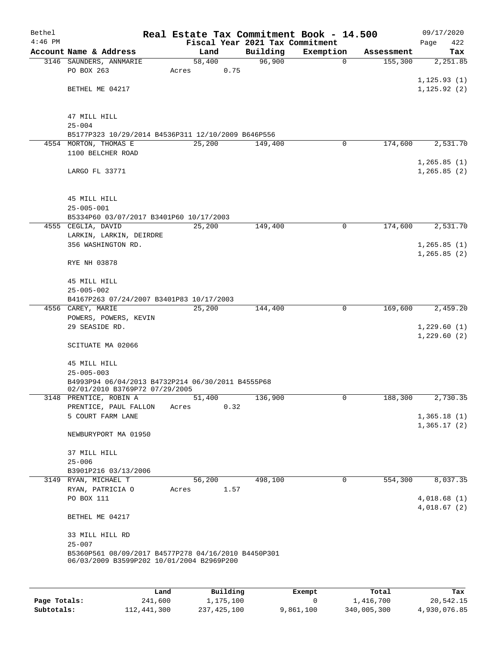| Bethel    |                                                          | Real Estate Tax Commitment Book - 14.500 |                                 |             |            | 09/17/2020                   |
|-----------|----------------------------------------------------------|------------------------------------------|---------------------------------|-------------|------------|------------------------------|
| $4:46$ PM |                                                          |                                          | Fiscal Year 2021 Tax Commitment |             |            | Page<br>422                  |
|           | Account Name & Address                                   | Land                                     | Building                        | Exemption   | Assessment | Tax                          |
|           | 3146 SAUNDERS, ANNMARIE                                  | 58,400                                   | 96,900                          | $\mathbf 0$ | 155,300    | 2,251.85                     |
|           | PO BOX 263                                               | Acres                                    | 0.75                            |             |            |                              |
|           | BETHEL ME 04217                                          |                                          |                                 |             |            | 1, 125.93(1)<br>1, 125.92(2) |
|           |                                                          |                                          |                                 |             |            |                              |
|           | 47 MILL HILL                                             |                                          |                                 |             |            |                              |
|           | $25 - 004$                                               |                                          |                                 |             |            |                              |
|           | B5177P323 10/29/2014 B4536P311 12/10/2009 B646P556       |                                          |                                 |             |            |                              |
|           | 4554 MORTON, THOMAS E                                    | 25,200                                   | 149,400                         | 0           | 174,600    | 2,531.70                     |
|           | 1100 BELCHER ROAD                                        |                                          |                                 |             |            |                              |
|           |                                                          |                                          |                                 |             |            | 1,265.85(1)                  |
|           | LARGO FL 33771                                           |                                          |                                 |             |            | 1, 265.85(2)                 |
|           |                                                          |                                          |                                 |             |            |                              |
|           | 45 MILL HILL                                             |                                          |                                 |             |            |                              |
|           | $25 - 005 - 001$                                         |                                          |                                 |             |            |                              |
|           | B5334P60 03/07/2017 B3401P60 10/17/2003                  |                                          |                                 |             |            |                              |
|           | 4555 CEGLIA, DAVID                                       | 25,200                                   | 149,400                         | 0           | 174,600    | 2,531.70                     |
|           | LARKIN, LARKIN, DEIRDRE                                  |                                          |                                 |             |            |                              |
|           | 356 WASHINGTON RD.                                       |                                          |                                 |             |            | 1, 265.85(1)<br>1, 265.85(2) |
|           | RYE NH 03878                                             |                                          |                                 |             |            |                              |
|           | 45 MILL HILL                                             |                                          |                                 |             |            |                              |
|           | $25 - 005 - 002$                                         |                                          |                                 |             |            |                              |
|           | B4167P263 07/24/2007 B3401P83 10/17/2003                 |                                          |                                 |             |            |                              |
|           | 4556 CAREY, MARIE                                        | 25,200                                   | 144,400                         | 0           | 169,600    | 2,459.20                     |
|           | POWERS, POWERS, KEVIN                                    |                                          |                                 |             |            |                              |
|           | 29 SEASIDE RD.                                           |                                          |                                 |             |            | 1,229.60(1)                  |
|           | SCITUATE MA 02066                                        |                                          |                                 |             |            | 1,229.60(2)                  |
|           |                                                          |                                          |                                 |             |            |                              |
|           | 45 MILL HILL                                             |                                          |                                 |             |            |                              |
|           | $25 - 005 - 003$                                         |                                          |                                 |             |            |                              |
|           | B4993P94 06/04/2013 B4732P214 06/30/2011 B4555P68        |                                          |                                 |             |            |                              |
|           | 02/01/2010 B3769P72 07/29/2005<br>3148 PRENTICE, ROBIN A | 51,400                                   | 136,900                         | 0           | 188,300    | 2,730.35                     |
|           | PRENTICE, PAUL FALLON                                    | Acres                                    | 0.32                            |             |            |                              |
|           | 5 COURT FARM LANE                                        |                                          |                                 |             |            | 1,365.18(1)                  |
|           |                                                          |                                          |                                 |             |            | 1,365.17(2)                  |
|           | NEWBURYPORT MA 01950                                     |                                          |                                 |             |            |                              |
|           | 37 MILL HILL                                             |                                          |                                 |             |            |                              |
|           | $25 - 006$                                               |                                          |                                 |             |            |                              |
|           | B3901P216 03/13/2006                                     |                                          |                                 |             |            |                              |
|           | 3149 RYAN, MICHAEL T                                     | 56,200                                   | 498,100                         | 0           | 554,300    | 8,037.35                     |
|           | RYAN, PATRICIA O                                         | Acres                                    | 1.57                            |             |            |                              |
|           | PO BOX 111                                               |                                          |                                 |             |            | 4,018.68(1)                  |
|           | BETHEL ME 04217                                          |                                          |                                 |             |            | 4,018.67(2)                  |
|           |                                                          |                                          |                                 |             |            |                              |
|           | 33 MILL HILL RD<br>$25 - 007$                            |                                          |                                 |             |            |                              |
|           | B5360P561 08/09/2017 B4577P278 04/16/2010 B4450P301      |                                          |                                 |             |            |                              |
|           | 06/03/2009 B3599P202 10/01/2004 B2969P200                |                                          |                                 |             |            |                              |
|           |                                                          |                                          |                                 |             |            |                              |
|           | <b>Tond</b>                                              | $P_{11}$ ilding                          |                                 | $F$ vomnt   | $T_0 + 1$  | Tou                          |

|              | Land        | Building    | Exempt    | Total       | Tax          |
|--------------|-------------|-------------|-----------|-------------|--------------|
| Page Totals: | 241,600     | 1,175,100   |           | 1,416,700   | 20,542.15    |
| Subtotals:   | 112,441,300 | 237,425,100 | 9,861,100 | 340,005,300 | 4,930,076.85 |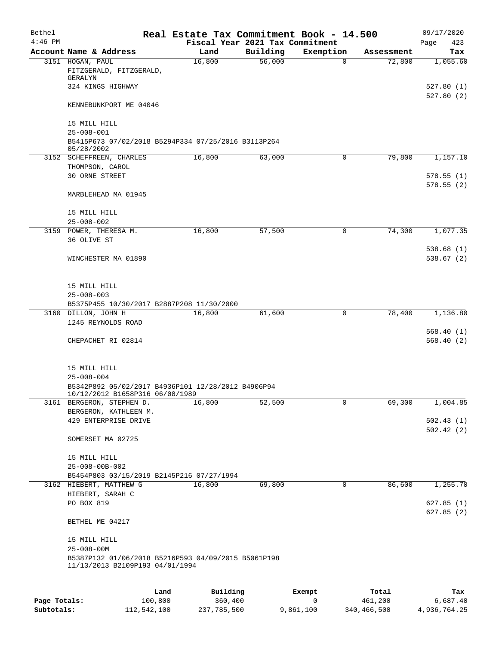| Bethel<br>$4:46$ PM |                                                                                        |      |          |          | Real Estate Tax Commitment Book - 14.500<br>Fiscal Year 2021 Tax Commitment |            | 09/17/2020<br>Page<br>423 |
|---------------------|----------------------------------------------------------------------------------------|------|----------|----------|-----------------------------------------------------------------------------|------------|---------------------------|
|                     | Account Name & Address                                                                 |      | Land     | Building | Exemption                                                                   | Assessment | Tax                       |
|                     | 3151 HOGAN, PAUL<br>FITZGERALD, FITZGERALD,<br>GERALYN                                 |      | 16,800   | 56,000   | $\mathbf 0$                                                                 | 72,800     | 1,055.60                  |
|                     | 324 KINGS HIGHWAY                                                                      |      |          |          |                                                                             |            | 527.80 (1)<br>527.80(2)   |
|                     | KENNEBUNKPORT ME 04046                                                                 |      |          |          |                                                                             |            |                           |
|                     | 15 MILL HILL                                                                           |      |          |          |                                                                             |            |                           |
|                     | $25 - 008 - 001$<br>B5415P673 07/02/2018 B5294P334 07/25/2016 B3113P264<br>05/28/2002  |      |          |          |                                                                             |            |                           |
|                     | 3152 SCHEFFREEN, CHARLES                                                               |      | 16,800   | 63,000   | 0                                                                           | 79,800     | 1,157.10                  |
|                     | THOMPSON, CAROL                                                                        |      |          |          |                                                                             |            |                           |
|                     | <b>30 ORNE STREET</b>                                                                  |      |          |          |                                                                             |            | 578.55(1)<br>578.55(2)    |
|                     | MARBLEHEAD MA 01945                                                                    |      |          |          |                                                                             |            |                           |
|                     | 15 MILL HILL<br>$25 - 008 - 002$                                                       |      |          |          |                                                                             |            |                           |
|                     | 3159 POWER, THERESA M.                                                                 |      | 16,800   | 57,500   | 0                                                                           | 74,300     | 1,077.35                  |
|                     | 36 OLIVE ST                                                                            |      |          |          |                                                                             |            |                           |
|                     |                                                                                        |      |          |          |                                                                             |            | 538.68(1)                 |
|                     | WINCHESTER MA 01890                                                                    |      |          |          |                                                                             |            | 538.67(2)                 |
|                     | 15 MILL HILL                                                                           |      |          |          |                                                                             |            |                           |
|                     | $25 - 008 - 003$                                                                       |      |          |          |                                                                             |            |                           |
|                     | B5375P455 10/30/2017 B2887P208 11/30/2000                                              |      |          |          |                                                                             |            |                           |
|                     | 3160 DILLON, JOHN H<br>1245 REYNOLDS ROAD                                              |      | 16,800   | 61,600   | 0                                                                           | 78,400     | 1,136.80                  |
|                     |                                                                                        |      |          |          |                                                                             |            | 568.40(1)                 |
|                     | CHEPACHET RI 02814                                                                     |      |          |          |                                                                             |            | 568.40(2)                 |
|                     |                                                                                        |      |          |          |                                                                             |            |                           |
|                     | 15 MILL HILL<br>$25 - 008 - 004$                                                       |      |          |          |                                                                             |            |                           |
|                     | B5342P892 05/02/2017 B4936P101 12/28/2012 B4906P94<br>10/12/2012 B1658P316 06/08/1989  |      |          |          |                                                                             |            |                           |
|                     | 3161 BERGERON, STEPHEN D.                                                              |      | 16,800   | 52,500   | 0                                                                           | 69,300     | 1,004.85                  |
|                     | BERGERON, KATHLEEN M.                                                                  |      |          |          |                                                                             |            |                           |
|                     | 429 ENTERPRISE DRIVE                                                                   |      |          |          |                                                                             |            | 502.43(1)                 |
|                     | SOMERSET MA 02725                                                                      |      |          |          |                                                                             |            | 502.42(2)                 |
|                     | 15 MILL HILL                                                                           |      |          |          |                                                                             |            |                           |
|                     | $25 - 008 - 00B - 002$                                                                 |      |          |          |                                                                             |            |                           |
|                     | B5454P803 03/15/2019 B2145P216 07/27/1994                                              |      |          |          |                                                                             |            |                           |
|                     | 3162 HIEBERT, MATTHEW G                                                                |      | 16,800   | 69,800   | 0                                                                           | 86,600     | 1,255.70                  |
|                     | HIEBERT, SARAH C<br>PO BOX 819                                                         |      |          |          |                                                                             |            | 627.85(1)                 |
|                     | BETHEL ME 04217                                                                        |      |          |          |                                                                             |            | 627.85(2)                 |
|                     |                                                                                        |      |          |          |                                                                             |            |                           |
|                     | 15 MILL HILL<br>$25 - 008 - 00M$                                                       |      |          |          |                                                                             |            |                           |
|                     | B5387P132 01/06/2018 B5216P593 04/09/2015 B5061P198<br>11/13/2013 B2109P193 04/01/1994 |      |          |          |                                                                             |            |                           |
|                     |                                                                                        |      |          |          |                                                                             |            |                           |
|                     |                                                                                        | Land | Building |          | Exempt                                                                      | Total      | Tax                       |

| Page Totals: | 100,800     | 360,400     |           | 461,200     | 6,687.40     |
|--------------|-------------|-------------|-----------|-------------|--------------|
| Subtotals:   | 112,542,100 | 237,785,500 | 9,861,100 | 340,466,500 | 4,936,764.25 |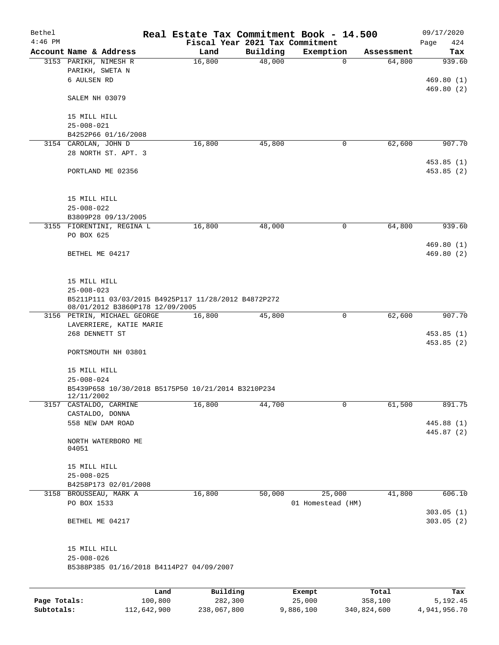| Bethel<br>$4:46$ PM |                                                     | Real Estate Tax Commitment Book - 14.500<br>Fiscal Year 2021 Tax Commitment |          |                   |            | 09/17/2020<br>424<br>Page |
|---------------------|-----------------------------------------------------|-----------------------------------------------------------------------------|----------|-------------------|------------|---------------------------|
|                     | Account Name & Address                              | Land                                                                        | Building | Exemption         | Assessment | Tax                       |
|                     | 3153 PARIKH, NIMESH R                               | 16,800                                                                      | 48,000   | $\mathbf 0$       | 64,800     | 939.60                    |
|                     | PARIKH, SWETA N                                     |                                                                             |          |                   |            |                           |
|                     | 6 AULSEN RD                                         |                                                                             |          |                   |            | 469.80(1)                 |
|                     |                                                     |                                                                             |          |                   |            | 469.80(2)                 |
|                     | SALEM NH 03079                                      |                                                                             |          |                   |            |                           |
|                     | 15 MILL HILL                                        |                                                                             |          |                   |            |                           |
|                     | $25 - 008 - 021$                                    |                                                                             |          |                   |            |                           |
|                     | B4252P66 01/16/2008                                 |                                                                             |          |                   |            |                           |
|                     | 3154 CAROLAN, JOHN D                                | 16,800                                                                      | 45,800   | 0                 | 62,600     | 907.70                    |
|                     | 28 NORTH ST. APT. 3                                 |                                                                             |          |                   |            |                           |
|                     |                                                     |                                                                             |          |                   |            | 453.85(1)                 |
|                     | PORTLAND ME 02356                                   |                                                                             |          |                   |            | 453.85(2)                 |
|                     |                                                     |                                                                             |          |                   |            |                           |
|                     |                                                     |                                                                             |          |                   |            |                           |
|                     | 15 MILL HILL                                        |                                                                             |          |                   |            |                           |
|                     | $25 - 008 - 022$                                    |                                                                             |          |                   |            |                           |
|                     | B3809P28 09/13/2005                                 |                                                                             |          |                   |            |                           |
|                     | 3155 FIORENTINI, REGINA L                           | 16,800                                                                      | 48,000   | 0                 | 64,800     | 939.60                    |
|                     | PO BOX 625                                          |                                                                             |          |                   |            |                           |
|                     |                                                     |                                                                             |          |                   |            | 469.80(1)                 |
|                     | BETHEL ME 04217                                     |                                                                             |          |                   |            | 469.80(2)                 |
|                     |                                                     |                                                                             |          |                   |            |                           |
|                     |                                                     |                                                                             |          |                   |            |                           |
|                     | 15 MILL HILL                                        |                                                                             |          |                   |            |                           |
|                     | $25 - 008 - 023$                                    |                                                                             |          |                   |            |                           |
|                     | B5211P111 03/03/2015 B4925P117 11/28/2012 B4872P272 |                                                                             |          |                   |            |                           |
|                     | 08/01/2012 B3860P178 12/09/2005                     |                                                                             |          |                   |            |                           |
|                     | 3156 PETRIN, MICHAEL GEORGE                         | 16,800                                                                      | 45,800   | 0                 | 62,600     | 907.70                    |
|                     | LAVERRIERE, KATIE MARIE                             |                                                                             |          |                   |            |                           |
|                     | 268 DENNETT ST                                      |                                                                             |          |                   |            | 453.85(1)                 |
|                     |                                                     |                                                                             |          |                   |            | 453.85(2)                 |
|                     | PORTSMOUTH NH 03801                                 |                                                                             |          |                   |            |                           |
|                     | 15 MILL HILL                                        |                                                                             |          |                   |            |                           |
|                     | $25 - 008 - 024$                                    |                                                                             |          |                   |            |                           |
|                     | B5439P658 10/30/2018 B5175P50 10/21/2014 B3210P234  |                                                                             |          |                   |            |                           |
|                     | 12/11/2002                                          |                                                                             |          |                   |            |                           |
|                     | 3157 CASTALDO, CARMINE                              | 16,800                                                                      | 44,700   | 0                 | 61,500     | 891.75                    |
|                     | CASTALDO, DONNA                                     |                                                                             |          |                   |            |                           |
|                     | 558 NEW DAM ROAD                                    |                                                                             |          |                   |            | 445.88 (1)                |
|                     |                                                     |                                                                             |          |                   |            | 445.87 (2)                |
|                     | NORTH WATERBORO ME                                  |                                                                             |          |                   |            |                           |
|                     | 04051                                               |                                                                             |          |                   |            |                           |
|                     |                                                     |                                                                             |          |                   |            |                           |
|                     | 15 MILL HILL                                        |                                                                             |          |                   |            |                           |
|                     | $25 - 008 - 025$                                    |                                                                             |          |                   |            |                           |
|                     | B4258P173 02/01/2008                                |                                                                             |          |                   |            |                           |
|                     | 3158 BROUSSEAU, MARK A                              | 16,800                                                                      | 50,000   | 25,000            | 41,800     | 606.10                    |
|                     | PO BOX 1533                                         |                                                                             |          | 01 Homestead (HM) |            |                           |
|                     |                                                     |                                                                             |          |                   |            | 303.05(1)                 |
|                     | BETHEL ME 04217                                     |                                                                             |          |                   |            | 303.05(2)                 |
|                     |                                                     |                                                                             |          |                   |            |                           |
|                     | 15 MILL HILL                                        |                                                                             |          |                   |            |                           |
|                     | $25 - 008 - 026$                                    |                                                                             |          |                   |            |                           |
|                     | B5388P385 01/16/2018 B4114P27 04/09/2007            |                                                                             |          |                   |            |                           |
|                     |                                                     |                                                                             |          |                   |            |                           |
|                     | Land                                                | Building                                                                    |          | Exempt            | Total      | Tax                       |
| Page Totals:        | 100,800                                             | 282,300                                                                     |          | 25,000            | 358,100    | 5,192.45                  |

**Subtotals:** 112,642,900 238,067,800 9,886,100 340,824,600 4,941,956.70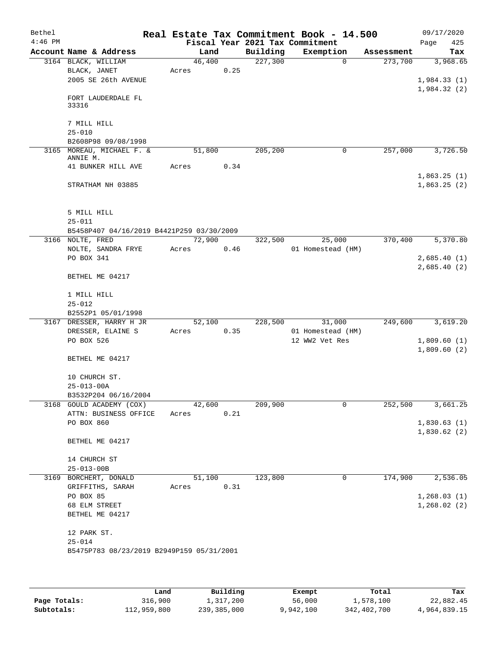| Bethel<br>$4:46$ PM |                                           |        |        |          | Real Estate Tax Commitment Book - 14.500<br>Fiscal Year 2021 Tax Commitment |            | 09/17/2020<br>Page<br>425 |
|---------------------|-------------------------------------------|--------|--------|----------|-----------------------------------------------------------------------------|------------|---------------------------|
|                     | Account Name & Address                    | Land   |        | Building | Exemption                                                                   | Assessment | Tax                       |
|                     | 3164 BLACK, WILLIAM                       | 46,400 |        | 227,300  | $\Omega$                                                                    | 273,700    | 3,968.65                  |
|                     | BLACK, JANET                              | Acres  | 0.25   |          |                                                                             |            |                           |
|                     | 2005 SE 26th AVENUE                       |        |        |          |                                                                             |            | 1,984.33(1)               |
|                     |                                           |        |        |          |                                                                             |            | 1,984.32(2)               |
|                     | FORT LAUDERDALE FL                        |        |        |          |                                                                             |            |                           |
|                     | 33316                                     |        |        |          |                                                                             |            |                           |
|                     | 7 MILL HILL                               |        |        |          |                                                                             |            |                           |
|                     | $25 - 010$                                |        |        |          |                                                                             |            |                           |
|                     | B2608P98 09/08/1998                       |        |        |          |                                                                             |            |                           |
|                     | 3165 MOREAU, MICHAEL F. &                 | 51,800 |        | 205,200  | 0                                                                           | 257,000    | 3,726.50                  |
|                     | ANNIE M.                                  |        |        |          |                                                                             |            |                           |
|                     | 41 BUNKER HILL AVE                        | Acres  | 0.34   |          |                                                                             |            |                           |
|                     |                                           |        |        |          |                                                                             |            | 1,863.25(1)               |
|                     | STRATHAM NH 03885                         |        |        |          |                                                                             |            | 1,863.25(2)               |
|                     |                                           |        |        |          |                                                                             |            |                           |
|                     | 5 MILL HILL                               |        |        |          |                                                                             |            |                           |
|                     | $25 - 011$                                |        |        |          |                                                                             |            |                           |
|                     | B5458P407 04/16/2019 B4421P259 03/30/2009 |        |        |          |                                                                             |            |                           |
|                     | 3166 NOLTE, FRED                          | 72,900 |        | 322,500  | 25,000                                                                      | 370,400    | 5,370.80                  |
|                     | NOLTE, SANDRA FRYE                        | Acres  | 0.46   |          | 01 Homestead (HM)                                                           |            |                           |
|                     | PO BOX 341                                |        |        |          |                                                                             |            | 2,685.40(1)               |
|                     |                                           |        |        |          |                                                                             |            | 2,685.40(2)               |
|                     | BETHEL ME 04217                           |        |        |          |                                                                             |            |                           |
|                     | 1 MILL HILL                               |        |        |          |                                                                             |            |                           |
|                     | $25 - 012$                                |        |        |          |                                                                             |            |                           |
|                     | B2552P1 05/01/1998                        |        |        |          |                                                                             |            |                           |
|                     | 3167 DRESSER, HARRY H JR                  |        | 52,100 | 228,500  | 31,000                                                                      | 249,600    | 3,619.20                  |
|                     | DRESSER, ELAINE S                         | Acres  | 0.35   |          | 01 Homestead (HM)                                                           |            |                           |
|                     | PO BOX 526                                |        |        |          | 12 WW2 Vet Res                                                              |            | 1,809.60(1)               |
|                     |                                           |        |        |          |                                                                             |            | 1,809.60(2)               |
|                     | BETHEL ME 04217                           |        |        |          |                                                                             |            |                           |
|                     |                                           |        |        |          |                                                                             |            |                           |
|                     | 10 CHURCH ST.<br>$25 - 013 - 00A$         |        |        |          |                                                                             |            |                           |
|                     | B3532P204 06/16/2004                      |        |        |          |                                                                             |            |                           |
|                     | 3168 GOULD ACADEMY (COX)                  | 42,600 |        | 209,900  | 0                                                                           | 252,500    | 3,661.25                  |
|                     | ATTN: BUSINESS OFFICE                     | Acres  | 0.21   |          |                                                                             |            |                           |
|                     | PO BOX 860                                |        |        |          |                                                                             |            | 1,830.63(1)               |
|                     |                                           |        |        |          |                                                                             |            | 1,830.62(2)               |
|                     | BETHEL ME 04217                           |        |        |          |                                                                             |            |                           |
|                     |                                           |        |        |          |                                                                             |            |                           |
|                     | 14 CHURCH ST                              |        |        |          |                                                                             |            |                           |
|                     | $25 - 013 - 00B$                          |        |        |          |                                                                             | 174,900    |                           |
|                     | 3169 BORCHERT, DONALD<br>GRIFFITHS, SARAH | 51,100 | 0.31   | 123,800  | 0                                                                           |            | 2,536.05                  |
|                     | PO BOX 85                                 | Acres  |        |          |                                                                             |            | 1,268.03(1)               |
|                     | 68 ELM STREET                             |        |        |          |                                                                             |            | 1,268.02(2)               |
|                     | BETHEL ME 04217                           |        |        |          |                                                                             |            |                           |
|                     |                                           |        |        |          |                                                                             |            |                           |
|                     | 12 PARK ST.                               |        |        |          |                                                                             |            |                           |
|                     | $25 - 014$                                |        |        |          |                                                                             |            |                           |
|                     | B5475P783 08/23/2019 B2949P159 05/31/2001 |        |        |          |                                                                             |            |                           |
|                     |                                           |        |        |          |                                                                             |            |                           |
|                     |                                           |        |        |          |                                                                             |            |                           |
|                     |                                           |        |        |          |                                                                             |            |                           |

|              | Land        | Building    | Exempt    | Total       | Tax          |
|--------------|-------------|-------------|-----------|-------------|--------------|
| Page Totals: | 316,900     | 1,317,200   | 56,000    | 1,578,100   | 22,882.45    |
| Subtotals:   | 112,959,800 | 239,385,000 | 9,942,100 | 342,402,700 | 4,964,839.15 |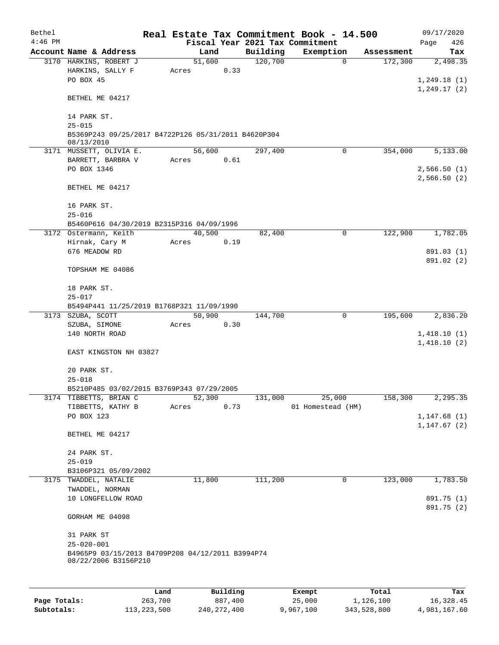| Bethel    |                                                                                              |       |                |          |                     | Real Estate Tax Commitment Book - 14.500 |                                      | 09/17/2020                  |  |
|-----------|----------------------------------------------------------------------------------------------|-------|----------------|----------|---------------------|------------------------------------------|--------------------------------------|-----------------------------|--|
| $4:46$ PM |                                                                                              |       |                |          |                     | Fiscal Year 2021 Tax Commitment          |                                      | Page<br>426                 |  |
|           | Account Name & Address                                                                       |       | Land<br>51,600 |          | Building<br>120,700 | Exemption                                | Assessment<br>$\mathbf 0$<br>172,300 | Tax<br>2,498.35             |  |
|           | 3170 HARKINS, ROBERT J<br>HARKINS, SALLY F<br>PO BOX 45                                      | Acres |                | 0.33     |                     |                                          |                                      | 1, 249.18(1)                |  |
|           | BETHEL ME 04217                                                                              |       |                |          |                     |                                          |                                      | 1, 249.17(2)                |  |
|           | 14 PARK ST.<br>$25 - 015$                                                                    |       |                |          |                     |                                          |                                      |                             |  |
|           | B5369P243 09/25/2017 B4722P126 05/31/2011 B4620P304<br>08/13/2010                            |       |                |          |                     |                                          |                                      |                             |  |
|           | 3171 MUSSETT, OLIVIA E.                                                                      |       | 56,600         |          | 297,400             |                                          | 0<br>354,000                         | 5,133.00                    |  |
|           | BARRETT, BARBRA V<br>PO BOX 1346                                                             | Acres |                | 0.61     |                     |                                          |                                      | 2,566.50(1)                 |  |
|           | BETHEL ME 04217                                                                              |       |                |          |                     |                                          |                                      | 2,566.50(2)                 |  |
|           | 16 PARK ST.<br>$25 - 016$                                                                    |       |                |          |                     |                                          |                                      |                             |  |
|           | B5460P616 04/30/2019 B2315P316 04/09/1996                                                    |       |                |          |                     |                                          |                                      |                             |  |
|           | 3172 Ostermann, Keith                                                                        |       | 40,500         |          | 82,400              |                                          | $\mathbf 0$<br>122,900               | 1,782.05                    |  |
|           | Hirnak, Cary M                                                                               | Acres |                | 0.19     |                     |                                          |                                      |                             |  |
|           | 676 MEADOW RD                                                                                |       |                |          |                     |                                          |                                      | 891.03 (1)                  |  |
|           | TOPSHAM ME 04086                                                                             |       |                |          |                     |                                          |                                      | 891.02 (2)                  |  |
|           | 18 PARK ST.<br>$25 - 017$                                                                    |       |                |          |                     |                                          |                                      |                             |  |
|           | B5494P441 11/25/2019 B1768P321 11/09/1990                                                    |       |                |          |                     |                                          |                                      |                             |  |
|           | 3173 SZUBA, SCOTT                                                                            |       | 50,900         |          | 144,700             |                                          | 0<br>195,600                         | 2,836.20                    |  |
|           | SZUBA, SIMONE                                                                                | Acres |                | 0.30     |                     |                                          |                                      |                             |  |
|           | 140 NORTH ROAD                                                                               |       |                |          |                     |                                          |                                      | 1,418.10(1)                 |  |
|           | EAST KINGSTON NH 03827                                                                       |       |                |          |                     |                                          |                                      | 1,418.10(2)                 |  |
|           | 20 PARK ST.                                                                                  |       |                |          |                     |                                          |                                      |                             |  |
|           | $25 - 018$                                                                                   |       |                |          |                     |                                          |                                      |                             |  |
|           | B5210P485 03/02/2015 B3769P343 07/29/2005                                                    |       |                |          |                     |                                          |                                      |                             |  |
|           | 3174 TIBBETTS, BRIAN C                                                                       |       | 52,300         |          | 131,000             | 25,000                                   | 158,300                              | 2,295.35                    |  |
|           | TIBBETTS, KATHY B                                                                            | Acres |                | 0.73     |                     | 01 Homestead (HM)                        |                                      |                             |  |
|           | PO BOX 123                                                                                   |       |                |          |                     |                                          |                                      | 1, 147.68(1)<br>1,147.67(2) |  |
|           | BETHEL ME 04217                                                                              |       |                |          |                     |                                          |                                      |                             |  |
|           | 24 PARK ST.<br>$25 - 019$                                                                    |       |                |          |                     |                                          |                                      |                             |  |
|           | B3106P321 05/09/2002                                                                         |       |                |          |                     |                                          |                                      |                             |  |
|           | 3175 TWADDEL, NATALIE                                                                        |       | 11,800         |          | 111,200             |                                          | 123,000<br>0                         | 1,783.50                    |  |
|           | TWADDEL, NORMAN                                                                              |       |                |          |                     |                                          |                                      |                             |  |
|           | 10 LONGFELLOW ROAD                                                                           |       |                |          |                     |                                          |                                      | 891.75 (1)                  |  |
|           | GORHAM ME 04098                                                                              |       |                |          |                     |                                          |                                      | 891.75 (2)                  |  |
|           | 31 PARK ST                                                                                   |       |                |          |                     |                                          |                                      |                             |  |
|           | $25 - 020 - 001$<br>B4965P9 03/15/2013 B4709P208 04/12/2011 B3994P74<br>08/22/2006 B3156P210 |       |                |          |                     |                                          |                                      |                             |  |
|           |                                                                                              |       |                |          |                     |                                          |                                      |                             |  |
|           |                                                                                              |       |                |          |                     |                                          |                                      |                             |  |
|           |                                                                                              | Land  |                | Building |                     | Exempt                                   | Total                                | Tax                         |  |

|              | Land        | Building    | Exempt    | Total       | Tax          |
|--------------|-------------|-------------|-----------|-------------|--------------|
| Page Totals: | 263,700     | 887,400     | 25,000    | 1,126,100   | 16,328.45    |
| Subtotals:   | 113,223,500 | 240,272,400 | 9,967,100 | 343,528,800 | 4,981,167.60 |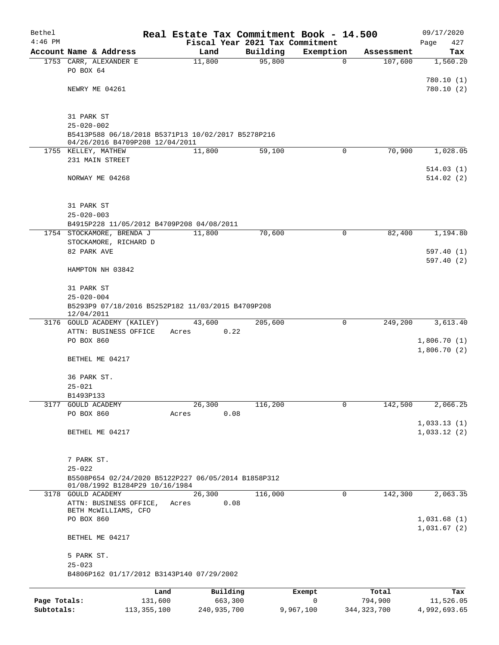| Bethel       |                                                      |               |                                                     |                                 | Real Estate Tax Commitment Book - 14.500 |                      | 09/17/2020                 |
|--------------|------------------------------------------------------|---------------|-----------------------------------------------------|---------------------------------|------------------------------------------|----------------------|----------------------------|
| $4:46$ PM    |                                                      |               |                                                     | Fiscal Year 2021 Tax Commitment |                                          |                      | Page<br>427                |
|              | Account Name & Address                               |               | Land                                                | Building                        | Exemption                                | Assessment           | Tax                        |
|              | 1753 CARR, ALEXANDER E<br>PO BOX 64                  |               | 11,800                                              | 95,800                          | $\mathbf 0$                              | 107,600              | 1,560.20                   |
|              |                                                      |               |                                                     |                                 |                                          |                      | 780.10(1)                  |
|              | NEWRY ME 04261                                       |               |                                                     |                                 |                                          |                      | 780.10(2)                  |
|              |                                                      |               |                                                     |                                 |                                          |                      |                            |
|              |                                                      |               |                                                     |                                 |                                          |                      |                            |
|              | 31 PARK ST<br>$25 - 020 - 002$                       |               |                                                     |                                 |                                          |                      |                            |
|              |                                                      |               | B5413P588 06/18/2018 B5371P13 10/02/2017 B5278P216  |                                 |                                          |                      |                            |
|              | 04/26/2016 B4709P208 12/04/2011                      |               |                                                     |                                 |                                          |                      |                            |
|              | 1755 KELLEY, MATHEW                                  |               | 11,800                                              | 59,100                          | $\mathbf 0$                              | 70,900               | 1,028.05                   |
|              | 231 MAIN STREET                                      |               |                                                     |                                 |                                          |                      | 514.03(1)                  |
|              | NORWAY ME 04268                                      |               |                                                     |                                 |                                          |                      | 514.02(2)                  |
|              |                                                      |               |                                                     |                                 |                                          |                      |                            |
|              |                                                      |               |                                                     |                                 |                                          |                      |                            |
|              | 31 PARK ST                                           |               |                                                     |                                 |                                          |                      |                            |
|              | $25 - 020 - 003$                                     |               | B4915P228 11/05/2012 B4709P208 04/08/2011           |                                 |                                          |                      |                            |
|              | 1754 STOCKAMORE, BRENDA J                            |               | 11,800                                              | 70,600                          | 0                                        | 82,400               | 1,194.80                   |
|              | STOCKAMORE, RICHARD D                                |               |                                                     |                                 |                                          |                      |                            |
|              | 82 PARK AVE                                          |               |                                                     |                                 |                                          |                      | 597.40(1)                  |
|              |                                                      |               |                                                     |                                 |                                          |                      | 597.40(2)                  |
|              | HAMPTON NH 03842                                     |               |                                                     |                                 |                                          |                      |                            |
|              | 31 PARK ST                                           |               |                                                     |                                 |                                          |                      |                            |
|              | $25 - 020 - 004$                                     |               |                                                     |                                 |                                          |                      |                            |
|              |                                                      |               | B5293P9 07/18/2016 B5252P182 11/03/2015 B4709P208   |                                 |                                          |                      |                            |
|              | 12/04/2011                                           |               |                                                     |                                 |                                          |                      |                            |
|              | 3176 GOULD ACADEMY (KAILEY)<br>ATTN: BUSINESS OFFICE |               | 43,600<br>0.22<br>Acres                             | 205,600                         | 0                                        | 249,200              | 3,613.40                   |
|              | PO BOX 860                                           |               |                                                     |                                 |                                          |                      | 1,806.70(1)                |
|              |                                                      |               |                                                     |                                 |                                          |                      | 1,806.70(2)                |
|              | BETHEL ME 04217                                      |               |                                                     |                                 |                                          |                      |                            |
|              |                                                      |               |                                                     |                                 |                                          |                      |                            |
|              | 36 PARK ST.<br>$25 - 021$                            |               |                                                     |                                 |                                          |                      |                            |
|              | B1493P133                                            |               |                                                     |                                 |                                          |                      |                            |
| 3177         | <b>GOULD ACADEMY</b>                                 |               | 26,300                                              | 116,200                         | $\mathbf 0$                              | 142,500              | 2,066.25                   |
|              | PO BOX 860                                           |               | 0.08<br>Acres                                       |                                 |                                          |                      |                            |
|              |                                                      |               |                                                     |                                 |                                          |                      | 1,033.13(1)                |
|              | BETHEL ME 04217                                      |               |                                                     |                                 |                                          |                      | 1,033.12(2)                |
|              |                                                      |               |                                                     |                                 |                                          |                      |                            |
|              | 7 PARK ST.                                           |               |                                                     |                                 |                                          |                      |                            |
|              | $25 - 022$                                           |               |                                                     |                                 |                                          |                      |                            |
|              |                                                      |               | B5508P654 02/24/2020 B5122P227 06/05/2014 B1858P312 |                                 |                                          |                      |                            |
|              | 01/08/1992 B1284P29 10/16/1984<br>3178 GOULD ACADEMY |               | 26,300                                              | 116,000                         | 0                                        | $1\overline{42,300}$ | 2,063.35                   |
|              | ATTN: BUSINESS OFFICE,                               |               | 0.08<br>Acres                                       |                                 |                                          |                      |                            |
|              | BETH MCWILLIAMS, CFO                                 |               |                                                     |                                 |                                          |                      |                            |
|              | PO BOX 860                                           |               |                                                     |                                 |                                          |                      | 1,031.68(1)<br>1,031.67(2) |
|              | BETHEL ME 04217                                      |               |                                                     |                                 |                                          |                      |                            |
|              |                                                      |               |                                                     |                                 |                                          |                      |                            |
|              | 5 PARK ST.                                           |               |                                                     |                                 |                                          |                      |                            |
|              | $25 - 023$                                           |               |                                                     |                                 |                                          |                      |                            |
|              |                                                      |               | B4806P162 01/17/2012 B3143P140 07/29/2002           |                                 |                                          |                      |                            |
|              |                                                      | Land          | Building                                            |                                 | Exempt                                   | Total                | Tax                        |
| Page Totals: |                                                      | 131,600       | 663,300                                             |                                 | 0                                        | 794,900              | 11,526.05                  |
| Subtotals:   |                                                      | 113, 355, 100 | 240,935,700                                         |                                 | 9,967,100                                | 344, 323, 700        | 4,992,693.65               |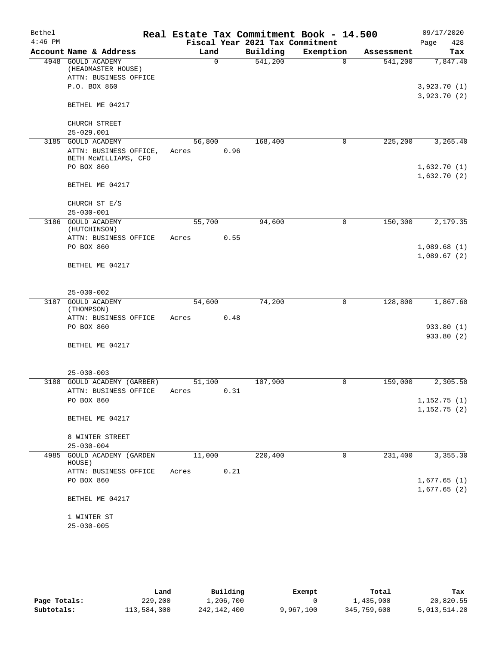| Bethel    |                                                 |       |             |      | Real Estate Tax Commitment Book - 14.500 |           |          |            | 09/17/2020                 |
|-----------|-------------------------------------------------|-------|-------------|------|------------------------------------------|-----------|----------|------------|----------------------------|
| $4:46$ PM |                                                 |       |             |      | Fiscal Year 2021 Tax Commitment          |           |          |            | 428<br>Page                |
|           | Account Name & Address                          |       | Land        |      | Building                                 | Exemption |          | Assessment | Tax                        |
|           | 4948 GOULD ACADEMY                              |       | $\mathbf 0$ |      | 541,200                                  |           | $\Omega$ | 541,200    | 7,847.40                   |
|           | (HEADMASTER HOUSE)<br>ATTN: BUSINESS OFFICE     |       |             |      |                                          |           |          |            |                            |
|           | P.O. BOX 860                                    |       |             |      |                                          |           |          |            | 3,923.70(1)                |
|           |                                                 |       |             |      |                                          |           |          |            | 3,923.70 (2)               |
|           | BETHEL ME 04217                                 |       |             |      |                                          |           |          |            |                            |
|           |                                                 |       |             |      |                                          |           |          |            |                            |
|           | CHURCH STREET                                   |       |             |      |                                          |           |          |            |                            |
|           | $25 - 029.001$                                  |       |             |      |                                          |           |          |            |                            |
|           | 3185 GOULD ACADEMY<br>ATTN: BUSINESS OFFICE,    | Acres | 56,800      | 0.96 | 168,400                                  |           | 0        | 225,200    | 3,265.40                   |
|           | BETH MCWILLIAMS, CFO                            |       |             |      |                                          |           |          |            |                            |
|           | PO BOX 860                                      |       |             |      |                                          |           |          |            | 1,632.70(1)                |
|           |                                                 |       |             |      |                                          |           |          |            | 1,632.70(2)                |
|           | BETHEL ME 04217                                 |       |             |      |                                          |           |          |            |                            |
|           | CHURCH ST E/S                                   |       |             |      |                                          |           |          |            |                            |
|           | $25 - 030 - 001$                                |       |             |      |                                          |           |          |            |                            |
|           | 3186 GOULD ACADEMY                              |       | 55,700      |      | 94,600                                   |           | 0        | 150,300    | 2,179.35                   |
|           | (HUTCHINSON)                                    |       |             |      |                                          |           |          |            |                            |
|           | ATTN: BUSINESS OFFICE                           | Acres |             | 0.55 |                                          |           |          |            |                            |
|           | PO BOX 860                                      |       |             |      |                                          |           |          |            | 1,089.68(1)<br>1,089.67(2) |
|           | BETHEL ME 04217                                 |       |             |      |                                          |           |          |            |                            |
|           |                                                 |       |             |      |                                          |           |          |            |                            |
|           | $25 - 030 - 002$                                |       |             |      |                                          |           |          |            |                            |
|           | 3187 GOULD ACADEMY                              |       | 54,600      |      | 74,200                                   |           | 0        | 128,800    | 1,867.60                   |
|           | (THOMPSON)                                      |       |             |      |                                          |           |          |            |                            |
|           | ATTN: BUSINESS OFFICE<br>PO BOX 860             | Acres |             | 0.48 |                                          |           |          |            |                            |
|           |                                                 |       |             |      |                                          |           |          |            | 933.80 (1)<br>933.80 (2)   |
|           | BETHEL ME 04217                                 |       |             |      |                                          |           |          |            |                            |
|           |                                                 |       |             |      |                                          |           |          |            |                            |
|           |                                                 |       |             |      |                                          |           |          |            |                            |
|           | $25 - 030 - 003$<br>3188 GOULD ACADEMY (GARBER) |       |             |      | 107,900                                  |           | 0        | 159,000    | 2,305.50                   |
|           | ATTN: BUSINESS OFFICE                           | Acres | 51,100      | 0.31 |                                          |           |          |            |                            |
|           | PO BOX 860                                      |       |             |      |                                          |           |          |            | 1,152.75(1)                |
|           |                                                 |       |             |      |                                          |           |          |            | 1,152.75(2)                |
|           | BETHEL ME 04217                                 |       |             |      |                                          |           |          |            |                            |
|           | 8 WINTER STREET                                 |       |             |      |                                          |           |          |            |                            |
|           | $25 - 030 - 004$                                |       |             |      |                                          |           |          |            |                            |
| 4985      | <b>GOULD ACADEMY (GARDEN</b>                    |       | 11,000      |      | 220,400                                  |           | 0        | 231,400    | 3,355.30                   |
|           | HOUSE)                                          |       |             |      |                                          |           |          |            |                            |
|           | ATTN: BUSINESS OFFICE                           | Acres |             | 0.21 |                                          |           |          |            |                            |
|           | PO BOX 860                                      |       |             |      |                                          |           |          |            | 1,677.65(1)                |
|           | BETHEL ME 04217                                 |       |             |      |                                          |           |          |            | 1,677.65(2)                |
|           |                                                 |       |             |      |                                          |           |          |            |                            |
|           | 1 WINTER ST                                     |       |             |      |                                          |           |          |            |                            |
|           | $25 - 030 - 005$                                |       |             |      |                                          |           |          |            |                            |
|           |                                                 |       |             |      |                                          |           |          |            |                            |

|              | Land        | Building    | Exempt    | Total       | Tax          |
|--------------|-------------|-------------|-----------|-------------|--------------|
| Page Totals: | 229,200     | 1,206,700   |           | 1,435,900   | 20,820.55    |
| Subtotals:   | 113,584,300 | 242,142,400 | 9,967,100 | 345,759,600 | 5,013,514.20 |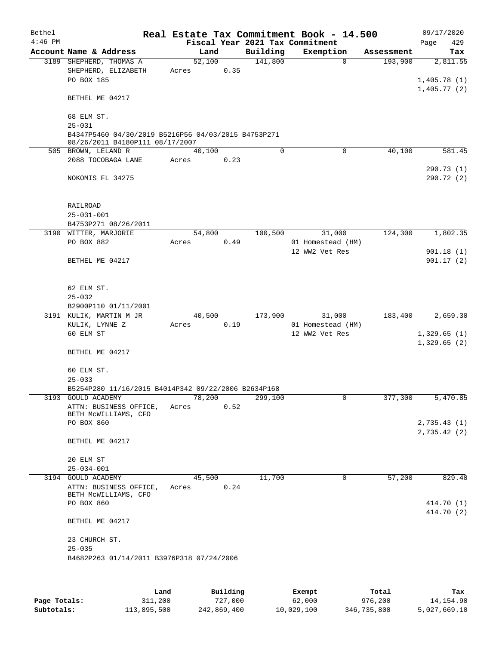| $4:46$ PM |                                                     |       |        |      |          | Real Estate Tax Commitment Book - 14.500<br>Fiscal Year 2021 Tax Commitment |            | 09/17/2020<br>429<br>Page |
|-----------|-----------------------------------------------------|-------|--------|------|----------|-----------------------------------------------------------------------------|------------|---------------------------|
|           | Account Name & Address                              |       | Land   |      | Building | Exemption                                                                   | Assessment | Tax                       |
|           | 3189 SHEPHERD, THOMAS A                             |       | 52,100 |      | 141,800  | $\Omega$                                                                    | 193,900    | 2,811.55                  |
|           |                                                     |       |        |      |          |                                                                             |            |                           |
|           | SHEPHERD, ELIZABETH                                 | Acres |        | 0.35 |          |                                                                             |            |                           |
|           | PO BOX 185                                          |       |        |      |          |                                                                             |            | 1,405.78(1)               |
|           |                                                     |       |        |      |          |                                                                             |            | 1,405.77(2)               |
|           | BETHEL ME 04217                                     |       |        |      |          |                                                                             |            |                           |
|           |                                                     |       |        |      |          |                                                                             |            |                           |
|           | 68 ELM ST.                                          |       |        |      |          |                                                                             |            |                           |
|           | $25 - 031$                                          |       |        |      |          |                                                                             |            |                           |
|           | B4347P5460 04/30/2019 B5216P56 04/03/2015 B4753P271 |       |        |      |          |                                                                             |            |                           |
|           | 08/26/2011 B4180P111 08/17/2007                     |       |        |      |          |                                                                             |            |                           |
|           | 505 BROWN, LELAND R                                 |       | 40,100 |      | $\Omega$ | $\Omega$                                                                    | 40,100     | 581.45                    |
|           | 2088 TOCOBAGA LANE                                  | Acres |        | 0.23 |          |                                                                             |            |                           |
|           |                                                     |       |        |      |          |                                                                             |            | 290.73 (1)                |
|           |                                                     |       |        |      |          |                                                                             |            |                           |
|           | NOKOMIS FL 34275                                    |       |        |      |          |                                                                             |            | 290.72 (2)                |
|           |                                                     |       |        |      |          |                                                                             |            |                           |
|           |                                                     |       |        |      |          |                                                                             |            |                           |
|           | RAILROAD                                            |       |        |      |          |                                                                             |            |                           |
|           | $25 - 031 - 001$                                    |       |        |      |          |                                                                             |            |                           |
|           | B4753P271 08/26/2011                                |       |        |      |          |                                                                             |            |                           |
|           | 3190 WITTER, MARJORIE                               |       | 54,800 |      | 100,500  | 31,000                                                                      | 124,300    | 1,802.35                  |
|           | PO BOX 882                                          |       |        |      |          |                                                                             |            |                           |
|           |                                                     | Acres |        | 0.49 |          | 01 Homestead (HM)                                                           |            |                           |
|           |                                                     |       |        |      |          | 12 WW2 Vet Res                                                              |            | 901.18(1)                 |
|           | BETHEL ME 04217                                     |       |        |      |          |                                                                             |            | 901.17(2)                 |
|           |                                                     |       |        |      |          |                                                                             |            |                           |
|           |                                                     |       |        |      |          |                                                                             |            |                           |
|           | 62 ELM ST.                                          |       |        |      |          |                                                                             |            |                           |
|           | $25 - 032$                                          |       |        |      |          |                                                                             |            |                           |
|           |                                                     |       |        |      |          |                                                                             |            |                           |
|           | B2900P110 01/11/2001                                |       |        |      |          |                                                                             |            |                           |
|           | 3191 KULIK, MARTIN M JR                             |       | 40,500 |      | 173,900  | 31,000                                                                      | 183,400    | 2,659.30                  |
|           | KULIK, LYNNE Z                                      | Acres |        | 0.19 |          | 01 Homestead (HM)                                                           |            |                           |
|           | 60 ELM ST                                           |       |        |      |          | 12 WW2 Vet Res                                                              |            | 1,329.65(1)               |
|           |                                                     |       |        |      |          |                                                                             |            | 1,329.65(2)               |
|           | BETHEL ME 04217                                     |       |        |      |          |                                                                             |            |                           |
|           |                                                     |       |        |      |          |                                                                             |            |                           |
|           |                                                     |       |        |      |          |                                                                             |            |                           |
|           | 60 ELM ST.                                          |       |        |      |          |                                                                             |            |                           |
|           | $25 - 033$                                          |       |        |      |          |                                                                             |            |                           |
|           | B5254P280 11/16/2015 B4014P342 09/22/2006 B2634P168 |       |        |      |          |                                                                             |            |                           |
|           | 3193 GOULD ACADEMY                                  |       | 78,200 |      | 299,100  | 0                                                                           | 377,300    | 5,470.85                  |
|           | ATTN: BUSINESS OFFICE,                              | Acres |        | 0.52 |          |                                                                             |            |                           |
|           | BETH MCWILLIAMS, CFO                                |       |        |      |          |                                                                             |            |                           |
|           | PO BOX 860                                          |       |        |      |          |                                                                             |            | 2,735.43(1)               |
|           |                                                     |       |        |      |          |                                                                             |            | 2,735.42(2)               |
|           | BETHEL ME 04217                                     |       |        |      |          |                                                                             |            |                           |
|           |                                                     |       |        |      |          |                                                                             |            |                           |
|           |                                                     |       |        |      |          |                                                                             |            |                           |
|           | 20 ELM ST                                           |       |        |      |          |                                                                             |            |                           |
|           | $25 - 034 - 001$                                    |       |        |      |          |                                                                             |            |                           |
|           | 3194 GOULD ACADEMY                                  |       | 45,500 |      | 11,700   | 0                                                                           | 57,200     | 829.40                    |
|           | ATTN: BUSINESS OFFICE,                              | Acres |        | 0.24 |          |                                                                             |            |                           |
|           | BETH MCWILLIAMS, CFO                                |       |        |      |          |                                                                             |            |                           |
|           | PO BOX 860                                          |       |        |      |          |                                                                             |            | 414.70 (1)                |
|           |                                                     |       |        |      |          |                                                                             |            | 414.70 (2)                |
|           |                                                     |       |        |      |          |                                                                             |            |                           |
|           | BETHEL ME 04217                                     |       |        |      |          |                                                                             |            |                           |
|           |                                                     |       |        |      |          |                                                                             |            |                           |
|           |                                                     |       |        |      |          |                                                                             |            |                           |
|           | 23 CHURCH ST.                                       |       |        |      |          |                                                                             |            |                           |
|           | $25 - 035$                                          |       |        |      |          |                                                                             |            |                           |
|           | B4682P263 01/14/2011 B3976P318 07/24/2006           |       |        |      |          |                                                                             |            |                           |
|           |                                                     |       |        |      |          |                                                                             |            |                           |
|           |                                                     |       |        |      |          |                                                                             |            |                           |

|              | Land        | Building    | Exempt     | Total       | Tax          |
|--------------|-------------|-------------|------------|-------------|--------------|
| Page Totals: | 311,200     | 727,000     | 62,000     | 976,200     | 14, 154.90   |
| Subtotals:   | 113,895,500 | 242,869,400 | 10,029,100 | 346,735,800 | 5,027,669.10 |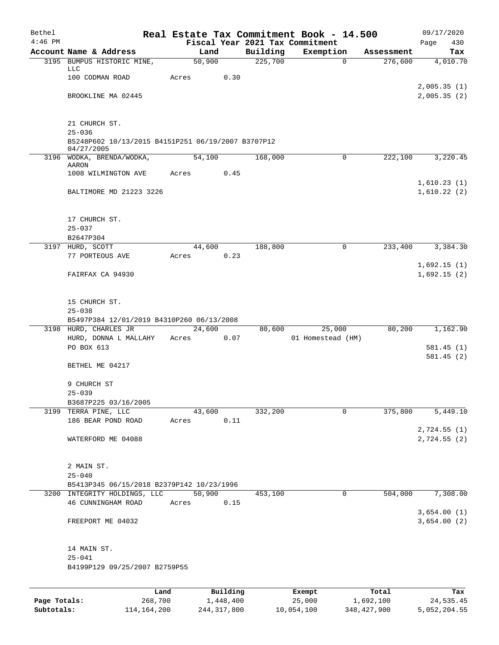| Bethel       |                                                                    |                |           |                     | Real Estate Tax Commitment Book - 14.500 |                       | 09/17/2020                 |  |  |  |
|--------------|--------------------------------------------------------------------|----------------|-----------|---------------------|------------------------------------------|-----------------------|----------------------------|--|--|--|
| $4:46$ PM    |                                                                    |                |           |                     | Fiscal Year 2021 Tax Commitment          |                       | 430<br>Page                |  |  |  |
|              | Account Name & Address<br>3195 BUMPUS HISTORIC MINE,               | Land<br>50,900 |           | Building<br>225,700 | Exemption<br>$\mathbf 0$                 | Assessment<br>276,600 | Tax<br>4,010.70            |  |  |  |
|              | LLC                                                                |                |           |                     |                                          |                       |                            |  |  |  |
|              | 100 CODMAN ROAD                                                    | Acres          | 0.30      |                     |                                          |                       |                            |  |  |  |
|              | BROOKLINE MA 02445                                                 |                |           |                     |                                          |                       | 2,005.35(1)<br>2,005.35(2) |  |  |  |
|              |                                                                    |                |           |                     |                                          |                       |                            |  |  |  |
|              |                                                                    |                |           |                     |                                          |                       |                            |  |  |  |
|              | 21 CHURCH ST.<br>$25 - 036$                                        |                |           |                     |                                          |                       |                            |  |  |  |
|              | B5248P602 10/13/2015 B4151P251 06/19/2007 B3707P12                 |                |           |                     |                                          |                       |                            |  |  |  |
|              | 04/27/2005                                                         |                |           |                     |                                          |                       |                            |  |  |  |
|              | 3196 WODKA, BRENDA/WODKA,<br>AARON                                 | 54,100         |           | 168,000             | 0                                        | 222,100               | 3,220.45                   |  |  |  |
|              | 1008 WILMINGTON AVE                                                | Acres          | 0.45      |                     |                                          |                       |                            |  |  |  |
|              |                                                                    |                |           |                     |                                          |                       | 1,610.23(1)                |  |  |  |
|              | BALTIMORE MD 21223 3226                                            |                |           |                     |                                          |                       | 1,610.22(2)                |  |  |  |
|              | 17 CHURCH ST.                                                      |                |           |                     |                                          |                       |                            |  |  |  |
|              | $25 - 037$                                                         |                |           |                     |                                          |                       |                            |  |  |  |
|              | B2647P304                                                          |                |           |                     |                                          |                       |                            |  |  |  |
|              | 3197 HURD, SCOTT                                                   | 44,600         |           | 188,800             | 0                                        | 233,400               | 3,384.30                   |  |  |  |
|              | 77 PORTEOUS AVE                                                    | Acres          | 0.23      |                     |                                          |                       |                            |  |  |  |
|              | FAIRFAX CA 94930                                                   |                |           |                     |                                          |                       | 1,692.15(1)<br>1,692.15(2) |  |  |  |
|              |                                                                    |                |           |                     |                                          |                       |                            |  |  |  |
|              | 15 CHURCH ST.                                                      |                |           |                     |                                          |                       |                            |  |  |  |
|              | $25 - 038$                                                         |                |           |                     |                                          |                       |                            |  |  |  |
|              | B5497P384 12/01/2019 B4310P260 06/13/2008<br>3198 HURD, CHARLES JR | 24,600         |           | 80,600              | 25,000                                   | 80,200                | 1,162.90                   |  |  |  |
|              | HURD, DONNA L MALLAHY                                              | Acres          | 0.07      |                     | 01 Homestead (HM)                        |                       |                            |  |  |  |
|              | PO BOX 613                                                         |                |           |                     |                                          |                       | 581.45(1)                  |  |  |  |
|              |                                                                    |                |           |                     |                                          |                       | 581.45 (2)                 |  |  |  |
|              | BETHEL ME 04217                                                    |                |           |                     |                                          |                       |                            |  |  |  |
|              | 9 CHURCH ST                                                        |                |           |                     |                                          |                       |                            |  |  |  |
|              | $25 - 039$                                                         |                |           |                     |                                          |                       |                            |  |  |  |
|              | B3687P225 03/16/2005                                               |                |           |                     |                                          |                       |                            |  |  |  |
|              | 3199 TERRA PINE, LLC                                               | 43,600         |           | 332,200             | 0                                        | 375,800               | 5,449.10                   |  |  |  |
|              | 186 BEAR POND ROAD                                                 | Acres          | 0.11      |                     |                                          |                       | 2,724.55(1)                |  |  |  |
|              | WATERFORD ME 04088                                                 |                |           |                     |                                          |                       | 2,724.55 (2)               |  |  |  |
|              |                                                                    |                |           |                     |                                          |                       |                            |  |  |  |
|              | 2 MAIN ST.                                                         |                |           |                     |                                          |                       |                            |  |  |  |
|              | $25 - 040$                                                         |                |           |                     |                                          |                       |                            |  |  |  |
|              | B5413P345 06/15/2018 B2379P142 10/23/1996                          |                |           |                     |                                          |                       |                            |  |  |  |
|              | 3200 INTEGRITY HOLDINGS, LLC                                       | 50,900         |           | 453,100             | 0                                        | 504,000               | 7,308.00                   |  |  |  |
|              | 46 CUNNINGHAM ROAD                                                 | Acres          | 0.15      |                     |                                          |                       |                            |  |  |  |
|              | FREEPORT ME 04032                                                  |                |           |                     |                                          |                       | 3,654.00(1)<br>3,654.00(2) |  |  |  |
|              |                                                                    |                |           |                     |                                          |                       |                            |  |  |  |
|              | 14 MAIN ST.                                                        |                |           |                     |                                          |                       |                            |  |  |  |
|              | $25 - 041$                                                         |                |           |                     |                                          |                       |                            |  |  |  |
|              | B4199P129 09/25/2007 B2759P55                                      |                |           |                     |                                          |                       |                            |  |  |  |
|              | Land                                                               |                | Building  |                     | Exempt                                   | Total                 | Tax                        |  |  |  |
| Page Totals: | 268,700                                                            |                | 1,448,400 |                     | 25,000                                   | 1,692,100             | 24,535.45                  |  |  |  |

**Subtotals:** 114,164,200 244,317,800 10,054,100 348,427,900 5,052,204.55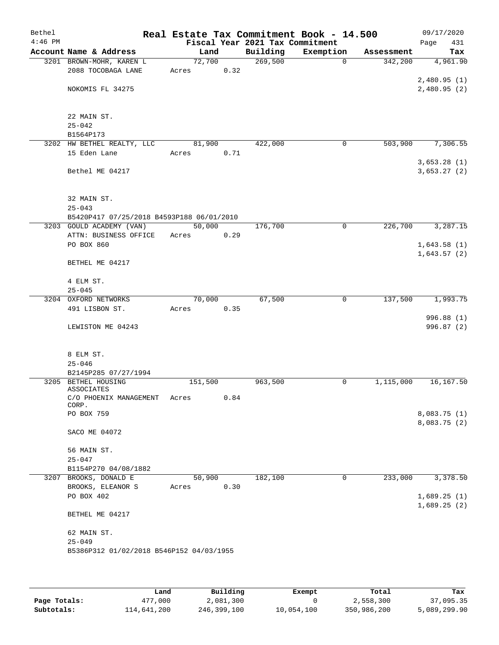| Bethel    |                                            |         |      |                                 | Real Estate Tax Commitment Book - 14.500 |            | 09/17/2020  |
|-----------|--------------------------------------------|---------|------|---------------------------------|------------------------------------------|------------|-------------|
| $4:46$ PM |                                            |         |      | Fiscal Year 2021 Tax Commitment |                                          |            | 431<br>Page |
|           | Account Name & Address                     | Land    |      | Building                        | Exemption                                | Assessment | Tax         |
|           | 3201 BROWN-MOHR, KAREN L                   | 72,700  |      | 269,500                         | $\Omega$                                 | 342,200    | 4,961.90    |
|           | 2088 TOCOBAGA LANE                         | Acres   | 0.32 |                                 |                                          |            |             |
|           |                                            |         |      |                                 |                                          |            | 2,480.95(1) |
|           | NOKOMIS FL 34275                           |         |      |                                 |                                          |            | 2,480.95(2) |
|           |                                            |         |      |                                 |                                          |            |             |
|           | 22 MAIN ST.                                |         |      |                                 |                                          |            |             |
|           | $25 - 042$                                 |         |      |                                 |                                          |            |             |
|           | B1564P173                                  |         |      |                                 |                                          |            | 7,306.55    |
|           | 3202 HW BETHEL REALTY, LLC<br>15 Eden Lane | 81,900  |      | 422,000                         | 0                                        | 503,900    |             |
|           |                                            | Acres   | 0.71 |                                 |                                          |            | 3,653.28(1) |
|           | Bethel ME 04217                            |         |      |                                 |                                          |            | 3,653.27(2) |
|           |                                            |         |      |                                 |                                          |            |             |
|           | 32 MAIN ST.                                |         |      |                                 |                                          |            |             |
|           | $25 - 043$                                 |         |      |                                 |                                          |            |             |
|           | B5420P417 07/25/2018 B4593P188 06/01/2010  |         |      |                                 |                                          |            |             |
|           | 3203 GOULD ACADEMY (VAN)                   | 50,000  |      | 176,700                         | $\mathbf 0$                              | 226,700    | 3,287.15    |
|           | ATTN: BUSINESS OFFICE                      | Acres   | 0.29 |                                 |                                          |            |             |
|           | PO BOX 860                                 |         |      |                                 |                                          |            | 1,643.58(1) |
|           |                                            |         |      |                                 |                                          |            | 1,643.57(2) |
|           | BETHEL ME 04217                            |         |      |                                 |                                          |            |             |
|           | 4 ELM ST.                                  |         |      |                                 |                                          |            |             |
|           | $25 - 045$                                 |         |      |                                 |                                          |            |             |
|           | 3204 OXFORD NETWORKS                       | 70,000  |      | 67,500                          | 0                                        | 137,500    | 1,993.75    |
|           | 491 LISBON ST.                             | Acres   | 0.35 |                                 |                                          |            |             |
|           |                                            |         |      |                                 |                                          |            | 996.88 (1)  |
|           | LEWISTON ME 04243                          |         |      |                                 |                                          |            | 996.87 (2)  |
|           |                                            |         |      |                                 |                                          |            |             |
|           | 8 ELM ST.                                  |         |      |                                 |                                          |            |             |
|           | $25 - 046$                                 |         |      |                                 |                                          |            |             |
|           | B2145P285 07/27/1994                       |         |      |                                 |                                          | 1,115,000  |             |
|           | 3205 BETHEL HOUSING<br>ASSOCIATES          | 151,500 |      | 963,500                         | 0                                        |            | 16,167.50   |
|           | C/O PHOENIX MANAGEMENT                     | Acres   | 0.84 |                                 |                                          |            |             |
|           | CORP.                                      |         |      |                                 |                                          |            |             |
|           | PO BOX 759                                 |         |      |                                 |                                          |            | 8,083.75(1) |
|           |                                            |         |      |                                 |                                          |            | 8,083.75(2) |
|           | SACO ME 04072                              |         |      |                                 |                                          |            |             |
|           | 56 MAIN ST.                                |         |      |                                 |                                          |            |             |
|           | $25 - 047$                                 |         |      |                                 |                                          |            |             |
|           | B1154P270 04/08/1882                       |         |      |                                 |                                          |            |             |
|           | 3207 BROOKS, DONALD E                      | 50,900  |      | 182,100                         | $\mathbf 0$                              | 233,000    | 3,378.50    |
|           | BROOKS, ELEANOR S                          | Acres   | 0.30 |                                 |                                          |            |             |
|           | PO BOX 402                                 |         |      |                                 |                                          |            | 1,689.25(1) |
|           |                                            |         |      |                                 |                                          |            | 1,689.25(2) |
|           | BETHEL ME 04217                            |         |      |                                 |                                          |            |             |
|           | 62 MAIN ST.                                |         |      |                                 |                                          |            |             |
|           | $25 - 049$                                 |         |      |                                 |                                          |            |             |
|           | B5386P312 01/02/2018 B546P152 04/03/1955   |         |      |                                 |                                          |            |             |
|           |                                            |         |      |                                 |                                          |            |             |

|              | Land        | Building    | Exempt     | Total       | Tax          |
|--------------|-------------|-------------|------------|-------------|--------------|
| Page Totals: | 477,000     | 2,081,300   |            | 2,558,300   | 37,095.35    |
| Subtotals:   | 114,641,200 | 246,399,100 | 10,054,100 | 350,986,200 | 5,089,299.90 |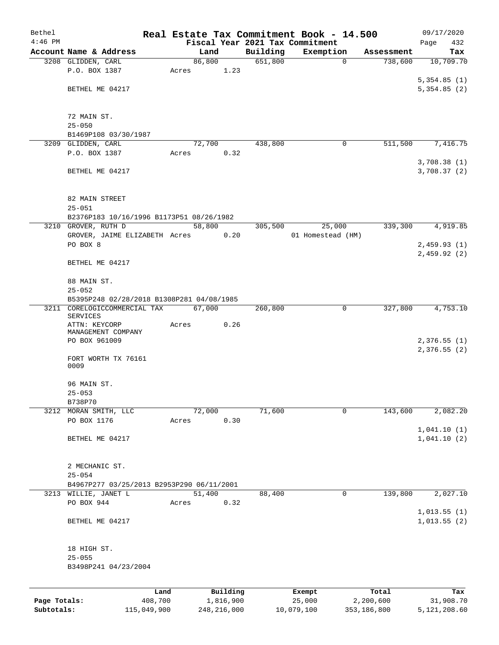| Bethel       |                                           |         |        |               |          | Real Estate Tax Commitment Book - 14.500 |             |            | 09/17/2020   |
|--------------|-------------------------------------------|---------|--------|---------------|----------|------------------------------------------|-------------|------------|--------------|
| $4:46$ PM    |                                           |         |        |               |          | Fiscal Year 2021 Tax Commitment          |             |            | Page<br>432  |
|              | Account Name & Address                    |         | Land   |               | Building | Exemption                                |             | Assessment | Tax          |
|              | 3208 GLIDDEN, CARL<br>P.O. BOX 1387       | Acres   | 86,800 | 1.23          | 651,800  |                                          | $\mathbf 0$ | 738,600    | 10,709.70    |
|              |                                           |         |        |               |          |                                          |             |            | 5,354.85(1)  |
|              | BETHEL ME 04217                           |         |        |               |          |                                          |             |            | 5,354.85(2)  |
|              |                                           |         |        |               |          |                                          |             |            |              |
|              |                                           |         |        |               |          |                                          |             |            |              |
|              | 72 MAIN ST.                               |         |        |               |          |                                          |             |            |              |
|              | $25 - 050$<br>B1469P108 03/30/1987        |         |        |               |          |                                          |             |            |              |
|              | 3209 GLIDDEN, CARL                        |         | 72,700 |               | 438,800  |                                          | 0           | 511,500    | 7,416.75     |
|              | P.O. BOX 1387                             | Acres   |        | 0.32          |          |                                          |             |            |              |
|              |                                           |         |        |               |          |                                          |             |            | 3,708.38 (1) |
|              | BETHEL ME 04217                           |         |        |               |          |                                          |             |            | 3,708.37 (2) |
|              |                                           |         |        |               |          |                                          |             |            |              |
|              |                                           |         |        |               |          |                                          |             |            |              |
|              | 82 MAIN STREET<br>$25 - 051$              |         |        |               |          |                                          |             |            |              |
|              | B2376P183 10/16/1996 B1173P51 08/26/1982  |         |        |               |          |                                          |             |            |              |
|              | 3210 GROVER, RUTH D                       |         | 58,800 |               | 305,500  | 25,000                                   |             | 339,300    | 4,919.85     |
|              | GROVER, JAIME ELIZABETH Acres             |         |        | 0.20          |          | 01 Homestead (HM)                        |             |            |              |
|              | PO BOX 8                                  |         |        |               |          |                                          |             |            | 2,459.93(1)  |
|              |                                           |         |        |               |          |                                          |             |            | 2,459.92(2)  |
|              | BETHEL ME 04217                           |         |        |               |          |                                          |             |            |              |
|              |                                           |         |        |               |          |                                          |             |            |              |
|              | 88 MAIN ST.<br>$25 - 052$                 |         |        |               |          |                                          |             |            |              |
|              | B5395P248 02/28/2018 B1308P281 04/08/1985 |         |        |               |          |                                          |             |            |              |
|              | 3211 CORELOGICCOMMERCIAL TAX              |         | 67,000 |               | 260,800  |                                          | 0           | 327,800    | 4,753.10     |
|              | <b>SERVICES</b>                           |         |        |               |          |                                          |             |            |              |
|              | ATTN: KEYCORP<br>MANAGEMENT COMPANY       | Acres   |        | 0.26          |          |                                          |             |            |              |
|              | PO BOX 961009                             |         |        |               |          |                                          |             |            | 2,376.55(1)  |
|              |                                           |         |        |               |          |                                          |             |            | 2,376.55(2)  |
|              | FORT WORTH TX 76161                       |         |        |               |          |                                          |             |            |              |
|              | 0009                                      |         |        |               |          |                                          |             |            |              |
|              | 96 MAIN ST.                               |         |        |               |          |                                          |             |            |              |
|              | $25 - 053$                                |         |        |               |          |                                          |             |            |              |
|              | B738P70                                   |         |        |               |          |                                          |             |            |              |
|              | 3212 MORAN SMITH, LLC                     |         | 72,000 |               | 71,600   |                                          | $\mathbf 0$ | 143,600    | 2,082.20     |
|              | PO BOX 1176                               | Acres   |        | 0.30          |          |                                          |             |            |              |
|              |                                           |         |        |               |          |                                          |             |            | 1,041.10(1)  |
|              | BETHEL ME 04217                           |         |        |               |          |                                          |             |            | 1,041.10(2)  |
|              |                                           |         |        |               |          |                                          |             |            |              |
|              | 2 MECHANIC ST.                            |         |        |               |          |                                          |             |            |              |
|              | $25 - 054$                                |         |        |               |          |                                          |             |            |              |
|              | B4967P277 03/25/2013 B2953P290 06/11/2001 |         |        |               |          |                                          |             |            |              |
|              | 3213 WILLIE, JANET L                      |         | 51,400 |               | 88,400   |                                          | 0           | 139,800    | 2,027.10     |
|              | PO BOX 944                                | Acres   |        | 0.32          |          |                                          |             |            |              |
|              |                                           |         |        |               |          |                                          |             |            | 1,013.55(1)  |
|              | BETHEL ME 04217                           |         |        |               |          |                                          |             |            | 1,013.55(2)  |
|              |                                           |         |        |               |          |                                          |             |            |              |
|              | 18 HIGH ST.                               |         |        |               |          |                                          |             |            |              |
|              | $25 - 055$                                |         |        |               |          |                                          |             |            |              |
|              | B3498P241 04/23/2004                      |         |        |               |          |                                          |             |            |              |
|              |                                           |         |        |               |          |                                          |             |            |              |
|              |                                           | Land    |        | Building      |          | Exempt                                   |             | Total      | Tax          |
| Page Totals: |                                           | 408,700 |        | 1,816,900     |          | 25,000                                   | 2,200,600   |            | 31,908.70    |
| Subtotals:   | 115,049,900                               |         |        | 248, 216, 000 |          | 10,079,100                               | 353,186,800 |            | 5,121,208.60 |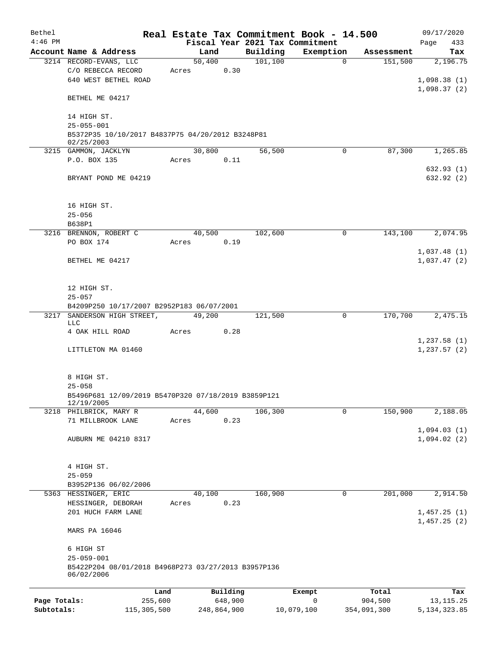| Bethel       |                                                                   |         |                |          | Real Estate Tax Commitment Book - 14.500 |                       | 09/17/2020                 |
|--------------|-------------------------------------------------------------------|---------|----------------|----------|------------------------------------------|-----------------------|----------------------------|
| $4:46$ PM    | Account Name & Address                                            |         |                | Building | Fiscal Year 2021 Tax Commitment          |                       | 433<br>Page                |
|              | 3214 RECORD-EVANS, LLC                                            |         | Land<br>50,400 | 101, 100 | Exemption<br>0                           | Assessment<br>151,500 | Tax<br>2,196.75            |
|              | C/O REBECCA RECORD                                                | Acres   | 0.30           |          |                                          |                       |                            |
|              | 640 WEST BETHEL ROAD                                              |         |                |          |                                          |                       |                            |
|              |                                                                   |         |                |          |                                          |                       | 1,098.38(1)                |
|              | BETHEL ME 04217                                                   |         |                |          |                                          |                       | 1,098.37(2)                |
|              | 14 HIGH ST.                                                       |         |                |          |                                          |                       |                            |
|              | $25 - 055 - 001$                                                  |         |                |          |                                          |                       |                            |
|              | B5372P35 10/10/2017 B4837P75 04/20/2012 B3248P81<br>02/25/2003    |         |                |          |                                          |                       |                            |
|              | 3215 GAMMON, JACKLYN                                              |         | 30,800         | 56,500   | 0                                        | 87,300                | 1,265.85                   |
|              | P.O. BOX 135                                                      | Acres   | 0.11           |          |                                          |                       |                            |
|              |                                                                   |         |                |          |                                          |                       | 632.93(1)                  |
|              | BRYANT POND ME 04219                                              |         |                |          |                                          |                       | 632.92(2)                  |
|              |                                                                   |         |                |          |                                          |                       |                            |
|              |                                                                   |         |                |          |                                          |                       |                            |
|              | 16 HIGH ST.                                                       |         |                |          |                                          |                       |                            |
|              | $25 - 056$                                                        |         |                |          |                                          |                       |                            |
|              | B638P1                                                            |         |                |          |                                          |                       |                            |
|              | 3216 BRENNON, ROBERT C                                            |         | 40,500         | 102,600  | 0                                        | 143,100               | 2,074.95                   |
|              | PO BOX 174                                                        | Acres   | 0.19           |          |                                          |                       |                            |
|              |                                                                   |         |                |          |                                          |                       | 1,037.48(1)                |
|              | BETHEL ME 04217                                                   |         |                |          |                                          |                       | 1,037.47(2)                |
|              |                                                                   |         |                |          |                                          |                       |                            |
|              |                                                                   |         |                |          |                                          |                       |                            |
|              | 12 HIGH ST.                                                       |         |                |          |                                          |                       |                            |
|              | $25 - 057$                                                        |         |                |          |                                          |                       |                            |
|              | B4209P250 10/17/2007 B2952P183 06/07/2001                         |         |                |          |                                          |                       |                            |
| 3217         | SANDERSON HIGH STREET,                                            |         | 49,200         | 121,500  | 0                                        | 170,700               | 2,475.15                   |
|              | <b>LLC</b>                                                        |         |                |          |                                          |                       |                            |
|              | 4 OAK HILL ROAD                                                   | Acres   | 0.28           |          |                                          |                       |                            |
|              | LITTLETON MA 01460                                                |         |                |          |                                          |                       | 1,237.58(1)<br>1,237.57(2) |
|              |                                                                   |         |                |          |                                          |                       |                            |
|              |                                                                   |         |                |          |                                          |                       |                            |
|              | 8 HIGH ST.                                                        |         |                |          |                                          |                       |                            |
|              | $25 - 058$                                                        |         |                |          |                                          |                       |                            |
|              | B5496P681 12/09/2019 B5470P320 07/18/2019 B3859P121               |         |                |          |                                          |                       |                            |
|              | 12/19/2005                                                        |         |                |          |                                          |                       |                            |
|              | 3218 PHILBRICK, MARY R                                            |         | 44,600         | 106,300  | $\mathbf 0$                              | 150,900               | 2,188.05                   |
|              | 71 MILLBROOK LANE                                                 | Acres   | 0.23           |          |                                          |                       |                            |
|              |                                                                   |         |                |          |                                          |                       | 1,094.03(1)                |
|              | AUBURN ME 04210 8317                                              |         |                |          |                                          |                       | 1,094.02(2)                |
|              |                                                                   |         |                |          |                                          |                       |                            |
|              |                                                                   |         |                |          |                                          |                       |                            |
|              | 4 HIGH ST.                                                        |         |                |          |                                          |                       |                            |
|              | $25 - 059$                                                        |         |                |          |                                          |                       |                            |
|              | B3952P136 06/02/2006                                              |         |                |          |                                          |                       |                            |
|              | 5363 HESSINGER, ERIC                                              |         | 40,100         | 160,900  | 0                                        | 201,000               | 2,914.50                   |
|              | HESSINGER, DEBORAH                                                | Acres   | 0.23           |          |                                          |                       |                            |
|              | 201 HUCH FARM LANE                                                |         |                |          |                                          |                       | 1,457.25(1)                |
|              |                                                                   |         |                |          |                                          |                       | 1,457.25(2)                |
|              | MARS PA 16046                                                     |         |                |          |                                          |                       |                            |
|              |                                                                   |         |                |          |                                          |                       |                            |
|              | 6 HIGH ST                                                         |         |                |          |                                          |                       |                            |
|              | $25 - 059 - 001$                                                  |         |                |          |                                          |                       |                            |
|              | B5422P204 08/01/2018 B4968P273 03/27/2013 B3957P136<br>06/02/2006 |         |                |          |                                          |                       |                            |
|              |                                                                   |         |                |          |                                          |                       |                            |
|              |                                                                   | Land    | Building       |          | Exempt                                   | Total                 | Tax                        |
| Page Totals: |                                                                   | 255,600 | 648,900        |          | 0                                        | 904,500               | 13, 115. 25                |
|              |                                                                   |         |                |          |                                          |                       |                            |

**Subtotals:** 115,305,500 248,864,900 10,079,100 354,091,300 5,134,323.85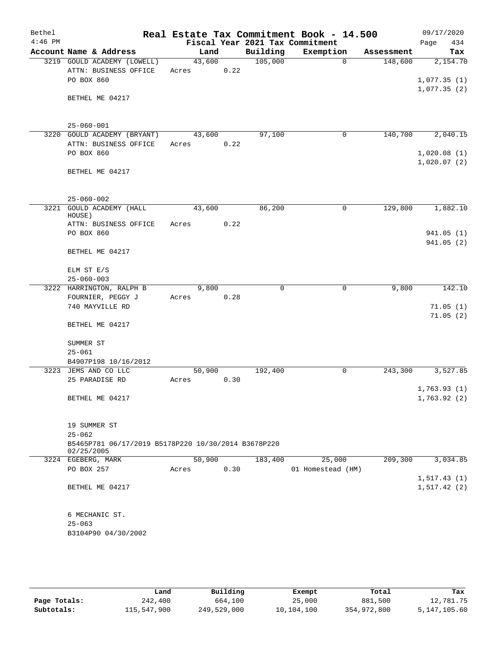| Bethel    |                                                                   |        |      |          | Real Estate Tax Commitment Book - 14.500 |            | 09/17/2020   |
|-----------|-------------------------------------------------------------------|--------|------|----------|------------------------------------------|------------|--------------|
| $4:46$ PM |                                                                   |        |      |          | Fiscal Year 2021 Tax Commitment          |            | 434<br>Page  |
|           | Account Name & Address                                            | Land   |      | Building | Exemption                                | Assessment | Tax          |
|           | 3219 GOULD ACADEMY (LOWELL)                                       | 43,600 |      | 105,000  | $\Omega$                                 | 148,600    | 2,154.70     |
|           | ATTN: BUSINESS OFFICE<br>PO BOX 860                               | Acres  | 0.22 |          |                                          |            | 1,077.35(1)  |
|           |                                                                   |        |      |          |                                          |            | 1,077.35(2)  |
|           | BETHEL ME 04217                                                   |        |      |          |                                          |            |              |
|           |                                                                   |        |      |          |                                          |            |              |
|           |                                                                   |        |      |          |                                          |            |              |
|           | $25 - 060 - 001$                                                  |        |      |          |                                          |            |              |
|           | 3220 GOULD ACADEMY (BRYANT)                                       | 43,600 |      | 97,100   | $\mathbf 0$                              | 140,700    | 2,040.15     |
|           | ATTN: BUSINESS OFFICE<br>PO BOX 860                               | Acres  | 0.22 |          |                                          |            | 1,020.08(1)  |
|           |                                                                   |        |      |          |                                          |            | 1,020.07(2)  |
|           | BETHEL ME 04217                                                   |        |      |          |                                          |            |              |
|           |                                                                   |        |      |          |                                          |            |              |
|           | $25 - 060 - 002$                                                  |        |      |          |                                          |            |              |
| 3221      | <b>GOULD ACADEMY (HALL</b>                                        | 43,600 |      | 86,200   | $\mathbf 0$                              | 129,800    | 1,882.10     |
|           | HOUSE)                                                            |        |      |          |                                          |            |              |
|           | ATTN: BUSINESS OFFICE                                             | Acres  | 0.22 |          |                                          |            |              |
|           | PO BOX 860                                                        |        |      |          |                                          |            | 941.05(1)    |
|           | BETHEL ME 04217                                                   |        |      |          |                                          |            | 941.05 (2)   |
|           |                                                                   |        |      |          |                                          |            |              |
|           | ELM ST E/S                                                        |        |      |          |                                          |            |              |
|           | $25 - 060 - 003$                                                  |        |      |          |                                          |            |              |
|           | 3222 HARRINGTON, RALPH B                                          | 9,800  |      | 0        | $\mathbf 0$                              | 9,800      | 142.10       |
|           | FOURNIER, PEGGY J                                                 | Acres  | 0.28 |          |                                          |            |              |
|           | 740 MAYVILLE RD                                                   |        |      |          |                                          |            | 71.05(1)     |
|           | BETHEL ME 04217                                                   |        |      |          |                                          |            | 71.05(2)     |
|           |                                                                   |        |      |          |                                          |            |              |
|           | SUMMER ST                                                         |        |      |          |                                          |            |              |
|           | $25 - 061$                                                        |        |      |          |                                          |            |              |
|           | B4907P198 10/16/2012                                              |        |      |          |                                          |            |              |
|           | 3223 JEMS AND CO LLC                                              | 50,900 |      | 192,400  | 0                                        | 243,300    | 3,527.85     |
|           | 25 PARADISE RD                                                    | Acres  | 0.30 |          |                                          |            | 1,763.93(1)  |
|           | BETHEL ME 04217                                                   |        |      |          |                                          |            | 1,763.92(2)  |
|           |                                                                   |        |      |          |                                          |            |              |
|           |                                                                   |        |      |          |                                          |            |              |
|           | 19 SUMMER ST                                                      |        |      |          |                                          |            |              |
|           | $25 - 062$                                                        |        |      |          |                                          |            |              |
|           | B5465P781 06/17/2019 B5178P220 10/30/2014 B3678P220<br>02/25/2005 |        |      |          |                                          |            |              |
|           | 3224 EGEBERG, MARK                                                | 50,900 |      | 183,400  | 25,000                                   | 209,300    | 3,034.85     |
|           | PO BOX 257                                                        | Acres  | 0.30 |          | 01 Homestead (HM)                        |            |              |
|           |                                                                   |        |      |          |                                          |            | 1, 517.43(1) |
|           | BETHEL ME 04217                                                   |        |      |          |                                          |            | 1, 517.42(2) |
|           |                                                                   |        |      |          |                                          |            |              |
|           | 6 MECHANIC ST.                                                    |        |      |          |                                          |            |              |
|           | $25 - 063$                                                        |        |      |          |                                          |            |              |
|           | B3104P90 04/30/2002                                               |        |      |          |                                          |            |              |
|           |                                                                   |        |      |          |                                          |            |              |
|           |                                                                   |        |      |          |                                          |            |              |

|              | Land        | Building    | Exempt     | Total       | Tax          |
|--------------|-------------|-------------|------------|-------------|--------------|
| Page Totals: | 242,400     | 664,100     | 25,000     | 881,500     | 12,781.75    |
| Subtotals:   | 115,547,900 | 249,529,000 | 10,104,100 | 354,972,800 | 5,147,105.60 |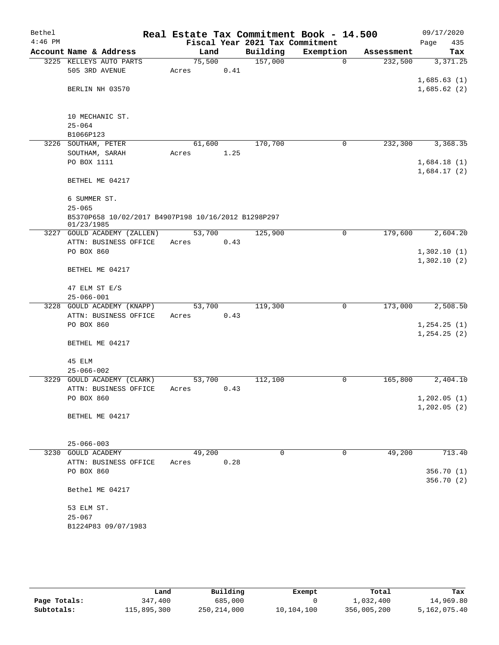| Bethel    |                                  |                                                     |        |      | Real Estate Tax Commitment Book - 14.500 |           |             |            |      | 09/17/2020   |
|-----------|----------------------------------|-----------------------------------------------------|--------|------|------------------------------------------|-----------|-------------|------------|------|--------------|
| $4:46$ PM |                                  |                                                     |        |      | Fiscal Year 2021 Tax Commitment          |           |             |            | Page | 435          |
|           |                                  | Account Name & Address                              | Land   |      | Building                                 | Exemption |             | Assessment |      | Tax          |
|           |                                  | 3225 KELLEYS AUTO PARTS                             | 75,500 |      | 157,000                                  |           | $\Omega$    | 232,500    |      | 3,371.25     |
|           | 505 3RD AVENUE                   |                                                     | Acres  | 0.41 |                                          |           |             |            |      |              |
|           |                                  |                                                     |        |      |                                          |           |             |            |      | 1,685.63(1)  |
|           | BERLIN NH 03570                  |                                                     |        |      |                                          |           |             |            |      | 1,685.62(2)  |
|           |                                  |                                                     |        |      |                                          |           |             |            |      |              |
|           | 10 MECHANIC ST.                  |                                                     |        |      |                                          |           |             |            |      |              |
|           | $25 - 064$                       |                                                     |        |      |                                          |           |             |            |      |              |
|           | B1066P123<br>3226 SOUTHAM, PETER |                                                     | 61,600 |      | 170,700                                  |           | $\mathbf 0$ | 232,300    |      |              |
|           | SOUTHAM, SARAH                   |                                                     | Acres  | 1.25 |                                          |           |             |            |      | 3,368.35     |
|           | PO BOX 1111                      |                                                     |        |      |                                          |           |             |            |      | 1,684.18(1)  |
|           |                                  |                                                     |        |      |                                          |           |             |            |      | 1,684.17(2)  |
|           | BETHEL ME 04217                  |                                                     |        |      |                                          |           |             |            |      |              |
|           | 6 SUMMER ST.                     |                                                     |        |      |                                          |           |             |            |      |              |
|           | $25 - 065$                       |                                                     |        |      |                                          |           |             |            |      |              |
|           | 01/23/1985                       | B5370P658 10/02/2017 B4907P198 10/16/2012 B1298P297 |        |      |                                          |           |             |            |      |              |
|           |                                  | 3227 GOULD ACADEMY (ZALLEN)                         | 53,700 |      | 125,900                                  |           | $\mathbf 0$ | 179,600    |      | 2,604.20     |
|           |                                  | ATTN: BUSINESS OFFICE                               | Acres  | 0.43 |                                          |           |             |            |      |              |
|           | PO BOX 860                       |                                                     |        |      |                                          |           |             |            |      | 1,302.10(1)  |
|           | BETHEL ME 04217                  |                                                     |        |      |                                          |           |             |            |      | 1,302.10(2)  |
|           | 47 ELM ST E/S                    |                                                     |        |      |                                          |           |             |            |      |              |
|           | $25 - 066 - 001$                 |                                                     |        |      |                                          |           |             |            |      |              |
|           |                                  | 3228 GOULD ACADEMY (KNAPP)                          | 53,700 |      | 119,300                                  |           | 0           | 173,000    |      | 2,508.50     |
|           |                                  | ATTN: BUSINESS OFFICE                               | Acres  | 0.43 |                                          |           |             |            |      |              |
|           | PO BOX 860                       |                                                     |        |      |                                          |           |             |            |      | 1,254.25(1)  |
|           |                                  |                                                     |        |      |                                          |           |             |            |      | 1, 254.25(2) |
|           | BETHEL ME 04217                  |                                                     |        |      |                                          |           |             |            |      |              |
|           | 45 ELM                           |                                                     |        |      |                                          |           |             |            |      |              |
|           | $25 - 066 - 002$                 |                                                     |        |      |                                          |           |             |            |      |              |
|           |                                  | 3229 GOULD ACADEMY (CLARK)                          | 53,700 |      | 112,100                                  |           | 0           | 165,800    |      | 2,404.10     |
|           |                                  | ATTN: BUSINESS OFFICE                               | Acres  | 0.43 |                                          |           |             |            |      |              |
|           | PO BOX 860                       |                                                     |        |      |                                          |           |             |            |      | 1,202.05(1)  |
|           | BETHEL ME 04217                  |                                                     |        |      |                                          |           |             |            |      | 1, 202.05(2) |
|           |                                  |                                                     |        |      |                                          |           |             |            |      |              |
|           | $25 - 066 - 003$                 |                                                     |        |      |                                          |           |             |            |      |              |
|           | 3230 GOULD ACADEMY               |                                                     | 49,200 |      | 0                                        |           | 0           | 49,200     |      | 713.40       |
|           |                                  | ATTN: BUSINESS OFFICE                               | Acres  | 0.28 |                                          |           |             |            |      |              |
|           | PO BOX 860                       |                                                     |        |      |                                          |           |             |            |      | 356.70 (1)   |
|           | Bethel ME 04217                  |                                                     |        |      |                                          |           |             |            |      | 356.70(2)    |
|           |                                  |                                                     |        |      |                                          |           |             |            |      |              |
|           | 53 ELM ST.                       |                                                     |        |      |                                          |           |             |            |      |              |
|           | $25 - 067$                       | B1224P83 09/07/1983                                 |        |      |                                          |           |             |            |      |              |
|           |                                  |                                                     |        |      |                                          |           |             |            |      |              |

|              | Land        | Building    | Exempt     | Total       | Tax          |
|--------------|-------------|-------------|------------|-------------|--------------|
| Page Totals: | 347,400     | 685,000     |            | 1,032,400   | 14,969.80    |
| Subtotals:   | 115,895,300 | 250,214,000 | 10,104,100 | 356,005,200 | 5,162,075.40 |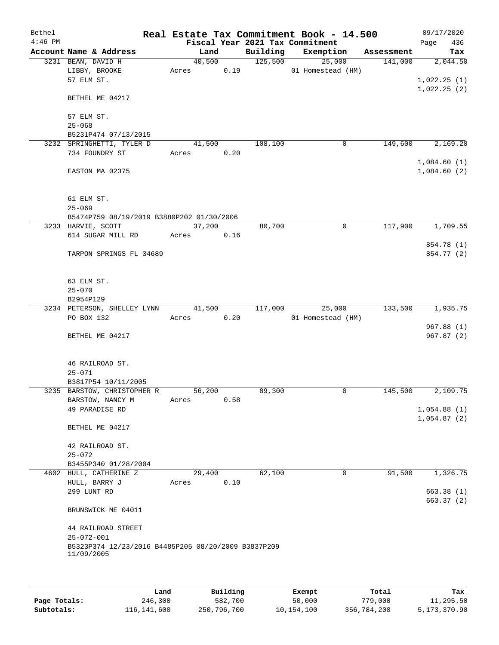| Bethel    |                                                     |        |      |          | Real Estate Tax Commitment Book - 14.500 |            | 09/17/2020  |
|-----------|-----------------------------------------------------|--------|------|----------|------------------------------------------|------------|-------------|
| $4:46$ PM |                                                     |        |      |          | Fiscal Year 2021 Tax Commitment          |            | 436<br>Page |
|           | Account Name & Address                              | Land   |      | Building | Exemption                                | Assessment | Tax         |
|           | 3231 BEAN, DAVID H                                  | 40,500 |      | 125,500  | 25,000                                   | 141,000    | 2,044.50    |
|           | LIBBY, BROOKE                                       | Acres  | 0.19 |          | 01 Homestead (HM)                        |            |             |
|           | 57 ELM ST.                                          |        |      |          |                                          |            | 1,022.25(1) |
|           |                                                     |        |      |          |                                          |            | 1,022.25(2) |
|           | BETHEL ME 04217                                     |        |      |          |                                          |            |             |
|           |                                                     |        |      |          |                                          |            |             |
|           | 57 ELM ST.                                          |        |      |          |                                          |            |             |
|           | $25 - 068$                                          |        |      |          |                                          |            |             |
|           | B5231P474 07/13/2015                                |        |      |          |                                          |            |             |
|           | 3232 SPRINGHETTI, TYLER D                           | 41,500 |      | 108,100  | 0                                        | 149,600    | 2,169.20    |
|           | 734 FOUNDRY ST                                      | Acres  | 0.20 |          |                                          |            |             |
|           |                                                     |        |      |          |                                          |            | 1,084.60(1) |
|           | EASTON MA 02375                                     |        |      |          |                                          |            | 1,084.60(2) |
|           |                                                     |        |      |          |                                          |            |             |
|           | 61 ELM ST.                                          |        |      |          |                                          |            |             |
|           | $25 - 069$                                          |        |      |          |                                          |            |             |
|           | B5474P759 08/19/2019 B3880P202 01/30/2006           |        |      |          |                                          |            |             |
|           | 3233 HARVIE, SCOTT                                  | 37,200 |      | 80,700   | 0                                        | 117,900    | 1,709.55    |
|           | 614 SUGAR MILL RD                                   | Acres  | 0.16 |          |                                          |            |             |
|           |                                                     |        |      |          |                                          |            | 854.78 (1)  |
|           | TARPON SPRINGS FL 34689                             |        |      |          |                                          |            | 854.77 (2)  |
|           |                                                     |        |      |          |                                          |            |             |
|           |                                                     |        |      |          |                                          |            |             |
|           | 63 ELM ST.                                          |        |      |          |                                          |            |             |
|           | $25 - 070$                                          |        |      |          |                                          |            |             |
|           | B2954P129                                           |        |      |          |                                          |            |             |
|           | 3234 PETERSON, SHELLEY LYNN                         | 41,500 |      | 117,000  | 25,000                                   | 133,500    | 1,935.75    |
|           | PO BOX 132                                          | Acres  | 0.20 |          | 01 Homestead (HM)                        |            |             |
|           |                                                     |        |      |          |                                          |            | 967.88(1)   |
|           | BETHEL ME 04217                                     |        |      |          |                                          |            | 967.87(2)   |
|           |                                                     |        |      |          |                                          |            |             |
|           |                                                     |        |      |          |                                          |            |             |
|           | 46 RAILROAD ST.                                     |        |      |          |                                          |            |             |
|           | $25 - 071$                                          |        |      |          |                                          |            |             |
|           | B3817P54 10/11/2005                                 |        |      |          |                                          |            |             |
|           | 3235 BARSTOW, CHRISTOPHER R                         | 56,200 |      | 89,300   | 0                                        | 145,500    | 2,109.75    |
|           | BARSTOW, NANCY M                                    | Acres  | 0.58 |          |                                          |            |             |
|           | 49 PARADISE RD                                      |        |      |          |                                          |            | 1,054.88(1) |
|           |                                                     |        |      |          |                                          |            | 1,054.87(2) |
|           | BETHEL ME 04217                                     |        |      |          |                                          |            |             |
|           | 42 RAILROAD ST.                                     |        |      |          |                                          |            |             |
|           |                                                     |        |      |          |                                          |            |             |
|           | $25 - 072$<br>B3455P340 01/28/2004                  |        |      |          |                                          |            |             |
|           | 4602 HULL, CATHERINE Z                              | 29,400 |      | 62,100   | 0                                        | 91,500     | 1,326.75    |
|           | HULL, BARRY J                                       | Acres  | 0.10 |          |                                          |            |             |
|           | 299 LUNT RD                                         |        |      |          |                                          |            | 663.38 (1)  |
|           |                                                     |        |      |          |                                          |            | 663.37(2)   |
|           | BRUNSWICK ME 04011                                  |        |      |          |                                          |            |             |
|           |                                                     |        |      |          |                                          |            |             |
|           | 44 RAILROAD STREET                                  |        |      |          |                                          |            |             |
|           | $25 - 072 - 001$                                    |        |      |          |                                          |            |             |
|           | B5323P374 12/23/2016 B4485P205 08/20/2009 B3837P209 |        |      |          |                                          |            |             |
|           | 11/09/2005                                          |        |      |          |                                          |            |             |
|           |                                                     |        |      |          |                                          |            |             |
|           |                                                     |        |      |          |                                          |            |             |
|           |                                                     |        |      |          |                                          |            |             |

|              | Land        | Building    | Exempt     | Total       | Tax          |
|--------------|-------------|-------------|------------|-------------|--------------|
| Page Totals: | 246,300     | 582,700     | 50,000     | 779,000     | 11,295.50    |
| Subtotals:   | 116,141,600 | 250,796,700 | 10,154,100 | 356,784,200 | 5,173,370.90 |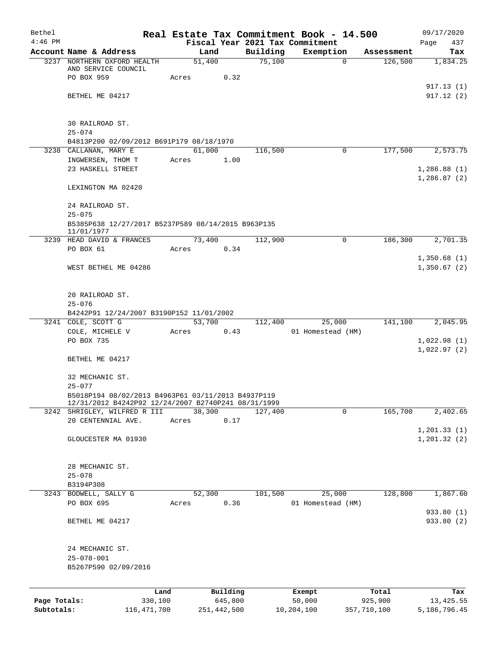| Bethel       |                                                        |                 |          |          | Real Estate Tax Commitment Book - 14.500     |             | 09/17/2020              |
|--------------|--------------------------------------------------------|-----------------|----------|----------|----------------------------------------------|-------------|-------------------------|
| $4:46$ PM    | Account Name & Address                                 | Land            |          | Building | Fiscal Year 2021 Tax Commitment<br>Exemption | Assessment  | Page<br>437<br>Tax      |
|              | 3237 NORTHERN OXFORD HEALTH                            | 51,400          |          | 75,100   | $\mathbf 0$                                  | 126,500     | 1,834.25                |
|              | AND SERVICE COUNCIL                                    |                 |          |          |                                              |             |                         |
|              | PO BOX 959                                             | Acres           | 0.32     |          |                                              |             |                         |
|              | BETHEL ME 04217                                        |                 |          |          |                                              |             | 917.13 (1)<br>917.12(2) |
|              |                                                        |                 |          |          |                                              |             |                         |
|              |                                                        |                 |          |          |                                              |             |                         |
|              | 30 RAILROAD ST.                                        |                 |          |          |                                              |             |                         |
|              | $25 - 074$<br>B4813P200 02/09/2012 B691P179 08/18/1970 |                 |          |          |                                              |             |                         |
|              | 3238 CALLANAN, MARY E                                  | 61,000          |          | 116,500  | 0                                            | 177,500     | 2,573.75                |
|              | INGWERSEN, THOM T                                      | Acres           | 1.00     |          |                                              |             |                         |
|              | 23 HASKELL STREET                                      |                 |          |          |                                              |             | 1,286.88(1)             |
|              |                                                        |                 |          |          |                                              |             | 1,286.87(2)             |
|              | LEXINGTON MA 02420                                     |                 |          |          |                                              |             |                         |
|              | 24 RAILROAD ST.                                        |                 |          |          |                                              |             |                         |
|              | $25 - 075$                                             |                 |          |          |                                              |             |                         |
|              | B5385P638 12/27/2017 B5237P589 08/14/2015 B963P135     |                 |          |          |                                              |             |                         |
|              | 11/01/1977<br>3239 HEAD DAVID & FRANCES                | 73,400          |          | 112,900  | 0                                            | 186,300     | 2,701.35                |
|              | PO BOX 61                                              | Acres           | 0.34     |          |                                              |             |                         |
|              |                                                        |                 |          |          |                                              |             | 1,350.68(1)             |
|              | WEST BETHEL ME 04286                                   |                 |          |          |                                              |             | 1,350.67(2)             |
|              |                                                        |                 |          |          |                                              |             |                         |
|              | 20 RAILROAD ST.                                        |                 |          |          |                                              |             |                         |
|              | $25 - 076$                                             |                 |          |          |                                              |             |                         |
|              | B4242P91 12/24/2007 B3190P152 11/01/2002               |                 |          |          |                                              |             |                         |
|              | 3241 COLE, SCOTT G<br>COLE, MICHELE V                  | 53,700<br>Acres | 0.43     | 112,400  | 25,000<br>01 Homestead (HM)                  | 141,100     | 2,045.95                |
|              | PO BOX 735                                             |                 |          |          |                                              |             | 1,022.98(1)             |
|              |                                                        |                 |          |          |                                              |             | 1,022.97(2)             |
|              | BETHEL ME 04217                                        |                 |          |          |                                              |             |                         |
|              |                                                        |                 |          |          |                                              |             |                         |
|              | 32 MECHANIC ST.<br>$25 - 077$                          |                 |          |          |                                              |             |                         |
|              | B5018P194 08/02/2013 B4963P61 03/11/2013 B4937P119     |                 |          |          |                                              |             |                         |
|              | 12/31/2012 B4242P92 12/24/2007 B2740P241 08/31/1999    |                 |          |          |                                              |             |                         |
|              | 3242 SHRIGLEY, WILFRED R III<br>20 CENTENNIAL AVE.     | 38,300<br>Acres | 0.17     | 127,400  | $\mathbf 0$                                  | 165,700     | 2,402.65                |
|              |                                                        |                 |          |          |                                              |             | 1, 201.33(1)            |
|              | GLOUCESTER MA 01930                                    |                 |          |          |                                              |             | 1, 201.32(2)            |
|              |                                                        |                 |          |          |                                              |             |                         |
|              | 28 MECHANIC ST.                                        |                 |          |          |                                              |             |                         |
|              | $25 - 078$                                             |                 |          |          |                                              |             |                         |
|              | B3194P308                                              |                 |          |          |                                              |             |                         |
|              | 3243 BODWELL, SALLY G                                  | 52,300          |          | 101,500  | 25,000                                       | 128,800     | 1,867.60                |
|              | PO BOX 695                                             | Acres           | 0.36     |          | 01 Homestead (HM)                            |             | 933.80 (1)              |
|              | BETHEL ME 04217                                        |                 |          |          |                                              |             | 933.80 (2)              |
|              |                                                        |                 |          |          |                                              |             |                         |
|              |                                                        |                 |          |          |                                              |             |                         |
|              | 24 MECHANIC ST.                                        |                 |          |          |                                              |             |                         |
|              | $25 - 078 - 001$<br>B5267P590 02/09/2016               |                 |          |          |                                              |             |                         |
|              |                                                        |                 |          |          |                                              |             |                         |
|              | Land                                                   |                 | Building |          |                                              | Total       |                         |
| Page Totals: | 330,100                                                |                 | 645,800  |          | Exempt<br>50,000                             | 925,900     | Tax<br>13, 425.55       |
| Subtotals:   | 116, 471, 700                                          | 251, 442, 500   |          |          | 10,204,100                                   | 357,710,100 | 5, 186, 796. 45         |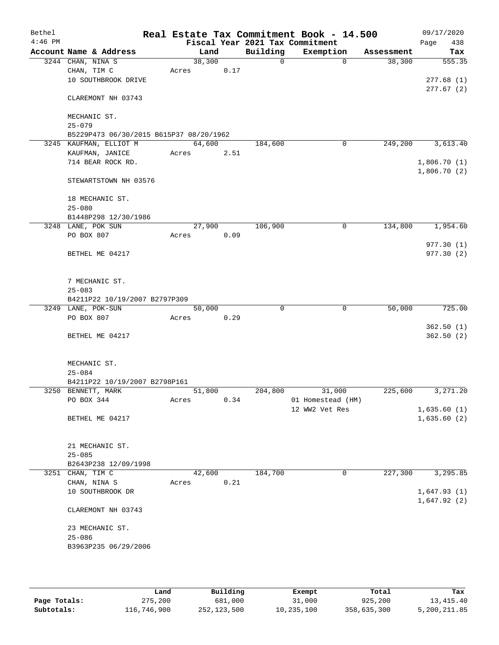| Bethel    |                                           |                 |      |          | Real Estate Tax Commitment Book - 14.500 |            | 09/17/2020                 |
|-----------|-------------------------------------------|-----------------|------|----------|------------------------------------------|------------|----------------------------|
| $4:46$ PM |                                           |                 |      |          | Fiscal Year 2021 Tax Commitment          |            | 438<br>Page                |
|           | Account Name & Address                    | Land            |      | Building | Exemption                                | Assessment | Tax                        |
| 3244      | CHAN, NINA S<br>CHAN, TIM C               | 38,300          | 0.17 | 0        | $\mathbf 0$                              | 38,300     | 555.35                     |
|           | 10 SOUTHBROOK DRIVE                       | Acres           |      |          |                                          |            | 277.68(1)                  |
|           |                                           |                 |      |          |                                          |            | 277.67(2)                  |
|           | CLAREMONT NH 03743                        |                 |      |          |                                          |            |                            |
|           | MECHANIC ST.                              |                 |      |          |                                          |            |                            |
|           | $25 - 079$                                |                 |      |          |                                          |            |                            |
|           | B5229P473 06/30/2015 B615P37 08/20/1962   |                 |      |          |                                          |            |                            |
|           | 3245 KAUFMAN, ELLIOT M<br>KAUFMAN, JANICE | 64,600<br>Acres | 2.51 | 184,600  | $\mathbf 0$                              | 249,200    | 3,613.40                   |
|           | 714 BEAR ROCK RD.                         |                 |      |          |                                          |            | 1,806.70(1)                |
|           |                                           |                 |      |          |                                          |            | 1,806.70(2)                |
|           | STEWARTSTOWN NH 03576                     |                 |      |          |                                          |            |                            |
|           | 18 MECHANIC ST.                           |                 |      |          |                                          |            |                            |
|           | $25 - 080$                                |                 |      |          |                                          |            |                            |
|           | B1448P298 12/30/1986                      |                 |      |          |                                          |            |                            |
|           | 3248 LANE, POK SUN                        | 27,900          |      | 106,900  | 0                                        | 134,800    | 1,954.60                   |
|           | PO BOX 807                                | Acres           | 0.09 |          |                                          |            |                            |
|           | BETHEL ME 04217                           |                 |      |          |                                          |            | 977.30(1)<br>977.30(2)     |
|           |                                           |                 |      |          |                                          |            |                            |
|           | 7 MECHANIC ST.                            |                 |      |          |                                          |            |                            |
|           | $25 - 083$                                |                 |      |          |                                          |            |                            |
|           | B4211P22 10/19/2007 B2797P309             |                 |      |          |                                          |            |                            |
|           | 3249 LANE, POK-SUN                        | 50,000          |      | 0        | $\mathsf{O}$                             | 50,000     | 725.00                     |
|           | PO BOX 807                                | Acres           | 0.29 |          |                                          |            |                            |
|           |                                           |                 |      |          |                                          |            | 362.50(1)                  |
|           | BETHEL ME 04217                           |                 |      |          |                                          |            | 362.50(2)                  |
|           | MECHANIC ST.                              |                 |      |          |                                          |            |                            |
|           | $25 - 084$                                |                 |      |          |                                          |            |                            |
|           | B4211P22 10/19/2007 B2798P161             |                 |      |          |                                          |            |                            |
|           | 3250 BENNETT, MARK                        | 51,800          |      | 204,800  | 31,000                                   | 225,600    | 3,271.20                   |
|           | PO BOX 344                                | Acres           | 0.34 |          | 01 Homestead (HM)                        |            |                            |
|           | BETHEL ME 04217                           |                 |      |          | 12 WW2 Vet Res                           |            | 1,635.60(1)<br>1,635.60(2) |
|           |                                           |                 |      |          |                                          |            |                            |
|           | 21 MECHANIC ST.                           |                 |      |          |                                          |            |                            |
|           | $25 - 085$                                |                 |      |          |                                          |            |                            |
|           | B2643P238 12/09/1998                      |                 |      |          |                                          |            |                            |
|           | 3251 CHAN, TIM C                          | 42,600          |      | 184,700  | 0                                        | 227,300    | 3,295.85                   |
|           | CHAN, NINA S                              | Acres           | 0.21 |          |                                          |            |                            |
|           | 10 SOUTHBROOK DR                          |                 |      |          |                                          |            | 1,647.93(1)<br>1,647.92(2) |
|           | CLAREMONT NH 03743                        |                 |      |          |                                          |            |                            |
|           | 23 MECHANIC ST.                           |                 |      |          |                                          |            |                            |
|           | $25 - 086$                                |                 |      |          |                                          |            |                            |
|           | B3963P235 06/29/2006                      |                 |      |          |                                          |            |                            |
|           |                                           |                 |      |          |                                          |            |                            |
|           |                                           |                 |      |          |                                          |            |                            |

|              | Land        | Building    | Exempt     | Total       | Tax          |
|--------------|-------------|-------------|------------|-------------|--------------|
| Page Totals: | 275,200     | 681,000     | 31,000     | 925,200     | 13,415.40    |
| Subtotals:   | 116,746,900 | 252,123,500 | 10,235,100 | 358,635,300 | 5,200,211.85 |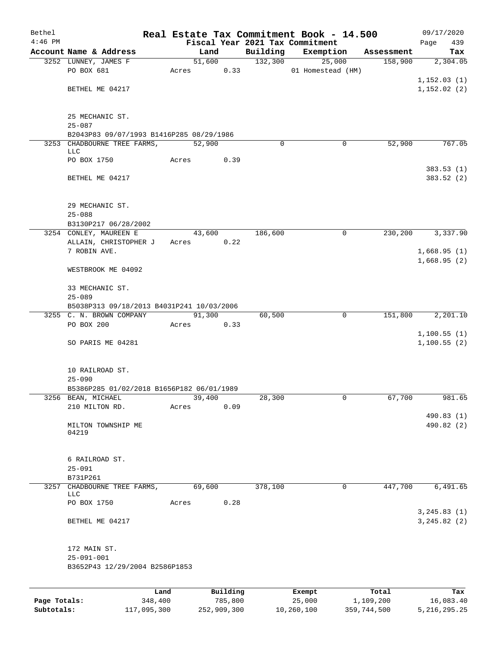| Bethel       |                                           |       |        |          |          | Real Estate Tax Commitment Book - 14.500 |            | 09/17/2020                 |
|--------------|-------------------------------------------|-------|--------|----------|----------|------------------------------------------|------------|----------------------------|
| $4:46$ PM    |                                           |       |        |          |          | Fiscal Year 2021 Tax Commitment          |            | 439<br>Page                |
|              | Account Name & Address                    |       | Land   |          | Building | Exemption                                | Assessment | Tax                        |
|              | 3252 LUNNEY, JAMES F                      |       | 51,600 |          | 132,300  | 25,000                                   | 158,900    | 2,304.05                   |
|              | PO BOX 681                                | Acres |        | 0.33     |          | 01 Homestead (HM)                        |            |                            |
|              | BETHEL ME 04217                           |       |        |          |          |                                          |            | 1,152.03(1)<br>1,152.02(2) |
|              |                                           |       |        |          |          |                                          |            |                            |
|              | 25 MECHANIC ST.                           |       |        |          |          |                                          |            |                            |
|              | $25 - 087$                                |       |        |          |          |                                          |            |                            |
|              | B2043P83 09/07/1993 B1416P285 08/29/1986  |       |        |          |          |                                          |            |                            |
|              | 3253 CHADBOURNE TREE FARMS,               |       | 52,900 |          | 0        | 0                                        | 52,900     | 767.05                     |
|              | LLC<br>PO BOX 1750                        | Acres |        | 0.39     |          |                                          |            |                            |
|              |                                           |       |        |          |          |                                          |            | 383.53(1)                  |
|              | BETHEL ME 04217                           |       |        |          |          |                                          |            | 383.52 (2)                 |
|              |                                           |       |        |          |          |                                          |            |                            |
|              | 29 MECHANIC ST.                           |       |        |          |          |                                          |            |                            |
|              | $25 - 088$                                |       |        |          |          |                                          |            |                            |
|              | B3130P217 06/28/2002                      |       |        |          |          |                                          |            | 3,337.90                   |
|              | 3254 CONLEY, MAUREEN E                    |       | 43,600 |          | 186,600  | 0                                        | 230,200    |                            |
|              | ALLAIN, CHRISTOPHER J<br>7 ROBIN AVE.     |       | Acres  | 0.22     |          |                                          |            | 1,668.95(1)                |
|              |                                           |       |        |          |          |                                          |            | 1,668.95(2)                |
|              | WESTBROOK ME 04092                        |       |        |          |          |                                          |            |                            |
|              | 33 MECHANIC ST.                           |       |        |          |          |                                          |            |                            |
|              | $25 - 089$                                |       |        |          |          |                                          |            |                            |
|              | B5038P313 09/18/2013 B4031P241 10/03/2006 |       |        |          |          |                                          |            |                            |
|              | 3255 C. N. BROWN COMPANY                  |       | 91,300 |          | 60,500   | 0                                        | 151,800    | 2,201.10                   |
|              | PO BOX 200                                | Acres |        | 0.33     |          |                                          |            |                            |
|              |                                           |       |        |          |          |                                          |            | 1,100.55(1)                |
|              | SO PARIS ME 04281                         |       |        |          |          |                                          |            | 1,100.55(2)                |
|              | 10 RAILROAD ST.                           |       |        |          |          |                                          |            |                            |
|              | $25 - 090$                                |       |        |          |          |                                          |            |                            |
|              | B5386P285 01/02/2018 B1656P182 06/01/1989 |       |        |          |          |                                          |            |                            |
|              | 3256 BEAN, MICHAEL                        |       | 39,400 |          | 28,300   | 0                                        | 67,700     | 981.65                     |
|              | 210 MILTON RD.                            | Acres |        | 0.09     |          |                                          |            |                            |
|              |                                           |       |        |          |          |                                          |            | 490.83 (1)                 |
|              | MILTON TOWNSHIP ME                        |       |        |          |          |                                          |            | 490.82 (2)                 |
|              | 04219                                     |       |        |          |          |                                          |            |                            |
|              | 6 RAILROAD ST.                            |       |        |          |          |                                          |            |                            |
|              | $25 - 091$                                |       |        |          |          |                                          |            |                            |
|              | B731P261                                  |       |        |          |          |                                          |            |                            |
| 3257         | CHADBOURNE TREE FARMS,<br>LLC             |       | 69,600 |          | 378,100  | 0                                        | 447,700    | 6,491.65                   |
|              | PO BOX 1750                               | Acres |        | 0.28     |          |                                          |            | 3, 245.83(1)               |
|              | BETHEL ME 04217                           |       |        |          |          |                                          |            | 3, 245.82 (2)              |
|              | 172 MAIN ST.                              |       |        |          |          |                                          |            |                            |
|              | $25 - 091 - 001$                          |       |        |          |          |                                          |            |                            |
|              | B3652P43 12/29/2004 B2586P1853            |       |        |          |          |                                          |            |                            |
|              | Land                                      |       |        | Building |          | Exempt                                   | Total      | Tax                        |
| Page Totals: | 348,400                                   |       |        | 785,800  |          | 25,000                                   | 1,109,200  | 16,083.40                  |

**Subtotals:** 117,095,300 252,909,300 10,260,100 359,744,500 5,216,295.25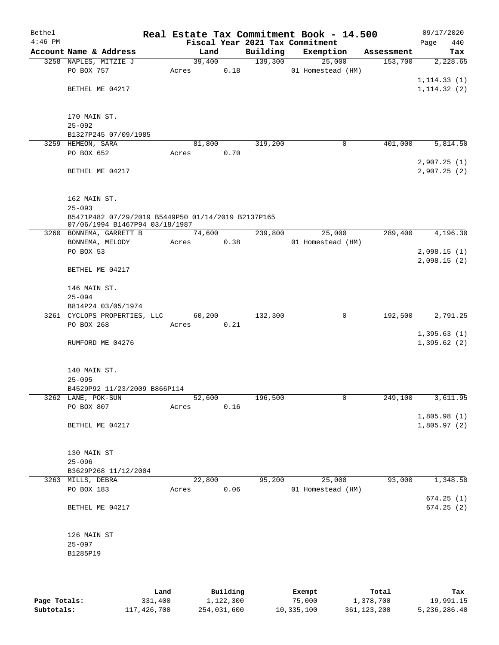| Bethel    |                                                                                      |       |        |      |          | Real Estate Tax Commitment Book - 14.500 |            | 09/17/2020   |          |
|-----------|--------------------------------------------------------------------------------------|-------|--------|------|----------|------------------------------------------|------------|--------------|----------|
| $4:46$ PM |                                                                                      |       |        |      |          | Fiscal Year 2021 Tax Commitment          |            | Page         | 440      |
|           | Account Name & Address                                                               |       | Land   |      | Building | Exemption                                | Assessment |              | Tax      |
|           | 3258 NAPLES, MITZIE J                                                                |       | 39,400 |      | 139,300  | 25,000                                   | 153,700    |              | 2,228.65 |
|           | PO BOX 757                                                                           | Acres |        | 0.18 |          | 01 Homestead (HM)                        |            |              |          |
|           |                                                                                      |       |        |      |          |                                          |            | 1, 114.33(1) |          |
|           | BETHEL ME 04217                                                                      |       |        |      |          |                                          |            | 1, 114.32(2) |          |
|           |                                                                                      |       |        |      |          |                                          |            |              |          |
|           | 170 MAIN ST.                                                                         |       |        |      |          |                                          |            |              |          |
|           | $25 - 092$                                                                           |       |        |      |          |                                          |            |              |          |
|           | B1327P245 07/09/1985                                                                 |       |        |      |          |                                          |            |              |          |
|           | 3259 HEMEON, SARA                                                                    |       | 81,800 |      | 319,200  | 0                                        | 401,000    |              | 5,814.50 |
|           | PO BOX 652                                                                           | Acres |        | 0.70 |          |                                          |            | 2,907.25(1)  |          |
|           | BETHEL ME 04217                                                                      |       |        |      |          |                                          |            | 2,907.25(2)  |          |
|           |                                                                                      |       |        |      |          |                                          |            |              |          |
|           | 162 MAIN ST.                                                                         |       |        |      |          |                                          |            |              |          |
|           | $25 - 093$                                                                           |       |        |      |          |                                          |            |              |          |
|           | B5471P482 07/29/2019 B5449P50 01/14/2019 B2137P165<br>07/06/1994 B1467P94 03/18/1987 |       |        |      |          |                                          |            |              |          |
|           | 3260 BONNEMA, GARRETT B                                                              |       | 74,600 |      | 239,800  | 25,000                                   | 289,400    |              | 4,196.30 |
|           | BONNEMA, MELODY                                                                      | Acres |        | 0.38 |          | 01 Homestead (HM)                        |            |              |          |
|           | PO BOX 53                                                                            |       |        |      |          |                                          |            | 2,098.15(1)  |          |
|           |                                                                                      |       |        |      |          |                                          |            | 2,098.15(2)  |          |
|           | BETHEL ME 04217                                                                      |       |        |      |          |                                          |            |              |          |
|           | 146 MAIN ST.                                                                         |       |        |      |          |                                          |            |              |          |
|           | $25 - 094$                                                                           |       |        |      |          |                                          |            |              |          |
|           | B814P24 03/05/1974                                                                   |       |        |      |          |                                          |            |              |          |
|           | 3261 CYCLOPS PROPERTIES, LLC                                                         |       | 60,200 |      | 132,300  | 0                                        | 192,500    |              | 2,791.25 |
|           | PO BOX 268                                                                           | Acres |        | 0.21 |          |                                          |            |              |          |
|           |                                                                                      |       |        |      |          |                                          |            | 1,395.63(1)  |          |
|           | RUMFORD ME 04276                                                                     |       |        |      |          |                                          |            | 1,395.62(2)  |          |
|           | 140 MAIN ST.                                                                         |       |        |      |          |                                          |            |              |          |
|           | $25 - 095$                                                                           |       |        |      |          |                                          |            |              |          |
|           | B4529P92 11/23/2009 B866P114                                                         |       |        |      |          |                                          |            |              |          |
|           | 3262 LANE, POK-SUN<br>PO BOX 807                                                     | Acres | 52,600 | 0.16 | 196,500  | 0                                        | 249,100    |              | 3,611.95 |
|           |                                                                                      |       |        |      |          |                                          |            | 1,805.98(1)  |          |
|           | BETHEL ME 04217                                                                      |       |        |      |          |                                          |            | 1,805.97(2)  |          |
|           |                                                                                      |       |        |      |          |                                          |            |              |          |
|           | 130 MAIN ST                                                                          |       |        |      |          |                                          |            |              |          |
|           | $25 - 096$                                                                           |       |        |      |          |                                          |            |              |          |
|           | B3629P268 11/12/2004                                                                 |       |        |      |          |                                          |            |              |          |
|           | 3263 MILLS, DEBRA                                                                    |       | 22,800 |      | 95,200   | 25,000                                   | 93,000     |              | 1,348.50 |
|           | PO BOX 183                                                                           | Acres |        | 0.06 |          | 01 Homestead (HM)                        |            |              |          |
|           |                                                                                      |       |        |      |          |                                          |            | 674.25(1)    |          |
|           | BETHEL ME 04217                                                                      |       |        |      |          |                                          |            | 674.25(2)    |          |
|           | 126 MAIN ST                                                                          |       |        |      |          |                                          |            |              |          |
|           | $25 - 097$                                                                           |       |        |      |          |                                          |            |              |          |
|           | B1285P19                                                                             |       |        |      |          |                                          |            |              |          |
|           |                                                                                      |       |        |      |          |                                          |            |              |          |
|           |                                                                                      |       |        |      |          |                                          |            |              |          |
|           |                                                                                      |       |        |      |          |                                          |            |              |          |

|              | Land        | Building    | Exempt     | Total         | Tax          |
|--------------|-------------|-------------|------------|---------------|--------------|
| Page Totals: | 331,400     | 1,122,300   | 75,000     | 1,378,700     | 19,991.15    |
| Subtotals:   | 117,426,700 | 254,031,600 | 10,335,100 | 361, 123, 200 | 5,236,286.40 |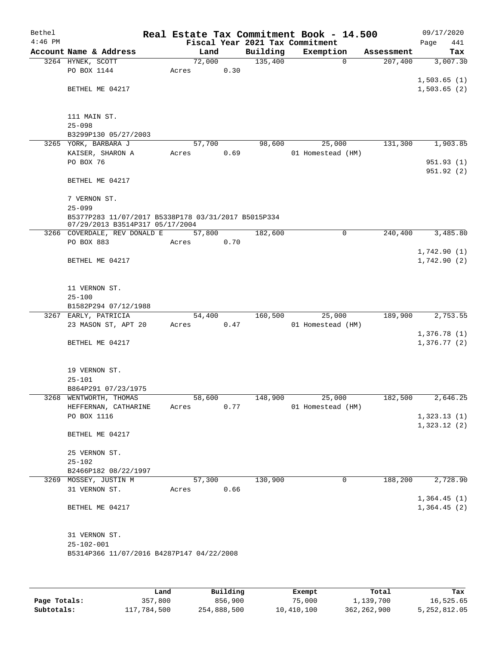| Bethel<br>$4:46$ PM |                                                                 |        |      |          | Real Estate Tax Commitment Book - 14.500<br>Fiscal Year 2021 Tax Commitment |            | 09/17/2020<br>Page<br>441  |
|---------------------|-----------------------------------------------------------------|--------|------|----------|-----------------------------------------------------------------------------|------------|----------------------------|
|                     | Account Name & Address                                          | Land   |      | Building | Exemption                                                                   | Assessment | Tax                        |
|                     | 3264 HYNEK, SCOTT                                               | 72,000 |      | 135,400  | $\mathbf 0$                                                                 | 207,400    | 3,007.30                   |
|                     | PO BOX 1144                                                     | Acres  | 0.30 |          |                                                                             |            |                            |
|                     |                                                                 |        |      |          |                                                                             |            | 1,503.65(1)                |
|                     | BETHEL ME 04217                                                 |        |      |          |                                                                             |            | 1,503.65(2)                |
|                     |                                                                 |        |      |          |                                                                             |            |                            |
|                     |                                                                 |        |      |          |                                                                             |            |                            |
|                     | 111 MAIN ST.                                                    |        |      |          |                                                                             |            |                            |
|                     | $25 - 098$                                                      |        |      |          |                                                                             |            |                            |
|                     | B3299P130 05/27/2003<br>3265 YORK, BARBARA J                    | 57,700 |      | 98,600   | 25,000                                                                      | 131,300    | 1,903.85                   |
|                     | KAISER, SHARON A                                                | Acres  | 0.69 |          | 01 Homestead (HM)                                                           |            |                            |
|                     | PO BOX 76                                                       |        |      |          |                                                                             |            | 951.93 (1)                 |
|                     |                                                                 |        |      |          |                                                                             |            | 951.92 (2)                 |
|                     | BETHEL ME 04217                                                 |        |      |          |                                                                             |            |                            |
|                     |                                                                 |        |      |          |                                                                             |            |                            |
|                     | 7 VERNON ST.                                                    |        |      |          |                                                                             |            |                            |
|                     | $25 - 099$                                                      |        |      |          |                                                                             |            |                            |
|                     | B5377P283 11/07/2017 B5338P178 03/31/2017 B5015P334             |        |      |          |                                                                             |            |                            |
|                     | 07/29/2013 B3514P317 05/17/2004<br>3266 COVERDALE, REV DONALD E | 57,800 |      | 182,600  | 0                                                                           | 240, 400   | 3,485.80                   |
|                     | PO BOX 883                                                      | Acres  | 0.70 |          |                                                                             |            |                            |
|                     |                                                                 |        |      |          |                                                                             |            | 1,742.90(1)                |
|                     | BETHEL ME 04217                                                 |        |      |          |                                                                             |            | 1,742.90(2)                |
|                     |                                                                 |        |      |          |                                                                             |            |                            |
|                     |                                                                 |        |      |          |                                                                             |            |                            |
|                     | 11 VERNON ST.                                                   |        |      |          |                                                                             |            |                            |
|                     | $25 - 100$                                                      |        |      |          |                                                                             |            |                            |
|                     | B1582P294 07/12/1988                                            |        |      |          |                                                                             |            |                            |
|                     | 3267 EARLY, PATRICIA                                            | 54,400 |      | 160,500  | 25,000                                                                      | 189,900    | 2,753.55                   |
|                     | 23 MASON ST, APT 20                                             | Acres  | 0.47 |          | 01 Homestead (HM)                                                           |            |                            |
|                     | BETHEL ME 04217                                                 |        |      |          |                                                                             |            | 1,376.78(1)<br>1,376.77(2) |
|                     |                                                                 |        |      |          |                                                                             |            |                            |
|                     |                                                                 |        |      |          |                                                                             |            |                            |
|                     | 19 VERNON ST.                                                   |        |      |          |                                                                             |            |                            |
|                     | $25 - 101$                                                      |        |      |          |                                                                             |            |                            |
|                     | B864P291 07/23/1975                                             |        |      |          |                                                                             |            |                            |
|                     | 3268 WENTWORTH, THOMAS                                          | 58,600 |      | 148,900  | 25,000                                                                      | 182,500    | 2,646.25                   |
|                     | HEFFERNAN, CATHARINE                                            | Acres  | 0.77 |          | 01 Homestead (HM)                                                           |            |                            |
|                     | PO BOX 1116                                                     |        |      |          |                                                                             |            | 1,323.13(1)                |
|                     |                                                                 |        |      |          |                                                                             |            | 1,323.12(2)                |
|                     | BETHEL ME 04217                                                 |        |      |          |                                                                             |            |                            |
|                     | 25 VERNON ST.                                                   |        |      |          |                                                                             |            |                            |
|                     | $25 - 102$                                                      |        |      |          |                                                                             |            |                            |
|                     | B2466P182 08/22/1997                                            |        |      |          |                                                                             |            |                            |
|                     | 3269 MOSSEY, JUSTIN M                                           | 57,300 |      | 130,900  | 0                                                                           | 188,200    | 2,728.90                   |
|                     | 31 VERNON ST.                                                   | Acres  | 0.66 |          |                                                                             |            |                            |
|                     |                                                                 |        |      |          |                                                                             |            | 1,364.45(1)                |
|                     | BETHEL ME 04217                                                 |        |      |          |                                                                             |            | 1,364.45(2)                |
|                     |                                                                 |        |      |          |                                                                             |            |                            |
|                     |                                                                 |        |      |          |                                                                             |            |                            |
|                     | 31 VERNON ST.                                                   |        |      |          |                                                                             |            |                            |
|                     | $25 - 102 - 001$                                                |        |      |          |                                                                             |            |                            |
|                     | B5314P366 11/07/2016 B4287P147 04/22/2008                       |        |      |          |                                                                             |            |                            |
|                     |                                                                 |        |      |          |                                                                             |            |                            |
|                     |                                                                 |        |      |          |                                                                             |            |                            |

|              | Land        | Building    | Exempt     | Total         | Tax          |
|--------------|-------------|-------------|------------|---------------|--------------|
| Page Totals: | 357,800     | 856,900     | 75,000     | 1,139,700     | 16,525.65    |
| Subtotals:   | 117,784,500 | 254,888,500 | 10,410,100 | 362, 262, 900 | 5,252,812.05 |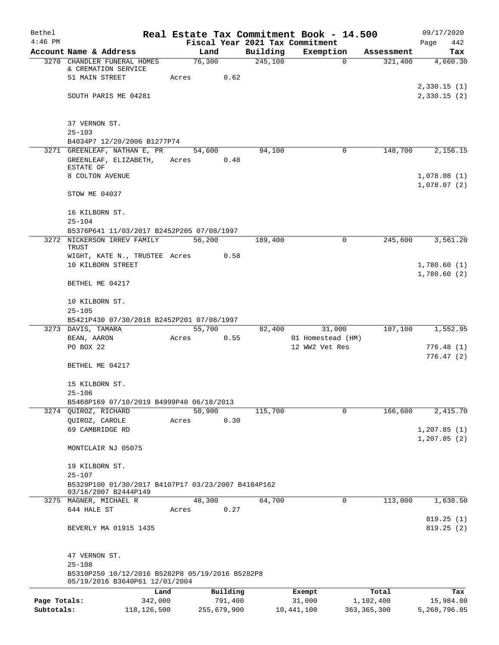| Bethel       |                                                                            |       |             |          | Real Estate Tax Commitment Book - 14.500 |               | 09/17/2020   |  |  |
|--------------|----------------------------------------------------------------------------|-------|-------------|----------|------------------------------------------|---------------|--------------|--|--|
| $4:46$ PM    |                                                                            |       |             |          | Fiscal Year 2021 Tax Commitment          |               | Page<br>442  |  |  |
|              | Account Name & Address                                                     |       | Land        | Building | Exemption                                | Assessment    | Tax          |  |  |
|              | 3270 CHANDLER FUNERAL HOMES<br>& CREMATION SERVICE                         |       | 76,300      | 245,100  | $\Omega$                                 | 321,400       | 4,660.30     |  |  |
|              | 51 MAIN STREET                                                             | Acres | 0.62        |          |                                          |               |              |  |  |
|              |                                                                            |       |             |          |                                          |               | 2,330.15(1)  |  |  |
|              | SOUTH PARIS ME 04281                                                       |       |             |          |                                          |               | 2,330.15(2)  |  |  |
|              |                                                                            |       |             |          |                                          |               |              |  |  |
|              |                                                                            |       |             |          |                                          |               |              |  |  |
|              | 37 VERNON ST.                                                              |       |             |          |                                          |               |              |  |  |
|              | $25 - 103$                                                                 |       |             |          |                                          |               |              |  |  |
|              | B4034P7 12/20/2006 B1277P74                                                |       |             |          |                                          |               |              |  |  |
|              | 3271 GREENLEAF, NATHAN E, PR                                               |       | 54,600      | 94,100   | 0                                        | 148,700       | 2,156.15     |  |  |
|              | GREENLEAF, ELIZABETH,                                                      | Acres | 0.48        |          |                                          |               |              |  |  |
|              | ESTATE OF<br>8 COLTON AVENUE                                               |       |             |          |                                          |               | 1,078.08(1)  |  |  |
|              |                                                                            |       |             |          |                                          |               | 1,078.07(2)  |  |  |
|              | STOW ME 04037                                                              |       |             |          |                                          |               |              |  |  |
|              |                                                                            |       |             |          |                                          |               |              |  |  |
|              | 16 KILBORN ST.                                                             |       |             |          |                                          |               |              |  |  |
|              | $25 - 104$                                                                 |       |             |          |                                          |               |              |  |  |
|              | B5376P641 11/03/2017 B2452P205 07/08/1997                                  |       |             |          |                                          |               |              |  |  |
|              | 3272 NICKERSON IRREV FAMILY                                                |       | 56,200      | 189,400  | 0                                        | 245,600       | 3,561.20     |  |  |
|              | TRUST                                                                      |       |             |          |                                          |               |              |  |  |
|              | WIGHT, KATE N., TRUSTEE Acres                                              |       | 0.58        |          |                                          |               |              |  |  |
|              | 10 KILBORN STREET                                                          |       |             |          |                                          |               | 1,780.60(1)  |  |  |
|              |                                                                            |       |             |          |                                          |               | 1,780.60(2)  |  |  |
|              | BETHEL ME 04217                                                            |       |             |          |                                          |               |              |  |  |
|              |                                                                            |       |             |          |                                          |               |              |  |  |
|              | 10 KILBORN ST.<br>$25 - 105$                                               |       |             |          |                                          |               |              |  |  |
|              | B5421P430 07/30/2018 B2452P201 07/08/1997                                  |       |             |          |                                          |               |              |  |  |
|              | 3273 DAVIS, TAMARA                                                         |       | 55,700      | 82,400   | 31,000                                   | 107,100       | 1,552.95     |  |  |
|              | BEAN, AARON                                                                | Acres | 0.55        |          | 01 Homestead (HM)                        |               |              |  |  |
|              | PO BOX 22                                                                  |       |             |          | 12 WW2 Vet Res                           |               | 776.48(1)    |  |  |
|              |                                                                            |       |             |          |                                          |               | 776.47(2)    |  |  |
|              | BETHEL ME 04217                                                            |       |             |          |                                          |               |              |  |  |
|              |                                                                            |       |             |          |                                          |               |              |  |  |
|              | 15 KILBORN ST.                                                             |       |             |          |                                          |               |              |  |  |
|              | $25 - 106$                                                                 |       |             |          |                                          |               |              |  |  |
|              | B5468P169 07/10/2019 B4999P40 06/18/2013                                   |       |             |          |                                          |               |              |  |  |
|              | 3274 QUIROZ, RICHARD                                                       |       | 50,900      | 115,700  | $\Omega$                                 | 166,600       | 2,415.70     |  |  |
|              | QUIROZ, CAROLE                                                             | Acres | 0.30        |          |                                          |               |              |  |  |
|              | 69 CAMBRIDGE RD                                                            |       |             |          |                                          |               | 1,207.85(1)  |  |  |
|              |                                                                            |       |             |          |                                          |               | 1, 207.85(2) |  |  |
|              | MONTCLAIR NJ 05075                                                         |       |             |          |                                          |               |              |  |  |
|              |                                                                            |       |             |          |                                          |               |              |  |  |
|              | 19 KILBORN ST.                                                             |       |             |          |                                          |               |              |  |  |
|              | $25 - 107$                                                                 |       |             |          |                                          |               |              |  |  |
|              | B5329P100 01/30/2017 B4107P17 03/23/2007 B4104P162<br>03/16/2007 B2444P149 |       |             |          |                                          |               |              |  |  |
|              | 3275 MAGNER, MICHAEL R                                                     |       | 48,300      | 64,700   | 0                                        | 113,000       | 1,638.50     |  |  |
|              | 644 HALE ST                                                                | Acres | 0.27        |          |                                          |               |              |  |  |
|              |                                                                            |       |             |          |                                          |               | 819.25(1)    |  |  |
|              | BEVERLY MA 01915 1435                                                      |       |             |          |                                          |               | 819.25(2)    |  |  |
|              |                                                                            |       |             |          |                                          |               |              |  |  |
|              |                                                                            |       |             |          |                                          |               |              |  |  |
|              | 47 VERNON ST.                                                              |       |             |          |                                          |               |              |  |  |
|              | $25 - 108$                                                                 |       |             |          |                                          |               |              |  |  |
|              | B5310P250 10/12/2016 B5282P8 05/19/2016 B5282P8                            |       |             |          |                                          |               |              |  |  |
|              | 05/19/2016 B3640P61 12/01/2004                                             |       |             |          |                                          |               |              |  |  |
|              | Land                                                                       |       | Building    |          | Exempt                                   | Total         | Tax          |  |  |
| Page Totals: | 342,000                                                                    |       | 791,400     |          | 31,000                                   | 1,102,400     | 15,984.80    |  |  |
| Subtotals:   | 118, 126, 500                                                              |       | 255,679,900 |          | 10, 441, 100                             | 363, 365, 300 | 5,268,796.85 |  |  |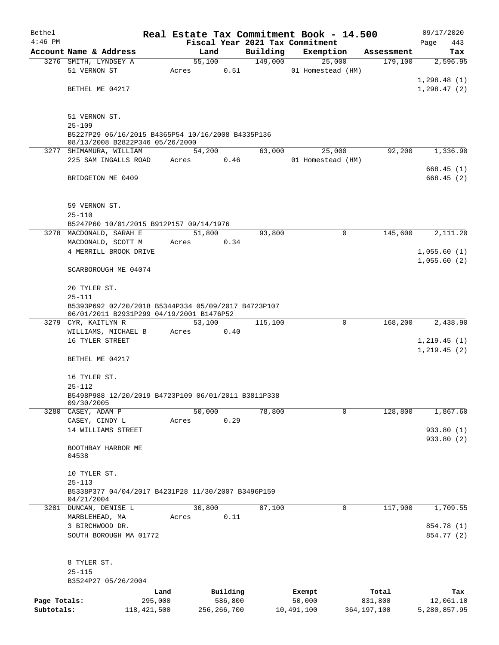| Bethel       |                                                                                      |       |             |          | Real Estate Tax Commitment Book - 14.500 |             | 09/17/2020   |
|--------------|--------------------------------------------------------------------------------------|-------|-------------|----------|------------------------------------------|-------------|--------------|
| $4:46$ PM    |                                                                                      |       |             |          | Fiscal Year 2021 Tax Commitment          |             | Page<br>443  |
|              | Account Name & Address                                                               |       | Land        | Building | Exemption                                | Assessment  | Tax          |
|              | 3276 SMITH, LYNDSEY A                                                                |       | 55,100      | 149,000  | 25,000                                   | 179,100     | 2,596.95     |
|              | 51 VERNON ST                                                                         | Acres | 0.51        |          | 01 Homestead (HM)                        |             |              |
|              |                                                                                      |       |             |          |                                          |             | 1,298.48(1)  |
|              | BETHEL ME 04217                                                                      |       |             |          |                                          |             | 1,298.47(2)  |
|              |                                                                                      |       |             |          |                                          |             |              |
|              |                                                                                      |       |             |          |                                          |             |              |
|              | 51 VERNON ST.                                                                        |       |             |          |                                          |             |              |
|              | $25 - 109$                                                                           |       |             |          |                                          |             |              |
|              | B5227P29 06/16/2015 B4365P54 10/16/2008 B4335P136<br>08/13/2008 B2822P346 05/26/2000 |       |             |          |                                          |             |              |
|              | 3277 SHIMAMURA, WILLIAM                                                              |       | 54,200      | 63,000   | 25,000                                   | 92,200      | 1,336.90     |
|              | 225 SAM INGALLS ROAD                                                                 | Acres | 0.46        |          | 01 Homestead (HM)                        |             |              |
|              |                                                                                      |       |             |          |                                          |             | 668.45(1)    |
|              | BRIDGETON ME 0409                                                                    |       |             |          |                                          |             | 668.45(2)    |
|              |                                                                                      |       |             |          |                                          |             |              |
|              |                                                                                      |       |             |          |                                          |             |              |
|              | 59 VERNON ST.                                                                        |       |             |          |                                          |             |              |
|              | $25 - 110$                                                                           |       |             |          |                                          |             |              |
|              | B5247P60 10/01/2015 B912P157 09/14/1976                                              |       |             |          |                                          |             |              |
|              | 3278 MACDONALD, SARAH E                                                              |       | 51,800      | 93,800   | 0                                        | 145,600     | 2,111.20     |
|              | MACDONALD, SCOTT M                                                                   | Acres | 0.34        |          |                                          |             |              |
|              | 4 MERRILL BROOK DRIVE                                                                |       |             |          |                                          |             | 1,055.60(1)  |
|              |                                                                                      |       |             |          |                                          |             | 1,055.60(2)  |
|              | SCARBOROUGH ME 04074                                                                 |       |             |          |                                          |             |              |
|              |                                                                                      |       |             |          |                                          |             |              |
|              | 20 TYLER ST.                                                                         |       |             |          |                                          |             |              |
|              | $25 - 111$                                                                           |       |             |          |                                          |             |              |
|              | B5393P692 02/20/2018 B5344P334 05/09/2017 B4723P107                                  |       |             |          |                                          |             |              |
|              | 06/01/2011 B2931P299 04/19/2001 B1476P52                                             |       |             |          |                                          |             |              |
|              | 3279 CYR, KAITLYN R                                                                  |       | 53,100      | 115,100  | 0                                        | 168,200     | 2,438.90     |
|              | WILLIAMS, MICHAEL B                                                                  | Acres | 0.40        |          |                                          |             |              |
|              | 16 TYLER STREET                                                                      |       |             |          |                                          |             | 1, 219.45(1) |
|              | BETHEL ME 04217                                                                      |       |             |          |                                          |             | 1, 219.45(2) |
|              |                                                                                      |       |             |          |                                          |             |              |
|              | 16 TYLER ST.                                                                         |       |             |          |                                          |             |              |
|              | $25 - 112$                                                                           |       |             |          |                                          |             |              |
|              | B5498P988 12/20/2019 B4723P109 06/01/2011 B3811P338                                  |       |             |          |                                          |             |              |
|              | 09/30/2005                                                                           |       |             |          |                                          |             |              |
|              | 3280 CASEY, ADAM P                                                                   |       | 50,000      | 78,800   | 0                                        | 128,800     | 1,867.60     |
|              | CASEY, CINDY L                                                                       | Acres | 0.29        |          |                                          |             |              |
|              | 14 WILLIAMS STREET                                                                   |       |             |          |                                          |             | 933.80 (1)   |
|              |                                                                                      |       |             |          |                                          |             | 933.80 (2)   |
|              | BOOTHBAY HARBOR ME                                                                   |       |             |          |                                          |             |              |
|              | 04538                                                                                |       |             |          |                                          |             |              |
|              |                                                                                      |       |             |          |                                          |             |              |
|              | 10 TYLER ST.                                                                         |       |             |          |                                          |             |              |
|              | $25 - 113$                                                                           |       |             |          |                                          |             |              |
|              | B5338P377 04/04/2017 B4231P28 11/30/2007 B3496P159<br>04/21/2004                     |       |             |          |                                          |             |              |
|              | 3281 DUNCAN, DENISE L                                                                |       | 30,800      | 87,100   | 0                                        | 117,900     | 1,709.55     |
|              | MARBLEHEAD, MA                                                                       | Acres | 0.11        |          |                                          |             |              |
|              | 3 BIRCHWOOD DR.                                                                      |       |             |          |                                          |             | 854.78 (1)   |
|              | SOUTH BOROUGH MA 01772                                                               |       |             |          |                                          |             | 854.77 (2)   |
|              |                                                                                      |       |             |          |                                          |             |              |
|              |                                                                                      |       |             |          |                                          |             |              |
|              | 8 TYLER ST.                                                                          |       |             |          |                                          |             |              |
|              | $25 - 115$                                                                           |       |             |          |                                          |             |              |
|              | B3524P27 05/26/2004                                                                  |       |             |          |                                          |             |              |
|              | Land                                                                                 |       | Building    |          | Exempt                                   | Total       | Tax          |
| Page Totals: | 295,000                                                                              |       | 586,800     |          | 50,000                                   | 831,800     | 12,061.10    |
| Subtotals:   | 118, 421, 500                                                                        |       | 256,266,700 |          | 10,491,100                               | 364,197,100 | 5,280,857.95 |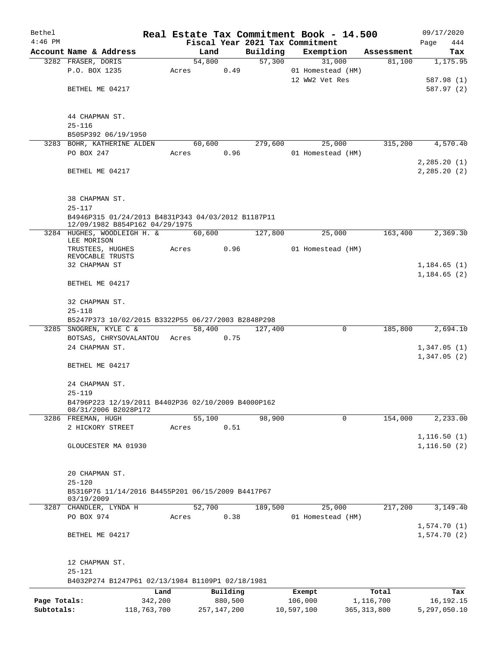| Bethel       |                                                                                      | Real Estate Tax Commitment Book - 14.500 |               |          |                                 |        |               | 09/17/2020    |
|--------------|--------------------------------------------------------------------------------------|------------------------------------------|---------------|----------|---------------------------------|--------|---------------|---------------|
| $4:46$ PM    |                                                                                      |                                          |               |          | Fiscal Year 2021 Tax Commitment |        |               | Page<br>444   |
|              | Account Name & Address                                                               |                                          | Land          | Building | Exemption                       |        | Assessment    | Tax           |
|              | 3282 FRASER, DORIS                                                                   |                                          | 54,800        | 57,300   |                                 | 31,000 | 81,100        | 1,175.95      |
|              | P.O. BOX 1235                                                                        | Acres                                    | 0.49          |          | 01 Homestead (HM)               |        |               |               |
|              |                                                                                      |                                          |               |          | 12 WW2 Vet Res                  |        |               | 587.98 (1)    |
|              | BETHEL ME 04217                                                                      |                                          |               |          |                                 |        |               | 587.97 (2)    |
|              |                                                                                      |                                          |               |          |                                 |        |               |               |
|              | 44 CHAPMAN ST.                                                                       |                                          |               |          |                                 |        |               |               |
|              | $25 - 116$                                                                           |                                          |               |          |                                 |        |               |               |
|              | B505P392 06/19/1950                                                                  |                                          |               |          |                                 |        |               |               |
|              | 3283 BOHR, KATHERINE ALDEN                                                           |                                          | 60,600        | 279,600  |                                 | 25,000 | 315,200       | 4,570.40      |
|              | PO BOX 247                                                                           | Acres                                    | 0.96          |          | 01 Homestead (HM)               |        |               |               |
|              |                                                                                      |                                          |               |          |                                 |        |               | 2,285.20(1)   |
|              | BETHEL ME 04217                                                                      |                                          |               |          |                                 |        |               | 2, 285.20 (2) |
|              |                                                                                      |                                          |               |          |                                 |        |               |               |
|              | 38 CHAPMAN ST.                                                                       |                                          |               |          |                                 |        |               |               |
|              | $25 - 117$                                                                           |                                          |               |          |                                 |        |               |               |
|              | B4946P315 01/24/2013 B4831P343 04/03/2012 B1187P11<br>12/09/1982 B854P162 04/29/1975 |                                          |               |          |                                 |        |               |               |
|              | 3284 HUGHES, WOODLEIGH H. &<br>LEE MORISON                                           |                                          | 60,600        | 127,800  |                                 | 25,000 | 163,400       | 2,369.30      |
|              | TRUSTEES, HUGHES                                                                     | Acres                                    | 0.96          |          | 01 Homestead (HM)               |        |               |               |
|              | REVOCABLE TRUSTS                                                                     |                                          |               |          |                                 |        |               |               |
|              | 32 CHAPMAN ST                                                                        |                                          |               |          |                                 |        |               | 1,184.65(1)   |
|              |                                                                                      |                                          |               |          |                                 |        |               | 1,184.65(2)   |
|              | BETHEL ME 04217                                                                      |                                          |               |          |                                 |        |               |               |
|              | 32 CHAPMAN ST.                                                                       |                                          |               |          |                                 |        |               |               |
|              | $25 - 118$                                                                           |                                          |               |          |                                 |        |               |               |
|              | B5247P373 10/02/2015 B3322P55 06/27/2003 B2848P298                                   |                                          |               |          |                                 |        |               |               |
|              | 3285 SNOGREN, KYLE C &                                                               |                                          | 58,400        | 127,400  |                                 | 0      | 185,800       | 2,694.10      |
|              | BOTSAS, CHRYSOVALANTOU Acres                                                         |                                          | 0.75          |          |                                 |        |               |               |
|              | 24 CHAPMAN ST.                                                                       |                                          |               |          |                                 |        |               | 1,347.05(1)   |
|              |                                                                                      |                                          |               |          |                                 |        |               | 1,347.05(2)   |
|              | BETHEL ME 04217                                                                      |                                          |               |          |                                 |        |               |               |
|              | 24 CHAPMAN ST.                                                                       |                                          |               |          |                                 |        |               |               |
|              | $25 - 119$                                                                           |                                          |               |          |                                 |        |               |               |
|              | B4796P223 12/19/2011 B4402P36 02/10/2009 B4000P162                                   |                                          |               |          |                                 |        |               |               |
|              | 08/31/2006 B2028P172                                                                 |                                          |               |          |                                 |        |               |               |
|              | 3286 FREEMAN, HUGH<br>2 HICKORY STREET                                               |                                          | 55,100        | 98,900   |                                 | 0      | 154,000       | 2,233.00      |
|              |                                                                                      | Acres                                    | 0.51          |          |                                 |        |               | 1, 116.50(1)  |
|              | GLOUCESTER MA 01930                                                                  |                                          |               |          |                                 |        |               | 1, 116.50(2)  |
|              |                                                                                      |                                          |               |          |                                 |        |               |               |
|              |                                                                                      |                                          |               |          |                                 |        |               |               |
|              | 20 CHAPMAN ST.<br>$25 - 120$                                                         |                                          |               |          |                                 |        |               |               |
|              | B5316P76 11/14/2016 B4455P201 06/15/2009 B4417P67                                    |                                          |               |          |                                 |        |               |               |
|              | 03/19/2009                                                                           |                                          |               |          |                                 |        |               |               |
|              | 3287 CHANDLER, LYNDA H                                                               |                                          | 52,700        | 189,500  |                                 | 25,000 | 217,200       | 3,149.40      |
|              | PO BOX 974                                                                           | Acres                                    | 0.38          |          | 01 Homestead (HM)               |        |               |               |
|              |                                                                                      |                                          |               |          |                                 |        |               | 1,574.70(1)   |
|              | BETHEL ME 04217                                                                      |                                          |               |          |                                 |        |               | 1,574.70(2)   |
|              |                                                                                      |                                          |               |          |                                 |        |               |               |
|              | 12 CHAPMAN ST.                                                                       |                                          |               |          |                                 |        |               |               |
|              | $25 - 121$                                                                           |                                          |               |          |                                 |        |               |               |
|              | B4032P274 B1247P61 02/13/1984 B1109P1 02/18/1981                                     |                                          |               |          |                                 |        |               |               |
|              |                                                                                      | Land                                     | Building      |          | Exempt                          |        | Total         | Tax           |
| Page Totals: |                                                                                      | 342,200                                  | 880,500       |          | 106,000                         |        | 1,116,700     | 16, 192. 15   |
| Subtotals:   | 118,763,700                                                                          |                                          | 257, 147, 200 |          | 10,597,100                      |        | 365, 313, 800 | 5,297,050.10  |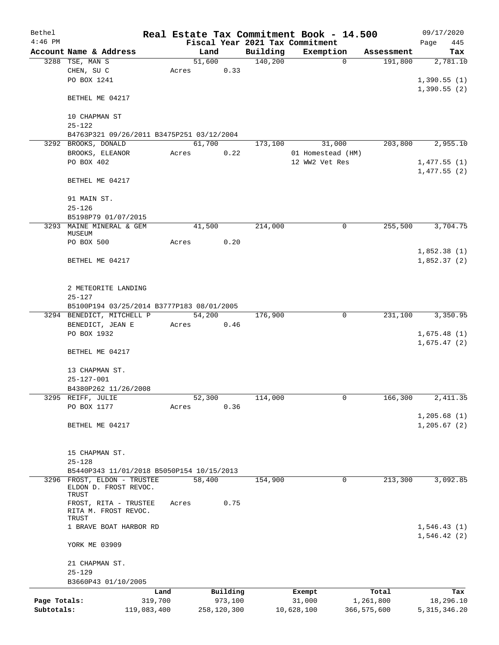| Bethel       |                                                      |             |       |                |          | Real Estate Tax Commitment Book - 14.500 |               | 09/17/2020                 |
|--------------|------------------------------------------------------|-------------|-------|----------------|----------|------------------------------------------|---------------|----------------------------|
| $4:46$ PM    |                                                      |             |       |                |          | Fiscal Year 2021 Tax Commitment          |               | Page<br>445                |
|              | Account Name & Address                               |             |       | Land           | Building | Exemption                                | Assessment    | Tax                        |
|              | 3288 TSE, MAN S<br>CHEN, SU C                        |             | Acres | 51,600<br>0.33 | 140,200  | $\mathbf 0$                              | 191,800       | 2,781.10                   |
|              | PO BOX 1241                                          |             |       |                |          |                                          |               | 1,390.55(1)                |
|              |                                                      |             |       |                |          |                                          |               | 1,390.55(2)                |
|              | BETHEL ME 04217                                      |             |       |                |          |                                          |               |                            |
|              | 10 CHAPMAN ST                                        |             |       |                |          |                                          |               |                            |
|              | $25 - 122$                                           |             |       |                |          |                                          |               |                            |
|              | B4763P321 09/26/2011 B3475P251 03/12/2004            |             |       |                |          |                                          |               |                            |
| 3292         | BROOKS, DONALD                                       |             |       | 61,700         | 173,100  | 31,000                                   | 203,800       | 2,955.10                   |
|              | BROOKS, ELEANOR                                      |             | Acres | 0.22           |          | 01 Homestead (HM)                        |               |                            |
|              | PO BOX 402                                           |             |       |                |          | 12 WW2 Vet Res                           |               | 1,477.55(1)                |
|              | BETHEL ME 04217                                      |             |       |                |          |                                          |               | 1,477.55(2)                |
|              | 91 MAIN ST.                                          |             |       |                |          |                                          |               |                            |
|              | $25 - 126$                                           |             |       |                |          |                                          |               |                            |
|              | B5198P79 01/07/2015                                  |             |       |                |          |                                          |               |                            |
|              | 3293 MAINE MINERAL & GEM<br>MUSEUM                   |             |       | 41,500         | 214,000  | 0                                        | 255,500       | 3,704.75                   |
|              | PO BOX 500                                           |             | Acres | 0.20           |          |                                          |               |                            |
|              |                                                      |             |       |                |          |                                          |               | 1,852.38(1)                |
|              | BETHEL ME 04217                                      |             |       |                |          |                                          |               | 1,852.37(2)                |
|              | 2 METEORITE LANDING                                  |             |       |                |          |                                          |               |                            |
|              | $25 - 127$                                           |             |       |                |          |                                          |               |                            |
|              | B5100P194 03/25/2014 B3777P183 08/01/2005            |             |       |                |          |                                          |               |                            |
|              | 3294 BENEDICT, MITCHELL P                            |             |       | 54,200         | 176,900  | 0                                        | 231,100       | 3,350.95                   |
|              | BENEDICT, JEAN E                                     |             | Acres | 0.46           |          |                                          |               |                            |
|              | PO BOX 1932                                          |             |       |                |          |                                          |               | 1,675.48(1)<br>1,675.47(2) |
|              | BETHEL ME 04217                                      |             |       |                |          |                                          |               |                            |
|              | 13 CHAPMAN ST.                                       |             |       |                |          |                                          |               |                            |
|              | $25 - 127 - 001$                                     |             |       |                |          |                                          |               |                            |
|              | B4380P262 11/26/2008                                 |             |       |                |          |                                          |               |                            |
|              | 3295 REIFF, JULIE                                    |             |       | 52,300         | 114,000  | 0                                        | 166,300       | 2,411.35                   |
|              | PO BOX 1177                                          |             | Acres | 0.36           |          |                                          |               |                            |
|              |                                                      |             |       |                |          |                                          |               | 1, 205.68(1)               |
|              | BETHEL ME 04217                                      |             |       |                |          |                                          |               | 1, 205.67 (2)              |
|              | 15 CHAPMAN ST.                                       |             |       |                |          |                                          |               |                            |
|              | $25 - 128$                                           |             |       |                |          |                                          |               |                            |
|              | B5440P343 11/01/2018 B5050P154 10/15/2013            |             |       |                |          |                                          |               |                            |
|              | 3296 FROST, ELDON - TRUSTEE<br>ELDON D. FROST REVOC. |             |       | 58,400         | 154,900  | 0                                        | 213,300       | 3,092.85                   |
|              | TRUST                                                |             |       |                |          |                                          |               |                            |
|              | FROST, RITA - TRUSTEE<br>RITA M. FROST REVOC.        |             | Acres | 0.75           |          |                                          |               |                            |
|              | TRUST                                                |             |       |                |          |                                          |               |                            |
|              | 1 BRAVE BOAT HARBOR RD                               |             |       |                |          |                                          |               | 1,546.43(1)<br>1,546.42(2) |
|              | YORK ME 03909                                        |             |       |                |          |                                          |               |                            |
|              | 21 CHAPMAN ST.                                       |             |       |                |          |                                          |               |                            |
|              | $25 - 129$                                           |             |       |                |          |                                          |               |                            |
|              | B3660P43 01/10/2005                                  |             |       |                |          |                                          |               |                            |
|              |                                                      | Land        |       | Building       |          | Exempt                                   | Total         | Tax                        |
| Page Totals: |                                                      | 319,700     |       | 973,100        |          | 31,000                                   | 1,261,800     | 18,296.10                  |
| Subtotals:   |                                                      | 119,083,400 |       | 258,120,300    |          | 10,628,100                               | 366, 575, 600 | 5, 315, 346.20             |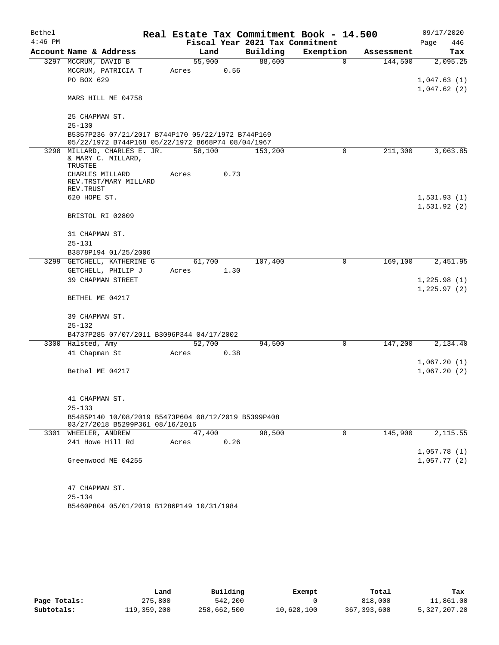| Bethel<br>$4:46$ PM |                                                                                                        |        |      | Fiscal Year 2021 Tax Commitment | Real Estate Tax Commitment Book - 14.500 |            | 09/17/2020<br>Page<br>446 |
|---------------------|--------------------------------------------------------------------------------------------------------|--------|------|---------------------------------|------------------------------------------|------------|---------------------------|
|                     | Account Name & Address                                                                                 | Land   |      | Building                        | Exemption                                | Assessment | Tax                       |
|                     | 3297 MCCRUM, DAVID B                                                                                   | 55,900 |      | 88,600                          | $\mathbf 0$                              | 144,500    | 2,095.25                  |
|                     | MCCRUM, PATRICIA T                                                                                     | Acres  | 0.56 |                                 |                                          |            |                           |
|                     | PO BOX 629                                                                                             |        |      |                                 |                                          |            | 1,047.63(1)               |
|                     |                                                                                                        |        |      |                                 |                                          |            | 1,047.62(2)               |
|                     | MARS HILL ME 04758                                                                                     |        |      |                                 |                                          |            |                           |
|                     | 25 CHAPMAN ST.                                                                                         |        |      |                                 |                                          |            |                           |
|                     | $25 - 130$                                                                                             |        |      |                                 |                                          |            |                           |
|                     | B5357P236 07/21/2017 B744P170 05/22/1972 B744P169<br>05/22/1972 B744P168 05/22/1972 B668P74 08/04/1967 |        |      |                                 |                                          |            |                           |
|                     | 3298 MILLARD, CHARLES E. JR.                                                                           | 58,100 |      | 153,200                         | $\mathbf 0$                              | 211,300    | 3,063.85                  |
|                     | & MARY C. MILLARD,                                                                                     |        |      |                                 |                                          |            |                           |
|                     | TRUSTEE                                                                                                |        |      |                                 |                                          |            |                           |
|                     | CHARLES MILLARD                                                                                        | Acres  | 0.73 |                                 |                                          |            |                           |
|                     | REV.TRST/MARY MILLARD<br>REV. TRUST                                                                    |        |      |                                 |                                          |            |                           |
|                     | 620 HOPE ST.                                                                                           |        |      |                                 |                                          |            | 1,531.93(1)               |
|                     |                                                                                                        |        |      |                                 |                                          |            | 1,531.92(2)               |
|                     | BRISTOL RI 02809                                                                                       |        |      |                                 |                                          |            |                           |
|                     | 31 CHAPMAN ST.                                                                                         |        |      |                                 |                                          |            |                           |
|                     | $25 - 131$                                                                                             |        |      |                                 |                                          |            |                           |
|                     | B3878P194 01/25/2006                                                                                   |        |      |                                 |                                          |            |                           |
|                     | 3299 GETCHELL, KATHERINE G                                                                             | 61,700 |      | 107,400                         | 0                                        | 169,100    | 2,451.95                  |
|                     | GETCHELL, PHILIP J                                                                                     | Acres  | 1.30 |                                 |                                          |            |                           |
|                     | 39 CHAPMAN STREET                                                                                      |        |      |                                 |                                          |            | 1,225.98(1)               |
|                     |                                                                                                        |        |      |                                 |                                          |            | 1,225.97(2)               |
|                     | BETHEL ME 04217                                                                                        |        |      |                                 |                                          |            |                           |
|                     | 39 CHAPMAN ST.                                                                                         |        |      |                                 |                                          |            |                           |
|                     | $25 - 132$                                                                                             |        |      |                                 |                                          |            |                           |
|                     | B4737P285 07/07/2011 B3096P344 04/17/2002                                                              |        |      |                                 |                                          |            |                           |
|                     | 3300 Halsted, Amy                                                                                      | 52,700 |      | 94,500                          | $\mathbf 0$                              | 147,200    | 2,134.40                  |
|                     | 41 Chapman St                                                                                          | Acres  | 0.38 |                                 |                                          |            |                           |
|                     |                                                                                                        |        |      |                                 |                                          |            | 1,067.20(1)               |
|                     | Bethel ME 04217                                                                                        |        |      |                                 |                                          |            | 1,067.20(2)               |
|                     |                                                                                                        |        |      |                                 |                                          |            |                           |
|                     | 41 CHAPMAN ST.                                                                                         |        |      |                                 |                                          |            |                           |
|                     | $25 - 133$                                                                                             |        |      |                                 |                                          |            |                           |
|                     | B5485P140 10/08/2019 B5473P604 08/12/2019 B5399P408<br>03/27/2018 B5299P361 08/16/2016                 |        |      |                                 |                                          |            |                           |
|                     | 3301 WHEELER, ANDREW                                                                                   | 47,400 |      | 98,500                          | 0                                        | 145,900    | 2,115.55                  |
|                     | 241 Howe Hill Rd                                                                                       | Acres  | 0.26 |                                 |                                          |            |                           |
|                     |                                                                                                        |        |      |                                 |                                          |            | 1,057.78(1)               |
|                     | Greenwood ME 04255                                                                                     |        |      |                                 |                                          |            | 1,057.77(2)               |
|                     |                                                                                                        |        |      |                                 |                                          |            |                           |
|                     | 47 CHAPMAN ST.                                                                                         |        |      |                                 |                                          |            |                           |
|                     | $25 - 134$                                                                                             |        |      |                                 |                                          |            |                           |
|                     | B5460P804 05/01/2019 B1286P149 10/31/1984                                                              |        |      |                                 |                                          |            |                           |

|              | Land        | Building    | Exempt     | Total       | Tax          |
|--------------|-------------|-------------|------------|-------------|--------------|
| Page Totals: | 275,800     | 542,200     |            | 818,000     | 11,861.00    |
| Subtotals:   | 119,359,200 | 258,662,500 | 10,628,100 | 367,393,600 | 5,327,207.20 |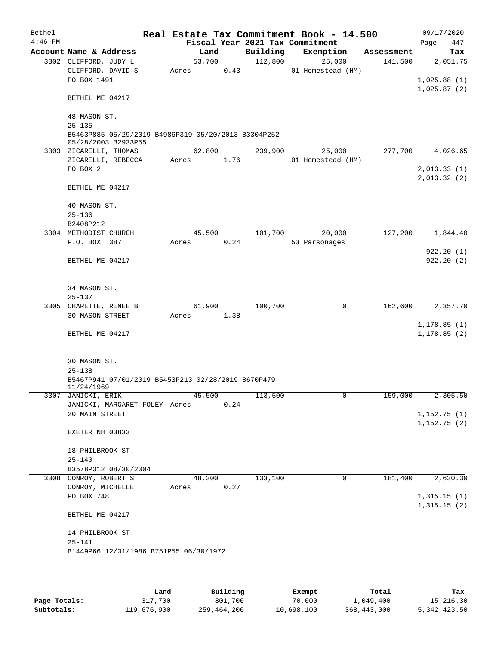| Bethel    |                                                                                          |        |      |          | Real Estate Tax Commitment Book - 14.500 |            | 09/17/2020                  |  |  |
|-----------|------------------------------------------------------------------------------------------|--------|------|----------|------------------------------------------|------------|-----------------------------|--|--|
| $4:46$ PM |                                                                                          |        |      |          | Fiscal Year 2021 Tax Commitment          |            | Page<br>447                 |  |  |
|           | Account Name & Address                                                                   |        | Land | Building | Exemption                                | Assessment | Tax                         |  |  |
|           | 3302 CLIFFORD, JUDY L                                                                    | 53,700 |      | 112,800  | 25,000                                   | 141,500    | 2,051.75                    |  |  |
|           | CLIFFORD, DAVID S                                                                        | Acres  | 0.43 |          | 01 Homestead (HM)                        |            |                             |  |  |
|           | PO BOX 1491                                                                              |        |      |          |                                          |            | 1,025.88(1)                 |  |  |
|           | BETHEL ME 04217                                                                          |        |      |          |                                          |            | 1,025.87(2)                 |  |  |
|           | 48 MASON ST.                                                                             |        |      |          |                                          |            |                             |  |  |
|           | $25 - 135$<br>B5463P885 05/29/2019 B4986P319 05/20/2013 B3304P252<br>05/28/2003 B2933P55 |        |      |          |                                          |            |                             |  |  |
|           | 3303 ZICARELLI, THOMAS                                                                   | 62,800 |      | 239,900  | 25,000                                   | 277,700    | 4,026.65                    |  |  |
|           | ZICARELLI, REBECCA                                                                       | Acres  | 1.76 |          | 01 Homestead (HM)                        |            |                             |  |  |
|           | PO BOX 2                                                                                 |        |      |          |                                          |            | 2,013.33(1)                 |  |  |
|           | BETHEL ME 04217                                                                          |        |      |          |                                          |            | 2,013.32(2)                 |  |  |
|           | 40 MASON ST.                                                                             |        |      |          |                                          |            |                             |  |  |
|           | $25 - 136$                                                                               |        |      |          |                                          |            |                             |  |  |
|           | B2408P212                                                                                |        |      |          |                                          |            |                             |  |  |
|           | 3304 METHODIST CHURCH                                                                    | 45,500 |      | 101,700  | 20,000                                   | 127,200    | 1,844.40                    |  |  |
|           | P.O. BOX 387                                                                             | Acres  | 0.24 |          | 53 Parsonages                            |            | 922.20(1)                   |  |  |
|           | BETHEL ME 04217                                                                          |        |      |          |                                          |            | 922.20(2)                   |  |  |
|           | 34 MASON ST.                                                                             |        |      |          |                                          |            |                             |  |  |
|           | $25 - 137$                                                                               |        |      |          |                                          |            |                             |  |  |
|           | 3305 CHARETTE, RENEE B                                                                   | 61,900 |      | 100,700  | 0                                        | 162,600    | 2,357.70                    |  |  |
|           | <b>30 MASON STREET</b>                                                                   | Acres  | 1.38 |          |                                          |            |                             |  |  |
|           | BETHEL ME 04217                                                                          |        |      |          |                                          |            | 1,178.85(1)<br>1, 178.85(2) |  |  |
|           | 30 MASON ST.                                                                             |        |      |          |                                          |            |                             |  |  |
|           | $25 - 138$                                                                               |        |      |          |                                          |            |                             |  |  |
|           | B5467P941 07/01/2019 B5453P213 02/28/2019 B670P479<br>11/24/1969                         |        |      |          |                                          |            |                             |  |  |
|           | 3307 JANICKI, ERIK                                                                       | 45,500 |      | 113,500  | U                                        | 159,000    | $\overline{2,}$ 305.50      |  |  |
|           | JANICKI, MARGARET FOLEY Acres                                                            |        | 0.24 |          |                                          |            |                             |  |  |
|           | 20 MAIN STREET                                                                           |        |      |          |                                          |            | 1,152.75(1)                 |  |  |
|           | EXETER NH 03833                                                                          |        |      |          |                                          |            | 1,152.75(2)                 |  |  |
|           | 18 PHILBROOK ST.                                                                         |        |      |          |                                          |            |                             |  |  |
|           | $25 - 140$                                                                               |        |      |          |                                          |            |                             |  |  |
|           | B3578P312 08/30/2004                                                                     |        |      |          |                                          |            |                             |  |  |
|           | 3308 CONROY, ROBERT S                                                                    | 48,300 |      | 133,100  | 0                                        | 181,400    | 2,630.30                    |  |  |
|           | CONROY, MICHELLE                                                                         | Acres  | 0.27 |          |                                          |            |                             |  |  |
|           | PO BOX 748                                                                               |        |      |          |                                          |            | 1,315.15(1)                 |  |  |
|           | BETHEL ME 04217                                                                          |        |      |          |                                          |            | 1,315.15(2)                 |  |  |
|           | 14 PHILBROOK ST.                                                                         |        |      |          |                                          |            |                             |  |  |
|           | $25 - 141$                                                                               |        |      |          |                                          |            |                             |  |  |
|           | B1449P66 12/31/1986 B751P55 06/30/1972                                                   |        |      |          |                                          |            |                             |  |  |
|           |                                                                                          |        |      |          |                                          |            |                             |  |  |

|              | Land        | Building    | Exempt     | Total       | Tax          |
|--------------|-------------|-------------|------------|-------------|--------------|
| Page Totals: | 317,700     | 801,700     | 70,000     | 1,049,400   | 15,216.30    |
| Subtotals:   | 119,676,900 | 259,464,200 | 10,698,100 | 368,443,000 | 5,342,423.50 |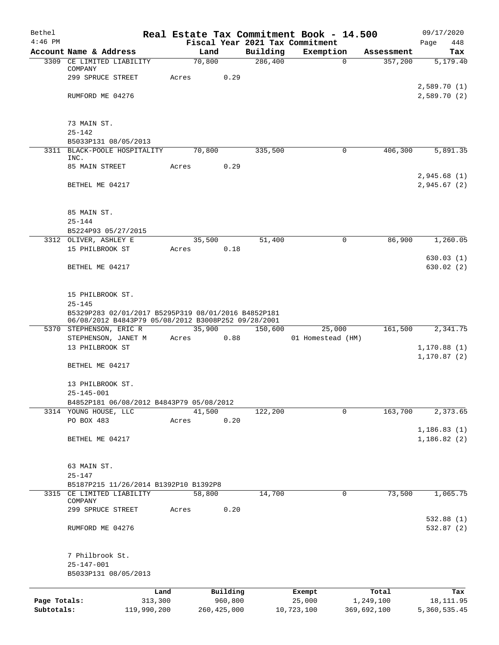| Bethel       |                                                                                                            |       |                |          | Real Estate Tax Commitment Book - 14.500     |             | 09/17/2020                  |
|--------------|------------------------------------------------------------------------------------------------------------|-------|----------------|----------|----------------------------------------------|-------------|-----------------------------|
| $4:46$ PM    | Account Name & Address                                                                                     |       | Land           | Building | Fiscal Year 2021 Tax Commitment<br>Exemption | Assessment  | 448<br>Page<br>Tax          |
|              | 3309 CE LIMITED LIABILITY                                                                                  |       | 70,800         | 286,400  | $\mathbf 0$                                  | 357,200     | 5,179.40                    |
|              | COMPANY                                                                                                    |       |                |          |                                              |             |                             |
|              | 299 SPRUCE STREET                                                                                          | Acres | 0.29           |          |                                              |             | 2,589.70(1)                 |
|              | RUMFORD ME 04276                                                                                           |       |                |          |                                              |             | 2,589.70(2)                 |
|              | 73 MAIN ST.                                                                                                |       |                |          |                                              |             |                             |
|              | $25 - 142$                                                                                                 |       |                |          |                                              |             |                             |
|              | B5033P131 08/05/2013                                                                                       |       |                |          |                                              |             |                             |
| 3311         | BLACK-POOLE HOSPITALITY<br>INC.                                                                            |       | 70,800         | 335,500  | 0                                            | 406,300     | 5,891.35                    |
|              | 85 MAIN STREET                                                                                             | Acres | 0.29           |          |                                              |             |                             |
|              | BETHEL ME 04217                                                                                            |       |                |          |                                              |             | 2,945.68(1)<br>2,945.67(2)  |
|              |                                                                                                            |       |                |          |                                              |             |                             |
|              | 85 MAIN ST.                                                                                                |       |                |          |                                              |             |                             |
|              | $25 - 144$                                                                                                 |       |                |          |                                              |             |                             |
|              | B5224P93 05/27/2015                                                                                        |       |                |          |                                              |             |                             |
|              | 3312 OLIVER, ASHLEY E<br>15 PHILBROOK ST                                                                   | Acres | 35,500<br>0.18 | 51,400   | $\mathbf 0$                                  | 86,900      | 1,260.05                    |
|              |                                                                                                            |       |                |          |                                              |             | 630.03(1)                   |
|              | BETHEL ME 04217                                                                                            |       |                |          |                                              |             | 630.02(2)                   |
|              | 15 PHILBROOK ST.                                                                                           |       |                |          |                                              |             |                             |
|              | $25 - 145$                                                                                                 |       |                |          |                                              |             |                             |
|              | B5329P283 02/01/2017 B5295P319 08/01/2016 B4852P181<br>06/08/2012 B4843P79 05/08/2012 B3008P252 09/28/2001 |       |                |          |                                              |             |                             |
|              | 5370 STEPHENSON, ERIC R                                                                                    |       | 35,900         | 150,600  | 25,000                                       | 161,500     | 2,341.75                    |
|              | STEPHENSON, JANET M<br>13 PHILBROOK ST                                                                     | Acres | 0.88           |          | 01 Homestead (HM)                            |             | 1,170.88(1)                 |
|              |                                                                                                            |       |                |          |                                              |             | 1, 170.87(2)                |
|              | BETHEL ME 04217                                                                                            |       |                |          |                                              |             |                             |
|              | 13 PHILBROOK ST.                                                                                           |       |                |          |                                              |             |                             |
|              | $25 - 145 - 001$<br>B4852P181 06/08/2012 B4843P79 05/08/2012                                               |       |                |          |                                              |             |                             |
|              | 3314 YOUNG HOUSE, LLC                                                                                      |       | 41,500         | 122,200  | 0                                            | 163,700     | 2,373.65                    |
|              | PO BOX 483                                                                                                 | Acres | 0.20           |          |                                              |             |                             |
|              | BETHEL ME 04217                                                                                            |       |                |          |                                              |             | 1, 186.83(1)<br>1,186.82(2) |
|              |                                                                                                            |       |                |          |                                              |             |                             |
|              | 63 MAIN ST.                                                                                                |       |                |          |                                              |             |                             |
|              | $25 - 147$                                                                                                 |       |                |          |                                              |             |                             |
|              | B5187P215 11/26/2014 B1392P10 B1392P8                                                                      |       |                |          |                                              |             |                             |
|              | 3315 CE LIMITED LIABILITY<br>COMPANY                                                                       |       | 58,800         | 14,700   | 0                                            | 73,500      | 1,065.75                    |
|              | 299 SPRUCE STREET                                                                                          | Acres | 0.20           |          |                                              |             |                             |
|              | RUMFORD ME 04276                                                                                           |       |                |          |                                              |             | 532.88(1)<br>532.87 (2)     |
|              |                                                                                                            |       |                |          |                                              |             |                             |
|              | 7 Philbrook St.                                                                                            |       |                |          |                                              |             |                             |
|              | $25 - 147 - 001$                                                                                           |       |                |          |                                              |             |                             |
|              | B5033P131 08/05/2013                                                                                       |       |                |          |                                              |             |                             |
|              | Land                                                                                                       |       | Building       |          | Exempt                                       | Total       | Tax                         |
| Page Totals: | 313,300                                                                                                    |       | 960,800        |          | 25,000                                       | 1,249,100   | 18, 111.95                  |
| Subtotals:   | 119,990,200                                                                                                |       | 260, 425, 000  |          | 10,723,100                                   | 369,692,100 | 5,360,535.45                |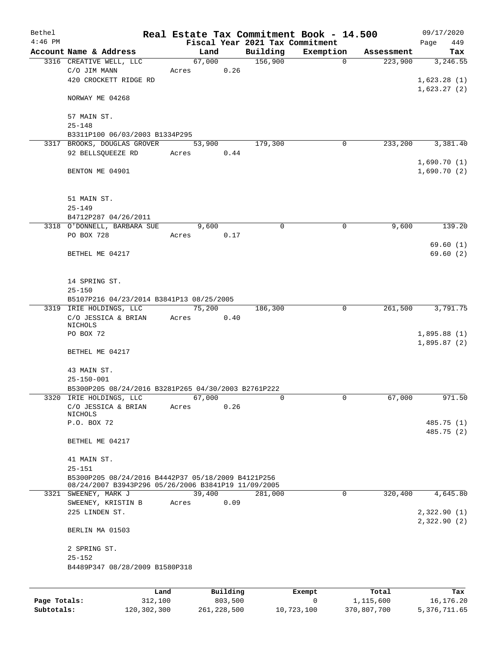| Bethel       |                                                                                                           |        |          |                                 | Real Estate Tax Commitment Book - 14.500 |            | 09/17/2020  |
|--------------|-----------------------------------------------------------------------------------------------------------|--------|----------|---------------------------------|------------------------------------------|------------|-------------|
| $4:46$ PM    |                                                                                                           |        |          | Fiscal Year 2021 Tax Commitment |                                          |            | 449<br>Page |
|              | Account Name & Address                                                                                    | Land   |          | Building                        | Exemption                                | Assessment | Tax         |
|              | 3316 CREATIVE WELL, LLC                                                                                   | 67,000 |          | 156,900                         | $\mathbf 0$                              | 223,900    | 3,246.55    |
|              | C/O JIM MANN                                                                                              | Acres  | 0.26     |                                 |                                          |            |             |
|              | 420 CROCKETT RIDGE RD                                                                                     |        |          |                                 |                                          |            | 1,623.28(1) |
|              | NORWAY ME 04268                                                                                           |        |          |                                 |                                          |            | 1,623.27(2) |
|              | 57 MAIN ST.                                                                                               |        |          |                                 |                                          |            |             |
|              | $25 - 148$                                                                                                |        |          |                                 |                                          |            |             |
|              | B3311P100 06/03/2003 B1334P295                                                                            |        |          |                                 |                                          |            |             |
|              | 3317 BROOKS, DOUGLAS GROVER                                                                               | 53,900 |          | 179,300                         | 0                                        | 233,200    | 3,381.40    |
|              | 92 BELLSQUEEZE RD                                                                                         | Acres  | 0.44     |                                 |                                          |            |             |
|              |                                                                                                           |        |          |                                 |                                          |            | 1,690.70(1) |
|              | BENTON ME 04901                                                                                           |        |          |                                 |                                          |            | 1,690.70(2) |
|              | 51 MAIN ST.                                                                                               |        |          |                                 |                                          |            |             |
|              | $25 - 149$                                                                                                |        |          |                                 |                                          |            |             |
|              | B4712P287 04/26/2011                                                                                      |        |          |                                 |                                          |            |             |
|              | 3318 O'DONNELL, BARBARA SUE                                                                               | 9,600  |          | 0                               | $\mathbf 0$                              | 9,600      | 139.20      |
|              | PO BOX 728                                                                                                | Acres  | 0.17     |                                 |                                          |            |             |
|              |                                                                                                           |        |          |                                 |                                          |            | 69.60(1)    |
|              | BETHEL ME 04217                                                                                           |        |          |                                 |                                          |            | 69.60(2)    |
|              |                                                                                                           |        |          |                                 |                                          |            |             |
|              | 14 SPRING ST.                                                                                             |        |          |                                 |                                          |            |             |
|              | $25 - 150$                                                                                                |        |          |                                 |                                          |            |             |
|              | B5107P216 04/23/2014 B3841P13 08/25/2005                                                                  |        |          |                                 |                                          |            |             |
|              | 3319 IRIE HOLDINGS, LLC                                                                                   | 75,200 |          | 186,300                         | $\mathbf 0$                              | 261,500    | 3,791.75    |
|              | C/O JESSICA & BRIAN                                                                                       | Acres  | 0.40     |                                 |                                          |            |             |
|              | NICHOLS                                                                                                   |        |          |                                 |                                          |            |             |
|              | PO BOX 72                                                                                                 |        |          |                                 |                                          |            | 1,895.88(1) |
|              | BETHEL ME 04217                                                                                           |        |          |                                 |                                          |            | 1,895.87(2) |
|              | 43 MAIN ST.                                                                                               |        |          |                                 |                                          |            |             |
|              | $25 - 150 - 001$                                                                                          |        |          |                                 |                                          |            |             |
|              | B5300P205 08/24/2016 B3281P265 04/30/2003 B2761P222                                                       |        |          |                                 |                                          |            |             |
|              | 3320 IRIE HOLDINGS, LLC                                                                                   | 67,000 |          | 0                               | 0                                        | 67,000     | 971.50      |
|              | C/O JESSICA & BRIAN                                                                                       | Acres  | 0.26     |                                 |                                          |            |             |
|              | NICHOLS                                                                                                   |        |          |                                 |                                          |            |             |
|              | P.O. BOX 72                                                                                               |        |          |                                 |                                          |            | 485.75 (1)  |
|              | BETHEL ME 04217                                                                                           |        |          |                                 |                                          |            | 485.75 (2)  |
|              | 41 MAIN ST.                                                                                               |        |          |                                 |                                          |            |             |
|              | $25 - 151$                                                                                                |        |          |                                 |                                          |            |             |
|              | B5300P205 08/24/2016 B4442P37 05/18/2009 B4121P256<br>08/24/2007 B3943P296 05/26/2006 B3841P19 11/09/2005 |        |          |                                 |                                          |            |             |
|              | 3321 SWEENEY, MARK J                                                                                      | 39,400 |          | 281,000                         | 0                                        | 320,400    | 4,645.80    |
|              | SWEENEY, KRISTIN B                                                                                        | Acres  | 0.09     |                                 |                                          |            |             |
|              | 225 LINDEN ST.                                                                                            |        |          |                                 |                                          |            | 2,322.90(1) |
|              | BERLIN MA 01503                                                                                           |        |          |                                 |                                          |            | 2,322.90(2) |
|              |                                                                                                           |        |          |                                 |                                          |            |             |
|              | 2 SPRING ST.                                                                                              |        |          |                                 |                                          |            |             |
|              | $25 - 152$<br>B4489P347 08/28/2009 B1580P318                                                              |        |          |                                 |                                          |            |             |
|              |                                                                                                           |        |          |                                 |                                          |            |             |
|              | Land                                                                                                      |        | Building |                                 | Exempt                                   | Total      | Tax         |
| Page Totals: | 312,100                                                                                                   |        | 803,500  |                                 | 0                                        | 1,115,600  | 16,176.20   |

**Subtotals:** 120,302,300 261,228,500 10,723,100 370,807,700 5,376,711.65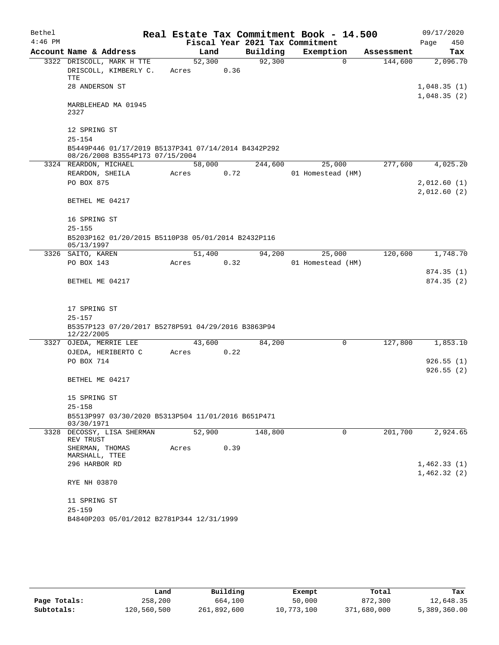| Bethel    |                                                                                        |       |        |      |                                 | Real Estate Tax Commitment Book - 14.500 |            | 09/17/2020             |
|-----------|----------------------------------------------------------------------------------------|-------|--------|------|---------------------------------|------------------------------------------|------------|------------------------|
| $4:46$ PM |                                                                                        |       |        |      | Fiscal Year 2021 Tax Commitment |                                          |            | Page<br>450            |
|           | Account Name & Address                                                                 |       | Land   |      | Building                        | Exemption                                | Assessment | Tax                    |
|           | 3322 DRISCOLL, MARK H TTE                                                              |       | 52,300 |      | 92,300                          | $\Omega$                                 | 144,600    | 2,096.70               |
|           | DRISCOLL, KIMBERLY C.<br>TTE                                                           | Acres |        | 0.36 |                                 |                                          |            |                        |
|           | 28 ANDERSON ST                                                                         |       |        |      |                                 |                                          |            | 1,048.35(1)            |
|           |                                                                                        |       |        |      |                                 |                                          |            | 1,048.35(2)            |
|           | MARBLEHEAD MA 01945<br>2327                                                            |       |        |      |                                 |                                          |            |                        |
|           | 12 SPRING ST                                                                           |       |        |      |                                 |                                          |            |                        |
|           | $25 - 154$                                                                             |       |        |      |                                 |                                          |            |                        |
|           | B5449P446 01/17/2019 B5137P341 07/14/2014 B4342P292<br>08/26/2008 B3554P173 07/15/2004 |       |        |      |                                 |                                          |            |                        |
|           | 3324 REARDON, MICHAEL                                                                  |       | 58,000 |      | 244,600                         | 25,000                                   | 277,600    | 4,025.20               |
|           | REARDON, SHEILA                                                                        | Acres |        | 0.72 |                                 | 01 Homestead (HM)                        |            |                        |
|           | PO BOX 875                                                                             |       |        |      |                                 |                                          |            | 2,012.60 (1)           |
|           | BETHEL ME 04217                                                                        |       |        |      |                                 |                                          |            | 2,012.60(2)            |
|           |                                                                                        |       |        |      |                                 |                                          |            |                        |
|           | 16 SPRING ST                                                                           |       |        |      |                                 |                                          |            |                        |
|           | $25 - 155$                                                                             |       |        |      |                                 |                                          |            |                        |
|           | B5203P162 01/20/2015 B5110P38 05/01/2014 B2432P116<br>05/13/1997                       |       |        |      |                                 |                                          |            |                        |
|           | 3326 SAITO, KAREN                                                                      |       | 51,400 |      | 94,200                          | 25,000                                   | 120,600    | 1,748.70               |
|           | PO BOX 143                                                                             | Acres |        | 0.32 |                                 | 01 Homestead (HM)                        |            |                        |
|           | BETHEL ME 04217                                                                        |       |        |      |                                 |                                          |            | 874.35(1)<br>874.35(2) |
|           |                                                                                        |       |        |      |                                 |                                          |            |                        |
|           |                                                                                        |       |        |      |                                 |                                          |            |                        |
|           | 17 SPRING ST                                                                           |       |        |      |                                 |                                          |            |                        |
|           | $25 - 157$                                                                             |       |        |      |                                 |                                          |            |                        |
|           | B5357P123 07/20/2017 B5278P591 04/29/2016 B3863P94<br>12/22/2005                       |       |        |      |                                 |                                          |            |                        |
|           | 3327 OJEDA, MERRIE LEE                                                                 |       | 43,600 |      | 84,200                          | 0                                        | 127,800    | 1,853.10               |
|           | OJEDA, HERIBERTO C                                                                     | Acres |        | 0.22 |                                 |                                          |            |                        |
|           | PO BOX 714                                                                             |       |        |      |                                 |                                          |            | 926.55(1)              |
|           |                                                                                        |       |        |      |                                 |                                          |            | 926.55(2)              |
|           | BETHEL ME 04217                                                                        |       |        |      |                                 |                                          |            |                        |
|           | 15 SPRING ST                                                                           |       |        |      |                                 |                                          |            |                        |
|           | $25 - 158$                                                                             |       |        |      |                                 |                                          |            |                        |
|           | B5513P997 03/30/2020 B5313P504 11/01/2016 B651P471                                     |       |        |      |                                 |                                          |            |                        |
|           | 03/30/1971                                                                             |       |        |      |                                 |                                          |            |                        |
| 3328      | DECOSSY, LISA SHERMAN<br>REV TRUST                                                     |       | 52,900 |      | 148,800                         | 0                                        | 201,700    | 2,924.65               |
|           | SHERMAN, THOMAS                                                                        | Acres |        | 0.39 |                                 |                                          |            |                        |
|           | MARSHALL, TTEE<br>296 HARBOR RD                                                        |       |        |      |                                 |                                          |            | 1,462.33(1)            |
|           |                                                                                        |       |        |      |                                 |                                          |            | 1,462.32(2)            |
|           | RYE NH 03870                                                                           |       |        |      |                                 |                                          |            |                        |
|           | 11 SPRING ST                                                                           |       |        |      |                                 |                                          |            |                        |
|           | $25 - 159$                                                                             |       |        |      |                                 |                                          |            |                        |
|           | B4840P203 05/01/2012 B2781P344 12/31/1999                                              |       |        |      |                                 |                                          |            |                        |

|              | Land        | Building    | Exempt     | Total       | Tax          |
|--------------|-------------|-------------|------------|-------------|--------------|
| Page Totals: | 258,200     | 664,100     | 50,000     | 872,300     | 12,648.35    |
| Subtotals:   | 120,560,500 | 261,892,600 | 10,773,100 | 371,680,000 | 5,389,360.00 |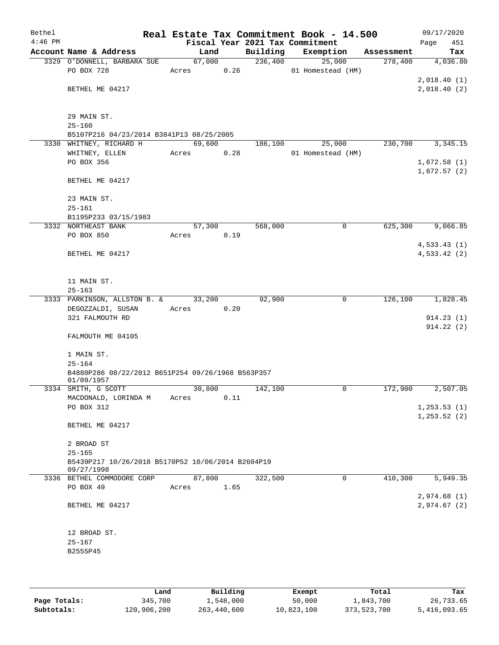| Bethel<br>$4:46$ PM |                                                                     |       |                |          | Real Estate Tax Commitment Book - 14.500<br>Fiscal Year 2021 Tax Commitment |            | 09/17/2020<br>Page<br>451 |
|---------------------|---------------------------------------------------------------------|-------|----------------|----------|-----------------------------------------------------------------------------|------------|---------------------------|
|                     | Account Name & Address                                              |       | Land           | Building | Exemption                                                                   | Assessment | Tax                       |
|                     | 3329 O'DONNELL, BARBARA SUE                                         |       | 67,000         | 236,400  | 25,000                                                                      | 278,400    | 4,036.80                  |
|                     | PO BOX 728                                                          | Acres | 0.26           |          | 01 Homestead (HM)                                                           |            |                           |
|                     |                                                                     |       |                |          |                                                                             |            | 2,018.40(1)               |
|                     | BETHEL ME 04217                                                     |       |                |          |                                                                             |            | 2,018.40(2)               |
|                     |                                                                     |       |                |          |                                                                             |            |                           |
|                     |                                                                     |       |                |          |                                                                             |            |                           |
|                     | 29 MAIN ST.                                                         |       |                |          |                                                                             |            |                           |
|                     | $25 - 160$                                                          |       |                |          |                                                                             |            |                           |
|                     | B5107P216 04/23/2014 B3841P13 08/25/2005<br>3330 WHITNEY, RICHARD H |       | 69,600         | 186,100  | 25,000                                                                      | 230,700    | 3, 345. 15                |
|                     | WHITNEY, ELLEN                                                      | Acres | 0.28           |          | 01 Homestead (HM)                                                           |            |                           |
|                     | PO BOX 356                                                          |       |                |          |                                                                             |            | 1,672.58(1)               |
|                     |                                                                     |       |                |          |                                                                             |            | 1,672.57(2)               |
|                     | BETHEL ME 04217                                                     |       |                |          |                                                                             |            |                           |
|                     |                                                                     |       |                |          |                                                                             |            |                           |
|                     | 23 MAIN ST.                                                         |       |                |          |                                                                             |            |                           |
|                     | $25 - 161$                                                          |       |                |          |                                                                             |            |                           |
|                     | B1195P233 03/15/1983                                                |       |                |          |                                                                             |            |                           |
|                     | 3332 NORTHEAST BANK                                                 |       | 57,300         | 568,000  | 0                                                                           | 625,300    | 9,066.85                  |
|                     | PO BOX 850                                                          | Acres | 0.19           |          |                                                                             |            | 4,533.43(1)               |
|                     | BETHEL ME 04217                                                     |       |                |          |                                                                             |            | 4,533.42(2)               |
|                     |                                                                     |       |                |          |                                                                             |            |                           |
|                     |                                                                     |       |                |          |                                                                             |            |                           |
|                     | 11 MAIN ST.                                                         |       |                |          |                                                                             |            |                           |
|                     | $25 - 163$                                                          |       |                |          |                                                                             |            |                           |
|                     | 3333 PARKINSON, ALLSTON B. &                                        |       | 33,200         | 92,900   | 0                                                                           | 126,100    | 1,828.45                  |
|                     | DEGOZZALDI, SUSAN                                                   | Acres | 0.20           |          |                                                                             |            |                           |
|                     | 321 FALMOUTH RD                                                     |       |                |          |                                                                             |            | 914.23(1)                 |
|                     | FALMOUTH ME 04105                                                   |       |                |          |                                                                             |            | 914.22(2)                 |
|                     |                                                                     |       |                |          |                                                                             |            |                           |
|                     | 1 MAIN ST.                                                          |       |                |          |                                                                             |            |                           |
|                     | $25 - 164$                                                          |       |                |          |                                                                             |            |                           |
|                     | B4880P286 08/22/2012 B651P254 09/26/1968 B563P357                   |       |                |          |                                                                             |            |                           |
|                     | 01/09/1957                                                          |       |                |          |                                                                             |            |                           |
|                     | 3334 SMITH, G SCOTT<br>MACDONALD, LORINDA M                         | Acres | 30,800<br>0.11 | 142,100  | 0                                                                           | 172,900    | 2,507.05                  |
|                     | PO BOX 312                                                          |       |                |          |                                                                             |            | 1, 253.53(1)              |
|                     |                                                                     |       |                |          |                                                                             |            | 1, 253.52(2)              |
|                     | BETHEL ME 04217                                                     |       |                |          |                                                                             |            |                           |
|                     |                                                                     |       |                |          |                                                                             |            |                           |
|                     | 2 BROAD ST                                                          |       |                |          |                                                                             |            |                           |
|                     | $25 - 165$                                                          |       |                |          |                                                                             |            |                           |
|                     | B5439P217 10/26/2018 B5170P52 10/06/2014 B2604P19<br>09/27/1998     |       |                |          |                                                                             |            |                           |
|                     | 3336 BETHEL COMMODORE CORP                                          |       | 87,800         | 322,500  | $\mathbf 0$                                                                 | 410,300    | 5,949.35                  |
|                     | PO BOX 49                                                           | Acres | 1.65           |          |                                                                             |            |                           |
|                     |                                                                     |       |                |          |                                                                             |            | 2,974.68(1)               |
|                     | BETHEL ME 04217                                                     |       |                |          |                                                                             |            | 2,974.67(2)               |
|                     |                                                                     |       |                |          |                                                                             |            |                           |
|                     | 12 BROAD ST.                                                        |       |                |          |                                                                             |            |                           |
|                     | $25 - 167$                                                          |       |                |          |                                                                             |            |                           |
|                     | B2555P45                                                            |       |                |          |                                                                             |            |                           |
|                     |                                                                     |       |                |          |                                                                             |            |                           |
|                     |                                                                     |       |                |          |                                                                             |            |                           |
|                     |                                                                     |       |                |          |                                                                             |            |                           |

|              | Land        | Building    | Exempt     | Total       | Tax          |
|--------------|-------------|-------------|------------|-------------|--------------|
| Page Totals: | 345,700     | 1,548,000   | 50,000     | 1,843,700   | 26,733.65    |
| Subtotals:   | 120,906,200 | 263,440,600 | 10,823,100 | 373,523,700 | 5,416,093.65 |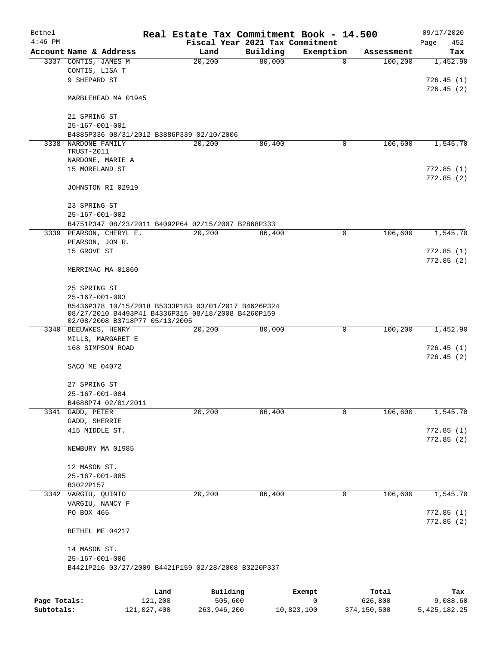| Bethel<br>$4:46$ PM |                                                                                      |         |          | Real Estate Tax Commitment Book - 14.500<br>Fiscal Year 2021 Tax Commitment |             |            | 09/17/2020<br>Page<br>452 |
|---------------------|--------------------------------------------------------------------------------------|---------|----------|-----------------------------------------------------------------------------|-------------|------------|---------------------------|
|                     | Account Name & Address                                                               |         | Land     | Building                                                                    | Exemption   | Assessment | Tax                       |
|                     | 3337 CONTIS, JAMES M                                                                 |         | 20, 200  | 80,000                                                                      | $\mathbf 0$ | 100,200    | 1,452.90                  |
|                     | CONTIS, LISA T                                                                       |         |          |                                                                             |             |            |                           |
|                     | 9 SHEPARD ST                                                                         |         |          |                                                                             |             |            | 726.45(1)                 |
|                     |                                                                                      |         |          |                                                                             |             |            | 726.45(2)                 |
|                     | MARBLEHEAD MA 01945                                                                  |         |          |                                                                             |             |            |                           |
|                     | 21 SPRING ST                                                                         |         |          |                                                                             |             |            |                           |
|                     | $25 - 167 - 001 - 001$                                                               |         |          |                                                                             |             |            |                           |
|                     | B4885P336 08/31/2012 B3886P339 02/10/2006                                            |         |          |                                                                             |             |            |                           |
| 3338                | NARDONE FAMILY                                                                       |         | 20, 200  | 86,400                                                                      | $\mathbf 0$ | 106,600    | 1, 545.70                 |
|                     | TRUST-2011                                                                           |         |          |                                                                             |             |            |                           |
|                     | NARDONE, MARIE A                                                                     |         |          |                                                                             |             |            |                           |
|                     | 15 MORELAND ST                                                                       |         |          |                                                                             |             |            | 772.85(1)                 |
|                     |                                                                                      |         |          |                                                                             |             |            | 772.85(2)                 |
|                     | JOHNSTON RI 02919                                                                    |         |          |                                                                             |             |            |                           |
|                     | 23 SPRING ST                                                                         |         |          |                                                                             |             |            |                           |
|                     | $25 - 167 - 001 - 002$                                                               |         |          |                                                                             |             |            |                           |
|                     | B4751P347 08/23/2011 B4092P64 02/15/2007 B2868P333                                   |         |          |                                                                             |             |            |                           |
|                     | 3339 PEARSON, CHERYL E.                                                              |         | 20,200   | 86,400                                                                      | $\mathbf 0$ | 106,600    | 1,545.70                  |
|                     | PEARSON, JON R.                                                                      |         |          |                                                                             |             |            |                           |
|                     | 15 GROVE ST                                                                          |         |          |                                                                             |             |            | 772.85(1)                 |
|                     | MERRIMAC MA 01860                                                                    |         |          |                                                                             |             |            | 772.85(2)                 |
|                     | 25 SPRING ST                                                                         |         |          |                                                                             |             |            |                           |
|                     | $25 - 167 - 001 - 003$                                                               |         |          |                                                                             |             |            |                           |
|                     | B5436P378 10/15/2018 B5333P183 03/01/2017 B4626P324                                  |         |          |                                                                             |             |            |                           |
|                     | 08/27/2010 B4493P41 B4336P315 08/18/2008 B4260P159<br>02/08/2008 B3718P77 05/13/2005 |         |          |                                                                             |             |            |                           |
|                     | 3340 BEEUWKES, HENRY                                                                 |         | 20,200   | 80,000                                                                      | 0           | 100,200    | 1,452.90                  |
|                     | MILLS, MARGARET E                                                                    |         |          |                                                                             |             |            |                           |
|                     | 168 SIMPSON ROAD                                                                     |         |          |                                                                             |             |            | 726.45(1)                 |
|                     |                                                                                      |         |          |                                                                             |             |            | 726.45(2)                 |
|                     | SACO ME 04072                                                                        |         |          |                                                                             |             |            |                           |
|                     | 27 SPRING ST                                                                         |         |          |                                                                             |             |            |                           |
|                     | $25 - 167 - 001 - 004$                                                               |         |          |                                                                             |             |            |                           |
|                     | B4688P74 02/01/2011                                                                  |         |          |                                                                             |             |            |                           |
|                     | 3341 GADD, PETER                                                                     |         | 20,200   | 86,400                                                                      | 0           | 106,600    | 1,545.70                  |
|                     | GADD, SHERRIE                                                                        |         |          |                                                                             |             |            |                           |
|                     | 415 MIDDLE ST.                                                                       |         |          |                                                                             |             |            | 772.85 (1)                |
|                     | NEWBURY MA 01985                                                                     |         |          |                                                                             |             |            | 772.85(2)                 |
|                     |                                                                                      |         |          |                                                                             |             |            |                           |
|                     | 12 MASON ST.                                                                         |         |          |                                                                             |             |            |                           |
|                     | $25 - 167 - 001 - 005$                                                               |         |          |                                                                             |             |            |                           |
|                     | B3022P157                                                                            |         |          |                                                                             |             |            |                           |
|                     | 3342 VARGIU, QUINTO                                                                  |         | 20,200   | 86,400                                                                      | 0           | 106,600    | 1,545.70                  |
|                     | VARGIU, NANCY F                                                                      |         |          |                                                                             |             |            |                           |
|                     | PO BOX 465                                                                           |         |          |                                                                             |             |            | 772.85(1)                 |
|                     | BETHEL ME 04217                                                                      |         |          |                                                                             |             |            | 772.85(2)                 |
|                     | 14 MASON ST.                                                                         |         |          |                                                                             |             |            |                           |
|                     | $25 - 167 - 001 - 006$                                                               |         |          |                                                                             |             |            |                           |
|                     | B4421P216 03/27/2009 B4421P159 02/28/2008 B3220P337                                  |         |          |                                                                             |             |            |                           |
|                     |                                                                                      |         |          |                                                                             |             |            |                           |
|                     |                                                                                      | Land    | Building |                                                                             | Exempt      | Total      | Tax                       |
| Page Totals:        |                                                                                      | 121,200 | 505,600  |                                                                             | 0           | 626,800    | 9,088.60                  |

**Subtotals:** 121,027,400 263,946,200 10,823,100 374,150,500 5,425,182.25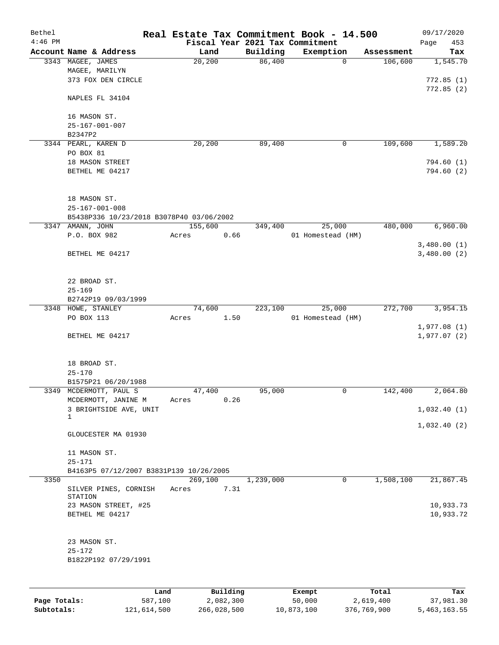| Bethel    |                                          |      |         |          |           | Real Estate Tax Commitment Book - 14.500 |            | 09/17/2020                 |
|-----------|------------------------------------------|------|---------|----------|-----------|------------------------------------------|------------|----------------------------|
| $4:46$ PM |                                          |      |         |          |           | Fiscal Year 2021 Tax Commitment          |            | Page<br>453                |
|           | Account Name & Address                   |      |         | Land     | Building  | Exemption                                | Assessment | Tax                        |
|           | 3343 MAGEE, JAMES                        |      | 20,200  |          | 86,400    | $\mathbf 0$                              | 106,600    | 1,545.70                   |
|           | MAGEE, MARILYN                           |      |         |          |           |                                          |            |                            |
|           | 373 FOX DEN CIRCLE                       |      |         |          |           |                                          |            | 772.85(1)                  |
|           | NAPLES FL 34104                          |      |         |          |           |                                          |            | 772.85(2)                  |
|           |                                          |      |         |          |           |                                          |            |                            |
|           | 16 MASON ST.                             |      |         |          |           |                                          |            |                            |
|           | $25 - 167 - 001 - 007$                   |      |         |          |           |                                          |            |                            |
|           | B2347P2                                  |      |         |          |           |                                          |            |                            |
|           | 3344 PEARL, KAREN D                      |      | 20,200  |          | 89,400    | 0                                        | 109,600    | 1,589.20                   |
|           | PO BOX 81                                |      |         |          |           |                                          |            |                            |
|           | 18 MASON STREET                          |      |         |          |           |                                          |            | 794.60(1)                  |
|           | BETHEL ME 04217                          |      |         |          |           |                                          |            | 794.60 (2)                 |
|           |                                          |      |         |          |           |                                          |            |                            |
|           | 18 MASON ST.                             |      |         |          |           |                                          |            |                            |
|           | $25 - 167 - 001 - 008$                   |      |         |          |           |                                          |            |                            |
|           | B5438P336 10/23/2018 B3078P40 03/06/2002 |      |         |          |           |                                          |            |                            |
|           | 3347 AMANN, JOHN                         |      | 155,600 |          | 349,400   | 25,000                                   | 480,000    | 6,960.00                   |
|           | P.O. BOX 982                             |      | Acres   | 0.66     |           | 01 Homestead (HM)                        |            |                            |
|           |                                          |      |         |          |           |                                          |            | 3,480.00(1)                |
|           | BETHEL ME 04217                          |      |         |          |           |                                          |            | 3,480.00(2)                |
|           |                                          |      |         |          |           |                                          |            |                            |
|           |                                          |      |         |          |           |                                          |            |                            |
|           | 22 BROAD ST.                             |      |         |          |           |                                          |            |                            |
|           | $25 - 169$                               |      |         |          |           |                                          |            |                            |
|           | B2742P19 09/03/1999                      |      |         |          |           |                                          |            |                            |
|           | 3348 HOWE, STANLEY                       |      | 74,600  |          | 223,100   | 25,000                                   | 272,700    | 3,954.15                   |
|           | PO BOX 113                               |      | Acres   | 1.50     |           | 01 Homestead (HM)                        |            |                            |
|           | BETHEL ME 04217                          |      |         |          |           |                                          |            | 1,977.08(1)<br>1,977.07(2) |
|           |                                          |      |         |          |           |                                          |            |                            |
|           |                                          |      |         |          |           |                                          |            |                            |
|           | 18 BROAD ST.                             |      |         |          |           |                                          |            |                            |
|           | $25 - 170$                               |      |         |          |           |                                          |            |                            |
|           | B1575P21 06/20/1988                      |      |         |          |           |                                          |            |                            |
|           | 3349 MCDERMOTT, PAUL S                   |      | 47,400  |          | 95,000    | 0                                        | 142,400    | 2,064.80                   |
|           | MCDERMOTT, JANINE M                      |      | Acres   | 0.26     |           |                                          |            |                            |
|           | 3 BRIGHTSIDE AVE, UNIT                   |      |         |          |           |                                          |            | 1,032.40(1)                |
|           | 1                                        |      |         |          |           |                                          |            | 1,032.40(2)                |
|           | GLOUCESTER MA 01930                      |      |         |          |           |                                          |            |                            |
|           |                                          |      |         |          |           |                                          |            |                            |
|           | 11 MASON ST.                             |      |         |          |           |                                          |            |                            |
|           | $25 - 171$                               |      |         |          |           |                                          |            |                            |
|           | B4163P5 07/12/2007 B3831P139 10/26/2005  |      |         |          |           |                                          |            |                            |
| 3350      |                                          |      | 269,100 |          | 1,239,000 | $\mathbf{0}$                             | 1,508,100  | 21,867.45                  |
|           | SILVER PINES, CORNISH<br>STATION         |      | Acres   | 7.31     |           |                                          |            |                            |
|           | 23 MASON STREET, #25                     |      |         |          |           |                                          |            | 10,933.73                  |
|           | BETHEL ME 04217                          |      |         |          |           |                                          |            | 10,933.72                  |
|           |                                          |      |         |          |           |                                          |            |                            |
|           |                                          |      |         |          |           |                                          |            |                            |
|           | 23 MASON ST.                             |      |         |          |           |                                          |            |                            |
|           | $25 - 172$                               |      |         |          |           |                                          |            |                            |
|           | B1822P192 07/29/1991                     |      |         |          |           |                                          |            |                            |
|           |                                          |      |         |          |           |                                          |            |                            |
|           |                                          | Land |         | Building |           | Exempt                                   | Total      | Tax                        |
|           |                                          |      |         |          |           |                                          |            |                            |

| Page Totals: | 587,100     | 2,082,300   | 50,000     | 2,619,400   | 37,981.30    |
|--------------|-------------|-------------|------------|-------------|--------------|
| Subtotals:   | 121,614,500 | 266,028,500 | 10,873,100 | 376,769,900 | 5,463,163.55 |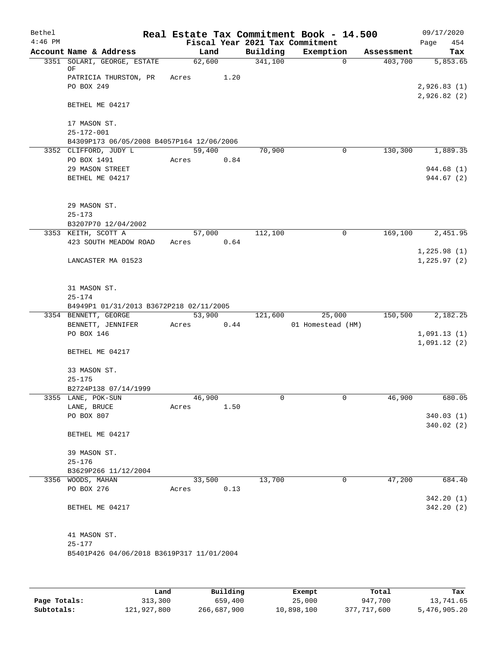| Bethel<br>$4:46$ PM |                                           |        |      |          | Real Estate Tax Commitment Book - 14.500<br>Fiscal Year 2021 Tax Commitment |            | 09/17/2020<br>454<br>Page |
|---------------------|-------------------------------------------|--------|------|----------|-----------------------------------------------------------------------------|------------|---------------------------|
|                     | Account Name & Address                    |        | Land | Building | Exemption                                                                   | Assessment | Tax                       |
|                     | 3351 SOLARI, GEORGE, ESTATE<br>ΟF         | 62,600 |      | 341,100  | $\mathbf 0$                                                                 | 403,700    | 5,853.65                  |
|                     | PATRICIA THURSTON, PR                     | Acres  | 1.20 |          |                                                                             |            |                           |
|                     | PO BOX 249                                |        |      |          |                                                                             |            | 2,926.83(1)               |
|                     |                                           |        |      |          |                                                                             |            | 2,926.82(2)               |
|                     | BETHEL ME 04217                           |        |      |          |                                                                             |            |                           |
|                     |                                           |        |      |          |                                                                             |            |                           |
|                     | 17 MASON ST.<br>$25 - 172 - 001$          |        |      |          |                                                                             |            |                           |
|                     | B4309P173 06/05/2008 B4057P164 12/06/2006 |        |      |          |                                                                             |            |                           |
|                     | 3352 CLIFFORD, JUDY L                     | 59,400 |      | 70,900   | 0                                                                           | 130,300    | 1, 889.35                 |
|                     | PO BOX 1491                               | Acres  | 0.84 |          |                                                                             |            |                           |
|                     | 29 MASON STREET                           |        |      |          |                                                                             |            | 944.68 (1)                |
|                     | BETHEL ME 04217                           |        |      |          |                                                                             |            | 944.67 (2)                |
|                     |                                           |        |      |          |                                                                             |            |                           |
|                     | 29 MASON ST.                              |        |      |          |                                                                             |            |                           |
|                     | $25 - 173$                                |        |      |          |                                                                             |            |                           |
|                     | B3207P70 12/04/2002                       |        |      |          |                                                                             |            |                           |
|                     | 3353 KEITH, SCOTT A                       | 57,000 |      | 112,100  | $\mathsf{O}$                                                                | 169,100    | 2,451.95                  |
|                     | 423 SOUTH MEADOW ROAD                     | Acres  | 0.64 |          |                                                                             |            |                           |
|                     |                                           |        |      |          |                                                                             |            | 1,225.98(1)               |
|                     | LANCASTER MA 01523                        |        |      |          |                                                                             |            | 1,225.97(2)               |
|                     |                                           |        |      |          |                                                                             |            |                           |
|                     | 31 MASON ST.<br>$25 - 174$                |        |      |          |                                                                             |            |                           |
|                     | B4949P1 01/31/2013 B3672P218 02/11/2005   |        |      |          |                                                                             |            |                           |
|                     | 3354 BENNETT, GEORGE                      | 53,900 |      | 121,600  | 25,000                                                                      | 150,500    | 2,182.25                  |
|                     | BENNETT, JENNIFER                         | Acres  | 0.44 |          | 01 Homestead (HM)                                                           |            |                           |
|                     | PO BOX 146                                |        |      |          |                                                                             |            | 1,091.13(1)               |
|                     |                                           |        |      |          |                                                                             |            | 1,091.12(2)               |
|                     | BETHEL ME 04217                           |        |      |          |                                                                             |            |                           |
|                     | 33 MASON ST.                              |        |      |          |                                                                             |            |                           |
|                     | $25 - 175$                                |        |      |          |                                                                             |            |                           |
|                     | B2724P138 07/14/1999                      |        |      |          |                                                                             |            |                           |
|                     | 3355 LANE, POK-SUN                        | 46,900 |      | 0        | 0                                                                           | 46,900     | 680.05                    |
|                     | LANE, BRUCE                               | Acres  | 1.50 |          |                                                                             |            |                           |
|                     | PO BOX 807                                |        |      |          |                                                                             |            | 340.03(1)                 |
|                     |                                           |        |      |          |                                                                             |            | 340.02 (2)                |
|                     | BETHEL ME 04217                           |        |      |          |                                                                             |            |                           |
|                     | 39 MASON ST.                              |        |      |          |                                                                             |            |                           |
|                     | $25 - 176$                                |        |      |          |                                                                             |            |                           |
|                     |                                           |        |      |          |                                                                             |            |                           |
|                     | B3629P266 11/12/2004<br>3356 WOODS, MAHAN | 33,500 |      | 13,700   | 0                                                                           | 47,200     | 684.40                    |
|                     | PO BOX 276                                |        | 0.13 |          |                                                                             |            |                           |
|                     |                                           | Acres  |      |          |                                                                             |            |                           |
|                     |                                           |        |      |          |                                                                             |            | 342.20 (1)                |
|                     | BETHEL ME 04217                           |        |      |          |                                                                             |            | 342.20 (2)                |
|                     | 41 MASON ST.                              |        |      |          |                                                                             |            |                           |
|                     | $25 - 177$                                |        |      |          |                                                                             |            |                           |
|                     | B5401P426 04/06/2018 B3619P317 11/01/2004 |        |      |          |                                                                             |            |                           |
|                     |                                           |        |      |          |                                                                             |            |                           |
|                     |                                           |        |      |          |                                                                             |            |                           |
|                     |                                           |        |      |          |                                                                             |            |                           |

|              | Land        | Building    | Exempt     | Total       | Tax          |
|--------------|-------------|-------------|------------|-------------|--------------|
| Page Totals: | 313,300     | 659,400     | 25,000     | 947,700     | 13,741.65    |
| Subtotals:   | 121,927,800 | 266,687,900 | 10,898,100 | 377,717,600 | 5,476,905.20 |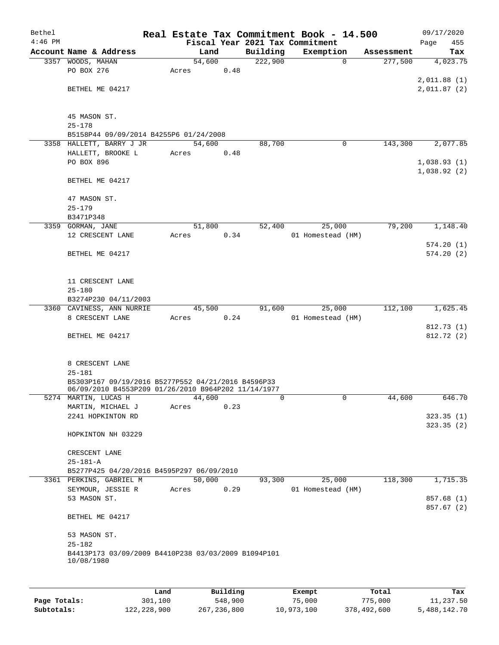| Bethel    |                                                                   |        |      |          | Real Estate Tax Commitment Book - 14.500 |            | 09/17/2020                 |
|-----------|-------------------------------------------------------------------|--------|------|----------|------------------------------------------|------------|----------------------------|
| $4:46$ PM |                                                                   |        |      |          | Fiscal Year 2021 Tax Commitment          |            | 455<br>Page                |
|           | Account Name & Address                                            | Land   |      | Building | Exemption                                | Assessment | Tax                        |
|           | 3357 WOODS, MAHAN                                                 | 54,600 |      | 222,900  | $\mathbf 0$                              | 277,500    | 4,023.75                   |
|           | PO BOX 276                                                        | Acres  | 0.48 |          |                                          |            |                            |
|           |                                                                   |        |      |          |                                          |            | 2,011.88(1)<br>2,011.87(2) |
|           | BETHEL ME 04217                                                   |        |      |          |                                          |            |                            |
|           |                                                                   |        |      |          |                                          |            |                            |
|           | 45 MASON ST.<br>$25 - 178$                                        |        |      |          |                                          |            |                            |
|           | B5158P44 09/09/2014 B4255P6 01/24/2008                            |        |      |          |                                          |            |                            |
|           | 3358 HALLETT, BARRY J JR                                          | 54,600 |      | 88,700   | 0                                        | 143,300    | 2,077.85                   |
|           | HALLETT, BROOKE L                                                 | Acres  | 0.48 |          |                                          |            |                            |
|           | PO BOX 896                                                        |        |      |          |                                          |            | 1,038.93(1)                |
|           |                                                                   |        |      |          |                                          |            | 1,038.92(2)                |
|           | BETHEL ME 04217                                                   |        |      |          |                                          |            |                            |
|           | 47 MASON ST.                                                      |        |      |          |                                          |            |                            |
|           | $25 - 179$                                                        |        |      |          |                                          |            |                            |
|           | B3471P348                                                         |        |      |          |                                          |            |                            |
|           | 3359 GORMAN, JANE                                                 | 51,800 |      | 52,400   | 25,000                                   | 79,200     | 1,148.40                   |
|           | 12 CRESCENT LANE                                                  | Acres  | 0.34 |          | 01 Homestead (HM)                        |            |                            |
|           |                                                                   |        |      |          |                                          |            | 574.20(1)                  |
|           | BETHEL ME 04217                                                   |        |      |          |                                          |            | 574.20(2)                  |
|           |                                                                   |        |      |          |                                          |            |                            |
|           |                                                                   |        |      |          |                                          |            |                            |
|           | 11 CRESCENT LANE                                                  |        |      |          |                                          |            |                            |
|           | $25 - 180$                                                        |        |      |          |                                          |            |                            |
|           | B3274P230 04/11/2003                                              |        |      |          |                                          |            |                            |
|           | 3360 CAVINESS, ANN NURRIE                                         | 45,500 |      | 91,600   | 25,000                                   | 112,100    | 1,625.45                   |
|           | 8 CRESCENT LANE                                                   | Acres  | 0.24 |          | 01 Homestead (HM)                        |            |                            |
|           |                                                                   |        |      |          |                                          |            | 812.73 (1)                 |
|           | BETHEL ME 04217                                                   |        |      |          |                                          |            | 812.72 (2)                 |
|           |                                                                   |        |      |          |                                          |            |                            |
|           | 8 CRESCENT LANE                                                   |        |      |          |                                          |            |                            |
|           | $25 - 181$                                                        |        |      |          |                                          |            |                            |
|           | B5303P167 09/19/2016 B5277P552 04/21/2016 B4596P33                |        |      |          |                                          |            |                            |
|           | 06/09/2010 B4553P209 01/26/2010 B964P202 11/14/1977               |        |      |          |                                          |            |                            |
|           | 5274 MARTIN, LUCAS H                                              | 44,600 |      | 0        | $\overline{0}$                           | 44,600     | 646.70                     |
|           | MARTIN, MICHAEL J                                                 | Acres  | 0.23 |          |                                          |            |                            |
|           | 2241 HOPKINTON RD                                                 |        |      |          |                                          |            | 323.35(1)                  |
|           |                                                                   |        |      |          |                                          |            | 323.35 (2)                 |
|           | HOPKINTON NH 03229                                                |        |      |          |                                          |            |                            |
|           |                                                                   |        |      |          |                                          |            |                            |
|           | CRESCENT LANE                                                     |        |      |          |                                          |            |                            |
|           | $25 - 181 - A$                                                    |        |      |          |                                          |            |                            |
|           | B5277P425 04/20/2016 B4595P297 06/09/2010                         |        |      |          |                                          |            |                            |
|           | 3361 PERKINS, GABRIEL M<br>SEYMOUR, JESSIE R                      | 50,000 |      | 93,300   | 25,000                                   | 118,300    | 1,715.35                   |
|           | 53 MASON ST.                                                      | Acres  | 0.29 |          | 01 Homestead (HM)                        |            | 857.68 (1)                 |
|           |                                                                   |        |      |          |                                          |            | 857.67 (2)                 |
|           | BETHEL ME 04217                                                   |        |      |          |                                          |            |                            |
|           |                                                                   |        |      |          |                                          |            |                            |
|           | 53 MASON ST.                                                      |        |      |          |                                          |            |                            |
|           | $25 - 182$<br>B4413P173 03/09/2009 B4410P238 03/03/2009 B1094P101 |        |      |          |                                          |            |                            |
|           | 10/08/1980                                                        |        |      |          |                                          |            |                            |
|           |                                                                   |        |      |          |                                          |            |                            |
|           |                                                                   |        |      |          |                                          |            |                            |

|              | Land        | Building    | Exempt     | Total       | Tax          |
|--------------|-------------|-------------|------------|-------------|--------------|
| Page Totals: | 301,100     | 548,900     | 75,000     | 775,000     | 11,237.50    |
| Subtotals:   | 122,228,900 | 267,236,800 | 10,973,100 | 378,492,600 | 5,488,142.70 |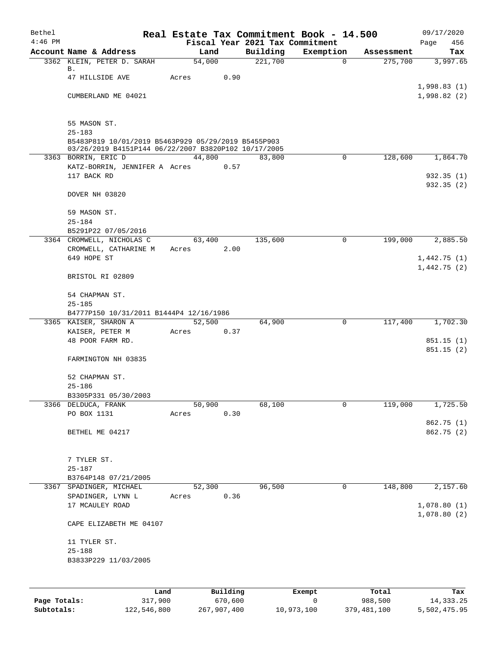| Bethel       |                                                                                                             |                 |          |          | Real Estate Tax Commitment Book - 14.500 |            | 09/17/2020                 |
|--------------|-------------------------------------------------------------------------------------------------------------|-----------------|----------|----------|------------------------------------------|------------|----------------------------|
| $4:46$ PM    |                                                                                                             |                 |          |          | Fiscal Year 2021 Tax Commitment          |            | Page<br>456                |
|              | Account Name & Address                                                                                      | Land            |          | Building | Exemption                                | Assessment | Tax                        |
|              | 3362 KLEIN, PETER D. SARAH<br>В.                                                                            | 54,000          |          | 221,700  | $\mathbf 0$                              | 275,700    | 3,997.65                   |
|              | 47 HILLSIDE AVE                                                                                             | Acres           | 0.90     |          |                                          |            |                            |
|              |                                                                                                             |                 |          |          |                                          |            | 1,998.83(1)                |
|              | CUMBERLAND ME 04021                                                                                         |                 |          |          |                                          |            | 1,998.82(2)                |
|              |                                                                                                             |                 |          |          |                                          |            |                            |
|              |                                                                                                             |                 |          |          |                                          |            |                            |
|              | 55 MASON ST.                                                                                                |                 |          |          |                                          |            |                            |
|              | $25 - 183$                                                                                                  |                 |          |          |                                          |            |                            |
|              | B5483P819 10/01/2019 B5463P929 05/29/2019 B5455P903<br>03/26/2019 B4151P144 06/22/2007 B3820P102 10/17/2005 |                 |          |          |                                          |            |                            |
|              | 3363 BORRIN, ERIC D                                                                                         | 44,800          |          | 83,800   | $\mathbf 0$                              | 128,600    | 1,864.70                   |
|              | KATZ-BORRIN, JENNIFER A Acres 0.57                                                                          |                 |          |          |                                          |            |                            |
|              | 117 BACK RD                                                                                                 |                 |          |          |                                          |            | 932.35(1)                  |
|              |                                                                                                             |                 |          |          |                                          |            | 932.35(2)                  |
|              | DOVER NH 03820                                                                                              |                 |          |          |                                          |            |                            |
|              |                                                                                                             |                 |          |          |                                          |            |                            |
|              | 59 MASON ST.                                                                                                |                 |          |          |                                          |            |                            |
|              | $25 - 184$                                                                                                  |                 |          |          |                                          |            |                            |
|              | B5291P22 07/05/2016                                                                                         |                 |          |          |                                          |            |                            |
|              | 3364 CROMWELL, NICHOLAS C                                                                                   | 63,400          |          | 135,600  | $\mathbf 0$                              | 199,000    | 2,885.50                   |
|              | CROMWELL, CATHARINE M<br>649 HOPE ST                                                                        | Acres           | 2.00     |          |                                          |            |                            |
|              |                                                                                                             |                 |          |          |                                          |            | 1,442.75(1)<br>1,442.75(2) |
|              | BRISTOL RI 02809                                                                                            |                 |          |          |                                          |            |                            |
|              |                                                                                                             |                 |          |          |                                          |            |                            |
|              | 54 CHAPMAN ST.                                                                                              |                 |          |          |                                          |            |                            |
|              | $25 - 185$                                                                                                  |                 |          |          |                                          |            |                            |
|              | B4777P150 10/31/2011 B1444P4 12/16/1986                                                                     |                 |          |          |                                          |            |                            |
|              | 3365 KAISER, SHARON A                                                                                       | 52,500          |          | 64,900   | 0                                        | 117,400    | 1,702.30                   |
|              | KAISER, PETER M                                                                                             | Acres           | 0.37     |          |                                          |            |                            |
|              | 48 POOR FARM RD.                                                                                            |                 |          |          |                                          |            | 851.15(1)                  |
|              |                                                                                                             |                 |          |          |                                          |            | 851.15(2)                  |
|              | FARMINGTON NH 03835                                                                                         |                 |          |          |                                          |            |                            |
|              | 52 CHAPMAN ST.                                                                                              |                 |          |          |                                          |            |                            |
|              | $25 - 186$                                                                                                  |                 |          |          |                                          |            |                            |
|              | B3305P331 05/30/2003                                                                                        |                 |          |          |                                          |            |                            |
|              | 3366 DELDUCA, FRANK                                                                                         | 50,900          |          | 68,100   | 0                                        | 119,000    | 1,725.50                   |
|              | PO BOX 1131                                                                                                 | Acres           | 0.30     |          |                                          |            |                            |
|              |                                                                                                             |                 |          |          |                                          |            | 862.75 (1)                 |
|              | BETHEL ME 04217                                                                                             |                 |          |          |                                          |            | 862.75 (2)                 |
|              |                                                                                                             |                 |          |          |                                          |            |                            |
|              |                                                                                                             |                 |          |          |                                          |            |                            |
|              | 7 TYLER ST.                                                                                                 |                 |          |          |                                          |            |                            |
|              | $25 - 187$                                                                                                  |                 |          |          |                                          |            |                            |
|              | B3764P148 07/21/2005                                                                                        |                 |          |          | 0                                        | 148,800    | 2,157.60                   |
|              | 3367 SPADINGER, MICHAEL<br>SPADINGER, LYNN L                                                                | 52,300<br>Acres | 0.36     | 96,500   |                                          |            |                            |
|              | 17 MCAULEY ROAD                                                                                             |                 |          |          |                                          |            | 1,078.80(1)                |
|              |                                                                                                             |                 |          |          |                                          |            | 1,078.80(2)                |
|              | CAPE ELIZABETH ME 04107                                                                                     |                 |          |          |                                          |            |                            |
|              |                                                                                                             |                 |          |          |                                          |            |                            |
|              | 11 TYLER ST.                                                                                                |                 |          |          |                                          |            |                            |
|              | $25 - 188$                                                                                                  |                 |          |          |                                          |            |                            |
|              | B3833P229 11/03/2005                                                                                        |                 |          |          |                                          |            |                            |
|              |                                                                                                             |                 |          |          |                                          |            |                            |
|              |                                                                                                             |                 |          |          |                                          |            |                            |
|              | Land                                                                                                        |                 | Building |          | Exempt                                   | Total      | Tax                        |
| Page Totals: | 317,900                                                                                                     |                 | 670,600  |          | 0                                        | 988,500    | 14, 333. 25                |

**Subtotals:** 122,546,800 267,907,400 10,973,100 379,481,100 5,502,475.95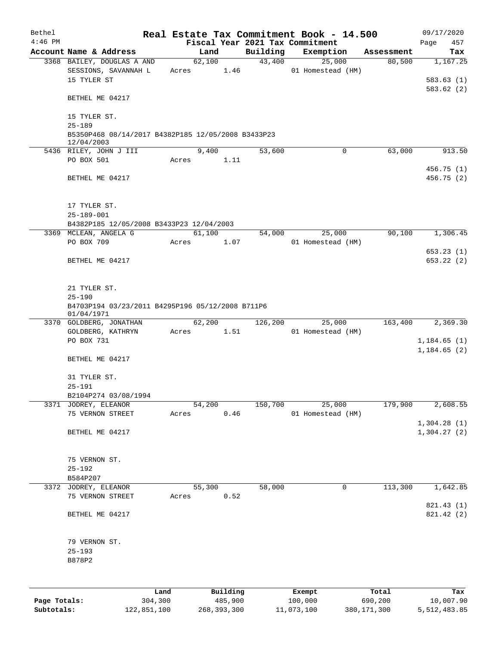| Bethel       |                                                                                |       |                |                    | Real Estate Tax Commitment Book - 14.500 |                      | 09/17/2020                 |
|--------------|--------------------------------------------------------------------------------|-------|----------------|--------------------|------------------------------------------|----------------------|----------------------------|
| $4:46$ PM    |                                                                                |       |                |                    | Fiscal Year 2021 Tax Commitment          |                      | Page<br>457                |
|              | Account Name & Address                                                         |       | Land<br>62,100 | Building<br>43,400 | Exemption<br>25,000                      | Assessment<br>80,500 | Tax<br>1,167.25            |
|              | 3368 BAILEY, DOUGLAS A AND<br>SESSIONS, SAVANNAH L<br>15 TYLER ST              | Acres | 1.46           |                    | 01 Homestead (HM)                        |                      | 583.63(1)                  |
|              | BETHEL ME 04217                                                                |       |                |                    |                                          |                      | 583.62 (2)                 |
|              | 15 TYLER ST.<br>$25 - 189$                                                     |       |                |                    |                                          |                      |                            |
|              | B5350P468 08/14/2017 B4382P185 12/05/2008 B3433P23<br>12/04/2003               |       |                |                    |                                          |                      |                            |
|              | 5436 RILEY, JOHN J III                                                         |       | 9,400          | 53,600             | 0                                        | 63,000               | 913.50                     |
|              | PO BOX 501                                                                     | Acres | 1.11           |                    |                                          |                      | 456.75 (1)                 |
|              | BETHEL ME 04217                                                                |       |                |                    |                                          |                      | 456.75 (2)                 |
|              | 17 TYLER ST.                                                                   |       |                |                    |                                          |                      |                            |
|              | $25 - 189 - 001$                                                               |       |                |                    |                                          |                      |                            |
|              | B4382P185 12/05/2008 B3433P23 12/04/2003                                       |       |                |                    |                                          |                      |                            |
|              | 3369 MCLEAN, ANGELA G                                                          |       | 61,100         | 54,000             | 25,000                                   | 90,100               | 1,306.45                   |
|              | PO BOX 709                                                                     | Acres | 1.07           |                    | 01 Homestead (HM)                        |                      |                            |
|              | BETHEL ME 04217                                                                |       |                |                    |                                          |                      | 653.23(1)<br>653.22(2)     |
|              | 21 TYLER ST.<br>$25 - 190$<br>B4703P194 03/23/2011 B4295P196 05/12/2008 B711P6 |       |                |                    |                                          |                      |                            |
|              | 01/04/1971                                                                     |       |                |                    |                                          |                      |                            |
|              | 3370 GOLDBERG, JONATHAN                                                        |       | 62,200         |                    | 126,200<br>25,000                        | 163,400              | 2,369.30                   |
|              | GOLDBERG, KATHRYN<br>PO BOX 731                                                |       | Acres 1.51     |                    | 01 Homestead (HM)                        |                      | 1,184.65(1)                |
|              |                                                                                |       |                |                    |                                          |                      | 1, 184.65(2)               |
|              | BETHEL ME 04217                                                                |       |                |                    |                                          |                      |                            |
|              | 31 TYLER ST.<br>$25 - 191$                                                     |       |                |                    |                                          |                      |                            |
|              | B2104P274 03/08/1994                                                           |       |                |                    |                                          |                      |                            |
|              | 3371 JODREY, ELEANOR                                                           |       | 54,200         | 150,700            | 25,000                                   | 179,900              | 2,608.55                   |
|              | 75 VERNON STREET                                                               | Acres | 0.46           |                    | 01 Homestead (HM)                        |                      |                            |
|              | BETHEL ME 04217                                                                |       |                |                    |                                          |                      | 1,304.28(1)<br>1,304.27(2) |
|              |                                                                                |       |                |                    |                                          |                      |                            |
|              | 75 VERNON ST.                                                                  |       |                |                    |                                          |                      |                            |
|              | $25 - 192$                                                                     |       |                |                    |                                          |                      |                            |
|              | B584P207                                                                       |       |                |                    |                                          |                      |                            |
|              | 3372 JODREY, ELEANOR                                                           |       | 55,300         | 58,000             | 0                                        | 113,300              | 1,642.85                   |
|              | 75 VERNON STREET                                                               | Acres | 0.52           |                    |                                          |                      | 821.43 (1)                 |
|              | BETHEL ME 04217                                                                |       |                |                    |                                          |                      | 821.42 (2)                 |
|              | 79 VERNON ST.<br>$25 - 193$<br>B878P2                                          |       |                |                    |                                          |                      |                            |
|              |                                                                                |       |                |                    |                                          |                      |                            |
|              | Land                                                                           |       | Building       |                    | Exempt                                   | Total                | Tax                        |
| Page Totals: | 304,300                                                                        |       | 485,900        |                    | 100,000                                  | 690,200              | 10,007.90                  |

**Subtotals:** 122,851,100 268,393,300 11,073,100 380,171,300 5,512,483.85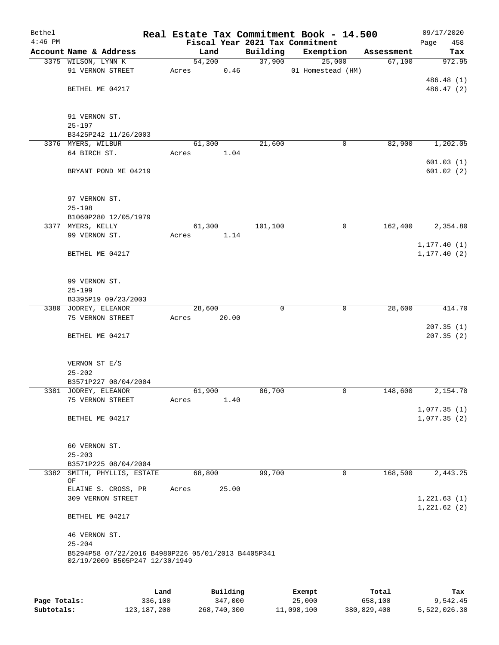| Bethel<br>$4:46$ PM |                                                                                      | Real Estate Tax Commitment Book - 14.500<br>Fiscal Year 2021 Tax Commitment |          |                   |            | 09/17/2020<br>Page<br>458    |
|---------------------|--------------------------------------------------------------------------------------|-----------------------------------------------------------------------------|----------|-------------------|------------|------------------------------|
|                     | Account Name & Address                                                               | Land                                                                        | Building | Exemption         | Assessment | Tax                          |
|                     | 3375 WILSON, LYNN K                                                                  | 54,200                                                                      | 37,900   | 25,000            | 67,100     | 972.95                       |
|                     | 91 VERNON STREET                                                                     | 0.46<br>Acres                                                               |          | 01 Homestead (HM) |            |                              |
|                     |                                                                                      |                                                                             |          |                   |            | 486.48 (1)                   |
|                     | BETHEL ME 04217                                                                      |                                                                             |          |                   |            | 486.47 (2)                   |
|                     | 91 VERNON ST.                                                                        |                                                                             |          |                   |            |                              |
|                     | $25 - 197$                                                                           |                                                                             |          |                   |            |                              |
|                     | B3425P242 11/26/2003                                                                 |                                                                             |          |                   |            |                              |
|                     | 3376 MYERS, WILBUR                                                                   | 61,300                                                                      | 21,600   | 0                 | 82,900     | 1,202.05                     |
|                     | 64 BIRCH ST.                                                                         | Acres<br>1.04                                                               |          |                   |            |                              |
|                     | BRYANT POND ME 04219                                                                 |                                                                             |          |                   |            | 601.03(1)<br>601.02(2)       |
|                     | 97 VERNON ST.<br>$25 - 198$                                                          |                                                                             |          |                   |            |                              |
|                     | B1060P280 12/05/1979                                                                 |                                                                             |          |                   |            |                              |
|                     | 3377 MYERS, KELLY                                                                    | 61,300                                                                      | 101,100  | 0                 | 162,400    | 2,354.80                     |
|                     | 99 VERNON ST.                                                                        | 1.14<br>Acres                                                               |          |                   |            |                              |
|                     | BETHEL ME 04217                                                                      |                                                                             |          |                   |            | 1, 177.40(1)<br>1, 177.40(2) |
|                     | 99 VERNON ST.<br>$25 - 199$                                                          |                                                                             |          |                   |            |                              |
|                     | B3395P19 09/23/2003                                                                  |                                                                             |          |                   |            |                              |
|                     | 3380 JODREY, ELEANOR                                                                 | 28,600                                                                      | 0        | 0                 | 28,600     | 414.70                       |
|                     | 75 VERNON STREET                                                                     | 20.00<br>Acres                                                              |          |                   |            |                              |
|                     |                                                                                      |                                                                             |          |                   |            | 207.35(1)                    |
|                     | BETHEL ME 04217                                                                      |                                                                             |          |                   |            | 207.35(2)                    |
|                     | VERNON ST E/S<br>$25 - 202$                                                          |                                                                             |          |                   |            |                              |
|                     | B3571P227 08/04/2004                                                                 |                                                                             |          |                   |            |                              |
|                     | 3381 JODREY, ELEANOR                                                                 | 61,900                                                                      | 86,700   | 0                 | 148,600    | 2,154.70                     |
|                     | 75 VERNON STREET                                                                     | 1.40<br>Acres                                                               |          |                   |            |                              |
|                     | BETHEL ME 04217                                                                      |                                                                             |          |                   |            | 1,077.35(1)<br>1,077.35(2)   |
|                     | 60 VERNON ST.                                                                        |                                                                             |          |                   |            |                              |
|                     | $25 - 203$<br>B3571P225 08/04/2004                                                   |                                                                             |          |                   |            |                              |
|                     | 3382 SMITH, PHYLLIS, ESTATE                                                          | 68,800                                                                      | 99,700   | 0                 | 168,500    | 2,443.25                     |
|                     | ΟF                                                                                   |                                                                             |          |                   |            |                              |
|                     | ELAINE S. CROSS, PR<br><b>309 VERNON STREET</b>                                      | 25.00<br>Acres                                                              |          |                   |            | 1,221.63(1)<br>1,221.62(2)   |
|                     | BETHEL ME 04217                                                                      |                                                                             |          |                   |            |                              |
|                     | 46 VERNON ST.                                                                        |                                                                             |          |                   |            |                              |
|                     | $25 - 204$                                                                           |                                                                             |          |                   |            |                              |
|                     | B5294P58 07/22/2016 B4980P226 05/01/2013 B4405P341<br>02/19/2009 B505P247 12/30/1949 |                                                                             |          |                   |            |                              |
|                     |                                                                                      |                                                                             |          |                   |            |                              |

|              | Land          | Building    | Exempt     | Total       | Tax          |
|--------------|---------------|-------------|------------|-------------|--------------|
| Page Totals: | 336,100       | 347,000     | 25,000     | 658,100     | 9,542.45     |
| Subtotals:   | 123, 187, 200 | 268,740,300 | 11,098,100 | 380,829,400 | 5,522,026.30 |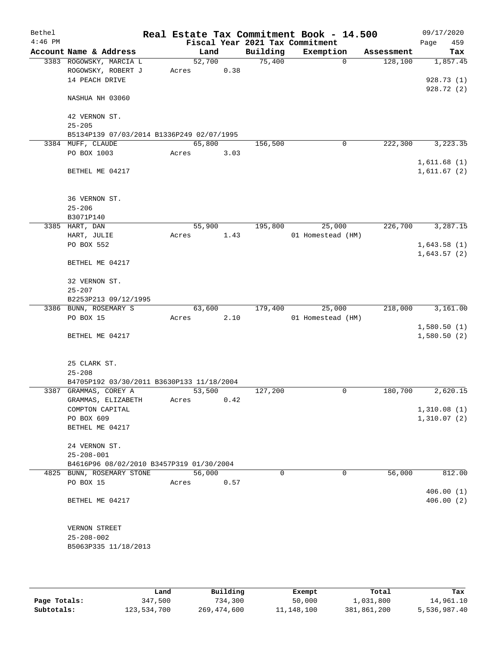| Bethel    |                                           |        |        |          | Real Estate Tax Commitment Book - 14.500 |            | 09/17/2020  |
|-----------|-------------------------------------------|--------|--------|----------|------------------------------------------|------------|-------------|
| $4:46$ PM |                                           |        |        |          | Fiscal Year 2021 Tax Commitment          |            | 459<br>Page |
|           | Account Name & Address                    |        | Land   | Building | Exemption                                | Assessment | Tax         |
|           | 3383 ROGOWSKY, MARCIA L                   | 52,700 |        | 75,400   | 0                                        | 128,100    | 1,857.45    |
|           | ROGOWSKY, ROBERT J<br>14 PEACH DRIVE      | Acres  | 0.38   |          |                                          |            | 928.73 (1)  |
|           |                                           |        |        |          |                                          |            | 928.72 (2)  |
|           | NASHUA NH 03060                           |        |        |          |                                          |            |             |
|           | 42 VERNON ST.                             |        |        |          |                                          |            |             |
|           | $25 - 205$                                |        |        |          |                                          |            |             |
|           | B5134P139 07/03/2014 B1336P249 02/07/1995 |        |        |          |                                          |            |             |
|           | 3384 MUFF, CLAUDE                         | 65,800 |        | 156,500  | 0                                        | 222,300    | 3, 223.35   |
|           | PO BOX 1003                               | Acres  | 3.03   |          |                                          |            |             |
|           |                                           |        |        |          |                                          |            | 1,611.68(1) |
|           | BETHEL ME 04217                           |        |        |          |                                          |            | 1,611.67(2) |
|           | 36 VERNON ST.                             |        |        |          |                                          |            |             |
|           | $25 - 206$                                |        |        |          |                                          |            |             |
|           | B3071P140                                 |        |        |          |                                          |            |             |
|           | 3385 HART, DAN                            |        | 55,900 | 195,800  | 25,000                                   | 226,700    | 3,287.15    |
|           | HART, JULIE                               | Acres  | 1.43   |          | 01 Homestead (HM)                        |            |             |
|           | PO BOX 552                                |        |        |          |                                          |            | 1,643.58(1) |
|           | BETHEL ME 04217                           |        |        |          |                                          |            | 1,643.57(2) |
|           | 32 VERNON ST.                             |        |        |          |                                          |            |             |
|           | $25 - 207$                                |        |        |          |                                          |            |             |
|           | B2253P213 09/12/1995                      |        |        |          |                                          |            |             |
|           | 3386 BUNN, ROSEMARY S                     |        | 63,600 | 179,400  | 25,000                                   | 218,000    | 3,161.00    |
|           | PO BOX 15                                 | Acres  | 2.10   |          | 01 Homestead (HM)                        |            |             |
|           |                                           |        |        |          |                                          |            | 1,580.50(1) |
|           | BETHEL ME 04217                           |        |        |          |                                          |            | 1,580.50(2) |
|           | 25 CLARK ST.                              |        |        |          |                                          |            |             |
|           | $25 - 208$                                |        |        |          |                                          |            |             |
|           | B4705P192 03/30/2011 B3630P133 11/18/2004 |        |        |          |                                          |            |             |
|           | 3387 GRAMMAS, COREY A                     | 53,500 |        | 127,200  | 0                                        | 180,700    | 2,620.15    |
|           | GRAMMAS, ELIZABETH                        | Acres  | 0.42   |          |                                          |            |             |
|           | COMPTON CAPITAL                           |        |        |          |                                          |            | 1,310.08(1) |
|           | PO BOX 609                                |        |        |          |                                          |            | 1,310.07(2) |
|           | BETHEL ME 04217                           |        |        |          |                                          |            |             |
|           | 24 VERNON ST.                             |        |        |          |                                          |            |             |
|           | $25 - 208 - 001$                          |        |        |          |                                          |            |             |
|           | B4616P96 08/02/2010 B3457P319 01/30/2004  |        |        |          |                                          |            |             |
|           | 4825 BUNN, ROSEMARY STONE                 | 56,000 |        | 0        | 0                                        | 56,000     | 812.00      |
|           | PO BOX 15                                 | Acres  | 0.57   |          |                                          |            |             |
|           |                                           |        |        |          |                                          |            | 406.00(1)   |
|           | BETHEL ME 04217                           |        |        |          |                                          |            | 406.00(2)   |
|           | VERNON STREET                             |        |        |          |                                          |            |             |
|           | $25 - 208 - 002$                          |        |        |          |                                          |            |             |
|           | B5063P335 11/18/2013                      |        |        |          |                                          |            |             |
|           |                                           |        |        |          |                                          |            |             |

|              | Land        | Building    | Exempt     | Total       | Tax          |
|--------------|-------------|-------------|------------|-------------|--------------|
| Page Totals: | 347,500     | 734,300     | 50,000     | 1,031,800   | 14,961.10    |
| Subtotals:   | 123,534,700 | 269,474,600 | 11,148,100 | 381,861,200 | 5,536,987.40 |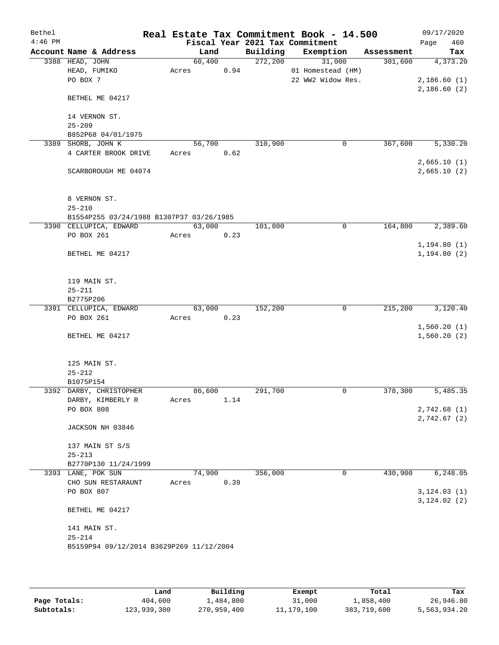| Bethel    |                                          |                 |      |          | Real Estate Tax Commitment Book - 14.500 |            | 09/17/2020                 |
|-----------|------------------------------------------|-----------------|------|----------|------------------------------------------|------------|----------------------------|
| $4:46$ PM |                                          |                 |      |          | Fiscal Year 2021 Tax Commitment          |            | 460<br>Page                |
|           | Account Name & Address                   | Land            |      | Building | Exemption                                | Assessment | Tax                        |
|           | 3388 HEAD, JOHN                          | 60,400          |      | 272,200  | 31,000                                   | 301,600    | 4,373.20                   |
|           | HEAD, FUMIKO<br>PO BOX 7                 | Acres           | 0.94 |          | 01 Homestead (HM)<br>22 WW2 Widow Res.   |            | 2,186.60(1)                |
|           |                                          |                 |      |          |                                          |            | 2,186.60(2)                |
|           | BETHEL ME 04217                          |                 |      |          |                                          |            |                            |
|           | 14 VERNON ST.                            |                 |      |          |                                          |            |                            |
|           | $25 - 209$                               |                 |      |          |                                          |            |                            |
|           | B852P68 04/01/1975                       |                 |      |          |                                          |            |                            |
|           | 3389 SHORB, JOHN K                       | 56,700          |      | 310,900  | $\mathbf 0$                              | 367,600    | 5,330.20                   |
|           | 4 CARTER BROOK DRIVE                     | Acres           | 0.62 |          |                                          |            |                            |
|           | SCARBOROUGH ME 04074                     |                 |      |          |                                          |            | 2,665.10(1)<br>2,665.10(2) |
|           | 8 VERNON ST.                             |                 |      |          |                                          |            |                            |
|           | $25 - 210$                               |                 |      |          |                                          |            |                            |
|           | B1554P255 03/24/1988 B1307P37 03/26/1985 |                 |      |          |                                          |            |                            |
|           | 3390 CELLUPICA, EDWARD                   | 63,000          |      | 101,800  | $\mathbf 0$                              | 164,800    | 2,389.60                   |
|           | PO BOX 261                               | Acres           | 0.23 |          |                                          |            |                            |
|           |                                          |                 |      |          |                                          |            | 1, 194.80(1)               |
|           | BETHEL ME 04217                          |                 |      |          |                                          |            | 1, 194.80(2)               |
|           | 119 MAIN ST.                             |                 |      |          |                                          |            |                            |
|           | $25 - 211$                               |                 |      |          |                                          |            |                            |
|           | B2775P206                                | 63,000          |      | 152,200  | 0                                        | 215,200    | 3,120.40                   |
|           | 3391 CELLUPICA, EDWARD<br>PO BOX 261     | Acres           | 0.23 |          |                                          |            |                            |
|           |                                          |                 |      |          |                                          |            | 1,560.20(1)                |
|           | BETHEL ME 04217                          |                 |      |          |                                          |            | 1,560.20(2)                |
|           | 125 MAIN ST.                             |                 |      |          |                                          |            |                            |
|           | $25 - 212$                               |                 |      |          |                                          |            |                            |
|           | B1075P154                                |                 |      |          |                                          |            |                            |
|           | 3392 DARBY, CHRISTOPHER                  | 86,600          |      | 291,700  | $\mathbf 0$                              | 378,300    | 5,485.35                   |
|           | DARBY, KIMBERLY R                        | Acres           | 1.14 |          |                                          |            |                            |
|           | PO BOX 808                               |                 |      |          |                                          |            | 2,742.68(1)                |
|           | JACKSON NH 03846                         |                 |      |          |                                          |            | 2,742.67(2)                |
|           | 137 MAIN ST S/S                          |                 |      |          |                                          |            |                            |
|           | $25 - 213$                               |                 |      |          |                                          |            |                            |
|           | B2770P130 11/24/1999                     |                 |      |          |                                          |            |                            |
|           | 3393 LANE, POK SUN<br>CHO SUN RESTARAUNT | 74,900<br>Acres | 0.39 | 356,000  | 0                                        | 430,900    | 6,248.05                   |
|           | PO BOX 807                               |                 |      |          |                                          |            | 3, 124.03(1)               |
|           |                                          |                 |      |          |                                          |            | 3, 124.02(2)               |
|           | BETHEL ME 04217                          |                 |      |          |                                          |            |                            |
|           | 141 MAIN ST.                             |                 |      |          |                                          |            |                            |
|           | $25 - 214$                               |                 |      |          |                                          |            |                            |
|           | B5159P94 09/12/2014 B3629P269 11/12/2004 |                 |      |          |                                          |            |                            |
|           |                                          |                 |      |          |                                          |            |                            |

|              | Land        | Building    | Exempt     | Total       | Tax          |
|--------------|-------------|-------------|------------|-------------|--------------|
| Page Totals: | 404,600     | 1,484,800   | 31,000     | 1,858,400   | 26,946.80    |
| Subtotals:   | 123,939,300 | 270,959,400 | 11,179,100 | 383,719,600 | 5,563,934.20 |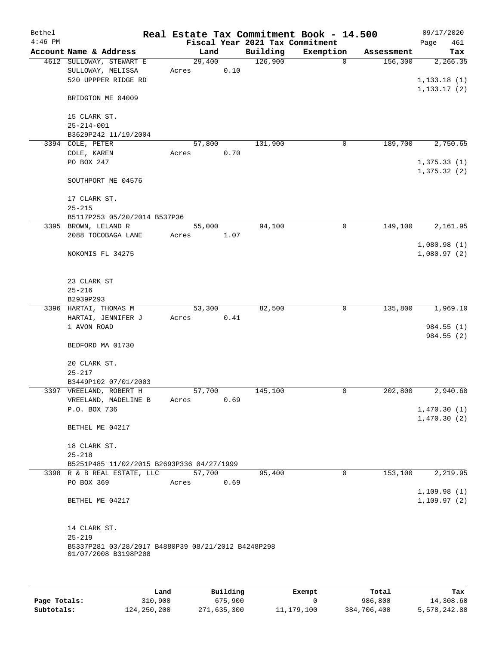| Bethel    |                                                    |        |      |                                 | Real Estate Tax Commitment Book - 14.500 |            | 09/17/2020   |
|-----------|----------------------------------------------------|--------|------|---------------------------------|------------------------------------------|------------|--------------|
| $4:46$ PM |                                                    |        |      | Fiscal Year 2021 Tax Commitment |                                          |            | 461<br>Page  |
|           | Account Name & Address                             | Land   |      | Building                        | Exemption                                | Assessment | Tax          |
|           | 4612 SULLOWAY, STEWART E                           | 29,400 |      | 126,900                         | $\Omega$                                 | 156,300    | 2,266.35     |
|           | SULLOWAY, MELISSA                                  | Acres  | 0.10 |                                 |                                          |            |              |
|           | 520 UPPPER RIDGE RD                                |        |      |                                 |                                          |            | 1,133.18(1)  |
|           |                                                    |        |      |                                 |                                          |            | 1, 133.17(2) |
|           | BRIDGTON ME 04009                                  |        |      |                                 |                                          |            |              |
|           |                                                    |        |      |                                 |                                          |            |              |
|           | 15 CLARK ST.                                       |        |      |                                 |                                          |            |              |
|           | $25 - 214 - 001$                                   |        |      |                                 |                                          |            |              |
|           | B3629P242 11/19/2004                               |        |      |                                 |                                          |            |              |
|           | 3394 COLE, PETER                                   | 57,800 |      | 131,900                         | 0                                        | 189,700    | 2,750.65     |
|           | COLE, KAREN                                        | Acres  | 0.70 |                                 |                                          |            |              |
|           | PO BOX 247                                         |        |      |                                 |                                          |            | 1,375.33(1)  |
|           |                                                    |        |      |                                 |                                          |            | 1,375.32(2)  |
|           | SOUTHPORT ME 04576                                 |        |      |                                 |                                          |            |              |
|           |                                                    |        |      |                                 |                                          |            |              |
|           | 17 CLARK ST.                                       |        |      |                                 |                                          |            |              |
|           | $25 - 215$                                         |        |      |                                 |                                          |            |              |
|           | B5117P253 05/20/2014 B537P36                       |        |      |                                 |                                          |            |              |
|           | 3395 BROWN, LELAND R                               | 55,000 |      | 94,100                          | 0                                        | 149,100    | 2,161.95     |
|           | 2088 TOCOBAGA LANE                                 | Acres  | 1.07 |                                 |                                          |            |              |
|           |                                                    |        |      |                                 |                                          |            | 1,080.98(1)  |
|           | NOKOMIS FL 34275                                   |        |      |                                 |                                          |            | 1,080.97(2)  |
|           |                                                    |        |      |                                 |                                          |            |              |
|           |                                                    |        |      |                                 |                                          |            |              |
|           | 23 CLARK ST                                        |        |      |                                 |                                          |            |              |
|           | $25 - 216$                                         |        |      |                                 |                                          |            |              |
|           | B2939P293                                          |        |      |                                 |                                          |            |              |
|           | 3396 HARTAI, THOMAS M                              | 53,300 |      | 82,500                          | 0                                        | 135,800    | 1,969.10     |
|           | HARTAI, JENNIFER J                                 | Acres  | 0.41 |                                 |                                          |            |              |
|           | 1 AVON ROAD                                        |        |      |                                 |                                          |            | 984.55 (1)   |
|           |                                                    |        |      |                                 |                                          |            | 984.55 (2)   |
|           | BEDFORD MA 01730                                   |        |      |                                 |                                          |            |              |
|           |                                                    |        |      |                                 |                                          |            |              |
|           | 20 CLARK ST.                                       |        |      |                                 |                                          |            |              |
|           | $25 - 217$                                         |        |      |                                 |                                          |            |              |
|           | B3449P102 07/01/2003                               |        |      |                                 |                                          |            |              |
|           | 3397 VREELAND, ROBERT H                            | 57,700 |      | 145,100                         | 0                                        | 202,800    | 2,940.60     |
|           | VREELAND, MADELINE B                               | Acres  | 0.69 |                                 |                                          |            |              |
|           | P.O. BOX 736                                       |        |      |                                 |                                          |            | 1,470.30(1)  |
|           |                                                    |        |      |                                 |                                          |            | 1,470.30(2)  |
|           | BETHEL ME 04217                                    |        |      |                                 |                                          |            |              |
|           |                                                    |        |      |                                 |                                          |            |              |
|           | 18 CLARK ST.                                       |        |      |                                 |                                          |            |              |
|           | $25 - 218$                                         |        |      |                                 |                                          |            |              |
|           | B5251P485 11/02/2015 B2693P336 04/27/1999          |        |      |                                 |                                          |            |              |
|           | 3398 R & B REAL ESTATE, LLC                        | 57,700 |      | 95,400                          | $\mathbf 0$                              | 153,100    | 2,219.95     |
|           | PO BOX 369                                         | Acres  | 0.69 |                                 |                                          |            |              |
|           |                                                    |        |      |                                 |                                          |            | 1,109.98(1)  |
|           | BETHEL ME 04217                                    |        |      |                                 |                                          |            | 1,109.97(2)  |
|           |                                                    |        |      |                                 |                                          |            |              |
|           |                                                    |        |      |                                 |                                          |            |              |
|           | 14 CLARK ST.                                       |        |      |                                 |                                          |            |              |
|           | $25 - 219$                                         |        |      |                                 |                                          |            |              |
|           | B5337P281 03/28/2017 B4880P39 08/21/2012 B4248P298 |        |      |                                 |                                          |            |              |
|           | 01/07/2008 B3198P208                               |        |      |                                 |                                          |            |              |
|           |                                                    |        |      |                                 |                                          |            |              |
|           |                                                    |        |      |                                 |                                          |            |              |

|              | Land        | Building    | Exempt     | Total       | Tax          |
|--------------|-------------|-------------|------------|-------------|--------------|
| Page Totals: | 310,900     | 675,900     |            | 986,800     | 14,308.60    |
| Subtotals:   | 124,250,200 | 271,635,300 | 11,179,100 | 384,706,400 | 5,578,242.80 |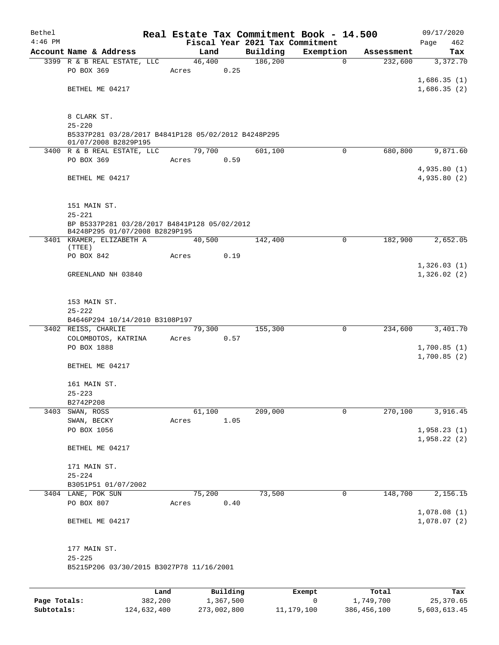| Bethel    |                                                                             |       |          |          | Real Estate Tax Commitment Book - 14.500 |            | 09/17/2020                 |
|-----------|-----------------------------------------------------------------------------|-------|----------|----------|------------------------------------------|------------|----------------------------|
| $4:46$ PM |                                                                             |       |          |          | Fiscal Year 2021 Tax Commitment          |            | 462<br>Page                |
|           | Account Name & Address                                                      |       | Land     | Building | Exemption                                | Assessment | Tax                        |
|           | 3399 R & B REAL ESTATE, LLC                                                 |       | 46,400   | 186,200  | $\mathbf 0$                              | 232,600    | 3,372.70                   |
|           | PO BOX 369                                                                  | Acres | 0.25     |          |                                          |            |                            |
|           | BETHEL ME 04217                                                             |       |          |          |                                          |            | 1,686.35(1)<br>1,686.35(2) |
|           |                                                                             |       |          |          |                                          |            |                            |
|           | 8 CLARK ST.                                                                 |       |          |          |                                          |            |                            |
|           | $25 - 220$                                                                  |       |          |          |                                          |            |                            |
|           | B5337P281 03/28/2017 B4841P128 05/02/2012 B4248P295<br>01/07/2008 B2829P195 |       |          |          |                                          |            |                            |
|           | 3400 R & B REAL ESTATE, LLC                                                 |       | 79,700   | 601,100  | $\Omega$                                 | 680,800    | 9,871.60                   |
|           | PO BOX 369                                                                  | Acres | 0.59     |          |                                          |            |                            |
|           |                                                                             |       |          |          |                                          |            | 4,935.80(1)                |
|           | BETHEL ME 04217                                                             |       |          |          |                                          |            | 4,935.80 (2)               |
|           | 151 MAIN ST.                                                                |       |          |          |                                          |            |                            |
|           | $25 - 221$                                                                  |       |          |          |                                          |            |                            |
|           | BP B5337P281 03/28/2017 B4841P128 05/02/2012                                |       |          |          |                                          |            |                            |
|           | B4248P295 01/07/2008 B2829P195                                              |       |          |          |                                          |            |                            |
|           | 3401 KRAMER, ELIZABETH A                                                    |       | 40,500   | 142,400  | $\mathbf 0$                              | 182,900    | 2,652.05                   |
|           | (TTEE)<br>PO BOX 842                                                        | Acres | 0.19     |          |                                          |            |                            |
|           |                                                                             |       |          |          |                                          |            | 1,326.03(1)                |
|           | GREENLAND NH 03840                                                          |       |          |          |                                          |            | 1,326.02(2)                |
|           |                                                                             |       |          |          |                                          |            |                            |
|           | 153 MAIN ST.                                                                |       |          |          |                                          |            |                            |
|           | $25 - 222$                                                                  |       |          |          |                                          |            |                            |
|           | B4646P294 10/14/2010 B3108P197                                              |       |          |          |                                          |            |                            |
|           | 3402 REISS, CHARLIE                                                         |       | 79,300   | 155,300  | $\mathbf 0$                              | 234,600    | 3,401.70                   |
|           | COLOMBOTOS, KATRINA                                                         | Acres | 0.57     |          |                                          |            |                            |
|           | PO BOX 1888                                                                 |       |          |          |                                          |            | 1,700.85(1)                |
|           |                                                                             |       |          |          |                                          |            | 1,700.85(2)                |
|           | BETHEL ME 04217                                                             |       |          |          |                                          |            |                            |
|           |                                                                             |       |          |          |                                          |            |                            |
|           | 161 MAIN ST.                                                                |       |          |          |                                          |            |                            |
|           | $25 - 223$                                                                  |       |          |          |                                          |            |                            |
|           | B2742P208<br>3403 SWAN, ROSS                                                |       | 61,100   | 209,000  | 0                                        | 270,100    | 3,916.45                   |
|           | SWAN, BECKY                                                                 | Acres | 1.05     |          |                                          |            |                            |
|           | PO BOX 1056                                                                 |       |          |          |                                          |            | 1,958.23(1)                |
|           |                                                                             |       |          |          |                                          |            | 1,958.22(2)                |
|           | BETHEL ME 04217                                                             |       |          |          |                                          |            |                            |
|           | 171 MAIN ST.                                                                |       |          |          |                                          |            |                            |
|           | $25 - 224$                                                                  |       |          |          |                                          |            |                            |
|           | B3051P51 01/07/2002                                                         |       |          |          |                                          |            |                            |
|           | 3404 LANE, POK SUN                                                          |       | 75,200   | 73,500   | 0                                        | 148,700    | 2,156.15                   |
|           | PO BOX 807                                                                  | Acres | 0.40     |          |                                          |            |                            |
|           |                                                                             |       |          |          |                                          |            | 1,078.08(1)                |
|           | BETHEL ME 04217                                                             |       |          |          |                                          |            | 1,078.07(2)                |
|           | 177 MAIN ST.                                                                |       |          |          |                                          |            |                            |
|           | $25 - 225$                                                                  |       |          |          |                                          |            |                            |
|           | B5215P206 03/30/2015 B3027P78 11/16/2001                                    |       |          |          |                                          |            |                            |
|           |                                                                             |       |          |          |                                          |            |                            |
|           |                                                                             | Land  | Building |          | Exempt                                   | Total      | Tax                        |

**Page Totals:** 382,200 1,367,500 0 1,749,700 25,370.65 **Subtotals:** 124,632,400 273,002,800 11,179,100 386,456,100 5,603,613.45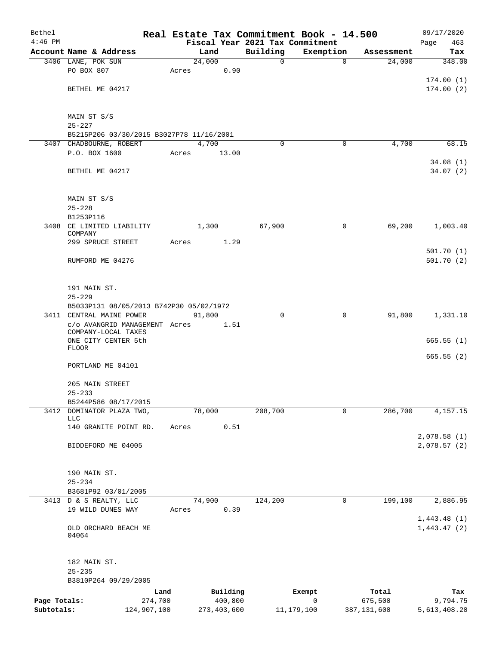| Bethel       |                                                                     | Real Estate Tax Commitment Book - 14.500 |             |                          |                      | 09/17/2020             |
|--------------|---------------------------------------------------------------------|------------------------------------------|-------------|--------------------------|----------------------|------------------------|
| $4:46$ PM    | Account Name & Address                                              | Fiscal Year 2021 Tax Commitment          | Building    |                          |                      | 463<br>Page            |
|              | 3406 LANE, POK SUN                                                  | Land<br>24,000                           | $\mathbf 0$ | Exemption<br>$\mathbf 0$ | Assessment<br>24,000 | Tax<br>348.00          |
|              | PO BOX 807                                                          | 0.90<br>Acres                            |             |                          |                      |                        |
|              |                                                                     |                                          |             |                          |                      | 174.00(1)              |
|              | BETHEL ME 04217                                                     |                                          |             |                          |                      | 174.00(2)              |
|              | MAIN ST S/S                                                         |                                          |             |                          |                      |                        |
|              | $25 - 227$                                                          |                                          |             |                          |                      |                        |
|              | B5215P206 03/30/2015 B3027P78 11/16/2001                            |                                          |             |                          |                      |                        |
|              | 3407 CHADBOURNE, ROBERT                                             | 4,700                                    | $\Omega$    | 0                        | 4,700                | 68.15                  |
|              | P.O. BOX 1600                                                       | Acres<br>13.00                           |             |                          |                      |                        |
|              | BETHEL ME 04217                                                     |                                          |             |                          |                      | 34.08(1)<br>34.07 (2)  |
|              | MAIN ST S/S                                                         |                                          |             |                          |                      |                        |
|              | $25 - 228$                                                          |                                          |             |                          |                      |                        |
|              | B1253P116                                                           |                                          |             |                          |                      |                        |
|              | 3408 CE LIMITED LIABILITY<br>COMPANY                                | 1,300                                    | 67,900      | 0                        | 69,200               | 1,003.40               |
|              | 299 SPRUCE STREET                                                   | 1.29<br>Acres                            |             |                          |                      |                        |
|              | RUMFORD ME 04276                                                    |                                          |             |                          |                      | 501.70(1)<br>501.70(2) |
|              | 191 MAIN ST.                                                        |                                          |             |                          |                      |                        |
|              | $25 - 229$                                                          |                                          |             |                          |                      |                        |
|              | B5033P131 08/05/2013 B742P30 05/02/1972<br>3411 CENTRAL MAINE POWER | 91,800                                   | 0           | 0                        | 91,800               | 1,331.10               |
|              | c/o AVANGRID MANAGEMENT Acres<br>COMPANY-LOCAL TAXES                | 1.51                                     |             |                          |                      |                        |
|              | ONE CITY CENTER 5th                                                 |                                          |             |                          |                      | 665.55(1)              |
|              | <b>FLOOR</b>                                                        |                                          |             |                          |                      | 665.55(2)              |
|              | PORTLAND ME 04101                                                   |                                          |             |                          |                      |                        |
|              | 205 MAIN STREET<br>$25 - 233$                                       |                                          |             |                          |                      |                        |
|              | B5244P586 08/17/2015                                                |                                          |             |                          |                      |                        |
|              | 3412 DOMINATOR PLAZA TWO,                                           | 78,000                                   | 208,700     | 0                        | 286,700              | 4,157.15               |
|              | LLC                                                                 |                                          |             |                          |                      |                        |
|              | 140 GRANITE POINT RD.                                               | 0.51<br>Acres                            |             |                          |                      | 2,078.58(1)            |
|              | BIDDEFORD ME 04005                                                  |                                          |             |                          |                      | 2,078.57(2)            |
|              | 190 MAIN ST.                                                        |                                          |             |                          |                      |                        |
|              | $25 - 234$                                                          |                                          |             |                          |                      |                        |
|              | B3681P92 03/01/2005                                                 |                                          |             |                          |                      |                        |
|              | 3413 D & S REALTY, LLC                                              | 74,900                                   | 124,200     | $\mathbf 0$              | 199,100              | 2,886.95               |
|              | 19 WILD DUNES WAY                                                   | 0.39<br>Acres                            |             |                          |                      | 1,443.48(1)            |
|              | OLD ORCHARD BEACH ME<br>04064                                       |                                          |             |                          |                      | 1,443.47(2)            |
|              | 182 MAIN ST.                                                        |                                          |             |                          |                      |                        |
|              | $25 - 235$                                                          |                                          |             |                          |                      |                        |
|              | B3810P264 09/29/2005                                                |                                          |             |                          |                      |                        |
| Page Totals: | Land<br>274,700                                                     | Building<br>400,800                      |             | Exempt<br>0              | Total<br>675,500     | Tax<br>9,794.75        |
| Subtotals:   | 124,907,100                                                         | 273,403,600                              |             | 11, 179, 100             | 387,131,600          | 5,613,408.20           |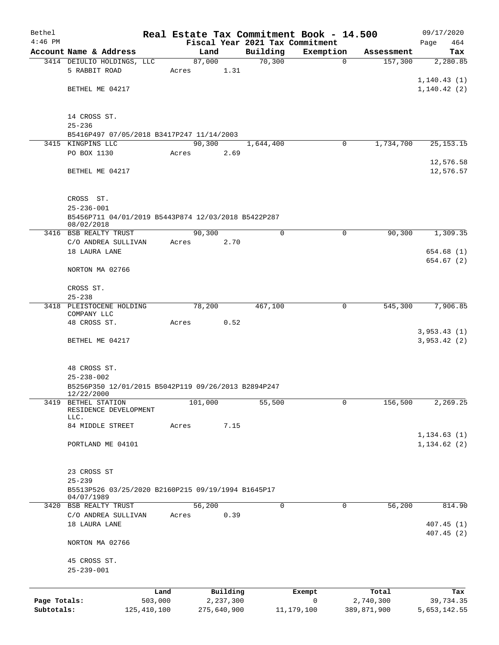| Bethel       |                                                                   |                 |         |             |                                 | Real Estate Tax Commitment Book - 14.500 |                    | 09/17/2020       |
|--------------|-------------------------------------------------------------------|-----------------|---------|-------------|---------------------------------|------------------------------------------|--------------------|------------------|
| $4:46$ PM    |                                                                   |                 |         |             | Fiscal Year 2021 Tax Commitment |                                          |                    | Page<br>464      |
|              | Account Name & Address                                            |                 | Land    |             | Building                        | Exemption                                | Assessment         | Tax              |
|              | 3414 DEIULIO HOLDINGS, LLC                                        |                 | 87,000  |             | 70,300                          | $\mathbf 0$                              | 157,300            | 2,280.85         |
|              | 5 RABBIT ROAD                                                     | Acres           |         | 1.31        |                                 |                                          |                    |                  |
|              | BETHEL ME 04217                                                   |                 |         |             |                                 |                                          |                    | 1, 140.43(1)     |
|              |                                                                   |                 |         |             |                                 |                                          |                    | 1,140.42(2)      |
|              | 14 CROSS ST.                                                      |                 |         |             |                                 |                                          |                    |                  |
|              | $25 - 236$                                                        |                 |         |             |                                 |                                          |                    |                  |
|              | B5416P497 07/05/2018 B3417P247 11/14/2003                         |                 |         |             |                                 |                                          |                    |                  |
|              | 3415 KINGPINS LLC                                                 |                 | 90,300  |             | 1,644,400                       | 0                                        | 1,734,700          | 25, 153. 15      |
|              | PO BOX 1130                                                       | Acres           |         | 2.69        |                                 |                                          |                    |                  |
|              |                                                                   |                 |         |             |                                 |                                          |                    | 12,576.58        |
|              | BETHEL ME 04217                                                   |                 |         |             |                                 |                                          |                    | 12,576.57        |
|              | CROSS ST.                                                         |                 |         |             |                                 |                                          |                    |                  |
|              | $25 - 236 - 001$                                                  |                 |         |             |                                 |                                          |                    |                  |
|              | B5456P711 04/01/2019 B5443P874 12/03/2018 B5422P287<br>08/02/2018 |                 |         |             |                                 |                                          |                    |                  |
|              | 3416 BSB REALTY TRUST                                             |                 | 90,300  |             | $\mathbf 0$                     | 0                                        | 90,300             | 1,309.35         |
|              | C/O ANDREA SULLIVAN                                               | Acres           |         | 2.70        |                                 |                                          |                    |                  |
|              | 18 LAURA LANE                                                     |                 |         |             |                                 |                                          |                    | 654.68 (1)       |
|              | NORTON MA 02766                                                   |                 |         |             |                                 |                                          |                    | 654.67 (2)       |
|              |                                                                   |                 |         |             |                                 |                                          |                    |                  |
|              | CROSS ST.                                                         |                 |         |             |                                 |                                          |                    |                  |
|              | $25 - 238$                                                        |                 |         |             |                                 |                                          |                    |                  |
| 3418         | PLEISTOCENE HOLDING<br>COMPANY LLC                                |                 | 78,200  |             | 467,100                         | 0                                        | 545,300            | 7,906.85         |
|              | 48 CROSS ST.                                                      | Acres           |         | 0.52        |                                 |                                          |                    |                  |
|              |                                                                   |                 |         |             |                                 |                                          |                    | 3,953.43(1)      |
|              | BETHEL ME 04217                                                   |                 |         |             |                                 |                                          |                    | 3,953.42(2)      |
|              | 48 CROSS ST.                                                      |                 |         |             |                                 |                                          |                    |                  |
|              | $25 - 238 - 002$                                                  |                 |         |             |                                 |                                          |                    |                  |
|              | B5256P350 12/01/2015 B5042P119 09/26/2013 B2894P247               |                 |         |             |                                 |                                          |                    |                  |
|              | 12/22/2000                                                        |                 |         |             |                                 |                                          |                    |                  |
| 3419         | BETHEL STATION<br>RESIDENCE DEVELOPMENT                           |                 | 101,000 |             | 55,500                          | 0                                        | 156,500            | 2,269.25         |
|              | LLC.                                                              |                 |         |             |                                 |                                          |                    |                  |
|              | 84 MIDDLE STREET                                                  | Acres           |         | 7.15        |                                 |                                          |                    |                  |
|              |                                                                   |                 |         |             |                                 |                                          |                    | 1, 134.63(1)     |
|              | PORTLAND ME 04101                                                 |                 |         |             |                                 |                                          |                    | 1, 134.62(2)     |
|              | 23 CROSS ST                                                       |                 |         |             |                                 |                                          |                    |                  |
|              | $25 - 239$                                                        |                 |         |             |                                 |                                          |                    |                  |
|              | B5513P526 03/25/2020 B2160P215 09/19/1994 B1645P17                |                 |         |             |                                 |                                          |                    |                  |
|              | 04/07/1989<br>3420 BSB REALTY TRUST                               |                 | 56,200  |             | $\mathbf 0$                     | 0                                        |                    | 814.90           |
|              | C/O ANDREA SULLIVAN                                               | Acres           |         | 0.39        |                                 |                                          | 56,200             |                  |
|              | 18 LAURA LANE                                                     |                 |         |             |                                 |                                          |                    | 407.45(1)        |
|              |                                                                   |                 |         |             |                                 |                                          |                    | 407.45(2)        |
|              | NORTON MA 02766                                                   |                 |         |             |                                 |                                          |                    |                  |
|              | 45 CROSS ST.                                                      |                 |         |             |                                 |                                          |                    |                  |
|              | $25 - 239 - 001$                                                  |                 |         |             |                                 |                                          |                    |                  |
|              |                                                                   |                 |         | Building    |                                 |                                          |                    |                  |
| Page Totals: |                                                                   | Land<br>503,000 |         | 2,237,300   |                                 | Exempt<br>0                              | Total<br>2,740,300 | Tax<br>39,734.35 |
| Subtotals:   | 125, 410, 100                                                     |                 |         | 275,640,900 |                                 | 11, 179, 100                             | 389,871,900        | 5,653,142.55     |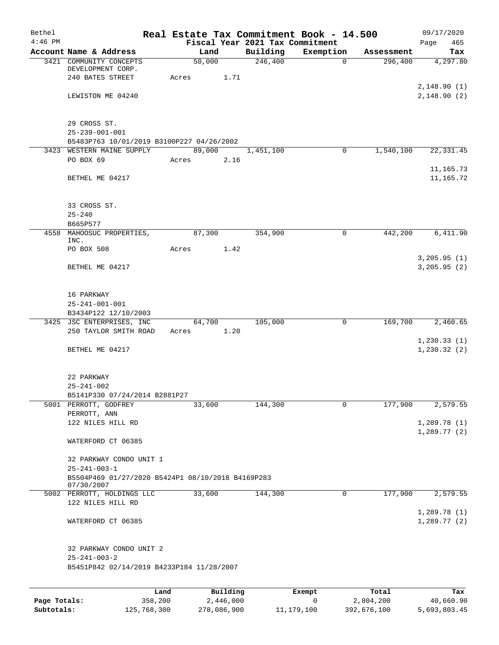| Bethel       |                                                                 | Real Estate Tax Commitment Book - 14.500 |                                 |           |            | 09/17/2020            |
|--------------|-----------------------------------------------------------------|------------------------------------------|---------------------------------|-----------|------------|-----------------------|
| $4:46$ PM    |                                                                 |                                          | Fiscal Year 2021 Tax Commitment |           |            | Page<br>465           |
|              | Account Name & Address                                          | Land                                     | Building                        | Exemption | Assessment | Tax                   |
|              | 3421 COMMUNITY CONCEPTS<br>DEVELOPMENT CORP.                    | 50,000                                   | 246,400                         | $\Omega$  | 296,400    | $\overline{4,297.80}$ |
|              | 240 BATES STREET                                                | Acres<br>1.71                            |                                 |           |            |                       |
|              |                                                                 |                                          |                                 |           |            | 2,148.90(1)           |
|              | LEWISTON ME 04240                                               |                                          |                                 |           |            | 2,148.90(2)           |
|              |                                                                 |                                          |                                 |           |            |                       |
|              |                                                                 |                                          |                                 |           |            |                       |
|              | 29 CROSS ST.                                                    |                                          |                                 |           |            |                       |
|              | $25 - 239 - 001 - 001$                                          |                                          |                                 |           |            |                       |
|              | B5483P763 10/01/2019 B3100P227 04/26/2002                       |                                          |                                 |           |            |                       |
|              | 3423 WESTERN MAINE SUPPLY                                       | 89,000                                   | 1,451,100                       | 0         | 1,540,100  | 22, 331.45            |
|              | PO BOX 69                                                       | 2.16<br>Acres                            |                                 |           |            |                       |
|              |                                                                 |                                          |                                 |           |            | 11,165.73             |
|              | BETHEL ME 04217                                                 |                                          |                                 |           |            | 11,165.72             |
|              |                                                                 |                                          |                                 |           |            |                       |
|              | 33 CROSS ST.                                                    |                                          |                                 |           |            |                       |
|              | $25 - 240$                                                      |                                          |                                 |           |            |                       |
|              | B665P577                                                        |                                          |                                 |           |            |                       |
|              | 4558 MAHOOSUC PROPERTIES,                                       | 87,300                                   | 354,900                         | 0         | 442,200    | 6,411.90              |
|              | INC.                                                            |                                          |                                 |           |            |                       |
|              | PO BOX 508                                                      | Acres<br>1.42                            |                                 |           |            |                       |
|              |                                                                 |                                          |                                 |           |            | 3, 205.95(1)          |
|              | BETHEL ME 04217                                                 |                                          |                                 |           |            | 3, 205.95 (2)         |
|              |                                                                 |                                          |                                 |           |            |                       |
|              |                                                                 |                                          |                                 |           |            |                       |
|              | 16 PARKWAY                                                      |                                          |                                 |           |            |                       |
|              | $25 - 241 - 001 - 001$                                          |                                          |                                 |           |            |                       |
|              | B3434P122 12/10/2003                                            |                                          |                                 |           |            |                       |
|              | 3425 JSC ENTERPRISES, INC                                       | 64,700                                   | 105,000                         | 0         | 169,700    | 2,460.65              |
|              | 250 TAYLOR SMITH ROAD                                           | Acres 1.20                               |                                 |           |            | 1, 230.33(1)          |
|              | BETHEL ME 04217                                                 |                                          |                                 |           |            | 1, 230.32(2)          |
|              |                                                                 |                                          |                                 |           |            |                       |
|              |                                                                 |                                          |                                 |           |            |                       |
|              | 22 PARKWAY                                                      |                                          |                                 |           |            |                       |
|              | $25 - 241 - 002$                                                |                                          |                                 |           |            |                       |
|              | B5141P330 07/24/2014 B2881P27                                   |                                          |                                 |           |            |                       |
|              | 5001 PERROTT, GODFREY                                           | 33,600                                   | 144,300                         | 0         | 177,900    | 2,579.55              |
|              | PERROTT, ANN                                                    |                                          |                                 |           |            |                       |
|              | 122 NILES HILL RD                                               |                                          |                                 |           |            | 1,289.78(1)           |
|              |                                                                 |                                          |                                 |           |            | 1,289.77(2)           |
|              | WATERFORD CT 06385                                              |                                          |                                 |           |            |                       |
|              |                                                                 |                                          |                                 |           |            |                       |
|              | 32 PARKWAY CONDO UNIT 1                                         |                                          |                                 |           |            |                       |
|              | $25 - 241 - 003 - 1$                                            |                                          |                                 |           |            |                       |
|              | B5504P469 01/27/2020 B5424P1 08/10/2018 B4169P283<br>07/30/2007 |                                          |                                 |           |            |                       |
|              | 5002 PERROTT, HOLDINGS LLC                                      | 33,600                                   | 144,300                         | 0         | 177,900    | 2,579.55              |
|              | 122 NILES HILL RD                                               |                                          |                                 |           |            |                       |
|              |                                                                 |                                          |                                 |           |            | 1,289.78(1)           |
|              | WATERFORD CT 06385                                              |                                          |                                 |           |            | 1,289.77(2)           |
|              |                                                                 |                                          |                                 |           |            |                       |
|              |                                                                 |                                          |                                 |           |            |                       |
|              | 32 PARKWAY CONDO UNIT 2                                         |                                          |                                 |           |            |                       |
|              | $25 - 241 - 003 - 2$                                            |                                          |                                 |           |            |                       |
|              | B5451P842 02/14/2019 B4233P184 11/28/2007                       |                                          |                                 |           |            |                       |
|              |                                                                 |                                          |                                 |           |            |                       |
|              | Land                                                            | Building                                 |                                 | Exempt    | Total      | Tax                   |
| Page Totals: | 358,200                                                         | 2,446,000                                |                                 | 0         | 2,804,200  | 40,660.90             |

**Subtotals:** 125,768,300 278,086,900 11,179,100 392,676,100 5,693,803.45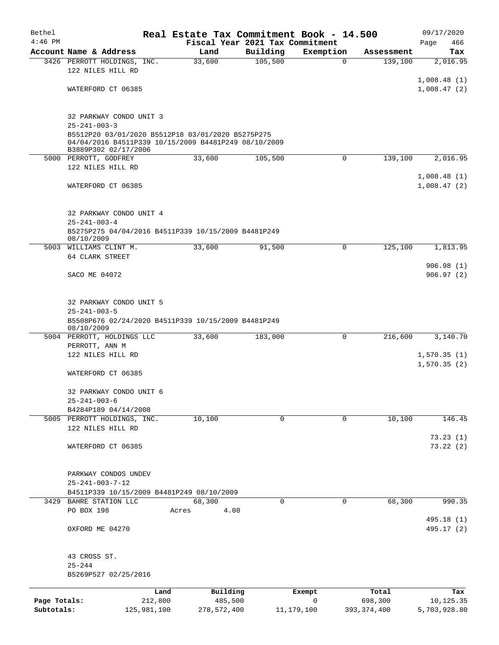| Bethel                     |                                                                                                                                   |                        | Real Estate Tax Commitment Book - 14.500 |             |                 |                          | 09/17/2020                |
|----------------------------|-----------------------------------------------------------------------------------------------------------------------------------|------------------------|------------------------------------------|-------------|-----------------|--------------------------|---------------------------|
| $4:46$ PM                  | Account Name & Address                                                                                                            |                        | Fiscal Year 2021 Tax Commitment<br>Land  | Building    | Exemption       | Assessment               | Page<br>466<br>Tax        |
|                            | 3426 PERROTT HOLDINGS, INC.                                                                                                       |                        | 33,600                                   | 105,500     | 0               | 139,100                  | 2,016.95                  |
|                            | 122 NILES HILL RD                                                                                                                 |                        |                                          |             |                 |                          |                           |
|                            |                                                                                                                                   |                        |                                          |             |                 |                          | 1,008.48(1)               |
|                            | WATERFORD CT 06385                                                                                                                |                        |                                          |             |                 |                          | 1,008.47(2)               |
|                            | 32 PARKWAY CONDO UNIT 3                                                                                                           |                        |                                          |             |                 |                          |                           |
|                            | $25 - 241 - 003 - 3$                                                                                                              |                        |                                          |             |                 |                          |                           |
|                            | B5512P20 03/01/2020 B5512P18 03/01/2020 B5275P275<br>04/04/2016 B4511P339 10/15/2009 B4481P249 08/10/2009<br>B3889P302 02/17/2006 |                        |                                          |             |                 |                          |                           |
|                            | 5000 PERROTT, GODFREY                                                                                                             |                        | 33,600                                   | 105,500     | 0               | 139,100                  | 2,016.95                  |
|                            | 122 NILES HILL RD                                                                                                                 |                        |                                          |             |                 |                          | 1,008.48(1)               |
|                            | WATERFORD CT 06385                                                                                                                |                        |                                          |             |                 |                          | 1,008.47(2)               |
|                            | 32 PARKWAY CONDO UNIT 4                                                                                                           |                        |                                          |             |                 |                          |                           |
|                            | $25 - 241 - 003 - 4$                                                                                                              |                        |                                          |             |                 |                          |                           |
|                            | B5275P275 04/04/2016 B4511P339 10/15/2009 B4481P249<br>08/10/2009                                                                 |                        |                                          |             |                 |                          |                           |
|                            | 5003 WILLIAMS CLINT M.                                                                                                            |                        | 33,600                                   | 91,500      | 0               | 125,100                  | 1,813.95                  |
|                            | 64 CLARK STREET                                                                                                                   |                        |                                          |             |                 |                          |                           |
|                            | SACO ME 04072                                                                                                                     |                        |                                          |             |                 |                          | 906.98(1)<br>906.97(2)    |
|                            |                                                                                                                                   |                        |                                          |             |                 |                          |                           |
|                            | 32 PARKWAY CONDO UNIT 5<br>$25 - 241 - 003 - 5$                                                                                   |                        |                                          |             |                 |                          |                           |
|                            | B5508P676 02/24/2020 B4511P339 10/15/2009 B4481P249<br>08/10/2009                                                                 |                        |                                          |             |                 |                          |                           |
|                            | 5004 PERROTT, HOLDINGS LLC                                                                                                        |                        | 33,600                                   | 183,000     | 0               | 216,600                  | 3,140.70                  |
|                            | PERROTT, ANN M<br>122 NILES HILL RD                                                                                               |                        |                                          |             |                 |                          | 1,570.35(1)               |
|                            |                                                                                                                                   |                        |                                          |             |                 |                          | 1,570.35(2)               |
|                            | WATERFORD CT 06385                                                                                                                |                        |                                          |             |                 |                          |                           |
|                            | 32 PARKWAY CONDO UNIT 6                                                                                                           |                        |                                          |             |                 |                          |                           |
|                            | $25 - 241 - 003 - 6$                                                                                                              |                        |                                          |             |                 |                          |                           |
|                            | B4284P189 04/14/2008<br>5005 PERROTT HOLDINGS, INC.                                                                               |                        | 10,100                                   | $\mathbf 0$ | $\Omega$        | 10,100                   | 146.45                    |
|                            | 122 NILES HILL RD                                                                                                                 |                        |                                          |             |                 |                          |                           |
|                            |                                                                                                                                   |                        |                                          |             |                 |                          | 73.23(1)                  |
|                            | WATERFORD CT 06385                                                                                                                |                        |                                          |             |                 |                          | 73.22(2)                  |
|                            | PARKWAY CONDOS UNDEV                                                                                                              |                        |                                          |             |                 |                          |                           |
|                            | $25 - 241 - 003 - 7 - 12$                                                                                                         |                        |                                          |             |                 |                          |                           |
|                            | B4511P339 10/15/2009 B4481P249 08/10/2009<br>3429 BAHRE STATION LLC                                                               |                        | 68,300                                   | 0           | 0               | 68,300                   | 990.35                    |
|                            | PO BOX 198                                                                                                                        |                        | 4.08<br>Acres                            |             |                 |                          |                           |
|                            |                                                                                                                                   |                        |                                          |             |                 |                          | 495.18 (1)                |
|                            | OXFORD ME 04270                                                                                                                   |                        |                                          |             |                 |                          | 495.17 (2)                |
|                            | 43 CROSS ST.                                                                                                                      |                        |                                          |             |                 |                          |                           |
|                            | $25 - 244$<br>B5269P527 02/25/2016                                                                                                |                        |                                          |             |                 |                          |                           |
|                            |                                                                                                                                   | Land                   | Building                                 |             | Exempt          | Total                    | Tax                       |
| Page Totals:<br>Subtotals: |                                                                                                                                   | 212,800<br>125,981,100 | 485,500<br>278,572,400                   |             | 0<br>11,179,100 | 698,300<br>393, 374, 400 | 10,125.35<br>5,703,928.80 |
|                            |                                                                                                                                   |                        |                                          |             |                 |                          |                           |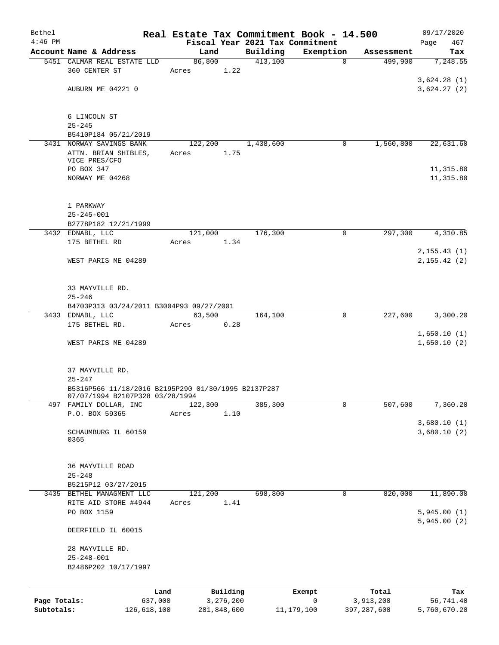| Bethel       |                                                                                        | Real Estate Tax Commitment Book - 14.500 |             |                                 |              |  |               | 09/17/2020             |
|--------------|----------------------------------------------------------------------------------------|------------------------------------------|-------------|---------------------------------|--------------|--|---------------|------------------------|
| $4:46$ PM    |                                                                                        |                                          |             | Fiscal Year 2021 Tax Commitment |              |  |               | Page<br>467            |
|              | Account Name & Address                                                                 | Land                                     |             | Building                        | Exemption    |  | Assessment    | Tax                    |
|              | 5451 CALMAR REAL ESTATE LLD                                                            | 86,800                                   |             | 413,100                         | $\mathbf 0$  |  | 499,900       | 7,248.55               |
|              | 360 CENTER ST                                                                          | Acres                                    | 1.22        |                                 |              |  |               |                        |
|              |                                                                                        |                                          |             |                                 |              |  |               | 3,624.28(1)            |
|              | AUBURN ME 04221 0                                                                      |                                          |             |                                 |              |  |               | 3,624.27(2)            |
|              |                                                                                        |                                          |             |                                 |              |  |               |                        |
|              | 6 LINCOLN ST                                                                           |                                          |             |                                 |              |  |               |                        |
|              | $25 - 245$                                                                             |                                          |             |                                 |              |  |               |                        |
|              | B5410P184 05/21/2019                                                                   |                                          |             |                                 |              |  |               |                        |
|              | 3431 NORWAY SAVINGS BANK                                                               | 122,200                                  |             | 1,438,600                       | 0            |  | 1,560,800     | 22,631.60              |
|              | ATTN. BRIAN SHIBLES,                                                                   | Acres                                    | 1.75        |                                 |              |  |               |                        |
|              | VICE PRES/CFO<br>PO BOX 347                                                            |                                          |             |                                 |              |  |               |                        |
|              | NORWAY ME 04268                                                                        |                                          |             |                                 |              |  |               | 11,315.80<br>11,315.80 |
|              |                                                                                        |                                          |             |                                 |              |  |               |                        |
|              |                                                                                        |                                          |             |                                 |              |  |               |                        |
|              | 1 PARKWAY                                                                              |                                          |             |                                 |              |  |               |                        |
|              | $25 - 245 - 001$                                                                       |                                          |             |                                 |              |  |               |                        |
|              | B2778P182 12/21/1999                                                                   |                                          |             |                                 |              |  |               |                        |
|              | 3432 EDNABL, LLC                                                                       | 121,000                                  |             | 176,300                         | $\mathsf{O}$ |  | 297,300       | 4,310.85               |
|              | 175 BETHEL RD                                                                          | Acres                                    | 1.34        |                                 |              |  |               |                        |
|              |                                                                                        |                                          |             |                                 |              |  |               | 2, 155.43(1)           |
|              | WEST PARIS ME 04289                                                                    |                                          |             |                                 |              |  |               | 2, 155.42(2)           |
|              |                                                                                        |                                          |             |                                 |              |  |               |                        |
|              |                                                                                        |                                          |             |                                 |              |  |               |                        |
|              | 33 MAYVILLE RD.                                                                        |                                          |             |                                 |              |  |               |                        |
|              | $25 - 246$<br>B4703P313 03/24/2011 B3004P93 09/27/2001                                 |                                          |             |                                 |              |  |               |                        |
|              | 3433 EDNABL, LLC                                                                       | 63,500                                   |             | 164,100                         | $\mathbf 0$  |  | 227,600       | 3,300.20               |
|              | 175 BETHEL RD.                                                                         | Acres                                    | 0.28        |                                 |              |  |               |                        |
|              |                                                                                        |                                          |             |                                 |              |  |               | 1,650.10(1)            |
|              | WEST PARIS ME 04289                                                                    |                                          |             |                                 |              |  |               | 1,650.10(2)            |
|              |                                                                                        |                                          |             |                                 |              |  |               |                        |
|              |                                                                                        |                                          |             |                                 |              |  |               |                        |
|              | 37 MAYVILLE RD.                                                                        |                                          |             |                                 |              |  |               |                        |
|              | $25 - 247$                                                                             |                                          |             |                                 |              |  |               |                        |
|              | B5316P566 11/18/2016 B2195P290 01/30/1995 B2137P287<br>07/07/1994 B2107P328 03/28/1994 |                                          |             |                                 |              |  |               |                        |
|              | 497 FAMILY DOLLAR, INC                                                                 | 122,300                                  |             | 385,300                         | $\mathbf 0$  |  | 507,600       | 7,360.20               |
|              | P.O. BOX 59365                                                                         | Acres                                    | 1.10        |                                 |              |  |               |                        |
|              |                                                                                        |                                          |             |                                 |              |  |               | 3,680.10(1)            |
|              | SCHAUMBURG IL 60159                                                                    |                                          |             |                                 |              |  |               | 3,680.10(2)            |
|              | 0365                                                                                   |                                          |             |                                 |              |  |               |                        |
|              |                                                                                        |                                          |             |                                 |              |  |               |                        |
|              | 36 MAYVILLE ROAD                                                                       |                                          |             |                                 |              |  |               |                        |
|              | $25 - 248$                                                                             |                                          |             |                                 |              |  |               |                        |
|              | B5215P12 03/27/2015                                                                    |                                          |             |                                 |              |  |               |                        |
|              | 3435 BETHEL MANAGMENT LLC                                                              | 121,200                                  |             | 698,800                         | 0            |  | 820,000       | 11,890.00              |
|              | RITE AID STORE #4944                                                                   | Acres                                    | 1.41        |                                 |              |  |               |                        |
|              | PO BOX 1159                                                                            |                                          |             |                                 |              |  |               | 5,945.00(1)            |
|              |                                                                                        |                                          |             |                                 |              |  |               | 5,945.00(2)            |
|              | DEERFIELD IL 60015                                                                     |                                          |             |                                 |              |  |               |                        |
|              |                                                                                        |                                          |             |                                 |              |  |               |                        |
|              | 28 MAYVILLE RD.                                                                        |                                          |             |                                 |              |  |               |                        |
|              | $25 - 248 - 001$                                                                       |                                          |             |                                 |              |  |               |                        |
|              | B2486P202 10/17/1997                                                                   |                                          |             |                                 |              |  |               |                        |
|              |                                                                                        |                                          |             |                                 |              |  |               |                        |
|              | Land                                                                                   |                                          | Building    |                                 | Exempt       |  | Total         | Tax                    |
| Page Totals: | 637,000                                                                                |                                          | 3,276,200   |                                 | 0            |  | 3,913,200     | 56,741.40              |
| Subtotals:   | 126,618,100                                                                            |                                          | 281,848,600 |                                 | 11,179,100   |  | 397, 287, 600 | 5,760,670.20           |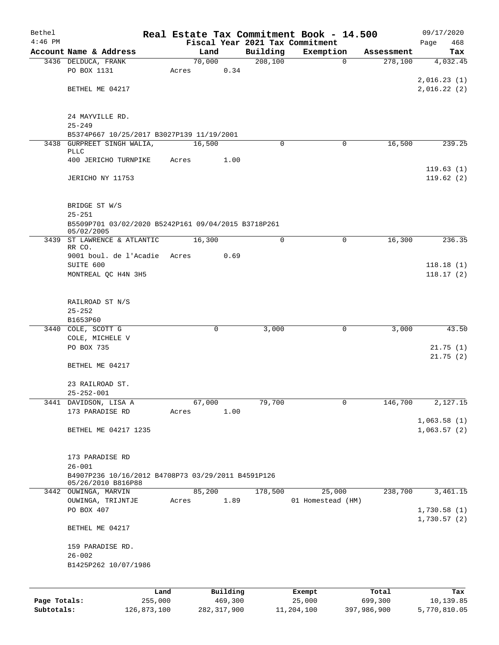| Bethel       |                                                                          |       |                |          | Real Estate Tax Commitment Book - 14.500 |            | 09/17/2020  |
|--------------|--------------------------------------------------------------------------|-------|----------------|----------|------------------------------------------|------------|-------------|
| $4:46$ PM    |                                                                          |       |                |          | Fiscal Year 2021 Tax Commitment          |            | 468<br>Page |
|              | Account Name & Address                                                   |       | Land           | Building | Exemption                                | Assessment | Tax         |
|              | 3436 DELDUCA, FRANK<br>PO BOX 1131                                       | Acres | 70,000<br>0.34 | 208, 100 | 0                                        | 278,100    | 4,032.45    |
|              |                                                                          |       |                |          |                                          |            | 2,016.23(1) |
|              | BETHEL ME 04217                                                          |       |                |          |                                          |            | 2,016.22(2) |
|              |                                                                          |       |                |          |                                          |            |             |
|              | 24 MAYVILLE RD.                                                          |       |                |          |                                          |            |             |
|              | $25 - 249$                                                               |       |                |          |                                          |            |             |
|              | B5374P667 10/25/2017 B3027P139 11/19/2001                                |       |                |          |                                          |            |             |
|              | 3438 GURPREET SINGH WALIA,                                               |       | 16,500         | $\Omega$ | 0                                        | 16,500     | 239.25      |
|              | PLLC<br>400 JERICHO TURNPIKE                                             | Acres | 1.00           |          |                                          |            |             |
|              |                                                                          |       |                |          |                                          |            | 119.63(1)   |
|              | JERICHO NY 11753                                                         |       |                |          |                                          |            | 119.62(2)   |
|              |                                                                          |       |                |          |                                          |            |             |
|              | BRIDGE ST W/S                                                            |       |                |          |                                          |            |             |
|              | $25 - 251$                                                               |       |                |          |                                          |            |             |
|              | B5509P701 03/02/2020 B5242P161 09/04/2015 B3718P261<br>05/02/2005        |       |                |          |                                          |            |             |
|              | 3439 ST LAWRENCE & ATLANTIC                                              |       | 16,300         | $\Omega$ | 0                                        | 16,300     | 236.35      |
|              | RR CO.                                                                   |       |                |          |                                          |            |             |
|              | 9001 boul. de l'Acadie                                                   | Acres | 0.69           |          |                                          |            |             |
|              | SUITE 600                                                                |       |                |          |                                          |            | 118.18(1)   |
|              | MONTREAL QC H4N 3H5                                                      |       |                |          |                                          |            | 118.17(2)   |
|              |                                                                          |       |                |          |                                          |            |             |
|              | RAILROAD ST N/S                                                          |       |                |          |                                          |            |             |
|              | $25 - 252$                                                               |       |                |          |                                          |            |             |
|              | B1653P60                                                                 |       |                |          |                                          |            |             |
|              | 3440 COLE, SCOTT G                                                       |       | 0              | 3,000    | 0                                        | 3,000      | 43.50       |
|              | COLE, MICHELE V<br>PO BOX 735                                            |       |                |          |                                          |            | 21.75(1)    |
|              |                                                                          |       |                |          |                                          |            | 21.75(2)    |
|              | BETHEL ME 04217                                                          |       |                |          |                                          |            |             |
|              |                                                                          |       |                |          |                                          |            |             |
|              | 23 RAILROAD ST.                                                          |       |                |          |                                          |            |             |
|              | $25 - 252 - 001$                                                         |       |                |          |                                          |            |             |
|              | 3441 DAVIDSON, LISA A                                                    |       | 67,000         | 79,700   | $\mathbf 0$                              | 146,700    | 2,127.15    |
|              | 173 PARADISE RD                                                          | Acres | 1.00           |          |                                          |            |             |
|              |                                                                          |       |                |          |                                          |            | 1,063.58(1) |
|              | BETHEL ME 04217 1235                                                     |       |                |          |                                          |            | 1,063.57(2) |
|              | 173 PARADISE RD                                                          |       |                |          |                                          |            |             |
|              | $26 - 001$                                                               |       |                |          |                                          |            |             |
|              | B4907P236 10/16/2012 B4708P73 03/29/2011 B4591P126<br>05/26/2010 B816P88 |       |                |          |                                          |            |             |
|              | 3442 OUWINGA, MARVIN                                                     |       | 85,200         | 178,500  | 25,000                                   | 238,700    | 3,461.15    |
|              | OUWINGA, TRIJNTJE                                                        | Acres | 1.89           |          | 01 Homestead (HM)                        |            |             |
|              | PO BOX 407                                                               |       |                |          |                                          |            | 1,730.58(1) |
|              | BETHEL ME 04217                                                          |       |                |          |                                          |            | 1,730.57(2) |
|              | 159 PARADISE RD.                                                         |       |                |          |                                          |            |             |
|              | $26 - 002$                                                               |       |                |          |                                          |            |             |
|              | B1425P262 10/07/1986                                                     |       |                |          |                                          |            |             |
|              |                                                                          |       |                |          |                                          |            |             |
|              | Land                                                                     |       | Building       |          | Exempt                                   | Total      | Tax         |
| Page Totals: | 255,000                                                                  |       | 469,300        |          | 25,000                                   | 699,300    | 10,139.85   |

**Subtotals:** 126,873,100 282,317,900 11,204,100 397,986,900 5,770,810.05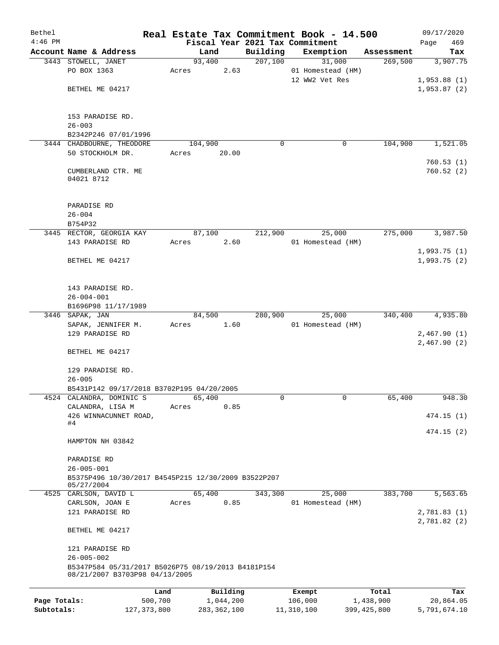| Bethel       |                                                                                      |                 |               |                                 | Real Estate Tax Commitment Book - 14.500 |               | 09/17/2020             |
|--------------|--------------------------------------------------------------------------------------|-----------------|---------------|---------------------------------|------------------------------------------|---------------|------------------------|
| $4:46$ PM    |                                                                                      |                 |               | Fiscal Year 2021 Tax Commitment |                                          |               | Page<br>469            |
|              | Account Name & Address                                                               | Land            |               | Building                        | Exemption                                | Assessment    | Tax                    |
|              | 3443 STOWELL, JANET<br>PO BOX 1363                                                   | 93,400<br>Acres | 2.63          | 207,100                         | 31,000<br>01 Homestead (HM)              | 269,500       | 3,907.75               |
|              |                                                                                      |                 |               |                                 | 12 WW2 Vet Res                           |               | 1,953.88(1)            |
|              | BETHEL ME 04217                                                                      |                 |               |                                 |                                          |               | 1,953.87(2)            |
|              |                                                                                      |                 |               |                                 |                                          |               |                        |
|              | 153 PARADISE RD.                                                                     |                 |               |                                 |                                          |               |                        |
|              | $26 - 003$                                                                           |                 |               |                                 |                                          |               |                        |
|              | B2342P246 07/01/1996                                                                 |                 |               |                                 |                                          |               |                        |
|              | 3444 CHADBOURNE, THEODORE                                                            | 104,900         |               | 0                               | 0                                        | 104,900       | 1,521.05               |
|              | 50 STOCKHOLM DR.                                                                     | Acres           | 20.00         |                                 |                                          |               |                        |
|              | CUMBERLAND CTR. ME<br>04021 8712                                                     |                 |               |                                 |                                          |               | 760.53(1)<br>760.52(2) |
|              |                                                                                      |                 |               |                                 |                                          |               |                        |
|              | PARADISE RD                                                                          |                 |               |                                 |                                          |               |                        |
|              | $26 - 004$                                                                           |                 |               |                                 |                                          |               |                        |
|              | B754P32                                                                              |                 |               |                                 |                                          |               |                        |
|              | 3445 RECTOR, GEORGIA KAY                                                             | 87,100          |               | 212,900                         | 25,000                                   | 275,000       | 3,987.50               |
|              | 143 PARADISE RD                                                                      | Acres           | 2.60          |                                 | 01 Homestead (HM)                        |               |                        |
|              |                                                                                      |                 |               |                                 |                                          |               | 1,993.75(1)            |
|              | BETHEL ME 04217                                                                      |                 |               |                                 |                                          |               | 1,993.75(2)            |
|              |                                                                                      |                 |               |                                 |                                          |               |                        |
|              |                                                                                      |                 |               |                                 |                                          |               |                        |
|              | 143 PARADISE RD.                                                                     |                 |               |                                 |                                          |               |                        |
|              | $26 - 004 - 001$                                                                     |                 |               |                                 |                                          |               |                        |
|              | B1696P98 11/17/1989                                                                  |                 |               |                                 |                                          |               | 4,935.80               |
|              | 3446 SAPAK, JAN                                                                      | 84,500          |               | 280,900                         | 25,000                                   | 340,400       |                        |
|              | SAPAK, JENNIFER M.                                                                   | Acres           | 1.60          |                                 | 01 Homestead (HM)                        |               |                        |
|              | 129 PARADISE RD                                                                      |                 |               |                                 |                                          |               | 2,467.90(1)            |
|              | BETHEL ME 04217                                                                      |                 |               |                                 |                                          |               | 2,467.90 (2)           |
|              | 129 PARADISE RD.                                                                     |                 |               |                                 |                                          |               |                        |
|              | $26 - 005$                                                                           |                 |               |                                 |                                          |               |                        |
|              | B5431P142 09/17/2018 B3702P195 04/20/2005                                            |                 |               |                                 |                                          |               |                        |
|              | 4524 CALANDRA, DOMINIC S                                                             | 65,400          |               | 0                               | 0                                        | 65,400        | 948.30                 |
|              | CALANDRA, LISA M                                                                     | Acres           | 0.85          |                                 |                                          |               |                        |
|              | 426 WINNACUNNET ROAD,                                                                |                 |               |                                 |                                          |               | 474.15(1)              |
|              | #4                                                                                   |                 |               |                                 |                                          |               |                        |
|              | HAMPTON NH 03842                                                                     |                 |               |                                 |                                          |               | 474.15 (2)             |
|              |                                                                                      |                 |               |                                 |                                          |               |                        |
|              | PARADISE RD                                                                          |                 |               |                                 |                                          |               |                        |
|              | $26 - 005 - 001$<br>B5375P496 10/30/2017 B4545P215 12/30/2009 B3522P207              |                 |               |                                 |                                          |               |                        |
|              | 05/27/2004                                                                           |                 |               |                                 |                                          |               |                        |
|              | 4525 CARLSON, DAVID L                                                                | 65,400          |               | 343,300                         | 25,000                                   | 383,700       | 5,563.65               |
|              | CARLSON, JOAN E                                                                      | Acres           | 0.85          |                                 | 01 Homestead (HM)                        |               |                        |
|              | 121 PARADISE RD                                                                      |                 |               |                                 |                                          |               | 2,781.83 (1)           |
|              |                                                                                      |                 |               |                                 |                                          |               | 2,781.82(2)            |
|              | BETHEL ME 04217                                                                      |                 |               |                                 |                                          |               |                        |
|              | 121 PARADISE RD                                                                      |                 |               |                                 |                                          |               |                        |
|              | $26 - 005 - 002$                                                                     |                 |               |                                 |                                          |               |                        |
|              | B5347P584 05/31/2017 B5026P75 08/19/2013 B4181P154<br>08/21/2007 B3703P98 04/13/2005 |                 |               |                                 |                                          |               |                        |
|              | Land                                                                                 |                 | Building      |                                 | Exempt                                   | Total         | Tax                    |
| Page Totals: | 500,700                                                                              |                 | 1,044,200     |                                 | 106,000                                  | 1,438,900     | 20,864.05              |
| Subtotals:   | 127, 373, 800                                                                        |                 | 283, 362, 100 |                                 | 11,310,100                               | 399, 425, 800 | 5,791,674.10           |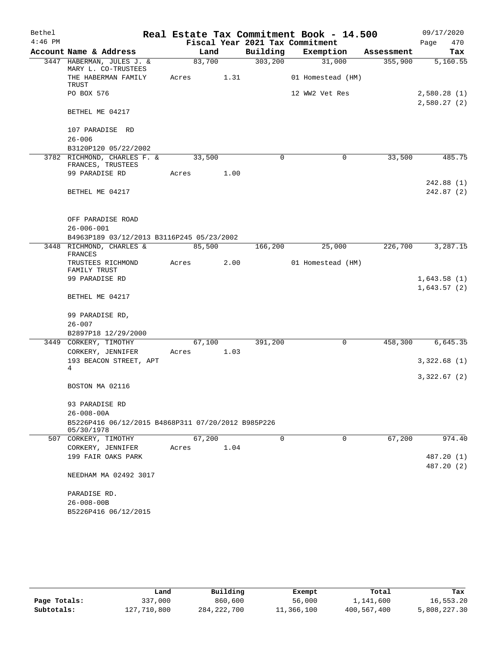| Bethel    |                                                                  |       |         |      |                                 | Real Estate Tax Commitment Book - 14.500 |            | 09/17/2020                  |
|-----------|------------------------------------------------------------------|-------|---------|------|---------------------------------|------------------------------------------|------------|-----------------------------|
| $4:46$ PM |                                                                  |       |         |      | Fiscal Year 2021 Tax Commitment |                                          |            | Page<br>470                 |
|           | Account Name & Address                                           |       | Land    |      | Building                        | Exemption                                | Assessment | Tax                         |
|           | 3447 HABERMAN, JULES J. &<br>MARY L. CO-TRUSTEES                 |       | 83,700  |      | 303, 200                        | 31,000                                   | 355,900    | 5,160.55                    |
|           | THE HABERMAN FAMILY<br>TRUST                                     | Acres |         | 1.31 |                                 | 01 Homestead (HM)                        |            |                             |
|           | PO BOX 576                                                       |       |         |      |                                 | 12 WW2 Vet Res                           |            | 2,580.28 (1)<br>2,580.27(2) |
|           | BETHEL ME 04217                                                  |       |         |      |                                 |                                          |            |                             |
|           | 107 PARADISE RD                                                  |       |         |      |                                 |                                          |            |                             |
|           | $26 - 006$                                                       |       |         |      |                                 |                                          |            |                             |
|           | B3120P120 05/22/2002<br>3782 RICHMOND, CHARLES F. &              |       | 33,500  |      | 0                               | 0                                        | 33,500     | 485.75                      |
|           | FRANCES, TRUSTEES                                                |       |         |      |                                 |                                          |            |                             |
|           | 99 PARADISE RD                                                   | Acres |         | 1.00 |                                 |                                          |            |                             |
|           |                                                                  |       |         |      |                                 |                                          |            | 242.88 (1)                  |
|           | BETHEL ME 04217                                                  |       |         |      |                                 |                                          |            | 242.87 (2)                  |
|           | OFF PARADISE ROAD                                                |       |         |      |                                 |                                          |            |                             |
|           | $26 - 006 - 001$                                                 |       |         |      |                                 |                                          |            |                             |
|           | B4963P189 03/12/2013 B3116P245 05/23/2002                        |       |         |      |                                 |                                          |            |                             |
|           | 3448 RICHMOND, CHARLES &<br>FRANCES                              |       | 85,500  |      | 166,200                         | 25,000                                   | 226,700    | 3,287.15                    |
|           | TRUSTEES RICHMOND<br>FAMILY TRUST                                | Acres |         | 2.00 |                                 | 01 Homestead (HM)                        |            |                             |
|           | 99 PARADISE RD                                                   |       |         |      |                                 |                                          |            | 1,643.58(1)                 |
|           |                                                                  |       |         |      |                                 |                                          |            | 1,643.57(2)                 |
|           | BETHEL ME 04217                                                  |       |         |      |                                 |                                          |            |                             |
|           | 99 PARADISE RD,                                                  |       |         |      |                                 |                                          |            |                             |
|           | $26 - 007$                                                       |       |         |      |                                 |                                          |            |                             |
|           | B2897P18 12/29/2000                                              |       |         |      |                                 |                                          |            |                             |
|           | 3449 CORKERY, TIMOTHY                                            |       | 67, 100 |      | 391,200                         | 0                                        | 458,300    | 6,645.35                    |
|           | CORKERY, JENNIFER                                                | Acres |         | 1.03 |                                 |                                          |            |                             |
|           | 193 BEACON STREET, APT<br>4                                      |       |         |      |                                 |                                          |            | 3,322.68(1)                 |
|           |                                                                  |       |         |      |                                 |                                          |            | 3,322.67 (2)                |
|           | BOSTON MA 02116                                                  |       |         |      |                                 |                                          |            |                             |
|           | 93 PARADISE RD                                                   |       |         |      |                                 |                                          |            |                             |
|           | $26 - 008 - 00A$                                                 |       |         |      |                                 |                                          |            |                             |
|           | B5226P416 06/12/2015 B4868P311 07/20/2012 B985P226<br>05/30/1978 |       |         |      |                                 |                                          |            |                             |
|           | 507 CORKERY, TIMOTHY                                             |       | 67,200  |      | $\mathbf 0$                     | $\mathbf{0}$                             | 67,200     | 974.40                      |
|           | CORKERY, JENNIFER                                                | Acres |         | 1.04 |                                 |                                          |            |                             |
|           | 199 FAIR OAKS PARK                                               |       |         |      |                                 |                                          |            | 487.20 (1)                  |
|           | NEEDHAM MA 02492 3017                                            |       |         |      |                                 |                                          |            | 487.20 (2)                  |
|           | PARADISE RD.                                                     |       |         |      |                                 |                                          |            |                             |
|           | $26 - 008 - 00B$                                                 |       |         |      |                                 |                                          |            |                             |
|           | B5226P416 06/12/2015                                             |       |         |      |                                 |                                          |            |                             |
|           |                                                                  |       |         |      |                                 |                                          |            |                             |

|              | Land        | Building      | Exempt     | Total       | Tax          |
|--------------|-------------|---------------|------------|-------------|--------------|
| Page Totals: | 337,000     | 860,600       | 56,000     | 1,141,600   | 16,553.20    |
| Subtotals:   | 127,710,800 | 284, 222, 700 | 11,366,100 | 400,567,400 | 5,808,227.30 |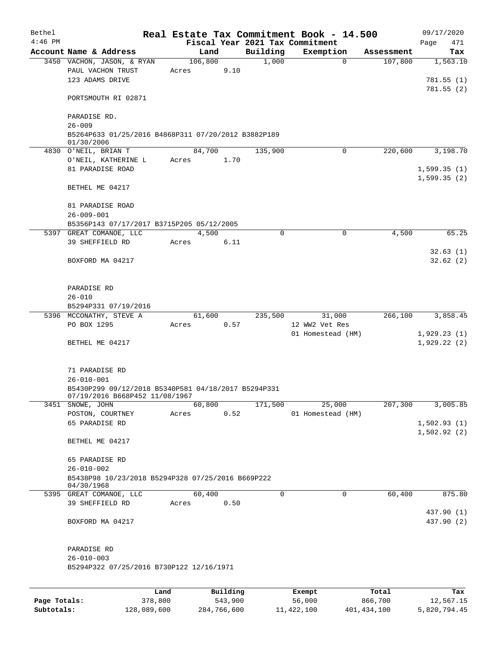| Bethel    |                                                      |       |         |          |             | Real Estate Tax Commitment Book - 14.500 |                       | 09/17/2020  |
|-----------|------------------------------------------------------|-------|---------|----------|-------------|------------------------------------------|-----------------------|-------------|
| $4:46$ PM |                                                      |       |         |          |             | Fiscal Year 2021 Tax Commitment          |                       | Page<br>471 |
|           | Account Name & Address<br>3450 VACHON, JASON, & RYAN |       | Land    |          | Building    | Exemption<br>$\mathbf{0}$                | Assessment<br>107,800 | Tax         |
|           | PAUL VACHON TRUST                                    | Acres | 106,800 | 9.10     | 1,000       |                                          |                       | 1,563.10    |
|           | 123 ADAMS DRIVE                                      |       |         |          |             |                                          |                       | 781.55(1)   |
|           |                                                      |       |         |          |             |                                          |                       | 781.55(2)   |
|           | PORTSMOUTH RI 02871                                  |       |         |          |             |                                          |                       |             |
|           |                                                      |       |         |          |             |                                          |                       |             |
|           | PARADISE RD.                                         |       |         |          |             |                                          |                       |             |
|           | $26 - 009$                                           |       |         |          |             |                                          |                       |             |
|           | B5264P633 01/25/2016 B4868P311 07/20/2012 B3882P189  |       |         |          |             |                                          |                       |             |
|           | 01/30/2006                                           |       |         |          |             |                                          |                       |             |
|           | 4830 O'NEIL, BRIAN T<br>O'NEIL, KATHERINE L          |       | 84,700  | 1.70     | 135,900     | 0                                        | 220,600               | 3,198.70    |
|           | 81 PARADISE ROAD                                     | Acres |         |          |             |                                          |                       | 1,599.35(1) |
|           |                                                      |       |         |          |             |                                          |                       | 1,599.35(2) |
|           | BETHEL ME 04217                                      |       |         |          |             |                                          |                       |             |
|           |                                                      |       |         |          |             |                                          |                       |             |
|           | 81 PARADISE ROAD                                     |       |         |          |             |                                          |                       |             |
|           | $26 - 009 - 001$                                     |       |         |          |             |                                          |                       |             |
|           | B5356P143 07/17/2017 B3715P205 05/12/2005            |       |         |          |             |                                          |                       |             |
|           | 5397 GREAT COMANOE, LLC                              |       | 4,500   |          | $\mathbf 0$ | $\mathbf 0$                              | 4,500                 | 65.25       |
|           | 39 SHEFFIELD RD                                      |       | Acres   | 6.11     |             |                                          |                       |             |
|           |                                                      |       |         |          |             |                                          |                       | 32.63(1)    |
|           | BOXFORD MA 04217                                     |       |         |          |             |                                          |                       | 32.62(2)    |
|           |                                                      |       |         |          |             |                                          |                       |             |
|           |                                                      |       |         |          |             |                                          |                       |             |
|           | PARADISE RD                                          |       |         |          |             |                                          |                       |             |
|           | $26 - 010$                                           |       |         |          |             |                                          |                       |             |
|           | B5294P331 07/19/2016                                 |       |         |          |             |                                          |                       |             |
|           | 5396 MCCONATHY, STEVE A<br>PO BOX 1295               | Acres | 61,600  | 0.57     | 235,500     | 31,000<br>12 WW2 Vet Res                 | 266,100               | 3,858.45    |
|           |                                                      |       |         |          |             | 01 Homestead (HM)                        |                       | 1,929.23(1) |
|           | BETHEL ME 04217                                      |       |         |          |             |                                          |                       | 1,929.22(2) |
|           |                                                      |       |         |          |             |                                          |                       |             |
|           |                                                      |       |         |          |             |                                          |                       |             |
|           | 71 PARADISE RD                                       |       |         |          |             |                                          |                       |             |
|           | $26 - 010 - 001$                                     |       |         |          |             |                                          |                       |             |
|           | B5430P299 09/12/2018 B5340P581 04/18/2017 B5294P331  |       |         |          |             |                                          |                       |             |
|           | 07/19/2016 B668P452 11/08/1967<br>3451 SNOWE, JOHN   |       | 60,800  |          | 171,500     | 25,000                                   | 207,300               | 3,005.85    |
|           | POSTON, COURTNEY                                     | Acres |         | 0.52     |             | 01 Homestead (HM)                        |                       |             |
|           | 65 PARADISE RD                                       |       |         |          |             |                                          |                       | 1,502.93(1) |
|           |                                                      |       |         |          |             |                                          |                       | 1,502.92(2) |
|           | BETHEL ME 04217                                      |       |         |          |             |                                          |                       |             |
|           |                                                      |       |         |          |             |                                          |                       |             |
|           | 65 PARADISE RD                                       |       |         |          |             |                                          |                       |             |
|           | $26 - 010 - 002$                                     |       |         |          |             |                                          |                       |             |
|           | B5438P98 10/23/2018 B5294P328 07/25/2016 B669P222    |       |         |          |             |                                          |                       |             |
|           | 04/30/1968<br>5395 GREAT COMANOE, LLC                |       | 60,400  |          | 0           | 0                                        | 60,400                | 875.80      |
|           | 39 SHEFFIELD RD                                      | Acres |         | 0.50     |             |                                          |                       |             |
|           |                                                      |       |         |          |             |                                          |                       | 437.90 (1)  |
|           | BOXFORD MA 04217                                     |       |         |          |             |                                          |                       | 437.90 (2)  |
|           |                                                      |       |         |          |             |                                          |                       |             |
|           |                                                      |       |         |          |             |                                          |                       |             |
|           | PARADISE RD                                          |       |         |          |             |                                          |                       |             |
|           | $26 - 010 - 003$                                     |       |         |          |             |                                          |                       |             |
|           | B5294P322 07/25/2016 B730P122 12/16/1971             |       |         |          |             |                                          |                       |             |
|           |                                                      |       |         |          |             |                                          |                       |             |
|           |                                                      | Land  |         | Building |             | Exempt                                   | Total                 | Tax         |

|              | Land        | Building    | Exempt     | Total       | Tax          |
|--------------|-------------|-------------|------------|-------------|--------------|
| Page Totals: | 378,800     | 543,900     | 56,000     | 866,700     | 12,567.15    |
| Subtotals:   | 128,089,600 | 284,766,600 | 11,422,100 | 401,434,100 | 5,820,794.45 |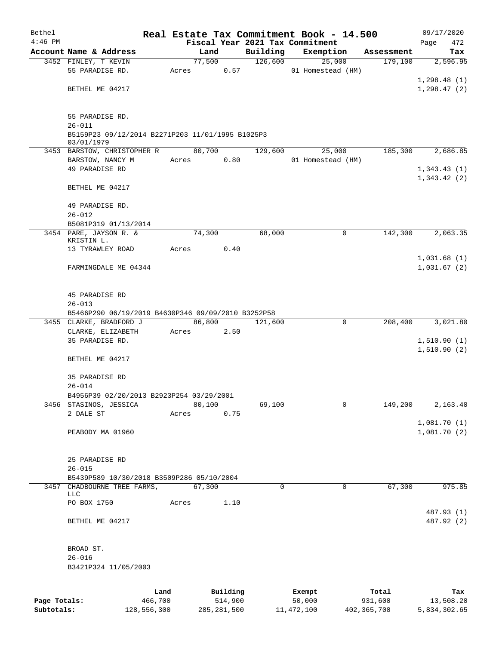| Bethel       |                                                                |       |        |          |          | Real Estate Tax Commitment Book - 14.500 |            | 09/17/2020   |
|--------------|----------------------------------------------------------------|-------|--------|----------|----------|------------------------------------------|------------|--------------|
| $4:46$ PM    |                                                                |       |        |          |          | Fiscal Year 2021 Tax Commitment          |            | 472<br>Page  |
|              | Account Name & Address                                         |       | Land   |          | Building | Exemption                                | Assessment | Tax          |
|              | 3452 FINLEY, T KEVIN                                           |       | 77,500 |          | 126,600  | 25,000                                   | 179,100    | 2,596.95     |
|              | 55 PARADISE RD.                                                | Acres |        | 0.57     |          | 01 Homestead (HM)                        |            |              |
|              |                                                                |       |        |          |          |                                          |            | 1,298.48(1)  |
|              | BETHEL ME 04217                                                |       |        |          |          |                                          |            | 1, 298.47(2) |
|              |                                                                |       |        |          |          |                                          |            |              |
|              | 55 PARADISE RD.                                                |       |        |          |          |                                          |            |              |
|              | $26 - 011$                                                     |       |        |          |          |                                          |            |              |
|              | B5159P23 09/12/2014 B2271P203 11/01/1995 B1025P3<br>03/01/1979 |       |        |          |          |                                          |            |              |
|              | 3453 BARSTOW, CHRISTOPHER R                                    |       | 80,700 |          | 129,600  | 25,000                                   | 185,300    | 2,686.85     |
|              | BARSTOW, NANCY M                                               | Acres |        | 0.80     |          | 01 Homestead (HM)                        |            |              |
|              | 49 PARADISE RD                                                 |       |        |          |          |                                          |            | 1,343.43(1)  |
|              |                                                                |       |        |          |          |                                          |            | 1,343.42(2)  |
|              | BETHEL ME 04217                                                |       |        |          |          |                                          |            |              |
|              | 49 PARADISE RD.                                                |       |        |          |          |                                          |            |              |
|              | $26 - 012$                                                     |       |        |          |          |                                          |            |              |
|              | B5081P319 01/13/2014                                           |       |        |          |          |                                          |            |              |
|              | 3454 PARE, JAYSON R. &                                         |       | 74,300 |          | 68,000   | 0                                        | 142,300    | 2,063.35     |
|              | KRISTIN L.                                                     |       |        |          |          |                                          |            |              |
|              | 13 TYRAWLEY ROAD                                               | Acres |        | 0.40     |          |                                          |            |              |
|              |                                                                |       |        |          |          |                                          |            | 1,031.68(1)  |
|              | FARMINGDALE ME 04344                                           |       |        |          |          |                                          |            | 1,031.67(2)  |
|              |                                                                |       |        |          |          |                                          |            |              |
|              | 45 PARADISE RD                                                 |       |        |          |          |                                          |            |              |
|              | $26 - 013$                                                     |       |        |          |          |                                          |            |              |
|              | B5466P290 06/19/2019 B4630P346 09/09/2010 B3252P58             |       |        |          |          |                                          |            |              |
|              | 3455 CLARKE, BRADFORD J                                        |       | 86,800 |          | 121,600  | 0                                        | 208,400    | 3,021.80     |
|              | CLARKE, ELIZABETH                                              | Acres |        | 2.50     |          |                                          |            |              |
|              | 35 PARADISE RD.                                                |       |        |          |          |                                          |            | 1, 510.90(1) |
|              |                                                                |       |        |          |          |                                          |            | 1,510.90(2)  |
|              | BETHEL ME 04217                                                |       |        |          |          |                                          |            |              |
|              | 35 PARADISE RD                                                 |       |        |          |          |                                          |            |              |
|              | $26 - 014$                                                     |       |        |          |          |                                          |            |              |
|              | B4956P39 02/20/2013 B2923P254 03/29/2001                       |       |        |          |          |                                          |            |              |
|              | 3456 STASINOS, JESSICA                                         |       | 80,100 |          | 69,100   | 0                                        | 149,200    | 2,163.40     |
|              | 2 DALE ST                                                      | Acres |        | 0.75     |          |                                          |            |              |
|              |                                                                |       |        |          |          |                                          |            | 1,081.70(1)  |
|              | PEABODY MA 01960                                               |       |        |          |          |                                          |            | 1,081.70(2)  |
|              |                                                                |       |        |          |          |                                          |            |              |
|              | 25 PARADISE RD                                                 |       |        |          |          |                                          |            |              |
|              | $26 - 015$                                                     |       |        |          |          |                                          |            |              |
|              | B5439P589 10/30/2018 B3509P286 05/10/2004                      |       |        |          |          |                                          |            |              |
|              | 3457 CHADBOURNE TREE FARMS,                                    |       | 67,300 |          | 0        | 0                                        | 67,300     | 975.85       |
|              | LLC                                                            |       |        |          |          |                                          |            |              |
|              | PO BOX 1750                                                    | Acres |        | 1.10     |          |                                          |            |              |
|              |                                                                |       |        |          |          |                                          |            | 487.93 (1)   |
|              | BETHEL ME 04217                                                |       |        |          |          |                                          |            | 487.92 (2)   |
|              |                                                                |       |        |          |          |                                          |            |              |
|              | BROAD ST.                                                      |       |        |          |          |                                          |            |              |
|              | $26 - 016$                                                     |       |        |          |          |                                          |            |              |
|              | B3421P324 11/05/2003                                           |       |        |          |          |                                          |            |              |
|              |                                                                |       |        |          |          |                                          |            |              |
|              | Land                                                           |       |        | Building |          | Exempt                                   | Total      | Tax          |
| Page Totals: | 466,700                                                        |       |        | 514,900  |          | 50,000                                   | 931,600    | 13,508.20    |

**Subtotals:** 128,556,300 285,281,500 11,472,100 402,365,700 5,834,302.65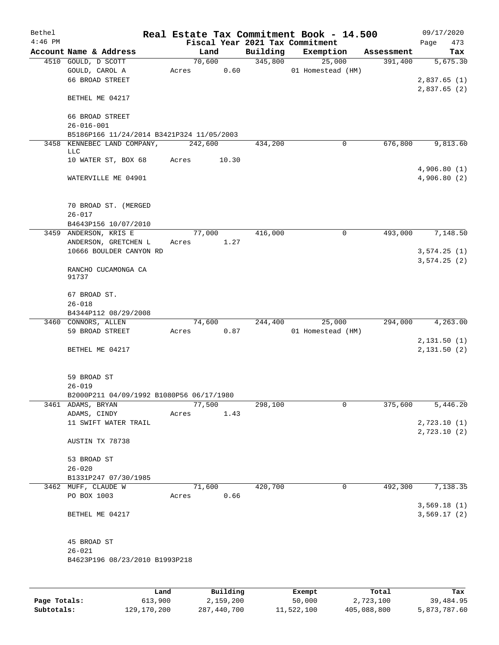| Bethel    |                                           |       |                 |          | Real Estate Tax Commitment Book - 14.500 |            | 09/17/2020   |
|-----------|-------------------------------------------|-------|-----------------|----------|------------------------------------------|------------|--------------|
| $4:46$ PM |                                           |       |                 |          | Fiscal Year 2021 Tax Commitment          |            | Page<br>473  |
|           | Account Name & Address                    |       | Land            | Building | Exemption                                | Assessment | Tax          |
|           | 4510 GOULD, D SCOTT                       |       | 70,600          | 345,800  | 25,000                                   | 391,400    | 5,675.30     |
|           | GOULD, CAROL A                            | Acres | 0.60            |          | 01 Homestead (HM)                        |            |              |
|           | 66 BROAD STREET                           |       |                 |          |                                          |            | 2,837.65(1)  |
|           | BETHEL ME 04217                           |       |                 |          |                                          |            | 2,837.65(2)  |
|           | 66 BROAD STREET                           |       |                 |          |                                          |            |              |
|           | $26 - 016 - 001$                          |       |                 |          |                                          |            |              |
|           | B5186P166 11/24/2014 B3421P324 11/05/2003 |       |                 |          |                                          |            |              |
|           | 3458 KENNEBEC LAND COMPANY,               |       | 242,600         | 434,200  | 0                                        | 676,800    | 9,813.60     |
|           | LLC                                       |       |                 |          |                                          |            |              |
|           | 10 WATER ST, BOX 68                       | Acres | 10.30           |          |                                          |            |              |
|           |                                           |       |                 |          |                                          |            | 4,906.80(1)  |
|           | WATERVILLE ME 04901                       |       |                 |          |                                          |            | 4,906.80 (2) |
|           | 70 BROAD ST. (MERGED                      |       |                 |          |                                          |            |              |
|           | $26 - 017$                                |       |                 |          |                                          |            |              |
|           | B4643P156 10/07/2010                      |       |                 |          |                                          |            |              |
|           | 3459 ANDERSON, KRIS E                     |       | 77,000          | 416,000  | $\mathsf{O}$                             | 493,000    | 7,148.50     |
|           | ANDERSON, GRETCHEN L                      | Acres | 1.27            |          |                                          |            |              |
|           | 10666 BOULDER CANYON RD                   |       |                 |          |                                          |            | 3,574.25(1)  |
|           |                                           |       |                 |          |                                          |            | 3,574.25(2)  |
|           | RANCHO CUCAMONGA CA                       |       |                 |          |                                          |            |              |
|           | 91737                                     |       |                 |          |                                          |            |              |
|           |                                           |       |                 |          |                                          |            |              |
|           | 67 BROAD ST.                              |       |                 |          |                                          |            |              |
|           | $26 - 018$<br>B4344P112 08/29/2008        |       |                 |          |                                          |            |              |
|           | 3460 CONNORS, ALLEN                       |       | 74,600          | 244,400  | 25,000                                   | 294,000    | 4,263.00     |
|           | 59 BROAD STREET                           | Acres | 0.87            |          | 01 Homestead (HM)                        |            |              |
|           |                                           |       |                 |          |                                          |            | 2,131.50(1)  |
|           | BETHEL ME 04217                           |       |                 |          |                                          |            | 2,131.50(2)  |
|           |                                           |       |                 |          |                                          |            |              |
|           |                                           |       |                 |          |                                          |            |              |
|           | 59 BROAD ST                               |       |                 |          |                                          |            |              |
|           | $26 - 019$                                |       |                 |          |                                          |            |              |
|           | B2000P211 04/09/1992 B1080P56 06/17/1980  |       |                 |          |                                          |            |              |
|           | 3461 ADAMS, BRYAN                         |       | 77,500          | 298,100  | 0                                        | 375,600    | 5,446.20     |
|           | ADAMS, CINDY                              | Acres | 1.43            |          |                                          |            |              |
|           | 11 SWIFT WATER TRAIL                      |       |                 |          |                                          |            | 2,723.10(1)  |
|           |                                           |       |                 |          |                                          |            | 2,723.10(2)  |
|           | AUSTIN TX 78738                           |       |                 |          |                                          |            |              |
|           |                                           |       |                 |          |                                          |            |              |
|           | 53 BROAD ST                               |       |                 |          |                                          |            |              |
|           | $26 - 020$                                |       |                 |          |                                          |            |              |
|           | B1331P247 07/30/1985                      |       |                 | 420,700  |                                          |            |              |
|           | 3462 MUFF, CLAUDE W<br>PO BOX 1003        |       | 71,600<br>0.66  |          | 0                                        | 492,300    | 7,138.35     |
|           |                                           | Acres |                 |          |                                          |            | 3,569.18(1)  |
|           | BETHEL ME 04217                           |       |                 |          |                                          |            | 3,569.17(2)  |
|           |                                           |       |                 |          |                                          |            |              |
|           | 45 BROAD ST                               |       |                 |          |                                          |            |              |
|           | $26 - 021$                                |       |                 |          |                                          |            |              |
|           | B4623P196 08/23/2010 B1993P218            |       |                 |          |                                          |            |              |
|           |                                           |       |                 |          |                                          |            |              |
|           |                                           |       |                 |          |                                          |            |              |
|           | T and                                     |       | $P_{11}$ ilding |          | $F$ vomnt                                | $T$ otal   |              |

|              | Land        | Building    | Exempt     | Total       | Tax          |
|--------------|-------------|-------------|------------|-------------|--------------|
| Page Totals: | 613,900     | 2,159,200   | 50,000     | 2,723,100   | 39,484.95    |
| Subtotals:   | 129,170,200 | 287,440,700 | 11,522,100 | 405,088,800 | 5,873,787.60 |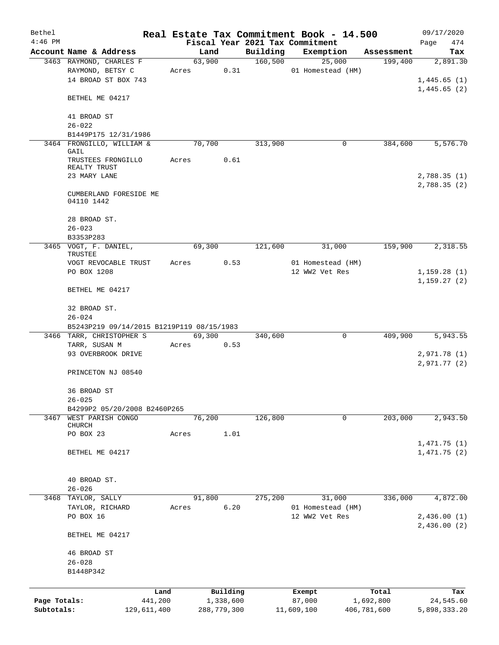| Bethel       |                                           |       |        |             |          | Real Estate Tax Commitment Book - 14.500 |             | 09/17/2020   |
|--------------|-------------------------------------------|-------|--------|-------------|----------|------------------------------------------|-------------|--------------|
| $4:46$ PM    |                                           |       |        |             |          | Fiscal Year 2021 Tax Commitment          |             | Page<br>474  |
|              | Account Name & Address                    |       | Land   |             | Building | Exemption                                | Assessment  | Tax          |
|              | 3463 RAYMOND, CHARLES F                   |       | 63,900 |             | 160,500  | 25,000                                   | 199,400     | 2,891.30     |
|              | RAYMOND, BETSY C                          | Acres |        | 0.31        |          | 01 Homestead (HM)                        |             |              |
|              | 14 BROAD ST BOX 743                       |       |        |             |          |                                          |             | 1,445.65(1)  |
|              |                                           |       |        |             |          |                                          |             | 1,445.65(2)  |
|              | BETHEL ME 04217                           |       |        |             |          |                                          |             |              |
|              |                                           |       |        |             |          |                                          |             |              |
|              | 41 BROAD ST                               |       |        |             |          |                                          |             |              |
|              | $26 - 022$                                |       |        |             |          |                                          |             |              |
|              | B1449P175 12/31/1986                      |       |        |             |          |                                          |             |              |
|              | 3464 FRONGILLO, WILLIAM &<br>GAIL         |       | 70,700 |             | 313,900  | 0                                        | 384,600     | 5,576.70     |
|              | TRUSTEES FRONGILLO                        | Acres |        | 0.61        |          |                                          |             |              |
|              | REALTY TRUST                              |       |        |             |          |                                          |             |              |
|              | 23 MARY LANE                              |       |        |             |          |                                          |             | 2,788.35(1)  |
|              |                                           |       |        |             |          |                                          |             | 2,788.35(2)  |
|              | CUMBERLAND FORESIDE ME                    |       |        |             |          |                                          |             |              |
|              | 04110 1442                                |       |        |             |          |                                          |             |              |
|              |                                           |       |        |             |          |                                          |             |              |
|              | 28 BROAD ST.                              |       |        |             |          |                                          |             |              |
|              | $26 - 023$                                |       |        |             |          |                                          |             |              |
|              | B3353P283                                 |       |        |             | 121,600  |                                          | 159,900     | 2,318.55     |
|              | 3465 VOGT, F. DANIEL,<br>TRUSTEE          |       | 69,300 |             |          | 31,000                                   |             |              |
|              | VOGT REVOCABLE TRUST                      | Acres |        | 0.53        |          | 01 Homestead (HM)                        |             |              |
|              | PO BOX 1208                               |       |        |             |          | 12 WW2 Vet Res                           |             | 1,159.28(1)  |
|              |                                           |       |        |             |          |                                          |             | 1, 159.27(2) |
|              | BETHEL ME 04217                           |       |        |             |          |                                          |             |              |
|              |                                           |       |        |             |          |                                          |             |              |
|              | 32 BROAD ST.                              |       |        |             |          |                                          |             |              |
|              | $26 - 024$                                |       |        |             |          |                                          |             |              |
|              | B5243P219 09/14/2015 B1219P119 08/15/1983 |       |        |             |          |                                          |             |              |
|              | 3466 TARR, CHRISTOPHER S                  |       | 69,300 |             | 340,600  | 0                                        | 409,900     | 5,943.55     |
|              | TARR, SUSAN M                             | Acres |        | 0.53        |          |                                          |             |              |
|              | 93 OVERBROOK DRIVE                        |       |        |             |          |                                          |             | 2,971.78 (1) |
|              |                                           |       |        |             |          |                                          |             | 2,971.77(2)  |
|              | PRINCETON NJ 08540                        |       |        |             |          |                                          |             |              |
|              |                                           |       |        |             |          |                                          |             |              |
|              | 36 BROAD ST                               |       |        |             |          |                                          |             |              |
|              | $26 - 025$                                |       |        |             |          |                                          |             |              |
|              | B4299P2 05/20/2008 B2460P265              |       |        |             |          |                                          |             |              |
| 3467         | WEST PARISH CONGO                         |       | 76,200 |             | 126,800  | 0                                        | 203,000     | 2,943.50     |
|              | CHURCH<br>PO BOX 23                       | Acres |        | 1.01        |          |                                          |             |              |
|              |                                           |       |        |             |          |                                          |             | 1,471.75(1)  |
|              | BETHEL ME 04217                           |       |        |             |          |                                          |             | 1,471.75(2)  |
|              |                                           |       |        |             |          |                                          |             |              |
|              |                                           |       |        |             |          |                                          |             |              |
|              | 40 BROAD ST.                              |       |        |             |          |                                          |             |              |
|              | $26 - 026$                                |       |        |             |          |                                          |             |              |
| 3468         | TAYLOR, SALLY                             |       | 91,800 |             | 275,200  | 31,000                                   | 336,000     | 4,872.00     |
|              | TAYLOR, RICHARD                           | Acres |        | 6.20        |          | 01 Homestead (HM)                        |             |              |
|              | PO BOX 16                                 |       |        |             |          | 12 WW2 Vet Res                           |             | 2,436.00(1)  |
|              |                                           |       |        |             |          |                                          |             | 2,436.00(2)  |
|              | BETHEL ME 04217                           |       |        |             |          |                                          |             |              |
|              |                                           |       |        |             |          |                                          |             |              |
|              | 46 BROAD ST                               |       |        |             |          |                                          |             |              |
|              | $26 - 028$                                |       |        |             |          |                                          |             |              |
|              | B1448P342                                 |       |        |             |          |                                          |             |              |
|              |                                           |       |        |             |          |                                          |             |              |
|              |                                           | Land  |        | Building    |          | Exempt                                   | Total       | Tax          |
| Page Totals: | 441,200                                   |       |        | 1,338,600   |          | 87,000                                   | 1,692,800   | 24,545.60    |
| Subtotals:   | 129,611,400                               |       |        | 288,779,300 |          | 11,609,100                               | 406,781,600 | 5,898,333.20 |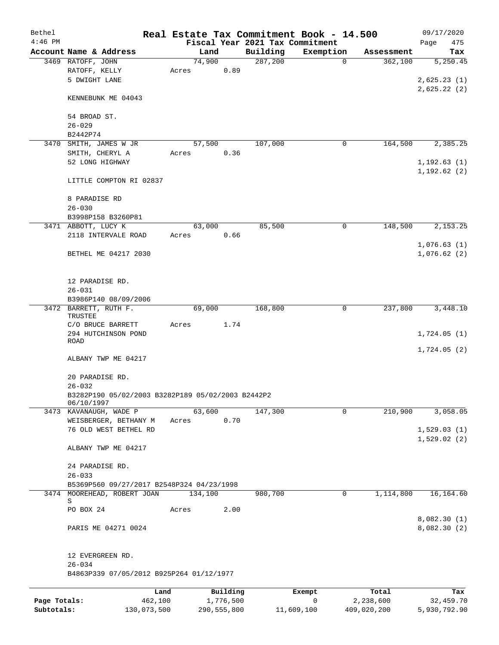| Bethel       |                                                                 | Real Estate Tax Commitment Book - 14.500 |                                 |             |             | 09/17/2020                   |
|--------------|-----------------------------------------------------------------|------------------------------------------|---------------------------------|-------------|-------------|------------------------------|
| $4:46$ PM    |                                                                 |                                          | Fiscal Year 2021 Tax Commitment |             |             | Page<br>475                  |
|              | Account Name & Address                                          | Land                                     | Building                        | Exemption   | Assessment  | Tax                          |
|              | 3469 RATOFF, JOHN<br>RATOFF, KELLY<br>5 DWIGHT LANE             | 74,900<br>0.89<br>Acres                  | 287,200                         | $\mathbf 0$ | 362,100     | 5,250.45<br>2,625.23(1)      |
|              | KENNEBUNK ME 04043                                              |                                          |                                 |             |             | 2,625.22(2)                  |
|              | 54 BROAD ST.<br>$26 - 029$                                      |                                          |                                 |             |             |                              |
|              | B2442P74                                                        |                                          |                                 |             |             |                              |
| 3470         | SMITH, JAMES W JR                                               | 57,500                                   | 107,000                         | 0           | 164,500     | 2,385.25                     |
|              | SMITH, CHERYL A                                                 | 0.36<br>Acres                            |                                 |             |             |                              |
|              | 52 LONG HIGHWAY                                                 |                                          |                                 |             |             | 1, 192.63(1)<br>1, 192.62(2) |
|              | LITTLE COMPTON RI 02837                                         |                                          |                                 |             |             |                              |
|              | 8 PARADISE RD<br>$26 - 030$                                     |                                          |                                 |             |             |                              |
|              | B3998P158 B3260P81                                              |                                          |                                 |             |             |                              |
|              | 3471 ABBOTT, LUCY K                                             | 63,000                                   | 85,500                          | 0           | 148,500     | 2,153.25                     |
|              | 2118 INTERVALE ROAD                                             | 0.66<br>Acres                            |                                 |             |             | 1,076.63(1)                  |
|              | BETHEL ME 04217 2030                                            |                                          |                                 |             |             | 1,076.62(2)                  |
|              | 12 PARADISE RD.<br>$26 - 031$                                   |                                          |                                 |             |             |                              |
|              | B3986P140 08/09/2006                                            |                                          |                                 |             |             |                              |
|              | 3472 BARRETT, RUTH F.<br>TRUSTEE                                | 69,000                                   | 168,800                         | 0           | 237,800     | 3,448.10                     |
|              | C/O BRUCE BARRETT                                               | 1.74<br>Acres                            |                                 |             |             |                              |
|              | 294 HUTCHINSON POND<br><b>ROAD</b>                              |                                          |                                 |             |             | 1,724.05(1)<br>1,724.05(2)   |
|              | ALBANY TWP ME 04217                                             |                                          |                                 |             |             |                              |
|              | 20 PARADISE RD.<br>$26 - 032$                                   |                                          |                                 |             |             |                              |
|              | B3282P190 05/02/2003 B3282P189 05/02/2003 B2442P2<br>06/10/1997 |                                          |                                 |             |             |                              |
|              | 3473 KAVANAUGH, WADE P                                          | 63,600                                   | 147,300                         | 0           | 210,900     | 3,058.05                     |
|              | WEISBERGER, BETHANY M                                           | 0.70<br>Acres                            |                                 |             |             |                              |
|              | 76 OLD WEST BETHEL RD                                           |                                          |                                 |             |             | 1,529.03(1)                  |
|              | ALBANY TWP ME 04217                                             |                                          |                                 |             |             | 1,529.02(2)                  |
|              | 24 PARADISE RD.                                                 |                                          |                                 |             |             |                              |
|              | $26 - 033$                                                      |                                          |                                 |             |             |                              |
|              | B5369P560 09/27/2017 B2548P324 04/23/1998                       |                                          |                                 |             |             |                              |
|              | 3474 MOOREHEAD, ROBERT JOAN<br>S                                | 134,100                                  | 980,700                         | 0           | 1,114,800   | 16,164.60                    |
|              | PO BOX 24                                                       | Acres<br>2.00                            |                                 |             |             | 8,082.30 (1)                 |
|              | PARIS ME 04271 0024                                             |                                          |                                 |             |             | 8,082.30(2)                  |
|              | 12 EVERGREEN RD.                                                |                                          |                                 |             |             |                              |
|              | $26 - 034$<br>B4863P339 07/05/2012 B925P264 01/12/1977          |                                          |                                 |             |             |                              |
|              | Land                                                            | Building                                 |                                 | Exempt      | Total       | Tax                          |
| Page Totals: | 462,100                                                         | 1,776,500                                |                                 | 0           | 2,238,600   | 32,459.70                    |
| Subtotals:   | 130,073,500                                                     | 290,555,800                              |                                 | 11,609,100  | 409,020,200 | 5,930,792.90                 |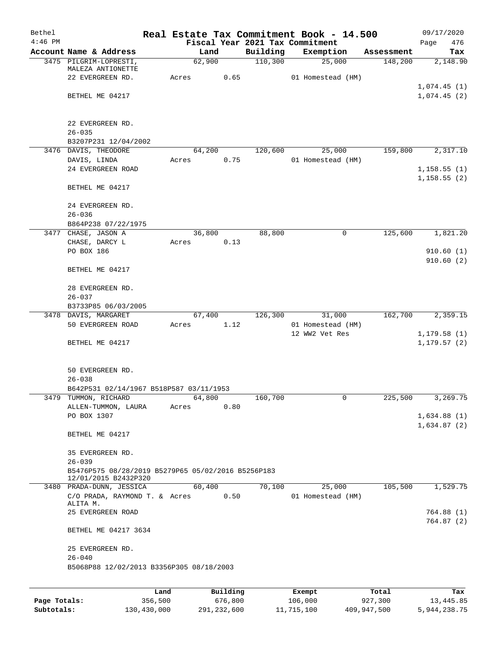| Bethel<br>$4:46$ PM |                                                    |        |          |          | Real Estate Tax Commitment Book - 14.500<br>Fiscal Year 2021 Tax Commitment |            | 09/17/2020<br>Page<br>476 |
|---------------------|----------------------------------------------------|--------|----------|----------|-----------------------------------------------------------------------------|------------|---------------------------|
|                     | Account Name & Address                             |        | Land     | Building | Exemption                                                                   | Assessment | Tax                       |
|                     | 3475 PILGRIM-LOPRESTI,                             | 62,900 |          | 110,300  | 25,000                                                                      | 148,200    | 2,148.90                  |
|                     | MALEZA ANTIONETTE                                  |        |          |          |                                                                             |            |                           |
|                     | 22 EVERGREEN RD.                                   | Acres  | 0.65     |          | 01 Homestead (HM)                                                           |            |                           |
|                     |                                                    |        |          |          |                                                                             |            | 1,074.45(1)               |
|                     | BETHEL ME 04217                                    |        |          |          |                                                                             |            | 1,074.45(2)               |
|                     |                                                    |        |          |          |                                                                             |            |                           |
|                     | 22 EVERGREEN RD.                                   |        |          |          |                                                                             |            |                           |
|                     | $26 - 035$                                         |        |          |          |                                                                             |            |                           |
|                     | B3207P231 12/04/2002                               |        |          |          |                                                                             |            |                           |
|                     | 3476 DAVIS, THEODORE                               | 64,200 |          | 120,600  | 25,000                                                                      | 159,800    | 2,317.10                  |
|                     | DAVIS, LINDA                                       | Acres  | 0.75     |          | 01 Homestead (HM)                                                           |            |                           |
|                     | 24 EVERGREEN ROAD                                  |        |          |          |                                                                             |            | 1,158.55(1)               |
|                     |                                                    |        |          |          |                                                                             |            | 1, 158.55(2)              |
|                     | BETHEL ME 04217                                    |        |          |          |                                                                             |            |                           |
|                     |                                                    |        |          |          |                                                                             |            |                           |
|                     | 24 EVERGREEN RD.                                   |        |          |          |                                                                             |            |                           |
|                     | $26 - 036$<br>B864P238 07/22/1975                  |        |          |          |                                                                             |            |                           |
|                     | 3477 CHASE, JASON A                                | 36,800 |          | 88,800   | $\mathsf{O}$                                                                | 125,600    | 1,821.20                  |
|                     | $\texttt{CHASE}$ , $\texttt{DARCY}$ $\texttt{L}$   | Acres  | 0.13     |          |                                                                             |            |                           |
|                     | PO BOX 186                                         |        |          |          |                                                                             |            | 910.60(1)                 |
|                     |                                                    |        |          |          |                                                                             |            | 910.60(2)                 |
|                     | BETHEL ME 04217                                    |        |          |          |                                                                             |            |                           |
|                     |                                                    |        |          |          |                                                                             |            |                           |
|                     | 28 EVERGREEN RD.                                   |        |          |          |                                                                             |            |                           |
|                     | $26 - 037$                                         |        |          |          |                                                                             |            |                           |
|                     | B3733P85 06/03/2005                                |        |          |          |                                                                             |            |                           |
|                     | 3478 DAVIS, MARGARET                               | 67,400 |          | 126,300  | 31,000                                                                      | 162,700    | 2,359.15                  |
|                     | 50 EVERGREEN ROAD                                  | Acres  | 1.12     |          | 01 Homestead (HM)                                                           |            |                           |
|                     |                                                    |        |          |          | 12 WW2 Vet Res                                                              |            | 1, 179.58(1)              |
|                     | BETHEL ME 04217                                    |        |          |          |                                                                             |            | 1, 179.57(2)              |
|                     |                                                    |        |          |          |                                                                             |            |                           |
|                     |                                                    |        |          |          |                                                                             |            |                           |
|                     | 50 EVERGREEN RD.<br>$26 - 038$                     |        |          |          |                                                                             |            |                           |
|                     | B642P531 02/14/1967 B518P587 03/11/1953            |        |          |          |                                                                             |            |                           |
| 3479                | TUMMON, RICHARD                                    | 64,800 |          | 160,700  | 0                                                                           | 225,500    | 3,269.75                  |
|                     | ALLEN-TUMMON, LAURA                                | Acres  | 0.80     |          |                                                                             |            |                           |
|                     | PO BOX 1307                                        |        |          |          |                                                                             |            | 1,634.88(1)               |
|                     |                                                    |        |          |          |                                                                             |            | 1,634.87(2)               |
|                     | BETHEL ME 04217                                    |        |          |          |                                                                             |            |                           |
|                     |                                                    |        |          |          |                                                                             |            |                           |
|                     | 35 EVERGREEN RD.                                   |        |          |          |                                                                             |            |                           |
|                     | $26 - 039$                                         |        |          |          |                                                                             |            |                           |
|                     | B5476P575 08/28/2019 B5279P65 05/02/2016 B5256P183 |        |          |          |                                                                             |            |                           |
|                     | 12/01/2015 B2432P320<br>3480 PRADA-DUNN, JESSICA   | 60,400 |          | 70,100   | 25,000                                                                      | 105,500    | 1,529.75                  |
|                     | C/O PRADA, RAYMOND T. & Acres                      |        | 0.50     |          | 01 Homestead (HM)                                                           |            |                           |
|                     | ALITA M.                                           |        |          |          |                                                                             |            |                           |
|                     | 25 EVERGREEN ROAD                                  |        |          |          |                                                                             |            | 764.88(1)                 |
|                     |                                                    |        |          |          |                                                                             |            | 764.87(2)                 |
|                     | BETHEL ME 04217 3634                               |        |          |          |                                                                             |            |                           |
|                     |                                                    |        |          |          |                                                                             |            |                           |
|                     | 25 EVERGREEN RD.                                   |        |          |          |                                                                             |            |                           |
|                     | $26 - 040$                                         |        |          |          |                                                                             |            |                           |
|                     | B5068P88 12/02/2013 B3356P305 08/18/2003           |        |          |          |                                                                             |            |                           |
|                     |                                                    |        |          |          |                                                                             |            |                           |
|                     | Land                                               |        | Building |          | Exempt                                                                      | Total      | Tax                       |

|              | Lanu        | Building    | Lxempt     | TOLAT       | rax.         |
|--------------|-------------|-------------|------------|-------------|--------------|
| Page Totals: | 356,500     | 676,800     | 106,000    | 927,300     | 13,445.85    |
| Subtotals:   | 130,430,000 | 291,232,600 | 11,715,100 | 409,947,500 | 5,944,238.75 |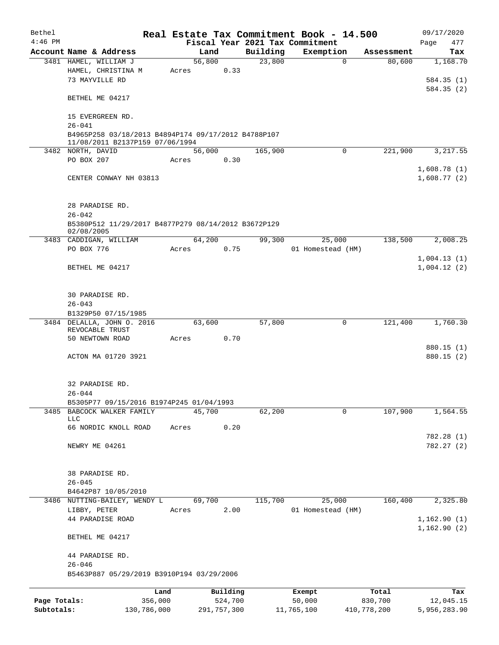| Bethel       |                                                                                        |             |       |        |             |          | Real Estate Tax Commitment Book - 14.500 |             |             | 09/17/2020                 |
|--------------|----------------------------------------------------------------------------------------|-------------|-------|--------|-------------|----------|------------------------------------------|-------------|-------------|----------------------------|
| $4:46$ PM    |                                                                                        |             |       |        |             |          | Fiscal Year 2021 Tax Commitment          |             |             | 477<br>Page                |
|              | Account Name & Address                                                                 |             |       | Land   |             | Building | Exemption                                |             | Assessment  | Tax                        |
|              | 3481 HAMEL, WILLIAM J                                                                  |             |       | 56,800 |             | 23,800   |                                          | $\mathbf 0$ | 80,600      | 1,168.70                   |
|              | HAMEL, CHRISTINA M<br>73 MAYVILLE RD                                                   |             | Acres |        | 0.33        |          |                                          |             |             | 584.35(1)                  |
|              | BETHEL ME 04217                                                                        |             |       |        |             |          |                                          |             |             | 584.35(2)                  |
|              | 15 EVERGREEN RD.<br>$26 - 041$                                                         |             |       |        |             |          |                                          |             |             |                            |
|              | B4965P258 03/18/2013 B4894P174 09/17/2012 B4788P107<br>11/08/2011 B2137P159 07/06/1994 |             |       |        |             |          |                                          |             |             |                            |
|              | 3482 NORTH, DAVID                                                                      |             |       | 56,000 |             | 165,900  |                                          | $\Omega$    | 221,900     | 3,217.55                   |
|              | PO BOX 207                                                                             |             | Acres |        | 0.30        |          |                                          |             |             |                            |
|              | CENTER CONWAY NH 03813                                                                 |             |       |        |             |          |                                          |             |             | 1,608.78(1)<br>1,608.77(2) |
|              | 28 PARADISE RD.<br>$26 - 042$                                                          |             |       |        |             |          |                                          |             |             |                            |
|              | B5380P512 11/29/2017 B4877P279 08/14/2012 B3672P129<br>02/08/2005                      |             |       |        |             |          |                                          |             |             |                            |
|              | 3483 CADDIGAN, WILLIAM                                                                 |             |       | 64,200 |             | 99,300   | 25,000                                   |             | 138,500     | 2,008.25                   |
|              | PO BOX 776                                                                             |             | Acres |        | 0.75        |          | 01 Homestead (HM)                        |             |             |                            |
|              | BETHEL ME 04217                                                                        |             |       |        |             |          |                                          |             |             | 1,004.13(1)<br>1,004.12(2) |
|              | 30 PARADISE RD.<br>$26 - 043$                                                          |             |       |        |             |          |                                          |             |             |                            |
|              | B1329P50 07/15/1985                                                                    |             |       |        |             |          |                                          |             |             |                            |
|              | 3484 DELALLA, JOHN 0. 2016                                                             |             |       | 63,600 |             | 57,800   |                                          | $\mathbf 0$ | 121,400     | 1,760.30                   |
|              | REVOCABLE TRUST                                                                        |             |       |        |             |          |                                          |             |             |                            |
|              | 50 NEWTOWN ROAD                                                                        |             | Acres |        | 0.70        |          |                                          |             |             |                            |
|              |                                                                                        |             |       |        |             |          |                                          |             |             | 880.15 (1)<br>880.15 (2)   |
|              | ACTON MA 01720 3921                                                                    |             |       |        |             |          |                                          |             |             |                            |
|              | 32 PARADISE RD.<br>$26 - 044$                                                          |             |       |        |             |          |                                          |             |             |                            |
|              | B5305P77 09/15/2016 B1974P245 01/04/1993                                               |             |       |        |             |          |                                          |             |             |                            |
| 3485         | BABCOCK WALKER FAMILY                                                                  |             |       | 45,700 |             | 62,200   |                                          | $\mathbf 0$ | 107,900     | 1,564.55                   |
|              | <b>LLC</b><br>66 NORDIC KNOLL ROAD                                                     |             | Acres |        | 0.20        |          |                                          |             |             |                            |
|              |                                                                                        |             |       |        |             |          |                                          |             |             | 782.28 (1)                 |
|              | NEWRY ME 04261                                                                         |             |       |        |             |          |                                          |             |             | 782.27 (2)                 |
|              | 38 PARADISE RD.                                                                        |             |       |        |             |          |                                          |             |             |                            |
|              | $26 - 045$                                                                             |             |       |        |             |          |                                          |             |             |                            |
|              | B4642P87 10/05/2010                                                                    |             |       |        |             |          |                                          |             |             |                            |
|              | 3486 NUTTING-BAILEY, WENDY L                                                           |             |       | 69,700 |             | 115,700  | 25,000                                   |             | 160,400     | 2,325.80                   |
|              | LIBBY, PETER                                                                           |             | Acres |        | 2.00        |          | 01 Homestead (HM)                        |             |             |                            |
|              | 44 PARADISE ROAD                                                                       |             |       |        |             |          |                                          |             |             | 1,162.90(1)                |
|              | BETHEL ME 04217                                                                        |             |       |        |             |          |                                          |             |             | 1,162.90(2)                |
|              | 44 PARADISE RD.<br>$26 - 046$                                                          |             |       |        |             |          |                                          |             |             |                            |
|              | B5463P887 05/29/2019 B3910P194 03/29/2006                                              |             |       |        |             |          |                                          |             |             |                            |
|              |                                                                                        | Land        |       |        | Building    |          | Exempt                                   |             | Total       | Tax                        |
| Page Totals: |                                                                                        | 356,000     |       |        | 524,700     |          | 50,000                                   |             | 830,700     | 12,045.15                  |
| Subtotals:   |                                                                                        | 130,786,000 |       |        | 291,757,300 |          | 11,765,100                               |             | 410,778,200 | 5,956,283.90               |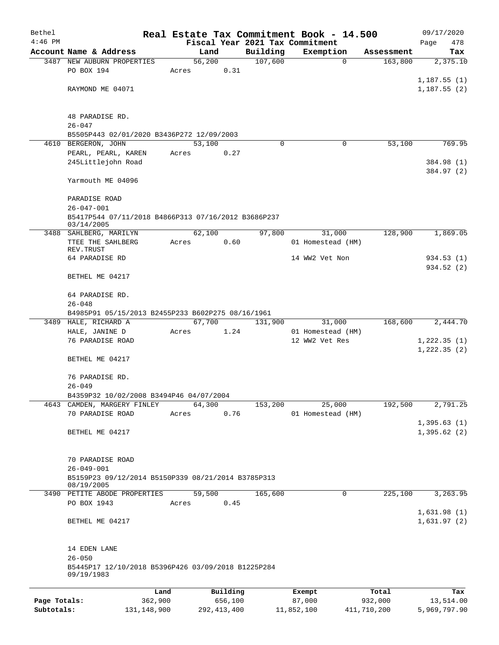| Bethel       |                                                                   |       |                |                     | Real Estate Tax Commitment Book - 14.500 |                       | 09/17/2020               |
|--------------|-------------------------------------------------------------------|-------|----------------|---------------------|------------------------------------------|-----------------------|--------------------------|
| $4:46$ PM    | Account Name & Address                                            |       |                |                     | Fiscal Year 2021 Tax Commitment          |                       | Page<br>478              |
|              | 3487 NEW AUBURN PROPERTIES                                        |       | Land<br>56,200 | Building<br>107,600 | Exemption<br>$\mathbf 0$                 | Assessment<br>163,800 | Tax<br>2,375.10          |
|              | PO BOX 194                                                        | Acres | 0.31           |                     |                                          |                       |                          |
|              |                                                                   |       |                |                     |                                          |                       | 1,187.55(1)              |
|              | RAYMOND ME 04071                                                  |       |                |                     |                                          |                       | 1,187.55(2)              |
|              | 48 PARADISE RD.                                                   |       |                |                     |                                          |                       |                          |
|              | $26 - 047$                                                        |       |                |                     |                                          |                       |                          |
|              | B5505P443 02/01/2020 B3436P272 12/09/2003<br>4610 BERGERON, JOHN  |       | 53,100         | $\Omega$            | 0                                        | 53,100                | 769.95                   |
|              | PEARL, PEARL, KAREN                                               | Acres | 0.27           |                     |                                          |                       |                          |
|              | 245Littlejohn Road                                                |       |                |                     |                                          |                       | 384.98 (1)<br>384.97 (2) |
|              | Yarmouth ME 04096                                                 |       |                |                     |                                          |                       |                          |
|              | PARADISE ROAD<br>$26 - 047 - 001$                                 |       |                |                     |                                          |                       |                          |
|              | B5417P544 07/11/2018 B4866P313 07/16/2012 B3686P237<br>03/14/2005 |       |                |                     |                                          |                       |                          |
|              | 3488 SAHLBERG, MARILYN                                            |       | 62,100         | 97,800              | 31,000                                   | 128,900               | 1,869.05                 |
|              | TTEE THE SAHLBERG                                                 | Acres | 0.60           |                     | 01 Homestead (HM)                        |                       |                          |
|              | REV. TRUST<br>64 PARADISE RD                                      |       |                |                     | 14 WW2 Vet Non                           |                       | 934.53(1)                |
|              | BETHEL ME 04217                                                   |       |                |                     |                                          |                       | 934.52 (2)               |
|              | 64 PARADISE RD.                                                   |       |                |                     |                                          |                       |                          |
|              | $26 - 048$<br>B4985P91 05/15/2013 B2455P233 B602P275 08/16/1961   |       |                |                     |                                          |                       |                          |
|              | 3489 HALE, RICHARD A                                              |       | 67,700         | 131,900             | 31,000                                   | 168,600               | 2,444.70                 |
|              | HALE, JANINE D                                                    | Acres | 1.24           |                     | 01 Homestead (HM)                        |                       |                          |
|              | 76 PARADISE ROAD                                                  |       |                |                     | 12 WW2 Vet Res                           |                       | 1, 222.35(1)             |
|              | BETHEL ME 04217                                                   |       |                |                     |                                          |                       | 1, 222.35(2)             |
|              | 76 PARADISE RD.                                                   |       |                |                     |                                          |                       |                          |
|              | $26 - 049$                                                        |       |                |                     |                                          |                       |                          |
|              | B4359P32 10/02/2008 B3494P46 04/07/2004                           |       |                |                     |                                          |                       |                          |
| 4643         | CAMDEN, MARGERY FINLEY<br>70 PARADISE ROAD                        | Acres | 64,300<br>0.76 | 153,200             | 25,000<br>01 Homestead (HM)              | 192,500               | 2,791.25                 |
|              |                                                                   |       |                |                     |                                          |                       | 1,395.63(1)              |
|              | BETHEL ME 04217                                                   |       |                |                     |                                          |                       | 1,395.62(2)              |
|              | 70 PARADISE ROAD                                                  |       |                |                     |                                          |                       |                          |
|              | $26 - 049 - 001$                                                  |       |                |                     |                                          |                       |                          |
|              | B5159P23 09/12/2014 B5150P339 08/21/2014 B3785P313                |       |                |                     |                                          |                       |                          |
|              | 08/19/2005                                                        |       |                |                     |                                          |                       |                          |
|              | 3490 PETITE ABODE PROPERTIES<br>PO BOX 1943                       | Acres | 59,500<br>0.45 | 165,600             | 0                                        | 225,100               | 3,263.95                 |
|              |                                                                   |       |                |                     |                                          |                       | 1,631.98(1)              |
|              | BETHEL ME 04217                                                   |       |                |                     |                                          |                       | 1,631.97(2)              |
|              | 14 EDEN LANE                                                      |       |                |                     |                                          |                       |                          |
|              | $26 - 050$                                                        |       |                |                     |                                          |                       |                          |
|              | B5445P17 12/10/2018 B5396P426 03/09/2018 B1225P284<br>09/19/1983  |       |                |                     |                                          |                       |                          |
|              | Land                                                              |       | Building       |                     | Exempt                                   | Total                 | Tax                      |
| Page Totals: | 362,900                                                           |       | 656,100        |                     | 87,000                                   | 932,000               | 13,514.00                |
| Subtotals:   | 131, 148, 900                                                     |       | 292, 413, 400  |                     | 11,852,100                               | 411,710,200           | 5,969,797.90             |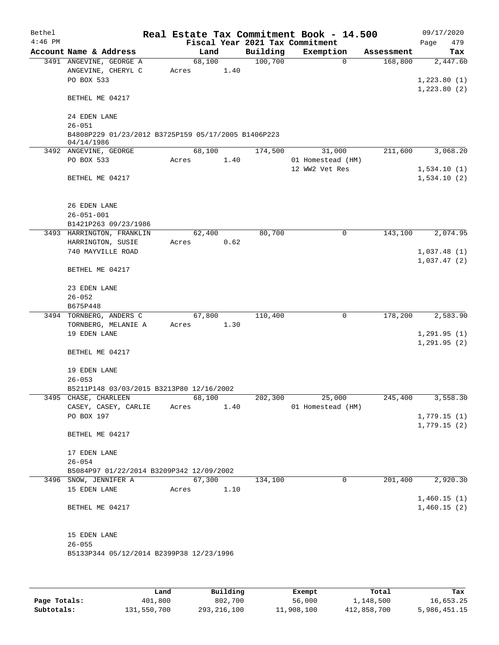| Bethel    |                                                                   |       |        |      |          | Real Estate Tax Commitment Book - 14.500 |            |      | 09/17/2020   |
|-----------|-------------------------------------------------------------------|-------|--------|------|----------|------------------------------------------|------------|------|--------------|
| $4:46$ PM |                                                                   |       |        |      |          | Fiscal Year 2021 Tax Commitment          |            | Page | 479          |
|           | Account Name & Address                                            |       | Land   |      | Building | Exemption                                | Assessment |      | Tax          |
|           | 3491 ANGEVINE, GEORGE A                                           |       | 68,100 |      | 100,700  | $\Omega$                                 | 168,800    |      | 2,447.60     |
|           | ANGEVINE, CHERYL C                                                | Acres |        | 1.40 |          |                                          |            |      |              |
|           | PO BOX 533                                                        |       |        |      |          |                                          |            |      | 1,223.80(1)  |
|           |                                                                   |       |        |      |          |                                          |            |      | 1, 223.80(2) |
|           | BETHEL ME 04217                                                   |       |        |      |          |                                          |            |      |              |
|           |                                                                   |       |        |      |          |                                          |            |      |              |
|           | 24 EDEN LANE                                                      |       |        |      |          |                                          |            |      |              |
|           | $26 - 051$                                                        |       |        |      |          |                                          |            |      |              |
|           | B4808P229 01/23/2012 B3725P159 05/17/2005 B1406P223<br>04/14/1986 |       |        |      |          |                                          |            |      |              |
|           | 3492 ANGEVINE, GEORGE                                             |       | 68,100 |      | 174,500  | 31,000                                   | 211,600    |      | 3,068.20     |
|           | PO BOX 533                                                        | Acres |        | 1.40 |          | 01 Homestead (HM)                        |            |      |              |
|           |                                                                   |       |        |      |          | 12 WW2 Vet Res                           |            |      | 1,534.10(1)  |
|           | BETHEL ME 04217                                                   |       |        |      |          |                                          |            |      | 1,534.10(2)  |
|           |                                                                   |       |        |      |          |                                          |            |      |              |
|           |                                                                   |       |        |      |          |                                          |            |      |              |
|           | 26 EDEN LANE                                                      |       |        |      |          |                                          |            |      |              |
|           | $26 - 051 - 001$                                                  |       |        |      |          |                                          |            |      |              |
|           | B1421P263 09/23/1986                                              |       |        |      |          |                                          |            |      |              |
|           | 3493 HARRINGTON, FRANKLIN                                         |       | 62,400 |      | 80,700   | $\mathbf 0$                              | 143,100    |      | 2,074.95     |
|           | HARRINGTON, SUSIE                                                 | Acres |        | 0.62 |          |                                          |            |      |              |
|           | 740 MAYVILLE ROAD                                                 |       |        |      |          |                                          |            |      | 1,037.48(1)  |
|           |                                                                   |       |        |      |          |                                          |            |      | 1,037.47(2)  |
|           | BETHEL ME 04217                                                   |       |        |      |          |                                          |            |      |              |
|           |                                                                   |       |        |      |          |                                          |            |      |              |
|           | 23 EDEN LANE                                                      |       |        |      |          |                                          |            |      |              |
|           | $26 - 052$                                                        |       |        |      |          |                                          |            |      |              |
|           | B675P448                                                          |       |        |      |          |                                          |            |      |              |
|           | 3494 TORNBERG, ANDERS C<br>TORNBERG, MELANIE A                    |       | 67,800 | 1.30 | 110,400  | 0                                        | 178,200    |      | 2,583.90     |
|           | 19 EDEN LANE                                                      | Acres |        |      |          |                                          |            |      | 1,291.95(1)  |
|           |                                                                   |       |        |      |          |                                          |            |      | 1, 291.95(2) |
|           | BETHEL ME 04217                                                   |       |        |      |          |                                          |            |      |              |
|           |                                                                   |       |        |      |          |                                          |            |      |              |
|           | 19 EDEN LANE                                                      |       |        |      |          |                                          |            |      |              |
|           | $26 - 053$                                                        |       |        |      |          |                                          |            |      |              |
|           | B5211P148 03/03/2015 B3213P80 12/16/2002                          |       |        |      |          |                                          |            |      |              |
|           | 3495 CHASE, CHARLEEN                                              |       | 68,100 |      | 202,300  | 25,000                                   | 245,400    |      | 3,558.30     |
|           | CASEY, CASEY, CARLIE                                              | Acres |        | 1.40 |          | 01 Homestead (HM)                        |            |      |              |
|           | PO BOX 197                                                        |       |        |      |          |                                          |            |      | 1,779.15(1)  |
|           |                                                                   |       |        |      |          |                                          |            |      | 1,779.15(2)  |
|           | BETHEL ME 04217                                                   |       |        |      |          |                                          |            |      |              |
|           |                                                                   |       |        |      |          |                                          |            |      |              |
|           | 17 EDEN LANE                                                      |       |        |      |          |                                          |            |      |              |
|           | $26 - 054$                                                        |       |        |      |          |                                          |            |      |              |
|           | B5084P97 01/22/2014 B3209P342 12/09/2002                          |       |        |      |          |                                          |            |      |              |
|           | 3496 SNOW, JENNIFER A                                             |       | 67,300 |      | 134,100  | 0                                        | 201,400    |      | 2,920.30     |
|           | 15 EDEN LANE                                                      | Acres |        | 1.10 |          |                                          |            |      |              |
|           |                                                                   |       |        |      |          |                                          |            |      | 1,460.15(1)  |
|           | BETHEL ME 04217                                                   |       |        |      |          |                                          |            |      | 1,460.15(2)  |
|           |                                                                   |       |        |      |          |                                          |            |      |              |
|           |                                                                   |       |        |      |          |                                          |            |      |              |
|           | 15 EDEN LANE<br>$26 - 055$                                        |       |        |      |          |                                          |            |      |              |
|           | B5133P344 05/12/2014 B2399P38 12/23/1996                          |       |        |      |          |                                          |            |      |              |
|           |                                                                   |       |        |      |          |                                          |            |      |              |
|           |                                                                   |       |        |      |          |                                          |            |      |              |
|           |                                                                   |       |        |      |          |                                          |            |      |              |

|              | Land        | Building    | Exempt     | Total       | Tax          |
|--------------|-------------|-------------|------------|-------------|--------------|
| Page Totals: | 401,800     | 802,700     | 56,000     | 1,148,500   | 16,653.25    |
| Subtotals:   | 131,550,700 | 293,216,100 | 11,908,100 | 412,858,700 | 5,986,451.15 |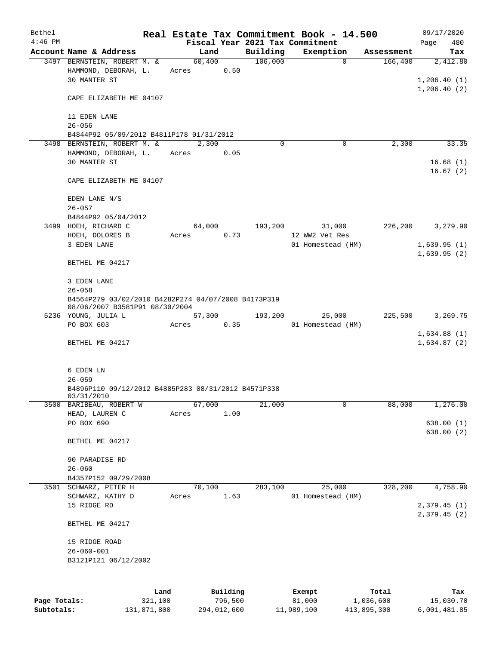| Bethel       |                                                                                       |                 |       |            |                     |                                             | Real Estate Tax Commitment Book - 14.500 |                       | 09/17/2020                 |
|--------------|---------------------------------------------------------------------------------------|-----------------|-------|------------|---------------------|---------------------------------------------|------------------------------------------|-----------------------|----------------------------|
| $4:46$ PM    | Account Name & Address                                                                |                 |       | Land       |                     | Fiscal Year 2021 Tax Commitment<br>Building | Exemption                                |                       | Page<br>480                |
|              | 3497 BERNSTEIN, ROBERT M. &                                                           |                 |       | 60,400     |                     | 106,000                                     | $\overline{0}$                           | Assessment<br>166,400 | Tax<br>2,412.80            |
|              | HAMMOND, DEBORAH, L.<br>30 MANTER ST                                                  |                 |       | Acres 0.50 |                     |                                             |                                          |                       | 1,206.40(1)<br>1,206.40(2) |
|              | CAPE ELIZABETH ME 04107                                                               |                 |       |            |                     |                                             |                                          |                       |                            |
|              | 11 EDEN LANE<br>$26 - 056$                                                            |                 |       |            |                     |                                             |                                          |                       |                            |
|              | B4844P92 05/09/2012 B4811P178 01/31/2012                                              |                 |       |            |                     |                                             |                                          |                       |                            |
|              | 3498 BERNSTEIN, ROBERT M. &                                                           |                 |       | 2,300      |                     | $\Omega$                                    | 0                                        | 2,300                 | 33.35                      |
|              | HAMMOND, DEBORAH, L. Acres<br>30 MANTER ST                                            |                 |       |            | 0.05                |                                             |                                          |                       | 16.68(1)<br>16.67(2)       |
|              | CAPE ELIZABETH ME 04107                                                               |                 |       |            |                     |                                             |                                          |                       |                            |
|              | EDEN LANE N/S<br>$26 - 057$                                                           |                 |       |            |                     |                                             |                                          |                       |                            |
|              | B4844P92 05/04/2012                                                                   |                 |       |            |                     |                                             |                                          |                       |                            |
|              | 3499 HOEH, RICHARD C                                                                  |                 |       | 64,000     |                     | 193,200                                     | 31,000                                   | 226,200               | 3,279.90                   |
|              | HOEH, DOLORES B                                                                       |                 | Acres |            | 0.73                |                                             | 12 WW2 Vet Res                           |                       |                            |
|              | 3 EDEN LANE                                                                           |                 |       |            |                     |                                             | 01 Homestead (HM)                        |                       | 1,639.95(1)<br>1,639.95(2) |
|              | BETHEL ME 04217                                                                       |                 |       |            |                     |                                             |                                          |                       |                            |
|              | 3 EDEN LANE<br>$26 - 058$                                                             |                 |       |            |                     |                                             |                                          |                       |                            |
|              | B4564P279 03/02/2010 B4282P274 04/07/2008 B4173P319<br>08/06/2007 B3581P91 08/30/2004 |                 |       |            |                     |                                             |                                          |                       |                            |
|              | 5236 YOUNG, JULIA L                                                                   |                 |       | 57,300     |                     | 193,200                                     | 25,000                                   | 225,500               | 3,269.75                   |
|              | PO BOX 603                                                                            |                 | Acres |            | 0.35                |                                             | 01 Homestead (HM)                        |                       | 1,634.88(1)                |
|              | BETHEL ME 04217                                                                       |                 |       |            |                     |                                             |                                          |                       | 1,634.87(2)                |
|              | 6 EDEN LN                                                                             |                 |       |            |                     |                                             |                                          |                       |                            |
|              | $26 - 059$                                                                            |                 |       |            |                     |                                             |                                          |                       |                            |
|              | B4896P110 09/12/2012 B4885P283 08/31/2012 B4571P338<br>03/31/2010                     |                 |       |            |                     |                                             |                                          |                       |                            |
|              | 3500 BARIBEAU, ROBERT W                                                               |                 |       | 67,000     |                     | 21,000                                      | 0                                        | 88,000                | 1,276.00                   |
|              | HEAD, LAUREN C                                                                        |                 | Acres |            | 1.00                |                                             |                                          |                       |                            |
|              | PO BOX 690                                                                            |                 |       |            |                     |                                             |                                          |                       | 638.00(1)<br>638.00(2)     |
|              | BETHEL ME 04217                                                                       |                 |       |            |                     |                                             |                                          |                       |                            |
|              | 90 PARADISE RD                                                                        |                 |       |            |                     |                                             |                                          |                       |                            |
|              | $26 - 060$                                                                            |                 |       |            |                     |                                             |                                          |                       |                            |
|              | B4357P152 09/29/2008<br>3501 SCHWARZ, PETER H                                         |                 |       | 70,100     |                     | 283,100                                     | 25,000                                   | 328,200               | 4,758.90                   |
|              | SCHWARZ, KATHY D                                                                      |                 | Acres |            | 1.63                |                                             | 01 Homestead (HM)                        |                       |                            |
|              | 15 RIDGE RD                                                                           |                 |       |            |                     |                                             |                                          |                       | 2,379.45(1)<br>2,379.45(2) |
|              | BETHEL ME 04217                                                                       |                 |       |            |                     |                                             |                                          |                       |                            |
|              | 15 RIDGE ROAD                                                                         |                 |       |            |                     |                                             |                                          |                       |                            |
|              | $26 - 060 - 001$                                                                      |                 |       |            |                     |                                             |                                          |                       |                            |
|              | B3121P121 06/12/2002                                                                  |                 |       |            |                     |                                             |                                          |                       |                            |
|              |                                                                                       |                 |       |            |                     |                                             |                                          |                       |                            |
|              |                                                                                       |                 |       |            |                     |                                             |                                          |                       |                            |
| Page Totals: |                                                                                       | Land<br>321,100 |       |            | Building<br>796,500 |                                             | Exempt<br>81,000                         | Total<br>1,036,600    | Tax<br>15,030.70           |

**Subtotals:** 131,871,800 294,012,600 11,989,100 413,895,300 6,001,481.85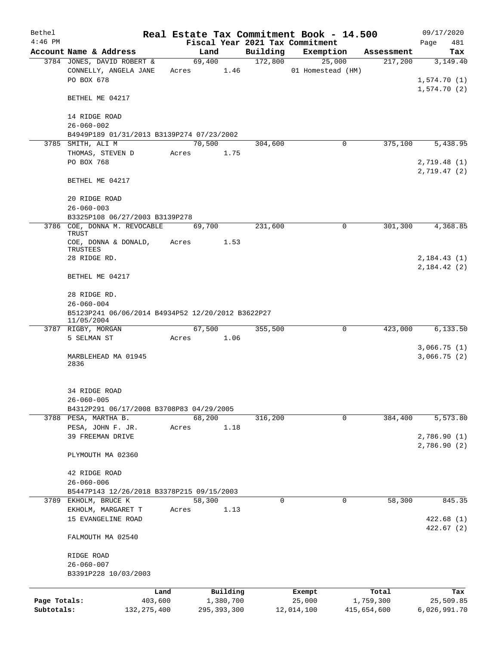| Bethel       |                                                     |       |        |               |          | Real Estate Tax Commitment Book - 14.500 |             | 09/17/2020   |
|--------------|-----------------------------------------------------|-------|--------|---------------|----------|------------------------------------------|-------------|--------------|
| $4:46$ PM    |                                                     |       |        |               |          | Fiscal Year 2021 Tax Commitment          |             | Page<br>481  |
|              | Account Name & Address                              |       | Land   |               | Building | Exemption                                | Assessment  | Tax          |
|              | 3784 JONES, DAVID ROBERT &<br>CONNELLY, ANGELA JANE | Acres | 69,400 |               | 172,800  | 25,000<br>01 Homestead (HM)              | 217,200     | 3,149.40     |
|              | PO BOX 678                                          |       |        | 1.46          |          |                                          |             | 1,574.70(1)  |
|              |                                                     |       |        |               |          |                                          |             | 1,574.70(2)  |
|              | BETHEL ME 04217                                     |       |        |               |          |                                          |             |              |
|              |                                                     |       |        |               |          |                                          |             |              |
|              | 14 RIDGE ROAD                                       |       |        |               |          |                                          |             |              |
|              | $26 - 060 - 002$                                    |       |        |               |          |                                          |             |              |
|              | B4949P189 01/31/2013 B3139P274 07/23/2002           |       |        |               |          |                                          |             |              |
|              | 3785 SMITH, ALI M                                   |       | 70,500 |               | 304,600  | 0                                        | 375,100     | 5,438.95     |
|              | THOMAS, STEVEN D                                    | Acres |        | 1.75          |          |                                          |             |              |
|              | PO BOX 768                                          |       |        |               |          |                                          |             | 2,719.48 (1) |
|              |                                                     |       |        |               |          |                                          |             | 2,719.47 (2) |
|              | BETHEL ME 04217                                     |       |        |               |          |                                          |             |              |
|              |                                                     |       |        |               |          |                                          |             |              |
|              | 20 RIDGE ROAD                                       |       |        |               |          |                                          |             |              |
|              | $26 - 060 - 003$                                    |       |        |               |          |                                          |             |              |
|              | B3325P108 06/27/2003 B3139P278                      |       |        |               |          |                                          |             |              |
|              | 3786 COE, DONNA M. REVOCABLE                        |       | 69,700 |               | 231,600  | 0                                        | 301,300     | 4,368.85     |
|              | TRUST                                               |       |        |               |          |                                          |             |              |
|              | COE, DONNA & DONALD,                                | Acres |        | 1.53          |          |                                          |             |              |
|              | TRUSTEES                                            |       |        |               |          |                                          |             |              |
|              | 28 RIDGE RD.                                        |       |        |               |          |                                          |             | 2,184.43(1)  |
|              |                                                     |       |        |               |          |                                          |             | 2,184.42(2)  |
|              | BETHEL ME 04217                                     |       |        |               |          |                                          |             |              |
|              |                                                     |       |        |               |          |                                          |             |              |
|              | 28 RIDGE RD.                                        |       |        |               |          |                                          |             |              |
|              | $26 - 060 - 004$                                    |       |        |               |          |                                          |             |              |
|              | B5123P241 06/06/2014 B4934P52 12/20/2012 B3622P27   |       |        |               |          |                                          |             |              |
|              | 11/05/2004                                          |       |        |               |          |                                          |             |              |
|              | 3787 RIGBY, MORGAN                                  |       | 67,500 |               | 355,500  | 0                                        | 423,000     | 6,133.50     |
|              | 5 SELMAN ST                                         | Acres |        | 1.06          |          |                                          |             |              |
|              |                                                     |       |        |               |          |                                          |             | 3,066.75(1)  |
|              | MARBLEHEAD MA 01945<br>2836                         |       |        |               |          |                                          |             | 3,066.75(2)  |
|              |                                                     |       |        |               |          |                                          |             |              |
|              |                                                     |       |        |               |          |                                          |             |              |
|              | 34 RIDGE ROAD                                       |       |        |               |          |                                          |             |              |
|              | $26 - 060 - 005$                                    |       |        |               |          |                                          |             |              |
|              | B4312P291 06/17/2008 B3708P83 04/29/2005            |       |        |               |          |                                          |             |              |
|              | 3788 PESA, MARTHA B.                                |       | 68,200 |               | 316,200  | 0                                        | 384,400     | 5,573.80     |
|              | PESA, JOHN F. JR.                                   | Acres |        | 1.18          |          |                                          |             |              |
|              | 39 FREEMAN DRIVE                                    |       |        |               |          |                                          |             | 2,786.90(1)  |
|              |                                                     |       |        |               |          |                                          |             | 2,786.90 (2) |
|              | PLYMOUTH MA 02360                                   |       |        |               |          |                                          |             |              |
|              |                                                     |       |        |               |          |                                          |             |              |
|              | 42 RIDGE ROAD                                       |       |        |               |          |                                          |             |              |
|              | $26 - 060 - 006$                                    |       |        |               |          |                                          |             |              |
|              | B5447P143 12/26/2018 B3378P215 09/15/2003           |       |        |               |          |                                          |             |              |
| 3789         | EKHOLM, BRUCE K                                     |       | 58,300 |               | 0        | 0                                        | 58,300      | 845.35       |
|              | EKHOLM, MARGARET T                                  | Acres |        | 1.13          |          |                                          |             |              |
|              | 15 EVANGELINE ROAD                                  |       |        |               |          |                                          |             | 422.68(1)    |
|              |                                                     |       |        |               |          |                                          |             | 422.67(2)    |
|              | FALMOUTH MA 02540                                   |       |        |               |          |                                          |             |              |
|              |                                                     |       |        |               |          |                                          |             |              |
|              | RIDGE ROAD                                          |       |        |               |          |                                          |             |              |
|              | $26 - 060 - 007$                                    |       |        |               |          |                                          |             |              |
|              | B3391P228 10/03/2003                                |       |        |               |          |                                          |             |              |
|              |                                                     |       |        |               |          |                                          |             |              |
|              | Land                                                |       |        | Building      |          | Exempt                                   | Total       | Tax          |
| Page Totals: | 403,600                                             |       |        | 1,380,700     |          | 25,000                                   | 1,759,300   | 25,509.85    |
| Subtotals:   | 132, 275, 400                                       |       |        | 295, 393, 300 |          | 12,014,100                               | 415,654,600 | 6,026,991.70 |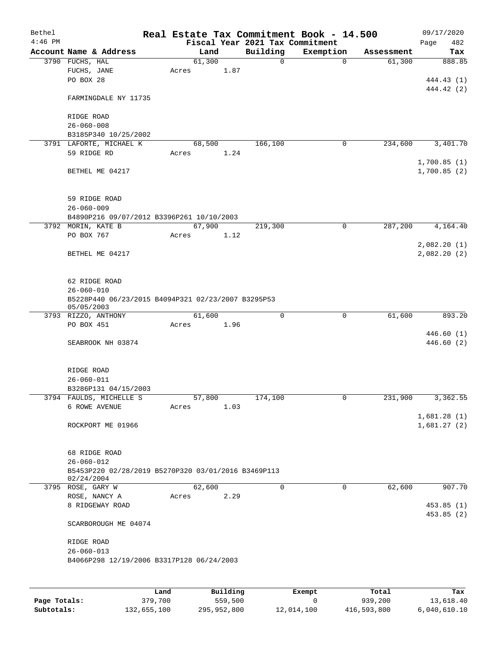| Bethel    |                                                                   |       |        |      |             | Real Estate Tax Commitment Book - 14.500 |            | 09/17/2020  |
|-----------|-------------------------------------------------------------------|-------|--------|------|-------------|------------------------------------------|------------|-------------|
| $4:46$ PM |                                                                   |       |        |      |             | Fiscal Year 2021 Tax Commitment          |            | 482<br>Page |
|           | Account Name & Address                                            |       | Land   |      | Building    | Exemption                                | Assessment | Tax         |
|           | 3790 FUCHS, HAL                                                   |       | 61,300 |      | $\mathbf 0$ | $\mathbf 0$                              | 61,300     | 888.85      |
|           | FUCHS, JANE<br>PO BOX 28                                          | Acres |        | 1.87 |             |                                          |            | 444.43 (1)  |
|           |                                                                   |       |        |      |             |                                          |            | 444.42 (2)  |
|           | FARMINGDALE NY 11735                                              |       |        |      |             |                                          |            |             |
|           | RIDGE ROAD                                                        |       |        |      |             |                                          |            |             |
|           | $26 - 060 - 008$                                                  |       |        |      |             |                                          |            |             |
|           | B3185P340 10/25/2002                                              |       |        |      |             |                                          |            |             |
|           | 3791 LAFORTE, MICHAEL K                                           |       | 68,500 |      | 166,100     | 0                                        | 234,600    | 3,401.70    |
|           | 59 RIDGE RD                                                       | Acres |        | 1.24 |             |                                          |            |             |
|           |                                                                   |       |        |      |             |                                          |            | 1,700.85(1) |
|           | BETHEL ME 04217                                                   |       |        |      |             |                                          |            | 1,700.85(2) |
|           | 59 RIDGE ROAD                                                     |       |        |      |             |                                          |            |             |
|           | $26 - 060 - 009$                                                  |       |        |      |             |                                          |            |             |
|           | B4890P216 09/07/2012 B3396P261 10/10/2003                         |       |        |      |             |                                          |            |             |
|           | 3792 MORIN, KATE B                                                |       | 67,900 |      | 219,300     | 0                                        | 287,200    | 4,164.40    |
|           | PO BOX 767                                                        | Acres |        | 1.12 |             |                                          |            |             |
|           |                                                                   |       |        |      |             |                                          |            | 2,082.20(1) |
|           | BETHEL ME 04217                                                   |       |        |      |             |                                          |            | 2,082.20(2) |
|           | 62 RIDGE ROAD                                                     |       |        |      |             |                                          |            |             |
|           | $26 - 060 - 010$                                                  |       |        |      |             |                                          |            |             |
|           | B5228P440 06/23/2015 B4094P321 02/23/2007 B3295P53<br>05/05/2003  |       |        |      |             |                                          |            |             |
|           | 3793 RIZZO, ANTHONY                                               |       | 61,600 |      | $\mathbf 0$ | $\mathbf 0$                              | 61,600     | 893.20      |
|           | PO BOX 451                                                        | Acres |        | 1.96 |             |                                          |            |             |
|           |                                                                   |       |        |      |             |                                          |            | 446.60(1)   |
|           | SEABROOK NH 03874                                                 |       |        |      |             |                                          |            | 446.60(2)   |
|           |                                                                   |       |        |      |             |                                          |            |             |
|           | RIDGE ROAD                                                        |       |        |      |             |                                          |            |             |
|           | $26 - 060 - 011$                                                  |       |        |      |             |                                          |            |             |
|           | B3286P131 04/15/2003                                              |       |        |      |             |                                          |            |             |
|           | 3794 FAULDS, MICHELLE S                                           |       | 57,800 |      | 174,100     | 0                                        | 231,900    | 3,362.55    |
|           | 6 ROWE AVENUE                                                     | Acres |        | 1.03 |             |                                          |            | 1,681.28(1) |
|           | ROCKPORT ME 01966                                                 |       |        |      |             |                                          |            | 1,681.27(2) |
|           |                                                                   |       |        |      |             |                                          |            |             |
|           | 68 RIDGE ROAD<br>$26 - 060 - 012$                                 |       |        |      |             |                                          |            |             |
|           | B5453P220 02/28/2019 B5270P320 03/01/2016 B3469P113<br>02/24/2004 |       |        |      |             |                                          |            |             |
|           | 3795 ROSE, GARY W                                                 |       | 62,600 |      | $\mathbf 0$ | $\mathbf 0$                              | 62,600     | 907.70      |
|           | ROSE, NANCY A                                                     | Acres |        | 2.29 |             |                                          |            |             |
|           | 8 RIDGEWAY ROAD                                                   |       |        |      |             |                                          |            | 453.85(1)   |
|           | SCARBOROUGH ME 04074                                              |       |        |      |             |                                          |            | 453.85(2)   |
|           | RIDGE ROAD                                                        |       |        |      |             |                                          |            |             |
|           | $26 - 060 - 013$                                                  |       |        |      |             |                                          |            |             |
|           | B4066P298 12/19/2006 B3317P128 06/24/2003                         |       |        |      |             |                                          |            |             |
|           |                                                                   |       |        |      |             |                                          |            |             |
|           |                                                                   |       |        |      |             |                                          |            |             |

|              | Land        | Building    | Exempt     | Total       | Tax          |
|--------------|-------------|-------------|------------|-------------|--------------|
| Page Totals: | 379,700     | 559,500     |            | 939,200     | 13,618.40    |
| Subtotals:   | 132,655,100 | 295,952,800 | 12,014,100 | 416,593,800 | 6,040,610.10 |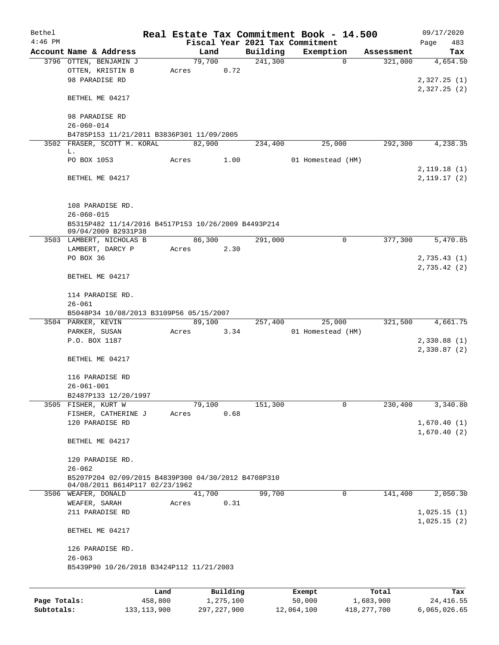| Bethel    |                                                                                       |       |                |          |                     | Real Estate Tax Commitment Book - 14.500 |                       | 09/17/2020      |
|-----------|---------------------------------------------------------------------------------------|-------|----------------|----------|---------------------|------------------------------------------|-----------------------|-----------------|
| $4:46$ PM |                                                                                       |       |                |          |                     | Fiscal Year 2021 Tax Commitment          |                       | Page<br>483     |
|           | Account Name & Address<br>3796 OTTEN, BENJAMIN J                                      |       | Land<br>79,700 |          | Building<br>241,300 | Exemption<br>$\Omega$                    | Assessment<br>321,000 | Tax<br>4,654.50 |
|           | OTTEN, KRISTIN B                                                                      | Acres |                | 0.72     |                     |                                          |                       |                 |
|           | 98 PARADISE RD                                                                        |       |                |          |                     |                                          |                       | 2,327.25(1)     |
|           |                                                                                       |       |                |          |                     |                                          |                       | 2,327.25(2)     |
|           | BETHEL ME 04217                                                                       |       |                |          |                     |                                          |                       |                 |
|           | 98 PARADISE RD                                                                        |       |                |          |                     |                                          |                       |                 |
|           | $26 - 060 - 014$                                                                      |       |                |          |                     |                                          |                       |                 |
|           | B4785P153 11/21/2011 B3836P301 11/09/2005                                             |       |                |          |                     |                                          |                       |                 |
|           | 3502 FRASER, SCOTT M. KORAL                                                           |       | 82,900         |          | 234,400             | 25,000                                   | 292,300               | 4,238.35        |
|           | L.                                                                                    |       |                |          |                     |                                          |                       |                 |
|           | PO BOX 1053                                                                           | Acres |                | 1.00     |                     | 01 Homestead (HM)                        |                       |                 |
|           |                                                                                       |       |                |          |                     |                                          |                       | 2,119.18(1)     |
|           | BETHEL ME 04217                                                                       |       |                |          |                     |                                          |                       | 2,119.17(2)     |
|           | 108 PARADISE RD.                                                                      |       |                |          |                     |                                          |                       |                 |
|           | $26 - 060 - 015$                                                                      |       |                |          |                     |                                          |                       |                 |
|           | B5315P482 11/14/2016 B4517P153 10/26/2009 B4493P214                                   |       |                |          |                     |                                          |                       |                 |
|           | 09/04/2009 B2931P38                                                                   |       |                |          |                     |                                          |                       |                 |
|           | 3503 LAMBERT, NICHOLAS B                                                              |       | 86,300         |          | 291,000             | $\mathbf 0$                              | 377,300               | 5,470.85        |
|           | LAMBERT, DARCY P                                                                      | Acres |                | 2.30     |                     |                                          |                       |                 |
|           | PO BOX 36                                                                             |       |                |          |                     |                                          |                       | 2,735.43(1)     |
|           | BETHEL ME 04217                                                                       |       |                |          |                     |                                          |                       | 2,735.42(2)     |
|           | 114 PARADISE RD.                                                                      |       |                |          |                     |                                          |                       |                 |
|           | $26 - 061$                                                                            |       |                |          |                     |                                          |                       |                 |
|           | B5048P34 10/08/2013 B3109P56 05/15/2007                                               |       |                |          |                     |                                          |                       |                 |
|           | 3504 PARKER, KEVIN                                                                    | Acres | 89,100         | 3.34     | 257,400             | 25,000<br>01 Homestead (HM)              | 321,500               | 4,661.75        |
|           | PARKER, SUSAN<br>P.O. BOX 1187                                                        |       |                |          |                     |                                          |                       | 2,330.88(1)     |
|           |                                                                                       |       |                |          |                     |                                          |                       | 2,330.87(2)     |
|           | BETHEL ME 04217                                                                       |       |                |          |                     |                                          |                       |                 |
|           | 116 PARADISE RD                                                                       |       |                |          |                     |                                          |                       |                 |
|           | $26 - 061 - 001$                                                                      |       |                |          |                     |                                          |                       |                 |
|           | B2487P133 12/20/1997                                                                  |       |                |          |                     |                                          |                       |                 |
|           | 3505 FISHER, KURT W                                                                   |       | 79,100         |          | 151,300             | $\mathbf 0$                              | 230,400               | 3,340.80        |
|           | FISHER, CATHERINE J                                                                   | Acres |                | 0.68     |                     |                                          |                       |                 |
|           | 120 PARADISE RD                                                                       |       |                |          |                     |                                          |                       | 1,670.40(1)     |
|           | BETHEL ME 04217                                                                       |       |                |          |                     |                                          |                       | 1,670.40(2)     |
|           |                                                                                       |       |                |          |                     |                                          |                       |                 |
|           | 120 PARADISE RD.                                                                      |       |                |          |                     |                                          |                       |                 |
|           | $26 - 062$                                                                            |       |                |          |                     |                                          |                       |                 |
|           | B5207P204 02/09/2015 B4839P300 04/30/2012 B4708P310<br>04/08/2011 B614P117 02/23/1962 |       |                |          |                     |                                          |                       |                 |
|           | 3506 WEAFER, DONALD                                                                   |       | 41,700         |          | 99,700              | 0                                        | 141,400               | 2,050.30        |
|           | WEAFER, SARAH                                                                         | Acres |                | 0.31     |                     |                                          |                       |                 |
|           | 211 PARADISE RD                                                                       |       |                |          |                     |                                          |                       | 1,025.15(1)     |
|           |                                                                                       |       |                |          |                     |                                          |                       | 1,025.15(2)     |
|           | BETHEL ME 04217                                                                       |       |                |          |                     |                                          |                       |                 |
|           | 126 PARADISE RD.                                                                      |       |                |          |                     |                                          |                       |                 |
|           | $26 - 063$                                                                            |       |                |          |                     |                                          |                       |                 |
|           | B5439P90 10/26/2018 B3424P112 11/21/2003                                              |       |                |          |                     |                                          |                       |                 |
|           |                                                                                       | Land  |                | Building |                     | Exempt                                   | Total                 | Tax             |
|           |                                                                                       |       |                |          |                     |                                          |                       |                 |

|              | Land        | Building    | Exempt     | Total       | тах          |
|--------------|-------------|-------------|------------|-------------|--------------|
| Page Totals: | 458,800     | 1,275,100   | 50,000     | 1,683,900   | 24,416.55    |
| Subtotals:   | 133,113,900 | 297,227,900 | 12,064,100 | 418,277,700 | 6,065,026.65 |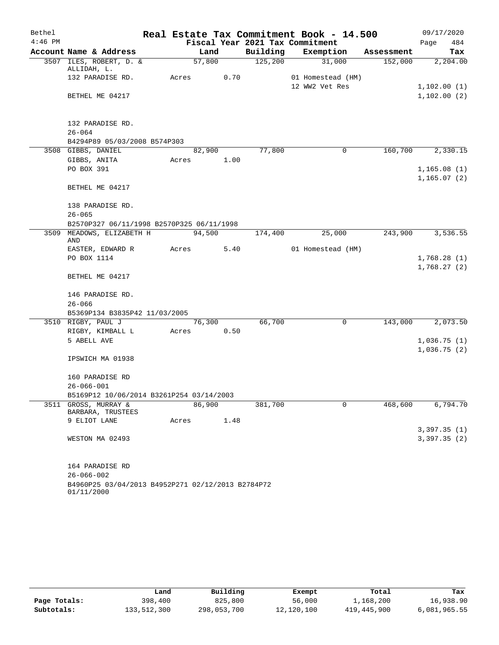| Bethel    |                                                                 |       |        |      |          | Real Estate Tax Commitment Book - 14.500 |            | 09/17/2020   |          |
|-----------|-----------------------------------------------------------------|-------|--------|------|----------|------------------------------------------|------------|--------------|----------|
| $4:46$ PM |                                                                 |       |        |      |          | Fiscal Year 2021 Tax Commitment          |            | Page         | 484      |
|           | Account Name & Address                                          |       | Land   |      | Building | Exemption                                | Assessment |              | Tax      |
|           | 3507 ILES, ROBERT, D. &                                         |       | 57,800 |      | 125, 200 | 31,000                                   | 152,000    |              | 2,204.00 |
|           | ALLIDAH, L.<br>132 PARADISE RD.                                 | Acres |        | 0.70 |          | 01 Homestead (HM)                        |            |              |          |
|           |                                                                 |       |        |      |          | 12 WW2 Vet Res                           |            | 1,102.00(1)  |          |
|           | BETHEL ME 04217                                                 |       |        |      |          |                                          |            | 1,102.00(2)  |          |
|           |                                                                 |       |        |      |          |                                          |            |              |          |
|           |                                                                 |       |        |      |          |                                          |            |              |          |
|           | 132 PARADISE RD.                                                |       |        |      |          |                                          |            |              |          |
|           | $26 - 064$                                                      |       |        |      |          |                                          |            |              |          |
|           | B4294P89 05/03/2008 B574P303<br>3508 GIBBS, DANIEL              |       | 82,900 |      | 77,800   | $\mathbf 0$                              | 160,700    |              | 2,330.15 |
|           | GIBBS, ANITA                                                    | Acres |        | 1.00 |          |                                          |            |              |          |
|           | PO BOX 391                                                      |       |        |      |          |                                          |            | 1,165.08(1)  |          |
|           |                                                                 |       |        |      |          |                                          |            | 1, 165.07(2) |          |
|           | BETHEL ME 04217                                                 |       |        |      |          |                                          |            |              |          |
|           |                                                                 |       |        |      |          |                                          |            |              |          |
|           | 138 PARADISE RD.                                                |       |        |      |          |                                          |            |              |          |
|           | $26 - 065$                                                      |       |        |      |          |                                          |            |              |          |
|           | B2570P327 06/11/1998 B2570P325 06/11/1998                       |       |        |      |          |                                          |            |              |          |
|           | 3509 MEADOWS, ELIZABETH H<br>AND                                |       | 94,500 |      | 174,400  | 25,000                                   | 243,900    |              | 3,536.55 |
|           | EASTER, EDWARD R                                                |       | Acres  | 5.40 |          | 01 Homestead (HM)                        |            |              |          |
|           | PO BOX 1114                                                     |       |        |      |          |                                          |            | 1,768.28(1)  |          |
|           |                                                                 |       |        |      |          |                                          |            | 1,768.27(2)  |          |
|           | BETHEL ME 04217                                                 |       |        |      |          |                                          |            |              |          |
|           | 146 PARADISE RD.                                                |       |        |      |          |                                          |            |              |          |
|           | $26 - 066$                                                      |       |        |      |          |                                          |            |              |          |
|           | B5369P134 B3835P42 11/03/2005                                   |       |        |      |          |                                          |            |              |          |
|           | 3510 RIGBY, PAUL J                                              |       | 76,300 |      | 66,700   | $\mathbf 0$                              | 143,000    |              | 2,073.50 |
|           | RIGBY, KIMBALL L                                                | Acres |        | 0.50 |          |                                          |            |              |          |
|           | 5 ABELL AVE                                                     |       |        |      |          |                                          |            | 1,036.75(1)  |          |
|           |                                                                 |       |        |      |          |                                          |            | 1,036.75(2)  |          |
|           | IPSWICH MA 01938                                                |       |        |      |          |                                          |            |              |          |
|           | 160 PARADISE RD                                                 |       |        |      |          |                                          |            |              |          |
|           | $26 - 066 - 001$                                                |       |        |      |          |                                          |            |              |          |
|           | B5169P12 10/06/2014 B3261P254 03/14/2003                        |       |        |      |          |                                          |            |              |          |
|           | 3511 GROSS, MURRAY &                                            |       | 86,900 |      | 381,700  | 0                                        | 468,600    |              | 6,794.70 |
|           | BARBARA, TRUSTEES                                               |       |        |      |          |                                          |            |              |          |
|           | 9 ELIOT LANE                                                    | Acres |        | 1.48 |          |                                          |            |              |          |
|           |                                                                 |       |        |      |          |                                          |            | 3,397.35(1)  |          |
|           | WESTON MA 02493                                                 |       |        |      |          |                                          |            | 3,397.35 (2) |          |
|           |                                                                 |       |        |      |          |                                          |            |              |          |
|           | 164 PARADISE RD                                                 |       |        |      |          |                                          |            |              |          |
|           | $26 - 066 - 002$                                                |       |        |      |          |                                          |            |              |          |
|           | B4960P25 03/04/2013 B4952P271 02/12/2013 B2784P72<br>01/11/2000 |       |        |      |          |                                          |            |              |          |

|              | Land        | Building    | Exempt     | Total       | Tax          |
|--------------|-------------|-------------|------------|-------------|--------------|
| Page Totals: | 398,400     | 825,800     | 56,000     | 1,168,200   | 16,938.90    |
| Subtotals:   | 133,512,300 | 298,053,700 | 12,120,100 | 419,445,900 | 6,081,965.55 |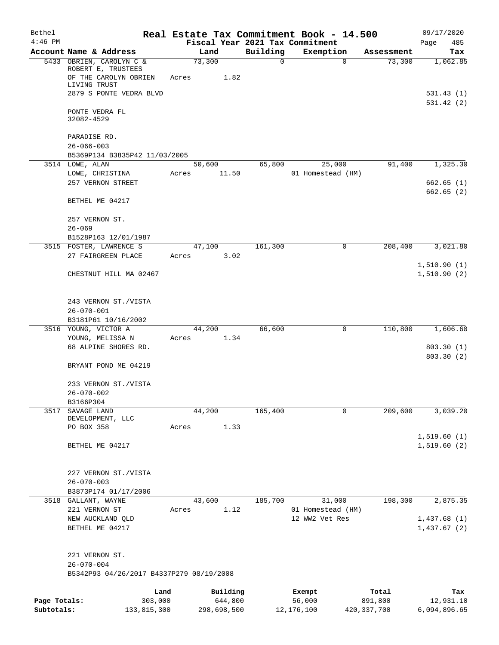| Bethel                     |                                                                         |                        |        |                        |             | Real Estate Tax Commitment Book - 14.500 |             |                          | 09/17/2020                |
|----------------------------|-------------------------------------------------------------------------|------------------------|--------|------------------------|-------------|------------------------------------------|-------------|--------------------------|---------------------------|
| $4:46$ PM                  |                                                                         |                        |        |                        |             | Fiscal Year 2021 Tax Commitment          |             |                          | Page<br>485               |
|                            | Account Name & Address                                                  |                        | Land   |                        | Building    | Exemption                                |             | Assessment               | Tax                       |
|                            | 5433 OBRIEN, CAROLYN C &<br>ROBERT E, TRUSTEES<br>OF THE CAROLYN OBRIEN | Acres                  | 73,300 | 1.82                   | $\mathbf 0$ |                                          | $\mathbf 0$ | 73,300                   | 1,062.85                  |
|                            | LIVING TRUST                                                            |                        |        |                        |             |                                          |             |                          |                           |
|                            | 2879 S PONTE VEDRA BLVD                                                 |                        |        |                        |             |                                          |             |                          | 531.43(1)<br>531.42(2)    |
|                            | PONTE VEDRA FL<br>32082-4529                                            |                        |        |                        |             |                                          |             |                          |                           |
|                            | PARADISE RD.                                                            |                        |        |                        |             |                                          |             |                          |                           |
|                            | $26 - 066 - 003$                                                        |                        |        |                        |             |                                          |             |                          |                           |
|                            | B5369P134 B3835P42 11/03/2005                                           |                        |        |                        |             |                                          |             |                          |                           |
|                            | 3514 LOWE, ALAN                                                         |                        | 50,600 |                        | 65,800      | 25,000                                   |             | 91,400                   | 1,325.30                  |
|                            | LOWE, CHRISTINA                                                         | Acres                  |        | 11.50                  |             | 01 Homestead (HM)                        |             |                          |                           |
|                            | 257 VERNON STREET                                                       |                        |        |                        |             |                                          |             |                          | 662.65(1)<br>662.65(2)    |
|                            | BETHEL ME 04217                                                         |                        |        |                        |             |                                          |             |                          |                           |
|                            | 257 VERNON ST.                                                          |                        |        |                        |             |                                          |             |                          |                           |
|                            | $26 - 069$                                                              |                        |        |                        |             |                                          |             |                          |                           |
|                            | B1528P163 12/01/1987<br>3515 FOSTER, LAWRENCE S                         |                        | 47,100 |                        | 161,300     |                                          | 0           | 208,400                  | 3,021.80                  |
|                            | 27 FAIRGREEN PLACE                                                      | Acres                  |        | 3.02                   |             |                                          |             |                          |                           |
|                            |                                                                         |                        |        |                        |             |                                          |             |                          | 1,510.90(1)               |
|                            | CHESTNUT HILL MA 02467                                                  |                        |        |                        |             |                                          |             |                          | 1,510.90(2)               |
|                            | 243 VERNON ST./VISTA                                                    |                        |        |                        |             |                                          |             |                          |                           |
|                            | $26 - 070 - 001$                                                        |                        |        |                        |             |                                          |             |                          |                           |
|                            | B3181P61 10/16/2002                                                     |                        |        |                        |             |                                          |             |                          |                           |
|                            | 3516 YOUNG, VICTOR A                                                    |                        | 44,200 |                        | 66,600      |                                          | 0           | 110,800                  | 1,606.60                  |
|                            | YOUNG, MELISSA N                                                        | Acres                  |        | 1.34                   |             |                                          |             |                          |                           |
|                            | 68 ALPINE SHORES RD.                                                    |                        |        |                        |             |                                          |             |                          | 803.30(1)                 |
|                            | BRYANT POND ME 04219                                                    |                        |        |                        |             |                                          |             |                          | 803.30 (2)                |
|                            | 233 VERNON ST./VISTA                                                    |                        |        |                        |             |                                          |             |                          |                           |
|                            | $26 - 070 - 002$                                                        |                        |        |                        |             |                                          |             |                          |                           |
|                            | B3166P304                                                               |                        |        |                        |             |                                          |             |                          |                           |
| 3517                       | SAVAGE LAND<br>DEVELOPMENT, LLC                                         |                        | 44,200 |                        | 165,400     |                                          | 0           | 209,600                  | 3,039.20                  |
|                            | PO BOX 358                                                              | Acres                  |        | 1.33                   |             |                                          |             |                          |                           |
|                            |                                                                         |                        |        |                        |             |                                          |             |                          | 1,519.60(1)               |
|                            | BETHEL ME 04217                                                         |                        |        |                        |             |                                          |             |                          | 1,519.60(2)               |
|                            | 227 VERNON ST./VISTA                                                    |                        |        |                        |             |                                          |             |                          |                           |
|                            | $26 - 070 - 003$                                                        |                        |        |                        |             |                                          |             |                          |                           |
|                            | B3873P174 01/17/2006                                                    |                        |        |                        |             |                                          |             |                          |                           |
|                            | 3518 GALLANT, WAYNE                                                     |                        | 43,600 |                        | 185,700     | 31,000                                   |             | 198,300                  | 2,875.35                  |
|                            | 221 VERNON ST                                                           | Acres                  |        | 1.12                   |             | 01 Homestead (HM)                        |             |                          |                           |
|                            | NEW AUCKLAND QLD                                                        |                        |        |                        |             | 12 WW2 Vet Res                           |             |                          | 1,437.68(1)               |
|                            | BETHEL ME 04217                                                         |                        |        |                        |             |                                          |             |                          | 1,437.67(2)               |
|                            | 221 VERNON ST.                                                          |                        |        |                        |             |                                          |             |                          |                           |
|                            | $26 - 070 - 004$                                                        |                        |        |                        |             |                                          |             |                          |                           |
|                            | B5342P93 04/26/2017 B4337P279 08/19/2008                                |                        |        |                        |             |                                          |             |                          |                           |
|                            |                                                                         | Land                   |        | Building               |             | Exempt                                   |             | Total                    | Tax                       |
| Page Totals:<br>Subtotals: |                                                                         | 303,000<br>133,815,300 |        | 644,800<br>298,698,500 |             | 56,000<br>12,176,100                     |             | 891,800<br>420, 337, 700 | 12,931.10<br>6,094,896.65 |
|                            |                                                                         |                        |        |                        |             |                                          |             |                          |                           |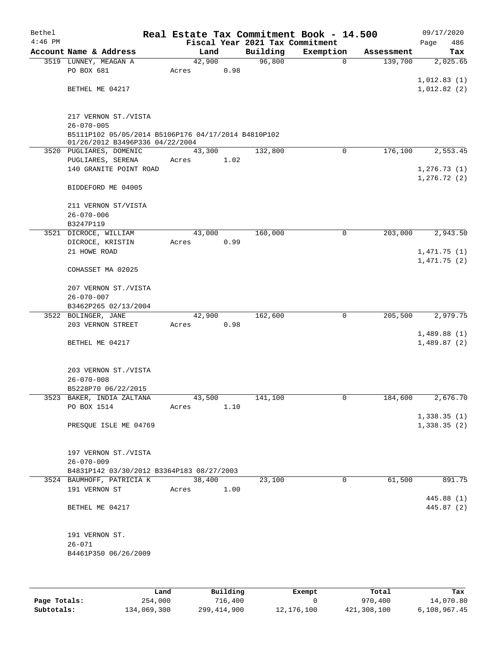| Bethel<br>$4:46$ PM |                                                                                        |                 |      | Fiscal Year 2021 Tax Commitment | Real Estate Tax Commitment Book - 14.500 |            | 09/17/2020<br>Page<br>486 |
|---------------------|----------------------------------------------------------------------------------------|-----------------|------|---------------------------------|------------------------------------------|------------|---------------------------|
|                     | Account Name & Address                                                                 |                 | Land | Building                        | Exemption                                | Assessment | Tax                       |
|                     | 3519 LUNNEY, MEAGAN A                                                                  | 42,900          |      | 96,800                          | $\mathbf 0$                              | 139,700    | 2,025.65                  |
|                     | PO BOX 681                                                                             | Acres           | 0.98 |                                 |                                          |            |                           |
|                     |                                                                                        |                 |      |                                 |                                          |            | 1,012.83(1)               |
|                     | BETHEL ME 04217                                                                        |                 |      |                                 |                                          |            | 1,012.82(2)               |
|                     | 217 VERNON ST./VISTA                                                                   |                 |      |                                 |                                          |            |                           |
|                     | $26 - 070 - 005$                                                                       |                 |      |                                 |                                          |            |                           |
|                     | B5111P102 05/05/2014 B5106P176 04/17/2014 B4810P102<br>01/26/2012 B3496P336 04/22/2004 |                 |      |                                 |                                          |            |                           |
|                     | 3520 PUGLIARES, DOMENIC                                                                | 43,300          |      | 132,800                         | $\mathbf 0$                              | 176,100    | 2,553.45                  |
|                     | PUGLIARES, SERENA                                                                      | Acres           | 1.02 |                                 |                                          |            |                           |
|                     | 140 GRANITE POINT ROAD                                                                 |                 |      |                                 |                                          |            | 1,276.73(1)               |
|                     | BIDDEFORD ME 04005                                                                     |                 |      |                                 |                                          |            | 1, 276.72(2)              |
|                     | 211 VERNON ST/VISTA                                                                    |                 |      |                                 |                                          |            |                           |
|                     | $26 - 070 - 006$                                                                       |                 |      |                                 |                                          |            |                           |
|                     | B3247P119                                                                              |                 |      |                                 |                                          |            |                           |
|                     | 3521 DICROCE, WILLIAM<br>DICROCE, KRISTIN                                              | 43,000<br>Acres | 0.99 | 160,000                         | $\mathbf 0$                              | 203,000    | 2,943.50                  |
|                     | 21 HOWE ROAD                                                                           |                 |      |                                 |                                          |            | 1,471.75(1)               |
|                     |                                                                                        |                 |      |                                 |                                          |            | 1,471.75(2)               |
|                     | COHASSET MA 02025                                                                      |                 |      |                                 |                                          |            |                           |
|                     | 207 VERNON ST./VISTA                                                                   |                 |      |                                 |                                          |            |                           |
|                     | $26 - 070 - 007$                                                                       |                 |      |                                 |                                          |            |                           |
|                     | B3462P265 02/13/2004                                                                   |                 |      |                                 |                                          |            |                           |
|                     | 3522 BOLINGER, JANE                                                                    | 42,900          |      | 162,600                         | $\mathbf 0$                              | 205,500    | 2,979.75                  |
|                     | 203 VERNON STREET                                                                      | Acres           | 0.98 |                                 |                                          |            |                           |
|                     |                                                                                        |                 |      |                                 |                                          |            | 1,489.88(1)               |
|                     | BETHEL ME 04217                                                                        |                 |      |                                 |                                          |            | 1,489.87(2)               |
|                     | 203 VERNON ST./VISTA                                                                   |                 |      |                                 |                                          |            |                           |
|                     | $26 - 070 - 008$                                                                       |                 |      |                                 |                                          |            |                           |
|                     | B5228P70 06/22/2015                                                                    |                 |      |                                 |                                          |            |                           |
|                     | 3523 BAKER, INDIA ZALTANA                                                              | 43,500          |      | 141,100                         | $\overline{0}$                           | 184,600    | 2,676.70                  |
|                     | PO BOX 1514                                                                            | Acres           | 1.10 |                                 |                                          |            | 1,338.35(1)               |
|                     | PRESQUE ISLE ME 04769                                                                  |                 |      |                                 |                                          |            | 1,338.35(2)               |
|                     |                                                                                        |                 |      |                                 |                                          |            |                           |
|                     | 197 VERNON ST./VISTA                                                                   |                 |      |                                 |                                          |            |                           |
|                     | $26 - 070 - 009$                                                                       |                 |      |                                 |                                          |            |                           |
|                     | B4831P142 03/30/2012 B3364P183 08/27/2003                                              |                 |      |                                 |                                          |            |                           |
|                     | 3524 BAUMHOFF, PATRICIA K                                                              | 38,400          |      | 23,100                          | $\mathbf 0$                              | 61,500     | 891.75                    |
|                     | 191 VERNON ST                                                                          | Acres           | 1.00 |                                 |                                          |            |                           |
|                     | BETHEL ME 04217                                                                        |                 |      |                                 |                                          |            | 445.88 (1)<br>445.87 (2)  |
|                     |                                                                                        |                 |      |                                 |                                          |            |                           |
|                     | 191 VERNON ST.                                                                         |                 |      |                                 |                                          |            |                           |
|                     | $26 - 071$                                                                             |                 |      |                                 |                                          |            |                           |
|                     | B4461P350 06/26/2009                                                                   |                 |      |                                 |                                          |            |                           |
|                     |                                                                                        |                 |      |                                 |                                          |            |                           |
|                     |                                                                                        |                 |      |                                 |                                          |            |                           |

|              | Land        | Building    | Exempt     | Total       | Tax          |
|--------------|-------------|-------------|------------|-------------|--------------|
| Page Totals: | 254,000     | 716,400     |            | 970,400     | 14,070.80    |
| Subtotals:   | 134,069,300 | 299,414,900 | 12,176,100 | 421,308,100 | 6,108,967.45 |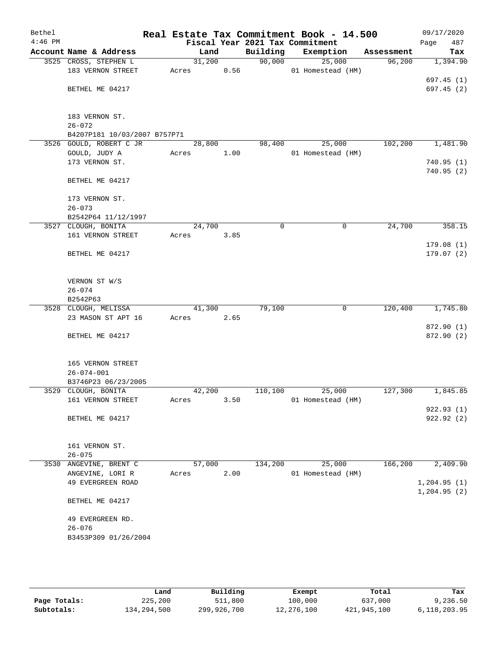| Bethel<br>$4:46$ PM |                              |        |      |          | Real Estate Tax Commitment Book - 14.500<br>Fiscal Year 2021 Tax Commitment |            | 09/17/2020<br>487<br>Page    |
|---------------------|------------------------------|--------|------|----------|-----------------------------------------------------------------------------|------------|------------------------------|
|                     | Account Name & Address       | Land   |      | Building | Exemption                                                                   | Assessment | Tax                          |
|                     | 3525 CROSS, STEPHEN L        | 31,200 |      | 90,000   | 25,000                                                                      | 96,200     | 1,394.90                     |
|                     | 183 VERNON STREET            | Acres  | 0.56 |          | 01 Homestead (HM)                                                           |            |                              |
|                     |                              |        |      |          |                                                                             |            | 697.45(1)                    |
|                     | BETHEL ME 04217              |        |      |          |                                                                             |            | 697.45(2)                    |
|                     | 183 VERNON ST.               |        |      |          |                                                                             |            |                              |
|                     | $26 - 072$                   |        |      |          |                                                                             |            |                              |
|                     | B4207P181 10/03/2007 B757P71 |        |      |          |                                                                             |            |                              |
|                     | 3526 GOULD, ROBERT C JR      | 28,800 |      | 98,400   | 25,000                                                                      | 102,200    | 1,481.90                     |
|                     | GOULD, JUDY A                | Acres  | 1.00 |          | 01 Homestead (HM)                                                           |            |                              |
|                     | 173 VERNON ST.               |        |      |          |                                                                             |            | 740.95(1)<br>740.95(2)       |
|                     | BETHEL ME 04217              |        |      |          |                                                                             |            |                              |
|                     | 173 VERNON ST.               |        |      |          |                                                                             |            |                              |
|                     | $26 - 073$                   |        |      |          |                                                                             |            |                              |
|                     | B2542P64 11/12/1997          |        |      |          |                                                                             |            |                              |
|                     | 3527 CLOUGH, BONITA          | 24,700 |      | 0        | 0                                                                           | 24,700     | 358.15                       |
|                     | 161 VERNON STREET            | Acres  | 3.85 |          |                                                                             |            |                              |
|                     |                              |        |      |          |                                                                             |            | 179.08(1)                    |
|                     | BETHEL ME 04217              |        |      |          |                                                                             |            | 179.07(2)                    |
|                     | VERNON ST W/S                |        |      |          |                                                                             |            |                              |
|                     | $26 - 074$                   |        |      |          |                                                                             |            |                              |
|                     | B2542P63                     |        |      |          |                                                                             |            |                              |
|                     | 3528 CLOUGH, MELISSA         | 41,300 |      | 79,100   | $\mathbf 0$                                                                 | 120,400    | 1,745.80                     |
|                     | 23 MASON ST APT 16           | Acres  | 2.65 |          |                                                                             |            | 872.90 (1)                   |
|                     | BETHEL ME 04217              |        |      |          |                                                                             |            | 872.90 (2)                   |
|                     | 165 VERNON STREET            |        |      |          |                                                                             |            |                              |
|                     | $26 - 074 - 001$             |        |      |          |                                                                             |            |                              |
|                     | B3746P23 06/23/2005          |        |      |          |                                                                             |            |                              |
|                     | 3529 CLOUGH, BONITA          | 42,200 |      | 110,100  | 25,000                                                                      | 127,300    | 1,845.85                     |
|                     | 161 VERNON STREET            | Acres  | 3.50 |          | 01 Homestead (HM)                                                           |            |                              |
|                     |                              |        |      |          |                                                                             |            | 922.93(1)                    |
|                     | BETHEL ME 04217              |        |      |          |                                                                             |            | 922.92(2)                    |
|                     | 161 VERNON ST.               |        |      |          |                                                                             |            |                              |
|                     | $26 - 075$                   |        |      |          |                                                                             |            |                              |
|                     | 3530 ANGEVINE, BRENT C       | 57,000 |      | 134,200  | 25,000                                                                      | 166, 200   | 2,409.90                     |
|                     | ANGEVINE, LORI R             | Acres  | 2.00 |          | 01 Homestead (HM)                                                           |            |                              |
|                     | 49 EVERGREEN ROAD            |        |      |          |                                                                             |            | 1, 204.95(1)<br>1, 204.95(2) |
|                     | BETHEL ME 04217              |        |      |          |                                                                             |            |                              |
|                     | 49 EVERGREEN RD.             |        |      |          |                                                                             |            |                              |
|                     | $26 - 076$                   |        |      |          |                                                                             |            |                              |
|                     | B3453P309 01/26/2004         |        |      |          |                                                                             |            |                              |
|                     |                              |        |      |          |                                                                             |            |                              |

|              | Land        | Building    | Exempt     | Total       | Tax          |
|--------------|-------------|-------------|------------|-------------|--------------|
| Page Totals: | 225,200     | 511,800     | 100,000    | 637,000     | 9,236.50     |
| Subtotals:   | 134,294,500 | 299,926,700 | 12,276,100 | 421,945,100 | 6,118,203.95 |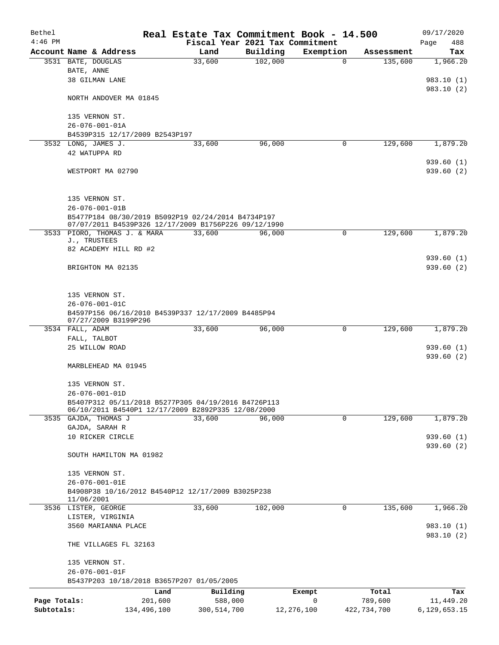| Bethel       |                                                                                                            |             | Real Estate Tax Commitment Book - 14.500                     |                                 |                          |                       | 09/17/2020               |
|--------------|------------------------------------------------------------------------------------------------------------|-------------|--------------------------------------------------------------|---------------------------------|--------------------------|-----------------------|--------------------------|
| $4:46$ PM    |                                                                                                            |             |                                                              | Fiscal Year 2021 Tax Commitment |                          |                       | Page<br>488              |
|              | Account Name & Address<br>3531 BATE, DOUGLAS                                                               |             | Land<br>33,600                                               | Building<br>102,000             | Exemption<br>$\mathbf 0$ | Assessment<br>135,600 | Tax<br>1,966.20          |
|              | BATE, ANNE                                                                                                 |             |                                                              |                                 |                          |                       |                          |
|              | 38 GILMAN LANE                                                                                             |             |                                                              |                                 |                          |                       | 983.10 (1)               |
|              |                                                                                                            |             |                                                              |                                 |                          |                       | 983.10 (2)               |
|              | NORTH ANDOVER MA 01845                                                                                     |             |                                                              |                                 |                          |                       |                          |
|              | 135 VERNON ST.                                                                                             |             |                                                              |                                 |                          |                       |                          |
|              | $26 - 076 - 001 - 01A$                                                                                     |             |                                                              |                                 |                          |                       |                          |
|              | B4539P315 12/17/2009 B2543P197                                                                             |             |                                                              |                                 |                          |                       |                          |
|              | 3532 LONG, JAMES J.                                                                                        |             | 33,600                                                       | 96,000                          | 0                        | 129,600               | 1,879.20                 |
|              | 42 WATUPPA RD                                                                                              |             |                                                              |                                 |                          |                       | 939.60(1)                |
|              | WESTPORT MA 02790                                                                                          |             |                                                              |                                 |                          |                       | 939.60 (2)               |
|              | 135 VERNON ST.                                                                                             |             |                                                              |                                 |                          |                       |                          |
|              | $26 - 076 - 001 - 01B$                                                                                     |             |                                                              |                                 |                          |                       |                          |
|              | B5477P184 08/30/2019 B5092P19 02/24/2014 B4734P197<br>07/07/2011 B4539P326 12/17/2009 B1756P226 09/12/1990 |             |                                                              |                                 |                          |                       |                          |
|              | 3533 PIORO, THOMAS J. & MARA<br>J., TRUSTEES                                                               |             | 33,600                                                       | 96,000                          | $\mathbf 0$              | 129,600               | 1,879.20                 |
|              | 82 ACADEMY HILL RD #2                                                                                      |             |                                                              |                                 |                          |                       |                          |
|              |                                                                                                            |             |                                                              |                                 |                          |                       | 939.60(1)                |
|              | BRIGHTON MA 02135                                                                                          |             |                                                              |                                 |                          |                       | 939.60(2)                |
|              | 135 VERNON ST.                                                                                             |             |                                                              |                                 |                          |                       |                          |
|              | $26 - 076 - 001 - 01C$                                                                                     |             |                                                              |                                 |                          |                       |                          |
|              | B4597P156 06/16/2010 B4539P337 12/17/2009 B4485P94<br>07/27/2009 B3199P296                                 |             |                                                              |                                 |                          |                       |                          |
|              | 3534 FALL, ADAM                                                                                            |             | 33,600                                                       | 96,000                          | 0                        | 129,600               | 1,879.20                 |
|              | FALL, TALBOT                                                                                               |             |                                                              |                                 |                          |                       |                          |
|              | 25 WILLOW ROAD                                                                                             |             |                                                              |                                 |                          |                       | 939.60 (1)               |
|              |                                                                                                            |             |                                                              |                                 |                          |                       | 939.60 (2)               |
|              | MARBLEHEAD MA 01945                                                                                        |             |                                                              |                                 |                          |                       |                          |
|              | 135 VERNON ST.                                                                                             |             |                                                              |                                 |                          |                       |                          |
|              | $26 - 076 - 001 - 01D$                                                                                     |             |                                                              |                                 |                          |                       |                          |
|              | B5407P312 05/11/2018 B5277P305 04/19/2016 B4726P113                                                        |             |                                                              |                                 |                          |                       |                          |
|              | 3535 GAJDA, THOMAS J                                                                                       |             | 06/10/2011 B4540P1 12/17/2009 B2892P335 12/08/2000<br>33,600 | 96,000                          | 0                        | 129,600               | 1,879.20                 |
|              | GAJDA, SARAH R                                                                                             |             |                                                              |                                 |                          |                       |                          |
|              | 10 RICKER CIRCLE                                                                                           |             |                                                              |                                 |                          |                       | 939.60(1)                |
|              |                                                                                                            |             |                                                              |                                 |                          |                       | 939.60(2)                |
|              | SOUTH HAMILTON MA 01982                                                                                    |             |                                                              |                                 |                          |                       |                          |
|              | 135 VERNON ST.                                                                                             |             |                                                              |                                 |                          |                       |                          |
|              | 26-076-001-01E                                                                                             |             |                                                              |                                 |                          |                       |                          |
|              | B4908P38 10/16/2012 B4540P12 12/17/2009 B3025P238<br>11/06/2001                                            |             |                                                              |                                 |                          |                       |                          |
|              | 3536 LISTER, GEORGE                                                                                        |             | 33,600                                                       | 102,000                         | 0                        | 135,600               | 1,966.20                 |
|              | LISTER, VIRGINIA                                                                                           |             |                                                              |                                 |                          |                       |                          |
|              | 3560 MARIANNA PLACE                                                                                        |             |                                                              |                                 |                          |                       | 983.10 (1)<br>983.10 (2) |
|              | THE VILLAGES FL 32163                                                                                      |             |                                                              |                                 |                          |                       |                          |
|              | 135 VERNON ST.                                                                                             |             |                                                              |                                 |                          |                       |                          |
|              | 26-076-001-01F                                                                                             |             |                                                              |                                 |                          |                       |                          |
|              | B5437P203 10/18/2018 B3657P207 01/05/2005                                                                  |             |                                                              |                                 |                          |                       |                          |
|              |                                                                                                            | Land        | Building                                                     |                                 | Exempt                   | Total                 | Tax                      |
| Page Totals: |                                                                                                            | 201,600     | 588,000                                                      |                                 | 0                        | 789,600               | 11,449.20                |
| Subtotals:   |                                                                                                            | 134,496,100 | 300, 514, 700                                                |                                 | 12,276,100               | 422,734,700           | 6,129,653.15             |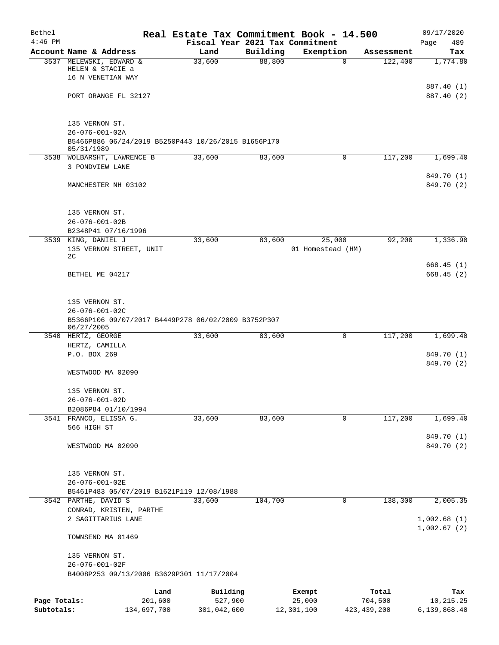| Bethel                     |                                                                   |                        | Real Estate Tax Commitment Book - 14.500 |                                 |                      |              |                          | 09/17/2020                |
|----------------------------|-------------------------------------------------------------------|------------------------|------------------------------------------|---------------------------------|----------------------|--------------|--------------------------|---------------------------|
| $4:46$ PM                  |                                                                   |                        |                                          | Fiscal Year 2021 Tax Commitment |                      |              |                          | Page<br>489               |
|                            | Account Name & Address<br>3537 MELEWSKI, EDWARD &                 |                        | Land<br>33,600                           | Building<br>88,800              | Exemption            | $\mathbf 0$  | Assessment<br>122,400    | Tax<br>1,774.80           |
|                            | HELEN & STACIE a                                                  |                        |                                          |                                 |                      |              |                          |                           |
|                            | 16 N VENETIAN WAY                                                 |                        |                                          |                                 |                      |              |                          |                           |
|                            |                                                                   |                        |                                          |                                 |                      |              |                          | 887.40 (1)                |
|                            | PORT ORANGE FL 32127                                              |                        |                                          |                                 |                      |              |                          | 887.40 (2)                |
|                            | 135 VERNON ST.                                                    |                        |                                          |                                 |                      |              |                          |                           |
|                            | $26 - 076 - 001 - 02A$                                            |                        |                                          |                                 |                      |              |                          |                           |
|                            | B5466P886 06/24/2019 B5250P443 10/26/2015 B1656P170<br>05/31/1989 |                        |                                          |                                 |                      |              |                          |                           |
|                            | 3538 WOLBARSHT, LAWRENCE B                                        |                        | 33,600                                   | 83,600                          |                      | $\mathsf{O}$ | 117,200                  | 1,699.40                  |
|                            | 3 PONDVIEW LANE                                                   |                        |                                          |                                 |                      |              |                          |                           |
|                            |                                                                   |                        |                                          |                                 |                      |              |                          | 849.70 (1)                |
|                            | MANCHESTER NH 03102                                               |                        |                                          |                                 |                      |              |                          | 849.70 (2)                |
|                            | 135 VERNON ST.                                                    |                        |                                          |                                 |                      |              |                          |                           |
|                            | $26 - 076 - 001 - 02B$                                            |                        |                                          |                                 |                      |              |                          |                           |
|                            | B2348P41 07/16/1996                                               |                        |                                          |                                 |                      |              |                          |                           |
|                            | 3539 KING, DANIEL J                                               |                        | 33,600                                   | 83,600                          | 25,000               |              | 92,200                   | 1,336.90                  |
|                            | 135 VERNON STREET, UNIT                                           |                        |                                          |                                 | 01 Homestead (HM)    |              |                          |                           |
|                            | 2C                                                                |                        |                                          |                                 |                      |              |                          | 668.45(1)                 |
|                            | BETHEL ME 04217                                                   |                        |                                          |                                 |                      |              |                          | 668.45(2)                 |
|                            |                                                                   |                        |                                          |                                 |                      |              |                          |                           |
|                            | 135 VERNON ST.                                                    |                        |                                          |                                 |                      |              |                          |                           |
|                            | $26 - 076 - 001 - 02C$                                            |                        |                                          |                                 |                      |              |                          |                           |
|                            | B5366P106 09/07/2017 B4449P278 06/02/2009 B3752P307<br>06/27/2005 |                        |                                          |                                 |                      |              |                          |                           |
|                            | 3540 HERTZ, GEORGE                                                |                        | 33,600                                   | 83,600                          |                      | 0            | 117,200                  | 1,699.40                  |
|                            | HERTZ, CAMILLA                                                    |                        |                                          |                                 |                      |              |                          |                           |
|                            | P.O. BOX 269                                                      |                        |                                          |                                 |                      |              |                          | 849.70 (1)                |
|                            |                                                                   |                        |                                          |                                 |                      |              |                          | 849.70 (2)                |
|                            | WESTWOOD MA 02090                                                 |                        |                                          |                                 |                      |              |                          |                           |
|                            | 135 VERNON ST.                                                    |                        |                                          |                                 |                      |              |                          |                           |
|                            | $26 - 076 - 001 - 02D$                                            |                        |                                          |                                 |                      |              |                          |                           |
|                            | B2086P84 01/10/1994                                               |                        |                                          |                                 |                      |              |                          |                           |
|                            | 3541 FRANCO, ELISSA G.                                            |                        | 33,600                                   | 83,600                          |                      | 0            | 117,200                  | 1,699.40                  |
|                            | 566 HIGH ST                                                       |                        |                                          |                                 |                      |              |                          |                           |
|                            | WESTWOOD MA 02090                                                 |                        |                                          |                                 |                      |              |                          | 849.70 (1)<br>849.70 (2)  |
|                            |                                                                   |                        |                                          |                                 |                      |              |                          |                           |
|                            | 135 VERNON ST.                                                    |                        |                                          |                                 |                      |              |                          |                           |
|                            | 26-076-001-02E                                                    |                        |                                          |                                 |                      |              |                          |                           |
|                            | B5461P483 05/07/2019 B1621P119 12/08/1988                         |                        |                                          |                                 |                      |              |                          |                           |
|                            | 3542 PARTHE, DAVID S                                              |                        | 33,600                                   | 104,700                         |                      | 0            | 138,300                  | 2,005.35                  |
|                            | CONRAD, KRISTEN, PARTHE                                           |                        |                                          |                                 |                      |              |                          |                           |
|                            | 2 SAGITTARIUS LANE                                                |                        |                                          |                                 |                      |              |                          | 1,002.68(1)               |
|                            | TOWNSEND MA 01469                                                 |                        |                                          |                                 |                      |              |                          | 1,002.67(2)               |
|                            | 135 VERNON ST.                                                    |                        |                                          |                                 |                      |              |                          |                           |
|                            | $26 - 076 - 001 - 02F$                                            |                        |                                          |                                 |                      |              |                          |                           |
|                            | B4008P253 09/13/2006 B3629P301 11/17/2004                         |                        |                                          |                                 |                      |              |                          |                           |
|                            |                                                                   | Land                   | Building                                 |                                 | Exempt               |              | Total                    | Tax                       |
| Page Totals:<br>Subtotals: |                                                                   | 201,600<br>134,697,700 | 527,900<br>301,042,600                   |                                 | 25,000<br>12,301,100 |              | 704,500<br>423, 439, 200 | 10,215.25<br>6,139,868.40 |
|                            |                                                                   |                        |                                          |                                 |                      |              |                          |                           |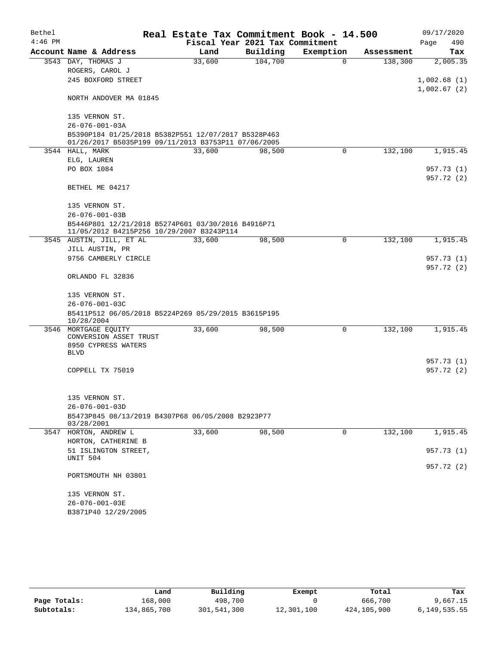| Bethel    |                                                                                                            | Real Estate Tax Commitment Book - 14.500 |                                 |             |            | 09/17/2020                 |
|-----------|------------------------------------------------------------------------------------------------------------|------------------------------------------|---------------------------------|-------------|------------|----------------------------|
| $4:46$ PM |                                                                                                            |                                          | Fiscal Year 2021 Tax Commitment |             |            | 490<br>Page                |
|           | Account Name & Address                                                                                     | Land                                     | Building                        | Exemption   | Assessment | Tax                        |
|           | 3543 DAY, THOMAS J                                                                                         | 33,600                                   | 104,700                         | $\mathbf 0$ | 138,300    | 2,005.35                   |
|           | ROGERS, CAROL J                                                                                            |                                          |                                 |             |            |                            |
|           | 245 BOXFORD STREET                                                                                         |                                          |                                 |             |            | 1,002.68(1)<br>1,002.67(2) |
|           | NORTH ANDOVER MA 01845                                                                                     |                                          |                                 |             |            |                            |
|           | 135 VERNON ST.                                                                                             |                                          |                                 |             |            |                            |
|           | $26 - 076 - 001 - 03A$                                                                                     |                                          |                                 |             |            |                            |
|           | B5390P184 01/25/2018 B5382P551 12/07/2017 B5328P463<br>01/26/2017 B5035P199 09/11/2013 B3753P11 07/06/2005 |                                          |                                 |             |            |                            |
|           | 3544 HALL, MARK                                                                                            | 33,600                                   | 98,500                          | $\Omega$    | 132,100    | 1,915.45                   |
|           | ELG, LAUREN                                                                                                |                                          |                                 |             |            |                            |
|           | PO BOX 1084                                                                                                |                                          |                                 |             |            | 957.73 (1)                 |
|           |                                                                                                            |                                          |                                 |             |            | 957.72 (2)                 |
|           | BETHEL ME 04217                                                                                            |                                          |                                 |             |            |                            |
|           | 135 VERNON ST.                                                                                             |                                          |                                 |             |            |                            |
|           | $26 - 076 - 001 - 03B$                                                                                     |                                          |                                 |             |            |                            |
|           | B5446P801 12/21/2018 B5274P601 03/30/2016 B4916P71<br>11/05/2012 B4215P256 10/29/2007 B3243P114            |                                          |                                 |             |            |                            |
|           | 3545 AUSTIN, JILL, ET AL                                                                                   | 33,600                                   | 98,500                          | 0           | 132,100    | 1,915.45                   |
|           | JILL AUSTIN, PR                                                                                            |                                          |                                 |             |            |                            |
|           | 9756 CAMBERLY CIRCLE                                                                                       |                                          |                                 |             |            | 957.73 (1)                 |
|           | ORLANDO FL 32836                                                                                           |                                          |                                 |             |            | 957.72 (2)                 |
|           | 135 VERNON ST.                                                                                             |                                          |                                 |             |            |                            |
|           | $26 - 076 - 001 - 03C$                                                                                     |                                          |                                 |             |            |                            |
|           | B5411P512 06/05/2018 B5224P269 05/29/2015 B3615P195<br>10/28/2004                                          |                                          |                                 |             |            |                            |
|           | 3546 MORTGAGE EQUITY<br>CONVERSION ASSET TRUST                                                             | 33,600                                   | 98,500                          | 0           | 132,100    | 1,915.45                   |
|           | 8950 CYPRESS WATERS                                                                                        |                                          |                                 |             |            |                            |
|           | <b>BLVD</b>                                                                                                |                                          |                                 |             |            |                            |
|           |                                                                                                            |                                          |                                 |             |            | 957.73 (1)                 |
|           | COPPELL TX 75019                                                                                           |                                          |                                 |             |            | 957.72 (2)                 |
|           |                                                                                                            |                                          |                                 |             |            |                            |
|           | 135 VERNON ST.                                                                                             |                                          |                                 |             |            |                            |
|           | $26 - 076 - 001 - 03D$                                                                                     |                                          |                                 |             |            |                            |
|           | B5473P845 08/13/2019 B4307P68 06/05/2008 B2923P77<br>03/28/2001                                            |                                          |                                 |             |            |                            |
|           | 3547 HORTON, ANDREW L                                                                                      | 33,600                                   | 98,500                          | 0           | 132,100    | 1,915.45                   |
|           | HORTON, CATHERINE B                                                                                        |                                          |                                 |             |            |                            |
|           | 51 ISLINGTON STREET,                                                                                       |                                          |                                 |             |            | 957.73 (1)                 |
|           | UNIT 504                                                                                                   |                                          |                                 |             |            | 957.72 (2)                 |
|           | PORTSMOUTH NH 03801                                                                                        |                                          |                                 |             |            |                            |
|           | 135 VERNON ST.                                                                                             |                                          |                                 |             |            |                            |
|           | $26 - 076 - 001 - 03E$                                                                                     |                                          |                                 |             |            |                            |
|           | B3871P40 12/29/2005                                                                                        |                                          |                                 |             |            |                            |
|           |                                                                                                            |                                          |                                 |             |            |                            |

|              | Land        | Building    | Exempt     | Total       | Tax          |
|--------------|-------------|-------------|------------|-------------|--------------|
| Page Totals: | 168,000     | 498,700     |            | 666,700     | 9,667.15     |
| Subtotals:   | 134,865,700 | 301,541,300 | 12,301,100 | 424,105,900 | 6,149,535.55 |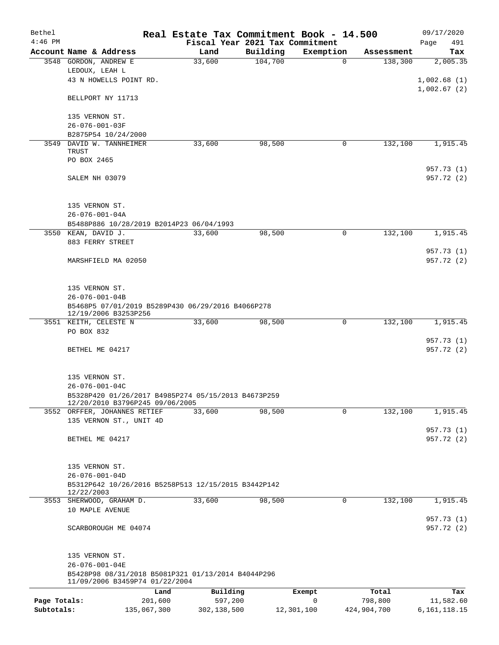| Bethel       |                                                                                      | Real Estate Tax Commitment Book - 14.500 |                                 |                          |                       | 09/17/2020      |
|--------------|--------------------------------------------------------------------------------------|------------------------------------------|---------------------------------|--------------------------|-----------------------|-----------------|
| $4:46$ PM    | Account Name & Address                                                               |                                          | Fiscal Year 2021 Tax Commitment |                          |                       | Page<br>491     |
|              | 3548 GORDON, ANDREW E                                                                | Land<br>33,600                           | Building<br>104,700             | Exemption<br>$\mathbf 0$ | Assessment<br>138,300 | Tax<br>2,005.35 |
|              | LEDOUX, LEAH L                                                                       |                                          |                                 |                          |                       |                 |
|              | 43 N HOWELLS POINT RD.                                                               |                                          |                                 |                          |                       | 1,002.68(1)     |
|              |                                                                                      |                                          |                                 |                          |                       | 1,002.67(2)     |
|              | BELLPORT NY 11713                                                                    |                                          |                                 |                          |                       |                 |
|              | 135 VERNON ST.                                                                       |                                          |                                 |                          |                       |                 |
|              | 26-076-001-03F                                                                       |                                          |                                 |                          |                       |                 |
|              | B2875P54 10/24/2000                                                                  |                                          |                                 |                          |                       |                 |
| 3549         | DAVID W. TANNHEIMER                                                                  | 33,600                                   | 98,500                          | 0                        | 132,100               | 1,915.45        |
|              | TRUST                                                                                |                                          |                                 |                          |                       |                 |
|              | PO BOX 2465                                                                          |                                          |                                 |                          |                       |                 |
|              |                                                                                      |                                          |                                 |                          |                       | 957.73 (1)      |
|              | SALEM NH 03079                                                                       |                                          |                                 |                          |                       | 957.72 (2)      |
|              |                                                                                      |                                          |                                 |                          |                       |                 |
|              |                                                                                      |                                          |                                 |                          |                       |                 |
|              | 135 VERNON ST.                                                                       |                                          |                                 |                          |                       |                 |
|              | $26 - 076 - 001 - 04A$                                                               |                                          |                                 |                          |                       |                 |
|              | B5488P886 10/28/2019 B2014P23 06/04/1993                                             |                                          |                                 |                          |                       |                 |
|              | 3550 KEAN, DAVID J.                                                                  | 33,600                                   | 98,500                          | 0                        | 132,100               | 1,915.45        |
|              | 883 FERRY STREET                                                                     |                                          |                                 |                          |                       |                 |
|              |                                                                                      |                                          |                                 |                          |                       | 957.73 (1)      |
|              | MARSHFIELD MA 02050                                                                  |                                          |                                 |                          |                       | 957.72 (2)      |
|              |                                                                                      |                                          |                                 |                          |                       |                 |
|              |                                                                                      |                                          |                                 |                          |                       |                 |
|              | 135 VERNON ST.                                                                       |                                          |                                 |                          |                       |                 |
|              | $26 - 076 - 001 - 04B$                                                               |                                          |                                 |                          |                       |                 |
|              | B5468P5 07/01/2019 B5289P430 06/29/2016 B4066P278<br>12/19/2006 B3253P256            |                                          |                                 |                          |                       |                 |
|              | 3551 KEITH, CELESTE N                                                                | 33,600                                   | 98,500                          | 0                        | 132,100               | 1,915.45        |
|              | PO BOX 832                                                                           |                                          |                                 |                          |                       |                 |
|              |                                                                                      |                                          |                                 |                          |                       | 957.73 (1)      |
|              | BETHEL ME 04217                                                                      |                                          |                                 |                          |                       | 957.72 (2)      |
|              |                                                                                      |                                          |                                 |                          |                       |                 |
|              |                                                                                      |                                          |                                 |                          |                       |                 |
|              | 135 VERNON ST.                                                                       |                                          |                                 |                          |                       |                 |
|              | $26 - 076 - 001 - 04C$                                                               |                                          |                                 |                          |                       |                 |
|              | B5328P420 01/26/2017 B4985P274 05/15/2013 B4673P259                                  |                                          |                                 |                          |                       |                 |
|              | 12/20/2010 B3796P245 09/06/2005                                                      |                                          |                                 |                          |                       |                 |
|              | 3552 ORFFER, JOHANNES RETIEF                                                         | 33,600                                   | 98,500                          | 0                        | 132,100               | 1,915.45        |
|              | 135 VERNON ST., UNIT 4D                                                              |                                          |                                 |                          |                       |                 |
|              |                                                                                      |                                          |                                 |                          |                       | 957.73 (1)      |
|              | BETHEL ME 04217                                                                      |                                          |                                 |                          |                       | 957.72 (2)      |
|              |                                                                                      |                                          |                                 |                          |                       |                 |
|              | 135 VERNON ST.                                                                       |                                          |                                 |                          |                       |                 |
|              | $26 - 076 - 001 - 04D$                                                               |                                          |                                 |                          |                       |                 |
|              | B5312P642 10/26/2016 B5258P513 12/15/2015 B3442P142                                  |                                          |                                 |                          |                       |                 |
|              | 12/22/2003                                                                           |                                          |                                 |                          |                       |                 |
|              | 3553 SHERWOOD, GRAHAM D.                                                             | 33,600                                   | 98,500                          | 0                        | 132,100               | 1,915.45        |
|              | 10 MAPLE AVENUE                                                                      |                                          |                                 |                          |                       |                 |
|              |                                                                                      |                                          |                                 |                          |                       | 957.73 (1)      |
|              | SCARBOROUGH ME 04074                                                                 |                                          |                                 |                          |                       | 957.72 (2)      |
|              |                                                                                      |                                          |                                 |                          |                       |                 |
|              |                                                                                      |                                          |                                 |                          |                       |                 |
|              | 135 VERNON ST.                                                                       |                                          |                                 |                          |                       |                 |
|              | 26-076-001-04E                                                                       |                                          |                                 |                          |                       |                 |
|              | B5428P98 08/31/2018 B5081P321 01/13/2014 B4044P296<br>11/09/2006 B3459P74 01/22/2004 |                                          |                                 |                          |                       |                 |
|              | Land                                                                                 | Building                                 |                                 | Exempt                   | Total                 | Tax             |
| Page Totals: | 201,600                                                                              | 597,200                                  |                                 | 0                        | 798,800               | 11,582.60       |
| Subtotals:   | 135,067,300                                                                          | 302,138,500                              | 12,301,100                      |                          | 424,904,700           | 6, 161, 118. 15 |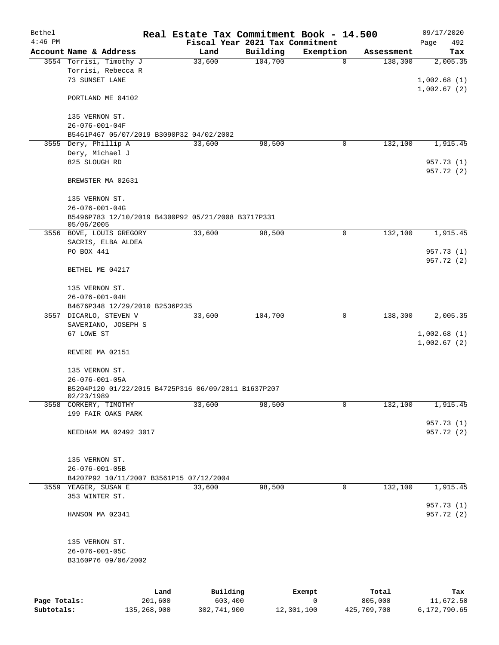| Bethel       |                                                                               | Real Estate Tax Commitment Book - 14.500 |                                 |             |                  | 09/17/2020       |
|--------------|-------------------------------------------------------------------------------|------------------------------------------|---------------------------------|-------------|------------------|------------------|
| $4:46$ PM    |                                                                               |                                          | Fiscal Year 2021 Tax Commitment |             |                  | Page<br>492      |
|              | Account Name & Address                                                        | Land                                     | Building                        | Exemption   | Assessment       | Tax              |
|              | 3554 Torrisi, Timothy J                                                       | 33,600                                   | 104,700                         | $\mathbf 0$ | 138,300          | 2,005.35         |
|              | Torrisi, Rebecca R                                                            |                                          |                                 |             |                  |                  |
|              | 73 SUNSET LANE                                                                |                                          |                                 |             |                  | 1,002.68(1)      |
|              | PORTLAND ME 04102                                                             |                                          |                                 |             |                  | 1,002.67(2)      |
|              |                                                                               |                                          |                                 |             |                  |                  |
|              | 135 VERNON ST.                                                                |                                          |                                 |             |                  |                  |
|              | $26 - 076 - 001 - 04F$<br>B5461P467 05/07/2019 B3090P32 04/02/2002            |                                          |                                 |             |                  |                  |
|              | 3555 Dery, Phillip A                                                          | 33,600                                   | 98,500                          | 0           | 132,100          | 1,915.45         |
|              | Dery, Michael J                                                               |                                          |                                 |             |                  |                  |
|              | 825 SLOUGH RD                                                                 |                                          |                                 |             |                  | 957.73 (1)       |
|              |                                                                               |                                          |                                 |             |                  | 957.72 (2)       |
|              | BREWSTER MA 02631                                                             |                                          |                                 |             |                  |                  |
|              | 135 VERNON ST.                                                                |                                          |                                 |             |                  |                  |
|              | $26 - 076 - 001 - 04G$                                                        |                                          |                                 |             |                  |                  |
|              | B5496P783 12/10/2019 B4300P92 05/21/2008 B3717P331                            |                                          |                                 |             |                  |                  |
|              | 05/06/2005                                                                    |                                          |                                 |             |                  |                  |
|              | 3556 BOVE, LOUIS GREGORY                                                      | 33,600                                   | 98,500                          | 0           | 132,100          | 1,915.45         |
|              | SACRIS, ELBA ALDEA                                                            |                                          |                                 |             |                  |                  |
|              | PO BOX 441                                                                    |                                          |                                 |             |                  | 957.73 (1)       |
|              | BETHEL ME 04217                                                               |                                          |                                 |             |                  | 957.72 (2)       |
|              |                                                                               |                                          |                                 |             |                  |                  |
|              | 135 VERNON ST.<br>$26 - 076 - 001 - 04H$                                      |                                          |                                 |             |                  |                  |
|              | B4676P348 12/29/2010 B2536P235                                                |                                          |                                 |             |                  |                  |
|              | 3557 DICARLO, STEVEN V                                                        | 33,600                                   | 104,700                         | 0           | 138,300          | 2,005.35         |
|              | SAVERIANO, JOSEPH S                                                           |                                          |                                 |             |                  |                  |
|              | 67 LOWE ST                                                                    |                                          |                                 |             |                  | 1,002.68(1)      |
|              |                                                                               |                                          |                                 |             |                  | 1,002.67(2)      |
|              | REVERE MA 02151                                                               |                                          |                                 |             |                  |                  |
|              |                                                                               |                                          |                                 |             |                  |                  |
|              | 135 VERNON ST.                                                                |                                          |                                 |             |                  |                  |
|              | $26 - 076 - 001 - 05A$<br>B5204P120 01/22/2015 B4725P316 06/09/2011 B1637P207 |                                          |                                 |             |                  |                  |
|              | 02/23/1989                                                                    |                                          |                                 |             |                  |                  |
|              | 3558 CORKERY, TIMOTHY                                                         | 33,600                                   | 98,500                          | 0           | 132,100          | 1,915.45         |
|              | 199 FAIR OAKS PARK                                                            |                                          |                                 |             |                  |                  |
|              |                                                                               |                                          |                                 |             |                  | 957.73 (1)       |
|              | NEEDHAM MA 02492 3017                                                         |                                          |                                 |             |                  | 957.72 (2)       |
|              |                                                                               |                                          |                                 |             |                  |                  |
|              | 135 VERNON ST.                                                                |                                          |                                 |             |                  |                  |
|              | $26 - 076 - 001 - 05B$<br>B4207P92 10/11/2007 B3561P15 07/12/2004             |                                          |                                 |             |                  |                  |
|              | 3559 YEAGER, SUSAN E                                                          | 33,600                                   | 98,500                          | $\mathbf 0$ | 132,100          | 1,915.45         |
|              | 353 WINTER ST.                                                                |                                          |                                 |             |                  |                  |
|              |                                                                               |                                          |                                 |             |                  | 957.73 (1)       |
|              | HANSON MA 02341                                                               |                                          |                                 |             |                  | 957.72 (2)       |
|              |                                                                               |                                          |                                 |             |                  |                  |
|              | 135 VERNON ST.                                                                |                                          |                                 |             |                  |                  |
|              | $26 - 076 - 001 - 05C$                                                        |                                          |                                 |             |                  |                  |
|              | B3160P76 09/06/2002                                                           |                                          |                                 |             |                  |                  |
|              |                                                                               |                                          |                                 |             |                  |                  |
|              |                                                                               |                                          |                                 |             |                  |                  |
| Page Totals: | Land<br>201,600                                                               | Building<br>603,400                      |                                 | Exempt<br>0 | Total<br>805,000 | Tax<br>11,672.50 |
|              |                                                                               |                                          |                                 |             |                  |                  |

**Subtotals:** 135,268,900 302,741,900 12,301,100 425,709,700 6,172,790.65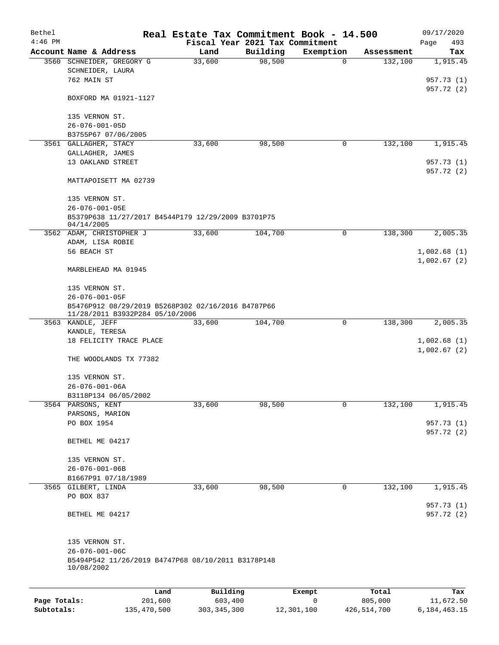| Bethel       |                                                                  | Real Estate Tax Commitment Book - 14.500           |                                 |             |                  | 09/17/2020       |  |  |  |  |
|--------------|------------------------------------------------------------------|----------------------------------------------------|---------------------------------|-------------|------------------|------------------|--|--|--|--|
| $4:46$ PM    |                                                                  |                                                    | Fiscal Year 2021 Tax Commitment |             |                  | Page<br>493      |  |  |  |  |
|              | Account Name & Address                                           | Land                                               | Building                        | Exemption   | Assessment       | Tax              |  |  |  |  |
|              | 3560 SCHNEIDER, GREGORY G                                        | 33,600                                             | 98,500                          | 0           | 132,100          | 1,915.45         |  |  |  |  |
|              | SCHNEIDER, LAURA<br>762 MAIN ST                                  |                                                    |                                 |             |                  |                  |  |  |  |  |
|              |                                                                  |                                                    |                                 |             |                  | 957.73 (1)       |  |  |  |  |
|              | BOXFORD MA 01921-1127                                            |                                                    |                                 |             |                  | 957.72 (2)       |  |  |  |  |
|              |                                                                  |                                                    |                                 |             |                  |                  |  |  |  |  |
|              | 135 VERNON ST.                                                   |                                                    |                                 |             |                  |                  |  |  |  |  |
|              | $26 - 076 - 001 - 05D$                                           |                                                    |                                 |             |                  |                  |  |  |  |  |
|              | B3755P67 07/06/2005                                              |                                                    |                                 |             |                  |                  |  |  |  |  |
|              | 3561 GALLAGHER, STACY                                            | 33,600                                             | 98,500                          | 0           | 132,100          | 1,915.45         |  |  |  |  |
|              | GALLAGHER, JAMES                                                 |                                                    |                                 |             |                  |                  |  |  |  |  |
|              | 13 OAKLAND STREET                                                |                                                    |                                 |             |                  | 957.73 (1)       |  |  |  |  |
|              |                                                                  |                                                    |                                 |             |                  | 957.72 (2)       |  |  |  |  |
|              | MATTAPOISETT MA 02739                                            |                                                    |                                 |             |                  |                  |  |  |  |  |
|              | 135 VERNON ST.                                                   |                                                    |                                 |             |                  |                  |  |  |  |  |
|              | 26-076-001-05E                                                   |                                                    |                                 |             |                  |                  |  |  |  |  |
|              |                                                                  |                                                    |                                 |             |                  |                  |  |  |  |  |
|              | B5379P638 11/27/2017 B4544P179 12/29/2009 B3701P75<br>04/14/2005 |                                                    |                                 |             |                  |                  |  |  |  |  |
|              | 3562 ADAM, CHRISTOPHER J                                         | 33,600                                             | 104,700                         | 0           | 138,300          | 2,005.35         |  |  |  |  |
|              | ADAM, LISA ROBIE                                                 |                                                    |                                 |             |                  |                  |  |  |  |  |
|              | 56 BEACH ST                                                      |                                                    |                                 |             |                  | 1,002.68(1)      |  |  |  |  |
|              |                                                                  |                                                    |                                 |             |                  | 1,002.67(2)      |  |  |  |  |
|              | MARBLEHEAD MA 01945                                              |                                                    |                                 |             |                  |                  |  |  |  |  |
|              |                                                                  |                                                    |                                 |             |                  |                  |  |  |  |  |
|              | 135 VERNON ST.                                                   |                                                    |                                 |             |                  |                  |  |  |  |  |
|              | 26-076-001-05F                                                   | B5476P912 08/29/2019 B5268P302 02/16/2016 B4787P66 |                                 |             |                  |                  |  |  |  |  |
|              | 11/28/2011 B3932P284 05/10/2006                                  |                                                    |                                 |             |                  |                  |  |  |  |  |
|              | 3563 KANDLE, JEFF                                                | 33,600                                             | 104,700                         | 0           | 138,300          | 2,005.35         |  |  |  |  |
|              | KANDLE, TERESA                                                   |                                                    |                                 |             |                  |                  |  |  |  |  |
|              | 18 FELICITY TRACE PLACE                                          |                                                    |                                 |             |                  | 1,002.68(1)      |  |  |  |  |
|              |                                                                  |                                                    |                                 |             |                  | 1,002.67(2)      |  |  |  |  |
|              | THE WOODLANDS TX 77382                                           |                                                    |                                 |             |                  |                  |  |  |  |  |
|              | 135 VERNON ST.                                                   |                                                    |                                 |             |                  |                  |  |  |  |  |
|              | 26-076-001-06A                                                   |                                                    |                                 |             |                  |                  |  |  |  |  |
|              | B3118P134 06/05/2002                                             |                                                    |                                 |             |                  |                  |  |  |  |  |
|              | 3564 PARSONS, KENT                                               | 33,600                                             | 98,500                          | 0           | 132,100          | 1,915.45         |  |  |  |  |
|              | PARSONS, MARION                                                  |                                                    |                                 |             |                  |                  |  |  |  |  |
|              | PO BOX 1954                                                      |                                                    |                                 |             |                  | 957.73 (1)       |  |  |  |  |
|              |                                                                  |                                                    |                                 |             |                  | 957.72 (2)       |  |  |  |  |
|              | BETHEL ME 04217                                                  |                                                    |                                 |             |                  |                  |  |  |  |  |
|              |                                                                  |                                                    |                                 |             |                  |                  |  |  |  |  |
|              | 135 VERNON ST.                                                   |                                                    |                                 |             |                  |                  |  |  |  |  |
|              | $26 - 076 - 001 - 06B$                                           |                                                    |                                 |             |                  |                  |  |  |  |  |
|              | B1667P91 07/18/1989                                              |                                                    |                                 |             |                  |                  |  |  |  |  |
|              | 3565 GILBERT, LINDA                                              | 33,600                                             | 98,500                          | 0           | 132,100          | 1,915.45         |  |  |  |  |
|              | PO BOX 837                                                       |                                                    |                                 |             |                  |                  |  |  |  |  |
|              |                                                                  |                                                    |                                 |             |                  | 957.73 (1)       |  |  |  |  |
|              | BETHEL ME 04217                                                  |                                                    |                                 |             |                  | 957.72 (2)       |  |  |  |  |
|              |                                                                  |                                                    |                                 |             |                  |                  |  |  |  |  |
|              | 135 VERNON ST.                                                   |                                                    |                                 |             |                  |                  |  |  |  |  |
|              | $26 - 076 - 001 - 06C$                                           |                                                    |                                 |             |                  |                  |  |  |  |  |
|              | B5494P542 11/26/2019 B4747P68 08/10/2011 B3178P148               |                                                    |                                 |             |                  |                  |  |  |  |  |
|              | 10/08/2002                                                       |                                                    |                                 |             |                  |                  |  |  |  |  |
|              |                                                                  |                                                    |                                 |             |                  |                  |  |  |  |  |
| Page Totals: | Land<br>201,600                                                  | Building<br>603,400                                |                                 | Exempt<br>0 | Total<br>805,000 | Tax<br>11,672.50 |  |  |  |  |
| Subtotals:   | 135,470,500                                                      | 303, 345, 300                                      | 12,301,100                      |             | 426,514,700      | 6, 184, 463. 15  |  |  |  |  |
|              |                                                                  |                                                    |                                 |             |                  |                  |  |  |  |  |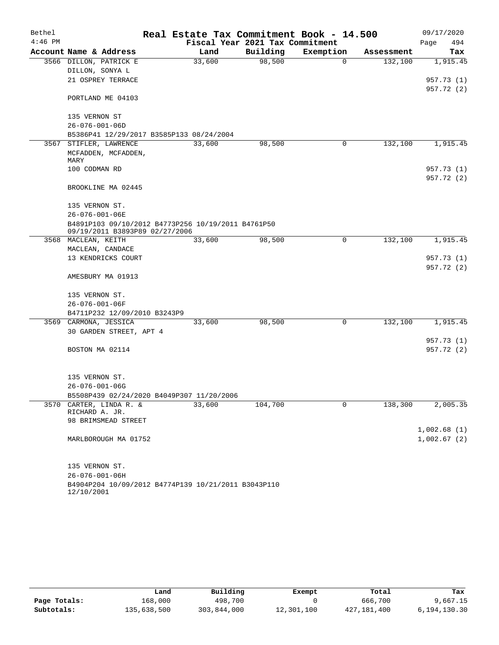| Bethel    |                                                                                      | Real Estate Tax Commitment Book - 14.500 |                                 |             |            | 09/17/2020               |
|-----------|--------------------------------------------------------------------------------------|------------------------------------------|---------------------------------|-------------|------------|--------------------------|
| $4:46$ PM |                                                                                      |                                          | Fiscal Year 2021 Tax Commitment |             |            | Page<br>494              |
|           | Account Name & Address                                                               | Land                                     | Building                        | Exemption   | Assessment | Tax                      |
|           | 3566 DILLON, PATRICK E                                                               | 33,600                                   | 98,500                          | $\mathbf 0$ | 132,100    | 1,915.45                 |
|           | DILLON, SONYA L                                                                      |                                          |                                 |             |            |                          |
|           | 21 OSPREY TERRACE                                                                    |                                          |                                 |             |            | 957.73 (1)<br>957.72 (2) |
|           | PORTLAND ME 04103                                                                    |                                          |                                 |             |            |                          |
|           | 135 VERNON ST                                                                        |                                          |                                 |             |            |                          |
|           | $26 - 076 - 001 - 06D$                                                               |                                          |                                 |             |            |                          |
|           | B5386P41 12/29/2017 B3585P133 08/24/2004                                             |                                          |                                 |             |            |                          |
|           | 3567 STIFLER, LAWRENCE                                                               | 33,600                                   | 98,500                          | 0           | 132,100    | 1,915.45                 |
|           | MCFADDEN, MCFADDEN,<br>MARY                                                          |                                          |                                 |             |            |                          |
|           | 100 CODMAN RD                                                                        |                                          |                                 |             |            | 957.73 (1)               |
|           | BROOKLINE MA 02445                                                                   |                                          |                                 |             |            | 957.72 (2)               |
|           |                                                                                      |                                          |                                 |             |            |                          |
|           | 135 VERNON ST.                                                                       |                                          |                                 |             |            |                          |
|           | $26 - 076 - 001 - 06E$                                                               |                                          |                                 |             |            |                          |
|           | B4891P103 09/10/2012 B4773P256 10/19/2011 B4761P50<br>09/19/2011 B3893P89 02/27/2006 |                                          |                                 |             |            |                          |
|           | 3568 MACLEAN, KEITH                                                                  | 33,600                                   | 98,500                          | 0           | 132,100    | 1,915.45                 |
|           | MACLEAN, CANDACE                                                                     |                                          |                                 |             |            |                          |
|           | 13 KENDRICKS COURT                                                                   |                                          |                                 |             |            | 957.73 (1)               |
|           |                                                                                      |                                          |                                 |             |            | 957.72 (2)               |
|           | AMESBURY MA 01913                                                                    |                                          |                                 |             |            |                          |
|           | 135 VERNON ST.                                                                       |                                          |                                 |             |            |                          |
|           | 26-076-001-06F                                                                       |                                          |                                 |             |            |                          |
|           | B4711P232 12/09/2010 B3243P9                                                         |                                          |                                 |             |            |                          |
|           | 3569 CARMONA, JESSICA                                                                | 33,600                                   | 98,500                          | $\mathbf 0$ | 132,100    | 1,915.45                 |
|           | 30 GARDEN STREET, APT 4                                                              |                                          |                                 |             |            |                          |
|           |                                                                                      |                                          |                                 |             |            | 957.73 (1)               |
|           | BOSTON MA 02114                                                                      |                                          |                                 |             |            | 957.72 (2)               |
|           |                                                                                      |                                          |                                 |             |            |                          |
|           | 135 VERNON ST.                                                                       |                                          |                                 |             |            |                          |
|           | 26-076-001-06G                                                                       |                                          |                                 |             |            |                          |
|           | B5508P439 02/24/2020 B4049P307 11/20/2006<br>3570 CARTER, LINDA R. &                 | 33,600                                   |                                 | $\mathbf 0$ | 138,300    | 2,005.35                 |
|           | RICHARD A. JR.                                                                       |                                          | 104,700                         |             |            |                          |
|           | 98 BRIMSMEAD STREET                                                                  |                                          |                                 |             |            |                          |
|           |                                                                                      |                                          |                                 |             |            | 1,002.68(1)              |
|           | MARLBOROUGH MA 01752                                                                 |                                          |                                 |             |            | 1,002.67(2)              |
|           | 135 VERNON ST.                                                                       |                                          |                                 |             |            |                          |
|           | $26 - 076 - 001 - 06H$                                                               |                                          |                                 |             |            |                          |
|           | B4904P204 10/09/2012 B4774P139 10/21/2011 B3043P110                                  |                                          |                                 |             |            |                          |
|           | 12/10/2001                                                                           |                                          |                                 |             |            |                          |

|              | Land        | Building    | Exempt     | Total       | Tax          |
|--------------|-------------|-------------|------------|-------------|--------------|
| Page Totals: | 168,000     | 498,700     |            | 666,700     | 9,667.15     |
| Subtotals:   | 135,638,500 | 303,844,000 | 12,301,100 | 427,181,400 | 6,194,130.30 |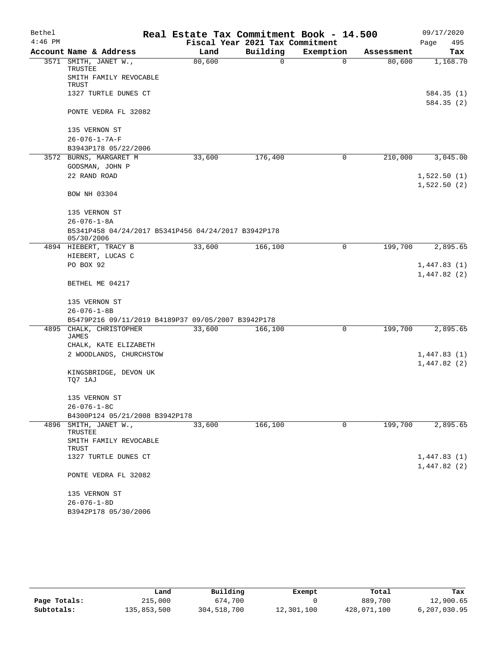| Bethel    |                                                                   | Real Estate Tax Commitment Book - 14.500 |                                 |             |            | 09/17/2020  |
|-----------|-------------------------------------------------------------------|------------------------------------------|---------------------------------|-------------|------------|-------------|
| $4:46$ PM |                                                                   |                                          | Fiscal Year 2021 Tax Commitment |             |            | Page<br>495 |
|           | Account Name & Address                                            | Land                                     | Building                        | Exemption   | Assessment | Tax         |
| 3571      | SMITH, JANET W.,<br>TRUSTEE                                       | 80,600                                   | 0                               | $\mathbf 0$ | 80,600     | 1,168.70    |
|           | SMITH FAMILY REVOCABLE<br><b>TRUST</b>                            |                                          |                                 |             |            |             |
|           | 1327 TURTLE DUNES CT                                              |                                          |                                 |             |            | 584.35(1)   |
|           | PONTE VEDRA FL 32082                                              |                                          |                                 |             |            | 584.35(2)   |
|           | 135 VERNON ST                                                     |                                          |                                 |             |            |             |
|           | $26 - 076 - 1 - 7A - F$<br>B3943P178 05/22/2006                   |                                          |                                 |             |            |             |
|           | 3572 BURNS, MARGARET M                                            | 33,600                                   | 176,400                         | 0           | 210,000    | 3,045.00    |
|           | GODSMAN, JOHN P                                                   |                                          |                                 |             |            |             |
|           | 22 RAND ROAD                                                      |                                          |                                 |             |            | 1,522.50(1) |
|           | BOW NH 03304                                                      |                                          |                                 |             |            | 1,522.50(2) |
|           | 135 VERNON ST                                                     |                                          |                                 |             |            |             |
|           | $26 - 076 - 1 - 8A$                                               |                                          |                                 |             |            |             |
|           | B5341P458 04/24/2017 B5341P456 04/24/2017 B3942P178<br>05/30/2006 |                                          |                                 |             |            |             |
|           | 4894 HIEBERT, TRACY B                                             | 33,600                                   | 166,100                         | $\mathbf 0$ | 199,700    | 2,895.65    |
|           | HIEBERT, LUCAS C                                                  |                                          |                                 |             |            |             |
|           | PO BOX 92                                                         |                                          |                                 |             |            | 1,447.83(1) |
|           | BETHEL ME 04217                                                   |                                          |                                 |             |            | 1,447.82(2) |
|           | 135 VERNON ST                                                     |                                          |                                 |             |            |             |
|           | $26 - 076 - 1 - 8B$                                               |                                          |                                 |             |            |             |
|           | B5479P216 09/11/2019 B4189P37 09/05/2007 B3942P178                |                                          |                                 |             |            |             |
| 4895      | CHALK, CHRISTOPHER<br><b>JAMES</b>                                | 33,600                                   | 166,100                         | $\mathbf 0$ | 199,700    | 2,895.65    |
|           | CHALK, KATE ELIZABETH                                             |                                          |                                 |             |            |             |
|           | 2 WOODLANDS, CHURCHSTOW                                           |                                          |                                 |             |            | 1,447.83(1) |
|           |                                                                   |                                          |                                 |             |            | 1,447.82(2) |
|           | KINGSBRIDGE, DEVON UK<br>TQ7 1AJ                                  |                                          |                                 |             |            |             |
|           | 135 VERNON ST<br>26-076-1-8C                                      |                                          |                                 |             |            |             |
|           | B4300P124 05/21/2008 B3942P178                                    |                                          |                                 |             |            |             |
|           | 4896 SMITH, JANET W.,                                             | 33,600                                   | 166,100                         | 0           | 199,700    | 2,895.65    |
|           | TRUSTEE<br>SMITH FAMILY REVOCABLE                                 |                                          |                                 |             |            |             |
|           | TRUST                                                             |                                          |                                 |             |            |             |
|           | 1327 TURTLE DUNES CT                                              |                                          |                                 |             |            | 1,447.83(1) |
|           | PONTE VEDRA FL 32082                                              |                                          |                                 |             |            | 1,447.82(2) |
|           | 135 VERNON ST                                                     |                                          |                                 |             |            |             |
|           | $26 - 076 - 1 - 8D$                                               |                                          |                                 |             |            |             |
|           | B3942P178 05/30/2006                                              |                                          |                                 |             |            |             |

|              | Land        | Building    | Exempt     | Total       | Tax          |
|--------------|-------------|-------------|------------|-------------|--------------|
| Page Totals: | 215,000     | 674,700     |            | 889,700     | 12,900.65    |
| Subtotals:   | 135,853,500 | 304,518,700 | 12,301,100 | 428,071,100 | 6,207,030.95 |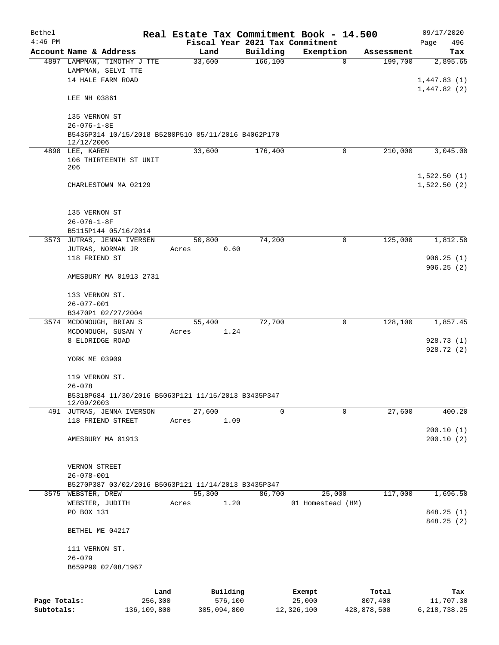| Bethel       |                                                                        | Real Estate Tax Commitment Book - 14.500 |          |                             |             | 09/17/2020                 |
|--------------|------------------------------------------------------------------------|------------------------------------------|----------|-----------------------------|-------------|----------------------------|
| $4:46$ PM    |                                                                        | Fiscal Year 2021 Tax Commitment          |          |                             |             | Page<br>496                |
|              | Account Name & Address                                                 | Land                                     | Building | Exemption                   | Assessment  | Tax                        |
|              | 4897 LAMPMAN, TIMOTHY J TTE<br>LAMPMAN, SELVI TTE<br>14 HALE FARM ROAD | 33,600                                   | 166,100  | $\Omega$                    | 199,700     | 2,895.65<br>1,447.83(1)    |
|              | LEE NH 03861                                                           |                                          |          |                             |             | 1,447.82(2)                |
|              | 135 VERNON ST<br>$26 - 076 - 1 - 8E$                                   |                                          |          |                             |             |                            |
|              | B5436P314 10/15/2018 B5280P510 05/11/2016 B4062P170                    |                                          |          |                             |             |                            |
|              | 12/12/2006                                                             |                                          |          |                             |             |                            |
|              | 4898 LEE, KAREN<br>106 THIRTEENTH ST UNIT<br>206                       | 33,600                                   | 176,400  | $\mathbf 0$                 | 210,000     | 3,045.00                   |
|              | CHARLESTOWN MA 02129                                                   |                                          |          |                             |             | 1,522.50(1)<br>1,522.50(2) |
|              | 135 VERNON ST                                                          |                                          |          |                             |             |                            |
|              | $26 - 076 - 1 - 8F$<br>B5115P144 05/16/2014                            |                                          |          |                             |             |                            |
|              | 3573 JUTRAS, JENNA IVERSEN                                             | 50,800                                   | 74,200   | 0                           | 125,000     | 1,812.50                   |
|              | JUTRAS, NORMAN JR                                                      | 0.60<br>Acres                            |          |                             |             |                            |
|              | 118 FRIEND ST                                                          |                                          |          |                             |             | 906.25(1)                  |
|              | AMESBURY MA 01913 2731                                                 |                                          |          |                             |             | 906.25(2)                  |
|              | 133 VERNON ST.                                                         |                                          |          |                             |             |                            |
|              | $26 - 077 - 001$<br>B3470P1 02/27/2004                                 |                                          |          |                             |             |                            |
|              | 3574 MCDONOUGH, BRIAN S                                                | 55,400                                   | 72,700   | 0                           | 128,100     | 1,857.45                   |
|              | MCDONOUGH, SUSAN Y<br>8 ELDRIDGE ROAD                                  | 1.24<br>Acres                            |          |                             |             | 928.73(1)                  |
|              |                                                                        |                                          |          |                             |             | 928.72 (2)                 |
|              | YORK ME 03909                                                          |                                          |          |                             |             |                            |
|              | 119 VERNON ST.<br>$26 - 078$                                           |                                          |          |                             |             |                            |
|              | B5318P684 11/30/2016 B5063P121 11/15/2013 B3435P347<br>12/09/2003      |                                          |          |                             |             |                            |
|              | 491 JUTRAS, JENNA IVERSON                                              | 27,600                                   | $\Omega$ | $\Omega$                    | 27,600      | 400.20                     |
|              | 118 FRIEND STREET                                                      | 1.09<br>Acres                            |          |                             |             | 200.10(1)                  |
|              | AMESBURY MA 01913                                                      |                                          |          |                             |             | 200.10(2)                  |
|              | VERNON STREET                                                          |                                          |          |                             |             |                            |
|              | $26 - 078 - 001$                                                       |                                          |          |                             |             |                            |
|              | B5270P387 03/02/2016 B5063P121 11/14/2013 B3435P347                    |                                          |          |                             |             | 1,696.50                   |
|              | 3575 WEBSTER, DREW<br>WEBSTER, JUDITH                                  | 55,300<br>1.20<br>Acres                  | 86,700   | 25,000<br>01 Homestead (HM) | 117,000     |                            |
|              | PO BOX 131                                                             |                                          |          |                             |             | 848.25 (1)                 |
|              | BETHEL ME 04217                                                        |                                          |          |                             |             | 848.25 (2)                 |
|              | 111 VERNON ST.                                                         |                                          |          |                             |             |                            |
|              | $26 - 079$                                                             |                                          |          |                             |             |                            |
|              | B659P90 02/08/1967                                                     |                                          |          |                             |             |                            |
|              | Land                                                                   | Building                                 |          | Exempt                      | Total       | Tax                        |
| Page Totals: | 256,300                                                                | 576,100                                  |          | 25,000                      | 807,400     | 11,707.30                  |
| Subtotals:   | 136,109,800                                                            | 305,094,800                              |          | 12,326,100                  | 428,878,500 | 6, 218, 738.25             |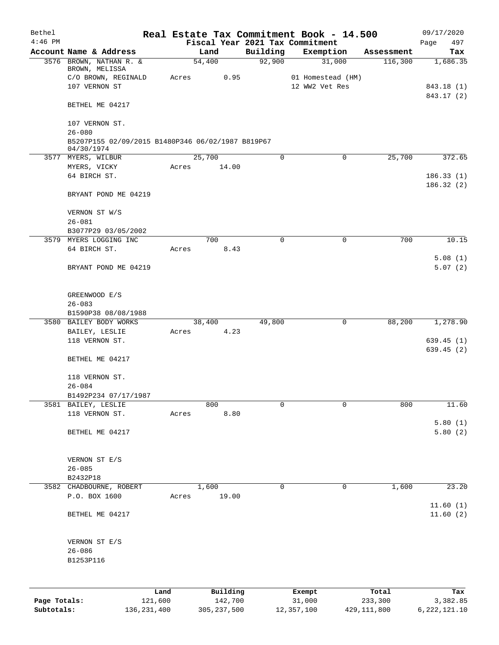| Bethel                     |                                                                               |                          |       |                          |                                 |                      | Real Estate Tax Commitment Book - 14.500 |                          | 09/17/2020                 |
|----------------------------|-------------------------------------------------------------------------------|--------------------------|-------|--------------------------|---------------------------------|----------------------|------------------------------------------|--------------------------|----------------------------|
| $4:46$ PM                  |                                                                               |                          |       |                          | Fiscal Year 2021 Tax Commitment |                      |                                          |                          | Page<br>497                |
|                            | Account Name & Address<br>3576 BROWN, NATHAN R. &                             |                          |       | Land<br>54,400           | Building<br>92,900              |                      | Exemption<br>31,000                      | Assessment<br>116,300    | Tax<br>1,686.35            |
|                            | BROWN, MELISSA                                                                |                          |       |                          |                                 |                      |                                          |                          |                            |
|                            | C/O BROWN, REGINALD                                                           |                          | Acres | 0.95                     |                                 |                      | 01 Homestead (HM)                        |                          |                            |
|                            | 107 VERNON ST                                                                 |                          |       |                          |                                 | 12 WW2 Vet Res       |                                          |                          | 843.18 (1)                 |
|                            | BETHEL ME 04217                                                               |                          |       |                          |                                 |                      |                                          |                          | 843.17 (2)                 |
|                            | 107 VERNON ST.                                                                |                          |       |                          |                                 |                      |                                          |                          |                            |
|                            | $26 - 080$<br>B5207P155 02/09/2015 B1480P346 06/02/1987 B819P67<br>04/30/1974 |                          |       |                          |                                 |                      |                                          |                          |                            |
|                            | 3577 MYERS, WILBUR                                                            |                          |       | 25,700                   | $\mathbf 0$                     |                      | $\mathsf{O}$                             | 25,700                   | 372.65                     |
|                            | MYERS, VICKY                                                                  |                          | Acres | 14.00                    |                                 |                      |                                          |                          |                            |
|                            | 64 BIRCH ST.                                                                  |                          |       |                          |                                 |                      |                                          |                          | 186.33(1)<br>186.32 (2)    |
|                            | BRYANT POND ME 04219                                                          |                          |       |                          |                                 |                      |                                          |                          |                            |
|                            | VERNON ST W/S                                                                 |                          |       |                          |                                 |                      |                                          |                          |                            |
|                            | $26 - 081$                                                                    |                          |       |                          |                                 |                      |                                          |                          |                            |
|                            | B3077P29 03/05/2002                                                           |                          |       |                          |                                 |                      |                                          |                          |                            |
|                            | 3579 MYERS LOGGING INC                                                        |                          |       | 700                      | $\Omega$                        |                      | $\mathbf 0$                              | 700                      | 10.15                      |
|                            | 64 BIRCH ST.                                                                  |                          | Acres | 8.43                     |                                 |                      |                                          |                          | 5.08(1)                    |
|                            | BRYANT POND ME 04219                                                          |                          |       |                          |                                 |                      |                                          |                          | 5.07(2)                    |
|                            | GREENWOOD E/S                                                                 |                          |       |                          |                                 |                      |                                          |                          |                            |
|                            | $26 - 083$                                                                    |                          |       |                          |                                 |                      |                                          |                          |                            |
|                            | B1590P38 08/08/1988                                                           |                          |       |                          |                                 |                      |                                          |                          |                            |
|                            | 3580 BAILEY BODY WORKS                                                        |                          |       | 38,400                   | 49,800                          |                      | 0                                        | 88,200                   | 1,278.90                   |
|                            | BAILEY, LESLIE                                                                |                          | Acres | 4.23                     |                                 |                      |                                          |                          |                            |
|                            | 118 VERNON ST.                                                                |                          |       |                          |                                 |                      |                                          |                          | 639.45(1)<br>639.45(2)     |
|                            | BETHEL ME 04217                                                               |                          |       |                          |                                 |                      |                                          |                          |                            |
|                            | 118 VERNON ST.                                                                |                          |       |                          |                                 |                      |                                          |                          |                            |
|                            | $26 - 084$                                                                    |                          |       |                          |                                 |                      |                                          |                          |                            |
|                            | B1492P234 07/17/1987                                                          |                          |       |                          |                                 |                      |                                          |                          |                            |
|                            | 3581 BAILEY, LESLIE                                                           |                          |       | 800                      | 0                               |                      | $\mathbf 0$                              | 800                      | 11.60                      |
|                            | 118 VERNON ST.                                                                |                          | Acres | 8.80                     |                                 |                      |                                          |                          | 5.80(1)                    |
|                            | BETHEL ME 04217                                                               |                          |       |                          |                                 |                      |                                          |                          | 5.80(2)                    |
|                            |                                                                               |                          |       |                          |                                 |                      |                                          |                          |                            |
|                            | VERNON ST E/S                                                                 |                          |       |                          |                                 |                      |                                          |                          |                            |
|                            | $26 - 085$                                                                    |                          |       |                          |                                 |                      |                                          |                          |                            |
|                            | B2432P18                                                                      |                          |       |                          |                                 |                      |                                          |                          |                            |
| 3582                       | CHADBOURNE, ROBERT<br>P.O. BOX 1600                                           |                          | Acres | 1,600<br>19.00           | 0                               |                      | $\mathsf{O}$                             | 1,600                    | $\overline{23.20}$         |
|                            |                                                                               |                          |       |                          |                                 |                      |                                          |                          | 11.60(1)                   |
|                            | BETHEL ME 04217                                                               |                          |       |                          |                                 |                      |                                          |                          | 11.60(2)                   |
|                            | VERNON ST E/S                                                                 |                          |       |                          |                                 |                      |                                          |                          |                            |
|                            | $26 - 086$                                                                    |                          |       |                          |                                 |                      |                                          |                          |                            |
|                            | B1253P116                                                                     |                          |       |                          |                                 |                      |                                          |                          |                            |
|                            |                                                                               |                          |       |                          |                                 |                      |                                          |                          |                            |
|                            |                                                                               | Land                     |       | Building                 |                                 | Exempt               |                                          | Total                    | Tax                        |
| Page Totals:<br>Subtotals: |                                                                               | 121,600<br>136, 231, 400 |       | 142,700<br>305, 237, 500 |                                 | 31,000<br>12,357,100 |                                          | 233,300<br>429, 111, 800 | 3,382.85<br>6, 222, 121.10 |
|                            |                                                                               |                          |       |                          |                                 |                      |                                          |                          |                            |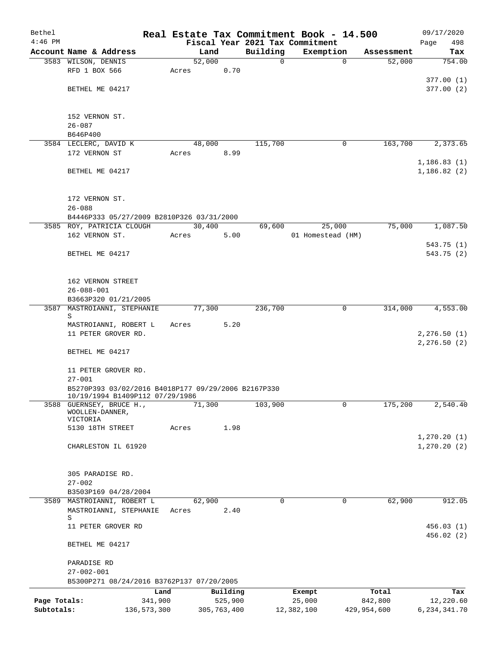| Bethel       |                                                     |       |             |          |             | Real Estate Tax Commitment Book - 14.500 |             |             | 09/17/2020              |
|--------------|-----------------------------------------------------|-------|-------------|----------|-------------|------------------------------------------|-------------|-------------|-------------------------|
| $4:46$ PM    |                                                     |       |             |          |             | Fiscal Year 2021 Tax Commitment          |             |             | 498<br>Page             |
|              | Account Name & Address                              |       | Land        |          | Building    | Exemption                                |             | Assessment  | Tax                     |
|              | 3583 WILSON, DENNIS                                 |       | 52,000      |          | $\mathbf 0$ |                                          | $\mathbf 0$ | 52,000      | 754.00                  |
|              | RFD 1 BOX 566                                       | Acres |             | 0.70     |             |                                          |             |             |                         |
|              |                                                     |       |             |          |             |                                          |             |             | 377.00(1)               |
|              | BETHEL ME 04217                                     |       |             |          |             |                                          |             |             | 377.00(2)               |
|              |                                                     |       |             |          |             |                                          |             |             |                         |
|              | 152 VERNON ST.                                      |       |             |          |             |                                          |             |             |                         |
|              | $26 - 087$                                          |       |             |          |             |                                          |             |             |                         |
|              | B646P400                                            |       |             |          |             |                                          |             |             |                         |
|              | 3584 LECLERC, DAVID K                               |       | 48,000      |          | 115,700     |                                          | 0           | 163,700     | 2,373.65                |
|              | 172 VERNON ST                                       | Acres |             | 8.99     |             |                                          |             |             |                         |
|              |                                                     |       |             |          |             |                                          |             |             | 1, 186.83(1)            |
|              | BETHEL ME 04217                                     |       |             |          |             |                                          |             |             | 1, 186.82(2)            |
|              |                                                     |       |             |          |             |                                          |             |             |                         |
|              |                                                     |       |             |          |             |                                          |             |             |                         |
|              | 172 VERNON ST.                                      |       |             |          |             |                                          |             |             |                         |
|              | $26 - 088$                                          |       |             |          |             |                                          |             |             |                         |
|              | B4446P333 05/27/2009 B2810P326 03/31/2000           |       |             |          |             |                                          |             |             |                         |
|              | 3585 ROY, PATRICIA CLOUGH                           |       | 30,400      |          | 69,600      | 25,000                                   |             | 75,000      | 1,087.50                |
|              | 162 VERNON ST.                                      | Acres |             | 5.00     |             | 01 Homestead (HM)                        |             |             |                         |
|              |                                                     |       |             |          |             |                                          |             |             | 543.75 (1)              |
|              | BETHEL ME 04217                                     |       |             |          |             |                                          |             |             | 543.75 (2)              |
|              |                                                     |       |             |          |             |                                          |             |             |                         |
|              | 162 VERNON STREET                                   |       |             |          |             |                                          |             |             |                         |
|              | $26 - 088 - 001$                                    |       |             |          |             |                                          |             |             |                         |
|              | B3663P320 01/21/2005                                |       |             |          |             |                                          |             |             |                         |
|              | 3587 MASTROIANNI, STEPHANIE                         |       | 77,300      |          | 236,700     |                                          | $\mathbf 0$ | 314,000     | 4,553.00                |
|              | S                                                   |       |             |          |             |                                          |             |             |                         |
|              | MASTROIANNI, ROBERT L                               | Acres |             | 5.20     |             |                                          |             |             |                         |
|              | 11 PETER GROVER RD.                                 |       |             |          |             |                                          |             |             | 2, 276.50(1)            |
|              |                                                     |       |             |          |             |                                          |             |             | 2, 276.50 (2)           |
|              | BETHEL ME 04217                                     |       |             |          |             |                                          |             |             |                         |
|              | 11 PETER GROVER RD.                                 |       |             |          |             |                                          |             |             |                         |
|              | $27 - 001$                                          |       |             |          |             |                                          |             |             |                         |
|              | B5270P393 03/02/2016 B4018P177 09/29/2006 B2167P330 |       |             |          |             |                                          |             |             |                         |
|              | 10/19/1994 B1409P112 07/29/1986                     |       |             |          |             |                                          |             |             |                         |
| 3588         | GUERNSEY, BRUCE H.,                                 |       | 71,300      |          | 103,900     |                                          | 0           | 175,200     | 2,540.40                |
|              | WOOLLEN-DANNER,                                     |       |             |          |             |                                          |             |             |                         |
|              | VICTORIA<br>5130 18TH STREET                        | Acres |             | 1.98     |             |                                          |             |             |                         |
|              |                                                     |       |             |          |             |                                          |             |             | 1, 270.20(1)            |
|              | CHARLESTON IL 61920                                 |       |             |          |             |                                          |             |             | 1, 270.20(2)            |
|              |                                                     |       |             |          |             |                                          |             |             |                         |
|              |                                                     |       |             |          |             |                                          |             |             |                         |
|              | 305 PARADISE RD.                                    |       |             |          |             |                                          |             |             |                         |
|              | $27 - 002$                                          |       |             |          |             |                                          |             |             |                         |
|              | B3503P169 04/28/2004                                |       |             |          |             |                                          |             |             |                         |
|              | 3589 MASTROIANNI, ROBERT L                          |       | 62,900      |          | 0           |                                          | 0           | 62,900      | 912.05                  |
|              | MASTROIANNI, STEPHANIE                              | Acres |             | 2.40     |             |                                          |             |             |                         |
|              | S                                                   |       |             |          |             |                                          |             |             |                         |
|              | 11 PETER GROVER RD                                  |       |             |          |             |                                          |             |             | 456.03(1)<br>456.02 (2) |
|              | BETHEL ME 04217                                     |       |             |          |             |                                          |             |             |                         |
|              |                                                     |       |             |          |             |                                          |             |             |                         |
|              | PARADISE RD                                         |       |             |          |             |                                          |             |             |                         |
|              | $27 - 002 - 001$                                    |       |             |          |             |                                          |             |             |                         |
|              | B5300P271 08/24/2016 B3762P137 07/20/2005           |       |             |          |             |                                          |             |             |                         |
|              | Land                                                |       |             | Building |             | Exempt                                   |             | Total       | Tax                     |
| Page Totals: | 341,900                                             |       |             | 525,900  |             | 25,000                                   |             | 842,800     | 12,220.60               |
| Subtotals:   | 136,573,300                                         |       | 305,763,400 |          |             | 12,382,100                               |             | 429,954,600 | 6, 234, 341.70          |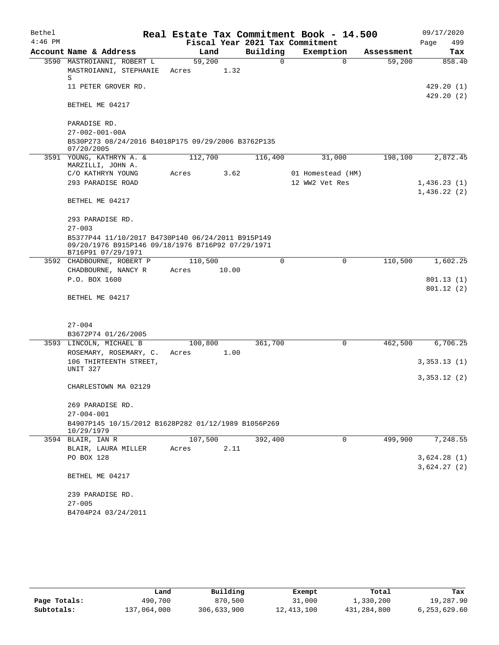| Bethel    |                                                                                                                              |         |       |             | Real Estate Tax Commitment Book - 14.500 |             |            | 09/17/2020   |
|-----------|------------------------------------------------------------------------------------------------------------------------------|---------|-------|-------------|------------------------------------------|-------------|------------|--------------|
| $4:46$ PM |                                                                                                                              |         |       |             | Fiscal Year 2021 Tax Commitment          |             |            | Page<br>499  |
|           | Account Name & Address                                                                                                       |         | Land  | Building    | Exemption                                |             | Assessment | Tax          |
|           | 3590 MASTROIANNI, ROBERT L                                                                                                   | 59,200  |       | 0           |                                          | $\Omega$    | 59,200     | 858.40       |
|           | MASTROIANNI, STEPHANIE<br>S                                                                                                  | Acres   | 1.32  |             |                                          |             |            |              |
|           | 11 PETER GROVER RD.                                                                                                          |         |       |             |                                          |             |            | 429.20 (1)   |
|           | BETHEL ME 04217                                                                                                              |         |       |             |                                          |             |            | 429.20(2)    |
|           | PARADISE RD.<br>$27 - 002 - 001 - 00A$                                                                                       |         |       |             |                                          |             |            |              |
|           | B530P273 08/24/2016 B4018P175 09/29/2006 B3762P135<br>07/20/2005                                                             |         |       |             |                                          |             |            |              |
|           | 3591 YOUNG, KATHRYN A. &                                                                                                     | 112,700 |       | 116,400     | 31,000                                   |             | 198,100    | 2,872.45     |
|           | MARZILLI, JOHN A.                                                                                                            |         |       |             |                                          |             |            |              |
|           | C/O KATHRYN YOUNG                                                                                                            | Acres   | 3.62  |             | 01 Homestead (HM)                        |             |            |              |
|           | 293 PARADISE ROAD                                                                                                            |         |       |             | 12 WW2 Vet Res                           |             |            | 1,436.23(1)  |
|           |                                                                                                                              |         |       |             |                                          |             |            | 1,436.22(2)  |
|           | BETHEL ME 04217                                                                                                              |         |       |             |                                          |             |            |              |
|           | 293 PARADISE RD.                                                                                                             |         |       |             |                                          |             |            |              |
|           | $27 - 003$                                                                                                                   |         |       |             |                                          |             |            |              |
|           | B5377P44 11/10/2017 B4730P140 06/24/2011 B915P149<br>09/20/1976 B915P146 09/18/1976 B716P92 07/29/1971<br>B716P91 07/29/1971 |         |       |             |                                          |             |            |              |
|           | 3592 CHADBOURNE, ROBERT P                                                                                                    | 110,500 |       | $\mathbf 0$ |                                          | $\mathbf 0$ | 110,500    | 1,602.25     |
|           | CHADBOURNE, NANCY R                                                                                                          | Acres   | 10.00 |             |                                          |             |            |              |
|           | P.O. BOX 1600                                                                                                                |         |       |             |                                          |             |            | 801.13(1)    |
|           |                                                                                                                              |         |       |             |                                          |             |            |              |
|           | BETHEL ME 04217                                                                                                              |         |       |             |                                          |             |            | 801.12(2)    |
|           |                                                                                                                              |         |       |             |                                          |             |            |              |
|           | $27 - 004$                                                                                                                   |         |       |             |                                          |             |            |              |
|           | B3672P74 01/26/2005                                                                                                          |         |       |             |                                          |             |            |              |
|           | 3593 LINCOLN, MICHAEL B                                                                                                      | 100,800 |       | 361,700     |                                          | $\mathbf 0$ | 462,500    | 6,706.25     |
|           | ROSEMARY, ROSEMARY, C.                                                                                                       | Acres   | 1.00  |             |                                          |             |            |              |
|           | 106 THIRTEENTH STREET,                                                                                                       |         |       |             |                                          |             |            | 3,353.13(1)  |
|           | UNIT 327                                                                                                                     |         |       |             |                                          |             |            |              |
|           |                                                                                                                              |         |       |             |                                          |             |            | 3,353.12 (2) |
|           | CHARLESTOWN MA 02129                                                                                                         |         |       |             |                                          |             |            |              |
|           | 269 PARADISE RD.                                                                                                             |         |       |             |                                          |             |            |              |
|           | $27 - 004 - 001$                                                                                                             |         |       |             |                                          |             |            |              |
|           | B4907P145 10/15/2012 B1628P282 01/12/1989 B1056P269<br>10/29/1979                                                            |         |       |             |                                          |             |            |              |
|           | 3594 BLAIR, IAN R                                                                                                            | 107,500 |       | 392,400     |                                          | $\mathbf 0$ | 499,900    | 7,248.55     |
|           | BLAIR, LAURA MILLER                                                                                                          | Acres   | 2.11  |             |                                          |             |            |              |
|           | PO BOX 128                                                                                                                   |         |       |             |                                          |             |            | 3,624.28(1)  |
|           |                                                                                                                              |         |       |             |                                          |             |            | 3,624.27(2)  |
|           | BETHEL ME 04217                                                                                                              |         |       |             |                                          |             |            |              |
|           | 239 PARADISE RD.                                                                                                             |         |       |             |                                          |             |            |              |
|           | $27 - 005$                                                                                                                   |         |       |             |                                          |             |            |              |
|           | B4704P24 03/24/2011                                                                                                          |         |       |             |                                          |             |            |              |
|           |                                                                                                                              |         |       |             |                                          |             |            |              |

|              | Land        | Building    | Exempt     | Total       | Tax          |
|--------------|-------------|-------------|------------|-------------|--------------|
| Page Totals: | 490,700     | 870,500     | 31,000     | 1,330,200   | 19,287.90    |
| Subtotals:   | 137,064,000 | 306,633,900 | 12,413,100 | 431,284,800 | 6,253,629.60 |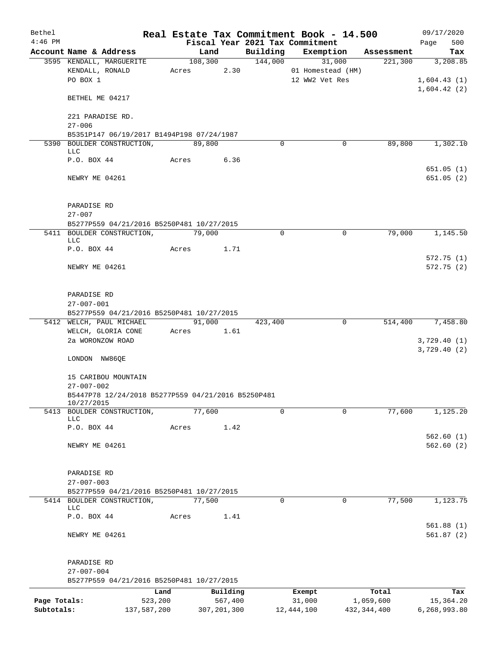| Bethel       |                                          |                                                    |            |                     |             | Real Estate Tax Commitment Book - 14.500 |                    | 09/17/2020       |
|--------------|------------------------------------------|----------------------------------------------------|------------|---------------------|-------------|------------------------------------------|--------------------|------------------|
| $4:46$ PM    |                                          |                                                    |            |                     |             | Fiscal Year 2021 Tax Commitment          |                    | 500<br>Page      |
|              | Account Name & Address                   |                                                    |            | Land                |             | Building Exemption                       | Assessment         | Tax              |
|              | 3595 KENDALL, MARGUERITE                 |                                                    |            | 108,300 144,000     |             | 31,000                                   | 221,300            | 3,208.85         |
|              | KENDALL, RONALD<br>PO BOX 1              |                                                    | Acres 2.30 |                     |             | 01 Homestead (HM)<br>12 WW2 Vet Res      |                    | 1,604.43(1)      |
|              |                                          |                                                    |            |                     |             |                                          |                    | 1,604.42(2)      |
|              | BETHEL ME 04217                          |                                                    |            |                     |             |                                          |                    |                  |
|              |                                          |                                                    |            |                     |             |                                          |                    |                  |
|              | 221 PARADISE RD.                         |                                                    |            |                     |             |                                          |                    |                  |
|              | $27 - 006$                               |                                                    |            |                     |             |                                          |                    |                  |
|              |                                          | B5351P147 06/19/2017 B1494P198 07/24/1987          |            |                     |             |                                          |                    |                  |
|              | 5390 BOULDER CONSTRUCTION,               |                                                    | 89,800     |                     | $\Omega$    | 0                                        | 89,800             | 1,302.10         |
|              | LLC                                      | P.O. BOX 44 Acres 6.36                             |            |                     |             |                                          |                    |                  |
|              |                                          |                                                    |            |                     |             |                                          |                    | 651.05(1)        |
|              | NEWRY ME 04261                           |                                                    |            |                     |             |                                          |                    | 651.05(2)        |
|              |                                          |                                                    |            |                     |             |                                          |                    |                  |
|              |                                          |                                                    |            |                     |             |                                          |                    |                  |
|              | PARADISE RD                              |                                                    |            |                     |             |                                          |                    |                  |
|              | $27 - 007$                               |                                                    |            |                     |             |                                          |                    |                  |
|              |                                          | B5277P559 04/21/2016 B5250P481 10/27/2015          |            |                     |             |                                          |                    |                  |
|              | 5411 BOULDER CONSTRUCTION, 79,000        |                                                    |            |                     | $\Omega$    | 0                                        | 79,000             | 1,145.50         |
|              | LLC<br>P.O. BOX 44                       |                                                    | Acres 1.71 |                     |             |                                          |                    |                  |
|              |                                          |                                                    |            |                     |             |                                          |                    | 572.75(1)        |
|              | NEWRY ME 04261                           |                                                    |            |                     |             |                                          |                    | 572.75(2)        |
|              |                                          |                                                    |            |                     |             |                                          |                    |                  |
|              |                                          |                                                    |            |                     |             |                                          |                    |                  |
|              | PARADISE RD                              |                                                    |            |                     |             |                                          |                    |                  |
|              | $27 - 007 - 001$                         |                                                    |            |                     |             |                                          |                    |                  |
|              |                                          | B5277P559 04/21/2016 B5250P481 10/27/2015          |            |                     |             |                                          |                    |                  |
|              | 5412 WELCH, PAUL MICHAEL                 |                                                    |            | 91,000 423,400      |             | $\mathbf 0$                              |                    | 514,400 7,458.80 |
|              | WELCH, GLORIA CONE                       |                                                    | Acres 1.61 |                     |             |                                          |                    |                  |
|              | 2a WORONZOW ROAD                         |                                                    |            |                     |             |                                          |                    | 3,729.40(1)      |
|              | LONDON NW86QE                            |                                                    |            |                     |             |                                          |                    | 3,729.40(2)      |
|              |                                          |                                                    |            |                     |             |                                          |                    |                  |
|              | 15 CARIBOU MOUNTAIN                      |                                                    |            |                     |             |                                          |                    |                  |
|              | $27 - 007 - 002$                         |                                                    |            |                     |             |                                          |                    |                  |
|              |                                          | B5447P78 12/24/2018 B5277P559 04/21/2016 B5250P481 |            |                     |             |                                          |                    |                  |
|              | 10/27/2015                               |                                                    |            |                     |             |                                          |                    |                  |
|              | 5413 BOULDER CONSTRUCTION,<br>LLC        |                                                    | 77,600     |                     | $\Omega$    | $\Omega$                                 | 77,600             | 1,125.20         |
|              | P.O. BOX 44                              |                                                    | Acres      | 1.42                |             |                                          |                    |                  |
|              |                                          |                                                    |            |                     |             |                                          |                    | 562.60(1)        |
|              | NEWRY ME 04261                           |                                                    |            |                     |             |                                          |                    | 562.60(2)        |
|              |                                          |                                                    |            |                     |             |                                          |                    |                  |
|              |                                          |                                                    |            |                     |             |                                          |                    |                  |
|              | PARADISE RD                              |                                                    |            |                     |             |                                          |                    |                  |
|              | $27 - 007 - 003$                         |                                                    |            |                     |             |                                          |                    |                  |
|              |                                          | B5277P559 04/21/2016 B5250P481 10/27/2015          |            |                     | $\mathbf 0$ |                                          |                    |                  |
|              | 5414 BOULDER CONSTRUCTION,<br><b>LLC</b> |                                                    | 77,500     |                     |             | $\mathbf 0$                              | 77,500             | 1,123.75         |
|              | P.O. BOX 44                              |                                                    | Acres      | 1.41                |             |                                          |                    |                  |
|              |                                          |                                                    |            |                     |             |                                          |                    | 561.88(1)        |
|              | NEWRY ME 04261                           |                                                    |            |                     |             |                                          |                    | 561.87(2)        |
|              |                                          |                                                    |            |                     |             |                                          |                    |                  |
|              |                                          |                                                    |            |                     |             |                                          |                    |                  |
|              | PARADISE RD                              |                                                    |            |                     |             |                                          |                    |                  |
|              | $27 - 007 - 004$                         | B5277P559 04/21/2016 B5250P481 10/27/2015          |            |                     |             |                                          |                    |                  |
|              |                                          |                                                    |            |                     |             |                                          |                    |                  |
| Page Totals: |                                          | Land<br>523,200                                    |            | Building<br>567,400 |             | Exempt<br>31,000                         | Total<br>1,059,600 | Tax<br>15,364.20 |
| Subtotals:   |                                          | 137,587,200                                        |            | 307, 201, 300       |             | 12,444,100                               | 432, 344, 400      | 6,268,993.80     |
|              |                                          |                                                    |            |                     |             |                                          |                    |                  |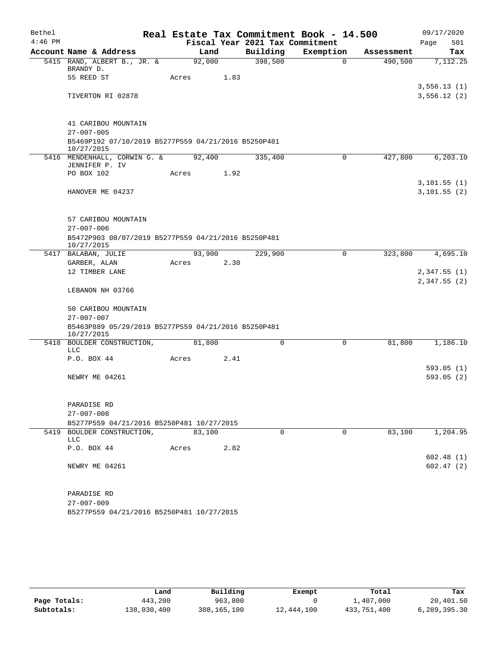| Bethel    |                                                                   |       |        |      | Real Estate Tax Commitment Book - 14.500 |           |          |            | 09/17/2020                 |           |
|-----------|-------------------------------------------------------------------|-------|--------|------|------------------------------------------|-----------|----------|------------|----------------------------|-----------|
| $4:46$ PM |                                                                   |       |        |      | Fiscal Year 2021 Tax Commitment          |           |          |            | Page                       | 501       |
|           | Account Name & Address                                            |       | Land   |      | Building                                 | Exemption |          | Assessment |                            | Tax       |
|           | 5415 RAND, ALBERT B., JR. &<br>BRANDY D.                          |       | 92,000 |      | 398,500                                  |           | $\Omega$ | 490,500    |                            | 7,112.25  |
|           | 55 REED ST                                                        | Acres |        | 1.83 |                                          |           |          |            |                            |           |
|           | TIVERTON RI 02878                                                 |       |        |      |                                          |           |          |            | 3,556.13(1)<br>3,556.12(2) |           |
|           | 41 CARIBOU MOUNTAIN                                               |       |        |      |                                          |           |          |            |                            |           |
|           | $27 - 007 - 005$                                                  |       |        |      |                                          |           |          |            |                            |           |
|           | B5469P192 07/10/2019 B5277P559 04/21/2016 B5250P481<br>10/27/2015 |       |        |      |                                          |           |          |            |                            |           |
|           | 5416 MENDENHALL, CORWIN G. &<br>JENNIFER P. IV                    |       | 92,400 |      | 335,400                                  |           | 0        | 427,800    |                            | 6, 203.10 |
|           | PO BOX 102                                                        | Acres |        | 1.92 |                                          |           |          |            |                            |           |
|           | HANOVER ME 04237                                                  |       |        |      |                                          |           |          |            | 3,101.55(1)<br>3,101.55(2) |           |
|           |                                                                   |       |        |      |                                          |           |          |            |                            |           |
|           | 57 CARIBOU MOUNTAIN                                               |       |        |      |                                          |           |          |            |                            |           |
|           | $27 - 007 - 006$                                                  |       |        |      |                                          |           |          |            |                            |           |
|           | B5472P903 08/07/2019 B5277P559 04/21/2016 B5250P481<br>10/27/2015 |       |        |      |                                          |           |          |            |                            |           |
|           | 5417 BALABAN, JULIE                                               |       | 93,900 |      | 229,900                                  |           | 0        | 323,800    |                            | 4,695.10  |
|           | GARBER, ALAN<br>12 TIMBER LANE                                    | Acres |        | 2.30 |                                          |           |          |            | 2,347.55(1)<br>2,347.55(2) |           |
|           | LEBANON NH 03766                                                  |       |        |      |                                          |           |          |            |                            |           |
|           | 50 CARIBOU MOUNTAIN                                               |       |        |      |                                          |           |          |            |                            |           |
|           | $27 - 007 - 007$                                                  |       |        |      |                                          |           |          |            |                            |           |
|           | B5463P889 05/29/2019 B5277P559 04/21/2016 B5250P481<br>10/27/2015 |       |        |      |                                          |           |          |            |                            |           |
|           | 5418 BOULDER CONSTRUCTION,<br>LLC                                 |       | 81,800 |      | 0                                        |           | 0        | 81,800     |                            | 1,186.10  |
|           | P.O. BOX 44                                                       | Acres |        | 2.41 |                                          |           |          |            |                            |           |
|           | NEWRY ME 04261                                                    |       |        |      |                                          |           |          |            | 593.05(1)<br>593.05(2)     |           |
|           |                                                                   |       |        |      |                                          |           |          |            |                            |           |
|           | PARADISE RD                                                       |       |        |      |                                          |           |          |            |                            |           |
|           | $27 - 007 - 008$                                                  |       |        |      |                                          |           |          |            |                            |           |
|           | B5277P559 04/21/2016 B5250P481 10/27/2015                         |       |        |      |                                          |           |          |            |                            |           |
|           | 5419 BOULDER CONSTRUCTION,<br>LLC                                 |       | 83,100 |      | 0                                        |           | $\Omega$ | 83,100     |                            | 1,204.95  |
|           | P.O. BOX 44                                                       | Acres |        | 2.82 |                                          |           |          |            | 602.48(1)                  |           |
|           | NEWRY ME 04261                                                    |       |        |      |                                          |           |          |            | 602.47(2)                  |           |
|           | PARADISE RD                                                       |       |        |      |                                          |           |          |            |                            |           |
|           | $27 - 007 - 009$                                                  |       |        |      |                                          |           |          |            |                            |           |
|           | B5277P559 04/21/2016 B5250P481 10/27/2015                         |       |        |      |                                          |           |          |            |                            |           |

|              | Land        | Building    | Exempt     | Total       | Tax          |
|--------------|-------------|-------------|------------|-------------|--------------|
| Page Totals: | 443,200     | 963,800     |            | 1,407,000   | 20,401.50    |
| Subtotals:   | 138,030,400 | 308,165,100 | 12,444,100 | 433,751,400 | 6,289,395.30 |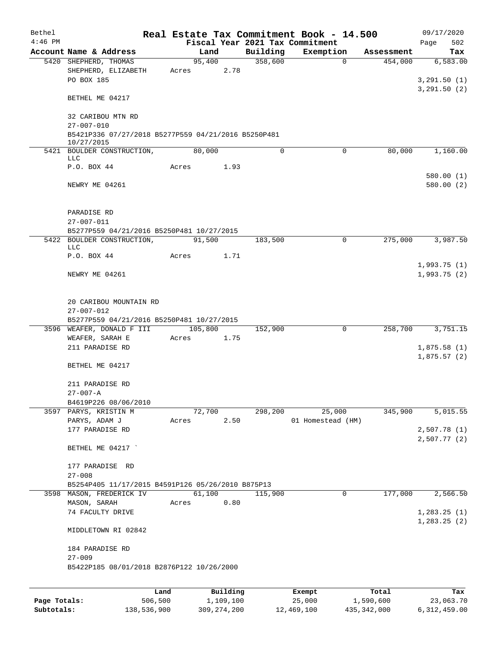| Bethel    |                                                                   |       |                |          |                     | Real Estate Tax Commitment Book - 14.500 |                       | 09/17/2020                   |
|-----------|-------------------------------------------------------------------|-------|----------------|----------|---------------------|------------------------------------------|-----------------------|------------------------------|
| $4:46$ PM |                                                                   |       |                |          |                     | Fiscal Year 2021 Tax Commitment          |                       | 502<br>Page                  |
|           | Account Name & Address<br>5420 SHEPHERD, THOMAS                   |       | Land<br>95,400 |          | Building<br>358,600 | Exemption<br>$\mathbf 0$                 | Assessment<br>454,000 | Tax<br>6, 583.00             |
|           | SHEPHERD, ELIZABETH<br>PO BOX 185                                 | Acres |                | 2.78     |                     |                                          |                       | 3, 291.50 (1)                |
|           | BETHEL ME 04217                                                   |       |                |          |                     |                                          |                       | 3, 291.50 (2)                |
|           | 32 CARIBOU MTN RD<br>$27 - 007 - 010$                             |       |                |          |                     |                                          |                       |                              |
|           | B5421P336 07/27/2018 B5277P559 04/21/2016 B5250P481<br>10/27/2015 |       |                |          |                     |                                          |                       |                              |
|           | 5421 BOULDER CONSTRUCTION,<br>LLC                                 |       | 80,000         |          | $\Omega$            | $\Omega$                                 | 80,000                | 1,160.00                     |
|           | P.O. BOX 44                                                       | Acres |                | 1.93     |                     |                                          |                       | 580.00(1)                    |
|           | NEWRY ME 04261                                                    |       |                |          |                     |                                          |                       | 580.00(2)                    |
|           | PARADISE RD<br>$27 - 007 - 011$                                   |       |                |          |                     |                                          |                       |                              |
|           | B5277P559 04/21/2016 B5250P481 10/27/2015                         |       |                |          |                     |                                          |                       |                              |
|           | 5422 BOULDER CONSTRUCTION,<br><b>LLC</b>                          |       | 91,500         |          | 183,500             | $\mathbf 0$                              | 275,000               | 3,987.50                     |
|           | P.O. BOX 44                                                       | Acres |                | 1.71     |                     |                                          |                       | 1,993.75(1)                  |
|           | NEWRY ME 04261                                                    |       |                |          |                     |                                          |                       | 1,993.75(2)                  |
|           | 20 CARIBOU MOUNTAIN RD<br>$27 - 007 - 012$                        |       |                |          |                     |                                          |                       |                              |
|           | B5277P559 04/21/2016 B5250P481 10/27/2015                         |       | 105,800        |          | 152,900             | $\mathbf 0$                              | 258,700               | 3,751.15                     |
|           | 3596 WEAFER, DONALD F III<br>WEAFER, SARAH E                      | Acres |                | 1.75     |                     |                                          |                       |                              |
|           | 211 PARADISE RD                                                   |       |                |          |                     |                                          |                       | 1,875.58(1)<br>1,875.57(2)   |
|           | BETHEL ME 04217                                                   |       |                |          |                     |                                          |                       |                              |
|           | 211 PARADISE RD<br>$27 - 007 - A$                                 |       |                |          |                     |                                          |                       |                              |
|           | B4619P226 08/06/2010                                              |       |                |          |                     |                                          |                       |                              |
|           | 3597 PARYS, KRISTIN M                                             |       | 72,700         |          | 298,200             | 25,000                                   | 345,900               | 5,015.55                     |
|           | PARYS, ADAM J<br>177 PARADISE RD                                  | Acres |                | 2.50     |                     | 01 Homestead (HM)                        |                       | 2,507.78(1)                  |
|           | BETHEL ME 04217                                                   |       |                |          |                     |                                          |                       | 2,507.77(2)                  |
|           |                                                                   |       |                |          |                     |                                          |                       |                              |
|           | 177 PARADISE RD                                                   |       |                |          |                     |                                          |                       |                              |
|           | $27 - 008$<br>B5254P405 11/17/2015 B4591P126 05/26/2010 B875P13   |       |                |          |                     |                                          |                       |                              |
|           | 3598 MASON, FREDERICK IV                                          |       | 61,100         |          | 115,900             | 0                                        | 177,000               | 2,566.50                     |
|           | MASON, SARAH                                                      | Acres |                | 0.80     |                     |                                          |                       |                              |
|           | 74 FACULTY DRIVE                                                  |       |                |          |                     |                                          |                       | 1, 283.25(1)<br>1, 283.25(2) |
|           | MIDDLETOWN RI 02842                                               |       |                |          |                     |                                          |                       |                              |
|           | 184 PARADISE RD<br>$27 - 009$                                     |       |                |          |                     |                                          |                       |                              |
|           | B5422P185 08/01/2018 B2876P122 10/26/2000                         |       |                |          |                     |                                          |                       |                              |
|           |                                                                   |       |                | Building |                     |                                          |                       |                              |
|           |                                                                   | Land  |                |          |                     | Exempt                                   | Total                 | Tax                          |

|              | Lanu        | <b>Building</b> | вхешрс     | TOLAT       | rax.         |
|--------------|-------------|-----------------|------------|-------------|--------------|
| Page Totals: | 506,500     | 1,109,100       | 25,000     | 1,590,600   | 23,063.70    |
| Subtotals:   | 138,536,900 | 309, 274, 200   | 12,469,100 | 435,342,000 | 6,312,459.00 |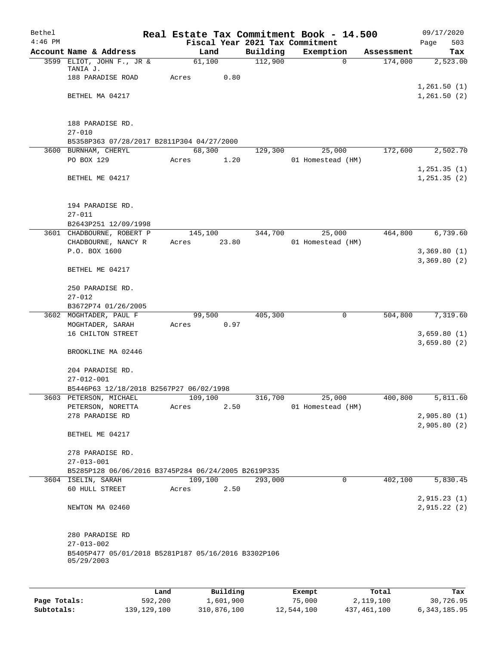| Bethel<br>$4:46$ PM |                                                                   |       |         |          | Fiscal Year 2021 Tax Commitment | Real Estate Tax Commitment Book - 14.500 |            | 09/17/2020<br>Page<br>503   |
|---------------------|-------------------------------------------------------------------|-------|---------|----------|---------------------------------|------------------------------------------|------------|-----------------------------|
|                     | Account Name & Address                                            |       | Land    |          | Building                        | Exemption                                | Assessment | Tax                         |
|                     | 3599 ELIOT, JOHN F., JR &<br>TANIA J.                             |       | 61,100  |          | 112,900                         | 0                                        | 174,000    | 2,523.00                    |
|                     | 188 PARADISE ROAD                                                 | Acres |         | 0.80     |                                 |                                          |            | 1,261.50(1)                 |
|                     | BETHEL MA 04217                                                   |       |         |          |                                 |                                          |            | 1,261.50(2)                 |
|                     | 188 PARADISE RD.                                                  |       |         |          |                                 |                                          |            |                             |
|                     | $27 - 010$<br>B5358P363 07/28/2017 B2811P304 04/27/2000           |       |         |          |                                 |                                          |            |                             |
|                     | 3600 BURNHAM, CHERYL                                              |       | 68,300  |          | 129,300                         | 25,000                                   | 172,600    | 2,502.70                    |
|                     | PO BOX 129                                                        | Acres |         | 1.20     |                                 | 01 Homestead (HM)                        |            |                             |
|                     | BETHEL ME 04217                                                   |       |         |          |                                 |                                          |            | 1,251.35(1)<br>1, 251.35(2) |
|                     | 194 PARADISE RD.                                                  |       |         |          |                                 |                                          |            |                             |
|                     | $27 - 011$                                                        |       |         |          |                                 |                                          |            |                             |
|                     | B2643P251 12/09/1998<br>3601 CHADBOURNE, ROBERT P                 |       | 145,100 |          | 344,700                         | 25,000                                   | 464,800    | 6,739.60                    |
|                     | CHADBOURNE, NANCY R                                               | Acres |         | 23.80    |                                 | 01 Homestead (HM)                        |            |                             |
|                     | P.O. BOX 1600                                                     |       |         |          |                                 |                                          |            | 3,369.80(1)<br>3,369.80(2)  |
|                     | BETHEL ME 04217                                                   |       |         |          |                                 |                                          |            |                             |
|                     | 250 PARADISE RD.                                                  |       |         |          |                                 |                                          |            |                             |
|                     | $27 - 012$<br>B3672P74 01/26/2005                                 |       |         |          |                                 |                                          |            |                             |
|                     | 3602 MOGHTADER, PAUL F<br>MOGHTADER, SARAH                        | Acres | 99,500  | 0.97     | 405,300                         | 0                                        | 504,800    | 7,319.60                    |
|                     | 16 CHILTON STREET                                                 |       |         |          |                                 |                                          |            | 3,659.80(1)<br>3,659.80(2)  |
|                     | BROOKLINE MA 02446                                                |       |         |          |                                 |                                          |            |                             |
|                     | 204 PARADISE RD.<br>$27 - 012 - 001$                              |       |         |          |                                 |                                          |            |                             |
|                     | B5446P63 12/18/2018 B2567P27 06/02/1998                           |       |         |          |                                 |                                          |            |                             |
|                     | 3603 PETERSON, MICHAEL                                            | Acres | 109,100 | 2.50     | 316,700                         | 25,000<br>01 Homestead (HM)              | 400,800    | 5,811.60                    |
|                     | PETERSON, NORETTA<br>278 PARADISE RD                              |       |         |          |                                 |                                          |            | 2,905.80(1)                 |
|                     | BETHEL ME 04217                                                   |       |         |          |                                 |                                          |            | 2,905.80(2)                 |
|                     | 278 PARADISE RD.                                                  |       |         |          |                                 |                                          |            |                             |
|                     | $27 - 013 - 001$                                                  |       |         |          |                                 |                                          |            |                             |
|                     | B5285P128 06/06/2016 B3745P284 06/24/2005 B2619P335               |       |         |          |                                 |                                          |            |                             |
|                     | 3604 ISELIN, SARAH<br>60 HULL STREET                              | Acres | 109,100 | 2.50     | 293,000                         | 0                                        | 402,100    | 5,830.45                    |
|                     | NEWTON MA 02460                                                   |       |         |          |                                 |                                          |            | 2,915.23(1)<br>2,915.22 (2) |
|                     | 280 PARADISE RD                                                   |       |         |          |                                 |                                          |            |                             |
|                     | $27 - 013 - 002$                                                  |       |         |          |                                 |                                          |            |                             |
|                     | B5405P477 05/01/2018 B5281P187 05/16/2016 B3302P106<br>05/29/2003 |       |         |          |                                 |                                          |            |                             |
|                     |                                                                   |       |         |          |                                 |                                          |            |                             |
|                     |                                                                   | Land  |         | Building |                                 | Exempt                                   | Total      | Tax                         |

**Page Totals:** 592,200 1,601,900 75,000 2,119,100 30,726.95 **Subtotals:** 139,129,100 310,876,100 12,544,100 437,461,100 6,343,185.95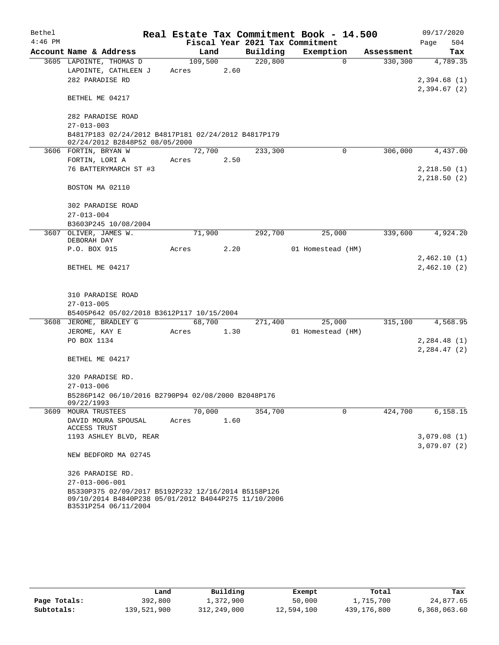| Bethel    |                                                                                                                                     |       |         |        |          | Real Estate Tax Commitment Book - 14.500 |          |            | 09/17/2020   |
|-----------|-------------------------------------------------------------------------------------------------------------------------------------|-------|---------|--------|----------|------------------------------------------|----------|------------|--------------|
| $4:46$ PM |                                                                                                                                     |       |         |        |          | Fiscal Year 2021 Tax Commitment          |          |            | 504<br>Page  |
|           | Account Name & Address                                                                                                              |       | Land    |        | Building | Exemption                                |          | Assessment | Tax          |
|           | 3605 LAPOINTE, THOMAS D                                                                                                             |       | 109,500 |        | 220,800  |                                          | $\Omega$ | 330,300    | 4,789.35     |
|           | LAPOINTE, CATHLEEN J                                                                                                                | Acres |         | 2.60   |          |                                          |          |            |              |
|           | 282 PARADISE RD                                                                                                                     |       |         |        |          |                                          |          |            | 2,394.68(1)  |
|           | BETHEL ME 04217                                                                                                                     |       |         |        |          |                                          |          |            | 2,394.67(2)  |
|           | 282 PARADISE ROAD                                                                                                                   |       |         |        |          |                                          |          |            |              |
|           | $27 - 013 - 003$<br>B4817P183 02/24/2012 B4817P181 02/24/2012 B4817P179                                                             |       |         |        |          |                                          |          |            |              |
|           | 02/24/2012 B2848P52 08/05/2000                                                                                                      |       |         |        |          |                                          |          |            |              |
|           | 3606 FORTIN, BRYAN W                                                                                                                |       | 72,700  |        | 233,300  |                                          | $\Omega$ | 306,000    | 4,437.00     |
|           | FORTIN, LORI A                                                                                                                      | Acres |         | 2.50   |          |                                          |          |            |              |
|           | 76 BATTERYMARCH ST #3                                                                                                               |       |         |        |          |                                          |          |            | 2,218.50(1)  |
|           | BOSTON MA 02110                                                                                                                     |       |         |        |          |                                          |          |            | 2,218.50(2)  |
|           | 302 PARADISE ROAD                                                                                                                   |       |         |        |          |                                          |          |            |              |
|           | $27 - 013 - 004$                                                                                                                    |       |         |        |          |                                          |          |            |              |
|           | B3603P245 10/08/2004                                                                                                                |       |         |        |          |                                          |          |            |              |
|           | 3607 OLIVER, JAMES W.<br>DEBORAH DAY                                                                                                |       | 71,900  |        | 292,700  | 25,000                                   |          | 339,600    | 4,924.20     |
|           | P.O. BOX 915                                                                                                                        | Acres |         | 2.20   |          | 01 Homestead (HM)                        |          |            |              |
|           |                                                                                                                                     |       |         |        |          |                                          |          |            | 2,462.10(1)  |
|           | BETHEL ME 04217                                                                                                                     |       |         |        |          |                                          |          |            | 2,462.10(2)  |
|           |                                                                                                                                     |       |         |        |          |                                          |          |            |              |
|           | 310 PARADISE ROAD                                                                                                                   |       |         |        |          |                                          |          |            |              |
|           | $27 - 013 - 005$                                                                                                                    |       |         |        |          |                                          |          |            |              |
|           | B5405P642 05/02/2018 B3612P117 10/15/2004                                                                                           |       |         |        |          |                                          |          |            |              |
|           | 3608 JEROME, BRADLEY G                                                                                                              |       |         | 68,700 | 271,400  | 25,000                                   |          | 315,100    | 4,568.95     |
|           | JEROME, KAY E                                                                                                                       | Acres |         | 1.30   |          | 01 Homestead (HM)                        |          |            |              |
|           | PO BOX 1134                                                                                                                         |       |         |        |          |                                          |          |            | 2, 284.48(1) |
|           | BETHEL ME 04217                                                                                                                     |       |         |        |          |                                          |          |            | 2, 284.47(2) |
|           |                                                                                                                                     |       |         |        |          |                                          |          |            |              |
|           | 320 PARADISE RD.                                                                                                                    |       |         |        |          |                                          |          |            |              |
|           | $27 - 013 - 006$                                                                                                                    |       |         |        |          |                                          |          |            |              |
|           | B5286P142 06/10/2016 B2790P94 02/08/2000 B2048P176<br>09/22/1993                                                                    |       |         |        |          |                                          |          |            |              |
|           | 3609 MOURA TRUSTEES                                                                                                                 |       | 70,000  |        | 354,700  |                                          | $\Omega$ | 424,700    | 6,158.15     |
|           | DAVID MOURA SPOUSAL<br>ACCESS TRUST                                                                                                 | Acres |         | 1.60   |          |                                          |          |            |              |
|           | 1193 ASHLEY BLVD, REAR                                                                                                              |       |         |        |          |                                          |          |            | 3,079.08(1)  |
|           | NEW BEDFORD MA 02745                                                                                                                |       |         |        |          |                                          |          |            | 3,079.07(2)  |
|           |                                                                                                                                     |       |         |        |          |                                          |          |            |              |
|           | 326 PARADISE RD.                                                                                                                    |       |         |        |          |                                          |          |            |              |
|           | $27 - 013 - 006 - 001$                                                                                                              |       |         |        |          |                                          |          |            |              |
|           | B5330P375 02/09/2017 B5192P232 12/16/2014 B5158P126<br>09/10/2014 B4840P238 05/01/2012 B4044P275 11/10/2006<br>B3531P254 06/11/2004 |       |         |        |          |                                          |          |            |              |

|              | Land        | Building    | Exempt     | Total       | Tax          |
|--------------|-------------|-------------|------------|-------------|--------------|
| Page Totals: | 392,800     | 1,372,900   | 50,000     | 1,715,700   | 24,877.65    |
| Subtotals:   | 139,521,900 | 312,249,000 | 12,594,100 | 439,176,800 | 6,368,063.60 |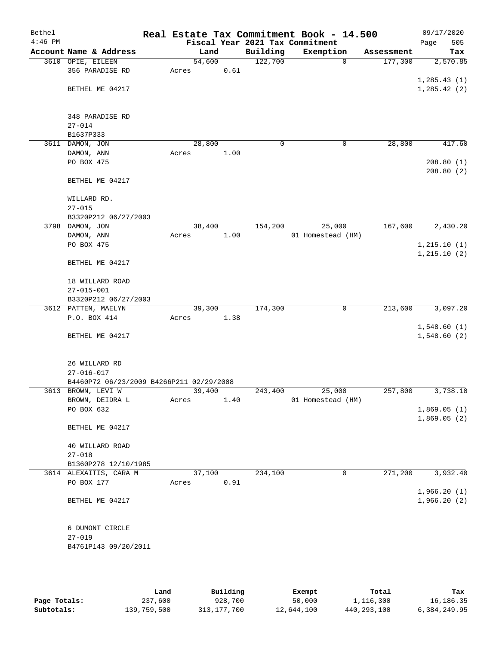| Bethel    |                                          |        |      |          | Real Estate Tax Commitment Book - 14.500 |            | 09/17/2020   |
|-----------|------------------------------------------|--------|------|----------|------------------------------------------|------------|--------------|
| $4:46$ PM |                                          |        |      |          | Fiscal Year 2021 Tax Commitment          |            | Page<br>505  |
|           | Account Name & Address                   | Land   |      | Building | Exemption                                | Assessment | Tax          |
|           | 3610 OPIE, EILEEN                        | 54,600 |      | 122,700  | $\mathbf 0$                              | 177,300    | 2,570.85     |
|           | 356 PARADISE RD                          | Acres  | 0.61 |          |                                          |            |              |
|           |                                          |        |      |          |                                          |            | 1, 285.43(1) |
|           | BETHEL ME 04217                          |        |      |          |                                          |            | 1, 285.42(2) |
|           |                                          |        |      |          |                                          |            |              |
|           |                                          |        |      |          |                                          |            |              |
|           | 348 PARADISE RD                          |        |      |          |                                          |            |              |
|           | $27 - 014$                               |        |      |          |                                          |            |              |
|           | B1637P333                                |        |      |          |                                          |            |              |
|           | 3611 DAMON, JON                          | 28,800 |      | 0        | 0                                        | 28,800     | 417.60       |
|           |                                          |        |      |          |                                          |            |              |
|           | DAMON, ANN                               | Acres  | 1.00 |          |                                          |            |              |
|           | PO BOX 475                               |        |      |          |                                          |            | 208.80(1)    |
|           |                                          |        |      |          |                                          |            | 208.80(2)    |
|           | BETHEL ME 04217                          |        |      |          |                                          |            |              |
|           |                                          |        |      |          |                                          |            |              |
|           | WILLARD RD.                              |        |      |          |                                          |            |              |
|           | $27 - 015$                               |        |      |          |                                          |            |              |
|           | B3320P212 06/27/2003                     |        |      |          |                                          |            |              |
|           | 3798 DAMON, JON                          | 38,400 |      | 154,200  | 25,000                                   | 167,600    | 2,430.20     |
|           | DAMON, ANN                               | Acres  | 1.00 |          | 01 Homestead (HM)                        |            |              |
|           | PO BOX 475                               |        |      |          |                                          |            | 1, 215.10(1) |
|           |                                          |        |      |          |                                          |            | 1, 215.10(2) |
|           | BETHEL ME 04217                          |        |      |          |                                          |            |              |
|           |                                          |        |      |          |                                          |            |              |
|           | 18 WILLARD ROAD                          |        |      |          |                                          |            |              |
|           | $27 - 015 - 001$                         |        |      |          |                                          |            |              |
|           | B3320P212 06/27/2003                     |        |      |          |                                          |            |              |
|           | 3612 PATTEN, MAELYN                      | 39,300 |      | 174,300  | 0                                        | 213,600    | 3,097.20     |
|           | P.O. BOX 414                             | Acres  | 1.38 |          |                                          |            |              |
|           |                                          |        |      |          |                                          |            | 1,548.60(1)  |
|           |                                          |        |      |          |                                          |            | 1,548.60(2)  |
|           | BETHEL ME 04217                          |        |      |          |                                          |            |              |
|           |                                          |        |      |          |                                          |            |              |
|           |                                          |        |      |          |                                          |            |              |
|           | 26 WILLARD RD                            |        |      |          |                                          |            |              |
|           | $27 - 016 - 017$                         |        |      |          |                                          |            |              |
|           | B4460P72 06/23/2009 B4266P211 02/29/2008 |        |      |          |                                          |            |              |
|           | 3613 BROWN, LEVI W                       | 39,400 |      | 243,400  | 25,000                                   | 257,800    | 3,738.10     |
|           | BROWN, DEIDRA L                          | Acres  | 1.40 |          | 01 Homestead (HM)                        |            |              |
|           | PO BOX 632                               |        |      |          |                                          |            | 1,869.05(1)  |
|           |                                          |        |      |          |                                          |            | 1,869.05(2)  |
|           | BETHEL ME 04217                          |        |      |          |                                          |            |              |
|           |                                          |        |      |          |                                          |            |              |
|           | 40 WILLARD ROAD                          |        |      |          |                                          |            |              |
|           | $27 - 018$                               |        |      |          |                                          |            |              |
|           | B1360P278 12/10/1985                     |        |      |          |                                          |            |              |
|           | 3614 ALEXAITIS, CARA M                   | 37,100 |      | 234,100  | 0                                        | 271,200    | 3,932.40     |
|           | PO BOX 177                               | Acres  | 0.91 |          |                                          |            |              |
|           |                                          |        |      |          |                                          |            | 1,966.20(1)  |
|           | BETHEL ME 04217                          |        |      |          |                                          |            | 1,966.20(2)  |
|           |                                          |        |      |          |                                          |            |              |
|           |                                          |        |      |          |                                          |            |              |
|           |                                          |        |      |          |                                          |            |              |
|           | 6 DUMONT CIRCLE                          |        |      |          |                                          |            |              |
|           | $27 - 019$                               |        |      |          |                                          |            |              |
|           | B4761P143 09/20/2011                     |        |      |          |                                          |            |              |
|           |                                          |        |      |          |                                          |            |              |

|              | Land        | Building    | Exempt     | Total       | Tax          |
|--------------|-------------|-------------|------------|-------------|--------------|
| Page Totals: | 237,600     | 928,700     | 50,000     | 1,116,300   | 16,186.35    |
| Subtotals:   | 139,759,500 | 313,177,700 | 12,644,100 | 440,293,100 | 6,384,249.95 |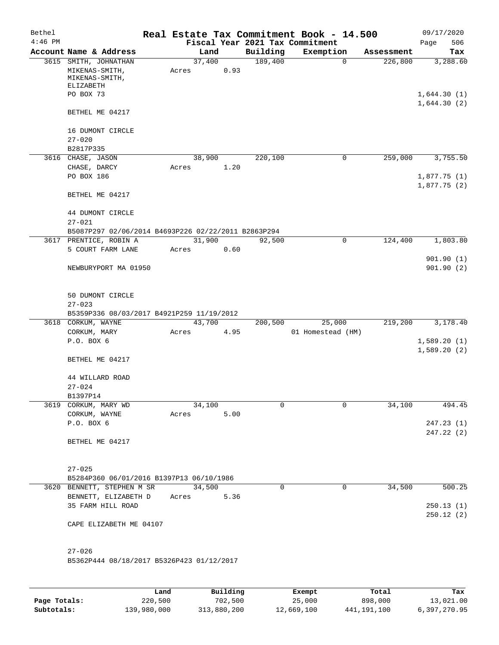| Bethel    |                                                     |       |        |      |          | Real Estate Tax Commitment Book - 14.500 |          |            | 09/17/2020                 |
|-----------|-----------------------------------------------------|-------|--------|------|----------|------------------------------------------|----------|------------|----------------------------|
| $4:46$ PM |                                                     |       |        |      |          | Fiscal Year 2021 Tax Commitment          |          |            | 506<br>Page                |
|           | Account Name & Address                              |       | Land   |      | Building | Exemption                                |          | Assessment | Tax                        |
|           | 3615 SMITH, JOHNATHAN                               |       | 37,400 |      | 189,400  |                                          | $\Omega$ | 226,800    | 3,288.60                   |
|           | MIKENAS-SMITH,<br>MIKENAS-SMITH,<br>ELIZABETH       | Acres |        | 0.93 |          |                                          |          |            |                            |
|           | PO BOX 73                                           |       |        |      |          |                                          |          |            | 1,644.30(1)<br>1,644.30(2) |
|           | BETHEL ME 04217                                     |       |        |      |          |                                          |          |            |                            |
|           | 16 DUMONT CIRCLE<br>$27 - 020$                      |       |        |      |          |                                          |          |            |                            |
|           | B2817P335                                           |       |        |      |          |                                          |          |            |                            |
|           | 3616 CHASE, JASON                                   |       | 38,900 |      | 220,100  |                                          | 0        | 259,000    | 3,755.50                   |
|           | CHASE, DARCY                                        | Acres |        | 1.20 |          |                                          |          |            |                            |
|           | PO BOX 186                                          |       |        |      |          |                                          |          |            | 1,877.75(1)<br>1,877.75(2) |
|           | BETHEL ME 04217                                     |       |        |      |          |                                          |          |            |                            |
|           | 44 DUMONT CIRCLE<br>$27 - 021$                      |       |        |      |          |                                          |          |            |                            |
|           | B5087P297 02/06/2014 B4693P226 02/22/2011 B2863P294 |       |        |      |          |                                          |          |            |                            |
|           | 3617 PRENTICE, ROBIN A                              |       | 31,900 |      | 92,500   |                                          | 0        | 124,400    | 1,803.80                   |
|           | 5 COURT FARM LANE                                   | Acres |        | 0.60 |          |                                          |          |            | 901.90(1)                  |
|           | NEWBURYPORT MA 01950                                |       |        |      |          |                                          |          |            | 901.90(2)                  |
|           |                                                     |       |        |      |          |                                          |          |            |                            |
|           | 50 DUMONT CIRCLE<br>$27 - 023$                      |       |        |      |          |                                          |          |            |                            |
|           | B5359P336 08/03/2017 B4921P259 11/19/2012           |       |        |      |          |                                          |          |            |                            |
|           | 3618 CORKUM, WAYNE                                  |       | 43,700 |      | 200,500  | 25,000                                   |          | 219,200    | 3,178.40                   |
|           | CORKUM, MARY                                        | Acres |        | 4.95 |          | 01 Homestead (HM)                        |          |            |                            |
|           | P.O. BOX 6                                          |       |        |      |          |                                          |          |            | 1,589.20(1)                |
|           | BETHEL ME 04217                                     |       |        |      |          |                                          |          |            | 1,589.20(2)                |
|           | 44 WILLARD ROAD                                     |       |        |      |          |                                          |          |            |                            |
|           | $27 - 024$                                          |       |        |      |          |                                          |          |            |                            |
|           | B1397P14                                            |       |        |      |          |                                          |          |            |                            |
|           | 3619 CORKUM, MARY WD                                |       | 34,100 |      | 0        |                                          | 0        | 34,100     | 494.45                     |
|           | CORKUM, WAYNE                                       | Acres |        | 5.00 |          |                                          |          |            |                            |
|           | P.O. BOX 6                                          |       |        |      |          |                                          |          |            | 247.23(1)                  |
|           | BETHEL ME 04217                                     |       |        |      |          |                                          |          |            | 247.22 (2)                 |
|           | $27 - 025$                                          |       |        |      |          |                                          |          |            |                            |
|           | B5284P360 06/01/2016 B1397P13 06/10/1986            |       |        |      |          |                                          |          |            |                            |
|           | 3620 BENNETT, STEPHEN M SR                          |       | 34,500 |      | 0        |                                          | 0        | 34,500     | 500.25                     |
|           | BENNETT, ELIZABETH D                                | Acres |        | 5.36 |          |                                          |          |            |                            |
|           | 35 FARM HILL ROAD                                   |       |        |      |          |                                          |          |            | 250.13(1)                  |
|           |                                                     |       |        |      |          |                                          |          |            | 250.12(2)                  |
|           | CAPE ELIZABETH ME 04107                             |       |        |      |          |                                          |          |            |                            |
|           | $27 - 026$                                          |       |        |      |          |                                          |          |            |                            |
|           | B5362P444 08/18/2017 B5326P423 01/12/2017           |       |        |      |          |                                          |          |            |                            |
|           |                                                     |       |        |      |          |                                          |          |            |                            |

|              | Land        | Building    | Exempt     | Total       | Tax          |
|--------------|-------------|-------------|------------|-------------|--------------|
| Page Totals: | 220,500     | 702,500     | 25,000     | 898,000     | 13,021.00    |
| Subtotals:   | 139,980,000 | 313,880,200 | 12,669,100 | 441,191,100 | 6,397,270.95 |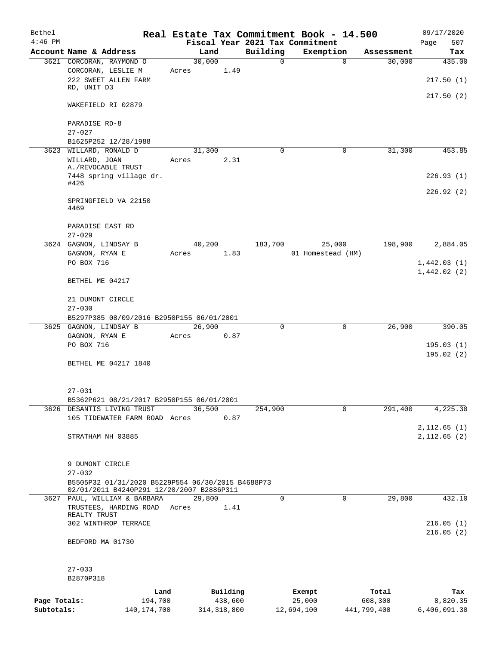| Bethel       |                                                                                                |        |          |                         | Real Estate Tax Commitment Book - 14.500 |            | 09/17/2020                 |
|--------------|------------------------------------------------------------------------------------------------|--------|----------|-------------------------|------------------------------------------|------------|----------------------------|
| $4:46$ PM    |                                                                                                |        |          |                         | Fiscal Year 2021 Tax Commitment          |            | 507<br>Page                |
|              | Account Name & Address                                                                         | 30,000 | Land     | Building<br>$\mathbf 0$ | Exemption<br>$\mathbf 0$                 | Assessment | Tax                        |
|              | 3621 CORCORAN, RAYMOND O<br>CORCORAN, LESLIE M                                                 | Acres  | 1.49     |                         |                                          | 30,000     | 435.00                     |
|              | 222 SWEET ALLEN FARM<br>RD, UNIT D3                                                            |        |          |                         |                                          |            | 217.50(1)<br>217.50(2)     |
|              | WAKEFIELD RI 02879                                                                             |        |          |                         |                                          |            |                            |
|              | PARADISE RD-8                                                                                  |        |          |                         |                                          |            |                            |
|              | $27 - 027$<br>B1625P252 12/28/1988                                                             |        |          |                         |                                          |            |                            |
|              | 3623 WILLARD, RONALD D                                                                         | 31,300 |          | $\Omega$                | $\mathbf 0$                              | 31,300     | 453.85                     |
|              | WILLARD, JOAN<br>A./REVOCABLE TRUST                                                            | Acres  | 2.31     |                         |                                          |            |                            |
|              | 7448 spring village dr.<br>#426                                                                |        |          |                         |                                          |            | 226.93(1)                  |
|              |                                                                                                |        |          |                         |                                          |            | 226.92(2)                  |
|              | SPRINGFIELD VA 22150<br>4469                                                                   |        |          |                         |                                          |            |                            |
|              | PARADISE EAST RD                                                                               |        |          |                         |                                          |            |                            |
|              | $27 - 029$                                                                                     |        |          |                         |                                          |            |                            |
|              | 3624 GAGNON, LINDSAY B                                                                         | 40,200 |          | 183,700                 | 25,000                                   | 198,900    | 2,884.05                   |
|              | GAGNON, RYAN E                                                                                 | Acres  | 1.83     |                         | 01 Homestead (HM)                        |            |                            |
|              | PO BOX 716                                                                                     |        |          |                         |                                          |            | 1,442.03(1)<br>1,442.02(2) |
|              | BETHEL ME 04217                                                                                |        |          |                         |                                          |            |                            |
|              | 21 DUMONT CIRCLE                                                                               |        |          |                         |                                          |            |                            |
|              | $27 - 030$                                                                                     |        |          |                         |                                          |            |                            |
|              | B5297P385 08/09/2016 B2950P155 06/01/2001                                                      |        |          |                         |                                          |            |                            |
|              | 3625 GAGNON, LINDSAY B                                                                         | 26,900 |          | $\Omega$                | $\Omega$                                 | 26,900     | 390.05                     |
|              | GAGNON, RYAN E<br>PO BOX 716                                                                   | Acres  | 0.87     |                         |                                          |            | 195.03(1)                  |
|              |                                                                                                |        |          |                         |                                          |            | 195.02(2)                  |
|              | BETHEL ME 04217 1840                                                                           |        |          |                         |                                          |            |                            |
|              | $27 - 031$                                                                                     |        |          |                         |                                          |            |                            |
|              | B5362P621 08/21/2017 B2950P155 06/01/2001                                                      |        |          |                         |                                          |            |                            |
|              | 3626 DESANTIS LIVING TRUST                                                                     | 36,500 |          | 254,900                 | $\mathbf 0$                              | 291,400    | 4,225.30                   |
|              | 105 TIDEWATER FARM ROAD Acres                                                                  |        | 0.87     |                         |                                          |            |                            |
|              | STRATHAM NH 03885                                                                              |        |          |                         |                                          |            | 2,112.65(1)<br>2,112.65(2) |
|              |                                                                                                |        |          |                         |                                          |            |                            |
|              | 9 DUMONT CIRCLE<br>$27 - 032$                                                                  |        |          |                         |                                          |            |                            |
|              | B5505P32 01/31/2020 B5229P554 06/30/2015 B4688P73<br>02/01/2011 B4240P291 12/20/2007 B2886P311 |        |          |                         |                                          |            |                            |
|              | 3627 PAUL, WILLIAM & BARBARA                                                                   | 29,800 |          | $\Omega$                | 0                                        | 29,800     | 432.10                     |
|              | TRUSTEES, HARDING ROAD<br>REALTY TRUST                                                         | Acres  | 1.41     |                         |                                          |            |                            |
|              | 302 WINTHROP TERRACE                                                                           |        |          |                         |                                          |            | 216.05(1)<br>216.05(2)     |
|              | BEDFORD MA 01730                                                                               |        |          |                         |                                          |            |                            |
|              | $27 - 033$                                                                                     |        |          |                         |                                          |            |                            |
|              | B2870P318                                                                                      |        |          |                         |                                          |            |                            |
|              | Land                                                                                           |        | Building |                         | Exempt                                   | Total      | Tax                        |
| Page Totals: | 194,700                                                                                        |        | 438,600  |                         | 25,000                                   | 608,300    | 8,820.35                   |

**Subtotals:** 140,174,700 314,318,800 12,694,100 441,799,400 6,406,091.30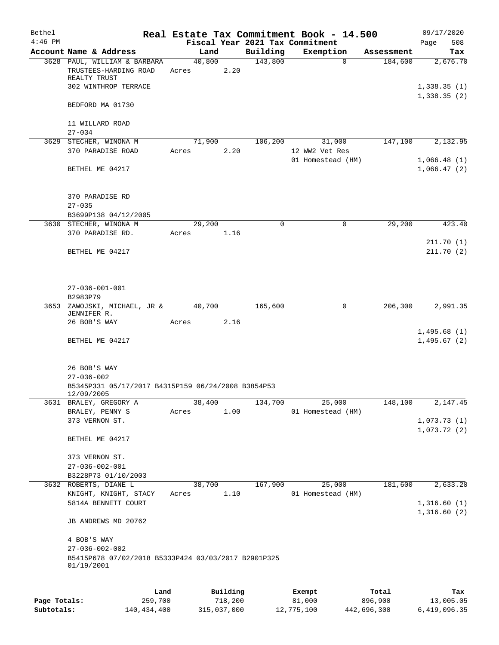| Bethel       |                                                                                             |                 |          |          | Real Estate Tax Commitment Book - 14.500 |            | 09/17/2020                 |
|--------------|---------------------------------------------------------------------------------------------|-----------------|----------|----------|------------------------------------------|------------|----------------------------|
| $4:46$ PM    |                                                                                             |                 |          |          | Fiscal Year 2021 Tax Commitment          |            | 508<br>Page                |
|              | Account Name & Address                                                                      | Land            |          | Building | Exemption                                | Assessment | Tax                        |
|              | 3628 PAUL, WILLIAM & BARBARA<br>TRUSTEES-HARDING ROAD<br>REALTY TRUST                       | 40,800<br>Acres | 2.20     | 143,800  | $\mathbf{0}$                             | 184,600    | 2,676.70                   |
|              | 302 WINTHROP TERRACE                                                                        |                 |          |          |                                          |            | 1,338.35(1)<br>1,338.35(2) |
|              | BEDFORD MA 01730                                                                            |                 |          |          |                                          |            |                            |
|              | 11 WILLARD ROAD                                                                             |                 |          |          |                                          |            |                            |
|              | $27 - 034$                                                                                  |                 |          |          |                                          |            |                            |
|              | 3629 STECHER, WINONA M<br>370 PARADISE ROAD                                                 | 71,900<br>Acres | 2.20     | 106,200  | 31,000<br>12 WW2 Vet Res                 | 147,100    | 2,132.95                   |
|              | BETHEL ME 04217                                                                             |                 |          |          | 01 Homestead (HM)                        |            | 1,066.48(1)<br>1,066.47(2) |
|              |                                                                                             |                 |          |          |                                          |            |                            |
|              | 370 PARADISE RD                                                                             |                 |          |          |                                          |            |                            |
|              | $27 - 035$                                                                                  |                 |          |          |                                          |            |                            |
|              | B3699P138 04/12/2005                                                                        |                 |          | $\Omega$ | 0                                        | 29,200     | 423.40                     |
|              | 3630 STECHER, WINONA M<br>370 PARADISE RD.                                                  | 29,200<br>Acres | 1.16     |          |                                          |            |                            |
|              | BETHEL ME 04217                                                                             |                 |          |          |                                          |            | 211.70(1)<br>211.70(2)     |
|              |                                                                                             |                 |          |          |                                          |            |                            |
|              | $27 - 036 - 001 - 001$                                                                      |                 |          |          |                                          |            |                            |
|              | B2983P79                                                                                    |                 |          |          |                                          |            |                            |
|              | 3653 ZAWOJSKI, MICHAEL, JR & 40,700<br>JENNIFER R.                                          |                 |          | 165,600  | $\mathbf 0$                              | 206,300    | 2,991.35                   |
|              | 26 BOB'S WAY                                                                                | Acres           | 2.16     |          |                                          |            |                            |
|              | BETHEL ME 04217                                                                             |                 |          |          |                                          |            | 1,495.68(1)<br>1,495.67(2) |
|              | 26 BOB'S WAY                                                                                |                 |          |          |                                          |            |                            |
|              | $27 - 036 - 002$                                                                            |                 |          |          |                                          |            |                            |
|              | B5345P331 05/17/2017 B4315P159 06/24/2008 B3854P53<br>12/09/2005                            |                 |          |          |                                          |            |                            |
| 3631         | BRALEY, GREGORY A                                                                           | 38,400          |          | 134,700  | 25,000                                   | 148,100    | 2,147.45                   |
|              | BRALEY, PENNY S<br>373 VERNON ST.                                                           | Acres           | 1.00     |          | 01 Homestead (HM)                        |            | 1,073.73(1)                |
|              |                                                                                             |                 |          |          |                                          |            | 1,073.72(2)                |
|              | BETHEL ME 04217                                                                             |                 |          |          |                                          |            |                            |
|              | 373 VERNON ST.                                                                              |                 |          |          |                                          |            |                            |
|              | $27 - 036 - 002 - 001$                                                                      |                 |          |          |                                          |            |                            |
|              | B3228P73 01/10/2003<br>3632 ROBERTS, DIANE L                                                | 38,700          |          | 167,900  | 25,000                                   | 181,600    | 2,633.20                   |
|              | KNIGHT, KNIGHT, STACY                                                                       | Acres           | 1.10     |          | 01 Homestead (HM)                        |            |                            |
|              | 5814A BENNETT COURT                                                                         |                 |          |          |                                          |            | 1,316.60(1)<br>1,316.60(2) |
|              | JB ANDREWS MD 20762                                                                         |                 |          |          |                                          |            |                            |
|              | 4 BOB'S WAY                                                                                 |                 |          |          |                                          |            |                            |
|              | $27 - 036 - 002 - 002$<br>B5415P678 07/02/2018 B5333P424 03/03/2017 B2901P325<br>01/19/2001 |                 |          |          |                                          |            |                            |
|              |                                                                                             |                 |          |          |                                          |            |                            |
|              | Land                                                                                        |                 | Building |          | Exempt                                   | Total      | Tax                        |
| Page Totals: | 259,700                                                                                     |                 | 718,200  |          | 81,000                                   | 896,900    | 13,005.05                  |

**Subtotals:** 140,434,400 315,037,000 12,775,100 442,696,300 6,419,096.35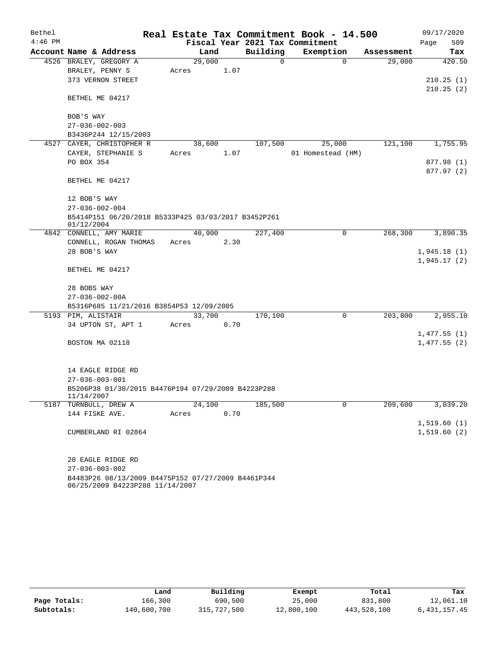| Bethel    |                                                                                       |        |      |          | Real Estate Tax Commitment Book - 14.500 |            | 09/17/2020  |
|-----------|---------------------------------------------------------------------------------------|--------|------|----------|------------------------------------------|------------|-------------|
| $4:46$ PM |                                                                                       |        |      |          | Fiscal Year 2021 Tax Commitment          |            | 509<br>Page |
|           | Account Name & Address                                                                |        | Land | Building | Exemption                                | Assessment | Tax         |
|           | 4526 BRALEY, GREGORY A                                                                | 29,000 |      | 0        | $\Omega$                                 | 29,000     | 420.50      |
|           | BRALEY, PENNY S                                                                       | Acres  | 1.07 |          |                                          |            |             |
|           | 373 VERNON STREET                                                                     |        |      |          |                                          |            | 210.25(1)   |
|           | BETHEL ME 04217                                                                       |        |      |          |                                          |            | 210.25(2)   |
|           | BOB'S WAY                                                                             |        |      |          |                                          |            |             |
|           | $27 - 036 - 002 - 003$                                                                |        |      |          |                                          |            |             |
|           | B3436P244 12/15/2003                                                                  |        |      |          |                                          |            |             |
|           | 4527 CAYER, CHRISTOPHER R                                                             | 38,600 |      | 107,500  | 25,000                                   | 121,100    | 1,755.95    |
|           | CAYER, STEPHANIE S                                                                    | Acres  | 1.07 |          | 01 Homestead (HM)                        |            |             |
|           | PO BOX 354                                                                            |        |      |          |                                          |            | 877.98 (1)  |
|           |                                                                                       |        |      |          |                                          |            | 877.97 (2)  |
|           | BETHEL ME 04217                                                                       |        |      |          |                                          |            |             |
|           | 12 BOB'S WAY                                                                          |        |      |          |                                          |            |             |
|           | $27 - 036 - 002 - 004$                                                                |        |      |          |                                          |            |             |
|           | B5414P151 06/20/2018 B5333P425 03/03/2017 B3452P261<br>01/12/2004                     |        |      |          |                                          |            |             |
|           | 4842 CONNELL, AMY MARIE                                                               | 40,900 |      | 227,400  | 0                                        | 268,300    | 3,890.35    |
|           | CONNELL, ROGAN THOMAS                                                                 | Acres  | 2.30 |          |                                          |            |             |
|           | 28 BOB'S WAY                                                                          |        |      |          |                                          |            | 1,945.18(1) |
|           | BETHEL ME 04217                                                                       |        |      |          |                                          |            | 1,945.17(2) |
|           | 28 BOBS WAY                                                                           |        |      |          |                                          |            |             |
|           | $27 - 036 - 002 - 00A$                                                                |        |      |          |                                          |            |             |
|           | B5316P685 11/21/2016 B3854P53 12/09/2005                                              |        |      |          |                                          |            |             |
|           | 5193 PIM, ALISTAIR                                                                    | 33,700 |      | 170,100  | $\Omega$                                 | 203,800    | 2,955.10    |
|           | 34 UPTON ST, APT 1                                                                    | Acres  | 0.70 |          |                                          |            |             |
|           |                                                                                       |        |      |          |                                          |            | 1,477.55(1) |
|           | BOSTON MA 02118                                                                       |        |      |          |                                          |            | 1,477.55(2) |
|           | 14 EAGLE RIDGE RD                                                                     |        |      |          |                                          |            |             |
|           | $27 - 036 - 003 - 001$                                                                |        |      |          |                                          |            |             |
|           | B5206P38 01/30/2015 B4476P194 07/29/2009 B4223P288<br>11/14/2007                      |        |      |          |                                          |            |             |
|           | 5187 TURNBULL, DREW A                                                                 | 24,100 |      | 185,500  | 0                                        | 209,600    | 3,039.20    |
|           | 144 FISKE AVE.                                                                        | Acres  | 0.70 |          |                                          |            |             |
|           |                                                                                       |        |      |          |                                          |            | 1,519.60(1) |
|           | CUMBERLAND RI 02864                                                                   |        |      |          |                                          |            | 1,519.60(2) |
|           | 20 EAGLE RIDGE RD                                                                     |        |      |          |                                          |            |             |
|           | $27 - 036 - 003 - 002$                                                                |        |      |          |                                          |            |             |
|           | B4483P26 08/13/2009 B4475P152 07/27/2009 B4461P344<br>06/25/2009 B4223P288 11/14/2007 |        |      |          |                                          |            |             |

|              | Land        | Building    | Exempt     | Total       | Tax          |
|--------------|-------------|-------------|------------|-------------|--------------|
| Page Totals: | 166,300     | 690,500     | 25,000     | 831,800     | 12,061.10    |
| Subtotals:   | 140,600,700 | 315,727,500 | 12,800,100 | 443,528,100 | 6,431,157.45 |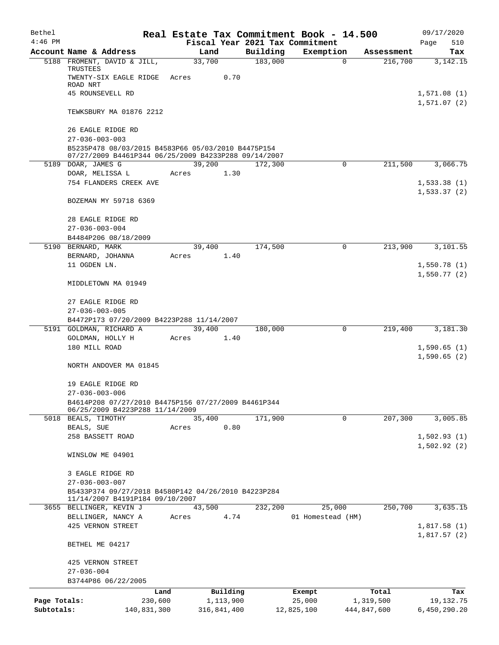| Bethel       |                                                                                                            |               |                                 | Real Estate Tax Commitment Book - 14.500 |                       | 09/17/2020                 |
|--------------|------------------------------------------------------------------------------------------------------------|---------------|---------------------------------|------------------------------------------|-----------------------|----------------------------|
| $4:46$ PM    | Account Name & Address                                                                                     | Land          | Fiscal Year 2021 Tax Commitment |                                          |                       | 510<br>Page                |
|              | 5188 FROMENT, DAVID & JILL,                                                                                | 33,700        | Building<br>183,000             | Exemption<br>$\mathbf 0$                 | Assessment<br>216,700 | Tax<br>3, 142. 15          |
|              | TRUSTEES                                                                                                   |               |                                 |                                          |                       |                            |
|              | TWENTY-SIX EAGLE RIDGE<br>ROAD NRT                                                                         | 0.70<br>Acres |                                 |                                          |                       |                            |
|              | 45 ROUNSEVELL RD                                                                                           |               |                                 |                                          |                       | 1,571.08(1)                |
|              |                                                                                                            |               |                                 |                                          |                       | 1,571.07(2)                |
|              | TEWKSBURY MA 01876 2212                                                                                    |               |                                 |                                          |                       |                            |
|              | 26 EAGLE RIDGE RD                                                                                          |               |                                 |                                          |                       |                            |
|              | $27 - 036 - 003 - 003$                                                                                     |               |                                 |                                          |                       |                            |
|              | B5235P478 08/03/2015 B4583P66 05/03/2010 B4475P154<br>07/27/2009 B4461P344 06/25/2009 B4233P288 09/14/2007 |               |                                 |                                          |                       |                            |
|              | 5189 DOAR, JAMES G                                                                                         | 39,200        | 172,300                         | 0                                        | 211,500               | 3,066.75                   |
|              | DOAR, MELISSA L                                                                                            | 1.30<br>Acres |                                 |                                          |                       |                            |
|              | 754 FLANDERS CREEK AVE                                                                                     |               |                                 |                                          |                       | 1,533.38(1)                |
|              | BOZEMAN MY 59718 6369                                                                                      |               |                                 |                                          |                       | 1,533.37(2)                |
|              | 28 EAGLE RIDGE RD                                                                                          |               |                                 |                                          |                       |                            |
|              | $27 - 036 - 003 - 004$                                                                                     |               |                                 |                                          |                       |                            |
|              | B4484P206 08/18/2009                                                                                       |               |                                 |                                          |                       |                            |
|              | 5190 BERNARD, MARK                                                                                         | 39,400        | 174,500                         | 0                                        | 213,900               | 3,101.55                   |
|              | BERNARD, JOHANNA                                                                                           | 1.40<br>Acres |                                 |                                          |                       |                            |
|              | 11 OGDEN LN.                                                                                               |               |                                 |                                          |                       | 1,550.78(1)<br>1,550.77(2) |
|              | MIDDLETOWN MA 01949                                                                                        |               |                                 |                                          |                       |                            |
|              | 27 EAGLE RIDGE RD                                                                                          |               |                                 |                                          |                       |                            |
|              | $27 - 036 - 003 - 005$                                                                                     |               |                                 |                                          |                       |                            |
|              | B4472P173 07/20/2009 B4223P288 11/14/2007                                                                  |               |                                 |                                          |                       |                            |
|              | 5191 GOLDMAN, RICHARD A                                                                                    | 39,400        | 180,000                         | 0                                        | 219,400               | 3,181.30                   |
|              | GOLDMAN, HOLLY H                                                                                           | 1.40<br>Acres |                                 |                                          |                       |                            |
|              | 180 MILL ROAD                                                                                              |               |                                 |                                          |                       | 1,590.65(1)<br>1,590.65(2) |
|              | NORTH ANDOVER MA 01845                                                                                     |               |                                 |                                          |                       |                            |
|              | 19 EAGLE RIDGE RD                                                                                          |               |                                 |                                          |                       |                            |
|              | $27 - 036 - 003 - 006$                                                                                     |               |                                 |                                          |                       |                            |
|              | B4614P208 07/27/2010 B4475P156 07/27/2009 B4461P344                                                        |               |                                 |                                          |                       |                            |
|              | 06/25/2009 B4223P288 11/14/2009<br>5018 BEALS, TIMOTHY                                                     | 35,400        | 171,900                         | $\mathbf 0$                              | 207,300               | 3,005.85                   |
|              | BEALS, SUE                                                                                                 | 0.80<br>Acres |                                 |                                          |                       |                            |
|              | 258 BASSETT ROAD                                                                                           |               |                                 |                                          |                       | 1,502.93(1)                |
|              |                                                                                                            |               |                                 |                                          |                       | 1,502.92(2)                |
|              | WINSLOW ME 04901                                                                                           |               |                                 |                                          |                       |                            |
|              | 3 EAGLE RIDGE RD                                                                                           |               |                                 |                                          |                       |                            |
|              | $27 - 036 - 003 - 007$                                                                                     |               |                                 |                                          |                       |                            |
|              | B5433P374 09/27/2018 B4580P142 04/26/2010 B4223P284<br>11/14/2007 B4191P184 09/10/2007                     |               |                                 |                                          |                       |                            |
|              | 3655 BELLINGER, KEVIN J                                                                                    | 43,500        | 232,200                         | 25,000                                   | 250,700               | 3,635.15                   |
|              | BELLINGER, NANCY A                                                                                         | 4.74<br>Acres |                                 | 01 Homestead (HM)                        |                       |                            |
|              | 425 VERNON STREET                                                                                          |               |                                 |                                          |                       | 1,817.58(1)                |
|              | BETHEL ME 04217                                                                                            |               |                                 |                                          |                       | 1,817.57(2)                |
|              |                                                                                                            |               |                                 |                                          |                       |                            |
|              | 425 VERNON STREET<br>$27 - 036 - 004$                                                                      |               |                                 |                                          |                       |                            |
|              | B3744P86 06/22/2005                                                                                        |               |                                 |                                          |                       |                            |
|              | Land                                                                                                       | Building      |                                 | Exempt                                   | Total                 | Tax                        |
| Page Totals: | 230,600                                                                                                    | 1,113,900     |                                 | 25,000                                   | 1,319,500             | 19,132.75                  |
| Subtotals:   | 140,831,300                                                                                                | 316,841,400   |                                 | 12,825,100                               | 444,847,600           | 6,450,290.20               |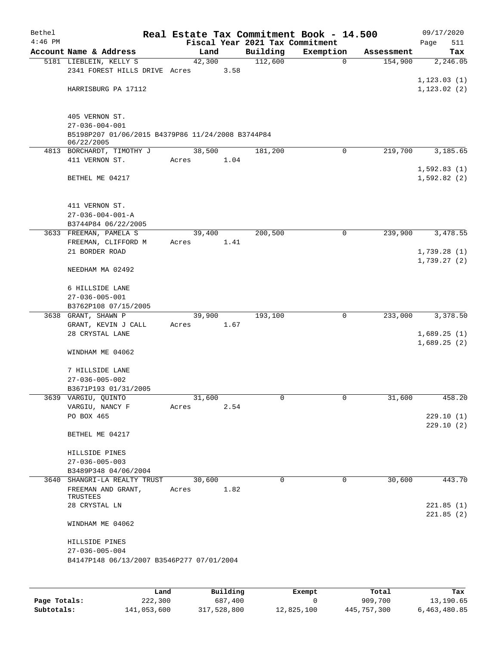| Bethel    |                                                   |       |        |      |                                 | Real Estate Tax Commitment Book - 14.500 |            | 09/17/2020   |
|-----------|---------------------------------------------------|-------|--------|------|---------------------------------|------------------------------------------|------------|--------------|
| $4:46$ PM |                                                   |       |        |      | Fiscal Year 2021 Tax Commitment |                                          |            | 511<br>Page  |
|           | Account Name & Address                            |       | Land   |      | Building                        | Exemption                                | Assessment | Tax          |
|           | 5181 LIEBLEIN, KELLY S                            |       | 42,300 |      | 112,600                         | $\mathbf 0$                              | 154,900    | 2,246.05     |
|           | 2341 FOREST HILLS DRIVE Acres                     |       |        | 3.58 |                                 |                                          |            | 1, 123.03(1) |
|           | HARRISBURG PA 17112                               |       |        |      |                                 |                                          |            | 1, 123.02(2) |
|           |                                                   |       |        |      |                                 |                                          |            |              |
|           |                                                   |       |        |      |                                 |                                          |            |              |
|           | 405 VERNON ST.                                    |       |        |      |                                 |                                          |            |              |
|           | $27 - 036 - 004 - 001$                            |       |        |      |                                 |                                          |            |              |
|           | B5198P207 01/06/2015 B4379P86 11/24/2008 B3744P84 |       |        |      |                                 |                                          |            |              |
|           | 06/22/2005<br>4813 BORCHARDT, TIMOTHY J           |       | 38,500 |      | 181,200                         | $\mathbf 0$                              | 219,700    | 3,185.65     |
|           | 411 VERNON ST.                                    | Acres |        | 1.04 |                                 |                                          |            |              |
|           |                                                   |       |        |      |                                 |                                          |            | 1,592.83(1)  |
|           | BETHEL ME 04217                                   |       |        |      |                                 |                                          |            | 1,592.82(2)  |
|           |                                                   |       |        |      |                                 |                                          |            |              |
|           |                                                   |       |        |      |                                 |                                          |            |              |
|           | 411 VERNON ST.                                    |       |        |      |                                 |                                          |            |              |
|           | $27 - 036 - 004 - 001 - A$                        |       |        |      |                                 |                                          |            |              |
|           | B3744P84 06/22/2005                               |       |        |      |                                 |                                          |            |              |
|           | 3633 FREEMAN, PAMELA S                            |       | 39,400 |      | 200,500                         | 0                                        | 239,900    | 3,478.55     |
|           | FREEMAN, CLIFFORD M                               | Acres |        | 1.41 |                                 |                                          |            |              |
|           | 21 BORDER ROAD                                    |       |        |      |                                 |                                          |            | 1,739.28(1)  |
|           |                                                   |       |        |      |                                 |                                          |            | 1,739.27(2)  |
|           | NEEDHAM MA 02492                                  |       |        |      |                                 |                                          |            |              |
|           | 6 HILLSIDE LANE                                   |       |        |      |                                 |                                          |            |              |
|           | $27 - 036 - 005 - 001$                            |       |        |      |                                 |                                          |            |              |
|           | B3762P108 07/15/2005                              |       |        |      |                                 |                                          |            |              |
|           | 3638 GRANT, SHAWN P                               |       | 39,900 |      | 193,100                         | 0                                        | 233,000    | 3,378.50     |
|           | GRANT, KEVIN J CALL                               | Acres |        | 1.67 |                                 |                                          |            |              |
|           | 28 CRYSTAL LANE                                   |       |        |      |                                 |                                          |            | 1,689.25(1)  |
|           |                                                   |       |        |      |                                 |                                          |            | 1,689.25(2)  |
|           | WINDHAM ME 04062                                  |       |        |      |                                 |                                          |            |              |
|           |                                                   |       |        |      |                                 |                                          |            |              |
|           | 7 HILLSIDE LANE<br>$27 - 036 - 005 - 002$         |       |        |      |                                 |                                          |            |              |
|           | B3671P193 01/31/2005                              |       |        |      |                                 |                                          |            |              |
|           | 3639 VARGIU, QUINTO                               |       | 31,600 |      | 0                               | $\mathbf{0}$                             | 31,600     | 458.20       |
|           | VARGIU, NANCY F                                   | Acres |        | 2.54 |                                 |                                          |            |              |
|           | PO BOX 465                                        |       |        |      |                                 |                                          |            | 229.10(1)    |
|           |                                                   |       |        |      |                                 |                                          |            | 229.10(2)    |
|           | BETHEL ME 04217                                   |       |        |      |                                 |                                          |            |              |
|           |                                                   |       |        |      |                                 |                                          |            |              |
|           | HILLSIDE PINES                                    |       |        |      |                                 |                                          |            |              |
|           | $27 - 036 - 005 - 003$                            |       |        |      |                                 |                                          |            |              |
|           | B3489P348 04/06/2004                              |       |        |      |                                 |                                          |            |              |
|           | 3640 SHANGRI-LA REALTY TRUST                      |       | 30,600 |      | $\Omega$                        | 0                                        | 30,600     | 443.70       |
|           | FREEMAN AND GRANT,                                | Acres |        | 1.82 |                                 |                                          |            |              |
|           | TRUSTEES<br>28 CRYSTAL LN                         |       |        |      |                                 |                                          |            | 221.85(1)    |
|           |                                                   |       |        |      |                                 |                                          |            | 221.85(2)    |
|           | WINDHAM ME 04062                                  |       |        |      |                                 |                                          |            |              |
|           |                                                   |       |        |      |                                 |                                          |            |              |
|           | HILLSIDE PINES                                    |       |        |      |                                 |                                          |            |              |
|           | $27 - 036 - 005 - 004$                            |       |        |      |                                 |                                          |            |              |
|           | B4147P148 06/13/2007 B3546P277 07/01/2004         |       |        |      |                                 |                                          |            |              |
|           |                                                   |       |        |      |                                 |                                          |            |              |
|           |                                                   |       |        |      |                                 |                                          |            |              |
|           |                                                   |       |        |      |                                 |                                          |            |              |

|              | Land        | Building    | Exempt     | Total       | Tax          |
|--------------|-------------|-------------|------------|-------------|--------------|
| Page Totals: | 222,300     | 687,400     |            | 909,700     | 13,190.65    |
| Subtotals:   | 141,053,600 | 317,528,800 | 12,825,100 | 445,757,300 | 6,463,480.85 |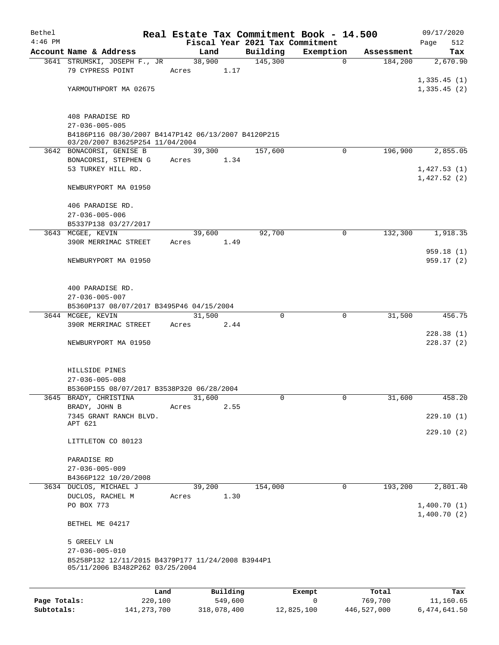| Bethel<br>$4:46$ PM |                                                                                        |                 |          | Fiscal Year 2021 Tax Commitment | Real Estate Tax Commitment Book - 14.500 |            | 09/17/2020<br>512<br>Page |
|---------------------|----------------------------------------------------------------------------------------|-----------------|----------|---------------------------------|------------------------------------------|------------|---------------------------|
|                     | Account Name & Address                                                                 | Land            |          | Building                        | Exemption                                | Assessment | Tax                       |
|                     | 3641 STRUMSKI, JOSEPH F., JR                                                           | 38,900          |          | 145,300                         | $\mathbf 0$                              | 184,200    | 2,670.90                  |
|                     | 79 CYPRESS POINT                                                                       | Acres           | 1.17     |                                 |                                          |            |                           |
|                     |                                                                                        |                 |          |                                 |                                          |            | 1,335.45(1)               |
|                     | YARMOUTHPORT MA 02675                                                                  |                 |          |                                 |                                          |            | 1,335.45(2)               |
|                     |                                                                                        |                 |          |                                 |                                          |            |                           |
|                     |                                                                                        |                 |          |                                 |                                          |            |                           |
|                     | 408 PARADISE RD                                                                        |                 |          |                                 |                                          |            |                           |
|                     | $27 - 036 - 005 - 005$                                                                 |                 |          |                                 |                                          |            |                           |
|                     | B4186P116 08/30/2007 B4147P142 06/13/2007 B4120P215<br>03/20/2007 B3625P254 11/04/2004 |                 |          |                                 |                                          |            |                           |
|                     | 3642 BONACORSI, GENISE B                                                               | 39,300          |          | 157,600                         | $\Omega$                                 | 196,900    | 2,855.05                  |
|                     | BONACORSI, STEPHEN G                                                                   | Acres           | 1.34     |                                 |                                          |            |                           |
|                     | 53 TURKEY HILL RD.                                                                     |                 |          |                                 |                                          |            | 1,427.53(1)               |
|                     |                                                                                        |                 |          |                                 |                                          |            | 1,427.52(2)               |
|                     | NEWBURYPORT MA 01950                                                                   |                 |          |                                 |                                          |            |                           |
|                     |                                                                                        |                 |          |                                 |                                          |            |                           |
|                     | 406 PARADISE RD.                                                                       |                 |          |                                 |                                          |            |                           |
|                     | $27 - 036 - 005 - 006$                                                                 |                 |          |                                 |                                          |            |                           |
|                     | B5337P138 03/27/2017                                                                   |                 |          |                                 |                                          |            |                           |
|                     | 3643 MCGEE, KEVIN                                                                      | 39,600          |          | 92,700                          | 0                                        | 132,300    | 1,918.35                  |
|                     | 390R MERRIMAC STREET                                                                   | Acres           | 1.49     |                                 |                                          |            |                           |
|                     |                                                                                        |                 |          |                                 |                                          |            | 959.18(1)                 |
|                     | NEWBURYPORT MA 01950                                                                   |                 |          |                                 |                                          |            | 959.17(2)                 |
|                     |                                                                                        |                 |          |                                 |                                          |            |                           |
|                     | 400 PARADISE RD.                                                                       |                 |          |                                 |                                          |            |                           |
|                     | $27 - 036 - 005 - 007$                                                                 |                 |          |                                 |                                          |            |                           |
|                     | B5360P137 08/07/2017 B3495P46 04/15/2004                                               |                 |          |                                 |                                          |            |                           |
|                     | 3644 MCGEE, KEVIN                                                                      | 31,500          |          | 0                               | 0                                        | 31,500     | 456.75                    |
|                     | 390R MERRIMAC STREET                                                                   | Acres           | 2.44     |                                 |                                          |            |                           |
|                     |                                                                                        |                 |          |                                 |                                          |            | 228.38(1)                 |
|                     | NEWBURYPORT MA 01950                                                                   |                 |          |                                 |                                          |            | 228.37(2)                 |
|                     |                                                                                        |                 |          |                                 |                                          |            |                           |
|                     |                                                                                        |                 |          |                                 |                                          |            |                           |
|                     | HILLSIDE PINES                                                                         |                 |          |                                 |                                          |            |                           |
|                     | $27 - 036 - 005 - 008$                                                                 |                 |          |                                 |                                          |            |                           |
|                     | B5360P155 08/07/2017 B3538P320 06/28/2004                                              |                 |          |                                 |                                          |            |                           |
|                     | 3645 BRADY, CHRISTINA<br>BRADY, JOHN B                                                 | 31,600<br>Acres | 2.55     | 0                               | 0                                        | 31,600     | 458.20                    |
|                     | 7345 GRANT RANCH BLVD.                                                                 |                 |          |                                 |                                          |            | 229.10(1)                 |
|                     | APT 621                                                                                |                 |          |                                 |                                          |            |                           |
|                     |                                                                                        |                 |          |                                 |                                          |            | 229.10(2)                 |
|                     | LITTLETON CO 80123                                                                     |                 |          |                                 |                                          |            |                           |
|                     |                                                                                        |                 |          |                                 |                                          |            |                           |
|                     | PARADISE RD                                                                            |                 |          |                                 |                                          |            |                           |
|                     | $27 - 036 - 005 - 009$                                                                 |                 |          |                                 |                                          |            |                           |
|                     | B4366P122 10/20/2008                                                                   |                 |          |                                 |                                          |            |                           |
|                     | 3634 DUCLOS, MICHAEL J                                                                 | 39,200          |          | 154,000                         | 0                                        | 193,200    | 2,801.40                  |
|                     | DUCLOS, RACHEL M<br>PO BOX 773                                                         | Acres           | 1.30     |                                 |                                          |            | 1,400.70(1)               |
|                     |                                                                                        |                 |          |                                 |                                          |            | 1,400.70(2)               |
|                     | BETHEL ME 04217                                                                        |                 |          |                                 |                                          |            |                           |
|                     |                                                                                        |                 |          |                                 |                                          |            |                           |
|                     | 5 GREELY LN                                                                            |                 |          |                                 |                                          |            |                           |
|                     | $27 - 036 - 005 - 010$                                                                 |                 |          |                                 |                                          |            |                           |
|                     | B5258P132 12/11/2015 B4379P177 11/24/2008 B3944P1                                      |                 |          |                                 |                                          |            |                           |
|                     | 05/11/2006 B3482P262 03/25/2004                                                        |                 |          |                                 |                                          |            |                           |
|                     |                                                                                        |                 |          |                                 |                                          |            |                           |
|                     |                                                                                        | Land            | Building |                                 | Exempt                                   | Total      | Tax                       |
| Page Totals:        | 220,100                                                                                |                 | 549,600  |                                 | 0                                        | 769,700    | 11,160.65                 |

**Subtotals:** 141,273,700 318,078,400 12,825,100 446,527,000 6,474,641.50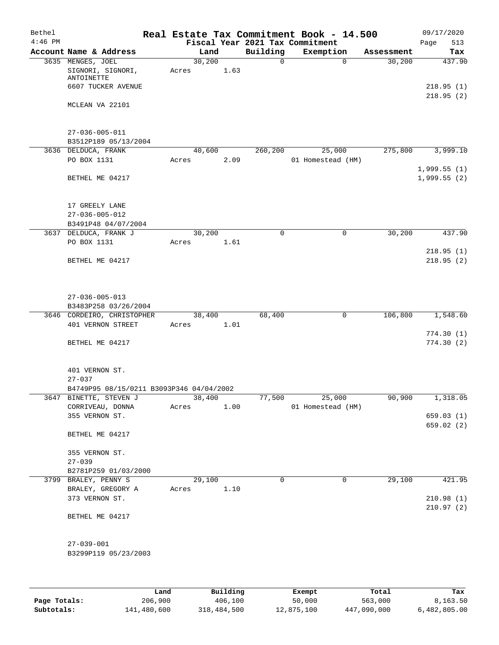| Bethel    |                                                 |                 |      |             | Real Estate Tax Commitment Book - 14.500 |                      | 09/17/2020                 |
|-----------|-------------------------------------------------|-----------------|------|-------------|------------------------------------------|----------------------|----------------------------|
| $4:46$ PM | Account Name & Address                          |                 | Land | Building    | Fiscal Year 2021 Tax Commitment          |                      | 513<br>Page                |
|           | 3635 MENGES, JOEL                               | 30,200          |      | 0           | Exemption<br>$\Omega$                    | Assessment<br>30,200 | Tax<br>437.90              |
|           | SIGNORI, SIGNORI,<br>ANTOINETTE                 | Acres           | 1.63 |             |                                          |                      |                            |
|           | 6607 TUCKER AVENUE                              |                 |      |             |                                          |                      | 218.95(1)<br>218.95(2)     |
|           | MCLEAN VA 22101                                 |                 |      |             |                                          |                      |                            |
|           | $27 - 036 - 005 - 011$<br>B3512P189 05/13/2004  |                 |      |             |                                          |                      |                            |
|           | 3636 DELDUCA, FRANK                             | 40,600          |      | 260,200     | 25,000                                   | 275,800              | 3,999.10                   |
|           | PO BOX 1131                                     | Acres           | 2.09 |             | 01 Homestead (HM)                        |                      |                            |
|           | BETHEL ME 04217                                 |                 |      |             |                                          |                      | 1,999.55(1)<br>1,999.55(2) |
|           |                                                 |                 |      |             |                                          |                      |                            |
|           | 17 GREELY LANE                                  |                 |      |             |                                          |                      |                            |
|           | $27 - 036 - 005 - 012$                          |                 |      |             |                                          |                      |                            |
|           | B3491P48 04/07/2004<br>3637 DELDUCA, FRANK J    | 30,200          |      | $\mathbf 0$ | $\mathbf 0$                              | 30,200               | 437.90                     |
|           | PO BOX 1131                                     | Acres           | 1.61 |             |                                          |                      |                            |
|           |                                                 |                 |      |             |                                          |                      | 218.95(1)                  |
|           | BETHEL ME 04217                                 |                 |      |             |                                          |                      | 218.95(2)                  |
|           |                                                 |                 |      |             |                                          |                      |                            |
|           | $27 - 036 - 005 - 013$                          |                 |      |             |                                          |                      |                            |
|           | B3483P258 03/26/2004                            |                 |      |             |                                          |                      |                            |
|           | 3646 CORDEIRO, CHRISTOPHER<br>401 VERNON STREET | 38,400<br>Acres | 1.01 | 68,400      | 0                                        | 106,800              | 1,548.60                   |
|           |                                                 |                 |      |             |                                          |                      | 774.30(1)                  |
|           | BETHEL ME 04217                                 |                 |      |             |                                          |                      | 774.30 (2)                 |
|           | 401 VERNON ST.<br>$27 - 037$                    |                 |      |             |                                          |                      |                            |
|           | B4749P95 08/15/0211 B3093P346 04/04/2002        |                 |      |             |                                          |                      |                            |
|           | 3647 BINETTE, STEVEN J                          | 38,400          |      | 77,500      | 25,000                                   | 90,900               | 1,318.05                   |
|           | CORRIVEAU, DONNA<br>355 VERNON ST.              | Acres           | 1.00 |             | 01 Homestead (HM)                        |                      | 659.03(1)                  |
|           |                                                 |                 |      |             |                                          |                      | 659.02 (2)                 |
|           | BETHEL ME 04217                                 |                 |      |             |                                          |                      |                            |
|           | 355 VERNON ST.                                  |                 |      |             |                                          |                      |                            |
|           | $27 - 039$                                      |                 |      |             |                                          |                      |                            |
|           | B2781P259 01/03/2000                            |                 |      |             |                                          |                      |                            |
| 3799      | BRALEY, PENNY S                                 | 29,100          |      | $\Omega$    | 0                                        | 29,100               | 421.95                     |
|           | BRALEY, GREGORY A                               | Acres           | 1.10 |             |                                          |                      |                            |
|           | 373 VERNON ST.                                  |                 |      |             |                                          |                      | 210.98(1)<br>210.97(2)     |
|           | BETHEL ME 04217                                 |                 |      |             |                                          |                      |                            |
|           | $27 - 039 - 001$                                |                 |      |             |                                          |                      |                            |
|           | B3299P119 05/23/2003                            |                 |      |             |                                          |                      |                            |
|           |                                                 |                 |      |             |                                          |                      |                            |
|           |                                                 |                 |      |             |                                          |                      |                            |

|              | Land        | Building    | Exempt     | Total       | Tax          |
|--------------|-------------|-------------|------------|-------------|--------------|
| Page Totals: | 206,900     | 406,100     | 50,000     | 563,000     | 8,163.50     |
| Subtotals:   | 141,480,600 | 318,484,500 | 12,875,100 | 447,090,000 | 6,482,805.00 |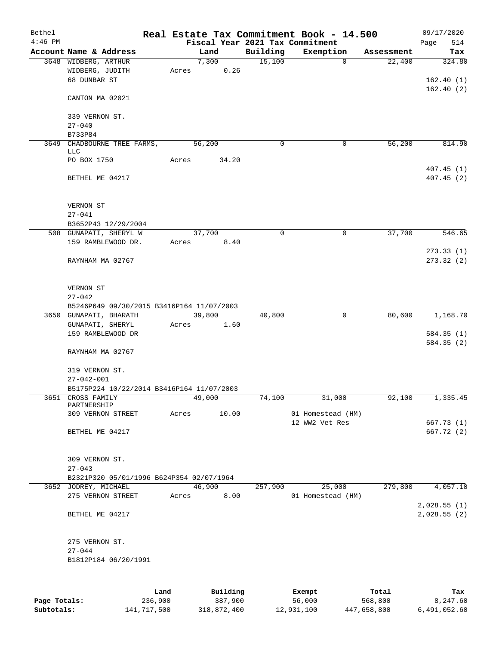| Bethel    |                                           |       |        |       |             | Real Estate Tax Commitment Book - 14.500 |            | 09/17/2020  |
|-----------|-------------------------------------------|-------|--------|-------|-------------|------------------------------------------|------------|-------------|
| $4:46$ PM |                                           |       |        |       |             | Fiscal Year 2021 Tax Commitment          |            | 514<br>Page |
|           | Account Name & Address                    |       | Land   |       | Building    | Exemption                                | Assessment | Tax         |
|           | 3648 WIDBERG, ARTHUR                      |       | 7,300  |       | 15,100      | $\Omega$                                 | 22,400     | 324.80      |
|           | WIDBERG, JUDITH<br>68 DUNBAR ST           | Acres |        | 0.26  |             |                                          |            |             |
|           |                                           |       |        |       |             |                                          |            | 162.40(1)   |
|           | CANTON MA 02021                           |       |        |       |             |                                          |            | 162.40(2)   |
|           |                                           |       |        |       |             |                                          |            |             |
|           | 339 VERNON ST.                            |       |        |       |             |                                          |            |             |
|           | $27 - 040$                                |       |        |       |             |                                          |            |             |
|           | B733P84                                   |       |        |       |             |                                          |            |             |
| 3649      | CHADBOURNE TREE FARMS,                    |       | 56,200 |       | $\mathbf 0$ | 0                                        | 56,200     | 814.90      |
|           | LLC                                       |       |        |       |             |                                          |            |             |
|           | PO BOX 1750                               | Acres |        | 34.20 |             |                                          |            |             |
|           |                                           |       |        |       |             |                                          |            | 407.45(1)   |
|           | BETHEL ME 04217                           |       |        |       |             |                                          |            | 407.45(2)   |
|           |                                           |       |        |       |             |                                          |            |             |
|           |                                           |       |        |       |             |                                          |            |             |
|           | VERNON ST                                 |       |        |       |             |                                          |            |             |
|           | $27 - 041$                                |       |        |       |             |                                          |            |             |
|           | B3652P43 12/29/2004                       |       |        |       |             |                                          |            |             |
|           | 508 GUNAPATI, SHERYL W                    |       | 37,700 |       | 0           | $\mathsf{O}$                             | 37,700     | 546.65      |
|           | 159 RAMBLEWOOD DR.                        | Acres |        | 8.40  |             |                                          |            |             |
|           |                                           |       |        |       |             |                                          |            | 273.33(1)   |
|           | RAYNHAM MA 02767                          |       |        |       |             |                                          |            | 273.32(2)   |
|           |                                           |       |        |       |             |                                          |            |             |
|           |                                           |       |        |       |             |                                          |            |             |
|           | VERNON ST                                 |       |        |       |             |                                          |            |             |
|           | $27 - 042$                                |       |        |       |             |                                          |            |             |
|           | B5246P649 09/30/2015 B3416P164 11/07/2003 |       |        |       |             |                                          |            |             |
|           | 3650 GUNAPATI, BHARATH                    |       | 39,800 |       | 40,800      | 0                                        | 80,600     | 1,168.70    |
|           | GUNAPATI, SHERYL                          | Acres |        | 1.60  |             |                                          |            |             |
|           | 159 RAMBLEWOOD DR                         |       |        |       |             |                                          |            | 584.35(1)   |
|           |                                           |       |        |       |             |                                          |            | 584.35 (2)  |
|           | RAYNHAM MA 02767                          |       |        |       |             |                                          |            |             |
|           |                                           |       |        |       |             |                                          |            |             |
|           | 319 VERNON ST.                            |       |        |       |             |                                          |            |             |
|           | $27 - 042 - 001$                          |       |        |       |             |                                          |            |             |
|           | B5175P224 10/22/2014 B3416P164 11/07/2003 |       |        |       |             |                                          |            |             |
|           | 3651 CROSS FAMILY                         |       | 49,000 |       | 74,100      | 31,000                                   | 92,100     | 1,335.45    |
|           | PARTNERSHIP                               | Acres |        | 10.00 |             | 01 Homestead (HM)                        |            |             |
|           | 309 VERNON STREET                         |       |        |       |             | 12 WW2 Vet Res                           |            | 667.73(1)   |
|           | BETHEL ME 04217                           |       |        |       |             |                                          |            | 667.72 (2)  |
|           |                                           |       |        |       |             |                                          |            |             |
|           |                                           |       |        |       |             |                                          |            |             |
|           | 309 VERNON ST.                            |       |        |       |             |                                          |            |             |
|           | $27 - 043$                                |       |        |       |             |                                          |            |             |
|           | B2321P320 05/01/1996 B624P354 02/07/1964  |       |        |       |             |                                          |            |             |
|           | 3652 JODREY, MICHAEL                      |       | 46,900 |       | 257,900     | 25,000                                   | 279,800    | 4,057.10    |
|           | 275 VERNON STREET                         | Acres |        | 8.00  |             | 01 Homestead (HM)                        |            |             |
|           |                                           |       |        |       |             |                                          |            | 2,028.55(1) |
|           | BETHEL ME 04217                           |       |        |       |             |                                          |            | 2,028.55(2) |
|           |                                           |       |        |       |             |                                          |            |             |
|           |                                           |       |        |       |             |                                          |            |             |
|           | 275 VERNON ST.                            |       |        |       |             |                                          |            |             |
|           | $27 - 044$                                |       |        |       |             |                                          |            |             |
|           | B1812P184 06/20/1991                      |       |        |       |             |                                          |            |             |
|           |                                           |       |        |       |             |                                          |            |             |
|           |                                           |       |        |       |             |                                          |            |             |
|           |                                           |       |        |       |             |                                          |            |             |

|              | Land        | Building    | Exempt     | Total       | Tax          |
|--------------|-------------|-------------|------------|-------------|--------------|
| Page Totals: | 236,900     | 387,900     | 56,000     | 568,800     | 8,247.60     |
| Subtotals:   | 141,717,500 | 318,872,400 | 12,931,100 | 447,658,800 | 6,491,052.60 |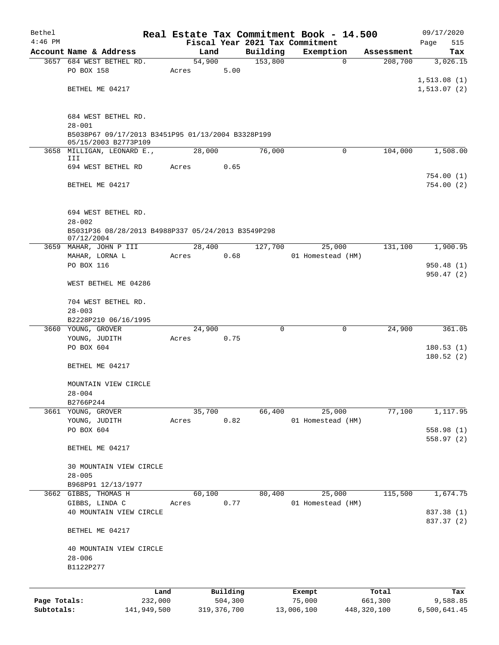| Bethel       |                                                                  |                 |                     |          | Real Estate Tax Commitment Book - 14.500 |                  | 09/17/2020      |
|--------------|------------------------------------------------------------------|-----------------|---------------------|----------|------------------------------------------|------------------|-----------------|
| $4:46$ PM    |                                                                  |                 |                     |          | Fiscal Year 2021 Tax Commitment          |                  | Page<br>515     |
|              | Account Name & Address                                           | Land            |                     | Building | Exemption                                | Assessment       | Tax             |
|              | 3657 684 WEST BETHEL RD.<br>PO BOX 158                           | 54,900<br>Acres | 5.00                | 153,800  | $\mathbf 0$                              | 208,700          | 3,026.15        |
|              |                                                                  |                 |                     |          |                                          |                  | 1,513.08(1)     |
|              | BETHEL ME 04217                                                  |                 |                     |          |                                          |                  | 1,513.07(2)     |
|              |                                                                  |                 |                     |          |                                          |                  |                 |
|              |                                                                  |                 |                     |          |                                          |                  |                 |
|              | 684 WEST BETHEL RD.                                              |                 |                     |          |                                          |                  |                 |
|              | $28 - 001$<br>B5038P67 09/17/2013 B3451P95 01/13/2004 B3328P199  |                 |                     |          |                                          |                  |                 |
|              | 05/15/2003 B2773P109                                             |                 |                     |          |                                          |                  |                 |
|              | 3658 MILLIGAN, LEONARD E.,                                       | 28,000          |                     | 76,000   | 0                                        | 104,000          | 1,508.00        |
|              | III                                                              |                 |                     |          |                                          |                  |                 |
|              | 694 WEST BETHEL RD                                               | Acres           | 0.65                |          |                                          |                  | 754.00 (1)      |
|              | BETHEL ME 04217                                                  |                 |                     |          |                                          |                  | 754.00(2)       |
|              |                                                                  |                 |                     |          |                                          |                  |                 |
|              |                                                                  |                 |                     |          |                                          |                  |                 |
|              | 694 WEST BETHEL RD.                                              |                 |                     |          |                                          |                  |                 |
|              | $28 - 002$                                                       |                 |                     |          |                                          |                  |                 |
|              | B5031P36 08/28/2013 B4988P337 05/24/2013 B3549P298<br>07/12/2004 |                 |                     |          |                                          |                  |                 |
|              | 3659 MAHAR, JOHN P III                                           | 28,400          |                     | 127,700  | 25,000                                   | 131,100          | 1,900.95        |
|              | MAHAR, LORNA L                                                   | Acres           | 0.68                |          | 01 Homestead (HM)                        |                  |                 |
|              | PO BOX 116                                                       |                 |                     |          |                                          |                  | 950.48 (1)      |
|              |                                                                  |                 |                     |          |                                          |                  | 950.47(2)       |
|              | WEST BETHEL ME 04286                                             |                 |                     |          |                                          |                  |                 |
|              | 704 WEST BETHEL RD.                                              |                 |                     |          |                                          |                  |                 |
|              | $28 - 003$                                                       |                 |                     |          |                                          |                  |                 |
|              | B2228P210 06/16/1995                                             |                 |                     |          |                                          |                  |                 |
|              | 3660 YOUNG, GROVER                                               | 24,900          |                     | $\Omega$ | 0                                        | 24,900           | 361.05          |
|              | YOUNG, JUDITH                                                    | Acres           | 0.75                |          |                                          |                  |                 |
|              | PO BOX 604                                                       |                 |                     |          |                                          |                  | 180.53(1)       |
|              |                                                                  |                 |                     |          |                                          |                  | 180.52(2)       |
|              | BETHEL ME 04217                                                  |                 |                     |          |                                          |                  |                 |
|              | MOUNTAIN VIEW CIRCLE                                             |                 |                     |          |                                          |                  |                 |
|              | $28 - 004$                                                       |                 |                     |          |                                          |                  |                 |
|              | B2766P244                                                        |                 |                     |          |                                          |                  |                 |
|              | 3661 YOUNG, GROVER                                               | 35,700          |                     | 66,400   | 25,000                                   | 77,100           | 1,117.95        |
|              | YOUNG, JUDITH                                                    | Acres           | 0.82                |          | 01 Homestead (HM)                        |                  |                 |
|              | PO BOX 604                                                       |                 |                     |          |                                          |                  | 558.98(1)       |
|              |                                                                  |                 |                     |          |                                          |                  | 558.97 (2)      |
|              | BETHEL ME 04217                                                  |                 |                     |          |                                          |                  |                 |
|              | 30 MOUNTAIN VIEW CIRCLE                                          |                 |                     |          |                                          |                  |                 |
|              | $28 - 005$                                                       |                 |                     |          |                                          |                  |                 |
|              | B968P91 12/13/1977                                               |                 |                     |          |                                          |                  |                 |
|              | 3662 GIBBS, THOMAS H                                             | 60,100          |                     | 80,400   | 25,000                                   | 115,500          | 1,674.75        |
|              | GIBBS, LINDA C                                                   | Acres           | 0.77                |          | 01 Homestead (HM)                        |                  |                 |
|              | 40 MOUNTAIN VIEW CIRCLE                                          |                 |                     |          |                                          |                  | 837.38 (1)      |
|              |                                                                  |                 |                     |          |                                          |                  | 837.37 (2)      |
|              | BETHEL ME 04217                                                  |                 |                     |          |                                          |                  |                 |
|              | 40 MOUNTAIN VIEW CIRCLE                                          |                 |                     |          |                                          |                  |                 |
|              | $28 - 006$                                                       |                 |                     |          |                                          |                  |                 |
|              | B1122P277                                                        |                 |                     |          |                                          |                  |                 |
|              |                                                                  |                 |                     |          |                                          |                  |                 |
|              |                                                                  |                 |                     |          |                                          |                  |                 |
| Page Totals: | Land<br>232,000                                                  |                 | Building<br>504,300 |          | Exempt<br>75,000                         | Total<br>661,300 | Tax<br>9,588.85 |
| Subtotals:   | 141,949,500                                                      |                 | 319, 376, 700       |          | 13,006,100                               | 448,320,100      | 6,500,641.45    |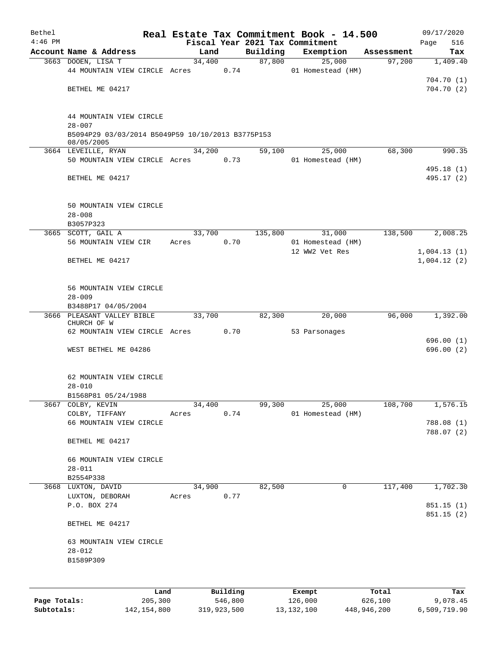| Bethel<br>$4:46$ PM |                                                                 |        |          |          | Real Estate Tax Commitment Book - 14.500<br>Fiscal Year 2021 Tax Commitment |            | 09/17/2020<br>516<br>Page |
|---------------------|-----------------------------------------------------------------|--------|----------|----------|-----------------------------------------------------------------------------|------------|---------------------------|
|                     | Account Name & Address                                          | Land   |          | Building | Exemption                                                                   | Assessment | Tax                       |
|                     | 3663 DOOEN, LISA T                                              |        | 34,400   | 87,800   | 25,000                                                                      | 97,200     | 1,409.40                  |
|                     | 44 MOUNTAIN VIEW CIRCLE Acres                                   |        | 0.74     |          | 01 Homestead (HM)                                                           |            |                           |
|                     |                                                                 |        |          |          |                                                                             |            | 704.70(1)                 |
|                     | BETHEL ME 04217                                                 |        |          |          |                                                                             |            | 704.70(2)                 |
|                     |                                                                 |        |          |          |                                                                             |            |                           |
|                     | 44 MOUNTAIN VIEW CIRCLE<br>$28 - 007$                           |        |          |          |                                                                             |            |                           |
|                     | B5094P29 03/03/2014 B5049P59 10/10/2013 B3775P153<br>08/05/2005 |        |          |          |                                                                             |            |                           |
|                     | 3664 LEVEILLE, RYAN                                             | 34,200 |          | 59,100   | 25,000                                                                      | 68,300     | 990.35                    |
|                     | 50 MOUNTAIN VIEW CIRCLE Acres                                   |        | 0.73     |          | 01 Homestead (HM)                                                           |            |                           |
|                     |                                                                 |        |          |          |                                                                             |            | 495.18 (1)                |
|                     | BETHEL ME 04217                                                 |        |          |          |                                                                             |            | 495.17 (2)                |
|                     | 50 MOUNTAIN VIEW CIRCLE                                         |        |          |          |                                                                             |            |                           |
|                     | $28 - 008$                                                      |        |          |          |                                                                             |            |                           |
|                     | B3057P323                                                       |        |          |          |                                                                             |            |                           |
|                     | 3665 SCOTT, GAIL A                                              | 33,700 |          | 135,800  | 31,000                                                                      | 138,500    | 2,008.25                  |
|                     | 56 MOUNTAIN VIEW CIR                                            | Acres  | 0.70     |          | 01 Homestead (HM)                                                           |            |                           |
|                     |                                                                 |        |          |          | 12 WW2 Vet Res                                                              |            | 1,004.13(1)               |
|                     | BETHEL ME 04217                                                 |        |          |          |                                                                             |            | 1,004.12(2)               |
|                     | 56 MOUNTAIN VIEW CIRCLE                                         |        |          |          |                                                                             |            |                           |
|                     | $28 - 009$                                                      |        |          |          |                                                                             |            |                           |
|                     | B3488P17 04/05/2004                                             |        |          |          |                                                                             |            |                           |
|                     | 3666 PLEASANT VALLEY BIBLE                                      | 33,700 |          | 82,300   | 20,000                                                                      | 96,000     | 1,392.00                  |
|                     | CHURCH OF W                                                     |        |          |          |                                                                             |            |                           |
|                     | 62 MOUNTAIN VIEW CIRCLE Acres                                   |        | 0.70     |          | 53 Parsonages                                                               |            | 696.00(1)                 |
|                     | WEST BETHEL ME 04286                                            |        |          |          |                                                                             |            | 696.00(2)                 |
|                     |                                                                 |        |          |          |                                                                             |            |                           |
|                     | 62 MOUNTAIN VIEW CIRCLE                                         |        |          |          |                                                                             |            |                           |
|                     | $28 - 010$                                                      |        |          |          |                                                                             |            |                           |
|                     | B1568P81 05/24/1988                                             |        |          |          |                                                                             |            |                           |
| 3667                | COLBY, KEVIN                                                    | 34,400 |          | 99,300   | 25,000                                                                      | 108,700    | 1,576.15                  |
|                     | COLBY, TIFFANY<br>66 MOUNTAIN VIEW CIRCLE                       | Acres  | 0.74     |          | 01 Homestead (HM)                                                           |            | 788.08 (1)                |
|                     |                                                                 |        |          |          |                                                                             |            | 788.07 (2)                |
|                     | BETHEL ME 04217                                                 |        |          |          |                                                                             |            |                           |
|                     | 66 MOUNTAIN VIEW CIRCLE                                         |        |          |          |                                                                             |            |                           |
|                     | $28 - 011$                                                      |        |          |          |                                                                             |            |                           |
|                     | B2554P338                                                       |        |          |          |                                                                             |            |                           |
|                     | 3668 LUXTON, DAVID                                              | 34,900 |          | 82,500   | 0                                                                           | 117,400    | 1,702.30                  |
|                     | LUXTON, DEBORAH                                                 | Acres  | 0.77     |          |                                                                             |            |                           |
|                     | P.O. BOX 274                                                    |        |          |          |                                                                             |            | 851.15(1)                 |
|                     |                                                                 |        |          |          |                                                                             |            | 851.15(2)                 |
|                     | BETHEL ME 04217                                                 |        |          |          |                                                                             |            |                           |
|                     | 63 MOUNTAIN VIEW CIRCLE                                         |        |          |          |                                                                             |            |                           |
|                     | $28 - 012$                                                      |        |          |          |                                                                             |            |                           |
|                     | B1589P309                                                       |        |          |          |                                                                             |            |                           |
|                     |                                                                 |        |          |          |                                                                             |            |                           |
|                     |                                                                 |        |          |          |                                                                             |            |                           |
|                     |                                                                 | Land   | Building |          | Exempt                                                                      | Total      | Tax                       |
| Page Totals:        | 205,300                                                         |        | 546,800  |          | 126,000                                                                     | 626,100    | 9,078.45                  |

**Subtotals:** 142,154,800 319,923,500 13,132,100 448,946,200 6,509,719.90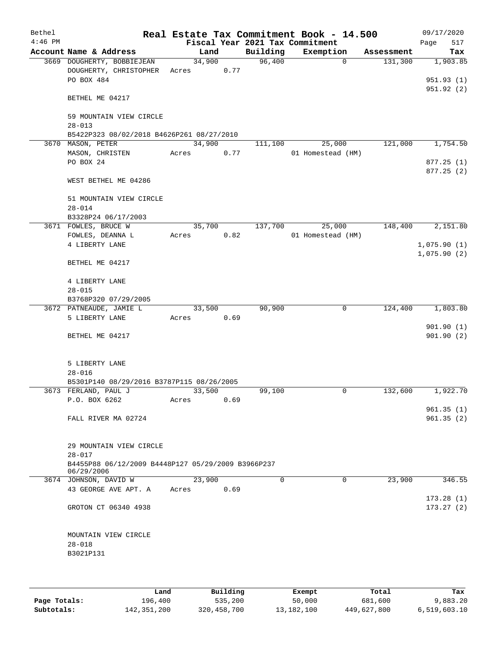| Bethel<br>$4:46$ PM |                                                                    |                 |      |          | Real Estate Tax Commitment Book - 14.500<br>Fiscal Year 2021 Tax Commitment |            | 09/17/2020<br>Page<br>517 |
|---------------------|--------------------------------------------------------------------|-----------------|------|----------|-----------------------------------------------------------------------------|------------|---------------------------|
|                     | Account Name & Address                                             |                 | Land | Building | Exemption                                                                   | Assessment | Tax                       |
|                     | 3669 DOUGHERTY, BOBBIEJEAN<br>DOUGHERTY, CHRISTOPHER<br>PO BOX 484 | 34,900<br>Acres | 0.77 | 96,400   | $\Omega$                                                                    | 131,300    | 1,903.85<br>951.93(1)     |
|                     | BETHEL ME 04217                                                    |                 |      |          |                                                                             |            | 951.92 (2)                |
|                     | 59 MOUNTAIN VIEW CIRCLE                                            |                 |      |          |                                                                             |            |                           |
|                     | $28 - 013$                                                         |                 |      |          |                                                                             |            |                           |
|                     | B5422P323 08/02/2018 B4626P261 08/27/2010                          | 34,900          |      |          |                                                                             | 121,000    |                           |
|                     | 3670 MASON, PETER<br>MASON, CHRISTEN                               | Acres           | 0.77 | 111,100  | 25,000<br>01 Homestead (HM)                                                 |            | 1,754.50                  |
|                     | PO BOX 24                                                          |                 |      |          |                                                                             |            | 877.25(1)                 |
|                     |                                                                    |                 |      |          |                                                                             |            | 877.25 (2)                |
|                     | WEST BETHEL ME 04286                                               |                 |      |          |                                                                             |            |                           |
|                     | 51 MOUNTAIN VIEW CIRCLE                                            |                 |      |          |                                                                             |            |                           |
|                     | $28 - 014$                                                         |                 |      |          |                                                                             |            |                           |
|                     | B3328P24 06/17/2003                                                |                 |      |          |                                                                             |            |                           |
|                     | 3671 FOWLES, BRUCE W                                               | 35,700          |      | 137,700  | 25,000                                                                      | 148,400    | 2,151.80                  |
|                     | FOWLES, DEANNA L                                                   | Acres           | 0.82 |          | 01 Homestead (HM)                                                           |            |                           |
|                     | 4 LIBERTY LANE                                                     |                 |      |          |                                                                             |            | 1,075.90(1)               |
|                     | BETHEL ME 04217                                                    |                 |      |          |                                                                             |            | 1,075.90(2)               |
|                     | 4 LIBERTY LANE<br>$28 - 015$                                       |                 |      |          |                                                                             |            |                           |
|                     | B3768P320 07/29/2005                                               |                 |      |          |                                                                             |            |                           |
|                     | 3672 PATNEAUDE, JAMIE L                                            | 33,500          |      | 90,900   | 0                                                                           | 124,400    | 1,803.80                  |
|                     | 5 LIBERTY LANE                                                     | Acres           | 0.69 |          |                                                                             |            |                           |
|                     |                                                                    |                 |      |          |                                                                             |            | 901.90(1)                 |
|                     | BETHEL ME 04217                                                    |                 |      |          |                                                                             |            | 901.90(2)                 |
|                     | 5 LIBERTY LANE                                                     |                 |      |          |                                                                             |            |                           |
|                     | $28 - 016$                                                         |                 |      |          |                                                                             |            |                           |
|                     | B5301P140 08/29/2016 B3787P115 08/26/2005                          |                 |      |          |                                                                             |            |                           |
|                     | 3673 FERLAND, PAUL J                                               | 33,500          |      | 99,100   | 0                                                                           | 132,600    | 1,922.70                  |
|                     | P.O. BOX 6262                                                      | Acres           | 0.69 |          |                                                                             |            | 961.35(1)                 |
|                     | FALL RIVER MA 02724                                                |                 |      |          |                                                                             |            | 961.35(2)                 |
|                     | 29 MOUNTAIN VIEW CIRCLE<br>$28 - 017$                              |                 |      |          |                                                                             |            |                           |
|                     | B4455P88 06/12/2009 B4448P127 05/29/2009 B3966P237<br>06/29/2006   |                 |      |          |                                                                             |            |                           |
|                     | 3674 JOHNSON, DAVID W                                              | 23,900          |      | $\Omega$ | $\Omega$                                                                    | 23,900     | 346.55                    |
|                     | 43 GEORGE AVE APT. A                                               | Acres           | 0.69 |          |                                                                             |            |                           |
|                     | GROTON CT 06340 4938                                               |                 |      |          |                                                                             |            | 173.28(1)<br>173.27(2)    |
|                     |                                                                    |                 |      |          |                                                                             |            |                           |
|                     | MOUNTAIN VIEW CIRCLE                                               |                 |      |          |                                                                             |            |                           |
|                     | $28 - 018$                                                         |                 |      |          |                                                                             |            |                           |
|                     | B3021P131                                                          |                 |      |          |                                                                             |            |                           |
|                     |                                                                    |                 |      |          |                                                                             |            |                           |
|                     |                                                                    |                 |      |          |                                                                             |            |                           |
|                     |                                                                    |                 |      |          |                                                                             |            |                           |

|              | Land        | Building      | Exempt     | Total       | Tax          |
|--------------|-------------|---------------|------------|-------------|--------------|
| Page Totals: | 196,400     | 535,200       | 50,000     | 681,600     | 9,883.20     |
| Subtotals:   | 142,351,200 | 320, 458, 700 | 13,182,100 | 449,627,800 | 6,519,603.10 |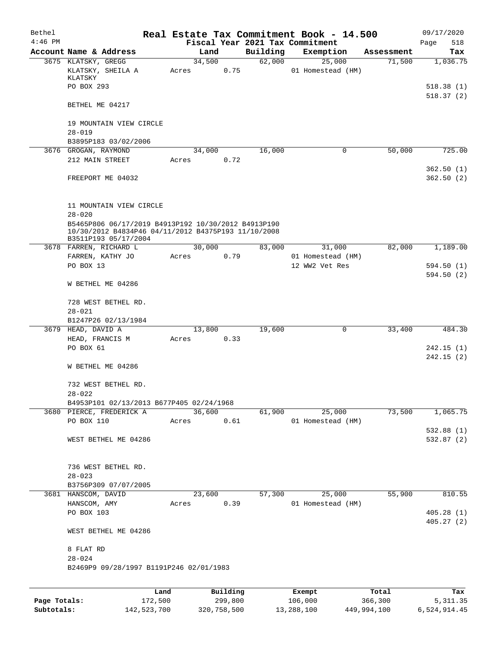| Bethel    |                                                                             |       |        |          |          | Real Estate Tax Commitment Book - 14.500 |            | 09/17/2020             |
|-----------|-----------------------------------------------------------------------------|-------|--------|----------|----------|------------------------------------------|------------|------------------------|
| $4:46$ PM |                                                                             |       |        |          |          | Fiscal Year 2021 Tax Commitment          |            | Page<br>518            |
|           | Account Name & Address                                                      |       | Land   |          | Building | Exemption                                | Assessment | Tax                    |
|           | 3675 KLATSKY, GREGG                                                         |       | 34,500 |          | 62,000   | 25,000                                   | 71,500     | 1,036.75               |
|           | KLATSKY, SHEILA A                                                           | Acres |        | 0.75     |          | 01 Homestead (HM)                        |            |                        |
|           | KLATSKY                                                                     |       |        |          |          |                                          |            |                        |
|           | PO BOX 293                                                                  |       |        |          |          |                                          |            | 518.38(1)<br>518.37(2) |
|           |                                                                             |       |        |          |          |                                          |            |                        |
|           | BETHEL ME 04217                                                             |       |        |          |          |                                          |            |                        |
|           |                                                                             |       |        |          |          |                                          |            |                        |
|           | 19 MOUNTAIN VIEW CIRCLE                                                     |       |        |          |          |                                          |            |                        |
|           | $28 - 019$                                                                  |       |        |          |          |                                          |            |                        |
|           | B3895P183 03/02/2006                                                        |       |        |          |          |                                          |            |                        |
|           | 3676 GROGAN, RAYMOND                                                        |       | 34,000 |          | 16,000   | 0                                        | 50,000     | 725.00                 |
|           | 212 MAIN STREET                                                             | Acres |        | 0.72     |          |                                          |            |                        |
|           |                                                                             |       |        |          |          |                                          |            | 362.50(1)              |
|           | FREEPORT ME 04032                                                           |       |        |          |          |                                          |            | 362.50(2)              |
|           |                                                                             |       |        |          |          |                                          |            |                        |
|           |                                                                             |       |        |          |          |                                          |            |                        |
|           | 11 MOUNTAIN VIEW CIRCLE                                                     |       |        |          |          |                                          |            |                        |
|           | $28 - 020$                                                                  |       |        |          |          |                                          |            |                        |
|           | B5465P806 06/17/2019 B4913P192 10/30/2012 B4913P190                         |       |        |          |          |                                          |            |                        |
|           | 10/30/2012 B4834P46 04/11/2012 B4375P193 11/10/2008<br>B3511P193 05/17/2004 |       |        |          |          |                                          |            |                        |
|           | 3678 FARREN, RICHARD L                                                      |       | 30,000 |          | 83,000   | 31,000                                   | 82,000     | 1,189.00               |
|           | FARREN, KATHY JO                                                            | Acres |        | 0.79     |          | 01 Homestead (HM)                        |            |                        |
|           | PO BOX 13                                                                   |       |        |          |          | 12 WW2 Vet Res                           |            | 594.50(1)              |
|           |                                                                             |       |        |          |          |                                          |            | 594.50(2)              |
|           | W BETHEL ME 04286                                                           |       |        |          |          |                                          |            |                        |
|           |                                                                             |       |        |          |          |                                          |            |                        |
|           | 728 WEST BETHEL RD.                                                         |       |        |          |          |                                          |            |                        |
|           | $28 - 021$                                                                  |       |        |          |          |                                          |            |                        |
|           | B1247P26 02/13/1984                                                         |       |        |          |          |                                          |            |                        |
|           | 3679 HEAD, DAVID A                                                          |       | 13,800 |          | 19,600   | $\mathbf 0$                              | 33,400     | 484.30                 |
|           | HEAD, FRANCIS M                                                             | Acres |        | 0.33     |          |                                          |            |                        |
|           | PO BOX 61                                                                   |       |        |          |          |                                          |            | 242.15(1)              |
|           |                                                                             |       |        |          |          |                                          |            | 242.15(2)              |
|           | W BETHEL ME 04286                                                           |       |        |          |          |                                          |            |                        |
|           |                                                                             |       |        |          |          |                                          |            |                        |
|           | 732 WEST BETHEL RD.                                                         |       |        |          |          |                                          |            |                        |
|           | $28 - 022$                                                                  |       |        |          |          |                                          |            |                        |
|           |                                                                             |       |        |          |          |                                          |            |                        |
|           | B4953P101 02/13/2013 B677P405 02/24/1968                                    |       |        |          |          |                                          | 73,500     |                        |
|           | 3680 PIERCE, FREDERICK A                                                    |       | 36,600 |          | 61,900   | 25,000                                   |            | 1,065.75               |
|           | PO BOX 110                                                                  | Acres |        | 0.61     |          | 01 Homestead (HM)                        |            |                        |
|           |                                                                             |       |        |          |          |                                          |            | 532.88(1)              |
|           | WEST BETHEL ME 04286                                                        |       |        |          |          |                                          |            | 532.87(2)              |
|           |                                                                             |       |        |          |          |                                          |            |                        |
|           |                                                                             |       |        |          |          |                                          |            |                        |
|           | 736 WEST BETHEL RD.                                                         |       |        |          |          |                                          |            |                        |
|           | $28 - 023$                                                                  |       |        |          |          |                                          |            |                        |
|           | B3756P309 07/07/2005                                                        |       |        |          |          |                                          |            |                        |
|           | 3681 HANSCOM, DAVID                                                         |       | 23,600 |          | 57,300   | 25,000                                   | 55,900     | 810.55                 |
|           | HANSCOM, AMY                                                                | Acres |        | 0.39     |          | 01 Homestead (HM)                        |            |                        |
|           | PO BOX 103                                                                  |       |        |          |          |                                          |            | 405.28(1)              |
|           |                                                                             |       |        |          |          |                                          |            | 405.27(2)              |
|           | WEST BETHEL ME 04286                                                        |       |        |          |          |                                          |            |                        |
|           |                                                                             |       |        |          |          |                                          |            |                        |
|           | 8 FLAT RD                                                                   |       |        |          |          |                                          |            |                        |
|           | $28 - 024$                                                                  |       |        |          |          |                                          |            |                        |
|           | B2469P9 09/28/1997 B1191P246 02/01/1983                                     |       |        |          |          |                                          |            |                        |
|           |                                                                             |       |        |          |          |                                          |            |                        |
|           |                                                                             | Land  |        | Building |          | Exempt                                   | Total      | Tax                    |
|           |                                                                             |       |        |          |          |                                          |            |                        |

**Page Totals:** 172,500 299,800 106,000 366,300 5,311.35 **Subtotals:** 142,523,700 320,758,500 13,288,100 449,994,100 6,524,914.45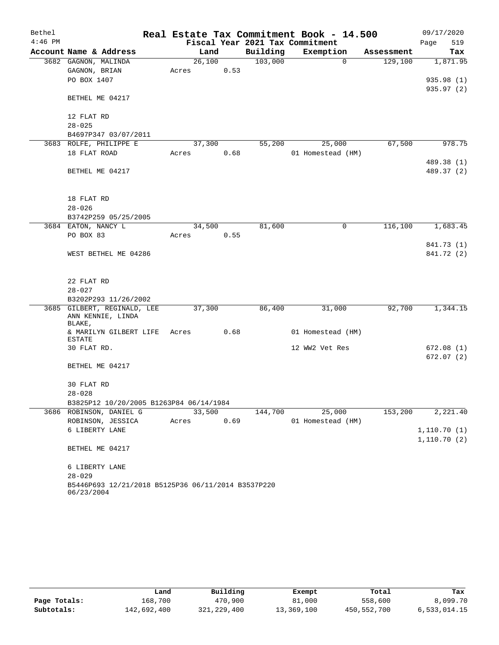| Bethel    |                                                                    |        |      |          | Real Estate Tax Commitment Book - 14.500 |            | 09/17/2020  |
|-----------|--------------------------------------------------------------------|--------|------|----------|------------------------------------------|------------|-------------|
| $4:46$ PM |                                                                    |        |      |          | Fiscal Year 2021 Tax Commitment          |            | 519<br>Page |
|           | Account Name & Address                                             | Land   |      | Building | Exemption                                | Assessment | Tax         |
|           | 3682 GAGNON, MALINDA                                               | 26,100 |      | 103,000  | $\mathbf 0$                              | 129,100    | 1,871.95    |
|           | GAGNON, BRIAN                                                      | Acres  | 0.53 |          |                                          |            |             |
|           | PO BOX 1407                                                        |        |      |          |                                          |            | 935.98 (1)  |
|           |                                                                    |        |      |          |                                          |            | 935.97 (2)  |
|           | BETHEL ME 04217                                                    |        |      |          |                                          |            |             |
|           |                                                                    |        |      |          |                                          |            |             |
|           | 12 FLAT RD                                                         |        |      |          |                                          |            |             |
|           | $28 - 025$                                                         |        |      |          |                                          |            |             |
|           | B4697P347 03/07/2011                                               |        |      |          |                                          |            |             |
|           | 3683 ROLFE, PHILIPPE E                                             | 37,300 |      | 55,200   | 25,000                                   | 67,500     | 978.75      |
|           | 18 FLAT ROAD                                                       | Acres  | 0.68 |          | 01 Homestead (HM)                        |            | 489.38 (1)  |
|           | BETHEL ME 04217                                                    |        |      |          |                                          |            | 489.37 (2)  |
|           |                                                                    |        |      |          |                                          |            |             |
|           |                                                                    |        |      |          |                                          |            |             |
|           | 18 FLAT RD                                                         |        |      |          |                                          |            |             |
|           | $28 - 026$                                                         |        |      |          |                                          |            |             |
|           | B3742P259 05/25/2005                                               |        |      |          |                                          |            |             |
|           | 3684 EATON, NANCY L                                                | 34,500 |      | 81,600   | 0                                        | 116,100    | 1,683.45    |
|           | PO BOX 83                                                          | Acres  | 0.55 |          |                                          |            |             |
|           |                                                                    |        |      |          |                                          |            | 841.73 (1)  |
|           | WEST BETHEL ME 04286                                               |        |      |          |                                          |            | 841.72 (2)  |
|           |                                                                    |        |      |          |                                          |            |             |
|           |                                                                    |        |      |          |                                          |            |             |
|           | 22 FLAT RD                                                         |        |      |          |                                          |            |             |
|           | $28 - 027$                                                         |        |      |          |                                          |            |             |
|           | B3202P293 11/26/2002                                               |        |      |          |                                          |            |             |
| 3685      | GILBERT, REGINALD, LEE<br>ANN KENNIE, LINDA                        | 37,300 |      | 86,400   | 31,000                                   | 92,700     | 1,344.15    |
|           | BLAKE,                                                             |        |      |          |                                          |            |             |
|           | & MARILYN GILBERT LIFE                                             | Acres  | 0.68 |          | 01 Homestead (HM)                        |            |             |
|           | <b>ESTATE</b>                                                      |        |      |          |                                          |            |             |
|           | 30 FLAT RD.                                                        |        |      |          | 12 WW2 Vet Res                           |            | 672.08 (1)  |
|           |                                                                    |        |      |          |                                          |            | 672.07(2)   |
|           | BETHEL ME 04217                                                    |        |      |          |                                          |            |             |
|           |                                                                    |        |      |          |                                          |            |             |
|           | 30 FLAT RD                                                         |        |      |          |                                          |            |             |
|           | $28 - 028$                                                         |        |      |          |                                          |            |             |
|           | B3825P12 10/20/2005 B1263P84 06/14/1984<br>3686 ROBINSON, DANIEL G | 33,500 |      | 144,700  | 25,000                                   | 153,200    | 2,221.40    |
|           | ROBINSON, JESSICA                                                  | Acres  | 0.69 |          | 01 Homestead (HM)                        |            |             |
|           | 6 LIBERTY LANE                                                     |        |      |          |                                          |            | 1,110.70(1) |
|           |                                                                    |        |      |          |                                          |            | 1,110.70(2) |
|           | BETHEL ME 04217                                                    |        |      |          |                                          |            |             |
|           |                                                                    |        |      |          |                                          |            |             |
|           | 6 LIBERTY LANE                                                     |        |      |          |                                          |            |             |
|           | $28 - 029$                                                         |        |      |          |                                          |            |             |
|           | B5446P693 12/21/2018 B5125P36 06/11/2014 B3537P220                 |        |      |          |                                          |            |             |
|           | 06/23/2004                                                         |        |      |          |                                          |            |             |

|              | Land        | Building    | Exempt     | Total       | Tax          |
|--------------|-------------|-------------|------------|-------------|--------------|
| Page Totals: | 168.700     | 470,900     | 81,000     | 558,600     | 8,099.70     |
| Subtotals:   | 142,692,400 | 321,229,400 | 13,369,100 | 450,552,700 | 6,533,014.15 |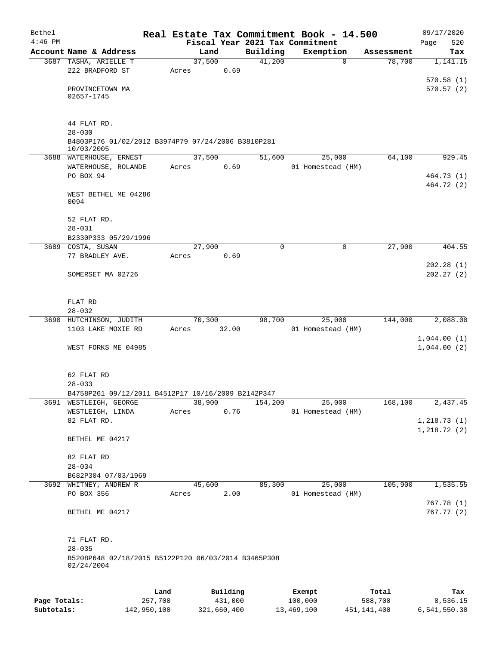| Bethel       |                                                                                 |         |                 |          |          | Real Estate Tax Commitment Book - 14.500     |                                     | 09/17/2020                 |
|--------------|---------------------------------------------------------------------------------|---------|-----------------|----------|----------|----------------------------------------------|-------------------------------------|----------------------------|
| $4:46$ PM    | Account Name & Address                                                          |         |                 | Land     | Building | Fiscal Year 2021 Tax Commitment<br>Exemption |                                     | 520<br>Page                |
|              | 3687 TASHA, ARIELLE T                                                           |         | 37,500          |          | 41,200   |                                              | Assessment<br>78,700<br>$\mathbf 0$ | Tax<br>1,141.15            |
|              | 222 BRADFORD ST                                                                 |         | Acres           | 0.69     |          |                                              |                                     |                            |
|              |                                                                                 |         |                 |          |          |                                              |                                     | 570.58(1)                  |
|              | PROVINCETOWN MA<br>02657-1745                                                   |         |                 |          |          |                                              |                                     | 570.57(2)                  |
|              |                                                                                 |         |                 |          |          |                                              |                                     |                            |
|              | 44 FLAT RD.                                                                     |         |                 |          |          |                                              |                                     |                            |
|              | $28 - 030$<br>B4803P176 01/02/2012 B3974P79 07/24/2006 B3810P281                |         |                 |          |          |                                              |                                     |                            |
|              | 10/03/2005                                                                      |         |                 |          |          |                                              |                                     |                            |
|              | 3688 WATERHOUSE, ERNEST                                                         |         | 37,500          |          | 51,600   | 25,000                                       | 64,100                              | 929.45                     |
|              | WATERHOUSE, ROLANDE                                                             |         | Acres           | 0.69     |          | 01 Homestead (HM)                            |                                     |                            |
|              | PO BOX 94                                                                       |         |                 |          |          |                                              |                                     | 464.73 (1)<br>464.72 (2)   |
|              | WEST BETHEL ME 04286<br>0094                                                    |         |                 |          |          |                                              |                                     |                            |
|              | 52 FLAT RD.                                                                     |         |                 |          |          |                                              |                                     |                            |
|              | $28 - 031$                                                                      |         |                 |          |          |                                              |                                     |                            |
|              | B2330P333 05/29/1996                                                            |         |                 |          |          |                                              |                                     |                            |
|              | 3689 COSTA, SUSAN                                                               |         | 27,900          |          | 0        |                                              | 27,900<br>0                         | 404.55                     |
|              | 77 BRADLEY AVE.                                                                 |         | Acres           | 0.69     |          |                                              |                                     | 202.28(1)                  |
|              | SOMERSET MA 02726                                                               |         |                 |          |          |                                              |                                     | 202.27(2)                  |
|              | FLAT RD<br>$28 - 032$                                                           |         |                 |          |          |                                              |                                     |                            |
|              | 3690 HUTCHINSON, JUDITH                                                         |         | 70,300          |          | 98,700   | 25,000                                       | 144,000                             | 2,088.00                   |
|              | 1103 LAKE MOXIE RD                                                              |         | Acres           | 32.00    |          | 01 Homestead (HM)                            |                                     |                            |
|              | WEST FORKS ME 04985                                                             |         |                 |          |          |                                              |                                     | 1,044.00(1)<br>1,044.00(2) |
|              | 62 FLAT RD                                                                      |         |                 |          |          |                                              |                                     |                            |
|              | $28 - 033$                                                                      |         |                 |          |          |                                              |                                     |                            |
|              | B4758P261 09/12/2011 B4512P17 10/16/2009 B2142P347                              |         |                 |          |          |                                              |                                     |                            |
|              | 3691 WESTLEIGH, GEORGE<br>WESTLEIGH, LINDA                                      |         | 38,900          |          | 154,200  | 25,000                                       | 168,100                             | 2,437.45                   |
|              | 82 FLAT RD.                                                                     |         | Acres           | 0.76     |          | 01 Homestead (HM)                            |                                     | 1, 218.73(1)               |
|              |                                                                                 |         |                 |          |          |                                              |                                     | 1,218.72(2)                |
|              | BETHEL ME 04217                                                                 |         |                 |          |          |                                              |                                     |                            |
|              | 82 FLAT RD                                                                      |         |                 |          |          |                                              |                                     |                            |
|              | $28 - 034$                                                                      |         |                 |          |          |                                              |                                     |                            |
|              | B682P304 07/03/1969                                                             |         |                 |          |          |                                              |                                     |                            |
|              | 3692 WHITNEY, ANDREW R<br>PO BOX 356                                            |         | 45,600<br>Acres | 2.00     | 85,300   | 25,000<br>01 Homestead (HM)                  | 105,900                             | 1,535.55                   |
|              |                                                                                 |         |                 |          |          |                                              |                                     | 767.78 (1)                 |
|              | BETHEL ME 04217                                                                 |         |                 |          |          |                                              |                                     | 767.77(2)                  |
|              | 71 FLAT RD.                                                                     |         |                 |          |          |                                              |                                     |                            |
|              | $28 - 035$<br>B5208P648 02/18/2015 B5122P120 06/03/2014 B3465P308<br>02/24/2004 |         |                 |          |          |                                              |                                     |                            |
|              |                                                                                 |         |                 |          |          |                                              |                                     |                            |
|              |                                                                                 | Land    |                 | Building |          | Exempt                                       | Total                               | Tax                        |
| Page Totals: |                                                                                 | 257,700 |                 | 431,000  |          | 100,000                                      | 588,700                             | 8,536.15                   |

**Subtotals:** 142,950,100 321,660,400 13,469,100 451,141,400 6,541,550.30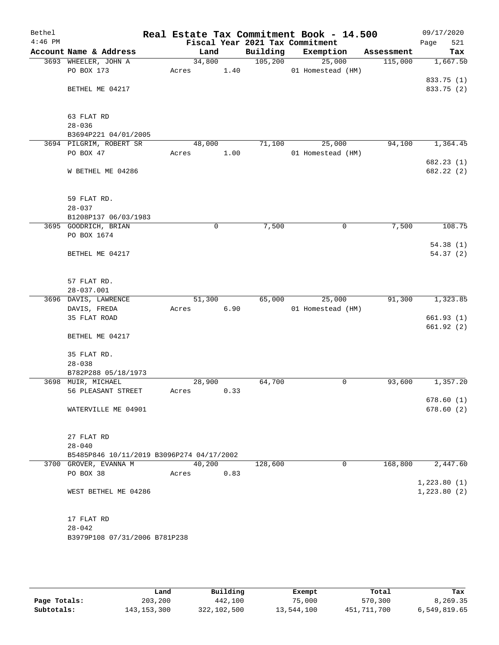| Bethel    |                                                                    |                 |      |          | Real Estate Tax Commitment Book - 14.500 |            | 09/17/2020  |
|-----------|--------------------------------------------------------------------|-----------------|------|----------|------------------------------------------|------------|-------------|
| $4:46$ PM |                                                                    |                 |      |          | Fiscal Year 2021 Tax Commitment          |            | 521<br>Page |
|           | Account Name & Address                                             | Land            |      | Building | Exemption                                | Assessment | Tax         |
|           | 3693 WHEELER, JOHN A                                               | 34,800          |      | 105,200  | 25,000                                   | 115,000    | 1,667.50    |
|           | PO BOX 173                                                         | Acres           | 1.40 |          | 01 Homestead (HM)                        |            | 833.75 (1)  |
|           | BETHEL ME 04217                                                    |                 |      |          |                                          |            | 833.75 (2)  |
|           |                                                                    |                 |      |          |                                          |            |             |
|           | 63 FLAT RD                                                         |                 |      |          |                                          |            |             |
|           | $28 - 036$                                                         |                 |      |          |                                          |            |             |
|           | B3694P221 04/01/2005                                               |                 |      |          |                                          |            |             |
|           | 3694 PILGRIM, ROBERT SR                                            | 48,000          |      | 71,100   | 25,000                                   | 94,100     | 1,364.45    |
|           | PO BOX 47                                                          | Acres           | 1.00 |          | 01 Homestead (HM)                        |            |             |
|           |                                                                    |                 |      |          |                                          |            | 682.23 (1)  |
|           | W BETHEL ME 04286                                                  |                 |      |          |                                          |            | 682.22 (2)  |
|           | 59 FLAT RD.                                                        |                 |      |          |                                          |            |             |
|           | $28 - 037$                                                         |                 |      |          |                                          |            |             |
|           | B1208P137 06/03/1983                                               |                 |      |          |                                          |            |             |
|           | 3695 GOODRICH, BRIAN                                               |                 | 0    | 7,500    | 0                                        | 7,500      | 108.75      |
|           | PO BOX 1674                                                        |                 |      |          |                                          |            |             |
|           |                                                                    |                 |      |          |                                          |            | 54.38(1)    |
|           | BETHEL ME 04217                                                    |                 |      |          |                                          |            | 54.37 (2)   |
|           | 57 FLAT RD.                                                        |                 |      |          |                                          |            |             |
|           | $28 - 037.001$                                                     |                 |      |          |                                          |            |             |
|           | 3696 DAVIS, LAWRENCE                                               | 51,300          |      | 65,000   | 25,000                                   | 91,300     | 1,323.85    |
|           | DAVIS, FREDA                                                       | Acres           | 6.90 |          | 01 Homestead (HM)                        |            |             |
|           | 35 FLAT ROAD                                                       |                 |      |          |                                          |            | 661.93(1)   |
|           | BETHEL ME 04217                                                    |                 |      |          |                                          |            | 661.92(2)   |
|           | 35 FLAT RD.                                                        |                 |      |          |                                          |            |             |
|           | $28 - 038$                                                         |                 |      |          |                                          |            |             |
|           | B782P288 05/18/1973                                                |                 |      |          |                                          |            |             |
|           | 3698 MUIR, MICHAEL<br>56 PLEASANT STREET                           | 28,900<br>Acres | 0.33 | 64,700   | 0                                        | 93,600     | 1,357.20    |
|           |                                                                    |                 |      |          |                                          |            | 678.60(1)   |
|           | WATERVILLE ME 04901                                                |                 |      |          |                                          |            | 678.60(2)   |
|           |                                                                    |                 |      |          |                                          |            |             |
|           | 27 FLAT RD                                                         |                 |      |          |                                          |            |             |
|           | $28 - 040$                                                         |                 |      |          |                                          |            |             |
|           | B5485P846 10/11/2019 B3096P274 04/17/2002<br>3700 GROVER, EVANNA M | 40,200          |      | 128,600  | 0                                        | 168,800    | 2,447.60    |
|           | PO BOX 38                                                          | Acres           | 0.83 |          |                                          |            |             |
|           |                                                                    |                 |      |          |                                          |            | 1,223.80(1) |
|           | WEST BETHEL ME 04286                                               |                 |      |          |                                          |            | 1,223.80(2) |
|           |                                                                    |                 |      |          |                                          |            |             |
|           | 17 FLAT RD                                                         |                 |      |          |                                          |            |             |
|           | $28 - 042$                                                         |                 |      |          |                                          |            |             |
|           | B3979P108 07/31/2006 B781P238                                      |                 |      |          |                                          |            |             |
|           |                                                                    |                 |      |          |                                          |            |             |

|              | Land        | Building    | Exempt     | Total       | Tax          |
|--------------|-------------|-------------|------------|-------------|--------------|
| Page Totals: | 203,200     | 442,100     | 75,000     | 570,300     | 8,269.35     |
| Subtotals:   | 143,153,300 | 322,102,500 | 13,544,100 | 451,711,700 | 6,549,819.65 |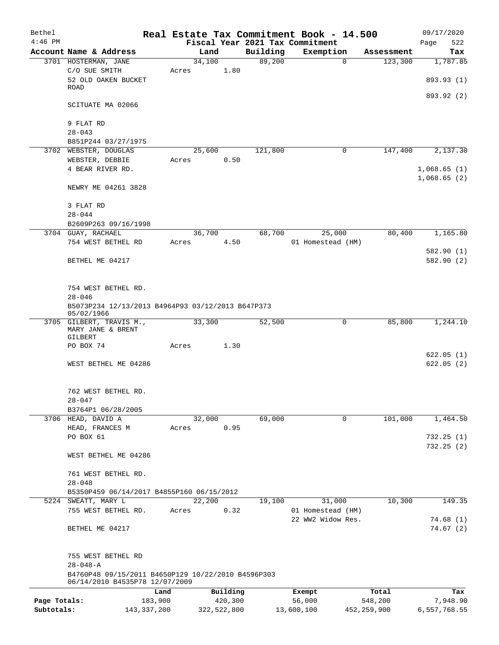| Bethel       |                                                                                      |               |        |             |          | Real Estate Tax Commitment Book - 14.500 |               | 09/17/2020           |
|--------------|--------------------------------------------------------------------------------------|---------------|--------|-------------|----------|------------------------------------------|---------------|----------------------|
| $4:46$ PM    |                                                                                      |               |        |             |          | Fiscal Year 2021 Tax Commitment          |               | Page<br>522          |
|              | Account Name & Address                                                               |               | Land   |             | Building | Exemption                                | Assessment    | Tax                  |
|              | 3701 HOSTERMAN, JANE<br>C/O SUE SMITH                                                | Acres         | 34,100 | 1.80        | 89,200   | $\mathbf 0$                              | 123,300       | 1,787.85             |
|              | 52 OLD OAKEN BUCKET<br>ROAD                                                          |               |        |             |          |                                          |               | 893.93 (1)           |
|              | SCITUATE MA 02066                                                                    |               |        |             |          |                                          |               | 893.92 (2)           |
|              | 9 FLAT RD                                                                            |               |        |             |          |                                          |               |                      |
|              | $28 - 043$<br>B851P244 03/27/1975                                                    |               |        |             |          |                                          |               |                      |
|              | 3702 WEBSTER, DOUGLAS                                                                |               | 25,600 |             | 121,800  | 0                                        | 147,400       | 2,137.30             |
|              | WEBSTER, DEBBIE                                                                      | Acres         |        | 0.50        |          |                                          |               |                      |
|              | 4 BEAR RIVER RD.                                                                     |               |        |             |          |                                          |               | 1,068.65(1)          |
|              | NEWRY ME 04261 3828                                                                  |               |        |             |          |                                          |               | 1,068.65(2)          |
|              | 3 FLAT RD                                                                            |               |        |             |          |                                          |               |                      |
|              | $28 - 044$                                                                           |               |        |             |          |                                          |               |                      |
|              | B2609P263 09/16/1998                                                                 |               |        |             |          |                                          |               |                      |
|              | 3704 GUAY, RACHAEL                                                                   |               | 36,700 |             | 68,700   | 25,000                                   | 80,400        | 1,165.80             |
|              | 754 WEST BETHEL RD                                                                   | Acres         |        | 4.50        |          | 01 Homestead (HM)                        |               |                      |
|              |                                                                                      |               |        |             |          |                                          |               | 582.90 (1)           |
|              | BETHEL ME 04217                                                                      |               |        |             |          |                                          |               | 582.90 (2)           |
|              | 754 WEST BETHEL RD.                                                                  |               |        |             |          |                                          |               |                      |
|              | $28 - 046$                                                                           |               |        |             |          |                                          |               |                      |
|              | B5073P234 12/13/2013 B4964P93 03/12/2013 B647P373<br>05/02/1966                      |               |        |             |          |                                          |               |                      |
|              | 3705 GILBERT, TRAVIS M.,<br>MARY JANE & BRENT<br>GILBERT                             |               | 33,300 |             | 52,500   | 0                                        | 85,800        | 1,244.10             |
|              | PO BOX 74                                                                            | Acres         |        | 1.30        |          |                                          |               |                      |
|              |                                                                                      |               |        |             |          |                                          |               | 622.05 (1)           |
|              | WEST BETHEL ME 04286                                                                 |               |        |             |          |                                          |               | 622.05(2)            |
|              | 762 WEST BETHEL RD.                                                                  |               |        |             |          |                                          |               |                      |
|              | $28 - 047$                                                                           |               |        |             |          |                                          |               |                      |
|              | B3764P1 06/28/2005                                                                   |               |        |             |          |                                          |               |                      |
|              | 3706 HEAD, DAVID A                                                                   |               | 32,000 |             | 69,000   | 0                                        | 101,000       | 1,464.50             |
|              | HEAD, FRANCES M                                                                      | Acres         |        | 0.95        |          |                                          |               |                      |
|              | PO BOX 61                                                                            |               |        |             |          |                                          |               | 732.25(1)            |
|              | WEST BETHEL ME 04286                                                                 |               |        |             |          |                                          |               | 732.25(2)            |
|              | 761 WEST BETHEL RD.                                                                  |               |        |             |          |                                          |               |                      |
|              | $28 - 048$                                                                           |               |        |             |          |                                          |               |                      |
|              | B5350P459 06/14/2017 B4855P160 06/15/2012                                            |               |        |             |          |                                          |               |                      |
| 5224         | SWEATT, MARY L                                                                       |               | 22,200 |             | 19,100   | 31,000                                   | 10,300        | 149.35               |
|              | 755 WEST BETHEL RD.                                                                  | Acres         |        | 0.32        |          | 01 Homestead (HM)                        |               |                      |
|              | BETHEL ME 04217                                                                      |               |        |             |          | 22 WW2 Widow Res.                        |               | 74.68(1)<br>74.67(2) |
|              | 755 WEST BETHEL RD                                                                   |               |        |             |          |                                          |               |                      |
|              | $28 - 048 - A$                                                                       |               |        |             |          |                                          |               |                      |
|              | B4760P48 09/15/2011 B4650P129 10/22/2010 B4596P303<br>06/14/2010 B4535P78 12/07/2009 |               |        |             |          |                                          |               |                      |
|              |                                                                                      | Land          |        | Building    |          | Exempt                                   | Total         | Tax                  |
| Page Totals: |                                                                                      | 183,900       |        | 420,300     |          | 56,000                                   | 548,200       | 7,948.90             |
| Subtotals:   |                                                                                      | 143, 337, 200 |        | 322,522,800 |          | 13,600,100                               | 452, 259, 900 | 6,557,768.55         |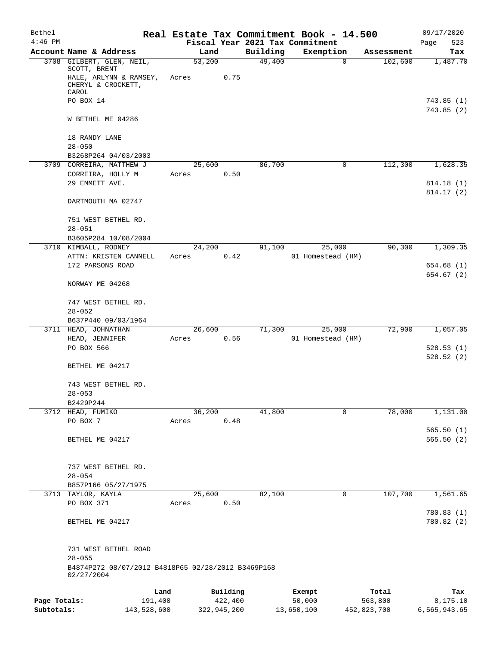| Bethel       |                                                                  |                |                    | Real Estate Tax Commitment Book - 14.500 |                       | 09/17/2020               |
|--------------|------------------------------------------------------------------|----------------|--------------------|------------------------------------------|-----------------------|--------------------------|
| $4:46$ PM    |                                                                  |                |                    | Fiscal Year 2021 Tax Commitment          |                       | Page<br>523              |
|              | Account Name & Address<br>3708 GILBERT, GLEN, NEIL,              | Land<br>53,200 | Building<br>49,400 | Exemption<br>$\mathbf 0$                 | Assessment<br>102,600 | Tax<br>1,487.70          |
|              | SCOTT, BRENT<br>HALE, ARLYNN & RAMSEY,<br>CHERYL & CROCKETT,     | 0.75<br>Acres  |                    |                                          |                       |                          |
|              | CAROL<br>PO BOX 14                                               |                |                    |                                          |                       | 743.85(1)<br>743.85 (2)  |
|              | W BETHEL ME 04286                                                |                |                    |                                          |                       |                          |
|              | 18 RANDY LANE<br>$28 - 050$                                      |                |                    |                                          |                       |                          |
|              | B3268P264 04/03/2003                                             |                |                    |                                          |                       |                          |
| 3709         | CORREIRA, MATTHEW J                                              | 25,600<br>0.50 | 86,700             | 0                                        | 112,300               | 1,628.35                 |
|              | CORREIRA, HOLLY M<br>29 EMMETT AVE.                              | Acres          |                    |                                          |                       | 814.18 (1)<br>814.17 (2) |
|              | DARTMOUTH MA 02747                                               |                |                    |                                          |                       |                          |
|              | 751 WEST BETHEL RD.<br>$28 - 051$                                |                |                    |                                          |                       |                          |
|              | B3605P284 10/08/2004                                             |                |                    |                                          |                       |                          |
|              | 3710 KIMBALL, RODNEY                                             | 24,200         | 91,100             | 25,000                                   | 90, 300               | 1,309.35                 |
|              | ATTN: KRISTEN CANNELL                                            | 0.42<br>Acres  |                    | 01 Homestead (HM)                        |                       |                          |
|              | 172 PARSONS ROAD                                                 |                |                    |                                          |                       | 654.68(1)<br>654.67 (2)  |
|              | NORWAY ME 04268                                                  |                |                    |                                          |                       |                          |
|              | 747 WEST BETHEL RD.                                              |                |                    |                                          |                       |                          |
|              | $28 - 052$                                                       |                |                    |                                          |                       |                          |
|              | B637P440 09/03/1964<br>3711 HEAD, JOHNATHAN                      | 26,600         | 71,300             | 25,000                                   | 72,900                | 1,057.05                 |
|              | HEAD, JENNIFER                                                   | 0.56<br>Acres  |                    | 01 Homestead (HM)                        |                       |                          |
|              | PO BOX 566                                                       |                |                    |                                          |                       | 528.53(1)                |
|              | BETHEL ME 04217                                                  |                |                    |                                          |                       | 528.52(2)                |
|              | 743 WEST BETHEL RD.<br>$28 - 053$                                |                |                    |                                          |                       |                          |
|              | B2429P244                                                        |                |                    |                                          |                       |                          |
|              | 3712 HEAD, FUMIKO                                                | 36,200         | 41,800             | 0                                        | 78,000                | 1,131.00                 |
|              | PO BOX 7                                                         | 0.48<br>Acres  |                    |                                          |                       |                          |
|              | BETHEL ME 04217                                                  |                |                    |                                          |                       | 565.50(1)<br>565.50(2)   |
|              | 737 WEST BETHEL RD.                                              |                |                    |                                          |                       |                          |
|              | $28 - 054$                                                       |                |                    |                                          |                       |                          |
|              | B857P166 05/27/1975                                              |                |                    |                                          |                       |                          |
|              | 3713 TAYLOR, KAYLA                                               | 25,600         | 82,100             | 0                                        | 107,700               | 1,561.65                 |
|              | PO BOX 371                                                       | 0.50<br>Acres  |                    |                                          |                       | 780.83(1)                |
|              | BETHEL ME 04217                                                  |                |                    |                                          |                       | 780.82 (2)               |
|              | 731 WEST BETHEL ROAD<br>$28 - 055$                               |                |                    |                                          |                       |                          |
|              | B4874P272 08/07/2012 B4818P65 02/28/2012 B3469P168<br>02/27/2004 |                |                    |                                          |                       |                          |
|              | Land                                                             | Building       |                    |                                          | Total                 | Tax                      |
| Page Totals: | 191,400                                                          | 422,400        |                    | Exempt<br>50,000                         | 563,800               | 8,175.10                 |

**Subtotals:** 143,528,600 322,945,200 13,650,100 452,823,700 6,565,943.65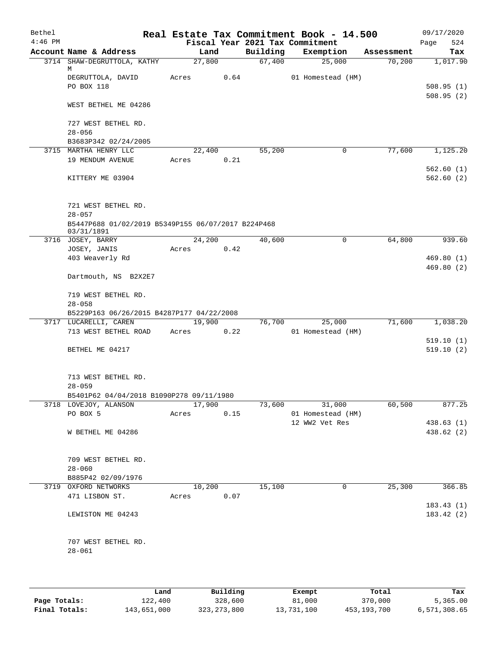| Bethel<br>$4:46$ PM |                                                                  |       |            |      |          | Real Estate Tax Commitment Book - 14.500<br>Fiscal Year 2021 Tax Commitment |            | 09/17/2020<br>524<br>Page |
|---------------------|------------------------------------------------------------------|-------|------------|------|----------|-----------------------------------------------------------------------------|------------|---------------------------|
|                     | Account Name & Address                                           |       | Land       |      | Building | Exemption                                                                   | Assessment | Tax                       |
|                     | 3714 SHAW-DEGRUTTOLA, KATHY                                      |       | 27,800     |      | 67,400   | 25,000                                                                      | 70,200     | 1,017.90                  |
|                     | M<br>DEGRUTTOLA, DAVID                                           |       | Acres      | 0.64 |          | 01 Homestead (HM)                                                           |            |                           |
|                     | PO BOX 118                                                       |       |            |      |          |                                                                             |            | 508.95(1)                 |
|                     |                                                                  |       |            |      |          |                                                                             |            | 508.95(2)                 |
|                     | WEST BETHEL ME 04286                                             |       |            |      |          |                                                                             |            |                           |
|                     | 727 WEST BETHEL RD.                                              |       |            |      |          |                                                                             |            |                           |
|                     | $28 - 056$                                                       |       |            |      |          |                                                                             |            |                           |
|                     | B3683P342 02/24/2005                                             |       |            |      |          |                                                                             |            |                           |
|                     | 3715 MARTHA HENRY LLC                                            |       | 22,400     |      | 55,200   | 0                                                                           | 77,600     | 1,125.20                  |
|                     | 19 MENDUM AVENUE                                                 |       | Acres 0.21 |      |          |                                                                             |            |                           |
|                     |                                                                  |       |            |      |          |                                                                             |            | 562.60(1)                 |
|                     | KITTERY ME 03904                                                 |       |            |      |          |                                                                             |            | 562.60(2)                 |
|                     | 721 WEST BETHEL RD.                                              |       |            |      |          |                                                                             |            |                           |
|                     | $28 - 057$                                                       |       |            |      |          |                                                                             |            |                           |
|                     | B5447P688 01/02/2019 B5349P155 06/07/2017 B224P468<br>03/31/1891 |       |            |      |          |                                                                             |            |                           |
|                     | 3716 JOSEY, BARRY                                                |       | 24,200     |      | 40,600   | $\mathbf 0$                                                                 | 64,800     | 939.60                    |
|                     | JOSEY, JANIS                                                     | Acres |            | 0.42 |          |                                                                             |            |                           |
|                     | 403 Weaverly Rd                                                  |       |            |      |          |                                                                             |            | 469.80(1)                 |
|                     |                                                                  |       |            |      |          |                                                                             |            | 469.80(2)                 |
|                     | Dartmouth, NS B2X2E7                                             |       |            |      |          |                                                                             |            |                           |
|                     | 719 WEST BETHEL RD.                                              |       |            |      |          |                                                                             |            |                           |
|                     | $28 - 058$                                                       |       |            |      |          |                                                                             |            |                           |
|                     | B5229P163 06/26/2015 B4287P177 04/22/2008                        |       |            |      |          |                                                                             |            |                           |
|                     | 3717 LUCARELLI, CAREN                                            |       | 19,900     |      | 76,700   | 25,000                                                                      | 71,600     | 1,038.20                  |
|                     | 713 WEST BETHEL ROAD                                             |       | Acres 0.22 |      |          | 01 Homestead (HM)                                                           |            |                           |
|                     |                                                                  |       |            |      |          |                                                                             |            | 519.10(1)                 |
|                     | BETHEL ME 04217                                                  |       |            |      |          |                                                                             |            | 519.10(2)                 |
|                     | 713 WEST BETHEL RD.                                              |       |            |      |          |                                                                             |            |                           |
|                     | $28 - 059$                                                       |       |            |      |          |                                                                             |            |                           |
|                     | B5401P62 04/04/2018 B1090P278 09/11/1980                         |       |            |      |          |                                                                             |            |                           |
|                     | 3718 LOVEJOY, ALANSON                                            |       | 17,900     |      | 73,600   | 31,000                                                                      | 60,500     | 877.25                    |
|                     | PO BOX 5                                                         | Acres |            | 0.15 |          | 01 Homestead (HM)                                                           |            |                           |
|                     |                                                                  |       |            |      |          | 12 WW2 Vet Res                                                              |            | 438.63(1)                 |
|                     | W BETHEL ME 04286                                                |       |            |      |          |                                                                             |            | 438.62 (2)                |
|                     |                                                                  |       |            |      |          |                                                                             |            |                           |
|                     | 709 WEST BETHEL RD.                                              |       |            |      |          |                                                                             |            |                           |
|                     | $28 - 060$                                                       |       |            |      |          |                                                                             |            |                           |
|                     | B885P42 02/09/1976                                               |       |            |      |          |                                                                             |            |                           |
|                     | 3719 OXFORD NETWORKS                                             |       | 10,200     |      | 15,100   | 0                                                                           | 25,300     | 366.85                    |
|                     | 471 LISBON ST.                                                   |       | Acres      | 0.07 |          |                                                                             |            |                           |
|                     |                                                                  |       |            |      |          |                                                                             |            | 183.43(1)                 |
|                     | LEWISTON ME 04243                                                |       |            |      |          |                                                                             |            | 183.42(2)                 |
|                     | 707 WEST BETHEL RD.                                              |       |            |      |          |                                                                             |            |                           |
|                     | $28 - 061$                                                       |       |            |      |          |                                                                             |            |                           |
|                     |                                                                  |       |            |      |          |                                                                             |            |                           |
|                     |                                                                  |       |            |      |          |                                                                             |            |                           |
|                     |                                                                  |       |            |      |          |                                                                             |            |                           |

|               | Land        | Building    | Exempt     | Total       | Tax          |
|---------------|-------------|-------------|------------|-------------|--------------|
| Page Totals:  | 122,400     | 328,600     | 81,000     | 370,000     | 5,365.00     |
| Final Totals: | 143,651,000 | 323,273,800 | 13,731,100 | 453,193,700 | 6,571,308.65 |